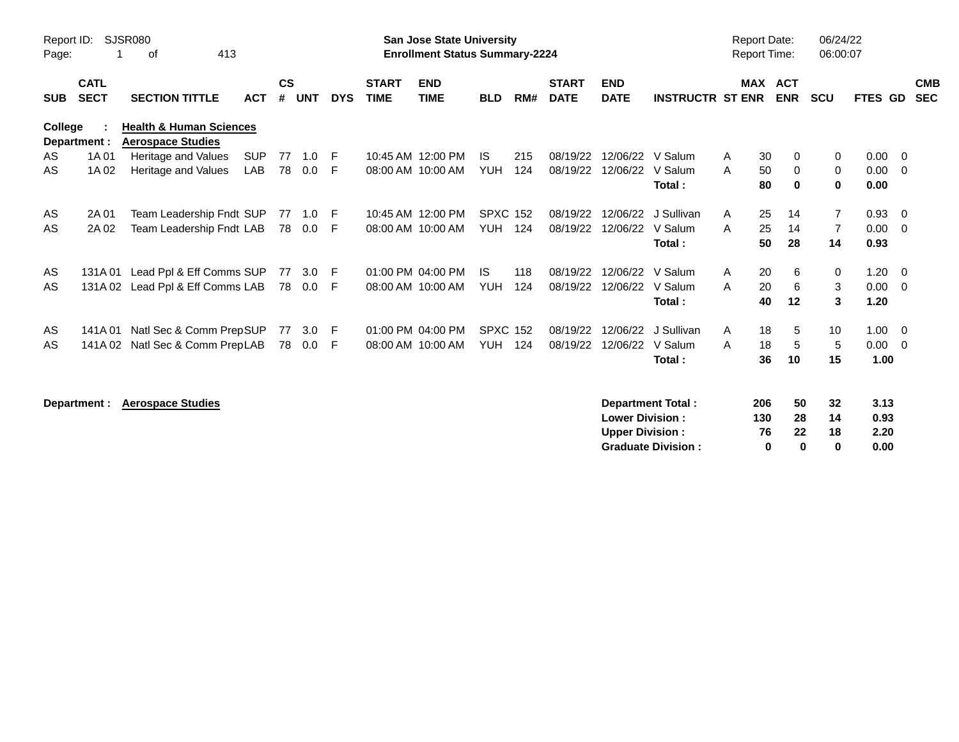| Report ID:<br>Page: |                            | <b>SJSR080</b><br>413<br>оf                                    |                          |                    |                   |            |                             | <b>San Jose State University</b><br><b>Enrollment Status Summary-2224</b> |                                   |            |                             |                                                  |                                                       | <b>Report Date:</b><br>Report Time: |                       |                            | 06/24/22<br>06:00:07  |                              |                                            |                          |
|---------------------|----------------------------|----------------------------------------------------------------|--------------------------|--------------------|-------------------|------------|-----------------------------|---------------------------------------------------------------------------|-----------------------------------|------------|-----------------------------|--------------------------------------------------|-------------------------------------------------------|-------------------------------------|-----------------------|----------------------------|-----------------------|------------------------------|--------------------------------------------|--------------------------|
| <b>SUB</b>          | <b>CATL</b><br><b>SECT</b> | <b>SECTION TITTLE</b>                                          | <b>ACT</b>               | $\mathsf{cs}$<br># | <b>UNT</b>        | <b>DYS</b> | <b>START</b><br><b>TIME</b> | <b>END</b><br><b>TIME</b>                                                 | <b>BLD</b>                        | RM#        | <b>START</b><br><b>DATE</b> | <b>END</b><br><b>DATE</b>                        | <b>INSTRUCTR ST ENR</b>                               |                                     | <b>MAX ACT</b>        | <b>ENR</b>                 | <b>SCU</b>            | FTES GD                      |                                            | <b>CMB</b><br><b>SEC</b> |
| College             | Department :               | <b>Health &amp; Human Sciences</b><br><b>Aerospace Studies</b> |                          |                    |                   |            |                             |                                                                           |                                   |            |                             |                                                  |                                                       |                                     |                       |                            |                       |                              |                                            |                          |
| AS<br>AS            | 1A 01<br>1A 02             | Heritage and Values<br>Heritage and Values                     | <b>SUP</b><br><b>LAB</b> | 78                 | 77 1.0<br>0.0     | -F<br>-F.  |                             | 10:45 AM 12:00 PM<br>08:00 AM 10:00 AM                                    | <b>IS</b><br><b>YUH</b>           | 215<br>124 | 08/19/22<br>08/19/22        | 12/06/22                                         | 12/06/22 V Salum<br>V Salum<br>Total:                 | A<br>A                              | 30<br>50<br>80        | 0<br>0<br>0                | 0<br>0<br>$\mathbf 0$ | 0.00<br>0.00<br>0.00         | $\overline{\phantom{0}}$<br>$\overline{0}$ |                          |
| AS<br>AS            | 2A 01<br>2A 02             | Team Leadership Fndt SUP<br>Team Leadership Fndt LAB           |                          |                    | 78  0.0           | -F<br>E    |                             | 10:45 AM 12:00 PM<br>08:00 AM 10:00 AM                                    | <b>SPXC 152</b><br><b>YUH 124</b> |            | 08/19/22<br>08/19/22        | 12/06/22<br>12/06/22                             | J Sullivan<br>V Salum<br>Total:                       | A<br>A                              | 25<br>25<br>50        | 14<br>14<br>28             | 7<br>7<br>14          | 0.93<br>0.00<br>0.93         | - 0<br>- 0                                 |                          |
| AS<br>AS            | 131A 01                    | Lead Ppl & Eff Comms SUP<br>131A 02 Lead Ppl & Eff Comms LAB   |                          |                    | 77 3.0<br>78  0.0 | F.<br>F    |                             | 01:00 PM 04:00 PM<br>08:00 AM 10:00 AM                                    | <b>IS</b><br><b>YUH</b>           | 118<br>124 | 08/19/22<br>08/19/22        | 12/06/22<br>12/06/22                             | V Salum<br>V Salum<br>Total:                          | A<br>A                              | 20<br>20<br>40        | 6<br>6<br>12               | 0<br>3<br>3           | 1.20<br>0.00<br>1.20         | $\overline{0}$<br>- 0                      |                          |
| AS<br>AS            | 141A 01<br>141A 02         | Natl Sec & Comm PrepSUP<br>Natl Sec & Comm PrepLAB             |                          | 77                 | 3.0<br>78 0.0     | F<br>F.    |                             | 01:00 PM 04:00 PM<br>08:00 AM 10:00 AM                                    | <b>SPXC 152</b><br><b>YUH</b>     | 124        | 08/19/22<br>08/19/22        | 12/06/22<br>12/06/22                             | J Sullivan<br>V Salum<br>Total:                       | A<br>A                              | 18<br>18<br>36        | 5<br>5<br>10               | 10<br>5<br>15         | $1.00 \t 0$<br>0.00<br>1.00  | $\overline{\phantom{0}}$                   |                          |
|                     | Department :               | <b>Aerospace Studies</b>                                       |                          |                    |                   |            |                             |                                                                           |                                   |            |                             | <b>Lower Division:</b><br><b>Upper Division:</b> | <b>Department Total:</b><br><b>Graduate Division:</b> |                                     | 206<br>130<br>76<br>0 | 50<br>28<br>22<br>$\bf{0}$ | 32<br>14<br>18<br>0   | 3.13<br>0.93<br>2.20<br>0.00 |                                            |                          |

**Graduate Division : 0 0 0 0.00**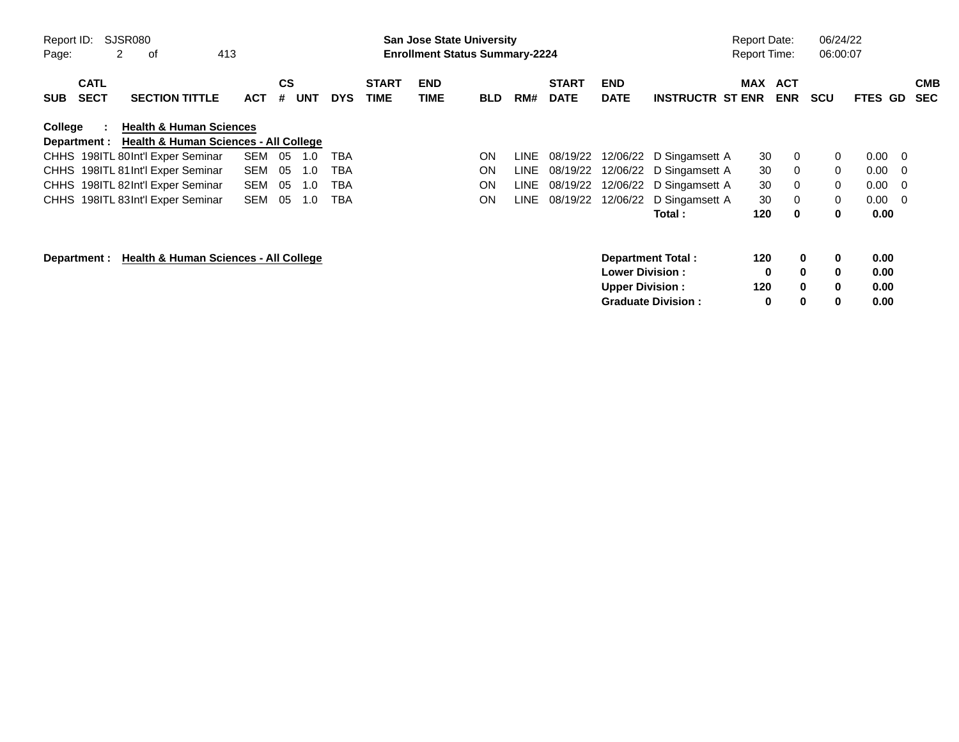| Report ID:<br>Page: |                            | SJSR080<br>2<br>413<br>οf                        |            |                |            |            |                             | <b>San Jose State University</b><br><b>Enrollment Status Summary-2224</b> |            |      |                             |                           |                           | <b>Report Date:</b><br><b>Report Time:</b> |                          | 06/24/22<br>06:00:07 |             |                          |                          |
|---------------------|----------------------------|--------------------------------------------------|------------|----------------|------------|------------|-----------------------------|---------------------------------------------------------------------------|------------|------|-----------------------------|---------------------------|---------------------------|--------------------------------------------|--------------------------|----------------------|-------------|--------------------------|--------------------------|
| <b>SUB</b>          | <b>CATL</b><br><b>SECT</b> | <b>SECTION TITTLE</b>                            | <b>ACT</b> | <b>CS</b><br># | <b>UNT</b> | <b>DYS</b> | <b>START</b><br><b>TIME</b> | <b>END</b><br>TIME                                                        | <b>BLD</b> | RM#  | <b>START</b><br><b>DATE</b> | <b>END</b><br><b>DATE</b> | <b>INSTRUCTR ST ENR</b>   | MAX                                        | <b>ACT</b><br><b>ENR</b> | <b>SCU</b>           | <b>FTES</b> | GD.                      | <b>CMB</b><br><b>SEC</b> |
| College             |                            | <b>Health &amp; Human Sciences</b>               |            |                |            |            |                             |                                                                           |            |      |                             |                           |                           |                                            |                          |                      |             |                          |                          |
|                     | Department :               | <b>Health &amp; Human Sciences - All College</b> |            |                |            |            |                             |                                                                           |            |      |                             |                           |                           |                                            |                          |                      |             |                          |                          |
|                     |                            | CHHS 198ITL 80Int'l Exper Seminar                | <b>SEM</b> | 05             | 1.0        | TBA        |                             |                                                                           | <b>ON</b>  | LINE | 08/19/22                    | 12/06/22                  | D Singamsett A            | 30                                         | 0                        | 0                    | 0.00        | $\overline{\phantom{0}}$ |                          |
|                     |                            | CHHS 198ITL 81 Int'l Exper Seminar               | <b>SEM</b> | 05             | 1.0        | TBA        |                             |                                                                           | ON         | LINE | 08/19/22                    | 12/06/22                  | D Singamsett A            | 30                                         | 0                        | $\mathbf{0}$         | 0.00        | $\overline{\mathbf{0}}$  |                          |
|                     |                            | CHHS 198ITL 82Int'l Exper Seminar                | <b>SEM</b> | 05             | 1.0        | TBA        |                             |                                                                           | <b>ON</b>  | LINE | 08/19/22                    | 12/06/22                  | D Singamsett A            | 30                                         | 0                        | $\mathbf{0}$         | 0.00        | $\overline{\mathbf{0}}$  |                          |
|                     |                            | CHHS 198ITL 83Int'l Exper Seminar                | <b>SEM</b> | 05             | 1.0        | TBA        |                             |                                                                           | ON         | LINE | 08/19/22                    | 12/06/22                  | D Singamsett A            | 30                                         | 0                        | 0                    | 0.00        | $\overline{\phantom{0}}$ |                          |
|                     |                            |                                                  |            |                |            |            |                             |                                                                           |            |      |                             |                           | Total :                   | 120                                        | 0                        | 0                    | 0.00        |                          |                          |
|                     | Department :               | Health & Human Sciences - All College            |            |                |            |            |                             |                                                                           |            |      |                             |                           | Department Total:         | 120                                        | 0                        | 0                    | 0.00        |                          |                          |
|                     |                            |                                                  |            |                |            |            |                             |                                                                           |            |      |                             | <b>Lower Division:</b>    |                           | 0                                          | $\bf{0}$                 | 0                    | 0.00        |                          |                          |
|                     |                            |                                                  |            |                |            |            |                             |                                                                           |            |      |                             | <b>Upper Division:</b>    |                           | 120                                        | $\bf{0}$                 | $\bf{0}$             | 0.00        |                          |                          |
|                     |                            |                                                  |            |                |            |            |                             |                                                                           |            |      |                             |                           | <b>Graduate Division:</b> | 0                                          | 0                        | 0                    | 0.00        |                          |                          |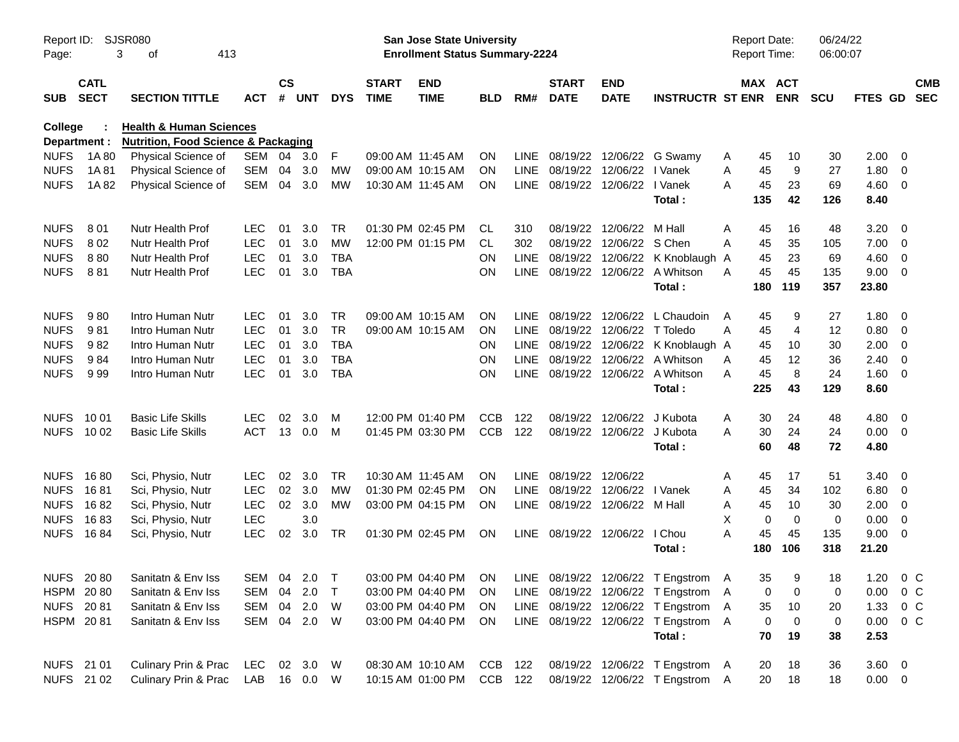| Report ID:<br>Page: |                            | <b>SJSR080</b><br>413<br>3<br>of               |              |                |            |            |                             | San Jose State University<br><b>Enrollment Status Summary-2224</b> |            |             |                                |                           |                                                                             | <b>Report Date:</b><br><b>Report Time:</b> |                       | 06/24/22<br>06:00:07 |                 |                |                          |
|---------------------|----------------------------|------------------------------------------------|--------------|----------------|------------|------------|-----------------------------|--------------------------------------------------------------------|------------|-------------|--------------------------------|---------------------------|-----------------------------------------------------------------------------|--------------------------------------------|-----------------------|----------------------|-----------------|----------------|--------------------------|
| <b>SUB</b>          | <b>CATL</b><br><b>SECT</b> | <b>SECTION TITTLE</b>                          | <b>ACT</b>   | <b>CS</b><br># | <b>UNT</b> | <b>DYS</b> | <b>START</b><br><b>TIME</b> | <b>END</b><br><b>TIME</b>                                          | <b>BLD</b> | RM#         | <b>START</b><br><b>DATE</b>    | <b>END</b><br><b>DATE</b> | <b>INSTRUCTR ST ENR</b>                                                     |                                            | MAX ACT<br><b>ENR</b> | <b>SCU</b>           | FTES GD         |                | <b>CMB</b><br><b>SEC</b> |
| <b>College</b>      |                            | <b>Health &amp; Human Sciences</b>             |              |                |            |            |                             |                                                                    |            |             |                                |                           |                                                                             |                                            |                       |                      |                 |                |                          |
|                     | Department :               | <b>Nutrition, Food Science &amp; Packaging</b> |              |                |            |            |                             |                                                                    |            |             |                                |                           |                                                                             |                                            |                       |                      |                 |                |                          |
| <b>NUFS</b>         | 1A 80                      | Physical Science of                            | SEM          |                | 04 3.0     | F          |                             | 09:00 AM 11:45 AM                                                  | <b>ON</b>  | LINE        | 08/19/22 12/06/22              |                           | G Swamy                                                                     | 45<br>A                                    | 10                    | 30                   | 2.00            | - 0            |                          |
| <b>NUFS</b>         | 1A81                       | Physical Science of                            | <b>SEM</b>   | 04             | 3.0        | МW         |                             | 09:00 AM 10:15 AM                                                  | <b>ON</b>  |             | LINE 08/19/22 12/06/22         |                           | I Vanek                                                                     | A<br>45                                    | 9                     | 27                   | 1.80            | 0              |                          |
| <b>NUFS</b>         | 1A82                       | Physical Science of                            | <b>SEM</b>   | 04             | 3.0        | MW         |                             | 10:30 AM 11:45 AM                                                  | <b>ON</b>  |             | LINE 08/19/22 12/06/22 I Vanek |                           | Total:                                                                      | 45<br>A<br>135                             | 23<br>42              | 69<br>126            | 4.60<br>8.40    | $\overline{0}$ |                          |
| <b>NUFS</b>         | 801                        | Nutr Health Prof                               | <b>LEC</b>   | 01             | 3.0        | TR         |                             | 01:30 PM 02:45 PM                                                  | CL         | 310         |                                | 08/19/22 12/06/22         | M Hall                                                                      | 45<br>A                                    | 16                    | 48                   | 3.20            | - 0            |                          |
| <b>NUFS</b>         | 802                        | Nutr Health Prof                               | LEC          | 01             | 3.0        | <b>MW</b>  |                             | 12:00 PM 01:15 PM                                                  | CL         | 302         | 08/19/22                       | 12/06/22                  | S Chen                                                                      | 45<br>A                                    | 35                    | 105                  | 7.00            | 0              |                          |
| <b>NUFS</b>         | 880                        | Nutr Health Prof                               | LEC          | 01             | 3.0        | <b>TBA</b> |                             |                                                                    | ΟN         | LINE        |                                | 08/19/22 12/06/22         | K Knoblaugh A                                                               | 45                                         | 23                    | 69                   | 4.60            | 0              |                          |
| <b>NUFS</b>         | 881                        | Nutr Health Prof                               | <b>LEC</b>   | 01             | 3.0        | <b>TBA</b> |                             |                                                                    | ΟN         |             |                                |                           | LINE 08/19/22 12/06/22 A Whitson                                            | 45<br>A                                    | 45                    | 135                  | 9.00            | - 0            |                          |
|                     |                            |                                                |              |                |            |            |                             |                                                                    |            |             |                                |                           | Total:                                                                      | 180                                        | 119                   | 357                  | 23.80           |                |                          |
| <b>NUFS</b>         | 980                        | Intro Human Nutr                               | <b>LEC</b>   | 01             | 3.0        | <b>TR</b>  |                             | 09:00 AM 10:15 AM                                                  | ON.        | LINE        | 08/19/22 12/06/22              |                           | L Chaudoin                                                                  | 45<br>$\mathsf{A}$                         | 9                     | 27                   | 1.80            | - 0            |                          |
| <b>NUFS</b>         | 981                        | Intro Human Nutr                               | LEC          | 01             | 3.0        | <b>TR</b>  |                             | 09:00 AM 10:15 AM                                                  | ON         | <b>LINE</b> |                                | 08/19/22 12/06/22         | T Toledo                                                                    | A<br>45                                    | $\overline{4}$        | 12                   | 0.80            | 0              |                          |
| <b>NUFS</b>         | 982                        | Intro Human Nutr                               | LEC          | 01             | 3.0        | <b>TBA</b> |                             |                                                                    | <b>ON</b>  | <b>LINE</b> |                                | 08/19/22 12/06/22         | K Knoblaugh A                                                               | 45                                         | 10                    | 30                   | 2.00            | 0              |                          |
| <b>NUFS</b>         | 984                        | Intro Human Nutr                               | LEC          | 01             | 3.0        | <b>TBA</b> |                             |                                                                    | ΟN         | <b>LINE</b> |                                | 08/19/22 12/06/22         | A Whitson                                                                   | A<br>45                                    | 12                    | 36                   | 2.40            | 0              |                          |
| <b>NUFS</b>         | 999                        | Intro Human Nutr                               | <b>LEC</b>   | 01             | 3.0        | <b>TBA</b> |                             |                                                                    | ΟN         |             |                                |                           | LINE 08/19/22 12/06/22 A Whitson                                            | A<br>45                                    | 8                     | 24                   | 1.60            | - 0            |                          |
|                     |                            |                                                |              |                |            |            |                             |                                                                    |            |             |                                |                           | Total:                                                                      | 225                                        | 43                    | 129                  | 8.60            |                |                          |
| <b>NUFS</b>         | 10 01                      | <b>Basic Life Skills</b>                       | <b>LEC</b>   | 02             | 3.0        | м          |                             | 12:00 PM 01:40 PM                                                  | <b>CCB</b> | 122         | 08/19/22                       | 12/06/22                  | J Kubota                                                                    | A                                          | 30<br>24              | 48                   | 4.80            | - 0            |                          |
|                     | NUFS 1002                  | <b>Basic Life Skills</b>                       | <b>ACT</b>   | 13             | 0.0        | M          |                             | 01:45 PM 03:30 PM                                                  | <b>CCB</b> | 122         |                                | 08/19/22 12/06/22         | J Kubota                                                                    | A                                          | 30<br>24              | 24                   | 0.00            | $\overline{0}$ |                          |
|                     |                            |                                                |              |                |            |            |                             |                                                                    |            |             |                                |                           | Total:                                                                      | 60                                         | 48                    | 72                   | 4.80            |                |                          |
| <b>NUFS</b>         | 1680                       | Sci, Physio, Nutr                              | <b>LEC</b>   | 02             | 3.0        | TR         |                             | 10:30 AM 11:45 AM                                                  | ON.        |             | LINE 08/19/22                  | 12/06/22                  |                                                                             | 45<br>A                                    | 17                    | 51                   | 3.40            | - 0            |                          |
| <b>NUFS</b>         | 1681                       | Sci, Physio, Nutr                              | <b>LEC</b>   | 02             | 3.0        | <b>MW</b>  |                             | 01:30 PM 02:45 PM                                                  | <b>ON</b>  | <b>LINE</b> | 08/19/22                       | 12/06/22                  | I Vanek                                                                     | A<br>45                                    | 34                    | 102                  | 6.80            | 0              |                          |
| <b>NUFS</b>         | 1682                       | Sci, Physio, Nutr                              | <b>LEC</b>   | 02             | 3.0        | MW         |                             | 03:00 PM 04:15 PM                                                  | <b>ON</b>  |             | LINE 08/19/22 12/06/22 M Hall  |                           |                                                                             | 45<br>Α                                    | 10                    | 30                   | 2.00            | 0              |                          |
| <b>NUFS</b>         | 1683                       | Sci, Physio, Nutr                              | LEC          |                | 3.0        |            |                             |                                                                    |            |             |                                |                           |                                                                             | Χ                                          | $\mathbf 0$<br>0      | $\mathbf 0$          | 0.00            | 0              |                          |
| <b>NUFS</b>         | 1684                       | Sci, Physio, Nutr                              | <b>LEC</b>   | 02             | 3.0        | TR         |                             | 01:30 PM 02:45 PM                                                  | <b>ON</b>  |             | LINE 08/19/22 12/06/22         |                           | I Chou                                                                      | A<br>45                                    | 45                    | 135                  | 9.00            | $\overline{0}$ |                          |
|                     |                            |                                                |              |                |            |            |                             |                                                                    |            |             |                                |                           | Total:                                                                      | 180                                        | 106                   | 318                  | 21.20           |                |                          |
|                     |                            | NUFS 20 80 Sanitatn & Env Iss                  |              |                |            |            |                             |                                                                    |            |             |                                |                           | SEM 04 2.0 T  03:00 PM 04:40 PM  ON  LINE  08/19/22 12/06/22 T  Engstrom  A | 35                                         | 9                     | 18                   | 1.20 0 C        |                |                          |
|                     | HSPM 2080                  | Sanitatn & Env Iss                             | SEM 04 2.0   |                |            | $\top$     |                             | 03:00 PM 04:40 PM                                                  | <b>ON</b>  |             |                                |                           | LINE 08/19/22 12/06/22 T Engstrom A                                         |                                            | 0<br>0                | 0                    | 0.00            | 0 <sup>o</sup> |                          |
|                     | NUFS 2081                  | Sanitatn & Env Iss                             | SEM 04 2.0   |                |            | W          |                             | 03:00 PM 04:40 PM                                                  | ON.        |             |                                |                           | LINE 08/19/22 12/06/22 T Engstrom                                           | $\mathsf{A}$                               | 35<br>10              | 20                   | 1.33            | $0\,C$         |                          |
|                     | HSPM 2081                  | Sanitatn & Env Iss                             | SEM 04 2.0   |                |            | W          |                             | 03:00 PM 04:40 PM                                                  | ON         |             |                                |                           | LINE 08/19/22 12/06/22 T Engstrom A                                         |                                            | 0<br>0                | 0                    | 0.00            | 0 C            |                          |
|                     |                            |                                                |              |                |            |            |                             |                                                                    |            |             |                                |                           | Total:                                                                      |                                            | 70<br>19              | 38                   | 2.53            |                |                          |
|                     | NUFS 21 01                 | Culinary Prin & Prac                           | LEC 02 3.0   |                |            | W          |                             | 08:30 AM 10:10 AM                                                  | CCB 122    |             |                                |                           | 08/19/22 12/06/22 T Engstrom A                                              |                                            | 20<br>18              | 36                   | $3.60 \ 0$      |                |                          |
|                     | NUFS 21 02                 | Culinary Prin & Prac                           | LAB 16 0.0 W |                |            |            |                             | 10:15 AM 01:00 PM                                                  | CCB 122    |             |                                |                           | 08/19/22 12/06/22 T Engstrom A                                              |                                            | 20<br>18              | 18                   | $0.00\quad$ $0$ |                |                          |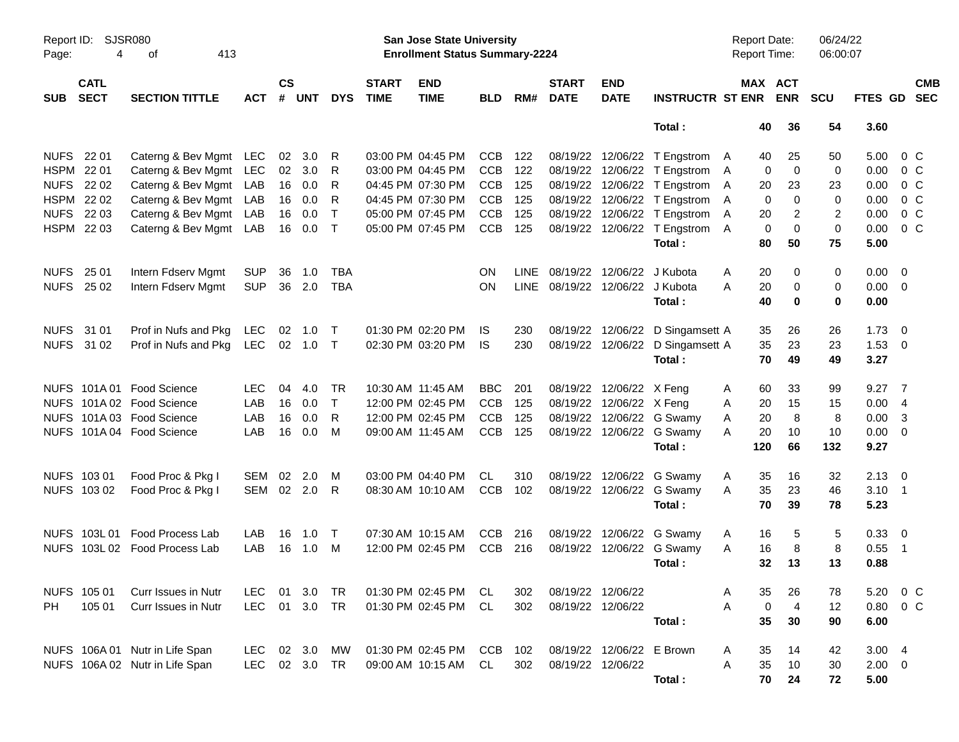| Report ID:<br>Page: | 4                          | <b>SJSR080</b><br>413<br>οf    |            |                |            |            |                             | <b>San Jose State University</b><br><b>Enrollment Status Summary-2224</b> |            |             |                             |                           |                                  | <b>Report Date:</b><br>Report Time: |                       | 06/24/22<br>06:00:07 |             |                         |
|---------------------|----------------------------|--------------------------------|------------|----------------|------------|------------|-----------------------------|---------------------------------------------------------------------------|------------|-------------|-----------------------------|---------------------------|----------------------------------|-------------------------------------|-----------------------|----------------------|-------------|-------------------------|
| <b>SUB</b>          | <b>CATL</b><br><b>SECT</b> | <b>SECTION TITTLE</b>          | <b>ACT</b> | <b>CS</b><br># | <b>UNT</b> | <b>DYS</b> | <b>START</b><br><b>TIME</b> | <b>END</b><br><b>TIME</b>                                                 | <b>BLD</b> | RM#         | <b>START</b><br><b>DATE</b> | <b>END</b><br><b>DATE</b> | <b>INSTRUCTR ST ENR</b>          |                                     | MAX ACT<br><b>ENR</b> | <b>SCU</b>           | FTES GD SEC | <b>CMB</b>              |
|                     |                            |                                |            |                |            |            |                             |                                                                           |            |             |                             |                           | Total:                           | 40                                  | 36                    | 54                   | 3.60        |                         |
| <b>NUFS</b>         | 22 01                      | Caterng & Bev Mgmt             | LEC        | 02             | 3.0        | R          |                             | 03:00 PM 04:45 PM                                                         | <b>CCB</b> | 122         |                             |                           | 08/19/22 12/06/22 T Engstrom     | 40<br>A                             | 25                    | 50                   | 5.00        | $0\,$ C                 |
| <b>HSPM</b>         | 22 01                      | Caterng & Bev Mgmt             | LEC        | 02             | 3.0        | R          |                             | 03:00 PM 04:45 PM                                                         | <b>CCB</b> | 122         |                             |                           | 08/19/22 12/06/22 T Engstrom     | A                                   | $\overline{0}$<br>0   | 0                    | 0.00        | 0 <sup>C</sup>          |
| <b>NUFS</b>         | 22 02                      | Caterng & Bev Mgmt             | LAB        | 16             | 0.0        | R          |                             | 04:45 PM 07:30 PM                                                         | <b>CCB</b> | 125         |                             |                           | 08/19/22 12/06/22 T Engstrom     | 20<br>A                             | 23                    | 23                   | 0.00        | 0 <sup>C</sup>          |
| <b>HSPM</b>         | 22 02                      | Caterng & Bev Mgmt             | LAB        | 16             | 0.0        | R          |                             | 04:45 PM 07:30 PM                                                         | <b>CCB</b> | 125         |                             |                           | 08/19/22 12/06/22 T Engstrom     | A                                   | $\mathbf 0$<br>0      | 0                    | 0.00        | 0 <sup>C</sup>          |
| <b>NUFS</b>         | 22 03                      | Caterng & Bev Mgmt             | LAB        | 16             | 0.0        | $\top$     |                             | 05:00 PM 07:45 PM                                                         | <b>CCB</b> | 125         | 08/19/22                    |                           | 12/06/22 T Engstrom              | Α<br>20                             | 2                     | 2                    | 0.00        | 0 <sup>C</sup>          |
|                     | HSPM 22 03                 | Caterng & Bev Mgmt             | LAB        | 16             | 0.0        | $\top$     |                             | 05:00 PM 07:45 PM                                                         | <b>CCB</b> | 125         |                             |                           | 08/19/22 12/06/22 T Engstrom     | Α                                   | $\mathbf 0$<br>0      | 0                    | 0.00        | 0 <sup>C</sup>          |
|                     |                            |                                |            |                |            |            |                             |                                                                           |            |             |                             |                           | Total:                           | 80                                  | 50                    | 75                   | 5.00        |                         |
| <b>NUFS</b>         | 25 01                      | Intern Fdserv Mgmt             | <b>SUP</b> | 36             | 1.0        | <b>TBA</b> |                             |                                                                           | <b>ON</b>  | LINE        | 08/19/22                    |                           | 12/06/22 J Kubota                | Α<br>20                             | 0                     | 0                    | 0.00        | $\overline{0}$          |
|                     | NUFS 25 02                 | Intern Fdserv Mgmt             | <b>SUP</b> | 36             | 2.0        | <b>TBA</b> |                             |                                                                           | <b>ON</b>  | <b>LINE</b> | 08/19/22 12/06/22 J Kubota  |                           |                                  | 20<br>А                             | 0                     | 0                    | 0.00        | $\overline{0}$          |
|                     |                            |                                |            |                |            |            |                             |                                                                           |            |             |                             |                           | Total:                           | 40                                  | $\mathbf 0$           | $\mathbf 0$          | 0.00        |                         |
| <b>NUFS</b>         | 31 01                      | Prof in Nufs and Pkg           | <b>LEC</b> | 02             | 1.0        | $\top$     |                             | 01:30 PM 02:20 PM                                                         | IS.        | 230         |                             |                           | 08/19/22 12/06/22 D Singamsett A | 35                                  | 26                    | 26                   | 1.73        | $\overline{0}$          |
|                     | NUFS 31 02                 | Prof in Nufs and Pkg           | LEC        |                | 02 1.0     | $\top$     |                             | 02:30 PM 03:20 PM                                                         | IS.        | 230         |                             |                           | 08/19/22 12/06/22 D Singamsett A | 35                                  | 23                    | 23                   | 1.53        | - 0                     |
|                     |                            |                                |            |                |            |            |                             |                                                                           |            |             |                             |                           | Total:                           | 70                                  | 49                    | 49                   | 3.27        |                         |
|                     |                            | NUFS 101A 01 Food Science      | <b>LEC</b> | 04             | 4.0        | <b>TR</b>  |                             | 10:30 AM 11:45 AM                                                         | <b>BBC</b> | 201         |                             | 08/19/22 12/06/22 X Feng  |                                  | 60<br>A                             | 33                    | 99                   | 9.27        | $\overline{7}$          |
|                     |                            | NUFS 101A 02 Food Science      | LAB        | 16             | 0.0        | $\top$     |                             | 12:00 PM 02:45 PM                                                         | <b>CCB</b> | 125         | 08/19/22                    | 12/06/22 X Feng           |                                  | 20<br>A                             | 15                    | 15                   | 0.00        | 4                       |
|                     |                            | NUFS 101A 03 Food Science      | LAB        | 16             | 0.0        | R          |                             | 12:00 PM 02:45 PM                                                         | <b>CCB</b> | 125         | 08/19/22                    |                           | 12/06/22 G Swamy                 | Α<br>20                             | 8                     | 8                    | 0.00        | 3                       |
|                     |                            | NUFS 101A 04 Food Science      | LAB        | 16             | 0.0        | M          |                             | 09:00 AM 11:45 AM                                                         | <b>CCB</b> | 125         |                             |                           | 08/19/22 12/06/22 G Swamy        | 20<br>А                             | 10                    | 10                   | 0.00        | $\overline{0}$          |
|                     |                            |                                |            |                |            |            |                             |                                                                           |            |             |                             |                           | Total:                           | 120                                 | 66                    | 132                  | 9.27        |                         |
|                     | NUFS 103 01                | Food Proc & Pkg I              | SEM        | 02             | 2.0        | M          |                             | 03:00 PM 04:40 PM                                                         | CL         | 310         | 08/19/22                    | 12/06/22                  | G Swamy                          | 35<br>A                             | 16                    | 32                   | 2.13        | $\overline{\mathbf{0}}$ |
|                     | NUFS 103 02                | Food Proc & Pkg I              | SEM 02 2.0 |                |            | R          |                             | 08:30 AM 10:10 AM                                                         | <b>CCB</b> | 102         |                             |                           | 08/19/22 12/06/22 G Swamy        | 35<br>A                             | 23                    | 46                   | 3.10        | - 1                     |
|                     |                            |                                |            |                |            |            |                             |                                                                           |            |             |                             |                           | Total:                           | 70                                  | 39                    | 78                   | 5.23        |                         |
|                     | NUFS 103L 01               | Food Process Lab               | LAB        | 16             | 1.0        | $\top$     |                             | 07:30 AM 10:15 AM                                                         | <b>CCB</b> | 216         | 08/19/22                    | 12/06/22                  | G Swamy                          | 16<br>A                             | 5                     | 5                    | 0.33        | $\overline{0}$          |
|                     |                            | NUFS 103L 02 Food Process Lab  | LAB        | 16             | 1.0        | M          |                             | 12:00 PM 02:45 PM                                                         | <b>CCB</b> | 216         |                             |                           | 08/19/22 12/06/22 G Swamy        | A<br>16                             | 8                     | 8                    | 0.55        | - 1                     |
|                     |                            |                                |            |                |            |            |                             |                                                                           |            |             |                             |                           | Total:                           | 32                                  | 13                    | 13                   | 0.88        |                         |
|                     | NUFS 105 01                | Curr Issues in Nutr            | <b>LEC</b> |                | 01 3.0     | TR         |                             | 01:30 PM 02:45 PM                                                         | CL         | 302         |                             | 08/19/22 12/06/22         |                                  | 35<br>A                             | 26                    | 78                   | 5.20        | $0\,$ C                 |
| PH.                 | 105 01                     | Curr Issues in Nutr            | <b>LEC</b> |                | 01 3.0     | TR         |                             | 01:30 PM 02:45 PM                                                         | CL.        | 302         |                             | 08/19/22 12/06/22         |                                  | Α                                   | 4<br>0                | 12                   | 0.80        | $0\,C$                  |
|                     |                            |                                |            |                |            |            |                             |                                                                           |            |             |                             |                           | Total:                           | 35                                  | 30                    | 90                   | 6.00        |                         |
|                     |                            | NUFS 106A 01 Nutr in Life Span | LEC        |                | 02 3.0     | МW         |                             | 01:30 PM 02:45 PM                                                         | CCB        | 102         |                             | 08/19/22 12/06/22 E Brown |                                  | 35<br>A                             | 14                    | 42                   | 3.004       |                         |
|                     |                            | NUFS 106A 02 Nutr in Life Span | LEC        |                | 02 3.0     | TR         |                             | 09:00 AM 10:15 AM                                                         | CL.        | 302         |                             | 08/19/22 12/06/22         |                                  | Α<br>35                             | 10                    | 30                   | $2.00 \t 0$ |                         |
|                     |                            |                                |            |                |            |            |                             |                                                                           |            |             |                             |                           | Total:                           | 70                                  | 24                    | 72                   | 5.00        |                         |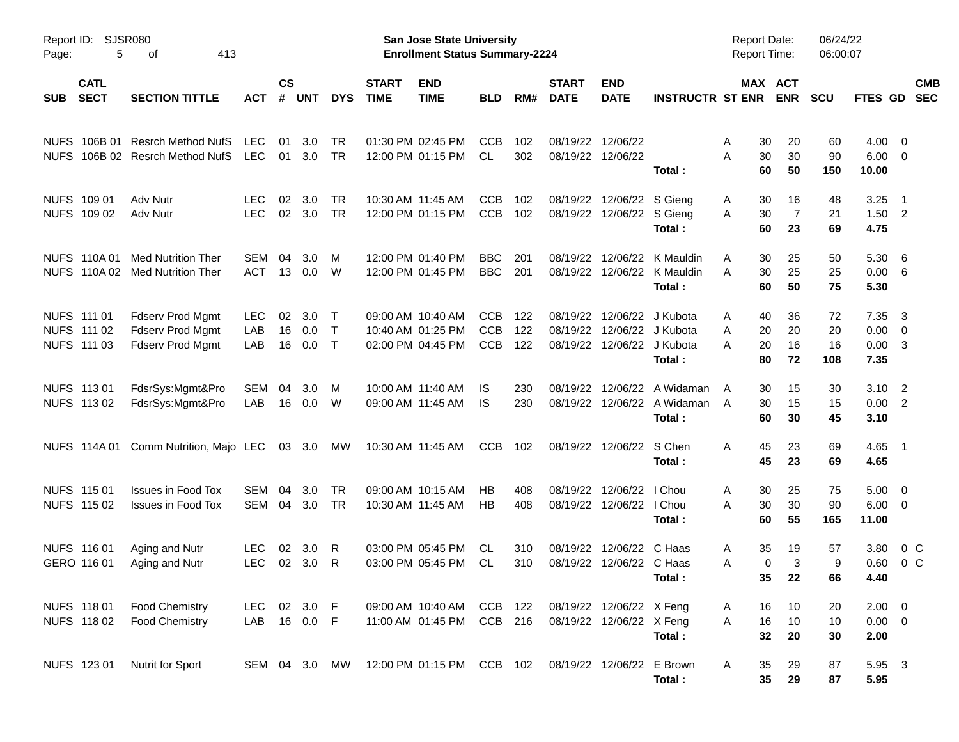| Page:      | Report ID: SJSR080<br>5                   | 413<br>оf                                                                     |                          |                    |                        |                            |                             | San Jose State University<br><b>Enrollment Status Summary-2224</b> |                                        |                   |                             |                                                                                        |                                                             | <b>Report Date:</b><br><b>Report Time:</b> |                                 | 06/24/22<br>06:00:07  |                                    |                                                                               |                          |
|------------|-------------------------------------------|-------------------------------------------------------------------------------|--------------------------|--------------------|------------------------|----------------------------|-----------------------------|--------------------------------------------------------------------|----------------------------------------|-------------------|-----------------------------|----------------------------------------------------------------------------------------|-------------------------------------------------------------|--------------------------------------------|---------------------------------|-----------------------|------------------------------------|-------------------------------------------------------------------------------|--------------------------|
| <b>SUB</b> | <b>CATL</b><br><b>SECT</b>                | <b>SECTION TITTLE</b>                                                         | <b>ACT</b>               | $\mathsf{cs}$<br># | <b>UNT</b>             | <b>DYS</b>                 | <b>START</b><br><b>TIME</b> | <b>END</b><br><b>TIME</b>                                          | <b>BLD</b>                             | RM#               | <b>START</b><br><b>DATE</b> | <b>END</b><br><b>DATE</b>                                                              | <b>INSTRUCTR ST ENR</b>                                     |                                            | MAX ACT<br><b>ENR</b>           | <b>SCU</b>            | FTES GD                            |                                                                               | <b>CMB</b><br><b>SEC</b> |
|            |                                           | NUFS 106B 01 Resrch Method NufS<br>NUFS 106B 02 Resrch Method NufS            | <b>LEC</b><br>LEC        | 01<br>01           | 3.0<br>3.0             | TR<br><b>TR</b>            |                             | 01:30 PM 02:45 PM<br>12:00 PM 01:15 PM                             | <b>CCB</b><br>CL                       | 102<br>302        |                             | 08/19/22 12/06/22<br>08/19/22 12/06/22                                                 | Total:                                                      | 30<br>A<br>30<br>Α<br>60                   | 20<br>30<br>50                  | 60<br>90<br>150       | 4.00<br>6.00<br>10.00              | $\overline{\phantom{0}}$<br>$\overline{\mathbf{0}}$                           |                          |
|            | NUFS 109 01<br>NUFS 109 02                | Adv Nutr<br>Adv Nutr                                                          | <b>LEC</b><br><b>LEC</b> | 02<br>02           | 3.0<br>3.0             | <b>TR</b><br><b>TR</b>     |                             | 10:30 AM 11:45 AM<br>12:00 PM 01:15 PM                             | <b>CCB</b><br><b>CCB</b>               | 102<br>102        | 08/19/22                    | 12/06/22 S Gieng<br>08/19/22 12/06/22 S Gieng                                          | Total:                                                      | 30<br>A<br>30<br>A<br>60                   | 16<br>7<br>23                   | 48<br>21<br>69        | 3.25<br>1.50<br>4.75               | $\overline{\phantom{1}}$<br>$\overline{\phantom{0}}^2$                        |                          |
|            |                                           | NUFS 110A 01 Med Nutrition Ther<br>NUFS 110A 02 Med Nutrition Ther            | SEM<br><b>ACT</b>        | 04<br>13           | 3.0<br>0.0             | M<br>W                     |                             | 12:00 PM 01:40 PM<br>12:00 PM 01:45 PM                             | <b>BBC</b><br><b>BBC</b>               | 201<br>201        | 08/19/22                    |                                                                                        | 12/06/22 K Mauldin<br>08/19/22 12/06/22 K Mauldin<br>Total: | Α<br>30<br>30<br>A<br>60                   | 25<br>25<br>50                  | 50<br>25<br>75        | 5.30<br>0.00<br>5.30               | - 6<br>- 6                                                                    |                          |
|            | NUFS 111 01<br>NUFS 111 02<br>NUFS 111 03 | <b>Fdserv Prod Mgmt</b><br><b>Fdserv Prod Mgmt</b><br><b>Fdserv Prod Mgmt</b> | <b>LEC</b><br>LAB<br>LAB | 02<br>16<br>16     | 3.0<br>0.0<br>0.0      | $\top$<br>$\top$<br>$\top$ |                             | 09:00 AM 10:40 AM<br>10:40 AM 01:25 PM<br>02:00 PM 04:45 PM        | <b>CCB</b><br><b>CCB</b><br><b>CCB</b> | 122<br>122<br>122 |                             | 08/19/22 12/06/22 J Kubota<br>08/19/22 12/06/22 J Kubota<br>08/19/22 12/06/22 J Kubota | Total:                                                      | 40<br>Α<br>20<br>Α<br>20<br>Α<br>80        | 36<br>20<br>16<br>72            | 72<br>20<br>16<br>108 | 7.35<br>0.00<br>0.00<br>7.35       | $\overline{\mathbf{3}}$<br>$\overline{\mathbf{0}}$<br>$\overline{\mathbf{3}}$ |                          |
|            | NUFS 113 01<br>NUFS 113 02                | FdsrSys:Mgmt&Pro<br>FdsrSys:Mgmt&Pro                                          | SEM<br>LAB               | 04<br>16           | 3.0<br>0.0             | M<br>W                     |                             | 10:00 AM 11:40 AM<br>09:00 AM 11:45 AM                             | IS.<br>IS                              | 230<br>230        | 08/19/22                    | 12/06/22                                                                               | A Widaman<br>08/19/22 12/06/22 A Widaman<br>Total:          | 30<br>A<br>30<br>A<br>60                   | 15<br>15<br>30                  | 30<br>15<br>45        | 3.10<br>0.00<br>3.10               | $\overline{\phantom{0}}^2$<br>$\overline{\phantom{0}}^2$                      |                          |
|            |                                           | NUFS 114A 01 Comm Nutrition, Majo LEC                                         |                          |                    | 03 3.0                 | MW                         |                             | 10:30 AM 11:45 AM                                                  | CCB                                    | 102               |                             | 08/19/22 12/06/22 S Chen                                                               | Total:                                                      | 45<br>A<br>45                              | 23<br>23                        | 69<br>69              | 4.65 1<br>4.65                     |                                                                               |                          |
|            | NUFS 115 01<br>NUFS 115 02                | <b>Issues in Food Tox</b><br><b>Issues in Food Tox</b>                        | SEM<br>SEM               | 04                 | 3.0<br>04 3.0          | TR<br>TR                   |                             | 09:00 AM 10:15 AM<br>10:30 AM 11:45 AM                             | <b>HB</b><br><b>HB</b>                 | 408<br>408        | 08/19/22                    | 12/06/22<br>08/19/22 12/06/22 I Chou                                                   | I Chou<br>Total:                                            | 30<br>A<br>30<br>Α<br>60                   | 25<br>30<br>55                  | 75<br>90<br>165       | 5.00<br>6.00<br>11.00              | $\overline{\mathbf{0}}$<br>$\overline{\phantom{0}}$                           |                          |
|            | NUFS 116 01<br>GERO 116 01                | Aging and Nutr<br>Aging and Nutr                                              | <b>LEC</b><br><b>LEC</b> | 02<br>02           | 3.0<br>3.0             | R<br>R                     |                             | 03:00 PM 05:45 PM<br>03:00 PM 05:45 PM                             | CL.<br>CL                              | 310<br>310        | 08/19/22                    | 12/06/22 C Haas<br>08/19/22 12/06/22 C Haas                                            | Total:                                                      | 35<br>A<br>Α                               | 19<br>3<br>$\mathbf 0$<br>35 22 | 57<br>9<br>66         | 3.80<br>0.60<br>4.40               | $0\,$ C<br>0 <sup>o</sup>                                                     |                          |
|            | NUFS 118 01<br>NUFS 11802                 | <b>Food Chemistry</b><br><b>Food Chemistry</b>                                | LEC<br>LAB               |                    | 02 3.0 F<br>16  0.0  F |                            |                             | 09:00 AM 10:40 AM<br>11:00 AM 01:45 PM                             | CCB 122<br>CCB 216                     |                   |                             | 08/19/22 12/06/22 X Feng<br>08/19/22 12/06/22 X Feng                                   | Total:                                                      | 16<br>A<br>16<br>A<br>32                   | 10<br>10<br>20                  | 20<br>10<br>30        | $2.00 \t 0$<br>$0.00 \t 0$<br>2.00 |                                                                               |                          |
|            | NUFS 123 01                               | <b>Nutrit for Sport</b>                                                       | SEM 04 3.0 MW            |                    |                        |                            |                             | 12:00 PM 01:15 PM CCB 102                                          |                                        |                   |                             | 08/19/22 12/06/22 E Brown                                                              | Total:                                                      | 35<br>A<br>35                              | 29<br>29                        | 87<br>87              | 5.95 3<br>5.95                     |                                                                               |                          |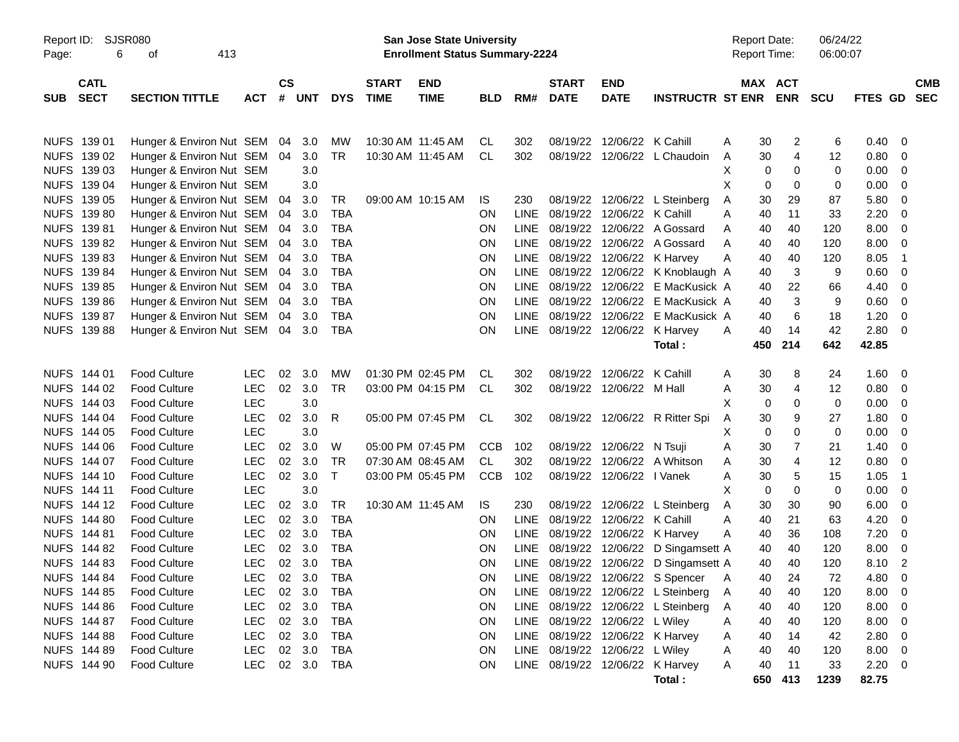| Report ID:<br>Page: | 6                          | <b>SJSR080</b><br>413<br>оf |            |                |        |              |                             | <b>San Jose State University</b><br><b>Enrollment Status Summary-2224</b> |                |             |                             |                            |                                  |   | <b>Report Date:</b><br><b>Report Time:</b> |                       | 06/24/22<br>06:00:07 |                |                          |
|---------------------|----------------------------|-----------------------------|------------|----------------|--------|--------------|-----------------------------|---------------------------------------------------------------------------|----------------|-------------|-----------------------------|----------------------------|----------------------------------|---|--------------------------------------------|-----------------------|----------------------|----------------|--------------------------|
| <b>SUB</b>          | <b>CATL</b><br><b>SECT</b> | <b>SECTION TITTLE</b>       | <b>ACT</b> | <b>CS</b><br># | UNT    | <b>DYS</b>   | <b>START</b><br><b>TIME</b> | <b>END</b><br><b>TIME</b>                                                 | <b>BLD</b>     | RM#         | <b>START</b><br><b>DATE</b> | <b>END</b><br><b>DATE</b>  | <b>INSTRUCTR ST ENR</b>          |   |                                            | MAX ACT<br><b>ENR</b> | <b>SCU</b>           | <b>FTES GD</b> | <b>CMB</b><br><b>SEC</b> |
|                     | NUFS 139 01                | Hunger & Environ Nut SEM    |            | 04             | 3.0    | MW           | 10:30 AM 11:45 AM           |                                                                           | CL             | 302         |                             | 08/19/22 12/06/22 K Cahill |                                  | A | 30                                         | 2                     | 6                    | 0.40           | - 0                      |
|                     | NUFS 139 02                | Hunger & Environ Nut SEM    |            | 04             | 3.0    | <b>TR</b>    |                             | 10:30 AM 11:45 AM                                                         | CL             | 302         |                             |                            | 08/19/22 12/06/22 L Chaudoin     | A | 30                                         | 4                     | 12                   | 0.80           | 0                        |
|                     | NUFS 139 03                | Hunger & Environ Nut SEM    |            |                | 3.0    |              |                             |                                                                           |                |             |                             |                            |                                  | X | 0                                          | 0                     | 0                    | 0.00           | 0                        |
|                     | NUFS 139 04                | Hunger & Environ Nut SEM    |            |                | 3.0    |              |                             |                                                                           |                |             |                             |                            |                                  | X | 0                                          | $\Omega$              | 0                    | 0.00           | 0                        |
|                     | NUFS 139 05                | Hunger & Environ Nut SEM    |            | 04             | 3.0    | TR           |                             | 09:00 AM 10:15 AM                                                         | IS             | 230         |                             |                            | 08/19/22 12/06/22 L Steinberg    | Α | 30                                         | 29                    | 87                   | 5.80           | 0                        |
|                     | NUFS 139 80                | Hunger & Environ Nut SEM    |            | 04             | 3.0    | <b>TBA</b>   |                             |                                                                           | <b>ON</b>      | <b>LINE</b> |                             | 08/19/22 12/06/22 K Cahill |                                  | A | 40                                         | 11                    | 33                   | 2.20           | 0                        |
|                     | NUFS 139 81                | Hunger & Environ Nut SEM    |            | 04             | 3.0    | TBA          |                             |                                                                           | <b>ON</b>      | <b>LINE</b> |                             |                            | 08/19/22 12/06/22 A Gossard      | A | 40                                         | 40                    | 120                  | 8.00           | 0                        |
|                     | NUFS 139 82                | Hunger & Environ Nut SEM    |            | 04             | 3.0    | <b>TBA</b>   |                             |                                                                           | <b>ON</b>      | <b>LINE</b> |                             |                            | 08/19/22 12/06/22 A Gossard      | A | 40                                         | 40                    | 120                  | 8.00           | 0                        |
|                     | NUFS 139 83                | Hunger & Environ Nut SEM    |            | 04             | 3.0    | <b>TBA</b>   |                             |                                                                           | <b>ON</b>      | <b>LINE</b> |                             | 08/19/22 12/06/22 K Harvey |                                  | A | 40                                         | 40                    | 120                  | 8.05           | $\overline{\phantom{0}}$ |
|                     | NUFS 139 84                | Hunger & Environ Nut SEM    |            | 04             | 3.0    | <b>TBA</b>   |                             |                                                                           | <b>ON</b>      | <b>LINE</b> |                             |                            | 08/19/22 12/06/22 K Knoblaugh A  |   | 40                                         | 3                     | 9                    | 0.60           | 0                        |
|                     | NUFS 139 85                | Hunger & Environ Nut SEM    |            | 04             | 3.0    | TBA          |                             |                                                                           | <b>ON</b>      | <b>LINE</b> |                             | 08/19/22 12/06/22          | E MacKusick A                    |   | 40                                         | 22                    | 66                   | 4.40           | 0                        |
|                     | NUFS 139 86                | Hunger & Environ Nut SEM    |            | 04             | 3.0    | <b>TBA</b>   |                             |                                                                           | <b>ON</b>      | <b>LINE</b> |                             | 08/19/22 12/06/22          | E MacKusick A                    |   | 40                                         | 3                     | 9                    | 0.60           | 0                        |
|                     | NUFS 139 87                | Hunger & Environ Nut SEM    |            | 04             | 3.0    | <b>TBA</b>   |                             |                                                                           | <b>ON</b>      | <b>LINE</b> |                             | 08/19/22 12/06/22          | E MacKusick A                    |   | 40                                         | 6                     | 18                   | 1.20           | 0                        |
|                     | <b>NUFS 139 88</b>         | Hunger & Environ Nut SEM    |            | 04             | 3.0    | TBA          |                             |                                                                           | <b>ON</b>      | <b>LINE</b> |                             | 08/19/22 12/06/22          | K Harvey                         | A | 40                                         | 14                    | 42                   | 2.80           | - 0                      |
|                     |                            |                             |            |                |        |              |                             |                                                                           |                |             |                             |                            | Total:                           |   | 450                                        | 214                   | 642                  | 42.85          |                          |
|                     | NUFS 144 01                | <b>Food Culture</b>         | LEC        | 02             | 3.0    | MW           |                             | 01:30 PM 02:45 PM                                                         | CL             | 302         |                             | 08/19/22 12/06/22 K Cahill |                                  | A | 30                                         | 8                     | 24                   | 1.60           | - 0                      |
|                     | NUFS 144 02                | Food Culture                | <b>LEC</b> | 02             | 3.0    | <b>TR</b>    |                             | 03:00 PM 04:15 PM                                                         | CL             | 302         |                             | 08/19/22 12/06/22 M Hall   |                                  | Α | 30                                         | 4                     | 12                   | 0.80           | 0                        |
|                     | NUFS 144 03                | Food Culture                | <b>LEC</b> |                | 3.0    |              |                             |                                                                           |                |             |                             |                            |                                  | X | 0                                          | $\Omega$              | 0                    | 0.00           | 0                        |
|                     | NUFS 144 04                | Food Culture                | <b>LEC</b> | 02             | 3.0    | R            |                             | 05:00 PM 07:45 PM                                                         | CL             | 302         |                             |                            | 08/19/22 12/06/22 R Ritter Spi   | A | 30                                         | 9                     | 27                   | 1.80           | 0                        |
|                     | NUFS 144 05                | Food Culture                | LEC        |                | 3.0    |              |                             |                                                                           |                |             |                             |                            |                                  | X | 0                                          | $\Omega$              | 0                    | 0.00           | 0                        |
|                     | NUFS 144 06                | Food Culture                | <b>LEC</b> | 02             | 3.0    | W            |                             | 05:00 PM 07:45 PM                                                         | <b>CCB</b>     | 102         |                             | 08/19/22 12/06/22 N Tsuji  |                                  | A | 30                                         | $\overline{7}$        | 21                   | 1.40           | 0                        |
|                     | NUFS 144 07                | Food Culture                | <b>LEC</b> | 02             | 3.0    | <b>TR</b>    |                             | 07:30 AM 08:45 AM                                                         | CL.            | 302         |                             |                            | 08/19/22 12/06/22 A Whitson      | A | 30                                         | $\overline{4}$        | 12                   | 0.80           | 0                        |
|                     | NUFS 144 10                | Food Culture                | <b>LEC</b> | 02             | 3.0    | $\mathsf{T}$ |                             | 03:00 PM 05:45 PM                                                         | <b>CCB</b>     | 102         |                             | 08/19/22 12/06/22 I Vanek  |                                  | A | 30                                         | 5                     | 15                   | 1.05           | $\overline{1}$           |
|                     | <b>NUFS 14411</b>          | Food Culture                | LEC        |                | 3.0    |              |                             |                                                                           |                |             |                             |                            |                                  | X | 0                                          | $\Omega$              | 0                    | 0.00           | 0                        |
|                     | NUFS 144 12                | <b>Food Culture</b>         | <b>LEC</b> | 02             | 3.0    | TR           |                             | 10:30 AM 11:45 AM                                                         | IS.            | 230         |                             |                            | 08/19/22 12/06/22 L Steinberg    | Α | 30                                         | 30                    | 90                   | 6.00           | 0                        |
|                     | NUFS 144 80                | <b>Food Culture</b>         | <b>LEC</b> | 02             | 3.0    | <b>TBA</b>   |                             |                                                                           | <b>ON</b>      | <b>LINE</b> |                             | 08/19/22 12/06/22 K Cahill |                                  | A | 40                                         | 21                    | 63                   | 4.20           | 0                        |
|                     | <b>NUFS 14481</b>          | <b>Food Culture</b>         | <b>LEC</b> | 02             | 3.0    | TBA          |                             |                                                                           | <b>ON</b>      | <b>LINE</b> |                             | 08/19/22 12/06/22 K Harvey |                                  | A | 40                                         | 36                    | 108                  | 7.20           | 0                        |
|                     | NUFS 144 82                | <b>Food Culture</b>         | <b>LEC</b> | 02             | 3.0    | <b>TBA</b>   |                             |                                                                           | <b>ON</b>      | <b>LINE</b> |                             | 08/19/22 12/06/22          | D Singamsett A                   |   | 40                                         | 40                    | 120                  | 8.00           | 0                        |
|                     | NUFS 144 83                | <b>Food Culture</b>         | <b>LEC</b> | 02             | 3.0    | <b>TBA</b>   |                             |                                                                           | <b>ON</b>      | LINE        |                             |                            | 08/19/22 12/06/22 D Singamsett A |   | 40                                         | 40                    | 120                  | 8.10           | $\overline{2}$           |
|                     | NUFS 144 84                | <b>Food Culture</b>         | LEC        |                | 02 3.0 | TBA          |                             |                                                                           | 0 <sub>N</sub> |             |                             |                            | LINE 08/19/22 12/06/22 S Spencer | A | 40                                         | 24                    | 72                   | 4.80           | - 0                      |
|                     | NUFS 144 85                | <b>Food Culture</b>         | <b>LEC</b> |                | 02 3.0 | TBA          |                             |                                                                           | <b>ON</b>      | LINE        |                             |                            | 08/19/22 12/06/22 L Steinberg    | A | 40                                         | 40                    | 120                  | 8.00           | - 0                      |
|                     | NUFS 144 86                | <b>Food Culture</b>         | <b>LEC</b> |                | 02 3.0 | TBA          |                             |                                                                           | ON             | LINE        |                             |                            | 08/19/22 12/06/22 L Steinberg    | A | 40                                         | 40                    | 120                  | 8.00           | $\overline{\phantom{0}}$ |
|                     | NUFS 144 87                | <b>Food Culture</b>         | <b>LEC</b> |                | 02 3.0 | TBA          |                             |                                                                           | ON             | LINE        |                             | 08/19/22 12/06/22 L Wiley  |                                  | A | 40                                         | 40                    | 120                  | 8.00           | $\overline{\phantom{0}}$ |
|                     | <b>NUFS 144 88</b>         | <b>Food Culture</b>         | <b>LEC</b> |                | 02 3.0 | TBA          |                             |                                                                           | ON             | LINE        |                             | 08/19/22 12/06/22 K Harvey |                                  | A | 40                                         | 14                    | 42                   | 2.80           | $\overline{\phantom{0}}$ |
|                     | NUFS 144 89                | <b>Food Culture</b>         | <b>LEC</b> |                | 02 3.0 | TBA          |                             |                                                                           | ON             | LINE        |                             | 08/19/22 12/06/22 L Wiley  |                                  | Α | 40                                         | 40                    | 120                  | 8.00 0         |                          |
|                     | NUFS 144 90                | <b>Food Culture</b>         | <b>LEC</b> |                |        | 02 3.0 TBA   |                             |                                                                           | ON             | LINE        |                             |                            | 08/19/22 12/06/22 K Harvey       | A | 40                                         | 11                    | 33                   | $2.20 \t 0$    |                          |
|                     |                            |                             |            |                |        |              |                             |                                                                           |                |             |                             |                            | Total:                           |   | 650                                        | 413                   | 1239                 | 82.75          |                          |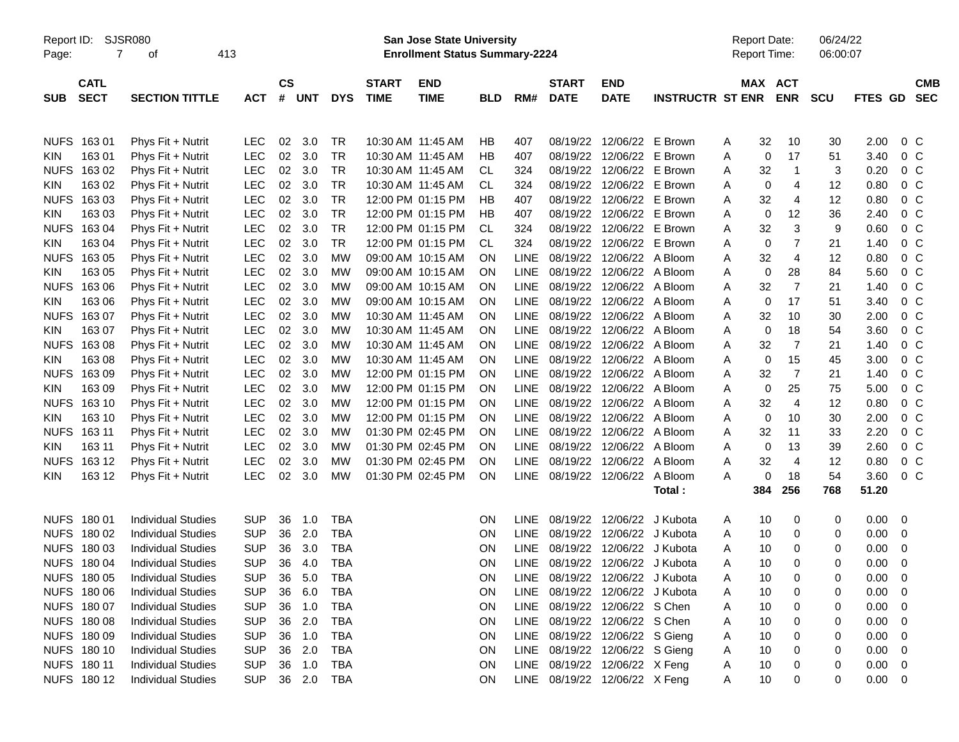| Report ID:<br>Page: | $\overline{7}$             | SJSR080<br>413<br>оf      |            |                             |     |            |                             | San Jose State University<br><b>Enrollment Status Summary-2224</b> |            |             |                               |                            |                         | <b>Report Date:</b><br>Report Time: |                       | 06/24/22<br>06:00:07 |             |                          |
|---------------------|----------------------------|---------------------------|------------|-----------------------------|-----|------------|-----------------------------|--------------------------------------------------------------------|------------|-------------|-------------------------------|----------------------------|-------------------------|-------------------------------------|-----------------------|----------------------|-------------|--------------------------|
| <b>SUB</b>          | <b>CATL</b><br><b>SECT</b> | <b>SECTION TITTLE</b>     | <b>ACT</b> | $\mathsf{cs}$<br>$\pmb{\#}$ | UNT | <b>DYS</b> | <b>START</b><br><b>TIME</b> | <b>END</b><br><b>TIME</b>                                          | <b>BLD</b> | RM#         | <b>START</b><br><b>DATE</b>   | <b>END</b><br><b>DATE</b>  | <b>INSTRUCTR ST ENR</b> |                                     | MAX ACT<br><b>ENR</b> | <b>SCU</b>           | FTES GD     | <b>CMB</b><br><b>SEC</b> |
|                     | NUFS 163 01                | Phys Fit + Nutrit         | <b>LEC</b> | 02                          | 3.0 | <b>TR</b>  |                             | 10:30 AM 11:45 AM                                                  | HB         | 407         | 08/19/22                      | 12/06/22 E Brown           |                         | A                                   | 32                    | 10<br>30             | 2.00        | $0\,C$                   |
| KIN                 | 16301                      | Phys Fit + Nutrit         | <b>LEC</b> | 02                          | 3.0 | <b>TR</b>  |                             | 10:30 AM 11:45 AM                                                  | HB         | 407         | 08/19/22                      | 12/06/22 E Brown           |                         | Α                                   | 0                     | 17<br>51             | 3.40        | 0 <sup>C</sup>           |
| <b>NUFS</b>         | 16302                      | Phys Fit + Nutrit         | <b>LEC</b> | 02                          | 3.0 | <b>TR</b>  |                             | 10:30 AM 11:45 AM                                                  | CL         | 324         | 08/19/22                      | 12/06/22 E Brown           |                         | Α                                   | 32                    | $\mathbf{1}$<br>3    | 0.20        | 0 <sup>C</sup>           |
| KIN                 | 163 02                     | Phys Fit + Nutrit         | <b>LEC</b> | 02                          | 3.0 | <b>TR</b>  |                             | 10:30 AM 11:45 AM                                                  | CL         | 324         | 08/19/22                      | 12/06/22 E Brown           |                         | A                                   | 0                     | 4<br>12              | 0.80        | 0 <sup>C</sup>           |
| <b>NUFS</b>         | 16303                      | Phys Fit + Nutrit         | <b>LEC</b> | 02                          | 3.0 | <b>TR</b>  |                             | 12:00 PM 01:15 PM                                                  | ΗB         | 407         | 08/19/22                      | 12/06/22 E Brown           |                         | A                                   | 32                    | $\overline{4}$<br>12 | 0.80        | 0 <sup>C</sup>           |
| KIN                 | 163 03                     | Phys Fit + Nutrit         | <b>LEC</b> | 02                          | 3.0 | <b>TR</b>  |                             | 12:00 PM 01:15 PM                                                  | ΗB         | 407         | 08/19/22                      | 12/06/22 E Brown           |                         | A                                   | 0                     | 12<br>36             | 2.40        | 0 <sup>C</sup>           |
| <b>NUFS</b>         | 16304                      | Phys Fit + Nutrit         | <b>LEC</b> | 02                          | 3.0 | <b>TR</b>  |                             | 12:00 PM 01:15 PM                                                  | CL         | 324         | 08/19/22                      | 12/06/22 E Brown           |                         | Α                                   | 32                    | $\mathbf{3}$<br>9    | 0.60        | 0 <sup>C</sup>           |
| KIN                 | 163 04                     | Phys Fit + Nutrit         | <b>LEC</b> | 02                          | 3.0 | <b>TR</b>  |                             | 12:00 PM 01:15 PM                                                  | CL         | 324         | 08/19/22                      | 12/06/22 E Brown           |                         | Α                                   | 0                     | $\overline{7}$<br>21 | 1.40        | 0 <sup>C</sup>           |
| <b>NUFS</b>         | 16305                      | Phys Fit + Nutrit         | <b>LEC</b> | 02                          | 3.0 | <b>MW</b>  |                             | 09:00 AM 10:15 AM                                                  | <b>ON</b>  | <b>LINE</b> | 08/19/22                      | 12/06/22 A Bloom           |                         | A                                   | 32                    | $\overline{4}$<br>12 | 0.80        | 0 <sup>o</sup>           |
| KIN                 | 163 05                     | Phys Fit + Nutrit         | <b>LEC</b> | 02                          | 3.0 | <b>MW</b>  |                             | 09:00 AM 10:15 AM                                                  | <b>ON</b>  | <b>LINE</b> | 08/19/22                      | 12/06/22 A Bloom           |                         | Α                                   | 0                     | 84<br>28             | 5.60        | 0 <sup>C</sup>           |
| <b>NUFS</b>         | 16306                      | Phys Fit + Nutrit         | <b>LEC</b> | 02                          | 3.0 | <b>MW</b>  |                             | 09:00 AM 10:15 AM                                                  | <b>ON</b>  | <b>LINE</b> | 08/19/22                      | 12/06/22 A Bloom           |                         | Α                                   | 32                    | $\overline{7}$<br>21 | 1.40        | 0 <sup>C</sup>           |
| KIN                 | 163 06                     | Phys Fit + Nutrit         | <b>LEC</b> | 02                          | 3.0 | <b>MW</b>  |                             | 09:00 AM 10:15 AM                                                  | <b>ON</b>  | <b>LINE</b> | 08/19/22                      | 12/06/22 A Bloom           |                         | Α                                   | 0                     | 17<br>51             | 3.40        | 0 <sup>C</sup>           |
| <b>NUFS</b>         | 16307                      | Phys Fit + Nutrit         | <b>LEC</b> | 02                          | 3.0 | <b>MW</b>  |                             | 10:30 AM 11:45 AM                                                  | <b>ON</b>  | <b>LINE</b> |                               | 08/19/22 12/06/22 A Bloom  |                         | A                                   | 32                    | 10<br>30             | 2.00        | 0 <sup>C</sup>           |
| KIN                 | 163 07                     | Phys Fit + Nutrit         | <b>LEC</b> | 02                          | 3.0 | MW         |                             | 10:30 AM 11:45 AM                                                  | <b>ON</b>  | <b>LINE</b> | 08/19/22                      | 12/06/22 A Bloom           |                         | A                                   | 0                     | 18<br>54             | 3.60        | 0 <sup>C</sup>           |
| <b>NUFS</b>         | 16308                      | Phys Fit + Nutrit         | <b>LEC</b> | 02                          | 3.0 | MW         |                             | 10:30 AM 11:45 AM                                                  | <b>ON</b>  | <b>LINE</b> | 08/19/22                      | 12/06/22 A Bloom           |                         | Α                                   | 32                    | $\overline{7}$<br>21 | 1.40        | 0 <sup>C</sup>           |
| KIN                 | 16308                      | Phys Fit + Nutrit         | <b>LEC</b> | 02                          | 3.0 | MW         |                             | 10:30 AM 11:45 AM                                                  | <b>ON</b>  | <b>LINE</b> | 08/19/22                      | 12/06/22 A Bloom           |                         | Α                                   | $\mathbf 0$           | 15<br>45             | 3.00        | 0 <sup>C</sup>           |
| <b>NUFS</b>         | 16309                      | Phys Fit + Nutrit         | <b>LEC</b> | 02                          | 3.0 | <b>MW</b>  |                             | 12:00 PM 01:15 PM                                                  | <b>ON</b>  | <b>LINE</b> | 08/19/22                      | 12/06/22 A Bloom           |                         | A                                   | 32                    | $\overline{7}$<br>21 | 1.40        | 0 <sup>C</sup>           |
| KIN                 | 16309                      | Phys Fit + Nutrit         | <b>LEC</b> | 02                          | 3.0 | <b>MW</b>  |                             | 12:00 PM 01:15 PM                                                  | <b>ON</b>  | <b>LINE</b> |                               | 08/19/22 12/06/22 A Bloom  |                         | A                                   | 0                     | 25<br>75             | 5.00        | 0 <sup>o</sup>           |
| <b>NUFS</b>         | 163 10                     | Phys Fit + Nutrit         | <b>LEC</b> | 02                          | 3.0 | MW         |                             | 12:00 PM 01:15 PM                                                  | <b>ON</b>  | <b>LINE</b> | 08/19/22                      | 12/06/22 A Bloom           |                         | A                                   | 32                    | $\overline{4}$<br>12 | 0.80        | 0 <sup>C</sup>           |
| KIN                 | 163 10                     | Phys Fit + Nutrit         | <b>LEC</b> | 02                          | 3.0 | MW         |                             | 12:00 PM 01:15 PM                                                  | <b>ON</b>  | <b>LINE</b> | 08/19/22                      | 12/06/22 A Bloom           |                         | Α                                   | 0                     | 30<br>10             | 2.00        | 0 <sup>C</sup>           |
| <b>NUFS</b>         | 163 11                     | Phys Fit + Nutrit         | <b>LEC</b> | 02                          | 3.0 | <b>MW</b>  |                             | 01:30 PM 02:45 PM                                                  | <b>ON</b>  | <b>LINE</b> | 08/19/22                      | 12/06/22 A Bloom           |                         | A                                   | 32                    | 11<br>33             | 2.20        | 0 <sup>C</sup>           |
| KIN                 | 163 11                     | Phys Fit + Nutrit         | <b>LEC</b> | 02                          | 3.0 | MW         |                             | 01:30 PM 02:45 PM                                                  | <b>ON</b>  | <b>LINE</b> | 08/19/22                      | 12/06/22 A Bloom           |                         | A                                   | 0                     | 13<br>39             | 2.60        | 0 <sup>o</sup>           |
| <b>NUFS</b>         | 163 12                     | Phys Fit + Nutrit         | <b>LEC</b> | 02                          | 3.0 | MW         |                             | 01:30 PM 02:45 PM                                                  | <b>ON</b>  | <b>LINE</b> | 08/19/22                      | 12/06/22                   | A Bloom                 | A                                   | 32                    | 4<br>12              | 0.80        | 0 <sup>C</sup>           |
| KIN                 | 163 12                     | Phys Fit + Nutrit         | <b>LEC</b> | 02                          | 3.0 | <b>MW</b>  |                             | 01:30 PM 02:45 PM                                                  | <b>ON</b>  | <b>LINE</b> | 08/19/22                      | 12/06/22                   | A Bloom                 | A                                   | 0                     | 18<br>54             | 3.60        | 0 <sup>o</sup>           |
|                     |                            |                           |            |                             |     |            |                             |                                                                    |            |             |                               |                            | Total:                  |                                     | 256<br>384            | 768                  | 51.20       |                          |
|                     | NUFS 180 01                | <b>Individual Studies</b> | <b>SUP</b> | 36                          | 1.0 | <b>TBA</b> |                             |                                                                    | <b>ON</b>  | <b>LINE</b> | 08/19/22                      | 12/06/22                   | J Kubota                | A                                   | 10                    | 0<br>0               | 0.00        | - 0                      |
|                     | NUFS 180 02                | <b>Individual Studies</b> | <b>SUP</b> | 36                          | 2.0 | <b>TBA</b> |                             |                                                                    | ON         | <b>LINE</b> | 08/19/22                      | 12/06/22                   | J Kubota                | A                                   | 10                    | 0<br>0               | 0.00        | 0                        |
| <b>NUFS</b>         | 180 03                     | <b>Individual Studies</b> | <b>SUP</b> | 36                          | 3.0 | <b>TBA</b> |                             |                                                                    | ON         | <b>LINE</b> | 08/19/22                      | 12/06/22                   | J Kubota                | A                                   | 10                    | 0<br>0               | 0.00        | 0                        |
|                     | NUFS 180 04                | <b>Individual Studies</b> | <b>SUP</b> | 36                          | 4.0 | <b>TBA</b> |                             |                                                                    | <b>ON</b>  | <b>LINE</b> |                               | 08/19/22 12/06/22 J Kubota |                         | A                                   | 10                    | $\Omega$<br>$\Omega$ | 0.00        | - 0                      |
|                     | NUFS 180 05                | <b>Individual Studies</b> | <b>SUP</b> | 36                          | 5.0 | TBA        |                             |                                                                    | <b>ON</b>  | LINE        | 08/19/22 12/06/22 J Kubota    |                            |                         | A                                   | 10                    | 0<br>0               | 0.00        | - 0                      |
|                     | NUFS 180 06                | <b>Individual Studies</b> | <b>SUP</b> | 36                          | 6.0 | <b>TBA</b> |                             |                                                                    | <b>ON</b>  | <b>LINE</b> |                               | 08/19/22 12/06/22 J Kubota |                         | A                                   | 10                    | 0<br>0               | 0.00        | - 0                      |
|                     | NUFS 180 07                | <b>Individual Studies</b> | <b>SUP</b> | 36                          | 1.0 | TBA        |                             |                                                                    | ON         | LINE        |                               | 08/19/22 12/06/22 S Chen   |                         | A                                   | 10                    | 0<br>0               | 0.00        | - 0                      |
|                     | NUFS 180 08                | <b>Individual Studies</b> | <b>SUP</b> | 36                          | 2.0 | TBA        |                             |                                                                    | ON         | LINE        |                               | 08/19/22 12/06/22 S Chen   |                         | A                                   | 10                    | 0<br>0               | 0.00        | - 0                      |
|                     | NUFS 180 09                | <b>Individual Studies</b> | <b>SUP</b> | 36                          | 1.0 | TBA        |                             |                                                                    | ON         | LINE        |                               | 08/19/22 12/06/22 S Gieng  |                         | A                                   | 10                    | 0<br>0               | 0.00        | - 0                      |
|                     | NUFS 180 10                | <b>Individual Studies</b> | <b>SUP</b> | 36                          | 2.0 | TBA        |                             |                                                                    | ON         | LINE        |                               | 08/19/22 12/06/22 S Gieng  |                         | A                                   | 10                    | 0<br>0               | 0.00        | - 0                      |
|                     | NUFS 180 11                | <b>Individual Studies</b> | <b>SUP</b> | 36                          | 1.0 | TBA        |                             |                                                                    | ON         | LINE        |                               | 08/19/22 12/06/22 X Feng   |                         | A                                   | 10                    | 0<br>0               | 0.00        | - 0                      |
|                     | NUFS 180 12                | <b>Individual Studies</b> | <b>SUP</b> |                             |     | 36 2.0 TBA |                             |                                                                    | ON         |             | LINE 08/19/22 12/06/22 X Feng |                            |                         | A                                   | 10                    | 0<br>0               | $0.00 \t 0$ |                          |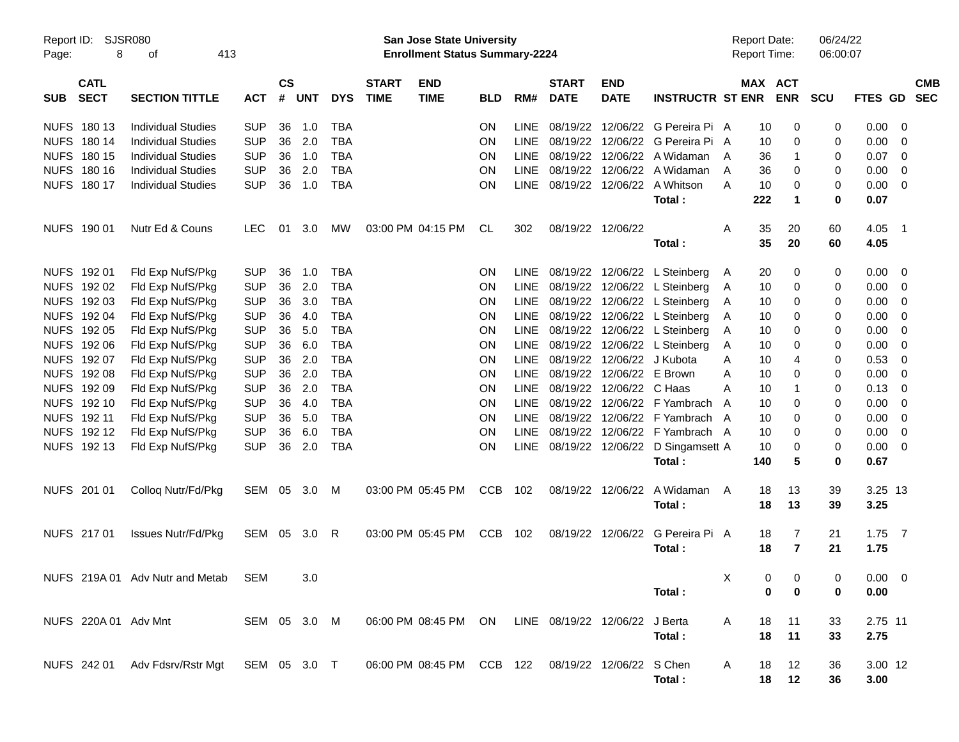| Report ID:<br>Page: | 8                          | <b>SJSR080</b><br>413<br>οf                                                                   |              |               |       |            |                             | <b>San Jose State University</b><br><b>Enrollment Status Summary-2224</b> |            |             |                             |                            |                                       | <b>Report Date:</b><br><b>Report Time:</b> |                       |                | 06/24/22<br>06:00:07 |                |                          |                          |
|---------------------|----------------------------|-----------------------------------------------------------------------------------------------|--------------|---------------|-------|------------|-----------------------------|---------------------------------------------------------------------------|------------|-------------|-----------------------------|----------------------------|---------------------------------------|--------------------------------------------|-----------------------|----------------|----------------------|----------------|--------------------------|--------------------------|
| <b>SUB</b>          | <b>CATL</b><br><b>SECT</b> | <b>SECTION TITTLE</b>                                                                         | <b>ACT</b>   | $\mathsf{cs}$ | # UNT | <b>DYS</b> | <b>START</b><br><b>TIME</b> | <b>END</b><br><b>TIME</b>                                                 | <b>BLD</b> | RM#         | <b>START</b><br><b>DATE</b> | <b>END</b><br><b>DATE</b>  | <b>INSTRUCTR ST ENR</b>               |                                            | MAX ACT<br><b>ENR</b> |                | <b>SCU</b>           | <b>FTES GD</b> |                          | <b>CMB</b><br><b>SEC</b> |
|                     | NUFS 180 13                | <b>Individual Studies</b>                                                                     | <b>SUP</b>   | 36            | 1.0   | <b>TBA</b> |                             |                                                                           | <b>ON</b>  | <b>LINE</b> |                             |                            | 08/19/22 12/06/22 G Pereira Pi A      |                                            | 10                    | 0              | 0                    | 0.00           | $\overline{0}$           |                          |
|                     | NUFS 180 14                | <b>Individual Studies</b>                                                                     | <b>SUP</b>   | 36            | 2.0   | <b>TBA</b> |                             |                                                                           | ON         | LINE        |                             |                            | 08/19/22 12/06/22 G Pereira Pi A      |                                            | 10                    | 0              | 0                    | 0.00           | 0                        |                          |
|                     | NUFS 180 15                | <b>Individual Studies</b>                                                                     | <b>SUP</b>   | 36            | 1.0   | <b>TBA</b> |                             |                                                                           | ON         | LINE        |                             |                            | 08/19/22 12/06/22 A Widaman           | A                                          | 36                    | 1              | 0                    | 0.07           | $\overline{0}$           |                          |
|                     | NUFS 180 16                | <b>Individual Studies</b>                                                                     | <b>SUP</b>   | 36            | 2.0   | <b>TBA</b> |                             |                                                                           | ON         | LINE        |                             |                            | 08/19/22 12/06/22 A Widaman           | A                                          | 36                    | 0              | 0                    | 0.00           | 0                        |                          |
|                     | NUFS 180 17                | <b>Individual Studies</b>                                                                     | <b>SUP</b>   | 36            | 1.0   | <b>TBA</b> |                             |                                                                           | <b>ON</b>  | <b>LINE</b> |                             |                            | 08/19/22 12/06/22 A Whitson           | A                                          | 10                    | 0              | 0                    | 0.00           | 0                        |                          |
|                     |                            |                                                                                               |              |               |       |            |                             |                                                                           |            |             |                             |                            | Total:                                |                                            | 222                   | $\mathbf 1$    | $\bf{0}$             | 0.07           |                          |                          |
|                     | NUFS 190 01                | Nutr Ed & Couns                                                                               | <b>LEC</b>   | 01            | 3.0   | МW         |                             | 03:00 PM 04:15 PM                                                         | CL         | 302         |                             | 08/19/22 12/06/22          |                                       | A                                          | 35                    | 20             | 60                   | 4.05           | $\overline{\phantom{0}}$ |                          |
|                     |                            |                                                                                               |              |               |       |            |                             |                                                                           |            |             |                             |                            | Total:                                |                                            | 35                    | 20             | 60                   | 4.05           |                          |                          |
|                     | NUFS 192 01                | Fld Exp NufS/Pkg                                                                              | <b>SUP</b>   | 36            | 1.0   | <b>TBA</b> |                             |                                                                           | ON         | LINE        |                             |                            | 08/19/22 12/06/22 L Steinberg         | A                                          | 20                    | 0              | 0                    | 0.00           | $\overline{0}$           |                          |
|                     | NUFS 192 02                | Fld Exp NufS/Pkg                                                                              | <b>SUP</b>   | 36            | 2.0   | <b>TBA</b> |                             |                                                                           | ON         | <b>LINE</b> |                             |                            | 08/19/22 12/06/22 L Steinberg         | A                                          | 10                    | 0              | 0                    | 0.00           | $\mathbf 0$              |                          |
|                     | NUFS 192 03                | Fld Exp NufS/Pkg                                                                              | <b>SUP</b>   | 36            | 3.0   | <b>TBA</b> |                             |                                                                           | ON         | LINE        |                             |                            | 08/19/22 12/06/22 L Steinberg         | A                                          | 10                    | 0              | 0                    | 0.00           | 0                        |                          |
|                     | NUFS 192 04                | Fld Exp NufS/Pkg                                                                              | <b>SUP</b>   | 36            | 4.0   | <b>TBA</b> |                             |                                                                           | ON         | LINE        |                             |                            | 08/19/22 12/06/22 L Steinberg         | A                                          | 10                    | 0              | 0                    | 0.00           | 0                        |                          |
|                     | NUFS 192 05                | Fld Exp NufS/Pkg                                                                              | <b>SUP</b>   | 36            | 5.0   | <b>TBA</b> |                             |                                                                           | ON         | LINE        |                             |                            | 08/19/22 12/06/22 L Steinberg         | A                                          | 10                    | 0              | 0                    | 0.00           | 0                        |                          |
|                     | NUFS 192 06                | Fld Exp NufS/Pkg                                                                              | <b>SUP</b>   | 36            | 6.0   | <b>TBA</b> |                             |                                                                           | ON         | <b>LINE</b> |                             |                            | 08/19/22 12/06/22 L Steinberg         | A                                          | 10                    | 0              | 0                    | 0.00           | 0                        |                          |
|                     | NUFS 192 07                | Fld Exp NufS/Pkg                                                                              | <b>SUP</b>   | 36            | 2.0   | <b>TBA</b> |                             |                                                                           | ON         | <b>LINE</b> |                             | 08/19/22 12/06/22 J Kubota |                                       | A                                          | 10                    | 4              | 0                    | 0.53           | 0                        |                          |
|                     | NUFS 192 08                | Fld Exp NufS/Pkg                                                                              | <b>SUP</b>   | 36            | 2.0   | <b>TBA</b> |                             |                                                                           | ON         | LINE        |                             | 08/19/22 12/06/22 E Brown  |                                       | Α                                          | 10                    | 0              | 0                    | 0.00           | 0                        |                          |
|                     | NUFS 192 09                | Fld Exp NufS/Pkg                                                                              | <b>SUP</b>   | 36            | 2.0   | <b>TBA</b> |                             |                                                                           | ON         | LINE        |                             | 08/19/22 12/06/22 C Haas   |                                       | Α                                          | 10                    |                | 0                    | 0.13           | 0                        |                          |
|                     | NUFS 192 10                | Fld Exp NufS/Pkg                                                                              | <b>SUP</b>   | 36            | 4.0   | <b>TBA</b> |                             |                                                                           | ON         | LINE        |                             |                            | 08/19/22 12/06/22 F Yambrach          | A                                          | 10                    | 0              | 0                    | 0.00           | 0                        |                          |
|                     | NUFS 192 11                | Fld Exp NufS/Pkg                                                                              | <b>SUP</b>   | 36            | 5.0   | <b>TBA</b> |                             |                                                                           | ON         | LINE        |                             |                            | 08/19/22 12/06/22 F Yambrach A        |                                            | 10                    | 0              | 0                    | 0.00           | 0                        |                          |
|                     | NUFS 192 12                | Fld Exp NufS/Pkg                                                                              | <b>SUP</b>   | 36            | 6.0   | <b>TBA</b> |                             |                                                                           | ON         | LINE        |                             |                            | 08/19/22 12/06/22 F Yambrach A        |                                            | 10                    | 0              | 0                    | 0.00           | 0                        |                          |
|                     | NUFS 192 13                | Fld Exp NufS/Pkg                                                                              | <b>SUP</b>   | 36            | 2.0   | <b>TBA</b> |                             |                                                                           | <b>ON</b>  |             |                             |                            | LINE 08/19/22 12/06/22 D Singamsett A |                                            | 10                    | 0              | 0                    | 0.00           | $\overline{0}$           |                          |
|                     |                            |                                                                                               |              |               |       |            |                             |                                                                           |            |             |                             |                            | Total:                                |                                            | 140                   | 5              | $\bf{0}$             | 0.67           |                          |                          |
|                     | NUFS 201 01                | Colloq Nutr/Fd/Pkg                                                                            | SEM 05       |               | 3.0   | M          |                             | 03:00 PM 05:45 PM                                                         | <b>CCB</b> | 102         |                             | 08/19/22 12/06/22          | A Widaman                             | A                                          | 18                    | 13             | 39                   | 3.25 13        |                          |                          |
|                     |                            |                                                                                               |              |               |       |            |                             |                                                                           |            |             |                             |                            | Total:                                |                                            | 18                    | 13             | 39                   | 3.25           |                          |                          |
|                     | NUFS 217 01                | <b>Issues Nutr/Fd/Pkg</b>                                                                     | SEM 05       |               | 3.0   | R          |                             | 03:00 PM 05:45 PM                                                         | CCB        | 102         |                             | 08/19/22 12/06/22          | G Pereira Pi A                        |                                            | 18                    | 7              | 21                   | $1.75$ 7       |                          |                          |
|                     |                            |                                                                                               |              |               |       |            |                             |                                                                           |            |             |                             |                            | Total:                                |                                            | 18                    | $\overline{7}$ | 21                   | 1.75           |                          |                          |
|                     |                            | NUFS 219A 01 Adv Nutr and Metab                                                               | <b>SEM</b>   |               | 3.0   |            |                             |                                                                           |            |             |                             |                            |                                       | X                                          | $\overline{0}$        | $\overline{0}$ | $\overline{0}$       | $0.00 \t 0$    |                          |                          |
|                     |                            |                                                                                               |              |               |       |            |                             |                                                                           |            |             |                             |                            | Total:                                |                                            | 0                     | 0              | 0                    | 0.00           |                          |                          |
|                     |                            | NUFS 220A 01 Adv Mnt                                                                          | SEM 05 3.0 M |               |       |            |                             | 06:00 PM 08:45 PM ON LINE 08/19/22 12/06/22 J Berta                       |            |             |                             |                            |                                       | A                                          | 18                    | 11             | 33                   | 2.75 11        |                          |                          |
|                     |                            |                                                                                               |              |               |       |            |                             |                                                                           |            |             |                             |                            | Total:                                |                                            | 18                    | 11             | 33                   | 2.75           |                          |                          |
|                     |                            | NUFS 242 01 Adv Fdsrv/Rstr Mgt SEM 05 3.0 T 06:00 PM 08:45 PM CCB 122 08/19/22 12/06/22 SChen |              |               |       |            |                             |                                                                           |            |             |                             |                            |                                       | A                                          | 18                    | 12             | 36                   | 3.00 12        |                          |                          |
|                     |                            |                                                                                               |              |               |       |            |                             |                                                                           |            |             |                             |                            | Total:                                |                                            | 18                    | 12             | 36                   | 3.00           |                          |                          |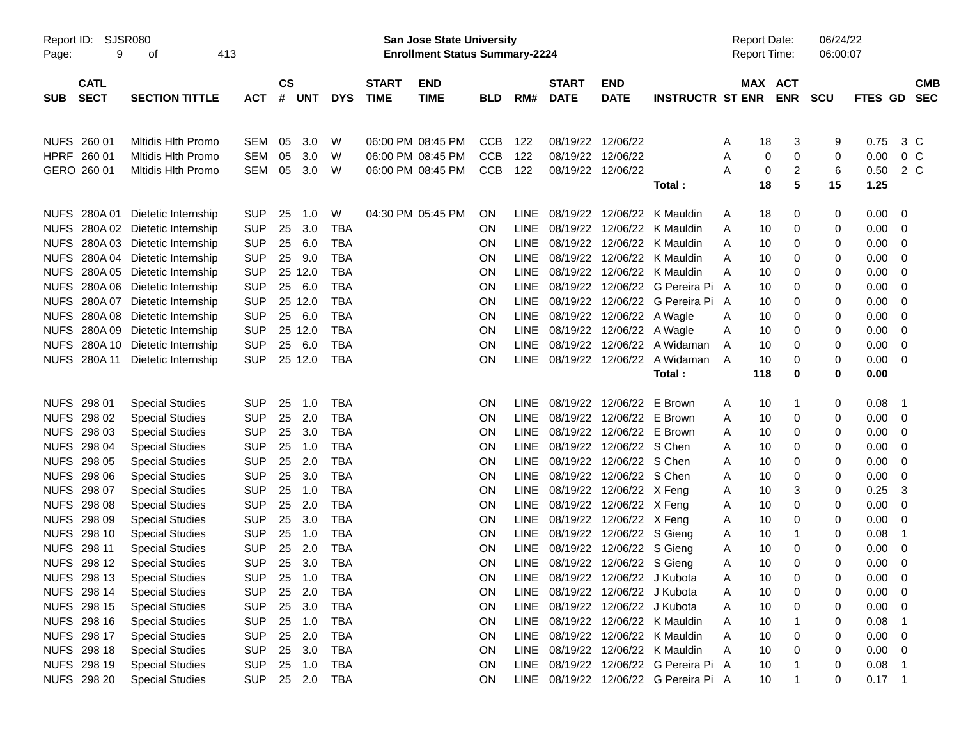| Report ID:<br>9<br>Page:                 | <b>SJSR080</b><br>413<br>οf      |            |                              |            |                             | San Jose State University<br><b>Enrollment Status Summary-2224</b> |            |             |                             |                            |                         | <b>Report Date:</b><br>Report Time: |                       | 06/24/22<br>06:00:07 |          |                          |
|------------------------------------------|----------------------------------|------------|------------------------------|------------|-----------------------------|--------------------------------------------------------------------|------------|-------------|-----------------------------|----------------------------|-------------------------|-------------------------------------|-----------------------|----------------------|----------|--------------------------|
| <b>CATL</b><br><b>SECT</b><br><b>SUB</b> | <b>SECTION TITTLE</b>            | <b>ACT</b> | <b>CS</b><br>#<br><b>UNT</b> | <b>DYS</b> | <b>START</b><br><b>TIME</b> | <b>END</b><br><b>TIME</b>                                          | <b>BLD</b> | RM#         | <b>START</b><br><b>DATE</b> | <b>END</b><br><b>DATE</b>  | <b>INSTRUCTR ST ENR</b> |                                     | MAX ACT<br><b>ENR</b> | <b>SCU</b>           | FTES GD  | <b>CMB</b><br><b>SEC</b> |
|                                          |                                  |            |                              |            |                             |                                                                    |            |             |                             |                            |                         |                                     |                       |                      |          |                          |
| NUFS 260 01                              | Mitidis Hith Promo               | <b>SEM</b> | 3.0<br>05                    | W          |                             | 06:00 PM 08:45 PM                                                  | <b>CCB</b> | 122         | 08/19/22                    | 12/06/22                   |                         | 18<br>Α                             | 3                     | 9                    | 0.75     | 3 C                      |
| HPRF 260 01                              | <b>Mitidis Hith Promo</b>        | <b>SEM</b> | 05<br>3.0                    | W          |                             | 06:00 PM 08:45 PM                                                  | <b>CCB</b> | 122         | 08/19/22                    | 12/06/22                   |                         | Α                                   | 0<br>0                | 0                    | 0.00     | 0 <sup>C</sup>           |
| GERO 260 01                              | <b>Mitidis Hith Promo</b>        | <b>SEM</b> | 3.0<br>05                    | W          |                             | 06:00 PM 08:45 PM                                                  | <b>CCB</b> | 122         | 08/19/22                    | 12/06/22                   |                         | Α                                   | $\boldsymbol{2}$<br>0 | 6                    | 0.50     | 2 C                      |
|                                          |                                  |            |                              |            |                             |                                                                    |            |             |                             |                            | Total:                  | 18                                  | 5                     | 15                   | 1.25     |                          |
| NUFS 280A 01                             | Dietetic Internship              | <b>SUP</b> | 25<br>1.0                    | W          |                             | 04:30 PM 05:45 PM                                                  | ON         | <b>LINE</b> | 08/19/22                    | 12/06/22                   | K Mauldin               | 18<br>Α                             | 0                     | 0                    | 0.00     | 0                        |
|                                          | NUFS 280A 02 Dietetic Internship | <b>SUP</b> | 25<br>3.0                    | <b>TBA</b> |                             |                                                                    | ON         | <b>LINE</b> | 08/19/22                    | 12/06/22                   | K Mauldin               | 10<br>Α                             | 0                     | 0                    | 0.00     | 0                        |
|                                          | NUFS 280A 03 Dietetic Internship | <b>SUP</b> | 25<br>6.0                    | <b>TBA</b> |                             |                                                                    | ON         | <b>LINE</b> | 08/19/22                    | 12/06/22                   | K Mauldin               | 10<br>Α                             | 0                     | 0                    | 0.00     | 0                        |
|                                          | NUFS 280A 04 Dietetic Internship | <b>SUP</b> | 25<br>9.0                    | <b>TBA</b> |                             |                                                                    | ON         | <b>LINE</b> | 08/19/22                    | 12/06/22                   | K Mauldin               | 10<br>A                             | 0                     | 0                    | 0.00     | 0                        |
|                                          | NUFS 280A 05 Dietetic Internship | <b>SUP</b> | 25 12.0                      | <b>TBA</b> |                             |                                                                    | ON         | <b>LINE</b> | 08/19/22                    | 12/06/22                   | K Mauldin               | 10<br>A                             | 0                     | 0                    | 0.00     | 0                        |
|                                          | NUFS 280A 06 Dietetic Internship | <b>SUP</b> | 25<br>6.0                    | <b>TBA</b> |                             |                                                                    | ON         | <b>LINE</b> | 08/19/22                    | 12/06/22                   | G Pereira Pi A          | 10                                  | 0                     | 0                    | 0.00     | 0                        |
|                                          | NUFS 280A 07 Dietetic Internship | <b>SUP</b> | 25 12.0                      | <b>TBA</b> |                             |                                                                    | <b>ON</b>  | <b>LINE</b> | 08/19/22                    | 12/06/22                   | G Pereira Pi A          | 10                                  | 0                     | 0                    | 0.00     | 0                        |
|                                          | NUFS 280A 08 Dietetic Internship | <b>SUP</b> | 25<br>6.0                    | <b>TBA</b> |                             |                                                                    | <b>ON</b>  | LINE        | 08/19/22                    | 12/06/22                   | A Wagle                 | 10<br>Α                             | 0                     | 0                    | 0.00     | 0                        |
|                                          | NUFS 280A 09 Dietetic Internship | <b>SUP</b> | 25 12.0                      | <b>TBA</b> |                             |                                                                    | <b>ON</b>  | <b>LINE</b> | 08/19/22                    | 12/06/22                   | A Wagle                 | 10<br>Α                             | 0                     | 0                    | 0.00     | 0                        |
|                                          | NUFS 280A 10 Dietetic Internship | <b>SUP</b> | 6.0<br>25                    | <b>TBA</b> |                             |                                                                    | ON         | <b>LINE</b> | 08/19/22                    | 12/06/22                   | A Widaman               | 10<br>A                             | 0                     | 0                    | 0.00     | 0                        |
| NUFS 280A 11                             | Dietetic Internship              | <b>SUP</b> | 25 12.0                      | <b>TBA</b> |                             |                                                                    | <b>ON</b>  | LINE        | 08/19/22                    | 12/06/22                   | A Widaman               | A<br>10                             | 0                     | 0                    | 0.00     | 0                        |
|                                          |                                  |            |                              |            |                             |                                                                    |            |             |                             |                            | Total:                  | 118                                 | 0                     | 0                    | 0.00     |                          |
| NUFS 298 01                              | <b>Special Studies</b>           | <b>SUP</b> | 25<br>1.0                    | <b>TBA</b> |                             |                                                                    | <b>ON</b>  | LINE        | 08/19/22                    | 12/06/22                   | E Brown                 | 10<br>Α                             | -1                    | 0                    | 0.08     | $\overline{1}$           |
| NUFS 298 02                              | <b>Special Studies</b>           | <b>SUP</b> | 25<br>2.0                    | <b>TBA</b> |                             |                                                                    | ON         | <b>LINE</b> | 08/19/22                    | 12/06/22                   | E Brown                 | 10<br>Α                             | 0                     | 0                    | 0.00     | 0                        |
| NUFS 298 03                              | <b>Special Studies</b>           | <b>SUP</b> | 25<br>3.0                    | <b>TBA</b> |                             |                                                                    | ON         | <b>LINE</b> | 08/19/22                    | 12/06/22                   | E Brown                 | 10<br>Α                             | 0                     | 0                    | 0.00     | 0                        |
| NUFS 298 04                              | <b>Special Studies</b>           | <b>SUP</b> | 25<br>1.0                    | <b>TBA</b> |                             |                                                                    | ON         | <b>LINE</b> | 08/19/22                    | 12/06/22 S Chen            |                         | 10<br>Α                             | 0                     | 0                    | 0.00     | 0                        |
| NUFS 298 05                              | <b>Special Studies</b>           | <b>SUP</b> | 25<br>2.0                    | <b>TBA</b> |                             |                                                                    | ON         | <b>LINE</b> | 08/19/22                    | 12/06/22 S Chen            |                         | 10<br>Α                             | 0                     | 0                    | 0.00     | 0                        |
| NUFS 298 06                              | <b>Special Studies</b>           | <b>SUP</b> | 25<br>3.0                    | <b>TBA</b> |                             |                                                                    | ON         | <b>LINE</b> | 08/19/22                    | 12/06/22 S Chen            |                         | 10<br>Α                             | 0                     | 0                    | 0.00     | 0                        |
| NUFS 298 07                              | <b>Special Studies</b>           | <b>SUP</b> | 25<br>1.0                    | <b>TBA</b> |                             |                                                                    | <b>ON</b>  | LINE        | 08/19/22                    | 12/06/22 X Feng            |                         | 10<br>Α                             | 3                     | 0                    | 0.25     | 3                        |
| NUFS 298 08                              | <b>Special Studies</b>           | <b>SUP</b> | 25<br>2.0                    | <b>TBA</b> |                             |                                                                    | <b>ON</b>  | LINE        | 08/19/22                    | 12/06/22 X Feng            |                         | 10<br>Α                             | 0                     | 0                    | 0.00     | 0                        |
| NUFS 298 09                              | <b>Special Studies</b>           | <b>SUP</b> | 25<br>3.0                    | <b>TBA</b> |                             |                                                                    | <b>ON</b>  | LINE        | 08/19/22                    | 12/06/22 X Feng            |                         | 10<br>Α                             | 0                     | 0                    | 0.00     | 0                        |
| NUFS 298 10                              | <b>Special Studies</b>           | <b>SUP</b> | 25<br>1.0                    | <b>TBA</b> |                             |                                                                    | <b>ON</b>  | LINE        | 08/19/22                    | 12/06/22 S Gieng           |                         | 10<br>Α                             | -1                    | 0                    | 0.08     | -1                       |
| NUFS 298 11                              | <b>Special Studies</b>           | <b>SUP</b> | 25<br>2.0                    | <b>TBA</b> |                             |                                                                    | <b>ON</b>  | LINE        | 08/19/22                    | 12/06/22 S Gieng           |                         | 10<br>Α                             | 0                     | 0                    | 0.00     | 0                        |
| NUFS 298 12                              | <b>Special Studies</b>           | <b>SUP</b> | 25<br>3.0                    | <b>TBA</b> |                             |                                                                    | ON         | LINE        |                             | 08/19/22 12/06/22 S Gieng  |                         | 10<br>Α                             | $\mathbf 0$           | 0                    | 0.00     | 0                        |
| NUFS 298 13                              | <b>Special Studies</b>           | <b>SUP</b> | 25<br>1.0                    | <b>TBA</b> |                             |                                                                    | ON         | LINE        |                             | 08/19/22 12/06/22 J Kubota |                         | 10<br>Α                             | 0                     | 0                    | 0.00     | $\mathbf 0$              |
| NUFS 298 14                              | <b>Special Studies</b>           | <b>SUP</b> | 2.0<br>25                    | <b>TBA</b> |                             |                                                                    | <b>ON</b>  | LINE        |                             | 08/19/22 12/06/22 J Kubota |                         | 10<br>Α                             | 0                     | 0                    | 0.00     | 0                        |
| NUFS 298 15                              | <b>Special Studies</b>           | <b>SUP</b> | 3.0<br>25                    | <b>TBA</b> |                             |                                                                    | ON         | LINE        |                             | 08/19/22 12/06/22 J Kubota |                         | 10<br>Α                             | 0                     | 0                    | 0.00     | 0                        |
| NUFS 298 16                              | <b>Special Studies</b>           | <b>SUP</b> | 25<br>1.0                    | <b>TBA</b> |                             |                                                                    | ON         | <b>LINE</b> | 08/19/22                    |                            | 12/06/22 K Mauldin      | 10<br>Α                             |                       | 0                    | 0.08     | -1                       |
| NUFS 298 17                              | <b>Special Studies</b>           | <b>SUP</b> | 2.0<br>25                    | <b>TBA</b> |                             |                                                                    | ON         | LINE        | 08/19/22                    |                            | 12/06/22 K Mauldin      | Α<br>10                             | 0                     | 0                    | 0.00     | 0                        |
| NUFS 298 18                              | <b>Special Studies</b>           | <b>SUP</b> | 3.0<br>25                    | <b>TBA</b> |                             |                                                                    | ON         | LINE        | 08/19/22                    |                            | 12/06/22 K Mauldin      | Α<br>10                             | 0                     | 0                    | 0.00     | 0                        |
| NUFS 298 19                              | <b>Special Studies</b>           | <b>SUP</b> | 25<br>1.0                    | <b>TBA</b> |                             |                                                                    | ON         | LINE        | 08/19/22                    |                            | 12/06/22 G Pereira Pi A | 10                                  |                       | 0                    | 0.08     | -1                       |
| NUFS 298 20                              | <b>Special Studies</b>           | <b>SUP</b> | 25 2.0 TBA                   |            |                             |                                                                    | ON         | LINE        | 08/19/22                    |                            | 12/06/22 G Pereira Pi A | 10                                  |                       | 0                    | $0.17$ 1 |                          |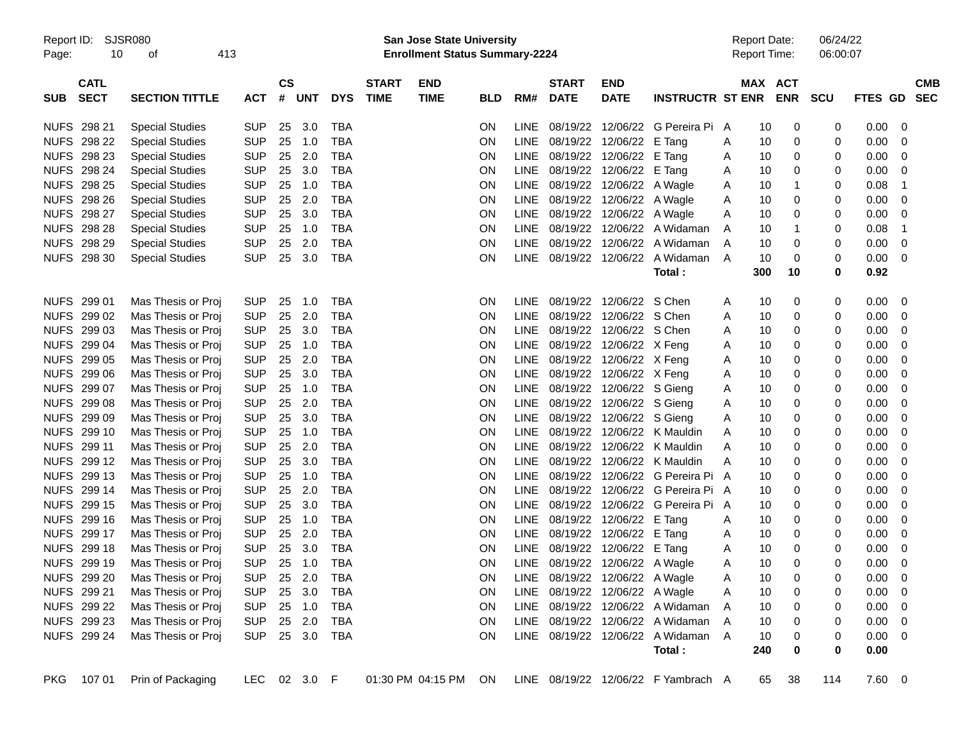| Report ID:<br>Page: | 10                         | <b>SJSR080</b><br>οf   | 413 |            |                |              |            |                             | <b>San Jose State University</b><br><b>Enrollment Status Summary-2224</b> |            |             |                             |                                |                                     |   | <b>Report Date:</b><br>Report Time: |            | 06/24/22<br>06:00:07 |               |                          |                          |
|---------------------|----------------------------|------------------------|-----|------------|----------------|--------------|------------|-----------------------------|---------------------------------------------------------------------------|------------|-------------|-----------------------------|--------------------------------|-------------------------------------|---|-------------------------------------|------------|----------------------|---------------|--------------------------|--------------------------|
| <b>SUB</b>          | <b>CATL</b><br><b>SECT</b> | <b>SECTION TITTLE</b>  |     | <b>ACT</b> | <b>CS</b><br># | <b>UNT</b>   | <b>DYS</b> | <b>START</b><br><b>TIME</b> | <b>END</b><br><b>TIME</b>                                                 | <b>BLD</b> | RM#         | <b>START</b><br><b>DATE</b> | <b>END</b><br><b>DATE</b>      | <b>INSTRUCTR ST ENR</b>             |   | MAX ACT                             | <b>ENR</b> | <b>SCU</b>           | FTES GD       |                          | <b>CMB</b><br><b>SEC</b> |
|                     | NUFS 298 21                | <b>Special Studies</b> |     | <b>SUP</b> | 25             | 3.0          | TBA        |                             |                                                                           | ΟN         | <b>LINE</b> |                             |                                | 08/19/22 12/06/22 G Pereira Pi      | A | 10                                  | 0          | 0                    | 0.00          | - 0                      |                          |
|                     | <b>NUFS 298 22</b>         | <b>Special Studies</b> |     | <b>SUP</b> | 25             | 1.0          | <b>TBA</b> |                             |                                                                           | ON         | <b>LINE</b> |                             | 08/19/22 12/06/22 E Tang       |                                     | A | 10                                  | 0          | 0                    | 0.00          | - 0                      |                          |
|                     | NUFS 298 23                | <b>Special Studies</b> |     | <b>SUP</b> | 25             | 2.0          | <b>TBA</b> |                             |                                                                           | ΟN         | LINE        |                             | 08/19/22 12/06/22 E Tang       |                                     | A | 10                                  | 0          | 0                    | 0.00          | 0                        |                          |
|                     | NUFS 298 24                | <b>Special Studies</b> |     | <b>SUP</b> | 25             | 3.0          | <b>TBA</b> |                             |                                                                           | ON         | LINE        |                             | 08/19/22 12/06/22 E Tang       |                                     | A | 10                                  | 0          | 0                    | 0.00          | 0                        |                          |
|                     | NUFS 298 25                | <b>Special Studies</b> |     | <b>SUP</b> | 25             | 1.0          | <b>TBA</b> |                             |                                                                           | ON         | LINE        |                             | 08/19/22 12/06/22 A Wagle      |                                     | A | 10                                  | -1         | 0                    | 0.08          | $\mathbf 1$              |                          |
|                     | NUFS 298 26                | <b>Special Studies</b> |     | <b>SUP</b> | 25             | 2.0          | <b>TBA</b> |                             |                                                                           | ON         | LINE        |                             | 08/19/22 12/06/22 A Wagle      |                                     | A | 10                                  | 0          | 0                    | 0.00          | 0                        |                          |
|                     | NUFS 298 27                | <b>Special Studies</b> |     | <b>SUP</b> | 25             | 3.0          | <b>TBA</b> |                             |                                                                           | ON         | LINE        |                             | 08/19/22 12/06/22 A Wagle      |                                     | A | 10                                  | 0          | 0                    | 0.00          | 0                        |                          |
|                     | <b>NUFS 298 28</b>         | <b>Special Studies</b> |     | <b>SUP</b> | 25             | 1.0          | <b>TBA</b> |                             |                                                                           | ON         | <b>LINE</b> |                             |                                | 08/19/22 12/06/22 A Widaman         | A | 10                                  | -1         | 0                    | 0.08          | $\mathbf 1$              |                          |
|                     | <b>NUFS 298 29</b>         | <b>Special Studies</b> |     | <b>SUP</b> | 25             | 2.0          | <b>TBA</b> |                             |                                                                           | ON         | <b>LINE</b> |                             |                                | 08/19/22 12/06/22 A Widaman         | A | 10                                  | 0          | 0                    | 0.00          | 0                        |                          |
|                     | NUFS 298 30                | <b>Special Studies</b> |     | <b>SUP</b> | 25             | 3.0          | <b>TBA</b> |                             |                                                                           | ON         |             |                             |                                | LINE 08/19/22 12/06/22 A Widaman    | A | 10                                  | 0          | 0                    | 0.00          | $\overline{\mathbf{0}}$  |                          |
|                     |                            |                        |     |            |                |              |            |                             |                                                                           |            |             |                             |                                | Total:                              |   | 300                                 | 10         | 0                    | 0.92          |                          |                          |
|                     | NUFS 299 01                | Mas Thesis or Proj     |     | <b>SUP</b> | 25             | 1.0          | TBA        |                             |                                                                           | ΟN         |             |                             | LINE 08/19/22 12/06/22 S Chen  |                                     | A | 10                                  | 0          | 0                    | 0.00          | - 0                      |                          |
|                     | NUFS 299 02                | Mas Thesis or Proj     |     | <b>SUP</b> | 25             | 2.0          | <b>TBA</b> |                             |                                                                           | ON         | <b>LINE</b> |                             | 08/19/22 12/06/22 S Chen       |                                     | A | 10                                  | 0          | 0                    | 0.00          | 0                        |                          |
|                     | NUFS 299 03                | Mas Thesis or Proj     |     | <b>SUP</b> | 25             | 3.0          | <b>TBA</b> |                             |                                                                           | ON         | <b>LINE</b> |                             | 08/19/22 12/06/22 S Chen       |                                     | Α | 10                                  | 0          | 0                    | 0.00          | 0                        |                          |
|                     | NUFS 299 04                | Mas Thesis or Proj     |     | <b>SUP</b> | 25             | 1.0          | <b>TBA</b> |                             |                                                                           | ON         | LINE        |                             | 08/19/22 12/06/22 X Feng       |                                     | Α | 10                                  | 0          | 0                    | 0.00          | 0                        |                          |
|                     | NUFS 299 05                | Mas Thesis or Proj     |     | <b>SUP</b> | 25             | 2.0          | <b>TBA</b> |                             |                                                                           | ON         | LINE        |                             | 08/19/22 12/06/22 X Feng       |                                     | Α | 10                                  | 0          | 0                    | 0.00          | 0                        |                          |
|                     | NUFS 299 06                | Mas Thesis or Proj     |     | <b>SUP</b> | 25             | 3.0          | <b>TBA</b> |                             |                                                                           | ON         | LINE        |                             | 08/19/22 12/06/22 X Feng       |                                     | A | 10                                  | 0          | 0                    | 0.00          | 0                        |                          |
|                     | NUFS 299 07                | Mas Thesis or Proj     |     | <b>SUP</b> | 25             | 1.0          | <b>TBA</b> |                             |                                                                           | ON         | LINE        |                             | 08/19/22 12/06/22 S Gieng      |                                     | A | 10                                  | 0          | 0                    | 0.00          | 0                        |                          |
|                     | NUFS 299 08                | Mas Thesis or Proj     |     | <b>SUP</b> | 25             | 2.0          | <b>TBA</b> |                             |                                                                           | ON         | LINE        |                             | 08/19/22 12/06/22 S Gieng      |                                     | A | 10                                  | 0          | 0                    | 0.00          | 0                        |                          |
|                     | NUFS 299 09                | Mas Thesis or Proj     |     | <b>SUP</b> | 25             | 3.0          | <b>TBA</b> |                             |                                                                           | ON         | LINE        |                             | 08/19/22 12/06/22 S Gieng      |                                     | A | 10                                  | 0          | 0                    | 0.00          | 0                        |                          |
|                     | NUFS 299 10                | Mas Thesis or Proj     |     | <b>SUP</b> | 25             | 1.0          | <b>TBA</b> |                             |                                                                           | ON         | <b>LINE</b> |                             |                                | 08/19/22 12/06/22 K Mauldin         | A | 10                                  | 0          | 0                    | 0.00          | 0                        |                          |
|                     | NUFS 299 11                | Mas Thesis or Proj     |     | <b>SUP</b> | 25             | 2.0          | <b>TBA</b> |                             |                                                                           | ON         | <b>LINE</b> |                             |                                | 08/19/22 12/06/22 K Mauldin         | A | 10                                  | 0          | 0                    | 0.00          | 0                        |                          |
|                     | NUFS 299 12                | Mas Thesis or Proj     |     | <b>SUP</b> | 25             | 3.0          | <b>TBA</b> |                             |                                                                           | ON         | <b>LINE</b> |                             |                                | 08/19/22 12/06/22 K Mauldin         | A | 10                                  | 0          | 0                    | 0.00          | 0                        |                          |
|                     | NUFS 299 13                | Mas Thesis or Proj     |     | <b>SUP</b> | 25             | 1.0          | <b>TBA</b> |                             |                                                                           | ON         | <b>LINE</b> |                             |                                | 08/19/22 12/06/22 G Pereira Pi      | A | 10                                  | 0          | 0                    | 0.00          | 0                        |                          |
|                     | NUFS 299 14                | Mas Thesis or Proj     |     | <b>SUP</b> | 25             | 2.0          | <b>TBA</b> |                             |                                                                           | ON         | <b>LINE</b> |                             |                                | 08/19/22 12/06/22 G Pereira Pi A    |   | 10                                  | 0          | 0                    | 0.00          | 0                        |                          |
|                     | NUFS 299 15                | Mas Thesis or Proj     |     | <b>SUP</b> | 25             | 3.0          | <b>TBA</b> |                             |                                                                           | ON         | <b>LINE</b> |                             |                                | 08/19/22 12/06/22 G Pereira Pi      | A | 10                                  | 0          | 0                    | 0.00          | 0                        |                          |
|                     | NUFS 299 16                | Mas Thesis or Proj     |     | <b>SUP</b> | 25             | 1.0          | <b>TBA</b> |                             |                                                                           | ON         | <b>LINE</b> |                             | 08/19/22 12/06/22 E Tang       |                                     | A | 10                                  | 0          | 0                    | 0.00          | 0                        |                          |
|                     | NUFS 299 17                | Mas Thesis or Proj     |     | <b>SUP</b> | 25             | 2.0          | <b>TBA</b> |                             |                                                                           | ON         | <b>LINE</b> |                             | 08/19/22 12/06/22 E Tang       |                                     | A | 10                                  | 0          | 0                    | 0.00          | 0                        |                          |
| <b>NUFS</b>         | 299 18                     | Mas Thesis or Proj     |     | <b>SUP</b> | 25             | 3.0          | <b>TBA</b> |                             |                                                                           | ON         | <b>LINE</b> |                             | 08/19/22 12/06/22 E Tang       |                                     | A | 10                                  | 0          | 0                    | 0.00          | 0                        |                          |
|                     | NUFS 299 19                | Mas Thesis or Proj     |     | <b>SUP</b> | 25             | 1.0          | TBA        |                             |                                                                           | ΟN         |             |                             | LINE 08/19/22 12/06/22 A Wagle |                                     | A | 10                                  | 0          | 0                    | 0.00          | 0                        |                          |
|                     | NUFS 299 20                | Mas Thesis or Proj     |     | <b>SUP</b> |                | 25 2.0       | TBA        |                             |                                                                           | <b>ON</b>  |             |                             | LINE 08/19/22 12/06/22 A Wagle |                                     | Α | 10                                  | 0          | 0                    | 0.00          | $\overline{\phantom{0}}$ |                          |
|                     | NUFS 299 21                | Mas Thesis or Proj     |     | <b>SUP</b> |                | 25 3.0       | TBA        |                             |                                                                           | <b>ON</b>  |             |                             | LINE 08/19/22 12/06/22 A Wagle |                                     | A | 10                                  | 0          | 0                    | $0.00 \t 0$   |                          |                          |
|                     | NUFS 299 22                | Mas Thesis or Proj     |     | <b>SUP</b> |                | 25 1.0       | TBA        |                             |                                                                           | <b>ON</b>  |             |                             |                                | LINE 08/19/22 12/06/22 A Widaman    | Α | 10                                  | 0          | 0                    | $0.00 \t 0$   |                          |                          |
|                     | NUFS 299 23                | Mas Thesis or Proj     |     | <b>SUP</b> |                | 25 2.0       | <b>TBA</b> |                             |                                                                           | <b>ON</b>  |             |                             |                                | LINE 08/19/22 12/06/22 A Widaman    | Α | 10                                  | 0          | 0                    | $0.00 \t 0$   |                          |                          |
|                     | NUFS 299 24                | Mas Thesis or Proj     |     |            |                | SUP 25 3.0   | TBA        |                             |                                                                           | <b>ON</b>  |             |                             |                                | LINE 08/19/22 12/06/22 A Widaman    | A | 10                                  | 0          | 0                    | $0.00 \t 0$   |                          |                          |
|                     |                            |                        |     |            |                |              |            |                             |                                                                           |            |             |                             |                                | Total:                              |   | 240                                 | 0          | 0                    | 0.00          |                          |                          |
| PKG                 | 107 01                     | Prin of Packaging      |     |            |                | LEC 02 3.0 F |            |                             | 01:30 PM 04:15 PM                                                         | ON.        |             |                             |                                | LINE 08/19/22 12/06/22 F Yambrach A |   | 65                                  | 38         | 114                  | $7.60\quad 0$ |                          |                          |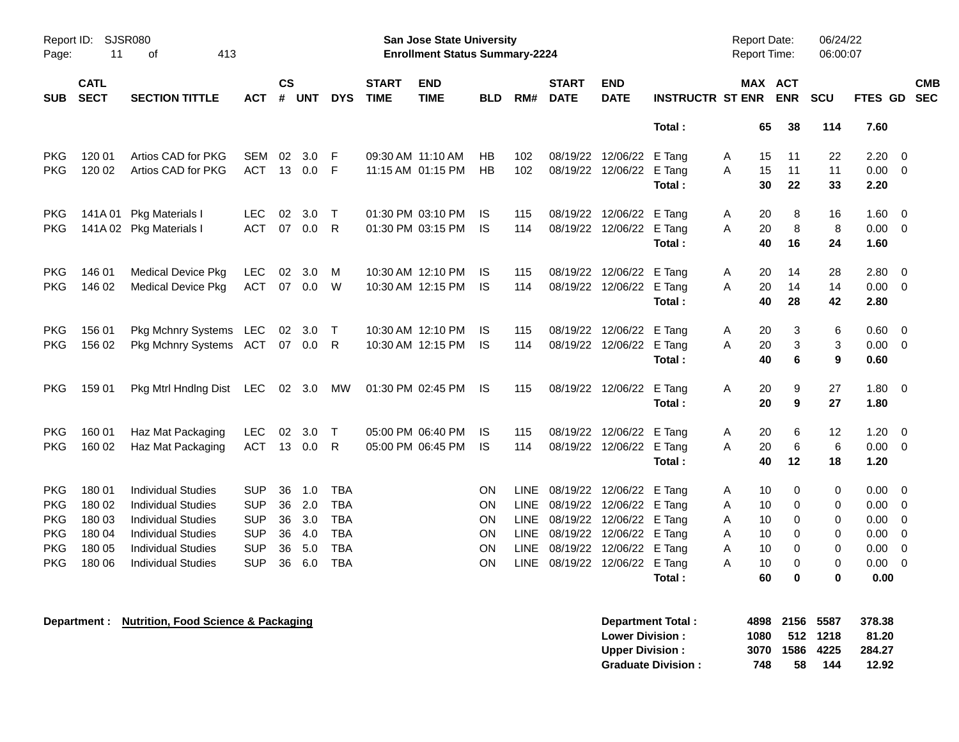| Report ID:<br>Page: | 11                         | SJSR080<br>413<br>οf      |            |               |        |              |                             | <b>San Jose State University</b><br><b>Enrollment Status Summary-2224</b> |            |             |                             |                           |                         |   | <b>Report Date:</b><br>Report Time: |                          | 06/24/22<br>06:00:07 |                |                          |
|---------------------|----------------------------|---------------------------|------------|---------------|--------|--------------|-----------------------------|---------------------------------------------------------------------------|------------|-------------|-----------------------------|---------------------------|-------------------------|---|-------------------------------------|--------------------------|----------------------|----------------|--------------------------|
| <b>SUB</b>          | <b>CATL</b><br><b>SECT</b> | <b>SECTION TITTLE</b>     | ACT        | $\mathsf{cs}$ | # UNT  | <b>DYS</b>   | <b>START</b><br><b>TIME</b> | <b>END</b><br><b>TIME</b>                                                 | <b>BLD</b> | RM#         | <b>START</b><br><b>DATE</b> | <b>END</b><br><b>DATE</b> | <b>INSTRUCTR ST ENR</b> |   | <b>MAX</b>                          | <b>ACT</b><br><b>ENR</b> | SCU                  | <b>FTES GD</b> | <b>CMB</b><br><b>SEC</b> |
|                     |                            |                           |            |               |        |              |                             |                                                                           |            |             |                             |                           | Total:                  |   | 65                                  | 38                       | 114                  | 7.60           |                          |
| <b>PKG</b>          | 120 01                     | Artios CAD for PKG        | SEM        | 02            | 3.0    | F            |                             | 09:30 AM 11:10 AM                                                         | HВ         | 102         |                             | 08/19/22 12/06/22         | E Tang                  | A | 15                                  | 11                       | 22                   | 2.20           | 0                        |
| PKG                 | 120 02                     | Artios CAD for PKG        | ACT        |               | 13 0.0 | E            |                             | 11:15 AM 01:15 PM                                                         | <b>HB</b>  | 102         |                             | 08/19/22 12/06/22         | E Tang                  | A | 15                                  | 11                       | 11                   | 0.00           | $\mathbf 0$              |
|                     |                            |                           |            |               |        |              |                             |                                                                           |            |             |                             |                           | Total:                  |   | 30                                  | 22                       | 33                   | 2.20           |                          |
| PKG                 |                            | 141A 01 Pkg Materials I   | <b>LEC</b> | 02            | 3.0    | $\top$       |                             | 01:30 PM 03:10 PM                                                         | IS         | 115         |                             | 08/19/22 12/06/22 E Tang  |                         | A | 20                                  | 8                        | 16                   | 1.60           | 0                        |
| PKG                 |                            | 141A 02 Pkg Materials I   | <b>ACT</b> |               | 07 0.0 | $\mathsf{R}$ |                             | 01:30 PM 03:15 PM                                                         | <b>IS</b>  | 114         |                             | 08/19/22 12/06/22 E Tang  |                         | A | 20                                  | 8                        | 8                    | 0.00           | $\mathbf 0$              |
|                     |                            |                           |            |               |        |              |                             |                                                                           |            |             |                             |                           | Total:                  |   | 40                                  | 16                       | 24                   | 1.60           |                          |
| PKG                 | 146 01                     | <b>Medical Device Pkg</b> | <b>LEC</b> | 02            | 3.0    | м            |                             | 10:30 AM 12:10 PM                                                         | IS         | 115         |                             | 08/19/22 12/06/22         | E Tang                  | A | 20                                  | 14                       | 28                   | 2.80           | 0                        |
| PKG                 | 146 02                     | <b>Medical Device Pkg</b> | <b>ACT</b> | 07            | 0.0    | W            |                             | 10:30 AM 12:15 PM                                                         | -IS        | 114         |                             | 08/19/22 12/06/22 E Tang  |                         | A | 20                                  | 14                       | 14                   | 0.00           | 0                        |
|                     |                            |                           |            |               |        |              |                             |                                                                           |            |             |                             |                           | Total:                  |   | 40                                  | 28                       | 42                   | 2.80           |                          |
| <b>PKG</b>          | 156 01                     | Pkg Mchnry Systems LEC    |            |               | 02 3.0 | $\mathsf T$  |                             | 10:30 AM 12:10 PM                                                         | -IS        | 115         |                             | 08/19/22 12/06/22         | E Tang                  | A | 20                                  | 3                        | 6                    | 0.60           | $\mathbf 0$              |
| PKG                 | 156 02                     | Pkg Mchnry Systems        | ACT 07 0.0 |               |        | R            |                             | 10:30 AM 12:15 PM                                                         | <b>IS</b>  | 114         |                             | 08/19/22 12/06/22 E Tang  |                         | A | 20                                  | 3                        | 3                    | 0.00           | 0                        |
|                     |                            |                           |            |               |        |              |                             |                                                                           |            |             |                             |                           | Total:                  |   | 40                                  | 6                        | 9                    | 0.60           |                          |
| <b>PKG</b>          | 159 01                     | Pkg Mtrl Hndlng Dist      | LEC 02 3.0 |               |        | МW           |                             | 01:30 PM 02:45 PM                                                         | IS         | 115         |                             | 08/19/22 12/06/22         | E Tang                  | A | 20                                  | 9                        | 27                   | 1.80           | $\mathbf 0$              |
|                     |                            |                           |            |               |        |              |                             |                                                                           |            |             |                             |                           | Total:                  |   | 20                                  | 9                        | 27                   | 1.80           |                          |
| PKG                 | 160 01                     | Haz Mat Packaging         | <b>LEC</b> | 02            | 3.0    | $\mathsf{T}$ |                             | 05:00 PM 06:40 PM                                                         | IS         | 115         |                             | 08/19/22 12/06/22         | E Tang                  | A | 20                                  | 6                        | 12                   | 1.20           | 0                        |
| PKG                 | 160 02                     | Haz Mat Packaging         | <b>ACT</b> |               | 13 0.0 | R            |                             | 05:00 PM 06:45 PM                                                         | <b>IS</b>  | 114         |                             | 08/19/22 12/06/22         | E Tang                  | A | 20                                  | 6                        | 6                    | 0.00           | $\mathbf 0$              |
|                     |                            |                           |            |               |        |              |                             |                                                                           |            |             |                             |                           | Total:                  |   | 40                                  | 12                       | 18                   | 1.20           |                          |
| PKG                 | 180 01                     | <b>Individual Studies</b> | <b>SUP</b> | 36            | 1.0    | <b>TBA</b>   |                             |                                                                           | ON         | <b>LINE</b> |                             | 08/19/22 12/06/22         | E Tang                  | Α | 10                                  | 0                        | 0                    | 0.00           | 0                        |
| PKG                 | 180 02                     | <b>Individual Studies</b> | <b>SUP</b> | 36            | 2.0    | <b>TBA</b>   |                             |                                                                           | ΟN         | <b>LINE</b> | 08/19/22                    | 12/06/22                  | E Tang                  | Α | 10                                  | 0                        | 0                    | 0.00           | 0                        |
| <b>PKG</b>          | 180 03                     | <b>Individual Studies</b> | <b>SUP</b> | 36            | 3.0    | <b>TBA</b>   |                             |                                                                           | ΟN         | LINE        | 08/19/22 12/06/22           |                           | E Tang                  | A | 10                                  | 0                        | 0                    | 0.00           | $\mathbf 0$              |
| PKG                 | 180 04                     | <b>Individual Studies</b> | <b>SUP</b> | 36            | 4.0    | <b>TBA</b>   |                             |                                                                           | ON         | LINE        |                             | 08/19/22 12/06/22         | E Tang                  | Α | 10                                  | 0                        | 0                    | 0.00           | 0                        |
| <b>PKG</b>          | 180 05                     | <b>Individual Studies</b> | <b>SUP</b> | 36            | 5.0    | <b>TBA</b>   |                             |                                                                           | ΟN         | <b>LINE</b> |                             | 08/19/22 12/06/22         | E Tang                  | A | 10                                  | 0                        | 0                    | 0.00           | $\mathbf 0$              |
| PKG                 | 180 06                     | <b>Individual Studies</b> | <b>SUP</b> | 36            | 6.0    | <b>TBA</b>   |                             |                                                                           | ON         | <b>LINE</b> |                             | 08/19/22 12/06/22         | E Tang                  | Α | 10                                  | 0<br>0                   | 0                    | 0.00           | $\mathbf 0$              |
|                     |                            |                           |            |               |        |              |                             |                                                                           |            |             |                             |                           | Total:                  |   | 60                                  |                          | 0                    | 0.00           |                          |

| Department : | <b>Nutrition, Food Science &amp; Packaging</b> | 4898<br>Department Total:        | 2156 | 5587 | 378.38 |
|--------------|------------------------------------------------|----------------------------------|------|------|--------|
|              |                                                | 1080<br><b>Lower Division:</b>   | 512  | 1218 | 81.20  |
|              |                                                | <b>Upper Division:</b><br>3070   | 1586 | 4225 | 284.27 |
|              |                                                | 748<br><b>Graduate Division:</b> | 58   | 144  | 12.92  |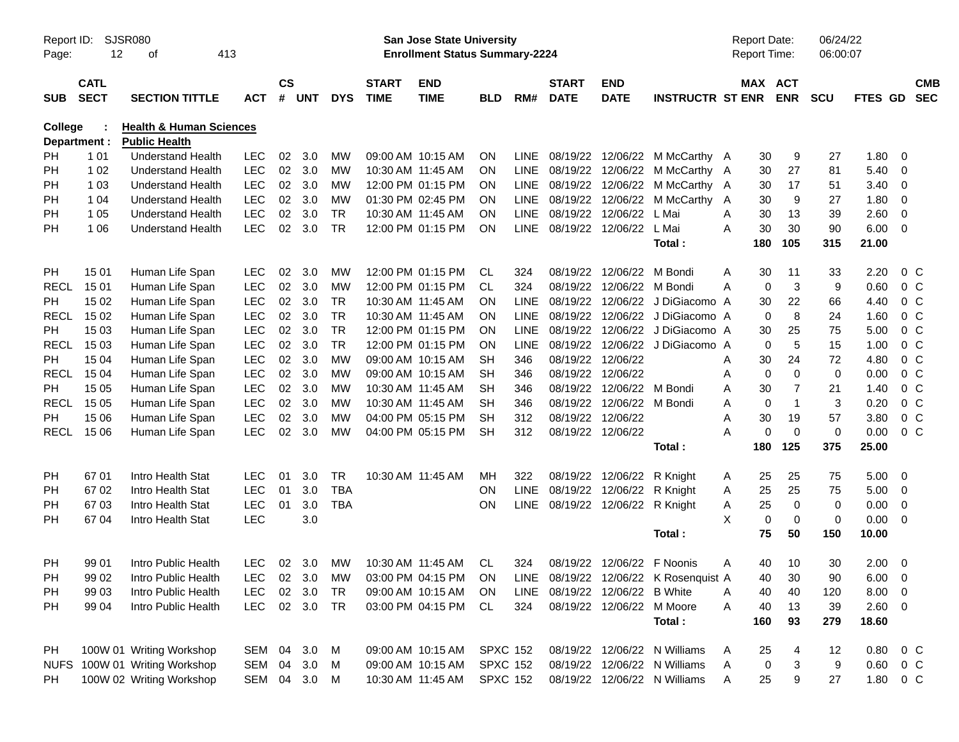| Report ID:<br>Page: | 12                         | <b>SJSR080</b><br>413<br>οf                      |                          |               |        |            |                             | <b>San Jose State University</b><br><b>Enrollment Status Summary-2224</b> |                 |             |                             |                            |                                       | <b>Report Date:</b><br><b>Report Time:</b> |          |                       | 06/24/22<br>06:00:07 |         |                         |                          |
|---------------------|----------------------------|--------------------------------------------------|--------------------------|---------------|--------|------------|-----------------------------|---------------------------------------------------------------------------|-----------------|-------------|-----------------------------|----------------------------|---------------------------------------|--------------------------------------------|----------|-----------------------|----------------------|---------|-------------------------|--------------------------|
| <b>SUB</b>          | <b>CATL</b><br><b>SECT</b> | <b>SECTION TITTLE</b>                            | <b>ACT</b>               | $\mathsf{cs}$ | # UNT  | <b>DYS</b> | <b>START</b><br><b>TIME</b> | <b>END</b><br><b>TIME</b>                                                 | <b>BLD</b>      | RM#         | <b>START</b><br><b>DATE</b> | <b>END</b><br><b>DATE</b>  | <b>INSTRUCTR ST ENR</b>               |                                            |          | MAX ACT<br><b>ENR</b> | <b>SCU</b>           | FTES GD |                         | <b>CMB</b><br><b>SEC</b> |
| <b>College</b>      |                            | <b>Health &amp; Human Sciences</b>               |                          |               |        |            |                             |                                                                           |                 |             |                             |                            |                                       |                                            |          |                       |                      |         |                         |                          |
|                     | Department :               | <b>Public Health</b><br><b>Understand Health</b> |                          | 02            | 3.0    | МW         |                             | 09:00 AM 10:15 AM                                                         | ON              | <b>LINE</b> | 08/19/22                    |                            |                                       |                                            |          |                       | 27                   | 1.80    | 0                       |                          |
| PH<br>PH            | 1 0 1<br>1 0 2             | <b>Understand Health</b>                         | <b>LEC</b><br><b>LEC</b> | 02            | 3.0    | <b>MW</b>  |                             | 10:30 AM 11:45 AM                                                         | <b>ON</b>       | <b>LINE</b> | 08/19/22                    | 12/06/22<br>12/06/22       | M McCarthy A<br>M McCarthy A          |                                            | 30<br>30 | 9<br>27               | 81                   | 5.40    | 0                       |                          |
| PH                  | 1 0 3                      | <b>Understand Health</b>                         | <b>LEC</b>               | 02            | 3.0    | <b>MW</b>  |                             | 12:00 PM 01:15 PM                                                         | <b>ON</b>       | <b>LINE</b> | 08/19/22                    | 12/06/22                   | M McCarthy A                          |                                            | 30       | 17                    | 51                   | 3.40    | 0                       |                          |
| PH                  | 1 0 4                      | <b>Understand Health</b>                         | <b>LEC</b>               | 02            | 3.0    | <b>MW</b>  |                             | 01:30 PM 02:45 PM                                                         | <b>ON</b>       | <b>LINE</b> | 08/19/22                    | 12/06/22                   | M McCarthy A                          |                                            | 30       | 9                     | 27                   | 1.80    | 0                       |                          |
| PH                  | 1 0 5                      | <b>Understand Health</b>                         | <b>LEC</b>               | 02            | 3.0    | <b>TR</b>  |                             | 10:30 AM 11:45 AM                                                         | <b>ON</b>       | <b>LINE</b> | 08/19/22                    | 12/06/22                   | L Mai                                 | A                                          | 30       | 13                    | 39                   | 2.60    | $\mathbf 0$             |                          |
| PH                  | 1 0 6                      | <b>Understand Health</b>                         | <b>LEC</b>               | 02            | 3.0    | <b>TR</b>  |                             | 12:00 PM 01:15 PM                                                         | <b>ON</b>       | <b>LINE</b> | 08/19/22                    | 12/06/22                   | L Mai                                 | A                                          | 30       | 30                    | 90                   | 6.00    | - 0                     |                          |
|                     |                            |                                                  |                          |               |        |            |                             |                                                                           |                 |             |                             |                            | Total:                                |                                            | 180      | 105                   | 315                  | 21.00   |                         |                          |
| PH                  | 15 01                      | Human Life Span                                  | <b>LEC</b>               | 02            | 3.0    | <b>MW</b>  |                             | 12:00 PM 01:15 PM                                                         | CL              | 324         | 08/19/22                    | 12/06/22                   | M Bondi                               | A                                          | 30       | 11                    | 33                   | 2.20    | $0\,C$                  |                          |
| <b>RECL</b>         | 15 01                      | Human Life Span                                  | LEC                      | 02            | 3.0    | MW         |                             | 12:00 PM 01:15 PM                                                         | CL.             | 324         | 08/19/22                    | 12/06/22                   | M Bondi                               | Α                                          | 0        | 3                     | 9                    | 0.60    | 0 <sup>C</sup>          |                          |
| PH                  | 15 02                      | Human Life Span                                  | <b>LEC</b>               | 02            | 3.0    | <b>TR</b>  |                             | 10:30 AM 11:45 AM                                                         | <b>ON</b>       | <b>LINE</b> | 08/19/22                    | 12/06/22                   | J DiGiacomo A                         |                                            | 30       | 22                    | 66                   | 4.40    | 0 <sup>C</sup>          |                          |
| <b>RECL</b>         | 15 02                      | Human Life Span                                  | <b>LEC</b>               | 02            | 3.0    | <b>TR</b>  |                             | 10:30 AM 11:45 AM                                                         | <b>ON</b>       | LINE        | 08/19/22                    | 12/06/22                   | J DiGiacomo A                         |                                            | 0        | 8                     | 24                   | 1.60    | 0 <sup>C</sup>          |                          |
| PH                  | 15 03                      | Human Life Span                                  | <b>LEC</b>               | 02            | 3.0    | <b>TR</b>  |                             | 12:00 PM 01:15 PM                                                         | <b>ON</b>       | LINE        | 08/19/22                    | 12/06/22                   | J DiGiacomo A                         |                                            | 30       | 25                    | 75                   | 5.00    | 0 <sup>C</sup>          |                          |
| <b>RECL</b>         | 15 03                      | Human Life Span                                  | <b>LEC</b>               | 02            | 3.0    | <b>TR</b>  |                             | 12:00 PM 01:15 PM                                                         | <b>ON</b>       | LINE        | 08/19/22                    | 12/06/22                   | J DiGiacomo A                         |                                            | 0        | $\overline{5}$        | 15                   | 1.00    | 0 <sup>C</sup>          |                          |
| <b>PH</b>           | 15 04                      | Human Life Span                                  | <b>LEC</b>               | 02            | 3.0    | <b>MW</b>  |                             | 09:00 AM 10:15 AM                                                         | <b>SH</b>       | 346         | 08/19/22                    | 12/06/22                   |                                       | Α                                          | 30       | 24                    | 72                   | 4.80    | 0 <sup>C</sup>          |                          |
| <b>RECL</b>         | 15 04                      | Human Life Span                                  | <b>LEC</b>               | 02            | 3.0    | <b>MW</b>  |                             | 09:00 AM 10:15 AM                                                         | <b>SH</b>       | 346         | 08/19/22                    | 12/06/22                   |                                       | Α                                          | 0        | 0                     | $\mathbf 0$          | 0.00    | 0 <sup>C</sup>          |                          |
| <b>PH</b>           | 15 05                      | Human Life Span                                  | <b>LEC</b>               | 02            | 3.0    | <b>MW</b>  |                             | 10:30 AM 11:45 AM                                                         | <b>SH</b>       | 346         | 08/19/22                    | 12/06/22                   | M Bondi                               | Α                                          | 30       | 7                     | 21                   | 1.40    | 0 <sup>o</sup>          |                          |
| <b>RECL</b>         | 15 05                      | Human Life Span                                  | <b>LEC</b>               | 02            | 3.0    | <b>MW</b>  |                             | 10:30 AM 11:45 AM                                                         | <b>SH</b>       | 346         | 08/19/22                    | 12/06/22                   | M Bondi                               | Α                                          | 0        | $\overline{1}$        | 3                    | 0.20    | $0\,C$                  |                          |
| PН                  | 15 06                      | Human Life Span                                  | LEC                      | 02            | 3.0    | <b>MW</b>  |                             | 04:00 PM 05:15 PM                                                         | <b>SH</b>       | 312         | 08/19/22                    | 12/06/22                   |                                       | Α                                          | 30       | 19                    | 57                   | 3.80    | 0 <sup>C</sup>          |                          |
| RECL                | 15 06                      | Human Life Span                                  | <b>LEC</b>               | 02            | 3.0    | <b>MW</b>  |                             | 04:00 PM 05:15 PM                                                         | <b>SH</b>       | 312         | 08/19/22                    | 12/06/22                   |                                       | Α                                          | 0        | $\mathbf 0$           | $\mathbf 0$          | 0.00    | 0 <sup>o</sup>          |                          |
|                     |                            |                                                  |                          |               |        |            |                             |                                                                           |                 |             |                             |                            | Total:                                |                                            | 180      | 125                   | 375                  | 25.00   |                         |                          |
| PH                  | 67 01                      | Intro Health Stat                                | <b>LEC</b>               | 01            | 3.0    | <b>TR</b>  |                             | 10:30 AM 11:45 AM                                                         | МH              | 322         | 08/19/22                    | 12/06/22                   | R Knight                              | A                                          | 25       | 25                    | 75                   | 5.00    | - 0                     |                          |
| PH                  | 67 02                      | Intro Health Stat                                | <b>LEC</b>               | 01            | 3.0    | <b>TBA</b> |                             |                                                                           | ON              | <b>LINE</b> | 08/19/22                    | 12/06/22                   | R Knight                              | A                                          | 25       | 25                    | 75                   | 5.00    | 0                       |                          |
| PH                  | 6703                       | Intro Health Stat                                | <b>LEC</b>               | 01            | 3.0    | <b>TBA</b> |                             |                                                                           | ON              | <b>LINE</b> | 08/19/22                    | 12/06/22                   | R Knight                              | Α                                          | 25       | 0                     | $\mathbf 0$          | 0.00    | 0                       |                          |
| PH                  | 67 04                      | Intro Health Stat                                | LEC                      |               | 3.0    |            |                             |                                                                           |                 |             |                             |                            |                                       | X                                          | 0        | $\mathbf 0$           | $\mathbf 0$          | 0.00    | - 0                     |                          |
|                     |                            |                                                  |                          |               |        |            |                             |                                                                           |                 |             |                             |                            | Total:                                |                                            | 75       | 50                    | 150                  | 10.00   |                         |                          |
| PH                  | 99 01                      | Intro Public Health                              | LEC.                     |               | 02 3.0 | МW         |                             | 10:30 AM 11:45 AM                                                         | CL              | 324         |                             | 08/19/22 12/06/22 F Noonis |                                       | A                                          | 40       | 10                    | 30                   | 2.00    | $\overline{\mathbf{0}}$ |                          |
| PH                  | 99 02                      | Intro Public Health                              | LEC                      |               |        | 02 3.0 MW  |                             | 03:00 PM 04:15 PM ON                                                      |                 |             |                             |                            | LINE 08/19/22 12/06/22 K Rosenquist A |                                            | 40       | 30                    | 90                   | 6.00    | $\overline{0}$          |                          |
| PН                  | 99 03                      | Intro Public Health                              | <b>LEC</b>               | 02            | 3.0    | TR         |                             | 09:00 AM 10:15 AM                                                         | <b>ON</b>       | LINE        | 08/19/22 12/06/22 B White   |                            |                                       | Α                                          | 40       | 40                    | 120                  | 8.00    | 0                       |                          |
| PH                  | 99 04                      | Intro Public Health                              | <b>LEC</b>               |               | 02 3.0 | <b>TR</b>  |                             | 03:00 PM 04:15 PM                                                         | CL              | 324         |                             | 08/19/22 12/06/22 M Moore  |                                       | Α                                          | 40       | 13                    | 39                   | 2.60    | $\overline{\mathbf{0}}$ |                          |
|                     |                            |                                                  |                          |               |        |            |                             |                                                                           |                 |             |                             |                            | Total:                                |                                            | 160      | 93                    | 279                  | 18.60   |                         |                          |
| PH                  |                            | 100W 01 Writing Workshop                         | SEM                      | 04            | 3.0    | M          |                             | 09:00 AM 10:15 AM                                                         | <b>SPXC 152</b> |             |                             | 08/19/22 12/06/22          | N Williams                            | A                                          | 25       | 4                     | 12                   | 0.80    | $0\,$ C                 |                          |
|                     |                            | NUFS 100W 01 Writing Workshop                    | SEM                      | 04            | 3.0    | M          |                             | 09:00 AM 10:15 AM                                                         | <b>SPXC 152</b> |             | 08/19/22                    |                            | 12/06/22 N Williams                   | Α                                          | 0        | 3                     | 9                    | 0.60    | 0 C                     |                          |
| PH                  |                            | 100W 02 Writing Workshop                         | SEM 04 3.0               |               |        | M          |                             | 10:30 AM 11:45 AM                                                         | <b>SPXC 152</b> |             |                             |                            | 08/19/22 12/06/22 N Williams          | A                                          | 25       | 9                     | 27                   | 1.80    | 0 C                     |                          |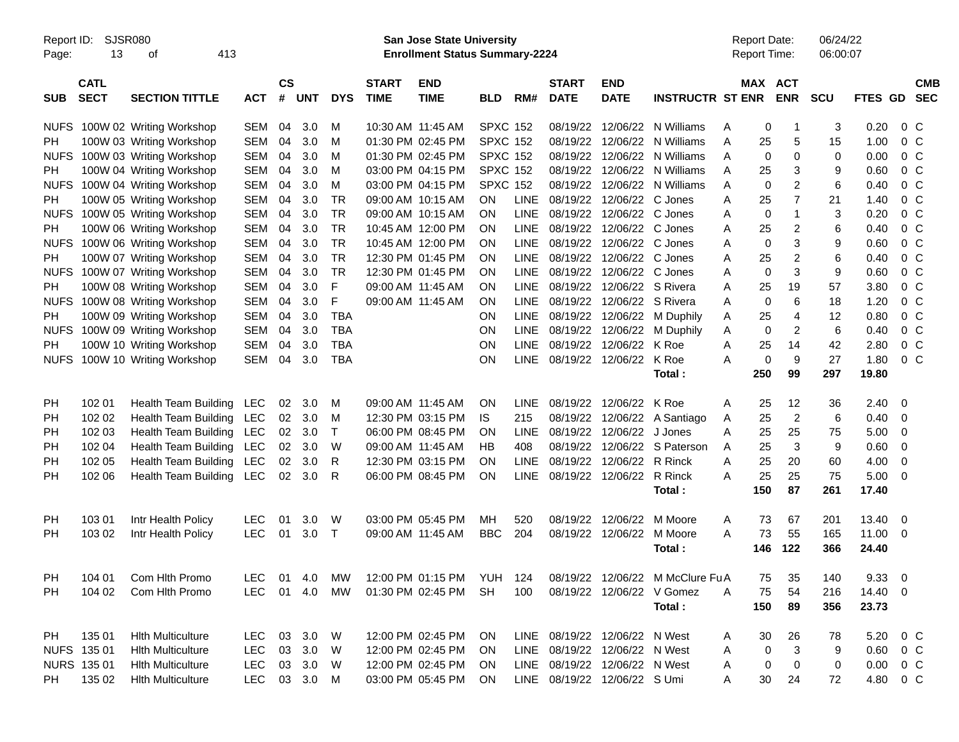| Page:       | Report ID:<br><b>SJSR080</b><br>13<br>413<br>οf |                             |              |                    |            |            |                             | <b>San Jose State University</b><br><b>Enrollment Status Summary-2224</b> |                 |             |                               |                           |                                  |   | <b>Report Date:</b><br><b>Report Time:</b> |                | 06/24/22<br>06:00:07 |                  |                         |                          |
|-------------|-------------------------------------------------|-----------------------------|--------------|--------------------|------------|------------|-----------------------------|---------------------------------------------------------------------------|-----------------|-------------|-------------------------------|---------------------------|----------------------------------|---|--------------------------------------------|----------------|----------------------|------------------|-------------------------|--------------------------|
| <b>SUB</b>  | <b>CATL</b><br><b>SECT</b>                      | <b>SECTION TITTLE</b>       | <b>ACT</b>   | $\mathsf{cs}$<br># | <b>UNT</b> | <b>DYS</b> | <b>START</b><br><b>TIME</b> | <b>END</b><br><b>TIME</b>                                                 | <b>BLD</b>      | RM#         | <b>START</b><br><b>DATE</b>   | <b>END</b><br><b>DATE</b> | <b>INSTRUCTR ST ENR</b>          |   | MAX ACT                                    | <b>ENR</b>     | <b>SCU</b>           | FTES GD          |                         | <b>CMB</b><br><b>SEC</b> |
| <b>NUFS</b> |                                                 | 100W 02 Writing Workshop    | <b>SEM</b>   | 04                 | 3.0        | м          |                             | 10:30 AM 11:45 AM                                                         | <b>SPXC 152</b> |             | 08/19/22                      |                           | 12/06/22 N Williams              | A | 0                                          | -1             | 3                    | 0.20             | 0 C                     |                          |
| <b>PH</b>   |                                                 | 100W 03 Writing Workshop    | <b>SEM</b>   | 04                 | 3.0        | M          |                             | 01:30 PM 02:45 PM                                                         | <b>SPXC 152</b> |             | 08/19/22                      | 12/06/22                  | N Williams                       | Α | 25                                         | 5              | 15                   | 1.00             | 0 <sup>o</sup>          |                          |
| <b>NUFS</b> |                                                 | 100W 03 Writing Workshop    | <b>SEM</b>   | 04                 | 3.0        | м          |                             | 01:30 PM 02:45 PM                                                         | <b>SPXC 152</b> |             | 08/19/22                      | 12/06/22                  | N Williams                       | Α | 0                                          | $\Omega$       | 0                    | 0.00             | 0 <sup>o</sup>          |                          |
| PH.         |                                                 | 100W 04 Writing Workshop    | <b>SEM</b>   | 04                 | 3.0        | м          |                             | 03:00 PM 04:15 PM                                                         | <b>SPXC 152</b> |             | 08/19/22                      | 12/06/22                  | N Williams                       | A | 25                                         | 3              | 9                    | 0.60             | 0 <sup>o</sup>          |                          |
| <b>NUFS</b> |                                                 | 100W 04 Writing Workshop    | <b>SEM</b>   | 04                 | 3.0        | M          |                             | 03:00 PM 04:15 PM                                                         | <b>SPXC 152</b> |             | 08/19/22                      | 12/06/22                  | N Williams                       | A | $\mathbf 0$                                | 2              | 6                    | 0.40             | 0 <sup>o</sup>          |                          |
| PH.         |                                                 | 100W 05 Writing Workshop    | <b>SEM</b>   | 04                 | 3.0        | <b>TR</b>  |                             | 09:00 AM 10:15 AM                                                         | OΝ              | <b>LINE</b> | 08/19/22                      | 12/06/22 C Jones          |                                  | Α | 25                                         | $\overline{7}$ | 21                   | 1.40             | 0 <sup>o</sup>          |                          |
| <b>NUFS</b> |                                                 | 100W 05 Writing Workshop    | <b>SEM</b>   | 04                 | 3.0        | <b>TR</b>  |                             | 09:00 AM 10:15 AM                                                         | ΟN              | <b>LINE</b> | 08/19/22                      | 12/06/22 C Jones          |                                  | A | 0                                          | $\mathbf 1$    | 3                    | 0.20             | 0 <sup>o</sup>          |                          |
| <b>PH</b>   |                                                 | 100W 06 Writing Workshop    | <b>SEM</b>   | 04                 | 3.0        | <b>TR</b>  |                             | 10:45 AM 12:00 PM                                                         | ΟN              | <b>LINE</b> | 08/19/22                      | 12/06/22 C Jones          |                                  | A | 25                                         | 2              | 6                    | 0.40             | 0 <sup>o</sup>          |                          |
| <b>NUFS</b> |                                                 | 100W 06 Writing Workshop    | <b>SEM</b>   | 04                 | 3.0        | <b>TR</b>  |                             | 10:45 AM 12:00 PM                                                         | ΟN              | <b>LINE</b> | 08/19/22                      | 12/06/22 C Jones          |                                  | A | $\mathbf 0$                                | 3              | 9                    | 0.60             | 0 <sup>o</sup>          |                          |
| PH.         |                                                 | 100W 07 Writing Workshop    | <b>SEM</b>   | 04                 | 3.0        | <b>TR</b>  |                             | 12:30 PM 01:45 PM                                                         | ΟN              | <b>LINE</b> | 08/19/22                      | 12/06/22 C Jones          |                                  | A | 25                                         | $\overline{2}$ | 6                    | 0.40             | 0 <sup>o</sup>          |                          |
| <b>NUFS</b> |                                                 | 100W 07 Writing Workshop    | <b>SEM</b>   | 04                 | 3.0        | <b>TR</b>  |                             | 12:30 PM 01:45 PM                                                         | ΟN              | <b>LINE</b> | 08/19/22                      | 12/06/22 C Jones          |                                  | A | 0                                          | 3              | 9                    | 0.60             | 0 <sup>o</sup>          |                          |
| <b>PH</b>   |                                                 | 100W 08 Writing Workshop    | <b>SEM</b>   | 04                 | 3.0        | F          |                             | 09:00 AM 11:45 AM                                                         | ΟN              | <b>LINE</b> | 08/19/22                      | 12/06/22 S Rivera         |                                  | A | 25                                         | 19             | 57                   | 3.80             | 0 <sup>o</sup>          |                          |
| <b>NUFS</b> |                                                 | 100W 08 Writing Workshop    | <b>SEM</b>   | 04                 | 3.0        | F          |                             | 09:00 AM 11:45 AM                                                         | ΟN              | <b>LINE</b> | 08/19/22                      | 12/06/22 S Rivera         |                                  | Α | 0                                          | 6              | 18                   | 1.20             | 0 <sup>o</sup>          |                          |
| <b>PH</b>   |                                                 | 100W 09 Writing Workshop    | <b>SEM</b>   | 04                 | 3.0        | <b>TBA</b> |                             |                                                                           | ΟN              | <b>LINE</b> | 08/19/22                      | 12/06/22                  | M Duphily                        | A | 25                                         | $\overline{4}$ | 12                   | 0.80             | 0 <sup>o</sup>          |                          |
| <b>NUFS</b> |                                                 | 100W 09 Writing Workshop    | <b>SEM</b>   | 04                 | 3.0        | <b>TBA</b> |                             |                                                                           | ON              | <b>LINE</b> | 08/19/22                      | 12/06/22                  | M Duphily                        | Α | $\mathbf 0$                                | 2              | 6                    | 0.40             | 0 <sup>o</sup>          |                          |
| PH.         |                                                 | 100W 10 Writing Workshop    | <b>SEM</b>   | 04                 | 3.0        | <b>TBA</b> |                             |                                                                           | ON              | <b>LINE</b> | 08/19/22                      | 12/06/22                  | K Roe                            | Α | 25                                         | 14             | 42                   | 2.80             | $0\,$ C                 |                          |
| <b>NUFS</b> |                                                 | 100W 10 Writing Workshop    | <b>SEM</b>   | 04                 | 3.0        | <b>TBA</b> |                             |                                                                           | ON              | <b>LINE</b> |                               | 08/19/22 12/06/22         | K Roe                            | Α | $\pmb{0}$                                  | 9              | 27                   | 1.80             | $0\,C$                  |                          |
|             |                                                 |                             |              |                    |            |            |                             |                                                                           |                 |             |                               |                           | Total:                           |   | 250                                        | 99             | 297                  | 19.80            |                         |                          |
|             |                                                 |                             |              |                    |            |            |                             |                                                                           |                 |             |                               |                           |                                  |   |                                            |                |                      |                  |                         |                          |
| PH          | 102 01                                          | <b>Health Team Building</b> | <b>LEC</b>   | 02                 | 3.0        | M          |                             | 09:00 AM 11:45 AM                                                         | ΟN              | <b>LINE</b> | 08/19/22                      | 12/06/22                  | K Roe                            | A | 25                                         | 12             | 36                   | $2.40 \quad 0$   |                         |                          |
| PH          | 102 02                                          | Health Team Building        | <b>LEC</b>   | 02                 | 3.0        | M          |                             | 12:30 PM 03:15 PM                                                         | IS.             | 215         | 08/19/22                      | 12/06/22                  | A Santiago                       | A | 25                                         | $\overline{c}$ | 6                    | 0.40             | $\overline{\mathbf{0}}$ |                          |
| PH          | 102 03                                          | Health Team Building        | <b>LEC</b>   | 02                 | 3.0        | Т          |                             | 06:00 PM 08:45 PM                                                         | ΟN              | <b>LINE</b> | 08/19/22                      | 12/06/22                  | J Jones                          | Α | 25                                         | 25             | 75                   | 5.00             | 0                       |                          |
| PH          | 102 04                                          | Health Team Building        | <b>LEC</b>   | 02                 | 3.0        | W          |                             | 09:00 AM 11:45 AM                                                         | HВ              | 408         | 08/19/22                      | 12/06/22                  | S Paterson                       | A | 25                                         | 3              | 9                    | 0.60             | 0                       |                          |
| PH          | 102 05                                          | Health Team Building        | <b>LEC</b>   | 02                 | 3.0        | R          |                             | 12:30 PM 03:15 PM                                                         | ΟN              | <b>LINE</b> | 08/19/22                      | 12/06/22                  | R Rinck                          | A | 25                                         | 20             | 60                   | 4.00             | 0                       |                          |
| PH          | 102 06                                          | Health Team Building        | LEC          | 02                 | 3.0        | R          |                             | 06:00 PM 08:45 PM                                                         | ON              | <b>LINE</b> |                               | 08/19/22 12/06/22         | R Rinck                          | A | 25                                         | 25             | 75                   | 5.00             | 0                       |                          |
|             |                                                 |                             |              |                    |            |            |                             |                                                                           |                 |             |                               |                           | Total:                           |   | 150                                        | 87             | 261                  | 17.40            |                         |                          |
| PH          | 103 01                                          | Intr Health Policy          | <b>LEC</b>   | 01                 | 3.0        | W          |                             | 03:00 PM 05:45 PM                                                         | MН              | 520         | 08/19/22                      | 12/06/22                  | M Moore                          | A | 73                                         | 67             | 201                  | $13.40 \quad 0$  |                         |                          |
| PH          | 103 02                                          | Intr Health Policy          | <b>LEC</b>   | 01                 | 3.0        | T          | 09:00 AM 11:45 AM           |                                                                           | <b>BBC</b>      | 204         | 08/19/22                      | 12/06/22                  | M Moore                          | A | 73                                         | 55             | 165                  | 11.00 0          |                         |                          |
|             |                                                 |                             |              |                    |            |            |                             |                                                                           |                 |             |                               |                           | Total:                           |   | 146                                        | 122            | 366                  | 24.40            |                         |                          |
| PH          | 104 01                                          | Com Hlth Promo              | LEC.         | - 01               | 4.0        | МW         |                             | 12:00 PM 01:15 PM                                                         | YUH             | 124         |                               |                           | 08/19/22 12/06/22 M McClure Fu A |   | 75                                         | 35             | 140                  | 9.3300           |                         |                          |
| <b>PH</b>   | 104 02                                          | Com Hith Promo              | LEC          |                    | 01 4.0     | MW         |                             | 01:30 PM 02:45 PM                                                         | <b>SH</b>       | 100         |                               |                           | 08/19/22 12/06/22 V Gomez        | A | 75                                         | 54             | 216                  | 14.40 0          |                         |                          |
|             |                                                 |                             |              |                    |            |            |                             |                                                                           |                 |             |                               |                           | Total:                           |   | 150                                        | 89             | 356                  | 23.73            |                         |                          |
| PH          | 135 01                                          | <b>Hith Multiculture</b>    | <b>LEC</b>   |                    | 03 3.0 W   |            |                             | 12:00 PM 02:45 PM                                                         | <b>ON</b>       |             | LINE 08/19/22 12/06/22 N West |                           |                                  | A | 30                                         | 26             | 78                   | 5.20 0 C         |                         |                          |
|             | NUFS 135 01                                     | <b>Hith Multiculture</b>    | <b>LEC</b>   |                    | 03 3.0     | W          |                             | 12:00 PM 02:45 PM                                                         | <b>ON</b>       |             | LINE 08/19/22 12/06/22 N West |                           |                                  | A | 0                                          | 3              | 9                    | $0.60 \t 0 \t C$ |                         |                          |
|             | NURS 135 01                                     | <b>Hith Multiculture</b>    | <b>LEC</b>   |                    | 03 3.0     | - W        |                             | 12:00 PM 02:45 PM                                                         | <b>ON</b>       |             | LINE 08/19/22 12/06/22 N West |                           |                                  | A | 0                                          | 0              | 0                    | $0.00 \t 0 C$    |                         |                          |
| PH          | 135 02                                          | <b>Hith Multiculture</b>    | LEC 03 3.0 M |                    |            |            |                             | 03:00 PM 05:45 PM                                                         | ON              |             | LINE 08/19/22 12/06/22 S Umi  |                           |                                  | A | 30                                         | 24             | 72                   | 4.80 0 C         |                         |                          |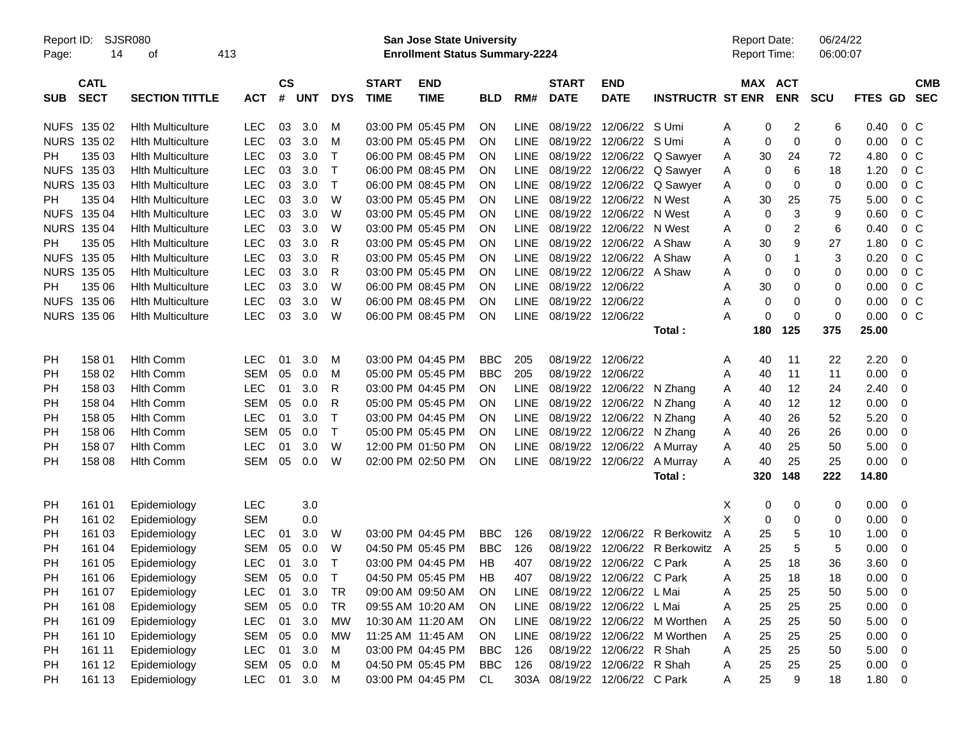| Report ID:<br>Page: | SJSR080<br>14              | 413<br>οf                |            |                    |            |            |                             | <b>San Jose State University</b><br><b>Enrollment Status Summary-2224</b> |            |             |                             |                               |                             |   | <b>Report Date:</b><br>Report Time: |            | 06/24/22<br>06:00:07 |             |                |                          |
|---------------------|----------------------------|--------------------------|------------|--------------------|------------|------------|-----------------------------|---------------------------------------------------------------------------|------------|-------------|-----------------------------|-------------------------------|-----------------------------|---|-------------------------------------|------------|----------------------|-------------|----------------|--------------------------|
| <b>SUB</b>          | <b>CATL</b><br><b>SECT</b> | <b>SECTION TITTLE</b>    | <b>ACT</b> | $\mathsf{cs}$<br># | <b>UNT</b> | <b>DYS</b> | <b>START</b><br><b>TIME</b> | <b>END</b><br><b>TIME</b>                                                 | <b>BLD</b> | RM#         | <b>START</b><br><b>DATE</b> | <b>END</b><br><b>DATE</b>     | <b>INSTRUCTR ST ENR</b>     |   | MAX ACT                             | <b>ENR</b> | <b>SCU</b>           | FTES GD     |                | <b>CMB</b><br><b>SEC</b> |
|                     | NUFS 135 02                | <b>Hith Multiculture</b> | <b>LEC</b> | 03                 | 3.0        | M          |                             | 03:00 PM 05:45 PM                                                         | <b>ON</b>  | <b>LINE</b> |                             | 08/19/22 12/06/22 S Umi       |                             | A | 0                                   | 2          | 6                    | 0.40        | $0\,C$         |                          |
| <b>NURS</b>         | 135 02                     | <b>Hith Multiculture</b> | <b>LEC</b> | 03                 | 3.0        | M          |                             | 03:00 PM 05:45 PM                                                         | <b>ON</b>  | <b>LINE</b> |                             | 08/19/22 12/06/22             | S Umi                       | Α | 0                                   | 0          | $\mathbf 0$          | 0.00        | $0\,C$         |                          |
| PН                  | 135 03                     | <b>Hith Multiculture</b> | <b>LEC</b> | 03                 | 3.0        | т          |                             | 06:00 PM 08:45 PM                                                         | <b>ON</b>  | <b>LINE</b> |                             | 08/19/22 12/06/22             | Q Sawyer                    | A | 30                                  | 24         | 72                   | 4.80        | $0\,C$         |                          |
| <b>NUFS</b>         | 135 03                     | <b>Hith Multiculture</b> | <b>LEC</b> | 03                 | 3.0        | т          |                             | 06:00 PM 08:45 PM                                                         | ON         | <b>LINE</b> |                             | 08/19/22 12/06/22             | Q Sawyer                    | A | 0                                   | 6          | 18                   | 1.20        | $0\,C$         |                          |
| <b>NURS</b>         | 135 03                     | <b>Hith Multiculture</b> | <b>LEC</b> | 03                 | 3.0        | Τ          |                             | 06:00 PM 08:45 PM                                                         | <b>ON</b>  | <b>LINE</b> |                             | 08/19/22 12/06/22             | Q Sawyer                    | Α | 0                                   | 0          | 0                    | 0.00        | $0\,C$         |                          |
| PН                  | 135 04                     | <b>Hith Multiculture</b> | <b>LEC</b> | 03                 | 3.0        | W          |                             | 03:00 PM 05:45 PM                                                         | <b>ON</b>  | <b>LINE</b> |                             | 08/19/22 12/06/22             | N West                      | Α | 30                                  | 25         | 75                   | 5.00        | $0\,C$         |                          |
| <b>NUFS</b>         | 135 04                     | <b>Hith Multiculture</b> | <b>LEC</b> | 03                 | 3.0        | W          |                             | 03:00 PM 05:45 PM                                                         | <b>ON</b>  | <b>LINE</b> |                             | 08/19/22 12/06/22 N West      |                             | A | 0                                   | 3          | 9                    | 0.60        | $0\,C$         |                          |
|                     | <b>NURS 135 04</b>         | <b>Hith Multiculture</b> | <b>LEC</b> | 03                 | 3.0        | W          |                             | 03:00 PM 05:45 PM                                                         | <b>ON</b>  | <b>LINE</b> |                             | 08/19/22 12/06/22 N West      |                             | A | 0                                   | 2          | 6                    | 0.40        | $0\,C$         |                          |
| PН                  | 135 05                     | <b>Hith Multiculture</b> | <b>LEC</b> | 03                 | 3.0        | R          |                             | 03:00 PM 05:45 PM                                                         | <b>ON</b>  | <b>LINE</b> |                             | 08/19/22 12/06/22 A Shaw      |                             | Α | 30                                  | 9          | 27                   | 1.80        | $0\,C$         |                          |
| <b>NUFS</b>         | 135 05                     | <b>Hith Multiculture</b> | <b>LEC</b> | 03                 | 3.0        | R          |                             | 03:00 PM 05:45 PM                                                         | <b>ON</b>  | <b>LINE</b> |                             | 08/19/22 12/06/22 A Shaw      |                             | A | 0                                   | -1         | 3                    | 0.20        | 0 <sup>C</sup> |                          |
| <b>NURS</b>         | 135 05                     | <b>Hith Multiculture</b> | <b>LEC</b> | 03                 | 3.0        | R          |                             | 03:00 PM 05:45 PM                                                         | <b>ON</b>  | <b>LINE</b> |                             | 08/19/22 12/06/22 A Shaw      |                             | A | 0                                   | 0          | 0                    | 0.00        | $0\,C$         |                          |
| PН                  | 135 06                     | <b>Hith Multiculture</b> | <b>LEC</b> | 03                 | 3.0        | W          |                             | 06:00 PM 08:45 PM                                                         | <b>ON</b>  | <b>LINE</b> | 08/19/22 12/06/22           |                               |                             | Α | 30                                  | 0          | 0                    | 0.00        | 0 <sup>C</sup> |                          |
| <b>NUFS</b>         | 135 06                     | <b>Hith Multiculture</b> | <b>LEC</b> | 03                 | 3.0        | W          |                             | 06:00 PM 08:45 PM                                                         | <b>ON</b>  | <b>LINE</b> | 08/19/22 12/06/22           |                               |                             | Α | 0                                   | 0          | 0                    | 0.00        | 0 <sup>C</sup> |                          |
|                     | <b>NURS 135 06</b>         | <b>Hith Multiculture</b> | <b>LEC</b> | 03                 | 3.0        | W          |                             | 06:00 PM 08:45 PM                                                         | ON         | <b>LINE</b> | 08/19/22 12/06/22           |                               |                             | А | 0                                   | 0          | $\mathbf 0$          | 0.00        | $0\,C$         |                          |
|                     |                            |                          |            |                    |            |            |                             |                                                                           |            |             |                             |                               | Total:                      |   | 180                                 | 125        | 375                  | 25.00       |                |                          |
|                     |                            |                          |            |                    |            |            |                             |                                                                           |            |             |                             |                               |                             |   |                                     |            |                      |             |                |                          |
| PH                  | 158 01                     | <b>Hith Comm</b>         | <b>LEC</b> | 01                 | 3.0        | M          |                             | 03:00 PM 04:45 PM                                                         | <b>BBC</b> | 205         |                             | 08/19/22 12/06/22             |                             | A | 40                                  | 11         | 22                   | 2.20        | 0              |                          |
| PH                  | 158 02                     | <b>Hith Comm</b>         | <b>SEM</b> | 05                 | 0.0        | M          |                             | 05:00 PM 05:45 PM                                                         | <b>BBC</b> | 205         |                             | 08/19/22 12/06/22             |                             | Α | 40                                  | 11         | 11                   | 0.00        | 0              |                          |
| PH                  | 158 03                     | <b>Hith Comm</b>         | LEC        | 01                 | 3.0        | R          |                             | 03:00 PM 04:45 PM                                                         | <b>ON</b>  | <b>LINE</b> |                             | 08/19/22 12/06/22             | N Zhang                     | A | 40                                  | 12         | 24                   | 2.40        | 0              |                          |
| PH                  | 158 04                     | <b>Hith Comm</b>         | <b>SEM</b> | 05                 | 0.0        | R          |                             | 05:00 PM 05:45 PM                                                         | <b>ON</b>  | <b>LINE</b> |                             | 08/19/22 12/06/22             | N Zhang                     | A | 40                                  | 12         | 12                   | 0.00        | 0              |                          |
| PH                  | 158 05                     | <b>Hith Comm</b>         | <b>LEC</b> | 01                 | 3.0        | т          |                             | 03:00 PM 04:45 PM                                                         | <b>ON</b>  | <b>LINE</b> |                             | 08/19/22 12/06/22             | N Zhang                     | A | 40                                  | 26         | 52                   | 5.20        | 0              |                          |
| PH                  | 158 06                     | <b>Hith Comm</b>         | <b>SEM</b> | 05                 | 0.0        | Τ          |                             | 05:00 PM 05:45 PM                                                         | <b>ON</b>  | <b>LINE</b> |                             | 08/19/22 12/06/22             | N Zhang                     | A | 40                                  | 26         | 26                   | 0.00        | 0              |                          |
| PH                  | 158 07                     | <b>Hith Comm</b>         | <b>LEC</b> | 01                 | 3.0        | W          |                             | 12:00 PM 01:50 PM                                                         | <b>ON</b>  | <b>LINE</b> |                             | 08/19/22 12/06/22             | A Murray                    | A | 40                                  | 25         | 50                   | 5.00        | 0              |                          |
| PH                  | 158 08                     | <b>Hlth Comm</b>         | <b>SEM</b> | 05                 | 0.0        | W          |                             | 02:00 PM 02:50 PM                                                         | ON         | LINE        |                             | 08/19/22 12/06/22             | A Murray                    | A | 40                                  | 25         | 25                   | 0.00        | 0              |                          |
|                     |                            |                          |            |                    |            |            |                             |                                                                           |            |             |                             |                               | Total:                      |   | 320                                 | 148        | 222                  | 14.80       |                |                          |
|                     |                            |                          |            |                    |            |            |                             |                                                                           |            |             |                             |                               |                             |   |                                     |            |                      |             |                |                          |
| PH                  | 161 01                     | Epidemiology             | LEC        |                    | 3.0        |            |                             |                                                                           |            |             |                             |                               |                             | Х | 0                                   | 0          | 0                    | 0.00        | 0              |                          |
| PH                  | 161 02                     | Epidemiology             | <b>SEM</b> |                    | 0.0        |            |                             |                                                                           |            |             |                             |                               |                             | X | 0                                   | 0          | 0                    | 0.00        | 0              |                          |
| PH                  | 161 03                     | Epidemiology             | <b>LEC</b> | 01                 | 3.0        | W          |                             | 03:00 PM 04:45 PM                                                         | <b>BBC</b> | 126         |                             | 08/19/22 12/06/22             | R Berkowitz                 | A | 25                                  | 5          | 10                   | 1.00        | 0              |                          |
| PH                  | 161 04                     | Epidemiology             | <b>SEM</b> | 05                 | 0.0        | W          |                             | 04:50 PM 05:45 PM                                                         | <b>BBC</b> | 126         | 08/19/22                    | 12/06/22                      | R Berkowitz                 | A | 25                                  | 5          | 5                    | 0.00        | 0              |                          |
| PH                  | 161 05                     | Epidemiology             | <b>LEC</b> | 01                 | 3.0        | Т          |                             | 03:00 PM 04:45 PM                                                         | HB         | 407         |                             | 08/19/22 12/06/22             | C Park                      | Α | 25                                  | 18         | 36                   | 3.60        | 0              |                          |
| PH                  | 161 06                     | Epidemiology             | SEM        | 05                 | 0.0        | Т          |                             | 04:50 PM 05:45 PM                                                         | HB         | 407         |                             | 08/19/22 12/06/22 C Park      |                             | A | 25                                  | 18         | 18                   | 0.00        | 0              |                          |
| PH                  | 161 07                     | Epidemiology             | <b>LEC</b> | 01                 | 3.0        | <b>TR</b>  |                             | 09:00 AM 09:50 AM                                                         | <b>ON</b>  | LINE        |                             | 08/19/22 12/06/22 L Mai       |                             | Α | 25                                  | 25         | 50                   | 5.00        | - 0            |                          |
| PH                  | 161 08                     | Epidemiology             | <b>SEM</b> |                    | 05 0.0     | <b>TR</b>  |                             | 09:55 AM 10:20 AM                                                         | <b>ON</b>  | LINE        |                             | 08/19/22 12/06/22 L Mai       |                             | Α | 25                                  | 25         | 25                   | 0.00        | 0              |                          |
|                     |                            |                          | <b>LEC</b> | 01                 | 3.0        | <b>MW</b>  |                             | 10:30 AM 11:20 AM                                                         | ON         | <b>LINE</b> |                             |                               | 08/19/22 12/06/22 M Worthen |   |                                     | 25         |                      | 5.00        |                |                          |
| PH                  | 161 09                     | Epidemiology             | <b>SEM</b> |                    | 05 0.0     | <b>MW</b>  |                             | 11:25 AM 11:45 AM                                                         | ON         | <b>LINE</b> |                             |                               | 08/19/22 12/06/22 M Worthen | A | 25                                  |            | 50                   | 0.00        | 0              |                          |
| <b>PH</b>           | 161 10                     | Epidemiology             |            |                    |            |            |                             |                                                                           |            |             |                             |                               |                             | Α | 25                                  | 25         | 25                   |             | 0              |                          |
| PH                  | 161 11                     | Epidemiology             | <b>LEC</b> | 01                 | 3.0        | M          |                             | 03:00 PM 04:45 PM                                                         | <b>BBC</b> | 126         |                             | 08/19/22 12/06/22 R Shah      |                             | Α | 25                                  | 25         | 50                   | 5.00        | $\overline{0}$ |                          |
| PH                  | 161 12                     | Epidemiology             | <b>SEM</b> | 05                 | 0.0        | M          |                             | 04:50 PM 05:45 PM                                                         | <b>BBC</b> | 126         |                             | 08/19/22 12/06/22 R Shah      |                             | Α | 25                                  | 25         | 25                   | 0.00        | $\overline{0}$ |                          |
| PH                  | 161 13                     | Epidemiology             | <b>LEC</b> |                    | 01 3.0     | M          |                             | 03:00 PM 04:45 PM                                                         | CL         |             |                             | 303A 08/19/22 12/06/22 C Park |                             | A | 25                                  | 9          | 18                   | $1.80 \t 0$ |                |                          |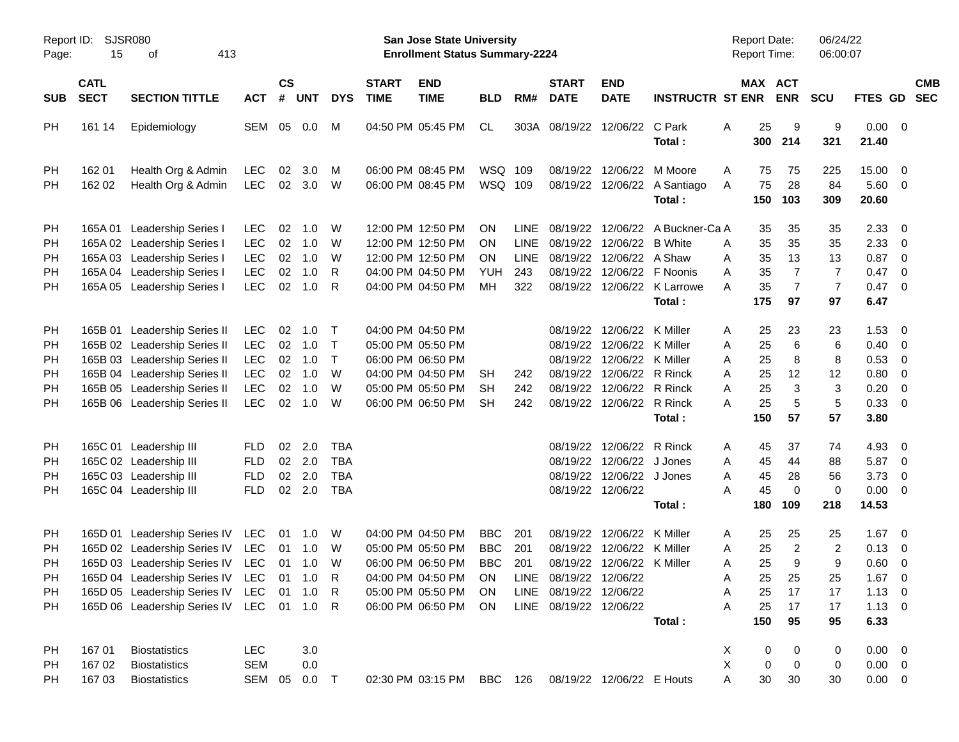| Report ID:<br>Page:                             | <b>SJSR080</b><br>15                                              | 413                                                                                                                                                                                                                                 |                                                                                  |                                  |                                        |                                               | San Jose State University<br><b>Enrollment Status Summary-2224</b> |                                                                                                                            |                                                                 |                                                  |                                                                            |                                                                                                                                                                               | <b>Report Date:</b><br><b>Report Time:</b>                                |                            |                                         | 06/24/22<br>06:00:07                                     |                                                          |                                                                        |                                                                                                                                                                 |            |
|-------------------------------------------------|-------------------------------------------------------------------|-------------------------------------------------------------------------------------------------------------------------------------------------------------------------------------------------------------------------------------|----------------------------------------------------------------------------------|----------------------------------|----------------------------------------|-----------------------------------------------|--------------------------------------------------------------------|----------------------------------------------------------------------------------------------------------------------------|-----------------------------------------------------------------|--------------------------------------------------|----------------------------------------------------------------------------|-------------------------------------------------------------------------------------------------------------------------------------------------------------------------------|---------------------------------------------------------------------------|----------------------------|-----------------------------------------|----------------------------------------------------------|----------------------------------------------------------|------------------------------------------------------------------------|-----------------------------------------------------------------------------------------------------------------------------------------------------------------|------------|
| <b>SUB</b>                                      | <b>CATL</b><br><b>SECT</b><br><b>SECTION TITTLE</b><br><b>ACT</b> |                                                                                                                                                                                                                                     |                                                                                  | $\mathsf{cs}$<br>$\pmb{\#}$      | <b>UNT</b>                             | <b>DYS</b>                                    | <b>START</b><br><b>TIME</b>                                        | <b>END</b><br><b>TIME</b>                                                                                                  | <b>BLD</b>                                                      | RM#                                              | <b>START</b><br><b>DATE</b>                                                | <b>END</b><br><b>DATE</b>                                                                                                                                                     | <b>INSTRUCTR ST ENR</b>                                                   |                            |                                         | MAX ACT<br><b>ENR</b>                                    | <b>SCU</b>                                               | FTES GD SEC                                                            |                                                                                                                                                                 | <b>CMB</b> |
| PH                                              | 161 14                                                            | Epidemiology                                                                                                                                                                                                                        | SEM                                                                              |                                  | 05  0.0                                | M                                             |                                                                    | 04:50 PM 05:45 PM                                                                                                          | CL                                                              |                                                  |                                                                            | 303A 08/19/22 12/06/22 C Park                                                                                                                                                 | Total:                                                                    | Α                          | 25<br>300                               | 9<br>214                                                 | 9<br>321                                                 | $0.00 \t 0$<br>21.40                                                   |                                                                                                                                                                 |            |
| <b>PH</b><br>PH                                 | 162 01<br>162 02                                                  | Health Org & Admin<br>Health Org & Admin                                                                                                                                                                                            | <b>LEC</b><br><b>LEC</b>                                                         | 02                               | 3.0<br>02 3.0                          | M<br>W                                        |                                                                    | 06:00 PM 08:45 PM<br>06:00 PM 08:45 PM                                                                                     | WSQ 109<br>WSQ 109                                              |                                                  |                                                                            | 08/19/22 12/06/22                                                                                                                                                             | M Moore<br>08/19/22 12/06/22 A Santiago<br>Total:                         | A<br>A                     | 75<br>75<br>150                         | 75<br>28<br>103                                          | 225<br>84<br>309                                         | 15.00<br>5.60 0<br>20.60                                               | $\overline{\mathbf{0}}$                                                                                                                                         |            |
| PH<br><b>PH</b><br><b>PH</b><br><b>PH</b><br>PH |                                                                   | 165A 01 Leadership Series I<br>165A 02 Leadership Series I<br>165A 03 Leadership Series I<br>165A 04 Leadership Series I<br>165A 05 Leadership Series I                                                                             | <b>LEC</b><br><b>LEC</b><br><b>LEC</b><br><b>LEC</b><br><b>LEC</b>               | 02<br>02<br>02<br>02<br>02       | 1.0<br>1.0<br>1.0<br>1.0<br>1.0        | W<br>W<br>W<br>R<br>-R                        |                                                                    | 12:00 PM 12:50 PM<br>12:00 PM 12:50 PM<br>12:00 PM 12:50 PM<br>04:00 PM 04:50 PM<br>04:00 PM 04:50 PM                      | <b>ON</b><br><b>ON</b><br><b>ON</b><br>YUH<br>MН                | <b>LINE</b><br><b>LINE</b><br>LINE<br>243<br>322 |                                                                            | 08/19/22 12/06/22 B White<br>08/19/22 12/06/22 A Shaw<br>08/19/22 12/06/22 F Noonis                                                                                           | 08/19/22 12/06/22 A Buckner-Ca A<br>08/19/22 12/06/22 K Larrowe<br>Total: | A<br>Α<br>A<br>A           | 35<br>35<br>35<br>35<br>35<br>175       | 35<br>35<br>13<br>$\overline{7}$<br>$\overline{7}$<br>97 | 35<br>35<br>13<br>$\overline{7}$<br>$\overline{7}$<br>97 | 2.33<br>2.33<br>0.87<br>0.47<br>0.47<br>6.47                           | $\overline{\mathbf{0}}$<br>$\overline{\mathbf{0}}$<br>$\overline{\mathbf{0}}$<br>$\overline{\mathbf{0}}$<br>$\overline{\mathbf{0}}$                             |            |
| PH<br><b>PH</b><br>PH<br>PH<br>PH<br>PH         |                                                                   | 165B 01 Leadership Series II<br>165B 02 Leadership Series II<br>165B 03 Leadership Series II<br>165B 04 Leadership Series II<br>165B 05 Leadership Series II<br>165B 06 Leadership Series II                                        | <b>LEC</b><br><b>LEC</b><br><b>LEC</b><br><b>LEC</b><br><b>LEC</b><br><b>LEC</b> | 02<br>02<br>02<br>02<br>02<br>02 | 1.0<br>1.0<br>1.0<br>1.0<br>1.0<br>1.0 | $\top$<br>$\top$<br>$\top$<br>W<br>W<br>W     |                                                                    | 04:00 PM 04:50 PM<br>05:00 PM 05:50 PM<br>06:00 PM 06:50 PM<br>04:00 PM 04:50 PM<br>05:00 PM 05:50 PM<br>06:00 PM 06:50 PM | SH<br><b>SH</b><br><b>SH</b>                                    | 242<br>242<br>242                                |                                                                            | 08/19/22 12/06/22 K Miller<br>08/19/22 12/06/22 K Miller<br>08/19/22 12/06/22 K Miller<br>08/19/22 12/06/22 R Rinck<br>08/19/22 12/06/22 R Rinck<br>08/19/22 12/06/22 R Rinck | Total:                                                                    | A<br>Α<br>Α<br>Α<br>A<br>A | 25<br>25<br>25<br>25<br>25<br>25<br>150 | 23<br>6<br>8<br>12<br>3<br>5<br>57                       | 23<br>6<br>8<br>12<br>3<br>5<br>57                       | 1.53<br>0.40<br>0.53<br>0.80<br>0.20<br>0.33<br>3.80                   | $\overline{\mathbf{0}}$<br>$\overline{\mathbf{0}}$<br>$\overline{\mathbf{0}}$<br>$\overline{\mathbf{0}}$<br>$\overline{\mathbf{0}}$<br>$\overline{\phantom{0}}$ |            |
| PH<br><b>PH</b><br>PH<br>PH                     |                                                                   | 165C 01 Leadership III<br>165C 02 Leadership III<br>165C 03 Leadership III<br>165C 04 Leadership III                                                                                                                                | <b>FLD</b><br><b>FLD</b><br><b>FLD</b><br><b>FLD</b>                             | 02<br>02                         | 2.0<br>02 2.0<br>2.0<br>02 2.0         | TBA<br><b>TBA</b><br><b>TBA</b><br><b>TBA</b> |                                                                    |                                                                                                                            |                                                                 |                                                  |                                                                            | 08/19/22 12/06/22 R Rinck<br>08/19/22 12/06/22 J Jones<br>08/19/22 12/06/22 J Jones<br>08/19/22 12/06/22                                                                      | Total:                                                                    | A<br>Α<br>Α<br>A           | 45<br>45<br>45<br>45<br>180             | 37<br>44<br>28<br>$\mathbf 0$<br>109                     | 74<br>88<br>56<br>0<br>218                               | 4.93<br>5.87<br>3.73<br>$0.00 \t 0$<br>14.53                           | $\overline{\mathbf{0}}$<br>$\overline{\mathbf{0}}$<br>$\overline{\mathbf{0}}$                                                                                   |            |
| PH<br>PH<br>PH<br>PH<br><b>PH</b><br>PH         |                                                                   | 165D 01 Leadership Series IV<br>165D 02 Leadership Series IV<br>165D 03 Leadership Series IV LEC 01 1.0<br>165D 04 Leadership Series IV LEC 01 1.0<br>165D 05 Leadership Series IV LEC<br>165D 06 Leadership Series IV LEC 01 1.0 R | LEC<br>LEC                                                                       | 01<br>01<br>01                   | 1.0<br>1.0<br>1.0                      | W<br>W<br>W<br>$\mathsf{R}$<br>R              |                                                                    | 04:00 PM 04:50 PM<br>05:00 PM 05:50 PM<br>06:00 PM 06:50 PM<br>04:00 PM 04:50 PM<br>05:00 PM 05:50 PM<br>06:00 PM 06:50 PM | <b>BBC</b><br><b>BBC</b><br><b>BBC</b><br>ON<br><b>ON</b><br>ON | 201<br>201<br>201                                | LINE 08/19/22 12/06/22<br>LINE 08/19/22 12/06/22<br>LINE 08/19/22 12/06/22 | 08/19/22 12/06/22 K Miller<br>08/19/22 12/06/22 K Miller<br>08/19/22 12/06/22 K Miller                                                                                        | Total:                                                                    | A<br>Α<br>A<br>Α<br>Α<br>Α | 25<br>25<br>25<br>25<br>25<br>150       | 25<br>$\overline{2}$<br>9<br>25 25<br>17<br>17<br>95     | 25<br>$\overline{2}$<br>9<br>25<br>17<br>17<br>95        | 1.67<br>$0.13 \ 0$<br>0.60<br>1.67<br>$1.13 \ 0$<br>$1.13 \ 0$<br>6.33 | $\overline{\mathbf{0}}$<br>0<br>$\overline{\mathbf{0}}$                                                                                                         |            |
| PH<br><b>PH</b><br>PH                           | 167 01<br>167 02<br>167 03                                        | <b>Biostatistics</b><br><b>Biostatistics</b><br><b>Biostatistics</b>                                                                                                                                                                | <b>LEC</b><br><b>SEM</b><br>SEM                                                  | 05                               | 3.0<br>0.0<br>$0.0$ T                  |                                               |                                                                    | 02:30 PM 03:15 PM                                                                                                          | BBC 126                                                         |                                                  |                                                                            | 08/19/22 12/06/22 E Houts                                                                                                                                                     |                                                                           | X<br>X<br>Α                | 0<br>0<br>30                            | 0<br>0<br>30                                             | 0<br>$\pmb{0}$<br>30                                     | $0.00 \t 0$<br>$0.00 \t 0$<br>$0.00 \t 0$                              |                                                                                                                                                                 |            |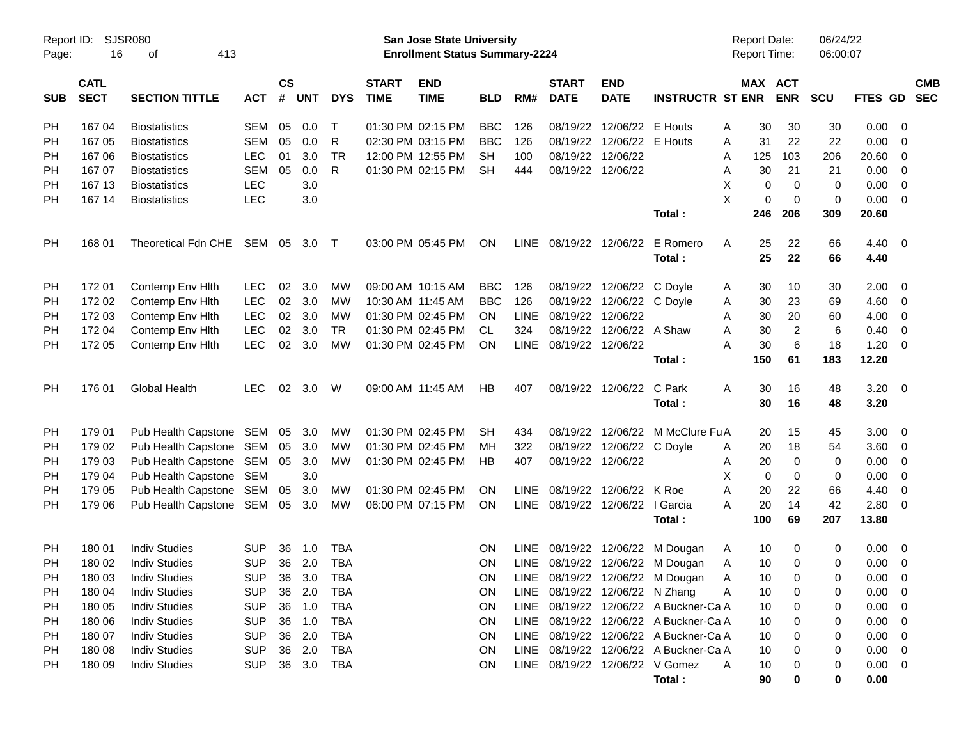| Report ID: |             | SJSR080                        |                |               |            |            |              | San Jose State University             |            |             |                        |                                 |                                       | <b>Report Date:</b> |                 | 06/24/22    |             |                          |            |
|------------|-------------|--------------------------------|----------------|---------------|------------|------------|--------------|---------------------------------------|------------|-------------|------------------------|---------------------------------|---------------------------------------|---------------------|-----------------|-------------|-------------|--------------------------|------------|
| Page:      | 16          | 413<br>оf                      |                |               |            |            |              | <b>Enrollment Status Summary-2224</b> |            |             |                        |                                 |                                       | <b>Report Time:</b> |                 | 06:00:07    |             |                          |            |
|            | <b>CATL</b> |                                |                | $\mathsf{cs}$ |            |            | <b>START</b> | <b>END</b>                            |            |             | <b>START</b>           | <b>END</b>                      |                                       |                     | MAX ACT         |             |             |                          | <b>CMB</b> |
| <b>SUB</b> | <b>SECT</b> | <b>SECTION TITTLE</b>          | <b>ACT</b>     | #             | <b>UNT</b> | <b>DYS</b> | <b>TIME</b>  | <b>TIME</b>                           | <b>BLD</b> | RM#         | <b>DATE</b>            | <b>DATE</b>                     | <b>INSTRUCTR ST ENR</b>               |                     | <b>ENR</b>      | SCU         | FTES GD     |                          | <b>SEC</b> |
| PH         | 167 04      | <b>Biostatistics</b>           | <b>SEM</b>     | 05            | 0.0        | $\top$     |              | 01:30 PM 02:15 PM                     | <b>BBC</b> | 126         | 08/19/22               | 12/06/22 E Houts                |                                       | 30<br>A             | 30              | 30          | 0.00        | - 0                      |            |
| PH         | 167 05      | <b>Biostatistics</b>           | <b>SEM</b>     | 05            | 0.0        | R          |              | 02:30 PM 03:15 PM                     | <b>BBC</b> | 126         |                        | 08/19/22 12/06/22 E Houts       |                                       | 31<br>A             | 22              | 22          | 0.00        | - 0                      |            |
| <b>PH</b>  | 167 06      | <b>Biostatistics</b>           | <b>LEC</b>     | 01            | 3.0        | <b>TR</b>  |              | 12:00 PM 12:55 PM                     | <b>SH</b>  | 100         |                        | 08/19/22 12/06/22               |                                       | 125<br>A            | 103             | 206         | 20.60       | 0                        |            |
| <b>PH</b>  | 167 07      | <b>Biostatistics</b>           | <b>SEM</b>     | 05            | 0.0        | R          |              | 01:30 PM 02:15 PM                     | <b>SH</b>  | 444         |                        | 08/19/22 12/06/22               |                                       | 30<br>A             | 21              | 21          | 0.00        | - 0                      |            |
| PH         | 167 13      | <b>Biostatistics</b>           | <b>LEC</b>     |               | 3.0        |            |              |                                       |            |             |                        |                                 |                                       | X<br>$\mathbf 0$    | $\mathbf 0$     | 0           | 0.00        | 0                        |            |
| PH         | 167 14      | <b>Biostatistics</b>           | <b>LEC</b>     |               | 3.0        |            |              |                                       |            |             |                        |                                 |                                       | X<br>$\mathbf 0$    | $\mathbf 0$     | 0           | 0.00        | 0                        |            |
|            |             |                                |                |               |            |            |              |                                       |            |             |                        |                                 | Total:                                | 246                 | 206             | 309         | 20.60       |                          |            |
| PH         | 168 01      | Theoretical Fdn CHE SEM 05     |                |               | 3.0 T      |            |              | 03:00 PM 05:45 PM                     | ON         |             | LINE 08/19/22 12/06/22 |                                 | E Romero                              | A<br>25             | 22              | 66          | 4.40        | $\overline{\mathbf{0}}$  |            |
|            |             |                                |                |               |            |            |              |                                       |            |             |                        |                                 | Total:                                | 25                  | 22              | 66          | 4.40        |                          |            |
| <b>PH</b>  | 172 01      | Contemp Env Hith               | <b>LEC</b>     | 02            | 3.0        | MW         |              | 09:00 AM 10:15 AM                     | <b>BBC</b> | 126         | 08/19/22               | 12/06/22 C Doyle                |                                       | 30<br>A             | 10              | 30          | 2.00        | - 0                      |            |
| <b>PH</b>  | 172 02      | Contemp Env Hith               | <b>LEC</b>     | 02            | 3.0        | <b>MW</b>  |              | 10:30 AM 11:45 AM                     | <b>BBC</b> | 126         |                        | 08/19/22 12/06/22 C Doyle       |                                       | 30<br>A             | 23              | 69          | 4.60        | 0                        |            |
| PH         | 172 03      | Contemp Env Hith               | <b>LEC</b>     |               | 02 3.0     | <b>MW</b>  |              | 01:30 PM 02:45 PM                     | ON.        | <b>LINE</b> | 08/19/22 12/06/22      |                                 |                                       | 30<br>A             | 20              | 60          | 4.00        | $\overline{0}$           |            |
| PH         | 172 04      | Contemp Env Hith               | LEC            | 02            | 3.0        | <b>TR</b>  |              | 01:30 PM 02:45 PM                     | CL.        | 324         |                        | 08/19/22 12/06/22 A Shaw        |                                       | 30<br>A             | 2               | 6           | 0.40        | 0                        |            |
| PH         | 172 05      | Contemp Env Hith               | <b>LEC</b>     | 02            | 3.0        | <b>MW</b>  |              | 01:30 PM 02:45 PM                     | <b>ON</b>  |             | LINE 08/19/22 12/06/22 |                                 |                                       | 30<br>А             | $6\phantom{1}6$ | 18          | 1.20        | - 0                      |            |
|            |             |                                |                |               |            |            |              |                                       |            |             |                        |                                 | Total:                                | 150                 | 61              | 183         | 12.20       |                          |            |
| <b>PH</b>  | 176 01      | <b>Global Health</b>           | <b>LEC</b>     | 02            | 3.0        | W          |              | 09:00 AM 11:45 AM                     | HB         | 407         |                        | 08/19/22 12/06/22               | C Park                                | 30<br>A             | 16              | 48          | 3.20        | $\overline{\phantom{0}}$ |            |
|            |             |                                |                |               |            |            |              |                                       |            |             |                        |                                 | Total:                                | 30                  | 16              | 48          | 3.20        |                          |            |
| <b>PH</b>  | 179 01      | Pub Health Capstone SEM 05 3.0 |                |               |            | <b>MW</b>  |              | 01:30 PM 02:45 PM                     | <b>SH</b>  | 434         |                        |                                 | 08/19/22 12/06/22 M McClure Fu A      | 20                  | 15              | 45          | 3.00        | - 0                      |            |
| <b>PH</b>  | 179 02      | Pub Health Capstone SEM        |                | 05            | 3.0        | <b>MW</b>  |              | 01:30 PM 02:45 PM                     | MН         | 322         |                        | 08/19/22 12/06/22 C Doyle       |                                       | 20<br>A             | 18              | 54          | 3.60        | $\overline{0}$           |            |
| PH         | 179 03      | Pub Health Capstone SEM        |                | 05            | 3.0        | <b>MW</b>  |              | 01:30 PM 02:45 PM                     | ΗB         | 407         |                        | 08/19/22 12/06/22               |                                       | 20<br>A             | $\mathbf 0$     | 0           | 0.00        | - 0                      |            |
| PH         | 179 04      | Pub Health Capstone SEM        |                |               | 3.0        |            |              |                                       |            |             |                        |                                 |                                       | X<br>$\mathbf 0$    | $\mathbf 0$     | 0           | 0.00        | 0                        |            |
| PH         | 179 05      | Pub Health Capstone SEM        |                | 05            | 3.0        | MW         |              | 01:30 PM 02:45 PM                     | ON.        |             |                        | LINE 08/19/22 12/06/22 K Roe    |                                       | A<br>20             | 22              | 66          | 4.40        | 0                        |            |
| PH         | 179 06      | Pub Health Capstone SEM 05 3.0 |                |               |            | <b>MW</b>  |              | 06:00 PM 07:15 PM                     | ON         |             |                        | LINE 08/19/22 12/06/22 I Garcia |                                       | 20<br>A             | 14              | 42          | 2.80        | - 0                      |            |
|            |             |                                |                |               |            |            |              |                                       |            |             |                        |                                 | Total:                                | 100                 | 69              | 207         | 13.80       |                          |            |
| <b>PH</b>  | 180 01      | <b>Indiv Studies</b>           | <b>SUP</b>     | 36            | 1.0        | <b>TBA</b> |              |                                       | <b>ON</b>  |             |                        |                                 | LINE 08/19/22 12/06/22 M Dougan       | 10<br>A             | 0               | 0           | 0.00        | $\overline{\mathbf{0}}$  |            |
| PH         | 180 02      | <b>Indiv Studies</b>           | <b>SUP</b>     |               | 36 2.0     | <b>TBA</b> |              |                                       | <b>ON</b>  |             |                        |                                 | LINE 08/19/22 12/06/22 M Dougan       | 10<br>Α             | $\mathbf 0$     | 0           | 0.00        | - 0                      |            |
| PH         |             | 180 03 Indiv Studies           | SUP 36 3.0 TBA |               |            |            |              |                                       | ON         |             |                        |                                 | LINE 08/19/22 12/06/22 M Dougan       | A<br>10             | $\mathbf 0$     | $\mathbf 0$ | $0.00 \t 0$ |                          |            |
| PH         | 180 04      | <b>Indiv Studies</b>           | <b>SUP</b>     |               | 36 2.0     | TBA        |              |                                       | <b>ON</b>  |             |                        | LINE 08/19/22 12/06/22 N Zhang  |                                       | A<br>10             | 0               | 0           | 0.00        | - 0                      |            |
| PH         | 180 05      | <b>Indiv Studies</b>           | <b>SUP</b>     |               | 36 1.0     | <b>TBA</b> |              |                                       | <b>ON</b>  |             |                        |                                 | LINE 08/19/22 12/06/22 A Buckner-Ca A | 10                  | 0               | 0           | 0.00        | $\overline{\mathbf{0}}$  |            |
| PH         | 180 06      | <b>Indiv Studies</b>           | <b>SUP</b>     |               | 36 1.0     | <b>TBA</b> |              |                                       | <b>ON</b>  |             |                        |                                 | LINE 08/19/22 12/06/22 A Buckner-Ca A | 10                  | 0               | 0           | 0.00        | $\overline{\mathbf{0}}$  |            |
| PH         | 180 07      | <b>Indiv Studies</b>           | <b>SUP</b>     |               | 36 2.0     | <b>TBA</b> |              |                                       | <b>ON</b>  |             |                        |                                 | LINE 08/19/22 12/06/22 A Buckner-Ca A | 10                  | 0               | 0           | 0.00        | $\overline{\mathbf{0}}$  |            |
| <b>PH</b>  | 180 08      | <b>Indiv Studies</b>           | <b>SUP</b>     |               | 36 2.0     | <b>TBA</b> |              |                                       | <b>ON</b>  |             |                        |                                 | LINE 08/19/22 12/06/22 A Buckner-Ca A | 10                  | 0               | 0           | 0.00        | $\overline{\phantom{0}}$ |            |
| PH         | 180 09      | <b>Indiv Studies</b>           | <b>SUP</b>     |               | 36 3.0     | TBA        |              |                                       | <b>ON</b>  |             |                        |                                 | LINE 08/19/22 12/06/22 V Gomez        | A<br>10             | 0               | 0           | $0.00 \t 0$ |                          |            |
|            |             |                                |                |               |            |            |              |                                       |            |             |                        |                                 | Total:                                | 90                  | 0               | 0           | 0.00        |                          |            |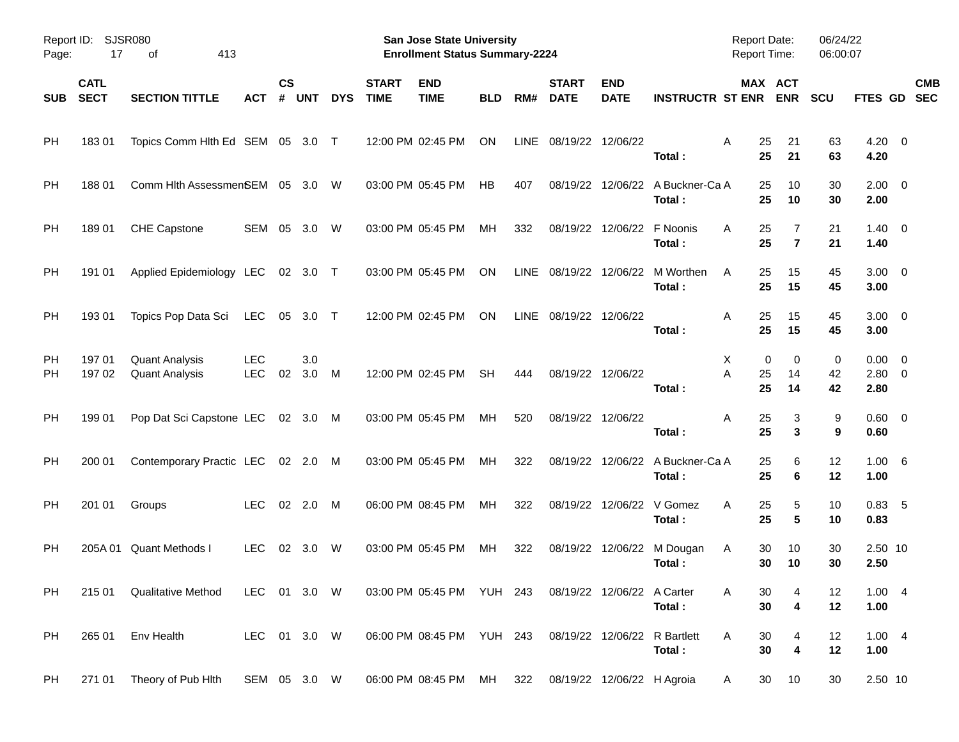| Page:           | Report ID:<br><b>SJSR080</b><br>17<br>413<br>οf |                                                |                          |                |            |            |                             | San Jose State University<br><b>Enrollment Status Summary-2224</b> |            |             |                             |                            |                                            | Report Date:<br><b>Report Time:</b> |                              | 06/24/22<br>06:00:07 |                                   |            |
|-----------------|-------------------------------------------------|------------------------------------------------|--------------------------|----------------|------------|------------|-----------------------------|--------------------------------------------------------------------|------------|-------------|-----------------------------|----------------------------|--------------------------------------------|-------------------------------------|------------------------------|----------------------|-----------------------------------|------------|
| <b>SUB</b>      | <b>CATL</b><br><b>SECT</b>                      | <b>SECTION TITTLE</b>                          | ACT                      | <b>CS</b><br># | <b>UNT</b> | <b>DYS</b> | <b>START</b><br><b>TIME</b> | <b>END</b><br><b>TIME</b>                                          | <b>BLD</b> | RM#         | <b>START</b><br><b>DATE</b> | <b>END</b><br><b>DATE</b>  | <b>INSTRUCTR ST ENR</b>                    | MAX ACT                             | <b>ENR</b>                   | <b>SCU</b>           | FTES GD SEC                       | <b>CMB</b> |
| PH              | 18301                                           | Topics Comm Hlth Ed SEM 05 3.0 T               |                          |                |            |            |                             | 12:00 PM 02:45 PM                                                  | ON         | <b>LINE</b> | 08/19/22 12/06/22           |                            | Total:                                     | A<br>25<br>25                       | 21<br>21                     | 63<br>63             | $4.20 \ 0$<br>4.20                |            |
| <b>PH</b>       | 188 01                                          | Comm Hlth AssessmenSEM 05 3.0                  |                          |                |            | W          |                             | 03:00 PM 05:45 PM                                                  | <b>HB</b>  | 407         |                             |                            | 08/19/22 12/06/22 A Buckner-Ca A<br>Total: | 25<br>25                            | 10<br>10                     | 30<br>30             | $2.00 \t 0$<br>2.00               |            |
| <b>PH</b>       | 18901                                           | CHE Capstone                                   | SEM                      | 05             | 3.0        | W          |                             | 03:00 PM 05:45 PM                                                  | MH         | 332         |                             | 08/19/22 12/06/22 F Noonis | Total:                                     | 25<br>A<br>25                       | 7<br>$\overline{7}$          | 21<br>21             | $1.40 \quad 0$<br>1.40            |            |
| <b>PH</b>       | 191 01                                          | Applied Epidemiology LEC                       |                          |                | 02 3.0 T   |            |                             | 03:00 PM 05:45 PM                                                  | ON         | <b>LINE</b> |                             |                            | 08/19/22 12/06/22 M Worthen<br>Total:      | 25<br>A<br>25                       | 15<br>15                     | 45<br>45             | $3.00 \ 0$<br>3.00                |            |
| <b>PH</b>       | 193 01                                          | Topics Pop Data Sci                            | LEC                      | 05             | 3.0 T      |            |                             | 12:00 PM 02:45 PM                                                  | ON         | LINE        | 08/19/22 12/06/22           |                            | Total:                                     | 25<br>A<br>25                       | 15<br>15                     | 45<br>45             | $3.00 \ 0$<br>3.00                |            |
| <b>PH</b><br>РH | 197 01<br>197 02                                | <b>Quant Analysis</b><br><b>Quant Analysis</b> | <b>LEC</b><br><b>LEC</b> | 02             | 3.0<br>3.0 | M          |                             | 12:00 PM 02:45 PM                                                  | <b>SH</b>  | 444         |                             | 08/19/22 12/06/22          | Total:                                     | 0<br>X<br>A<br>25<br>25             | 0<br>14<br>14                | 0<br>42<br>42        | $0.00 \ 0$<br>$2.80 \t 0$<br>2.80 |            |
| <b>PH</b>       | 199 01                                          | Pop Dat Sci Capstone LEC 02 3.0 M              |                          |                |            |            |                             | 03:00 PM 05:45 PM                                                  | МH         | 520         |                             | 08/19/22 12/06/22          | Total:                                     | A<br>25<br>25                       | 3<br>3                       | 9<br>9               | $0.60 \quad 0$<br>0.60            |            |
| <b>PH</b>       | 200 01                                          | Contemporary Practic LEC 02 2.0                |                          |                |            | M          |                             | 03:00 PM 05:45 PM                                                  | МH         | 322         |                             |                            | 08/19/22 12/06/22 A Buckner-Ca A<br>Total: | 25<br>25                            | 6<br>6                       | 12<br>12             | 1.00 6<br>1.00                    |            |
| <b>PH</b>       | 201 01                                          | Groups                                         | <b>LEC</b>               | 02             | 2.0        | M          |                             | 06:00 PM 08:45 PM                                                  | МH         | 322         |                             | 08/19/22 12/06/22 V Gomez  | Total:                                     | 25<br>A<br>25                       | 5<br>5                       | 10<br>10             | 0.83, 5<br>0.83                   |            |
| РH              |                                                 | 205A 01 Quant Methods I                        | <b>LEC</b>               | 02             | 3.0        | W          |                             | 03:00 PM 05:45 PM                                                  | МH         | 322         |                             |                            | 08/19/22 12/06/22 M Dougan<br>Total:       | 30<br>A<br>30                       | 10<br>10                     | 30<br>30             | 2.50 10<br>2.50                   |            |
| PH.             |                                                 | 215 01 Qualitative Method                      | LEC 01 3.0 W             |                |            |            |                             | 03:00 PM 05:45 PM YUH 243 08/19/22 12/06/22 A Carter               |            |             |                             |                            | Total:                                     | A<br>30<br>30                       | 4<br>4                       | 12<br>12             | 1.004<br>1.00                     |            |
| PH              | 265 01                                          | Env Health                                     | LEC 01 3.0 W             |                |            |            |                             | 06:00 PM 08:45 PM YUH 243 08/19/22 12/06/22 R Bartlett             |            |             |                             |                            | Total:                                     | Α<br>30<br>30                       | 4<br>$\overline{\mathbf{4}}$ | 12<br>12             | 1.004<br>1.00                     |            |
| <b>PH</b>       |                                                 | 271 01 Theory of Pub Hith                      | SEM 05 3.0 W             |                |            |            |                             | 06:00 PM 08:45 PM MH                                               |            | 322         |                             | 08/19/22 12/06/22 H Agroia |                                            | 30<br>A                             | 10                           | 30                   | 2.50 10                           |            |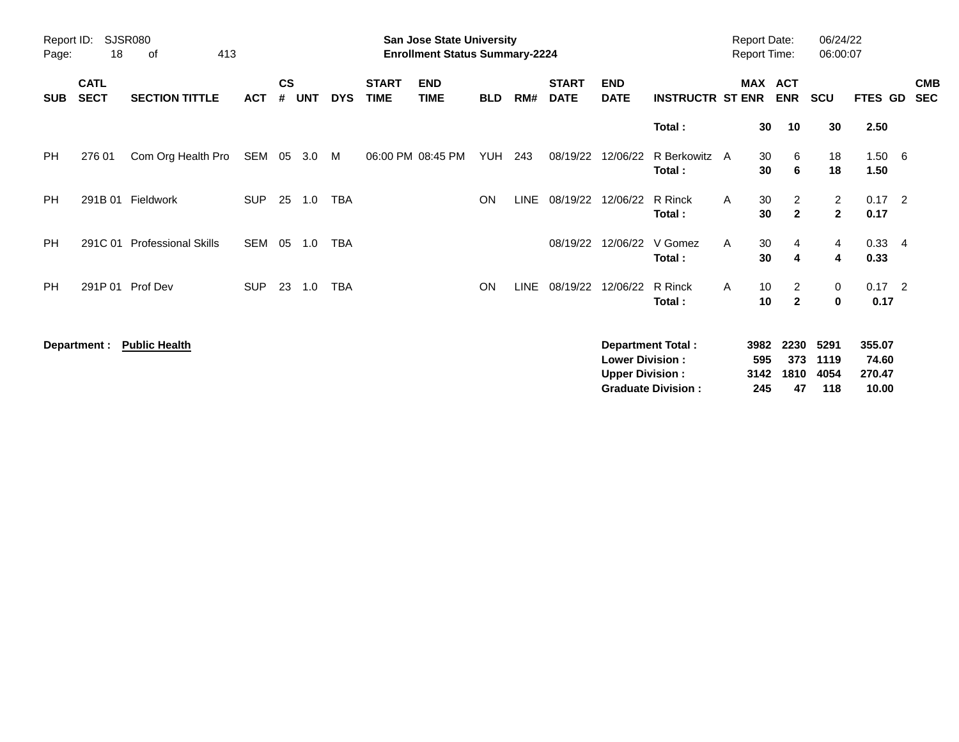| Page:      | Report ID:<br><b>SJSR080</b><br>18<br>413<br>of |                            |            |                    |            |            |                             | <b>San Jose State University</b><br><b>Enrollment Status Summary-2224</b> |            |             |                             |                                                  |                          |   | <b>Report Date:</b><br><b>Report Time:</b> |                                  | 06/24/22<br>06:00:07                      |                           |                          |
|------------|-------------------------------------------------|----------------------------|------------|--------------------|------------|------------|-----------------------------|---------------------------------------------------------------------------|------------|-------------|-----------------------------|--------------------------------------------------|--------------------------|---|--------------------------------------------|----------------------------------|-------------------------------------------|---------------------------|--------------------------|
| <b>SUB</b> | <b>CATL</b><br><b>SECT</b>                      | <b>SECTION TITTLE</b>      | <b>ACT</b> | $\mathsf{cs}$<br># | <b>UNT</b> | <b>DYS</b> | <b>START</b><br><b>TIME</b> | <b>END</b><br><b>TIME</b>                                                 | <b>BLD</b> | RM#         | <b>START</b><br><b>DATE</b> | <b>END</b><br><b>DATE</b>                        | <b>INSTRUCTR ST ENR</b>  |   | MAX ACT                                    | <b>ENR</b>                       | <b>SCU</b>                                | FTES GD                   | <b>CMB</b><br><b>SEC</b> |
|            |                                                 |                            |            |                    |            |            |                             |                                                                           |            |             |                             |                                                  | Total:                   |   | 30                                         | 10                               | 30                                        | 2.50                      |                          |
| PH.        | 276 01                                          | Com Org Health Pro         | SEM        | 05                 | 3.0        | M          |                             | 06:00 PM 08:45 PM                                                         | <b>YUH</b> | 243         | 08/19/22                    | 12/06/22                                         | R Berkowitz A<br>Total:  |   | 30<br>30                                   | 6<br>6                           | 18<br>18                                  | $1.50\ 6$<br>1.50         |                          |
| PH.        | 291B 01                                         | Fieldwork                  | <b>SUP</b> | 25                 | 1.0        | <b>TBA</b> |                             |                                                                           | <b>ON</b>  | <b>LINE</b> | 08/19/22                    | 12/06/22                                         | R Rinck<br>Total:        | A | 30<br>30                                   | $\overline{2}$<br>$\overline{2}$ | $\overline{2}$<br>$\overline{\mathbf{2}}$ | $0.17$ 2<br>0.17          |                          |
| <b>PH</b>  | 291C 01                                         | <b>Professional Skills</b> | SEM        | 05                 | 1.0        | TBA        |                             |                                                                           |            |             | 08/19/22                    | 12/06/22                                         | V Gomez<br>Total:        | A | 30<br>30                                   | 4<br>4                           | 4<br>4                                    | $0.33 + 4$<br>0.33        |                          |
| <b>PH</b>  |                                                 | 291P 01 Prof Dev           | <b>SUP</b> | 23                 | 1.0        | <b>TBA</b> |                             |                                                                           | <b>ON</b>  | <b>LINE</b> | 08/19/22                    | 12/06/22                                         | R Rinck<br>Total:        | A | 10<br>10                                   | $\overline{2}$<br>$\mathbf{2}$   | 0<br>0                                    | $0.17$ 2<br>0.17          |                          |
|            | Department :                                    | <b>Public Health</b>       |            |                    |            |            |                             |                                                                           |            |             |                             | <b>Lower Division:</b><br><b>Upper Division:</b> | <b>Department Total:</b> |   | 3982<br>595<br>3142                        | 2230<br>373<br>1810              | 5291<br>1119<br>4054                      | 355.07<br>74.60<br>270.47 |                          |

**Graduate Division : 245 47 118 10.00**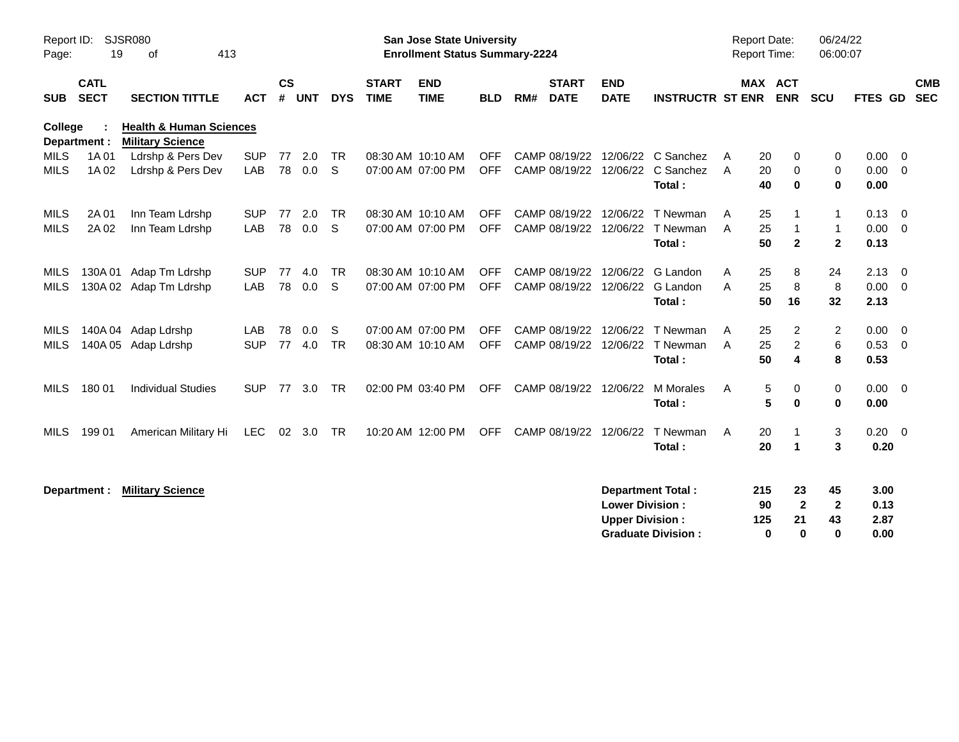| Report ID:<br>Page:            | SJSR080<br>19              | 413                                                           |                   |                |                |                 | <b>San Jose State University</b><br><b>Enrollment Status Summary-2224</b> |                                        |                          |     |                                                  |                                                  |                                                         | <b>Report Date:</b><br><b>Report Time:</b> |                                  | 06/24/22<br>06:00:07                                 |                                              |                                       |                          |
|--------------------------------|----------------------------|---------------------------------------------------------------|-------------------|----------------|----------------|-----------------|---------------------------------------------------------------------------|----------------------------------------|--------------------------|-----|--------------------------------------------------|--------------------------------------------------|---------------------------------------------------------|--------------------------------------------|----------------------------------|------------------------------------------------------|----------------------------------------------|---------------------------------------|--------------------------|
| <b>SUB</b>                     | <b>CATL</b><br><b>SECT</b> | <b>SECTION TITTLE</b>                                         | <b>ACT</b>        | <b>CS</b><br># | <b>UNT</b>     | <b>DYS</b>      | <b>START</b><br><b>TIME</b>                                               | <b>END</b><br><b>TIME</b>              | <b>BLD</b>               | RM# | <b>START</b><br><b>DATE</b>                      | <b>END</b><br><b>DATE</b>                        | <b>INSTRUCTR ST ENR</b>                                 |                                            | <b>MAX ACT</b><br><b>ENR</b>     | <b>SCU</b>                                           |                                              | FTES GD                               | <b>CMB</b><br><b>SEC</b> |
| <b>College</b><br>Department : |                            | <b>Health &amp; Human Sciences</b><br><b>Military Science</b> |                   |                |                |                 |                                                                           |                                        |                          |     |                                                  |                                                  |                                                         |                                            |                                  |                                                      |                                              |                                       |                          |
| <b>MILS</b><br><b>MILS</b>     | 1A 01<br>1A 02             | Ldrshp & Pers Dev<br>Ldrshp & Pers Dev                        | <b>SUP</b><br>LAB | 77             | 2.0<br>78  0.0 | <b>TR</b><br>-S |                                                                           | 08:30 AM 10:10 AM<br>07:00 AM 07:00 PM | <b>OFF</b><br><b>OFF</b> |     |                                                  | CAMP 08/19/22 12/06/22                           | C Sanchez<br>CAMP 08/19/22 12/06/22 C Sanchez<br>Total: | A<br>$\mathsf{A}$                          | 20<br>20<br>40                   | 0<br>$\mathbf 0$<br>$\bf{0}$                         | 0<br>$\mathbf 0$<br>$\bf{0}$                 | $0.00 \t 0$<br>$0.00 \t 0$<br>0.00    |                          |
| MILS<br><b>MILS</b>            | 2A 01<br>2A 02             | Inn Team Ldrshp<br>Inn Team Ldrshp                            | <b>SUP</b><br>LAB | 77<br>78       | 2.0<br>0.0     | <b>TR</b><br>S  |                                                                           | 08:30 AM 10:10 AM<br>07:00 AM 07:00 PM | <b>OFF</b><br><b>OFF</b> |     | CAMP 08/19/22 12/06/22                           | CAMP 08/19/22 12/06/22                           | T Newman<br>T Newman<br>Total:                          | A<br>A                                     | 25<br>25<br>50                   | -1<br>$\mathbf{1}$<br>$\mathbf{2}$                   | $\mathbf{1}$<br>$\mathbf{1}$<br>$\mathbf{2}$ | $0.13 \quad 0$<br>$0.00 \t 0$<br>0.13 |                          |
| MILS<br><b>MILS</b>            |                            | 130A 01 Adap Tm Ldrshp<br>130A 02 Adap Tm Ldrshp              | <b>SUP</b><br>LAB | 77<br>78       | 4.0<br>0.0     | <b>TR</b><br>S  |                                                                           | 08:30 AM 10:10 AM<br>07:00 AM 07:00 PM | <b>OFF</b><br><b>OFF</b> |     | CAMP 08/19/22 12/06/22                           | CAMP 08/19/22 12/06/22                           | G Landon<br>G Landon<br>Total:                          | A<br>A                                     | 25<br>25<br>50<br>16             | 8<br>8                                               | 24<br>8<br>32                                | $2.13 \quad 0$<br>$0.00 \t 0$<br>2.13 |                          |
| MILS<br><b>MILS</b>            |                            | 140A 04 Adap Ldrshp<br>140A 05 Adap Ldrshp                    | LAB<br><b>SUP</b> | 78<br>77       | 0.0<br>4.0     | S<br><b>TR</b>  |                                                                           | 07:00 AM 07:00 PM<br>08:30 AM 10:10 AM | <b>OFF</b><br><b>OFF</b> |     | CAMP 08/19/22 12/06/22<br>CAMP 08/19/22 12/06/22 |                                                  | T Newman<br>T Newman<br>Total:                          | A<br>A                                     | 25<br>25<br>50                   | $\overline{c}$<br>$\overline{c}$<br>$\boldsymbol{4}$ | 2<br>6<br>8                                  | $0.00 \quad 0$<br>0.53 0<br>0.53      |                          |
| <b>MILS</b>                    | 180 01                     | <b>Individual Studies</b>                                     | <b>SUP</b>        | 77             | 3.0            | <b>TR</b>       |                                                                           | 02:00 PM 03:40 PM                      | <b>OFF</b>               |     | CAMP 08/19/22 12/06/22                           |                                                  | <b>M</b> Morales<br>Total:                              | A                                          | 5<br>5                           | 0<br>$\bf{0}$                                        | 0<br>0                                       | $0.00 \t 0$<br>0.00                   |                          |
| <b>MILS</b>                    | 199 01                     | American Military Hi                                          | LEC               |                | 02 3.0         | <b>TR</b>       |                                                                           | 10:20 AM 12:00 PM                      | <b>OFF</b>               |     | CAMP 08/19/22 12/06/22                           |                                                  | T Newman<br>Total:                                      | A                                          | 20<br>20<br>$\blacktriangleleft$ | -1                                                   | 3<br>3                                       | $0.20 \ 0$<br>0.20                    |                          |
|                                | Department :               | <b>Military Science</b>                                       |                   |                |                |                 |                                                                           |                                        |                          |     |                                                  | <b>Lower Division:</b><br><b>Upper Division:</b> | <b>Department Total:</b><br><b>Graduate Division:</b>   | 215<br>125                                 | 90<br>$\bf{0}$                   | 23<br>$\mathbf{2}$<br>21<br>$\bf{0}$                 | 45<br>$\mathbf{2}$<br>43<br>$\bf{0}$         | 3.00<br>0.13<br>2.87<br>0.00          |                          |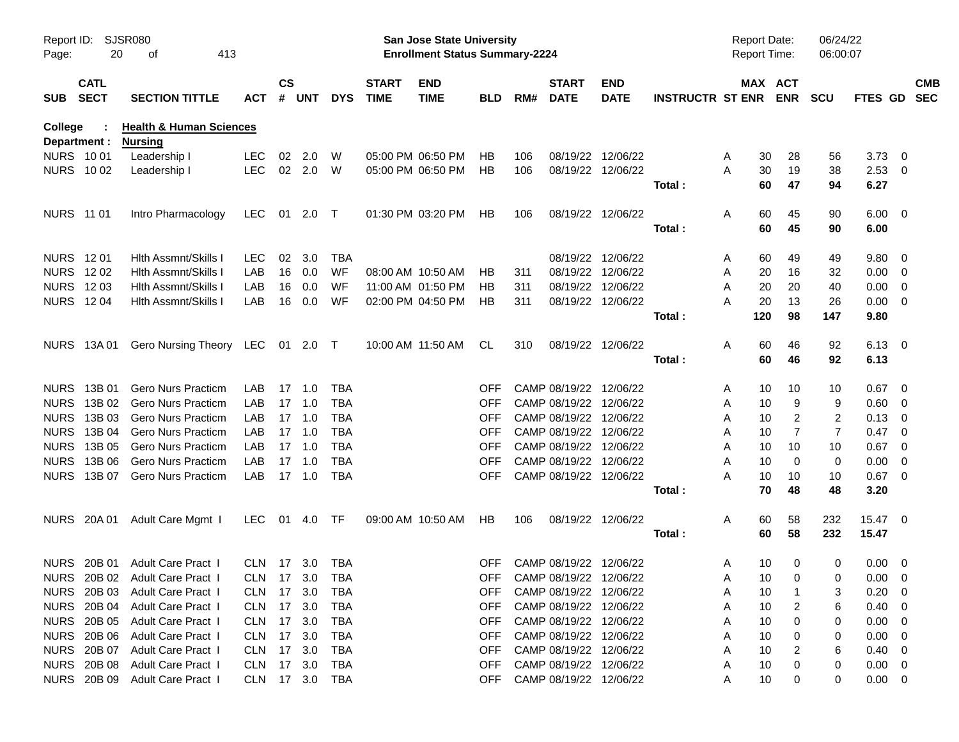| Report ID:<br>Page: | 20           | SJSR080<br>413<br>οf               |            |                    |            |            |                             | <b>San Jose State University</b><br><b>Enrollment Status Summary-2224</b> |            |     |                             |                           |                         | <b>Report Date:</b><br><b>Report Time:</b> |                       | 06/24/22<br>06:00:07 |                |                          |            |
|---------------------|--------------|------------------------------------|------------|--------------------|------------|------------|-----------------------------|---------------------------------------------------------------------------|------------|-----|-----------------------------|---------------------------|-------------------------|--------------------------------------------|-----------------------|----------------------|----------------|--------------------------|------------|
| SUB SECT            | <b>CATL</b>  | <b>SECTION TITTLE</b>              | ACT        | $\mathsf{cs}$<br># | <b>UNT</b> | <b>DYS</b> | <b>START</b><br><b>TIME</b> | <b>END</b><br><b>TIME</b>                                                 | <b>BLD</b> | RM# | <b>START</b><br><b>DATE</b> | <b>END</b><br><b>DATE</b> | <b>INSTRUCTR ST ENR</b> |                                            | MAX ACT<br><b>ENR</b> | <b>SCU</b>           | FTES GD SEC    |                          | <b>CMB</b> |
| College             |              | <b>Health &amp; Human Sciences</b> |            |                    |            |            |                             |                                                                           |            |     |                             |                           |                         |                                            |                       |                      |                |                          |            |
|                     | Department : | <b>Nursing</b>                     |            |                    |            |            |                             |                                                                           |            |     |                             |                           |                         |                                            |                       |                      |                |                          |            |
| <b>NURS 1001</b>    |              | Leadership I                       | <b>LEC</b> | 02                 | 2.0        | W          |                             | 05:00 PM 06:50 PM                                                         | HВ         | 106 |                             | 08/19/22 12/06/22         |                         | 30<br>A                                    | 28                    | 56                   | 3.73           | $\overline{\phantom{0}}$ |            |
|                     | NURS 1002    | Leadership I                       | <b>LEC</b> |                    | 02 2.0     | W          |                             | 05:00 PM 06:50 PM                                                         | HВ         | 106 |                             | 08/19/22 12/06/22         |                         | A<br>30                                    | 19                    | 38                   | $2.53 \t 0$    |                          |            |
|                     |              |                                    |            |                    |            |            |                             |                                                                           |            |     |                             |                           | Total :                 | 60                                         | 47                    | 94                   | 6.27           |                          |            |
| NURS 11 01          |              | Intro Pharmacology                 | LEC        |                    | 01 2.0 T   |            |                             | 01:30 PM 03:20 PM                                                         | HB         | 106 |                             | 08/19/22 12/06/22         |                         | A<br>60                                    | 45                    | 90                   | $6.00 \quad 0$ |                          |            |
|                     |              |                                    |            |                    |            |            |                             |                                                                           |            |     |                             |                           | Total:                  | 60                                         | 45                    | 90                   | 6.00           |                          |            |
|                     |              |                                    |            |                    |            |            |                             |                                                                           |            |     |                             |                           |                         |                                            |                       |                      |                |                          |            |
| NURS 1201           |              | Hith Assmnt/Skills                 | <b>LEC</b> | 02                 | 3.0        | TBA        |                             |                                                                           |            |     |                             | 08/19/22 12/06/22         |                         | A<br>60                                    | 49                    | 49                   | 9.80           | - 0                      |            |
| NURS 1202           |              | <b>Hith Assmnt/Skills I</b>        | LAB        | 16                 | 0.0        | WF         |                             | 08:00 AM 10:50 AM                                                         | HB         | 311 |                             | 08/19/22 12/06/22         |                         | A<br>20                                    | 16                    | 32                   | 0.00           | - 0                      |            |
| NURS 1203           |              | <b>Hith Assmnt/Skills I</b>        | LAB        | 16                 | 0.0        | WF         |                             | 11:00 AM 01:50 PM                                                         | HВ         | 311 | 08/19/22                    | 12/06/22                  |                         | Α<br>20                                    | 20                    | 40                   | 0.00           | $\overline{0}$           |            |
| <b>NURS 1204</b>    |              | <b>Hith Assmnt/Skills I</b>        | LAB        | 16                 | 0.0        | WF         |                             | 02:00 PM 04:50 PM                                                         | HВ         | 311 |                             | 08/19/22 12/06/22         |                         | А<br>20                                    | 13                    | 26                   | 0.00           | $\overline{\phantom{0}}$ |            |
|                     |              |                                    |            |                    |            |            |                             |                                                                           |            |     |                             |                           | Total :                 | 120                                        | 98                    | 147                  | 9.80           |                          |            |
|                     |              |                                    |            |                    |            |            |                             |                                                                           |            |     |                             |                           |                         |                                            |                       |                      |                |                          |            |
|                     | NURS 13A01   | Gero Nursing Theory LEC 01 2.0 T   |            |                    |            |            |                             | 10:00 AM 11:50 AM                                                         | CL.        | 310 |                             | 08/19/22 12/06/22         |                         | A<br>60                                    | 46                    | 92                   | $6.13 \quad 0$ |                          |            |
|                     |              |                                    |            |                    |            |            |                             |                                                                           |            |     |                             |                           | Total:                  | 60                                         | 46                    | 92                   | 6.13           |                          |            |
|                     |              |                                    |            |                    |            |            |                             |                                                                           |            |     |                             |                           |                         |                                            |                       |                      |                |                          |            |
| <b>NURS</b>         | 13B 01       | <b>Gero Nurs Practicm</b>          | LAB        | 17                 | 1.0        | <b>TBA</b> |                             |                                                                           | <b>OFF</b> |     | CAMP 08/19/22               | 12/06/22                  |                         | 10<br>A                                    | 10                    | 10                   | 0.67           | - 0                      |            |
| <b>NURS</b>         | 13B 02       | <b>Gero Nurs Practicm</b>          | LAB        | 17                 | 1.0        | TBA        |                             |                                                                           | <b>OFF</b> |     | CAMP 08/19/22               | 12/06/22                  |                         | A<br>10                                    | 9                     | 9                    | 0.60           | - 0                      |            |
| <b>NURS</b>         | 13B 03       | <b>Gero Nurs Practicm</b>          | LAB        | 17                 | 1.0        | <b>TBA</b> |                             |                                                                           | <b>OFF</b> |     | CAMP 08/19/22               | 12/06/22                  |                         | A<br>10                                    | 2                     | 2                    | 0.13           | - 0                      |            |
| <b>NURS</b>         | 13B 04       | <b>Gero Nurs Practicm</b>          | LAB        | 17                 | 1.0        | <b>TBA</b> |                             |                                                                           | <b>OFF</b> |     | CAMP 08/19/22               | 12/06/22                  |                         | 10<br>A                                    | $\overline{7}$        | $\overline{7}$       | 0.47           | - 0                      |            |
| <b>NURS</b>         | 13B 05       | <b>Gero Nurs Practicm</b>          | LAB        | 17                 | 1.0        | <b>TBA</b> |                             |                                                                           | <b>OFF</b> |     | CAMP 08/19/22               | 12/06/22                  |                         | 10<br>A                                    | 10                    | 10                   | 0.67           | - 0                      |            |
| <b>NURS</b>         | 13B 06       | <b>Gero Nurs Practicm</b>          | LAB        | 17                 | 1.0        | <b>TBA</b> |                             |                                                                           | <b>OFF</b> |     | CAMP 08/19/22 12/06/22      |                           |                         | 10<br>Α                                    | 0                     | 0                    | 0.00           | 0                        |            |
| <b>NURS</b>         | 13B 07       | <b>Gero Nurs Practicm</b>          | LAB        | 17                 | 1.0        | <b>TBA</b> |                             |                                                                           | <b>OFF</b> |     | CAMP 08/19/22 12/06/22      |                           |                         | А<br>10                                    | 10                    | 10                   | 0.67           | $\overline{0}$           |            |
|                     |              |                                    |            |                    |            |            |                             |                                                                           |            |     |                             |                           | Total :                 | 70                                         | 48                    | 48                   | 3.20           |                          |            |
|                     | NURS 20A 01  | Adult Care Mgmt I                  | LEC        | 01                 | 4.0        | TF         |                             | 09:00 AM 10:50 AM                                                         | HB         | 106 |                             | 08/19/22 12/06/22         |                         | A<br>60                                    | 58                    | 232                  | 15.47 0        |                          |            |
|                     |              |                                    |            |                    |            |            |                             |                                                                           |            |     |                             |                           | Total:                  | 60                                         | 58                    | 232                  | 15.47          |                          |            |
|                     |              |                                    |            |                    |            |            |                             |                                                                           |            |     |                             |                           |                         |                                            |                       |                      |                |                          |            |
|                     |              | NURS 20B 01 Adult Care Pract 1     | CLN 17 3.0 |                    |            | TBA        |                             |                                                                           | <b>OFF</b> |     | CAMP 08/19/22 12/06/22      |                           |                         | 10<br>A                                    | 0                     | 0                    | $0.00 \t 0$    |                          |            |
|                     |              | NURS 20B 02 Adult Care Pract I     | CLN 17 3.0 |                    |            | <b>TBA</b> |                             |                                                                           |            |     | OFF CAMP 08/19/22 12/06/22  |                           |                         | 10 <sup>°</sup><br>Α                       | $\mathbf 0$           | 0                    | $0.00 \t 0$    |                          |            |
|                     | NURS 20B 03  | Adult Care Pract I                 | <b>CLN</b> |                    | 17 3.0     | <b>TBA</b> |                             |                                                                           | <b>OFF</b> |     | CAMP 08/19/22 12/06/22      |                           |                         | A<br>10                                    |                       | 3                    | 0.20           | - 0                      |            |
|                     |              | NURS 20B 04 Adult Care Pract I     | CLN        | 17 3.0             |            | TBA        |                             |                                                                           | <b>OFF</b> |     | CAMP 08/19/22 12/06/22      |                           |                         | 10<br>A                                    | 2                     | 6                    | 0.40           | $\overline{\mathbf{0}}$  |            |
|                     |              | NURS 20B 05 Adult Care Pract I     | CLN 17 3.0 |                    |            | TBA        |                             |                                                                           | <b>OFF</b> |     | CAMP 08/19/22 12/06/22      |                           |                         | 10<br>Α                                    | 0                     | 0                    | 0.00           | $\overline{0}$           |            |
|                     |              | NURS 20B 06 Adult Care Pract I     | CLN        | 17 3.0             |            | TBA        |                             |                                                                           | <b>OFF</b> |     | CAMP 08/19/22 12/06/22      |                           |                         | 10<br>Α                                    | 0                     | 0                    | 0.00           | - 0                      |            |
|                     |              | NURS 20B 07 Adult Care Pract I     | CLN        | 17 3.0             |            | TBA        |                             |                                                                           | <b>OFF</b> |     | CAMP 08/19/22 12/06/22      |                           |                         | 10<br>Α                                    | 2                     | 6                    | 0.40           | - 0                      |            |
|                     |              | NURS 20B 08 Adult Care Pract I     | CLN 17 3.0 |                    |            | TBA        |                             |                                                                           | <b>OFF</b> |     | CAMP 08/19/22 12/06/22      |                           |                         | 10<br>Α                                    | 0                     | 0                    | $0.00 \t 0$    |                          |            |
|                     |              | NURS 20B 09 Adult Care Pract I     | CLN 17 3.0 |                    |            | TBA        |                             |                                                                           | <b>OFF</b> |     | CAMP 08/19/22 12/06/22      |                           |                         | 10<br>Α                                    | 0                     | 0                    | $0.00 \t 0$    |                          |            |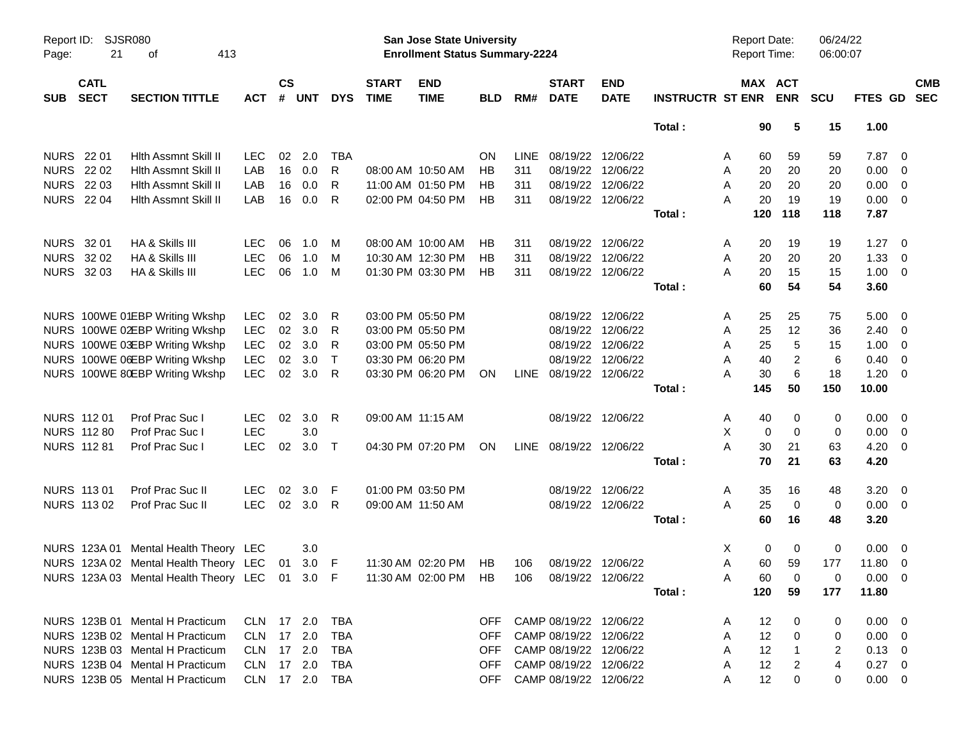| Report ID:<br>Page: | 21                         | <b>SJSR080</b><br>413<br>οf                                         |                |                    |            |              |                             | San Jose State University<br><b>Enrollment Status Summary-2224</b> |            |             |                             |                           |                         | Report Date:<br><b>Report Time:</b> |                         | 06/24/22<br>06:00:07 |                |                          |  |
|---------------------|----------------------------|---------------------------------------------------------------------|----------------|--------------------|------------|--------------|-----------------------------|--------------------------------------------------------------------|------------|-------------|-----------------------------|---------------------------|-------------------------|-------------------------------------|-------------------------|----------------------|----------------|--------------------------|--|
| <b>SUB</b>          | <b>CATL</b><br><b>SECT</b> | <b>SECTION TITTLE</b>                                               | <b>ACT</b>     | $\mathsf{cs}$<br># | <b>UNT</b> | <b>DYS</b>   | <b>START</b><br><b>TIME</b> | <b>END</b><br><b>TIME</b>                                          | <b>BLD</b> | RM#         | <b>START</b><br><b>DATE</b> | <b>END</b><br><b>DATE</b> | <b>INSTRUCTR ST ENR</b> | MAX ACT                             | <b>ENR</b>              | <b>SCU</b>           | <b>FTES GD</b> | <b>CMB</b><br><b>SEC</b> |  |
|                     |                            |                                                                     |                |                    |            |              |                             |                                                                    |            |             |                             |                           | Total:                  | 90                                  | 5                       | 15                   | 1.00           |                          |  |
| <b>NURS</b> 22 01   |                            | Hith Assmnt Skill II                                                | <b>LEC</b>     | 02                 | 2.0        | TBA          |                             |                                                                    | <b>ON</b>  | <b>LINE</b> | 08/19/22 12/06/22           |                           |                         | 60<br>A                             | 59                      | 59                   | 7.87           | $\overline{\mathbf{0}}$  |  |
| <b>NURS 2202</b>    |                            | Hith Assmnt Skill II                                                | LAB            | 16                 | 0.0        | R            |                             | 08:00 AM 10:50 AM                                                  | HB         | 311         | 08/19/22 12/06/22           |                           |                         | 20<br>A                             | 20                      | 20                   | 0.00           | - 0                      |  |
|                     | <b>NURS 2203</b>           | Hith Assmnt Skill II                                                | LAB            | 16                 | 0.0        | R.           |                             | 11:00 AM 01:50 PM                                                  | HB         | 311         | 08/19/22 12/06/22           |                           |                         | A<br>20                             | 20                      | 20                   | 0.00           | $\overline{\mathbf{0}}$  |  |
|                     | <b>NURS 2204</b>           | Hith Assmnt Skill II                                                | LAB            | 16                 | 0.0        | R            |                             | 02:00 PM 04:50 PM                                                  | HB         | 311         | 08/19/22 12/06/22           |                           |                         | 20<br>A                             | 19                      | 19                   | 0.00           | $\overline{\mathbf{0}}$  |  |
|                     |                            |                                                                     |                |                    |            |              |                             |                                                                    |            |             |                             |                           | Total:                  | 120                                 | 118                     | 118                  | 7.87           |                          |  |
| NURS 32 01          |                            | HA & Skills III                                                     | <b>LEC</b>     | 06                 | 1.0        | M            |                             | 08:00 AM 10:00 AM                                                  | HB         | 311         | 08/19/22 12/06/22           |                           |                         | 20<br>A                             | 19                      | 19                   | 1.27           | $\overline{\phantom{0}}$ |  |
|                     | NURS 32 02                 | HA & Skills III                                                     | <b>LEC</b>     | 06                 | 1.0        | M            |                             | 10:30 AM 12:30 PM                                                  | HB         | 311         | 08/19/22 12/06/22           |                           |                         | Α<br>20                             | 20                      | 20                   | 1.33           | $\overline{0}$           |  |
|                     | NURS 32 03                 | HA & Skills III                                                     | <b>LEC</b>     | 06                 | 1.0        | M            |                             | 01:30 PM 03:30 PM                                                  | HB         | 311         |                             | 08/19/22 12/06/22         |                         | 20<br>A                             | 15                      | 15                   | 1.00           | $\overline{\mathbf{0}}$  |  |
|                     |                            |                                                                     |                |                    |            |              |                             |                                                                    |            |             |                             |                           | Total:                  | 60                                  | 54                      | 54                   | 3.60           |                          |  |
|                     |                            | NURS 100WE 01EBP Writing Wkshp                                      | LEC.           | 02                 | 3.0        | R            |                             | 03:00 PM 05:50 PM                                                  |            |             |                             | 08/19/22 12/06/22         |                         | A<br>25                             | 25                      | 75                   | 5.00           | - 0                      |  |
|                     |                            | NURS 100WE 02EBP Writing Wkshp                                      | <b>LEC</b>     | 02                 | 3.0        | R            |                             | 03:00 PM 05:50 PM                                                  |            |             |                             | 08/19/22 12/06/22         |                         | 25<br>A                             | 12                      | 36                   | 2.40           | $\overline{0}$           |  |
|                     |                            | NURS 100WE 03EBP Writing Wkshp                                      | <b>LEC</b>     | 02                 | 3.0        | R            |                             | 03:00 PM 05:50 PM                                                  |            |             | 08/19/22 12/06/22           |                           |                         | 25<br>A                             | 5                       | 15                   | 1.00           | $\overline{0}$           |  |
|                     |                            | NURS 100WE 06EBP Writing Wkshp                                      | <b>LEC</b>     | 02                 | 3.0        | $\mathsf{T}$ |                             | 03:30 PM 06:20 PM                                                  |            |             |                             | 08/19/22 12/06/22         |                         | 40<br>A                             | $\overline{2}$          | 6                    | 0.40           | $\overline{0}$           |  |
|                     |                            | NURS 100WE 80EBP Writing Wkshp                                      | <b>LEC</b>     | $02\,$             | 3.0        | R            |                             | 03:30 PM 06:20 PM                                                  | ON         |             | LINE 08/19/22 12/06/22      |                           |                         | A<br>30                             | 6                       | 18                   | 1.20           | $\overline{\mathbf{0}}$  |  |
|                     |                            |                                                                     |                |                    |            |              |                             |                                                                    |            |             |                             |                           | Total:                  | 145                                 | 50                      | 150                  | 10.00          |                          |  |
|                     | NURS 112 01                | Prof Prac Suc I                                                     | LEC.           | 02                 | 3.0        | R            |                             | 09:00 AM 11:15 AM                                                  |            |             |                             | 08/19/22 12/06/22         |                         | 40<br>A                             | 0                       | 0                    | 0.00           | $\overline{\mathbf{0}}$  |  |
|                     | <b>NURS 112 80</b>         | Prof Prac Suc I                                                     | LEC            |                    | 3.0        |              |                             |                                                                    |            |             |                             |                           |                         | X<br>0                              | $\mathbf 0$             | 0                    | 0.00           | $\overline{\mathbf{0}}$  |  |
|                     | <b>NURS 112 81</b>         | Prof Prac Suc I                                                     | <b>LEC</b>     | 02                 | 3.0        | $\top$       |                             | 04:30 PM 07:20 PM                                                  | ON         |             | LINE 08/19/22 12/06/22      |                           |                         | A<br>30                             | 21                      | 63                   | $4.20 \ 0$     |                          |  |
|                     |                            |                                                                     |                |                    |            |              |                             |                                                                    |            |             |                             |                           | Total:                  | 70                                  | 21                      | 63                   | 4.20           |                          |  |
|                     | <b>NURS 11301</b>          | Prof Prac Suc II                                                    | <b>LEC</b>     | 02                 | 3.0        | -F           |                             | 01:00 PM 03:50 PM                                                  |            |             | 08/19/22 12/06/22           |                           |                         | A<br>35                             | 16                      | 48                   | $3.20 \ 0$     |                          |  |
|                     | <b>NURS 11302</b>          | Prof Prac Suc II                                                    | <b>LEC</b>     |                    | 02 3.0     | R.           | 09:00 AM 11:50 AM           |                                                                    |            |             |                             | 08/19/22 12/06/22         |                         | A<br>25                             | $\mathbf 0$             | 0                    | $0.00 \t 0$    |                          |  |
|                     |                            |                                                                     |                |                    |            |              |                             |                                                                    |            |             |                             |                           | Total:                  | 60                                  | 16                      | 48                   | 3.20           |                          |  |
|                     |                            | NURS 123A 01 Mental Health Theory LEC                               |                |                    | 3.0        |              |                             |                                                                    |            |             |                             |                           |                         | 0<br>X                              | 0                       | 0                    | 0.00           | $\overline{\phantom{0}}$ |  |
|                     |                            | NURS 123A 02 Mental Health Theory LEC 01                            |                |                    | $3.0$ F    |              |                             | 11:30 AM 02:20 PM                                                  | HB         | 106         | 08/19/22 12/06/22           |                           |                         | 60<br>Α                             | 59                      | 177                  | 11.80          | $\overline{0}$           |  |
|                     |                            | NURS 123A 03 Mental Health Theory LEC 01 3.0 F 11:30 AM 02:00 PM HB |                |                    |            |              |                             |                                                                    |            |             | 106  08/19/22  12/06/22     |                           |                         | 60<br>Α                             | $\overline{\mathbf{0}}$ | 0                    | $0.00 \t 0$    |                          |  |
|                     |                            |                                                                     |                |                    |            |              |                             |                                                                    |            |             |                             |                           | Total:                  | 120                                 | 59                      | 177                  | 11.80          |                          |  |
|                     |                            | NURS 123B 01 Mental H Practicum                                     | CLN 17 2.0     |                    |            | TBA          |                             |                                                                    | OFF.       |             | CAMP 08/19/22 12/06/22      |                           |                         | 12<br>A                             | 0                       | 0                    | $0.00 \quad 0$ |                          |  |
|                     |                            | NURS 123B 02 Mental H Practicum                                     | CLN 17 2.0     |                    |            | TBA          |                             |                                                                    | <b>OFF</b> |             | CAMP 08/19/22 12/06/22      |                           |                         | A<br>12                             | 0                       | 0                    | $0.00 \quad 0$ |                          |  |
|                     |                            | NURS 123B 03 Mental H Practicum                                     | CLN 17 2.0     |                    |            | TBA          |                             |                                                                    | <b>OFF</b> |             | CAMP 08/19/22 12/06/22      |                           |                         | A<br>12                             | -1                      | 2                    | $0.13 \ 0$     |                          |  |
|                     |                            | NURS 123B 04 Mental H Practicum                                     | CLN 17 2.0     |                    |            | TBA          |                             |                                                                    | <b>OFF</b> |             | CAMP 08/19/22 12/06/22      |                           |                         | 12<br>A                             | 2                       | 4                    | $0.27 \t 0$    |                          |  |
|                     |                            | NURS 123B 05 Mental H Practicum                                     | CLN 17 2.0 TBA |                    |            |              |                             |                                                                    | OFF        |             | CAMP 08/19/22 12/06/22      |                           |                         | 12<br>A                             | 0                       | 0                    | $0.00 \quad 0$ |                          |  |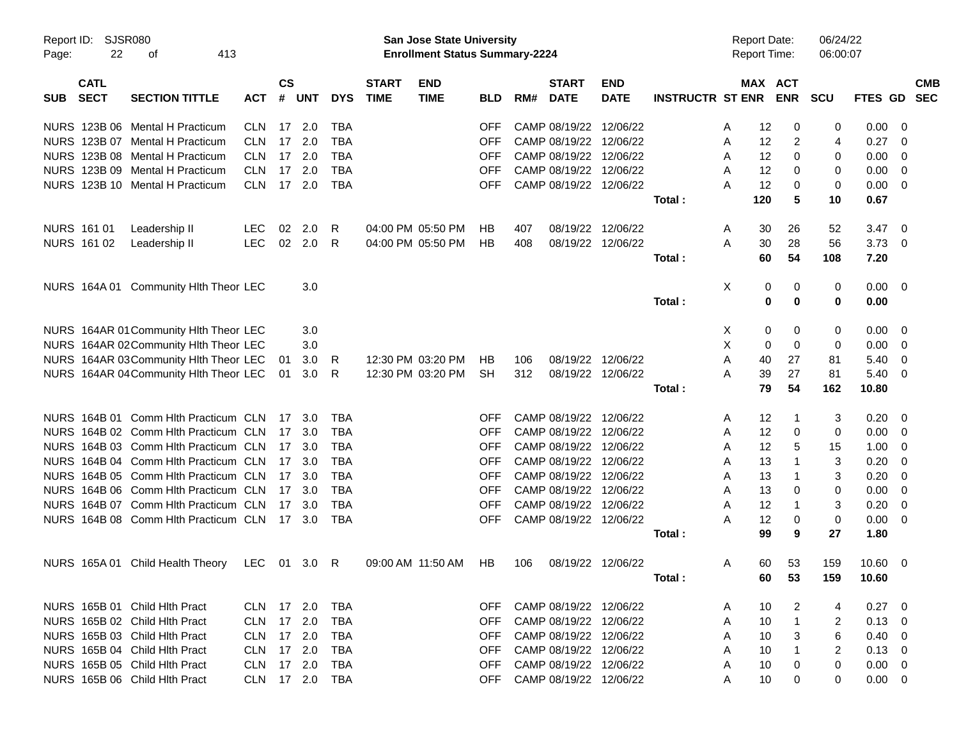| Report ID:<br>Page: | <b>SJSR080</b><br>22       | 413<br>οf                              |            |                    |            |            |                             | <b>San Jose State University</b><br><b>Enrollment Status Summary-2224</b> |            |     |                             |                           |                         |    |     | <b>Report Date:</b><br>Report Time: | 06/24/22<br>06:00:07 |                 |                          |                          |
|---------------------|----------------------------|----------------------------------------|------------|--------------------|------------|------------|-----------------------------|---------------------------------------------------------------------------|------------|-----|-----------------------------|---------------------------|-------------------------|----|-----|-------------------------------------|----------------------|-----------------|--------------------------|--------------------------|
| <b>SUB</b>          | <b>CATL</b><br><b>SECT</b> | <b>SECTION TITTLE</b>                  | <b>ACT</b> | $\mathsf{cs}$<br># | <b>UNT</b> | <b>DYS</b> | <b>START</b><br><b>TIME</b> | <b>END</b><br><b>TIME</b>                                                 | <b>BLD</b> | RM# | <b>START</b><br><b>DATE</b> | <b>END</b><br><b>DATE</b> | <b>INSTRUCTR ST ENR</b> |    |     | MAX ACT<br><b>ENR</b>               | <b>SCU</b>           | <b>FTES GD</b>  |                          | <b>CMB</b><br><b>SEC</b> |
|                     |                            | NURS 123B 06 Mental H Practicum        | <b>CLN</b> |                    | 17 2.0     | <b>TBA</b> |                             |                                                                           | <b>OFF</b> |     | CAMP 08/19/22               | 12/06/22                  |                         | A  | 12  | 0                                   | 0                    | 0.00            | - 0                      |                          |
|                     |                            | NURS 123B 07 Mental H Practicum        | CLN.       | 17                 | 2.0        | <b>TBA</b> |                             |                                                                           | <b>OFF</b> |     | CAMP 08/19/22               | 12/06/22                  |                         | A  | 12  | 2                                   | 4                    | 0.27            | - 0                      |                          |
| <b>NURS</b>         |                            | 123B 08 Mental H Practicum             | <b>CLN</b> | 17                 | 2.0        | <b>TBA</b> |                             |                                                                           | <b>OFF</b> |     | CAMP 08/19/22               | 12/06/22                  |                         | A  | 12  | 0                                   | 0                    | 0.00            | - 0                      |                          |
|                     |                            | NURS 123B 09 Mental H Practicum        | <b>CLN</b> | 17                 | 2.0        | <b>TBA</b> |                             |                                                                           | <b>OFF</b> |     | CAMP 08/19/22               | 12/06/22                  |                         | A  | 12  | 0                                   | 0                    | 0.00            | 0                        |                          |
|                     |                            | NURS 123B 10 Mental H Practicum        | CLN.       |                    | 17 2.0     | <b>TBA</b> |                             |                                                                           | <b>OFF</b> |     |                             | CAMP 08/19/22 12/06/22    |                         | Α  | 12  | 0                                   | 0                    | 0.00            | $\overline{\mathbf{0}}$  |                          |
|                     |                            |                                        |            |                    |            |            |                             |                                                                           |            |     |                             |                           | Total:                  |    | 120 | 5                                   | 10                   | 0.67            |                          |                          |
|                     | NURS 161 01                | Leadership II                          | LEC        | 02                 | 2.0        | R          |                             | 04:00 PM 05:50 PM                                                         | НB         | 407 | 08/19/22                    | 12/06/22                  |                         | A  | 30  | 26                                  | 52                   | 3.47            | - 0                      |                          |
|                     | NURS 161 02                | Leadership II                          | <b>LEC</b> | 02                 | 2.0        | R          |                             | 04:00 PM 05:50 PM                                                         | <b>HB</b>  | 408 | 08/19/22                    | 12/06/22                  |                         | A  | 30  | 28                                  | 56                   | 3.73            | $\overline{\mathbf{0}}$  |                          |
|                     |                            |                                        |            |                    |            |            |                             |                                                                           |            |     |                             |                           | Total:                  |    | 60  | 54                                  | 108                  | 7.20            |                          |                          |
|                     |                            | NURS 164A 01 Community HIth Theor LEC  |            |                    | 3.0        |            |                             |                                                                           |            |     |                             |                           |                         | Χ  | 0   | 0                                   | 0                    | $0.00 \t 0$     |                          |                          |
|                     |                            |                                        |            |                    |            |            |                             |                                                                           |            |     |                             |                           | Total:                  |    | 0   | 0                                   | 0                    | 0.00            |                          |                          |
|                     |                            | NURS 164AR 01 Community Hith Theor LEC |            |                    | 3.0        |            |                             |                                                                           |            |     |                             |                           |                         | X. | 0   | 0                                   | 0                    | 0.00            | - 0                      |                          |
|                     |                            | NURS 164AR 02Community HIth Theor LEC  |            |                    | 3.0        |            |                             |                                                                           |            |     |                             |                           |                         | X  | 0   | $\mathbf 0$                         | 0                    | 0.00            | 0                        |                          |
|                     |                            | NURS 164AR 03Community Hlth Theor LEC  |            | 01                 | 3.0        | R          |                             | 12:30 PM 03:20 PM                                                         | HB         | 106 | 08/19/22                    | 12/06/22                  |                         | A  | 40  | 27                                  | 81                   | 5.40            | 0                        |                          |
|                     |                            | NURS 164AR 04 Community HIth Theor LEC |            | 01                 | 3.0        | R          |                             | 12:30 PM 03:20 PM                                                         | <b>SH</b>  | 312 |                             | 08/19/22 12/06/22         |                         | A  | 39  | 27                                  | 81                   | 5.40            | - 0                      |                          |
|                     |                            |                                        |            |                    |            |            |                             |                                                                           |            |     |                             |                           | Total:                  |    | 79  | 54                                  | 162                  | 10.80           |                          |                          |
|                     |                            | NURS 164B 01 Comm Hith Practicum CLN   |            | 17                 | 3.0        | TBA        |                             |                                                                           | <b>OFF</b> |     | CAMP 08/19/22               | 12/06/22                  |                         | A  | 12  | -1                                  | 3                    | 0.20            | - 0                      |                          |
|                     |                            | NURS 164B 02 Comm Hith Practicum CLN   |            | 17                 | 3.0        | <b>TBA</b> |                             |                                                                           | <b>OFF</b> |     | CAMP 08/19/22               | 12/06/22                  |                         | A  | 12  | 0                                   | 0                    | 0.00            | 0                        |                          |
|                     |                            | NURS 164B 03 Comm Hith Practicum CLN   |            | 17                 | 3.0        | <b>TBA</b> |                             |                                                                           | <b>OFF</b> |     | CAMP 08/19/22               | 12/06/22                  |                         | A  | 12  | 5                                   | 15                   | 1.00            | 0                        |                          |
|                     |                            | NURS 164B 04 Comm Hith Practicum CLN   |            | 17                 | 3.0        | <b>TBA</b> |                             |                                                                           | <b>OFF</b> |     | CAMP 08/19/22               | 12/06/22                  |                         | A  | 13  | -1                                  | 3                    | 0.20            | -0                       |                          |
|                     |                            | NURS 164B 05 Comm Hith Practicum CLN   |            | 17                 | 3.0        | <b>TBA</b> |                             |                                                                           | <b>OFF</b> |     | CAMP 08/19/22               | 12/06/22                  |                         | A  | 13  | $\mathbf 1$                         | 3                    | 0.20            | -0                       |                          |
|                     |                            | NURS 164B 06 Comm Hith Practicum CLN   |            | 17                 | 3.0        | <b>TBA</b> |                             |                                                                           | <b>OFF</b> |     | CAMP 08/19/22               | 12/06/22                  |                         | A  | 13  | 0                                   | $\mathbf 0$          | 0.00            | - 0                      |                          |
|                     |                            | NURS 164B 07 Comm Hith Practicum CLN   |            | 17                 | 3.0        | <b>TBA</b> |                             |                                                                           | <b>OFF</b> |     | CAMP 08/19/22               | 12/06/22                  |                         | A  | 12  | 1                                   | 3                    | 0.20            | 0                        |                          |
|                     |                            | NURS 164B 08 Comm Hith Practicum CLN   |            |                    | 17 3.0     | <b>TBA</b> |                             |                                                                           | <b>OFF</b> |     |                             | CAMP 08/19/22 12/06/22    |                         | Α  | 12  | 0                                   | 0                    | 0.00            | - 0                      |                          |
|                     |                            |                                        |            |                    |            |            |                             |                                                                           |            |     |                             |                           | Total:                  |    | 99  | 9                                   | 27                   | 1.80            |                          |                          |
|                     |                            | NURS 165A 01 Child Health Theory       | <b>LEC</b> |                    | 01 3.0 R   |            |                             | 09:00 AM 11:50 AM                                                         | HB         | 106 |                             | 08/19/22 12/06/22         |                         | A  | 60  | 53                                  | 159                  | $10.60 \quad 0$ |                          |                          |
|                     |                            |                                        |            |                    |            |            |                             |                                                                           |            |     |                             |                           | Total :                 |    | 60  | 53                                  | 159                  | 10.60           |                          |                          |
|                     |                            | NURS 165B 01 Child Hith Pract          | CLN 17 2.0 |                    |            | TBA        |                             |                                                                           | <b>OFF</b> |     |                             | CAMP 08/19/22 12/06/22    |                         | A  | 10  | 2                                   | 4                    | $0.27 \t 0$     |                          |                          |
|                     |                            | NURS 165B 02 Child Hlth Pract          | CLN 17 2.0 |                    |            | <b>TBA</b> |                             |                                                                           | <b>OFF</b> |     |                             | CAMP 08/19/22 12/06/22    |                         | A  | 10  | $\overline{1}$                      | 2                    | 0.13            | - 0                      |                          |
|                     |                            | NURS 165B 03 Child Hlth Pract          | CLN 17 2.0 |                    |            | TBA        |                             |                                                                           | <b>OFF</b> |     |                             | CAMP 08/19/22 12/06/22    |                         | A  | 10  | 3                                   | 6                    | 0.40            | - 0                      |                          |
|                     |                            | NURS 165B 04 Child Hlth Pract          | CLN 17 2.0 |                    |            | TBA        |                             |                                                                           | <b>OFF</b> |     |                             | CAMP 08/19/22 12/06/22    |                         | A  | 10  | -1                                  | $\overline{2}$       | 0.13            | $\overline{\mathbf{0}}$  |                          |
|                     |                            | NURS 165B 05 Child Hlth Pract          | CLN 17 2.0 |                    |            | TBA        |                             |                                                                           | <b>OFF</b> |     |                             | CAMP 08/19/22 12/06/22    |                         | A  | 10  | 0                                   | 0                    | 0.00            | $\overline{\phantom{0}}$ |                          |
|                     |                            | NURS 165B 06 Child Hlth Pract          | CLN 17 2.0 |                    |            | TBA        |                             |                                                                           | <b>OFF</b> |     |                             | CAMP 08/19/22 12/06/22    |                         | A  | 10  | 0                                   | 0                    | $0.00 \quad 0$  |                          |                          |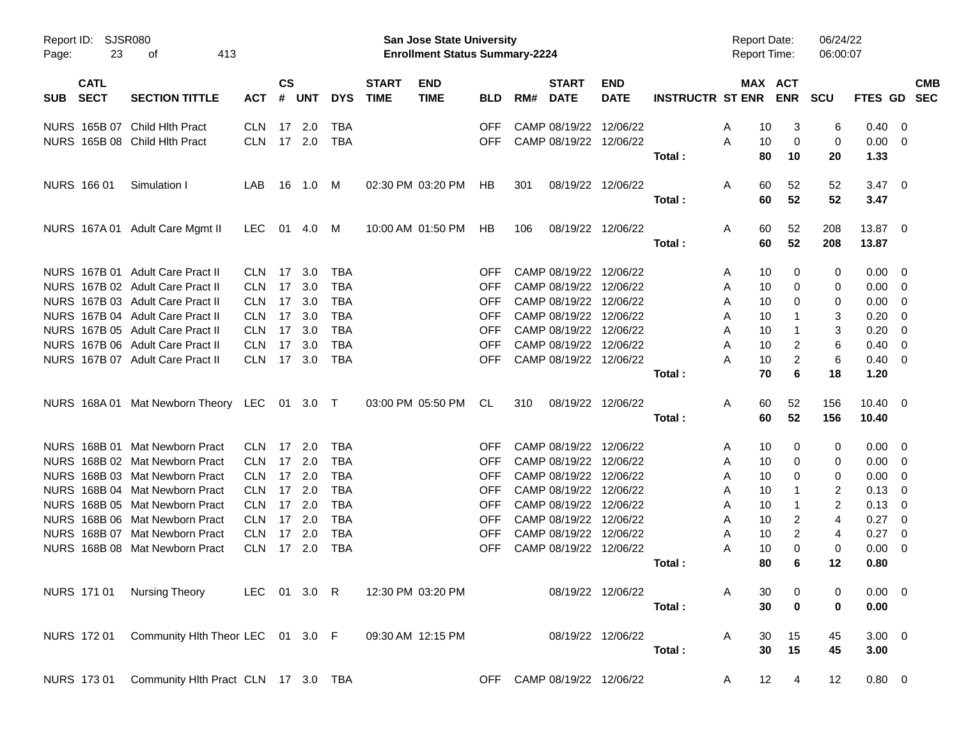| Page:      | Report ID: SJSR080<br>23   | 413<br>оf                                                      |                          |                |               |                   |                             | San Jose State University<br><b>Enrollment Status Summary-2224</b> |                          |     |                             |                                                  |                         | <b>Report Date:</b><br><b>Report Time:</b> |          |                       | 06/24/22<br>06:00:07 |                     |                          |            |
|------------|----------------------------|----------------------------------------------------------------|--------------------------|----------------|---------------|-------------------|-----------------------------|--------------------------------------------------------------------|--------------------------|-----|-----------------------------|--------------------------------------------------|-------------------------|--------------------------------------------|----------|-----------------------|----------------------|---------------------|--------------------------|------------|
| <b>SUB</b> | <b>CATL</b><br><b>SECT</b> | <b>SECTION TITTLE</b>                                          | <b>ACT</b>               | <b>CS</b><br># | <b>UNT</b>    | <b>DYS</b>        | <b>START</b><br><b>TIME</b> | <b>END</b><br><b>TIME</b>                                          | <b>BLD</b>               | RM# | <b>START</b><br><b>DATE</b> | <b>END</b><br><b>DATE</b>                        | <b>INSTRUCTR ST ENR</b> |                                            |          | MAX ACT<br><b>ENR</b> | <b>SCU</b>           | FTES GD SEC         |                          | <b>CMB</b> |
|            |                            |                                                                |                          |                |               |                   |                             |                                                                    |                          |     |                             |                                                  |                         |                                            |          |                       |                      |                     |                          |            |
|            |                            | NURS 165B 07 Child Hlth Pract<br>NURS 165B 08 Child Hlth Pract | <b>CLN</b><br><b>CLN</b> | 17             | 2.0<br>17 2.0 | TBA<br><b>TBA</b> |                             |                                                                    | <b>OFF</b><br><b>OFF</b> |     |                             | CAMP 08/19/22 12/06/22<br>CAMP 08/19/22 12/06/22 |                         | A<br>A                                     | 10<br>10 | 3<br>0                | 6<br>0               | 0.40<br>$0.00 \t 0$ | $\overline{\phantom{0}}$ |            |
|            |                            |                                                                |                          |                |               |                   |                             |                                                                    |                          |     |                             |                                                  | Total:                  |                                            | 80       | 10                    | 20                   | 1.33                |                          |            |
|            |                            |                                                                |                          |                |               |                   |                             |                                                                    |                          |     |                             |                                                  |                         |                                            |          |                       |                      |                     |                          |            |
|            | NURS 166 01                | Simulation I                                                   | LAB                      |                | 16  1.0  M    |                   |                             | 02:30 PM 03:20 PM                                                  | HB.                      | 301 |                             | 08/19/22 12/06/22                                |                         | A                                          | 60       | 52                    | 52                   | $3.47 \quad 0$      |                          |            |
|            |                            |                                                                |                          |                |               |                   |                             |                                                                    |                          |     |                             |                                                  | Total:                  |                                            | 60       | 52                    | 52                   | 3.47                |                          |            |
|            |                            | NURS 167A 01 Adult Care Mgmt II                                | LEC                      |                |               |                   |                             | 10:00 AM 01:50 PM                                                  | HB.                      | 106 |                             | 08/19/22 12/06/22                                |                         | A                                          | 60       | 52                    | 208                  | 13.87 0             |                          |            |
|            |                            |                                                                |                          |                |               |                   |                             |                                                                    |                          |     |                             |                                                  | Total:                  |                                            | 60       | 52                    | 208                  | 13.87               |                          |            |
|            |                            | NURS 167B 01 Adult Care Pract II                               | <b>CLN</b>               | 17             | 3.0           | TBA               |                             |                                                                    | <b>OFF</b>               |     |                             | CAMP 08/19/22 12/06/22                           |                         | A                                          | 10       | 0                     | 0                    | $0.00 \ 0$          |                          |            |
|            |                            | NURS 167B 02 Adult Care Pract II                               | <b>CLN</b>               | 17             | 3.0           | <b>TBA</b>        |                             |                                                                    | <b>OFF</b>               |     |                             | CAMP 08/19/22 12/06/22                           |                         | A                                          | 10       | 0                     | 0                    | $0.00 \t 0$         |                          |            |
|            |                            | NURS 167B 03 Adult Care Pract II                               | <b>CLN</b>               | 17             | 3.0           | <b>TBA</b>        |                             |                                                                    | <b>OFF</b>               |     |                             | CAMP 08/19/22 12/06/22                           |                         | A                                          | 10       | 0                     | 0                    | 0.00                | $\overline{\mathbf{0}}$  |            |
|            |                            | NURS 167B 04 Adult Care Pract II                               | <b>CLN</b>               | 17             | 3.0           | <b>TBA</b>        |                             |                                                                    | <b>OFF</b>               |     |                             | CAMP 08/19/22 12/06/22                           |                         | A                                          | 10       | 1                     | 3                    | 0.20                | $\overline{\mathbf{0}}$  |            |
|            |                            | NURS 167B 05 Adult Care Pract II                               | <b>CLN</b>               | 17             | 3.0           | <b>TBA</b>        |                             |                                                                    | <b>OFF</b>               |     |                             | CAMP 08/19/22 12/06/22                           |                         | A                                          | 10       | $\mathbf 1$           | 3                    | 0.20                | $\overline{\phantom{0}}$ |            |
|            |                            | NURS 167B 06 Adult Care Pract II                               | <b>CLN</b>               | 17             | 3.0           | <b>TBA</b>        |                             |                                                                    | <b>OFF</b>               |     |                             | CAMP 08/19/22 12/06/22                           |                         | Α                                          | 10       | 2                     | 6                    | 0.40                | $\overline{\mathbf{0}}$  |            |
|            |                            | NURS 167B 07 Adult Care Pract II                               | <b>CLN</b>               |                | 17 3.0        | <b>TBA</b>        |                             |                                                                    | <b>OFF</b>               |     |                             | CAMP 08/19/22 12/06/22                           |                         | Α                                          | 10       | 2                     | 6                    | $0.40 \quad 0$      |                          |            |
|            |                            |                                                                |                          |                |               |                   |                             |                                                                    |                          |     |                             |                                                  | Total:                  |                                            | 70       | 6                     | 18                   | 1.20                |                          |            |
|            |                            | NURS 168A 01 Mat Newborn Theory LEC 01 3.0 T                   |                          |                |               |                   |                             | 03:00 PM 05:50 PM                                                  | CL                       | 310 |                             | 08/19/22 12/06/22                                |                         | Α                                          | 60       | 52                    | 156                  | $10.40 \quad 0$     |                          |            |
|            |                            |                                                                |                          |                |               |                   |                             |                                                                    |                          |     |                             |                                                  | Total:                  |                                            | 60       | 52                    | 156                  | 10.40               |                          |            |
|            |                            | NURS 168B 01 Mat Newborn Pract                                 | <b>CLN</b>               | 17             | 2.0           | TBA               |                             |                                                                    | <b>OFF</b>               |     |                             | CAMP 08/19/22 12/06/22                           |                         | A                                          | 10       | 0                     | 0                    | $0.00 \ 0$          |                          |            |
|            |                            | NURS 168B 02 Mat Newborn Pract                                 | <b>CLN</b>               | 17             | 2.0           | <b>TBA</b>        |                             |                                                                    | <b>OFF</b>               |     |                             | CAMP 08/19/22 12/06/22                           |                         | A                                          | 10       | 0                     | 0                    | $0.00 \t 0$         |                          |            |
|            |                            | NURS 168B 03 Mat Newborn Pract                                 | <b>CLN</b>               | 17             | 2.0           | <b>TBA</b>        |                             |                                                                    | <b>OFF</b>               |     |                             | CAMP 08/19/22 12/06/22                           |                         | A                                          | 10       | 0                     | 0                    | 0.00                | $\overline{\phantom{0}}$ |            |
|            |                            | NURS 168B 04 Mat Newborn Pract                                 | <b>CLN</b>               | 17             | 2.0           | <b>TBA</b>        |                             |                                                                    | <b>OFF</b>               |     |                             | CAMP 08/19/22 12/06/22                           |                         | A                                          | 10       | 1                     | 2                    | 0.13                | - 0                      |            |
|            |                            | NURS 168B 05 Mat Newborn Pract                                 | <b>CLN</b>               | 17             | 2.0           | <b>TBA</b>        |                             |                                                                    | <b>OFF</b>               |     |                             | CAMP 08/19/22 12/06/22                           |                         | A                                          | 10       | $\mathbf 1$           | $\overline{c}$       | 0.13                | $\overline{\phantom{0}}$ |            |
|            |                            | NURS 168B 06 Mat Newborn Pract                                 | <b>CLN</b>               | 17             | 2.0           | <b>TBA</b>        |                             |                                                                    | <b>OFF</b>               |     |                             | CAMP 08/19/22 12/06/22                           |                         | A                                          | 10       | 2                     | 4                    | 0.27                | $\overline{\phantom{0}}$ |            |
|            |                            | NURS 168B 07 Mat Newborn Pract                                 | <b>CLN</b>               | 17             | 2.0           | <b>TBA</b>        |                             |                                                                    | <b>OFF</b>               |     |                             | CAMP 08/19/22 12/06/22                           |                         | A                                          | 10       | 2                     | 4                    | 0.27                | $\overline{\mathbf{0}}$  |            |
|            |                            | NURS 168B 08 Mat Newborn Pract                                 | <b>CLN</b>               |                | 17 2.0        | <b>TBA</b>        |                             |                                                                    | <b>OFF</b>               |     |                             | CAMP 08/19/22 12/06/22                           |                         | A                                          | 10       | 0                     | 0                    | 0.00                | $\overline{\mathbf{0}}$  |            |
|            |                            |                                                                |                          |                |               |                   |                             |                                                                    |                          |     |                             |                                                  | Total:                  |                                            | 80       | 6                     | 12                   | 0.80                |                          |            |
|            |                            | NURS 171 01 Nursing Theory LEC 01 3.0 R                        |                          |                |               |                   |                             | 12:30 PM 03:20 PM                                                  |                          |     |                             | 08/19/22 12/06/22                                |                         | A                                          | 30       | 0                     | 0                    | $0.00 \t 0$         |                          |            |
|            |                            |                                                                |                          |                |               |                   |                             |                                                                    |                          |     |                             |                                                  | Total:                  |                                            | 30       | 0                     | 0                    | 0.00                |                          |            |
|            |                            | NURS 172 01 Community Hlth Theor LEC 01 3.0 F                  |                          |                |               |                   |                             | 09:30 AM 12:15 PM                                                  |                          |     |                             | 08/19/22 12/06/22                                |                         | A                                          | 30       | 15                    | 45                   | $3.00 \ 0$          |                          |            |
|            |                            |                                                                |                          |                |               |                   |                             |                                                                    |                          |     |                             |                                                  | Total:                  |                                            | 30       | 15                    | 45                   | 3.00                |                          |            |
|            |                            | NURS 173 01 Community Hlth Pract CLN 17 3.0 TBA                |                          |                |               |                   |                             |                                                                    |                          |     |                             | OFF CAMP 08/19/22 12/06/22                       |                         | A                                          | 12       | $\overline{4}$        | 12                   | $0.80 \t 0$         |                          |            |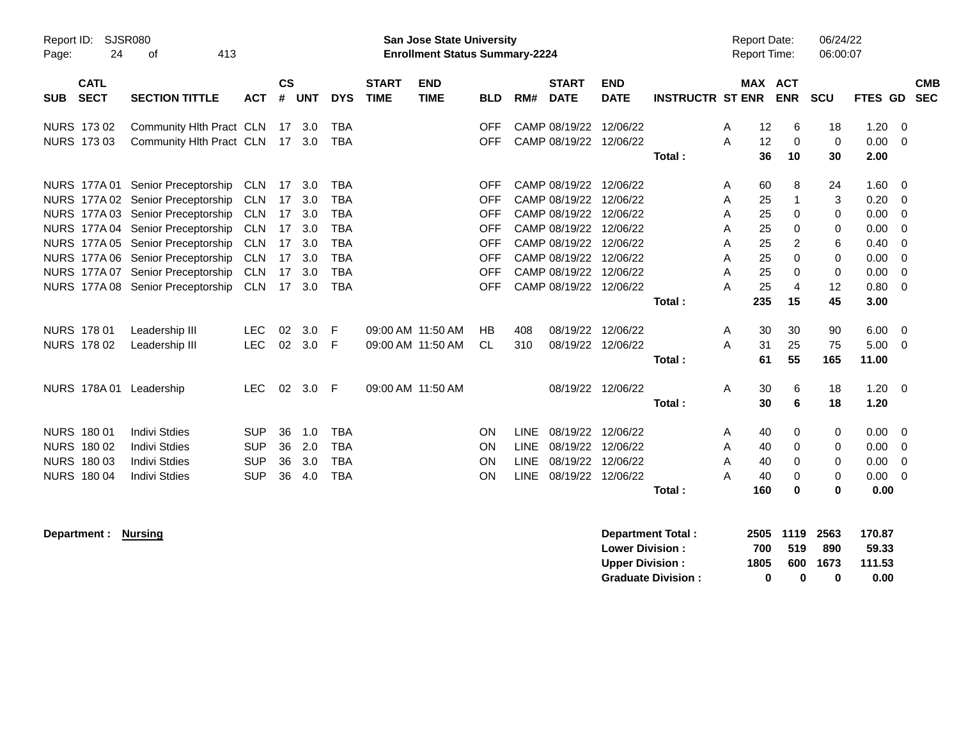| Report ID:<br>24<br>Page:                | <b>SJSR080</b><br>413<br>οf       |            |                |            |            |                             | <b>San Jose State University</b><br><b>Enrollment Status Summary-2224</b> |            |             |                             |                           |                         | <b>Report Date:</b><br><b>Report Time:</b> |         |                | 06/24/22<br>06:00:07 |             |           |                          |
|------------------------------------------|-----------------------------------|------------|----------------|------------|------------|-----------------------------|---------------------------------------------------------------------------|------------|-------------|-----------------------------|---------------------------|-------------------------|--------------------------------------------|---------|----------------|----------------------|-------------|-----------|--------------------------|
| <b>CATL</b><br><b>SECT</b><br><b>SUB</b> | <b>SECTION TITTLE</b>             | <b>ACT</b> | <b>CS</b><br># | <b>UNT</b> | <b>DYS</b> | <b>START</b><br><b>TIME</b> | <b>END</b><br><b>TIME</b>                                                 | <b>BLD</b> | RM#         | <b>START</b><br><b>DATE</b> | <b>END</b><br><b>DATE</b> | <b>INSTRUCTR ST ENR</b> |                                            | MAX ACT | <b>ENR</b>     | SCU                  | <b>FTES</b> | <b>GD</b> | <b>CMB</b><br><b>SEC</b> |
|                                          |                                   |            |                |            |            |                             |                                                                           |            |             |                             |                           |                         |                                            |         |                |                      |             |           |                          |
| NURS 173 02                              | Community HIth Pract CLN          |            |                | 17 3.0     | TBA        |                             |                                                                           | <b>OFF</b> |             | CAMP 08/19/22               | 12/06/22                  |                         | A                                          | 12      | 6              | 18                   | 1.20        | 0         |                          |
| NURS 173 03                              | Community Hlth Pract CLN          |            |                | 17 3.0     | <b>TBA</b> |                             |                                                                           | <b>OFF</b> |             | CAMP 08/19/22               | 12/06/22                  |                         | A                                          | 12      | 0              | 0                    | 0.00        | $\Omega$  |                          |
|                                          |                                   |            |                |            |            |                             |                                                                           |            |             |                             |                           | Total:                  |                                            | 36      | 10             | 30                   | 2.00        |           |                          |
|                                          |                                   |            |                |            |            |                             |                                                                           |            |             |                             |                           |                         |                                            |         |                |                      |             |           |                          |
|                                          | NURS 177A 01 Senior Preceptorship | <b>CLN</b> | 17             | 3.0        | <b>TBA</b> |                             |                                                                           | <b>OFF</b> |             | CAMP 08/19/22               | 12/06/22                  |                         | A                                          | 60      | 8              | 24                   | 1.60        | 0         |                          |
|                                          | NURS 177A 02 Senior Preceptorship | <b>CLN</b> | 17             | 3.0        | <b>TBA</b> |                             |                                                                           | <b>OFF</b> |             | CAMP 08/19/22               | 12/06/22                  |                         | A                                          | 25      | 1              | 3                    | 0.20        | $\Omega$  |                          |
|                                          | NURS 177A 03 Senior Preceptorship | <b>CLN</b> | 17             | 3.0        | <b>TBA</b> |                             |                                                                           | <b>OFF</b> |             | CAMP 08/19/22               | 12/06/22                  |                         | A                                          | 25      | $\mathbf 0$    | 0                    | 0.00        | $\Omega$  |                          |
|                                          | NURS 177A 04 Senior Preceptorship | <b>CLN</b> | 17             | 3.0        | <b>TBA</b> |                             |                                                                           | <b>OFF</b> |             | CAMP 08/19/22               | 12/06/22                  |                         | A                                          | 25      | $\Omega$       | 0                    | 0.00        | $\Omega$  |                          |
|                                          | NURS 177A 05 Senior Preceptorship | <b>CLN</b> | 17             | 3.0        | <b>TBA</b> |                             |                                                                           | <b>OFF</b> |             | CAMP 08/19/22               | 12/06/22                  |                         | A                                          | 25      | 2              | 6                    | 0.40        | 0         |                          |
|                                          | NURS 177A 06 Senior Preceptorship | <b>CLN</b> | 17             | 3.0        | <b>TBA</b> |                             |                                                                           | <b>OFF</b> |             | CAMP 08/19/22               | 12/06/22                  |                         | A                                          | 25      | $\Omega$       | $\Omega$             | 0.00        | $\Omega$  |                          |
|                                          | NURS 177A 07 Senior Preceptorship | <b>CLN</b> | 17             | 3.0        | <b>TBA</b> |                             |                                                                           | <b>OFF</b> |             | CAMP 08/19/22               | 12/06/22                  |                         | A                                          | 25      | $\mathbf 0$    | 0                    | 0.00        | $\Omega$  |                          |
|                                          | NURS 177A 08 Senior Preceptorship | <b>CLN</b> | 17             | 3.0        | <b>TBA</b> |                             |                                                                           | <b>OFF</b> |             | CAMP 08/19/22               | 12/06/22                  |                         | A                                          | 25      | $\overline{4}$ | 12                   | 0.80        | $\Omega$  |                          |
|                                          |                                   |            |                |            |            |                             |                                                                           |            |             |                             |                           | Total:                  |                                            | 235     | 15             | 45                   | 3.00        |           |                          |
| <b>NURS 17801</b>                        | Leadership III                    | <b>LEC</b> | 02             | 3.0        | E          |                             | 09:00 AM 11:50 AM                                                         | HB         | 408         | 08/19/22                    | 12/06/22                  |                         | A                                          | 30      | 30             | 90                   | 6.00        | $\Omega$  |                          |
| NURS 178 02                              | Leadership III                    | <b>LEC</b> | 02             | 3.0        | E          |                             | 09:00 AM 11:50 AM                                                         | <b>CL</b>  | 310         | 08/19/22                    | 12/06/22                  |                         | A                                          | 31      | 25             | 75                   | 5.00        | $\Omega$  |                          |
|                                          |                                   |            |                |            |            |                             |                                                                           |            |             |                             |                           | Total:                  |                                            | 61      | 55             | 165                  | 11.00       |           |                          |
|                                          |                                   |            |                |            |            |                             |                                                                           |            |             |                             |                           |                         |                                            |         |                |                      |             |           |                          |
| NURS 178A 01 Leadership                  |                                   | <b>LEC</b> | 02             | 3.0        | -F         |                             | 09:00 AM 11:50 AM                                                         |            |             | 08/19/22                    | 12/06/22                  |                         | A                                          | 30      | 6              | 18                   | 1.20        | $\Omega$  |                          |
|                                          |                                   |            |                |            |            |                             |                                                                           |            |             |                             |                           | Total:                  |                                            | 30      | 6              | 18                   | 1.20        |           |                          |
| NURS 180 01                              | <b>Indivi Stdies</b>              | <b>SUP</b> | 36             | 1.0        | <b>TBA</b> |                             |                                                                           | <b>ON</b>  | <b>LINE</b> | 08/19/22                    | 12/06/22                  |                         | A                                          | 40      | 0              | 0                    | 0.00        | 0         |                          |
| NURS 180 02                              | <b>Indivi Stdies</b>              | <b>SUP</b> | 36             | 2.0        | <b>TBA</b> |                             |                                                                           | ON         | <b>LINE</b> | 08/19/22                    | 12/06/22                  |                         | A                                          | 40      | 0              | 0                    | 0.00        | 0         |                          |
| NURS 180 03                              | <b>Indivi Stdies</b>              | <b>SUP</b> | 36             | 3.0        | <b>TBA</b> |                             |                                                                           | ON         | <b>LINE</b> | 08/19/22                    | 12/06/22                  |                         | A                                          | 40      | $\Omega$       | 0                    | 0.00        | $\Omega$  |                          |
| <b>NURS 180 04</b>                       | <b>Indivi Stdies</b>              | <b>SUP</b> | 36             | 4.0        | <b>TBA</b> |                             |                                                                           | ON         | <b>LINE</b> | 08/19/22                    | 12/06/22                  |                         | A                                          | 40      | $\Omega$       | 0                    | 0.00        | $\Omega$  |                          |
|                                          |                                   |            |                |            |            |                             |                                                                           |            |             |                             |                           | Total:                  |                                            | 160     | $\bf{0}$       | 0                    | 0.00        |           |                          |
|                                          |                                   |            |                |            |            |                             |                                                                           |            |             |                             |                           |                         |                                            |         |                |                      |             |           |                          |

**Department : Nursing Department Total : 2505 1119 2563 170.87 Lower Division : 700 519 890 59.33 Upper Division : 1805 600 1673 111.53 Graduate Division : 0 0 0 0.00**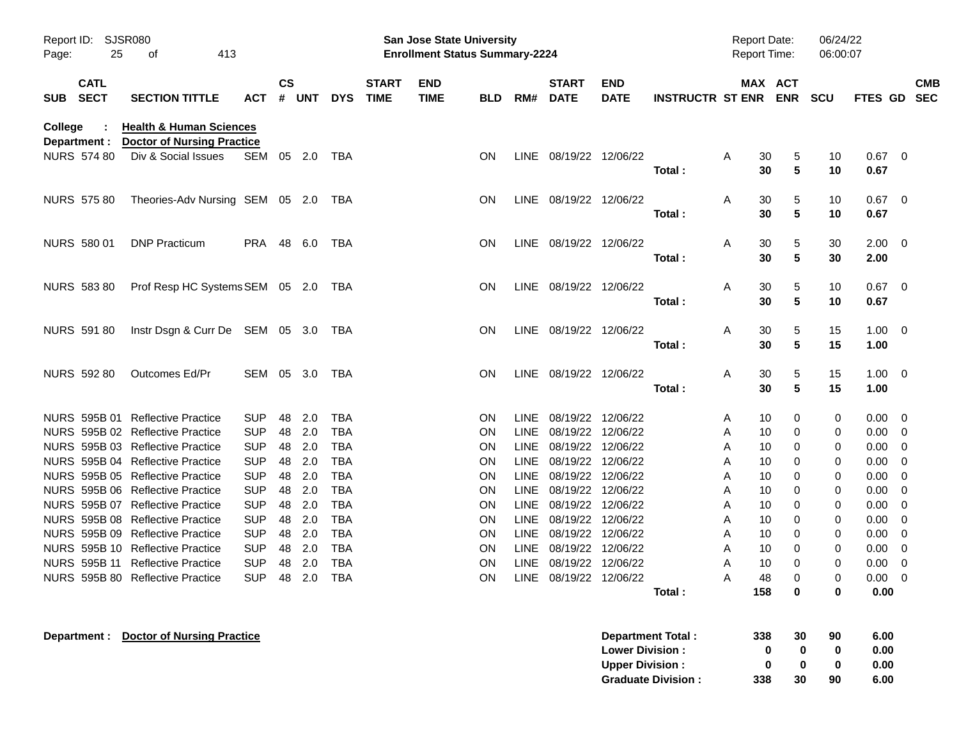| Report ID:<br>Page: | <b>SJSR080</b><br>25    |                                                                         |                          |               |            |                          | <b>San Jose State University</b><br><b>Enrollment Status Summary-2224</b> |                           |                        |              |                             |                           |                           |        | <b>Report Date:</b><br>Report Time: | 06/24/22<br>06:00:07 |          |                     |        |                          |
|---------------------|-------------------------|-------------------------------------------------------------------------|--------------------------|---------------|------------|--------------------------|---------------------------------------------------------------------------|---------------------------|------------------------|--------------|-----------------------------|---------------------------|---------------------------|--------|-------------------------------------|----------------------|----------|---------------------|--------|--------------------------|
|                     | <b>CATL</b><br>SUB SECT | <b>SECTION TITTLE</b>                                                   | <b>ACT</b>               | $\mathsf{cs}$ | # UNT      | <b>DYS</b>               | <b>START</b><br><b>TIME</b>                                               | <b>END</b><br><b>TIME</b> | <b>BLD</b>             | RM#          | <b>START</b><br><b>DATE</b> | <b>END</b><br><b>DATE</b> | <b>INSTRUCTR ST ENR</b>   |        |                                     | MAX ACT<br>ENR SCU   |          | <b>FTES GD</b>      |        | <b>CMB</b><br><b>SEC</b> |
| <b>College</b>      | Department :            | <b>Health &amp; Human Sciences</b><br><b>Doctor of Nursing Practice</b> |                          |               |            |                          |                                                                           |                           |                        |              |                             |                           |                           |        |                                     |                      |          |                     |        |                          |
|                     | <b>NURS 574 80</b>      | Div & Social Issues                                                     | SEM 05 2.0               |               |            | TBA                      |                                                                           |                           | ON                     |              | LINE 08/19/22 12/06/22      |                           | Total:                    | A      | 30<br>30                            | 5<br>5               | 10<br>10 | $0.67$ 0<br>0.67    |        |                          |
|                     | <b>NURS 575 80</b>      | Theories-Adv Nursing SEM 05 2.0                                         |                          |               |            | TBA                      |                                                                           |                           | <b>ON</b>              |              | LINE 08/19/22 12/06/22      |                           | Total:                    | Α      | 30<br>30                            | 5<br>5               | 10<br>10 | $0.67$ 0<br>0.67    |        |                          |
|                     | NURS 580 01             | <b>DNP Practicum</b>                                                    | PRA 48 6.0               |               |            | TBA                      |                                                                           |                           | ON                     |              | LINE 08/19/22 12/06/22      |                           | Total:                    | Α      | 30<br>30                            | 5<br>5               | 30<br>30 | $2.00 \t 0$<br>2.00 |        |                          |
|                     | <b>NURS 583 80</b>      | Prof Resp HC Systems SEM 05 2.0 TBA                                     |                          |               |            |                          |                                                                           |                           | ON                     |              | LINE 08/19/22 12/06/22      |                           |                           | Α      | 30                                  | 5                    | 10       | $0.67$ 0            |        |                          |
|                     | NURS 591 80             | Instr Dsgn & Curr De SEM 05 3.0 TBA                                     |                          |               |            |                          |                                                                           |                           | ON                     |              | LINE 08/19/22 12/06/22      |                           | Total:                    | Α      | 30<br>30                            | 5<br>5               | 10<br>15 | 0.67<br>$1.00 \t 0$ |        |                          |
|                     |                         | Outcomes Ed/Pr                                                          | SEM 05 3.0               |               |            | TBA                      |                                                                           |                           | ON                     |              | LINE 08/19/22 12/06/22      |                           | Total:                    |        | 30                                  | $5\phantom{.0}$      | 15       | 1.00<br>$1.00 \t 0$ |        |                          |
|                     | NURS 592 80             |                                                                         |                          |               |            |                          |                                                                           |                           |                        |              |                             |                           | Total:                    | Α      | 30<br>30                            | 5<br>$5\phantom{.0}$ | 15<br>15 | 1.00                |        |                          |
|                     |                         | NURS 595B 01 Reflective Practice                                        | <b>SUP</b>               | 48            | 2.0        | <b>TBA</b>               |                                                                           |                           | <b>ON</b>              |              | LINE 08/19/22               | 12/06/22                  |                           | A      | 10                                  | 0                    | 0        | 0.00                | - 0    |                          |
|                     |                         | NURS 595B 02 Reflective Practice                                        | <b>SUP</b>               | 48            | 2.0        | <b>TBA</b>               |                                                                           |                           | ON                     | LINE         | 08/19/22                    | 12/06/22                  |                           | A      | 10                                  | 0                    | 0        | 0.00                | - 0    |                          |
|                     |                         | NURS 595B 03 Reflective Practice                                        | <b>SUP</b>               | 48            | 2.0        | <b>TBA</b>               |                                                                           |                           | <b>ON</b>              | LINE         | 08/19/22                    | 12/06/22                  |                           | A      | 10                                  | 0                    | 0        | 0.00                | 0      |                          |
|                     |                         | NURS 595B 04 Reflective Practice                                        | <b>SUP</b>               | 48            | 2.0        | <b>TBA</b>               |                                                                           |                           | <b>ON</b>              | LINE         | 08/19/22                    | 12/06/22                  |                           | A      | 10                                  | 0                    | 0        | 0.00                | 0      |                          |
|                     |                         | NURS 595B 05 Reflective Practice                                        | <b>SUP</b>               | 48            | 2.0        | <b>TBA</b>               |                                                                           |                           | ON                     | LINE         | 08/19/22                    | 12/06/22                  |                           | A      | 10                                  | 0                    | 0        | 0.00                | 0      |                          |
|                     |                         | NURS 595B 06 Reflective Practice                                        | <b>SUP</b>               | 48            | 2.0        | <b>TBA</b>               |                                                                           |                           | ON                     | LINE         | 08/19/22                    | 12/06/22                  |                           | A      | 10                                  | 0                    | 0        | 0.00                | 0      |                          |
|                     |                         | NURS 595B 07 Reflective Practice<br>NURS 595B 08 Reflective Practice    | <b>SUP</b>               | 48            | 2.0<br>2.0 | <b>TBA</b>               |                                                                           |                           | <b>ON</b>              | LINE         | 08/19/22                    | 12/06/22<br>12/06/22      |                           | A      | 10                                  | 0                    | 0        | 0.00                | 0      |                          |
|                     |                         | NURS 595B 09 Reflective Practice                                        | <b>SUP</b><br><b>SUP</b> | 48<br>48      | 2.0        | <b>TBA</b><br><b>TBA</b> |                                                                           |                           | <b>ON</b><br><b>ON</b> | LINE<br>LINE | 08/19/22<br>08/19/22        | 12/06/22                  |                           | A<br>A | 10<br>10                            | 0<br>0               | 0<br>0   | 0.00<br>0.00        | 0<br>0 |                          |
|                     |                         | NURS 595B 10 Reflective Practice                                        | <b>SUP</b>               | 48            | 2.0        | <b>TBA</b>               |                                                                           |                           | <b>ON</b>              | <b>LINE</b>  | 08/19/22                    | 12/06/22                  |                           | A      | 10                                  | 0                    | 0        | 0.00                | 0      |                          |
|                     |                         | NURS 595B 11 Reflective Practice                                        | <b>SUP</b>               | 48            | 2.0        | <b>TBA</b>               |                                                                           |                           | <b>ON</b>              |              | LINE 08/19/22 12/06/22      |                           |                           | Α      | 10                                  | $\Omega$             | 0        | 0.00                | 0      |                          |
|                     |                         | NURS 595B 80 Reflective Practice                                        | SUP 48 2.0 TBA           |               |            |                          |                                                                           |                           | <b>ON</b>              |              | LINE 08/19/22 12/06/22      |                           |                           | A      | 48                                  | 0                    | 0        | $0.00 \quad 0$      |        |                          |
|                     |                         |                                                                         |                          |               |            |                          |                                                                           |                           |                        |              |                             |                           | Total:                    |        | 158                                 | $\mathbf 0$          | 0        | 0.00                |        |                          |
|                     | Department :            | <b>Doctor of Nursing Practice</b>                                       |                          |               |            |                          |                                                                           |                           |                        |              |                             |                           | <b>Department Total:</b>  |        | 338                                 | 30                   | 90       | 6.00                |        |                          |
|                     |                         |                                                                         |                          |               |            |                          |                                                                           |                           |                        |              |                             | <b>Lower Division:</b>    |                           |        | 0                                   | 0                    | 0        | 0.00                |        |                          |
|                     |                         |                                                                         |                          |               |            |                          |                                                                           |                           |                        |              |                             | <b>Upper Division:</b>    |                           |        | 0                                   | 0                    | 0        | 0.00                |        |                          |
|                     |                         |                                                                         |                          |               |            |                          |                                                                           |                           |                        |              |                             |                           | <b>Graduate Division:</b> |        | 338                                 | 30                   | 90       | 6.00                |        |                          |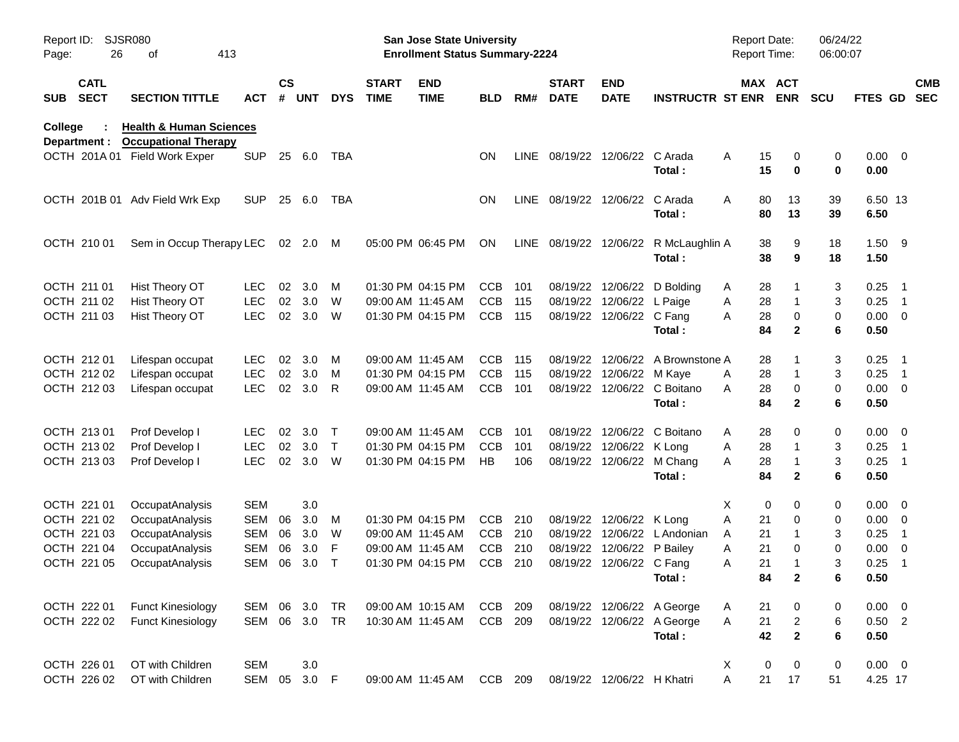| Report ID:<br>Page: | 26                         | <b>SJSR080</b><br>413<br>оf                                       |            |                    |            |              |                             | San Jose State University<br><b>Enrollment Status Summary-2224</b> |            |      |                             |                            |                                  |   | Report Date:<br><b>Report Time:</b> | 06/24/22<br>06:00:07 |                     |                          |                          |
|---------------------|----------------------------|-------------------------------------------------------------------|------------|--------------------|------------|--------------|-----------------------------|--------------------------------------------------------------------|------------|------|-----------------------------|----------------------------|----------------------------------|---|-------------------------------------|----------------------|---------------------|--------------------------|--------------------------|
| <b>SUB</b>          | <b>CATL</b><br><b>SECT</b> | <b>SECTION TITTLE</b>                                             | ACT        | $\mathsf{cs}$<br># | <b>UNT</b> | <b>DYS</b>   | <b>START</b><br><b>TIME</b> | <b>END</b><br><b>TIME</b>                                          | <b>BLD</b> | RM#  | <b>START</b><br><b>DATE</b> | <b>END</b><br><b>DATE</b>  | <b>INSTRUCTR ST ENR</b>          |   | MAX ACT<br><b>ENR</b>               | <b>SCU</b>           | <b>FTES GD</b>      |                          | <b>CMB</b><br><b>SEC</b> |
| College             | Department :               | <b>Health &amp; Human Sciences</b><br><b>Occupational Therapy</b> |            |                    |            |              |                             |                                                                    |            |      |                             |                            |                                  |   |                                     |                      |                     |                          |                          |
|                     |                            | OCTH 201A 01 Field Work Exper                                     | <b>SUP</b> |                    | 25 6.0     | TBA          |                             |                                                                    | ON         | LINE |                             | 08/19/22 12/06/22 C Arada  | Total:                           | Α | 15<br>15<br>0                       | 0<br>0<br>0          | $0.00 \t 0$<br>0.00 |                          |                          |
|                     |                            | OCTH 201B 01 Adv Field Wrk Exp                                    | <b>SUP</b> | 25                 | 6.0        | TBA          |                             |                                                                    | <b>ON</b>  |      | LINE 08/19/22 12/06/22      |                            | C Arada<br>Total:                | Α | 80<br>13<br>80<br>13                | 39<br>39             | 6.50 13<br>6.50     |                          |                          |
|                     | OCTH 210 01                | Sem in Occup Therapy LEC                                          |            |                    | 02 2.0     | M            |                             | 05:00 PM 06:45 PM                                                  | ON         | LINE | 08/19/22 12/06/22           |                            | R McLaughlin A<br>Total:         |   | 38<br>38                            | 9<br>18<br>9<br>18   | $1.50$ 9<br>1.50    |                          |                          |
|                     | OCTH 211 01                | Hist Theory OT                                                    | <b>LEC</b> | 02                 | 3.0        | М            |                             | 01:30 PM 04:15 PM                                                  | <b>CCB</b> | 101  |                             |                            | 08/19/22 12/06/22 D Bolding      | A | 28                                  | 3                    | 0.25                | - 1                      |                          |
|                     | OCTH 211 02                | Hist Theory OT                                                    | <b>LEC</b> | 02                 | 3.0        | W            |                             | 09:00 AM 11:45 AM                                                  | <b>CCB</b> | 115  |                             | 08/19/22 12/06/22 L Paige  |                                  | Α | 28<br>1                             | 3                    | 0.25                | $\overline{\phantom{1}}$ |                          |
|                     | OCTH 211 03                | Hist Theory OT                                                    | <b>LEC</b> | 02                 | 3.0        | W            |                             | 01:30 PM 04:15 PM                                                  | <b>CCB</b> | 115  |                             | 08/19/22 12/06/22 C Fang   |                                  | A | 0<br>28                             | 0                    | $0.00 \t 0$         |                          |                          |
|                     |                            |                                                                   |            |                    |            |              |                             |                                                                    |            |      |                             |                            | Total:                           |   | 84                                  | $\mathbf{2}$<br>6    | 0.50                |                          |                          |
|                     | OCTH 212 01                | Lifespan occupat                                                  | <b>LEC</b> | 02                 | 3.0        | M            |                             | 09:00 AM 11:45 AM                                                  | <b>CCB</b> | 115  |                             |                            | 08/19/22 12/06/22 A Brownstone A |   | 28                                  | 3                    | 0.25                | $\overline{\phantom{1}}$ |                          |
|                     | OCTH 212 02                | Lifespan occupat                                                  | <b>LEC</b> | 02                 | 3.0        | M            |                             | 01:30 PM 04:15 PM                                                  | <b>CCB</b> | 115  |                             | 08/19/22 12/06/22 M Kaye   |                                  | A | 28<br>1                             | 3                    | 0.25                | $\overline{\phantom{1}}$ |                          |
|                     | OCTH 212 03                | Lifespan occupat                                                  | <b>LEC</b> | 02                 | 3.0        | R            |                             | 09:00 AM 11:45 AM                                                  | <b>CCB</b> | 101  |                             |                            | 08/19/22 12/06/22 C Boitano      | A | 0<br>28                             | 0                    | $0.00 \t 0$         |                          |                          |
|                     |                            |                                                                   |            |                    |            |              |                             |                                                                    |            |      |                             |                            | Total:                           |   | 84                                  | $\mathbf{2}$<br>6    | 0.50                |                          |                          |
|                     | OCTH 213 01                | Prof Develop I                                                    | <b>LEC</b> | 02                 | 3.0        | $\top$       | 09:00 AM 11:45 AM           |                                                                    | <b>CCB</b> | 101  |                             |                            | 08/19/22 12/06/22 C Boitano      | A | 28                                  | 0<br>0               | $0.00 \t 0$         |                          |                          |
|                     | OCTH 213 02                | Prof Develop I                                                    | <b>LEC</b> | 02                 | 3.0        | $\mathsf{T}$ |                             | 01:30 PM 04:15 PM                                                  | <b>CCB</b> | 101  |                             | 08/19/22 12/06/22 K Long   |                                  | Α | 28<br>1                             | 3                    | 0.25                | $\overline{\phantom{1}}$ |                          |
|                     | OCTH 213 03                | Prof Develop I                                                    | <b>LEC</b> | 02                 | 3.0        | W            |                             | 01:30 PM 04:15 PM                                                  | HB         | 106  |                             |                            | 08/19/22 12/06/22 M Chang        | A | 28<br>1                             | 3                    | 0.25                | - 1                      |                          |
|                     |                            |                                                                   |            |                    |            |              |                             |                                                                    |            |      |                             |                            | Total:                           |   | 84                                  | $\mathbf{2}$<br>6    | 0.50                |                          |                          |
|                     | OCTH 221 01                | OccupatAnalysis                                                   | <b>SEM</b> |                    | 3.0        |              |                             |                                                                    |            |      |                             |                            |                                  | X | 0                                   | 0<br>0               | $0.00 \t 0$         |                          |                          |
|                     | OCTH 221 02                | OccupatAnalysis                                                   | <b>SEM</b> | 06                 | 3.0        | M            |                             | 01:30 PM 04:15 PM                                                  | CCB        | 210  |                             | 08/19/22 12/06/22 K Long   |                                  | Α | 21                                  | 0<br>0               | $0.00 \t 0$         |                          |                          |
|                     | OCTH 221 03                | OccupatAnalysis                                                   | <b>SEM</b> | 06                 | 3.0        | W            |                             | 09:00 AM 11:45 AM                                                  | <b>CCB</b> | 210  |                             |                            | 08/19/22 12/06/22 L Andonian     | A | 21                                  | 3                    | 0.25                | $\overline{1}$           |                          |
|                     | OCTH 221 04                | OccupatAnalysis                                                   | <b>SEM</b> | 06                 | 3.0        | F            |                             | 09:00 AM 11:45 AM                                                  | <b>CCB</b> | 210  |                             | 08/19/22 12/06/22 P Bailey |                                  | Α | 21                                  | 0<br>0               | 0.00                | $\overline{\phantom{0}}$ |                          |
|                     | OCTH 221 05                | OccupatAnalysis                                                   | <b>SEM</b> | 06                 | 3.0        | $\mathsf T$  |                             | 01:30 PM 04:15 PM                                                  | <b>CCB</b> | 210  |                             | 08/19/22 12/06/22 C Fang   |                                  | Α | 21<br>1                             | 3                    | 0.25                | $\overline{1}$           |                          |
|                     |                            |                                                                   |            |                    |            |              |                             |                                                                    |            |      |                             |                            | Total:                           |   | 84                                  | $\mathbf 2$<br>6     | 0.50                |                          |                          |
|                     | OCTH 222 01                | <b>Funct Kinesiology</b>                                          | SEM 06 3.0 |                    |            | TR           |                             | 09:00 AM 10:15 AM                                                  | CCB        | 209  |                             |                            | 08/19/22 12/06/22 A George       | A | 21                                  | 0<br>0               | $0.00 \t 0$         |                          |                          |
|                     | OCTH 222 02                | <b>Funct Kinesiology</b>                                          | SEM 06 3.0 |                    |            | TR           |                             | 10:30 AM 11:45 AM                                                  | CCB        | 209  |                             |                            | 08/19/22 12/06/22 A George       | Α | 21<br>$\overline{\mathbf{c}}$       | 6                    | $0.50$ 2            |                          |                          |
|                     |                            |                                                                   |            |                    |            |              |                             |                                                                    |            |      |                             |                            | Total:                           |   | 42                                  | $\mathbf{2}$<br>6    | 0.50                |                          |                          |
|                     | OCTH 226 01                | OT with Children                                                  | <b>SEM</b> |                    | 3.0        |              |                             |                                                                    |            |      |                             |                            |                                  | X | 0<br>0                              | 0                    | $0.00 \t 0$         |                          |                          |
|                     | OCTH 226 02                | OT with Children                                                  | SEM        | 05                 | 3.0 F      |              |                             | 09:00 AM 11:45 AM                                                  | CCB 209    |      |                             | 08/19/22 12/06/22 H Khatri |                                  | A | 21<br>17                            | 51                   | 4.25 17             |                          |                          |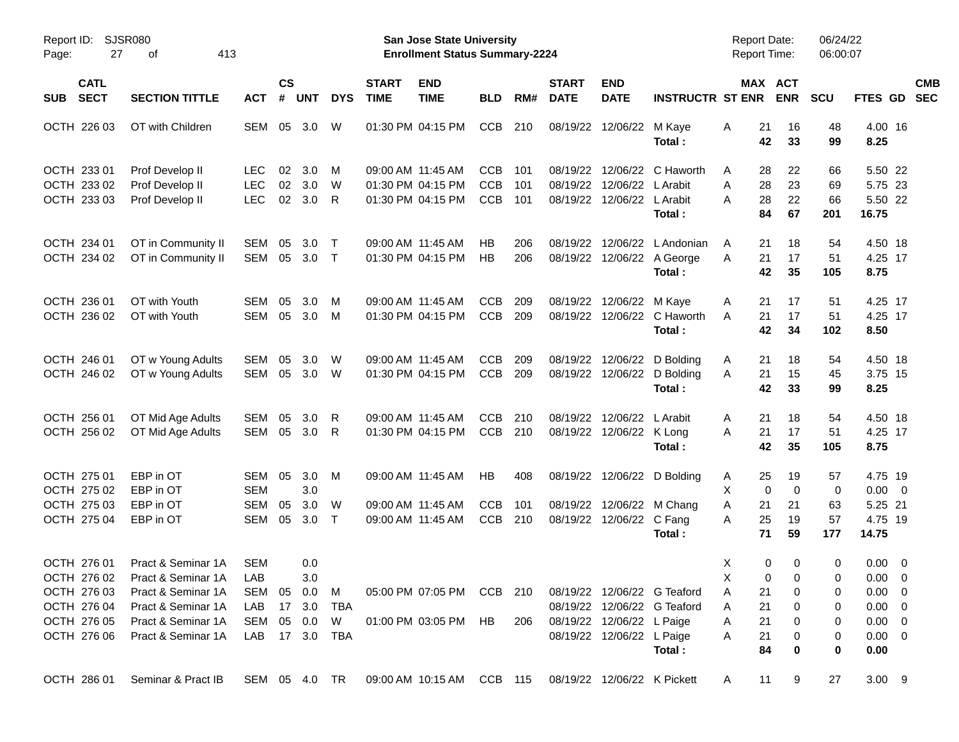| Report ID: SJSR080<br>27<br>Page:        | 413<br>οf                      |                |                       |            |            |                             | San Jose State University<br><b>Enrollment Status Summary-2224</b>          |            |     |                               |                            |                             | <b>Report Date:</b><br><b>Report Time:</b> |                            | 06/24/22<br>06:00:07 |                |                          |
|------------------------------------------|--------------------------------|----------------|-----------------------|------------|------------|-----------------------------|-----------------------------------------------------------------------------|------------|-----|-------------------------------|----------------------------|-----------------------------|--------------------------------------------|----------------------------|----------------------|----------------|--------------------------|
| <b>CATL</b><br><b>SECT</b><br><b>SUB</b> | <b>SECTION TITTLE</b>          | <b>ACT</b>     | $\mathsf{cs}$<br>$\#$ | <b>UNT</b> | <b>DYS</b> | <b>START</b><br><b>TIME</b> | <b>END</b><br><b>TIME</b>                                                   | <b>BLD</b> | RM# | <b>START</b><br><b>DATE</b>   | <b>END</b><br><b>DATE</b>  | <b>INSTRUCTR ST ENR</b>     |                                            | MAX ACT<br><b>ENR</b>      | <b>SCU</b>           | FTES GD        | <b>CMB</b><br><b>SEC</b> |
| OCTH 226 03                              | OT with Children               | SEM 05         |                       | 3.0        | W          |                             | 01:30 PM 04:15 PM                                                           | <b>CCB</b> | 210 |                               | 08/19/22 12/06/22          | M Kaye                      | 21<br>Α                                    | 16                         | 48                   | 4.00 16        |                          |
|                                          |                                |                |                       |            |            |                             |                                                                             |            |     |                               |                            | Total :                     | 42                                         | 33                         | 99                   | 8.25           |                          |
| OCTH 233 01                              | Prof Develop II                | <b>LEC</b>     | 02                    | 3.0        | M          |                             | 09:00 AM 11:45 AM                                                           | <b>CCB</b> | 101 |                               | 08/19/22 12/06/22          | C Haworth                   | A                                          | 22<br>28                   | 66                   | 5.50 22        |                          |
| OCTH 233 02                              | Prof Develop II                | <b>LEC</b>     | 02                    | 3.0        | W          |                             | 01:30 PM 04:15 PM                                                           | CCB        | 101 | 08/19/22                      | 12/06/22                   | L Arabit                    | 28<br>Α                                    | 23                         | 69                   | 5.75 23        |                          |
| OCTH 233 03                              | Prof Develop II                | <b>LEC</b>     | 02                    | 3.0        | R          |                             | 01:30 PM 04:15 PM                                                           | <b>CCB</b> | 101 |                               | 08/19/22 12/06/22 L Arabit |                             | 28<br>А                                    | 22                         | 66                   | 5.50 22        |                          |
|                                          |                                |                |                       |            |            |                             |                                                                             |            |     |                               |                            | Total:                      | 84                                         | 67                         | 201                  | 16.75          |                          |
| OCTH 234 01                              | OT in Community II             | SEM            | 05                    | 3.0        | $\top$     |                             | 09:00 AM 11:45 AM                                                           | НB         | 206 | 08/19/22                      | 12/06/22                   | L Andonian                  | 21<br>A                                    | 18                         | 54                   | 4.50 18        |                          |
| OCTH 234 02                              | OT in Community II             | SEM            | 05                    | 3.0        | $\top$     |                             | 01:30 PM 04:15 PM                                                           | HB         | 206 |                               |                            | 08/19/22 12/06/22 A George  | 21<br>A                                    | 17                         | 51                   | 4.25 17        |                          |
|                                          |                                |                |                       |            |            |                             |                                                                             |            |     |                               |                            | Total:                      | 42                                         | 35                         | 105                  | 8.75           |                          |
| OCTH 236 01                              | OT with Youth                  | SEM            | 05                    | 3.0        | м          |                             | 09:00 AM 11:45 AM                                                           | <b>CCB</b> | 209 |                               | 08/19/22 12/06/22          | M Kaye                      | Α<br>21                                    | 17                         | 51                   | 4.25 17        |                          |
| OCTH 236 02                              | OT with Youth                  | SEM 05         |                       | 3.0        | M          |                             | 01:30 PM 04:15 PM                                                           | CCB        | 209 |                               | 08/19/22 12/06/22          | C Haworth                   | 21<br>A                                    | 17                         | 51                   | 4.25 17        |                          |
|                                          |                                |                |                       |            |            |                             |                                                                             |            |     |                               |                            | Total:                      |                                            | 42<br>34                   | 102                  | 8.50           |                          |
| OCTH 246 01                              | OT w Young Adults              | SEM            | 05                    | 3.0        | W          |                             | 09:00 AM 11:45 AM                                                           | <b>CCB</b> | 209 |                               | 08/19/22 12/06/22          | D Bolding                   | 21<br>A                                    | 18                         | 54                   | 4.50 18        |                          |
| OCTH 246 02                              | OT w Young Adults              | SEM 05         |                       | 3.0        | - W        |                             | 01:30 PM 04:15 PM                                                           | <b>CCB</b> | 209 |                               | 08/19/22 12/06/22          | D Bolding                   | 21<br>A                                    | 15                         | 45                   | 3.75 15        |                          |
|                                          |                                |                |                       |            |            |                             |                                                                             |            |     |                               |                            | Total:                      | 42                                         | 33                         | 99                   | 8.25           |                          |
| OCTH 256 01                              | OT Mid Age Adults              | SEM            | 05                    | 3.0        | R          |                             | 09:00 AM 11:45 AM                                                           | <b>CCB</b> | 210 |                               | 08/19/22 12/06/22          | L Arabit                    | 21<br>A                                    | 18                         | 54                   | 4.50 18        |                          |
| OCTH 256 02                              | OT Mid Age Adults              | SEM            | 05                    | 3.0        | R          |                             | 01:30 PM 04:15 PM                                                           | <b>CCB</b> | 210 |                               | 08/19/22 12/06/22 K Long   |                             | 21<br>Α                                    | 17                         | 51                   | 4.25 17        |                          |
|                                          |                                |                |                       |            |            |                             |                                                                             |            |     |                               |                            | Total:                      | 42                                         | 35                         | 105                  | 8.75           |                          |
| OCTH 275 01                              | EBP in OT                      | SEM 05         |                       | 3.0        | M          |                             | 09:00 AM 11:45 AM                                                           | HB         | 408 |                               | 08/19/22 12/06/22          | D Bolding                   | A                                          | 25<br>19                   | 57                   | 4.75 19        |                          |
| OCTH 275 02                              | EBP in OT                      | <b>SEM</b>     |                       | 3.0        |            |                             |                                                                             |            |     |                               |                            |                             | X                                          | $\mathbf 0$<br>$\mathbf 0$ | $\mathbf 0$          | $0.00 \t 0$    |                          |
| OCTH 275 03                              | EBP in OT                      | <b>SEM</b>     | 05                    | 3.0        | W          |                             | 09:00 AM 11:45 AM                                                           | <b>CCB</b> | 101 |                               | 08/19/22 12/06/22          | M Chang                     | 21<br>Α                                    | 21                         | 63                   | 5.25 21        |                          |
| OCTH 275 04                              | EBP in OT                      | SEM            | 05                    | 3.0        | $\top$     |                             | 09:00 AM 11:45 AM                                                           | <b>CCB</b> | 210 |                               | 08/19/22 12/06/22          | C Fang                      | 25<br>A                                    | 19                         | 57                   | 4.75 19        |                          |
|                                          |                                |                |                       |            |            |                             |                                                                             |            |     |                               |                            | Total:                      | 71                                         | 59                         | 177                  | 14.75          |                          |
| OCTH 276 01                              | Pract & Seminar 1A             | <b>SEM</b>     |                       | 0.0        |            |                             |                                                                             |            |     |                               |                            |                             | Χ                                          | 0<br>0                     | 0                    | $0.00 \t 0$    |                          |
|                                          | OCTH 276 02 Pract & Seminar 1A | LAB            |                       | 3.0        |            |                             |                                                                             |            |     |                               |                            |                             | $\times$                                   | $0\qquad 0$                | $\Omega$             | $0.00 \t 0$    |                          |
|                                          | OCTH 276 03 Pract & Seminar 1A | SEM 05 0.0 M   |                       |            |            |                             | 05:00 PM 07:05 PM CCB 210 08/19/22 12/06/22 G Teaford                       |            |     |                               |                            |                             | 21<br>A                                    | 0                          | 0                    | $0.00 \quad 0$ |                          |
| OCTH 276 04                              | Pract & Seminar 1A             | LAB 17 3.0     |                       |            | TBA        |                             |                                                                             |            |     |                               |                            | 08/19/22 12/06/22 G Teaford | 21<br>A                                    | 0                          | 0                    | $0.00 \t 0$    |                          |
| OCTH 276 05                              | Pract & Seminar 1A             | SEM 05 0.0 W   |                       |            |            |                             | 01:00 PM 03:05 PM HB                                                        |            |     | 206 08/19/22 12/06/22 L Paige |                            |                             | 21<br>A                                    | 0                          | 0                    | $0.00 \t 0$    |                          |
|                                          | OCTH 276 06 Pract & Seminar 1A | LAB 17 3.0 TBA |                       |            |            |                             |                                                                             |            |     |                               | 08/19/22 12/06/22 L Paige  |                             | 21<br>Α                                    | 0                          | 0                    | $0.00 \t 0$    |                          |
|                                          |                                |                |                       |            |            |                             |                                                                             |            |     |                               |                            | Total:                      | 84                                         | 0                          | 0                    | 0.00           |                          |
|                                          | OCTH 286 01 Seminar & Pract IB |                |                       |            |            |                             | SEM 05 4.0 TR  09:00 AM  10:15 AM  CCB  115  08/19/22  12/06/22  K  Pickett |            |     |                               |                            |                             | A                                          | 11<br>9                    | 27                   | $3.00$ 9       |                          |
|                                          |                                |                |                       |            |            |                             |                                                                             |            |     |                               |                            |                             |                                            |                            |                      |                |                          |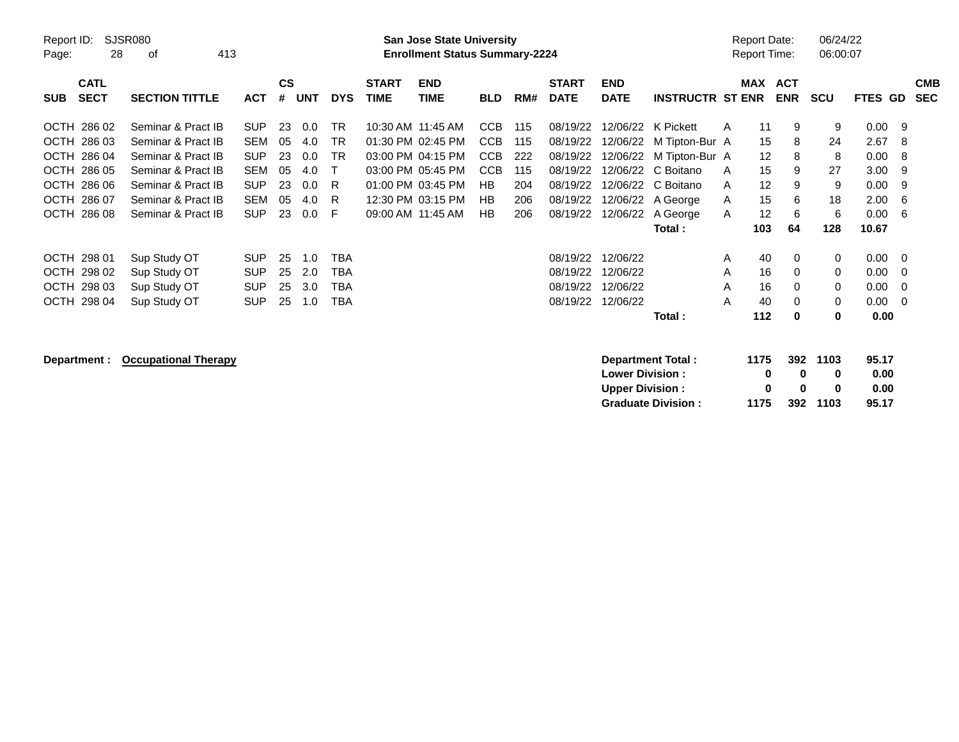| Report ID:<br>Page:                      | SJSR080<br>413<br>28<br>οf  |            |                    |            |            |                             | <b>San Jose State University</b><br><b>Enrollment Status Summary-2224</b> |            |     |                             |                           |                           |   | <b>Report Date:</b><br>Report Time: |                          | 06/24/22<br>06:00:07 |                |          |                          |
|------------------------------------------|-----------------------------|------------|--------------------|------------|------------|-----------------------------|---------------------------------------------------------------------------|------------|-----|-----------------------------|---------------------------|---------------------------|---|-------------------------------------|--------------------------|----------------------|----------------|----------|--------------------------|
| <b>CATL</b><br><b>SECT</b><br><b>SUB</b> | <b>SECTION TITTLE</b>       | <b>ACT</b> | $\mathsf{cs}$<br># | <b>UNT</b> | <b>DYS</b> | <b>START</b><br><b>TIME</b> | <b>END</b><br><b>TIME</b>                                                 | <b>BLD</b> | RM# | <b>START</b><br><b>DATE</b> | <b>END</b><br><b>DATE</b> | <b>INSTRUCTR ST ENR</b>   |   | MAX                                 | <b>ACT</b><br><b>ENR</b> | <b>SCU</b>           | <b>FTES GD</b> |          | <b>CMB</b><br><b>SEC</b> |
| OCTH 286 02                              | Seminar & Pract IB          | <b>SUP</b> | 23                 | 0.0        | <b>TR</b>  |                             | 10:30 AM 11:45 AM                                                         | <b>CCB</b> | 115 | 08/19/22                    | 12/06/22                  | K Pickett                 | A | 11                                  | 9                        | 9                    | 0.00           | - 9      |                          |
| OCTH 286 03                              | Seminar & Pract IB          | <b>SEM</b> | 05                 | 4.0        | <b>TR</b>  |                             | 01:30 PM 02:45 PM                                                         | <b>CCB</b> | 115 | 08/19/22                    | 12/06/22                  | M Tipton-Bur A            |   | 15                                  | 8                        | 24                   | 2.67           | -8       |                          |
| OCTH 286 04                              | Seminar & Pract IB          | <b>SUP</b> | 23                 | 0.0        | <b>TR</b>  |                             | 03:00 PM 04:15 PM                                                         | <b>CCB</b> | 222 | 08/19/22                    | 12/06/22                  | M Tipton-Bur A            |   | 12                                  | 8                        | 8                    | 0.00           | -8       |                          |
| OCTH 286 05                              | Seminar & Pract IB          | <b>SEM</b> | 05                 | 4.0        | т          |                             | 03:00 PM 05:45 PM                                                         | <b>CCB</b> | 115 | 08/19/22                    | 12/06/22                  | C Boitano                 | A | 15                                  | 9                        | 27                   | 3.00           | 9        |                          |
| OCTH 286 06                              | Seminar & Pract IB          | <b>SUP</b> | 23                 | 0.0        | R          |                             | 01:00 PM 03:45 PM                                                         | HB         | 204 | 08/19/22                    | 12/06/22                  | C Boitano                 | A | $12 \overline{ }$                   | 9                        | 9                    | 0.00           | -9       |                          |
| OCTH 286 07                              | Seminar & Pract IB          | <b>SEM</b> | 05                 | 4.0        | R          |                             | 12:30 PM 03:15 PM                                                         | HB         | 206 | 08/19/22                    | 12/06/22                  | A George                  | A | 15                                  | 6                        | 18                   | 2.00           | 6        |                          |
| OCTH 286 08                              | Seminar & Pract IB          | <b>SUP</b> | 23                 | 0.0        | F          |                             | 09:00 AM 11:45 AM                                                         | <b>HB</b>  | 206 | 08/19/22                    | 12/06/22                  | A George                  | A | 12                                  | 6                        | 6                    | 0.00           | -6       |                          |
|                                          |                             |            |                    |            |            |                             |                                                                           |            |     |                             |                           | Total:                    |   | 103                                 | 64                       | 128                  | 10.67          |          |                          |
| OCTH 298 01                              | Sup Study OT                | <b>SUP</b> | 25                 | 1.0        | <b>TBA</b> |                             |                                                                           |            |     | 08/19/22                    | 12/06/22                  |                           | A | 40                                  | 0                        | 0                    | 0.00           | - 0      |                          |
| OCTH 298 02                              | Sup Study OT                | <b>SUP</b> | 25                 | 2.0        | <b>TBA</b> |                             |                                                                           |            |     | 08/19/22                    | 12/06/22                  |                           | A | 16                                  | 0                        | 0                    | 0.00           | - 0      |                          |
| OCTH 298 03                              | Sup Study OT                | <b>SUP</b> | 25                 | 3.0        | <b>TBA</b> |                             |                                                                           |            |     | 08/19/22                    | 12/06/22                  |                           | A | 16                                  | 0                        | 0                    | 0.00           | - 0      |                          |
| OCTH 298 04                              | Sup Study OT                | <b>SUP</b> | 25                 | 1.0        | TBA        |                             |                                                                           |            |     | 08/19/22                    | 12/06/22                  |                           | Α | 40                                  | 0                        | 0                    | 0.00           | $\Omega$ |                          |
|                                          |                             |            |                    |            |            |                             |                                                                           |            |     |                             |                           | Total:                    |   | 112                                 | $\bf{0}$                 | 0                    | 0.00           |          |                          |
| Department :                             | <b>Occupational Therapy</b> |            |                    |            |            |                             |                                                                           |            |     |                             |                           | <b>Department Total:</b>  |   | 1175                                | 392                      | 1103                 | 95.17          |          |                          |
|                                          |                             |            |                    |            |            |                             |                                                                           |            |     |                             | <b>Lower Division:</b>    |                           |   | 0                                   | $\bf{0}$                 | 0                    | 0.00           |          |                          |
|                                          |                             |            |                    |            |            |                             |                                                                           |            |     |                             | <b>Upper Division:</b>    |                           |   | 0                                   | 0                        | 0                    | 0.00           |          |                          |
|                                          |                             |            |                    |            |            |                             |                                                                           |            |     |                             |                           | <b>Graduate Division:</b> |   | 1175                                | 392                      | 1103                 | 95.17          |          |                          |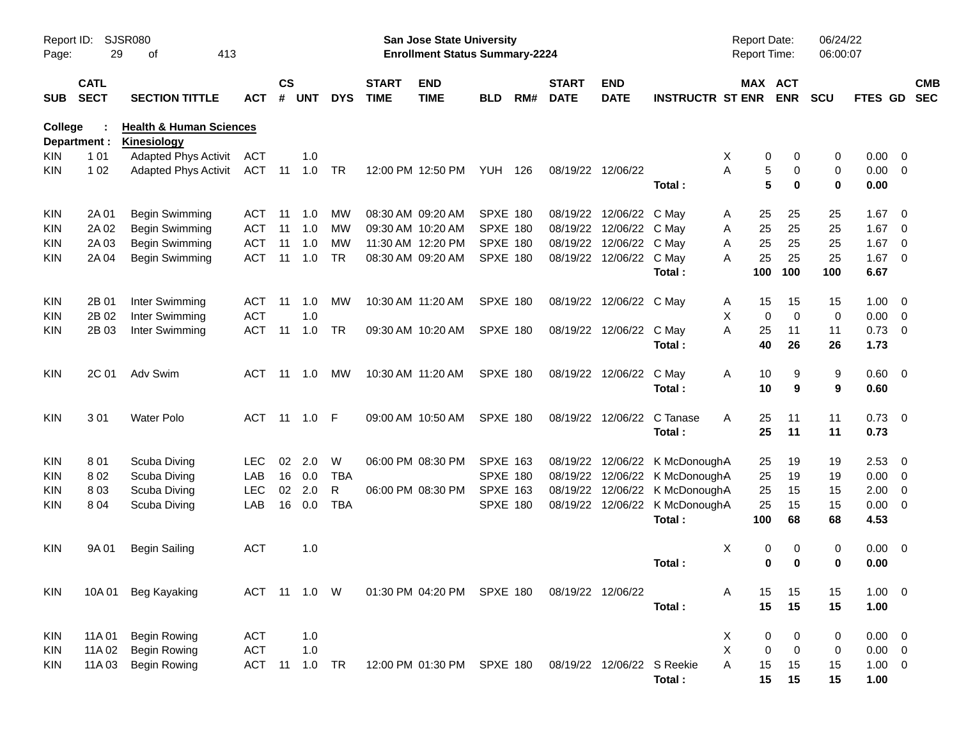| Report ID:<br>Page: | 29                         | SJSR080<br>413<br>оf                              |              |                |                |            |                             | San Jose State University<br><b>Enrollment Status Summary-2224</b> |                 |     |                             |                            |                                | <b>Report Date:</b><br><b>Report Time:</b> |             | 06/24/22<br>06:00:07 |                |                          |
|---------------------|----------------------------|---------------------------------------------------|--------------|----------------|----------------|------------|-----------------------------|--------------------------------------------------------------------|-----------------|-----|-----------------------------|----------------------------|--------------------------------|--------------------------------------------|-------------|----------------------|----------------|--------------------------|
| <b>SUB</b>          | <b>CATL</b><br><b>SECT</b> | <b>SECTION TITTLE</b>                             | <b>ACT</b>   | <b>CS</b><br># | <b>UNT</b>     | <b>DYS</b> | <b>START</b><br><b>TIME</b> | <b>END</b><br><b>TIME</b>                                          | <b>BLD</b>      | RM# | <b>START</b><br><b>DATE</b> | <b>END</b><br><b>DATE</b>  | <b>INSTRUCTR ST ENR</b>        | MAX ACT                                    | <b>ENR</b>  | SCU                  | FTES GD SEC    | <b>CMB</b>               |
| <b>College</b>      |                            | <b>Health &amp; Human Sciences</b>                |              |                |                |            |                             |                                                                    |                 |     |                             |                            |                                |                                            |             |                      |                |                          |
| KIN.                | Department :<br>1 0 1      | <b>Kinesiology</b><br><b>Adapted Phys Activit</b> | <b>ACT</b>   |                | 1.0            |            |                             |                                                                    |                 |     |                             |                            |                                | X<br>0                                     | 0           | 0                    | 0.00           | $\overline{0}$           |
| KIN.                | 1 0 2                      | <b>Adapted Phys Activit</b>                       | <b>ACT</b>   | 11             | 1.0            | TR         |                             | 12:00 PM 12:50 PM                                                  | YUH             | 126 | 08/19/22 12/06/22           |                            |                                | 5<br>A                                     | 0           | 0                    | 0.00           | $\overline{0}$           |
|                     |                            |                                                   |              |                |                |            |                             |                                                                    |                 |     |                             |                            | Total:                         | 5                                          | 0           | $\mathbf 0$          | 0.00           |                          |
| KIN.                | 2A 01                      | Begin Swimming                                    | ACT          | -11            | 1.0            | MW         |                             | 08:30 AM 09:20 AM                                                  | SPXE 180        |     |                             | 08/19/22 12/06/22 C May    |                                | 25<br>A                                    | 25          | 25                   | 1.67           | $\overline{0}$           |
| <b>KIN</b>          | 2A 02                      | <b>Begin Swimming</b>                             | <b>ACT</b>   | 11             | 1.0            | <b>MW</b>  |                             | 09:30 AM 10:20 AM                                                  | <b>SPXE 180</b> |     |                             | 08/19/22 12/06/22          | C May                          | 25<br>Α                                    | 25          | 25                   | 1.67           | $\overline{0}$           |
| <b>KIN</b>          | 2A 03                      | Begin Swimming                                    | <b>ACT</b>   | 11             | 1.0            | <b>MW</b>  |                             | 11:30 AM 12:20 PM                                                  | SPXE 180        |     |                             | 08/19/22 12/06/22          | C May                          | 25<br>A                                    | 25          | 25                   | 1.67           | $\overline{\mathbf{0}}$  |
| <b>KIN</b>          | 2A 04                      | Begin Swimming                                    | <b>ACT</b>   | -11            | 1.0            | <b>TR</b>  |                             | 08:30 AM 09:20 AM                                                  | SPXE 180        |     |                             | 08/19/22 12/06/22 C May    |                                | 25<br>A                                    | 25          | 25                   | 1.67           | $\overline{0}$           |
|                     |                            |                                                   |              |                |                |            |                             |                                                                    |                 |     |                             |                            | Total:                         | 100                                        | 100         | 100                  | 6.67           |                          |
| <b>KIN</b>          | 2B 01                      | Inter Swimming                                    | ACT          | 11             | 1.0            | MW         |                             | 10:30 AM 11:20 AM                                                  | SPXE 180        |     |                             | 08/19/22 12/06/22 C May    |                                | 15<br>A                                    | 15          | 15                   | 1.00           | $\overline{0}$           |
| <b>KIN</b>          | 2B 02                      | Inter Swimming                                    | <b>ACT</b>   |                | 1.0            |            |                             |                                                                    |                 |     |                             |                            |                                | X<br>0                                     | $\mathbf 0$ | $\mathbf 0$          | 0.00           | $\overline{\mathbf{0}}$  |
| KIN                 | 2B 03                      | Inter Swimming                                    | <b>ACT</b>   | 11             | 1.0            | <b>TR</b>  |                             | 09:30 AM 10:20 AM                                                  | <b>SPXE 180</b> |     |                             | 08/19/22 12/06/22          | C May                          | A<br>25                                    | 11          | 11                   | 0.73           | $\overline{\mathbf{0}}$  |
|                     |                            |                                                   |              |                |                |            |                             |                                                                    |                 |     |                             |                            | Total:                         | 40                                         | 26          | 26                   | 1.73           |                          |
| <b>KIN</b>          | 2C 01                      | Adv Swim                                          | ACT          | -11            | 1.0            | MW         |                             | 10:30 AM 11:20 AM                                                  | <b>SPXE 180</b> |     |                             | 08/19/22 12/06/22          | C May                          | 10<br>Α                                    | 9           | 9                    | $0.60 \quad 0$ |                          |
|                     |                            |                                                   |              |                |                |            |                             |                                                                    |                 |     |                             |                            | Total:                         | 10                                         | 9           | 9                    | 0.60           |                          |
| <b>KIN</b>          | 301                        | <b>Water Polo</b>                                 | <b>ACT</b>   | $-11$          | $1.0$ F        |            |                             | 09:00 AM 10:50 AM                                                  | <b>SPXE 180</b> |     |                             | 08/19/22 12/06/22          | C Tanase                       | A<br>25                                    | 11          | 11                   | 0.73           | $\overline{\phantom{0}}$ |
|                     |                            |                                                   |              |                |                |            |                             |                                                                    |                 |     |                             |                            | Total:                         | 25                                         | 11          | 11                   | 0.73           |                          |
| <b>KIN</b>          | 801                        | Scuba Diving                                      | <b>LEC</b>   | 02             | 2.0            | W          |                             | 06:00 PM 08:30 PM                                                  | <b>SPXE 163</b> |     |                             |                            | 08/19/22 12/06/22 K McDonoughA | 25                                         | 19          | 19                   | 2.53           | $\overline{0}$           |
| <b>KIN</b>          | 802                        | Scuba Diving                                      | LAB          | 16             | 0.0            | <b>TBA</b> |                             |                                                                    | <b>SPXE 180</b> |     |                             |                            | 08/19/22 12/06/22 K McDonoughA | 25                                         | 19          | 19                   | 0.00           | $\overline{\mathbf{0}}$  |
| <b>KIN</b>          | 803                        | Scuba Diving                                      | <b>LEC</b>   | 02             | 2.0            | R          |                             | 06:00 PM 08:30 PM                                                  | <b>SPXE 163</b> |     |                             |                            | 08/19/22 12/06/22 K McDonoughA | 25                                         | 15          | 15                   | 2.00           | $\overline{\mathbf{0}}$  |
| <b>KIN</b>          | 8 0 4                      | Scuba Diving                                      | LAB          | 16             | 0.0            | <b>TBA</b> |                             |                                                                    | <b>SPXE 180</b> |     |                             |                            | 08/19/22 12/06/22 K McDonoughA | 25                                         | 15          | 15                   | 0.00           | $\overline{\mathbf{0}}$  |
|                     |                            |                                                   |              |                |                |            |                             |                                                                    |                 |     |                             |                            | Total:                         | 100                                        | 68          | 68                   | 4.53           |                          |
| <b>KIN</b>          | 9A 01                      | <b>Begin Sailing</b>                              | <b>ACT</b>   |                | 1.0            |            |                             |                                                                    |                 |     |                             |                            |                                | X<br>0                                     | 0           | 0                    | 0.00           | $\overline{\mathbf{0}}$  |
|                     |                            |                                                   |              |                |                |            |                             |                                                                    |                 |     |                             |                            | Total:                         | 0                                          | $\bf{0}$    | $\bf{0}$             | 0.00           |                          |
| <b>KIN</b>          | 10A 01                     | Beg Kayaking                                      | ACT 11 1.0 W |                |                |            |                             | 01:30 PM 04:20 PM SPXE 180                                         |                 |     | 08/19/22 12/06/22           |                            |                                | 15<br>A                                    | 15          | 15                   | $1.00 \t 0$    |                          |
|                     |                            |                                                   |              |                |                |            |                             |                                                                    |                 |     |                             |                            | Total:                         | 15                                         | 15          | 15                   | 1.00           |                          |
| <b>KIN</b>          | 11A 01                     | <b>Begin Rowing</b>                               | <b>ACT</b>   |                | 1.0            |            |                             |                                                                    |                 |     |                             |                            |                                | X<br>0                                     | 0           | 0                    | $0.00 \t 0$    |                          |
| KIN                 | 11A 02                     | <b>Begin Rowing</b>                               | ACT          |                | 1.0            |            |                             |                                                                    |                 |     |                             |                            |                                | X<br>$\pmb{0}$                             | $\pmb{0}$   | 0                    | $0.00 \t 0$    |                          |
| KIN                 | 11A03                      | <b>Begin Rowing</b>                               | <b>ACT</b>   |                | $11 \quad 1.0$ | TR         |                             | 12:00 PM 01:30 PM SPXE 180                                         |                 |     |                             | 08/19/22 12/06/22 S Reekie |                                | A<br>15                                    | 15          | 15                   | $1.00 \t 0$    |                          |
|                     |                            |                                                   |              |                |                |            |                             |                                                                    |                 |     |                             |                            | Total:                         | 15                                         | 15          | 15                   | 1.00           |                          |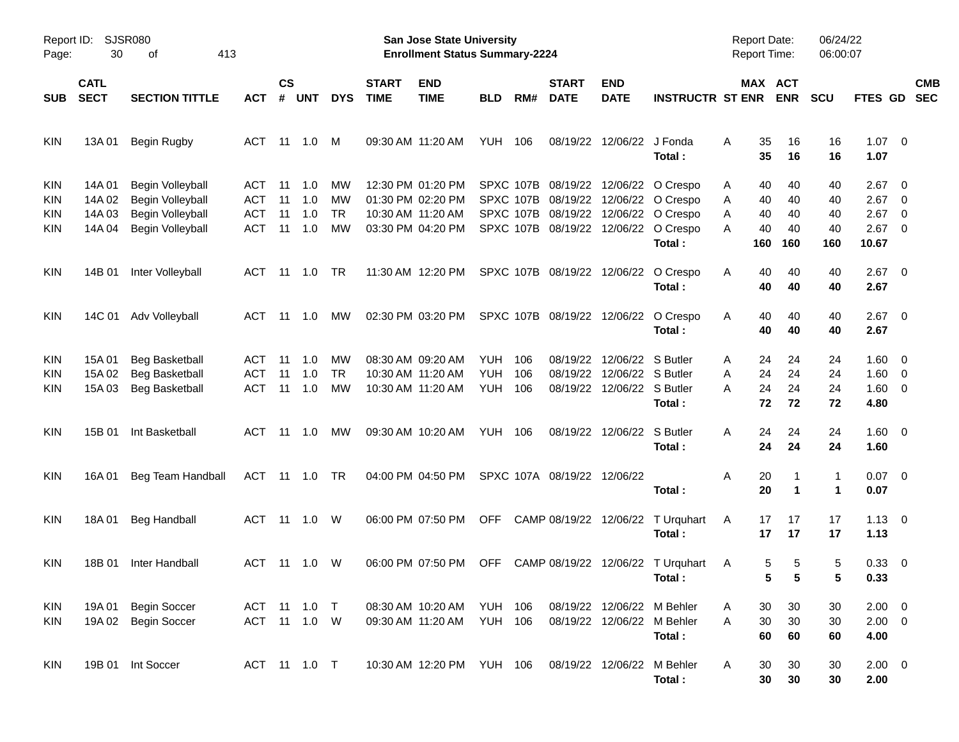| Page:                    | Report ID:<br>SJSR080<br>30<br>413<br>οf |                                                                                     |                                               |                      |                          |                             |                             | San Jose State University<br><b>Enrollment Status Summary-2224</b>               |                                        |                   |                                          |                                                                      |                                                                                                              | <b>Report Date:</b><br><b>Report Time:</b> |                       | 06/24/22<br>06:00:07 |                                                   |                                                                                                            |                          |
|--------------------------|------------------------------------------|-------------------------------------------------------------------------------------|-----------------------------------------------|----------------------|--------------------------|-----------------------------|-----------------------------|----------------------------------------------------------------------------------|----------------------------------------|-------------------|------------------------------------------|----------------------------------------------------------------------|--------------------------------------------------------------------------------------------------------------|--------------------------------------------|-----------------------|----------------------|---------------------------------------------------|------------------------------------------------------------------------------------------------------------|--------------------------|
| <b>SUB</b>               | <b>CATL</b><br><b>SECT</b>               | <b>SECTION TITTLE</b>                                                               | <b>ACT</b>                                    | $\mathsf{cs}$<br>#   | <b>UNT</b>               | <b>DYS</b>                  | <b>START</b><br><b>TIME</b> | <b>END</b><br><b>TIME</b>                                                        | <b>BLD</b>                             | RM#               | <b>START</b><br><b>DATE</b>              | <b>END</b><br><b>DATE</b>                                            | <b>INSTRUCTR ST ENR</b>                                                                                      |                                            | MAX ACT<br><b>ENR</b> | <b>SCU</b>           | FTES GD                                           |                                                                                                            | <b>CMB</b><br><b>SEC</b> |
| <b>KIN</b>               | 13A 01                                   | <b>Begin Rugby</b>                                                                  | ACT                                           | 11                   | 1.0                      | M                           |                             | 09:30 AM 11:20 AM                                                                | YUH.                                   | 106               | 08/19/22                                 | 12/06/22 J Fonda                                                     | Total:                                                                                                       | Α<br>35<br>35                              | 16<br>16              | 16<br>16             | $1.07 \t 0$<br>1.07                               |                                                                                                            |                          |
| KIN<br>KIN<br>KIN<br>KIN | 14A 01<br>14A 02<br>14A 03<br>14A 04     | Begin Volleyball<br>Begin Volleyball<br>Begin Volleyball<br><b>Begin Volleyball</b> | ACT<br><b>ACT</b><br><b>ACT</b><br><b>ACT</b> | 11<br>11<br>11<br>11 | 1.0<br>1.0<br>1.0<br>1.0 | мw<br>МW<br><b>TR</b><br>МW |                             | 12:30 PM 01:20 PM<br>01:30 PM 02:20 PM<br>10:30 AM 11:20 AM<br>03:30 PM 04:20 PM |                                        | SPXC 107B         | SPXC 107B 08/19/22<br>SPXC 107B 08/19/22 |                                                                      | 12/06/22 O Crespo<br>08/19/22 12/06/22 O Crespo<br>SPXC 107B 08/19/22 12/06/22 O Crespo<br>12/06/22 O Crespo | 40<br>Α<br>40<br>Α<br>40<br>Α<br>40<br>Α   | 40<br>40<br>40<br>40  | 40<br>40<br>40<br>40 | 2.67<br>2.67<br>2.67<br>2.67                      | $\overline{\phantom{0}}$<br>$\overline{\phantom{0}}$<br>$\overline{\mathbf{0}}$<br>$\overline{\mathbf{0}}$ |                          |
| <b>KIN</b>               | 14B 01                                   | Inter Volleyball                                                                    | ACT                                           | -11                  | 1.0                      | TR.                         |                             | 11:30 AM 12:20 PM                                                                |                                        |                   | SPXC 107B 08/19/22                       |                                                                      | Total:<br>12/06/22 O Crespo<br>Total:                                                                        | 160<br>40<br>A<br>40                       | 160<br>40<br>40       | 160<br>40<br>40      | 10.67<br>$2.67$ 0<br>2.67                         |                                                                                                            |                          |
| <b>KIN</b>               |                                          | 14C 01 Adv Volleyball                                                               | ACT                                           | 11                   | $-1.0$                   | МW                          |                             | 02:30 PM 03:20 PM                                                                |                                        |                   |                                          |                                                                      | SPXC 107B 08/19/22 12/06/22 O Crespo<br>Total:                                                               | 40<br>A<br>40                              | 40<br>40              | 40<br>40             | $2.67$ 0<br>2.67                                  |                                                                                                            |                          |
| <b>KIN</b><br>KIN<br>KIN | 15A 01<br>15A 02<br>15A 03               | <b>Beg Basketball</b><br><b>Beg Basketball</b><br><b>Beg Basketball</b>             | <b>ACT</b><br><b>ACT</b><br><b>ACT</b>        | 11<br>11<br>11       | 1.0<br>1.0<br>1.0        | МW<br><b>TR</b><br>МW       |                             | 08:30 AM 09:20 AM<br>10:30 AM 11:20 AM<br>10:30 AM 11:20 AM                      | <b>YUH</b><br><b>YUH</b><br><b>YUH</b> | 106<br>106<br>106 | 08/19/22<br>08/19/22                     | 12/06/22 S Butler<br>12/06/22 S Butler<br>08/19/22 12/06/22 S Butler | Total:                                                                                                       | 24<br>Α<br>24<br>Α<br>24<br>Α<br>72        | 24<br>24<br>24<br>72  | 24<br>24<br>24<br>72 | $1.60 \t 0$<br>$1.60 \t 0$<br>$1.60 \t 0$<br>4.80 |                                                                                                            |                          |
| <b>KIN</b>               | 15B 01                                   | Int Basketball                                                                      | ACT                                           | 11                   | 1.0                      | МW                          |                             | 09:30 AM 10:20 AM                                                                | <b>YUH 106</b>                         |                   |                                          | 08/19/22 12/06/22 S Butler                                           | Total:                                                                                                       | 24<br>A<br>24                              | 24<br>24              | 24<br>24             | $1.60 \t 0$<br>1.60                               |                                                                                                            |                          |
| <b>KIN</b>               | 16A 01                                   | Beg Team Handball                                                                   | ACT                                           |                      | 11 1.0                   | TR                          |                             | 04:00 PM 04:50 PM                                                                |                                        |                   | SPXC 107A 08/19/22 12/06/22              |                                                                      | Total:                                                                                                       | Α<br>20<br>20                              | 1                     | 1<br>1               | $0.07$ 0<br>0.07                                  |                                                                                                            |                          |
| <b>KIN</b>               | 18A 01                                   | <b>Beg Handball</b>                                                                 | ACT                                           |                      | $11 \quad 1.0$           | W                           |                             | 06:00 PM 07:50 PM                                                                | <b>OFF</b>                             |                   |                                          |                                                                      | CAMP 08/19/22 12/06/22 T Urquhart<br>Total:                                                                  | 17<br>A<br>17                              | 17<br>17              | 17<br>17             | $1.13 \ 0$<br>1.13                                |                                                                                                            |                          |
| <b>KIN</b>               | 18B 01                                   | Inter Handball                                                                      | ACT 11 1.0                                    |                      |                          | W                           |                             | 06:00 PM 07:50 PM                                                                | <b>OFF</b>                             |                   |                                          |                                                                      | CAMP 08/19/22 12/06/22 T Urquhart<br>Total:                                                                  | A                                          | 5<br>5<br>5<br>5      | 5                    | 0.33 0<br>0.33                                    |                                                                                                            |                          |
| KIN<br>KIN               | 19A 01                                   | <b>Begin Soccer</b><br>19A 02 Begin Soccer                                          | ACT 11 1.0 T                                  |                      | ACT 11 1.0 W             |                             |                             | 08:30 AM 10:20 AM<br>09:30 AM 11:20 AM                                           | YUH 106<br><b>YUH 106</b>              |                   |                                          |                                                                      | 08/19/22 12/06/22 M Behler<br>08/19/22 12/06/22 M Behler<br>Total:                                           | 30<br>A<br>30<br>A<br>60                   | 30<br>30<br>60        | 30<br>30<br>60       | $2.00 \t 0$<br>$2.00 \t 0$<br>4.00                |                                                                                                            |                          |
| KIN                      |                                          | 19B 01 Int Soccer                                                                   | ACT 11 1.0 T                                  |                      |                          |                             |                             | 10:30 AM 12:20 PM YUH 106                                                        |                                        |                   |                                          |                                                                      | 08/19/22 12/06/22 M Behler<br>Total:                                                                         | 30<br>A<br>30                              | 30<br>30              | 30<br>30             | $2.00 \t 0$<br>2.00                               |                                                                                                            |                          |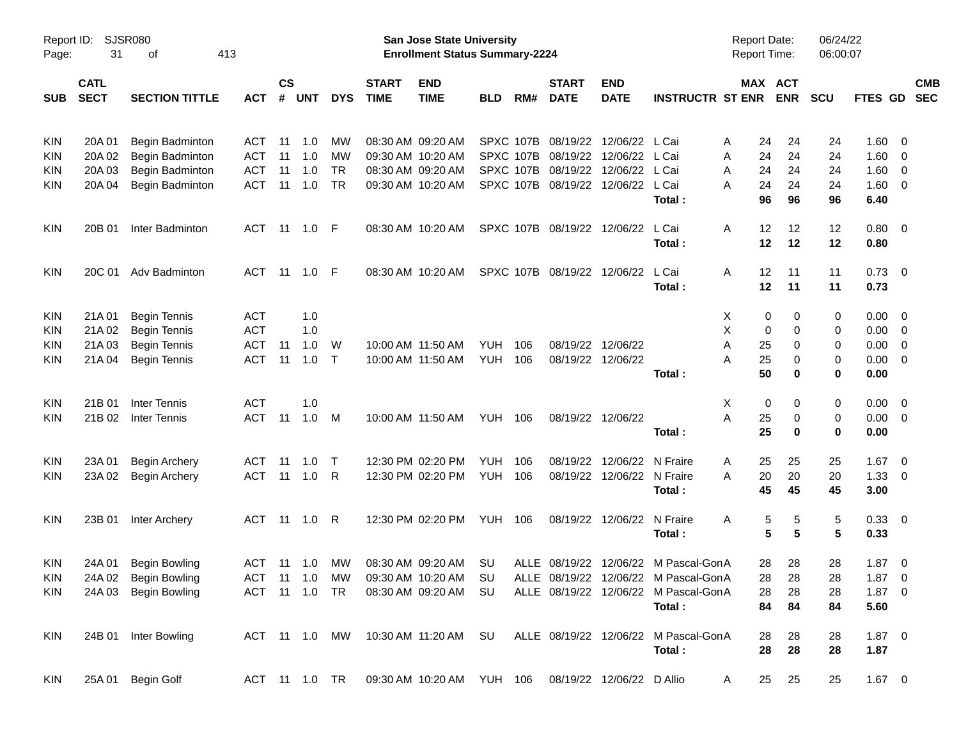| Page:      | Report ID:<br>SJSR080<br>31<br>413<br>οf |                                            |                          |                    |            |              |                             | San Jose State University<br><b>Enrollment Status Summary-2224</b> |                   |            |                             |                               |                                      | <b>Report Date:</b><br><b>Report Time:</b> |                       | 06/24/22<br>06:00:07 |                    |                          |
|------------|------------------------------------------|--------------------------------------------|--------------------------|--------------------|------------|--------------|-----------------------------|--------------------------------------------------------------------|-------------------|------------|-----------------------------|-------------------------------|--------------------------------------|--------------------------------------------|-----------------------|----------------------|--------------------|--------------------------|
| <b>SUB</b> | <b>CATL</b><br><b>SECT</b>               | <b>SECTION TITTLE</b>                      | <b>ACT</b>               | $\mathsf{cs}$<br># | <b>UNT</b> | <b>DYS</b>   | <b>START</b><br><b>TIME</b> | <b>END</b><br><b>TIME</b>                                          | <b>BLD</b>        | RM#        | <b>START</b><br><b>DATE</b> | <b>END</b><br><b>DATE</b>     | <b>INSTRUCTR ST ENR</b>              |                                            | MAX ACT<br><b>ENR</b> | <b>SCU</b>           | FTES GD            | <b>CMB</b><br><b>SEC</b> |
| <b>KIN</b> | 20A 01                                   | Begin Badminton                            | <b>ACT</b>               | 11                 | 1.0        | МW           |                             | 08:30 AM 09:20 AM                                                  |                   |            | SPXC 107B 08/19/22          | 12/06/22                      | L Cai                                | A                                          | 24<br>24              | 24                   | 1.60               | - 0                      |
| <b>KIN</b> | 20A 02                                   | Begin Badminton                            | <b>ACT</b>               | 11                 | 1.0        | МW           |                             | 09:30 AM 10:20 AM                                                  |                   |            | SPXC 107B 08/19/22          | 12/06/22                      | L Cai                                | A                                          | 24<br>24              | 24                   | 1.60               | - 0                      |
| <b>KIN</b> | 20A 03                                   | Begin Badminton                            | <b>ACT</b>               | 11                 | 1.0        | <b>TR</b>    |                             | 08:30 AM 09:20 AM                                                  |                   |            | SPXC 107B 08/19/22          | 12/06/22                      | L Cai                                | A                                          | 24<br>24              | 24                   | 1.60               | 0                        |
| <b>KIN</b> | 20A 04                                   | Begin Badminton                            | <b>ACT</b>               | 11                 | 1.0        | <b>TR</b>    |                             | 09:30 AM 10:20 AM                                                  |                   |            | SPXC 107B 08/19/22          | 12/06/22                      | L Cai<br>Total:                      | A                                          | 24<br>24<br>96<br>96  | 24<br>96             | 1.60<br>6.40       | $\overline{\mathbf{0}}$  |
| <b>KIN</b> | 20B 01                                   | Inter Badminton                            | ACT                      |                    |            |              |                             | 08:30 AM 10:20 AM                                                  |                   |            | SPXC 107B 08/19/22 12/06/22 |                               | L Cai<br>Total:                      | A                                          | 12<br>12<br>12<br>12  | 12<br>12             | $0.80 \ 0$<br>0.80 |                          |
| <b>KIN</b> | 20C 01                                   | Adv Badminton                              | <b>ACT</b>               |                    |            |              |                             | 08:30 AM 10:20 AM                                                  |                   |            | SPXC 107B 08/19/22 12/06/22 |                               | L Cai                                | A                                          | 11<br>12              | 11                   | $0.73 \quad 0$     |                          |
|            |                                          |                                            |                          |                    |            |              |                             |                                                                    |                   |            |                             |                               | Total:                               |                                            | 12<br>11              | 11                   | 0.73               |                          |
| <b>KIN</b> | 21A 01                                   | <b>Begin Tennis</b>                        | <b>ACT</b>               |                    | 1.0        |              |                             |                                                                    |                   |            |                             |                               |                                      | X.                                         | 0<br>0                | 0                    | 0.00               | - 0                      |
| <b>KIN</b> | 21A 02                                   | <b>Begin Tennis</b>                        | <b>ACT</b>               |                    | 1.0        |              |                             |                                                                    |                   |            |                             |                               |                                      | Χ                                          | 0<br>0                | 0                    | 0.00               | - 0                      |
| <b>KIN</b> | 21A03                                    | <b>Begin Tennis</b><br><b>Begin Tennis</b> | <b>ACT</b><br><b>ACT</b> | 11<br>11           | 1.0<br>1.0 | W<br>$\top$  |                             | 10:00 AM 11:50 AM<br>10:00 AM 11:50 AM                             | YUH<br><b>YUH</b> | 106<br>106 | 08/19/22                    | 12/06/22<br>08/19/22 12/06/22 |                                      | Α<br>A                                     | 25<br>0<br>25<br>0    | 0                    | 0.00<br>0.00       | - 0<br>- 0               |
| <b>KIN</b> | 21A 04                                   |                                            |                          |                    |            |              |                             |                                                                    |                   |            |                             |                               | Total:                               |                                            | 50<br>$\bf{0}$        | 0<br>0               | 0.00               |                          |
| <b>KIN</b> | 21B 01                                   | <b>Inter Tennis</b>                        | <b>ACT</b>               |                    | 1.0        |              |                             |                                                                    |                   |            |                             |                               |                                      | X                                          | 0<br>0                | 0                    | 0.00               | $\overline{\mathbf{0}}$  |
| <b>KIN</b> | 21B 02                                   | <b>Inter Tennis</b>                        | <b>ACT</b>               | 11                 | 1.0        | M            |                             | 10:00 AM 11:50 AM                                                  | <b>YUH 106</b>    |            |                             | 08/19/22 12/06/22             |                                      | A                                          | 25<br>0               | 0                    | 0.00               | - 0                      |
|            |                                          |                                            |                          |                    |            |              |                             |                                                                    |                   |            |                             |                               | Total:                               |                                            | 25<br>$\bf{0}$        | 0                    | 0.00               |                          |
| <b>KIN</b> | 23A 01                                   | <b>Begin Archery</b>                       | <b>ACT</b>               | -11                | 1.0        | $\mathsf{T}$ |                             | 12:30 PM 02:20 PM                                                  | <b>YUH</b>        | 106        | 08/19/22                    | 12/06/22                      | N Fraire                             | A                                          | 25<br>25              | 25                   | 1.67               | $\overline{\mathbf{0}}$  |
| <b>KIN</b> | 23A 02                                   | <b>Begin Archery</b>                       | <b>ACT</b>               | 11                 | 1.0        | R            |                             | 12:30 PM 02:20 PM                                                  | <b>YUH 106</b>    |            | 08/19/22                    | 12/06/22                      | N Fraire                             | A                                          | 20<br>20              | 20                   | 1.33               | $\overline{\mathbf{0}}$  |
|            |                                          |                                            |                          |                    |            |              |                             |                                                                    |                   |            |                             |                               | Total:                               |                                            | 45<br>45              | 45                   | 3.00               |                          |
| <b>KIN</b> | 23B 01                                   | Inter Archery                              | ACT                      |                    | 11 1.0     | R            |                             | 12:30 PM 02:20 PM                                                  | YUH 106           |            |                             | 08/19/22 12/06/22             | N Fraire                             | A                                          | 5<br>5                | 5                    | 0.33 0             |                          |
|            |                                          |                                            |                          |                    |            |              |                             |                                                                    |                   |            |                             |                               | Total:                               |                                            | 5<br>5                | 5                    | 0.33               |                          |
| <b>KIN</b> | 24A 01                                   | Begin Bowling                              | ACT                      |                    | 11 1.0     | MW.          |                             | 08:30 AM 09:20 AM                                                  | SU                |            |                             |                               | ALLE 08/19/22 12/06/22 M Pascal-GonA |                                            | 28<br>28              | 28                   | $1.87 \ 0$         |                          |
| <b>KIN</b> |                                          | 24A 02 Begin Bowling                       | <b>ACT</b>               |                    |            | 11  1.0  MW  |                             | 09:30 AM 10:20 AM SU                                               |                   |            |                             |                               | ALLE 08/19/22 12/06/22 M Pascal-GonA |                                            | 28<br>28              | 28                   | $1.87 \t0$         |                          |
| KIN.       |                                          | 24A 03 Begin Bowling                       | ACT 11 1.0 TR            |                    |            |              |                             | 08:30 AM 09:20 AM SU                                               |                   |            |                             |                               | ALLE 08/19/22 12/06/22 M Pascal-GonA |                                            | 28<br>28              | 28                   | $1.87 \ 0$         |                          |
|            |                                          |                                            |                          |                    |            |              |                             |                                                                    |                   |            |                             |                               | Total:                               |                                            | 84<br>84              | 84                   | 5.60               |                          |
| KIN        |                                          | 24B 01 Inter Bowling                       | ACT 11 1.0 MW            |                    |            |              |                             | 10:30 AM 11:20 AM SU                                               |                   |            |                             |                               | ALLE 08/19/22 12/06/22 M Pascal-GonA |                                            | 28<br>28              | 28                   | $1.87 \t 0$        |                          |
|            |                                          |                                            |                          |                    |            |              |                             |                                                                    |                   |            |                             |                               | Total:                               |                                            | 28<br>28              | 28                   | 1.87               |                          |
| KIN        | 25A 01                                   | Begin Golf                                 | ACT 11 1.0 TR            |                    |            |              |                             | 09:30 AM 10:20 AM YUH 106                                          |                   |            |                             | 08/19/22 12/06/22 D Allio     |                                      | A                                          | 25<br>25              | 25                   | $1.67$ 0           |                          |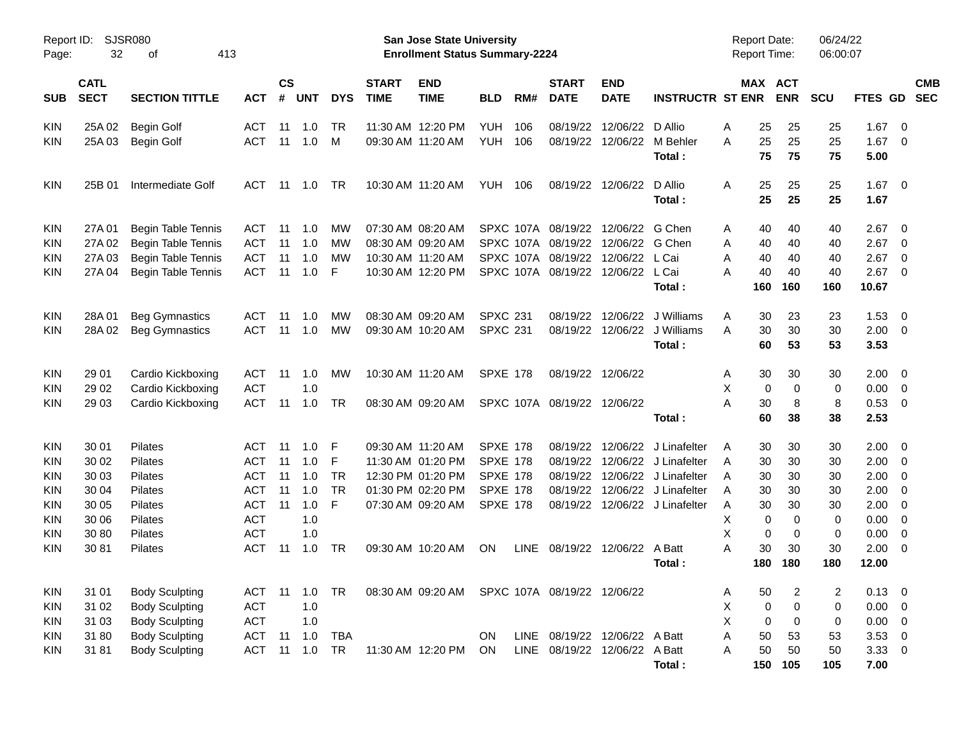| Page:      | Report ID: SJSR080<br>32   | 413<br>οf                 |            |                    |                |            |                             | San Jose State University<br><b>Enrollment Status Summary-2224</b> |                 |             |                             |                               |                                | <b>Report Date:</b><br>Report Time: |                       | 06/24/22<br>06:00:07 |                     |                          |                          |
|------------|----------------------------|---------------------------|------------|--------------------|----------------|------------|-----------------------------|--------------------------------------------------------------------|-----------------|-------------|-----------------------------|-------------------------------|--------------------------------|-------------------------------------|-----------------------|----------------------|---------------------|--------------------------|--------------------------|
| <b>SUB</b> | <b>CATL</b><br><b>SECT</b> | <b>SECTION TITTLE</b>     | <b>ACT</b> | $\mathsf{cs}$<br># | <b>UNT</b>     | <b>DYS</b> | <b>START</b><br><b>TIME</b> | <b>END</b><br><b>TIME</b>                                          | <b>BLD</b>      | RM#         | <b>START</b><br><b>DATE</b> | <b>END</b><br><b>DATE</b>     | <b>INSTRUCTR ST ENR</b>        |                                     | MAX ACT<br><b>ENR</b> | <b>SCU</b>           | FTES GD             |                          | <b>CMB</b><br><b>SEC</b> |
| <b>KIN</b> | 25A 02                     | <b>Begin Golf</b>         | <b>ACT</b> | 11                 | 1.0            | <b>TR</b>  |                             | 11:30 AM 12:20 PM                                                  | <b>YUH</b>      | 106         | 08/19/22                    | 12/06/22                      | D Allio                        | Α<br>25                             | 25                    | 25                   | 1.67                | $\overline{\phantom{0}}$ |                          |
| KIN        | 25A 03                     | <b>Begin Golf</b>         | <b>ACT</b> |                    | $11 \quad 1.0$ | M          |                             | 09:30 AM 11:20 AM                                                  | <b>YUH 106</b>  |             | 08/19/22                    | 12/06/22                      | M Behler<br>Total:             | 25<br>А<br>75                       | 25<br>75              | 25<br>75             | 1.67<br>5.00        | $\overline{\phantom{0}}$ |                          |
| <b>KIN</b> | 25B 01                     | Intermediate Golf         | <b>ACT</b> |                    | 11 1.0         | <b>TR</b>  |                             | 10:30 AM 11:20 AM                                                  | <b>YUH 106</b>  |             |                             | 08/19/22 12/06/22             | D Allio<br>Total :             | A<br>25<br>25                       | 25<br>25              | 25<br>25             | $1.67 \t 0$<br>1.67 |                          |                          |
| <b>KIN</b> | 27A 01                     | <b>Begin Table Tennis</b> | <b>ACT</b> | 11                 | 1.0            | MW         |                             | 07:30 AM 08:20 AM                                                  |                 |             |                             | SPXC 107A 08/19/22 12/06/22   | G Chen                         | 40<br>Α                             | 40                    | 40                   | 2.67                | $\overline{\phantom{0}}$ |                          |
| KIN        | 27A 02                     | <b>Begin Table Tennis</b> | <b>ACT</b> | 11                 | 1.0            | MW         |                             | 08:30 AM 09:20 AM                                                  |                 |             |                             | SPXC 107A 08/19/22 12/06/22   | G Chen                         | 40<br>Α                             | 40                    | 40                   | 2.67                | $\overline{\phantom{0}}$ |                          |
| KIN        | 27A 03                     | Begin Table Tennis        | <b>ACT</b> | 11                 | 1.0            | МW         |                             | 10:30 AM 11:20 AM                                                  |                 |             | SPXC 107A 08/19/22          | 12/06/22                      | L Cai                          | Α<br>40                             | 40                    | 40                   | 2.67                | $\overline{\mathbf{0}}$  |                          |
| KIN        | 27A 04                     | Begin Table Tennis        | <b>ACT</b> | 11                 | 1.0            | F          |                             | 10:30 AM 12:20 PM                                                  |                 |             | SPXC 107A 08/19/22          | 12/06/22                      | L Cai<br>Total :               | 40<br>А<br>160                      | 40<br>160             | 40<br>160            | 2.67<br>10.67       | $\overline{\phantom{0}}$ |                          |
|            |                            |                           |            |                    |                |            |                             |                                                                    |                 |             |                             |                               |                                |                                     |                       |                      |                     |                          |                          |
| <b>KIN</b> | 28A 01                     | <b>Beg Gymnastics</b>     | <b>ACT</b> | 11                 | 1.0            | MW         |                             | 08:30 AM 09:20 AM                                                  | <b>SPXC 231</b> |             | 08/19/22                    | 12/06/22                      | J Williams                     | 30<br>Α                             | 23                    | 23                   | 1.53                | - 0                      |                          |
| KIN        | 28A 02                     | <b>Beg Gymnastics</b>     | <b>ACT</b> |                    | 11 1.0         | MW         |                             | 09:30 AM 10:20 AM                                                  | <b>SPXC 231</b> |             |                             | 08/19/22 12/06/22             | J Williams                     | 30<br>A                             | 30                    | 30                   | 2.00                | $\overline{\phantom{0}}$ |                          |
|            |                            |                           |            |                    |                |            |                             |                                                                    |                 |             |                             |                               | Total:                         | 60                                  | 53                    | 53                   | 3.53                |                          |                          |
| <b>KIN</b> | 29 01                      | Cardio Kickboxing         | <b>ACT</b> | 11                 | 1.0            | MW         |                             | 10:30 AM 11:20 AM                                                  | <b>SPXE 178</b> |             |                             | 08/19/22 12/06/22             |                                | 30<br>Α                             | 30                    | 30                   | 2.00                | $\overline{\phantom{0}}$ |                          |
| KIN        | 29 02                      | Cardio Kickboxing         | <b>ACT</b> |                    | 1.0            |            |                             |                                                                    |                 |             |                             |                               |                                | X                                   | 0<br>0                | 0                    | 0.00                | $\overline{0}$           |                          |
| KIN        | 29 03                      | Cardio Kickboxing         | <b>ACT</b> | 11                 | 1.0            | TR         |                             | 08:30 AM 09:20 AM                                                  |                 |             | SPXC 107A 08/19/22 12/06/22 |                               |                                | 30<br>А                             | 8                     | 8                    | 0.53                | $\overline{\phantom{0}}$ |                          |
|            |                            |                           |            |                    |                |            |                             |                                                                    |                 |             |                             |                               | Total:                         | 60                                  | 38                    | 38                   | 2.53                |                          |                          |
| <b>KIN</b> | 30 01                      | <b>Pilates</b>            | <b>ACT</b> | 11                 | 1.0            | F          |                             | 09:30 AM 11:20 AM                                                  | <b>SPXE 178</b> |             | 08/19/22                    | 12/06/22                      | J Linafelter                   | 30<br>A                             | 30                    | 30                   | 2.00                | $\overline{\mathbf{0}}$  |                          |
| KIN        | 30 02                      | <b>Pilates</b>            | <b>ACT</b> | 11                 | 1.0            | F          |                             | 11:30 AM 01:20 PM                                                  | <b>SPXE 178</b> |             | 08/19/22                    |                               | 12/06/22 J Linafelter          | 30<br>A                             | 30                    | 30                   | 2.00                | $\overline{\mathbf{0}}$  |                          |
| KIN        | 30 03                      | Pilates                   | <b>ACT</b> | 11                 | 1.0            | <b>TR</b>  |                             | 12:30 PM 01:20 PM                                                  | <b>SPXE 178</b> |             | 08/19/22                    |                               | 12/06/22 J Linafelter          | 30<br>A                             | 30                    | 30                   | 2.00                | $\overline{\mathbf{0}}$  |                          |
| KIN        | 30 04                      | Pilates                   | <b>ACT</b> | 11                 | 1.0            | <b>TR</b>  |                             | 01:30 PM 02:20 PM                                                  | <b>SPXE 178</b> |             | 08/19/22                    | 12/06/22                      | J Linafelter                   | 30<br>A                             | 30                    | 30                   | 2.00                | $\overline{\mathbf{0}}$  |                          |
| KIN        | 30 05                      | Pilates                   | <b>ACT</b> | 11                 | 1.0            | F          |                             | 07:30 AM 09:20 AM                                                  | <b>SPXE 178</b> |             |                             |                               | 08/19/22 12/06/22 J Linafelter | 30<br>A                             | 30                    | 30                   | 2.00                | $\overline{\mathbf{0}}$  |                          |
| KIN        | 30 06                      | Pilates                   | <b>ACT</b> |                    | 1.0            |            |                             |                                                                    |                 |             |                             |                               |                                | Χ                                   | 0<br>0                | 0                    | 0.00                | $\overline{\mathbf{0}}$  |                          |
| KIN        | 30 80                      | Pilates                   | <b>ACT</b> |                    | 1.0            |            |                             |                                                                    |                 |             |                             |                               |                                | Χ                                   | 0<br>0                | 0                    | 0.00                | 0                        |                          |
| KIN        | 3081                       | Pilates                   | <b>ACT</b> | -11                | 1.0            | <b>TR</b>  |                             | 09:30 AM 10:20 AM                                                  | ON              | <b>LINE</b> |                             | 08/19/22 12/06/22             | A Batt                         | 30<br>А                             | 30                    | 30                   | 2.00                | $\overline{\mathbf{0}}$  |                          |
|            |                            |                           |            |                    |                |            |                             |                                                                    |                 |             |                             |                               | Total :                        | 180                                 | 180                   | 180                  | 12.00               |                          |                          |
| KIN        | 31 01                      | <b>Body Sculpting</b>     | ACT        |                    | 11  1.0  TR    |            |                             | 08:30 AM 09:20 AM SPXC 107A 08/19/22 12/06/22                      |                 |             |                             |                               |                                | 50<br>Α                             | 2                     | 2                    | $0.13 \quad 0$      |                          |                          |
| KIN        | 31 02                      | <b>Body Sculpting</b>     | <b>ACT</b> |                    | 1.0            |            |                             |                                                                    |                 |             |                             |                               |                                | Χ                                   | 0<br>0                | 0                    | 0.00                | $\overline{\phantom{0}}$ |                          |
| <b>KIN</b> | 31 03                      | <b>Body Sculpting</b>     | <b>ACT</b> |                    | 1.0            |            |                             |                                                                    |                 |             |                             |                               |                                | X                                   | 0<br>0                | 0                    | $0.00 \t 0$         |                          |                          |
| <b>KIN</b> | 3180                       | <b>Body Sculpting</b>     | ACT        | 11                 | 1.0            | <b>TBA</b> |                             |                                                                    | ON.             |             |                             | LINE 08/19/22 12/06/22 A Batt |                                | 50<br>Α                             | 53                    | 53                   | $3.53 \ 0$          |                          |                          |
| <b>KIN</b> | 31 81                      | <b>Body Sculpting</b>     | <b>ACT</b> |                    | 11 1.0         | TR         |                             | 11:30 AM 12:20 PM ON                                               |                 |             |                             | LINE 08/19/22 12/06/22 A Batt |                                | 50<br>Α                             | 50                    | 50                   | $3.33 \ 0$          |                          |                          |
|            |                            |                           |            |                    |                |            |                             |                                                                    |                 |             |                             |                               | Total:                         | 150                                 | 105                   | 105                  | 7.00                |                          |                          |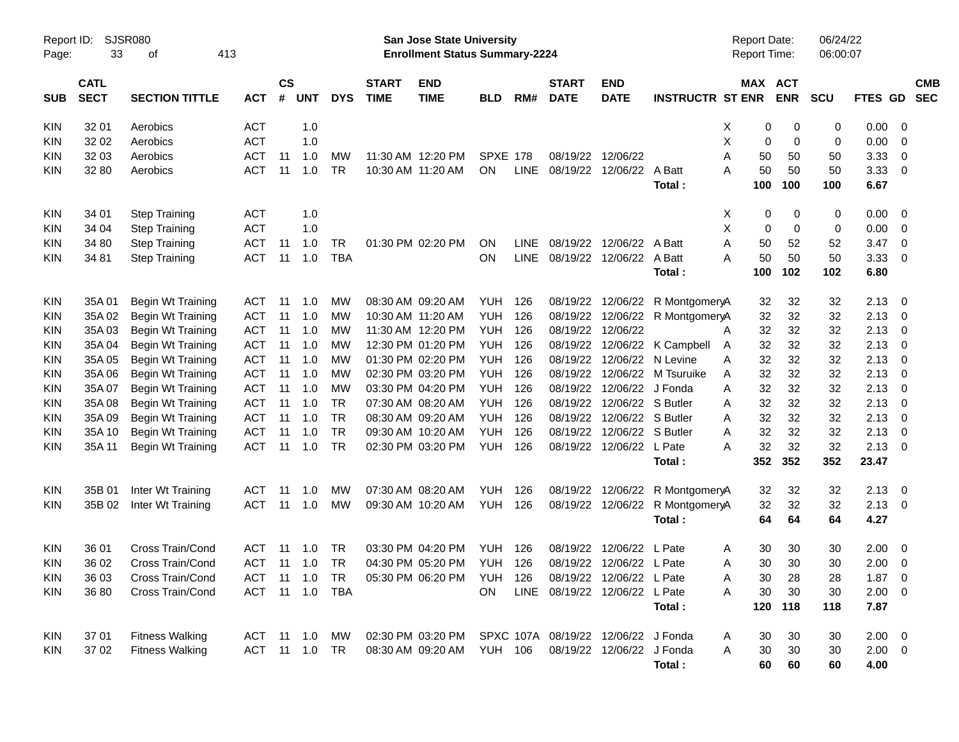| Report ID:<br>Page: | 33                         | <b>SJSR080</b><br>οf     | 413        |                    |                |            |                             | San Jose State University<br><b>Enrollment Status Summary-2224</b> |                 |             |                               |                            |                              |   | <b>Report Date:</b><br><b>Report Time:</b> |             | 06/24/22<br>06:00:07 |                |                         |                          |
|---------------------|----------------------------|--------------------------|------------|--------------------|----------------|------------|-----------------------------|--------------------------------------------------------------------|-----------------|-------------|-------------------------------|----------------------------|------------------------------|---|--------------------------------------------|-------------|----------------------|----------------|-------------------------|--------------------------|
| SUB                 | <b>CATL</b><br><b>SECT</b> | <b>SECTION TITTLE</b>    | <b>ACT</b> | $\mathsf{cs}$<br># | <b>UNT</b>     | <b>DYS</b> | <b>START</b><br><b>TIME</b> | <b>END</b><br><b>TIME</b>                                          | <b>BLD</b>      | RM#         | <b>START</b><br><b>DATE</b>   | <b>END</b><br><b>DATE</b>  | <b>INSTRUCTR ST ENR</b>      |   | MAX ACT                                    | <b>ENR</b>  | <b>SCU</b>           | <b>FTES GD</b> |                         | <b>CMB</b><br><b>SEC</b> |
| <b>KIN</b>          | 32 01                      | Aerobics                 | <b>ACT</b> |                    | 1.0            |            |                             |                                                                    |                 |             |                               |                            |                              | X | 0                                          | 0           | 0                    | 0.00           | - 0                     |                          |
| KIN                 | 32 02                      | Aerobics                 | <b>ACT</b> |                    | 1.0            |            |                             |                                                                    |                 |             |                               |                            |                              | х | 0                                          | $\mathbf 0$ | 0                    | 0.00           | 0                       |                          |
| <b>KIN</b>          | 32 03                      | Aerobics                 | <b>ACT</b> | -11                | 1.0            | МW         |                             | 11:30 AM 12:20 PM                                                  | <b>SPXE 178</b> |             |                               | 08/19/22 12/06/22          |                              | A | 50                                         | 50          | 50                   | 3.33           | 0                       |                          |
| KIN                 | 32 80                      | Aerobics                 | <b>ACT</b> | 11                 | 1.0            | <b>TR</b>  |                             | 10:30 AM 11:20 AM                                                  | ON              | <b>LINE</b> |                               | 08/19/22 12/06/22          | A Batt                       | Α | 50                                         | 50          | 50                   | 3.33           | - 0                     |                          |
|                     |                            |                          |            |                    |                |            |                             |                                                                    |                 |             |                               |                            | Total:                       |   | 100                                        | 100         | 100                  | 6.67           |                         |                          |
| <b>KIN</b>          | 34 01                      | <b>Step Training</b>     | <b>ACT</b> |                    | 1.0            |            |                             |                                                                    |                 |             |                               |                            |                              | X | 0                                          | 0           | 0                    | 0.00           | - 0                     |                          |
| <b>KIN</b>          | 34 04                      | <b>Step Training</b>     | <b>ACT</b> |                    | 1.0            |            |                             |                                                                    |                 |             |                               |                            |                              | X | 0                                          | $\mathbf 0$ | 0                    | 0.00           | - 0                     |                          |
| KIN                 | 34 80                      | <b>Step Training</b>     | <b>ACT</b> | -11                | 1.0            | TR         |                             | 01:30 PM 02:20 PM                                                  | <b>ON</b>       | <b>LINE</b> |                               | 08/19/22 12/06/22          | A Batt                       | Α | 50                                         | 52          | 52                   | 3.47           | 0                       |                          |
| KIN                 | 34 81                      | <b>Step Training</b>     | <b>ACT</b> | 11                 | 1.0            | <b>TBA</b> |                             |                                                                    | ON              | <b>LINE</b> |                               | 08/19/22 12/06/22          | A Batt                       | А | 50                                         | 50          | 50                   | 3.33           | - 0                     |                          |
|                     |                            |                          |            |                    |                |            |                             |                                                                    |                 |             |                               |                            | Total:                       |   | 100                                        | 102         | 102                  | 6.80           |                         |                          |
| <b>KIN</b>          | 35A01                      | Begin Wt Training        | ACT        | -11                | 1.0            | МW         |                             | 08:30 AM 09:20 AM                                                  | YUH             | 126         |                               | 08/19/22 12/06/22          | R MontgomeryA                |   | 32                                         | 32          | 32                   | 2.13           | - 0                     |                          |
| <b>KIN</b>          | 35A 02                     | Begin Wt Training        | <b>ACT</b> | 11                 | 1.0            | МW         |                             | 10:30 AM 11:20 AM                                                  | <b>YUH</b>      | 126         |                               | 08/19/22 12/06/22          | R MontgomeryA                |   | 32                                         | 32          | 32                   | 2.13           | - 0                     |                          |
| <b>KIN</b>          | 35A03                      | Begin Wt Training        | <b>ACT</b> | 11                 | 1.0            | МW         |                             | 11:30 AM 12:20 PM                                                  | <b>YUH</b>      | 126         |                               | 08/19/22 12/06/22          |                              | A | 32                                         | 32          | 32                   | 2.13           | -0                      |                          |
| KIN                 | 35A 04                     | Begin Wt Training        | <b>ACT</b> | 11                 | 1.0            | МW         |                             | 12:30 PM 01:20 PM                                                  | <b>YUH</b>      | 126         |                               |                            | 08/19/22 12/06/22 K Campbell | A | 32                                         | 32          | 32                   | 2.13           | -0                      |                          |
| <b>KIN</b>          | 35A 05                     | Begin Wt Training        | <b>ACT</b> | 11                 | 1.0            | МW         |                             | 01:30 PM 02:20 PM                                                  | <b>YUH</b>      | 126         |                               | 08/19/22 12/06/22 N Levine |                              | A | 32                                         | 32          | 32                   | 2.13           | -0                      |                          |
| <b>KIN</b>          | 35A 06                     | Begin Wt Training        | <b>ACT</b> | 11                 | 1.0            | МW         |                             | 02:30 PM 03:20 PM                                                  | <b>YUH</b>      | 126         |                               |                            | 08/19/22 12/06/22 M Tsuruike | Α | 32                                         | 32          | 32                   | 2.13           | -0                      |                          |
| <b>KIN</b>          | 35A 07                     | Begin Wt Training        | <b>ACT</b> | 11                 | 1.0            | МW         |                             | 03:30 PM 04:20 PM                                                  | <b>YUH</b>      | 126         |                               | 08/19/22 12/06/22 J Fonda  |                              | A | 32                                         | 32          | 32                   | 2.13           | -0                      |                          |
| <b>KIN</b>          | 35A 08                     | Begin Wt Training        | <b>ACT</b> | 11                 | 1.0            | <b>TR</b>  |                             | 07:30 AM 08:20 AM                                                  | <b>YUH</b>      | 126         |                               | 08/19/22 12/06/22 S Butler |                              | A | 32                                         | 32          | 32                   | 2.13           | -0                      |                          |
| <b>KIN</b>          | 35A09                      | Begin Wt Training        | <b>ACT</b> | 11                 | 1.0            | <b>TR</b>  |                             | 08:30 AM 09:20 AM                                                  | <b>YUH</b>      | 126         |                               | 08/19/22 12/06/22 S Butler |                              | A | 32                                         | 32          | 32                   | 2.13           | -0                      |                          |
| <b>KIN</b>          | 35A 10                     | <b>Begin Wt Training</b> | <b>ACT</b> | 11                 | 1.0            | <b>TR</b>  |                             | 09:30 AM 10:20 AM                                                  | <b>YUH</b>      | 126         |                               | 08/19/22 12/06/22 S Butler |                              | A | 32                                         | 32          | 32                   | 2.13           | - 0                     |                          |
| KIN                 | 35A 11                     | Begin Wt Training        | <b>ACT</b> | 11                 | 1.0            | <b>TR</b>  |                             | 02:30 PM 03:20 PM                                                  | YUH             | 126         |                               | 08/19/22 12/06/22 L Pate   |                              | А | 32                                         | 32          | 32                   | 2.13           | - 0                     |                          |
|                     |                            |                          |            |                    |                |            |                             |                                                                    |                 |             |                               |                            | Total:                       |   | 352                                        | 352         | 352                  | 23.47          |                         |                          |
| <b>KIN</b>          | 35B 01                     | Inter Wt Training        | ACT        | 11                 | 1.0            | МW         |                             | 07:30 AM 08:20 AM                                                  | YUH             | 126         |                               | 08/19/22 12/06/22          | R MontgomeryA                |   | 32                                         | 32          | 32                   | 2.13           | - 0                     |                          |
| KIN                 | 35B 02                     | Inter Wt Training        | <b>ACT</b> | 11                 | 1.0            | МW         |                             | 09:30 AM 10:20 AM                                                  | YUH             | 126         |                               | 08/19/22 12/06/22          | R MontgomeryA                |   | 32                                         | 32          | 32                   | 2.13           | $\overline{\mathbf{0}}$ |                          |
|                     |                            |                          |            |                    |                |            |                             |                                                                    |                 |             |                               |                            | Total:                       |   | 64                                         | 64          | 64                   | 4.27           |                         |                          |
| <b>KIN</b>          | 36 01                      | Cross Train/Cond         | ACT        | 11                 | 1.0            | TR         |                             | 03:30 PM 04:20 PM                                                  | <b>YUH</b>      | 126         |                               | 08/19/22 12/06/22          | L Pate                       | Α | 30                                         | 30          | 30                   | 2.00           | $\overline{\mathbf{0}}$ |                          |
| KIN                 | 36 02                      | Cross Train/Cond         | <b>ACT</b> | -11                | 1.0            | <b>TR</b>  |                             | 04:30 PM 05:20 PM                                                  | YUH             | 126         |                               | 08/19/22 12/06/22 L Pate   |                              | Α | 30                                         | 30          | 30                   | 2.00           | 0                       |                          |
| <b>KIN</b>          | 36 03                      | Cross Train/Cond         | <b>ACT</b> |                    |                |            |                             | 05:30 PM 06:20 PM                                                  | <b>YUH 126</b>  |             |                               | 08/19/22 12/06/22 L Pate   |                              | Α | 30                                         | 28          | 28                   | $1.87 \t 0$    |                         |                          |
| <b>KIN</b>          | 36 80                      | Cross Train/Cond         |            |                    | ACT 11 1.0 TBA |            |                             |                                                                    | ON.             |             | LINE 08/19/22 12/06/22 L Pate |                            |                              | Α | 30                                         | 30          | 30                   | $2.00 \t 0$    |                         |                          |
|                     |                            |                          |            |                    |                |            |                             |                                                                    |                 |             |                               |                            | Total:                       |   | 120                                        | 118         | 118                  | 7.87           |                         |                          |
| KIN                 | 37 01                      | <b>Fitness Walking</b>   |            |                    | ACT 11 1.0 MW  |            |                             | 02:30 PM 03:20 PM SPXC 107A 08/19/22 12/06/22 J Fonda              |                 |             |                               |                            |                              | A | 30                                         | 30          | 30                   | $2.00 \t 0$    |                         |                          |
| <b>KIN</b>          | 37 02                      | <b>Fitness Walking</b>   |            |                    | ACT 11 1.0 TR  |            |                             | 08:30 AM 09:20 AM YUH 106                                          |                 |             |                               | 08/19/22 12/06/22 J Fonda  |                              | A | 30                                         | 30          | 30                   | $2.00 \t 0$    |                         |                          |
|                     |                            |                          |            |                    |                |            |                             |                                                                    |                 |             |                               |                            | Total:                       |   | 60                                         | 60          | 60                   | 4.00           |                         |                          |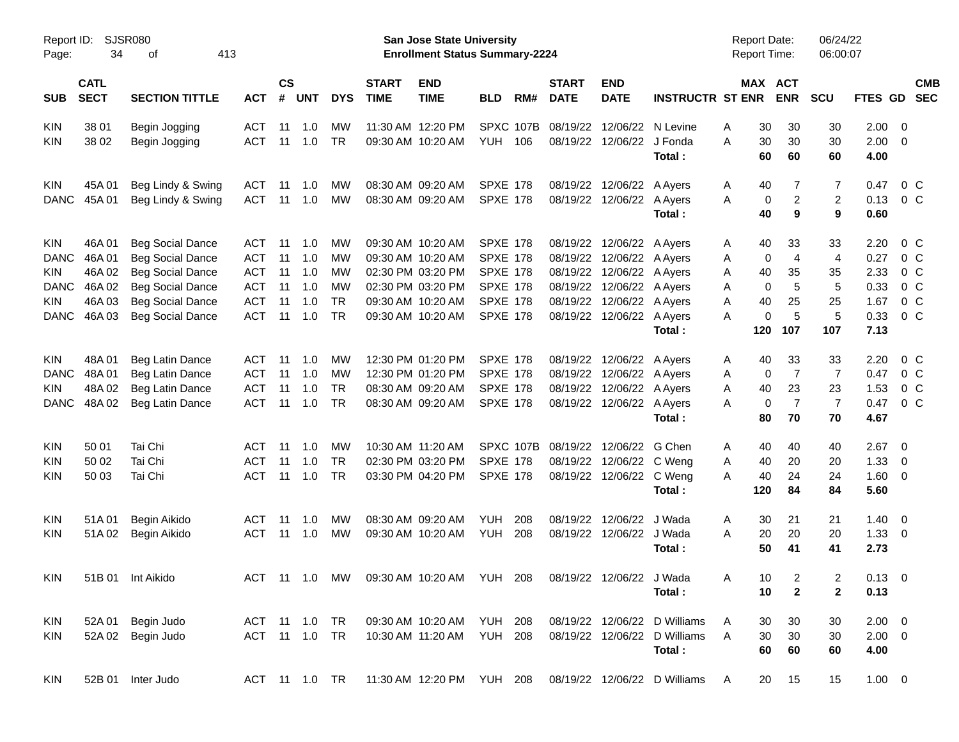| Report ID:<br>Page:       | 34                         | SJSR080<br>413<br>οf                               |                          |                    |            |                 |                             | San Jose State University<br><b>Enrollment Status Summary-2224</b> |                                    |     |                             |                           |                              | <b>Report Date:</b><br><b>Report Time:</b> |           |                | 06/24/22<br>06:00:07 |                     |                                  |            |
|---------------------------|----------------------------|----------------------------------------------------|--------------------------|--------------------|------------|-----------------|-----------------------------|--------------------------------------------------------------------|------------------------------------|-----|-----------------------------|---------------------------|------------------------------|--------------------------------------------|-----------|----------------|----------------------|---------------------|----------------------------------|------------|
| <b>SUB</b>                | <b>CATL</b><br><b>SECT</b> | <b>SECTION TITTLE</b>                              | <b>ACT</b>               | $\mathsf{cs}$<br># | <b>UNT</b> | <b>DYS</b>      | <b>START</b><br><b>TIME</b> | <b>END</b><br><b>TIME</b>                                          | <b>BLD</b>                         | RM# | <b>START</b><br><b>DATE</b> | <b>END</b><br><b>DATE</b> | <b>INSTRUCTR ST ENR</b>      | MAX ACT                                    |           | <b>ENR</b>     | <b>SCU</b>           | FTES GD SEC         |                                  | <b>CMB</b> |
| <b>KIN</b>                | 38 01                      | Begin Jogging                                      | ACT                      | 11                 | 1.0        | MW              |                             | 11:30 AM 12:20 PM                                                  | SPXC 107B                          |     | 08/19/22                    | 12/06/22                  | N Levine                     | Α                                          | 30        | 30             | 30                   | $2.00 \t 0$         |                                  |            |
| <b>KIN</b>                | 38 02                      | Begin Jogging                                      | <b>ACT</b>               | 11                 | 1.0        | <b>TR</b>       |                             | 09:30 AM 10:20 AM                                                  | <b>YUH</b>                         | 106 | 08/19/22                    | 12/06/22 J Fonda          |                              | A                                          | 30        | 30             | 30                   | $2.00 \t 0$         |                                  |            |
|                           |                            |                                                    |                          |                    |            |                 |                             |                                                                    |                                    |     |                             |                           | Total:                       |                                            | 60        | 60             | 60                   | 4.00                |                                  |            |
| <b>KIN</b>                | 45A01                      | Beg Lindy & Swing                                  | ACT                      | 11                 | 1.0        | MW              | 08:30 AM 09:20 AM           |                                                                    | <b>SPXE 178</b>                    |     | 08/19/22                    | 12/06/22 A Ayers          |                              | A                                          | 40        | 7              | 7                    | 0.47                | 0 <sup>o</sup>                   |            |
| <b>DANC</b>               | 45A 01                     | Beg Lindy & Swing                                  | <b>ACT</b>               | 11                 | 1.0        | MW              |                             | 08:30 AM 09:20 AM                                                  | <b>SPXE 178</b>                    |     | 08/19/22                    | 12/06/22 A Ayers          |                              | A                                          | 0         | $\overline{c}$ | $\overline{c}$       | 0.13                | 0 <sup>o</sup>                   |            |
|                           |                            |                                                    |                          |                    |            |                 |                             |                                                                    |                                    |     |                             |                           | Total:                       |                                            | 40        | 9              | 9                    | 0.60                |                                  |            |
| <b>KIN</b>                | 46A 01                     | <b>Beg Social Dance</b>                            | ACT                      | 11                 | 1.0        | MW              |                             | 09:30 AM 10:20 AM                                                  | <b>SPXE 178</b>                    |     | 08/19/22                    | 12/06/22 A Ayers          |                              | A                                          | 40        | 33             | 33                   | 2.20                | $0\,$ C                          |            |
| <b>DANC</b>               | 46A01                      | <b>Beg Social Dance</b>                            | <b>ACT</b>               | 11                 | 1.0        | MW              |                             | 09:30 AM 10:20 AM                                                  | <b>SPXE 178</b>                    |     | 08/19/22                    | 12/06/22 A Ayers          |                              | Α                                          | 0         | $\overline{4}$ | 4                    | 0.27                | 0 <sup>o</sup>                   |            |
| KIN.                      | 46A 02                     | <b>Beg Social Dance</b>                            | <b>ACT</b>               | 11                 | 1.0        | MW              |                             | 02:30 PM 03:20 PM                                                  | <b>SPXE 178</b>                    |     | 08/19/22                    | 12/06/22 A Ayers          |                              | Α                                          | 40        | 35             | 35                   | 2.33                | 0 <sup>o</sup>                   |            |
| <b>DANC</b>               | 46A 02                     | <b>Beg Social Dance</b>                            | <b>ACT</b>               | 11                 | 1.0        | MW              |                             | 02:30 PM 03:20 PM                                                  | <b>SPXE 178</b>                    |     | 08/19/22                    | 12/06/22 A Ayers          |                              | Α                                          | 0         | 5              | 5                    | 0.33                | 0 <sup>o</sup>                   |            |
| <b>KIN</b><br><b>DANC</b> | 46A03<br>46A03             | <b>Beg Social Dance</b><br><b>Beg Social Dance</b> | <b>ACT</b><br><b>ACT</b> | 11<br>11           | 1.0<br>1.0 | <b>TR</b><br>TR |                             | 09:30 AM 10:20 AM                                                  | <b>SPXE 178</b><br><b>SPXE 178</b> |     | 08/19/22<br>08/19/22        | 12/06/22 A Ayers          |                              | Α                                          | 40<br>0   | 25<br>5        | 25<br>5              | 1.67<br>0.33        | 0 <sup>o</sup><br>0 <sup>o</sup> |            |
|                           |                            |                                                    |                          |                    |            |                 |                             | 09:30 AM 10:20 AM                                                  |                                    |     |                             | 12/06/22 A Ayers          | Total:                       | Α                                          | 120       | 107            | 107                  | 7.13                |                                  |            |
| <b>KIN</b>                | 48A01                      | Beg Latin Dance                                    | ACT                      | 11                 | 1.0        | MW              |                             | 12:30 PM 01:20 PM                                                  | <b>SPXE 178</b>                    |     | 08/19/22                    | 12/06/22 A Ayers          |                              | A                                          | 40        | 33             | 33                   | 2.20                | $0\,$ C                          |            |
| <b>DANC</b>               | 48A01                      | Beg Latin Dance                                    | <b>ACT</b>               | 11                 | 1.0        | MW              |                             | 12:30 PM 01:20 PM                                                  | <b>SPXE 178</b>                    |     | 08/19/22                    | 12/06/22 A Ayers          |                              | Α                                          | 0         | $\overline{7}$ | 7                    | 0.47                | $0\,$ C                          |            |
| <b>KIN</b>                | 48A02                      | Beg Latin Dance                                    | <b>ACT</b>               | 11                 | 1.0        | <b>TR</b>       |                             | 08:30 AM 09:20 AM                                                  | <b>SPXE 178</b>                    |     | 08/19/22                    | 12/06/22 A Ayers          |                              | A                                          | 40        | 23             | 23                   | 1.53                | 0 <sup>o</sup>                   |            |
| <b>DANC</b>               | 48A02                      | Beg Latin Dance                                    | <b>ACT</b>               | 11                 | 1.0        | TR              |                             | 08:30 AM 09:20 AM                                                  | <b>SPXE 178</b>                    |     | 08/19/22                    | 12/06/22 A Ayers          |                              | Α                                          | 0         | $\overline{7}$ | $\overline{7}$       | 0.47                | 0 <sup>o</sup>                   |            |
|                           |                            |                                                    |                          |                    |            |                 |                             |                                                                    |                                    |     |                             |                           | Total:                       |                                            | 80        | 70             | 70                   | 4.67                |                                  |            |
| <b>KIN</b>                | 50 01                      | Tai Chi                                            | ACT                      | 11                 | 1.0        | MW              |                             | 10:30 AM 11:20 AM                                                  | SPXC 107B                          |     | 08/19/22                    | 12/06/22                  | G Chen                       | A                                          | 40        | 40             | 40                   | $2.67$ 0            |                                  |            |
| <b>KIN</b>                | 50 02                      | Tai Chi                                            | <b>ACT</b>               | 11                 | 1.0        | <b>TR</b>       |                             | 02:30 PM 03:20 PM                                                  | <b>SPXE 178</b>                    |     | 08/19/22                    | 12/06/22                  | C Weng                       | Α                                          | 40        | 20             | 20                   | $1.33 \ 0$          |                                  |            |
| <b>KIN</b>                | 50 03                      | Tai Chi                                            | <b>ACT</b>               | 11                 | 1.0        | <b>TR</b>       |                             | 03:30 PM 04:20 PM                                                  | <b>SPXE 178</b>                    |     |                             | 08/19/22 12/06/22 C Weng  | Total:                       | A                                          | 40<br>120 | 24<br>84       | 24<br>84             | $1.60 \t 0$<br>5.60 |                                  |            |
|                           |                            |                                                    |                          |                    |            |                 |                             |                                                                    |                                    |     |                             |                           |                              |                                            |           |                |                      |                     |                                  |            |
| <b>KIN</b>                | 51A01                      | Begin Aikido                                       | ACT                      | 11                 | 1.0        | MW              | 08:30 AM 09:20 AM           |                                                                    | <b>YUH</b>                         | 208 | 08/19/22                    | 12/06/22                  | J Wada                       | A                                          | 30        | 21             | 21                   | $1.40 \ 0$          |                                  |            |
| <b>KIN</b>                | 51A02                      | Begin Aikido                                       | <b>ACT</b>               | 11                 | 1.0        | MW              |                             | 09:30 AM 10:20 AM                                                  | <b>YUH</b>                         | 208 | 08/19/22                    | 12/06/22 J Wada           |                              | Α                                          | 20        | 20             | 20                   | $1.33 \ 0$          |                                  |            |
|                           |                            |                                                    |                          |                    |            |                 |                             |                                                                    |                                    |     |                             |                           | Total:                       |                                            | 50        | 41             | 41                   | 2.73                |                                  |            |
| KIN                       |                            | 51B 01 Int Aikido                                  |                          |                    |            |                 |                             | ACT 11 1.0 MW 09:30 AM 10:20 AM YUH 208 08/19/22 12/06/22 J Wada   |                                    |     |                             |                           |                              | A                                          | 10        | $\overline{2}$ | $2^{\circ}$          | $0.13 \ 0$          |                                  |            |
|                           |                            |                                                    |                          |                    |            |                 |                             |                                                                    |                                    |     |                             |                           | Total:                       |                                            | 10        | $\mathbf{2}$   | $\mathbf{2}$         | 0.13                |                                  |            |
| KIN                       | 52A 01                     | Begin Judo                                         | ACT 11 1.0 TR            |                    |            |                 |                             | 09:30 AM 10:20 AM YUH 208                                          |                                    |     |                             |                           | 08/19/22 12/06/22 D Williams | A                                          | 30        | 30             | 30                   | $2.00 \t 0$         |                                  |            |
| <b>KIN</b>                |                            | 52A 02 Begin Judo                                  | ACT 11 1.0 TR            |                    |            |                 |                             | 10:30 AM 11:20 AM                                                  | <b>YUH 208</b>                     |     |                             |                           | 08/19/22 12/06/22 D Williams | A                                          | 30        | 30             | 30                   | $2.00 \t 0$         |                                  |            |
|                           |                            |                                                    |                          |                    |            |                 |                             |                                                                    |                                    |     |                             |                           | Total:                       |                                            | 60        | 60             | 60                   | 4.00                |                                  |            |
| <b>KIN</b>                |                            | 52B 01 Inter Judo                                  | ACT 11 1.0 TR            |                    |            |                 |                             | 11:30 AM 12:20 PM YUH 208                                          |                                    |     |                             |                           | 08/19/22 12/06/22 D Williams | A                                          | 20        | 15             | 15                   | $1.00 \t 0$         |                                  |            |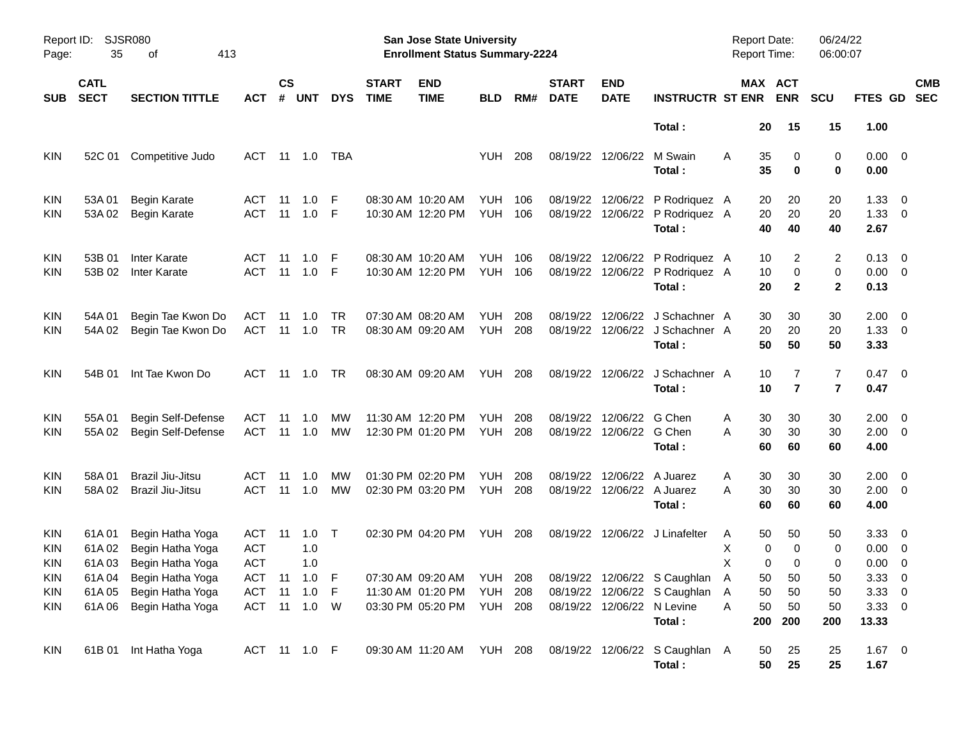| Report ID:<br>Page:                    | 35                         | SJSR080<br>413<br>оf                                                          |                                 |                    |                                              |                 |                             | San Jose State University<br><b>Enrollment Status Summary-2224</b> |                       |            |                             |                                             |                                                                                                      | <b>Report Date:</b><br><b>Report Time:</b> |                               | 06/24/22<br>06:00:07   |                                              |                          |
|----------------------------------------|----------------------------|-------------------------------------------------------------------------------|---------------------------------|--------------------|----------------------------------------------|-----------------|-----------------------------|--------------------------------------------------------------------|-----------------------|------------|-----------------------------|---------------------------------------------|------------------------------------------------------------------------------------------------------|--------------------------------------------|-------------------------------|------------------------|----------------------------------------------|--------------------------|
| <b>SUB</b>                             | <b>CATL</b><br><b>SECT</b> | <b>SECTION TITTLE</b>                                                         | <b>ACT</b>                      | $\mathsf{cs}$<br># | <b>UNT</b>                                   | <b>DYS</b>      | <b>START</b><br><b>TIME</b> | <b>END</b><br><b>TIME</b>                                          | <b>BLD</b>            | RM#        | <b>START</b><br><b>DATE</b> | <b>END</b><br><b>DATE</b>                   | <b>INSTRUCTR ST ENR</b>                                                                              |                                            | MAX ACT<br><b>ENR</b>         | <b>SCU</b>             | FTES GD                                      | <b>CMB</b><br><b>SEC</b> |
|                                        |                            |                                                                               |                                 |                    |                                              |                 |                             |                                                                    |                       |            |                             |                                             | Total:                                                                                               | 20                                         | 15                            | 15                     | 1.00                                         |                          |
| <b>KIN</b>                             | 52C 01                     | Competitive Judo                                                              | ACT                             |                    | 11 1.0                                       | TBA             |                             |                                                                    | <b>YUH</b>            | 208        |                             | 08/19/22 12/06/22                           | M Swain<br>Total :                                                                                   | 35<br>A<br>35                              | 0<br>$\mathbf 0$              | 0<br>0                 | $0.00 \t 0$<br>0.00                          |                          |
| KIN<br><b>KIN</b>                      | 53A 01<br>53A 02           | Begin Karate<br><b>Begin Karate</b>                                           | ACT<br><b>ACT</b>               | -11<br>-11         | 1.0<br>1.0                                   | -F<br>-F        |                             | 08:30 AM 10:20 AM<br>10:30 AM 12:20 PM                             | YUH<br>YUH            | 106<br>106 | 08/19/22                    | 12/06/22                                    | P Rodriquez A<br>08/19/22 12/06/22 P Rodriquez A<br>Total:                                           | 20<br>20<br>40                             | 20<br>20<br>40                | 20<br>20<br>40         | $1.33 \ 0$<br>$1.33 \ 0$<br>2.67             |                          |
| KIN<br>KIN.                            | 53B 01<br>53B 02           | Inter Karate<br>Inter Karate                                                  | ACT<br><b>ACT</b>               | -11<br>-11         | 1.0<br>1.0                                   | -F<br>-F        |                             | 08:30 AM 10:20 AM<br>10:30 AM 12:20 PM                             | YUH<br><b>YUH 106</b> | 106        | 08/19/22                    |                                             | 12/06/22 P Rodriquez A<br>08/19/22 12/06/22 P Rodriquez A<br>Total:                                  | 10<br>10<br>20                             | 2<br>0<br>$\mathbf{2}$        | 2<br>0<br>$\mathbf{2}$ | $0.13 \quad 0$<br>$0.00 \t 0$<br>0.13        |                          |
| KIN<br><b>KIN</b>                      | 54A 01<br>54A 02           | Begin Tae Kwon Do<br>Begin Tae Kwon Do                                        | ACT<br>ACT                      | -11<br>- 11        | 1.0<br>1.0                                   | TR<br><b>TR</b> |                             | 07:30 AM 08:20 AM<br>08:30 AM 09:20 AM                             | <b>YUH</b><br>YUH     | 208<br>208 | 08/19/22                    |                                             | 12/06/22 J Schachner A<br>08/19/22 12/06/22 J Schachner A<br>Total:                                  | 30<br>20<br>50                             | 30<br>20<br>50                | 30<br>20<br>50         | $2.00 \t 0$<br>$1.33 \ 0$<br>3.33            |                          |
| <b>KIN</b>                             | 54B 01                     | Int Tae Kwon Do                                                               | ACT                             |                    |                                              | TR.             |                             | 08:30 AM 09:20 AM                                                  | <b>YUH 208</b>        |            |                             |                                             | 08/19/22 12/06/22 J Schachner A<br>Total:                                                            | 10<br>10                                   | 7<br>$\overline{7}$           | 7<br>$\overline{7}$    | $0.47 \quad 0$<br>0.47                       |                          |
| KIN<br><b>KIN</b>                      | 55A 01<br>55A 02           | Begin Self-Defense<br>Begin Self-Defense                                      | ACT<br><b>ACT</b>               | -11<br>-11         | 1.0<br>1.0                                   | МW<br>MW        |                             | 11:30 AM 12:20 PM<br>12:30 PM 01:20 PM                             | YUH<br><b>YUH 208</b> | 208        | 08/19/22                    | 12/06/22 G Chen<br>08/19/22 12/06/22 G Chen | Total :                                                                                              | 30<br>Α<br>30<br>Α<br>60                   | 30<br>30<br>60                | 30<br>30<br>60         | $2.00 \t 0$<br>$2.00 \t 0$<br>4.00           |                          |
| <b>KIN</b><br>KIN.                     | 58A 01<br>58A 02           | Brazil Jiu-Jitsu<br>Brazil Jiu-Jitsu                                          | ACT<br><b>ACT</b>               | -11<br>-11         | 1.0<br>1.0                                   | МW<br><b>MW</b> |                             | 01:30 PM 02:20 PM<br>02:30 PM 03:20 PM                             | YUH<br><b>YUH 208</b> | 208        | 08/19/22                    | 08/19/22 12/06/22 A Juarez                  | 12/06/22 A Juarez<br>Total :                                                                         | 30<br>Α<br>30<br>A<br>60                   | 30<br>30<br>60                | 30<br>30<br>60         | $2.00 \t 0$<br>$2.00 \t 0$<br>4.00           |                          |
| <b>KIN</b><br><b>KIN</b><br><b>KIN</b> | 61A 01<br>61A02<br>61A03   | Begin Hatha Yoga<br>Begin Hatha Yoga<br>Begin Hatha Yoga                      | ACT<br><b>ACT</b><br><b>ACT</b> | -11                | 1.0<br>1.0<br>1.0                            | $\top$          |                             | 02:30 PM 04:20 PM                                                  | <b>YUH 208</b>        |            |                             |                                             | 08/19/22 12/06/22 J Linafelter                                                                       | 50<br>A<br>х<br>0<br>X<br>0                | 50<br>$\mathbf 0$<br>$\Omega$ | 50<br>0<br>0           | $3.33 \quad 0$<br>$0.00 \t 0$<br>$0.00 \t 0$ |                          |
| KIN<br><b>KIN</b><br><b>KIN</b>        |                            | 61A 04 Begin Hatha Yoga<br>61A 05 Begin Hatha Yoga<br>61A 06 Begin Hatha Yoga |                                 |                    | ACT 11 1.0 F<br>ACT 11 1.0 F<br>ACT 11 1.0 W |                 |                             | 11:30 AM 01:20 PM YUH 208<br>03:30 PM 05:20 PM YUH 208             |                       |            |                             | 08/19/22 12/06/22 N Levine                  | 07:30 AM 09:20 AM YUH 208 08/19/22 12/06/22 S Caughlan A<br>08/19/22 12/06/22 S Caughlan A<br>Total: | 50<br>50<br>50<br>Α<br>200                 | 50<br>50<br>50<br>200         | 50<br>50<br>50<br>200  | 3.3300<br>3.3300<br>3.3300<br>13.33          |                          |
| KIN                                    |                            | 61B 01 Int Hatha Yoga                                                         | ACT 11 1.0 F                    |                    |                                              |                 |                             | 09:30 AM 11:20 AM YUH 208                                          |                       |            |                             |                                             | 08/19/22 12/06/22 S Caughlan A<br>Total:                                                             | 50<br>50                                   | 25<br>25                      | 25<br>25               | $1.67 \t 0$<br>1.67                          |                          |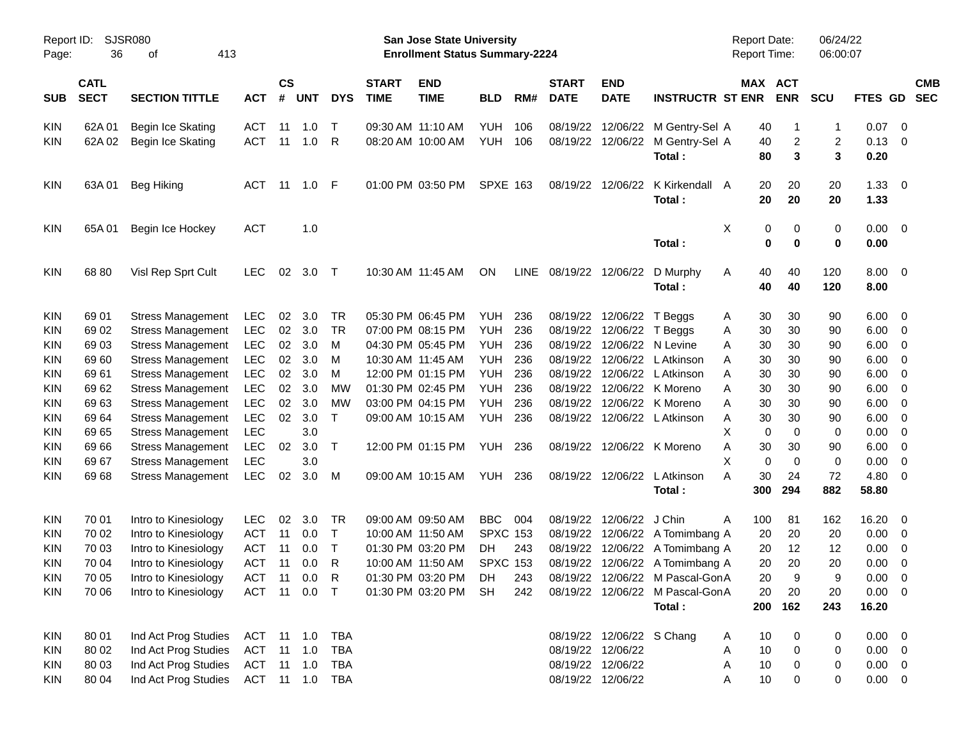| Report ID:<br>Page: | 36                         | SJSR080<br>413<br>оf     |                          | San Jose State University<br><b>Enrollment Status Summary-2224</b> |                |              |                             |                                        |                 |            |                             |                                        |                                 | Report Date:<br>Report Time: |                     | 06/24/22<br>06:00:07 |                |                                                      |                          |
|---------------------|----------------------------|--------------------------|--------------------------|--------------------------------------------------------------------|----------------|--------------|-----------------------------|----------------------------------------|-----------------|------------|-----------------------------|----------------------------------------|---------------------------------|------------------------------|---------------------|----------------------|----------------|------------------------------------------------------|--------------------------|
| <b>SUB</b>          | <b>CATL</b><br><b>SECT</b> | <b>SECTION TITTLE</b>    | <b>ACT</b>               | $\mathsf{cs}$<br>#                                                 | <b>UNT</b>     | <b>DYS</b>   | <b>START</b><br><b>TIME</b> | <b>END</b><br><b>TIME</b>              | <b>BLD</b>      | RM#        | <b>START</b><br><b>DATE</b> | <b>END</b><br><b>DATE</b>              | <b>INSTRUCTR ST ENR</b>         | MAX ACT                      | <b>ENR</b>          | <b>SCU</b>           | <b>FTES GD</b> |                                                      | <b>CMB</b><br><b>SEC</b> |
|                     |                            |                          |                          |                                                                    |                |              |                             |                                        |                 |            |                             |                                        |                                 |                              |                     |                      |                |                                                      |                          |
| <b>KIN</b>          | 62A 01<br>62A 02           | Begin Ice Skating        | <b>ACT</b><br><b>ACT</b> | 11<br>11                                                           | 1.0<br>1.0     | $\top$<br>R  |                             | 09:30 AM 11:10 AM<br>08:20 AM 10:00 AM | YUH<br>YUH      | 106<br>106 |                             | 08/19/22 12/06/22<br>08/19/22 12/06/22 | M Gentry-Sel A                  | 40                           | $\mathbf{1}$        | -1<br>$\overline{2}$ | 0.07<br>0.13   | $\overline{\phantom{0}}$<br>$\overline{\phantom{0}}$ |                          |
| <b>KIN</b>          |                            | <b>Begin Ice Skating</b> |                          |                                                                    |                |              |                             |                                        |                 |            |                             |                                        | M Gentry-Sel A<br>Total:        | 40<br>80                     | $\overline{c}$<br>3 | 3                    | 0.20           |                                                      |                          |
| <b>KIN</b>          | 63A 01                     | Beg Hiking               | ACT                      | -11                                                                | 1.0            | - F          |                             | 01:00 PM 03:50 PM                      | <b>SPXE 163</b> |            |                             | 08/19/22 12/06/22                      | K Kirkendall A                  | 20                           | 20                  | 20                   | 1.33           | $\overline{\phantom{0}}$                             |                          |
|                     |                            |                          |                          |                                                                    |                |              |                             |                                        |                 |            |                             |                                        | Total:                          | 20                           | 20                  | 20                   | 1.33           |                                                      |                          |
| <b>KIN</b>          | 65A 01                     | Begin Ice Hockey         | <b>ACT</b>               |                                                                    | 1.0            |              |                             |                                        |                 |            |                             |                                        |                                 | X<br>0                       | 0                   | 0                    | 0.00           | $\overline{\phantom{0}}$                             |                          |
|                     |                            |                          |                          |                                                                    |                |              |                             |                                        |                 |            |                             |                                        | Total:                          | 0                            | 0                   | 0                    | 0.00           |                                                      |                          |
| <b>KIN</b>          | 68 80                      | Visl Rep Sprt Cult       | <b>LEC</b>               | 02                                                                 | 3.0            | $\top$       |                             | 10:30 AM 11:45 AM                      | ΟN              | LINE       |                             | 08/19/22 12/06/22                      | D Murphy                        | 40<br>A                      | 40                  | 120                  | 8.00           | $\overline{\phantom{0}}$                             |                          |
|                     |                            |                          |                          |                                                                    |                |              |                             |                                        |                 |            |                             |                                        | Total:                          | 40                           | 40                  | 120                  | 8.00           |                                                      |                          |
| <b>KIN</b>          | 69 01                      | <b>Stress Management</b> | <b>LEC</b>               | 02                                                                 | 3.0            | TR           |                             | 05:30 PM 06:45 PM                      | YUH             | 236        |                             | 08/19/22 12/06/22 T Beggs              |                                 | 30<br>A                      | 30                  | 90                   | 6.00           | $\overline{\phantom{0}}$                             |                          |
| <b>KIN</b>          | 69 02                      | <b>Stress Management</b> | <b>LEC</b>               | 02                                                                 | 3.0            | <b>TR</b>    |                             | 07:00 PM 08:15 PM                      | YUH             | 236        |                             | 08/19/22 12/06/22 T Beggs              |                                 | 30<br>Α                      | 30                  | 90                   | 6.00           | - 0                                                  |                          |
| <b>KIN</b>          | 69 03                      | <b>Stress Management</b> | <b>LEC</b>               | 02                                                                 | 3.0            | м            |                             | 04:30 PM 05:45 PM                      | YUH             | 236        |                             | 08/19/22 12/06/22 N Levine             |                                 | 30<br>Α                      | 30                  | 90                   | 6.00           | $\overline{\mathbf{0}}$                              |                          |
| <b>KIN</b>          | 69 60                      | <b>Stress Management</b> | <b>LEC</b>               | 02                                                                 | 3.0            | M            |                             | 10:30 AM 11:45 AM                      | YUH             | 236        |                             | 08/19/22 12/06/22                      | L Atkinson                      | 30<br>A                      | 30                  | 90                   | 6.00           | $\overline{\mathbf{0}}$                              |                          |
| <b>KIN</b>          | 69 61                      | <b>Stress Management</b> | <b>LEC</b>               | 02                                                                 | 3.0            | м            |                             | 12:00 PM 01:15 PM                      | YUH             | 236        |                             | 08/19/22 12/06/22                      | L Atkinson                      | 30<br>A                      | 30                  | 90                   | 6.00           | $\overline{\mathbf{0}}$                              |                          |
| <b>KIN</b>          | 69 62                      | <b>Stress Management</b> | <b>LEC</b>               | 02                                                                 | 3.0            | <b>MW</b>    |                             | 01:30 PM 02:45 PM                      | YUH             | 236        |                             |                                        | 08/19/22 12/06/22 K Moreno      | 30<br>Α                      | 30                  | 90                   | 6.00           | $\overline{\mathbf{0}}$                              |                          |
| <b>KIN</b>          | 6963                       | <b>Stress Management</b> | <b>LEC</b>               | 02                                                                 | 3.0            | <b>MW</b>    |                             | 03:00 PM 04:15 PM                      | YUH             | 236        | 08/19/22                    |                                        | 12/06/22 K Moreno               | 30<br>Α                      | 30                  | 90                   | 6.00           | $\overline{\mathbf{0}}$                              |                          |
| <b>KIN</b>          | 69 64                      | <b>Stress Management</b> | <b>LEC</b>               | 02                                                                 | 3.0            | $\mathsf{T}$ |                             | 09:00 AM 10:15 AM                      | YUH             | 236        |                             |                                        | 08/19/22 12/06/22 L Atkinson    | 30<br>A                      | 30                  | 90                   | 6.00           | $\overline{\mathbf{0}}$                              |                          |
| <b>KIN</b>          | 69 65                      | <b>Stress Management</b> | <b>LEC</b>               |                                                                    | 3.0            |              |                             |                                        |                 |            |                             |                                        |                                 | Х<br>0                       | 0                   | 0                    | 0.00           | $\overline{\mathbf{0}}$                              |                          |
| <b>KIN</b>          | 69 66                      | <b>Stress Management</b> | <b>LEC</b>               | 02                                                                 | 3.0            | Τ            |                             | 12:00 PM 01:15 PM                      | YUH             | 236        |                             |                                        | 08/19/22 12/06/22 K Moreno      | 30<br>Α                      | 30                  | 90                   | 6.00           | $\overline{\mathbf{0}}$                              |                          |
| <b>KIN</b>          | 69 67                      | <b>Stress Management</b> | <b>LEC</b>               |                                                                    | 3.0            |              |                             |                                        |                 |            |                             |                                        |                                 | X<br>$\mathbf 0$             | 0                   | 0                    | 0.00           | 0                                                    |                          |
| <b>KIN</b>          | 69 68                      | <b>Stress Management</b> | <b>LEC</b>               | 02                                                                 | 3.0            | M            |                             | 09:00 AM 10:15 AM                      | YUH             | -236       |                             | 08/19/22 12/06/22                      | L Atkinson                      | 30<br>А                      | 24                  | 72                   | 4.80           | $\overline{\mathbf{0}}$                              |                          |
|                     |                            |                          |                          |                                                                    |                |              |                             |                                        |                 |            |                             |                                        | Total:                          | 300                          | 294                 | 882                  | 58.80          |                                                      |                          |
| <b>KIN</b>          | 70 01                      | Intro to Kinesiology     | <b>LEC</b>               | 02                                                                 | 3.0            | TR           |                             | 09:00 AM 09:50 AM                      | <b>BBC</b>      | 004        |                             | 08/19/22 12/06/22                      | J Chin                          | A<br>100                     | 81                  | 162                  | 16.20          | $\overline{\mathbf{0}}$                              |                          |
| <b>KIN</b>          | 70 02                      | Intro to Kinesiology     | <b>ACT</b>               | 11                                                                 | 0.0            | $\top$       |                             | 10:00 AM 11:50 AM                      | <b>SPXC 153</b> |            |                             |                                        | 08/19/22 12/06/22 A Tomimbang A | 20                           | 20                  | 20                   | 0.00           | $\overline{\mathbf{0}}$                              |                          |
| <b>KIN</b>          | 70 03                      | Intro to Kinesiology     | <b>ACT</b>               | 11                                                                 | 0.0            | $\top$       |                             | 01:30 PM 03:20 PM                      | DH.             | 243        |                             |                                        | 08/19/22 12/06/22 A Tomimbang A | 20                           | 12                  | 12                   | 0.00           | $\overline{\mathbf{0}}$                              |                          |
| <b>KIN</b>          | 70 04                      | Intro to Kinesiology     | <b>ACT</b>               | 11                                                                 | 0.0            | R            |                             | 10:00 AM 11:50 AM                      | <b>SPXC 153</b> |            |                             |                                        | 08/19/22 12/06/22 A Tomimbang A | 20                           | 20                  | 20                   | 0.00           | 0                                                    |                          |
| KIN                 | 70 05                      | Intro to Kinesiology     |                          |                                                                    |                |              |                             | ACT 11 0.0 R 01:30 PM 03:20 PM DH      |                 | 243        |                             |                                        | 08/19/22 12/06/22 M Pascal-GonA | 20                           | 9                   | 9                    | 0.00           | $\overline{\phantom{0}}$                             |                          |
| <b>KIN</b>          | 70 06                      | Intro to Kinesiology     | ACT 11 0.0 T             |                                                                    |                |              |                             | 01:30 PM 03:20 PM SH                   |                 | 242        |                             |                                        | 08/19/22 12/06/22 M Pascal-GonA | 20                           | 20                  | 20                   | $0.00 \t 0$    |                                                      |                          |
|                     |                            |                          |                          |                                                                    |                |              |                             |                                        |                 |            |                             |                                        | Total:                          |                              | 200 162             | 243                  | 16.20          |                                                      |                          |
| <b>KIN</b>          | 80 01                      | Ind Act Prog Studies     | ACT 11 1.0 TBA           |                                                                    |                |              |                             |                                        |                 |            |                             | 08/19/22 12/06/22 S Chang              |                                 | 10<br>A                      |                     | 0                    | $0.00 \t 0$    |                                                      |                          |
| <b>KIN</b>          | 80 02                      | Ind Act Prog Studies     | ACT                      |                                                                    | $11 \quad 1.0$ | TBA          |                             |                                        |                 |            |                             | 08/19/22 12/06/22                      |                                 | 10<br>Α                      | $\mathbf 0$         | 0                    | $0.00 \quad 0$ |                                                      |                          |
| <b>KIN</b>          | 80 03                      | Ind Act Prog Studies     | ACT                      |                                                                    | $11 \quad 1.0$ | TBA          |                             |                                        |                 |            |                             | 08/19/22 12/06/22                      |                                 | 10<br>A                      | 0                   | 0                    | $0.00 \quad 0$ |                                                      |                          |
| KIN                 | 80 04                      | Ind Act Prog Studies     | ACT 11 1.0 TBA           |                                                                    |                |              |                             |                                        |                 |            |                             | 08/19/22 12/06/22                      |                                 | 10<br>A                      | 0                   | 0                    | $0.00 \t 0$    |                                                      |                          |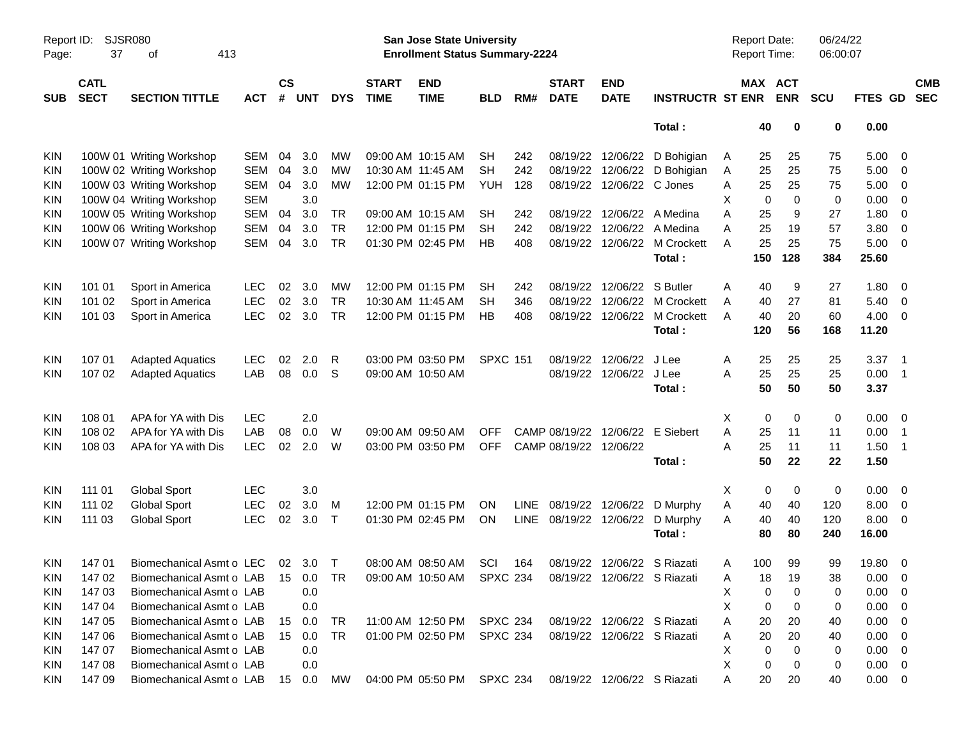| Report ID:<br>Page: | <b>SJSR080</b><br>37       | 413<br>οf                |            |                    |            |              |                             | <b>San Jose State University</b><br><b>Enrollment Status Summary-2224</b> |                 |             |                             |                             |                         | Report Date:<br><b>Report Time:</b> |                       | 06/24/22<br>06:00:07 |             |                          |                          |
|---------------------|----------------------------|--------------------------|------------|--------------------|------------|--------------|-----------------------------|---------------------------------------------------------------------------|-----------------|-------------|-----------------------------|-----------------------------|-------------------------|-------------------------------------|-----------------------|----------------------|-------------|--------------------------|--------------------------|
| <b>SUB</b>          | <b>CATL</b><br><b>SECT</b> | <b>SECTION TITTLE</b>    | <b>ACT</b> | $\mathsf{cs}$<br># | <b>UNT</b> | <b>DYS</b>   | <b>START</b><br><b>TIME</b> | <b>END</b><br><b>TIME</b>                                                 | <b>BLD</b>      | RM#         | <b>START</b><br><b>DATE</b> | <b>END</b><br><b>DATE</b>   | <b>INSTRUCTR ST ENR</b> |                                     | MAX ACT<br><b>ENR</b> | <b>SCU</b>           | FTES GD     |                          | <b>CMB</b><br><b>SEC</b> |
|                     |                            |                          |            |                    |            |              |                             |                                                                           |                 |             |                             |                             | Total:                  | 40                                  | 0                     | 0                    | 0.00        |                          |                          |
| KIN                 |                            | 100W 01 Writing Workshop | <b>SEM</b> | 04                 | 3.0        | <b>MW</b>    |                             | 09:00 AM 10:15 AM                                                         | <b>SH</b>       | 242         | 08/19/22                    | 12/06/22                    | D Bohigian              | 25<br>A                             | 25                    | 75                   | 5.00        | - 0                      |                          |
| <b>KIN</b>          |                            | 100W 02 Writing Workshop | <b>SEM</b> | 04                 | 3.0        | <b>MW</b>    |                             | 10:30 AM 11:45 AM                                                         | <b>SH</b>       | 242         | 08/19/22                    | 12/06/22                    | D Bohigian              | 25<br>A                             | 25                    | 75                   | 5.00        | 0                        |                          |
| KIN                 |                            | 100W 03 Writing Workshop | <b>SEM</b> | 04                 | 3.0        | <b>MW</b>    |                             | 12:00 PM 01:15 PM                                                         | <b>YUH</b>      | 128         | 08/19/22                    | 12/06/22 C Jones            |                         | 25<br>A                             | 25                    | 75                   | 5.00        | 0                        |                          |
| KIN                 |                            | 100W 04 Writing Workshop | <b>SEM</b> |                    | 3.0        |              |                             |                                                                           |                 |             |                             |                             |                         | X                                   | $\mathbf 0$<br>0      | $\mathbf 0$          | 0.00        | 0                        |                          |
| KIN                 |                            | 100W 05 Writing Workshop | SEM        | 04                 | 3.0        | <b>TR</b>    |                             | 09:00 AM 10:15 AM                                                         | SH              | 242         | 08/19/22                    | 12/06/22                    | A Medina                | 25<br>A                             | 9                     | 27                   | 1.80        | 0                        |                          |
| KIN                 |                            | 100W 06 Writing Workshop | <b>SEM</b> | 04                 | 3.0        | <b>TR</b>    |                             | 12:00 PM 01:15 PM                                                         | <b>SH</b>       | 242         | 08/19/22                    | 12/06/22                    | A Medina                | 25<br>A                             | 19                    | 57                   | 3.80        | $\mathbf 0$              |                          |
| <b>KIN</b>          |                            | 100W 07 Writing Workshop | SEM        | 04                 | 3.0        | <b>TR</b>    |                             | 01:30 PM 02:45 PM                                                         | HB              | 408         | 08/19/22                    | 12/06/22                    | M Crockett              | 25<br>A                             | 25                    | 75                   | 5.00        | $\overline{0}$           |                          |
|                     |                            |                          |            |                    |            |              |                             |                                                                           |                 |             |                             |                             | Total:                  | 150                                 | 128                   | 384                  | 25.60       |                          |                          |
| KIN                 | 101 01                     | Sport in America         | <b>LEC</b> | 02                 | 3.0        | MW           |                             | 12:00 PM 01:15 PM                                                         | SH              | 242         | 08/19/22                    | 12/06/22                    | S Butler                | 40<br>A                             | 9                     | 27                   | 1.80        | - 0                      |                          |
| KIN                 | 101 02                     | Sport in America         | <b>LEC</b> | 02                 | 3.0        | <b>TR</b>    | 10:30 AM 11:45 AM           |                                                                           | <b>SH</b>       | 346         | 08/19/22                    | 12/06/22                    | M Crockett              | 40<br>A                             | 27                    | 81                   | 5.40        | - 0                      |                          |
| KIN                 | 101 03                     | Sport in America         | <b>LEC</b> | 02                 | 3.0        | <b>TR</b>    |                             | 12:00 PM 01:15 PM                                                         | <b>HB</b>       | 408         | 08/19/22                    | 12/06/22                    | M Crockett              | 40<br>A                             | 20                    | 60                   | 4.00        | - 0                      |                          |
|                     |                            |                          |            |                    |            |              |                             |                                                                           |                 |             |                             |                             | Total:                  | 120                                 | 56                    | 168                  | 11.20       |                          |                          |
| <b>KIN</b>          | 107 01                     | <b>Adapted Aquatics</b>  | <b>LEC</b> | 02                 | 2.0        | R            |                             | 03:00 PM 03:50 PM                                                         | <b>SPXC 151</b> |             | 08/19/22                    | 12/06/22                    | J Lee                   | 25<br>A                             | 25                    | 25                   | 3.37        | $\overline{\phantom{1}}$ |                          |
| KIN                 | 107 02                     | <b>Adapted Aquatics</b>  | LAB        | 08                 | 0.0        | S            | 09:00 AM 10:50 AM           |                                                                           |                 |             | 08/19/22                    | 12/06/22                    | J Lee                   | 25<br>A                             | 25                    | 25                   | 0.00        | $\overline{1}$           |                          |
|                     |                            |                          |            |                    |            |              |                             |                                                                           |                 |             |                             |                             | Total:                  | 50                                  | 50                    | 50                   | 3.37        |                          |                          |
| KIN                 | 108 01                     | APA for YA with Dis      | <b>LEC</b> |                    | 2.0        |              |                             |                                                                           |                 |             |                             |                             |                         | Х                                   | 0<br>0                | 0                    | 0.00        | - 0                      |                          |
| KIN                 | 108 02                     | APA for YA with Dis      | LAB        | 08                 | 0.0        | W            | 09:00 AM 09:50 AM           |                                                                           | <b>OFF</b>      |             | CAMP 08/19/22               | 12/06/22                    | E Siebert               | Α<br>25                             | 11                    | 11                   | 0.00        | $\overline{1}$           |                          |
| <b>KIN</b>          | 108 03                     | APA for YA with Dis      | <b>LEC</b> | 02                 | 2.0        | W            |                             | 03:00 PM 03:50 PM                                                         | <b>OFF</b>      |             | CAMP 08/19/22               | 12/06/22                    |                         | 25<br>A                             | 11                    | 11                   | 1.50        | $\overline{1}$           |                          |
|                     |                            |                          |            |                    |            |              |                             |                                                                           |                 |             |                             |                             | Total:                  | 50                                  | 22                    | 22                   | 1.50        |                          |                          |
| <b>KIN</b>          | 111 01                     | <b>Global Sport</b>      | <b>LEC</b> |                    | 3.0        |              |                             |                                                                           |                 |             |                             |                             |                         | Х                                   | 0<br>0                | 0                    | 0.00        | - 0                      |                          |
| KIN                 | 111 02                     | <b>Global Sport</b>      | <b>LEC</b> | 02                 | 3.0        | M            |                             | 12:00 PM 01:15 PM                                                         | <b>ON</b>       | <b>LINE</b> | 08/19/22                    | 12/06/22                    | D Murphy                | 40<br>Α                             | 40                    | 120                  | 8.00        | 0                        |                          |
| KIN                 | 111 03                     | <b>Global Sport</b>      | <b>LEC</b> | 02                 | 3.0        | $\mathsf{T}$ |                             | 01:30 PM 02:45 PM                                                         | ON              | <b>LINE</b> | 08/19/22                    | 12/06/22                    | D Murphy                | 40<br>Α                             | 40                    | 120                  | 8.00        | - 0                      |                          |
|                     |                            |                          |            |                    |            |              |                             |                                                                           |                 |             |                             |                             | Total:                  | 80                                  | 80                    | 240                  | 16.00       |                          |                          |
| KIN                 | 14701                      | Biomechanical Asmt o LEC |            |                    | 02 3.0     | $\top$       |                             | 08:00 AM 08:50 AM                                                         | SCI             | 164         | 08/19/22                    | 12/06/22 S Riazati          |                         | 100<br>A                            | 99                    | 99                   | 19.80       | - 0                      |                          |
| <b>KIN</b>          | 147 02                     | Biomechanical Asmt o LAB |            | 15                 | 0.0        | <b>TR</b>    |                             | 09:00 AM 10:50 AM SPXC 234 08/19/22 12/06/22 S Riazati                    |                 |             |                             |                             |                         | 18<br>Α                             | 19                    | 38                   | 0.00        | $\overline{0}$           |                          |
| <b>KIN</b>          | 147 03                     | Biomechanical Asmt o LAB |            |                    | 0.0        |              |                             |                                                                           |                 |             |                             |                             |                         | X                                   | 0<br>0                | 0                    | 0.00        | - 0                      |                          |
| <b>KIN</b>          | 147 04                     | Biomechanical Asmt o LAB |            |                    | 0.0        |              |                             |                                                                           |                 |             |                             |                             |                         | X                                   | 0<br>0                | 0                    | 0.00        | $\overline{0}$           |                          |
| <b>KIN</b>          | 147 05                     | Biomechanical Asmt o LAB |            |                    | 15 0.0     | TR           |                             | 11:00 AM 12:50 PM SPXC 234                                                |                 |             |                             | 08/19/22 12/06/22 S Riazati |                         | 20<br>A                             | 20                    | 40                   | 0.00        | - 0                      |                          |
| <b>KIN</b>          | 147 06                     | Biomechanical Asmt o LAB |            |                    | 15 0.0     | <b>TR</b>    |                             | 01:00 PM 02:50 PM                                                         | <b>SPXC 234</b> |             |                             | 08/19/22 12/06/22 S Riazati |                         | 20<br>A                             | 20                    | 40                   | 0.00        | - 0                      |                          |
| <b>KIN</b>          | 147 07                     | Biomechanical Asmt o LAB |            |                    | 0.0        |              |                             |                                                                           |                 |             |                             |                             |                         | Χ                                   | $\Omega$<br>0         | 0                    | 0.00        | - 0                      |                          |
| <b>KIN</b>          | 14708                      | Biomechanical Asmt o LAB |            |                    | 0.0        |              |                             |                                                                           |                 |             |                             |                             |                         | Χ                                   | 0<br>0                | 0                    | 0.00        | $\overline{\phantom{0}}$ |                          |
| KIN.                | 147 09                     | Biomechanical Asmt o LAB |            |                    | 15 0.0     | MW           |                             | 04:00 PM 05:50 PM SPXC 234                                                |                 |             |                             | 08/19/22 12/06/22 S Riazati |                         | 20<br>A                             | 20                    | 40                   | $0.00 \t 0$ |                          |                          |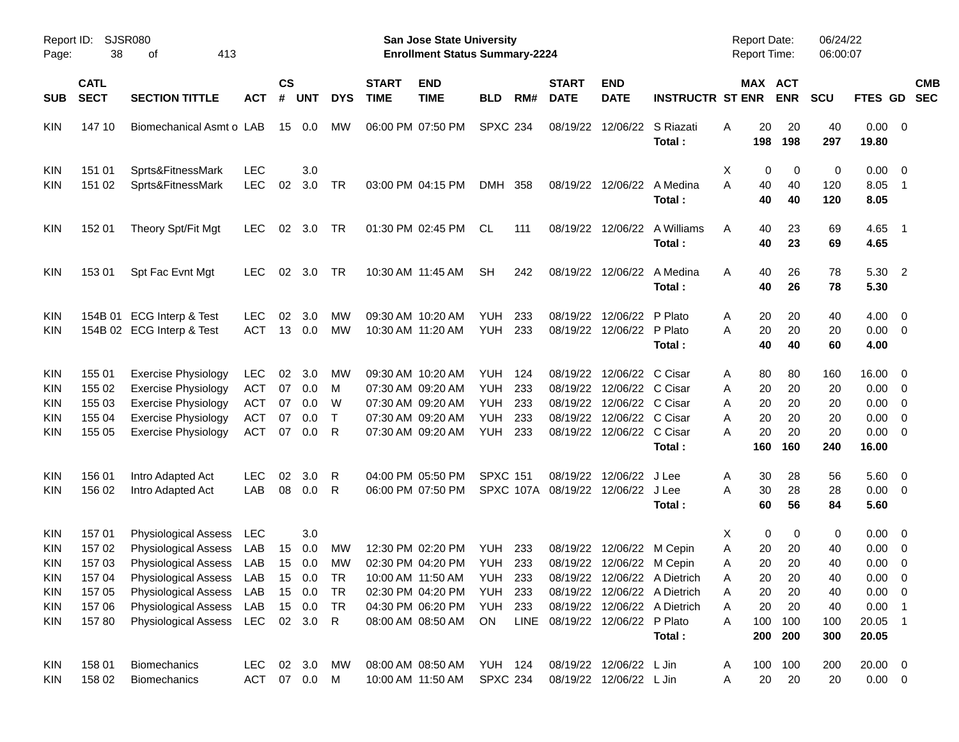| Report ID:<br>Page:                                                                     | 38                                                             | <b>SJSR080</b><br>413<br>оf                                                                                                                                                                                              |                                                             |                            |                                       |                                          |                             | <b>San Jose State University</b><br><b>Enrollment Status Summary-2224</b>                                                  |                                                                        |                                 |                                              |                                                                                                           |                                                                                                        | Report Date:<br><b>Report Time:</b>                                              |                                               | 06/24/22<br>06:00:07                          |                                                                                |                                                                                                           |                          |
|-----------------------------------------------------------------------------------------|----------------------------------------------------------------|--------------------------------------------------------------------------------------------------------------------------------------------------------------------------------------------------------------------------|-------------------------------------------------------------|----------------------------|---------------------------------------|------------------------------------------|-----------------------------|----------------------------------------------------------------------------------------------------------------------------|------------------------------------------------------------------------|---------------------------------|----------------------------------------------|-----------------------------------------------------------------------------------------------------------|--------------------------------------------------------------------------------------------------------|----------------------------------------------------------------------------------|-----------------------------------------------|-----------------------------------------------|--------------------------------------------------------------------------------|-----------------------------------------------------------------------------------------------------------|--------------------------|
| <b>SUB</b>                                                                              | <b>CATL</b><br><b>SECT</b>                                     | <b>SECTION TITTLE</b>                                                                                                                                                                                                    | <b>ACT</b>                                                  | <b>CS</b><br>#             | <b>UNT</b>                            | <b>DYS</b>                               | <b>START</b><br><b>TIME</b> | <b>END</b><br><b>TIME</b>                                                                                                  | <b>BLD</b>                                                             | RM#                             | <b>START</b><br><b>DATE</b>                  | <b>END</b><br><b>DATE</b>                                                                                 | <b>INSTRUCTR ST ENR</b>                                                                                | MAX ACT                                                                          | <b>ENR</b>                                    | <b>SCU</b>                                    | <b>FTES GD</b>                                                                 |                                                                                                           | <b>CMB</b><br><b>SEC</b> |
| <b>KIN</b>                                                                              | 147 10                                                         | Biomechanical Asmt o LAB                                                                                                                                                                                                 |                                                             | 15                         | 0.0                                   | МW                                       |                             | 06:00 PM 07:50 PM                                                                                                          | <b>SPXC 234</b>                                                        |                                 | 08/19/22                                     | 12/06/22                                                                                                  | S Riazati<br>Total:                                                                                    | 20<br>A<br>198                                                                   | 20<br>198                                     | 40<br>297                                     | 0.00<br>19.80                                                                  | $\overline{\phantom{0}}$                                                                                  |                          |
| KIN<br>KIN                                                                              | 151 01<br>151 02                                               | Sprts&FitnessMark<br>Sprts&FitnessMark                                                                                                                                                                                   | <b>LEC</b><br><b>LEC</b>                                    | 02                         | 3.0<br>3.0                            | TR                                       |                             | 03:00 PM 04:15 PM                                                                                                          | DMH 358                                                                |                                 |                                              | 08/19/22 12/06/22                                                                                         | A Medina<br>Total:                                                                                     | Х<br>0<br>A<br>40<br>40                                                          | 0<br>40<br>40                                 | 0<br>120<br>120                               | 0.00<br>8.05<br>8.05                                                           | $\overline{\mathbf{0}}$<br>$\overline{\phantom{1}}$                                                       |                          |
| <b>KIN</b>                                                                              | 152 01                                                         | Theory Spt/Fit Mgt                                                                                                                                                                                                       | <b>LEC</b>                                                  | 02                         | 3.0                                   | TR                                       |                             | 01:30 PM 02:45 PM                                                                                                          | CL                                                                     | 111                             | 08/19/22                                     | 12/06/22                                                                                                  | A Williams<br>Total:                                                                                   | 40<br>A<br>40                                                                    | 23<br>23                                      | 69<br>69                                      | 4.65<br>4.65                                                                   | $\overline{\phantom{0}}$ 1                                                                                |                          |
| <b>KIN</b>                                                                              | 153 01                                                         | Spt Fac Evnt Mgt                                                                                                                                                                                                         | <b>LEC</b>                                                  | 02                         | 3.0                                   | TR                                       |                             | 10:30 AM 11:45 AM                                                                                                          | <b>SH</b>                                                              | 242                             | 08/19/22                                     | 12/06/22                                                                                                  | A Medina<br>Total:                                                                                     | 40<br>A<br>40                                                                    | 26<br>26                                      | 78<br>78                                      | 5.30<br>5.30                                                                   | $\overline{\phantom{0}}^2$                                                                                |                          |
| KIN<br><b>KIN</b>                                                                       |                                                                | 154B 01 ECG Interp & Test<br>154B 02 ECG Interp & Test                                                                                                                                                                   | <b>LEC</b><br><b>ACT</b>                                    | 02                         | 3.0<br>13 0.0                         | МW<br><b>MW</b>                          |                             | 09:30 AM 10:20 AM<br>10:30 AM 11:20 AM                                                                                     | YUH<br>YUH                                                             | 233<br>233                      | 08/19/22<br>08/19/22                         | 12/06/22<br>12/06/22 P Plato                                                                              | P Plato<br>Total:                                                                                      | 20<br>Α<br>20<br>Α<br>40                                                         | 20<br>20<br>40                                | 40<br>20<br>60                                | 4.00<br>0.00<br>4.00                                                           | $\overline{\mathbf{0}}$<br>$\overline{\mathbf{0}}$                                                        |                          |
| KIN<br>KIN<br>KIN<br>KIN<br><b>KIN</b>                                                  | 155 01<br>155 02<br>155 03<br>155 04<br>155 05                 | <b>Exercise Physiology</b><br><b>Exercise Physiology</b><br><b>Exercise Physiology</b><br><b>Exercise Physiology</b><br><b>Exercise Physiology</b>                                                                       | <b>LEC</b><br><b>ACT</b><br><b>ACT</b><br><b>ACT</b><br>ACT | 02<br>07<br>07<br>07<br>07 | 3.0<br>0.0<br>0.0<br>0.0<br>0.0       | МW<br>м<br>W<br>$\top$<br>R              |                             | 09:30 AM 10:20 AM<br>07:30 AM 09:20 AM<br>07:30 AM 09:20 AM<br>07:30 AM 09:20 AM<br>07:30 AM 09:20 AM                      | YUH<br>YUH<br>YUH<br>YUH<br>YUH                                        | 124<br>233<br>233<br>233<br>233 | 08/19/22<br>08/19/22<br>08/19/22<br>08/19/22 | 12/06/22 C Cisar<br>12/06/22 C Cisar<br>12/06/22 C Cisar<br>12/06/22 C Cisar<br>08/19/22 12/06/22 C Cisar | Total:                                                                                                 | 80<br>A<br>20<br>Α<br>Α<br>20<br>20<br>A<br>20<br>Α<br>160                       | 80<br>20<br>20<br>20<br>20<br>160             | 160<br>20<br>20<br>20<br>20<br>240            | 16.00<br>0.00<br>0.00<br>0.00<br>0.00<br>16.00                                 | - 0<br>$\overline{\mathbf{0}}$<br>$\overline{\mathbf{0}}$<br>$\overline{0}$<br>$\overline{\mathbf{0}}$    |                          |
| KIN<br><b>KIN</b>                                                                       | 156 01<br>156 02                                               | Intro Adapted Act<br>Intro Adapted Act                                                                                                                                                                                   | <b>LEC</b><br>LAB                                           | 02<br>08                   | 3.0<br>0.0                            | R<br>R                                   |                             | 04:00 PM 05:50 PM<br>06:00 PM 07:50 PM                                                                                     | <b>SPXC 151</b>                                                        |                                 | 08/19/22<br>SPXC 107A 08/19/22               | 12/06/22<br>12/06/22 J Lee                                                                                | J Lee<br>Total:                                                                                        | 30<br>Α<br>30<br>Α<br>60                                                         | 28<br>28<br>56                                | 56<br>28<br>84                                | 5.60<br>0.00<br>5.60                                                           | $\overline{\phantom{0}}$<br>$\overline{\phantom{0}}$                                                      |                          |
| <b>KIN</b><br><b>KIN</b><br><b>KIN</b><br>KIN<br><b>KIN</b><br><b>KIN</b><br><b>KIN</b> | 15701<br>15702<br>15703<br>157 04<br>157 05<br>157 06<br>15780 | <b>Physiological Assess</b><br><b>Physiological Assess</b><br>Physiological Assess<br>Physiological Assess LAB 15 0.0<br><b>Physiological Assess</b><br><b>Physiological Assess</b><br>Physiological Assess LEC 02 3.0 R | LEC<br>LAB<br>LAB<br>LAB<br>LAB                             | 15<br>15                   | 3.0<br>0.0<br>0.0<br>15 0.0<br>15 0.0 | <b>MW</b><br>MW<br><b>TR</b><br>TR<br>TR |                             | 12:30 PM 02:20 PM<br>02:30 PM 04:20 PM<br>10:00 AM 11:50 AM<br>02:30 PM 04:20 PM<br>04:30 PM 06:20 PM<br>08:00 AM 08:50 AM | YUH<br><b>YUH 233</b><br><b>YUH 233</b><br>YUH<br><b>YUH 233</b><br>ON | 233<br>233                      | LINE 08/19/22 12/06/22 P Plato               | 08/19/22 12/06/22 M Cepin<br>08/19/22 12/06/22 M Cepin                                                    | 08/19/22 12/06/22 A Dietrich<br>08/19/22 12/06/22 A Dietrich<br>08/19/22 12/06/22 A Dietrich<br>Total: | X<br>0<br>Α<br>20<br>20<br>Α<br>20<br>Α<br>20<br>Α<br>20<br>A<br>A<br>100<br>200 | 0<br>20<br>20<br>20<br>20<br>20<br>100<br>200 | 0<br>40<br>40<br>40<br>40<br>40<br>100<br>300 | 0.00<br>0.00<br>0.00<br>$0.00 \t 0$<br>$0.00 \t 0$<br>0.00<br>20.05 1<br>20.05 | $\overline{\mathbf{0}}$<br>$\overline{\mathbf{0}}$<br>$\overline{\mathbf{0}}$<br>$\overline{\phantom{1}}$ |                          |
| KIN<br><b>KIN</b>                                                                       | 158 01<br>158 02                                               | Biomechanics<br>Biomechanics                                                                                                                                                                                             | LEC 02 3.0<br>ACT 07 0.0 M                                  |                            |                                       | МW                                       |                             | 08:00 AM 08:50 AM YUH 124<br>10:00 AM 11:50 AM                                                                             | <b>SPXC 234</b>                                                        |                                 |                                              | 08/19/22 12/06/22 L Jin<br>08/19/22 12/06/22 L Jin                                                        |                                                                                                        | 100<br>A<br>20<br>Α                                                              | 100<br>20                                     | 200<br>20                                     | 20.00 0<br>$0.00 \t 0$                                                         |                                                                                                           |                          |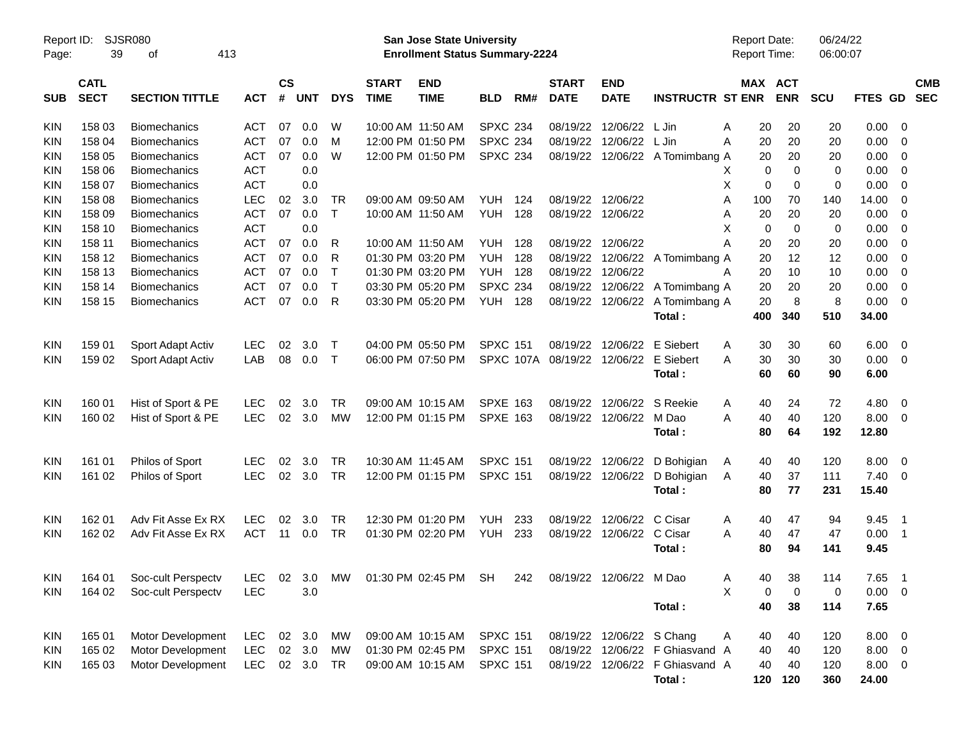| Report ID:<br>Page: | 39                         | <b>SJSR080</b><br>of                                                                         | 413        |                    |            |              |                             | San Jose State University<br><b>Enrollment Status Summary-2224</b> |                 |     |                             |                             |                                 | Report Date:<br>Report Time: |             | 06/24/22<br>06:00:07 |             |                            |                          |
|---------------------|----------------------------|----------------------------------------------------------------------------------------------|------------|--------------------|------------|--------------|-----------------------------|--------------------------------------------------------------------|-----------------|-----|-----------------------------|-----------------------------|---------------------------------|------------------------------|-------------|----------------------|-------------|----------------------------|--------------------------|
| <b>SUB</b>          | <b>CATL</b><br><b>SECT</b> | <b>SECTION TITTLE</b>                                                                        | <b>ACT</b> | $\mathsf{cs}$<br># | <b>UNT</b> | <b>DYS</b>   | <b>START</b><br><b>TIME</b> | <b>END</b><br><b>TIME</b>                                          | <b>BLD</b>      | RM# | <b>START</b><br><b>DATE</b> | <b>END</b><br><b>DATE</b>   | <b>INSTRUCTR ST ENR</b>         | MAX ACT                      | <b>ENR</b>  | <b>SCU</b>           | FTES GD     |                            | <b>CMB</b><br><b>SEC</b> |
| <b>KIN</b>          | 158 03                     | <b>Biomechanics</b>                                                                          | <b>ACT</b> | 07                 | 0.0        | W            |                             | 10:00 AM 11:50 AM                                                  | <b>SPXC 234</b> |     |                             | 08/19/22 12/06/22           | L Jin                           | 20<br>Α                      | 20          | 20                   | 0.00        | - 0                        |                          |
| <b>KIN</b>          | 158 04                     | <b>Biomechanics</b>                                                                          | <b>ACT</b> | 07                 | 0.0        | M            |                             | 12:00 PM 01:50 PM                                                  | <b>SPXC 234</b> |     |                             | 08/19/22 12/06/22           | L Jin                           | 20<br>Α                      | 20          | 20                   | 0.00        | $\overline{\phantom{0}}$   |                          |
| <b>KIN</b>          | 158 05                     | <b>Biomechanics</b>                                                                          | <b>ACT</b> | 07                 | 0.0        | W            |                             | 12:00 PM 01:50 PM                                                  | <b>SPXC 234</b> |     |                             |                             | 08/19/22 12/06/22 A Tomimbang A | 20                           | 20          | 20                   | 0.00        | $\overline{\mathbf{0}}$    |                          |
| <b>KIN</b>          | 158 06                     | <b>Biomechanics</b>                                                                          | <b>ACT</b> |                    | 0.0        |              |                             |                                                                    |                 |     |                             |                             |                                 | 0<br>X                       | $\mathbf 0$ | 0                    | 0.00        | $\overline{\mathbf{0}}$    |                          |
| <b>KIN</b>          | 158 07                     | <b>Biomechanics</b>                                                                          | <b>ACT</b> |                    | 0.0        |              |                             |                                                                    |                 |     |                             |                             |                                 | X<br>0                       | 0           | 0                    | 0.00        | $\overline{\mathbf{0}}$    |                          |
| <b>KIN</b>          | 158 08                     | <b>Biomechanics</b>                                                                          | <b>LEC</b> | 02                 | 3.0        | TR           |                             | 09:00 AM 09:50 AM                                                  | YUH             | 124 |                             | 08/19/22 12/06/22           |                                 | 100<br>Α                     | 70          | 140                  | 14.00       | $\overline{0}$             |                          |
| <b>KIN</b>          | 158 09                     | <b>Biomechanics</b>                                                                          | <b>ACT</b> | 07                 | 0.0        | $\mathsf{T}$ |                             | 10:00 AM 11:50 AM                                                  | YUH             | 128 |                             | 08/19/22 12/06/22           |                                 | 20<br>Α                      | 20          | 20                   | 0.00        | $\overline{0}$             |                          |
| <b>KIN</b>          | 158 10                     | <b>Biomechanics</b>                                                                          | <b>ACT</b> |                    | 0.0        |              |                             |                                                                    |                 |     |                             |                             |                                 | Х<br>0                       | $\mathbf 0$ | 0                    | 0.00        | $\overline{0}$             |                          |
| <b>KIN</b>          | 158 11                     | <b>Biomechanics</b>                                                                          | <b>ACT</b> | 07                 | 0.0        | R            |                             | 10:00 AM 11:50 AM                                                  | <b>YUH 128</b>  |     |                             | 08/19/22 12/06/22           |                                 | 20<br>А                      | 20          | 20                   | 0.00        | $\overline{0}$             |                          |
| <b>KIN</b>          | 158 12                     | <b>Biomechanics</b>                                                                          | <b>ACT</b> | 07                 | 0.0        | R            |                             | 01:30 PM 03:20 PM                                                  | <b>YUH</b>      | 128 |                             |                             | 08/19/22 12/06/22 A Tomimbang A | 20                           | 12          | 12                   | 0.00        | $\overline{0}$             |                          |
| <b>KIN</b>          | 158 13                     | <b>Biomechanics</b>                                                                          | <b>ACT</b> | 07                 | 0.0        | $\mathsf{T}$ |                             | 01:30 PM 03:20 PM                                                  | <b>YUH 128</b>  |     | 08/19/22                    | 12/06/22                    |                                 | 20<br>Α                      | 10          | 10                   | 0.00        | $\overline{0}$             |                          |
| <b>KIN</b>          | 158 14                     | <b>Biomechanics</b>                                                                          | <b>ACT</b> | 07                 | 0.0        | $\mathsf{T}$ |                             | 03:30 PM 05:20 PM                                                  | <b>SPXC 234</b> |     |                             |                             | 08/19/22 12/06/22 A Tomimbang A | 20                           | 20          | 20                   | 0.00        | $\overline{0}$             |                          |
| <b>KIN</b>          | 158 15                     | <b>Biomechanics</b>                                                                          | <b>ACT</b> | 07                 | 0.0        | R            |                             | 03:30 PM 05:20 PM                                                  | <b>YUH 128</b>  |     |                             | 08/19/22 12/06/22           | A Tomimbang A                   | 20                           | 8           | 8                    | 0.00        | $\overline{0}$             |                          |
|                     |                            |                                                                                              |            |                    |            |              |                             |                                                                    |                 |     |                             |                             | Total:                          | 400                          | 340         | 510                  | 34.00       |                            |                          |
| KIN                 | 159 01                     | Sport Adapt Activ                                                                            | <b>LEC</b> | 02                 | 3.0        | $\top$       |                             | 04:00 PM 05:50 PM                                                  | <b>SPXC 151</b> |     | 08/19/22                    | 12/06/22                    | E Siebert                       | 30<br>Α                      | 30          | 60                   | 6.00        | $\overline{\phantom{0}}$   |                          |
| <b>KIN</b>          | 159 02                     | Sport Adapt Activ                                                                            | LAB        | 08                 | 0.0        | $\mathsf{T}$ |                             | 06:00 PM 07:50 PM                                                  |                 |     |                             | SPXC 107A 08/19/22 12/06/22 | E Siebert                       | 30<br>А                      | 30          | 30                   | 0.00        | $\overline{\phantom{0}}$   |                          |
|                     |                            |                                                                                              |            |                    |            |              |                             |                                                                    |                 |     |                             |                             | Total:                          | 60                           | 60          | 90                   | 6.00        |                            |                          |
| <b>KIN</b>          | 160 01                     | Hist of Sport & PE                                                                           | <b>LEC</b> | 02                 | 3.0        | <b>TR</b>    |                             | 09:00 AM 10:15 AM                                                  | <b>SPXE 163</b> |     |                             | 08/19/22 12/06/22           | S Reekie                        | 40<br>A                      | 24          | 72                   | 4.80        | $\overline{\phantom{0}}$   |                          |
| <b>KIN</b>          | 160 02                     | Hist of Sport & PE                                                                           | <b>LEC</b> | 02                 | 3.0        | MW           |                             | 12:00 PM 01:15 PM                                                  | <b>SPXE 163</b> |     |                             | 08/19/22 12/06/22           | M Dao                           | 40<br>Α                      | 40          | 120                  | $8.00 \t 0$ |                            |                          |
|                     |                            |                                                                                              |            |                    |            |              |                             |                                                                    |                 |     |                             |                             | Total:                          | 80                           | 64          | 192                  | 12.80       |                            |                          |
| KIN                 | 161 01                     | Philos of Sport                                                                              | <b>LEC</b> | 02                 | 3.0        | TR           |                             | 10:30 AM 11:45 AM                                                  | <b>SPXC 151</b> |     | 08/19/22                    | 12/06/22                    | D Bohigian                      | 40<br>A                      | 40          | 120                  | 8.00        | $\overline{\phantom{0}}$   |                          |
| <b>KIN</b>          | 161 02                     | <b>Philos of Sport</b>                                                                       | <b>LEC</b> | 02                 | 3.0        | <b>TR</b>    |                             | 12:00 PM 01:15 PM                                                  | <b>SPXC 151</b> |     |                             | 08/19/22 12/06/22           | D Bohigian                      | Α<br>40                      | 37          | 111                  | $7.40 \ 0$  |                            |                          |
|                     |                            |                                                                                              |            |                    |            |              |                             |                                                                    |                 |     |                             |                             | Total:                          | 80                           | 77          | 231                  | 15.40       |                            |                          |
| <b>KIN</b>          | 162 01                     | Adv Fit Asse Ex RX                                                                           | <b>LEC</b> | 02                 | 3.0        | TR           |                             | 12:30 PM 01:20 PM                                                  | YUH             | 233 |                             | 08/19/22 12/06/22           | C Cisar                         | 40<br>A                      | 47          | 94                   | 9.45        | $\overline{\phantom{1}}$   |                          |
| <b>KIN</b>          | 162 02                     | Adv Fit Asse Ex RX                                                                           | <b>ACT</b> | 11                 | 0.0        | <b>TR</b>    |                             | 01:30 PM 02:20 PM                                                  | YUH             | 233 |                             | 08/19/22 12/06/22           | C Cisar                         | Α<br>40                      | 47          | 47                   | 0.00        | $\overline{\phantom{0}}$ 1 |                          |
|                     |                            |                                                                                              |            |                    |            |              |                             |                                                                    |                 |     |                             |                             | Total:                          | 80                           | 94          | 141                  | 9.45        |                            |                          |
|                     |                            | KIN 164 01 Soc-cult Perspectv LEC 02 3.0 MW 01:30 PM 02:45 PM SH 242 08/19/22 12/06/22 M Dao |            |                    |            |              |                             |                                                                    |                 |     |                             |                             |                                 | A                            | 40 38       | 114                  | 7.65 1      |                            |                          |
| <b>KIN</b>          | 164 02                     | Soc-cult Perspectv                                                                           | <b>LEC</b> |                    | 3.0        |              |                             |                                                                    |                 |     |                             |                             |                                 | X<br>0                       | 0           | 0                    | $0.00 \t 0$ |                            |                          |
|                     |                            |                                                                                              |            |                    |            |              |                             |                                                                    |                 |     |                             |                             | Total:                          | 40                           | 38          | 114                  | 7.65        |                            |                          |
| <b>KIN</b>          | 165 01                     | Motor Development                                                                            | LEC        |                    | 02 3.0     | МW           |                             | 09:00 AM 10:15 AM                                                  | <b>SPXC 151</b> |     |                             | 08/19/22 12/06/22 S Chang   |                                 | A<br>40                      | 40          | 120                  | $8.00 \t 0$ |                            |                          |
| <b>KIN</b>          | 165 02                     | Motor Development                                                                            | <b>LEC</b> |                    | 02 3.0     | MW           |                             | 01:30 PM 02:45 PM                                                  | <b>SPXC 151</b> |     |                             |                             | 08/19/22 12/06/22 F Ghiasvand A | 40                           | 40          | 120                  | $8.00 \t 0$ |                            |                          |
| <b>KIN</b>          | 165 03                     | Motor Development                                                                            | <b>LEC</b> |                    | 02 3.0     | TR           |                             | 09:00 AM 10:15 AM                                                  | <b>SPXC 151</b> |     |                             |                             | 08/19/22 12/06/22 F Ghiasvand A | 40                           | 40          | 120                  | $8.00 \t 0$ |                            |                          |
|                     |                            |                                                                                              |            |                    |            |              |                             |                                                                    |                 |     |                             |                             | Total:                          |                              | 120 120     | 360                  | 24.00       |                            |                          |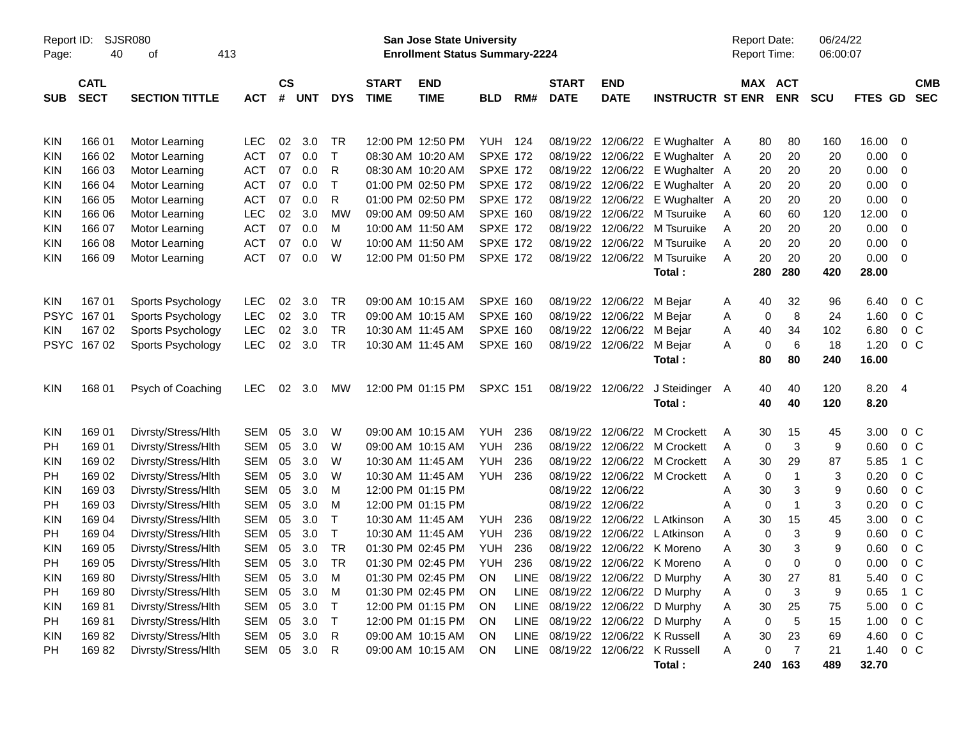| Report ID:  |                 | <b>SJSR080</b>                   |            |           |            |              |              | <b>San Jose State University</b>      |                 |      |                        |             |                                 |   | <b>Report Date:</b> |                 | 06/24/22    |         |                |
|-------------|-----------------|----------------------------------|------------|-----------|------------|--------------|--------------|---------------------------------------|-----------------|------|------------------------|-------------|---------------------------------|---|---------------------|-----------------|-------------|---------|----------------|
| Page:       | 40              | 413<br>οf                        |            |           |            |              |              | <b>Enrollment Status Summary-2224</b> |                 |      |                        |             |                                 |   | Report Time:        |                 | 06:00:07    |         |                |
|             | <b>CATL</b>     |                                  |            | <b>CS</b> |            |              | <b>START</b> | <b>END</b>                            |                 |      | <b>START</b>           | <b>END</b>  |                                 |   |                     | MAX ACT         |             |         | <b>CMB</b>     |
| <b>SUB</b>  | <b>SECT</b>     | <b>SECTION TITTLE</b>            | <b>ACT</b> | #         | <b>UNT</b> | <b>DYS</b>   | <b>TIME</b>  | <b>TIME</b>                           | <b>BLD</b>      | RM#  | <b>DATE</b>            | <b>DATE</b> | <b>INSTRUCTR ST ENR</b>         |   |                     | <b>ENR</b>      | <b>SCU</b>  | FTES GD | <b>SEC</b>     |
|             |                 |                                  |            |           |            |              |              |                                       |                 |      |                        |             |                                 |   |                     |                 |             |         |                |
| <b>KIN</b>  |                 |                                  | <b>LEC</b> | 02        | 3.0        | TR           |              | 12:00 PM 12:50 PM                     | <b>YUH 124</b>  |      | 08/19/22               | 12/06/22    |                                 |   |                     | 80              | 160         | 16.00   | $\mathbf 0$    |
| KIN         | 16601<br>166 02 | Motor Learning<br>Motor Learning | <b>ACT</b> | 07        | 0.0        | $\mathsf{T}$ |              | 08:30 AM 10:20 AM                     | <b>SPXE 172</b> |      | 08/19/22               | 12/06/22    | E Wughalter A<br>E Wughalter A  |   | 80<br>20            | 20              | 20          | 0.00    | 0              |
| KIN         | 166 03          | Motor Learning                   | <b>ACT</b> | 07        | 0.0        | R            |              | 08:30 AM 10:20 AM                     | <b>SPXE 172</b> |      | 08/19/22               | 12/06/22    | E Wughalter A                   |   | 20                  | 20              | 20          | 0.00    | 0              |
| <b>KIN</b>  | 166 04          | Motor Learning                   | <b>ACT</b> | 07        | 0.0        | $\mathsf{T}$ |              | 01:00 PM 02:50 PM                     | <b>SPXE 172</b> |      | 08/19/22               | 12/06/22    | E Wughalter A                   |   | 20                  | 20              | 20          | 0.00    | $\mathbf 0$    |
| <b>KIN</b>  | 166 05          | Motor Learning                   | <b>ACT</b> | 07        | 0.0        | R            |              | 01:00 PM 02:50 PM                     | <b>SPXE 172</b> |      | 08/19/22               | 12/06/22    | E Wughalter A                   |   | 20                  | 20              | 20          | 0.00    | $\mathbf 0$    |
| <b>KIN</b>  | 166 06          | Motor Learning                   | <b>LEC</b> | 02        | 3.0        | <b>MW</b>    |              | 09:00 AM 09:50 AM                     | <b>SPXE 160</b> |      | 08/19/22               | 12/06/22    | M Tsuruike                      | Α | 60                  | 60              | 120         | 12.00   | $\mathbf 0$    |
| KIN         | 166 07          | Motor Learning                   | <b>ACT</b> | 07        | 0.0        | M            |              | 10:00 AM 11:50 AM                     | <b>SPXE 172</b> |      | 08/19/22               | 12/06/22    | M Tsuruike                      | Α | 20                  | 20              | 20          | 0.00    | $\mathbf 0$    |
| <b>KIN</b>  | 166 08          | Motor Learning                   | <b>ACT</b> | 07        | 0.0        | W            |              | 10:00 AM 11:50 AM                     | <b>SPXE 172</b> |      | 08/19/22               | 12/06/22    | M Tsuruike                      | A | 20                  | 20              | 20          | 0.00    | $\mathbf 0$    |
| <b>KIN</b>  | 166 09          | Motor Learning                   | <b>ACT</b> | 07        | 0.0        | W            |              | 12:00 PM 01:50 PM                     | <b>SPXE 172</b> |      | 08/19/22               | 12/06/22    | M Tsuruike                      | A | 20                  | 20              | 20          | 0.00    | $\mathbf 0$    |
|             |                 |                                  |            |           |            |              |              |                                       |                 |      |                        |             | Total:                          |   | 280                 | 280             | 420         | 28.00   |                |
|             |                 |                                  |            |           |            |              |              |                                       |                 |      |                        |             |                                 |   |                     |                 |             |         |                |
| <b>KIN</b>  | 16701           | Sports Psychology                | <b>LEC</b> | 02        | 3.0        | <b>TR</b>    |              | 09:00 AM 10:15 AM                     | <b>SPXE 160</b> |      | 08/19/22               | 12/06/22    | M Bejar                         | A | 40                  | 32              | 96          | 6.40    | 0 <sup>C</sup> |
| <b>PSYC</b> | 16701           | Sports Psychology                | <b>LEC</b> | 02        | 3.0        | <b>TR</b>    |              | 09:00 AM 10:15 AM                     | <b>SPXE 160</b> |      | 08/19/22               | 12/06/22    | M Bejar                         | Α | 0                   | 8               | 24          | 1.60    | 0 <sup>C</sup> |
| KIN         | 167 02          | Sports Psychology                | <b>LEC</b> | 02        | 3.0        | <b>TR</b>    |              | 10:30 AM 11:45 AM                     | SPXE 160        |      | 08/19/22               | 12/06/22    | M Bejar                         | Α | 40                  | 34              | 102         | 6.80    | 0 <sup>C</sup> |
| <b>PSYC</b> | 16702           | Sports Psychology                | <b>LEC</b> | 02        | 3.0        | <b>TR</b>    |              | 10:30 AM 11:45 AM                     | SPXE 160        |      | 08/19/22               | 12/06/22    | M Bejar                         | A | 0                   | $6\phantom{1}6$ | 18          | 1.20    | 0 <sup>C</sup> |
|             |                 |                                  |            |           |            |              |              |                                       |                 |      |                        |             | Total:                          |   | 80                  | 80              | 240         | 16.00   |                |
|             |                 |                                  |            |           |            |              |              |                                       |                 |      |                        |             |                                 |   |                     |                 |             |         |                |
| <b>KIN</b>  | 168 01          | Psych of Coaching                | <b>LEC</b> | 02        | 3.0        | MW           |              | 12:00 PM 01:15 PM                     | <b>SPXC 151</b> |      | 08/19/22               | 12/06/22    | J Steidinger                    | A | 40                  | 40              | 120         | 8.20    | $\overline{4}$ |
|             |                 |                                  |            |           |            |              |              |                                       |                 |      |                        |             | Total:                          |   | 40                  | 40              | 120         | 8.20    |                |
| <b>KIN</b>  | 169 01          | Divrsty/Stress/Hlth              | <b>SEM</b> | 05        | 3.0        | W            |              | 09:00 AM 10:15 AM                     | <b>YUH</b>      | 236  | 08/19/22               | 12/06/22    | M Crockett                      | A | 30                  | 15              | 45          | 3.00    | 0 <sup>C</sup> |
| PH          | 169 01          | Divrsty/Stress/Hlth              | <b>SEM</b> | 05        | 3.0        | W            |              | 09:00 AM 10:15 AM                     | <b>YUH</b>      | 236  | 08/19/22               | 12/06/22    | M Crockett                      | A | 0                   | 3               | 9           | 0.60    | 0 <sup>C</sup> |
| <b>KIN</b>  | 169 02          | Divrsty/Stress/Hlth              | <b>SEM</b> | 05        | 3.0        | W            |              | 10:30 AM 11:45 AM                     | <b>YUH</b>      | 236  | 08/19/22               | 12/06/22    | M Crockett                      | A | 30                  | 29              | 87          | 5.85    | $1\,C$         |
| PH          | 169 02          | Divrsty/Stress/Hlth              | <b>SEM</b> | 05        | 3.0        | W            |              | 10:30 AM 11:45 AM                     | <b>YUH</b>      | 236  | 08/19/22               | 12/06/22    | M Crockett                      | Α | 0                   | $\mathbf{1}$    | 3           | 0.20    | 0 <sup>C</sup> |
| <b>KIN</b>  | 169 03          | Divrsty/Stress/Hlth              | <b>SEM</b> | 05        | 3.0        | M            |              | 12:00 PM 01:15 PM                     |                 |      | 08/19/22               | 12/06/22    |                                 | Α | 30                  | 3               | 9           | 0.60    | 0 <sup>C</sup> |
| PH          | 169 03          | Divrsty/Stress/Hlth              | <b>SEM</b> | 05        | 3.0        | M            |              | 12:00 PM 01:15 PM                     |                 |      | 08/19/22               | 12/06/22    |                                 | A | 0                   | $\mathbf{1}$    | 3           | 0.20    | $0\,C$         |
| <b>KIN</b>  | 169 04          | Divrsty/Stress/Hlth              | <b>SEM</b> | 05        | 3.0        | $\mathsf{T}$ |              | 10:30 AM 11:45 AM                     | YUH             | 236  | 08/19/22               | 12/06/22    | L Atkinson                      | A | 30                  | 15              | 45          | 3.00    | 0 <sup>C</sup> |
| PH          | 169 04          | Divrsty/Stress/Hlth              | <b>SEM</b> | 05        | 3.0        | $\mathsf{T}$ |              | 10:30 AM 11:45 AM                     | YUH             | 236  | 08/19/22               | 12/06/22    | L Atkinson                      | A | 0                   | 3               | 9           | 0.60    | 0 <sup>C</sup> |
| <b>KIN</b>  | 169 05          | Divrsty/Stress/Hlth              | <b>SEM</b> | 05        | 3.0        | <b>TR</b>    |              | 01:30 PM 02:45 PM                     | <b>YUH</b>      | 236  | 08/19/22               | 12/06/22    | K Moreno                        | A | 30                  | 3               | 9           | 0.60    | 0 <sup>C</sup> |
| PH          | 169 05          | Divrsty/Stress/Hlth              | SEM        | 05        | 3.0        | <b>TR</b>    |              | 01:30 PM 02:45 PM                     | <b>YUH</b>      | 236  | 08/19/22               |             | 12/06/22 K Moreno               | A | 0                   | $\Omega$        | $\mathbf 0$ | 0.00    | 0 <sup>o</sup> |
| <b>KIN</b>  | 16980           | Divrsty/Stress/Hlth              | <b>SEM</b> | 05        | 3.0        | M            |              | 01:30 PM 02:45 PM                     | ON              | LINE |                        |             | 08/19/22 12/06/22 D Murphy      | Α | 30                  | 27              | 81          | 5.40    | $0\,C$         |
| PH          | 16980           | Divrsty/Stress/Hlth              | <b>SEM</b> | 05        | 3.0        | M            |              | 01:30 PM 02:45 PM                     | ON              |      |                        |             | LINE 08/19/22 12/06/22 D Murphy | Α | 0                   | 3               | 9           | 0.65    | $1\,C$         |
| <b>KIN</b>  | 16981           | Divrsty/Stress/Hlth              | SEM        | 05        | 3.0        | $\top$       |              | 12:00 PM 01:15 PM                     | ON              |      | LINE 08/19/22 12/06/22 |             | D Murphy                        | Α | 30                  | 25              | 75          | 5.00    | $0\,C$         |
| PH          | 16981           | Divrsty/Stress/Hlth              | SEM        | 05        | 3.0        | $\top$       |              | 12:00 PM 01:15 PM                     | ON              |      | LINE 08/19/22 12/06/22 |             | D Murphy                        | Α | 0                   | $\overline{5}$  | 15          | 1.00    | $0\,C$         |
| <b>KIN</b>  | 16982           | Divrsty/Stress/Hlth              | SEM        | 05        | 3.0        | $\mathsf{R}$ |              | 09:00 AM 10:15 AM                     | ON              | LINE |                        |             | 08/19/22 12/06/22 K Russell     | Α | $30\,$              | 23              | 69          | 4.60    | $0\,C$         |
| PH          | 16982           | Divrsty/Stress/Hlth              | SEM        |           | 05 3.0     | R            |              | 09:00 AM 10:15 AM                     | ON              | LINE |                        |             | 08/19/22 12/06/22 K Russell     | A | 0                   | $\overline{7}$  | 21          | 1.40    | $0\,C$         |
|             |                 |                                  |            |           |            |              |              |                                       |                 |      |                        |             | Total:                          |   |                     | 240 163         | 489         | 32.70   |                |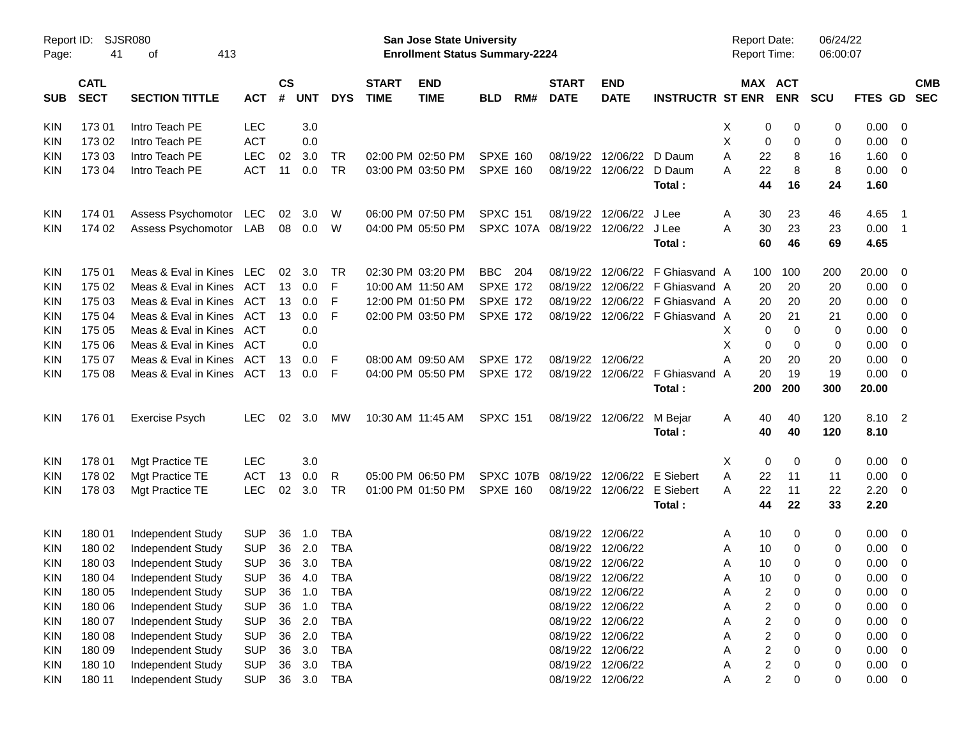| Report ID:<br>Page: | 41                         | <b>SJSR080</b><br>413<br>οf |            |                    |            |            |                             | <b>San Jose State University</b><br><b>Enrollment Status Summary-2224</b> |                 |           |                             |                           |                                  | <b>Report Date:</b><br><b>Report Time:</b> |                         |                       | 06/24/22<br>06:00:07 |               |                          |                          |
|---------------------|----------------------------|-----------------------------|------------|--------------------|------------|------------|-----------------------------|---------------------------------------------------------------------------|-----------------|-----------|-----------------------------|---------------------------|----------------------------------|--------------------------------------------|-------------------------|-----------------------|----------------------|---------------|--------------------------|--------------------------|
| <b>SUB</b>          | <b>CATL</b><br><b>SECT</b> | <b>SECTION TITTLE</b>       | <b>ACT</b> | $\mathsf{cs}$<br># | <b>UNT</b> | <b>DYS</b> | <b>START</b><br><b>TIME</b> | <b>END</b><br><b>TIME</b>                                                 | <b>BLD</b>      | RM#       | <b>START</b><br><b>DATE</b> | <b>END</b><br><b>DATE</b> | <b>INSTRUCTR ST ENR</b>          |                                            |                         | MAX ACT<br><b>ENR</b> | <b>SCU</b>           | FTES GD       |                          | <b>CMB</b><br><b>SEC</b> |
| KIN                 | 17301                      | Intro Teach PE              | <b>LEC</b> |                    | 3.0        |            |                             |                                                                           |                 |           |                             |                           |                                  | Х                                          | 0                       | 0                     | 0                    | 0.00          | - 0                      |                          |
| KIN                 | 173 02                     | Intro Teach PE              | <b>ACT</b> |                    | 0.0        |            |                             |                                                                           |                 |           |                             |                           |                                  | Χ                                          | 0                       | 0                     | 0                    | 0.00          | - 0                      |                          |
| <b>KIN</b>          | 173 03                     | Intro Teach PE              | <b>LEC</b> | 02                 | 3.0        | TR         |                             | 02:00 PM 02:50 PM                                                         | <b>SPXE 160</b> |           | 08/19/22                    | 12/06/22                  | D Daum                           | A                                          | 22                      | 8                     | 16                   | 1.60          | $\overline{0}$           |                          |
| <b>KIN</b>          | 173 04                     | Intro Teach PE              | <b>ACT</b> | 11                 | 0.0        | <b>TR</b>  |                             | 03:00 PM 03:50 PM                                                         | <b>SPXE 160</b> |           | 08/19/22                    | 12/06/22                  | D Daum                           | A                                          | 22                      | 8                     | 8                    | 0.00          | $\overline{0}$           |                          |
|                     |                            |                             |            |                    |            |            |                             |                                                                           |                 |           |                             |                           | Total:                           |                                            | 44                      | 16                    | 24                   | 1.60          |                          |                          |
| KIN                 | 174 01                     | Assess Psychomotor          | LEC        | 02                 | 3.0        | W          |                             | 06:00 PM 07:50 PM                                                         | <b>SPXC 151</b> |           | 08/19/22                    | 12/06/22                  | J Lee                            | A                                          | 30                      | 23                    | 46                   | 4.65          | $\overline{\phantom{1}}$ |                          |
| <b>KIN</b>          | 174 02                     | Assess Psychomotor          | LAB        |                    | 08 0.0     | W          |                             | 04:00 PM 05:50 PM                                                         |                 |           | SPXC 107A 08/19/22          | 12/06/22 J Lee            |                                  | A                                          | 30                      | 23                    | 23                   | 0.00          | $\overline{1}$           |                          |
|                     |                            |                             |            |                    |            |            |                             |                                                                           |                 |           |                             |                           | Total:                           |                                            | 60                      | 46                    | 69                   | 4.65          |                          |                          |
| KIN                 | 175 01                     | Meas & Eval in Kines LEC    |            | 02                 | 3.0        | TR         |                             | 02:30 PM 03:20 PM                                                         | <b>BBC</b>      | 204       | 08/19/22                    |                           | 12/06/22 F Ghiasvand A           |                                            | 100                     | 100                   | 200                  | 20.00         | - 0                      |                          |
| KIN                 | 175 02                     | Meas & Eval in Kines        | ACT        | 13                 | 0.0        | F          |                             | 10:00 AM 11:50 AM                                                         | <b>SPXE 172</b> |           | 08/19/22                    |                           | 12/06/22 F Ghiasvand A           |                                            | 20                      | 20                    | 20                   | 0.00          | - 0                      |                          |
| KIN                 | 175 03                     | Meas & Eval in Kines        | ACT        | 13                 | 0.0        | F          |                             | 12:00 PM 01:50 PM                                                         | <b>SPXE 172</b> |           | 08/19/22                    |                           | 12/06/22 F Ghiasvand A           |                                            | 20                      | 20                    | 20                   | 0.00          | - 0                      |                          |
| KIN                 | 175 04                     | Meas & Eval in Kines        | ACT        | 13                 | 0.0        | F          |                             | 02:00 PM 03:50 PM                                                         | <b>SPXE 172</b> |           | 08/19/22                    |                           | 12/06/22 F Ghiasvand A           |                                            | 20                      | 21                    | 21                   | 0.00          | - 0                      |                          |
| KIN                 | 175 05                     | Meas & Eval in Kines        | ACT        |                    | 0.0        |            |                             |                                                                           |                 |           |                             |                           |                                  | X                                          | 0                       | 0                     | 0                    | 0.00          | - 0                      |                          |
| KIN                 | 175 06                     | Meas & Eval in Kines        | ACT        |                    | 0.0        |            |                             |                                                                           |                 |           |                             |                           |                                  | X                                          | 0                       | 0                     | 0                    | 0.00          | - 0                      |                          |
| KIN                 | 175 07                     | Meas & Eval in Kines        | ACT        | 13                 | 0.0        | F          |                             | 08:00 AM 09:50 AM                                                         | <b>SPXE 172</b> |           | 08/19/22                    | 12/06/22                  |                                  | A                                          | 20                      | 20                    | 20                   | 0.00          | - 0                      |                          |
| KIN                 | 175 08                     | Meas & Eval in Kines        | ACT        | 13                 | 0.0        | F          |                             | 04:00 PM 05:50 PM                                                         | <b>SPXE 172</b> |           | 08/19/22                    |                           | 12/06/22 F Ghiasvand A<br>Total: |                                            | 20<br>200               | 19<br>200             | 19<br>300            | 0.00<br>20.00 | - 0                      |                          |
| <b>KIN</b>          | 176 01                     | <b>Exercise Psych</b>       | <b>LEC</b> | 02                 | 3.0        | МW         |                             | 10:30 AM 11:45 AM                                                         | <b>SPXC 151</b> |           | 08/19/22                    | 12/06/22                  | M Bejar                          | A                                          | 40                      | 40                    | 120                  | 8.10 2        |                          |                          |
|                     |                            |                             |            |                    |            |            |                             |                                                                           |                 |           |                             |                           | Total:                           |                                            | 40                      | 40                    | 120                  | 8.10          |                          |                          |
| KIN                 | 178 01                     | Mgt Practice TE             | <b>LEC</b> |                    | 3.0        |            |                             |                                                                           |                 |           |                             |                           |                                  | Χ                                          | 0                       | 0                     | 0                    | 0.00          | - 0                      |                          |
| KIN                 | 178 02                     | Mgt Practice TE             | <b>ACT</b> | 13                 | 0.0        | R          |                             | 05:00 PM 06:50 PM                                                         |                 | SPXC 107B | 08/19/22                    | 12/06/22                  | E Siebert                        | A                                          | 22                      | 11                    | 11                   | 0.00          | $\overline{\mathbf{0}}$  |                          |
| KIN                 | 178 03                     | Mgt Practice TE             | <b>LEC</b> | 02                 | 3.0        | TR         |                             | 01:00 PM 01:50 PM                                                         | <b>SPXE 160</b> |           | 08/19/22                    | 12/06/22                  | E Siebert                        | A                                          | 22                      | 11                    | 22                   | 2.20          | - 0                      |                          |
|                     |                            |                             |            |                    |            |            |                             |                                                                           |                 |           |                             |                           | Total:                           |                                            | 44                      | 22                    | 33                   | 2.20          |                          |                          |
| <b>KIN</b>          | 180 01                     | Independent Study           | <b>SUP</b> | 36                 | 1.0        | <b>TBA</b> |                             |                                                                           |                 |           | 08/19/22                    | 12/06/22                  |                                  | A                                          | 10                      | 0                     | 0                    | 0.00          | - 0                      |                          |
| KIN                 | 180 02                     | Independent Study           | <b>SUP</b> | 36                 | 2.0        | <b>TBA</b> |                             |                                                                           |                 |           | 08/19/22                    | 12/06/22                  |                                  | A                                          | 10                      | 0                     | 0                    | 0.00          | - 0                      |                          |
| <b>KIN</b>          | 180 03                     | Independent Study           | <b>SUP</b> |                    | 36 3.0     | <b>TBA</b> |                             |                                                                           |                 |           |                             | 08/19/22 12/06/22         |                                  | A                                          | 10                      | $\Omega$              | 0                    | 0.00          | - 0                      |                          |
| KIN                 | 180 04                     | Independent Study           | <b>SUP</b> | 36                 | 4.0        | <b>TBA</b> |                             |                                                                           |                 |           |                             | 08/19/22 12/06/22         |                                  | Α                                          | 10                      | 0                     | 0                    | 0.00          | $\mathbf 0$              |                          |
| KIN                 | 180 05                     | Independent Study           | <b>SUP</b> | 36                 | 1.0        | <b>TBA</b> |                             |                                                                           |                 |           | 08/19/22                    | 12/06/22                  |                                  | Α                                          | 2                       | 0                     | 0                    | 0.00          | 0                        |                          |
| KIN                 | 180 06                     | Independent Study           | <b>SUP</b> | 36                 | 1.0        | <b>TBA</b> |                             |                                                                           |                 |           | 08/19/22                    | 12/06/22                  |                                  | Α                                          | $\overline{\mathbf{c}}$ | 0                     | 0                    | 0.00          | $\overline{0}$           |                          |
| KIN                 | 180 07                     | Independent Study           | <b>SUP</b> | 36                 | 2.0        | <b>TBA</b> |                             |                                                                           |                 |           | 08/19/22                    | 12/06/22                  |                                  | Α                                          | $\overline{\mathbf{c}}$ | 0                     | 0                    | 0.00          | $\mathbf 0$              |                          |
| KIN                 | 180 08                     | Independent Study           | <b>SUP</b> | 36                 | 2.0        | <b>TBA</b> |                             |                                                                           |                 |           | 08/19/22                    | 12/06/22                  |                                  | Α                                          | $\overline{\mathbf{c}}$ | 0                     | 0                    | 0.00          | $\mathbf 0$              |                          |
| KIN                 | 180 09                     | Independent Study           | <b>SUP</b> | 36                 | 3.0        | <b>TBA</b> |                             |                                                                           |                 |           | 08/19/22                    | 12/06/22                  |                                  | A                                          | $\boldsymbol{2}$        | $\Omega$              | 0                    | 0.00          | $\overline{0}$           |                          |
| KIN                 | 180 10                     | Independent Study           | <b>SUP</b> | 36                 | 3.0        | <b>TBA</b> |                             |                                                                           |                 |           | 08/19/22                    | 12/06/22                  |                                  | Α                                          | $\overline{\mathbf{c}}$ | 0                     | 0                    | 0.00          | $\overline{0}$           |                          |
| <b>KIN</b>          | 180 11                     | Independent Study           | <b>SUP</b> | 36                 | 3.0        | <b>TBA</b> |                             |                                                                           |                 |           | 08/19/22                    | 12/06/22                  |                                  | Α                                          | $\overline{c}$          | 0                     | 0                    | 0.00          | $\overline{0}$           |                          |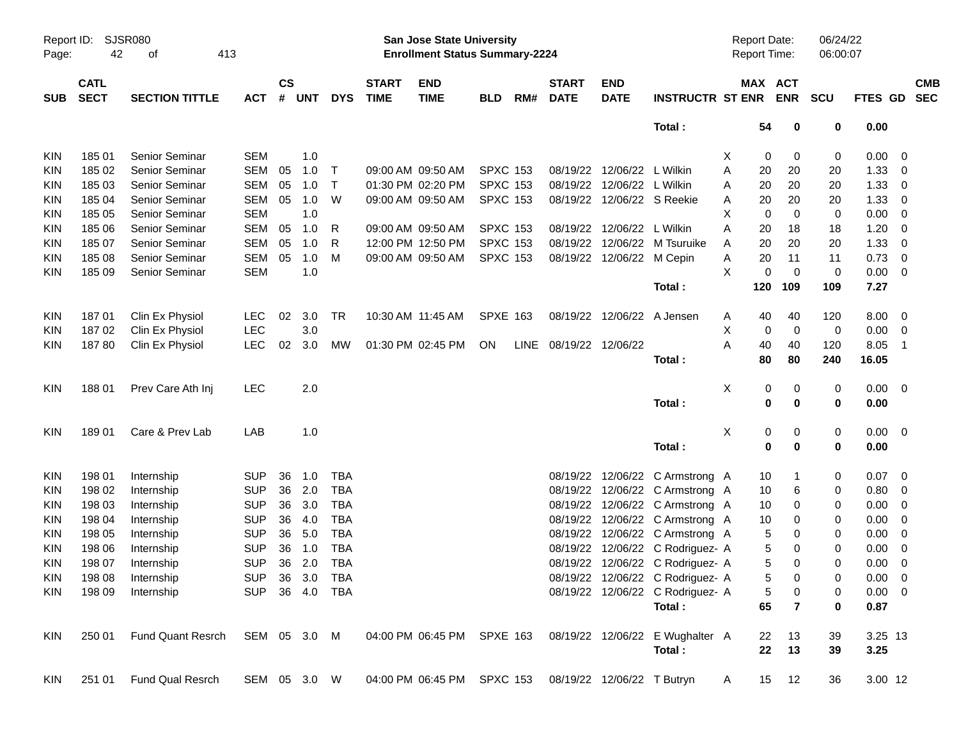| Report ID:<br>Page: | 42                         | <b>SJSR080</b><br>413<br>οf |              |                    |            |                |                             | <b>San Jose State University</b><br><b>Enrollment Status Summary-2224</b> |                 |     |                             |                            |                                                            | <b>Report Date:</b><br><b>Report Time:</b> |                            | 06/24/22<br>06:00:07 |                     |                          |            |
|---------------------|----------------------------|-----------------------------|--------------|--------------------|------------|----------------|-----------------------------|---------------------------------------------------------------------------|-----------------|-----|-----------------------------|----------------------------|------------------------------------------------------------|--------------------------------------------|----------------------------|----------------------|---------------------|--------------------------|------------|
| <b>SUB</b>          | <b>CATL</b><br><b>SECT</b> | <b>SECTION TITTLE</b>       | <b>ACT</b>   | $\mathsf{cs}$<br># | <b>UNT</b> | <b>DYS</b>     | <b>START</b><br><b>TIME</b> | <b>END</b><br><b>TIME</b>                                                 | <b>BLD</b>      | RM# | <b>START</b><br><b>DATE</b> | <b>END</b><br><b>DATE</b>  | <b>INSTRUCTR ST ENR</b>                                    |                                            | MAX ACT<br><b>ENR</b>      | <b>SCU</b>           | FTES GD SEC         |                          | <b>CMB</b> |
|                     |                            |                             |              |                    |            |                |                             |                                                                           |                 |     |                             |                            | Total:                                                     |                                            | 54<br>$\mathbf 0$          | 0                    | 0.00                |                          |            |
| KIN                 | 18501                      | <b>Senior Seminar</b>       | <b>SEM</b>   |                    | 1.0        |                |                             |                                                                           |                 |     |                             |                            |                                                            | X                                          | 0<br>0                     | 0                    | $0.00 \t 0$         |                          |            |
| KIN                 | 185 02                     | Senior Seminar              | SEM          | 05                 | 1.0        | $\top$         |                             | 09:00 AM 09:50 AM                                                         | <b>SPXC 153</b> |     |                             | 08/19/22 12/06/22 L Wilkin |                                                            | Α<br>20                                    | 20                         | 20                   | 1.33                | $\overline{\phantom{0}}$ |            |
| KIN                 | 185 03                     | Senior Seminar              | <b>SEM</b>   | 05                 | 1.0        | $\top$         |                             | 01:30 PM 02:20 PM                                                         | <b>SPXC 153</b> |     |                             | 08/19/22 12/06/22 L Wilkin |                                                            | 20<br>Α                                    | 20                         | 20                   | 1.33                | $\overline{\phantom{0}}$ |            |
| KIN                 | 185 04                     | <b>Senior Seminar</b>       | SEM          | 05                 | 1.0        | W              |                             | 09:00 AM 09:50 AM                                                         | <b>SPXC 153</b> |     |                             | 08/19/22 12/06/22 S Reekie |                                                            | 20<br>Α                                    | 20                         | 20                   | 1.33                | $\overline{\mathbf{0}}$  |            |
| KIN                 | 185 05                     | <b>Senior Seminar</b>       | <b>SEM</b>   |                    | 1.0        |                |                             |                                                                           |                 |     |                             |                            |                                                            | х                                          | $\mathbf 0$<br>$\mathbf 0$ | 0                    | $0.00 \t 0$         |                          |            |
| KIN                 | 185 06                     | <b>Senior Seminar</b>       | <b>SEM</b>   | 05                 | 1.0        | R              |                             | 09:00 AM 09:50 AM                                                         | <b>SPXC 153</b> |     |                             | 08/19/22 12/06/22 L Wilkin |                                                            | A<br>20                                    | 18                         | 18                   | 1.20                | $\overline{\mathbf{0}}$  |            |
| KIN                 | 185 07                     | <b>Senior Seminar</b>       | <b>SEM</b>   | 05                 | 1.0        | R              |                             | 12:00 PM 12:50 PM                                                         | <b>SPXC 153</b> |     |                             |                            | 08/19/22 12/06/22 M Tsuruike                               | 20<br>A                                    | 20                         | 20                   | 1.33                | $\overline{\mathbf{0}}$  |            |
| KIN                 | 185 08                     | Senior Seminar              | SEM          | 05                 | 1.0        | м              |                             | 09:00 AM 09:50 AM                                                         | <b>SPXC 153</b> |     |                             | 08/19/22 12/06/22 M Cepin  |                                                            | 20<br>Α                                    | 11                         | 11                   | $0.73 \ 0$          |                          |            |
| KIN                 | 185 09                     | Senior Seminar              | <b>SEM</b>   |                    | 1.0        |                |                             |                                                                           |                 |     |                             |                            |                                                            | X                                          | $\mathbf 0$<br>$\mathbf 0$ | $\mathbf 0$          | $0.00 \t 0$         |                          |            |
|                     |                            |                             |              |                    |            |                |                             |                                                                           |                 |     |                             |                            | Total:                                                     | 120                                        | 109                        | 109                  | 7.27                |                          |            |
| KIN                 | 18701                      | Clin Ex Physiol             | <b>LEC</b>   | 02                 | 3.0        | TR             |                             | 10:30 AM 11:45 AM                                                         | <b>SPXE 163</b> |     |                             | 08/19/22 12/06/22 A Jensen |                                                            | 40<br>A                                    | 40                         | 120                  | $8.00 \t 0$         |                          |            |
| KIN                 | 18702                      | Clin Ex Physiol             | <b>LEC</b>   |                    | 3.0        |                |                             |                                                                           |                 |     |                             |                            |                                                            | Χ                                          | $\mathbf 0$<br>0           | 0                    | $0.00 \t 0$         |                          |            |
| KIN                 | 18780                      | Clin Ex Physiol             | <b>LEC</b>   | 02                 | 3.0        | <b>MW</b>      |                             | 01:30 PM 02:45 PM                                                         | ON.             |     | LINE 08/19/22 12/06/22      |                            |                                                            | A<br>40                                    | 40                         | 120                  | 8.05                | $\overline{\phantom{1}}$ |            |
|                     |                            |                             |              |                    |            |                |                             |                                                                           |                 |     |                             |                            | Total:                                                     | 80                                         | 80                         | 240                  | 16.05               |                          |            |
| <b>KIN</b>          | 18801                      | Prev Care Ath Inj           | <b>LEC</b>   |                    | 2.0        |                |                             |                                                                           |                 |     |                             |                            |                                                            | Χ                                          | 0<br>0                     | 0                    | $0.00 \t 0$         |                          |            |
|                     |                            |                             |              |                    |            |                |                             |                                                                           |                 |     |                             |                            | Total:                                                     |                                            | 0<br>$\mathbf 0$           | 0                    | 0.00                |                          |            |
| <b>KIN</b>          | 18901                      | Care & Prev Lab             | LAB          |                    | 1.0        |                |                             |                                                                           |                 |     |                             |                            |                                                            | Χ                                          | 0<br>0                     | 0                    | $0.00 \t 0$         |                          |            |
|                     |                            |                             |              |                    |            |                |                             |                                                                           |                 |     |                             |                            | Total:                                                     |                                            | $\mathbf 0$<br>0           | 0                    | 0.00                |                          |            |
| <b>KIN</b>          | 198 01                     | Internship                  | <b>SUP</b>   | 36                 | 1.0        | <b>TBA</b>     |                             |                                                                           |                 |     |                             |                            | 08/19/22 12/06/22 C Armstrong A                            |                                            | 10<br>$\mathbf{1}$         | 0                    | $0.07 \quad 0$      |                          |            |
| KIN                 | 198 02                     | Internship                  | <b>SUP</b>   | 36                 | 2.0        | <b>TBA</b>     |                             |                                                                           |                 |     |                             |                            | 08/19/22 12/06/22 C Armstrong A                            |                                            | 6<br>10                    | 0                    | $0.80 \t 0$         |                          |            |
| <b>KIN</b>          | 198 03                     | Internship                  | <b>SUP</b>   | 36                 | 3.0        | <b>TBA</b>     |                             |                                                                           |                 |     |                             |                            | 08/19/22 12/06/22 C Armstrong A                            |                                            | 10<br>0                    | 0                    | $0.00 \t 0$         |                          |            |
| KIN                 | 198 04                     | Internship                  | <b>SUP</b>   | 36                 | 4.0        | <b>TBA</b>     |                             |                                                                           |                 |     |                             |                            | 08/19/22 12/06/22 C Armstrong A                            |                                            | 10<br>0                    | 0                    | 0.00                | $\overline{\mathbf{0}}$  |            |
| KIN                 | 198 05                     | Internship                  | <b>SUP</b>   | 36                 | 5.0        | <b>TBA</b>     |                             |                                                                           |                 |     |                             |                            | 08/19/22 12/06/22 C Armstrong A                            |                                            | 5<br>0                     | 0                    | 0.00                | $\overline{\mathbf{0}}$  |            |
| <b>KIN</b>          | 198 06                     | Internship                  | <b>SUP</b>   | 36                 | 1.0        | <b>TBA</b>     |                             |                                                                           |                 |     |                             |                            | 08/19/22 12/06/22 C Rodriguez- A                           |                                            | 5<br>0                     | 0                    | 0.00                | $\overline{\mathbf{0}}$  |            |
| <b>KIN</b>          | 198 07                     | Internship                  | <b>SUP</b>   | 36                 | 2.0        | <b>TBA</b>     |                             |                                                                           |                 |     |                             |                            | 08/19/22 12/06/22 C Rodriguez- A                           |                                            | 5<br>0                     | 0                    | 0.00                | $\overline{\mathbf{0}}$  |            |
| KIN                 | 198 08                     | Internship                  |              |                    |            | SUP 36 3.0 TBA |                             |                                                                           |                 |     |                             |                            | 08/19/22 12/06/22 C Rodriguez- A                           |                                            | $\overline{5}$<br>0        |                      | $0.00 \t 0$         |                          |            |
| <b>KIN</b>          | 198 09                     | Internship                  |              |                    |            | SUP 36 4.0 TBA |                             |                                                                           |                 |     |                             |                            | 08/19/22 12/06/22 C Rodriguez- A<br>Total:                 | 65                                         | 5<br>0<br>$\overline{7}$   | 0<br>0               | $0.00 \t 0$<br>0.87 |                          |            |
|                     |                            |                             |              |                    |            |                |                             |                                                                           |                 |     |                             |                            |                                                            |                                            |                            |                      |                     |                          |            |
| <b>KIN</b>          | 250 01                     | Fund Quant Resrch           | SEM 05 3.0 M |                    |            |                |                             |                                                                           |                 |     |                             |                            | 04:00 PM 06:45 PM SPXE 163 08/19/22 12/06/22 E Wughalter A |                                            | 22<br>13                   | 39                   | 3.25 13             |                          |            |
|                     |                            |                             |              |                    |            |                |                             |                                                                           |                 |     |                             |                            | Total:                                                     |                                            | 22<br>13                   | 39                   | 3.25                |                          |            |
| KIN.                | 251 01                     | Fund Qual Resrch            | SEM 05 3.0 W |                    |            |                |                             | 04:00 PM 06:45 PM SPXC 153 08/19/22 12/06/22 T Butryn                     |                 |     |                             |                            |                                                            | $\mathsf{A}$                               | 15 12                      | 36                   | 3.00 12             |                          |            |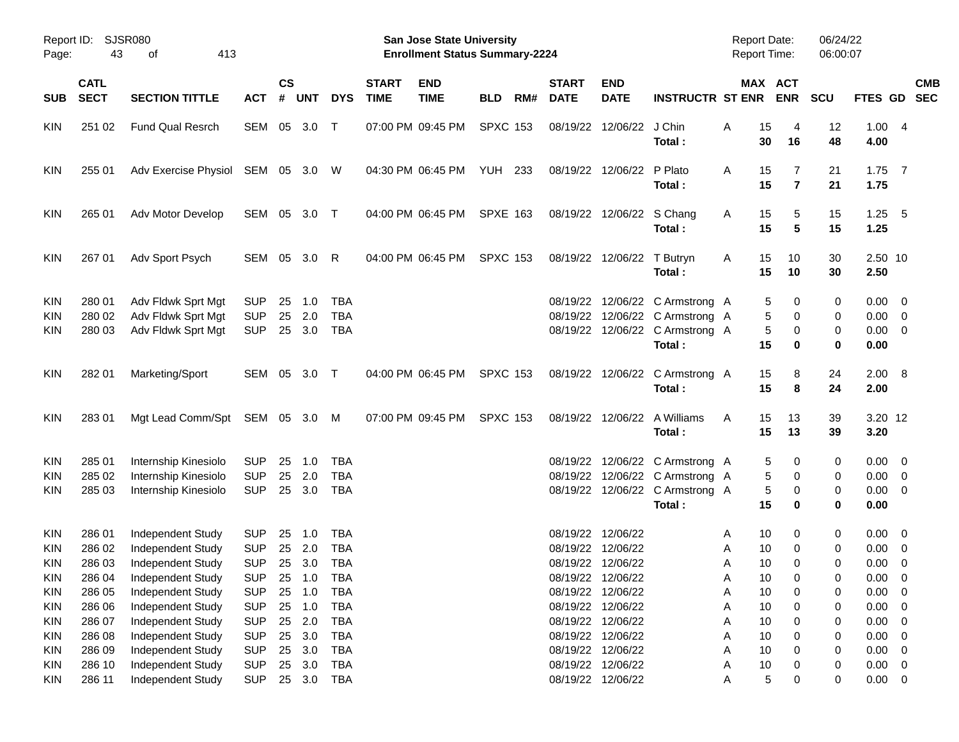| Report ID:<br>Page:                                  | 43                                   | SJSR080<br>413<br>οf                                                             |                                                      |                      |                          |                                                      |                             | <b>San Jose State University</b><br><b>Enrollment Status Summary-2224</b> |                 |     |                             |                                                                                  |                                                                                                                 |                  | <b>Report Date:</b><br><b>Report Time:</b>            | 06/24/22<br>06:00:07 |                                                            |            |
|------------------------------------------------------|--------------------------------------|----------------------------------------------------------------------------------|------------------------------------------------------|----------------------|--------------------------|------------------------------------------------------|-----------------------------|---------------------------------------------------------------------------|-----------------|-----|-----------------------------|----------------------------------------------------------------------------------|-----------------------------------------------------------------------------------------------------------------|------------------|-------------------------------------------------------|----------------------|------------------------------------------------------------|------------|
| <b>SUB</b>                                           | <b>CATL</b><br><b>SECT</b>           | <b>SECTION TITTLE</b>                                                            | <b>ACT</b>                                           | <b>CS</b><br>#       | UNT                      | <b>DYS</b>                                           | <b>START</b><br><b>TIME</b> | <b>END</b><br><b>TIME</b>                                                 | <b>BLD</b>      | RM# | <b>START</b><br><b>DATE</b> | <b>END</b><br><b>DATE</b>                                                        | <b>INSTRUCTR ST ENR</b>                                                                                         |                  | MAX ACT<br><b>ENR</b>                                 | <b>SCU</b>           | FTES GD SEC                                                | <b>CMB</b> |
| <b>KIN</b>                                           | 251 02                               | <b>Fund Qual Resrch</b>                                                          | SEM 05 3.0                                           |                      |                          | $\top$                                               |                             | 07:00 PM 09:45 PM                                                         | <b>SPXC 153</b> |     |                             | 08/19/22 12/06/22 J Chin                                                         | Total:                                                                                                          | Α                | 15<br>4<br>30<br>16                                   | 12<br>48             | 1.004<br>4.00                                              |            |
| <b>KIN</b>                                           | 255 01                               | Adv Exercise Physiol SEM 05 3.0 W                                                |                                                      |                      |                          |                                                      |                             | 04:30 PM 06:45 PM                                                         | <b>YUH 233</b>  |     |                             | 08/19/22 12/06/22 P Plato                                                        | Total:                                                                                                          | Α                | 15<br>7<br>15<br>$\overline{7}$                       | 21<br>21             | $1.75$ 7<br>1.75                                           |            |
| <b>KIN</b>                                           | 265 01                               | Adv Motor Develop                                                                | SEM 05 3.0 T                                         |                      |                          |                                                      |                             | 04:00 PM 06:45 PM                                                         | <b>SPXE 163</b> |     |                             | 08/19/22 12/06/22 S Chang                                                        | Total:                                                                                                          | A                | 15<br>5<br>15<br>5                                    | 15<br>15             | $1.25$ 5<br>1.25                                           |            |
| <b>KIN</b>                                           | 267 01                               | Adv Sport Psych                                                                  | SEM 05 3.0                                           |                      |                          | R                                                    |                             | 04:00 PM 06:45 PM                                                         | <b>SPXC 153</b> |     |                             | 08/19/22 12/06/22 T Butryn                                                       | Total:                                                                                                          | A                | 15<br>10<br>15<br>10                                  | 30<br>30             | 2.50 10<br>2.50                                            |            |
| <b>KIN</b><br><b>KIN</b><br><b>KIN</b>               | 280 01<br>280 02<br>280 03           | Adv Fldwk Sprt Mgt<br>Adv Fldwk Sprt Mgt<br>Adv Fldwk Sprt Mgt                   | <b>SUP</b><br><b>SUP</b><br><b>SUP</b>               | 25<br>25             | 1.0<br>2.0<br>25 3.0     | <b>TBA</b><br><b>TBA</b><br><b>TBA</b>               |                             |                                                                           |                 |     |                             |                                                                                  | 08/19/22 12/06/22 C Armstrong A<br>08/19/22 12/06/22 C Armstrong A<br>08/19/22 12/06/22 C Armstrong A<br>Total: |                  | 5<br>0<br>5<br>0<br>5<br>0<br>15<br>0                 | 0<br>0<br>0<br>0     | $0.00 \t 0$<br>$0.00 \t 0$<br>$0.00 \t 0$<br>0.00          |            |
| <b>KIN</b>                                           | 282 01                               | Marketing/Sport                                                                  | SEM 05 3.0 T                                         |                      |                          |                                                      |                             | 04:00 PM 06:45 PM                                                         | <b>SPXC 153</b> |     |                             |                                                                                  | 08/19/22 12/06/22 C Armstrong A<br>Total:                                                                       |                  | 15<br>8<br>15<br>8                                    | 24<br>24             | 2.00 8<br>2.00                                             |            |
| <b>KIN</b>                                           | 283 01                               | Mgt Lead Comm/Spt SEM 05 3.0 M                                                   |                                                      |                      |                          |                                                      |                             | 07:00 PM 09:45 PM                                                         | <b>SPXC 153</b> |     |                             |                                                                                  | 08/19/22 12/06/22 A Williams<br>Total:                                                                          | A                | 15<br>13<br>15<br>13                                  | 39<br>39             | 3.20 12<br>3.20                                            |            |
| <b>KIN</b><br><b>KIN</b><br><b>KIN</b>               | 285 01<br>285 02<br>285 03           | Internship Kinesiolo<br>Internship Kinesiolo<br>Internship Kinesiolo             | <b>SUP</b><br><b>SUP</b><br><b>SUP</b>               | 25<br>25             | 1.0<br>2.0<br>25 3.0     | <b>TBA</b><br><b>TBA</b><br><b>TBA</b>               |                             |                                                                           |                 |     |                             |                                                                                  | 08/19/22 12/06/22 C Armstrong A<br>08/19/22 12/06/22 C Armstrong A<br>08/19/22 12/06/22 C Armstrong A<br>Total: |                  | 0<br>5<br>5<br>0<br>5<br>0<br>15<br>0                 | 0<br>0<br>0<br>0     | $0.00 \quad 0$<br>$0.00 \t 0$<br>$0.00 \t 0$<br>0.00       |            |
| <b>KIN</b><br><b>KIN</b><br><b>KIN</b><br><b>KIN</b> | 286 01<br>286 02<br>286 03<br>286 04 | Independent Study<br>Independent Study<br>Independent Study<br>Independent Study | <b>SUP</b><br><b>SUP</b><br><b>SUP</b><br>SUP 25 1.0 | 25<br>25             | 1.0<br>2.0<br>25 3.0     | TBA<br><b>TBA</b><br><b>TBA</b><br><b>TBA</b>        |                             |                                                                           |                 |     |                             | 08/19/22 12/06/22<br>08/19/22 12/06/22<br>08/19/22 12/06/22<br>08/19/22 12/06/22 |                                                                                                                 | A<br>Α<br>Α<br>A | 10<br>0<br>10<br>0<br>10<br>0<br>10 <sub>1</sub><br>0 | 0<br>0<br>0<br>0     | $0.00 \quad 0$<br>$0.00 \t 0$<br>$0.00 \ 0$<br>$0.00 \t 0$ |            |
| <b>KIN</b><br><b>KIN</b><br>KIN                      | 286 05<br>286 06<br>286 07<br>286 08 | Independent Study<br>Independent Study<br>Independent Study                      | <b>SUP</b><br><b>SUP</b><br><b>SUP</b><br><b>SUP</b> | 25<br>25<br>25<br>25 | 1.0<br>1.0<br>2.0<br>3.0 | <b>TBA</b><br><b>TBA</b><br><b>TBA</b><br><b>TBA</b> |                             |                                                                           |                 |     |                             | 08/19/22 12/06/22<br>08/19/22 12/06/22<br>08/19/22 12/06/22<br>08/19/22 12/06/22 |                                                                                                                 | Α<br>Α<br>Α      | 10<br>0<br>10<br>0<br>10<br>0<br>10<br>0              | 0<br>0<br>0          | $0.00 \t 0$<br>$0.00 \t 0$<br>$0.00 \t 0$<br>$0.00 \t 0$   |            |
| KIN<br><b>KIN</b><br><b>KIN</b><br><b>KIN</b>        | 286 09<br>286 10<br>286 11           | Independent Study<br>Independent Study<br>Independent Study<br>Independent Study | <b>SUP</b><br><b>SUP</b><br><b>SUP</b>               | 25<br>25             | 3.0<br>3.0<br>25 3.0     | <b>TBA</b><br><b>TBA</b><br><b>TBA</b>               |                             |                                                                           |                 |     |                             | 08/19/22 12/06/22<br>08/19/22 12/06/22<br>08/19/22 12/06/22                      |                                                                                                                 | Α<br>Α<br>Α<br>Α | 10<br>0<br>10<br>0<br>5<br>0                          | 0<br>0<br>0<br>0     | $0.00 \t 0$<br>$0.00 \t 0$<br>$0.00 \t 0$                  |            |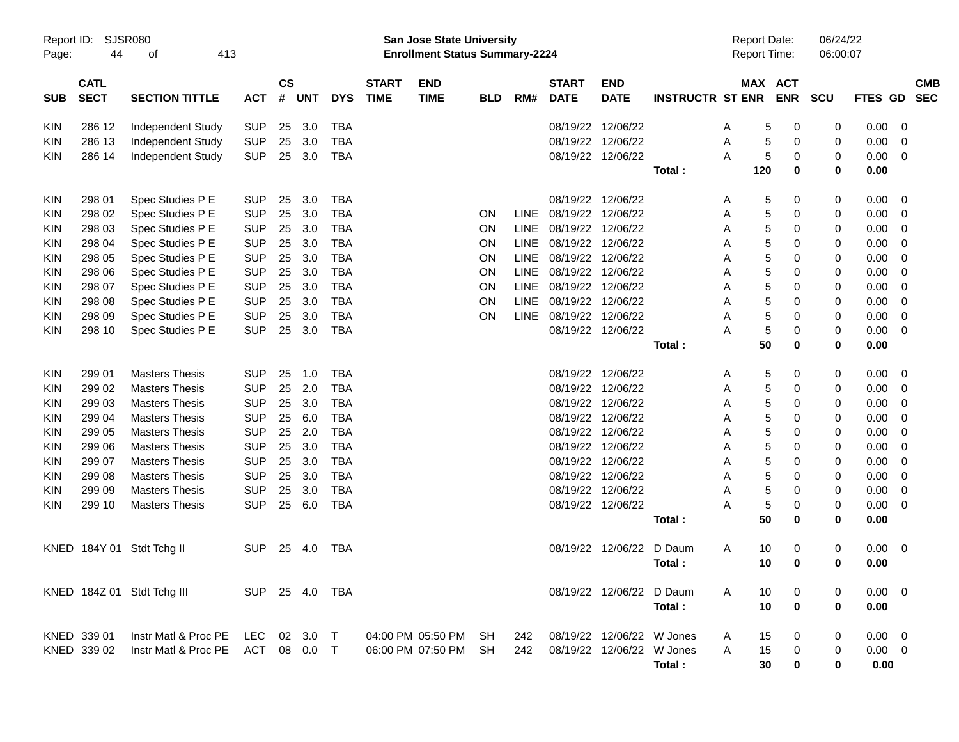| Report ID:<br>Page: | SJSR080<br>44              | 413<br>оf                         |            |                    |          |            |                             | <b>San Jose State University</b><br><b>Enrollment Status Summary-2224</b> |            |             |                             |                           |                         |   | <b>Report Date:</b><br>Report Time: |                       | 06/24/22<br>06:00:07 |                |                                 |
|---------------------|----------------------------|-----------------------------------|------------|--------------------|----------|------------|-----------------------------|---------------------------------------------------------------------------|------------|-------------|-----------------------------|---------------------------|-------------------------|---|-------------------------------------|-----------------------|----------------------|----------------|---------------------------------|
| <b>SUB</b>          | <b>CATL</b><br><b>SECT</b> | <b>SECTION TITTLE</b>             | <b>ACT</b> | $\mathsf{cs}$<br># | UNT      | <b>DYS</b> | <b>START</b><br><b>TIME</b> | <b>END</b><br><b>TIME</b>                                                 | <b>BLD</b> | RM#         | <b>START</b><br><b>DATE</b> | <b>END</b><br><b>DATE</b> | <b>INSTRUCTR ST ENR</b> |   |                                     | MAX ACT<br><b>ENR</b> | <b>SCU</b>           | <b>FTES</b>    | <b>CMB</b><br><b>SEC</b><br>GD. |
| <b>KIN</b>          | 286 12                     | Independent Study                 | <b>SUP</b> | 25                 | 3.0      | <b>TBA</b> |                             |                                                                           |            |             | 08/19/22 12/06/22           |                           |                         | Α | 5                                   | 0                     | 0                    | 0.00           | 0                               |
| <b>KIN</b>          | 286 13                     | Independent Study                 | <b>SUP</b> | 25                 | 3.0      | <b>TBA</b> |                             |                                                                           |            |             | 08/19/22 12/06/22           |                           |                         | Α | 5                                   | 0                     | 0                    | 0.00           | 0                               |
| KIN                 | 286 14                     | Independent Study                 | <b>SUP</b> | 25                 | 3.0      | <b>TBA</b> |                             |                                                                           |            |             | 08/19/22 12/06/22           |                           |                         | Α | 5                                   | 0                     | 0                    | 0.00           | 0                               |
|                     |                            |                                   |            |                    |          |            |                             |                                                                           |            |             |                             |                           | Total:                  |   | 120                                 | 0                     | 0                    | 0.00           |                                 |
| <b>KIN</b>          | 298 01                     | Spec Studies P E                  | <b>SUP</b> | 25                 | 3.0      | <b>TBA</b> |                             |                                                                           |            |             |                             | 08/19/22 12/06/22         |                         | Α | 5                                   | 0                     | 0                    | 0.00           | 0                               |
| KIN                 | 298 02                     | Spec Studies P E                  | <b>SUP</b> | 25                 | 3.0      | <b>TBA</b> |                             |                                                                           | OΝ         | LINE        | 08/19/22                    | 12/06/22                  |                         | Α | 5                                   | 0                     | 0                    | 0.00           | 0                               |
| <b>KIN</b>          | 298 03                     | Spec Studies P E                  | <b>SUP</b> | 25                 | 3.0      | <b>TBA</b> |                             |                                                                           | <b>ON</b>  | LINE        | 08/19/22                    | 12/06/22                  |                         | Α | 5                                   | 0                     | 0                    | 0.00           | 0                               |
| <b>KIN</b>          | 298 04                     | Spec Studies P E                  | <b>SUP</b> | 25                 | 3.0      | <b>TBA</b> |                             |                                                                           | <b>ON</b>  | LINE        | 08/19/22                    | 12/06/22                  |                         | Α | 5                                   | 0                     | 0                    | 0.00           | 0                               |
| <b>KIN</b>          | 298 05                     | Spec Studies P E                  | <b>SUP</b> | 25                 | 3.0      | <b>TBA</b> |                             |                                                                           | <b>ON</b>  | LINE        | 08/19/22                    | 12/06/22                  |                         | Α | 5                                   | 0                     | 0                    | 0.00           | 0                               |
| KIN                 | 298 06                     | Spec Studies P E                  | <b>SUP</b> | 25                 | 3.0      | <b>TBA</b> |                             |                                                                           | <b>ON</b>  | LINE        | 08/19/22 12/06/22           |                           |                         | Α | $\,$ 5 $\,$                         | 0                     | 0                    | 0.00           | 0                               |
| <b>KIN</b>          | 298 07                     | Spec Studies P E                  | <b>SUP</b> | 25                 | 3.0      | <b>TBA</b> |                             |                                                                           | <b>ON</b>  | LINE        | 08/19/22 12/06/22           |                           |                         | Α | 5                                   | 0                     | 0                    | 0.00           | 0                               |
| <b>KIN</b>          | 298 08                     | Spec Studies P E                  | <b>SUP</b> | 25                 | 3.0      | <b>TBA</b> |                             |                                                                           | <b>ON</b>  | LINE        | 08/19/22 12/06/22           |                           |                         | Α | 5                                   | 0                     | 0                    | 0.00           | 0                               |
| <b>KIN</b>          | 298 09                     | Spec Studies P E                  | <b>SUP</b> | 25                 | 3.0      | <b>TBA</b> |                             |                                                                           | <b>ON</b>  | <b>LINE</b> | 08/19/22 12/06/22           |                           |                         | Α | 5                                   | 0                     | 0                    | 0.00           | 0                               |
| KIN                 | 298 10                     | Spec Studies P E                  | <b>SUP</b> | 25                 | 3.0      | <b>TBA</b> |                             |                                                                           |            |             | 08/19/22 12/06/22           |                           |                         | Α | 5                                   | 0                     | 0                    | 0.00           | 0                               |
|                     |                            |                                   |            |                    |          |            |                             |                                                                           |            |             |                             |                           | Total:                  |   | 50                                  | 0                     | 0                    | 0.00           |                                 |
| <b>KIN</b>          | 299 01                     | <b>Masters Thesis</b>             | <b>SUP</b> | 25                 | 1.0      | <b>TBA</b> |                             |                                                                           |            |             | 08/19/22 12/06/22           |                           |                         | Α | 5                                   | 0                     | 0                    | 0.00           | 0                               |
| <b>KIN</b>          | 299 02                     | <b>Masters Thesis</b>             | <b>SUP</b> | 25                 | 2.0      | <b>TBA</b> |                             |                                                                           |            |             | 08/19/22                    | 12/06/22                  |                         | Α | 5                                   | 0                     | 0                    | 0.00           | 0                               |
| <b>KIN</b>          | 299 03                     | <b>Masters Thesis</b>             | <b>SUP</b> | 25                 | 3.0      | <b>TBA</b> |                             |                                                                           |            |             |                             | 08/19/22 12/06/22         |                         | Α | 5                                   | 0                     | 0                    | 0.00           | 0                               |
| <b>KIN</b>          | 299 04                     | <b>Masters Thesis</b>             | <b>SUP</b> | 25                 | 6.0      | <b>TBA</b> |                             |                                                                           |            |             |                             | 08/19/22 12/06/22         |                         | Α | 5                                   | 0                     | 0                    | 0.00           | 0                               |
| <b>KIN</b>          | 299 05                     | <b>Masters Thesis</b>             | <b>SUP</b> | 25                 | 2.0      | <b>TBA</b> |                             |                                                                           |            |             | 08/19/22                    | 12/06/22                  |                         | Α | 5                                   | 0                     | 0                    | 0.00           | 0                               |
| <b>KIN</b>          | 299 06                     | <b>Masters Thesis</b>             | <b>SUP</b> | 25                 | 3.0      | <b>TBA</b> |                             |                                                                           |            |             | 08/19/22                    | 12/06/22                  |                         | Α | 5                                   | 0                     | 0                    | 0.00           | 0                               |
| KIN                 | 299 07                     | <b>Masters Thesis</b>             | <b>SUP</b> | 25                 | 3.0      | <b>TBA</b> |                             |                                                                           |            |             | 08/19/22 12/06/22           |                           |                         | Α | $\,$ 5 $\,$                         | 0                     | 0                    | 0.00           | 0                               |
| <b>KIN</b>          | 299 08                     | <b>Masters Thesis</b>             | <b>SUP</b> | 25                 | 3.0      | <b>TBA</b> |                             |                                                                           |            |             | 08/19/22 12/06/22           |                           |                         | Α | 5                                   | 0                     | 0                    | 0.00           | 0                               |
| <b>KIN</b>          | 299 09                     | <b>Masters Thesis</b>             | <b>SUP</b> | 25                 | 3.0      | <b>TBA</b> |                             |                                                                           |            |             | 08/19/22 12/06/22           |                           |                         | Α | 5                                   | 0                     | 0                    | 0.00           | 0                               |
| KIN                 | 299 10                     | <b>Masters Thesis</b>             | <b>SUP</b> | 25                 | 6.0      | <b>TBA</b> |                             |                                                                           |            |             | 08/19/22 12/06/22           |                           |                         | Α | 5                                   | 0                     | 0                    | 0.00           | 0                               |
|                     |                            |                                   |            |                    |          |            |                             |                                                                           |            |             |                             |                           | Total:                  |   | 50                                  | 0                     | 0                    | 0.00           |                                 |
| KNED.               | 184Y 01                    | Stdt Tchg II                      | <b>SUP</b> | 25                 | 4.0      | <b>TBA</b> |                             |                                                                           |            |             |                             | 08/19/22 12/06/22         | D Daum                  | A | 10                                  | 0                     | 0                    | 0.00           | 0                               |
|                     |                            |                                   |            |                    |          |            |                             |                                                                           |            |             |                             |                           | Total:                  |   | 10                                  | $\bf{0}$              | 0                    | 0.00           |                                 |
|                     |                            |                                   |            |                    |          |            |                             |                                                                           |            |             |                             |                           |                         |   |                                     |                       |                      |                |                                 |
|                     |                            | KNED 184Z 01 Stdt Tchg III        | SUP 25 4.0 |                    |          | TBA        |                             |                                                                           |            |             |                             | 08/19/22 12/06/22 D Daum  |                         | A | 10                                  | 0                     | 0                    | $0.00 \quad 0$ |                                 |
|                     |                            |                                   |            |                    |          |            |                             |                                                                           |            |             |                             |                           | Total:                  |   | 10                                  | $\bf{0}$              | 0                    | 0.00           |                                 |
|                     | KNED 339 01                | Instr Matl & Proc PE LEC          |            |                    | 02 3.0 T |            |                             | 04:00 PM 05:50 PM                                                         | SH         | 242         |                             | 08/19/22 12/06/22         | W Jones                 | A | 15                                  | 0                     | 0                    | $0.00 \quad 0$ |                                 |
|                     | KNED 339 02                | Instr Matl & Proc PE ACT 08 0.0 T |            |                    |          |            |                             | 06:00 PM 07:50 PM                                                         | -SH        | 242         |                             | 08/19/22 12/06/22 W Jones |                         | A | 15                                  | $\boldsymbol{0}$      | 0                    | $0.00 \t 0$    |                                 |
|                     |                            |                                   |            |                    |          |            |                             |                                                                           |            |             |                             |                           | Total:                  |   | 30                                  | 0                     | 0                    | 0.00           |                                 |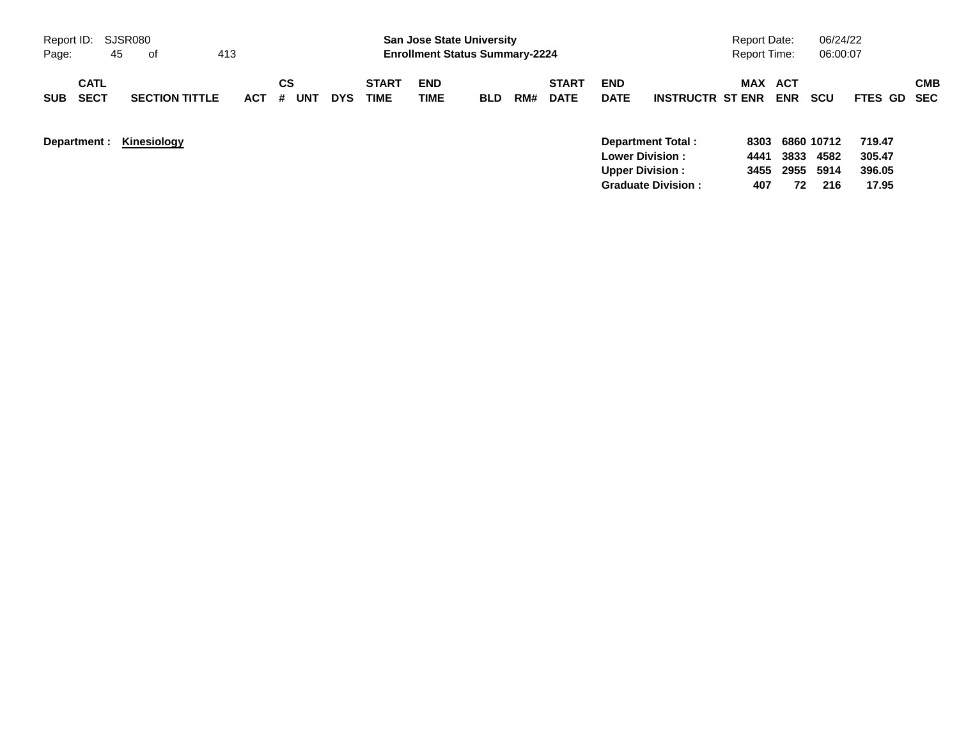| Report ID:                               |    | SJSR080               |     |         |     |            |                             | <b>San Jose State University</b>      |            |     |                             |                                                  |                          | <b>Report Date:</b> |                   | 06/24/22                        |                            |            |
|------------------------------------------|----|-----------------------|-----|---------|-----|------------|-----------------------------|---------------------------------------|------------|-----|-----------------------------|--------------------------------------------------|--------------------------|---------------------|-------------------|---------------------------------|----------------------------|------------|
| Page:                                    | 45 | of                    | 413 |         |     |            |                             | <b>Enrollment Status Summary-2224</b> |            |     |                             |                                                  |                          | Report Time:        |                   | 06:00:07                        |                            |            |
| <b>CATL</b><br><b>SECT</b><br><b>SUB</b> |    | <b>SECTION TITTLE</b> | ACT | СS<br># | UNT | <b>DYS</b> | <b>START</b><br><b>TIME</b> | <b>END</b><br>TIME                    | <b>BLD</b> | RM# | <b>START</b><br><b>DATE</b> | <b>END</b><br><b>DATE</b>                        | <b>INSTRUCTR ST ENR</b>  | MAX                 | ACT<br><b>ENR</b> | SCU                             | FTES GD SEC                | <b>CMB</b> |
| Department :                             |    | Kinesiology           |     |         |     |            |                             |                                       |            |     |                             | <b>Lower Division:</b><br><b>Upper Division:</b> | <b>Department Total:</b> | 4441<br>3455        | 3833<br>2955      | 8303 6860 10712<br>4582<br>5914 | 719.47<br>305.47<br>396.05 |            |

**Graduate Division : 407 72 216 17.95**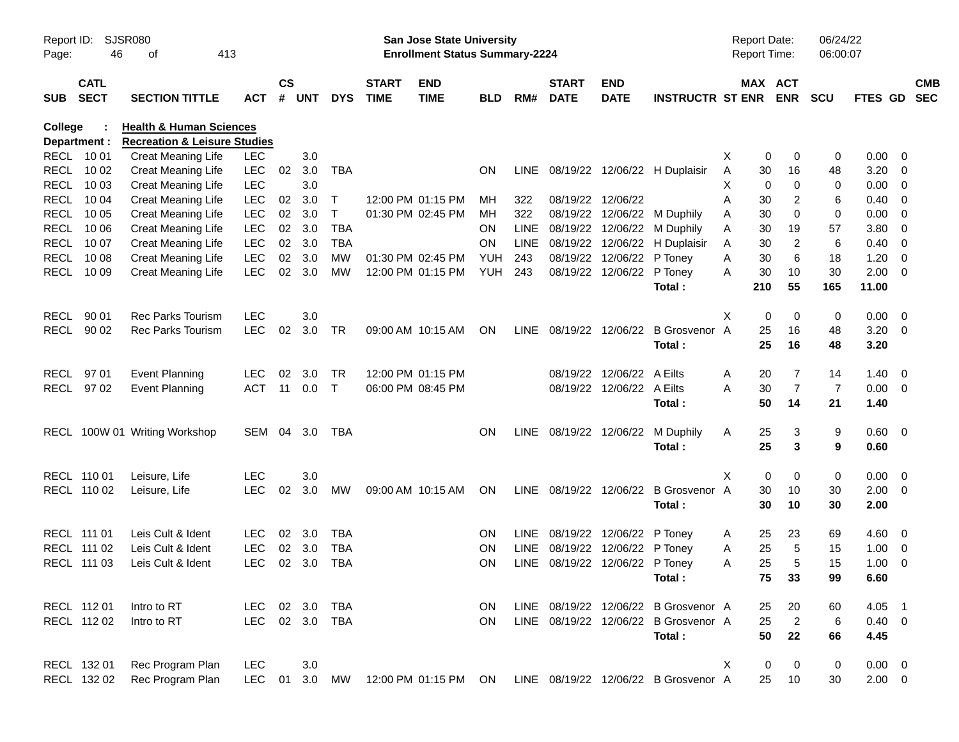| Report ID:<br>Page: | 46                         | SJSR080<br>413<br>οf                                                          |            |                    |            |              |                             | San Jose State University<br><b>Enrollment Status Summary-2224</b> |            |      |                                |                           |                                      |   | Report Date:<br><b>Report Time:</b> | 06/24/22<br>06:00:07 |                |                          |                          |
|---------------------|----------------------------|-------------------------------------------------------------------------------|------------|--------------------|------------|--------------|-----------------------------|--------------------------------------------------------------------|------------|------|--------------------------------|---------------------------|--------------------------------------|---|-------------------------------------|----------------------|----------------|--------------------------|--------------------------|
| <b>SUB</b>          | <b>CATL</b><br><b>SECT</b> | <b>SECTION TITTLE</b>                                                         | ACT        | $\mathsf{cs}$<br># | <b>UNT</b> | <b>DYS</b>   | <b>START</b><br><b>TIME</b> | <b>END</b><br><b>TIME</b>                                          | <b>BLD</b> | RM#  | <b>START</b><br><b>DATE</b>    | <b>END</b><br><b>DATE</b> | <b>INSTRUCTR ST ENR</b>              |   | MAX ACT<br><b>ENR</b>               | <b>SCU</b>           | <b>FTES GD</b> |                          | <b>CMB</b><br><b>SEC</b> |
| College             | Department :               | <b>Health &amp; Human Sciences</b><br><b>Recreation &amp; Leisure Studies</b> |            |                    |            |              |                             |                                                                    |            |      |                                |                           |                                      |   |                                     |                      |                |                          |                          |
|                     | RECL 10 01                 | <b>Creat Meaning Life</b>                                                     | <b>LEC</b> |                    | 3.0        |              |                             |                                                                    |            |      |                                |                           |                                      | X | 0<br>0                              | 0                    | $0.00 \t 0$    |                          |                          |
|                     | RECL 10 02                 | <b>Creat Meaning Life</b>                                                     | <b>LEC</b> | 02                 | 3.0        | TBA          |                             |                                                                    | <b>ON</b>  |      |                                |                           | LINE 08/19/22 12/06/22 H Duplaisir   | A | 30<br>16                            | 48                   | $3.20 \ 0$     |                          |                          |
|                     | RECL 10 03                 | <b>Creat Meaning Life</b>                                                     | <b>LEC</b> |                    | 3.0        |              |                             |                                                                    |            |      |                                |                           |                                      | X | 0<br>0                              | 0                    | $0.00 \t 0$    |                          |                          |
| RECL                | 10 04                      | <b>Creat Meaning Life</b>                                                     | <b>LEC</b> | 02                 | 3.0        | Τ            |                             | 12:00 PM 01:15 PM                                                  | MН         | 322  | 08/19/22 12/06/22              |                           |                                      | Α | 2<br>30                             | 6                    | $0.40 \ 0$     |                          |                          |
|                     | RECL 10 05                 | <b>Creat Meaning Life</b>                                                     | LEC        | 02 <sub>o</sub>    | 3.0        | $\mathsf{T}$ |                             | 01:30 PM 02:45 PM                                                  | MН         | 322  |                                |                           | 08/19/22 12/06/22 M Duphily          | Α | 0<br>30                             | 0                    | $0.00 \t 0$    |                          |                          |
| RECL                | 10 06                      | <b>Creat Meaning Life</b>                                                     | <b>LEC</b> | 02                 | 3.0        | <b>TBA</b>   |                             |                                                                    | ON         | LINE |                                |                           | 08/19/22 12/06/22 M Duphily          | Α | 30<br>19                            | 57                   | 3.80 0         |                          |                          |
| RECL                | 10 07                      | <b>Creat Meaning Life</b>                                                     | <b>LEC</b> | 02                 | 3.0        | TBA          |                             |                                                                    | ON         | LINE |                                |                           | 08/19/22 12/06/22 H Duplaisir        | Α | 2<br>30                             | 6                    | $0.40 \ 0$     |                          |                          |
|                     | RECL 1008                  | <b>Creat Meaning Life</b>                                                     | <b>LEC</b> | 02                 | 3.0        | MW           |                             | 01:30 PM 02:45 PM                                                  | YUH        | 243  |                                | 08/19/22 12/06/22 P Toney |                                      | Α | 6<br>30                             | 18                   | 1.20           | $\overline{\phantom{0}}$ |                          |
|                     | RECL 10 09                 | Creat Meaning Life                                                            | <b>LEC</b> | 02                 | 3.0        | <b>MW</b>    |                             | 12:00 PM 01:15 PM                                                  | YUH        | 243  |                                | 08/19/22 12/06/22 P Toney |                                      | Α | 10<br>30                            | 30                   | $2.00 \t 0$    |                          |                          |
|                     |                            |                                                                               |            |                    |            |              |                             |                                                                    |            |      |                                |                           | Total:                               |   | 210<br>55                           | 165                  | 11.00          |                          |                          |
|                     |                            |                                                                               |            |                    |            |              |                             |                                                                    |            |      |                                |                           |                                      |   |                                     |                      |                |                          |                          |
| RECL                | 90 01                      | <b>Rec Parks Tourism</b>                                                      | <b>LEC</b> |                    | 3.0        |              |                             |                                                                    |            |      |                                |                           |                                      | Χ | 0<br>0                              | 0                    | $0.00 \t 0$    |                          |                          |
|                     | RECL 90 02                 | <b>Rec Parks Tourism</b>                                                      | <b>LEC</b> | 02                 | 3.0        | TR           |                             | 09:00 AM 10:15 AM                                                  | ON         |      |                                |                           | LINE 08/19/22 12/06/22 B Grosvenor   | A | 25<br>16                            | 48                   | $3.20 \ 0$     |                          |                          |
|                     |                            |                                                                               |            |                    |            |              |                             |                                                                    |            |      |                                |                           | Total:                               |   | 25<br>16                            | 48                   | 3.20           |                          |                          |
|                     |                            |                                                                               |            |                    |            |              |                             |                                                                    |            |      |                                |                           |                                      |   |                                     |                      |                |                          |                          |
|                     | RECL 97 01                 | <b>Event Planning</b>                                                         | <b>LEC</b> | 02                 | 3.0        | <b>TR</b>    | 12:00 PM 01:15 PM           |                                                                    |            |      |                                | 08/19/22 12/06/22 A Eilts |                                      | Α | 7<br>20                             | 14                   | $1.40 \ 0$     |                          |                          |
|                     | RECL 97 02                 | <b>Event Planning</b>                                                         | <b>ACT</b> | 11                 | 0.0        | $\mathsf{T}$ |                             | 06:00 PM 08:45 PM                                                  |            |      |                                | 08/19/22 12/06/22 A Eilts |                                      | Α | $\overline{7}$<br>30                | 7                    | $0.00 \t 0$    |                          |                          |
|                     |                            |                                                                               |            |                    |            |              |                             |                                                                    |            |      |                                |                           | Total:                               |   | 50<br>14                            | 21                   | 1.40           |                          |                          |
|                     |                            |                                                                               |            |                    |            |              |                             |                                                                    |            |      |                                |                           |                                      |   |                                     |                      |                |                          |                          |
|                     |                            | RECL 100W 01 Writing Workshop                                                 | SEM 04 3.0 |                    |            | TBA          |                             |                                                                    | <b>ON</b>  |      |                                |                           | LINE 08/19/22 12/06/22 M Duphily     | A | 25<br>3                             | 9                    | 0.60 0         |                          |                          |
|                     |                            |                                                                               |            |                    |            |              |                             |                                                                    |            |      |                                |                           | Total:                               |   | 25<br>3                             | 9                    | 0.60           |                          |                          |
|                     |                            |                                                                               |            |                    |            |              |                             |                                                                    |            |      |                                |                           |                                      |   |                                     |                      |                |                          |                          |
|                     | RECL 110 01                | Leisure, Life                                                                 | <b>LEC</b> |                    | 3.0        |              |                             |                                                                    |            |      |                                |                           |                                      | Χ | 0<br>0                              | 0                    | $0.00 \t 0$    |                          |                          |
|                     | RECL 110 02                | Leisure, Life                                                                 | <b>LEC</b> | 02                 | 3.0        | MW           |                             | 09:00 AM 10:15 AM                                                  | ON         |      |                                |                           | LINE 08/19/22 12/06/22 B Grosvenor A |   | 30<br>10                            | 30                   | $2.00 \t 0$    |                          |                          |
|                     |                            |                                                                               |            |                    |            |              |                             |                                                                    |            |      |                                |                           | Total:                               |   | 30<br>10                            | 30                   | 2.00           |                          |                          |
|                     |                            |                                                                               |            |                    |            |              |                             |                                                                    |            |      |                                |                           |                                      |   |                                     |                      |                |                          |                          |
|                     | RECL 111 01                | Leis Cult & Ident                                                             | <b>LEC</b> | 02                 | 3.0        | TBA          |                             |                                                                    | <b>ON</b>  |      | LINE 08/19/22 12/06/22 P Toney |                           |                                      | A | 25<br>23                            | 69                   | 4.60 0         |                          |                          |
|                     | RECL 111 02                | Leis Cult & Ident                                                             | <b>LEC</b> | 02                 | 3.0        | <b>TBA</b>   |                             |                                                                    | <b>ON</b>  | LINE |                                | 08/19/22 12/06/22 P Toney |                                      | Α | 25<br>5                             | 15                   | $1.00 \t 0$    |                          |                          |
|                     | RECL 111 03                | Leis Cult & Ident                                                             | <b>LEC</b> |                    | 02 3.0     | <b>TBA</b>   |                             |                                                                    | <b>ON</b>  |      | LINE 08/19/22 12/06/22 P Toney |                           |                                      | A | 25<br>5                             | 15                   | $1.00 \t 0$    |                          |                          |
|                     |                            |                                                                               |            |                    |            |              |                             |                                                                    |            |      |                                |                           | Total:                               |   | 75<br>33                            | 99                   | 6.60           |                          |                          |
|                     |                            |                                                                               |            |                    |            |              |                             |                                                                    |            |      |                                |                           |                                      |   |                                     |                      |                |                          |                          |
|                     | RECL 112 01                | Intro to RT                                                                   | LEC.       |                    | 02 3.0     | TBA          |                             |                                                                    | <b>ON</b>  |      |                                |                           | LINE 08/19/22 12/06/22 B Grosvenor A |   | 25<br>20                            | 60                   | $4.05$ 1       |                          |                          |
|                     | RECL 112 02                | Intro to RT                                                                   | LEC.       |                    | 02 3.0     | TBA          |                             |                                                                    | <b>ON</b>  |      |                                |                           | LINE 08/19/22 12/06/22 B Grosvenor A |   | $\overline{2}$<br>25                | $\,6$                | $0.40 \ 0$     |                          |                          |
|                     |                            |                                                                               |            |                    |            |              |                             |                                                                    |            |      |                                |                           | Total:                               |   | 50<br>22                            | 66                   | 4.45           |                          |                          |
|                     |                            |                                                                               |            |                    |            |              |                             |                                                                    |            |      |                                |                           |                                      |   |                                     |                      |                |                          |                          |
|                     | RECL 132 01                | Rec Program Plan                                                              | <b>LEC</b> |                    | 3.0        |              |                             |                                                                    |            |      |                                |                           |                                      | X | 0<br>0                              | 0                    | $0.00 \t 0$    |                          |                          |
|                     | RECL 132 02                | Rec Program Plan                                                              | <b>LEC</b> | 01                 | 3.0        | MW           |                             | 12:00 PM 01:15 PM                                                  | ON         |      |                                |                           | LINE 08/19/22 12/06/22 B Grosvenor A |   | 25<br>10                            | 30                   | $2.00 \t 0$    |                          |                          |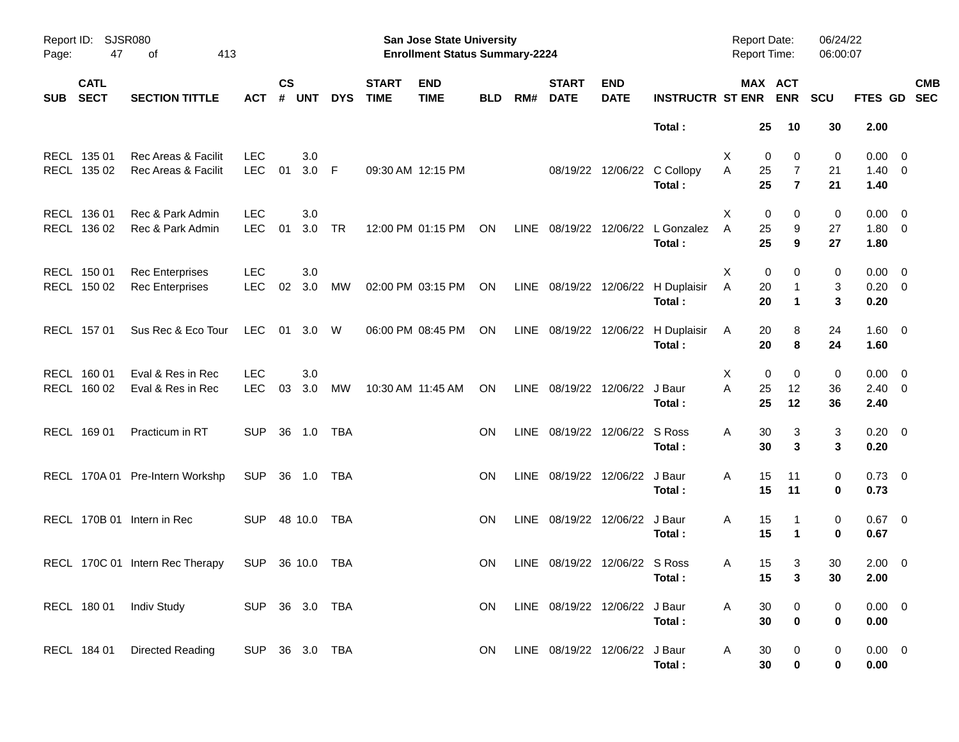| Report ID:<br>Page: | 47                         | SJSR080<br>413<br>οf                             |                          |                |                |            |                             | San Jose State University<br><b>Enrollment Status Summary-2224</b> |            |      |                               |                           |                                       | Report Date:<br><b>Report Time:</b> |                                           | 06/24/22<br>06:00:07 |                             |                         |                          |
|---------------------|----------------------------|--------------------------------------------------|--------------------------|----------------|----------------|------------|-----------------------------|--------------------------------------------------------------------|------------|------|-------------------------------|---------------------------|---------------------------------------|-------------------------------------|-------------------------------------------|----------------------|-----------------------------|-------------------------|--------------------------|
| <b>SUB</b>          | <b>CATL</b><br><b>SECT</b> | <b>SECTION TITTLE</b>                            | <b>ACT</b>               | <b>CS</b><br># | <b>UNT</b>     | <b>DYS</b> | <b>START</b><br><b>TIME</b> | <b>END</b><br><b>TIME</b>                                          | <b>BLD</b> | RM#  | <b>START</b><br><b>DATE</b>   | <b>END</b><br><b>DATE</b> | <b>INSTRUCTR ST ENR</b>               |                                     | MAX ACT<br><b>ENR</b>                     | <b>SCU</b>           | <b>FTES GD</b>              |                         | <b>CMB</b><br><b>SEC</b> |
|                     |                            |                                                  |                          |                |                |            |                             |                                                                    |            |      |                               |                           | Total:                                |                                     | 25<br>10                                  | 30                   | 2.00                        |                         |                          |
|                     | RECL 135 01<br>RECL 135 02 | Rec Areas & Facilit<br>Rec Areas & Facilit       | <b>LEC</b><br><b>LEC</b> | 01             | 3.0<br>$3.0$ F |            |                             | 09:30 AM 12:15 PM                                                  |            |      |                               |                           | 08/19/22 12/06/22 C Collopy<br>Total: | X<br>A                              | 0<br>0<br>25<br>7<br>25<br>$\overline{7}$ | 0<br>21<br>21        | 0.00<br>$1.40 \ 0$<br>1.40  | $\overline{\mathbf{0}}$ |                          |
|                     | RECL 136 01<br>RECL 136 02 | Rec & Park Admin<br>Rec & Park Admin             | <b>LEC</b><br><b>LEC</b> | 01             | 3.0<br>3.0     | <b>TR</b>  |                             | 12:00 PM 01:15 PM                                                  | ON         |      | LINE 08/19/22 12/06/22        |                           | L Gonzalez<br>Total:                  | Χ<br>A                              | 0<br>0<br>25<br>9<br>25<br>9              | 0<br>27<br>27        | 0.00<br>$1.80 \t 0$<br>1.80 | $\overline{\mathbf{0}}$ |                          |
|                     | RECL 150 01<br>RECL 150 02 | <b>Rec Enterprises</b><br><b>Rec Enterprises</b> | <b>LEC</b><br><b>LEC</b> | 02             | 3.0<br>3.0     | МW         |                             | 02:00 PM 03:15 PM                                                  | ON         |      | LINE 08/19/22 12/06/22        |                           | H Duplaisir<br>Total:                 | X<br>Α                              | 0<br>0<br>20<br>20<br>$\mathbf 1$         | 0<br>3<br>3          | 0.00<br>$0.20 \ 0$<br>0.20  | $\overline{\mathbf{0}}$ |                          |
|                     | RECL 157 01                | Sus Rec & Eco Tour                               | LEC.                     | 01             | 3.0            | W          |                             | 06:00 PM 08:45 PM                                                  | ON         |      | LINE 08/19/22 12/06/22        |                           | H Duplaisir<br>Total:                 | A                                   | 20<br>8<br>20<br>8                        | 24<br>24             | $1.60 \t 0$<br>1.60         |                         |                          |
|                     | RECL 160 01<br>RECL 160 02 | Eval & Res in Rec<br>Eval & Res in Rec           | <b>LEC</b><br><b>LEC</b> | 03             | 3.0<br>3.0     | MW         |                             | 10:30 AM 11:45 AM                                                  | ON         |      | LINE 08/19/22 12/06/22        |                           | J Baur<br>Total:                      | X<br>A                              | 0<br>0<br>25<br>12<br>25<br>12            | 0<br>36<br>36        | 0.00<br>$2.40 \ 0$<br>2.40  | $\overline{\mathbf{0}}$ |                          |
|                     | RECL 169 01                | Practicum in RT                                  | <b>SUP</b>               | -36            | 1.0            | TBA        |                             |                                                                    | <b>ON</b>  |      | LINE 08/19/22 12/06/22 S Ross |                           | Total:                                | Α                                   | 30<br>3<br>30<br>3                        | 3<br>3               | $0.20 \ 0$<br>0.20          |                         |                          |
|                     |                            | RECL 170A 01 Pre-Intern Workshp                  | <b>SUP</b>               | 36             | 1.0            | TBA        |                             |                                                                    | <b>ON</b>  |      | LINE 08/19/22 12/06/22        |                           | J Baur<br>Total:                      | Α                                   | 15<br>11<br>15<br>11                      | 0<br>0               | $0.73 \quad 0$<br>0.73      |                         |                          |
|                     |                            | RECL 170B 01 Intern in Rec                       | <b>SUP</b>               |                | 48 10.0        | TBA        |                             |                                                                    | <b>ON</b>  | LINE | 08/19/22 12/06/22             |                           | J Baur<br>Total:                      | Α                                   | 15<br>15<br>$\mathbf{1}$                  | 0<br>0               | $0.67$ 0<br>0.67            |                         |                          |
|                     |                            | RECL 170C 01 Intern Rec Therapy                  | <b>SUP</b>               |                | 36 10.0        | TBA        |                             |                                                                    | <b>ON</b>  |      | LINE 08/19/22 12/06/22 S Ross |                           | Total:                                | A                                   | 15<br>3<br>15<br>3 <sup>1</sup>           | 30<br>$30\,$         | $2.00 \t 0$<br>2.00         |                         |                          |
|                     |                            | RECL 180 01 Indiv Study                          | SUP 36 3.0 TBA           |                |                |            |                             |                                                                    | ON.        |      | LINE 08/19/22 12/06/22 J Baur |                           | Total:                                | A                                   | 30<br>$\bf{0}$<br>$\pmb{0}$<br>30         | 0<br>0               | $0.00 \t 0$<br>0.00         |                         |                          |
|                     | RECL 184 01                | <b>Directed Reading</b>                          | SUP 36 3.0 TBA           |                |                |            |                             |                                                                    | ON.        |      | LINE 08/19/22 12/06/22 J Baur |                           | Total:                                | A                                   | 30<br>$\mathbf 0$<br>0<br>30              | 0<br>$\mathbf 0$     | $0.00 \t 0$<br>0.00         |                         |                          |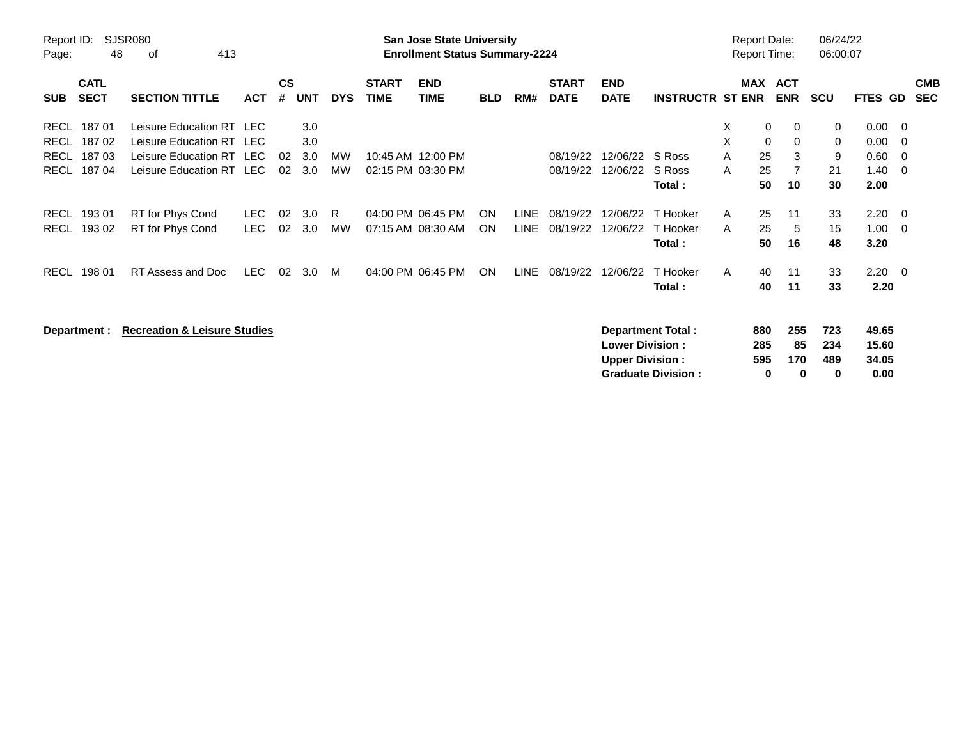| Report ID:<br>Page:                                                                          | <b>SJSR080</b><br>48<br>413<br>οf                                                                            |                    |                    |                          |                 |                             | <b>San Jose State University</b><br><b>Enrollment Status Summary-2224</b> |                 |                            |                             |                                                  |                                                       |                  | <b>Report Date:</b><br><b>Report Time:</b> |                              | 06/24/22<br>06:00:07    |                                      |                                               |
|----------------------------------------------------------------------------------------------|--------------------------------------------------------------------------------------------------------------|--------------------|--------------------|--------------------------|-----------------|-----------------------------|---------------------------------------------------------------------------|-----------------|----------------------------|-----------------------------|--------------------------------------------------|-------------------------------------------------------|------------------|--------------------------------------------|------------------------------|-------------------------|--------------------------------------|-----------------------------------------------|
| <b>CATL</b><br><b>SECT</b><br><b>SUB</b>                                                     | <b>SECTION TITTLE</b>                                                                                        | <b>ACT</b>         | $\mathsf{cs}$<br># | <b>UNT</b>               | <b>DYS</b>      | <b>START</b><br><b>TIME</b> | <b>END</b><br><b>TIME</b>                                                 | <b>BLD</b>      | RM#                        | <b>START</b><br><b>DATE</b> | <b>END</b><br><b>DATE</b>                        | <b>INSTRUCTR ST ENR</b>                               |                  | MAX ACT<br><b>ENR</b>                      |                              | <b>SCU</b>              | <b>FTES GD</b>                       | <b>CMB</b><br><b>SEC</b>                      |
| 18701<br><b>RECL</b><br>18702<br><b>RECL</b><br>18703<br><b>RECL</b><br><b>RECL</b><br>18704 | Leisure Education RT LEC<br>Leisure Education RT LEC<br>Leisure Education RT LEC<br>Leisure Education RT LEC |                    | 02<br>02           | 3.0<br>3.0<br>3.0<br>3.0 | <b>MW</b><br>MW |                             | 10:45 AM 12:00 PM<br>02:15 PM 03:30 PM                                    |                 |                            | 08/19/22<br>08/19/22        | 12/06/22<br>12/06/22                             | S Ross<br>S Ross<br>Total:                            | X<br>X<br>A<br>A | 0<br>$\mathbf 0$<br>25<br>25<br>50         | $\mathbf 0$<br>0<br>3<br>10  | 0<br>0<br>9<br>21<br>30 | 0.00<br>0.00<br>0.60<br>1.40<br>2.00 | $\overline{\phantom{0}}$<br>- 0<br>- 0<br>- 0 |
| 19301<br><b>RECL</b><br>19302<br><b>RECL</b>                                                 | RT for Phys Cond<br>RT for Phys Cond                                                                         | LEC.<br><b>LEC</b> | 02<br>02           | 3.0<br>3.0               | R.<br><b>MW</b> |                             | 04:00 PM 06:45 PM<br>07:15 AM 08:30 AM                                    | ON<br><b>ON</b> | <b>LINE</b><br><b>LINE</b> | 08/19/22<br>08/19/22        | 12/06/22<br>12/06/22                             | T Hooker<br>T Hooker<br>Total:                        | A<br>A           | 25<br>25<br>50                             | 11<br>5<br>16                | 33<br>15<br>48          | 2.20<br>1.00<br>3.20                 | - 0<br>- 0                                    |
| 198 01<br><b>RECL</b>                                                                        | RT Assess and Doc                                                                                            | <b>LEC</b>         | 02                 | 3.0                      | M               |                             | 04:00 PM 06:45 PM                                                         | ON              | <b>LINE</b>                | 08/19/22                    | 12/06/22                                         | T Hooker<br>Total:                                    | A                | 40<br>40                                   | 11<br>11                     | 33<br>33                | $2.20 \t 0$<br>2.20                  |                                               |
| Department :                                                                                 | <b>Recreation &amp; Leisure Studies</b>                                                                      |                    |                    |                          |                 |                             |                                                                           |                 |                            |                             | <b>Lower Division:</b><br><b>Upper Division:</b> | <b>Department Total:</b><br><b>Graduate Division:</b> |                  | 880<br>285<br>595<br>0                     | 255<br>85<br>170<br>$\bf{0}$ | 723<br>234<br>489<br>0  | 49.65<br>15.60<br>34.05<br>0.00      |                                               |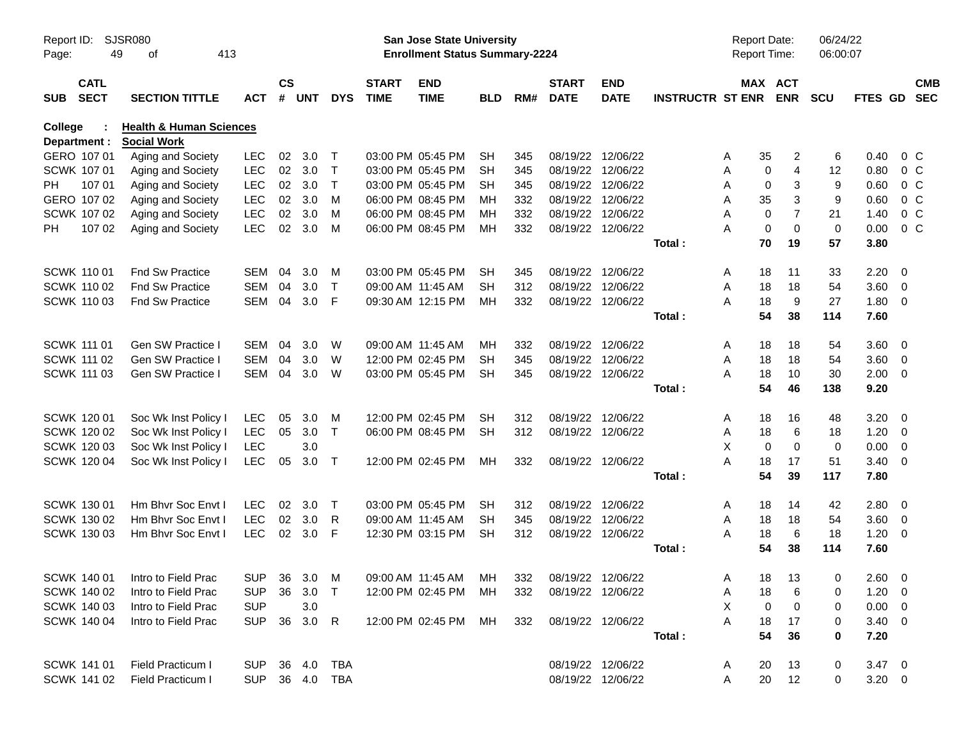| Report ID:<br>Page: | 49                               | SJSR080<br>413<br>оf                   |                          |                    |            |                  |                             | San Jose State University<br><b>Enrollment Status Summary-2224</b> |                        |            |                                        |                           |                         | Report Date:<br>Report Time: |                                                                 | 06/24/22<br>06:00:07 |              |                                           |            |
|---------------------|----------------------------------|----------------------------------------|--------------------------|--------------------|------------|------------------|-----------------------------|--------------------------------------------------------------------|------------------------|------------|----------------------------------------|---------------------------|-------------------------|------------------------------|-----------------------------------------------------------------|----------------------|--------------|-------------------------------------------|------------|
| <b>SUB</b>          | <b>CATL</b><br><b>SECT</b>       | <b>SECTION TITTLE</b>                  | <b>ACT</b>               | $\mathsf{cs}$<br># | <b>UNT</b> | <b>DYS</b>       | <b>START</b><br><b>TIME</b> | <b>END</b><br><b>TIME</b>                                          | <b>BLD</b>             | RM#        | <b>START</b><br><b>DATE</b>            | <b>END</b><br><b>DATE</b> | <b>INSTRUCTR ST ENR</b> |                              | MAX ACT<br><b>ENR</b>                                           | <b>SCU</b>           | FTES GD SEC  |                                           | <b>CMB</b> |
| College             |                                  | <b>Health &amp; Human Sciences</b>     |                          |                    |            |                  |                             |                                                                    |                        |            |                                        |                           |                         |                              |                                                                 |                      |              |                                           |            |
|                     | Department :                     | <b>Social Work</b>                     |                          |                    |            |                  |                             |                                                                    |                        |            |                                        |                           |                         |                              |                                                                 |                      |              |                                           |            |
|                     | GERO 107 01<br>SCWK 107 01       | Aging and Society                      | <b>LEC</b><br><b>LEC</b> | 02<br>02           | 3.0<br>3.0 | $\top$<br>$\top$ |                             | 03:00 PM 05:45 PM<br>03:00 PM 05:45 PM                             | <b>SH</b><br><b>SH</b> | 345<br>345 | 08/19/22 12/06/22<br>08/19/22 12/06/22 |                           |                         | 35<br>A<br>Α                 | $\overline{\mathbf{c}}$<br>$\overline{\mathbf{4}}$<br>$\pmb{0}$ | 6<br>12              | 0.40<br>0.80 | 0 <sup>o</sup><br>0 <sup>o</sup>          |            |
| <b>PH</b>           | 107 01                           | Aging and Society<br>Aging and Society | <b>LEC</b>               | 02                 | 3.0        | $\top$           |                             | 03:00 PM 05:45 PM                                                  | <b>SH</b>              | 345        |                                        | 08/19/22 12/06/22         |                         | Α                            | 3<br>0                                                          | 9                    | 0.60         | $0\,C$                                    |            |
|                     | GERO 107 02                      | Aging and Society                      | <b>LEC</b>               | 02                 | 3.0        | M                |                             | 06:00 PM 08:45 PM                                                  | MН                     | 332        | 08/19/22 12/06/22                      |                           |                         | 35<br>Α                      | 3                                                               | 9                    | 0.60         | 0 <sup>o</sup>                            |            |
|                     | SCWK 107 02                      | Aging and Society                      | <b>LEC</b>               | 02                 | 3.0        | M                |                             | 06:00 PM 08:45 PM                                                  | MН                     | 332        | 08/19/22 12/06/22                      |                           |                         | A                            | $\overline{7}$<br>$\mathbf 0$                                   | 21                   | 1.40         | 0 <sup>o</sup>                            |            |
| PH.                 | 107 02                           | Aging and Society                      | <b>LEC</b>               | 02                 | 3.0        | M                |                             | 06:00 PM 08:45 PM                                                  | MН                     | 332        | 08/19/22 12/06/22                      |                           |                         | Α                            | $\mathbf 0$<br>$\mathbf 0$                                      | $\mathbf 0$          | 0.00         | $0\,C$                                    |            |
|                     |                                  |                                        |                          |                    |            |                  |                             |                                                                    |                        |            |                                        |                           | Total:                  | 70                           | 19                                                              | 57                   | 3.80         |                                           |            |
|                     |                                  |                                        |                          |                    |            |                  |                             |                                                                    |                        |            |                                        |                           |                         |                              |                                                                 |                      |              |                                           |            |
|                     | <b>SCWK 11001</b>                | Fnd Sw Practice                        | SEM                      | 04                 | 3.0        | M                |                             | 03:00 PM 05:45 PM                                                  | <b>SH</b>              | 345        | 08/19/22 12/06/22                      |                           |                         | 18<br>A                      | 11                                                              | 33                   | 2.20         | $\overline{0}$                            |            |
|                     | <b>SCWK 110 02</b>               | <b>Fnd Sw Practice</b>                 | SEM                      | 04                 | 3.0        | $\top$           |                             | 09:00 AM 11:45 AM                                                  | SH                     | 312        | 08/19/22 12/06/22                      |                           |                         | A<br>18                      | 18                                                              | 54                   | 3.60         | $\overline{\mathbf{0}}$                   |            |
|                     | <b>SCWK 11003</b>                | Fnd Sw Practice                        | SEM                      | 04                 | 3.0        | F                |                             | 09:30 AM 12:15 PM                                                  | MН                     | 332        | 08/19/22 12/06/22                      |                           |                         | 18<br>А                      | $9\,$                                                           | 27                   | 1.80         | $\overline{\phantom{0}}$                  |            |
|                     |                                  |                                        |                          |                    |            |                  |                             |                                                                    |                        |            |                                        |                           | Total:                  | 54                           | 38                                                              | 114                  | 7.60         |                                           |            |
|                     |                                  |                                        |                          |                    |            |                  |                             |                                                                    |                        |            |                                        |                           |                         |                              |                                                                 |                      |              |                                           |            |
|                     | <b>SCWK 111 01</b>               | Gen SW Practice I                      | SEM                      | 04                 | 3.0        | W                |                             | 09:00 AM 11:45 AM                                                  | MН                     | 332        | 08/19/22 12/06/22                      |                           |                         | 18<br>A                      | 18                                                              | 54                   | 3.60         | $\overline{\phantom{0}}$                  |            |
|                     | SCWK 111 02                      | <b>Gen SW Practice I</b>               | SEM                      | 04                 | 3.0        | W                |                             | 12:00 PM 02:45 PM                                                  | <b>SH</b>              | 345        | 08/19/22 12/06/22                      |                           |                         | 18<br>A                      | 18                                                              | 54                   | 3.60         | $\overline{\phantom{0}}$                  |            |
|                     | <b>SCWK 111 03</b>               | Gen SW Practice I                      | SEM                      | 04                 | 3.0        | W                |                             | 03:00 PM 05:45 PM                                                  | <b>SH</b>              | 345        |                                        | 08/19/22 12/06/22         |                         | A<br>18                      | 10                                                              | 30                   | 2.00         | $\overline{\phantom{0}}$                  |            |
|                     |                                  |                                        |                          |                    |            |                  |                             |                                                                    |                        |            |                                        |                           | Total:                  | 54                           | 46                                                              | 138                  | 9.20         |                                           |            |
|                     |                                  |                                        |                          |                    |            |                  |                             |                                                                    |                        |            |                                        |                           |                         |                              |                                                                 |                      |              |                                           |            |
|                     | SCWK 120 01                      | Soc Wk Inst Policy I                   | <b>LEC</b>               | 05                 | 3.0        | M                |                             | 12:00 PM 02:45 PM                                                  | SH                     | 312        | 08/19/22 12/06/22                      |                           |                         | 18<br>A                      | 16                                                              | 48                   | 3.20         | $\overline{0}$                            |            |
|                     | SCWK 120 02                      | Soc Wk Inst Policy I                   | <b>LEC</b>               | 05                 | 3.0        | $\mathsf{T}$     |                             | 06:00 PM 08:45 PM                                                  | <b>SH</b>              | 312        | 08/19/22 12/06/22                      |                           |                         | 18<br>A                      | $\,6\,$                                                         | 18                   | 1.20         | $\overline{\mathbf{0}}$                   |            |
|                     | <b>SCWK 12003</b><br>SCWK 120 04 | Soc Wk Inst Policy I                   | <b>LEC</b><br><b>LEC</b> | 05                 | 3.0<br>3.0 | $\top$           |                             | 12:00 PM 02:45 PM                                                  | MН                     | 332        | 08/19/22 12/06/22                      |                           |                         | X<br>А<br>18                 | $\mathbf 0$<br>$\mathbf 0$<br>17                                | 0<br>51              | 0.00<br>3.40 | $\overline{\mathbf{0}}$<br>$\overline{0}$ |            |
|                     |                                  | Soc Wk Inst Policy I                   |                          |                    |            |                  |                             |                                                                    |                        |            |                                        |                           | Total:                  | 54                           | 39                                                              | 117                  | 7.80         |                                           |            |
|                     |                                  |                                        |                          |                    |            |                  |                             |                                                                    |                        |            |                                        |                           |                         |                              |                                                                 |                      |              |                                           |            |
|                     | SCWK 130 01                      | Hm Bhvr Soc Envt I                     | <b>LEC</b>               | 02                 | 3.0        | $\top$           |                             | 03:00 PM 05:45 PM                                                  | <b>SH</b>              | 312        | 08/19/22 12/06/22                      |                           |                         | 18<br>A                      | 14                                                              | 42                   | 2.80         | $\overline{\mathbf{0}}$                   |            |
|                     | SCWK 130 02                      | Hm Bhvr Soc Envt I                     | <b>LEC</b>               | 02                 | 3.0        | R                |                             | 09:00 AM 11:45 AM                                                  | SН                     | 345        | 08/19/22 12/06/22                      |                           |                         | 18<br>A                      | 18                                                              | 54                   | 3.60         | $\overline{\phantom{0}}$                  |            |
|                     | SCWK 130 03                      | Hm Bhvr Soc Envt I                     | <b>LEC</b>               |                    | 02 3.0     | -F               |                             | 12:30 PM 03:15 PM                                                  | <b>SH</b>              | 312        | 08/19/22 12/06/22                      |                           |                         | A<br>18                      | 6                                                               | 18                   | 1.20         | $\overline{\mathbf{0}}$                   |            |
|                     |                                  |                                        |                          |                    |            |                  |                             |                                                                    |                        |            |                                        |                           | Total:                  | 54                           | 38                                                              | 114                  | 7.60         |                                           |            |
|                     |                                  |                                        |                          |                    |            |                  |                             |                                                                    |                        |            |                                        |                           |                         |                              |                                                                 |                      |              |                                           |            |
|                     |                                  | SCWK 140 01 Intro to Field Prac        |                          |                    |            |                  |                             | SUP 36 3.0 M 09:00 AM 11:45 AM MH                                  |                        | 332        | 08/19/22 12/06/22                      |                           |                         | A                            | 18 13                                                           | $\overline{0}$       | $2.60 \t 0$  |                                           |            |
|                     | SCWK 140 02                      | Intro to Field Prac                    | <b>SUP</b>               |                    | 36 3.0     | $\top$           |                             | 12:00 PM 02:45 PM                                                  | MН                     | 332        |                                        | 08/19/22 12/06/22         |                         | A<br>18                      | 6                                                               | 0                    | $1.20 \t 0$  |                                           |            |
|                     | SCWK 140 03                      | Intro to Field Prac                    | <b>SUP</b>               |                    | 3.0        |                  |                             |                                                                    |                        |            |                                        |                           |                         | X                            | 0<br>0                                                          | 0                    | $0.00 \t 0$  |                                           |            |
|                     | SCWK 140 04                      | Intro to Field Prac                    | <b>SUP</b>               |                    | 36 3.0 R   |                  |                             | 12:00 PM 02:45 PM                                                  | MН                     | 332        | 08/19/22 12/06/22                      |                           |                         | A<br>18                      | 17                                                              | 0                    | $3.40 \ 0$   |                                           |            |
|                     |                                  |                                        |                          |                    |            |                  |                             |                                                                    |                        |            |                                        |                           | Total:                  | 54                           | 36                                                              | 0                    | 7.20         |                                           |            |
|                     |                                  |                                        |                          |                    |            |                  |                             |                                                                    |                        |            |                                        |                           |                         |                              |                                                                 |                      |              |                                           |            |
|                     | SCWK 141 01                      | <b>Field Practicum I</b>               | <b>SUP</b>               |                    |            | 36  4.0  TBA     |                             |                                                                    |                        |            | 08/19/22 12/06/22                      |                           |                         | 20<br>A                      | 13                                                              | 0                    | $3.47 \ 0$   |                                           |            |
|                     | SCWK 141 02                      | Field Practicum I                      | <b>SUP</b>               |                    |            | 36  4.0  TBA     |                             |                                                                    |                        |            |                                        | 08/19/22 12/06/22         |                         | 20<br>A                      | 12                                                              | 0                    | $3.20 \ 0$   |                                           |            |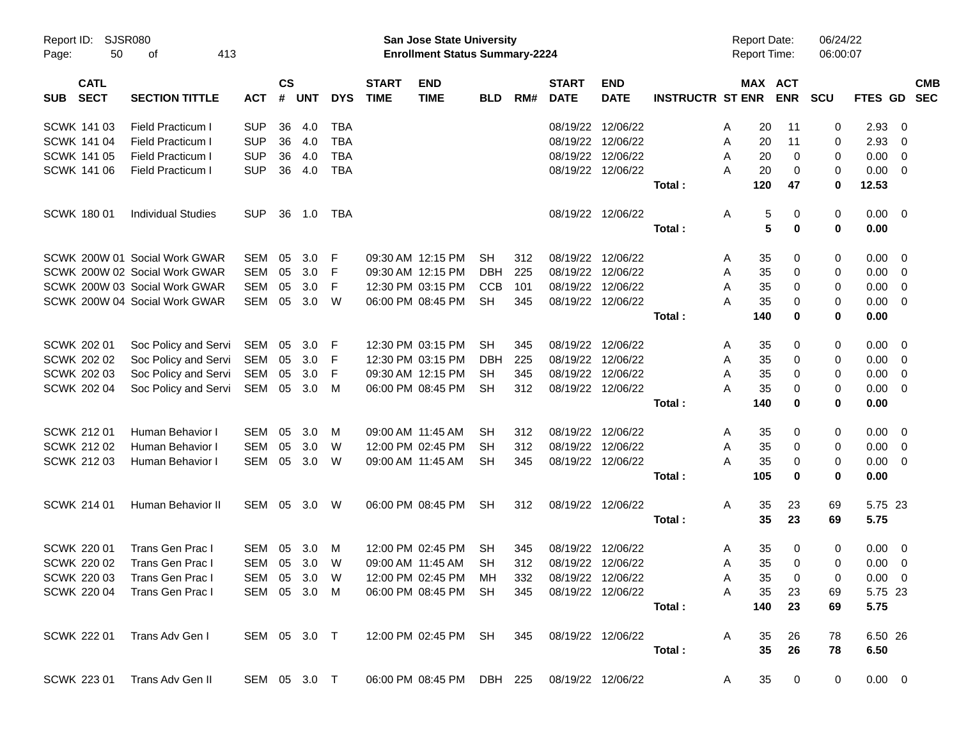| Report ID:<br>Page: | <b>SJSR080</b><br>50       | 413<br>оf                     |              |           |       |            |                             | <b>San Jose State University</b><br><b>Enrollment Status Summary-2224</b> |            |     |                             |                           |                         |   | <b>Report Date:</b><br>Report Time: |             | 06/24/22<br>06:00:07 |                |                |                          |
|---------------------|----------------------------|-------------------------------|--------------|-----------|-------|------------|-----------------------------|---------------------------------------------------------------------------|------------|-----|-----------------------------|---------------------------|-------------------------|---|-------------------------------------|-------------|----------------------|----------------|----------------|--------------------------|
| <b>SUB</b>          | <b>CATL</b><br><b>SECT</b> | <b>SECTION TITTLE</b>         | <b>ACT</b>   | <b>CS</b> | # UNT | <b>DYS</b> | <b>START</b><br><b>TIME</b> | <b>END</b><br><b>TIME</b>                                                 | <b>BLD</b> | RM# | <b>START</b><br><b>DATE</b> | <b>END</b><br><b>DATE</b> | <b>INSTRUCTR ST ENR</b> |   | MAX ACT                             | <b>ENR</b>  | <b>SCU</b>           | <b>FTES GD</b> |                | <b>CMB</b><br><b>SEC</b> |
|                     | <b>SCWK 14103</b>          | <b>Field Practicum I</b>      | <b>SUP</b>   | 36        | 4.0   | TBA        |                             |                                                                           |            |     | 08/19/22                    | 12/06/22                  |                         | A | 20                                  | 11          | 0                    | 2.93           | 0              |                          |
|                     | SCWK 141 04                | Field Practicum I             | <b>SUP</b>   | 36        | 4.0   | <b>TBA</b> |                             |                                                                           |            |     | 08/19/22                    | 12/06/22                  |                         | A | 20                                  | 11          | 0                    | 2.93           | 0              |                          |
|                     | <b>SCWK 141 05</b>         | <b>Field Practicum I</b>      | <b>SUP</b>   | 36        | 4.0   | <b>TBA</b> |                             |                                                                           |            |     |                             | 08/19/22 12/06/22         |                         | A | 20                                  | 0           | 0                    | 0.00           | 0              |                          |
|                     | SCWK 141 06                | <b>Field Practicum I</b>      | <b>SUP</b>   | 36        | 4.0   | TBA        |                             |                                                                           |            |     |                             | 08/19/22 12/06/22         |                         | Α | 20                                  | 0           | 0                    | 0.00           | 0              |                          |
|                     |                            |                               |              |           |       |            |                             |                                                                           |            |     |                             |                           | Total:                  |   | 120                                 | 47          | 0                    | 12.53          |                |                          |
|                     | SCWK 180 01                | <b>Individual Studies</b>     | <b>SUP</b>   | 36        | 1.0   | TBA        |                             |                                                                           |            |     |                             | 08/19/22 12/06/22         |                         | Α | 5                                   | 0           | 0                    | 0.00           | - 0            |                          |
|                     |                            |                               |              |           |       |            |                             |                                                                           |            |     |                             |                           | Total:                  |   | 5                                   | 0           | $\mathbf 0$          | 0.00           |                |                          |
|                     |                            | SCWK 200W 01 Social Work GWAR | <b>SEM</b>   | 05        | 3.0   | F          |                             | 09:30 AM 12:15 PM                                                         | SН         | 312 | 08/19/22 12/06/22           |                           |                         | A | 35                                  | 0           | 0                    | 0.00           | 0              |                          |
|                     |                            | SCWK 200W 02 Social Work GWAR | SEM          | 05        | 3.0   | F          |                             | 09:30 AM 12:15 PM                                                         | <b>DBH</b> | 225 |                             | 08/19/22 12/06/22         |                         | A | 35                                  | 0           | 0                    | 0.00           | 0              |                          |
|                     |                            | SCWK 200W 03 Social Work GWAR | SEM          | 05        | 3.0   | F          |                             | 12:30 PM 03:15 PM                                                         | <b>CCB</b> | 101 |                             | 08/19/22 12/06/22         |                         | A | 35                                  | 0           | 0                    | 0.00           | 0              |                          |
|                     |                            | SCWK 200W 04 Social Work GWAR | SEM          | 05        | 3.0   | W          |                             | 06:00 PM 08:45 PM                                                         | <b>SH</b>  | 345 | 08/19/22 12/06/22           |                           |                         | Α | 35                                  | 0           | 0                    | 0.00           | 0              |                          |
|                     |                            |                               |              |           |       |            |                             |                                                                           |            |     |                             |                           | Total:                  |   | 140                                 | 0           | 0                    | 0.00           |                |                          |
|                     | SCWK 202 01                | Soc Policy and Servi          | SEM          | 05        | 3.0   | -F         |                             | 12:30 PM 03:15 PM                                                         | SН         | 345 | 08/19/22 12/06/22           |                           |                         | A | 35                                  | 0           | 0                    | 0.00           | 0              |                          |
|                     | <b>SCWK 202 02</b>         | Soc Policy and Servi          | <b>SEM</b>   | 05        | 3.0   | F          |                             | 12:30 PM 03:15 PM                                                         | DBH        | 225 | 08/19/22                    | 12/06/22                  |                         | A | 35                                  | 0           | 0                    | 0.00           | 0              |                          |
|                     | <b>SCWK 202 03</b>         | Soc Policy and Servi          | SEM          | 05        | 3.0   | F          |                             | 09:30 AM 12:15 PM                                                         | SН         | 345 |                             | 08/19/22 12/06/22         |                         | A | 35                                  | 0           | 0                    | 0.00           | 0              |                          |
|                     | SCWK 202 04                | Soc Policy and Servi          | SEM          | 05        | 3.0   | м          |                             | 06:00 PM 08:45 PM                                                         | <b>SH</b>  | 312 | 08/19/22 12/06/22           |                           |                         | Α | 35                                  | 0           | 0                    | 0.00           | 0              |                          |
|                     |                            |                               |              |           |       |            |                             |                                                                           |            |     |                             |                           | Total:                  |   | 140                                 | 0           | 0                    | 0.00           |                |                          |
|                     | SCWK 212 01                | Human Behavior I              | SEM          | 05        | 3.0   | м          |                             | 09:00 AM 11:45 AM                                                         | SН         | 312 | 08/19/22 12/06/22           |                           |                         | A | 35                                  | 0           | 0                    | 0.00           | 0              |                          |
|                     | <b>SCWK 212 02</b>         | Human Behavior I              | SEM          | 05        | 3.0   | W          |                             | 12:00 PM 02:45 PM                                                         | SН         | 312 |                             | 08/19/22 12/06/22         |                         | A | 35                                  | 0           | 0                    | 0.00           | 0              |                          |
|                     | SCWK 212 03                | Human Behavior I              | SEM          | 05        | 3.0   | W          |                             | 09:00 AM 11:45 AM                                                         | <b>SH</b>  | 345 | 08/19/22 12/06/22           |                           |                         | Α | 35                                  | 0           | 0                    | 0.00           | 0              |                          |
|                     |                            |                               |              |           |       |            |                             |                                                                           |            |     |                             |                           | Total:                  |   | 105                                 | 0           | 0                    | 0.00           |                |                          |
|                     | SCWK 214 01                | Human Behavior II             | SEM          | 05        | 3.0   | W          |                             | 06:00 PM 08:45 PM                                                         | <b>SH</b>  | 312 |                             | 08/19/22 12/06/22         |                         | Α | 35                                  | 23          | 69                   | 5.75 23        |                |                          |
|                     |                            |                               |              |           |       |            |                             |                                                                           |            |     |                             |                           | Total:                  |   | 35                                  | 23          | 69                   | 5.75           |                |                          |
|                     | <b>SCWK 22001</b>          | Trans Gen Prac I              | SEM          | 05        | 3.0   | м          |                             | 12:00 PM 02:45 PM                                                         | SН         | 345 | 08/19/22 12/06/22           |                           |                         | A | 35                                  | 0           | 0                    | 0.00           | $\overline{0}$ |                          |
|                     | <b>SCWK 220 02</b>         | Trans Gen Prac I              | SEM          | 05        | 3.0   | W          |                             | 09:00 AM 11:45 AM                                                         | <b>SH</b>  | 312 | 08/19/22 12/06/22           |                           |                         | A | 35                                  | 0           | 0                    | 0.00           | 0              |                          |
|                     | SCWK 220 03                | Trans Gen Prac I              | SEM 05 3.0 W |           |       |            |                             | 12:00 PM 02:45 PM MH                                                      |            | 332 | 08/19/22 12/06/22           |                           |                         | A | 35                                  | $\mathbf 0$ | 0                    | $0.00 \t 0$    |                |                          |
|                     | <b>SCWK 220 04</b>         | Trans Gen Prac I              | SEM 05 3.0 M |           |       |            |                             | 06:00 PM 08:45 PM SH                                                      |            | 345 |                             | 08/19/22 12/06/22         |                         | A | 35                                  | 23          | 69                   | 5.75 23        |                |                          |
|                     |                            |                               |              |           |       |            |                             |                                                                           |            |     |                             |                           | Total:                  |   | 140                                 | 23          | 69                   | 5.75           |                |                          |
|                     | SCWK 222 01                | Trans Adv Gen I               | SEM 05 3.0 T |           |       |            |                             | 12:00 PM 02:45 PM SH                                                      |            |     | 345 08/19/22 12/06/22       |                           |                         | A | 35                                  | 26          | 78                   | 6.50 26        |                |                          |
|                     |                            |                               |              |           |       |            |                             |                                                                           |            |     |                             |                           | Total:                  |   | 35                                  | 26          | 78                   | 6.50           |                |                          |
|                     |                            | SCWK 223 01 Trans Adv Gen II  | SEM 05 3.0 T |           |       |            |                             | 06:00 PM 08:45 PM DBH 225 08/19/22 12/06/22                               |            |     |                             |                           |                         | A | 35                                  | $\mathbf 0$ | $\mathbf 0$          | $0.00 \t 0$    |                |                          |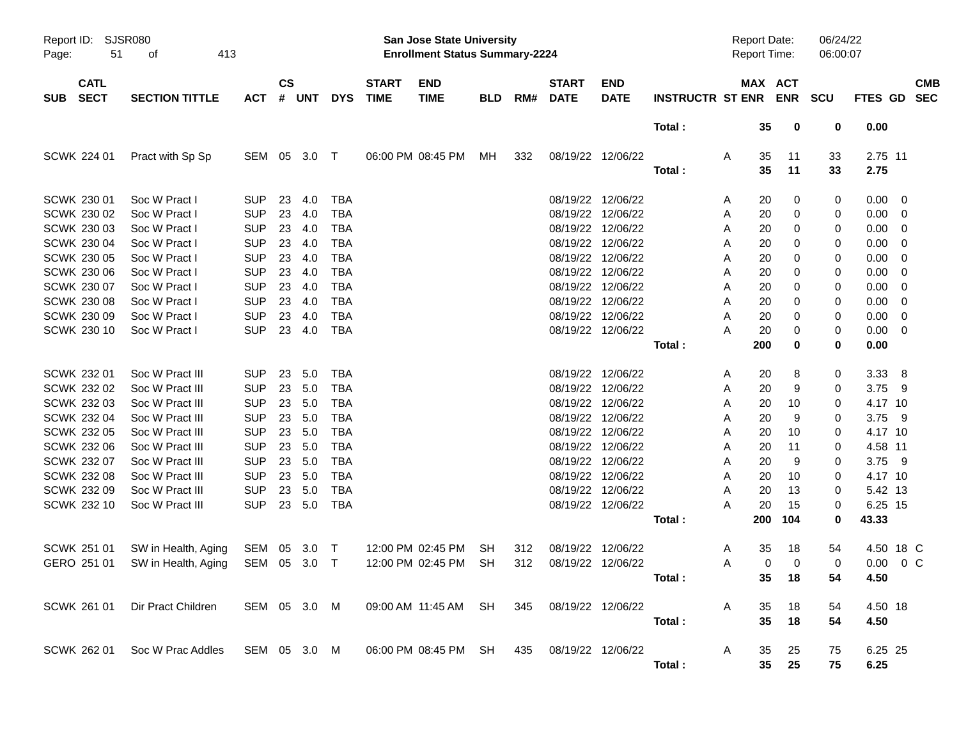| Report ID:<br>51<br>Page:                        | SJSR080<br>413<br>of                                  |                                        |                    |                   |                                        |                             | <b>San Jose State University</b><br><b>Enrollment Status Summary-2224</b> |                 |            |                                        |                                                             |                         |             | <b>Report Date:</b><br>Report Time: |                  | 06/24/22<br>06:00:07 |                               |                                                     |            |
|--------------------------------------------------|-------------------------------------------------------|----------------------------------------|--------------------|-------------------|----------------------------------------|-----------------------------|---------------------------------------------------------------------------|-----------------|------------|----------------------------------------|-------------------------------------------------------------|-------------------------|-------------|-------------------------------------|------------------|----------------------|-------------------------------|-----------------------------------------------------|------------|
| <b>CATL</b><br><b>SECT</b><br><b>SUB</b>         | <b>SECTION TITTLE</b>                                 | <b>ACT</b>                             | $\mathsf{cs}$<br># | <b>UNT</b>        | <b>DYS</b>                             | <b>START</b><br><b>TIME</b> | <b>END</b><br><b>TIME</b>                                                 | <b>BLD</b>      | RM#        | <b>START</b><br><b>DATE</b>            | <b>END</b><br><b>DATE</b>                                   | <b>INSTRUCTR ST ENR</b> |             | MAX ACT                             | <b>ENR</b>       | <b>SCU</b>           | FTES GD SEC                   |                                                     | <b>CMB</b> |
|                                                  |                                                       |                                        |                    |                   |                                        |                             |                                                                           |                 |            |                                        |                                                             | Total:                  |             | 35                                  | 0                | 0                    | 0.00                          |                                                     |            |
| SCWK 224 01                                      | Pract with Sp Sp                                      | SEM 05 3.0                             |                    |                   | $\top$                                 |                             | 06:00 PM 08:45 PM                                                         | МH              | 332        |                                        | 08/19/22 12/06/22                                           | Total:                  | A           | 35<br>35                            | 11<br>11         | 33<br>33             | 2.75 11<br>2.75               |                                                     |            |
| SCWK 230 01<br>SCWK 230 02                       | Soc W Pract I<br>Soc W Pract I                        | <b>SUP</b><br><b>SUP</b>               | 23<br>23           | 4.0<br>4.0        | <b>TBA</b><br><b>TBA</b>               |                             |                                                                           |                 |            |                                        | 08/19/22 12/06/22<br>08/19/22 12/06/22                      |                         | A<br>A      | 20<br>20                            | 0<br>0           | 0<br>0               | 0.00<br>0.00                  | $\overline{\phantom{0}}$<br>$\overline{\mathbf{0}}$ |            |
| SCWK 230 03<br>SCWK 230 04<br>SCWK 230 05        | Soc W Pract I<br>Soc W Pract I<br>Soc W Pract I       | <b>SUP</b><br><b>SUP</b><br><b>SUP</b> | 23<br>23<br>23     | 4.0<br>4.0<br>4.0 | <b>TBA</b><br><b>TBA</b><br><b>TBA</b> |                             |                                                                           |                 |            |                                        | 08/19/22 12/06/22<br>08/19/22 12/06/22<br>08/19/22 12/06/22 |                         | A<br>A<br>A | 20<br>20<br>20                      | 0<br>0<br>0      | 0<br>0<br>0          | 0.00<br>0.00<br>0.00          | $\overline{\mathbf{0}}$<br>- 0<br>- 0               |            |
| SCWK 230 06<br>SCWK 230 07                       | Soc W Pract I<br>Soc W Pract I                        | <b>SUP</b><br><b>SUP</b>               | 23<br>23           | 4.0<br>4.0        | <b>TBA</b><br><b>TBA</b>               |                             |                                                                           |                 |            |                                        | 08/19/22 12/06/22<br>08/19/22 12/06/22                      |                         | A<br>A      | 20<br>20                            | 0<br>0           | 0<br>0               | 0.00<br>0.00                  | - 0<br>0                                            |            |
| <b>SCWK 230 08</b><br>SCWK 230 09<br>SCWK 230 10 | Soc W Pract I<br>Soc W Pract I<br>Soc W Pract I       | <b>SUP</b><br><b>SUP</b><br><b>SUP</b> | 23<br>23<br>23     | 4.0<br>4.0<br>4.0 | <b>TBA</b><br><b>TBA</b><br><b>TBA</b> |                             |                                                                           |                 |            |                                        | 08/19/22 12/06/22<br>08/19/22 12/06/22<br>08/19/22 12/06/22 |                         | A<br>Α<br>Α | 20<br>20<br>20                      | 0<br>0<br>0      | 0<br>0<br>0          | 0.00<br>0.00<br>0.00          | - 0<br>$\overline{0}$<br>$\overline{\mathbf{0}}$    |            |
|                                                  |                                                       |                                        |                    |                   |                                        |                             |                                                                           |                 |            |                                        |                                                             | Total:                  |             | 200                                 | 0                | 0                    | 0.00                          |                                                     |            |
| SCWK 232 01<br>SCWK 232 02                       | Soc W Pract III<br>Soc W Pract III                    | <b>SUP</b><br><b>SUP</b>               | 23<br>23           | 5.0<br>5.0        | <b>TBA</b><br><b>TBA</b>               |                             |                                                                           |                 |            |                                        | 08/19/22 12/06/22<br>08/19/22 12/06/22                      |                         | A<br>A      | 20<br>20                            | 8<br>9           | 0<br>0               | 3.33<br>3.75 9                | - 8                                                 |            |
| SCWK 232 03<br>SCWK 232 04<br>SCWK 232 05        | Soc W Pract III<br>Soc W Pract III<br>Soc W Pract III | <b>SUP</b><br><b>SUP</b><br><b>SUP</b> | 23<br>23<br>23     | 5.0<br>5.0<br>5.0 | <b>TBA</b><br><b>TBA</b><br><b>TBA</b> |                             |                                                                           |                 |            |                                        | 08/19/22 12/06/22<br>08/19/22 12/06/22<br>08/19/22 12/06/22 |                         | A<br>A<br>A | 20<br>20<br>20                      | 10<br>9<br>10    | 0<br>0<br>0          | 4.17 10<br>3.75 9<br>4.17 10  |                                                     |            |
| <b>SCWK 232 06</b><br>SCWK 232 07                | Soc W Pract III<br>Soc W Pract III                    | <b>SUP</b><br><b>SUP</b>               | 23<br>23           | 5.0<br>5.0        | <b>TBA</b><br><b>TBA</b>               |                             |                                                                           |                 |            |                                        | 08/19/22 12/06/22<br>08/19/22 12/06/22                      |                         | A<br>A      | 20<br>20                            | 11<br>9          | 0<br>0               | 4.58 11<br>3.75 9             |                                                     |            |
| <b>SCWK 232 08</b><br>SCWK 232 09<br>SCWK 232 10 | Soc W Pract III<br>Soc W Pract III<br>Soc W Pract III | <b>SUP</b><br><b>SUP</b><br><b>SUP</b> | 23<br>23<br>23     | 5.0<br>5.0<br>5.0 | <b>TBA</b><br><b>TBA</b><br><b>TBA</b> |                             |                                                                           |                 |            |                                        | 08/19/22 12/06/22<br>08/19/22 12/06/22<br>08/19/22 12/06/22 |                         | A<br>A<br>Α | 20<br>20<br>20                      | 10<br>13<br>15   | 0<br>0<br>0          | 4.17 10<br>5.42 13<br>6.25 15 |                                                     |            |
|                                                  |                                                       |                                        |                    |                   |                                        |                             |                                                                           |                 |            |                                        |                                                             | Total:                  |             | 200                                 | 104              | 0                    | 43.33                         |                                                     |            |
| SCWK 251 01<br>GERO 251 01                       | SW in Health, Aging<br>SW in Health, Aging            | SEM<br>SEM                             | 05                 | 3.0<br>05 3.0     | $\top$<br>$\top$                       |                             | 12:00 PM 02:45 PM<br>12:00 PM 02:45 PM                                    | SH<br><b>SH</b> | 312<br>312 | 08/19/22 12/06/22<br>08/19/22 12/06/22 |                                                             | Total:                  | A<br>Α      | 35<br>0                             | 18<br>0<br>35 18 | 54<br>0<br>54        | 4.50 18 C<br>0.00<br>4.50     | $0\,C$                                              |            |
|                                                  | SCWK 261 01 Dir Pract Children                        | SEM 05 3.0 M                           |                    |                   |                                        |                             | 09:00 AM 11:45 AM SH                                                      |                 | 345        | 08/19/22 12/06/22                      |                                                             |                         | A           | 35                                  | 18               | 54                   | 4.50 18                       |                                                     |            |
|                                                  | SCWK 262 01 Soc W Prac Addles                         | SEM 05 3.0 M                           |                    |                   |                                        |                             | 06:00 PM 08:45 PM SH                                                      |                 | 435        | 08/19/22 12/06/22                      |                                                             | Total:                  | A           | 35<br>35                            | 18<br>25         | 54<br>75             | 4.50<br>6.25 25               |                                                     |            |
|                                                  |                                                       |                                        |                    |                   |                                        |                             |                                                                           |                 |            |                                        |                                                             | Total:                  |             | $35\phantom{a}$                     | 25               | 75                   | 6.25                          |                                                     |            |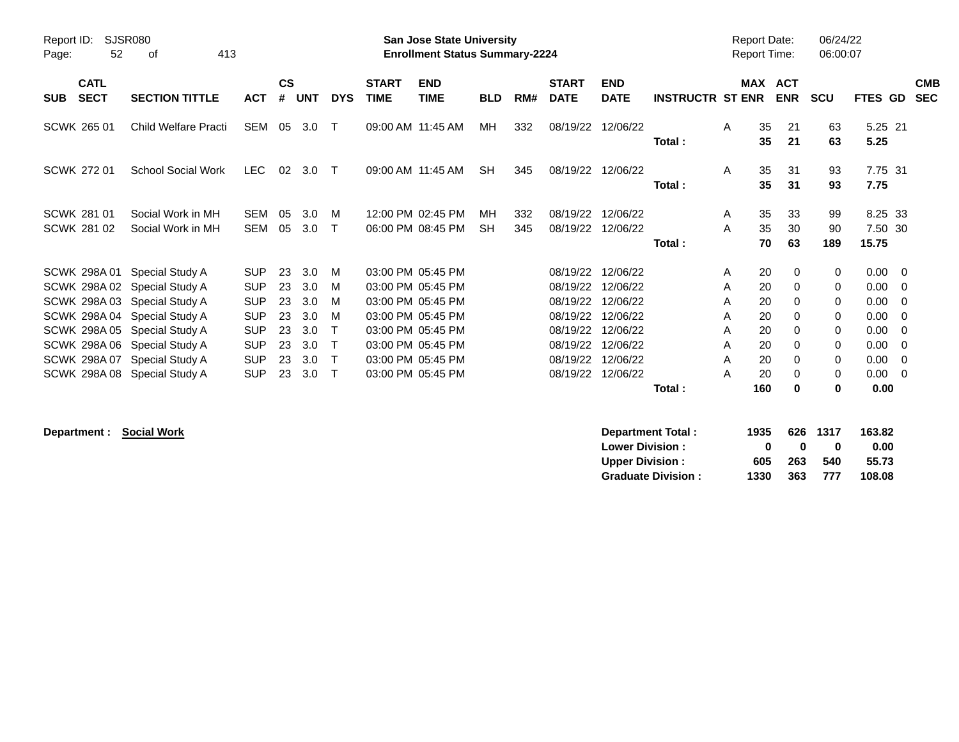| Report ID:<br>Page:                      | <b>SJSR080</b><br>52 | 413<br>оf                                                                                                                                                                                                                          |                                                                                                              |                                              |                                                      |                                 |                             | San Jose State University<br><b>Enrollment Status Summary-2224</b>                                                                                                   |                 |            |                                                                                              |                                                                                              |                         |                                      |                                                     | <b>Report Date:</b><br><b>Report Time:</b>                                   | 06/24/22<br>06:00:07                                       |                                                                      |                                                                         |
|------------------------------------------|----------------------|------------------------------------------------------------------------------------------------------------------------------------------------------------------------------------------------------------------------------------|--------------------------------------------------------------------------------------------------------------|----------------------------------------------|------------------------------------------------------|---------------------------------|-----------------------------|----------------------------------------------------------------------------------------------------------------------------------------------------------------------|-----------------|------------|----------------------------------------------------------------------------------------------|----------------------------------------------------------------------------------------------|-------------------------|--------------------------------------|-----------------------------------------------------|------------------------------------------------------------------------------|------------------------------------------------------------|----------------------------------------------------------------------|-------------------------------------------------------------------------|
| <b>CATL</b><br><b>SECT</b><br><b>SUB</b> |                      | <b>SECTION TITTLE</b>                                                                                                                                                                                                              | <b>ACT</b>                                                                                                   | $\mathsf{cs}$<br>#                           | <b>UNT</b>                                           | <b>DYS</b>                      | <b>START</b><br><b>TIME</b> | <b>END</b><br><b>TIME</b>                                                                                                                                            | <b>BLD</b>      | RM#        | <b>START</b><br><b>DATE</b>                                                                  | <b>END</b><br><b>DATE</b>                                                                    | <b>INSTRUCTR ST ENR</b> |                                      |                                                     | <b>MAX ACT</b><br><b>ENR</b>                                                 | <b>SCU</b>                                                 | FTES GD                                                              | <b>CMB</b><br><b>SEC</b>                                                |
| <b>SCWK 265 01</b>                       |                      | <b>Child Welfare Practi</b>                                                                                                                                                                                                        | <b>SEM</b>                                                                                                   | 05                                           | 3.0                                                  | $\top$                          | 09:00 AM 11:45 AM           |                                                                                                                                                                      | MН              | 332        | 08/19/22                                                                                     | 12/06/22                                                                                     | Total:                  | A                                    | 35<br>35                                            | 21<br>21                                                                     | 63<br>63                                                   | 5.25 21<br>5.25                                                      |                                                                         |
| <b>SCWK 27201</b>                        |                      | <b>School Social Work</b>                                                                                                                                                                                                          | <b>LEC</b>                                                                                                   | 02                                           | 3.0                                                  | $\top$                          |                             | 09:00 AM 11:45 AM                                                                                                                                                    | <b>SH</b>       | 345        | 08/19/22                                                                                     | 12/06/22                                                                                     | Total:                  | A                                    | 35<br>35                                            | 31<br>31                                                                     | 93<br>93                                                   | 7.75 31<br>7.75                                                      |                                                                         |
| SCWK 281 01<br><b>SCWK 281 02</b>        |                      | Social Work in MH<br>Social Work in MH                                                                                                                                                                                             | <b>SEM</b><br><b>SEM</b>                                                                                     | 05<br>05                                     | 3.0<br>3.0                                           | M<br>$\mathsf{T}$               |                             | 12:00 PM 02:45 PM<br>06:00 PM 08:45 PM                                                                                                                               | MН<br><b>SH</b> | 332<br>345 | 08/19/22<br>08/19/22                                                                         | 12/06/22<br>12/06/22                                                                         | Total:                  | A<br>A                               | 35<br>35<br>70                                      | 33<br>30<br>63                                                               | 99<br>90<br>189                                            | 8.25 33<br>7.50 30<br>15.75                                          |                                                                         |
| SCWK 298A01<br><b>SCWK 298A08</b>        |                      | Special Study A<br>SCWK 298A 02 Special Study A<br>SCWK 298A 03 Special Study A<br>SCWK 298A 04 Special Study A<br>SCWK 298A 05 Special Study A<br>SCWK 298A 06 Special Study A<br>SCWK 298A 07 Special Study A<br>Special Study A | <b>SUP</b><br><b>SUP</b><br><b>SUP</b><br><b>SUP</b><br><b>SUP</b><br><b>SUP</b><br><b>SUP</b><br><b>SUP</b> | 23<br>23<br>23<br>23<br>23<br>23<br>23<br>23 | 3.0<br>3.0<br>3.0<br>3.0<br>3.0<br>3.0<br>3.0<br>3.0 | M<br>м<br>м<br>м<br>T<br>$\top$ |                             | 03:00 PM 05:45 PM<br>03:00 PM 05:45 PM<br>03:00 PM 05:45 PM<br>03:00 PM 05:45 PM<br>03:00 PM 05:45 PM<br>03:00 PM 05:45 PM<br>03:00 PM 05:45 PM<br>03:00 PM 05:45 PM |                 |            | 08/19/22<br>08/19/22<br>08/19/22<br>08/19/22<br>08/19/22<br>08/19/22<br>08/19/22<br>08/19/22 | 12/06/22<br>12/06/22<br>12/06/22<br>12/06/22<br>12/06/22<br>12/06/22<br>12/06/22<br>12/06/22 | Total:                  | Α<br>A<br>A<br>A<br>A<br>A<br>A<br>A | 20<br>20<br>20<br>20<br>20<br>20<br>20<br>20<br>160 | 0<br>$\Omega$<br>$\Omega$<br>0<br>0<br>$\Omega$<br>$\Omega$<br>0<br>$\bf{0}$ | 0<br>0<br>0<br>0<br>0<br>$\Omega$<br>0<br>$\mathbf 0$<br>0 | 0.00<br>0.00<br>0.00<br>0.00<br>0.00<br>0.00<br>0.00<br>0.00<br>0.00 | $\overline{\phantom{0}}$<br>- 0<br>- 0<br>- 0<br>0<br>- 0<br>- 0<br>- 0 |

 $\text{Department:} \quad \text{Social Work}$ 

| Department Total:         | 1935         |              | 626 1317 | 163.82 |
|---------------------------|--------------|--------------|----------|--------|
| <b>Lower Division:</b>    | $\mathbf{u}$ | $\mathbf{u}$ | o        | 0.00   |
| <b>Upper Division:</b>    | 605          | 263          | 540      | 55.73  |
| <b>Graduate Division:</b> | 1330         | 363          | 777      | 108.08 |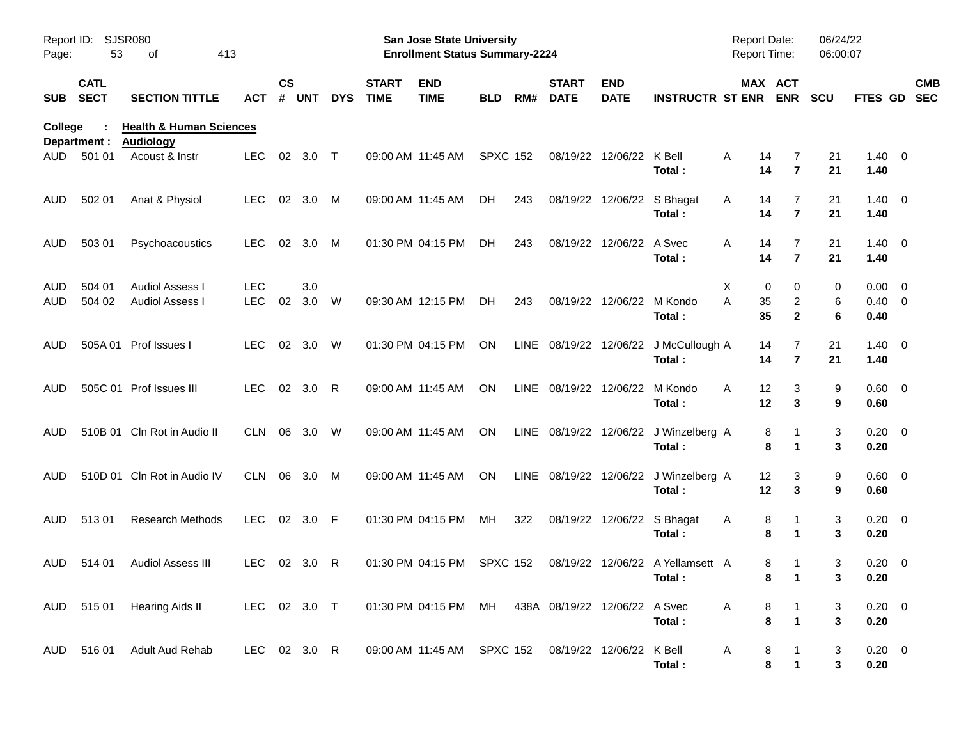| Report ID:<br>Page: | 53                         | SJSR080<br>413<br>of                                   |                          |                    |                |            |                             | <b>San Jose State University</b><br><b>Enrollment Status Summary-2224</b> |                 |      |                             |                           |                                            | Report Date:<br>Report Time: |                                         | 06/24/22<br>06:00:07 |                                   |                          |  |
|---------------------|----------------------------|--------------------------------------------------------|--------------------------|--------------------|----------------|------------|-----------------------------|---------------------------------------------------------------------------|-----------------|------|-----------------------------|---------------------------|--------------------------------------------|------------------------------|-----------------------------------------|----------------------|-----------------------------------|--------------------------|--|
| <b>SUB</b>          | <b>CATL</b><br><b>SECT</b> | <b>SECTION TITTLE</b>                                  | ACT                      | $\mathsf{cs}$<br># | <b>UNT</b>     | <b>DYS</b> | <b>START</b><br><b>TIME</b> | <b>END</b><br><b>TIME</b>                                                 | <b>BLD</b>      | RM#  | <b>START</b><br><b>DATE</b> | <b>END</b><br><b>DATE</b> | <b>INSTRUCTR ST ENR</b>                    |                              | MAX ACT<br><b>ENR</b>                   | <b>SCU</b>           | FTES GD                           | <b>CMB</b><br><b>SEC</b> |  |
| <b>College</b>      | Department :               | <b>Health &amp; Human Sciences</b><br><b>Audiology</b> |                          |                    |                |            |                             |                                                                           |                 |      |                             |                           |                                            |                              |                                         |                      |                                   |                          |  |
| AUD                 | 501 01                     | Acoust & Instr                                         | <b>LEC</b>               | 02                 | 3.0            | $\top$     |                             | 09:00 AM 11:45 AM                                                         | <b>SPXC 152</b> |      | 08/19/22                    | 12/06/22                  | K Bell<br>Total:                           | Α<br>14<br>14                | 7<br>$\overline{7}$                     | 21<br>21             | $1.40 \ 0$<br>1.40                |                          |  |
| <b>AUD</b>          | 502 01                     | Anat & Physiol                                         | <b>LEC</b>               |                    | 02 3.0         | M          |                             | 09:00 AM 11:45 AM                                                         | DH.             | 243  |                             | 08/19/22 12/06/22         | S Bhagat<br>Total:                         | A<br>14<br>14                | 7<br>$\overline{7}$                     | 21<br>21             | $1.40 \ 0$<br>1.40                |                          |  |
| <b>AUD</b>          | 503 01                     | Psychoacoustics                                        | <b>LEC</b>               | 02                 | 3.0            | M          |                             | 01:30 PM 04:15 PM                                                         | DH.             | 243  |                             | 08/19/22 12/06/22         | A Svec<br>Total:                           | Α<br>14<br>14                | 7<br>$\overline{7}$                     | 21<br>21             | $1.40 \ 0$<br>1.40                |                          |  |
| AUD<br>AUD          | 504 01<br>504 02           | <b>Audiol Assess I</b><br><b>Audiol Assess I</b>       | <b>LEC</b><br><b>LEC</b> | 02                 | 3.0<br>3.0     | W          |                             | 09:30 AM 12:15 PM                                                         | DH.             | 243  |                             | 08/19/22 12/06/22         | M Kondo<br>Total:                          | X<br>A<br>35<br>35           | 0<br>0<br>$\overline{c}$<br>$\mathbf 2$ | 0<br>6<br>6          | $0.00 \t 0$<br>$0.40 \ 0$<br>0.40 |                          |  |
| AUD                 |                            | 505A 01 Prof Issues I                                  | <b>LEC</b>               | 02                 | 3.0            | W          |                             | 01:30 PM 04:15 PM                                                         | ON              |      | LINE 08/19/22 12/06/22      |                           | J McCullough A<br>Total:                   | 14<br>14                     | 7<br>$\overline{7}$                     | 21<br>21             | $1.40 \ 0$<br>1.40                |                          |  |
| AUD                 |                            | 505C 01 Prof Issues III                                | LEC.                     |                    | $02 \quad 3.0$ | R          |                             | 09:00 AM 11:45 AM                                                         | <b>ON</b>       | LINE | 08/19/22                    | 12/06/22                  | M Kondo<br>Total:                          | A<br>12<br>12                | 3<br>3                                  | 9<br>9               | 0.60 0<br>0.60                    |                          |  |
| AUD                 |                            | 510B 01 Cln Rot in Audio II                            | <b>CLN</b>               | 06                 | 3.0            | W          |                             | 09:00 AM 11:45 AM                                                         | <b>ON</b>       |      | LINE 08/19/22 12/06/22      |                           | J Winzelberg A<br>Total:                   |                              | 8<br>1<br>8<br>1                        | 3<br>3               | $0.20 \ 0$<br>0.20                |                          |  |
| AUD                 |                            | 510D 01 Cln Rot in Audio IV                            | <b>CLN</b>               | 06                 | 3.0            | M          |                             | 09:00 AM 11:45 AM                                                         | <b>ON</b>       | LINE | 08/19/22 12/06/22           |                           | J Winzelberg A<br>Total:                   | 12<br>12                     | 3<br>3                                  | 9<br>9               | 0.60 0<br>0.60                    |                          |  |
| <b>AUD</b>          | 51301                      | <b>Research Methods</b>                                | <b>LEC</b>               |                    | $02 \quad 3.0$ | F          |                             | 01:30 PM 04:15 PM                                                         | MН              | 322  |                             | 08/19/22 12/06/22         | S Bhagat<br>Total:                         | A                            | 8<br>1<br>8<br>$\mathbf 1$              | 3<br>3               | $0.20 \ 0$<br>0.20                |                          |  |
| <b>AUD</b>          | 514 01                     | <b>Audiol Assess III</b>                               | LEC.                     |                    | 02 3.0         | R          |                             | 01:30 PM 04:15 PM                                                         | <b>SPXC 152</b> |      |                             |                           | 08/19/22 12/06/22 A Yellamsett A<br>Total: |                              | 8<br>1<br>8<br>$\overline{1}$           | 3<br>3               | $0.20 \ 0$<br>0.20                |                          |  |
|                     | AUD 515 01                 | <b>Hearing Aids II</b>                                 | LEC 02 3.0 T             |                    |                |            |                             | 01:30 PM 04:15 PM MH 438A 08/19/22 12/06/22 A Svec                        |                 |      |                             |                           | Total:                                     | A                            | 8<br>8<br>$\mathbf{1}$                  | 3<br>3               | $0.20 \ 0$<br>0.20                |                          |  |
|                     | AUD 516 01                 | <b>Adult Aud Rehab</b>                                 | LEC 02 3.0 R             |                    |                |            |                             | 09:00 AM 11:45 AM SPXC 152 08/19/22 12/06/22 K Bell                       |                 |      |                             |                           | Total:                                     | A                            | 8<br>$\bf8$<br>$\mathbf{1}$             | 3<br>3               | $0.20 \ 0$<br>0.20                |                          |  |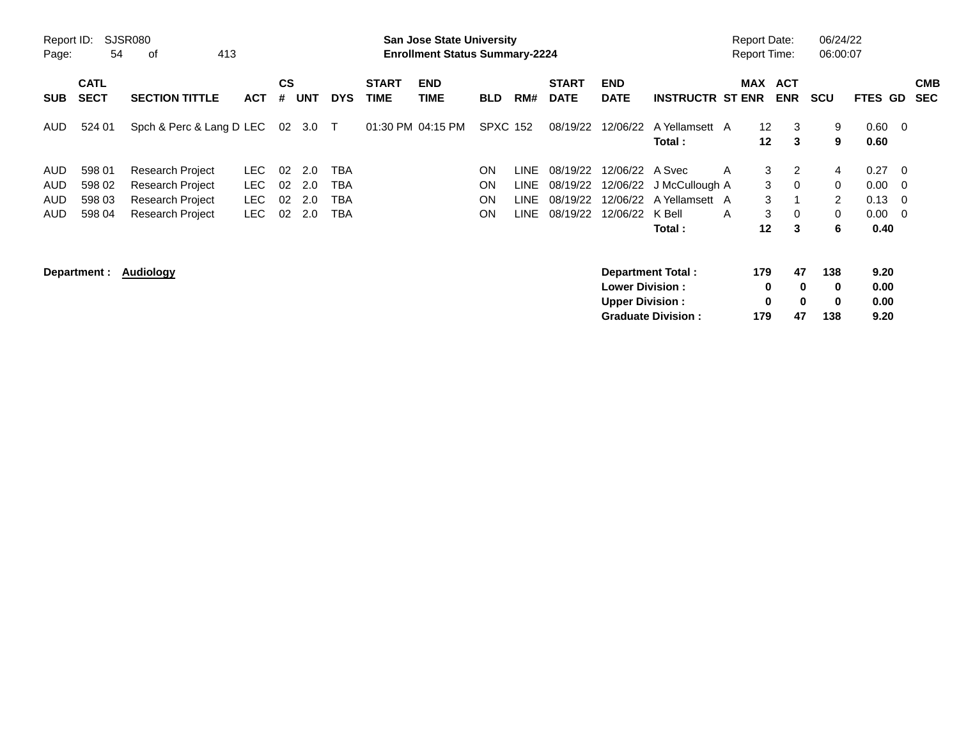| Report ID:<br>Page: | 54                         | SJSR080<br>413<br>0f                               |              |          |            |            |                             | <b>San Jose State University</b><br><b>Enrollment Status Summary-2224</b> |                 |                            |                             |                             |                           | <b>Report Date:</b><br><b>Report Time:</b> |                                    |                          | 06/24/22<br>06:00:07 |                        |                         |                          |
|---------------------|----------------------------|----------------------------------------------------|--------------|----------|------------|------------|-----------------------------|---------------------------------------------------------------------------|-----------------|----------------------------|-----------------------------|-----------------------------|---------------------------|--------------------------------------------|------------------------------------|--------------------------|----------------------|------------------------|-------------------------|--------------------------|
| <b>SUB</b>          | <b>CATL</b><br><b>SECT</b> | <b>SECTION TITTLE</b>                              | <b>ACT</b>   | CS<br>#  | <b>UNT</b> | <b>DYS</b> | <b>START</b><br><b>TIME</b> | <b>END</b><br><b>TIME</b>                                                 | BLD             | RM#                        | <b>START</b><br><b>DATE</b> | <b>END</b><br><b>DATE</b>   | <b>INSTRUCTR ST ENR</b>   | <b>MAX</b>                                 |                                    | <b>ACT</b><br><b>ENR</b> | <b>SCU</b>           | FTES GD                |                         | <b>CMB</b><br><b>SEC</b> |
| AUD.                | 524 01                     | Spch & Perc & Lang D LEC                           |              | 02       | 3.0 T      |            |                             | 01:30 PM 04:15 PM                                                         | <b>SPXC 152</b> |                            | 08/19/22                    | 12/06/22                    | A Yellamsett A<br>Total : |                                            | 12 <sup>°</sup><br>12 <sup>2</sup> | 3<br>3                   | 9<br>9               | $0.60 \quad 0$<br>0.60 |                         |                          |
| AUD.<br><b>AUD</b>  | 598 01<br>598 02           | <b>Research Project</b><br><b>Research Project</b> | LEC.<br>LEC. | 02<br>02 | 2.0<br>2.0 | TBA<br>TBA |                             |                                                                           | ON<br>ON        | <b>LINE</b><br><b>LINE</b> | 08/19/22<br>08/19/22        | 12/06/22 A Svec<br>12/06/22 | J McCullough A            | A                                          | 3<br>3                             | 2<br>$\Omega$            | $\overline{4}$<br>0  | 0.27<br>$0.00 \t 0$    | $\overline{\mathbf{0}}$ |                          |
| <b>AUD</b>          | 598 03                     | Research Project                                   | <b>LEC</b>   | 02       | 2.0        | TBA        |                             |                                                                           | ON              | <b>LINE</b>                | 08/19/22                    |                             | 12/06/22 A Yellamsett A   |                                            | 3                                  |                          | 2                    | $0.13 \quad 0$         |                         |                          |
| AUD.                | 598 04                     | Research Project                                   | LEC.         | 02       | 2.0        | TBA        |                             |                                                                           | <b>ON</b>       | <b>LINE</b>                | 08/19/22                    | 12/06/22                    | K Bell<br>Total :         | A                                          | 3<br>$12 \,$                       | $\Omega$<br>3            | 0<br>6               | $0.00 \quad 0$<br>0.40 |                         |                          |
|                     | Department :               | Audiology                                          |              |          |            |            |                             |                                                                           |                 |                            |                             | <b>Lower Division:</b>      | <b>Department Total:</b>  |                                            | 179<br>0                           | 47<br>$\bf{0}$           | 138<br>$\mathbf 0$   | 9.20<br>0.00           |                         |                          |
|                     |                            |                                                    |              |          |            |            |                             |                                                                           |                 |                            |                             | <b>Upper Division:</b>      | <b>Graduate Division:</b> |                                            | 0<br>179                           | $\bf{0}$<br>47           | $\mathbf 0$<br>138   | 0.00<br>9.20           |                         |                          |

**Graduate Division : 179 47 138 9.20**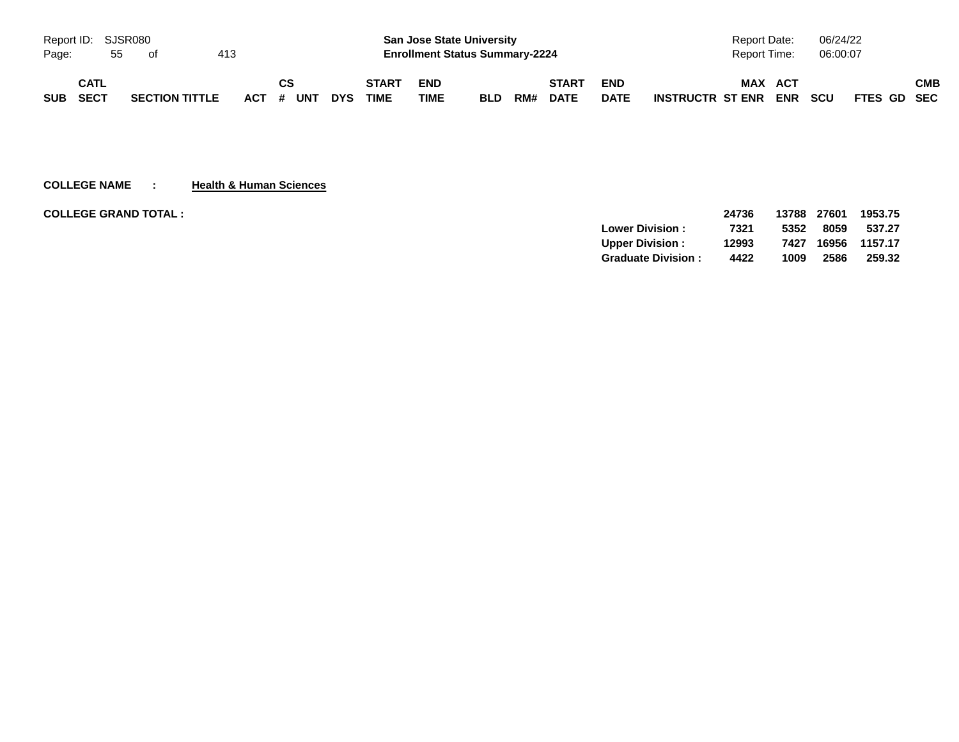| Report ID: SJSR080 |             |    |                       |     |           |            |              | <b>San Jose State University</b>      |            |     |              |             | Report Date:            | 06/24/22   |             |
|--------------------|-------------|----|-----------------------|-----|-----------|------------|--------------|---------------------------------------|------------|-----|--------------|-------------|-------------------------|------------|-------------|
| Page:              |             | 55 | of                    | 413 |           |            |              | <b>Enrollment Status Summary-2224</b> |            |     |              |             | <b>Report Time:</b>     | 06:00:07   |             |
|                    | <b>CATL</b> |    |                       |     | CS        |            | <b>START</b> | <b>END</b>                            |            |     | <b>START</b> | <b>END</b>  | <b>MAX</b><br>ACT       |            | СМВ         |
| <b>SUB</b>         | SECT        |    | <b>SECTION TITTLE</b> |     | ACT # UNT | <b>DYS</b> | <b>TIME</b>  | <b>TIME</b>                           | <b>BLD</b> | RM# | <b>DATE</b>  | <b>DATE</b> | ENR<br>INSTRUCTR ST ENR | <b>SCU</b> | FTES GD SEC |

**COLLEGE NAME : Health & Human Sciences**

| <b>COLLEGE GRAND TOTAL :</b> |                           | 24736 | 13788 | 27601 | 1953.75 |
|------------------------------|---------------------------|-------|-------|-------|---------|
|                              | <b>Lower Division:</b>    | 7321  | 5352  | 8059  | 537.27  |
|                              | <b>Upper Division:</b>    | 12993 | 7427  | 16956 | 1157.17 |
|                              | <b>Graduate Division:</b> | 4422  | 1009  | 2586  | 259.32  |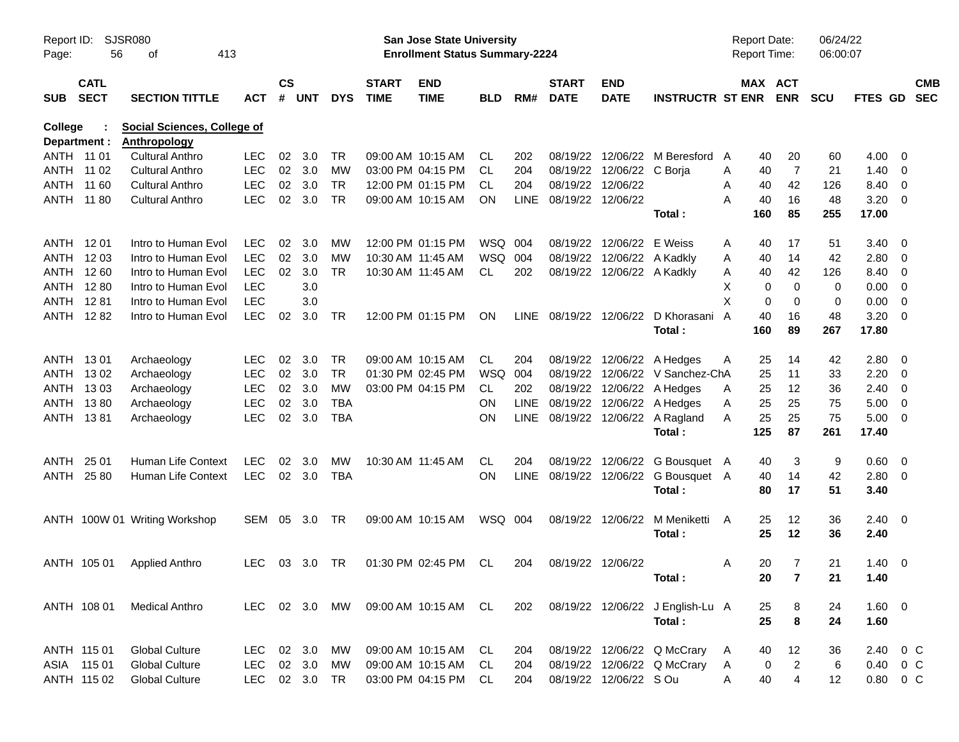| Report ID:<br>Page:            | 56                         | <b>SJSR080</b><br>413<br>оf                               |            |                    |            |               |                             | San Jose State University<br><b>Enrollment Status Summary-2224</b> |            |             |                             |                            |                                          | <b>Report Date:</b><br><b>Report Time:</b> |          |                       | 06/24/22<br>06:00:07 |                |                          |
|--------------------------------|----------------------------|-----------------------------------------------------------|------------|--------------------|------------|---------------|-----------------------------|--------------------------------------------------------------------|------------|-------------|-----------------------------|----------------------------|------------------------------------------|--------------------------------------------|----------|-----------------------|----------------------|----------------|--------------------------|
| <b>SUB</b>                     | <b>CATL</b><br><b>SECT</b> | <b>SECTION TITTLE</b>                                     | ACT        | $\mathsf{cs}$<br># | <b>UNT</b> | <b>DYS</b>    | <b>START</b><br><b>TIME</b> | <b>END</b><br><b>TIME</b>                                          | <b>BLD</b> | RM#         | <b>START</b><br><b>DATE</b> | <b>END</b><br><b>DATE</b>  | <b>INSTRUCTR ST ENR</b>                  |                                            |          | MAX ACT<br><b>ENR</b> | <b>SCU</b>           | <b>FTES GD</b> | <b>CMB</b><br><b>SEC</b> |
| <b>College</b><br>Department : |                            | <b>Social Sciences, College of</b><br><b>Anthropology</b> |            |                    |            |               |                             |                                                                    |            |             |                             |                            |                                          |                                            |          |                       |                      |                |                          |
| ANTH 11 01                     |                            | <b>Cultural Anthro</b>                                    | <b>LEC</b> | 02                 | 3.0        | TR            |                             | 09:00 AM 10:15 AM                                                  | CL         | 202         | 08/19/22                    |                            | 12/06/22 M Beresford                     | A                                          | 40       | 20                    | 60                   | $4.00 \ 0$     |                          |
| ANTH 11 02                     |                            | <b>Cultural Anthro</b>                                    | <b>LEC</b> | 02                 | 3.0        | MW            |                             | 03:00 PM 04:15 PM                                                  | CL         | 204         |                             | 08/19/22 12/06/22 C Borja  |                                          | Α                                          | 40       | $\overline{7}$        | 21                   | $1.40 \ 0$     |                          |
| ANTH                           | 11 60                      | <b>Cultural Anthro</b>                                    | <b>LEC</b> | 02                 | 3.0        | <b>TR</b>     |                             | 12:00 PM 01:15 PM                                                  | CL         | 204         | 08/19/22 12/06/22           |                            |                                          | Α                                          | 40       | 42                    | 126                  | 8.40 0         |                          |
| ANTH 11 80                     |                            | <b>Cultural Anthro</b>                                    | <b>LEC</b> | 02                 | 3.0        | <b>TR</b>     |                             | 09:00 AM 10:15 AM                                                  | ΟN         | <b>LINE</b> | 08/19/22 12/06/22           |                            |                                          | Α                                          | 40       | 16                    | 48                   | $3.20 \ 0$     |                          |
|                                |                            |                                                           |            |                    |            |               |                             |                                                                    |            |             |                             |                            | Total:                                   |                                            | 160      | 85                    | 255                  | 17.00          |                          |
| ANTH 1201                      |                            | Intro to Human Evol                                       | <b>LEC</b> | 02                 | 3.0        | MW            |                             | 12:00 PM 01:15 PM                                                  | WSQ 004    |             | 08/19/22                    | 12/06/22 E Weiss           |                                          | Α                                          | 40       | 17                    | 51                   | $3.40 \ 0$     |                          |
|                                | ANTH 1203                  | Intro to Human Evol                                       | <b>LEC</b> | 02                 | 3.0        | <b>MW</b>     |                             | 10:30 AM 11:45 AM                                                  | WSQ 004    |             | 08/19/22                    | 12/06/22 A Kadkly          |                                          | A                                          | 40       | 14                    | 42                   | 2.80 0         |                          |
| ANTH                           | 12 60                      | Intro to Human Evol                                       | <b>LEC</b> | 02                 | 3.0        | <b>TR</b>     |                             | 10:30 AM 11:45 AM                                                  | CL         | 202         |                             | 08/19/22 12/06/22 A Kadkly |                                          | Α                                          | 40       | 42                    | 126                  | 8.40 0         |                          |
| ANTH                           | 12 80                      | Intro to Human Evol                                       | <b>LEC</b> |                    | 3.0        |               |                             |                                                                    |            |             |                             |                            |                                          | X                                          | 0        | $\mathbf 0$           | 0                    | $0.00 \t 0$    |                          |
| ANTH                           | 1281                       | Intro to Human Evol                                       | <b>LEC</b> |                    | 3.0        |               |                             |                                                                    |            |             |                             |                            |                                          | X                                          | 0        | 0                     | 0                    | $0.00 \t 0$    |                          |
|                                | ANTH 1282                  | Intro to Human Evol                                       | <b>LEC</b> | 02                 | 3.0        | <b>TR</b>     |                             | 12:00 PM 01:15 PM                                                  | ON         |             |                             |                            | LINE 08/19/22 12/06/22 D Khorasani       | $\mathsf{A}$                               | 40       | 16                    | 48                   | $3.20 \ 0$     |                          |
|                                |                            |                                                           |            |                    |            |               |                             |                                                                    |            |             |                             |                            | Total :                                  |                                            | 160      | 89                    | 267                  | 17.80          |                          |
| ANTH 1301                      |                            | Archaeology                                               | LEC.       | 02                 | 3.0        | TR            |                             | 09:00 AM 10:15 AM                                                  | CL         | 204         |                             |                            | 08/19/22 12/06/22 A Hedges               | Α                                          | 25       | 14                    | 42                   | $2.80 \ 0$     |                          |
| ANTH                           | 1302                       | Archaeology                                               | <b>LEC</b> | 02                 | 3.0        | <b>TR</b>     |                             | 01:30 PM 02:45 PM                                                  | <b>WSQ</b> | 004         |                             |                            | 08/19/22 12/06/22 V Sanchez-ChA          |                                            | 25       | 11                    | 33                   | $2.20 \t 0$    |                          |
| ANTH                           | 1303                       | Archaeology                                               | <b>LEC</b> | 02                 | 3.0        | MW            |                             | 03:00 PM 04:15 PM                                                  | CL.        | 202         |                             |                            | 08/19/22 12/06/22 A Hedges               | Α                                          | 25       | 12                    | 36                   | $2.40 \ 0$     |                          |
| ANTH                           | 1380                       | Archaeology                                               | <b>LEC</b> | 02                 | 3.0        | <b>TBA</b>    |                             |                                                                    | ΟN         | LINE        |                             |                            | 08/19/22 12/06/22 A Hedges               | Α                                          | 25       | 25                    | 75                   | $5.00 \t 0$    |                          |
| ANTH 1381                      |                            | Archaeology                                               | <b>LEC</b> | 02                 | 3.0        | <b>TBA</b>    |                             |                                                                    | OΝ         |             |                             |                            | LINE 08/19/22 12/06/22 A Ragland         | Α                                          | 25       | 25                    | 75                   | $5.00 \t 0$    |                          |
|                                |                            |                                                           |            |                    |            |               |                             |                                                                    |            |             |                             |                            | Total:                                   |                                            | 125      | 87                    | 261                  | 17.40          |                          |
| ANTH                           | 25 01                      | Human Life Context                                        | <b>LEC</b> | 02                 | 3.0        | MW            |                             | 10:30 AM 11:45 AM                                                  | CL.        | 204         | 08/19/22                    |                            | 12/06/22 G Bousquet A                    |                                            | 40       | 3                     | 9                    | 0.60 0         |                          |
| ANTH                           | 25 80                      | Human Life Context                                        | <b>LEC</b> |                    | 02 3.0     | <b>TBA</b>    |                             |                                                                    | OΝ         | <b>LINE</b> |                             |                            | 08/19/22 12/06/22 G Bousquet A<br>Total: |                                            | 40<br>80 | 14<br>17              | 42<br>51             | 2.80 0<br>3.40 |                          |
|                                |                            | ANTH 100W 01 Writing Workshop                             | SEM        |                    | 05 3.0     | TR            |                             | 09:00 AM 10:15 AM                                                  | WSQ 004    |             |                             | 08/19/22 12/06/22          | M Meniketti                              | A                                          | 25       | 12                    | 36                   | $2.40 \quad 0$ |                          |
|                                |                            |                                                           |            |                    |            |               |                             |                                                                    |            |             |                             |                            | Total:                                   |                                            | 25       | 12                    | 36                   | 2.40           |                          |
|                                | ANTH 105 01                | <b>Applied Anthro</b>                                     | LEC.       |                    | 03 3.0     | TR            |                             | 01:30 PM 02:45 PM                                                  | CL.        | 204         | 08/19/22 12/06/22           |                            |                                          | A                                          | 20       | 7                     | 21                   | $1.40 \ 0$     |                          |
|                                |                            |                                                           |            |                    |            |               |                             |                                                                    |            |             |                             |                            | Total:                                   |                                            | 20       | $\overline{7}$        | 21                   | 1.40           |                          |
|                                | ANTH 108 01                | <b>Medical Anthro</b>                                     |            |                    |            | LEC 02 3.0 MW |                             | 09:00 AM 10:15 AM CL                                               |            | 202         |                             |                            | 08/19/22 12/06/22 J English-Lu A         |                                            | 25       | 8                     | 24                   | 1.60 0         |                          |
|                                |                            |                                                           |            |                    |            |               |                             |                                                                    |            |             |                             |                            | Total:                                   |                                            | 25       | 8                     | 24                   | 1.60           |                          |
|                                | ANTH 115 01                | <b>Global Culture</b>                                     | LEC 02 3.0 |                    |            | MW            |                             | 09:00 AM 10:15 AM                                                  | CL.        | 204         |                             |                            | 08/19/22 12/06/22 Q McCrary              | A                                          | 40       | 12                    | 36                   | 2.40 0 C       |                          |
|                                | ASIA 115 01                | <b>Global Culture</b>                                     | LEC.       |                    | 02 3.0     | МW            |                             | 09:00 AM 10:15 AM                                                  | CL.        | 204         |                             |                            | 08/19/22 12/06/22 Q McCrary              | A                                          | 0        | $\overline{a}$        | 6                    | 0.40 0 C       |                          |
|                                | ANTH 115 02                | <b>Global Culture</b>                                     | LEC        |                    | 02 3.0 TR  |               |                             | 03:00 PM 04:15 PM                                                  | CL         | 204         |                             | 08/19/22 12/06/22 S Ou     |                                          | A                                          | 40       | $\overline{4}$        | 12                   | 0.80 0 C       |                          |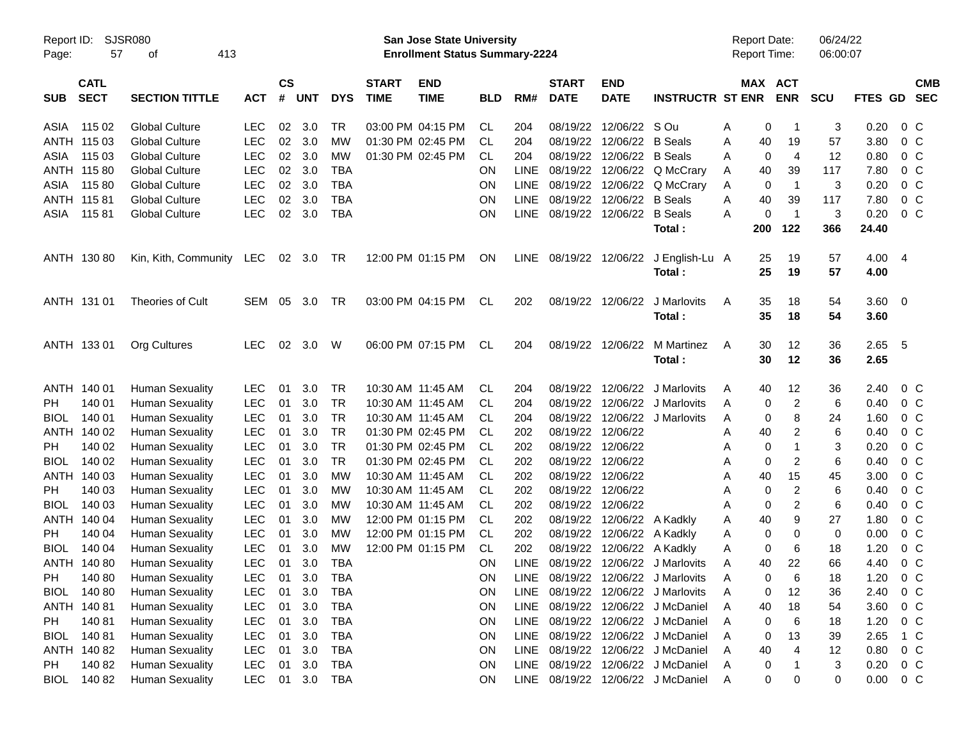| Report ID:<br>Page: | 57                         | <b>SJSR080</b><br>413<br>οf |            |                    |            |            |                             | San Jose State University<br><b>Enrollment Status Summary-2224</b> |            |             |                             |                           |                                   | <b>Report Date:</b><br>Report Time: |                  |                       | 06/24/22<br>06:00:07 |              |                         |                          |
|---------------------|----------------------------|-----------------------------|------------|--------------------|------------|------------|-----------------------------|--------------------------------------------------------------------|------------|-------------|-----------------------------|---------------------------|-----------------------------------|-------------------------------------|------------------|-----------------------|----------------------|--------------|-------------------------|--------------------------|
| <b>SUB</b>          | <b>CATL</b><br><b>SECT</b> | <b>SECTION TITTLE</b>       | <b>ACT</b> | $\mathsf{cs}$<br># | <b>UNT</b> | <b>DYS</b> | <b>START</b><br><b>TIME</b> | <b>END</b><br><b>TIME</b>                                          | <b>BLD</b> | RM#         | <b>START</b><br><b>DATE</b> | <b>END</b><br><b>DATE</b> | <b>INSTRUCTR ST ENR</b>           |                                     |                  | MAX ACT<br><b>ENR</b> | <b>SCU</b>           | FTES GD      |                         | <b>CMB</b><br><b>SEC</b> |
| ASIA                | 115 02                     | <b>Global Culture</b>       | <b>LEC</b> | 02                 | 3.0        | TR         |                             | 03:00 PM 04:15 PM                                                  | CL.        | 204         | 08/19/22                    | 12/06/22 S Ou             |                                   | Α                                   | 0                | -1                    | 3                    | 0.20         | $0\,$ C                 |                          |
|                     | ANTH 115 03                | <b>Global Culture</b>       | <b>LEC</b> | 02                 | 3.0        | <b>MW</b>  |                             | 01:30 PM 02:45 PM                                                  | CL         | 204         | 08/19/22                    | 12/06/22                  | <b>B</b> Seals                    | Α                                   | 40               | 19                    | 57                   | 3.80         | $0\,C$                  |                          |
| ASIA                | 115 03                     | <b>Global Culture</b>       | <b>LEC</b> | 02                 | 3.0        | <b>MW</b>  |                             | 01:30 PM 02:45 PM                                                  | СL         | 204         | 08/19/22                    | 12/06/22                  | <b>B</b> Seals                    | Α                                   | 0                | $\overline{4}$        | 12                   | 0.80         | 0 <sup>C</sup>          |                          |
|                     | ANTH 115 80                | <b>Global Culture</b>       | <b>LEC</b> | 02                 | 3.0        | <b>TBA</b> |                             |                                                                    | ON         | <b>LINE</b> | 08/19/22                    | 12/06/22                  | Q McCrary                         | Α                                   | 40               | 39                    | 117                  | 7.80         | 0 <sup>C</sup>          |                          |
| ASIA                | 11580                      | <b>Global Culture</b>       | <b>LEC</b> | 02                 | 3.0        | <b>TBA</b> |                             |                                                                    | ON         | <b>LINE</b> | 08/19/22                    | 12/06/22                  | Q McCrary                         | Α                                   | 0                | $\overline{1}$        | 3                    | 0.20         | $0\,C$                  |                          |
|                     | ANTH 115 81                | <b>Global Culture</b>       | <b>LEC</b> | 02                 | 3.0        | <b>TBA</b> |                             |                                                                    | ON         | <b>LINE</b> | 08/19/22                    | 12/06/22                  | <b>B</b> Seals                    | Α                                   | 40               | 39                    | 117                  | 7.80         | 0 <sup>C</sup>          |                          |
| ASIA                | 11581                      | <b>Global Culture</b>       | <b>LEC</b> | 02                 | 3.0        | <b>TBA</b> |                             |                                                                    | ON         | <b>LINE</b> | 08/19/22                    | 12/06/22                  | <b>B</b> Seals                    | Α                                   | 0                | $\overline{1}$        | 3                    | 0.20         | 0 <sup>C</sup>          |                          |
|                     |                            |                             |            |                    |            |            |                             |                                                                    |            |             |                             |                           | Total:                            |                                     | 200              | 122                   | 366                  | 24.40        |                         |                          |
|                     | ANTH 130 80                | Kin, Kith, Community        | LEC        | 02                 | 3.0        | TR         |                             | 12:00 PM 01:15 PM                                                  | ON         | <b>LINE</b> | 08/19/22                    | 12/06/22                  | J English-Lu A<br>Total:          |                                     | 25<br>25         | 19<br>19              | 57<br>57             | 4.00<br>4.00 | -4                      |                          |
|                     | ANTH 131 01                | Theories of Cult            | SEM        | 05                 | 3.0        | TR         |                             | 03:00 PM 04:15 PM                                                  | CL.        | 202         | 08/19/22                    | 12/06/22                  | J Marlovits<br>Total:             | Α                                   | 35<br>35         | 18<br>18              | 54<br>54             | 3.60<br>3.60 | $\overline{\mathbf{0}}$ |                          |
|                     | ANTH 133 01                | Org Cultures                | <b>LEC</b> | 02                 | 3.0        | W          |                             | 06:00 PM 07:15 PM                                                  | CL         | 204         | 08/19/22                    | 12/06/22                  | M Martinez<br>Total:              | A                                   | 30<br>30         | 12<br>12              | 36<br>36             | 2.65<br>2.65 | 5                       |                          |
|                     | ANTH 140 01                | <b>Human Sexuality</b>      | <b>LEC</b> | 01                 | 3.0        | <b>TR</b>  |                             | 10:30 AM 11:45 AM                                                  | CL         | 204         | 08/19/22                    | 12/06/22                  | J Marlovits                       | A                                   | 40               | 12                    | 36                   | 2.40         | $0\,$ C                 |                          |
| PH.                 | 140 01                     | <b>Human Sexuality</b>      | <b>LEC</b> | 01                 | 3.0        | <b>TR</b>  |                             | 10:30 AM 11:45 AM                                                  | СL         | 204         | 08/19/22                    | 12/06/22                  | J Marlovits                       | Α                                   | 0                | 2                     | 6                    | 0.40         | 0 <sup>o</sup>          |                          |
| <b>BIOL</b>         | 140 01                     | <b>Human Sexuality</b>      | <b>LEC</b> | 01                 | 3.0        | <b>TR</b>  |                             | 10:30 AM 11:45 AM                                                  | СL         | 204         | 08/19/22                    |                           | 12/06/22 J Marlovits              | Α                                   | 0                | 8                     | 24                   | 1.60         | $0\,C$                  |                          |
| ANTH                | 140 02                     | <b>Human Sexuality</b>      | <b>LEC</b> | 01                 | 3.0        | <b>TR</b>  |                             | 01:30 PM 02:45 PM                                                  | СL         | 202         | 08/19/22                    | 12/06/22                  |                                   | Α                                   | 40               | 2                     | 6                    | 0.40         | $0\,C$                  |                          |
| PH                  | 140 02                     | <b>Human Sexuality</b>      | <b>LEC</b> | 01                 | 3.0        | <b>TR</b>  |                             | 01:30 PM 02:45 PM                                                  | СL         | 202         | 08/19/22                    | 12/06/22                  |                                   | Α                                   | 0                |                       | 3                    | 0.20         | 0 <sup>C</sup>          |                          |
| <b>BIOL</b>         | 140 02                     | <b>Human Sexuality</b>      | <b>LEC</b> | 01                 | 3.0        | <b>TR</b>  |                             | 01:30 PM 02:45 PM                                                  | СL         | 202         | 08/19/22                    | 12/06/22                  |                                   | Α                                   | 0                | 2                     | 6                    | 0.40         | $0\,C$                  |                          |
| ANTH                | 140 03                     | <b>Human Sexuality</b>      | <b>LEC</b> | 01                 | 3.0        | <b>MW</b>  |                             | 10:30 AM 11:45 AM                                                  | СL         | 202         | 08/19/22                    | 12/06/22                  |                                   | Α                                   | 40               | 15                    | 45                   | 3.00         | 0 <sup>C</sup>          |                          |
| PH                  | 140 03                     | <b>Human Sexuality</b>      | <b>LEC</b> | 01                 | 3.0        | MW         |                             | 10:30 AM 11:45 AM                                                  | CL         | 202         | 08/19/22                    | 12/06/22                  |                                   | Α                                   | 0                | 2                     | 6                    | 0.40         | 0 <sup>C</sup>          |                          |
| <b>BIOL</b>         | 140 03                     | <b>Human Sexuality</b>      | <b>LEC</b> | 01                 | 3.0        | MW         |                             | 10:30 AM 11:45 AM                                                  | CL         | 202         | 08/19/22                    | 12/06/22                  |                                   | Α                                   | 0                | 2                     | 6                    | 0.40         | 0 <sup>C</sup>          |                          |
| ANTH                | 140 04                     | <b>Human Sexuality</b>      | <b>LEC</b> | 01                 | 3.0        | MW         |                             | 12:00 PM 01:15 PM                                                  | CL         | 202         | 08/19/22                    |                           | 12/06/22 A Kadkly                 | Α                                   | 40               | 9                     | 27                   | 1.80         | 0 <sup>C</sup>          |                          |
| PH                  | 140 04                     | <b>Human Sexuality</b>      | <b>LEC</b> | 01                 | 3.0        | MW         |                             | 12:00 PM 01:15 PM                                                  | CL         | 202         | 08/19/22                    | 12/06/22                  | A Kadkly                          | Α                                   | 0                | 0                     | 0                    | 0.00         | 0 <sup>C</sup>          |                          |
| <b>BIOL</b>         | 140 04                     | <b>Human Sexuality</b>      | <b>LEC</b> | 01                 | 3.0        | MW         |                             | 12:00 PM 01:15 PM                                                  | CL         | 202         | 08/19/22                    | 12/06/22                  | A Kadkly                          | Α                                   | 0                | 6                     | 18                   | 1.20         | 0 <sup>o</sup>          |                          |
|                     | ANTH 140 80                | <b>Human Sexuality</b>      | <b>LEC</b> | 01                 | 3.0        | <b>TBA</b> |                             |                                                                    | ON         | <b>LINE</b> | 08/19/22                    |                           | 12/06/22 J Marlovits              | Α                                   | 40               | 22                    | 66                   | 4.40         | 0 <sup>C</sup>          |                          |
| PH                  | 140 80                     | <b>Human Sexuality</b>      | LEC        | 01                 | $3.0\,$    | <b>TBA</b> |                             |                                                                    | ON         | LINE        | 08/19/22                    |                           | 12/06/22 J Marlovits              | Α                                   | 0                | 6                     | 18                   | 1.20         | $0\,C$                  |                          |
| <b>BIOL</b>         | 140 80                     | <b>Human Sexuality</b>      | <b>LEC</b> | 01                 | 3.0        | <b>TBA</b> |                             |                                                                    | ON         | <b>LINE</b> | 08/19/22                    |                           | 12/06/22 J Marlovits              | Α                                   | 0                | 12                    | 36                   | 2.40         | 0 <sup>o</sup>          |                          |
|                     | ANTH 140 81                | <b>Human Sexuality</b>      | <b>LEC</b> | 01                 | 3.0        | <b>TBA</b> |                             |                                                                    | ON         | <b>LINE</b> |                             |                           | 08/19/22 12/06/22 J McDaniel      | Α                                   | 40               | 18                    | 54                   | 3.60         | 0 <sup>o</sup>          |                          |
| PH                  | 140 81                     | <b>Human Sexuality</b>      | <b>LEC</b> | 01                 | 3.0        | <b>TBA</b> |                             |                                                                    | ON         | LINE        |                             |                           | 08/19/22 12/06/22 J McDaniel      | Α                                   | 0                | 6                     | 18                   | 1.20         | 0 <sup>o</sup>          |                          |
| <b>BIOL</b>         | 14081                      | <b>Human Sexuality</b>      | <b>LEC</b> | 01                 | 3.0        | <b>TBA</b> |                             |                                                                    | ON         | <b>LINE</b> | 08/19/22                    |                           | 12/06/22 J McDaniel               | Α                                   | 0                | 13                    | 39                   | 2.65         | 1 C                     |                          |
|                     | ANTH 140 82                | <b>Human Sexuality</b>      | <b>LEC</b> | 01                 | 3.0        | <b>TBA</b> |                             |                                                                    | ON         | <b>LINE</b> | 08/19/22                    |                           | 12/06/22 J McDaniel               | Α                                   | 40               | 4                     | 12                   | 0.80         | 0 <sup>o</sup>          |                          |
| PH                  | 140 82                     | <b>Human Sexuality</b>      | <b>LEC</b> | 01                 | 3.0        | <b>TBA</b> |                             |                                                                    | ON         | <b>LINE</b> | 08/19/22                    |                           | 12/06/22 J McDaniel               | Α                                   | $\boldsymbol{0}$ |                       | 3                    | 0.20         | 0 <sup>o</sup>          |                          |
| <b>BIOL</b>         | 140 82                     | <b>Human Sexuality</b>      | <b>LEC</b> |                    | 01 3.0 TBA |            |                             |                                                                    | <b>ON</b>  |             |                             |                           | LINE 08/19/22 12/06/22 J McDaniel | A                                   | $\pmb{0}$        | 0                     | 0                    | 0.00         | $0\,C$                  |                          |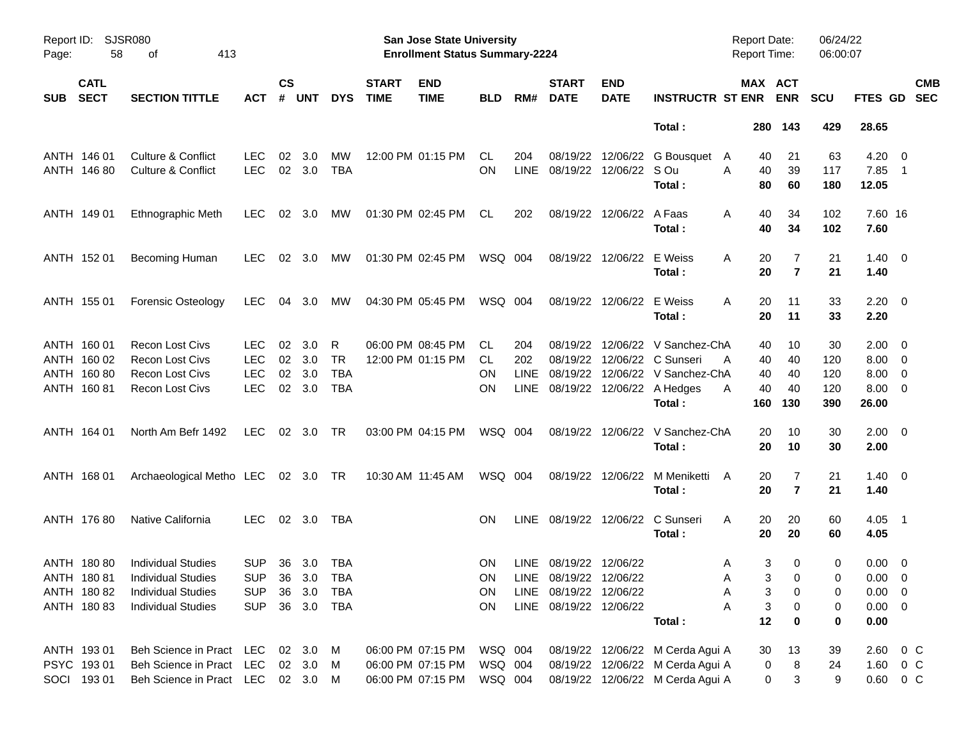| Page:      | <b>SJSR080</b><br>Report ID:<br>58<br>413<br>оf<br><b>CATL</b><br><b>SECT</b><br><b>SECTION TITTLE</b> |                                    |                |                    |                |            |                             | San Jose State University<br><b>Enrollment Status Summary-2224</b> |            |      |                             |                           |                                  | <b>Report Date:</b><br><b>Report Time:</b> |                       | 06/24/22<br>06:00:07 |                        |                          |
|------------|--------------------------------------------------------------------------------------------------------|------------------------------------|----------------|--------------------|----------------|------------|-----------------------------|--------------------------------------------------------------------|------------|------|-----------------------------|---------------------------|----------------------------------|--------------------------------------------|-----------------------|----------------------|------------------------|--------------------------|
| <b>SUB</b> |                                                                                                        |                                    | <b>ACT</b>     | $\mathsf{cs}$<br># | <b>UNT</b>     | <b>DYS</b> | <b>START</b><br><b>TIME</b> | <b>END</b><br><b>TIME</b>                                          | <b>BLD</b> | RM#  | <b>START</b><br><b>DATE</b> | <b>END</b><br><b>DATE</b> | <b>INSTRUCTR ST ENR</b>          |                                            | MAX ACT<br><b>ENR</b> | <b>SCU</b>           | <b>FTES GD</b>         | <b>CMB</b><br><b>SEC</b> |
|            |                                                                                                        |                                    |                |                    |                |            |                             |                                                                    |            |      |                             |                           | Total:                           |                                            | 280 143               | 429                  | 28.65                  |                          |
|            | ANTH 146 01                                                                                            | <b>Culture &amp; Conflict</b>      | <b>LEC</b>     | 02                 | 3.0            | MW         |                             | 12:00 PM 01:15 PM                                                  | CL.        | 204  | 08/19/22                    |                           | 12/06/22 G Bousquet              | 40<br>A                                    | 21                    | 63                   | $4.20 \ 0$             |                          |
|            | ANTH 146 80                                                                                            | <b>Culture &amp; Conflict</b>      | <b>LEC</b>     |                    | 02 3.0         | <b>TBA</b> |                             |                                                                    | OΝ         | LINE | 08/19/22 12/06/22 SOu       |                           | Total :                          | A<br>40<br>80                              | 39<br>60              | 117<br>180           | 7.85 1<br>12.05        |                          |
|            | ANTH 149 01                                                                                            | Ethnographic Meth                  | LEC.           |                    | $02 \quad 3.0$ | МW         |                             | 01:30 PM 02:45 PM                                                  | CL.        | 202  |                             | 08/19/22 12/06/22 A Faas  | Total :                          | 40<br>A<br>40                              | 34<br>34              | 102<br>102           | 7.60 16<br>7.60        |                          |
|            | ANTH 152 01                                                                                            | Becoming Human                     | LEC.           |                    | $02 \quad 3.0$ | МW         |                             | 01:30 PM 02:45 PM                                                  | WSQ 004    |      |                             | 08/19/22 12/06/22         | E Weiss<br>Total:                | A<br>20<br>20                              | 7<br>$\overline{7}$   | 21<br>21             | $1.40 \quad 0$<br>1.40 |                          |
|            | ANTH 155 01                                                                                            | <b>Forensic Osteology</b>          | LEC.           |                    | 04 3.0         | MW         |                             | 04:30 PM 05:45 PM                                                  | WSQ 004    |      |                             | 08/19/22 12/06/22 E Weiss | Total:                           | 20<br>A<br>20                              | 11<br>11              | 33<br>33             | $2.20 \t 0$<br>2.20    |                          |
|            | ANTH 160 01                                                                                            | <b>Recon Lost Civs</b>             | LEC.           | 02                 | 3.0            | R          |                             | 06:00 PM 08:45 PM                                                  | CL.        | 204  | 08/19/22                    |                           | 12/06/22 V Sanchez-ChA           | 40                                         | 10                    | 30                   | $2.00 \t 0$            |                          |
|            | ANTH 160 02                                                                                            | <b>Recon Lost Civs</b>             | <b>LEC</b>     |                    | 02 3.0         | <b>TR</b>  |                             | 12:00 PM 01:15 PM                                                  | CL.        | 202  |                             |                           | 08/19/22 12/06/22 C Sunseri      | 40<br>A                                    | 40                    | 120                  | $8.00 \t 0$            |                          |
|            | ANTH 160 80                                                                                            | <b>Recon Lost Civs</b>             | <b>LEC</b>     | 02                 | 3.0            | TBA        |                             |                                                                    | ON         | LINE |                             |                           | 08/19/22 12/06/22 V Sanchez-ChA  | 40                                         | 40                    | 120                  | $8.00 \t 0$            |                          |
|            | ANTH 16081                                                                                             | <b>Recon Lost Civs</b>             | <b>LEC</b>     |                    | 02 3.0         | <b>TBA</b> |                             |                                                                    | OΝ         | LINE |                             |                           | 08/19/22 12/06/22 A Hedges       | 40<br>Α                                    | 40                    | 120                  | $8.00 \t 0$            |                          |
|            |                                                                                                        |                                    |                |                    |                |            |                             |                                                                    |            |      |                             |                           | Total :                          | 160                                        | 130                   | 390                  | 26.00                  |                          |
|            | ANTH 164 01                                                                                            | North Am Befr 1492                 | LEC.           |                    | 02 3.0         | TR         |                             | 03:00 PM 04:15 PM                                                  | WSQ 004    |      |                             |                           | 08/19/22 12/06/22 V Sanchez-ChA  | 20                                         | 10                    | 30                   | $2.00 \t 0$            |                          |
|            |                                                                                                        |                                    |                |                    |                |            |                             |                                                                    |            |      |                             |                           | Total:                           | 20                                         | 10                    | 30                   | 2.00                   |                          |
|            | ANTH 168 01                                                                                            | Archaeological Metho LEC 02 3.0 TR |                |                    |                |            |                             | 10:30 AM 11:45 AM                                                  | WSQ 004    |      |                             | 08/19/22 12/06/22         | M Meniketti<br>Total:            | A<br>20<br>20                              | 7<br>$\overline{7}$   | 21<br>21             | $1.40 \ 0$<br>1.40     |                          |
|            | ANTH 176 80                                                                                            | Native California                  | LEC.           |                    | 02 3.0         | TBA        |                             |                                                                    | <b>ON</b>  |      |                             |                           | LINE 08/19/22 12/06/22 C Sunseri | 20<br>A                                    | 20                    | 60                   | $4.05$ 1               |                          |
|            |                                                                                                        |                                    |                |                    |                |            |                             |                                                                    |            |      |                             |                           | Total:                           | 20                                         | 20                    | 60                   | 4.05                   |                          |
|            | ANTH 180 80                                                                                            | <b>Individual Studies</b>          | <b>SUP</b>     |                    | 36 3.0         | TBA        |                             |                                                                    | <b>ON</b>  |      | LINE 08/19/22 12/06/22      |                           |                                  | A                                          | 3<br>0                | 0                    | $0.00 \t 0$            |                          |
|            |                                                                                                        | ANTH 180 81 Individual Studies     | SUP 36 3.0 TBA |                    |                |            |                             |                                                                    | ON         |      | LINE 08/19/22 12/06/22      |                           |                                  | Α                                          | 3 <sup>7</sup><br>0   | 0                    | $0.00 \t 0$            |                          |
|            | ANTH 180 82                                                                                            | <b>Individual Studies</b>          | <b>SUP</b>     | 36                 | 3.0            | TBA        |                             |                                                                    | 0N         |      | LINE 08/19/22 12/06/22      |                           |                                  | Α                                          | 3<br>0                | 0                    | $0.00 \t 0$            |                          |
|            | ANTH 180 83                                                                                            | <b>Individual Studies</b>          | <b>SUP</b>     |                    | 36 3.0 TBA     |            |                             |                                                                    | ON         |      | LINE 08/19/22 12/06/22      |                           |                                  | Α                                          | 3<br>0                | 0                    | $0.00 \t 0$            |                          |
|            |                                                                                                        |                                    |                |                    |                |            |                             |                                                                    |            |      |                             |                           | Total:                           | 12                                         | $\bf{0}$              | 0                    | 0.00                   |                          |
|            | ANTH 19301                                                                                             | Beh Science in Pract LEC 02 3.0    |                |                    |                | - M        |                             | 06:00 PM 07:15 PM                                                  | WSQ 004    |      |                             |                           | 08/19/22 12/06/22 M Cerda Agui A | 30                                         | 13                    | 39                   | $2.60 \t 0 \t C$       |                          |
|            | PSYC 19301                                                                                             | Beh Science in Pract               | <b>LEC</b>     |                    | 02 3.0         | M          |                             | 06:00 PM 07:15 PM                                                  | WSQ 004    |      |                             |                           | 08/19/22 12/06/22 M Cerda Agui A |                                            | $\pmb{0}$<br>8        | 24                   | 1.60 0 C               |                          |
|            | SOCI 193 01                                                                                            | Beh Science in Pract LEC 02 3.0 M  |                |                    |                |            |                             | 06:00 PM 07:15 PM                                                  | WSQ 004    |      |                             |                           | 08/19/22 12/06/22 M Cerda Agui A |                                            | 0<br>3                | 9                    | $0.60 \t 0 C$          |                          |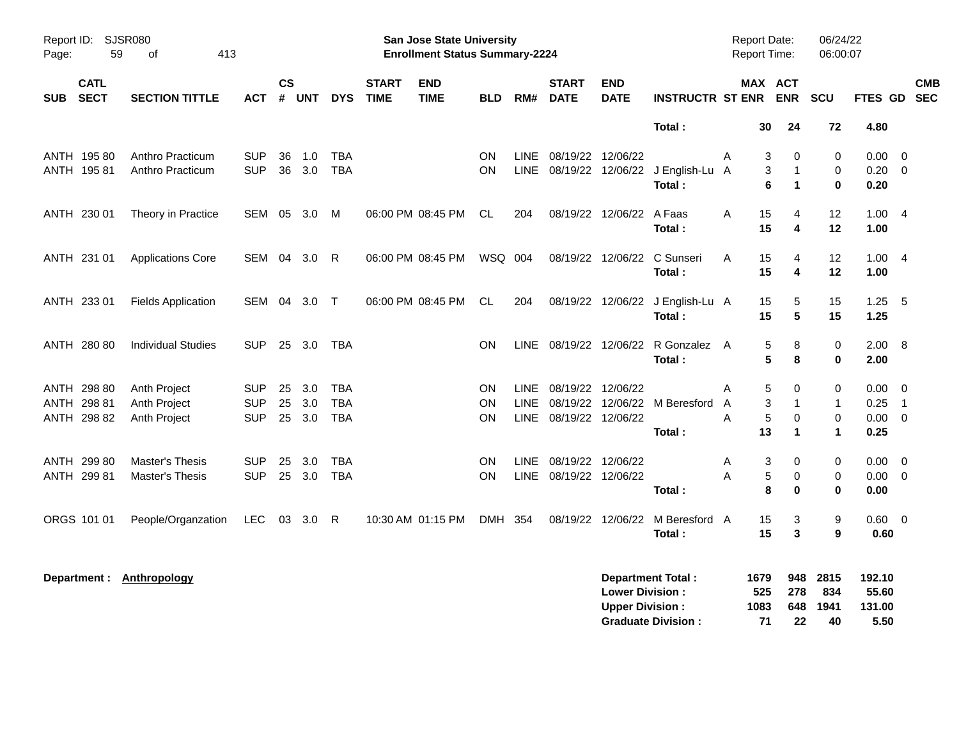| Page:      | Report ID: SJSR080<br>59<br>413<br>οf |                           |            |                |            |            |                             | San Jose State University<br><b>Enrollment Status Summary-2224</b> |            |             |                             |                           |                                |   | Report Date:<br><b>Report Time:</b> |                      | 06/24/22<br>06:00:07 |                 |                          |                          |
|------------|---------------------------------------|---------------------------|------------|----------------|------------|------------|-----------------------------|--------------------------------------------------------------------|------------|-------------|-----------------------------|---------------------------|--------------------------------|---|-------------------------------------|----------------------|----------------------|-----------------|--------------------------|--------------------------|
| <b>SUB</b> | <b>CATL</b><br><b>SECT</b>            | <b>SECTION TITTLE</b>     | <b>ACT</b> | <b>CS</b><br># | <b>UNT</b> | <b>DYS</b> | <b>START</b><br><b>TIME</b> | <b>END</b><br><b>TIME</b>                                          | <b>BLD</b> | RM#         | <b>START</b><br><b>DATE</b> | <b>END</b><br><b>DATE</b> | <b>INSTRUCTR ST ENR</b>        |   | <b>MAX ACT</b>                      | <b>ENR</b>           | SCU                  | <b>FTES GD</b>  |                          | <b>CMB</b><br><b>SEC</b> |
|            |                                       |                           |            |                |            |            |                             |                                                                    |            |             |                             |                           | Total:                         |   | 30                                  | 24                   | 72                   | 4.80            |                          |                          |
|            | ANTH 195 80                           | Anthro Practicum          | <b>SUP</b> | 36             | 1.0        | <b>TBA</b> |                             |                                                                    | <b>ON</b>  | LINE        | 08/19/22 12/06/22           |                           |                                | A | 3                                   | 0                    | 0                    | 0.00            | $\overline{0}$           |                          |
|            | ANTH 195 81                           | Anthro Practicum          | <b>SUP</b> | 36             | 3.0        | <b>TBA</b> |                             |                                                                    | <b>ON</b>  | <b>LINE</b> |                             | 08/19/22 12/06/22         | J English-Lu A                 |   | 3                                   | $\mathbf{1}$         | 0                    | 0.20            | $\overline{\mathbf{0}}$  |                          |
|            |                                       |                           |            |                |            |            |                             |                                                                    |            |             |                             |                           | Total:                         |   | 6                                   | $\mathbf{1}$         | $\bf{0}$             | 0.20            |                          |                          |
|            | ANTH 230 01                           | Theory in Practice        | SEM        | 05             | 3.0        | M          |                             | 06:00 PM 08:45 PM                                                  | CL.        | 204         |                             | 08/19/22 12/06/22         | A Faas                         | A | 15                                  | 4                    | 12                   | $1.00 \quad 4$  |                          |                          |
|            |                                       |                           |            |                |            |            |                             |                                                                    |            |             |                             |                           | Total:                         |   | 15                                  | 4                    | 12                   | 1.00            |                          |                          |
|            | ANTH 231 01                           | <b>Applications Core</b>  | SEM 04     |                | 3.0        | R          |                             | 06:00 PM 08:45 PM                                                  | WSQ 004    |             |                             | 08/19/22 12/06/22         | C Sunseri                      | A | 15                                  | $\overline{4}$       | 12                   | 1.004           |                          |                          |
|            |                                       |                           |            |                |            |            |                             |                                                                    |            |             |                             |                           | Total:                         |   | 15                                  | 4                    | 12                   | 1.00            |                          |                          |
|            | ANTH 233 01                           | <b>Fields Application</b> | SEM 04 3.0 |                |            | $\top$     |                             | 06:00 PM 08:45 PM                                                  | CL.        | 204         |                             | 08/19/22 12/06/22         | J English-Lu A                 |   | 15                                  | 5                    | 15                   | $1.25 - 5$      |                          |                          |
|            |                                       |                           |            |                |            |            |                             |                                                                    |            |             |                             |                           | Total:                         |   | 15                                  | 5                    | 15                   | 1.25            |                          |                          |
|            | ANTH 280 80                           | <b>Individual Studies</b> | <b>SUP</b> |                | 25 3.0     | TBA        |                             |                                                                    | ON         | LINE        |                             |                           | 08/19/22 12/06/22 R Gonzalez A |   | 5                                   | 8                    | $\pmb{0}$            | 2.00 8          |                          |                          |
|            |                                       |                           |            |                |            |            |                             |                                                                    |            |             |                             |                           | Total:                         |   | 5                                   | 8                    | $\mathbf 0$          | 2.00            |                          |                          |
|            | ANTH 298 80                           | Anth Project              | <b>SUP</b> | 25             | 3.0        | <b>TBA</b> |                             |                                                                    | <b>ON</b>  | <b>LINE</b> | 08/19/22 12/06/22           |                           |                                | Α | 5                                   | 0                    | 0                    | 0.00            | $\overline{\mathbf{0}}$  |                          |
|            | ANTH 298 81                           | Anth Project              | <b>SUP</b> | 25             | 3.0        | <b>TBA</b> |                             |                                                                    | ON         | <b>LINE</b> |                             |                           | 08/19/22 12/06/22 M Beresford  | A | 3                                   | $\mathbf 1$          | $\mathbf{1}$         | 0.25            | $\overline{\phantom{1}}$ |                          |
|            | ANTH 298 82                           | Anth Project              | <b>SUP</b> |                | 25 3.0     | <b>TBA</b> |                             |                                                                    | ON         | <b>LINE</b> | 08/19/22 12/06/22           |                           |                                | A | 5                                   | $\mathbf 0$          | $\pmb{0}$            | $0.00 \t 0$     |                          |                          |
|            |                                       |                           |            |                |            |            |                             |                                                                    |            |             |                             |                           | Total:                         |   | 13                                  | $\blacktriangleleft$ | $\mathbf 1$          | 0.25            |                          |                          |
|            | ANTH 299 80                           | Master's Thesis           | <b>SUP</b> | 25             | 3.0        | <b>TBA</b> |                             |                                                                    | <b>ON</b>  | <b>LINE</b> | 08/19/22 12/06/22           |                           |                                | A | 3                                   | 0                    | 0                    | 0.00            | $\overline{0}$           |                          |
|            | ANTH 299 81                           | <b>Master's Thesis</b>    | <b>SUP</b> |                | 25 3.0     | <b>TBA</b> |                             |                                                                    | <b>ON</b>  | <b>LINE</b> | 08/19/22 12/06/22           |                           |                                | A | 5                                   | 0                    | 0                    | $0.00 \t 0$     |                          |                          |
|            |                                       |                           |            |                |            |            |                             |                                                                    |            |             |                             |                           | Total:                         |   | 8                                   | 0                    | $\bf{0}$             | 0.00            |                          |                          |
|            | ORGS 101 01                           | People/Organzation        | <b>LEC</b> | 03             | 3.0        | R          |                             | 10:30 AM 01:15 PM                                                  | DMH 354    |             |                             | 08/19/22 12/06/22         | M Beresford A                  |   | 15                                  | 3                    | 9                    | $0.60 \t 0$     |                          |                          |
|            |                                       |                           |            |                |            |            |                             |                                                                    |            |             |                             |                           | Total:                         |   | 15                                  | 3                    | $\boldsymbol{9}$     | 0.60            |                          |                          |
|            | Department :                          | Anthropology              |            |                |            |            |                             |                                                                    |            |             |                             | <b>Lower Division:</b>    | <b>Department Total:</b>       |   | 1679<br>525                         | 948<br>278           | 2815<br>834          | 192.10<br>55.60 |                          |                          |

**Upper Division : 1083 648 1941 131.00 Graduate Division :**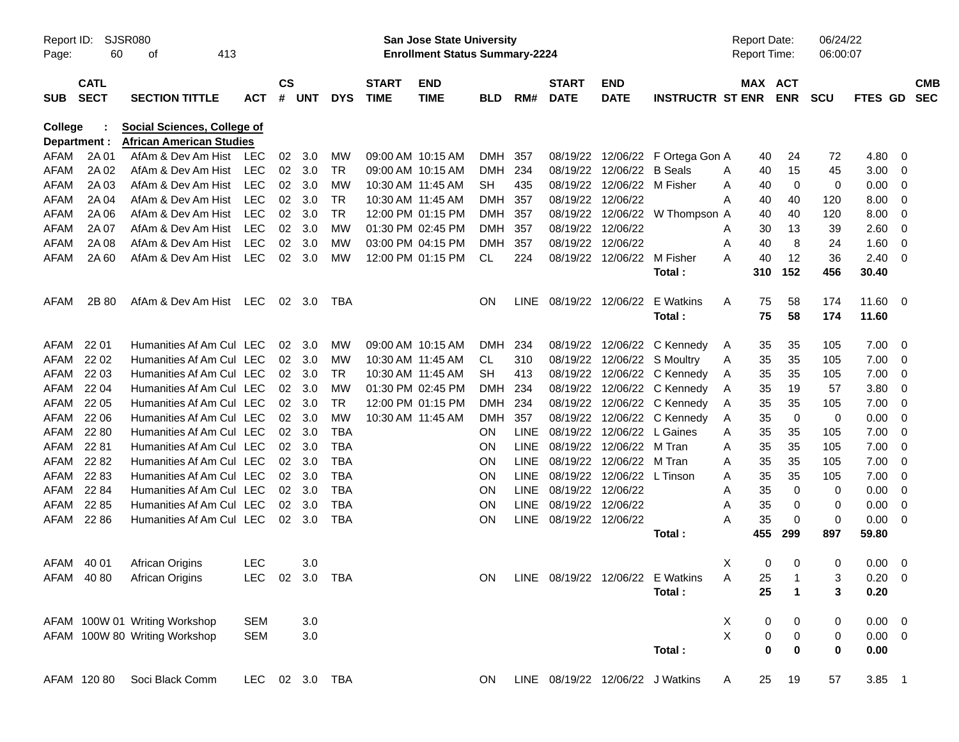| Report ID:<br>Page:     | SJSR080<br>60              |                                                                       |                |                 |                |            | San Jose State University<br><b>Enrollment Status Summary-2224</b> |                           |            |             |                             |                           |                                     | <b>Report Date:</b><br><b>Report Time:</b> | 06:00:07              | 06/24/22             |             |                |                          |
|-------------------------|----------------------------|-----------------------------------------------------------------------|----------------|-----------------|----------------|------------|--------------------------------------------------------------------|---------------------------|------------|-------------|-----------------------------|---------------------------|-------------------------------------|--------------------------------------------|-----------------------|----------------------|-------------|----------------|--------------------------|
| <b>SUB</b>              | <b>CATL</b><br><b>SECT</b> | <b>SECTION TITTLE</b>                                                 | <b>ACT</b>     | $\mathsf{cs}$   | # UNT          | <b>DYS</b> | <b>START</b><br><b>TIME</b>                                        | <b>END</b><br><b>TIME</b> | <b>BLD</b> | RM#         | <b>START</b><br><b>DATE</b> | <b>END</b><br><b>DATE</b> | <b>INSTRUCTR ST ENR</b>             |                                            | MAX ACT<br><b>ENR</b> | <b>SCU</b>           | FTES GD     |                | <b>CMB</b><br><b>SEC</b> |
| College<br>Department : |                            | <b>Social Sciences, College of</b><br><b>African American Studies</b> |                |                 |                |            |                                                                    |                           |            |             |                             |                           |                                     |                                            |                       |                      |             |                |                          |
| AFAM                    | 2A 01                      | AfAm & Dev Am Hist                                                    | <b>LEC</b>     | 02              | 3.0            | MW         |                                                                    | 09:00 AM 10:15 AM         | DMH        | 357         |                             |                           | 08/19/22 12/06/22 F Ortega Gon A    |                                            | 40                    | 24<br>72             | 4.80        | 0              |                          |
| AFAM                    | 2A 02                      | AfAm & Dev Am Hist                                                    | LEC            | 02 <sub>o</sub> | 3.0            | <b>TR</b>  |                                                                    | 09:00 AM 10:15 AM         | DMH        | 234         | 08/19/22                    | 12/06/22 B Seals          |                                     | A                                          | 40                    | 15<br>45             | 3.00        | 0              |                          |
| AFAM                    | 2A 03                      | AfAm & Dev Am Hist                                                    | LEC            | 02              | 3.0            | MW         | 10:30 AM 11:45 AM                                                  |                           | <b>SH</b>  | 435         | 08/19/22                    | 12/06/22 M Fisher         |                                     | A                                          | 40                    | $\mathbf 0$<br>0     | 0.00        | 0              |                          |
| AFAM                    | 2A 04                      | AfAm & Dev Am Hist                                                    | LEC            | 02              | 3.0            | <b>TR</b>  | 10:30 AM 11:45 AM                                                  |                           | DMH        | 357         | 08/19/22                    | 12/06/22                  |                                     | A                                          | 40                    | 40<br>120            | 8.00        | 0              |                          |
| AFAM                    | 2A 06                      | AfAm & Dev Am Hist                                                    | LEC            | 02              | 3.0            | <b>TR</b>  |                                                                    | 12:00 PM 01:15 PM         | DMH        | 357         | 08/19/22                    |                           | 12/06/22 W Thompson A               |                                            | 40                    | 40<br>120            | 8.00        | 0              |                          |
| AFAM                    | 2A 07                      | AfAm & Dev Am Hist                                                    | LEC            | 02              | 3.0            | MW         |                                                                    | 01:30 PM 02:45 PM         | DMH        | 357         | 08/19/22                    | 12/06/22                  |                                     | A                                          | 30                    | 13<br>39             | 2.60        | 0              |                          |
| AFAM                    | 2A 08                      | AfAm & Dev Am Hist                                                    | <b>LEC</b>     | 02              | 3.0            | MW         |                                                                    | 03:00 PM 04:15 PM         | DMH        | 357         | 08/19/22                    | 12/06/22                  |                                     | A                                          | 40                    | 8<br>24              | 1.60        | 0              |                          |
| AFAM                    | 2A 60                      | AfAm & Dev Am Hist                                                    | <b>LEC</b>     | 02              | 3.0            | MW         |                                                                    | 12:00 PM 01:15 PM         | CL         | 224         | 08/19/22                    | 12/06/22                  | M Fisher                            | А                                          | 40                    | 12<br>36             | 2.40        | 0              |                          |
|                         |                            |                                                                       |                |                 |                |            |                                                                    |                           |            |             |                             |                           | Total:                              |                                            | 152<br>310            | 456                  | 30.40       |                |                          |
| AFAM                    | 2B 80                      | AfAm & Dev Am Hist LEC                                                |                |                 | $02 \quad 3.0$ | TBA        |                                                                    |                           | ON.        |             | LINE 08/19/22               | 12/06/22                  | E Watkins                           | A                                          | 75                    | 58<br>174            | 11.60       | - 0            |                          |
|                         |                            |                                                                       |                |                 |                |            |                                                                    |                           |            |             |                             |                           | Total:                              |                                            | 75                    | 58<br>174            | 11.60       |                |                          |
| AFAM                    | 22 01                      | Humanities Af Am Cul LEC                                              |                | 02              | 3.0            | MW         |                                                                    | 09:00 AM 10:15 AM         | DMH        | 234         | 08/19/22                    |                           | 12/06/22 C Kennedy                  | A                                          | 35                    | 35<br>105            | 7.00        | 0              |                          |
| AFAM                    | 22 02                      | Humanities Af Am Cul LEC                                              |                |                 | 02 3.0         | MW         | 10:30 AM 11:45 AM                                                  |                           | CL.        | 310         | 08/19/22                    |                           | 12/06/22 S Moultry                  | A                                          | 35                    | 35<br>105            | 7.00        | 0              |                          |
| AFAM                    | 22 03                      | Humanities Af Am Cul LEC                                              |                | 02              | 3.0            | <b>TR</b>  | 10:30 AM 11:45 AM                                                  |                           | <b>SH</b>  | 413         | 08/19/22                    |                           | 12/06/22 C Kennedy                  | A                                          | 35                    | 35<br>105            | 7.00        | 0              |                          |
| AFAM                    | 22 04                      | Humanities Af Am Cul LEC                                              |                |                 | 02 3.0         | MW         | 01:30 PM 02:45 PM                                                  |                           | DMH        | 234         |                             |                           | 08/19/22 12/06/22 C Kennedy         | A                                          | 35                    | 19<br>57             | 3.80        | 0              |                          |
| AFAM                    | 22 05                      | Humanities Af Am Cul LEC                                              |                | 02              | 3.0            | <b>TR</b>  |                                                                    | 12:00 PM 01:15 PM         | DMH        | 234         | 08/19/22                    |                           | 12/06/22 C Kennedy                  | A                                          | 35                    | 35<br>105            | 7.00        | 0              |                          |
| AFAM                    | 22 06                      | Humanities Af Am Cul LEC                                              |                | 02              | 3.0            | <b>MW</b>  | 10:30 AM 11:45 AM                                                  |                           | <b>DMH</b> | 357         | 08/19/22                    |                           | 12/06/22 C Kennedy                  | A                                          | 35                    | $\mathbf 0$<br>0     | 0.00        | $\mathbf 0$    |                          |
| AFAM                    | 22 80                      | Humanities Af Am Cul LEC                                              |                | 02              | 3.0            | <b>TBA</b> |                                                                    |                           | ON         | <b>LINE</b> | 08/19/22                    | 12/06/22 L Gaines         |                                     | A                                          | 35                    | 35<br>105            | 7.00        | $\mathbf 0$    |                          |
| AFAM                    | 22 81                      | Humanities Af Am Cul LEC                                              |                | 02              | 3.0            | <b>TBA</b> |                                                                    |                           | ON.        | LINE        | 08/19/22                    | 12/06/22 M Tran           |                                     | A                                          | 35                    | 35<br>105            | 7.00        | 0              |                          |
| AFAM                    | 22 82                      | Humanities Af Am Cul LEC                                              |                | 02 <sub>o</sub> | 3.0            | <b>TBA</b> |                                                                    |                           | ON.        | <b>LINE</b> | 08/19/22                    | 12/06/22                  | M Tran                              | Α                                          | 35                    | 35<br>105            | 7.00        | $\mathbf 0$    |                          |
| AFAM                    | 22 83                      | Humanities Af Am Cul LEC                                              |                | 02              | 3.0            | <b>TBA</b> |                                                                    |                           | ON.        | LINE        | 08/19/22                    | 12/06/22 L Tinson         |                                     | A                                          | 35                    | 35<br>105            | 7.00        | 0              |                          |
| AFAM                    | 22 84                      | Humanities Af Am Cul LEC                                              |                | 02              | 3.0            | <b>TBA</b> |                                                                    |                           | ON.        | LINE        | 08/19/22                    | 12/06/22                  |                                     | A                                          | 35                    | $\mathbf 0$<br>0     | 0.00        | 0              |                          |
| AFAM                    | 22 85                      | Humanities Af Am Cul LEC                                              |                | 02              | 3.0            | <b>TBA</b> |                                                                    |                           | ON.        | LINE        | 08/19/22 12/06/22           |                           |                                     | A                                          | 35                    | 0<br>0               | 0.00        | 0              |                          |
| AFAM                    | 22 86                      | Humanities Af Am Cul LEC                                              |                |                 | $02 \quad 3.0$ | <b>TBA</b> |                                                                    |                           | <b>ON</b>  |             | LINE 08/19/22 12/06/22      |                           |                                     | Α                                          | 35                    | $\mathbf 0$<br>0     | 0.00        | 0              |                          |
|                         |                            |                                                                       |                |                 |                |            |                                                                    |                           |            |             |                             |                           | Total:                              |                                            | 455<br>299            | 897                  | 59.80       |                |                          |
| AFAM 40 01              |                            | <b>African Origins</b>                                                | <b>LEC</b>     |                 | 3.0            |            |                                                                    |                           |            |             |                             |                           |                                     | Χ                                          | 0                     | 0<br>0               | 0.00        | $\overline{0}$ |                          |
|                         |                            | AFAM 40 80 African Origins                                            | LEC 02 3.0 TBA |                 |                |            |                                                                    |                           |            |             |                             |                           | ON LINE 08/19/22 12/06/22 E Watkins | $\mathsf{A}$                               | 25 1                  | 3                    | $0.20 \t 0$ |                |                          |
|                         |                            |                                                                       |                |                 |                |            |                                                                    |                           |            |             |                             |                           | Total:                              |                                            | 25                    | $\mathbf 1$<br>3     | 0.20        |                |                          |
|                         |                            | AFAM 100W 01 Writing Workshop                                         | <b>SEM</b>     |                 | 3.0            |            |                                                                    |                           |            |             |                             |                           |                                     | Χ                                          | 0                     | 0<br>0               | $0.00 \t 0$ |                |                          |
|                         |                            | AFAM 100W 80 Writing Workshop                                         | <b>SEM</b>     |                 | $3.0\,$        |            |                                                                    |                           |            |             |                             |                           |                                     | $\times$                                   | 0                     | $\pmb{0}$<br>0       | $0.00 \t 0$ |                |                          |
|                         |                            |                                                                       |                |                 |                |            |                                                                    |                           |            |             |                             |                           | Total:                              |                                            | $\bf{0}$              | $\bf{0}$<br>$\bf{0}$ | 0.00        |                |                          |
|                         | AFAM 120 80                | Soci Black Comm                                                       | LEC 02 3.0 TBA |                 |                |            |                                                                    |                           | ON.        |             |                             |                           | LINE 08/19/22 12/06/22 J Watkins    | A                                          | 25                    | 19<br>57             | $3.85$ 1    |                |                          |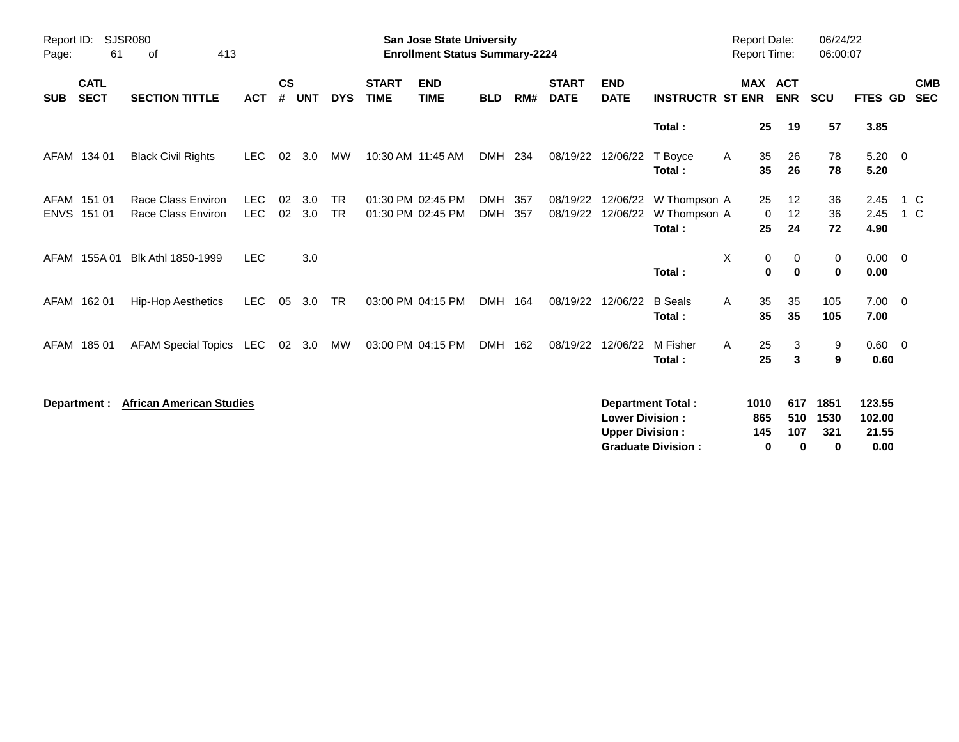| Page:      | <b>SJSR080</b><br>Report ID:<br>413<br>61<br>of |                                          |                          |                    |            |                        |                             | <b>San Jose State University</b><br><b>Enrollment Status Summary-2224</b> |                          |             |                             |                                                  |                                                       | <b>Report Date:</b><br>Report Time: |                                                | 06/24/22<br>06:00:07     |                                   |                          |
|------------|-------------------------------------------------|------------------------------------------|--------------------------|--------------------|------------|------------------------|-----------------------------|---------------------------------------------------------------------------|--------------------------|-------------|-----------------------------|--------------------------------------------------|-------------------------------------------------------|-------------------------------------|------------------------------------------------|--------------------------|-----------------------------------|--------------------------|
| <b>SUB</b> | <b>CATL</b><br><b>SECT</b>                      | <b>SECTION TITTLE</b>                    | <b>ACT</b>               | $\mathsf{cs}$<br># | <b>UNT</b> | <b>DYS</b>             | <b>START</b><br><b>TIME</b> | <b>END</b><br><b>TIME</b>                                                 | <b>BLD</b>               | RM#         | <b>START</b><br><b>DATE</b> | <b>END</b><br><b>DATE</b>                        | <b>INSTRUCTR ST ENR</b>                               |                                     | <b>MAX ACT</b><br><b>ENR</b>                   | <b>SCU</b>               | <b>FTES GD</b>                    | <b>CMB</b><br><b>SEC</b> |
|            |                                                 |                                          |                          |                    |            |                        |                             |                                                                           |                          |             |                             |                                                  | Total:                                                |                                     | 25<br>19                                       | 57                       | 3.85                              |                          |
|            | AFAM 134 01                                     | <b>Black Civil Rights</b>                | LEC.                     | 02                 | 3.0        | MW                     |                             | 10:30 AM 11:45 AM                                                         | <b>DMH</b>               | 234         | 08/19/22                    | 12/06/22                                         | T Boyce<br>Total:                                     | A                                   | 35<br>26<br>35<br>26                           | 78<br>78                 | $5.20 \ 0$<br>5.20                |                          |
|            | AFAM 151 01<br>ENVS 151 01                      | Race Class Environ<br>Race Class Environ | <b>LEC</b><br><b>LEC</b> | 02<br>02           | 3.0<br>3.0 | <b>TR</b><br><b>TR</b> |                             | 01:30 PM 02:45 PM<br>01:30 PM 02:45 PM                                    | <b>DMH</b><br><b>DMH</b> | -357<br>357 | 08/19/22<br>08/19/22        | 12/06/22<br>12/06/22                             | W Thompson A<br>W Thompson A<br>Total:                |                                     | 25<br>$12 \,$<br>12<br>$\mathbf 0$<br>25<br>24 | 36<br>36<br>72           | 2.45<br>2.45<br>4.90              | 1 C<br>1 C               |
| AFAM       | 155A 01                                         | Blk Athl 1850-1999                       | <b>LEC</b>               |                    | 3.0        |                        |                             |                                                                           |                          |             |                             |                                                  | Total:                                                | X                                   | 0<br>$\mathbf 0$<br>0<br>0                     | 0<br>$\mathbf 0$         | $0.00 \t 0$<br>0.00               |                          |
|            | AFAM 162 01                                     | <b>Hip-Hop Aesthetics</b>                | <b>LEC</b>               | 05                 | 3.0        | <b>TR</b>              |                             | 03:00 PM 04:15 PM                                                         | DMH 164                  |             | 08/19/22                    | 12/06/22                                         | <b>B</b> Seals<br>Total:                              | A                                   | 35<br>35<br>35<br>35                           | 105<br>105               | $7.00 \quad 0$<br>7.00            |                          |
|            | AFAM 185 01                                     | AFAM Special Topics LEC                  |                          |                    | 02 3.0     | МW                     |                             | 03:00 PM 04:15 PM                                                         | DMH 162                  |             | 08/19/22                    | 12/06/22                                         | M Fisher<br>Total:                                    | A                                   | 25<br>3<br>25<br>3                             | 9<br>9                   | $0.60 \quad 0$<br>0.60            |                          |
|            | Department :                                    | <b>African American Studies</b>          |                          |                    |            |                        |                             |                                                                           |                          |             |                             | <b>Lower Division:</b><br><b>Upper Division:</b> | <b>Department Total:</b><br><b>Graduate Division:</b> | 1010<br>865<br>145                  | 617<br>510<br>107<br>0<br>0                    | 1851<br>1530<br>321<br>0 | 123.55<br>102.00<br>21.55<br>0.00 |                          |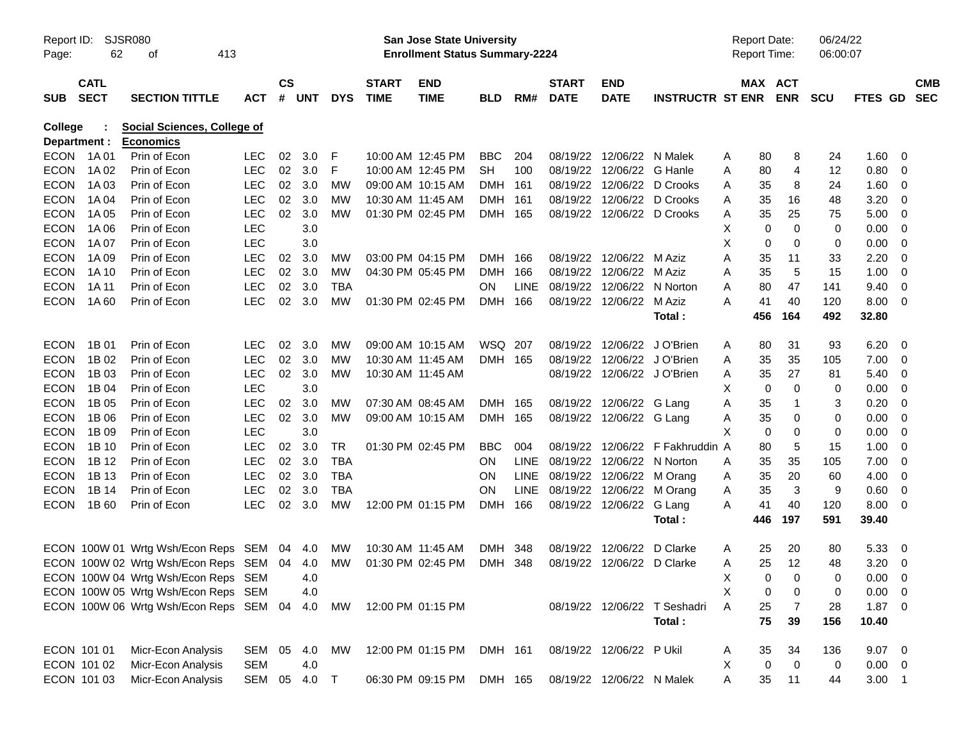| Report ID:<br>Page: | 62                         | SJSR080<br>413<br>οf                            |              |                    |            |            |                             | <b>San Jose State University</b><br><b>Enrollment Status Summary-2224</b> |            |             |                                |                             |                                  | <b>Report Date:</b><br><b>Report Time:</b> |                            | 06/24/22<br>06:00:07 |             |                          |
|---------------------|----------------------------|-------------------------------------------------|--------------|--------------------|------------|------------|-----------------------------|---------------------------------------------------------------------------|------------|-------------|--------------------------------|-----------------------------|----------------------------------|--------------------------------------------|----------------------------|----------------------|-------------|--------------------------|
| <b>SUB</b>          | <b>CATL</b><br><b>SECT</b> | <b>SECTION TITTLE</b>                           | <b>ACT</b>   | $\mathsf{cs}$<br># | <b>UNT</b> | <b>DYS</b> | <b>START</b><br><b>TIME</b> | <b>END</b><br><b>TIME</b>                                                 | <b>BLD</b> | RM#         | <b>START</b><br><b>DATE</b>    | <b>END</b><br><b>DATE</b>   | <b>INSTRUCTR ST ENR</b>          | MAX ACT                                    | <b>ENR</b>                 | <b>SCU</b>           | FTES GD     | <b>CMB</b><br><b>SEC</b> |
| College             | Department :               | Social Sciences, College of<br><b>Economics</b> |              |                    |            |            |                             |                                                                           |            |             |                                |                             |                                  |                                            |                            |                      |             |                          |
|                     | ECON 1A01                  | Prin of Econ                                    | <b>LEC</b>   | 02                 | 3.0        | F          |                             | 10:00 AM 12:45 PM                                                         | <b>BBC</b> | 204         |                                | 08/19/22 12/06/22 N Malek   |                                  | A<br>80                                    | 8                          | 24                   | 1.60        | - 0                      |
| <b>ECON</b>         | 1A 02                      | Prin of Econ                                    | <b>LEC</b>   |                    | 02 3.0     | F          |                             | 10:00 AM 12:45 PM                                                         | <b>SH</b>  | 100         |                                | 08/19/22 12/06/22 G Hanle   |                                  | 80<br>A                                    | 4                          | 12                   | 0.80        | $\overline{0}$           |
| <b>ECON</b>         | 1A 03                      | Prin of Econ                                    | <b>LEC</b>   | 02                 | 3.0        | MW         | 09:00 AM 10:15 AM           |                                                                           | <b>DMH</b> | 161         |                                | 08/19/22 12/06/22 D Crooks  |                                  | 35<br>Α                                    | 8                          | 24                   | 1.60        | - 0                      |
| <b>ECON</b>         | 1A 04                      | Prin of Econ                                    | <b>LEC</b>   | 02                 | 3.0        | <b>MW</b>  | 10:30 AM 11:45 AM           |                                                                           | <b>DMH</b> | 161         |                                | 08/19/22 12/06/22 D Crooks  |                                  | 35<br>A                                    | 16                         | 48                   | 3.20        | - 0                      |
| <b>ECON</b>         | 1A 05                      | Prin of Econ                                    | <b>LEC</b>   |                    | 02 3.0     | <b>MW</b>  |                             | 01:30 PM 02:45 PM                                                         | DMH 165    |             |                                | 08/19/22 12/06/22 D Crooks  |                                  | 35<br>A                                    | 25                         | 75                   | 5.00        | - 0                      |
| <b>ECON</b>         | 1A 06                      | Prin of Econ                                    | <b>LEC</b>   |                    | 3.0        |            |                             |                                                                           |            |             |                                |                             |                                  | X<br>0                                     | $\mathbf 0$                | 0                    | 0.00        | 0                        |
| <b>ECON</b>         | 1A 07                      | Prin of Econ                                    | <b>LEC</b>   |                    | 3.0        |            |                             |                                                                           |            |             |                                |                             |                                  | X<br>0                                     | $\mathbf 0$                | 0                    | 0.00        | 0                        |
| <b>ECON</b>         | 1A 09                      | Prin of Econ                                    | <b>LEC</b>   | 02                 | 3.0        | МW         |                             | 03:00 PM 04:15 PM                                                         | <b>DMH</b> | 166         |                                | 08/19/22 12/06/22 M Aziz    |                                  | Α<br>35                                    | 11                         | 33                   | 2.20        | 0                        |
| <b>ECON</b>         | 1A 10                      | Prin of Econ                                    | <b>LEC</b>   |                    | 02 3.0     | <b>MW</b>  |                             | 04:30 PM 05:45 PM                                                         | <b>DMH</b> | 166         |                                | 08/19/22 12/06/22 M Aziz    |                                  | 35<br>A                                    | 5                          | 15                   | 1.00        | 0                        |
| <b>ECON</b>         | 1A 11                      | Prin of Econ                                    | <b>LEC</b>   | 02                 | 3.0        | <b>TBA</b> |                             |                                                                           | <b>ON</b>  | <b>LINE</b> | 08/19/22 12/06/22 N Norton     |                             |                                  | Α<br>80                                    | 47                         | 141                  | 9.40        | 0                        |
| <b>ECON</b>         | 1A 60                      | Prin of Econ                                    | <b>LEC</b>   |                    | 02 3.0     | <b>MW</b>  |                             | 01:30 PM 02:45 PM                                                         | DMH 166    |             |                                | 08/19/22 12/06/22 M Aziz    |                                  | 41<br>A                                    | 40                         | 120                  | 8.00        | - 0                      |
|                     |                            |                                                 |              |                    |            |            |                             |                                                                           |            |             |                                |                             | Total:                           | 456                                        | 164                        | 492                  | 32.80       |                          |
| <b>ECON</b>         | 1B 01                      | Prin of Econ                                    | <b>LEC</b>   | 02                 | 3.0        | MW         |                             | 09:00 AM 10:15 AM                                                         | WSQ 207    |             | 08/19/22                       | 12/06/22 J O'Brien          |                                  | A<br>80                                    | 31                         | 93                   | 6.20        | - 0                      |
| <b>ECON</b>         | 1B 02                      | Prin of Econ                                    | <b>LEC</b>   | 02                 | 3.0        | MW         | 10:30 AM 11:45 AM           |                                                                           | DMH 165    |             |                                | 08/19/22 12/06/22 J O'Brien |                                  | 35<br>Α                                    | 35                         | 105                  | 7.00        | - 0                      |
| <b>ECON</b>         | 1B 03                      | Prin of Econ                                    | <b>LEC</b>   |                    | 02 3.0     | <b>MW</b>  | 10:30 AM 11:45 AM           |                                                                           |            |             |                                | 08/19/22 12/06/22 J O'Brien |                                  | 35<br>A                                    | 27                         | 81                   | 5.40        | - 0                      |
| <b>ECON</b>         | 1B 04                      | Prin of Econ                                    | <b>LEC</b>   |                    | 3.0        |            |                             |                                                                           |            |             |                                |                             |                                  | X<br>0                                     | $\mathbf 0$                | 0                    | 0.00        | - 0                      |
| <b>ECON</b>         | 1B 05                      | Prin of Econ                                    | <b>LEC</b>   | 02                 | 3.0        | МW         | 07:30 AM 08:45 AM           |                                                                           | DMH 165    |             |                                | 08/19/22 12/06/22 G Lang    |                                  | 35<br>Α                                    | $\mathbf{1}$               | 3                    | 0.20        | 0                        |
| <b>ECON</b>         | 1B 06                      | Prin of Econ                                    | <b>LEC</b>   |                    | 02 3.0     | MW         |                             | 09:00 AM 10:15 AM                                                         | DMH 165    |             |                                | 08/19/22 12/06/22 G Lang    |                                  | 35<br>A                                    | 0                          | 0                    | 0.00        | - 0                      |
| <b>ECON</b>         | 1B 09                      | Prin of Econ                                    | <b>LEC</b>   |                    | 3.0        |            |                             |                                                                           |            |             |                                |                             |                                  | X<br>0                                     | 0                          | 0                    | 0.00        | 0                        |
| <b>ECON</b>         | 1B 10                      | Prin of Econ                                    | <b>LEC</b>   | 02                 | 3.0        | TR         |                             | 01:30 PM 02:45 PM                                                         | <b>BBC</b> | 004         |                                |                             | 08/19/22 12/06/22 F Fakhruddin A | 80                                         | 5                          | 15                   | 1.00        | 0                        |
| <b>ECON</b>         | 1B 12                      | Prin of Econ                                    | <b>LEC</b>   | 02                 | 3.0        | <b>TBA</b> |                             |                                                                           | ON.        | LINE        | 08/19/22 12/06/22 N Norton     |                             |                                  | 35<br>A                                    | 35                         | 105                  | 7.00        | - 0                      |
| <b>ECON</b>         | 1B 13                      | Prin of Econ                                    | <b>LEC</b>   |                    | 02 3.0     | <b>TBA</b> |                             |                                                                           | <b>ON</b>  |             | LINE 08/19/22 12/06/22 M Orang |                             |                                  | 35<br>A                                    | 20                         | 60                   | 4.00        | - 0                      |
| <b>ECON</b>         | 1B 14                      | Prin of Econ                                    | <b>LEC</b>   | 02                 | 3.0        | <b>TBA</b> |                             |                                                                           | <b>ON</b>  | <b>LINE</b> | 08/19/22 12/06/22 M Orang      |                             |                                  | 35<br>A                                    | 3                          | 9                    | 0.60        | - 0                      |
| <b>ECON</b>         | 1B 60                      | Prin of Econ                                    | <b>LEC</b>   |                    | 02 3.0     | <b>MW</b>  |                             | 12:00 PM 01:15 PM                                                         | DMH        | 166         |                                | 08/19/22 12/06/22 G Lang    |                                  | 41<br>A                                    | 40                         | 120                  | 8.00        | - 0                      |
|                     |                            |                                                 |              |                    |            |            |                             |                                                                           |            |             |                                |                             | Total:                           | 446                                        | 197                        | 591                  | 39.40       |                          |
|                     |                            | ECON 100W 01 Wrtg Wsh/Econ Reps SEM 04 4.0      |              |                    |            | <b>MW</b>  | 10:30 AM 11:45 AM           |                                                                           | <b>DMH</b> | 348         | 08/19/22                       | 12/06/22                    | D Clarke                         | 25<br>A                                    | 20                         | 80                   | 5.33        | - 0                      |
|                     |                            | ECON 100W 02 Wrtg Wsh/Econ Reps SEM 04 4.0      |              |                    |            | MW         |                             | 01:30 PM 02:45 PM                                                         | DMH 348    |             |                                | 08/19/22 12/06/22 D Clarke  |                                  | 25<br>A                                    | 12                         | 48                   | 3.20        | - 0                      |
|                     |                            | ECON 100W 04 Wrtg Wsh/Econ Reps SEM             |              |                    | 4.0        |            |                             |                                                                           |            |             |                                |                             |                                  | X                                          | $\mathbf 0$<br>$\mathbf 0$ | 0                    | $0.00 \t 0$ |                          |
|                     |                            | ECON 100W 05 Wrtg Wsh/Econ Reps SEM             |              |                    | 4.0        |            |                             |                                                                           |            |             |                                |                             |                                  | Χ<br>0                                     | 0                          | 0                    | 0.00        | $\overline{\mathbf{0}}$  |
|                     |                            | ECON 100W 06 Wrtg Wsh/Econ Reps SEM 04          |              |                    | 4.0        | MW         |                             | 12:00 PM 01:15 PM                                                         |            |             |                                |                             | 08/19/22 12/06/22 T Seshadri     | Α<br>25                                    | 7                          | 28                   | $1.87 \t 0$ |                          |
|                     |                            |                                                 |              |                    |            |            |                             |                                                                           |            |             |                                |                             | Total:                           | 75                                         | 39                         | 156                  | 10.40       |                          |
|                     | ECON 101 01                | Micr-Econ Analysis                              | SEM 05       |                    | 4.0        | МW         |                             | 12:00 PM 01:15 PM                                                         | DMH 161    |             |                                | 08/19/22 12/06/22 P Ukil    |                                  | 35<br>A                                    | 34                         | 136                  | $9.07$ 0    |                          |
|                     | ECON 101 02                | Micr-Econ Analysis                              | <b>SEM</b>   |                    | 4.0        |            |                             |                                                                           |            |             |                                |                             |                                  | Χ<br>$\mathbf 0$                           | $\mathbf 0$                | 0                    | $0.00 \t 0$ |                          |
|                     | ECON 101 03                | Micr-Econ Analysis                              | SEM 05 4.0 T |                    |            |            |                             | 06:30 PM 09:15 PM                                                         | DMH 165    |             |                                | 08/19/22 12/06/22 N Malek   |                                  | Α<br>35                                    | 11                         | 44                   | $3.00$ 1    |                          |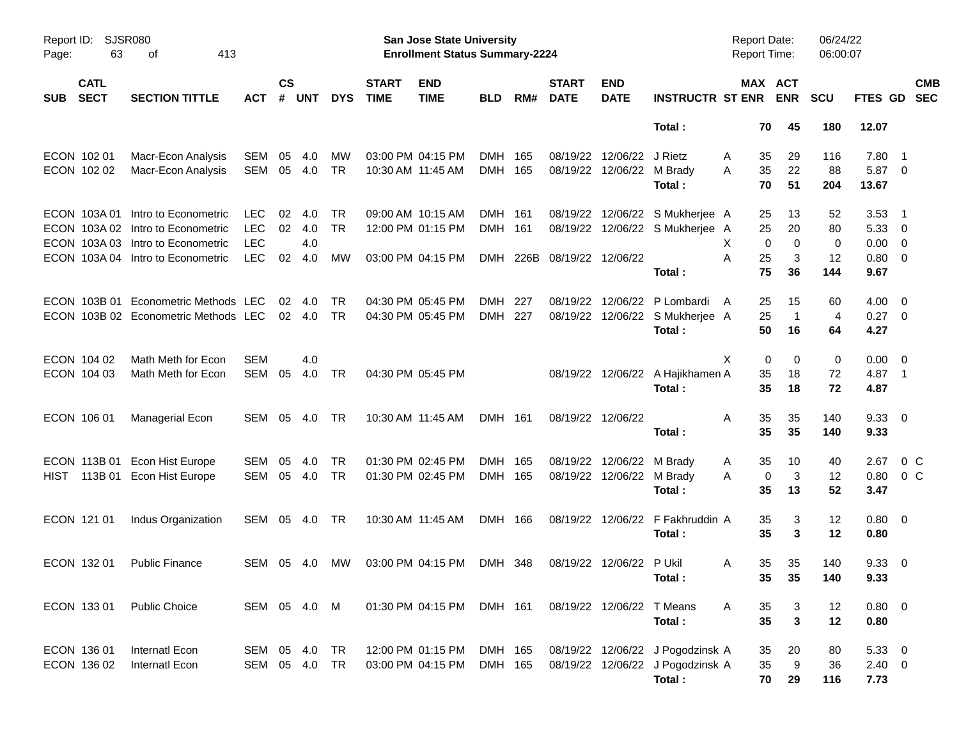| Page:      | SJSR080<br>Report ID:<br>63<br>413<br>οf |                                                                                                                                     |                                                      |                |                          |                 |                             | San Jose State University<br><b>Enrollment Status Summary-2224</b> |                    |     |                             |                                        |                                                                                | <b>Report Date:</b><br>Report Time: |                                   | 06/24/22<br>06:00:07 |                                        |                                                         |
|------------|------------------------------------------|-------------------------------------------------------------------------------------------------------------------------------------|------------------------------------------------------|----------------|--------------------------|-----------------|-----------------------------|--------------------------------------------------------------------|--------------------|-----|-----------------------------|----------------------------------------|--------------------------------------------------------------------------------|-------------------------------------|-----------------------------------|----------------------|----------------------------------------|---------------------------------------------------------|
| <b>SUB</b> | <b>CATL</b><br><b>SECT</b>               | <b>SECTION TITTLE</b>                                                                                                               | <b>ACT</b>                                           | <b>CS</b><br># | <b>UNT</b>               | <b>DYS</b>      | <b>START</b><br><b>TIME</b> | <b>END</b><br><b>TIME</b>                                          | <b>BLD</b>         | RM# | <b>START</b><br><b>DATE</b> | <b>END</b><br><b>DATE</b>              | <b>INSTRUCTR ST ENR</b>                                                        |                                     | MAX ACT<br><b>ENR</b>             | <b>SCU</b>           |                                        | <b>CMB</b><br>FTES GD SEC                               |
|            |                                          |                                                                                                                                     |                                                      |                |                          |                 |                             |                                                                    |                    |     |                             |                                        | Total:                                                                         | 70                                  | 45                                | 180                  | 12.07                                  |                                                         |
|            | ECON 102 01<br>ECON 102 02               | Macr-Econ Analysis<br>Macr-Econ Analysis                                                                                            | <b>SEM</b><br><b>SEM</b>                             | 05<br>05       | 4.0<br>4.0               | MW<br><b>TR</b> |                             | 03:00 PM 04:15 PM<br>10:30 AM 11:45 AM                             | DMH 165<br>DMH 165 |     |                             | 08/19/22 12/06/22<br>08/19/22 12/06/22 | J Rietz<br>M Brady<br>Total:                                                   | A<br>35<br>35<br>A<br>70            | 29<br>22<br>51                    | 116<br>88<br>204     | 7.80<br>5.87 0<br>13.67                | - 1                                                     |
|            | ECON 103A01                              | Intro to Econometric<br>ECON 103A 02 Intro to Econometric<br>ECON 103A 03 Intro to Econometric<br>ECON 103A 04 Intro to Econometric | <b>LEC</b><br><b>LEC</b><br><b>LEC</b><br><b>LEC</b> | 02<br>02<br>02 | 4.0<br>4.0<br>4.0<br>4.0 | TR<br>TR<br>MW  |                             | 09:00 AM 10:15 AM<br>12:00 PM 01:15 PM<br>03:00 PM 04:15 PM        | DMH 161<br>DMH 161 |     | DMH 226B 08/19/22 12/06/22  |                                        | 08/19/22 12/06/22 S Mukherjee A<br>08/19/22 12/06/22 S Mukherjee A             | 25<br>25<br>X.<br>25<br>A           | 13<br>20<br>0<br>$\mathbf 0$<br>3 | 52<br>80<br>0<br>12  | 3.53<br>5.33<br>0.00<br>0.80           | - 1<br>- 0<br>$\overline{\mathbf{0}}$<br>$\overline{0}$ |
|            | ECON 103B 01                             | Econometric Methods LEC<br>ECON 103B 02 Econometric Methods LEC                                                                     |                                                      | 02             | 4.0<br>02 4.0            | TR<br><b>TR</b> |                             | 04:30 PM 05:45 PM<br>04:30 PM 05:45 PM                             | DMH<br>DMH 227     | 227 |                             | 08/19/22 12/06/22                      | Total:<br>P Lombardi<br>08/19/22 12/06/22 S Mukherjee A<br>Total:              | 75<br>25<br>A<br>25<br>50           | 36<br>15<br>$\overline{1}$<br>16  | 144<br>60<br>4<br>64 | 9.67<br>4.00<br>$0.27 \quad 0$<br>4.27 | $\overline{\mathbf{0}}$                                 |
|            | ECON 104 02<br>ECON 104 03               | Math Meth for Econ<br>Math Meth for Econ                                                                                            | <b>SEM</b><br><b>SEM</b>                             | 05             | 4.0<br>4.0               | TR              |                             | 04:30 PM 05:45 PM                                                  |                    |     |                             |                                        | 08/19/22 12/06/22 A Hajikhamen A<br>Total:                                     | Χ<br>35<br>35                       | 0<br>0<br>18<br>18                | 0<br>72<br>72        | 0.00<br>4.87 1<br>4.87                 | $\overline{\phantom{0}}$                                |
|            | ECON 106 01                              | Managerial Econ                                                                                                                     | SEM                                                  | 05             | 4.0                      | TR              |                             | 10:30 AM 11:45 AM                                                  | DMH 161            |     | 08/19/22 12/06/22           |                                        | Total:                                                                         | 35<br>A<br>35                       | 35<br>35                          | 140<br>140           | 9.33<br>9.33                           | $\overline{\phantom{0}}$                                |
| HIST       | ECON 113B 01<br>113B 01                  | <b>Econ Hist Europe</b><br>Econ Hist Europe                                                                                         | <b>SEM</b><br><b>SEM</b>                             | 05<br>05       | 4.0<br>4.0               | TR<br><b>TR</b> |                             | 01:30 PM 02:45 PM<br>01:30 PM 02:45 PM                             | DMH 165<br>DMH 165 |     |                             | 08/19/22 12/06/22<br>08/19/22 12/06/22 | M Brady<br>M Brady<br>Total:                                                   | 35<br>A<br>Α<br>35                  | 10<br>3<br>0<br>13                | 40<br>12<br>52       | 2.67<br>0.80<br>3.47                   | $0\,$ C<br>$0\,C$                                       |
|            | ECON 121 01                              | Indus Organization                                                                                                                  | <b>SEM</b>                                           |                | 05 4.0                   | TR              |                             | 10:30 AM 11:45 AM                                                  | DMH 166            |     |                             | 08/19/22 12/06/22                      | F Fakhruddin A<br>Total:                                                       | 35<br>35                            | 3<br>3                            | 12<br>12             | $0.80 \quad 0$<br>0.80                 |                                                         |
|            | ECON 132 01                              | <b>Public Finance</b>                                                                                                               | <b>SEM</b>                                           |                | 05 4.0                   | <b>MW</b>       |                             | 03:00 PM 04:15 PM                                                  | DMH 348            |     |                             | 08/19/22 12/06/22 P Ukil               | Total:                                                                         | 35<br>A                             | 35<br>$35 \qquad 35$              | 140<br>140           | 9.33<br>9.33                           | $\overline{\mathbf{0}}$                                 |
|            | ECON 133 01                              | <b>Public Choice</b>                                                                                                                | SEM 05 4.0 M                                         |                |                          |                 |                             | 01:30 PM 04:15 PM                                                  | DMH 161            |     |                             | 08/19/22 12/06/22                      | T Means<br>Total:                                                              | 35<br>A<br>35                       | 3<br>$\mathbf{3}$                 | 12<br>12             | $0.80 \ 0$<br>0.80                     |                                                         |
|            | ECON 136 01<br>ECON 136 02               | Internatl Econ<br>Internatl Econ                                                                                                    | SEM<br>SEM                                           |                | 05 4.0<br>05 4.0         | TR<br>TR        |                             | 12:00 PM 01:15 PM<br>03:00 PM 04:15 PM                             | DMH 165<br>DMH 165 |     |                             |                                        | 08/19/22 12/06/22 J Pogodzinsk A<br>08/19/22 12/06/22 J Pogodzinsk A<br>Total: | 35<br>35<br>70                      | 20<br>9<br>29                     | 80<br>36<br>116      | 5.33 0<br>$2.40 \t 0$<br>7.73          |                                                         |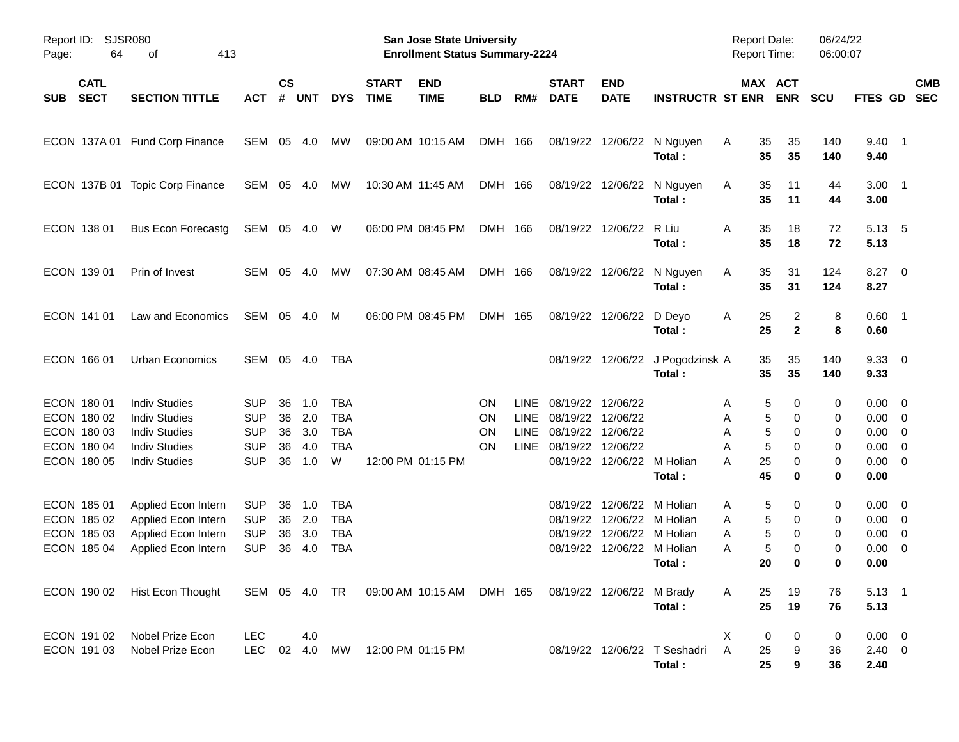| Page:      | SJSR080<br>Report ID:<br>64<br>413<br>оf                                |                                                                                                                      |                                                                    |                            |                                 |                                                           |                             | San Jose State University<br><b>Enrollment Status Summary-2224</b> |                                    |                                                   |                                                          |                                              |                                                                 | <b>Report Date:</b><br>Report Time:    |                                                  | 06/24/22<br>06:00:07       |                                                     |                                                                               |
|------------|-------------------------------------------------------------------------|----------------------------------------------------------------------------------------------------------------------|--------------------------------------------------------------------|----------------------------|---------------------------------|-----------------------------------------------------------|-----------------------------|--------------------------------------------------------------------|------------------------------------|---------------------------------------------------|----------------------------------------------------------|----------------------------------------------|-----------------------------------------------------------------|----------------------------------------|--------------------------------------------------|----------------------------|-----------------------------------------------------|-------------------------------------------------------------------------------|
| <b>SUB</b> | <b>CATL</b><br><b>SECT</b>                                              | <b>SECTION TITTLE</b>                                                                                                | <b>ACT</b>                                                         | $\mathsf{cs}$<br>#         | <b>UNT</b>                      | <b>DYS</b>                                                | <b>START</b><br><b>TIME</b> | <b>END</b><br><b>TIME</b>                                          | <b>BLD</b>                         | RM#                                               | <b>START</b><br><b>DATE</b>                              | <b>END</b><br><b>DATE</b>                    | <b>INSTRUCTR ST ENR</b>                                         |                                        | MAX ACT<br><b>ENR</b>                            | <b>SCU</b>                 | FTES GD                                             | <b>CMB</b><br><b>SEC</b>                                                      |
|            |                                                                         | ECON 137A 01 Fund Corp Finance                                                                                       | SEM                                                                | 05                         | 4.0                             | MW                                                        |                             | 09:00 AM 10:15 AM                                                  | DMH 166                            |                                                   | 08/19/22                                                 | 12/06/22                                     | N Nguyen<br>Total:                                              | Α<br>35<br>35                          | 35<br>35                                         | 140<br>140                 | $9.40$ 1<br>9.40                                    |                                                                               |
|            | ECON 137B 01                                                            | <b>Topic Corp Finance</b>                                                                                            | SEM                                                                | 05                         | 4.0                             | MW                                                        |                             | 10:30 AM 11:45 AM                                                  | DMH 166                            |                                                   | 08/19/22                                                 | 12/06/22                                     | N Nguyen<br>Total:                                              | Α<br>35<br>35                          | 11<br>11                                         | 44<br>44                   | $3.00$ 1<br>3.00                                    |                                                                               |
|            | ECON 138 01                                                             | <b>Bus Econ Forecastg</b>                                                                                            | SEM                                                                |                            | 05 4.0                          | W                                                         |                             | 06:00 PM 08:45 PM                                                  | DMH 166                            |                                                   | 08/19/22                                                 | 12/06/22                                     | R Liu<br>Total:                                                 | 35<br>Α<br>35                          | 18<br>18                                         | 72<br>72                   | 5.13<br>5.13                                        | - 5                                                                           |
|            | ECON 139 01                                                             | Prin of Invest                                                                                                       | SEM                                                                | 05                         | 4.0                             | MW                                                        |                             | 07:30 AM 08:45 AM                                                  | DMH 166                            |                                                   | 08/19/22                                                 | 12/06/22                                     | N Nguyen<br>Total:                                              | 35<br>Α<br>35                          | 31<br>31                                         | 124<br>124                 | $8.27$ 0<br>8.27                                    |                                                                               |
|            | ECON 141 01                                                             | Law and Economics                                                                                                    | SEM                                                                |                            | 05 4.0                          | M                                                         |                             | 06:00 PM 08:45 PM                                                  | DMH 165                            |                                                   | 08/19/22                                                 | 12/06/22                                     | D Deyo<br>Total:                                                | Α<br>25<br>25                          | 2<br>$\mathbf{2}$                                | 8<br>8                     | $0.60$ 1<br>0.60                                    |                                                                               |
|            | ECON 166 01                                                             | Urban Economics                                                                                                      | SEM                                                                | 05                         | 4.0                             | TBA                                                       |                             |                                                                    |                                    |                                                   | 08/19/22                                                 | 12/06/22                                     | J Pogodzinsk A<br>Total:                                        | 35<br>35                               | 35<br>35                                         | 140<br>140                 | 9.3300<br>9.33                                      |                                                                               |
|            | ECON 180 01<br>ECON 180 02<br>ECON 180 03<br>ECON 180 04<br>ECON 180 05 | <b>Indiv Studies</b><br><b>Indiv Studies</b><br><b>Indiv Studies</b><br><b>Indiv Studies</b><br><b>Indiv Studies</b> | <b>SUP</b><br><b>SUP</b><br><b>SUP</b><br><b>SUP</b><br><b>SUP</b> | 36<br>36<br>36<br>36<br>36 | 1.0<br>2.0<br>3.0<br>4.0<br>1.0 | <b>TBA</b><br><b>TBA</b><br><b>TBA</b><br><b>TBA</b><br>W |                             | 12:00 PM 01:15 PM                                                  | <b>ON</b><br>ON<br>ON<br><b>ON</b> | <b>LINE</b><br><b>LINE</b><br><b>LINE</b><br>LINE | 08/19/22<br>08/19/22<br>08/19/22<br>08/19/22<br>08/19/22 | 12/06/22<br>12/06/22<br>12/06/22<br>12/06/22 | 12/06/22 M Holian<br>Total:                                     | Α<br>Α<br>A<br>5<br>Α<br>25<br>A<br>45 | 5<br>0<br>5<br>0<br>5<br>0<br>0<br>0<br>$\bf{0}$ | 0<br>0<br>0<br>0<br>0<br>0 | $0.00 \t 0$<br>0.00<br>0.00<br>0.00<br>0.00<br>0.00 | $\overline{\mathbf{0}}$<br>$\overline{0}$<br>$\overline{0}$<br>$\overline{0}$ |
|            | ECON 185 01<br>ECON 185 02<br>ECON 185 03<br>ECON 185 04                | Applied Econ Intern<br>Applied Econ Intern<br>Applied Econ Intern<br>Applied Econ Intern                             | <b>SUP</b><br><b>SUP</b><br><b>SUP</b><br><b>SUP</b>               | 36<br>36<br>36<br>36       | 1.0<br>2.0<br>3.0<br>4.0        | <b>TBA</b><br><b>TBA</b><br><b>TBA</b><br><b>TBA</b>      |                             |                                                                    |                                    |                                                   | 08/19/22<br>08/19/22<br>08/19/22<br>08/19/22             | 12/06/22<br>12/06/22<br>12/06/22             | M Holian<br>M Holian<br>M Holian<br>12/06/22 M Holian<br>Total: | Α<br>Α<br>Α<br>5<br>Α<br>20            | 5<br>0<br>5<br>0<br>5<br>0<br>0<br>$\bf{0}$      | 0<br>0<br>0<br>0<br>0      | $0.00 \t 0$<br>0.00<br>0.00<br>0.00<br>0.00         | $\overline{\phantom{0}}$<br>$\overline{0}$<br>$\overline{0}$                  |
|            | ECON 190 02                                                             | Hist Econ Thought                                                                                                    |                                                                    |                            |                                 |                                                           |                             | SEM 05 4.0 TR  09:00 AM 10:15 AM  DMH 165                          |                                    |                                                   |                                                          | 08/19/22 12/06/22 M Brady                    | Total:                                                          | 25<br>A<br>25                          | 19<br>19                                         | 76<br>76                   | $5.13 \quad 1$<br>5.13                              |                                                                               |
|            | ECON 191 02<br>ECON 191 03                                              | Nobel Prize Econ<br>Nobel Prize Econ                                                                                 | <b>LEC</b><br><b>LEC</b>                                           |                            | 4.0<br>02 4.0                   | MW                                                        |                             | 12:00 PM 01:15 PM                                                  |                                    |                                                   |                                                          |                                              | 08/19/22 12/06/22 T Seshadri<br>Total:                          | X<br>Α<br>25<br>25                     | 0<br>0<br>9<br>9                                 | 0<br>36<br>36              | $0.00 \t 0$<br>$2.40 \ 0$<br>2.40                   |                                                                               |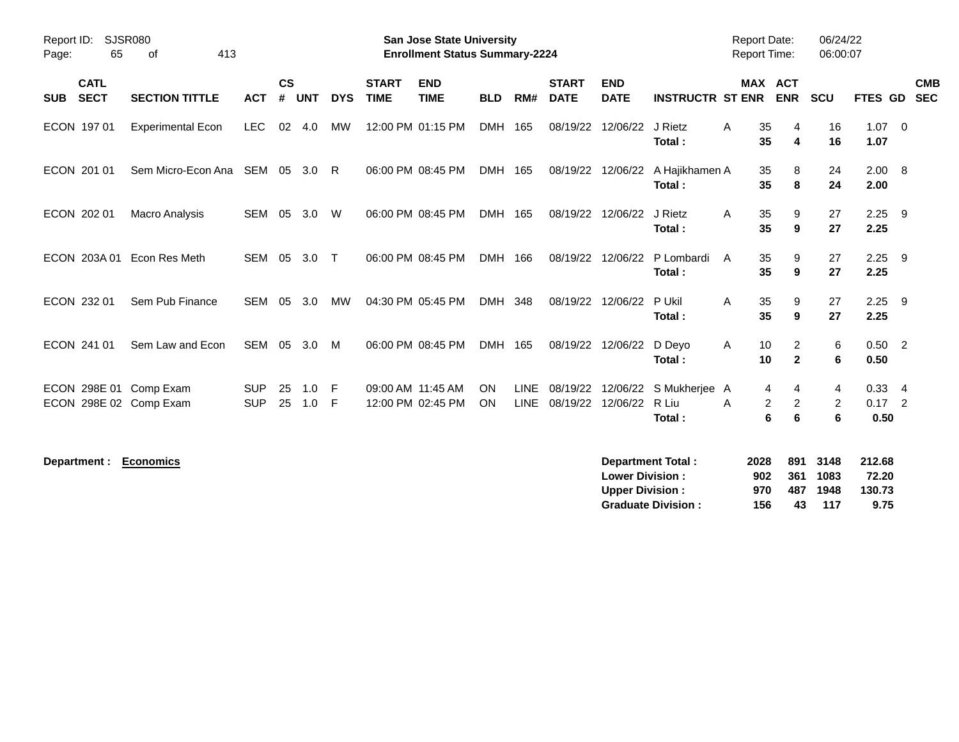| Report ID:<br>Page: | <b>SJSR080</b><br>65       |                                                  |                          |                    |            |            | <b>San Jose State University</b><br><b>Enrollment Status Summary-2224</b> |                                        |                 |                            |                             |                           | <b>Report Date:</b><br><b>Report Time:</b> |               | 06/24/22<br>06:00:07                                 |             |                                |                          |
|---------------------|----------------------------|--------------------------------------------------|--------------------------|--------------------|------------|------------|---------------------------------------------------------------------------|----------------------------------------|-----------------|----------------------------|-----------------------------|---------------------------|--------------------------------------------|---------------|------------------------------------------------------|-------------|--------------------------------|--------------------------|
| <b>SUB</b>          | <b>CATL</b><br><b>SECT</b> | <b>SECTION TITTLE</b>                            | <b>ACT</b>               | $\mathsf{cs}$<br># | <b>UNT</b> | <b>DYS</b> | <b>START</b><br><b>TIME</b>                                               | <b>END</b><br><b>TIME</b>              | <b>BLD</b>      | RM#                        | <b>START</b><br><b>DATE</b> | <b>END</b><br><b>DATE</b> | <b>INSTRUCTR ST ENR</b>                    |               | <b>MAX ACT</b><br><b>ENR</b>                         | <b>SCU</b>  | FTES GD                        | <b>CMB</b><br><b>SEC</b> |
|                     | ECON 197 01                | <b>Experimental Econ</b>                         | <b>LEC</b>               | 02                 | 4.0        | MW         |                                                                           | 12:00 PM 01:15 PM                      | DMH 165         |                            | 08/19/22                    | 12/06/22                  | J Rietz<br>Total:                          | 35<br>A<br>35 | 4<br>4                                               | 16<br>16    | $1.07 \quad 0$<br>1.07         |                          |
|                     | ECON 201 01                | Sem Micro-Econ Ana SEM                           |                          | 05                 | 3.0        | - R        |                                                                           | 06:00 PM 08:45 PM                      | DMH 165         |                            | 08/19/22                    | 12/06/22                  | A Hajikhamen A<br>Total:                   | 35<br>35      | 8<br>8                                               | 24<br>24    | $2.00 \ 8$<br>2.00             |                          |
|                     | ECON 202 01                | <b>Macro Analysis</b>                            | SEM                      | 05                 | 3.0        | W          |                                                                           | 06:00 PM 08:45 PM                      | DMH 165         |                            | 08/19/22                    | 12/06/22                  | J Rietz<br>Total:                          | 35<br>A<br>35 | 9<br>9                                               | 27<br>27    | $2.25$ 9<br>2.25               |                          |
|                     |                            | ECON 203A 01 Econ Res Meth                       | <b>SEM</b>               | 05                 | 3.0        | $\top$     |                                                                           | 06:00 PM 08:45 PM                      | DMH 166         |                            | 08/19/22                    | 12/06/22                  | P Lombardi<br>Total:                       | 35<br>A<br>35 | 9<br>9                                               | 27<br>27    | $2.25$ 9<br>2.25               |                          |
|                     | ECON 232 01                | Sem Pub Finance                                  | <b>SEM</b>               | 05                 | 3.0        | <b>MW</b>  |                                                                           | 04:30 PM 05:45 PM                      | DMH 348         |                            | 08/19/22                    | 12/06/22                  | P Ukil<br>Total:                           | 35<br>A<br>35 | 9<br>9                                               | 27<br>27    | $2.25$ 9<br>2.25               |                          |
|                     | ECON 241 01                | Sem Law and Econ                                 | SEM                      | 05                 | 3.0        | M          |                                                                           | 06:00 PM 08:45 PM                      | DMH 165         |                            | 08/19/22                    | 12/06/22                  | D Deyo<br>Total:                           | 10<br>A<br>10 | $\overline{2}$<br>$\mathbf{2}$                       | 6<br>6      | $0.50$ 2<br>0.50               |                          |
|                     |                            | ECON 298E 01 Comp Exam<br>ECON 298E 02 Comp Exam | <b>SUP</b><br><b>SUP</b> | 25<br>25           | 1.0<br>1.0 | - F<br>- F |                                                                           | 09:00 AM 11:45 AM<br>12:00 PM 02:45 PM | ON<br><b>ON</b> | <b>LINE</b><br><b>LINE</b> | 08/19/22<br>08/19/22        | 12/06/22<br>12/06/22      | S Mukherjee A<br>R Liu<br>Total:           | A             | 4<br>4<br>$\overline{2}$<br>$\overline{2}$<br>6<br>6 | 4<br>2<br>6 | $0.33 + 4$<br>$0.17$ 2<br>0.50 |                          |

 $Department : Economics$ 

| <b>Department Total:</b>  | 2028 |     | 891 3148 | 212.68 |
|---------------------------|------|-----|----------|--------|
| <b>Lower Division :</b>   | 902  |     | 361 1083 | 72.20  |
| <b>Upper Division :</b>   | 970  | 487 | 1948     | 130.73 |
| <b>Graduate Division:</b> | 156  | 43  | 117      | 9.75   |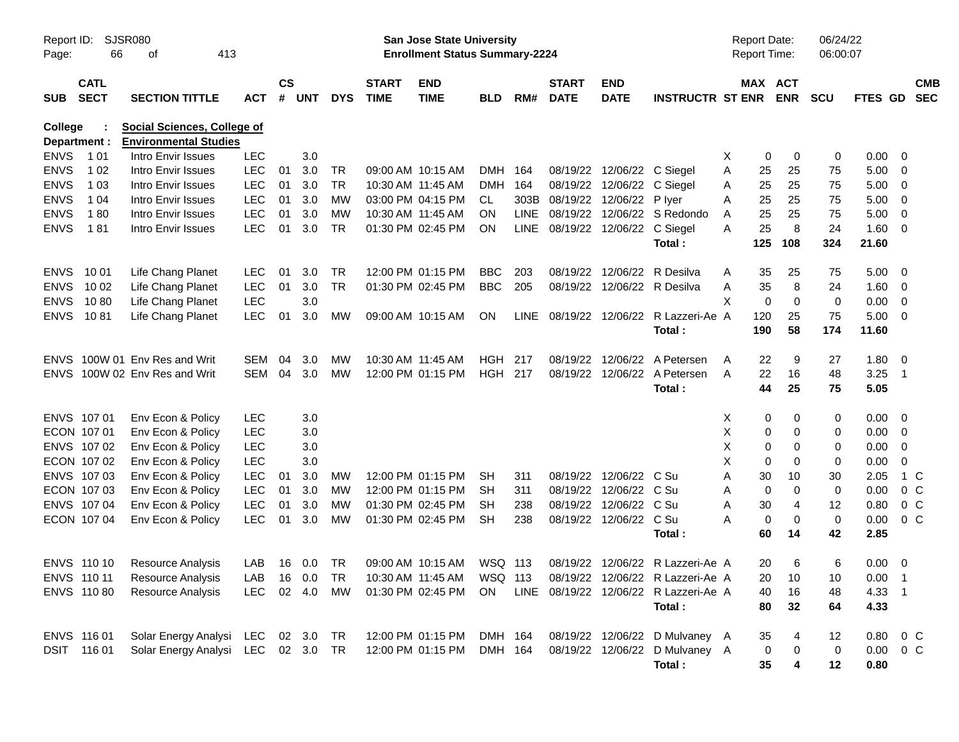| Page:                          | SJSR080<br>Report ID:<br>66<br>413<br>оf<br><b>CATL</b> |                                                                    |               |                    |            |            |                             | San Jose State University<br><b>Enrollment Status Summary-2224</b> |            |             |                                 |                            |                                       |   | <b>Report Date:</b><br><b>Report Time:</b> |                | 06/24/22<br>06:00:07 |                |                          |                          |
|--------------------------------|---------------------------------------------------------|--------------------------------------------------------------------|---------------|--------------------|------------|------------|-----------------------------|--------------------------------------------------------------------|------------|-------------|---------------------------------|----------------------------|---------------------------------------|---|--------------------------------------------|----------------|----------------------|----------------|--------------------------|--------------------------|
| <b>SUB</b>                     | <b>SECT</b>                                             | <b>SECTION TITTLE</b>                                              | <b>ACT</b>    | $\mathsf{cs}$<br># | <b>UNT</b> | <b>DYS</b> | <b>START</b><br><b>TIME</b> | <b>END</b><br><b>TIME</b>                                          | <b>BLD</b> | RM#         | <b>START</b><br><b>DATE</b>     | <b>END</b><br><b>DATE</b>  | <b>INSTRUCTR ST ENR</b>               |   | MAX ACT                                    | <b>ENR</b>     | <b>SCU</b>           | <b>FTES GD</b> |                          | <b>CMB</b><br><b>SEC</b> |
| <b>College</b><br>Department : |                                                         | <b>Social Sciences, College of</b><br><b>Environmental Studies</b> |               |                    |            |            |                             |                                                                    |            |             |                                 |                            |                                       |   |                                            |                |                      |                |                          |                          |
| <b>ENVS</b>                    | 1 01                                                    | Intro Envir Issues                                                 | <b>LEC</b>    |                    | 3.0        |            |                             |                                                                    |            |             |                                 |                            |                                       | Х | 0                                          | 0              | 0                    | 0.00           | $\overline{\phantom{0}}$ |                          |
| <b>ENVS</b>                    | 1 0 2                                                   | Intro Envir Issues                                                 | <b>LEC</b>    | 01                 | 3.0        | TR         |                             | 09:00 AM 10:15 AM                                                  | DMH        | 164         |                                 | 08/19/22 12/06/22 C Siegel |                                       | Α | 25                                         | 25             | 75                   | 5.00           | $\overline{\mathbf{0}}$  |                          |
| <b>ENVS</b>                    | 1 0 3                                                   | Intro Envir Issues                                                 | <b>LEC</b>    | 01                 | 3.0        | <b>TR</b>  | 10:30 AM 11:45 AM           |                                                                    | <b>DMH</b> | 164         |                                 | 08/19/22 12/06/22 C Siegel |                                       | A | 25                                         | 25             | 75                   | 5.00           | $\overline{\phantom{0}}$ |                          |
| <b>ENVS</b>                    | 1 0 4                                                   | Intro Envir Issues                                                 | <b>LEC</b>    | 01                 | 3.0        | MW         |                             | 03:00 PM 04:15 PM                                                  | CL.        | 303B        | 08/19/22 12/06/22               |                            | P lyer                                | A | 25                                         | 25             | 75                   | 5.00           | $\overline{\mathbf{0}}$  |                          |
| <b>ENVS</b>                    | 180                                                     | Intro Envir Issues                                                 | <b>LEC</b>    | 01                 | 3.0        | MW         | 10:30 AM 11:45 AM           |                                                                    | <b>ON</b>  | <b>LINE</b> |                                 |                            | 08/19/22 12/06/22 S Redondo           | A | 25                                         | 25             | 75                   | 5.00           | $\overline{0}$           |                          |
| <b>ENVS</b>                    | 181                                                     | Intro Envir Issues                                                 | <b>LEC</b>    | 01                 | 3.0        | <b>TR</b>  |                             | 01:30 PM 02:45 PM                                                  | <b>ON</b>  |             | LINE 08/19/22 12/06/22 C Siegel |                            |                                       | Α | 25                                         | 8              | 24                   | 1.60           | $\overline{\mathbf{0}}$  |                          |
|                                |                                                         |                                                                    |               |                    |            |            |                             |                                                                    |            |             |                                 |                            | Total:                                |   | 125                                        | 108            | 324                  | 21.60          |                          |                          |
| <b>ENVS</b>                    | 10 01                                                   | Life Chang Planet                                                  | LEC.          | 01                 | 3.0        | TR         |                             | 12:00 PM 01:15 PM                                                  | <b>BBC</b> | 203         |                                 | 08/19/22 12/06/22          | R Desilva                             | A | 35                                         | 25             | 75                   | 5.00           | $\overline{\phantom{0}}$ |                          |
| <b>ENVS</b>                    | 10 02                                                   | Life Chang Planet                                                  | <b>LEC</b>    | 01                 | 3.0        | <b>TR</b>  |                             | 01:30 PM 02:45 PM                                                  | <b>BBC</b> | 205         |                                 |                            | 08/19/22 12/06/22 R Desilva           | Α | 35                                         | 8              | 24                   | 1.60           | $\overline{\mathbf{0}}$  |                          |
| <b>ENVS</b>                    | 1080                                                    | Life Chang Planet                                                  | <b>LEC</b>    |                    | 3.0        |            |                             |                                                                    |            |             |                                 |                            |                                       | X | 0                                          | $\mathbf 0$    | 0                    | 0.00           | $\overline{\mathbf{0}}$  |                          |
| <b>ENVS</b>                    | 1081                                                    | Life Chang Planet                                                  | <b>LEC</b>    | 01                 | 3.0        | MW         |                             | 09:00 AM 10:15 AM                                                  | <b>ON</b>  |             |                                 |                            | LINE 08/19/22 12/06/22 R Lazzeri-Ae A |   | 120                                        | 25             | 75                   | $5.00 \t 0$    |                          |                          |
|                                |                                                         |                                                                    |               |                    |            |            |                             |                                                                    |            |             |                                 |                            | Total:                                |   | 190                                        | 58             | 174                  | 11.60          |                          |                          |
| <b>ENVS</b>                    |                                                         | 100W 01 Env Res and Writ                                           | SEM           | 04                 | 3.0        | MW         | 10:30 AM 11:45 AM           |                                                                    | HGH        | 217         |                                 | 08/19/22 12/06/22          | A Petersen                            | A | 22                                         | 9              | 27                   | 1.80           | $\overline{\mathbf{0}}$  |                          |
|                                |                                                         | ENVS 100W 02 Env Res and Writ                                      | SEM           | 04                 | 3.0        | <b>MW</b>  |                             | 12:00 PM 01:15 PM                                                  | HGH 217    |             |                                 | 08/19/22 12/06/22          | A Petersen                            | A | 22                                         | 16             | 48                   | 3.25           | $\overline{\phantom{1}}$ |                          |
|                                |                                                         |                                                                    |               |                    |            |            |                             |                                                                    |            |             |                                 |                            | Total:                                |   | 44                                         | 25             | 75                   | 5.05           |                          |                          |
|                                | ENVS 107 01                                             | Env Econ & Policy                                                  | <b>LEC</b>    |                    | 3.0        |            |                             |                                                                    |            |             |                                 |                            |                                       | X | 0                                          | 0              | 0                    | 0.00           | $\overline{\phantom{0}}$ |                          |
|                                | ECON 107 01                                             | Env Econ & Policy                                                  | <b>LEC</b>    |                    | 3.0        |            |                             |                                                                    |            |             |                                 |                            |                                       | X | 0                                          | 0              | 0                    | 0.00           | $\overline{\phantom{0}}$ |                          |
|                                | ENVS 107 02                                             | Env Econ & Policy                                                  | <b>LEC</b>    |                    | 3.0        |            |                             |                                                                    |            |             |                                 |                            |                                       | X | 0                                          | 0              | 0                    | 0.00           | $\overline{0}$           |                          |
|                                | ECON 107 02                                             | Env Econ & Policy                                                  | <b>LEC</b>    |                    | 3.0        |            |                             |                                                                    |            |             |                                 |                            |                                       | Х | 0                                          | 0              | 0                    | 0.00           | $\mathbf 0$              |                          |
|                                | ENVS 107 03                                             | Env Econ & Policy                                                  | <b>LEC</b>    | 01                 | 3.0        | <b>MW</b>  |                             | 12:00 PM 01:15 PM                                                  | SН         | 311         |                                 | 08/19/22 12/06/22 C Su     |                                       | Α | 30                                         | 10             | 30                   | 2.05           | 1 C                      |                          |
|                                | ECON 107 03                                             | Env Econ & Policy                                                  | <b>LEC</b>    | 01                 | 3.0        | MW         |                             | 12:00 PM 01:15 PM                                                  | SН         | 311         |                                 | 08/19/22 12/06/22 C Su     |                                       | A | 0                                          | 0              | 0                    | 0.00           | $0\,C$                   |                          |
|                                | ENVS 107 04                                             | Env Econ & Policy                                                  | <b>LEC</b>    | 01                 | 3.0        | MW         |                             | 01:30 PM 02:45 PM                                                  | SН         | 238         |                                 | 08/19/22 12/06/22          | C Su                                  | Α | 30                                         | $\overline{4}$ | 12                   | 0.80           | $0\,C$                   |                          |
|                                | ECON 107 04                                             | Env Econ & Policy                                                  | <b>LEC</b>    | 01                 | 3.0        | MW         |                             | 01:30 PM 02:45 PM                                                  | <b>SH</b>  | 238         |                                 | 08/19/22 12/06/22 C Su     |                                       | A | 0                                          | 0              | $\mathbf 0$          | 0.00           | 0 <sup>C</sup>           |                          |
|                                |                                                         |                                                                    |               |                    |            |            |                             |                                                                    |            |             |                                 |                            | Total:                                |   | 60                                         | 14             | 42                   | 2.85           |                          |                          |
|                                | ENVS 110 10                                             | <b>Resource Analysis</b>                                           | LAB           |                    | 16 0.0     | TR         |                             | 09:00 AM 10:15 AM                                                  | WSQ 113    |             |                                 |                            | 08/19/22 12/06/22 R Lazzeri-Ae A      |   | 20                                         | 6              | 6                    | 0.00           | $\overline{\mathbf{0}}$  |                          |
|                                | ENVS 110 11                                             | Resource Analysis                                                  | LAB 16 0.0 TR |                    |            |            |                             |                                                                    |            |             |                                 |                            |                                       |   |                                            | 20 10          | 10                   | $0.00$ 1       |                          |                          |
|                                | ENVS 110 80                                             | Resource Analysis                                                  | LEC.          |                    |            |            |                             | 01:30 PM 02:45 PM                                                  | ON         |             |                                 |                            | LINE 08/19/22 12/06/22 R Lazzeri-Ae A |   | 40                                         | 16             | 48                   | 4.33 1         |                          |                          |
|                                |                                                         |                                                                    |               |                    |            |            |                             |                                                                    |            |             |                                 |                            | Total:                                |   | 80                                         | 32             | 64                   | 4.33           |                          |                          |
|                                | ENVS 116 01                                             | Solar Energy Analysi LEC 02 3.0 TR                                 |               |                    |            |            |                             | 12:00 PM 01:15 PM DMH 164                                          |            |             |                                 |                            | 08/19/22 12/06/22 D Mulvaney A        |   | 35                                         | 4              | 12                   | $0.80 \t 0 C$  |                          |                          |
|                                | DSIT 116 01                                             | Solar Energy Analysi LEC 02 3.0 TR                                 |               |                    |            |            |                             | 12:00 PM 01:15 PM                                                  | DMH 164    |             |                                 |                            | 08/19/22 12/06/22 D Mulvaney A        |   | $\mathbf 0$                                | 0              | 0                    | $0.00 \t 0 C$  |                          |                          |
|                                |                                                         |                                                                    |               |                    |            |            |                             |                                                                    |            |             |                                 |                            | Total:                                |   | 35                                         | 4              | 12                   | 0.80           |                          |                          |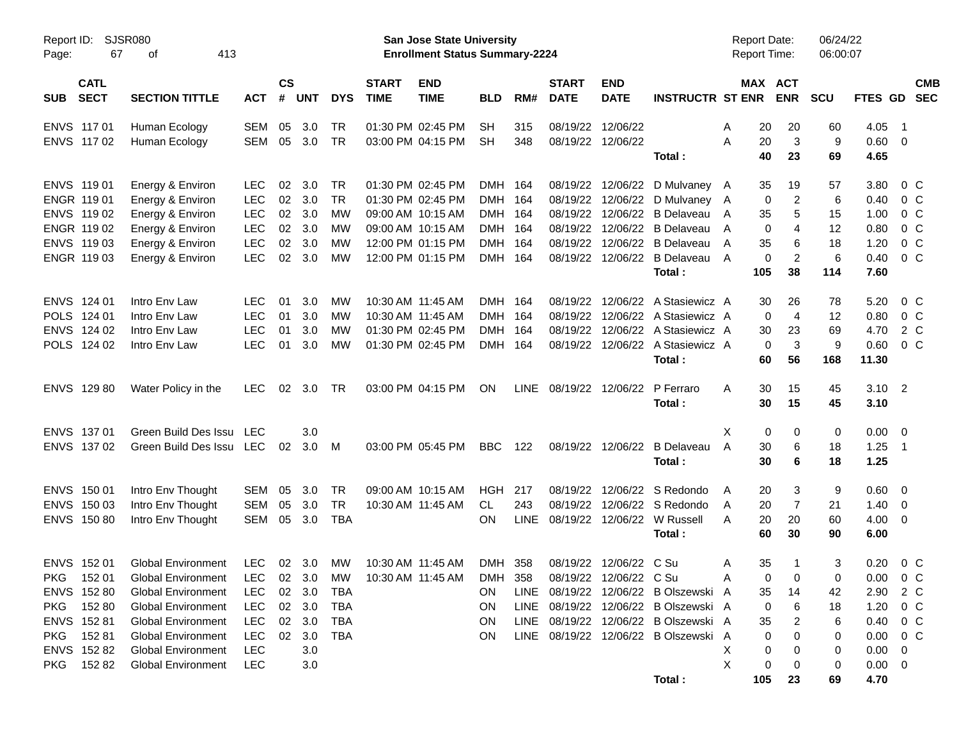| Report ID:<br>SJSR080<br>67<br>413<br>Page:<br>оf |                                  |                          |                    |                  |                        |                             | San Jose State University<br><b>Enrollment Status Summary-2224</b> |                        |             |                             |                               |                                            | <b>Report Date:</b><br>Report Time: |                       |                | 06/24/22<br>06:00:07 |                |                          |                          |
|---------------------------------------------------|----------------------------------|--------------------------|--------------------|------------------|------------------------|-----------------------------|--------------------------------------------------------------------|------------------------|-------------|-----------------------------|-------------------------------|--------------------------------------------|-------------------------------------|-----------------------|----------------|----------------------|----------------|--------------------------|--------------------------|
| <b>CATL</b><br><b>SECT</b><br><b>SUB</b>          | <b>SECTION TITTLE</b>            | <b>ACT</b>               | $\mathsf{cs}$<br># | <b>UNT</b>       | <b>DYS</b>             | <b>START</b><br><b>TIME</b> | <b>END</b><br><b>TIME</b>                                          | <b>BLD</b>             | RM#         | <b>START</b><br><b>DATE</b> | <b>END</b><br><b>DATE</b>     | <b>INSTRUCTR ST ENR</b>                    |                                     | MAX ACT<br><b>ENR</b> |                | <b>SCU</b>           | FTES GD        |                          | <b>CMB</b><br><b>SEC</b> |
| ENVS 117 01<br>ENVS 117 02                        | Human Ecology<br>Human Ecology   | <b>SEM</b><br><b>SEM</b> | 05<br>05           | 3.0<br>3.0       | <b>TR</b><br><b>TR</b> |                             | 01:30 PM 02:45 PM<br>03:00 PM 04:15 PM                             | <b>SH</b><br><b>SH</b> | 315<br>348  | 08/19/22                    | 12/06/22<br>08/19/22 12/06/22 |                                            | A<br>A                              | 20<br>20              | 20<br>3        | 60<br>9              | 4.05<br>0.60 0 | $\overline{\phantom{1}}$ |                          |
|                                                   |                                  |                          |                    |                  |                        |                             |                                                                    |                        |             |                             |                               | Total :                                    |                                     | 40                    | 23             | 69                   | 4.65           |                          |                          |
| ENVS 11901                                        | Energy & Environ                 | <b>LEC</b>               | 02                 | 3.0              | TR                     |                             | 01:30 PM 02:45 PM                                                  | DMH 164                |             | 08/19/22                    |                               | 12/06/22 D Mulvaney A                      |                                     | 35                    | 19             | 57                   | 3.80           | $0\,$ C                  |                          |
| ENGR 119 01                                       | Energy & Environ                 | <b>LEC</b>               | 02                 | 3.0              | <b>TR</b>              |                             | 01:30 PM 02:45 PM                                                  | DMH 164                |             | 08/19/22                    |                               | 12/06/22 D Mulvaney A                      |                                     | 0                     | $\overline{c}$ | 6                    | 0.40           | $0\,C$                   |                          |
| ENVS 119 02                                       | Energy & Environ                 | <b>LEC</b>               | 02                 | 3.0              | <b>MW</b>              |                             | 09:00 AM 10:15 AM                                                  | DMH 164                |             | 08/19/22                    |                               | 12/06/22 B Delaveau                        | A                                   | 35                    | 5              | 15                   | 1.00           | $0\,C$                   |                          |
| ENGR 119 02                                       | Energy & Environ                 | <b>LEC</b>               | 02                 | 3.0              | <b>MW</b>              |                             | 09:00 AM 10:15 AM                                                  | DMH 164                |             | 08/19/22                    |                               | 12/06/22 B Delaveau                        | A                                   | 0                     | 4              | 12                   | 0.80           | $0\,C$                   |                          |
| ENVS 119 03<br>ENGR 119 03                        | Energy & Environ                 | <b>LEC</b><br>LEC        | 02<br>02           | 3.0<br>3.0       | МW<br><b>MW</b>        |                             | 12:00 PM 01:15 PM<br>12:00 PM 01:15 PM                             | DMH 164<br>DMH 164     |             | 08/19/22<br>08/19/22        |                               | 12/06/22 B Delaveau<br>12/06/22 B Delaveau | A<br>$\overline{A}$                 | 35<br>0               | 6<br>2         | 18<br>6              | 1.20<br>0.40   | $0\,C$<br>$0\,C$         |                          |
|                                                   | Energy & Environ                 |                          |                    |                  |                        |                             |                                                                    |                        |             |                             |                               | Total:                                     | 105                                 |                       | 38             | 114                  | 7.60           |                          |                          |
|                                                   |                                  |                          |                    |                  |                        |                             |                                                                    |                        |             |                             |                               |                                            |                                     |                       |                |                      |                |                          |                          |
| ENVS 124 01                                       | Intro Env Law                    | <b>LEC</b>               | 01                 | 3.0              | <b>MW</b>              |                             | 10:30 AM 11:45 AM                                                  | DMH 164                |             | 08/19/22                    |                               | 12/06/22 A Stasiewicz A                    |                                     | 30                    | 26             | 78                   | 5.20           | $0\,C$                   |                          |
| POLS 124 01                                       | Intro Env Law                    | LEC                      | 01                 | 3.0              | МW                     |                             | 10:30 AM 11:45 AM                                                  | DMH 164                |             | 08/19/22                    |                               | 12/06/22 A Stasiewicz A                    |                                     | 0                     | $\overline{4}$ | 12                   | 0.80           | $0\,$ C                  |                          |
| ENVS 124 02                                       | Intro Env Law                    | <b>LEC</b>               | 01                 | 3.0              | <b>MW</b>              |                             | 01:30 PM 02:45 PM                                                  | <b>DMH</b>             | 164         | 08/19/22                    |                               | 12/06/22 A Stasiewicz A                    |                                     | 30                    | 23             | 69                   | 4.70           | 2 C                      |                          |
| POLS 124 02                                       | Intro Env Law                    | LEC                      | 01                 | 3.0              | <b>MW</b>              |                             | 01:30 PM 02:45 PM                                                  | DMH 164                |             |                             |                               | 08/19/22 12/06/22 A Stasiewicz A           |                                     | 0                     | 3              | 9                    | 0.60           | $0\,C$                   |                          |
|                                                   |                                  |                          |                    |                  |                        |                             |                                                                    |                        |             |                             |                               | Total:                                     |                                     | 60                    | 56             | 168                  | 11.30          |                          |                          |
| ENVS 129 80                                       | Water Policy in the              | <b>LEC</b>               | 02                 | 3.0              | TR                     |                             | 03:00 PM 04:15 PM                                                  | ON                     | LINE        | 08/19/22 12/06/22           |                               | P Ferraro                                  | A                                   | 30                    | 15             | 45                   | $3.10$ 2       |                          |                          |
|                                                   |                                  |                          |                    |                  |                        |                             |                                                                    |                        |             |                             |                               | Total :                                    |                                     | 30                    | 15             | 45                   | 3.10           |                          |                          |
| ENVS 137 01                                       | Green Build Des Issu LEC         |                          |                    | 3.0              |                        |                             |                                                                    |                        |             |                             |                               |                                            | X                                   | 0                     | 0              | $\mathbf 0$          | $0.00 \t 0$    |                          |                          |
| ENVS 137 02                                       | Green Build Des Issu LEC         |                          | 02                 | 3.0 <sub>2</sub> | - M                    |                             | 03:00 PM 05:45 PM                                                  | <b>BBC</b>             | 122         |                             |                               | 08/19/22 12/06/22 B Delayeau               | A                                   | 30                    | 6              | 18                   | 1.25           | $\overline{1}$           |                          |
|                                                   |                                  |                          |                    |                  |                        |                             |                                                                    |                        |             |                             |                               | Total :                                    |                                     | 30                    | 6              | 18                   | 1.25           |                          |                          |
| ENVS 150 01                                       | Intro Env Thought                | <b>SEM</b>               | 05                 | 3.0              | TR                     |                             | 09:00 AM 10:15 AM                                                  | <b>HGH</b>             | 217         | 08/19/22                    |                               | 12/06/22 S Redondo                         | A                                   | 20                    | 3              | 9                    | 0.60 0         |                          |                          |
| ENVS 150 03                                       | Intro Env Thought                | <b>SEM</b>               | 05                 | 3.0              | <b>TR</b>              |                             | 10:30 AM 11:45 AM                                                  | CL.                    | 243         | 08/19/22                    |                               | 12/06/22 S Redondo                         | A                                   | 20                    | $\overline{7}$ | 21                   | 1.40           | $\overline{\phantom{0}}$ |                          |
| ENVS 150 80                                       | Intro Env Thought                | <b>SEM</b>               | 05                 | 3.0              | <b>TBA</b>             |                             |                                                                    | <b>ON</b>              | <b>LINE</b> | 08/19/22                    |                               | 12/06/22 W Russell                         | A                                   | 20                    | 20             | 60                   | $4.00 \ 0$     |                          |                          |
|                                                   |                                  |                          |                    |                  |                        |                             |                                                                    |                        |             |                             |                               | Total:                                     |                                     | 60                    | 30             | 90                   | 6.00           |                          |                          |
| ENVS 152 01                                       | <b>Global Environment</b>        | LEC                      | 02                 | 3.0              | MW                     |                             | 10:30 AM 11:45 AM                                                  | <b>DMH</b>             | 358         | 08/19/22                    | 12/06/22 C Su                 |                                            | Α                                   | 35                    | 1              | 3                    | 0.20           | 0 <sup>o</sup>           |                          |
| PKG 15201                                         | Global Environment LEC 02 3.0 MW |                          |                    |                  |                        |                             | 10:30 AM 11:45 AM DMH 358                                          |                        |             |                             | 08/19/22 12/06/22 C Su        |                                            | Α                                   | $\overline{0}$        | $\overline{0}$ | $\overline{0}$       | $0.00 \t 0 C$  |                          |                          |
| ENVS 152 80                                       | <b>Global Environment</b>        | LEC                      |                    | 02 3.0           | TBA                    |                             |                                                                    | ON.                    |             |                             |                               | LINE 08/19/22 12/06/22 B Olszewski A       |                                     | 35                    | 14             | 42                   | 2.90 2 C       |                          |                          |
| PKG 15280                                         | <b>Global Environment</b>        | LEC                      | 02                 | 3.0              | TBA                    |                             |                                                                    | ON.                    |             |                             |                               | LINE 08/19/22 12/06/22 B Olszewski A       |                                     | 0                     | 6              | 18                   | $1.20 \t 0 C$  |                          |                          |
| ENVS 152 81                                       | <b>Global Environment</b>        | LEC                      | 02                 | 3.0              | TBA                    |                             |                                                                    | ON.                    |             |                             |                               | LINE 08/19/22 12/06/22 B Olszewski A       |                                     | 35                    | 2              | 6                    | 0.40 0 C       |                          |                          |
| PKG 15281                                         | <b>Global Environment</b>        | LEC                      | 02                 | 3.0              | TBA                    |                             |                                                                    | ON.                    |             |                             |                               | LINE 08/19/22 12/06/22 B Olszewski A       |                                     | 0                     | 0              | 0                    | $0.00 \t 0 C$  |                          |                          |
| ENVS 152 82                                       | <b>Global Environment</b>        | LEC                      |                    | 3.0              |                        |                             |                                                                    |                        |             |                             |                               |                                            | X                                   | 0                     | 0              | 0                    | $0.00 \t 0$    |                          |                          |
| PKG 15282                                         | <b>Global Environment</b>        | LEC                      |                    | 3.0              |                        |                             |                                                                    |                        |             |                             |                               |                                            | X                                   | 0                     | 0              | 0                    | $0.00 \t 0$    |                          |                          |
|                                                   |                                  |                          |                    |                  |                        |                             |                                                                    |                        |             |                             |                               | Total:                                     | 105                                 |                       | 23             | 69                   | 4.70           |                          |                          |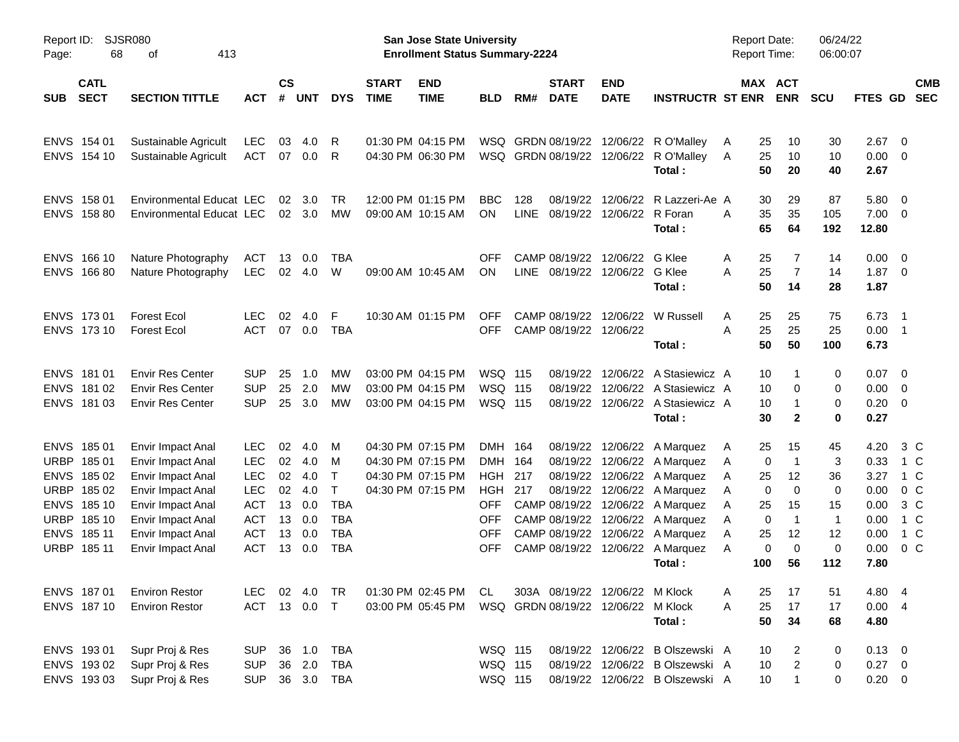| Page:      | SJSR080<br>Report ID:<br>68<br>413<br>оf |                                                    |                          |                    |                |                   |                             | San Jose State University<br><b>Enrollment Status Summary-2224</b> |                           |            |                             |                                    |                                                                      | Report Date:<br>Report Time: |                                     | 06/24/22<br>06:00:07 |               |                                                     |
|------------|------------------------------------------|----------------------------------------------------|--------------------------|--------------------|----------------|-------------------|-----------------------------|--------------------------------------------------------------------|---------------------------|------------|-----------------------------|------------------------------------|----------------------------------------------------------------------|------------------------------|-------------------------------------|----------------------|---------------|-----------------------------------------------------|
| <b>SUB</b> | <b>CATL</b><br><b>SECT</b>               | <b>SECTION TITTLE</b>                              | <b>ACT</b>               | $\mathsf{cs}$<br># | <b>UNT</b>     | <b>DYS</b>        | <b>START</b><br><b>TIME</b> | <b>END</b><br><b>TIME</b>                                          | <b>BLD</b>                | RM#        | <b>START</b><br><b>DATE</b> | <b>END</b><br><b>DATE</b>          | <b>INSTRUCTR ST ENR</b>                                              |                              | MAX ACT<br><b>ENR</b>               | <b>SCU</b>           |               | <b>CMB</b><br>FTES GD SEC                           |
|            | ENVS 154 01                              | Sustainable Agricult                               | <b>LEC</b>               | 03                 | 4.0            | R                 |                             | 01:30 PM 04:15 PM                                                  |                           |            |                             |                                    | WSQ GRDN 08/19/22 12/06/22 R O'Malley                                | A                            | 10<br>25                            | 30                   | 2.67          | $\overline{0}$                                      |
|            | ENVS 154 10                              | Sustainable Agricult                               | ACT                      |                    | 07 0.0         | R                 |                             | 04:30 PM 06:30 PM                                                  |                           |            |                             |                                    | WSQ GRDN 08/19/22 12/06/22 R O'Malley<br>Total:                      | 25<br>A                      | 10<br>50<br>20                      | 10<br>40             | 0.00<br>2.67  | - 0                                                 |
|            | ENVS 158 01                              | <b>Environmental Educat LEC</b>                    |                          | 02                 | 3.0            | TR.               |                             | 12:00 PM 01:15 PM                                                  | <b>BBC</b>                | 128        |                             |                                    | 08/19/22 12/06/22 R Lazzeri-Ae A                                     |                              | 29<br>30                            | 87                   | 5.80          | $\overline{0}$                                      |
|            | ENVS 158 80                              | Environmental Educat LEC                           |                          |                    | $02 \quad 3.0$ | MW                |                             | 09:00 AM 10:15 AM                                                  | <b>ON</b>                 | LINE       |                             | 08/19/22 12/06/22 R Foran          | Total:                                                               | A                            | 35<br>35<br>65<br>64                | 105<br>192           | 7.00<br>12.80 | $\overline{\phantom{0}}$                            |
|            | ENVS 166 10                              | Nature Photography                                 | ACT                      | 13                 | 0.0            | TBA               |                             |                                                                    | <b>OFF</b>                |            |                             | CAMP 08/19/22 12/06/22 G Klee      |                                                                      | A                            | 25<br>7                             | 14                   | 0.00          | $\overline{0}$                                      |
|            | ENVS 166 80                              | Nature Photography                                 | <b>LEC</b>               | 02                 | 4.0            | W                 |                             | 09:00 AM 10:45 AM                                                  | <b>ON</b>                 |            |                             | LINE 08/19/22 12/06/22 G Klee      | Total:                                                               | A                            | $\overline{7}$<br>25<br>50<br>14    | 14<br>28             | 1.87<br>1.87  | $\overline{\phantom{0}}$                            |
|            | ENVS 173 01                              | <b>Forest Ecol</b>                                 | LEC.                     | 02                 | 4.0            | F                 |                             | 10:30 AM 01:15 PM                                                  | <b>OFF</b>                |            |                             |                                    | CAMP 08/19/22 12/06/22 W Russell                                     | Α                            | 25<br>25                            | 75                   | 6.73          | - 1                                                 |
|            | ENVS 173 10                              | <b>Forest Ecol</b>                                 | <b>ACT</b>               | 07                 | 0.0            | <b>TBA</b>        |                             |                                                                    | <b>OFF</b>                |            |                             | CAMP 08/19/22 12/06/22             | Total:                                                               | A<br>25                      | 25<br>50<br>50                      | 25<br>100            | 0.00<br>6.73  | $\overline{\phantom{0}}$ 1                          |
|            | ENVS 181 01                              | <b>Envir Res Center</b>                            | <b>SUP</b>               | 25                 | 1.0            | MW                |                             | 03:00 PM 04:15 PM                                                  | <b>WSQ 115</b>            |            |                             |                                    | 08/19/22 12/06/22 A Stasiewicz A                                     |                              | 10                                  | 0                    | 0.07          | $\overline{\mathbf{0}}$                             |
|            | ENVS 181 02<br>ENVS 181 03               | <b>Envir Res Center</b><br><b>Envir Res Center</b> | <b>SUP</b><br><b>SUP</b> | 25<br>25           | 2.0<br>3.0     | MW<br>МW          |                             | 03:00 PM 04:15 PM<br>03:00 PM 04:15 PM                             | <b>WSQ 115</b><br>WSQ 115 |            |                             |                                    | 08/19/22 12/06/22 A Stasiewicz A<br>08/19/22 12/06/22 A Stasiewicz A |                              | $\mathbf 0$<br>10<br>10<br>-1       | 0<br>0               | 0.00<br>0.20  | $\overline{\phantom{0}}$<br>$\overline{\mathbf{0}}$ |
|            |                                          |                                                    |                          |                    |                |                   |                             |                                                                    |                           |            |                             |                                    | Total:                                                               |                              | 30<br>$\mathbf{2}$                  | $\mathbf 0$          | 0.27          |                                                     |
|            | ENVS 185 01                              | Envir Impact Anal                                  | <b>LEC</b>               | 02                 | 4.0            | M                 |                             | 04:30 PM 07:15 PM                                                  | DMH 164                   |            |                             |                                    | 08/19/22 12/06/22 A Marquez                                          | A                            | 15<br>25                            | 45                   | 4.20          | 3 C                                                 |
|            | URBP 185 01<br>ENVS 185 02               | Envir Impact Anal                                  | <b>LEC</b><br><b>LEC</b> | 02<br>02           | 4.0<br>4.0     | м<br>$\mathsf{T}$ |                             | 04:30 PM 07:15 PM<br>04:30 PM 07:15 PM                             | <b>DMH</b><br><b>HGH</b>  | 164<br>217 |                             |                                    | 08/19/22 12/06/22 A Marquez<br>08/19/22 12/06/22 A Marquez           | A                            | $\mathbf 0$<br>$\overline{1}$<br>12 | 3<br>36              | 0.33<br>3.27  | 1 C<br>1 C                                          |
|            | URBP 185 02                              | Envir Impact Anal<br>Envir Impact Anal             | <b>LEC</b>               | 02                 | 4.0            | $\mathsf{T}$      |                             | 04:30 PM 07:15 PM                                                  | <b>HGH 217</b>            |            |                             |                                    | 08/19/22 12/06/22 A Marquez                                          | A<br>Α                       | 25<br>$\mathbf 0$<br>$\mathbf 0$    | 0                    | 0.00          | 0 <sup>C</sup>                                      |
|            | ENVS 185 10                              | Envir Impact Anal                                  | <b>ACT</b>               | 13                 | 0.0            | <b>TBA</b>        |                             |                                                                    | <b>OFF</b>                |            |                             |                                    | CAMP 08/19/22 12/06/22 A Marquez                                     | Α                            | 15<br>25                            | 15                   | 0.00          | 3 C                                                 |
|            | URBP 185 10                              | Envir Impact Anal                                  | <b>ACT</b>               | 13                 | 0.0            | <b>TBA</b>        |                             |                                                                    | <b>OFF</b>                |            |                             |                                    | CAMP 08/19/22 12/06/22 A Marquez                                     | Α                            | 0<br>$\overline{1}$                 | $\overline{1}$       | 0.00          | 1 C                                                 |
|            | ENVS 185 11                              | Envir Impact Anal                                  | <b>ACT</b>               | 13                 | 0.0            | <b>TBA</b>        |                             |                                                                    | <b>OFF</b>                |            |                             |                                    | CAMP 08/19/22 12/06/22 A Marquez                                     | Α<br>25                      | 12                                  | 12                   | 0.00          | 1 C                                                 |
|            | URBP 185 11                              | Envir Impact Anal                                  | <b>ACT</b>               | 13                 | 0.0            | <b>TBA</b>        |                             |                                                                    | <b>OFF</b>                |            |                             |                                    | CAMP 08/19/22 12/06/22 A Marquez                                     | Α                            | $\mathbf 0$<br>0                    | $\mathbf 0$          | 0.00          | $0\,C$                                              |
|            |                                          |                                                    |                          |                    |                |                   |                             |                                                                    |                           |            |                             |                                    | Total:                                                               | 100                          | 56                                  | 112                  | 7.80          |                                                     |
|            | ENVS 187 01                              | <b>Environ Restor</b>                              | LEC 02 4.0               |                    |                | TR                |                             | 01:30 PM 02:45 PM                                                  | CL.                       |            |                             | 303A 08/19/22 12/06/22 M Klock     |                                                                      | Α                            | 17<br>25                            | 51                   | 4.80          | - 4                                                 |
|            | ENVS 187 10                              | <b>Environ Restor</b>                              | ACT                      |                    | 13 0.0         | $\top$            |                             | 03:00 PM 05:45 PM                                                  |                           |            |                             | WSQ GRDN 08/19/22 12/06/22 M Klock |                                                                      | Α                            | 17<br>25                            | 17                   | 0.004         |                                                     |
|            |                                          |                                                    |                          |                    |                |                   |                             |                                                                    |                           |            |                             |                                    | Total:                                                               |                              | 50<br>34                            | 68                   | 4.80          |                                                     |
|            | ENVS 193 01                              | Supr Proj & Res                                    | <b>SUP</b>               |                    | 36 1.0         | <b>TBA</b>        |                             |                                                                    | <b>WSQ 115</b>            |            |                             |                                    | 08/19/22 12/06/22 B Olszewski A                                      |                              | 10<br>2                             | 0                    | $0.13 \ 0$    |                                                     |
|            | ENVS 193 02                              | Supr Proj & Res                                    | <b>SUP</b>               | 36                 | 2.0            | <b>TBA</b>        |                             |                                                                    | WSQ 115                   |            |                             |                                    | 08/19/22 12/06/22 B Olszewski A                                      |                              | $\boldsymbol{2}$<br>10              | 0                    | $0.27 \t 0$   |                                                     |
|            | ENVS 193 03                              | Supr Proj & Res                                    | <b>SUP</b>               |                    |                | 36 3.0 TBA        |                             |                                                                    | WSQ 115                   |            |                             |                                    | 08/19/22 12/06/22 B Olszewski A                                      |                              | $10$<br>$\mathbf{1}$                | 0                    | $0.20 \t 0$   |                                                     |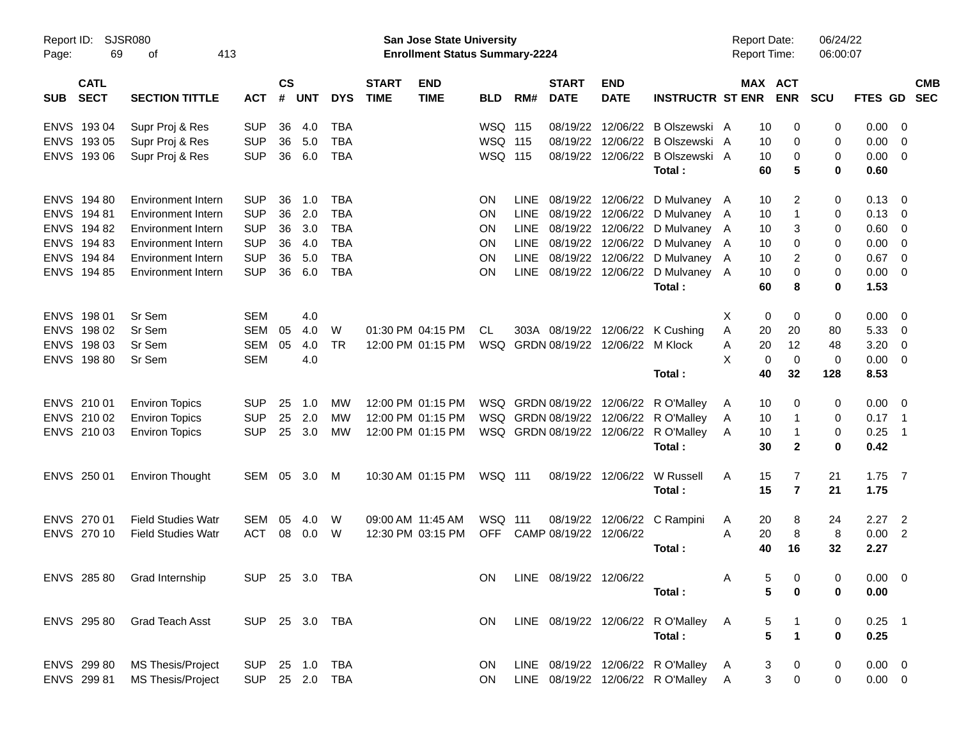| Report ID:<br>Page:                      | <b>SJSR080</b><br>69<br>413<br>οf |                |                |            |            |                             | San Jose State University<br><b>Enrollment Status Summary-2224</b> |                |             |                             |                                |                                   | <b>Report Date:</b><br>Report Time: |                  | 06/24/22<br>06:00:07 |             |                            |  |
|------------------------------------------|-----------------------------------|----------------|----------------|------------|------------|-----------------------------|--------------------------------------------------------------------|----------------|-------------|-----------------------------|--------------------------------|-----------------------------------|-------------------------------------|------------------|----------------------|-------------|----------------------------|--|
| <b>CATL</b><br><b>SECT</b><br><b>SUB</b> | <b>SECTION TITTLE</b>             | <b>ACT</b>     | <b>CS</b><br># | <b>UNT</b> | <b>DYS</b> | <b>START</b><br><b>TIME</b> | <b>END</b><br><b>TIME</b>                                          | <b>BLD</b>     | RM#         | <b>START</b><br><b>DATE</b> | <b>END</b><br><b>DATE</b>      | <b>INSTRUCTR ST ENR</b>           | MAX ACT                             | <b>ENR</b>       | <b>SCU</b>           | FTES GD SEC | <b>CMB</b>                 |  |
| ENVS 193 04                              | Supr Proj & Res                   | <b>SUP</b>     | 36             | 4.0        | <b>TBA</b> |                             |                                                                    | <b>WSQ 115</b> |             |                             | 08/19/22 12/06/22              | B Olszewski A                     | 10                                  | 0                | 0                    | 0.00        | - 0                        |  |
| ENVS 193 05                              | Supr Proj & Res                   | <b>SUP</b>     | 36             | 5.0        | <b>TBA</b> |                             |                                                                    | <b>WSQ 115</b> |             |                             | 08/19/22 12/06/22              | B Olszewski A                     | 10                                  | 0                | 0                    | 0.00        | - 0                        |  |
| ENVS 193 06                              | Supr Proj & Res                   | <b>SUP</b>     | 36             | 6.0        | <b>TBA</b> |                             |                                                                    | <b>WSQ 115</b> |             |                             |                                | 08/19/22 12/06/22 B Olszewski A   | 10                                  | 0                | 0                    | 0.00        | $\overline{\mathbf{0}}$    |  |
|                                          |                                   |                |                |            |            |                             |                                                                    |                |             |                             |                                | Total:                            | 60                                  | 5                | 0                    | 0.60        |                            |  |
| ENVS 194 80                              | Environment Intern                | <b>SUP</b>     | 36             | 1.0        | <b>TBA</b> |                             |                                                                    | <b>ON</b>      | <b>LINE</b> |                             |                                | 08/19/22 12/06/22 D Mulvaney A    | 10                                  | 2                | 0                    | $0.13 \ 0$  |                            |  |
| ENVS 194 81                              | Environment Intern                | <b>SUP</b>     | 36             | 2.0        | <b>TBA</b> |                             |                                                                    | ON             | LINE        |                             | 08/19/22 12/06/22              | D Mulvaney A                      | 10                                  | 1                | 0                    | 0.13        | - 0                        |  |
| ENVS 194 82                              | Environment Intern                | <b>SUP</b>     | 36             | 3.0        | <b>TBA</b> |                             |                                                                    | ΟN             | LINE        |                             | 08/19/22 12/06/22              | D Mulvaney A                      | 10                                  | 3                | 0                    | 0.60        | - 0                        |  |
| ENVS 194 83                              | <b>Environment Intern</b>         | <b>SUP</b>     | 36             | 4.0        | <b>TBA</b> |                             |                                                                    | ΟN             | LINE        |                             | 08/19/22 12/06/22              | D Mulvaney A                      | 10                                  | 0                | 0                    | 0.00        | - 0                        |  |
| ENVS 194 84                              | <b>Environment Intern</b>         | <b>SUP</b>     | 36             | 5.0        | <b>TBA</b> |                             |                                                                    | ON             | LINE        |                             | 08/19/22 12/06/22              | D Mulvaney A                      | 10                                  | 2                | 0                    | 0.67        | - 0                        |  |
| ENVS 194 85                              | Environment Intern                | <b>SUP</b>     | 36             | 6.0        | <b>TBA</b> |                             |                                                                    | <b>ON</b>      |             |                             | LINE 08/19/22 12/06/22         | D Mulvaney A                      | 10                                  | 0                | 0                    | 0.00        | $\overline{\phantom{0}}$   |  |
|                                          |                                   |                |                |            |            |                             |                                                                    |                |             |                             |                                | Total:                            | 60                                  | 8                | 0                    | 1.53        |                            |  |
| ENVS 198 01                              | Sr Sem                            | <b>SEM</b>     |                | 4.0        |            |                             |                                                                    |                |             |                             |                                |                                   | Χ<br>0                              | 0                | 0                    | 0.00        | $\overline{\phantom{0}}$   |  |
| ENVS 198 02                              | Sr Sem                            | <b>SEM</b>     | 05             | 4.0        | W          |                             | 01:30 PM 04:15 PM                                                  | CL             |             |                             |                                | 303A 08/19/22 12/06/22 K Cushing  | 20<br>Α                             | 20               | 80                   | 5.33        | - 0                        |  |
| ENVS 198 03                              | Sr Sem                            | <b>SEM</b>     | 05             | 4.0        | <b>TR</b>  |                             | 12:00 PM 01:15 PM                                                  | WSQ            |             |                             | GRDN 08/19/22 12/06/22 M Klock |                                   | 20<br>Α                             | 12               | 48                   | 3.20        | - 0                        |  |
| ENVS 198 80                              | Sr Sem                            | <b>SEM</b>     |                | 4.0        |            |                             |                                                                    |                |             |                             |                                |                                   | X<br>$\mathbf 0$                    | $\mathbf 0$      | 0                    | 0.00        | $\overline{\phantom{0}}$   |  |
|                                          |                                   |                |                |            |            |                             |                                                                    |                |             |                             |                                | Total:                            | 40                                  | 32               | 128                  | 8.53        |                            |  |
|                                          |                                   |                |                |            |            |                             |                                                                    |                |             |                             |                                |                                   |                                     |                  |                      |             |                            |  |
| ENVS 210 01                              | <b>Environ Topics</b>             | <b>SUP</b>     | 25             | 1.0        | MW         |                             | 12:00 PM 01:15 PM                                                  |                |             |                             | WSQ GRDN 08/19/22 12/06/22     | R O'Malley                        | 10<br>A                             | 0                | 0                    | $0.00 \t 0$ |                            |  |
| ENVS 210 02                              | <b>Environ Topics</b>             | <b>SUP</b>     | 25             | 2.0        | <b>MW</b>  |                             | 12:00 PM 01:15 PM                                                  |                |             | WSQ GRDN 08/19/22 12/06/22  |                                | R O'Malley                        | 10<br>A                             | 1                | 0                    | $0.17$ 1    |                            |  |
| ENVS 210 03                              | <b>Environ Topics</b>             | <b>SUP</b>     | 25             | 3.0        | <b>MW</b>  |                             | 12:00 PM 01:15 PM                                                  |                |             | WSQ GRDN 08/19/22 12/06/22  |                                | R O'Malley                        | 10<br>A                             | 1                | 0                    | 0.25        | $\overline{\phantom{0}}$ 1 |  |
|                                          |                                   |                |                |            |            |                             |                                                                    |                |             |                             |                                | Total:                            | 30                                  | $\mathbf{2}$     | 0                    | 0.42        |                            |  |
| ENVS 250 01                              | <b>Environ Thought</b>            | SEM 05 3.0     |                |            | М          |                             | 10:30 AM 01:15 PM                                                  | <b>WSQ 111</b> |             |                             | 08/19/22 12/06/22              | W Russell                         | A<br>15                             | 7                | 21                   | $1.75$ 7    |                            |  |
|                                          |                                   |                |                |            |            |                             |                                                                    |                |             |                             |                                | Total:                            | 15                                  | $\overline{7}$   | 21                   | 1.75        |                            |  |
| ENVS 270 01                              | <b>Field Studies Watr</b>         | SEM            | 05             | 4.0        | W          |                             | 09:00 AM 11:45 AM                                                  | WSQ 111        |             | 08/19/22                    | 12/06/22                       | C Rampini                         | 20                                  | 8                | 24                   | $2.27$ 2    |                            |  |
| ENVS 270 10                              | <b>Field Studies Watr</b>         | <b>ACT</b>     | 08             | 0.0        | W          |                             | 12:30 PM 03:15 PM                                                  | OFF            |             | CAMP 08/19/22 12/06/22      |                                |                                   | A<br>20<br>A                        | 8                | 8                    | $0.00$ 2    |                            |  |
|                                          |                                   |                |                |            |            |                             |                                                                    |                |             |                             |                                | Total:                            | 40                                  | 16               | 32                   | 2.27        |                            |  |
|                                          |                                   |                |                |            |            |                             |                                                                    |                |             |                             |                                |                                   |                                     |                  |                      |             |                            |  |
|                                          | ENVS 285 80 Grad Internship       | SUP 25 3.0 TBA |                |            |            |                             |                                                                    |                |             | ON LINE 08/19/22 12/06/22   |                                |                                   | Α                                   | 0<br>5           | 0                    | $0.00 \t 0$ |                            |  |
|                                          |                                   |                |                |            |            |                             |                                                                    |                |             |                             |                                | Total:                            | 5                                   | 0                | 0                    | 0.00        |                            |  |
| ENVS 295 80                              | Grad Teach Asst                   | SUP 25 3.0 TBA |                |            |            |                             |                                                                    | ON.            |             |                             |                                | LINE 08/19/22 12/06/22 R O'Malley | A<br>5                              |                  | 0                    | $0.25$ 1    |                            |  |
|                                          |                                   |                |                |            |            |                             |                                                                    |                |             |                             |                                | Total:                            | 5                                   | $\mathbf 1$      | 0                    | 0.25        |                            |  |
|                                          |                                   |                |                |            |            |                             |                                                                    |                |             |                             |                                |                                   |                                     |                  |                      |             |                            |  |
| ENVS 299 80                              | <b>MS Thesis/Project</b>          | <b>SUP</b>     |                |            | 25 1.0 TBA |                             |                                                                    | ON             |             |                             |                                | LINE 08/19/22 12/06/22 R O'Malley | A                                   | 3<br>0           | 0                    | $0.00 \t 0$ |                            |  |
| ENVS 299 81                              | MS Thesis/Project                 | SUP 25 2.0 TBA |                |            |            |                             |                                                                    | ON             |             |                             |                                | LINE 08/19/22 12/06/22 R O'Malley | A                                   | 3<br>$\mathbf 0$ | 0                    | $0.00 \t 0$ |                            |  |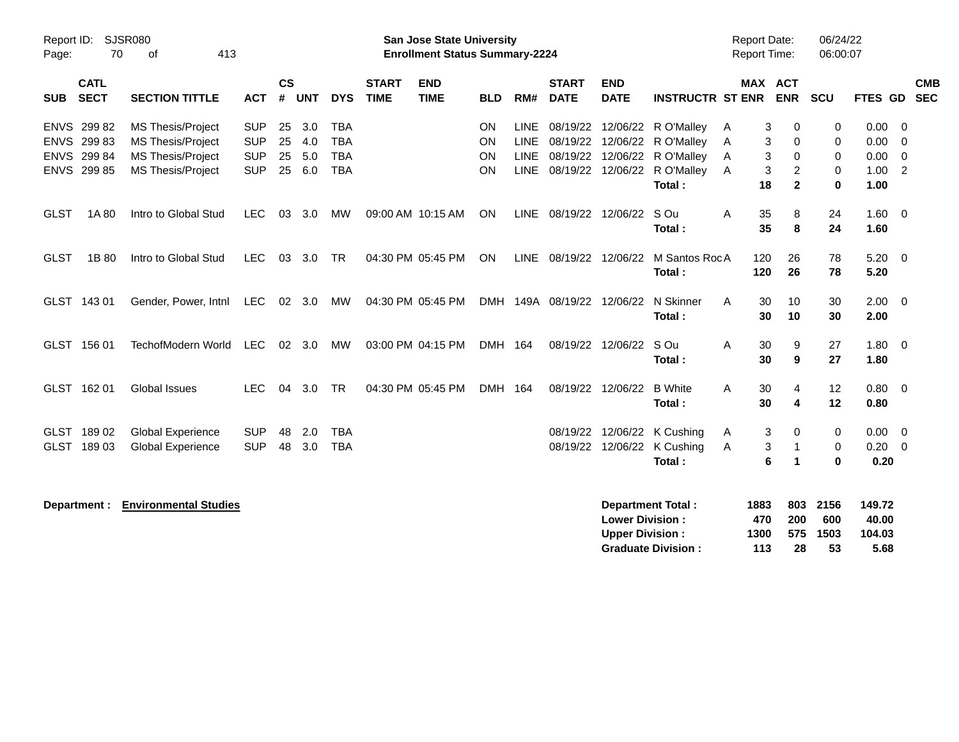| Report ID:<br><b>SJSR080</b><br>70<br>Page:<br>413<br>0f |                                                          |                                                                                                              |                                                      | San Jose State University<br><b>Enrollment Status Summary-2224</b> |                             |                                                      |                             |                           |                                    |                     |                             |                                                  |                                                                                                                                                  |                  | <b>Report Date:</b><br><b>Report Time:</b> |                                               | 06/24/22<br>06:00:07                |                                          |                                   |
|----------------------------------------------------------|----------------------------------------------------------|--------------------------------------------------------------------------------------------------------------|------------------------------------------------------|--------------------------------------------------------------------|-----------------------------|------------------------------------------------------|-----------------------------|---------------------------|------------------------------------|---------------------|-----------------------------|--------------------------------------------------|--------------------------------------------------------------------------------------------------------------------------------------------------|------------------|--------------------------------------------|-----------------------------------------------|-------------------------------------|------------------------------------------|-----------------------------------|
| <b>SUB</b>                                               | <b>CATL</b><br><b>SECT</b>                               | <b>SECTION TITTLE</b>                                                                                        | <b>ACT</b>                                           | $\mathsf{cs}$<br>#                                                 | <b>UNT</b>                  | <b>DYS</b>                                           | <b>START</b><br><b>TIME</b> | <b>END</b><br><b>TIME</b> | <b>BLD</b>                         | RM#                 | <b>START</b><br><b>DATE</b> | <b>END</b><br><b>DATE</b>                        | <b>INSTRUCTR ST ENR</b>                                                                                                                          |                  | <b>MAX ACT</b>                             | <b>ENR SCU</b>                                |                                     | <b>FTES GD</b>                           | <b>CMB</b><br><b>SEC</b>          |
|                                                          | ENVS 299 82<br>ENVS 299 83<br>ENVS 299 84<br>ENVS 299 85 | <b>MS Thesis/Project</b><br><b>MS Thesis/Project</b><br><b>MS Thesis/Project</b><br><b>MS Thesis/Project</b> | <b>SUP</b><br><b>SUP</b><br><b>SUP</b><br><b>SUP</b> | 25<br>25<br>25                                                     | 3.0<br>4.0<br>5.0<br>25 6.0 | <b>TBA</b><br><b>TBA</b><br><b>TBA</b><br><b>TBA</b> |                             |                           | ON<br><b>ON</b><br><b>ON</b><br>ON | LINE<br><b>LINE</b> |                             |                                                  | LINE 08/19/22 12/06/22 R O'Malley<br>08/19/22 12/06/22 R O'Malley<br>08/19/22 12/06/22 R O'Malley<br>LINE 08/19/22 12/06/22 R O'Malley<br>Total: | A<br>Α<br>A<br>A | 3<br>3<br>3<br>3<br>18                     | 0<br>0<br>0<br>$\overline{c}$<br>$\mathbf{2}$ | 0<br>$\Omega$<br>0<br>0<br>$\bf{0}$ | 0.00<br>0.00<br>0.00<br>$1.00$ 2<br>1.00 | - 0<br>$\Omega$<br>$\overline{0}$ |
| <b>GLST</b>                                              | 1A 80                                                    | Intro to Global Stud                                                                                         | <b>LEC</b>                                           | 03                                                                 | 3.0                         | MW                                                   |                             | 09:00 AM 10:15 AM         | ON                                 |                     | LINE 08/19/22 12/06/22      |                                                  | S Ou<br>Total:                                                                                                                                   | A                | 35<br>35                                   | 8<br>8                                        | 24<br>24                            | $1.60 \t 0$<br>1.60                      |                                   |
| <b>GLST</b>                                              | 1B 80                                                    | Intro to Global Stud                                                                                         | <b>LEC</b>                                           |                                                                    | 03 3.0                      | TR                                                   |                             | 04:30 PM 05:45 PM         | <b>ON</b>                          |                     |                             | LINE 08/19/22 12/06/22                           | M Santos RocA<br>Total:                                                                                                                          |                  | 120<br>120                                 | 26<br>26                                      | 78<br>78                            | $5.20 \ 0$<br>5.20                       |                                   |
|                                                          | GLST 143 01                                              | Gender, Power, Intnl                                                                                         | LEC                                                  |                                                                    | 02 3.0                      | MW                                                   |                             | 04:30 PM 05:45 PM         |                                    |                     | DMH 149A 08/19/22           | 12/06/22                                         | N Skinner<br>Total:                                                                                                                              | A                | 30<br>30                                   | 10<br>10                                      | 30<br>30                            | $2.00 \t 0$<br>2.00                      |                                   |
|                                                          | GLST 156 01                                              | TechofModern World                                                                                           | <b>LEC</b>                                           |                                                                    | 02 3.0                      | MW                                                   |                             | 03:00 PM 04:15 PM         | DMH 164                            |                     |                             | 08/19/22 12/06/22                                | S Ou<br>Total:                                                                                                                                   | Α                | 30<br>30                                   | 9<br>9                                        | 27<br>27                            | $1.80 \ 0$<br>1.80                       |                                   |
|                                                          | GLST 162 01                                              | <b>Global Issues</b>                                                                                         | <b>LEC</b>                                           | 04                                                                 | 3.0                         | <b>TR</b>                                            |                             | 04:30 PM 05:45 PM         | DMH 164                            |                     |                             | 08/19/22 12/06/22                                | <b>B</b> White<br>Total:                                                                                                                         | A                | 30<br>30                                   | 4<br>4                                        | 12<br>12                            | $0.80 \ 0$<br>0.80                       |                                   |
|                                                          | GLST 189 02<br>GLST 189 03                               | <b>Global Experience</b><br><b>Global Experience</b>                                                         | <b>SUP</b><br><b>SUP</b>                             | 48<br>48                                                           | 2.0<br>3.0                  | <b>TBA</b><br><b>TBA</b>                             |                             |                           |                                    |                     | 08/19/22<br>08/19/22        |                                                  | 12/06/22 K Cushing<br>12/06/22 K Cushing<br>Total:                                                                                               | Α<br>A           | 3<br>3<br>6                                | 0<br>$\overline{1}$<br>$\mathbf{1}$           | 0<br>0<br>$\bf{0}$                  | 0.00<br>$0.20 \ 0$<br>0.20               | $\overline{\mathbf{0}}$           |
|                                                          | Department :                                             | <b>Environmental Studies</b>                                                                                 |                                                      |                                                                    |                             |                                                      |                             |                           |                                    |                     |                             | <b>Lower Division:</b><br><b>Upper Division:</b> | <b>Department Total:</b><br><b>Graduate Division:</b>                                                                                            |                  | 1883<br>470<br>1300<br>113                 | 803<br>200<br>575<br>28                       | 2156<br>600<br>1503<br>53           | 149.72<br>40.00<br>104.03<br>5.68        |                                   |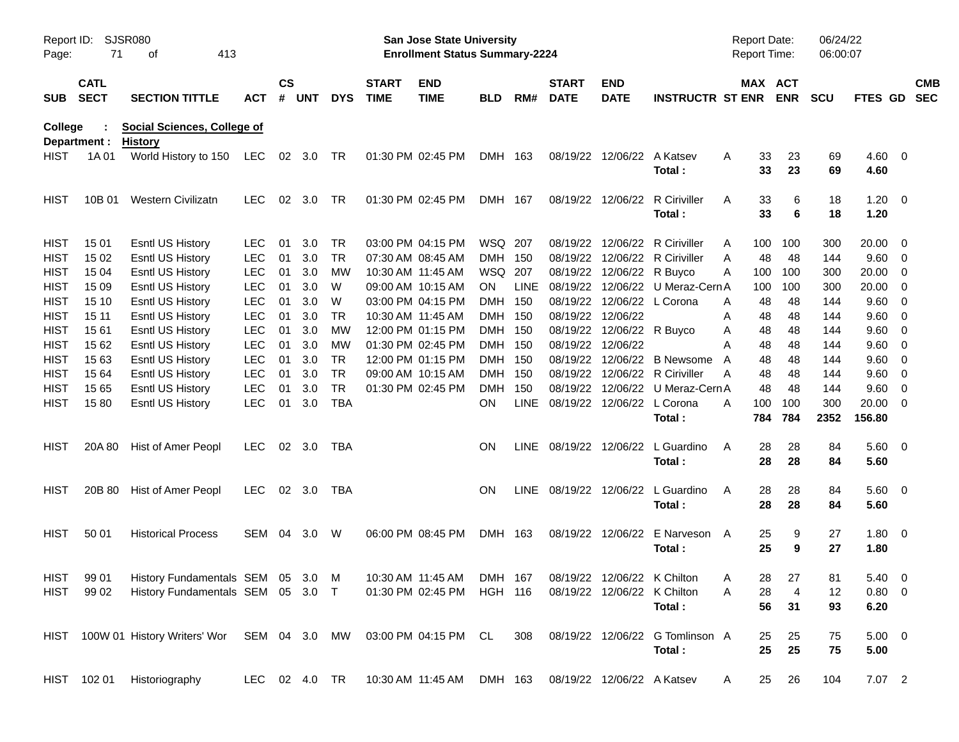| SJSR080<br>Report ID:<br>Page:<br>71<br>413<br>оf |                            |                                                      |               |                    |            |            |                             | San Jose State University<br><b>Enrollment Status Summary-2224</b> |                |             | Report Date:<br>Report Time:        |                            | 06/24/22<br>06:00:07                        |   |            |                |             |                        |     |                          |
|---------------------------------------------------|----------------------------|------------------------------------------------------|---------------|--------------------|------------|------------|-----------------------------|--------------------------------------------------------------------|----------------|-------------|-------------------------------------|----------------------------|---------------------------------------------|---|------------|----------------|-------------|------------------------|-----|--------------------------|
| <b>SUB</b>                                        | <b>CATL</b><br><b>SECT</b> | <b>SECTION TITTLE</b>                                | <b>ACT</b>    | $\mathsf{cs}$<br># | <b>UNT</b> | <b>DYS</b> | <b>START</b><br><b>TIME</b> | <b>END</b><br><b>TIME</b>                                          | <b>BLD</b>     | RM#         | <b>START</b><br><b>DATE</b>         | <b>END</b><br><b>DATE</b>  | <b>INSTRUCTR ST ENR ENR</b>                 |   |            | <b>MAX ACT</b> | <b>SCU</b>  | FTES GD                |     | <b>CMB</b><br><b>SEC</b> |
| College                                           | Department :               | <b>Social Sciences, College of</b><br><b>History</b> |               |                    |            |            |                             |                                                                    |                |             |                                     |                            |                                             |   |            |                |             |                        |     |                          |
| <b>HIST</b>                                       | 1A 01                      | World History to 150 LEC 02 3.0 TR                   |               |                    |            |            |                             | 01:30 PM 02:45 PM                                                  | DMH 163        |             |                                     | 08/19/22 12/06/22 A Katsev | Total:                                      | A | 33<br>33   | 23<br>23       | 69<br>69    | $4.60$ 0<br>4.60       |     |                          |
| <b>HIST</b>                                       | 10B 01                     | Western Civilizatn                                   | <b>LEC</b>    |                    | 02 3.0     | TR         |                             | 01:30 PM 02:45 PM                                                  | DMH 167        |             |                                     |                            | 08/19/22 12/06/22 R Ciriviller<br>Total:    | A | 33<br>33   | 6<br>6         | 18<br>18    | $1.20 \t 0$<br>1.20    |     |                          |
| <b>HIST</b>                                       | 15 01                      | <b>Esntl US History</b>                              | <b>LEC</b>    | 01                 | 3.0        | <b>TR</b>  |                             | 03:00 PM 04:15 PM                                                  | WSQ 207        |             |                                     |                            | 08/19/22 12/06/22 R Ciriviller              | A | 100        | 100            | 300         | $20.00 \t 0$           |     |                          |
| <b>HIST</b>                                       | 15 02                      | <b>Esntl US History</b>                              | <b>LEC</b>    | 01                 | 3.0        | <b>TR</b>  |                             | 07:30 AM 08:45 AM                                                  | <b>DMH</b>     | - 150       | 08/19/22                            |                            | 12/06/22 R Ciriviller                       | A | 48         | 48             | 144         | 9.60 0                 |     |                          |
| <b>HIST</b>                                       | 15 04                      | <b>Esntl US History</b>                              | <b>LEC</b>    | 01                 | 3.0        | <b>MW</b>  |                             | 10:30 AM 11:45 AM                                                  | WSQ 207        |             | 08/19/22                            |                            | 12/06/22 R Buyco                            | A | 100        | 100            | 300         | 20.00                  | - 0 |                          |
| <b>HIST</b>                                       | 15 09                      | <b>Esntl US History</b>                              | <b>LEC</b>    | 01                 | 3.0        | W          |                             | 09:00 AM 10:15 AM                                                  | ON.            | <b>LINE</b> | 08/19/22                            |                            | 12/06/22 U Meraz-Cern A                     |   | 100        | 100            | 300         | 20.00                  | -0  |                          |
| <b>HIST</b>                                       | 15 10                      | <b>Esntl US History</b>                              | <b>LEC</b>    | 01                 | 3.0        | W          |                             | 03:00 PM 04:15 PM                                                  | DMH.           | 150         | 08/19/22                            |                            | 12/06/22 L Corona                           | A | 48         | 48             | 144         | 9.60                   | - 0 |                          |
| <b>HIST</b>                                       | 15 11                      | <b>Esntl US History</b>                              | <b>LEC</b>    | 01                 | 3.0        | <b>TR</b>  |                             | 10:30 AM 11:45 AM                                                  | DMH.           | - 150       |                                     | 08/19/22 12/06/22          |                                             | A | 48         | 48             | 144         | 9.60                   | - 0 |                          |
| <b>HIST</b>                                       | 1561                       | <b>Esntl US History</b>                              | <b>LEC</b>    | 01                 | 3.0        | <b>MW</b>  |                             | 12:00 PM 01:15 PM                                                  | DMH.           | - 150       | 08/19/22                            |                            | 12/06/22 R Buyco                            | Α | 48         | 48             | 144         | 9.60                   | - 0 |                          |
| <b>HIST</b>                                       | 15 62                      | <b>Esntl US History</b>                              | <b>LEC</b>    | 01                 | 3.0        | МW         |                             | 01:30 PM 02:45 PM                                                  | DMH.           | - 150       | 08/19/22                            | 12/06/22                   |                                             | A | 48         | 48             | 144         | 9.60                   | - 0 |                          |
| <b>HIST</b>                                       | 15 63                      | <b>Esntl US History</b>                              | <b>LEC</b>    | 01                 | 3.0        | <b>TR</b>  |                             | 12:00 PM 01:15 PM                                                  | <b>DMH</b>     | - 150       | 08/19/22                            |                            | 12/06/22 B Newsome                          | A | 48         | 48             | 144         | 9.60                   | - 0 |                          |
| <b>HIST</b>                                       | 15 64                      | <b>Esntl US History</b>                              | <b>LEC</b>    | 01                 | 3.0        | <b>TR</b>  |                             | 09:00 AM 10:15 AM                                                  | <b>DMH</b>     | - 150       | 08/19/22                            |                            | 12/06/22 R Ciriviller                       | A | 48         | 48             | 144         | 9.60                   | - 0 |                          |
| <b>HIST</b>                                       | 15 65                      | <b>Esntl US History</b>                              | <b>LEC</b>    | 01                 | 3.0        | <b>TR</b>  |                             | 01:30 PM 02:45 PM                                                  | DMH            | 150         | 08/19/22                            |                            | 12/06/22 U Meraz-Cern A                     |   | 48         | 48             | 144         | 9.60                   | - 0 |                          |
| <b>HIST</b>                                       | 1580                       | <b>Esntl US History</b>                              | <b>LEC</b>    | 01                 | 3.0        | <b>TBA</b> |                             |                                                                    | ΟN             | LINE        |                                     | 08/19/22 12/06/22 L Corona | Total:                                      | A | 100<br>784 | 100<br>784     | 300<br>2352 | $20.00 \t 0$<br>156.80 |     |                          |
| <b>HIST</b>                                       | 20A 80                     | Hist of Amer Peopl                                   | <b>LEC</b>    |                    | 02 3.0     | TBA        |                             |                                                                    | <b>ON</b>      |             |                                     |                            | LINE 08/19/22 12/06/22 L Guardino<br>Total: | A | 28<br>28   | 28<br>28       | 84<br>84    | 5.60 0<br>5.60         |     |                          |
| <b>HIST</b>                                       | 20B 80                     | Hist of Amer Peopl                                   | <b>LEC</b>    |                    | 02 3.0     | TBA        |                             |                                                                    | <b>ON</b>      |             |                                     |                            | LINE 08/19/22 12/06/22 L Guardino<br>Total: | A | 28<br>28   | 28<br>28       | 84<br>84    | 5.60 0<br>5.60         |     |                          |
| <b>HIST</b>                                       | 50 01                      | <b>Historical Process</b>                            | SEM 04        |                    | 3.0        | W          |                             | 06:00 PM 08:45 PM                                                  | DMH 163        |             |                                     | 08/19/22 12/06/22          | E Narveson A<br>Total:                      |   | 25<br>25   | 9<br>9         | 27<br>27    | $1.80 \ 0$<br>1.80     |     |                          |
| <b>HIST</b>                                       | 99 01                      | History Fundamentals SEM 05 3.0 M                    |               |                    |            |            |                             | 10:30 AM 11:45 AM                                                  |                |             | DMH 167 08/19/22 12/06/22 K Chilton |                            |                                             | Α | 28         | $27\,$         | 81          | 5.40 0                 |     |                          |
| HIST                                              | 99 02                      | History Fundamentals SEM 05 3.0 T                    |               |                    |            |            |                             | 01:30 PM 02:45 PM                                                  | <b>HGH 116</b> |             |                                     |                            | 08/19/22 12/06/22 K Chilton<br>Total:       | A | 28<br>56   | 4<br>31        | 12<br>93    | 0.80 0<br>6.20         |     |                          |
|                                                   |                            | HIST 100W 01 History Writers' Wor SEM 04 3.0 MW      |               |                    |            |            |                             | 03:00 PM 04:15 PM CL                                               |                | 308         |                                     |                            | 08/19/22 12/06/22 G Tomlinson A<br>Total:   |   | 25<br>25   | 25<br>25       | 75<br>75    | $5.00 \t 0$<br>5.00    |     |                          |
|                                                   | HIST 102 01                | Historiography                                       | LEC 02 4.0 TR |                    |            |            |                             | 10:30 AM 11:45 AM                                                  | DMH 163        |             |                                     | 08/19/22 12/06/22 A Katsev |                                             | A | 25         | 26             | 104         | 7.07 2                 |     |                          |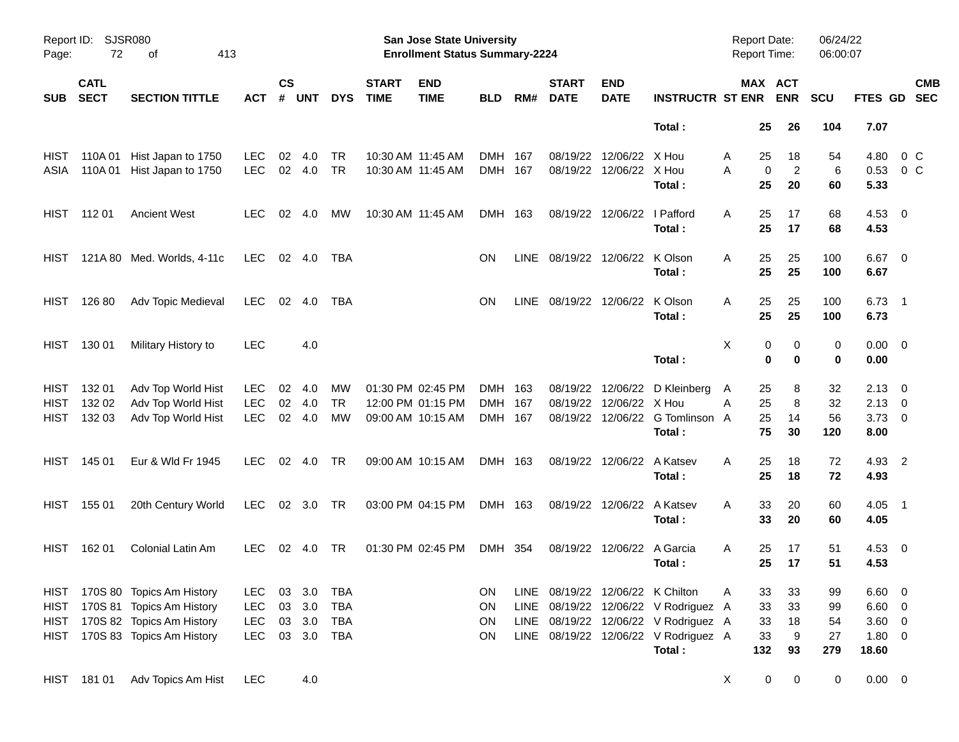| SJSR080<br>Report ID:<br>72<br>413<br>Page:<br>оf |                            |                                |            |                    |            |            |                             | San Jose State University<br><b>Enrollment Status Summary-2224</b> |            |      | <b>Report Date:</b><br><b>Report Time:</b> |                           | 06/24/22<br>06:00:07                 |     |                                   |            |                     |                          |                          |
|---------------------------------------------------|----------------------------|--------------------------------|------------|--------------------|------------|------------|-----------------------------|--------------------------------------------------------------------|------------|------|--------------------------------------------|---------------------------|--------------------------------------|-----|-----------------------------------|------------|---------------------|--------------------------|--------------------------|
| <b>SUB</b>                                        | <b>CATL</b><br><b>SECT</b> | <b>SECTION TITTLE</b>          | <b>ACT</b> | $\mathsf{cs}$<br># | <b>UNT</b> | <b>DYS</b> | <b>START</b><br><b>TIME</b> | <b>END</b><br><b>TIME</b>                                          | <b>BLD</b> | RM#  | <b>START</b><br><b>DATE</b>                | <b>END</b><br><b>DATE</b> | <b>INSTRUCTR ST ENR</b>              |     | MAX ACT<br><b>ENR</b>             | <b>SCU</b> | FTES GD             |                          | <b>CMB</b><br><b>SEC</b> |
|                                                   |                            |                                |            |                    |            |            |                             |                                                                    |            |      |                                            |                           | Total:                               |     | 25<br>26                          | 104        | 7.07                |                          |                          |
| HIST                                              | 110A 01                    | Hist Japan to 1750             | <b>LEC</b> | 02                 | 4.0        | TR         |                             | 10:30 AM 11:45 AM                                                  | DMH 167    |      | 08/19/22                                   | 12/06/22                  | X Hou                                | A   | 25<br>18                          | 54         | 4.80                | 0 C                      |                          |
| ASIA                                              | 110A 01                    | Hist Japan to 1750             | <b>LEC</b> |                    | 02 4.0     | TR         |                             | 10:30 AM 11:45 AM                                                  | DMH 167    |      | 08/19/22                                   | 12/06/22 X Hou            | Total:                               | A   | $\overline{c}$<br>0<br>25<br>20   | 6<br>60    | 0.53<br>5.33        | 0 <sup>o</sup>           |                          |
| HIST                                              | 112 01                     | <b>Ancient West</b>            | <b>LEC</b> | 02                 | 4.0        | МW         |                             | 10:30 AM 11:45 AM                                                  | DMH 163    |      | 08/19/22                                   | 12/06/22                  | I Pafford                            | Α   | 25<br>17                          | 68         | 4.53                | $\overline{\phantom{0}}$ |                          |
|                                                   |                            |                                |            |                    |            |            |                             |                                                                    |            |      |                                            |                           | Total:                               |     | 25<br>17                          | 68         | 4.53                |                          |                          |
| HIST                                              |                            | 121A 80 Med. Worlds, 4-11c     | <b>LEC</b> |                    | 02 4.0     | TBA        |                             |                                                                    | <b>ON</b>  | LINE | 08/19/22                                   | 12/06/22                  | K Olson<br>Total:                    | Α   | 25<br>25<br>25<br>25              | 100<br>100 | 6.67<br>6.67        | $\overline{\phantom{0}}$ |                          |
| HIST                                              | 126 80                     | Adv Topic Medieval             | <b>LEC</b> | 02                 | 4.0        | TBA        |                             |                                                                    | <b>ON</b>  | LINE | 08/19/22 12/06/22                          |                           | K Olson<br>Total:                    | Α   | 25<br>25<br>25<br>25              | 100<br>100 | 6.73<br>6.73        | $\overline{\phantom{1}}$ |                          |
| HIST                                              | 130 01                     | Military History to            | <b>LEC</b> |                    | 4.0        |            |                             |                                                                    |            |      |                                            |                           | Total:                               | X   | 0<br>0<br>$\mathbf 0$<br>$\bf{0}$ | 0<br>0     | $0.00 \t 0$<br>0.00 |                          |                          |
|                                                   |                            |                                |            |                    |            |            |                             |                                                                    |            |      |                                            |                           |                                      |     |                                   |            |                     |                          |                          |
| <b>HIST</b>                                       | 132 01                     | Adv Top World Hist             | <b>LEC</b> | 02                 | 4.0        | МW         |                             | 01:30 PM 02:45 PM                                                  | DMH 163    |      | 08/19/22                                   | 12/06/22                  | D Kleinberg                          | A   | 25<br>8                           | 32         | $2.13 \quad 0$      |                          |                          |
| <b>HIST</b>                                       | 132 02                     | Adv Top World Hist             | <b>LEC</b> | 02                 | 4.0        | <b>TR</b>  |                             | 12:00 PM 01:15 PM                                                  | <b>DMH</b> | 167  | 08/19/22                                   | 12/06/22                  | X Hou                                | Α   | 8<br>25                           | 32         | $2.13 \ 0$          |                          |                          |
| <b>HIST</b>                                       | 132 03                     | Adv Top World Hist             | <b>LEC</b> | 02                 | 4.0        | <b>MW</b>  |                             | 09:00 AM 10:15 AM                                                  | DMH 167    |      | 08/19/22                                   |                           | 12/06/22 G Tomlinson A<br>Total:     |     | 25<br>14<br>75<br>30              | 56<br>120  | 3.73<br>8.00        | $\overline{\mathbf{0}}$  |                          |
| <b>HIST</b>                                       | 145 01                     | Eur & Wld Fr 1945              | <b>LEC</b> | 02                 | 4.0        | TR         |                             | 09:00 AM 10:15 AM                                                  | DMH 163    |      |                                            | 08/19/22 12/06/22         | A Katsev<br>Total:                   | A   | 25<br>18<br>25<br>18              | 72<br>72   | 4.93 2<br>4.93      |                          |                          |
| <b>HIST</b>                                       | 155 01                     | 20th Century World             | <b>LEC</b> |                    | 02 3.0     | TR         |                             | 03:00 PM 04:15 PM                                                  | DMH 163    |      |                                            | 08/19/22 12/06/22         | A Katsev                             | A   | 33<br>20                          | 60         | 4.05                | $\overline{\phantom{1}}$ |                          |
|                                                   |                            |                                |            |                    |            |            |                             |                                                                    |            |      |                                            |                           | Total:                               |     | 33<br>20                          | 60         | 4.05                |                          |                          |
| HIST                                              | 162 01                     | Colonial Latin Am              | <b>LEC</b> | 02                 | 4.0        | TR         |                             | 01:30 PM 02:45 PM                                                  | DMH 354    |      | 08/19/22                                   | 12/06/22                  | A Garcia                             | A   | 25<br>17                          | 51         | $4.53 \quad 0$      |                          |                          |
|                                                   |                            |                                |            |                    |            |            |                             |                                                                    |            |      |                                            |                           | Total:                               |     | 17<br>25                          | 51         | 4.53                |                          |                          |
|                                                   |                            | HIST 170S 80 Topics Am History | LEC.       | 03                 | 3.0        | TBA        |                             |                                                                    | <b>ON</b>  |      | LINE 08/19/22 12/06/22 K Chilton           |                           |                                      | A   | 33<br>33                          | 99         | $6.60 \quad 0$      |                          |                          |
| <b>HIST</b>                                       |                            | 170S 81 Topics Am History      | <b>LEC</b> | 03                 | 3.0        | <b>TBA</b> |                             |                                                                    | ON         |      |                                            |                           | LINE 08/19/22 12/06/22 V Rodriguez A |     | 33<br>33                          | 99         | $6.60$ 0            |                          |                          |
| <b>HIST</b>                                       |                            | 170S 82 Topics Am History      | <b>LEC</b> | 03                 | 3.0        | <b>TBA</b> |                             |                                                                    | ON         |      |                                            |                           | LINE 08/19/22 12/06/22 V Rodriguez A |     | 18<br>33                          | 54         | 3.60 0              |                          |                          |
| HIST                                              |                            | 170S 83 Topics Am History      | <b>LEC</b> |                    | 03 3.0     | TBA        |                             |                                                                    | ON         |      |                                            |                           | LINE 08/19/22 12/06/22 V Rodriguez A |     | 9<br>33                           | 27         | 1.80 0              |                          |                          |
|                                                   |                            |                                |            |                    |            |            |                             |                                                                    |            |      |                                            |                           | Total:                               | 132 | 93                                | 279        | 18.60               |                          |                          |
|                                                   | HIST 181 01                | Adv Topics Am Hist             | <b>LEC</b> |                    | 4.0        |            |                             |                                                                    |            |      |                                            |                           |                                      | X   | 0<br>$\pmb{0}$                    | 0          | $0.00 \t 0$         |                          |                          |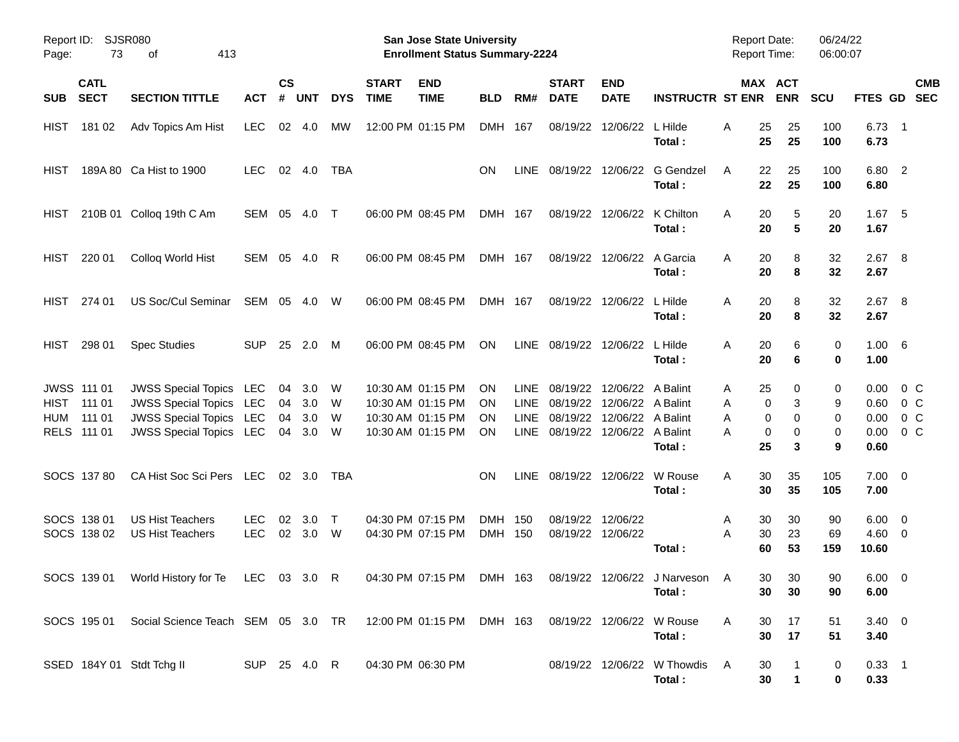| Page:              | <b>SJSR080</b><br>Report ID:<br>73<br>413<br>οf       |                                                                                                                        |                          |                      |                          |                  |                             | <b>San Jose State University</b><br><b>Enrollment Status Summary-2224</b>        |                       |                                                          |                                                                |                                                             |                                       | <b>Report Date:</b><br><b>Report Time:</b> |                                      | 06/24/22<br>06:00:07  |                                      |                                       |
|--------------------|-------------------------------------------------------|------------------------------------------------------------------------------------------------------------------------|--------------------------|----------------------|--------------------------|------------------|-----------------------------|----------------------------------------------------------------------------------|-----------------------|----------------------------------------------------------|----------------------------------------------------------------|-------------------------------------------------------------|---------------------------------------|--------------------------------------------|--------------------------------------|-----------------------|--------------------------------------|---------------------------------------|
| <b>SUB</b>         | <b>CATL</b><br><b>SECT</b>                            | <b>SECTION TITTLE</b>                                                                                                  | <b>ACT</b>               | <b>CS</b><br>#       | <b>UNT</b>               | <b>DYS</b>       | <b>START</b><br><b>TIME</b> | <b>END</b><br><b>TIME</b>                                                        | <b>BLD</b>            | RM#                                                      | <b>START</b><br><b>DATE</b>                                    | <b>END</b><br><b>DATE</b>                                   | <b>INSTRUCTR ST ENR</b>               |                                            | MAX ACT<br><b>ENR</b>                | <b>SCU</b>            | FTES GD                              | <b>CMB</b><br><b>SEC</b>              |
| <b>HIST</b>        | 181 02                                                | Adv Topics Am Hist                                                                                                     | <b>LEC</b>               | 02                   | 4.0                      | <b>MW</b>        |                             | 12:00 PM 01:15 PM                                                                | DMH 167               |                                                          | 08/19/22                                                       | 12/06/22                                                    | L Hilde<br>Total:                     | 25<br>Α<br>25                              | 25<br>25                             | 100<br>100            | $6.73$ 1<br>6.73                     |                                       |
| HIST               |                                                       | 189A 80 Ca Hist to 1900                                                                                                | <b>LEC</b>               | 02                   | 4.0                      | <b>TBA</b>       |                             |                                                                                  | ΟN                    | <b>LINE</b>                                              | 08/19/22                                                       | 12/06/22                                                    | <b>G</b> Gendzel<br>Total:            | 22<br>A<br>22                              | 25<br>25                             | 100<br>100            | 6.80 2<br>6.80                       |                                       |
| HIST               |                                                       | 210B 01 Colloq 19th C Am                                                                                               | SEM 05                   |                      | 4.0                      | $\top$           |                             | 06:00 PM 08:45 PM                                                                | DMH 167               |                                                          | 08/19/22                                                       | 12/06/22                                                    | K Chilton<br>Total:                   | 20<br>A<br>20                              | 5<br>5                               | 20<br>20              | 1.67<br>1.67                         | - 5                                   |
| <b>HIST</b>        | 220 01                                                | Colloq World Hist                                                                                                      | SEM 05                   |                      | 4.0                      | R                |                             | 06:00 PM 08:45 PM                                                                | DMH 167               |                                                          | 08/19/22                                                       | 12/06/22                                                    | A Garcia<br>Total:                    | 20<br>Α<br>20                              | 8<br>8                               | 32<br>32              | $2.67$ 8<br>2.67                     |                                       |
| <b>HIST</b>        | 274 01                                                | <b>US Soc/Cul Seminar</b>                                                                                              | SEM                      | 05                   | 4.0                      | W                |                             | 06:00 PM 08:45 PM                                                                | DMH 167               |                                                          | 08/19/22                                                       | 12/06/22                                                    | L Hilde<br>Total:                     | 20<br>A<br>20                              | 8<br>8                               | 32<br>32              | $2.67$ 8<br>2.67                     |                                       |
| <b>HIST</b>        | 298 01                                                | <b>Spec Studies</b>                                                                                                    | <b>SUP</b>               | 25                   | 2.0                      | M                |                             | 06:00 PM 08:45 PM                                                                | ΟN                    | <b>LINE</b>                                              | 08/19/22                                                       | 12/06/22                                                    | L Hilde<br>Total:                     | 20<br>A<br>20                              | 6<br>6                               | 0<br>0                | 1.00 6<br>1.00                       |                                       |
| <b>HIST</b><br>HUM | <b>JWSS 111 01</b><br>111 01<br>111 01<br>RELS 111 01 | JWSS Special Topics LEC<br>JWSS Special Topics LEC<br><b>JWSS Special Topics LEC</b><br><b>JWSS Special Topics LEC</b> |                          | 04<br>04<br>04<br>04 | 3.0<br>3.0<br>3.0<br>3.0 | W<br>W<br>W<br>W |                             | 10:30 AM 01:15 PM<br>10:30 AM 01:15 PM<br>10:30 AM 01:15 PM<br>10:30 AM 01:15 PM | ΟN<br>ΟN<br>ΟN<br>ON  | <b>LINE</b><br><b>LINE</b><br><b>LINE</b><br><b>LINE</b> | 08/19/22<br>08/19/22<br>08/19/22<br>08/19/22 12/06/22 A Balint | 12/06/22 A Balint<br>12/06/22 A Balint<br>12/06/22 A Balint | Total:                                | 25<br>Α<br>Α<br>A<br>А<br>25               | 0<br>3<br>0<br>0<br>0<br>0<br>0<br>3 | 0<br>9<br>0<br>0<br>9 | 0.00<br>0.60<br>0.00<br>0.00<br>0.60 | $0\,$ C<br>$0\,C$<br>$0\,C$<br>$0\,C$ |
|                    | SOCS 137 80                                           | CA Hist Soc Sci Pers LEC                                                                                               |                          |                      | 02 3.0                   | TBA              |                             |                                                                                  | ΟN                    | <b>LINE</b>                                              | 08/19/22 12/06/22                                              |                                                             | W Rouse<br>Total:                     | A<br>30<br>30                              | 35<br>35                             | 105<br>105            | $7.00 \t 0$<br>7.00                  |                                       |
|                    | SOCS 138 01<br>SOCS 138 02                            | <b>US Hist Teachers</b><br><b>US Hist Teachers</b>                                                                     | <b>LEC</b><br><b>LEC</b> | 02<br>02             | 3.0<br>3.0               | $\top$<br>W      |                             | 04:30 PM 07:15 PM<br>04:30 PM 07:15 PM                                           | <b>DMH</b><br>DMH 150 | 150                                                      | 08/19/22<br>08/19/22 12/06/22                                  | 12/06/22                                                    | Total:                                | 30<br>A<br>A<br>30<br>60                   | 30<br>23<br>53                       | 90<br>69<br>159       | 6.00<br>$4.60$ 0<br>10.60            | $\overline{\phantom{0}}$              |
|                    |                                                       | SOCS 139 01 World History for Te LEC 03 3.0 R 04:30 PM 07:15 PM DMH 163 08/19/22 12/06/22 J Narveson                   |                          |                      |                          |                  |                             |                                                                                  |                       |                                                          |                                                                |                                                             | Total:                                | $\overline{A}$<br>30                       | 30 30<br>30                          | 90<br>90              | $6.00 \t 0$<br>6.00                  |                                       |
|                    | SOCS 195 01                                           | Social Science Teach SEM 05 3.0 TR                                                                                     |                          |                      |                          |                  |                             | 12:00 PM 01:15 PM DMH 163                                                        |                       |                                                          | 08/19/22 12/06/22 W Rouse                                      |                                                             | Total:                                | 30<br>A<br>30                              | 17<br>17                             | 51<br>51              | $3.40 \ 0$<br>3.40                   |                                       |
|                    |                                                       | SSED 184Y 01 Stdt Tchg II                                                                                              | SUP 25 4.0 R             |                      |                          |                  |                             | 04:30 PM 06:30 PM                                                                |                       |                                                          |                                                                |                                                             | 08/19/22 12/06/22 W Thowdis<br>Total: | 30<br>A<br>30                              | 1                                    | 0<br>0                | $0.33$ 1<br>0.33                     |                                       |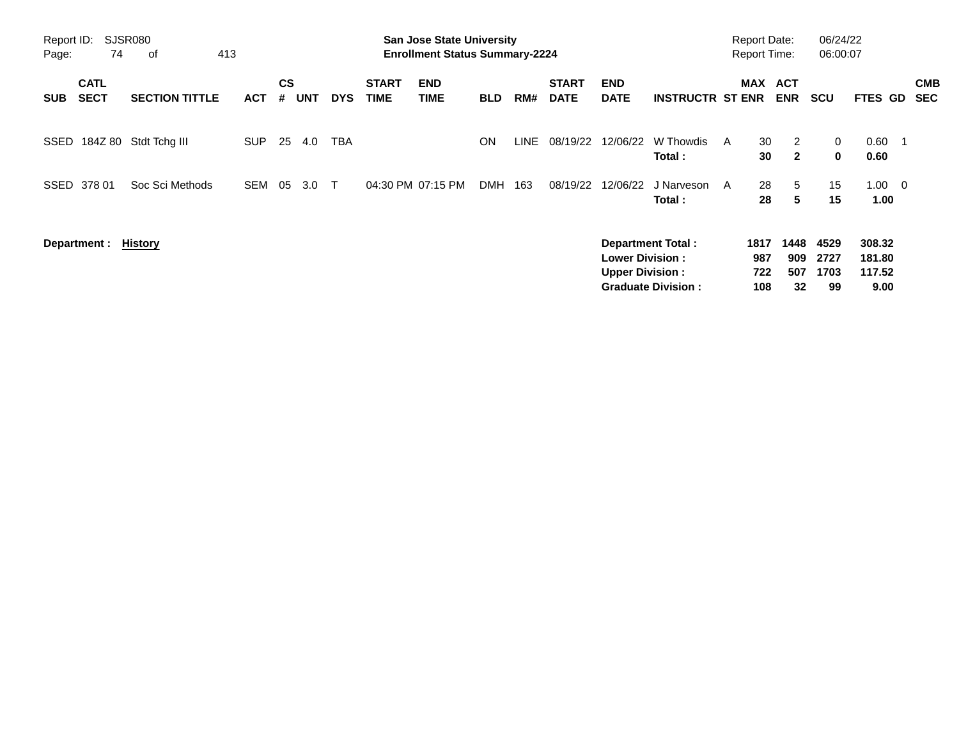| Report ID:<br>Page: | 74                         | <b>SJSR080</b><br>413<br>of |            |                |            |            |                             | <b>San Jose State University</b><br><b>Enrollment Status Summary-2224</b> |            |      |                             |                                                  |                                                       |   | <b>Report Date:</b><br><b>Report Time:</b> |                          | 06/24/22<br>06:00:07       |                                    |                          |
|---------------------|----------------------------|-----------------------------|------------|----------------|------------|------------|-----------------------------|---------------------------------------------------------------------------|------------|------|-----------------------------|--------------------------------------------------|-------------------------------------------------------|---|--------------------------------------------|--------------------------|----------------------------|------------------------------------|--------------------------|
| <b>SUB</b>          | <b>CATL</b><br><b>SECT</b> | <b>SECTION TITTLE</b>       | <b>ACT</b> | <b>CS</b><br># | <b>UNT</b> | <b>DYS</b> | <b>START</b><br><b>TIME</b> | <b>END</b><br><b>TIME</b>                                                 | <b>BLD</b> | RM#  | <b>START</b><br><b>DATE</b> | <b>END</b><br><b>DATE</b>                        | <b>INSTRUCTR ST ENR</b>                               |   | MAX                                        | <b>ACT</b><br><b>ENR</b> | <b>SCU</b>                 | FTES GD                            | <b>CMB</b><br><b>SEC</b> |
| SSED                | 184Z 80                    | Stdt Tchg III               | <b>SUP</b> | 25             | 4.0        | TBA        |                             |                                                                           | <b>ON</b>  | LINE | 08/19/22                    | 12/06/22                                         | W Thowdis<br>Total:                                   | A | 30<br>30                                   | 2<br>$\mathbf{2}$        | 0<br>0                     | 0.60<br>0.60                       |                          |
| SSED                | 378 01                     | Soc Sci Methods             | <b>SEM</b> | 05             | 3.0        | $\top$     |                             | 04:30 PM 07:15 PM                                                         | <b>DMH</b> | 163  | 08/19/22                    | 12/06/22                                         | J Narveson<br>Total:                                  | A | 28<br>28                                   | 5<br>5                   | 15<br>15                   | $1.00 \t 0$<br>1.00                |                          |
|                     | Department :               | History                     |            |                |            |            |                             |                                                                           |            |      |                             | <b>Lower Division:</b><br><b>Upper Division:</b> | <b>Department Total:</b><br><b>Graduate Division:</b> |   | 1817<br>987<br>722<br>108                  | 1448<br>909<br>507<br>32 | 4529<br>2727<br>1703<br>99 | 308.32<br>181.80<br>117.52<br>9.00 |                          |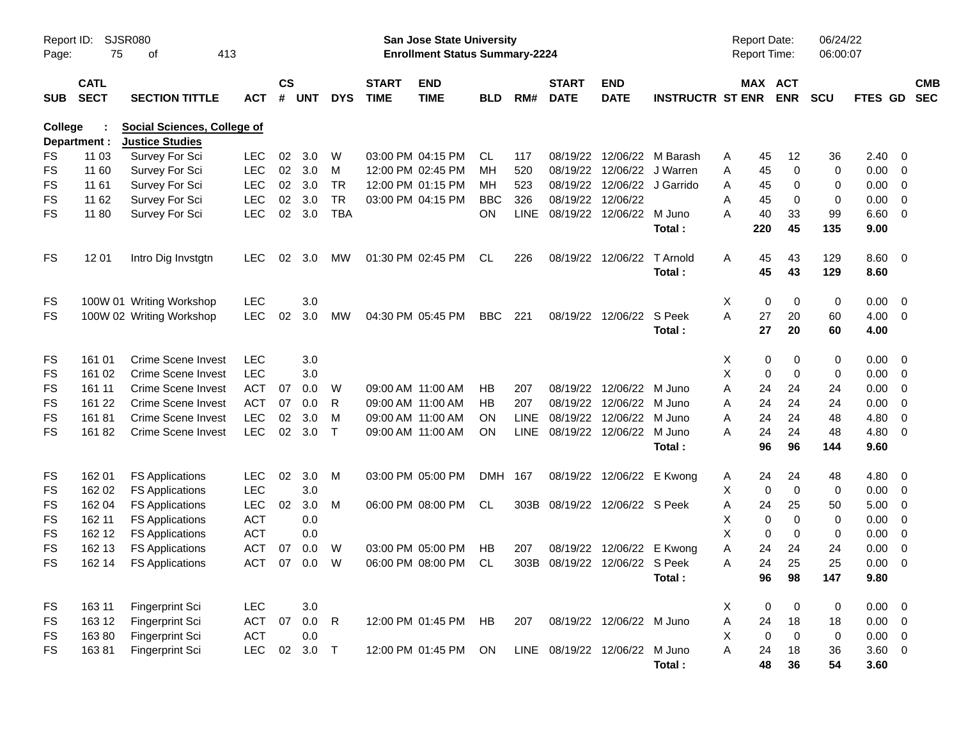| Page:      | <b>SJSR080</b><br>Report ID:<br>75<br>413<br>οf<br><b>CATL</b> |                                                              |            |                    |            |              |                             | San Jose State University<br><b>Enrollment Status Summary-2224</b> |            |             |                             |                               |                         |   | <b>Report Date:</b><br>Report Time: |                | 06/24/22<br>06:00:07 |                |                          |                          |
|------------|----------------------------------------------------------------|--------------------------------------------------------------|------------|--------------------|------------|--------------|-----------------------------|--------------------------------------------------------------------|------------|-------------|-----------------------------|-------------------------------|-------------------------|---|-------------------------------------|----------------|----------------------|----------------|--------------------------|--------------------------|
| <b>SUB</b> | <b>SECT</b>                                                    | <b>SECTION TITTLE</b>                                        | <b>ACT</b> | $\mathsf{cs}$<br># | <b>UNT</b> | <b>DYS</b>   | <b>START</b><br><b>TIME</b> | <b>END</b><br><b>TIME</b>                                          | <b>BLD</b> | RM#         | <b>START</b><br><b>DATE</b> | <b>END</b><br><b>DATE</b>     | <b>INSTRUCTR ST ENR</b> |   | MAX ACT                             | <b>ENR</b>     | SCU                  | <b>FTES GD</b> |                          | <b>CMB</b><br><b>SEC</b> |
| College    | Department :                                                   | <b>Social Sciences, College of</b><br><b>Justice Studies</b> |            |                    |            |              |                             |                                                                    |            |             |                             |                               |                         |   |                                     |                |                      |                |                          |                          |
| FS         | 11 03                                                          | Survey For Sci                                               | <b>LEC</b> | 02                 | 3.0        | W            |                             | 03:00 PM 04:15 PM                                                  | CL         | 117         | 08/19/22                    | 12/06/22                      | M Barash                | A | 45                                  | 12             | 36                   | 2.40           | - 0                      |                          |
| <b>FS</b>  | 11 60                                                          | Survey For Sci                                               | <b>LEC</b> | 02                 | 3.0        | м            |                             | 12:00 PM 02:45 PM                                                  | MН         | 520         | 08/19/22                    | 12/06/22                      | J Warren                | Α | 45                                  | $\mathbf 0$    | 0                    | 0.00           | $\overline{0}$           |                          |
| <b>FS</b>  | 11 61                                                          | Survey For Sci                                               | <b>LEC</b> | 02                 | 3.0        | <b>TR</b>    |                             | 12:00 PM 01:15 PM                                                  | MН         | 523         | 08/19/22                    |                               | 12/06/22 J Garrido      | A | 45                                  | 0              | 0                    | 0.00           | $\overline{0}$           |                          |
| <b>FS</b>  | 11 62                                                          | Survey For Sci                                               | <b>LEC</b> | 02                 | 3.0        | <b>TR</b>    |                             | 03:00 PM 04:15 PM                                                  | <b>BBC</b> | 326         | 08/19/22                    | 12/06/22                      |                         | A | 45                                  | 0              | 0                    | 0.00           | $\overline{0}$           |                          |
| <b>FS</b>  | 11 80                                                          | Survey For Sci                                               | <b>LEC</b> | 02                 | 3.0        | <b>TBA</b>   |                             |                                                                    | <b>ON</b>  | <b>LINE</b> |                             | 08/19/22 12/06/22 M Juno      |                         | А | 40                                  | 33             | 99                   | 6.60           | 0                        |                          |
|            |                                                                |                                                              |            |                    |            |              |                             |                                                                    |            |             |                             |                               | Total :                 |   | 220                                 | 45             | 135                  | 9.00           |                          |                          |
| <b>FS</b>  | 12 01                                                          | Intro Dig Invstgtn                                           | <b>LEC</b> | 02                 | 3.0        | MW           |                             | 01:30 PM 02:45 PM                                                  | CL         | 226         | 08/19/22                    | 12/06/22                      | T Arnold                | A | 45                                  | 43             | 129                  | 8.60           | $\overline{\mathbf{0}}$  |                          |
|            |                                                                |                                                              |            |                    |            |              |                             |                                                                    |            |             |                             |                               | Total :                 |   | 45                                  | 43             | 129                  | 8.60           |                          |                          |
| FS         |                                                                | 100W 01 Writing Workshop                                     | <b>LEC</b> |                    | 3.0        |              |                             |                                                                    |            |             |                             |                               |                         | Χ | 0                                   | 0              | 0                    | 0.00           | 0                        |                          |
| <b>FS</b>  |                                                                | 100W 02 Writing Workshop                                     | <b>LEC</b> | 02                 | 3.0        | MW           |                             | 04:30 PM 05:45 PM                                                  | <b>BBC</b> | 221         |                             | 08/19/22 12/06/22             | S Peek                  | A | 27                                  | 20             | 60                   | 4.00           | $\overline{0}$           |                          |
|            |                                                                |                                                              |            |                    |            |              |                             |                                                                    |            |             |                             |                               | Total:                  |   | 27                                  | 20             | 60                   | 4.00           |                          |                          |
| FS         | 161 01                                                         | Crime Scene Invest                                           | <b>LEC</b> |                    | 3.0        |              |                             |                                                                    |            |             |                             |                               |                         | X | 0                                   | 0              | 0                    | 0.00           | $\overline{\mathbf{0}}$  |                          |
| <b>FS</b>  | 161 02                                                         | <b>Crime Scene Invest</b>                                    | <b>LEC</b> |                    | 3.0        |              |                             |                                                                    |            |             |                             |                               |                         | X | 0                                   | $\mathbf 0$    | 0                    | 0.00           | $\overline{0}$           |                          |
| FS         | 161 11                                                         | <b>Crime Scene Invest</b>                                    | <b>ACT</b> | 07                 | 0.0        | W            |                             | 09:00 AM 11:00 AM                                                  | НB         | 207         |                             | 08/19/22 12/06/22 M Juno      |                         | Α | 24                                  | 24             | 24                   | 0.00           | $\overline{0}$           |                          |
| <b>FS</b>  | 161 22                                                         | Crime Scene Invest                                           | <b>ACT</b> | 07                 | 0.0        | R            |                             | 09:00 AM 11:00 AM                                                  | HВ         | 207         |                             | 08/19/22 12/06/22             | M Juno                  | Α | 24                                  | 24             | 24                   | 0.00           | $\overline{0}$           |                          |
| <b>FS</b>  | 16181                                                          | <b>Crime Scene Invest</b>                                    | <b>LEC</b> | 02                 | 3.0        | M            |                             | 09:00 AM 11:00 AM                                                  | ON.        | <b>LINE</b> | 08/19/22                    | 12/06/22                      | M Juno                  | Α | 24                                  | 24             | 48                   | 4.80           | $\overline{0}$           |                          |
| <b>FS</b>  | 16182                                                          | Crime Scene Invest                                           | <b>LEC</b> | 02                 | 3.0        | $\top$       |                             | 09:00 AM 11:00 AM                                                  | <b>ON</b>  |             |                             | LINE 08/19/22 12/06/22 M Juno |                         | А | 24                                  | 24             | 48                   | 4.80           | $\overline{0}$           |                          |
|            |                                                                |                                                              |            |                    |            |              |                             |                                                                    |            |             |                             |                               | Total :                 |   | 96                                  | 96             | 144                  | 9.60           |                          |                          |
| FS         | 162 01                                                         | <b>FS Applications</b>                                       | <b>LEC</b> | 02                 | 3.0        | M            |                             | 03:00 PM 05:00 PM                                                  | DMH 167    |             |                             | 08/19/22 12/06/22             | E Kwong                 | A | 24                                  | 24             | 48                   | 4.80           | $\overline{\phantom{0}}$ |                          |
| FS         | 162 02                                                         | <b>FS Applications</b>                                       | <b>LEC</b> |                    | 3.0        |              |                             |                                                                    |            |             |                             |                               |                         | X | $\mathbf 0$                         | $\mathbf 0$    | 0                    | 0.00           | $\overline{\mathbf{0}}$  |                          |
| FS         | 162 04                                                         | <b>FS Applications</b>                                       | <b>LEC</b> | 02                 | 3.0        | м            |                             | 06:00 PM 08:00 PM                                                  | CL         |             |                             | 303B 08/19/22 12/06/22 S Peek |                         | Α | 24                                  | 25             | 50                   | 5.00           | $\overline{0}$           |                          |
| FS         | 162 11                                                         | <b>FS Applications</b>                                       | <b>ACT</b> |                    | 0.0        |              |                             |                                                                    |            |             |                             |                               |                         | Χ | $\mathbf 0$                         | $\mathbf 0$    | 0                    | 0.00           | $\overline{0}$           |                          |
| FS         | 162 12                                                         | <b>FS Applications</b>                                       | <b>ACT</b> |                    | 0.0        |              |                             |                                                                    |            |             |                             |                               |                         | X | $\mathbf 0$                         | 0              | 0                    | 0.00           | $\overline{0}$           |                          |
| FS         | 162 13                                                         | <b>FS Applications</b>                                       | ACT        | 07                 | 0.0        | W            |                             | 03:00 PM 05:00 PM                                                  | НB         | 207         | 08/19/22                    | 12/06/22                      | E Kwong                 | Α | 24                                  | 24             | 24                   | 0.00           | $\overline{\mathbf{0}}$  |                          |
| <b>FS</b>  | 162 14                                                         | <b>FS Applications</b>                                       | <b>ACT</b> | 07                 | 0.0        | W            |                             | 06:00 PM 08:00 PM                                                  | CL         | 303B        | 08/19/22                    | 12/06/22 S Peek               |                         | Α | 24                                  | 25             | 25                   | 0.00           | $\overline{0}$           |                          |
|            |                                                                |                                                              |            |                    |            |              |                             |                                                                    |            |             |                             |                               | Total:                  |   | 96                                  | 98             | 147                  | 9.80           |                          |                          |
| <b>FS</b>  | 163 11                                                         | Fingerprint Sci                                              | <b>LEC</b> |                    | 3.0        |              |                             |                                                                    |            |             |                             |                               |                         | X | $\pmb{0}$                           | $\overline{0}$ | 0                    | $0.00 \t 0$    |                          |                          |
| <b>FS</b>  | 163 12                                                         | Fingerprint Sci                                              | <b>ACT</b> | 07                 | 0.0        | $\mathsf{R}$ |                             | 12:00 PM 01:45 PM HB                                               |            | 207         |                             | 08/19/22 12/06/22 M Juno      |                         | A | 24                                  | 18             | 18                   | $0.00 \t 0$    |                          |                          |
| <b>FS</b>  | 16380                                                          | Fingerprint Sci                                              | ACT        |                    | 0.0        |              |                             |                                                                    |            |             |                             |                               |                         | X | $\mathbf 0$                         | $\pmb{0}$      | $\pmb{0}$            | $0.00 \t 0$    |                          |                          |
| <b>FS</b>  | 16381                                                          | Fingerprint Sci                                              | <b>LEC</b> | 02                 | $3.0\,$    | $\top$       |                             | 12:00 PM 01:45 PM                                                  | ON         |             |                             | LINE 08/19/22 12/06/22 M Juno |                         | A | 24                                  | 18             | 36                   | $3.60 \t 0$    |                          |                          |
|            |                                                                |                                                              |            |                    |            |              |                             |                                                                    |            |             |                             |                               | Total:                  |   | 48                                  | 36             | 54                   | 3.60           |                          |                          |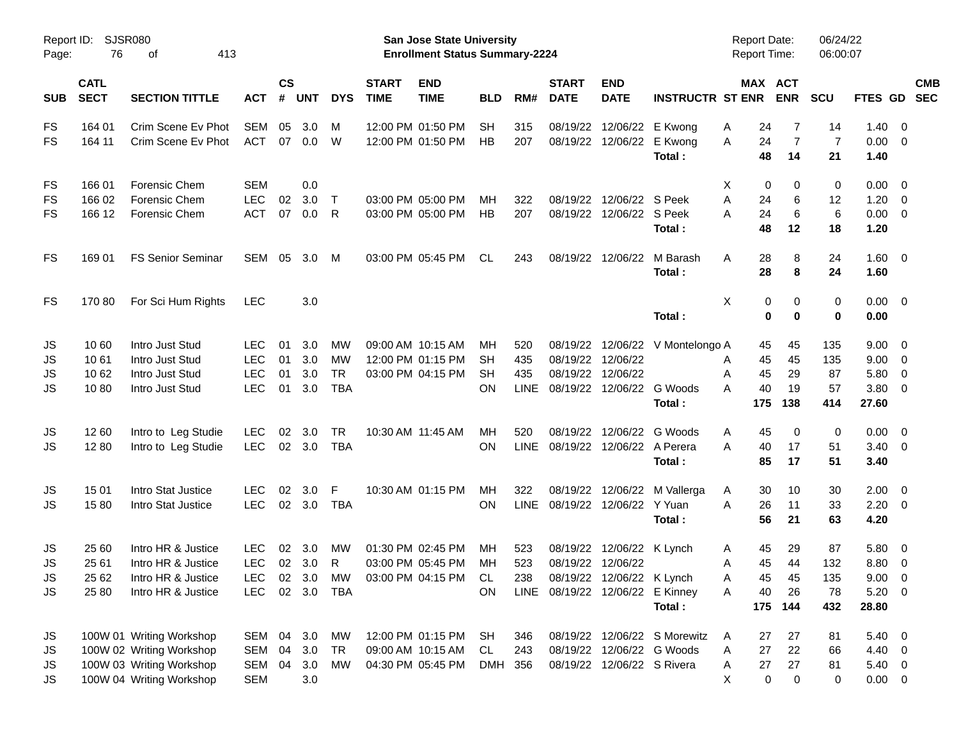| Report ID:<br>Page: | SJSR080<br>76              |                          |            |                    |            |            | San Jose State University<br><b>Enrollment Status Summary-2224</b> |                                 |            |             |                             |                                 | <b>Report Date:</b><br>Report Time: |         | 06/24/22<br>06:00:07 |                |                |                         |                          |
|---------------------|----------------------------|--------------------------|------------|--------------------|------------|------------|--------------------------------------------------------------------|---------------------------------|------------|-------------|-----------------------------|---------------------------------|-------------------------------------|---------|----------------------|----------------|----------------|-------------------------|--------------------------|
| <b>SUB</b>          | <b>CATL</b><br><b>SECT</b> | <b>SECTION TITTLE</b>    | <b>ACT</b> | $\mathsf{cs}$<br># | <b>UNT</b> | <b>DYS</b> | <b>START</b><br><b>TIME</b>                                        | <b>END</b><br><b>TIME</b>       | <b>BLD</b> | RM#         | <b>START</b><br><b>DATE</b> | <b>END</b><br><b>DATE</b>       | <b>INSTRUCTR ST ENR</b>             | MAX ACT | <b>ENR</b>           | <b>SCU</b>     | <b>FTES GD</b> |                         | <b>CMB</b><br><b>SEC</b> |
| <b>FS</b>           | 164 01                     | Crim Scene Ev Phot       | SEM        | 05                 | 3.0        | M          |                                                                    | 12:00 PM 01:50 PM               | <b>SH</b>  | 315         | 08/19/22                    |                                 | 12/06/22 E Kwong                    | Α<br>24 | 7                    | 14             | 1.40           | - 0                     |                          |
| <b>FS</b>           | 164 11                     | Crim Scene Ev Phot       | ACT        |                    | 07 0.0     | W          |                                                                    | 12:00 PM 01:50 PM               | HB         | 207         |                             | 08/19/22 12/06/22 E Kwong       |                                     | 24<br>Α | $\overline{7}$       | $\overline{7}$ | 0.00           | - 0                     |                          |
|                     |                            |                          |            |                    |            |            |                                                                    |                                 |            |             |                             |                                 | Total:                              | 48      | 14                   | 21             | 1.40           |                         |                          |
| <b>FS</b>           | 166 01                     | Forensic Chem            | <b>SEM</b> |                    | 0.0        |            |                                                                    |                                 |            |             |                             |                                 |                                     | X<br>0  | 0                    | 0              | 0.00           | $\overline{\mathbf{0}}$ |                          |
| FS                  | 166 02                     | Forensic Chem            | <b>LEC</b> | 02                 | 3.0        | $\top$     |                                                                    | 03:00 PM 05:00 PM               | MH         | 322         | 08/19/22                    | 12/06/22 S Peek                 |                                     | A<br>24 | 6                    | 12             | 1.20           | $\overline{0}$          |                          |
| FS                  | 166 12                     | Forensic Chem            | <b>ACT</b> | 07                 | 0.0        | R          |                                                                    | 03:00 PM 05:00 PM               | HB         | 207         | 08/19/22                    | 12/06/22 S Peek                 |                                     | 24<br>A | 6                    | 6              | 0.00           | $\overline{\mathbf{0}}$ |                          |
|                     |                            |                          |            |                    |            |            |                                                                    |                                 |            |             |                             |                                 | Total:                              | 48      | 12                   | 18             | 1.20           |                         |                          |
| <b>FS</b>           | 169 01                     | <b>FS Senior Seminar</b> | SEM        | 05                 | 3.0        | M          |                                                                    | 03:00 PM 05:45 PM               | CL         | 243         |                             | 08/19/22 12/06/22               | M Barash                            | 28<br>A | 8                    | 24             | $1.60 \t 0$    |                         |                          |
|                     |                            |                          |            |                    |            |            |                                                                    |                                 |            |             |                             |                                 | Total:                              | 28      | 8                    | 24             | 1.60           |                         |                          |
| <b>FS</b>           | 17080                      | For Sci Hum Rights       | <b>LEC</b> |                    | 3.0        |            |                                                                    |                                 |            |             |                             |                                 |                                     | X<br>0  | 0                    | 0              | 0.00           | $\overline{\mathbf{0}}$ |                          |
|                     |                            |                          |            |                    |            |            |                                                                    |                                 |            |             |                             |                                 | Total:                              | 0       | $\bf{0}$             | $\bf{0}$       | 0.00           |                         |                          |
| JS                  | 10 60                      | Intro Just Stud          | <b>LEC</b> | 01                 | 3.0        | <b>MW</b>  |                                                                    | 09:00 AM 10:15 AM               | MН         | 520         |                             |                                 | 08/19/22 12/06/22 V Montelongo A    | 45      | 45                   | 135            | 9.00           | - 0                     |                          |
| JS                  | 1061                       | Intro Just Stud          | <b>LEC</b> | 01                 | 3.0        | <b>MW</b>  |                                                                    | 12:00 PM 01:15 PM               | SН         | 435         | 08/19/22                    | 12/06/22                        |                                     | 45<br>Α | 45                   | 135            | 9.00           | - 0                     |                          |
| JS                  | 10 62                      | Intro Just Stud          | <b>LEC</b> | 01                 | 3.0        | <b>TR</b>  |                                                                    | 03:00 PM 04:15 PM               | SН         | 435         | 08/19/22                    | 12/06/22                        |                                     | 45<br>Α | 29                   | 87             | 5.80           | $\overline{\mathbf{0}}$ |                          |
| JS                  | 1080                       | Intro Just Stud          | <b>LEC</b> | 01                 | 3.0        | <b>TBA</b> |                                                                    |                                 | OΝ         | LINE        |                             | 08/19/22 12/06/22 G Woods       |                                     | 40<br>А | 19                   | 57             | 3.80           | $\overline{\mathbf{0}}$ |                          |
|                     |                            |                          |            |                    |            |            |                                                                    |                                 |            |             |                             |                                 | Total:                              | 175     | 138                  | 414            | 27.60          |                         |                          |
| JS                  | 1260                       | Intro to Leg Studie      | <b>LEC</b> | $02\,$             | 3.0        | <b>TR</b>  |                                                                    | 10:30 AM 11:45 AM               | MH         | 520         | 08/19/22                    | 12/06/22                        | G Woods                             | Α<br>45 | 0                    | 0              | 0.00           | $\overline{\mathbf{0}}$ |                          |
| JS                  | 12 80                      | Intro to Leg Studie      | <b>LEC</b> |                    | 02 3.0     | <b>TBA</b> |                                                                    |                                 | OΝ         | <b>LINE</b> |                             | 08/19/22 12/06/22 A Perera      |                                     | A<br>40 | 17                   | 51             | 3.40           | $\overline{\mathbf{0}}$ |                          |
|                     |                            |                          |            |                    |            |            |                                                                    |                                 |            |             |                             |                                 | Total:                              | 85      | 17                   | 51             | 3.40           |                         |                          |
| JS                  | 15 01                      | Intro Stat Justice       | <b>LEC</b> | 02                 | 3.0        | F          |                                                                    | 10:30 AM 01:15 PM               | MH         | 322         |                             | 08/19/22 12/06/22               | M Vallerga                          | Α<br>30 | 10                   | 30             | 2.00           | $\overline{\mathbf{0}}$ |                          |
| JS                  | 1580                       | Intro Stat Justice       | <b>LEC</b> |                    | 02 3.0     | <b>TBA</b> |                                                                    |                                 | OΝ         | <b>LINE</b> |                             | 08/19/22 12/06/22 Y Yuan        |                                     | A<br>26 | 11                   | 33             | 2.20           | $\overline{\mathbf{0}}$ |                          |
|                     |                            |                          |            |                    |            |            |                                                                    |                                 |            |             |                             |                                 | Total :                             | 56      | 21                   | 63             | 4.20           |                         |                          |
| JS                  | 25 60                      | Intro HR & Justice       | <b>LEC</b> | 02                 | 3.0        | МW         |                                                                    | 01:30 PM 02:45 PM               | MН         | 523         |                             | 08/19/22 12/06/22 K Lynch       |                                     | A<br>45 | 29                   | 87             | 5.80           | - 0                     |                          |
| JS                  | 25 61                      | Intro HR & Justice       | <b>LEC</b> |                    | 02 3.0     | R          |                                                                    | 03:00 PM 05:45 PM               | MH         | 523         |                             | 08/19/22 12/06/22               |                                     | 45<br>Α | 44                   | 132            | 8.80           | 0                       |                          |
| <b>JS</b>           | 25 62                      | Intro HR & Justice       |            |                    |            |            |                                                                    | LEC 02 3.0 MW 03:00 PM 04:15 PM | <b>CL</b>  |             |                             | 238 08/19/22 12/06/22 K Lynch   |                                     | 45<br>A | 45                   | 135            | $9.00 \t 0$    |                         |                          |
| JS                  | 25 80                      | Intro HR & Justice       | LEC.       |                    |            | 02 3.0 TBA |                                                                    |                                 | <b>ON</b>  |             |                             | LINE 08/19/22 12/06/22 E Kinney |                                     | 40<br>A | 26                   | 78             | 5.20 0         |                         |                          |
|                     |                            |                          |            |                    |            |            |                                                                    |                                 |            |             |                             |                                 | Total:                              |         | 175 144              | 432            | 28.80          |                         |                          |
| JS                  |                            | 100W 01 Writing Workshop | SEM 04     |                    | 3.0        | МW         |                                                                    | 12:00 PM 01:15 PM               | SH         | 346         |                             |                                 | 08/19/22 12/06/22 S Morewitz        | A<br>27 | 27                   | 81             | $5.40 \quad 0$ |                         |                          |
| JS                  |                            | 100W 02 Writing Workshop | SEM        | 04                 | 3.0        | TR         |                                                                    | 09:00 AM 10:15 AM               | CL         | 243         |                             | 08/19/22 12/06/22 G Woods       |                                     | 27<br>A | 22                   | 66             | 4.40           | $\overline{\mathbf{0}}$ |                          |
| JS                  |                            | 100W 03 Writing Workshop | SEM 04     |                    | 3.0        | МW         |                                                                    | 04:30 PM 05:45 PM               | DMH 356    |             |                             | 08/19/22 12/06/22 S Rivera      |                                     | 27<br>A | 27                   | 81             | 5.40 0         |                         |                          |
| JS                  |                            | 100W 04 Writing Workshop | <b>SEM</b> |                    | 3.0        |            |                                                                    |                                 |            |             |                             |                                 |                                     | 0<br>Χ  | $\mathbf 0$          | 0              | $0.00 \t 0$    |                         |                          |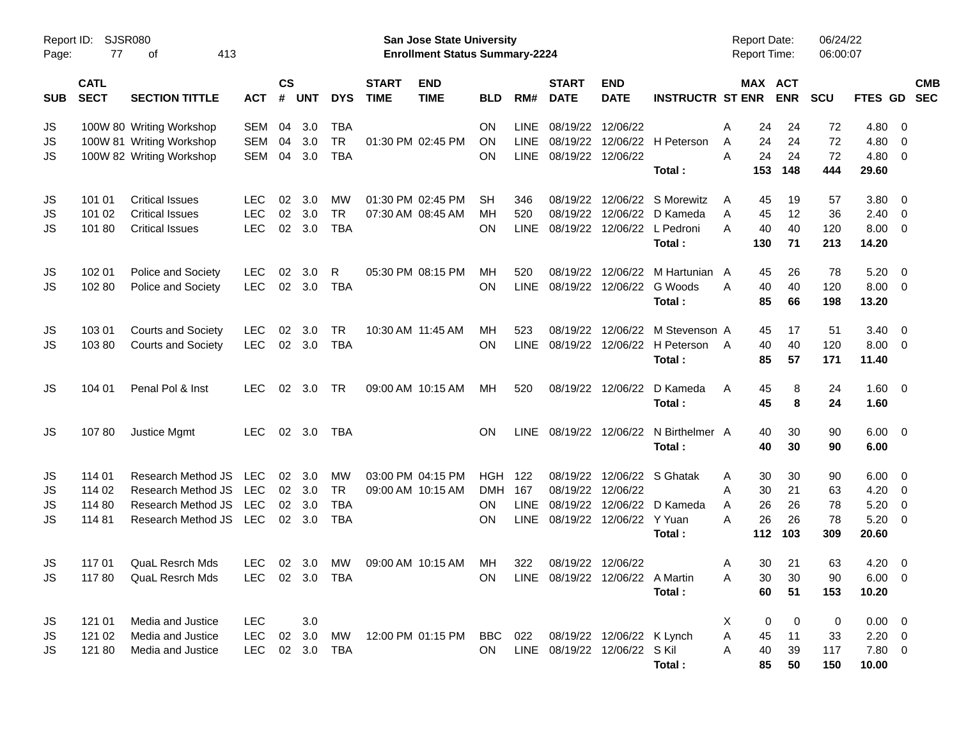| Page:      | <b>SJSR080</b><br>Report ID:<br>77<br>413<br>οf |                                          |                   |                    |                       |                          |                             | <b>San Jose State University</b><br><b>Enrollment Status Summary-2224</b> |            |                            |                                    |                           |                                  |        |           | <b>Report Date:</b><br>Report Time: | 06/24/22<br>06:00:07 |                |                              |                          |
|------------|-------------------------------------------------|------------------------------------------|-------------------|--------------------|-----------------------|--------------------------|-----------------------------|---------------------------------------------------------------------------|------------|----------------------------|------------------------------------|---------------------------|----------------------------------|--------|-----------|-------------------------------------|----------------------|----------------|------------------------------|--------------------------|
| <b>SUB</b> | <b>CATL</b><br><b>SECT</b>                      | <b>SECTION TITTLE</b>                    | <b>ACT</b>        | $\mathsf{cs}$<br># | <b>UNT</b>            | <b>DYS</b>               | <b>START</b><br><b>TIME</b> | <b>END</b><br><b>TIME</b>                                                 | <b>BLD</b> | RM#                        | <b>START</b><br><b>DATE</b>        | <b>END</b><br><b>DATE</b> | <b>INSTRUCTR ST ENR</b>          |        |           | MAX ACT<br><b>ENR</b>               | <b>SCU</b>           | FTES GD        |                              | <b>CMB</b><br><b>SEC</b> |
| JS         |                                                 | 100W 80 Writing Workshop                 | SEM               | 04                 | 3.0                   | TBA                      |                             |                                                                           | ON         | <b>LINE</b>                | 08/19/22                           | 12/06/22                  |                                  | Α      | 24        | 24                                  | 72                   | 4.80           | - 0                          |                          |
| JS         |                                                 | 100W 81 Writing Workshop                 | SEM               | 04                 | 3.0                   | <b>TR</b>                |                             | 01:30 PM 02:45 PM                                                         | ON         | <b>LINE</b>                | 08/19/22                           |                           | 12/06/22 H Peterson              | A      | 24        | 24                                  | 72                   | 4.80           | $\mathbf 0$                  |                          |
| JS         |                                                 | 100W 82 Writing Workshop                 | SEM               | 04                 | 3.0                   | <b>TBA</b>               |                             |                                                                           | ΟN         | <b>LINE</b>                | 08/19/22                           | 12/06/22                  | Total:                           | A      | 24<br>153 | 24<br>148                           | 72<br>444            | 4.80<br>29.60  | $\mathbf{0}$                 |                          |
| JS         | 101 01                                          | <b>Critical Issues</b>                   | <b>LEC</b>        | 02                 | 3.0                   | <b>MW</b>                |                             | 01:30 PM 02:45 PM                                                         | SН         | 346                        | 08/19/22                           |                           | 12/06/22 S Morewitz              | A      | 45        | 19                                  | 57                   | 3.80           | $\overline{\mathbf{0}}$      |                          |
| JS         | 101 02                                          | <b>Critical Issues</b>                   | <b>LEC</b>        | 02                 | 3.0                   | <b>TR</b>                |                             | 07:30 AM 08:45 AM                                                         | MH         | 520                        | 08/19/22                           | 12/06/22                  | D Kameda                         | A      | 45        | 12                                  | 36                   | 2.40           | $\overline{0}$               |                          |
| JS         | 101 80                                          | <b>Critical Issues</b>                   | <b>LEC</b>        |                    | 02 3.0                | <b>TBA</b>               |                             |                                                                           | ΟN         | <b>LINE</b>                | 08/19/22                           |                           | 12/06/22 L Pedroni<br>Total:     | Α      | 40<br>130 | 40<br>71                            | 120<br>213           | 8.00<br>14.20  | $\overline{0}$               |                          |
| JS         | 102 01                                          | Police and Society                       | <b>LEC</b>        | 02                 | 3.0                   | R                        |                             | 05:30 PM 08:15 PM                                                         | МH         | 520                        | 08/19/22                           | 12/06/22                  | M Hartunian A                    |        | 45        | 26                                  | 78                   | 5.20           | $\overline{\mathbf{0}}$      |                          |
| JS         | 102 80                                          | Police and Society                       | LEC               |                    | 02 3.0                | <b>TBA</b>               |                             |                                                                           | OΝ         | <b>LINE</b>                |                                    | 08/19/22 12/06/22 G Woods |                                  | Α      | 40        | 40                                  | 120                  | 8.00           | $\overline{\mathbf{0}}$      |                          |
|            |                                                 |                                          |                   |                    |                       |                          |                             |                                                                           |            |                            |                                    |                           | Total:                           |        | 85        | 66                                  | 198                  | 13.20          |                              |                          |
| JS         | 103 01                                          | <b>Courts and Society</b>                | <b>LEC</b>        | 02                 | 3.0                   | TR                       |                             | 10:30 AM 11:45 AM                                                         | MН         | 523                        | 08/19/22                           |                           | 12/06/22 M Stevenson A           |        | 45        | 17                                  | 51                   | 3.40           | $\overline{\mathbf{0}}$      |                          |
| JS         | 10380                                           | <b>Courts and Society</b>                | <b>LEC</b>        |                    | 02 3.0                | <b>TBA</b>               |                             |                                                                           | ON         | <b>LINE</b>                |                                    |                           | 08/19/22 12/06/22 H Peterson     | A      | 40        | 40                                  | 120                  | 8.00           | $\overline{0}$               |                          |
|            |                                                 |                                          |                   |                    |                       |                          |                             |                                                                           |            |                            |                                    |                           | Total:                           |        | 85        | 57                                  | 171                  | 11.40          |                              |                          |
| JS         | 104 01                                          | Penal Pol & Inst                         | <b>LEC</b>        |                    | $02 \quad 3.0$        | TR                       |                             | 09:00 AM 10:15 AM                                                         | MН         | 520                        |                                    | 08/19/22 12/06/22         | D Kameda                         | A      | 45        | 8                                   | 24                   | $1.60 \t 0$    |                              |                          |
|            |                                                 |                                          |                   |                    |                       |                          |                             |                                                                           |            |                            |                                    |                           | Total:                           |        | 45        | 8                                   | 24                   | 1.60           |                              |                          |
| JS         | 10780                                           | Justice Mgmt                             | <b>LEC</b>        |                    | 02 3.0                | TBA                      |                             |                                                                           | OΝ         | LINE                       |                                    |                           | 08/19/22 12/06/22 N Birthelmer A |        | 40        | 30                                  | 90                   | $6.00 \quad 0$ |                              |                          |
|            |                                                 |                                          |                   |                    |                       |                          |                             |                                                                           |            |                            |                                    |                           | Total:                           |        | 40        | 30                                  | 90                   | 6.00           |                              |                          |
| JS         | 114 01                                          | Research Method JS                       | LEC.              | 02                 | 3.0                   | MW                       |                             | 03:00 PM 04:15 PM                                                         | <b>HGH</b> | 122                        | 08/19/22                           |                           | 12/06/22 S Ghatak                | A      | 30        | 30                                  | 90                   | 6.00           | $\overline{\mathbf{0}}$      |                          |
| JS         | 114 02                                          | Research Method JS                       | <b>LEC</b>        | 02                 | 3.0                   | <b>TR</b>                |                             | 09:00 AM 10:15 AM                                                         | <b>DMH</b> | 167                        | 08/19/22                           | 12/06/22                  |                                  | A      | 30        | 21                                  | 63                   | 4.20           | $\overline{0}$               |                          |
| JS<br>JS   | 114 80<br>11481                                 | Research Method JS<br>Research Method JS | <b>LEC</b><br>LEC | 02                 | 3.0<br>$02 \quad 3.0$ | <b>TBA</b><br><b>TBA</b> |                             |                                                                           | OΝ<br>OΝ   | <b>LINE</b><br><b>LINE</b> | 08/19/22<br>08/19/22               | 12/06/22 Y Yuan           | 12/06/22 D Kameda                | A<br>A | 26<br>26  | 26<br>26                            | 78<br>78             | 5.20<br>5.20   | $\mathbf{0}$<br>$\mathbf{0}$ |                          |
|            |                                                 |                                          |                   |                    |                       |                          |                             |                                                                           |            |                            |                                    |                           | Total:                           |        | 112       | 103                                 | 309                  | 20.60          |                              |                          |
| JS         | 117 01                                          | <b>QuaL Resrch Mds</b>                   | LEC.              |                    | $02 \quad 3.0$        | <b>MW</b>                |                             | 09:00 AM 10:15 AM                                                         | MН         | 322                        |                                    | 08/19/22 12/06/22         |                                  | A      | 30        | 21                                  | 63                   | 4.20           | $\overline{\mathbf{0}}$      |                          |
| <b>JS</b>  | 11780                                           | QuaL Resrch Mds                          | LEC 02 3.0 TBA    |                    |                       |                          |                             |                                                                           |            |                            | ON LINE 08/19/22 12/06/22 A Martin |                           |                                  | Α      |           | 30 30                               | 90                   | $6.00 \t 0$    |                              |                          |
|            |                                                 |                                          |                   |                    |                       |                          |                             |                                                                           |            |                            |                                    |                           | Total:                           |        | 60        | 51                                  | 153                  | 10.20          |                              |                          |
| JS         | 121 01                                          | Media and Justice                        | LEC               |                    | 3.0                   |                          |                             |                                                                           |            |                            |                                    |                           |                                  | X      | 0         | 0                                   | 0                    | $0.00 \t 0$    |                              |                          |
| JS         | 121 02                                          | Media and Justice                        | LEC               |                    | 02 3.0                | MW                       |                             | 12:00 PM 01:15 PM                                                         | BBC 022    |                            |                                    | 08/19/22 12/06/22 K Lynch |                                  | Α      | 45        | 11                                  | 33                   | $2.20 \t 0$    |                              |                          |
| JS         | 121 80                                          | Media and Justice                        | <b>LEC</b>        |                    | 02 3.0                | TBA                      |                             |                                                                           | <b>ON</b>  |                            | LINE 08/19/22 12/06/22 S Kil       |                           |                                  | A      | 40        | 39                                  | 117                  | $7.80\ 0$      |                              |                          |
|            |                                                 |                                          |                   |                    |                       |                          |                             |                                                                           |            |                            |                                    |                           | Total:                           |        | 85        | 50                                  | 150                  | 10.00          |                              |                          |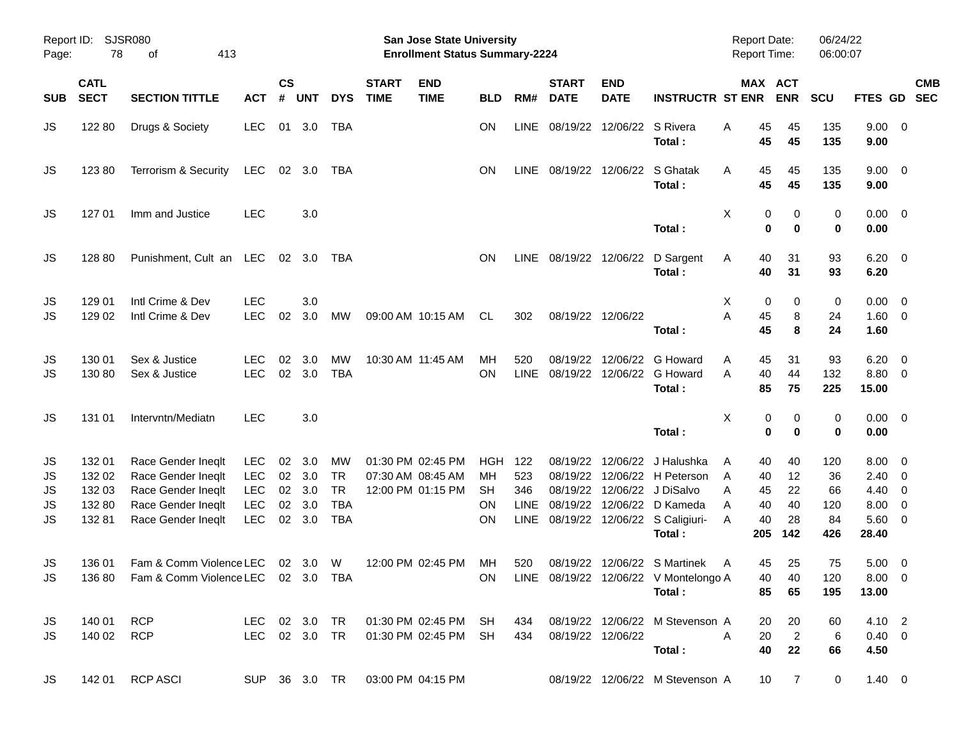| Report ID:<br>Page:        | 78                                            | SJSR080<br>413<br>οf                                                                                       |                                                                    |                |                                       |                                                          |                             | San Jose State University<br><b>Enrollment Status Summary-2224</b> |                                                  |                                          |                                              |                           |                                                                                                                                   | <b>Report Date:</b><br><b>Report Time:</b>                 |                                   | 06/24/22<br>06:00:07                |                                                                       |            |  |
|----------------------------|-----------------------------------------------|------------------------------------------------------------------------------------------------------------|--------------------------------------------------------------------|----------------|---------------------------------------|----------------------------------------------------------|-----------------------------|--------------------------------------------------------------------|--------------------------------------------------|------------------------------------------|----------------------------------------------|---------------------------|-----------------------------------------------------------------------------------------------------------------------------------|------------------------------------------------------------|-----------------------------------|-------------------------------------|-----------------------------------------------------------------------|------------|--|
| <b>SUB</b>                 | <b>CATL</b><br><b>SECT</b>                    | <b>SECTION TITTLE</b>                                                                                      | <b>ACT</b>                                                         | <b>CS</b><br># | <b>UNT</b>                            | <b>DYS</b>                                               | <b>START</b><br><b>TIME</b> | <b>END</b><br><b>TIME</b>                                          | <b>BLD</b>                                       | RM#                                      | <b>START</b><br><b>DATE</b>                  | <b>END</b><br><b>DATE</b> | <b>INSTRUCTR ST ENR</b>                                                                                                           | MAX ACT                                                    | <b>ENR</b>                        | <b>SCU</b>                          | FTES GD SEC                                                           | <b>CMB</b> |  |
| JS                         | 122 80                                        | Drugs & Society                                                                                            | <b>LEC</b>                                                         | 01             | 3.0                                   | TBA                                                      |                             |                                                                    | <b>ON</b>                                        | <b>LINE</b>                              | 08/19/22 12/06/22 S Rivera                   |                           | Total:                                                                                                                            | 45<br>A<br>45                                              | 45<br>45                          | 135<br>135                          | $9.00 \t 0$<br>9.00                                                   |            |  |
| JS                         | 12380                                         | Terrorism & Security                                                                                       | LEC                                                                |                | 02 3.0                                | TBA                                                      |                             |                                                                    | ON                                               |                                          | LINE 08/19/22 12/06/22 S Ghatak              |                           | Total:                                                                                                                            | 45<br>A<br>45                                              | 45<br>45                          | 135<br>135                          | $9.00 \t 0$<br>9.00                                                   |            |  |
| JS                         | 127 01                                        | Imm and Justice                                                                                            | <b>LEC</b>                                                         |                | 3.0                                   |                                                          |                             |                                                                    |                                                  |                                          |                                              |                           | Total:                                                                                                                            | X<br>0<br>$\mathbf 0$                                      | 0<br>$\bf{0}$                     | 0<br>0                              | $0.00 \t 0$<br>0.00                                                   |            |  |
| JS                         | 128 80                                        | Punishment, Cult an LEC 02 3.0                                                                             |                                                                    |                |                                       | TBA                                                      |                             |                                                                    | <b>ON</b>                                        |                                          |                                              |                           | LINE 08/19/22 12/06/22 D Sargent<br>Total:                                                                                        | 40<br>A<br>40                                              | 31<br>31                          | 93<br>93                            | $6.20 \quad 0$<br>6.20                                                |            |  |
| JS<br>JS                   | 129 01<br>129 02                              | Intl Crime & Dev<br>Intl Crime & Dev                                                                       | <b>LEC</b><br><b>LEC</b>                                           | 02             | 3.0<br>3.0                            | MW                                                       |                             | 09:00 AM 10:15 AM                                                  | CL.                                              | 302                                      |                                              | 08/19/22 12/06/22         | Total:                                                                                                                            | Х<br>0<br>Α<br>45<br>45                                    | 0<br>8<br>8                       | 0<br>24<br>24                       | $0.00 \t 0$<br>$1.60 \t 0$<br>1.60                                    |            |  |
| JS<br>JS                   | 130 01<br>130 80                              | Sex & Justice<br>Sex & Justice                                                                             | <b>LEC</b><br><b>LEC</b>                                           | 02             | 3.0<br>02 3.0                         | <b>MW</b><br><b>TBA</b>                                  |                             | 10:30 AM 11:45 AM                                                  | MН<br>OΝ                                         | 520<br>LINE                              | 08/19/22                                     |                           | 12/06/22 G Howard<br>08/19/22 12/06/22 G Howard<br>Total:                                                                         | 45<br>A<br>40<br>A<br>85                                   | 31<br>44<br>75                    | 93<br>132<br>225                    | $6.20 \quad 0$<br>8.80 0<br>15.00                                     |            |  |
| JS                         | 131 01                                        | Intervntn/Mediatn                                                                                          | <b>LEC</b>                                                         |                | 3.0                                   |                                                          |                             |                                                                    |                                                  |                                          |                                              |                           | Total:                                                                                                                            | X<br>0<br>$\bf{0}$                                         | 0<br>$\bf{0}$                     | 0<br>0                              | $0.00 \t 0$<br>0.00                                                   |            |  |
| JS<br>JS<br>JS<br>JS<br>JS | 132 01<br>132 02<br>132 03<br>132 80<br>13281 | Race Gender Ineqlt<br>Race Gender Ineqlt<br>Race Gender Ineqlt<br>Race Gender Ineqlt<br>Race Gender Ineqlt | <b>LEC</b><br><b>LEC</b><br><b>LEC</b><br><b>LEC</b><br><b>LEC</b> | 02<br>02<br>02 | 3.0<br>3.0<br>02 3.0<br>3.0<br>02 3.0 | МW<br><b>TR</b><br><b>TR</b><br><b>TBA</b><br><b>TBA</b> |                             | 01:30 PM 02:45 PM<br>07:30 AM 08:45 AM<br>12:00 PM 01:15 PM        | HGH<br>MН<br><b>SH</b><br><b>ON</b><br><b>ON</b> | 122<br>523<br>346<br><b>LINE</b><br>LINE | 08/19/22<br>08/19/22<br>08/19/22<br>08/19/22 |                           | 12/06/22 J Halushka<br>12/06/22 H Peterson<br>12/06/22 J DiSalvo<br>12/06/22 D Kameda<br>08/19/22 12/06/22 S Caligiuri-<br>Total: | 40<br>A<br>40<br>A<br>Α<br>45<br>40<br>A<br>40<br>Α<br>205 | 40<br>12<br>22<br>40<br>28<br>142 | 120<br>36<br>66<br>120<br>84<br>426 | $8.00 \t 0$<br>$2.40 \ 0$<br>4.40 0<br>$8.00 \t 0$<br>5.60 0<br>28.40 |            |  |
| JS<br><b>JS</b>            | 136 01                                        | Fam & Comm Violence LEC<br>136 80 Fam & Comm Violence LEC 02 3.0 TBA                                       |                                                                    |                | 02 3.0                                | W                                                        |                             | 12:00 PM 02:45 PM                                                  | МH<br>ON                                         | 520                                      |                                              |                           | 08/19/22 12/06/22 S Martinek<br>LINE 08/19/22 12/06/22 V Montelongo A<br>Total:                                                   | 45<br>A<br>40<br>85                                        | 25<br>40<br>65                    | 75<br>120<br>195                    | $5.00 \quad 0$<br>$8.00 \t 0$<br>13.00                                |            |  |
| JS<br>JS                   | 140 01 RCP<br>140 02 RCP                      |                                                                                                            | LEC 02 3.0 TR                                                      |                |                                       |                                                          |                             | LEC 02 3.0 TR  01:30 PM 02:45 PM SH<br>01:30 PM 02:45 PM SH        |                                                  | 434<br>434                               |                                              | 08/19/22 12/06/22         | 08/19/22 12/06/22 M Stevenson A<br>Total:                                                                                         | 20<br>A<br>20<br>40                                        | 20<br>$\overline{2}$<br>22        | 60<br>6<br>66                       | 4.10 2<br>$0.40 \quad 0$<br>4.50                                      |            |  |
| JS                         | 142 01                                        | <b>RCP ASCI</b>                                                                                            |                                                                    |                |                                       | SUP 36 3.0 TR                                            | 03:00 PM 04:15 PM           |                                                                    |                                                  |                                          |                                              |                           | 08/19/22 12/06/22 M Stevenson A                                                                                                   | 10 <sup>°</sup>                                            | $\overline{7}$                    | $\mathbf{0}$                        | $1.40 \ 0$                                                            |            |  |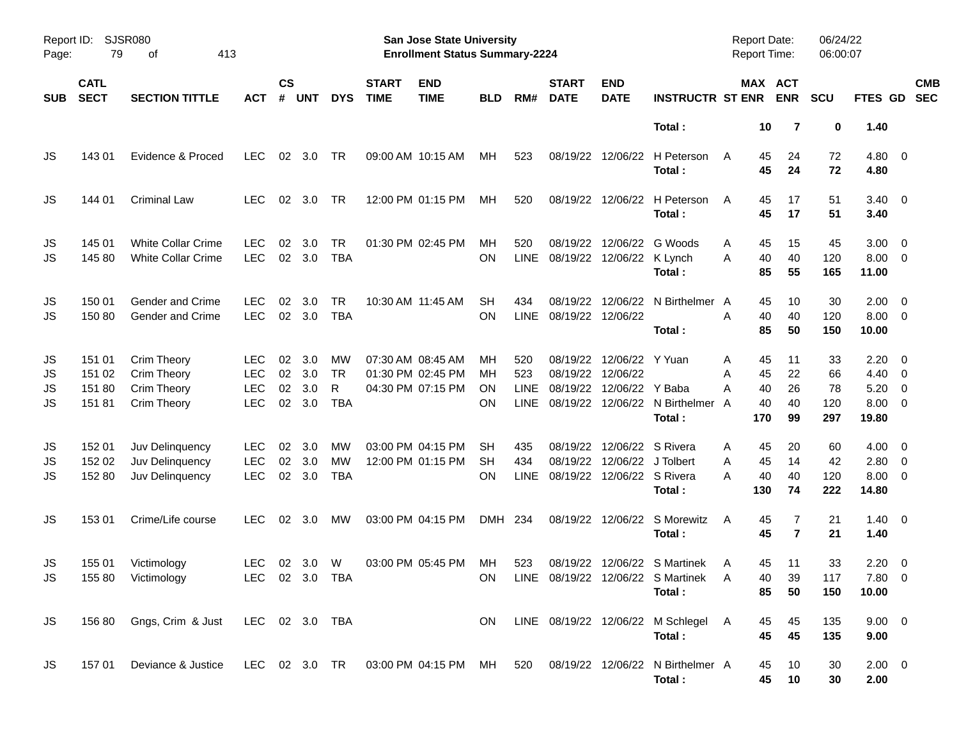| Page:                | Report ID: SJSR080<br>413<br>79<br>οf |                                                                                                   |                                                      |                      |                          |                                      |                             | <b>San Jose State University</b><br><b>Enrollment Status Summary-2224</b> |                       |                            |                                        |                                                  |                                                                                  | Report Date:<br><b>Report Time:</b>             |                            | 06/24/22<br>06:00:07         |                                                                     |                          |
|----------------------|---------------------------------------|---------------------------------------------------------------------------------------------------|------------------------------------------------------|----------------------|--------------------------|--------------------------------------|-----------------------------|---------------------------------------------------------------------------|-----------------------|----------------------------|----------------------------------------|--------------------------------------------------|----------------------------------------------------------------------------------|-------------------------------------------------|----------------------------|------------------------------|---------------------------------------------------------------------|--------------------------|
| <b>SUB</b>           | <b>CATL</b><br><b>SECT</b>            | <b>SECTION TITTLE</b>                                                                             | <b>ACT</b>                                           | <b>CS</b><br>#       | <b>UNT</b>               | <b>DYS</b>                           | <b>START</b><br><b>TIME</b> | <b>END</b><br><b>TIME</b>                                                 | <b>BLD</b>            | RM#                        | <b>START</b><br><b>DATE</b>            | <b>END</b><br><b>DATE</b>                        | <b>INSTRUCTR ST ENR</b>                                                          |                                                 | MAX ACT<br><b>ENR</b>      | <b>SCU</b>                   | <b>FTES GD</b>                                                      | <b>CMB</b><br><b>SEC</b> |
|                      |                                       |                                                                                                   |                                                      |                      |                          |                                      |                             |                                                                           |                       |                            |                                        |                                                  | Total:                                                                           | 10                                              | 7                          | 0                            | 1.40                                                                |                          |
| JS                   | 143 01                                | Evidence & Proced                                                                                 | <b>LEC</b>                                           | 02                   | 3.0                      | TR                                   |                             | 09:00 AM 10:15 AM                                                         | МH                    | 523                        |                                        | 08/19/22 12/06/22                                | H Peterson<br>Total:                                                             | 45<br>A<br>45                                   | 24<br>24                   | 72<br>72                     | $4.80\ 0$<br>4.80                                                   |                          |
| JS                   | 144 01                                | <b>Criminal Law</b>                                                                               | <b>LEC</b>                                           | 02                   | 3.0                      | TR                                   |                             | 12:00 PM 01:15 PM                                                         | МH                    | 520                        |                                        | 08/19/22 12/06/22                                | H Peterson<br>Total:                                                             | 45<br>A<br>45                                   | 17<br>17                   | 51<br>51                     | $3.40 \ 0$<br>3.40                                                  |                          |
| JS<br>JS             | 145 01<br>145 80                      | <b>White Collar Crime</b><br><b>White Collar Crime</b>                                            | <b>LEC</b><br><b>LEC</b>                             | 02                   | 3.0<br>02 3.0            | TR<br><b>TBA</b>                     |                             | 01:30 PM 02:45 PM                                                         | МH<br>ΟN              | 520<br>LINE                | 08/19/22<br>08/19/22 12/06/22 K Lynch  | 12/06/22                                         | G Woods<br>Total:                                                                | 45<br>A<br>40<br>A<br>85                        | 15<br>40<br>55             | 45<br>120<br>165             | $3.00 \ 0$<br>$8.00 \t 0$<br>11.00                                  |                          |
| JS<br>JS             | 150 01<br>15080                       | Gender and Crime<br>Gender and Crime                                                              | <b>LEC</b><br><b>LEC</b>                             | 02                   | 3.0<br>02 3.0            | <b>TR</b><br><b>TBA</b>              |                             | 10:30 AM 11:45 AM                                                         | <b>SH</b><br>ON       | 434<br><b>LINE</b>         | 08/19/22<br>08/19/22 12/06/22          | 12/06/22                                         | N Birthelmer A<br>Total:                                                         | 45<br>40<br>A<br>85                             | 10<br>40<br>50             | 30<br>120<br>150             | $2.00 \t 0$<br>$8.00 \t 0$<br>10.00                                 |                          |
| JS<br>JS<br>JS<br>JS | 151 01<br>151 02<br>151 80<br>15181   | Crim Theory<br>Crim Theory<br><b>Crim Theory</b><br><b>Crim Theory</b>                            | <b>LEC</b><br><b>LEC</b><br><b>LEC</b><br><b>LEC</b> | 02<br>02<br>02<br>02 | 3.0<br>3.0<br>3.0<br>3.0 | MW<br><b>TR</b><br>R<br><b>TBA</b>   |                             | 07:30 AM 08:45 AM<br>01:30 PM 02:45 PM<br>04:30 PM 07:15 PM               | MН<br>MН<br>ΟN<br>ΟN  | 520<br>523<br>LINE<br>LINE | 08/19/22 12/06/22<br>08/19/22          | 08/19/22 12/06/22 Y Yuan<br>12/06/22 Y Baba      | 08/19/22 12/06/22 N Birthelmer<br>Total:                                         | 45<br>A<br>45<br>A<br>40<br>Α<br>40<br>A<br>170 | 11<br>22<br>26<br>40<br>99 | 33<br>66<br>78<br>120<br>297 | $2.20 \t 0$<br>$4.40 \quad 0$<br>$5.20 \ 0$<br>$8.00 \t 0$<br>19.80 |                          |
| JS<br>JS<br>JS       | 152 01<br>152 02<br>152 80            | Juv Delinquency<br>Juv Delinquency<br>Juv Delinquency                                             | <b>LEC</b><br><b>LEC</b><br><b>LEC</b>               | 02<br>02<br>02       | 3.0<br>3.0<br>3.0        | <b>MW</b><br><b>MW</b><br><b>TBA</b> |                             | 03:00 PM 04:15 PM<br>12:00 PM 01:15 PM                                    | SН<br><b>SH</b><br>ΟN | 435<br>434<br><b>LINE</b>  | 08/19/22<br>08/19/22 12/06/22 S Rivera | 12/06/22 S Rivera<br>08/19/22 12/06/22 J Tolbert | Total:                                                                           | 45<br>Α<br>45<br>A<br>40<br>А<br>130            | 20<br>14<br>40<br>74       | 60<br>42<br>120<br>222       | $4.00 \ 0$<br>$2.80 \t 0$<br>$8.00 \t 0$<br>14.80                   |                          |
| JS                   | 153 01                                | Crime/Life course                                                                                 | <b>LEC</b>                                           | 02 <sub>o</sub>      | - 3.0                    | <b>MW</b>                            |                             | 03:00 PM 04:15 PM                                                         | DMH 234               |                            |                                        |                                                  | 08/19/22 12/06/22 S Morewitz<br>Total:                                           | 45<br>A<br>45                                   | 7<br>$\overline{7}$        | 21<br>21                     | $1.40 \ 0$<br>1.40                                                  |                          |
| JS<br><b>JS</b>      | 155 01                                | Victimology<br>155 80 Victimology                                                                 | <b>LEC</b><br>LEC 02 3.0 TBA                         |                      | $02 \quad 3.0$           | W                                    |                             | 03:00 PM 05:45 PM                                                         | MН                    | 523                        |                                        |                                                  | 08/19/22 12/06/22 S Martinek<br>ON LINE 08/19/22 12/06/22 S Martinek A<br>Total: | 45<br>A<br>85                                   | 11<br>39<br>40<br>50       | 33<br>117<br>150             | $2.20 \t 0$<br>$7.80\ 0$<br>10.00                                   |                          |
| JS                   |                                       | 156 80 Gngs, Crim & Just LEC 02 3.0 TBA                                                           |                                                      |                      |                          |                                      |                             |                                                                           | ON.                   |                            |                                        |                                                  | LINE 08/19/22 12/06/22 M Schlegel A<br>Total:                                    | 45<br>45                                        | 45<br>45                   | 135<br>135                   | $9.00 \t 0$<br>9.00                                                 |                          |
| JS                   |                                       | 157 01 Deviance & Justice LEC 02 3.0 TR 03:00 PM 04:15 PM MH 520 08/19/22 12/06/22 N Birthelmer A |                                                      |                      |                          |                                      |                             |                                                                           |                       |                            |                                        |                                                  | Total:                                                                           | 45<br>45                                        | 10<br>10                   | 30<br>30                     | $2.00 \t 0$<br>2.00                                                 |                          |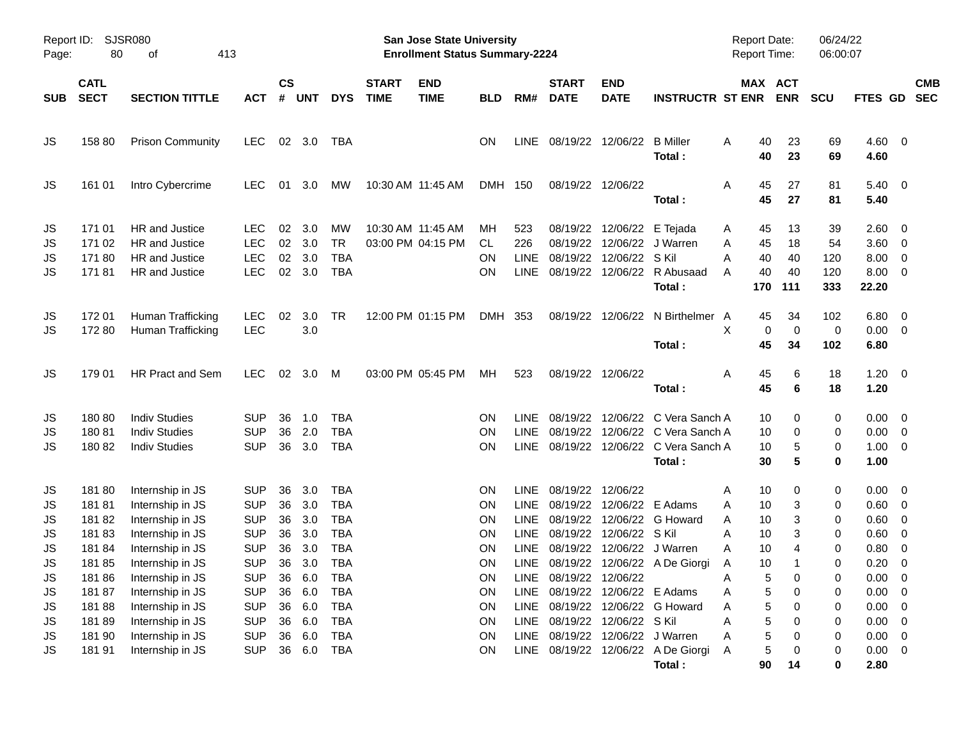| Page:                                   | <b>SJSR080</b><br>Report ID:<br>80<br>413<br>οf     |                                                                                                                      |                                                                                  |                                  |                                           |                                                                                  |                             | <b>San Jose State University</b><br><b>Enrollment Status Summary-2224</b> |                                         |                                                    |                                                                                     |                                                                           |                                                                                                                | <b>Report Date:</b><br><b>Report Time:</b>                     |                                  | 06/24/22<br>06:00:07            |                                                                                         |                                                                                                          |                          |
|-----------------------------------------|-----------------------------------------------------|----------------------------------------------------------------------------------------------------------------------|----------------------------------------------------------------------------------|----------------------------------|-------------------------------------------|----------------------------------------------------------------------------------|-----------------------------|---------------------------------------------------------------------------|-----------------------------------------|----------------------------------------------------|-------------------------------------------------------------------------------------|---------------------------------------------------------------------------|----------------------------------------------------------------------------------------------------------------|----------------------------------------------------------------|----------------------------------|---------------------------------|-----------------------------------------------------------------------------------------|----------------------------------------------------------------------------------------------------------|--------------------------|
| <b>SUB</b>                              | <b>CATL</b><br><b>SECT</b>                          | <b>SECTION TITTLE</b>                                                                                                | АСТ                                                                              | <b>CS</b><br>#                   | <b>UNT</b>                                | <b>DYS</b>                                                                       | <b>START</b><br><b>TIME</b> | <b>END</b><br><b>TIME</b>                                                 | <b>BLD</b>                              | RM#                                                | <b>START</b><br><b>DATE</b>                                                         | <b>END</b><br><b>DATE</b>                                                 | <b>INSTRUCTR ST ENR</b>                                                                                        |                                                                | MAX ACT<br><b>ENR</b>            | <b>SCU</b>                      | FTES GD                                                                                 |                                                                                                          | <b>CMB</b><br><b>SEC</b> |
| JS                                      | 158 80                                              | <b>Prison Community</b>                                                                                              | <b>LEC</b>                                                                       |                                  | 02 3.0                                    | TBA                                                                              |                             |                                                                           | ON                                      | LINE                                               | 08/19/22 12/06/22 B Miller                                                          |                                                                           | Total:                                                                                                         | 40<br>A<br>40                                                  | 23<br>23                         | 69<br>69                        | $4.60$ 0<br>4.60                                                                        |                                                                                                          |                          |
| JS                                      | 161 01                                              | Intro Cybercrime                                                                                                     | <b>LEC</b>                                                                       |                                  | 01 3.0                                    | МW                                                                               |                             | 10:30 AM 11:45 AM                                                         | DMH 150                                 |                                                    |                                                                                     | 08/19/22 12/06/22                                                         | Total:                                                                                                         | 45<br>A<br>45                                                  | 27<br>27                         | 81<br>81                        | $5.40\ 0$<br>5.40                                                                       |                                                                                                          |                          |
| JS<br>JS<br>JS<br>JS                    | 171 01<br>171 02<br>17180<br>17181                  | HR and Justice<br>HR and Justice<br>HR and Justice<br>HR and Justice                                                 | <b>LEC</b><br><b>LEC</b><br><b>LEC</b><br><b>LEC</b>                             | 02<br>02<br>02                   | 3.0<br>3.0<br>3.0<br>02 3.0               | МW<br><b>TR</b><br><b>TBA</b><br><b>TBA</b>                                      |                             | 10:30 AM 11:45 AM<br>03:00 PM 04:15 PM                                    | MН<br>CL<br>ON<br><b>ON</b>             | 523<br>226<br><b>LINE</b><br>LINE                  | 08/19/22<br>08/19/22                                                                | 08/19/22 12/06/22 E Tejada<br>12/06/22 S Kil                              | 12/06/22 J Warren<br>08/19/22 12/06/22 R Abusaad<br>Total:                                                     | 45<br>A<br>45<br>A<br>A<br>40<br>40<br>A<br>170                | 13<br>18<br>40<br>40<br>111      | 39<br>54<br>120<br>120<br>333   | $2.60 \quad 0$<br>3.60 0<br>8.00<br>$8.00 \t 0$<br>22.20                                | $\overline{\phantom{0}}$                                                                                 |                          |
| JS<br>JS                                | 172 01<br>17280                                     | Human Trafficking<br>Human Trafficking                                                                               | <b>LEC</b><br><b>LEC</b>                                                         | 02                               | 3.0<br>3.0                                | TR                                                                               |                             | 12:00 PM 01:15 PM                                                         | DMH 353                                 |                                                    |                                                                                     |                                                                           | 08/19/22 12/06/22 N Birthelmer A<br>Total:                                                                     | 45<br>X<br>0<br>45                                             | 34<br>0<br>34                    | 102<br>0<br>102                 | $6.80$ 0<br>$0.00 \t 0$<br>6.80                                                         |                                                                                                          |                          |
| JS                                      | 179 01                                              | HR Pract and Sem                                                                                                     | <b>LEC</b>                                                                       |                                  | 02 3.0 M                                  |                                                                                  |                             | 03:00 PM 05:45 PM                                                         | МH                                      | 523                                                |                                                                                     | 08/19/22 12/06/22                                                         | Total:                                                                                                         | 45<br>A<br>45                                                  | 6<br>6                           | 18<br>18                        | $1.20 \t 0$<br>1.20                                                                     |                                                                                                          |                          |
| JS<br>JS<br>JS                          | 18080<br>18081<br>18082                             | <b>Indiv Studies</b><br><b>Indiv Studies</b><br><b>Indiv Studies</b>                                                 | <b>SUP</b><br><b>SUP</b><br><b>SUP</b>                                           | 36<br>36<br>36                   | 1.0<br>2.0<br>3.0                         | <b>TBA</b><br><b>TBA</b><br><b>TBA</b>                                           |                             |                                                                           | ON<br>ON<br>ON                          | <b>LINE</b><br><b>LINE</b>                         | 08/19/22                                                                            |                                                                           | 08/19/22 12/06/22 C Vera Sanch A<br>12/06/22 C Vera Sanch A<br>LINE 08/19/22 12/06/22 C Vera Sanch A<br>Total: | 10<br>10<br>10<br>30                                           | 0<br>0<br>5<br>5                 | 0<br>0<br>0<br>0                | $0.00 \t 0$<br>$0.00 \t 0$<br>$1.00 \t 0$<br>1.00                                       |                                                                                                          |                          |
| JS<br>JS<br>JS<br>JS<br>JS<br>JS        | 18180<br>18181<br>18182<br>18183<br>18184<br>18185  | Internship in JS<br>Internship in JS<br>Internship in JS<br>Internship in JS<br>Internship in JS<br>Internship in JS | <b>SUP</b><br><b>SUP</b><br><b>SUP</b><br><b>SUP</b><br><b>SUP</b><br><b>SUP</b> | 36<br>36<br>36<br>36<br>36<br>36 | 3.0<br>3.0<br>3.0<br>3.0<br>3.0<br>3.0    | <b>TBA</b><br><b>TBA</b><br><b>TBA</b><br><b>TBA</b><br><b>TBA</b><br><b>TBA</b> |                             |                                                                           | ON<br>ON<br>ON<br>ON<br>ON<br>ON        | LINE<br>LINE<br><b>LINE</b><br><b>LINE</b><br>LINE | 08/19/22 12/06/22<br>08/19/22<br>08/19/22                                           | 08/19/22 12/06/22 E Adams<br>12/06/22 S Kil<br>08/19/22 12/06/22 J Warren | 12/06/22 G Howard<br>LINE 08/19/22 12/06/22 A De Giorgi                                                        | 10<br>Α<br>10<br>A<br>10<br>A<br>10<br>A<br>10<br>A<br>10<br>Α | 0<br>3<br>3<br>3<br>4<br>1       | 0<br>0<br>0<br>0<br>0<br>0      | $0.00 \t 0$<br>$0.60 \quad 0$<br>0.60<br>0.60<br>0.80<br>0.20                           | $\overline{\mathbf{0}}$<br>$\overline{\mathbf{0}}$<br>$\overline{\mathbf{0}}$<br>$\overline{\mathbf{0}}$ |                          |
| <b>JS</b><br>JS<br>JS<br>JS<br>JS<br>JS | 18186<br>18187<br>18188<br>18189<br>181 90<br>18191 | Internship in JS<br>Internship in JS<br>Internship in JS<br>Internship in JS<br>Internship in JS<br>Internship in JS | <b>SUP</b><br><b>SUP</b><br><b>SUP</b><br><b>SUP</b><br><b>SUP</b><br><b>SUP</b> | 36<br>36<br>36<br>36<br>36       | 36 6.0<br>6.0<br>6.0<br>6.0<br>6.0<br>6.0 | <b>TBA</b><br><b>TBA</b><br><b>TBA</b><br><b>TBA</b><br><b>TBA</b><br><b>TBA</b> |                             |                                                                           | ON<br>ON<br><b>ON</b><br>ON<br>ON<br>ON | LINE<br>LINE<br>LINE                               | LINE 08/19/22 12/06/22<br>08/19/22 12/06/22 E Adams<br>LINE 08/19/22 12/06/22 S Kil | 08/19/22 12/06/22 J Warren                                                | 08/19/22 12/06/22 G Howard<br>LINE 08/19/22 12/06/22 A De Giorgi<br>Total:                                     | 5<br>Α<br>5<br>Α<br>5<br>Α<br>5<br>Α<br>5<br>Α<br>5<br>Α<br>90 | 0<br>0<br>0<br>0<br>0<br>0<br>14 | 0<br>0<br>0<br>0<br>0<br>0<br>0 | 0.00<br>$0.00 \t 0$<br>$0.00 \t 0$<br>$0.00 \t 0$<br>$0.00 \t 0$<br>$0.00 \t 0$<br>2.80 | $\overline{\mathbf{0}}$                                                                                  |                          |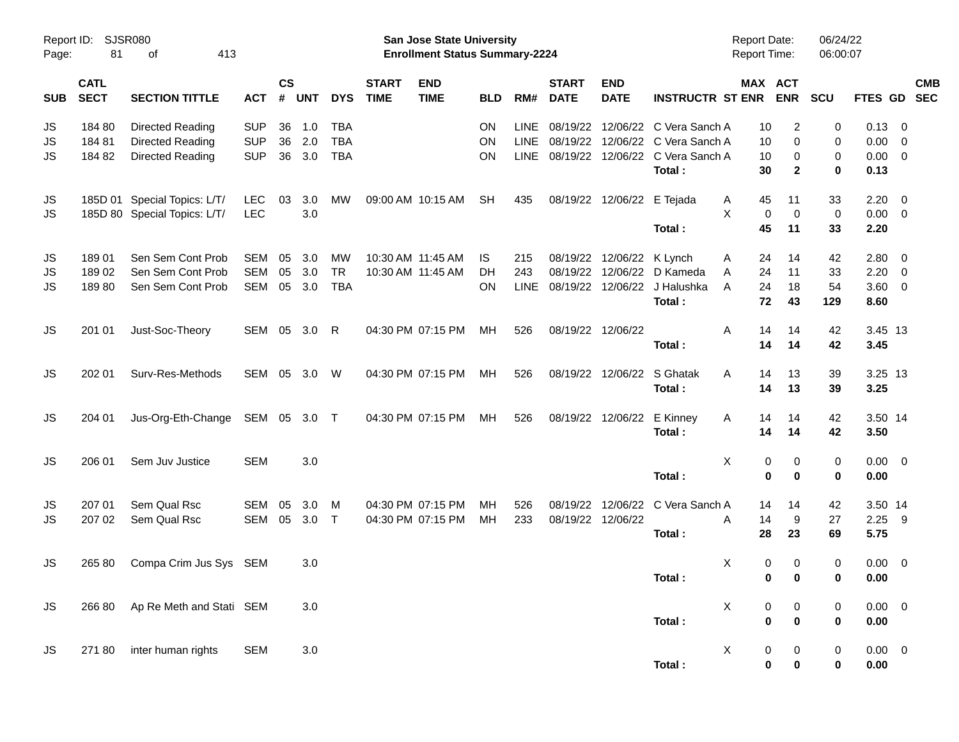| Page:      | Report ID: SJSR080<br>81<br>413<br>οf |                                 |              |                    |            |            |                             | San Jose State University<br><b>Enrollment Status Summary-2224</b> |            |             |                             |                           |                                                 | <b>Report Date:</b><br><b>Report Time:</b> |                                  | 06/24/22<br>06:00:07 |                |                |                          |
|------------|---------------------------------------|---------------------------------|--------------|--------------------|------------|------------|-----------------------------|--------------------------------------------------------------------|------------|-------------|-----------------------------|---------------------------|-------------------------------------------------|--------------------------------------------|----------------------------------|----------------------|----------------|----------------|--------------------------|
| <b>SUB</b> | <b>CATL</b><br><b>SECT</b>            | <b>SECTION TITTLE</b>           | <b>ACT</b>   | $\mathsf{cs}$<br># | <b>UNT</b> | <b>DYS</b> | <b>START</b><br><b>TIME</b> | <b>END</b><br><b>TIME</b>                                          | <b>BLD</b> | RM#         | <b>START</b><br><b>DATE</b> | <b>END</b><br><b>DATE</b> | <b>INSTRUCTR ST ENR</b>                         |                                            | MAX ACT<br><b>ENR</b>            | SCU                  | <b>FTES GD</b> |                | <b>CMB</b><br><b>SEC</b> |
| JS         | 184 80                                | Directed Reading                | <b>SUP</b>   | 36                 | 1.0        | <b>TBA</b> |                             |                                                                    | ON         | <b>LINE</b> | 08/19/22                    | 12/06/22                  | C Vera Sanch A                                  | 10                                         | $\overline{c}$                   | 0                    | 0.13           | 0              |                          |
| JS         | 18481                                 | Directed Reading                | <b>SUP</b>   | 36                 | 2.0        | <b>TBA</b> |                             |                                                                    | ON         |             | LINE 08/19/22               | 12/06/22                  | C Vera Sanch A                                  | 10                                         | 0                                | 0                    | 0.00           | 0              |                          |
| JS         | 184 82                                | Directed Reading                | <b>SUP</b>   | 36                 | 3.0        | <b>TBA</b> |                             |                                                                    | ON         |             |                             |                           | LINE 08/19/22 12/06/22 C Vera Sanch A<br>Total: | 10<br>30                                   | 0<br>$\mathbf{2}$                | 0<br>0               | 0.00<br>0.13   | 0              |                          |
| JS         |                                       | 185D 01 Special Topics: L/T/    | <b>LEC</b>   | 03                 | 3.0        | MW         |                             | 09:00 AM 10:15 AM                                                  | <b>SH</b>  | 435         |                             | 08/19/22 12/06/22         | E Tejada                                        | A<br>45                                    | 11                               | 33                   | 2.20           | $\overline{0}$ |                          |
| JS         |                                       | 185D 80 Special Topics: L/T/    | <b>LEC</b>   |                    | 3.0        |            |                             |                                                                    |            |             |                             |                           |                                                 | X<br>0                                     | $\mathbf 0$                      | 0                    | 0.00           | 0              |                          |
|            |                                       |                                 |              |                    |            |            |                             |                                                                    |            |             |                             |                           | Total:                                          | 45                                         | 11                               | 33                   | 2.20           |                |                          |
| JS         | 18901                                 | Sen Sem Cont Prob               | SEM          | 05                 | 3.0        | <b>MW</b>  |                             | 10:30 AM 11:45 AM                                                  | IS.        | 215         | 08/19/22                    | 12/06/22                  | K Lynch                                         | 24<br>A                                    | 14                               | 42                   | 2.80           | 0              |                          |
| JS         | 18902                                 | Sen Sem Cont Prob               | <b>SEM</b>   | 05                 | 3.0        | <b>TR</b>  | 10:30 AM 11:45 AM           |                                                                    | DH         | 243         | 08/19/22                    | 12/06/22                  | D Kameda                                        | 24<br>A                                    | 11                               | 33                   | 2.20           | 0              |                          |
| JS         | 18980                                 | Sen Sem Cont Prob               | <b>SEM</b>   | 05                 | 3.0        | <b>TBA</b> |                             |                                                                    | ON         | <b>LINE</b> |                             |                           | 08/19/22 12/06/22 J Halushka                    | 24<br>A                                    | 18                               | 54                   | 3.60           | 0              |                          |
|            |                                       |                                 |              |                    |            |            |                             |                                                                    |            |             |                             |                           | Total:                                          | 72                                         | 43                               | 129                  | 8.60           |                |                          |
| <b>JS</b>  | 201 01                                | Just-Soc-Theory                 | SEM 05 3.0   |                    |            | -R         |                             | 04:30 PM 07:15 PM                                                  | MH.        | 526         |                             | 08/19/22 12/06/22         |                                                 | A<br>14                                    | 14                               | 42                   | 3.45 13        |                |                          |
|            |                                       |                                 |              |                    |            |            |                             |                                                                    |            |             |                             |                           | Total:                                          | 14                                         | 14                               | 42                   | 3.45           |                |                          |
| <b>JS</b>  | 202 01                                | Surv-Res-Methods                | SEM 05 3.0   |                    |            | W          |                             | 04:30 PM 07:15 PM                                                  | MH.        | 526         |                             | 08/19/22 12/06/22         | S Ghatak                                        | A<br>14                                    | 13                               | 39                   | 3.25 13        |                |                          |
|            |                                       |                                 |              |                    |            |            |                             |                                                                    |            |             |                             |                           | Total:                                          | 14                                         | 13                               | 39                   | 3.25           |                |                          |
| <b>JS</b>  | 204 01                                | Jus-Org-Eth-Change              | SEM 05 3.0 T |                    |            |            |                             | 04:30 PM 07:15 PM                                                  | MH         | 526         |                             | 08/19/22 12/06/22         | E Kinney                                        | A<br>14                                    | 14                               | 42                   | 3.50 14        |                |                          |
|            |                                       |                                 |              |                    |            |            |                             |                                                                    |            |             |                             |                           | Total:                                          | 14                                         | 14                               | 42                   | 3.50           |                |                          |
| <b>JS</b>  | 206 01                                | Sem Juv Justice                 | <b>SEM</b>   |                    | 3.0        |            |                             |                                                                    |            |             |                             |                           |                                                 | X<br>0                                     | $\mathbf 0$                      | 0                    | $0.00 \t 0$    |                |                          |
|            |                                       |                                 |              |                    |            |            |                             |                                                                    |            |             |                             |                           | Total:                                          | 0                                          | 0                                | 0                    | 0.00           |                |                          |
| JS         | 207 01                                | Sem Qual Rsc                    | <b>SEM</b>   | 05                 | 3.0        | M          |                             | 04:30 PM 07:15 PM                                                  | MН         | 526         | 08/19/22                    | 12/06/22                  | C Vera Sanch A                                  | 14                                         | 14                               | 42                   | 3.50 14        |                |                          |
| JS         | 207 02                                | Sem Qual Rsc                    | <b>SEM</b>   | 05                 | 3.0        | $\top$     |                             | 04:30 PM 07:15 PM                                                  | MН         | 233         |                             | 08/19/22 12/06/22         |                                                 | Α<br>14<br>28                              | 9<br>23                          | 27<br>69             | 2.25           | - 9            |                          |
|            |                                       |                                 |              |                    |            |            |                             |                                                                    |            |             |                             |                           | Total:                                          |                                            |                                  |                      | 5.75           |                |                          |
| <b>JS</b>  | 265 80                                | Compa Crim Jus Sys SEM          |              |                    | 3.0        |            |                             |                                                                    |            |             |                             |                           |                                                 | X                                          | 0<br>0                           | 0                    | 0.00           | 0              |                          |
|            |                                       |                                 |              |                    |            |            |                             |                                                                    |            |             |                             |                           | Total:                                          |                                            | $\bf{0}$<br>$\mathbf{0}$         | $\mathbf 0$          | 0.00           |                |                          |
| JS.        |                                       | 266 80 Ap Re Meth and Stati SEM |              |                    | 3.0        |            |                             |                                                                    |            |             |                             |                           |                                                 | X                                          | $\pmb{0}$<br>0                   | 0                    | $0.00 \t 0$    |                |                          |
|            |                                       |                                 |              |                    |            |            |                             |                                                                    |            |             |                             |                           | Total:                                          | 0                                          | $\pmb{0}$                        | 0                    | $0.00\,$       |                |                          |
|            |                                       | 271 80 inter human rights       | <b>SEM</b>   |                    | $3.0\,$    |            |                             |                                                                    |            |             |                             |                           |                                                 | X                                          |                                  |                      | $0.00 \t 0$    |                |                          |
| JS         |                                       |                                 |              |                    |            |            |                             |                                                                    |            |             |                             |                           | Total:                                          |                                            | $\pmb{0}$<br>0<br>0<br>$\pmb{0}$ | 0<br>0               | 0.00           |                |                          |
|            |                                       |                                 |              |                    |            |            |                             |                                                                    |            |             |                             |                           |                                                 |                                            |                                  |                      |                |                |                          |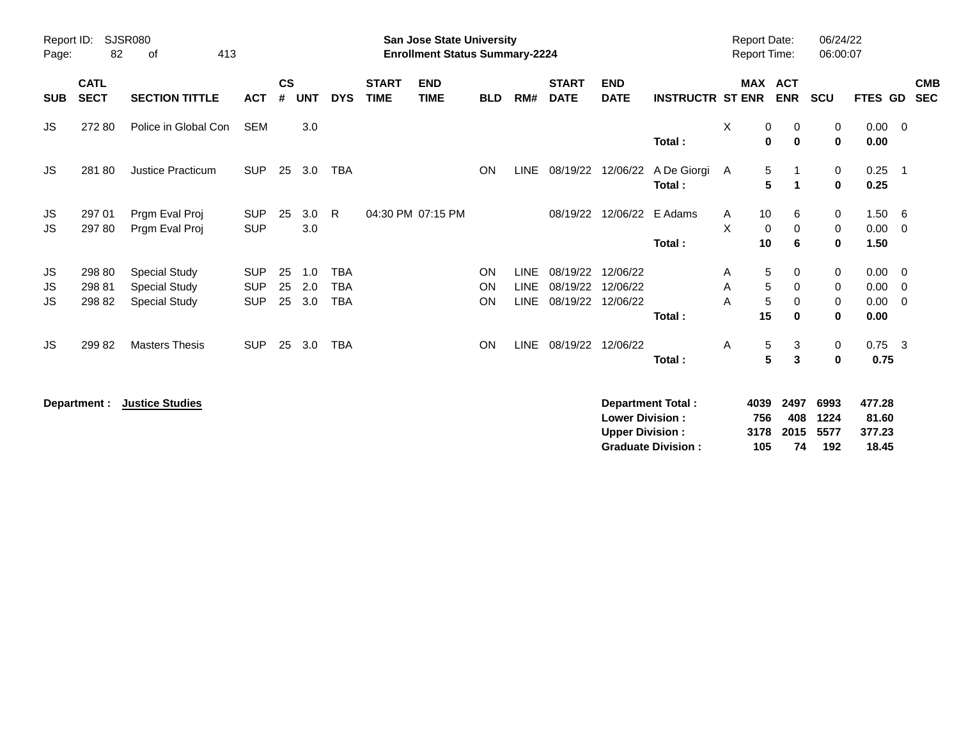| Report ID:<br>Page: | 82                         | SJSR080<br>413<br>οf                                                 |                                        |                    |                   |                                        |                             | <b>San Jose State University</b><br><b>Enrollment Status Summary-2224</b> |                |                            |                                       |                                  |                         | <b>Report Date:</b><br><b>Report Time:</b> |                                                      | 06/24/22<br>06:00:07                 |                              |                                         |
|---------------------|----------------------------|----------------------------------------------------------------------|----------------------------------------|--------------------|-------------------|----------------------------------------|-----------------------------|---------------------------------------------------------------------------|----------------|----------------------------|---------------------------------------|----------------------------------|-------------------------|--------------------------------------------|------------------------------------------------------|--------------------------------------|------------------------------|-----------------------------------------|
| <b>SUB</b>          | <b>CATL</b><br><b>SECT</b> | <b>SECTION TITTLE</b>                                                | <b>ACT</b>                             | $\mathsf{cs}$<br># | <b>UNT</b>        | <b>DYS</b>                             | <b>START</b><br><b>TIME</b> | <b>END</b><br><b>TIME</b>                                                 | <b>BLD</b>     | RM#                        | <b>START</b><br><b>DATE</b>           | <b>END</b><br><b>DATE</b>        | <b>INSTRUCTR ST ENR</b> |                                            | MAX ACT<br><b>ENR</b>                                | <b>SCU</b>                           | <b>FTES GD</b>               | <b>CMB</b><br><b>SEC</b>                |
| JS.                 | 272 80                     | Police in Global Con                                                 | <b>SEM</b>                             |                    | 3.0               |                                        |                             |                                                                           |                |                            |                                       |                                  | Total:                  | X                                          | 0<br>0<br>$\mathbf 0$<br>$\mathbf 0$                 | 0<br>0                               | $0.00 \t 0$<br>0.00          |                                         |
| JS.                 | 28180                      | Justice Practicum                                                    | <b>SUP</b>                             | 25                 | 3.0               | <b>TBA</b>                             |                             |                                                                           | <b>ON</b>      | <b>LINE</b>                | 08/19/22                              | 12/06/22                         | A De Giorgi A<br>Total: |                                            | 5<br>$\mathbf{1}$<br>5<br>$\mathbf{1}$               | 0<br>0                               | 0.25<br>0.25                 | $\overline{\phantom{0}}$ 1              |
| JS<br>JS            | 297 01<br>297 80           | Prgm Eval Proj<br>Prgm Eval Proj                                     | <b>SUP</b><br><b>SUP</b>               | 25                 | 3.0<br>3.0        | R.                                     |                             | 04:30 PM 07:15 PM                                                         |                |                            | 08/19/22                              | 12/06/22                         | E Adams<br>Total:       | 10<br>A<br>X<br>10                         | 6<br>$\mathbf 0$<br>0<br>6                           | 0<br>0<br>0                          | $1.50\ 6$<br>0.00<br>1.50    | $\overline{\mathbf{0}}$                 |
| JS<br>JS<br>JS      | 298 80<br>298 81<br>298 82 | <b>Special Study</b><br><b>Special Study</b><br><b>Special Study</b> | <b>SUP</b><br><b>SUP</b><br><b>SUP</b> | 25<br>25<br>25     | 1.0<br>2.0<br>3.0 | <b>TBA</b><br><b>TBA</b><br><b>TBA</b> |                             |                                                                           | ON<br>ON<br>ON | <b>LINE</b><br><b>LINE</b> | 08/19/22<br>08/19/22<br>LINE 08/19/22 | 12/06/22<br>12/06/22<br>12/06/22 | Total:                  | Α<br>Α<br>A<br>15                          | 5<br>0<br>5<br>0<br>5<br>$\mathbf 0$<br>$\mathbf{0}$ | 0<br>$\mathbf 0$<br>0<br>$\mathbf 0$ | 0.00<br>0.00<br>0.00<br>0.00 | - 0<br>$\overline{0}$<br>$\overline{0}$ |
| JS.                 | 29982                      | <b>Masters Thesis</b>                                                | <b>SUP</b>                             | 25                 | 3.0               | <b>TBA</b>                             |                             |                                                                           | <b>ON</b>      |                            | LINE 08/19/22                         | 12/06/22                         | Total:                  | Α                                          | 5<br>3<br>$5\phantom{.0}$<br>3                       | 0<br>0                               | $0.75$ 3<br>0.75             |                                         |

**Department : Justice Studies 477.28 Lower Division : 756 408 1224 81.60 Upper Division : 3178 2015 5577 377.23 Graduate Division : 105 74 192 18.45**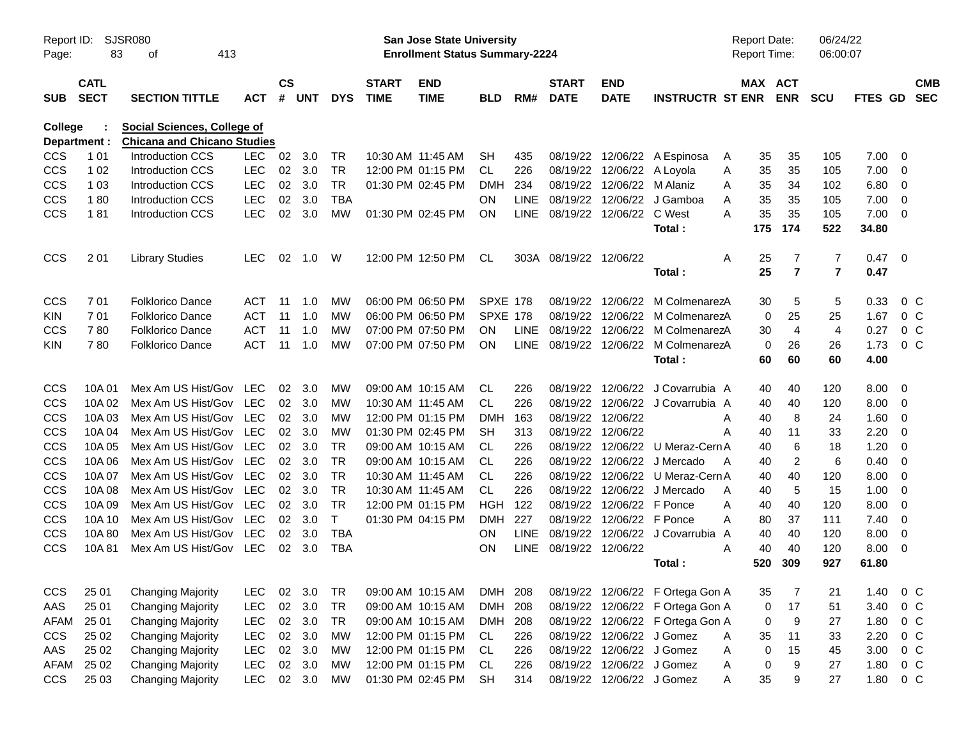|              | SJSR080<br>Report ID:<br>83<br>413<br>οf<br>Page: |                                    |            |               |            |              |                   | San Jose State University             |                 |             |                               |                            |                                      | <b>Report Date:</b> |                       | 06/24/22                |                |                          |            |
|--------------|---------------------------------------------------|------------------------------------|------------|---------------|------------|--------------|-------------------|---------------------------------------|-----------------|-------------|-------------------------------|----------------------------|--------------------------------------|---------------------|-----------------------|-------------------------|----------------|--------------------------|------------|
|              |                                                   |                                    |            |               |            |              |                   | <b>Enrollment Status Summary-2224</b> |                 |             |                               |                            |                                      | <b>Report Time:</b> |                       | 06:00:07                |                |                          |            |
|              | <b>CATL</b>                                       |                                    |            | $\mathsf{cs}$ |            |              | <b>START</b>      | <b>END</b>                            |                 |             | <b>START</b>                  | <b>END</b>                 |                                      |                     | MAX ACT               |                         |                |                          | <b>CMB</b> |
| <b>SUB</b>   | <b>SECT</b>                                       | <b>SECTION TITTLE</b>              | <b>ACT</b> | #             | <b>UNT</b> | <b>DYS</b>   | <b>TIME</b>       | <b>TIME</b>                           | <b>BLD</b>      | RM#         | <b>DATE</b>                   | <b>DATE</b>                | <b>INSTRUCTR ST ENR</b>              |                     | <b>ENR</b>            | <b>SCU</b>              | <b>FTES GD</b> | <b>SEC</b>               |            |
| College      |                                                   | Social Sciences, College of        |            |               |            |              |                   |                                       |                 |             |                               |                            |                                      |                     |                       |                         |                |                          |            |
| Department : |                                                   | <b>Chicana and Chicano Studies</b> |            |               |            |              |                   |                                       |                 |             |                               |                            |                                      |                     |                       |                         |                |                          |            |
| <b>CCS</b>   | 1 0 1                                             | Introduction CCS                   | LEC.       | 02            | 3.0        | TR           | 10:30 AM 11:45 AM |                                       | <b>SH</b>       | 435         | 08/19/22                      |                            | 12/06/22 A Espinosa                  | 35<br>A             | 35                    | 105                     | 7.00           | 0                        |            |
| CCS          | 1 0 2                                             | <b>Introduction CCS</b>            | <b>LEC</b> | 02            | 3.0        | <b>TR</b>    |                   | 12:00 PM 01:15 PM                     | CL.             | 226         |                               | 08/19/22 12/06/22 A Loyola |                                      | Α<br>35             | 35                    | 105                     | 7.00           | $\overline{0}$           |            |
| <b>CCS</b>   | 1 0 3                                             | <b>Introduction CCS</b>            | <b>LEC</b> | 02            | 3.0        | <b>TR</b>    |                   | 01:30 PM 02:45 PM                     | <b>DMH</b>      | 234         |                               | 08/19/22 12/06/22 M Alaniz |                                      | 35<br>A             | 34                    | 102                     | 6.80           | $\overline{0}$           |            |
| CCS          | 180                                               | <b>Introduction CCS</b>            | <b>LEC</b> | 02            | 3.0        | <b>TBA</b>   |                   |                                       | <b>ON</b>       | <b>LINE</b> |                               |                            | 08/19/22 12/06/22 J Gamboa           | 35<br>A             | 35                    | 105                     | 7.00           | $\overline{0}$           |            |
| CCS          | 181                                               | <b>Introduction CCS</b>            | <b>LEC</b> | 02            | 3.0        | MW           |                   | 01:30 PM 02:45 PM                     | ON              |             | LINE 08/19/22 12/06/22 C West |                            | Total:                               | 35<br>A<br>175      | 35<br>174             | 105<br>522              | 7.00<br>34.80  | $\overline{\mathbf{0}}$  |            |
| CCS          | 201                                               | <b>Library Studies</b>             | <b>LEC</b> | 02            | 1.0        | W            |                   | 12:00 PM 12:50 PM                     | CL              |             | 303A 08/19/22 12/06/22        |                            |                                      | Α<br>25             | 7                     | 7                       | 0.47           | $\overline{\phantom{0}}$ |            |
|              |                                                   |                                    |            |               |            |              |                   |                                       |                 |             |                               |                            | Total:                               | 25                  | $\overline{7}$        | $\overline{\mathbf{r}}$ | 0.47           |                          |            |
| <b>CCS</b>   | 701                                               | <b>Folklorico Dance</b>            | <b>ACT</b> | 11            | 1.0        | МW           |                   | 06:00 PM 06:50 PM                     | <b>SPXE 178</b> |             | 08/19/22                      |                            | 12/06/22 M ColmenarezA               | 30                  | 5                     | 5                       | 0.33           | $0\,C$                   |            |
| KIN.         | 701                                               | <b>Folklorico Dance</b>            | <b>ACT</b> | 11            | 1.0        | MW           |                   | 06:00 PM 06:50 PM                     | <b>SPXE 178</b> |             | 08/19/22                      |                            | 12/06/22 M ColmenarezA               |                     | 25<br>0               | 25                      | 1.67           | $0\,C$                   |            |
| <b>CCS</b>   | 780                                               | <b>Folklorico Dance</b>            | <b>ACT</b> | 11            | 1.0        | MW           |                   | 07:00 PM 07:50 PM                     | <b>ON</b>       | <b>LINE</b> | 08/19/22                      |                            | 12/06/22 M ColmenarezA               | 30                  | $\overline{4}$        | $\overline{4}$          | 0.27           | $0\,C$                   |            |
| <b>KIN</b>   | 780                                               | <b>Folklorico Dance</b>            | <b>ACT</b> | 11            | 1.0        | MW           |                   | 07:00 PM 07:50 PM                     | ON              |             |                               |                            | LINE 08/19/22 12/06/22 M ColmenarezA |                     | 26<br>0               | 26                      | 1.73           | 0 <sup>o</sup>           |            |
|              |                                                   |                                    |            |               |            |              |                   |                                       |                 |             |                               |                            | Total:                               | 60                  | 60                    | 60                      | 4.00           |                          |            |
| CCS          | 10A 01                                            | Mex Am US Hist/Gov LEC             |            | 02            | 3.0        | MW           | 09:00 AM 10:15 AM |                                       | CL              | 226         |                               |                            | 08/19/22 12/06/22 J Covarrubia A     | 40                  | 40                    | 120                     | 8.00           | $\overline{\mathbf{0}}$  |            |
| CCS          | 10A 02                                            | Mex Am US Hist/Gov LEC             |            | 02            | - 3.0      | MW           | 10:30 AM 11:45 AM |                                       | CL.             | 226         |                               |                            | 08/19/22 12/06/22 J Covarrubia A     | 40                  | 40                    | 120                     | 8.00           | $\overline{0}$           |            |
| <b>CCS</b>   | 10A 03                                            | Mex Am US Hist/Gov LEC             |            | 02            | - 3.0      | MW           |                   | 12:00 PM 01:15 PM                     | <b>DMH</b>      | 163         | 08/19/22                      | 12/06/22                   |                                      | 40<br>A             | 8                     | 24                      | 1.60           | 0                        |            |
| <b>CCS</b>   | 10A 04                                            | Mex Am US Hist/Gov                 | <b>LEC</b> | 02            | 3.0        | MW           |                   | 01:30 PM 02:45 PM                     | <b>SH</b>       | 313         | 08/19/22 12/06/22             |                            |                                      | A<br>40             | 11                    | 33                      | 2.20           | 0                        |            |
| CCS          | 10A 05                                            | Mex Am US Hist/Gov LEC             |            | 02            | 3.0        | <b>TR</b>    | 09:00 AM 10:15 AM |                                       | CL              | 226         |                               |                            | 08/19/22 12/06/22 U Meraz-Cern A     | 40                  | 6                     | 18                      | 1.20           | 0                        |            |
| CCS          | 10A 06                                            | Mex Am US Hist/Gov                 | <b>LEC</b> | 02            | 3.0        | <b>TR</b>    | 09:00 AM 10:15 AM |                                       | CL.             | 226         | 08/19/22                      |                            | 12/06/22 J Mercado                   | 40<br>A             | $\overline{2}$        | 6                       | 0.40           | $\overline{0}$           |            |
| CCS          | 10A 07                                            | Mex Am US Hist/Gov                 | <b>LEC</b> | 02            | 3.0        | <b>TR</b>    | 10:30 AM 11:45 AM |                                       | CL.             | 226         | 08/19/22                      |                            | 12/06/22 U Meraz-Cern A              | 40                  | 40                    | 120                     | 8.00           | 0                        |            |
| CCS          | 10A 08                                            | Mex Am US Hist/Gov                 | <b>LEC</b> | 02            | 3.0        | <b>TR</b>    | 10:30 AM 11:45 AM |                                       | CL.             | 226         | 08/19/22                      |                            | 12/06/22 J Mercado                   | A<br>40             | $\sqrt{5}$            | 15                      | 1.00           | 0                        |            |
| CCS          | 10A 09                                            | Mex Am US Hist/Gov                 | <b>LEC</b> | 02            | 3.0        | <b>TR</b>    |                   | 12:00 PM 01:15 PM                     | <b>HGH</b>      | 122         | 08/19/22                      | 12/06/22 F Ponce           |                                      | A<br>40             | 40                    | 120                     | 8.00           | $\mathbf 0$              |            |
| CCS          | 10A 10                                            | Mex Am US Hist/Gov                 | <b>LEC</b> | 02            | 3.0        | $\mathsf{T}$ |                   | 01:30 PM 04:15 PM                     | <b>DMH</b>      | 227         | 08/19/22                      | 12/06/22 F Ponce           |                                      | A<br>80             | 37                    | 111                     | 7.40           | 0                        |            |
| CCS          | 10A 80                                            | Mex Am US Hist/Gov                 | <b>LEC</b> | 02            | 3.0        | <b>TBA</b>   |                   |                                       | <b>ON</b>       | <b>LINE</b> |                               |                            | 08/19/22 12/06/22 J Covarrubia A     | 40                  | 40                    | 120                     | 8.00           | $\overline{0}$           |            |
| <b>CCS</b>   | 10A81                                             | Mex Am US Hist/Gov                 | LEC        | 02            | 3.0        | <b>TBA</b>   |                   |                                       | <b>ON</b>       |             | LINE 08/19/22 12/06/22        |                            |                                      | A<br>40             | 40                    | 120                     | 8.00           | 0                        |            |
|              |                                                   |                                    |            |               |            |              |                   |                                       |                 |             |                               |                            | Total:                               | 520                 | 309                   | 927                     | 61.80          |                          |            |
| <b>CCS</b>   | 25 01                                             | <b>Changing Majority</b>           | <b>LEC</b> | 02            | 3.0        | TR           | 09:00 AM 10:15 AM |                                       | DMH 208         |             |                               |                            | 08/19/22 12/06/22 F Ortega Gon A     | 35                  | 7                     | 21                      | 1.40           | $0\,C$                   |            |
| AAS          | 25 01                                             | <b>Changing Majority</b>           | <b>LEC</b> | 02            | 3.0        | TR           | 09:00 AM 10:15 AM |                                       | <b>DMH</b>      | 208         |                               |                            | 08/19/22 12/06/22 F Ortega Gon A     |                     | 17<br>0               | 51                      | 3.40           | $0\,C$                   |            |
| AFAM         | 25 01                                             | <b>Changing Majority</b>           | <b>LEC</b> |               | 02 3.0     | <b>TR</b>    |                   | 09:00 AM 10:15 AM                     | DMH 208         |             |                               |                            | 08/19/22 12/06/22 F Ortega Gon A     |                     | $\boldsymbol{9}$<br>0 | 27                      | 1.80           | $0\,C$                   |            |
| <b>CCS</b>   | 25 02                                             | <b>Changing Majority</b>           | LEC        |               | 02 3.0     | MW           |                   | 12:00 PM 01:15 PM                     | CL              | 226         |                               | 08/19/22 12/06/22 J Gomez  |                                      | Α<br>35             | 11                    | 33                      | 2.20           | $0\quad C$               |            |
| AAS          | 25 02                                             | <b>Changing Majority</b>           | LEC        |               | 02 3.0     | MW           |                   | 12:00 PM 01:15 PM                     | CL              | 226         |                               | 08/19/22 12/06/22 J Gomez  |                                      | Α                   | 15<br>0               | 45                      | 3.00           | $0\quad C$               |            |
| AFAM         | 25 02                                             | <b>Changing Majority</b>           | LEC        |               | 02 3.0     | MW           |                   | 12:00 PM 01:15 PM                     | CL.             | 226         |                               | 08/19/22 12/06/22 J Gomez  |                                      | Α                   | $\boldsymbol{9}$<br>0 | 27                      | 1.80           | $0\,C$                   |            |
| <b>CCS</b>   | 25 03                                             | <b>Changing Majority</b>           | LEC        |               | 02 3.0     | MW           |                   | 01:30 PM 02:45 PM                     | <b>SH</b>       | 314         |                               | 08/19/22 12/06/22 J Gomez  |                                      | 35<br>Α             | 9                     | 27                      | 1.80           | $0\,C$                   |            |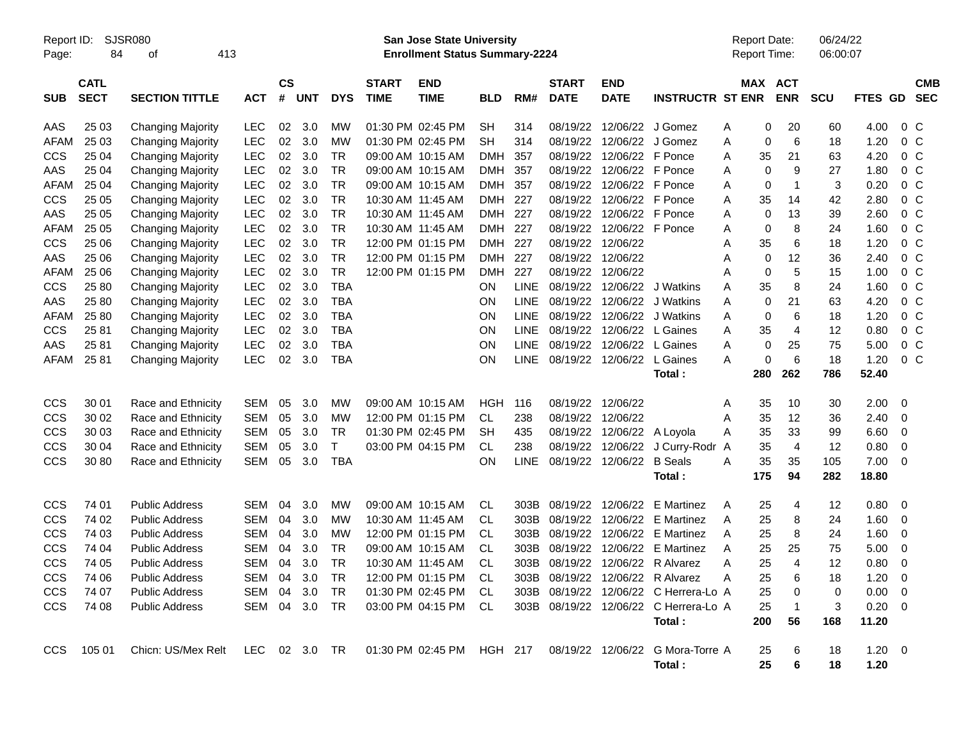| Report ID:<br>Page: | 84                         | SJSR080<br>413<br>οf     |               |                    |            |            |                             | <b>San Jose State University</b><br><b>Enrollment Status Summary-2224</b> |            |             |                             |                           |                                                            |   | <b>Report Date:</b><br>Report Time: |                       | 06/24/22<br>06:00:07 |             |                         |                          |
|---------------------|----------------------------|--------------------------|---------------|--------------------|------------|------------|-----------------------------|---------------------------------------------------------------------------|------------|-------------|-----------------------------|---------------------------|------------------------------------------------------------|---|-------------------------------------|-----------------------|----------------------|-------------|-------------------------|--------------------------|
| <b>SUB</b>          | <b>CATL</b><br><b>SECT</b> | <b>SECTION TITTLE</b>    | <b>ACT</b>    | $\mathsf{cs}$<br># | <b>UNT</b> | <b>DYS</b> | <b>START</b><br><b>TIME</b> | <b>END</b><br><b>TIME</b>                                                 | <b>BLD</b> | RM#         | <b>START</b><br><b>DATE</b> | <b>END</b><br><b>DATE</b> | <b>INSTRUCTR ST ENR</b>                                    |   |                                     | MAX ACT<br><b>ENR</b> | <b>SCU</b>           | FTES GD     |                         | <b>CMB</b><br><b>SEC</b> |
| AAS                 | 25 03                      | <b>Changing Majority</b> | <b>LEC</b>    | 02                 | 3.0        | МW         |                             | 01:30 PM 02:45 PM                                                         | <b>SH</b>  | 314         |                             | 08/19/22 12/06/22         | J Gomez                                                    | Α | 0                                   | 20                    | 60                   | 4.00        | $0\,$ C                 |                          |
| <b>AFAM</b>         | 25 03                      | <b>Changing Majority</b> | <b>LEC</b>    | 02                 | 3.0        | <b>MW</b>  |                             | 01:30 PM 02:45 PM                                                         | <b>SH</b>  | 314         | 08/19/22                    | 12/06/22                  | J Gomez                                                    | Α | 0                                   | 6                     | 18                   | 1.20        | 0 <sup>o</sup>          |                          |
| <b>CCS</b>          | 25 04                      | <b>Changing Majority</b> | <b>LEC</b>    | 02                 | 3.0        | <b>TR</b>  |                             | 09:00 AM 10:15 AM                                                         | <b>DMH</b> | 357         | 08/19/22                    | 12/06/22                  | F Ponce                                                    | Α | 35                                  | 21                    | 63                   | 4.20        | 0 <sup>o</sup>          |                          |
| AAS                 | 25 04                      | <b>Changing Majority</b> | <b>LEC</b>    | 02                 | 3.0        | <b>TR</b>  |                             | 09:00 AM 10:15 AM                                                         | <b>DMH</b> | 357         | 08/19/22                    | 12/06/22                  | F Ponce                                                    | Α | 0                                   | 9                     | 27                   | 1.80        | 0 <sup>o</sup>          |                          |
| <b>AFAM</b>         | 25 04                      | <b>Changing Majority</b> | <b>LEC</b>    | 02                 | 3.0        | <b>TR</b>  |                             | 09:00 AM 10:15 AM                                                         | <b>DMH</b> | 357         | 08/19/22                    | 12/06/22 F Ponce          |                                                            | A | 0                                   | 1                     | 3                    | 0.20        | 0 <sup>o</sup>          |                          |
| <b>CCS</b>          | 25 05                      | <b>Changing Majority</b> | <b>LEC</b>    | 02                 | 3.0        | <b>TR</b>  |                             | 10:30 AM 11:45 AM                                                         | <b>DMH</b> | 227         | 08/19/22                    | 12/06/22 F Ponce          |                                                            | A | 35                                  | 14                    | 42                   | 2.80        | 0 <sup>o</sup>          |                          |
| AAS                 | 25 05                      | <b>Changing Majority</b> | <b>LEC</b>    | 02                 | 3.0        | <b>TR</b>  | 10:30 AM 11:45 AM           |                                                                           | <b>DMH</b> | 227         | 08/19/22                    | 12/06/22 F Ponce          |                                                            | A | $\mathbf 0$                         | 13                    | 39                   | 2.60        | 0 <sup>o</sup>          |                          |
| <b>AFAM</b>         | 25 05                      | <b>Changing Majority</b> | <b>LEC</b>    | 02                 | 3.0        | <b>TR</b>  | 10:30 AM 11:45 AM           |                                                                           | <b>DMH</b> | 227         | 08/19/22                    | 12/06/22 F Ponce          |                                                            | Α | 0                                   | 8                     | 24                   | 1.60        | 0 <sup>o</sup>          |                          |
| CCS                 | 25 06                      | <b>Changing Majority</b> | <b>LEC</b>    | 02                 | 3.0        | <b>TR</b>  |                             | 12:00 PM 01:15 PM                                                         | <b>DMH</b> | 227         | 08/19/22                    | 12/06/22                  |                                                            | Α | 35                                  | 6                     | 18                   | 1.20        | 0 <sup>o</sup>          |                          |
| AAS                 | 25 06                      | <b>Changing Majority</b> | <b>LEC</b>    | 02                 | 3.0        | <b>TR</b>  |                             | 12:00 PM 01:15 PM                                                         | <b>DMH</b> | 227         | 08/19/22                    | 12/06/22                  |                                                            | Α | $\mathbf 0$                         | 12                    | 36                   | 2.40        | $0\,C$                  |                          |
| <b>AFAM</b>         | 25 06                      | <b>Changing Majority</b> | <b>LEC</b>    | 02                 | 3.0        | <b>TR</b>  |                             | 12:00 PM 01:15 PM                                                         | <b>DMH</b> | 227         | 08/19/22                    | 12/06/22                  |                                                            | Α | 0                                   | 5                     | 15                   | 1.00        | $0\,C$                  |                          |
| CCS                 | 25 80                      | <b>Changing Majority</b> | LEC           | 02                 | 3.0        | <b>TBA</b> |                             |                                                                           | <b>ON</b>  | <b>LINE</b> | 08/19/22                    | 12/06/22                  | J Watkins                                                  | A | 35                                  | 8                     | 24                   | 1.60        | $0\,C$                  |                          |
| AAS                 | 25 80                      | <b>Changing Majority</b> | LEC           | 02                 | 3.0        | <b>TBA</b> |                             |                                                                           | <b>ON</b>  | <b>LINE</b> | 08/19/22                    | 12/06/22                  | J Watkins                                                  | A | $\mathbf 0$                         | 21                    | 63                   | 4.20        | $0\,C$                  |                          |
| <b>AFAM</b>         | 25 80                      | <b>Changing Majority</b> | <b>LEC</b>    | 02                 | 3.0        | <b>TBA</b> |                             |                                                                           | ON         | <b>LINE</b> | 08/19/22                    | 12/06/22                  | J Watkins                                                  | A | 0                                   | 6                     | 18                   | 1.20        | $0\,C$                  |                          |
| CCS                 | 25 81                      | <b>Changing Majority</b> | LEC           | 02                 | 3.0        | <b>TBA</b> |                             |                                                                           | ON         | <b>LINE</b> |                             | 08/19/22 12/06/22         | L Gaines                                                   | A | 35                                  | 4                     | 12                   | 0.80        | $0\,C$                  |                          |
| AAS                 | 25 81                      | <b>Changing Majority</b> | LEC           | 02                 | 3.0        | <b>TBA</b> |                             |                                                                           | ON         | <b>LINE</b> | 08/19/22                    | 12/06/22                  | L Gaines                                                   | A | 0                                   | 25                    | 75                   | 5.00        | $0\,C$                  |                          |
| <b>AFAM</b>         | 25 81                      | <b>Changing Majority</b> | <b>LEC</b>    | 02                 | 3.0        | <b>TBA</b> |                             |                                                                           | ON         | <b>LINE</b> |                             | 08/19/22 12/06/22         | L Gaines                                                   | A | 0                                   | 6                     | 18                   | 1.20        | $0\,C$                  |                          |
|                     |                            |                          |               |                    |            |            |                             |                                                                           |            |             |                             |                           | Total:                                                     |   | 280                                 | 262                   | 786                  | 52.40       |                         |                          |
| CCS                 | 30 01                      | Race and Ethnicity       | SEM           | 05                 | 3.0        | МW         |                             | 09:00 AM 10:15 AM                                                         | <b>HGH</b> | 116         |                             | 08/19/22 12/06/22         |                                                            | Α | 35                                  | 10                    | 30                   | 2.00        | $\overline{\mathbf{0}}$ |                          |
| <b>CCS</b>          | 30 02                      | Race and Ethnicity       | <b>SEM</b>    | 05                 | 3.0        | МW         |                             | 12:00 PM 01:15 PM                                                         | <b>CL</b>  | 238         | 08/19/22 12/06/22           |                           |                                                            | Α | 35                                  | 12                    | 36                   | 2.40        | 0                       |                          |
| <b>CCS</b>          | 30 03                      | Race and Ethnicity       | <b>SEM</b>    | 05                 | 3.0        | <b>TR</b>  |                             | 01:30 PM 02:45 PM                                                         | <b>SH</b>  | 435         |                             | 08/19/22 12/06/22         | A Loyola                                                   | A | 35                                  | 33                    | 99                   | 6.60        | $\overline{0}$          |                          |
| <b>CCS</b>          | 30 04                      | Race and Ethnicity       | <b>SEM</b>    | 05                 | 3.0        | $\top$     |                             | 03:00 PM 04:15 PM                                                         | <b>CL</b>  | 238         |                             | 08/19/22 12/06/22         | J Curry-Rodr                                               | Α | 35                                  | 4                     | 12                   | 0.80        | $\overline{0}$          |                          |
| <b>CCS</b>          | 30 80                      | Race and Ethnicity       | <b>SEM</b>    | 05                 | 3.0        | <b>TBA</b> |                             |                                                                           | <b>ON</b>  | <b>LINE</b> |                             | 08/19/22 12/06/22         | <b>B</b> Seals                                             | A | 35                                  | 35                    | 105                  | 7.00        | $\overline{\mathbf{0}}$ |                          |
|                     |                            |                          |               |                    |            |            |                             |                                                                           |            |             |                             |                           | Total:                                                     |   | 175                                 | 94                    | 282                  | 18.80       |                         |                          |
| CCS                 | 74 01                      | <b>Public Address</b>    | <b>SEM</b>    | 04                 | 3.0        | MW         |                             | 09:00 AM 10:15 AM                                                         | CL         | 303B        | 08/19/22                    | 12/06/22                  | E Martinez                                                 | A | 25                                  | 4                     | 12                   | 0.80        | $\overline{\mathbf{0}}$ |                          |
| <b>CCS</b>          | 74 02                      | <b>Public Address</b>    | <b>SEM</b>    | 04                 | 3.0        | МW         |                             | 10:30 AM 11:45 AM                                                         | CL         | 303B        | 08/19/22                    | 12/06/22                  | <b>E</b> Martinez                                          | Α | 25                                  | 8                     | 24                   | 1.60        | $\mathbf 0$             |                          |
| <b>CCS</b>          | 74 03                      | <b>Public Address</b>    | <b>SEM</b>    | 04                 | 3.0        | МW         |                             | 12:00 PM 01:15 PM                                                         | <b>CL</b>  | 303B        | 08/19/22                    | 12/06/22                  | <b>E</b> Martinez                                          | Α | 25                                  | 8                     | 24                   | 1.60        | 0                       |                          |
| <b>CCS</b>          | 74 04                      | <b>Public Address</b>    | <b>SEM</b>    | 04                 | 3.0        | <b>TR</b>  |                             | 09:00 AM 10:15 AM                                                         | <b>CL</b>  | 303B        | 08/19/22                    | 12/06/22                  | <b>E</b> Martinez                                          | Α | 25                                  | 25                    | 75                   | 5.00        | 0                       |                          |
| <b>CCS</b>          | 74 05                      | <b>Public Address</b>    | <b>SEM</b>    | 04                 | 3.0        | <b>TR</b>  |                             | 10:30 AM 11:45 AM                                                         | <b>CL</b>  | 303B        |                             | 08/19/22 12/06/22         | R Alvarez                                                  | Α | 25                                  | 4                     | 12                   | 0.80        | $\mathbf 0$             |                          |
| <b>CCS</b>          | 74 06                      | <b>Public Address</b>    | SEM 04        |                    | 3.0        | TR         |                             | 12:00 PM 01:15 PM                                                         | CL         |             |                             |                           | 303B 08/19/22 12/06/22 R Alvarez                           | Α | 25                                  | 6                     | 18                   | $1.20 \t 0$ |                         |                          |
| <b>CCS</b>          | 74 07                      | <b>Public Address</b>    | SEM 04        |                    | 3.0        | TR         |                             | 01:30 PM 02:45 PM                                                         | -CL        |             |                             |                           | 303B 08/19/22 12/06/22 C Herrera-Lo A                      |   | 25                                  | 0                     | 0                    | $0.00 \t 0$ |                         |                          |
| <b>CCS</b>          | 74 08                      | <b>Public Address</b>    | SEM 04 3.0    |                    |            | TR         |                             | 03:00 PM 04:15 PM CL                                                      |            |             |                             |                           | 303B 08/19/22 12/06/22 C Herrera-Lo A                      |   | 25                                  |                       | 3                    | $0.20 \ 0$  |                         |                          |
|                     |                            |                          |               |                    |            |            |                             |                                                                           |            |             |                             |                           | Total:                                                     |   | 200                                 | 56                    | 168                  | 11.20       |                         |                          |
| <b>CCS</b>          | 105 01                     | Chicn: US/Mex Relt       | LEC 02 3.0 TR |                    |            |            |                             |                                                                           |            |             |                             |                           | 01:30 PM 02:45 PM HGH 217 08/19/22 12/06/22 G Mora-Torre A |   | 25                                  | 6                     | 18                   | $1.20 \t 0$ |                         |                          |
|                     |                            |                          |               |                    |            |            |                             |                                                                           |            |             |                             |                           | Total:                                                     |   | 25                                  | 6                     | 18                   | 1.20        |                         |                          |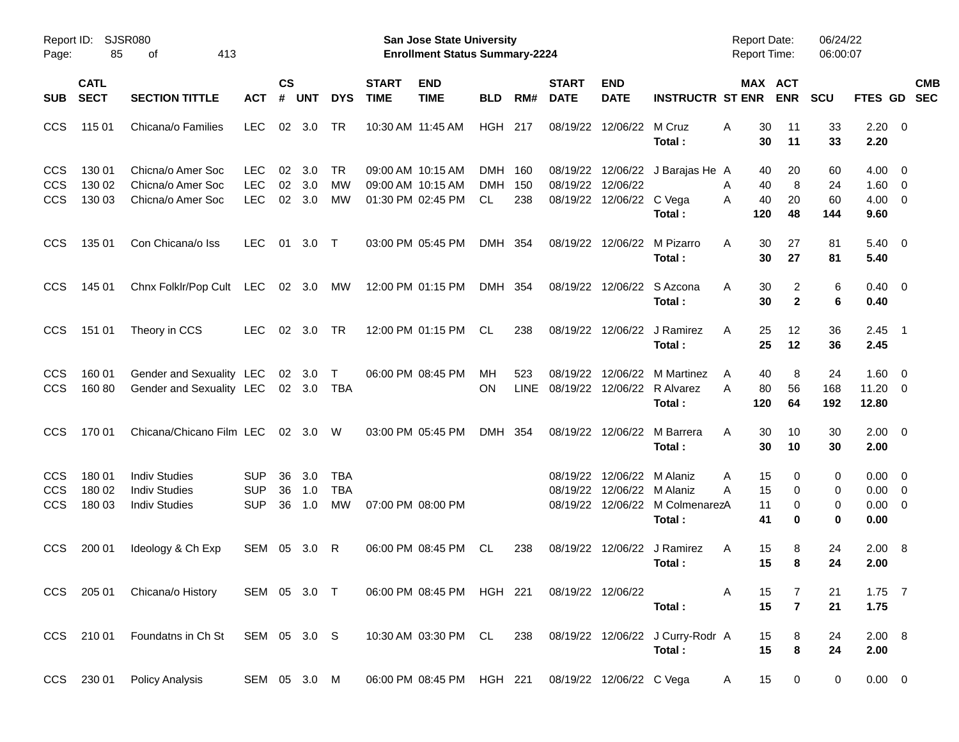| Page:                                  | Report ID: SJSR080<br>85   | 413<br>οf                                                            |                                        |                |                                  |                                |                             | <b>San Jose State University</b><br><b>Enrollment Status Summary-2224</b> |                              |                    |                             |                                               |                                                                     | <b>Report Date:</b><br><b>Report Time:</b> |                       | 06/24/22<br>06:00:07  |                                                      |                          |            |
|----------------------------------------|----------------------------|----------------------------------------------------------------------|----------------------------------------|----------------|----------------------------------|--------------------------------|-----------------------------|---------------------------------------------------------------------------|------------------------------|--------------------|-----------------------------|-----------------------------------------------|---------------------------------------------------------------------|--------------------------------------------|-----------------------|-----------------------|------------------------------------------------------|--------------------------|------------|
| <b>SUB</b>                             | <b>CATL</b><br><b>SECT</b> | <b>SECTION TITTLE</b>                                                | <b>ACT</b>                             | <b>CS</b><br># | <b>UNT</b>                       | <b>DYS</b>                     | <b>START</b><br><b>TIME</b> | <b>END</b><br><b>TIME</b>                                                 | <b>BLD</b>                   | RM#                | <b>START</b><br><b>DATE</b> | <b>END</b><br><b>DATE</b>                     | <b>INSTRUCTR ST ENR</b>                                             |                                            | MAX ACT<br><b>ENR</b> | <b>SCU</b>            | FTES GD SEC                                          |                          | <b>CMB</b> |
| <b>CCS</b>                             | 115 01                     | Chicana/o Families                                                   | <b>LEC</b>                             | 02             | 3.0                              | TR                             |                             | 10:30 AM 11:45 AM                                                         | HGH 217                      |                    |                             | 08/19/22 12/06/22                             | M Cruz<br>Total:                                                    | 30<br>A<br>30                              | 11<br>11              | 33<br>33              | $2.20 \t 0$<br>2.20                                  |                          |            |
| <b>CCS</b><br><b>CCS</b><br><b>CCS</b> | 130 01<br>130 02<br>130 03 | Chicna/o Amer Soc<br>Chicna/o Amer Soc<br>Chicna/o Amer Soc          | <b>LEC</b><br><b>LEC</b><br><b>LEC</b> | 02<br>02<br>02 | 3.0<br>3.0<br>3.0                | TR<br>МW<br><b>MW</b>          |                             | 09:00 AM 10:15 AM<br>09:00 AM 10:15 AM<br>01:30 PM 02:45 PM               | DMH 160<br><b>DMH</b><br>CL. | 150<br>238         |                             | 08/19/22 12/06/22<br>08/19/22 12/06/22 C Vega | 08/19/22 12/06/22 J Barajas He A<br>Total:                          | 40<br>40<br>A<br>40<br>A<br>120            | 20<br>8<br>20<br>48   | 60<br>24<br>60<br>144 | $4.00 \ 0$<br>$1.60 \t 0$<br>$4.00 \ 0$<br>9.60      |                          |            |
| <b>CCS</b>                             | 135 01                     | Con Chicana/o Iss                                                    | <b>LEC</b>                             | 01             | 3.0                              | $\top$                         |                             | 03:00 PM 05:45 PM                                                         | DMH 354                      |                    |                             | 08/19/22 12/06/22                             | M Pizarro<br>Total:                                                 | 30<br>A<br>30                              | 27<br>27              | 81<br>81              | $5.40 \quad 0$<br>5.40                               |                          |            |
| <b>CCS</b>                             | 145 01                     | Chnx Folklr/Pop Cult                                                 | LEC 02 3.0                             |                |                                  | МW                             |                             | 12:00 PM 01:15 PM                                                         | DMH 354                      |                    |                             | 08/19/22 12/06/22                             | S Azcona<br>Total:                                                  | 30<br>A<br>30                              | 2<br>$\mathbf{2}$     | 6<br>6                | $0.40 \quad 0$<br>0.40                               |                          |            |
| <b>CCS</b>                             | 151 01                     | Theory in CCS                                                        | LEC.                                   | 02             | 3.0                              | TR                             |                             | 12:00 PM 01:15 PM                                                         | CL                           | 238                |                             | 08/19/22 12/06/22                             | J Ramirez<br>Total:                                                 | 25<br>A<br>25                              | 12<br>12              | 36<br>36              | 2.45<br>2.45                                         | $\overline{\phantom{1}}$ |            |
| <b>CCS</b><br><b>CCS</b>               | 160 01<br>160 80           | Gender and Sexuality LEC<br>Gender and Sexuality LEC                 |                                        |                | $02 \quad 3.0$<br>$02 \quad 3.0$ | $\top$<br>TBA                  |                             | 06:00 PM 08:45 PM                                                         | МH<br>ΟN                     | 523<br><b>LINE</b> | 08/19/22                    | 12/06/22                                      | M Martinez<br>08/19/22 12/06/22 R Alvarez<br>Total:                 | 40<br>A<br>80<br>A<br>120                  | 8<br>56<br>64         | 24<br>168<br>192      | $1.60 \t 0$<br>$11.20 \t 0$<br>12.80                 |                          |            |
| <b>CCS</b>                             | 170 01                     | Chicana/Chicano Film LEC                                             |                                        |                | 02 3.0                           | W                              |                             | 03:00 PM 05:45 PM                                                         | DMH 354                      |                    |                             | 08/19/22 12/06/22                             | M Barrera<br>Total:                                                 | 30<br>A<br>30                              | 10<br>10              | 30<br>30              | $2.00 \t 0$<br>2.00                                  |                          |            |
| <b>CCS</b><br><b>CCS</b><br><b>CCS</b> | 180 01<br>180 02<br>180 03 | <b>Indiv Studies</b><br><b>Indiv Studies</b><br><b>Indiv Studies</b> | <b>SUP</b><br><b>SUP</b><br><b>SUP</b> | 36<br>36<br>36 | 3.0<br>1.0<br>1.0                | TBA<br><b>TBA</b><br><b>MW</b> |                             | 07:00 PM 08:00 PM                                                         |                              |                    | 08/19/22                    | 08/19/22 12/06/22 M Alaniz                    | 12/06/22 M Alaniz<br>08/19/22 12/06/22 M ColmenarezA<br>Total:      | 15<br>Α<br>15<br>A<br>11<br>41             | 0<br>0<br>0<br>0      | 0<br>0<br>0<br>0      | $0.00 \quad 0$<br>$0.00 \t 0$<br>$0.00 \t 0$<br>0.00 |                          |            |
| <b>CCS</b>                             | 200 01                     | Ideology & Ch Exp                                                    | SEM 05 3.0                             |                |                                  | R                              |                             | 06:00 PM 08:45 PM                                                         | CL.                          | 238                |                             | 08/19/22 12/06/22                             | J Ramirez<br>Total:                                                 | 15<br>A<br>15                              | 8<br>8                | 24<br>24              | $2.00 \ 8$<br>2.00                                   |                          |            |
|                                        |                            | CCS 205 01 Chicana/o History                                         | SEM 05 3.0 T                           |                |                                  |                                |                             | 06:00 PM 08:45 PM HGH 221                                                 |                              |                    | 08/19/22 12/06/22           |                                               | Total:                                                              | A<br>15<br>15                              | 7<br>$\overline{7}$   | 21<br>21              | $1.75$ 7<br>1.75                                     |                          |            |
|                                        |                            | CCS 210 01 Foundatns in Ch St SEM 05 3.0 S                           |                                        |                |                                  |                                |                             |                                                                           |                              |                    |                             |                                               | 10:30 AM 03:30 PM CL 238 08/19/22 12/06/22 J Curry-Rodr A<br>Total: | 15<br>15                                   | 8<br>8                | 24<br>24              | 2.00 8<br>2.00                                       |                          |            |
|                                        |                            | CCS 230 01 Policy Analysis                                           | SEM 05 3.0 M                           |                |                                  |                                |                             | 06:00 PM 08:45 PM HGH 221 08/19/22 12/06/22 C Vega                        |                              |                    |                             |                                               |                                                                     | 15<br>A                                    | $\overline{0}$        | 0                     | $0.00 \t 0$                                          |                          |            |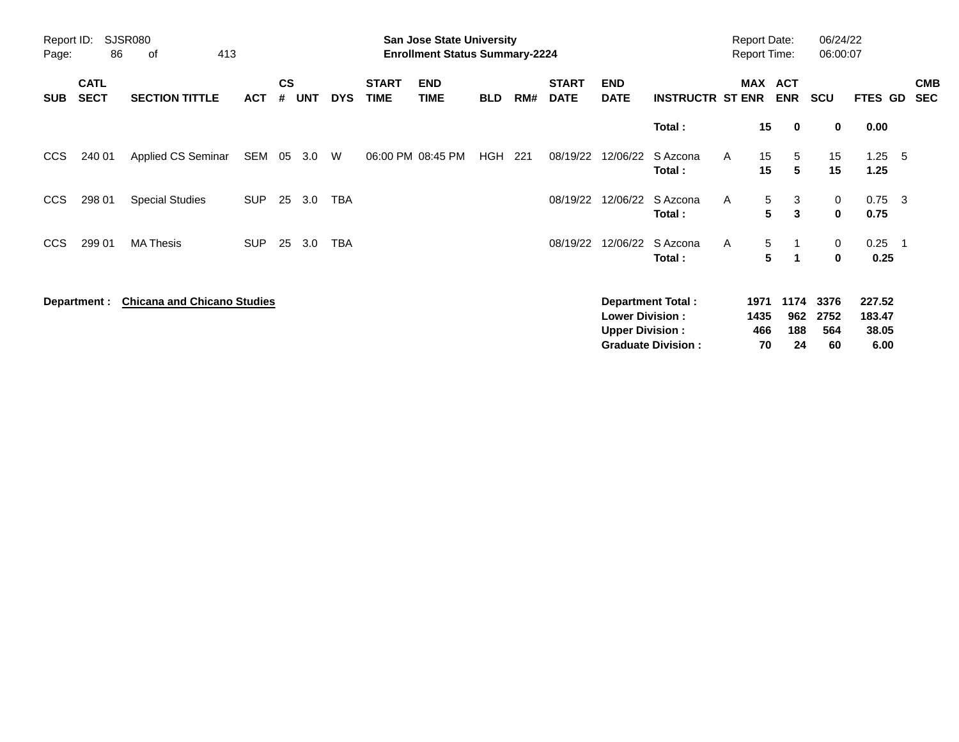| Page:      | Report ID:<br><b>SJSR080</b><br>413<br>86<br>οf                   |                        |            |    |                             |            |                             | <b>San Jose State University</b><br><b>Enrollment Status Summary-2224</b> |            |     |                             |                                                  |                                                       |              | <b>Report Date:</b><br><b>Report Time:</b> |                           | 06/24/22<br>06:00:07 |                         |                          |
|------------|-------------------------------------------------------------------|------------------------|------------|----|-----------------------------|------------|-----------------------------|---------------------------------------------------------------------------|------------|-----|-----------------------------|--------------------------------------------------|-------------------------------------------------------|--------------|--------------------------------------------|---------------------------|----------------------|-------------------------|--------------------------|
| <b>SUB</b> | <b>CATL</b><br><b>SECT</b><br><b>SECTION TITTLE</b><br><b>ACT</b> |                        |            |    | $\mathsf{cs}$<br><b>UNT</b> | <b>DYS</b> | <b>START</b><br><b>TIME</b> | <b>END</b><br><b>TIME</b>                                                 | <b>BLD</b> | RM# | <b>START</b><br><b>DATE</b> | <b>END</b><br><b>DATE</b>                        | <b>INSTRUCTR ST ENR</b>                               | <b>MAX</b>   | <b>ACT</b><br><b>ENR</b>                   | SCU                       |                      | FTES GD                 | <b>CMB</b><br><b>SEC</b> |
|            | 240 01<br>Applied CS Seminar                                      |                        |            |    |                             |            |                             |                                                                           |            |     |                             |                                                  | Total:                                                |              | 15<br>$\mathbf 0$                          |                           | 0<br>0.00            |                         |                          |
| CCS        | SEM                                                               |                        |            | 05 | 3.0                         | W          |                             | 06:00 PM 08:45 PM                                                         | HGH        | 221 | 08/19/22                    | 12/06/22                                         | S Azcona<br>Total:                                    | A            | 15<br>5<br>5<br>15                         |                           | 15<br>15             | 1.25<br>- 5<br>1.25     |                          |
| <b>CCS</b> | 298 01                                                            | <b>Special Studies</b> | <b>SUP</b> | 25 | 3.0                         | TBA        |                             |                                                                           |            |     | 08/19/22                    | 12/06/22                                         | S Azcona<br>Total:                                    | Α            | 5<br>3<br>5<br>3                           |                           | 0<br>$\mathbf 0$     | $0.75 \quad 3$<br>0.75  |                          |
| CCS        | 299 01                                                            | <b>MA Thesis</b>       | <b>SUP</b> | 25 | 3.0                         | <b>TBA</b> |                             |                                                                           |            |     | 08/19/22                    | 12/06/22                                         | S Azcona<br>Total:                                    | A            | 5<br>$\overline{1}$<br>5<br>1              |                           | 0<br>0               | 0.25<br>- 1<br>0.25     |                          |
|            | <b>Chicana and Chicano Studies</b><br>Department :                |                        |            |    |                             |            |                             |                                                                           |            |     |                             | <b>Lower Division:</b><br><b>Upper Division:</b> | <b>Department Total:</b><br><b>Graduate Division:</b> | 1971<br>1435 | 1174<br>962<br>466<br>188<br>70            | 3376<br>2752<br>564<br>24 | 227.52<br>60         | 183.47<br>38.05<br>6.00 |                          |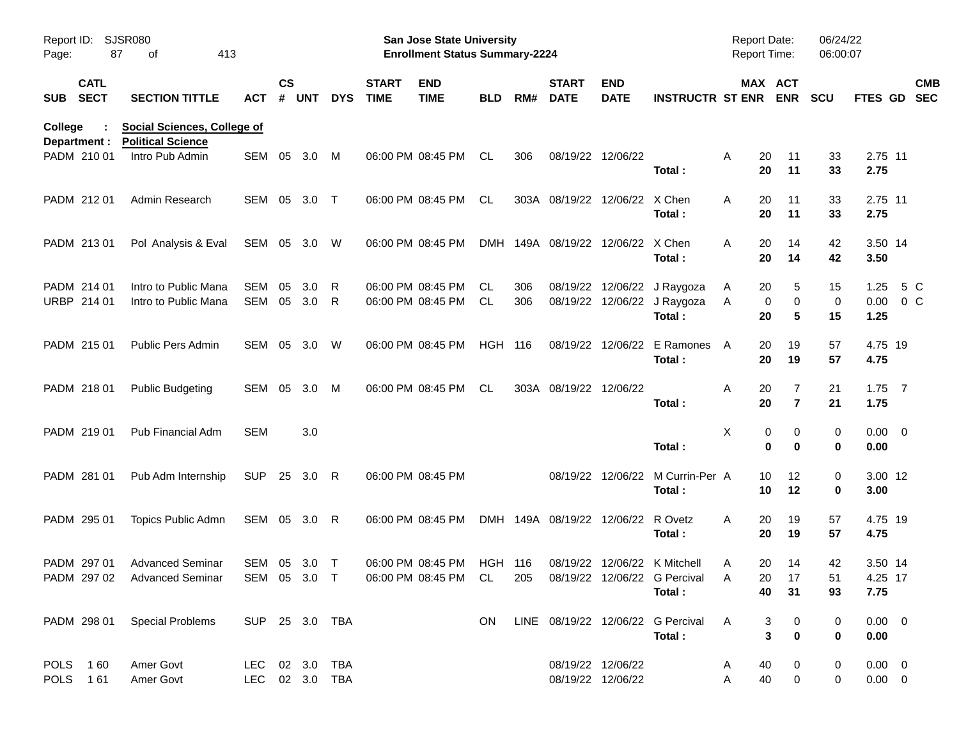| Report ID:<br>Page: | 87                         | SJSR080<br>413<br>οf                                           |                                  |                |            |            |                             | San Jose State University<br><b>Enrollment Status Summary-2224</b> |                |            |                                    |                                        |                                                                                                                   | Report Date:<br><b>Report Time:</b>   |                                       | 06/24/22<br>06:00:07 |                               |                          |
|---------------------|----------------------------|----------------------------------------------------------------|----------------------------------|----------------|------------|------------|-----------------------------|--------------------------------------------------------------------|----------------|------------|------------------------------------|----------------------------------------|-------------------------------------------------------------------------------------------------------------------|---------------------------------------|---------------------------------------|----------------------|-------------------------------|--------------------------|
|                     | <b>CATL</b><br>SUB SECT    | <b>SECTION TITTLE</b>                                          | <b>ACT</b>                       | <b>CS</b><br># | <b>UNT</b> | <b>DYS</b> | <b>START</b><br><b>TIME</b> | <b>END</b><br><b>TIME</b>                                          | <b>BLD</b>     | RM#        | <b>START</b><br><b>DATE</b>        | <b>END</b><br><b>DATE</b>              | <b>INSTRUCTR ST ENR ENR</b>                                                                                       |                                       | MAX ACT                               | <b>SCU</b>           | <b>FTES GD</b>                | <b>CMB</b><br><b>SEC</b> |
| College             | Department :               | <b>Social Sciences, College of</b><br><b>Political Science</b> |                                  |                |            |            |                             |                                                                    |                |            |                                    |                                        |                                                                                                                   |                                       |                                       |                      |                               |                          |
|                     | PADM 210 01                | Intro Pub Admin                                                | SEM                              | 05             | 3.0        | M          |                             | 06:00 PM 08:45 PM                                                  | CL             | 306        |                                    | 08/19/22 12/06/22                      | Total:                                                                                                            | 20<br>A<br>20                         | 11<br>11                              | 33<br>33             | 2.75 11<br>2.75               |                          |
|                     | PADM 212 01                | Admin Research                                                 | SEM 05                           |                | 3.0        | $\top$     |                             | 06:00 PM 08:45 PM                                                  | CL             |            | 303A 08/19/22 12/06/22 X Chen      |                                        | Total:                                                                                                            | A<br>20<br>20                         | 11<br>11                              | 33<br>33             | 2.75 11<br>2.75               |                          |
|                     | PADM 213 01                | Pol Analysis & Eval                                            | SEM 05 3.0 W                     |                |            |            |                             | 06:00 PM 08:45 PM                                                  | <b>DMH</b>     |            | 149A 08/19/22 12/06/22 X Chen      |                                        | Total:                                                                                                            | A<br>20<br>20                         | 14<br>14                              | 42<br>42             | 3.50 14<br>3.50               |                          |
|                     | PADM 214 01<br>URBP 214 01 | Intro to Public Mana<br>Intro to Public Mana                   | SEM<br>SEM 05                    | 05             | 3.0<br>3.0 | R<br>R     |                             | 06:00 PM 08:45 PM<br>06:00 PM 08:45 PM                             | CL<br>CL       | 306<br>306 |                                    |                                        | 08/19/22 12/06/22 J Raygoza<br>08/19/22 12/06/22 J Raygoza<br>Total:                                              | A<br>20<br>Α<br>20                    | 5<br>0<br>0<br>5                      | 15<br>0<br>15        | 1.25<br>$0.00 \t 0 C$<br>1.25 | 5 C                      |
|                     | PADM 215 01                | <b>Public Pers Admin</b>                                       | SEM 05                           |                | 3.0        | W          |                             | 06:00 PM 08:45 PM                                                  | <b>HGH 116</b> |            |                                    |                                        | 08/19/22 12/06/22 E Ramones<br>Total:                                                                             | A<br>20<br>20                         | 19<br>19                              | 57<br>57             | 4.75 19<br>4.75               |                          |
|                     | PADM 218 01                | <b>Public Budgeting</b>                                        | SEM 05                           |                | 3.0        | M          |                             | 06:00 PM 08:45 PM                                                  | CL             |            | 303A 08/19/22 12/06/22             |                                        | Total:                                                                                                            | Α<br>20<br>20                         | 7<br>$\overline{\mathbf{r}}$          | 21<br>21             | $1.75$ 7<br>1.75              |                          |
|                     | PADM 219 01                | Pub Financial Adm                                              | SEM                              |                | 3.0        |            |                             |                                                                    |                |            |                                    |                                        | Total:                                                                                                            | Χ                                     | 0<br>0<br>0<br>$\bf{0}$               | 0<br>$\bf{0}$        | $0.00 \t 0$<br>0.00           |                          |
|                     | PADM 281 01                | Pub Adm Internship                                             | <b>SUP</b>                       |                | 25 3.0 R   |            |                             | 06:00 PM 08:45 PM                                                  |                |            |                                    |                                        | 08/19/22 12/06/22 M Currin-Per A<br>Total:                                                                        | 10<br>10                              | 12<br>12                              | 0<br>0               | 3.00 12<br>3.00               |                          |
|                     | PADM 295 01                | Topics Public Admn                                             | SEM 05 3.0 R                     |                |            |            |                             | 06:00 PM 08:45 PM                                                  |                |            | DMH 149A 08/19/22 12/06/22 R Ovetz |                                        | Total:                                                                                                            | 20<br>A<br>20                         | 19<br>19                              | 57<br>57             | 4.75 19<br>4.75               |                          |
|                     | PADM 297 01                | <b>Advanced Seminar</b><br>PADM 297 02 Advanced Seminar        | SEM 05 3.0                       |                |            | $\top$     |                             | 06:00 PM 08:45 PM                                                  | <b>HGH 116</b> |            |                                    |                                        | 08/19/22 12/06/22 K Mitchell<br>SEM 05 3.0 T  06:00 PM 08:45 PM CL  205  08/19/22  12/06/22  G Percival<br>Total: | 20<br>A<br>20<br>$\overline{A}$<br>40 | 14<br>17<br>31                        | 42<br>51<br>93       | 3.50 14<br>4.25 17<br>7.75    |                          |
|                     |                            | PADM 298 01 Special Problems                                   | SUP 25 3.0 TBA                   |                |            |            |                             |                                                                    | ON.            |            |                                    |                                        | LINE 08/19/22 12/06/22 G Percival<br>Total:                                                                       | A                                     | 3<br>0<br>$\mathbf{3}$<br>$\mathbf 0$ | 0<br>0               | $0.00 \t 0$<br>0.00           |                          |
|                     | POLS 160<br>POLS 161       | Amer Govt<br>Amer Govt                                         | LEC 02 3.0 TBA<br>LEC 02 3.0 TBA |                |            |            |                             |                                                                    |                |            |                                    | 08/19/22 12/06/22<br>08/19/22 12/06/22 |                                                                                                                   | 40<br>A<br>40<br>Α                    | 0<br>$\mathbf 0$                      | 0<br>0               | $0.00 \t 0$<br>$0.00 \t 0$    |                          |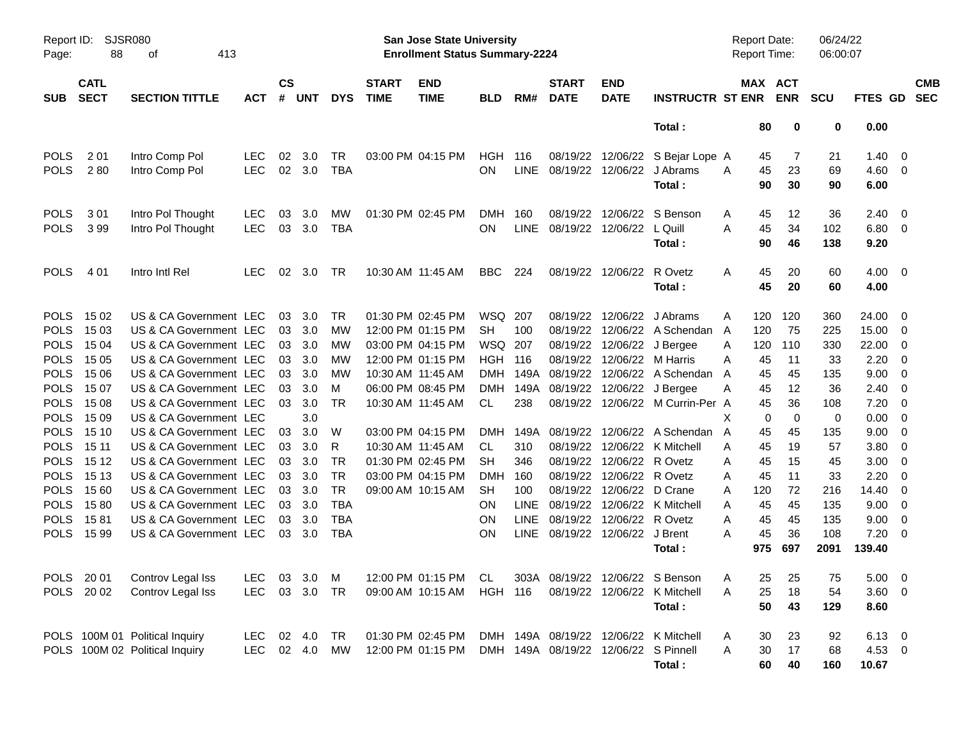| Page:                                                                                                                                                             | <b>SJSR080</b><br>Report ID:<br>88<br>413<br>οf<br><b>CATL</b>                                  |                                                                                                                                                                                                                                                                                            |                          |                                              |                                                                                 |                                                                  |                                                             | San Jose State University<br><b>Enrollment Status Summary-2224</b>                                                                              |                                                                                                               |                                                  |                                                                           |                                                                                           |                                                                                                                                                                                              |                                                | Report Date:<br><b>Report Time:</b>                              |                                                                           | 06/24/22<br>06:00:07                                                          |                                                                                         |                                                                                                                            |                          |
|-------------------------------------------------------------------------------------------------------------------------------------------------------------------|-------------------------------------------------------------------------------------------------|--------------------------------------------------------------------------------------------------------------------------------------------------------------------------------------------------------------------------------------------------------------------------------------------|--------------------------|----------------------------------------------|---------------------------------------------------------------------------------|------------------------------------------------------------------|-------------------------------------------------------------|-------------------------------------------------------------------------------------------------------------------------------------------------|---------------------------------------------------------------------------------------------------------------|--------------------------------------------------|---------------------------------------------------------------------------|-------------------------------------------------------------------------------------------|----------------------------------------------------------------------------------------------------------------------------------------------------------------------------------------------|------------------------------------------------|------------------------------------------------------------------|---------------------------------------------------------------------------|-------------------------------------------------------------------------------|-----------------------------------------------------------------------------------------|----------------------------------------------------------------------------------------------------------------------------|--------------------------|
| <b>SUB</b>                                                                                                                                                        | <b>SECT</b>                                                                                     | <b>SECTION TITTLE</b>                                                                                                                                                                                                                                                                      | <b>ACT</b>               | $\mathsf{cs}$<br>#                           | <b>UNT</b>                                                                      | <b>DYS</b>                                                       | <b>START</b><br><b>TIME</b>                                 | <b>END</b><br><b>TIME</b>                                                                                                                       | <b>BLD</b>                                                                                                    | RM#                                              | <b>START</b><br><b>DATE</b>                                               | <b>END</b><br><b>DATE</b>                                                                 | <b>INSTRUCTR ST ENR</b>                                                                                                                                                                      |                                                | MAX ACT                                                          | <b>ENR</b>                                                                | <b>SCU</b>                                                                    | <b>FTES GD</b>                                                                          |                                                                                                                            | <b>CMB</b><br><b>SEC</b> |
|                                                                                                                                                                   |                                                                                                 |                                                                                                                                                                                                                                                                                            |                          |                                              |                                                                                 |                                                                  |                                                             |                                                                                                                                                 |                                                                                                               |                                                  |                                                                           |                                                                                           | Total:                                                                                                                                                                                       |                                                | 80                                                               | 0                                                                         | 0                                                                             | 0.00                                                                                    |                                                                                                                            |                          |
| <b>POLS</b><br><b>POLS</b>                                                                                                                                        | 2 0 1<br>280                                                                                    | Intro Comp Pol<br>Intro Comp Pol                                                                                                                                                                                                                                                           | <b>LEC</b><br><b>LEC</b> | 02                                           | 3.0<br>02 3.0                                                                   | TR<br><b>TBA</b>                                                 |                                                             | 03:00 PM 04:15 PM                                                                                                                               | HGH<br><b>ON</b>                                                                                              | 116                                              | 08/19/22<br>LINE 08/19/22 12/06/22                                        | 12/06/22                                                                                  | S Bejar Lope A<br>J Abrams<br>Total:                                                                                                                                                         | A                                              | 45<br>45<br>90                                                   | 7<br>23<br>30                                                             | 21<br>69<br>90                                                                | 1.40<br>4.60<br>6.00                                                                    | $\overline{0}$<br>- 0                                                                                                      |                          |
| <b>POLS</b><br><b>POLS</b>                                                                                                                                        | 301<br>399                                                                                      | Intro Pol Thought<br>Intro Pol Thought                                                                                                                                                                                                                                                     | <b>LEC</b><br><b>LEC</b> | 03<br>03                                     | 3.0<br>3.0                                                                      | MW<br><b>TBA</b>                                                 |                                                             | 01:30 PM 02:45 PM                                                                                                                               | <b>DMH</b><br><b>ON</b>                                                                                       | 160                                              | 08/19/22<br>LINE 08/19/22 12/06/22                                        | 12/06/22                                                                                  | S Benson<br>L Quill<br>Total:                                                                                                                                                                | A<br>A                                         | 45<br>45<br>90                                                   | 12<br>34<br>46                                                            | 36<br>102<br>138                                                              | 2.40<br>6.80 0<br>9.20                                                                  | - 0                                                                                                                        |                          |
| <b>POLS</b>                                                                                                                                                       | 4 0 1                                                                                           | Intro Intl Rel                                                                                                                                                                                                                                                                             | <b>LEC</b>               | 02                                           | 3.0                                                                             | TR                                                               |                                                             | 10:30 AM 11:45 AM                                                                                                                               | BBC                                                                                                           | 224                                              |                                                                           | 08/19/22 12/06/22                                                                         | R Ovetz<br>Total:                                                                                                                                                                            | A                                              | 45<br>45                                                         | 20<br>20                                                                  | 60<br>60                                                                      | 4.00<br>4.00                                                                            | $\overline{\mathbf{0}}$                                                                                                    |                          |
| <b>POLS</b><br><b>POLS</b><br><b>POLS</b><br><b>POLS</b><br><b>POLS</b><br><b>POLS</b><br><b>POLS</b><br><b>POLS</b><br><b>POLS</b><br><b>POLS</b><br><b>POLS</b> | 15 02<br>15 03<br>15 04<br>15 05<br>15 06<br>15 07<br>15 08<br>15 09<br>15 10<br>15 11<br>15 12 | US & CA Government LEC<br>US & CA Government LEC<br>US & CA Government LEC<br>US & CA Government LEC<br>US & CA Government LEC<br>US & CA Government LEC<br>US & CA Government LEC<br>US & CA Government LEC<br>US & CA Government LEC<br>US & CA Government LEC<br>US & CA Government LEC |                          | 03<br>03<br>03<br>03<br>03<br>03<br>03<br>03 | 3.0<br>03 3.0<br>03 3.0<br>3.0<br>3.0<br>3.0<br>3.0<br>3.0<br>3.0<br>3.0<br>3.0 | TR<br>МW<br>МW<br>МW<br>МW<br>M<br>TR<br>W<br>R<br>TR            | 10:30 AM 11:45 AM<br>10:30 AM 11:45 AM<br>10:30 AM 11:45 AM | 01:30 PM 02:45 PM<br>12:00 PM 01:15 PM<br>03:00 PM 04:15 PM<br>12:00 PM 01:15 PM<br>06:00 PM 08:45 PM<br>03:00 PM 04:15 PM<br>01:30 PM 02:45 PM | WSQ 207<br><b>SH</b><br>WSQ 207<br><b>HGH 116</b><br><b>DMH</b><br><b>DMH</b><br>CL<br>DMH<br>CL<br><b>SH</b> | 100<br>149A<br>238<br>310<br>346                 | 08/19/22<br>08/19/22<br>08/19/22<br>08/19/22<br>149A 08/19/22<br>08/19/22 | 12/06/22<br>12/06/22<br>12/06/22<br>12/06/22<br>12/06/22<br>08/19/22 12/06/22<br>12/06/22 | J Abrams<br>A Schendan<br>J Bergee<br>M Harris<br>A Schendan<br>J Bergee<br>08/19/22 12/06/22 M Currin-Per A<br>149A 08/19/22 12/06/22 A Schendan<br>08/19/22 12/06/22 K Mitchell<br>R Ovetz | A<br>A<br>A<br>A<br>A<br>A<br>X<br>A<br>A<br>A | 120<br>120<br>120<br>45<br>45<br>45<br>45<br>0<br>45<br>45<br>45 | 120<br>75<br>110<br>11<br>45<br>12<br>36<br>$\mathbf 0$<br>45<br>19<br>15 | 360<br>225<br>330<br>33<br>135<br>36<br>108<br>$\mathbf 0$<br>135<br>57<br>45 | 24.00<br>15.00<br>22.00<br>2.20<br>9.00<br>2.40<br>7.20<br>0.00<br>9.00<br>3.80<br>3.00 | - 0<br>- 0<br>$\overline{0}$<br>- 0<br>- 0<br>0<br>$\overline{0}$<br>$\overline{0}$<br>$\overline{0}$<br>$\mathbf{0}$<br>0 |                          |
| <b>POLS</b><br><b>POLS</b><br><b>POLS</b><br><b>POLS</b><br><b>POLS</b>                                                                                           | 15 13<br>15 60<br>1580<br>1581<br>1599                                                          | US & CA Government LEC<br>US & CA Government LEC<br>US & CA Government LEC<br>US & CA Government LEC<br>US & CA Government LEC                                                                                                                                                             |                          | 03<br>03                                     | 03 3.0<br>03 3.0<br>3.0<br>3.0<br>03 3.0                                        | <b>TR</b><br><b>TR</b><br><b>TBA</b><br><b>TBA</b><br><b>TBA</b> |                                                             | 03:00 PM 04:15 PM<br>09:00 AM 10:15 AM                                                                                                          | <b>DMH</b><br><b>SH</b><br><b>ON</b><br><b>ON</b><br><b>ON</b>                                                | 160<br>100<br><b>LINE</b><br><b>LINE</b><br>LINE | 08/19/22<br>08/19/22                                                      | 12/06/22<br>08/19/22 12/06/22<br>12/06/22<br>08/19/22 12/06/22                            | R Ovetz<br>D Crane<br>08/19/22 12/06/22 K Mitchell<br>R Ovetz<br>J Brent<br>Total:                                                                                                           | A<br>A<br>A<br>A<br>A                          | 45<br>120<br>45<br>45<br>45<br>975                               | 11<br>72<br>45<br>45<br>36<br>697                                         | 33<br>216<br>135<br>135<br>108<br>2091                                        | 2.20<br>14.40<br>9.00<br>9.00<br>7.20<br>139.40                                         | - 0<br>0<br>$\overline{0}$<br>0<br>$\overline{0}$                                                                          |                          |
|                                                                                                                                                                   | POLS 2002                                                                                       | POLS 20 01 Controv Legal Iss<br>Controv Legal Iss                                                                                                                                                                                                                                          | LEC.                     |                                              | 03 3.0 TR                                                                       |                                                                  |                                                             | LEC 03 3.0 M 12:00 PM 01:15 PM CL 303A 08/19/22 12/06/22 S Benson<br>09:00 AM 10:15 AM HGH 116                                                  |                                                                                                               |                                                  |                                                                           |                                                                                           | 08/19/22 12/06/22 K Mitchell<br>Total:                                                                                                                                                       | $\mathsf{A}$<br>A                              | 25<br>25<br>50                                                   | 25<br>18<br>43                                                            | 75<br>54<br>129                                                               | $5.00 \t 0$<br>$3.60 \quad 0$<br>8.60                                                   |                                                                                                                            |                          |
|                                                                                                                                                                   |                                                                                                 | POLS 100M 01 Political Inquiry<br>POLS 100M 02 Political Inquiry                                                                                                                                                                                                                           | LEC 02 4.0<br>LEC.       |                                              | 02 4.0                                                                          | TR<br>MW                                                         |                                                             | 01:30 PM 02:45 PM<br>12:00 PM 01:15 PM                                                                                                          |                                                                                                               |                                                  | DMH 149A 08/19/22 12/06/22 S Pinnell                                      |                                                                                           | DMH 149A 08/19/22 12/06/22 K Mitchell<br>Total:                                                                                                                                              | A<br>A                                         | 30<br>30<br>60                                                   | 23<br>17<br>40                                                            | 92<br>68<br>160                                                               | $6.13 \quad 0$<br>4.53 0<br>10.67                                                       |                                                                                                                            |                          |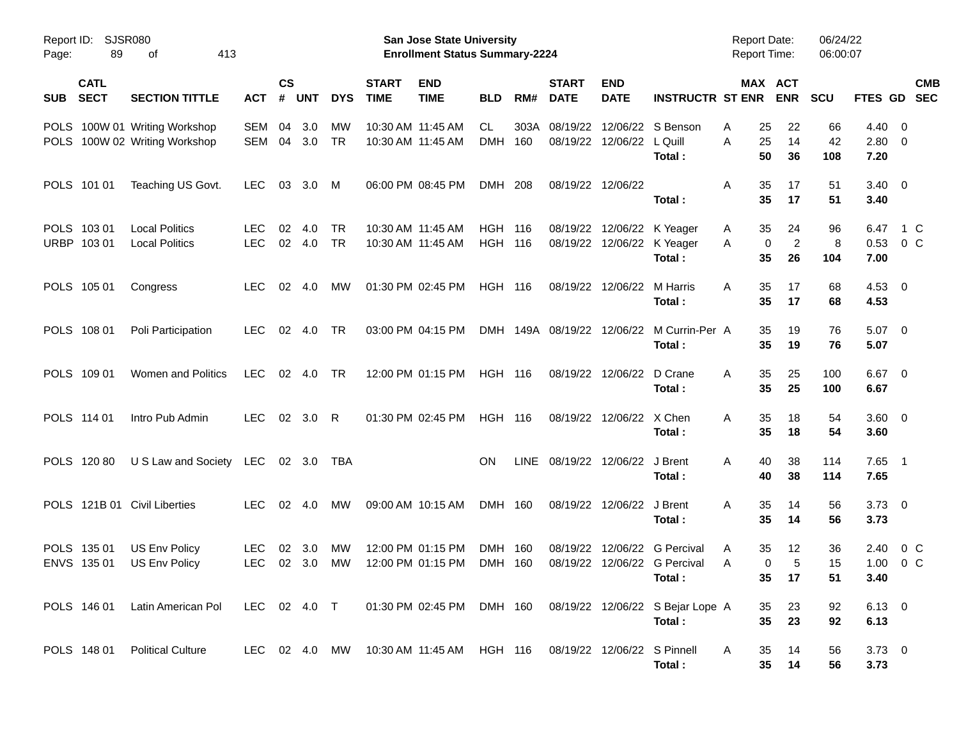| Report ID:<br>89<br>Page:                | SJSR080<br>413<br>оf                                                                       |                          |                    |                       |                        |                             | San Jose State University<br><b>Enrollment Status Summary-2224</b> |                                  |             |                             |                                                          |                                                               | <b>Report Date:</b><br><b>Report Time:</b> |                                             | 06/24/22<br>06:00:07 |                                      |                          |
|------------------------------------------|--------------------------------------------------------------------------------------------|--------------------------|--------------------|-----------------------|------------------------|-----------------------------|--------------------------------------------------------------------|----------------------------------|-------------|-----------------------------|----------------------------------------------------------|---------------------------------------------------------------|--------------------------------------------|---------------------------------------------|----------------------|--------------------------------------|--------------------------|
| <b>CATL</b><br><b>SECT</b><br><b>SUB</b> | <b>SECTION TITTLE</b>                                                                      | <b>ACT</b>               | $\mathsf{cs}$<br># | <b>UNT</b>            | <b>DYS</b>             | <b>START</b><br><b>TIME</b> | <b>END</b><br><b>TIME</b>                                          | <b>BLD</b>                       | RM#         | <b>START</b><br><b>DATE</b> | <b>END</b><br><b>DATE</b>                                | <b>INSTRUCTR ST ENR</b>                                       |                                            | MAX ACT<br><b>ENR</b>                       | <b>SCU</b>           | <b>FTES GD</b>                       | <b>CMB</b><br><b>SEC</b> |
|                                          | POLS 100W 01 Writing Workshop<br>POLS 100W 02 Writing Workshop                             | SEM<br><b>SEM</b>        | 04<br>04           | 3.0<br>3.0            | МW<br><b>TR</b>        |                             | 10:30 AM 11:45 AM<br>10:30 AM 11:45 AM                             | CL<br><b>DMH</b>                 | 303A<br>160 | 08/19/22<br>08/19/22        | 12/06/22 L Quill                                         | 12/06/22 S Benson<br>Total:                                   | Α<br>A                                     | 22<br>25<br>25<br>14<br>50<br>36            | 66<br>42<br>108      | $4.40 \quad 0$<br>$2.80 \ 0$<br>7.20 |                          |
| POLS 101 01                              | Teaching US Govt.                                                                          | <b>LEC</b>               | 03                 | 3.0                   | M                      |                             | 06:00 PM 08:45 PM                                                  | DMH 208                          |             |                             | 08/19/22 12/06/22                                        | Total:                                                        | Α                                          | 35<br>17<br>35<br>17                        | 51<br>51             | $3.40 \quad 0$<br>3.40               |                          |
| POLS 103 01<br>URBP 103 01               | <b>Local Politics</b><br><b>Local Politics</b>                                             | <b>LEC</b><br><b>LEC</b> | 02                 | 4.0<br>02 4.0         | <b>TR</b><br><b>TR</b> |                             | 10:30 AM 11:45 AM<br>10:30 AM 11:45 AM                             | <b>HGH 116</b><br><b>HGH 116</b> |             |                             | 08/19/22 12/06/22 K Yeager<br>08/19/22 12/06/22 K Yeager | Total:                                                        | A<br>A                                     | 35<br>24<br>$\overline{c}$<br>0<br>35<br>26 | 96<br>8<br>104       | 6.47<br>$0.53$ 0 C<br>7.00           | 1 C                      |
| POLS 105 01                              | Congress                                                                                   | <b>LEC</b>               | 02                 | - 4.0                 | МW                     |                             | 01:30 PM 02:45 PM                                                  | <b>HGH 116</b>                   |             |                             | 08/19/22 12/06/22                                        | M Harris<br>Total:                                            | A                                          | 35<br>17<br>35<br>17                        | 68<br>68             | 4.53 0<br>4.53                       |                          |
| POLS 108 01                              | Poli Participation                                                                         | <b>LEC</b>               | 02                 | 4.0                   | TR                     |                             | 03:00 PM 04:15 PM                                                  |                                  |             |                             |                                                          | DMH 149A 08/19/22 12/06/22 M Currin-Per A<br>Total:           |                                            | 35<br>19<br>35<br>19                        | 76<br>76             | $5.07$ 0<br>5.07                     |                          |
| POLS 109 01                              | Women and Politics                                                                         | LEC                      |                    | 02 4.0                | TR                     |                             | 12:00 PM 01:15 PM                                                  | <b>HGH 116</b>                   |             |                             | 08/19/22 12/06/22                                        | D Crane<br>Total:                                             | A                                          | 35<br>25<br>35<br>25                        | 100<br>100           | $6.67$ 0<br>6.67                     |                          |
| POLS 114 01                              | Intro Pub Admin                                                                            | <b>LEC</b>               |                    | 02 3.0 R              |                        |                             | 01:30 PM 02:45 PM                                                  | <b>HGH 116</b>                   |             |                             | 08/19/22 12/06/22 X Chen                                 | Total:                                                        | A                                          | 35<br>18<br>35<br>18                        | 54<br>54             | $3.60 \quad 0$<br>3.60               |                          |
| POLS 120 80                              | U S Law and Society LEC                                                                    |                          |                    | 02 3.0                | TBA                    |                             |                                                                    | ON.                              |             |                             | LINE 08/19/22 12/06/22 J Brent                           | Total:                                                        | A                                          | 40<br>38<br>40<br>38                        | 114<br>114           | $7.65$ 1<br>7.65                     |                          |
| POLS 121B 01 Civil Liberties             |                                                                                            | <b>LEC</b>               |                    | $02 \quad 4.0$        | МW                     |                             | 09:00 AM 10:15 AM                                                  | DMH 160                          |             |                             | 08/19/22 12/06/22                                        | J Brent<br>Total:                                             | A                                          | 35<br>14<br>35<br>14                        | 56<br>56             | $3.73 \quad 0$<br>3.73               |                          |
| POLS 135 01<br>ENVS 135 01               | US Env Policy<br>US Env Policy                                                             | <b>LEC</b><br><b>LEC</b> | 02                 | 3.0<br>$02 \quad 3.0$ | МW<br>МW               |                             | 12:00 PM 01:15 PM<br>12:00 PM 01:15 PM                             | DMH 160<br>DMH 160               |             | 08/19/22                    |                                                          | 12/06/22 G Percival<br>08/19/22 12/06/22 G Percival<br>Total: | A<br>A                                     | 35<br>12<br>5<br>0<br>35 <sub>o</sub><br>17 | 36<br>15<br>51       | 2.40<br>1.00<br>3.40                 | 0 C<br>$0\,C$            |
| POLS 146 01                              | Latin American Pol LEC 02 4.0 T 01:30 PM 02:45 PM DMH 160 08/19/22 12/06/22 S Bejar Lope A |                          |                    |                       |                        |                             |                                                                    |                                  |             |                             |                                                          | Total:                                                        |                                            | 23<br>35<br>35 <sub>5</sub><br>23           | 92<br>92             | $6.13 \quad 0$<br>6.13               |                          |
| POLS 148 01                              | <b>Political Culture</b>                                                                   |                          |                    |                       |                        |                             | LEC 02 4.0 MW 10:30 AM 11:45 AM HGH 116                            |                                  |             |                             | 08/19/22 12/06/22 S Pinnell                              | Total:                                                        | A                                          | 14<br>35<br>$35\phantom{a}$<br>14           | 56<br>56             | $3.73 \ 0$<br>3.73                   |                          |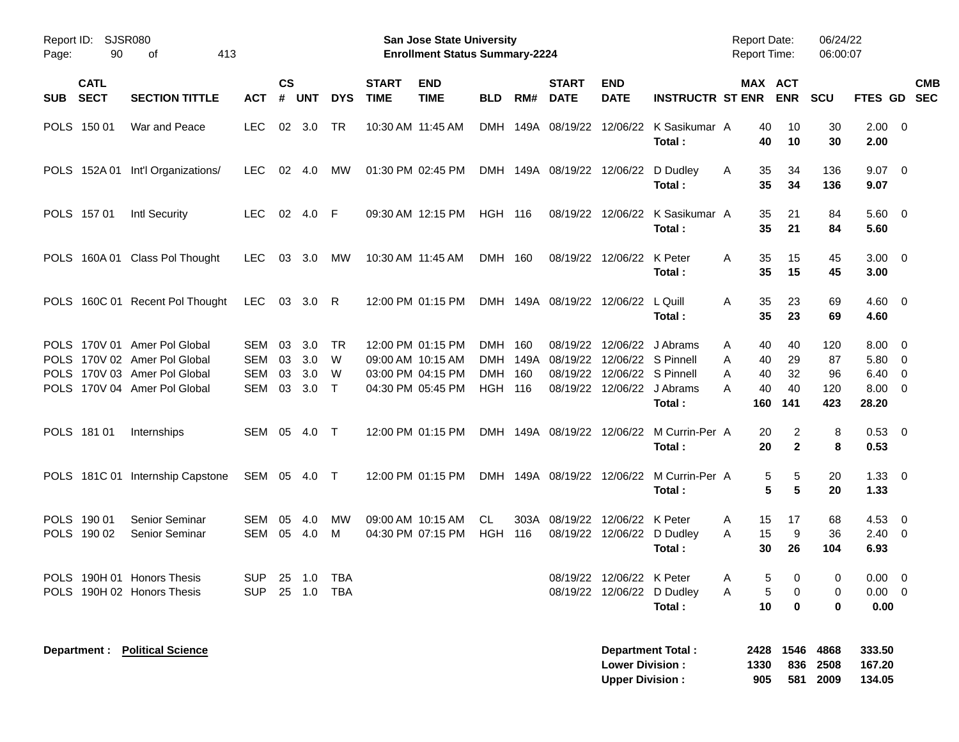| Report ID:<br>90<br>Page:                                | <b>SJSR080</b><br>413<br>οf                                                                                                  |                              |                      |                          |                        |                             | <b>San Jose State University</b><br><b>Enrollment Status Summary-2224</b> |                                     |            |                                     |                                                                                 |                                                     | <b>Report Date:</b><br><b>Report Time:</b> |                                                     | 06/24/22<br>06:00:07          |                                                                    |                           |
|----------------------------------------------------------|------------------------------------------------------------------------------------------------------------------------------|------------------------------|----------------------|--------------------------|------------------------|-----------------------------|---------------------------------------------------------------------------|-------------------------------------|------------|-------------------------------------|---------------------------------------------------------------------------------|-----------------------------------------------------|--------------------------------------------|-----------------------------------------------------|-------------------------------|--------------------------------------------------------------------|---------------------------|
| <b>CATL</b><br><b>SECT</b><br><b>SUB</b>                 | <b>SECTION TITTLE</b>                                                                                                        | <b>ACT</b>                   | $\mathsf{cs}$<br>#   | <b>UNT</b>               | <b>DYS</b>             | <b>START</b><br><b>TIME</b> | <b>END</b><br><b>TIME</b>                                                 | <b>BLD</b>                          | RM#        | <b>START</b><br><b>DATE</b>         | <b>END</b><br><b>DATE</b>                                                       | <b>INSTRUCTR ST ENR</b>                             |                                            | MAX ACT<br><b>ENR</b>                               | <b>SCU</b>                    |                                                                    | <b>CMB</b><br>FTES GD SEC |
| POLS 150 01                                              | War and Peace                                                                                                                | <b>LEC</b>                   |                      | 02 3.0                   | TR                     |                             | 10:30 AM 11:45 AM                                                         |                                     |            |                                     |                                                                                 | DMH 149A 08/19/22 12/06/22 K Sasikumar A<br>Total:  |                                            | 40<br>10<br>40<br>10                                | 30<br>30                      | $2.00 \t 0$<br>2.00                                                |                           |
|                                                          | POLS 152A 01 Int'l Organizations/                                                                                            | <b>LEC</b>                   |                      | 02 4.0                   | МW                     |                             | 01:30 PM 02:45 PM                                                         |                                     |            | DMH 149A 08/19/22 12/06/22 D Dudley |                                                                                 | Total:                                              | A                                          | 35<br>34<br>35<br>34                                | 136<br>136                    | $9.07$ 0<br>9.07                                                   |                           |
| POLS 157 01                                              | Intl Security                                                                                                                | LEC.                         |                      | 02 4.0                   | - F                    |                             | 09:30 AM 12:15 PM                                                         | <b>HGH 116</b>                      |            |                                     |                                                                                 | 08/19/22 12/06/22 K Sasikumar A<br>Total:           |                                            | 35<br>21<br>35<br>21                                | 84<br>84                      | $5.60$ 0<br>5.60                                                   |                           |
|                                                          | POLS 160A 01 Class Pol Thought                                                                                               | <b>LEC</b>                   |                      | 03 3.0                   | МW                     | 10:30 AM 11:45 AM           |                                                                           | DMH 160                             |            |                                     | 08/19/22 12/06/22 K Peter                                                       | Total:                                              | A                                          | 35<br>15<br>35<br>15                                | 45<br>45                      | $3.00 \ 0$<br>3.00                                                 |                           |
|                                                          | POLS 160C 01 Recent Pol Thought                                                                                              | LEC                          |                      | 03 3.0 R                 |                        |                             | 12:00 PM 01:15 PM                                                         |                                     |            | DMH 149A 08/19/22 12/06/22 L Quill  |                                                                                 | Total:                                              | A                                          | 35<br>23<br>35<br>23                                | 69<br>69                      | $4.60 \ 0$<br>4.60                                                 |                           |
|                                                          | POLS 170V 01 Amer Pol Global<br>POLS 170V 02 Amer Pol Global<br>POLS 170V 03 Amer Pol Global<br>POLS 170V 04 Amer Pol Global | SEM<br>SEM<br>SEM<br>SEM     | 03<br>03<br>03<br>03 | 3.0<br>3.0<br>3.0<br>3.0 | TR<br>W<br>W<br>$\top$ | 09:00 AM 10:15 AM           | 12:00 PM 01:15 PM<br>03:00 PM 04:15 PM<br>04:30 PM 05:45 PM               | DMH<br><b>DMH</b><br><b>HGH 116</b> | 160<br>160 | 08/19/22<br>DMH 149A 08/19/22       | 12/06/22 S Pinnell<br>08/19/22 12/06/22 S Pinnell<br>08/19/22 12/06/22 J Abrams | 12/06/22 J Abrams<br>Total:                         | A<br>Α<br>A<br>A<br>160                    | 40<br>40<br>40<br>29<br>32<br>40<br>40<br>40<br>141 | 120<br>87<br>96<br>120<br>423 | $8.00 \quad 0$<br>5.80 0<br>$6.40 \quad 0$<br>$8.00 \t 0$<br>28.20 |                           |
| POLS 181 01                                              | Internships                                                                                                                  | SEM 05 4.0                   |                      |                          | $\top$                 |                             | 12:00 PM 01:15 PM                                                         |                                     |            |                                     |                                                                                 | DMH 149A 08/19/22 12/06/22 M Currin-Per A<br>Total: |                                            | 2<br>20<br>$\overline{2}$<br>20                     | 8<br>8                        | $0.53$ 0<br>0.53                                                   |                           |
|                                                          | POLS 181C 01 Internship Capstone                                                                                             | SEM 05 4.0 T                 |                      |                          |                        |                             | 12:00 PM 01:15 PM                                                         |                                     |            |                                     |                                                                                 | DMH 149A 08/19/22 12/06/22 M Currin-Per A<br>Total: |                                            | 5<br>5<br>5<br>5                                    | 20<br>20                      | $1.33 \ 0$<br>1.33                                                 |                           |
| POLS 190 01<br>POLS 190 02                               | Senior Seminar<br>Senior Seminar                                                                                             | SEM<br>SEM                   | 05<br>05             | 4.0<br>4.0               | MW<br>M                |                             | 09:00 AM 10:15 AM<br>04:30 PM 07:15 PM                                    | CL.<br><b>HGH 116</b>               |            | 303A 08/19/22                       | 12/06/22 K Peter                                                                | 08/19/22 12/06/22 D Dudley<br>Total:                | A<br>A                                     | 17<br>15<br>15<br>9<br>30<br>26                     | 68<br>36<br>104               | $4.53$ 0<br>$2.40 \ 0$<br>6.93                                     |                           |
| POLS 190H 01 Honors Thesis<br>POLS 190H 02 Honors Thesis |                                                                                                                              | SUP 25 1.0 TBA<br><b>SUP</b> |                      | 25 1.0 TBA               |                        |                             |                                                                           |                                     |            |                                     | 08/19/22 12/06/22 K Peter<br>08/19/22 12/06/22 D Dudley                         | Total:                                              | A<br>A                                     | $5\qquad 0$<br>5<br>0<br>10<br>$\mathbf 0$          | $\overline{0}$<br>0<br>0      | $0.00 \t 0$<br>$0.00 \t 0$<br>0.00                                 |                           |
| Department :                                             | <b>Political Science</b>                                                                                                     |                              |                      |                          |                        |                             |                                                                           |                                     |            |                                     | <b>Lower Division:</b><br><b>Upper Division:</b>                                | <b>Department Total:</b>                            | 1330<br>905                                | 2428 1546 4868                                      | 836 2508<br>581 2009          | 333.50<br>167.20<br>134.05                                         |                           |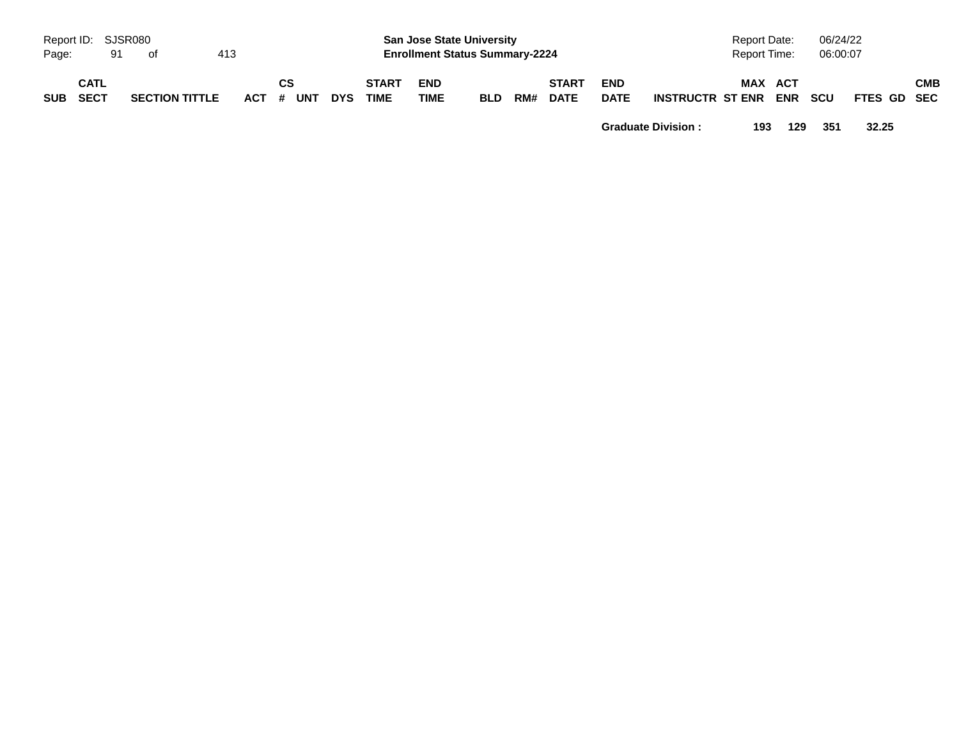| Page:    | Report ID: SJSR080<br>91 | of                    | 413 |                 |            |                             | <b>San Jose State University</b><br><b>Enrollment Status Summary-2224</b> |            |     |                             |                           |                         | <b>Report Date:</b><br>Report Time: |     | 06/24/22<br>06:00:07 |             |     |
|----------|--------------------------|-----------------------|-----|-----------------|------------|-----------------------------|---------------------------------------------------------------------------|------------|-----|-----------------------------|---------------------------|-------------------------|-------------------------------------|-----|----------------------|-------------|-----|
| SUB SECT | <b>CATL</b>              | <b>SECTION TITTLE</b> |     | CS<br>ACT # UNT | <b>DYS</b> | <b>START</b><br><b>TIME</b> | <b>END</b><br><b>TIME</b>                                                 | <b>BLD</b> | RM# | <b>START</b><br><b>DATE</b> | <b>END</b><br><b>DATE</b> | <b>INSTRUCTR ST ENR</b> | MAX ACT                             | ENR | <b>SCU</b>           | FTES GD SEC | СМВ |

**Graduate Division : 193 129 351 32.25**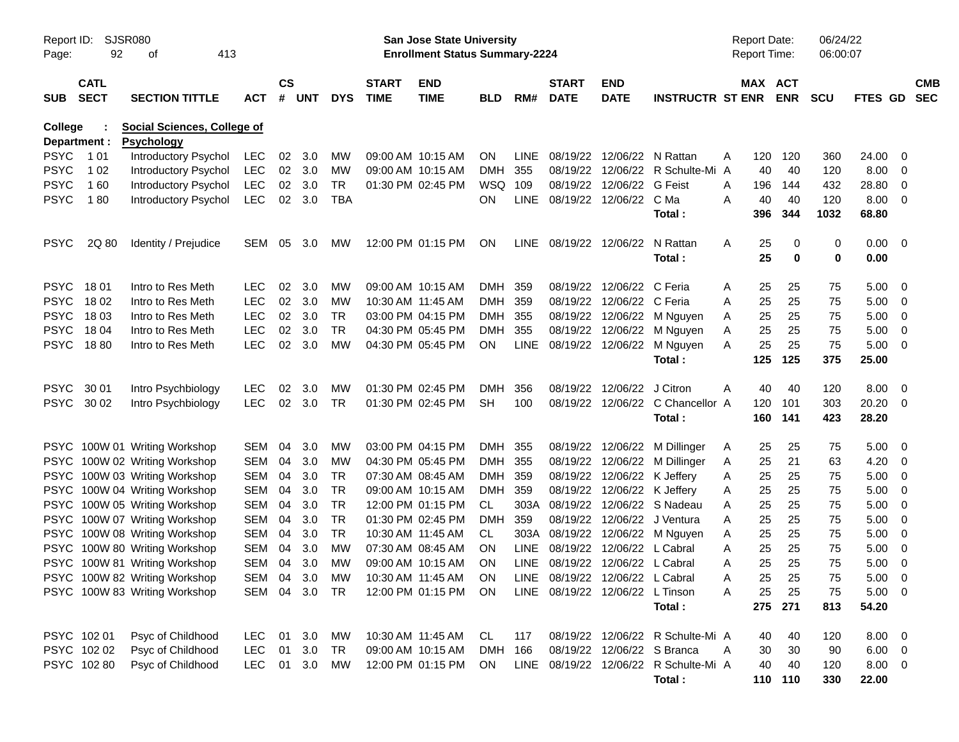| Report ID:<br>Page:     | SJSR080<br>92              | 413<br>οf                                               |               |               |        |               |                             | <b>San Jose State University</b><br><b>Enrollment Status Summary-2224</b> |            |             |                                 |                             |                                            |   | <b>Report Date:</b><br><b>Report Time:</b> |                       | 06/24/22<br>06:00:07 |                        |                         |                          |
|-------------------------|----------------------------|---------------------------------------------------------|---------------|---------------|--------|---------------|-----------------------------|---------------------------------------------------------------------------|------------|-------------|---------------------------------|-----------------------------|--------------------------------------------|---|--------------------------------------------|-----------------------|----------------------|------------------------|-------------------------|--------------------------|
| <b>SUB</b>              | <b>CATL</b><br><b>SECT</b> | <b>SECTION TITTLE</b>                                   | <b>ACT</b>    | $\mathsf{cs}$ | # UNT  | <b>DYS</b>    | <b>START</b><br><b>TIME</b> | <b>END</b><br><b>TIME</b>                                                 | <b>BLD</b> | RM#         | <b>START</b><br><b>DATE</b>     | <b>END</b><br><b>DATE</b>   | <b>INSTRUCTR ST ENR</b>                    |   |                                            | MAX ACT<br><b>ENR</b> | <b>SCU</b>           | FTES GD                |                         | <b>CMB</b><br><b>SEC</b> |
| College<br>Department : |                            | <b>Social Sciences, College of</b><br><b>Psychology</b> |               |               |        |               |                             |                                                                           |            |             |                                 |                             |                                            |   |                                            |                       |                      |                        |                         |                          |
| <b>PSYC</b>             | 1 0 1                      | Introductory Psychol                                    | LEC           | 02            | 3.0    | <b>MW</b>     |                             | 09:00 AM 10:15 AM                                                         | ON.        | LINE.       | 08/19/22                        | 12/06/22                    | N Rattan                                   | A | 120                                        | 120                   | 360                  | 24.00                  | - 0                     |                          |
| <b>PSYC</b>             | 1 0 2                      | Introductory Psychol                                    | LEC           |               | 02 3.0 | MW            |                             | 09:00 AM 10:15 AM                                                         | <b>DMH</b> | 355         |                                 |                             | 08/19/22 12/06/22 R Schulte-Mi A           |   | 40                                         | 40                    | 120                  | 8.00                   | - 0                     |                          |
| <b>PSYC</b>             | 160                        | <b>Introductory Psychol</b>                             | <b>LEC</b>    | 02            | 3.0    | <b>TR</b>     |                             | 01:30 PM 02:45 PM                                                         | WSQ        | 109         |                                 | 08/19/22 12/06/22 G Feist   |                                            | A | 196                                        | 144                   | 432                  | 28.80                  | $\overline{0}$          |                          |
| <b>PSYC</b>             | 180                        | <b>Introductory Psychol</b>                             | <b>LEC</b>    | 02            | 3.0    | <b>TBA</b>    |                             |                                                                           | <b>ON</b>  | <b>LINE</b> | 08/19/22 12/06/22 CMa           |                             |                                            | A | 40                                         | 40                    | 120                  | 8.00                   | - 0                     |                          |
|                         |                            |                                                         |               |               |        |               |                             |                                                                           |            |             |                                 |                             | Total :                                    |   | 396                                        | 344                   | 1032                 | 68.80                  |                         |                          |
| <b>PSYC</b>             | 2Q 80                      | Identity / Prejudice                                    | SEM           | 05            | 3.0    | <b>MW</b>     |                             | 12:00 PM 01:15 PM                                                         | <b>ON</b>  |             | LINE 08/19/22 12/06/22          |                             | N Rattan<br>Total :                        | A | 25<br>25                                   | 0<br>$\bf{0}$         | 0<br>0               | $0.00 \quad 0$<br>0.00 |                         |                          |
| <b>PSYC</b>             | 18 01                      | Intro to Res Meth                                       | <b>LEC</b>    | 02            | 3.0    | МW            |                             | 09:00 AM 10:15 AM                                                         | <b>DMH</b> | 359         |                                 | 08/19/22 12/06/22 C Feria   |                                            | A | 25                                         | 25                    | 75                   | 5.00                   | - 0                     |                          |
| <b>PSYC</b>             | 18 02                      | Intro to Res Meth                                       | <b>LEC</b>    | 02            | 3.0    | MW            |                             | 10:30 AM 11:45 AM                                                         | <b>DMH</b> | 359         |                                 | 08/19/22 12/06/22 C Feria   |                                            | A | 25                                         | 25                    | 75                   | 5.00                   | - 0                     |                          |
| <b>PSYC</b>             | 18 03                      | Intro to Res Meth                                       | <b>LEC</b>    | 02            | 3.0    | <b>TR</b>     |                             | 03:00 PM 04:15 PM                                                         | <b>DMH</b> | 355         |                                 |                             | 08/19/22 12/06/22 M Nguyen                 | Α | 25                                         | 25                    | 75                   | 5.00                   | $\overline{\mathbf{0}}$ |                          |
| <b>PSYC</b>             | 18 04                      | Intro to Res Meth                                       | <b>LEC</b>    | 02            | 3.0    | <b>TR</b>     |                             | 04:30 PM 05:45 PM                                                         | <b>DMH</b> | 355         |                                 |                             | 08/19/22 12/06/22 M Nguyen                 | Α | 25                                         | 25                    | 75                   | 5.00                   | $\overline{0}$          |                          |
| PSYC 1880               |                            | Intro to Res Meth                                       | <b>LEC</b>    | 02            | 3.0    | MW            |                             | 04:30 PM 05:45 PM                                                         | ON         | <b>LINE</b> |                                 |                             | 08/19/22 12/06/22 M Nguyen                 | A | 25                                         | 25                    | 75                   | 5.00                   | - 0                     |                          |
|                         |                            |                                                         |               |               |        |               |                             |                                                                           |            |             |                                 |                             | Total:                                     |   | 125                                        | 125                   | 375                  | 25.00                  |                         |                          |
| <b>PSYC</b>             | 30 01                      | Intro Psychbiology                                      | <b>LEC</b>    | 02            | 3.0    | MW            |                             | 01:30 PM 02:45 PM                                                         | <b>DMH</b> | 356         | 08/19/22                        | 12/06/22                    | J Citron                                   | A | 40                                         | 40                    | 120                  | 8.00                   | - 0                     |                          |
| PSYC 30 02              |                            | Intro Psychbiology                                      | <b>LEC</b>    | 02            | 3.0    | TR            |                             | 01:30 PM 02:45 PM                                                         | <b>SH</b>  | 100         |                                 |                             | 08/19/22 12/06/22 C Chancellor A<br>Total: |   | 120<br>160                                 | 101<br>141            | 303<br>423           | 20.20 0<br>28.20       |                         |                          |
|                         |                            | PSYC 100W 01 Writing Workshop                           | SEM           | 04            | 3.0    | MW            |                             | 03:00 PM 04:15 PM                                                         | DMH        | -355        |                                 |                             | 08/19/22 12/06/22 M Dillinger              | A | 25                                         | 25                    | 75                   | 5.00                   | - 0                     |                          |
|                         |                            | PSYC 100W 02 Writing Workshop                           | SEM           | 04            | 3.0    | MW            |                             | 04:30 PM 05:45 PM                                                         | <b>DMH</b> | 355         |                                 |                             | 08/19/22 12/06/22 M Dillinger              | Α | 25                                         | 21                    | 63                   | 4.20                   | - 0                     |                          |
|                         |                            | PSYC 100W 03 Writing Workshop                           | SEM           | 04            | 3.0    | TR            |                             | 07:30 AM 08:45 AM                                                         | <b>DMH</b> | 359         |                                 | 08/19/22 12/06/22 K Jeffery |                                            | Α | 25                                         | 25                    | 75                   | 5.00                   | - 0                     |                          |
| <b>PSYC</b>             |                            | 100W 04 Writing Workshop                                | SEM           | 04            | 3.0    | TR            |                             | 09:00 AM 10:15 AM                                                         | <b>DMH</b> | 359         |                                 | 08/19/22 12/06/22 K Jeffery |                                            | Α | 25                                         | 25                    | 75                   | 5.00                   | - 0                     |                          |
| <b>PSYC</b>             |                            | 100W 05 Writing Workshop                                | SEM           | 04            | 3.0    | TR            |                             | 12:00 PM 01:15 PM                                                         | CL.        | 303A        |                                 |                             | 08/19/22 12/06/22 S Nadeau                 | A | 25                                         | 25                    | 75                   | 5.00                   | - 0                     |                          |
| <b>PSYC</b>             |                            | 100W 07 Writing Workshop                                | SEM           | 04            | 3.0    | TR            |                             | 01:30 PM 02:45 PM                                                         | <b>DMH</b> | 359         |                                 |                             | 08/19/22 12/06/22 J Ventura                | A | 25                                         | 25                    | 75                   | 5.00                   | - 0                     |                          |
| <b>PSYC</b>             |                            | 100W 08 Writing Workshop                                | SEM           | 04            | 3.0    | <b>TR</b>     |                             | 10:30 AM 11:45 AM                                                         | CL.        |             |                                 |                             | 303A 08/19/22 12/06/22 M Nguyen            | Α | 25                                         | 25                    | 75                   | 5.00                   | $\overline{\mathbf{0}}$ |                          |
| <b>PSYC</b>             |                            | 100W 80 Writing Workshop                                | <b>SEM</b>    | 04            | 3.0    | MW            |                             | 07:30 AM 08:45 AM                                                         | <b>ON</b>  | <b>LINE</b> |                                 | 08/19/22 12/06/22 L Cabral  |                                            | A | 25                                         | 25                    | 75                   | 5.00                   | $\overline{\mathbf{0}}$ |                          |
|                         |                            | PSYC 100W 81 Writing Workshop                           | <b>SEM</b>    | 04            | 3.0    | МW            |                             | 09:00 AM 10:15 AM                                                         | <b>ON</b>  |             | LINE 08/19/22 12/06/22 L Cabral |                             |                                            | A | 25                                         | 25                    | 75                   | 5.00                   | - 0                     |                          |
|                         |                            | PSYC 100W 82 Writing Workshop                           |               |               |        | SEM 04 3.0 MW |                             | 10:30 AM 11:45 AM ON                                                      |            |             | LINE 08/19/22 12/06/22 L Cabral |                             |                                            | Α | 25                                         | 25                    | 75                   | $5.00 \t 0$            |                         |                          |
|                         |                            | PSYC 100W 83 Writing Workshop                           | SEM 04 3.0 TR |               |        |               |                             | 12:00 PM 01:15 PM ON                                                      |            |             | LINE 08/19/22 12/06/22 L Tinson |                             | Total:                                     | A | 25                                         | 25<br>275 271         | 75<br>813            | $5.00 \t 0$<br>54.20   |                         |                          |
|                         | PSYC 102 01                | Psyc of Childhood                                       | LEC           |               | 01 3.0 | MW            |                             | 10:30 AM 11:45 AM                                                         | CL.        | 117         |                                 |                             | 08/19/22 12/06/22 R Schulte-Mi A           |   | 40                                         | 40                    | 120                  | $8.00 \t 0$            |                         |                          |
|                         | PSYC 102 02                | Psyc of Childhood                                       | <b>LEC</b>    | 01            | 3.0    | TR            |                             | 09:00 AM 10:15 AM                                                         | DMH 166    |             |                                 | 08/19/22 12/06/22 S Branca  |                                            | A | 30                                         | 30                    | 90                   | $6.00 \t 0$            |                         |                          |
|                         | PSYC 102 80                | Psyc of Childhood                                       | <b>LEC</b>    |               | 01 3.0 | MW            |                             | 12:00 PM 01:15 PM                                                         | ON.        |             |                                 |                             | LINE 08/19/22 12/06/22 R Schulte-Mi A      |   | 40                                         | 40                    | 120                  | $8.00 \t 0$            |                         |                          |
|                         |                            |                                                         |               |               |        |               |                             |                                                                           |            |             |                                 |                             | Total:                                     |   |                                            | 110 110               | 330                  | 22.00                  |                         |                          |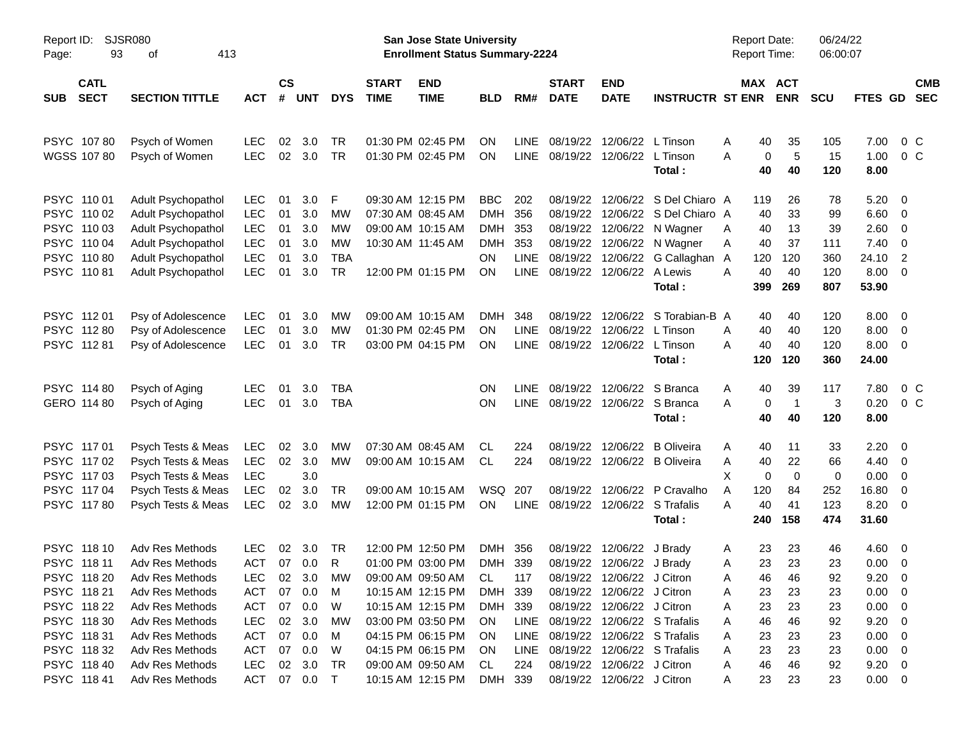| Report ID:<br>Page:        | <b>SJSR080</b><br>93<br>413<br>οf<br><b>CATL</b> |                          |                |            |            |                             | <b>San Jose State University</b><br><b>Enrollment Status Summary-2224</b> |                          |             |                             |                            |                         | <b>Report Date:</b><br>Report Time: |                       | 06/24/22<br>06:00:07 |              |                          |
|----------------------------|--------------------------------------------------|--------------------------|----------------|------------|------------|-----------------------------|---------------------------------------------------------------------------|--------------------------|-------------|-----------------------------|----------------------------|-------------------------|-------------------------------------|-----------------------|----------------------|--------------|--------------------------|
| <b>SECT</b><br><b>SUB</b>  | <b>SECTION TITTLE</b>                            | <b>ACT</b>               | <b>CS</b><br># | <b>UNT</b> | <b>DYS</b> | <b>START</b><br><b>TIME</b> | <b>END</b><br><b>TIME</b>                                                 | <b>BLD</b>               | RM#         | <b>START</b><br><b>DATE</b> | <b>END</b><br><b>DATE</b>  | <b>INSTRUCTR ST ENR</b> |                                     | MAX ACT<br><b>ENR</b> | <b>SCU</b>           | FTES GD      | <b>CMB</b><br><b>SEC</b> |
| PSYC 10780                 | Psych of Women                                   | <b>LEC</b>               | 02             | 3.0        | TR         |                             | 01:30 PM 02:45 PM                                                         | ΟN                       | <b>LINE</b> | 08/19/22                    | 12/06/22                   | L Tinson                | 40<br>Α                             | 35                    | 105                  | 7.00         | 0 <sup>o</sup>           |
| WGSS 107 80                | Psych of Women                                   | <b>LEC</b>               | 02             | 3.0        | <b>TR</b>  |                             | 01:30 PM 02:45 PM                                                         | ON                       | <b>LINE</b> | 08/19/22                    | 12/06/22                   | L Tinson<br>Total:      | A<br>0<br>40                        | 5<br>40               | 15<br>120            | 1.00<br>8.00 | 0 <sup>C</sup>           |
| PSYC 110 01                | Adult Psychopathol                               | <b>LEC</b>               | 01             | 3.0        | F          |                             | 09:30 AM 12:15 PM                                                         | <b>BBC</b>               | 202         | 08/19/22                    |                            | 12/06/22 S Del Chiaro A | 119                                 | 26                    | 78                   | 5.20         | 0                        |
| PSYC 110 02                | Adult Psychopathol                               | <b>LEC</b>               | 01             | 3.0        | MW         |                             | 07:30 AM 08:45 AM                                                         | <b>DMH</b>               | 356         | 08/19/22                    | 12/06/22                   | S Del Chiaro A          | 40                                  | 33                    | 99                   | 6.60         | 0                        |
| PSYC 110 03<br>PSYC 110 04 | Adult Psychopathol<br>Adult Psychopathol         | <b>LEC</b><br><b>LEC</b> | 01<br>01       | 3.0<br>3.0 | MW<br>MW   |                             | 09:00 AM 10:15 AM<br>10:30 AM 11:45 AM                                    | <b>DMH</b><br><b>DMH</b> | 353<br>353  | 08/19/22<br>08/19/22        | 12/06/22<br>12/06/22       | N Wagner<br>N Wagner    | 40<br>Α<br>40<br>Α                  | 13<br>37              | 39<br>111            | 2.60<br>7.40 | 0<br>0                   |
| PSYC 110 80                | Adult Psychopathol                               | LEC                      | 01             | 3.0        | <b>TBA</b> |                             |                                                                           | ΟN                       | <b>LINE</b> | 08/19/22                    | 12/06/22                   | G Callaghan             | 120<br>A                            | 120                   | 360                  | 24.10        | $\overline{2}$           |
| PSYC 11081                 | Adult Psychopathol                               | LEC                      | 01             | 3.0        | <b>TR</b>  |                             | 12:00 PM 01:15 PM                                                         | ON                       | <b>LINE</b> | 08/19/22                    | 12/06/22                   | A Lewis                 | 40<br>A                             | 40                    | 120                  | 8.00         | $\mathbf 0$              |
|                            |                                                  |                          |                |            |            |                             |                                                                           |                          |             |                             |                            | Total:                  | 399                                 | 269                   | 807                  | 53.90        |                          |
| PSYC 11201                 | Psy of Adolescence                               | <b>LEC</b>               | 01             | 3.0        | MW         |                             | 09:00 AM 10:15 AM                                                         | <b>DMH</b>               | 348         | 08/19/22                    | 12/06/22                   | S Torabian-B A          | 40                                  | 40                    | 120                  | 8.00         | 0                        |
| PSYC 112 80                | Psy of Adolescence                               | <b>LEC</b>               | 01             | 3.0        | MW         |                             | 01:30 PM 02:45 PM                                                         | ΟN                       | <b>LINE</b> | 08/19/22                    | 12/06/22                   | L Tinson                | 40<br>A                             | 40                    | 120                  | 8.00         | 0                        |
| PSYC 11281                 | Psy of Adolescence                               | <b>LEC</b>               | 01             | 3.0        | <b>TR</b>  |                             | 03:00 PM 04:15 PM                                                         | <b>ON</b>                | <b>LINE</b> | 08/19/22                    | 12/06/22                   | L Tinson                | 40<br>A                             | 40                    | 120                  | 8.00         | 0                        |
|                            |                                                  |                          |                |            |            |                             |                                                                           |                          |             |                             |                            | Total:                  | 120                                 | 120                   | 360                  | 24.00        |                          |
| PSYC 114 80                | Psych of Aging                                   | <b>LEC</b>               | 01             | 3.0        | <b>TBA</b> |                             |                                                                           | ΟN                       | <b>LINE</b> | 08/19/22                    |                            | 12/06/22 S Branca       | 40<br>Α                             | 39                    | 117                  | 7.80         | 0 <sup>o</sup>           |
| GERO 114 80                | Psych of Aging                                   | <b>LEC</b>               | 01             | 3.0        | <b>TBA</b> |                             |                                                                           | ON                       | <b>LINE</b> | 08/19/22                    |                            | 12/06/22 S Branca       | A<br>0                              | $\overline{1}$        | 3                    | 0.20         | $0\,C$                   |
|                            |                                                  |                          |                |            |            |                             |                                                                           |                          |             |                             |                            | Total:                  | 40                                  | 40                    | 120                  | 8.00         |                          |
| PSYC 117 01                | Psych Tests & Meas                               | <b>LEC</b>               | 02             | 3.0        | МW         |                             | 07:30 AM 08:45 AM                                                         | CL.                      | 224         | 08/19/22                    | 12/06/22                   | <b>B</b> Oliveira       | 40<br>Α                             | 11                    | 33                   | 2.20         | 0                        |
| PSYC 117 02                | Psych Tests & Meas                               | <b>LEC</b>               | 02             | 3.0        | <b>MW</b>  |                             | 09:00 AM 10:15 AM                                                         | <b>CL</b>                | 224         | 08/19/22                    |                            | 12/06/22 B Oliveira     | 40<br>Α                             | 22                    | 66                   | 4.40         | 0                        |
| PSYC 117 03                | Psych Tests & Meas                               | <b>LEC</b>               |                | 3.0        |            |                             |                                                                           |                          |             |                             |                            |                         | X<br>0                              | $\mathbf 0$           | $\mathbf 0$          | 0.00         | 0                        |
| PSYC 117 04                | Psych Tests & Meas                               | <b>LEC</b>               | 02             | 3.0        | TR         |                             | 09:00 AM 10:15 AM                                                         | <b>WSQ</b>               | 207         | 08/19/22                    |                            | 12/06/22 P Cravalho     | 120<br>Α                            | 84                    | 252                  | 16.80        | 0                        |
| PSYC 11780                 | Psych Tests & Meas                               | <b>LEC</b>               | 02             | 3.0        | <b>MW</b>  |                             | 12:00 PM 01:15 PM                                                         | ON                       | <b>LINE</b> | 08/19/22                    |                            | 12/06/22 S Trafalis     | A<br>40                             | 41                    | 123                  | 8.20         | 0                        |
|                            |                                                  |                          |                |            |            |                             |                                                                           |                          |             |                             |                            | Total:                  | 240                                 | 158                   | 474                  | 31.60        |                          |
| PSYC 118 10                | Adv Res Methods                                  | <b>LEC</b>               | 02             | 3.0        | TR         |                             | 12:00 PM 12:50 PM                                                         | <b>DMH</b>               | 356         | 08/19/22                    | 12/06/22                   | J Brady                 | 23<br>Α                             | 23                    | 46                   | 4.60         | - 0                      |
| PSYC 118 11                | Adv Res Methods                                  | <b>ACT</b>               |                | 07 0.0     | R          |                             | 01:00 PM 03:00 PM                                                         | DMH 339                  |             | 08/19/22                    | 12/06/22 J Brady           |                         | 23<br>Α                             | 23                    | 23                   | 0.00         | 0                        |
| PSYC 118 20                | Adv Res Methods                                  | LEC                      | 02             | 3.0        | <b>MW</b>  |                             | 09:00 AM 09:50 AM                                                         | CL                       | 117         |                             | 08/19/22 12/06/22 J Citron |                         | 46<br>Α                             | 46                    | 92                   | 9.20         | $\overline{0}$           |
| PSYC 118 21                | Adv Res Methods                                  | <b>ACT</b>               | 07             | 0.0        | M          |                             | 10:15 AM 12:15 PM                                                         | DMH                      | 339         | 08/19/22                    | 12/06/22 J Citron          |                         | 23<br>A                             | 23                    | 23                   | 0.00         | 0                        |
| PSYC 118 22                | Adv Res Methods                                  | <b>ACT</b>               | 07             | 0.0        | W          |                             | 10:15 AM 12:15 PM                                                         | DMH 339                  |             | 08/19/22                    | 12/06/22 J Citron          |                         | 23<br>Α                             | 23                    | 23                   | 0.00         | 0                        |
| PSYC 118 30                | Adv Res Methods                                  | <b>LEC</b>               | 02             | 3.0        | МW         |                             | 03:00 PM 03:50 PM                                                         | ON                       | LINE        | 08/19/22                    |                            | 12/06/22 S Trafalis     | 46<br>Α                             | 46                    | 92                   | 9.20         | 0                        |
| PSYC 11831                 | Adv Res Methods                                  | <b>ACT</b>               | 07             | 0.0        | M          |                             | 04:15 PM 06:15 PM                                                         | <b>ON</b>                | LINE        | 08/19/22                    |                            | 12/06/22 S Trafalis     | Α<br>23                             | 23                    | 23                   | 0.00         | 0                        |
| PSYC 11832                 | Adv Res Methods                                  | <b>ACT</b>               | 07             | 0.0        | W          |                             | 04:15 PM 06:15 PM                                                         | <b>ON</b>                | LINE        | 08/19/22                    |                            | 12/06/22 S Trafalis     | 23<br>Α                             | 23                    | 23                   | 0.00         | 0                        |
| PSYC 118 40                | Adv Res Methods                                  | <b>LEC</b>               | 02             | 3.0        | TR         |                             | 09:00 AM 09:50 AM                                                         | CL                       | 224         | 08/19/22                    | 12/06/22 J Citron          |                         | 46<br>A                             | 46                    | 92                   | 9.20         | 0                        |
| PSYC 11841                 | Adv Res Methods                                  | <b>ACT</b>               |                | 07 0.0     | $\top$     |                             | 10:15 AM 12:15 PM                                                         | DMH                      | 339         | 08/19/22                    | 12/06/22 J Citron          |                         | 23<br>A                             | 23                    | 23                   | $0.00 \t 0$  |                          |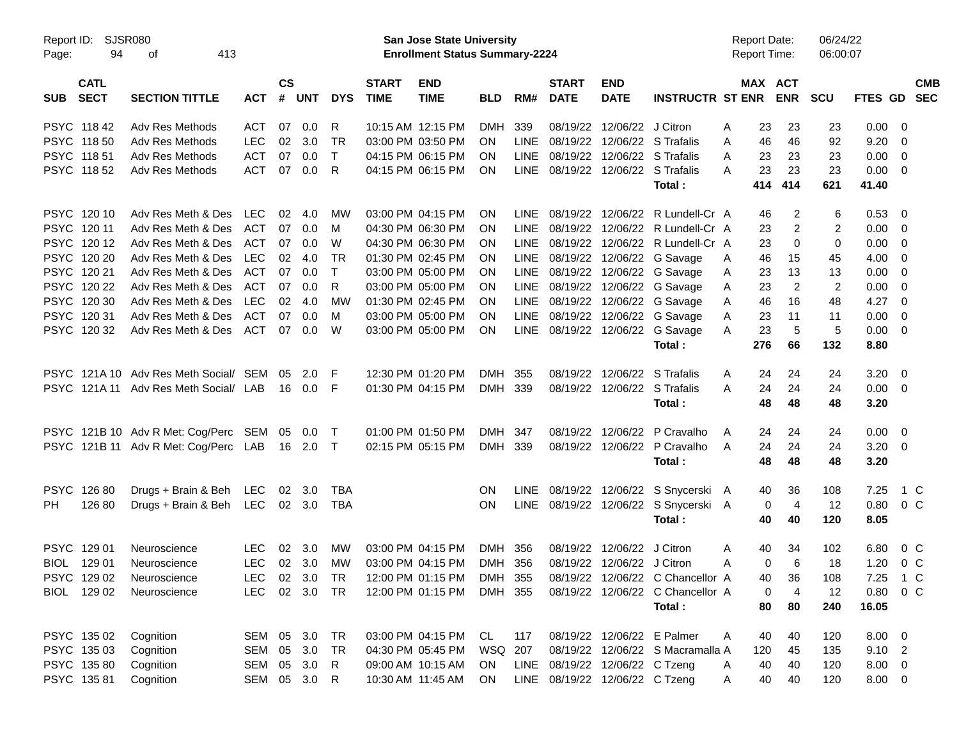| Page:      | Report ID: SJSR080<br>94   | 413<br>οf                                     |               |                    |            |              |                             | San Jose State University<br><b>Enrollment Status Summary-2224</b> |            |             |                             |                                   |                                                            | <b>Report Date:</b><br><b>Report Time:</b> |     |                       | 06/24/22<br>06:00:07 |             |                |                          |
|------------|----------------------------|-----------------------------------------------|---------------|--------------------|------------|--------------|-----------------------------|--------------------------------------------------------------------|------------|-------------|-----------------------------|-----------------------------------|------------------------------------------------------------|--------------------------------------------|-----|-----------------------|----------------------|-------------|----------------|--------------------------|
| <b>SUB</b> | <b>CATL</b><br><b>SECT</b> | <b>SECTION TITTLE</b>                         | <b>ACT</b>    | $\mathsf{cs}$<br># | <b>UNT</b> | <b>DYS</b>   | <b>START</b><br><b>TIME</b> | <b>END</b><br><b>TIME</b>                                          | <b>BLD</b> | RM#         | <b>START</b><br><b>DATE</b> | <b>END</b><br><b>DATE</b>         | <b>INSTRUCTR ST ENR</b>                                    |                                            |     | MAX ACT<br><b>ENR</b> | <b>SCU</b>           | FTES GD     |                | <b>CMB</b><br><b>SEC</b> |
|            | PSYC 11842                 | Adv Res Methods                               | ACT           | 07                 | 0.0        | R            |                             | 10:15 AM 12:15 PM                                                  | <b>DMH</b> | 339         |                             | 08/19/22 12/06/22 J Citron        |                                                            | A                                          | 23  | 23                    | 23                   | 0.00        | - 0            |                          |
|            | PSYC 118 50                | Adv Res Methods                               | <b>LEC</b>    | 02                 | 3.0        | TR.          |                             | 03:00 PM 03:50 PM                                                  | ON.        | <b>LINE</b> |                             | 08/19/22 12/06/22 S Trafalis      |                                                            | A                                          | 46  | 46                    | 92                   | 9.20        | - 0            |                          |
|            | PSYC 11851                 | Adv Res Methods                               | <b>ACT</b>    | 07                 | 0.0        | $\mathsf{T}$ |                             | 04:15 PM 06:15 PM                                                  | <b>ON</b>  | <b>LINE</b> |                             | 08/19/22 12/06/22 S Trafalis      |                                                            | A                                          | 23  | 23                    | 23                   | 0.00        | $\overline{0}$ |                          |
|            | PSYC 11852                 | Adv Res Methods                               | ACT           | 07                 | 0.0        | R            |                             | 04:15 PM 06:15 PM                                                  | <b>ON</b>  |             |                             | LINE 08/19/22 12/06/22 S Trafalis |                                                            | A                                          | 23  | 23                    | 23                   | 0.00        | - 0            |                          |
|            |                            |                                               |               |                    |            |              |                             |                                                                    |            |             |                             |                                   | Total:                                                     |                                            | 414 | 414                   | 621                  | 41.40       |                |                          |
|            | PSYC 120 10                | Adv Res Meth & Des                            | LEC           | 02                 | -4.0       | MW           |                             | 03:00 PM 04:15 PM                                                  | <b>ON</b>  | <b>LINE</b> |                             |                                   | 08/19/22 12/06/22 R Lundell-Cr A                           |                                            | 46  | 2                     | 6                    | 0.53        | - 0            |                          |
|            | PSYC 12011                 | Adv Res Meth & Des                            | ACT           | 07                 | 0.0        | м            |                             | 04:30 PM 06:30 PM                                                  | ON.        | LINE        |                             |                                   | 08/19/22 12/06/22 R Lundell-Cr A                           |                                            | 23  | $\overline{2}$        | $\overline{2}$       | 0.00        | - 0            |                          |
|            | PSYC 12012                 | Adv Res Meth & Des                            | ACT           | 07                 | 0.0        | W            |                             | 04:30 PM 06:30 PM                                                  | <b>ON</b>  | <b>LINE</b> |                             |                                   | 08/19/22 12/06/22 R Lundell-Cr A                           |                                            | 23  | $\mathbf 0$           | 0                    | 0.00        | 0              |                          |
|            | PSYC 120 20                | Adv Res Meth & Des                            | LEC           | 02                 | -4.0       | TR           |                             | 01:30 PM 02:45 PM                                                  | <b>ON</b>  | <b>LINE</b> |                             |                                   | 08/19/22 12/06/22 G Savage                                 | A                                          | 46  | 15                    | 45                   | 4.00        | - 0            |                          |
|            | PSYC 120 21                | Adv Res Meth & Des                            | ACT           | 07                 | 0.0        | $\mathsf{T}$ |                             | 03:00 PM 05:00 PM                                                  | <b>ON</b>  | <b>LINE</b> |                             |                                   | 08/19/22 12/06/22 G Savage                                 | A                                          | 23  | 13                    | 13                   | 0.00        | - 0            |                          |
|            | PSYC 120 22                | Adv Res Meth & Des                            | ACT           | 07                 | 0.0        | R            |                             | 03:00 PM 05:00 PM                                                  | ON.        | <b>LINE</b> |                             |                                   | 08/19/22 12/06/22 G Savage                                 | A                                          | 23  | $\overline{2}$        | 2                    | 0.00        | - 0            |                          |
|            | PSYC 120 30                | Adv Res Meth & Des                            | LEC           | 02                 | -4.0       | MW           |                             | 01:30 PM 02:45 PM                                                  | <b>ON</b>  | <b>LINE</b> |                             |                                   | 08/19/22 12/06/22 G Savage                                 | A                                          | 46  | 16                    | 48                   | 4.27        | - 0            |                          |
|            | PSYC 12031                 | Adv Res Meth & Des                            | ACT           | 07                 | 0.0        | м            |                             | 03:00 PM 05:00 PM                                                  | <b>ON</b>  | <b>LINE</b> |                             |                                   | 08/19/22 12/06/22 G Savage                                 | A                                          | 23  | 11                    | 11                   | 0.00        | - 0            |                          |
|            | PSYC 12032                 | Adv Res Meth & Des                            | ACT           | 07                 | 0.0        | W            |                             | 03:00 PM 05:00 PM                                                  | <b>ON</b>  |             |                             |                                   | LINE 08/19/22 12/06/22 G Savage                            | A                                          | 23  | 5                     | 5                    | 0.00        | - 0            |                          |
|            |                            |                                               |               |                    |            |              |                             |                                                                    |            |             |                             |                                   | Total:                                                     |                                            | 276 | 66                    | 132                  | 8.80        |                |                          |
|            |                            | PSYC 121A 10 Adv Res Meth Social/ SEM         |               | 05                 | 2.0        | F            |                             | 12:30 PM 01:20 PM                                                  | <b>DMH</b> | 355         |                             | 08/19/22 12/06/22 S Trafalis      |                                                            | A                                          | 24  | 24                    | 24                   | 3.20        | - 0            |                          |
|            |                            | PSYC 121A 11 Adv Res Meth Social/ LAB         |               |                    | 16  0.0    | -F           |                             | 01:30 PM 04:15 PM                                                  | DMH 339    |             |                             | 08/19/22 12/06/22 S Trafalis      |                                                            | A                                          | 24  | 24                    | 24                   | $0.00 \t 0$ |                |                          |
|            |                            |                                               |               |                    |            |              |                             |                                                                    |            |             |                             |                                   | Total:                                                     |                                            | 48  | 48                    | 48                   | 3.20        |                |                          |
|            |                            | PSYC 121B 10 Adv R Met: Cog/Perc SEM 05 0.0   |               |                    |            | $\top$       |                             | 01:00 PM 01:50 PM                                                  | <b>DMH</b> | 347         |                             |                                   | 08/19/22 12/06/22 P Cravalho                               | A                                          | 24  | 24                    | 24                   | 0.00        | - 0            |                          |
|            |                            | PSYC 121B 11 Adv R Met: Cog/Perc LAB 16 2.0 T |               |                    |            |              |                             | 02:15 PM 05:15 PM                                                  | DMH 339    |             |                             |                                   | 08/19/22 12/06/22 P Cravalho                               | A                                          | 24  | 24                    | 24                   | $3.20 \ 0$  |                |                          |
|            |                            |                                               |               |                    |            |              |                             |                                                                    |            |             |                             |                                   | Total:                                                     |                                            | 48  | 48                    | 48                   | 3.20        |                |                          |
|            | PSYC 12680                 | Drugs + Brain & Beh LEC 02 3.0                |               |                    |            | <b>TBA</b>   |                             |                                                                    | ON         |             |                             |                                   | LINE 08/19/22 12/06/22 S Snycerski A                       |                                            | 40  | 36                    | 108                  | 7.25        | 1 C            |                          |
| <b>PH</b>  | 126 80                     | Drugs + Brain & Beh LEC 02 3.0                |               |                    |            | TBA          |                             |                                                                    | <b>ON</b>  |             |                             |                                   | LINE 08/19/22 12/06/22 S Snycerski A                       |                                            | 0   | $\overline{4}$        | 12                   | 0.80        | $0\,$ C        |                          |
|            |                            |                                               |               |                    |            |              |                             |                                                                    |            |             |                             |                                   | Total:                                                     |                                            | 40  | 40                    | 120                  | 8.05        |                |                          |
|            | PSYC 129 01                | Neuroscience                                  | <b>LEC</b>    | 02                 | 3.0        | МW           |                             | 03:00 PM 04:15 PM                                                  | <b>DMH</b> | 356         |                             | 08/19/22 12/06/22 J Citron        |                                                            | A                                          | 40  | 34                    | 102                  | 6.80        | $0\,C$         |                          |
|            | BIOL 129 01                | Neuroscience                                  | <b>LEC</b>    |                    | 02 3.0     | МW           |                             | 03:00 PM 04:15 PM                                                  | DMH 356    |             |                             | 08/19/22 12/06/22 J Citron        |                                                            | A                                          | 0   | 6                     | 18                   | 1.20        | 0 <sup>o</sup> |                          |
|            | PSYC 129 02                | Neuroscience                                  | <b>LEC</b>    |                    | 02 3.0 TR  |              |                             |                                                                    |            |             |                             |                                   | 12:00 PM 01:15 PM DMH 355 08/19/22 12/06/22 C Chancellor A |                                            | 40  | 36                    | 108                  | 7.25 1 C    |                |                          |
|            | BIOL 129 02                | Neuroscience                                  | LEC 02 3.0 TR |                    |            |              |                             | 12:00 PM 01:15 PM DMH 355                                          |            |             |                             |                                   | 08/19/22 12/06/22 C Chancellor A                           |                                            | 0   | $\overline{4}$        | 12                   | 0.80        | $0\,$ C        |                          |
|            |                            |                                               |               |                    |            |              |                             |                                                                    |            |             |                             |                                   | Total:                                                     |                                            | 80  | 80                    | 240                  | 16.05       |                |                          |
|            | PSYC 135 02                | Cognition                                     | SEM 05 3.0    |                    |            | TR           |                             | 03:00 PM 04:15 PM CL                                               |            | 117         |                             | 08/19/22 12/06/22 E Palmer        |                                                            | A                                          | 40  | 40                    | 120                  | $8.00 \t 0$ |                |                          |
|            | PSYC 135 03                | Cognition                                     | SEM 05        |                    | 3.0        | TR           |                             | 04:30 PM 05:45 PM                                                  | WSQ 207    |             |                             |                                   | 08/19/22 12/06/22 S Macramalla A                           |                                            | 120 | 45                    | 135                  | $9.10$ 2    |                |                          |
|            | PSYC 135 80                | Cognition                                     | SEM 05 3.0    |                    |            | R            |                             | 09:00 AM 10:15 AM                                                  | ON         |             |                             | LINE 08/19/22 12/06/22 C Tzeng    |                                                            | A                                          | 40  | 40                    | 120                  | $8.00 \t 0$ |                |                          |
|            | PSYC 135 81                | Cognition                                     | SEM 05 3.0 R  |                    |            |              |                             | 10:30 AM 11:45 AM                                                  | ON         |             |                             | LINE 08/19/22 12/06/22 C Tzeng    |                                                            | A                                          | 40  | 40                    | 120                  | 8.00 0      |                |                          |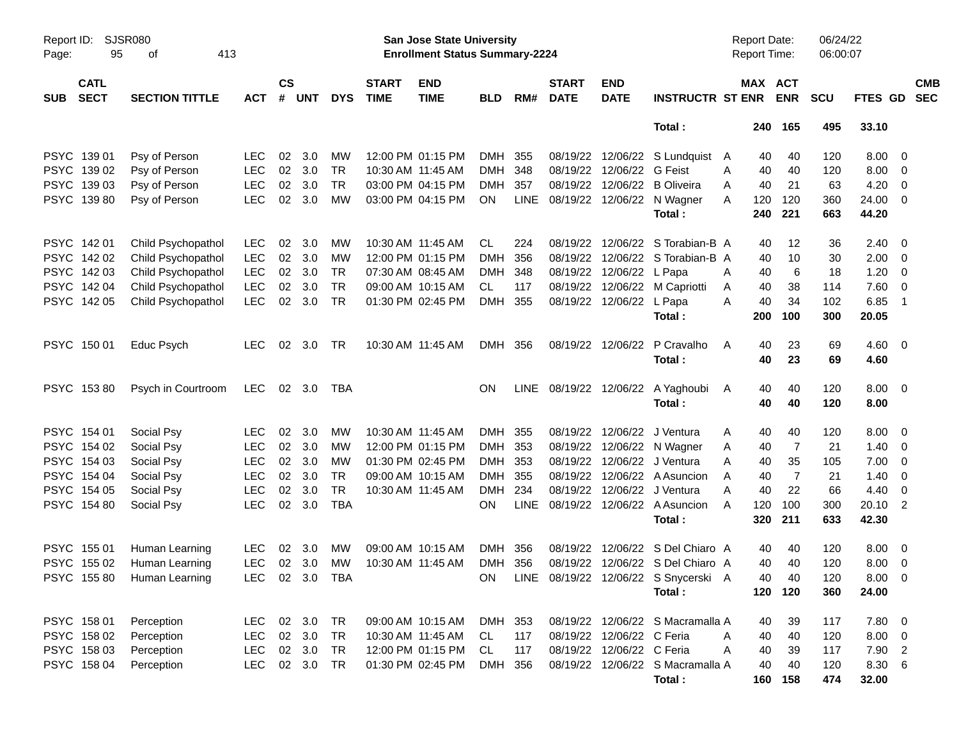| Report ID:<br>Page: | 95                         | SJSR080<br>413<br>οf       |                |                    |            |            |                             | San Jose State University<br><b>Enrollment Status Summary-2224</b> |            |             |                             |                           |                                            | Report Date:<br><b>Report Time:</b> |                       | 06/24/22<br>06:00:07 |                 |                          |
|---------------------|----------------------------|----------------------------|----------------|--------------------|------------|------------|-----------------------------|--------------------------------------------------------------------|------------|-------------|-----------------------------|---------------------------|--------------------------------------------|-------------------------------------|-----------------------|----------------------|-----------------|--------------------------|
| <b>SUB</b>          | <b>CATL</b><br><b>SECT</b> | <b>SECTION TITTLE</b>      | <b>ACT</b>     | $\mathsf{cs}$<br># | <b>UNT</b> | <b>DYS</b> | <b>START</b><br><b>TIME</b> | <b>END</b><br><b>TIME</b>                                          | <b>BLD</b> | RM#         | <b>START</b><br><b>DATE</b> | <b>END</b><br><b>DATE</b> | <b>INSTRUCTR ST ENR</b>                    |                                     | MAX ACT<br><b>ENR</b> | <b>SCU</b>           | FTES GD         | <b>CMB</b><br><b>SEC</b> |
|                     |                            |                            |                |                    |            |            |                             |                                                                    |            |             |                             |                           | Total:                                     |                                     | 240 165               | 495                  | 33.10           |                          |
|                     | PSYC 139 01                | Psy of Person              | <b>LEC</b>     | 02                 | 3.0        | MW         |                             | 12:00 PM 01:15 PM                                                  | DMH        | 355         |                             |                           | 08/19/22 12/06/22 S Lundquist A            | 40                                  | 40                    | 120                  | 8.00            | $\overline{\phantom{0}}$ |
|                     | PSYC 139 02                | Psy of Person              | <b>LEC</b>     | 02                 | 3.0        | <b>TR</b>  | 10:30 AM 11:45 AM           |                                                                    | <b>DMH</b> | 348         |                             | 08/19/22 12/06/22 G Feist |                                            | 40<br>A                             | 40                    | 120                  | 8.00            | $\overline{\phantom{0}}$ |
|                     | PSYC 139 03                | Psy of Person              | <b>LEC</b>     | 02                 | 3.0        | <b>TR</b>  |                             | 03:00 PM 04:15 PM                                                  | <b>DMH</b> | 357         |                             | 08/19/22 12/06/22         | <b>B</b> Oliveira                          | 40<br>A                             | 21                    | 63                   | 4.20            | - 0                      |
|                     | PSYC 139 80                | Psy of Person              | <b>LEC</b>     | 02                 | 3.0        | <b>MW</b>  |                             | 03:00 PM 04:15 PM                                                  | ON.        |             |                             |                           | LINE 08/19/22 12/06/22 N Wagner            | Α<br>120                            | 120                   | 360                  | 24.00           | $\overline{\mathbf{0}}$  |
|                     |                            |                            |                |                    |            |            |                             |                                                                    |            |             |                             |                           | Total:                                     | 240                                 | 221                   | 663                  | 44.20           |                          |
|                     | PSYC 14201                 | Child Psychopathol         | <b>LEC</b>     | 02                 | 3.0        | MW         |                             | 10:30 AM 11:45 AM                                                  | CL         | 224         |                             |                           | 08/19/22 12/06/22 S Torabian-B A           | 40                                  | 12                    | 36                   | 2.40            | $\overline{\mathbf{0}}$  |
|                     | PSYC 142 02                | Child Psychopathol         | <b>LEC</b>     | 02                 | 3.0        | MW         |                             | 12:00 PM 01:15 PM                                                  | <b>DMH</b> | 356         |                             |                           | 08/19/22 12/06/22 S Torabian-B A           | 40                                  | 10                    | 30                   | 2.00            | $\overline{\mathbf{0}}$  |
|                     | PSYC 142 03                | Child Psychopathol         | <b>LEC</b>     | 02                 | 3.0        | <b>TR</b>  |                             | 07:30 AM 08:45 AM                                                  | <b>DMH</b> | 348         |                             | 08/19/22 12/06/22 L Papa  |                                            | Α<br>40                             | 6                     | 18                   | 1.20            | $\overline{\mathbf{0}}$  |
|                     | PSYC 142 04                | Child Psychopathol         | <b>LEC</b>     | 02                 | 3.0        | <b>TR</b>  |                             | 09:00 AM 10:15 AM                                                  | CL.        | 117         |                             |                           | 08/19/22 12/06/22 M Capriotti              | 40<br>A                             | 38                    | 114                  | 7.60            | $\overline{\mathbf{0}}$  |
|                     | PSYC 142 05                | Child Psychopathol         | <b>LEC</b>     | 02                 | 3.0        | <b>TR</b>  |                             | 01:30 PM 02:45 PM                                                  | <b>DMH</b> | 355         |                             | 08/19/22 12/06/22 L Papa  |                                            | 40<br>Α                             | 34                    | 102                  | 6.85            | - 1                      |
|                     |                            |                            |                |                    |            |            |                             |                                                                    |            |             |                             |                           | Total:                                     | 200                                 | 100                   | 300                  | 20.05           |                          |
|                     | PSYC 150 01                | Educ Psych                 | LEC.           |                    | 02 3.0     | TR         |                             | 10:30 AM 11:45 AM                                                  | DMH 356    |             |                             | 08/19/22 12/06/22         | P Cravalho                                 | 40<br>A                             | 23                    | 69                   | $4.60 \quad 0$  |                          |
|                     |                            |                            |                |                    |            |            |                             |                                                                    |            |             |                             |                           | Total :                                    | 40                                  | 23                    | 69                   | 4.60            |                          |
|                     | PSYC 15380                 | Psych in Courtroom         | LEC 02 3.0     |                    |            | TBA        |                             |                                                                    | ΟN         |             |                             |                           | LINE 08/19/22 12/06/22 A Yaghoubi          | A<br>40                             | 40                    | 120                  | $8.00 \quad 0$  |                          |
|                     |                            |                            |                |                    |            |            |                             |                                                                    |            |             |                             |                           | Total:                                     | 40                                  | 40                    | 120                  | 8.00            |                          |
|                     | PSYC 154 01                | Social Psy                 | LEC.           | 02                 | 3.0        | МW         | 10:30 AM 11:45 AM           |                                                                    | DMH 355    |             |                             |                           | 08/19/22 12/06/22 J Ventura                | 40<br>Α                             | 40                    | 120                  | 8.00            | $\overline{\phantom{0}}$ |
|                     | PSYC 154 02                | Social Psy                 | <b>LEC</b>     | 02                 | 3.0        | MW         |                             | 12:00 PM 01:15 PM                                                  | DMH        | 353         |                             |                           | 08/19/22 12/06/22 N Wagner                 | Α<br>40                             | 7                     | 21                   | 1.40            | $\overline{\mathbf{0}}$  |
|                     | PSYC 154 03                | Social Psy                 | <b>LEC</b>     | 02                 | 3.0        | <b>MW</b>  |                             | 01:30 PM 02:45 PM                                                  | <b>DMH</b> | -353        |                             |                           | 08/19/22 12/06/22 J Ventura                | 40<br>A                             | 35                    | 105                  | 7.00            | $\overline{\mathbf{0}}$  |
|                     | PSYC 154 04                | Social Psy                 | <b>LEC</b>     | 02                 | 3.0        | <b>TR</b>  |                             | 09:00 AM 10:15 AM                                                  | <b>DMH</b> | 355         |                             |                           | 08/19/22 12/06/22 A Asuncion               | 40<br>A                             | -7                    | 21                   | 1.40            | $\overline{\mathbf{0}}$  |
|                     | PSYC 154 05                | Social Psy                 | <b>LEC</b>     | 02                 | 3.0        | <b>TR</b>  |                             | 10:30 AM 11:45 AM                                                  | <b>DMH</b> | 234         |                             |                           | 08/19/22 12/06/22 J Ventura                | 40<br>Α                             | 22                    | 66                   | 4.40            | $\overline{\mathbf{0}}$  |
|                     | PSYC 154 80                | Social Psy                 | <b>LEC</b>     | 02                 | 3.0        | <b>TBA</b> |                             |                                                                    | ΟN         | <b>LINE</b> |                             |                           | 08/19/22 12/06/22 A Asuncion               | 120<br>A                            | 100                   | 300                  | 20.10 2         |                          |
|                     |                            |                            |                |                    |            |            |                             |                                                                    |            |             |                             |                           | Total:                                     | 320                                 | 211                   | 633                  | 42.30           |                          |
|                     | PSYC 155 01                | Human Learning             | <b>LEC</b>     | 02                 | 3.0        | MW.        |                             | 09:00 AM 10:15 AM                                                  | <b>DMH</b> | 356         |                             |                           | 08/19/22 12/06/22 S Del Chiaro A           | 40                                  | 40                    | 120                  | 8.00            | $\overline{\phantom{0}}$ |
|                     | PSYC 155 02                | Human Learning             | <b>LEC</b>     |                    | 02 3.0     | MW         |                             | 10:30 AM 11:45 AM                                                  | <b>DMH</b> | 356         |                             |                           | 08/19/22 12/06/22 S Del Chiaro A           | 40                                  | 40                    | 120                  | 8.00            | $\overline{\mathbf{0}}$  |
|                     |                            | PSYC 155 80 Human Learning | LEC 02 3.0 TBA |                    |            |            |                             |                                                                    | ON         |             |                             |                           | LINE 08/19/22 12/06/22 S Snycerski A       | 40                                  | 40                    | 120                  | $8.00 \t 0$     |                          |
|                     |                            |                            |                |                    |            |            |                             |                                                                    |            |             |                             |                           | Total:                                     |                                     | 120 120               | 360                  | 24.00           |                          |
|                     | PSYC 158 01                | Perception                 | LEC 02 3.0 TR  |                    |            |            |                             | 09:00 AM 10:15 AM                                                  | DMH 353    |             |                             |                           | 08/19/22 12/06/22 S Macramalla A           | 40                                  | 39                    | 117                  | $7.80\ 0$       |                          |
|                     | PSYC 158 02                | Perception                 | LEC.           |                    | 02 3.0 TR  |            |                             | 10:30 AM 11:45 AM                                                  | CL         | 117         |                             | 08/19/22 12/06/22 C Feria |                                            | 40<br>A                             | 40                    | 120                  | $8.00 \t 0$     |                          |
|                     | PSYC 158 03                | Perception                 | <b>LEC</b>     |                    | 02 3.0 TR  |            |                             | 12:00 PM 01:15 PM                                                  | CL         | 117         |                             | 08/19/22 12/06/22 C Feria |                                            | Α<br>40                             | 39                    | 117                  | 7.90 2          |                          |
|                     | PSYC 158 04                | Perception                 | <b>LEC</b>     |                    | 02 3.0 TR  |            |                             | 01:30 PM 02:45 PM                                                  | DMH 356    |             |                             |                           | 08/19/22 12/06/22 S Macramalla A<br>Total: | 40                                  | 40<br>160 158         | 120<br>474           | 8.30 6<br>32.00 |                          |
|                     |                            |                            |                |                    |            |            |                             |                                                                    |            |             |                             |                           |                                            |                                     |                       |                      |                 |                          |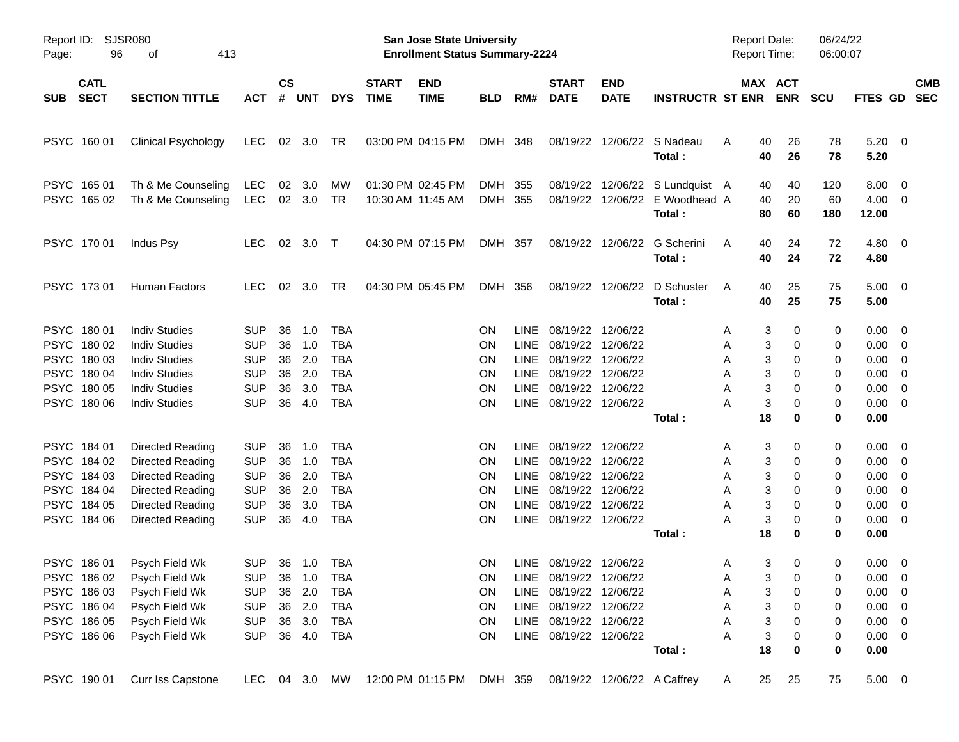| Report ID:<br>96<br>Page:                                                              | <b>SJSR080</b><br>413<br>οf                                                                                                                  |                                                                                      |                                  |                                             |                                                                                  |                             | San Jose State University<br><b>Enrollment Status Summary-2224</b> |                                                                     |                                                    |                                                                                                                                                          |                           |                                                                             | Report Date:<br><b>Report Time:</b>                            |                                                                    | 06/24/22<br>06:00:07            |                                                                                         |                                                                                                                                              |            |
|----------------------------------------------------------------------------------------|----------------------------------------------------------------------------------------------------------------------------------------------|--------------------------------------------------------------------------------------|----------------------------------|---------------------------------------------|----------------------------------------------------------------------------------|-----------------------------|--------------------------------------------------------------------|---------------------------------------------------------------------|----------------------------------------------------|----------------------------------------------------------------------------------------------------------------------------------------------------------|---------------------------|-----------------------------------------------------------------------------|----------------------------------------------------------------|--------------------------------------------------------------------|---------------------------------|-----------------------------------------------------------------------------------------|----------------------------------------------------------------------------------------------------------------------------------------------|------------|
| <b>CATL</b><br><b>SECT</b><br><b>SUB</b>                                               | <b>SECTION TITTLE</b>                                                                                                                        | <b>ACT</b>                                                                           | <b>CS</b><br>#                   | <b>UNT</b>                                  | <b>DYS</b>                                                                       | <b>START</b><br><b>TIME</b> | <b>END</b><br><b>TIME</b>                                          | <b>BLD</b>                                                          | RM#                                                | <b>START</b><br><b>DATE</b>                                                                                                                              | <b>END</b><br><b>DATE</b> | <b>INSTRUCTR ST ENR ENR</b>                                                 |                                                                | MAX ACT                                                            | <b>SCU</b>                      | FTES GD SEC                                                                             |                                                                                                                                              | <b>CMB</b> |
| PSYC 160 01                                                                            | <b>Clinical Psychology</b>                                                                                                                   | LEC                                                                                  |                                  | 02 3.0                                      | TR                                                                               |                             | 03:00 PM 04:15 PM                                                  | DMH 348                                                             |                                                    |                                                                                                                                                          |                           | 08/19/22 12/06/22 S Nadeau<br>Total:                                        | 40<br>A<br>40                                                  | 26<br>26                                                           | 78<br>78                        | 5.20<br>5.20                                                                            | $\overline{\phantom{0}}$                                                                                                                     |            |
| PSYC 165 01<br>PSYC 165 02                                                             | Th & Me Counseling<br>Th & Me Counseling                                                                                                     | LEC<br>LEC                                                                           | 02                               | 3.0<br>02 3.0                               | MW<br>TR                                                                         |                             | 01:30 PM 02:45 PM<br>10:30 AM 11:45 AM                             | DMH 355<br>DMH 355                                                  |                                                    |                                                                                                                                                          |                           | 08/19/22 12/06/22 S Lundquist A<br>08/19/22 12/06/22 E Woodhead A<br>Total: | 40<br>40<br>80                                                 | 40<br>20<br>60                                                     | 120<br>60<br>180                | 8.00<br>$4.00 \ 0$<br>12.00                                                             | $\overline{\mathbf{0}}$                                                                                                                      |            |
| PSYC 170 01                                                                            | Indus Psy                                                                                                                                    | <b>LEC</b>                                                                           |                                  | 02 3.0 T                                    |                                                                                  |                             | 04:30 PM 07:15 PM                                                  | DMH 357                                                             |                                                    |                                                                                                                                                          |                           | 08/19/22 12/06/22 G Scherini<br>Total:                                      | 40<br>A<br>40                                                  | 24<br>24                                                           | 72<br>72                        | 4.80<br>4.80                                                                            | $\overline{\phantom{0}}$                                                                                                                     |            |
| PSYC 17301                                                                             | Human Factors                                                                                                                                | <b>LEC</b>                                                                           |                                  | 02 3.0                                      | TR                                                                               |                             | 04:30 PM 05:45 PM                                                  | DMH 356                                                             |                                                    |                                                                                                                                                          | 08/19/22 12/06/22         | D Schuster<br>Total:                                                        | 40<br>A<br>40                                                  | 25<br>25                                                           | 75<br>75                        | 5.00<br>5.00                                                                            | $\overline{\phantom{0}}$                                                                                                                     |            |
| PSYC 180 01<br>PSYC 180 02<br>PSYC 180 03<br>PSYC 180 04<br>PSYC 180 05<br>PSYC 180 06 | <b>Indiv Studies</b><br><b>Indiv Studies</b><br><b>Indiv Studies</b><br><b>Indiv Studies</b><br><b>Indiv Studies</b><br><b>Indiv Studies</b> | <b>SUP</b><br><b>SUP</b><br><b>SUP</b><br><b>SUP</b><br><b>SUP</b><br><b>SUP</b>     | 36<br>36<br>36<br>36<br>36<br>36 | 1.0<br>1.0<br>2.0<br>2.0<br>3.0<br>4.0      | <b>TBA</b><br><b>TBA</b><br><b>TBA</b><br><b>TBA</b><br><b>TBA</b><br><b>TBA</b> |                             |                                                                    | <b>ON</b><br><b>ON</b><br><b>ON</b><br><b>ON</b><br>ON<br><b>ON</b> | <b>LINE</b><br>LINE<br>LINE<br>LINE<br><b>LINE</b> | 08/19/22 12/06/22<br>08/19/22 12/06/22<br>08/19/22 12/06/22<br>08/19/22 12/06/22<br>08/19/22 12/06/22<br>LINE 08/19/22 12/06/22                          |                           | Total:                                                                      | 3<br>Α<br>3<br>Α<br>3<br>Α<br>3<br>Α<br>3<br>Α<br>3<br>Α<br>18 | 0<br>0<br>0<br>0<br>0<br>0<br>0                                    | 0<br>0<br>0<br>0<br>0<br>0<br>0 | 0.00<br>0.00<br>0.00<br>0.00<br>0.00<br>0.00<br>0.00                                    | $\overline{\mathbf{0}}$<br>$\overline{\mathbf{0}}$<br>$\overline{0}$<br>$\overline{0}$<br>$\overline{\mathbf{0}}$<br>$\overline{\mathbf{0}}$ |            |
| PSYC 184 01<br>PSYC 184 02<br>PSYC 184 03<br>PSYC 184 04<br>PSYC 184 05<br>PSYC 184 06 | Directed Reading<br><b>Directed Reading</b><br>Directed Reading<br>Directed Reading<br>Directed Reading<br><b>Directed Reading</b>           | <b>SUP</b><br><b>SUP</b><br><b>SUP</b><br><b>SUP</b><br><b>SUP</b><br><b>SUP</b>     | 36<br>36<br>36<br>36<br>36<br>36 | 1.0<br>1.0<br>2.0<br>2.0<br>3.0<br>4.0      | TBA<br><b>TBA</b><br><b>TBA</b><br><b>TBA</b><br><b>TBA</b><br><b>TBA</b>        |                             |                                                                    | <b>ON</b><br><b>ON</b><br><b>ON</b><br><b>ON</b><br>ON<br><b>ON</b> | LINE<br>LINE<br>LINE<br>LINE<br>LINE<br>LINE       | 08/19/22 12/06/22<br>08/19/22 12/06/22<br>08/19/22<br>08/19/22 12/06/22<br>08/19/22 12/06/22<br>08/19/22 12/06/22                                        | 12/06/22                  | Total:                                                                      | 3<br>A<br>3<br>Α<br>3<br>Α<br>3<br>Α<br>3<br>Α<br>3<br>A<br>18 | 0<br>0<br>0<br>0<br>0<br>0<br>0                                    | 0<br>0<br>0<br>0<br>0<br>0<br>0 | 0.00<br>0.00<br>0.00<br>0.00<br>0.00<br>0.00<br>0.00                                    | $\overline{\mathbf{0}}$<br>$\overline{\mathbf{0}}$<br>$\overline{0}$<br>$\overline{\mathbf{0}}$<br>$\overline{0}$<br>$\overline{\mathbf{0}}$ |            |
| PSYC 186 01<br>PSYC 186 03<br>PSYC 186 04<br>PSYC 186 05<br>PSYC 186 06                | Psych Field Wk<br>PSYC 186 02 Psych Field Wk<br>Psych Field Wk<br>Psych Field Wk<br>Psych Field Wk<br>Psych Field Wk                         | <b>SUP</b><br>SUP 36 1.0 TBA<br><b>SUP</b><br><b>SUP</b><br><b>SUP</b><br><b>SUP</b> | 36                               | 36 1.0<br>2.0<br>36 2.0<br>36 3.0<br>36 4.0 | TBA<br>TBA<br><b>TBA</b><br>TBA<br><b>TBA</b>                                    |                             |                                                                    | <b>ON</b><br>ON<br><b>ON</b><br>ON<br>ON<br>ON                      |                                                    | LINE 08/19/22 12/06/22<br>LINE 08/19/22 12/06/22<br>LINE 08/19/22 12/06/22<br>LINE 08/19/22 12/06/22<br>LINE 08/19/22 12/06/22<br>LINE 08/19/22 12/06/22 |                           | Total:                                                                      | 3<br>A<br>Α<br>3<br>Α<br>3<br>Α<br>3<br>Α<br>3<br>Α<br>18      | 0<br>3 <sup>7</sup><br>$\overline{\mathbf{0}}$<br>0<br>0<br>0<br>0 | 0<br>0<br>0<br>0<br>0<br>0<br>0 | 0.00<br>$0.00 \t 0$<br>$0.00 \t 0$<br>$0.00 \t 0$<br>$0.00 \t 0$<br>$0.00 \t 0$<br>0.00 | $\overline{\phantom{0}}$                                                                                                                     |            |
| PSYC 190 01                                                                            | Curr Iss Capstone                                                                                                                            | LEC 04 3.0 MW                                                                        |                                  |                                             |                                                                                  |                             | 12:00 PM 01:15 PM                                                  | DMH 359                                                             |                                                    |                                                                                                                                                          |                           | 08/19/22 12/06/22 A Caffrey                                                 | 25<br>A                                                        | 25                                                                 | 75                              | $5.00 \t 0$                                                                             |                                                                                                                                              |            |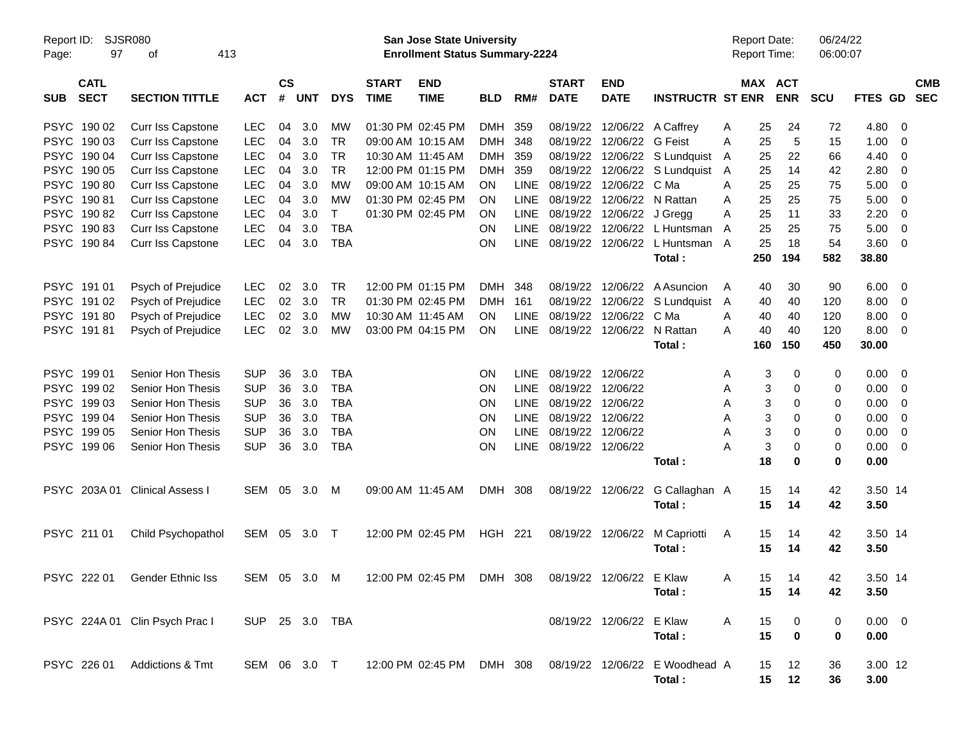| Report ID:<br>Page: | 97                         | SJSR080<br>413<br>οf           |                |                    |            |            |                             | San Jose State University<br><b>Enrollment Status Summary-2224</b> |            |             |                             |                           |                                |   | <b>Report Date:</b><br>Report Time: |                       | 06/24/22<br>06:00:07 |                |   |                          |
|---------------------|----------------------------|--------------------------------|----------------|--------------------|------------|------------|-----------------------------|--------------------------------------------------------------------|------------|-------------|-----------------------------|---------------------------|--------------------------------|---|-------------------------------------|-----------------------|----------------------|----------------|---|--------------------------|
| <b>SUB</b>          | <b>CATL</b><br><b>SECT</b> | <b>SECTION TITTLE</b>          | <b>ACT</b>     | $\mathsf{cs}$<br># | <b>UNT</b> | <b>DYS</b> | <b>START</b><br><b>TIME</b> | <b>END</b><br><b>TIME</b>                                          | <b>BLD</b> | RM#         | <b>START</b><br><b>DATE</b> | <b>END</b><br><b>DATE</b> | <b>INSTRUCTR ST ENR</b>        |   |                                     | MAX ACT<br><b>ENR</b> | <b>SCU</b>           | <b>FTES GD</b> |   | <b>CMB</b><br><b>SEC</b> |
|                     | PSYC 190 02                | <b>Curr Iss Capstone</b>       | <b>LEC</b>     | 04                 | 3.0        | MW         |                             | 01:30 PM 02:45 PM                                                  | <b>DMH</b> | 359         | 08/19/22                    |                           | 12/06/22 A Caffrey             | Α | 25                                  | 24                    | 72                   | 4.80           | 0 |                          |
|                     | PSYC 190 03                | Curr Iss Capstone              | <b>LEC</b>     | 04                 | 3.0        | TR         |                             | 09:00 AM 10:15 AM                                                  | <b>DMH</b> | 348         | 08/19/22                    | 12/06/22 G Feist          |                                | A | 25                                  | 5                     | 15                   | 1.00           | 0 |                          |
|                     | PSYC 190 04                | Curr Iss Capstone              | <b>LEC</b>     | 04                 | 3.0        | TR         |                             | 10:30 AM 11:45 AM                                                  | <b>DMH</b> | 359         | 08/19/22                    |                           | 12/06/22 S Lundquist           | A | 25                                  | 22                    | 66                   | 4.40           | 0 |                          |
|                     | PSYC 190 05                | Curr Iss Capstone              | <b>LEC</b>     | 04                 | 3.0        | <b>TR</b>  |                             | 12:00 PM 01:15 PM                                                  | <b>DMH</b> | 359         | 08/19/22                    |                           | 12/06/22 S Lundquist           | A | 25                                  | 14                    | 42                   | 2.80           | 0 |                          |
|                     | PSYC 190 80                | Curr Iss Capstone              | <b>LEC</b>     | 04                 | 3.0        | MW         |                             | 09:00 AM 10:15 AM                                                  | OΝ         | LINE        | 08/19/22                    | 12/06/22 C Ma             |                                | A | 25                                  | 25                    | 75                   | 5.00           | 0 |                          |
|                     | PSYC 19081                 | Curr Iss Capstone              | <b>LEC</b>     | 04                 | 3.0        | MW         |                             | 01:30 PM 02:45 PM                                                  | ΟN         | <b>LINE</b> | 08/19/22                    |                           | 12/06/22 N Rattan              | A | 25                                  | 25                    | 75                   | 5.00           | 0 |                          |
|                     | PSYC 19082                 | Curr Iss Capstone              | <b>LEC</b>     | 04                 | 3.0        | T          |                             | 01:30 PM 02:45 PM                                                  | ON         | <b>LINE</b> | 08/19/22                    | 12/06/22 J Gregg          |                                | A | 25                                  | 11                    | 33                   | 2.20           | 0 |                          |
|                     | PSYC 19083                 | Curr Iss Capstone              | <b>LEC</b>     | 04                 | 3.0        | <b>TBA</b> |                             |                                                                    | ΟN         | <b>LINE</b> | 08/19/22                    |                           | 12/06/22 L Huntsman            | A | 25                                  | 25                    | 75                   | 5.00           | 0 |                          |
|                     | PSYC 19084                 | <b>Curr Iss Capstone</b>       | <b>LEC</b>     | 04                 | 3.0        | <b>TBA</b> |                             |                                                                    | ON         | <b>LINE</b> | 08/19/22                    |                           | 12/06/22 L Huntsman            | A | 25                                  | 18                    | 54                   | 3.60           | 0 |                          |
|                     |                            |                                |                |                    |            |            |                             |                                                                    |            |             |                             |                           | Total:                         |   | 250                                 | 194                   | 582                  | 38.80          |   |                          |
|                     | PSYC 191 01                | Psych of Prejudice             | <b>LEC</b>     | 02                 | 3.0        | TR         |                             | 12:00 PM 01:15 PM                                                  | DMH        | 348         | 08/19/22                    |                           | 12/06/22 A Asuncion            | A | 40                                  | 30                    | 90                   | 6.00           | 0 |                          |
|                     | PSYC 19102                 | Psych of Prejudice             | <b>LEC</b>     | 02                 | 3.0        | <b>TR</b>  |                             | 01:30 PM 02:45 PM                                                  | <b>DMH</b> | 161         | 08/19/22                    |                           | 12/06/22 S Lundquist           | A | 40                                  | 40                    | 120                  | 8.00           | 0 |                          |
|                     | PSYC 19180                 | Psych of Prejudice             | <b>LEC</b>     | 02                 | 3.0        | MW         |                             | 10:30 AM 11:45 AM                                                  | OΝ         | LINE        | 08/19/22                    | 12/06/22 C Ma             |                                | A | 40                                  | 40                    | 120                  | 8.00           | 0 |                          |
|                     | PSYC 19181                 | Psych of Prejudice             | <b>LEC</b>     | 02                 | 3.0        | <b>MW</b>  |                             | 03:00 PM 04:15 PM                                                  | <b>ON</b>  | <b>LINE</b> | 08/19/22                    |                           | 12/06/22 N Rattan              | Α | 40                                  | 40                    | 120                  | 8.00           | 0 |                          |
|                     |                            |                                |                |                    |            |            |                             |                                                                    |            |             |                             |                           | Total:                         |   | 160                                 | 150                   | 450                  | 30.00          |   |                          |
|                     | PSYC 199 01                | Senior Hon Thesis              | <b>SUP</b>     | 36                 | 3.0        | <b>TBA</b> |                             |                                                                    | ΟN         | LINE        | 08/19/22                    | 12/06/22                  |                                | Α | 3                                   | 0                     | 0                    | 0.00           | 0 |                          |
|                     | PSYC 199 02                | Senior Hon Thesis              | <b>SUP</b>     | 36                 | 3.0        | <b>TBA</b> |                             |                                                                    | ΟN         | <b>LINE</b> | 08/19/22                    | 12/06/22                  |                                | Α | 3                                   | $\Omega$              | 0                    | 0.00           | 0 |                          |
|                     | PSYC 199 03                | Senior Hon Thesis              | <b>SUP</b>     | 36                 | 3.0        | <b>TBA</b> |                             |                                                                    | ΟN         | LINE        | 08/19/22                    | 12/06/22                  |                                | A | 3                                   | 0                     | 0                    | 0.00           | 0 |                          |
|                     | PSYC 199 04                | Senior Hon Thesis              | <b>SUP</b>     | 36                 | 3.0        | <b>TBA</b> |                             |                                                                    | ΟN         | LINE        | 08/19/22                    | 12/06/22                  |                                | A | 3                                   | 0                     | 0                    | 0.00           | 0 |                          |
|                     | PSYC 199 05                | Senior Hon Thesis              | <b>SUP</b>     | 36                 | 3.0        | <b>TBA</b> |                             |                                                                    | ΟN         | LINE        | 08/19/22                    | 12/06/22                  |                                | Α | 3                                   | $\Omega$              | 0                    | 0.00           | 0 |                          |
|                     | PSYC 199 06                | Senior Hon Thesis              | <b>SUP</b>     | 36                 | 3.0        | <b>TBA</b> |                             |                                                                    | ON         | <b>LINE</b> | 08/19/22 12/06/22           |                           |                                | А | 3                                   | $\Omega$              | 0                    | 0.00           | 0 |                          |
|                     |                            |                                |                |                    |            |            |                             |                                                                    |            |             |                             |                           | Total:                         |   | 18                                  | 0                     | 0                    | 0.00           |   |                          |
|                     | PSYC 203A 01               | <b>Clinical Assess I</b>       | SEM            | 05                 | 3.0        | M          |                             | 09:00 AM 11:45 AM                                                  | DMH 308    |             |                             | 08/19/22 12/06/22         | G Callaghan A                  |   | 15                                  | 14                    | 42                   | 3.50 14        |   |                          |
|                     |                            |                                |                |                    |            |            |                             |                                                                    |            |             |                             |                           | Total:                         |   | 15                                  | 14                    | 42                   | 3.50           |   |                          |
|                     | PSYC 211 01                | Child Psychopathol             | SEM            | 05                 | 3.0        | $\top$     |                             | 12:00 PM 02:45 PM                                                  | HGH 221    |             |                             | 08/19/22 12/06/22         | M Capriotti                    | A | 15                                  | 14                    | 42                   | 3.50 14        |   |                          |
|                     |                            |                                |                |                    |            |            |                             |                                                                    |            |             |                             |                           | Total:                         |   | 15                                  | 14                    | 42                   | 3.50           |   |                          |
|                     |                            |                                |                |                    |            |            |                             |                                                                    |            |             |                             |                           |                                |   |                                     |                       |                      |                |   |                          |
|                     |                            | PSYC 222 01 Gender Ethnic Iss  | SEM 05 3.0 M   |                    |            |            |                             | 12:00 PM 02:45 PM DMH 308                                          |            |             | 08/19/22 12/06/22 E Klaw    |                           |                                | Α | 15                                  | 14                    | 42                   | 3.50 14        |   |                          |
|                     |                            |                                |                |                    |            |            |                             |                                                                    |            |             |                             |                           | Total:                         |   | 15                                  | 14                    | 42                   | 3.50           |   |                          |
|                     |                            | PSYC 224A 01 Clin Psych Prac I | SUP 25 3.0 TBA |                    |            |            |                             |                                                                    |            |             |                             | 08/19/22 12/06/22 E Klaw  |                                | Α | 15                                  | 0                     | 0                    | $0.00 \t 0$    |   |                          |
|                     |                            |                                |                |                    |            |            |                             |                                                                    |            |             |                             |                           | Total:                         |   | 15                                  | $\mathbf 0$           | 0                    | 0.00           |   |                          |
|                     | PSYC 226 01                | <b>Addictions &amp; Tmt</b>    | SEM 06 3.0 T   |                    |            |            |                             | 12:00 PM 02:45 PM DMH 308                                          |            |             |                             |                           | 08/19/22 12/06/22 E Woodhead A |   | 15                                  | 12                    | 36                   | 3.00 12        |   |                          |
|                     |                            |                                |                |                    |            |            |                             |                                                                    |            |             |                             |                           | Total:                         |   | 15                                  | 12                    | 36                   | 3.00           |   |                          |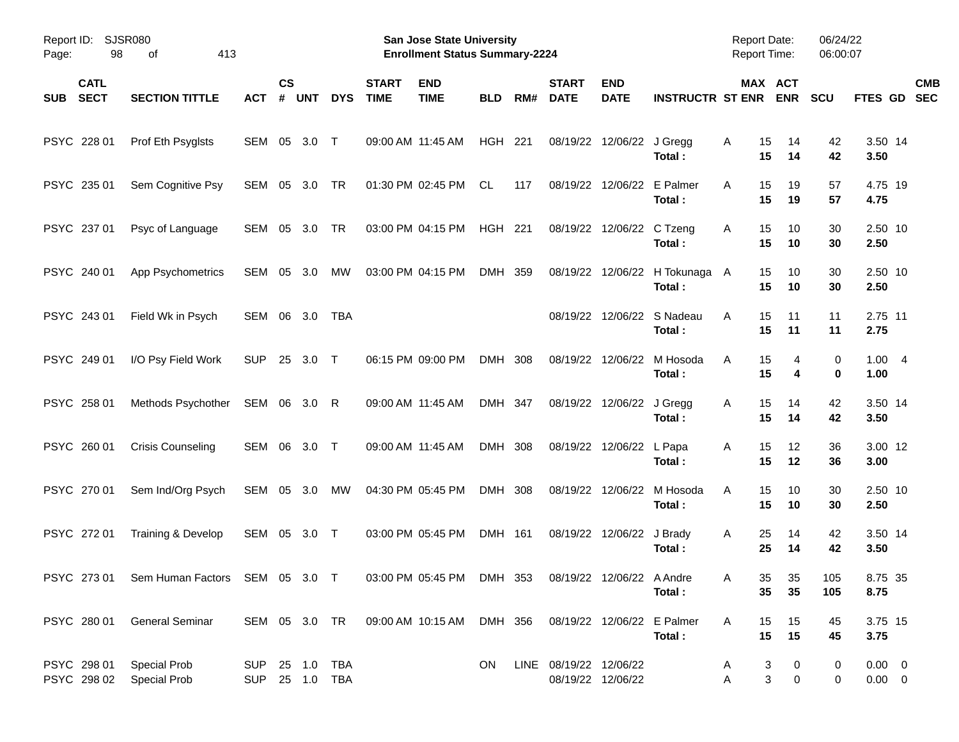| Report ID:<br>Page:                      | <b>SJSR080</b><br>98<br>413<br>οf                                                              |              |                |            |                                  |                             | <b>San Jose State University</b><br><b>Enrollment Status Summary-2224</b> |            |     |                             |                            |                                        | <b>Report Date:</b><br>Report Time: |                             | 06/24/22<br>06:00:07 |                               |                          |
|------------------------------------------|------------------------------------------------------------------------------------------------|--------------|----------------|------------|----------------------------------|-----------------------------|---------------------------------------------------------------------------|------------|-----|-----------------------------|----------------------------|----------------------------------------|-------------------------------------|-----------------------------|----------------------|-------------------------------|--------------------------|
| <b>CATL</b><br><b>SECT</b><br><b>SUB</b> | <b>SECTION TITTLE</b>                                                                          | <b>ACT</b>   | <b>CS</b><br># | <b>UNT</b> | <b>DYS</b>                       | <b>START</b><br><b>TIME</b> | <b>END</b><br><b>TIME</b>                                                 | <b>BLD</b> | RM# | <b>START</b><br><b>DATE</b> | <b>END</b><br><b>DATE</b>  | <b>INSTRUCTR ST ENR</b>                |                                     | MAX ACT<br><b>ENR</b>       | <b>SCU</b>           | <b>FTES GD</b>                | <b>CMB</b><br><b>SEC</b> |
| PSYC 228 01                              | Prof Eth Psyglsts                                                                              | SEM 05       |                | 3.0        | $\top$                           |                             | 09:00 AM 11:45 AM                                                         | HGH 221    |     |                             | 08/19/22 12/06/22 J Gregg  | Total:                                 | 15<br>Α<br>15                       | 14<br>14                    | 42<br>42             | 3.50 14<br>3.50               |                          |
| PSYC 235 01                              | Sem Cognitive Psy                                                                              | SEM 05       |                | 3.0        | TR                               |                             | 01:30 PM 02:45 PM                                                         | CL.        | 117 |                             | 08/19/22 12/06/22 E Palmer | Total:                                 | 15<br>A<br>15                       | 19<br>19                    | 57<br>57             | 4.75 19<br>4.75               |                          |
| PSYC 237 01                              | Psyc of Language                                                                               | SEM          | 05             | 3.0        | TR                               |                             | 03:00 PM 04:15 PM                                                         | HGH 221    |     |                             | 08/19/22 12/06/22 C Tzeng  | Total:                                 | 15<br>Α<br>15                       | 10<br>10                    | 30<br>30             | 2.50 10<br>2.50               |                          |
| PSYC 240 01                              | App Psychometrics                                                                              | SEM          | 05             | 3.0        | <b>MW</b>                        |                             | 03:00 PM 04:15 PM                                                         | DMH 359    |     |                             |                            | 08/19/22 12/06/22 H Tokunaga<br>Total: | 15<br>A<br>15                       | 10<br>10                    | 30<br>30             | 2.50 10<br>2.50               |                          |
| PSYC 243 01                              | Field Wk in Psych                                                                              | SEM 06       |                | 3.0        | TBA                              |                             |                                                                           |            |     |                             |                            | 08/19/22 12/06/22 S Nadeau<br>Total:   | 15<br>A<br>15                       | 11<br>11                    | 11<br>11             | 2.75 11<br>2.75               |                          |
| PSYC 249 01                              | I/O Psy Field Work                                                                             | <b>SUP</b>   | 25             | 3.0        | $\top$                           |                             | 06:15 PM 09:00 PM                                                         | DMH 308    |     |                             | 08/19/22 12/06/22          | M Hosoda<br>Total:                     | A<br>15<br>15                       | 4<br>4                      | 0<br>$\mathbf 0$     | 1.004<br>1.00                 |                          |
| PSYC 258 01                              | Methods Psychother                                                                             | SEM 06 3.0 R |                |            |                                  |                             | 09:00 AM 11:45 AM                                                         | DMH 347    |     |                             | 08/19/22 12/06/22 J Gregg  | Total:                                 | 15<br>Α<br>15                       | 14<br>14                    | 42<br>42             | 3.50 14<br>3.50               |                          |
| PSYC 260 01                              | <b>Crisis Counseling</b>                                                                       | SEM 06       |                | 3.0 T      |                                  |                             | 09:00 AM 11:45 AM                                                         | DMH 308    |     |                             | 08/19/22 12/06/22 L Papa   | Total:                                 | Α<br>15<br>15                       | 12<br>12                    | 36<br>36             | 3.00 12<br>3.00               |                          |
| PSYC 270 01                              | Sem Ind/Org Psych                                                                              | SEM 05 3.0   |                |            | MW                               |                             | 04:30 PM 05:45 PM                                                         | DMH 308    |     |                             | 08/19/22 12/06/22          | M Hosoda<br>Total:                     | A<br>15<br>15                       | 10<br>10                    | 30<br>30             | 2.50 10<br>2.50               |                          |
| PSYC 272 01                              | Training & Develop                                                                             | SEM 05 3.0 T |                |            |                                  |                             | 03:00 PM 05:45 PM                                                         | DMH 161    |     |                             | 08/19/22 12/06/22 J Brady  | Total:                                 | 25<br>Α<br>25                       | 14<br>14                    | 42<br>42             | 3.50 14<br>3.50               |                          |
|                                          | PSYC 273 01 Sem Human Factors SEM 05 3.0 T 03:00 PM 05:45 PM DMH 353 08/19/22 12/06/22 A Andre |              |                |            |                                  |                             |                                                                           |            |     |                             |                            | Total :                                | Α<br>35                             | 35 <sup>5</sup><br>35<br>35 | 105<br>105           | 8.75 35<br>8.75               |                          |
|                                          | PSYC 280 01 General Seminar                                                                    |              |                |            |                                  |                             | SEM 05 3.0 TR 09:00 AM 10:15 AM DMH 356 08/19/22 12/06/22 E Palmer        |            |     |                             |                            | Total:                                 | A<br>15<br>15                       | 15<br>15                    | 45<br>45             | 3.75 15<br>3.75               |                          |
| PSYC 298 01<br>PSYC 298 02               | <b>Special Prob</b><br><b>Special Prob</b>                                                     |              |                |            | SUP 25 1.0 TBA<br>SUP 25 1.0 TBA |                             |                                                                           | ON.        |     | LINE 08/19/22 12/06/22      | 08/19/22 12/06/22          |                                        | A<br>Α                              | 3<br>0<br>3<br>$\pmb{0}$    | 0<br>0               | $0.00 \quad 0$<br>$0.00 \t 0$ |                          |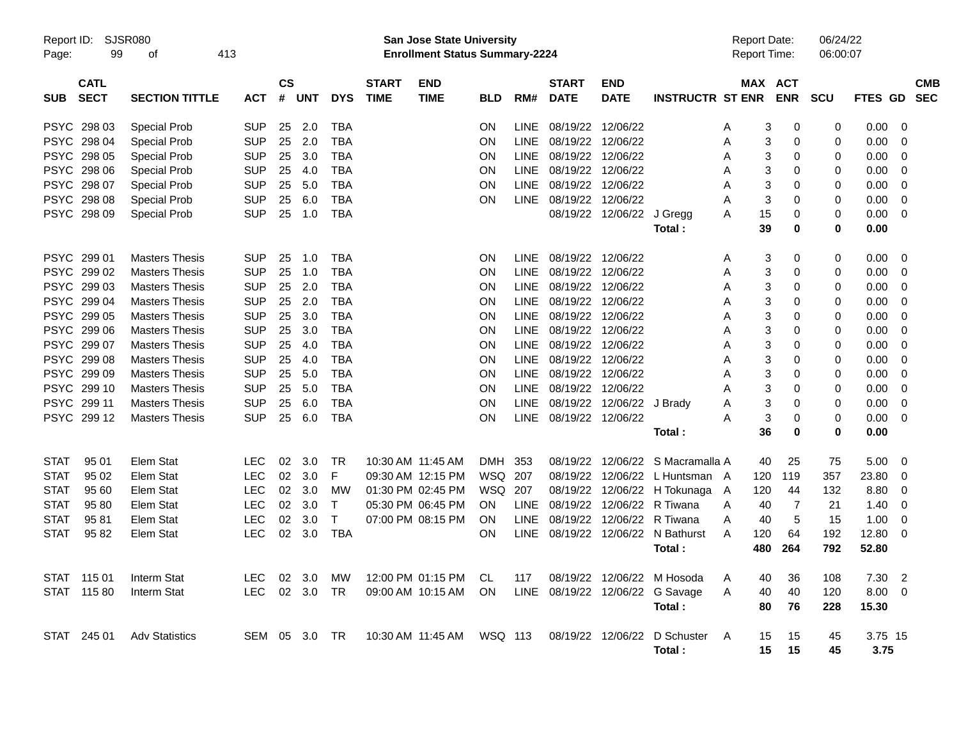| Report ID:<br>Page: | 99                         | SJSR080<br>413<br>οf  |            |                |            |              |                             | San Jose State University<br><b>Enrollment Status Summary-2224</b> |            |             |                             |                           |                                  | <b>Report Date:</b><br>Report Time: |                | 06/24/22<br>06:00:07 |             |                |            |
|---------------------|----------------------------|-----------------------|------------|----------------|------------|--------------|-----------------------------|--------------------------------------------------------------------|------------|-------------|-----------------------------|---------------------------|----------------------------------|-------------------------------------|----------------|----------------------|-------------|----------------|------------|
| SUB                 | <b>CATL</b><br><b>SECT</b> | <b>SECTION TITTLE</b> | АСТ        | <b>CS</b><br># | <b>UNT</b> | <b>DYS</b>   | <b>START</b><br><b>TIME</b> | <b>END</b><br><b>TIME</b>                                          | <b>BLD</b> | RM#         | <b>START</b><br><b>DATE</b> | <b>END</b><br><b>DATE</b> | <b>INSTRUCTR ST ENR</b>          | MAX ACT                             | <b>ENR</b>     | <b>SCU</b>           | FTES GD SEC |                | <b>CMB</b> |
| PSYC                | 298 03                     | <b>Special Prob</b>   | <b>SUP</b> | 25             | 2.0        | TBA          |                             |                                                                    | <b>ON</b>  | LINE        |                             | 08/19/22 12/06/22         |                                  | 3<br>Α                              | 0              | 0                    | 0.00        | - 0            |            |
|                     | PSYC 298 04                | <b>Special Prob</b>   | <b>SUP</b> | 25             | 2.0        | TBA          |                             |                                                                    | <b>ON</b>  | LINE.       |                             | 08/19/22 12/06/22         |                                  | 3<br>Α                              | 0              | 0                    | 0.00        | - 0            |            |
|                     | PSYC 298 05                | <b>Special Prob</b>   | <b>SUP</b> | 25             | 3.0        | <b>TBA</b>   |                             |                                                                    | <b>ON</b>  | LINE        |                             | 08/19/22 12/06/22         |                                  | 3<br>Α                              | 0              | 0                    | 0.00        | 0              |            |
| PSYC                | 298 06                     | <b>Special Prob</b>   | <b>SUP</b> | 25             | 4.0        | TBA          |                             |                                                                    | <b>ON</b>  | LINE        | 08/19/22 12/06/22           |                           |                                  | 3<br>Α                              | $\Omega$       | 0                    | 0.00        | $\overline{0}$ |            |
|                     | PSYC 298 07                | <b>Special Prob</b>   | <b>SUP</b> | 25             | 5.0        | <b>TBA</b>   |                             |                                                                    | <b>ON</b>  | <b>LINE</b> |                             | 08/19/22 12/06/22         |                                  | 3<br>Α                              | 0              | 0                    | 0.00        | $\mathbf 0$    |            |
|                     | PSYC 298 08                | <b>Special Prob</b>   | <b>SUP</b> | 25             | 6.0        | <b>TBA</b>   |                             |                                                                    | <b>ON</b>  | LINE        |                             | 08/19/22 12/06/22         |                                  | 3<br>А                              | $\Omega$       | 0                    | 0.00        | $\overline{0}$ |            |
|                     | PSYC 298 09                | <b>Special Prob</b>   | <b>SUP</b> | 25             | 1.0        | <b>TBA</b>   |                             |                                                                    |            |             |                             | 08/19/22 12/06/22 J Gregg |                                  | 15<br>A                             | 0              | 0                    | 0.00        | $\mathbf 0$    |            |
|                     |                            |                       |            |                |            |              |                             |                                                                    |            |             |                             |                           | Total:                           | 39                                  | 0              | 0                    | 0.00        |                |            |
| <b>PSYC</b>         | 299 01                     | <b>Masters Thesis</b> | <b>SUP</b> | 25             | 1.0        | TBA          |                             |                                                                    | <b>ON</b>  | LINE        |                             | 08/19/22 12/06/22         |                                  | 3<br>A                              | 0              | 0                    | 0.00        | $\overline{0}$ |            |
|                     | PSYC 299 02                | <b>Masters Thesis</b> | <b>SUP</b> | 25             | 1.0        | <b>TBA</b>   |                             |                                                                    | <b>ON</b>  | <b>LINE</b> | 08/19/22 12/06/22           |                           |                                  | 3<br>Α                              | 0              | 0                    | 0.00        | - 0            |            |
| PSYC                | 299 03                     | <b>Masters Thesis</b> | <b>SUP</b> | 25             | 2.0        | TBA          |                             |                                                                    | <b>ON</b>  | <b>LINE</b> |                             | 08/19/22 12/06/22         |                                  | 3<br>А                              | 0              | 0                    | 0.00        | $\overline{0}$ |            |
| PSYC                | 299 04                     | <b>Masters Thesis</b> | <b>SUP</b> | 25             | 2.0        | TBA          |                             |                                                                    | <b>ON</b>  | LINE        | 08/19/22 12/06/22           |                           |                                  | 3<br>Α                              | 0              | 0                    | 0.00        | $\overline{0}$ |            |
|                     | PSYC 299 05                | <b>Masters Thesis</b> | <b>SUP</b> | 25             | 3.0        | <b>TBA</b>   |                             |                                                                    | <b>ON</b>  | <b>LINE</b> |                             | 08/19/22 12/06/22         |                                  | 3<br>Α                              | 0              | 0                    | 0.00        | 0              |            |
| PSYC                | 299 06                     | <b>Masters Thesis</b> | <b>SUP</b> | 25             | 3.0        | TBA          |                             |                                                                    | <b>ON</b>  | LINE        |                             | 08/19/22 12/06/22         |                                  | 3<br>Α                              | 0              | 0                    | 0.00        | $\overline{0}$ |            |
|                     | PSYC 299 07                | <b>Masters Thesis</b> | <b>SUP</b> | 25             | 4.0        | <b>TBA</b>   |                             |                                                                    | <b>ON</b>  | <b>LINE</b> |                             | 08/19/22 12/06/22         |                                  | 3<br>Α                              | 0              | 0                    | 0.00        | 0              |            |
|                     | PSYC 299 08                | <b>Masters Thesis</b> | <b>SUP</b> | 25             | 4.0        | <b>TBA</b>   |                             |                                                                    | <b>ON</b>  | <b>LINE</b> |                             | 08/19/22 12/06/22         |                                  | 3<br>Α                              | $\Omega$       | 0                    | 0.00        | 0              |            |
|                     | PSYC 299 09                | <b>Masters Thesis</b> | <b>SUP</b> | 25             | 5.0        | <b>TBA</b>   |                             |                                                                    | 0N         | LINE        |                             | 08/19/22 12/06/22         |                                  | 3<br>Α                              | 0              | 0                    | 0.00        | $\mathbf 0$    |            |
| <b>PSYC</b>         | 299 10                     | <b>Masters Thesis</b> | <b>SUP</b> | 25             | 5.0        | <b>TBA</b>   |                             |                                                                    | <b>ON</b>  | <b>LINE</b> |                             | 08/19/22 12/06/22         |                                  | 3<br>А                              | 0              | 0                    | 0.00        | 0              |            |
|                     | PSYC 299 11                | <b>Masters Thesis</b> | <b>SUP</b> | 25             | 6.0        | <b>TBA</b>   |                             |                                                                    | <b>ON</b>  | <b>LINE</b> |                             | 08/19/22 12/06/22         | J Brady                          | 3<br>Α                              | 0              | 0                    | 0.00        | $\mathbf 0$    |            |
|                     | PSYC 299 12                | <b>Masters Thesis</b> | SUP        | 25             | 6.0        | TBA          |                             |                                                                    | <b>ON</b>  | LINE        |                             | 08/19/22 12/06/22         |                                  | Α<br>3                              | 0              | 0                    | 0.00        | $\overline{0}$ |            |
|                     |                            |                       |            |                |            |              |                             |                                                                    |            |             |                             |                           | Total:                           | 36                                  | 0              | 0                    | 0.00        |                |            |
| <b>STAT</b>         | 95 01                      | Elem Stat             | <b>LEC</b> | 02             | 3.0        | TR           |                             | 10:30 AM 11:45 AM                                                  | <b>DMH</b> | 353         |                             |                           | 08/19/22 12/06/22 S Macramalla A | 40                                  | 25             | 75                   | 5.00        | - 0            |            |
| STAT                | 95 02                      | Elem Stat             | <b>LEC</b> | 02             | 3.0        | F            |                             | 09:30 AM 12:15 PM                                                  | <b>WSQ</b> | 207         | 08/19/22                    | 12/06/22                  | L Huntsman A                     | 120                                 | 119            | 357                  | 23.80       | 0              |            |
| <b>STAT</b>         | 95 60                      | Elem Stat             | LEC.       | 02             | 3.0        | МW           |                             | 01:30 PM 02:45 PM                                                  | <b>WSQ</b> | 207         |                             |                           | 08/19/22 12/06/22 H Tokunaga     | A<br>120                            | 44             | 132                  | 8.80        | 0              |            |
| STAT                | 95 80                      | Elem Stat             | <b>LEC</b> | 02             | 3.0        | $\mathsf{T}$ |                             | 05:30 PM 06:45 PM                                                  | <b>ON</b>  | <b>LINE</b> |                             | 08/19/22 12/06/22         | R Tiwana                         | A<br>40                             | $\overline{7}$ | 21                   | 1.40        | $\mathbf 0$    |            |
| STAT                | 9581                       | Elem Stat             | <b>LEC</b> | 02             | 3.0        | $\mathsf{T}$ |                             | 07:00 PM 08:15 PM                                                  | <b>ON</b>  | <b>LINE</b> |                             |                           | 08/19/22 12/06/22 R Tiwana       | 40<br>A                             | 5              | 15                   | 1.00        | - 0            |            |
| STAT                | 95 82                      | Elem Stat             | <b>LEC</b> | 02             | 3.0        | TBA          |                             |                                                                    | <b>ON</b>  | LINE        |                             |                           | 08/19/22 12/06/22 N Bathurst     | 120<br>A                            | 64             | 192                  | 12.80       | $\mathbf 0$    |            |
|                     |                            |                       |            |                |            |              |                             |                                                                    |            |             |                             |                           | Total:                           | 480                                 | 264            | 792                  | 52.80       |                |            |
| STAT                | 115 01                     | Interm Stat           | <b>LEC</b> | 02             | 3.0        | MW           |                             | 12:00 PM 01:15 PM                                                  | <b>CL</b>  | 117         |                             | 08/19/22 12/06/22         | M Hosoda                         | 40<br>A                             | 36             | 108                  | 7.30        | $\overline{2}$ |            |
|                     | STAT 11580                 | Interm Stat           | <b>LEC</b> | 02             | 3.0        | <b>TR</b>    |                             | 09:00 AM 10:15 AM                                                  | <b>ON</b>  |             |                             |                           | LINE 08/19/22 12/06/22 G Savage  | A<br>40                             | 40             | 120                  | 8.00        | 0              |            |
|                     |                            |                       |            |                |            |              |                             |                                                                    |            |             |                             |                           | Total:                           | 80                                  | 76             | 228                  | 15.30       |                |            |
| STAT                | 245 01                     | <b>Adv Statistics</b> | SEM        | - 05           | - 3.0      | . TR         |                             | 10:30 AM 11:45 AM                                                  | WSQ 113    |             |                             | 08/19/22 12/06/22         | D Schuster                       | A<br>15                             | 15             | 45                   | 3.75 15     |                |            |
|                     |                            |                       |            |                |            |              |                             |                                                                    |            |             |                             |                           | Total:                           | 15                                  | 15             | 45                   | 3.75        |                |            |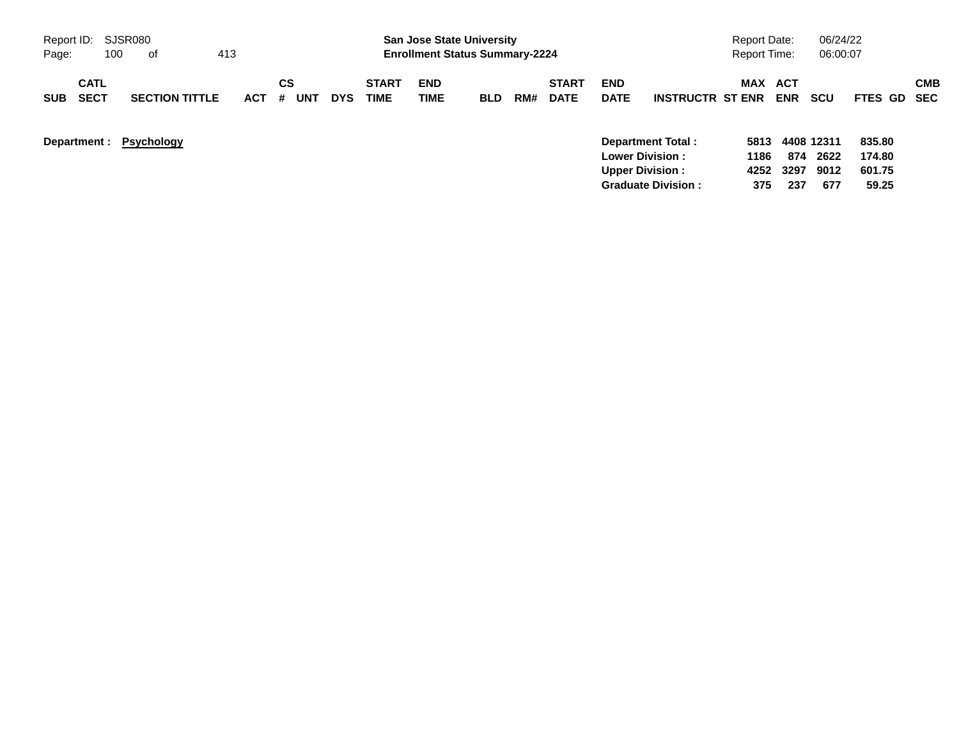| Report ID: SJSR080                       |                       |            |                |            |                             | <b>San Jose State University</b>      |            |     |                             |                                                  |                          | <b>Report Date:</b>  |              | 06/24/22                   |                            |            |
|------------------------------------------|-----------------------|------------|----------------|------------|-----------------------------|---------------------------------------|------------|-----|-----------------------------|--------------------------------------------------|--------------------------|----------------------|--------------|----------------------------|----------------------------|------------|
| Page:<br>100                             | . of                  | 413        |                |            |                             | <b>Enrollment Status Summary-2224</b> |            |     |                             |                                                  |                          | <b>Report Time:</b>  |              | 06:00:07                   |                            |            |
| <b>CATL</b><br><b>SECT</b><br><b>SUB</b> | <b>SECTION TITTLE</b> | <b>ACT</b> | СS<br>UNT<br># | <b>DYS</b> | <b>START</b><br><b>TIME</b> | <b>END</b><br><b>TIME</b>             | <b>BLD</b> | RM# | <b>START</b><br><b>DATE</b> | <b>END</b><br><b>DATE</b>                        | <b>INSTRUCTR ST ENR</b>  | <b>MAX ACT</b>       | <b>ENR</b>   | <b>SCU</b>                 | FTES GD SEC                | <b>CMB</b> |
| Department: Psychology                   |                       |            |                |            |                             |                                       |            |     |                             | <b>Lower Division:</b><br><b>Upper Division:</b> | <b>Department Total:</b> | 5813<br>1186<br>4252 | 874<br>-3297 | 4408 12311<br>2622<br>9012 | 835.80<br>174.80<br>601.75 |            |

**Graduate Division : 375 237 677 59.25**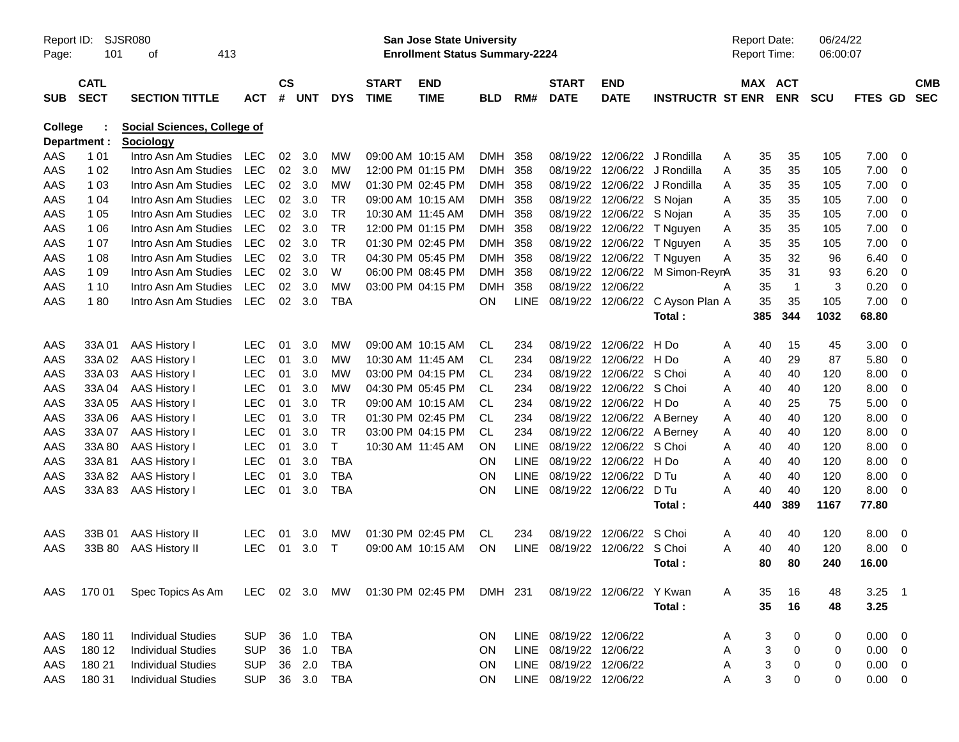| Report ID:<br>Page: | 101                        | <b>SJSR080</b><br>413<br>οf                     |            |               |        |            |                             | <b>San Jose State University</b><br><b>Enrollment Status Summary-2224</b> |            |             |                             |                           |                         |   | <b>Report Date:</b><br><b>Report Time:</b> |                | 06/24/22<br>06:00:07 |          |                          |                          |
|---------------------|----------------------------|-------------------------------------------------|------------|---------------|--------|------------|-----------------------------|---------------------------------------------------------------------------|------------|-------------|-----------------------------|---------------------------|-------------------------|---|--------------------------------------------|----------------|----------------------|----------|--------------------------|--------------------------|
| <b>SUB</b>          | <b>CATL</b><br><b>SECT</b> | <b>SECTION TITTLE</b>                           | <b>ACT</b> | $\mathsf{cs}$ | # UNT  | <b>DYS</b> | <b>START</b><br><b>TIME</b> | <b>END</b><br><b>TIME</b>                                                 | <b>BLD</b> | RM#         | <b>START</b><br><b>DATE</b> | <b>END</b><br><b>DATE</b> | <b>INSTRUCTR ST ENR</b> |   | MAX ACT                                    | <b>ENR</b>     | <b>SCU</b>           | FTES GD  |                          | <b>CMB</b><br><b>SEC</b> |
| College             | Department :               | <b>Social Sciences, College of</b><br>Sociology |            |               |        |            |                             |                                                                           |            |             |                             |                           |                         |   |                                            |                |                      |          |                          |                          |
| AAS                 | 1 0 1                      | Intro Asn Am Studies                            | LEC        | 02            | 3.0    | МW         |                             | 09:00 AM 10:15 AM                                                         | DMH 358    |             | 08/19/22                    |                           | 12/06/22 J Rondilla     | A | 35                                         | 35             | 105                  | 7.00     | 0                        |                          |
| AAS                 | 1 0 2                      | Intro Asn Am Studies                            | <b>LEC</b> | 02            | 3.0    | <b>MW</b>  |                             | 12:00 PM 01:15 PM                                                         | DMH 358    |             | 08/19/22                    |                           | 12/06/22 J Rondilla     | A | 35                                         | 35             | 105                  | 7.00     | 0                        |                          |
| AAS                 | 1 0 3                      | Intro Asn Am Studies                            | <b>LEC</b> | 02            | 3.0    | <b>MW</b>  |                             | 01:30 PM 02:45 PM                                                         | DMH 358    |             | 08/19/22                    |                           | 12/06/22 J Rondilla     | A | 35                                         | 35             | 105                  | 7.00     | 0                        |                          |
| AAS                 | 1 04                       | Intro Asn Am Studies                            | <b>LEC</b> | 02            | 3.0    | <b>TR</b>  |                             | 09:00 AM 10:15 AM                                                         | DMH 358    |             | 08/19/22                    | 12/06/22 S Nojan          |                         | A | 35                                         | 35             | 105                  | 7.00     | 0                        |                          |
| AAS                 | 1 0 5                      | Intro Asn Am Studies                            | <b>LEC</b> | 02            | 3.0    | <b>TR</b>  |                             | 10:30 AM 11:45 AM                                                         | DMH 358    |             | 08/19/22                    | 12/06/22 S Nojan          |                         | A | 35                                         | 35             | 105                  | 7.00     | 0                        |                          |
| AAS                 | 1 0 6                      | Intro Asn Am Studies                            | <b>LEC</b> | 02            | 3.0    | <b>TR</b>  |                             | 12:00 PM 01:15 PM                                                         | DMH 358    |             | 08/19/22                    | 12/06/22                  | T Nguyen                | A | 35                                         | 35             | 105                  | 7.00     | 0                        |                          |
| AAS                 | 1 0 7                      | Intro Asn Am Studies                            | <b>LEC</b> | 02            | 3.0    | <b>TR</b>  |                             | 01:30 PM 02:45 PM                                                         | DMH 358    |             | 08/19/22                    | 12/06/22                  | T Nguyen                | A | 35                                         | 35             | 105                  | 7.00     | 0                        |                          |
| AAS                 | 1 0 8                      | Intro Asn Am Studies                            | <b>LEC</b> | 02            | 3.0    | <b>TR</b>  |                             | 04:30 PM 05:45 PM                                                         | DMH 358    |             | 08/19/22                    | 12/06/22                  | T Nguyen                | Α | 35                                         | 32             | 96                   | 6.40     | 0                        |                          |
| AAS                 | 1 0 9                      | Intro Asn Am Studies                            | <b>LEC</b> | 02            | 3.0    | W          |                             | 06:00 PM 08:45 PM                                                         | DMH 358    |             | 08/19/22                    | 12/06/22                  | M Simon-ReynA           |   | 35                                         | 31             | 93                   | 6.20     | 0                        |                          |
| AAS                 | 1 10                       | Intro Asn Am Studies                            | <b>LEC</b> | 02            | 3.0    | <b>MW</b>  |                             | 03:00 PM 04:15 PM                                                         | <b>DMH</b> | 358         | 08/19/22                    | 12/06/22                  |                         | А | 35                                         | $\overline{1}$ | 3                    | 0.20     | 0                        |                          |
| AAS                 | 180                        | Intro Asn Am Studies                            | <b>LEC</b> | 02            | 3.0    | <b>TBA</b> |                             |                                                                           | ON         | <b>LINE</b> |                             | 08/19/22 12/06/22         | C Ayson Plan A          |   | 35                                         | 35             | 105                  | 7.00     | $\Omega$                 |                          |
|                     |                            |                                                 |            |               |        |            |                             |                                                                           |            |             |                             |                           | <b>Total :</b>          |   | 385                                        | 344            | 1032                 | 68.80    |                          |                          |
|                     |                            |                                                 |            |               |        |            |                             |                                                                           |            |             |                             |                           |                         |   |                                            |                |                      |          |                          |                          |
| AAS                 | 33A 01                     | AAS History I                                   | <b>LEC</b> | 01            | 3.0    | <b>MW</b>  |                             | 09:00 AM 10:15 AM                                                         | CL.        | 234         | 08/19/22                    | 12/06/22                  | H Do                    | A | 40                                         | 15             | 45                   | 3.00     | - 0                      |                          |
| AAS                 | 33A 02                     | <b>AAS History I</b>                            | <b>LEC</b> | 01            | 3.0    | <b>MW</b>  |                             | 10:30 AM 11:45 AM                                                         | <b>CL</b>  | 234         | 08/19/22                    | 12/06/22                  | H Do                    | A | 40                                         | 29             | 87                   | 5.80     | 0                        |                          |
| AAS                 | 33A03                      | <b>AAS History I</b>                            | <b>LEC</b> | 01            | 3.0    | <b>MW</b>  |                             | 03:00 PM 04:15 PM                                                         | <b>CL</b>  | 234         | 08/19/22                    | 12/06/22                  | S Choi                  | A | 40                                         | 40             | 120                  | 8.00     | 0                        |                          |
| AAS                 | 33A 04                     | <b>AAS History I</b>                            | <b>LEC</b> | 01            | 3.0    | <b>MW</b>  |                             | 04:30 PM 05:45 PM                                                         | <b>CL</b>  | 234         | 08/19/22                    | 12/06/22                  | S Choi                  | A | 40                                         | 40             | 120                  | 8.00     | 0                        |                          |
| AAS                 | 33A 05                     | <b>AAS History I</b>                            | <b>LEC</b> | 01            | 3.0    | <b>TR</b>  |                             | 09:00 AM 10:15 AM                                                         | <b>CL</b>  | 234         | 08/19/22                    | 12/06/22                  | H Do                    | A | 40                                         | 25             | 75                   | 5.00     | 0                        |                          |
| AAS                 | 33A 06                     | <b>AAS History I</b>                            | <b>LEC</b> | 01            | 3.0    | <b>TR</b>  |                             | 01:30 PM 02:45 PM                                                         | <b>CL</b>  | 234         | 08/19/22                    | 12/06/22                  | A Berney                | A | 40                                         | 40             | 120                  | 8.00     | 0                        |                          |
| AAS                 | 33A 07                     | <b>AAS History I</b>                            | <b>LEC</b> | 01            | 3.0    | <b>TR</b>  |                             | 03:00 PM 04:15 PM                                                         | <b>CL</b>  | 234         | 08/19/22                    | 12/06/22                  | A Berney                | A | 40                                         | 40             | 120                  | 8.00     | 0                        |                          |
| AAS                 | 33A 80                     | <b>AAS History I</b>                            | <b>LEC</b> | 01            | 3.0    | T          |                             | 10:30 AM 11:45 AM                                                         | ΟN         | <b>LINE</b> | 08/19/22                    | 12/06/22                  | S Choi                  | A | 40                                         | 40             | 120                  | 8.00     | 0                        |                          |
| AAS                 | 33A81                      | AAS History I                                   | <b>LEC</b> | 01            | 3.0    | <b>TBA</b> |                             |                                                                           | ΟN         | <b>LINE</b> | 08/19/22                    | 12/06/22                  | H Do                    | A | 40                                         | 40             | 120                  | 8.00     | 0                        |                          |
| AAS                 | 33A 82                     | AAS History I                                   | <b>LEC</b> | 01            | 3.0    | <b>TBA</b> |                             |                                                                           | ON         | <b>LINE</b> | 08/19/22                    | 12/06/22                  | D Tu                    | A | 40                                         | 40             | 120                  | 8.00     | 0                        |                          |
| AAS                 | 33A 83                     | AAS History I                                   | <b>LEC</b> | 01            | 3.0    | <b>TBA</b> |                             |                                                                           | ON         | <b>LINE</b> | 08/19/22                    | 12/06/22                  | D Tu                    | A | 40                                         | 40             | 120                  | 8.00     | $\Omega$                 |                          |
|                     |                            |                                                 |            |               |        |            |                             |                                                                           |            |             |                             |                           | <b>Total :</b>          |   | 440                                        | 389            | 1167                 | 77.80    |                          |                          |
| AAS                 | 33B 01                     | <b>AAS History II</b>                           | <b>LEC</b> | 01            | 3.0    | МW         |                             | 01:30 PM 02:45 PM                                                         | CL.        | 234         | 08/19/22                    | 12/06/22                  | S Choi                  | A | 40                                         | 40             | 120                  | 8.00     | - 0                      |                          |
| AAS                 | 33B 80                     | <b>AAS History II</b>                           | <b>LEC</b> | 01            | 3.0    | Т          |                             | 09:00 AM 10:15 AM                                                         | ON         | <b>LINE</b> | 08/19/22                    | 12/06/22                  | S Choi                  | A | 40                                         | 40             | 120                  | 8.00     | 0                        |                          |
|                     |                            |                                                 |            |               |        |            |                             |                                                                           |            |             |                             |                           | Total :                 |   | 80                                         | 80             | 240                  | 16.00    |                          |                          |
|                     |                            |                                                 |            |               |        |            |                             |                                                                           |            |             |                             |                           |                         |   |                                            |                |                      |          |                          |                          |
| AAS                 | 170 01                     | Spec Topics As Am                               |            |               |        |            |                             | LEC 02 3.0 MW 01:30 PM 02:45 PM DMH 231 08/19/22 12/06/22 Y Kwan          |            |             |                             |                           |                         | A | 35                                         | 16             | 48                   | $3.25$ 1 |                          |                          |
|                     |                            |                                                 |            |               |        |            |                             |                                                                           |            |             |                             |                           | Total:                  |   | 35                                         | 16             | 48                   | 3.25     |                          |                          |
|                     |                            |                                                 |            |               |        |            |                             |                                                                           |            |             |                             |                           |                         |   |                                            |                |                      |          |                          |                          |
| AAS                 | 180 11                     | <b>Individual Studies</b>                       | <b>SUP</b> | 36            | 1.0    | <b>TBA</b> |                             |                                                                           | <b>ON</b>  |             | LINE 08/19/22 12/06/22      |                           |                         | A | 3                                          | 0              | 0                    | 0.00     | $\overline{\phantom{0}}$ |                          |
| AAS                 | 180 12                     | <b>Individual Studies</b>                       | <b>SUP</b> | 36            | 1.0    | <b>TBA</b> |                             |                                                                           | <b>ON</b>  |             | LINE 08/19/22 12/06/22      |                           |                         | Α | 3                                          | 0              | 0                    | 0.00     | - 0                      |                          |
| AAS                 | 180 21                     | <b>Individual Studies</b>                       | <b>SUP</b> | 36            | 2.0    | TBA        |                             |                                                                           | <b>ON</b>  |             | LINE 08/19/22 12/06/22      |                           |                         | A | 3                                          | 0              | 0                    | 0.00     | $\overline{\mathbf{0}}$  |                          |
| AAS                 | 180 31                     | <b>Individual Studies</b>                       | <b>SUP</b> |               | 36 3.0 | TBA        |                             |                                                                           | <b>ON</b>  |             | LINE 08/19/22 12/06/22      |                           |                         | Α | 3                                          | 0              | 0                    | 0.00     | $\overline{\mathbf{0}}$  |                          |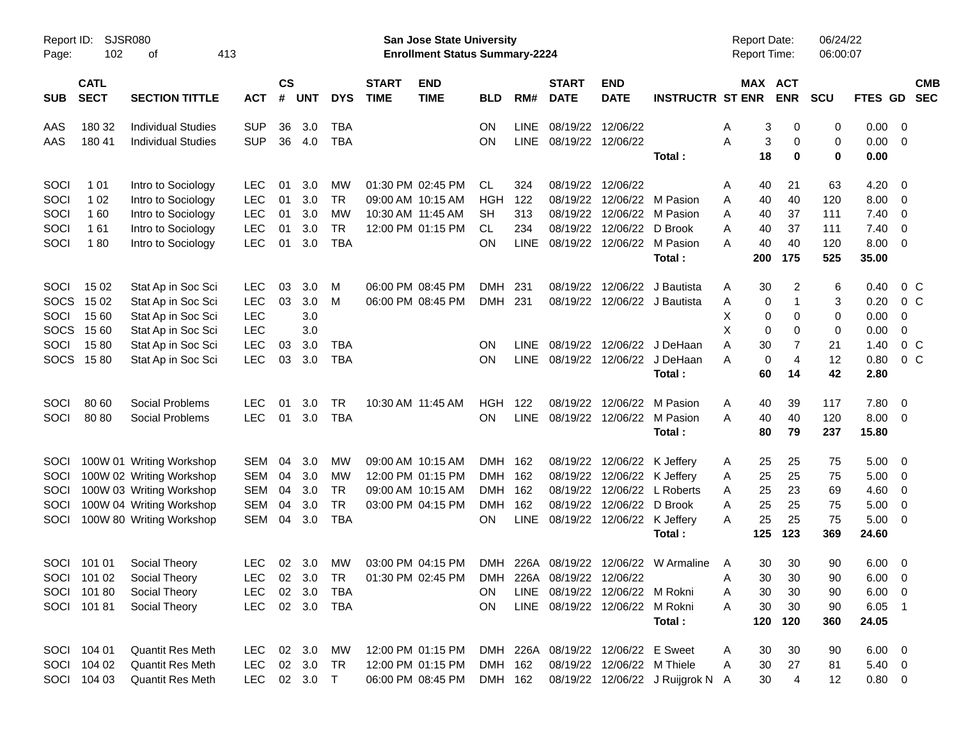| Report ID:<br>Page: | SJSR080<br>102             | οf                        | 413        |                |               |            |                             | San Jose State University<br><b>Enrollment Status Summary-2224</b> |            |             |                             |                                    |                                       | Report Date:<br><b>Report Time:</b> |                | 06/24/22<br>06:00:07 |             |                         |                          |
|---------------------|----------------------------|---------------------------|------------|----------------|---------------|------------|-----------------------------|--------------------------------------------------------------------|------------|-------------|-----------------------------|------------------------------------|---------------------------------------|-------------------------------------|----------------|----------------------|-------------|-------------------------|--------------------------|
| <b>SUB</b>          | <b>CATL</b><br><b>SECT</b> | <b>SECTION TITTLE</b>     | <b>ACT</b> | <b>CS</b><br># | <b>UNT</b>    | <b>DYS</b> | <b>START</b><br><b>TIME</b> | <b>END</b><br><b>TIME</b>                                          | <b>BLD</b> | RM#         | <b>START</b><br><b>DATE</b> | <b>END</b><br><b>DATE</b>          | <b>INSTRUCTR ST ENR</b>               | MAX ACT                             | <b>ENR</b>     | <b>SCU</b>           | FTES GD     |                         | <b>CMB</b><br><b>SEC</b> |
| AAS                 | 180 32                     | <b>Individual Studies</b> | <b>SUP</b> | 36             | 3.0           | <b>TBA</b> |                             |                                                                    | ON         | LINE        | 08/19/22                    | 12/06/22                           |                                       | 3<br>Α                              | 0              | 0                    | 0.00        | $\overline{\mathbf{0}}$ |                          |
| AAS                 | 180 41                     | <b>Individual Studies</b> | <b>SUP</b> | 36             | 4.0           | <b>TBA</b> |                             |                                                                    | OΝ         | <b>LINE</b> | 08/19/22 12/06/22           |                                    |                                       | 3<br>А                              | $\mathbf 0$    | 0                    | 0.00        | - 0                     |                          |
|                     |                            |                           |            |                |               |            |                             |                                                                    |            |             |                             |                                    | Total:                                | 18                                  | 0              | $\mathbf 0$          | 0.00        |                         |                          |
| SOCI                | 1 0 1                      | Intro to Sociology        | <b>LEC</b> | 01             | 3.0           | MW         |                             | 01:30 PM 02:45 PM                                                  | CL.        | 324         |                             | 08/19/22 12/06/22                  |                                       | 40<br>Α                             | 21             | 63                   | 4.20        | - 0                     |                          |
| SOCI                | 1 0 2                      | Intro to Sociology        | <b>LEC</b> | 01             | 3.0           | <b>TR</b>  |                             | 09:00 AM 10:15 AM                                                  | <b>HGH</b> | 122         |                             | 08/19/22 12/06/22 M Pasion         |                                       | 40<br>A                             | 40             | 120                  | 8.00        | $\overline{0}$          |                          |
| SOCI                | 160                        | Intro to Sociology        | <b>LEC</b> | 01             | 3.0           | <b>MW</b>  |                             | 10:30 AM 11:45 AM                                                  | SН         | 313         | 08/19/22                    |                                    | 12/06/22 M Pasion                     | A<br>40                             | 37             | 111                  | 7.40        | $\overline{0}$          |                          |
| SOCI                | 161                        | Intro to Sociology        | <b>LEC</b> | 01             | 3.0           | <b>TR</b>  |                             | 12:00 PM 01:15 PM                                                  | CL.        | 234         | 08/19/22                    | 12/06/22 D Brook                   |                                       | A<br>40                             | 37             | 111                  | 7.40        | $\overline{0}$          |                          |
| SOCI                | 180                        | Intro to Sociology        | <b>LEC</b> | 01             | 3.0           | <b>TBA</b> |                             |                                                                    | ΟN         | LINE        |                             | 08/19/22 12/06/22 M Pasion         |                                       | 40<br>A                             | 40             | 120                  | 8.00        | $\overline{0}$          |                          |
|                     |                            |                           |            |                |               |            |                             |                                                                    |            |             |                             |                                    | Total:                                | 200                                 | 175            | 525                  | 35.00       |                         |                          |
| SOCI                | 15 02                      | Stat Ap in Soc Sci        | <b>LEC</b> | 03             | 3.0           | M          |                             | 06:00 PM 08:45 PM                                                  | DMH        | -231        | 08/19/22                    |                                    | 12/06/22 J Bautista                   | 30<br>Α                             | 2              | 6                    | 0.40        | 0 <sup>o</sup>          |                          |
| <b>SOCS</b>         | 15 02                      | Stat Ap in Soc Sci        | <b>LEC</b> | 03             | 3.0           | M          |                             | 06:00 PM 08:45 PM                                                  | DMH 231    |             |                             |                                    | 08/19/22 12/06/22 J Bautista          | 0<br>Α                              |                | 3                    | 0.20        | 0 <sup>o</sup>          |                          |
| SOCI                | 15 60                      | Stat Ap in Soc Sci        | <b>LEC</b> |                | 3.0           |            |                             |                                                                    |            |             |                             |                                    |                                       | х<br>0                              | $\mathbf 0$    | 0                    | 0.00        | $\mathbf 0$             |                          |
| <b>SOCS</b>         | 15 60                      | Stat Ap in Soc Sci        | <b>LEC</b> |                | 3.0           |            |                             |                                                                    |            |             |                             |                                    |                                       | X<br>0                              | $\mathbf 0$    | 0                    | 0.00        | 0                       |                          |
| SOCI                | 1580                       | Stat Ap in Soc Sci        | <b>LEC</b> | 03             | 3.0           | TBA        |                             |                                                                    | <b>ON</b>  | LINE        |                             |                                    | 08/19/22 12/06/22 J DeHaan            | 30<br>A                             | 7              | 21                   | 1.40        | 0 <sup>o</sup>          |                          |
|                     | SOCS 1580                  | Stat Ap in Soc Sci        | <b>LEC</b> | 03             | 3.0           | <b>TBA</b> |                             |                                                                    | OΝ         | LINE        |                             |                                    | 08/19/22 12/06/22 J DeHaan            | 0<br>Α                              | $\overline{4}$ | 12                   | 0.80        | 0 <sup>o</sup>          |                          |
|                     |                            |                           |            |                |               |            |                             |                                                                    |            |             |                             |                                    | Total:                                | 60                                  | 14             | 42                   | 2.80        |                         |                          |
| SOCI                | 80 60                      | Social Problems           | <b>LEC</b> | 01             | 3.0           | TR         |                             | 10:30 AM 11:45 AM                                                  | HGH        | 122         | 08/19/22                    |                                    | 12/06/22 M Pasion                     | Α<br>40                             | 39             | 117                  | 7.80        | $\overline{0}$          |                          |
| SOCI                | 80 80                      | Social Problems           | <b>LEC</b> | 01             | 3.0           | <b>TBA</b> |                             |                                                                    | OΝ         | <b>LINE</b> |                             |                                    | 08/19/22 12/06/22 M Pasion            | 40<br>A                             | 40             | 120                  | 8.00        | $\overline{\mathbf{0}}$ |                          |
|                     |                            |                           |            |                |               |            |                             |                                                                    |            |             |                             |                                    | Total :                               | 80                                  | 79             | 237                  | 15.80       |                         |                          |
| <b>SOCI</b>         |                            | 100W 01 Writing Workshop  | <b>SEM</b> | 04             | 3.0           | MW         |                             | 09:00 AM 10:15 AM                                                  | DMH 162    |             |                             | 08/19/22 12/06/22 K Jeffery        |                                       | 25<br>A                             | 25             | 75                   | 5.00        | $\overline{\mathbf{0}}$ |                          |
| SOCI                |                            | 100W 02 Writing Workshop  | <b>SEM</b> | 04             | 3.0           | MW         |                             | 12:00 PM 01:15 PM                                                  | DMH 162    |             |                             | 08/19/22 12/06/22 K Jeffery        |                                       | 25<br>A                             | 25             | 75                   | 5.00        | $\overline{\mathbf{0}}$ |                          |
| SOCI                |                            | 100W 03 Writing Workshop  | <b>SEM</b> | 04             | 3.0           | <b>TR</b>  |                             | 09:00 AM 10:15 AM                                                  | DMH 162    |             |                             |                                    | 08/19/22 12/06/22 L Roberts           | 25<br>A                             | 23             | 69                   | 4.60        | $\overline{0}$          |                          |
| SOCI                |                            | 100W 04 Writing Workshop  | <b>SEM</b> | 04             | 3.0           | <b>TR</b>  |                             | 03:00 PM 04:15 PM                                                  | <b>DMH</b> | 162         | 08/19/22                    | 12/06/22 D Brook                   |                                       | 25<br>A                             | 25             | 75                   | 5.00        | $\overline{0}$          |                          |
| SOCI                |                            | 100W 80 Writing Workshop  | <b>SEM</b> | 04             | 3.0           | <b>TBA</b> |                             |                                                                    | OΝ         | <b>LINE</b> |                             | 08/19/22 12/06/22 K Jeffery        |                                       | 25<br>A                             | 25             | 75                   | 5.00        | $\overline{0}$          |                          |
|                     |                            |                           |            |                |               |            |                             |                                                                    |            |             |                             |                                    | Total:                                | 125                                 | 123            | 369                  | 24.60       |                         |                          |
|                     | SOCI 101 01                | Social Theory             | LEC.       |                | 02 3.0        | <b>MW</b>  |                             | 03:00 PM 04:15 PM                                                  |            |             |                             |                                    | DMH 226A 08/19/22 12/06/22 W Armaline | 30<br>A                             | 30             | 90                   | 6.00        | $\overline{\mathbf{0}}$ |                          |
|                     |                            | SOCI 101 02 Social Theory |            |                | LEC 02 3.0 TR |            |                             | 01:30 PM 02:45 PM DMH 226A 08/19/22 12/06/22                       |            |             |                             |                                    |                                       | Α                                   | 30 30          | 90                   | $6.00 \t 0$ |                         |                          |
|                     | SOCI 101 80                | Social Theory             | LEC.       |                | 02 3.0        | TBA        |                             |                                                                    | ON.        |             |                             | LINE 08/19/22 12/06/22 M Rokni     |                                       | 30<br>Α                             | 30             | 90                   | $6.00 \t 0$ |                         |                          |
|                     | SOCI 10181                 | Social Theory             | <b>LEC</b> |                |               | 02 3.0 TBA |                             |                                                                    | ON         |             |                             | LINE 08/19/22 12/06/22 M Rokni     |                                       | Α<br>30                             | 30             | 90                   | $6.05$ 1    |                         |                          |
|                     |                            |                           |            |                |               |            |                             |                                                                    |            |             |                             |                                    | Total:                                | 120                                 | 120            | 360                  | 24.05       |                         |                          |
|                     | SOCI 104 01                | Quantit Res Meth          |            |                | LEC 02 3.0 MW |            |                             | 12:00 PM 01:15 PM                                                  |            |             |                             | DMH 226A 08/19/22 12/06/22 E Sweet |                                       | 30<br>Α                             | 30             | 90                   | $6.00 \t 0$ |                         |                          |
|                     | SOCI 104 02                | <b>Quantit Res Meth</b>   | <b>LEC</b> |                | 02 3.0        | <b>TR</b>  |                             | 12:00 PM 01:15 PM                                                  | DMH 162    |             |                             | 08/19/22 12/06/22 M Thiele         |                                       | Α<br>30                             | 27             | 81                   | $5.40\ 0$   |                         |                          |
|                     | SOCI 104 03                | Quantit Res Meth          |            |                | LEC 02 3.0 T  |            |                             | 06:00 PM 08:45 PM                                                  | DMH 162    |             |                             |                                    | 08/19/22 12/06/22 J Ruijgrok N A      | 30                                  | $\overline{4}$ | 12                   | $0.80 \t 0$ |                         |                          |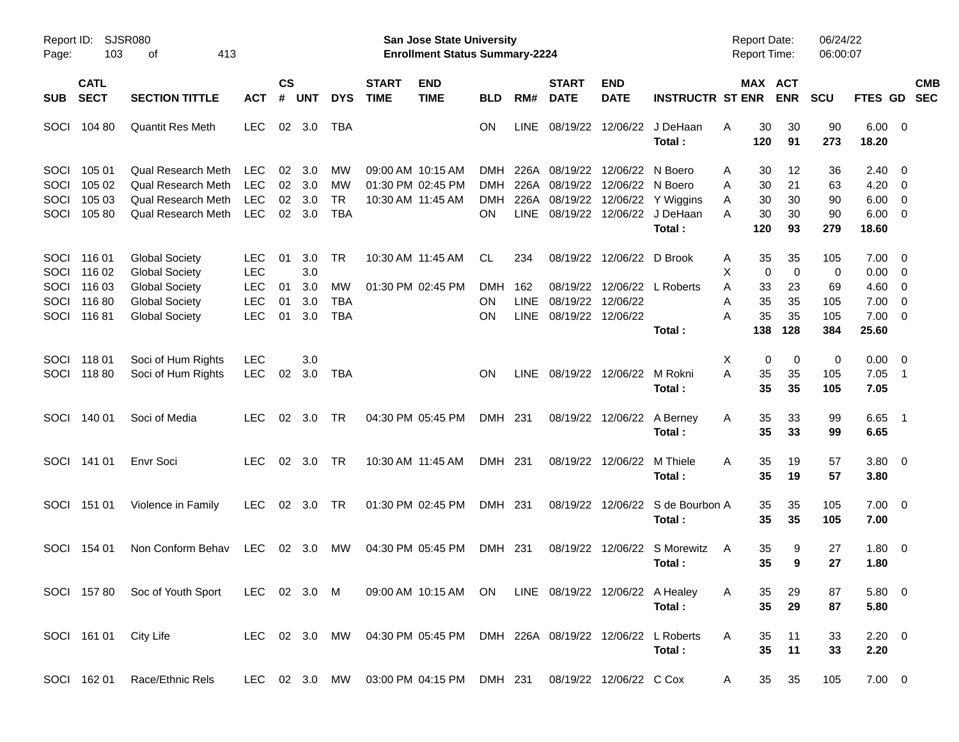| Report ID:<br>Page:                         | 103                                          | SJSR080<br>413<br>οf                                                                                                      |                                                              |                      |                                 |                                            |                             | San Jose State University<br><b>Enrollment Status Summary-2224</b>   |                                              |                                     |                                                       |                                          |                                                                         | <b>Report Date:</b><br><b>Report Time:</b>                |                                            | 06/24/22<br>06:00:07                |                                                                               |                          |                          |
|---------------------------------------------|----------------------------------------------|---------------------------------------------------------------------------------------------------------------------------|--------------------------------------------------------------|----------------------|---------------------------------|--------------------------------------------|-----------------------------|----------------------------------------------------------------------|----------------------------------------------|-------------------------------------|-------------------------------------------------------|------------------------------------------|-------------------------------------------------------------------------|-----------------------------------------------------------|--------------------------------------------|-------------------------------------|-------------------------------------------------------------------------------|--------------------------|--------------------------|
| SUB.                                        | <b>CATL</b><br><b>SECT</b>                   | <b>SECTION TITTLE</b>                                                                                                     | <b>ACT</b>                                                   | <b>CS</b><br>#       | <b>UNT</b>                      | <b>DYS</b>                                 | <b>START</b><br><b>TIME</b> | <b>END</b><br><b>TIME</b>                                            | <b>BLD</b>                                   | RM#                                 | <b>START</b><br><b>DATE</b>                           | <b>END</b><br><b>DATE</b>                | <b>INSTRUCTR ST ENR</b>                                                 |                                                           | MAX ACT<br><b>ENR</b>                      | <b>SCU</b>                          | FTES GD                                                                       |                          | <b>CMB</b><br><b>SEC</b> |
| SOCI                                        | 104 80                                       | <b>Quantit Res Meth</b>                                                                                                   | <b>LEC</b>                                                   | 02                   | 3.0                             | TBA                                        |                             |                                                                      | OΝ                                           | <b>LINE</b>                         | 08/19/22                                              |                                          | 12/06/22 J DeHaan<br>Total:                                             | A<br>30<br>120                                            | 30<br>91                                   | 90<br>273                           | $6.00 \quad 0$<br>18.20                                                       |                          |                          |
| SOCI<br>SOCI<br>SOCI<br><b>SOCI</b>         | 105 01<br>105 02<br>105 03<br>105 80         | <b>Qual Research Meth</b><br><b>Qual Research Meth</b><br>Qual Research Meth<br>Qual Research Meth                        | LEC.<br><b>LEC</b><br><b>LEC</b><br><b>LEC</b>               | 02<br>02<br>02<br>02 | 3.0<br>3.0<br>3.0<br>3.0        | МW<br><b>MW</b><br><b>TR</b><br><b>TBA</b> |                             | 09:00 AM 10:15 AM<br>01:30 PM 02:45 PM<br>10:30 AM 11:45 AM          | <b>DMH</b><br><b>DMH</b><br><b>DMH</b><br>OΝ | 226A<br>226A<br>226A<br><b>LINE</b> | 08/19/22<br>08/19/22<br>08/19/22<br>08/19/22          | 12/06/22<br>12/06/22                     | N Boero<br>N Boero<br>12/06/22 Y Wiggins<br>12/06/22 J DeHaan<br>Total: | 30<br>Α<br>30<br>Α<br>30<br>A<br>A<br>30<br>120           | 12<br>21<br>30<br>30<br>93                 | 36<br>63<br>90<br>90<br>279         | $2.40 \quad 0$<br>$4.20 \ 0$<br>$6.00 \t 0$<br>$6.00 \t 0$<br>18.60           |                          |                          |
| SOCI<br>SOCI<br>SOCI<br><b>SOCI</b><br>SOCI | 116 01<br>116 02<br>116 03<br>11680<br>11681 | <b>Global Society</b><br><b>Global Society</b><br><b>Global Society</b><br><b>Global Society</b><br><b>Global Society</b> | LEC.<br><b>LEC</b><br><b>LEC</b><br><b>LEC</b><br><b>LEC</b> | 01<br>01<br>01<br>01 | 3.0<br>3.0<br>3.0<br>3.0<br>3.0 | TR<br>MW<br><b>TBA</b><br><b>TBA</b>       |                             | 10:30 AM 11:45 AM<br>01:30 PM 02:45 PM                               | CL<br><b>DMH</b><br>OΝ<br>OΝ                 | 234<br>162<br><b>LINE</b><br>LINE   | 08/19/22<br>08/19/22<br>08/19/22<br>08/19/22 12/06/22 | 12/06/22 D Brook<br>12/06/22<br>12/06/22 | L Roberts<br>Total:                                                     | 35<br>A<br>X<br>0<br>33<br>A<br>35<br>A<br>35<br>А<br>138 | 35<br>$\mathbf 0$<br>23<br>35<br>35<br>128 | 105<br>0<br>69<br>105<br>105<br>384 | $7.00 \t 0$<br>$0.00 \t 0$<br>$4.60$ 0<br>$7.00 \t 0$<br>$7.00 \t 0$<br>25.60 |                          |                          |
| SOCI<br>SOCI                                | 11801<br>11880                               | Soci of Hum Rights<br>Soci of Hum Rights                                                                                  | <b>LEC</b><br><b>LEC</b>                                     | 02                   | 3.0<br>3.0                      | TBA                                        |                             |                                                                      | <b>ON</b>                                    | LINE                                |                                                       | 08/19/22 12/06/22                        | M Rokni<br>Total:                                                       | X<br>Α<br>35<br>35                                        | 0<br>0<br>35<br>35                         | 0<br>105<br>105                     | $0.00 \quad 0$<br>7.05<br>7.05                                                | $\overline{\phantom{1}}$ |                          |
|                                             | SOCI 140 01                                  | Soci of Media                                                                                                             | LEC.                                                         | 02                   | 3.0                             | TR                                         |                             | 04:30 PM 05:45 PM                                                    | DMH 231                                      |                                     |                                                       | 08/19/22 12/06/22                        | A Berney<br>Total:                                                      | 35<br>A<br>35                                             | 33<br>33                                   | 99<br>99                            | $6.65$ 1<br>6.65                                                              |                          |                          |
|                                             | SOCI 141 01                                  | <b>Envr Soci</b>                                                                                                          | <b>LEC</b>                                                   |                      | $02 \quad 3.0$                  | TR                                         |                             | 10:30 AM 11:45 AM                                                    | DMH 231                                      |                                     | 08/19/22                                              | 12/06/22                                 | M Thiele<br>Total:                                                      | 35<br>A<br>35                                             | 19<br>19                                   | 57<br>57                            | 3.80 0<br>3.80                                                                |                          |                          |
| SOCI                                        | 151 01                                       | Violence in Family                                                                                                        | <b>LEC</b>                                                   | 02                   | 3.0                             | TR                                         |                             | 01:30 PM 02:45 PM                                                    | DMH 231                                      |                                     | 08/19/22                                              | 12/06/22                                 | S de Bourbon A<br>Total:                                                | 35<br>35                                                  | 35<br>35                                   | 105<br>105                          | $7.00 \t 0$<br>7.00                                                           |                          |                          |
| SOCI                                        | 154 01                                       | Non Conform Behav                                                                                                         | <b>LEC</b>                                                   | 02                   | - 3.0                           | МW                                         |                             | 04:30 PM 05:45 PM                                                    | DMH 231                                      |                                     | 08/19/22                                              | 12/06/22                                 | S Morewitz<br>Total:                                                    | 35<br>A<br>35                                             | 9<br>9                                     | 27<br>27                            | $1.80 \ 0$<br>1.80                                                            |                          |                          |
|                                             |                                              | SOCI 157 80 Soc of Youth Sport LEC 02 3.0 M 09:00 AM 10:15 AM ON LINE 08/19/22 12/06/22 A Healey                          |                                                              |                      |                                 |                                            |                             |                                                                      |                                              |                                     |                                                       |                                          | Total:                                                                  | 35<br>A<br>35                                             | 29<br>29                                   | 87<br>87                            | $5.80\ 0$<br>5.80                                                             |                          |                          |
|                                             |                                              | SOCI 161 01 City Life                                                                                                     |                                                              |                      |                                 |                                            |                             | LEC 02 3.0 MW 04:30 PM 05:45 PM DMH 226A 08/19/22 12/06/22 L Roberts |                                              |                                     |                                                       |                                          | Total:                                                                  | A<br>35<br>35                                             | 11<br>11                                   | 33<br>33                            | $2.20 \t 0$<br>2.20                                                           |                          |                          |
|                                             |                                              | SOCI 162 01 Race/Ethnic Rels                                                                                              |                                                              |                      |                                 |                                            |                             | LEC 02 3.0 MW 03:00 PM 04:15 PM DMH 231                              |                                              |                                     |                                                       | 08/19/22 12/06/22 C Cox                  |                                                                         | 35<br>A                                                   | 35                                         | 105                                 | $7.00 \t 0$                                                                   |                          |                          |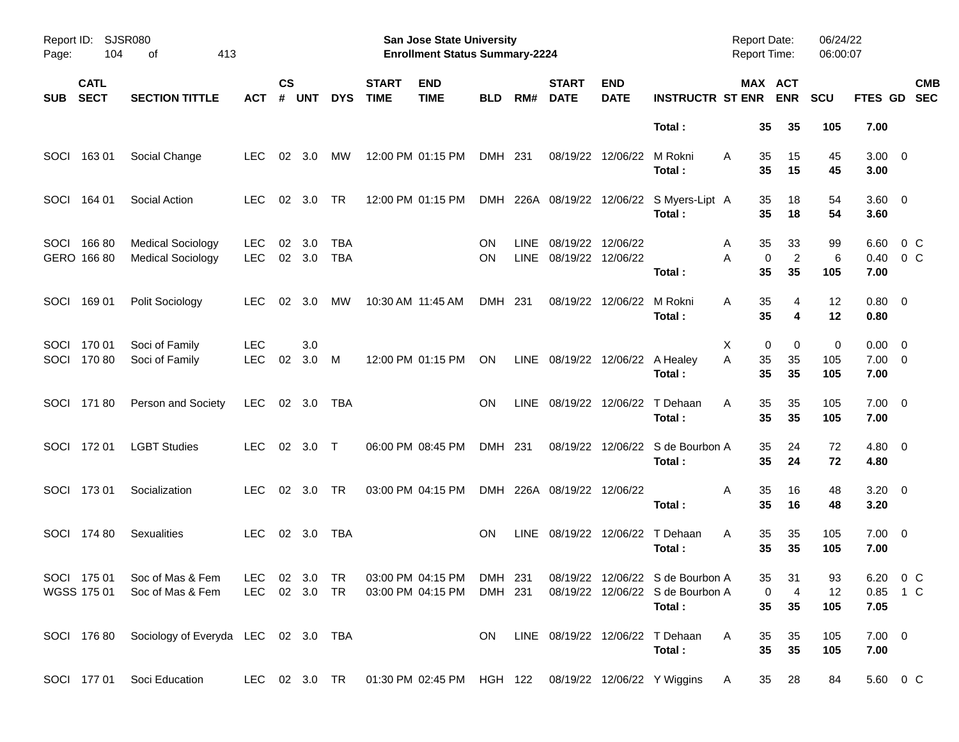| Report ID:<br>Page: | 104                        | SJSR080<br>413<br>οf                                 |                          |                    |               |                          |                             | <b>San Jose State University</b><br><b>Enrollment Status Summary-2224</b> |                 |                     |                               |                           |                                                                                                                        | <b>Report Date:</b><br>Report Time: |                                 | 06/24/22<br>06:00:07 |                                    |                          |
|---------------------|----------------------------|------------------------------------------------------|--------------------------|--------------------|---------------|--------------------------|-----------------------------|---------------------------------------------------------------------------|-----------------|---------------------|-------------------------------|---------------------------|------------------------------------------------------------------------------------------------------------------------|-------------------------------------|---------------------------------|----------------------|------------------------------------|--------------------------|
| <b>SUB</b>          | <b>CATL</b><br><b>SECT</b> | <b>SECTION TITTLE</b>                                | АСТ                      | $\mathsf{cs}$<br># | <b>UNT</b>    | <b>DYS</b>               | <b>START</b><br><b>TIME</b> | <b>END</b><br><b>TIME</b>                                                 | <b>BLD</b>      | RM#                 | <b>START</b><br><b>DATE</b>   | <b>END</b><br><b>DATE</b> | <b>INSTRUCTR ST ENR</b>                                                                                                |                                     | MAX ACT<br><b>ENR</b>           | <b>SCU</b>           | FTES GD                            | <b>CMB</b><br><b>SEC</b> |
|                     |                            |                                                      |                          |                    |               |                          |                             |                                                                           |                 |                     |                               |                           | Total:                                                                                                                 | 35                                  | 35                              | 105                  | 7.00                               |                          |
| <b>SOCI</b>         | 16301                      | Social Change                                        | <b>LEC</b>               | 02                 | 3.0           | МW                       |                             | 12:00 PM 01:15 PM                                                         | DMH 231         |                     | 08/19/22                      | 12/06/22                  | M Rokni<br>Total:                                                                                                      | 35<br>A<br>35                       | 15<br>15                        | 45<br>45             | $3.00 \ 0$<br>3.00                 |                          |
| SOCI                | 164 01                     | Social Action                                        | <b>LEC</b>               | 02                 | 3.0           | TR                       |                             | 12:00 PM 01:15 PM                                                         |                 |                     | DMH 226A 08/19/22 12/06/22    |                           | S Myers-Lipt A<br>Total:                                                                                               | 35<br>35                            | 18<br>18                        | 54<br>54             | 3.60 0<br>3.60                     |                          |
| SOCI                | 16680<br>GERO 166 80       | <b>Medical Sociology</b><br><b>Medical Sociology</b> | <b>LEC</b><br><b>LEC</b> | 02                 | 3.0<br>02 3.0 | <b>TBA</b><br><b>TBA</b> |                             |                                                                           | ON<br><b>ON</b> | <b>LINE</b><br>LINE | 08/19/22<br>08/19/22 12/06/22 | 12/06/22                  | Total:                                                                                                                 | 35<br>A<br>A<br>35                  | 33<br>$\overline{2}$<br>0<br>35 | 99<br>6<br>105       | 6.60<br>0.40<br>7.00               | 0 C<br>$0\,C$            |
| <b>SOCI</b>         | 16901                      | Polit Sociology                                      | LEC.                     | 02                 | 3.0           | МW                       |                             | 10:30 AM 11:45 AM                                                         | DMH 231         |                     | 08/19/22                      | 12/06/22                  | M Rokni<br>Total:                                                                                                      | 35<br>A<br>35                       | 4<br>4                          | 12<br>12             | $0.80 \ 0$<br>0.80                 |                          |
| SOCI<br>SOCI        | 170 01<br>17080            | Soci of Family<br>Soci of Family                     | <b>LEC</b><br><b>LEC</b> | 02                 | 3.0<br>3.0    | M                        |                             | 12:00 PM 01:15 PM                                                         | ON              |                     | LINE 08/19/22 12/06/22        |                           | A Healey<br>Total:                                                                                                     | Х<br>A<br>35<br>35                  | 0<br>0<br>35<br>35              | 0<br>105<br>105      | $0.00 \t 0$<br>$7.00 \t 0$<br>7.00 |                          |
|                     | SOCI 17180                 | Person and Society                                   | LEC.                     |                    | 02 3.0        | TBA                      |                             |                                                                           | <b>ON</b>       | LINE                | 08/19/22                      | 12/06/22                  | T Dehaan<br>Total:                                                                                                     | 35<br>A<br>35                       | 35<br>35                        | 105<br>105           | $7.00 \t 0$<br>7.00                |                          |
|                     | SOCI 172 01                | <b>LGBT Studies</b>                                  | LEC.                     | 02                 | 3.0           | $\top$                   |                             | 06:00 PM 08:45 PM                                                         | DMH 231         |                     | 08/19/22                      | 12/06/22                  | S de Bourbon A<br>Total:                                                                                               | 35<br>35                            | 24<br>24                        | 72<br>72             | $4.80\ 0$<br>4.80                  |                          |
|                     | SOCI 173 01                | Socialization                                        | <b>LEC</b>               | 02                 | 3.0           | TR                       |                             | 03:00 PM 04:15 PM                                                         |                 |                     | DMH 226A 08/19/22             | 12/06/22                  | Total:                                                                                                                 | 35<br>A<br>35                       | 16<br>16                        | 48<br>48             | $3.20 \ 0$<br>3.20                 |                          |
|                     | SOCI 174 80                | <b>Sexualities</b>                                   | <b>LEC</b>               |                    | 02 3.0        | TBA                      |                             |                                                                           | <b>ON</b>       | LINE                | 08/19/22                      | 12/06/22                  | T Dehaan<br>Total:                                                                                                     | 35<br>A<br>35                       | 35<br>35                        | 105<br>105           | $7.00 \t 0$<br>7.00                |                          |
|                     | WGSS 175 01                | SOCI 175 01 Soc of Mas & Fem<br>Soc of Mas & Fem     |                          |                    |               |                          |                             | LEC 02 3.0 TR 03:00 PM 04:15 PM DMH 231                                   |                 |                     |                               |                           | LEC 02 3.0 TR 03:00 PM 04:15 PM DMH 231 08/19/22 12/06/22 S de Bourbon A<br>08/19/22 12/06/22 S de Bourbon A<br>Total: | 35<br>35                            | 31<br>4<br>$\mathbf 0$<br>35    | 93<br>12<br>105      | 6.20 0 C<br>0.85 1 C<br>7.05       |                          |
|                     |                            | SOCI 176 80 Sociology of Everyda LEC 02 3.0 TBA      |                          |                    |               |                          |                             |                                                                           | ON.             |                     |                               |                           | LINE 08/19/22 12/06/22 T Dehaan<br>Total:                                                                              | A<br>35<br>35                       | 35<br>35                        | 105<br>105           | $7.00 \t 0$<br>7.00                |                          |
|                     | SOCI 177 01                | Soci Education                                       |                          |                    |               |                          |                             |                                                                           |                 |                     |                               |                           | LEC 02 3.0 TR  01:30 PM 02:45 PM  HGH  122  08/19/22  12/06/22  Y  Wiggins                                             | <b>A</b>                            | 35 28                           | 84                   | 5.60 0 C                           |                          |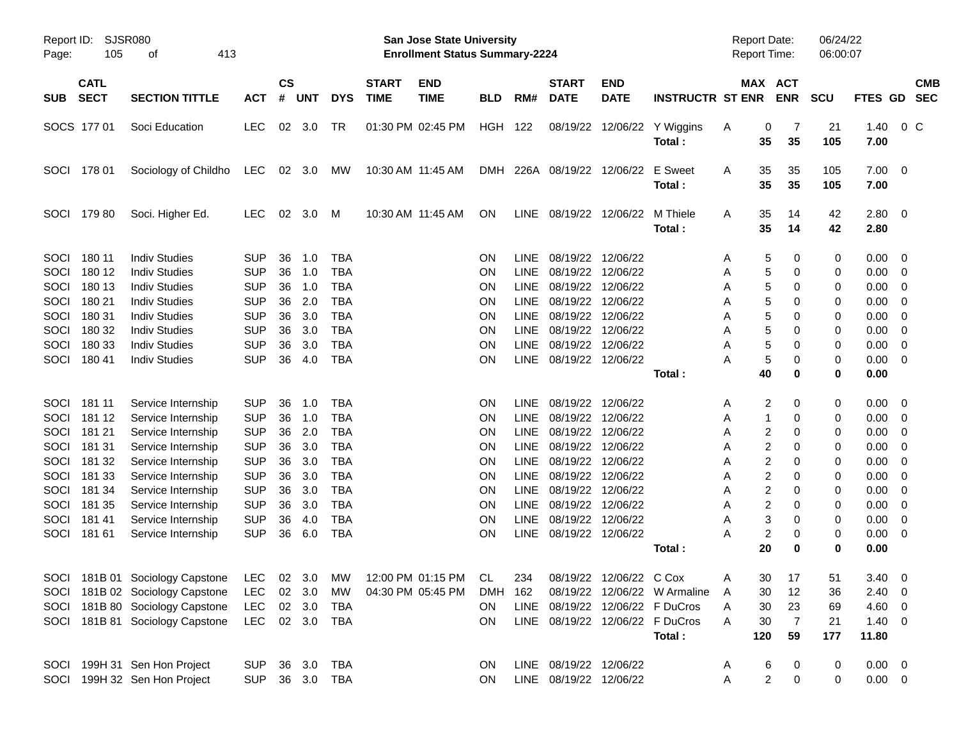| Page:       | Report ID: SJSR080<br>105  | 413<br>οf                                                          |            |                    |            |            |                             | San Jose State University<br><b>Enrollment Status Summary-2224</b> |            |             |                             |                           |                                 | <b>Report Date:</b><br><b>Report Time:</b> |                         |                       | 06/24/22<br>06:00:07 |                |                         |                          |
|-------------|----------------------------|--------------------------------------------------------------------|------------|--------------------|------------|------------|-----------------------------|--------------------------------------------------------------------|------------|-------------|-----------------------------|---------------------------|---------------------------------|--------------------------------------------|-------------------------|-----------------------|----------------------|----------------|-------------------------|--------------------------|
| <b>SUB</b>  | <b>CATL</b><br><b>SECT</b> | <b>SECTION TITTLE</b>                                              | <b>ACT</b> | $\mathsf{cs}$<br># | <b>UNT</b> | <b>DYS</b> | <b>START</b><br><b>TIME</b> | <b>END</b><br><b>TIME</b>                                          | <b>BLD</b> | RM#         | <b>START</b><br><b>DATE</b> | <b>END</b><br><b>DATE</b> | <b>INSTRUCTR ST ENR</b>         |                                            |                         | MAX ACT<br><b>ENR</b> | <b>SCU</b>           | <b>FTES GD</b> |                         | <b>CMB</b><br><b>SEC</b> |
|             | SOCS 177 01                | Soci Education                                                     | <b>LEC</b> | 02                 | 3.0        | TR         |                             | 01:30 PM 02:45 PM                                                  | HGH 122    |             | 08/19/22                    |                           | 12/06/22 Y Wiggins<br>Total:    | A                                          | 0<br>35                 | 7<br>35               | 21<br>105            | 1.40<br>7.00   | 0 <sup>o</sup>          |                          |
| <b>SOCI</b> | 178 01                     | Sociology of Childho                                               | LEC 02 3.0 |                    |            | МW         |                             | 10:30 AM 11:45 AM                                                  |            |             | DMH 226A 08/19/22           | 12/06/22                  | E Sweet<br>Total:               | A                                          | 35<br>35                | 35<br>35              | 105<br>105           | 7.00<br>7.00   | $\overline{\mathbf{0}}$ |                          |
| SOCI        | 17980                      | Soci. Higher Ed.                                                   | <b>LEC</b> | 02                 | 3.0        | M          |                             | 10:30 AM 11:45 AM                                                  | ON         | LINE        | 08/19/22                    | 12/06/22                  | M Thiele<br>Total:              | A                                          | 35<br>35                | 14<br>14              | 42<br>42             | 2.80<br>2.80   | $\overline{0}$          |                          |
| SOCI        | 180 11                     | <b>Indiv Studies</b>                                               | <b>SUP</b> | 36                 | 1.0        | <b>TBA</b> |                             |                                                                    | ON         | <b>LINE</b> | 08/19/22                    | 12/06/22                  |                                 | A                                          | 5                       | 0                     | 0                    | 0.00           | $\overline{\mathbf{0}}$ |                          |
| SOCI        | 180 12                     | <b>Indiv Studies</b>                                               | <b>SUP</b> | 36                 | 1.0        | <b>TBA</b> |                             |                                                                    | ON         | LINE        | 08/19/22                    | 12/06/22                  |                                 | Α                                          | 5                       | 0                     | 0                    | 0.00           | $\overline{0}$          |                          |
| SOCI        | 180 13                     | <b>Indiv Studies</b>                                               | <b>SUP</b> | 36                 | 1.0        | <b>TBA</b> |                             |                                                                    | <b>ON</b>  | LINE        | 08/19/22                    | 12/06/22                  |                                 | Α                                          | 5                       | 0                     | 0                    | 0.00           | 0                       |                          |
| SOCI        | 180 21                     | <b>Indiv Studies</b>                                               | <b>SUP</b> | 36                 | 2.0        | <b>TBA</b> |                             |                                                                    | ΟN         | LINE        | 08/19/22                    | 12/06/22                  |                                 | Α                                          | 5                       | 0                     | 0                    | 0.00           | 0                       |                          |
| SOCI        | 180 31                     | <b>Indiv Studies</b>                                               | <b>SUP</b> | 36                 | 3.0        | <b>TBA</b> |                             |                                                                    | ON         | LINE        | 08/19/22                    | 12/06/22                  |                                 | Α                                          | 5                       | 0                     | 0                    | 0.00           | 0                       |                          |
| SOCI        | 180 32                     | <b>Indiv Studies</b>                                               | <b>SUP</b> | 36                 | 3.0        | <b>TBA</b> |                             |                                                                    | <b>ON</b>  | LINE        | 08/19/22 12/06/22           |                           |                                 | Α                                          | 5                       | 0                     | 0                    | 0.00           | 0                       |                          |
| SOCI        | 180 33                     | <b>Indiv Studies</b>                                               | <b>SUP</b> | 36                 | 3.0        | <b>TBA</b> |                             |                                                                    | ΟN         | <b>LINE</b> | 08/19/22                    | 12/06/22                  |                                 | Α                                          | 5                       | 0                     | 0                    | 0.00           | 0                       |                          |
| SOCI        | 180 41                     | <b>Indiv Studies</b>                                               | <b>SUP</b> | 36                 | 4.0        | <b>TBA</b> |                             |                                                                    | ON         | LINE        | 08/19/22 12/06/22           |                           |                                 | А                                          | 5                       | 0                     | 0                    | 0.00           | 0                       |                          |
|             |                            |                                                                    |            |                    |            |            |                             |                                                                    |            |             |                             |                           | Total:                          |                                            | 40                      | 0                     | 0                    | 0.00           |                         |                          |
| SOCI        | 181 11                     | Service Internship                                                 | <b>SUP</b> | 36                 | 1.0        | <b>TBA</b> |                             |                                                                    | ON         | <b>LINE</b> | 08/19/22                    | 12/06/22                  |                                 | A                                          | 2                       | 0                     | 0                    | 0.00           | $\overline{\mathbf{0}}$ |                          |
| SOCI        | 181 12                     | Service Internship                                                 | <b>SUP</b> | 36                 | 1.0        | <b>TBA</b> |                             |                                                                    | ON         | LINE        | 08/19/22                    | 12/06/22                  |                                 | Α                                          | 1                       | 0                     | 0                    | 0.00           | $\overline{0}$          |                          |
| SOCI        | 181 21                     | Service Internship                                                 | <b>SUP</b> | 36                 | 2.0        | <b>TBA</b> |                             |                                                                    | <b>ON</b>  | <b>LINE</b> | 08/19/22                    | 12/06/22                  |                                 | Α                                          | 2                       | 0                     | 0                    | 0.00           | 0                       |                          |
| SOCI        | 181 31                     | Service Internship                                                 | <b>SUP</b> | 36                 | 3.0        | <b>TBA</b> |                             |                                                                    | ΟN         | <b>LINE</b> | 08/19/22                    | 12/06/22                  |                                 | Α                                          | 2                       | 0                     | 0                    | 0.00           | 0                       |                          |
| SOCI        | 181 32                     | Service Internship                                                 | <b>SUP</b> | 36                 | 3.0        | <b>TBA</b> |                             |                                                                    | ON         | LINE        | 08/19/22                    | 12/06/22                  |                                 | Α                                          | 2                       | 0                     | 0                    | 0.00           | 0                       |                          |
| SOCI        | 181 33                     | Service Internship                                                 | <b>SUP</b> | 36                 | 3.0        | <b>TBA</b> |                             |                                                                    | ΟN         | LINE        | 08/19/22                    | 12/06/22                  |                                 | Α                                          | 2                       | 0                     | 0                    | 0.00           | 0                       |                          |
| SOCI        | 181 34                     | Service Internship                                                 | <b>SUP</b> | 36                 | 3.0        | <b>TBA</b> |                             |                                                                    | ΟN         | LINE        | 08/19/22                    | 12/06/22                  |                                 | Α                                          | 2                       | 0                     | 0                    | 0.00           | 0                       |                          |
| SOCI        | 181 35                     | Service Internship                                                 | <b>SUP</b> | 36                 | 3.0        | <b>TBA</b> |                             |                                                                    | ON         | LINE        | 08/19/22                    | 12/06/22                  |                                 | Α                                          | 2                       | 0                     | 0                    | 0.00           | 0                       |                          |
| SOCI        | 18141                      | Service Internship                                                 | <b>SUP</b> | 36                 | 4.0        | <b>TBA</b> |                             |                                                                    | ΟN         | <b>LINE</b> | 08/19/22                    | 12/06/22                  |                                 | Α                                          | 3                       | 0                     | 0                    | 0.00           | 0                       |                          |
| SOCI        | 181 61                     | Service Internship                                                 | <b>SUP</b> | 36                 | 6.0        | <b>TBA</b> |                             |                                                                    | ON         | <b>LINE</b> | 08/19/22 12/06/22           |                           |                                 | Α                                          | $\overline{\mathbf{c}}$ | 0                     | 0                    | 0.00           | 0                       |                          |
|             |                            |                                                                    |            |                    |            |            |                             |                                                                    |            |             |                             |                           | Total:                          |                                            | 20                      | 0                     | 0                    | 0.00           |                         |                          |
|             |                            | SOCI 181B 01 Sociology Capstone LEC 02 3.0 MW 12:00 PM 01:15 PM CL |            |                    |            |            |                             |                                                                    |            | 234         |                             | 08/19/22 12/06/22 C Cox   |                                 | Α                                          | 30                      | 17                    | 51                   | $3.40 \ 0$     |                         |                          |
|             |                            | SOCI 181B 02 Sociology Capstone                                    | LEC.       |                    | 02 3.0     | MW         |                             | 04:30 PM 05:45 PM                                                  | DMH 162    |             |                             |                           | 08/19/22 12/06/22 W Armaline    | A                                          | 30                      | 12                    | 36                   | $2.40 \ 0$     |                         |                          |
|             |                            | SOCI 181B 80 Sociology Capstone                                    | LEC        |                    | 02 3.0     | TBA        |                             |                                                                    | <b>ON</b>  |             |                             |                           | LINE 08/19/22 12/06/22 F DuCros | Α                                          | 30                      | 23                    | 69                   | 4.60 0         |                         |                          |
|             |                            | SOCI 181B 81 Sociology Capstone                                    | <b>LEC</b> |                    |            | 02 3.0 TBA |                             |                                                                    | ON         |             |                             |                           | LINE 08/19/22 12/06/22 F DuCros | A                                          | 30                      | 7                     | 21                   | $1.40 \ 0$     |                         |                          |
|             |                            |                                                                    |            |                    |            |            |                             |                                                                    |            |             |                             |                           | Total:                          |                                            | 120                     | 59                    | 177                  | 11.80          |                         |                          |
|             |                            | SOCI 199H 31 Sen Hon Project                                       | <b>SUP</b> |                    | 36 3.0     | TBA        |                             |                                                                    | <b>ON</b>  |             | LINE 08/19/22 12/06/22      |                           |                                 | A                                          | 6                       | 0                     | $\mathbf 0$          | $0.00 \t 0$    |                         |                          |
|             |                            | SOCI 199H 32 Sen Hon Project                                       | <b>SUP</b> |                    |            | 36 3.0 TBA |                             |                                                                    | ON         |             | LINE 08/19/22 12/06/22      |                           |                                 | Α                                          | $\overline{c}$          | $\pmb{0}$             | 0                    | $0.00 \t 0$    |                         |                          |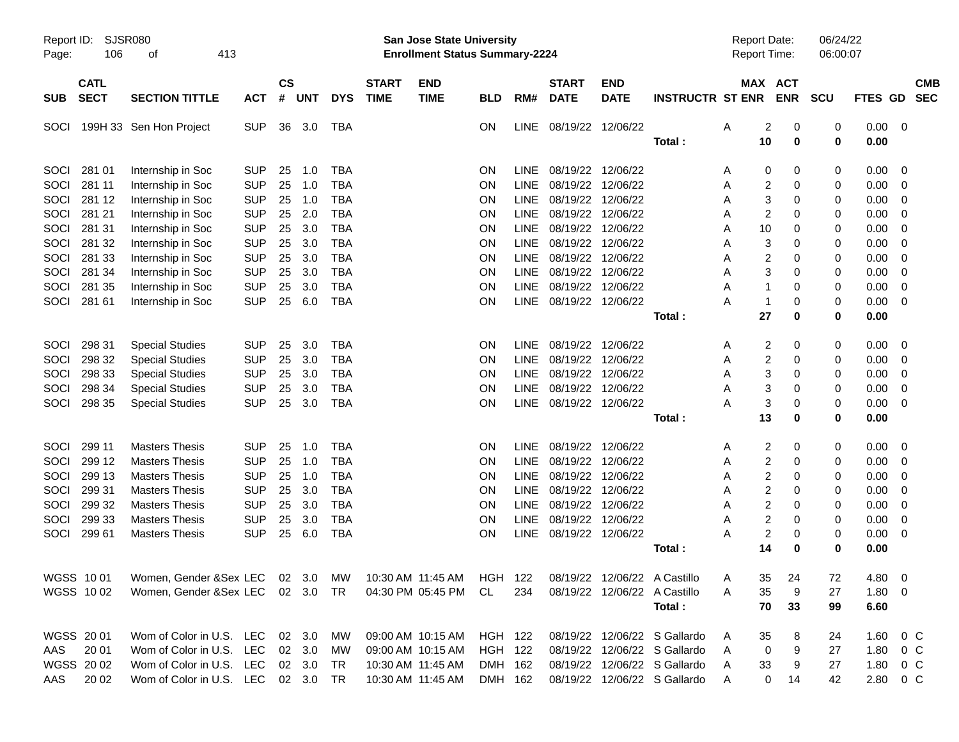| Report ID:<br>Page: | 106                        | <b>SJSR080</b><br>413<br>οf                                                                       |            |                |                |            |                             | <b>San Jose State University</b><br><b>Enrollment Status Summary-2224</b> |                |             |                             |                           |                              | <b>Report Date:</b><br>Report Time: |                       | 06/24/22<br>06:00:07 |             |                         |            |
|---------------------|----------------------------|---------------------------------------------------------------------------------------------------|------------|----------------|----------------|------------|-----------------------------|---------------------------------------------------------------------------|----------------|-------------|-----------------------------|---------------------------|------------------------------|-------------------------------------|-----------------------|----------------------|-------------|-------------------------|------------|
| <b>SUB</b>          | <b>CATL</b><br><b>SECT</b> | <b>SECTION TITTLE</b>                                                                             | <b>ACT</b> | <b>CS</b><br># | <b>UNT</b>     | <b>DYS</b> | <b>START</b><br><b>TIME</b> | <b>END</b><br><b>TIME</b>                                                 | <b>BLD</b>     | RM#         | <b>START</b><br><b>DATE</b> | <b>END</b><br><b>DATE</b> | <b>INSTRUCTR ST ENR</b>      |                                     | MAX ACT<br><b>ENR</b> | <b>SCU</b>           | FTES GD SEC |                         | <b>CMB</b> |
| SOCI                |                            | 199H 33 Sen Hon Project                                                                           | <b>SUP</b> | 36             | 3.0            | <b>TBA</b> |                             |                                                                           | ON             | <b>LINE</b> | 08/19/22                    | 12/06/22                  |                              | Α                                   | $\overline{c}$<br>0   | 0                    | 0.00        | $\overline{\mathbf{0}}$ |            |
|                     |                            |                                                                                                   |            |                |                |            |                             |                                                                           |                |             |                             |                           | Total:                       | 10                                  | 0                     | $\mathbf 0$          | 0.00        |                         |            |
| SOCI                | 281 01                     | Internship in Soc                                                                                 | <b>SUP</b> | 25             | 1.0            | <b>TBA</b> |                             |                                                                           | ON             | <b>LINE</b> | 08/19/22                    | 12/06/22                  |                              | Α                                   | 0<br>0                | 0                    | 0.00        | 0                       |            |
| SOCI                | 281 11                     | Internship in Soc                                                                                 | <b>SUP</b> | 25             | 1.0            | <b>TBA</b> |                             |                                                                           | ON             | <b>LINE</b> | 08/19/22                    | 12/06/22                  |                              | Α                                   | 2<br>0                | 0                    | 0.00        | 0                       |            |
| SOCI                | 281 12                     | Internship in Soc                                                                                 | <b>SUP</b> | 25             | 1.0            | <b>TBA</b> |                             |                                                                           | ON             | <b>LINE</b> | 08/19/22                    | 12/06/22                  |                              | Α                                   | 3<br>0                | 0                    | 0.00        | 0                       |            |
| SOCI                | 281 21                     | Internship in Soc                                                                                 | <b>SUP</b> | 25             | 2.0            | <b>TBA</b> |                             |                                                                           | ON             | <b>LINE</b> | 08/19/22                    | 12/06/22                  |                              | Α                                   | 2<br>0                | 0                    | 0.00        | 0                       |            |
| SOCI                | 281 31                     | Internship in Soc                                                                                 | <b>SUP</b> | 25             | 3.0            | <b>TBA</b> |                             |                                                                           | ON             | <b>LINE</b> | 08/19/22                    | 12/06/22                  |                              | 10<br>Α                             | 0                     | 0                    | 0.00        | 0                       |            |
| SOCI                | 281 32                     | Internship in Soc                                                                                 | <b>SUP</b> | 25             | 3.0            | <b>TBA</b> |                             |                                                                           | ON             | <b>LINE</b> | 08/19/22                    | 12/06/22                  |                              | Α                                   | 3<br>0                | 0                    | 0.00        | 0                       |            |
| SOCI                | 281 33                     | Internship in Soc                                                                                 | <b>SUP</b> | 25             | 3.0            | <b>TBA</b> |                             |                                                                           | ON             | <b>LINE</b> | 08/19/22                    | 12/06/22                  |                              | Α                                   | $\overline{c}$<br>0   | 0                    | 0.00        | 0                       |            |
| SOCI                | 281 34                     | Internship in Soc                                                                                 | <b>SUP</b> | 25             | 3.0            | <b>TBA</b> |                             |                                                                           | ON             | <b>LINE</b> | 08/19/22                    | 12/06/22                  |                              | Α                                   | 3<br>0                | 0                    | 0.00        | 0                       |            |
| SOCI                | 281 35                     | Internship in Soc                                                                                 | <b>SUP</b> | 25             | 3.0            | <b>TBA</b> |                             |                                                                           | ON             | <b>LINE</b> | 08/19/22                    | 12/06/22                  |                              | Α                                   | 1<br>0                | 0                    | 0.00        | 0                       |            |
| SOCI                | 281 61                     | Internship in Soc                                                                                 | <b>SUP</b> | 25             | 6.0            | <b>TBA</b> |                             |                                                                           | ON             | <b>LINE</b> | 08/19/22                    | 12/06/22                  |                              | A                                   | 1<br>0                | 0                    | 0.00        | 0                       |            |
|                     |                            |                                                                                                   |            |                |                |            |                             |                                                                           |                |             |                             |                           | Total:                       | 27                                  | 0                     | 0                    | 0.00        |                         |            |
| SOCI                | 298 31                     | <b>Special Studies</b>                                                                            | <b>SUP</b> | 25             | 3.0            | <b>TBA</b> |                             |                                                                           | ON             | <b>LINE</b> | 08/19/22                    | 12/06/22                  |                              | Α                                   | $\overline{c}$<br>0   | 0                    | 0.00        | 0                       |            |
| SOCI                | 298 32                     | <b>Special Studies</b>                                                                            | <b>SUP</b> | 25             | 3.0            | <b>TBA</b> |                             |                                                                           | ON             | <b>LINE</b> | 08/19/22                    | 12/06/22                  |                              | Α                                   | $\overline{c}$<br>0   | 0                    | 0.00        | 0                       |            |
| SOCI                | 298 33                     | <b>Special Studies</b>                                                                            | <b>SUP</b> | 25             | 3.0            | <b>TBA</b> |                             |                                                                           | ON             | <b>LINE</b> | 08/19/22                    | 12/06/22                  |                              | Α                                   | 3<br>0                | 0                    | 0.00        | 0                       |            |
| SOCI                | 298 34                     | <b>Special Studies</b>                                                                            | <b>SUP</b> | 25             | 3.0            | <b>TBA</b> |                             |                                                                           | ON             | <b>LINE</b> | 08/19/22                    | 12/06/22                  |                              | Α                                   | 3<br>0                | 0                    | 0.00        | 0                       |            |
| SOCI                | 298 35                     | <b>Special Studies</b>                                                                            | <b>SUP</b> | 25             | 3.0            | <b>TBA</b> |                             |                                                                           | ON             | <b>LINE</b> | 08/19/22                    | 12/06/22                  |                              | Α                                   | 3<br>0                | 0                    | 0.00        | 0                       |            |
|                     |                            |                                                                                                   |            |                |                |            |                             |                                                                           |                |             |                             |                           | Total:                       | 13                                  | 0                     | 0                    | 0.00        |                         |            |
| SOCI                | 299 11                     | <b>Masters Thesis</b>                                                                             | <b>SUP</b> | 25             | 1.0            | <b>TBA</b> |                             |                                                                           | ON             | <b>LINE</b> | 08/19/22                    | 12/06/22                  |                              | Α                                   | 2<br>0                | 0                    | 0.00        | 0                       |            |
| SOCI                | 299 12                     | <b>Masters Thesis</b>                                                                             | <b>SUP</b> | 25             | 1.0            | <b>TBA</b> |                             |                                                                           | ON             | <b>LINE</b> | 08/19/22                    | 12/06/22                  |                              | Α                                   | $\overline{c}$<br>0   | 0                    | 0.00        | 0                       |            |
| SOCI                | 299 13                     | <b>Masters Thesis</b>                                                                             | <b>SUP</b> | 25             | 1.0            | <b>TBA</b> |                             |                                                                           | ON             | <b>LINE</b> | 08/19/22                    | 12/06/22                  |                              | A                                   | $\overline{c}$<br>0   | 0                    | 0.00        | 0                       |            |
| SOCI                | 299 31                     | <b>Masters Thesis</b>                                                                             | <b>SUP</b> | 25             | 3.0            | <b>TBA</b> |                             |                                                                           | ON             | <b>LINE</b> | 08/19/22                    | 12/06/22                  |                              | Α                                   | $\overline{c}$<br>0   | 0                    | 0.00        | 0                       |            |
| SOCI                | 299 32                     | <b>Masters Thesis</b>                                                                             | <b>SUP</b> | 25             | 3.0            | <b>TBA</b> |                             |                                                                           | ON             | <b>LINE</b> | 08/19/22                    | 12/06/22                  |                              | Α                                   | $\overline{c}$<br>0   | 0                    | 0.00        | 0                       |            |
| SOCI                | 299 33                     | <b>Masters Thesis</b>                                                                             | <b>SUP</b> | 25             | 3.0            | <b>TBA</b> |                             |                                                                           | ON             | <b>LINE</b> | 08/19/22                    | 12/06/22                  |                              | A                                   | $\overline{c}$<br>0   | 0                    | 0.00        | 0                       |            |
| SOCI                | 299 61                     | <b>Masters Thesis</b>                                                                             | <b>SUP</b> | 25             | 6.0            | <b>TBA</b> |                             |                                                                           | ON             | <b>LINE</b> | 08/19/22                    | 12/06/22                  |                              | Α                                   | $\overline{c}$<br>0   | 0                    | 0.00        | 0                       |            |
|                     |                            |                                                                                                   |            |                |                |            |                             |                                                                           |                |             |                             |                           | Total:                       | 14                                  | ŋ                     | 0                    | 0.00        |                         |            |
|                     |                            | WGSS 1001 Women, Gender &Sex LEC 02 3.0 MW 10:30 AM 11:45 AM HGH 122 08/19/22 12/06/22 A Castillo |            |                |                |            |                             |                                                                           |                |             |                             |                           |                              | Α                                   | 35 <sup>5</sup><br>24 | 72                   | 4.80        | $\overline{\mathbf{0}}$ |            |
|                     | WGSS 1002                  | Women, Gender &Sex LEC 02 3.0 TR                                                                  |            |                |                |            |                             | 04:30 PM 05:45 PM                                                         | CL             | 234         |                             |                           | 08/19/22 12/06/22 A Castillo | 35<br>A                             | 9                     | 27                   | 1.80 0      |                         |            |
|                     |                            |                                                                                                   |            |                |                |            |                             |                                                                           |                |             |                             |                           | Total:                       | 70                                  | 33                    | 99                   | 6.60        |                         |            |
|                     | WGSS 20 01                 | Wom of Color in U.S. LEC                                                                          |            |                | 02 3.0         | МW         |                             | 09:00 AM 10:15 AM                                                         | HGH 122        |             |                             |                           | 08/19/22 12/06/22 S Gallardo | 35<br>A                             | 8                     | 24                   | 1.60        | $0\,$ C                 |            |
| AAS                 | 20 01                      | Wom of Color in U.S. LEC                                                                          |            |                | 02 3.0         | МW         |                             | 09:00 AM 10:15 AM                                                         | <b>HGH 122</b> |             | 08/19/22                    |                           | 12/06/22 S Gallardo          | A                                   | 0<br>9                | 27                   | 1.80        | $0\,$ C                 |            |
|                     | WGSS 2002                  | Wom of Color in U.S. LEC                                                                          |            |                | $02 \quad 3.0$ | TR         |                             | 10:30 AM 11:45 AM                                                         | DMH 162        |             | 08/19/22                    |                           | 12/06/22 S Gallardo          | 33<br>A                             | 9                     | 27                   | 1.80        | $0\,C$                  |            |
| AAS                 | 20 02                      | Wom of Color in U.S. LEC 02 3.0 TR                                                                |            |                |                |            |                             | 10:30 AM 11:45 AM                                                         | DMH 162        |             | 08/19/22                    |                           | 12/06/22 S Gallardo          | A                                   | 0<br>14               | 42                   | 2.80 0 C    |                         |            |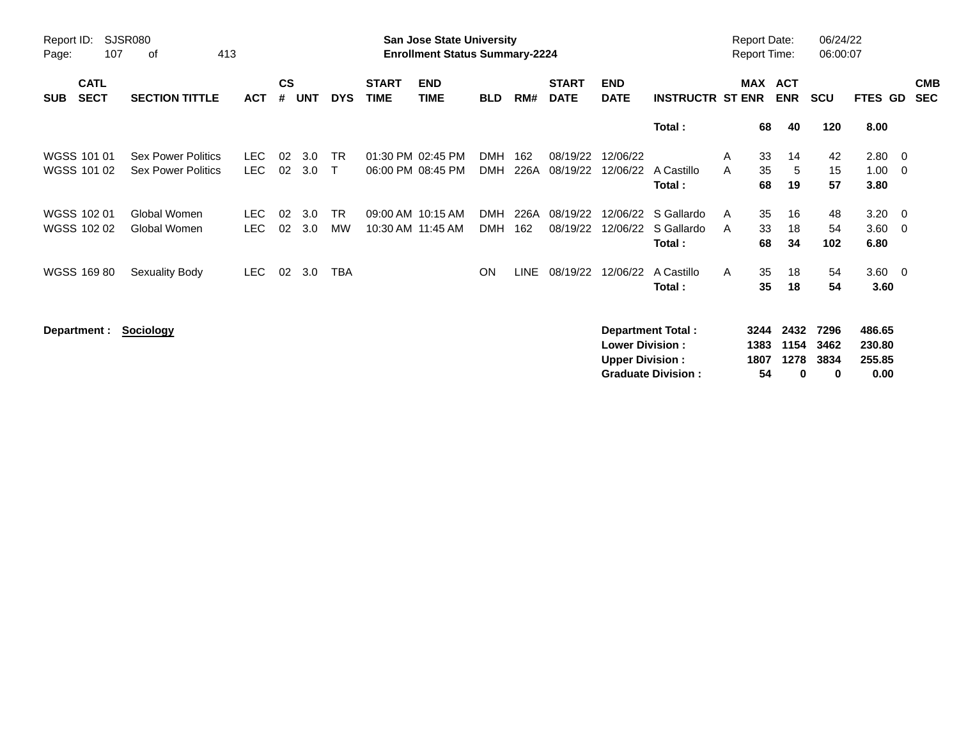| Report ID:<br>Page:                      | SJSR080<br>107<br>413<br>οf                            |                          |                    |            |                           |                             | <b>San Jose State University</b><br><b>Enrollment Status Summary-2224</b> |                          |             |                             |                                                  |                                                       | <b>Report Date:</b><br>Report Time: |                |                           | 06/24/22<br>06:00:07      |                                    |                                 |
|------------------------------------------|--------------------------------------------------------|--------------------------|--------------------|------------|---------------------------|-----------------------------|---------------------------------------------------------------------------|--------------------------|-------------|-----------------------------|--------------------------------------------------|-------------------------------------------------------|-------------------------------------|----------------|---------------------------|---------------------------|------------------------------------|---------------------------------|
| <b>CATL</b><br><b>SECT</b><br><b>SUB</b> | <b>SECTION TITTLE</b>                                  | <b>ACT</b>               | $\mathsf{cs}$<br># | <b>UNT</b> | <b>DYS</b>                | <b>START</b><br><b>TIME</b> | <b>END</b><br><b>TIME</b>                                                 | <b>BLD</b>               | RM#         | <b>START</b><br><b>DATE</b> | <b>END</b><br><b>DATE</b>                        | <b>INSTRUCTR ST ENR</b>                               | MAX                                 |                | <b>ACT</b><br><b>ENR</b>  | SCU                       | <b>FTES GD</b>                     | <b>CMB</b><br><b>SEC</b>        |
|                                          |                                                        |                          |                    |            |                           |                             |                                                                           |                          |             |                             |                                                  | Total:                                                |                                     | 68             | 40                        | 120                       | 8.00                               |                                 |
| WGSS 101 01<br>WGSS 101 02               | <b>Sex Power Politics</b><br><b>Sex Power Politics</b> | LEC.<br>LEC.             | 02<br>02           | 3.0<br>3.0 | <b>TR</b><br>$\mathsf{T}$ |                             | 01:30 PM 02:45 PM<br>06:00 PM 08:45 PM                                    | <b>DMH</b><br><b>DMH</b> | 162<br>226A | 08/19/22<br>08/19/22        | 12/06/22<br>12/06/22                             | A Castillo<br>Total:                                  | A<br>A                              | 33<br>35<br>68 | 14<br>-5<br>19            | 42<br>15<br>57            | 2.80<br>1.00<br>3.80               | $\overline{\phantom{0}}$<br>- 0 |
| WGSS 102 01<br>WGSS 102 02               | Global Women<br>Global Women                           | <b>LEC</b><br><b>LEC</b> | 02<br>02           | 3.0<br>3.0 | <b>TR</b><br><b>MW</b>    |                             | 09:00 AM 10:15 AM<br>10:30 AM 11:45 AM                                    | <b>DMH</b><br><b>DMH</b> | 226A<br>162 | 08/19/22<br>08/19/22        | 12/06/22<br>12/06/22                             | S Gallardo<br>S Gallardo<br>Total:                    | A<br>A                              | 35<br>33<br>68 | 16<br>18<br>34            | 48<br>54<br>102           | 3.20<br>3.60<br>6.80               | $\overline{\phantom{0}}$<br>- 0 |
| WGSS 169 80                              | Sexuality Body                                         | LEC.                     | 02                 | 3.0        | <b>TBA</b>                |                             |                                                                           | <b>ON</b>                | LINE        | 08/19/22                    | 12/06/22                                         | A Castillo<br>Total:                                  | A                                   | 35<br>35       | 18<br>18                  | 54<br>54                  | $3.60 \quad 0$<br>3.60             |                                 |
|                                          | Department :<br><b>Sociology</b>                       |                          |                    |            |                           |                             |                                                                           |                          |             |                             | <b>Lower Division:</b><br><b>Upper Division:</b> | <b>Department Total:</b><br><b>Graduate Division:</b> | 3244<br>1383<br>1807                | 54             | 2432<br>1154<br>1278<br>0 | 7296<br>3462<br>3834<br>0 | 486.65<br>230.80<br>255.85<br>0.00 |                                 |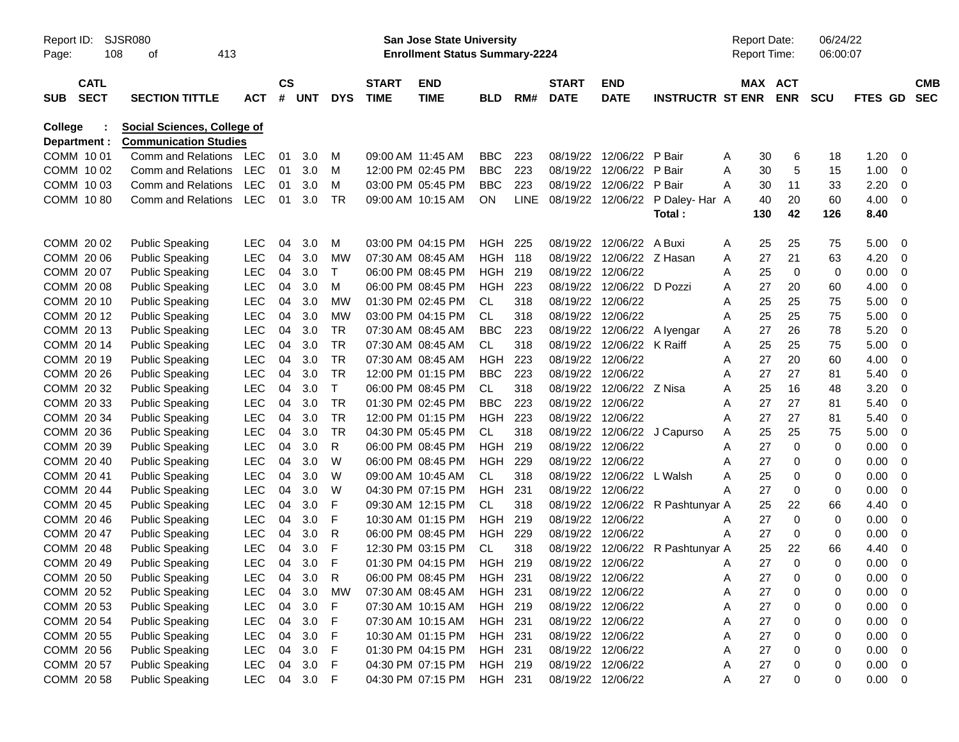| Report ID:<br>Page: |                            | <b>SJSR080</b><br>108<br>413<br>οf                          |                          |           |       |            |                             | <b>San Jose State University</b><br><b>Enrollment Status Summary-2224</b> |            |             |                             |                           |                         |   | <b>Report Date:</b><br>Report Time: |            | 06/24/22<br>06:00:07 |         |   |                          |
|---------------------|----------------------------|-------------------------------------------------------------|--------------------------|-----------|-------|------------|-----------------------------|---------------------------------------------------------------------------|------------|-------------|-----------------------------|---------------------------|-------------------------|---|-------------------------------------|------------|----------------------|---------|---|--------------------------|
| <b>SUB</b>          | <b>CATL</b><br><b>SECT</b> | <b>SECTION TITTLE</b>                                       | <b>ACT</b>               | <b>CS</b> | # UNT | <b>DYS</b> | <b>START</b><br><b>TIME</b> | <b>END</b><br><b>TIME</b>                                                 | <b>BLD</b> | RM#         | <b>START</b><br><b>DATE</b> | <b>END</b><br><b>DATE</b> | <b>INSTRUCTR ST ENR</b> |   | MAX ACT                             | <b>ENR</b> | <b>SCU</b>           | FTES GD |   | <b>CMB</b><br><b>SEC</b> |
| <b>College</b>      | Department :               | Social Sciences, College of<br><b>Communication Studies</b> |                          |           |       |            |                             |                                                                           |            |             |                             |                           |                         |   |                                     |            |                      |         |   |                          |
|                     | COMM 1001                  | Comm and Relations                                          | LEC                      | 01        | 3.0   | м          |                             | 09:00 AM 11:45 AM                                                         | BBC        | 223         | 08/19/22                    | 12/06/22                  | P Bair                  | A | 30                                  | 6          | 18                   | 1.20    | 0 |                          |
|                     | COMM 1002                  | <b>Comm and Relations</b>                                   | <b>LEC</b>               | 01        | 3.0   | м          |                             | 12:00 PM 02:45 PM                                                         | <b>BBC</b> | 223         | 08/19/22                    | 12/06/22                  | P Bair                  | A | 30                                  | 5          | 15                   | 1.00    | 0 |                          |
|                     | COMM 1003                  | <b>Comm and Relations</b>                                   | <b>LEC</b>               | 01        | 3.0   | м          |                             | 03:00 PM 05:45 PM                                                         | <b>BBC</b> | 223         | 08/19/22                    | 12/06/22                  | P Bair                  | A | 30                                  | 11         | 33                   | 2.20    | 0 |                          |
|                     | COMM 1080                  | <b>Comm and Relations</b>                                   | LEC                      | 01        | 3.0   | TR         |                             | 09:00 AM 10:15 AM                                                         | <b>ON</b>  | <b>LINE</b> | 08/19/22 12/06/22           |                           | P Daley-Har A           |   | 40                                  | 20         | 60                   | 4.00    | 0 |                          |
|                     |                            |                                                             |                          |           |       |            |                             |                                                                           |            |             |                             |                           | Total :                 |   | 130                                 | 42         | 126                  | 8.40    |   |                          |
|                     | COMM 2002                  | <b>Public Speaking</b>                                      | <b>LEC</b>               | 04        | 3.0   | м          |                             | 03:00 PM 04:15 PM                                                         | HGH        | 225         | 08/19/22                    | 12/06/22                  | A Buxi                  | A | 25                                  | 25         | 75                   | 5.00    | 0 |                          |
|                     | COMM 20 06                 | <b>Public Speaking</b>                                      | <b>LEC</b>               | 04        | 3.0   | <b>MW</b>  |                             | 07:30 AM 08:45 AM                                                         | <b>HGH</b> | 118         | 08/19/22                    | 12/06/22 Z Hasan          |                         | A | 27                                  | 21         | 63                   | 4.20    | 0 |                          |
|                     | COMM 2007                  | <b>Public Speaking</b>                                      | <b>LEC</b>               | 04        | 3.0   | Т          |                             | 06:00 PM 08:45 PM                                                         | HGH        | 219         | 08/19/22                    | 12/06/22                  |                         | Α | 25                                  | 0          | 0                    | 0.00    | 0 |                          |
|                     | COMM 2008                  | <b>Public Speaking</b>                                      | <b>LEC</b>               | 04        | 3.0   | м          |                             | 06:00 PM 08:45 PM                                                         | HGH        | 223         | 08/19/22                    | 12/06/22                  | D Pozzi                 | Α | 27                                  | 20         | 60                   | 4.00    | 0 |                          |
|                     | COMM 20 10                 | <b>Public Speaking</b>                                      | <b>LEC</b>               | 04        | 3.0   | МW         |                             | 01:30 PM 02:45 PM                                                         | <b>CL</b>  | 318         | 08/19/22                    | 12/06/22                  |                         | Α | 25                                  | 25         | 75                   | 5.00    | 0 |                          |
|                     | COMM 2012                  | <b>Public Speaking</b>                                      | <b>LEC</b>               | 04        | 3.0   | МW         |                             | 03:00 PM 04:15 PM                                                         | <b>CL</b>  | 318         | 08/19/22 12/06/22           |                           |                         | Α | 25                                  | 25         | 75                   | 5.00    | 0 |                          |
|                     | COMM 2013                  | <b>Public Speaking</b>                                      | <b>LEC</b>               | 04        | 3.0   | TR         |                             | 07:30 AM 08:45 AM                                                         | <b>BBC</b> | 223         | 08/19/22                    | 12/06/22                  | A Iyengar               | Α | 27                                  | 26         | 78                   | 5.20    | 0 |                          |
|                     | COMM 2014                  | <b>Public Speaking</b>                                      | <b>LEC</b>               | 04        | 3.0   | TR         |                             | 07:30 AM 08:45 AM                                                         | <b>CL</b>  | 318         | 08/19/22                    | 12/06/22                  | K Raiff                 | Α | 25                                  | 25         | 75                   | 5.00    | 0 |                          |
|                     | COMM 20 19                 | <b>Public Speaking</b>                                      | <b>LEC</b>               | 04        | 3.0   | <b>TR</b>  |                             | 07:30 AM 08:45 AM                                                         | <b>HGH</b> | 223         | 08/19/22                    | 12/06/22                  |                         | Α | 27                                  | 20         | 60                   | 4.00    | 0 |                          |
|                     | COMM 20 26                 | <b>Public Speaking</b>                                      | <b>LEC</b>               | 04        | 3.0   | <b>TR</b>  |                             | 12:00 PM 01:15 PM                                                         | <b>BBC</b> | 223         | 08/19/22 12/06/22           |                           |                         | Α | 27                                  | 27         | 81                   | 5.40    | 0 |                          |
|                     | COMM 20 32                 | <b>Public Speaking</b>                                      | <b>LEC</b>               | 04        | 3.0   | $\top$     |                             | 06:00 PM 08:45 PM                                                         | <b>CL</b>  | 318         | 08/19/22                    | 12/06/22                  | Z Nisa                  | Α | 25                                  | 16         | 48                   | 3.20    | 0 |                          |
|                     | COMM 20 33                 | <b>Public Speaking</b>                                      | <b>LEC</b>               | 04        | 3.0   | <b>TR</b>  |                             | 01:30 PM 02:45 PM                                                         | <b>BBC</b> | 223         | 08/19/22                    | 12/06/22                  |                         | Α | 27                                  | 27         | 81                   | 5.40    | 0 |                          |
|                     | COMM 20 34                 | <b>Public Speaking</b>                                      | <b>LEC</b>               | 04        | 3.0   | <b>TR</b>  |                             | 12:00 PM 01:15 PM                                                         | <b>HGH</b> | 223         |                             | 08/19/22 12/06/22         |                         | Α | 27                                  | 27         | 81                   | 5.40    | 0 |                          |
|                     | COMM 20 36                 | <b>Public Speaking</b>                                      | <b>LEC</b>               | 04        | 3.0   | <b>TR</b>  |                             | 04:30 PM 05:45 PM                                                         | <b>CL</b>  | 318         | 08/19/22                    | 12/06/22                  | J Capurso               | Α | 25                                  | 25         | 75                   | 5.00    | 0 |                          |
|                     | COMM 20 39                 | <b>Public Speaking</b>                                      | <b>LEC</b>               | 04        | 3.0   | R          |                             | 06:00 PM 08:45 PM                                                         | <b>HGH</b> | 219         | 08/19/22                    | 12/06/22                  |                         | Α | 27                                  | 0          | 0                    | 0.00    | 0 |                          |
|                     | COMM 20 40                 | <b>Public Speaking</b>                                      | <b>LEC</b>               | 04        | 3.0   | W          |                             | 06:00 PM 08:45 PM                                                         | <b>HGH</b> | 229         | 08/19/22                    | 12/06/22                  |                         | Α | 27                                  | 0          | 0                    | 0.00    | 0 |                          |
|                     | COMM 2041                  | <b>Public Speaking</b>                                      | <b>LEC</b>               | 04        | 3.0   | W          |                             | 09:00 AM 10:45 AM                                                         | <b>CL</b>  | 318         | 08/19/22                    | 12/06/22                  | L Walsh                 | Α | 25                                  | 0          | 0                    | 0.00    | 0 |                          |
|                     | COMM 20 44                 | <b>Public Speaking</b>                                      | <b>LEC</b>               | 04        | 3.0   | W          |                             | 04:30 PM 07:15 PM                                                         | <b>HGH</b> | 231         | 08/19/22                    | 12/06/22                  |                         | Α | 27                                  | 0          | 0                    | 0.00    | 0 |                          |
|                     | COMM 20 45                 | <b>Public Speaking</b>                                      | <b>LEC</b>               | 04        | 3.0   | F          |                             | 09:30 AM 12:15 PM                                                         | <b>CL</b>  | 318         | 08/19/22                    | 12/06/22                  | R Pashtunyar A          |   | 25                                  | 22         | 66                   | 4.40    | 0 |                          |
|                     | COMM 2046                  | <b>Public Speaking</b>                                      | <b>LEC</b>               | 04        | 3.0   | F          |                             | 10:30 AM 01:15 PM                                                         | <b>HGH</b> | 219         | 08/19/22                    | 12/06/22                  |                         | A | 27                                  | 0          | 0                    | 0.00    | 0 |                          |
|                     | COMM 2047                  | <b>Public Speaking</b>                                      | <b>LEC</b>               | 04        | 3.0   | R          |                             | 06:00 PM 08:45 PM                                                         | <b>HGH</b> | 229         | 08/19/22                    | 12/06/22                  |                         | Α | 27                                  | 0          | 0                    | 0.00    | 0 |                          |
|                     | COMM 2048                  | <b>Public Speaking</b>                                      | <b>LEC</b>               | 04        | 3.0   | F          |                             | 12:30 PM 03:15 PM                                                         | СL         | 318         | 08/19/22                    | 12/06/22                  | R Pashtunyar A          |   | 25                                  | 22         | 66                   | 4.40    | 0 |                          |
|                     | COMM 20 49                 | <b>Public Speaking</b>                                      | <b>LEC</b>               | 04        | 3.0   | F          |                             | 01:30 PM 04:15 PM                                                         | HGH        | 219         | 08/19/22 12/06/22           |                           |                         | A | 27                                  | $\Omega$   | 0                    | 0.00    | 0 |                          |
|                     | COMM 20 50                 | <b>Public Speaking</b>                                      | LEC                      | 04        | 3.0   | R.         |                             | 06:00 PM 08:45 PM                                                         | HGH 231    |             | 08/19/22 12/06/22           |                           |                         | A | 27                                  | 0          | 0                    | 0.00    | 0 |                          |
|                     | COMM 20 52                 | <b>Public Speaking</b>                                      | <b>LEC</b>               | 04        | 3.0   | MW         |                             | 07:30 AM 08:45 AM                                                         | HGH 231    |             |                             | 08/19/22 12/06/22         |                         | A | 27                                  | 0          | 0                    | 0.00    | 0 |                          |
|                     | COMM 20 53                 | <b>Public Speaking</b>                                      | <b>LEC</b>               | 04        | 3.0   | F          |                             | 07:30 AM 10:15 AM                                                         | HGH 219    |             |                             | 08/19/22 12/06/22         |                         | Α | 27                                  | 0          | 0                    | 0.00    | 0 |                          |
|                     | COMM 20 54                 | <b>Public Speaking</b>                                      | <b>LEC</b>               | 04        | 3.0   | F          |                             | 07:30 AM 10:15 AM                                                         | HGH 231    |             |                             | 08/19/22 12/06/22         |                         | A | 27                                  | 0          | 0                    | 0.00    | 0 |                          |
|                     | COMM 20 55                 | <b>Public Speaking</b>                                      | <b>LEC</b>               | 04        | 3.0   | F          |                             | 10:30 AM 01:15 PM                                                         | HGH 231    |             |                             | 08/19/22 12/06/22         |                         | A | 27                                  | 0          | 0                    | 0.00    | 0 |                          |
|                     | COMM 20 56                 | <b>Public Speaking</b>                                      | <b>LEC</b>               | 04        | 3.0   | F          |                             | 01:30 PM 04:15 PM                                                         | HGH 231    |             |                             | 08/19/22 12/06/22         |                         | Α | 27                                  | 0          | 0                    | 0.00    | 0 |                          |
|                     | COMM 20 57                 | <b>Public Speaking</b>                                      | <b>LEC</b><br><b>LEC</b> | 04        | 3.0   | F          |                             | 04:30 PM 07:15 PM                                                         | HGH 219    |             |                             | 08/19/22 12/06/22         |                         | A | 27                                  | 0          | 0                    | 0.00    | 0 |                          |
|                     | COMM 20 58                 | <b>Public Speaking</b>                                      |                          | 04        | 3.0   | F          |                             | 04:30 PM 07:15 PM                                                         | HGH 231    |             |                             | 08/19/22 12/06/22         |                         | A | 27                                  | 0          | 0                    | 0.00    | 0 |                          |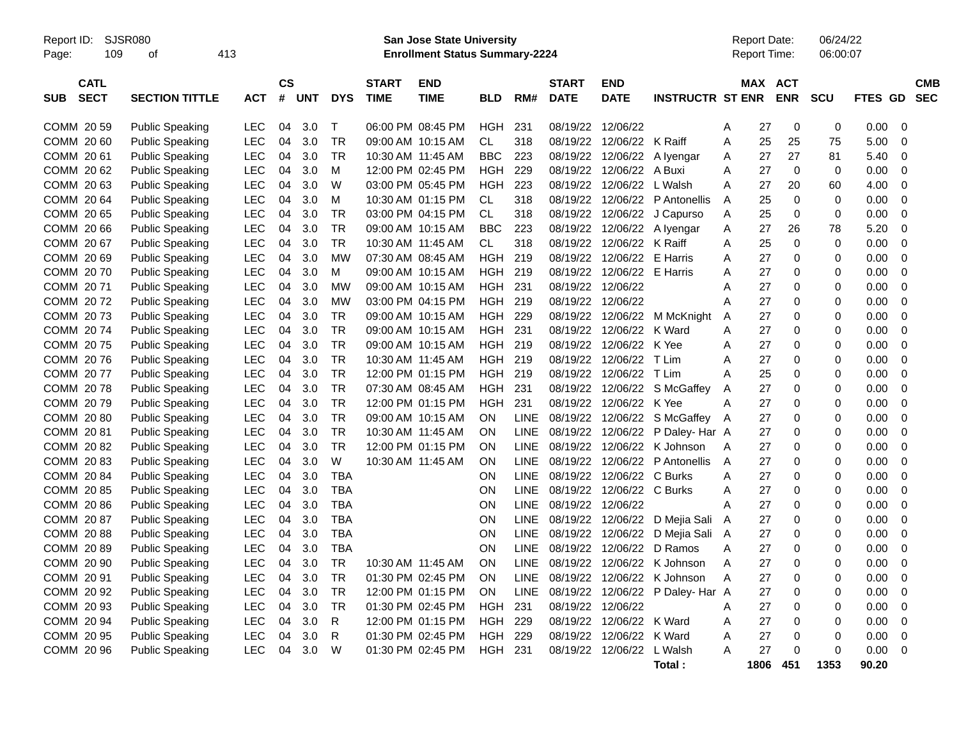Report ID: SJSR080 **San Jose State University** Report Date: 06/24/22

Page: 109 of 413 **Enrollment Status Summary-2224** Report Time: 06:00:07

|            | <b>CATL</b> |                        |            | <b>CS</b> |     |            | <b>START</b>      | <b>END</b>        |            |             | <b>START</b>      | <b>END</b>              |                         |   | <b>MAX ACT</b> |             |             |         | <b>CMB</b>  |
|------------|-------------|------------------------|------------|-----------|-----|------------|-------------------|-------------------|------------|-------------|-------------------|-------------------------|-------------------------|---|----------------|-------------|-------------|---------|-------------|
| <b>SUB</b> | <b>SECT</b> | <b>SECTION TITTLE</b>  | <b>ACT</b> | #         | UNT | <b>DYS</b> | <b>TIME</b>       | <b>TIME</b>       | <b>BLD</b> | RM#         | <b>DATE</b>       | <b>DATE</b>             | <b>INSTRUCTR ST ENR</b> |   |                | <b>ENR</b>  | SCU         | FTES GD | <b>SEC</b>  |
|            |             |                        |            |           |     |            |                   |                   |            |             |                   |                         |                         |   |                |             |             |         |             |
|            | COMM 20 59  | <b>Public Speaking</b> | <b>LEC</b> | 04        | 3.0 | Т          |                   | 06:00 PM 08:45 PM | HGH        | 231         | 08/19/22          | 12/06/22                |                         | A | 27             | 0           | 0           | 0.00    | $\Omega$    |
|            | COMM 20 60  | <b>Public Speaking</b> | LEC        | 04        | 3.0 | <b>TR</b>  | 09:00 AM 10:15 AM |                   | CL.        | 318         | 08/19/22          | 12/06/22                | K Raiff                 | A | 25             | 25          | 75          | 5.00    | 0           |
|            | COMM 2061   | <b>Public Speaking</b> | LEC        | 04        | 3.0 | TR         | 10:30 AM 11:45 AM |                   | <b>BBC</b> | 223         | 08/19/22          | 12/06/22                | A Ivengar               | A | 27             | 27          | 81          | 5.40    | 0           |
|            | COMM 2062   | <b>Public Speaking</b> | <b>LEC</b> | 04        | 3.0 | M          |                   | 12:00 PM 02:45 PM | HGH        | 229         | 08/19/22          | 12/06/22                | A Buxi                  | A | 27             | 0           | 0           | 0.00    | $\mathbf 0$ |
|            | COMM 2063   | <b>Public Speaking</b> | <b>LEC</b> | 04        | 3.0 | W          |                   | 03:00 PM 05:45 PM | <b>HGH</b> | 223         | 08/19/22          | 12/06/22                | L Walsh                 | A | 27             | 20          | 60          | 4.00    | 0           |
|            | COMM 2064   | <b>Public Speaking</b> | <b>LEC</b> | 04        | 3.0 | M          |                   | 10:30 AM 01:15 PM | <b>CL</b>  | 318         | 08/19/22          | 12/06/22                | P Antonellis            | A | 25             | $\mathbf 0$ | 0           | 0.00    | $\mathbf 0$ |
|            | COMM 20 65  | <b>Public Speaking</b> | <b>LEC</b> | 04        | 3.0 | <b>TR</b>  |                   | 03:00 PM 04:15 PM | <b>CL</b>  | 318         | 08/19/22          | 12/06/22                | J Capurso               | A | 25             | $\mathbf 0$ | $\mathbf 0$ | 0.00    | $\mathbf 0$ |
|            | COMM 2066   | <b>Public Speaking</b> | <b>LEC</b> | 04        | 3.0 | <b>TR</b>  |                   | 09:00 AM 10:15 AM | <b>BBC</b> | 223         | 08/19/22          | 12/06/22                | A lyengar               | A | 27             | 26          | 78          | 5.20    | 0           |
|            | COMM 2067   | <b>Public Speaking</b> | <b>LEC</b> | 04        | 3.0 | TR         |                   | 10:30 AM 11:45 AM | CL.        | 318         | 08/19/22          | 12/06/22 K Raiff        |                         | A | 25             | $\mathbf 0$ | 0           | 0.00    | $\mathbf 0$ |
|            | COMM 2069   | <b>Public Speaking</b> | <b>LEC</b> | 04        | 3.0 | <b>MW</b>  |                   | 07:30 AM 08:45 AM | <b>HGH</b> | 219         | 08/19/22          | 12/06/22                | E Harris                | A | 27             | $\mathbf 0$ | 0           | 0.00    | $\mathbf 0$ |
|            | COMM 2070   | <b>Public Speaking</b> | <b>LEC</b> | 04        | 3.0 | M          |                   | 09:00 AM 10:15 AM | <b>HGH</b> | 219         | 08/19/22          | 12/06/22                | E Harris                | A | 27             | 0           | 0           | 0.00    | 0           |
|            | COMM 2071   | <b>Public Speaking</b> | <b>LEC</b> | 04        | 3.0 | <b>MW</b>  |                   | 09:00 AM 10:15 AM | <b>HGH</b> | 231         | 08/19/22          | 12/06/22                |                         | A | 27             | $\Omega$    | 0           | 0.00    | $\Omega$    |
|            | COMM 2072   | <b>Public Speaking</b> | LEC        | 04        | 3.0 | <b>MW</b>  |                   | 03:00 PM 04:15 PM | <b>HGH</b> | 219         | 08/19/22          | 12/06/22                |                         | A | 27             | 0           | 0           | 0.00    | 0           |
|            | COMM 2073   | <b>Public Speaking</b> | LEC        | 04        | 3.0 | TR         |                   | 09:00 AM 10:15 AM | HGH        | 229         | 08/19/22          |                         | 12/06/22 M McKnight     | A | 27             | 0           | 0           | 0.00    | $\mathbf 0$ |
|            | COMM 2074   | <b>Public Speaking</b> | LEC        | 04        | 3.0 | TR         |                   | 09:00 AM 10:15 AM | HGH        | 231         | 08/19/22          | 12/06/22                | K Ward                  | A | 27             | 0           | 0           | 0.00    | $\Omega$    |
|            | COMM 2075   | <b>Public Speaking</b> | <b>LEC</b> | 04        | 3.0 | <b>TR</b>  |                   | 09:00 AM 10:15 AM | <b>HGH</b> | 219         | 08/19/22          | 12/06/22                | K Yee                   | A | 27             | 0           | 0           | 0.00    | 0           |
|            | COMM 2076   | <b>Public Speaking</b> | <b>LEC</b> | 04        | 3.0 | <b>TR</b>  |                   | 10:30 AM 11:45 AM | <b>HGH</b> | 219         | 08/19/22          | 12/06/22                | T Lim                   | A | 27             | $\mathbf 0$ | 0           | 0.00    | $\mathbf 0$ |
|            | COMM 2077   | <b>Public Speaking</b> | <b>LEC</b> | 04        | 3.0 | <b>TR</b>  |                   | 12:00 PM 01:15 PM | <b>HGH</b> | 219         | 08/19/22          | 12/06/22                | T Lim                   | A | 25             | $\mathbf 0$ | 0           | 0.00    | $\mathbf 0$ |
|            | COMM 2078   | <b>Public Speaking</b> | <b>LEC</b> | 04        | 3.0 | <b>TR</b>  |                   | 07:30 AM 08:45 AM | <b>HGH</b> | 231         | 08/19/22          | 12/06/22                | S McGaffey              | A | 27             | 0           | 0           | 0.00    | 0           |
|            | COMM 2079   | <b>Public Speaking</b> | <b>LEC</b> | 04        | 3.0 | TR         |                   | 12:00 PM 01:15 PM | <b>HGH</b> | 231         |                   | 08/19/22 12/06/22 K Yee |                         | A | 27             | 0           | 0           | 0.00    | $\mathbf 0$ |
|            | COMM 2080   | <b>Public Speaking</b> | <b>LEC</b> | 04        | 3.0 | <b>TR</b>  |                   | 09:00 AM 10:15 AM | <b>ON</b>  | LINE        | 08/19/22          | 12/06/22                | S McGaffey              | A | 27             | 0           | 0           | 0.00    | $\mathbf 0$ |
|            | COMM 2081   | <b>Public Speaking</b> | <b>LEC</b> | 04        | 3.0 | TR         | 10:30 AM 11:45 AM |                   | <b>ON</b>  | <b>LINE</b> | 08/19/22          | 12/06/22                | P Daley- Har A          |   | 27             | 0           | 0           | 0.00    | 0           |
|            | COMM 2082   | <b>Public Speaking</b> | <b>LEC</b> | 04        | 3.0 | <b>TR</b>  |                   | 12:00 PM 01:15 PM | <b>ON</b>  | <b>LINE</b> | 08/19/22          | 12/06/22                | K Johnson               | A | 27             | $\Omega$    | 0           | 0.00    | $\Omega$    |
|            | COMM 20 83  | <b>Public Speaking</b> | LEC        | 04        | 3.0 | W          |                   | 10:30 AM 11:45 AM | <b>ON</b>  | <b>LINE</b> | 08/19/22          | 12/06/22                | P Antonellis            | A | 27             | 0           | 0           | 0.00    | $\mathbf 0$ |
|            | COMM 2084   | <b>Public Speaking</b> | LEC        | 04        | 3.0 | <b>TBA</b> |                   |                   | <b>ON</b>  | LINE        | 08/19/22          | 12/06/22                | C Burks                 | A | 27             | 0           | 0           | 0.00    | $\mathbf 0$ |
|            | COMM 2085   | <b>Public Speaking</b> | <b>LEC</b> | 04        | 3.0 | <b>TBA</b> |                   |                   | <b>ON</b>  | LINE        | 08/19/22          | 12/06/22 C Burks        |                         | A | 27             | 0           | 0           | 0.00    | $\Omega$    |
|            | COMM 2086   | <b>Public Speaking</b> | <b>LEC</b> | 04        | 3.0 | <b>TBA</b> |                   |                   | <b>ON</b>  | LINE        | 08/19/22          | 12/06/22                |                         | A | 27             | 0           | 0           | 0.00    | 0           |
|            | COMM 2087   | <b>Public Speaking</b> | <b>LEC</b> | 04        | 3.0 | <b>TBA</b> |                   |                   | <b>ON</b>  | <b>LINE</b> | 08/19/22 12/06/22 |                         | D Mejia Sali            | A | 27             | $\mathbf 0$ | 0           | 0.00    | $\mathbf 0$ |
|            | COMM 2088   | <b>Public Speaking</b> | <b>LEC</b> | 04        | 3.0 | <b>TBA</b> |                   |                   | <b>ON</b>  | LINE        | 08/19/22          | 12/06/22                | D Mejia Sali A          |   | 27             | $\mathbf 0$ | 0           | 0.00    | $\mathbf 0$ |
|            | COMM 2089   | <b>Public Speaking</b> | <b>LEC</b> | 04        | 3.0 | <b>TBA</b> |                   |                   | ON         | <b>LINE</b> | 08/19/22          | 12/06/22                | D Ramos                 | A | 27             | 0           | 0           | 0.00    | $\mathbf 0$ |
|            | COMM 20 90  | <b>Public Speaking</b> | <b>LEC</b> | 04        | 3.0 | TR         |                   | 10:30 AM 11:45 AM | <b>ON</b>  | LINE.       |                   | 08/19/22 12/06/22       | K Johnson               | A | 27             | 0           | 0           | 0.00    | $\mathbf 0$ |
|            | COMM 20 91  | <b>Public Speaking</b> | LEC        | 04        | 3.0 | <b>TR</b>  |                   | 01:30 PM 02:45 PM | <b>ON</b>  | LINE        | 08/19/22          | 12/06/22                | K Johnson               | A | 27             | 0           | 0           | 0.00    | $\mathbf 0$ |
|            | COMM 20 92  | <b>Public Speaking</b> | <b>LEC</b> | 04        | 3.0 | TR         |                   | 12:00 PM 01:15 PM | <b>ON</b>  | <b>LINE</b> | 08/19/22          | 12/06/22                | P Daley-Har A           |   | 27             | 0           | 0           | 0.00    | 0           |
|            | COMM 20 93  | <b>Public Speaking</b> | <b>LEC</b> | 04        | 3.0 | <b>TR</b>  |                   | 01:30 PM 02:45 PM | <b>HGH</b> | 231         | 08/19/22          | 12/06/22                |                         | A | 27             | $\Omega$    | 0           | 0.00    | 0           |
|            | COMM 20 94  | <b>Public Speaking</b> | <b>LEC</b> | 04        | 3.0 | R          |                   | 12:00 PM 01:15 PM | <b>HGH</b> | 229         | 08/19/22          | 12/06/22                | K Ward                  | A | 27             | $\mathbf 0$ | 0           | 0.00    | $\mathbf 0$ |
|            | COMM 20 95  | <b>Public Speaking</b> | <b>LEC</b> | 04        | 3.0 | R          |                   | 01:30 PM 02:45 PM | <b>HGH</b> | 229         | 08/19/22          | 12/06/22                | K Ward                  | A | 27             | 0           | 0           | 0.00    | 0           |
|            | COMM 20 96  | <b>Public Speaking</b> | LEC        | 04        | 3.0 | W          |                   | 01:30 PM 02:45 PM | HGH        | 231         | 08/19/22          | 12/06/22                | L Walsh                 | A | 27             | $\Omega$    | 0           | 0.00    | $\Omega$    |
|            |             |                        |            |           |     |            |                   |                   |            |             |                   |                         | Total :                 |   | 1806           | 451         | 1353        | 90.20   |             |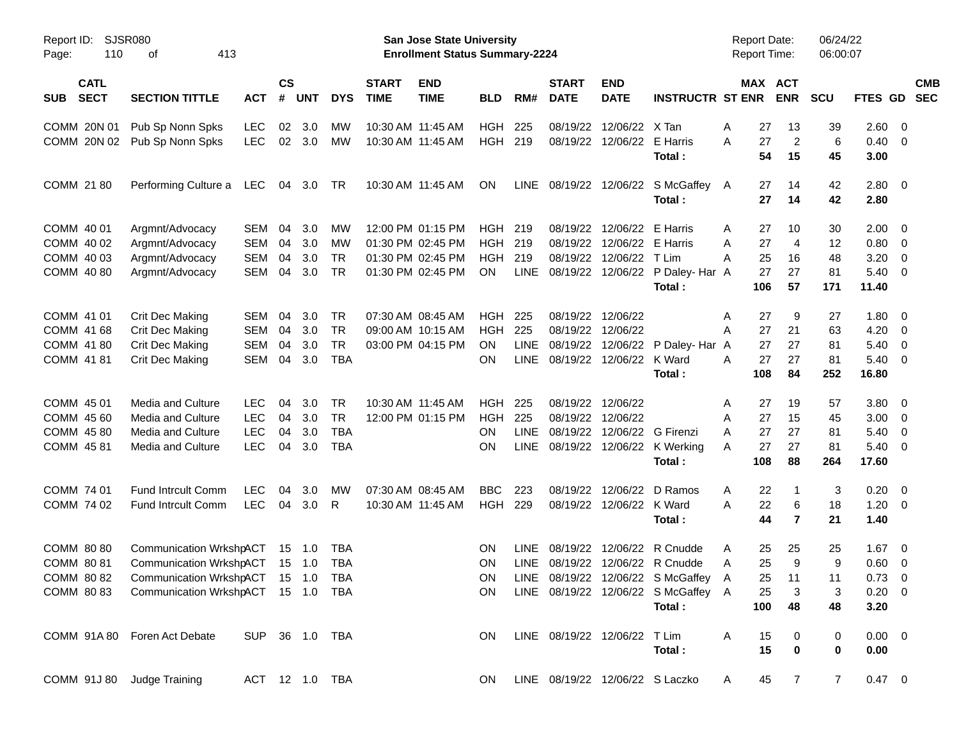| Report ID: SJSR080<br>110<br>Page:       | 413<br>оf                                     |                |                    |                |            |                             | San Jose State University<br><b>Enrollment Status Summary-2224</b> |            |             |                             |                              |                                        | <b>Report Date:</b><br><b>Report Time:</b> |                       | 06/24/22<br>06:00:07 |                |                          |                          |
|------------------------------------------|-----------------------------------------------|----------------|--------------------|----------------|------------|-----------------------------|--------------------------------------------------------------------|------------|-------------|-----------------------------|------------------------------|----------------------------------------|--------------------------------------------|-----------------------|----------------------|----------------|--------------------------|--------------------------|
| <b>CATL</b><br><b>SECT</b><br><b>SUB</b> | <b>SECTION TITTLE</b>                         | <b>ACT</b>     | $\mathsf{cs}$<br># | <b>UNT</b>     | <b>DYS</b> | <b>START</b><br><b>TIME</b> | <b>END</b><br><b>TIME</b>                                          | <b>BLD</b> | RM#         | <b>START</b><br><b>DATE</b> | <b>END</b><br><b>DATE</b>    | <b>INSTRUCTR ST ENR</b>                |                                            | MAX ACT<br><b>ENR</b> | <b>SCU</b>           | FTES GD        |                          | <b>CMB</b><br><b>SEC</b> |
| COMM 20N 01                              | Pub Sp Nonn Spks                              | <b>LEC</b>     | 02                 | 3.0            | МW         |                             | 10:30 AM 11:45 AM                                                  | <b>HGH</b> | 225         | 08/19/22                    | 12/06/22                     | X Tan                                  | Α<br>27                                    | 13                    | 39                   | 2.60 0         |                          |                          |
| COMM 20N 02                              | Pub Sp Nonn Spks                              | <b>LEC</b>     | 02                 | 3.0            | МW         |                             | 10:30 AM 11:45 AM                                                  | <b>HGH</b> | 219         | 08/19/22                    | 12/06/22                     | E Harris                               | 27<br>A                                    | $\overline{c}$        | 6                    | $0.40 \quad 0$ |                          |                          |
|                                          |                                               |                |                    |                |            |                             |                                                                    |            |             |                             |                              | Total:                                 | 54                                         | 15                    | 45                   | 3.00           |                          |                          |
| COMM 21 80                               | Performing Culture a                          | LEC            | 04                 | 3.0            | TR         |                             | 10:30 AM 11:45 AM                                                  | <b>ON</b>  | <b>LINE</b> |                             |                              | 08/19/22 12/06/22 S McGaffey A         | 27                                         | 14                    | 42                   | 2.80 0         |                          |                          |
|                                          |                                               |                |                    |                |            |                             |                                                                    |            |             |                             |                              | Total:                                 | 27                                         | 14                    | 42                   | 2.80           |                          |                          |
| COMM 40 01                               | Argmnt/Advocacy                               | SEM            | 04                 | 3.0            | МW         |                             | 12:00 PM 01:15 PM                                                  | <b>HGH</b> | 219         | 08/19/22                    | 12/06/22                     | E Harris                               | 27<br>Α                                    | 10                    | 30                   | $2.00 \t 0$    |                          |                          |
| COMM 40 02                               | Argmnt/Advocacy                               | <b>SEM</b>     | 04                 | 3.0            | МW         |                             | 01:30 PM 02:45 PM                                                  | <b>HGH</b> | 219         | 08/19/22                    | 12/06/22                     | E Harris                               | 27<br>Α                                    | 4                     | 12                   | $0.80 \ 0$     |                          |                          |
| COMM 40 03                               | Argmnt/Advocacy                               | <b>SEM</b>     | 04                 | 3.0            | <b>TR</b>  |                             | 01:30 PM 02:45 PM                                                  | <b>HGH</b> | 219         | 08/19/22                    | 12/06/22                     | T Lim                                  | Α<br>25                                    | 16                    | 48                   | 3.20           | $\overline{\phantom{0}}$ |                          |
| COMM 40 80                               | Argmnt/Advocacy                               | SEM            | 04                 | 3.0            | <b>TR</b>  |                             | 01:30 PM 02:45 PM                                                  | ON.        | <b>LINE</b> | 08/19/22                    |                              | 12/06/22 P Daley- Har A                | 27                                         | 27                    | 81                   | $5.40 \ 0$     |                          |                          |
|                                          |                                               |                |                    |                |            |                             |                                                                    |            |             |                             |                              | Total:                                 | 106                                        | 57                    | 171                  | 11.40          |                          |                          |
| COMM 41 01                               | Crit Dec Making                               | SEM            | 04                 | 3.0            | <b>TR</b>  |                             | 07:30 AM 08:45 AM                                                  | <b>HGH</b> | 225         | 08/19/22                    | 12/06/22                     |                                        | Α<br>27                                    | 9                     | 27                   | 1.80 0         |                          |                          |
| COMM 41 68                               | Crit Dec Making                               | SEM            | 04                 | 3.0            | <b>TR</b>  |                             | 09:00 AM 10:15 AM                                                  | <b>HGH</b> | 225         | 08/19/22                    | 12/06/22                     |                                        | 27<br>Α                                    | 21                    | 63                   | 4.20           | $\overline{\mathbf{0}}$  |                          |
| COMM 41 80                               | <b>Crit Dec Making</b>                        | <b>SEM</b>     | 04                 | 3.0            | <b>TR</b>  |                             | 03:00 PM 04:15 PM                                                  | <b>ON</b>  | LINE        | 08/19/22                    | 12/06/22                     | P Daley- Har A                         | 27                                         | 27                    | 81                   | 5.40           | $\overline{\mathbf{0}}$  |                          |
| COMM 41 81                               | Crit Dec Making                               | SEM            | 04                 | 3.0            | <b>TBA</b> |                             |                                                                    | ON         | <b>LINE</b> | 08/19/22                    | 12/06/22                     | K Ward                                 | 27<br>Α                                    | 27                    | 81                   | $5.40 \ 0$     |                          |                          |
|                                          |                                               |                |                    |                |            |                             |                                                                    |            |             |                             |                              | Total:                                 | 108                                        | 84                    | 252                  | 16.80          |                          |                          |
| COMM 45 01                               | <b>Media and Culture</b>                      | <b>LEC</b>     | 04                 | 3.0            | <b>TR</b>  |                             | 10:30 AM 11:45 AM                                                  | <b>HGH</b> | 225         | 08/19/22                    | 12/06/22                     |                                        | 27<br>A                                    | 19                    | 57                   | 3.80 0         |                          |                          |
| COMM 45 60                               | Media and Culture                             | <b>LEC</b>     | 04                 | 3.0            | <b>TR</b>  |                             | 12:00 PM 01:15 PM                                                  | <b>HGH</b> | 225         | 08/19/22                    | 12/06/22                     |                                        | 27<br>Α                                    | 15                    | 45                   | 3.00           | $\overline{\mathbf{0}}$  |                          |
| COMM 45 80                               | Media and Culture                             | <b>LEC</b>     | 04                 | 3.0            | <b>TBA</b> |                             |                                                                    | <b>ON</b>  | <b>LINE</b> | 08/19/22                    | 12/06/22                     | G Firenzi                              | 27<br>Α                                    | 27                    | 81                   | 5.40           | $\overline{\mathbf{0}}$  |                          |
| COMM 4581                                | Media and Culture                             | <b>LEC</b>     | 04                 | 3.0            | <b>TBA</b> |                             |                                                                    | <b>ON</b>  | <b>LINE</b> |                             |                              | 08/19/22 12/06/22 K Werking            | 27<br>Α                                    | 27                    | 81                   | $5.40 \ 0$     |                          |                          |
|                                          |                                               |                |                    |                |            |                             |                                                                    |            |             |                             |                              | Total:                                 | 108                                        | 88                    | 264                  | 17.60          |                          |                          |
| COMM 74 01                               | Fund Intrcult Comm                            | <b>LEC</b>     | 04                 | 3.0            | МW         |                             | 07:30 AM 08:45 AM                                                  | <b>BBC</b> | 223         | 08/19/22                    | 12/06/22                     | D Ramos                                | Α<br>22                                    | -1                    | 3                    | 0.20           | $\overline{\phantom{0}}$ |                          |
| COMM 74 02                               | Fund Intrcult Comm                            | <b>LEC</b>     | 04                 | 3.0            | R          |                             | 10:30 AM 11:45 AM                                                  | HGH        | 229         |                             | 08/19/22 12/06/22 K Ward     |                                        | A<br>22                                    | 6                     | 18                   | $1.20 \t 0$    |                          |                          |
|                                          |                                               |                |                    |                |            |                             |                                                                    |            |             |                             |                              | Total:                                 | 44                                         | $\overline{7}$        | 21                   | 1.40           |                          |                          |
| COMM 80 80                               | Communication WrkshpACT                       |                | 15                 | $-1.0$         | TBA        |                             |                                                                    | ΟN         | <b>LINE</b> | 08/19/22                    |                              | 12/06/22 R Cnudde                      | A<br>25                                    | 25                    | 25                   | $1.67$ 0       |                          |                          |
| COMM 80 81                               | Communication WrkshpACT                       |                |                    | $15 \quad 1.0$ | <b>TBA</b> |                             |                                                                    | <b>ON</b>  | <b>LINE</b> |                             |                              | 08/19/22 12/06/22 R Cnudde             | 25<br>Α                                    | 9                     | 9                    | $0.60 \quad 0$ |                          |                          |
|                                          | COMM 80 82 Communication WrkshpACT 15 1.0 TBA |                |                    |                |            |                             |                                                                    | ON         |             |                             |                              | LINE 08/19/22 12/06/22 S McGaffey A    |                                            | 25 11                 | 11                   | $0.73 \quad 0$ |                          |                          |
|                                          | COMM 80 83 Communication WrkshpACT 15 1.0 TBA |                |                    |                |            |                             |                                                                    |            |             |                             |                              | ON LINE 08/19/22 12/06/22 S McGaffey A | 25                                         | 3                     | 3                    | $0.20 \ 0$     |                          |                          |
|                                          |                                               |                |                    |                |            |                             |                                                                    |            |             |                             |                              | Total:                                 | 100                                        | 48                    | 48                   | 3.20           |                          |                          |
|                                          | COMM 91A 80 Foren Act Debate                  | SUP 36 1.0 TBA |                    |                |            |                             |                                                                    | ON.        |             |                             | LINE 08/19/22 12/06/22 T Lim |                                        | A<br>15                                    | 0                     | 0                    | $0.00 \t 0$    |                          |                          |
|                                          |                                               |                |                    |                |            |                             |                                                                    |            |             |                             |                              | Total:                                 | 15                                         | $\bf{0}$              | 0                    | 0.00           |                          |                          |
| COMM 91J 80 Judge Training               |                                               | ACT 12 1.0 TBA |                    |                |            |                             |                                                                    | ON         |             |                             |                              | LINE 08/19/22 12/06/22 S Laczko        | 45<br>A                                    | $\overline{7}$        | $\overline{7}$       | $0.47 \quad 0$ |                          |                          |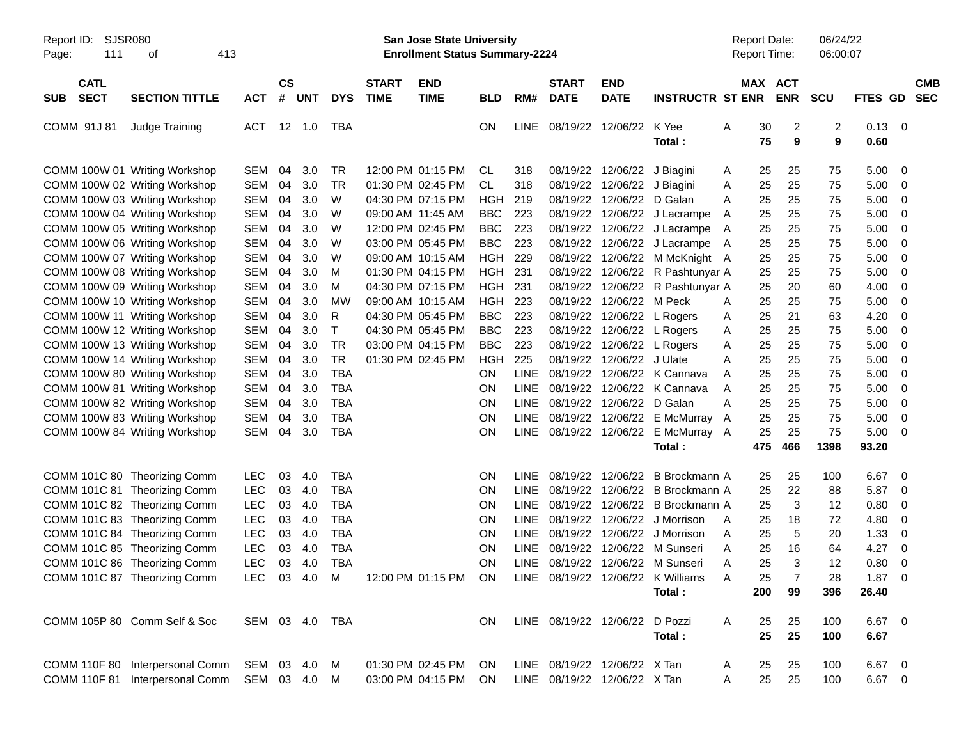| SJSR080<br>Report ID:<br>Page:<br>111                                                           | 413<br>οf                                                          |                                        |                    |                   |                                        |                             | <b>San Jose State University</b><br><b>Enrollment Status Summary-2224</b> |                                        |                                           |                                                              |                                          |                                                                            |             | <b>Report Date:</b><br><b>Report Time:</b> | 06/24/22<br>06:00:07 |                              |                                   |                          |
|-------------------------------------------------------------------------------------------------|--------------------------------------------------------------------|----------------------------------------|--------------------|-------------------|----------------------------------------|-----------------------------|---------------------------------------------------------------------------|----------------------------------------|-------------------------------------------|--------------------------------------------------------------|------------------------------------------|----------------------------------------------------------------------------|-------------|--------------------------------------------|----------------------|------------------------------|-----------------------------------|--------------------------|
| <b>CATL</b><br><b>SECT</b><br><b>SUB</b>                                                        | <b>SECTION TITTLE</b>                                              | <b>ACT</b>                             | $\mathsf{cs}$<br># | <b>UNT</b>        | <b>DYS</b>                             | <b>START</b><br><b>TIME</b> | <b>END</b><br><b>TIME</b>                                                 | <b>BLD</b>                             | RM#                                       | <b>START</b><br><b>DATE</b>                                  | <b>END</b><br><b>DATE</b>                | <b>INSTRUCTR ST ENR</b>                                                    |             | MAX ACT<br><b>ENR</b>                      | <b>SCU</b>           | <b>FTES GD</b>               |                                   | <b>CMB</b><br><b>SEC</b> |
| COMM 91J 81                                                                                     | Judge Training                                                     | <b>ACT</b>                             | 12 1.0             |                   | TBA                                    |                             |                                                                           | ON                                     | LINE                                      |                                                              | 08/19/22 12/06/22                        | K Yee<br>Total:                                                            | Α           | 2<br>30<br>75<br>9                         | 2<br>9               | $0.13 \ 0$<br>0.60           |                                   |                          |
| COMM 100W 01 Writing Workshop<br>COMM 100W 02 Writing Workshop                                  |                                                                    | <b>SEM</b><br><b>SEM</b>               | 04<br>04           | 3.0<br>3.0        | <b>TR</b><br><b>TR</b>                 |                             | 12:00 PM 01:15 PM<br>01:30 PM 02:45 PM                                    | <b>CL</b><br><b>CL</b>                 | 318<br>318                                | 08/19/22<br>08/19/22                                         | 12/06/22 J Biagini<br>12/06/22 J Biagini |                                                                            | A<br>Α      | 25<br>25<br>25<br>25                       | 75<br>75             | 5.00<br>5.00                 | - 0<br>0                          |                          |
| COMM 100W 03 Writing Workshop<br>COMM 100W 04 Writing Workshop<br>COMM 100W 05 Writing Workshop |                                                                    | <b>SEM</b><br><b>SEM</b><br><b>SEM</b> | 04<br>04<br>04     | 3.0<br>3.0<br>3.0 | W<br>W<br>W                            |                             | 04:30 PM 07:15 PM<br>09:00 AM 11:45 AM<br>12:00 PM 02:45 PM               | <b>HGH</b><br><b>BBC</b><br><b>BBC</b> | 219<br>223<br>223                         | 08/19/22<br>08/19/22<br>08/19/22                             | 12/06/22 D Galan                         | 12/06/22 J Lacrampe<br>12/06/22 J Lacrampe                                 | A<br>A<br>A | 25<br>25<br>25<br>25<br>25<br>25           | 75<br>75<br>75       | 5.00<br>5.00<br>5.00         | 0<br>0<br>0                       |                          |
| COMM 100W 06 Writing Workshop<br>COMM 100W 07 Writing Workshop<br>COMM 100W 08 Writing Workshop |                                                                    | <b>SEM</b><br><b>SEM</b><br><b>SEM</b> | 04<br>04<br>04     | 3.0<br>3.0<br>3.0 | W<br>W<br>M                            |                             | 03:00 PM 05:45 PM<br>09:00 AM 10:15 AM<br>01:30 PM 04:15 PM               | <b>BBC</b><br>HGH<br>HGH               | 223<br>229<br>231                         | 08/19/22<br>08/19/22<br>08/19/22                             |                                          | 12/06/22 J Lacrampe<br>12/06/22 M McKnight A<br>12/06/22 R Pashtunyar A    | A           | 25<br>25<br>25<br>25<br>25<br>25           | 75<br>75<br>75       | 5.00<br>5.00<br>5.00         | 0<br>0<br>$\mathbf 0$             |                          |
| COMM 100W 09 Writing Workshop<br>COMM 100W 10 Writing Workshop                                  |                                                                    | <b>SEM</b><br><b>SEM</b>               | 04<br>04           | 3.0<br>3.0        | M<br><b>MW</b>                         |                             | 04:30 PM 07:15 PM<br>09:00 AM 10:15 AM                                    | HGH<br><b>HGH</b>                      | 231<br>223                                | 08/19/22<br>08/19/22                                         | 12/06/22 M Peck                          | 12/06/22 R Pashtunyar A                                                    | A           | 25<br>20<br>25<br>25                       | 60<br>75             | 4.00<br>5.00                 | 0<br>0                            |                          |
| COMM 100W 11 Writing Workshop<br>COMM 100W 12 Writing Workshop<br>COMM 100W 13 Writing Workshop |                                                                    | <b>SEM</b><br><b>SEM</b><br><b>SEM</b> | 04<br>04<br>04     | 3.0<br>3.0<br>3.0 | R<br>T<br><b>TR</b>                    |                             | 04:30 PM 05:45 PM<br>04:30 PM 05:45 PM<br>03:00 PM 04:15 PM               | <b>BBC</b><br><b>BBC</b><br><b>BBC</b> | 223<br>223<br>223                         | 08/19/22<br>08/19/22<br>08/19/22                             |                                          | 12/06/22 L Rogers<br>12/06/22 L Rogers<br>12/06/22 L Rogers                | Α<br>Α<br>Α | 25<br>21<br>25<br>25<br>25<br>25           | 63<br>75<br>75       | 4.20<br>5.00<br>5.00         | $\mathbf 0$<br>- 0<br>0           |                          |
| COMM 100W 14 Writing Workshop<br>COMM 100W 80 Writing Workshop<br>COMM 100W 81 Writing Workshop |                                                                    | <b>SEM</b><br><b>SEM</b><br><b>SEM</b> | 04<br>04<br>04     | 3.0<br>3.0<br>3.0 | <b>TR</b><br><b>TBA</b><br><b>TBA</b>  |                             | 01:30 PM 02:45 PM                                                         | <b>HGH</b><br><b>ON</b><br>ON          | 225<br><b>LINE</b><br><b>LINE</b>         | 08/19/22<br>08/19/22<br>08/19/22                             | 12/06/22 J Ulate                         | 12/06/22 K Cannava<br>12/06/22 K Cannava                                   | A<br>A<br>A | 25<br>25<br>25<br>25<br>25<br>25           | 75<br>75<br>75       | 5.00<br>5.00<br>5.00         | 0<br>0<br>0                       |                          |
| COMM 100W 82 Writing Workshop<br>COMM 100W 83 Writing Workshop<br>COMM 100W 84 Writing Workshop |                                                                    | <b>SEM</b><br><b>SEM</b><br>SEM        | 04<br>04<br>04     | 3.0<br>3.0<br>3.0 | <b>TBA</b><br><b>TBA</b><br><b>TBA</b> |                             |                                                                           | ON<br>ON<br>ON                         | <b>LINE</b><br><b>LINE</b><br>LINE        | 08/19/22<br>08/19/22                                         | 12/06/22 D Galan<br>08/19/22 12/06/22    | 12/06/22 E McMurray<br>E McMurray A                                        | A<br>A      | 25<br>25<br>25<br>25<br>25<br>25           | 75<br>75<br>75       | 5.00<br>5.00<br>5.00         | 0<br>0<br>- 0                     |                          |
|                                                                                                 |                                                                    |                                        |                    |                   |                                        |                             |                                                                           |                                        |                                           |                                                              |                                          | Total:                                                                     |             | 466<br>475                                 | 1398                 | 93.20                        |                                   |                          |
| COMM 101C 80 Theorizing Comm<br>COMM 101C 81 Theorizing Comm<br>COMM 101C 82 Theorizing Comm    |                                                                    | <b>LEC</b><br><b>LEC</b><br>LEC        | 03<br>03<br>03     | 4.0<br>4.0<br>4.0 | <b>TBA</b><br><b>TBA</b><br><b>TBA</b> |                             |                                                                           | ON<br>ON<br>ON                         | <b>LINE</b><br><b>LINE</b><br><b>LINE</b> | 08/19/22<br>08/19/22<br>08/19/22                             | 12/06/22<br>12/06/22<br>12/06/22         | B Brockmann A<br>B Brockmann A<br>B Brockmann A                            |             | 25<br>25<br>22<br>25<br>25<br>3            | 100<br>88<br>12      | 6.67<br>5.87<br>0.80         | $\overline{\mathbf{0}}$<br>0<br>0 |                          |
| COMM 101C 83 Theorizing Comm<br>COMM 101C 84 Theorizing Comm<br>COMM 101C 85 Theorizing Comm    |                                                                    | LEC<br>LEC<br><b>LEC</b>               | 03<br>03<br>03     | 4.0<br>4.0<br>4.0 | <b>TBA</b><br><b>TBA</b><br><b>TBA</b> |                             |                                                                           | ON<br>ON<br><b>ON</b>                  | <b>LINE</b><br><b>LINE</b><br><b>LINE</b> | 08/19/22<br>08/19/22<br>08/19/22                             | 12/06/22<br>12/06/22<br>12/06/22         | J Morrison<br>J Morrison<br>M Sunseri                                      | A<br>A<br>A | 25<br>18<br>5<br>25<br>25<br>16            | 72<br>20<br>64       | 4.80<br>1.33<br>4.27         | 0<br>0<br>- 0                     |                          |
| COMM 101C 86 Theorizing Comm<br>COMM 101C 87 Theorizing Comm                                    |                                                                    | <b>LEC</b><br>LEC 03 4.0 M             | 03                 | 4.0               | <b>TBA</b>                             |                             | 12:00 PM 01:15 PM ON                                                      | <b>ON</b>                              | LINE                                      |                                                              |                                          | 08/19/22 12/06/22 M Sunseri<br>LINE 08/19/22 12/06/22 K Williams<br>Total: | A<br>A      | 25<br>3<br>25<br>200<br>99                 | 12<br>28<br>396      | 0.80<br>$1.87 \t 0$<br>26.40 | - 0                               |                          |
| COMM 105P 80 Comm Self & Soc                                                                    |                                                                    | SEM 03 4.0 TBA                         |                    |                   |                                        |                             |                                                                           | ON.                                    |                                           | LINE 08/19/22 12/06/22 D Pozzi                               |                                          | Total:                                                                     | A           | 25<br>25<br>25<br>25                       | 100<br>100           | $6.67$ 0<br>6.67             |                                   |                          |
|                                                                                                 | COMM 110F 80 Interpersonal Comm<br>COMM 110F 81 Interpersonal Comm | SEM 03 4.0<br>SEM 03 4.0 M             |                    |                   | M                                      |                             | 01:30 PM 02:45 PM<br>03:00 PM 04:15 PM                                    | ON.<br>ON                              |                                           | LINE 08/19/22 12/06/22 X Tan<br>LINE 08/19/22 12/06/22 X Tan |                                          |                                                                            | A<br>Α      | 25<br>25<br>25<br>25                       | 100<br>100           | 6.67 0<br>6.67 0             |                                   |                          |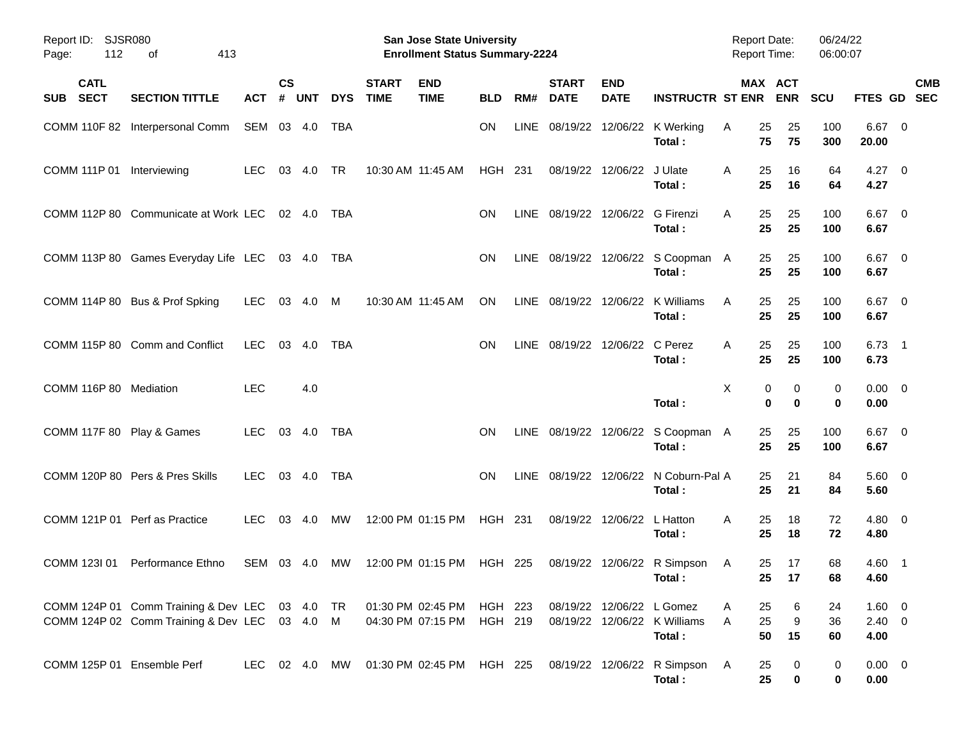| Report ID: SJSR080<br>112<br>Page: | 413<br>οf                                                                                       |               |                    |            |            |                             | San Jose State University<br><b>Enrollment Status Summary-2224</b> |                    |             |                                  |                            |                                                 | <b>Report Date:</b><br><b>Report Time:</b> |                                | 06/24/22<br>06:00:07 |                              |                           |
|------------------------------------|-------------------------------------------------------------------------------------------------|---------------|--------------------|------------|------------|-----------------------------|--------------------------------------------------------------------|--------------------|-------------|----------------------------------|----------------------------|-------------------------------------------------|--------------------------------------------|--------------------------------|----------------------|------------------------------|---------------------------|
| <b>CATL</b><br><b>SECT</b><br>SUB  | <b>SECTION TITTLE</b>                                                                           | <b>ACT</b>    | $\mathsf{cs}$<br># | <b>UNT</b> | <b>DYS</b> | <b>START</b><br><b>TIME</b> | <b>END</b><br><b>TIME</b>                                          | <b>BLD</b>         | RM#         | <b>START</b><br><b>DATE</b>      | <b>END</b><br><b>DATE</b>  | <b>INSTRUCTR ST ENR</b>                         |                                            | MAX ACT<br><b>ENR</b>          | <b>SCU</b>           |                              | <b>CMB</b><br>FTES GD SEC |
|                                    | COMM 110F 82 Interpersonal Comm                                                                 | SEM 03 4.0    |                    |            | TBA        |                             |                                                                    | ON                 | <b>LINE</b> |                                  |                            | 08/19/22 12/06/22 K Werking<br>Total:           | 25<br>A<br>75                              | 25<br>75                       | 100<br>300           | $6.67$ 0<br>20.00            |                           |
| COMM 111P 01 Interviewing          |                                                                                                 | <b>LEC</b>    | 03                 | 4.0        | <b>TR</b>  | 10:30 AM 11:45 AM           |                                                                    | <b>HGH 231</b>     |             |                                  | 08/19/22 12/06/22          | J Ulate<br>Total:                               | 25<br>A<br>25                              | 16<br>16                       | 64<br>64             | $4.27 \t 0$<br>4.27          |                           |
|                                    | COMM 112P 80 Communicate at Work LEC                                                            |               |                    | 02 4.0     | TBA        |                             |                                                                    | <b>ON</b>          |             | LINE 08/19/22 12/06/22 G Firenzi |                            | Total:                                          | 25<br>A<br>25                              | 25<br>25                       | 100<br>100           | $6.67$ 0<br>6.67             |                           |
|                                    | COMM 113P 80 Games Everyday Life LEC 03 4.0                                                     |               |                    |            | TBA        |                             |                                                                    | <b>ON</b>          |             |                                  |                            | LINE 08/19/22 12/06/22 S Coopman A<br>Total:    | 25<br>25                                   | 25<br>25                       | 100<br>100           | $6.67$ 0<br>6.67             |                           |
|                                    | COMM 114P 80 Bus & Prof Spking                                                                  | LEC.          |                    | 03 4.0     | M          | 10:30 AM 11:45 AM           |                                                                    | ON                 |             | LINE 08/19/22 12/06/22           |                            | K Williams<br>Total:                            | 25<br>A<br>25                              | 25<br>25                       | 100<br>100           | $6.67$ 0<br>6.67             |                           |
|                                    | COMM 115P 80 Comm and Conflict                                                                  | <b>LEC</b>    | 03                 | 4.0        | <b>TBA</b> |                             |                                                                    | ON                 |             | LINE 08/19/22 12/06/22           |                            | C Perez<br>Total:                               | 25<br>A<br>25                              | 25<br>25                       | 100<br>100           | $6.73$ 1<br>6.73             |                           |
| COMM 116P 80 Mediation             |                                                                                                 | <b>LEC</b>    |                    | 4.0        |            |                             |                                                                    |                    |             |                                  |                            | Total:                                          | X                                          | 0<br>0<br>$\bf{0}$<br>$\bf{0}$ | 0<br>0               | $0.00 \t 0$<br>0.00          |                           |
| COMM 117F 80 Play & Games          |                                                                                                 | LEC.          |                    | 03 4.0     | <b>TBA</b> |                             |                                                                    | <b>ON</b>          |             |                                  |                            | LINE 08/19/22 12/06/22 S Coopman A<br>Total:    | 25<br>25                                   | 25<br>25                       | 100<br>100           | $6.67$ 0<br>6.67             |                           |
|                                    | COMM 120P 80 Pers & Pres Skills                                                                 | <b>LEC</b>    |                    | 03 4.0     | <b>TBA</b> |                             |                                                                    | <b>ON</b>          |             |                                  |                            | LINE 08/19/22 12/06/22 N Coburn-Pal A<br>Total: | 25<br>25                                   | 21<br>21                       | 84<br>84             | $5.60 \quad 0$<br>5.60       |                           |
| COMM 121P 01 Perf as Practice      |                                                                                                 | <b>LEC</b>    |                    | 03 4.0     | МW         | 12:00 PM 01:15 PM           |                                                                    | HGH 231            |             |                                  | 08/19/22 12/06/22 L Hatton | Total:                                          | 25<br>A<br>25                              | 18<br>18                       | 72<br>72             | $4.80\ 0$<br>4.80            |                           |
| COMM 123I 01                       | Performance Ethno                                                                               | SEM 03 4.0    |                    |            | MW         |                             | 12:00 PM 01:15 PM                                                  | HGH 225            |             |                                  |                            | 08/19/22 12/06/22 R Simpson<br>Total:           | 25<br>A                                    | 17<br>25 17                    | 68<br>68             | 4.60 1<br>4.60               |                           |
|                                    | COMM 124P 01 Comm Training & Dev LEC 03 4.0 TR<br>COMM 124P 02 Comm Training & Dev LEC 03 4.0 M |               |                    |            |            |                             | 01:30 PM 02:45 PM<br>04:30 PM 07:15 PM                             | HGH 223<br>HGH 219 |             |                                  | 08/19/22 12/06/22 L Gomez  | 08/19/22 12/06/22 K Williams<br>Total:          | 25<br>A<br>25<br>A<br>50                   | 6<br>9<br>15                   | 24<br>36<br>60       | 1.60 0<br>$2.40 \ 0$<br>4.00 |                           |
| COMM 125P 01 Ensemble Perf         |                                                                                                 | LEC 02 4.0 MW |                    |            |            |                             | 01:30 PM_02:45 PM                                                  | HGH 225            |             |                                  |                            | 08/19/22 12/06/22 R Simpson<br>Total:           | 25<br>A<br>25                              | 0<br>$\bf{0}$                  | 0<br>0               | $0.00 \t 0$<br>0.00          |                           |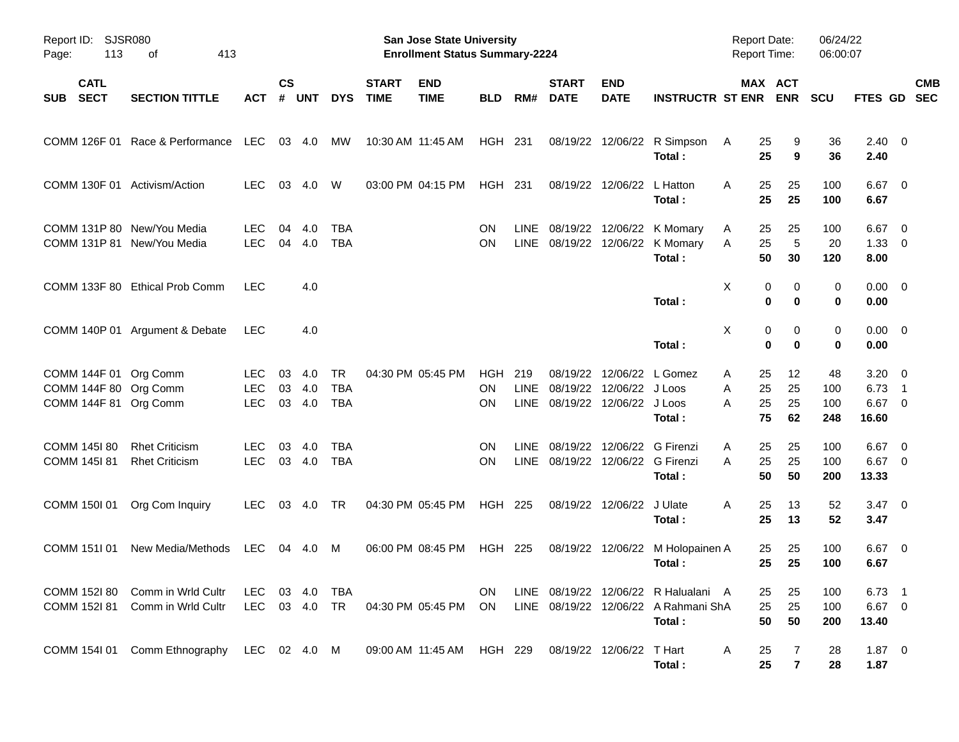| Report ID: SJSR080<br>113<br>Page:                                      | 413<br>οf                                                |                                  |                |                      |                                |                             | <b>San Jose State University</b><br><b>Enrollment Status Summary-2224</b> |                               |             |                                                       |                             |                                                                                        | <b>Report Date:</b><br><b>Report Time:</b> |                                | 06/24/22<br>06:00:07    |                                             |                           |
|-------------------------------------------------------------------------|----------------------------------------------------------|----------------------------------|----------------|----------------------|--------------------------------|-----------------------------|---------------------------------------------------------------------------|-------------------------------|-------------|-------------------------------------------------------|-----------------------------|----------------------------------------------------------------------------------------|--------------------------------------------|--------------------------------|-------------------------|---------------------------------------------|---------------------------|
| <b>CATL</b><br><b>SECT</b><br><b>SUB</b>                                | <b>SECTION TITTLE</b>                                    | <b>ACT</b>                       | <b>CS</b><br># | <b>UNT</b>           | <b>DYS</b>                     | <b>START</b><br><b>TIME</b> | <b>END</b><br><b>TIME</b>                                                 | <b>BLD</b>                    | RM#         | <b>START</b><br><b>DATE</b>                           | <b>END</b><br><b>DATE</b>   | <b>INSTRUCTR ST ENR</b>                                                                |                                            | MAX ACT<br><b>ENR</b>          | <b>SCU</b>              |                                             | <b>CMB</b><br>FTES GD SEC |
|                                                                         | COMM 126F 01 Race & Performance LEC                      |                                  |                | 03 4.0               | МW                             |                             | 10:30 AM 11:45 AM                                                         | HGH 231                       |             |                                                       |                             | 08/19/22 12/06/22 R Simpson<br>Total:                                                  | 25<br>A<br>25                              | 9<br>9                         | 36<br>36                | $2.40 \ 0$<br>2.40                          |                           |
| COMM 130F 01 Activism/Action                                            |                                                          | <b>LEC</b>                       | 03             | 4.0                  | W                              |                             | 03:00 PM 04:15 PM                                                         | <b>HGH 231</b>                |             |                                                       | 08/19/22 12/06/22           | L Hatton<br>Total:                                                                     | A<br>25<br>25                              | 25<br>25                       | 100<br>100              | $6.67$ 0<br>6.67                            |                           |
|                                                                         | COMM 131P 80 New/You Media<br>COMM 131P 81 New/You Media | <b>LEC</b><br><b>LEC</b>         | 04<br>04       | 4.0<br>4.0           | <b>TBA</b><br><b>TBA</b>       |                             |                                                                           | ON<br><b>ON</b>               | <b>LINE</b> |                                                       |                             | 08/19/22 12/06/22 K Momary<br>LINE 08/19/22 12/06/22 K Momary<br>Total:                | 25<br>A<br>25<br>Α<br>50                   | 25<br>5<br>30                  | 100<br>20<br>120        | $6.67$ 0<br>$1.33 \ 0$<br>8.00              |                           |
|                                                                         | COMM 133F 80 Ethical Prob Comm                           | <b>LEC</b>                       |                | 4.0                  |                                |                             |                                                                           |                               |             |                                                       |                             | Total:                                                                                 | X                                          | 0<br>0<br>$\bf{0}$<br>$\bf{0}$ | 0<br>0                  | $0.00 \ 0$<br>0.00                          |                           |
|                                                                         | COMM 140P 01 Argument & Debate                           | <b>LEC</b>                       |                | 4.0                  |                                |                             |                                                                           |                               |             |                                                       |                             | Total:                                                                                 | X                                          | 0<br>0<br>$\bf{0}$<br>$\bf{0}$ | 0<br>0                  | $0.00 \ 0$<br>0.00                          |                           |
| COMM 144F 01 Org Comm<br>COMM 144F 80 Org Comm<br>COMM 144F 81 Org Comm |                                                          | LEC.<br><b>LEC</b><br><b>LEC</b> | 03<br>03       | 4.0<br>4.0<br>03 4.0 | TR<br><b>TBA</b><br><b>TBA</b> |                             | 04:30 PM 05:45 PM                                                         | <b>HGH</b><br><b>ON</b><br>OΝ | 219<br>LINE | 08/19/22<br>08/19/22<br>LINE 08/19/22 12/06/22 J Loos | 12/06/22<br>12/06/22 J Loos | L Gomez<br>Total:                                                                      | 25<br>A<br>25<br>A<br>25<br>A<br>75        | 12<br>25<br>25<br>62           | 48<br>100<br>100<br>248 | $3.20 \ 0$<br>$6.73$ 1<br>$6.67$ 0<br>16.60 |                           |
| COMM 145I 80<br>COMM 145I 81                                            | <b>Rhet Criticism</b><br><b>Rhet Criticism</b>           | <b>LEC</b><br><b>LEC</b>         | 03             | 4.0<br>03 4.0        | <b>TBA</b><br><b>TBA</b>       |                             |                                                                           | ON<br><b>ON</b>               | LINE        | 08/19/22<br>LINE 08/19/22 12/06/22 G Firenzi          |                             | 12/06/22 G Firenzi<br>Total:                                                           | 25<br>A<br>25<br>A<br>50                   | 25<br>25<br>50                 | 100<br>100<br>200       | $6.67$ 0<br>$6.67$ 0<br>13.33               |                           |
| COMM 150I 01                                                            | Org Com Inquiry                                          | <b>LEC</b>                       |                | 03 4.0               | TR                             |                             | 04:30 PM 05:45 PM                                                         | <b>HGH 225</b>                |             |                                                       | 08/19/22 12/06/22           | J Ulate<br>Total:                                                                      | 25<br>A<br>25                              | 13<br>13                       | 52<br>52                | $3.47 \quad 0$<br>3.47                      |                           |
| COMM 151101                                                             | New Media/Methods                                        | LEC.                             |                | 04 4.0               | M                              |                             | 06:00 PM 08:45 PM                                                         | HGH 225                       |             |                                                       | 08/19/22 12/06/22           | M Holopainen A<br>Total:                                                               | 25<br>25                                   | 25<br>25                       | 100<br>100              | $6.67$ 0<br>6.67                            |                           |
| COMM 152l 81                                                            | COMM 1521 80 Comm in Wrld Cultr<br>Comm in Wrld Cultr    | LEC 03 4.0 TBA<br>LEC 03 4.0 TR  |                |                      |                                |                             | 04:30 PM 05:45 PM ON                                                      | ON.                           |             |                                                       |                             | LINE 08/19/22 12/06/22 R Halualani A<br>LINE 08/19/22 12/06/22 A Rahmani ShA<br>Total: | 25<br>25<br>50                             | 25<br>25<br>50                 | 100<br>100<br>200       | $6.73$ 1<br>$6.67$ 0<br>13.40               |                           |
|                                                                         | COMM 154I 01 Comm Ethnography LEC 02 4.0 M               |                                  |                |                      |                                |                             | 09:00 AM_11:45 AM  HGH 229                                                |                               |             |                                                       | 08/19/22 12/06/22 T Hart    | Total:                                                                                 | A<br>25<br>25                              | 7<br>$\overline{7}$            | 28<br>28                | $1.87 \t 0$<br>1.87                         |                           |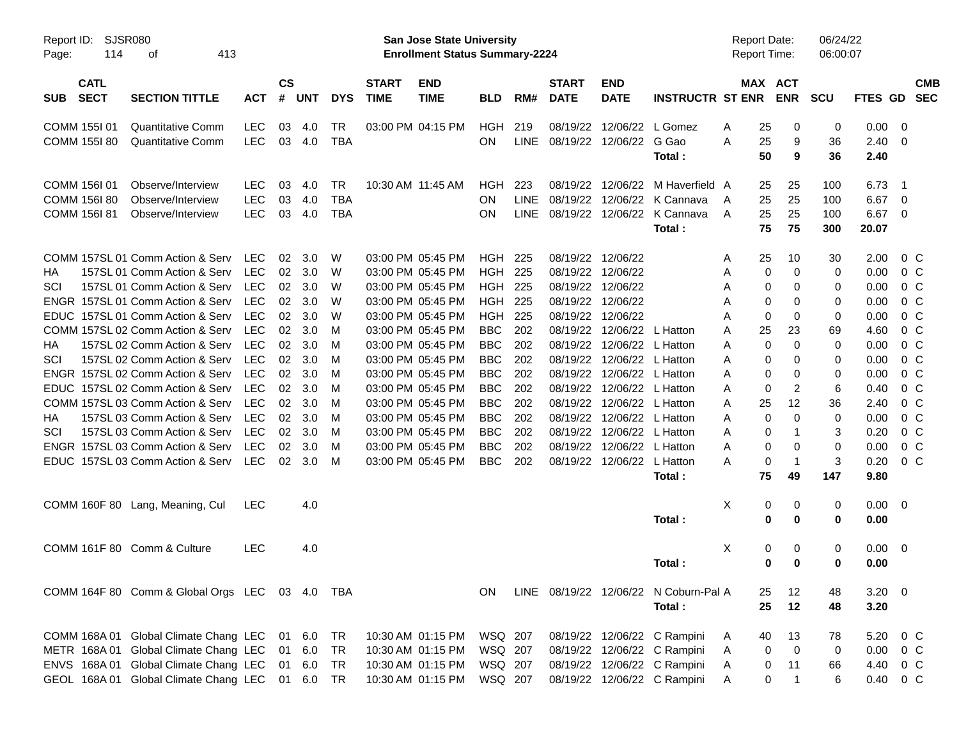| Report ID:<br>114<br>Page:               | <b>SJSR080</b><br>413<br>оf                     |            |                             |            |            |                             | San Jose State University<br><b>Enrollment Status Summary-2224</b> |                |             |                              |                            |                                       |   | <b>Report Date:</b><br><b>Report Time:</b> |                               | 06/24/22<br>06:00:07 |                        |                          |            |
|------------------------------------------|-------------------------------------------------|------------|-----------------------------|------------|------------|-----------------------------|--------------------------------------------------------------------|----------------|-------------|------------------------------|----------------------------|---------------------------------------|---|--------------------------------------------|-------------------------------|----------------------|------------------------|--------------------------|------------|
| <b>CATL</b><br><b>SECT</b><br><b>SUB</b> | <b>SECTION TITTLE</b>                           | <b>ACT</b> | $\mathsf{cs}$<br>$\pmb{\#}$ | <b>UNT</b> | <b>DYS</b> | <b>START</b><br><b>TIME</b> | <b>END</b><br><b>TIME</b>                                          | <b>BLD</b>     | RM#         | <b>START</b><br><b>DATE</b>  | <b>END</b><br><b>DATE</b>  | <b>INSTRUCTR ST ENR</b>               |   |                                            | MAX ACT<br><b>ENR</b>         | <b>SCU</b>           | FTES GD SEC            |                          | <b>CMB</b> |
| COMM 155101                              | <b>Quantitative Comm</b>                        | <b>LEC</b> | 03                          | 4.0        | <b>TR</b>  |                             | 03:00 PM 04:15 PM                                                  | HGH            | 219         | 08/19/22                     |                            | 12/06/22 L Gomez                      | A | 25                                         | 0                             | 0                    | 0.00                   | - 0                      |            |
| COMM 155I 80                             | <b>Quantitative Comm</b>                        | <b>LEC</b> |                             | 03 4.0     | <b>TBA</b> |                             |                                                                    | <b>ON</b>      |             | LINE 08/19/22 12/06/22 G Gao |                            | Total:                                | A | 25<br>50                                   | 9<br>9                        | 36<br>36             | $2.40 \quad 0$<br>2.40 |                          |            |
| COMM 156I 01                             | Observe/Interview                               | <b>LEC</b> | 03                          | 4.0        | <b>TR</b>  |                             | 10:30 AM 11:45 AM                                                  | HGH            | 223         |                              |                            | 08/19/22 12/06/22 M Haverfield A      |   | 25                                         | 25                            | 100                  | 6.73                   | $\overline{\phantom{1}}$ |            |
| COMM 156I 80                             | Observe/Interview                               | <b>LEC</b> | 03                          | 4.0        | <b>TBA</b> |                             |                                                                    | ΟN             | <b>LINE</b> | 08/19/22                     |                            | 12/06/22 K Cannava                    | A | 25                                         | 25                            | 100                  | 6.67                   | - 0                      |            |
| <b>COMM 156I 81</b>                      | Observe/Interview                               | <b>LEC</b> | 03                          | 4.0        | <b>TBA</b> |                             |                                                                    | ΟN             | LINE        |                              |                            | 08/19/22 12/06/22 K Cannava<br>Total: | A | 25<br>75                                   | 25<br>75                      | 100<br>300           | 6.67<br>20.07          | - 0                      |            |
|                                          | COMM 157SL 01 Comm Action & Serv                | <b>LEC</b> | 02                          | 3.0        | W          |                             | 03:00 PM 05:45 PM                                                  | <b>HGH 225</b> |             |                              | 08/19/22 12/06/22          |                                       | A | 25                                         | 10                            | 30                   | 2.00                   | $0\,$ C                  |            |
| НA                                       | 157SL 01 Comm Action & Serv                     | <b>LEC</b> | 02                          | 3.0        | W          |                             | 03:00 PM 05:45 PM                                                  | <b>HGH 225</b> |             | 08/19/22                     | 12/06/22                   |                                       | Α | 0                                          | 0                             | 0                    | 0.00                   | 0 <sup>C</sup>           |            |
| SCI                                      | 157SL 01 Comm Action & Serv                     | <b>LEC</b> | 02                          | 3.0        | W          |                             | 03:00 PM 05:45 PM                                                  | <b>HGH 225</b> |             | 08/19/22                     | 12/06/22                   |                                       | A | 0                                          | 0                             | 0                    | 0.00                   | $0\,$ C                  |            |
|                                          | ENGR 157SL 01 Comm Action & Serv                | <b>LEC</b> | 02                          | 3.0        | W          |                             | 03:00 PM 05:45 PM                                                  | <b>HGH 225</b> |             |                              | 08/19/22 12/06/22          |                                       | A | 0                                          | 0                             | 0                    | 0.00                   | $0\,$ C                  |            |
|                                          | EDUC 157SL 01 Comm Action & Serv                | <b>LEC</b> | 02                          | 3.0        | W          |                             | 03:00 PM 05:45 PM                                                  | <b>HGH</b>     | 225         | 08/19/22                     | 12/06/22                   |                                       | A | 0                                          | 0                             | 0                    | 0.00                   | 0 <sup>C</sup>           |            |
|                                          | COMM 157SL 02 Comm Action & Serv                | <b>LEC</b> | 02                          | 3.0        | M          |                             | 03:00 PM 05:45 PM                                                  | <b>BBC</b>     | 202         | 08/19/22                     | 12/06/22                   | L Hatton                              | A | 25                                         | 23                            | 69                   | 4.60                   | 0 <sup>C</sup>           |            |
| НA                                       | 157SL 02 Comm Action & Serv                     | <b>LEC</b> | 02                          | 3.0        | M          |                             | 03:00 PM 05:45 PM                                                  | <b>BBC</b>     | 202         | 08/19/22                     | 12/06/22                   | L Hatton                              | A | 0                                          | 0                             | 0                    | 0.00                   | $0\,C$                   |            |
| SCI                                      | 157SL 02 Comm Action & Serv                     | <b>LEC</b> | 02                          | 3.0        | M          |                             | 03:00 PM 05:45 PM                                                  | <b>BBC</b>     | 202         | 08/19/22                     | 12/06/22 L Hatton          |                                       | A | 0                                          | 0                             | 0                    | 0.00                   | 0 <sup>C</sup>           |            |
|                                          | ENGR 157SL 02 Comm Action & Serv                | <b>LEC</b> | 02                          | 3.0        | M          |                             | 03:00 PM 05:45 PM                                                  | <b>BBC</b>     | 202         | 08/19/22                     | 12/06/22 L Hatton          |                                       | A | 0                                          | 0                             | 0                    | 0.00                   | 0 <sup>C</sup>           |            |
|                                          | EDUC 157SL 02 Comm Action & Serv                | <b>LEC</b> | 02                          | 3.0        | M          |                             | 03:00 PM 05:45 PM                                                  | <b>BBC</b>     | 202         | 08/19/22                     | 12/06/22 L Hatton          |                                       | A | 0                                          | 2                             | 6                    | 0.40                   | $0\,C$                   |            |
|                                          | COMM 157SL 03 Comm Action & Serv                | <b>LEC</b> | 02                          | 3.0        | M          |                             | 03:00 PM 05:45 PM                                                  | <b>BBC</b>     | 202         | 08/19/22                     | 12/06/22                   | L Hatton                              | A | 25                                         | 12                            | 36                   | 2.40                   | 0 <sup>C</sup>           |            |
| НA                                       | 157SL 03 Comm Action & Serv                     | <b>LEC</b> | 02                          | 3.0        | M          |                             | 03:00 PM 05:45 PM                                                  | <b>BBC</b>     | 202         | 08/19/22                     | 12/06/22                   | L Hatton                              | A | 0                                          | 0                             | 0                    | 0.00                   | 0 <sup>C</sup>           |            |
| SCI                                      | 157SL 03 Comm Action & Serv                     | <b>LEC</b> | 02                          | 3.0        | M          |                             | 03:00 PM 05:45 PM                                                  | <b>BBC</b>     | 202         | 08/19/22                     | 12/06/22                   | L Hatton                              | A | 0                                          | 1                             | 3                    | 0.20                   | 0 <sup>C</sup>           |            |
|                                          | ENGR 157SL 03 Comm Action & Serv                | <b>LEC</b> | 02                          | 3.0        | M          |                             | 03:00 PM 05:45 PM                                                  | <b>BBC</b>     | 202         | 08/19/22                     | 12/06/22                   | L Hatton                              | A | 0                                          | 0                             | 0                    | 0.00                   | 0 <sup>C</sup>           |            |
|                                          | EDUC 157SL 03 Comm Action & Serv                | LEC        | 02                          | 3.0        | M          |                             | 03:00 PM 05:45 PM                                                  | <b>BBC</b>     | 202         |                              | 08/19/22 12/06/22 L Hatton | Total:                                | A | 0<br>75                                    | $\overline{\mathbf{1}}$<br>49 | 3<br>147             | 0.20<br>9.80           | $0\,C$                   |            |
|                                          | COMM 160F 80 Lang, Meaning, Cul                 | <b>LEC</b> |                             | 4.0        |            |                             |                                                                    |                |             |                              |                            |                                       | X | 0                                          | 0                             | 0                    | $0.00 \ 0$             |                          |            |
|                                          |                                                 |            |                             |            |            |                             |                                                                    |                |             |                              |                            | Total:                                |   | 0                                          | 0                             | 0                    | 0.00                   |                          |            |
|                                          | COMM 161F 80 Comm & Culture                     | <b>LEC</b> |                             | 4.0        |            |                             |                                                                    |                |             |                              |                            |                                       | Χ | 0                                          | 0                             | 0                    | $0.00 \t 0$            |                          |            |
|                                          |                                                 |            |                             |            |            |                             |                                                                    |                |             |                              |                            | Total:                                |   | 0                                          | 0                             | 0                    | 0.00                   |                          |            |
|                                          | COMM 164F 80 Comm & Global Orgs LEC 03 4.0 TBA  |            |                             |            |            |                             |                                                                    | ON.            |             |                              |                            | LINE 08/19/22 12/06/22 N Coburn-Pal A |   | 25                                         | 12                            | 48                   | $3.20 \ 0$             |                          |            |
|                                          |                                                 |            |                             |            |            |                             |                                                                    |                |             |                              |                            | Total:                                |   | 25                                         | 12                            | 48                   | 3.20                   |                          |            |
|                                          | COMM 168A 01 Global Climate Chang LEC           |            |                             | 01 6.0     | TR         |                             | 10:30 AM 01:15 PM                                                  | WSQ 207        |             |                              |                            | 08/19/22 12/06/22 C Rampini           | A | 40                                         | 13                            | 78                   | 5.20 0 C               |                          |            |
|                                          | METR 168A 01 Global Climate Chang LEC           |            | 01                          | 6.0        | TR         |                             | 10:30 AM 01:15 PM                                                  | WSQ 207        |             |                              |                            | 08/19/22 12/06/22 C Rampini           | Α | 0                                          | $\mathbf 0$                   | 0                    | $0.00 \t 0 C$          |                          |            |
|                                          | ENVS 168A 01 Global Climate Chang LEC           |            |                             | 01 6.0     | TR         |                             | 10:30 AM 01:15 PM                                                  | WSQ 207        |             |                              |                            | 08/19/22 12/06/22 C Rampini           | A | 0                                          | 11                            | 66                   | 4.40 0 C               |                          |            |
|                                          | GEOL 168A 01 Global Climate Chang LEC 01 6.0 TR |            |                             |            |            |                             | 10:30 AM 01:15 PM                                                  | WSQ 207        |             |                              |                            | 08/19/22 12/06/22 C Rampini           | A | 0                                          | $\mathbf{1}$                  | 6                    | 0.40 0 C               |                          |            |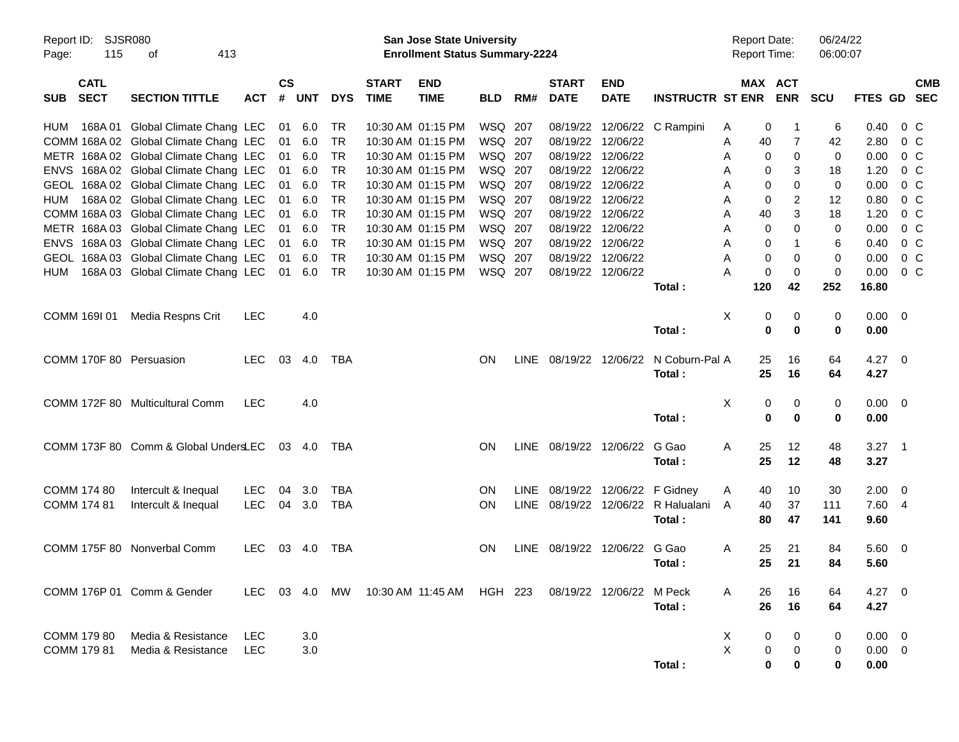| Report ID: SJSR080<br>115<br>Page:       | 413<br>οf                                                         |            |                    |            |            |                             | San Jose State University<br><b>Enrollment Status Summary-2224</b> |                    |       |                             |                            |                         |        | <b>Report Date:</b><br><b>Report Time:</b> |                           | 06/24/22<br>06:00:07 |                               |            |
|------------------------------------------|-------------------------------------------------------------------|------------|--------------------|------------|------------|-----------------------------|--------------------------------------------------------------------|--------------------|-------|-----------------------------|----------------------------|-------------------------|--------|--------------------------------------------|---------------------------|----------------------|-------------------------------|------------|
| <b>CATL</b><br><b>SECT</b><br><b>SUB</b> | <b>SECTION TITTLE</b>                                             | <b>ACT</b> | $\mathsf{cs}$<br># | <b>UNT</b> | <b>DYS</b> | <b>START</b><br><b>TIME</b> | <b>END</b><br><b>TIME</b>                                          | <b>BLD</b>         | RM#   | <b>START</b><br><b>DATE</b> | <b>END</b><br><b>DATE</b>  | <b>INSTRUCTR ST ENR</b> |        | MAX ACT<br><b>ENR</b>                      | <b>SCU</b>                | FTES GD SEC          |                               | <b>CMB</b> |
| 168A 01<br><b>HUM</b>                    | Global Climate Chang LEC<br>COMM 168A 02 Global Climate Chang LEC |            | 01<br>01           | 6.0<br>6.0 | TR<br>TR   |                             | 10:30 AM 01:15 PM<br>10:30 AM 01:15 PM                             | WSQ 207<br>WSQ 207 |       | 08/19/22<br>08/19/22        | 12/06/22                   | 12/06/22 C Rampini      | A<br>Α | 0<br>40                                    | 6<br>$\overline{7}$<br>42 | 2.80                 | $0.40 \quad 0 \quad C$<br>0 C |            |
|                                          | METR 168A 02 Global Climate Chang LEC                             |            | 01                 | 6.0        | TR         |                             | 10:30 AM 01:15 PM                                                  | WSQ 207            |       | 08/19/22                    | 12/06/22                   |                         | Α      | 0                                          | 0<br>0                    | 0.00                 | 0 C                           |            |
|                                          | ENVS 168A 02 Global Climate Chang LEC                             |            | 01                 | 6.0        | TR         |                             | 10:30 AM 01:15 PM                                                  | WSQ 207            |       | 08/19/22                    | 12/06/22                   |                         | Α      | 0                                          | 3<br>18                   | 1.20                 | 0 C                           |            |
|                                          | GEOL 168A 02 Global Climate Chang LEC                             |            | 01                 | 6.0        | TR         |                             | 10:30 AM 01:15 PM                                                  | WSQ 207            |       | 08/19/22                    | 12/06/22                   |                         | Α      | 0                                          | 0<br>0                    | 0.00                 | 0 C                           |            |
| HUM                                      | 168A 02 Global Climate Chang LEC                                  |            | 01                 | 6.0        | TR         |                             | 10:30 AM 01:15 PM                                                  | WSQ 207            |       | 08/19/22                    | 12/06/22                   |                         | Α      | 0                                          | 2<br>12                   | 0.80                 | 0 C                           |            |
|                                          | COMM 168A 03 Global Climate Chang LEC                             |            | 01                 | 6.0        | TR         |                             | 10:30 AM 01:15 PM                                                  | WSQ 207            |       | 08/19/22                    | 12/06/22                   |                         | Α      | 40                                         | 3<br>18                   | 1.20                 | 0 C                           |            |
|                                          | METR 168A 03 Global Climate Chang LEC                             |            | 01                 | 6.0        | TR         |                             | 10:30 AM 01:15 PM                                                  | WSQ 207            |       | 08/19/22                    | 12/06/22                   |                         | Α      | 0                                          | $\Omega$<br>0             | 0.00                 | 0 C                           |            |
|                                          | ENVS 168A 03 Global Climate Chang LEC                             |            | 01                 | 6.0        | TR         |                             | 10:30 AM 01:15 PM                                                  | WSQ 207            |       | 08/19/22                    | 12/06/22                   |                         | Α      | 0                                          | 1<br>6                    |                      | $0.40 \quad 0 \quad C$        |            |
|                                          | GEOL 168A 03 Global Climate Chang LEC                             |            | 01                 | 6.0        | TR         |                             | 10:30 AM 01:15 PM                                                  | WSQ 207            |       |                             | 08/19/22 12/06/22          |                         | A      | 0                                          | 0<br>0                    |                      | $0.00 \t 0 C$                 |            |
| HUM                                      | 168A 03 Global Climate Chang LEC                                  |            | 01                 | 6.0        | TR         |                             | 10:30 AM 01:15 PM                                                  | WSQ 207            |       |                             | 08/19/22 12/06/22          |                         | Α      | $\mathbf 0$                                | 0<br>0                    |                      | $0.00 \t 0 C$                 |            |
|                                          |                                                                   |            |                    |            |            |                             |                                                                    |                    |       |                             |                            | Total:                  | 120    | 42                                         | 252                       | 16.80                |                               |            |
|                                          |                                                                   |            |                    |            |            |                             |                                                                    |                    |       |                             |                            |                         |        |                                            |                           |                      |                               |            |
| COMM 169I 01                             | Media Respns Crit                                                 | <b>LEC</b> |                    | 4.0        |            |                             |                                                                    |                    |       |                             |                            |                         | X      | 0<br>$\mathbf 0$                           | 0<br>0<br>$\bf{0}$        | $0.00 \t 0$          |                               |            |
|                                          |                                                                   |            |                    |            |            |                             |                                                                    |                    |       |                             |                            | Total:                  |        |                                            | 0                         | 0.00                 |                               |            |
| COMM 170F 80 Persuasion                  |                                                                   | <b>LEC</b> | 03                 | 4.0        | TBA        |                             |                                                                    | <b>ON</b>          | LINE  | 08/19/22 12/06/22           |                            | N Coburn-Pal A          |        | 25<br>16                                   | 64                        | $4.27 \ 0$           |                               |            |
|                                          |                                                                   |            |                    |            |            |                             |                                                                    |                    |       |                             |                            | Total:                  |        | 25<br>16                                   | 64                        | 4.27                 |                               |            |
|                                          |                                                                   |            |                    |            |            |                             |                                                                    |                    |       |                             |                            |                         |        |                                            |                           |                      |                               |            |
|                                          | COMM 172F 80 Multicultural Comm                                   | <b>LEC</b> |                    | 4.0        |            |                             |                                                                    |                    |       |                             |                            |                         | X      | 0                                          | 0<br>0                    | $0.00 \t 0$          |                               |            |
|                                          |                                                                   |            |                    |            |            |                             |                                                                    |                    |       |                             |                            | Total:                  |        | $\bf{0}$                                   | $\bf{0}$<br>0             | 0.00                 |                               |            |
|                                          |                                                                   |            |                    |            |            |                             |                                                                    |                    |       |                             |                            |                         |        |                                            |                           |                      |                               |            |
|                                          | COMM 173F 80 Comm & Global UndersLEC                              |            |                    | 03 4.0     | TBA        |                             |                                                                    | <b>ON</b>          |       | LINE 08/19/22 12/06/22      |                            | G Gao                   | A      | 25<br>12                                   | 48                        | $3.27$ 1             |                               |            |
|                                          |                                                                   |            |                    |            |            |                             |                                                                    |                    |       |                             |                            | Total:                  |        | 25<br>12                                   | 48                        | 3.27                 |                               |            |
|                                          |                                                                   |            |                    |            |            |                             |                                                                    |                    |       |                             |                            |                         |        |                                            |                           |                      |                               |            |
| COMM 174 80                              | Intercult & Inequal                                               | <b>LEC</b> | 04                 | 3.0        | <b>TBA</b> |                             |                                                                    | <b>ON</b>          | LINE. |                             | 08/19/22 12/06/22 F Gidney |                         | A      | 10<br>40                                   | 30                        | $2.00 \t 0$          |                               |            |
| COMM 174 81                              | Intercult & Inequal                                               | <b>LEC</b> | 04                 | 3.0        | <b>TBA</b> |                             |                                                                    | ON                 | LINE  |                             | 08/19/22 12/06/22          | R Halualani             | A      | 40<br>37                                   | 111                       | 7.60 4               |                               |            |
|                                          |                                                                   |            |                    |            |            |                             |                                                                    |                    |       |                             |                            | Total:                  |        | 80<br>47                                   | 141                       | 9.60                 |                               |            |
|                                          |                                                                   |            |                    |            |            |                             |                                                                    |                    |       |                             |                            |                         |        |                                            |                           |                      |                               |            |
|                                          | COMM 175F 80 Nonverbal Comm                                       | <b>LEC</b> | 03                 | -4.0       | TBA        |                             |                                                                    | <b>ON</b>          | LINE  | 08/19/22 12/06/22           |                            | G Gao                   | A      | 25<br>21                                   | 84                        | $5.60$ 0             |                               |            |
|                                          |                                                                   |            |                    |            |            |                             |                                                                    |                    |       |                             |                            | Total:                  |        | 25<br>21                                   | 84                        | 5.60                 |                               |            |
|                                          |                                                                   |            |                    |            |            |                             |                                                                    |                    |       |                             |                            |                         |        |                                            |                           |                      |                               |            |
|                                          | COMM 176P 01 Comm & Gender                                        | LEC.       |                    |            |            |                             | 10:30 AM  11:45 AM                                                 | HGH 223            |       |                             | 08/19/22 12/06/22          | M Peck                  | Α      | 26<br>16                                   | 64                        | $4.27 \t 0$          |                               |            |
|                                          |                                                                   |            |                    |            |            |                             |                                                                    |                    |       |                             |                            | Total:                  |        | 26<br>16                                   | 64                        | 4.27                 |                               |            |
| COMM 179 80                              | Media & Resistance                                                | <b>LEC</b> |                    | 3.0        |            |                             |                                                                    |                    |       |                             |                            |                         | X      | 0                                          | 0<br>0                    | $0.00 \t 0$          |                               |            |
| COMM 179 81                              | Media & Resistance                                                | <b>LEC</b> |                    | 3.0        |            |                             |                                                                    |                    |       |                             |                            |                         | X      | 0                                          | 0<br>0                    | $0.00 \t 0$          |                               |            |
|                                          |                                                                   |            |                    |            |            |                             |                                                                    |                    |       |                             |                            | Total:                  |        | 0                                          | 0<br>0                    | 0.00                 |                               |            |
|                                          |                                                                   |            |                    |            |            |                             |                                                                    |                    |       |                             |                            |                         |        |                                            |                           |                      |                               |            |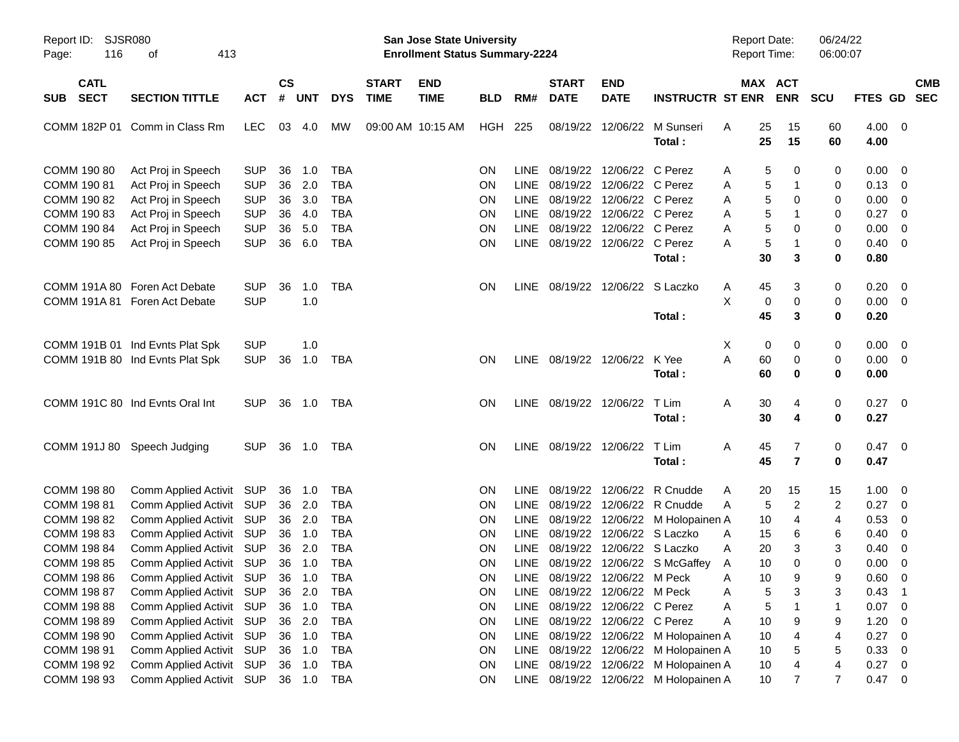| Report ID: SJSR080<br>116<br>Page: | 413<br>οf                       |            |               |            |            |                   | San Jose State University<br><b>Enrollment Status Summary-2224</b> |            |             |                        |                                 |                                       | <b>Report Date:</b><br><b>Report Time:</b> |                     | 06/24/22<br>06:00:07 |              |                         |
|------------------------------------|---------------------------------|------------|---------------|------------|------------|-------------------|--------------------------------------------------------------------|------------|-------------|------------------------|---------------------------------|---------------------------------------|--------------------------------------------|---------------------|----------------------|--------------|-------------------------|
| <b>CATL</b>                        |                                 |            | $\mathsf{cs}$ |            |            | <b>START</b>      | <b>END</b>                                                         |            |             | <b>START</b>           | <b>END</b>                      |                                       |                                            | MAX ACT             |                      |              | <b>CMB</b>              |
| <b>SECT</b><br>SUB                 | <b>SECTION TITTLE</b>           | <b>ACT</b> | #             | <b>UNT</b> | <b>DYS</b> | <b>TIME</b>       | <b>TIME</b>                                                        | <b>BLD</b> | RM#         | <b>DATE</b>            | <b>DATE</b>                     | <b>INSTRUCTR ST ENR</b>               |                                            | <b>ENR</b>          | <b>SCU</b>           | FTES GD      | <b>SEC</b>              |
| COMM 182P 01                       | Comm in Class Rm                | LEC.       | 03            | 4.0        | <b>MW</b>  | 09:00 AM 10:15 AM |                                                                    | HGH        | 225         |                        | 08/19/22 12/06/22               | M Sunseri<br>Total:                   | 25<br>A<br>25                              | 15<br>15            | 60<br>60             | 4.00<br>4.00 | $\overline{\mathbf{0}}$ |
| COMM 190 80                        | Act Proj in Speech              | <b>SUP</b> | 36            | 1.0        | <b>TBA</b> |                   |                                                                    | ON         | LINE.       | 08/19/22               | 12/06/22 C Perez                |                                       | A                                          | 5<br>0              | 0                    | 0.00         | 0                       |
| COMM 190 81                        | Act Proj in Speech              | <b>SUP</b> | 36            | 2.0        | <b>TBA</b> |                   |                                                                    | ON         | LINE        |                        | 08/19/22 12/06/22 C Perez       |                                       | Α                                          | 5<br>$\mathbf{1}$   | 0                    | 0.13         | 0                       |
| COMM 190 82                        | Act Proj in Speech              | <b>SUP</b> | 36            | 3.0        | <b>TBA</b> |                   |                                                                    | ON         | <b>LINE</b> |                        | 08/19/22 12/06/22 C Perez       |                                       | Α                                          | 5<br>0              | 0                    | 0.00         | 0                       |
| COMM 190 83                        | Act Proj in Speech              | <b>SUP</b> | 36            | 4.0        | <b>TBA</b> |                   |                                                                    | <b>ON</b>  | LINE        |                        | 08/19/22 12/06/22 C Perez       |                                       | A                                          | 5<br>$\mathbf 1$    | 0                    | 0.27         | 0                       |
| COMM 190 84                        | Act Proj in Speech              | <b>SUP</b> | 36            | 5.0        | <b>TBA</b> |                   |                                                                    | <b>ON</b>  | <b>LINE</b> |                        | 08/19/22 12/06/22 C Perez       |                                       | Α                                          | 5<br>$\mathbf 0$    | 0                    | 0.00         | $\mathbf 0$             |
| COMM 190 85                        | Act Proj in Speech              | <b>SUP</b> | 36            | 6.0        | <b>TBA</b> |                   |                                                                    | <b>ON</b>  |             |                        | LINE 08/19/22 12/06/22 C Perez  |                                       | Α                                          | 5<br>$\mathbf{1}$   | 0                    | 0.40         | 0                       |
|                                    |                                 |            |               |            |            |                   |                                                                    |            |             |                        |                                 | Total:                                | 30                                         | 3                   | 0                    | 0.80         |                         |
|                                    | COMM 191A 80 Foren Act Debate   | <b>SUP</b> | 36            | 1.0        | <b>TBA</b> |                   |                                                                    | <b>ON</b>  |             |                        | LINE 08/19/22 12/06/22 S Laczko |                                       | 45<br>A                                    | 3                   | 0                    | 0.20         | - 0                     |
|                                    | COMM 191A 81 Foren Act Debate   | <b>SUP</b> |               | 1.0        |            |                   |                                                                    |            |             |                        |                                 |                                       | X                                          | $\pmb{0}$<br>0      | 0                    | 0.00         | $\overline{0}$          |
|                                    |                                 |            |               |            |            |                   |                                                                    |            |             |                        |                                 | Total:                                | 45                                         | 3                   | 0                    | 0.20         |                         |
|                                    | COMM 191B 01 Ind Evnts Plat Spk | <b>SUP</b> |               | 1.0        |            |                   |                                                                    |            |             |                        |                                 |                                       | Χ                                          | 0<br>0              | 0                    | 0.00         | - 0                     |
|                                    | COMM 191B 80 Ind Evnts Plat Spk | <b>SUP</b> | 36            | 1.0        | <b>TBA</b> |                   |                                                                    | <b>ON</b>  |             | LINE 08/19/22 12/06/22 |                                 | K Yee                                 | A<br>60                                    | 0                   | 0                    | 0.00         | $\overline{0}$          |
|                                    |                                 |            |               |            |            |                   |                                                                    |            |             |                        |                                 | Total:                                | 60                                         | 0                   | 0                    | 0.00         |                         |
|                                    | COMM 191C 80 Ind Evnts Oral Int | <b>SUP</b> |               | 36 1.0     | TBA        |                   |                                                                    | <b>ON</b>  |             | LINE 08/19/22 12/06/22 |                                 | T Lim                                 | A<br>30                                    | 4                   | 0                    | 0.27         | - 0                     |
|                                    |                                 |            |               |            |            |                   |                                                                    |            |             |                        |                                 | Total:                                | 30                                         | 4                   | 0                    | 0.27         |                         |
|                                    | COMM 191J 80 Speech Judging     | <b>SUP</b> |               | 36 1.0     | TBA        |                   |                                                                    | <b>ON</b>  |             | LINE 08/19/22 12/06/22 |                                 | T Lim                                 | Α<br>45                                    | 7                   | 0                    | 0.47         | $\overline{0}$          |
|                                    |                                 |            |               |            |            |                   |                                                                    |            |             |                        |                                 | Total:                                | 45                                         | $\overline{7}$      | 0                    | 0.47         |                         |
| COMM 198 80                        | Comm Applied Activit SUP        |            |               | 36 1.0     | <b>TBA</b> |                   |                                                                    | ON         | LINE.       | 08/19/22               | 12/06/22                        | R Cnudde                              | 20<br>A                                    | 15                  | 15                   | 1.00         | 0                       |
| COMM 198 81                        | Comm Applied Activit SUP        |            | 36            | 2.0        | <b>TBA</b> |                   |                                                                    | ON         | LINE        |                        | 08/19/22 12/06/22               | R Cnudde                              | A                                          | $\overline{c}$<br>5 | 2                    | 0.27         | 0                       |
| COMM 198 82                        | Comm Applied Activit SUP        |            |               | 36 2.0     | <b>TBA</b> |                   |                                                                    | ON         | LINE        |                        |                                 | 08/19/22 12/06/22 M Holopainen A      | 10                                         | 4                   | 4                    | 0.53         | 0                       |
| COMM 198 83                        | Comm Applied Activit SUP        |            |               | 36 1.0     | <b>TBA</b> |                   |                                                                    | <b>ON</b>  | <b>LINE</b> |                        | 08/19/22 12/06/22 S Laczko      |                                       | 15<br>A                                    | 6                   | 6                    | 0.40         | 0                       |
| COMM 198 84                        | Comm Applied Activit SUP        |            |               | 36 2.0     | <b>TBA</b> |                   |                                                                    | <b>ON</b>  | <b>LINE</b> |                        | 08/19/22 12/06/22 S Laczko      |                                       | 20<br>A                                    | 3                   | 3                    | 0.40         | 0                       |
| COMM 198 85                        | Comm Applied Activit SUP        |            |               | 36 1.0     | <b>TBA</b> |                   |                                                                    | <b>ON</b>  | LINE        |                        |                                 | 08/19/22 12/06/22 S McGaffey          | 10<br>A                                    | $\mathbf 0$         | 0                    | 0.00         | $\mathbf 0$             |
| COMM 198 86                        | Comm Applied Activit SUP 36 1.0 |            |               |            | <b>TBA</b> |                   |                                                                    | ON         |             |                        | LINE 08/19/22 12/06/22 M Peck   |                                       | 10<br>Α                                    | 9                   | 9                    | 0.60         | $\overline{0}$          |
| COMM 198 87                        | Comm Applied Activit SUP        |            | 36            | 2.0        | TBA        |                   |                                                                    | <b>ON</b>  |             |                        | LINE 08/19/22 12/06/22 M Peck   |                                       | Α                                          | 5<br>3              | 3                    | 0.43         | $\overline{1}$          |
| COMM 198 88                        | Comm Applied Activit            | <b>SUP</b> |               | 36 1.0     | <b>TBA</b> |                   |                                                                    | ON         | <b>LINE</b> |                        | 08/19/22 12/06/22 C Perez       |                                       | Α                                          | 5<br>1              | 1                    | 0.07         | $\mathbf 0$             |
| COMM 198 89                        | Comm Applied Activit            | <b>SUP</b> | 36            | 2.0        | <b>TBA</b> |                   |                                                                    | ON         | LINE        |                        | 08/19/22 12/06/22 C Perez       |                                       | 10<br>Α                                    | 9                   | 9                    | 1.20         | 0                       |
| COMM 198 90                        | Comm Applied Activit            | <b>SUP</b> |               | 36 1.0     | <b>TBA</b> |                   |                                                                    | ON         | LINE        |                        |                                 | 08/19/22 12/06/22 M Holopainen A      | 10                                         | 4                   | 4                    | 0.27         | 0                       |
| COMM 198 91                        | Comm Applied Activit            | <b>SUP</b> |               | 36 1.0     | <b>TBA</b> |                   |                                                                    | <b>ON</b>  |             |                        |                                 | LINE 08/19/22 12/06/22 M Holopainen A | 10                                         | 5                   | 5                    | 0.33         | $\mathbf 0$             |
| COMM 198 92                        | Comm Applied Activit            | <b>SUP</b> |               | 36 1.0     | <b>TBA</b> |                   |                                                                    | ON         | <b>LINE</b> |                        |                                 | 08/19/22 12/06/22 M Holopainen A      | 10                                         | 4                   | 4                    | 0.27         | 0                       |
| COMM 198 93                        | Comm Applied Activit SUP        |            |               | 36 1.0     | <b>TBA</b> |                   |                                                                    | <b>ON</b>  |             |                        |                                 | LINE 08/19/22 12/06/22 M Holopainen A | $10$                                       | 7                   | $\overline{7}$       | 0.47         | 0                       |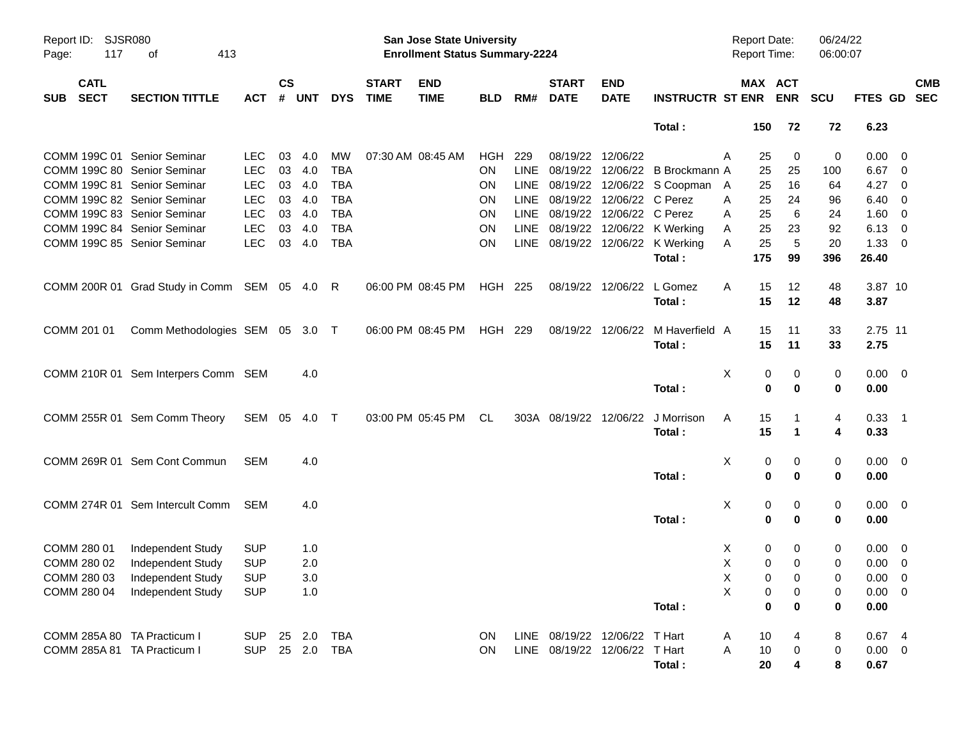| Report ID:<br>117<br>Page:               | SJSR080<br>413<br>οf                         |              |                |              |              |                             | <b>San Jose State University</b><br><b>Enrollment Status Summary-2224</b> |            |             |                               |                           |                                  | <b>Report Date:</b><br>Report Time: |                               | 06/24/22<br>06:00:07 |                |                          |            |
|------------------------------------------|----------------------------------------------|--------------|----------------|--------------|--------------|-----------------------------|---------------------------------------------------------------------------|------------|-------------|-------------------------------|---------------------------|----------------------------------|-------------------------------------|-------------------------------|----------------------|----------------|--------------------------|------------|
| <b>CATL</b><br><b>SECT</b><br><b>SUB</b> | <b>SECTION TITTLE</b>                        | <b>ACT</b>   | <b>CS</b><br># | <b>UNT</b>   | <b>DYS</b>   | <b>START</b><br><b>TIME</b> | <b>END</b><br><b>TIME</b>                                                 | <b>BLD</b> | RM#         | <b>START</b><br><b>DATE</b>   | <b>END</b><br><b>DATE</b> | <b>INSTRUCTR ST ENR</b>          |                                     | MAX ACT<br><b>ENR</b>         | <b>SCU</b>           | FTES GD SEC    |                          | <b>CMB</b> |
|                                          |                                              |              |                |              |              |                             |                                                                           |            |             |                               |                           | Total:                           | 150                                 | 72                            | 72                   | 6.23           |                          |            |
| COMM 199C 01 Senior Seminar              |                                              | <b>LEC</b>   | 03             | 4.0          | MW           |                             | 07:30 AM 08:45 AM                                                         | HGH        | 229         | 08/19/22 12/06/22             |                           |                                  | A<br>25                             | 0                             | 0                    | $0.00 \quad 0$ |                          |            |
| COMM 199C 80 Senior Seminar              |                                              | <b>LEC</b>   | 03             | 4.0          | <b>TBA</b>   |                             |                                                                           | <b>ON</b>  | <b>LINE</b> |                               |                           | 08/19/22 12/06/22 B Brockmann A  | 25                                  | 25                            | 100                  | $6.67$ 0       |                          |            |
| COMM 199C 81 Senior Seminar              |                                              | <b>LEC</b>   | 03             | 4.0          | <b>TBA</b>   |                             |                                                                           | ON         | LINE        |                               |                           | 08/19/22 12/06/22 S Coopman A    | 25                                  | 16                            | 64                   | 4.27           | $\overline{\phantom{0}}$ |            |
| COMM 199C 82 Senior Seminar              |                                              | <b>LEC</b>   | 03             | 4.0          | <b>TBA</b>   |                             |                                                                           | ON         | LINE        |                               | 08/19/22 12/06/22 C Perez |                                  | 25<br>Α                             | 24                            | 96                   | 6.40           | $\overline{\phantom{0}}$ |            |
| COMM 199C 83 Senior Seminar              |                                              | <b>LEC</b>   | 03             | 4.0          | <b>TBA</b>   |                             |                                                                           | ON         | LINE        |                               | 08/19/22 12/06/22 C Perez |                                  | 25<br>A                             | 6                             | 24                   | 1.60           | $\overline{\mathbf{0}}$  |            |
| COMM 199C 84 Senior Seminar              |                                              | <b>LEC</b>   | 03             | 4.0          | <b>TBA</b>   |                             |                                                                           | ON         | LINE        |                               |                           | 08/19/22 12/06/22 K Werking      | 25<br>A                             | 23                            | 92                   | 6.13           | $\overline{\phantom{0}}$ |            |
| COMM 199C 85 Senior Seminar              |                                              | <b>LEC</b>   | 03             | 4.0          | <b>TBA</b>   |                             |                                                                           | <b>ON</b>  |             |                               |                           | LINE 08/19/22 12/06/22 K Werking | 25<br>A                             | 5                             | 20                   | 1.33           | $\overline{\phantom{0}}$ |            |
|                                          |                                              |              |                |              |              |                             |                                                                           |            |             |                               |                           | Total:                           | 175                                 | 99                            | 396                  | 26.40          |                          |            |
|                                          | COMM 200R 01 Grad Study in Comm SEM 05 4.0 R |              |                |              |              |                             | 06:00 PM 08:45 PM                                                         | HGH 225    |             |                               | 08/19/22 12/06/22         | L Gomez                          | 15<br>A                             | 12                            | 48                   | 3.87 10        |                          |            |
|                                          |                                              |              |                |              |              |                             |                                                                           |            |             |                               |                           | Total:                           | 15                                  | 12                            | 48                   | 3.87           |                          |            |
| COMM 201 01                              | Comm Methodologies SEM 05 3.0 T              |              |                |              |              |                             | 06:00 PM 08:45 PM                                                         | HGH 229    |             |                               | 08/19/22 12/06/22         | M Haverfield A                   | 15                                  | 11                            | 33                   | 2.75 11        |                          |            |
|                                          |                                              |              |                |              |              |                             |                                                                           |            |             |                               |                           | Total:                           | 15                                  | 11                            | 33                   | 2.75           |                          |            |
|                                          | COMM 210R 01 Sem Interpers Comm SEM          |              |                | 4.0          |              |                             |                                                                           |            |             |                               |                           |                                  | Х                                   | 0<br>0                        | 0                    | $0.00 \quad 0$ |                          |            |
|                                          |                                              |              |                |              |              |                             |                                                                           |            |             |                               |                           | Total:                           |                                     | $\mathbf 0$<br>$\bf{0}$       | 0                    | 0.00           |                          |            |
|                                          | COMM 255R 01 Sem Comm Theory                 | SEM 05 4.0 T |                |              |              |                             | 03:00 PM 05:45 PM                                                         | CL         |             | 303A 08/19/22 12/06/22        |                           | J Morrison                       | 15<br>A                             |                               | 4                    | $0.33$ 1       |                          |            |
|                                          |                                              |              |                |              |              |                             |                                                                           |            |             |                               |                           | Total:                           | 15                                  | $\mathbf 1$                   | 4                    | 0.33           |                          |            |
|                                          | COMM 269R 01 Sem Cont Commun                 | <b>SEM</b>   |                | 4.0          |              |                             |                                                                           |            |             |                               |                           |                                  | X                                   | 0<br>0                        | 0                    | $0.00 \quad 0$ |                          |            |
|                                          |                                              |              |                |              |              |                             |                                                                           |            |             |                               |                           | Total:                           |                                     | $\mathbf 0$<br>0              | 0                    | 0.00           |                          |            |
|                                          | COMM 274R 01 Sem Intercult Comm              | <b>SEM</b>   |                | 4.0          |              |                             |                                                                           |            |             |                               |                           |                                  | X                                   | 0<br>0                        | 0                    | $0.00 \quad 0$ |                          |            |
|                                          |                                              |              |                |              |              |                             |                                                                           |            |             |                               |                           | Total:                           |                                     | $\mathbf 0$<br>0              | 0                    | 0.00           |                          |            |
| COMM 280 01                              | Independent Study                            | <b>SUP</b>   |                | 1.0          |              |                             |                                                                           |            |             |                               |                           |                                  | X                                   | 0<br>0                        | 0                    | $0.00 \quad 0$ |                          |            |
| COMM 280 02                              | Independent Study                            | <b>SUP</b>   |                | 2.0          |              |                             |                                                                           |            |             |                               |                           |                                  | X                                   | $\mathbf 0$<br>$\mathbf 0$    | 0                    | $0.00 \t 0$    |                          |            |
|                                          | COMM 280 03 Independent Study                | <b>SUP</b>   |                | 3.0          |              |                             |                                                                           |            |             |                               |                           |                                  | $\mathsf X$                         | $\overline{0}$<br>$\mathbf 0$ | 0                    | $0.00 \t 0$    |                          |            |
| COMM 280 04                              | Independent Study                            | <b>SUP</b>   |                | 1.0          |              |                             |                                                                           |            |             |                               |                           |                                  | X                                   | 0<br>0                        | 0                    | $0.00 \t 0$    |                          |            |
|                                          |                                              |              |                |              |              |                             |                                                                           |            |             |                               |                           | Total:                           |                                     | $\bf{0}$<br>0                 | 0                    | 0.00           |                          |            |
| COMM 285A 80 TA Practicum I              |                                              | <b>SUP</b>   |                | 25  2.0  TBA |              |                             |                                                                           | ON         |             | LINE 08/19/22 12/06/22 T Hart |                           |                                  | A<br>10                             |                               | 8                    | 0.674          |                          |            |
| COMM 285A 81 TA Practicum I              |                                              | <b>SUP</b>   |                |              | 25  2.0  TBA |                             |                                                                           | ON         |             | LINE 08/19/22 12/06/22 T Hart |                           |                                  | Α<br>10                             | 0                             | 0                    | $0.00 \t 0$    |                          |            |
|                                          |                                              |              |                |              |              |                             |                                                                           |            |             |                               |                           | Total:                           | 20                                  | 4                             | 8                    | 0.67           |                          |            |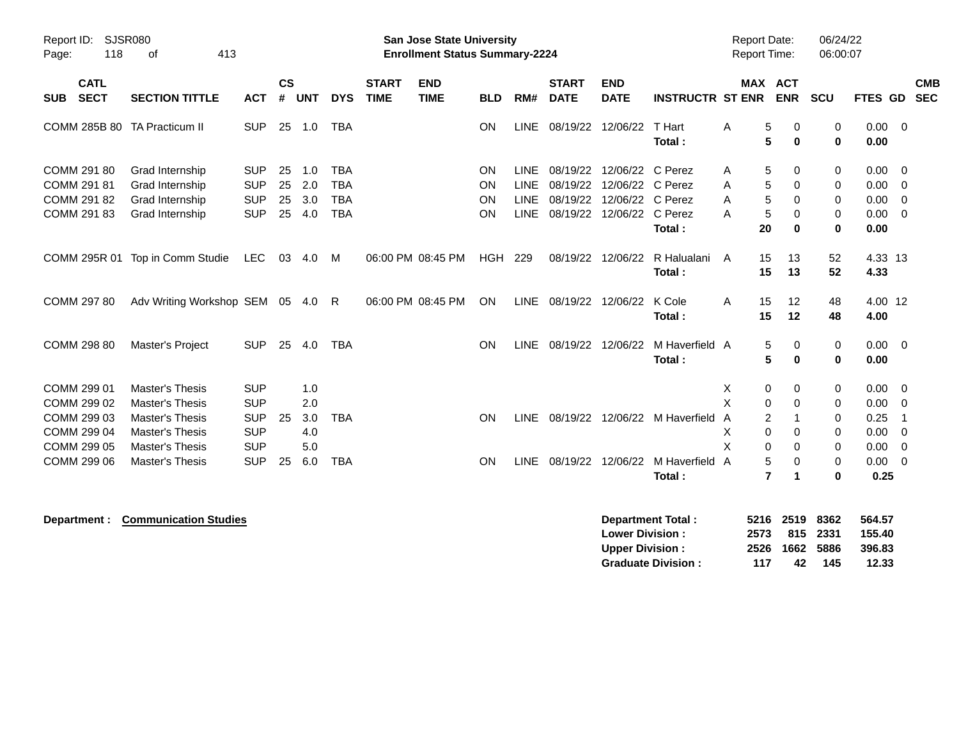| Report ID:<br>118<br>Page:                               | SJSR080<br>413<br>οf                                                                                 |                                                      |                      |                          |                                                      |                             | <b>San Jose State University</b><br><b>Enrollment Status Summary-2224</b> |                      |                                                          |                                              |                                                              |                                | <b>Report Date:</b><br>Report Time:                  |                                               | 06/24/22<br>06:00:07         |                                      |                                                                      |
|----------------------------------------------------------|------------------------------------------------------------------------------------------------------|------------------------------------------------------|----------------------|--------------------------|------------------------------------------------------|-----------------------------|---------------------------------------------------------------------------|----------------------|----------------------------------------------------------|----------------------------------------------|--------------------------------------------------------------|--------------------------------|------------------------------------------------------|-----------------------------------------------|------------------------------|--------------------------------------|----------------------------------------------------------------------|
| <b>CATL</b><br><b>SECT</b><br><b>SUB</b>                 | <b>SECTION TITTLE</b>                                                                                | <b>ACT</b>                                           | <b>CS</b><br>#       | <b>UNT</b>               | <b>DYS</b>                                           | <b>START</b><br><b>TIME</b> | <b>END</b><br><b>TIME</b>                                                 | <b>BLD</b>           | RM#                                                      | <b>START</b><br><b>DATE</b>                  | <b>END</b><br><b>DATE</b>                                    | <b>INSTRUCTR ST ENR</b>        |                                                      | <b>MAX ACT</b><br><b>ENR</b>                  | SCU                          | <b>FTES GD</b>                       | <b>CMB</b><br><b>SEC</b>                                             |
| COMM 285B 80 TA Practicum II                             |                                                                                                      | <b>SUP</b>                                           | 25                   | 1.0                      | <b>TBA</b>                                           |                             |                                                                           | <b>ON</b>            | LINE                                                     | 08/19/22                                     | 12/06/22                                                     | T Hart<br>Total:               | A<br>5<br>5                                          | $\Omega$<br>$\mathbf 0$                       | $\mathbf 0$<br>$\mathbf 0$   | 0.00<br>0.00                         | $\overline{0}$                                                       |
| COMM 291 80<br>COMM 291 81<br>COMM 291 82<br>COMM 291 83 | Grad Internship<br>Grad Internship<br>Grad Internship<br>Grad Internship                             | <b>SUP</b><br><b>SUP</b><br><b>SUP</b><br><b>SUP</b> | 25<br>25<br>25<br>25 | 1.0<br>2.0<br>3.0<br>4.0 | <b>TBA</b><br><b>TBA</b><br><b>TBA</b><br><b>TBA</b> |                             |                                                                           | ON<br>ON<br>ON<br>ON | <b>LINE</b><br><b>LINE</b><br><b>LINE</b><br><b>LINE</b> | 08/19/22<br>08/19/22<br>08/19/22<br>08/19/22 | 12/06/22<br>12/06/22 C Perez<br>12/06/22 C Perez<br>12/06/22 | C Perez<br>C Perez<br>Total:   | $\mathbf 5$<br>Α<br>5<br>A<br>5<br>A<br>5<br>Α<br>20 | 0<br>$\Omega$<br>0<br>$\mathbf 0$<br>$\bf{0}$ | 0<br>0<br>0<br>0<br>$\bf{0}$ | 0.00<br>0.00<br>0.00<br>0.00<br>0.00 | $\overline{0}$<br>$\overline{0}$<br>$\overline{0}$<br>$\overline{0}$ |
| COMM 295R 01                                             | Top in Comm Studie                                                                                   | <b>LEC</b>                                           | 03                   | 4.0                      | M                                                    |                             | 06:00 PM 08:45 PM                                                         | <b>HGH</b>           | 229                                                      | 08/19/22                                     | 12/06/22                                                     | R Halualani<br>Total:          | 15<br>A<br>15                                        | 13<br>13                                      | 52<br>52                     | 4.33 13<br>4.33                      |                                                                      |
| COMM 297 80                                              | Adv Writing Workshop SEM                                                                             |                                                      | 05                   | 4.0                      | R                                                    |                             | 06:00 PM 08:45 PM                                                         | ON                   | <b>LINE</b>                                              | 08/19/22                                     | 12/06/22                                                     | K Cole<br>Total:               | 15<br>A<br>15                                        | 12<br>12                                      | 48<br>48                     | 4.00 12<br>4.00                      |                                                                      |
| COMM 298 80                                              | Master's Project                                                                                     | <b>SUP</b>                                           | 25                   | 4.0                      | <b>TBA</b>                                           |                             |                                                                           | <b>ON</b>            | <b>LINE</b>                                              | 08/19/22                                     | 12/06/22                                                     | M Haverfield A<br>Total:       | 5<br>5                                               | 0<br>$\bf{0}$                                 | 0<br>$\mathbf 0$             | $0.00 \t 0$<br>0.00                  |                                                                      |
| COMM 299 01<br>COMM 299 02<br>COMM 299 03<br>COMM 299 04 | <b>Master's Thesis</b><br><b>Master's Thesis</b><br><b>Master's Thesis</b><br><b>Master's Thesis</b> | <b>SUP</b><br><b>SUP</b><br><b>SUP</b><br><b>SUP</b> | 25                   | 1.0<br>2.0<br>3.0<br>4.0 | <b>TBA</b>                                           |                             |                                                                           | ON                   | <b>LINE</b>                                              |                                              |                                                              | 08/19/22 12/06/22 M Haverfield | X<br>0<br>X<br>0<br>2<br>A<br>$\Omega$<br>х          | 0<br>$\Omega$<br>0                            | 0<br>0<br>0<br>0             | 0.00<br>0.00<br>0.25<br>0.00         | 0<br>$\overline{0}$<br>-1<br>$\overline{0}$                          |
| COMM 299 05<br>COMM 299 06                               | <b>Master's Thesis</b><br><b>Master's Thesis</b>                                                     | <b>SUP</b><br><b>SUP</b>                             | 25                   | 5.0<br>6.0               | <b>TBA</b>                                           |                             |                                                                           | ON                   | LINE                                                     | 08/19/22                                     | 12/06/22                                                     | M Haverfield A<br>Total:       | X<br>0<br>5<br>$\overline{7}$                        | $\Omega$<br>0                                 | 0<br>0<br>$\bf{0}$           | 0.00<br>0.00<br>0.25                 | 0<br>$\overline{0}$                                                  |

**Department : Communication Studies and Studies and Studies and Studies and Studies in the Studies of the Studies of the Studies of the Studies of the Studies of the Studies of the Studies of the Studies of the Studies of Lower Division : 2573 815 2331 155.40 Upper Division : 2526 1662 5886 396.83 Graduate Division : 117 42 145 12.33**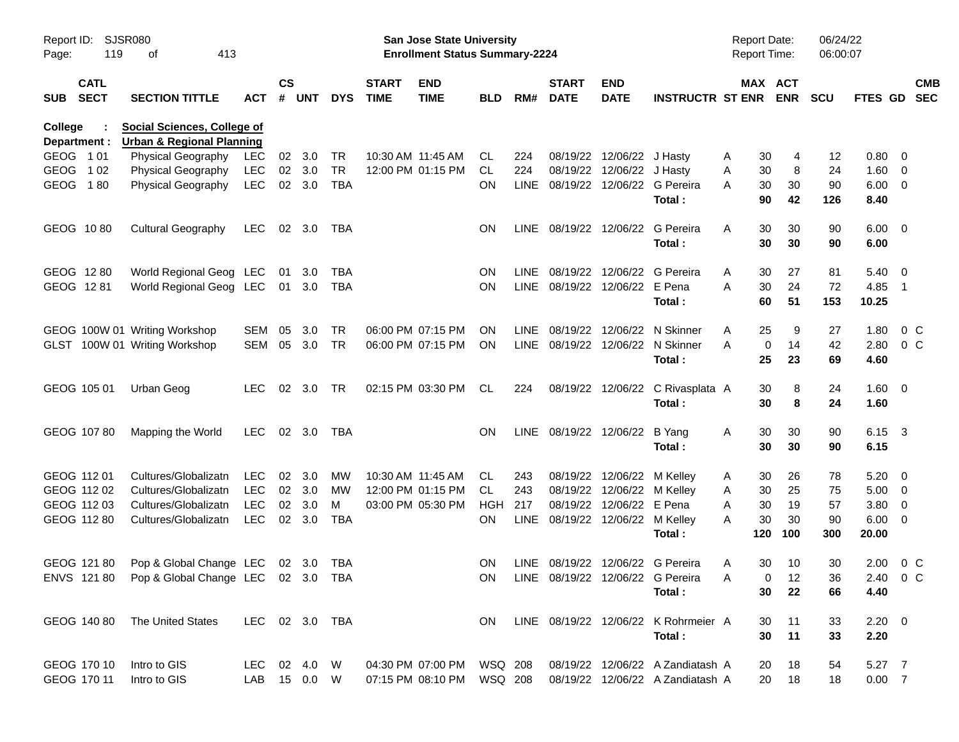| Report ID:<br>Page:  | 119                        | SJSR080<br>413<br>οf                           |                          |           |                |                         |                             | San Jose State University<br><b>Enrollment Status Summary-2224</b> |                  |     |                                 |                            |                                      | <b>Report Date:</b><br><b>Report Time:</b> |                              | 06/24/22<br>06:00:07 |                            |                           |
|----------------------|----------------------------|------------------------------------------------|--------------------------|-----------|----------------|-------------------------|-----------------------------|--------------------------------------------------------------------|------------------|-----|---------------------------------|----------------------------|--------------------------------------|--------------------------------------------|------------------------------|----------------------|----------------------------|---------------------------|
| <b>SUB</b>           | <b>CATL</b><br><b>SECT</b> | <b>SECTION TITTLE</b>                          | ACT                      | <b>CS</b> | # UNT          | <b>DYS</b>              | <b>START</b><br><b>TIME</b> | <b>END</b><br><b>TIME</b>                                          | <b>BLD</b>       | RM# | <b>START</b><br><b>DATE</b>     | <b>END</b><br><b>DATE</b>  | <b>INSTRUCTR ST ENR</b>              |                                            | <b>MAX ACT</b><br><b>ENR</b> | <b>SCU</b>           |                            | <b>CMB</b><br>FTES GD SEC |
| College              |                            | <b>Social Sciences, College of</b>             |                          |           |                |                         |                             |                                                                    |                  |     |                                 |                            |                                      |                                            |                              |                      |                            |                           |
|                      | Department :               | <b>Urban &amp; Regional Planning</b>           |                          |           |                |                         |                             |                                                                    |                  |     |                                 |                            |                                      |                                            |                              |                      |                            |                           |
| GEOG 101             |                            | Physical Geography                             | LEC                      | 02        | 3.0            | TR                      |                             | 10:30 AM 11:45 AM                                                  | CL.              | 224 |                                 | 08/19/22 12/06/22 J Hasty  |                                      | 30<br>A                                    | 4                            | 12                   | $0.80 \quad 0$             |                           |
| GEOG 102<br>GEOG 180 |                            | Physical Geography                             | <b>LEC</b><br><b>LEC</b> | 02        | 3.0<br>02 3.0  | <b>TR</b><br><b>TBA</b> |                             | 12:00 PM 01:15 PM                                                  | CL<br><b>ON</b>  | 224 |                                 | 08/19/22 12/06/22 J Hasty  | LINE 08/19/22 12/06/22 G Pereira     | 30<br>Α<br>30<br>A                         | 8<br>30                      | 24<br>90             | $1.60 \t 0$<br>$6.00 \t 0$ |                           |
|                      |                            | Physical Geography                             |                          |           |                |                         |                             |                                                                    |                  |     |                                 |                            | Total :                              | 90                                         | 42                           | 126                  | 8.40                       |                           |
| GEOG 1080            |                            | <b>Cultural Geography</b>                      | LEC.                     |           | 02 3.0         | TBA                     |                             |                                                                    | ON.              |     |                                 |                            | LINE 08/19/22 12/06/22 G Pereira     | A<br>30                                    | 30                           | 90                   | $6.00 \quad 0$             |                           |
|                      |                            |                                                |                          |           |                |                         |                             |                                                                    |                  |     |                                 |                            | Total :                              | 30                                         | 30                           | 90                   | 6.00                       |                           |
| GEOG 1280            |                            | World Regional Geog LEC                        |                          | 01        | 3.0            | TBA                     |                             |                                                                    | <b>ON</b>        |     |                                 |                            | LINE 08/19/22 12/06/22 G Pereira     | A<br>30                                    | 27                           | 81                   | $5.40 \ 0$                 |                           |
| GEOG 1281            |                            | World Regional Geog LEC 01 3.0                 |                          |           |                | TBA                     |                             |                                                                    | <b>ON</b>        |     | LINE 08/19/22 12/06/22 E Pena   |                            |                                      | 30<br>A                                    | 24                           | 72                   | 4.85                       | $\overline{\phantom{1}}$  |
|                      |                            |                                                |                          |           |                |                         |                             |                                                                    |                  |     |                                 |                            | Total :                              | 60                                         | 51                           | 153                  | 10.25                      |                           |
|                      |                            | GEOG 100W 01 Writing Workshop                  | SEM                      | 05        | 3.0            | <b>TR</b>               |                             | 06:00 PM 07:15 PM                                                  | <b>ON</b>        |     | LINE 08/19/22 12/06/22          |                            | N Skinner                            | 25<br>A                                    | 9                            | 27                   | 1.80                       | 0 <sup>C</sup>            |
|                      |                            | GLST 100W 01 Writing Workshop                  | SEM 05                   |           | 3.0            | <b>TR</b>               |                             | 06:00 PM 07:15 PM                                                  | <b>ON</b>        |     |                                 |                            | LINE 08/19/22 12/06/22 N Skinner     | А                                          | 0<br>14                      | 42                   | 2.80                       | 0 <sup>o</sup>            |
|                      |                            |                                                |                          |           |                |                         |                             |                                                                    |                  |     |                                 |                            | Total:                               | 25                                         | 23                           | 69                   | 4.60                       |                           |
|                      | GEOG 105 01                | Urban Geog                                     | LEC.                     |           | 02 3.0         | TR                      |                             | 02:15 PM 03:30 PM                                                  | CL               | 224 |                                 |                            | 08/19/22 12/06/22 C Rivasplata A     | 30                                         | 8                            | 24                   | $1.60 \t 0$                |                           |
|                      |                            |                                                |                          |           |                |                         |                             |                                                                    |                  |     |                                 |                            | Total:                               | 30                                         | 8                            | 24                   | 1.60                       |                           |
|                      | GEOG 107 80                | Mapping the World                              | LEC.                     |           |                | 02 3.0 TBA              |                             |                                                                    | <b>ON</b>        |     | LINE 08/19/22 12/06/22 B Yang   |                            |                                      | 30<br>A                                    | 30                           | 90                   | 6.15 3                     |                           |
|                      |                            |                                                |                          |           |                |                         |                             |                                                                    |                  |     |                                 |                            | Total :                              | 30                                         | 30                           | 90                   | 6.15                       |                           |
|                      | GEOG 112 01                | Cultures/Globalizatn                           | LEC.                     |           | $02 \quad 3.0$ | МW                      |                             | 10:30 AM 11:45 AM                                                  | CL               | 243 |                                 | 08/19/22 12/06/22 M Kelley |                                      | 30<br>A                                    | 26                           | 78                   | $5.20 \ 0$                 |                           |
|                      | GEOG 112 02                | Cultures/Globalizatn                           | <b>LEC</b>               |           | 02 3.0         | <b>MW</b>               |                             | 12:00 PM 01:15 PM                                                  | CL               | 243 |                                 | 08/19/22 12/06/22 M Kelley |                                      | 30<br>Α                                    | 25                           | 75                   | $5.00 \t 0$                |                           |
|                      | GEOG 112 03<br>GEOG 112 80 | Cultures/Globalizatn<br>Cultures/Globalizatn   | <b>LEC</b><br><b>LEC</b> | 02        | 3.0<br>02 3.0  | м<br><b>TBA</b>         |                             | 03:00 PM 05:30 PM                                                  | HGH<br><b>ON</b> | 217 | LINE 08/19/22 12/06/22 M Kelley | 08/19/22 12/06/22 E Pena   |                                      | 30<br>A<br>30<br>Α                         | 19<br>30                     | 57<br>90             | 3.80 0<br>$6.00 \t 0$      |                           |
|                      |                            |                                                |                          |           |                |                         |                             |                                                                    |                  |     |                                 |                            | Total :                              | 120                                        | 100                          | 300                  | 20.00                      |                           |
|                      | GEOG 121 80                | Pop & Global Change LEC 02 3.0                 |                          |           |                | TBA                     |                             |                                                                    | ON.              |     |                                 |                            | LINE 08/19/22 12/06/22 G Pereira     | 30<br>A                                    | 10                           | 30                   | 2.00                       | $0\,$ C                   |
|                      |                            | ENVS 121 80 Pop & Global Change LEC 02 3.0 TBA |                          |           |                |                         |                             |                                                                    |                  |     |                                 |                            | ON LINE 08/19/22 12/06/22 G Pereira  | A                                          | $0$ 12                       | 36                   | 2.40 0 C                   |                           |
|                      |                            |                                                |                          |           |                |                         |                             |                                                                    |                  |     |                                 |                            | Total :                              | 30                                         | 22                           | 66                   | 4.40                       |                           |
|                      | GEOG 140 80                | The United States                              | LEC 02 3.0 TBA           |           |                |                         |                             |                                                                    | ON.              |     |                                 |                            | LINE 08/19/22 12/06/22 K Rohrmeier A | 30                                         | 11                           | 33                   | $2.20 \t 0$                |                           |
|                      |                            |                                                |                          |           |                |                         |                             |                                                                    |                  |     |                                 |                            | Total:                               | 30                                         | 11                           | 33                   | 2.20                       |                           |
|                      | GEOG 170 10                | Intro to GIS                                   | LEC 02 4.0 W             |           |                |                         |                             |                                                                    |                  |     |                                 |                            | 08/19/22 12/06/22 A Zandiatash A     |                                            |                              |                      |                            |                           |
|                      | GEOG 170 11                | Intro to GIS                                   | LAB 15 0.0 W             |           |                |                         |                             | 04:30 PM 07:00 PM WSQ 208<br>07:15 PM 08:10 PM WSQ 208             |                  |     |                                 |                            | 08/19/22 12/06/22 A Zandiatash A     | 20<br>20                                   | 18<br>18                     | 54<br>18             | 5.27 7<br>0.007            |                           |
|                      |                            |                                                |                          |           |                |                         |                             |                                                                    |                  |     |                                 |                            |                                      |                                            |                              |                      |                            |                           |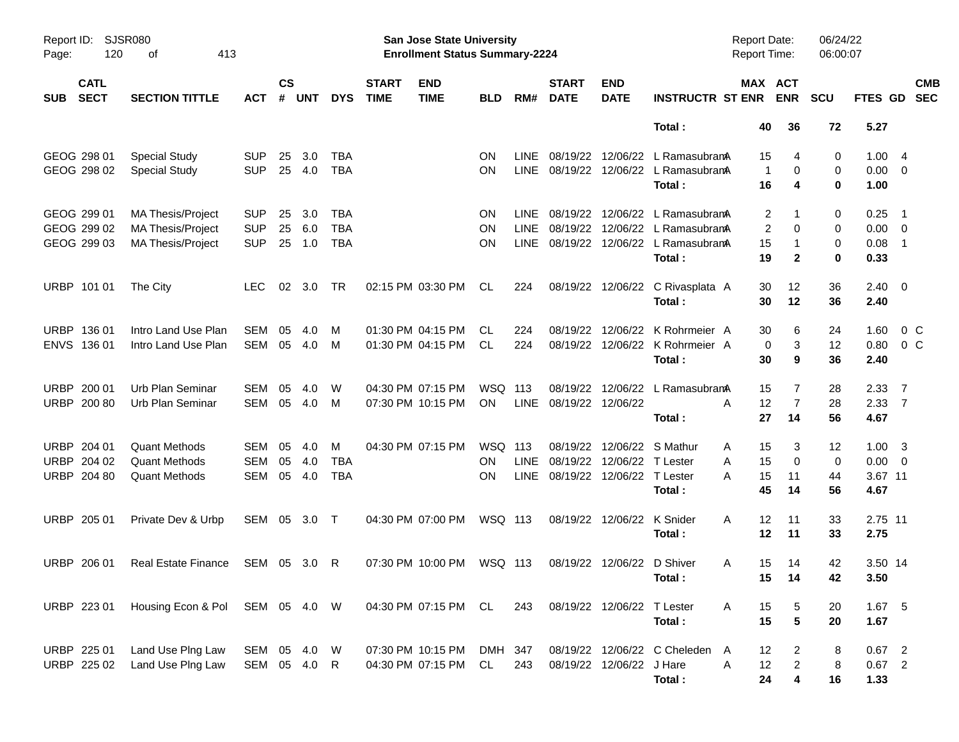| Report ID:<br>Page: | 120                        | SJSR080<br>413<br>оf            |                   |                    |            |            |                             | San Jose State University<br><b>Enrollment Status Summary-2224</b> |               |             |                               |                            |                                            | <b>Report Date:</b><br><b>Report Time:</b> |                         | 06/24/22<br>06:00:07 |                          |                          |
|---------------------|----------------------------|---------------------------------|-------------------|--------------------|------------|------------|-----------------------------|--------------------------------------------------------------------|---------------|-------------|-------------------------------|----------------------------|--------------------------------------------|--------------------------------------------|-------------------------|----------------------|--------------------------|--------------------------|
| <b>SUB</b>          | <b>CATL</b><br><b>SECT</b> | <b>SECTION TITTLE</b>           | <b>ACT</b>        | $\mathsf{cs}$<br># | <b>UNT</b> | <b>DYS</b> | <b>START</b><br><b>TIME</b> | <b>END</b><br><b>TIME</b>                                          | <b>BLD</b>    | RM#         | <b>START</b><br><b>DATE</b>   | <b>END</b><br><b>DATE</b>  | <b>INSTRUCTR ST ENR</b>                    | MAX ACT                                    | <b>ENR</b>              | <b>SCU</b>           | FTES GD                  | <b>CMB</b><br><b>SEC</b> |
|                     |                            |                                 |                   |                    |            |            |                             |                                                                    |               |             |                               |                            | Total:                                     | 40                                         | 36                      | 72                   | 5.27                     |                          |
|                     | GEOG 298 01                | <b>Special Study</b>            | <b>SUP</b>        | 25                 | 3.0        | TBA        |                             |                                                                    | <b>ON</b>     | LINE.       | 08/19/22                      | 12/06/22                   | L RamasubramA                              | 15                                         | 4                       | 0                    | 1.004                    |                          |
|                     | GEOG 298 02                | <b>Special Study</b>            | <b>SUP</b>        | 25                 | 4.0        | <b>TBA</b> |                             |                                                                    | <b>ON</b>     | <b>LINE</b> |                               |                            | 08/19/22 12/06/22 L RamasubramA<br>Total:  | $\overline{1}$<br>16                       | 0<br>4                  | 0<br>0               | $0.00 \t 0$<br>1.00      |                          |
|                     | GEOG 299 01                | <b>MA Thesis/Project</b>        | <b>SUP</b>        | 25                 | 3.0        | TBA        |                             |                                                                    | <b>ON</b>     | LINE.       | 08/19/22                      |                            | 12/06/22 L RamasubramA                     | 2                                          | 1                       | 0                    | 0.25                     | $\overline{\phantom{1}}$ |
|                     | GEOG 299 02                | <b>MA Thesis/Project</b>        | <b>SUP</b>        | 25                 | 6.0        | <b>TBA</b> |                             |                                                                    | <b>ON</b>     | <b>LINE</b> |                               |                            | 08/19/22 12/06/22 L Ramasubrama            | 2                                          | 0                       | 0                    | $0.00 \t 0$              |                          |
|                     | GEOG 299 03                | <b>MA Thesis/Project</b>        | <b>SUP</b>        | 25                 | 1.0        | <b>TBA</b> |                             |                                                                    | <b>ON</b>     | LINE        |                               |                            | 08/19/22 12/06/22 L RamasubramA<br>Total:  | 15<br>19                                   | -1<br>$\mathbf{2}$      | 0<br>0               | 0.08<br>0.33             | $\overline{\phantom{1}}$ |
|                     | URBP 101 01                | The City                        | LEC.              | 02                 | 3.0        | TR         |                             | 02:15 PM 03:30 PM                                                  | CL            | 224         |                               |                            | 08/19/22 12/06/22 C Rivasplata A<br>Total: | 30<br>30                                   | 12<br>12                | 36<br>36             | $2.40 \quad 0$<br>2.40   |                          |
|                     | URBP 136 01                | Intro Land Use Plan             | SEM               | 05                 | 4.0        | M          |                             | 01:30 PM 04:15 PM                                                  | CL            | 224         | 08/19/22                      | 12/06/22                   | K Rohrmeier A                              | 30                                         | 6                       | 24                   | 1.60                     | 0 <sup>o</sup>           |
|                     | ENVS 136 01                | Intro Land Use Plan             | <b>SEM</b>        | 05                 | 4.0        | M          |                             | 01:30 PM 04:15 PM                                                  | CL            | 224         |                               |                            | 08/19/22 12/06/22 K Rohrmeier A<br>Total:  | 0<br>30                                    | 3<br>9                  | 12<br>36             | 0.80<br>2.40             | $0\,C$                   |
|                     |                            | Urb Plan Seminar                |                   |                    |            |            |                             |                                                                    |               |             |                               |                            |                                            |                                            |                         |                      |                          |                          |
|                     | URBP 200 01<br>URBP 200 80 | Urb Plan Seminar                | <b>SEM</b><br>SEM | 05<br>05           | 4.0<br>4.0 | W<br>M     |                             | 04:30 PM 07:15 PM<br>07:30 PM 10:15 PM                             | WSQ 113<br>ON | LINE        | 08/19/22<br>08/19/22 12/06/22 | 12/06/22                   | L RamasubramA                              | 15<br>12<br>A                              | 7<br>$\overline{7}$     | 28<br>28             | 2.3377<br>$2.33 \quad 7$ |                          |
|                     |                            |                                 |                   |                    |            |            |                             |                                                                    |               |             |                               |                            | Total:                                     | 27                                         | 14                      | 56                   | 4.67                     |                          |
|                     | URBP 204 01                | <b>Quant Methods</b>            | <b>SEM</b>        | 05                 | 4.0        | М          |                             | 04:30 PM 07:15 PM                                                  | WSQ 113       |             | 08/19/22                      |                            | 12/06/22 S Mathur                          | 15<br>Α                                    | 3                       | 12                   | $1.00 \t3$               |                          |
|                     | URBP 204 02                | <b>Quant Methods</b>            | <b>SEM</b>        | 05                 | 4.0        | TBA        |                             |                                                                    | ON            | <b>LINE</b> | 08/19/22                      | 12/06/22 T Lester          |                                            | 15<br>Α                                    | $\mathbf 0$             | 0                    | $0.00 \t 0$              |                          |
|                     | URBP 204 80                | <b>Quant Methods</b>            | <b>SEM</b>        | 05                 | 4.0        | <b>TBA</b> |                             |                                                                    | OΝ            | LINE        | 08/19/22 12/06/22 T Lester    |                            | Total:                                     | 15<br>А<br>45                              | 11<br>14                | 44<br>56             | 3.67 11<br>4.67          |                          |
|                     | URBP 205 01                | Private Dev & Urbp              | SEM 05 3.0 T      |                    |            |            |                             | 04:30 PM 07:00 PM                                                  | WSQ 113       |             |                               | 08/19/22 12/06/22          | K Snider                                   | 12<br>A                                    | 11                      | 33                   | 2.75 11                  |                          |
|                     |                            |                                 |                   |                    |            |            |                             |                                                                    |               |             |                               |                            | Total:                                     | 12                                         | 11                      | 33                   | 2.75                     |                          |
|                     | URBP 206 01                | <b>Real Estate Finance</b>      | SEM 05 3.0        |                    |            | -R         |                             | 07:30 PM 10:00 PM                                                  | WSQ 113       |             |                               | 08/19/22 12/06/22 D Shiver |                                            | 15<br>A                                    | 14                      | 42                   | 3.50 14                  |                          |
|                     |                            |                                 |                   |                    |            |            |                             |                                                                    |               |             |                               |                            | Total:                                     |                                            | 15 14                   | 42                   | 3.50                     |                          |
|                     | URBP 223 01                | Housing Econ & Pol SEM 05 4.0 W |                   |                    |            |            |                             | 04:30 PM 07:15 PM CL                                               |               | 243         |                               | 08/19/22 12/06/22 T Lester |                                            | 15<br>A                                    | 5                       | 20                   | 1.67 5                   |                          |
|                     |                            |                                 |                   |                    |            |            |                             |                                                                    |               |             |                               |                            | Total:                                     | 15                                         | $5\phantom{.0}$         | 20                   | 1.67                     |                          |
|                     | URBP 225 01                | Land Use Plng Law               | SEM 05 4.0 W      |                    |            |            |                             | 07:30 PM 10:15 PM                                                  | DMH 347       |             |                               |                            | 08/19/22 12/06/22 C Cheleden               | 12<br>A                                    | $\overline{2}$          | 8                    | $0.67$ 2                 |                          |
|                     | URBP 225 02                | Land Use Plng Law               | SEM 05 4.0 R      |                    |            |            |                             | 04:30 PM 07:15 PM                                                  | CL            | 243         |                               | 08/19/22 12/06/22 J Hare   |                                            | Α<br>12                                    | $\overline{a}$          | 8                    | $0.67$ 2                 |                          |
|                     |                            |                                 |                   |                    |            |            |                             |                                                                    |               |             |                               |                            | Total:                                     | 24                                         | $\overline{\mathbf{4}}$ | 16                   | 1.33                     |                          |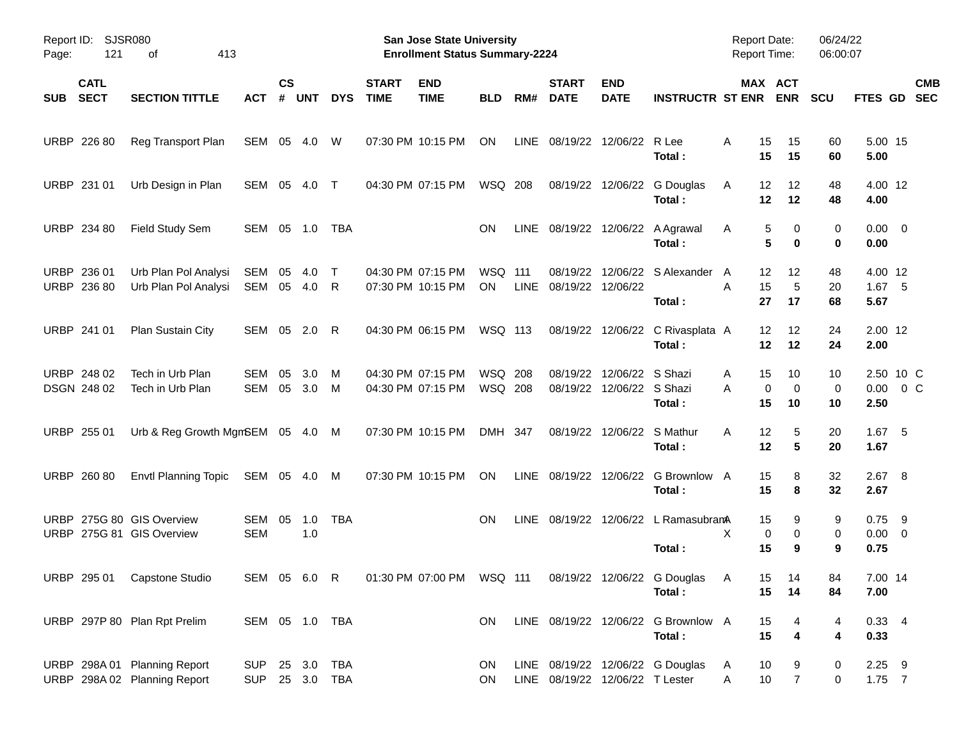| Page:      | <b>SJSR080</b><br>Report ID:<br>121<br>413<br>οf |                                                              |                              |                    |              |             |                             | <b>San Jose State University</b><br><b>Enrollment Status Summary-2224</b> |                             |     |                                    |                                               |                                                                                   | <b>Report Date:</b><br><b>Report Time:</b> |                           | 06/24/22<br>06:00:07 |                                 |                            |
|------------|--------------------------------------------------|--------------------------------------------------------------|------------------------------|--------------------|--------------|-------------|-----------------------------|---------------------------------------------------------------------------|-----------------------------|-----|------------------------------------|-----------------------------------------------|-----------------------------------------------------------------------------------|--------------------------------------------|---------------------------|----------------------|---------------------------------|----------------------------|
| <b>SUB</b> | <b>CATL</b><br><b>SECT</b>                       | <b>SECTION TITTLE</b>                                        | <b>ACT</b>                   | $\mathsf{cs}$<br># | <b>UNT</b>   | <b>DYS</b>  | <b>START</b><br><b>TIME</b> | <b>END</b><br><b>TIME</b>                                                 | <b>BLD</b>                  | RM# | <b>START</b><br><b>DATE</b>        | <b>END</b><br><b>DATE</b>                     | <b>INSTRUCTR ST ENR</b>                                                           |                                            | MAX ACT<br><b>ENR</b>     | <b>SCU</b>           | FTES GD                         | <b>CMB</b><br><b>SEC</b>   |
|            | URBP 226 80                                      | Reg Transport Plan                                           | SEM 05 4.0                   |                    |              | W           |                             | 07:30 PM 10:15 PM                                                         | ON                          |     |                                    | LINE 08/19/22 12/06/22 R Lee                  | Total :                                                                           | A<br>15<br>15                              | 15<br>15                  | 60<br>60             | 5.00 15<br>5.00                 |                            |
|            | URBP 231 01                                      | Urb Design in Plan                                           | SEM 05                       |                    | 4.0          | $\top$      |                             | 04:30 PM 07:15 PM                                                         | WSQ 208                     |     |                                    |                                               | 08/19/22 12/06/22 G Douglas<br>Total:                                             | 12<br>A<br>12                              | 12<br>12                  | 48<br>48             | 4.00 12<br>4.00                 |                            |
|            | URBP 234 80                                      | Field Study Sem                                              | SEM 05 1.0                   |                    |              | TBA         |                             |                                                                           | <b>ON</b>                   |     |                                    |                                               | LINE 08/19/22 12/06/22 A Agrawal<br>Total:                                        | A                                          | 5<br>0<br>5<br>$\bf{0}$   | 0<br>0               | $0.00 \t 0$<br>0.00             |                            |
|            | URBP 236 01<br>URBP 236 80                       | Urb Plan Pol Analysi<br>Urb Plan Pol Analysi                 | SEM<br>SEM 05                | 05                 | 4.0<br>- 4.0 | $\top$<br>R |                             | 04:30 PM 07:15 PM<br>07:30 PM 10:15 PM                                    | <b>WSQ 111</b><br><b>ON</b> |     | 08/19/22<br>LINE 08/19/22 12/06/22 |                                               | 12/06/22 S Alexander<br>Total:                                                    | 12<br>A<br>A<br>15<br>27                   | 12<br>5<br>17             | 48<br>20<br>68       | 4.00 12<br>$1.67$ 5<br>5.67     |                            |
|            | URBP 241 01                                      | Plan Sustain City                                            | SEM 05                       |                    | 2.0          | R           |                             | 04:30 PM 06:15 PM                                                         | WSQ 113                     |     |                                    |                                               | 08/19/22 12/06/22 C Rivasplata A<br>Total:                                        | 12<br>12                                   | 12<br>12                  | 24<br>24             | 2.00 12<br>2.00                 |                            |
|            | URBP 248 02<br>DSGN 248 02                       | Tech in Urb Plan<br>Tech in Urb Plan                         | <b>SEM</b><br>SEM            | 05<br>05           | 3.0<br>3.0   | M<br>M      |                             | 04:30 PM 07:15 PM<br>04:30 PM 07:15 PM                                    | <b>WSQ 208</b><br>WSQ 208   |     | 08/19/22                           | 12/06/22 S Shazi<br>08/19/22 12/06/22 S Shazi | Total:                                                                            | 15<br>A<br>Α<br>15                         | 10<br>0<br>0<br>10        | 10<br>0<br>10        | 2.50                            | 2.50 10 C<br>$0.00 \t 0 C$ |
|            | URBP 255 01                                      | Urb & Reg Growth MgmSEM 05 4.0 M                             |                              |                    |              |             |                             | 07:30 PM 10:15 PM                                                         | DMH 347                     |     |                                    | 08/19/22 12/06/22 S Mathur                    | Total:                                                                            | A<br>12<br>12                              | 5<br>5                    | 20<br>20             | $1.67$ 5<br>1.67                |                            |
|            | URBP 260 80                                      | <b>Envtl Planning Topic</b>                                  | SEM 05 4.0                   |                    |              | M           |                             | 07:30 PM 10:15 PM                                                         | ON                          |     |                                    |                                               | LINE 08/19/22 12/06/22 G Brownlow A<br>Total:                                     | 15<br>15                                   | 8<br>8                    | 32<br>32             | $2.67$ 8<br>2.67                |                            |
|            |                                                  | URBP 275G 80 GIS Overview<br>URBP 275G 81 GIS Overview       | SEM<br><b>SEM</b>            | 05                 | 1.0<br>1.0   | <b>TBA</b>  |                             |                                                                           | <b>ON</b>                   |     |                                    |                                               | LINE 08/19/22 12/06/22 L RamasubranA<br>Total:                                    | 15<br>X<br>15                              | 9<br>0<br>0<br>9          | 9<br>0<br>9          | $0.75$ 9<br>$0.00 \t 0$<br>0.75 |                            |
|            |                                                  | URBP 295 01 Capstone Studio                                  |                              |                    |              |             |                             |                                                                           |                             |     |                                    |                                               | SEM 05 6.0 R  01:30 PM 07:00 PM  WSQ 111  08/19/22  12/06/22  G Douglas<br>Total: | $\mathsf{A}$<br>15                         | 15 14<br>14               | 84<br>84             | 7.00 14<br>7.00                 |                            |
|            |                                                  | URBP 297P 80 Plan Rpt Prelim                                 | SEM 05 1.0 TBA               |                    |              |             |                             |                                                                           | ON.                         |     |                                    |                                               | LINE 08/19/22 12/06/22 G Brownlow A<br>Total:                                     | 15<br>15                                   | 4<br>4                    | 4<br>4               | $0.33 + 4$<br>0.33              |                            |
|            |                                                  | URBP 298A 01 Planning Report<br>URBP 298A 02 Planning Report | <b>SUP</b><br>SUP 25 3.0 TBA |                    |              | 25 3.0 TBA  |                             |                                                                           | ON.<br>ON.                  |     |                                    | LINE 08/19/22 12/06/22 T Lester               | LINE 08/19/22 12/06/22 G Douglas                                                  | 10<br>A<br>A                               | 9<br>10<br>$\overline{7}$ | 0<br>0               | $2.25$ 9<br>$1.75$ 7            |                            |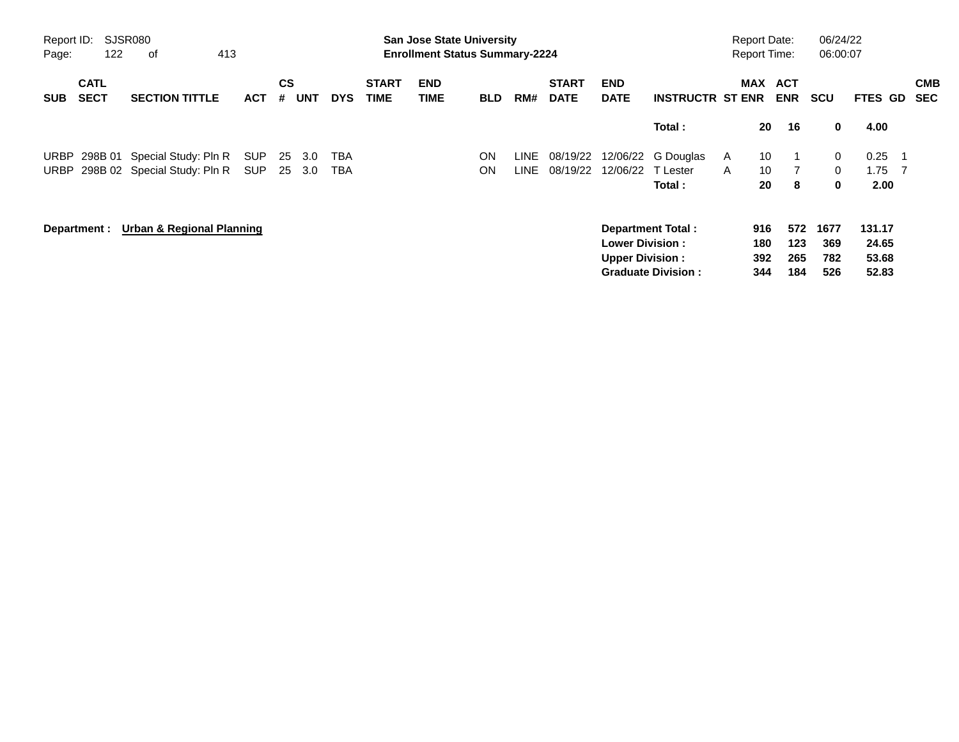| Page:       | <b>SJSR080</b><br>Report ID:<br>122<br>413<br>οf |                                      |            |         |            |            |                             | <b>San Jose State University</b><br><b>Enrollment Status Summary-2224</b> |            |      |                             |                           |                           |              | <b>Report Date:</b><br><b>Report Time:</b> |                          | 06/24/22<br>06:00:07 |                |     |                          |
|-------------|--------------------------------------------------|--------------------------------------|------------|---------|------------|------------|-----------------------------|---------------------------------------------------------------------------|------------|------|-----------------------------|---------------------------|---------------------------|--------------|--------------------------------------------|--------------------------|----------------------|----------------|-----|--------------------------|
| <b>SUB</b>  | <b>CATL</b><br><b>SECT</b>                       | <b>SECTION TITTLE</b>                | <b>ACT</b> | CS<br># | <b>UNT</b> | <b>DYS</b> | <b>START</b><br><b>TIME</b> | <b>END</b><br>TIME                                                        | <b>BLD</b> | RM#  | <b>START</b><br><b>DATE</b> | <b>END</b><br><b>DATE</b> | <b>INSTRUCTR ST ENR</b>   |              | <b>MAX</b>                                 | <b>ACT</b><br><b>ENR</b> | SCU                  | <b>FTES GD</b> |     | <b>CMB</b><br><b>SEC</b> |
|             |                                                  |                                      |            |         |            |            |                             |                                                                           |            |      |                             |                           | Total:                    |              | 20                                         | 16                       | 0                    | 4.00           |     |                          |
| <b>URBP</b> |                                                  | 298B 01 Special Study: Pln R         | <b>SUP</b> | 25      | 3.0        | TBA        |                             |                                                                           | ON         | LINE | 08/19/22                    | 12/06/22                  | G Douglas                 | <b>A</b>     | 10                                         |                          | 0                    | 0.25           | - 1 |                          |
|             |                                                  | URBP 298B 02 Special Study: Pln R    | SUP        |         | 25 3.0     | TBA        |                             |                                                                           | ON         | LINE | 08/19/22                    | 12/06/22                  | T Lester                  | $\mathsf{A}$ | 10                                         |                          | $\mathbf{0}$         | 1.75           | - 7 |                          |
|             |                                                  |                                      |            |         |            |            |                             |                                                                           |            |      |                             |                           | Total :                   |              | 20                                         | 8                        | 0                    | 2.00           |     |                          |
|             | Department :                                     | <b>Urban &amp; Regional Planning</b> |            |         |            |            |                             |                                                                           |            |      |                             |                           | <b>Department Total:</b>  |              | 916                                        | 572                      | 1677                 | 131.17         |     |                          |
|             |                                                  |                                      |            |         |            |            |                             |                                                                           |            |      |                             | <b>Lower Division:</b>    |                           |              | 180                                        | 123                      | 369                  | 24.65          |     |                          |
|             |                                                  |                                      |            |         |            |            |                             |                                                                           |            |      |                             | <b>Upper Division:</b>    |                           |              | 392                                        | 265                      | 782                  | 53.68          |     |                          |
|             |                                                  |                                      |            |         |            |            |                             |                                                                           |            |      |                             |                           | <b>Graduate Division:</b> |              | 344                                        | 184                      | 526                  | 52.83          |     |                          |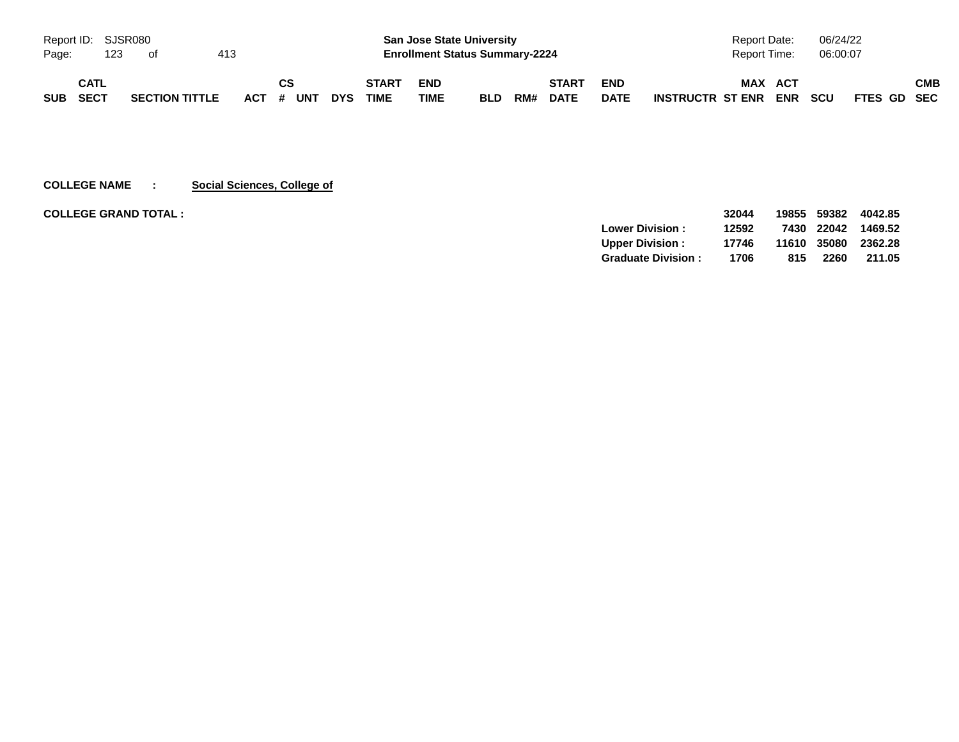| Report ID: SJSR080 |             |     |                       |     |            |    |     |            |              | <b>San Jose State University</b>      |            |     |             |             | Report Date:            |            | 06/24/22   |             |     |
|--------------------|-------------|-----|-----------------------|-----|------------|----|-----|------------|--------------|---------------------------------------|------------|-----|-------------|-------------|-------------------------|------------|------------|-------------|-----|
| Page:              |             | 123 | ot                    | 413 |            |    |     |            |              | <b>Enrollment Status Summary-2224</b> |            |     |             |             | <b>Report Time:</b>     |            | 06:00:07   |             |     |
|                    | CATL        |     |                       |     |            | СS |     |            | <b>START</b> | <b>END</b>                            |            |     | START       | <b>END</b>  | <b>MAX</b>              | ACT        |            |             | СМВ |
| <b>SUB</b>         | <b>SECT</b> |     | <b>SECTION TITTLE</b> |     | <b>ACT</b> | #  | UNT | <b>DYS</b> | <b>TIME</b>  | TIME                                  | <b>BLD</b> | RM# | <b>DATE</b> | <b>DATE</b> | <b>INSTRUCTR ST ENR</b> | <b>ENR</b> | <b>SCU</b> | FTES GD SEC |     |

**COLLEGE NAME : Social Sciences, College of**

**COLLEGE GRAND TOTAL : 32044 19855 59382 4042.85**

|                           | 32044 |     |      | 19855 59382 4042.85 |
|---------------------------|-------|-----|------|---------------------|
| <b>Lower Division:</b>    | 12592 |     |      | 7430 22042 1469.52  |
| <b>Upper Division:</b>    | 17746 |     |      | 11610 35080 2362.28 |
| <b>Graduate Division:</b> | 1706  | 815 | 2260 | 211.05              |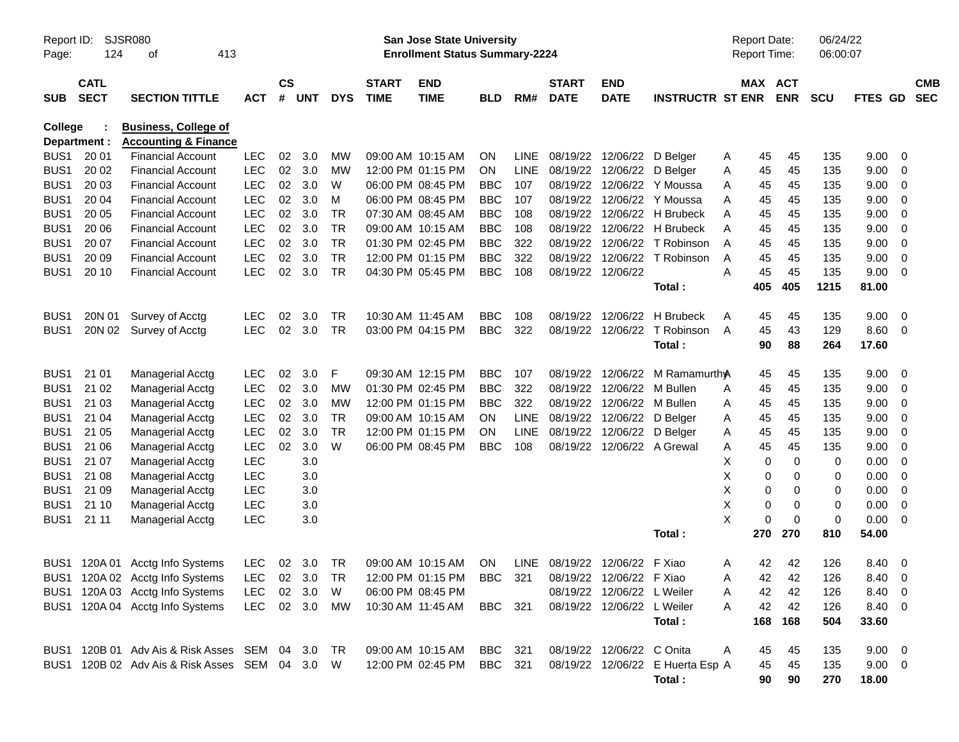| Report ID:<br>Page: | 124                        | SJSR080<br>413<br>оf                                           |            |                    |            |            |                             | San Jose State University<br><b>Enrollment Status Summary-2224</b> |            |             |                               |                            |                                  | <b>Report Date:</b><br><b>Report Time:</b> |                       | 06/24/22<br>06:00:07 |             |                          |  |
|---------------------|----------------------------|----------------------------------------------------------------|------------|--------------------|------------|------------|-----------------------------|--------------------------------------------------------------------|------------|-------------|-------------------------------|----------------------------|----------------------------------|--------------------------------------------|-----------------------|----------------------|-------------|--------------------------|--|
| <b>SUB</b>          | <b>CATL</b><br><b>SECT</b> | <b>SECTION TITTLE</b>                                          | <b>ACT</b> | $\mathsf{cs}$<br># | <b>UNT</b> | <b>DYS</b> | <b>START</b><br><b>TIME</b> | <b>END</b><br><b>TIME</b>                                          | <b>BLD</b> | RM#         | <b>START</b><br><b>DATE</b>   | <b>END</b><br><b>DATE</b>  | <b>INSTRUCTR ST ENR</b>          |                                            | MAX ACT<br><b>ENR</b> | <b>SCU</b>           | FTES GD     | <b>CMB</b><br><b>SEC</b> |  |
| <b>College</b>      | Department :               | <b>Business, College of</b><br><b>Accounting &amp; Finance</b> |            |                    |            |            |                             |                                                                    |            |             |                               |                            |                                  |                                            |                       |                      |             |                          |  |
| BUS <sub>1</sub>    | 20 01                      | <b>Financial Account</b>                                       | <b>LEC</b> | 02                 | 3.0        | МW         |                             | 09:00 AM 10:15 AM                                                  | ON         | <b>LINE</b> | 08/19/22 12/06/22 D Belger    |                            |                                  | 45<br>A                                    | 45                    | 135                  | 9.00        | - 0                      |  |
| BUS <sub>1</sub>    | 20 02                      | <b>Financial Account</b>                                       | <b>LEC</b> | 02 <sub>o</sub>    | 3.0        | <b>MW</b>  |                             | 12:00 PM 01:15 PM                                                  | ON         | <b>LINE</b> | 08/19/22 12/06/22 D Belger    |                            |                                  | 45<br>A                                    | 45                    | 135                  | 9.00        | 0                        |  |
| BUS <sub>1</sub>    | 20 03                      | <b>Financial Account</b>                                       | <b>LEC</b> | 02                 | 3.0        | W          |                             | 06:00 PM 08:45 PM                                                  | <b>BBC</b> | 107         | 08/19/22                      |                            | 12/06/22 Y Moussa                | 45<br>A                                    | 45                    | 135                  | 9.00        | 0                        |  |
| BUS <sub>1</sub>    | 20 04                      | <b>Financial Account</b>                                       | <b>LEC</b> | 02                 | 3.0        | м          |                             | 06:00 PM 08:45 PM                                                  | <b>BBC</b> | 107         | 08/19/22                      |                            | 12/06/22 Y Moussa                | 45<br>A                                    | 45                    | 135                  | 9.00        | 0                        |  |
| BUS <sub>1</sub>    | 20 05                      | <b>Financial Account</b>                                       | <b>LEC</b> | 02                 | 3.0        | TR.        |                             | 07:30 AM 08:45 AM                                                  | <b>BBC</b> | 108         |                               |                            | 08/19/22 12/06/22 H Brubeck      | 45<br>A                                    | 45                    | 135                  | 9.00        | 0                        |  |
| BUS <sub>1</sub>    | 20 06                      | <b>Financial Account</b>                                       | <b>LEC</b> | 02                 | 3.0        | <b>TR</b>  |                             | 09:00 AM 10:15 AM                                                  | <b>BBC</b> | 108         | 08/19/22                      |                            | 12/06/22 H Brubeck               | 45<br>A                                    | 45                    | 135                  | 9.00        | $\mathbf 0$              |  |
| BUS <sub>1</sub>    | 20 07                      | <b>Financial Account</b>                                       | <b>LEC</b> | 02                 | 3.0        | <b>TR</b>  |                             | 01:30 PM 02:45 PM                                                  | <b>BBC</b> | 322         | 08/19/22                      | 12/06/22                   | T Robinson                       | 45<br>A                                    | 45                    | 135                  | 9.00        | $\mathbf 0$              |  |
| BUS <sub>1</sub>    | 20 09                      | <b>Financial Account</b>                                       | LEC        | 02                 | 3.0        | <b>TR</b>  |                             | 12:00 PM 01:15 PM                                                  | <b>BBC</b> | 322         | 08/19/22                      | 12/06/22                   | T Robinson                       | 45<br>A                                    | 45                    | 135                  | 9.00        | 0                        |  |
| BUS1                | 20 10                      | <b>Financial Account</b>                                       | <b>LEC</b> | 02                 | 3.0        | <b>TR</b>  |                             | 04:30 PM 05:45 PM                                                  | <b>BBC</b> | 108         |                               | 08/19/22 12/06/22          |                                  | A<br>45                                    | 45                    | 135                  | 9.00        | $\overline{0}$           |  |
|                     |                            |                                                                |            |                    |            |            |                             |                                                                    |            |             |                               |                            | Total:                           | 405                                        | 405                   | 1215                 | 81.00       |                          |  |
| BUS <sub>1</sub>    | 20N 01                     | Survey of Acctg                                                | <b>LEC</b> | 02                 | 3.0        | TR.        | 10:30 AM 11:45 AM           |                                                                    | <b>BBC</b> | 108         | 08/19/22                      |                            | 12/06/22 H Brubeck               | 45<br>A                                    | 45                    | 135                  | 9.00        | 0                        |  |
| BUS <sub>1</sub>    |                            | 20N 02 Survey of Acctg                                         | <b>LEC</b> | 02                 | 3.0        | <b>TR</b>  |                             | 03:00 PM 04:15 PM                                                  | <b>BBC</b> | 322         |                               |                            | 08/19/22 12/06/22 T Robinson     | 45<br>A                                    | 43                    | 129                  | 8.60        | $\overline{0}$           |  |
|                     |                            |                                                                |            |                    |            |            |                             |                                                                    |            |             |                               |                            | Total:                           | 90                                         | 88                    | 264                  | 17.60       |                          |  |
| BUS <sub>1</sub>    | 21 01                      | <b>Managerial Acctg</b>                                        | <b>LEC</b> | 02                 | 3.0        | F          |                             | 09:30 AM 12:15 PM                                                  | <b>BBC</b> | 107         | 08/19/22                      | 12/06/22                   | M Ramamurth <b>A</b>             | 45                                         | 45                    | 135                  | 9.00        | 0                        |  |
| BUS <sub>1</sub>    | 21 02                      | <b>Managerial Acctg</b>                                        | <b>LEC</b> | 02                 | 3.0        | <b>MW</b>  |                             | 01:30 PM 02:45 PM                                                  | <b>BBC</b> | 322         | 08/19/22                      | 12/06/22                   | M Bullen                         | 45<br>Α                                    | 45                    | 135                  | 9.00        | 0                        |  |
| BUS <sub>1</sub>    | 21 03                      | <b>Managerial Acctg</b>                                        | <b>LEC</b> | 02                 | 3.0        | <b>MW</b>  |                             | 12:00 PM 01:15 PM                                                  | <b>BBC</b> | 322         | 08/19/22                      | 12/06/22                   | M Bullen                         | 45<br>Α                                    | 45                    | 135                  | 9.00        | 0                        |  |
| BUS1                | 21 04                      | <b>Managerial Acctg</b>                                        | <b>LEC</b> | 02                 | 3.0        | <b>TR</b>  |                             | 09:00 AM 10:15 AM                                                  | ON.        | <b>LINE</b> |                               | 08/19/22 12/06/22 D Belger |                                  | 45<br>Α                                    | 45                    | 135                  | 9.00        | 0                        |  |
| BUS1                | 21 05                      | <b>Managerial Acctg</b>                                        | <b>LEC</b> | 02                 | 3.0        | <b>TR</b>  |                             | 12:00 PM 01:15 PM                                                  | <b>ON</b>  | <b>LINE</b> | 08/19/22 12/06/22 D Belger    |                            |                                  | 45<br>A                                    | 45                    | 135                  | 9.00        | $\mathbf 0$              |  |
| BUS1                | 21 06                      | <b>Managerial Acctg</b>                                        | <b>LEC</b> | 02                 | 3.0        | W          |                             | 06:00 PM 08:45 PM                                                  | <b>BBC</b> | 108         |                               | 08/19/22 12/06/22 A Grewal |                                  | 45<br>Α                                    | 45                    | 135                  | 9.00        | $\mathbf 0$              |  |
| BUS1                | 21 07                      | <b>Managerial Acctg</b>                                        | LEC        |                    | 3.0        |            |                             |                                                                    |            |             |                               |                            |                                  | X<br>0                                     | $\mathbf 0$           | 0                    | 0.00        | $\mathbf 0$              |  |
| BUS <sub>1</sub>    | 21 08                      | <b>Managerial Acctg</b>                                        | LEC        |                    | 3.0        |            |                             |                                                                    |            |             |                               |                            |                                  | Х<br>0                                     | $\mathbf 0$           | 0                    | 0.00        | $\overline{0}$           |  |
| BUS <sub>1</sub>    | 21 09                      | <b>Managerial Acctg</b>                                        | <b>LEC</b> |                    | 3.0        |            |                             |                                                                    |            |             |                               |                            |                                  | X<br>0                                     | $\mathbf 0$           | 0                    | 0.00        | $\overline{0}$           |  |
| BUS <sub>1</sub>    | 21 10                      | <b>Managerial Acctg</b>                                        | <b>LEC</b> |                    | 3.0        |            |                             |                                                                    |            |             |                               |                            |                                  | X<br>0                                     | $\mathbf 0$           | 0                    | 0.00        | $\overline{0}$           |  |
| BUS1                | 21 11                      | Managerial Acctg                                               | <b>LEC</b> |                    | 3.0        |            |                             |                                                                    |            |             |                               |                            |                                  | X<br>0                                     | $\mathbf 0$           | 0                    | 0.00        | - 0                      |  |
|                     |                            |                                                                |            |                    |            |            |                             |                                                                    |            |             |                               |                            | Total:                           | 270                                        | 270                   | 810                  | 54.00       |                          |  |
|                     |                            | BUS1 120A 01 Acctg Info Systems                                | LEC.       |                    | 02 3.0     | TR         |                             | 09:00 AM 10:15 AM                                                  | ON         |             | LINE 08/19/22 12/06/22 F Xiao |                            |                                  | 42<br>A                                    | 42                    | 126                  | 8.40        | - 0                      |  |
|                     |                            | BUS1 120A 02 Acctg Info Systems LEC 02 3.0 TR                  |            |                    |            |            |                             | 12:00 PM 01:15 PM BBC 321                                          |            |             |                               | 08/19/22 12/06/22 F Xiao   |                                  | Α                                          | 42 42                 | 126                  | 8.40        | $\overline{\mathbf{0}}$  |  |
|                     |                            | BUS1 120A 03 Acctg Info Systems                                | LEC.       |                    | 02 3.0     | W          |                             | 06:00 PM 08:45 PM                                                  |            |             |                               | 08/19/22 12/06/22 L Weiler |                                  | 42<br>A                                    | 42                    | 126                  | 8.40        | - 0                      |  |
|                     |                            | BUS1 120A 04 Acctg Info Systems                                | LEC 02 3.0 |                    |            | MW         |                             | 10:30 AM 11:45 AM                                                  | BBC 321    |             |                               | 08/19/22 12/06/22 L Weiler |                                  | 42<br>Α                                    | 42                    | 126                  | 8.40 0      |                          |  |
|                     |                            |                                                                |            |                    |            |            |                             |                                                                    |            |             |                               |                            | Total:                           | 168                                        | 168                   | 504                  | 33.60       |                          |  |
|                     |                            | BUS1 120B 01 Adv Ais & Risk Asses SEM 04 3.0                   |            |                    |            | - TR       |                             | 09:00 AM 10:15 AM                                                  | BBC 321    |             |                               | 08/19/22 12/06/22 C Onita  |                                  | 45<br>A                                    | 45                    | 135                  | 9.00 0      |                          |  |
|                     |                            | BUS1 120B 02 Adv Ais & Risk Asses SEM 04 3.0 W                 |            |                    |            |            |                             | 12:00 PM 02:45 PM                                                  | BBC 321    |             |                               |                            | 08/19/22 12/06/22 E Huerta Esp A | 45                                         | 45                    | 135                  | $9.00 \t 0$ |                          |  |
|                     |                            |                                                                |            |                    |            |            |                             |                                                                    |            |             |                               |                            | Total:                           | 90                                         | 90                    | 270                  | 18.00       |                          |  |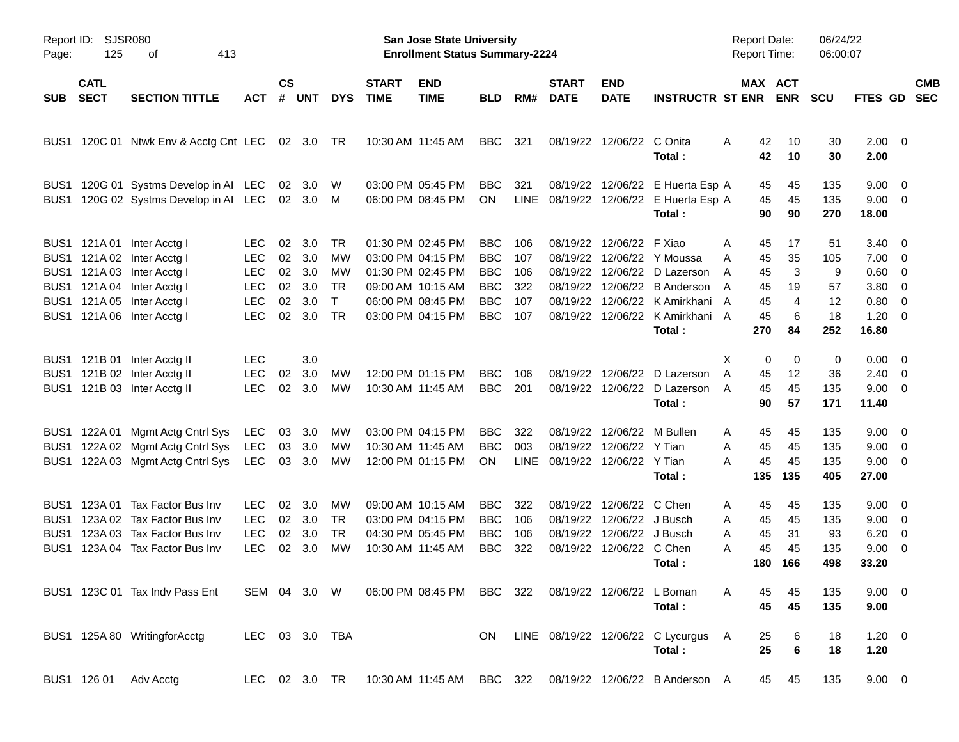| Page:                                                            | <b>SJSR080</b><br>Report ID:<br>125<br>413<br>οf |                                                                                                                                                                                  |                                                                                  |                                  |                                        |                                                          |                             | <b>San Jose State University</b><br><b>Enrollment Status Summary-2224</b>                                                  |                                                                                  |                                        |                                                          |                                                                                              |                                                                                                                                      | <b>Report Date:</b><br>Report Time:                              |                                                  | 06/24/22<br>06:00:07                    |                                                                           |                                                                               |                          |
|------------------------------------------------------------------|--------------------------------------------------|----------------------------------------------------------------------------------------------------------------------------------------------------------------------------------|----------------------------------------------------------------------------------|----------------------------------|----------------------------------------|----------------------------------------------------------|-----------------------------|----------------------------------------------------------------------------------------------------------------------------|----------------------------------------------------------------------------------|----------------------------------------|----------------------------------------------------------|----------------------------------------------------------------------------------------------|--------------------------------------------------------------------------------------------------------------------------------------|------------------------------------------------------------------|--------------------------------------------------|-----------------------------------------|---------------------------------------------------------------------------|-------------------------------------------------------------------------------|--------------------------|
| <b>SUB</b>                                                       | <b>CATL</b><br><b>SECT</b>                       | <b>SECTION TITTLE</b>                                                                                                                                                            | <b>ACT</b>                                                                       | <b>CS</b><br>#                   | UNT                                    | <b>DYS</b>                                               | <b>START</b><br><b>TIME</b> | <b>END</b><br><b>TIME</b>                                                                                                  | <b>BLD</b>                                                                       | RM#                                    | <b>START</b><br><b>DATE</b>                              | <b>END</b><br><b>DATE</b>                                                                    | <b>INSTRUCTR ST ENR</b>                                                                                                              |                                                                  | MAX ACT<br><b>ENR</b>                            | <b>SCU</b>                              | FTES GD                                                                   |                                                                               | <b>CMB</b><br><b>SEC</b> |
| BUS1                                                             |                                                  | 120C 01 Ntwk Env & Acctg Cnt LEC                                                                                                                                                 |                                                                                  |                                  | 02 3.0                                 | - TR                                                     |                             | 10:30 AM 11:45 AM                                                                                                          | BBC                                                                              | 321                                    | 08/19/22                                                 | 12/06/22 C Onita                                                                             | Total:                                                                                                                               | 42<br>A<br>42                                                    | 10<br>10                                         | 30<br>30                                | $2.00 \t 0$<br>2.00                                                       |                                                                               |                          |
| BUS <sub>1</sub><br>BUS1                                         |                                                  | 120G 01 Systms Develop in AI LEC<br>120G 02 Systms Develop in AI LEC                                                                                                             |                                                                                  | 02                               | -3.0<br>02 3.0 M                       | W                                                        |                             | 03:00 PM 05:45 PM<br>06:00 PM 08:45 PM                                                                                     | BBC<br>ON                                                                        | 321<br>LINE                            |                                                          |                                                                                              | 08/19/22 12/06/22 E Huerta Esp A<br>08/19/22 12/06/22 E Huerta Esp A<br>Total:                                                       | 45<br>45<br>90                                                   | 45<br>45<br>90                                   | 135<br>135<br>270                       | $9.00 \t 0$<br>$9.00 \t 0$<br>18.00                                       |                                                                               |                          |
|                                                                  |                                                  | BUS1 121A 01 Inter Acctg I<br>BUS1 121A 02 Inter Acctg I<br>BUS1 121A 03 Inter Acctg I<br>BUS1 121A 04 Inter Acctg I<br>BUS1 121A 05 Inter Acctg I<br>BUS1 121A 06 Inter Acctg I | <b>LEC</b><br><b>LEC</b><br><b>LEC</b><br><b>LEC</b><br><b>LEC</b><br><b>LEC</b> | 02<br>02<br>02<br>02<br>02<br>02 | 3.0<br>3.0<br>3.0<br>3.0<br>3.0<br>3.0 | TR<br>MW<br>MW<br><b>TR</b><br>$\mathsf{T}$<br><b>TR</b> |                             | 01:30 PM 02:45 PM<br>03:00 PM 04:15 PM<br>01:30 PM 02:45 PM<br>09:00 AM 10:15 AM<br>06:00 PM 08:45 PM<br>03:00 PM 04:15 PM | <b>BBC</b><br><b>BBC</b><br><b>BBC</b><br><b>BBC</b><br><b>BBC</b><br><b>BBC</b> | 106<br>107<br>106<br>322<br>107<br>107 | 08/19/22<br>08/19/22<br>08/19/22<br>08/19/22<br>08/19/22 | 12/06/22 F Xiao                                                                              | 12/06/22 Y Moussa<br>12/06/22 D Lazerson<br>12/06/22 B Anderson<br>12/06/22 K Amirkhani<br>08/19/22 12/06/22 K Amirkhani A<br>Total: | 45<br>A<br>A<br>45<br>45<br>A<br>45<br>A<br>45<br>A<br>45<br>270 | 17<br>35<br>3<br>19<br>$\overline{4}$<br>6<br>84 | 51<br>105<br>9<br>57<br>12<br>18<br>252 | $3.40 \ 0$<br>$7.00 \t 0$<br>0.60<br>3.80<br>0.80<br>$1.20 \t 0$<br>16.80 | $\overline{\mathbf{0}}$<br>$\overline{\mathbf{0}}$<br>$\overline{\mathbf{0}}$ |                          |
|                                                                  |                                                  | BUS1 121B 01 Inter Acctg II<br>BUS1 121B 02 Inter Acctg II<br>BUS1 121B 03 Inter Acctg II                                                                                        | <b>LEC</b><br><b>LEC</b><br><b>LEC</b>                                           | 02<br>02                         | 3.0<br>3.0<br>3.0                      | МW<br>МW                                                 |                             | 12:00 PM 01:15 PM<br>10:30 AM 11:45 AM                                                                                     | <b>BBC</b><br><b>BBC</b>                                                         | 106<br>201                             |                                                          |                                                                                              | 08/19/22 12/06/22 D Lazerson<br>08/19/22 12/06/22 D Lazerson<br>Total:                                                               | X<br>A<br>45<br>45<br>A<br>90                                    | 0<br>0<br>12<br>45<br>57                         | 0<br>36<br>135<br>171                   | $0.00 \t 0$<br>$2.40 \ 0$<br>$9.00 \t 0$<br>11.40                         |                                                                               |                          |
| BUS1<br>BUS1<br>BUS1                                             |                                                  | 122A 01 Mgmt Actg Cntrl Sys<br>122A 02 Mgmt Actg Cntrl Sys<br>122A 03 Mgmt Actg Cntrl Sys                                                                                        | LEC<br>LEC<br>LEC                                                                | 03<br>03                         | 3.0<br>3.0<br>03 3.0                   | МW<br>МW<br>МW                                           |                             | 03:00 PM 04:15 PM<br>10:30 AM 11:45 AM<br>12:00 PM 01:15 PM                                                                | <b>BBC</b><br><b>BBC</b><br>ON                                                   | 322<br>003                             | 08/19/22<br>08/19/22<br>LINE 08/19/22 12/06/22 Y Tian    | 12/06/22 Y Tian                                                                              | 12/06/22 M Bullen<br>Total:                                                                                                          | 45<br>A<br>45<br>A<br>45<br>A<br>135                             | 45<br>45<br>45<br>135                            | 135<br>135<br>135<br>405                | $9.00 \t 0$<br>$9.00 \t 0$<br>$9.00 \t 0$<br>27.00                        |                                                                               |                          |
| BUS1<br>BUS <sub>1</sub><br>BUS <sub>1</sub><br>BUS <sub>1</sub> |                                                  | 123A 01 Tax Factor Bus Inv<br>123A 02 Tax Factor Bus Inv<br>123A 03 Tax Factor Bus Inv<br>123A 04 Tax Factor Bus Inv                                                             | <b>LEC</b><br><b>LEC</b><br><b>LEC</b><br><b>LEC</b>                             | 02<br>02<br>02<br>02             | 3.0<br>3.0<br>3.0<br>3.0               | МW<br><b>TR</b><br><b>TR</b><br>MW                       |                             | 09:00 AM 10:15 AM<br>03:00 PM 04:15 PM<br>04:30 PM 05:45 PM<br>10:30 AM 11:45 AM                                           | <b>BBC</b><br><b>BBC</b><br><b>BBC</b><br><b>BBC</b>                             | 322<br>106<br>106<br>322               | 08/19/22<br>08/19/22                                     | 08/19/22 12/06/22 C Chen<br>12/06/22 J Busch<br>12/06/22 J Busch<br>08/19/22 12/06/22 C Chen | Total:                                                                                                                               | 45<br>A<br>45<br>A<br>45<br>A<br>45<br>A<br>180                  | 45<br>45<br>31<br>45<br>166                      | 135<br>135<br>93<br>135<br>498          | $9.00 \t 0$<br>$9.00 \t 0$<br>6.20<br>9.00<br>33.20                       | $\overline{\mathbf{0}}$<br>$\overline{\phantom{0}}$                           |                          |
|                                                                  |                                                  | BUS1 123C 01 Tax Indy Pass Ent                                                                                                                                                   |                                                                                  |                                  |                                        |                                                          |                             | SEM 04 3.0 W 06:00 PM 08:45 PM BBC 322 08/19/22 12/06/22 L Boman                                                           |                                                                                  |                                        |                                                          |                                                                                              | Total:                                                                                                                               | A<br>45<br>45                                                    | 45<br>45                                         | 135<br>135                              | $9.00 \t 0$<br>9.00                                                       |                                                                               |                          |
|                                                                  |                                                  | BUS1 125A 80 WritingforAcctg                                                                                                                                                     |                                                                                  |                                  |                                        | LEC 03 3.0 TBA                                           |                             |                                                                                                                            |                                                                                  |                                        |                                                          |                                                                                              | ON LINE 08/19/22 12/06/22 C Lycurgus A<br>Total:                                                                                     | 25<br>25                                                         | 6<br>$\bf 6$                                     | 18<br>18                                | $1.20 \t 0$<br>1.20                                                       |                                                                               |                          |
|                                                                  |                                                  | BUS1 126 01 Adv Acctg                                                                                                                                                            |                                                                                  |                                  |                                        |                                                          |                             |                                                                                                                            |                                                                                  |                                        |                                                          |                                                                                              | LEC 02 3.0 TR 10:30 AM 11:45 AM BBC 322 08/19/22 12/06/22 B Anderson A                                                               |                                                                  | 45<br>45                                         | 135                                     | $9.00 \t 0$                                                               |                                                                               |                          |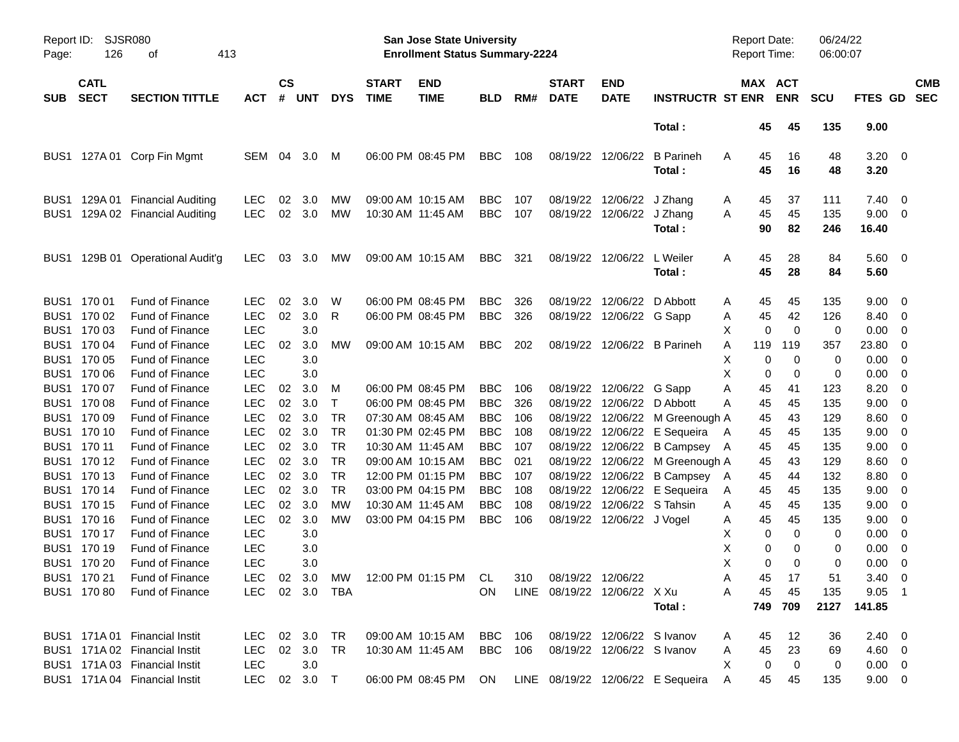| Report ID:<br>Page: | 126                                       | SJSR080<br>413<br>οf                                                       |                                        |                    |                   |                                     |                             | <b>San Jose State University</b><br><b>Enrollment Status Summary-2224</b> |                                        |                   |                             |                                                             |                                            | <b>Report Date:</b><br><b>Report Time:</b> |                 |                         | 06/24/22<br>06:00:07 |                                  |                                                    |                          |
|---------------------|-------------------------------------------|----------------------------------------------------------------------------|----------------------------------------|--------------------|-------------------|-------------------------------------|-----------------------------|---------------------------------------------------------------------------|----------------------------------------|-------------------|-----------------------------|-------------------------------------------------------------|--------------------------------------------|--------------------------------------------|-----------------|-------------------------|----------------------|----------------------------------|----------------------------------------------------|--------------------------|
| <b>SUB</b>          | <b>CATL</b><br><b>SECT</b>                | <b>SECTION TITTLE</b>                                                      | ACT                                    | $\mathsf{cs}$<br># | <b>UNT</b>        | <b>DYS</b>                          | <b>START</b><br><b>TIME</b> | <b>END</b><br><b>TIME</b>                                                 | <b>BLD</b>                             | RM#               | <b>START</b><br><b>DATE</b> | <b>END</b><br><b>DATE</b>                                   | <b>INSTRUCTR ST ENR</b>                    | MAX ACT                                    |                 | <b>ENR</b>              | <b>SCU</b>           | <b>FTES GD</b>                   |                                                    | <b>CMB</b><br><b>SEC</b> |
|                     |                                           |                                                                            |                                        |                    |                   |                                     |                             |                                                                           |                                        |                   |                             |                                                             | Total:                                     |                                            | 45              | 45                      | 135                  | 9.00                             |                                                    |                          |
|                     |                                           | BUS1 127A 01 Corp Fin Mgmt                                                 | SEM                                    | 04                 | 3.0               | M                                   |                             | 06:00 PM 08:45 PM                                                         | <b>BBC</b>                             | 108               |                             | 08/19/22 12/06/22                                           | <b>B</b> Parineh<br>Total:                 | A                                          | 45<br>45        | 16<br>16                | 48<br>48             | $3.20 \ 0$<br>3.20               |                                                    |                          |
| BUS1                |                                           | 129A 01 Financial Auditing<br>BUS1 129A 02 Financial Auditing              | LEC<br><b>LEC</b>                      | 02                 | 3.0<br>02 3.0     | MW<br>MW                            | 10:30 AM 11:45 AM           | 09:00 AM 10:15 AM                                                         | <b>BBC</b><br><b>BBC</b>               | 107<br>107        |                             | 08/19/22 12/06/22<br>08/19/22 12/06/22                      | J Zhang<br>J Zhang<br>Total:               | A<br>A                                     | 45<br>45<br>90  | 37<br>45<br>82          | 111<br>135<br>246    | 7.40<br>9.00<br>16.40            | $\overline{\mathbf{0}}$<br>$\overline{\mathbf{0}}$ |                          |
| BUS1                |                                           | 129B 01 Operational Audit'g                                                | LEC.                                   | 03                 | 3.0               | <b>MW</b>                           |                             | 09:00 AM 10:15 AM                                                         | BBC                                    | 321               |                             | 08/19/22 12/06/22                                           | L Weiler<br>Total:                         | A                                          | 45<br>45        | 28<br>28                | 84<br>84             | $5.60 \ 0$<br>5.60               |                                                    |                          |
|                     | BUS1 170 01<br>BUS1 170 02<br>BUS1 170 03 | <b>Fund of Finance</b><br>Fund of Finance<br><b>Fund of Finance</b>        | <b>LEC</b><br><b>LEC</b><br><b>LEC</b> | 02<br>02           | 3.0<br>3.0<br>3.0 | W<br>R                              |                             | 06:00 PM 08:45 PM<br>06:00 PM 08:45 PM                                    | <b>BBC</b><br><b>BBC</b>               | 326<br>326        |                             | 08/19/22 12/06/22<br>08/19/22 12/06/22 G Sapp               | D Abbott                                   | A<br>A<br>X                                | 45<br>45<br>0   | 45<br>42<br>$\mathbf 0$ | 135<br>126<br>0      | 9.00<br>8.40<br>0.00             | - 0<br>0<br>0                                      |                          |
|                     | BUS1 170 04<br>BUS1 170 05                | <b>Fund of Finance</b><br>Fund of Finance                                  | <b>LEC</b><br><b>LEC</b>               | 02                 | 3.0<br>3.0        | МW                                  |                             | 09:00 AM 10:15 AM                                                         | BBC                                    | 202               |                             |                                                             | 08/19/22 12/06/22 B Parineh                | A<br>Х                                     | 119<br>0        | 119<br>0                | 357<br>0             | 23.80<br>0.00                    | 0<br>0                                             |                          |
|                     | BUS1 170 06<br>BUS1 170 07<br>BUS1 170 08 | <b>Fund of Finance</b><br>Fund of Finance<br>Fund of Finance               | <b>LEC</b><br><b>LEC</b><br><b>LEC</b> | 02<br>02           | 3.0<br>3.0<br>3.0 | м<br>Τ                              |                             | 06:00 PM 08:45 PM<br>06:00 PM 08:45 PM                                    | <b>BBC</b><br><b>BBC</b>               | 106<br>326        |                             | 08/19/22 12/06/22<br>08/19/22 12/06/22                      | G Sapp<br>D Abbott                         | Х<br>Α<br>A                                | 0<br>45<br>45   | 0<br>41<br>45           | 0<br>123<br>135      | 0.00<br>8.20<br>9.00             | 0<br>0<br>0                                        |                          |
|                     | BUS1 170 09<br>BUS1 170 10<br>BUS1 170 11 | <b>Fund of Finance</b><br><b>Fund of Finance</b><br>Fund of Finance        | <b>LEC</b><br><b>LEC</b><br><b>LEC</b> | 02<br>02<br>02     | 3.0<br>3.0<br>3.0 | <b>TR</b><br><b>TR</b><br><b>TR</b> |                             | 07:30 AM 08:45 AM<br>01:30 PM 02:45 PM<br>10:30 AM 11:45 AM               | <b>BBC</b><br><b>BBC</b><br><b>BBC</b> | 106<br>108<br>107 |                             | 08/19/22 12/06/22<br>08/19/22 12/06/22<br>08/19/22 12/06/22 | M Greenough A<br>E Sequeira<br>B Campsey A | A                                          | 45<br>45<br>45  | 43<br>45<br>45          | 129<br>135<br>135    | 8.60<br>9.00<br>9.00             | 0<br>0<br>0                                        |                          |
|                     | BUS1 170 12<br>BUS1 170 13<br>BUS1 170 14 | <b>Fund of Finance</b><br><b>Fund of Finance</b><br>Fund of Finance        | <b>LEC</b><br><b>LEC</b><br><b>LEC</b> | 02<br>02<br>02     | 3.0<br>3.0<br>3.0 | <b>TR</b><br><b>TR</b><br><b>TR</b> |                             | 09:00 AM 10:15 AM<br>12:00 PM 01:15 PM<br>03:00 PM 04:15 PM               | <b>BBC</b><br><b>BBC</b><br><b>BBC</b> | 021<br>107<br>108 |                             | 08/19/22 12/06/22<br>08/19/22 12/06/22<br>08/19/22 12/06/22 | M Greenough A<br>B Campsey A<br>E Sequeira | A                                          | 45<br>45<br>45  | 43<br>44<br>45          | 129<br>132<br>135    | 8.60<br>8.80<br>9.00             | 0<br>0<br>0                                        |                          |
|                     | BUS1 170 15<br>BUS1 170 16<br>BUS1 170 17 | <b>Fund of Finance</b><br><b>Fund of Finance</b><br><b>Fund of Finance</b> | <b>LEC</b><br><b>LEC</b><br><b>LEC</b> | 02<br>02           | 3.0<br>3.0<br>3.0 | МW<br>МW                            |                             | 10:30 AM 11:45 AM<br>03:00 PM 04:15 PM                                    | <b>BBC</b><br><b>BBC</b>               | 108<br>106        |                             | 08/19/22 12/06/22<br>08/19/22 12/06/22 J Vogel              | S Tahsin                                   | Α<br>A<br>X                                | 45<br>45<br>0   | 45<br>45<br>0           | 135<br>135<br>0      | 9.00<br>9.00<br>0.00             | 0<br>0<br>0                                        |                          |
|                     | BUS1 170 19<br>BUS1 170 20                | <b>Fund of Finance</b><br><b>Fund of Finance</b>                           | <b>LEC</b><br><b>LEC</b>               |                    | 3.0<br>3.0        |                                     |                             |                                                                           |                                        |                   |                             |                                                             |                                            | X<br>X                                     | 0<br>0          | 0<br>$\Omega$           | 0<br>0               | 0.00<br>0.00                     | 0<br>0                                             |                          |
|                     | BUS1 170 21<br>BUS1 170 80                | Fund of Finance<br>Fund of Finance                                         | LEC<br>LEC.                            |                    | 02 3.0 TBA        |                                     |                             | 02 3.0 MW 12:00 PM 01:15 PM CL 310 08/19/22 12/06/22                      | <b>ON</b>                              |                   | LINE 08/19/22 12/06/22 X Xu |                                                             | Total:                                     | Α<br>Α                                     | 45<br>45<br>749 | 17<br>45<br>709         | 51<br>135<br>2127    | $3.40 \ 0$<br>$9.05$ 1<br>141.85 |                                                    |                          |
|                     |                                           | BUS1 171A 01 Financial Instit<br>BUS1 171A 02 Financial Instit             | LEC 02 3.0<br>LEC                      |                    | 02 3.0            | TR<br>TR                            |                             | 09:00 AM 10:15 AM BBC 106<br>10:30 AM 11:45 AM                            | BBC 106                                |                   |                             | 08/19/22 12/06/22 S Ivanov<br>08/19/22 12/06/22 S Ivanov    |                                            | A<br>Α                                     | 45<br>45        | 12<br>23                | 36<br>69             | $2.40 \ 0$<br>$4.60 \quad 0$     |                                                    |                          |
|                     |                                           | BUS1 171A 03 Financial Instit<br>BUS1 171A 04 Financial Instit             | LEC<br>LEC                             |                    | 3.0<br>02 3.0 T   |                                     |                             | 06:00 PM 08:45 PM ON                                                      |                                        |                   |                             |                                                             | LINE 08/19/22 12/06/22 E Sequeira          | X<br>A                                     | 0<br>45         | $\mathbf 0$<br>45       | 0<br>135             | $0.00 \quad 0$<br>$9.00 \t 0$    |                                                    |                          |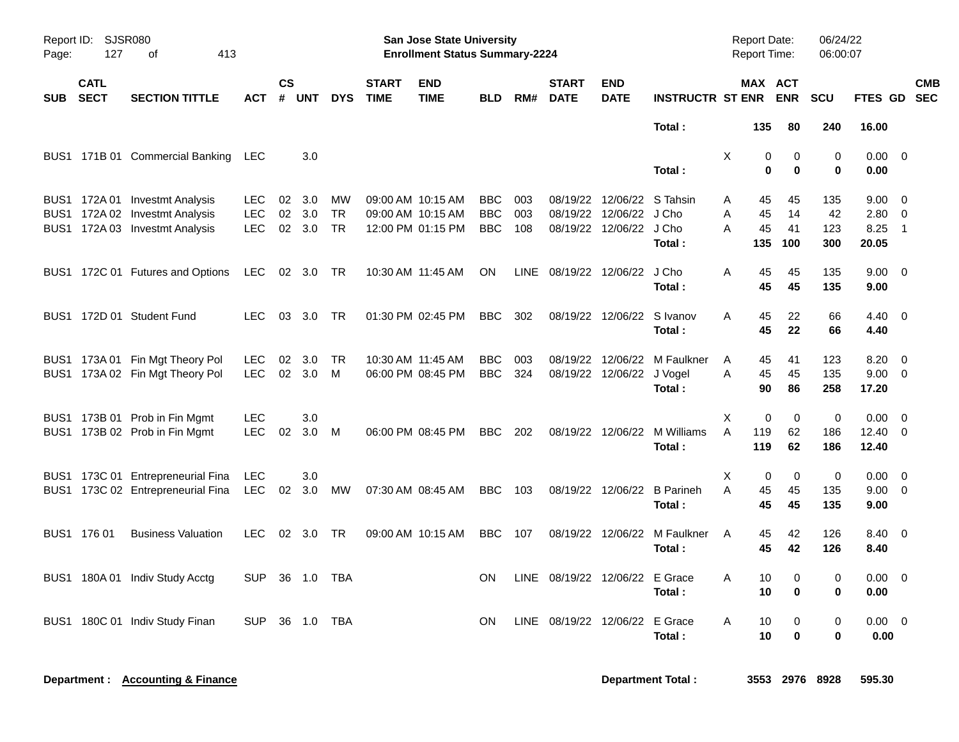| Page:    | Report ID: SJSR080<br>127 | 413<br>оf                                                                                          |                                        |    |                         |                       |                             | <b>San Jose State University</b><br><b>Enrollment Status Summary-2224</b> |                                        |                   |                             |                                                                            |                                        |             | <b>Report Date:</b><br>Report Time: |                            | 06/24/22<br>06:00:07    |                                      |                                           |
|----------|---------------------------|----------------------------------------------------------------------------------------------------|----------------------------------------|----|-------------------------|-----------------------|-----------------------------|---------------------------------------------------------------------------|----------------------------------------|-------------------|-----------------------------|----------------------------------------------------------------------------|----------------------------------------|-------------|-------------------------------------|----------------------------|-------------------------|--------------------------------------|-------------------------------------------|
| SUB SECT | <b>CATL</b>               | <b>SECTION TITTLE</b>                                                                              | <b>ACT</b>                             | CS | # UNT                   | <b>DYS</b>            | <b>START</b><br><b>TIME</b> | <b>END</b><br><b>TIME</b>                                                 | <b>BLD</b>                             | RM#               | <b>START</b><br><b>DATE</b> | <b>END</b><br><b>DATE</b>                                                  | <b>INSTRUCTR ST ENR</b>                |             | MAX ACT                             | <b>ENR</b>                 | <b>SCU</b>              | FTES GD SEC                          | <b>CMB</b>                                |
|          |                           |                                                                                                    |                                        |    |                         |                       |                             |                                                                           |                                        |                   |                             |                                                                            | Total:                                 |             | 135                                 | 80                         | 240                     | 16.00                                |                                           |
|          |                           | BUS1 171B 01 Commercial Banking                                                                    | LEC                                    |    | 3.0                     |                       |                             |                                                                           |                                        |                   |                             |                                                                            | Total:                                 | X           | 0<br>$\bf{0}$                       | $\mathbf 0$<br>$\mathbf 0$ | $\Omega$<br>0           | $0.00 \quad 0$<br>0.00               |                                           |
|          |                           | BUS1 172A 01 Investmt Analysis<br>BUS1 172A 02 Investmt Analysis<br>BUS1 172A 03 Investmt Analysis | <b>LEC</b><br><b>LEC</b><br><b>LEC</b> | 02 | 02 3.0<br>3.0<br>02 3.0 | MW<br>TR<br><b>TR</b> |                             | 09:00 AM 10:15 AM<br>09:00 AM 10:15 AM<br>12:00 PM 01:15 PM               | <b>BBC</b><br><b>BBC</b><br><b>BBC</b> | 003<br>003<br>108 |                             | 08/19/22 12/06/22 S Tahsin<br>08/19/22 12/06/22<br>08/19/22 12/06/22 J Cho | J Cho<br>Total:                        | Α<br>A<br>A | 45<br>45<br>45<br>135               | 45<br>14<br>41<br>100      | 135<br>42<br>123<br>300 | $9.00 \t 0$<br>2.80<br>8.25<br>20.05 | $\overline{\mathbf{0}}$<br>$\overline{1}$ |
|          |                           | BUS1 172C 01 Futures and Options                                                                   | <b>LEC</b>                             |    | 02 3.0                  | TR                    |                             | 10:30 AM 11:45 AM                                                         | ON                                     | LINE              |                             | 08/19/22 12/06/22                                                          | J Cho<br>Total:                        | Α           | 45<br>45                            | 45<br>45                   | 135<br>135              | $9.00 \quad 0$<br>9.00               |                                           |
|          |                           | BUS1 172D 01 Student Fund                                                                          | <b>LEC</b>                             |    | 03 3.0                  | - TR                  |                             | 01:30 PM 02:45 PM                                                         | BBC.                                   | 302               |                             | 08/19/22 12/06/22 S Ivanov                                                 | Total:                                 | A           | 45<br>45                            | 22<br>22                   | 66<br>66                | $4.40 \quad 0$<br>4.40               |                                           |
|          |                           | BUS1 173A 01 Fin Mgt Theory Pol<br>BUS1 173A 02 Fin Mgt Theory Pol                                 | <b>LEC</b><br><b>LEC</b>               | 02 | 3.0<br>02 3.0           | TR<br>M               |                             | 10:30 AM 11:45 AM<br>06:00 PM 08:45 PM                                    | <b>BBC</b><br><b>BBC</b>               | 003<br>324        |                             | 08/19/22 12/06/22<br>08/19/22 12/06/22 J Vogel                             | M Faulkner<br>Total:                   | Α<br>A      | 45<br>45<br>90                      | 41<br>45<br>86             | 123<br>135<br>258       | 8.20<br>9.00 0<br>17.20              | $\overline{0}$                            |
|          |                           | BUS1 173B 01 Prob in Fin Mgmt<br>BUS1 173B 02 Prob in Fin Mgmt                                     | <b>LEC</b><br>LEC.                     | 02 | 3.0<br>3.0              | M                     |                             | 06:00 PM 08:45 PM                                                         | <b>BBC</b>                             | 202               |                             |                                                                            | 08/19/22 12/06/22 M Williams<br>Total: | Χ<br>A      | 0<br>119<br>119                     | $\mathbf 0$<br>62<br>62    | 0<br>186<br>186         | 0.00<br>$12.40 \t 0$<br>12.40        | $\overline{\mathbf{0}}$                   |
|          |                           | BUS1 173C 01 Entrepreneurial Fina<br>BUS1 173C 02 Entrepreneurial Fina                             | <b>LEC</b><br><b>LEC</b>               | 02 | 3.0<br>3.0              | МW                    |                             | 07:30 AM 08:45 AM                                                         | <b>BBC</b>                             | 103               |                             | 08/19/22 12/06/22                                                          | <b>B</b> Parineh<br>Total:             | X<br>A      | 0<br>45<br>45                       | 0<br>45<br>45              | $\pmb{0}$<br>135<br>135 | 0.00<br>$9.00 \t 0$<br>9.00          | $\overline{\mathbf{0}}$                   |
|          | BUS1 176 01               | <b>Business Valuation</b>                                                                          | <b>LEC</b>                             | 02 | 3.0                     | TR                    |                             | 09:00 AM 10:15 AM                                                         | <b>BBC</b>                             | 107               |                             | 08/19/22 12/06/22                                                          | M Faulkner<br>Total:                   | A           | 45<br>45                            | 42<br>42                   | 126<br>126              | $8.40 \quad 0$<br>8.40               |                                           |
|          |                           | BUS1 180A 01 Indiv Study Acctg                                                                     | <b>SUP</b>                             |    | 36 1.0                  | TBA                   |                             |                                                                           | <b>ON</b>                              | <b>LINE</b>       | 08/19/22 12/06/22 E Grace   |                                                                            | Total:                                 | A           | 10<br>10                            | 0<br>0                     | 0<br>0                  | $0.00 \t 0$<br>0.00                  |                                           |
| BUS1     |                           | 180C 01 Indiv Study Finan                                                                          | <b>SUP</b>                             |    | 36 1.0                  | TBA                   |                             |                                                                           | <b>ON</b>                              | LINE              | 08/19/22 12/06/22 E Grace   |                                                                            | Total :                                | A           | 10<br>10                            | 0<br>$\bf{0}$              | 0<br>0                  | $0.00 \quad 0$<br>0.00               |                                           |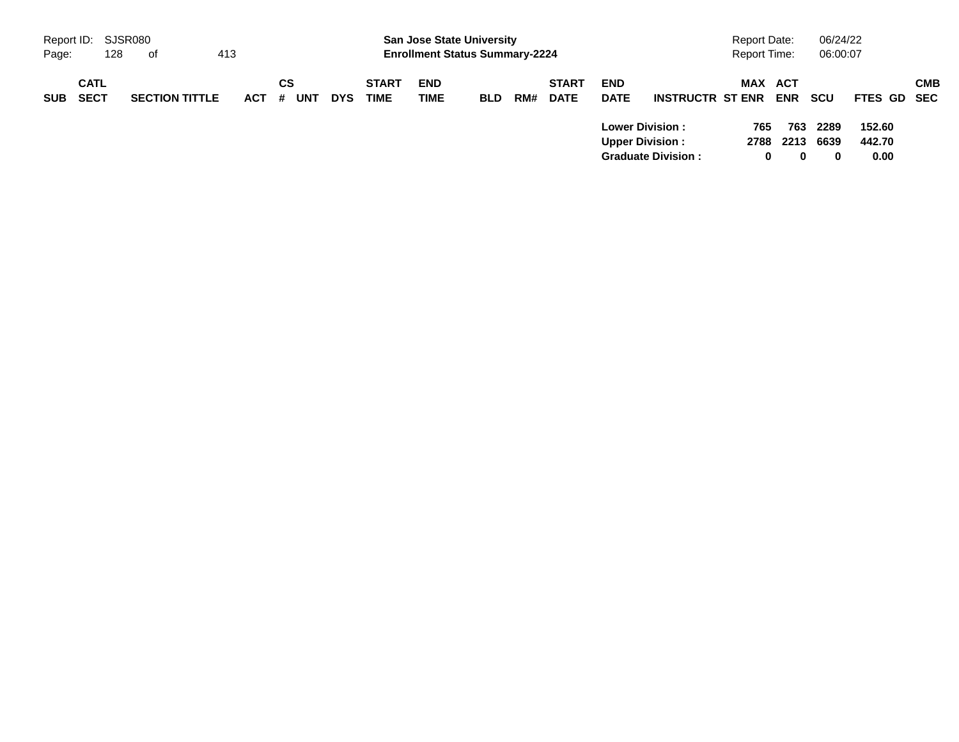| Report ID: SJSR080 |                            |     |                       |     |            |          |     |            |                             | <b>San Jose State University</b>      |            |     |                             |                           |                                                                               | <b>Report Date:</b> |                              | 06/24/22                 |                          |            |
|--------------------|----------------------------|-----|-----------------------|-----|------------|----------|-----|------------|-----------------------------|---------------------------------------|------------|-----|-----------------------------|---------------------------|-------------------------------------------------------------------------------|---------------------|------------------------------|--------------------------|--------------------------|------------|
| Page:              |                            | 128 | of                    | 413 |            |          |     |            |                             | <b>Enrollment Status Summary-2224</b> |            |     |                             |                           |                                                                               | <b>Report Time:</b> |                              | 06:00:07                 |                          |            |
| <b>SUB</b>         | <b>CATL</b><br><b>SECT</b> |     | <b>SECTION TITTLE</b> |     | <b>ACT</b> | СS<br>`# | UNT | <b>DYS</b> | <b>START</b><br><b>TIME</b> | <b>END</b><br><b>TIME</b>             | <b>BLD</b> | RM# | <b>START</b><br><b>DATE</b> | <b>END</b><br><b>DATE</b> | <b>INSTRUCTR ST ENR</b>                                                       |                     | <b>MAX ACT</b><br><b>ENR</b> | scu                      | <b>FTES GD SEC</b>       | <b>CMB</b> |
|                    |                            |     |                       |     |            |          |     |            |                             |                                       |            |     |                             |                           | <b>Lower Division:</b><br><b>Upper Division:</b><br><b>Graduate Division:</b> | 765<br>2788         | 763<br>2213<br>0<br>0        | 2289<br>6639<br>$\bf{0}$ | 152.60<br>442.70<br>0.00 |            |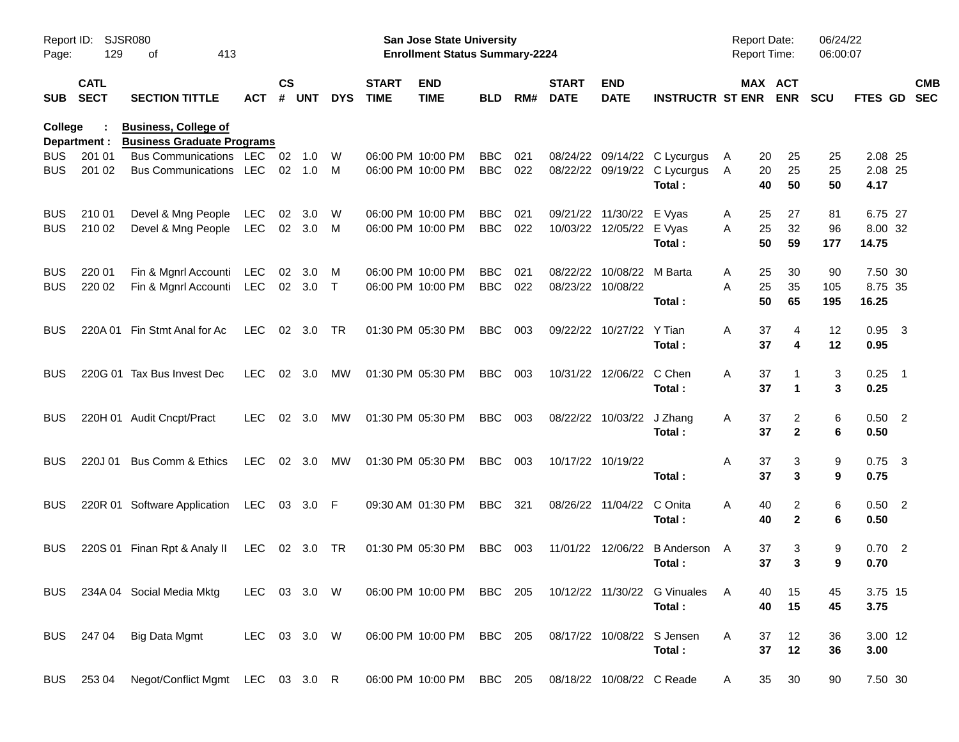| Page:                    | <b>SJSR080</b><br>Report ID:<br>129<br>413<br>оf |                                                                  |                   |                    |               |             |                             | <b>San Jose State University</b><br><b>Enrollment Status Summary-2224</b> |                          |            |                             |                              |                                                                  | Report Date:<br>Report Time: |                       | 06/24/22<br>06:00:07 |                             |                          |
|--------------------------|--------------------------------------------------|------------------------------------------------------------------|-------------------|--------------------|---------------|-------------|-----------------------------|---------------------------------------------------------------------------|--------------------------|------------|-----------------------------|------------------------------|------------------------------------------------------------------|------------------------------|-----------------------|----------------------|-----------------------------|--------------------------|
| <b>SUB</b>               | <b>CATL</b><br><b>SECT</b>                       | <b>SECTION TITTLE</b>                                            | <b>ACT</b>        | $\mathsf{cs}$<br># | <b>UNT</b>    | <b>DYS</b>  | <b>START</b><br><b>TIME</b> | <b>END</b><br><b>TIME</b>                                                 | <b>BLD</b>               | RM#        | <b>START</b><br><b>DATE</b> | <b>END</b><br><b>DATE</b>    | <b>INSTRUCTR ST ENR</b>                                          |                              | MAX ACT<br><b>ENR</b> | <b>SCU</b>           | <b>FTES GD</b>              | <b>CMB</b><br><b>SEC</b> |
| <b>College</b>           | Department :                                     | <b>Business, College of</b><br><b>Business Graduate Programs</b> |                   |                    |               |             |                             |                                                                           |                          |            |                             |                              |                                                                  |                              |                       |                      |                             |                          |
| BUS<br>BUS               | 201 01<br>201 02                                 | <b>Bus Communications</b><br><b>Bus Communications</b>           | LEC<br>LEC        | 02<br>02           | 1.0<br>1.0    | W<br>M      |                             | 06:00 PM 10:00 PM<br>06:00 PM 10:00 PM                                    | <b>BBC</b><br><b>BBC</b> | 021<br>022 | 08/24/22                    |                              | 09/14/22 C Lycurgus<br>08/22/22 09/19/22 C Lycurgus<br>Total:    | 20<br>A<br>20<br>A<br>40     | 25<br>25<br>50        | 25<br>25<br>50       | 2.08 25<br>2.08 25<br>4.17  |                          |
| <b>BUS</b><br><b>BUS</b> | 210 01<br>210 02                                 | Devel & Mng People<br>Devel & Mng People                         | LEC<br><b>LEC</b> | 02                 | 3.0<br>02 3.0 | W<br>M      |                             | 06:00 PM 10:00 PM<br>06:00 PM 10:00 PM                                    | <b>BBC</b><br><b>BBC</b> | 021<br>022 | 09/21/22<br>10/03/22        | 11/30/22<br>12/05/22 E Vyas  | E Vyas<br>Total:                                                 | 25<br>Α<br>25<br>A<br>50     | 27<br>32<br>59        | 81<br>96<br>177      | 6.75 27<br>8.00 32<br>14.75 |                          |
| <b>BUS</b><br><b>BUS</b> | 220 01<br>220 02                                 | Fin & Mgnrl Accounti<br>Fin & Mgnrl Accounti                     | LEC<br>LEC        | 02                 | 3.0<br>02 3.0 | M<br>$\top$ |                             | 06:00 PM 10:00 PM<br>06:00 PM 10:00 PM                                    | <b>BBC</b><br><b>BBC</b> | 021<br>022 | 08/22/22<br>08/23/22        | 10/08/22 M Barta<br>10/08/22 | Total:                                                           | 25<br>A<br>25<br>A<br>50     | 30<br>35<br>65        | 90<br>105<br>195     | 7.50 30<br>8.75 35<br>16.25 |                          |
| BUS                      | 220A 01                                          | Fin Stmt Anal for Ac                                             | <b>LEC</b>        |                    | 02 3.0        | TR          |                             | 01:30 PM 05:30 PM                                                         | <b>BBC</b>               | 003        |                             | 09/22/22 10/27/22            | Y Tian<br>Total:                                                 | A<br>37<br>37                | 4<br>4                | 12<br>12             | $0.95$ 3<br>0.95            |                          |
| BUS                      |                                                  | 220G 01 Tax Bus Invest Dec                                       | <b>LEC</b>        |                    | 02 3.0        | МW          |                             | 01:30 PM 05:30 PM                                                         | <b>BBC</b>               | 003        |                             | 10/31/22 12/06/22            | C Chen<br>Total:                                                 | Α<br>37<br>37                | 1                     | 3<br>3               | $0.25$ 1<br>0.25            |                          |
| <b>BUS</b>               |                                                  | 220H 01 Audit Cncpt/Pract                                        | <b>LEC</b>        |                    | 02 3.0        | МW          |                             | 01:30 PM 05:30 PM                                                         | <b>BBC</b>               | 003        | 08/22/22                    | 10/03/22                     | J Zhang<br>Total:                                                | 37<br>A<br>37                | 2<br>$\mathbf{2}$     | 6<br>6               | $0.50$ 2<br>0.50            |                          |
| BUS                      | 220J 01                                          | Bus Comm & Ethics                                                | <b>LEC</b>        |                    | 02 3.0        | МW          |                             | 01:30 PM 05:30 PM                                                         | <b>BBC</b>               | 003        |                             | 10/17/22 10/19/22            | Total:                                                           | Α<br>37<br>37                | 3<br>3                | 9<br>9               | $0.75$ 3<br>0.75            |                          |
| <b>BUS</b>               |                                                  | 220R 01 Software Application                                     | LEC               |                    | 03 3.0 F      |             |                             | 09:30 AM 01:30 PM                                                         | <b>BBC</b>               | 321        | 08/26/22                    | 11/04/22                     | C Onita<br>Total:                                                | A<br>40<br>40                | 2<br>$\mathbf{2}$     | 6<br>6               | $0.50$ 2<br>0.50            |                          |
| <b>BUS</b>               |                                                  | 220S 01 Finan Rpt & Analy II                                     | LEC               |                    | 02 3.0        | TR          |                             | 01:30 PM 05:30 PM                                                         | BBC                      | 003        | 11/01/22                    | 12/06/22                     | B Anderson A<br>Total:                                           | 37<br>37                     | 3<br>3                | 9<br>9               | $0.70$ 2<br>0.70            |                          |
|                          |                                                  | BUS 234A 04 Social Media Mktg                                    | LEC 03 3.0 W      |                    |               |             |                             |                                                                           |                          |            |                             |                              | 06:00 PM 10:00 PM BBC 205 10/12/22 11/30/22 G Vinuales<br>Total: | - A<br>40<br>40              | 15<br>15              | 45<br>45             | 3.75 15<br>3.75             |                          |
|                          | BUS 247 04                                       | Big Data Mgmt                                                    | LEC 03 3.0 W      |                    |               |             |                             | 06:00 PM 10:00 PM BBC 205                                                 |                          |            |                             |                              | 08/17/22 10/08/22 S Jensen<br>Total:                             | 37<br>A<br>37                | 12<br>12              | 36<br>36             | 3.00 12<br>3.00             |                          |
| <b>BUS</b>               | 253 04                                           | Negot/Conflict Mgmt LEC 03 3.0 R                                 |                   |                    |               |             |                             | 06:00 PM 10:00 PM                                                         | BBC 205                  |            |                             | 08/18/22 10/08/22 C Reade    |                                                                  | 35<br>A                      | 30                    | 90                   | 7.50 30                     |                          |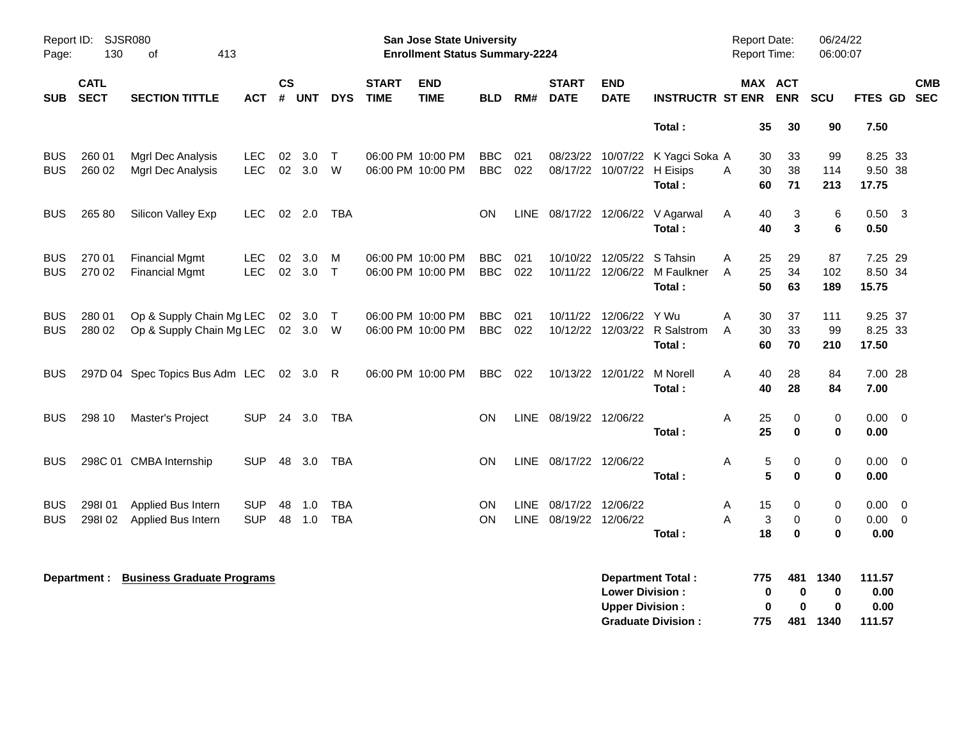| Page:                    | Report ID: SJSR080<br>130  | 413<br>οf                                            |                          |               |                         |                          |                             | <b>San Jose State University</b><br><b>Enrollment Status Summary-2224</b> |                          |                            |                                        |                                                  |                                                        | <b>Report Date:</b><br>Report Time:             |                              | 06/24/22<br>06:00:07  |                             |                          |            |
|--------------------------|----------------------------|------------------------------------------------------|--------------------------|---------------|-------------------------|--------------------------|-----------------------------|---------------------------------------------------------------------------|--------------------------|----------------------------|----------------------------------------|--------------------------------------------------|--------------------------------------------------------|-------------------------------------------------|------------------------------|-----------------------|-----------------------------|--------------------------|------------|
| <b>SUB</b>               | <b>CATL</b><br><b>SECT</b> | <b>SECTION TITTLE</b>                                | <b>ACT</b>               | $\mathsf{cs}$ | # UNT                   | <b>DYS</b>               | <b>START</b><br><b>TIME</b> | <b>END</b><br><b>TIME</b>                                                 | <b>BLD</b>               | RM#                        | <b>START</b><br><b>DATE</b>            | <b>END</b><br><b>DATE</b>                        | <b>INSTRUCTR ST ENR ENR</b>                            |                                                 | MAX ACT                      | <b>SCU</b>            | FTES GD SEC                 |                          | <b>CMB</b> |
|                          |                            |                                                      |                          |               |                         |                          |                             |                                                                           |                          |                            |                                        |                                                  | Total:                                                 | 35                                              | 30                           | 90                    | 7.50                        |                          |            |
| <b>BUS</b><br><b>BUS</b> | 260 01<br>260 02           | Mgrl Dec Analysis<br>Mgrl Dec Analysis               | LEC.<br><b>LEC</b>       | 02<br>02      | 3.0 <sub>2</sub><br>3.0 | $\top$<br>W              |                             | 06:00 PM 10:00 PM<br>06:00 PM 10:00 PM                                    | <b>BBC</b><br><b>BBC</b> | 021<br>022                 |                                        | 08/17/22 10/07/22                                | 08/23/22 10/07/22 K Yagci Soka A<br>H Eisips<br>Total: | 30<br>30<br>A<br>60                             | 33<br>38<br>71               | 99<br>114<br>213      | 8.25 33<br>9.50 38<br>17.75 |                          |            |
| <b>BUS</b>               | 265 80                     | Silicon Valley Exp                                   | <b>LEC</b>               |               | 02 2.0                  | <b>TBA</b>               |                             |                                                                           | ON                       | LINE                       |                                        |                                                  | 08/17/22 12/06/22 V Agarwal<br>Total:                  | Α<br>40<br>40                                   | 3<br>3                       | 6<br>6                | $0.50 \quad 3$<br>0.50      |                          |            |
| <b>BUS</b><br><b>BUS</b> | 270 01<br>270 02           | <b>Financial Mgmt</b><br><b>Financial Mgmt</b>       | <b>LEC</b><br><b>LEC</b> | 02<br>02      | 3.0<br>$3.0$ T          | M                        |                             | 06:00 PM 10:00 PM<br>06:00 PM 10:00 PM                                    | <b>BBC</b><br><b>BBC</b> | 021<br>022                 |                                        | 10/10/22 12/05/22<br>10/11/22 12/06/22           | S Tahsin<br>M Faulkner<br>Total:                       | 25<br>Α<br>25<br>A<br>50                        | 29<br>34<br>63               | 87<br>102<br>189      | 7.25 29<br>8.50 34<br>15.75 |                          |            |
| <b>BUS</b><br><b>BUS</b> | 280 01<br>280 02           | Op & Supply Chain Mg LEC<br>Op & Supply Chain Mg LEC |                          | 02            | 3.0<br>02 3.0 W         | $\top$                   |                             | 06:00 PM 10:00 PM<br>06:00 PM 10:00 PM                                    | <b>BBC</b><br><b>BBC</b> | 021<br>022                 |                                        | 10/11/22 12/06/22 Y Wu                           | 10/12/22 12/03/22 R Salstrom<br>Total:                 | Α<br>30<br>30<br>A<br>60                        | 37<br>33<br>70               | 111<br>99<br>210      | 9.25 37<br>8.25 33<br>17.50 |                          |            |
| <b>BUS</b>               |                            | 297D 04 Spec Topics Bus Adm LEC 02 3.0               |                          |               |                         | R                        |                             | 06:00 PM 10:00 PM                                                         | <b>BBC</b>               | 022                        |                                        | 10/13/22 12/01/22                                | M Norell<br>Total:                                     | Α<br>40<br>40                                   | 28<br>28                     | 84<br>84              | 7.00 28<br>7.00             |                          |            |
| <b>BUS</b>               | 298 10                     | Master's Project                                     | <b>SUP</b>               |               | 24 3.0                  | <b>TBA</b>               |                             |                                                                           | ON                       | LINE                       | 08/19/22 12/06/22                      |                                                  | Total:                                                 | 25<br>Α<br>25                                   | 0<br>$\mathbf 0$             | 0<br>0                | $0.00 \t 0$<br>0.00         |                          |            |
| <b>BUS</b>               |                            | 298C 01 CMBA Internship                              | <b>SUP</b>               | 48            | 3.0                     | TBA                      |                             |                                                                           | <b>ON</b>                | LINE                       | 08/17/22 12/06/22                      |                                                  | Total:                                                 | $\,$ 5 $\,$<br>Α<br>5                           | 0<br>$\bf{0}$                | $\,0\,$<br>0          | $0.00 \t 0$<br>0.00         |                          |            |
| <b>BUS</b><br><b>BUS</b> | 298101<br>298102           | Applied Bus Intern<br>Applied Bus Intern             | <b>SUP</b><br><b>SUP</b> | 48<br>48      | 1.0<br>1.0              | <b>TBA</b><br><b>TBA</b> |                             |                                                                           | <b>ON</b><br>ON          | <b>LINE</b><br><b>LINE</b> | 08/17/22 12/06/22<br>08/19/22 12/06/22 |                                                  | Total:                                                 | 15<br>Α<br>$\ensuremath{\mathsf{3}}$<br>А<br>18 | 0<br>$\mathbf 0$<br>$\bf{0}$ | 0<br>$\mathbf 0$<br>0 | 0.00<br>$0.00 \t 0$<br>0.00 | $\overline{\phantom{0}}$ |            |
|                          | Department :               | <b>Business Graduate Programs</b>                    |                          |               |                         |                          |                             |                                                                           |                          |                            |                                        | <b>Lower Division:</b><br><b>Upper Division:</b> | <b>Department Total:</b>                               | 775<br>0<br>$\bf{0}$                            | 481<br>0<br>0                | 1340<br>$\bf{0}$<br>0 | 111.57<br>0.00<br>0.00      |                          |            |

**Graduate Division : 775 481 1340 111.57**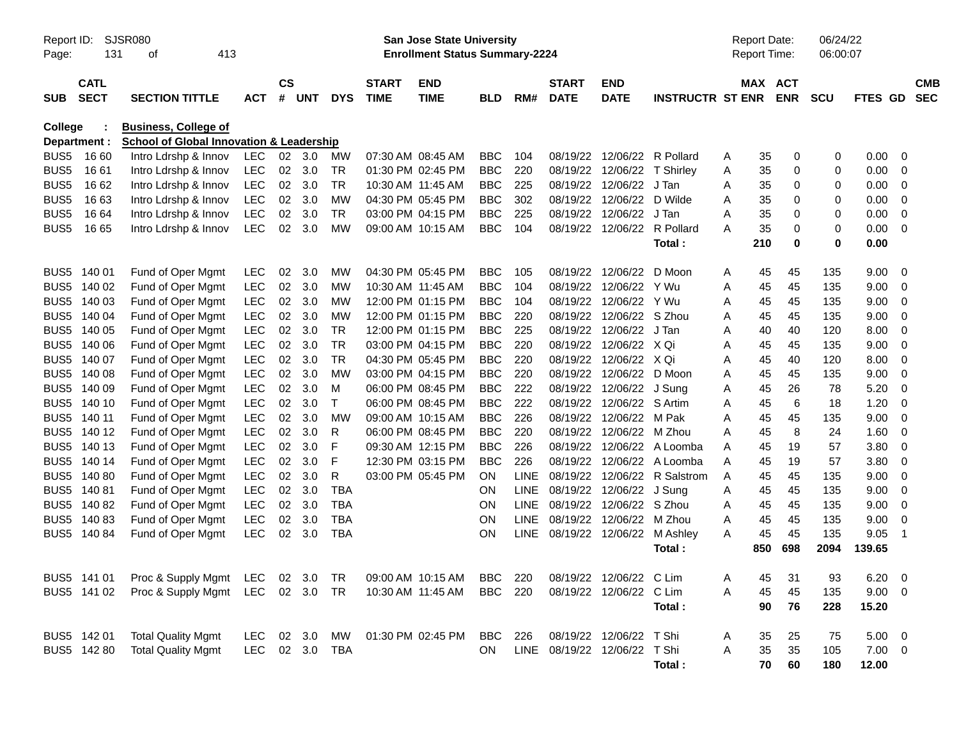| Report ID:<br>Page: | 131                        | <b>SJSR080</b><br>413<br>оf                                                        |                |                |                |              |                             | <b>San Jose State University</b><br><b>Enrollment Status Summary-2224</b> |            |             |                             |                              |                         |   | <b>Report Date:</b><br>Report Time: |             | 06/24/22<br>06:00:07 |             |                         |                          |
|---------------------|----------------------------|------------------------------------------------------------------------------------|----------------|----------------|----------------|--------------|-----------------------------|---------------------------------------------------------------------------|------------|-------------|-----------------------------|------------------------------|-------------------------|---|-------------------------------------|-------------|----------------------|-------------|-------------------------|--------------------------|
| <b>SUB</b>          | <b>CATL</b><br><b>SECT</b> | <b>SECTION TITTLE</b>                                                              | <b>ACT</b>     | <b>CS</b><br># | <b>UNT</b>     | <b>DYS</b>   | <b>START</b><br><b>TIME</b> | <b>END</b><br><b>TIME</b>                                                 | <b>BLD</b> | RM#         | <b>START</b><br><b>DATE</b> | <b>END</b><br><b>DATE</b>    | <b>INSTRUCTR ST ENR</b> |   | MAX ACT                             | <b>ENR</b>  | <b>SCU</b>           | FTES GD     |                         | <b>CMB</b><br><b>SEC</b> |
| <b>College</b>      | Department :               | <b>Business, College of</b><br><b>School of Global Innovation &amp; Leadership</b> |                |                |                |              |                             |                                                                           |            |             |                             |                              |                         |   |                                     |             |                      |             |                         |                          |
| BUS <sub>5</sub>    | 16 60                      | Intro Ldrshp & Innov                                                               | <b>LEC</b>     |                | $02 \quad 3.0$ | MW           | 07:30 AM 08:45 AM           |                                                                           | <b>BBC</b> | 104         | 08/19/22                    | 12/06/22                     | R Pollard               | Α | 35                                  | 0           | 0                    | 0.00        | 0                       |                          |
| BUS <sub>5</sub>    | 16 61                      | Intro Ldrshp & Innov                                                               | <b>LEC</b>     | 02             | 3.0            | <b>TR</b>    | 01:30 PM 02:45 PM           |                                                                           | <b>BBC</b> | 220         | 08/19/22                    | 12/06/22                     | T Shirley               | Α | 35                                  | 0           | 0                    | 0.00        | 0                       |                          |
| BUS <sub>5</sub>    | 16 62                      | Intro Ldrshp & Innov                                                               | <b>LEC</b>     | 02             | 3.0            | <b>TR</b>    |                             | 10:30 AM 11:45 AM                                                         | <b>BBC</b> | 225         | 08/19/22                    | 12/06/22                     | J Tan                   | Α | 35                                  | 0           | 0                    | 0.00        | 0                       |                          |
| BUS <sub>5</sub>    | 1663                       | Intro Ldrshp & Innov                                                               | <b>LEC</b>     | 02             | 3.0            | <b>MW</b>    | 04:30 PM 05:45 PM           |                                                                           | <b>BBC</b> | 302         | 08/19/22                    | 12/06/22                     | D Wilde                 | Α | 35                                  | 0           | 0                    | 0.00        | 0                       |                          |
| BUS <sub>5</sub>    | 16 64                      | Intro Ldrshp & Innov                                                               | <b>LEC</b>     | 02             | 3.0            | <b>TR</b>    | 03:00 PM 04:15 PM           |                                                                           | <b>BBC</b> | 225         | 08/19/22                    | 12/06/22                     | J Tan                   | A | 35                                  | 0           | 0                    | 0.00        | 0                       |                          |
| BUS5                | 16 65                      | Intro Ldrshp & Innov                                                               | <b>LEC</b>     | 02             | 3.0            | <b>MW</b>    | 09:00 AM 10:15 AM           |                                                                           | <b>BBC</b> | 104         | 08/19/22                    | 12/06/22                     | R Pollard               | A | 35                                  | $\mathbf 0$ | 0                    | 0.00        | $\Omega$                |                          |
|                     |                            |                                                                                    |                |                |                |              |                             |                                                                           |            |             |                             |                              | Total:                  |   | 210                                 | $\mathbf 0$ | 0                    | 0.00        |                         |                          |
| BUS <sub>5</sub>    | 140 01                     | Fund of Oper Mgmt                                                                  | LEC            | 02             | 3.0            | <b>MW</b>    | 04:30 PM 05:45 PM           |                                                                           | <b>BBC</b> | 105         | 08/19/22                    | 12/06/22                     | D Moon                  | A | 45                                  | 45          | 135                  | 9.00        | 0                       |                          |
|                     | BUS5 140 02                | Fund of Oper Mgmt                                                                  | <b>LEC</b>     | 02             | 3.0            | <b>MW</b>    |                             | 10:30 AM 11:45 AM                                                         | <b>BBC</b> | 104         | 08/19/22                    | 12/06/22                     | Y Wu                    | Α | 45                                  | 45          | 135                  | 9.00        | 0                       |                          |
|                     | BUS5 140 03                | Fund of Oper Mgmt                                                                  | <b>LEC</b>     | 02             | 3.0            | <b>MW</b>    |                             | 12:00 PM 01:15 PM                                                         | <b>BBC</b> | 104         | 08/19/22                    | 12/06/22                     | Y Wu                    | Α | 45                                  | 45          | 135                  | 9.00        | 0                       |                          |
|                     | BUS5 140 04                | Fund of Oper Mgmt                                                                  | <b>LEC</b>     | 02             | 3.0            | <b>MW</b>    |                             | 12:00 PM 01:15 PM                                                         | <b>BBC</b> | 220         | 08/19/22                    | 12/06/22                     | S Zhou                  | Α | 45                                  | 45          | 135                  | 9.00        | 0                       |                          |
| BUS <sub>5</sub>    | 140 05                     | Fund of Oper Mgmt                                                                  | <b>LEC</b>     | 02             | 3.0            | <b>TR</b>    |                             | 12:00 PM 01:15 PM                                                         | <b>BBC</b> | 225         | 08/19/22                    | 12/06/22                     | J Tan                   | A | 40                                  | 40          | 120                  | 8.00        | 0                       |                          |
| BUS <sub>5</sub>    | 140 06                     | Fund of Oper Mgmt                                                                  | <b>LEC</b>     | 02             | 3.0            | <b>TR</b>    |                             | 03:00 PM 04:15 PM                                                         | <b>BBC</b> | 220         | 08/19/22                    | 12/06/22                     | X Qi                    | A | 45                                  | 45          | 135                  | 9.00        | 0                       |                          |
| BUS <sub>5</sub>    | 140 07                     | Fund of Oper Mgmt                                                                  | <b>LEC</b>     | 02             | 3.0            | <b>TR</b>    | 04:30 PM 05:45 PM           |                                                                           | <b>BBC</b> | 220         | 08/19/22                    | 12/06/22                     | X Qi                    | Α | 45                                  | 40          | 120                  | 8.00        | 0                       |                          |
| BUS <sub>5</sub>    | 140 08                     | Fund of Oper Mgmt                                                                  | <b>LEC</b>     | 02             | 3.0            | <b>MW</b>    | 03:00 PM 04:15 PM           |                                                                           | <b>BBC</b> | 220         | 08/19/22                    | 12/06/22                     | D Moon                  | Α | 45                                  | 45          | 135                  | 9.00        | $\mathbf 0$             |                          |
| BUS <sub>5</sub>    | 140 09                     | Fund of Oper Mgmt                                                                  | <b>LEC</b>     | 02             | 3.0            | M            |                             | 06:00 PM 08:45 PM                                                         | <b>BBC</b> | 222         | 08/19/22                    | 12/06/22                     | J Sung                  | Α | 45                                  | 26          | 78                   | 5.20        | 0                       |                          |
| BUS <sub>5</sub>    | 140 10                     | Fund of Oper Mgmt                                                                  | LEC            | 02             | 3.0            | $\mathsf{T}$ | 06:00 PM 08:45 PM           |                                                                           | <b>BBC</b> | 222         | 08/19/22                    | 12/06/22                     | S Artim                 | Α | 45                                  | 6           | 18                   | 1.20        | 0                       |                          |
| BUS <sub>5</sub>    | 140 11                     | Fund of Oper Mgmt                                                                  | <b>LEC</b>     | 02             | 3.0            | <b>MW</b>    | 09:00 AM 10:15 AM           |                                                                           | <b>BBC</b> | 226         | 08/19/22                    | 12/06/22                     | M Pak                   | Α | 45                                  | 45          | 135                  | 9.00        | $\mathbf 0$             |                          |
| BUS <sub>5</sub>    | 140 12                     | Fund of Oper Mgmt                                                                  | <b>LEC</b>     | 02             | 3.0            | R            | 06:00 PM 08:45 PM           |                                                                           | <b>BBC</b> | 220         | 08/19/22                    | 12/06/22                     | M Zhou                  | A | 45                                  | 8           | 24                   | 1.60        | 0                       |                          |
| BUS <sub>5</sub>    | 140 13                     | Fund of Oper Mgmt                                                                  | LEC            | 02             | 3.0            | F            | 09:30 AM 12:15 PM           |                                                                           | <b>BBC</b> | 226         | 08/19/22                    | 12/06/22                     | A Loomba                | A | 45                                  | 19          | 57                   | 3.80        | 0                       |                          |
|                     | BUS5 140 14                | Fund of Oper Mgmt                                                                  | <b>LEC</b>     | 02             | 3.0            | F            | 12:30 PM 03:15 PM           |                                                                           | <b>BBC</b> | 226         | 08/19/22                    | 12/06/22                     | A Loomba                | A | 45                                  | 19          | 57                   | 3.80        | 0                       |                          |
| BUS <sub>5</sub>    | 140 80                     | Fund of Oper Mgmt                                                                  | <b>LEC</b>     | 02             | 3.0            | R            | 03:00 PM 05:45 PM           |                                                                           | <b>ON</b>  | LINE        | 08/19/22                    | 12/06/22                     | R Salstrom              | A | 45                                  | 45          | 135                  | 9.00        | 0                       |                          |
|                     | BUS5 140 81                | Fund of Oper Mgmt                                                                  | <b>LEC</b>     | 02             | 3.0            | <b>TBA</b>   |                             |                                                                           | ON         | <b>LINE</b> | 08/19/22                    | 12/06/22                     | J Sung                  | Α | 45                                  | 45          | 135                  | 9.00        | 0                       |                          |
|                     | BUS5 140 82                | Fund of Oper Mgmt                                                                  | <b>LEC</b>     | 02             | 3.0            | <b>TBA</b>   |                             |                                                                           | ON         | <b>LINE</b> | 08/19/22                    | 12/06/22                     | S Zhou                  | Α | 45                                  | 45          | 135                  | 9.00        | 0                       |                          |
|                     | BUS5 140 83                | Fund of Oper Mgmt                                                                  | <b>LEC</b>     | 02             | 3.0            | <b>TBA</b>   |                             |                                                                           | ON         | <b>LINE</b> | 08/19/22                    | 12/06/22                     | M Zhou                  | Α | 45                                  | 45          | 135                  | 9.00        | 0                       |                          |
|                     | BUS5 140 84                | Fund of Oper Mgmt                                                                  | <b>LEC</b>     | 02             | 3.0            | <b>TBA</b>   |                             |                                                                           | ON         | <b>LINE</b> | 08/19/22                    | 12/06/22                     | M Ashley                | Α | 45                                  | 45          | 135                  | 9.05        | $\overline{1}$          |                          |
|                     |                            |                                                                                    |                |                |                |              |                             |                                                                           |            |             |                             |                              | Total:                  |   | 850                                 | 698         | 2094                 | 139.65      |                         |                          |
|                     | BUS5 141 01                | Proc & Supply Mgmt LEC 02 3.0 TR 09:00 AM 10:15 AM BBC 220 08/19/22 12/06/22 C Lim |                |                |                |              |                             |                                                                           |            |             |                             |                              |                         | Α | 45                                  | 31          | 93                   | 6.20        | $\overline{\mathbf{0}}$ |                          |
|                     | BUS5 141 02                | Proc & Supply Mgmt LEC 02 3.0 TR                                                   |                |                |                |              |                             | 10:30 AM 11:45 AM                                                         | BBC 220    |             |                             | 08/19/22 12/06/22 C Lim      |                         | Α | 45                                  | 45          | 135                  | 9.00        | - 0                     |                          |
|                     |                            |                                                                                    |                |                |                |              |                             |                                                                           |            |             |                             |                              | Total:                  |   | 90                                  | 76          | 228                  | 15.20       |                         |                          |
|                     | BUS5 142 01                | <b>Total Quality Mgmt</b>                                                          | LEC 02 3.0     |                |                | МW           |                             | 01:30 PM 02:45 PM                                                         | BBC        | 226         |                             | 08/19/22 12/06/22            | T Shi                   | A | 35                                  | 25          | 75                   | $5.00 \t 0$ |                         |                          |
|                     | BUS5 142 80                | <b>Total Quality Mgmt</b>                                                          | LEC 02 3.0 TBA |                |                |              |                             |                                                                           | ON         |             |                             | LINE 08/19/22 12/06/22 T Shi |                         | Α | 35                                  | 35          | 105                  | $7.00 \t 0$ |                         |                          |
|                     |                            |                                                                                    |                |                |                |              |                             |                                                                           |            |             |                             |                              | Total:                  |   | 70                                  | 60          | 180                  | 12.00       |                         |                          |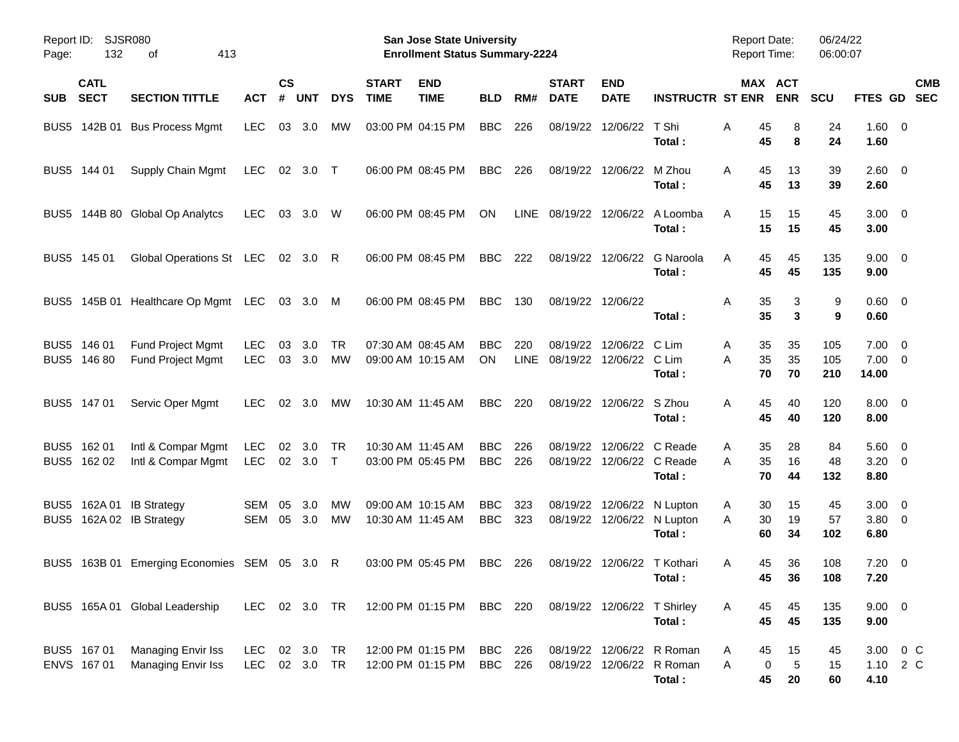| Page:       | SJSR080<br>Report ID:<br>132<br>413<br>оf<br><b>CATL</b> |                                                      |                          |                |                        |                 |                             | <b>San Jose State University</b><br><b>Enrollment Status Summary-2224</b> |                          |             |                                     |                                                 |                                                                  | <b>Report Date:</b><br><b>Report Time:</b> |                             | 06/24/22<br>06:00:07 |                                      |                          |
|-------------|----------------------------------------------------------|------------------------------------------------------|--------------------------|----------------|------------------------|-----------------|-----------------------------|---------------------------------------------------------------------------|--------------------------|-------------|-------------------------------------|-------------------------------------------------|------------------------------------------------------------------|--------------------------------------------|-----------------------------|----------------------|--------------------------------------|--------------------------|
| <b>SUB</b>  | <b>SECT</b>                                              | <b>SECTION TITTLE</b>                                | <b>ACT</b>               | <b>CS</b><br># | <b>UNT</b>             | <b>DYS</b>      | <b>START</b><br><b>TIME</b> | <b>END</b><br><b>TIME</b>                                                 | <b>BLD</b>               | RM#         | <b>START</b><br><b>DATE</b>         | <b>END</b><br><b>DATE</b>                       | <b>INSTRUCTR ST ENR</b>                                          |                                            | MAX ACT<br><b>ENR</b>       | <b>SCU</b>           | <b>FTES GD</b>                       | <b>CMB</b><br><b>SEC</b> |
|             |                                                          | BUS5 142B 01 Bus Process Mgmt                        | <b>LEC</b>               | 03             | 3.0                    | <b>MW</b>       |                             | 03:00 PM 04:15 PM                                                         | <b>BBC</b>               | 226         |                                     | 08/19/22 12/06/22                               | T Shi<br>Total:                                                  | Α<br>45<br>45                              | 8<br>8                      | 24<br>24             | 1.60 0<br>1.60                       |                          |
|             | BUS5 144 01                                              | Supply Chain Mgmt                                    | <b>LEC</b>               |                | 02 3.0 T               |                 |                             | 06:00 PM 08:45 PM                                                         | <b>BBC</b>               | 226         |                                     | 08/19/22 12/06/22 M Zhou                        | Total:                                                           | A<br>45<br>45                              | 13<br>13                    | 39<br>39             | 2.60 0<br>2.60                       |                          |
|             |                                                          | BUS5 144B 80 Global Op Analytcs                      | <b>LEC</b>               |                | 03 3.0                 | W               |                             | 06:00 PM 08:45 PM                                                         | <b>ON</b>                |             |                                     |                                                 | LINE 08/19/22 12/06/22 A Loomba<br>Total:                        | A<br>15<br>15                              | 15<br>15                    | 45<br>45             | $3.00 \ 0$<br>3.00                   |                          |
| BUS5 145 01 |                                                          | Global Operations St LEC                             |                          |                | 02 3.0 R               |                 |                             | 06:00 PM 08:45 PM                                                         | BBC                      | 222         |                                     | 08/19/22 12/06/22                               | G Naroola<br>Total:                                              | 45<br>A<br>45                              | 45<br>45                    | 135<br>135           | $9.00 \t 0$<br>9.00                  |                          |
|             |                                                          | BUS5 145B 01 Healthcare Op Mgmt LEC                  |                          |                | 03 3.0 M               |                 |                             | 06:00 PM 08:45 PM                                                         | <b>BBC</b>               | 130         | 08/19/22 12/06/22                   |                                                 | Total:                                                           | 35<br>Α<br>35                              | 3<br>3                      | 9<br>9               | $0.60 \quad 0$<br>0.60               |                          |
| BUS5 146 01 | BUS5 146 80                                              | Fund Project Mgmt<br><b>Fund Project Mgmt</b>        | <b>LEC</b><br><b>LEC</b> | 03             | 3.0<br>03 3.0          | <b>TR</b><br>MW |                             | 07:30 AM 08:45 AM<br>09:00 AM 10:15 AM                                    | <b>BBC</b><br>ON         | 220<br>LINE | 08/19/22<br>08/19/22 12/06/22 C Lim | 12/06/22                                        | C Lim<br>Total:                                                  | 35<br>A<br>35<br>A<br>70                   | 35<br>35<br>70              | 105<br>105<br>210    | $7.00 \t 0$<br>$7.00 \t 0$<br>14.00  |                          |
|             | BUS5 147 01                                              | Servic Oper Mgmt                                     | <b>LEC</b>               |                | $02 \quad 3.0$         | МW              |                             | 10:30 AM 11:45 AM                                                         | <b>BBC</b>               | 220         |                                     | 08/19/22 12/06/22 S Zhou                        | Total:                                                           | 45<br>A<br>45                              | 40<br>40                    | 120<br>120           | $8.00 \t 0$<br>8.00                  |                          |
| BUS5 162 01 | BUS5 162 02                                              | Intl & Compar Mgmt<br>Intl & Compar Mgmt             | <b>LEC</b><br>LEC        | 02             | 3.0<br>02 3.0          | TR<br>$\top$    |                             | 10:30 AM 11:45 AM<br>03:00 PM 05:45 PM                                    | <b>BBC</b><br><b>BBC</b> | 226<br>226  | 08/19/22                            | 12/06/22 C Reade<br>08/19/22 12/06/22 C Reade   | Total:                                                           | 35<br>A<br>35<br>A<br>70                   | 28<br>16<br>44              | 84<br>48<br>132      | $5.60 \quad 0$<br>$3.20 \ 0$<br>8.80 |                          |
|             |                                                          | BUS5 162A 01 IB Strategy<br>BUS5 162A 02 IB Strategy | SEM<br>SEM               | 05<br>05       | 3.0<br>3.0             | МW<br>МW        |                             | 09:00 AM 10:15 AM<br>10:30 AM 11:45 AM                                    | <b>BBC</b><br><b>BBC</b> | 323<br>323  | 08/19/22                            | 12/06/22 N Lupton<br>08/19/22 12/06/22 N Lupton | Total:                                                           | 30<br>A<br>30<br>A<br>60                   | 15<br>19<br>34              | 45<br>57<br>102      | $3.00 \ 0$<br>3.80 0<br>6.80         |                          |
|             |                                                          | BUS5 163B 01 Emerging Economies SEM 05 3.0 R         |                          |                |                        |                 |                             | 03:00 PM 05:45 PM                                                         | BBC                      | 226         |                                     | 08/19/22 12/06/22 T Kothari                     | Total:                                                           | 45<br>A                                    | 36<br>45<br>36              | 108<br>108           | $7.20 \t 0$<br>7.20                  |                          |
|             |                                                          | BUS5 165A 01 Global Leadership                       | LEC 02 3.0 TR            |                |                        |                 |                             | 12:00 PM 01:15 PM BBC 220 08/19/22 12/06/22 T Shirley                     |                          |             |                                     |                                                 | Total:                                                           | 45<br>A<br>45                              | 45<br>45                    | 135<br>135           | $9.00 \t 0$<br>9.00                  |                          |
|             | BUS5 167 01<br>ENVS 167 01                               | Managing Envir Iss<br>Managing Envir Iss             | LEC<br>LEC               |                | 02 3.0 TR<br>02 3.0 TR |                 |                             | 12:00 PM 01:15 PM BBC 226<br>12:00 PM 01:15 PM                            | BBC 226                  |             |                                     |                                                 | 08/19/22 12/06/22 R Roman<br>08/19/22 12/06/22 R Roman<br>Total: | 45<br>A<br>A<br>45                         | 15<br>$\sqrt{5}$<br>0<br>20 | 45<br>15<br>60       | 4.10                                 | 3.00 0 C<br>1.10 2 C     |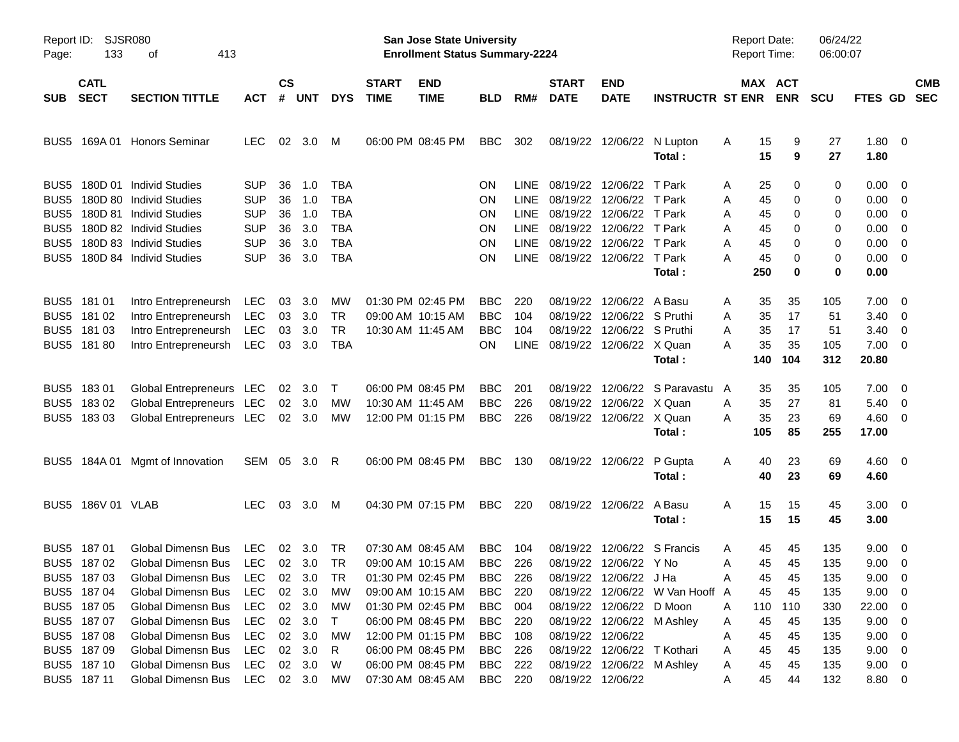| Page:            | Report ID: SJSR080<br>133  | 413<br>οf                        |              |                |                |            |                             | <b>San Jose State University</b><br><b>Enrollment Status Summary-2224</b> |            |             |                             |                             |                                 | <b>Report Date:</b><br><b>Report Time:</b> |                       | 06/24/22<br>06:00:07 |                        |                          |
|------------------|----------------------------|----------------------------------|--------------|----------------|----------------|------------|-----------------------------|---------------------------------------------------------------------------|------------|-------------|-----------------------------|-----------------------------|---------------------------------|--------------------------------------------|-----------------------|----------------------|------------------------|--------------------------|
| <b>SUB</b>       | <b>CATL</b><br><b>SECT</b> | <b>SECTION TITTLE</b>            | ACT          | <b>CS</b><br># | UNT            | <b>DYS</b> | <b>START</b><br><b>TIME</b> | <b>END</b><br><b>TIME</b>                                                 | <b>BLD</b> | RM#         | <b>START</b><br><b>DATE</b> | <b>END</b><br><b>DATE</b>   | <b>INSTRUCTR ST ENR</b>         |                                            | MAX ACT<br><b>ENR</b> | <b>SCU</b>           | FTES GD                | <b>CMB</b><br><b>SEC</b> |
| BUS5             |                            | 169A 01 Honors Seminar           | <b>LEC</b>   | 02             | 3.0            | M          |                             | 06:00 PM 08:45 PM                                                         | <b>BBC</b> | 302         |                             | 08/19/22 12/06/22 N Lupton  | Total:                          | 15<br>A<br>15                              | 9<br>9                | 27<br>27             | 1.80 0<br>1.80         |                          |
| BUS5             |                            | 180D 01 Individ Studies          | <b>SUP</b>   | 36             | 1.0            | TBA        |                             |                                                                           | ΟN         | LINE.       |                             | 08/19/22 12/06/22 T Park    |                                 | 25<br>A                                    | 0                     | 0                    | $0.00 \quad 0$         |                          |
| BUS5             |                            | 180D 80 Individ Studies          | <b>SUP</b>   | 36             | 1.0            | <b>TBA</b> |                             |                                                                           | ON         | <b>LINE</b> |                             | 08/19/22 12/06/22 T Park    |                                 | 45<br>Α                                    | 0                     | 0                    | $0.00 \quad 0$         |                          |
| BUS <sub>5</sub> |                            | 180D 81 Individ Studies          | <b>SUP</b>   | 36             | 1.0            | <b>TBA</b> |                             |                                                                           | ON         | <b>LINE</b> |                             | 08/19/22 12/06/22 T Park    |                                 | 45<br>Α                                    | 0                     | 0                    | $0.00 \t 0$            |                          |
| BUS5             |                            | 180D 82 Individ Studies          | <b>SUP</b>   | 36             | 3.0            | <b>TBA</b> |                             |                                                                           | ON         | <b>LINE</b> |                             | 08/19/22 12/06/22 T Park    |                                 | 45<br>Α                                    | 0                     | 0                    | $0.00 \quad 0$         |                          |
| BUS5             |                            | 180D 83 Individ Studies          | <b>SUP</b>   | 36             | 3.0            | <b>TBA</b> |                             |                                                                           | ON         | <b>LINE</b> |                             | 08/19/22 12/06/22 T Park    |                                 | 45<br>Α                                    | 0                     | 0                    | $0.00 \quad 0$         |                          |
| BUS5             |                            | 180D 84 Individ Studies          | <b>SUP</b>   | 36             | 3.0            | <b>TBA</b> |                             |                                                                           | ΟN         | <b>LINE</b> |                             | 08/19/22 12/06/22 T Park    |                                 | А<br>45                                    | 0                     | 0                    | $0.00 \t 0$            |                          |
|                  |                            |                                  |              |                |                |            |                             |                                                                           |            |             |                             |                             | Total:                          | 250                                        | 0                     | 0                    | 0.00                   |                          |
| BUS <sub>5</sub> | 181 01                     | Intro Entrepreneursh             | LEC          | 03             | 3.0            | МW         |                             | 01:30 PM 02:45 PM                                                         | <b>BBC</b> | 220         |                             | 08/19/22 12/06/22 A Basu    |                                 | 35<br>Α                                    | 35                    | 105                  | $7.00 \t 0$            |                          |
| BUS <sub>5</sub> | 181 02                     | Intro Entrepreneursh             | LEC          | 03             | 3.0            | <b>TR</b>  |                             | 09:00 AM 10:15 AM                                                         | <b>BBC</b> | 104         |                             | 08/19/22 12/06/22 S Pruthi  |                                 | 35<br>Α                                    | 17                    | 51                   | $3.40 \quad 0$         |                          |
| BUS <sub>5</sub> | 18103                      | Intro Entrepreneursh             | <b>LEC</b>   | 03             | 3.0            | <b>TR</b>  |                             | 10:30 AM 11:45 AM                                                         | <b>BBC</b> | 104         |                             | 08/19/22 12/06/22 S Pruthi  |                                 | 35<br>A                                    | 17                    | 51                   | $3.40 \quad 0$         |                          |
|                  | BUS5 181 80                | Intro Entrepreneursh             | LEC          | 03             | 3.0            | <b>TBA</b> |                             |                                                                           | ON.        | <b>LINE</b> |                             | 08/19/22 12/06/22 X Quan    |                                 | 35<br>А                                    | 35                    | 105                  | $7.00 \t 0$            |                          |
|                  |                            |                                  |              |                |                |            |                             |                                                                           |            |             |                             |                             | Total:                          | 140                                        | 104                   | 312                  | 20.80                  |                          |
| BUS <sub>5</sub> | 18301                      | Global Entrepreneurs LEC         |              | 02             | 3.0            | $\top$     |                             | 06:00 PM 08:45 PM                                                         | <b>BBC</b> | 201         | 08/19/22                    |                             | 12/06/22 S Paravastu            | 35<br>A                                    | 35                    | 105                  | $7.00 \t 0$            |                          |
| BUS <sub>5</sub> | 18302                      | Global Entrepreneurs LEC         |              | 02             | - 3.0          | <b>MW</b>  |                             | 10:30 AM 11:45 AM                                                         | <b>BBC</b> | 226         | 08/19/22                    | 12/06/22 X Quan             |                                 | 35<br>A                                    | 27                    | 81                   | $5.40 \quad 0$         |                          |
|                  | BUS5 183 03                | Global Entrepreneurs LEC         |              |                | 02 3.0         | <b>MW</b>  |                             | 12:00 PM 01:15 PM                                                         | <b>BBC</b> | 226         |                             | 08/19/22 12/06/22 X Quan    |                                 | 35<br>Α                                    | 23                    | 69                   | $4.60 \ 0$             |                          |
|                  |                            |                                  |              |                |                |            |                             |                                                                           |            |             |                             |                             | Total:                          | 105                                        | 85                    | 255                  | 17.00                  |                          |
| BUS5             |                            | 184A 01 Mgmt of Innovation       | SEM 05 3.0 R |                |                |            |                             | 06:00 PM 08:45 PM                                                         | BBC        | 130         |                             | 08/19/22 12/06/22 P Gupta   | Total:                          | 40<br>A                                    | 23<br>40<br>23        | 69<br>69             | $4.60 \quad 0$<br>4.60 |                          |
|                  | BUS5 186V 01 VLAB          |                                  | <b>LEC</b>   | 03             | 3.0            | M          |                             | 04:30 PM 07:15 PM                                                         | BBC        | 220         |                             | 08/19/22 12/06/22 A Basu    | Total:                          | A<br>15<br>15                              | 15<br>15              | 45<br>45             | $3.00 \quad 0$<br>3.00 |                          |
| BUS5             | 187 01                     | <b>Global Dimensn Bus</b>        | <b>LEC</b>   | 02             | - 3.0          | TR         |                             | 07:30 AM 08:45 AM                                                         | <b>BBC</b> | 104         |                             | 08/19/22 12/06/22 S Francis |                                 | 45<br>A                                    | 45                    | 135                  | $9.00 \quad 0$         |                          |
|                  | BUS5 187 02                | Global Dimensn Bus LEC           |              |                | $02 \quad 3.0$ | TR         |                             | 09:00 AM 10:15 AM                                                         | <b>BBC</b> | 226         |                             | 08/19/22 12/06/22 Y No      |                                 | 45<br>A                                    | 45                    | 135                  | $9.00 \t 0$            |                          |
|                  | BUS5 187 03                | Global Dimensn Bus LEC 02 3.0 TR |              |                |                |            |                             | 01:30 PM 02:45 PM                                                         | <b>BBC</b> | 226         |                             | 08/19/22 12/06/22 J Ha      |                                 |                                            | 45 45                 | 135                  | $9.00 \t 0$            |                          |
|                  | BUS5 187 04                | Global Dimensn Bus               | LEC          | 02             | 3.0            | МW         |                             | 09:00 AM 10:15 AM                                                         | BBC        | 220         |                             |                             | 08/19/22 12/06/22 W Van Hooff A | 45                                         | 45                    | 135                  | $9.00 \quad 0$         |                          |
|                  | BUS5 187 05                | Global Dimensn Bus               | LEC          | 02             | 3.0            | МW         |                             | 01:30 PM 02:45 PM                                                         | BBC        | 004         |                             | 08/19/22 12/06/22 D Moon    |                                 | 110<br>A                                   | 110                   | 330                  | 22.00 0                |                          |
|                  | BUS5 187 07                | Global Dimensn Bus               | LEC          | 02             | 3.0            | $\top$     |                             | 06:00 PM 08:45 PM                                                         | BBC        | 220         |                             | 08/19/22 12/06/22 M Ashley  |                                 | 45<br>A                                    | 45                    | 135                  | $9.00 \t 0$            |                          |
|                  | BUS5 187 08                | Global Dimensn Bus               | LEC          | 02             | 3.0            | МW         |                             | 12:00 PM 01:15 PM                                                         | BBC        | - 108       |                             | 08/19/22 12/06/22           |                                 | 45<br>Α                                    | 45                    | 135                  | $9.00 \t 0$            |                          |
|                  | BUS5 187 09                | Global Dimensn Bus               | LEC          | 02             | 3.0            | R          |                             | 06:00 PM 08:45 PM                                                         | <b>BBC</b> | 226         |                             | 08/19/22 12/06/22 T Kothari |                                 | 45<br>Α                                    | 45                    | 135                  | $9.00 \t 0$            |                          |
|                  | BUS5 187 10                | Global Dimensn Bus               | LEC          |                | 02 3.0         | W          |                             | 06:00 PM 08:45 PM                                                         | BBC        | 222         |                             | 08/19/22 12/06/22 M Ashley  |                                 | 45<br>A                                    | 45                    | 135                  | $9.00 \t 0$            |                          |
|                  | BUS5 187 11                | Global Dimensn Bus               | LEC 02 3.0   |                |                | МW         |                             | 07:30 AM 08:45 AM                                                         | <b>BBC</b> | 220         |                             | 08/19/22 12/06/22           |                                 | 45<br>A                                    | 44                    | 132                  | 8.80 0                 |                          |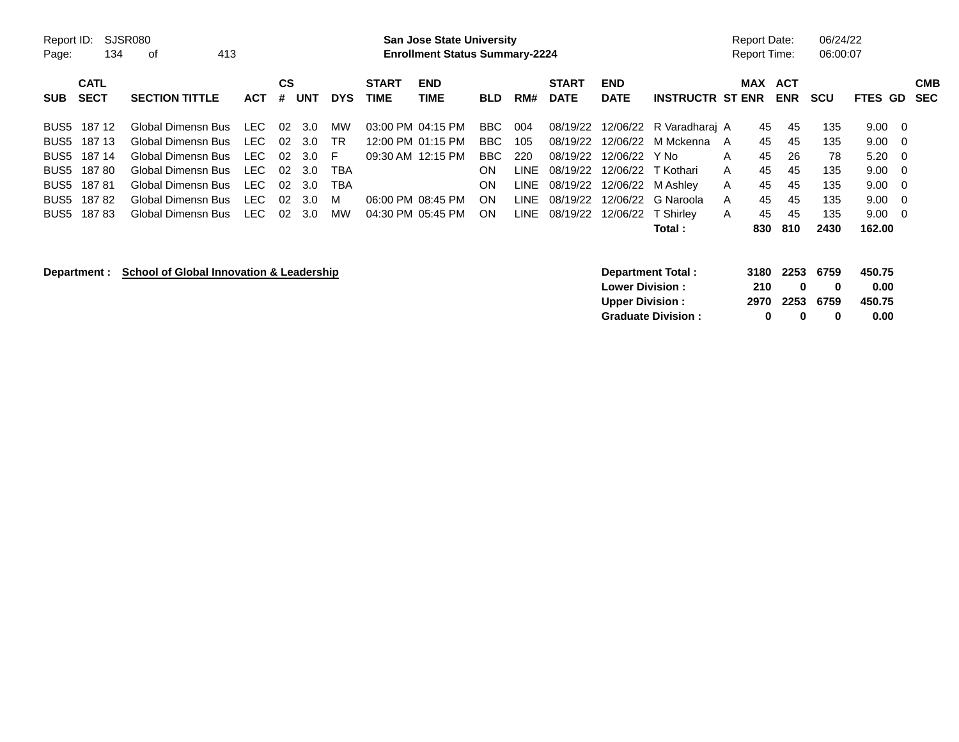| Report ID:<br>Page: | 134                 | SJSR080<br>413<br>of  |            |         |                |            |                             | <b>San Jose State University</b><br><b>Enrollment Status Summary-2224</b> |            |      |                             |                           |                         |              | <b>Report Date:</b> | <b>Report Time:</b>   | 06/24/22<br>06:00:07 |                |                |                   |
|---------------------|---------------------|-----------------------|------------|---------|----------------|------------|-----------------------------|---------------------------------------------------------------------------|------------|------|-----------------------------|---------------------------|-------------------------|--------------|---------------------|-----------------------|----------------------|----------------|----------------|-------------------|
| <b>SUB</b>          | <b>CATL</b><br>SECT | <b>SECTION TITTLE</b> | <b>ACT</b> | CS<br># | UNT            | <b>DYS</b> | <b>START</b><br><b>TIME</b> | <b>END</b><br><b>TIME</b>                                                 | <b>BLD</b> | RM#  | <b>START</b><br><b>DATE</b> | <b>END</b><br><b>DATE</b> | <b>INSTRUCTR ST ENR</b> |              |                     | MAX ACT<br><b>ENR</b> | scu                  | <b>FTES GD</b> |                | <b>CMB</b><br>SEC |
|                     | BUS5 187 12         | Global Dimensn Bus    | LEC        | 02      | -3.0           | МW         |                             | 03:00 PM 04:15 PM                                                         | BBC        | 004  | 08/19/22                    |                           | 12/06/22 R Varadharai A |              | 45                  | -45                   | 135                  | 9.00           | $\overline{0}$ |                   |
| BUS5                | 187 13              | Global Dimensn Bus    | LEC        | 02      | 3.0            | <b>TR</b>  |                             | 12:00 PM 01:15 PM                                                         | BBC.       | 105  | 08/19/22                    |                           | 12/06/22 M Mckenna A    |              | 45                  | 45                    | 135                  | 9.00           | $\overline{0}$ |                   |
| BUS5                | 187 14              | Global Dimensn Bus    | LEC        | 02.     | 3.O            | F.         |                             | 09:30 AM 12:15 PM                                                         | BBC        | 220  | 08/19/22                    | 12/06/22                  | Y No                    | A            | 45                  | 26                    | 78                   | $5.20 \ 0$     |                |                   |
| BUS5                | 187 80              | Global Dimensn Bus    | LEC        | 02      | 3.0            | TBA        |                             |                                                                           | ON         | LINE | 08/19/22                    |                           | 12/06/22 T Kothari      | A            | 45                  | 45                    | 135                  | $9.00 \quad 0$ |                |                   |
| BUS5                | 18781               | Global Dimensn Bus    | LEC        | 02.     | 3.0            | TBA        |                             |                                                                           | ON         | LINE | 08/19/22                    |                           | 12/06/22 M Ashley       | $\mathsf{A}$ | 45                  | 45                    | 135                  | $9.00 \quad 0$ |                |                   |
|                     | BUS5 18782          | Global Dimensn Bus    | LEC        |         | $02 \quad 3.0$ | M          |                             | 06:00 PM 08:45 PM                                                         | ON         | LINE | 08/19/22                    |                           | 12/06/22 G Naroola      | A            | 45                  | 45                    | 135                  | $9.00 \quad 0$ |                |                   |
| BUS5                | 18783               | Global Dimensn Bus    | LEC        | 02      | 3.0            | MW         |                             | 04:30 PM 05:45 PM                                                         | ON         | LINE | 08/19/22                    |                           | 12/06/22 T Shirley      | $\mathsf{A}$ | 45                  | 45                    | 135                  | $9.00 \quad 0$ |                |                   |
|                     |                     |                       |            |         |                |            |                             |                                                                           |            |      |                             |                           | Total:                  |              | 830                 | 810                   | 2430                 | 162.00         |                |                   |

## **Department : School of Global Innovation & Leadership**

|     |              |              | 450.75                           |
|-----|--------------|--------------|----------------------------------|
| 210 | $\mathbf{u}$ | $\mathbf{u}$ | 0.00                             |
|     |              |              | 450.75                           |
| o   | n            | o            | 0.00                             |
|     |              |              | 3180 2253 6759<br>2970 2253 6759 |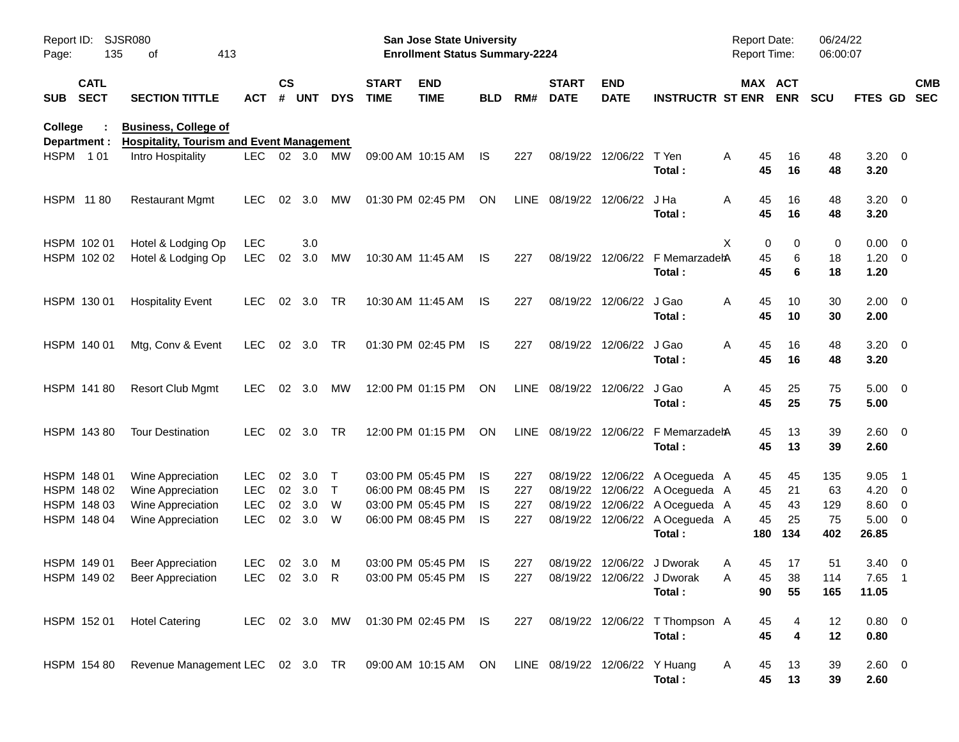| Report ID:<br>Page: | 135                        | SJSR080<br>413<br>οf                                                                 |                            |                    |            |                        |                             | <b>San Jose State University</b><br><b>Enrollment Status Summary-2224</b> |            |            |                              |                           |                                                                            | Report Date:<br><b>Report Time:</b> |                              | 06/24/22<br>06:00:07 |                                    |                          |
|---------------------|----------------------------|--------------------------------------------------------------------------------------|----------------------------|--------------------|------------|------------------------|-----------------------------|---------------------------------------------------------------------------|------------|------------|------------------------------|---------------------------|----------------------------------------------------------------------------|-------------------------------------|------------------------------|----------------------|------------------------------------|--------------------------|
| <b>SUB</b>          | <b>CATL</b><br><b>SECT</b> | <b>SECTION TITTLE</b>                                                                | ACT                        | $\mathsf{cs}$<br># | <b>UNT</b> | <b>DYS</b>             | <b>START</b><br><b>TIME</b> | <b>END</b><br><b>TIME</b>                                                 | BLD        | RM#        | <b>START</b><br><b>DATE</b>  | <b>END</b><br><b>DATE</b> | <b>INSTRUCTR ST ENR</b>                                                    |                                     | MAX ACT<br><b>ENR</b>        | <b>SCU</b>           | <b>FTES GD</b>                     | <b>CMB</b><br><b>SEC</b> |
| <b>College</b>      | Department :               | <b>Business, College of</b><br><b>Hospitality, Tourism and Event Management</b>      |                            |                    |            |                        |                             |                                                                           |            |            |                              |                           |                                                                            |                                     |                              |                      |                                    |                          |
|                     | HSPM 101                   | Intro Hospitality                                                                    | LEC 02 3.0                 |                    |            | MW                     |                             | 09:00 AM 10:15 AM                                                         | IS.        | 227        |                              | 08/19/22 12/06/22         | T Yen<br>Total:                                                            | A<br>45<br>45                       | 16<br>16                     | 48<br>48             | $3.20 \ 0$<br>3.20                 |                          |
|                     | <b>HSPM 1180</b>           | <b>Restaurant Mgmt</b>                                                               | <b>LEC</b>                 | 02                 | 3.0        | МW                     |                             | 01:30 PM 02:45 PM                                                         | ON         |            | LINE 08/19/22 12/06/22       |                           | J Ha<br>Total:                                                             | A<br>45<br>45                       | 16<br>16                     | 48<br>48             | $3.20 \ 0$<br>3.20                 |                          |
|                     | HSPM 102 01<br>HSPM 102 02 | Hotel & Lodging Op<br>Hotel & Lodging Op                                             | <b>LEC</b><br><b>LEC</b>   | 02                 | 3.0<br>3.0 | MW                     |                             | 10:30 AM 11:45 AM                                                         | IS.        | 227        |                              |                           | 08/19/22 12/06/22 F MemarzadehA<br>Total:                                  | X<br>0<br>45<br>45                  | 0<br>6<br>6                  | 0<br>18<br>18        | $0.00 \t 0$<br>$1.20 \t 0$<br>1.20 |                          |
|                     | HSPM 130 01                | <b>Hospitality Event</b>                                                             | <b>LEC</b>                 |                    | 02 3.0     | <b>TR</b>              |                             | 10:30 AM 11:45 AM                                                         | IS.        | 227        |                              | 08/19/22 12/06/22         | J Gao<br>Total:                                                            | A<br>45<br>45                       | 10<br>10                     | 30<br>30             | $2.00 \t 0$<br>2.00                |                          |
|                     | HSPM 140 01                | Mtg, Conv & Event                                                                    | LEC.                       |                    | 02 3.0     | <b>TR</b>              |                             | 01:30 PM 02:45 PM                                                         | IS.        | 227        |                              | 08/19/22 12/06/22         | J Gao<br>Total:                                                            | A<br>45<br>45                       | 16<br>16                     | 48<br>48             | $3.20 \ 0$<br>3.20                 |                          |
|                     | HSPM 141 80                | <b>Resort Club Mgmt</b>                                                              | <b>LEC</b>                 |                    | 02 3.0     | MW                     |                             | 12:00 PM 01:15 PM                                                         | ON         |            | LINE 08/19/22 12/06/22 J Gao |                           | Total:                                                                     | A<br>45<br>45                       | 25<br>25                     | 75<br>75             | $5.00 \t 0$<br>5.00                |                          |
|                     | HSPM 143 80                | <b>Tour Destination</b>                                                              | <b>LEC</b>                 |                    | 02 3.0     | <b>TR</b>              |                             | 12:00 PM 01:15 PM                                                         | ON         |            |                              |                           | LINE 08/19/22 12/06/22 F MemarzadehA<br>Total:                             | 45<br>45                            | 13<br>13                     | 39<br>39             | $2.60 \t 0$<br>2.60                |                          |
|                     | HSPM 148 01<br>HSPM 148 02 | Wine Appreciation<br>Wine Appreciation                                               | <b>LEC</b><br><b>LEC</b>   | 02<br>02           | 3.0<br>3.0 | $\top$<br>$\mathsf{T}$ |                             | 03:00 PM 05:45 PM<br>06:00 PM 08:45 PM                                    | IS.<br>IS. | 227<br>227 |                              |                           | 08/19/22 12/06/22 A Ocegueda A<br>08/19/22 12/06/22 A Ocegueda A           | 45<br>45                            | 45<br>21                     | 135<br>63            | 9.05<br>$4.20 \ 0$                 | $\overline{\phantom{1}}$ |
|                     | HSPM 148 03<br>HSPM 148 04 | Wine Appreciation<br>Wine Appreciation                                               | <b>LEC</b><br><b>LEC</b>   | 02<br>02           | 3.0<br>3.0 | W<br>W                 |                             | 03:00 PM 05:45 PM<br>06:00 PM 08:45 PM                                    | IS<br>IS.  | 227<br>227 |                              |                           | 08/19/22 12/06/22 A Ocegueda A<br>08/19/22 12/06/22 A Ocegueda A<br>Total: | 45<br>45<br>180                     | 43<br>25<br>134              | 129<br>75<br>402     | 8.60<br>$5.00 \t 0$<br>26.85       | $\overline{\phantom{0}}$ |
|                     | HSPM 149 01                | <b>Beer Appreciation</b><br>HSPM 149 02 Beer Appreciation                            | <b>LEC</b><br>LEC 02 3.0 R |                    | 02 3.0     | M                      |                             | 03:00 PM 05:45 PM<br>03:00 PM 05:45 PM IS                                 | IS.        | 227        |                              |                           | 08/19/22 12/06/22 J Dworak<br>227 08/19/22 12/06/22 J Dworak<br>Total:     | A<br>45<br>A<br>90                  | 17<br>45<br>38<br>55         | 51<br>114<br>165     | $3.40 \ 0$<br>$7.65$ 1<br>11.05    |                          |
|                     | HSPM 152 01                | <b>Hotel Catering</b>                                                                | LEC 02 3.0 MW              |                    |            |                        |                             | 01:30 PM 02:45 PM IS                                                      |            | 227        |                              |                           | 08/19/22 12/06/22 T Thompson A<br>Total:                                   | 45<br>45                            | 4<br>$\overline{\mathbf{4}}$ | 12<br>12             | 0.80 0<br>0.80                     |                          |
|                     | HSPM 154 80                | Revenue Management LEC 02 3.0 TR 09:00 AM 10:15 AM ON LINE 08/19/22 12/06/22 Y Huang |                            |                    |            |                        |                             |                                                                           |            |            |                              |                           | Total:                                                                     | A<br>45<br>45                       | 13<br>13                     | 39<br>39             | $2.60 \t 0$<br>2.60                |                          |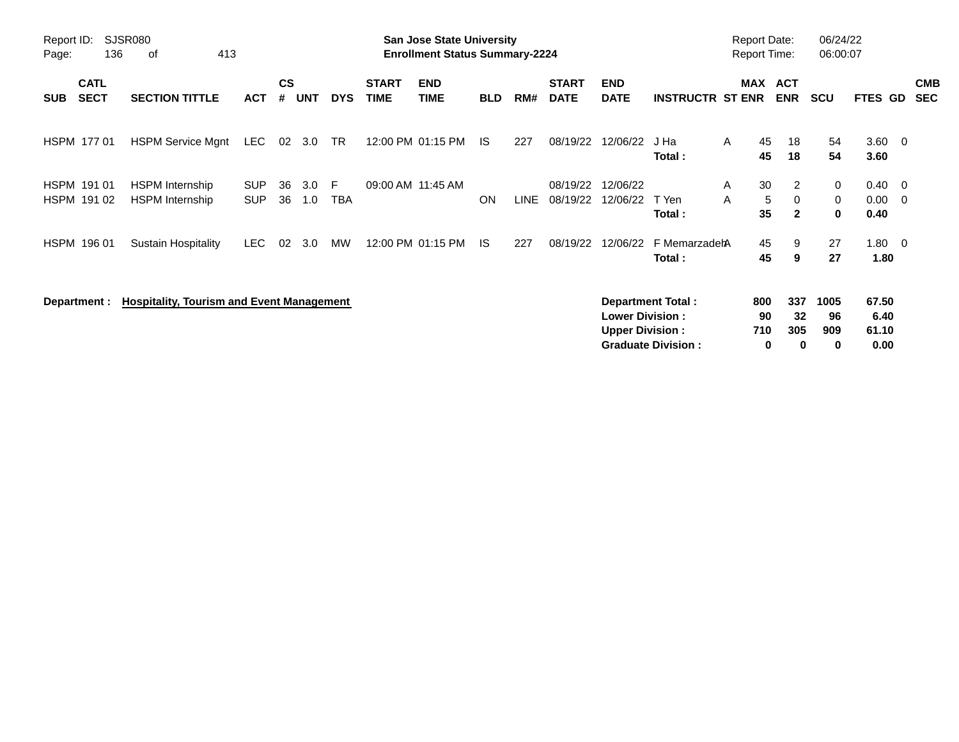| Report ID:<br>Page:                      | <b>SJSR080</b><br>136 | 413<br>0f                                        |                          |                    |            |                  |                             | <b>San Jose State University</b><br><b>Enrollment Status Summary-2224</b> |            |             |                             |                                                  |                                                       | <b>Report Date:</b><br><b>Report Time:</b> |                                    | 06/24/22<br>06:00:07   |                                       |                          |
|------------------------------------------|-----------------------|--------------------------------------------------|--------------------------|--------------------|------------|------------------|-----------------------------|---------------------------------------------------------------------------|------------|-------------|-----------------------------|--------------------------------------------------|-------------------------------------------------------|--------------------------------------------|------------------------------------|------------------------|---------------------------------------|--------------------------|
| <b>CATL</b><br><b>SECT</b><br><b>SUB</b> |                       | <b>SECTION TITTLE</b>                            | <b>ACT</b>               | $\mathsf{cs}$<br># | <b>UNT</b> | <b>DYS</b>       | <b>START</b><br><b>TIME</b> | <b>END</b><br><b>TIME</b>                                                 | <b>BLD</b> | RM#         | <b>START</b><br><b>DATE</b> | <b>END</b><br><b>DATE</b>                        | <b>INSTRUCTR ST ENR</b>                               | MAX                                        | <b>ACT</b><br><b>ENR</b>           | <b>SCU</b>             | FTES GD                               | <b>CMB</b><br><b>SEC</b> |
| HSPM 177 01                              |                       | <b>HSPM Service Mgnt</b>                         | LEC                      | 02                 | 3.0        | TR               |                             | 12:00 PM 01:15 PM                                                         | IS.        | 227         | 08/19/22                    | 12/06/22                                         | J Ha<br>Total:                                        | 45<br>A<br>45                              | 18<br>18                           | 54<br>54               | $3.60 \quad 0$<br>3.60                |                          |
| HSPM 191 01<br>HSPM 191 02               |                       | <b>HSPM</b> Internship<br><b>HSPM</b> Internship | <b>SUP</b><br><b>SUP</b> | 36<br>36           | 3.0<br>1.0 | F.<br><b>TBA</b> |                             | 09:00 AM 11:45 AM                                                         | <b>ON</b>  | <b>LINE</b> | 08/19/22<br>08/19/22        | 12/06/22<br>12/06/22                             | T Yen<br>Total:                                       | 30<br>A<br>A<br>35                         | 2<br>5<br>$\Omega$<br>$\mathbf{2}$ | 0<br>0<br>$\mathbf 0$  | $0.40 \quad 0$<br>$0.00 \t 0$<br>0.40 |                          |
| HSPM 196 01                              |                       | <b>Sustain Hospitality</b>                       | LEC.                     | 02                 | 3.0        | MW               |                             | 12:00 PM 01:15 PM                                                         | -IS        | 227         | 08/19/22                    | 12/06/22                                         | F MemarzadehA<br>Total:                               | 45<br>45                                   | 9<br>9                             | 27<br>27               | $1.80 \t 0$<br>1.80                   |                          |
| Department :                             |                       | <b>Hospitality, Tourism and Event Management</b> |                          |                    |            |                  |                             |                                                                           |            |             |                             | <b>Lower Division:</b><br><b>Upper Division:</b> | <b>Department Total:</b><br><b>Graduate Division:</b> | 800<br>90<br>710<br>0                      | 337<br>32<br>305<br>0              | 1005<br>96<br>909<br>0 | 67.50<br>6.40<br>61.10<br>0.00        |                          |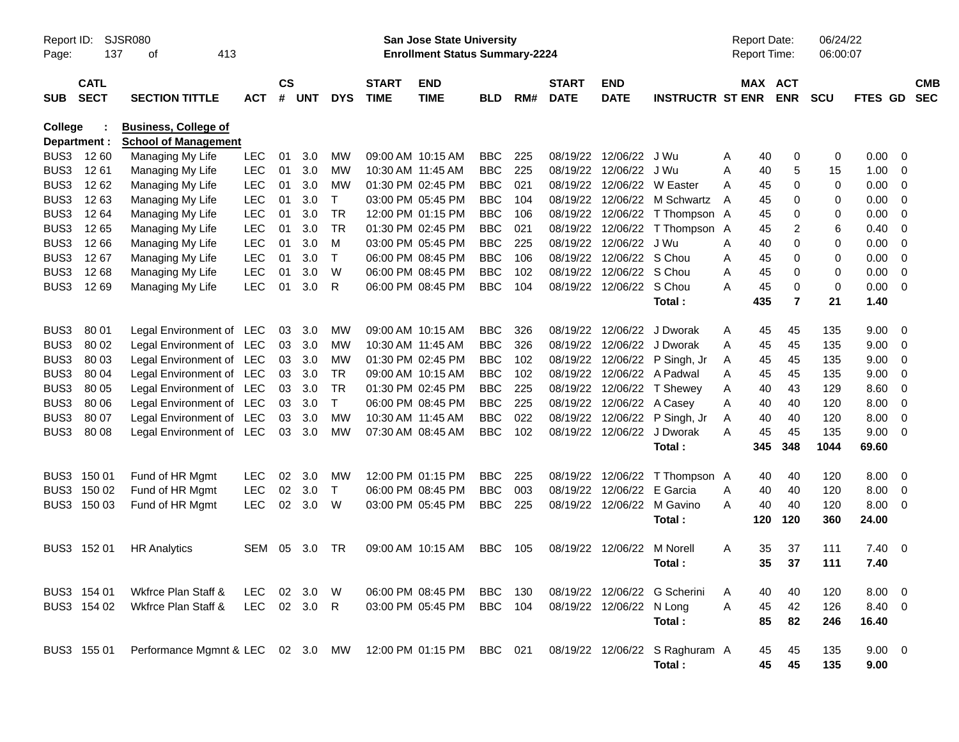| Report ID:<br>Page: | 137                        | SJSR080<br>413<br>оf                                        |              |                |          |              |                             | <b>San Jose State University</b><br><b>Enrollment Status Summary-2224</b> |                |     |                             |                           |                                | <b>Report Date:</b><br>Report Time: |                              | 06/24/22<br>06:00:07 |                |                         |                          |
|---------------------|----------------------------|-------------------------------------------------------------|--------------|----------------|----------|--------------|-----------------------------|---------------------------------------------------------------------------|----------------|-----|-----------------------------|---------------------------|--------------------------------|-------------------------------------|------------------------------|----------------------|----------------|-------------------------|--------------------------|
| <b>SUB</b>          | <b>CATL</b><br><b>SECT</b> | <b>SECTION TITTLE</b>                                       | <b>ACT</b>   | <b>CS</b><br># | UNT      | <b>DYS</b>   | <b>START</b><br><b>TIME</b> | <b>END</b><br><b>TIME</b>                                                 | <b>BLD</b>     | RM# | <b>START</b><br><b>DATE</b> | <b>END</b><br><b>DATE</b> | <b>INSTRUCTR ST ENR</b>        |                                     | <b>MAX ACT</b><br><b>ENR</b> | <b>SCU</b>           | <b>FTES GD</b> |                         | <b>CMB</b><br><b>SEC</b> |
| <b>College</b>      | Department :               | <b>Business, College of</b><br><b>School of Management</b>  |              |                |          |              |                             |                                                                           |                |     |                             |                           |                                |                                     |                              |                      |                |                         |                          |
| BUS3                | 12 60                      | Managing My Life                                            | <b>LEC</b>   | 01             | 3.0      | MW           |                             | 09:00 AM 10:15 AM                                                         | <b>BBC</b>     | 225 | 08/19/22                    | 12/06/22                  | J Wu                           | Α                                   | 40<br>0                      | 0                    | 0.00           | 0                       |                          |
| BUS3                | 1261                       | Managing My Life                                            | <b>LEC</b>   | 01             | 3.0      | <b>MW</b>    |                             | 10:30 AM 11:45 AM                                                         | <b>BBC</b>     | 225 | 08/19/22                    | 12/06/22 J Wu             |                                | Α                                   | 40<br>5                      | 15                   | 1.00           | 0                       |                          |
| BUS <sub>3</sub>    | 12 62                      | Managing My Life                                            | <b>LEC</b>   | 01             | 3.0      | <b>MW</b>    |                             | 01:30 PM 02:45 PM                                                         | <b>BBC</b>     | 021 | 08/19/22                    |                           | 12/06/22 W Easter              | A                                   | 45<br>0                      | 0                    | 0.00           | 0                       |                          |
| BUS3                | 1263                       | Managing My Life                                            | <b>LEC</b>   | 01             | 3.0      | $\mathsf{T}$ |                             | 03:00 PM 05:45 PM                                                         | <b>BBC</b>     | 104 | 08/19/22                    |                           | 12/06/22 M Schwartz            | A                                   | 45<br>0                      | 0                    | 0.00           | 0                       |                          |
| BUS3                | 12 64                      | Managing My Life                                            | <b>LEC</b>   | 01             | 3.0      | <b>TR</b>    |                             | 12:00 PM 01:15 PM                                                         | <b>BBC</b>     | 106 | 08/19/22                    |                           | 12/06/22 T Thompson A          |                                     | 45<br>0                      | 0                    | 0.00           | 0                       |                          |
| BUS <sub>3</sub>    | 1265                       | Managing My Life                                            | <b>LEC</b>   | 01             | 3.0      | <b>TR</b>    |                             | 01:30 PM 02:45 PM                                                         | <b>BBC</b>     | 021 | 08/19/22                    |                           | 12/06/22 T Thompson            | A                                   | 45<br>2                      | 6                    | 0.40           | 0                       |                          |
| BUS3                | 12 66                      | Managing My Life                                            | <b>LEC</b>   | 01             | 3.0      | м            |                             | 03:00 PM 05:45 PM                                                         | <b>BBC</b>     | 225 | 08/19/22                    | 12/06/22 J Wu             |                                | A                                   | 0<br>40                      | 0                    | 0.00           | 0                       |                          |
| BUS3                | 12 67                      | Managing My Life                                            | <b>LEC</b>   | 01             | 3.0      | $\top$       |                             | 06:00 PM 08:45 PM                                                         | <b>BBC</b>     | 106 | 08/19/22                    | 12/06/22 S Chou           |                                | A                                   | 45<br>0                      | 0                    | 0.00           | 0                       |                          |
| BUS3                | 1268                       | Managing My Life                                            | <b>LEC</b>   | 01             | 3.0      | W            |                             | 06:00 PM 08:45 PM                                                         | <b>BBC</b>     | 102 | 08/19/22                    | 12/06/22 S Chou           |                                | Α                                   | 45<br>0                      | 0                    | 0.00           | 0                       |                          |
| BUS3                | 12 69                      | Managing My Life                                            | <b>LEC</b>   | 01             | 3.0      | R            |                             | 06:00 PM 08:45 PM                                                         | <b>BBC</b>     | 104 |                             | 08/19/22 12/06/22 S Chou  |                                | А                                   | 45<br>0                      | 0                    | 0.00           | 0                       |                          |
|                     |                            |                                                             |              |                |          |              |                             |                                                                           |                |     |                             |                           | Total:                         | 435                                 | $\overline{7}$               | 21                   | 1.40           |                         |                          |
|                     |                            |                                                             |              |                |          |              |                             |                                                                           |                |     |                             |                           |                                |                                     |                              |                      |                |                         |                          |
| BUS3                | 80 01                      | Legal Environment of LEC                                    |              | 03             | 3.0      | MW           |                             | 09:00 AM 10:15 AM                                                         | <b>BBC</b>     | 326 |                             |                           | 08/19/22 12/06/22 J Dworak     | A                                   | 45<br>45                     | 135                  | 9.00           | $\overline{0}$          |                          |
| BUS3                | 80 02                      | Legal Environment of LEC                                    |              | 03             | 3.0      | <b>MW</b>    |                             | 10:30 AM 11:45 AM                                                         | <b>BBC</b>     | 326 | 08/19/22                    |                           | 12/06/22 J Dworak              | A                                   | 45<br>45                     | 135                  | 9.00           | 0                       |                          |
| BUS3                | 80 03                      | Legal Environment of LEC                                    |              | 03             | 3.0      | <b>MW</b>    |                             | 01:30 PM 02:45 PM                                                         | <b>BBC</b>     | 102 | 08/19/22                    |                           | 12/06/22 P Singh, Jr           | A                                   | 45<br>45                     | 135                  | 9.00           | 0                       |                          |
| BUS <sub>3</sub>    | 80 04                      | Legal Environment of LEC                                    |              | 03             | 3.0      | <b>TR</b>    |                             | 09:00 AM 10:15 AM                                                         | <b>BBC</b>     | 102 |                             |                           | 08/19/22 12/06/22 A Padwal     | A                                   | 45<br>45                     | 135                  | 9.00           | 0                       |                          |
| BUS3                | 80 05                      | Legal Environment of LEC                                    |              | 03             | 3.0      | <b>TR</b>    |                             | 01:30 PM 02:45 PM                                                         | <b>BBC</b>     | 225 | 08/19/22                    |                           | 12/06/22 T Shewey              | Α                                   | 43<br>40                     | 129                  | 8.60           | 0                       |                          |
| BUS3                | 80 06                      | Legal Environment of LEC                                    |              | 03             | 3.0      | $\mathsf{T}$ |                             | 06:00 PM 08:45 PM                                                         | <b>BBC</b>     | 225 | 08/19/22                    | 12/06/22 A Casey          |                                | A                                   | 40<br>40                     | 120                  | 8.00           | 0                       |                          |
| BUS3                | 80 07                      | Legal Environment of LEC                                    |              | 03             | 3.0      | <b>MW</b>    |                             | 10:30 AM 11:45 AM                                                         | <b>BBC</b>     | 022 |                             |                           | 08/19/22 12/06/22 P Singh, Jr  | A                                   | 40<br>40                     | 120                  | 8.00           | 0                       |                          |
| BUS3                | 80 08                      | Legal Environment of LEC                                    |              | 03             | 3.0      | <b>MW</b>    |                             | 07:30 AM 08:45 AM                                                         | <b>BBC</b>     | 102 |                             |                           | 08/19/22 12/06/22 J Dworak     | Α                                   | 45<br>45                     | 135                  | 9.00           | 0                       |                          |
|                     |                            |                                                             |              |                |          |              |                             |                                                                           |                |     |                             |                           | Total:                         | 345                                 | 348                          | 1044                 | 69.60          |                         |                          |
|                     | BUS3 150 01                | Fund of HR Mgmt                                             | <b>LEC</b>   | 02             | 3.0      | MW           |                             | 12:00 PM 01:15 PM                                                         | <b>BBC</b>     | 225 |                             | 08/19/22 12/06/22         | T Thompson A                   |                                     | 40<br>40                     | 120                  | 8.00           | $\overline{\mathbf{0}}$ |                          |
|                     | BUS3 150 02                | Fund of HR Mgmt                                             | <b>LEC</b>   | 02             | 3.0      | $\mathsf{T}$ |                             | 06:00 PM 08:45 PM                                                         | <b>BBC</b>     | 003 | 08/19/22                    | 12/06/22                  | E Garcia                       | A                                   | 40<br>40                     | 120                  | 8.00           | 0                       |                          |
|                     | BUS3 150 03                | Fund of HR Mgmt                                             | <b>LEC</b>   | 02             | 3.0      | W            |                             | 03:00 PM 05:45 PM                                                         | <b>BBC</b>     | 225 |                             | 08/19/22 12/06/22         | M Gavino                       | A                                   | 40<br>40                     | 120                  | 8.00           | $\overline{0}$          |                          |
|                     |                            |                                                             |              |                |          |              |                             |                                                                           |                |     |                             |                           | Total:                         | 120                                 | 120                          | 360                  | 24.00          |                         |                          |
|                     | BUS3 152 01                | <b>HR Analytics</b>                                         | <b>SEM</b>   | 05             | 3.0      | TR           |                             | 09:00 AM 10:15 AM                                                         | <b>BBC</b>     | 105 |                             | 08/19/22 12/06/22         | M Norell                       | A                                   | 35<br>37                     | 111                  | $7.40 \quad 0$ |                         |                          |
|                     |                            |                                                             |              |                |          |              |                             |                                                                           |                |     |                             |                           | Total :                        |                                     | 35<br>37                     | 111                  | 7.40           |                         |                          |
|                     |                            |                                                             |              |                |          |              |                             |                                                                           |                |     |                             |                           |                                |                                     |                              |                      |                |                         |                          |
|                     | BUS3 154 01                | Wkfrce Plan Staff &                                         | LEC.         |                | 02 3.0 W |              |                             | 06:00 PM 08:45 PM                                                         | BBC            | 130 |                             |                           | 08/19/22 12/06/22 G Scherini   | A                                   | 40<br>40                     | 120                  | $8.00 \t 0$    |                         |                          |
|                     | BUS3 154 02                | Wkfrce Plan Staff &                                         | LEC 02 3.0 R |                |          |              |                             | 03:00 PM 05:45 PM                                                         | <b>BBC</b> 104 |     |                             | 08/19/22 12/06/22 N Long  |                                | Α                                   | 42<br>45                     | 126                  | 8.40 0         |                         |                          |
|                     |                            |                                                             |              |                |          |              |                             |                                                                           |                |     |                             |                           | Total:                         |                                     | 85<br>82                     | 246                  | 16.40          |                         |                          |
|                     | BUS3 155 01                | Performance Mgmnt & LEC 02 3.0 MW 12:00 PM 01:15 PM BBC 021 |              |                |          |              |                             |                                                                           |                |     |                             |                           | 08/19/22 12/06/22 S Raghuram A |                                     | 45<br>45                     | 135                  | $9.00 \t 0$    |                         |                          |
|                     |                            |                                                             |              |                |          |              |                             |                                                                           |                |     |                             |                           | Total:                         |                                     | 45<br>45                     | 135                  | 9.00           |                         |                          |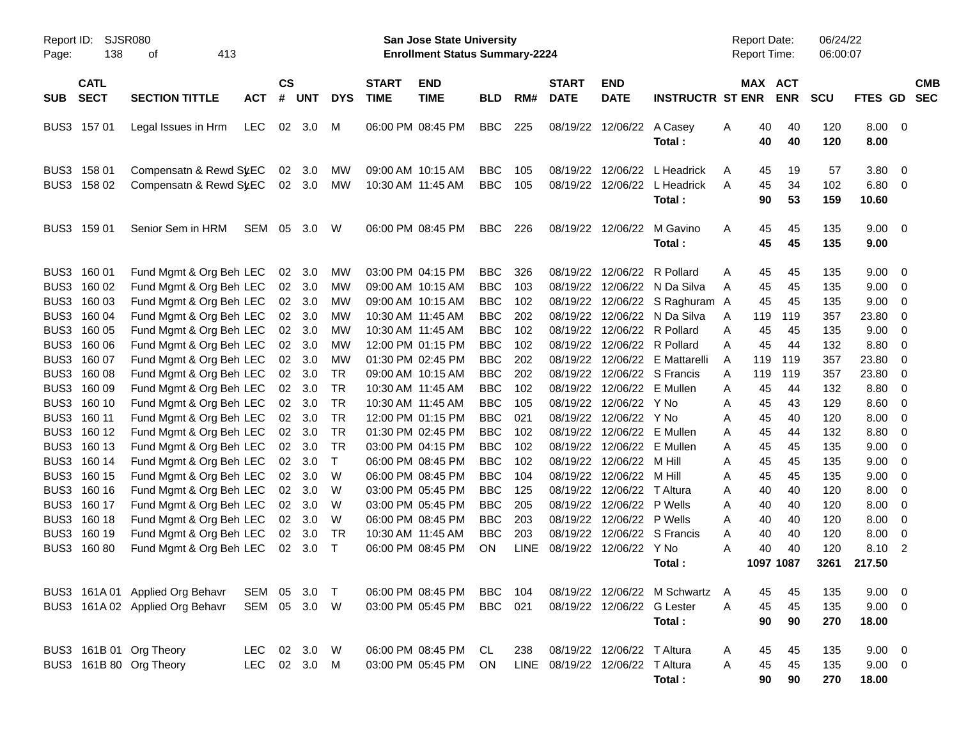| Page:                | <b>SJSR080</b><br>Report ID:<br>138<br>413<br>оf<br><b>CATL</b> |                                                                               |                    |                                          |                            |                                     |                                        | <b>San Jose State University</b><br><b>Enrollment Status Summary-2224</b> |                                        |                   |                                 |                                                              |                                                                                               |             | <b>Report Date:</b><br>Report Time:  | 06/24/22<br>06:00:07 |                                     |                                                    |            |
|----------------------|-----------------------------------------------------------------|-------------------------------------------------------------------------------|--------------------|------------------------------------------|----------------------------|-------------------------------------|----------------------------------------|---------------------------------------------------------------------------|----------------------------------------|-------------------|---------------------------------|--------------------------------------------------------------|-----------------------------------------------------------------------------------------------|-------------|--------------------------------------|----------------------|-------------------------------------|----------------------------------------------------|------------|
| <b>SUB</b>           | <b>SECT</b>                                                     | <b>SECTION TITTLE</b>                                                         | <b>ACT</b>         | <b>CS</b><br>#                           | <b>UNT</b>                 | <b>DYS</b>                          | <b>START</b><br><b>TIME</b>            | <b>END</b><br><b>TIME</b>                                                 | <b>BLD</b>                             | RM#               | <b>START</b><br><b>DATE</b>     | <b>END</b><br><b>DATE</b>                                    | <b>INSTRUCTR ST ENR</b>                                                                       |             | MAX ACT<br><b>ENR</b>                | SCU                  | FTES GD SEC                         |                                                    | <b>CMB</b> |
|                      | BUS3 157 01                                                     | Legal Issues in Hrm                                                           | LEC.               | 02                                       | 3.0                        | M                                   |                                        | 06:00 PM 08:45 PM                                                         | <b>BBC</b>                             | 225               |                                 | 08/19/22 12/06/22                                            | A Casey<br>Total:                                                                             | A           | 40<br>40<br>40<br>40                 | 120<br>120           | $8.00 \t 0$<br>8.00                 |                                                    |            |
| BUS3                 | 158 01<br>BUS3 158 02                                           | Compensatn & Rewd SyEC<br>Compensatn & Rewd St.EC                             |                    | 02                                       | 3.0<br>02 3.0              | MW<br>МW                            | 10:30 AM 11:45 AM                      | 09:00 AM 10:15 AM                                                         | <b>BBC</b><br><b>BBC</b>               | 105<br>105        | 08/19/22                        | 12/06/22<br>08/19/22 12/06/22                                | L Headrick<br>L Headrick<br>Total:                                                            | A<br>Α      | 19<br>45<br>45<br>34<br>90<br>53     | 57<br>102<br>159     | 3.80<br>6.80<br>10.60               | $\overline{\mathbf{0}}$<br>$\overline{\mathbf{0}}$ |            |
|                      | BUS3 159 01                                                     | Senior Sem in HRM                                                             | SEM                | 05                                       | 3.0                        | W                                   |                                        | 06:00 PM 08:45 PM                                                         | BBC.                                   | 226               | 08/19/22 12/06/22               |                                                              | M Gavino<br>Total:                                                                            | Α           | 45<br>45<br>45<br>45                 | 135<br>135           | 9.00<br>9.00                        | $\overline{\phantom{0}}$                           |            |
| BUS3                 | 160 01<br>BUS3 160 02                                           | Fund Mgmt & Org Beh LEC<br>Fund Mgmt & Org Beh LEC                            |                    | 02<br>02 <sub>o</sub>                    | 3.0<br>3.0                 | MW<br>MW                            |                                        | 03:00 PM 04:15 PM<br>09:00 AM 10:15 AM                                    | <b>BBC</b><br><b>BBC</b>               | 326<br>103        |                                 | 08/19/22 12/06/22                                            | R Pollard<br>08/19/22 12/06/22 N Da Silva                                                     | A<br>Α      | 45<br>45<br>45<br>45                 | 135<br>135           | 9.00<br>9.00                        | $\overline{\mathbf{0}}$<br>$\overline{0}$          |            |
| BUS3<br>BUS3<br>BUS3 | 160 03<br>160 04<br>160 05                                      | Fund Mgmt & Org Beh LEC<br>Fund Mgmt & Org Beh LEC<br>Fund Mgmt & Org Beh LEC |                    |                                          | 02 3.0<br>02 3.0<br>02 3.0 | MW<br>MW<br>MW                      | 10:30 AM 11:45 AM<br>10:30 AM 11:45 AM | 09:00 AM 10:15 AM                                                         | <b>BBC</b><br><b>BBC</b><br><b>BBC</b> | 102<br>202<br>102 |                                 |                                                              | 08/19/22 12/06/22 S Raghuram A<br>08/19/22 12/06/22 N Da Silva<br>08/19/22 12/06/22 R Pollard | A<br>Α      | 45<br>45<br>119<br>119<br>45<br>45   | 135<br>357<br>135    | 9.00<br>23.80<br>9.00               | 0<br>0<br>0                                        |            |
| BUS3<br>BUS3<br>BUS3 | 160 06<br>160 07<br>160 08                                      | Fund Mgmt & Org Beh LEC<br>Fund Mgmt & Org Beh LEC<br>Fund Mgmt & Org Beh LEC |                    |                                          | 02 3.0<br>02 3.0<br>02 3.0 | MW<br>MW<br>TR                      |                                        | 12:00 PM 01:15 PM<br>01:30 PM 02:45 PM<br>09:00 AM 10:15 AM               | <b>BBC</b><br><b>BBC</b><br><b>BBC</b> | 102<br>202<br>202 | 08/19/22<br>08/19/22            | 08/19/22 12/06/22                                            | 12/06/22 R Pollard<br>E Mattarelli<br>12/06/22 S Francis                                      | Α<br>A<br>Α | 45<br>44<br>119<br>119<br>119<br>119 | 132<br>357<br>357    | 8.80<br>23.80<br>23.80              | 0<br>0<br>0                                        |            |
| BUS3<br>BUS3<br>BUS3 | 160 09<br>160 10<br>160 11                                      | Fund Mgmt & Org Beh LEC<br>Fund Mgmt & Org Beh LEC<br>Fund Mgmt & Org Beh LEC |                    |                                          | 02 3.0<br>02 3.0<br>02 3.0 | <b>TR</b><br><b>TR</b><br><b>TR</b> | 10:30 AM 11:45 AM<br>10:30 AM 11:45 AM | 12:00 PM 01:15 PM                                                         | <b>BBC</b><br><b>BBC</b><br><b>BBC</b> | 102<br>105<br>021 | 08/19/22                        | 12/06/22<br>08/19/22 12/06/22 Y No<br>08/19/22 12/06/22 Y No | E Mullen                                                                                      | Α<br>Α<br>Α | 44<br>45<br>43<br>45<br>45<br>40     | 132<br>129<br>120    | 8.80<br>8.60<br>8.00                | 0<br>0<br>0                                        |            |
| BUS3<br>BUS3         | 160 12<br>160 13                                                | Fund Mgmt & Org Beh LEC<br>Fund Mgmt & Org Beh LEC                            |                    |                                          | 02 3.0<br>$02 \quad 3.0$   | <b>TR</b><br>TR                     |                                        | 01:30 PM 02:45 PM<br>03:00 PM 04:15 PM                                    | <b>BBC</b><br><b>BBC</b>               | 102<br>102        | 08/19/22<br>08/19/22            | 12/06/22<br>12/06/22                                         | E Mullen<br>E Mullen                                                                          | Α<br>Α      | 45<br>44<br>45<br>45                 | 132<br>135           | 8.80<br>9.00                        | 0<br>0                                             |            |
| BUS3<br>BUS3<br>BUS3 | 160 14<br>160 15<br>160 16                                      | Fund Mgmt & Org Beh LEC<br>Fund Mgmt & Org Beh LEC<br>Fund Mgmt & Org Beh LEC |                    | 02<br>02 <sub>2</sub><br>02 <sub>2</sub> | 3.0<br>3.0<br>3.0          | $\mathsf{T}$<br>W<br>W              |                                        | 06:00 PM 08:45 PM<br>06:00 PM 08:45 PM<br>03:00 PM 05:45 PM               | <b>BBC</b><br><b>BBC</b><br><b>BBC</b> | 102<br>104<br>125 | 08/19/22<br>08/19/22            | 08/19/22 12/06/22 M Hill<br>12/06/22<br>12/06/22             | m Hill<br>T Altura                                                                            | Α<br>Α<br>Α | 45<br>45<br>45<br>45<br>40<br>40     | 135<br>135<br>120    | 9.00<br>9.00<br>8.00                | 0<br>0<br>0                                        |            |
| BUS3<br>BUS3<br>BUS3 | 160 17<br>160 18<br>160 19                                      | Fund Mgmt & Org Beh LEC<br>Fund Mgmt & Org Beh LEC<br>Fund Mgmt & Org Beh LEC |                    | 02<br>02<br>02                           | 3.0<br>3.0<br>3.0          | W<br>W<br>TR                        | 10:30 AM 11:45 AM                      | 03:00 PM 05:45 PM<br>06:00 PM 08:45 PM                                    | <b>BBC</b><br><b>BBC</b><br><b>BBC</b> | 205<br>203<br>203 | 08/19/22<br>08/19/22            | 08/19/22 12/06/22<br>12/06/22<br>12/06/22                    | P Wells<br>P Wells<br>S Francis                                                               | Α<br>Α<br>Α | 40<br>40<br>40<br>40<br>40<br>40     | 120<br>120<br>120    | 8.00<br>8.00<br>8.00                | 0<br>0<br>0                                        |            |
|                      | BUS3 160 80                                                     | Fund Mgmt & Org Beh LEC                                                       |                    |                                          | 02 3.0                     | $\mathsf{T}$                        |                                        | 06:00 PM 08:45 PM                                                         | ON                                     | <b>LINE</b>       |                                 | 08/19/22 12/06/22 Y No                                       | Total:                                                                                        | Α           | 40<br>40<br>1097 1087                | 120<br>3261          | 8.10<br>217.50                      | $\overline{\phantom{a}}$                           |            |
|                      |                                                                 | BUS3 161A 01 Applied Org Behavr<br>BUS3 161A 02 Applied Org Behavr            | SEM<br>SEM         |                                          | 05 3.0<br>05 3.0 W         | $\top$                              |                                        | 06:00 PM 08:45 PM<br>03:00 PM 05:45 PM                                    | BBC<br><b>BBC</b>                      | 104<br>021        |                                 | 08/19/22 12/06/22 G Lester                                   | 08/19/22 12/06/22 M Schwartz A<br>Total:                                                      | Α           | 45<br>45<br>45<br>45<br>90<br>90     | 135<br>135<br>270    | $9.00 \t 0$<br>$9.00 \t 0$<br>18.00 |                                                    |            |
|                      |                                                                 | BUS3 161B 01 Org Theory<br>BUS3 161B 80 Org Theory                            | LEC.<br><b>LEC</b> |                                          | 02 3.0 W<br>02 3.0 M       |                                     |                                        | 06:00 PM 08:45 PM<br>03:00 PM 05:45 PM                                    | CL.<br>ON                              | 238               | LINE 08/19/22 12/06/22 T Altura | 08/19/22 12/06/22 T Altura                                   | Total:                                                                                        | A<br>Α      | 45<br>45<br>45<br>45<br>90<br>90     | 135<br>135<br>270    | $9.00 \t 0$<br>$9.00 \t 0$<br>18.00 |                                                    |            |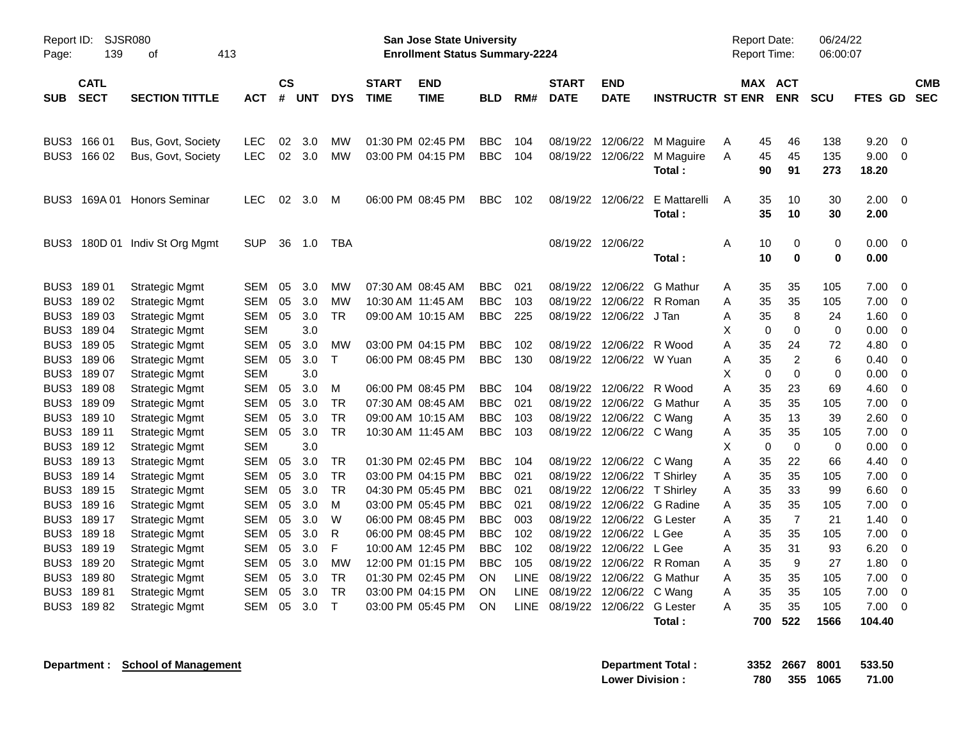| Page:            | <b>SJSR080</b><br>Report ID:<br>139<br>413<br>οf<br><b>CATL</b> |                       |            |                |            |            |                             | San Jose State University<br><b>Enrollment Status Summary-2224</b> |            |             |                             |                             |                         | <b>Report Date:</b><br>Report Time: |                       |                  | 06/24/22<br>06:00:07 |               |             |                          |
|------------------|-----------------------------------------------------------------|-----------------------|------------|----------------|------------|------------|-----------------------------|--------------------------------------------------------------------|------------|-------------|-----------------------------|-----------------------------|-------------------------|-------------------------------------|-----------------------|------------------|----------------------|---------------|-------------|--------------------------|
| <b>SUB</b>       | <b>SECT</b>                                                     | <b>SECTION TITTLE</b> | ACT        | <b>CS</b><br># | <b>UNT</b> | <b>DYS</b> | <b>START</b><br><b>TIME</b> | <b>END</b><br><b>TIME</b>                                          | <b>BLD</b> | RM#         | <b>START</b><br><b>DATE</b> | <b>END</b><br><b>DATE</b>   | <b>INSTRUCTR ST ENR</b> |                                     | MAX ACT<br><b>ENR</b> | <b>SCU</b>       |                      | FTES GD       |             | <b>CMB</b><br><b>SEC</b> |
| BUS3             | 166 01                                                          | Bus, Govt, Society    | LEC        | 02             | 3.0        | МW         |                             | 01:30 PM 02:45 PM                                                  | <b>BBC</b> | 104         | 08/19/22                    |                             | 12/06/22 M Maguire      | A                                   | 45                    | 46               | 138                  | 9.20          | $\Omega$    |                          |
| BUS3             | 166 02                                                          | Bus, Govt, Society    | <b>LEC</b> | 02             | 3.0        | МW         |                             | 03:00 PM 04:15 PM                                                  | <b>BBC</b> | 104         | 08/19/22                    | 12/06/22                    | M Maguire<br>Total:     | A                                   | 45<br>90              | 45<br>91         | 135<br>273           | 9.00<br>18.20 | $\mathbf 0$ |                          |
| BUS3             | 169A 01                                                         | <b>Honors Seminar</b> | LEC        | 02             | 3.0        | M          |                             | 06:00 PM 08:45 PM                                                  | <b>BBC</b> | 102         | 08/19/22                    | 12/06/22                    | E Mattarelli<br>Total:  | A                                   | 35<br>35              | 10<br>10         | 30<br>30             | 2.00<br>2.00  | $\Omega$    |                          |
| BUS3             | 180D 01                                                         | Indiv St Org Mgmt     | <b>SUP</b> | 36             | 1.0        | <b>TBA</b> |                             |                                                                    |            |             |                             | 08/19/22 12/06/22           | Total:                  | A                                   | 10<br>10              | 0<br>$\mathbf 0$ | 0<br>$\bf{0}$        | 0.00<br>0.00  | $\Omega$    |                          |
|                  | BUS3 189 01                                                     | <b>Strategic Mgmt</b> | <b>SEM</b> | 05             | 3.0        | <b>MW</b>  |                             | 07:30 AM 08:45 AM                                                  | <b>BBC</b> | 021         | 08/19/22                    | 12/06/22                    | <b>G Mathur</b>         | A                                   | 35                    | 35               | 105                  | 7.00          | $\Omega$    |                          |
| BUS3             | 18902                                                           | <b>Strategic Mgmt</b> | <b>SEM</b> | 05             | 3.0        | МW         | 10:30 AM 11:45 AM           |                                                                    | <b>BBC</b> | 103         | 08/19/22                    | 12/06/22                    | R Roman                 | A                                   | 35                    | 35               | 105                  | 7.00          | $\mathbf 0$ |                          |
| BUS3             | 18903                                                           | <b>Strategic Mgmt</b> | <b>SEM</b> | 05             | 3.0        | TR.        |                             | 09:00 AM_10:15 AM                                                  | <b>BBC</b> | 225         | 08/19/22                    | 12/06/22 J Tan              |                         | A                                   | 35                    | 8                | 24                   | 1.60          | 0           |                          |
| BUS3             | 18904                                                           | <b>Strategic Mgmt</b> | SEM        |                | 3.0        |            |                             |                                                                    |            |             |                             |                             |                         | X                                   | 0                     | $\mathbf 0$      | 0                    | 0.00          | $\Omega$    |                          |
| BUS3             | 18905                                                           | <b>Strategic Mgmt</b> | <b>SEM</b> | 05             | 3.0        | <b>MW</b>  |                             | 03:00 PM 04:15 PM                                                  | <b>BBC</b> | 102         | 08/19/22                    | 12/06/22 R Wood             |                         | А                                   | 35                    | 24               | 72                   | 4.80          | 0           |                          |
| BUS <sub>3</sub> | 18906                                                           | <b>Strategic Mgmt</b> | SEM        | 05             | 3.0        | T.         |                             | 06:00 PM 08:45 PM                                                  | <b>BBC</b> | 130         |                             | 08/19/22 12/06/22 W Yuan    |                         | A                                   | 35                    | $\overline{c}$   | 6                    | 0.40          | $\mathbf 0$ |                          |
| BUS3             | 18907                                                           | <b>Strategic Mgmt</b> | <b>SEM</b> |                | 3.0        |            |                             |                                                                    |            |             |                             |                             |                         | X                                   | 0                     | $\Omega$         | 0                    | 0.00          | $\mathbf 0$ |                          |
| BUS3             | 18908                                                           | <b>Strategic Mgmt</b> | <b>SEM</b> | 05             | 3.0        | M          |                             | 06:00 PM 08:45 PM                                                  | <b>BBC</b> | 104         | 08/19/22                    | 12/06/22 R Wood             |                         | А                                   | 35                    | 23               | 69                   | 4.60          | 0           |                          |
| BUS3             | 18909                                                           | <b>Strategic Mgmt</b> | <b>SEM</b> | 05             | 3.0        | <b>TR</b>  |                             | 07:30 AM 08:45 AM                                                  | <b>BBC</b> | 021         | 08/19/22                    |                             | 12/06/22 G Mathur       | A                                   | 35                    | 35               | 105                  | 7.00          | $\Omega$    |                          |
| BUS <sub>3</sub> | 189 10                                                          | <b>Strategic Mgmt</b> | SEM        | 05             | 3.0        | <b>TR</b>  |                             | 09:00 AM 10:15 AM                                                  | <b>BBC</b> | 103         | 08/19/22                    | 12/06/22 C Wang             |                         | Α                                   | 35                    | 13               | 39                   | 2.60          | $\Omega$    |                          |
| BUS <sub>3</sub> | 189 11                                                          | <b>Strategic Mgmt</b> | SEM        | 05             | 3.0        | <b>TR</b>  | 10:30 AM 11:45 AM           |                                                                    | <b>BBC</b> | 103         | 08/19/22                    | 12/06/22 C Wang             |                         | Α                                   | 35                    | 35               | 105                  | 7.00          | $\mathbf 0$ |                          |
| BUS <sub>3</sub> | 189 12                                                          | <b>Strategic Mgmt</b> | <b>SEM</b> |                | 3.0        |            |                             |                                                                    |            |             |                             |                             |                         | X                                   | $\mathbf 0$           | $\mathbf 0$      | $\mathbf 0$          | 0.00          | $\Omega$    |                          |
| BUS <sub>3</sub> | 189 13                                                          | <b>Strategic Mgmt</b> | <b>SEM</b> | 05             | 3.0        | <b>TR</b>  |                             | 01:30 PM 02:45 PM                                                  | <b>BBC</b> | 104         | 08/19/22                    | 12/06/22 C Wang             |                         | A                                   | 35                    | 22               | 66                   | 4.40          | 0           |                          |
| BUS3             | 189 14                                                          | <b>Strategic Mgmt</b> | <b>SEM</b> | 05             | 3.0        | <b>TR</b>  |                             | 03:00 PM 04:15 PM                                                  | <b>BBC</b> | 021         |                             | 08/19/22 12/06/22 T Shirley |                         | A                                   | 35                    | 35               | 105                  | 7.00          | $\mathbf 0$ |                          |
| BUS3             | 189 15                                                          | <b>Strategic Mgmt</b> | SEM        | 05             | 3.0        | <b>TR</b>  |                             | 04:30 PM 05:45 PM                                                  | <b>BBC</b> | 021         | 08/19/22                    | 12/06/22 T Shirley          |                         | Α                                   | 35                    | 33               | 99                   | 6.60          | 0           |                          |
| BUS3             | 189 16                                                          | <b>Strategic Mgmt</b> | <b>SEM</b> | 05             | 3.0        | M          |                             | 03:00 PM 05:45 PM                                                  | <b>BBC</b> | 021         | 08/19/22                    | 12/06/22                    | G Radine                | А                                   | 35                    | 35               | 105                  | 7.00          | 0           |                          |
| BUS <sub>3</sub> | 189 17                                                          | <b>Strategic Mgmt</b> | SEM        | 05             | 3.0        | W          |                             | 06:00 PM 08:45 PM                                                  | <b>BBC</b> | 003         | 08/19/22                    | 12/06/22                    | <b>G</b> Lester         | A                                   | 35                    | $\overline{7}$   | 21                   | 1.40          | $\Omega$    |                          |
| BUS3             | 189 18                                                          | <b>Strategic Mgmt</b> | <b>SEM</b> | 05             | 3.0        | R          |                             | 06:00 PM 08:45 PM                                                  | <b>BBC</b> | 102         | 08/19/22                    | 12/06/22                    | L Gee                   | A                                   | 35                    | 35               | 105                  | 7.00          | $\mathbf 0$ |                          |
| BUS3             | 189 19                                                          | <b>Strategic Mgmt</b> | <b>SEM</b> | 05             | 3.0        | F          |                             | 10:00 AM 12:45 PM                                                  | <b>BBC</b> | 102         | 08/19/22                    | 12/06/22 L Gee              |                         | Α                                   | 35                    | 31               | 93                   | 6.20          | 0           |                          |
| BUS3             | 189 20                                                          | <b>Strategic Mgmt</b> | SEM        | 05             | 3.0        | <b>MW</b>  |                             | 12:00 PM 01:15 PM                                                  | <b>BBC</b> | 105         | 08/19/22                    |                             | 12/06/22 R Roman        | А                                   | 35                    | 9                | 27                   | 1.80          | 0           |                          |
| BUS3             | 18980                                                           | <b>Strategic Mgmt</b> | SEM        | 05             | 3.0        | <b>TR</b>  |                             | 01:30 PM 02:45 PM                                                  | ON.        | LINE        | 08/19/22                    | 12/06/22                    | G Mathur                | Α                                   | 35                    | 35               | 105                  | 7.00          | 0           |                          |
| BUS3             | 18981                                                           | <b>Strategic Mgmt</b> | SEM        | 05             | 3.0        | <b>TR</b>  |                             | 03:00 PM 04:15 PM                                                  | <b>ON</b>  | <b>LINE</b> |                             | 08/19/22 12/06/22 C Wang    |                         | A                                   | 35                    | 35               | 105                  | 7.00          | $\mathbf 0$ |                          |
| BUS3             | 18982                                                           | <b>Strategic Mgmt</b> | <b>SEM</b> | 05             | 3.0        | $\top$     |                             | 03:00 PM 05:45 PM                                                  | ON         | <b>LINE</b> | 08/19/22                    | 12/06/22                    | <b>G</b> Lester         | A                                   | 35                    | 35               | 105                  | 7.00          | 0           |                          |
|                  |                                                                 |                       |            |                |            |            |                             |                                                                    |            |             |                             |                             | Total:                  | 700                                 |                       | 522              | 1566                 | 104.40        |             |                          |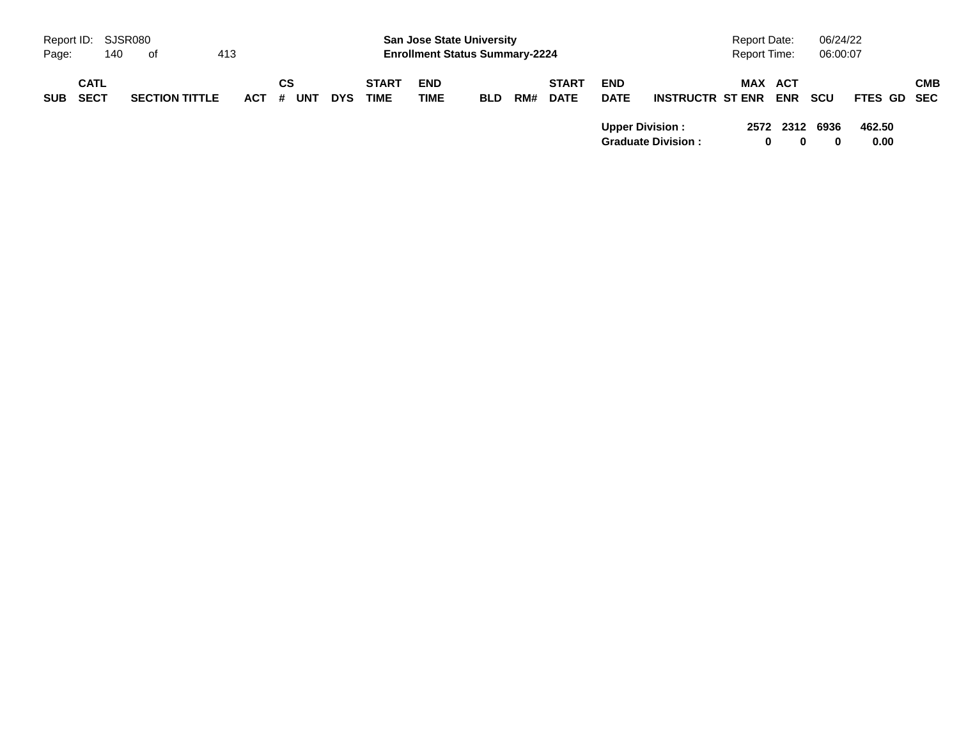|            | Report ID: SJSR080         |     |                       |     |         |    |     |            |                             | <b>San Jose State University</b>      |            |     |                             |                           |                           | Report Date: |   |                | 06/24/22         |                |     |
|------------|----------------------------|-----|-----------------------|-----|---------|----|-----|------------|-----------------------------|---------------------------------------|------------|-----|-----------------------------|---------------------------|---------------------------|--------------|---|----------------|------------------|----------------|-----|
| Page:      |                            | 140 | of                    | 413 |         |    |     |            |                             | <b>Enrollment Status Summary-2224</b> |            |     |                             |                           |                           | Report Time: |   |                | 06:00:07         |                |     |
| <b>SUB</b> | <b>CATL</b><br><b>SECT</b> |     | <b>SECTION TITTLE</b> |     | $ACT$ # | СS | UNT | <b>DYS</b> | <b>START</b><br><b>TIME</b> | <b>END</b><br><b>TIME</b>             | <b>BLD</b> | RM# | <b>START</b><br><b>DATE</b> | <b>END</b><br><b>DATE</b> | <b>INSTRUCTR ST ENR</b>   |              |   | MAX ACT<br>ENR | SCU              | FTES GD SEC    | СМВ |
|            |                            |     |                       |     |         |    |     |            |                             |                                       |            |     |                             | <b>Upper Division:</b>    | <b>Graduate Division:</b> |              | 0 | 2572 2312      | 6936<br>$\bf{0}$ | 462.50<br>0.00 |     |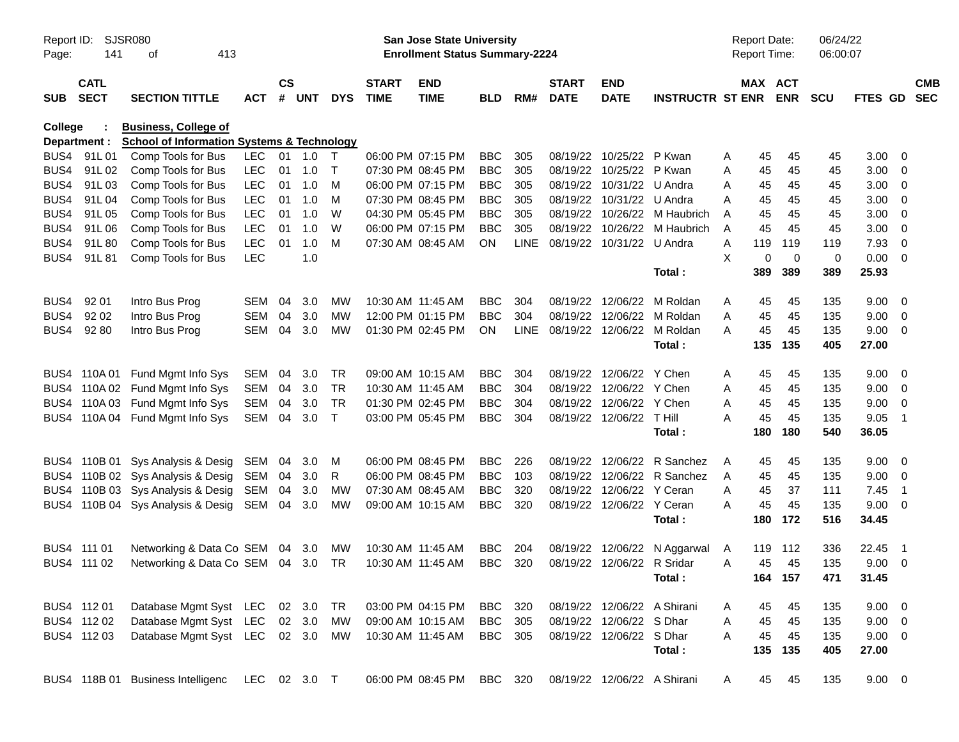| Report ID:<br>Page: | 141                        | SJSR080<br>413<br>оf                                  |            |                    |            |            |                             | San Jose State University<br><b>Enrollment Status Summary-2224</b> |                |             |                             |                             |                              | Report Date: | <b>Report Time:</b>   | 06/24/22<br>06:00:07 |                |                          |            |
|---------------------|----------------------------|-------------------------------------------------------|------------|--------------------|------------|------------|-----------------------------|--------------------------------------------------------------------|----------------|-------------|-----------------------------|-----------------------------|------------------------------|--------------|-----------------------|----------------------|----------------|--------------------------|------------|
| <b>SUB</b>          | <b>CATL</b><br><b>SECT</b> | <b>SECTION TITTLE</b>                                 | <b>ACT</b> | $\mathsf{cs}$<br># | <b>UNT</b> | <b>DYS</b> | <b>START</b><br><b>TIME</b> | <b>END</b><br><b>TIME</b>                                          | <b>BLD</b>     | RM#         | <b>START</b><br><b>DATE</b> | <b>END</b><br><b>DATE</b>   | <b>INSTRUCTR ST ENR</b>      |              | MAX ACT<br><b>ENR</b> | <b>SCU</b>           | FTES GD SEC    |                          | <b>CMB</b> |
| College             |                            | <b>Business, College of</b>                           |            |                    |            |            |                             |                                                                    |                |             |                             |                             |                              |              |                       |                      |                |                          |            |
|                     | Department :               | <b>School of Information Systems &amp; Technology</b> |            |                    |            |            |                             |                                                                    |                |             |                             |                             |                              |              |                       |                      |                |                          |            |
|                     | BUS4 91L01                 | Comp Tools for Bus                                    | LEC.       |                    | 01 1.0     | $\top$     |                             | 06:00 PM 07:15 PM                                                  | <b>BBC</b>     | 305         |                             | 08/19/22 10/25/22 P Kwan    |                              | Α            | 45<br>45              | 45                   | 3.00           | $\overline{\mathbf{0}}$  |            |
| BUS4                | 91L02                      | Comp Tools for Bus                                    | <b>LEC</b> | 01                 | 1.0        | $\top$     |                             | 07:30 PM 08:45 PM                                                  | <b>BBC</b>     | 305         |                             | 08/19/22 10/25/22 P Kwan    |                              | A            | 45<br>45              | 45                   | 3.00           | $\overline{\phantom{0}}$ |            |
| BUS4                | 91L03                      | Comp Tools for Bus                                    | <b>LEC</b> | 01                 | 1.0        | M          |                             | 06:00 PM 07:15 PM                                                  | <b>BBC</b>     | 305         |                             | 08/19/22 10/31/22 U Andra   |                              | A            | 45<br>45              | 45                   | 3.00           | $\overline{\phantom{0}}$ |            |
| BUS4                | 91L04                      | Comp Tools for Bus                                    | <b>LEC</b> | 01                 | 1.0        | M          |                             | 07:30 PM 08:45 PM                                                  | <b>BBC</b>     | 305         |                             | 08/19/22 10/31/22 U Andra   |                              | A            | 45<br>45              | 45                   | 3.00           | $\overline{\mathbf{0}}$  |            |
| BUS4                | 91L05                      | Comp Tools for Bus                                    | <b>LEC</b> | 01                 | 1.0        | W          |                             | 04:30 PM 05:45 PM                                                  | <b>BBC</b>     | 305         |                             |                             | 08/19/22 10/26/22 M Haubrich | Α            | 45<br>45              | 45                   | 3.00           | $\overline{\mathbf{0}}$  |            |
| BUS4                | 91L06                      | Comp Tools for Bus                                    | <b>LEC</b> | 01                 | 1.0        | W          |                             | 06:00 PM 07:15 PM                                                  | <b>BBC</b>     | 305         |                             |                             | 08/19/22 10/26/22 M Haubrich | A            | 45<br>45              | 45                   | 3.00           | $\overline{\mathbf{0}}$  |            |
| BUS4                | 91L80                      | Comp Tools for Bus                                    | <b>LEC</b> | 01                 | 1.0        | M          |                             | 07:30 AM 08:45 AM                                                  | ON             | <b>LINE</b> |                             | 08/19/22 10/31/22 U Andra   |                              | 119<br>Α     | 119                   | 119                  | 7.93           | $\overline{\mathbf{0}}$  |            |
| BUS4                | 91L81                      | Comp Tools for Bus                                    | <b>LEC</b> |                    | 1.0        |            |                             |                                                                    |                |             |                             |                             |                              | X            | 0<br>$\overline{0}$   | 0                    | 0.00           | $\overline{\phantom{0}}$ |            |
|                     |                            |                                                       |            |                    |            |            |                             |                                                                    |                |             |                             |                             | Total:                       | 389          | 389                   | 389                  | 25.93          |                          |            |
| BUS4                | 92 01                      | Intro Bus Prog                                        | <b>SEM</b> | 04                 | 3.0        | MW         | 10:30 AM 11:45 AM           |                                                                    | <b>BBC</b>     | 304         |                             | 08/19/22 12/06/22           | M Roldan                     | Α            | 45<br>45              | 135                  | 9.00           | $\overline{\mathbf{0}}$  |            |
| BUS4                | 92 02                      | Intro Bus Prog                                        | <b>SEM</b> | 04                 | 3.0        | MW         |                             | 12:00 PM 01:15 PM                                                  | <b>BBC</b>     | 304         |                             |                             | 08/19/22 12/06/22 M Roldan   | A            | 45<br>45              | 135                  | 9.00           | $\overline{\phantom{0}}$ |            |
| BUS4                | 92 80                      | Intro Bus Prog                                        | <b>SEM</b> | 04                 | 3.0        | MW         |                             | 01:30 PM 02:45 PM                                                  | ON.            | <b>LINE</b> |                             |                             | 08/19/22 12/06/22 M Roldan   | Α            | 45<br>45              | 135                  | 9.00           | $\overline{\phantom{0}}$ |            |
|                     |                            |                                                       |            |                    |            |            |                             |                                                                    |                |             |                             |                             | Total:                       | 135          | 135                   | 405                  | 27.00          |                          |            |
|                     | BUS4 110A01                | Fund Mgmt Info Sys                                    | SEM        | 04                 | 3.0        | TR         |                             | 09:00 AM 10:15 AM                                                  | <b>BBC</b>     | 304         |                             | 08/19/22 12/06/22           | Y Chen                       | Α            | 45<br>45              | 135                  | 9.00           | $\overline{\mathbf{0}}$  |            |
|                     |                            | BUS4 110A 02 Fund Mgmt Info Sys                       | <b>SEM</b> | 04                 | 3.0        | <b>TR</b>  | 10:30 AM 11:45 AM           |                                                                    | <b>BBC</b>     | 304         |                             | 08/19/22 12/06/22 Y Chen    |                              | A            | 45<br>45              | 135                  | 9.00           | $\overline{\phantom{0}}$ |            |
|                     |                            | BUS4 110A 03 Fund Mgmt Info Sys                       | SEM        | 04                 | 3.0        | <b>TR</b>  |                             | 01:30 PM 02:45 PM                                                  | <b>BBC</b>     | 304         |                             | 08/19/22 12/06/22 Y Chen    |                              | A            | 45<br>45              | 135                  | 9.00           | $\overline{\phantom{0}}$ |            |
|                     |                            | BUS4 110A 04 Fund Mgmt Info Sys                       | SEM        | 04                 | 3.0        | $\top$     |                             | 03:00 PM 05:45 PM                                                  | <b>BBC</b>     | 304         |                             | 08/19/22 12/06/22 T Hill    |                              | А            | 45<br>45              | 135                  | 9.05           | - 1                      |            |
|                     |                            |                                                       |            |                    |            |            |                             |                                                                    |                |             |                             |                             | Total:                       | 180          | 180                   | 540                  | 36.05          |                          |            |
|                     |                            | BUS4 110B 01 Sys Analysis & Desig SEM                 |            | 04                 | 3.0        | M          |                             | 06:00 PM 08:45 PM                                                  | <b>BBC</b>     | 226         |                             |                             | 08/19/22 12/06/22 R Sanchez  | A            | 45<br>45              | 135                  | 9.00           | $\overline{\phantom{0}}$ |            |
|                     |                            | BUS4 110B 02 Sys Analysis & Desig SEM                 |            | 04                 | 3.0        | R          |                             | 06:00 PM 08:45 PM                                                  | <b>BBC</b>     | 103         |                             |                             | 08/19/22 12/06/22 R Sanchez  | Α            | 45<br>45              | 135                  | 9.00           | $\overline{\phantom{0}}$ |            |
|                     |                            | BUS4 110B 03 Sys Analysis & Desig SEM                 |            | 04                 | 3.0        | МW         |                             | 07:30 AM 08:45 AM                                                  | <b>BBC</b>     | 320         |                             | 08/19/22 12/06/22 Y Ceran   |                              | A            | 45<br>37              | 111                  | 7.45           | - 1                      |            |
|                     |                            | BUS4 110B 04 Sys Analysis & Desig SEM                 |            | 04                 | 3.0        | MW         |                             | 09:00 AM 10:15 AM                                                  | <b>BBC</b>     | 320         |                             | 08/19/22 12/06/22 Y Ceran   |                              | A            | 45<br>45              | 135                  | 9.00           | $\overline{\phantom{0}}$ |            |
|                     |                            |                                                       |            |                    |            |            |                             |                                                                    |                |             |                             |                             | Total:                       | 180          | 172                   | 516                  | 34.45          |                          |            |
|                     | BUS4 111 01                | Networking & Data Co SEM 04                           |            |                    | 3.0        | МW         | 10:30 AM 11:45 AM           |                                                                    | <b>BBC</b>     | 204         | 08/19/22                    |                             | 12/06/22 N Aggarwal          | 119<br>A     | -112                  | 336                  | 22.45          | - 1                      |            |
|                     | BUS4 111 02                | Networking & Data Co SEM 04 3.0                       |            |                    |            | TR         | 10:30 AM 11:45 AM           |                                                                    | <b>BBC</b>     | 320         |                             | 08/19/22 12/06/22 R Sridar  |                              | A            | 45<br>45              | 135                  | 9.00           | $\overline{\phantom{0}}$ |            |
|                     |                            |                                                       |            |                    |            |            |                             |                                                                    |                |             |                             |                             | Total:                       |              | 164 157               | 471                  | 31.45          |                          |            |
|                     | BUS4 112 01                | Database Mgmt Syst LEC 02 3.0                         |            |                    |            | TR         |                             | 03:00 PM 04:15 PM                                                  | <b>BBC</b> 320 |             |                             | 08/19/22 12/06/22 A Shirani |                              | A            | 45<br>45              | 135                  | $9.00 \quad 0$ |                          |            |
|                     | BUS4 112 02                | Database Mgmt Syst LEC 02 3.0                         |            |                    |            | MW         |                             | 09:00 AM 10:15 AM                                                  | BBC            | 305         |                             | 08/19/22 12/06/22 S Dhar    |                              | A            | 45<br>45              | 135                  | $9.00 \t 0$    |                          |            |
|                     | BUS4 11203                 | Database Mgmt Syst LEC 02 3.0 MW                      |            |                    |            |            |                             | 10:30 AM 11:45 AM                                                  | BBC 305        |             |                             | 08/19/22 12/06/22 S Dhar    |                              | A            | 45<br>45              | 135                  | $9.00 \t 0$    |                          |            |
|                     |                            |                                                       |            |                    |            |            |                             |                                                                    |                |             |                             |                             | Total:                       |              | 135 135               | 405                  | 27.00          |                          |            |
|                     |                            | BUS4 118B 01 Business Intelligenc LEC 02 3.0 T        |            |                    |            |            |                             | 06:00 PM 08:45 PM                                                  | BBC 320        |             |                             | 08/19/22 12/06/22 A Shirani |                              | A            | 45<br>45              | 135                  | $9.00 \t 0$    |                          |            |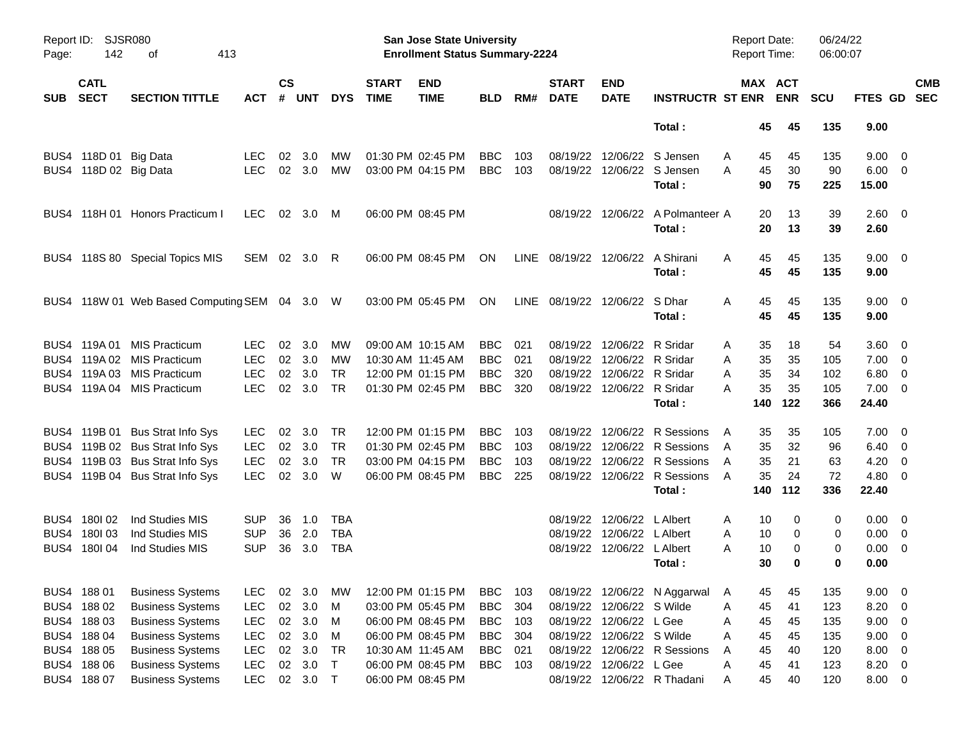| Report ID:<br>Page: | 142                        | <b>SJSR080</b><br>413<br>оf          |            |                    |            |            |                             | San Jose State University<br><b>Enrollment Status Summary-2224</b> |            |      |                               |                            |                                            | <b>Report Date:</b><br>Report Time: |                       | 06/24/22<br>06:00:07 |                      |                          |
|---------------------|----------------------------|--------------------------------------|------------|--------------------|------------|------------|-----------------------------|--------------------------------------------------------------------|------------|------|-------------------------------|----------------------------|--------------------------------------------|-------------------------------------|-----------------------|----------------------|----------------------|--------------------------|
| <b>SUB</b>          | <b>CATL</b><br><b>SECT</b> | <b>SECTION TITTLE</b>                | <b>ACT</b> | $\mathsf{cs}$<br># | <b>UNT</b> | <b>DYS</b> | <b>START</b><br><b>TIME</b> | <b>END</b><br><b>TIME</b>                                          | <b>BLD</b> | RM#  | <b>START</b><br><b>DATE</b>   | <b>END</b><br><b>DATE</b>  | <b>INSTRUCTR ST ENR</b>                    |                                     | MAX ACT<br><b>ENR</b> | <b>SCU</b>           | FTES GD              | <b>CMB</b><br><b>SEC</b> |
|                     |                            |                                      |            |                    |            |            |                             |                                                                    |            |      |                               |                            | Total:                                     | 45                                  | 45                    | 135                  | 9.00                 |                          |
|                     | BUS4 118D 01 Big Data      |                                      | <b>LEC</b> | 02                 | 3.0        | МW         |                             | 01:30 PM 02:45 PM                                                  | <b>BBC</b> | 103  | 08/19/22                      |                            | 12/06/22 S Jensen                          | Α<br>45                             | 45                    | 135                  | 9.00                 | $\overline{\phantom{0}}$ |
|                     | BUS4 118D 02 Big Data      |                                      | <b>LEC</b> |                    | 02 3.0     | MW         |                             | 03:00 PM 04:15 PM                                                  | <b>BBC</b> | 103  |                               |                            | 08/19/22 12/06/22 S Jensen<br>Total:       | 45<br>A<br>90                       | 30<br>75              | 90<br>225            | $6.00 \t 0$<br>15.00 |                          |
|                     |                            | BUS4 118H 01 Honors Practicum I      | <b>LEC</b> |                    | 02 3.0     | M          | 06:00 PM 08:45 PM           |                                                                    |            |      |                               |                            | 08/19/22 12/06/22 A Polmanteer A<br>Total: | 20<br>20                            | 13<br>13              | 39<br>39             | 2.60 0<br>2.60       |                          |
|                     |                            | BUS4 118S 80 Special Topics MIS      | SEM        |                    | 02 3.0     | - R        |                             | 06:00 PM 08:45 PM                                                  | ON         | LINE | 08/19/22                      | 12/06/22                   | A Shirani<br>Total:                        | 45<br>A<br>45                       | 45<br>45              | 135<br>135           | $9.00 \t 0$<br>9.00  |                          |
|                     |                            | BUS4 118W 01 Web Based Computing SEM |            |                    | 04 3.0 W   |            |                             | 03:00 PM 05:45 PM                                                  | ON         |      | LINE 08/19/22 12/06/22 S Dhar |                            | Total:                                     | 45<br>A<br>45                       | 45<br>45              | 135<br>135           | $9.00 \t 0$<br>9.00  |                          |
|                     | BUS4 119A 01               | <b>MIS Practicum</b>                 | <b>LEC</b> | 02                 | 3.0        | MW         |                             | 09:00 AM 10:15 AM                                                  | <b>BBC</b> | 021  | 08/19/22                      | 12/06/22                   | R Sridar                                   | 35<br>Α                             | 18                    | 54                   | $3.60 \quad 0$       |                          |
|                     |                            | BUS4 119A 02 MIS Practicum           | <b>LEC</b> | 02                 | 3.0        | MW         | 10:30 AM 11:45 AM           |                                                                    | <b>BBC</b> | 021  | 08/19/22                      | 12/06/22 R Sridar          |                                            | 35<br>Α                             | 35                    | 105                  | $7.00 \t 0$          |                          |
|                     |                            | BUS4 119A 03 MIS Practicum           | <b>LEC</b> | 02                 | 3.0        | <b>TR</b>  |                             | 12:00 PM 01:15 PM                                                  | <b>BBC</b> | 320  | 08/19/22                      | 12/06/22 R Sridar          |                                            | Α<br>35                             | 34                    | 102                  | $6.80\ 0$            |                          |
|                     |                            | BUS4 119A 04 MIS Practicum           | <b>LEC</b> |                    | 02 3.0     | <b>TR</b>  |                             | 01:30 PM 02:45 PM                                                  | <b>BBC</b> | 320  |                               | 08/19/22 12/06/22 R Sridar |                                            | 35<br>A                             | 35                    | 105                  | $7.00 \t 0$          |                          |
|                     |                            |                                      |            |                    |            |            |                             |                                                                    |            |      |                               |                            | Total:                                     | 140                                 | 122                   | 366                  | 24.40                |                          |
|                     |                            | BUS4 119B 01 Bus Strat Info Sys      | <b>LEC</b> | 02                 | 3.0        | TR         |                             | 12:00 PM 01:15 PM                                                  | <b>BBC</b> | 103  | 08/19/22                      | 12/06/22                   | R Sessions                                 | 35<br>A                             | 35                    | 105                  | $7.00 \t 0$          |                          |
|                     |                            | BUS4 119B 02 Bus Strat Info Sys      | <b>LEC</b> | 02                 | 3.0        | <b>TR</b>  | 01:30 PM 02:45 PM           |                                                                    | <b>BBC</b> | 103  | 08/19/22                      |                            | 12/06/22 R Sessions                        | 35<br>A                             | 32                    | 96                   | $6.40\ 0$            |                          |
|                     |                            | BUS4 119B 03 Bus Strat Info Sys      | <b>LEC</b> | 02                 | 3.0        | TR         |                             | 03:00 PM 04:15 PM                                                  | <b>BBC</b> | 103  | 08/19/22                      |                            | 12/06/22 R Sessions                        | 35<br>A                             | 21                    | 63                   | 4.20                 | $\overline{\mathbf{0}}$  |
|                     |                            | BUS4 119B 04 Bus Strat Info Sys      | <b>LEC</b> |                    | 02 3.0     | W          |                             | 06:00 PM 08:45 PM                                                  | <b>BBC</b> | 225  |                               |                            | 08/19/22 12/06/22 R Sessions<br>Total:     | 35<br>A<br>140                      | 24<br>112             | 72<br>336            | 4.80 0<br>22.40      |                          |
|                     |                            |                                      |            |                    |            |            |                             |                                                                    |            |      |                               |                            |                                            |                                     |                       |                      |                      |                          |
|                     | BUS4 180102                | Ind Studies MIS                      | <b>SUP</b> | 36                 | 1.0        | TBA        |                             |                                                                    |            |      | 08/19/22                      | 12/06/22                   | L Albert                                   | 10<br>Α                             | 0                     | 0                    | $0.00 \t 0$          |                          |
|                     | BUS4 180 03                | Ind Studies MIS                      | <b>SUP</b> | 36                 | 2.0        | <b>TBA</b> |                             |                                                                    |            |      | 08/19/22                      | 12/06/22                   | L Albert                                   | 10<br>Α                             | 0                     | 0                    | $0.00 \t 0$          |                          |
|                     | BUS4 180 04                | Ind Studies MIS                      | <b>SUP</b> | 36                 | 3.0        | <b>TBA</b> |                             |                                                                    |            |      |                               | 08/19/22 12/06/22 L Albert |                                            | A<br>10                             | 0                     | 0                    | 0.00                 | $\overline{\phantom{0}}$ |
|                     |                            |                                      |            |                    |            |            |                             |                                                                    |            |      |                               |                            | Total:                                     | 30                                  | 0                     | 0                    | 0.00                 |                          |
|                     | BUS4 188 01                | <b>Business Systems</b>              | <b>LEC</b> | 02                 | 3.0        | МW         |                             | 12:00 PM 01:15 PM                                                  | <b>BBC</b> | 103  |                               |                            | 08/19/22 12/06/22 N Aggarwal               | 45<br>A                             | 45                    | 135                  | $9.00 \t 0$          |                          |
|                     | BUS4 188 02                | <b>Business Systems</b>              | <b>LEC</b> | 02                 | 3.0        | M          |                             | 03:00 PM 05:45 PM                                                  | <b>BBC</b> | 304  | 08/19/22                      | 12/06/22 S Wilde           |                                            | 45<br>Α                             | 41                    | 123                  | 8.20                 | $\overline{0}$           |
|                     | BUS4 188 03                | <b>Business Systems</b>              | <b>LEC</b> | 02                 | 3.0        | M          |                             | 06:00 PM 08:45 PM                                                  | <b>BBC</b> | 103  | 08/19/22                      | 12/06/22                   | L Gee                                      | 45<br>Α                             | 45                    | 135                  | 9.00                 | $\overline{0}$           |
|                     | BUS4 188 04                | <b>Business Systems</b>              | <b>LEC</b> | 02                 | 3.0        | M          |                             | 06:00 PM 08:45 PM                                                  | <b>BBC</b> | 304  | 08/19/22                      | 12/06/22 S Wilde           |                                            | Α<br>45                             | 45                    | 135                  | 9.00                 | $\overline{0}$           |
|                     | BUS4 188 05                | <b>Business Systems</b>              | LEC        | $02\,$             | 3.0        | <b>TR</b>  |                             | 10:30 AM 11:45 AM                                                  | <b>BBC</b> | 021  | 08/19/22                      |                            | 12/06/22 R Sessions                        | 45<br>Α                             | 40                    | 120                  | 8.00                 | $\overline{\mathbf{0}}$  |
|                     | BUS4 188 06                | <b>Business Systems</b>              | LEC        | $02\,$             | 3.0        | $\top$     |                             | 06:00 PM 08:45 PM                                                  | <b>BBC</b> | 103  | 08/19/22                      | 12/06/22 L Gee             |                                            | Α<br>45                             | 41                    | 123                  | 8.20                 | $\overline{\phantom{0}}$ |
|                     | BUS4 188 07                | <b>Business Systems</b>              | LEC        |                    | 02 3.0 T   |            |                             | 06:00 PM 08:45 PM                                                  |            |      | 08/19/22                      |                            | 12/06/22 R Thadani                         | 45<br>Α                             | 40                    | 120                  | $8.00 \t 0$          |                          |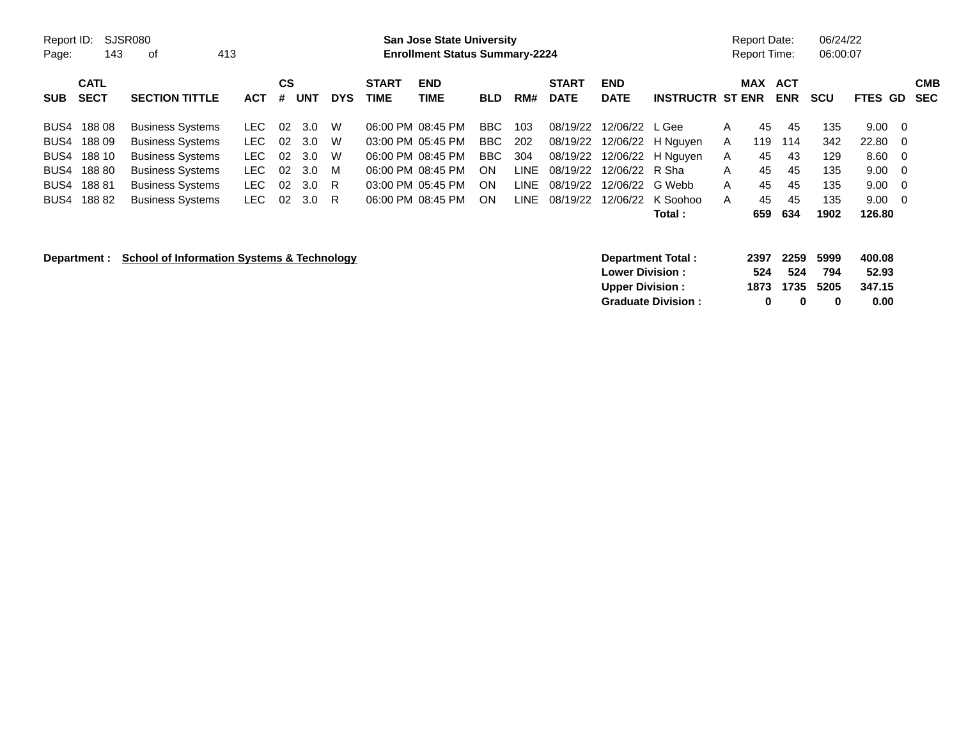| Report ID:<br>SJSR080<br>143<br>Page:                                                                | <b>San Jose State University</b><br><b>Enrollment Status Summary-2224</b>                                                                                      |                                                          |                                                                            |                              |                             |                                                                                                                            |                                                   |                                                          |                                                                      |                                                          | <b>Report Date:</b><br>Report Time:                                     |                                       | 06/24/22<br>06:00:07                     |                                          |                                                |                                                                                    |                          |
|------------------------------------------------------------------------------------------------------|----------------------------------------------------------------------------------------------------------------------------------------------------------------|----------------------------------------------------------|----------------------------------------------------------------------------|------------------------------|-----------------------------|----------------------------------------------------------------------------------------------------------------------------|---------------------------------------------------|----------------------------------------------------------|----------------------------------------------------------------------|----------------------------------------------------------|-------------------------------------------------------------------------|---------------------------------------|------------------------------------------|------------------------------------------|------------------------------------------------|------------------------------------------------------------------------------------|--------------------------|
| <b>CATL</b><br><b>SECT</b><br><b>SUB</b>                                                             | <b>SECTION TITTLE</b>                                                                                                                                          | <b>ACT</b>                                               | <b>CS</b><br><b>UNT</b><br>#                                               | <b>DYS</b>                   | <b>START</b><br><b>TIME</b> | <b>END</b><br><b>TIME</b>                                                                                                  | <b>BLD</b>                                        | RM#                                                      | <b>START</b><br><b>DATE</b>                                          | <b>END</b><br><b>DATE</b>                                | <b>INSTRUCTR ST ENR</b>                                                 |                                       | <b>MAX</b>                               | <b>ACT</b><br><b>ENR</b>                 | <b>SCU</b>                                     | FTES GD                                                                            | <b>CMB</b><br><b>SEC</b> |
| 18808<br>BUS4<br>18809<br>BUS4<br>188 10<br>BUS4<br>188 80<br>BUS4<br>18881<br>BUS4<br>18882<br>BUS4 | <b>Business Systems</b><br><b>Business Systems</b><br><b>Business Systems</b><br><b>Business Systems</b><br><b>Business Systems</b><br><b>Business Systems</b> | LEC.<br>LEC.<br><b>LEC</b><br>LEC.<br>LEC.<br><b>LEC</b> | 3.0<br>02<br>02<br>3.0<br>02<br>3.0<br>02<br>3.0<br>02<br>3.0<br>02<br>3.0 | W<br>W<br>W<br>M<br>-R<br>-R |                             | 06:00 PM 08:45 PM<br>03:00 PM 05:45 PM<br>06:00 PM 08:45 PM<br>06:00 PM 08:45 PM<br>03:00 PM 05:45 PM<br>06:00 PM 08:45 PM | BBC<br>BBC<br><b>BBC</b><br><b>ON</b><br>ON<br>ON | 103<br>202<br>304<br><b>LINE</b><br><b>LINE</b><br>LINE. | 08/19/22<br>08/19/22<br>08/19/22<br>08/19/22<br>08/19/22<br>08/19/22 | 12/06/22 L Gee<br>12/06/22 R Sha<br>12/06/22<br>12/06/22 | 12/06/22 H Nguyen<br>12/06/22 H Nguyen<br>G Webb<br>K Soohoo<br>Total : | $\mathsf{A}$<br>A<br>A<br>A<br>A<br>A | 45<br>119<br>45<br>45<br>45<br>45<br>659 | 45<br>114<br>43<br>45<br>45<br>45<br>634 | 135<br>342<br>129<br>135<br>135<br>135<br>1902 | $9.00 \quad 0$<br>$22.80 \t 0$<br>$8.60 \quad 0$<br>9.00<br>9.00<br>9.00<br>126.80 | - 0<br>- 0<br>- 0        |
| <b>School of Information Systems &amp; Technology</b><br>Department :                                |                                                                                                                                                                |                                                          |                                                                            |                              |                             |                                                                                                                            |                                                   |                                                          | <b>Lower Division:</b><br><b>Upper Division:</b>                     | <b>Department Total:</b><br><b>Graduate Division:</b>    |                                                                         | 2397<br>524<br>1873<br>0              | 2259<br>524<br>1735<br>0                 | 5999<br>794<br>5205<br>0                 | 400.08<br>52.93<br>347.15<br>0.00              |                                                                                    |                          |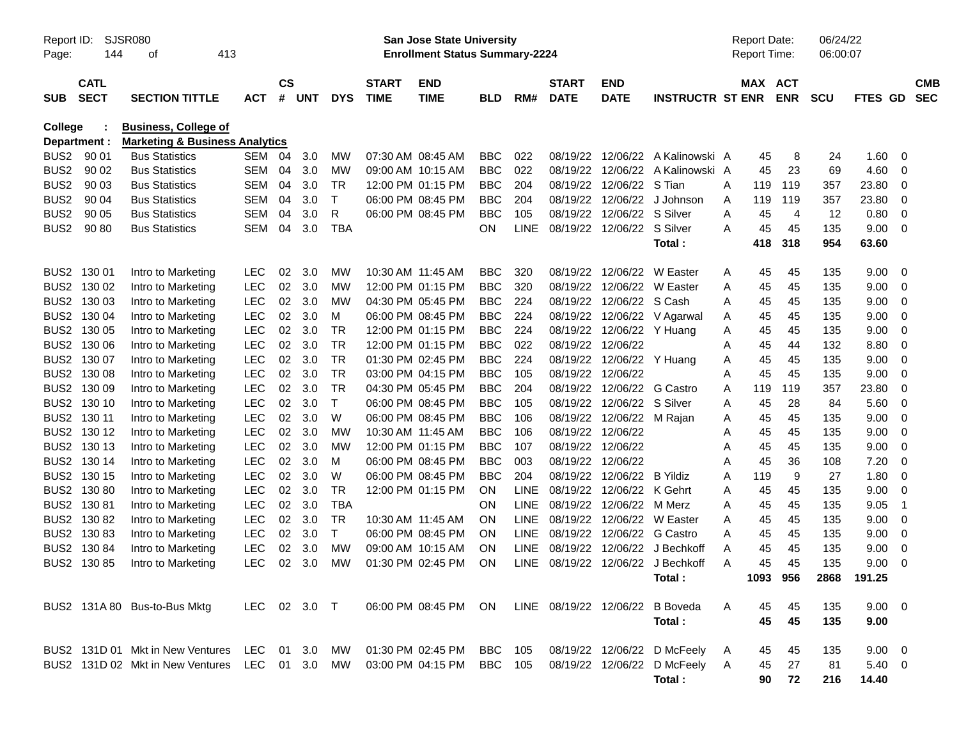| SJSR080<br>Report ID:<br>144<br>413<br>Page:<br>οf |                            |                                                                          |              |                | <b>San Jose State University</b><br><b>Enrollment Status Summary-2224</b> |              |                             |                                                      |            |             |                             |                           |                             |   | <b>Report Date:</b><br>Report Time: |                          | 06/24/22<br>06:00:07 |                |    |                          |
|----------------------------------------------------|----------------------------|--------------------------------------------------------------------------|--------------|----------------|---------------------------------------------------------------------------|--------------|-----------------------------|------------------------------------------------------|------------|-------------|-----------------------------|---------------------------|-----------------------------|---|-------------------------------------|--------------------------|----------------------|----------------|----|--------------------------|
| <b>SUB</b>                                         | <b>CATL</b><br><b>SECT</b> | <b>SECTION TITTLE</b>                                                    | <b>ACT</b>   | <b>CS</b><br># | UNT                                                                       | <b>DYS</b>   | <b>START</b><br><b>TIME</b> | <b>END</b><br><b>TIME</b>                            | <b>BLD</b> | RM#         | <b>START</b><br><b>DATE</b> | <b>END</b><br><b>DATE</b> | <b>INSTRUCTR ST ENR</b>     |   | MAX                                 | <b>ACT</b><br><b>ENR</b> | <b>SCU</b>           | <b>FTES GD</b> |    | <b>CMB</b><br><b>SEC</b> |
|                                                    |                            |                                                                          |              |                |                                                                           |              |                             |                                                      |            |             |                             |                           |                             |   |                                     |                          |                      |                |    |                          |
| <b>College</b>                                     | Department :               | <b>Business, College of</b><br><b>Marketing &amp; Business Analytics</b> |              |                |                                                                           |              |                             |                                                      |            |             |                             |                           |                             |   |                                     |                          |                      |                |    |                          |
| BUS <sub>2</sub>                                   | 90 01                      | <b>Bus Statistics</b>                                                    | SEM          | 04             | 3.0                                                                       | MW           | 07:30 AM 08:45 AM           |                                                      | <b>BBC</b> | 022         | 08/19/22                    | 12/06/22                  | A Kalinowski A              |   | 45                                  | 8                        | 24                   | 1.60           | 0  |                          |
| BUS <sub>2</sub>                                   | 90 02                      | <b>Bus Statistics</b>                                                    | SEM          | 04             | 3.0                                                                       | MW           | 09:00 AM 10:15 AM           |                                                      | <b>BBC</b> | 022         | 08/19/22                    |                           | 12/06/22 A Kalinowski A     |   | 45                                  | 23                       | 69                   | 4.60           | 0  |                          |
| BUS <sub>2</sub>                                   | 90 03                      | <b>Bus Statistics</b>                                                    | SEM          | 04             | 3.0                                                                       | TR           | 12:00 PM 01:15 PM           |                                                      | <b>BBC</b> | 204         | 08/19/22                    | 12/06/22                  | S Tian                      | Α | 119                                 | 119                      | 357                  | 23.80          | 0  |                          |
| BUS <sub>2</sub>                                   | 90 04                      | <b>Bus Statistics</b>                                                    | SEM          | 04             | 3.0                                                                       | $\mathsf T$  | 06:00 PM 08:45 PM           |                                                      | <b>BBC</b> | 204         | 08/19/22                    | 12/06/22                  | J Johnson                   | Α | 119                                 | 119                      | 357                  | 23.80          | 0  |                          |
| BUS <sub>2</sub>                                   | 90 05                      | <b>Bus Statistics</b>                                                    | SEM          | 04             | 3.0                                                                       | R            |                             | 06:00 PM 08:45 PM                                    | <b>BBC</b> | 105         | 08/19/22                    | 12/06/22                  | S Silver                    | Α | 45                                  | 4                        | 12                   | 0.80           | 0  |                          |
| BUS <sub>2</sub>                                   | 90 80                      | <b>Bus Statistics</b>                                                    | SEM          | 04             | 3.0                                                                       | TBA          |                             |                                                      | OΝ         | <b>LINE</b> | 08/19/22                    | 12/06/22 S Silver         |                             | A | 45                                  | 45                       | 135                  | 9.00           | 0  |                          |
|                                                    |                            |                                                                          |              |                |                                                                           |              |                             |                                                      |            |             |                             |                           | Total:                      |   | 418                                 | 318                      | 954                  | 63.60          |    |                          |
| BUS <sub>2</sub>                                   | 130 01                     | Intro to Marketing                                                       | LEC          | 02             | 3.0                                                                       | MW           | 10:30 AM 11:45 AM           |                                                      | <b>BBC</b> | 320         | 08/19/22                    |                           | 12/06/22 W Easter           | A | 45                                  | 45                       | 135                  | 9.00           | 0  |                          |
| BUS <sub>2</sub>                                   | 130 02                     | Intro to Marketing                                                       | <b>LEC</b>   | 02             | 3.0                                                                       | MW           | 12:00 PM 01:15 PM           |                                                      | <b>BBC</b> | 320         | 08/19/22                    |                           | 12/06/22 W Easter           | Α | 45                                  | 45                       | 135                  | 9.00           | 0  |                          |
| BUS <sub>2</sub>                                   | 130 03                     | Intro to Marketing                                                       | <b>LEC</b>   | 02             | 3.0                                                                       | MW           | 04:30 PM 05:45 PM           |                                                      | <b>BBC</b> | 224         | 08/19/22                    | 12/06/22                  | S Cash                      | Α | 45                                  | 45                       | 135                  | 9.00           | 0  |                          |
| BUS <sub>2</sub>                                   | 130 04                     | Intro to Marketing                                                       | LEC          | 02             | 3.0                                                                       | м            | 06:00 PM 08:45 PM           |                                                      | <b>BBC</b> | 224         | 08/19/22                    |                           | 12/06/22 V Agarwal          | Α | 45                                  | 45                       | 135                  | 9.00           | 0  |                          |
| BUS <sub>2</sub>                                   | 130 05                     | Intro to Marketing                                                       | LEC          | 02             | 3.0                                                                       | TR           | 12:00 PM 01:15 PM           |                                                      | <b>BBC</b> | 224         | 08/19/22                    | 12/06/22 Y Huang          |                             | A | 45                                  | 45                       | 135                  | 9.00           | 0  |                          |
| BUS <sub>2</sub>                                   | 130 06                     | Intro to Marketing                                                       | LEC          | 02             | 3.0                                                                       | TR           | 12:00 PM 01:15 PM           |                                                      | <b>BBC</b> | 022         | 08/19/22                    | 12/06/22                  |                             | Α | 45                                  | 44                       | 132                  | 8.80           | 0  |                          |
| BUS <sub>2</sub>                                   | 130 07                     | Intro to Marketing                                                       | LEC          | 02             | 3.0                                                                       | TR           | 01:30 PM 02:45 PM           |                                                      | <b>BBC</b> | 224         | 08/19/22                    | 12/06/22 Y Huang          |                             | Α | 45                                  | 45                       | 135                  | 9.00           | 0  |                          |
| BUS <sub>2</sub>                                   | 130 08                     | Intro to Marketing                                                       | LEC          | 02             | 3.0                                                                       | TR           | 03:00 PM 04:15 PM           |                                                      | <b>BBC</b> | 105         | 08/19/22                    | 12/06/22                  |                             | Α | 45                                  | 45                       | 135                  | 9.00           | 0  |                          |
| BUS <sub>2</sub>                                   | 130 09                     | Intro to Marketing                                                       | LEC          | 02             | 3.0                                                                       | TR           | 04:30 PM 05:45 PM           |                                                      | <b>BBC</b> | 204         | 08/19/22                    | 12/06/22                  | G Castro                    | Α | 119                                 | 119                      | 357                  | 23.80          | 0  |                          |
| BUS <sub>2</sub>                                   | 130 10                     | Intro to Marketing                                                       | LEC          | 02             | 3.0                                                                       | T            | 06:00 PM 08:45 PM           |                                                      | <b>BBC</b> | 105         | 08/19/22                    | 12/06/22                  | S Silver                    | Α | 45                                  | 28                       | 84                   | 5.60           | 0  |                          |
| BUS <sub>2</sub>                                   | 130 11                     | Intro to Marketing                                                       | LEC          | 02             | 3.0                                                                       | W            | 06:00 PM 08:45 PM           |                                                      | <b>BBC</b> | 106         | 08/19/22                    | 12/06/22 M Rajan          |                             | Α | 45                                  | 45                       | 135                  | 9.00           | 0  |                          |
| BUS <sub>2</sub>                                   | 130 12                     | Intro to Marketing                                                       | LEC          | 02             | 3.0                                                                       | MW           | 10:30 AM 11:45 AM           |                                                      | <b>BBC</b> | 106         | 08/19/22                    | 12/06/22                  |                             | Α | 45                                  | 45                       | 135                  | 9.00           | 0  |                          |
| BUS <sub>2</sub>                                   | 130 13                     | Intro to Marketing                                                       | LEC          | 02             | 3.0                                                                       | MW           | 12:00 PM 01:15 PM           |                                                      | <b>BBC</b> | 107         | 08/19/22                    | 12/06/22                  |                             | Α | 45                                  | 45                       | 135                  | 9.00           | 0  |                          |
| BUS <sub>2</sub>                                   | 130 14                     | Intro to Marketing                                                       | LEC          | 02             | 3.0                                                                       | M            | 06:00 PM 08:45 PM           |                                                      | <b>BBC</b> | 003         | 08/19/22                    | 12/06/22                  |                             | Α | 45                                  | 36                       | 108                  | 7.20           | 0  |                          |
| BUS <sub>2</sub>                                   | 130 15                     | Intro to Marketing                                                       | LEC          | 02             | 3.0                                                                       | W            | 06:00 PM 08:45 PM           |                                                      | <b>BBC</b> | 204         | 08/19/22                    | 12/06/22                  | B Yildiz                    | Α | 119                                 | 9                        | 27                   | 1.80           | 0  |                          |
| BUS <sub>2</sub>                                   | 13080                      | Intro to Marketing                                                       | LEC          | 02             | 3.0                                                                       | TR           |                             | 12:00 PM 01:15 PM                                    | ON         | <b>LINE</b> | 08/19/22                    | 12/06/22                  | K Gehrt                     | Α | 45                                  | 45                       | 135                  | 9.00           | 0  |                          |
| BUS <sub>2</sub>                                   | 13081                      | Intro to Marketing                                                       | LEC          | 02             | 3.0                                                                       | <b>TBA</b>   |                             |                                                      | ON         | LINE        | 08/19/22                    | 12/06/22                  | M Merz                      | Α | 45                                  | 45                       | 135                  | 9.05           | -1 |                          |
| BUS <sub>2</sub>                                   | 13082                      | Intro to Marketing                                                       | <b>LEC</b>   | 02             | 3.0                                                                       | TR           | 10:30 AM 11:45 AM           |                                                      | ΟN         | LINE        | 08/19/22                    | 12/06/22                  | W Easter                    | Α | 45                                  | 45                       | 135                  | 9.00           | 0  |                          |
| BUS <sub>2</sub>                                   | 13083                      | Intro to Marketing                                                       | <b>LEC</b>   | 02             | 3.0                                                                       | $\mathsf{T}$ | 06:00 PM 08:45 PM           |                                                      | ON         | LINE        | 08/19/22                    | 12/06/22                  | <b>G</b> Castro             | Α | 45                                  | 45                       | 135                  | 9.00           | 0  |                          |
| BUS <sub>2</sub>                                   | 130 84                     | Intro to Marketing                                                       | <b>LEC</b>   | 02             | 3.0                                                                       | МW           | 09:00 AM 10:15 AM           |                                                      | ΟN         | LINE        | 08/19/22                    | 12/06/22                  | J Bechkoff                  | Α | 45                                  | 45                       | 135                  | 9.00           | 0  |                          |
|                                                    | BUS2 130 85                | Intro to Marketing                                                       | <b>LEC</b>   | 02             | 3.0                                                                       | МW           |                             | 01:30 PM 02:45 PM                                    | ΟN         | LINE.       | 08/19/22                    |                           | 12/06/22 J Bechkoff         | Α | 45                                  | 45                       | 135                  | 9.00           | 0  |                          |
|                                                    |                            |                                                                          |              |                |                                                                           |              |                             |                                                      |            |             |                             |                           | Total:                      |   |                                     | 1093 956                 |                      | 2868 191.25    |    |                          |
|                                                    |                            | BUS2 131A 80 Bus-to-Bus Mktg                                             | LEC 02 3.0 T |                |                                                                           |              |                             | 06:00 PM 08:45 PM ON LINE 08/19/22 12/06/22 B Boveda |            |             |                             |                           |                             | A | 45                                  | 45                       | 135                  | $9.00 \t 0$    |    |                          |
|                                                    |                            |                                                                          |              |                |                                                                           |              |                             |                                                      |            |             |                             |                           | Total:                      |   | 45                                  | 45                       | 135                  | 9.00           |    |                          |
|                                                    |                            | BUS2 131D 01 Mkt in New Ventures LEC 01 3.0                              |              |                |                                                                           | MW           |                             | 01:30 PM_02:45 PM                                    | BBC        | 105         |                             |                           | 08/19/22 12/06/22 D McFeely | A | 45                                  | 45                       | 135                  | $9.00 \t 0$    |    |                          |
|                                                    |                            | BUS2 131D 02 Mkt in New Ventures                                         | LEC 01 3.0   |                |                                                                           | MW           |                             | 03:00 PM 04:15 PM                                    | BBC 105    |             |                             |                           | 08/19/22 12/06/22 D McFeely | A | 45                                  | 27                       | 81                   | $5.40 \ 0$     |    |                          |
|                                                    |                            |                                                                          |              |                |                                                                           |              |                             |                                                      |            |             |                             |                           | Total:                      |   | 90                                  | 72                       | 216                  | 14.40          |    |                          |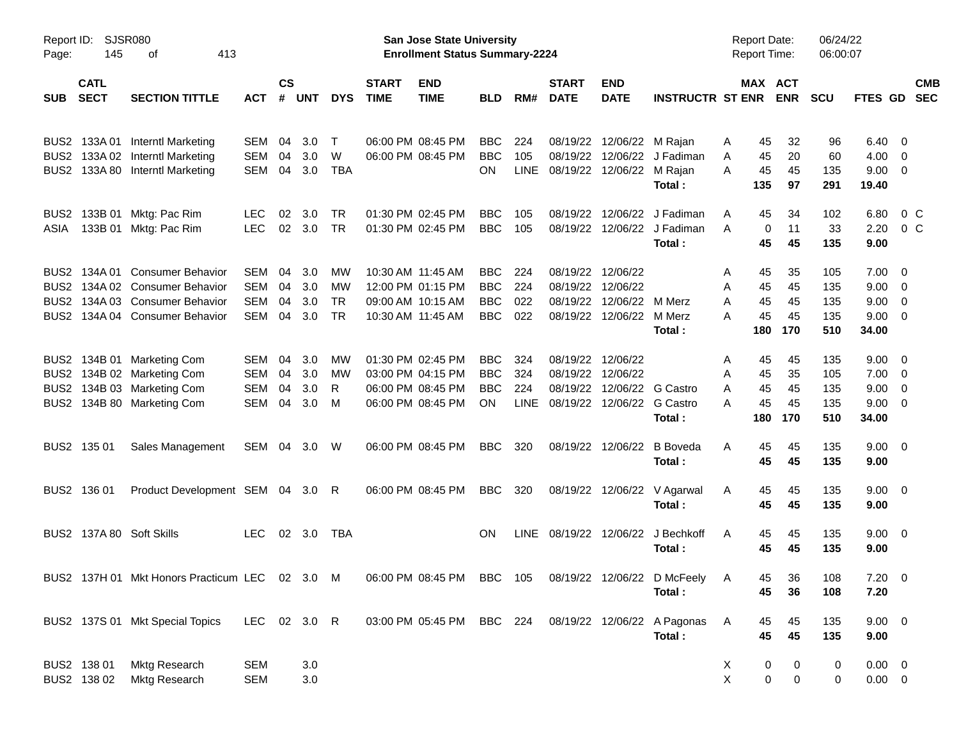| Report ID:<br>Page: | 145                        | SJSR080<br>413<br>оf                                                                                 |              |                 |            |            |                             | San Jose State University<br><b>Enrollment Status Summary-2224</b> |            |             |                             |                           |                                       | <b>Report Date:</b><br><b>Report Time:</b> |                                    | 06/24/22<br>06:00:07 |                     |                         |                          |
|---------------------|----------------------------|------------------------------------------------------------------------------------------------------|--------------|-----------------|------------|------------|-----------------------------|--------------------------------------------------------------------|------------|-------------|-----------------------------|---------------------------|---------------------------------------|--------------------------------------------|------------------------------------|----------------------|---------------------|-------------------------|--------------------------|
| <b>SUB</b>          | <b>CATL</b><br><b>SECT</b> | <b>SECTION TITTLE</b>                                                                                | ACT          | <b>CS</b><br>#  | <b>UNT</b> | <b>DYS</b> | <b>START</b><br><b>TIME</b> | <b>END</b><br><b>TIME</b>                                          | BLD        | RM#         | <b>START</b><br><b>DATE</b> | <b>END</b><br><b>DATE</b> | <b>INSTRUCTR ST ENR</b>               |                                            | MAX ACT<br><b>ENR</b>              | <b>SCU</b>           | FTES GD             |                         | <b>CMB</b><br><b>SEC</b> |
| BUS2                | 133A 01                    | <b>Interntl Marketing</b>                                                                            | <b>SEM</b>   | 04              | 3.0        | T          |                             | 06:00 PM 08:45 PM                                                  | <b>BBC</b> | 224         | 08/19/22                    | 12/06/22                  | M Rajan                               | 45<br>Α                                    | 32                                 | 96                   | 6.40                | - 0                     |                          |
| BUS <sub>2</sub>    |                            | 133A 02 Interntl Marketing                                                                           | <b>SEM</b>   | 04              | 3.0        | W          |                             | 06:00 PM 08:45 PM                                                  | <b>BBC</b> | 105         | 08/19/22                    | 12/06/22                  | J Fadiman                             | 45<br>A                                    | 20                                 | 60                   | 4.00                | 0                       |                          |
| BUS <sub>2</sub>    |                            | 133A 80 Interntl Marketing                                                                           | <b>SEM</b>   | 04              | 3.0        | <b>TBA</b> |                             |                                                                    | <b>ON</b>  | <b>LINE</b> |                             | 08/19/22 12/06/22         | M Rajan<br>Total:                     | A<br>45<br>135                             | 45<br>97                           | 135<br>291           | 9.00<br>19.40       | $\overline{0}$          |                          |
| BUS2                | 133B 01                    | Mktg: Pac Rim                                                                                        | <b>LEC</b>   | 02              | 3.0        | TR         |                             | 01:30 PM 02:45 PM                                                  | <b>BBC</b> | 105         | 08/19/22                    | 12/06/22                  | J Fadiman                             | 45<br>Α                                    | 34                                 | 102                  | 6.80                | 0 <sup>o</sup>          |                          |
| ASIA                | 133B 01                    | Mktg: Pac Rim                                                                                        | <b>LEC</b>   | 02 <sub>o</sub> | 3.0        | <b>TR</b>  |                             | 01:30 PM 02:45 PM                                                  | <b>BBC</b> | 105         | 08/19/22                    | 12/06/22                  | J Fadiman<br>Total:                   | A<br>0<br>45                               | 11<br>45                           | 33<br>135            | 2.20<br>9.00        | 0 <sup>o</sup>          |                          |
| BUS <sub>2</sub>    | 134A 01                    | <b>Consumer Behavior</b>                                                                             | <b>SEM</b>   | 04              | 3.0        | MW         | 10:30 AM 11:45 AM           |                                                                    | <b>BBC</b> | 224         | 08/19/22                    | 12/06/22                  |                                       | 45<br>A                                    | 35                                 | 105                  | 7.00                | 0                       |                          |
| BUS <sub>2</sub>    |                            | 134A 02 Consumer Behavior                                                                            | <b>SEM</b>   | 04              | 3.0        | MW         |                             | 12:00 PM 01:15 PM                                                  | <b>BBC</b> | 224         | 08/19/22                    | 12/06/22                  |                                       | 45<br>A                                    | 45                                 | 135                  | 9.00                | 0                       |                          |
| BUS <sub>2</sub>    |                            | 134A 03 Consumer Behavior                                                                            | <b>SEM</b>   | 04              | 3.0        | <b>TR</b>  |                             | 09:00 AM 10:15 AM                                                  | <b>BBC</b> | 022         | 08/19/22                    | 12/06/22                  | M Merz                                | 45<br>Α                                    | 45                                 | 135                  | 9.00                | 0                       |                          |
| BUS2                |                            | 134A 04 Consumer Behavior                                                                            | <b>SEM</b>   | 04              | 3.0        | <b>TR</b>  | 10:30 AM 11:45 AM           |                                                                    | <b>BBC</b> | 022         | 08/19/22                    | 12/06/22                  | M Merz                                | 45<br>А                                    | 45                                 | 135                  | 9.00                | 0                       |                          |
|                     |                            |                                                                                                      |              |                 |            |            |                             |                                                                    |            |             |                             |                           | Total:                                | 180                                        | 170                                | 510                  | 34.00               |                         |                          |
| BUS2                |                            | 134B 01 Marketing Com                                                                                | <b>SEM</b>   | 04              | 3.0        | MW         |                             | 01:30 PM 02:45 PM                                                  | <b>BBC</b> | 324         | 08/19/22                    | 12/06/22                  |                                       | 45<br>A                                    | 45                                 | 135                  | 9.00                | - 0                     |                          |
| BUS <sub>2</sub>    |                            | 134B 02 Marketing Com                                                                                | <b>SEM</b>   | 04              | 3.0        | MW         |                             | 03:00 PM 04:15 PM                                                  | <b>BBC</b> | 324         | 08/19/22                    | 12/06/22                  |                                       | 45<br>A                                    | 35                                 | 105                  | 7.00                | $\overline{0}$          |                          |
| BUS <sub>2</sub>    |                            | 134B 03 Marketing Com                                                                                | <b>SEM</b>   | 04              | 3.0        | R          |                             | 06:00 PM 08:45 PM                                                  | <b>BBC</b> | 224         | 08/19/22                    | 12/06/22                  | G Castro                              | 45<br>Α                                    | 45                                 | 135                  | 9.00                | 0                       |                          |
| BUS <sub>2</sub>    |                            | 134B 80 Marketing Com                                                                                | <b>SEM</b>   | 04              | 3.0        | M          |                             | 06:00 PM 08:45 PM                                                  | <b>ON</b>  | <b>LINE</b> | 08/19/22                    | 12/06/22                  | <b>G</b> Castro<br>Total:             | 45<br>А<br>180                             | 45<br>170                          | 135<br>510           | 9.00<br>34.00       | 0                       |                          |
|                     | BUS2 135 01                | Sales Management                                                                                     | SEM          |                 | 04 3.0     | W          |                             | 06:00 PM 08:45 PM                                                  | <b>BBC</b> | 320         | 08/19/22                    | 12/06/22                  | <b>B</b> Boveda                       | Α<br>45                                    | 45                                 | 135                  | 9.00                | $\overline{\mathbf{0}}$ |                          |
|                     |                            |                                                                                                      |              |                 |            |            |                             |                                                                    |            |             |                             |                           | Total:                                | 45                                         | 45                                 | 135                  | 9.00                |                         |                          |
|                     | BUS2 136 01                | Product Development SEM 04 3.0                                                                       |              |                 |            | R          |                             | 06:00 PM 08:45 PM                                                  | <b>BBC</b> | 320         | 08/19/22                    | 12/06/22                  | V Agarwal<br>Total:                   | 45<br>A<br>45                              | 45<br>45                           | 135<br>135           | 9.00<br>9.00        | $\overline{\mathbf{0}}$ |                          |
|                     |                            | BUS2 137A 80 Soft Skills                                                                             | <b>LEC</b>   |                 | 02 3.0     | TBA        |                             |                                                                    | <b>ON</b>  | <b>LINE</b> | 08/19/22 12/06/22           |                           | J Bechkoff<br>Total:                  | 45<br>A<br>45                              | 45<br>45                           | 135<br>135           | 9.00<br>9.00        | $\overline{\mathbf{0}}$ |                          |
|                     |                            | BUS2 137H 01 Mkt Honors Practicum LEC 02 3.0 M 06:00 PM 08:45 PM BBC 105 08/19/22 12/06/22 D McFeely |              |                 |            |            |                             |                                                                    |            |             |                             |                           | Total:                                | A<br>45                                    | 45<br>36<br>36                     | 108<br>108           | $7.20 \t 0$<br>7.20 |                         |                          |
|                     |                            | BUS2 137S 01 Mkt Special Topics                                                                      | LEC 02 3.0 R |                 |            |            |                             | 03:00 PM 05:45 PM                                                  | BBC 224    |             |                             |                           | 08/19/22 12/06/22 A Pagonas<br>Total: | A<br>45<br>45                              | 45<br>45                           | 135<br>135           | $9.00 \t 0$<br>9.00 |                         |                          |
|                     | BUS2 138 01                | Mktg Research                                                                                        | <b>SEM</b>   |                 | 3.0        |            |                             |                                                                    |            |             |                             |                           |                                       | X<br>$\boldsymbol{0}$                      | 0                                  | 0                    | $0.00 \t 0$         |                         |                          |
|                     | BUS2 138 02                | Mktg Research                                                                                        | <b>SEM</b>   |                 | 3.0        |            |                             |                                                                    |            |             |                             |                           |                                       | $\mathsf{X}$                               | $\mathbf 0$<br>$\mathsf{O}\xspace$ | 0                    | $0.00\quad$ $0$     |                         |                          |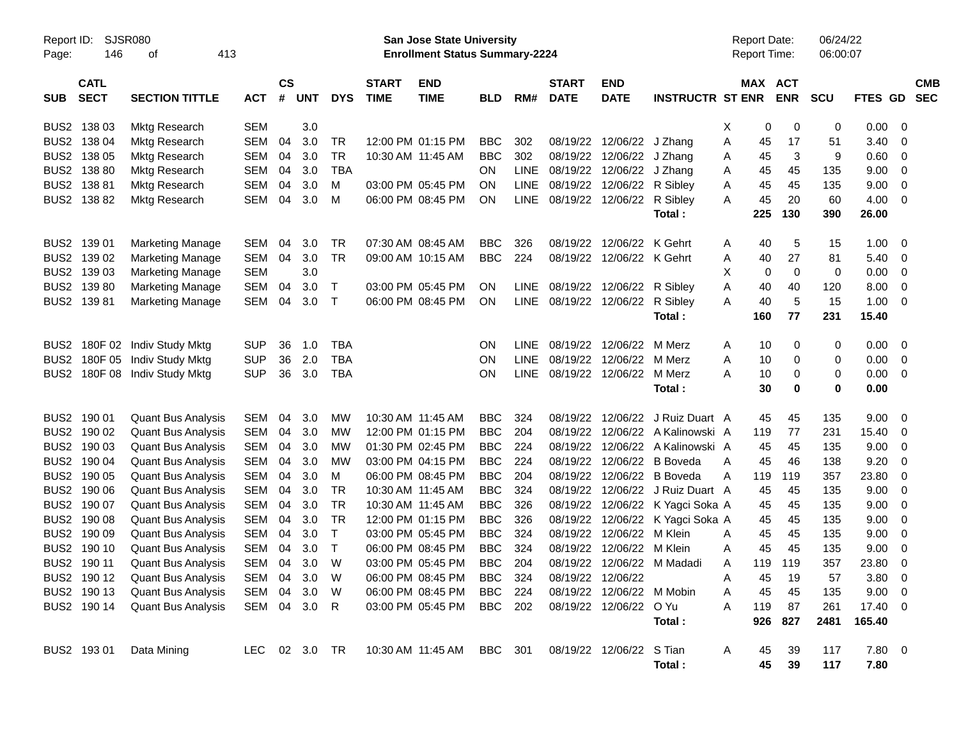| Report ID:<br>Page: | 146         | <b>SJSR080</b><br>413<br>οf |            |               |               |              |              | San Jose State University<br><b>Enrollment Status Summary-2224</b> |            |             |              |                          |                         |   | <b>Report Date:</b><br><b>Report Time:</b> |             | 06/24/22<br>06:00:07 |         |                         |            |
|---------------------|-------------|-----------------------------|------------|---------------|---------------|--------------|--------------|--------------------------------------------------------------------|------------|-------------|--------------|--------------------------|-------------------------|---|--------------------------------------------|-------------|----------------------|---------|-------------------------|------------|
|                     | <b>CATL</b> |                             |            | $\mathsf{cs}$ |               |              | <b>START</b> | <b>END</b>                                                         |            |             | <b>START</b> | <b>END</b>               |                         |   | MAX                                        | <b>ACT</b>  |                      |         |                         | <b>CMB</b> |
| <b>SUB</b>          | <b>SECT</b> | <b>SECTION TITTLE</b>       | <b>ACT</b> | #             | <b>UNT</b>    | <b>DYS</b>   | <b>TIME</b>  | <b>TIME</b>                                                        | <b>BLD</b> | RM#         | <b>DATE</b>  | <b>DATE</b>              | <b>INSTRUCTR ST ENR</b> |   |                                            | <b>ENR</b>  | <b>SCU</b>           | FTES GD |                         | <b>SEC</b> |
| BUS <sub>2</sub>    | 138 03      | <b>Mktg Research</b>        | <b>SEM</b> |               | 3.0           |              |              |                                                                    |            |             |              |                          |                         | х | 0                                          | 0           | 0                    | 0.00    | - 0                     |            |
| BUS <sub>2</sub>    | 138 04      | Mktg Research               | <b>SEM</b> | 04            | 3.0           | <b>TR</b>    |              | 12:00 PM 01:15 PM                                                  | <b>BBC</b> | 302         | 08/19/22     | 12/06/22                 | J Zhang                 | Α | 45                                         | 17          | 51                   | 3.40    | -0                      |            |
| BUS <sub>2</sub>    | 138 05      | Mktg Research               | SEM        | 04            | 3.0           | <b>TR</b>    |              | 10:30 AM 11:45 AM                                                  | <b>BBC</b> | 302         | 08/19/22     | 12/06/22                 | J Zhang                 | Α | 45                                         | 3           | 9                    | 0.60    | $\mathbf 0$             |            |
| BUS <sub>2</sub>    | 138 80      | Mktg Research               | SEM        | 04            | 3.0           | <b>TBA</b>   |              |                                                                    | <b>ON</b>  | <b>LINE</b> | 08/19/22     | 12/06/22                 | J Zhang                 | Α | 45                                         | 45          | 135                  | 9.00    | 0                       |            |
| BUS <sub>2</sub>    | 13881       | Mktg Research               | <b>SEM</b> | 04            | 3.0           | м            |              | 03:00 PM 05:45 PM                                                  | <b>ON</b>  | <b>LINE</b> | 08/19/22     | 12/06/22                 | R Sibley                | Α | 45                                         | 45          | 135                  | 9.00    | 0                       |            |
|                     | BUS2 138 82 | <b>Mktg Research</b>        | <b>SEM</b> | 04            | 3.0           | M            |              | 06:00 PM 08:45 PM                                                  | <b>ON</b>  | <b>LINE</b> | 08/19/22     | 12/06/22                 | R Sibley                | A | 45                                         | 20          | 60                   | 4.00    | - 0                     |            |
|                     |             |                             |            |               |               |              |              |                                                                    |            |             |              |                          | Total:                  |   | 225                                        | 130         | 390                  | 26.00   |                         |            |
| BUS <sub>2</sub>    | 139 01      | <b>Marketing Manage</b>     | <b>SEM</b> | 04            | 3.0           | <b>TR</b>    |              | 07:30 AM 08:45 AM                                                  | <b>BBC</b> | 326         | 08/19/22     | 12/06/22                 | K Gehrt                 | A | 40                                         | 5           | 15                   | 1.00    | -0                      |            |
| BUS <sub>2</sub>    | 139 02      | <b>Marketing Manage</b>     | <b>SEM</b> | 04            | 3.0           | <b>TR</b>    |              | 09:00 AM 10:15 AM                                                  | <b>BBC</b> | 224         | 08/19/22     | 12/06/22 K Gehrt         |                         | Α | 40                                         | 27          | 81                   | 5.40    | 0                       |            |
| BUS <sub>2</sub>    | 139 03      | <b>Marketing Manage</b>     | <b>SEM</b> |               | 3.0           |              |              |                                                                    |            |             |              |                          |                         | х | 0                                          | $\mathbf 0$ | $\mathbf 0$          | 0.00    | 0                       |            |
| BUS2                | 13980       | <b>Marketing Manage</b>     | <b>SEM</b> | 04            | 3.0           | Т            |              | 03:00 PM 05:45 PM                                                  | <b>ON</b>  | <b>LINE</b> | 08/19/22     | 12/06/22 R Sibley        |                         | Α | 40                                         | 40          | 120                  | 8.00    | 0                       |            |
|                     | BUS2 139 81 | <b>Marketing Manage</b>     | <b>SEM</b> | 04            | 3.0           | Т            |              | 06:00 PM 08:45 PM                                                  | <b>ON</b>  | <b>LINE</b> | 08/19/22     | 12/06/22                 | R Sibley                | Α | 40                                         | 5           | 15                   | 1.00    | - 0                     |            |
|                     |             |                             |            |               |               |              |              |                                                                    |            |             |              |                          | Total:                  |   | 160                                        | 77          | 231                  | 15.40   |                         |            |
| BUS2                | 180F 02     | Indiv Study Mktg            | <b>SUP</b> | 36            | 1.0           | <b>TBA</b>   |              |                                                                    | ON         | <b>LINE</b> | 08/19/22     | 12/06/22                 | M Merz                  | A | 10                                         | 0           | 0                    | 0.00    | - 0                     |            |
| BUS <sub>2</sub>    | 180F 05     | <b>Indiv Study Mktg</b>     | <b>SUP</b> | 36            | 2.0           | <b>TBA</b>   |              |                                                                    | ON         | <b>LINE</b> | 08/19/22     | 12/06/22                 | M Merz                  | Α | 10                                         | 0           | 0                    | 0.00    | 0                       |            |
| BUS2                | 180F08      | Indiv Study Mktg            | <b>SUP</b> | 36            | 3.0           | <b>TBA</b>   |              |                                                                    | ON         | <b>LINE</b> | 08/19/22     | 12/06/22                 | M Merz                  | Α | 10                                         | 0           | 0                    | 0.00    | - 0                     |            |
|                     |             |                             |            |               |               |              |              |                                                                    |            |             |              |                          | Total:                  |   | 30                                         | 0           | 0                    | 0.00    |                         |            |
| BUS <sub>2</sub>    | 190 01      | <b>Quant Bus Analysis</b>   | <b>SEM</b> | 04            | 3.0           | <b>MW</b>    |              | 10:30 AM 11:45 AM                                                  | <b>BBC</b> | 324         | 08/19/22     | 12/06/22                 | J Ruiz Duart A          |   | 45                                         | 45          | 135                  | 9.00    | - 0                     |            |
| BUS <sub>2</sub>    | 190 02      | <b>Quant Bus Analysis</b>   | <b>SEM</b> | 04            | 3.0           | <b>MW</b>    |              | 12:00 PM 01:15 PM                                                  | <b>BBC</b> | 204         | 08/19/22     | 12/06/22                 | A Kalinowski A          |   | 119                                        | 77          | 231                  | 15.40   | 0                       |            |
| BUS <sub>2</sub>    | 190 03      | <b>Quant Bus Analysis</b>   | <b>SEM</b> | 04            | 3.0           | <b>MW</b>    |              | 01:30 PM 02:45 PM                                                  | <b>BBC</b> | 224         | 08/19/22     | 12/06/22                 | A Kalinowski A          |   | 45                                         | 45          | 135                  | 9.00    | 0                       |            |
| BUS <sub>2</sub>    | 190 04      | <b>Quant Bus Analysis</b>   | <b>SEM</b> | 04            | 3.0           | <b>MW</b>    |              | 03:00 PM 04:15 PM                                                  | <b>BBC</b> | 224         | 08/19/22     | 12/06/22                 | <b>B</b> Boveda         | A | 45                                         | 46          | 138                  | 9.20    | -0                      |            |
| BUS <sub>2</sub>    | 190 05      | <b>Quant Bus Analysis</b>   | <b>SEM</b> | 04            | 3.0           | M            |              | 06:00 PM 08:45 PM                                                  | <b>BBC</b> | 204         | 08/19/22     | 12/06/22                 | <b>B</b> Boveda         | Α | 119                                        | 119         | 357                  | 23.80   | 0                       |            |
| BUS <sub>2</sub>    | 190 06      | <b>Quant Bus Analysis</b>   | <b>SEM</b> | 04            | 3.0           | <b>TR</b>    |              | 10:30 AM 11:45 AM                                                  | <b>BBC</b> | 324         | 08/19/22     | 12/06/22                 | J Ruiz Duart A          |   | 45                                         | 45          | 135                  | 9.00    | $\mathbf 0$             |            |
| BUS <sub>2</sub>    | 190 07      | <b>Quant Bus Analysis</b>   | <b>SEM</b> | 04            | 3.0           | <b>TR</b>    |              | 10:30 AM 11:45 AM                                                  | <b>BBC</b> | 326         | 08/19/22     | 12/06/22                 | K Yagci Soka A          |   | 45                                         | 45          | 135                  | 9.00    | $\mathbf 0$             |            |
| BUS <sub>2</sub>    | 190 08      | <b>Quant Bus Analysis</b>   | <b>SEM</b> | 04            | 3.0           | <b>TR</b>    |              | 12:00 PM 01:15 PM                                                  | <b>BBC</b> | 326         | 08/19/22     | 12/06/22                 | K Yagci Soka A          |   | 45                                         | 45          | 135                  | 9.00    | 0                       |            |
| BUS <sub>2</sub>    | 190 09      | <b>Quant Bus Analysis</b>   | SEM        | 04            | 3.0           | $\mathsf{T}$ |              | 03:00 PM 05:45 PM                                                  | <b>BBC</b> | 324         | 08/19/22     | 12/06/22                 | M Klein                 | A | 45                                         | 45          | 135                  | 9.00    | 0                       |            |
| BUS <sub>2</sub>    | 190 10      | <b>Quant Bus Analysis</b>   | <b>SEM</b> | 04            | 3.0           | т            |              | 06:00 PM 08:45 PM                                                  | <b>BBC</b> | 324         | 08/19/22     | 12/06/22                 | M Klein                 | Α | 45                                         | 45          | 135                  | 9.00    | 0                       |            |
|                     | BUS2 190 11 | <b>Quant Bus Analysis</b>   | SEM        | 04            | 3.0           | W            |              | 03:00 PM 05:45 PM                                                  | <b>BBC</b> | 204         | 08/19/22     |                          | 12/06/22 M Madadi       | A | 119                                        | 119         | 357                  | 23.80   | 0                       |            |
|                     | BUS2 190 12 | <b>Quant Bus Analysis</b>   | SEM 04 3.0 |               |               | W            |              | 06:00 PM 08:45 PM                                                  | <b>BBC</b> | 324         |              | 08/19/22 12/06/22        |                         | Α | 45                                         | 19          | 57                   | 3.80    | $\overline{\mathbf{0}}$ |            |
|                     | BUS2 190 13 | <b>Quant Bus Analysis</b>   | SEM        | 04            | 3.0           | W            |              | 06:00 PM 08:45 PM                                                  | BBC        | 224         | 08/19/22     | 12/06/22                 | M Mobin                 | Α | 45                                         | 45          | 135                  | 9.00    | 0                       |            |
|                     | BUS2 190 14 | <b>Quant Bus Analysis</b>   | SEM 04 3.0 |               |               | R            |              | 03:00 PM 05:45 PM                                                  | BBC 202    |             |              | 08/19/22 12/06/22 O Yu   |                         | Α | 119                                        | 87          | 261                  | 17.40 0 |                         |            |
|                     |             |                             |            |               |               |              |              |                                                                    |            |             |              |                          | Total:                  |   | 926                                        | 827         | 2481                 | 165.40  |                         |            |
|                     | BUS2 193 01 | Data Mining                 |            |               | LEC 02 3.0 TR |              |              | 10:30 AM 11:45 AM                                                  | BBC 301    |             |              | 08/19/22 12/06/22 S Tian |                         | A | 45                                         | 39          | 117                  | 7.80 0  |                         |            |
|                     |             |                             |            |               |               |              |              |                                                                    |            |             |              |                          | Total:                  |   | 45                                         | 39          | 117                  | 7.80    |                         |            |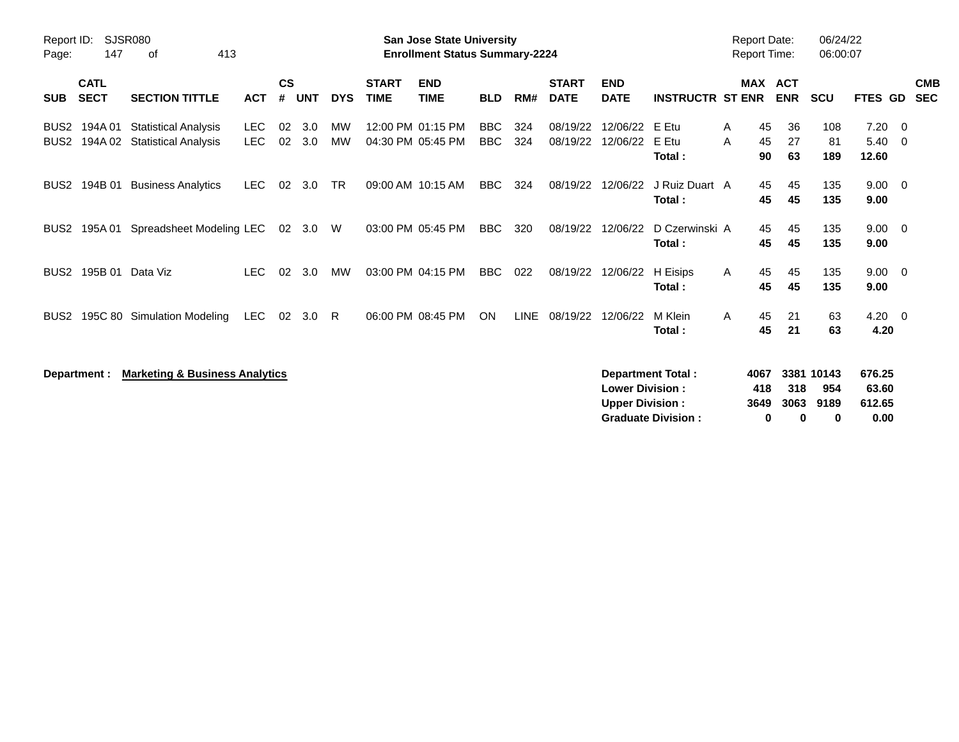| Report ID:<br>Page:                  | 147                        | SJSR080<br>413<br>of                                        |                          |                    |            |                 |                             | <b>San Jose State University</b><br><b>Enrollment Status Summary-2224</b> |                          |             |                             |                                                  |                                                       |              | <b>Report Date:</b><br><b>Report Time:</b> |                          | 06/24/22<br>06:00:07           |                                   |                          |
|--------------------------------------|----------------------------|-------------------------------------------------------------|--------------------------|--------------------|------------|-----------------|-----------------------------|---------------------------------------------------------------------------|--------------------------|-------------|-----------------------------|--------------------------------------------------|-------------------------------------------------------|--------------|--------------------------------------------|--------------------------|--------------------------------|-----------------------------------|--------------------------|
| <b>SUB</b>                           | <b>CATL</b><br><b>SECT</b> | <b>SECTION TITTLE</b>                                       | <b>ACT</b>               | $\mathsf{cs}$<br># | <b>UNT</b> | <b>DYS</b>      | <b>START</b><br><b>TIME</b> | <b>END</b><br><b>TIME</b>                                                 | <b>BLD</b>               | RM#         | <b>START</b><br><b>DATE</b> | <b>END</b><br><b>DATE</b>                        | <b>INSTRUCTR ST ENR</b>                               |              | <b>MAX</b>                                 | <b>ACT</b><br><b>ENR</b> | <b>SCU</b>                     | <b>FTES GD</b>                    | <b>CMB</b><br><b>SEC</b> |
| BUS <sub>2</sub><br>BUS <sub>2</sub> | 194A 01                    | <b>Statistical Analysis</b><br>194A 02 Statistical Analysis | <b>LEC</b><br><b>LEC</b> | 02<br>02           | 3.0<br>3.0 | МW<br><b>MW</b> |                             | 12:00 PM 01:15 PM<br>04:30 PM 05:45 PM                                    | <b>BBC</b><br><b>BBC</b> | 324<br>324  | 08/19/22<br>08/19/22        | 12/06/22<br>12/06/22                             | E Etu<br>E Etu<br>Total:                              | A<br>A       | 45<br>45<br>90                             | 36<br>27<br>63           | 108<br>81<br>189               | 7.20<br>$5.40 \quad 0$<br>12.60   | - 0                      |
| BUS <sub>2</sub>                     | 194B 01                    | <b>Business Analytics</b>                                   | <b>LEC</b>               | 02                 | 3.0        | <b>TR</b>       |                             | 09:00 AM 10:15 AM                                                         | <b>BBC</b>               | 324         | 08/19/22                    | 12/06/22                                         | J Ruiz Duart A<br>Total:                              |              | 45<br>45                                   | 45<br>45                 | 135<br>135                     | $9.00 \t 0$<br>9.00               |                          |
| BUS <sub>2</sub>                     | 195A 01                    | Spreadsheet Modeling LEC                                    |                          |                    | 02 3.0     | W               |                             | 03:00 PM 05:45 PM                                                         | <b>BBC</b>               | 320         | 08/19/22                    | 12/06/22                                         | D Czerwinski A<br>Total:                              |              | 45<br>45                                   | 45<br>45                 | 135<br>135                     | $9.00 \t 0$<br>9.00               |                          |
| BUS <sub>2</sub>                     |                            | 195B 01 Data Viz                                            | <b>LEC</b>               | 02                 | 3.0        | MW              |                             | 03:00 PM 04:15 PM                                                         | <b>BBC</b>               | 022         | 08/19/22                    | 12/06/22                                         | H Eisips<br>Total:                                    | $\mathsf{A}$ | 45<br>45                                   | 45<br>45                 | 135<br>135                     | $9.00 \quad 0$<br>9.00            |                          |
| BUS <sub>2</sub>                     |                            | 195C 80 Simulation Modeling                                 | LEC                      | 02                 | 3.0        | -R              |                             | 06:00 PM 08:45 PM                                                         | <b>ON</b>                | <b>LINE</b> | 08/19/22                    | 12/06/22                                         | M Klein<br>Total:                                     | $\mathsf{A}$ | 45<br>45                                   | 21<br>21                 | 63<br>63                       | $4.20 \ 0$<br>4.20                |                          |
|                                      | Department :               | <b>Marketing &amp; Business Analytics</b>                   |                          |                    |            |                 |                             |                                                                           |                          |             |                             | <b>Lower Division:</b><br><b>Upper Division:</b> | <b>Department Total:</b><br><b>Graduate Division:</b> |              | 4067<br>418<br>3649<br>0                   | 318<br>3063<br>$\bf{0}$  | 3381 10143<br>954<br>9189<br>0 | 676.25<br>63.60<br>612.65<br>0.00 |                          |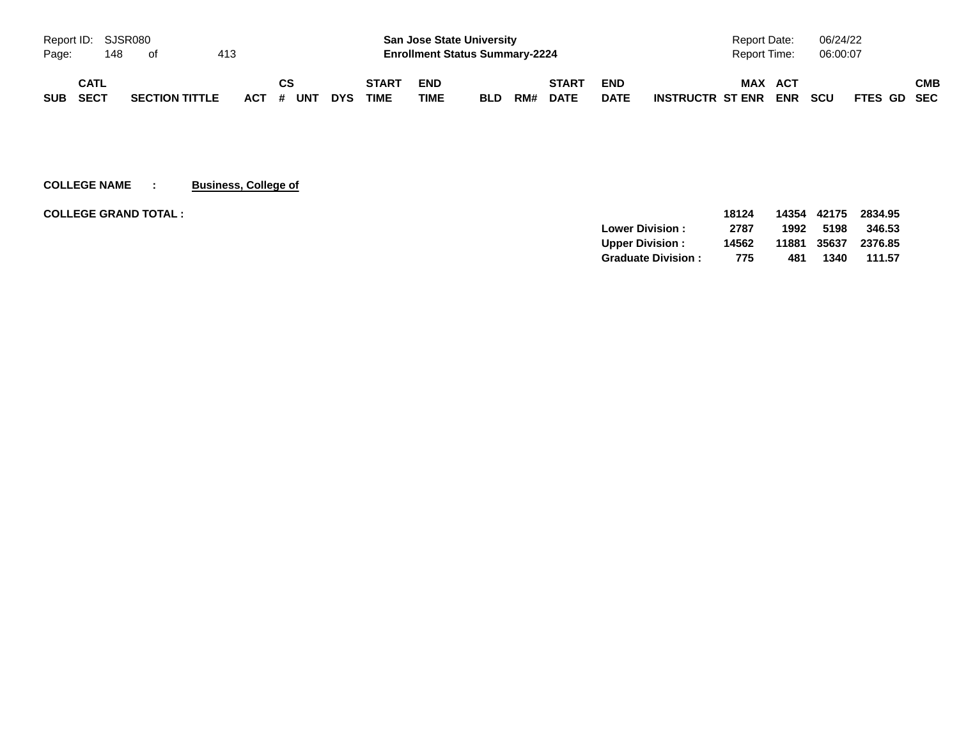|            |      | Report ID: SJSR080 |                       |     |           |            |              |            | <b>San Jose State University</b>      |     |              |             | Report Date:                          | 06/24/22   |             |
|------------|------|--------------------|-----------------------|-----|-----------|------------|--------------|------------|---------------------------------------|-----|--------------|-------------|---------------------------------------|------------|-------------|
| Page:      |      | 148                | of                    | 413 |           |            |              |            | <b>Enrollment Status Summary-2224</b> |     |              |             | Report Time:                          | 06:00:07   |             |
|            | CATL |                    |                       |     | СS        |            | <b>START</b> | <b>END</b> |                                       |     | <b>START</b> | <b>END</b>  | <b>MAX</b><br><b>ACT</b>              |            | СМВ         |
| <b>SUB</b> | SECT |                    | <b>SECTION TITTLE</b> |     | ACT # UNT | <b>DYS</b> | <b>TIME</b>  | TIME       | <b>BLD</b>                            | RM# | <b>DATE</b>  | <b>DATE</b> | <b>ENR</b><br><b>INSTRUCTR ST ENR</b> | <b>SCU</b> | FTES GD SEC |

**COLLEGE NAME : Business, College of**

| <b>COLLEGE GRAND TOTAL :</b> |                           | 18124 |       | 14354 42175 | 2834.95 |
|------------------------------|---------------------------|-------|-------|-------------|---------|
|                              | <b>Lower Division:</b>    | 2787  | 1992  | 5198        | 346.53  |
|                              | <b>Upper Division:</b>    | 14562 | 11881 | 35637       | 2376.85 |
|                              | <b>Graduate Division:</b> | 775   | 481   | 1340        | 111.57  |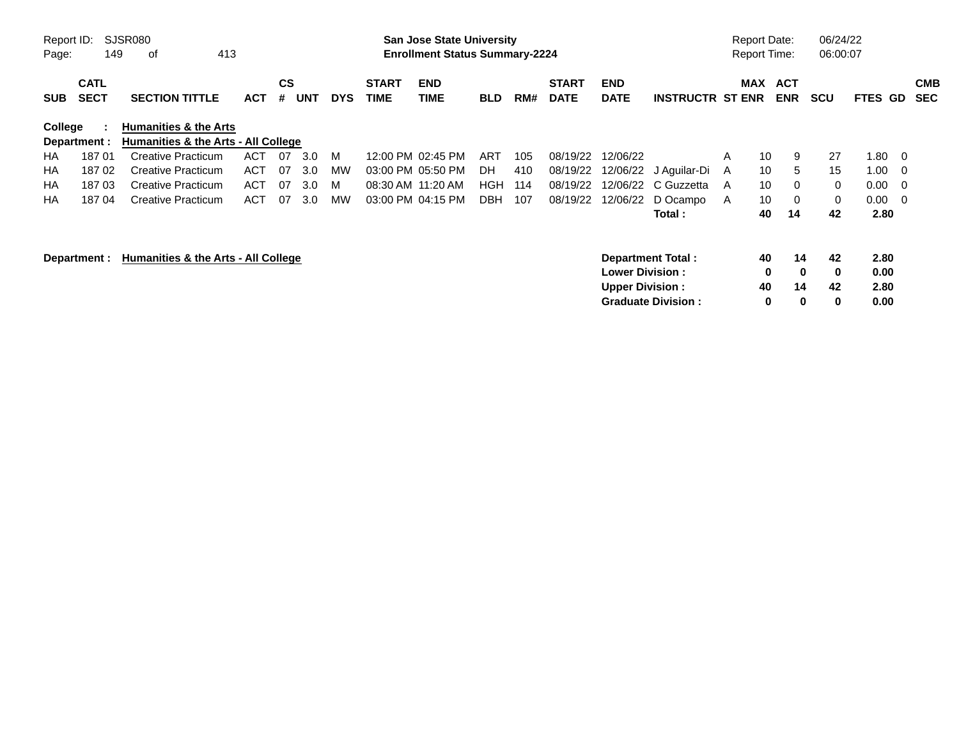| Report ID:<br>Page: | 149                        | SJSR080<br>413<br>0f                |            |                    |            |            |                             | <b>San Jose State University</b><br><b>Enrollment Status Summary-2224</b> |            |     |                             |                           |                           |   | <b>Report Date:</b><br><b>Report Time:</b> |                          | 06/24/22<br>06:00:07 |                |                          |                          |
|---------------------|----------------------------|-------------------------------------|------------|--------------------|------------|------------|-----------------------------|---------------------------------------------------------------------------|------------|-----|-----------------------------|---------------------------|---------------------------|---|--------------------------------------------|--------------------------|----------------------|----------------|--------------------------|--------------------------|
| <b>SUB</b>          | <b>CATL</b><br><b>SECT</b> | <b>SECTION TITTLE</b>               | <b>ACT</b> | $\mathsf{cs}$<br># | <b>UNT</b> | <b>DYS</b> | <b>START</b><br><b>TIME</b> | <b>END</b><br><b>TIME</b>                                                 | <b>BLD</b> | RM# | <b>START</b><br><b>DATE</b> | <b>END</b><br><b>DATE</b> | <b>INSTRUCTR ST ENR</b>   |   | MAX                                        | <b>ACT</b><br><b>ENR</b> | <b>SCU</b>           | <b>FTES GD</b> |                          | <b>CMB</b><br><b>SEC</b> |
| College             |                            | <b>Humanities &amp; the Arts</b>    |            |                    |            |            |                             |                                                                           |            |     |                             |                           |                           |   |                                            |                          |                      |                |                          |                          |
|                     | Department :               | Humanities & the Arts - All College |            |                    |            |            |                             |                                                                           |            |     |                             |                           |                           |   |                                            |                          |                      |                |                          |                          |
| <b>HA</b>           | 18701                      | <b>Creative Practicum</b>           | <b>ACT</b> | 07                 | 3.0        | M          |                             | 12:00 PM 02:45 PM                                                         | ART        | 105 | 08/19/22                    | 12/06/22                  |                           | A | 10                                         | 9                        | 27                   | 1.80           | $\overline{\phantom{0}}$ |                          |
| НA                  | 18702                      | <b>Creative Practicum</b>           | <b>ACT</b> | 07                 | 3.0        | МW         |                             | 03:00 PM 05:50 PM                                                         | DH.        | 410 | 08/19/22                    |                           | 12/06/22 J Aguilar-Di     | A | 10                                         | 5                        | 15                   | 1.00           | $\overline{\phantom{0}}$ |                          |
| НA                  | 18703                      | Creative Practicum                  | <b>ACT</b> | 07                 | 3.0        | M          |                             | 08:30 AM 11:20 AM                                                         | HGH        | 114 | 08/19/22                    | 12/06/22                  | C Guzzetta                | A | 10                                         | 0                        | 0                    | 0.00           | - 0                      |                          |
| HA                  | 18704                      | Creative Practicum                  | <b>ACT</b> | 07                 | 3.0        | МW         |                             | 03:00 PM 04:15 PM                                                         | <b>DBH</b> | 107 | 08/19/22                    | 12/06/22                  | D Ocampo                  | A | 10                                         | $\mathbf 0$              | 0                    | 0.00           | $\overline{0}$           |                          |
|                     |                            |                                     |            |                    |            |            |                             |                                                                           |            |     |                             |                           | Total:                    |   | 40                                         | 14                       | 42                   | 2.80           |                          |                          |
|                     | Department :               | Humanities & the Arts - All College |            |                    |            |            |                             |                                                                           |            |     |                             | <b>Lower Division:</b>    | Department Total:         |   | 40<br>0                                    | 14<br>$\mathbf 0$        | 42<br>0              | 2.80<br>0.00   |                          |                          |
|                     |                            |                                     |            |                    |            |            |                             |                                                                           |            |     |                             | <b>Upper Division:</b>    | <b>Graduate Division:</b> |   | 40<br>0                                    | 14<br>$\bf{0}$           | 42<br>0              | 2.80<br>0.00   |                          |                          |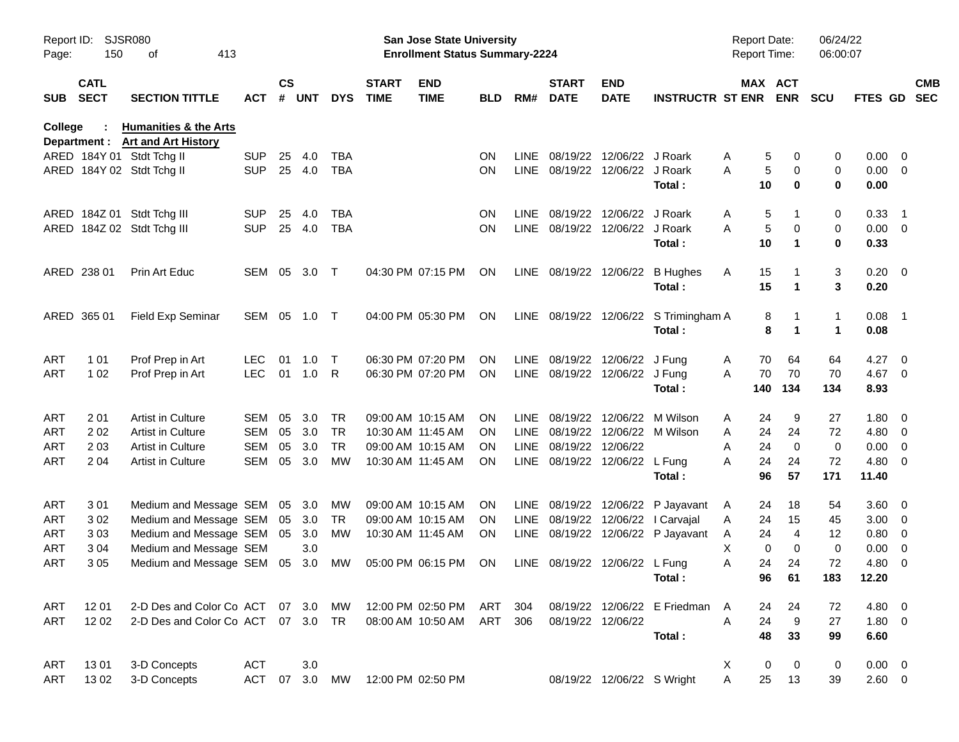| Report ID:<br>Page: | 150                        | SJSR080<br>413<br>οf                                           |            |                    |            |            |                             | <b>San Jose State University</b><br><b>Enrollment Status Summary-2224</b> |            |             |                               |                            |                                       | <b>Report Date:</b><br><b>Report Time:</b> |                       | 06/24/22<br>06:00:07 |                |                          |                          |
|---------------------|----------------------------|----------------------------------------------------------------|------------|--------------------|------------|------------|-----------------------------|---------------------------------------------------------------------------|------------|-------------|-------------------------------|----------------------------|---------------------------------------|--------------------------------------------|-----------------------|----------------------|----------------|--------------------------|--------------------------|
| <b>SUB</b>          | <b>CATL</b><br><b>SECT</b> | <b>SECTION TITTLE</b>                                          | ACT        | $\mathsf{cs}$<br># | <b>UNT</b> | <b>DYS</b> | <b>START</b><br><b>TIME</b> | <b>END</b><br><b>TIME</b>                                                 | <b>BLD</b> | RM#         | <b>START</b><br><b>DATE</b>   | <b>END</b><br><b>DATE</b>  | <b>INSTRUCTR ST ENR</b>               |                                            | MAX ACT<br><b>ENR</b> | <b>SCU</b>           | <b>FTES GD</b> |                          | <b>CMB</b><br><b>SEC</b> |
| <b>College</b>      | Department :               | <b>Humanities &amp; the Arts</b><br><b>Art and Art History</b> |            |                    |            |            |                             |                                                                           |            |             |                               |                            |                                       |                                            |                       |                      |                |                          |                          |
|                     |                            | ARED 184Y 01 Stdt Tchg II                                      | <b>SUP</b> | 25                 | 4.0        | <b>TBA</b> |                             |                                                                           | <b>ON</b>  | <b>LINE</b> |                               | 08/19/22 12/06/22 J Roark  |                                       | Α                                          | 5<br>0                | 0                    | $0.00 \t 0$    |                          |                          |
|                     |                            | ARED 184Y 02 Stdt Tchg II                                      | <b>SUP</b> |                    | 25 4.0     | <b>TBA</b> |                             |                                                                           | <b>ON</b>  | LINE        |                               | 08/19/22 12/06/22 J Roark  |                                       | A                                          | 5<br>0                | 0                    | $0.00 \t 0$    |                          |                          |
|                     |                            |                                                                |            |                    |            |            |                             |                                                                           |            |             |                               |                            | Total:                                | 10                                         | $\bf{0}$              | 0                    | 0.00           |                          |                          |
|                     | ARED 184Z 01               | Stdt Tchg III                                                  | <b>SUP</b> | 25                 | 4.0        | <b>TBA</b> |                             |                                                                           | <b>ON</b>  | <b>LINE</b> | 08/19/22                      | 12/06/22 J Roark           |                                       | Α                                          | 5<br>1                | 0                    | 0.33           | $\overline{\phantom{1}}$ |                          |
|                     |                            | ARED 184Z 02 Stdt Tchg III                                     | <b>SUP</b> | 25                 | 4.0        | <b>TBA</b> |                             |                                                                           | ΟN         | <b>LINE</b> |                               | 08/19/22 12/06/22 J Roark  |                                       | A                                          | $\sqrt{5}$<br>0       | 0                    | $0.00 \t 0$    |                          |                          |
|                     |                            |                                                                |            |                    |            |            |                             |                                                                           |            |             |                               |                            | Total:                                | 10                                         | 1                     | 0                    | 0.33           |                          |                          |
|                     | ARED 238 01                | Prin Art Educ                                                  | SEM        | 05                 | 3.0        | $\top$     |                             | 04:30 PM 07:15 PM                                                         | ON         | LINE        | 08/19/22 12/06/22             |                            | <b>B</b> Hughes                       | Α<br>15                                    |                       | 3                    | $0.20 \ 0$     |                          |                          |
|                     |                            |                                                                |            |                    |            |            |                             |                                                                           |            |             |                               |                            | Total:                                | 15                                         | $\mathbf 1$           | 3                    | 0.20           |                          |                          |
|                     | ARED 365 01                | <b>Field Exp Seminar</b>                                       | SEM        | 05                 | 1.0        | $\top$     |                             | 04:00 PM 05:30 PM                                                         | ON         |             |                               |                            | LINE 08/19/22 12/06/22 S Trimingham A |                                            | 8                     | 1                    | $0.08$ 1       |                          |                          |
|                     |                            |                                                                |            |                    |            |            |                             |                                                                           |            |             |                               |                            | Total:                                |                                            | 8<br>1                | $\blacktriangleleft$ | 0.08           |                          |                          |
| ART                 | 1 0 1                      | Prof Prep in Art                                               | <b>LEC</b> | 01                 | 1.0        | $\top$     |                             | 06:30 PM 07:20 PM                                                         | ΟN         | <b>LINE</b> |                               | 08/19/22 12/06/22 J Fung   |                                       | 70<br>A                                    | 64                    | 64                   | 4.27           | $\overline{\mathbf{0}}$  |                          |
| ART                 | 1 0 2                      | Prof Prep in Art                                               | <b>LEC</b> | 01                 | 1.0        | R          |                             | 06:30 PM 07:20 PM                                                         | ΟN         |             | LINE 08/19/22 12/06/22 J Fung |                            |                                       | 70<br>Α                                    | 70                    | 70                   | 4.67 0         |                          |                          |
|                     |                            |                                                                |            |                    |            |            |                             |                                                                           |            |             |                               |                            | Total:                                | 140                                        | 134                   | 134                  | 8.93           |                          |                          |
| ART                 | 201                        | Artist in Culture                                              | <b>SEM</b> | 05                 | 3.0        | TR         |                             | 09:00 AM 10:15 AM                                                         | <b>ON</b>  | <b>LINE</b> |                               |                            | 08/19/22 12/06/22 M Wilson            | 24<br>Α                                    | 9                     | 27                   | $1.80 \t 0$    |                          |                          |
| ART                 | 202                        | Artist in Culture                                              | <b>SEM</b> | 05                 | 3.0        | <b>TR</b>  |                             | 10:30 AM 11:45 AM                                                         | <b>ON</b>  | <b>LINE</b> |                               |                            | 08/19/22 12/06/22 M Wilson            | Α<br>24                                    | 24                    | 72                   | 4.80 0         |                          |                          |
| ART                 | 2 0 3                      | Artist in Culture                                              | <b>SEM</b> | 05                 | 3.0        | <b>TR</b>  |                             | 09:00 AM 10:15 AM                                                         | ON         | <b>LINE</b> | 08/19/22 12/06/22             |                            |                                       | 24<br>Α                                    | $\mathbf 0$           | 0                    | 0.00           | $\overline{\mathbf{0}}$  |                          |
| ART                 | 204                        | Artist in Culture                                              | <b>SEM</b> | 05                 | 3.0        | <b>MW</b>  |                             | 10:30 AM 11:45 AM                                                         | ON         |             | LINE 08/19/22 12/06/22 L Fung |                            | Total:                                | 24<br>A<br>96                              | 24<br>57              | 72<br>171            | 4.80<br>11.40  | $\overline{\phantom{0}}$ |                          |
| ART                 | 301                        | Medium and Message SEM                                         |            |                    | 05 3.0     | <b>MW</b>  |                             | 09:00 AM 10:15 AM                                                         | <b>ON</b>  | <b>LINE</b> |                               |                            | 08/19/22 12/06/22 P Jayavant          | 24<br>A                                    | 18                    | 54                   | $3.60 \ 0$     |                          |                          |
| ART                 | 302                        | Medium and Message SEM                                         |            |                    | 05 3.0     | TR         |                             | 09:00 AM 10:15 AM                                                         | <b>ON</b>  | <b>LINE</b> |                               | 08/19/22 12/06/22          | I Carvajal                            | 24<br>A                                    | 15                    | 45                   | 3.00           | $\overline{\phantom{0}}$ |                          |
| ART                 | 303                        | Medium and Message SEM                                         |            |                    | 05 3.0     | MW         |                             | 10:30 AM 11:45 AM                                                         | 0N         | LINE        |                               |                            | 08/19/22 12/06/22 P Jayavant          | 24<br>A                                    | 4                     | 12                   | 0.80           | $\overline{\mathbf{0}}$  |                          |
| ART                 | 3 0 4                      | Medium and Message SEM                                         |            |                    | 3.0        |            |                             |                                                                           |            |             |                               |                            |                                       | X                                          | 0<br>$\mathbf 0$      | 0                    | 0.00           | $\overline{\phantom{0}}$ |                          |
| ART                 | 305                        | Medium and Message SEM                                         |            |                    | 05 3.0     | МW         |                             | 05:00 PM 06:15 PM                                                         | <b>ON</b>  |             | LINE 08/19/22 12/06/22 L Fung |                            |                                       | Α<br>24                                    | 24                    | 72                   | 4.80           | - 0                      |                          |
|                     |                            |                                                                |            |                    |            |            |                             |                                                                           |            |             |                               |                            | Total:                                | 96                                         | 61                    | 183                  | 12.20          |                          |                          |
| ART                 | 12 01                      | 2-D Des and Color Co ACT                                       |            |                    | 07 3.0     | MW         |                             | 12:00 PM 02:50 PM                                                         | ART        | 304         |                               |                            | 08/19/22 12/06/22 E Friedman          | 24<br>A                                    | 24                    | 72                   | 4.80 0         |                          |                          |
| ART                 | 1202                       | 2-D Des and Color Co ACT                                       |            |                    | 07 3.0 TR  |            |                             | 08:00 AM 10:50 AM                                                         | ART        | 306         |                               | 08/19/22 12/06/22          |                                       | A<br>24                                    | 9                     | 27                   | $1.80 \t 0$    |                          |                          |
|                     |                            |                                                                |            |                    |            |            |                             |                                                                           |            |             |                               |                            | Total:                                | 48                                         | 33                    | 99                   | 6.60           |                          |                          |
| ART                 | 1301                       | 3-D Concepts                                                   | <b>ACT</b> |                    | 3.0        |            |                             |                                                                           |            |             |                               |                            |                                       | X.                                         | 0<br>0                | 0                    | $0.00 \t 0$    |                          |                          |
| ART                 | 1302                       | 3-D Concepts                                                   | <b>ACT</b> | 07                 | 3.0        | MW         |                             | 12:00 PM 02:50 PM                                                         |            |             |                               | 08/19/22 12/06/22 S Wright |                                       | A<br>25                                    | 13                    | 39                   | $2.60 \t 0$    |                          |                          |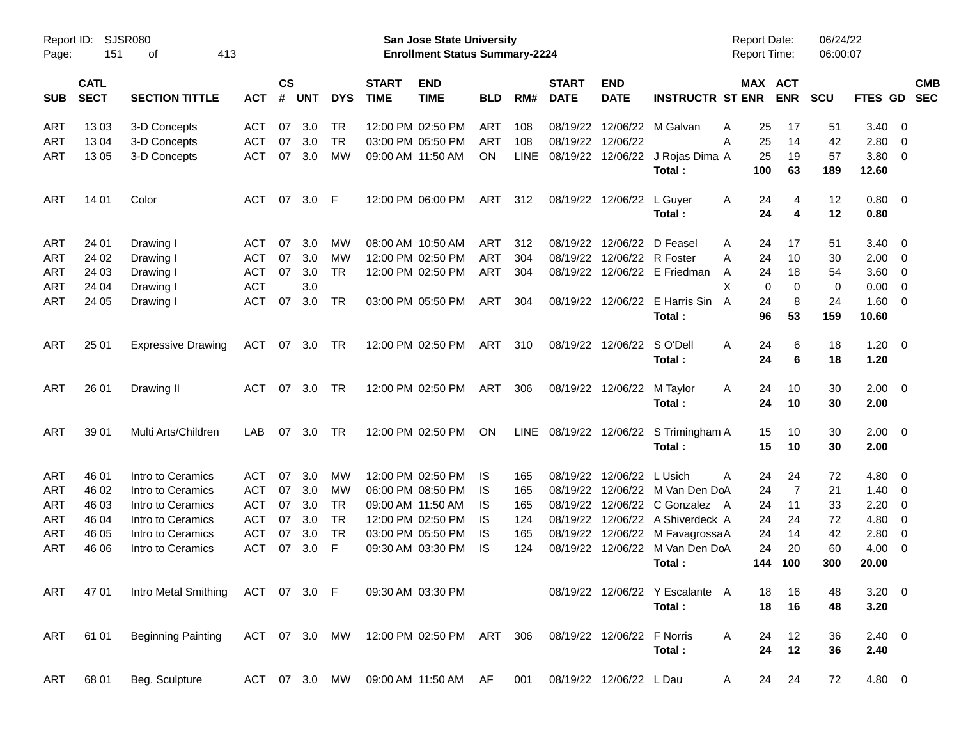| Page:      | <b>SJSR080</b><br>Report ID:<br>151<br>413<br>оf |                                   |            |                |            |            |                             | San Jose State University<br><b>Enrollment Status Summary-2224</b> |            |             |                             |                            |                                  | Report Date:<br>Report Time: |                | 06/24/22<br>06:00:07 |                |                          |                          |
|------------|--------------------------------------------------|-----------------------------------|------------|----------------|------------|------------|-----------------------------|--------------------------------------------------------------------|------------|-------------|-----------------------------|----------------------------|----------------------------------|------------------------------|----------------|----------------------|----------------|--------------------------|--------------------------|
| <b>SUB</b> | <b>CATL</b><br><b>SECT</b>                       | <b>SECTION TITTLE</b>             | <b>ACT</b> | <b>CS</b><br># | <b>UNT</b> | <b>DYS</b> | <b>START</b><br><b>TIME</b> | <b>END</b><br><b>TIME</b>                                          | <b>BLD</b> | RM#         | <b>START</b><br><b>DATE</b> | <b>END</b><br><b>DATE</b>  | <b>INSTRUCTR ST ENR</b>          | MAX ACT                      | <b>ENR</b>     | <b>SCU</b>           | <b>FTES GD</b> |                          | <b>CMB</b><br><b>SEC</b> |
| <b>ART</b> | 1303                                             | 3-D Concepts                      | <b>ACT</b> | 07             | 3.0        | TR         |                             | 12:00 PM 02:50 PM                                                  | <b>ART</b> | 108         | 08/19/22                    | 12/06/22                   | M Galvan                         | 25<br>A                      | 17             | 51                   | 3.40           | $\overline{\mathbf{0}}$  |                          |
| ART        | 1304                                             | 3-D Concepts                      | <b>ACT</b> | 07             | 3.0        | <b>TR</b>  |                             | 03:00 PM 05:50 PM                                                  | ART        | 108         |                             | 08/19/22 12/06/22          |                                  | 25<br>A                      | 14             | 42                   | 2.80           | $\overline{\phantom{0}}$ |                          |
| ART        | 13 05                                            | 3-D Concepts                      | <b>ACT</b> | 07             | 3.0        | <b>MW</b>  |                             | 09:00 AM 11:50 AM                                                  | ON         | <b>LINE</b> |                             | 08/19/22 12/06/22          | J Rojas Dima A                   | 25                           | 19             | 57                   | 3.80           | $\overline{\phantom{0}}$ |                          |
|            |                                                  |                                   |            |                |            |            |                             |                                                                    |            |             |                             |                            | Total:                           | 100                          | 63             | 189                  | 12.60          |                          |                          |
| <b>ART</b> | 14 01                                            | Color                             | <b>ACT</b> | 07             | 3.0        | F          |                             | 12:00 PM 06:00 PM                                                  | ART        | 312         |                             | 08/19/22 12/06/22          | L Guyer                          | A<br>24                      | 4              | 12                   | $0.80 \ 0$     |                          |                          |
|            |                                                  |                                   |            |                |            |            |                             |                                                                    |            |             |                             |                            | Total:                           | 24                           | 4              | 12                   | 0.80           |                          |                          |
| <b>ART</b> | 24 01                                            | Drawing I                         | ACT        | 07             | 3.0        | MW         |                             | 08:00 AM 10:50 AM                                                  | ART        | 312         |                             | 08/19/22 12/06/22          | D Feasel                         | 24<br>A                      | 17             | 51                   | 3.40           | $\overline{\mathbf{0}}$  |                          |
| <b>ART</b> | 24 02                                            | Drawing I                         | <b>ACT</b> | 07             | 3.0        | MW         |                             | 12:00 PM 02:50 PM                                                  | ART        | 304         |                             | 08/19/22 12/06/22          | R Foster                         | 24<br>A                      | 10             | 30                   | 2.00           | $\overline{\phantom{0}}$ |                          |
| ART        | 24 03                                            | Drawing I                         | <b>ACT</b> | 07             | 3.0        | <b>TR</b>  |                             | 12:00 PM 02:50 PM                                                  | ART        | 304         |                             |                            | 08/19/22 12/06/22 E Friedman     | 24<br>A                      | 18             | 54                   | 3.60           | $\overline{\mathbf{0}}$  |                          |
| ART        | 24 04                                            | Drawing I                         | <b>ACT</b> |                | 3.0        |            |                             |                                                                    |            |             |                             |                            |                                  | X<br>0                       | 0              | 0                    | 0.00           | $\overline{\mathbf{0}}$  |                          |
| ART        | 24 05                                            | Drawing I                         | <b>ACT</b> | 07             | 3.0        | <b>TR</b>  |                             | 03:00 PM 05:50 PM                                                  | ART        | 304         |                             | 08/19/22 12/06/22          | E Harris Sin                     | 24<br>A                      | 8              | 24                   | 1.60           | $\overline{\phantom{0}}$ |                          |
|            |                                                  |                                   |            |                |            |            |                             |                                                                    |            |             |                             |                            | Total:                           | 96                           | 53             | 159                  | 10.60          |                          |                          |
| <b>ART</b> | 25 01                                            | <b>Expressive Drawing</b>         | <b>ACT</b> | 07             | 3.0        | TR.        |                             | 12:00 PM 02:50 PM                                                  | <b>ART</b> | 310         |                             | 08/19/22 12/06/22          | S O'Dell                         | 24<br>A                      | 6              | 18                   | $1.20 \t 0$    |                          |                          |
|            |                                                  |                                   |            |                |            |            |                             |                                                                    |            |             |                             |                            | Total:                           | 24                           | 6              | 18                   | 1.20           |                          |                          |
| ART        | 26 01                                            | Drawing II                        | ACT        | 07             | 3.0        | TR.        |                             | 12:00 PM 02:50 PM                                                  | <b>ART</b> | 306         |                             | 08/19/22 12/06/22          | M Taylor                         | A<br>24                      | 10             | 30                   | $2.00 \t 0$    |                          |                          |
|            |                                                  |                                   |            |                |            |            |                             |                                                                    |            |             |                             |                            | Total:                           | 24                           | 10             | 30                   | 2.00           |                          |                          |
| ART        | 39 01                                            | Multi Arts/Children               | LAB        | 07             | 3.0        | <b>TR</b>  |                             | 12:00 PM 02:50 PM                                                  | ON         | LINE        |                             | 08/19/22 12/06/22          | S Trimingham A                   | 15                           | 10             | 30                   | $2.00 \t 0$    |                          |                          |
|            |                                                  |                                   |            |                |            |            |                             |                                                                    |            |             |                             |                            | Total:                           | 15                           | 10             | 30                   | 2.00           |                          |                          |
| ART        | 46 01                                            | Intro to Ceramics                 | <b>ACT</b> | 07             | 3.0        | MW         |                             | 12:00 PM 02:50 PM                                                  | IS         | 165         |                             | 08/19/22 12/06/22          | L Usich                          | 24<br>A                      | 24             | 72                   | 4.80           | $\overline{\mathbf{0}}$  |                          |
| <b>ART</b> | 46 02                                            | Intro to Ceramics                 | <b>ACT</b> | 07             | 3.0        | MW         |                             | 06:00 PM 08:50 PM                                                  | IS         | 165         |                             |                            | 08/19/22 12/06/22 M Van Den DoA  | 24                           | $\overline{7}$ | 21                   | 1.40           | $\overline{\mathbf{0}}$  |                          |
| ART        | 46 03                                            | Intro to Ceramics                 | <b>ACT</b> | 07             | 3.0        | <b>TR</b>  |                             | 09:00 AM 11:50 AM                                                  | IS         | 165         |                             | 08/19/22 12/06/22          | C Gonzalez A                     | 24                           | 11             | 33                   | 2.20           | $\overline{\mathbf{0}}$  |                          |
| ART        | 46 04                                            | Intro to Ceramics                 | <b>ACT</b> | 07             | 3.0        | <b>TR</b>  |                             | 12:00 PM 02:50 PM                                                  | IS         | 124         |                             |                            | 08/19/22 12/06/22 A Shiverdeck A | 24                           | 24             | 72                   | 4.80           | $\overline{\mathbf{0}}$  |                          |
| ART        | 46 05                                            | Intro to Ceramics                 | <b>ACT</b> | 07             | 3.0        | <b>TR</b>  |                             | 03:00 PM 05:50 PM                                                  | IS         | 165         |                             |                            | 08/19/22 12/06/22 M FavagrossaA  | 24                           | 14             | 42                   | 2.80           | $\overline{\mathbf{0}}$  |                          |
| ART        | 46 06                                            | Intro to Ceramics                 | <b>ACT</b> | 07             | 3.0        | F.         |                             | 09:30 AM 03:30 PM                                                  | IS         | 124         |                             |                            | 08/19/22 12/06/22 M Van Den DoA  | 24                           | 20             | 60                   | 4.00           | $\overline{\mathbf{0}}$  |                          |
|            |                                                  |                                   |            |                |            |            |                             |                                                                    |            |             |                             |                            | Total:                           | 144                          | 100            | 300                  | 20.00          |                          |                          |
| ART        | 47 01                                            | Intro Metal Smithing ACT 07 3.0 F |            |                |            |            |                             | 09:30 AM 03:30 PM                                                  |            |             |                             |                            | 08/19/22 12/06/22 Y Escalante A  | 18                           | 16             | 48                   | $3.20 \ 0$     |                          |                          |
|            |                                                  |                                   |            |                |            |            |                             |                                                                    |            |             |                             |                            | Total:                           | 18                           | 16             | 48                   | 3.20           |                          |                          |
| ART        | 61 01                                            | <b>Beginning Painting</b>         |            |                |            |            |                             | ACT 07 3.0 MW 12:00 PM 02:50 PM ART 306                            |            |             |                             | 08/19/22 12/06/22 F Norris |                                  | A<br>24                      | 12             | 36                   | $2.40 \ 0$     |                          |                          |
|            |                                                  |                                   |            |                |            |            |                             |                                                                    |            |             |                             |                            | Total:                           | 24                           | 12             | 36                   | 2.40           |                          |                          |
| ART        | 68 01                                            | Beg. Sculpture                    |            |                |            |            |                             | ACT 07 3.0 MW 09:00 AM 11:50 AM AF                                 |            | 001         |                             | 08/19/22 12/06/22 LDau     |                                  | A                            | 24 24          | 72                   | 4.80 0         |                          |                          |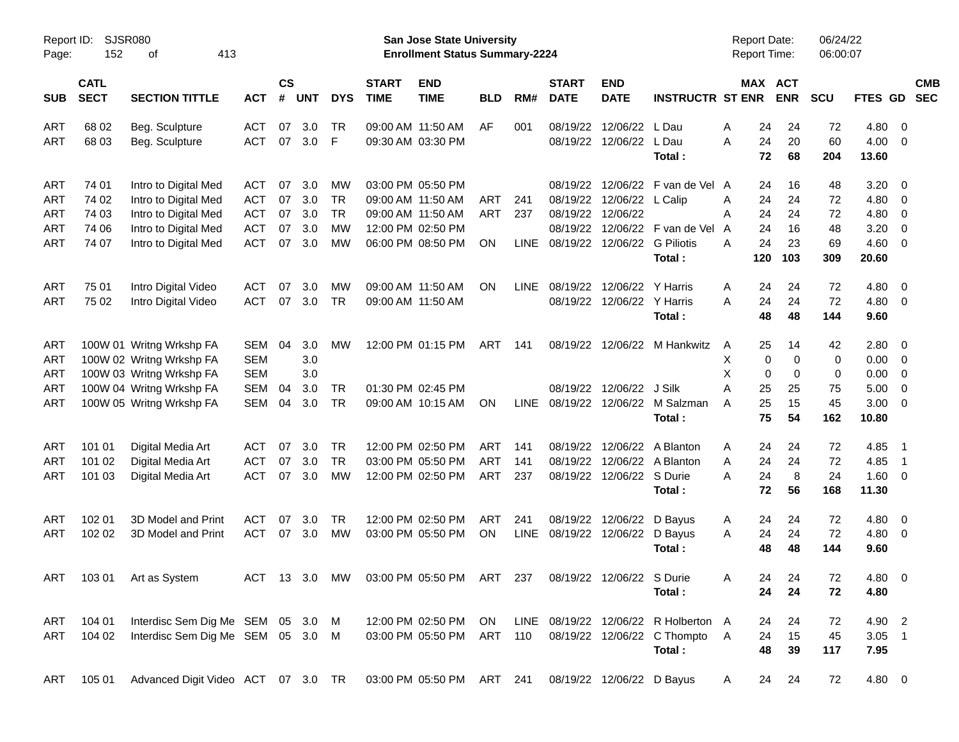| Report ID:<br>Page: | SJSR080<br>152             | 413<br>οf                          |            |                    |            |            |                             | <b>San Jose State University</b><br><b>Enrollment Status Summary-2224</b> |            |             |                             |                                   |                                      | <b>Report Date:</b><br><b>Report Time:</b> |                       | 06/24/22<br>06:00:07 |                   |                          |                          |
|---------------------|----------------------------|------------------------------------|------------|--------------------|------------|------------|-----------------------------|---------------------------------------------------------------------------|------------|-------------|-----------------------------|-----------------------------------|--------------------------------------|--------------------------------------------|-----------------------|----------------------|-------------------|--------------------------|--------------------------|
| <b>SUB</b>          | <b>CATL</b><br><b>SECT</b> | <b>SECTION TITTLE</b>              | <b>ACT</b> | $\mathsf{cs}$<br># | <b>UNT</b> | <b>DYS</b> | <b>START</b><br><b>TIME</b> | <b>END</b><br><b>TIME</b>                                                 | <b>BLD</b> | RM#         | <b>START</b><br><b>DATE</b> | <b>END</b><br><b>DATE</b>         | <b>INSTRUCTR ST ENR</b>              |                                            | MAX ACT<br><b>ENR</b> | <b>SCU</b>           | FTES GD           |                          | <b>CMB</b><br><b>SEC</b> |
| ART                 | 68 02                      | Beg. Sculpture                     | <b>ACT</b> | 07                 | 3.0        | TR         |                             | 09:00 AM 11:50 AM                                                         | AF         | 001         | 08/19/22                    | 12/06/22                          | L Dau                                | 24<br>Α                                    | 24                    | 72                   | $4.80\ 0$         |                          |                          |
| ART                 | 68 03                      | Beg. Sculpture                     | <b>ACT</b> | 07                 | 3.0        | F          |                             | 09:30 AM 03:30 PM                                                         |            |             |                             | 08/19/22 12/06/22 L Dau           |                                      | 24<br>A<br>72                              | 20<br>68              | 60                   | $4.00 \ 0$        |                          |                          |
|                     |                            |                                    |            |                    |            |            |                             |                                                                           |            |             |                             |                                   | Total:                               |                                            |                       | 204                  | 13.60             |                          |                          |
| ART                 | 74 01                      | Intro to Digital Med               | <b>ACT</b> | 07                 | 3.0        | MW         |                             | 03:00 PM 05:50 PM                                                         |            |             | 08/19/22                    |                                   | 12/06/22 F van de Vel A              | 24                                         | 16                    | 48                   | 3.20              | - 0                      |                          |
| ART                 | 74 02                      | Intro to Digital Med               | <b>ACT</b> | 07                 | 3.0        | <b>TR</b>  |                             | 09:00 AM 11:50 AM                                                         | <b>ART</b> | 241         |                             | 08/19/22 12/06/22 L Calip         |                                      | 24<br>Α                                    | 24                    | 72                   | $4.80\ 0$         |                          |                          |
| ART                 | 74 03                      | Intro to Digital Med               | <b>ACT</b> | 07                 | 3.0        | <b>TR</b>  |                             | 09:00 AM 11:50 AM                                                         | <b>ART</b> | 237         | 08/19/22                    | 12/06/22                          |                                      | 24<br>A                                    | 24                    | 72                   | $4.80\ 0$         |                          |                          |
| ART                 | 74 06                      | Intro to Digital Med               | <b>ACT</b> | 07                 | 3.0        | MW         |                             | 12:00 PM 02:50 PM                                                         |            |             | 08/19/22                    |                                   | 12/06/22 F van de Vel                | 24<br>A                                    | 16                    | 48                   | 3.20              | $\overline{\mathbf{0}}$  |                          |
| ART                 | 74 07                      | Intro to Digital Med               | <b>ACT</b> | 07                 | 3.0        | МW         |                             | 06:00 PM 08:50 PM                                                         | <b>ON</b>  |             |                             | LINE 08/19/22 12/06/22 G Piliotis | Total:                               | 24<br>A<br>120                             | 23<br>103             | 69<br>309            | $4.60$ 0<br>20.60 |                          |                          |
|                     |                            |                                    |            |                    |            |            |                             |                                                                           |            |             |                             |                                   |                                      |                                            |                       |                      |                   |                          |                          |
| ART                 | 75 01                      | Intro Digital Video                | <b>ACT</b> | 07                 | 3.0        | МW         |                             | 09:00 AM 11:50 AM                                                         | <b>ON</b>  | <b>LINE</b> | 08/19/22                    | 12/06/22 Y Harris                 |                                      | 24<br>A                                    | 24                    | 72                   | 4.80              | $\overline{\phantom{0}}$ |                          |
| ART                 | 75 02                      | Intro Digital Video                | <b>ACT</b> | 07                 | 3.0        | <b>TR</b>  |                             | 09:00 AM 11:50 AM                                                         |            |             |                             | 08/19/22 12/06/22 Y Harris        |                                      | 24<br>A                                    | 24                    | 72                   | $4.80\ 0$         |                          |                          |
|                     |                            |                                    |            |                    |            |            |                             |                                                                           |            |             |                             |                                   | Total:                               | 48                                         | 48                    | 144                  | 9.60              |                          |                          |
| ART                 |                            | 100W 01 Writng Wrkshp FA           | SEM        | 04                 | 3.0        | МW         |                             | 12:00 PM 01:15 PM                                                         | ART        | 141         |                             |                                   | 08/19/22 12/06/22 M Hankwitz         | 25<br>A                                    | 14                    | 42                   | 2.80 0            |                          |                          |
| ART                 |                            | 100W 02 Writng Wrkshp FA           | <b>SEM</b> |                    | 3.0        |            |                             |                                                                           |            |             |                             |                                   |                                      | X                                          | 0<br>0                | 0                    | $0.00 \t 0$       |                          |                          |
| ART                 |                            | 100W 03 Writng Wrkshp FA           | <b>SEM</b> |                    | 3.0        |            |                             |                                                                           |            |             |                             |                                   |                                      | X                                          | $\pmb{0}$<br>0        | $\mathbf 0$          | $0.00 \t 0$       |                          |                          |
| ART                 |                            | 100W 04 Writng Wrkshp FA           | SEM        | 04                 | 3.0        | TR         |                             | 01:30 PM 02:45 PM                                                         |            |             |                             | 08/19/22 12/06/22 J Silk          |                                      | A<br>25                                    | 25                    | 75                   | 5.00              | $\overline{\phantom{0}}$ |                          |
| ART                 |                            | 100W 05 Writng Wrkshp FA           | SEM        | 04                 | 3.0        | TR         |                             | 09:00 AM 10:15 AM                                                         | <b>ON</b>  | <b>LINE</b> |                             |                                   | 08/19/22 12/06/22 M Salzman          | 25<br>A                                    | 15                    | 45                   | $3.00 \ 0$        |                          |                          |
|                     |                            |                                    |            |                    |            |            |                             |                                                                           |            |             |                             |                                   | Total:                               | 75                                         | 54                    | 162                  | 10.80             |                          |                          |
| ART                 | 101 01                     | Digital Media Art                  | <b>ACT</b> | 07                 | 3.0        | TR         |                             | 12:00 PM 02:50 PM                                                         | <b>ART</b> | 141         | 08/19/22                    |                                   | 12/06/22 A Blanton                   | 24<br>A                                    | 24                    | 72                   | 4.85              | $\overline{\phantom{1}}$ |                          |
| ART                 | 101 02                     | Digital Media Art                  | <b>ACT</b> | 07                 | 3.0        | <b>TR</b>  |                             | 03:00 PM 05:50 PM                                                         | <b>ART</b> | 141         | 08/19/22                    |                                   | 12/06/22 A Blanton                   | 24<br>Α                                    | 24                    | 72                   | 4.85              | $\overline{\phantom{1}}$ |                          |
| ART                 | 101 03                     | Digital Media Art                  | <b>ACT</b> | 07                 | 3.0        | <b>MW</b>  |                             | 12:00 PM 02:50 PM                                                         | ART        | 237         |                             | 08/19/22 12/06/22 S Durie         |                                      | 24<br>A                                    | 8                     | 24                   | 1.60 0            |                          |                          |
|                     |                            |                                    |            |                    |            |            |                             |                                                                           |            |             |                             |                                   | Total:                               | 72                                         | 56                    | 168                  | 11.30             |                          |                          |
| ART                 | 102 01                     | 3D Model and Print                 | <b>ACT</b> | 07                 | 3.0        | <b>TR</b>  |                             | 12:00 PM 02:50 PM                                                         | <b>ART</b> | 241         |                             | 08/19/22 12/06/22 D Bayus         |                                      | 24<br>A                                    | 24                    | 72                   | $4.80\ 0$         |                          |                          |
| ART                 | 102 02                     | 3D Model and Print                 | <b>ACT</b> | 07                 | 3.0        | MW         |                             | 03:00 PM 05:50 PM                                                         | <b>ON</b>  |             |                             | LINE 08/19/22 12/06/22 D Bayus    |                                      | 24<br>A                                    | 24                    | 72                   | $4.80\ 0$         |                          |                          |
|                     |                            |                                    |            |                    |            |            |                             |                                                                           |            |             |                             |                                   | Total:                               | 48                                         | 48                    | 144                  | 9.60              |                          |                          |
|                     |                            | ART 103 01 Art as System           |            |                    |            |            |                             | ACT 13 3.0 MW 03:00 PM 05:50 PM ART 237 08/19/22 12/06/22 S Durie         |            |             |                             |                                   |                                      | Α                                          | 24<br>24              | 72                   | 4.80 0            |                          |                          |
|                     |                            |                                    |            |                    |            |            |                             |                                                                           |            |             |                             |                                   | Total :                              | 24                                         | 24                    | 72                   | 4.80              |                          |                          |
|                     |                            |                                    |            |                    |            |            |                             |                                                                           |            |             |                             |                                   |                                      |                                            |                       |                      |                   |                          |                          |
| ART                 | 104 01                     | Interdisc Sem Dig Me SEM 05 3.0 M  |            |                    |            |            |                             | 12:00 PM 02:50 PM ON                                                      |            |             |                             |                                   | LINE 08/19/22 12/06/22 R Holberton A | 24                                         | 24                    | 72                   | 4.90 2            |                          |                          |
| ART                 | 104 02                     | Interdisc Sem Dig Me SEM 05 3.0 M  |            |                    |            |            |                             | 03:00 PM 05:50 PM ART 110                                                 |            |             |                             |                                   | 08/19/22 12/06/22 C Thompto A        | 24                                         | 15                    | 45                   | $3.05$ 1          |                          |                          |
|                     |                            |                                    |            |                    |            |            |                             |                                                                           |            |             |                             |                                   | Total:                               | 48                                         | 39                    | 117                  | 7.95              |                          |                          |
| ART                 | 105 01                     | Advanced Digit Video ACT 07 3.0 TR |            |                    |            |            |                             | 03:00 PM 05:50 PM ART 241                                                 |            |             |                             | 08/19/22 12/06/22 D Bayus         |                                      | 24<br>A                                    | 24                    | 72                   | 4.80 0            |                          |                          |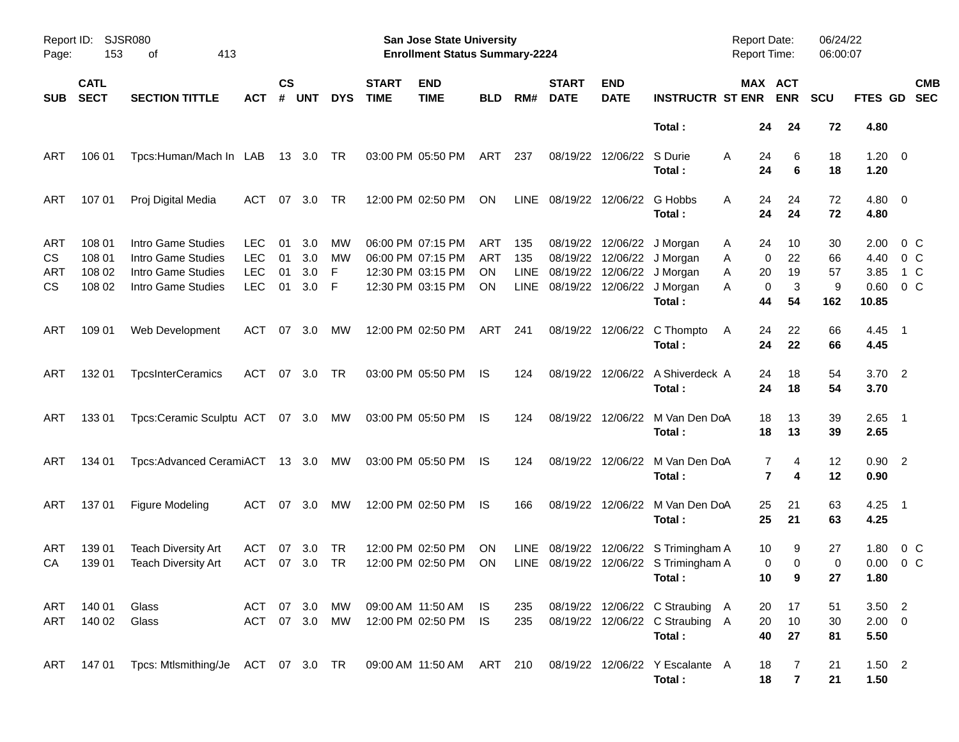| Report ID:<br>Page:    | 153                                  | SJSR080<br>413<br>οf                                                                                |                                                      |                      |                          |                    |                             | San Jose State University<br><b>Enrollment Status Summary-2224</b>               |                                      |                                   |                             |                                                                                        |                                                                              | <b>Report Date:</b><br><b>Report Time:</b> |                                                 | 06/24/22<br>06:00:07       |                                       |                                     |
|------------------------|--------------------------------------|-----------------------------------------------------------------------------------------------------|------------------------------------------------------|----------------------|--------------------------|--------------------|-----------------------------|----------------------------------------------------------------------------------|--------------------------------------|-----------------------------------|-----------------------------|----------------------------------------------------------------------------------------|------------------------------------------------------------------------------|--------------------------------------------|-------------------------------------------------|----------------------------|---------------------------------------|-------------------------------------|
| <b>SUB</b>             | <b>CATL</b><br><b>SECT</b>           | <b>SECTION TITTLE</b>                                                                               | АСТ                                                  | $\mathsf{cs}$<br>#   | <b>UNT</b>               | <b>DYS</b>         | <b>START</b><br><b>TIME</b> | <b>END</b><br><b>TIME</b>                                                        | <b>BLD</b>                           | RM#                               | <b>START</b><br><b>DATE</b> | <b>END</b><br><b>DATE</b>                                                              | <b>INSTRUCTR ST ENR</b>                                                      |                                            | MAX ACT<br><b>ENR</b>                           | <b>SCU</b>                 | <b>FTES GD</b>                        | <b>CMB</b><br><b>SEC</b>            |
|                        |                                      |                                                                                                     |                                                      |                      |                          |                    |                             |                                                                                  |                                      |                                   |                             |                                                                                        | Total:                                                                       |                                            | 24<br>24                                        | 72                         | 4.80                                  |                                     |
| ART                    | 106 01                               | Tpcs:Human/Mach In LAB                                                                              |                                                      |                      | 13 3.0                   | TR                 |                             | 03:00 PM 05:50 PM                                                                | ART                                  | 237                               |                             | 08/19/22 12/06/22 S Durie                                                              | Total:                                                                       | A<br>24                                    | 6<br>24<br>6                                    | 18<br>18                   | $1.20 \t 0$<br>1.20                   |                                     |
| ART                    | 107 01                               | Proj Digital Media                                                                                  | ACT                                                  | 07                   | 3.0                      | TR                 |                             | 12:00 PM 02:50 PM                                                                | ON                                   | <b>LINE</b>                       |                             | 08/19/22 12/06/22 G Hobbs                                                              | Total:                                                                       | A                                          | 24<br>24<br>24<br>24                            | 72<br>72                   | $4.80\ 0$<br>4.80                     |                                     |
| ART<br>CS<br>ART<br>CS | 108 01<br>108 01<br>108 02<br>108 02 | Intro Game Studies<br>Intro Game Studies<br>Intro Game Studies<br>Intro Game Studies                | <b>LEC</b><br><b>LEC</b><br><b>LEC</b><br><b>LEC</b> | 01<br>01<br>01<br>01 | 3.0<br>3.0<br>3.0<br>3.0 | МW<br>МW<br>F<br>F |                             | 06:00 PM 07:15 PM<br>06:00 PM 07:15 PM<br>12:30 PM 03:15 PM<br>12:30 PM 03:15 PM | ART<br><b>ART</b><br><b>ON</b><br>ON | 135<br>135<br><b>LINE</b><br>LINE |                             | 08/19/22 12/06/22 J Morgan<br>08/19/22 12/06/22 J Morgan<br>08/19/22 12/06/22 J Morgan | 08/19/22 12/06/22 J Morgan<br>Total:                                         | Α<br>Α<br>Α<br>Α<br>44                     | 10<br>24<br>22<br>0<br>19<br>20<br>3<br>0<br>54 | 30<br>66<br>57<br>9<br>162 | 2.00<br>4.40<br>3.85<br>0.60<br>10.85 | 0 C<br>0 C<br>1 C<br>0 <sup>o</sup> |
| ART                    | 109 01                               | Web Development                                                                                     | ACT                                                  | 07                   | 3.0                      | МW                 |                             | 12:00 PM 02:50 PM                                                                | ART                                  | 241                               |                             |                                                                                        | 08/19/22 12/06/22 C Thompto<br>Total:                                        | A                                          | 22<br>24<br>24<br>22                            | 66<br>66                   | 4.45<br>4.45                          | $\overline{\phantom{0}}$ 1          |
| ART                    | 132 01                               | <b>TpcsInterCeramics</b>                                                                            | ACT                                                  | 07                   | 3.0                      | TR                 |                             | 03:00 PM 05:50 PM                                                                | IS                                   | 124                               |                             | 08/19/22 12/06/22                                                                      | A Shiverdeck A<br>Total:                                                     |                                            | 18<br>24<br>24<br>18                            | 54<br>54                   | 3.70 2<br>3.70                        |                                     |
| ART                    | 133 01                               | Tpcs:Ceramic Sculptu ACT 07 3.0 MW                                                                  |                                                      |                      |                          |                    |                             | 03:00 PM 05:50 PM                                                                | IS.                                  | 124                               |                             | 08/19/22 12/06/22                                                                      | M Van Den DoA<br>Total:                                                      |                                            | 18<br>13<br>18<br>13                            | 39<br>39                   | $2.65$ 1<br>2.65                      |                                     |
| ART                    | 134 01                               | Tpcs: Advanced CeramiACT 13 3.0 MW                                                                  |                                                      |                      |                          |                    |                             | 03:00 PM 05:50 PM                                                                | IS.                                  | 124                               |                             | 08/19/22 12/06/22                                                                      | M Van Den DoA<br>Total:                                                      |                                            | 7<br>4<br>$\overline{\phantom{a}}$<br>4         | 12<br>12                   | $0.90$ 2<br>0.90                      |                                     |
| ART                    | 137 01                               | <b>Figure Modeling</b>                                                                              | ACT                                                  | 07                   | 3.0                      | МW                 |                             | 12:00 PM 02:50 PM                                                                | IS.                                  | 166                               |                             |                                                                                        | 08/19/22 12/06/22 M Van Den DoA<br>Total:                                    |                                            | 25<br>21<br>25<br>21                            | 63<br>63                   | $4.25$ 1<br>4.25                      |                                     |
| ART<br>CA              | 139 01<br>139 01                     | Teach Diversity Art<br><b>Teach Diversity Art</b>                                                   | ACT<br>ACT                                           | 07<br>07             | 3.0<br>3.0               | TR<br>TR           |                             | 12:00 PM 02:50 PM<br>12:00 PM 02:50 PM                                           | <b>ON</b><br>ON                      | LINE.<br><b>LINE</b>              | 08/19/22                    |                                                                                        | 12/06/22 S Trimingham A<br>08/19/22 12/06/22 S Trimingham A<br>Total :       |                                            | 10<br>9<br>0<br>0<br>10<br>9                    | 27<br>0<br>27              | 1.80<br>0.00<br>1.80                  | 0 <sup>o</sup><br>$0\,$ C           |
| ART<br>ART             | 140 01<br>140 02                     | Glass<br>Glass                                                                                      | ACT 07 3.0 MW                                        |                      |                          | ACT 07 3.0 MW      |                             | 09:00 AM 11:50 AM IS<br>12:00 PM 02:50 PM IS                                     |                                      | 235<br>235                        |                             |                                                                                        | 08/19/22 12/06/22 C Straubing A<br>08/19/22 12/06/22 C Straubing A<br>Total: |                                            | 20<br>17<br>10<br>20<br>40<br>27                | 51<br>30<br>81             | $3.50$ 2<br>$2.00 \t 0$<br>5.50       |                                     |
| ART                    |                                      | 147 01 Tpcs: Mtlsmithing/Je ACT 07 3.0 TR 09:00 AM 11:50 AM ART 210 08/19/22 12/06/22 Y Escalante A |                                                      |                      |                          |                    |                             |                                                                                  |                                      |                                   |                             |                                                                                        | Total:                                                                       |                                            | 18<br>7<br>$\overline{7}$<br>18                 | 21<br>21                   | $1.50$ 2<br>1.50                      |                                     |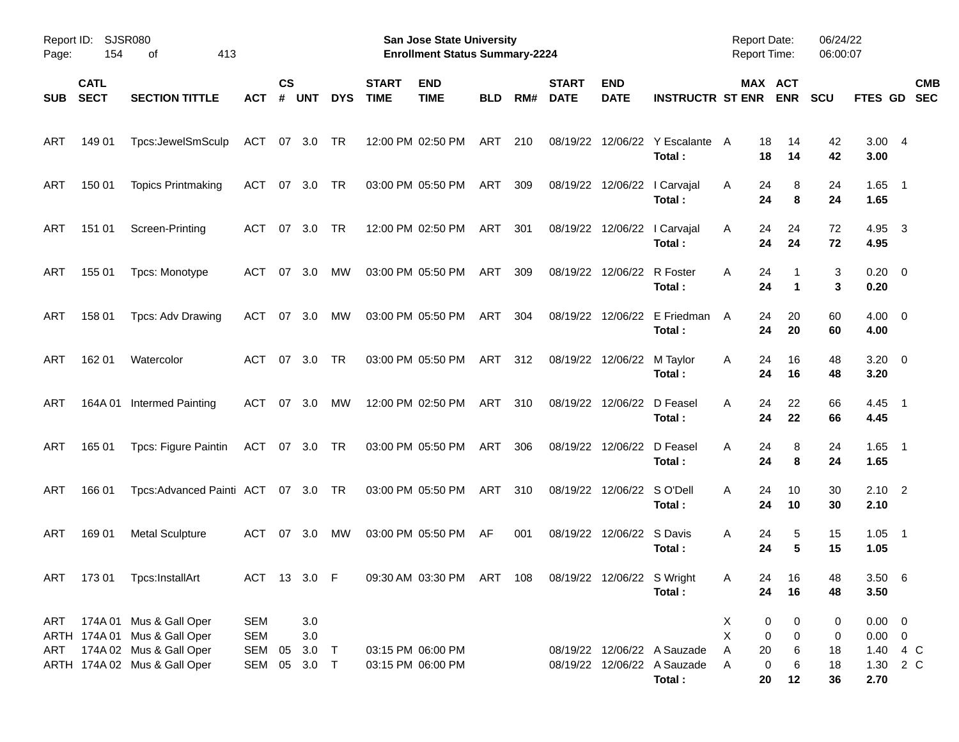| Page:      | Report ID: SJSR080<br>154  | 413<br>οf                                                                                                          |                                                    |                    |                   |            |                             | <b>San Jose State University</b><br><b>Enrollment Status Summary-2224</b> |            |     |                             |                           |                                                            | <b>Report Date:</b><br><b>Report Time:</b>       |                                             | 06/24/22<br>06:00:07 |                                                    |                          |
|------------|----------------------------|--------------------------------------------------------------------------------------------------------------------|----------------------------------------------------|--------------------|-------------------|------------|-----------------------------|---------------------------------------------------------------------------|------------|-----|-----------------------------|---------------------------|------------------------------------------------------------|--------------------------------------------------|---------------------------------------------|----------------------|----------------------------------------------------|--------------------------|
| <b>SUB</b> | <b>CATL</b><br><b>SECT</b> | <b>SECTION TITTLE</b>                                                                                              | АСТ                                                | $\mathsf{cs}$<br># | <b>UNT</b>        | <b>DYS</b> | <b>START</b><br><b>TIME</b> | <b>END</b><br><b>TIME</b>                                                 | <b>BLD</b> | RM# | <b>START</b><br><b>DATE</b> | <b>END</b><br><b>DATE</b> | <b>INSTRUCTR ST ENR</b>                                    |                                                  | MAX ACT<br><b>ENR</b>                       | <b>SCU</b>           | <b>FTES GD</b>                                     | <b>CMB</b><br><b>SEC</b> |
| <b>ART</b> | 149 01                     | Tpcs:JewelSmSculp                                                                                                  | ACT                                                |                    | 07 3.0            | TR         |                             | 12:00 PM 02:50 PM                                                         | ART        | 210 |                             | 08/19/22 12/06/22         | Y Escalante<br>Total:                                      | 18<br>A<br>18                                    | 14<br>14                                    | 42<br>42             | 3.004<br>3.00                                      |                          |
| <b>ART</b> | 150 01                     | <b>Topics Printmaking</b>                                                                                          | ACT                                                | 07                 | 3.0               | TR         |                             | 03:00 PM 05:50 PM                                                         | ART        | 309 |                             |                           | 08/19/22 12/06/22   Carvajal<br>Total:                     | 24<br>A<br>24                                    | 8<br>8                                      | 24<br>24             | $1.65$ 1<br>1.65                                   |                          |
| ART        | 151 01                     | Screen-Printing                                                                                                    | ACT                                                | 07                 | 3.0               | TR         |                             | 12:00 PM 02:50 PM                                                         | ART        | 301 |                             |                           | 08/19/22 12/06/22   Carvajal<br>Total:                     | Α<br>24<br>24                                    | 24<br>24                                    | 72<br>72             | 4.95<br>4.95                                       | $\overline{\mathbf{3}}$  |
| ART        | 155 01                     | Tpcs: Monotype                                                                                                     | ACT                                                | 07                 | 3.0               | <b>MW</b>  |                             | 03:00 PM 05:50 PM                                                         | ART        | 309 |                             | 08/19/22 12/06/22         | R Foster<br>Total:                                         | A<br>24<br>24                                    | $\mathbf 1$                                 | 3<br>3               | $0.20 \ 0$<br>0.20                                 |                          |
| ART        | 158 01                     | Tpcs: Adv Drawing                                                                                                  | <b>ACT</b>                                         | 07                 | 3.0               | <b>MW</b>  |                             | 03:00 PM 05:50 PM                                                         | ART        | 304 |                             | 08/19/22 12/06/22         | E Friedman<br>Total:                                       | 24<br>A<br>24                                    | 20<br>20                                    | 60<br>60             | $4.00 \ 0$<br>4.00                                 |                          |
| ART        | 162 01                     | Watercolor                                                                                                         | ACT                                                | 07                 | 3.0               | TR         |                             | 03:00 PM 05:50 PM                                                         | ART        | 312 |                             | 08/19/22 12/06/22         | M Taylor<br>Total:                                         | 24<br>A<br>24                                    | 16<br>16                                    | 48<br>48             | $3.20 \ 0$<br>3.20                                 |                          |
| ART        |                            | 164A 01 Intermed Painting                                                                                          | <b>ACT</b>                                         | 07                 | 3.0               | <b>MW</b>  |                             | 12:00 PM 02:50 PM                                                         | ART        | 310 |                             | 08/19/22 12/06/22         | D Feasel<br>Total:                                         | A<br>24<br>24                                    | 22<br>22                                    | 66<br>66             | $4.45$ 1<br>4.45                                   |                          |
| ART        | 165 01                     | Tpcs: Figure Paintin                                                                                               | ACT 07 3.0                                         |                    |                   | TR         |                             | 03:00 PM 05:50 PM                                                         | ART        | 306 |                             | 08/19/22 12/06/22         | D Feasel<br>Total:                                         | A<br>24<br>24                                    | 8<br>8                                      | 24<br>24             | $1.65$ 1<br>1.65                                   |                          |
| <b>ART</b> | 166 01                     | Tpcs:Advanced Painti ACT 07 3.0 TR                                                                                 |                                                    |                    |                   |            |                             | 03:00 PM 05:50 PM                                                         | ART        | 310 |                             | 08/19/22 12/06/22 SO'Dell | Total:                                                     | A<br>24<br>24                                    | 10<br>10                                    | 30<br>30             | $2.10$ 2<br>2.10                                   |                          |
| ART        | 169 01                     | <b>Metal Sculpture</b>                                                                                             | ACT                                                | 07                 | 3.0               | MW         |                             | 03:00 PM 05:50 PM                                                         | AF         | 001 |                             | 08/19/22 12/06/22 S Davis | Total:                                                     | 24<br>A<br>24                                    | 5<br>5                                      | 15<br>15             | $1.05$ 1<br>1.05                                   |                          |
|            |                            | ART 173 01 Tpcs:InstallArt                                                                                         | ACT 13 3.0 F                                       |                    |                   |            |                             | 09:30 AM 03:30 PM ART 108 08/19/22 12/06/22 S Wright                      |            |     |                             |                           | Total:                                                     | Α<br>24                                          | 24<br>16<br>16                              | 48<br>48             | 3.506<br>3.50                                      |                          |
| ART<br>ART |                            | 174A 01 Mus & Gall Oper<br>ARTH 174A 01 Mus & Gall Oper<br>174A 02 Mus & Gall Oper<br>ARTH 174A 02 Mus & Gall Oper | <b>SEM</b><br><b>SEM</b><br>SEM 05<br>SEM 05 3.0 T |                    | 3.0<br>3.0<br>3.0 | $\top$     |                             | 03:15 PM 06:00 PM<br>03:15 PM 06:00 PM                                    |            |     |                             |                           | 08/19/22 12/06/22 A Sauzade<br>08/19/22 12/06/22 A Sauzade | X<br>$\pmb{0}$<br>X<br>Α<br>20<br>$\pmb{0}$<br>Α | 0<br>$\pmb{0}$<br>$\pmb{0}$<br>6<br>$\,6\,$ | 0<br>0<br>18<br>18   | $0.00 \t 0$<br>$0.00 \t 0$<br>1.40 4 C<br>1.30 2 C |                          |
|            |                            |                                                                                                                    |                                                    |                    |                   |            |                             |                                                                           |            |     |                             |                           | Total:                                                     | 20                                               | 12                                          | 36                   | 2.70                                               |                          |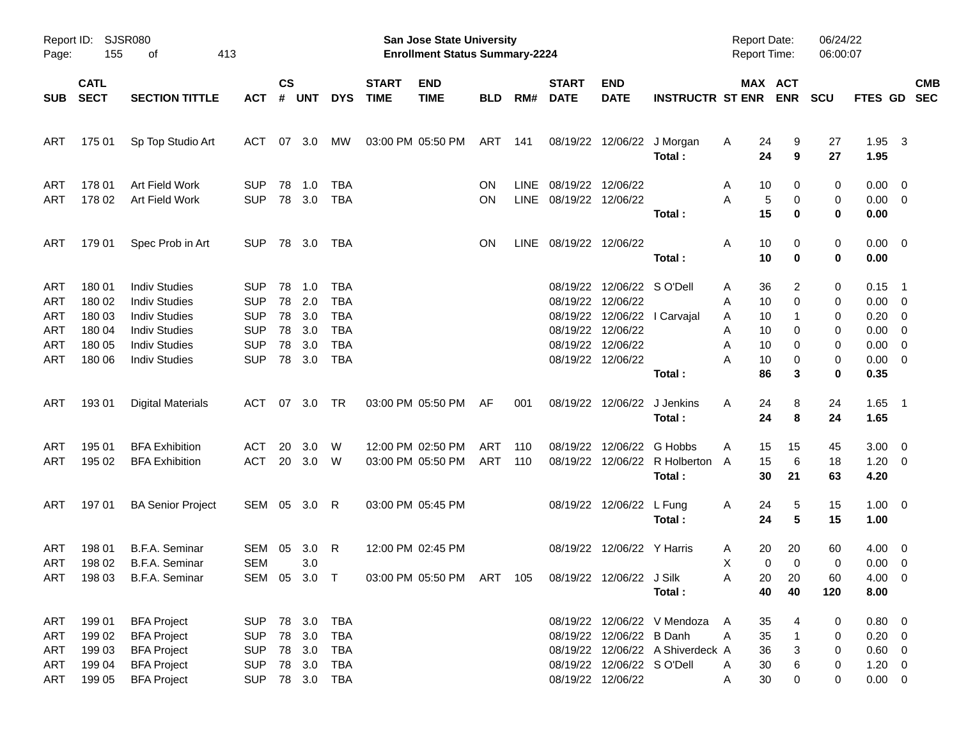| Page:                                                       | Report ID: SJSR080<br>155                                | 413<br>оf                                                                                                                                    |                                                                                  |                                  |                                        |                                                                           |                             | San Jose State University<br><b>Enrollment Status Summary-2224</b>      |            |                     |                                                                            |                                                                             |                                                                 | <b>Report Date:</b><br><b>Report Time:</b>                           |                                              | 06/24/22<br>06:00:07            |                                                                                            |                           |
|-------------------------------------------------------------|----------------------------------------------------------|----------------------------------------------------------------------------------------------------------------------------------------------|----------------------------------------------------------------------------------|----------------------------------|----------------------------------------|---------------------------------------------------------------------------|-----------------------------|-------------------------------------------------------------------------|------------|---------------------|----------------------------------------------------------------------------|-----------------------------------------------------------------------------|-----------------------------------------------------------------|----------------------------------------------------------------------|----------------------------------------------|---------------------------------|--------------------------------------------------------------------------------------------|---------------------------|
| <b>SUB</b>                                                  | <b>CATL</b><br><b>SECT</b>                               | <b>SECTION TITTLE</b>                                                                                                                        | <b>ACT</b>                                                                       | $\mathsf{cs}$<br>#               | <b>UNT</b>                             | <b>DYS</b>                                                                | <b>START</b><br><b>TIME</b> | <b>END</b><br><b>TIME</b>                                               | <b>BLD</b> | RM#                 | <b>START</b><br><b>DATE</b>                                                | <b>END</b><br><b>DATE</b>                                                   | <b>INSTRUCTR ST ENR</b>                                         |                                                                      | MAX ACT<br><b>ENR</b>                        | <b>SCU</b>                      |                                                                                            | <b>CMB</b><br>FTES GD SEC |
| ART                                                         | 175 01                                                   | Sp Top Studio Art                                                                                                                            | ACT                                                                              | 07                               | 3.0                                    | <b>MW</b>                                                                 |                             | 03:00 PM 05:50 PM                                                       | ART        | 141                 | 08/19/22                                                                   |                                                                             | 12/06/22 J Morgan<br>Total:                                     | Α<br>24<br>24                                                        | 9<br>9                                       | 27<br>27                        | 1.95<br>1.95                                                                               | $\overline{\mathbf{3}}$   |
| ART<br><b>ART</b>                                           | 178 01<br>178 02                                         | Art Field Work<br>Art Field Work                                                                                                             | <b>SUP</b><br><b>SUP</b>                                                         | 78                               | 1.0<br>78 3.0                          | TBA<br><b>TBA</b>                                                         |                             |                                                                         | ON<br>ON   | <b>LINE</b><br>LINE | 08/19/22 12/06/22<br>08/19/22 12/06/22                                     |                                                                             | Total:                                                          | 10<br>Α<br>Α<br>15                                                   | 0<br>5<br>0<br>0                             | 0<br>0<br>0                     | $0.00 \t 0$<br>$0.00 \t 0$<br>0.00                                                         |                           |
| ART                                                         | 179 01                                                   | Spec Prob in Art                                                                                                                             | <b>SUP</b>                                                                       |                                  | 78 3.0                                 | TBA                                                                       |                             |                                                                         | ON         | LINE                | 08/19/22 12/06/22                                                          |                                                                             | Total:                                                          | 10<br>Α<br>10                                                        | 0<br>0                                       | 0<br>0                          | $0.00 \t 0$<br>0.00                                                                        |                           |
| ART<br>ART<br>ART<br><b>ART</b><br><b>ART</b><br><b>ART</b> | 180 01<br>180 02<br>180 03<br>180 04<br>180 05<br>180 06 | <b>Indiv Studies</b><br><b>Indiv Studies</b><br><b>Indiv Studies</b><br><b>Indiv Studies</b><br><b>Indiv Studies</b><br><b>Indiv Studies</b> | <b>SUP</b><br><b>SUP</b><br><b>SUP</b><br><b>SUP</b><br><b>SUP</b><br><b>SUP</b> | 78<br>78<br>78<br>78<br>78<br>78 | 1.0<br>2.0<br>3.0<br>3.0<br>3.0<br>3.0 | TBA<br><b>TBA</b><br><b>TBA</b><br><b>TBA</b><br><b>TBA</b><br><b>TBA</b> |                             |                                                                         |            |                     | 08/19/22<br>08/19/22<br>08/19/22<br>08/19/22 12/06/22<br>08/19/22 12/06/22 | 08/19/22 12/06/22 SO'Dell<br>12/06/22<br>12/06/22<br>12/06/22               | I Carvajal<br>Total:                                            | 36<br>Α<br>10<br>Α<br>10<br>Α<br>10<br>Α<br>10<br>Α<br>10<br>Α<br>86 | 2<br>0<br>0<br>0<br>0<br>3                   | 0<br>0<br>0<br>0<br>0<br>0<br>0 | $0.15$ 1<br>$0.00 \t 0$<br>$0.20 \ 0$<br>$0.00 \t 0$<br>$0.00 \t 0$<br>$0.00 \t 0$<br>0.35 |                           |
| ART                                                         | 193 01                                                   | <b>Digital Materials</b>                                                                                                                     | ACT 07 3.0                                                                       |                                  |                                        | TR                                                                        |                             | 03:00 PM 05:50 PM                                                       | AF         | 001                 |                                                                            | 08/19/22 12/06/22                                                           | J Jenkins<br>Total:                                             | 24<br>Α<br>24                                                        | 8<br>8                                       | 24<br>24                        | $1.65$ 1<br>1.65                                                                           |                           |
| ART<br><b>ART</b>                                           | 195 01<br>195 02                                         | <b>BFA Exhibition</b><br><b>BFA Exhibition</b>                                                                                               | ACT<br>ACT                                                                       | 20                               | 3.0<br>20 3.0                          | W<br>W                                                                    |                             | 12:00 PM 02:50 PM<br>03:00 PM 05:50 PM                                  | ART<br>ART | 110<br>110          | 08/19/22                                                                   | 12/06/22                                                                    | G Hobbs<br>08/19/22 12/06/22 R Holberton<br>Total:              | 15<br>Α<br>15<br>A<br>30                                             | 15<br>6<br>21                                | 45<br>18<br>63                  | $3.00 \ 0$<br>$1.20 \t 0$<br>4.20                                                          |                           |
| ART                                                         | 197 01                                                   | <b>BA Senior Project</b>                                                                                                                     | SEM 05 3.0 R                                                                     |                                  |                                        |                                                                           | 03:00 PM 05:45 PM           |                                                                         |            |                     |                                                                            | 08/19/22 12/06/22 L Fung                                                    | Total:                                                          | 24<br>A<br>24                                                        | 5<br>5                                       | 15<br>15                        | $1.00 \t 0$<br>1.00                                                                        |                           |
| <b>ART</b><br>ART<br>ART                                    | 198 01<br>198 02<br>198 03                               | <b>B.F.A. Seminar</b><br><b>B.F.A. Seminar</b><br>B.F.A. Seminar                                                                             | SEM<br><b>SEM</b><br>SEM 05 3.0 T                                                | 05                               | 3.0<br>3.0                             | -R                                                                        |                             | 12:00 PM 02:45 PM<br>03:00 PM 05:50 PM ART 105 08/19/22 12/06/22 J Silk |            |                     |                                                                            | 08/19/22 12/06/22 Y Harris                                                  | Total:                                                          | 20<br>Α<br>Χ<br>20<br>Α<br>40                                        | 20<br>$\mathbf 0$<br>$\mathbf 0$<br>20<br>40 | 60<br>0<br>60<br>120            | $4.00 \ 0$<br>$0.00 \t 0$<br>$4.00 \ 0$<br>8.00                                            |                           |
| ART<br>ART<br>ART<br>ART<br>ART                             | 199 01<br>199 02<br>199 03<br>199 04<br>199 05           | <b>BFA Project</b><br><b>BFA Project</b><br><b>BFA Project</b><br><b>BFA Project</b><br><b>BFA Project</b>                                   | SUP 78 3.0 TBA<br><b>SUP</b><br><b>SUP</b><br><b>SUP</b><br><b>SUP</b>           |                                  | 78 3.0<br>78 3.0<br>78 3.0             | <b>TBA</b><br><b>TBA</b><br><b>TBA</b><br>78 3.0 TBA                      |                             |                                                                         |            |                     |                                                                            | 08/19/22 12/06/22 B Danh<br>08/19/22 12/06/22 S O'Dell<br>08/19/22 12/06/22 | 08/19/22 12/06/22 V Mendoza<br>08/19/22 12/06/22 A Shiverdeck A | 35<br>A<br>35<br>A<br>36<br>30<br>A<br>30<br>A                       | 4<br>$\mathbf{1}$<br>3<br>6<br>0             | 0<br>0<br>0<br>0<br>0           | 0.80 0<br>$0.20 \ 0$<br>$0.60 \t 0$<br>$1.20 \t 0$<br>$0.00 \t 0$                          |                           |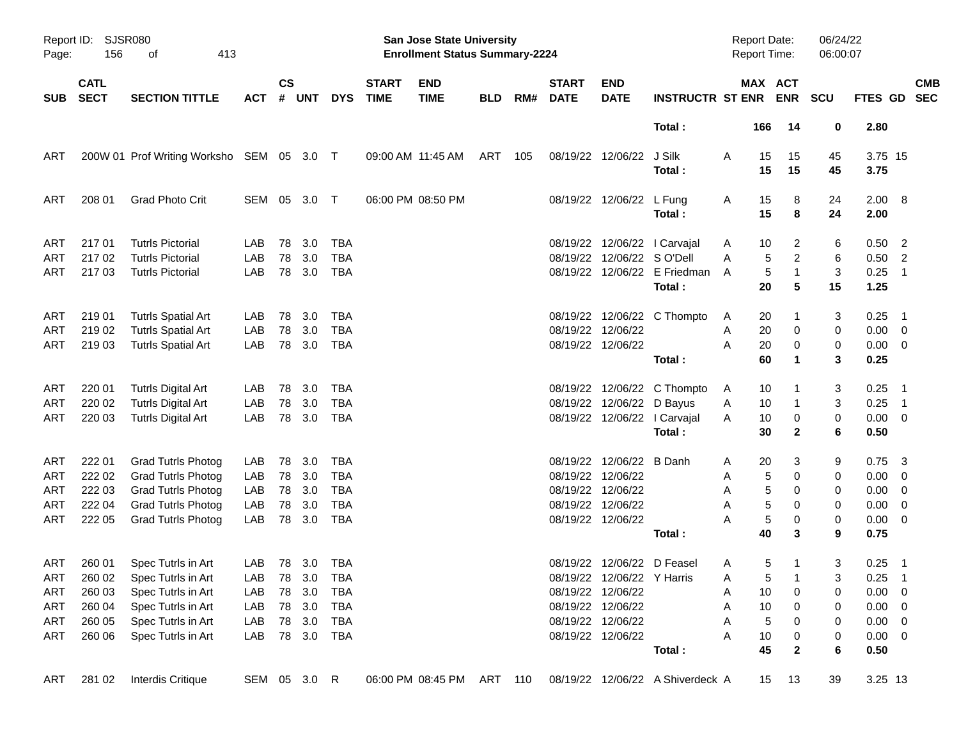| Page:      | Report ID: SJSR080<br>156<br>413<br>οf |                                                    |                |               |            |                   |                             | San Jose State University<br><b>Enrollment Status Summary-2224</b> |            |     |                             |                            |                                                            | Report Date:<br>Report Time:    |                                     | 06/24/22<br>06:00:07 |                      |                                                        |            |
|------------|----------------------------------------|----------------------------------------------------|----------------|---------------|------------|-------------------|-----------------------------|--------------------------------------------------------------------|------------|-----|-----------------------------|----------------------------|------------------------------------------------------------|---------------------------------|-------------------------------------|----------------------|----------------------|--------------------------------------------------------|------------|
| <b>SUB</b> | <b>CATL</b><br><b>SECT</b>             | <b>SECTION TITTLE</b>                              | <b>ACT</b>     | $\mathsf{cs}$ | # UNT      | <b>DYS</b>        | <b>START</b><br><b>TIME</b> | <b>END</b><br><b>TIME</b>                                          | <b>BLD</b> | RM# | <b>START</b><br><b>DATE</b> | <b>END</b><br><b>DATE</b>  | <b>INSTRUCTR ST ENR</b>                                    |                                 | MAX ACT<br><b>ENR</b>               | <b>SCU</b>           | FTES GD SEC          |                                                        | <b>CMB</b> |
|            |                                        |                                                    |                |               |            |                   |                             |                                                                    |            |     |                             |                            | Total:                                                     | 166                             | 14                                  | 0                    | 2.80                 |                                                        |            |
| ART        |                                        | 200W 01 Prof Writing Worksho SEM 05 3.0 T          |                |               |            |                   |                             | 09:00 AM 11:45 AM                                                  | ART        | 105 |                             | 08/19/22 12/06/22          | J Silk<br>Total:                                           | A<br>15<br>15                   | 15<br>15                            | 45<br>45             | 3.75 15<br>3.75      |                                                        |            |
| ART        | 208 01                                 | <b>Grad Photo Crit</b>                             | SEM 05         |               | 3.0        | $\top$            |                             | 06:00 PM 08:50 PM                                                  |            |     |                             | 08/19/22 12/06/22 L Fung   | Total:                                                     | 15<br>A<br>15                   | 8<br>8                              | 24<br>24             | $2.00 \ 8$<br>2.00   |                                                        |            |
| <b>ART</b> | 21701                                  | <b>Tutrls Pictorial</b>                            | LAB            | 78            | 3.0        | <b>TBA</b>        |                             |                                                                    |            |     |                             |                            | 08/19/22 12/06/22 l Carvajal                               | 10<br>A                         | 2                                   | 6                    | 0.50                 | $\overline{\phantom{0}}$                               |            |
| ART<br>ART | 217 02<br>217 03                       | <b>Tutrls Pictorial</b><br><b>Tutrls Pictorial</b> | LAB<br>LAB     | 78<br>78      | 3.0<br>3.0 | <b>TBA</b><br>TBA |                             |                                                                    |            |     |                             | 08/19/22 12/06/22 SO'Dell  | 08/19/22 12/06/22 E Friedman<br>Total:                     | 5<br>A<br>$\sqrt{5}$<br>A<br>20 | $\overline{c}$<br>$\mathbf{1}$<br>5 | 6<br>3<br>15         | 0.50<br>0.25<br>1.25 | $\overline{\phantom{a}}$<br>$\overline{\phantom{0}}$ 1 |            |
| ART        | 219 01                                 | <b>Tutrls Spatial Art</b>                          | LAB            | 78            | 3.0        | <b>TBA</b>        |                             |                                                                    |            |     |                             |                            | 08/19/22 12/06/22 C Thompto                                | 20<br>A                         |                                     | 3                    | 0.25                 | $\overline{\phantom{0}}$ 1                             |            |
| <b>ART</b> | 219 02                                 | <b>Tutrls Spatial Art</b>                          | LAB            | 78            | 3.0        | <b>TBA</b>        |                             |                                                                    |            |     |                             | 08/19/22 12/06/22          |                                                            | 20<br>Α                         | 0                                   | 0                    | $0.00 \t 0$          |                                                        |            |
| ART        | 219 03                                 | <b>Tutrls Spatial Art</b>                          | LAB            | 78            | 3.0        | TBA               |                             |                                                                    |            |     |                             | 08/19/22 12/06/22          |                                                            | 20<br>A                         | 0                                   | 0                    | $0.00 \t 0$          |                                                        |            |
|            |                                        |                                                    |                |               |            |                   |                             |                                                                    |            |     |                             |                            | Total:                                                     | 60                              | 1                                   | 3                    | 0.25                 |                                                        |            |
| ART        | 220 01                                 | <b>Tutrls Digital Art</b>                          | LAB            | 78            | 3.0        | <b>TBA</b>        |                             |                                                                    |            |     |                             |                            | 08/19/22 12/06/22 C Thompto                                | 10<br>A                         |                                     | 3                    | 0.25                 | $\overline{\phantom{1}}$                               |            |
| <b>ART</b> | 220 02                                 | <b>Tutrls Digital Art</b>                          | LAB            | 78            | 3.0        | <b>TBA</b>        |                             |                                                                    |            |     |                             | 08/19/22 12/06/22 D Bayus  |                                                            | 10<br>Α                         |                                     | 3                    | 0.25                 | $\overline{\phantom{0}}$ 1                             |            |
| ART        | 220 03                                 | <b>Tutrls Digital Art</b>                          | LAB            | 78            | 3.0        | TBA               |                             |                                                                    |            |     |                             |                            | 08/19/22 12/06/22 l Carvajal                               | 10<br>A                         | 0                                   | 0                    | $0.00 \t 0$          |                                                        |            |
|            |                                        |                                                    |                |               |            |                   |                             |                                                                    |            |     |                             |                            | Total:                                                     | 30                              | $\mathbf{2}$                        | 6                    | 0.50                 |                                                        |            |
| ART        | 222 01                                 | <b>Grad Tutrls Photog</b>                          | LAB            | 78            | 3.0        | <b>TBA</b>        |                             |                                                                    |            |     |                             | 08/19/22 12/06/22 B Danh   |                                                            | 20<br>Α                         | 3                                   | 9                    | 0.75                 | $\overline{\mathbf{3}}$                                |            |
| ART        | 222 02                                 | <b>Grad Tutrls Photog</b>                          | LAB            | 78            | 3.0        | <b>TBA</b>        |                             |                                                                    |            |     |                             | 08/19/22 12/06/22          |                                                            | 5<br>Α                          | 0                                   | 0                    | 0.00                 | $\overline{\mathbf{0}}$                                |            |
| <b>ART</b> | 222 03                                 | <b>Grad Tutrls Photog</b>                          | LAB            | 78            | 3.0        | <b>TBA</b>        |                             |                                                                    |            |     |                             | 08/19/22 12/06/22          |                                                            | Α                               | 5<br>0                              | 0                    | 0.00                 | $\overline{\phantom{0}}$                               |            |
| <b>ART</b> | 222 04                                 | <b>Grad Tutrls Photog</b>                          | LAB            | 78            | 3.0        | <b>TBA</b>        |                             |                                                                    |            |     |                             | 08/19/22 12/06/22          |                                                            | 5<br>Α                          | 0                                   | 0                    | 0.00                 | $\overline{\mathbf{0}}$                                |            |
| ART        | 222 05                                 | <b>Grad Tutrls Photog</b>                          | LAB            | 78            | 3.0        | TBA               |                             |                                                                    |            |     |                             | 08/19/22 12/06/22          |                                                            | 5<br>A                          | 0                                   | 0                    | $0.00 \t 0$          |                                                        |            |
|            |                                        |                                                    |                |               |            |                   |                             |                                                                    |            |     |                             |                            | Total:                                                     | 40                              | 3                                   | 9                    | 0.75                 |                                                        |            |
| ART        | 260 01                                 | Spec Tutrls in Art                                 | LAB            |               | 78 3.0     | TBA               |                             |                                                                    |            |     |                             | 08/19/22 12/06/22 D Feasel |                                                            | 5<br>A                          |                                     | 3                    | 0.25                 | - 1                                                    |            |
|            |                                        | ART 260 02 Spec Tutrls in Art                      | LAB 78 3.0 TBA |               |            |                   |                             |                                                                    |            |     |                             | 08/19/22 12/06/22 Y Harris |                                                            | A                               | $5 \quad 1$                         | $\overline{3}$       | $0.25$ 1             |                                                        |            |
| ART        | 260 03                                 | Spec Tutrls in Art                                 | LAB            |               | 78 3.0     | TBA               |                             |                                                                    |            |     |                             | 08/19/22 12/06/22          |                                                            | 10<br>A                         | 0                                   | 0                    | $0.00 \t 0$          |                                                        |            |
| ART        | 260 04                                 | Spec Tutrls in Art                                 | LAB            |               | 78 3.0     | <b>TBA</b>        |                             |                                                                    |            |     |                             | 08/19/22 12/06/22          |                                                            | 10<br>Α                         | 0                                   | 0                    | $0.00 \t 0$          |                                                        |            |
| ART        | 260 05                                 | Spec Tutrls in Art                                 | LAB            |               | 78 3.0     | TBA               |                             |                                                                    |            |     |                             | 08/19/22 12/06/22          |                                                            | $\sqrt{5}$<br>Α                 | 0                                   | 0                    | $0.00 \t 0$          |                                                        |            |
| ART        | 260 06                                 | Spec Tutrls in Art                                 | LAB            |               | 78 3.0     | TBA               |                             |                                                                    |            |     |                             | 08/19/22 12/06/22          |                                                            | A<br>10                         | 0                                   | 0                    | $0.00 \t 0$          |                                                        |            |
|            |                                        |                                                    |                |               |            |                   |                             |                                                                    |            |     |                             |                            | Total:                                                     | 45                              | $\mathbf{2}$                        | 6                    | 0.50                 |                                                        |            |
| ART        | 281 02                                 | Interdis Critique                                  | SEM 05 3.0 R   |               |            |                   |                             |                                                                    |            |     |                             |                            | 06:00 PM 08:45 PM ART 110 08/19/22 12/06/22 A Shiverdeck A | 15                              | - 13                                | 39                   | 3.25 13              |                                                        |            |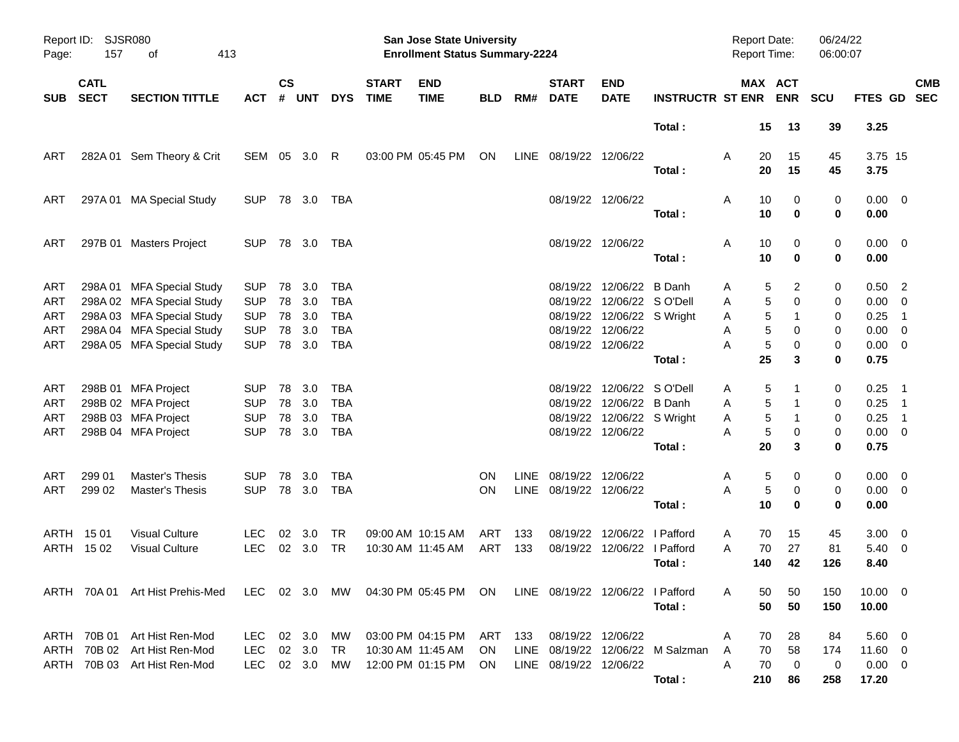| Page:                           | Report ID: SJSR080<br>157  | 413                                                                                                                                           |                                                                    |                      |                                    |                                                                    | San Jose State University<br><b>Enrollment Status Summary-2224</b> |                                                                        |            |                     |                                             |                                                                                                                               | Report Date:<br><b>Report Time:</b>        |                       |                             | 06/24/22<br>06:00:07             |                            |                                                                       |                            |            |
|---------------------------------|----------------------------|-----------------------------------------------------------------------------------------------------------------------------------------------|--------------------------------------------------------------------|----------------------|------------------------------------|--------------------------------------------------------------------|--------------------------------------------------------------------|------------------------------------------------------------------------|------------|---------------------|---------------------------------------------|-------------------------------------------------------------------------------------------------------------------------------|--------------------------------------------|-----------------------|-----------------------------|----------------------------------|----------------------------|-----------------------------------------------------------------------|----------------------------|------------|
| <b>SUB</b>                      | <b>CATL</b><br><b>SECT</b> | <b>SECTION TITTLE</b>                                                                                                                         | ACT                                                                | $\mathsf{cs}$<br>#   | <b>UNT</b>                         | <b>DYS</b>                                                         | <b>START</b><br><b>TIME</b>                                        | <b>END</b><br><b>TIME</b>                                              | <b>BLD</b> | RM#                 | <b>START</b><br><b>DATE</b>                 | <b>END</b><br><b>DATE</b>                                                                                                     | <b>INSTRUCTR ST ENR ENR</b>                |                       |                             | MAX ACT                          | <b>SCU</b>                 | FTES GD SEC                                                           |                            | <b>CMB</b> |
|                                 |                            |                                                                                                                                               |                                                                    |                      |                                    |                                                                    |                                                                    |                                                                        |            |                     |                                             |                                                                                                                               | Total:                                     |                       | 15                          | 13                               | 39                         | 3.25                                                                  |                            |            |
| ART                             |                            | 282A 01 Sem Theory & Crit                                                                                                                     | SEM 05 3.0                                                         |                      |                                    | -R                                                                 |                                                                    | 03:00 PM 05:45 PM                                                      | ON         |                     | LINE 08/19/22 12/06/22                      |                                                                                                                               | Total:                                     | Α                     | 20<br>20                    | 15<br>15                         | 45<br>45                   | 3.75 15<br>3.75                                                       |                            |            |
| ART                             |                            | 297A 01 MA Special Study                                                                                                                      | <b>SUP</b>                                                         |                      | 78 3.0                             | TBA                                                                |                                                                    |                                                                        |            |                     |                                             | 08/19/22 12/06/22                                                                                                             | Total:                                     | Α                     | 10<br>10                    | 0<br>$\bf{0}$                    | 0<br>0                     | $0.00 \t 0$<br>0.00                                                   |                            |            |
| ART                             |                            | 297B 01 Masters Project                                                                                                                       | <b>SUP</b>                                                         |                      | 78 3.0                             | TBA                                                                |                                                                    |                                                                        |            |                     |                                             | 08/19/22 12/06/22                                                                                                             | Total:                                     | Α                     | 10<br>10                    | 0<br>0                           | 0<br>0                     | $0.00 \t 0$<br>0.00                                                   |                            |            |
| ART<br>ART<br>ART<br>ART<br>ART |                            | 298A 01 MFA Special Study<br>298A 02 MFA Special Study<br>298A 03 MFA Special Study<br>298A 04 MFA Special Study<br>298A 05 MFA Special Study | <b>SUP</b><br><b>SUP</b><br><b>SUP</b><br><b>SUP</b><br><b>SUP</b> | 78<br>78<br>78<br>78 | 3.0<br>3.0<br>3.0<br>3.0<br>78 3.0 | <b>TBA</b><br><b>TBA</b><br><b>TBA</b><br><b>TBA</b><br><b>TBA</b> |                                                                    |                                                                        |            |                     |                                             | 08/19/22 12/06/22 B Danh<br>08/19/22 12/06/22 SO'Dell<br>08/19/22 12/06/22 S Wright<br>08/19/22 12/06/22<br>08/19/22 12/06/22 | Total:                                     | Α<br>Α<br>Α<br>Α<br>А | 5<br>5<br>5<br>5<br>5<br>25 | 2<br>0<br>1<br>0<br>0<br>3       | 0<br>0<br>0<br>0<br>0<br>0 | $0.50$ 2<br>$0.00 \t 0$<br>0.25<br>$0.00 \t 0$<br>$0.00 \t 0$<br>0.75 | $\overline{\phantom{1}}$   |            |
| ART<br>ART<br>ART<br>ART        |                            | 298B 01 MFA Project<br>298B 02 MFA Project<br>298B 03 MFA Project<br>298B 04 MFA Project                                                      | <b>SUP</b><br><b>SUP</b><br><b>SUP</b><br><b>SUP</b>               | 78<br>78             | 3.0<br>78 3.0<br>3.0<br>78 3.0     | TBA<br><b>TBA</b><br><b>TBA</b><br><b>TBA</b>                      |                                                                    |                                                                        |            |                     |                                             | 08/19/22 12/06/22 SO'Dell<br>08/19/22 12/06/22 B Danh<br>08/19/22 12/06/22 S Wright<br>08/19/22 12/06/22                      | Total:                                     | Α<br>Α<br>Α<br>A      | 5<br>5<br>5<br>5<br>20      | 1<br>0<br>3                      | 0<br>0<br>0<br>0<br>0      | $0.25$ 1<br>$0.25$ 1<br>0.25<br>$0.00 \t 0$<br>0.75                   | $\overline{\phantom{0}}$ 1 |            |
| ART<br>ART                      | 299 01<br>299 02           | <b>Master's Thesis</b><br><b>Master's Thesis</b>                                                                                              | <b>SUP</b><br><b>SUP</b>                                           | 78                   | 3.0<br>78 3.0                      | TBA<br><b>TBA</b>                                                  |                                                                    |                                                                        | ON.<br>ON. | <b>LINE</b><br>LINE | 08/19/22 12/06/22<br>08/19/22 12/06/22      |                                                                                                                               | Total:                                     | Α<br>A                | 5<br>5<br>10                | 0<br>0<br>$\bf{0}$               | 0<br>0<br>0                | $0.00 \t 0$<br>$0.00 \t 0$<br>0.00                                    |                            |            |
|                                 | ARTH 1501<br>ARTH 1502     | <b>Visual Culture</b><br><b>Visual Culture</b>                                                                                                | <b>LEC</b><br><b>LEC</b>                                           | 02                   | 3.0<br>02 3.0                      | TR<br><b>TR</b>                                                    |                                                                    | 09:00 AM 10:15 AM<br>10:30 AM 11:45 AM                                 | ART<br>ART | 133<br>133          | 08/19/22                                    | 12/06/22<br>08/19/22 12/06/22 I Pafford                                                                                       | l Pafford<br>Total:                        | Α<br>A                | 70<br>70<br>140             | 15<br>27<br>42                   | 45<br>81<br>126            | $3.00 \ 0$<br>$5.40 \quad 0$<br>8.40                                  |                            |            |
|                                 |                            | ARTH 70A 01 Art Hist Prehis-Med LEC 02 3.0 MW 04:30 PM 05:45 PM ON LINE 08/19/22 12/06/22 I Pafford                                           |                                                                    |                      |                                    |                                                                    |                                                                    |                                                                        |            |                     |                                             |                                                                                                                               | Total:                                     | A                     | 50<br>50                    | 50<br>50                         | 150<br>150                 | $10.00 \t 0$<br>10.00                                                 |                            |            |
|                                 |                            | ARTH 70B 01 Art Hist Ren-Mod<br>ARTH 70B 02 Art Hist Ren-Mod<br>ARTH 70B 03 Art Hist Ren-Mod                                                  | LEC 02 3.0<br>LEC<br>LEC 02 3.0                                    |                      | 02 3.0                             | <b>MW</b><br>TR.<br>MW                                             |                                                                    | 03:00 PM 04:15 PM ART 133<br>10:30 AM 11:45 AM<br>12:00 PM 01:15 PM ON | - ON       |                     | 08/19/22 12/06/22<br>LINE 08/19/22 12/06/22 |                                                                                                                               | LINE 08/19/22 12/06/22 M Salzman<br>Total: | Α<br>A<br>A           | 70<br>70<br>70<br>210       | 28<br>58<br>$\overline{0}$<br>86 | 84<br>174<br>0<br>258      | $5.60 \quad 0$<br>$11.60 \t 0$<br>$0.00 \t 0$<br>17.20                |                            |            |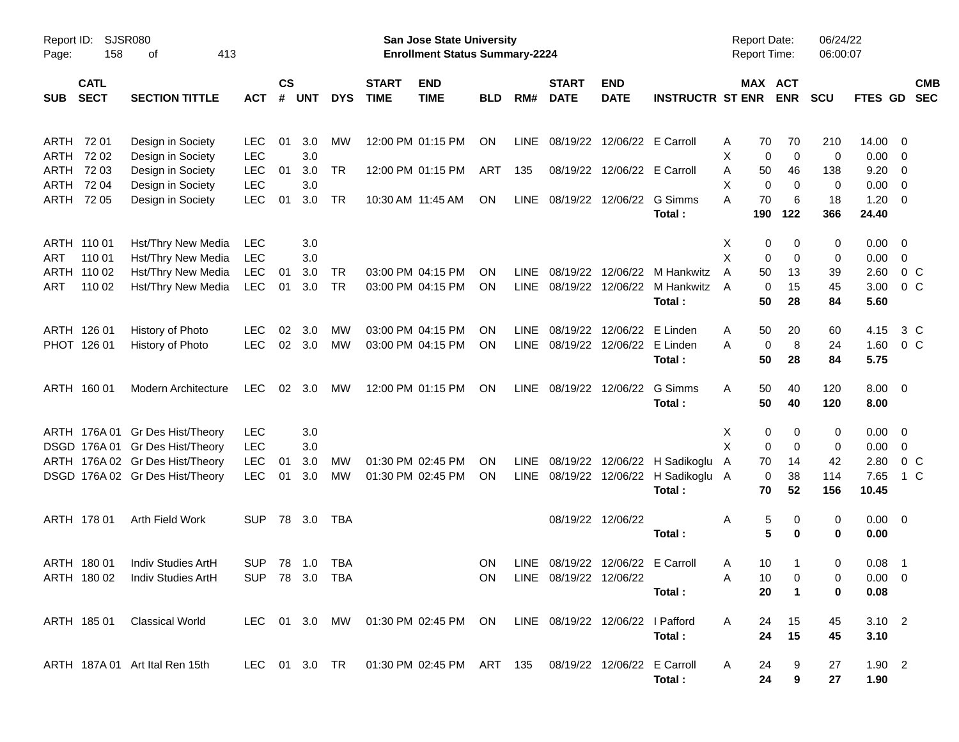| <b>SJSR080</b><br>Report ID:<br>413<br>158<br>Page:<br>οf         |                |                    |            |            |                             | San Jose State University<br><b>Enrollment Status Summary-2224</b>         |            |             |                                  |                             |                                        | <b>Report Date:</b><br><b>Report Time:</b> |                               | 06/24/22<br>06:00:07 |                  |                          |
|-------------------------------------------------------------------|----------------|--------------------|------------|------------|-----------------------------|----------------------------------------------------------------------------|------------|-------------|----------------------------------|-----------------------------|----------------------------------------|--------------------------------------------|-------------------------------|----------------------|------------------|--------------------------|
| <b>CATL</b><br><b>SECT</b><br><b>SECTION TITTLE</b><br><b>SUB</b> | <b>ACT</b>     | $\mathsf{cs}$<br># | <b>UNT</b> | <b>DYS</b> | <b>START</b><br><b>TIME</b> | <b>END</b><br><b>TIME</b>                                                  | <b>BLD</b> | RM#         | <b>START</b><br><b>DATE</b>      | <b>END</b><br><b>DATE</b>   | <b>INSTRUCTR ST ENR</b>                |                                            | MAX ACT<br><b>ENR</b>         | <b>SCU</b>           | FTES GD          | <b>CMB</b><br><b>SEC</b> |
| ARTH<br>72 01<br>Design in Society                                | <b>LEC</b>     | 01                 | 3.0        | MW         |                             | 12:00 PM 01:15 PM                                                          | ON         | LINE        | 08/19/22                         | 12/06/22 E Carroll          |                                        | 70<br>A                                    | 70                            | 210                  | 14.00            | 0                        |
| 72 02<br>ARTH<br>Design in Society                                | <b>LEC</b>     |                    | 3.0        |            |                             |                                                                            |            |             |                                  |                             |                                        | X                                          | $\mathbf 0$<br>0              | 0                    | 0.00             | $\overline{\mathbf{0}}$  |
| 72 03<br>ARTH<br>Design in Society                                | <b>LEC</b>     | 01                 | 3.0        | <b>TR</b>  |                             | 12:00 PM 01:15 PM                                                          | ART        | 135         |                                  | 08/19/22 12/06/22 E Carroll |                                        | Α<br>50                                    | 46                            | 138                  | 9.20             | $\overline{0}$           |
| 72 04<br>ARTH<br>Design in Society                                | <b>LEC</b>     |                    | 3.0        |            |                             |                                                                            |            |             |                                  |                             |                                        | Х                                          | 0<br>0                        | 0                    | 0.00             | $\overline{0}$           |
| 72 05<br>Design in Society<br>ARTH                                | <b>LEC</b>     | 01                 | 3.0        | <b>TR</b>  |                             | 10:30 AM 11:45 AM                                                          | ON         | LINE        | 08/19/22 12/06/22                |                             | G Simms<br>Total:                      | А<br>70<br>190                             | 6<br>122                      | 18<br>366            | 1.20<br>24.40    | $\overline{\mathbf{0}}$  |
| ARTH 110 01<br>Hst/Thry New Media                                 | LEC            |                    | 3.0        |            |                             |                                                                            |            |             |                                  |                             |                                        | X                                          | 0<br>0                        | 0                    | 0.00             | $\overline{\mathbf{0}}$  |
| 110 01<br>ART<br>Hst/Thry New Media                               | <b>LEC</b>     |                    | 3.0        |            |                             |                                                                            |            |             |                                  |                             |                                        | Χ                                          | 0<br>0                        | 0                    | 0.00             | 0                        |
| Hst/Thry New Media<br>ARTH<br>110 02                              | <b>LEC</b>     | 01                 | 3.0        | TR         |                             | 03:00 PM 04:15 PM                                                          | ΟN         | LINE        |                                  |                             | 08/19/22 12/06/22 M Hankwitz           | A<br>50                                    | 13                            | 39                   | 2.60             | 0 <sup>o</sup>           |
| ART<br>110 02<br>Hst/Thry New Media                               | <b>LEC</b>     | 01                 | 3.0        | <b>TR</b>  |                             | 03:00 PM 04:15 PM                                                          | ON         | <b>LINE</b> |                                  |                             | 08/19/22 12/06/22 M Hankwitz<br>Total: | A<br>50                                    | 15<br>0<br>28                 | 45<br>84             | 3.00<br>5.60     | 0 <sup>o</sup>           |
| ARTH 126 01<br>History of Photo                                   | LEC.           | 02                 | 3.0        | МW         |                             | 03:00 PM 04:15 PM                                                          | ON         | LINE        | 08/19/22                         | 12/06/22                    | E Linden                               | 50<br>Α                                    | 20                            | 60                   | 4.15             | 3 C                      |
| PHOT 126 01<br>History of Photo                                   | <b>LEC</b>     | 02                 | 3.0        | <b>MW</b>  |                             | 03:00 PM 04:15 PM                                                          | ON         | <b>LINE</b> |                                  | 08/19/22 12/06/22 E Linden  |                                        | А                                          | 8<br>0                        | 24                   | 1.60             | $0\,C$                   |
|                                                                   |                |                    |            |            |                             |                                                                            |            |             |                                  |                             | Total:                                 | 50                                         | 28                            | 84                   | 5.75             |                          |
| ARTH 160 01<br><b>Modern Architecture</b>                         | <b>LEC</b>     | 02                 | 3.0        | МW         |                             | 12:00 PM 01:15 PM                                                          | ON         | LINE        | 08/19/22 12/06/22                |                             | G Simms                                | Α<br>50                                    | 40                            | 120                  | $8.00 \t 0$      |                          |
|                                                                   |                |                    |            |            |                             |                                                                            |            |             |                                  |                             | Total:                                 | 50                                         | 40                            | 120                  | 8.00             |                          |
| ARTH 176A 01 Gr Des Hist/Theory                                   | <b>LEC</b>     |                    | 3.0        |            |                             |                                                                            |            |             |                                  |                             |                                        | X                                          | 0<br>0                        | 0                    | 0.00             | $\overline{\mathbf{0}}$  |
| DSGD 176A 01 Gr Des Hist/Theory                                   | <b>LEC</b>     |                    | 3.0        |            |                             |                                                                            |            |             |                                  |                             |                                        | X                                          | 0<br>0                        | 0                    | 0.00             | $\mathbf{0}$             |
| ARTH 176A 02 Gr Des Hist/Theory                                   | <b>LEC</b>     | 01                 | 3.0        | MW         |                             | 01:30 PM 02:45 PM                                                          | <b>ON</b>  | <b>LINE</b> |                                  |                             | 08/19/22 12/06/22 H Sadikoglu          | 70<br>A                                    | 14                            | 42                   | 2.80             | 0 <sup>o</sup>           |
| DSGD 176A 02 Gr Des Hist/Theory                                   | LEC            | 01                 | 3.0        | MW         |                             | 01:30 PM 02:45 PM                                                          | ON         | <b>LINE</b> |                                  |                             | 08/19/22 12/06/22 H Sadikoglu A        |                                            | 38<br>0                       | 114                  | 7.65             | 1 C                      |
|                                                                   |                |                    |            |            |                             |                                                                            |            |             |                                  |                             | Total:                                 | 70                                         | 52                            | 156                  | 10.45            |                          |
| ARTH 178 01<br>Arth Field Work                                    | <b>SUP</b>     | 78                 | 3.0        | TBA        |                             |                                                                            |            |             |                                  | 08/19/22 12/06/22           |                                        | A                                          | 5<br>0                        | 0                    | $0.00 \quad 0$   |                          |
|                                                                   |                |                    |            |            |                             |                                                                            |            |             |                                  |                             | Total:                                 |                                            | 5<br>$\bf{0}$                 | 0                    | 0.00             |                          |
| ARTH 180 01<br>Indiv Studies ArtH                                 | <b>SUP</b>     | 78 1.0             |            | TBA        |                             |                                                                            | <b>ON</b>  |             | LINE 08/19/22 12/06/22 E Carroll |                             |                                        | 10<br>A                                    | 1                             | 0                    | 0.08             | - 1                      |
| ARTH 180 02 Indiv Studies ArtH                                    | SUP 78 3.0 TBA |                    |            |            |                             |                                                                            |            |             | ON LINE 08/19/22 12/06/22        |                             |                                        | Α                                          | 10<br>$\overline{\mathbf{0}}$ | $\mathbf 0$          | $0.00 \t 0$      |                          |
|                                                                   |                |                    |            |            |                             |                                                                            |            |             |                                  |                             | Total:                                 | 20                                         | $\blacktriangleleft$          | 0                    | 0.08             |                          |
| ARTH 185 01 Classical World                                       |                |                    |            |            |                             | LEC 01 3.0 MW 01:30 PM 02:45 PM ON LINE 08/19/22 12/06/22 I Pafford        |            |             |                                  |                             |                                        | A<br>24                                    | 15                            | 45                   | $3.10 \quad 2$   |                          |
|                                                                   |                |                    |            |            |                             |                                                                            |            |             |                                  |                             | Total:                                 | 24                                         | 15                            | 45                   | 3.10             |                          |
|                                                                   |                |                    |            |            |                             |                                                                            |            |             |                                  |                             |                                        |                                            |                               |                      |                  |                          |
| ARTH 187A 01 Art Ital Ren 15th                                    |                |                    |            |            |                             | LEC 01 3.0 TR  01:30 PM  02:45 PM  ART  135  08/19/22  12/06/22  E Carroll |            |             |                                  |                             | Total:                                 | 24<br>A<br>24                              | 9<br>9                        | 27<br>27             | $1.90$ 2<br>1.90 |                          |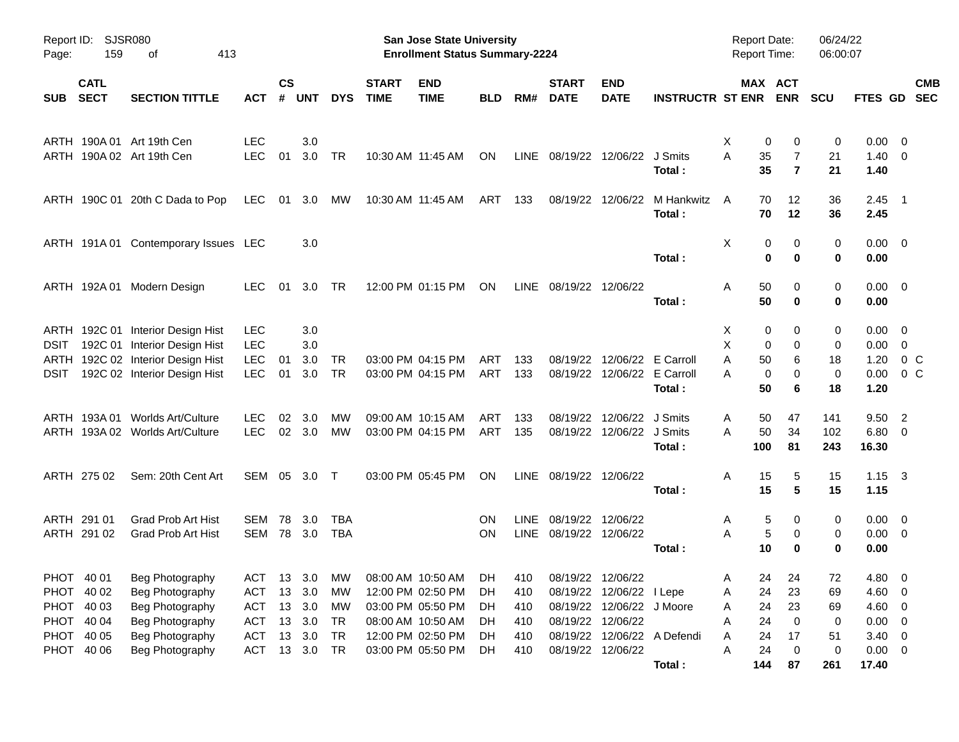| Page:      | <b>SJSR080</b><br>Report ID:<br>159<br>413<br>οf |                                      |            |                    |            |            |                             | San Jose State University<br><b>Enrollment Status Summary-2224</b> |           |             |                             |                             |                             | <b>Report Date:</b><br>Report Time: |                                  | 06/24/22<br>06:00:07 |                     |                          |            |
|------------|--------------------------------------------------|--------------------------------------|------------|--------------------|------------|------------|-----------------------------|--------------------------------------------------------------------|-----------|-------------|-----------------------------|-----------------------------|-----------------------------|-------------------------------------|----------------------------------|----------------------|---------------------|--------------------------|------------|
| <b>SUB</b> | <b>CATL</b><br><b>SECT</b>                       | <b>SECTION TITTLE</b>                | <b>ACT</b> | $\mathsf{cs}$<br># | <b>UNT</b> | <b>DYS</b> | <b>START</b><br><b>TIME</b> | <b>END</b><br><b>TIME</b>                                          | BLD       | RM#         | <b>START</b><br><b>DATE</b> | <b>END</b><br><b>DATE</b>   | <b>INSTRUCTR ST ENR ENR</b> |                                     | MAX ACT                          | <b>SCU</b>           | FTES GD             | <b>SEC</b>               | <b>CMB</b> |
|            |                                                  | ARTH 190A 01 Art 19th Cen            | <b>LEC</b> |                    | 3.0        |            |                             |                                                                    |           |             |                             |                             |                             | X<br>0                              | 0                                | 0                    | 0.00                | $\mathbf{0}$             |            |
|            |                                                  | ARTH 190A 02 Art 19th Cen            | <b>LEC</b> | 01                 | 3.0        | <b>TR</b>  | 10:30 AM 11:45 AM           |                                                                    | ON        | LINE        | 08/19/22 12/06/22           |                             | J Smits<br>Total:           | А<br>35<br>35                       | $\overline{7}$<br>$\overline{7}$ | 21<br>21             | 1.40<br>1.40        | $\overline{0}$           |            |
|            |                                                  | ARTH 190C 01 20th C Dada to Pop      | LEC        | 01                 | 3.0        | MW         |                             | 10:30 AM 11:45 AM                                                  | ART       | 133         |                             | 08/19/22 12/06/22           | M Hankwitz<br>Total:        | 70<br>A<br>70                       | 12<br>12                         | 36<br>36             | 2.45<br>2.45        | $\overline{\phantom{1}}$ |            |
|            |                                                  | ARTH 191A 01 Contemporary Issues LEC |            |                    | 3.0        |            |                             |                                                                    |           |             |                             |                             | Total:                      | X                                   | 0<br>0<br>$\bf{0}$<br>0          | 0<br>$\bf{0}$        | $0.00 \t 0$<br>0.00 |                          |            |
|            |                                                  | ARTH 192A 01 Modern Design           | <b>LEC</b> | 01                 | 3.0        | TR         |                             | 12:00 PM 01:15 PM                                                  | ON        | LINE        | 08/19/22 12/06/22           |                             | Total:                      | 50<br>Α<br>50                       | 0<br>$\bf{0}$                    | 0<br>$\bf{0}$        | $0.00 \t 0$<br>0.00 |                          |            |
|            |                                                  | ARTH 192C 01 Interior Design Hist    | LEC        |                    | 3.0        |            |                             |                                                                    |           |             |                             |                             |                             | X                                   | 0<br>0                           | 0                    | 0.00                | $\overline{0}$           |            |
| DSIT       |                                                  | 192C 01 Interior Design Hist         | <b>LEC</b> |                    | 3.0        |            |                             |                                                                    |           |             |                             |                             |                             | X                                   | 0<br>0                           | 0                    | 0.00                | $\mathbf 0$              |            |
| ARTH       |                                                  | 192C 02 Interior Design Hist         | <b>LEC</b> | 01                 | 3.0        | <b>TR</b>  |                             | 03:00 PM 04:15 PM                                                  | ART       | 133         |                             | 08/19/22 12/06/22           | E Carroll                   | Α<br>50                             | 6                                | 18                   | 1.20                | 0 <sup>o</sup>           |            |
| DSIT       |                                                  | 192C 02 Interior Design Hist         | <b>LEC</b> | 01                 | 3.0        | <b>TR</b>  |                             | 03:00 PM 04:15 PM                                                  | ART       | 133         |                             | 08/19/22 12/06/22 E Carroll |                             | 0<br>А                              | 0                                | $\mathbf 0$          | 0.00                | 0 <sup>o</sup>           |            |
|            |                                                  |                                      |            |                    |            |            |                             |                                                                    |           |             |                             |                             | Total:                      | 50                                  | 6                                | 18                   | 1.20                |                          |            |
|            | ARTH 193A 01                                     | <b>Worlds Art/Culture</b>            | LEC.       | 02                 | 3.0        | MW         |                             | 09:00 AM 10:15 AM                                                  | ART       | 133         | 08/19/22                    | 12/06/22                    | J Smits                     | 50<br>A                             | 47                               | 141                  | 9.50                | $\overline{2}$           |            |
|            |                                                  | ARTH 193A 02 Worlds Art/Culture      | <b>LEC</b> |                    | 02 3.0     | <b>MW</b>  |                             | 03:00 PM 04:15 PM                                                  | ART       | 135         |                             | 08/19/22 12/06/22           | J Smits                     | А<br>50                             | 34                               | 102                  | 6.80                | - 0                      |            |
|            |                                                  |                                      |            |                    |            |            |                             |                                                                    |           |             |                             |                             | Total:                      | 100                                 | 81                               | 243                  | 16.30               |                          |            |
|            | ARTH 275 02                                      | Sem: 20th Cent Art                   | SEM 05 3.0 |                    |            | $\top$     |                             | 03:00 PM 05:45 PM                                                  | ON        |             | LINE 08/19/22 12/06/22      |                             |                             | Α<br>15                             | 5                                | 15                   | $1.15 \quad 3$      |                          |            |
|            |                                                  |                                      |            |                    |            |            |                             |                                                                    |           |             |                             |                             | Total:                      | 15                                  | 5                                | 15                   | 1.15                |                          |            |
|            | ARTH 291 01                                      | <b>Grad Prob Art Hist</b>            | <b>SEM</b> | 78                 | 3.0        | <b>TBA</b> |                             |                                                                    | <b>ON</b> | <b>LINE</b> | 08/19/22 12/06/22           |                             |                             | Α                                   | 5<br>0                           | 0                    | 0.00                | $\overline{\mathbf{0}}$  |            |
|            | ARTH 291 02                                      | <b>Grad Prob Art Hist</b>            | SEM 78 3.0 |                    |            | <b>TBA</b> |                             |                                                                    | <b>ON</b> | LINE        | 08/19/22 12/06/22           |                             |                             | Α                                   | $\mathbf 5$<br>0                 | 0                    | 0.00                | $\overline{0}$           |            |
|            |                                                  |                                      |            |                    |            |            |                             |                                                                    |           |             |                             |                             | Total:                      | 10                                  | $\bf{0}$                         | $\mathbf 0$          | 0.00                |                          |            |
|            | PHOT 40 01                                       | <b>Beg Photography</b>               |            |                    |            |            |                             | ACT 13 3.0 MW 08:00 AM 10:50 AM DH 410                             |           |             | 08/19/22 12/06/22           |                             |                             | Α                                   | 24 24                            | 72                   | 4.80 0              |                          |            |
|            | PHOT 40 02                                       | Beg Photography                      | <b>ACT</b> | 13                 | 3.0        | МW         |                             | 12:00 PM 02:50 PM                                                  | DH        | 410         |                             | 08/19/22 12/06/22 I Lepe    |                             | 24<br>Α                             | 23                               | 69                   | 4.60                | 0                        |            |
|            | PHOT 40 03                                       | Beg Photography                      | <b>ACT</b> | 13                 | 3.0        | <b>MW</b>  |                             | 03:00 PM 05:50 PM                                                  | DH        | 410         |                             | 08/19/22 12/06/22 J Moore   |                             | 24<br>Α                             | 23                               | 69                   | 4.60                | 0                        |            |
|            | PHOT 40 04                                       | Beg Photography                      | <b>ACT</b> |                    | 13 3.0     | <b>TR</b>  |                             | 08:00 AM 10:50 AM                                                  | DH.       | 410         | 08/19/22 12/06/22           |                             |                             | 24<br>Α                             | 0                                | 0                    | 0.00                | $\mathbf 0$              |            |
|            | PHOT 40 05                                       | Beg Photography                      | <b>ACT</b> | 13                 | 3.0        | <b>TR</b>  |                             | 12:00 PM 02:50 PM                                                  | DH        | 410         | 08/19/22                    |                             | 12/06/22 A Defendi          | 24<br>Α                             | 17                               | 51                   | 3.40                | $\mathbf 0$              |            |
|            | PHOT 40 06                                       | Beg Photography                      | <b>ACT</b> |                    | 13 3.0     | TR         |                             | 03:00 PM 05:50 PM                                                  | DH        | 410         |                             | 08/19/22 12/06/22           |                             | Α<br>24                             | 0                                | 0                    | 0.00                | 0                        |            |
|            |                                                  |                                      |            |                    |            |            |                             |                                                                    |           |             |                             |                             | Total:                      | 144                                 | 87                               | 261                  | 17.40               |                          |            |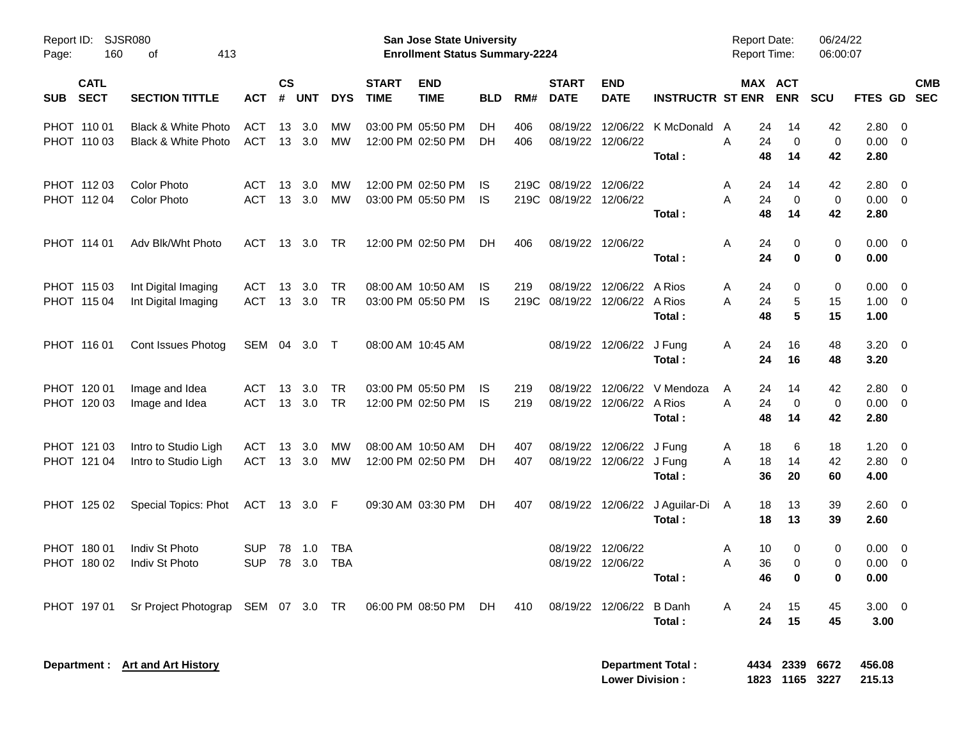| Report ID:<br>160<br>Page:               | SJSR080<br>413<br>оf                         |                          |                |               |                          |                             | San Jose State University<br><b>Enrollment Status Summary-2224</b> |            |             |                             |                             |                                 | <b>Report Date:</b><br><b>Report Time:</b> |                             | 06/24/22<br>06:00:07    |                        |                                                      |                          |
|------------------------------------------|----------------------------------------------|--------------------------|----------------|---------------|--------------------------|-----------------------------|--------------------------------------------------------------------|------------|-------------|-----------------------------|-----------------------------|---------------------------------|--------------------------------------------|-----------------------------|-------------------------|------------------------|------------------------------------------------------|--------------------------|
| <b>CATL</b><br><b>SECT</b><br><b>SUB</b> | <b>SECTION TITTLE</b>                        | <b>ACT</b>               | <b>CS</b><br># | <b>UNT</b>    | <b>DYS</b>               | <b>START</b><br><b>TIME</b> | <b>END</b><br><b>TIME</b>                                          | <b>BLD</b> | RM#         | <b>START</b><br><b>DATE</b> | <b>END</b><br><b>DATE</b>   | <b>INSTRUCTR ST ENR</b>         | MAX ACT                                    | <b>ENR</b>                  | <b>SCU</b>              | <b>FTES GD</b>         |                                                      | <b>CMB</b><br><b>SEC</b> |
| PHOT 110 01<br>PHOT 110 03               | Black & White Photo<br>Black & White Photo   | ACT<br><b>ACT</b>        | 13             | 3.0<br>13 3.0 | MW<br>MW                 |                             | 03:00 PM 05:50 PM<br>12:00 PM 02:50 PM                             | DН<br>DН   | 406<br>406  | 08/19/22<br>08/19/22        | 12/06/22<br>12/06/22        | K McDonald<br>Total:            | 24<br>A<br>Α<br>24<br>48                   | 14<br>0<br>14               | 42<br>$\mathbf 0$<br>42 | 2.80<br>0.00<br>2.80   | $\overline{\mathbf{0}}$<br>$\overline{\mathbf{0}}$   |                          |
| PHOT 112 03<br>PHOT 112 04               | <b>Color Photo</b><br><b>Color Photo</b>     | <b>ACT</b><br><b>ACT</b> | 13             | 3.0<br>13 3.0 | MW<br>MW                 |                             | 12:00 PM 02:50 PM<br>03:00 PM 05:50 PM                             | IS.<br>IS  | 219C        | 08/19/22<br>219C 08/19/22   | 12/06/22<br>12/06/22        | Total:                          | 24<br>A<br>24<br>A<br>48                   | 14<br>0<br>14               | 42<br>0<br>42           | 2.80<br>0.00<br>2.80   | $\overline{\mathbf{0}}$<br>$\overline{\phantom{0}}$  |                          |
| PHOT 114 01                              | Adv Blk/Wht Photo                            | ACT                      | 13             | 3.0           | TR                       |                             | 12:00 PM 02:50 PM                                                  | DH         | 406         |                             | 08/19/22 12/06/22           | Total:                          | 24<br>Α<br>24                              | 0<br>0                      | 0<br>0                  | $0.00 \quad 0$<br>0.00 |                                                      |                          |
| PHOT 115 03<br>PHOT 115 04               | Int Digital Imaging<br>Int Digital Imaging   | ACT<br><b>ACT</b>        | 13             | 3.0<br>13 3.0 | <b>TR</b><br>TR          |                             | 08:00 AM 10:50 AM<br>03:00 PM 05:50 PM                             | IS<br>IS   | 219<br>219C | 08/19/22<br>08/19/22        | 12/06/22<br>12/06/22        | A Rios<br>A Rios<br>Total:      | Α<br>24<br>24<br>A<br>48                   | 0<br>5<br>5                 | 0<br>15<br>15           | 0.00<br>1.00<br>1.00   | $\overline{\mathbf{0}}$<br>$\overline{\mathbf{0}}$   |                          |
| PHOT 116 01                              | Cont Issues Photog                           | SEM 04 3.0               |                |               | $\top$                   |                             | 08:00 AM 10:45 AM                                                  |            |             | 08/19/22                    | 12/06/22                    | J Fung<br>Total:                | 24<br>Α<br>24                              | 16<br>16                    | 48<br>48                | $3.20 \ 0$<br>3.20     |                                                      |                          |
| PHOT 120 01<br>PHOT 120 03               | Image and Idea<br>Image and Idea             | ACT<br><b>ACT</b>        | 13             | 3.0<br>13 3.0 | <b>TR</b><br>TR          |                             | 03:00 PM 05:50 PM<br>12:00 PM 02:50 PM                             | IS<br>IS   | 219<br>219  | 08/19/22<br>08/19/22        | 12/06/22<br>12/06/22        | V Mendoza<br>A Rios<br>Total:   | 24<br>A<br>A<br>24<br>48                   | 14<br>0<br>14               | 42<br>0<br>42           | 2.80<br>0.00<br>2.80   | $\overline{\mathbf{0}}$<br>$\overline{\phantom{0}}$  |                          |
| PHOT 121 03<br>PHOT 121 04               | Intro to Studio Ligh<br>Intro to Studio Ligh | ACT<br>ACT               | 13             | 3.0<br>13 3.0 | MW<br>MW                 |                             | 08:00 AM 10:50 AM<br>12:00 PM 02:50 PM                             | DН<br>DН   | 407<br>407  | 08/19/22<br>08/19/22        | 12/06/22<br>12/06/22 J Fung | J Fung<br>Total:                | 18<br>A<br>18<br>A<br>36                   | 6<br>14<br>20               | 18<br>42<br>60          | 1.20<br>2.80<br>4.00   | $\overline{\phantom{0}}$<br>$\overline{\phantom{0}}$ |                          |
| PHOT 125 02                              | Special Topics: Phot                         | ACT 13 3.0 F             |                |               |                          |                             | 09:30 AM 03:30 PM                                                  | DH         | 407         | 08/19/22                    |                             | 12/06/22 J Aguilar-Di<br>Total: | 18<br>A<br>18                              | 13<br>13                    | 39<br>39                | $2.60 \t 0$<br>2.60    |                                                      |                          |
| PHOT 180 01<br>PHOT 180 02               | Indiv St Photo<br>Indiv St Photo             | <b>SUP</b><br><b>SUP</b> | 78<br>78       | 1.0<br>3.0    | <b>TBA</b><br><b>TBA</b> |                             |                                                                    |            |             | 08/19/22<br>08/19/22        | 12/06/22<br>12/06/22        | Total :                         | 10<br>A<br>36<br>A<br>46.                  | 0<br>0<br><sup>0</sup>      | 0<br>0<br><sup>0</sup>  | 0.00<br>0.00<br>0.00   | $\overline{\mathbf{0}}$<br>$\overline{\mathbf{0}}$   |                          |
| PHOT 197 01                              | Sr Project Photograp SEM 07 3.0 TR           |                          |                |               |                          |                             | 06:00 PM 08:50 PM                                                  | DH.        | 410         |                             | 08/19/22 12/06/22 B Danh    | Total:                          | A<br>24<br>24                              | 15<br>15                    | 45<br>45                | $3.00 \t 0$<br>3.00    |                                                      |                          |
|                                          | Department : Art and Art History             |                          |                |               |                          |                             |                                                                    |            |             |                             | <b>Lower Division:</b>      | <b>Department Total:</b>        |                                            | 4434 2339<br>1823 1165 3227 | 6672                    | 456.08<br>215.13       |                                                      |                          |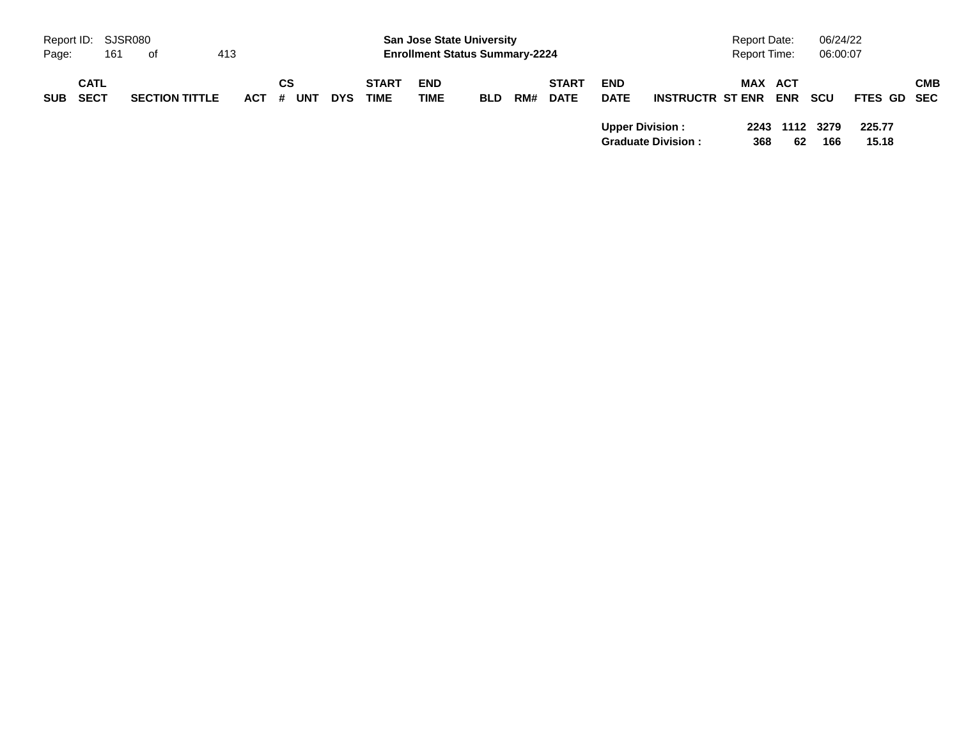|            | Report ID: SJSR080         |     |                       |     |         |    |            |            |                             | <b>San Jose State University</b>      |            |     |                             |                           |                           | <b>Report Date:</b> |            | 06/24/22              |                 |            |
|------------|----------------------------|-----|-----------------------|-----|---------|----|------------|------------|-----------------------------|---------------------------------------|------------|-----|-----------------------------|---------------------------|---------------------------|---------------------|------------|-----------------------|-----------------|------------|
| Page:      |                            | 161 | of                    | 413 |         |    |            |            |                             | <b>Enrollment Status Summary-2224</b> |            |     |                             |                           |                           | Report Time:        |            | 06:00:07              |                 |            |
| <b>SUB</b> | <b>CATL</b><br><b>SECT</b> |     | <b>SECTION TITTLE</b> |     | $ACT$ # | СS | <b>UNT</b> | <b>DYS</b> | <b>START</b><br><b>TIME</b> | <b>END</b><br><b>TIME</b>             | <b>BLD</b> | RM# | <b>START</b><br><b>DATE</b> | <b>END</b><br><b>DATE</b> | <b>INSTRUCTR ST ENR</b>   | <b>MAX ACT</b>      | <b>ENR</b> | <b>SCU</b>            | FTES GD SEC     | <b>CMB</b> |
|            |                            |     |                       |     |         |    |            |            |                             |                                       |            |     |                             | <b>Upper Division:</b>    | <b>Graduate Division:</b> | 368                 | 62         | 2243 1112 3279<br>166 | 225.77<br>15.18 |            |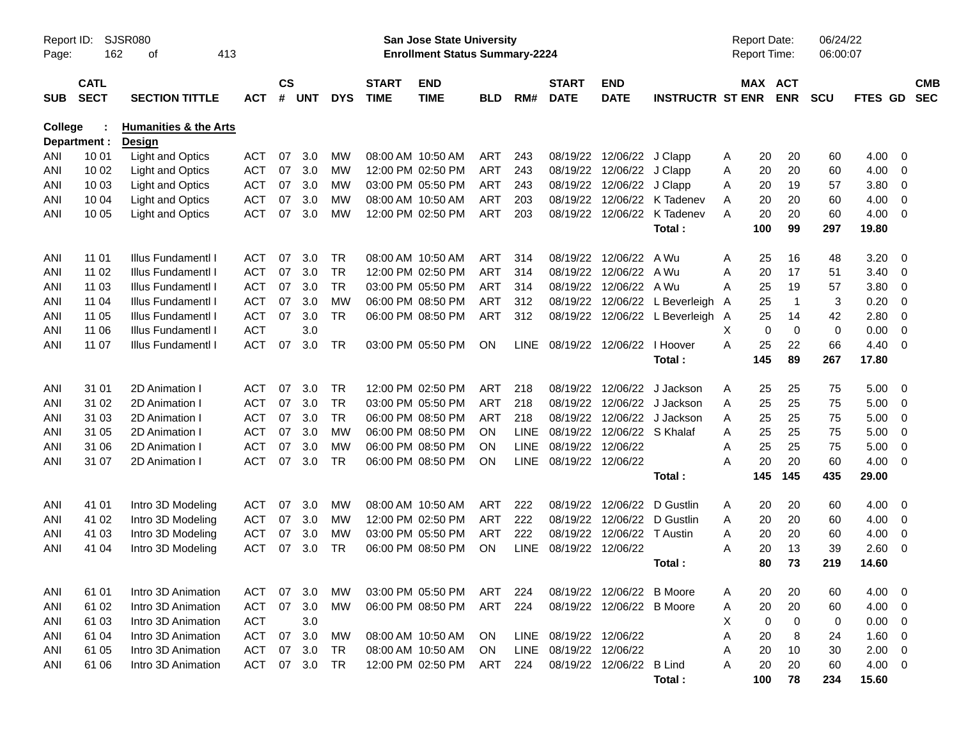| Page:          | <b>SJSR080</b><br>Report ID:<br>162<br>413<br>оf<br><b>CATL</b> |                                                   |            |                |            |            |                             | San Jose State University<br><b>Enrollment Status Summary-2224</b> |            |             |                                 |                            |                         | Report Date:<br>Report Time: |     |                       | 06/24/22<br>06:00:07 |                |                          |                          |
|----------------|-----------------------------------------------------------------|---------------------------------------------------|------------|----------------|------------|------------|-----------------------------|--------------------------------------------------------------------|------------|-------------|---------------------------------|----------------------------|-------------------------|------------------------------|-----|-----------------------|----------------------|----------------|--------------------------|--------------------------|
| <b>SUB</b>     | <b>SECT</b>                                                     | <b>SECTION TITTLE</b>                             | <b>ACT</b> | <b>CS</b><br># | <b>UNT</b> | <b>DYS</b> | <b>START</b><br><b>TIME</b> | <b>END</b><br><b>TIME</b>                                          | <b>BLD</b> | RM#         | <b>START</b><br><b>DATE</b>     | <b>END</b><br><b>DATE</b>  | <b>INSTRUCTR ST ENR</b> |                              |     | MAX ACT<br><b>ENR</b> | <b>SCU</b>           | <b>FTES GD</b> |                          | <b>CMB</b><br><b>SEC</b> |
| <b>College</b> | Department :                                                    | <b>Humanities &amp; the Arts</b><br><b>Design</b> |            |                |            |            |                             |                                                                    |            |             |                                 |                            |                         |                              |     |                       |                      |                |                          |                          |
| ANI            | 10 01                                                           | <b>Light and Optics</b>                           | <b>ACT</b> | 07             | 3.0        | МW         |                             | 08:00 AM 10:50 AM                                                  | ART        | 243         | 08/19/22                        | 12/06/22                   | J Clapp                 | A                            | 20  | 20                    | 60                   | 4.00           | 0                        |                          |
| ANI            | 10 02                                                           | <b>Light and Optics</b>                           | <b>ACT</b> | 07             | 3.0        | MW         |                             | 12:00 PM 02:50 PM                                                  | <b>ART</b> | 243         |                                 | 08/19/22 12/06/22          | J Clapp                 | Α                            | 20  | 20                    | 60                   | 4.00           | 0                        |                          |
| ANI            | 10 03                                                           | <b>Light and Optics</b>                           | <b>ACT</b> | 07             | 3.0        | MW         |                             | 03:00 PM 05:50 PM                                                  | ART        | 243         |                                 | 08/19/22 12/06/22          | J Clapp                 | A                            | 20  | 19                    | 57                   | 3.80           | $\mathbf 0$              |                          |
| ANI            | 10 04                                                           | <b>Light and Optics</b>                           | <b>ACT</b> | 07             | 3.0        | МW         |                             | 08:00 AM 10:50 AM                                                  | ART        | 203         | 08/19/22                        | 12/06/22                   | K Tadenev               | Α                            | 20  | 20                    | 60                   | 4.00           | 0                        |                          |
| ANI            | 10 05                                                           | <b>Light and Optics</b>                           | <b>ACT</b> | 07             | 3.0        | MW         |                             | 12:00 PM 02:50 PM                                                  | ART        | 203         |                                 | 08/19/22 12/06/22          | K Tadenev               | A                            | 20  | 20                    | 60                   | 4.00           | 0                        |                          |
|                |                                                                 |                                                   |            |                |            |            |                             |                                                                    |            |             |                                 |                            | Total:                  |                              | 100 | 99                    | 297                  | 19.80          |                          |                          |
| ANI            | 11 01                                                           | Illus Fundamentl I                                | ACT        | 07             | 3.0        | TR         |                             | 08:00 AM 10:50 AM                                                  | ART        | 314         | 08/19/22                        | 12/06/22                   | A Wu                    | A                            | 25  | 16                    | 48                   | 3.20           | 0                        |                          |
| ANI            | 11 02                                                           | Illus Fundamentl I                                | <b>ACT</b> | 07             | 3.0        | <b>TR</b>  |                             | 12:00 PM 02:50 PM                                                  | <b>ART</b> | 314         | 08/19/22                        | 12/06/22                   | A Wu                    | A                            | 20  | 17                    | 51                   | 3.40           | 0                        |                          |
| ANI            | 11 03                                                           | Illus Fundamentl I                                | <b>ACT</b> | 07             | 3.0        | <b>TR</b>  |                             | 03:00 PM 05:50 PM                                                  | <b>ART</b> | 314         |                                 | 08/19/22 12/06/22          | A Wu                    | A                            | 25  | 19                    | 57                   | 3.80           | 0                        |                          |
| ANI            | 11 04                                                           | Illus Fundamentl I                                | <b>ACT</b> | 07             | 3.0        | МW         |                             | 06:00 PM 08:50 PM                                                  | ART        | 312         | 08/19/22                        | 12/06/22                   | L Beverleigh            | A                            | 25  | $\overline{1}$        | 3                    | 0.20           | $\mathbf 0$              |                          |
| ANI            | 11 05                                                           | Illus Fundamentl I                                | <b>ACT</b> | 07             | 3.0        | TR         |                             | 06:00 PM 08:50 PM                                                  | ART        | 312         |                                 | 08/19/22 12/06/22          | L Beverleigh            | A                            | 25  | 14                    | 42                   | 2.80           | $\overline{0}$           |                          |
| ANI            | 11 06                                                           | <b>Illus FundamentI I</b>                         | <b>ACT</b> |                | 3.0        |            |                             |                                                                    |            |             |                                 |                            |                         | X                            | 0   | 0                     | $\mathbf 0$          | 0.00           | $\mathbf 0$              |                          |
| ANI            | 11 07                                                           | <b>Illus FundamentI I</b>                         | <b>ACT</b> | 07             | 3.0        | TR         |                             | 03:00 PM 05:50 PM                                                  | ON         |             | LINE 08/19/22 12/06/22 I Hoover |                            |                         | A                            | 25  | 22                    | 66                   | 4.40           | 0                        |                          |
|                |                                                                 |                                                   |            |                |            |            |                             |                                                                    |            |             |                                 |                            | Total:                  |                              | 145 | 89                    | 267                  | 17.80          |                          |                          |
| ANI            | 31 01                                                           | 2D Animation I                                    | <b>ACT</b> | 07             | 3.0        | <b>TR</b>  |                             | 12:00 PM 02:50 PM                                                  | ART        | 218         |                                 | 08/19/22 12/06/22          | J Jackson               | A                            | 25  | 25                    | 75                   | 5.00           | - 0                      |                          |
| ANI            | 31 02                                                           | 2D Animation I                                    | <b>ACT</b> | 07             | 3.0        | <b>TR</b>  |                             | 03:00 PM 05:50 PM                                                  | ART        | 218         |                                 | 08/19/22 12/06/22          | J Jackson               | Α                            | 25  | 25                    | 75                   | 5.00           | $\mathbf 0$              |                          |
| ANI            | 31 03                                                           | 2D Animation I                                    | <b>ACT</b> | 07             | 3.0        | <b>TR</b>  |                             | 06:00 PM 08:50 PM                                                  | ART        | 218         | 08/19/22                        | 12/06/22                   | J Jackson               | Α                            | 25  | 25                    | 75                   | 5.00           | 0                        |                          |
| ANI            | 31 05                                                           | 2D Animation I                                    | <b>ACT</b> | 07             | 3.0        | <b>MW</b>  |                             | 06:00 PM 08:50 PM                                                  | ON         | <b>LINE</b> |                                 | 08/19/22 12/06/22 S Khalaf |                         | Α                            | 25  | 25                    | 75                   | 5.00           | 0                        |                          |
| ANI            | 31 06                                                           | 2D Animation I                                    | <b>ACT</b> | 07             | 3.0        | МW         |                             | 06:00 PM 08:50 PM                                                  | <b>ON</b>  | <b>LINE</b> | 08/19/22 12/06/22               |                            |                         | A                            | 25  | 25                    | 75                   | 5.00           | 0                        |                          |
| ANI            | 31 07                                                           | 2D Animation I                                    | <b>ACT</b> | 07             | 3.0        | TR         |                             | 06:00 PM 08:50 PM                                                  | <b>ON</b>  | <b>LINE</b> | 08/19/22 12/06/22               |                            |                         | А                            | 20  | 20                    | 60                   | 4.00           | 0                        |                          |
|                |                                                                 |                                                   |            |                |            |            |                             |                                                                    |            |             |                                 |                            | Total:                  |                              | 145 | 145                   | 435                  | 29.00          |                          |                          |
| ANI            | 41 01                                                           | Intro 3D Modeling                                 | ACT        | 07             | 3.0        | <b>MW</b>  |                             | 08:00 AM 10:50 AM                                                  | ART        | 222         | 08/19/22                        | 12/06/22                   | D Gustlin               | A                            | 20  | 20                    | 60                   | 4.00           | 0                        |                          |
| ANI            | 41 02                                                           | Intro 3D Modeling                                 | <b>ACT</b> | 07             | 3.0        | МW         |                             | 12:00 PM 02:50 PM                                                  | ART        | 222         | 08/19/22                        | 12/06/22                   | D Gustlin               | Α                            | 20  | 20                    | 60                   | 4.00           | 0                        |                          |
| ANI            | 41 03                                                           | Intro 3D Modeling                                 | <b>ACT</b> | 07             | 3.0        | MW         |                             | 03:00 PM 05:50 PM                                                  | ART        | 222         | 08/19/22                        | 12/06/22                   | T Austin                | Α                            | 20  | 20                    | 60                   | 4.00           | 0                        |                          |
| ANI            | 41 04                                                           | Intro 3D Modeling                                 | <b>ACT</b> | 07             | 3.0        | TR         |                             | 06:00 PM 08:50 PM                                                  | ON         | <b>LINE</b> | 08/19/22 12/06/22               |                            |                         | Α                            | 20  | 13                    | 39                   | 2.60           | 0                        |                          |
|                |                                                                 |                                                   |            |                |            |            |                             |                                                                    |            |             |                                 |                            | Total:                  |                              | 80  | 73                    | 219                  | 14.60          |                          |                          |
| ANI            | 61 01                                                           | Intro 3D Animation                                | ACT        | 07             | 3.0        | МW         |                             | 03:00 PM 05:50 PM                                                  | ART        | 224         |                                 | 08/19/22 12/06/22 B Moore  |                         | A                            | 20  | 20                    | 60                   | 4.00           | $\overline{\phantom{0}}$ |                          |
| ANI            | 61 02                                                           | Intro 3D Animation                                | <b>ACT</b> | 07             | 3.0        | МW         |                             | 06:00 PM 08:50 PM                                                  | ART        | 224         |                                 | 08/19/22 12/06/22 B Moore  |                         | Α                            | 20  | 20                    | 60                   | 4.00           | - 0                      |                          |
| ANI            | 61 03                                                           | Intro 3D Animation                                | <b>ACT</b> |                | 3.0        |            |                             |                                                                    |            |             |                                 |                            |                         | Х                            | 0   | $\mathbf 0$           | 0                    | 0.00           | $\overline{0}$           |                          |
| ANI            | 61 04                                                           | Intro 3D Animation                                | <b>ACT</b> | 07             | 3.0        | MW         |                             | 08:00 AM 10:50 AM                                                  | ON         |             | LINE 08/19/22 12/06/22          |                            |                         | Α                            | 20  | 8                     | 24                   | 1.60           | - 0                      |                          |
| ANI            | 61 05                                                           | Intro 3D Animation                                | <b>ACT</b> | 07             | 3.0        | TR         |                             | 08:00 AM 10:50 AM                                                  | ON         | LINE        | 08/19/22 12/06/22               |                            |                         | Α                            | 20  | 10                    | 30                   | 2.00           | $\overline{\mathbf{0}}$  |                          |
| ANI            | 61 06                                                           | Intro 3D Animation                                | <b>ACT</b> | 07             | 3.0        | <b>TR</b>  |                             | 12:00 PM 02:50 PM                                                  | ART        | 224         |                                 | 08/19/22 12/06/22 B Lind   |                         | A                            | 20  | 20                    | 60                   | $4.00 \ 0$     |                          |                          |
|                |                                                                 |                                                   |            |                |            |            |                             |                                                                    |            |             |                                 |                            | Total:                  |                              | 100 | 78                    | 234                  | 15.60          |                          |                          |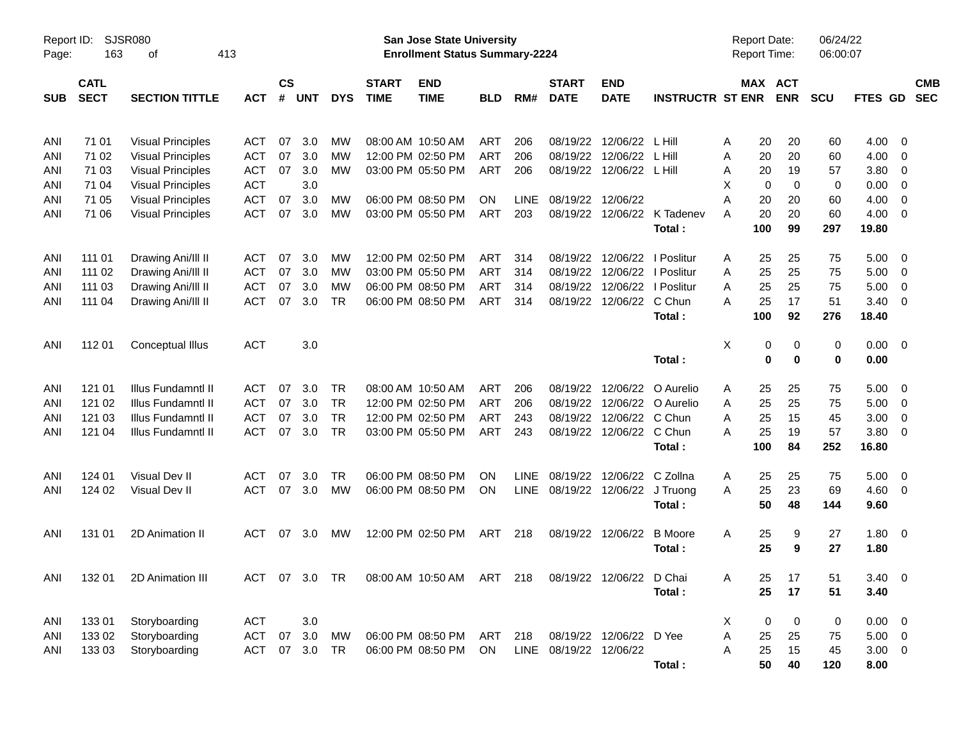| Page:      | <b>SJSR080</b><br>Report ID:<br>413<br>163<br>оf                  |                          |            |                    |            |            |                             | <b>San Jose State University</b><br><b>Enrollment Status Summary-2224</b> |            |             |                             |                           |                             |    |          | Report Date:<br>Report Time: | 06/24/22<br>06:00:07 |             |                         |                          |
|------------|-------------------------------------------------------------------|--------------------------|------------|--------------------|------------|------------|-----------------------------|---------------------------------------------------------------------------|------------|-------------|-----------------------------|---------------------------|-----------------------------|----|----------|------------------------------|----------------------|-------------|-------------------------|--------------------------|
| <b>SUB</b> | <b>CATL</b><br><b>SECT</b><br><b>SECTION TITTLE</b><br><b>ACT</b> |                          |            | $\mathsf{cs}$<br># | <b>UNT</b> | <b>DYS</b> | <b>START</b><br><b>TIME</b> | <b>END</b><br><b>TIME</b>                                                 | <b>BLD</b> | RM#         | <b>START</b><br><b>DATE</b> | <b>END</b><br><b>DATE</b> | <b>INSTRUCTR ST ENR</b>     |    |          | MAX ACT<br><b>ENR</b>        | <b>SCU</b>           | FTES GD     |                         | <b>CMB</b><br><b>SEC</b> |
| ANI        | 71 01                                                             | <b>Visual Principles</b> | <b>ACT</b> | 07                 | 3.0        | МW         |                             | 08:00 AM 10:50 AM                                                         | <b>ART</b> | 206         | 08/19/22                    | 12/06/22                  | L Hill                      | Α  | 20       | 20                           | 60                   | 4.00        | 0                       |                          |
| ANI        | 71 02                                                             | <b>Visual Principles</b> | <b>ACT</b> | 07                 | 3.0        | МW         |                             | 12:00 PM 02:50 PM                                                         | <b>ART</b> | 206         | 08/19/22                    | 12/06/22                  | L Hill                      | Α  | 20       | 20                           | 60                   | 4.00        | 0                       |                          |
| ANI        | 71 03                                                             | <b>Visual Principles</b> | ACT        | 07                 | 3.0        | MW         |                             | 03:00 PM 05:50 PM                                                         | <b>ART</b> | 206         | 08/19/22                    | 12/06/22                  | L Hill                      | Α  | 20       | 19                           | 57                   | 3.80        | 0                       |                          |
| ANI        | 71 04                                                             | <b>Visual Principles</b> | <b>ACT</b> |                    | 3.0        |            |                             |                                                                           |            |             |                             |                           |                             | Χ  | 0        | 0                            | 0                    | 0.00        | 0                       |                          |
| ANI        | 71 05                                                             | <b>Visual Principles</b> | <b>ACT</b> | 07                 | 3.0        | МW         |                             | 06:00 PM 08:50 PM                                                         | <b>ON</b>  | LINE        | 08/19/22 12/06/22           |                           |                             | Α  | 20       | 20                           | 60                   | 4.00        | 0                       |                          |
| ANI        | 71 06                                                             | <b>Visual Principles</b> | <b>ACT</b> | 07                 | 3.0        | MW         |                             | 03:00 PM 05:50 PM                                                         | ART        | 203         |                             |                           | 08/19/22 12/06/22 K Tadenev | A  | 20       | 20                           | 60                   | 4.00        | 0                       |                          |
|            |                                                                   |                          |            |                    |            |            |                             |                                                                           |            |             |                             |                           | Total:                      |    | 100      | 99                           | 297                  | 19.80       |                         |                          |
| ANI        | 111 01                                                            | Drawing Ani/III II       | <b>ACT</b> | 07                 | 3.0        | MW         |                             | 12:00 PM 02:50 PM                                                         | ART        | 314         | 08/19/22                    |                           | 12/06/22   Poslitur         | Α  | 25       | 25                           | 75                   | 5.00        | 0                       |                          |
| ANI        | 111 02                                                            | Drawing Ani/III II       | <b>ACT</b> | 07                 | 3.0        | MW         |                             | 03:00 PM 05:50 PM                                                         | <b>ART</b> | 314         | 08/19/22                    |                           | 12/06/22   Poslitur         | Α  | 25       | 25                           | 75                   | 5.00        | 0                       |                          |
| ANI        | 111 03                                                            | Drawing Ani/III II       | <b>ACT</b> | 07                 | 3.0        | МW         |                             | 06:00 PM 08:50 PM                                                         | <b>ART</b> | 314         | 08/19/22                    | 12/06/22                  | I Poslitur                  | Α  | 25       | 25                           | 75                   | 5.00        | 0                       |                          |
| ANI        | 111 04                                                            | Drawing Ani/III II       | <b>ACT</b> | 07                 | 3.0        | <b>TR</b>  |                             | 06:00 PM 08:50 PM                                                         | ART        | 314         |                             | 08/19/22 12/06/22         | C Chun                      | A  | 25       | 17                           | 51                   | 3.40        | 0                       |                          |
|            |                                                                   |                          |            |                    |            |            |                             |                                                                           |            |             |                             |                           | Total:                      |    | 100      | 92                           | 276                  | 18.40       |                         |                          |
| ANI        | 112 01                                                            | Conceptual Illus         | <b>ACT</b> |                    | 3.0        |            |                             |                                                                           |            |             |                             |                           |                             | X  | 0        | 0                            | 0                    | 0.00        | $\overline{0}$          |                          |
|            |                                                                   |                          |            |                    |            |            |                             |                                                                           |            |             |                             |                           | Total:                      |    | $\bf{0}$ | $\bf{0}$                     | 0                    | 0.00        |                         |                          |
| ANI        | 121 01                                                            | Illus Fundamntl II       | <b>ACT</b> | 07                 | 3.0        | <b>TR</b>  |                             | 08:00 AM 10:50 AM                                                         | <b>ART</b> | 206         | 08/19/22                    | 12/06/22                  | O Aurelio                   | A  | 25       | 25                           | 75                   | 5.00        | 0                       |                          |
| ANI        | 121 02                                                            | Illus Fundamntl II       | <b>ACT</b> | 07                 | 3.0        | <b>TR</b>  |                             | 12:00 PM 02:50 PM                                                         | <b>ART</b> | 206         | 08/19/22                    | 12/06/22                  | O Aurelio                   | Α  | 25       | 25                           | 75                   | 5.00        | $\mathbf 0$             |                          |
| ANI        | 121 03                                                            | Illus Fundamntl II       | <b>ACT</b> | 07                 | 3.0        | <b>TR</b>  |                             | 12:00 PM 02:50 PM                                                         | <b>ART</b> | 243         | 08/19/22                    | 12/06/22                  | C Chun                      | A  | 25       | 15                           | 45                   | 3.00        | $\mathbf 0$             |                          |
| ANI        | 121 04                                                            | Illus Fundamntl II       | <b>ACT</b> | 07                 | 3.0        | <b>TR</b>  |                             | 03:00 PM 05:50 PM                                                         | ART        | 243         |                             | 08/19/22 12/06/22 C Chun  |                             | Α  | 25       | 19                           | 57                   | 3.80        | 0                       |                          |
|            |                                                                   |                          |            |                    |            |            |                             |                                                                           |            |             |                             |                           | Total:                      |    | 100      | 84                           | 252                  | 16.80       |                         |                          |
| ANI        | 124 01                                                            | <b>Visual Dev II</b>     | <b>ACT</b> | 07                 | 3.0        | <b>TR</b>  |                             | 06:00 PM 08:50 PM                                                         | ON         | <b>LINE</b> | 08/19/22                    | 12/06/22                  | C Zollna                    | A  | 25       | 25                           | 75                   | 5.00        | $\overline{\mathbf{0}}$ |                          |
| ANI        | 124 02                                                            | Visual Dev II            | <b>ACT</b> | 07                 | 3.0        | <b>MW</b>  |                             | 06:00 PM 08:50 PM                                                         | ON         | <b>LINE</b> | 08/19/22 12/06/22           |                           | J Truong                    | A  | 25       | 23                           | 69                   | 4.60        | $\overline{0}$          |                          |
|            |                                                                   |                          |            |                    |            |            |                             |                                                                           |            |             |                             |                           | Total:                      |    | 50       | 48                           | 144                  | 9.60        |                         |                          |
| ANI        | 131 01                                                            | 2D Animation II          | <b>ACT</b> | 07                 | 3.0        | МW         |                             | 12:00 PM 02:50 PM                                                         | ART        | 218         |                             | 08/19/22 12/06/22         | <b>B</b> Moore              | Α  | 25       | 9                            | 27                   | 1.80 0      |                         |                          |
|            |                                                                   |                          |            |                    |            |            |                             |                                                                           |            |             |                             |                           | Total:                      |    | 25       | 9                            | 27                   | 1.80        |                         |                          |
| ANI        |                                                                   | 132 01 2D Animation III  |            |                    |            |            |                             | ACT 07 3.0 TR 08:00 AM 10:50 AM ART 218 08/19/22 12/06/22 D Chai          |            |             |                             |                           |                             | Α  | 25       | 17                           | 51                   | $3.40 \ 0$  |                         |                          |
|            |                                                                   |                          |            |                    |            |            |                             |                                                                           |            |             |                             |                           | Total:                      |    | 25       | 17                           | 51                   | 3.40        |                         |                          |
| ANI        | 133 01                                                            | Storyboarding            | <b>ACT</b> |                    | 3.0        |            |                             |                                                                           |            |             |                             |                           |                             | X. | 0        | 0                            | 0                    | $0.00 \t 0$ |                         |                          |
| ANI        | 133 02                                                            | Storyboarding            | <b>ACT</b> | 07                 | 3.0        | <b>MW</b>  |                             | 06:00 PM 08:50 PM                                                         | ART        | 218         |                             | 08/19/22 12/06/22 D Yee   |                             | A  | 25       | 25                           | 75                   | $5.00 \t 0$ |                         |                          |
| ANI        | 133 03                                                            | Storyboarding            | <b>ACT</b> |                    | 07 3.0     | TR         |                             | 06:00 PM 08:50 PM                                                         | ON         |             | LINE 08/19/22 12/06/22      |                           |                             | A  | 25       | 15                           | 45                   | $3.00 \t 0$ |                         |                          |
|            |                                                                   |                          |            |                    |            |            |                             |                                                                           |            |             |                             |                           | Total:                      |    | 50       | 40                           | 120                  | 8.00        |                         |                          |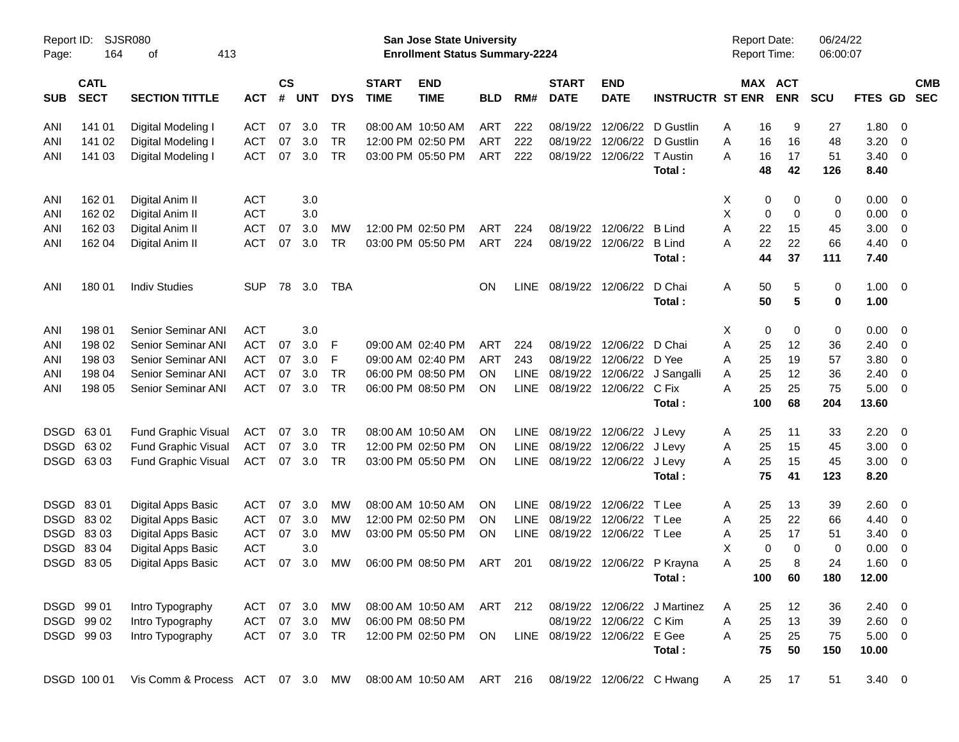| Page:       | SJSR080<br>Report ID:<br>164<br>413<br>οf |                                                            |               |                    |            |            |                             | San Jose State University<br><b>Enrollment Status Summary-2224</b> |            |             |                              |                            |                              | <b>Report Date:</b><br><b>Report Time:</b> |                       | 06/24/22<br>06:00:07 |              |                |                          |
|-------------|-------------------------------------------|------------------------------------------------------------|---------------|--------------------|------------|------------|-----------------------------|--------------------------------------------------------------------|------------|-------------|------------------------------|----------------------------|------------------------------|--------------------------------------------|-----------------------|----------------------|--------------|----------------|--------------------------|
| <b>SUB</b>  | <b>CATL</b><br><b>SECT</b>                | <b>SECTION TITTLE</b>                                      | <b>ACT</b>    | $\mathsf{cs}$<br># | <b>UNT</b> | <b>DYS</b> | <b>START</b><br><b>TIME</b> | <b>END</b><br><b>TIME</b>                                          | <b>BLD</b> | RM#         | <b>START</b><br><b>DATE</b>  | <b>END</b><br><b>DATE</b>  | <b>INSTRUCTR ST ENR</b>      |                                            | MAX ACT<br><b>ENR</b> | <b>SCU</b>           | FTES GD      |                | <b>CMB</b><br><b>SEC</b> |
| ANI         | 141 01                                    | Digital Modeling I                                         | ACT           | 07                 | 3.0        | TR         |                             | 08:00 AM 10:50 AM                                                  | ART        | 222         | 08/19/22                     | 12/06/22                   | D Gustlin                    | A                                          | 16                    | 9<br>27              | 1.80         | - 0            |                          |
| ANI         | 141 02                                    | Digital Modeling I                                         | <b>ACT</b>    | 07                 | 3.0        | <b>TR</b>  |                             | 12:00 PM 02:50 PM                                                  | <b>ART</b> | 222         | 08/19/22                     | 12/06/22                   | D Gustlin                    | A                                          | 16<br>16              | 48                   | 3.20         | 0              |                          |
| ANI         | 141 03                                    | Digital Modeling I                                         | <b>ACT</b>    | 07                 | 3.0        | <b>TR</b>  |                             | 03:00 PM 05:50 PM                                                  | <b>ART</b> | 222         | 08/19/22                     | 12/06/22                   | T Austin                     | Α                                          | 17<br>16              | 51                   | 3.40         | 0              |                          |
|             |                                           |                                                            |               |                    |            |            |                             |                                                                    |            |             |                              |                            | Total:                       |                                            | 48<br>42              | 126                  | 8.40         |                |                          |
| ANI         | 162 01                                    | Digital Anim II                                            | <b>ACT</b>    |                    | 3.0        |            |                             |                                                                    |            |             |                              |                            |                              | X                                          | 0                     | 0<br>0               | 0.00         | 0              |                          |
| ANI         | 162 02                                    | Digital Anim II                                            | <b>ACT</b>    |                    | 3.0        |            |                             |                                                                    |            |             |                              |                            |                              | X                                          | 0                     | 0<br>0               | 0.00         | 0              |                          |
| ANI         | 162 03                                    | Digital Anim II                                            | <b>ACT</b>    | 07                 | 3.0        | MW         |                             | 12:00 PM 02:50 PM                                                  | ART        | 224         | 08/19/22                     | 12/06/22                   | <b>B</b> Lind                | A                                          | 22<br>15              | 45                   | 3.00         | 0              |                          |
| ANI         | 162 04                                    | Digital Anim II                                            | <b>ACT</b>    | 07                 | 3.0        | TR.        |                             | 03:00 PM 05:50 PM                                                  | ART        | 224         | 08/19/22                     | 12/06/22                   | <b>B</b> Lind<br>Total:      | Α                                          | 22<br>22<br>44<br>37  | 66<br>111            | 4.40<br>7.40 | 0              |                          |
| ANI         | 180 01                                    | <b>Indiv Studies</b>                                       | <b>SUP</b>    | 78                 | 3.0        | TBA        |                             |                                                                    | OΝ         | <b>LINE</b> |                              | 08/19/22 12/06/22          | D Chai                       | Α                                          | 50                    | 0<br>5               | 1.00         | $\overline{0}$ |                          |
|             |                                           |                                                            |               |                    |            |            |                             |                                                                    |            |             |                              |                            | Total:                       |                                            | 50                    | 5<br>$\bf{0}$        | 1.00         |                |                          |
| ANI         | 198 01                                    | <b>Senior Seminar ANI</b>                                  | <b>ACT</b>    |                    | 3.0        |            |                             |                                                                    |            |             |                              |                            |                              | Χ                                          | 0                     | 0<br>0               | 0.00         | 0              |                          |
| ANI         | 198 02                                    | Senior Seminar ANI                                         | <b>ACT</b>    | 07                 | 3.0        | F          |                             | 09:00 AM 02:40 PM                                                  | ART        | 224         | 08/19/22                     | 12/06/22                   | D Chai                       | A                                          | 25<br>12              | 36                   | 2.40         | 0              |                          |
| ANI         | 198 03                                    | Senior Seminar ANI                                         | <b>ACT</b>    | 07                 | 3.0        | F          |                             | 09:00 AM 02:40 PM                                                  | ART        | 243         | 08/19/22                     | 12/06/22                   | D Yee                        | A                                          | 19<br>25              | 57                   | 3.80         | 0              |                          |
| ANI         | 198 04                                    | Senior Seminar ANI                                         | <b>ACT</b>    | 07                 | 3.0        | <b>TR</b>  |                             | 06:00 PM 08:50 PM                                                  | ON         | <b>LINE</b> | 08/19/22                     | 12/06/22                   | J Sangalli                   | A                                          | 25<br>12              | 36                   | 2.40         | 0              |                          |
| ANI         | 198 05                                    | <b>Senior Seminar ANI</b>                                  | <b>ACT</b>    | 07                 | 3.0        | <b>TR</b>  |                             | 06:00 PM 08:50 PM                                                  | ΟN         | LINE        |                              | 08/19/22 12/06/22          | C Fix                        | Α                                          | 25<br>25              | 75                   | 5.00         | 0              |                          |
|             |                                           |                                                            |               |                    |            |            |                             |                                                                    |            |             |                              |                            | Total:                       | 100                                        | 68                    | 204                  | 13.60        |                |                          |
| <b>DSGD</b> | 6301                                      | <b>Fund Graphic Visual</b>                                 | ACT           | 07                 | 3.0        | TR         |                             | 08:00 AM 10:50 AM                                                  | ON         | <b>LINE</b> | 08/19/22                     | 12/06/22 J Levy            |                              | A                                          | 11<br>25              | 33                   | 2.20         | 0              |                          |
| <b>DSGD</b> | 63 02                                     | <b>Fund Graphic Visual</b>                                 | <b>ACT</b>    | 07                 | 3.0        | <b>TR</b>  |                             | 12:00 PM 02:50 PM                                                  | ON         | LINE        | 08/19/22                     | 12/06/22 J Levy            |                              | Α                                          | 25<br>15              | 45                   | 3.00         | 0              |                          |
|             | DSGD 6303                                 | <b>Fund Graphic Visual</b>                                 | <b>ACT</b>    | 07                 | 3.0        | <b>TR</b>  |                             | 03:00 PM 05:50 PM                                                  | ΟN         | <b>LINE</b> |                              | 08/19/22 12/06/22 J Levy   | Total:                       | A                                          | 25<br>15<br>75<br>41  | 45<br>123            | 3.00<br>8.20 | 0              |                          |
| <b>DSGD</b> | 8301                                      | Digital Apps Basic                                         | <b>ACT</b>    | 07                 | 3.0        | MW         |                             | 08:00 AM 10:50 AM                                                  | ON         | <b>LINE</b> | 08/19/22                     | 12/06/22                   | T Lee                        | A                                          | 25<br>13              | 39                   | 2.60         | 0              |                          |
| <b>DSGD</b> | 8302                                      | Digital Apps Basic                                         | <b>ACT</b>    | 07                 | 3.0        | MW         |                             | 12:00 PM 02:50 PM                                                  | ON         | <b>LINE</b> | 08/19/22                     | 12/06/22                   | T Lee                        | A                                          | 22<br>25              | 66                   | 4.40         | 0              |                          |
| <b>DSGD</b> | 8303                                      | Digital Apps Basic                                         | <b>ACT</b>    | 07                 | 3.0        | MW         |                             | 03:00 PM 05:50 PM                                                  | ON         | <b>LINE</b> |                              | 08/19/22 12/06/22 T Lee    |                              | Α                                          | 25<br>17              | 51                   | 3.40         | 0              |                          |
| <b>DSGD</b> | 8304                                      | Digital Apps Basic                                         | <b>ACT</b>    |                    | 3.0        |            |                             |                                                                    |            |             |                              |                            |                              | X                                          | 0                     | 0<br>$\Omega$        | 0.00         | 0              |                          |
|             | DSGD 83 05                                | Digital Apps Basic                                         | <b>ACT</b>    | 07                 | 3.0        | <b>MW</b>  |                             | 06:00 PM 08:50 PM                                                  | ART        | 201         |                              | 08/19/22 12/06/22 P Krayna |                              | A                                          | 25                    | 24<br>8              | 1.60         | $\overline{0}$ |                          |
|             |                                           |                                                            |               |                    |            |            |                             |                                                                    |            |             |                              |                            | Total:                       |                                            | 100<br>60             | 180                  | 12.00        |                |                          |
| DSGD 99 01  |                                           | Intro Typography                                           | ACT 07 3.0    |                    |            | МW         |                             | 08:00 AM 10:50 AM ART                                              |            | 212         |                              |                            | 08/19/22 12/06/22 J Martinez | A                                          | 12<br>25              | 36                   | $2.40 \ 0$   |                |                          |
|             | DSGD 99 02                                | Intro Typography                                           | ACT           |                    | 07 3.0     | МW         | 06:00 PM 08:50 PM           |                                                                    |            |             |                              | 08/19/22 12/06/22 C Kim    |                              | A                                          | 25<br>13              | 39                   | $2.60 \t 0$  |                |                          |
|             | DSGD 99 03                                | Intro Typography                                           | ACT 07 3.0 TR |                    |            |            |                             | 12:00 PM 02:50 PM                                                  | ON         |             | LINE 08/19/22 12/06/22 E Gee |                            |                              | Α                                          | 25<br>25              | 75                   | $5.00 \t 0$  |                |                          |
|             |                                           |                                                            |               |                    |            |            |                             |                                                                    |            |             |                              |                            | Total:                       |                                            | 75<br>50              | 150                  | 10.00        |                |                          |
|             | DSGD 100 01                               | Vis Comm & Process ACT 07 3.0 MW 08:00 AM 10:50 AM ART 216 |               |                    |            |            |                             |                                                                    |            |             |                              |                            | 08/19/22 12/06/22 C Hwang    | A                                          | 25<br>17              | 51                   | $3.40 \ 0$   |                |                          |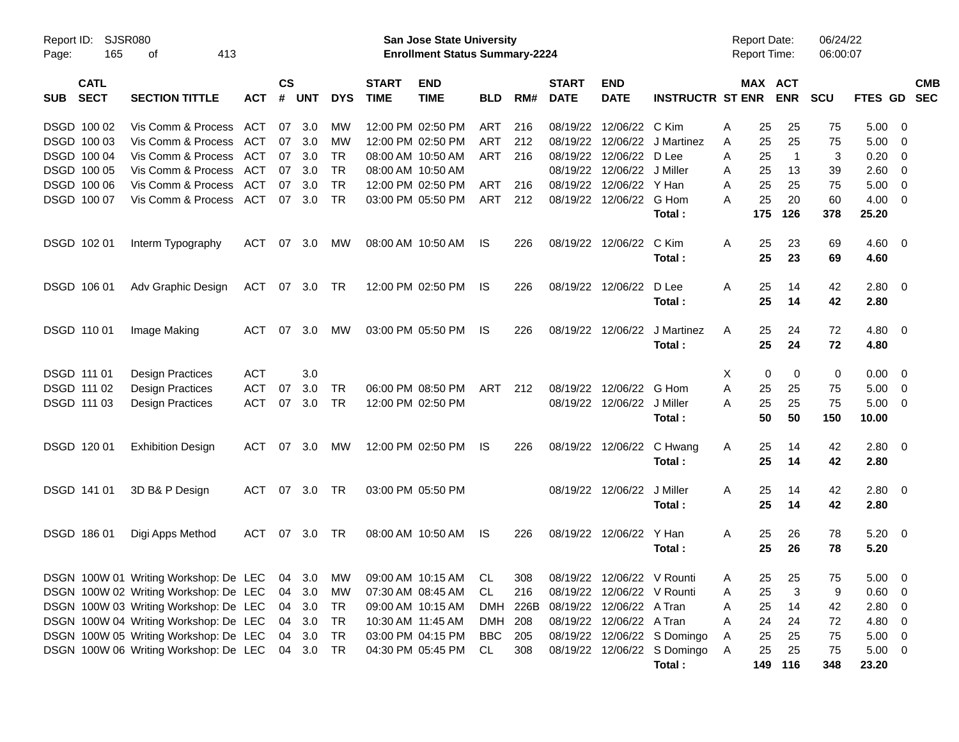| Page:       | Report ID:<br>SJSR080<br>165<br>413<br>оf |                                                                      |            |                    |            |            |                             | <b>San Jose State University</b><br><b>Enrollment Status Summary-2224</b> |                |     |                             |                                   |                             | <b>Report Date:</b><br><b>Report Time:</b> |     |                       | 06/24/22<br>06:00:07 |                |                          |            |
|-------------|-------------------------------------------|----------------------------------------------------------------------|------------|--------------------|------------|------------|-----------------------------|---------------------------------------------------------------------------|----------------|-----|-----------------------------|-----------------------------------|-----------------------------|--------------------------------------------|-----|-----------------------|----------------------|----------------|--------------------------|------------|
| <b>SUB</b>  | <b>CATL</b><br><b>SECT</b>                | <b>SECTION TITTLE</b>                                                | <b>ACT</b> | $\mathsf{cs}$<br># | <b>UNT</b> | <b>DYS</b> | <b>START</b><br><b>TIME</b> | <b>END</b><br><b>TIME</b>                                                 | <b>BLD</b>     | RM# | <b>START</b><br><b>DATE</b> | <b>END</b><br><b>DATE</b>         | <b>INSTRUCTR ST ENR</b>     |                                            |     | MAX ACT<br><b>ENR</b> | <b>SCU</b>           | FTES GD SEC    |                          | <b>CMB</b> |
|             | DSGD 100 02                               | Vis Comm & Process                                                   | ACT        | 07                 | 3.0        | MW         |                             | 12:00 PM 02:50 PM                                                         | ART            | 216 |                             | 08/19/22 12/06/22                 | C Kim                       | A                                          | 25  | 25                    | 75                   | 5.00           | - 0                      |            |
|             | DSGD 100 03                               | Vis Comm & Process                                                   | ACT        | 07                 | 3.0        | MW         |                             | 12:00 PM 02:50 PM                                                         | <b>ART</b>     | 212 |                             | 08/19/22 12/06/22                 | J Martinez                  | A                                          | 25  | 25                    | 75                   | 5.00           | - 0                      |            |
|             | DSGD 100 04                               | Vis Comm & Process                                                   | ACT        | 07                 | 3.0        | <b>TR</b>  |                             | 08:00 AM 10:50 AM                                                         | <b>ART</b>     | 216 |                             | 08/19/22 12/06/22                 | D Lee                       | A                                          | 25  | $\overline{1}$        | 3                    | 0.20           | $\overline{\mathbf{0}}$  |            |
|             | DSGD 100 05                               | Vis Comm & Process                                                   | ACT        | 07                 | 3.0        | <b>TR</b>  |                             | 08:00 AM 10:50 AM                                                         |                |     |                             | 08/19/22 12/06/22                 | J Miller                    | A                                          | 25  | 13                    | 39                   | 2.60           | $\overline{\mathbf{0}}$  |            |
|             | DSGD 100 06                               | Vis Comm & Process                                                   | ACT        | 07                 | 3.0        | <b>TR</b>  |                             | 12:00 PM 02:50 PM                                                         | ART            | 216 |                             | 08/19/22 12/06/22                 | Y Han                       | A                                          | 25  | 25                    | 75                   | 5.00           | $\overline{\mathbf{0}}$  |            |
|             | DSGD 100 07                               | Vis Comm & Process                                                   | ACT        | 07                 | 3.0        | <b>TR</b>  |                             | 03:00 PM 05:50 PM                                                         | ART            | 212 |                             | 08/19/22 12/06/22                 | G Hom                       | Α                                          | 25  | 20                    | 60                   | 4.00           | $\overline{\phantom{0}}$ |            |
|             |                                           |                                                                      |            |                    |            |            |                             |                                                                           |                |     |                             |                                   | Total:                      |                                            | 175 | 126                   | 378                  | 25.20          |                          |            |
|             | DSGD 102 01                               | Interm Typography                                                    | <b>ACT</b> | 07                 | 3.0        | МW         |                             | 08:00 AM 10:50 AM                                                         | IS             | 226 |                             | 08/19/22 12/06/22                 | C Kim                       | Α                                          | 25  | 23                    | 69                   | $4.60 \ 0$     |                          |            |
|             |                                           |                                                                      |            |                    |            |            |                             |                                                                           |                |     |                             |                                   | Total:                      |                                            | 25  | 23                    | 69                   | 4.60           |                          |            |
|             | DSGD 106 01                               | Adv Graphic Design                                                   | ACT        | 07                 | 3.0        | TR         |                             | 12:00 PM 02:50 PM                                                         | IS             | 226 |                             | 08/19/22 12/06/22                 | D Lee                       | A                                          | 25  | 14                    | 42                   | 2.80           | $\overline{\phantom{0}}$ |            |
|             |                                           |                                                                      |            |                    |            |            |                             |                                                                           |                |     |                             |                                   | Total:                      |                                            | 25  | 14                    | 42                   | 2.80           |                          |            |
| DSGD 110 01 |                                           | Image Making                                                         | <b>ACT</b> | 07                 | 3.0        | МW         |                             | 03:00 PM 05:50 PM                                                         | IS             | 226 |                             | 08/19/22 12/06/22                 | J Martinez                  | A                                          | 25  | 24                    | 72                   | 4.80 0         |                          |            |
|             |                                           |                                                                      |            |                    |            |            |                             |                                                                           |                |     |                             |                                   | Total:                      |                                            | 25  | 24                    | 72                   | 4.80           |                          |            |
| DSGD 111 01 |                                           | <b>Design Practices</b>                                              | <b>ACT</b> |                    | 3.0        |            |                             |                                                                           |                |     |                             |                                   |                             | X                                          | 0   | 0                     | 0                    | 0.00           | $\overline{\mathbf{0}}$  |            |
|             | DSGD 111 02                               | <b>Design Practices</b>                                              | <b>ACT</b> | 07                 | 3.0        | <b>TR</b>  |                             | 06:00 PM 08:50 PM                                                         | <b>ART</b>     | 212 |                             | 08/19/22 12/06/22                 | G Hom                       | A                                          | 25  | 25                    | 75                   | 5.00           | $\overline{\mathbf{0}}$  |            |
|             | DSGD 111 03                               | <b>Design Practices</b>                                              | <b>ACT</b> | 07                 | 3.0        | <b>TR</b>  |                             | 12:00 PM 02:50 PM                                                         |                |     |                             | 08/19/22 12/06/22                 | J Miller                    | A                                          | 25  | 25                    | 75                   | 5.00           | $\overline{\mathbf{0}}$  |            |
|             |                                           |                                                                      |            |                    |            |            |                             |                                                                           |                |     |                             |                                   | Total:                      |                                            | 50  | 50                    | 150                  | 10.00          |                          |            |
|             | DSGD 120 01                               | <b>Exhibition Design</b>                                             | ACT        | 07                 | 3.0        | MW         |                             | 12:00 PM 02:50 PM                                                         | IS             | 226 |                             | 08/19/22 12/06/22 C Hwang         |                             | A                                          | 25  | 14                    | 42                   | 2.80 0         |                          |            |
|             |                                           |                                                                      |            |                    |            |            |                             |                                                                           |                |     |                             |                                   | Total:                      |                                            | 25  | 14                    | 42                   | 2.80           |                          |            |
|             | DSGD 141 01                               | 3D B& P Design                                                       | ACT        |                    | 07 3.0     | TR         |                             | 03:00 PM 05:50 PM                                                         |                |     |                             | 08/19/22 12/06/22                 | J Miller                    | A                                          | 25  | 14                    | 42                   | 2.80 0         |                          |            |
|             |                                           |                                                                      |            |                    |            |            |                             |                                                                           |                |     |                             |                                   | Total:                      |                                            | 25  | 14                    | 42                   | 2.80           |                          |            |
|             | DSGD 186 01                               | Digi Apps Method                                                     | ACT        | 07                 | 3.0        | TR         |                             | 08:00 AM 10:50 AM                                                         | IS             | 226 |                             | 08/19/22 12/06/22                 | Y Han                       | A                                          | 25  | 26                    | 78                   | $5.20 \ 0$     |                          |            |
|             |                                           |                                                                      |            |                    |            |            |                             |                                                                           |                |     |                             |                                   | Total:                      |                                            | 25  | 26                    | 78                   | 5.20           |                          |            |
|             |                                           | DSGN 100W 01 Writing Workshop: De LEC 04 3.0 MW 09:00 AM 10:15 AM CL |            |                    |            |            |                             |                                                                           |                | 308 |                             | 08/19/22 12/06/22 V Rounti        |                             | A                                          | 25  | 25                    | 75                   | $5.00 \t 0$    |                          |            |
|             |                                           | DSGN 100W 02 Writing Workshop: De LEC                                |            |                    | 04 3.0     | MW         |                             | 07:30 AM 08:45 AM                                                         | CL             | 216 |                             | 08/19/22 12/06/22 V Rounti        |                             | Α                                          | 25  | 3                     | 9                    | $0.60 \quad 0$ |                          |            |
|             |                                           | DSGN 100W 03 Writing Workshop: De LEC                                |            |                    | 04 3.0     | TR         |                             | 09:00 AM 10:15 AM                                                         |                |     |                             | DMH 226B 08/19/22 12/06/22 A Tran |                             | Α                                          | 25  | 14                    | 42                   | 2.80           | $\overline{\phantom{0}}$ |            |
|             |                                           | DSGN 100W 04 Writing Workshop: De LEC                                |            |                    | 04 3.0     | TR         |                             | 10:30 AM 11:45 AM                                                         | DMH 208        |     |                             | 08/19/22 12/06/22 A Tran          |                             | Α                                          | 24  | 24                    | 72                   | 4.80 0         |                          |            |
|             |                                           | DSGN 100W 05 Writing Workshop: De LEC                                |            |                    | 04 3.0     | TR         |                             | 03:00 PM 04:15 PM                                                         | <b>BBC</b> 205 |     |                             |                                   | 08/19/22 12/06/22 S Domingo | A                                          | 25  | 25                    | 75                   | $5.00 \t 0$    |                          |            |
|             |                                           | DSGN 100W 06 Writing Workshop: De LEC 04 3.0                         |            |                    |            | TR         |                             | 04:30 PM 05:45 PM                                                         | CL             | 308 |                             |                                   | 08/19/22 12/06/22 S Domingo | A                                          | 25  | 25                    | 75                   | $5.00 \t 0$    |                          |            |
|             |                                           |                                                                      |            |                    |            |            |                             |                                                                           |                |     |                             |                                   | Total:                      |                                            |     | 149 116               | 348                  | 23.20          |                          |            |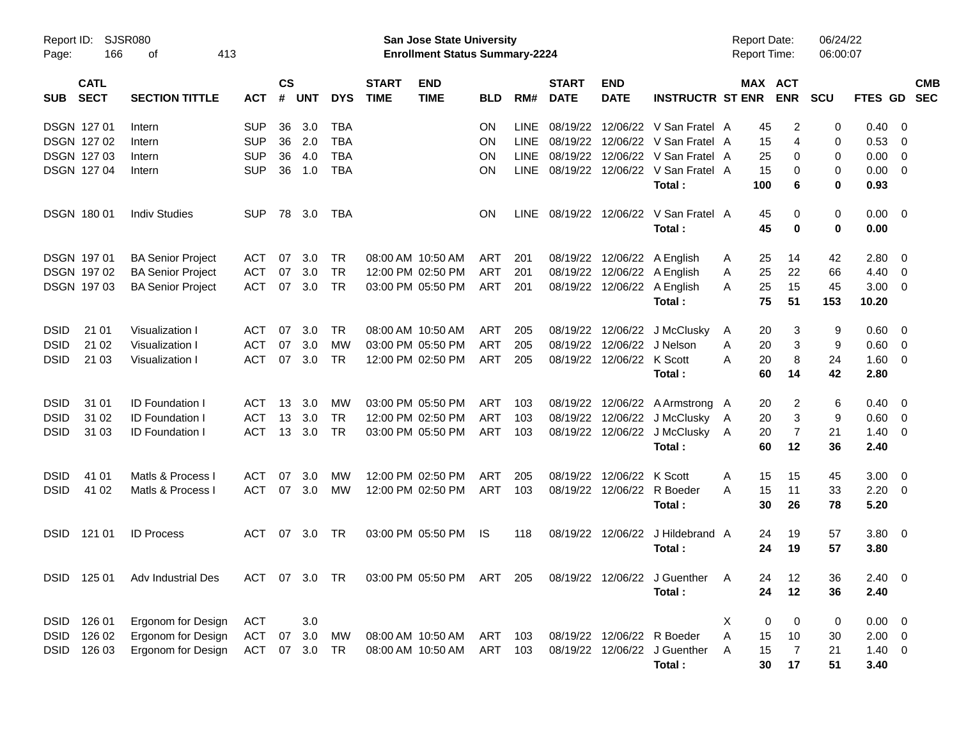| Page:       | Report ID: SJSR080<br>166  | 413                            |               |                |            |            | San Jose State University<br><b>Enrollment Status Summary-2224</b> |                           |           |             |                             |                            | <b>Report Date:</b><br><b>Report Time:</b> |           | 06/24/22<br>06:00:07  |            |                        |                          |                          |
|-------------|----------------------------|--------------------------------|---------------|----------------|------------|------------|--------------------------------------------------------------------|---------------------------|-----------|-------------|-----------------------------|----------------------------|--------------------------------------------|-----------|-----------------------|------------|------------------------|--------------------------|--------------------------|
| <b>SUB</b>  | <b>CATL</b><br><b>SECT</b> | <b>SECTION TITTLE</b>          | <b>ACT</b>    | <b>CS</b><br># | <b>UNT</b> | <b>DYS</b> | <b>START</b><br><b>TIME</b>                                        | <b>END</b><br><b>TIME</b> | BLD       | RM#         | <b>START</b><br><b>DATE</b> | <b>END</b><br><b>DATE</b>  | <b>INSTRUCTR ST ENR</b>                    |           | MAX ACT<br><b>ENR</b> | <b>SCU</b> | <b>FTES GD</b>         |                          | <b>CMB</b><br><b>SEC</b> |
|             | <b>DSGN 12701</b>          | Intern                         | <b>SUP</b>    | 36             | 3.0        | <b>TBA</b> |                                                                    |                           | ON        | <b>LINE</b> |                             |                            | 08/19/22 12/06/22 V San Fratel A           | 45        | 2                     | 0          | 0.40                   | $\overline{\phantom{0}}$ |                          |
|             | DSGN 127 02                | Intern                         | <b>SUP</b>    | 36             | 2.0        | <b>TBA</b> |                                                                    |                           | <b>ON</b> | <b>LINE</b> |                             |                            | 08/19/22 12/06/22 V San Fratel A           | 15        | 4                     | 0          | 0.53                   | $\overline{\phantom{0}}$ |                          |
|             | DSGN 127 03                | Intern                         | <b>SUP</b>    | 36             | 4.0        | <b>TBA</b> |                                                                    |                           | ON        | <b>LINE</b> |                             |                            | 08/19/22 12/06/22 V San Fratel A           | 25        | 0                     | 0          | 0.00                   | $\overline{\mathbf{0}}$  |                          |
|             | <b>DSGN 12704</b>          | Intern                         | <b>SUP</b>    | 36             | 1.0        | <b>TBA</b> |                                                                    |                           | ON        | <b>LINE</b> |                             |                            | 08/19/22 12/06/22 V San Fratel A<br>Total: | 15<br>100 | 0<br>6                | 0<br>0     | $0.00 \quad 0$<br>0.93 |                          |                          |
|             | <b>DSGN 18001</b>          | <b>Indiv Studies</b>           | <b>SUP</b>    | 78             | 3.0        | TBA        |                                                                    |                           | <b>ON</b> | LINE        |                             | 08/19/22 12/06/22          | V San Fratel A<br>Total:                   | 45<br>45  | 0<br>0                | 0<br>0     | $0.00 \quad 0$<br>0.00 |                          |                          |
|             | DSGN 197 01                | <b>BA Senior Project</b>       | ACT           | 07             | 3.0        | TR         |                                                                    | 08:00 AM 10:50 AM         | ART       | 201         |                             |                            | 08/19/22 12/06/22 A English                | 25<br>A   | 14                    | 42         | 2.80                   | $\overline{\phantom{0}}$ |                          |
|             | DSGN 197 02                | <b>BA Senior Project</b>       | <b>ACT</b>    | 07             | 3.0        | <b>TR</b>  |                                                                    | 12:00 PM 02:50 PM         | ART       | 201         |                             |                            | 08/19/22 12/06/22 A English                | 25<br>A   | 22                    | 66         | 4.40                   | $\overline{\phantom{0}}$ |                          |
|             | <b>DSGN 19703</b>          | <b>BA Senior Project</b>       | <b>ACT</b>    | 07             | 3.0        | <b>TR</b>  |                                                                    | 03:00 PM 05:50 PM         | ART       | 201         |                             |                            | 08/19/22 12/06/22 A English                | 25<br>A   | 15                    | 45         | $3.00 \ 0$             |                          |                          |
|             |                            |                                |               |                |            |            |                                                                    |                           |           |             |                             |                            | Total:                                     | 75        | 51                    | 153        | 10.20                  |                          |                          |
| <b>DSID</b> | 21 01                      | Visualization I                | <b>ACT</b>    | 07             | 3.0        | <b>TR</b>  |                                                                    | 08:00 AM 10:50 AM         | ART       | 205         |                             |                            | 08/19/22 12/06/22 J McClusky               | A         | 20<br>3               | 9          | 0.60                   | $\overline{\phantom{0}}$ |                          |
| <b>DSID</b> | 21 02                      | Visualization I                | <b>ACT</b>    | 07             | 3.0        | MW         |                                                                    | 03:00 PM 05:50 PM         | ART       | 205         |                             | 08/19/22 12/06/22 J Nelson |                                            | 20<br>A   | 3                     | 9          | 0.60                   | $\overline{\phantom{0}}$ |                          |
| <b>DSID</b> | 21 03                      | Visualization I                | <b>ACT</b>    | 07             | 3.0        | <b>TR</b>  |                                                                    | 12:00 PM 02:50 PM         | ART       | 205         |                             | 08/19/22 12/06/22 K Scott  |                                            | А<br>20   | 8                     | 24         | $1.60 \ 0$             |                          |                          |
|             |                            |                                |               |                |            |            |                                                                    |                           |           |             |                             |                            | Total :                                    | 60        | 14                    | 42         | 2.80                   |                          |                          |
| <b>DSID</b> | 31 01                      | <b>ID Foundation I</b>         | <b>ACT</b>    | 13             | 3.0        | MW         |                                                                    | 03:00 PM 05:50 PM         | ART       | 103         |                             |                            | 08/19/22 12/06/22 A Armstrong A            | 20        | 2                     | 6          | 0.40                   | $\overline{\phantom{0}}$ |                          |
| <b>DSID</b> | 31 02                      | <b>ID Foundation I</b>         | <b>ACT</b>    | 13             | 3.0        | <b>TR</b>  |                                                                    | 12:00 PM 02:50 PM         | ART       | 103         |                             |                            | 08/19/22 12/06/22 J McClusky               | 20<br>A   | 3                     | 9          | 0.60                   | $\overline{\phantom{0}}$ |                          |
| <b>DSID</b> | 31 03                      | <b>ID Foundation I</b>         | <b>ACT</b>    |                | 13, 3.0    | <b>TR</b>  |                                                                    | 03:00 PM 05:50 PM         | ART       | 103         |                             |                            | 08/19/22 12/06/22 J McClusky               | 20<br>A   | 7                     | 21         | 1.40                   | $\overline{\phantom{0}}$ |                          |
|             |                            |                                |               |                |            |            |                                                                    |                           |           |             |                             |                            | Total:                                     | 60        | 12                    | 36         | 2.40                   |                          |                          |
| <b>DSID</b> | 41 01                      | Matls & Process I              | <b>ACT</b>    | 07             | 3.0        | MW         |                                                                    | 12:00 PM 02:50 PM         | ART       | 205         |                             | 08/19/22 12/06/22          | K Scott                                    | A<br>15   | 15                    | 45         | 3.00                   | $\overline{\phantom{0}}$ |                          |
| <b>DSID</b> | 41 02                      | Matls & Process I              | <b>ACT</b>    | 07             | 3.0        | MW         |                                                                    | 12:00 PM 02:50 PM         | ART       | 103         |                             | 08/19/22 12/06/22          | R Boeder                                   | 15<br>A   | 11                    | 33         | $2.20 \t 0$            |                          |                          |
|             |                            |                                |               |                |            |            |                                                                    |                           |           |             |                             |                            | Total:                                     |           | 30<br>26              | 78         | 5.20                   |                          |                          |
| <b>DSID</b> | 121 01                     | <b>ID Process</b>              | <b>ACT</b>    | 07             | 3.0        | TR.        |                                                                    | 03:00 PM 05:50 PM         | IS        | 118         |                             | 08/19/22 12/06/22          | J Hildebrand A                             |           | 24<br>19              | 57         | 3.80 0                 |                          |                          |
|             |                            |                                |               |                |            |            |                                                                    |                           |           |             |                             |                            | Total:                                     |           | 24<br>19              | 57         | 3.80                   |                          |                          |
|             |                            | DSID 125 01 Adv Industrial Des | ACT 07 3.0 TR |                |            |            |                                                                    | 03:00 PM 05:50 PM ART 205 |           |             |                             |                            | 08/19/22 12/06/22 J Guenther A             |           | 24<br>12              | 36         | $2.40 \ 0$             |                          |                          |
|             |                            |                                |               |                |            |            |                                                                    |                           |           |             |                             |                            | Total:                                     |           | 24<br>12              | 36         | 2.40                   |                          |                          |
|             | DSID 126 01                | Ergonom for Design             | ACT           |                | 3.0        |            |                                                                    |                           |           |             |                             |                            |                                            | Χ         | 0<br>0                | 0          | $0.00 \t 0$            |                          |                          |
| DSID        | 126 02                     | Ergonom for Design             | <b>ACT</b>    | 07             | 3.0        | MW         |                                                                    | 08:00 AM 10:50 AM ART 103 |           |             |                             |                            | 08/19/22 12/06/22 R Boeder                 | 15<br>A   | 10                    | 30         | $2.00 \t 0$            |                          |                          |
|             | DSID 126 03                | Ergonom for Design             | ACT           |                | 07 3.0     | TR         |                                                                    | 08:00 AM 10:50 AM         | ART       | 103         |                             |                            | 08/19/22 12/06/22 J Guenther               | 15<br>A   | $\overline{7}$        | 21         | $1.40 \ 0$             |                          |                          |
|             |                            |                                |               |                |            |            |                                                                    |                           |           |             |                             |                            | Total:                                     | 30        | 17                    | 51         | 3.40                   |                          |                          |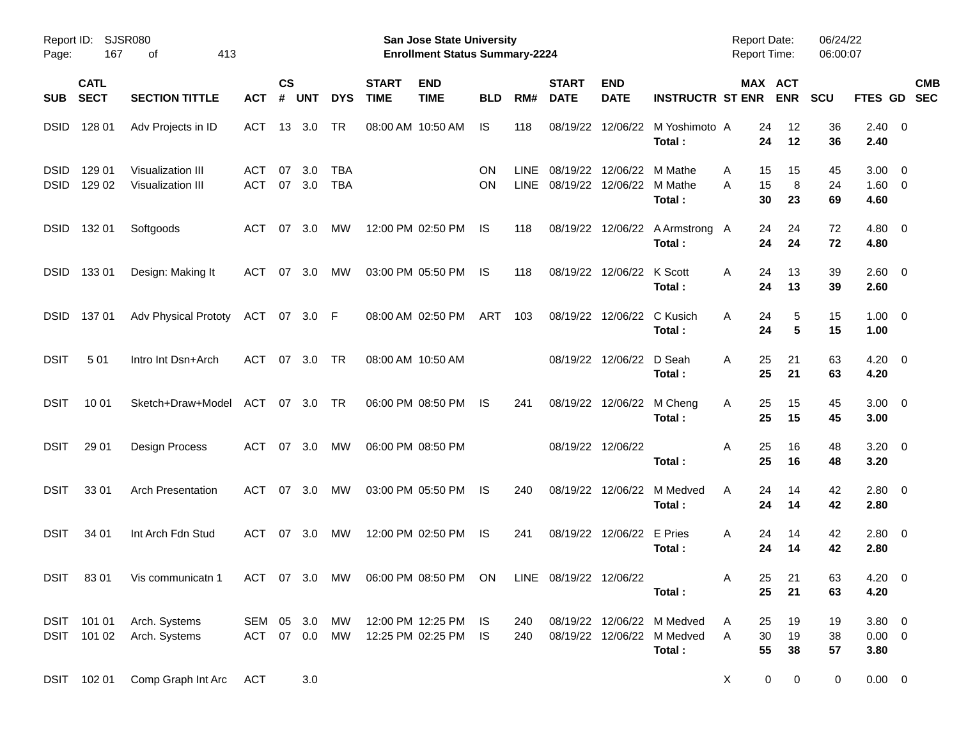| Report ID:<br>Page:        | 167                        | SJSR080<br>413<br>οf                       |                          |                    |            |                          |                             | San Jose State University<br><b>Enrollment Status Summary-2224</b> |            |                     |                             |                           |                                                  | <b>Report Date:</b><br><b>Report Time:</b> |                               | 06/24/22<br>06:00:07 |                                   |                          |
|----------------------------|----------------------------|--------------------------------------------|--------------------------|--------------------|------------|--------------------------|-----------------------------|--------------------------------------------------------------------|------------|---------------------|-----------------------------|---------------------------|--------------------------------------------------|--------------------------------------------|-------------------------------|----------------------|-----------------------------------|--------------------------|
| <b>SUB</b>                 | <b>CATL</b><br><b>SECT</b> | <b>SECTION TITTLE</b>                      | <b>ACT</b>               | $\mathsf{cs}$<br># | <b>UNT</b> | <b>DYS</b>               | <b>START</b><br><b>TIME</b> | <b>END</b><br><b>TIME</b>                                          | <b>BLD</b> | RM#                 | <b>START</b><br><b>DATE</b> | <b>END</b><br><b>DATE</b> | <b>INSTRUCTR ST ENR</b>                          |                                            | MAX ACT<br><b>ENR</b>         | <b>SCU</b>           | <b>FTES GD</b>                    | <b>CMB</b><br><b>SEC</b> |
| <b>DSID</b>                | 128 01                     | Adv Projects in ID                         | ACT                      | 13                 | 3.0        | TR                       |                             | 08:00 AM 10:50 AM                                                  | IS.        | 118                 | 08/19/22                    | 12/06/22                  | M Yoshimoto A<br>Total:                          | 24<br>24                                   | 12<br>12                      | 36<br>36             | $2.40 \ 0$<br>2.40                |                          |
| <b>DSID</b><br><b>DSID</b> | 129 01<br>129 02           | Visualization III<br>Visualization III     | <b>ACT</b><br><b>ACT</b> | 07<br>07           | 3.0<br>3.0 | <b>TBA</b><br><b>TBA</b> |                             |                                                                    | ON<br>ON   | <b>LINE</b><br>LINE | 08/19/22<br>08/19/22        | 12/06/22<br>12/06/22      | M Mathe<br>M Mathe<br>Total:                     | 15<br>A<br>15<br>A<br>30                   | 15<br>8<br>23                 | 45<br>24<br>69       | $3.00 \ 0$<br>$1.60 \t 0$<br>4.60 |                          |
| <b>DSID</b>                | 132 01                     | Softgoods                                  | <b>ACT</b>               | 07                 | 3.0        | MW                       |                             | 12:00 PM 02:50 PM                                                  | IS         | 118                 | 08/19/22                    | 12/06/22                  | A Armstrong A<br>Total:                          | 24<br>24                                   | 24<br>24                      | 72<br>72             | $4.80\ 0$<br>4.80                 |                          |
| <b>DSID</b>                | 13301                      | Design: Making It                          | ACT                      | 07                 | 3.0        | МW                       |                             | 03:00 PM 05:50 PM                                                  | IS         | 118                 | 08/19/22                    | 12/06/22                  | K Scott<br>Total:                                | 24<br>A<br>24                              | 13<br>13                      | 39<br>39             | 2.60 0<br>2.60                    |                          |
| <b>DSID</b>                | 13701                      | <b>Adv Physical Prototy</b>                | ACT                      | 07                 | 3.0 F      |                          |                             | 08:00 AM 02:50 PM                                                  | ART        | 103                 | 08/19/22                    | 12/06/22                  | C Kusich<br>Total:                               | 24<br>A<br>24                              | 5<br>5                        | 15<br>15             | $1.00 \t 0$<br>1.00               |                          |
| <b>DSIT</b>                | 501                        | Intro Int Dsn+Arch                         | ACT                      | 07                 | 3.0        | TR                       |                             | 08:00 AM 10:50 AM                                                  |            |                     |                             | 08/19/22 12/06/22         | D Seah<br>Total:                                 | 25<br>A<br>25                              | 21<br>21                      | 63<br>63             | $4.20 \ 0$<br>4.20                |                          |
| <b>DSIT</b>                | 10 01                      | Sketch+Draw+Model                          | ACT                      | 07                 | 3.0        | TR                       |                             | 06:00 PM 08:50 PM                                                  | IS         | 241                 | 08/19/22                    | 12/06/22                  | M Cheng<br>Total:                                | 25<br>A<br>25                              | 15<br>15                      | 45<br>45             | $3.00 \ 0$<br>3.00                |                          |
| <b>DSIT</b>                | 29 01                      | <b>Design Process</b>                      | <b>ACT</b>               | 07                 | 3.0        | МW                       |                             | 06:00 PM 08:50 PM                                                  |            |                     |                             | 08/19/22 12/06/22         | Total:                                           | 25<br>Α<br>25                              | 16<br>16                      | 48<br>48             | $3.20 \ 0$<br>3.20                |                          |
| <b>DSIT</b>                | 33 01                      | <b>Arch Presentation</b>                   | <b>ACT</b>               | 07                 | 3.0        | МW                       |                             | 03:00 PM 05:50 PM                                                  | IS         | 240                 | 08/19/22                    | 12/06/22                  | M Medved<br>Total:                               | 24<br>A<br>24                              | 14<br>14                      | 42<br>42             | 2.80 0<br>2.80                    |                          |
| <b>DSIT</b>                | 34 01                      | Int Arch Fdn Stud                          | <b>ACT</b>               | 07                 | 3.0        | МW                       |                             | 12:00 PM 02:50 PM                                                  | IS         | 241                 | 08/19/22                    | 12/06/22                  | E Pries<br>Total:                                | 24<br>A<br>24                              | 14<br>14                      | 42<br>42             | 2.80 0<br>2.80                    |                          |
| <b>DSIT</b>                | 8301                       | Vis communicatn 1                          |                          |                    |            |                          |                             | ACT 07 3.0 MW 06:00 PM 08:50 PM ON LINE 08/19/22 12/06/22          |            |                     |                             |                           | Total:                                           | 25<br>Α<br>25                              | 21<br>21                      | 63<br>63             | 4.20 0<br>4.20                    |                          |
|                            | DSIT 101 02                | DSIT 101 01 Arch. Systems<br>Arch. Systems | SEM 05 3.0<br>ACT 07 0.0 |                    |            | MW<br>MW                 |                             | 12:00 PM 12:25 PM IS<br>12:25 PM 02:25 PM IS                       |            | 240<br>240          |                             | 08/19/22 12/06/22         | 08/19/22 12/06/22 M Medved<br>M Medved<br>Total: | 25<br>A<br>30<br>A<br>55                   | 19<br>19<br>38                | 19<br>38<br>57       | $3.80\ 0$<br>$0.00 \t 0$<br>3.80  |                          |
|                            | DSIT 102 01                | Comp Graph Int Arc                         | <b>ACT</b>               |                    | 3.0        |                          |                             |                                                                    |            |                     |                             |                           |                                                  | $\mathsf{X}$                               | $\mathbf 0$<br>$\overline{0}$ | $\mathbf 0$          | $0.00 \t 0$                       |                          |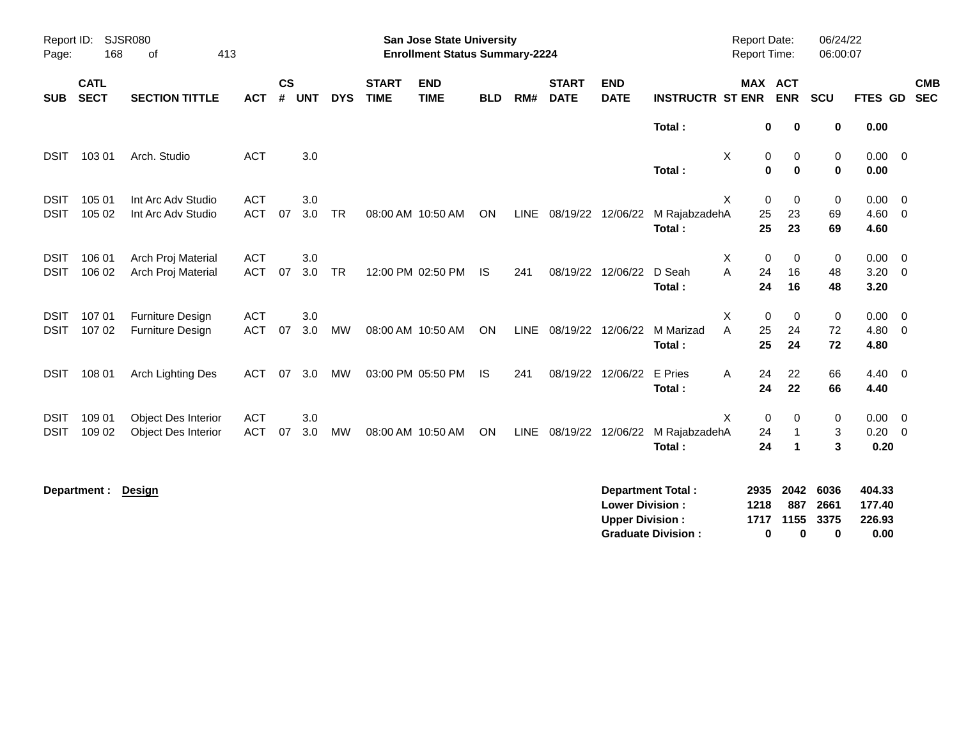| Page:                      | SJSR080<br>Report ID:<br>168<br>413<br>of |                                                          |                          |                    |            |            |                             | <b>San Jose State University</b><br><b>Enrollment Status Summary-2224</b> |            |     |                             |                                                  |                                                       | <b>Report Date:</b><br>Report Time: |                                  |                                           | 06/24/22<br>06:00:07      |                                    |                                           |
|----------------------------|-------------------------------------------|----------------------------------------------------------|--------------------------|--------------------|------------|------------|-----------------------------|---------------------------------------------------------------------------|------------|-----|-----------------------------|--------------------------------------------------|-------------------------------------------------------|-------------------------------------|----------------------------------|-------------------------------------------|---------------------------|------------------------------------|-------------------------------------------|
| <b>SUB</b>                 | <b>CATL</b><br><b>SECT</b>                | <b>SECTION TITTLE</b>                                    | <b>ACT</b>               | $\mathsf{cs}$<br># | <b>UNT</b> | <b>DYS</b> | <b>START</b><br><b>TIME</b> | <b>END</b><br><b>TIME</b>                                                 | <b>BLD</b> | RM# | <b>START</b><br><b>DATE</b> | <b>END</b><br><b>DATE</b>                        | <b>INSTRUCTR ST ENR</b>                               |                                     |                                  | MAX ACT<br><b>ENR</b>                     | <b>SCU</b>                | <b>FTES GD</b>                     | <b>CMB</b><br><b>SEC</b>                  |
|                            |                                           |                                                          |                          |                    |            |            |                             |                                                                           |            |     |                             |                                                  | Total:                                                |                                     | 0                                | 0                                         | 0                         | 0.00                               |                                           |
| <b>DSIT</b>                | 103 01                                    | Arch. Studio                                             | <b>ACT</b>               |                    | 3.0        |            |                             |                                                                           |            |     |                             |                                                  | Total:                                                | X                                   | 0<br>$\bf{0}$                    | 0<br>$\mathbf 0$                          | 0<br>0                    | $0.00 \t 0$<br>0.00                |                                           |
| <b>DSIT</b><br><b>DSIT</b> | 105 01<br>105 02                          | Int Arc Adv Studio<br>Int Arc Adv Studio                 | <b>ACT</b><br><b>ACT</b> | 07                 | 3.0<br>3.0 | <b>TR</b>  |                             | 08:00 AM 10:50 AM                                                         | ON         |     | LINE 08/19/22 12/06/22      |                                                  | M RajabzadehA<br>Total:                               | X                                   | $\mathbf 0$<br>25<br>25          | $\mathbf 0$<br>23<br>23                   | 0<br>69<br>69             | 0.00<br>$4.60$ 0<br>4.60           | $\overline{\mathbf{0}}$                   |
| <b>DSIT</b><br><b>DSIT</b> | 106 01<br>106 02                          | Arch Proj Material<br>Arch Proj Material                 | <b>ACT</b><br><b>ACT</b> | 07                 | 3.0<br>3.0 | <b>TR</b>  |                             | 12:00 PM 02:50 PM                                                         | IS.        | 241 |                             | 08/19/22 12/06/22                                | D Seah<br>Total:                                      | Χ<br>A                              | $\mathbf 0$<br>24<br>24          | 0<br>16<br>16                             | 0<br>48<br>48             | $0.00 \t 0$<br>3.20<br>3.20        | $\overline{\phantom{0}}$                  |
| <b>DSIT</b><br><b>DSIT</b> | 107 01<br>107 02                          | <b>Furniture Design</b><br><b>Furniture Design</b>       | <b>ACT</b><br><b>ACT</b> | 07                 | 3.0<br>3.0 | <b>MW</b>  |                             | 08:00 AM 10:50 AM                                                         | ON         |     | LINE 08/19/22 12/06/22      |                                                  | M Marizad<br>Total:                                   | X<br>A                              | 0<br>25<br>25                    | 0<br>24<br>24                             | $\pmb{0}$<br>72<br>72     | 0.00<br>4.80<br>4.80               | $\overline{\mathbf{0}}$<br>$\overline{0}$ |
| <b>DSIT</b>                | 108 01                                    | Arch Lighting Des                                        | <b>ACT</b>               | 07                 | 3.0        | MW         |                             | 03:00 PM 05:50 PM                                                         | <b>IS</b>  | 241 |                             | 08/19/22 12/06/22                                | E Pries<br>Total:                                     | A                                   | 24<br>24                         | 22<br>22                                  | 66<br>66                  | $4.40 \quad 0$<br>4.40             |                                           |
| <b>DSIT</b><br><b>DSIT</b> | 109 01<br>109 02                          | <b>Object Des Interior</b><br><b>Object Des Interior</b> | <b>ACT</b><br><b>ACT</b> | 07                 | 3.0<br>3.0 | MW         |                             | 08:00 AM 10:50 AM                                                         | ON         |     | LINE 08/19/22 12/06/22      |                                                  | M RajabzadehA<br>Total:                               | X                                   | $\mathbf 0$<br>24<br>24          | 0<br>$\mathbf{1}$<br>$\blacktriangleleft$ | 0<br>3<br>3               | 0.00<br>$0.20 \ 0$<br>0.20         | $\overline{0}$                            |
|                            | Department :                              | Design                                                   |                          |                    |            |            |                             |                                                                           |            |     |                             | <b>Lower Division:</b><br><b>Upper Division:</b> | <b>Department Total:</b><br><b>Graduate Division:</b> |                                     | 2935<br>1218<br>1717<br>$\bf{0}$ | 2042<br>887<br>1155<br>0                  | 6036<br>2661<br>3375<br>0 | 404.33<br>177.40<br>226.93<br>0.00 |                                           |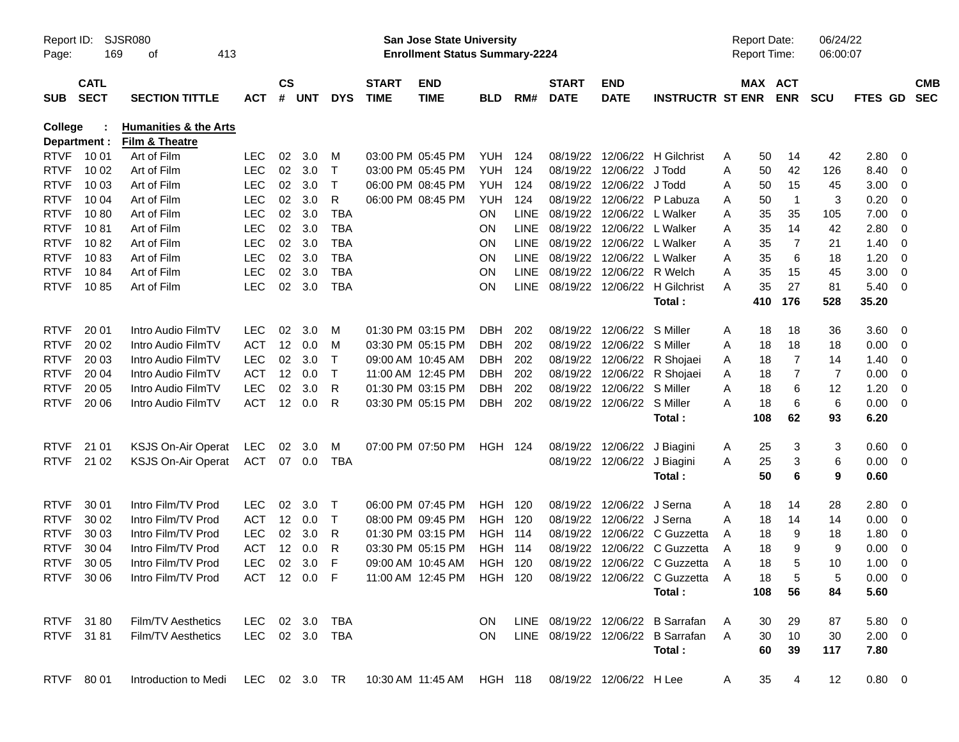| Page:       | SJSR080<br>Report ID:<br>169<br>413<br>оf |                                                    |                |                    |            |             |                             | <b>San Jose State University</b><br><b>Enrollment Status Summary-2224</b> |                |             |                             |                           |                                                                       | <b>Report Date:</b><br><b>Report Time:</b> |                       | 06/24/22<br>06:00:07 |                |                |                          |
|-------------|-------------------------------------------|----------------------------------------------------|----------------|--------------------|------------|-------------|-----------------------------|---------------------------------------------------------------------------|----------------|-------------|-----------------------------|---------------------------|-----------------------------------------------------------------------|--------------------------------------------|-----------------------|----------------------|----------------|----------------|--------------------------|
| <b>SUB</b>  | <b>CATL</b><br><b>SECT</b>                | <b>SECTION TITTLE</b>                              | <b>ACT</b>     | $\mathsf{cs}$<br># | <b>UNT</b> | <b>DYS</b>  | <b>START</b><br><b>TIME</b> | <b>END</b><br><b>TIME</b>                                                 | <b>BLD</b>     | RM#         | <b>START</b><br><b>DATE</b> | <b>END</b><br><b>DATE</b> | <b>INSTRUCTR ST ENR</b>                                               |                                            | MAX ACT<br><b>ENR</b> | <b>SCU</b>           | <b>FTES GD</b> |                | <b>CMB</b><br><b>SEC</b> |
| College     | Department :                              | <b>Humanities &amp; the Arts</b><br>Film & Theatre |                |                    |            |             |                             |                                                                           |                |             |                             |                           |                                                                       |                                            |                       |                      |                |                |                          |
| <b>RTVF</b> | 10 01                                     | Art of Film                                        | <b>LEC</b>     | 02                 | 3.0        | M           |                             | 03:00 PM 05:45 PM                                                         | YUH            | 124         | 08/19/22                    | 12/06/22                  | <b>H</b> Gilchrist                                                    | 50<br>A                                    | 14                    | 42                   | 2.80           | 0              |                          |
| <b>RTVF</b> | 10 02                                     | Art of Film                                        | <b>LEC</b>     | 02                 | 3.0        | $\mathsf T$ |                             | 03:00 PM 05:45 PM                                                         | <b>YUH</b>     | 124         | 08/19/22                    | 12/06/22                  | J Todd                                                                | Α<br>50                                    | 42                    | 126                  | 8.40           | 0              |                          |
| <b>RTVF</b> | 10 03                                     | Art of Film                                        | <b>LEC</b>     | 02                 | 3.0        | $\top$      |                             | 06:00 PM 08:45 PM                                                         | <b>YUH</b>     | 124         | 08/19/22                    | 12/06/22                  | J Todd                                                                | 50<br>Α                                    | 15                    | 45                   | 3.00           | 0              |                          |
| <b>RTVF</b> | 10 04                                     | Art of Film                                        | <b>LEC</b>     | 02                 | 3.0        | R           |                             | 06:00 PM 08:45 PM                                                         | YUH            | 124         | 08/19/22                    | 12/06/22                  | P Labuza                                                              | 50<br>Α                                    | $\overline{1}$        | 3                    | 0.20           | 0              |                          |
| <b>RTVF</b> | 1080                                      | Art of Film                                        | <b>LEC</b>     | 02                 | 3.0        | <b>TBA</b>  |                             |                                                                           | <b>ON</b>      | <b>LINE</b> | 08/19/22                    | 12/06/22                  | L Walker                                                              | 35<br>Α                                    | 35                    | 105                  | 7.00           | 0              |                          |
| <b>RTVF</b> | 1081                                      | Art of Film                                        | <b>LEC</b>     | 02                 | 3.0        | <b>TBA</b>  |                             |                                                                           | ON             | <b>LINE</b> | 08/19/22                    | 12/06/22                  | L Walker                                                              | 35<br>Α                                    | 14                    | 42                   | 2.80           | 0              |                          |
| <b>RTVF</b> | 1082                                      | Art of Film                                        | <b>LEC</b>     | 02                 | 3.0        | <b>TBA</b>  |                             |                                                                           | ON             | <b>LINE</b> |                             | 08/19/22 12/06/22         | L Walker                                                              | 35<br>Α                                    | 7                     | 21                   | 1.40           | 0              |                          |
| <b>RTVF</b> | 1083                                      | Art of Film                                        | <b>LEC</b>     | 02                 | 3.0        | <b>TBA</b>  |                             |                                                                           | ON             | <b>LINE</b> | 08/19/22                    | 12/06/22                  | L Walker                                                              | 35<br>A                                    | 6                     | 18                   | 1.20           | 0              |                          |
| <b>RTVF</b> | 1084                                      | Art of Film                                        | <b>LEC</b>     | 02                 | 3.0        | <b>TBA</b>  |                             |                                                                           | ON             | <b>LINE</b> | 08/19/22                    | 12/06/22                  | R Welch                                                               | 35<br>Α                                    | 15                    | 45                   | 3.00           | 0              |                          |
| <b>RTVF</b> | 1085                                      | Art of Film                                        | <b>LEC</b>     |                    | 02 3.0     | <b>TBA</b>  |                             |                                                                           | ON             | <b>LINE</b> |                             |                           | 08/19/22 12/06/22 H Gilchrist                                         | 35<br>A                                    | 27                    | 81                   | 5.40           | 0              |                          |
|             |                                           |                                                    |                |                    |            |             |                             |                                                                           |                |             |                             |                           | Total:                                                                | 410                                        | 176                   | 528                  | 35.20          |                |                          |
| <b>RTVF</b> | 20 01                                     | Intro Audio FilmTV                                 | <b>LEC</b>     | 02                 | 3.0        | M           |                             | 01:30 PM 03:15 PM                                                         | DBH            | 202         | 08/19/22                    | 12/06/22                  | S Miller                                                              | 18<br>A                                    | 18                    | 36                   | 3.60           | - 0            |                          |
| <b>RTVF</b> | 20 02                                     | Intro Audio FilmTV                                 | ACT            | 12                 | 0.0        | M           |                             | 03:30 PM 05:15 PM                                                         | DBH            | 202         | 08/19/22                    | 12/06/22                  | S Miller                                                              | 18<br>A                                    | 18                    | 18                   | 0.00           | 0              |                          |
| <b>RTVF</b> | 20 03                                     | Intro Audio FilmTV                                 | <b>LEC</b>     | 02                 | 3.0        | $\top$      |                             | 09:00 AM 10:45 AM                                                         | DBH            | 202         | 08/19/22                    | 12/06/22                  | R Shojaei                                                             | 18<br>A                                    | 7                     | 14                   | 1.40           | 0              |                          |
| <b>RTVF</b> | 20 04                                     | Intro Audio FilmTV                                 | <b>ACT</b>     | 12                 | 0.0        | $\mathsf T$ |                             | 11:00 AM 12:45 PM                                                         | DBH            | 202         | 08/19/22                    | 12/06/22                  | R Shojaei                                                             | 18<br>A                                    | 7                     | 7                    | 0.00           | 0              |                          |
| <b>RTVF</b> | 20 05                                     | Intro Audio FilmTV                                 | <b>LEC</b>     | 02                 | 3.0        | R           |                             | 01:30 PM 03:15 PM                                                         | DBH            | 202         | 08/19/22                    | 12/06/22                  | S Miller                                                              | 18<br>A                                    | 6                     | 12                   | 1.20           | 0              |                          |
| <b>RTVF</b> | 20 06                                     | Intro Audio FilmTV                                 | <b>ACT</b>     | 12                 | 0.0        | R           |                             | 03:30 PM 05:15 PM                                                         | DBH            | 202         |                             | 08/19/22 12/06/22         | S Miller                                                              | 18<br>A                                    | 6                     | 6                    | 0.00           | 0              |                          |
|             |                                           |                                                    |                |                    |            |             |                             |                                                                           |                |             |                             |                           | Total:                                                                | 108                                        | 62                    | 93                   | 6.20           |                |                          |
| <b>RTVF</b> | 21 01                                     | <b>KSJS On-Air Operat</b>                          | LEC            | 02                 | 3.0        | M           |                             | 07:00 PM 07:50 PM                                                         | <b>HGH 124</b> |             | 08/19/22                    | 12/06/22                  | J Biagini                                                             | 25<br>A                                    | 3                     | 3                    | 0.60           | $\overline{0}$ |                          |
| <b>RTVF</b> | 21 02                                     | KSJS On-Air Operat                                 | <b>ACT</b>     |                    | 07 0.0     | <b>TBA</b>  |                             |                                                                           |                |             |                             | 08/19/22 12/06/22         | J Biagini                                                             | 25<br>Α                                    | 3                     | 6                    | 0.00           | $\overline{0}$ |                          |
|             |                                           |                                                    |                |                    |            |             |                             |                                                                           |                |             |                             |                           | Total:                                                                | 50                                         | 6                     | 9                    | 0.60           |                |                          |
| <b>RTVF</b> | 30 01                                     | Intro Film/TV Prod                                 | <b>LEC</b>     | 02                 | 3.0        | $\top$      |                             | 06:00 PM 07:45 PM                                                         | <b>HGH 120</b> |             | 08/19/22                    | 12/06/22                  | J Serna                                                               | 18<br>A                                    | 14                    | 28                   | 2.80           | - 0            |                          |
| <b>RTVF</b> | 30 02                                     | Intro Film/TV Prod                                 | <b>ACT</b>     | 12                 | 0.0        | $\mathsf T$ |                             | 08:00 PM 09:45 PM                                                         | <b>HGH 120</b> |             | 08/19/22                    | 12/06/22                  | J Serna                                                               | 18<br>A                                    | 14                    | 14                   | 0.00           | $\mathbf 0$    |                          |
| <b>RTVF</b> | 30 03                                     | Intro Film/TV Prod                                 | <b>LEC</b>     | 02                 | 3.0        | R           |                             | 01:30 PM 03:15 PM                                                         | <b>HGH 114</b> |             | 08/19/22                    | 12/06/22                  | C Guzzetta                                                            | 18<br>A                                    | 9                     | 18                   | 1.80           | 0              |                          |
| <b>RTVF</b> | 30 04                                     | Intro Film/TV Prod                                 | <b>ACT</b>     | 12                 | 0.0        | R           |                             | 03:30 PM 05:15 PM                                                         | <b>HGH 114</b> |             | 08/19/22                    | 12/06/22                  | C Guzzetta                                                            | 18<br>A                                    | 9                     | 9                    | 0.00           | 0              |                          |
| <b>RTVF</b> | 30 05                                     | Intro Film/TV Prod                                 | <b>LEC</b>     | 02 <sub>o</sub>    | 3.0        | F           |                             | 09:00 AM 10:45 AM                                                         | <b>HGH 120</b> |             |                             |                           | 08/19/22 12/06/22 C Guzzetta                                          | 18<br>A                                    | 5                     | 10                   | 1.00           | 0              |                          |
|             | RTVF 30 06                                | Intro Film/TV Prod                                 |                |                    |            |             |                             |                                                                           |                |             |                             |                           | ACT 12 0.0 F 11:00 AM 12:45 PM HGH 120 08/19/22 12/06/22 C Guzzetta A | 18                                         | 5                     | 5                    | $0.00 \t 0$    |                |                          |
|             |                                           |                                                    |                |                    |            |             |                             |                                                                           |                |             |                             |                           | Total:                                                                | 108                                        | 56                    | 84                   | 5.60           |                |                          |
|             | RTVF 3180                                 | Film/TV Aesthetics                                 | LEC 02 3.0     |                    |            | TBA         |                             |                                                                           | ON.            |             |                             |                           | LINE 08/19/22 12/06/22 B Sarrafan                                     | 30<br>A                                    | 29                    | 87                   | 5.80 0         |                |                          |
|             | RTVF 3181                                 | Film/TV Aesthetics                                 | LEC 02 3.0 TBA |                    |            |             |                             |                                                                           | ON.            |             |                             |                           | LINE 08/19/22 12/06/22 B Sarrafan                                     | A<br>30                                    | 10                    | 30                   | $2.00 \t 0$    |                |                          |
|             |                                           |                                                    |                |                    |            |             |                             |                                                                           |                |             |                             |                           | Total:                                                                | 60                                         | 39                    | 117                  | 7.80           |                |                          |
|             | RTVF 80 01                                | Introduction to Medi LEC 02 3.0 TR                 |                |                    |            |             |                             | 10:30 AM 11:45 AM HGH 118                                                 |                |             |                             | 08/19/22 12/06/22 H Lee   |                                                                       | 35<br>A                                    | 4                     | 12                   | $0.80 \t 0$    |                |                          |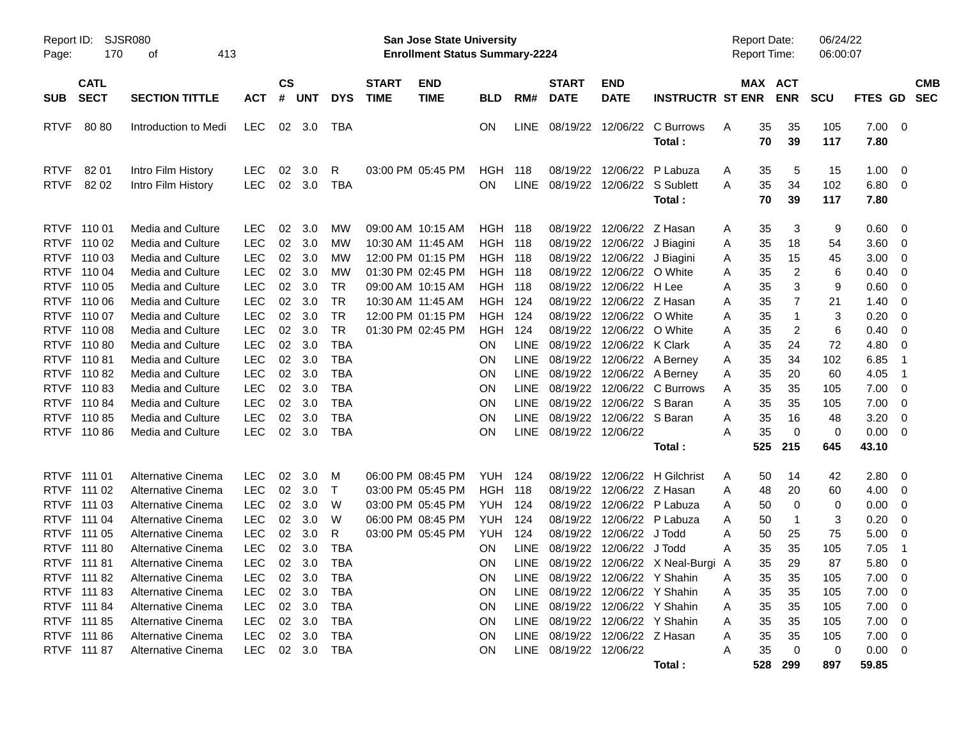| Page:                                                                                                                | <b>SJSR080</b><br>Report ID:<br>170<br>413<br>οf                                       |                                                                                                                                                                              |                                                                                                              |                                              |                                                      |                                                                                                            |                             | <b>San Jose State University</b><br><b>Enrollment Status Summary-2224</b>                                                  |                                                                        |                                                                                        |                                                                                              |                                                                                                                          |                                                                                                               | <b>Report Date:</b><br><b>Report Time:</b> |                                                        |                                                      | 06/24/22<br>06:00:07                          |                                                                           |                                                                                  |                          |
|----------------------------------------------------------------------------------------------------------------------|----------------------------------------------------------------------------------------|------------------------------------------------------------------------------------------------------------------------------------------------------------------------------|--------------------------------------------------------------------------------------------------------------|----------------------------------------------|------------------------------------------------------|------------------------------------------------------------------------------------------------------------|-----------------------------|----------------------------------------------------------------------------------------------------------------------------|------------------------------------------------------------------------|----------------------------------------------------------------------------------------|----------------------------------------------------------------------------------------------|--------------------------------------------------------------------------------------------------------------------------|---------------------------------------------------------------------------------------------------------------|--------------------------------------------|--------------------------------------------------------|------------------------------------------------------|-----------------------------------------------|---------------------------------------------------------------------------|----------------------------------------------------------------------------------|--------------------------|
| <b>SUB</b>                                                                                                           | <b>CATL</b><br><b>SECT</b>                                                             | <b>SECTION TITTLE</b>                                                                                                                                                        | <b>ACT</b>                                                                                                   | $\mathsf{cs}$<br>#                           | <b>UNT</b>                                           | <b>DYS</b>                                                                                                 | <b>START</b><br><b>TIME</b> | <b>END</b><br><b>TIME</b>                                                                                                  | <b>BLD</b>                                                             | RM#                                                                                    | <b>START</b><br><b>DATE</b>                                                                  | <b>END</b><br><b>DATE</b>                                                                                                | <b>INSTRUCTR ST ENR</b>                                                                                       |                                            |                                                        | MAX ACT<br><b>ENR</b>                                | <b>SCU</b>                                    | FTES GD                                                                   |                                                                                  | <b>CMB</b><br><b>SEC</b> |
| <b>RTVF</b>                                                                                                          | 8080                                                                                   | Introduction to Medi                                                                                                                                                         | <b>LEC</b>                                                                                                   | 02                                           | 3.0                                                  | TBA                                                                                                        |                             |                                                                                                                            | ON.                                                                    | <b>LINE</b>                                                                            | 08/19/22                                                                                     | 12/06/22                                                                                                                 | C Burrows<br>Total:                                                                                           | A                                          | 35<br>70                                               | 35<br>39                                             | 105<br>117                                    | 7.00<br>7.80                                                              | $\overline{\mathbf{0}}$                                                          |                          |
| <b>RTVF</b><br><b>RTVF</b>                                                                                           | 82 01<br>82 02                                                                         | Intro Film History<br>Intro Film History                                                                                                                                     | <b>LEC</b><br><b>LEC</b>                                                                                     | 02<br>02                                     | 3.0<br>3.0                                           | R<br><b>TBA</b>                                                                                            |                             | 03:00 PM 05:45 PM                                                                                                          | HGH<br>ON.                                                             | 118<br><b>LINE</b>                                                                     | 08/19/22<br>08/19/22                                                                         | 12/06/22<br>12/06/22                                                                                                     | P Labuza<br>S Sublett<br>Total:                                                                               | A<br>A                                     | 35<br>35<br>70                                         | 5<br>34<br>39                                        | 15<br>102<br>117                              | 1.00<br>6.80<br>7.80                                                      | 0<br>$\overline{\mathbf{0}}$                                                     |                          |
| <b>RTVF</b><br><b>RTVF</b><br><b>RTVF</b><br><b>RTVF</b><br><b>RTVF</b><br><b>RTVF</b>                               | 11001<br>110 02<br>110 03<br>110 04<br>110 05<br>110 06                                | Media and Culture<br>Media and Culture<br>Media and Culture<br>Media and Culture<br><b>Media and Culture</b><br>Media and Culture                                            | <b>LEC</b><br><b>LEC</b><br><b>LEC</b><br><b>LEC</b><br><b>LEC</b><br><b>LEC</b>                             | 02<br>02<br>02<br>02<br>02<br>02             | 3.0<br>3.0<br>3.0<br>3.0<br>3.0<br>3.0               | MW<br>MW<br>МW<br>MW<br><b>TR</b><br><b>TR</b>                                                             |                             | 09:00 AM 10:15 AM<br>10:30 AM 11:45 AM<br>12:00 PM 01:15 PM<br>01:30 PM 02:45 PM<br>09:00 AM 10:15 AM<br>10:30 AM 11:45 AM | HGH<br><b>HGH</b><br>HGH<br>HGH<br><b>HGH</b><br><b>HGH</b>            | 118<br>118<br>118<br>118<br>118<br>- 124                                               | 08/19/22<br>08/19/22<br>08/19/22<br>08/19/22<br>08/19/22<br>08/19/22                         | 12/06/22<br>12/06/22<br>12/06/22<br>12/06/22 O White<br>12/06/22 H Lee<br>12/06/22 Z Hasan                               | Z Hasan<br>J Biagini<br>J Biagini                                                                             | A<br>A<br>A<br>Α<br>Α<br>Α                 | 35<br>35<br>35<br>35<br>35<br>35                       | 3<br>18<br>15<br>2<br>3<br>7                         | 9<br>54<br>45<br>6<br>9<br>21                 | 0.60<br>3.60<br>3.00<br>0.40<br>0.60<br>1.40                              | 0<br>0<br>0<br>0<br>0<br>0                                                       |                          |
| <b>RTVF</b><br><b>RTVF</b><br><b>RTVF</b><br><b>RTVF</b><br><b>RTVF</b><br><b>RTVF</b><br><b>RTVF</b><br><b>RTVF</b> | 110 07<br>110 08<br>11080<br>11081<br>11082<br>11083<br>11084<br>11085                 | Media and Culture<br>Media and Culture<br>Media and Culture<br>Media and Culture<br><b>Media and Culture</b><br>Media and Culture<br>Media and Culture<br>Media and Culture  | <b>LEC</b><br><b>LEC</b><br><b>LEC</b><br><b>LEC</b><br><b>LEC</b><br><b>LEC</b><br><b>LEC</b><br><b>LEC</b> | 02<br>02<br>02<br>02<br>02<br>02<br>02<br>02 | 3.0<br>3.0<br>3.0<br>3.0<br>3.0<br>3.0<br>3.0<br>3.0 | <b>TR</b><br><b>TR</b><br><b>TBA</b><br><b>TBA</b><br><b>TBA</b><br><b>TBA</b><br><b>TBA</b><br><b>TBA</b> |                             | 12:00 PM 01:15 PM<br>01:30 PM 02:45 PM                                                                                     | <b>HGH</b><br>HGH<br>ΟN<br>ΟN<br>ON<br>ON<br>ON<br>ON                  | 124<br>124<br><b>LINE</b><br>LINE<br><b>LINE</b><br><b>LINE</b><br>LINE<br><b>LINE</b> | 08/19/22<br>08/19/22<br>08/19/22<br>08/19/22<br>08/19/22<br>08/19/22<br>08/19/22<br>08/19/22 | 12/06/22 O White<br>12/06/22 O White<br>12/06/22 K Clark<br>12/06/22<br>12/06/22<br>12/06/22 S Baran<br>12/06/22 S Baran | 12/06/22 A Berney<br>A Berney<br>C Burrows                                                                    | Α<br>Α<br>Α<br>A<br>A<br>A<br>Α<br>Α       | 35<br>35<br>35<br>35<br>35<br>35<br>35<br>35           | $\mathbf 1$<br>2<br>24<br>34<br>20<br>35<br>35<br>16 | 3<br>6<br>72<br>102<br>60<br>105<br>105<br>48 | 0.20<br>0.40<br>4.80<br>6.85<br>4.05<br>7.00<br>7.00<br>3.20              | 0<br>0<br>0<br>$\overline{\mathbf{1}}$<br>$\overline{\mathbf{1}}$<br>0<br>0<br>0 |                          |
| <b>RTVF</b>                                                                                                          | 11086                                                                                  | Media and Culture                                                                                                                                                            | <b>LEC</b>                                                                                                   | 02                                           | 3.0                                                  | <b>TBA</b>                                                                                                 |                             |                                                                                                                            | ON                                                                     | <b>LINE</b>                                                                            |                                                                                              | 08/19/22 12/06/22                                                                                                        | Total:                                                                                                        | А                                          | 35<br>525                                              | 0<br>215                                             | 0<br>645                                      | 0.00<br>43.10                                                             | 0                                                                                |                          |
| <b>RTVF</b><br><b>RTVF</b><br><b>RTVF</b><br><b>RTVF</b><br><b>RTVF</b><br><b>RTVF</b>                               | 111 01<br>111 02<br>111 03<br>111 04<br>111 05<br>111 80<br>RTVF 111 81<br>RTVF 111 82 | Alternative Cinema<br>Alternative Cinema<br>Alternative Cinema<br>Alternative Cinema<br>Alternative Cinema<br>Alternative Cinema<br>Alternative Cinema<br>Alternative Cinema | <b>LEC</b><br><b>LEC</b><br><b>LEC</b><br><b>LEC</b><br><b>LEC</b><br><b>LEC</b><br><b>LEC</b><br>LEC        | 02<br>02<br>02<br>02<br>02<br>02<br>02<br>02 | 3.0<br>3.0<br>3.0<br>3.0<br>3.0<br>3.0<br>3.0<br>3.0 | M<br>$\mathsf T$<br>W<br>W<br>R<br>TBA<br><b>TBA</b><br><b>TBA</b>                                         |                             | 06:00 PM 08:45 PM<br>03:00 PM 05:45 PM<br>03:00 PM 05:45 PM<br>06:00 PM 08:45 PM<br>03:00 PM 05:45 PM                      | YUH<br><b>HGH</b><br><b>YUH</b><br><b>YUH</b><br>YUH<br>ON<br>ΟN<br>ON | 124<br>118<br>124<br>124<br>124<br><b>LINE</b><br>LINE<br>LINE                         | 08/19/22<br>08/19/22<br>08/19/22<br>08/19/22<br>08/19/22<br>08/19/22                         | 12/06/22<br>12/06/22<br>12/06/22<br>12/06/22<br>12/06/22<br>12/06/22<br>08/19/22 12/06/22 Y Shahin                       | <b>H</b> Gilchrist<br>Z Hasan<br>P Labuza<br>P Labuza<br>J Todd<br>J Todd<br>08/19/22 12/06/22 X Neal-Burgi A | A<br>A<br>A<br>Α<br>Α<br>A<br>A            | 50<br>48<br>50<br>50<br>50<br>35<br>35<br>$\sim$<br>კე | 14<br>20<br>0<br>-1<br>25<br>35<br>29<br>35          | 42<br>60<br>0<br>3<br>75<br>105<br>87<br>105  | 2.80<br>4.00<br>0.00<br>0.20<br>5.00<br>7.05<br>5.80<br>7.00              | 0<br>- 0<br>0<br>0<br>0<br>$\overline{1}$<br>0<br>$\overline{\phantom{0}}$       |                          |
|                                                                                                                      | RTVF 111 83<br>RTVF 111 84<br>RTVF 111 85<br>RTVF 111 86<br>RTVF 111 87                | Alternative Cinema<br>Alternative Cinema<br>Alternative Cinema<br>Alternative Cinema<br>Alternative Cinema                                                                   | <b>LEC</b><br><b>LEC</b><br><b>LEC</b><br><b>LEC</b><br><b>LEC</b>                                           | 02<br>$02\,$<br>02                           | 3.0<br>3.0<br>02 3.0<br>3.0<br>02 3.0                | <b>TBA</b><br><b>TBA</b><br>TBA<br>TBA<br>TBA                                                              |                             |                                                                                                                            | 0N<br><b>ON</b><br><b>ON</b><br><b>ON</b><br>ON.                       | LINE<br>LINE<br>LINE<br>LINE                                                           | LINE 08/19/22 12/06/22                                                                       | 08/19/22 12/06/22 Y Shahin<br>08/19/22 12/06/22 Y Shahin<br>08/19/22 12/06/22 Y Shahin<br>08/19/22 12/06/22 Z Hasan      | Total:                                                                                                        | Α<br>A<br>A<br>Α<br>Α                      | 35<br>35<br>35<br>35<br>35                             | 35<br>35<br>35<br>35<br>0<br>528 299                 | 105<br>105<br>105<br>105<br>0<br>897          | 7.00<br>$7.00 \t 0$<br>$7.00 \t 0$<br>$7.00 \t 0$<br>$0.00 \t 0$<br>59.85 | $\overline{\mathbf{0}}$                                                          |                          |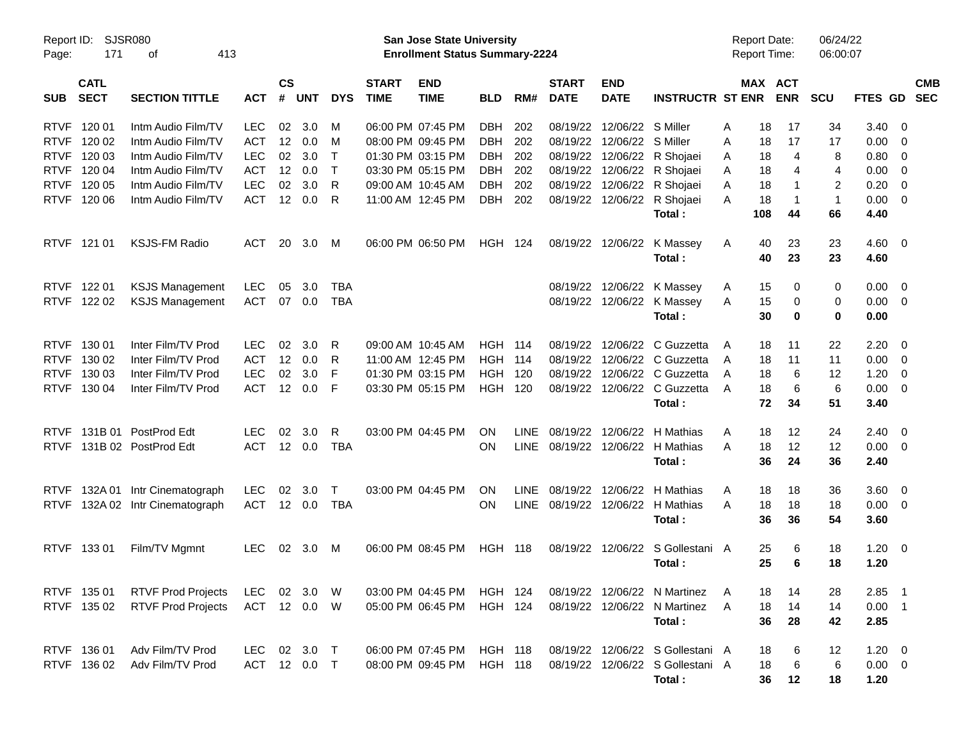| Report ID:  |                  | <b>SJSR080</b>             |            |               |              |              |                   | San Jose State University             |                |      |              |                            |                                  | <b>Report Date:</b> |         |              | 06/24/22     |                |                          |            |
|-------------|------------------|----------------------------|------------|---------------|--------------|--------------|-------------------|---------------------------------------|----------------|------|--------------|----------------------------|----------------------------------|---------------------|---------|--------------|--------------|----------------|--------------------------|------------|
| Page:       | 171<br>413<br>οf |                            |            |               |              |              |                   | <b>Enrollment Status Summary-2224</b> |                |      |              |                            |                                  | <b>Report Time:</b> |         |              | 06:00:07     |                |                          |            |
|             | <b>CATL</b>      |                            |            | $\mathsf{cs}$ |              |              | <b>START</b>      | <b>END</b>                            |                |      | <b>START</b> | <b>END</b>                 |                                  |                     | MAX ACT |              |              |                |                          | <b>CMB</b> |
| <b>SUB</b>  | <b>SECT</b>      | <b>SECTION TITTLE</b>      | <b>ACT</b> |               | # UNT        | <b>DYS</b>   | <b>TIME</b>       | <b>TIME</b>                           | <b>BLD</b>     | RM#  | <b>DATE</b>  | <b>DATE</b>                | <b>INSTRUCTR ST ENR</b>          |                     |         | <b>ENR</b>   | <b>SCU</b>   | FTES GD        |                          | <b>SEC</b> |
| <b>RTVF</b> | 120 01           | Intm Audio Film/TV         | <b>LEC</b> | 02            | 3.0          | M            |                   | 06:00 PM 07:45 PM                     | DBH            | 202  |              | 08/19/22 12/06/22 S Miller |                                  | A                   | 18      | 17           | 34           | 3.40           | $\overline{\mathbf{0}}$  |            |
| <b>RTVF</b> | 120 02           | Intm Audio Film/TV         | <b>ACT</b> | 12            | 0.0          | M            |                   | 08:00 PM 09:45 PM                     | DBH            | 202  | 08/19/22     | 12/06/22                   | S Miller                         | A                   | 18      | 17           | 17           | 0.00           | - 0                      |            |
| <b>RTVF</b> | 120 03           | Intm Audio Film/TV         | <b>LEC</b> | 02            | 3.0          | $\top$       |                   | 01:30 PM 03:15 PM                     | DBH            | 202  | 08/19/22     | 12/06/22                   | R Shojaei                        | A                   | 18      | 4            | 8            | 0.80           | - 0                      |            |
| <b>RTVF</b> | 120 04           | Intm Audio Film/TV         | <b>ACT</b> | 12            | 0.0          | $\top$       |                   | 03:30 PM 05:15 PM                     | DBH            | 202  |              | 08/19/22 12/06/22          | R Shojaei                        | A                   | 18      | 4            | 4            | 0.00           | - 0                      |            |
| <b>RTVF</b> | 120 05           | Intm Audio Film/TV         | <b>LEC</b> | 02            | 3.0          | R            | 09:00 AM 10:45 AM |                                       | DBH            | 202  | 08/19/22     | 12/06/22                   | R Shojaei                        | A                   | 18      | 1            | 2            | 0.20           | $\overline{\mathbf{0}}$  |            |
| <b>RTVF</b> | 120 06           | Intm Audio Film/TV         | <b>ACT</b> | 12            | 0.0          | R.           |                   | 11:00 AM 12:45 PM                     | DBH            | 202  |              | 08/19/22 12/06/22          | R Shojaei                        | A                   | 18      | $\mathbf{1}$ | $\mathbf{1}$ | 0.00           | $\overline{\phantom{0}}$ |            |
|             |                  |                            |            |               |              |              |                   |                                       |                |      |              |                            | Total:                           |                     | 108     | 44           | 66           | 4.40           |                          |            |
| <b>RTVF</b> | 121 01           | <b>KSJS-FM Radio</b>       | <b>ACT</b> | 20            | 3.0          | M            |                   | 06:00 PM 06:50 PM                     | <b>HGH 124</b> |      |              | 08/19/22 12/06/22          | K Massey                         | A                   | 40      | 23           | 23           | $4.60 \quad 0$ |                          |            |
|             |                  |                            |            |               |              |              |                   |                                       |                |      |              |                            | Total:                           |                     | 40      | 23           | 23           | 4.60           |                          |            |
| <b>RTVF</b> | 122 01           | <b>KSJS Management</b>     | <b>LEC</b> | 05            | 3.0          | TBA          |                   |                                       |                |      |              |                            | 08/19/22 12/06/22 K Massey       | A                   | 15      | 0            | 0            | 0.00           | $\overline{\mathbf{0}}$  |            |
| RTVF 122 02 |                  | <b>KSJS Management</b>     | ACT        | 07            | 0.0          | TBA          |                   |                                       |                |      |              | 08/19/22 12/06/22          | K Massey                         | A                   | 15      | 0            | 0            | 0.00           | $\overline{\phantom{0}}$ |            |
|             |                  |                            |            |               |              |              |                   |                                       |                |      |              |                            | Total:                           |                     | 30      | 0            | 0            | 0.00           |                          |            |
| <b>RTVF</b> | 130 01           | Inter Film/TV Prod         | <b>LEC</b> | 02            | 3.0          | R.           | 09:00 AM 10:45 AM |                                       | HGH            | 114  | 08/19/22     | 12/06/22                   | C Guzzetta                       | A                   | 18      | 11           | 22           | 2.20           | $\overline{\phantom{0}}$ |            |
| <b>RTVF</b> | 130 02           | Inter Film/TV Prod         | <b>ACT</b> | 12            | 0.0          | R            |                   | 11:00 AM 12:45 PM                     | <b>HGH 114</b> |      | 08/19/22     | 12/06/22                   | C Guzzetta                       | A                   | 18      | 11           | 11           | 0.00           | $\overline{\mathbf{0}}$  |            |
| <b>RTVF</b> | 130 03           | Inter Film/TV Prod         | <b>LEC</b> | 02            | 3.0          | F            |                   | 01:30 PM 03:15 PM                     | <b>HGH 120</b> |      |              | 08/19/22 12/06/22          | C Guzzetta                       | A                   | 18      | 6            | 12           | 1.20           | $\overline{\mathbf{0}}$  |            |
| <b>RTVF</b> | 130 04           | Inter Film/TV Prod         | <b>ACT</b> | 12            | 0.0          | F            |                   | 03:30 PM 05:15 PM                     | HGH 120        |      |              | 08/19/22 12/06/22          | C Guzzetta                       | A                   | 18      | 6            | 6            | 0.00           | $\overline{\mathbf{0}}$  |            |
|             |                  |                            |            |               |              |              |                   |                                       |                |      |              |                            | Total:                           |                     | 72      | 34           | 51           | 3.40           |                          |            |
| <b>RTVF</b> | 131B 01          | PostProd Edt               | <b>LEC</b> | 02            | 3.0          | $\mathsf{R}$ |                   | 03:00 PM 04:45 PM                     | <b>ON</b>      | LINE |              | 08/19/22 12/06/22          | H Mathias                        | A                   | 18      | 12           | 24           | 2.40           | $\overline{\phantom{0}}$ |            |
| <b>RTVF</b> |                  | 131B 02 PostProd Edt       | <b>ACT</b> |               | 12 0.0       | <b>TBA</b>   |                   |                                       | <b>ON</b>      |      |              | LINE 08/19/22 12/06/22     | H Mathias                        | A                   | 18      | 12           | 12           | $0.00 \quad 0$ |                          |            |
|             |                  |                            |            |               |              |              |                   |                                       |                |      |              |                            | Total:                           |                     | 36      | 24           | 36           | 2.40           |                          |            |
| <b>RTVF</b> |                  | 132A 01 Intr Cinematograph | <b>LEC</b> | 02            | 3.0          | $\mathsf{T}$ |                   | 03:00 PM 04:45 PM                     | ON             | LINE |              | 08/19/22 12/06/22          | H Mathias                        | A                   | 18      | 18           | 36           | 3.60           | $\overline{\phantom{0}}$ |            |
| <b>RTVF</b> |                  | 132A 02 Intr Cinematograph | ACT        |               | 12 0.0       | TBA          |                   |                                       | <b>ON</b>      |      |              | LINE 08/19/22 12/06/22     | H Mathias                        | A                   | 18      | 18           | 18           | $0.00 \t 0$    |                          |            |
|             |                  |                            |            |               |              |              |                   |                                       |                |      |              |                            | Total:                           |                     | 36      | 36           | 54           | 3.60           |                          |            |
| <b>RTVF</b> | 133 01           | Film/TV Mgmnt              | <b>LEC</b> | 02            | 3.0          | M            |                   | 06:00 PM 08:45 PM                     | <b>HGH 118</b> |      |              | 08/19/22 12/06/22          | S Gollestani A                   |                     | 25      | 6            | 18           | 1.20           | $\overline{\phantom{0}}$ |            |
|             |                  |                            |            |               |              |              |                   |                                       |                |      |              |                            | Total:                           |                     | 25      | 6            | 18           | 1.20           |                          |            |
| RTVF 13501  |                  | <b>RTVF Prod Projects</b>  | LEC 02 3.0 |               |              | W            |                   | 03:00 PM 04:45 PM HGH 124             |                |      |              |                            | 08/19/22 12/06/22 N Martinez     | A                   | 18      | 14           | 28           | $2.85$ 1       |                          |            |
|             | RTVF 135 02      | <b>RTVF Prod Projects</b>  | ACT 12 0.0 |               |              | - W          |                   | 05:00 PM 06:45 PM HGH 124             |                |      |              |                            | 08/19/22 12/06/22 N Martinez     | A                   | 18      | 14           | 14           | $0.00$ 1       |                          |            |
|             |                  |                            |            |               |              |              |                   |                                       |                |      |              |                            | Total:                           |                     | 36      | 28           | 42           | 2.85           |                          |            |
| RTVF 136 01 |                  | Adv Film/TV Prod           |            |               | LEC 02 3.0 T |              |                   | 06:00 PM 07:45 PM HGH 118             |                |      |              |                            | 08/19/22 12/06/22 S Gollestani A |                     | 18      | 6            | 12           | $1.20 \t 0$    |                          |            |
|             | RTVF 136 02      | Adv Film/TV Prod           |            |               | ACT 12 0.0   | $\top$       |                   | 08:00 PM 09:45 PM                     | <b>HGH 118</b> |      |              |                            | 08/19/22 12/06/22 S Gollestani A |                     | 18      | 6            | 6            | $0.00 \t 0$    |                          |            |
|             |                  |                            |            |               |              |              |                   |                                       |                |      |              |                            | Total:                           |                     | 36      | 12           | 18           | 1.20           |                          |            |
|             |                  |                            |            |               |              |              |                   |                                       |                |      |              |                            |                                  |                     |         |              |              |                |                          |            |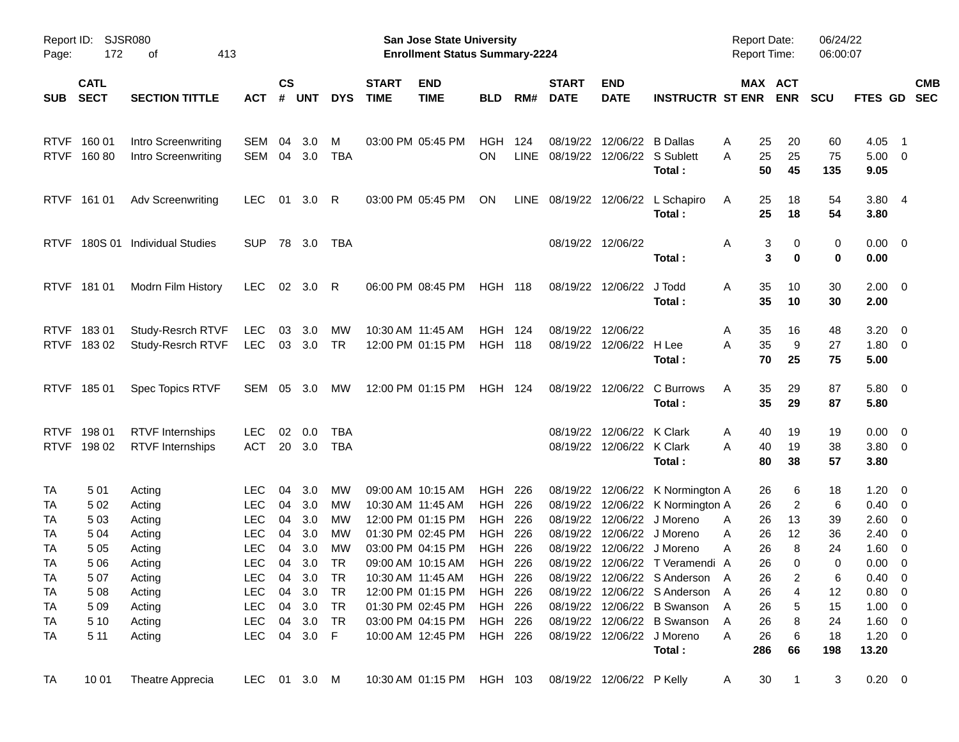| Page:                                            | SJSR080<br>Report ID:<br>172<br>413<br>оf |                                                    |                                               |                    |                                   |                             |                             | San Jose State University<br><b>Enrollment Status Summary-2224</b>               |                                      |                    |                                  |                                               |                                                                                                                                | <b>Report Date:</b><br><b>Report Time:</b> |                                        | 06/24/22<br>06:00:07 |                                                        |                                                     |
|--------------------------------------------------|-------------------------------------------|----------------------------------------------------|-----------------------------------------------|--------------------|-----------------------------------|-----------------------------|-----------------------------|----------------------------------------------------------------------------------|--------------------------------------|--------------------|----------------------------------|-----------------------------------------------|--------------------------------------------------------------------------------------------------------------------------------|--------------------------------------------|----------------------------------------|----------------------|--------------------------------------------------------|-----------------------------------------------------|
| <b>SUB</b>                                       | <b>CATL</b><br><b>SECT</b>                | <b>SECTION TITTLE</b>                              | <b>ACT</b>                                    | $\mathsf{cs}$<br># | <b>UNT</b>                        | <b>DYS</b>                  | <b>START</b><br><b>TIME</b> | <b>END</b><br><b>TIME</b>                                                        | <b>BLD</b>                           | RM#                | <b>START</b><br><b>DATE</b>      | <b>END</b><br><b>DATE</b>                     | <b>INSTRUCTR ST ENR</b>                                                                                                        | MAX ACT                                    | <b>ENR</b>                             | SCU                  | <b>FTES GD</b>                                         | <b>CMB</b><br><b>SEC</b>                            |
|                                                  | RTVF 160 01<br>RTVF 160 80                | Intro Screenwriting<br><b>Intro Screenwriting</b>  | <b>SEM</b><br><b>SEM</b>                      | 04                 | 3.0<br>04 3.0                     | м<br>TBA                    |                             | 03:00 PM 05:45 PM                                                                | HGH<br><b>ON</b>                     | 124<br><b>LINE</b> | 08/19/22<br>08/19/22             | 12/06/22                                      | <b>B</b> Dallas<br>12/06/22 S Sublett                                                                                          | 25<br>Α<br>25<br>Α                         | 20<br>25                               | 60<br>75             | 4.05<br>$5.00 \t 0$                                    | $\overline{\phantom{1}}$                            |
|                                                  | RTVF 161 01                               | <b>Adv Screenwriting</b>                           | <b>LEC</b>                                    | 01                 | 3.0                               | - R                         |                             | 03:00 PM 05:45 PM                                                                | ON                                   |                    | LINE 08/19/22 12/06/22           |                                               | Total:<br>L Schapiro<br>Total:                                                                                                 | 50<br>25<br>A<br>25                        | 45<br>18<br>18                         | 135<br>54<br>54      | 9.05<br>3.804<br>3.80                                  |                                                     |
| <b>RTVF</b>                                      |                                           | 180S 01 Individual Studies                         | <b>SUP</b>                                    |                    | 78 3.0                            | TBA                         |                             |                                                                                  |                                      |                    |                                  | 08/19/22 12/06/22                             | Total:                                                                                                                         | Α<br>3<br>3                                | 0<br>0                                 | 0<br>0               | $0.00 \t 0$<br>0.00                                    |                                                     |
|                                                  | RTVF 181 01                               | Modrn Film History                                 | <b>LEC</b>                                    |                    | 02 3.0                            | - R                         |                             | 06:00 PM 08:45 PM                                                                | <b>HGH 118</b>                       |                    |                                  | 08/19/22 12/06/22                             | J Todd<br>Total:                                                                                                               | 35<br>A<br>35                              | 10<br>10                               | 30<br>30             | $2.00 \t 0$<br>2.00                                    |                                                     |
| <b>RTVF</b>                                      | 18301<br>RTVF 18302                       | Study-Resrch RTVF<br>Study-Resrch RTVF             | <b>LEC</b><br><b>LEC</b>                      | 03                 | 3.0<br>03 3.0                     | МW<br><b>TR</b>             |                             | 10:30 AM 11:45 AM<br>12:00 PM 01:15 PM                                           | HGH<br><b>HGH 118</b>                | - 124              | 08/19/22<br>08/19/22             | 12/06/22<br>12/06/22 H Lee                    | Total:                                                                                                                         | 35<br>Α<br>35<br>A<br>70                   | 16<br>9<br>25                          | 48<br>27<br>75       | 3.20<br>1.80 0<br>5.00                                 | $\overline{\phantom{0}}$                            |
|                                                  | RTVF 185 01                               | Spec Topics RTVF                                   | <b>SEM</b>                                    |                    | 05 3.0                            | МW                          |                             | 12:00 PM 01:15 PM                                                                | HGH 124                              |                    |                                  | 08/19/22 12/06/22                             | C Burrows<br>Total:                                                                                                            | 35<br>Α<br>35                              | 29<br>29                               | 87<br>87             | 5.80 0<br>5.80                                         |                                                     |
| <b>RTVF</b><br><b>RTVF</b>                       | 198 01<br>198 02                          | <b>RTVF Internships</b><br><b>RTVF</b> Internships | <b>LEC</b><br><b>ACT</b>                      | 02<br>20           | 0.0<br>3.0                        | TBA<br><b>TBA</b>           |                             |                                                                                  |                                      |                    | 08/19/22                         | 12/06/22 K Clark<br>08/19/22 12/06/22 K Clark | Total:                                                                                                                         | 40<br>Α<br>Α<br>40<br>80                   | 19<br>19<br>38                         | 19<br>38<br>57       | $0.00 \t 0$<br>$3.80\ 0$<br>3.80                       |                                                     |
| TA<br>TA<br>TA                                   | 501<br>5 0 2<br>503                       | Acting<br>Acting<br>Acting                         | LEC.<br><b>LEC</b><br><b>LEC</b>              | 04<br>04<br>04     | 3.0<br>3.0<br>3.0                 | MW.<br>MW<br>MW             |                             | 09:00 AM 10:15 AM<br>10:30 AM 11:45 AM<br>12:00 PM 01:15 PM                      | HGH<br>HGH<br><b>HGH</b>             | 226<br>226<br>226  | 08/19/22<br>08/19/22<br>08/19/22 | 12/06/22<br>12/06/22                          | 12/06/22 K Normington A<br>K Normington A<br>J Moreno                                                                          | 26<br>26<br>26<br>Α                        | 6<br>$\overline{c}$<br>13              | 18<br>6<br>39        | 1.20<br>$0.40 \quad 0$<br>$2.60 \t 0$                  | $\overline{\phantom{0}}$                            |
| TA<br><b>TA</b><br>TA                            | 5 0 4<br>5 0 5<br>5 0 6                   | Acting<br>Acting<br>Acting                         | <b>LEC</b><br><b>LEC</b><br><b>LEC</b>        | 04<br>04<br>04     | 3.0<br>3.0<br>3.0                 | MW<br>MW<br>TR              |                             | 01:30 PM 02:45 PM<br>03:00 PM 04:15 PM<br>09:00 AM 10:15 AM                      | HGH<br><b>HGH</b><br><b>HGH 226</b>  | 226<br>226         | 08/19/22<br>08/19/22             |                                               | 12/06/22 J Moreno<br>12/06/22 J Moreno<br>08/19/22 12/06/22 T Veramendi A                                                      | 26<br>Α<br>Α<br>26<br>26                   | 12<br>8<br>$\Omega$                    | 36<br>24<br>0        | $2.40 \quad 0$<br>1.60<br>0.00                         | $\overline{\phantom{0}}$<br>$\overline{\mathbf{0}}$ |
| <b>TA</b><br><b>TA</b><br><b>TA</b><br><b>TA</b> | 507<br>5 0 8<br>5 0 9<br>5 1 0            | Acting<br>Acting<br>Acting<br>Acting               | LEC<br><b>LEC</b><br><b>LEC</b><br><b>LEC</b> | 04                 | 04 3.0<br>3.0<br>04 3.0<br>04 3.0 | <b>TR</b><br>TR<br>TR<br>TR |                             | 10:30 AM 11:45 AM<br>12:00 PM 01:15 PM<br>01:30 PM 02:45 PM<br>03:00 PM 04:15 PM | HGH<br>HGH 226<br>HGH 226<br>HGH 226 | 226                |                                  |                                               | 08/19/22 12/06/22 S Anderson A<br>08/19/22 12/06/22 S Anderson A<br>08/19/22 12/06/22 B Swanson<br>08/19/22 12/06/22 B Swanson | 26<br>26<br>26<br>A<br>Α<br>26             | $\overline{\mathbf{c}}$<br>4<br>5<br>8 | 6<br>12<br>15<br>24  | $0.40 \ 0$<br>$0.80 \ 0$<br>$1.00 \t 0$<br>$1.60 \t 0$ |                                                     |
| TA                                               | 5 1 1                                     | Acting                                             | <b>LEC</b>                                    |                    | 04 3.0 F                          |                             |                             | 10:00 AM 12:45 PM                                                                | HGH 226                              |                    |                                  |                                               | 08/19/22 12/06/22 J Moreno<br>Total:                                                                                           | Α<br>26<br>286                             | 6<br>66                                | 18<br>198            | $1.20 \t 0$<br>13.20                                   |                                                     |
| <b>TA</b>                                        | 10 01                                     | Theatre Apprecia                                   | LEC 01 3.0 M                                  |                    |                                   |                             |                             | 10:30 AM 01:15 PM HGH 103                                                        |                                      |                    |                                  | 08/19/22 12/06/22 P Kelly                     |                                                                                                                                | 30<br>A                                    | $\mathbf{1}$                           | 3                    | $0.20 \t 0$                                            |                                                     |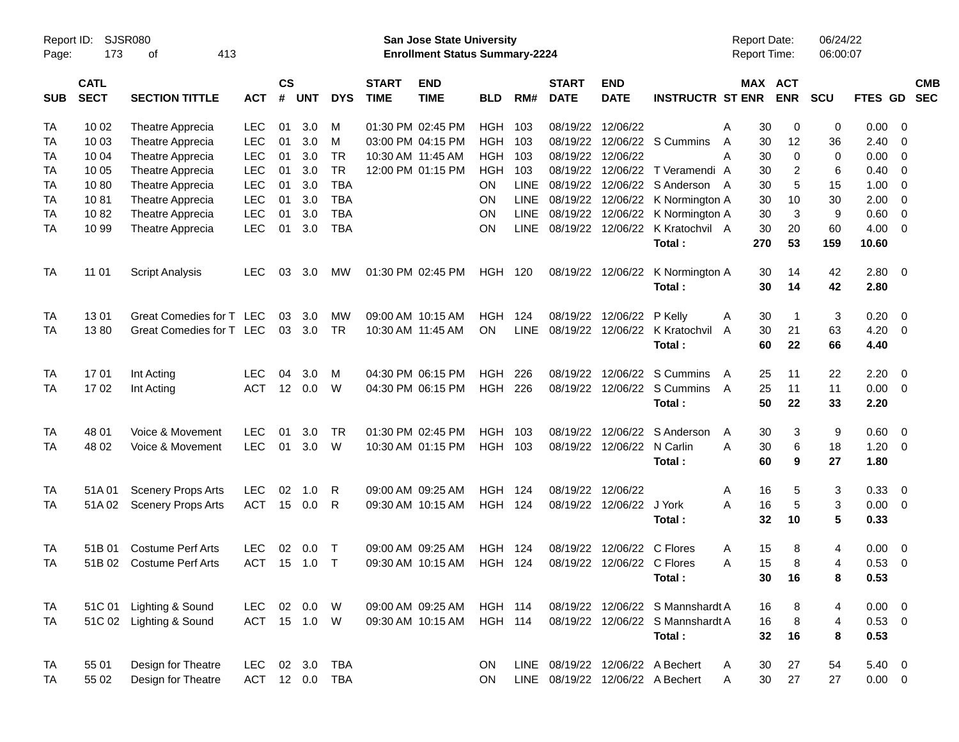| Page:      | SJSR080<br>Report ID:<br>173<br>413<br>οf |                           |            |                    |            |              |                             | San Jose State University<br><b>Enrollment Status Summary-2224</b> |                |             |                             |                            |                                  | Report Date:<br><b>Report Time:</b> |             | 06/24/22<br>06:00:07 |                |                         |                          |
|------------|-------------------------------------------|---------------------------|------------|--------------------|------------|--------------|-----------------------------|--------------------------------------------------------------------|----------------|-------------|-----------------------------|----------------------------|----------------------------------|-------------------------------------|-------------|----------------------|----------------|-------------------------|--------------------------|
| <b>SUB</b> | <b>CATL</b><br><b>SECT</b>                | <b>SECTION TITTLE</b>     | <b>ACT</b> | $\mathsf{cs}$<br># | <b>UNT</b> | <b>DYS</b>   | <b>START</b><br><b>TIME</b> | <b>END</b><br><b>TIME</b>                                          | <b>BLD</b>     | RM#         | <b>START</b><br><b>DATE</b> | <b>END</b><br><b>DATE</b>  | <b>INSTRUCTR ST ENR</b>          | MAX ACT                             | <b>ENR</b>  | <b>SCU</b>           | <b>FTES GD</b> |                         | <b>CMB</b><br><b>SEC</b> |
| <b>TA</b>  | 10 02                                     | Theatre Apprecia          | <b>LEC</b> | 01                 | 3.0        | М            |                             | 01:30 PM 02:45 PM                                                  | HGH            | 103         | 08/19/22                    | 12/06/22                   |                                  | 30<br>A                             | 0           | 0                    | 0.00           | $\overline{0}$          |                          |
| <b>TA</b>  | 10 03                                     | Theatre Apprecia          | <b>LEC</b> | 01                 | 3.0        | м            |                             | 03:00 PM 04:15 PM                                                  | <b>HGH</b>     | 103         | 08/19/22                    |                            | 12/06/22 S Cummins               | 30<br>A                             | 12          | 36                   | 2.40           | $\mathbf 0$             |                          |
| <b>TA</b>  | 10 04                                     | Theatre Apprecia          | <b>LEC</b> | 01                 | 3.0        | <b>TR</b>    |                             | 10:30 AM 11:45 AM                                                  | <b>HGH</b>     | 103         | 08/19/22                    | 12/06/22                   |                                  | A<br>30                             | $\mathbf 0$ | $\mathbf 0$          | 0.00           | 0                       |                          |
| <b>TA</b>  | 10 05                                     | Theatre Apprecia          | <b>LEC</b> | 01                 | 3.0        | <b>TR</b>    |                             | 12:00 PM 01:15 PM                                                  | <b>HGH</b>     | 103         | 08/19/22                    |                            | 12/06/22 T Veramendi A           | 30                                  | 2           | 6                    | 0.40           | $\mathbf 0$             |                          |
| <b>TA</b>  | 1080                                      | Theatre Apprecia          | <b>LEC</b> | 01                 | 3.0        | <b>TBA</b>   |                             |                                                                    | ON             | LINE        | 08/19/22                    |                            | 12/06/22 S Anderson A            | 30                                  | 5           | 15                   | 1.00           | $\mathbf 0$             |                          |
| <b>TA</b>  | 1081                                      | Theatre Apprecia          | <b>LEC</b> | 01                 | 3.0        | <b>TBA</b>   |                             |                                                                    | ON             | LINE        | 08/19/22                    |                            | 12/06/22 K Normington A          | 30                                  | 10          | 30                   | 2.00           | $\overline{0}$          |                          |
| <b>TA</b>  | 1082                                      | Theatre Apprecia          | <b>LEC</b> | 01                 | 3.0        | <b>TBA</b>   |                             |                                                                    | <b>ON</b>      | LINE        |                             |                            | 08/19/22 12/06/22 K Normington A | 30                                  | 3           | 9                    | 0.60           | $\mathbf 0$             |                          |
| <b>TA</b>  | 10 99                                     | Theatre Apprecia          | <b>LEC</b> | 01                 | 3.0        | <b>TBA</b>   |                             |                                                                    | ON             | <b>LINE</b> | 08/19/22                    |                            | 12/06/22 K Kratochvil A          | 30                                  | 20          | 60                   | 4.00           | $\overline{0}$          |                          |
|            |                                           |                           |            |                    |            |              |                             |                                                                    |                |             |                             |                            | Total:                           | 270                                 | 53          | 159                  | 10.60          |                         |                          |
| <b>TA</b>  | 11 01                                     | <b>Script Analysis</b>    | <b>LEC</b> | 03                 | 3.0        | МW           |                             | 01:30 PM 02:45 PM                                                  | HGH            | 120         |                             | 08/19/22 12/06/22          | K Normington A<br>Total:         | 30<br>30                            | 14<br>14    | 42<br>42             | 2.80<br>2.80   | $\overline{0}$          |                          |
| <b>TA</b>  | 1301                                      | Great Comedies for T LEC  |            | 03                 | 3.0        | MW           |                             | 09:00 AM 10:15 AM                                                  | <b>HGH</b>     | 124         | 08/19/22                    | 12/06/22                   | P Kelly                          | 30<br>Α                             |             | 3                    | 0.20           | $\overline{0}$          |                          |
| <b>TA</b>  | 1380                                      | Great Comedies for T LEC  |            | 03                 | 3.0        | <b>TR</b>    |                             | 10:30 AM 11:45 AM                                                  | <b>ON</b>      | <b>LINE</b> | 08/19/22                    |                            | 12/06/22 K Kratochvil            | 30<br>A                             | 21          | 63                   | 4.20           | $\overline{0}$          |                          |
|            |                                           |                           |            |                    |            |              |                             |                                                                    |                |             |                             |                            | Total:                           | 60                                  | 22          | 66                   | 4.40           |                         |                          |
| <b>TA</b>  | 1701                                      | Int Acting                | <b>LEC</b> | 04                 | 3.0        | м            |                             | 04:30 PM 06:15 PM                                                  | <b>HGH</b>     | 226         | 08/19/22                    |                            | 12/06/22 S Cummins               | 25<br>A                             | 11          | 22                   | 2.20           | $\overline{0}$          |                          |
| <b>TA</b>  | 1702                                      | Int Acting                | <b>ACT</b> |                    | 12 0.0     | W            |                             | 04:30 PM 06:15 PM                                                  | HGH            | 226         |                             |                            | 08/19/22 12/06/22 S Cummins      | 25<br>A                             | 11          | 11                   | 0.00           | $\overline{0}$          |                          |
|            |                                           |                           |            |                    |            |              |                             |                                                                    |                |             |                             |                            | Total:                           | 50                                  | 22          | 33                   | 2.20           |                         |                          |
| <b>TA</b>  | 48 01                                     | Voice & Movement          | <b>LEC</b> | 01                 | 3.0        | <b>TR</b>    |                             | 01:30 PM 02:45 PM                                                  | <b>HGH</b>     | 103         | 08/19/22                    |                            | 12/06/22 S Anderson              | 30<br>A                             | 3           | 9                    | 0.60           | $\overline{0}$          |                          |
| <b>TA</b>  | 48 02                                     | Voice & Movement          | <b>LEC</b> | 01                 | 3.0        | W            |                             | 10:30 AM 01:15 PM                                                  | HGH 103        |             |                             | 08/19/22 12/06/22 N Carlin |                                  | A<br>30                             | 6           | 18                   | 1.20           | 0                       |                          |
|            |                                           |                           |            |                    |            |              |                             |                                                                    |                |             |                             |                            | Total:                           | 60                                  | 9           | 27                   | 1.80           |                         |                          |
| <b>TA</b>  | 51A 01                                    | <b>Scenery Props Arts</b> | <b>LEC</b> | 02                 | 1.0        | R            |                             | 09:00 AM 09:25 AM                                                  | <b>HGH</b>     | 124         | 08/19/22 12/06/22           |                            |                                  | 16<br>Α                             | 5           | 3                    | 0.33           | $\overline{0}$          |                          |
| TA         | 51A02                                     | <b>Scenery Props Arts</b> | <b>ACT</b> | 15                 | 0.0        | R            |                             | 09:30 AM 10:15 AM                                                  | <b>HGH 124</b> |             |                             | 08/19/22 12/06/22 J York   |                                  | 16<br>A                             | 5           | 3                    | 0.00           | $\overline{\mathbf{0}}$ |                          |
|            |                                           |                           |            |                    |            |              |                             |                                                                    |                |             |                             |                            | Total:                           | 32                                  | 10          | 5                    | 0.33           |                         |                          |
| <b>TA</b>  | 51B 01                                    | <b>Costume Perf Arts</b>  | <b>LEC</b> | 02                 | 0.0        | $\top$       |                             | 09:00 AM 09:25 AM                                                  | <b>HGH</b>     | 124         | 08/19/22                    | 12/06/22 C Flores          |                                  | 15<br>Α                             | 8           | 4                    | 0.00           | $\overline{0}$          |                          |
| <b>TA</b>  | 51B 02                                    | <b>Costume Perf Arts</b>  | <b>ACT</b> | 15                 | 1.0        | $\mathsf{T}$ |                             | 09:30 AM 10:15 AM                                                  | <b>HGH 124</b> |             | 08/19/22                    | 12/06/22 C Flores          |                                  | 15<br>A                             | 8           | 4                    | 0.53           | $\overline{0}$          |                          |
|            |                                           |                           |            |                    |            |              |                             |                                                                    |                |             |                             |                            | Total:                           |                                     | 30 16       | 8                    | 0.53           |                         |                          |
| <b>TA</b>  |                                           | 51C 01 Lighting & Sound   | LEC.       |                    | 02  0.0  W |              |                             | 09:00 AM 09:25 AM                                                  | <b>HGH 114</b> |             |                             |                            | 08/19/22 12/06/22 S Mannshardt A | 16                                  | 8           | 4                    | $0.00 \t 0$    |                         |                          |
| TA         |                                           | 51C 02 Lighting & Sound   | ACT        |                    | 15  1.0  W |              |                             | 09:30 AM 10:15 AM                                                  | <b>HGH 114</b> |             |                             |                            | 08/19/22 12/06/22 S Mannshardt A | 16                                  | 8           | $\overline{4}$       | $0.53 \t 0$    |                         |                          |
|            |                                           |                           |            |                    |            |              |                             |                                                                    |                |             |                             |                            | Total:                           | 32                                  | 16          | 8                    | 0.53           |                         |                          |
| <b>TA</b>  | 55 01                                     | Design for Theatre        | LEC        |                    | 02 3.0     | <b>TBA</b>   |                             |                                                                    | ON             |             |                             |                            | LINE 08/19/22 12/06/22 A Bechert | 30<br>A                             | 27          | 54                   | $5.40 \ 0$     |                         |                          |
| <b>TA</b>  | 55 02                                     | Design for Theatre        | <b>ACT</b> |                    | 12 0.0     | <b>TBA</b>   |                             |                                                                    | <b>ON</b>      |             |                             |                            | LINE 08/19/22 12/06/22 A Bechert | 30<br>Α                             | 27          | 27                   | $0.00 \t 0$    |                         |                          |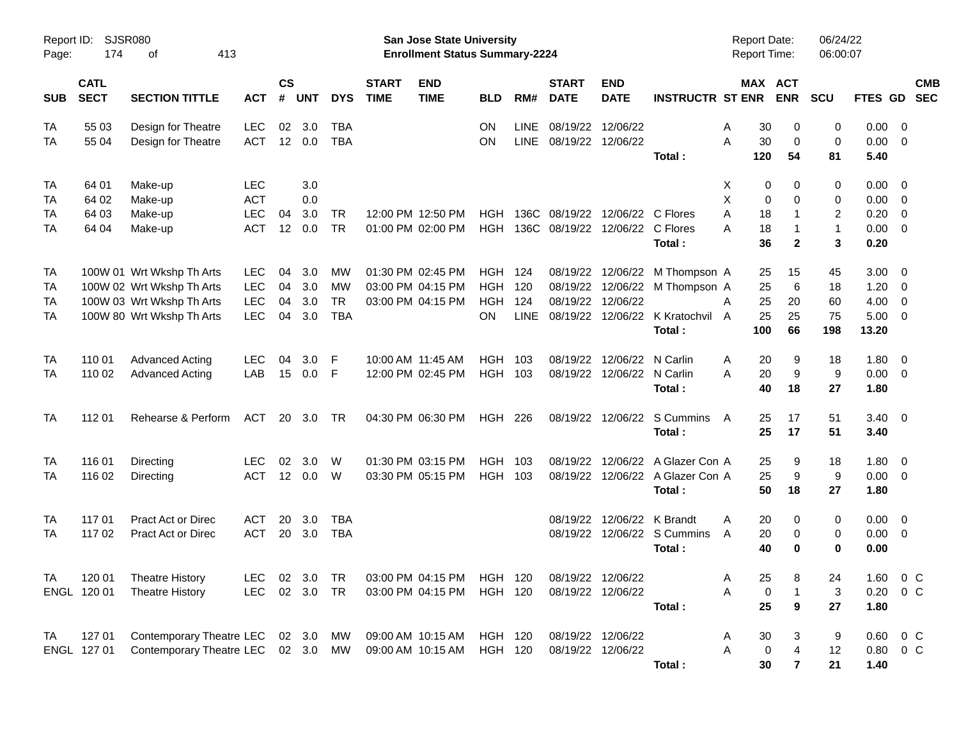| Report ID:<br>Page:         | 174                              | <b>SJSR080</b><br>413<br>οf                                                                                      |                                               |                       |                          |                                     |                             | <b>San Jose State University</b><br><b>Enrollment Status Summary-2224</b>      |                                                  |                           |                                              |                                        |                                                                                     | Report Date:<br><b>Report Time:</b> |                                  |                               | 06/24/22<br>06:00:07                          |                                       |                                           |                          |
|-----------------------------|----------------------------------|------------------------------------------------------------------------------------------------------------------|-----------------------------------------------|-----------------------|--------------------------|-------------------------------------|-----------------------------|--------------------------------------------------------------------------------|--------------------------------------------------|---------------------------|----------------------------------------------|----------------------------------------|-------------------------------------------------------------------------------------|-------------------------------------|----------------------------------|-------------------------------|-----------------------------------------------|---------------------------------------|-------------------------------------------|--------------------------|
| <b>SUB</b>                  | <b>CATL</b><br><b>SECT</b>       | <b>SECTION TITTLE</b>                                                                                            | <b>ACT</b>                                    | <b>CS</b><br>#        | <b>UNT</b>               | <b>DYS</b>                          | <b>START</b><br><b>TIME</b> | <b>END</b><br><b>TIME</b>                                                      | <b>BLD</b>                                       | RM#                       | <b>START</b><br><b>DATE</b>                  | <b>END</b><br><b>DATE</b>              | <b>INSTRUCTR ST ENR</b>                                                             |                                     | MAX ACT                          | <b>ENR</b>                    | <b>SCU</b>                                    | FTES GD                               |                                           | <b>CMB</b><br><b>SEC</b> |
| TA<br>TA                    | 55 03<br>55 04                   | Design for Theatre<br>Design for Theatre                                                                         | <b>LEC</b><br><b>ACT</b>                      | 02<br>12              | 3.0<br>0.0               | <b>TBA</b><br><b>TBA</b>            |                             |                                                                                | ON<br>ON                                         | LINE<br>LINE              | 08/19/22<br>08/19/22                         | 12/06/22<br>12/06/22                   | Total:                                                                              | A<br>A                              | 30<br>30<br>120                  | 0<br>$\mathbf 0$<br>54        | 0<br>$\mathbf 0$<br>81                        | 0.00<br>0.00<br>5.40                  | $\overline{0}$<br>$\mathbf 0$             |                          |
| TA<br>TA<br>TA<br>TA        | 64 01<br>64 02<br>64 03<br>64 04 | Make-up<br>Make-up<br>Make-up<br>Make-up                                                                         | <b>LEC</b><br><b>ACT</b><br>LEC<br><b>ACT</b> | 04<br>12              | 3.0<br>0.0<br>3.0<br>0.0 | <b>TR</b><br><b>TR</b>              |                             | 12:00 PM 12:50 PM<br>01:00 PM 02:00 PM                                         | HGH<br>HGH                                       |                           | 136C 08/19/22<br>136C 08/19/22               | 12/06/22 C Flores                      | 12/06/22 C Flores<br>Total:                                                         | Χ<br>X<br>A<br>A                    | 0<br>0<br>18<br>18<br>36         | 0<br>0<br>1<br>$\overline{2}$ | 0<br>0<br>$\overline{2}$<br>$\mathbf{1}$<br>3 | 0.00<br>0.00<br>0.20<br>0.00<br>0.20  | 0<br>0<br>$\mathbf 0$<br>$\mathbf 0$      |                          |
| TA<br>TA<br>TA<br><b>TA</b> |                                  | 100W 01 Wrt Wkshp Th Arts<br>100W 02 Wrt Wkshp Th Arts<br>100W 03 Wrt Wkshp Th Arts<br>100W 80 Wrt Wkshp Th Arts | <b>LEC</b><br><b>LEC</b><br>LEC<br><b>LEC</b> | 04<br>04<br>04<br>04  | 3.0<br>3.0<br>3.0<br>3.0 | MW<br>MW<br><b>TR</b><br><b>TBA</b> |                             | 01:30 PM 02:45 PM<br>03:00 PM 04:15 PM<br>03:00 PM 04:15 PM                    | <b>HGH 124</b><br><b>HGH</b><br><b>HGH</b><br>ON | 120<br>124<br><b>LINE</b> | 08/19/22<br>08/19/22<br>08/19/22<br>08/19/22 | 12/06/22                               | 12/06/22 M Thompson A<br>12/06/22 M Thompson A<br>12/06/22 K Kratochvil A<br>Total: | A                                   | 25<br>25<br>25<br>25<br>100      | 15<br>6<br>20<br>25<br>66     | 45<br>18<br>60<br>75<br>198                   | 3.00<br>1.20<br>4.00<br>5.00<br>13.20 | 0<br>0<br>$\mathbf 0$<br>0                |                          |
| TA<br><b>TA</b>             | 110 01<br>110 02                 | <b>Advanced Acting</b><br><b>Advanced Acting</b>                                                                 | <b>LEC</b><br>LAB                             | 04<br>15              | 3.0<br>0.0               | F<br>-F                             |                             | 10:00 AM 11:45 AM<br>12:00 PM 02:45 PM                                         | HGH<br>HGH 103                                   | 103                       | 08/19/22<br>08/19/22                         | 12/06/22<br>12/06/22                   | N Carlin<br>N Carlin<br>Total:                                                      | A<br>A                              | 20<br>20<br>40                   | 9<br>9<br>18                  | 18<br>9<br>27                                 | 1.80<br>0.00<br>1.80                  | $\overline{0}$<br>$\overline{0}$          |                          |
| <b>TA</b>                   | 112 01                           | Rehearse & Perform                                                                                               | ACT                                           |                       | 20 3.0                   | <b>TR</b>                           |                             | 04:30 PM 06:30 PM                                                              | <b>HGH 226</b>                                   |                           | 08/19/22                                     |                                        | 12/06/22 S Cummins<br>Total:                                                        | A                                   | 25<br>25                         | 17<br>17                      | 51<br>51                                      | 3.40<br>3.40                          | $\overline{\phantom{0}}$                  |                          |
| TA<br>TA                    | 116 01<br>116 02                 | Directing<br>Directing                                                                                           | <b>LEC</b><br><b>ACT</b>                      | 02<br>12 <sup>7</sup> | 3.0<br>0.0               | W<br>W                              |                             | 01:30 PM 03:15 PM<br>03:30 PM 05:15 PM                                         | HGH<br>HGH 103                                   | 103                       | 08/19/22<br>08/19/22                         | 12/06/22                               | A Glazer Con A<br>12/06/22 A Glazer Con A<br>Total:                                 |                                     | 25<br>25<br>50                   | 9<br>9<br>18                  | 18<br>9<br>27                                 | 1.80<br>0.00<br>1.80                  | $\overline{0}$<br>$\overline{0}$          |                          |
| TA<br><b>TA</b>             | 117 01<br>117 02                 | Pract Act or Direc<br>Pract Act or Direc                                                                         | ACT<br><b>ACT</b>                             | 20<br>20              | 3.0<br>3.0               | <b>TBA</b><br><b>TBA</b>            |                             |                                                                                |                                                  |                           | 08/19/22<br>08/19/22                         |                                        | 12/06/22 K Brandt<br>12/06/22 S Cummins<br>Total:                                   | A<br>A                              | 20<br>20<br>40                   | 0<br>0<br>$\bf{0}$            | 0<br>0<br>$\mathbf 0$                         | 0.00<br>0.00<br>0.00                  | $\overline{\mathbf{0}}$<br>$\overline{0}$ |                          |
| <b>TA</b>                   | ENGL 120 01                      | 120 01 Theatre History<br><b>Theatre History</b>                                                                 | <b>LEC</b>                                    |                       | 02 3.0 TR                |                                     |                             | LEC 02 3.0 TR 03:00 PM 04:15 PM HGH 120 08/19/22 12/06/22<br>03:00 PM 04:15 PM | HGH 120                                          |                           |                                              | 08/19/22 12/06/22                      | Total:                                                                              | Α<br>Α                              | 25<br>0<br>25                    | 8<br>9                        | 24<br>3<br>27                                 | 1.60 0 C<br>0.20<br>1.80              | 0 <sup>o</sup>                            |                          |
| TA                          | 127 01<br>ENGL 127 01            | Contemporary Theatre LEC 02 3.0 MW<br>Contemporary Theatre LEC 02 3.0 MW                                         |                                               |                       |                          |                                     |                             | 09:00 AM 10:15 AM<br>09:00 AM 10:15 AM                                         | HGH 120<br><b>HGH 120</b>                        |                           |                                              | 08/19/22 12/06/22<br>08/19/22 12/06/22 | Total:                                                                              | A<br>Α                              | 30<br>$\boldsymbol{0}$<br>$30\,$ | 3<br>4<br>$\mathbf{7}$        | 9<br>12<br>21                                 | $0.60 \t 0 \t C$<br>0.80<br>1.40      | $0\,C$                                    |                          |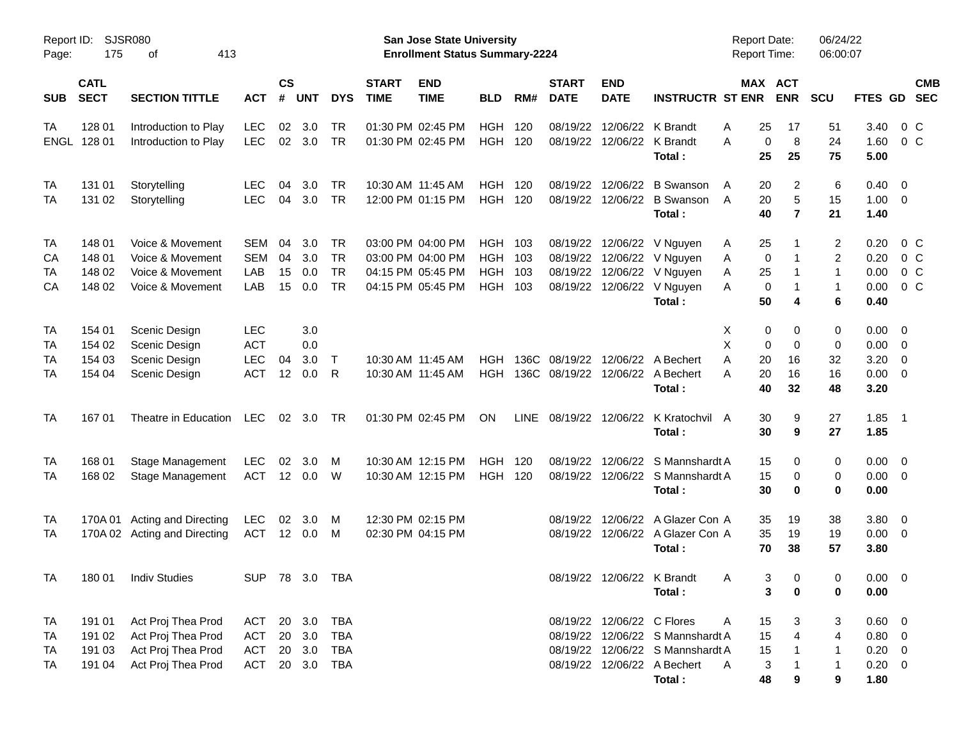| Page:       | SJSR080<br>Report ID:<br>175<br>413<br>οf |                              |                |                    |            |            |                             | San Jose State University<br><b>Enrollment Status Summary-2224</b> |                |             |                             |                            |                                  | <b>Report Date:</b><br><b>Report Time:</b> |                                  | 06/24/22<br>06:00:07    |                |                          |            |
|-------------|-------------------------------------------|------------------------------|----------------|--------------------|------------|------------|-----------------------------|--------------------------------------------------------------------|----------------|-------------|-----------------------------|----------------------------|----------------------------------|--------------------------------------------|----------------------------------|-------------------------|----------------|--------------------------|------------|
| <b>SUB</b>  | <b>CATL</b><br><b>SECT</b>                | <b>SECTION TITTLE</b>        | <b>ACT</b>     | $\mathsf{cs}$<br># | <b>UNT</b> | <b>DYS</b> | <b>START</b><br><b>TIME</b> | <b>END</b><br><b>TIME</b>                                          | <b>BLD</b>     | RM#         | <b>START</b><br><b>DATE</b> | <b>END</b><br><b>DATE</b>  | <b>INSTRUCTR ST ENR</b>          |                                            | MAX ACT<br><b>ENR</b>            | <b>SCU</b>              | <b>FTES GD</b> | <b>SEC</b>               | <b>CMB</b> |
| TA          | 128 01                                    | Introduction to Play         | <b>LEC</b>     | 02                 | 3.0        | <b>TR</b>  |                             | 01:30 PM 02:45 PM                                                  | <b>HGH</b>     | 120         | 08/19/22                    |                            | 12/06/22 K Brandt                | 25<br>A                                    | 17                               | 51                      | 3.40           | 0 C                      |            |
| <b>ENGL</b> | 128 01                                    | Introduction to Play         | <b>LEC</b>     |                    | 02 3.0     | <b>TR</b>  |                             | 01:30 PM 02:45 PM                                                  | <b>HGH 120</b> |             | 08/19/22                    |                            | 12/06/22 K Brandt                | A                                          | 8<br>0                           | 24                      | 1.60           | $0\,C$                   |            |
|             |                                           |                              |                |                    |            |            |                             |                                                                    |                |             |                             |                            | Total:                           | 25                                         | 25                               | 75                      | 5.00           |                          |            |
| TA          | 131 01                                    | Storytelling                 | <b>LEC</b>     | 04                 | 3.0        | <b>TR</b>  |                             | 10:30 AM 11:45 AM                                                  | <b>HGH</b>     | 120         | 08/19/22                    |                            | 12/06/22 B Swanson               | 20<br>A                                    | 2                                | 6                       | $0.40 \quad 0$ |                          |            |
| TA          | 131 02                                    | Storytelling                 | <b>LEC</b>     | 04                 | 3.0        | <b>TR</b>  |                             | 12:00 PM 01:15 PM                                                  | <b>HGH 120</b> |             | 08/19/22                    |                            | 12/06/22 B Swanson               | 20<br>A                                    | 5                                | 15                      | $1.00 \t 0$    |                          |            |
|             |                                           |                              |                |                    |            |            |                             |                                                                    |                |             |                             |                            | Total:                           | 40                                         | $\overline{7}$                   | 21                      | 1.40           |                          |            |
| TA          | 148 01                                    | Voice & Movement             | SEM            | 04                 | 3.0        | <b>TR</b>  |                             | 03:00 PM 04:00 PM                                                  | <b>HGH</b>     | 103         | 08/19/22                    |                            | 12/06/22 V Nguyen                | 25<br>A                                    | 1                                | $\overline{\mathbf{c}}$ | 0.20           | 0 C                      |            |
| CА          | 148 01                                    | Voice & Movement             | SEM            | 04                 | 3.0        | <b>TR</b>  |                             | 03:00 PM 04:00 PM                                                  | <b>HGH</b>     | 103         | 08/19/22                    |                            | 12/06/22 V Nguyen                | Α                                          | 0<br>-1                          | $\overline{c}$          | 0.20           | 0 <sup>o</sup>           |            |
| TA          | 148 02                                    | Voice & Movement             | LAB            | 15                 | 0.0        | <b>TR</b>  |                             | 04:15 PM 05:45 PM                                                  | <b>HGH</b>     | 103         | 08/19/22                    |                            | 12/06/22 V Nguyen                | 25<br>Α                                    | 1                                | 1                       | 0.00           | 0 <sup>o</sup>           |            |
| CA          | 148 02                                    | Voice & Movement             | LAB            | 15                 | 0.0        | <b>TR</b>  |                             | 04:15 PM 05:45 PM                                                  | <b>HGH</b>     | 103         | 08/19/22                    |                            | 12/06/22 V Nguyen                | A                                          | 0<br>1                           | 1                       | 0.00           | 0 <sup>o</sup>           |            |
|             |                                           |                              |                |                    |            |            |                             |                                                                    |                |             |                             |                            | Total:                           | 50                                         | 4                                | 6                       | 0.40           |                          |            |
| TA          | 154 01                                    | Scenic Design                | LEC            |                    | 3.0        |            |                             |                                                                    |                |             |                             |                            |                                  | х                                          | 0<br>0                           | 0                       | $0.00 \t 0$    |                          |            |
| TA          | 154 02                                    | Scenic Design                | <b>ACT</b>     |                    | 0.0        |            |                             |                                                                    |                |             |                             |                            |                                  | X                                          | 0<br>0                           | 0                       | 0.00           | $\overline{\mathbf{0}}$  |            |
| TA          | 154 03                                    | Scenic Design                | <b>LEC</b>     | 04                 | 3.0        | $\top$     |                             | 10:30 AM 11:45 AM                                                  | <b>HGH</b>     | 136C        | 08/19/22                    |                            | 12/06/22 A Bechert               | 20<br>A                                    | 16                               | 32                      | 3.20           | $\overline{\mathbf{0}}$  |            |
| TA          | 154 04                                    | Scenic Design                | <b>ACT</b>     | 12                 | 0.0        | R          |                             | 10:30 AM 11:45 AM                                                  | <b>HGH</b>     |             | 136C 08/19/22               |                            | 12/06/22 A Bechert               | 20<br>Α                                    | 16                               | 16                      | 0.00           | $\overline{\phantom{0}}$ |            |
|             |                                           |                              |                |                    |            |            |                             |                                                                    |                |             |                             |                            | Total:                           | 40                                         | 32                               | 48                      | 3.20           |                          |            |
| TA          | 16701                                     | Theatre in Education         | LEC            |                    | 02 3.0     | - TR       |                             | 01:30 PM 02:45 PM                                                  | ON             | <b>LINE</b> |                             |                            | 08/19/22 12/06/22 K Kratochvil A | 30                                         | 9                                | 27                      | $1.85$ 1       |                          |            |
|             |                                           |                              |                |                    |            |            |                             |                                                                    |                |             |                             |                            | Total:                           | 30                                         | 9                                | 27                      | 1.85           |                          |            |
| TA          | 168 01                                    | <b>Stage Management</b>      | <b>LEC</b>     | 02                 | 3.0        | M          |                             | 10:30 AM 12:15 PM                                                  | <b>HGH</b>     | 120         | 08/19/22                    |                            | 12/06/22 S Mannshardt A          | 15                                         | 0                                | 0                       | $0.00 \t 0$    |                          |            |
| TA          | 168 02                                    | Stage Management             | <b>ACT</b>     |                    | 12 0.0     | W          |                             | 10:30 AM 12:15 PM                                                  | <b>HGH 120</b> |             | 08/19/22                    |                            | 12/06/22 S Mannshardt A          | 15                                         | 0                                | 0                       | $0.00 \t 0$    |                          |            |
|             |                                           |                              |                |                    |            |            |                             |                                                                    |                |             |                             |                            | Total:                           | 30                                         | 0                                | 0                       | 0.00           |                          |            |
| TA          |                                           | 170A 01 Acting and Directing | <b>LEC</b>     | 02                 | 3.0        | M          |                             | 12:30 PM 02:15 PM                                                  |                |             | 08/19/22                    |                            | 12/06/22 A Glazer Con A          | 35                                         | 19                               | 38                      | 3.80 0         |                          |            |
| TA          |                                           | 170A 02 Acting and Directing | <b>ACT</b>     |                    | 12 0.0     | M          |                             | 02:30 PM 04:15 PM                                                  |                |             |                             |                            | 08/19/22 12/06/22 A Glazer Con A | 35                                         | 19                               | 19                      | $0.00 \t 0$    |                          |            |
|             |                                           |                              |                |                    |            |            |                             |                                                                    |                |             |                             |                            | Total:                           | 70                                         | 38                               | 57                      | 3.80           |                          |            |
| <b>TA</b>   |                                           | 180 01 Indiv Studies         | SUP 78 3.0 TBA |                    |            |            |                             |                                                                    |                |             |                             |                            | 08/19/22 12/06/22 K Brandt       | <sub>A</sub>                               | 3 <sup>7</sup><br>$\overline{0}$ | $\mathbf{0}$            | $0.00 \t 0$    |                          |            |
|             |                                           |                              |                |                    |            |            |                             |                                                                    |                |             |                             |                            | Total:                           |                                            | 3<br>0                           | 0                       | 0.00           |                          |            |
| TA          | 191 01                                    | Act Proj Thea Prod           | ACT            |                    | 20 3.0     | <b>TBA</b> |                             |                                                                    |                |             |                             | 08/19/22 12/06/22 C Flores |                                  | 15<br>A                                    | 3                                | 3                       | 0.60 0         |                          |            |
| TA          | 191 02                                    | Act Proj Thea Prod           | <b>ACT</b>     | 20                 | 3.0        | <b>TBA</b> |                             |                                                                    |                |             |                             |                            | 08/19/22 12/06/22 S Mannshardt A | 15                                         | 4                                | 4                       | $0.80 \ 0$     |                          |            |
| TA          | 191 03                                    | Act Proj Thea Prod           | <b>ACT</b>     |                    | 20 3.0     | <b>TBA</b> |                             |                                                                    |                |             |                             |                            | 08/19/22 12/06/22 S Mannshardt A | 15                                         |                                  | 1                       | $0.20 \ 0$     |                          |            |
| TA          | 191 04                                    | Act Proj Thea Prod           | <b>ACT</b>     |                    | 20 3.0     | <b>TBA</b> |                             |                                                                    |                |             |                             |                            | 08/19/22 12/06/22 A Bechert      | A                                          | 3                                | 1                       | $0.20 \ 0$     |                          |            |
|             |                                           |                              |                |                    |            |            |                             |                                                                    |                |             |                             |                            | Total:                           | 48                                         | 9                                | 9                       | 1.80           |                          |            |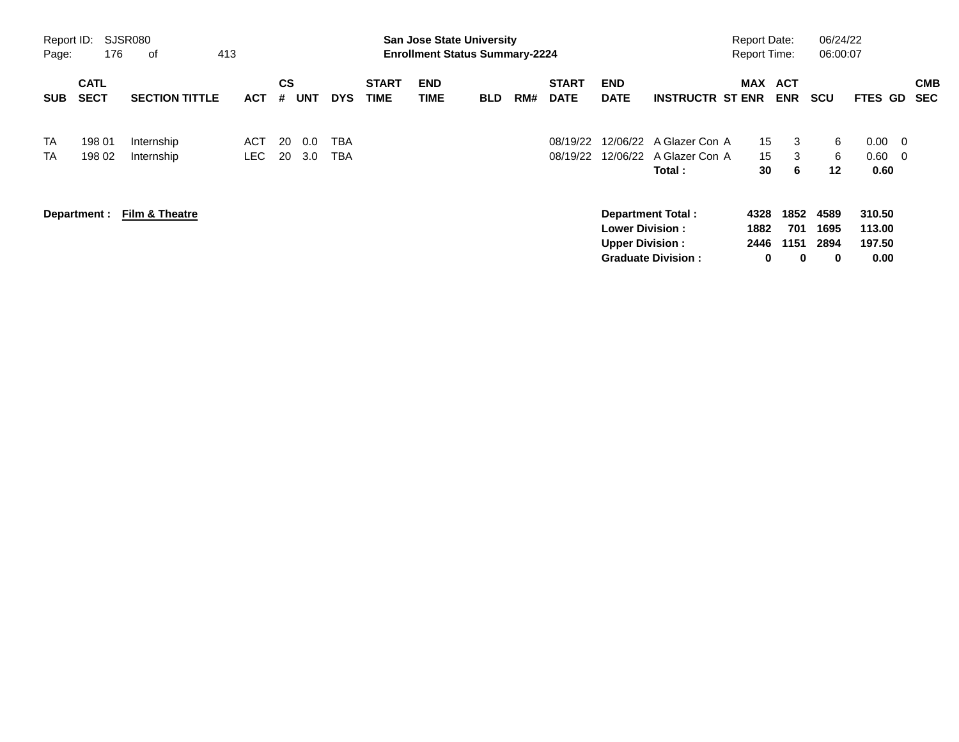| Page:      | Report ID:<br>SJSR080<br>176<br>413<br>оf |                           |            |                |            |            |                             |                    | <b>San Jose State University</b><br><b>Enrollment Status Summary-2224</b> |     |                             |                           |                                  | <b>Report Date:</b><br><b>Report Time:</b> |             | 06/24/22<br>06:00:07 |                  |                          |                          |
|------------|-------------------------------------------|---------------------------|------------|----------------|------------|------------|-----------------------------|--------------------|---------------------------------------------------------------------------|-----|-----------------------------|---------------------------|----------------------------------|--------------------------------------------|-------------|----------------------|------------------|--------------------------|--------------------------|
| <b>SUB</b> | <b>CATL</b><br><b>SECT</b>                | <b>SECTION TITTLE</b>     | <b>ACT</b> | <b>CS</b><br># | <b>UNT</b> | <b>DYS</b> | <b>START</b><br><b>TIME</b> | <b>END</b><br>TIME | <b>BLD</b>                                                                | RM# | <b>START</b><br><b>DATE</b> | <b>END</b><br><b>DATE</b> | <b>INSTRUCTR ST ENR</b>          | MAX ACT                                    | <b>ENR</b>  | <b>SCU</b>           | <b>FTES</b>      | GD                       | <b>CMB</b><br><b>SEC</b> |
| <b>TA</b>  | 198 01                                    | Internship                | ACT        | -20            | 0.0        | TBA        |                             |                    |                                                                           |     | 08/19/22                    |                           | 12/06/22 A Glazer Con A          | 15 <sup>15</sup>                           | 3           | 6                    | 0.00             | $\overline{\phantom{0}}$ |                          |
| <b>TA</b>  | 198 02                                    | Internship                | LEC.       | 20             | 3.0        | <b>TBA</b> |                             |                    |                                                                           |     | 08/19/22                    | 12/06/22                  | A Glazer Con A<br><b>Total</b> : | 15 <sup>1</sup><br>30                      | 3<br>6      | 6<br>$12 \,$         | 0.60<br>0.60     | $\overline{\phantom{0}}$ |                          |
|            | Department :                              | <b>Film &amp; Theatre</b> |            |                |            |            |                             |                    |                                                                           |     |                             | <b>Lower Division:</b>    | <b>Department Total:</b>         | 4328<br>1882                               | 1852<br>701 | 4589<br>1695         | 310.50<br>113.00 |                          |                          |
|            |                                           |                           |            |                |            |            |                             |                    |                                                                           |     |                             | <b>Upper Division:</b>    | <b>Graduate Division:</b>        | 2446<br>$\mathbf 0$                        | 1151<br>0   | 2894<br>0            | 197.50<br>0.00   |                          |                          |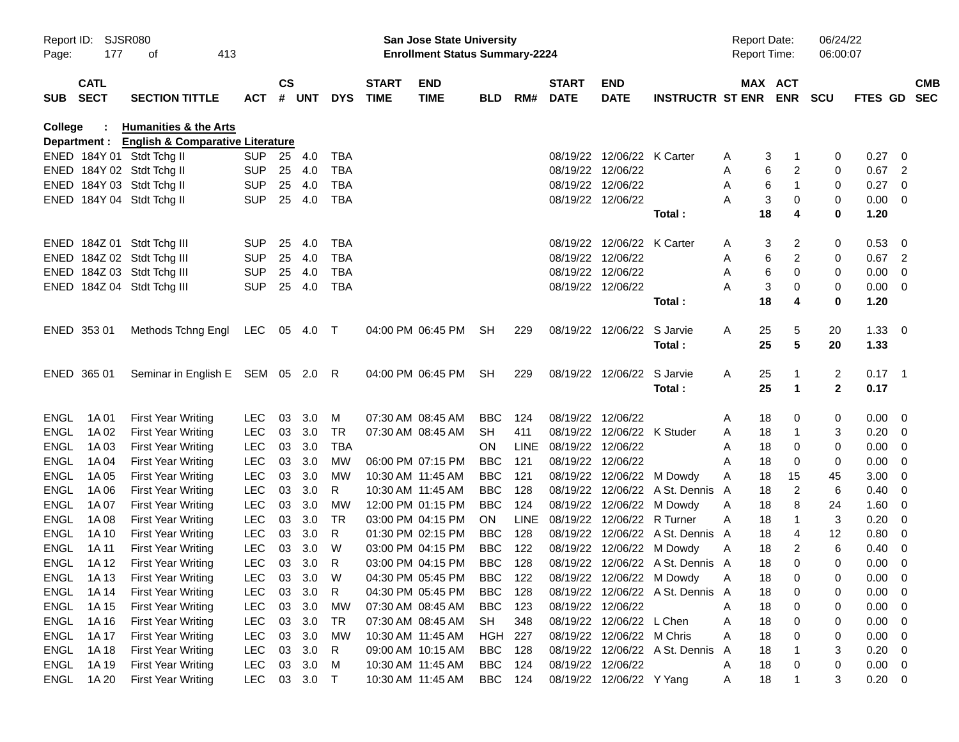| Page:       | Report ID: SJSR080<br>177  | 413<br>οf                                     |              |               |          |            |                             | <b>San Jose State University</b><br><b>Enrollment Status Summary-2224</b> |                |             |                             |                            |                                  | <b>Report Date:</b><br>Report Time: |                       | 06/24/22<br>06:00:07 |             |                            |            |
|-------------|----------------------------|-----------------------------------------------|--------------|---------------|----------|------------|-----------------------------|---------------------------------------------------------------------------|----------------|-------------|-----------------------------|----------------------------|----------------------------------|-------------------------------------|-----------------------|----------------------|-------------|----------------------------|------------|
| SUB         | <b>CATL</b><br><b>SECT</b> | <b>SECTION TITTLE</b>                         | <b>ACT</b>   | $\mathsf{cs}$ | # UNT    | <b>DYS</b> | <b>START</b><br><b>TIME</b> | <b>END</b><br><b>TIME</b>                                                 | <b>BLD</b>     | RM#         | <b>START</b><br><b>DATE</b> | <b>END</b><br><b>DATE</b>  | <b>INSTRUCTR ST ENR</b>          |                                     | MAX ACT<br><b>ENR</b> | <b>SCU</b>           | FTES GD SEC |                            | <b>CMB</b> |
| College     | ÷                          | <b>Humanities &amp; the Arts</b>              |              |               |          |            |                             |                                                                           |                |             |                             |                            |                                  |                                     |                       |                      |             |                            |            |
|             |                            | Department : English & Comparative Literature |              |               |          |            |                             |                                                                           |                |             |                             |                            |                                  |                                     |                       |                      |             |                            |            |
|             |                            | ENED 184Y 01 Stdt Tchg II                     | <b>SUP</b>   | 25            | 4.0      | <b>TBA</b> |                             |                                                                           |                |             |                             | 08/19/22 12/06/22 K Carter |                                  | A                                   | 3<br>1                | 0                    | 0.27        | - 0                        |            |
|             |                            | ENED 184Y 02 Stdt Tchg II                     | <b>SUP</b>   | 25            | 4.0      | <b>TBA</b> |                             |                                                                           |                |             | 08/19/22 12/06/22           |                            |                                  | A                                   | 6<br>2                | 0                    | 0.67        | $\overline{2}$             |            |
|             |                            | ENED 184Y 03 Stdt Tchg II                     | <b>SUP</b>   | 25            | 4.0      | TBA        |                             |                                                                           |                |             | 08/19/22 12/06/22           |                            |                                  | Α                                   | 6<br>1                | 0                    | 0.27        | $\overline{\mathbf{0}}$    |            |
|             |                            | ENED 184Y 04 Stdt Tchg II                     | <b>SUP</b>   | 25            | 4.0      | <b>TBA</b> |                             |                                                                           |                |             | 08/19/22 12/06/22           |                            |                                  | Α                                   | 3<br>0                | 0                    | 0.00        | $\overline{\mathbf{0}}$    |            |
|             |                            |                                               |              |               |          |            |                             |                                                                           |                |             |                             |                            | Total:                           | 18                                  | 4                     | $\bf{0}$             | 1.20        |                            |            |
|             |                            | ENED 184Z 01 Stdt Tchg III                    | <b>SUP</b>   | 25            | 4.0      | <b>TBA</b> |                             |                                                                           |                |             |                             | 08/19/22 12/06/22 K Carter |                                  | A                                   | 2<br>3                | 0                    | 0.53        | - 0                        |            |
|             |                            | ENED 184Z 02 Stdt Tchg III                    | <b>SUP</b>   | 25            | 4.0      | <b>TBA</b> |                             |                                                                           |                |             | 08/19/22 12/06/22           |                            |                                  | Α                                   | 6<br>2                | 0                    | 0.67        | $\overline{\phantom{0}}^2$ |            |
|             |                            | ENED 184Z 03 Stdt Tchg III                    | <b>SUP</b>   | 25            | 4.0      | TBA        |                             |                                                                           |                |             | 08/19/22 12/06/22           |                            |                                  | Α                                   | 6<br>0                | 0                    | 0.00        | $\overline{0}$             |            |
|             |                            | ENED 184Z 04 Stdt Tchg III                    | <b>SUP</b>   | 25            | 4.0      | <b>TBA</b> |                             |                                                                           |                |             | 08/19/22 12/06/22           |                            |                                  | Α                                   | 3<br>0                | 0                    | 0.00        | $\overline{\phantom{0}}$   |            |
|             |                            |                                               |              |               |          |            |                             |                                                                           |                |             |                             |                            | Total:                           | 18                                  | 4                     | 0                    | 1.20        |                            |            |
|             | ENED 353 01                | Methods Tchng Engl                            | LEC 05 4.0 T |               |          |            |                             | 04:00 PM 06:45 PM                                                         | SH             | 229         |                             | 08/19/22 12/06/22 S Jarvie |                                  | 25<br>A                             | 5                     | 20                   | 1.33        | $\overline{\mathbf{0}}$    |            |
|             |                            |                                               |              |               |          |            |                             |                                                                           |                |             |                             |                            | Total:                           | 25                                  | 5                     | 20                   | 1.33        |                            |            |
|             |                            |                                               |              |               |          |            |                             |                                                                           |                |             |                             |                            |                                  |                                     |                       |                      |             |                            |            |
|             | ENED 365 01                | Seminar in English E SEM 05 2.0 R             |              |               |          |            |                             | 04:00 PM 06:45 PM                                                         | SH             | 229         |                             | 08/19/22 12/06/22 S Jarvie |                                  | 25<br>A                             | 1                     | $\overline{2}$       | $0.17$ 1    |                            |            |
|             |                            |                                               |              |               |          |            |                             |                                                                           |                |             |                             |                            | Total:                           | 25                                  | $\blacktriangleleft$  | $\overline{2}$       | 0.17        |                            |            |
| <b>ENGL</b> | 1A 01                      | <b>First Year Writing</b>                     | <b>LEC</b>   | 03            | 3.0      | М          |                             | 07:30 AM 08:45 AM                                                         | <b>BBC</b>     | 124         | 08/19/22 12/06/22           |                            |                                  | 18<br>A                             | 0                     | 0                    | 0.00        | $\overline{\phantom{0}}$   |            |
| <b>ENGL</b> | 1A 02                      | <b>First Year Writing</b>                     | <b>LEC</b>   | 03            | 3.0      | <b>TR</b>  |                             | 07:30 AM 08:45 AM                                                         | <b>SH</b>      | 411         |                             | 08/19/22 12/06/22 K Studer |                                  | 18<br>Α                             |                       | 3                    | 0.20        | $\overline{\phantom{0}}$   |            |
| <b>ENGL</b> | 1A 03                      | <b>First Year Writing</b>                     | <b>LEC</b>   | 03            | 3.0      | TBA        |                             |                                                                           | <b>ON</b>      | <b>LINE</b> | 08/19/22 12/06/22           |                            |                                  | 18<br>Α                             | 0                     | 0                    | 0.00        | $\overline{\mathbf{0}}$    |            |
| <b>ENGL</b> | 1A 04                      | <b>First Year Writing</b>                     | <b>LEC</b>   | 03            | 3.0      | MW         |                             | 06:00 PM 07:15 PM                                                         | <b>BBC</b>     | 121         | 08/19/22 12/06/22           |                            |                                  | 18<br>A                             | 0                     | 0                    | 0.00        | - 0                        |            |
| <b>ENGL</b> | 1A 05                      | <b>First Year Writing</b>                     | <b>LEC</b>   | 03            | 3.0      | МW         |                             | 10:30 AM 11:45 AM                                                         | <b>BBC</b>     | 121         |                             | 08/19/22 12/06/22 M Dowdy  |                                  | 18<br>A                             | 15                    | 45                   | 3.00        | - 0                        |            |
| <b>ENGL</b> | 1A 06                      | <b>First Year Writing</b>                     | <b>LEC</b>   | 03            | 3.0      | R          |                             | 10:30 AM 11:45 AM                                                         | <b>BBC</b>     | 128         |                             |                            | 08/19/22 12/06/22 A St. Dennis   | 18<br>A                             | 2                     | 6                    | 0.40        | $\overline{\mathbf{0}}$    |            |
| <b>ENGL</b> | 1A 07                      | <b>First Year Writing</b>                     | <b>LEC</b>   | 03            | 3.0      | MW         |                             | 12:00 PM 01:15 PM                                                         | <b>BBC</b>     | 124         |                             | 08/19/22 12/06/22 M Dowdy  |                                  | 18<br>Α                             | 8                     | 24                   | 1.60        | $\overline{\mathbf{0}}$    |            |
| <b>ENGL</b> | 1A 08                      | <b>First Year Writing</b>                     | <b>LEC</b>   | 03            | 3.0      | <b>TR</b>  |                             | 03:00 PM 04:15 PM                                                         | ON.            | <b>LINE</b> | 08/19/22 12/06/22 R Turner  |                            |                                  | 18<br>A                             |                       | 3                    | 0.20        | $\overline{\mathbf{0}}$    |            |
| <b>ENGL</b> | 1A 10                      | <b>First Year Writing</b>                     | <b>LEC</b>   | 03            | 3.0      | R          |                             | 01:30 PM 02:15 PM                                                         | <b>BBC</b>     | 128         |                             |                            | 08/19/22 12/06/22 A St. Dennis A | 18                                  | 4                     | 12                   | 0.80        | $\overline{\mathbf{0}}$    |            |
| <b>ENGL</b> | 1A 11                      | <b>First Year Writing</b>                     | <b>LEC</b>   | 03            | 3.0      | W          |                             | 03:00 PM 04:15 PM                                                         | <b>BBC</b>     | 122         |                             | 08/19/22 12/06/22 M Dowdy  |                                  | 18<br>A                             | 2                     | 6                    | 0.40        | $\overline{\mathbf{0}}$    |            |
| <b>ENGL</b> | 1A 12                      | <b>First Year Writing</b>                     | <b>LEC</b>   | 03            | 3.0      | R          |                             | 03:00 PM 04:15 PM                                                         | <b>BBC</b>     | 128         |                             |                            | 08/19/22 12/06/22 A St. Dennis A | 18                                  | $\Omega$              | $\mathbf 0$          | 0.00        | - 0                        |            |
| ENGL        | 1A 13                      | <b>First Year Writing</b>                     | <b>LEC</b>   |               | 03 3.0 W |            |                             | 04:30 PM 05:45 PM                                                         | BBC 122        |             |                             |                            | 08/19/22 12/06/22 M Dowdy        | 18<br>- A                           | 0                     | 0                    | $0.00 \t 0$ |                            |            |
|             | ENGL 1A14                  | <b>First Year Writing</b>                     | <b>LEC</b>   |               | 03 3.0   | R          |                             | 04:30 PM 05:45 PM                                                         | BBC            | 128         |                             |                            | 08/19/22 12/06/22 A St. Dennis A | 18                                  | 0                     | 0                    | 0.00        | $\overline{\mathbf{0}}$    |            |
| ENGL        | 1A 15                      | <b>First Year Writing</b>                     | <b>LEC</b>   | 03            | 3.0      | МW         |                             | 07:30 AM 08:45 AM                                                         | BBC            | 123         | 08/19/22 12/06/22           |                            |                                  | 18<br>A                             | 0                     | 0                    | 0.00        | $\overline{\mathbf{0}}$    |            |
| ENGL        | 1A 16                      | <b>First Year Writing</b>                     | LEC          | 03            | 3.0      | TR         |                             | 07:30 AM 08:45 AM                                                         | SH             | 348         |                             | 08/19/22 12/06/22 L Chen   |                                  | 18<br>Α                             | 0                     | 0                    | 0.00        | $\overline{\phantom{0}}$   |            |
| ENGL        | 1A 17                      | <b>First Year Writing</b>                     | <b>LEC</b>   | 03            | 3.0      | МW         |                             | 10:30 AM 11:45 AM                                                         | HGH 227        |             |                             | 08/19/22 12/06/22 M Chris  |                                  | 18<br>Α                             | 0                     | 0                    | 0.00        | $\overline{\phantom{0}}$   |            |
| ENGL        | 1A 18                      | <b>First Year Writing</b>                     | <b>LEC</b>   | 03            | 3.0      | R          |                             | 09:00 AM 10:15 AM                                                         | BBC            | 128         |                             |                            | 08/19/22 12/06/22 A St. Dennis   | 18<br>A                             |                       | 3                    | 0.20        | $\overline{\phantom{0}}$   |            |
| ENGL        | 1A 19                      | <b>First Year Writing</b>                     | <b>LEC</b>   | 03            | 3.0      | M          |                             | 10:30 AM 11:45 AM                                                         | BBC            | 124         | 08/19/22 12/06/22           |                            |                                  | 18<br>A                             | 0                     | 0                    | $0.00 \t 0$ |                            |            |
|             | ENGL 1A20                  | <b>First Year Writing</b>                     | LEC 03 3.0   |               |          | $\top$     |                             | 10:30 AM 11:45 AM                                                         | <b>BBC</b> 124 |             |                             | 08/19/22 12/06/22 Y Yang   |                                  | 18<br>Α                             | 1                     | 3                    | $0.20 \t 0$ |                            |            |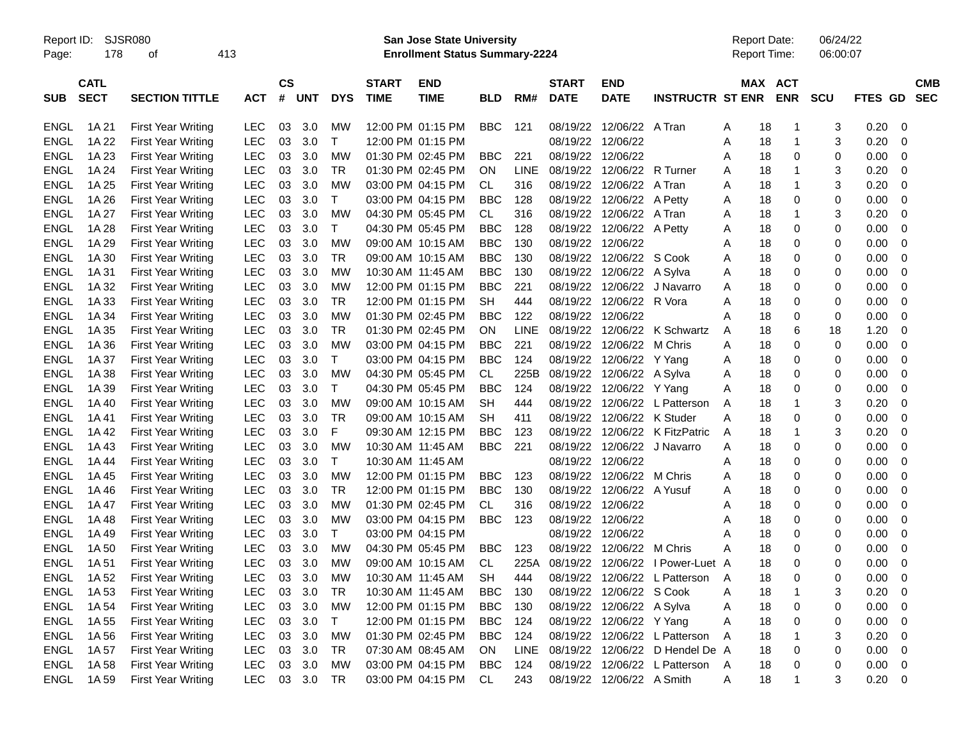Report ID: SJSR080 **San Jose State University** Report Date: 06/24/22

Page: 178 of 413 **Enrollment Status Summary-2224** Report Time: 06:00:07

|             | <b>CATL</b> |                           |            | <b>CS</b> |     |              | <b>START</b>      | <b>END</b>        |            |             | <b>START</b>      | <b>END</b>                |                               | <b>MAX</b> | <b>ACT</b>        |              |                | <b>CMB</b>  |
|-------------|-------------|---------------------------|------------|-----------|-----|--------------|-------------------|-------------------|------------|-------------|-------------------|---------------------------|-------------------------------|------------|-------------------|--------------|----------------|-------------|
| <b>SUB</b>  | <b>SECT</b> | <b>SECTION TITTLE</b>     | АСТ        | #         | UNT | <b>DYS</b>   | <b>TIME</b>       | TIME              | <b>BLD</b> | RM#         | <b>DATE</b>       | <b>DATE</b>               | <b>INSTRUCTR ST ENR</b>       |            | <b>ENR</b>        | <b>SCU</b>   | <b>FTES GD</b> | <b>SEC</b>  |
|             |             |                           |            |           |     |              |                   |                   |            |             |                   |                           |                               |            |                   |              |                |             |
| ENGL        | 1A 21       | <b>First Year Writing</b> | LEC        | 03        | 3.0 | MW           |                   | 12:00 PM 01:15 PM | BBC        | 121         |                   | 08/19/22 12/06/22         | A Tran                        | A          | 18<br>1           | 3            | 0.20           | $\mathbf 0$ |
| <b>ENGL</b> | 1A 22       | First Year Writing        | LEC        | 03        | 3.0 | Т            | 12:00 PM 01:15 PM |                   |            |             | 08/19/22          | 12/06/22                  |                               | 18<br>Α    | 1                 | 3            | 0.20           | $\mathbf 0$ |
| <b>ENGL</b> | 1A 23       | <b>First Year Writing</b> | <b>LEC</b> | 03        | 3.0 | MW           | 01:30 PM 02:45 PM |                   | <b>BBC</b> | 221         | 08/19/22          | 12/06/22                  |                               | 18<br>Α    | $\mathbf 0$       | 0            | 0.00           | $\mathbf 0$ |
| ENGL        | 1A 24       | First Year Writing        | <b>LEC</b> | 03        | 3.0 | TR           | 01:30 PM 02:45 PM |                   | ON         | <b>LINE</b> | 08/19/22          | 12/06/22                  | R Turner                      | 18<br>Α    | 1                 | 3            | 0.20           | 0           |
| <b>ENGL</b> | 1A 25       | First Year Writing        | <b>LEC</b> | 03        | 3.0 | MW           | 03:00 PM 04:15 PM |                   | CL         | 316         |                   | 08/19/22 12/06/22         | A Tran                        | A<br>18    | 1                 | 3            | 0.20           | $\mathbf 0$ |
| <b>ENGL</b> | 1A 26       | First Year Writing        | <b>LEC</b> | 03        | 3.0 | $\top$       |                   | 03:00 PM 04:15 PM | <b>BBC</b> | 128         | 08/19/22          | 12/06/22                  | A Petty                       | A          | 18<br>0           | 0            | 0.00           | $\mathbf 0$ |
| ENGL        | 1A 27       | <b>First Year Writing</b> | <b>LEC</b> | 03        | 3.0 | MW           | 04:30 PM 05:45 PM |                   | CL.        | 316         | 08/19/22          | 12/06/22                  | A Tran                        | 18<br>A    | $\mathbf{1}$      | 3            | 0.20           | 0           |
| <b>ENGL</b> | 1A 28       | <b>First Year Writing</b> | <b>LEC</b> | 03        | 3.0 | $\mathsf{T}$ | 04:30 PM 05:45 PM |                   | <b>BBC</b> | 128         | 08/19/22          | 12/06/22 A Petty          |                               | A          | $\Omega$<br>18    | 0            | 0.00           | $\mathbf 0$ |
| <b>ENGL</b> | 1A 29       | <b>First Year Writing</b> | <b>LEC</b> | 03        | 3.0 | MW           | 09:00 AM 10:15 AM |                   | <b>BBC</b> | 130         | 08/19/22 12/06/22 |                           |                               | Α          | 18<br>0           | 0            | 0.00           | 0           |
| ENGL        | 1A 30       | <b>First Year Writing</b> | LEC        | 03        | 3.0 | TR           | 09:00 AM 10:15 AM |                   | <b>BBC</b> | 130         |                   | 08/19/22 12/06/22 S Cook  |                               | A          | 0<br>18           | 0            | 0.00           | $\mathbf 0$ |
| <b>ENGL</b> | 1A 31       | First Year Writing        | <b>LEC</b> | 03        | 3.0 | <b>MW</b>    | 10:30 AM 11:45 AM |                   | <b>BBC</b> | 130         | 08/19/22          | 12/06/22 A Sylva          |                               | Α          | 18<br>$\mathbf 0$ | 0            | 0.00           | $\mathbf 0$ |
| <b>ENGL</b> | 1A 32       | <b>First Year Writing</b> | <b>LEC</b> | 03        | 3.0 | <b>MW</b>    | 12:00 PM 01:15 PM |                   | <b>BBC</b> | 221         | 08/19/22          | 12/06/22                  | J Navarro                     | A          | $\mathbf 0$<br>18 | 0            | 0.00           | $\mathbf 0$ |
| ENGL        | 1A 33       | First Year Writing        | <b>LEC</b> | 03        | 3.0 | <b>TR</b>    |                   | 12:00 PM 01:15 PM | <b>SH</b>  | 444         | 08/19/22          | 12/06/22                  | R Vora                        | A          | 18<br>0           | 0            | 0.00           | $\mathbf 0$ |
| <b>ENGL</b> | 1A 34       | First Year Writing        | <b>LEC</b> | 03        | 3.0 | <b>MW</b>    | 01:30 PM 02:45 PM |                   | <b>BBC</b> | 122         | 08/19/22 12/06/22 |                           |                               | Α          | $\mathbf 0$<br>18 | 0            | 0.00           | $\mathbf 0$ |
| ENGL        | 1A 35       | First Year Writing        | <b>LEC</b> | 03        | 3.0 | TR           | 01:30 PM 02:45 PM |                   | ON         | LINE        |                   | 08/19/22 12/06/22         | K Schwartz                    | A          | 6<br>18           | 18           | 1.20           | 0           |
| <b>ENGL</b> | 1A 36       | <b>First Year Writing</b> | <b>LEC</b> | 03        | 3.0 | <b>MW</b>    | 03:00 PM 04:15 PM |                   | <b>BBC</b> | 221         | 08/19/22          | 12/06/22                  | M Chris                       | Α<br>18    | $\mathbf 0$       | 0            | 0.00           | $\mathbf 0$ |
| <b>ENGL</b> | 1A 37       | First Year Writing        | <b>LEC</b> | 03        | 3.0 | $\mathsf{T}$ |                   | 03:00 PM 04:15 PM | <b>BBC</b> | 124         | 08/19/22          | 12/06/22                  | Y Yang                        | A          | $\mathbf 0$<br>18 | 0            | 0.00           | 0           |
| ENGL        | 1A 38       | <b>First Year Writing</b> | <b>LEC</b> | 03        | 3.0 | MW           | 04:30 PM 05:45 PM |                   | CL         | 225B        |                   | 08/19/22 12/06/22 A Sylva |                               | A          | 18<br>0           | 0            | 0.00           | 0           |
| <b>ENGL</b> | 1A 39       | First Year Writing        | <b>LEC</b> | 03        | 3.0 | $\mathsf{T}$ | 04:30 PM 05:45 PM |                   | <b>BBC</b> | 124         |                   | 08/19/22 12/06/22 Y Yang  |                               | A          | $\Omega$<br>18    | $\mathbf{0}$ | 0.00           | $\mathbf 0$ |
| <b>ENGL</b> | 1A 40       | First Year Writing        | <b>LEC</b> | 03        | 3.0 | <b>MW</b>    | 09:00 AM 10:15 AM |                   | SН         | 444         | 08/19/22          |                           | 12/06/22 L Patterson          | A          | 18<br>1           | 3            | 0.20           | 0           |
| <b>ENGL</b> | 1A 41       | <b>First Year Writing</b> | <b>LEC</b> | 03        | 3.0 | TR           | 09:00 AM 10:15 AM |                   | SH         | 411         | 08/19/22          | 12/06/22                  | K Studer                      | 18<br>Α    | $\mathbf 0$       | 0            | 0.00           | 0           |
| <b>ENGL</b> | 1A42        | First Year Writing        | <b>LEC</b> | 03        | 3.0 | F            | 09:30 AM 12:15 PM |                   | <b>BBC</b> | 123         | 08/19/22          | 12/06/22                  | K FitzPatric                  | A          | 18<br>$\mathbf 1$ | 3            | 0.20           | $\mathbf 0$ |
| <b>ENGL</b> | 1A 43       | First Year Writing        | <b>LEC</b> | 03        | 3.0 | <b>MW</b>    | 10:30 AM 11:45 AM |                   | <b>BBC</b> | 221         |                   | 08/19/22 12/06/22         | J Navarro                     | A          | 0<br>18           | 0            | 0.00           | $\mathbf 0$ |
| <b>ENGL</b> | 1A 44       | First Year Writing        | <b>LEC</b> | 03        | 3.0 | Т            | 10:30 AM 11:45 AM |                   |            |             | 08/19/22          | 12/06/22                  |                               | 18<br>Α    | 0                 | 0            | 0.00           | $\mathbf 0$ |
| <b>ENGL</b> | 1A 45       | <b>First Year Writing</b> | <b>LEC</b> | 03        | 3.0 | <b>MW</b>    | 12:00 PM 01:15 PM |                   | <b>BBC</b> | 123         | 08/19/22          | 12/06/22                  | M Chris                       | Α          | $\mathbf 0$<br>18 | 0            | 0.00           | $\mathbf 0$ |
| <b>ENGL</b> | 1A 46       | First Year Writing        | <b>LEC</b> | 03        | 3.0 | TR           |                   | 12:00 PM 01:15 PM | <b>BBC</b> | 130         | 08/19/22          | 12/06/22                  | A Yusuf                       | Α          | $\mathbf 0$<br>18 | 0            | 0.00           | 0           |
| ENGL        | 1A 47       | First Year Writing        | <b>LEC</b> | 03        | 3.0 | МW           | 01:30 PM 02:45 PM |                   | СL         | 316         | 08/19/22 12/06/22 |                           |                               | Α          | 0<br>18           | 0            | 0.00           | $\mathbf 0$ |
| <b>ENGL</b> | 1A 48       | First Year Writing        | <b>LEC</b> | 03        | 3.0 | MW           | 03:00 PM 04:15 PM |                   | <b>BBC</b> | 123         | 08/19/22 12/06/22 |                           |                               | A          | 18<br>0           | 0            | 0.00           | $\mathbf 0$ |
| <b>ENGL</b> | 1A 49       | <b>First Year Writing</b> | <b>LEC</b> | 03        | 3.0 | $\mathsf{T}$ | 03:00 PM 04:15 PM |                   |            |             | 08/19/22 12/06/22 |                           |                               | A<br>18    | 0                 | 0            | 0.00           | 0           |
| <b>ENGL</b> | 1A 50       | <b>First Year Writing</b> | <b>LEC</b> | 03        | 3.0 | <b>MW</b>    | 04:30 PM 05:45 PM |                   | <b>BBC</b> | 123         | 08/19/22          | 12/06/22                  | M Chris                       | А          | $\Omega$<br>18    | 0            | 0.00           | $\mathbf 0$ |
| <b>ENGL</b> | 1A 51       | First Year Writing        | <b>LEC</b> | 03        | 3.0 | MW           | 09:00 AM 10:15 AM |                   | СL         | 225A        | 08/19/22          |                           | 12/06/22 I Power-Luet A       |            | 18<br>0           | 0            | 0.00           | 0           |
| <b>ENGL</b> | 1A 52       | First Year Writing        | LEC        | 03        | 3.0 | МW           | 10:30 AM 11:45 AM |                   | SH         | 444         |                   |                           | 08/19/22 12/06/22 L Patterson | A          | 0<br>18           | 0            | 0.00           | 0           |
| <b>ENGL</b> | 1A 53       | <b>First Year Writing</b> | <b>LEC</b> | 03        | 3.0 | TR           | 10:30 AM 11:45 AM |                   | <b>BBC</b> | 130         | 08/19/22          | 12/06/22 S Cook           |                               | A          | 18<br>1           | 3            | 0.20           | $\mathbf 0$ |
| <b>ENGL</b> | 1A 54       | <b>First Year Writing</b> | LEC        | 03        | 3.0 | МW           | 12:00 PM 01:15 PM |                   | <b>BBC</b> | 130         | 08/19/22          | 12/06/22 A Sylva          |                               | A          | $\mathbf 0$<br>18 | 0            | 0.00           | $\mathbf 0$ |
| <b>ENGL</b> | 1A 55       | First Year Writing        | <b>LEC</b> | 03        | 3.0 | $\top$       | 12:00 PM 01:15 PM |                   | <b>BBC</b> | 124         | 08/19/22          | 12/06/22                  | Y Yang                        | Α          | 18<br>0           | 0            | 0.00           | 0           |
| <b>ENGL</b> | 1A 56       | <b>First Year Writing</b> | <b>LEC</b> | 03        | 3.0 | MW           | 01:30 PM 02:45 PM |                   | <b>BBC</b> | 124         | 08/19/22          |                           | 12/06/22 L Patterson          | A          | 18<br>-1          | 3            | 0.20           | $\mathbf 0$ |
| <b>ENGL</b> | 1A 57       | First Year Writing        | LEC        | 03        | 3.0 | TR           | 07:30 AM 08:45 AM |                   | ΟN         | LINE        | 08/19/22          | 12/06/22                  | D Hendel De A                 | 18         | 0                 | 0            | 0.00           | 0           |
| <b>ENGL</b> | 1A 58       | <b>First Year Writing</b> | LEC        | 03        | 3.0 | МW           | 03:00 PM 04:15 PM |                   | BBC        | 124         | 08/19/22          | 12/06/22                  | L Patterson                   | 18<br>A    | $\mathbf 0$       | 0            | 0.00           | $\mathbf 0$ |
| <b>ENGL</b> | 1A 59       | First Year Writing        | <b>LEC</b> | 03        | 3.0 | <b>TR</b>    |                   | 03:00 PM 04:15 PM | <b>CL</b>  | 243         |                   | 08/19/22 12/06/22 A Smith |                               | 18<br>A    | 1                 | 3            | 0.20           | $\mathbf 0$ |
|             |             |                           |            |           |     |              |                   |                   |            |             |                   |                           |                               |            |                   |              |                |             |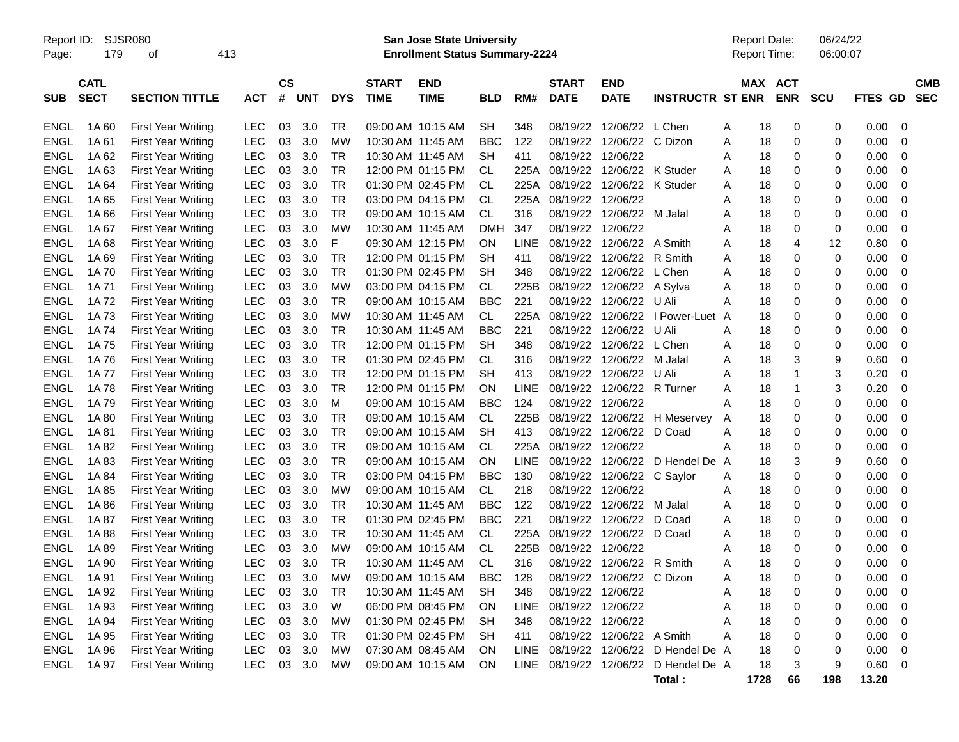Report ID: SJSR080 **San Jose State University** Report Date: 06/24/22

Page: 179 of 413 **Enrollment Status Summary-2224** Report Time: 06:00:07

|             | <b>CATL</b> |                           |            | <b>CS</b> |            |            | <b>START</b>      | <b>END</b> |            |             | <b>START</b>      | <b>END</b>                |                         |   | <b>MAX</b> | <b>ACT</b>  |             |             | <b>CMB</b>  |
|-------------|-------------|---------------------------|------------|-----------|------------|------------|-------------------|------------|------------|-------------|-------------------|---------------------------|-------------------------|---|------------|-------------|-------------|-------------|-------------|
| <b>SUB</b>  | <b>SECT</b> | <b>SECTION TITTLE</b>     | ACT        | #         | <b>UNT</b> | <b>DYS</b> | <b>TIME</b>       | TIME       | BLD        | RM#         | <b>DATE</b>       | <b>DATE</b>               | <b>INSTRUCTR ST ENR</b> |   |            | <b>ENR</b>  | <b>SCU</b>  | FTES GD SEC |             |
|             |             |                           |            |           |            |            |                   |            |            |             |                   |                           |                         |   |            |             |             |             |             |
| <b>ENGL</b> | 1A 60       | <b>First Year Writing</b> | LEC        | 03        | 3.0        | TR         | 09:00 AM 10:15 AM |            | SH         | 348         | 08/19/22          | 12/06/22 L Chen           |                         | A | 18         | 0           | 0           | 0.00        | 0           |
| <b>ENGL</b> | 1A61        | <b>First Year Writing</b> | <b>LEC</b> | 03        | 3.0        | MW         | 10:30 AM 11:45 AM |            | <b>BBC</b> | 122         | 08/19/22          | 12/06/22 C Dizon          |                         | A | 18         | $\mathbf 0$ | $\Omega$    | 0.00        | 0           |
| ENGL        | 1A62        | <b>First Year Writing</b> | <b>LEC</b> | 03        | 3.0        | TR         | 10:30 AM 11:45 AM |            | SΗ         | 411         | 08/19/22          | 12/06/22                  |                         | Α | 18         | 0           | 0           | 0.00        | 0           |
| <b>ENGL</b> | 1A63        | <b>First Year Writing</b> | <b>LEC</b> | 03        | 3.0        | <b>TR</b>  | 12:00 PM 01:15 PM |            | <b>CL</b>  | 225A        | 08/19/22          | 12/06/22                  | K Studer                | Α | 18         | $\mathbf 0$ | $\Omega$    | 0.00        | 0           |
| <b>ENGL</b> | 1A64        | <b>First Year Writing</b> | <b>LEC</b> | 03        | 3.0        | <b>TR</b>  | 01:30 PM 02:45 PM |            | CL         | 225A        | 08/19/22          | 12/06/22                  | K Studer                | A | 18         | 0           | 0           | 0.00        | 0           |
| <b>ENGL</b> | 1A65        | <b>First Year Writing</b> | <b>LEC</b> | 03        | 3.0        | <b>TR</b>  | 03:00 PM 04:15 PM |            | CL         | 225A        | 08/19/22 12/06/22 |                           |                         | A | 18         | $\mathbf 0$ | 0           | 0.00        | 0           |
| ENGL        | 1A 66       | <b>First Year Writing</b> | <b>LEC</b> | 03        | 3.0        | TR         | 09:00 AM 10:15 AM |            | CL         | 316         |                   | 08/19/22 12/06/22 M Jalal |                         | A | 18         | 0           | 0           | 0.00        | 0           |
| ENGL        | 1A 67       | <b>First Year Writing</b> | <b>LEC</b> | 03        | 3.0        | мw         | 10:30 AM 11:45 AM |            | DMH        | 347         | 08/19/22          | 12/06/22                  |                         | A | 18         | 0           | 0           | 0.00        | 0           |
| <b>ENGL</b> | 1A68        | <b>First Year Writing</b> | <b>LEC</b> | 03        | 3.0        | F          | 09:30 AM 12:15 PM |            | ON         | <b>LINE</b> | 08/19/22          | 12/06/22                  | A Smith                 | A | 18         | 4           | 12          | 0.80        | $\mathbf 0$ |
| ENGL        | 1A 69       | <b>First Year Writing</b> | <b>LEC</b> | 03        | 3.0        | <b>TR</b>  | 12:00 PM 01:15 PM |            | <b>SH</b>  | 411         | 08/19/22          | 12/06/22 R Smith          |                         | A | 18         | 0           | $\mathbf 0$ | 0.00        | 0           |
| <b>ENGL</b> | 1A 70       | <b>First Year Writing</b> | <b>LEC</b> | 03        | 3.0        | TR         | 01:30 PM 02:45 PM |            | SΗ         | 348         | 08/19/22          | 12/06/22 L Chen           |                         | A | 18         | $\Omega$    | 0           | 0.00        | 0           |
| ENGL        | 1A 71       | <b>First Year Writing</b> | <b>LEC</b> | 03        | 3.0        | <b>MW</b>  | 03:00 PM 04:15 PM |            | СL         | 225B        | 08/19/22          | 12/06/22 A Sylva          |                         | A | 18         | 0           | 0           | 0.00        | 0           |
| <b>ENGL</b> | 1A 72       | <b>First Year Writing</b> | <b>LEC</b> | 03        | 3.0        | TR         | 09:00 AM 10:15 AM |            | <b>BBC</b> | 221         | 08/19/22          | 12/06/22                  | U Ali                   | А | 18         | $\mathbf 0$ | 0           | 0.00        | 0           |
| <b>ENGL</b> | 1A73        | <b>First Year Writing</b> | <b>LEC</b> | 03        | 3.0        | <b>MW</b>  | 10:30 AM 11:45 AM |            | CL         | 225A        | 08/19/22          | 12/06/22                  | I Power-Luet            | A | 18         | 0           | 0           | 0.00        | 0           |
| <b>ENGL</b> | 1A 74       | <b>First Year Writing</b> | <b>LEC</b> | 03        | 3.0        | <b>TR</b>  | 10:30 AM 11:45 AM |            | <b>BBC</b> | 221         |                   | 08/19/22 12/06/22 U Ali   |                         | A | 18         | 0           | $\mathbf 0$ | 0.00        | 0           |
| ENGL        | 1A 75       | <b>First Year Writing</b> | <b>LEC</b> | 03        | 3.0        | TR         | 12:00 PM 01:15 PM |            | SΗ         | 348         |                   | 08/19/22 12/06/22 L Chen  |                         | A | 18         | 0           | 0           | 0.00        | 0           |
| <b>ENGL</b> | 1A 76       | <b>First Year Writing</b> | <b>LEC</b> | 03        | 3.0        | TR         | 01:30 PM 02:45 PM |            | <b>CL</b>  | 316         | 08/19/22          | 12/06/22                  | M Jalal                 | A | 18         | 3           | 9           | 0.60        | $\mathbf 0$ |
| <b>ENGL</b> | 1A 77       | <b>First Year Writing</b> | <b>LEC</b> | 03        | 3.0        | TR         | 12:00 PM 01:15 PM |            | <b>SH</b>  | 413         | 08/19/22          | 12/06/22                  | U Ali                   | A | 18         | 1           | 3           | 0.20        | 0           |
| <b>ENGL</b> | 1A78        | <b>First Year Writing</b> | <b>LEC</b> | 03        | 3.0        | <b>TR</b>  | 12:00 PM 01:15 PM |            | ON         | LINE        | 08/19/22          | 12/06/22                  | R Turner                | A | 18         | 1           | 3           | 0.20        | 0           |
| <b>ENGL</b> | 1A79        | <b>First Year Writing</b> | <b>LEC</b> | 03        | 3.0        | M          | 09:00 AM 10:15 AM |            | <b>BBC</b> | 124         | 08/19/22 12/06/22 |                           |                         | A | 18         | 0           | 0           | 0.00        | 0           |
| <b>ENGL</b> | 1A 80       | <b>First Year Writing</b> | <b>LEC</b> | 03        | 3.0        | <b>TR</b>  | 09:00 AM 10:15 AM |            | <b>CL</b>  | 225B        | 08/19/22          | 12/06/22                  | H Meservey              | A | 18         | $\mathbf 0$ | 0           | 0.00        | 0           |
| <b>ENGL</b> | 1A81        | <b>First Year Writing</b> | <b>LEC</b> | 03        | 3.0        | TR         | 09:00 AM 10:15 AM |            | SΗ         | 413         | 08/19/22          | 12/06/22                  | D Coad                  | Α | 18         | 0           | $\Omega$    | 0.00        | 0           |
| <b>ENGL</b> | 1A 82       | <b>First Year Writing</b> | LEC        | 03        | 3.0        | <b>TR</b>  | 09:00 AM 10:15 AM |            | <b>CL</b>  | 225A        | 08/19/22          | 12/06/22                  |                         | А | 18         | 0           | 0           | 0.00        | 0           |
| <b>ENGL</b> | 1A 83       | <b>First Year Writing</b> | <b>LEC</b> | 03        | 3.0        | TR         | 09:00 AM 10:15 AM |            | ON         | <b>LINE</b> |                   | 08/19/22 12/06/22         | D Hendel De A           |   | 18         | 3           | 9           | 0.60        | 0           |
| <b>ENGL</b> | 1A 84       | <b>First Year Writing</b> | <b>LEC</b> | 03        | 3.0        | TR         | 03:00 PM 04:15 PM |            | BBC        | 130         |                   | 08/19/22 12/06/22         | C Saylor                | Α | 18         | 0           | 0           | 0.00        | 0           |
| <b>ENGL</b> | 1A 85       | <b>First Year Writing</b> | <b>LEC</b> | 03        | 3.0        | <b>MW</b>  | 09:00 AM 10:15 AM |            | CL         | 218         | 08/19/22          | 12/06/22                  |                         | A | 18         | $\mathbf 0$ | 0           | 0.00        | $\mathbf 0$ |
| <b>ENGL</b> | 1A 86       | <b>First Year Writing</b> | <b>LEC</b> | 03        | 3.0        | TR         | 10:30 AM 11:45 AM |            | <b>BBC</b> | 122         | 08/19/22          | 12/06/22                  | M Jalal                 | A | 18         | $\mathbf 0$ | 0           | 0.00        | 0           |
| <b>ENGL</b> | 1A 87       | <b>First Year Writing</b> | <b>LEC</b> | 03        | 3.0        | <b>TR</b>  | 01:30 PM 02:45 PM |            | <b>BBC</b> | 221         | 08/19/22          | 12/06/22                  | D Coad                  | A | 18         | $\mathbf 0$ | 0           | 0.00        | 0           |
| <b>ENGL</b> | 1A88        | <b>First Year Writing</b> | <b>LEC</b> | 03        | 3.0        | TR         | 10:30 AM 11:45 AM |            | СL         | 225A        |                   | 08/19/22 12/06/22         | D Coad                  | Α | 18         | 0           | 0           | 0.00        | 0           |
| <b>ENGL</b> | 1A89        | <b>First Year Writing</b> | <b>LEC</b> | 03        | 3.0        | <b>MW</b>  | 09:00 AM 10:15 AM |            | <b>CL</b>  | 225B        | 08/19/22          | 12/06/22                  |                         | A | 18         | $\mathbf 0$ | 0           | 0.00        | 0           |
| <b>ENGL</b> | 1A 90       | <b>First Year Writing</b> | <b>LEC</b> | 03        | 3.0        | TR         | 10:30 AM 11:45 AM |            | <b>CL</b>  | 316         | 08/19/22          | 12/06/22                  | R Smith                 | A | 18         | 0           | 0           | 0.00        | 0           |
| <b>ENGL</b> | 1A 91       | <b>First Year Writing</b> | <b>LEC</b> | 03        | 3.0        | <b>MW</b>  | 09:00 AM 10:15 AM |            | <b>BBC</b> | 128         | 08/19/22          | 12/06/22                  | C Dizon                 | A | 18         | $\mathbf 0$ | 0           | 0.00        | $\mathbf 0$ |
| <b>ENGL</b> | 1A 92       | <b>First Year Writing</b> | <b>LEC</b> | 03        | 3.0        | TR         | 10:30 AM 11:45 AM |            | SΗ         | 348         | 08/19/22 12/06/22 |                           |                         | Α | 18         | 0           | 0           | 0.00        | 0           |
| <b>ENGL</b> | 1A 93       | <b>First Year Writing</b> | <b>LEC</b> | 03        | 3.0        | W          | 06:00 PM 08:45 PM |            | ON         | LINE        | 08/19/22 12/06/22 |                           |                         | A | 18         | $\mathbf 0$ | 0           | 0.00        | 0           |
| <b>ENGL</b> | 1A 94       | <b>First Year Writing</b> | <b>LEC</b> | 03        | 3.0        | МW         | 01:30 PM 02:45 PM |            | <b>SH</b>  | 348         | 08/19/22 12/06/22 |                           |                         | A | 18         | 0           | 0           | 0.00        | 0           |
| <b>ENGL</b> | 1A 95       | <b>First Year Writing</b> | <b>LEC</b> | 03        | 3.0        | <b>TR</b>  | 01:30 PM 02:45 PM |            | <b>SH</b>  | 411         | 08/19/22          | 12/06/22                  | A Smith                 | А | 18         | $\Omega$    | 0           | 0.00        | $\mathbf 0$ |
| <b>ENGL</b> | 1A 96       | <b>First Year Writing</b> | <b>LEC</b> | 03        | 3.0        | <b>MW</b>  | 07:30 AM 08:45 AM |            | ON         | <b>LINE</b> | 08/19/22          | 12/06/22                  | D Hendel De A           |   | 18         | 0           | 0           | 0.00        | 0           |
| ENGL        | 1A 97       | <b>First Year Writing</b> | LEC        | 03        | 3.0        | мw         | 09:00 AM 10:15 AM |            | ON         | <b>LINE</b> | 08/19/22 12/06/22 |                           | D Hendel De A           |   | 18         | 3           | 9           | 0.60        | $\Omega$    |
|             |             |                           |            |           |            |            |                   |            |            |             |                   |                           | Total:                  |   | 1728       | 66          | 198         | 13.20       |             |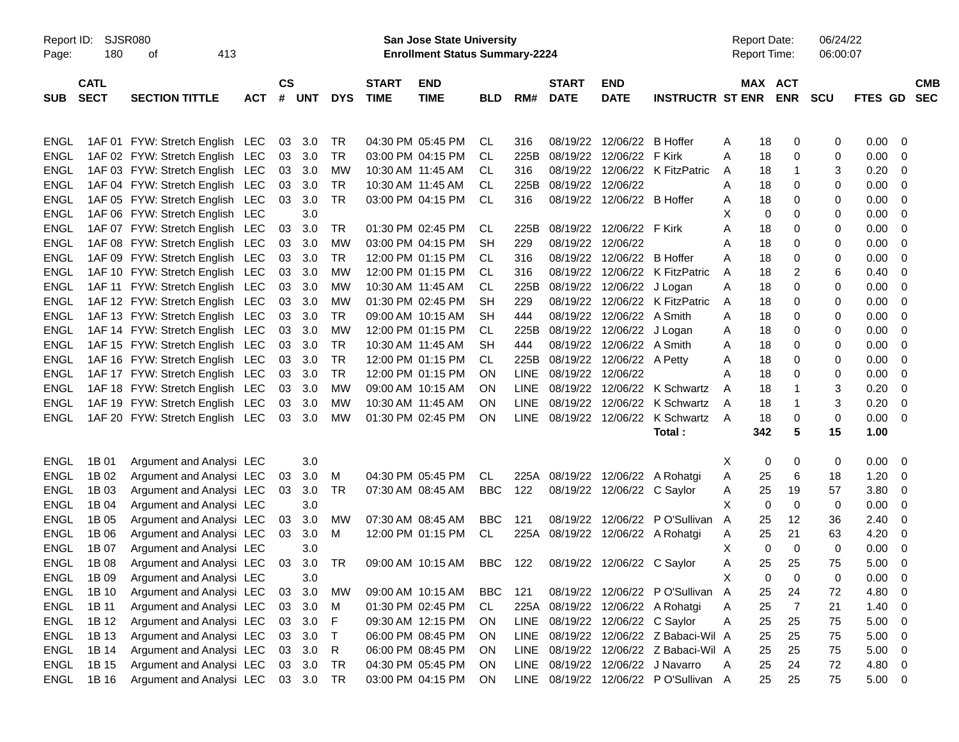| Report ID:<br>SJSR080<br>180<br>413<br>Page:<br>οf |                            |                                 |            |               | <b>San Jose State University</b><br><b>Enrollment Status Summary-2224</b> |            |                             |                           |            |       |                             |                                 |                                       |    | <b>Report Date:</b><br><b>Report Time:</b> |                      | 06/24/22<br>06:00:07 |                          |                          |
|----------------------------------------------------|----------------------------|---------------------------------|------------|---------------|---------------------------------------------------------------------------|------------|-----------------------------|---------------------------|------------|-------|-----------------------------|---------------------------------|---------------------------------------|----|--------------------------------------------|----------------------|----------------------|--------------------------|--------------------------|
| <b>SUB</b>                                         | <b>CATL</b><br><b>SECT</b> | <b>SECTION TITTLE</b>           | <b>ACT</b> | $\mathsf{cs}$ | # UNT                                                                     | <b>DYS</b> | <b>START</b><br><b>TIME</b> | <b>END</b><br><b>TIME</b> | <b>BLD</b> | RM#   | <b>START</b><br><b>DATE</b> | <b>END</b><br><b>DATE</b>       | <b>INSTRUCTR ST ENR</b>               |    | MAX ACT<br><b>ENR</b>                      | <b>SCU</b>           | <b>FTES GD</b>       |                          | <b>CMB</b><br><b>SEC</b> |
| ENGL                                               |                            | 1AF 01 FYW: Stretch English LEC |            | 03            | 3.0                                                                       | TR         |                             | 04:30 PM 05:45 PM         | CL         | 316   | 08/19/22                    | 12/06/22 B Hoffer               |                                       | Α  | 18                                         | 0                    | 0<br>0.00            | - 0                      |                          |
| <b>ENGL</b>                                        |                            | 1AF 02 FYW: Stretch English LEC |            | 03            | 3.0                                                                       | <b>TR</b>  |                             | 03:00 PM 04:15 PM         | CL         | 225B  | 08/19/22                    | 12/06/22 F Kirk                 |                                       | Α  | 18                                         | 0                    | 0<br>0.00            | 0                        |                          |
| <b>ENGL</b>                                        |                            | 1AF 03 FYW: Stretch English LEC |            | 03            | 3.0                                                                       | МW         | 10:30 AM 11:45 AM           |                           | CL         | 316   | 08/19/22                    |                                 | 12/06/22 K FitzPatric                 | A  | 18                                         | 1                    | 3<br>0.20            | 0                        |                          |
| <b>ENGL</b>                                        |                            | 1AF 04 FYW: Stretch English LEC |            | 03            | 3.0                                                                       | <b>TR</b>  | 10:30 AM 11:45 AM           |                           | CL         | 225B  | 08/19/22                    | 12/06/22                        |                                       | A  | 18                                         | 0                    | 0<br>0.00            | 0                        |                          |
| <b>ENGL</b>                                        |                            | 1AF 05 FYW: Stretch English LEC |            | 03            | 3.0                                                                       | <b>TR</b>  |                             | 03:00 PM 04:15 PM         | CL.        | 316   |                             | 08/19/22 12/06/22 B Hoffer      |                                       | Α  | 18                                         | 0                    | 0<br>0.00            | 0                        |                          |
| <b>ENGL</b>                                        |                            | 1AF 06 FYW: Stretch English LEC |            |               | 3.0                                                                       |            |                             |                           |            |       |                             |                                 |                                       | X  | 0                                          | 0                    | 0<br>0.00            | 0                        |                          |
| <b>ENGL</b>                                        |                            | 1AF 07 FYW: Stretch English LEC |            | 03            | 3.0                                                                       | TR         |                             | 01:30 PM 02:45 PM         | CL         | 225B  |                             | 08/19/22 12/06/22 F Kirk        |                                       | A  | 18                                         | 0                    | 0<br>0.00            | 0                        |                          |
| <b>ENGL</b>                                        |                            | 1AF 08 FYW: Stretch English LEC |            | 03            | 3.0                                                                       | <b>MW</b>  |                             | 03:00 PM 04:15 PM         | SН         | 229   | 08/19/22                    | 12/06/22                        |                                       | А  | 18                                         | 0                    | 0.00<br>0            | 0                        |                          |
| <b>ENGL</b>                                        |                            | 1AF 09 FYW: Stretch English LEC |            | 03            | 3.0                                                                       | TR         |                             | 12:00 PM 01:15 PM         | CL         | 316   | 08/19/22                    | 12/06/22 B Hoffer               |                                       | A  | 18                                         | 0                    | 0<br>0.00            | 0                        |                          |
| <b>ENGL</b>                                        |                            | 1AF 10 FYW: Stretch English LEC |            | 03            | 3.0                                                                       | <b>MW</b>  |                             | 12:00 PM 01:15 PM         | CL         | 316   | 08/19/22                    |                                 | 12/06/22 K FitzPatric                 | A  | 18                                         | 2                    | 6<br>0.40            | 0                        |                          |
| <b>ENGL</b>                                        |                            | 1AF 11 FYW: Stretch English LEC |            | 03            | 3.0                                                                       | МW         |                             | 10:30 AM 11:45 AM         | CL         | 225B  |                             | 08/19/22 12/06/22 J Logan       |                                       | A  | 18                                         | 0                    | 0<br>0.00            | 0                        |                          |
| <b>ENGL</b>                                        |                            | 1AF 12 FYW: Stretch English LEC |            | 03            | 3.0                                                                       | МW         |                             | 01:30 PM 02:45 PM         | SН         | 229   | 08/19/22                    |                                 | 12/06/22 K FitzPatric                 | A  | 18                                         | 0                    | 0<br>0.00            | 0                        |                          |
| <b>ENGL</b>                                        |                            | 1AF 13 FYW: Stretch English LEC |            | 03            | 3.0                                                                       | TR         |                             | 09:00 AM 10:15 AM         | SН         | 444   | 08/19/22                    | 12/06/22 A Smith                |                                       | A  | 18                                         | 0                    | 0<br>0.00            | 0                        |                          |
| <b>ENGL</b>                                        |                            | 1AF 14 FYW: Stretch English LEC |            | 03            | 3.0                                                                       | <b>MW</b>  |                             | 12:00 PM 01:15 PM         | CL         | 225B  |                             | 08/19/22 12/06/22 J Logan       |                                       | Α  | 18                                         | 0                    | 0<br>0.00            | 0                        |                          |
| <b>ENGL</b>                                        |                            | 1AF 15 FYW: Stretch English LEC |            | 03            | 3.0                                                                       | <b>TR</b>  | 10:30 AM 11:45 AM           |                           | SН         | 444   |                             | 08/19/22 12/06/22 A Smith       |                                       | A  | 18                                         | 0                    | 0.00<br>0            | 0                        |                          |
| <b>ENGL</b>                                        |                            | 1AF 16 FYW: Stretch English LEC |            | 03            | 3.0                                                                       | <b>TR</b>  |                             | 12:00 PM 01:15 PM         | CL         | 225B  | 08/19/22                    | 12/06/22 A Petty                |                                       | A  | 18                                         | 0                    | 0<br>0.00            | 0                        |                          |
| <b>ENGL</b>                                        |                            | 1AF 17 FYW: Stretch English LEC |            | 03            | 3.0                                                                       | <b>TR</b>  |                             | 12:00 PM 01:15 PM         | <b>ON</b>  | LINE  | 08/19/22 12/06/22           |                                 |                                       | A  | 18                                         | 0                    | 0<br>0.00            | 0                        |                          |
| <b>ENGL</b>                                        |                            | 1AF 18 FYW: Stretch English LEC |            | 03            | 3.0                                                                       | <b>MW</b>  |                             | 09:00 AM 10:15 AM         | <b>ON</b>  | LINE  |                             |                                 | 08/19/22 12/06/22 K Schwartz          | A  | 18                                         | 1                    | 3<br>0.20            | 0                        |                          |
| <b>ENGL</b>                                        |                            | 1AF 19 FYW: Stretch English LEC |            | 03            | 3.0                                                                       | МW         | 10:30 AM 11:45 AM           |                           | <b>ON</b>  | LINE. | 08/19/22                    |                                 | 12/06/22 K Schwartz                   | Α  | 18                                         | $\overline{1}$       | 3<br>0.20            | 0                        |                          |
| ENGL                                               |                            | 1AF 20 FYW: Stretch English LEC |            | 03            | 3.0                                                                       | MW         |                             | 01:30 PM 02:45 PM         | ON         |       |                             |                                 | LINE 08/19/22 12/06/22 K Schwartz     | A  | 18                                         | 0                    | $\mathbf 0$<br>0.00  | - 0                      |                          |
|                                                    |                            |                                 |            |               |                                                                           |            |                             |                           |            |       |                             |                                 | Total:                                |    | 342                                        | 5<br>15              | 1.00                 |                          |                          |
| <b>ENGL</b>                                        | 1B 01                      | Argument and Analysi LEC        |            |               | 3.0                                                                       |            |                             |                           |            |       |                             |                                 |                                       | X. | 0                                          | 0                    | 0<br>0.00            | $\overline{\phantom{0}}$ |                          |
| <b>ENGL</b>                                        | 1B 02                      | Argument and Analysi LEC        |            | 03            | 3.0                                                                       | М          |                             | 04:30 PM 05:45 PM         | CL         |       |                             |                                 | 225A 08/19/22 12/06/22 A Rohatgi      | A  | 25                                         | 6<br>18              | 1.20                 | 0                        |                          |
| <b>ENGL</b>                                        | 1B 03                      | Argument and Analysi LEC        |            | 03            | 3.0                                                                       | <b>TR</b>  | 07:30 AM 08:45 AM           |                           | <b>BBC</b> | 122   |                             | 08/19/22 12/06/22 C Saylor      |                                       | A  | 25<br>19                                   | 57                   | 3.80                 | 0                        |                          |
| <b>ENGL</b>                                        | 1B 04                      | Argument and Analysi LEC        |            |               | 3.0                                                                       |            |                             |                           |            |       |                             |                                 |                                       | X  | 0                                          | $\mathbf 0$          | 0.00<br>0            | 0                        |                          |
| <b>ENGL</b>                                        | 1B 05                      | Argument and Analysi LEC        |            | 03            | 3.0                                                                       | MW         | 07:30 AM 08:45 AM           |                           | <b>BBC</b> | 121   |                             |                                 | 08/19/22 12/06/22 P O'Sullivan        | A  | 25<br>12                                   | 36                   | 2.40                 | 0                        |                          |
| <b>ENGL</b>                                        | 1B 06                      | Argument and Analysi LEC        |            | 03            | 3.0                                                                       | M          |                             | 12:00 PM 01:15 PM         | <b>CL</b>  |       |                             |                                 | 225A 08/19/22 12/06/22 A Rohatgi      | A  | 25<br>21                                   | 63                   | 4.20                 | 0                        |                          |
| <b>ENGL</b>                                        | 1B 07                      | Argument and Analysi LEC        |            |               | 3.0                                                                       |            |                             |                           |            |       |                             |                                 |                                       | X  | $\mathbf 0$                                | $\mathbf 0$          | 0<br>0.00            | 0                        |                          |
| <b>ENGL</b>                                        | 1B 08                      | Argument and Analysi LEC        |            | 03            | 3.0                                                                       | <b>TR</b>  |                             | 09:00 AM 10:15 AM         | BBC 122    |       |                             | 08/19/22 12/06/22 C Saylor      |                                       | Α  | 25<br>25                                   | 75                   | 5.00                 | - 0                      |                          |
| ENGL                                               | 1B 09                      | Argument and Analysi LEC        |            |               | 3.0                                                                       |            |                             |                           |            |       |                             |                                 |                                       | х  | 0                                          | 0                    | 0<br>0.00            | $\overline{\mathbf{0}}$  |                          |
| ENGL                                               | 1B 10                      | Argument and Analysi LEC        |            | 03            | 3.0                                                                       | МW         |                             | 09:00 AM 10:15 AM         | BBC        | 121   |                             |                                 | 08/19/22 12/06/22 PO'Sullivan A       |    | 25<br>24                                   | 72                   | 4.80                 | 0                        |                          |
| ENGL                                               | 1B 11                      | Argument and Analysi LEC        |            | 03            | 3.0                                                                       | M          |                             | 01:30 PM 02:45 PM         | CL.        |       |                             |                                 | 225A 08/19/22 12/06/22 A Rohatgi      | Α  | 25                                         | $\overline{7}$<br>21 | 1.40                 | - 0                      |                          |
| ENGL                                               | 1B 12                      | Argument and Analysi LEC        |            | 03            | 3.0                                                                       | F          |                             | 09:30 AM 12:15 PM         | <b>ON</b>  |       |                             | LINE 08/19/22 12/06/22 C Saylor |                                       | Α  | 25<br>25                                   | 75                   | 5.00                 | $\overline{\mathbf{0}}$  |                          |
| <b>ENGL</b>                                        | 1B 13                      | Argument and Analysi LEC        |            | 03            | 3.0                                                                       | T          |                             | 06:00 PM 08:45 PM         | <b>ON</b>  |       |                             |                                 | LINE 08/19/22 12/06/22 Z Babaci-Wil A |    | 25<br>25                                   | 75                   | 5.00                 | - 0                      |                          |
| ENGL                                               | 1B 14                      | Argument and Analysi LEC        |            | 03            | 3.0                                                                       | R          |                             | 06:00 PM 08:45 PM         | ON.        | LINE  |                             |                                 | 08/19/22 12/06/22 Z Babaci-Wil A      |    | 25<br>25                                   | 75                   | 5.00                 | - 0                      |                          |
| ENGL                                               | 1B 15                      | Argument and Analysi LEC        |            |               | 03 3.0                                                                    | <b>TR</b>  |                             | 04:30 PM 05:45 PM         | ON.        | LINE  |                             |                                 | 08/19/22 12/06/22 J Navarro           | A  | 25<br>24                                   | 72                   | 4.80 0               |                          |                          |
| ENGL                                               | 1B 16                      | Argument and Analysi LEC        |            |               | 03 3.0                                                                    | <b>TR</b>  |                             | 03:00 PM 04:15 PM         | ON         |       |                             |                                 | LINE 08/19/22 12/06/22 PO'Sullivan A  |    | 25<br>25                                   | 75                   | $5.00 \t 0$          |                          |                          |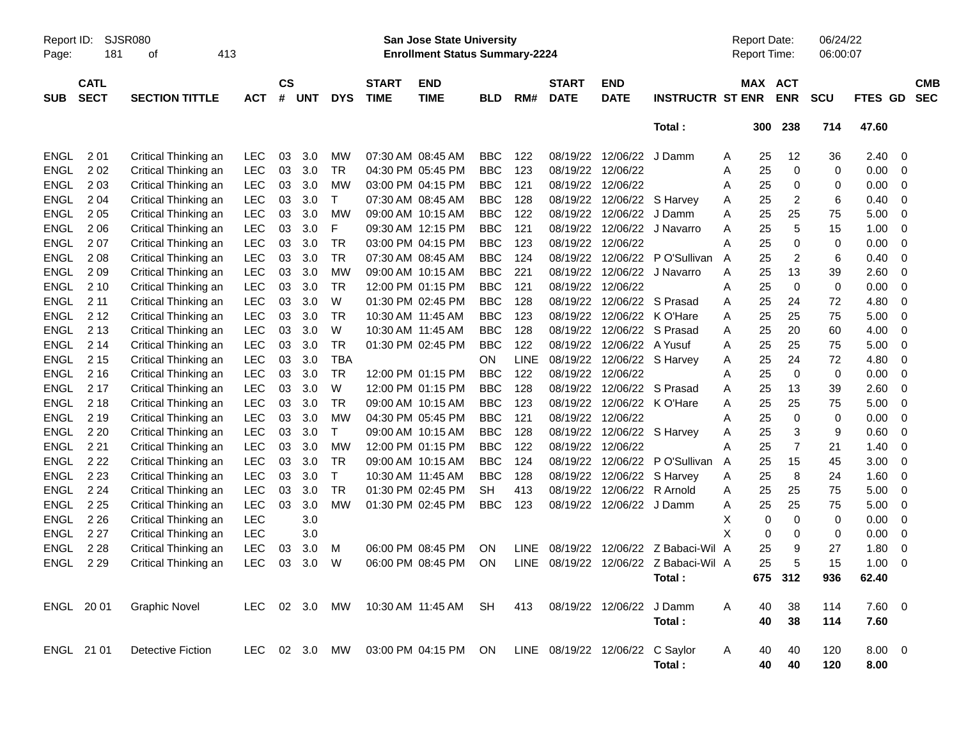| Report ID:<br>Page: | SJSR080<br>181<br>413<br>οf |                          |            |                |            |               |                             | <b>San Jose State University</b><br><b>Enrollment Status Summary-2224</b> |            |             |                             |                           |                         | <b>Report Date:</b><br>Report Time: |     |                          | 06/24/22<br>06:00:07 |                |   |                          |
|---------------------|-----------------------------|--------------------------|------------|----------------|------------|---------------|-----------------------------|---------------------------------------------------------------------------|------------|-------------|-----------------------------|---------------------------|-------------------------|-------------------------------------|-----|--------------------------|----------------------|----------------|---|--------------------------|
| <b>SUB</b>          | <b>CATL</b><br><b>SECT</b>  | <b>SECTION TITTLE</b>    | <b>ACT</b> | <b>CS</b><br># | <b>UNT</b> | <b>DYS</b>    | <b>START</b><br><b>TIME</b> | <b>END</b><br><b>TIME</b>                                                 | <b>BLD</b> | RM#         | <b>START</b><br><b>DATE</b> | <b>END</b><br><b>DATE</b> | <b>INSTRUCTR ST ENR</b> | MAX                                 |     | <b>ACT</b><br><b>ENR</b> | <b>SCU</b>           | <b>FTES GD</b> |   | <b>CMB</b><br><b>SEC</b> |
|                     |                             |                          |            |                |            |               |                             |                                                                           |            |             |                             |                           | Total:                  |                                     | 300 | 238                      | 714                  | 47.60          |   |                          |
| <b>ENGL</b>         | 201                         | Critical Thinking an     | <b>LEC</b> | 03             | 3.0        | <b>MW</b>     |                             | 07:30 AM 08:45 AM                                                         | <b>BBC</b> | 122         | 08/19/22                    | 12/06/22                  | J Damm                  | Α                                   | 25  | 12                       | 36                   | 2.40           | 0 |                          |
| <b>ENGL</b>         | 202                         | Critical Thinking an     | <b>LEC</b> | 03             | 3.0        | TR            |                             | 04:30 PM 05:45 PM                                                         | <b>BBC</b> | 123         | 08/19/22                    | 12/06/22                  |                         | Α                                   | 25  | 0                        | 0                    | 0.00           | 0 |                          |
| <b>ENGL</b>         | 203                         | Critical Thinking an     | LEC        | 03             | 3.0        | <b>MW</b>     |                             | 03:00 PM 04:15 PM                                                         | <b>BBC</b> | 121         | 08/19/22                    | 12/06/22                  |                         | Α                                   | 25  | 0                        | 0                    | 0.00           | 0 |                          |
| <b>ENGL</b>         | 204                         | Critical Thinking an     | LEC        | 03             | 3.0        | Τ             |                             | 07:30 AM 08:45 AM                                                         | <b>BBC</b> | 128         | 08/19/22                    | 12/06/22                  | S Harvey                | Α                                   | 25  | 2                        | 6                    | 0.40           | 0 |                          |
| <b>ENGL</b>         | 205                         | Critical Thinking an     | LEC        | 03             | 3.0        | <b>MW</b>     |                             | 09:00 AM 10:15 AM                                                         | <b>BBC</b> | 122         | 08/19/22                    | 12/06/22                  | J Damm                  | А                                   | 25  | 25                       | 75                   | 5.00           | 0 |                          |
| <b>ENGL</b>         | 206                         | Critical Thinking an     | LEC        | 03             | 3.0        | F             |                             | 09:30 AM 12:15 PM                                                         | <b>BBC</b> | 121         | 08/19/22                    | 12/06/22                  | J Navarro               | А                                   | 25  | 5                        | 15                   | 1.00           | 0 |                          |
| <b>ENGL</b>         | 207                         | Critical Thinking an     | LEC        | 03             | 3.0        | TR            |                             | 03:00 PM 04:15 PM                                                         | <b>BBC</b> | 123         | 08/19/22                    | 12/06/22                  |                         | А                                   | 25  | 0                        | 0                    | 0.00           | 0 |                          |
| <b>ENGL</b>         | 208                         | Critical Thinking an     | LEC        | 03             | 3.0        | TR            |                             | 07:30 AM 08:45 AM                                                         | <b>BBC</b> | 124         | 08/19/22                    | 12/06/22                  | P O'Sullivan            | A                                   | 25  | 2                        | 6                    | 0.40           | 0 |                          |
| <b>ENGL</b>         | 209                         | Critical Thinking an     | LEC        | 03             | 3.0        | <b>MW</b>     |                             | 09:00 AM 10:15 AM                                                         | <b>BBC</b> | 221         | 08/19/22                    | 12/06/22                  | J Navarro               | А                                   | 25  | 13                       | 39                   | 2.60           | 0 |                          |
| <b>ENGL</b>         | 210                         | Critical Thinking an     | LEC        | 03             | 3.0        | <b>TR</b>     |                             | 12:00 PM 01:15 PM                                                         | <b>BBC</b> | 121         | 08/19/22                    | 12/06/22                  |                         | А                                   | 25  | 0                        | 0                    | 0.00           | 0 |                          |
| <b>ENGL</b>         | 211                         | Critical Thinking an     | LEC        | 03             | 3.0        | W             |                             | 01:30 PM 02:45 PM                                                         | <b>BBC</b> | 128         | 08/19/22                    | 12/06/22                  | S Prasad                | Α                                   | 25  | 24                       | 72                   | 4.80           | 0 |                          |
| <b>ENGL</b>         | 2 1 2                       | Critical Thinking an     | LEC        | 03             | 3.0        | TR            |                             | 10:30 AM 11:45 AM                                                         | <b>BBC</b> | 123         | 08/19/22                    | 12/06/22                  | K O'Hare                | А                                   | 25  | 25                       | 75                   | 5.00           | 0 |                          |
| <b>ENGL</b>         | 2 1 3                       | Critical Thinking an     | LEC        | 03             | 3.0        | W             |                             | 10:30 AM 11:45 AM                                                         | <b>BBC</b> | 128         | 08/19/22                    | 12/06/22                  | S Prasad                | Α                                   | 25  | 20                       | 60                   | 4.00           | 0 |                          |
| <b>ENGL</b>         | 2 14                        | Critical Thinking an     | LEC        | 03             | 3.0        | TR            |                             | 01:30 PM 02:45 PM                                                         | <b>BBC</b> | 122         | 08/19/22                    | 12/06/22                  | A Yusuf                 | Α                                   | 25  | 25                       | 75                   | 5.00           | 0 |                          |
| <b>ENGL</b>         | 2 1 5                       | Critical Thinking an     | LEC        | 03             | 3.0        | <b>TBA</b>    |                             |                                                                           | <b>ON</b>  | <b>LINE</b> | 08/19/22                    |                           | 12/06/22 S Harvey       | Α                                   | 25  | 24                       | 72                   | 4.80           | 0 |                          |
| <b>ENGL</b>         | 2 1 6                       | Critical Thinking an     | LEC        | 03             | 3.0        | TR            |                             | 12:00 PM 01:15 PM                                                         | <b>BBC</b> | 122         | 08/19/22                    | 12/06/22                  |                         | Α                                   | 25  | $\mathbf 0$              | 0                    | 0.00           | 0 |                          |
| <b>ENGL</b>         | 2 1 7                       | Critical Thinking an     | LEC        | 03             | 3.0        | W             |                             | 12:00 PM 01:15 PM                                                         | <b>BBC</b> | 128         | 08/19/22                    | 12/06/22                  | S Prasad                | Α                                   | 25  | 13                       | 39                   | 2.60           | 0 |                          |
| <b>ENGL</b>         | 2 1 8                       | Critical Thinking an     | LEC        | 03             | 3.0        | TR            |                             | 09:00 AM 10:15 AM                                                         | <b>BBC</b> | 123         | 08/19/22                    | 12/06/22                  | K O'Hare                | Α                                   | 25  | 25                       | 75                   | 5.00           | 0 |                          |
| <b>ENGL</b>         | 2 1 9                       | Critical Thinking an     | LEC        | 03             | 3.0        | <b>MW</b>     |                             | 04:30 PM 05:45 PM                                                         | <b>BBC</b> | 121         | 08/19/22                    | 12/06/22                  |                         | Α                                   | 25  | 0                        | 0                    | 0.00           | 0 |                          |
| <b>ENGL</b>         | 2 2 0                       | Critical Thinking an     | LEC        | 03             | 3.0        | T             |                             | 09:00 AM 10:15 AM                                                         | <b>BBC</b> | 128         | 08/19/22                    |                           | 12/06/22 S Harvey       | Α                                   | 25  | 3                        | 9                    | 0.60           | 0 |                          |
| <b>ENGL</b>         | 221                         | Critical Thinking an     | LEC        | 03             | 3.0        | <b>MW</b>     |                             | 12:00 PM 01:15 PM                                                         | <b>BBC</b> | 122         | 08/19/22                    | 12/06/22                  |                         | А                                   | 25  | $\overline{7}$           | 21                   | 1.40           | 0 |                          |
| <b>ENGL</b>         | 2 2 2                       | Critical Thinking an     | LEC        | 03             | 3.0        | TR            |                             | 09:00 AM 10:15 AM                                                         | <b>BBC</b> | 124         | 08/19/22                    | 12/06/22                  | P O'Sullivan            | Α                                   | 25  | 15                       | 45                   | 3.00           | 0 |                          |
| <b>ENGL</b>         | 2 2 3                       | Critical Thinking an     | LEC        | 03             | 3.0        | Т             |                             | 10:30 AM 11:45 AM                                                         | <b>BBC</b> | 128         | 08/19/22                    | 12/06/22                  | S Harvey                | Α                                   | 25  | 8                        | 24                   | 1.60           | 0 |                          |
| <b>ENGL</b>         | 2 2 4                       | Critical Thinking an     | LEC        | 03             | 3.0        | TR            |                             | 01:30 PM 02:45 PM                                                         | <b>SH</b>  | 413         | 08/19/22                    | 12/06/22                  | R Arnold                | Α                                   | 25  | 25                       | 75                   | 5.00           | 0 |                          |
| <b>ENGL</b>         | 2 2 5                       | Critical Thinking an     | LEC        | 03             | 3.0        | <b>MW</b>     |                             | 01:30 PM 02:45 PM                                                         | <b>BBC</b> | 123         | 08/19/22                    | 12/06/22 J Damm           |                         | Α                                   | 25  | 25                       | 75                   | 5.00           | 0 |                          |
| <b>ENGL</b>         | 2 2 6                       | Critical Thinking an     | LEC        |                | 3.0        |               |                             |                                                                           |            |             |                             |                           |                         | х                                   | 0   | 0                        | 0                    | 0.00           | 0 |                          |
| <b>ENGL</b>         | 2 2 7                       | Critical Thinking an     | LEC        |                | 3.0        |               |                             |                                                                           |            |             |                             |                           |                         | X                                   | 0   | 0                        | 0                    | 0.00           | 0 |                          |
| <b>ENGL</b>         | 2 2 8                       | Critical Thinking an     | <b>LEC</b> | 03             | 3.0        | м             |                             | 06:00 PM 08:45 PM                                                         | ON         | <b>LINE</b> | 08/19/22                    | 12/06/22                  | Z Babaci-Wil A          |                                     | 25  | 9                        | 27                   | 1.80           | 0 |                          |
| <b>ENGL</b>         | 2 2 9                       | Critical Thinking an     | LEC        | 03             | 3.0        | W             |                             | 06:00 PM 08:45 PM                                                         | ΟN         | <b>LINE</b> | 08/19/22                    |                           | 12/06/22 Z Babaci-Wil A |                                     | 25  | 5                        | 15                   | 1.00           | 0 |                          |
|                     |                             |                          |            |                |            |               |                             |                                                                           |            |             |                             |                           | Total:                  |                                     |     | 675 312                  | 936                  | 62.40          |   |                          |
|                     | ENGL 2001                   | <b>Graphic Novel</b>     |            |                |            |               |                             | LEC 02 3.0 MW 10:30 AM 11:45 AM SH                                        |            | 413         | 08/19/22 12/06/22           |                           | J Damm                  | A                                   | 40  | 38                       | 114                  | 7.60 0         |   |                          |
|                     |                             |                          |            |                |            |               |                             |                                                                           |            |             |                             |                           | Total:                  |                                     | 40  | 38                       | 114                  | 7.60           |   |                          |
|                     | ENGL 21 01                  | <b>Detective Fiction</b> |            |                |            | LEC 02 3.0 MW |                             | 03:00 PM 04:15 PM ON LINE 08/19/22 12/06/22 C Saylor                      |            |             |                             |                           |                         | A                                   | 40  | 40                       | 120                  | $8.00 \t 0$    |   |                          |
|                     |                             |                          |            |                |            |               |                             |                                                                           |            |             |                             |                           | Total:                  |                                     | 40  | 40                       | 120                  | 8.00           |   |                          |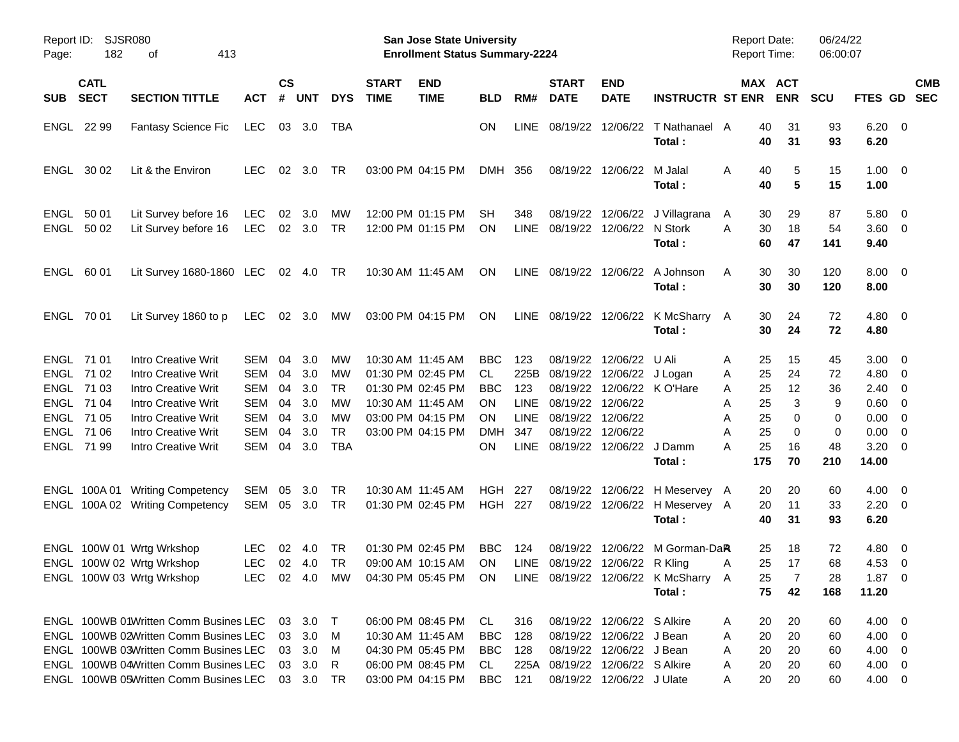| Page:                       | Report ID: SJSR080<br>182                           | 413<br>οf                                                                                                                                                                                                 |                                        |                            |                                                  |                            |                             | <b>San Jose State University</b><br><b>Enrollment Status Summary-2224</b>                             |                                             |                                                  |                                        |                                                                                                                                                    |                                                               | <b>Report Date:</b><br><b>Report Time:</b>          |                            | 06/24/22<br>06:00:07       |                                                                     |                          |  |
|-----------------------------|-----------------------------------------------------|-----------------------------------------------------------------------------------------------------------------------------------------------------------------------------------------------------------|----------------------------------------|----------------------------|--------------------------------------------------|----------------------------|-----------------------------|-------------------------------------------------------------------------------------------------------|---------------------------------------------|--------------------------------------------------|----------------------------------------|----------------------------------------------------------------------------------------------------------------------------------------------------|---------------------------------------------------------------|-----------------------------------------------------|----------------------------|----------------------------|---------------------------------------------------------------------|--------------------------|--|
| <b>SUB</b>                  | <b>CATL</b><br><b>SECT</b>                          | <b>SECTION TITTLE</b>                                                                                                                                                                                     | ACT                                    | <b>CS</b><br>#             | <b>UNT</b>                                       | <b>DYS</b>                 | <b>START</b><br><b>TIME</b> | <b>END</b><br><b>TIME</b>                                                                             | <b>BLD</b>                                  | RM#                                              | <b>START</b><br><b>DATE</b>            | <b>END</b><br><b>DATE</b>                                                                                                                          | <b>INSTRUCTR ST ENR</b>                                       |                                                     | MAX ACT<br><b>ENR</b>      | <b>SCU</b>                 | <b>FTES GD</b>                                                      | <b>CMB</b><br><b>SEC</b> |  |
| ENGL                        | 22 99                                               | <b>Fantasy Science Fic</b>                                                                                                                                                                                | LEC                                    |                            | 03 3.0                                           | TBA                        |                             |                                                                                                       | ΟN                                          | <b>LINE</b>                                      |                                        | 08/19/22 12/06/22                                                                                                                                  | T Nathanael A<br>Total:                                       | 40<br>40                                            | 31<br>31                   | 93<br>93                   | $6.20 \quad 0$<br>6.20                                              |                          |  |
| ENGL                        | 30 02                                               | Lit & the Environ                                                                                                                                                                                         | <b>LEC</b>                             | 02                         | 3.0                                              | TR                         |                             | 03:00 PM 04:15 PM                                                                                     | DMH                                         | 356                                              |                                        | 08/19/22 12/06/22                                                                                                                                  | M Jalal<br>Total:                                             | 40<br>A<br>40                                       | 5<br>5                     | 15<br>15                   | $1.00 \t 0$<br>1.00                                                 |                          |  |
| <b>ENGL</b><br>ENGL         | 50 01<br>50 02                                      | Lit Survey before 16<br>Lit Survey before 16                                                                                                                                                              | LEC<br>LEC                             | 02                         | 3.0<br>02 3.0                                    | <b>MW</b><br>TR            |                             | 12:00 PM 01:15 PM<br>12:00 PM 01:15 PM                                                                | <b>SH</b><br><b>ON</b>                      | 348<br><b>LINE</b>                               |                                        | 08/19/22 12/06/22<br>08/19/22 12/06/22                                                                                                             | J Villagrana<br>N Stork<br>Total:                             | 30<br>A<br>A<br>30<br>60                            | 29<br>18<br>47             | 87<br>54<br>141            | $5.80 \ 0$<br>$3.60 \quad 0$<br>9.40                                |                          |  |
| ENGL                        | 60 01                                               | Lit Survey 1680-1860 LEC 02 4.0                                                                                                                                                                           |                                        |                            |                                                  | TR.                        |                             | 10:30 AM 11:45 AM                                                                                     | <b>ON</b>                                   | LINE                                             | 08/19/22 12/06/22                      |                                                                                                                                                    | A Johnson<br>Total:                                           | 30<br>A<br>30                                       | 30<br>30                   | 120<br>120                 | $8.00 \quad 0$<br>8.00                                              |                          |  |
|                             | ENGL 70 01                                          | Lit Survey 1860 to p                                                                                                                                                                                      | LEC                                    |                            | 02 3.0                                           | МW                         |                             | 03:00 PM 04:15 PM                                                                                     | ON                                          |                                                  |                                        |                                                                                                                                                    | LINE 08/19/22 12/06/22 K McSharry A<br>Total:                 | 30<br>30                                            | 24<br>24                   | 72<br>72                   | $4.80\ 0$<br>4.80                                                   |                          |  |
| ENGL<br><b>ENGL</b><br>ENGL | ENGL 71 01<br>ENGL 71 02<br>71 03<br>71 04<br>71 05 | <b>Intro Creative Writ</b><br><b>Intro Creative Writ</b><br><b>Intro Creative Writ</b><br><b>Intro Creative Writ</b><br><b>Intro Creative Writ</b>                                                        | SEM<br>SEM<br>SEM<br>SEM<br><b>SEM</b> | 04<br>04<br>04<br>04<br>04 | 3.0<br>3.0<br>3.0<br>3.0<br>3.0                  | MW<br>MW<br>TR<br>MW<br>MW |                             | 10:30 AM 11:45 AM<br>01:30 PM 02:45 PM<br>01:30 PM 02:45 PM<br>10:30 AM 11:45 AM<br>03:00 PM 04:15 PM | <b>BBC</b><br>CL<br><b>BBC</b><br>ON<br>ΟN  | 123<br>225B<br>123<br><b>LINE</b><br><b>LINE</b> | 08/19/22 12/06/22<br>08/19/22 12/06/22 | 08/19/22 12/06/22<br>08/19/22 12/06/22 J Logan<br>08/19/22 12/06/22 K O'Hare                                                                       | U Ali                                                         | 25<br>A<br>25<br>Α<br>25<br>Α<br>25<br>Α<br>25      | 15<br>24<br>12<br>3<br>0   | 45<br>72<br>36<br>9<br>0   | $3.00 \ 0$<br>$4.80\ 0$<br>$2.40 \quad 0$<br>$0.60 \quad 0$<br>0.00 | $\overline{\phantom{0}}$ |  |
| ENGL                        | 71 06<br>ENGL 71 99                                 | Intro Creative Writ<br>Intro Creative Writ                                                                                                                                                                | <b>SEM</b><br>SEM                      | 04<br>04                   | 3.0<br>3.0                                       | <b>TR</b><br>TBA           |                             | 03:00 PM 04:15 PM                                                                                     | <b>DMH</b><br>ON.                           | 347<br><b>LINE</b>                               |                                        | 08/19/22 12/06/22<br>08/19/22 12/06/22                                                                                                             | J Damm<br>Total:                                              | Α<br>А<br>25<br>25<br>А<br>175                      | 0<br>16<br>70              | 0<br>48<br>210             | 0.00<br>$3.20 \ 0$<br>14.00                                         | $\overline{\phantom{0}}$ |  |
|                             |                                                     | ENGL 100A 01 Writing Competency<br>ENGL 100A 02 Writing Competency                                                                                                                                        | SEM<br>SEM                             | 05                         | 3.0<br>05 3.0                                    | TR<br>TR                   |                             | 10:30 AM 11:45 AM<br>01:30 PM 02:45 PM                                                                | HGH<br><b>HGH 227</b>                       | 227                                              |                                        | 08/19/22 12/06/22<br>08/19/22 12/06/22                                                                                                             | H Meservey A<br>H Meservey A<br>Total:                        | 20<br>20<br>40                                      | 20<br>11<br>31             | 60<br>33<br>93             | $4.00 \ 0$<br>$2.20 \t 0$<br>6.20                                   |                          |  |
|                             |                                                     | ENGL 100W 01 Wrtg Wrkshop<br>ENGL 100W 02 Wrtg Wrkshop<br>ENGL 100W 03 Wrtg Wrkshop                                                                                                                       | <b>LEC</b><br><b>LEC</b>               | 02                         | -4.0<br>$02 \quad 4.0$                           | TR<br>TR                   |                             | 01:30 PM 02:45 PM<br>09:00 AM 10:15 AM<br>LEC 02 4.0 MW 04:30 PM 05:45 PM ON                          | <b>BBC</b><br>ON                            | 124<br>LINE                                      |                                        | 08/19/22 12/06/22<br>08/19/22 12/06/22 R Kling                                                                                                     | M Gorman-DaR<br>LINE 08/19/22 12/06/22 K McSharry A<br>Total: | 25<br>25<br>A<br>25<br>75                           | 18<br>17<br>7<br>42        | 72<br>68<br>28<br>168      | $4.80\ 0$<br>$4.53 \quad 0$<br>$1.87 \t 0$<br>11.20                 |                          |  |
|                             |                                                     | ENGL 100WB 01Written Comm Busines LEC<br>ENGL 100WB 02Written Comm Busines LEC<br>ENGL 100WB 03Written Comm Busines LEC<br>ENGL 100WB 04Written Comm Busines LEC<br>ENGL 100WB 05Written Comm Busines LEC |                                        | 03                         | 03 3.0 T<br>3.0<br>03 3.0<br>03 3.0<br>03 3.0 TR | M<br>M<br>R                |                             | 06:00 PM 08:45 PM<br>10:30 AM 11:45 AM<br>04:30 PM 05:45 PM<br>06:00 PM 08:45 PM<br>03:00 PM 04:15 PM | CL<br><b>BBC</b><br>BBC<br>CL<br><b>BBC</b> | 316<br>128<br>128<br>121                         |                                        | 08/19/22 12/06/22 S Alkire<br>08/19/22 12/06/22 J Bean<br>08/19/22 12/06/22 J Bean<br>225A 08/19/22 12/06/22 S Alkire<br>08/19/22 12/06/22 J Ulate |                                                               | 20<br>A<br>20<br>A<br>20<br>A<br>20<br>Α<br>20<br>A | 20<br>20<br>20<br>20<br>20 | 60<br>60<br>60<br>60<br>60 | $4.00 \t 0$<br>$4.00 \ 0$<br>$4.00 \ 0$<br>4.00 0<br>4.00 0         |                          |  |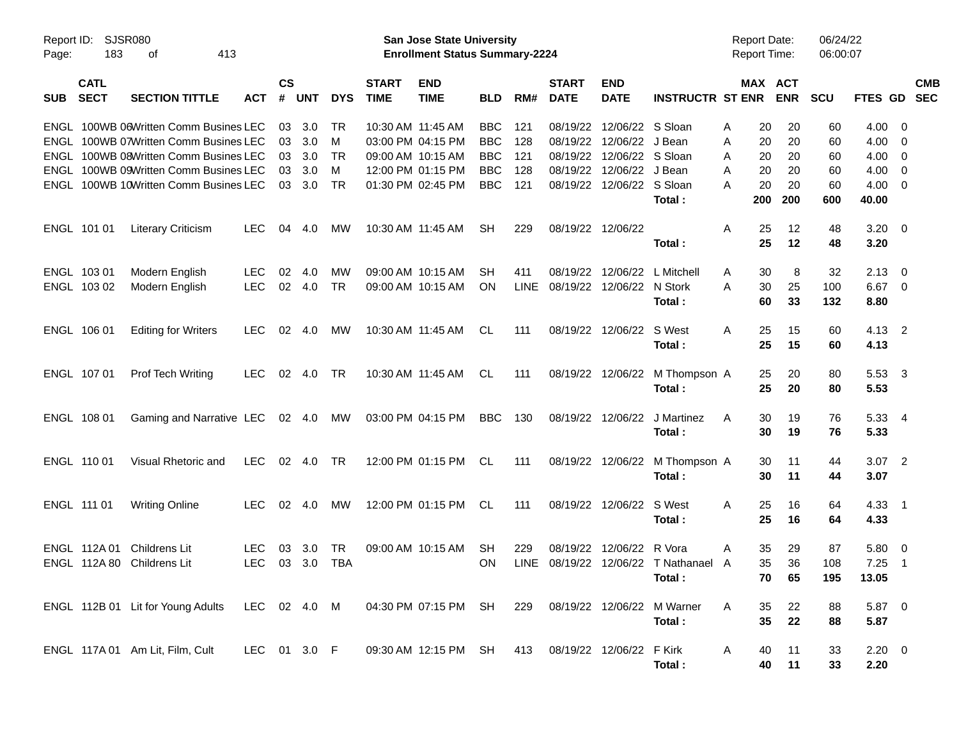| Report ID:<br>Page: | SJSR080<br>183             | 413<br>οf                                                                      |              |                    |            |            |                                        | <b>San Jose State University</b><br><b>Enrollment Status Summary-2224</b> |                   |             |                             |                              |                            |        | <b>Report Date:</b><br><b>Report Time:</b> |            | 06/24/22<br>06:00:07 |                |                                                    |                          |
|---------------------|----------------------------|--------------------------------------------------------------------------------|--------------|--------------------|------------|------------|----------------------------------------|---------------------------------------------------------------------------|-------------------|-------------|-----------------------------|------------------------------|----------------------------|--------|--------------------------------------------|------------|----------------------|----------------|----------------------------------------------------|--------------------------|
| <b>SUB</b>          | <b>CATL</b><br><b>SECT</b> | <b>SECTION TITTLE</b>                                                          | <b>ACT</b>   | $\mathsf{cs}$<br># | <b>UNT</b> | <b>DYS</b> | <b>START</b><br><b>TIME</b>            | <b>END</b><br><b>TIME</b>                                                 | <b>BLD</b>        | RM#         | <b>START</b><br><b>DATE</b> | <b>END</b><br><b>DATE</b>    | <b>INSTRUCTR ST ENR</b>    |        | MAX ACT                                    | <b>ENR</b> | <b>SCU</b>           | <b>FTES GD</b> |                                                    | <b>CMB</b><br><b>SEC</b> |
|                     |                            | ENGL 100WB 06Written Comm Busines LEC<br>ENGL 100WB 07Written Comm Busines LEC |              | 03<br>03           | 3.0<br>3.0 | .TR<br>M   | 10:30 AM 11:45 AM<br>03:00 PM 04:15 PM |                                                                           | BBC<br><b>BBC</b> | 121<br>128  | 08/19/22<br>08/19/22        | 12/06/22 S Sloan<br>12/06/22 | J Bean                     | A<br>A | 20<br>20                                   | 20<br>20   | 60<br>60             | 4.00<br>4.00   | - 0<br>0                                           |                          |
|                     |                            | ENGL 100WB 08Written Comm Busines LEC                                          |              | 03                 | 3.0        | TR         | 09:00 AM 10:15 AM                      |                                                                           | <b>BBC</b>        | 121         | 08/19/22                    | 12/06/22                     | S Sloan                    |        |                                            | 20         |                      | 4.00           |                                                    |                          |
|                     |                            | ENGL 100WB 09Written Comm Busines LEC                                          |              | 03                 | 3.0        | M          | 12:00 PM 01:15 PM                      |                                                                           | <b>BBC</b>        | 128         | 08/19/22                    | 12/06/22                     | J Bean                     | A<br>A | 20<br>20                                   | 20         | 60<br>60             | 4.00           | $\overline{\mathbf{0}}$<br>$\overline{\mathbf{0}}$ |                          |
|                     |                            | ENGL 100WB 10Written Comm Busines LEC                                          |              | 03                 | 3.0        | TR         | 01:30 PM 02:45 PM                      |                                                                           | <b>BBC</b>        | 121         | 08/19/22                    | 12/06/22 S Sloan             |                            | A      | 20                                         | 20         | 60                   | 4.00           | - 0                                                |                          |
|                     |                            |                                                                                |              |                    |            |            |                                        |                                                                           |                   |             |                             |                              | Total:                     |        | 200                                        | 200        | 600                  | 40.00          |                                                    |                          |
|                     | ENGL 101 01                | <b>Literary Criticism</b>                                                      | <b>LEC</b>   | 04                 | 4.0        | MW         | 10:30 AM 11:45 AM                      |                                                                           | SH                | 229         | 08/19/22 12/06/22           |                              |                            | A      | 25                                         | 12         | 48                   | $3.20 \ 0$     |                                                    |                          |
|                     |                            |                                                                                |              |                    |            |            |                                        |                                                                           |                   |             |                             |                              | Total:                     |        | 25                                         | 12         | 48                   | 3.20           |                                                    |                          |
|                     | ENGL 103 01                | Modern English                                                                 | <b>LEC</b>   | 02                 | 4.0        | МW         | 09:00 AM 10:15 AM                      |                                                                           | SН                | 411         | 08/19/22                    | 12/06/22                     | L Mitchell                 | A      | 30                                         | 8          | 32                   | 2.13           | - 0                                                |                          |
|                     | ENGL 103 02                | Modern English                                                                 | <b>LEC</b>   | 02                 | 4.0        | <b>TR</b>  | 09:00 AM 10:15 AM                      |                                                                           | <b>ON</b>         | <b>LINE</b> | 08/19/22                    | 12/06/22                     | N Stork                    | A      | 30                                         | 25         | 100                  | 6.67           | $\overline{0}$                                     |                          |
|                     |                            |                                                                                |              |                    |            |            |                                        |                                                                           |                   |             |                             |                              | Total:                     |        | 60                                         | 33         | 132                  | 8.80           |                                                    |                          |
|                     | ENGL 106 01                | <b>Editing for Writers</b>                                                     | <b>LEC</b>   | 02                 | 4.0        | МW         | 10:30 AM 11:45 AM                      |                                                                           | CL                | 111         | 08/19/22                    | 12/06/22                     | S West                     | A      | 25                                         | 15         | 60                   | $4.13 \quad 2$ |                                                    |                          |
|                     |                            |                                                                                |              |                    |            |            |                                        |                                                                           |                   |             |                             |                              | Total:                     |        | 25                                         | 15         | 60                   | 4.13           |                                                    |                          |
|                     | ENGL 107 01                | <b>Prof Tech Writing</b>                                                       | <b>LEC</b>   | 02                 | 4.0        | TR         | 10:30 AM 11:45 AM                      |                                                                           | CL                | 111         | 08/19/22 12/06/22           |                              | M Thompson A               |        | 25                                         | 20         | 80                   | 5.53 3         |                                                    |                          |
|                     |                            |                                                                                |              |                    |            |            |                                        |                                                                           |                   |             |                             |                              | Total:                     |        | 25                                         | 20         | 80                   | 5.53           |                                                    |                          |
|                     | ENGL 108 01                | Gaming and Narrative LEC                                                       |              |                    | 02 4.0     | MW         |                                        | 03:00 PM 04:15 PM                                                         | <b>BBC</b>        | 130         | 08/19/22 12/06/22           |                              | J Martinez                 | A      | 30                                         | 19         | 76                   | 5.33 4         |                                                    |                          |
|                     |                            |                                                                                |              |                    |            |            |                                        |                                                                           |                   |             |                             |                              | Total:                     |        | 30                                         | 19         | 76                   | 5.33           |                                                    |                          |
|                     | ENGL 110 01                | Visual Rhetoric and                                                            | <b>LEC</b>   |                    | 02 4.0     | TR         |                                        | 12:00 PM 01:15 PM                                                         | CL                | 111         | 08/19/22 12/06/22           |                              | M Thompson A               |        | 30                                         | 11         | 44                   | $3.07$ 2       |                                                    |                          |
|                     |                            |                                                                                |              |                    |            |            |                                        |                                                                           |                   |             |                             |                              | Total:                     |        | 30                                         | 11         | 44                   | 3.07           |                                                    |                          |
|                     | ENGL 111 01                | <b>Writing Online</b>                                                          | <b>LEC</b>   |                    | 02 4.0     | МW         |                                        | 12:00 PM 01:15 PM                                                         | CL                | 111         |                             | 08/19/22 12/06/22            | S West                     | A      | 25                                         | 16         | 64                   | $4.33$ 1       |                                                    |                          |
|                     |                            |                                                                                |              |                    |            |            |                                        |                                                                           |                   |             |                             |                              | Total:                     |        | 25                                         | 16         | 64                   | 4.33           |                                                    |                          |
|                     | ENGL 112A 01               | Childrens Lit                                                                  | <b>LEC</b>   | 03                 | 3.0        | TR         | 09:00 AM 10:15 AM                      |                                                                           | <b>SH</b>         | 229         | 08/19/22                    | 12/06/22                     | R Vora                     | A      | 35                                         | 29         | 87                   | $5.80\ 0$      |                                                    |                          |
|                     |                            | ENGL 112A 80 Childrens Lit                                                     | <b>LEC</b>   | 03                 | 3.0        | <b>TBA</b> |                                        |                                                                           | <b>ON</b>         | <b>LINE</b> | 08/19/22                    |                              | 12/06/22 T Nathanael A     |        | 35                                         | 36         | 108                  | 7.25           | - 1                                                |                          |
|                     |                            |                                                                                |              |                    |            |            |                                        |                                                                           |                   |             |                             |                              | Total:                     |        |                                            | 70 65      | 195                  | 13.05          |                                                    |                          |
|                     |                            | ENGL 112B 01 Lit for Young Adults                                              | LEC 02 4.0 M |                    |            |            |                                        | 04:30 PM 07:15 PM SH                                                      |                   | 229         |                             |                              | 08/19/22 12/06/22 M Warner | A      | 35                                         | 22         | 88                   | 5.87 0         |                                                    |                          |
|                     |                            |                                                                                |              |                    |            |            |                                        |                                                                           |                   |             |                             |                              | Total:                     |        | 35                                         | 22         | 88                   | 5.87           |                                                    |                          |
|                     |                            | ENGL 117A 01 Am Lit, Film, Cult                                                | LEC 01 3.0 F |                    |            |            |                                        | 09:30 AM 12:15 PM SH                                                      |                   | 413         | 08/19/22 12/06/22 F Kirk    |                              |                            | A      | 40                                         | 11         | 33                   | $2.20 \t 0$    |                                                    |                          |
|                     |                            |                                                                                |              |                    |            |            |                                        |                                                                           |                   |             |                             |                              | Total:                     |        | 40                                         | 11         | 33                   | 2.20           |                                                    |                          |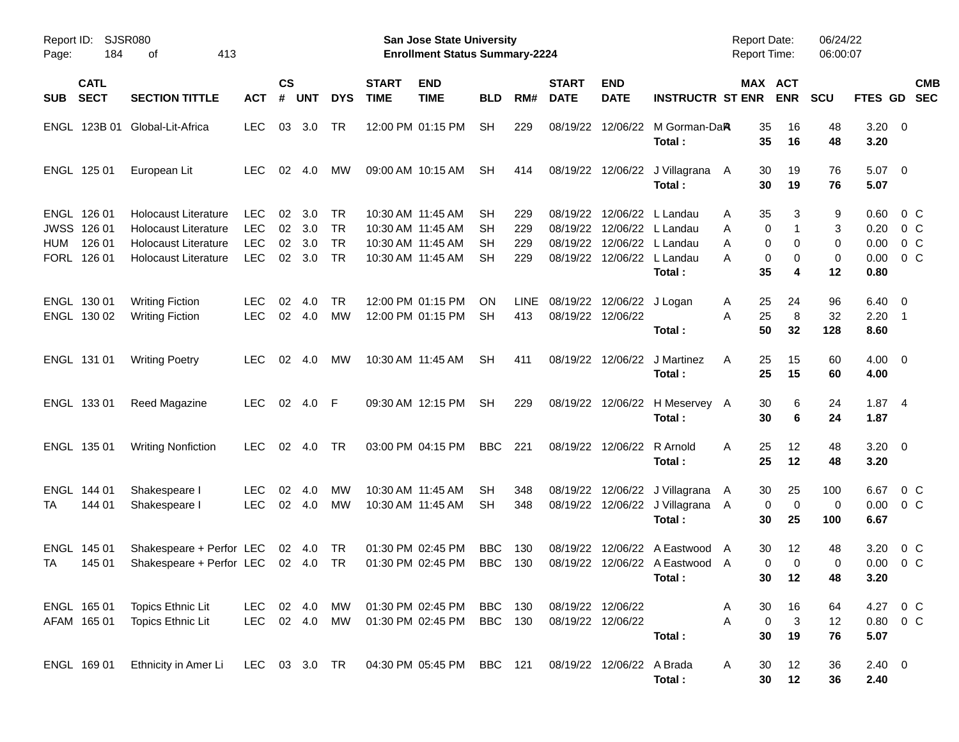| Page:      | Report ID:<br>SJSR080<br>184<br>413<br>οf           |                                                                                                                   |                                                      |                      |                          |                                           |                             | San Jose State University<br><b>Enrollment Status Summary-2224</b>               |                          |                          |                                        |                            |                                                                                                     | <b>Report Date:</b><br><b>Report Time:</b> |                                      | 06/24/22<br>06:00:07    |                                      |                                                               |  |
|------------|-----------------------------------------------------|-------------------------------------------------------------------------------------------------------------------|------------------------------------------------------|----------------------|--------------------------|-------------------------------------------|-----------------------------|----------------------------------------------------------------------------------|--------------------------|--------------------------|----------------------------------------|----------------------------|-----------------------------------------------------------------------------------------------------|--------------------------------------------|--------------------------------------|-------------------------|--------------------------------------|---------------------------------------------------------------|--|
| <b>SUB</b> | <b>CATL</b><br><b>SECT</b>                          | <b>SECTION TITTLE</b>                                                                                             | <b>ACT</b>                                           | $\mathsf{cs}$<br>#   | <b>UNT</b>               | <b>DYS</b>                                | <b>START</b><br><b>TIME</b> | <b>END</b><br><b>TIME</b>                                                        | <b>BLD</b>               | RM#                      | <b>START</b><br><b>DATE</b>            | <b>END</b><br><b>DATE</b>  | <b>INSTRUCTR ST ENR</b>                                                                             |                                            | MAX ACT<br><b>ENR</b>                | <b>SCU</b>              | FTES GD                              | <b>CMB</b><br><b>SEC</b>                                      |  |
|            |                                                     | ENGL 123B 01 Global-Lit-Africa                                                                                    | <b>LEC</b>                                           | 03                   | 3.0                      | TR                                        |                             | 12:00 PM 01:15 PM                                                                | <b>SH</b>                | 229                      | 08/19/22                               |                            | 12/06/22 M Gorman-DaR<br>Total:                                                                     | 35<br>35                                   | 16<br>16                             | 48<br>48                | $3.20 \ 0$<br>3.20                   |                                                               |  |
|            | ENGL 125 01                                         | European Lit                                                                                                      | <b>LEC</b>                                           | 02                   | 4.0                      | мw                                        |                             | 09:00 AM 10:15 AM                                                                | <b>SH</b>                | 414                      |                                        |                            | 08/19/22 12/06/22 J Villagrana<br>Total:                                                            | 30<br>A<br>30                              | 19<br>19                             | 76<br>76                | 5.07<br>5.07                         | $\overline{\phantom{0}}$                                      |  |
| <b>HUM</b> | ENGL 126 01<br>JWSS 126 01<br>126 01<br>FORL 126 01 | Holocaust Literature<br><b>Holocaust Literature</b><br><b>Holocaust Literature</b><br><b>Holocaust Literature</b> | <b>LEC</b><br><b>LEC</b><br><b>LEC</b><br><b>LEC</b> | 02<br>02<br>02<br>02 | 3.0<br>3.0<br>3.0<br>3.0 | TR<br><b>TR</b><br><b>TR</b><br><b>TR</b> |                             | 10:30 AM 11:45 AM<br>10:30 AM 11:45 AM<br>10:30 AM 11:45 AM<br>10:30 AM 11:45 AM | SН<br>SН<br>SН<br>SН     | 229<br>229<br>229<br>229 | 08/19/22<br>08/19/22<br>08/19/22       |                            | 12/06/22 L Landau<br>12/06/22 L Landau<br>12/06/22 L Landau<br>08/19/22 12/06/22 L Landau<br>Total: | 35<br>Α<br>Α<br>Α<br>А<br>35               | 3<br>0<br>1<br>0<br>0<br>0<br>0<br>4 | 9<br>3<br>0<br>0<br>12  | 0.60<br>0.20<br>0.00<br>0.00<br>0.80 | $0\,$ C<br>0 <sup>o</sup><br>0 <sup>o</sup><br>0 <sup>o</sup> |  |
|            | ENGL 130 01<br>ENGL 130 02                          | <b>Writing Fiction</b><br><b>Writing Fiction</b>                                                                  | <b>LEC</b><br><b>LEC</b>                             | 02<br>02             | 4.0<br>4.0               | TR.<br>МW                                 |                             | 12:00 PM 01:15 PM<br>12:00 PM 01:15 PM                                           | <b>ON</b><br>SН          | LINE.<br>413             | 08/19/22 12/06/22                      | 08/19/22 12/06/22 J Logan  | Total:                                                                                              | 25<br>Α<br>25<br>Α<br>50                   | 24<br>8<br>32                        | 96<br>32<br>128         | 6.40<br>2.20<br>8.60                 | $\overline{\phantom{0}}$<br>$\overline{\phantom{1}}$          |  |
|            | ENGL 131 01                                         | <b>Writing Poetry</b>                                                                                             | <b>LEC</b>                                           | 02                   | -4.0                     | мw                                        |                             | 10:30 AM 11:45 AM                                                                | SH                       | 411                      |                                        |                            | 08/19/22 12/06/22 J Martinez<br>Total:                                                              | A<br>25<br>25                              | 15<br>15                             | 60<br>60                | $4.00 \ 0$<br>4.00                   |                                                               |  |
|            | ENGL 133 01                                         | Reed Magazine                                                                                                     | <b>LEC</b>                                           | 02                   | 4.0                      | -F                                        |                             | 09:30 AM 12:15 PM                                                                | <b>SH</b>                | 229                      |                                        |                            | 08/19/22 12/06/22 H Meservey A<br>Total:                                                            | 30<br>30                                   | 6<br>6                               | 24<br>24                | 1.874<br>1.87                        |                                                               |  |
|            | ENGL 135 01                                         | <b>Writing Nonfiction</b>                                                                                         | <b>LEC</b>                                           | 02                   | 4.0                      | TR                                        |                             | 03:00 PM 04:15 PM                                                                | <b>BBC</b>               | 221                      |                                        | 08/19/22 12/06/22 R Arnold | Total:                                                                                              | 25<br>A<br>25                              | 12<br>12                             | 48<br>48                | $3.20 \ 0$<br>3.20                   |                                                               |  |
| TA         | ENGL 144 01<br>144 01                               | Shakespeare I<br>Shakespeare I                                                                                    | LEC<br><b>LEC</b>                                    | 02<br>02             | 4.0<br>4.0               | МW<br>МW                                  |                             | 10:30 AM 11:45 AM<br>10:30 AM 11:45 AM                                           | SН<br>SН                 | 348<br>348               | 08/19/22                               |                            | 12/06/22 J Villagrana<br>08/19/22 12/06/22 J Villagrana<br>Total:                                   | 30<br>A<br>A<br>30                         | 25<br>0<br>0<br>25                   | 100<br>0<br>100         | 6.67<br>0.00<br>6.67                 | $0\,$ C<br>0 C                                                |  |
| TA         | ENGL 145 01<br>145 01                               | Shakespeare + Perfor LEC<br>Shakespeare + Perfor LEC                                                              |                                                      |                      | 02 4.0<br>02 4.0         | TR<br><b>TR</b>                           |                             | 01:30 PM 02:45 PM<br>01:30 PM 02:45 PM                                           | <b>BBC</b><br><b>BBC</b> | 130<br>130               | 08/19/22<br>08/19/22                   |                            | 12/06/22 A Eastwood<br>12/06/22 A Eastwood A<br>Total:                                              | 30<br>$\overline{\mathsf{A}}$              | 12<br>0<br>0<br>30<br>12             | 48<br>$\mathbf 0$<br>48 | 3.20<br>0.00<br>3.20                 | $0\,$ C<br>0 <sup>o</sup>                                     |  |
|            | ENGL 165 01<br>AFAM 165 01                          | Topics Ethnic Lit<br>Topics Ethnic Lit                                                                            | LEC<br><b>LEC</b>                                    |                      | 02 4.0<br>02 4.0         | MW<br>MW                                  |                             | 01:30 PM 02:45 PM<br>01:30 PM 02:45 PM                                           | BBC<br>BBC 130           | 130                      | 08/19/22 12/06/22<br>08/19/22 12/06/22 |                            | Total:                                                                                              | 30<br>A<br>A<br>30                         | 16<br>$\mathbf 0$<br>3<br>19         | 64<br>12<br>76          | 5.07                                 | 4.27 0 C<br>$0.80 \t 0 \t C$                                  |  |
|            | ENGL 169 01                                         | Ethnicity in Amer Li                                                                                              | LEC 03 3.0 TR                                        |                      |                          |                                           |                             | 04:30 PM 05:45 PM BBC 121                                                        |                          |                          |                                        | 08/19/22 12/06/22 A Brada  | Total:                                                                                              | 30<br>A<br>30                              | 12<br>12                             | 36<br>36                | $2.40 \ 0$<br>2.40                   |                                                               |  |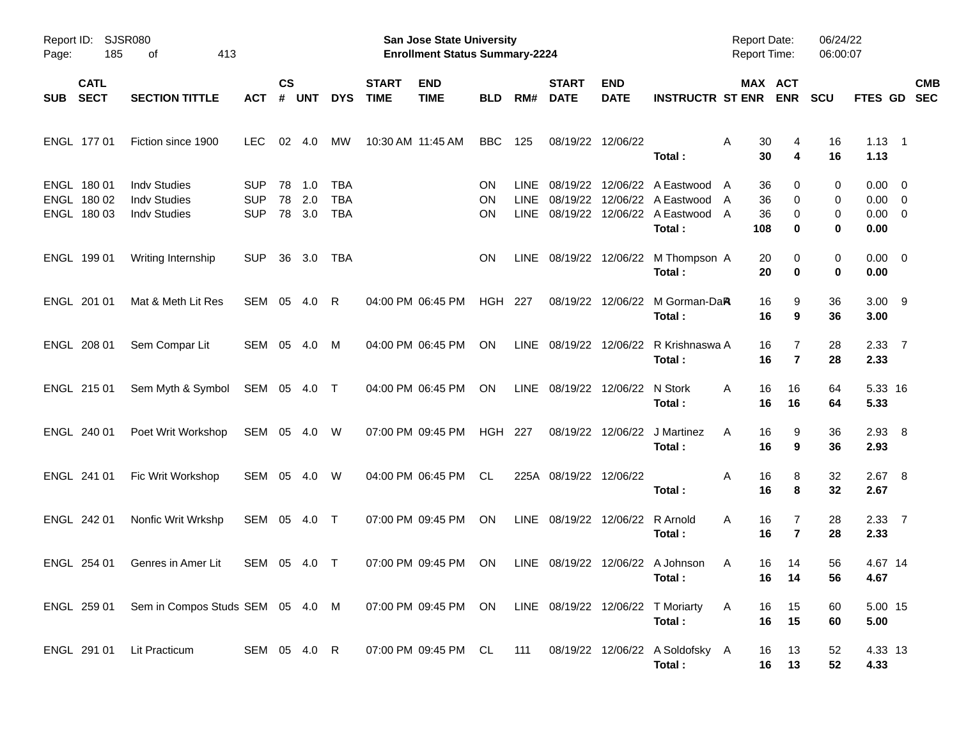| Page:      | Report ID: SJSR080<br>185                 | 413<br>οf                                                         |                                        |                    |                   |                                        |                             | San Jose State University<br><b>Enrollment Status Summary-2224</b> |                |                     |                                 |                           |                                                                                           | <b>Report Date:</b><br><b>Report Time:</b> |                       | 06/24/22<br>06:00:07 |                                                   |                          |
|------------|-------------------------------------------|-------------------------------------------------------------------|----------------------------------------|--------------------|-------------------|----------------------------------------|-----------------------------|--------------------------------------------------------------------|----------------|---------------------|---------------------------------|---------------------------|-------------------------------------------------------------------------------------------|--------------------------------------------|-----------------------|----------------------|---------------------------------------------------|--------------------------|
| <b>SUB</b> | <b>CATL</b><br><b>SECT</b>                | <b>SECTION TITTLE</b>                                             | <b>ACT</b>                             | $\mathsf{cs}$<br># | <b>UNT</b>        | <b>DYS</b>                             | <b>START</b><br><b>TIME</b> | <b>END</b><br><b>TIME</b>                                          | <b>BLD</b>     | RM#                 | <b>START</b><br><b>DATE</b>     | <b>END</b><br><b>DATE</b> | <b>INSTRUCTR ST ENR</b>                                                                   |                                            | MAX ACT<br><b>ENR</b> | <b>SCU</b>           | FTES GD                                           | <b>CMB</b><br><b>SEC</b> |
|            | ENGL 177 01                               | Fiction since 1900                                                | LEC.                                   | 02                 | 4.0               | MW                                     | 10:30 AM 11:45 AM           |                                                                    | <b>BBC</b>     | 125                 | 08/19/22 12/06/22               |                           | Total:                                                                                    | 30<br>Α<br>30                              | 4<br>4                | 16<br>16             | $1.13 \quad 1$<br>1.13                            |                          |
|            | ENGL 180 01<br>ENGL 180 02<br>ENGL 180 03 | <b>Indv Studies</b><br><b>Indv Studies</b><br><b>Indv Studies</b> | <b>SUP</b><br><b>SUP</b><br><b>SUP</b> | 78<br>78<br>78     | 1.0<br>2.0<br>3.0 | <b>TBA</b><br><b>TBA</b><br><b>TBA</b> |                             |                                                                    | ON<br>ON<br>ON | <b>LINE</b><br>LINE | 08/19/22<br>08/19/22            |                           | 12/06/22 A Eastwood<br>12/06/22 A Eastwood<br>LINE 08/19/22 12/06/22 A Eastwood<br>Total: | 36<br>A<br>36<br>A<br>36<br>A<br>108       | 0<br>0<br>0<br>0      | 0<br>0<br>0<br>0     | $0.00 \t 0$<br>$0.00 \t 0$<br>$0.00 \t 0$<br>0.00 |                          |
|            | ENGL 199 01                               | Writing Internship                                                | <b>SUP</b>                             | 36                 | 3.0               | TBA                                    |                             |                                                                    | ON             |                     |                                 |                           | LINE 08/19/22 12/06/22 M Thompson A<br>Total:                                             | 20<br>20                                   | 0<br>0                | 0<br>0               | $0.00 \t 0$<br>0.00                               |                          |
|            | ENGL 201 01                               | Mat & Meth Lit Res                                                | SEM 05                                 |                    | -4.0              | R                                      | 04:00 PM 06:45 PM           |                                                                    | <b>HGH 227</b> |                     |                                 | 08/19/22 12/06/22         | M Gorman-Da <b>R</b><br>Total:                                                            | 16<br>16                                   | 9<br>9                | 36<br>36             | $3.00$ 9<br>3.00                                  |                          |
|            | ENGL 208 01                               | Sem Compar Lit                                                    | SEM 05 4.0                             |                    |                   | M                                      |                             | 04:00 PM 06:45 PM                                                  | ON             |                     |                                 |                           | LINE 08/19/22 12/06/22 R Krishnaswa A<br>Total:                                           | 16<br>16                                   | 7<br>$\overline{7}$   | 28<br>28             | $2.33 \quad 7$<br>2.33                            |                          |
|            | ENGL 215 01                               | Sem Myth & Symbol                                                 | SEM 05 4.0 T                           |                    |                   |                                        |                             | 04:00 PM 06:45 PM                                                  | ON             |                     | LINE 08/19/22 12/06/22          |                           | N Stork<br>Total:                                                                         | 16<br>A<br>16                              | 16<br>16              | 64<br>64             | 5.33 16<br>5.33                                   |                          |
|            | ENGL 240 01                               | Poet Writ Workshop                                                | SEM 05 4.0 W                           |                    |                   |                                        |                             | 07:00 PM 09:45 PM                                                  | <b>HGH 227</b> |                     |                                 | 08/19/22 12/06/22         | J Martinez<br>Total:                                                                      | 16<br>A<br>16                              | 9<br>9                | 36<br>36             | $2.93$ 8<br>2.93                                  |                          |
|            | ENGL 241 01                               | Fic Writ Workshop                                                 | SEM 05 4.0                             |                    |                   | W                                      |                             | 04:00 PM 06:45 PM                                                  | CL             |                     | 225A 08/19/22 12/06/22          |                           | Total:                                                                                    | Α<br>16<br>16                              | 8<br>8                | 32<br>32             | $2.67$ 8<br>2.67                                  |                          |
|            | ENGL 242 01                               | Nonfic Writ Wrkshp                                                | SEM 05 4.0 T                           |                    |                   |                                        |                             | 07:00 PM 09:45 PM                                                  | ON             |                     | LINE 08/19/22 12/06/22 R Arnold |                           | Total:                                                                                    | A<br>16<br>16                              | 7<br>$\overline{7}$   | 28<br>28             | $2.33 \quad 7$<br>2.33                            |                          |
|            | ENGL 254 01                               | Genres in Amer Lit                                                | SEM 05 4.0 T                           |                    |                   |                                        |                             | 07:00 PM 09:45 PM                                                  | ON             |                     |                                 |                           | LINE 08/19/22 12/06/22 A Johnson<br>Total:                                                | 16<br>A<br>16                              | 14<br>14              | 56<br>56             | 4.67 14<br>4.67                                   |                          |
|            |                                           | ENGL 259 01 Sem in Compos Studs SEM 05 4.0 M                      |                                        |                    |                   |                                        |                             | 07:00 PM 09:45 PM ON LINE 08/19/22 12/06/22 T Moriarty             |                |                     |                                 |                           | Total:                                                                                    | 16<br>A<br>16                              | 15<br>15              | 60<br>60             | 5.00 15<br>5.00                                   |                          |
|            | ENGL 291 01                               | Lit Practicum                                                     | SEM 05 4.0 R                           |                    |                   |                                        |                             | 07:00 PM 09:45 PM CL                                               |                | 111                 |                                 |                           | 08/19/22 12/06/22 A Soldofsky A<br>Total:                                                 | 16<br>16                                   | 13<br>13              | 52<br>52             | 4.33 13<br>4.33                                   |                          |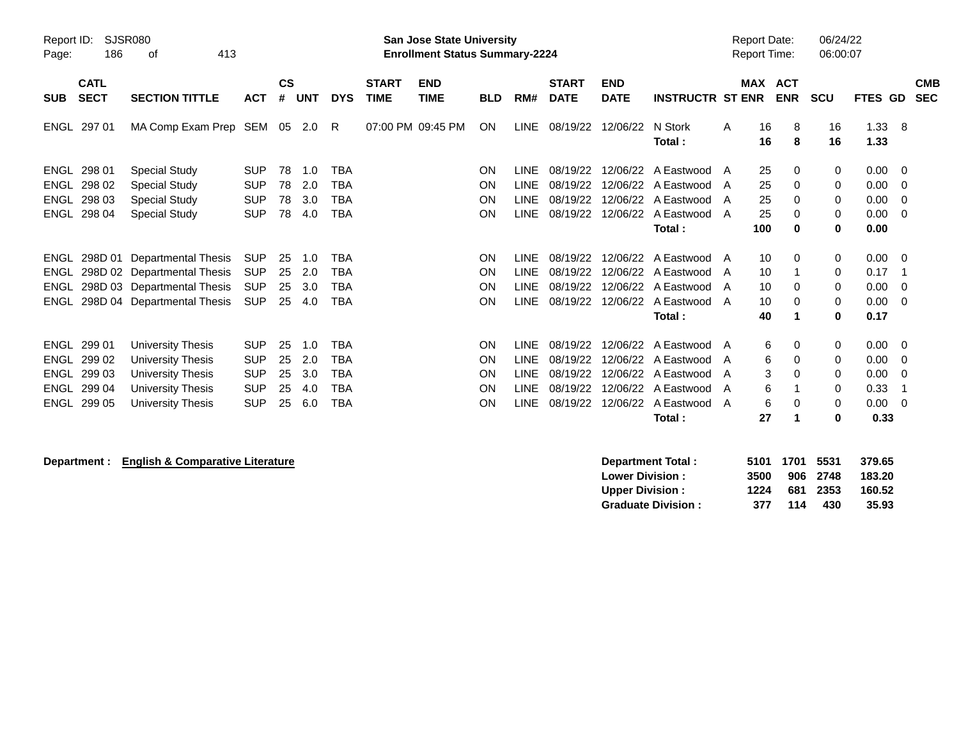| Page:                                                     | Report ID:<br><b>SJSR080</b><br>186<br>413<br>οf |                                                                                                                          |                                                                    |                            |                                 |                                               |                             | <b>San Jose State University</b><br><b>Enrollment Status Summary-2224</b> |                                    |                                                           |                                                          |                                  |                                                                                                         | <b>Report Date:</b><br><b>Report Time:</b> |                             |                              | 06/24/22<br>06:00:07       |                                              |                                |                          |
|-----------------------------------------------------------|--------------------------------------------------|--------------------------------------------------------------------------------------------------------------------------|--------------------------------------------------------------------|----------------------------|---------------------------------|-----------------------------------------------|-----------------------------|---------------------------------------------------------------------------|------------------------------------|-----------------------------------------------------------|----------------------------------------------------------|----------------------------------|---------------------------------------------------------------------------------------------------------|--------------------------------------------|-----------------------------|------------------------------|----------------------------|----------------------------------------------|--------------------------------|--------------------------|
| <b>SUB</b>                                                | <b>CATL</b><br><b>SECT</b>                       | <b>SECTION TITTLE</b>                                                                                                    | <b>ACT</b>                                                         | $\mathsf{cs}$<br>#         | <b>UNT</b>                      | <b>DYS</b>                                    | <b>START</b><br><b>TIME</b> | <b>END</b><br><b>TIME</b>                                                 | <b>BLD</b>                         | RM#                                                       | <b>START</b><br><b>DATE</b>                              | <b>END</b><br><b>DATE</b>        | <b>INSTRUCTR ST ENR</b>                                                                                 |                                            | MAX                         | <b>ACT</b><br><b>ENR</b>     | <b>SCU</b>                 | <b>FTES GD</b>                               |                                | <b>CMB</b><br><b>SEC</b> |
|                                                           | ENGL 297 01                                      | MA Comp Exam Prep SEM 05 2.0 R                                                                                           |                                                                    |                            |                                 |                                               |                             | 07:00 PM 09:45 PM                                                         | ON                                 |                                                           | LINE 08/19/22                                            | 12/06/22                         | N Stork<br>Total:                                                                                       | A                                          | 16<br>16                    | 8<br>8                       | 16<br>16                   | 1.33<br>1.33                                 | - 8                            |                          |
| ENGL<br>ENGL<br><b>ENGL</b><br><b>ENGL</b>                | 298 01<br>298 02<br>298 03<br>298 04             | <b>Special Study</b><br><b>Special Study</b><br><b>Special Study</b><br><b>Special Study</b>                             | <b>SUP</b><br><b>SUP</b><br><b>SUP</b><br><b>SUP</b>               | 78<br>78<br>78<br>78       | 1.0<br>2.0<br>3.0<br>4.0        | TBA<br><b>TBA</b><br><b>TBA</b><br><b>TBA</b> |                             |                                                                           | <b>ON</b><br>ON<br><b>ON</b><br>ON | <b>LINE</b><br><b>LINE</b><br><b>LINE</b><br><b>LINE</b>  | 08/19/22<br>08/19/22<br>08/19/22<br>08/19/22             | 12/06/22<br>12/06/22<br>12/06/22 | A Eastwood A<br>12/06/22 A Eastwood<br>A Eastwood<br>A Eastwood<br>Total:                               | A<br>A<br>A                                | 25<br>25<br>25<br>25<br>100 | 0<br>0<br>$\Omega$<br>0<br>0 | 0<br>0<br>0<br>0<br>0      | 0.00<br>0.00<br>0.00<br>0.00<br>0.00         | - 0<br>- 0<br>- 0<br>- 0       |                          |
| ENGL<br>ENGL<br>ENGL<br>ENGL                              |                                                  | 298D 01 Departmental Thesis<br>298D 02 Departmental Thesis<br>298D 03 Departmental Thesis<br>298D 04 Departmental Thesis | <b>SUP</b><br><b>SUP</b><br><b>SUP</b><br><b>SUP</b>               | 25<br>25<br>25<br>25       | 1.0<br>2.0<br>3.0<br>4.0        | <b>TBA</b><br>TBA<br>TBA<br>TBA               |                             |                                                                           | ON<br>ON<br>ON<br>ON               | <b>LINE</b><br><b>LINE</b><br><b>LINE</b><br>LINE         | 08/19/22<br>08/19/22<br>08/19/22<br>08/19/22             | 12/06/22<br>12/06/22<br>12/06/22 | A Eastwood<br>A Eastwood<br>12/06/22 A Eastwood<br>A Eastwood A<br>Total:                               | A<br>A<br>A                                | 10<br>10<br>10<br>10<br>40  | 0<br>0<br>0<br>1             | 0<br>0<br>0<br>0<br>0      | 0.00<br>0.17<br>0.00<br>0.00<br>0.17         | - 0<br>- 0<br>- 0              |                          |
| ENGL<br><b>ENGL</b><br><b>ENGL</b><br>ENGL<br><b>ENGL</b> | 299 01<br>299 02<br>299 03<br>299 04<br>299 05   | University Thesis<br>University Thesis<br><b>University Thesis</b><br>University Thesis<br>University Thesis             | <b>SUP</b><br><b>SUP</b><br><b>SUP</b><br><b>SUP</b><br><b>SUP</b> | 25<br>25<br>25<br>25<br>25 | 1.0<br>2.0<br>3.0<br>4.0<br>6.0 | TBA<br>TBA<br>TBA<br><b>TBA</b><br>TBA        |                             |                                                                           | ON<br>ON<br><b>ON</b><br>ON<br>ON  | <b>LINE</b><br><b>LINE</b><br><b>LINE</b><br>LINE<br>LINE | 08/19/22<br>08/19/22<br>08/19/22<br>08/19/22<br>08/19/22 | 12/06/22<br>12/06/22             | A Eastwood<br>12/06/22 A Eastwood<br>12/06/22 A Eastwood<br>12/06/22 A Eastwood<br>A Eastwood<br>Total: | A<br>A<br>A<br>A<br>A                      | 6<br>6<br>3<br>6<br>6<br>27 | 0<br>0<br>0<br>$\Omega$<br>1 | 0<br>0<br>0<br>0<br>0<br>0 | 0.00<br>0.00<br>0.00<br>0.33<br>0.00<br>0.33 | - 0<br>- 0<br>- 0<br>-1<br>- 0 |                          |

## **Department :** English & Comparative Literature<br>
Low

| <b>Department Total:</b>  |      | 5101 1701 5531 |          | 379.65 |
|---------------------------|------|----------------|----------|--------|
| <b>Lower Division :</b>   | 3500 |                | 906 2748 | 183.20 |
| <b>Upper Division :</b>   | 1224 |                | 681 2353 | 160.52 |
| <b>Graduate Division:</b> | 377  | 114            | 430      | 35.93  |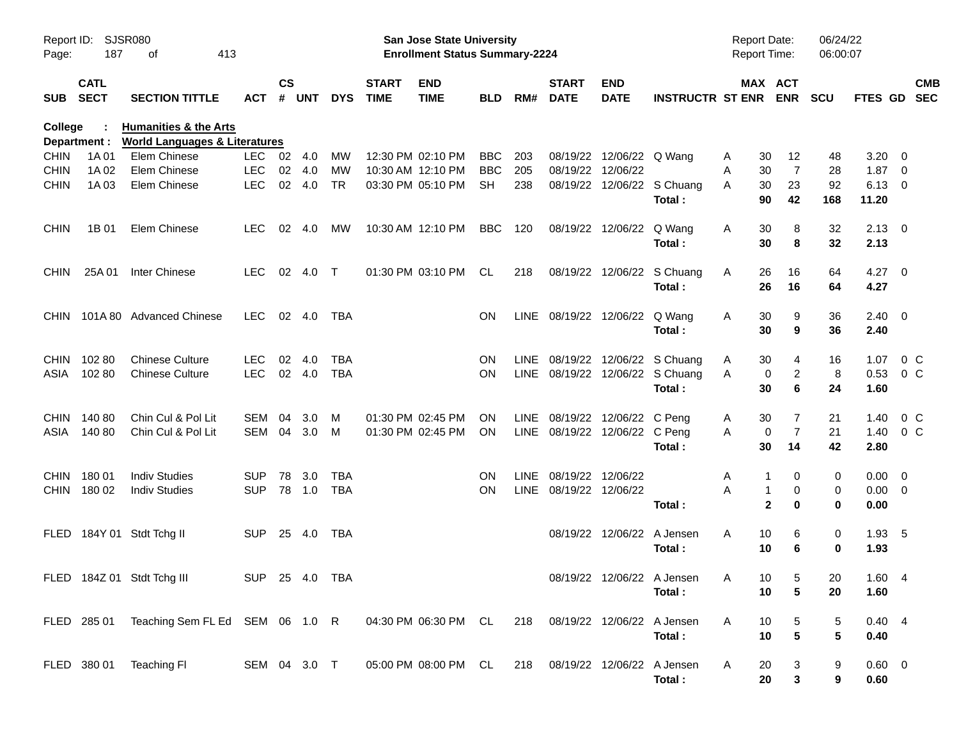| Report ID:<br>Page: | SJSR080<br>187             | 413                                                                          |                |               |        |            | <b>San Jose State University</b><br><b>Enrollment Status Summary-2224</b> |                           |            |       |                                |                            | <b>Report Date:</b><br><b>Report Time:</b> |               | 06/24/22<br>06:00:07     |                         |                         |                           |
|---------------------|----------------------------|------------------------------------------------------------------------------|----------------|---------------|--------|------------|---------------------------------------------------------------------------|---------------------------|------------|-------|--------------------------------|----------------------------|--------------------------------------------|---------------|--------------------------|-------------------------|-------------------------|---------------------------|
| <b>SUB</b>          | <b>CATL</b><br><b>SECT</b> | <b>SECTION TITTLE</b>                                                        | ACT            | $\mathsf{cs}$ | # UNT  | <b>DYS</b> | <b>START</b><br><b>TIME</b>                                               | <b>END</b><br><b>TIME</b> | <b>BLD</b> | RM#   | <b>START</b><br><b>DATE</b>    | <b>END</b><br><b>DATE</b>  | <b>INSTRUCTR ST ENR</b>                    |               | MAX ACT<br><b>ENR</b>    | <b>SCU</b>              |                         | <b>CMB</b><br>FTES GD SEC |
| <b>College</b>      | Department :               | <b>Humanities &amp; the Arts</b><br><b>World Languages &amp; Literatures</b> |                |               |        |            |                                                                           |                           |            |       |                                |                            |                                            |               |                          |                         |                         |                           |
| <b>CHIN</b>         | 1A 01                      | Elem Chinese                                                                 | LEC            | 02 4.0        |        | МW         |                                                                           | 12:30 PM 02:10 PM         | <b>BBC</b> | 203   | 08/19/22                       | 12/06/22 Q Wang            |                                            | 30<br>A       | 12                       | 48                      | 3.20                    | - 0                       |
| <b>CHIN</b>         | 1A 02                      | Elem Chinese                                                                 | <b>LEC</b>     | 02            | 4.0    | MW         |                                                                           | 10:30 AM 12:10 PM         | <b>BBC</b> | 205   | 08/19/22                       | 12/06/22                   |                                            | 30<br>A       | 7                        | 28                      | 1.87                    | - 0                       |
| <b>CHIN</b>         | 1A 03                      | Elem Chinese                                                                 | <b>LEC</b>     | 02            | 4.0    | <b>TR</b>  |                                                                           | 03:30 PM 05:10 PM         | <b>SH</b>  | 238   | 08/19/22                       |                            | 12/06/22 S Chuang<br>Total:                | 30<br>A<br>90 | 23<br>42                 | 92<br>168               | $6.13 \quad 0$<br>11.20 |                           |
|                     |                            |                                                                              |                |               |        |            |                                                                           |                           |            |       |                                |                            |                                            |               |                          |                         |                         |                           |
| <b>CHIN</b>         | 1B 01                      | Elem Chinese                                                                 | <b>LEC</b>     | 02            | 4.0    | МW         |                                                                           | 10:30 AM 12:10 PM         | <b>BBC</b> | 120   |                                | 08/19/22 12/06/22          | Q Wang<br>Total:                           | A<br>30<br>30 | 8<br>8                   | 32<br>32                | $2.13 \ 0$<br>2.13      |                           |
|                     |                            |                                                                              |                |               |        |            |                                                                           |                           |            |       |                                |                            |                                            |               |                          |                         |                         |                           |
| <b>CHIN</b>         | 25A 01                     | <b>Inter Chinese</b>                                                         | <b>LEC</b>     |               | 02 4.0 | $\top$     |                                                                           | 01:30 PM 03:10 PM         | CL         | 218   |                                | 08/19/22 12/06/22          | S Chuang<br>Total:                         | A<br>26<br>26 | 16<br>16                 | 64<br>64                | $4.27$ 0<br>4.27        |                           |
| <b>CHIN</b>         |                            | 101A 80 Advanced Chinese                                                     | LEC.           |               | 02 4.0 | TBA        |                                                                           |                           | <b>ON</b>  |       | LINE 08/19/22 12/06/22         |                            | Q Wang                                     | A<br>30       | 9                        | 36                      | $2.40 \ 0$              |                           |
|                     |                            |                                                                              |                |               |        |            |                                                                           |                           |            |       |                                |                            | Total:                                     | 30            | 9                        | 36                      | 2.40                    |                           |
| <b>CHIN</b>         | 10280                      | <b>Chinese Culture</b>                                                       | <b>LEC</b>     | 02            | 4.0    | <b>TBA</b> |                                                                           |                           | <b>ON</b>  |       |                                |                            | LINE 08/19/22 12/06/22 S Chuang            | 30<br>A       | 4                        | 16                      | 1.07                    | 0 <sup>C</sup>            |
| ASIA                | 10280                      | <b>Chinese Culture</b>                                                       | <b>LEC</b>     |               | 02 4.0 | <b>TBA</b> |                                                                           |                           | <b>ON</b>  |       |                                |                            | LINE 08/19/22 12/06/22 S Chuang            | A             | $\overline{2}$<br>0      | 8                       | 0.53                    | $0\,C$                    |
|                     |                            |                                                                              |                |               |        |            |                                                                           |                           |            |       |                                |                            | Total:                                     | 30            | 6                        | 24                      | 1.60                    |                           |
| <b>CHIN</b>         | 140 80                     | Chin Cul & Pol Lit                                                           | SEM            | 04            | 3.0    | M          |                                                                           | 01:30 PM 02:45 PM         | ON.        |       | LINE 08/19/22                  | 12/06/22 C Peng            |                                            | 30<br>A       | 7                        | 21                      | 1.40                    | $0\,C$                    |
| ASIA                | 14080                      | Chin Cul & Pol Lit                                                           | SEM 04         |               | 3.0    | M          |                                                                           | 01:30 PM 02:45 PM         | <b>ON</b>  |       | LINE 08/19/22 12/06/22 C Peng  |                            |                                            | A             | $\overline{7}$<br>0      | 21                      | 1.40                    | 0 <sup>C</sup>            |
|                     |                            |                                                                              |                |               |        |            |                                                                           |                           |            |       |                                |                            | Total:                                     | 30            | 14                       | 42                      | 2.80                    |                           |
| <b>CHIN</b>         | 18001                      | <b>Indiv Studies</b>                                                         | <b>SUP</b>     | 78            | 3.0    | <b>TBA</b> |                                                                           |                           | <b>ON</b>  | LINE. | 08/19/22                       | 12/06/22                   |                                            | A             | 0                        | 0                       | $0.00 \quad 0$          |                           |
| <b>CHIN</b>         | 180 02                     | <b>Indiv Studies</b>                                                         | <b>SUP</b>     | 78            | 1.0    | <b>TBA</b> |                                                                           |                           | <b>ON</b>  |       | LINE 08/19/22 12/06/22         |                            |                                            | A             | 0<br>1                   | 0                       | $0.00 \t 0$             |                           |
|                     |                            |                                                                              |                |               |        |            |                                                                           |                           |            |       |                                |                            | Total:                                     |               | $\mathbf{2}$<br>$\bf{0}$ | 0                       | 0.00                    |                           |
| <b>FLED</b>         |                            | 184Y 01 Stdt Tchg II                                                         | <b>SUP</b>     |               | 25 4.0 | TBA        |                                                                           |                           |            |       |                                | 08/19/22 12/06/22 A Jensen |                                            | 10<br>A       | 6                        | 0                       | 1.93, 5                 |                           |
|                     |                            |                                                                              |                |               |        |            |                                                                           |                           |            |       |                                |                            | Total:                                     | 10            | 6                        | 0                       | 1.93                    |                           |
|                     |                            | FLED 184Z 01 Stdt Tchg III                                                   | SUP 25 4.0 TBA |               |        |            |                                                                           |                           |            |       |                                |                            | 08/19/22 12/06/22 A Jensen                 | A             | $10\qquad 5$             | 20                      | 1.604                   |                           |
|                     |                            |                                                                              |                |               |        |            |                                                                           |                           |            |       |                                |                            | Total:                                     | 10            | 5                        | 20                      | 1.60                    |                           |
|                     |                            | FLED 285 01 Teaching Sem FL Ed SEM 06 1.0 R                                  |                |               |        |            |                                                                           | 04:30 PM 06:30 PM CL      |            |       | 218 08/19/22 12/06/22 A Jensen |                            |                                            | A<br>10       | $\overline{5}$           | 5                       | 0.404                   |                           |
|                     |                            |                                                                              |                |               |        |            |                                                                           |                           |            |       |                                |                            | Total:                                     | 10            | $\overline{\mathbf{5}}$  | $\overline{\mathbf{5}}$ | 0.40                    |                           |
|                     |                            | FLED 380 01 Teaching FI                                                      | SEM 04 3.0 T   |               |        |            |                                                                           | 05:00 PM 08:00 PM CL      |            |       | 218 08/19/22 12/06/22 A Jensen |                            |                                            | 20<br>A       | 3                        | 9                       | $0.60 \t 0$             |                           |
|                     |                            |                                                                              |                |               |        |            |                                                                           |                           |            |       |                                |                            | Total:                                     | 20            | $\mathbf 3$              | 9                       | 0.60                    |                           |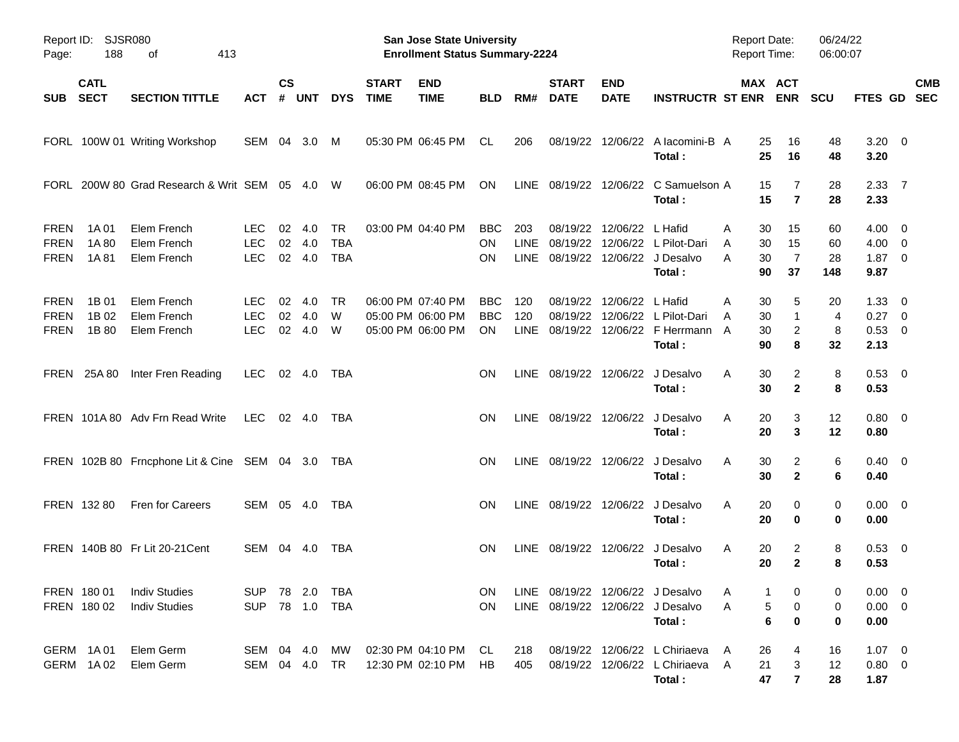| Page:                                     | Report ID: SJSR080<br>188  | 413<br>οf                                    |                                        |                    |                      |                                |                             | <b>San Jose State University</b><br><b>Enrollment Status Summary-2224</b> |                                 |                    |                             |                           |                                                                                         | <b>Report Date:</b><br><b>Report Time:</b> |                                          | 06/24/22<br>06:00:07  |                                                |                          |
|-------------------------------------------|----------------------------|----------------------------------------------|----------------------------------------|--------------------|----------------------|--------------------------------|-----------------------------|---------------------------------------------------------------------------|---------------------------------|--------------------|-----------------------------|---------------------------|-----------------------------------------------------------------------------------------|--------------------------------------------|------------------------------------------|-----------------------|------------------------------------------------|--------------------------|
| <b>SUB</b>                                | <b>CATL</b><br><b>SECT</b> | <b>SECTION TITTLE</b>                        | ACT                                    | $\mathsf{cs}$<br># | <b>UNT</b>           | <b>DYS</b>                     | <b>START</b><br><b>TIME</b> | <b>END</b><br><b>TIME</b>                                                 | <b>BLD</b>                      | RM#                | <b>START</b><br><b>DATE</b> | <b>END</b><br><b>DATE</b> | <b>INSTRUCTR ST ENR</b>                                                                 |                                            | <b>MAX ACT</b><br><b>ENR</b>             | <b>SCU</b>            | FTES GD                                        | <b>CMB</b><br><b>SEC</b> |
|                                           |                            | FORL 100W 01 Writing Workshop                | SEM 04                                 |                    | 3.0                  | M                              |                             | 05:30 PM 06:45 PM                                                         | CL                              | 206                |                             |                           | 08/19/22 12/06/22 A lacomini-B A<br>Total:                                              | 25<br>25                                   | 16<br>16                                 | 48<br>48              | $3.20 \ 0$<br>3.20                             |                          |
|                                           |                            | FORL 200W 80 Grad Research & Writ SEM 05 4.0 |                                        |                    |                      | W                              |                             | 06:00 PM 08:45 PM                                                         | <b>ON</b>                       |                    |                             |                           | LINE 08/19/22 12/06/22 C Samuelson A<br>Total:                                          | 15<br>15                                   | 7<br>$\overline{7}$                      | 28<br>28              | 2.3377<br>2.33                                 |                          |
| <b>FREN</b><br><b>FREN</b><br><b>FREN</b> | 1A 01<br>1A 80<br>1A 81    | Elem French<br>Elem French<br>Elem French    | LEC.<br><b>LEC</b><br><b>LEC</b>       | 02<br>02           | 4.0<br>4.0<br>02 4.0 | TR<br><b>TBA</b><br><b>TBA</b> |                             | 03:00 PM 04:40 PM                                                         | BBC.<br>ON.<br>ΟN               | 203<br><b>LINE</b> | 08/19/22                    | 12/06/22                  | L Hafid<br>08/19/22 12/06/22 L Pilot-Dari<br>LINE 08/19/22 12/06/22 J Desalvo<br>Total: | A<br>30<br>30<br>A<br>30<br>A<br>90        | 15<br>15<br>$\overline{7}$<br>37         | 60<br>60<br>28<br>148 | $4.00 \ 0$<br>$4.00 \ 0$<br>$1.87 \ 0$<br>9.87 |                          |
| <b>FREN</b><br><b>FREN</b><br><b>FREN</b> | 1B 01<br>1B 02<br>1B 80    | Elem French<br>Elem French<br>Elem French    | <b>LEC</b><br><b>LEC</b><br><b>LEC</b> | 02<br>02<br>02     | 4.0<br>4.0<br>4.0    | TR<br>W<br>W                   |                             | 06:00 PM 07:40 PM<br>05:00 PM 06:00 PM<br>05:00 PM 06:00 PM               | <b>BBC</b><br><b>BBC</b><br>ON. | 120<br>120         |                             | 08/19/22 12/06/22 L Hafid | 08/19/22 12/06/22 L Pilot-Dari<br>LINE 08/19/22 12/06/22 F Herrmann<br>Total:           | A<br>30<br>30<br>A<br>30<br>A<br>90        | 5<br>$\mathbf{1}$<br>$\overline{c}$<br>8 | 20<br>4<br>8<br>32    | $1.33 \ 0$<br>$0.27$ 0<br>0.53 0<br>2.13       |                          |
|                                           | FREN 25A 80                | Inter Fren Reading                           | <b>LEC</b>                             |                    | 02 4.0               | TBA                            |                             |                                                                           | ΟN                              |                    |                             |                           | LINE 08/19/22 12/06/22 J Desalvo<br>Total:                                              | 30<br>A<br>30                              | 2<br>$\overline{2}$                      | 8<br>8                | $0.53$ 0<br>0.53                               |                          |
|                                           |                            | FREN 101A 80 Adv Frn Read Write              | <b>LEC</b>                             |                    | 02 4.0               | TBA                            |                             |                                                                           | ΟN                              |                    |                             |                           | LINE 08/19/22 12/06/22 J Desalvo<br>Total:                                              | A<br>20<br>20                              | 3<br>3                                   | 12<br>12              | $0.80 \ 0$<br>0.80                             |                          |
|                                           |                            | FREN 102B 80 Frncphone Lit & Cine SEM 04 3.0 |                                        |                    |                      | TBA                            |                             |                                                                           | ON                              |                    |                             |                           | LINE 08/19/22 12/06/22 J Desalvo<br>Total:                                              | 30<br>A<br>30                              | 2<br>$\overline{2}$                      | 6<br>6                | $0.40 \quad 0$<br>0.40                         |                          |
|                                           | FREN 132 80                | Fren for Careers                             | SEM 05 4.0                             |                    |                      | TBA                            |                             |                                                                           | ON                              |                    | LINE 08/19/22 12/06/22      |                           | J Desalvo<br>Total:                                                                     | 20<br>A<br>20                              | 0<br>0                                   | 0<br>0                | $0.00 \t 0$<br>0.00                            |                          |
|                                           |                            | FREN 140B 80 Fr Lit 20-21 Cent               | SEM 04                                 |                    | - 4.0                | TBA                            |                             |                                                                           | ON                              |                    | LINE 08/19/22 12/06/22      |                           | J Desalvo<br>Total:                                                                     | 20<br>A<br>20                              | 2<br>$\mathbf{2}$                        | 8<br>8                | 0.53 0<br>0.53                                 |                          |
|                                           | FREN 180 01<br>FREN 180 02 | <b>Indiv Studies</b><br><b>Indiv Studies</b> | SUP 78 2.0 TBA<br><b>SUP</b>           |                    |                      | 78  1.0  TBA                   |                             |                                                                           | <b>ON</b><br><b>ON</b>          |                    |                             |                           | LINE 08/19/22 12/06/22 J Desalvo<br>LINE 08/19/22 12/06/22 J Desalvo<br>Total:          | 1<br>A<br>A<br>$\bf 6$                     | 0<br>5<br>0<br>0                         | 0<br>0<br>0           | $0.00 \t 0$<br>$0.00 \t 0$<br>0.00             |                          |
|                                           | GERM 1A01<br>GERM 1A02     | Elem Germ<br>Elem Germ                       | SEM 04 4.0<br>SEM 04 4.0               |                    |                      | MW<br>TR.                      |                             | 02:30 PM 04:10 PM CL<br>12:30 PM 02:10 PM                                 | HB                              | 218<br>405         |                             |                           | 08/19/22 12/06/22 L Chiriaeva<br>08/19/22 12/06/22 L Chiriaeva A<br>Total:              | 26<br>A<br>21<br>47                        | 4<br>3<br>$\overline{7}$                 | 16<br>12<br>28        | $1.07 \t 0$<br>$0.80 \ 0$<br>1.87              |                          |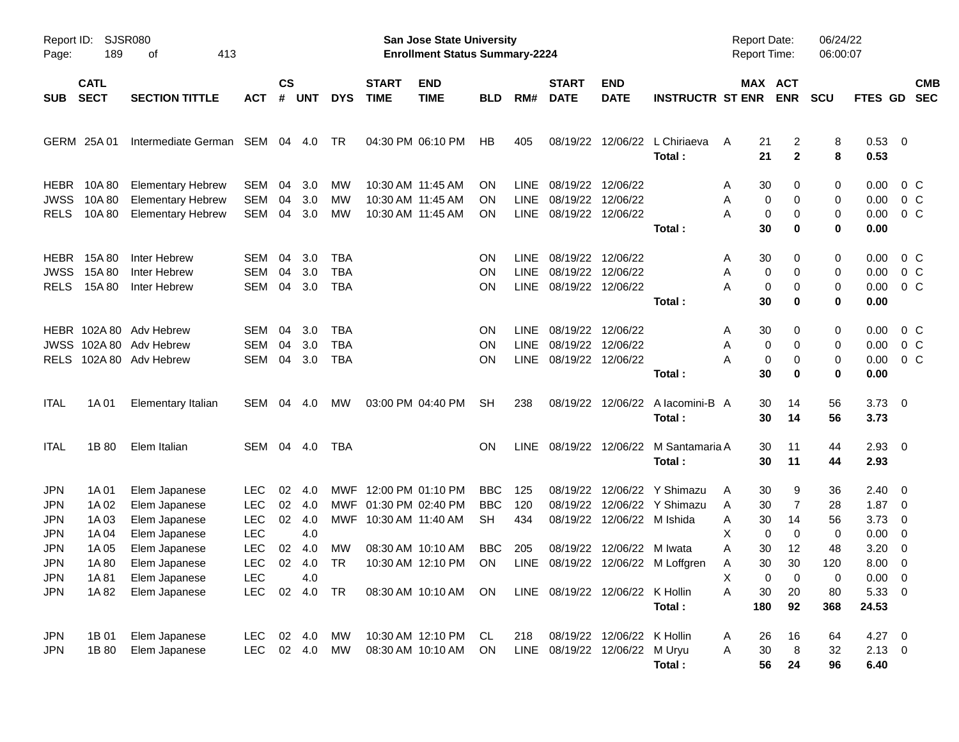| Page:                                                                                                        | Report ID:<br>SJSR080<br>189<br>413<br>οf                           |                                                                                                                                      |                                                                                                |                            |                                                 |                                        |                                        | <b>San Jose State University</b><br><b>Enrollment Status Summary-2224</b>           |                                                           |                                         |                                                                     |                                                |                                                                                    | <b>Report Date:</b><br><b>Report Time:</b>                                                |                                                | 06/24/22<br>06:00:07                               |                                                                                                                  |                                                     |
|--------------------------------------------------------------------------------------------------------------|---------------------------------------------------------------------|--------------------------------------------------------------------------------------------------------------------------------------|------------------------------------------------------------------------------------------------|----------------------------|-------------------------------------------------|----------------------------------------|----------------------------------------|-------------------------------------------------------------------------------------|-----------------------------------------------------------|-----------------------------------------|---------------------------------------------------------------------|------------------------------------------------|------------------------------------------------------------------------------------|-------------------------------------------------------------------------------------------|------------------------------------------------|----------------------------------------------------|------------------------------------------------------------------------------------------------------------------|-----------------------------------------------------|
| <b>SUB</b>                                                                                                   | <b>CATL</b><br><b>SECT</b>                                          | <b>SECTION TITTLE</b>                                                                                                                | <b>ACT</b>                                                                                     | <b>CS</b><br>#             | <b>UNT</b>                                      | <b>DYS</b>                             | <b>START</b><br><b>TIME</b>            | <b>END</b><br><b>TIME</b>                                                           | <b>BLD</b>                                                | RM#                                     | <b>START</b><br><b>DATE</b>                                         | <b>END</b><br><b>DATE</b>                      | <b>INSTRUCTR ST ENR</b>                                                            |                                                                                           | MAX ACT<br><b>ENR</b>                          | <b>SCU</b>                                         | <b>FTES GD</b>                                                                                                   | <b>CMB</b><br><b>SEC</b>                            |
|                                                                                                              | GERM 25A 01                                                         | Intermediate German                                                                                                                  | SEM 04                                                                                         |                            | 4.0                                             | TR                                     |                                        | 04:30 PM 06:10 PM                                                                   | HB                                                        | 405                                     | 08/19/22                                                            |                                                | 12/06/22 L Chiriaeva<br>Total:                                                     | 21<br>Α<br>21                                                                             | 2<br>$\mathbf{2}$                              | 8<br>8                                             | 0.53 0<br>0.53                                                                                                   |                                                     |
| <b>HEBR</b><br><b>JWSS</b><br><b>RELS</b>                                                                    | 10A 80<br>10A 80<br>10A 80                                          | <b>Elementary Hebrew</b><br><b>Elementary Hebrew</b><br><b>Elementary Hebrew</b>                                                     | SEM<br>SEM<br>SEM                                                                              | 04<br>04<br>04             | 3.0<br>3.0<br>3.0                               | <b>MW</b><br>МW<br>MW                  |                                        | 10:30 AM 11:45 AM<br>10:30 AM 11:45 AM<br>10:30 AM 11:45 AM                         | ON<br><b>ON</b><br><b>ON</b>                              | LINE.<br><b>LINE</b><br><b>LINE</b>     | 08/19/22 12/06/22<br>08/19/22<br>08/19/22 12/06/22                  | 12/06/22                                       | Total:                                                                             | 30<br>A<br>0<br>A<br>0<br>Α<br>30                                                         | 0<br>0<br>0<br>0                               | 0<br>0<br>0<br>0                                   | 0.00<br>0.00<br>0.00<br>0.00                                                                                     | 0 C<br>0 <sup>o</sup><br>0 <sup>o</sup>             |
| <b>HEBR</b><br><b>JWSS</b><br><b>RELS</b>                                                                    | 15A 80<br>15A 80<br>15A 80                                          | Inter Hebrew<br>Inter Hebrew<br>Inter Hebrew                                                                                         | SEM<br>SEM<br>SEM                                                                              | 04<br>04<br>04             | 3.0<br>3.0<br>3.0                               | <b>TBA</b><br><b>TBA</b><br><b>TBA</b> |                                        |                                                                                     | ON<br>ON<br>OΝ                                            | LINE.<br>LINE<br>LINE                   | 08/19/22 12/06/22<br>08/19/22<br>08/19/22 12/06/22                  | 12/06/22                                       | Total:                                                                             | 30<br>A<br>0<br>A<br>0<br>Α<br>30                                                         | 0<br>0<br>0<br>0                               | 0<br>0<br>0<br>0                                   | 0.00<br>0.00<br>0.00<br>0.00                                                                                     | 0 C<br>0 <sup>o</sup><br>0 <sup>o</sup>             |
| <b>RELS</b>                                                                                                  |                                                                     | HEBR 102A 80 Adv Hebrew<br>JWSS 102A 80 Adv Hebrew<br>102A 80 Adv Hebrew                                                             | SEM<br>SEM<br>SEM                                                                              | 04<br>04<br>04             | 3.0<br>3.0<br>3.0                               | TBA<br><b>TBA</b><br><b>TBA</b>        |                                        |                                                                                     | ON<br>ON<br>ΟN                                            | LINE.<br>LINE<br><b>LINE</b>            | 08/19/22 12/06/22<br>08/19/22<br>08/19/22 12/06/22                  | 12/06/22                                       | Total:                                                                             | 30<br>A<br>0<br>A<br>0<br>Α<br>30                                                         | 0<br>0<br>0<br>0                               | 0<br>0<br>0<br>0                                   | 0.00<br>0.00<br>0.00<br>0.00                                                                                     | 0 C<br>0 <sup>o</sup><br>0 <sup>o</sup>             |
| <b>ITAL</b>                                                                                                  | 1A 01                                                               | Elementary Italian                                                                                                                   | SEM 04                                                                                         |                            | 4.0                                             | <b>MW</b>                              |                                        | 03:00 PM 04:40 PM                                                                   | <b>SH</b>                                                 | 238                                     |                                                                     |                                                | 08/19/22 12/06/22 A lacomini-B A<br>Total:                                         | 30<br>30                                                                                  | 14<br>14                                       | 56<br>56                                           | $3.73 \quad 0$<br>3.73                                                                                           |                                                     |
| <b>ITAL</b>                                                                                                  | 1B 80                                                               | Elem Italian                                                                                                                         | SEM 04 4.0                                                                                     |                            |                                                 | TBA                                    |                                        |                                                                                     | OΝ                                                        | <b>LINE</b>                             |                                                                     |                                                | 08/19/22 12/06/22 M Santamaria A<br>Total:                                         | 30<br>30                                                                                  | 11<br>11                                       | 44<br>44                                           | $2.93$ 0<br>2.93                                                                                                 |                                                     |
| <b>JPN</b><br><b>JPN</b><br><b>JPN</b><br><b>JPN</b><br><b>JPN</b><br><b>JPN</b><br><b>JPN</b><br><b>JPN</b> | 1A 01<br>1A 02<br>1A 03<br>1A 04<br>1A 05<br>1A 80<br>1A81<br>1A 82 | Elem Japanese<br>Elem Japanese<br>Elem Japanese<br>Elem Japanese<br>Elem Japanese<br>Elem Japanese<br>Elem Japanese<br>Elem Japanese | <b>LEC</b><br><b>LEC</b><br><b>LEC</b><br><b>LEC</b><br><b>LEC</b><br><b>LEC</b><br>LEC<br>LEC | 02<br>02<br>02<br>02<br>02 | 4.0<br>-4.0<br>4.0<br>4.0<br>-4.0<br>4.0<br>4.0 | MWF<br>MWF<br>MWF<br>МW<br><b>TR</b>   | 01:30 PM 02:40 PM<br>10:30 AM 11:40 AM | 12:00 PM 01:10 PM<br>08:30 AM 10:10 AM<br>10:30 AM 12:10 PM<br>08:30 AM 10:10 AM ON | <b>BBC</b><br><b>BBC</b><br><b>SH</b><br><b>BBC</b><br>ON | 125<br>120<br>434<br>205<br><b>LINE</b> | 08/19/22<br>08/19/22<br>08/19/22<br>LINE 08/19/22 12/06/22 K Hollin | 08/19/22 12/06/22 M Ishida<br>12/06/22 M Iwata | 12/06/22 Y Shimazu<br>12/06/22 Y Shimazu<br>08/19/22 12/06/22 M Loffgren<br>Total: | 30<br>A<br>30<br>A<br>30<br>A<br>х<br>0<br>30<br>Α<br>30<br>Α<br>Χ<br>0<br>30<br>Α<br>180 | 9<br>7<br>14<br>0<br>12<br>30<br>0<br>20<br>92 | 36<br>28<br>56<br>0<br>48<br>120<br>0<br>80<br>368 | $2.40 \quad 0$<br>$1.87 \t 0$<br>$3.73 \quad 0$<br>$0.00 \t 0$<br>3.20<br>8.00<br>$0.00 \t 0$<br>5.33 0<br>24.53 | $\overline{\phantom{0}}$<br>$\overline{\mathbf{0}}$ |
| JPN<br><b>JPN</b>                                                                                            | 1B 01<br>1B 80                                                      | Elem Japanese<br>Elem Japanese                                                                                                       | LEC.<br><b>LEC</b>                                                                             |                            |                                                 | 02  4.0  MW                            |                                        | 10:30 AM 12:10 PM<br>08:30 AM 10:10 AM                                              | -CL<br>ON.                                                | 218                                     | 08/19/22 12/06/22 K Hollin<br>LINE 08/19/22 12/06/22 M Uryu         |                                                | Total:                                                                             | 26<br>A<br>Α<br>30<br>56                                                                  | 16<br>8<br>24                                  | 64<br>32<br>96                                     | 4.27 0<br>$2.13 \t 0$<br>6.40                                                                                    |                                                     |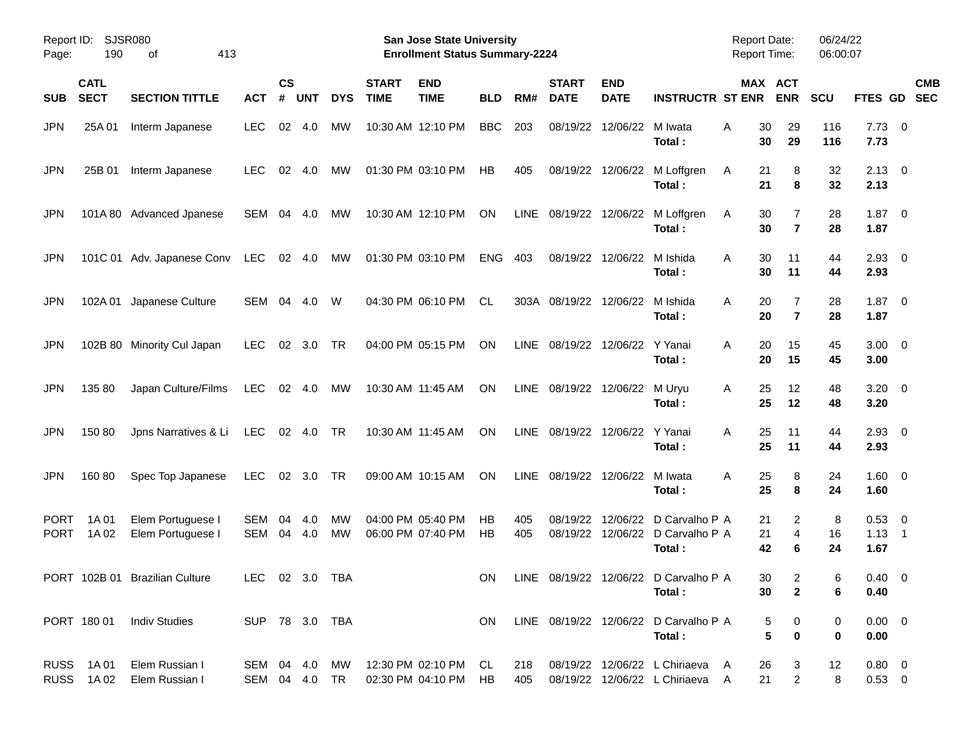| Page:                      | Report ID: SJSR080<br>190  | 413<br>оf                              |                                |                    |            |            |                             | San Jose State University<br><b>Enrollment Status Summary-2224</b> |                 |            |                               |                           |                                                                    | <b>Report Date:</b><br><b>Report Time:</b> |                                              | 06/24/22<br>06:00:07 |                                    |                          |
|----------------------------|----------------------------|----------------------------------------|--------------------------------|--------------------|------------|------------|-----------------------------|--------------------------------------------------------------------|-----------------|------------|-------------------------------|---------------------------|--------------------------------------------------------------------|--------------------------------------------|----------------------------------------------|----------------------|------------------------------------|--------------------------|
| <b>SUB</b>                 | <b>CATL</b><br><b>SECT</b> | <b>SECTION TITTLE</b>                  | <b>ACT</b>                     | $\mathsf{cs}$<br># | <b>UNT</b> | <b>DYS</b> | <b>START</b><br><b>TIME</b> | <b>END</b><br><b>TIME</b>                                          | <b>BLD</b>      | RM#        | <b>START</b><br><b>DATE</b>   | <b>END</b><br><b>DATE</b> | <b>INSTRUCTR ST ENR</b>                                            |                                            | MAX ACT<br><b>ENR</b>                        | <b>SCU</b>           | FTES GD                            | <b>CMB</b><br><b>SEC</b> |
| <b>JPN</b>                 | 25A 01                     | Interm Japanese                        | <b>LEC</b>                     | 02                 | 4.0        | МW         |                             | 10:30 AM 12:10 PM                                                  | <b>BBC</b>      | 203        | 08/19/22                      | 12/06/22                  | M Iwata<br>Total:                                                  | Α                                          | 30<br>29<br>30<br>29                         | 116<br>116           | $7.73 \t 0$<br>7.73                |                          |
| <b>JPN</b>                 | 25B 01                     | Interm Japanese                        | <b>LEC</b>                     | 02                 | 4.0        | МW         |                             | 01:30 PM 03:10 PM                                                  | HB              | 405        | 08/19/22                      | 12/06/22                  | M Loffgren<br>Total:                                               | Α                                          | 8<br>21<br>21<br>8                           | 32<br>32             | $2.13 \quad 0$<br>2.13             |                          |
| <b>JPN</b>                 |                            | 101A 80 Advanced Jpanese               | SEM                            | 04                 | 4.0        | МW         |                             | 10:30 AM 12:10 PM                                                  | ON              | LINE       | 08/19/22 12/06/22             |                           | M Loffgren<br>Total:                                               | Α                                          | 30<br>7<br>30<br>$\overline{7}$              | 28<br>28             | 1.87<br>1.87                       | $\overline{\phantom{0}}$ |
| <b>JPN</b>                 |                            | 101C 01 Adv. Japanese Conv             | <b>LEC</b>                     |                    | 02 4.0     | МW         |                             | 01:30 PM 03:10 PM                                                  | <b>ENG</b>      | 403        |                               | 08/19/22 12/06/22         | M Ishida<br>Total:                                                 | A                                          | 30<br>11<br>30<br>11                         | 44<br>44             | $2.93$ 0<br>2.93                   |                          |
| <b>JPN</b>                 |                            | 102A 01 Japanese Culture               | SEM                            | 04                 | 4.0        | W          |                             | 04:30 PM 06:10 PM                                                  | CL.             |            | 303A 08/19/22                 | 12/06/22                  | M Ishida<br>Total:                                                 | A                                          | 20<br>7<br>20<br>$\overline{7}$              | 28<br>28             | 1.87<br>1.87                       | $\overline{\phantom{0}}$ |
| <b>JPN</b>                 |                            | 102B 80 Minority Cul Japan             | <b>LEC</b>                     | 02                 | 3.0        | <b>TR</b>  |                             | 04:00 PM 05:15 PM                                                  | <b>ON</b>       |            | LINE 08/19/22 12/06/22        |                           | Y Yanai<br>Total:                                                  | A                                          | 20<br>15<br>20<br>15                         | 45<br>45             | $3.00 \ 0$<br>3.00                 |                          |
| JPN                        | 135 80                     | Japan Culture/Films                    | <b>LEC</b>                     |                    | 02 4.0     | МW         |                             | 10:30 AM 11:45 AM                                                  | <b>ON</b>       |            | LINE 08/19/22 12/06/22 M Uryu |                           | Total:                                                             | A                                          | 12<br>25<br>25<br>12                         | 48<br>48             | $3.20 \ 0$<br>3.20                 |                          |
| JPN                        | 150 80                     | Jpns Narratives & Li                   | <b>LEC</b>                     |                    | 02 4.0     | <b>TR</b>  |                             | 10:30 AM 11:45 AM                                                  | <b>ON</b>       |            | LINE 08/19/22 12/06/22        |                           | Y Yanai<br>Total:                                                  | A                                          | 11<br>25<br>25<br>11                         | 44<br>44             | $2.93$ 0<br>2.93                   |                          |
| <b>JPN</b>                 | 160 80                     | Spec Top Japanese                      | <b>LEC</b>                     |                    | 02 3.0     | <b>TR</b>  |                             | 09:00 AM 10:15 AM                                                  | ON              | LINE       | 08/19/22 12/06/22             |                           | M Iwata<br>Total:                                                  | A                                          | 25<br>8<br>25<br>8                           | 24<br>24             | $1.60 \t 0$<br>1.60                |                          |
| <b>PORT</b><br><b>PORT</b> | 1A 01<br>1A 02             | Elem Portuguese I<br>Elem Portuguese I | <b>SEM</b><br><b>SEM</b>       | 04<br>04           | 4.0<br>4.0 | МW<br>МW   |                             | 04:00 PM 05:40 PM<br>06:00 PM 07:40 PM                             | <b>HB</b><br>HB | 405<br>405 | 08/19/22<br>08/19/22          | 12/06/22                  | D Carvalho P A<br>12/06/22 D Carvalho P A<br>Total:                |                                            | 21<br>2<br>$\overline{4}$<br>21<br>42<br>6   | 8<br>16<br>24        | $0.53$ 0<br>$1.13 \quad 1$<br>1.67 |                          |
|                            |                            | PORT 102B 01 Brazilian Culture         | LEC 02 3.0 TBA                 |                    |            |            |                             |                                                                    | ON              |            |                               |                           | LINE 08/19/22 12/06/22 D Carvalho P A<br>Total:                    |                                            | 30<br>$\overline{c}$<br>$\overline{2}$<br>30 | 6<br>6               | $0.40 \quad 0$<br>0.40             |                          |
|                            |                            | PORT 180 01 Indiv Studies              | SUP 78 3.0 TBA                 |                    |            |            |                             |                                                                    | ON.             |            |                               |                           | LINE 08/19/22 12/06/22 D Carvalho P A<br>Total:                    |                                            | 5<br>0<br>5<br>$\bf{0}$                      | 0<br>0               | $0.00 \t 0$<br>0.00                |                          |
|                            | RUSS 1A01<br>RUSS 1A02     | Elem Russian I<br>Elem Russian I       | SEM 04 4.0 MW<br>SEM 04 4.0 TR |                    |            |            |                             | 12:30 PM 02:10 PM CL<br>02:30 PM 04:10 PM HB                       |                 | 218<br>405 |                               |                           | 08/19/22 12/06/22 L Chiriaeva A<br>08/19/22 12/06/22 L Chiriaeva A |                                            | 26<br>3<br>$\overline{c}$<br>21              | 12<br>8              | $0.80 \quad 0$<br>$0.53$ 0         |                          |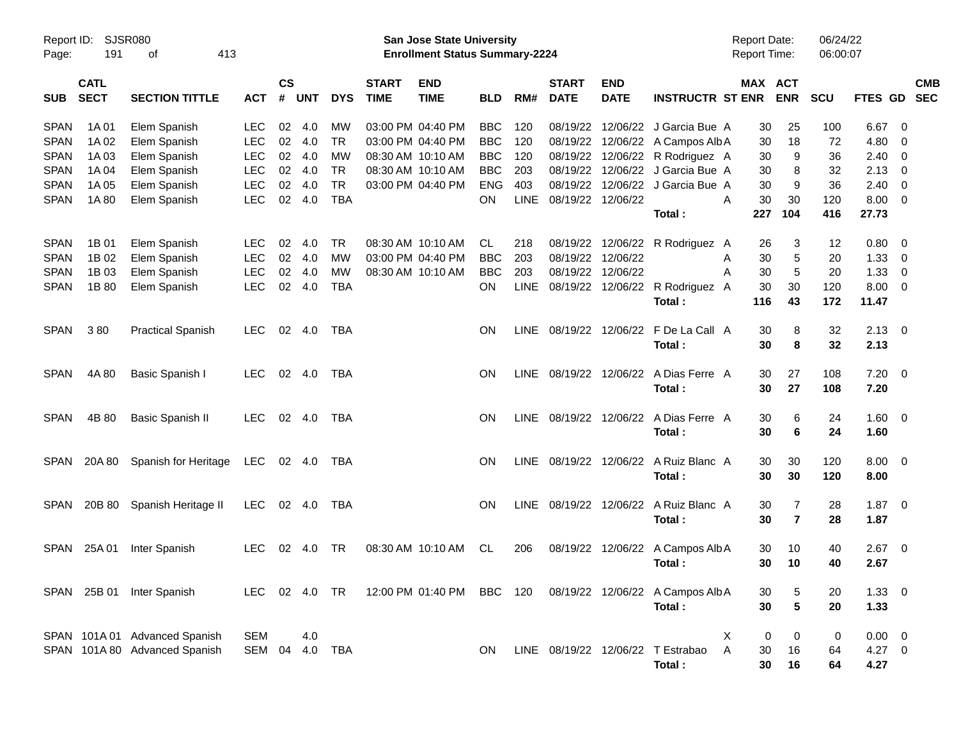| Page:       | Report ID: SJSR080<br>191<br>413<br>оf |                               |            |                    |                |            |                             | San Jose State University<br><b>Enrollment Status Summary-2224</b> |            |             |                             |                           |                                                                          | Report Date:<br><b>Report Time:</b> |                              | 06/24/22<br>06:00:07 |             |                          |            |
|-------------|----------------------------------------|-------------------------------|------------|--------------------|----------------|------------|-----------------------------|--------------------------------------------------------------------|------------|-------------|-----------------------------|---------------------------|--------------------------------------------------------------------------|-------------------------------------|------------------------------|----------------------|-------------|--------------------------|------------|
| <b>SUB</b>  | <b>CATL</b><br><b>SECT</b>             | <b>SECTION TITTLE</b>         | <b>ACT</b> | $\mathsf{cs}$<br># | <b>UNT</b>     | <b>DYS</b> | <b>START</b><br><b>TIME</b> | <b>END</b><br><b>TIME</b>                                          | BLD        | RM#         | <b>START</b><br><b>DATE</b> | <b>END</b><br><b>DATE</b> | <b>INSTRUCTR ST ENR</b>                                                  |                                     | <b>MAX ACT</b><br><b>ENR</b> | <b>SCU</b>           | FTES GD SEC |                          | <b>CMB</b> |
| <b>SPAN</b> | 1A 01                                  | Elem Spanish                  | <b>LEC</b> | 02                 | 4.0            | <b>MW</b>  |                             | 03:00 PM 04:40 PM                                                  | <b>BBC</b> | 120         |                             |                           | 08/19/22 12/06/22 J Garcia Bue A                                         |                                     | 30<br>25                     | 100                  | 6.67        | - 0                      |            |
| <b>SPAN</b> | 1A 02                                  | Elem Spanish                  | <b>LEC</b> | 02                 | 4.0            | <b>TR</b>  |                             | 03:00 PM 04:40 PM                                                  | <b>BBC</b> | 120         |                             |                           | 08/19/22 12/06/22 A Campos Alb A                                         |                                     | 18<br>30                     | 72                   | 4.80        | - 0                      |            |
| <b>SPAN</b> | 1A 03                                  | Elem Spanish                  | <b>LEC</b> | 02                 | 4.0            | MW         |                             | 08:30 AM 10:10 AM                                                  | <b>BBC</b> | 120         |                             |                           | 08/19/22 12/06/22 R Rodriguez A                                          |                                     | 9<br>30                      | 36                   | 2.40        | $\overline{\mathbf{0}}$  |            |
| <b>SPAN</b> | 1A 04                                  | Elem Spanish                  | <b>LEC</b> | 02                 | 4.0            | <b>TR</b>  |                             | 08:30 AM 10:10 AM                                                  | <b>BBC</b> | 203         |                             |                           | 08/19/22 12/06/22 J Garcia Bue A                                         |                                     | 30<br>8                      | 32                   | 2.13        | $\overline{\mathbf{0}}$  |            |
| <b>SPAN</b> | 1A 05                                  | Elem Spanish                  | <b>LEC</b> | 02                 | 4.0            | <b>TR</b>  |                             | 03:00 PM 04:40 PM                                                  | <b>ENG</b> | 403         |                             |                           | 08/19/22 12/06/22 J Garcia Bue A                                         |                                     | 30<br>9                      | 36                   | 2.40        | $\overline{0}$           |            |
| <b>SPAN</b> | 1A 80                                  | Elem Spanish                  | <b>LEC</b> | 02                 | 4.0            | <b>TBA</b> |                             |                                                                    | ON.        | <b>LINE</b> | 08/19/22 12/06/22           |                           |                                                                          | A                                   | 30<br>30                     | 120                  | 8.00        | $\overline{\mathbf{0}}$  |            |
|             |                                        |                               |            |                    |                |            |                             |                                                                    |            |             |                             |                           | Total:                                                                   | 227                                 | 104                          | 416                  | 27.73       |                          |            |
| <b>SPAN</b> | 1B 01                                  | Elem Spanish                  | <b>LEC</b> | 02                 | 4.0            | <b>TR</b>  |                             | 08:30 AM 10:10 AM                                                  | CL         | 218         |                             |                           | 08/19/22 12/06/22 R Rodriguez A                                          |                                     | 3<br>26                      | 12                   | 0.80        | $\overline{\mathbf{0}}$  |            |
| <b>SPAN</b> | 1B 02                                  | Elem Spanish                  | <b>LEC</b> | 02                 | 4.0            | <b>MW</b>  |                             | 03:00 PM 04:40 PM                                                  | <b>BBC</b> | 203         | 08/19/22 12/06/22           |                           |                                                                          | A                                   | 30<br>5                      | 20                   | 1.33        | $\overline{0}$           |            |
| <b>SPAN</b> | 1B 03                                  | Elem Spanish                  | <b>LEC</b> | 02                 | 4.0            | MW         |                             | 08:30 AM 10:10 AM                                                  | <b>BBC</b> | 203         | 08/19/22 12/06/22           |                           |                                                                          | A                                   | 5<br>30                      | 20                   | 1.33        | $\overline{\mathbf{0}}$  |            |
| <b>SPAN</b> | 1B 80                                  | Elem Spanish                  | <b>LEC</b> | 02                 | 4.0            | <b>TBA</b> |                             |                                                                    | ON.        | <b>LINE</b> |                             |                           | 08/19/22 12/06/22 R Rodriguez A                                          |                                     | 30<br>30                     | 120                  | 8.00        | $\overline{\mathbf{0}}$  |            |
|             |                                        |                               |            |                    |                |            |                             |                                                                    |            |             |                             |                           | Total:                                                                   | 116                                 | 43                           | 172                  | 11.47       |                          |            |
| <b>SPAN</b> | 380                                    | <b>Practical Spanish</b>      | <b>LEC</b> | 02                 | 4.0            | <b>TBA</b> |                             |                                                                    | <b>ON</b>  |             |                             |                           | LINE 08/19/22 12/06/22 F De La Call A                                    |                                     | 8<br>30                      | 32                   | 2.13        | $\overline{\phantom{0}}$ |            |
|             |                                        |                               |            |                    |                |            |                             |                                                                    |            |             |                             |                           | Total:                                                                   |                                     | 30<br>8                      | 32                   | 2.13        |                          |            |
| <b>SPAN</b> | 4A 80                                  | Basic Spanish I               | <b>LEC</b> | 02                 | 4.0            | <b>TBA</b> |                             |                                                                    | ON.        |             |                             |                           | LINE 08/19/22 12/06/22 A Dias Ferre A                                    |                                     | 27<br>30                     | 108                  | 7.20        | $\overline{\mathbf{0}}$  |            |
|             |                                        |                               |            |                    |                |            |                             |                                                                    |            |             |                             |                           | Total:                                                                   |                                     | 27<br>30                     | 108                  | 7.20        |                          |            |
| <b>SPAN</b> | 4B 80                                  | <b>Basic Spanish II</b>       | <b>LEC</b> | 02                 | 4.0            | <b>TBA</b> |                             |                                                                    | ON.        |             |                             |                           | LINE 08/19/22 12/06/22 A Dias Ferre A                                    |                                     | 6<br>30                      | 24                   | $1.60 \t 0$ |                          |            |
|             |                                        |                               |            |                    |                |            |                             |                                                                    |            |             |                             |                           | Total:                                                                   |                                     | 30<br>6                      | 24                   | 1.60        |                          |            |
| <b>SPAN</b> | 20A 80                                 | Spanish for Heritage          | <b>LEC</b> |                    | 02 4.0         | TBA        |                             |                                                                    | ON.        |             |                             |                           | LINE 08/19/22 12/06/22 A Ruiz Blanc A                                    |                                     | 30<br>30                     | 120                  | $8.00 \t 0$ |                          |            |
|             |                                        |                               |            |                    |                |            |                             |                                                                    |            |             |                             |                           | Total:                                                                   |                                     | 30<br>30                     | 120                  | 8.00        |                          |            |
| <b>SPAN</b> |                                        | 20B 80 Spanish Heritage II    | LEC.       |                    | $02 \quad 4.0$ | TBA        |                             |                                                                    | ON.        |             |                             |                           | LINE 08/19/22 12/06/22 A Ruiz Blanc A                                    |                                     | 30<br>7                      | 28                   | 1.87        | $\overline{\mathbf{0}}$  |            |
|             |                                        |                               |            |                    |                |            |                             |                                                                    |            |             |                             |                           | Total:                                                                   |                                     | $\overline{7}$<br>30         | 28                   | 1.87        |                          |            |
| SPAN        | 25A 01                                 | Inter Spanish                 | <b>LEC</b> | 02                 | 4.0            | TR         |                             | 08:30 AM 10:10 AM                                                  | CL         | 206         |                             |                           | 08/19/22 12/06/22 A Campos Alb A                                         |                                     | 10<br>30                     | 40                   | 2.67        | $\overline{\phantom{0}}$ |            |
|             |                                        |                               |            |                    |                |            |                             |                                                                    |            |             |                             |                           | Total:                                                                   |                                     | 30<br>10                     | 40                   | 2.67        |                          |            |
|             |                                        |                               |            |                    |                |            |                             |                                                                    |            |             |                             |                           |                                                                          |                                     |                              |                      |             |                          |            |
|             |                                        | SPAN 25B 01 Inter Spanish     |            |                    |                |            |                             |                                                                    |            |             |                             |                           | LEC 02 4.0 TR 12:00 PM 01:40 PM BBC 120 08/19/22 12/06/22 A Campos Alb A |                                     | 5<br>30                      | 20                   | $1.33 \ 0$  |                          |            |
|             |                                        |                               |            |                    |                |            |                             |                                                                    |            |             |                             |                           | Total:                                                                   |                                     | 5<br>30                      | 20                   | 1.33        |                          |            |
|             |                                        | SPAN 101A 01 Advanced Spanish | SEM        |                    | 4.0            |            |                             |                                                                    |            |             |                             |                           |                                                                          | Χ                                   | 0<br>0                       | 0                    | $0.00 \t 0$ |                          |            |
|             |                                        | SPAN 101A 80 Advanced Spanish | SEM        | 04                 | 4.0            | TBA        |                             |                                                                    | ON.        |             |                             |                           | LINE 08/19/22 12/06/22 T Estrabao                                        | A                                   | 30<br>16                     | 64                   | 4.27 0      |                          |            |
|             |                                        |                               |            |                    |                |            |                             |                                                                    |            |             |                             |                           | Total:                                                                   |                                     | 30<br>16                     | 64                   | 4.27        |                          |            |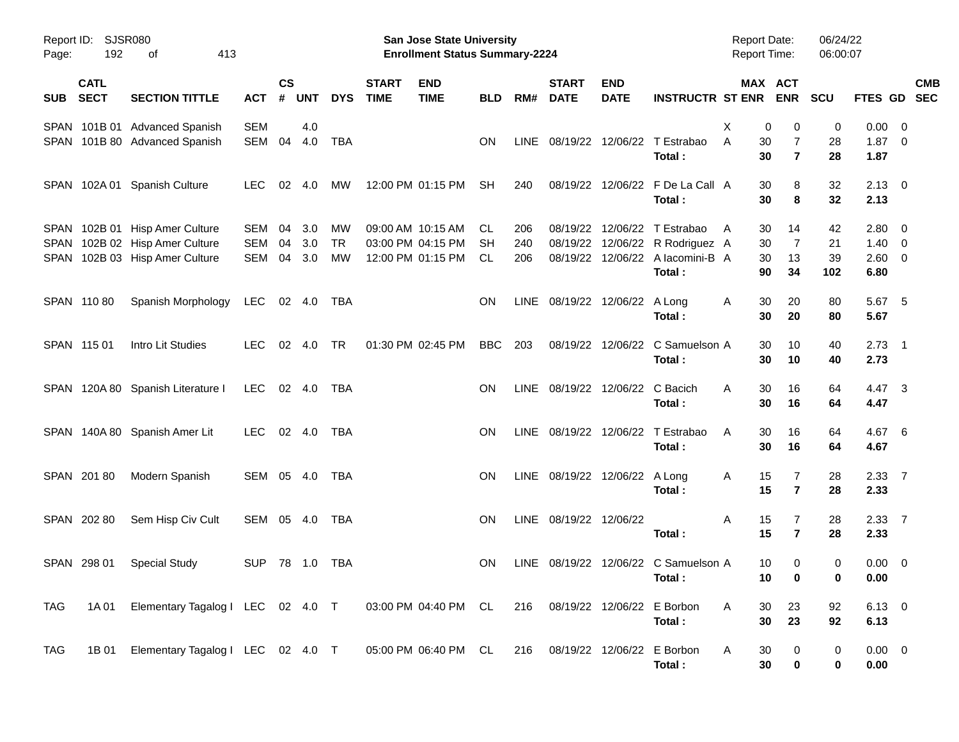| Report ID:<br>Page: | 192                        | <b>SJSR080</b><br>413<br>оf                                                              |                          |                |                   |                              |                             | <b>San Jose State University</b><br><b>Enrollment Status Summary-2224</b> |                 |                   |                                 |                           |                                                                                             | <b>Report Date:</b><br>Report Time: |                                                     | 06/24/22<br>06:00:07  |                                        |                          |            |
|---------------------|----------------------------|------------------------------------------------------------------------------------------|--------------------------|----------------|-------------------|------------------------------|-----------------------------|---------------------------------------------------------------------------|-----------------|-------------------|---------------------------------|---------------------------|---------------------------------------------------------------------------------------------|-------------------------------------|-----------------------------------------------------|-----------------------|----------------------------------------|--------------------------|------------|
| <b>SUB</b>          | <b>CATL</b><br><b>SECT</b> | <b>SECTION TITTLE</b>                                                                    | <b>ACT</b>               | <b>CS</b><br># | <b>UNT</b>        | <b>DYS</b>                   | <b>START</b><br><b>TIME</b> | <b>END</b><br><b>TIME</b>                                                 | <b>BLD</b>      | RM#               | <b>START</b><br><b>DATE</b>     | <b>END</b><br><b>DATE</b> | <b>INSTRUCTR ST ENR</b>                                                                     |                                     | MAX ACT<br><b>ENR</b>                               | <b>SCU</b>            | FTES GD SEC                            |                          | <b>CMB</b> |
|                     |                            | SPAN 101B 01 Advanced Spanish<br>SPAN 101B 80 Advanced Spanish                           | <b>SEM</b><br>SEM        | 04             | 4.0<br>4.0        | <b>TBA</b>                   |                             |                                                                           | ΟN              | LINE.             |                                 |                           | 08/19/22 12/06/22 T Estrabao<br>Total:                                                      | X<br>A<br>30<br>30                  | 0<br>0<br>$\overline{7}$<br>$\overline{\mathbf{r}}$ | 0<br>28<br>28         | $0.00 \t 0$<br>$1.87 \ 0$<br>1.87      |                          |            |
|                     |                            | SPAN 102A 01 Spanish Culture                                                             | <b>LEC</b>               | 02             | 4.0               | МW                           |                             | 12:00 PM 01:15 PM                                                         | <b>SH</b>       | 240               |                                 |                           | 08/19/22 12/06/22 F De La Call A<br>Total:                                                  | 30<br>30                            | 8<br>8                                              | 32<br>32              | $2.13 \quad 0$<br>2.13                 |                          |            |
| SPAN<br>SPAN        |                            | SPAN 102B 01 Hisp Amer Culture<br>102B 02 Hisp Amer Culture<br>102B 03 Hisp Amer Culture | SEM<br><b>SEM</b><br>SEM | 04<br>04<br>04 | 3.0<br>3.0<br>3.0 | МW<br><b>TR</b><br><b>MW</b> |                             | 09:00 AM 10:15 AM<br>03:00 PM 04:15 PM<br>12:00 PM 01:15 PM               | CL<br>SН<br>CL. | 206<br>240<br>206 | 08/19/22<br>08/19/22            |                           | 12/06/22 T Estrabao<br>12/06/22 R Rodriguez A<br>08/19/22 12/06/22 A lacomini-B A<br>Total: | 30<br>A<br>30<br>30<br>90           | 14<br>$\overline{7}$<br>13<br>34                    | 42<br>21<br>39<br>102 | 2.80 0<br>$1.40 \ 0$<br>2.60 0<br>6.80 |                          |            |
|                     | SPAN 11080                 | Spanish Morphology                                                                       | LEC                      |                | 02 4.0            | TBA                          |                             |                                                                           | ΟN              |                   | LINE 08/19/22 12/06/22 A Long   |                           | Total:                                                                                      | 30<br>A<br>30                       | 20<br>20                                            | 80<br>80              | 5.67<br>5.67                           | - 5                      |            |
|                     | SPAN 115 01                | Intro Lit Studies                                                                        | <b>LEC</b>               | 02             | 4.0               | <b>TR</b>                    |                             | 01:30 PM 02:45 PM                                                         | <b>BBC</b>      | 203               |                                 |                           | 08/19/22 12/06/22 C Samuelson A<br>Total:                                                   | 30<br>30                            | 10<br>10                                            | 40<br>40              | 2.73<br>2.73                           | $\overline{\phantom{1}}$ |            |
|                     |                            | SPAN 120A 80 Spanish Literature I                                                        | LEC                      |                | 02 4.0            | TBA                          |                             |                                                                           | ΟN              |                   | LINE 08/19/22 12/06/22 C Bacich |                           | Total:                                                                                      | Α<br>30<br>30                       | 16<br>16                                            | 64<br>64              | 4.47 3<br>4.47                         |                          |            |
|                     |                            | SPAN 140A 80 Spanish Amer Lit                                                            | <b>LEC</b>               |                | 02 4.0            | TBA                          |                             |                                                                           | ON              |                   | LINE 08/19/22 12/06/22          |                           | T Estrabao<br>Total:                                                                        | 30<br>A<br>30                       | 16<br>16                                            | 64<br>64              | 4.67<br>4.67                           | $-6$                     |            |
|                     | SPAN 20180                 | Modern Spanish                                                                           | SEM 05 4.0               |                |                   | TBA                          |                             |                                                                           | ON              |                   | LINE 08/19/22 12/06/22 A Long   |                           | Total:                                                                                      | 15<br>A<br>15                       | 7<br>$\overline{\mathbf{r}}$                        | 28<br>28              | 2.33 7<br>2.33                         |                          |            |
|                     | SPAN 202 80                | Sem Hisp Civ Cult                                                                        | SEM 05 4.0               |                |                   | TBA                          |                             |                                                                           | ON              |                   | LINE 08/19/22 12/06/22          |                           | Total:                                                                                      | Α<br>15<br>15                       | 7<br>$\overline{7}$                                 | 28<br>28              | 2.3377<br>2.33                         |                          |            |
|                     | SPAN 298 01                | <b>Special Study</b>                                                                     | <b>SUP</b>               |                |                   | TBA                          |                             |                                                                           | ΟN              |                   |                                 |                           | LINE 08/19/22 12/06/22 C Samuelson A<br>Total:                                              | 10<br>10                            | 0<br>$\overline{\mathbf{0}}$                        | 0                     | $0.00 \t 0$<br>0.00                    |                          |            |
| TAG                 |                            | 1A 01 Elementary Tagalog I LEC 02 4.0 T 03:00 PM 04:40 PM CL                             |                          |                |                   |                              |                             |                                                                           |                 |                   | 216 08/19/22 12/06/22 E Borbon  |                           | Total:                                                                                      | 30<br>A<br>30                       | 23<br>23                                            | 92<br>92              | 6.13 0<br>6.13                         |                          |            |
| <b>TAG</b>          |                            | 1B 01 Elementary Tagalog I LEC 02 4.0 T                                                  |                          |                |                   |                              |                             | 05:00 PM 06:40 PM CL                                                      |                 |                   | 216 08/19/22 12/06/22 E Borbon  |                           | Total:                                                                                      | A<br>30<br>30                       | 0<br>0                                              | 0<br>0                | $0.00 \t 0$<br>0.00                    |                          |            |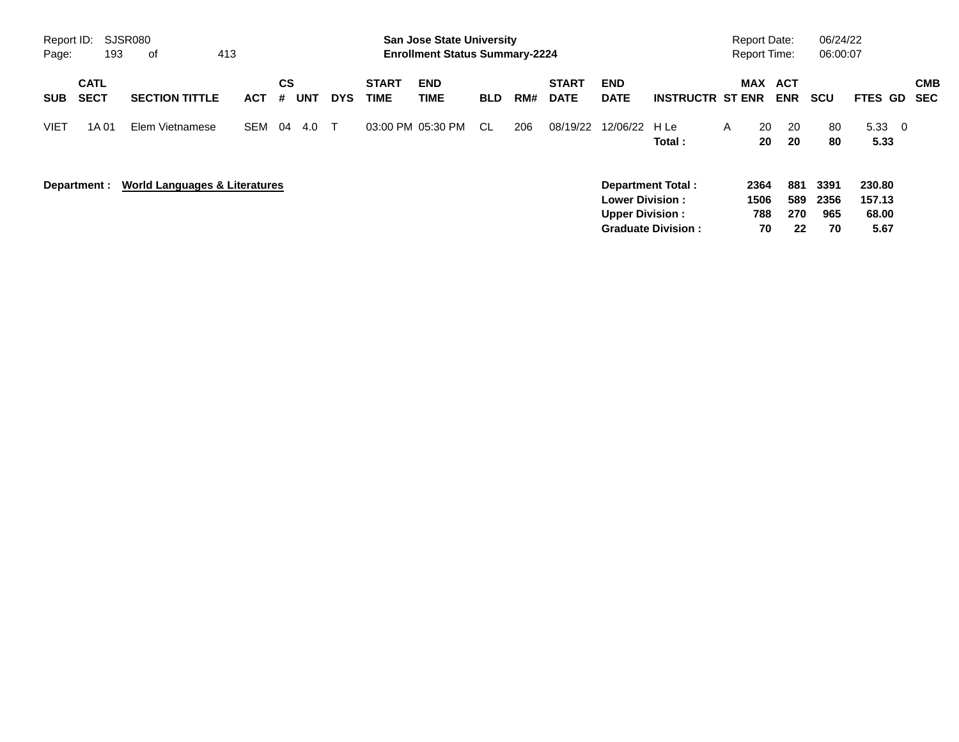| Report ID:<br>Page: | 193                        | SJSR080<br>413<br>0f                     |            |                |            |            | <b>San Jose State University</b><br><b>Enrollment Status Summary-2224</b> |                    |            |     |                             |                                                  |                                                       | <b>Report Date:</b><br><b>Report Time:</b> |                           | 06/24/22<br>06:00:07    |                           |                                   |                   |
|---------------------|----------------------------|------------------------------------------|------------|----------------|------------|------------|---------------------------------------------------------------------------|--------------------|------------|-----|-----------------------------|--------------------------------------------------|-------------------------------------------------------|--------------------------------------------|---------------------------|-------------------------|---------------------------|-----------------------------------|-------------------|
| <b>SUB</b>          | <b>CATL</b><br><b>SECT</b> | <b>SECTION TITTLE</b>                    | <b>ACT</b> | <b>CS</b><br># | <b>UNT</b> | <b>DYS</b> | <b>START</b><br><b>TIME</b>                                               | <b>END</b><br>TIME | <b>BLD</b> | RM# | <b>START</b><br><b>DATE</b> | <b>END</b><br><b>DATE</b>                        | <b>INSTRUCTR ST ENR</b>                               |                                            | MAX                       | ACT<br><b>ENR</b>       | <b>SCU</b>                | FTES GD                           | <b>CMB</b><br>SEC |
| <b>VIET</b>         | 1A 01                      | Elem Vietnamese                          | <b>SEM</b> | 04             | 4.0        | $\top$     | 03:00 PM 05:30 PM                                                         |                    | -CL        | 206 | 08/19/22                    | 12/06/22                                         | H Le<br>Total:                                        | A                                          | 20<br>20                  | 20<br>20                | 80<br>80                  | $5.33 \quad 0$<br>5.33            |                   |
|                     | Department :               | <b>World Languages &amp; Literatures</b> |            |                |            |            |                                                                           |                    |            |     |                             | <b>Lower Division:</b><br><b>Upper Division:</b> | <b>Department Total:</b><br><b>Graduate Division:</b> |                                            | 2364<br>1506<br>788<br>70 | 881<br>589<br>270<br>22 | 3391<br>2356<br>965<br>70 | 230.80<br>157.13<br>68.00<br>5.67 |                   |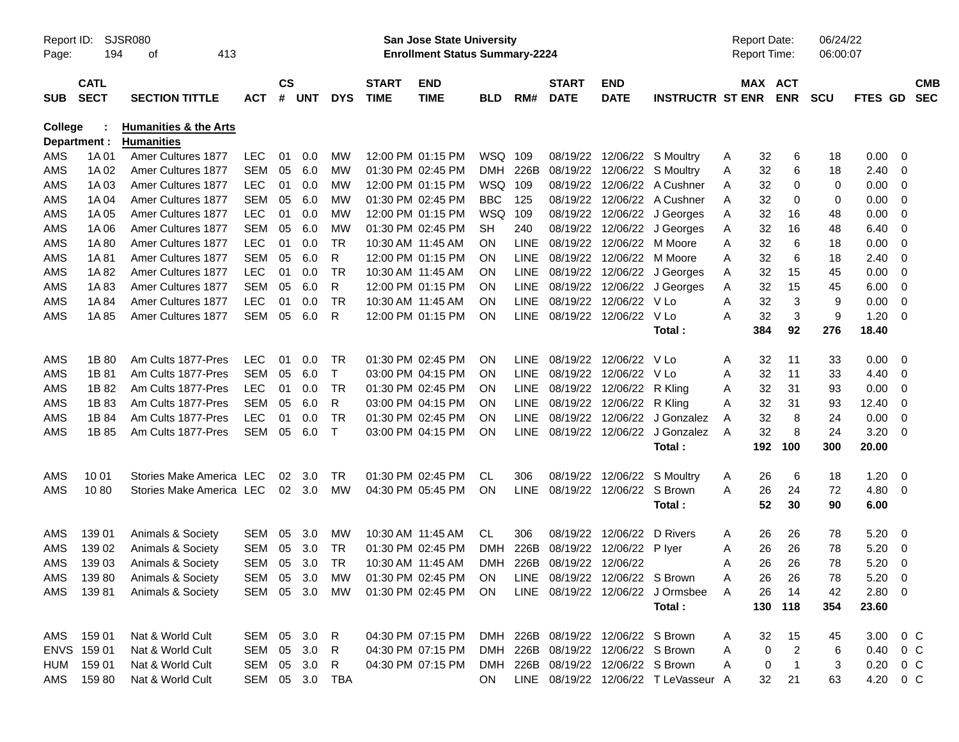| Report ID:<br>Page: | 194                        | SJSR080<br>413<br>οf                                  |                |            |            |                             |                           | San Jose State University<br><b>Enrollment Status Summary-2224</b> |            |                             |                           |                                    |                                      |         | <b>Report Date:</b><br>Report Time: |              | 06/24/22<br>06:00:07 |                        |                          |  |
|---------------------|----------------------------|-------------------------------------------------------|----------------|------------|------------|-----------------------------|---------------------------|--------------------------------------------------------------------|------------|-----------------------------|---------------------------|------------------------------------|--------------------------------------|---------|-------------------------------------|--------------|----------------------|------------------------|--------------------------|--|
| <b>SUB</b>          | <b>CATL</b><br><b>SECT</b> | <b>ACT</b>                                            | <b>CS</b><br># | <b>UNT</b> | <b>DYS</b> | <b>START</b><br><b>TIME</b> | <b>END</b><br><b>TIME</b> | <b>BLD</b>                                                         | RM#        | <b>START</b><br><b>DATE</b> | <b>END</b><br><b>DATE</b> | <b>INSTRUCTR ST ENR</b>            |                                      | MAX ACT | <b>ENR</b>                          | <b>SCU</b>   | <b>FTES GD</b>       |                        | <b>CMB</b><br><b>SEC</b> |  |
| <b>College</b>      | Department :               | <b>Humanities &amp; the Arts</b><br><b>Humanities</b> |                |            |            |                             |                           |                                                                    |            |                             |                           |                                    |                                      |         |                                     |              |                      |                        |                          |  |
| AMS                 | 1A 01                      | Amer Cultures 1877                                    | <b>LEC</b>     | 01         | 0.0        | MW                          |                           | 12:00 PM 01:15 PM                                                  | WSQ        | 109                         | 08/19/22                  |                                    | 12/06/22 S Moultry                   | A       | 32                                  | 6            | 18                   | 0.00                   | - 0                      |  |
| AMS                 | 1A 02                      | Amer Cultures 1877                                    | <b>SEM</b>     | 05         | 6.0        | MW                          |                           | 01:30 PM 02:45 PM                                                  | DMH        | 226B                        | 08/19/22                  |                                    | 12/06/22 S Moultry                   | Α       | 32                                  | 6            | 18                   | 2.40                   | -0                       |  |
| AMS                 | 1A 03                      | Amer Cultures 1877                                    | <b>LEC</b>     | 01         | 0.0        | MW                          |                           | 12:00 PM 01:15 PM                                                  | WSQ        | 109                         | 08/19/22                  |                                    | 12/06/22 A Cushner                   | Α       | 32                                  | 0            | 0                    | 0.00                   | $\overline{0}$           |  |
| AMS                 | 1A 04                      | Amer Cultures 1877                                    | <b>SEM</b>     | 05         | 6.0        | MW                          |                           | 01:30 PM 02:45 PM                                                  | <b>BBC</b> | 125                         | 08/19/22                  |                                    | 12/06/22 A Cushner                   | Α       | 32                                  | 0            | 0                    | 0.00                   | 0                        |  |
| AMS                 | 1A 05                      | Amer Cultures 1877                                    | <b>LEC</b>     | 01         | 0.0        | MW                          |                           | 12:00 PM 01:15 PM                                                  | WSQ        | 109                         | 08/19/22                  |                                    | 12/06/22 J Georges                   | Α       | 32                                  | 16           | 48                   | 0.00                   | - 0                      |  |
| AMS                 | 1A 06                      | Amer Cultures 1877                                    | <b>SEM</b>     | 05         | 6.0        | MW                          |                           | 01:30 PM 02:45 PM                                                  | SН         | 240                         | 08/19/22                  |                                    | 12/06/22 J Georges                   | Α       | 32                                  | 16           | 48                   | 6.40                   | -0                       |  |
| AMS                 | 1A 80                      | Amer Cultures 1877                                    | <b>LEC</b>     | 01         | 0.0        | TR.                         |                           | 10:30 AM 11:45 AM                                                  | ΟN         | <b>LINE</b>                 | 08/19/22                  |                                    | 12/06/22 M Moore                     | Α       | 32                                  | 6            | 18                   | 0.00                   | - 0                      |  |
| AMS                 | 1A 81                      | Amer Cultures 1877                                    | <b>SEM</b>     | 05         | 6.0        | R                           |                           | 12:00 PM 01:15 PM                                                  | ΟN         | <b>LINE</b>                 | 08/19/22                  |                                    | 12/06/22 M Moore                     | Α       | 32                                  | 6            | 18                   | 2.40                   | - 0                      |  |
| AMS                 | 1A 82                      | Amer Cultures 1877                                    | LEC            | 01         | 0.0        | <b>TR</b>                   |                           | 10:30 AM 11:45 AM                                                  | ΟN         | <b>LINE</b>                 | 08/19/22                  |                                    | 12/06/22 J Georges                   | Α       | 32                                  | 15           | 45                   | 0.00                   | 0                        |  |
| AMS                 | 1A83                       | Amer Cultures 1877                                    | <b>SEM</b>     | 05         | 6.0        | R                           |                           | 12:00 PM 01:15 PM                                                  | ΟN         | LINE                        | 08/19/22                  | 12/06/22                           | J Georges                            | Α       | 32                                  | 15           | 45                   | 6.00                   | $\overline{\mathbf{0}}$  |  |
| AMS                 | 1A 84                      | Amer Cultures 1877                                    | <b>LEC</b>     | 01         | 0.0        | <b>TR</b>                   |                           | 10:30 AM 11:45 AM                                                  | ΟN         | <b>LINE</b>                 | 08/19/22                  | 12/06/22 V Lo                      |                                      | Α       | 32                                  | 3            | 9                    | 0.00                   | 0                        |  |
| AMS                 | 1A 85                      | Amer Cultures 1877                                    | <b>SEM</b>     | 05         | 6.0        | R                           |                           | 12:00 PM 01:15 PM                                                  | ΟN         | LINE                        | 08/19/22                  | 12/06/22 V Lo                      |                                      | Α       | 32                                  | 3            | 9                    | 1.20                   | - 0                      |  |
|                     |                            |                                                       |                |            |            |                             |                           |                                                                    |            |                             |                           |                                    | Total :                              |         | 384                                 | 92           | 276                  | 18.40                  |                          |  |
| AMS                 | 1B 80                      | Am Cults 1877-Pres                                    | <b>LEC</b>     | 01         | 0.0        | <b>TR</b>                   |                           | 01:30 PM 02:45 PM                                                  | ΟN         | <b>LINE</b>                 |                           | 08/19/22 12/06/22 V Lo             |                                      | Α       | 32                                  | 11           | 33                   | 0.00                   | $\overline{\phantom{0}}$ |  |
| AMS                 | 1B 81                      | Am Cults 1877-Pres                                    | <b>SEM</b>     | 05         | 6.0        | $\mathsf{T}$                |                           | 03:00 PM 04:15 PM                                                  | ΟN         | LINE                        | 08/19/22                  | 12/06/22                           | V Lo                                 | Α       | 32                                  | 11           | 33                   | 4.40                   | - 0                      |  |
| AMS                 | 1B 82                      | Am Cults 1877-Pres                                    | <b>LEC</b>     | 01         | 0.0        | <b>TR</b>                   |                           | 01:30 PM 02:45 PM                                                  | ΟN         | LINE                        | 08/19/22                  | 12/06/22                           | R Kling                              | Α       | 32                                  | 31           | 93                   | 0.00                   | 0                        |  |
| AMS                 | 1B 83                      | Am Cults 1877-Pres                                    | <b>SEM</b>     | 05         | 6.0        | R                           |                           | 03:00 PM 04:15 PM                                                  | ΟN         | <b>LINE</b>                 | 08/19/22                  | 12/06/22                           | R Kling                              | A       | 32                                  | 31           | 93                   | 12.40                  | -0                       |  |
| AMS                 | 1B 84                      | Am Cults 1877-Pres                                    | <b>LEC</b>     | 01         | 0.0        | <b>TR</b>                   |                           | 01:30 PM 02:45 PM                                                  | ΟN         | LINE                        | 08/19/22                  | 12/06/22                           | J Gonzalez                           | Α       | 32                                  | 8            | 24                   | 0.00                   | - 0                      |  |
| AMS                 | 1B 85                      | Am Cults 1877-Pres                                    | <b>SEM</b>     | 05         | 6.0        | $\mathsf{T}$                |                           | 03:00 PM 04:15 PM                                                  | ΟN         | <b>LINE</b>                 | 08/19/22                  | 12/06/22                           | J Gonzalez                           | A       | 32                                  | 8            | 24                   | 3.20                   | - 0                      |  |
|                     |                            |                                                       |                |            |            |                             |                           |                                                                    |            |                             |                           |                                    | Total:                               |         | 192                                 | 100          | 300                  | 20.00                  |                          |  |
| AMS                 | 10 01                      | Stories Make America LEC                              |                | 02         | 3.0        | TR.                         |                           | 01:30 PM 02:45 PM                                                  | СL         | 306                         | 08/19/22                  |                                    | 12/06/22 S Moultry                   | Α       | 26                                  | 6            | 18                   | 1.20                   | - 0                      |  |
| AMS                 | 1080                       | Stories Make America LEC                              |                | 02         | 3.0        | MW                          |                           | 04:30 PM 05:45 PM                                                  | ΟN         | <b>LINE</b>                 |                           | 08/19/22 12/06/22 S Brown          |                                      | Α       | 26                                  | 24           | 72                   | 4.80                   | - 0                      |  |
|                     |                            |                                                       |                |            |            |                             |                           |                                                                    |            |                             |                           |                                    | Total:                               |         | 52                                  | 30           | 90                   | 6.00                   |                          |  |
| AMS                 | 139 01                     | Animals & Society                                     | <b>SEM</b>     | 05         | 3.0        | MW                          |                           | 10:30 AM 11:45 AM                                                  | CL.        | 306                         | 08/19/22                  | 12/06/22                           | D Rivers                             | Α       | 26                                  | 26           | 78                   | 5.20                   | $\overline{\phantom{0}}$ |  |
| AMS                 | 139 02                     | Animals & Society                                     | <b>SEM</b>     | 05         | 3.0        | TR                          |                           | 01:30 PM 02:45 PM                                                  | <b>DMH</b> | 226B                        | 08/19/22                  | 12/06/22                           | P lyer                               | Α       | 26                                  | 26           | 78                   | 5.20                   | $\overline{\mathbf{0}}$  |  |
| AMS                 | 139 03                     | Animals & Society                                     | <b>SEM</b>     | 05         | 3.0        | TR                          |                           | 10:30 AM 11:45 AM                                                  | DMH.       | 226B                        | 08/19/22                  | 12/06/22                           |                                      | Α       | 26                                  | 26           | 78                   | 5.20                   | $\overline{\phantom{0}}$ |  |
| AMS                 | 13980                      | Animals & Society                                     | SEM 05 3.0     |            |            | МW                          |                           | 01:30 PM 02:45 PM                                                  | ON         |                             |                           | LINE 08/19/22 12/06/22 S Brown     |                                      | Α       | 26                                  | 26           | 78                   | 5.20                   | $\overline{\phantom{0}}$ |  |
| AMS                 | 13981                      | Animals & Society                                     | SEM            |            | 05 3.0     | MW                          |                           | 01:30 PM 02:45 PM                                                  | <b>ON</b>  |                             |                           |                                    | LINE 08/19/22 12/06/22 J Ormsbee     | A       | 26                                  | 14           | 42                   | 2.80 0                 |                          |  |
|                     |                            |                                                       |                |            |            |                             |                           |                                                                    |            |                             |                           |                                    | Total:                               |         |                                     | 130 118      | 354                  | 23.60                  |                          |  |
| AMS                 | 159 01                     | Nat & World Cult                                      | SEM            |            | 05 3.0 R   |                             |                           | 04:30 PM 07:15 PM                                                  |            |                             |                           | DMH 226B 08/19/22 12/06/22 S Brown |                                      | Α       | 32                                  | 15           | 45                   | 3.00 0 C               |                          |  |
|                     | ENVS 159 01                | Nat & World Cult                                      | SEM            |            | 05 3.0     | R                           |                           | 04:30 PM 07:15 PM                                                  |            |                             |                           | DMH 226B 08/19/22 12/06/22 S Brown |                                      | Α       | 0                                   | 2            | 6                    | $0.40 \quad 0 \quad C$ |                          |  |
| HUM                 | 159 01                     | Nat & World Cult                                      | SEM            |            | 05 3.0     | $\mathsf{R}$                |                           | 04:30 PM 07:15 PM                                                  |            |                             |                           | DMH 226B 08/19/22 12/06/22 S Brown |                                      | A       | $\boldsymbol{0}$                    | $\mathbf{1}$ | 3                    | $0.20 \t 0 C$          |                          |  |
| AMS                 | 15980                      | Nat & World Cult                                      | SEM            |            |            | 05 3.0 TBA                  |                           |                                                                    | ON         |                             |                           |                                    | LINE 08/19/22 12/06/22 T LeVasseur A |         | 32                                  | 21           | 63                   | 4.20 0 C               |                          |  |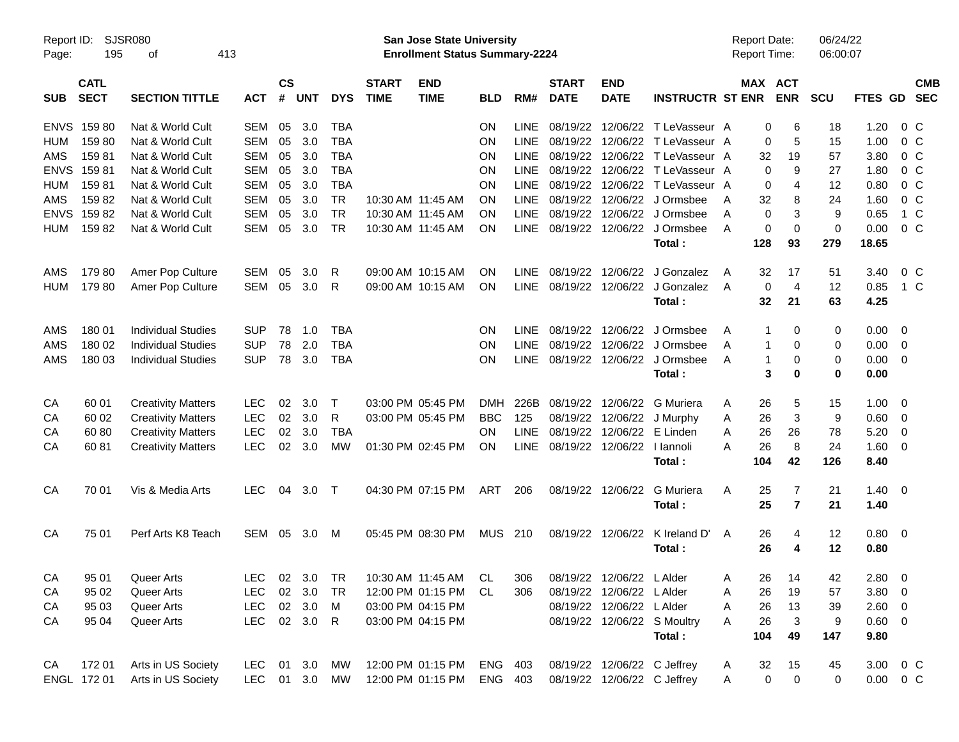| Page:       | Report ID: SJSR080<br>195  | 413<br>οf                 |               |                |            |            |                             | San Jose State University<br><b>Enrollment Status Summary-2224</b> |            |             |                             |                             |                                 | Report Date:<br><b>Report Time:</b> |              |                | 06/24/22<br>06:00:07 |                |                          |                          |
|-------------|----------------------------|---------------------------|---------------|----------------|------------|------------|-----------------------------|--------------------------------------------------------------------|------------|-------------|-----------------------------|-----------------------------|---------------------------------|-------------------------------------|--------------|----------------|----------------------|----------------|--------------------------|--------------------------|
| <b>SUB</b>  | <b>CATL</b><br><b>SECT</b> | <b>SECTION TITTLE</b>     | <b>ACT</b>    | <b>CS</b><br># | <b>UNT</b> | <b>DYS</b> | <b>START</b><br><b>TIME</b> | <b>END</b><br><b>TIME</b>                                          | <b>BLD</b> | RM#         | <b>START</b><br><b>DATE</b> | <b>END</b><br><b>DATE</b>   | <b>INSTRUCTR ST ENR</b>         |                                     | MAX ACT      | <b>ENR</b>     | <b>SCU</b>           | FTES GD        |                          | <b>CMB</b><br><b>SEC</b> |
| <b>ENVS</b> | 15980                      | Nat & World Cult          | SEM           | 05             | 3.0        | <b>TBA</b> |                             |                                                                    | <b>ON</b>  | <b>LINE</b> |                             |                             | 08/19/22 12/06/22 T LeVasseur A |                                     | 0            | 6              | 18                   | 1.20           | 0 <sup>o</sup>           |                          |
| <b>HUM</b>  | 15980                      | Nat & World Cult          | SEM           | 05             | 3.0        | <b>TBA</b> |                             |                                                                    | ΟN         | <b>LINE</b> |                             |                             | 08/19/22 12/06/22 T LeVasseur A |                                     | 0            | 5              | 15                   | 1.00           | 0 <sup>o</sup>           |                          |
| AMS         | 15981                      | Nat & World Cult          | <b>SEM</b>    | 05             | 3.0        | <b>TBA</b> |                             |                                                                    | ON         | <b>LINE</b> | 08/19/22                    |                             | 12/06/22 T LeVasseur A          |                                     | 32           | 19             | 57                   | 3.80           | 0 <sup>o</sup>           |                          |
| <b>ENVS</b> | 15981                      | Nat & World Cult          | <b>SEM</b>    | 05             | 3.0        | <b>TBA</b> |                             |                                                                    | ΟN         | <b>LINE</b> |                             |                             | 08/19/22 12/06/22 T LeVasseur A |                                     | 0            | 9              | 27                   | 1.80           | 0 <sup>o</sup>           |                          |
| <b>HUM</b>  | 15981                      | Nat & World Cult          | <b>SEM</b>    | 05             | 3.0        | <b>TBA</b> |                             |                                                                    | ON         | <b>LINE</b> |                             |                             | 08/19/22 12/06/22 T LeVasseur A |                                     | 0            | 4              | 12                   | 0.80           | 0 <sup>o</sup>           |                          |
| AMS         | 15982                      | Nat & World Cult          | <b>SEM</b>    | 05             | 3.0        | <b>TR</b>  | 10:30 AM 11:45 AM           |                                                                    | ON         | LINE        | 08/19/22                    |                             | 12/06/22 J Ormsbee              | A                                   | 32           | 8              | 24                   | 1.60           | 0 <sup>o</sup>           |                          |
| <b>ENVS</b> | 15982                      | Nat & World Cult          | <b>SEM</b>    | 05             | 3.0        | <b>TR</b>  |                             | 10:30 AM 11:45 AM                                                  | ON         | <b>LINE</b> | 08/19/22                    |                             | 12/06/22 J Ormsbee              | A                                   | 0            | 3              | 9                    | 0.65           | 1 C                      |                          |
| <b>HUM</b>  | 15982                      | Nat & World Cult          | SEM           | 05             | 3.0        | <b>TR</b>  |                             | 10:30 AM 11:45 AM                                                  | ΟN         | LINE        |                             |                             | 08/19/22 12/06/22 J Ormsbee     | A                                   | 0            | 0              | 0                    | 0.00           | 0 <sup>o</sup>           |                          |
|             |                            |                           |               |                |            |            |                             |                                                                    |            |             |                             |                             | Total:                          |                                     | 128          | 93             | 279                  | 18.65          |                          |                          |
| AMS         | 17980                      | Amer Pop Culture          | SEM           | 05             | 3.0        | R          |                             | 09:00 AM 10:15 AM                                                  | ΟN         | <b>LINE</b> | 08/19/22                    |                             | 12/06/22 J Gonzalez             | A                                   | 32           | 17             | 51                   | 3.40           | $0\,$ C                  |                          |
| <b>HUM</b>  | 17980                      | Amer Pop Culture          | SEM           | 05             | 3.0        | R          |                             | 09:00 AM 10:15 AM                                                  | ΟN         | <b>LINE</b> |                             |                             | 08/19/22 12/06/22 J Gonzalez    | A                                   | 0            | $\overline{4}$ | 12                   | 0.85           | 1 C                      |                          |
|             |                            |                           |               |                |            |            |                             |                                                                    |            |             |                             |                             | Total:                          |                                     | 32           | 21             | 63                   | 4.25           |                          |                          |
| AMS         | 180 01                     | <b>Individual Studies</b> | <b>SUP</b>    | 78             | 1.0        | <b>TBA</b> |                             |                                                                    | ΟN         | <b>LINE</b> | 08/19/22                    |                             | 12/06/22 J Ormsbee              | A                                   | 1            | 0              | 0                    | $0.00 \t 0$    |                          |                          |
| AMS         | 180 02                     | <b>Individual Studies</b> | <b>SUP</b>    | 78             | 2.0        | <b>TBA</b> |                             |                                                                    | ON         | <b>LINE</b> | 08/19/22                    |                             | 12/06/22 J Ormsbee              | A                                   | $\mathbf{1}$ | 0              | 0                    | $0.00 \t 0$    |                          |                          |
| AMS         | 180 03                     | <b>Individual Studies</b> | <b>SUP</b>    | 78             | 3.0        | <b>TBA</b> |                             |                                                                    | ΟN         | <b>LINE</b> |                             |                             | 08/19/22 12/06/22 J Ormsbee     | A                                   | $\mathbf{1}$ | 0              | 0                    | $0.00 \t 0$    |                          |                          |
|             |                            |                           |               |                |            |            |                             |                                                                    |            |             |                             |                             | Total:                          |                                     | 3            | $\bf{0}$       | 0                    | 0.00           |                          |                          |
| CA          | 60 01                      | <b>Creativity Matters</b> | <b>LEC</b>    | 02             | 3.0        | $\top$     |                             | 03:00 PM 05:45 PM                                                  | <b>DMH</b> | 226B        | 08/19/22                    | 12/06/22                    | G Muriera                       | A                                   | 26           | 5              | 15                   | $1.00 \t 0$    |                          |                          |
| CA          | 60 02                      | <b>Creativity Matters</b> | <b>LEC</b>    | 02             | 3.0        | R          |                             | 03:00 PM 05:45 PM                                                  | <b>BBC</b> | 125         |                             | 08/19/22 12/06/22 J Murphy  |                                 | A                                   | 26           | 3              | 9                    | 0.60 0         |                          |                          |
| CA          | 60 80                      | <b>Creativity Matters</b> | <b>LEC</b>    | 02             | 3.0        | <b>TBA</b> |                             |                                                                    | ON         | LINE        | 08/19/22                    | 12/06/22                    | E Linden                        | A                                   | 26           | 26             | 78                   | 5.20           | $\overline{\phantom{0}}$ |                          |
| СA          | 6081                       | <b>Creativity Matters</b> | <b>LEC</b>    | 02             | 3.0        | MW         |                             | 01:30 PM 02:45 PM                                                  | ΟN         | LINE        |                             | 08/19/22 12/06/22 I lannoli |                                 | А                                   | 26           | 8              | 24                   | $1.60 \t 0$    |                          |                          |
|             |                            |                           |               |                |            |            |                             |                                                                    |            |             |                             |                             | Total:                          |                                     | 104          | 42             | 126                  | 8.40           |                          |                          |
| CA          | 70 01                      | Vis & Media Arts          | <b>LEC</b>    | 04             | 3.0        | $\top$     |                             | 04:30 PM 07:15 PM                                                  | ART        | 206         |                             | 08/19/22 12/06/22           | G Muriera                       | Α                                   | 25           | 7              | 21                   | $1.40 \ 0$     |                          |                          |
|             |                            |                           |               |                |            |            |                             |                                                                    |            |             |                             |                             | Total:                          |                                     | 25           | $\overline{7}$ | 21                   | 1.40           |                          |                          |
| CA          | 75 01                      | Perf Arts K8 Teach        | SEM 05        |                | 3.0        | M          |                             | 05:45 PM 08:30 PM                                                  | MUS        | 210         |                             | 08/19/22 12/06/22           | K Ireland D'                    | A                                   | 26           | 4              | 12                   | $0.80 \ 0$     |                          |                          |
|             |                            |                           |               |                |            |            |                             |                                                                    |            |             |                             |                             | Total:                          |                                     | 26           | 4              | 12                   | 0.80           |                          |                          |
| CA          | 95 01                      | Queer Arts                | <b>LEC</b>    |                | 02 3.0 TR  |            |                             | 10:30 AM 11:45 AM CL                                               |            | 306         |                             | 08/19/22 12/06/22 LAIder    |                                 | Α                                   | 26           | 14             | 42                   | $2.80\quad 0$  |                          |                          |
| CA          | 95 02                      | Queer Arts                | <b>LEC</b>    |                | 02 3.0     | TR         |                             | 12:00 PM 01:15 PM                                                  | - CL       | 306         |                             | 08/19/22 12/06/22 L Alder   |                                 | A                                   | 26           | 19             | 57                   | $3.80\ 0$      |                          |                          |
| CA          | 95 03                      | Queer Arts                | <b>LEC</b>    |                | 02 3.0     | M          |                             | 03:00 PM 04:15 PM                                                  |            |             |                             | 08/19/22 12/06/22 L Alder   |                                 | A                                   | 26           | 13             | 39                   | $2.60 \t 0$    |                          |                          |
| СA          | 95 04                      | Queer Arts                | <b>LEC</b>    |                | 02 3.0 R   |            |                             | 03:00 PM 04:15 PM                                                  |            |             |                             |                             | 08/19/22 12/06/22 S Moultry     | Α                                   | 26           | $\mathbf{3}$   | 9                    | $0.60 \quad 0$ |                          |                          |
|             |                            |                           |               |                |            |            |                             |                                                                    |            |             |                             |                             | Total:                          |                                     | 104          | 49             | 147                  | 9.80           |                          |                          |
| CA          | 172 01                     | Arts in US Society        | LEC 01 3.0    |                |            | MW         |                             | 12:00 PM 01:15 PM ENG 403                                          |            |             |                             | 08/19/22 12/06/22 C Jeffrey |                                 | A                                   | 32           | 15             | 45                   | 3.00 0 C       |                          |                          |
|             | ENGL 172 01                | Arts in US Society        | LEC 01 3.0 MW |                |            |            |                             | 12:00 PM 01:15 PM ENG 403                                          |            |             |                             | 08/19/22 12/06/22 C Jeffrey |                                 | A                                   | $\mathbf 0$  | $\mathbf 0$    | 0                    | $0.00 \t 0 C$  |                          |                          |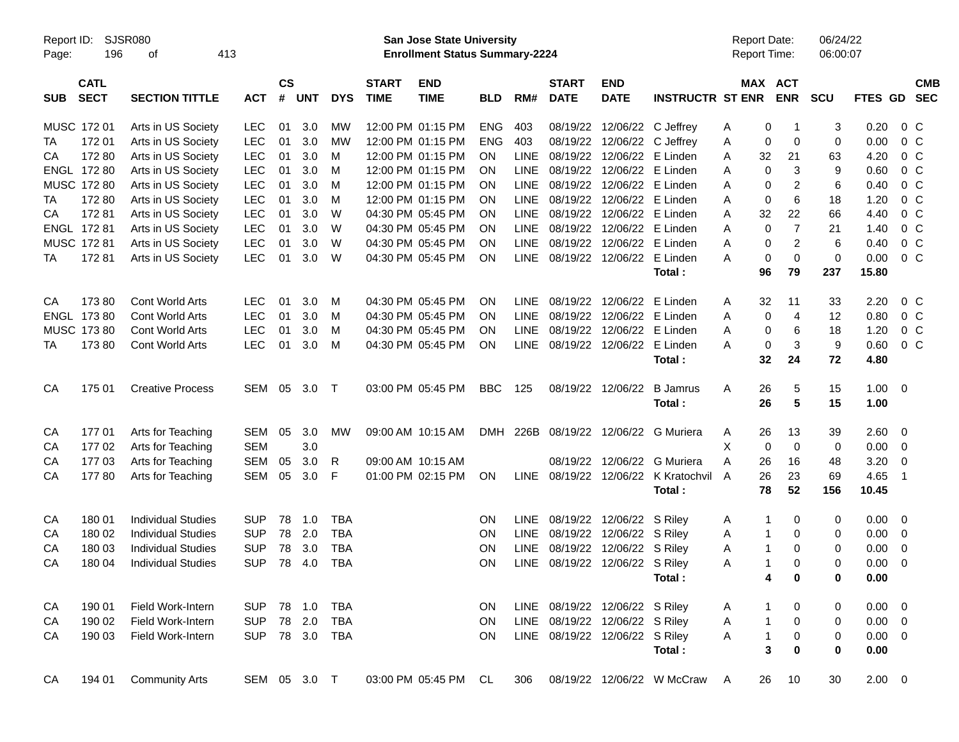| Report ID:<br>Page: | 196                        | SJSR080<br>413<br>оf      |              |                    |            |            |                             | San Jose State University<br><b>Enrollment Status Summary-2224</b> |            |             |                                |                           |                         | <b>Report Date:</b><br>Report Time: |                           | 06/24/22<br>06:00:07 |             |                          |                          |
|---------------------|----------------------------|---------------------------|--------------|--------------------|------------|------------|-----------------------------|--------------------------------------------------------------------|------------|-------------|--------------------------------|---------------------------|-------------------------|-------------------------------------|---------------------------|----------------------|-------------|--------------------------|--------------------------|
| <b>SUB</b>          | <b>CATL</b><br><b>SECT</b> | <b>SECTION TITTLE</b>     | <b>ACT</b>   | $\mathsf{cs}$<br># | <b>UNT</b> | <b>DYS</b> | <b>START</b><br><b>TIME</b> | <b>END</b><br><b>TIME</b>                                          | <b>BLD</b> | RM#         | <b>START</b><br><b>DATE</b>    | <b>END</b><br><b>DATE</b> | <b>INSTRUCTR ST ENR</b> |                                     | MAX ACT<br><b>ENR</b>     | <b>SCU</b>           | FTES GD     |                          | <b>CMB</b><br><b>SEC</b> |
|                     | MUSC 172 01                | Arts in US Society        | <b>LEC</b>   | 01                 | 3.0        | MW         |                             | 12:00 PM 01:15 PM                                                  | <b>ENG</b> | 403         | 08/19/22                       |                           | 12/06/22 C Jeffrey      | Α                                   | 0<br>-1                   | 3                    | 0.20        | $0\,C$                   |                          |
| TA                  | 17201                      | Arts in US Society        | <b>LEC</b>   | 01                 | 3.0        | <b>MW</b>  |                             | 12:00 PM 01:15 PM                                                  | <b>ENG</b> | 403         | 08/19/22                       | 12/06/22                  | C Jeffrey               | Α                                   | 0<br>0                    | 0                    | 0.00        | 0 <sup>o</sup>           |                          |
| CА                  | 17280                      | Arts in US Society        | <b>LEC</b>   | 01                 | 3.0        | M          |                             | 12:00 PM 01:15 PM                                                  | OΝ         | <b>LINE</b> | 08/19/22                       | 12/06/22                  | E Linden                | 32<br>Α                             | 21                        | 63                   | 4.20        | 0 <sup>o</sup>           |                          |
|                     | ENGL 172 80                | Arts in US Society        | <b>LEC</b>   | 01                 | 3.0        | M          |                             | 12:00 PM 01:15 PM                                                  | ΟN         | <b>LINE</b> | 08/19/22                       |                           | 12/06/22 E Linden       | Α                                   | 0<br>3                    | 9                    | 0.60        | 0 <sup>o</sup>           |                          |
|                     | MUSC 172 80                | Arts in US Society        | <b>LEC</b>   | 01                 | 3.0        | M          |                             | 12:00 PM 01:15 PM                                                  | ΟN         | <b>LINE</b> | 08/19/22                       |                           | 12/06/22 E Linden       | Α                                   | 2<br>0                    | 6                    | 0.40        | 0 <sup>o</sup>           |                          |
| TA                  | 172 80                     | Arts in US Society        | <b>LEC</b>   | 01                 | 3.0        | M          |                             | 12:00 PM 01:15 PM                                                  | ΟN         | <b>LINE</b> | 08/19/22                       |                           | 12/06/22 E Linden       | Α                                   | $6\phantom{1}6$<br>0      | 18                   | 1.20        | 0 <sup>o</sup>           |                          |
| CA                  | 17281                      | Arts in US Society        | <b>LEC</b>   | 01                 | 3.0        | W          |                             | 04:30 PM 05:45 PM                                                  | ΟN         | <b>LINE</b> | 08/19/22                       |                           | 12/06/22 E Linden       | Α<br>32                             | 22                        | 66                   | 4.40        | 0 <sup>o</sup>           |                          |
|                     | ENGL 172 81                | Arts in US Society        | <b>LEC</b>   | 01                 | 3.0        | W          |                             | 04:30 PM 05:45 PM                                                  | ΟN         | <b>LINE</b> | 08/19/22                       |                           | 12/06/22 E Linden       | Α                                   | $\overline{7}$<br>0       | 21                   | 1.40        | 0 <sup>o</sup>           |                          |
|                     | MUSC 172 81                | Arts in US Society        | <b>LEC</b>   | 01                 | 3.0        | W          |                             | 04:30 PM 05:45 PM                                                  | ΟN         | <b>LINE</b> | 08/19/22                       | 12/06/22                  | E Linden                | Α                                   | 2<br>0                    | 6                    | 0.40        | 0 <sup>o</sup>           |                          |
| TA                  | 17281                      | Arts in US Society        | <b>LEC</b>   | 01                 | 3.0        | W          |                             | 04:30 PM 05:45 PM                                                  | ON         | LINE        | 08/19/22                       |                           | 12/06/22 E Linden       | A                                   | $\mathbf 0$<br>0          | 0                    | 0.00        | 0 <sup>o</sup>           |                          |
|                     |                            |                           |              |                    |            |            |                             |                                                                    |            |             |                                |                           | Total:                  | 96                                  | 79                        | 237                  | 15.80       |                          |                          |
| CA                  | 17380                      | Cont World Arts           | <b>LEC</b>   | 01                 | 3.0        | М          |                             | 04:30 PM 05:45 PM                                                  | ΟN         | <b>LINE</b> | 08/19/22                       | 12/06/22                  | E Linden                | 32<br>Α                             | 11                        | 33                   | 2.20        | $0\,$ C                  |                          |
|                     | ENGL 173 80                | Cont World Arts           | <b>LEC</b>   | 01                 | 3.0        | М          |                             | 04:30 PM 05:45 PM                                                  | ΟN         | <b>LINE</b> | 08/19/22                       | 12/06/22                  | E Linden                | Α                                   | 0<br>$\overline{4}$       | 12                   | 0.80        | 0 <sup>o</sup>           |                          |
|                     | MUSC 173 80                | <b>Cont World Arts</b>    | <b>LEC</b>   | 01                 | 3.0        | M          |                             | 04:30 PM 05:45 PM                                                  | ΟN         | <b>LINE</b> | 08/19/22                       | 12/06/22                  | E Linden                | Α                                   | 0<br>6                    | 18                   | 1.20        | 0 <sup>o</sup>           |                          |
| TA                  | 17380                      | <b>Cont World Arts</b>    | <b>LEC</b>   | 01                 | 3.0        | М          |                             | 04:30 PM 05:45 PM                                                  | ON         | LINE        | 08/19/22                       |                           | 12/06/22 E Linden       | A                                   | 3<br>0                    | 9                    | 0.60        | 0 <sup>o</sup>           |                          |
|                     |                            |                           |              |                    |            |            |                             |                                                                    |            |             |                                |                           | Total:                  | 32                                  | 24                        | 72                   | 4.80        |                          |                          |
| CA                  | 175 01                     | <b>Creative Process</b>   | SEM          | 05                 | 3.0        | $\top$     |                             | 03:00 PM 05:45 PM                                                  | <b>BBC</b> | 125         | 08/19/22                       | 12/06/22                  | <b>B</b> Jamrus         | 26<br>Α                             | 5                         | 15                   | 1.00        | $\overline{\phantom{0}}$ |                          |
|                     |                            |                           |              |                    |            |            |                             |                                                                    |            |             |                                |                           | Total:                  | 26                                  | 5                         | 15                   | 1.00        |                          |                          |
| CA                  | 17701                      | Arts for Teaching         | <b>SEM</b>   | 05                 | 3.0        | MW         |                             | 09:00 AM 10:15 AM                                                  | DMH        | 226B        | 08/19/22                       |                           | 12/06/22 G Muriera      | 26<br>A                             | 13                        | 39                   | 2.60        | $\overline{\mathbf{0}}$  |                          |
| CA                  | 17702                      | Arts for Teaching         | <b>SEM</b>   |                    | 3.0        |            |                             |                                                                    |            |             |                                |                           |                         | Х                                   | 0<br>$\mathbf 0$          | 0                    | 0.00        | $\overline{\mathbf{0}}$  |                          |
| СA                  | 17703                      | Arts for Teaching         | <b>SEM</b>   | 05                 | 3.0        | R          |                             | 09:00 AM 10:15 AM                                                  |            |             | 08/19/22                       |                           | 12/06/22 G Muriera      | A<br>26                             | 16                        | 48                   | 3.20        | $\mathbf 0$              |                          |
| СA                  | 17780                      | Arts for Teaching         | <b>SEM</b>   | 05                 | 3.0        | F          |                             | 01:00 PM 02:15 PM                                                  | ON         | LINE        | 08/19/22                       |                           | 12/06/22 K Kratochvil   | 26<br>$\overline{A}$                | 23                        | 69                   | 4.65        | -1                       |                          |
|                     |                            |                           |              |                    |            |            |                             |                                                                    |            |             |                                |                           | Total:                  | 78                                  | 52                        | 156                  | 10.45       |                          |                          |
| CA                  | 180 01                     | <b>Individual Studies</b> | <b>SUP</b>   | 78                 | 1.0        | <b>TBA</b> |                             |                                                                    | ON         | <b>LINE</b> | 08/19/22                       | 12/06/22 S Riley          |                         | A                                   | $\mathbf{1}$<br>0         | 0                    | 0.00        | $\overline{\phantom{0}}$ |                          |
| CA                  | 180 02                     | <b>Individual Studies</b> | <b>SUP</b>   | 78                 | 2.0        | <b>TBA</b> |                             |                                                                    | ON         | <b>LINE</b> | 08/19/22                       | 12/06/22 S Riley          |                         | Α                                   | $\mathbf{1}$<br>0         | 0                    | 0.00        | $\overline{\mathbf{0}}$  |                          |
| CA                  | 180 03                     | <b>Individual Studies</b> | <b>SUP</b>   | 78                 | 3.0        | <b>TBA</b> |                             |                                                                    | ON         | <b>LINE</b> | 08/19/22                       | 12/06/22 S Riley          |                         | Α                                   | $\mathbf{1}$<br>0         | 0                    | 0.00        | 0                        |                          |
| CA                  | 180 04                     | <b>Individual Studies</b> | <b>SUP</b>   | 78                 | 4.0        | <b>TBA</b> |                             |                                                                    | ΟN         | LINE        | 08/19/22                       | 12/06/22 S Riley          |                         | A                                   | $\mathbf{1}$<br>$\Omega$  | 0                    | 0.00        | 0                        |                          |
|                     |                            |                           |              |                    |            |            |                             |                                                                    |            |             |                                |                           | Total :                 |                                     | 4<br>0                    | 0                    | 0.00        |                          |                          |
| CA                  | 190 01                     | Field Work-Intern         | <b>SUP</b>   | 78                 | 1.0        | <b>TBA</b> |                             |                                                                    | ON         |             | LINE 08/19/22 12/06/22 S Riley |                           |                         | A                                   | 1<br>0                    | 0                    | $0.00 \t 0$ |                          |                          |
| СA                  | 190 02                     | Field Work-Intern         | <b>SUP</b>   | 78                 | 2.0        | <b>TBA</b> |                             |                                                                    | ON         | LINE        | 08/19/22                       | 12/06/22 S Riley          |                         | Α                                   | $\pmb{0}$<br>$\mathbf{1}$ | 0                    | $0.00 \t 0$ |                          |                          |
| CA                  | 190 03                     | Field Work-Intern         | <b>SUP</b>   |                    | 78 3.0     | <b>TBA</b> |                             |                                                                    | <b>ON</b>  | LINE        | 08/19/22                       | 12/06/22 S Riley          |                         | Α                                   | $\mathbf{1}$<br>$\pmb{0}$ | 0                    | $0.00 \t 0$ |                          |                          |
|                     |                            |                           |              |                    |            |            |                             |                                                                    |            |             |                                |                           | Total:                  |                                     | 3<br>0                    | 0                    | 0.00        |                          |                          |
| CA                  | 194 01                     | <b>Community Arts</b>     | SEM 05 3.0 T |                    |            |            |                             | 03:00 PM 05:45 PM                                                  | CL.        | 306         | 08/19/22                       |                           | 12/06/22 W McCraw       | 26<br>A                             | 10                        | 30                   | $2.00 \t 0$ |                          |                          |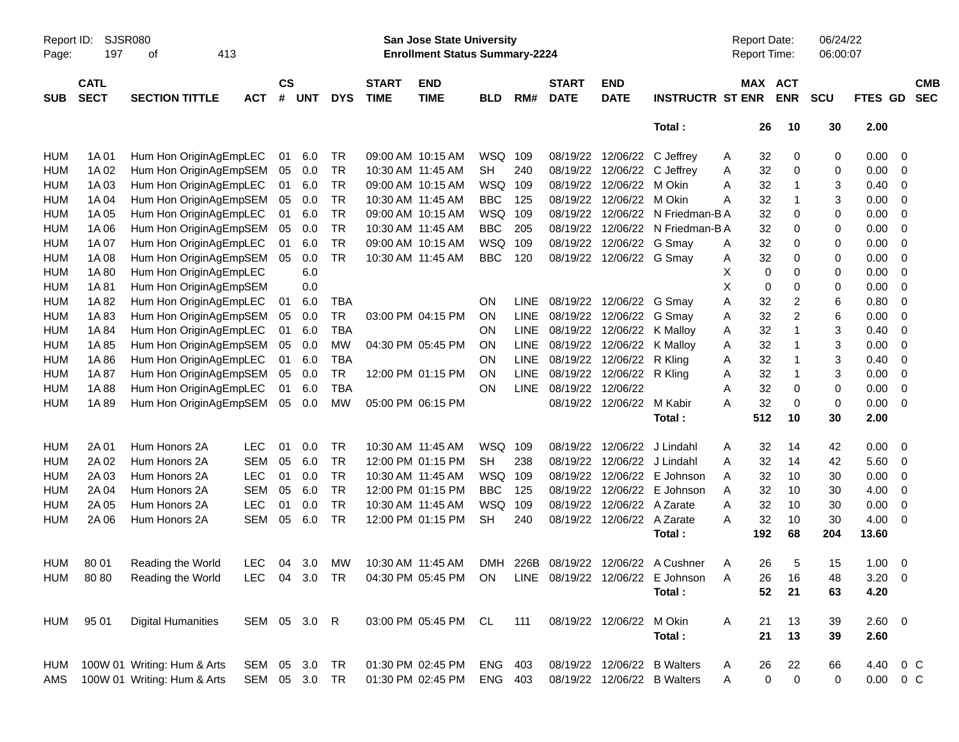| Report ID:<br>Page: | SJSR080<br>197             | 413<br>οf                   |               |                |            |            |                             | San Jose State University<br><b>Enrollment Status Summary-2224</b> |            |             |                             |                           |                                  | Report Date:<br>Report Time: |                            | 06/24/22<br>06:00:07 |               |                         |                          |
|---------------------|----------------------------|-----------------------------|---------------|----------------|------------|------------|-----------------------------|--------------------------------------------------------------------|------------|-------------|-----------------------------|---------------------------|----------------------------------|------------------------------|----------------------------|----------------------|---------------|-------------------------|--------------------------|
| <b>SUB</b>          | <b>CATL</b><br><b>SECT</b> | <b>SECTION TITTLE</b>       | <b>ACT</b>    | <b>CS</b><br># | <b>UNT</b> | <b>DYS</b> | <b>START</b><br><b>TIME</b> | <b>END</b><br><b>TIME</b>                                          | <b>BLD</b> | RM#         | <b>START</b><br><b>DATE</b> | <b>END</b><br><b>DATE</b> | <b>INSTRUCTR ST ENR</b>          |                              | MAX ACT<br><b>ENR</b>      | <b>SCU</b>           | FTES GD       |                         | <b>CMB</b><br><b>SEC</b> |
|                     |                            |                             |               |                |            |            |                             |                                                                    |            |             |                             |                           | Total:                           | 26                           | 10                         | 30                   | 2.00          |                         |                          |
| HUM                 | 1A 01                      | Hum Hon OriginAgEmpLEC      |               | 01             | 6.0        | <b>TR</b>  |                             | 09:00 AM 10:15 AM                                                  | WSQ 109    |             | 08/19/22                    | 12/06/22                  | C Jeffrey                        | 32<br>A                      | 0                          | 0                    | 0.00          | 0                       |                          |
| <b>HUM</b>          | 1A 02                      | Hum Hon OriginAgEmpSEM      |               | 05             | 0.0        | <b>TR</b>  | 10:30 AM 11:45 AM           |                                                                    | <b>SH</b>  | 240         | 08/19/22                    | 12/06/22                  | C Jeffrey                        | 32<br>A                      | 0                          | 0                    | 0.00          | 0                       |                          |
| <b>HUM</b>          | 1A03                       | Hum Hon OriginAgEmpLEC      |               | 01             | 6.0        | <b>TR</b>  |                             | 09:00 AM 10:15 AM                                                  | WSQ        | 109         | 08/19/22                    | 12/06/22                  | M Okin                           | 32<br>Α                      | 1                          | 3                    | 0.40          | 0                       |                          |
| <b>HUM</b>          | 1A 04                      | Hum Hon OriginAgEmpSEM      |               | 05             | 0.0        | <b>TR</b>  | 10:30 AM 11:45 AM           |                                                                    | <b>BBC</b> | 125         | 08/19/22                    | 12/06/22                  | M Okin                           | 32<br>Α                      | 1                          | 3                    | 0.00          | 0                       |                          |
| <b>HUM</b>          | 1A 05                      | Hum Hon OriginAgEmpLEC      |               | 01             | 6.0        | <b>TR</b>  |                             | 09:00 AM 10:15 AM                                                  | WSQ        | 109         | 08/19/22                    | 12/06/22                  | N Friedman-B A                   | 32                           | 0                          | 0                    | 0.00          | 0                       |                          |
| <b>HUM</b>          | 1A 06                      | Hum Hon OriginAgEmpSEM      |               | 05             | 0.0        | <b>TR</b>  | 10:30 AM 11:45 AM           |                                                                    | <b>BBC</b> | 205         | 08/19/22                    | 12/06/22                  | N Friedman-B A                   | 32                           | 0                          | 0                    | 0.00          | 0                       |                          |
| <b>HUM</b>          | 1A 07                      | Hum Hon OriginAgEmpLEC      |               | 01             | 6.0        | <b>TR</b>  |                             | 09:00 AM 10:15 AM                                                  | WSQ        | 109         | 08/19/22                    | 12/06/22 G Smay           |                                  | 32<br>A                      | 0                          | 0                    | 0.00          | 0                       |                          |
| <b>HUM</b>          | 1A 08                      | Hum Hon OriginAgEmpSEM      |               | 05             | 0.0        | <b>TR</b>  | 10:30 AM 11:45 AM           |                                                                    | <b>BBC</b> | 120         | 08/19/22                    | 12/06/22 G Smay           |                                  | 32<br>A                      | 0                          | 0                    | 0.00          | 0                       |                          |
| <b>HUM</b>          | 1A 80                      | Hum Hon OriginAgEmpLEC      |               |                | 6.0        |            |                             |                                                                    |            |             |                             |                           |                                  | Х                            | 0<br>0                     | 0                    | 0.00          | 0                       |                          |
| <b>HUM</b>          | 1A81                       | Hum Hon OriginAgEmpSEM      |               |                | 0.0        |            |                             |                                                                    |            |             |                             |                           |                                  | X                            | 0<br>0                     | 0                    | 0.00          | 0                       |                          |
| <b>HUM</b>          | 1A82                       | Hum Hon OriginAgEmpLEC      |               | 01             | 6.0        | <b>TBA</b> |                             |                                                                    | ON         | <b>LINE</b> | 08/19/22                    | 12/06/22 G Smay           |                                  | 32<br>Α                      | 2                          | 6                    | 0.80          | 0                       |                          |
| <b>HUM</b>          | 1A83                       | Hum Hon OriginAgEmpSEM      |               | 05             | 0.0        | <b>TR</b>  |                             | 03:00 PM 04:15 PM                                                  | ON         | <b>LINE</b> | 08/19/22                    | 12/06/22                  | G Smay                           | 32<br>Α                      | $\overline{\mathbf{c}}$    | 6                    | 0.00          | 0                       |                          |
| <b>HUM</b>          | 1A 84                      | Hum Hon OriginAgEmpLEC      |               | 01             | 6.0        | <b>TBA</b> |                             |                                                                    | ON         | <b>LINE</b> | 08/19/22                    | 12/06/22                  | K Malloy                         | 32<br>Α                      | 1                          | 3                    | 0.40          | 0                       |                          |
| <b>HUM</b>          | 1A85                       | Hum Hon OriginAgEmpSEM      |               | 05             | 0.0        | <b>MW</b>  |                             | 04:30 PM 05:45 PM                                                  | ON         | <b>LINE</b> | 08/19/22                    | 12/06/22                  | K Malloy                         | 32<br>Α                      | 1                          | 3                    | 0.00          | 0                       |                          |
| <b>HUM</b>          | 1A 86                      | Hum Hon OriginAgEmpLEC      |               | 01             | 6.0        | <b>TBA</b> |                             |                                                                    | ON         | <b>LINE</b> | 08/19/22                    | 12/06/22                  | R Kling                          | 32<br>Α                      |                            | 3                    | 0.40          | 0                       |                          |
| <b>HUM</b>          | 1A 87                      | Hum Hon OriginAgEmpSEM      |               | 05             | 0.0        | <b>TR</b>  |                             | 12:00 PM 01:15 PM                                                  | ON         | LINE        | 08/19/22                    | 12/06/22                  | R Kling                          | 32<br>Α                      | 1                          | 3                    | 0.00          | 0                       |                          |
| <b>HUM</b>          | 1A 88                      | Hum Hon OriginAgEmpLEC      |               | 01             | 6.0        | <b>TBA</b> |                             |                                                                    | ON         | <b>LINE</b> | 08/19/22                    | 12/06/22                  |                                  | 32<br>Α                      | 0                          | 0                    | 0.00          | 0                       |                          |
| <b>HUM</b>          | 1A 89                      | Hum Hon OriginAgEmpSEM      |               | 05             | 0.0        | <b>MW</b>  |                             | 05:00 PM 06:15 PM                                                  |            |             | 08/19/22                    | 12/06/22 M Kabir          |                                  | 32<br>Α                      | 0                          | 0                    | 0.00          | 0                       |                          |
|                     |                            |                             |               |                |            |            |                             |                                                                    |            |             |                             |                           | Total:                           | 512                          | 10                         | 30                   | 2.00          |                         |                          |
| HUM                 | 2A 01                      | Hum Honors 2A               | <b>LEC</b>    | 01             | 0.0        | <b>TR</b>  | 10:30 AM 11:45 AM           |                                                                    | WSQ        | 109         | 08/19/22                    | 12/06/22                  | J Lindahl                        | 32<br>Α                      | 14                         | 42                   | 0.00          | 0                       |                          |
| <b>HUM</b>          | 2A 02                      | Hum Honors 2A               | <b>SEM</b>    | 05             | 6.0        | <b>TR</b>  |                             | 12:00 PM 01:15 PM                                                  | <b>SH</b>  | 238         | 08/19/22                    | 12/06/22                  | J Lindahl                        | 32<br>Α                      | 14                         | 42                   | 5.60          | 0                       |                          |
| <b>HUM</b>          | 2A 03                      | Hum Honors 2A               | <b>LEC</b>    | 01             | 0.0        | <b>TR</b>  |                             | 10:30 AM 11:45 AM                                                  | WSQ        | 109         | 08/19/22                    | 12/06/22                  | E Johnson                        | 32<br>Α                      | 10                         | 30                   | 0.00          | 0                       |                          |
| <b>HUM</b>          | 2A 04                      | Hum Honors 2A               | <b>SEM</b>    | 05             | 6.0        | <b>TR</b>  |                             | 12:00 PM 01:15 PM                                                  | <b>BBC</b> | 125         | 08/19/22                    | 12/06/22                  | E Johnson                        | 32<br>Α                      | 10                         | 30                   | 4.00          | 0                       |                          |
| <b>HUM</b>          | 2A 05                      | Hum Honors 2A               | <b>LEC</b>    | 01             | 0.0        | <b>TR</b>  | 10:30 AM 11:45 AM           |                                                                    | WSQ        | 109         | 08/19/22                    | 12/06/22                  | A Zarate                         | 32<br>Α                      | 10                         | 30                   | 0.00          | 0                       |                          |
| <b>HUM</b>          | 2A 06                      | Hum Honors 2A               | <b>SEM</b>    | 05             | 6.0        | <b>TR</b>  |                             | 12:00 PM 01:15 PM                                                  | <b>SH</b>  | 240         | 08/19/22                    | 12/06/22 A Zarate         |                                  | 32<br>Α                      | 10                         | 30                   | 4.00          | 0                       |                          |
|                     |                            |                             |               |                |            |            |                             |                                                                    |            |             |                             |                           | Total:                           | 192                          | 68                         | 204                  | 13.60         |                         |                          |
| <b>HUM</b>          | 80 01                      | Reading the World           | <b>LEC</b>    |                | 04 3.0     | МW         |                             | 10:30 AM 11:45 AM                                                  | DMH        |             |                             |                           | 226B 08/19/22 12/06/22 A Cushner | 26<br>A                      | 5                          | 15                   | 1.00          | $\overline{\mathbf{0}}$ |                          |
|                     | HUM 8080                   | Reading the World           | LEC 04 3.0 TR |                |            |            |                             | 04:30 PM 05:45 PM ON                                               |            |             | LINE 08/19/22 12/06/22      |                           | E Johnson                        | 26<br>A                      | 16                         | 48                   | $3.20 \ 0$    |                         |                          |
|                     |                            |                             |               |                |            |            |                             |                                                                    |            |             |                             |                           | Total:                           | 52                           | 21                         | 63                   | 4.20          |                         |                          |
| HUM                 | 95 01                      | <b>Digital Humanities</b>   | SEM 05 3.0 R  |                |            |            |                             | 03:00 PM 05:45 PM                                                  | CL         | 111         |                             | 08/19/22 12/06/22         | M Okin                           | 21<br>A                      | 13                         | 39                   | 2.60 0        |                         |                          |
|                     |                            |                             |               |                |            |            |                             |                                                                    |            |             |                             |                           | Total:                           | 21                           | 13                         | 39                   | 2.60          |                         |                          |
| HUM                 |                            | 100W 01 Writing: Hum & Arts | SEM 05 3.0    |                |            | TR         |                             | 01:30 PM 02:45 PM                                                  | ENG 403    |             |                             | 08/19/22 12/06/22         | <b>B</b> Walters                 | 26<br>A                      | 22                         | 66                   | 4.40 0 C      |                         |                          |
| AMS                 |                            | 100W 01 Writing: Hum & Arts | SEM 05 3.0 TR |                |            |            |                             | 01:30 PM 02:45 PM                                                  | ENG 403    |             |                             |                           | 08/19/22 12/06/22 B Walters      | Α                            | $\mathbf 0$<br>$\mathbf 0$ | 0                    | $0.00 \t 0 C$ |                         |                          |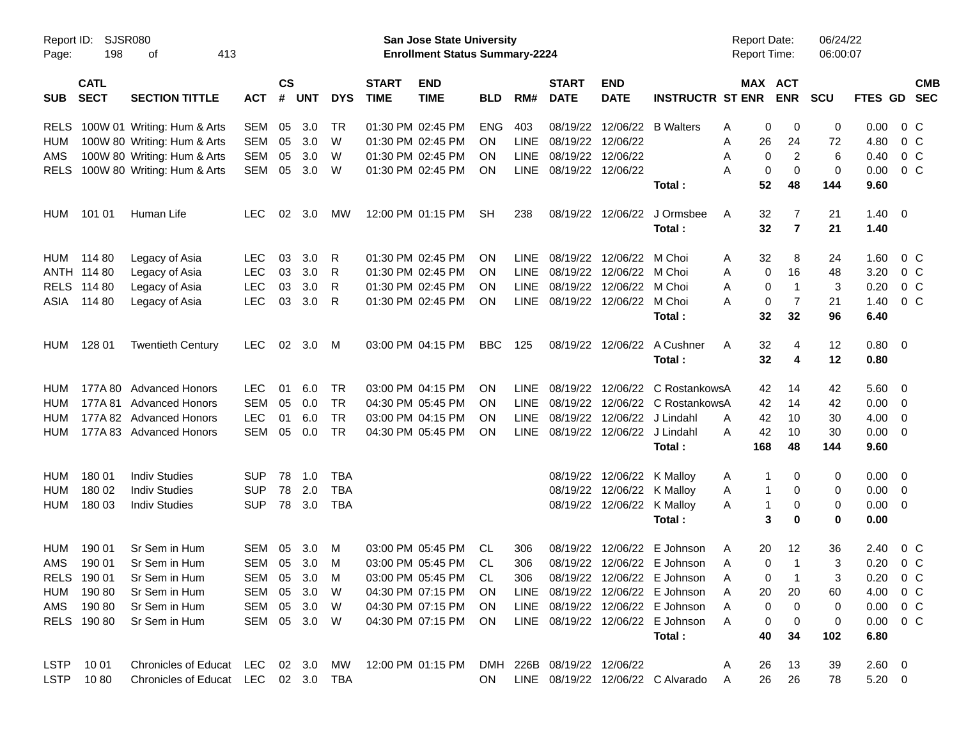| Report ID:<br>Page: | <b>SJSR080</b><br>198 | 413<br>оf                                          |            |    |            |            |                             | San Jose State University<br><b>Enrollment Status Summary-2224</b> |            |             |                             |                             |                                   | <b>Report Date:</b><br><b>Report Time:</b> |                       | 06/24/22<br>06:00:07 |                |                          |  |
|---------------------|-----------------------|----------------------------------------------------|------------|----|------------|------------|-----------------------------|--------------------------------------------------------------------|------------|-------------|-----------------------------|-----------------------------|-----------------------------------|--------------------------------------------|-----------------------|----------------------|----------------|--------------------------|--|
| <b>SUB</b>          | <b>CATL</b>           | <b>SECT</b><br><b>SECTION TITTLE</b><br><b>ACT</b> |            |    |            | <b>DYS</b> | <b>START</b><br><b>TIME</b> | <b>END</b><br><b>TIME</b>                                          | <b>BLD</b> | RM#         | <b>START</b><br><b>DATE</b> | <b>END</b><br><b>DATE</b>   | <b>INSTRUCTR ST ENR</b>           |                                            | MAX ACT<br><b>ENR</b> | <b>SCU</b>           | FTES GD SEC    | <b>CMB</b>               |  |
|                     |                       |                                                    |            | #  | <b>UNT</b> |            |                             |                                                                    |            |             |                             |                             |                                   |                                            |                       |                      |                |                          |  |
| <b>RELS</b>         |                       | 100W 01 Writing: Hum & Arts                        | SEM        | 05 | 3.0        | TR         |                             | 01:30 PM 02:45 PM                                                  | <b>ENG</b> | 403         | 08/19/22                    |                             | 12/06/22 B Walters                | 0<br>Α                                     | 0                     | 0                    | 0.00           | $0\,$ C                  |  |
| HUM                 |                       | 100W 80 Writing: Hum & Arts                        | <b>SEM</b> | 05 | 3.0        | W          |                             | 01:30 PM 02:45 PM                                                  | <b>ON</b>  | LINE        | 08/19/22                    | 12/06/22                    |                                   | 26<br>A                                    | 24                    | 72                   | 4.80           | 0 C                      |  |
| AMS                 |                       | 100W 80 Writing: Hum & Arts                        | <b>SEM</b> | 05 | 3.0        | W          |                             | 01:30 PM 02:45 PM                                                  | ON         | <b>LINE</b> | 08/19/22                    | 12/06/22                    |                                   | 0<br>Α                                     | 2                     | 6                    | 0.40           | 0 <sup>o</sup>           |  |
| <b>RELS</b>         |                       | 100W 80 Writing: Hum & Arts                        | <b>SEM</b> | 05 | 3.0        | W          |                             | 01:30 PM 02:45 PM                                                  | ON         | <b>LINE</b> | 08/19/22                    | 12/06/22                    |                                   | 0<br>Α                                     | $\mathbf 0$           | 0                    | 0.00           | 0 <sup>o</sup>           |  |
|                     |                       |                                                    |            |    |            |            |                             |                                                                    |            |             |                             |                             | Total:                            | 52                                         | 48                    | 144                  | 9.60           |                          |  |
| HUM                 | 101 01                | Human Life                                         | LEC.       | 02 | 3.0        | <b>MW</b>  |                             | 12:00 PM 01:15 PM                                                  | <b>SH</b>  | 238         | 08/19/22                    | 12/06/22                    | J Ormsbee                         | A<br>32                                    | 7                     | 21                   | $1.40 \quad 0$ |                          |  |
|                     |                       |                                                    |            |    |            |            |                             |                                                                    |            |             |                             |                             | Total:                            | 32                                         | $\overline{7}$        | 21                   | 1.40           |                          |  |
| HUM                 | 114 80                | Legacy of Asia                                     | LEC.       | 03 | 3.0        | R          |                             | 01:30 PM 02:45 PM                                                  | ON         | LINE.       | 08/19/22                    | 12/06/22                    | M Choi                            | 32<br>Α                                    | 8                     | 24                   | 1.60           | 0 C                      |  |
|                     | ANTH 114 80           | Legacy of Asia                                     | <b>LEC</b> | 03 | 3.0        | R          |                             | 01:30 PM 02:45 PM                                                  | ON         | LINE        | 08/19/22                    | 12/06/22                    | M Choi                            | 0<br>Α                                     | 16                    | 48                   | 3.20           | 0 <sup>o</sup>           |  |
|                     | RELS 114 80           | Legacy of Asia                                     | <b>LEC</b> | 03 | 3.0        | R          |                             | 01:30 PM 02:45 PM                                                  | ON         | <b>LINE</b> | 08/19/22                    | 12/06/22 M Choi             |                                   | 0<br>Α                                     | $\mathbf{1}$          | 3                    | 0.20           | 0 <sup>o</sup>           |  |
| ASIA                | 114 80                | Legacy of Asia                                     | <b>LEC</b> | 03 | 3.0        | -R         |                             | 01:30 PM 02:45 PM                                                  | ON         | LINE        |                             | 08/19/22 12/06/22 M Choi    |                                   | A<br>0                                     | 7                     | 21                   | 1.40           | $0\,C$                   |  |
|                     |                       |                                                    |            |    |            |            |                             |                                                                    |            |             |                             |                             | Total:                            | 32                                         | 32                    | 96                   | 6.40           |                          |  |
| HUM                 | 128 01                | <b>Twentieth Century</b>                           | LEC.       | 02 | 3.0        | M          |                             | 03:00 PM 04:15 PM                                                  | <b>BBC</b> | 125         | 08/19/22                    | 12/06/22                    | A Cushner                         | 32<br>Α                                    | 4                     | 12                   | $0.80 \quad 0$ |                          |  |
|                     |                       |                                                    |            |    |            |            |                             |                                                                    |            |             |                             |                             | Total:                            | 32                                         | 4                     | 12                   | 0.80           |                          |  |
| HUM                 |                       | 177A 80 Advanced Honors                            | <b>LEC</b> | 01 | 6.0        | TR         |                             | 03:00 PM 04:15 PM                                                  | ON         | LINE.       | 08/19/22                    |                             | 12/06/22 C RostankowsA            | 42                                         | 14                    | 42                   | $5.60 \t 0$    |                          |  |
| HUM                 |                       | 177A 81 Advanced Honors                            | <b>SEM</b> | 05 | 0.0        | <b>TR</b>  |                             | 04:30 PM 05:45 PM                                                  | ON         | LINE        | 08/19/22                    |                             | 12/06/22 C RostankowsA            | 42                                         | 14                    | 42                   | 0.00           | $\overline{\phantom{0}}$ |  |
| HUM                 |                       | 177A 82 Advanced Honors                            | <b>LEC</b> | 01 | 6.0        | <b>TR</b>  |                             | 03:00 PM 04:15 PM                                                  | ON         | <b>LINE</b> | 08/19/22                    | 12/06/22 J Lindahl          |                                   | 42<br>Α                                    | 10                    | 30                   | 4.00           | $\overline{\phantom{0}}$ |  |
| HUM                 |                       | 177A 83 Advanced Honors                            | <b>SEM</b> | 05 | 0.0        | <b>TR</b>  |                             | 04:30 PM 05:45 PM                                                  | ON         | LINE        |                             | 08/19/22 12/06/22 J Lindahl |                                   | 42<br>A                                    | 10                    | 30                   | $0.00 \t 0$    |                          |  |
|                     |                       |                                                    |            |    |            |            |                             |                                                                    |            |             |                             |                             | Total:                            | 168                                        | 48                    | 144                  | 9.60           |                          |  |
| HUM                 | 180 01                | <b>Indiv Studies</b>                               | <b>SUP</b> | 78 | 1.0        | TBA        |                             |                                                                    |            |             | 08/19/22                    | 12/06/22 K Malloy           |                                   | 1<br>Α                                     | 0                     | 0                    | $0.00 \t 0$    |                          |  |
| HUM                 | 180 02                | <b>Indiv Studies</b>                               | <b>SUP</b> | 78 | 2.0        | <b>TBA</b> |                             |                                                                    |            |             | 08/19/22                    | 12/06/22 K Malloy           |                                   | Α<br>-1                                    | 0                     | 0                    | $0.00 \t 0$    |                          |  |
| HUM                 | 180 03                | <b>Indiv Studies</b>                               | <b>SUP</b> | 78 | 3.0        | <b>TBA</b> |                             |                                                                    |            |             |                             | 08/19/22 12/06/22 K Malloy  |                                   | A<br>-1                                    | 0                     | 0                    | 0.00           | $\overline{\phantom{0}}$ |  |
|                     |                       |                                                    |            |    |            |            |                             |                                                                    |            |             |                             |                             | Total:                            | 3                                          | 0                     | 0                    | 0.00           |                          |  |
| HUM                 | 190 01                | Sr Sem in Hum                                      | <b>SEM</b> | 05 | 3.0        | M          |                             | 03:00 PM 05:45 PM                                                  | CL.        | 306         | 08/19/22                    |                             | 12/06/22 E Johnson                | 20<br>Α                                    | 12                    | 36                   | 2.40           | 0 C                      |  |
| AMS                 | 190 01                | Sr Sem in Hum                                      | SEM        | 05 | 3.0        | M          |                             | 03:00 PM 05:45 PM                                                  | -CL        | 306         |                             |                             | 08/19/22 12/06/22 E Johnson       | Α<br>0                                     | $\mathbf{1}$          | 3                    | 0.20           | 0 <sup>o</sup>           |  |
|                     | RELS 190 01           | Sr Sem in Hum                                      | SEM 05 3.0 |    |            | M          |                             | 03:00 PM 05:45 PM                                                  | <b>CL</b>  | 306         |                             |                             | 08/19/22 12/06/22 E Johnson       | 0                                          |                       | 3                    | $0.20 \t 0 C$  |                          |  |
|                     | HUM 190 80            | Sr Sem in Hum                                      | SEM        |    | 05 3.0     | - W        |                             | 04:30 PM 07:15 PM                                                  | <b>ON</b>  |             |                             |                             | LINE 08/19/22 12/06/22 E Johnson  | Α<br>20                                    | 20                    | 60                   | 4.00 0 C       |                          |  |
| AMS                 | 190 80                | Sr Sem in Hum                                      | SEM        |    | 05 3.0 W   |            |                             | 04:30 PM 07:15 PM                                                  | ON.        |             |                             |                             | LINE 08/19/22 12/06/22 E Johnson  | 0<br>Α                                     | 0                     | 0                    | $0.00 \t 0 C$  |                          |  |
|                     | RELS 190 80           | Sr Sem in Hum                                      | SEM        |    | 05 3.0 W   |            |                             | 04:30 PM 07:15 PM                                                  | ON         |             |                             |                             | LINE 08/19/22 12/06/22 E Johnson  | Α<br>0                                     | 0                     | 0                    | $0.00 \t 0 C$  |                          |  |
|                     |                       |                                                    |            |    |            |            |                             |                                                                    |            |             |                             |                             | Total:                            | 40                                         | 34                    | 102                  | 6.80           |                          |  |
|                     | LSTP 1001             | Chronicles of Educat LEC 02 3.0 MW                 |            |    |            |            |                             | 12:00 PM 01:15 PM                                                  |            |             | DMH 226B 08/19/22 12/06/22  |                             |                                   | 26<br>Α                                    | 13                    | 39                   | $2.60 \t 0$    |                          |  |
| <b>LSTP</b>         | 1080                  | Chronicles of Educat LEC 02 3.0 TBA                |            |    |            |            |                             |                                                                    | ON.        |             |                             |                             | LINE 08/19/22 12/06/22 C Alvarado | 26<br>A                                    | 26                    | 78                   | 5.20 0         |                          |  |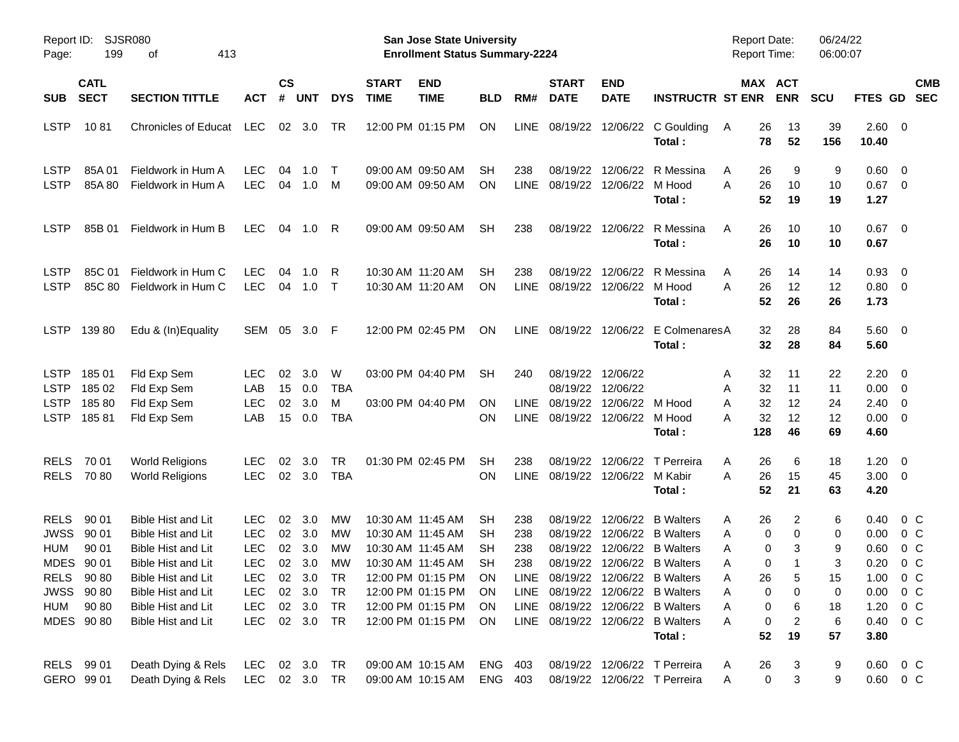| Report ID:<br>Page:                                                   | 199                                                                                      | SJSR080<br>413<br>οf                                                                                                                                                                                     |                                                                                                              |                      |                                                                     |                                               |                             | San Jose State University<br><b>Enrollment Status Summary-2224</b>                                                                                                   |                                                      |                                   |                                              |                                                                |                                                                                                                                                                                                                                          | <b>Report Date:</b><br><b>Report Time:</b>             |                                                                                  | 06/24/22<br>06:00:07                         |                                                              |                                                                                                       |                          |
|-----------------------------------------------------------------------|------------------------------------------------------------------------------------------|----------------------------------------------------------------------------------------------------------------------------------------------------------------------------------------------------------|--------------------------------------------------------------------------------------------------------------|----------------------|---------------------------------------------------------------------|-----------------------------------------------|-----------------------------|----------------------------------------------------------------------------------------------------------------------------------------------------------------------|------------------------------------------------------|-----------------------------------|----------------------------------------------|----------------------------------------------------------------|------------------------------------------------------------------------------------------------------------------------------------------------------------------------------------------------------------------------------------------|--------------------------------------------------------|----------------------------------------------------------------------------------|----------------------------------------------|--------------------------------------------------------------|-------------------------------------------------------------------------------------------------------|--------------------------|
| <b>SUB</b>                                                            | <b>CATL</b><br><b>SECT</b>                                                               | <b>SECTION TITTLE</b>                                                                                                                                                                                    | <b>ACT</b>                                                                                                   | $\mathsf{cs}$<br>#   | <b>UNT</b>                                                          | <b>DYS</b>                                    | <b>START</b><br><b>TIME</b> | <b>END</b><br><b>TIME</b>                                                                                                                                            | <b>BLD</b>                                           | RM#                               | <b>START</b><br><b>DATE</b>                  | <b>END</b><br><b>DATE</b>                                      | <b>INSTRUCTR ST ENR</b>                                                                                                                                                                                                                  |                                                        | MAX ACT<br><b>ENR</b>                                                            | <b>SCU</b>                                   | FTES GD                                                      |                                                                                                       | <b>CMB</b><br><b>SEC</b> |
| <b>LSTP</b>                                                           | 1081                                                                                     | <b>Chronicles of Educat</b>                                                                                                                                                                              | LEC                                                                                                          | 02                   | 3.0                                                                 | TR                                            |                             | 12:00 PM 01:15 PM                                                                                                                                                    | ON                                                   | <b>LINE</b>                       |                                              | 08/19/22 12/06/22                                              | C Goulding<br>Total:                                                                                                                                                                                                                     | 26<br>A<br>78                                          | 13<br>52                                                                         | 39<br>156                                    | 2.60<br>10.40                                                | $\overline{\phantom{0}}$                                                                              |                          |
| <b>LSTP</b><br><b>LSTP</b>                                            | 85A 01<br>85A 80                                                                         | Fieldwork in Hum A<br>Fieldwork in Hum A                                                                                                                                                                 | <b>LEC</b><br><b>LEC</b>                                                                                     | 04<br>04             | 1.0<br>1.0                                                          | $\top$<br>M                                   |                             | 09:00 AM 09:50 AM<br>09:00 AM 09:50 AM                                                                                                                               | SН<br>ΟN                                             | 238<br><b>LINE</b>                | 08/19/22                                     | 12/06/22<br>08/19/22 12/06/22                                  | R Messina<br>M Hood<br>Total:                                                                                                                                                                                                            | 26<br>A<br>26<br>A<br>52                               | 9<br>10<br>19                                                                    | 9<br>10<br>19                                | 0.60<br>$0.67$ 0<br>1.27                                     | - 0                                                                                                   |                          |
| <b>LSTP</b>                                                           | 85B 01                                                                                   | Fieldwork in Hum B                                                                                                                                                                                       | <b>LEC</b>                                                                                                   | 04                   | 1.0                                                                 | R                                             |                             | 09:00 AM 09:50 AM                                                                                                                                                    | <b>SH</b>                                            | 238                               |                                              | 08/19/22 12/06/22                                              | R Messina<br>Total:                                                                                                                                                                                                                      | A<br>26<br>26                                          | 10<br>10                                                                         | 10<br>10                                     | 0.67<br>0.67                                                 | $\overline{\mathbf{0}}$                                                                               |                          |
| <b>LSTP</b><br><b>LSTP</b>                                            | 85C 01<br>85C 80                                                                         | Fieldwork in Hum C<br>Fieldwork in Hum C                                                                                                                                                                 | <b>LEC</b><br><b>LEC</b>                                                                                     | 04<br>04             | 1.0<br>1.0                                                          | R<br>$\top$                                   |                             | 10:30 AM 11:20 AM<br>10:30 AM 11:20 AM                                                                                                                               | SН<br><b>ON</b>                                      | 238<br><b>LINE</b>                | 08/19/22                                     | 12/06/22<br>08/19/22 12/06/22                                  | R Messina<br>M Hood<br>Total :                                                                                                                                                                                                           | A<br>26<br>26<br>A<br>52                               | 14<br>12<br>26                                                                   | 14<br>12<br>26                               | 0.93<br>$0.80 \ 0$<br>1.73                                   | $\overline{0}$                                                                                        |                          |
| <b>LSTP</b>                                                           | 13980                                                                                    | Edu & (In)Equality                                                                                                                                                                                       | SEM                                                                                                          | 05                   | 3.0 F                                                               |                                               |                             | 12:00 PM 02:45 PM                                                                                                                                                    | ON                                                   | <b>LINE</b>                       |                                              | 08/19/22 12/06/22                                              | E ColmenaresA<br>Total:                                                                                                                                                                                                                  | 32                                                     | 28<br>32<br>28                                                                   | 84<br>84                                     | 5.60 0<br>5.60                                               |                                                                                                       |                          |
| <b>LSTP</b><br><b>LSTP</b><br><b>LSTP</b><br><b>LSTP</b>              | 185 01<br>185 02<br>18580<br>18581                                                       | Fld Exp Sem<br>Fld Exp Sem<br>Fld Exp Sem<br>Fld Exp Sem                                                                                                                                                 | <b>LEC</b><br>LAB<br><b>LEC</b><br>LAB                                                                       | 02<br>15<br>02<br>15 | 3.0<br>0.0<br>3.0<br>0.0                                            | W<br><b>TBA</b><br>M<br><b>TBA</b>            |                             | 03:00 PM 04:40 PM<br>03:00 PM 04:40 PM                                                                                                                               | <b>SH</b><br>ΟN<br>ΟN                                | 240<br><b>LINE</b><br><b>LINE</b> | 08/19/22<br>08/19/22                         | 12/06/22<br>08/19/22 12/06/22<br>12/06/22<br>08/19/22 12/06/22 | M Hood<br>M Hood<br>Total:                                                                                                                                                                                                               | 32<br>A<br>32<br>Α<br>32<br>A<br>32<br>А<br>128        | 11<br>11<br>12<br>12<br>46                                                       | 22<br>11<br>24<br>12<br>69                   | 2.20<br>0.00<br>2.40<br>0.00<br>4.60                         | - 0<br>$\overline{0}$<br>0<br>$\overline{0}$                                                          |                          |
| <b>RELS</b><br><b>RELS</b>                                            | 70 01<br>7080                                                                            | <b>World Religions</b><br><b>World Religions</b>                                                                                                                                                         | <b>LEC</b><br><b>LEC</b>                                                                                     | 02                   | 3.0<br>02 3.0                                                       | <b>TR</b><br><b>TBA</b>                       |                             | 01:30 PM 02:45 PM                                                                                                                                                    | <b>SH</b><br>ΟN                                      | 238<br><b>LINE</b>                | 08/19/22                                     | 12/06/22<br>08/19/22 12/06/22                                  | T Perreira<br>M Kabir<br>Total:                                                                                                                                                                                                          | 26<br>A<br>26<br>A<br>52                               | 6<br>15<br>21                                                                    | 18<br>45<br>63                               | 1.20<br>3.00<br>4.20                                         | $\overline{0}$<br>$\overline{\mathbf{0}}$                                                             |                          |
| <b>RELS</b><br><b>JWSS</b><br><b>HUM</b><br><b>MDES</b><br><b>HUM</b> | 90 01<br>90 01<br>90 01<br>90 01<br>RELS 90 80<br><b>JWSS 9080</b><br>90 80<br>MDES 9080 | <b>Bible Hist and Lit</b><br><b>Bible Hist and Lit</b><br><b>Bible Hist and Lit</b><br><b>Bible Hist and Lit</b><br>Bible Hist and Lit<br>Bible Hist and Lit<br>Bible Hist and Lit<br>Bible Hist and Lit | <b>LEC</b><br><b>LEC</b><br><b>LEC</b><br><b>LEC</b><br><b>LEC</b><br><b>LEC</b><br><b>LEC</b><br><b>LEC</b> | 02<br>02<br>02<br>02 | 3.0<br>3.0<br>3.0<br>3.0<br>02 3.0<br>02 3.0<br>02 3.0<br>02 3.0 TR | МW<br>МW<br>МW<br>МW<br><b>TR</b><br>TR<br>TR |                             | 10:30 AM 11:45 AM<br>10:30 AM 11:45 AM<br>10:30 AM 11:45 AM<br>10:30 AM 11:45 AM<br>12:00 PM 01:15 PM<br>12:00 PM 01:15 PM<br>12:00 PM 01:15 PM<br>12:00 PM 01:15 PM | SН<br>SН<br>SН<br><b>SH</b><br>ON<br>ON.<br>ON<br>ON | 238<br>238<br>238<br>238          | 08/19/22<br>08/19/22<br>08/19/22<br>08/19/22 | 12/06/22<br>12/06/22<br>12/06/22                               | <b>B</b> Walters<br><b>B</b> Walters<br><b>B</b> Walters<br>12/06/22 B Walters<br>LINE 08/19/22 12/06/22 B Walters<br>LINE 08/19/22 12/06/22 B Walters<br>LINE 08/19/22 12/06/22 B Walters<br>LINE 08/19/22 12/06/22 B Walters<br>Total: | 26<br>Α<br>Α<br>Α<br>Α<br>26<br>Α<br>Α<br>Α<br>Α<br>52 | 2<br>0<br>0<br>0<br>3<br>0<br>5<br>0<br>0<br>0<br>6<br>$\overline{c}$<br>0<br>19 | 6<br>0<br>9<br>3<br>15<br>0<br>18<br>6<br>57 | 0.40<br>0.00<br>0.60<br>0.20<br>1.00<br>1.20<br>0.40<br>3.80 | $0\,$ C<br>$0\,$ C<br>0 <sup>o</sup><br>0 <sup>o</sup><br>$0\,C$<br>$0.00 \t 0 C$<br>$0\,C$<br>$0\,C$ |                          |
|                                                                       | RELS 99 01<br>GERO 99 01                                                                 | Death Dying & Rels<br>Death Dying & Rels                                                                                                                                                                 | LEC<br>LEC 02 3.0 TR                                                                                         |                      | 02 3.0 TR                                                           |                                               |                             | 09:00 AM 10:15 AM<br>09:00 AM 10:15 AM                                                                                                                               | ENG 403<br>ENG 403                                   |                                   |                                              |                                                                | 08/19/22 12/06/22 T Perreira<br>08/19/22 12/06/22 T Perreira                                                                                                                                                                             | 26<br>A<br>Α                                           | 3<br>$\pmb{0}$<br>3                                                              | 9<br>9                                       |                                                              | $0.60 \t 0 C$<br>0.60 0 C                                                                             |                          |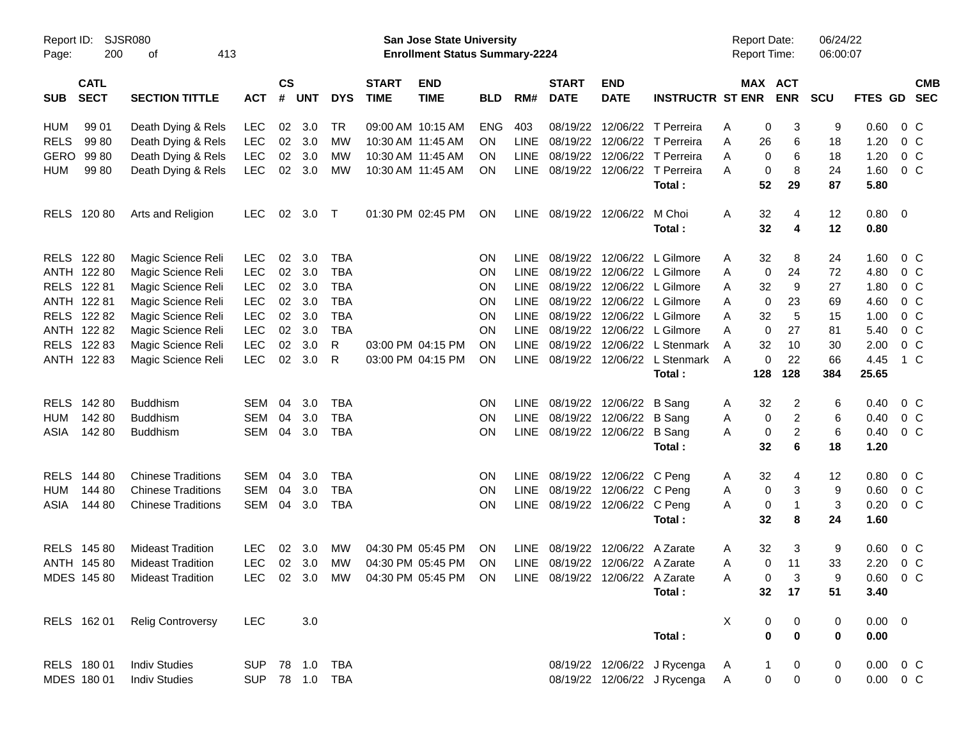| Page:       | Report ID: SJSR080<br>200  | 413<br>оf                     |            |                |            |                |                             | San Jose State University<br><b>Enrollment Status Summary-2224</b> |            |             |                             |                                 |                              | <b>Report Date:</b><br>Report Time: |                            | 06/24/22<br>06:00:07         |             |                           |  |
|-------------|----------------------------|-------------------------------|------------|----------------|------------|----------------|-----------------------------|--------------------------------------------------------------------|------------|-------------|-----------------------------|---------------------------------|------------------------------|-------------------------------------|----------------------------|------------------------------|-------------|---------------------------|--|
| <b>SUB</b>  | <b>CATL</b><br><b>SECT</b> | <b>SECTION TITTLE</b>         | <b>ACT</b> | <b>CS</b><br># | <b>UNT</b> | <b>DYS</b>     | <b>START</b><br><b>TIME</b> | <b>END</b><br><b>TIME</b>                                          | <b>BLD</b> | RM#         | <b>START</b><br><b>DATE</b> | <b>END</b><br><b>DATE</b>       | <b>INSTRUCTR ST ENR</b>      |                                     | MAX ACT<br><b>ENR</b>      | <b>SCU</b>                   |             | <b>CMB</b><br>FTES GD SEC |  |
| HUM         | 99 01                      | Death Dying & Rels            | <b>LEC</b> | 02             | 3.0        | TR             |                             | 09:00 AM 10:15 AM                                                  | <b>ENG</b> | 403         |                             |                                 | 08/19/22 12/06/22 T Perreira | Α                                   | 0<br>3                     | 9                            | 0.60        | $0\,C$                    |  |
| <b>RELS</b> | 99 80                      | Death Dying & Rels            | <b>LEC</b> | 02             | 3.0        | MW             |                             | 10:30 AM 11:45 AM                                                  | <b>ON</b>  | <b>LINE</b> |                             |                                 | 08/19/22 12/06/22 T Perreira | Α                                   | 26<br>6                    | 18                           | 1.20        | $0\,C$                    |  |
| GERO        | 99 80                      | Death Dying & Rels            | <b>LEC</b> | 02             | 3.0        | MW             |                             | 10:30 AM 11:45 AM                                                  | <b>ON</b>  | <b>LINE</b> |                             |                                 | 08/19/22 12/06/22 T Perreira | Α                                   | 0<br>6                     | 18                           | 1.20        | $0\,C$                    |  |
| <b>HUM</b>  | 99 80                      | Death Dying & Rels            | <b>LEC</b> | 02             | 3.0        | MW             |                             | 10:30 AM 11:45 AM                                                  | ON         | LINE        |                             |                                 | 08/19/22 12/06/22 T Perreira | А                                   | 8<br>0                     | 24                           | 1.60        | $0\,C$                    |  |
|             |                            |                               |            |                |            |                |                             |                                                                    |            |             |                             |                                 | Total:                       |                                     | 52<br>29                   | 87                           | 5.80        |                           |  |
|             | RELS 120 80                | Arts and Religion             | <b>LEC</b> | 02             | 3.0        | $\top$         |                             | 01:30 PM 02:45 PM                                                  | <b>ON</b>  | LINE        |                             | 08/19/22 12/06/22               | M Choi                       | A                                   | 32<br>4                    | 12                           | 0.80        | $\overline{\mathbf{0}}$   |  |
|             |                            |                               |            |                |            |                |                             |                                                                    |            |             |                             |                                 | Total:                       |                                     | 32<br>4                    | 12                           | 0.80        |                           |  |
|             | RELS 122 80                | Magic Science Reli            | <b>LEC</b> | 02             | 3.0        | <b>TBA</b>     |                             |                                                                    | <b>ON</b>  | <b>LINE</b> |                             |                                 | 08/19/22 12/06/22 L Gilmore  | A                                   | 32<br>8                    | 24                           | 1.60        | $0\,$ C                   |  |
|             | ANTH 122 80                | Magic Science Reli            | <b>LEC</b> | 02             | 3.0        | <b>TBA</b>     |                             |                                                                    | <b>ON</b>  | LINE        |                             |                                 | 08/19/22 12/06/22 L Gilmore  | Α                                   | 0<br>24                    | 72                           | 4.80        | 0 <sup>o</sup>            |  |
|             | RELS 122 81                | Magic Science Reli            | <b>LEC</b> | 02             | 3.0        | <b>TBA</b>     |                             |                                                                    | <b>ON</b>  | <b>LINE</b> |                             |                                 | 08/19/22 12/06/22 L Gilmore  | A                                   | 32<br>9                    | 27                           | 1.80        | $0\,C$                    |  |
|             | ANTH 122 81                | Magic Science Reli            | <b>LEC</b> | 02             | 3.0        | <b>TBA</b>     |                             |                                                                    | ON         | <b>LINE</b> |                             |                                 | 08/19/22 12/06/22 L Gilmore  | A                                   | 0<br>23                    | 69                           | 4.60        | $0\,C$                    |  |
|             | RELS 122 82                | Magic Science Reli            | <b>LEC</b> | 02             | 3.0        | <b>TBA</b>     |                             |                                                                    | ON         | <b>LINE</b> |                             |                                 | 08/19/22 12/06/22 L Gilmore  | Α                                   | 32<br>5                    | 15                           | 1.00        | 0 <sup>o</sup>            |  |
|             | ANTH 122 82                | Magic Science Reli            | <b>LEC</b> | 02             | 3.0        | <b>TBA</b>     |                             |                                                                    | ON         | <b>LINE</b> |                             |                                 | 08/19/22 12/06/22 L Gilmore  | Α                                   | $\mathbf 0$<br>27          | 81                           | 5.40        | $0\,C$                    |  |
|             | RELS 122 83                | Magic Science Reli            | <b>LEC</b> | 02             | 3.0        | R              |                             | 03:00 PM 04:15 PM                                                  | ON         | <b>LINE</b> |                             |                                 | 08/19/22 12/06/22 L Stenmark | A                                   | 32<br>10                   | 30                           | 2.00        | $0\,C$                    |  |
|             | ANTH 122 83                | Magic Science Reli            | <b>LEC</b> | 02             | 3.0        | R              |                             | 03:00 PM 04:15 PM                                                  | ON         | LINE        |                             |                                 | 08/19/22 12/06/22 L Stenmark | A                                   | 0<br>22                    | 66                           | 4.45        | 1 C                       |  |
|             |                            |                               |            |                |            |                |                             |                                                                    |            |             |                             |                                 | Total:                       | 128                                 | 128                        | 384                          | 25.65       |                           |  |
|             | RELS 142 80                | <b>Buddhism</b>               | SEM        | 04             | 3.0        | <b>TBA</b>     |                             |                                                                    | <b>ON</b>  | <b>LINE</b> |                             | 08/19/22 12/06/22 B Sang        |                              | A                                   | 32<br>2                    | 6                            | 0.40        | $0\,C$                    |  |
| HUM         | 142 80                     | <b>Buddhism</b>               | <b>SEM</b> | 04             | 3.0        | <b>TBA</b>     |                             |                                                                    | <b>ON</b>  | <b>LINE</b> |                             | 08/19/22 12/06/22               | B Sang                       | Α                                   | 0                          | $\overline{\mathbf{c}}$<br>6 | 0.40        | 0 <sup>o</sup>            |  |
| ASIA        | 142 80                     | <b>Buddhism</b>               | SEM        | 04             | 3.0        | <b>TBA</b>     |                             |                                                                    | ΟN         | LINE        |                             | 08/19/22 12/06/22 B Sang        |                              | Α                                   | 0                          | $\overline{c}$<br>6          | 0.40        | $0\,C$                    |  |
|             |                            |                               |            |                |            |                |                             |                                                                    |            |             |                             |                                 | Total:                       |                                     | 32<br>6                    | 18                           | 1.20        |                           |  |
| <b>RELS</b> | 144 80                     | <b>Chinese Traditions</b>     | <b>SEM</b> | 04             | 3.0        | <b>TBA</b>     |                             |                                                                    | ON         | <b>LINE</b> |                             | 08/19/22 12/06/22 C Peng        |                              | A                                   | 32                         | 4<br>12                      | 0.80        | $0\,C$                    |  |
| <b>HUM</b>  | 144 80                     | <b>Chinese Traditions</b>     | <b>SEM</b> | 04             | 3.0        | <b>TBA</b>     |                             |                                                                    | <b>ON</b>  | <b>LINE</b> |                             | 08/19/22 12/06/22 C Peng        |                              | Α                                   | 0<br>3                     | 9                            | 0.60        | 0 <sup>o</sup>            |  |
| ASIA        | 144 80                     | <b>Chinese Traditions</b>     | SEM        | 04             | 3.0        | <b>TBA</b>     |                             |                                                                    | ΟN         | LINE        |                             | 08/19/22 12/06/22 C Peng        |                              | Α                                   | 0<br>$\mathbf{1}$          | 3                            | 0.20        | 0 <sup>o</sup>            |  |
|             |                            |                               |            |                |            |                |                             |                                                                    |            |             |                             |                                 | Total:                       |                                     | 32<br>8                    | 24                           | 1.60        |                           |  |
|             | RELS 145 80                | <b>Mideast Tradition</b>      | <b>LEC</b> | 02             | 3.0        | MW             |                             | 04:30 PM 05:45 PM                                                  | <b>ON</b>  | <b>LINE</b> |                             | 08/19/22 12/06/22 A Zarate      |                              | Α                                   | 32<br>3                    | 9                            | 0.60        | $0\,$ C                   |  |
|             | ANTH 145 80                | <b>Mideast Tradition</b>      | <b>LEC</b> |                | 02 3.0     | MW             |                             | 04:30 PM 05:45 PM                                                  | ON         | <b>LINE</b> |                             | 08/19/22 12/06/22 A Zarate      |                              | Α                                   | 11<br>$\mathbf 0$          | 33                           | 2.20        | 0 <sup>o</sup>            |  |
|             |                            | MDES 145 80 Mideast Tradition |            |                |            |                |                             | LEC 02 3.0 MW 04:30 PM 05:45 PM ON                                 |            |             |                             | LINE 08/19/22 12/06/22 A Zarate |                              | A                                   | 3<br>0                     | 9                            |             | $0.60$ 0 C                |  |
|             |                            |                               |            |                |            |                |                             |                                                                    |            |             |                             |                                 | Total:                       |                                     | 32 <sub>2</sub><br>17      | 51                           | 3.40        |                           |  |
|             | RELS 162 01                | <b>Relig Controversy</b>      | <b>LEC</b> |                | 3.0        |                |                             |                                                                    |            |             |                             |                                 |                              | X                                   | 0<br>0                     | 0                            | $0.00 \t 0$ |                           |  |
|             |                            |                               |            |                |            |                |                             |                                                                    |            |             |                             |                                 | Total:                       |                                     | $\mathbf 0$<br>$\bf{0}$    | $\mathbf 0$                  | 0.00        |                           |  |
|             | RELS 180 01                | <b>Indiv Studies</b>          |            |                |            | SUP 78 1.0 TBA |                             |                                                                    |            |             |                             |                                 | 08/19/22 12/06/22 J Rycenga  | A                                   | 0<br>1                     | 0                            |             | $0.00 \t 0 C$             |  |
|             | MDES 180 01                | <b>Indiv Studies</b>          |            |                |            | SUP 78 1.0 TBA |                             |                                                                    |            |             |                             |                                 | 08/19/22 12/06/22 J Rycenga  | A                                   | $\mathbf 0$<br>$\mathbf 0$ | 0                            |             | $0.00 \t 0 C$             |  |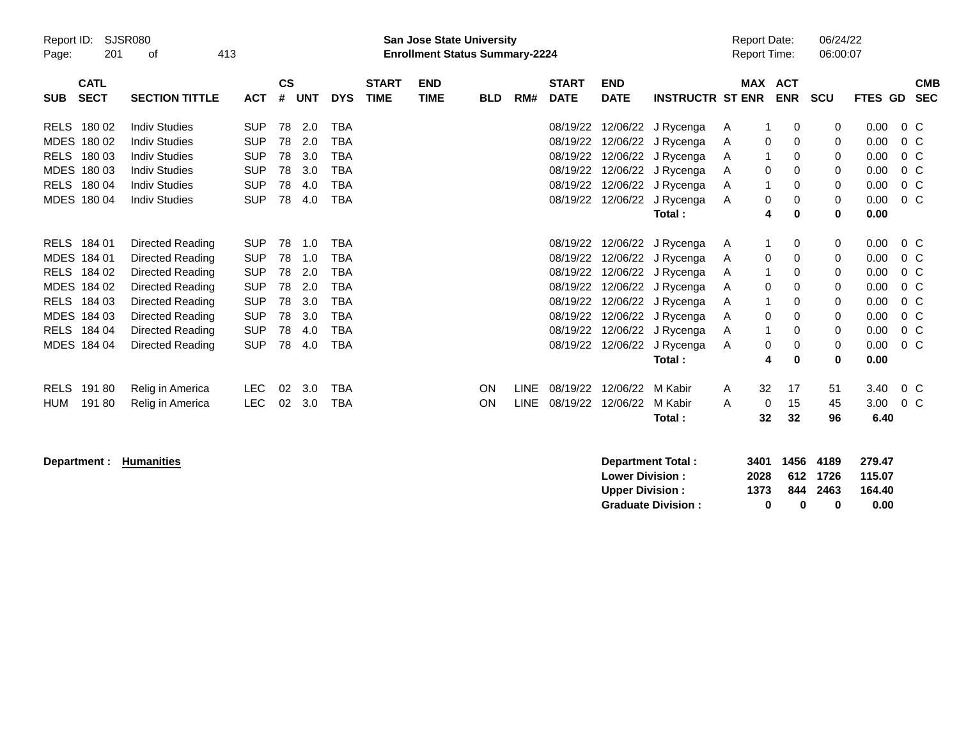| Page:       | Report ID:<br><b>SJSR080</b><br>201<br>413<br>οf |                       |            |                    |            |            |                             | <b>San Jose State University</b><br><b>Enrollment Status Summary-2224</b> |            |             |                             |                           |                         | <b>Report Date:</b><br><b>Report Time:</b> |                |            | 06/24/22<br>06:00:07 |         |                          |
|-------------|--------------------------------------------------|-----------------------|------------|--------------------|------------|------------|-----------------------------|---------------------------------------------------------------------------|------------|-------------|-----------------------------|---------------------------|-------------------------|--------------------------------------------|----------------|------------|----------------------|---------|--------------------------|
| <b>SUB</b>  | <b>CATL</b><br><b>SECT</b>                       | <b>SECTION TITTLE</b> | <b>ACT</b> | $\mathsf{cs}$<br># | <b>UNT</b> | <b>DYS</b> | <b>START</b><br><b>TIME</b> | <b>END</b><br><b>TIME</b>                                                 | <b>BLD</b> | RM#         | <b>START</b><br><b>DATE</b> | <b>END</b><br><b>DATE</b> | <b>INSTRUCTR ST ENR</b> |                                            | <b>MAX ACT</b> | <b>ENR</b> | <b>SCU</b>           | FTES GD | <b>CMB</b><br><b>SEC</b> |
| <b>RELS</b> | 180 02                                           | <b>Indiv Studies</b>  | <b>SUP</b> | 78                 | 2.0        | <b>TBA</b> |                             |                                                                           |            |             | 08/19/22                    | 12/06/22                  | J Rycenga               | A                                          |                | 0          | 0                    | 0.00    | $0\,C$                   |
| <b>MDES</b> | 180 02                                           | <b>Indiv Studies</b>  | <b>SUP</b> | 78                 | 2.0        | <b>TBA</b> |                             |                                                                           |            |             | 08/19/22                    | 12/06/22                  | J Rycenga               | A                                          | 0              | 0          | 0                    | 0.00    | $0\,C$                   |
| <b>RELS</b> | 180 03                                           | <b>Indiv Studies</b>  | <b>SUP</b> | 78                 | 3.0        | <b>TBA</b> |                             |                                                                           |            |             | 08/19/22                    |                           | 12/06/22 J Rycenga      | A                                          |                | 0          | 0                    | 0.00    | 0 <sup>o</sup>           |
| <b>MDES</b> | 180 03                                           | <b>Indiv Studies</b>  | <b>SUP</b> | 78                 | 3.0        | <b>TBA</b> |                             |                                                                           |            |             | 08/19/22                    | 12/06/22                  | J Rycenga               | A                                          | 0              | 0          | 0                    | 0.00    | $0\,C$                   |
| <b>RELS</b> | 180 04                                           | <b>Indiv Studies</b>  | <b>SUP</b> | 78                 | 4.0        | <b>TBA</b> |                             |                                                                           |            |             | 08/19/22                    | 12/06/22                  | J Rycenga               | A                                          |                | 0          | $\mathbf 0$          | 0.00    | $0\,C$                   |
|             | MDES 180 04                                      | <b>Indiv Studies</b>  | <b>SUP</b> | 78                 | 4.0        | <b>TBA</b> |                             |                                                                           |            |             | 08/19/22                    | 12/06/22                  | J Rycenga               | A                                          | 0              | 0          | $\mathbf{0}$         | 0.00    | $0\,C$                   |
|             |                                                  |                       |            |                    |            |            |                             |                                                                           |            |             |                             |                           | Total:                  |                                            | 4              | 0          | 0                    | 0.00    |                          |
| RELS        | 184 01                                           | Directed Reading      | <b>SUP</b> | 78                 | 1.0        | <b>TBA</b> |                             |                                                                           |            |             | 08/19/22                    | 12/06/22                  | J Rycenga               | A                                          |                | 0          | 0                    | 0.00    | $0\,C$                   |
| <b>MDES</b> | 184 01                                           | Directed Reading      | <b>SUP</b> | 78                 | 1.0        | <b>TBA</b> |                             |                                                                           |            |             | 08/19/22                    | 12/06/22                  | J Rycenga               | A                                          | 0              | 0          | 0                    | 0.00    | $0\,C$                   |
| <b>RELS</b> | 184 02                                           | Directed Reading      | <b>SUP</b> | 78                 | 2.0        | <b>TBA</b> |                             |                                                                           |            |             | 08/19/22                    |                           | 12/06/22 J Rycenga      | A                                          |                | 0          | 0                    | 0.00    | $0\,C$                   |
| MDES 184 02 |                                                  | Directed Reading      | <b>SUP</b> | 78                 | 2.0        | <b>TBA</b> |                             |                                                                           |            |             | 08/19/22                    | 12/06/22                  | J Rycenga               | A                                          | 0              | 0          | 0                    | 0.00    | $0\,C$                   |
| <b>RELS</b> | 184 03                                           | Directed Reading      | <b>SUP</b> | 78                 | 3.0        | <b>TBA</b> |                             |                                                                           |            |             | 08/19/22                    |                           | 12/06/22 J Rycenga      | A                                          |                | 0          | 0                    | 0.00    | $0\,C$                   |
| MDES 184 03 |                                                  | Directed Reading      | <b>SUP</b> | 78                 | 3.0        | <b>TBA</b> |                             |                                                                           |            |             | 08/19/22                    |                           | 12/06/22 J Rycenga      | A                                          | 0              | 0          | 0                    | 0.00    | 0 <sup>o</sup>           |
| <b>RELS</b> | 184 04                                           | Directed Reading      | <b>SUP</b> | 78                 | 4.0        | <b>TBA</b> |                             |                                                                           |            |             | 08/19/22                    |                           | 12/06/22 J Rycenga      | A                                          |                | 0          | 0                    | 0.00    | $0\,C$                   |
|             | MDES 184 04                                      | Directed Reading      | <b>SUP</b> | 78                 | 4.0        | <b>TBA</b> |                             |                                                                           |            |             | 08/19/22                    | 12/06/22                  | J Rycenga               | A                                          | 0              | 0          | $\mathbf 0$          | 0.00    | $0\,C$                   |
|             |                                                  |                       |            |                    |            |            |                             |                                                                           |            |             |                             |                           | Total:                  |                                            | 4              | 0          | $\bf{0}$             | 0.00    |                          |
| <b>RELS</b> | 19180                                            | Relig in America      | LEC.       | 02                 | 3.0        | <b>TBA</b> |                             |                                                                           | ON         | <b>LINE</b> | 08/19/22                    | 12/06/22                  | M Kabir                 | A                                          | 32             | 17         | 51                   | 3.40    | $0\,C$                   |
| HUM         | 19180                                            | Relig in America      | <b>LEC</b> | 02                 | 3.0        | <b>TBA</b> |                             |                                                                           | ON         | <b>LINE</b> | 08/19/22                    | 12/06/22                  | M Kabir                 | A                                          | 0              | 15         | 45                   | 3.00    | $0\,$ C                  |
|             |                                                  |                       |            |                    |            |            |                             |                                                                           |            |             |                             |                           | Total:                  |                                            | 32             | 32         | 96                   | 6.40    |                          |

**Department : Humanities** 

| Department Total:         |      | 3401 1456 4189 |          | 279.47 |
|---------------------------|------|----------------|----------|--------|
| <b>Lower Division:</b>    | 2028 |                | 612 1726 | 115.07 |
| <b>Upper Division:</b>    | 1373 |                | 844 2463 | 164.40 |
| <b>Graduate Division:</b> | o    | n              | o        | 0.00   |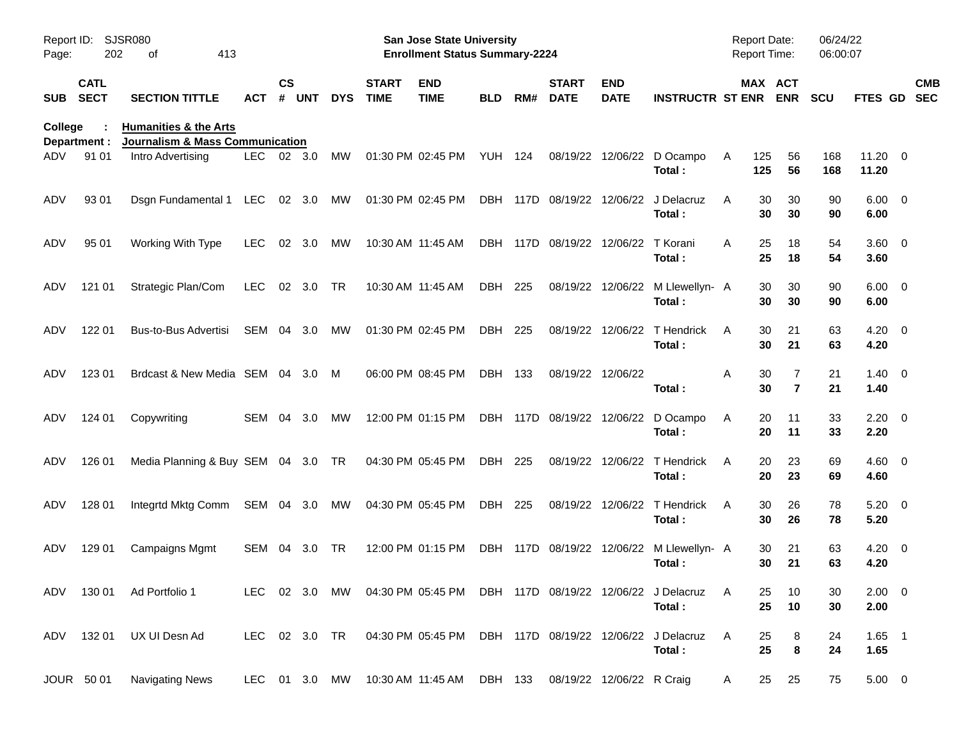| Page:          | SJSR080<br>Report ID:<br>202<br>413<br>οf<br><b>CATL</b> |                                                                                |            |                    |            |               |                             | <b>San Jose State University</b><br><b>Enrollment Status Summary-2224</b> |                |      |                             |                           |                                                                                 | Report Date:<br>Report Time: |                                 | 06/24/22<br>06:00:07 |                        |                          |  |
|----------------|----------------------------------------------------------|--------------------------------------------------------------------------------|------------|--------------------|------------|---------------|-----------------------------|---------------------------------------------------------------------------|----------------|------|-----------------------------|---------------------------|---------------------------------------------------------------------------------|------------------------------|---------------------------------|----------------------|------------------------|--------------------------|--|
| <b>SUB</b>     | <b>SECT</b>                                              | <b>SECTION TITTLE</b>                                                          | ACT        | $\mathsf{cs}$<br># | <b>UNT</b> | <b>DYS</b>    | <b>START</b><br><b>TIME</b> | <b>END</b><br><b>TIME</b>                                                 | BLD            | RM#  | <b>START</b><br><b>DATE</b> | <b>END</b><br><b>DATE</b> | <b>INSTRUCTR ST ENR</b>                                                         |                              | MAX ACT<br><b>ENR</b>           | <b>SCU</b>           | FTES GD                | <b>CMB</b><br><b>SEC</b> |  |
| <b>College</b> | Department :                                             | <b>Humanities &amp; the Arts</b><br><b>Journalism &amp; Mass Communication</b> |            |                    |            |               |                             |                                                                           |                |      |                             |                           |                                                                                 |                              |                                 |                      |                        |                          |  |
| ADV            | 91 01                                                    | Intro Advertising                                                              | LEC.       | 02 3.0             |            | MW            |                             | 01:30 PM 02:45 PM                                                         | <b>YUH 124</b> |      | 08/19/22                    | 12/06/22                  | D Ocampo<br>Total:                                                              | 125<br>A<br>125              | 56<br>56                        | 168<br>168           | $11.20 \t 0$<br>11.20  |                          |  |
| ADV            | 93 01                                                    | Dsgn Fundamental 1                                                             | LEC        |                    | 02 3.0     | MW            |                             | 01:30 PM 02:45 PM                                                         |                |      | DBH 117D 08/19/22           | 12/06/22                  | J Delacruz<br>Total:                                                            | A                            | 30<br>30<br>30<br>30            | 90<br>90             | $6.00 \quad 0$<br>6.00 |                          |  |
| ADV            | 95 01                                                    | Working With Type                                                              | <b>LEC</b> | 02                 | 3.0        | MW            |                             | 10:30 AM 11:45 AM                                                         |                |      | DBH 117D 08/19/22           | 12/06/22                  | T Korani<br>Total:                                                              | A                            | 25<br>18<br>25<br>18            | 54<br>54             | $3.60 \ 0$<br>3.60     |                          |  |
| ADV            | 121 01                                                   | Strategic Plan/Com                                                             | <b>LEC</b> |                    | 02 3.0     | <b>TR</b>     | 10:30 AM 11:45 AM           |                                                                           | DBH            | 225  | 08/19/22                    | 12/06/22                  | M Llewellyn- A<br>Total:                                                        |                              | 30<br>30<br>30<br>30            | 90<br>90             | $6.00 \quad 0$<br>6.00 |                          |  |
| ADV            | 122 01                                                   | Bus-to-Bus Advertisi                                                           | SEM        | 04                 | 3.0        | MW            |                             | 01:30 PM 02:45 PM                                                         | DBH            | 225  | 08/19/22                    | 12/06/22                  | T Hendrick<br>Total:                                                            | A                            | 21<br>30<br>30<br>21            | 63<br>63             | $4.20 \ 0$<br>4.20     |                          |  |
| ADV            | 123 01                                                   | Brdcast & New Media SEM 04 3.0                                                 |            |                    |            | M             |                             | 06:00 PM 08:45 PM                                                         | DBH 133        |      |                             | 08/19/22 12/06/22         | Total:                                                                          | Α                            | 30<br>7<br>30<br>$\overline{7}$ | 21<br>21             | $1.40 \ 0$<br>1.40     |                          |  |
| ADV            | 124 01                                                   | Copywriting                                                                    | SEM 04     |                    | 3.0        | MW            |                             | 12:00 PM 01:15 PM                                                         |                |      | DBH 117D 08/19/22 12/06/22  |                           | D Ocampo<br>Total:                                                              | A                            | 20<br>11<br>20<br>11            | 33<br>33             | $2.20 \t 0$<br>2.20    |                          |  |
| ADV            | 126 01                                                   | Media Planning & Buy SEM 04 3.0                                                |            |                    |            | TR            |                             | 04:30 PM 05:45 PM                                                         | DBH 225        |      | 08/19/22                    | 12/06/22                  | T Hendrick<br>Total:                                                            | A                            | 20<br>23<br>20<br>23            | 69<br>69             | $4.60$ 0<br>4.60       |                          |  |
| ADV            | 128 01                                                   | Integrtd Mktg Comm                                                             | SEM 04 3.0 |                    |            | MW            |                             | 04:30 PM 05:45 PM                                                         | DBH 225        |      | 08/19/22                    | 12/06/22                  | T Hendrick<br>Total:                                                            | A                            | 30<br>26<br>30<br>26            | 78<br>78             | $5.20 \ 0$<br>5.20     |                          |  |
| ADV            | 129 01                                                   | Campaigns Mgmt                                                                 | <b>SEM</b> | 04                 | 3.0        | <b>TR</b>     |                             | 12:00 PM 01:15 PM                                                         | <b>DBH</b>     | 117D | 08/19/22                    | 12/06/22                  | M Llewellyn- A<br>Total:                                                        |                              | 21<br>30<br>21<br>30            | 63<br>63             | $4.20 \ 0$<br>4.20     |                          |  |
|                |                                                          | ADV 130 01 Ad Portfolio 1                                                      |            |                    |            |               |                             |                                                                           |                |      |                             |                           | LEC 02 3.0 MW 04:30 PM 05:45 PM DBH 117D 08/19/22 12/06/22 J Delacruz<br>Total: | A                            | 25<br>10<br>25<br>10            | 30<br>30             | $2.00 \t 0$<br>2.00    |                          |  |
|                | ADV 132 01                                               | UX UI Desn Ad                                                                  |            |                    |            | LEC 02 3.0 TR |                             |                                                                           |                |      |                             |                           | 04:30 PM 05:45 PM DBH 117D 08/19/22 12/06/22 J Delacruz<br>Total:               | A                            | 8<br>25<br>$\bf8$<br>25         | 24<br>24             | $1.65$ 1<br>1.65       |                          |  |
|                | JOUR 50 01                                               | <b>Navigating News</b>                                                         |            |                    |            |               |                             | LEC 01 3.0 MW 10:30 AM 11:45 AM                                           | DBH 133        |      |                             | 08/19/22 12/06/22 R Craig |                                                                                 | A                            | 25<br>25                        | 75                   | $5.00 \t 0$            |                          |  |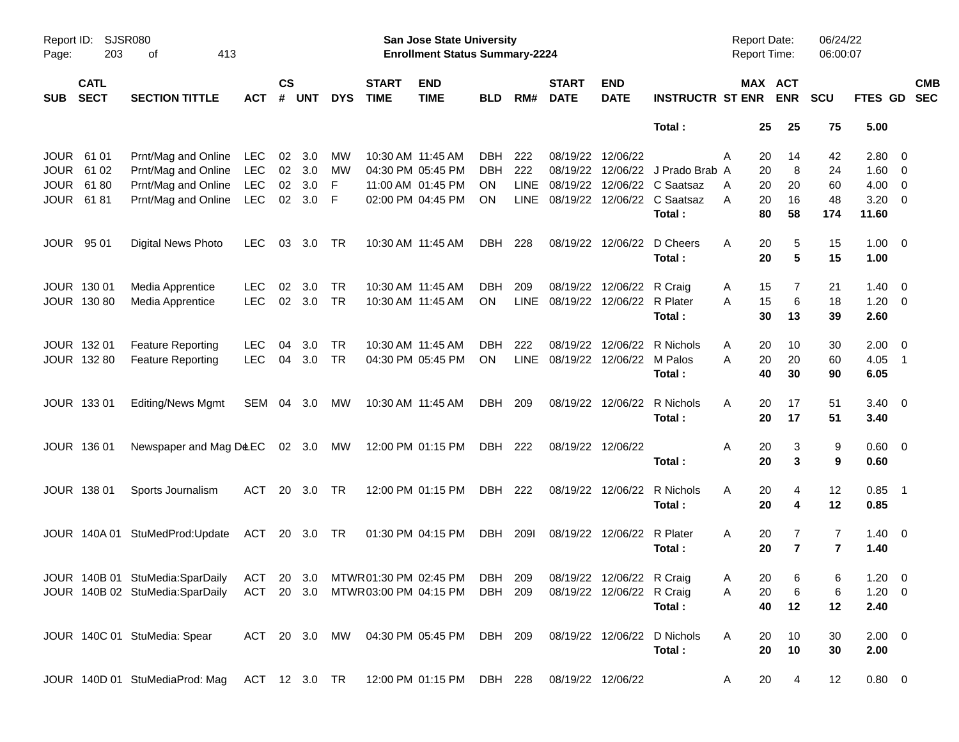| Report ID:<br>Page: | 203                        | SJSR080<br>413<br>оf                                                                               |            |                |            |            |                             | San Jose State University<br><b>Enrollment Status Summary-2224</b> |            |             |                             |                            |                             | <b>Report Date:</b><br><b>Report Time:</b> |                       | 06/24/22<br>06:00:07 |                |                          |
|---------------------|----------------------------|----------------------------------------------------------------------------------------------------|------------|----------------|------------|------------|-----------------------------|--------------------------------------------------------------------|------------|-------------|-----------------------------|----------------------------|-----------------------------|--------------------------------------------|-----------------------|----------------------|----------------|--------------------------|
| <b>SUB</b>          | <b>CATL</b><br><b>SECT</b> | <b>SECTION TITTLE</b>                                                                              | <b>ACT</b> | <b>CS</b><br># | <b>UNT</b> | <b>DYS</b> | <b>START</b><br><b>TIME</b> | <b>END</b><br><b>TIME</b>                                          | <b>BLD</b> | RM#         | <b>START</b><br><b>DATE</b> | <b>END</b><br><b>DATE</b>  | <b>INSTRUCTR ST ENR</b>     |                                            | MAX ACT<br><b>ENR</b> | <b>SCU</b>           | <b>FTES GD</b> | <b>CMB</b><br><b>SEC</b> |
|                     |                            |                                                                                                    |            |                |            |            |                             |                                                                    |            |             |                             |                            | Total:                      | 25                                         | 25                    | 75                   | 5.00           |                          |
| <b>JOUR</b>         | 61 01                      | Prnt/Mag and Online                                                                                | LEC        | 02             | 3.0        | MW         |                             | 10:30 AM 11:45 AM                                                  | <b>DBH</b> | 222         | 08/19/22                    | 12/06/22                   |                             | Α<br>20                                    | 14                    | 42                   | $2.80 \ 0$     |                          |
| <b>JOUR</b>         | 61 02                      | Prnt/Mag and Online                                                                                | <b>LEC</b> |                | 02 3.0     | MW         |                             | 04:30 PM 05:45 PM                                                  | <b>DBH</b> | 222         | 08/19/22                    |                            | 12/06/22 J Prado Brab A     | 20                                         | 8                     | 24                   | $1.60 \t 0$    |                          |
| <b>JOUR</b>         | 6180                       | Prnt/Mag and Online                                                                                | <b>LEC</b> | 02             | 3.0        | F          |                             | 11:00 AM 01:45 PM                                                  | <b>ON</b>  | LINE        | 08/19/22                    |                            | 12/06/22 C Saatsaz          | 20<br>A                                    | 20                    | 60                   | $4.00 \ 0$     |                          |
| <b>JOUR</b>         | 6181                       | Prnt/Mag and Online                                                                                | <b>LEC</b> | 02             | 3.0        | -F         |                             | 02:00 PM 04:45 PM                                                  | ON         |             | LINE 08/19/22               |                            | 12/06/22 C Saatsaz          | 20<br>A                                    | 16                    | 48                   | $3.20 \ 0$     |                          |
|                     |                            |                                                                                                    |            |                |            |            |                             |                                                                    |            |             |                             |                            | Total:                      | 80                                         | 58                    | 174                  | 11.60          |                          |
| <b>JOUR</b>         | 95 01                      | Digital News Photo                                                                                 | LEC.       | 03             | 3.0        | TR         |                             | 10:30 AM 11:45 AM                                                  | DBH        | 228         | 08/19/22                    | 12/06/22                   | D Cheers                    | Α<br>20                                    | 5                     | 15                   | $1.00 \t 0$    |                          |
|                     |                            |                                                                                                    |            |                |            |            |                             |                                                                    |            |             |                             |                            | Total:                      | 20                                         | $5\phantom{1}$        | 15                   | 1.00           |                          |
|                     | JOUR 130 01                | Media Apprentice                                                                                   | <b>LEC</b> | 02             | 3.0        | TR         |                             | 10:30 AM 11:45 AM                                                  | <b>DBH</b> | 209         | 08/19/22                    | 12/06/22                   | R Craig                     | 15<br>A                                    | 7                     | 21                   | $1.40 \ 0$     |                          |
|                     | JOUR 130 80                | Media Apprentice                                                                                   | <b>LEC</b> | 02             | 3.0        | <b>TR</b>  |                             | 10:30 AM 11:45 AM                                                  | ON         | LINE        | 08/19/22                    | 12/06/22 R Plater          |                             | 15<br>A                                    | 6                     | 18                   | $1.20 \t 0$    |                          |
|                     |                            |                                                                                                    |            |                |            |            |                             |                                                                    |            |             |                             |                            | Total:                      | 30                                         | 13                    | 39                   | 2.60           |                          |
|                     | JOUR 132 01                | <b>Feature Reporting</b>                                                                           | <b>LEC</b> | 04             | 3.0        | TR         |                             | 10:30 AM 11:45 AM                                                  | DBH.       | 222         | 08/19/22                    | 12/06/22                   | R Nichols                   | Α<br>20                                    | 10                    | 30                   | $2.00 \t 0$    |                          |
|                     | JOUR 132 80                | <b>Feature Reporting</b>                                                                           | <b>LEC</b> | 04             | 3.0        | <b>TR</b>  |                             | 04:30 PM 05:45 PM                                                  | ON         | <b>LINE</b> | 08/19/22 12/06/22 M Palos   |                            |                             | 20<br>А                                    | 20                    | 60                   | $4.05$ 1       |                          |
|                     |                            |                                                                                                    |            |                |            |            |                             |                                                                    |            |             |                             |                            | Total:                      | 40                                         | 30                    | 90                   | 6.05           |                          |
|                     | JOUR 133 01                | <b>Editing/News Mgmt</b>                                                                           | SEM        |                | 04 3.0     | МW         |                             | 10:30 AM 11:45 AM                                                  | DBH        | 209         |                             | 08/19/22 12/06/22          | R Nichols                   | A<br>20                                    | 17                    | 51                   | $3.40 \ 0$     |                          |
|                     |                            |                                                                                                    |            |                |            |            |                             |                                                                    |            |             |                             |                            | Total:                      | 20                                         | 17                    | 51                   | 3.40           |                          |
|                     | JOUR 136 01                | Newspaper and Mag D&EC 02 3.0 MW                                                                   |            |                |            |            |                             | 12:00 PM 01:15 PM                                                  | DBH 222    |             |                             | 08/19/22 12/06/22          |                             | A<br>20                                    | 3                     | 9                    | $0.60 \quad 0$ |                          |
|                     |                            |                                                                                                    |            |                |            |            |                             |                                                                    |            |             |                             |                            | Total :                     | 20                                         | 3                     | 9                    | 0.60           |                          |
|                     | JOUR 138 01                | Sports Journalism                                                                                  | ACT        |                | 20 3.0     | TR         |                             | 12:00 PM 01:15 PM                                                  | DBH 222    |             |                             | 08/19/22 12/06/22          | R Nichols                   | Α<br>20                                    | $\overline{4}$        | 12                   | $0.85$ 1       |                          |
|                     |                            |                                                                                                    |            |                |            |            |                             |                                                                    |            |             |                             |                            | Total:                      | 20                                         | 4                     | 12                   | 0.85           |                          |
|                     |                            | JOUR 140A 01 StuMedProd: Update                                                                    | ACT        |                | 20 3.0 TR  |            |                             | 01:30 PM 04:15 PM                                                  | DBH        | 2091        |                             | 08/19/22 12/06/22 R Plater |                             | A<br>20                                    | 7                     | $\overline{7}$       | $1.40 \ 0$     |                          |
|                     |                            |                                                                                                    |            |                |            |            |                             |                                                                    |            |             |                             |                            | Total:                      | 20                                         | $\overline{7}$        | $\overline{7}$       | 1.40           |                          |
|                     |                            | JOUR 140B 01 StuMedia:SparDaily ACT 20 3.0 MTWR01:30 PM 02:45 PM DBH 209 08/19/22 12/06/22 R Craig |            |                |            |            |                             |                                                                    |            |             |                             |                            |                             | 20<br>Α                                    | 6                     | 6                    | $1.20 \t 0$    |                          |
|                     |                            | JOUR 140B 02 StuMedia:SparDaily                                                                    |            |                |            |            |                             | ACT 20 3.0 MTWR03:00 PM 04:15 PM DBH 209                           |            |             |                             | 08/19/22 12/06/22 R Craig  |                             | 20<br>Α                                    | 6                     | 6                    | $1.20 \t 0$    |                          |
|                     |                            |                                                                                                    |            |                |            |            |                             |                                                                    |            |             |                             |                            | Total:                      | 40                                         | 12                    | 12                   | 2.40           |                          |
|                     |                            | JOUR 140C 01 StuMedia: Spear                                                                       |            |                |            |            |                             | ACT 20 3.0 MW 04:30 PM 05:45 PM DBH 209                            |            |             |                             |                            | 08/19/22 12/06/22 D Nichols | A<br>20                                    | 10                    | 30                   | $2.00 \t 0$    |                          |
|                     |                            |                                                                                                    |            |                |            |            |                             |                                                                    |            |             |                             |                            | Total:                      | 20                                         | 10                    | 30                   | 2.00           |                          |
|                     |                            | JOUR 140D 01 StuMediaProd: Mag                                                                     |            |                |            |            |                             | ACT 12 3.0 TR 12:00 PM 01:15 PM DBH 228                            |            |             | 08/19/22 12/06/22           |                            |                             | 20<br>A                                    | $\overline{4}$        | 12                   | $0.80 \ 0$     |                          |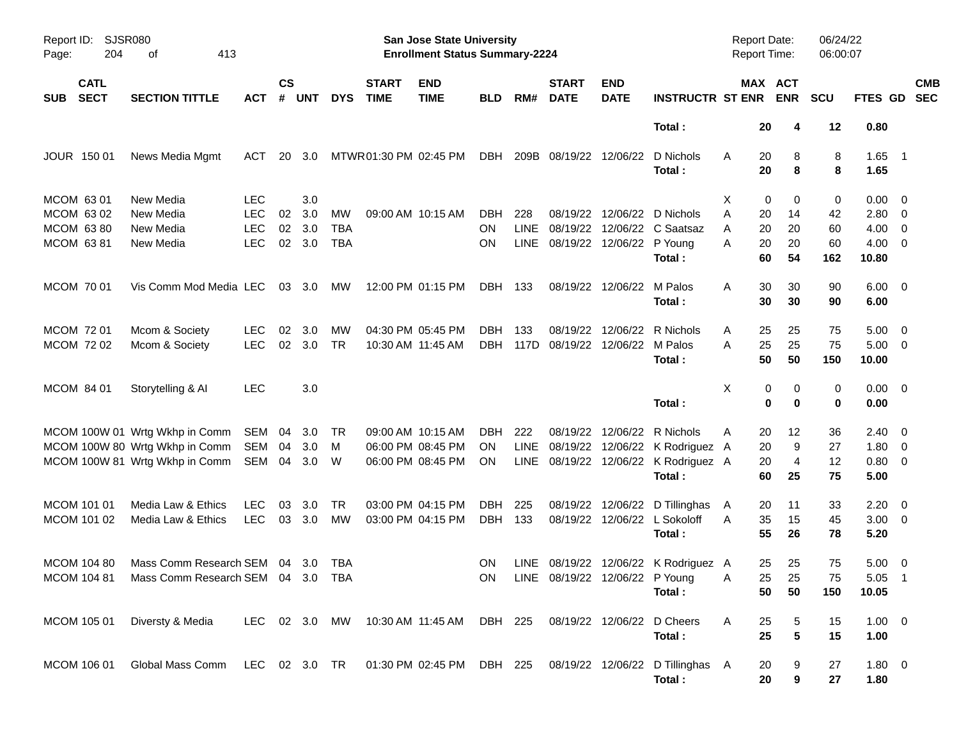| Report ID: SJSR080<br>204<br>Page:       | 413<br>оf                                                                                 |            |                |            |            |                             | <b>San Jose State University</b><br><b>Enrollment Status Summary-2224</b> |            |      |                                    |                           |                                                | Report Date:<br><b>Report Time:</b> |                                   | 06/24/22<br>06:00:07 |                      |            |
|------------------------------------------|-------------------------------------------------------------------------------------------|------------|----------------|------------|------------|-----------------------------|---------------------------------------------------------------------------|------------|------|------------------------------------|---------------------------|------------------------------------------------|-------------------------------------|-----------------------------------|----------------------|----------------------|------------|
| <b>CATL</b><br><b>SECT</b><br><b>SUB</b> | <b>SECTION TITTLE</b>                                                                     | <b>ACT</b> | <b>CS</b><br># | <b>UNT</b> | <b>DYS</b> | <b>START</b><br><b>TIME</b> | <b>END</b><br><b>TIME</b>                                                 | <b>BLD</b> | RM#  | <b>START</b><br><b>DATE</b>        | <b>END</b><br><b>DATE</b> | <b>INSTRUCTR ST ENR</b>                        |                                     | MAX ACT<br><b>ENR</b>             | <b>SCU</b>           | FTES GD SEC          | <b>CMB</b> |
|                                          |                                                                                           |            |                |            |            |                             |                                                                           |            |      |                                    |                           | Total:                                         |                                     | 20<br>4                           | 12                   | 0.80                 |            |
| JOUR 150 01                              | News Media Mgmt                                                                           | ACT        | 20             | 3.0        |            | MTWR 01:30 PM 02:45 PM      |                                                                           | DBH        |      | 209B 08/19/22 12/06/22             |                           | D Nichols<br>Total:                            | A                                   | 20<br>8<br>20<br>8                | 8<br>8               | $1.65$ 1<br>1.65     |            |
| MCOM 6301                                | New Media                                                                                 | <b>LEC</b> |                | 3.0        |            |                             |                                                                           |            |      |                                    |                           |                                                | X                                   | 0<br>0                            | 0                    | $0.00 \quad 0$       |            |
| MCOM 63 02                               | New Media                                                                                 | <b>LEC</b> | 02             | 3.0        | MW         |                             | 09:00 AM 10:15 AM                                                         | DBH        | 228  |                                    |                           | 08/19/22 12/06/22 D Nichols                    | Α                                   | 20<br>14                          | 42                   | 2.80 0               |            |
| <b>MCOM 6380</b>                         | New Media                                                                                 | <b>LEC</b> | 02             | 3.0        | TBA        |                             |                                                                           | ON.        | LINE |                                    |                           | 08/19/22 12/06/22 C Saatsaz                    | A                                   | 20<br>20                          | 60                   | $4.00 \ 0$           |            |
| MCOM 63 81                               | New Media                                                                                 | <b>LEC</b> | 02             | 3.0        | <b>TBA</b> |                             |                                                                           | <b>ON</b>  |      | LINE 08/19/22 12/06/22 P Young     |                           | Total:                                         | A                                   | 20<br>20<br>60<br>54              | 60<br>162            | $4.00 \ 0$<br>10.80  |            |
| MCOM 70 01                               | Vis Comm Mod Media LEC                                                                    |            |                | 03 3.0     | <b>MW</b>  |                             | 12:00 PM 01:15 PM                                                         | DBH 133    |      |                                    | 08/19/22 12/06/22         | M Palos<br>Total:                              | A                                   | 30<br>30<br>30<br>30              | 90<br>90             | $6.00 \t 0$<br>6.00  |            |
|                                          |                                                                                           |            |                |            |            |                             |                                                                           |            |      |                                    |                           |                                                |                                     |                                   |                      |                      |            |
| MCOM 72 01                               | Mcom & Society                                                                            | <b>LEC</b> | 02             | 3.0        | MW         |                             | 04:30 PM 05:45 PM                                                         | DBH        | 133  | DBH 117D 08/19/22 12/06/22 M Palos |                           | 08/19/22 12/06/22 R Nichols                    | A                                   | 25<br>25                          | 75                   | $5.00 \quad 0$       |            |
| MCOM 72 02                               | Mcom & Society                                                                            | <b>LEC</b> | 02             | 3.0        | <b>TR</b>  |                             | 10:30 AM 11:45 AM                                                         |            |      |                                    |                           | Total:                                         | A                                   | 25<br>25<br>50<br>50              | 75<br>150            | $5.00 \t 0$<br>10.00 |            |
| MCOM 84 01                               | Storytelling & Al                                                                         | <b>LEC</b> |                | 3.0        |            |                             |                                                                           |            |      |                                    |                           |                                                | X                                   | 0<br>0                            | 0                    | $0.00 \t 0$          |            |
|                                          |                                                                                           |            |                |            |            |                             |                                                                           |            |      |                                    |                           | Total:                                         |                                     | $\mathbf 0$<br>0                  | 0                    | 0.00                 |            |
|                                          | MCOM 100W 01 Wrtg Wkhp in Comm                                                            | SEM 04     |                | 3.0        | -TR        |                             | 09:00 AM 10:15 AM                                                         | DBH        | 222  |                                    |                           | 08/19/22 12/06/22 R Nichols                    | A                                   | 12<br>20                          | 36                   | $2.40 \quad 0$       |            |
|                                          | MCOM 100W 80 Wrtg Wkhp in Comm                                                            | SEM        | 04             | 3.0        | M          |                             | 06:00 PM 08:45 PM                                                         | <b>ON</b>  | LINE |                                    |                           | 08/19/22 12/06/22 K Rodriguez A                |                                     | 9<br>20                           | 27                   | $1.80 \ 0$           |            |
|                                          | MCOM 100W 81 Wrtg Wkhp in Comm                                                            | SEM 04     |                | 3.0        | - W        |                             | 06:00 PM 08:45 PM                                                         | ON         |      |                                    |                           | LINE 08/19/22 12/06/22 K Rodriguez A<br>Total: |                                     | 4<br>20<br>60<br>25               | 12<br>75             | 0.80 0<br>5.00       |            |
| MCOM 101 01                              | Media Law & Ethics                                                                        | <b>LEC</b> | 03             | 3.0        | TR         |                             | 03:00 PM 04:15 PM                                                         | DBH        | 225  |                                    |                           | 08/19/22 12/06/22 D Tillinghas                 | A                                   | 20<br>11                          | 33                   | $2.20 \t 0$          |            |
| MCOM 101 02                              | Media Law & Ethics                                                                        | <b>LEC</b> |                | 03 3.0     | MW         |                             | 03:00 PM 04:15 PM                                                         | DBH 133    |      |                                    |                           | 08/19/22 12/06/22 L Sokoloff                   | A                                   | 35<br>15                          | 45                   | $3.00 \ 0$           |            |
|                                          |                                                                                           |            |                |            |            |                             |                                                                           |            |      |                                    |                           | Total:                                         |                                     | 55<br>26                          | 78                   | 5.20                 |            |
| <b>MCOM 104 80</b>                       | Mass Comm Research SEM 04 3.0                                                             |            |                |            | TBA        |                             |                                                                           | ON         |      |                                    |                           | LINE 08/19/22 12/06/22 K Rodriguez A           |                                     | 25<br>25                          | 75                   | $5.00 \quad 0$       |            |
|                                          | MCOM 104 81 Mass Comm Research SEM 04 3.0 TBA                                             |            |                |            |            |                             |                                                                           |            |      |                                    |                           | ON LINE 08/19/22 12/06/22 P Young              | $\overline{A}$                      | 25 25                             | 75                   | $5.05$ 1             |            |
|                                          |                                                                                           |            |                |            |            |                             |                                                                           |            |      |                                    |                           | Total :                                        |                                     | 50<br>50                          | 150                  | 10.05                |            |
| MCOM 105 01                              | Diversty & Media                                                                          |            |                |            |            |                             | LEC 02 3.0 MW 10:30 AM 11:45 AM DBH 225                                   |            |      |                                    |                           | 08/19/22 12/06/22 D Cheers                     | A                                   | 25<br>5                           | 15                   | $1.00 \t 0$          |            |
|                                          |                                                                                           |            |                |            |            |                             |                                                                           |            |      |                                    |                           | Total:                                         |                                     | ${\bf 5}$<br>25                   | 15                   | 1.00                 |            |
| MCOM 106 01                              | Global Mass Comm LEC 02 3.0 TR 01:30 PM 02:45 PM DBH 225 08/19/22 12/06/22 D Tillinghas A |            |                |            |            |                             |                                                                           |            |      |                                    |                           |                                                |                                     | 20<br>9<br>$\boldsymbol{9}$<br>20 | 27<br>27             | 1.80 0<br>1.80       |            |
|                                          |                                                                                           |            |                |            |            |                             |                                                                           |            |      |                                    |                           | Total:                                         |                                     |                                   |                      |                      |            |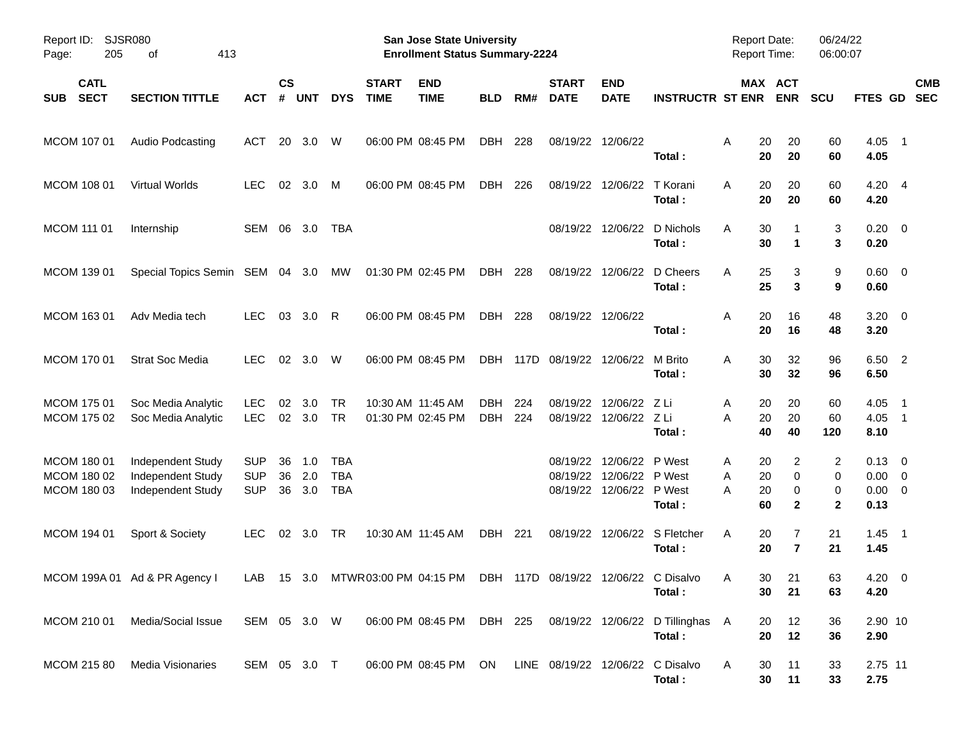| Report ID:<br>205<br>Page:                | <b>SJSR080</b><br>413<br>οf                                 |                                        |                |                   |                                        |                             | <b>San Jose State University</b><br><b>Enrollment Status Summary-2224</b> |                          |            |                             |                                                                |                                                                      | <b>Report Date:</b><br><b>Report Time:</b> |                                       | 06/24/22<br>06:00:07                  |                                                      |                          |  |
|-------------------------------------------|-------------------------------------------------------------|----------------------------------------|----------------|-------------------|----------------------------------------|-----------------------------|---------------------------------------------------------------------------|--------------------------|------------|-----------------------------|----------------------------------------------------------------|----------------------------------------------------------------------|--------------------------------------------|---------------------------------------|---------------------------------------|------------------------------------------------------|--------------------------|--|
| <b>CATL</b><br><b>SECT</b><br><b>SUB</b>  | <b>SECTION TITTLE</b>                                       | ACT                                    | <b>CS</b><br># | <b>UNT</b>        | <b>DYS</b>                             | <b>START</b><br><b>TIME</b> | <b>END</b><br><b>TIME</b>                                                 | <b>BLD</b>               | RM#        | <b>START</b><br><b>DATE</b> | <b>END</b><br><b>DATE</b>                                      | <b>INSTRUCTR ST ENR</b>                                              |                                            | MAX ACT<br><b>ENR</b>                 | <b>SCU</b>                            | <b>FTES GD</b>                                       | <b>CMB</b><br><b>SEC</b> |  |
| MCOM 107 01                               | Audio Podcasting                                            | <b>ACT</b>                             | 20             | 3.0               | W                                      |                             | 06:00 PM 08:45 PM                                                         | <b>DBH</b>               | 228        |                             | 08/19/22 12/06/22                                              | Total :                                                              | 20<br>A<br>20                              | 20<br>20                              | 60<br>60                              | $4.05$ 1<br>4.05                                     |                          |  |
| <b>MCOM 108 01</b>                        | Virtual Worlds                                              | <b>LEC</b>                             | 02             | 3.0               | M                                      |                             | 06:00 PM 08:45 PM                                                         | DBH                      | 226        |                             | 08/19/22 12/06/22                                              | T Korani<br>Total:                                                   | 20<br>A<br>20                              | 20<br>20                              | 60<br>60                              | $4.20 \quad 4$<br>4.20                               |                          |  |
| MCOM 111 01                               | Internship                                                  | SEM                                    | 06             | 3.0               | TBA                                    |                             |                                                                           |                          |            |                             |                                                                | 08/19/22 12/06/22 D Nichols<br>Total:                                | 30<br>A<br>30                              | $\mathbf 1$                           | 3<br>3                                | $0.20 \ 0$<br>0.20                                   |                          |  |
| MCOM 139 01                               | Special Topics Semin SEM 04 3.0                             |                                        |                |                   | МW                                     | 01:30 PM 02:45 PM           |                                                                           | DBH                      | 228        |                             |                                                                | 08/19/22 12/06/22 D Cheers<br>Total:                                 | A<br>25<br>25                              | 3<br>3                                | 9<br>9                                | $0.60 \quad 0$<br>0.60                               |                          |  |
| MCOM 163 01                               | Adv Media tech                                              | <b>LEC</b>                             | 03             | 3.0               | R                                      |                             | 06:00 PM 08:45 PM                                                         | DBH                      | 228        |                             | 08/19/22 12/06/22                                              | Total:                                                               | A<br>20<br>20                              | 16<br>16                              | 48<br>48                              | $3.20 \ 0$<br>3.20                                   |                          |  |
| MCOM 170 01                               | <b>Strat Soc Media</b>                                      | <b>LEC</b>                             |                | 02 3.0            | W                                      |                             | 06:00 PM 08:45 PM                                                         | DBH                      |            |                             | 117D 08/19/22 12/06/22 M Brito                                 | Total:                                                               | 30<br>A<br>30                              | 32<br>32                              | 96<br>96                              | 6.50 2<br>6.50                                       |                          |  |
| MCOM 175 01<br>MCOM 175 02                | Soc Media Analytic<br>Soc Media Analytic                    | <b>LEC</b><br><b>LEC</b>               | 02             | 3.0<br>02 3.0     | <b>TR</b><br><b>TR</b>                 |                             | 10:30 AM 11:45 AM<br>01:30 PM 02:45 PM                                    | <b>DBH</b><br><b>DBH</b> | 224<br>224 | 08/19/22                    | 12/06/22 Z Li<br>08/19/22 12/06/22 Z Li                        | Total:                                                               | 20<br>Α<br>20<br>A<br>40                   | 20<br>20<br>40                        | 60<br>60<br>120                       | 4.05<br>$4.05$ 1<br>8.10                             | $\overline{\phantom{1}}$ |  |
| MCOM 180 01<br>MCOM 180 02<br>MCOM 180 03 | Independent Study<br>Independent Study<br>Independent Study | <b>SUP</b><br><b>SUP</b><br><b>SUP</b> | 36<br>36<br>36 | 1.0<br>2.0<br>3.0 | <b>TBA</b><br><b>TBA</b><br><b>TBA</b> |                             |                                                                           |                          |            | 08/19/22<br>08/19/22        | 12/06/22 P West<br>12/06/22 P West<br>08/19/22 12/06/22 P West | Total:                                                               | 20<br>A<br>20<br>A<br>20<br>Α<br>60        | 2<br>$\mathbf 0$<br>0<br>$\mathbf{2}$ | 2<br>$\mathbf 0$<br>0<br>$\mathbf{2}$ | $0.13 \quad 0$<br>$0.00 \t 0$<br>$0.00 \t 0$<br>0.13 |                          |  |
| MCOM 194 01                               | Sport & Society                                             | <b>LEC</b>                             |                | 02 3.0            | TR                                     |                             | 10:30 AM 11:45 AM                                                         | DBH 221                  |            |                             |                                                                | 08/19/22 12/06/22 S Fletcher<br>Total:                               | A<br>20<br>20                              | 7<br>$\overline{7}$                   | 21<br>21                              | $1.45$ 1<br>1.45                                     |                          |  |
|                                           | MCOM 199A 01 Ad & PR Agency I                               |                                        |                |                   |                                        |                             | LAB 15 3.0 MTWR03:00 PM 04:15 PM DBH 117D 08/19/22 12/06/22 C Disalvo     |                          |            |                             |                                                                | Total :                                                              | Α<br>30                                    | 30 <sub>o</sub><br>21<br>21           | 63<br>63                              | 4.20 0<br>4.20                                       |                          |  |
| MCOM 210 01                               | Media/Social Issue                                          | SEM 05 3.0 W                           |                |                   |                                        |                             |                                                                           |                          |            |                             |                                                                | 06:00 PM 08:45 PM DBH 225 08/19/22 12/06/22 D Tillinghas A<br>Total: | 20<br>20                                   | 12<br>12                              | 36<br>36                              | 2.90 10<br>2.90                                      |                          |  |
| MCOM 215 80                               | Media Visionaries                                           | SEM 05 3.0 T                           |                |                   |                                        |                             | 06:00 PM 08:45 PM ON LINE 08/19/22 12/06/22 C Disalvo                     |                          |            |                             |                                                                | Total:                                                               | A<br>30<br>30                              | 11<br>11                              | 33<br>33                              | 2.75 11<br>2.75                                      |                          |  |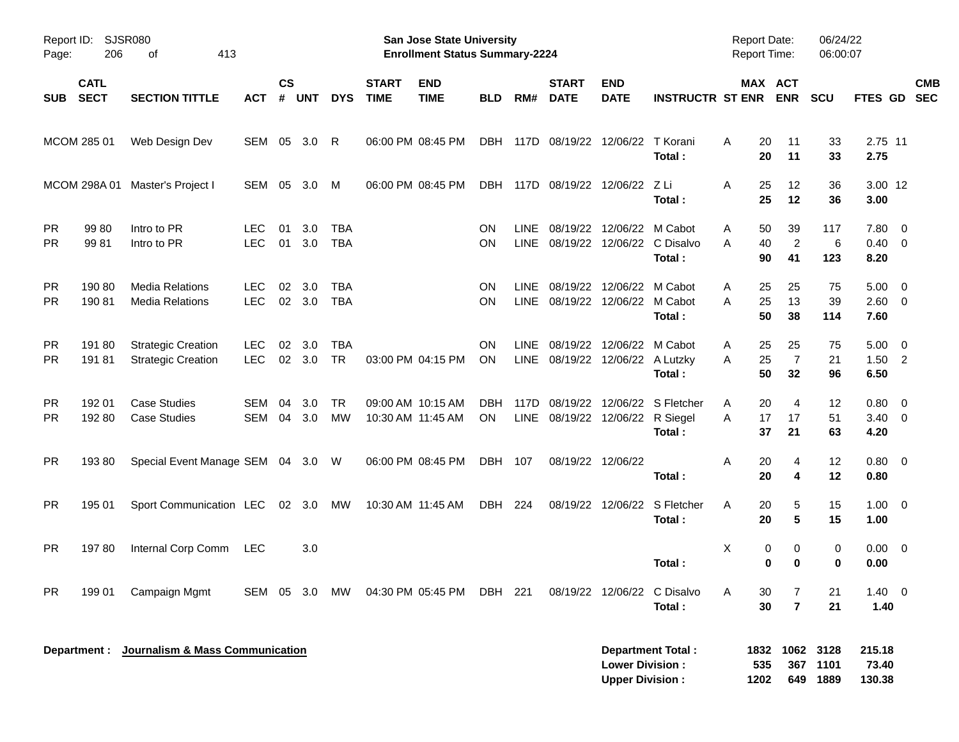| Page:                  | Report ID: SJSR080<br>206  | 413<br>of                                              |                          |                |                       |                          |                             | San Jose State University<br><b>Enrollment Status Summary-2224</b> |                         |                            |                             |                                                        |                                       | <b>Report Date:</b><br><b>Report Time:</b> |                                              | 06/24/22<br>06:00:07 |                                |                           |
|------------------------|----------------------------|--------------------------------------------------------|--------------------------|----------------|-----------------------|--------------------------|-----------------------------|--------------------------------------------------------------------|-------------------------|----------------------------|-----------------------------|--------------------------------------------------------|---------------------------------------|--------------------------------------------|----------------------------------------------|----------------------|--------------------------------|---------------------------|
| <b>SUB</b>             | <b>CATL</b><br><b>SECT</b> | <b>SECTION TITTLE</b>                                  | <b>ACT</b>               | <b>CS</b><br># | <b>UNT</b>            | <b>DYS</b>               | <b>START</b><br><b>TIME</b> | <b>END</b><br><b>TIME</b>                                          | <b>BLD</b>              | RM#                        | <b>START</b><br><b>DATE</b> | <b>END</b><br><b>DATE</b>                              | <b>INSTRUCTR ST ENR</b>               |                                            | MAX ACT<br><b>ENR</b>                        | <b>SCU</b>           |                                | <b>CMB</b><br>FTES GD SEC |
|                        | MCOM 285 01                | Web Design Dev                                         | SEM                      | 05             | 3.0                   | -R                       |                             | 06:00 PM 08:45 PM                                                  | DBH                     |                            | 117D 08/19/22 12/06/22      |                                                        | T Korani<br>Total:                    | A                                          | 20<br>11<br>20<br>11                         | 33<br>33             | 2.75 11<br>2.75                |                           |
|                        |                            | MCOM 298A 01 Master's Project I                        | SEM                      | 05             | 3.0                   | M                        |                             | 06:00 PM 08:45 PM                                                  | DBH                     |                            |                             | 117D 08/19/22 12/06/22                                 | – Z Li<br>Total:                      | A                                          | 25<br>12<br>25<br>12                         | 36<br>36             | 3.00 12<br>3.00                |                           |
| <b>PR</b><br><b>PR</b> | 99 80<br>9981              | Intro to PR<br>Intro to PR                             | <b>LEC</b><br><b>LEC</b> | 01<br>01       | 3.0<br>3.0            | <b>TBA</b><br><b>TBA</b> |                             |                                                                    | <b>ON</b><br><b>ON</b>  | <b>LINE</b><br><b>LINE</b> |                             | 08/19/22 12/06/22 M Cabot                              | 08/19/22 12/06/22 C Disalvo<br>Total: | A<br>A                                     | 39<br>50<br>$\overline{2}$<br>40<br>41<br>90 | 117<br>6<br>123      | 7.80<br>$0.40 \quad 0$<br>8.20 | $\overline{\mathbf{0}}$   |
| <b>PR</b><br><b>PR</b> | 190 80<br>19081            | <b>Media Relations</b><br><b>Media Relations</b>       | <b>LEC</b><br><b>LEC</b> | 02             | 3.0<br>02 3.0         | <b>TBA</b><br><b>TBA</b> |                             |                                                                    | <b>ON</b><br><b>ON</b>  | <b>LINE</b><br><b>LINE</b> |                             | 08/19/22 12/06/22 M Cabot<br>08/19/22 12/06/22 M Cabot | Total:                                | Α<br>A                                     | 25<br>25<br>13<br>25<br>50<br>38             | 75<br>39<br>114      | 5.00<br>$2.60 \t 0$<br>7.60    | $\overline{\mathbf{0}}$   |
| <b>PR</b><br><b>PR</b> | 191 80<br>19181            | <b>Strategic Creation</b><br><b>Strategic Creation</b> | <b>LEC</b><br><b>LEC</b> | 02             | 3.0<br>$02 \quad 3.0$ | <b>TBA</b><br><b>TR</b>  |                             | 03:00 PM 04:15 PM                                                  | <b>ON</b><br><b>ON</b>  | <b>LINE</b>                |                             | 08/19/22 12/06/22<br>LINE 08/19/22 12/06/22 A Lutzky   | M Cabot<br>Total:                     | Α<br>A                                     | 25<br>25<br>$\overline{7}$<br>25<br>50<br>32 | 75<br>21<br>96       | 5.00<br>$1.50$ 2<br>6.50       | $\overline{\mathbf{0}}$   |
| <b>PR</b><br><b>PR</b> | 192 01<br>192 80           | <b>Case Studies</b><br><b>Case Studies</b>             | SEM<br>SEM               | 04             | 3.0<br>04 3.0         | <b>TR</b><br>MW          | 10:30 AM 11:45 AM           | 09:00 AM 10:15 AM                                                  | <b>DBH</b><br><b>ON</b> | 117D                       |                             | 08/19/22 12/06/22<br>LINE 08/19/22 12/06/22 R Siegel   | S Fletcher<br>Total:                  | A<br>A                                     | 20<br>4<br>17<br>17<br>21<br>37              | 12<br>51<br>63       | 0.80<br>$3.40 \ 0$<br>4.20     | $\overline{\mathbf{0}}$   |
| <b>PR</b>              | 19380                      | Special Event Manage SEM 04 3.0 W                      |                          |                |                       |                          |                             | 06:00 PM 08:45 PM                                                  | DBH                     | 107                        |                             | 08/19/22 12/06/22                                      | Total:                                | Α                                          | 20<br>4<br>20<br>4                           | 12<br>12             | 0.80 0<br>0.80                 |                           |
| <b>PR</b>              | 195 01                     | Sport Communication LEC 02 3.0                         |                          |                |                       | MW                       |                             | 10:30 AM 11:45 AM                                                  | DBH                     | 224                        |                             | 08/19/22 12/06/22                                      | S Fletcher<br>Total:                  | A                                          | 5<br>20<br>$5\phantom{1}$<br>20              | 15<br>15             | $1.00 \t 0$<br>1.00            |                           |
| <b>PR</b>              | 19780                      | Internal Corp Comm                                     | LEC                      |                | 3.0                   |                          |                             |                                                                    |                         |                            |                             |                                                        | Total:                                | X                                          | 0<br>0<br>0<br>0                             | 0<br>0               | 0.00 0<br>0.00                 |                           |
| <b>PR</b>              | 199 01                     | Campaign Mgmt                                          |                          |                |                       | SEM 05 3.0 MW            |                             | 04:30 PM 05:45 PM                                                  | DBH 221                 |                            |                             |                                                        | 08/19/22 12/06/22 C Disalvo<br>Total: | A                                          | 30<br>7<br>$\overline{7}$<br>30              | 21<br>21             | $1.40 \ 0$<br>1.40             |                           |
|                        |                            | Department : Journalism & Mass Communication           |                          |                |                       |                          |                             |                                                                    |                         |                            |                             | <b>Lower Division:</b><br><b>Upper Division:</b>       | <b>Department Total:</b>              | 535<br>1202                                | 1832 1062<br>367<br>649                      | 3128<br>1101<br>1889 | 215.18<br>73.40<br>130.38      |                           |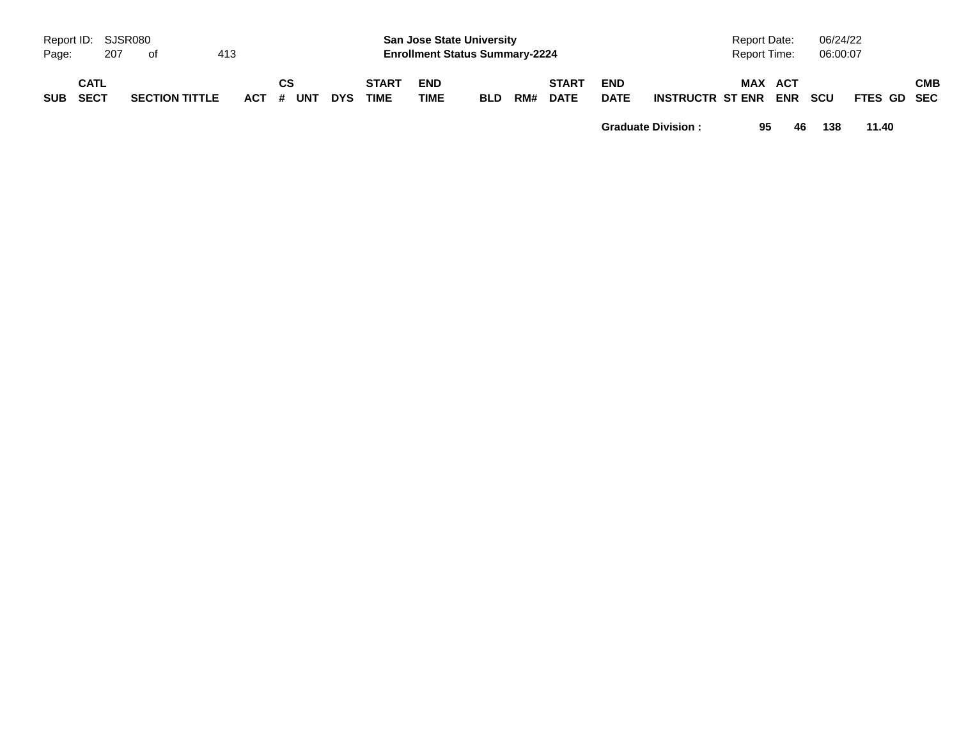| Page:    | Report ID: SJSR080<br>207 | - of                  | 413 |           |    |            |                             | <b>San Jose State University</b><br><b>Enrollment Status Summary-2224</b> |            |     |                             |                           |                  | Report Date:<br>Report Time: | 06/24/22<br>06:00:07 |             |            |
|----------|---------------------------|-----------------------|-----|-----------|----|------------|-----------------------------|---------------------------------------------------------------------------|------------|-----|-----------------------------|---------------------------|------------------|------------------------------|----------------------|-------------|------------|
| SUB SECT | <b>CATL</b>               | <b>SECTION TITTLE</b> |     | ACT # UNT | CS | <b>DYS</b> | <b>START</b><br><b>TIME</b> | <b>END</b><br><b>TIME</b>                                                 | <b>BLD</b> | RM# | <b>START</b><br><b>DATE</b> | <b>END</b><br><b>DATE</b> | INSTRUCTR ST ENR | MAX ACT                      | <b>ENR SCU</b>       | FTES GD SEC | <b>CMB</b> |

**Graduate Division : 95 46 138 11.40**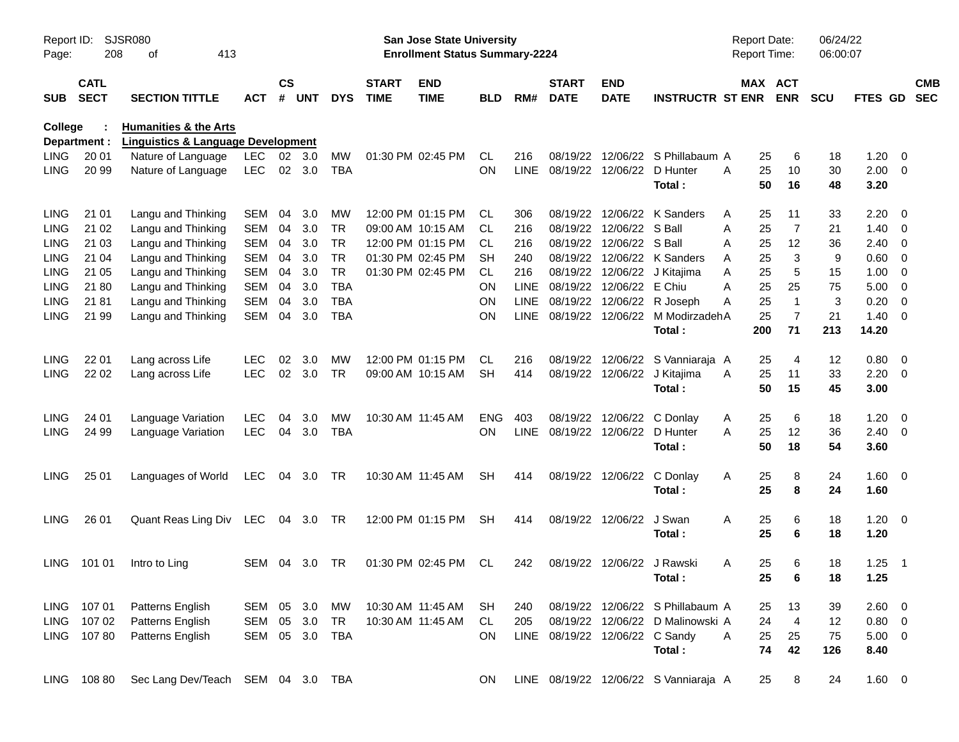| Report ID:<br>Page: | 208                        | SJSR080<br>413<br>οf                          |                    |            |                |                             |                           | <b>San Jose State University</b><br><b>Enrollment Status Summary-2224</b> |            |                             |                                |                            |                                       | <b>Report Date:</b><br>Report Time: |                      | 06/24/22<br>06:00:07 |              |                          |  |
|---------------------|----------------------------|-----------------------------------------------|--------------------|------------|----------------|-----------------------------|---------------------------|---------------------------------------------------------------------------|------------|-----------------------------|--------------------------------|----------------------------|---------------------------------------|-------------------------------------|----------------------|----------------------|--------------|--------------------------|--|
| <b>SUB</b>          | <b>CATL</b><br><b>SECT</b> | ACT                                           | $\mathsf{cs}$<br># | <b>UNT</b> | <b>DYS</b>     | <b>START</b><br><b>TIME</b> | <b>END</b><br><b>TIME</b> | <b>BLD</b>                                                                | RM#        | <b>START</b><br><b>DATE</b> | <b>END</b><br><b>DATE</b>      | <b>INSTRUCTR ST ENR</b>    |                                       | MAX ACT<br><b>ENR</b>               | <b>SCU</b>           | <b>FTES GD</b>       |              | <b>CMB</b><br><b>SEC</b> |  |
| <b>College</b>      |                            | <b>Humanities &amp; the Arts</b>              |                    |            |                |                             |                           |                                                                           |            |                             |                                |                            |                                       |                                     |                      |                      |              |                          |  |
|                     | Department :               | <b>Linguistics &amp; Language Development</b> |                    |            |                |                             |                           |                                                                           |            |                             |                                |                            |                                       |                                     |                      |                      |              |                          |  |
| <b>LING</b>         | 20 01                      | Nature of Language                            | LEC.               |            | $02 \quad 3.0$ | MW                          |                           | 01:30 PM 02:45 PM                                                         | <b>CL</b>  | 216                         | 08/19/22                       |                            | 12/06/22 S Phillabaum A               |                                     | 6<br>25              | 18                   | 1.20         | - 0                      |  |
| <b>LING</b>         | 20 99                      | Nature of Language                            | LEC.               |            | 02 3.0         | TBA                         |                           |                                                                           | ON         | <b>LINE</b>                 | 08/19/22                       |                            | 12/06/22 D Hunter<br>Total:           | 25<br>A                             | 10<br>50<br>16       | 30<br>48             | 2.00<br>3.20 | $\overline{\phantom{0}}$ |  |
| <b>LING</b>         | 21 01                      | Langu and Thinking                            | <b>SEM</b>         | 04         | 3.0            | MW                          |                           | 12:00 PM 01:15 PM                                                         | CL.        | 306                         | 08/19/22                       |                            | 12/06/22 K Sanders                    | A                                   | 11<br>25             | 33                   | 2.20         | - 0                      |  |
| <b>LING</b>         | 21 02                      | Langu and Thinking                            | <b>SEM</b>         | 04         | 3.0            | <b>TR</b>                   |                           | 09:00 AM 10:15 AM                                                         | CL.        | 216                         | 08/19/22                       | 12/06/22 S Ball            |                                       | Α                                   | $\overline{7}$<br>25 | 21                   | 1.40         | $\overline{\phantom{0}}$ |  |
| <b>LING</b>         | 21 03                      | Langu and Thinking                            | <b>SEM</b>         | 04         | 3.0            | <b>TR</b>                   |                           | 12:00 PM 01:15 PM                                                         | CL.        | 216                         | 08/19/22                       | 12/06/22 S Ball            |                                       | A<br>25                             | 12                   | 36                   | $2.40 \ 0$   |                          |  |
| <b>LING</b>         | 21 04                      | Langu and Thinking                            | <b>SEM</b>         | 04         | 3.0            | <b>TR</b>                   |                           | 01:30 PM 02:45 PM                                                         | SН         | 240                         | 08/19/22                       |                            | 12/06/22 K Sanders                    | Α                                   | 3<br>25              | 9                    | 0.60         | 0                        |  |
| <b>LING</b>         | 21 05                      | Langu and Thinking                            | <b>SEM</b>         | 04         | 3.0            | <b>TR</b>                   |                           | 01:30 PM 02:45 PM                                                         | <b>CL</b>  | 216                         | 08/19/22                       | 12/06/22                   | J Kitajima                            | Α                                   | 5<br>25              | 15                   | 1.00         | $\overline{\mathbf{0}}$  |  |
| <b>LING</b>         | 21 80                      | Langu and Thinking                            | <b>SEM</b>         | 04         | 3.0            | <b>TBA</b>                  |                           |                                                                           | ΟN         | <b>LINE</b>                 | 08/19/22                       | 12/06/22 E Chiu            |                                       | A                                   | 25<br>25             | 75                   | 5.00         | $\overline{\mathbf{0}}$  |  |
| <b>LING</b>         | 21 81                      | Langu and Thinking                            | <b>SEM</b>         | 04         | 3.0            | TBA                         |                           |                                                                           | ON         | <b>LINE</b>                 | 08/19/22                       |                            | 12/06/22 R Joseph                     | Α                                   | 25<br>1              | 3                    | 0.20         | 0                        |  |
| <b>LING</b>         | 21 99                      | Langu and Thinking                            | <b>SEM</b>         | 04         | 3.0            | <b>TBA</b>                  |                           |                                                                           | ON         | <b>LINE</b>                 | 08/19/22                       |                            | 12/06/22 M ModirzadehA                |                                     | $\overline{7}$<br>25 | 21                   | 1.40         | $\overline{\phantom{0}}$ |  |
|                     |                            |                                               |                    |            |                |                             |                           |                                                                           |            |                             |                                |                            | Total:                                | 200                                 | 71                   | 213                  | 14.20        |                          |  |
| <b>LING</b>         | 22 01                      | Lang across Life                              | <b>LEC</b>         | 02         | 3.0            | MW                          |                           | 12:00 PM 01:15 PM                                                         | CL         | 216                         | 08/19/22                       | 12/06/22                   | S Vanniaraja A                        |                                     | 4<br>25              | 12                   | 0.80         | $\overline{\phantom{0}}$ |  |
| <b>LING</b>         | 22 02                      | Lang across Life                              | <b>LEC</b>         | 02         | 3.0            | <b>TR</b>                   |                           | 09:00 AM 10:15 AM                                                         | <b>SH</b>  | 414                         |                                | 08/19/22 12/06/22          | J Kitajima                            | A                                   | 25<br>11             | 33                   | 2.20         | $\overline{\phantom{0}}$ |  |
|                     |                            |                                               |                    |            |                |                             |                           |                                                                           |            |                             |                                |                            | Total:                                |                                     | 50<br>15             | 45                   | 3.00         |                          |  |
| <b>LING</b>         | 24 01                      | Language Variation                            | <b>LEC</b>         | 04         | 3.0            | MW                          | 10:30 AM 11:45 AM         |                                                                           | <b>ENG</b> | 403                         | 08/19/22                       | 12/06/22                   | C Donlay                              | A                                   | 25<br>6              | 18                   | 1.20         | $\overline{\mathbf{0}}$  |  |
| <b>LING</b>         | 24 99                      | Language Variation                            | <b>LEC</b>         | 04         | 3.0            | <b>TBA</b>                  |                           |                                                                           | <b>ON</b>  | <b>LINE</b>                 | 08/19/22                       | 12/06/22                   | D Hunter                              | Α                                   | 25<br>12             | 36                   | $2.40 \ 0$   |                          |  |
|                     |                            |                                               |                    |            |                |                             |                           |                                                                           |            |                             |                                |                            | Total:                                |                                     | 50<br>18             | 54                   | 3.60         |                          |  |
| <b>LING</b>         | 25 01                      | Languages of World                            | <b>LEC</b>         | 04         | 3.0            | TR                          |                           | 10:30 AM 11:45 AM                                                         | SH         | 414                         | 08/19/22                       | 12/06/22                   | C Donlay                              | Α                                   | 25<br>8              | 24                   | $1.60 \t 0$  |                          |  |
|                     |                            |                                               |                    |            |                |                             |                           |                                                                           |            |                             |                                |                            | Total:                                |                                     | 25<br>8              | 24                   | 1.60         |                          |  |
| <b>LING</b>         | 26 01                      | Quant Reas Ling Div                           | LEC                |            | 04 3.0         | TR                          |                           | 12:00 PM 01:15 PM                                                         | <b>SH</b>  | 414                         |                                | 08/19/22 12/06/22          | J Swan                                | Α                                   | 25<br>6              | 18                   | $1.20 \t 0$  |                          |  |
|                     |                            |                                               |                    |            |                |                             |                           |                                                                           |            |                             |                                |                            | Total:                                |                                     | 25<br>6              | 18                   | 1.20         |                          |  |
| LING.               | 101 01                     | Intro to Ling                                 | SEM                | 04         | 3.0            | TR                          |                           | 01:30 PM 02:45 PM                                                         | CL         | 242                         |                                | 08/19/22 12/06/22 J Rawski |                                       | A                                   | 6<br>25              | 18                   | 1.25         | $\overline{\phantom{1}}$ |  |
|                     |                            |                                               |                    |            |                |                             |                           |                                                                           |            |                             |                                |                            | Total:                                |                                     | 25<br>6              | 18                   | 1.25         |                          |  |
|                     | LING 107 01                | Patterns English                              | SEM 05 3.0         |            |                | MW                          | 10:30 AM 11:45 AM         |                                                                           | SH         | 240                         |                                |                            | 08/19/22 12/06/22 S Phillabaum A      | 25                                  | 13                   | 39                   | 2.60 0       |                          |  |
|                     | LING 107 02                | Patterns English                              | SEM                |            | 05 3.0         | TR                          |                           | 10:30 AM 11:45 AM                                                         | CL         | 205                         |                                |                            | 08/19/22 12/06/22 D Malinowski A      | 24                                  | $\overline{4}$       | 12                   | $0.80 \ 0$   |                          |  |
|                     | LING 107 80                | Patterns English                              | SEM                |            | 05 3.0         | TBA                         |                           |                                                                           | ON         |                             | LINE 08/19/22 12/06/22 C Sandy |                            |                                       | 25<br>A                             | 25                   | 75                   | $5.00 \t 0$  |                          |  |
|                     |                            |                                               |                    |            |                |                             |                           |                                                                           |            |                             |                                |                            | Total:                                | 74                                  | 42                   | 126                  | 8.40         |                          |  |
|                     | LING 108 80                | Sec Lang Dev/Teach SEM 04 3.0 TBA             |                    |            |                |                             |                           |                                                                           | ON.        |                             |                                |                            | LINE 08/19/22 12/06/22 S Vanniaraja A | 25                                  | 8                    | 24                   | $1.60 \t 0$  |                          |  |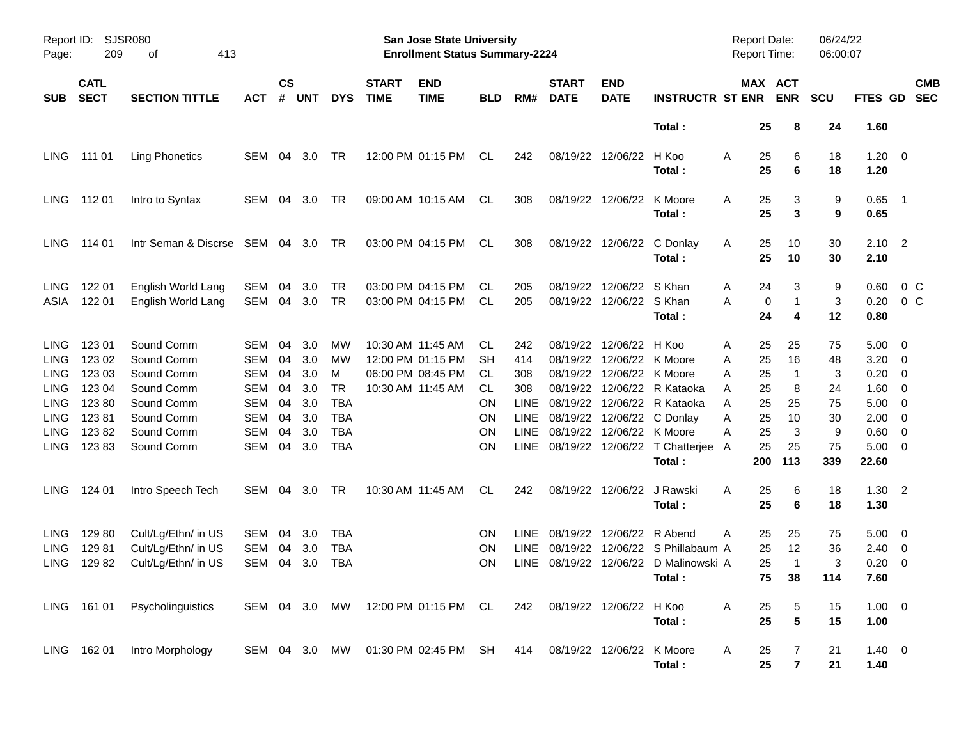| Report ID:<br>Page:                                                                             | 209                                                             | SJSR080<br>413<br>οf                                                                           |                                                                                                |                                        |                                               |                                                               |                             | San Jose State University<br><b>Enrollment Status Summary-2224</b>               |                                           |                                                                 |                                                                                  |                                                                      |                                                                                       | <b>Report Date:</b><br>Report Time:                                       |                                                | 06/24/22<br>06:00:07                 |                                                      |                                                                                                                                               |                          |
|-------------------------------------------------------------------------------------------------|-----------------------------------------------------------------|------------------------------------------------------------------------------------------------|------------------------------------------------------------------------------------------------|----------------------------------------|-----------------------------------------------|---------------------------------------------------------------|-----------------------------|----------------------------------------------------------------------------------|-------------------------------------------|-----------------------------------------------------------------|----------------------------------------------------------------------------------|----------------------------------------------------------------------|---------------------------------------------------------------------------------------|---------------------------------------------------------------------------|------------------------------------------------|--------------------------------------|------------------------------------------------------|-----------------------------------------------------------------------------------------------------------------------------------------------|--------------------------|
| SUB.                                                                                            | <b>CATL</b><br><b>SECT</b><br><b>SECTION TITTLE</b><br>ACT      |                                                                                                |                                                                                                | $\mathsf{cs}$<br>#                     | <b>UNT</b>                                    | <b>DYS</b>                                                    | <b>START</b><br><b>TIME</b> | <b>END</b><br><b>TIME</b>                                                        | <b>BLD</b>                                | RM#                                                             | <b>START</b><br><b>DATE</b>                                                      | <b>END</b><br><b>DATE</b>                                            | <b>INSTRUCTR ST ENR</b>                                                               | MAX ACT                                                                   | <b>ENR</b>                                     | <b>SCU</b>                           | <b>FTES GD</b>                                       |                                                                                                                                               | <b>CMB</b><br><b>SEC</b> |
|                                                                                                 |                                                                 |                                                                                                |                                                                                                |                                        |                                               |                                                               |                             |                                                                                  |                                           |                                                                 |                                                                                  |                                                                      | Total:                                                                                | 25                                                                        | 8                                              | 24                                   | 1.60                                                 |                                                                                                                                               |                          |
| <b>LING</b>                                                                                     | 111 01                                                          | <b>Ling Phonetics</b>                                                                          | SEM                                                                                            | 04                                     | 3.0                                           | TR                                                            |                             | 12:00 PM 01:15 PM                                                                | CL                                        | 242                                                             | 08/19/22                                                                         | 12/06/22                                                             | H Koo<br>Total:                                                                       | 25<br>A<br>25                                                             | 6<br>6                                         | 18<br>18                             | 1.20<br>1.20                                         | $\overline{\phantom{0}}$                                                                                                                      |                          |
| <b>LING</b>                                                                                     | 112 01                                                          | Intro to Syntax                                                                                | SEM                                                                                            | 04                                     | 3.0                                           | TR                                                            |                             | 09:00 AM 10:15 AM                                                                | CL.                                       | 308                                                             | 08/19/22                                                                         | 12/06/22                                                             | K Moore<br>Total:                                                                     | 25<br>A<br>25                                                             | 3<br>3                                         | 9<br>9                               | 0.65<br>0.65                                         | $\overline{\phantom{1}}$                                                                                                                      |                          |
| LING.                                                                                           | 114 01                                                          | Intr Seman & Discrse SEM 04 3.0                                                                |                                                                                                |                                        |                                               | TR                                                            |                             | 03:00 PM 04:15 PM                                                                | CL.                                       | 308                                                             | 08/19/22                                                                         | 12/06/22                                                             | C Donlay<br>Total:                                                                    | 25<br>A<br>25                                                             | 10<br>10                                       | 30<br>30                             | 2.10<br>2.10                                         | $\overline{\phantom{0}}^2$                                                                                                                    |                          |
| LING.<br>ASIA                                                                                   | 122 01<br>122 01                                                | English World Lang<br>English World Lang                                                       | <b>SEM</b><br><b>SEM</b>                                                                       | 04<br>04                               | 3.0<br>3.0                                    | TR<br><b>TR</b>                                               |                             | 03:00 PM 04:15 PM<br>03:00 PM 04:15 PM                                           | CL.<br>CL.                                | 205<br>205                                                      | 08/19/22<br>08/19/22                                                             | 12/06/22<br>12/06/22 S Khan                                          | S Khan<br>Total:                                                                      | 24<br>A<br>A<br>0<br>24                                                   | 3<br>$\mathbf{1}$<br>4                         | 9<br>3<br>12                         | 0.60<br>0.20<br>0.80                                 | 0 C<br>$0\,C$                                                                                                                                 |                          |
| LING.<br><b>LING</b><br><b>LING</b><br><b>LING</b><br><b>LING</b><br><b>LING</b><br><b>LING</b> | 123 01<br>123 02<br>123 03<br>123 04<br>12380<br>12381<br>12382 | Sound Comm<br>Sound Comm<br>Sound Comm<br>Sound Comm<br>Sound Comm<br>Sound Comm<br>Sound Comm | <b>SEM</b><br><b>SEM</b><br><b>SEM</b><br><b>SEM</b><br><b>SEM</b><br><b>SEM</b><br><b>SEM</b> | 04<br>04<br>04<br>04<br>04<br>04<br>04 | 3.0<br>3.0<br>3.0<br>3.0<br>3.0<br>3.0<br>3.0 | МW<br>MW<br>м<br>TR<br><b>TBA</b><br><b>TBA</b><br><b>TBA</b> |                             | 10:30 AM 11:45 AM<br>12:00 PM 01:15 PM<br>06:00 PM 08:45 PM<br>10:30 AM 11:45 AM | CL.<br>SН<br>CL.<br>CL.<br>ON<br>ON<br>ON | 242<br>414<br>308<br>308<br>LINE.<br><b>LINE</b><br><b>LINE</b> | 08/19/22<br>08/19/22<br>08/19/22<br>08/19/22<br>08/19/22<br>08/19/22<br>08/19/22 | 12/06/22<br>12/06/22<br>12/06/22<br>12/06/22<br>12/06/22<br>12/06/22 | H Koo<br>K Moore<br>12/06/22 K Moore<br>R Kataoka<br>R Kataoka<br>C Donlay<br>K Moore | 25<br>A<br>25<br>Α<br>A<br>25<br>25<br>A<br>25<br>A<br>25<br>Α<br>25<br>Α | 25<br>16<br>$\mathbf{1}$<br>8<br>25<br>10<br>3 | 75<br>48<br>3<br>24<br>75<br>30<br>9 | 5.00<br>3.20<br>0.20<br>1.60<br>5.00<br>2.00<br>0.60 | $\overline{\mathbf{0}}$<br>$\overline{\mathbf{0}}$<br>$\overline{\mathbf{0}}$<br>0<br>$\overline{\mathbf{0}}$<br>$\overline{\mathbf{0}}$<br>0 |                          |
| <b>LING</b>                                                                                     | 12383                                                           | Sound Comm                                                                                     | <b>SEM</b>                                                                                     | 04                                     | 3.0                                           | <b>TBA</b>                                                    |                             |                                                                                  | ON                                        | <b>LINE</b>                                                     | 08/19/22                                                                         | 12/06/22                                                             | T Chatterjee<br>Total:                                                                | 25<br>A<br>200                                                            | 25<br>113                                      | 75<br>339                            | 5.00<br>22.60                                        | - 0                                                                                                                                           |                          |
| LING.                                                                                           | 124 01                                                          | Intro Speech Tech                                                                              | SEM                                                                                            | 04                                     | 3.0                                           | TR                                                            |                             | 10:30 AM 11:45 AM                                                                | CL.                                       | 242                                                             | 08/19/22                                                                         | 12/06/22                                                             | J Rawski<br>Total:                                                                    | A<br>25<br>25                                                             | 6<br>6                                         | 18<br>18                             | 1.30<br>1.30                                         | $\overline{\phantom{0}}^2$                                                                                                                    |                          |
| LING<br><b>LING</b><br><b>LING</b>                                                              | 12980<br>12981<br>12982                                         | Cult/Lg/Ethn/ in US<br>Cult/Lg/Ethn/ in US<br>Cult/Lg/Ethn/ in US                              | SEM<br><b>SEM</b><br><b>SEM</b>                                                                | 04<br>04<br>04                         | 3.0<br>3.0<br>3.0                             | TBA<br><b>TBA</b><br>TBA                                      |                             |                                                                                  | 0N<br>ON<br>ΟN                            | LINE.<br><b>LINE</b><br><b>LINE</b>                             | 08/19/22<br>08/19/22<br>08/19/22                                                 | 12/06/22                                                             | R Abend<br>12/06/22 S Phillabaum A<br>12/06/22 D Malinowski A<br>Total:               | A<br>25<br>25<br>25<br>75                                                 | 25<br>12<br>$\mathbf{1}$<br>38                 | 75<br>36<br>3<br>114                 | 5.00<br>2.40<br>0.20<br>7.60                         | $\overline{\phantom{0}}$<br>$\overline{\phantom{0}}$<br>$\overline{\mathbf{0}}$                                                               |                          |
|                                                                                                 | LING 161 01                                                     | Psycholinguistics                                                                              | SEM 04 3.0 MW                                                                                  |                                        |                                               |                                                               |                             | 12:00 PM 01:15 PM CL                                                             |                                           | 242                                                             |                                                                                  | 08/19/22 12/06/22                                                    | H Koo<br>Total:                                                                       | 25<br>A<br>25                                                             | 5<br>$\overline{\mathbf{5}}$                   | 15<br>15                             | $1.00 \t 0$<br>1.00                                  |                                                                                                                                               |                          |
|                                                                                                 | LING 162 01                                                     | Intro Morphology                                                                               |                                                                                                |                                        |                                               | SEM 04 3.0 MW                                                 |                             | 01:30 PM 02:45 PM SH                                                             |                                           | 414                                                             |                                                                                  | 08/19/22 12/06/22                                                    | K Moore<br>Total:                                                                     | A<br>25<br>25                                                             | 7<br>$\overline{\mathbf{7}}$                   | 21<br>21                             | $1.40 \ 0$<br>1.40                                   |                                                                                                                                               |                          |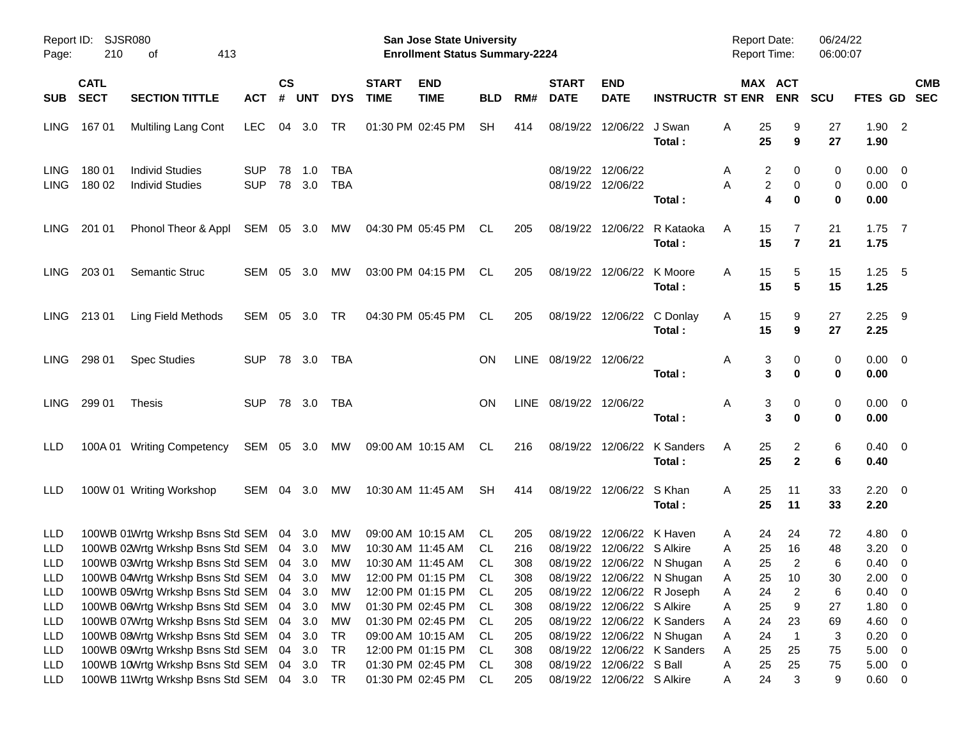| Page:                    | Report ID:<br>210                                                              | <b>SJSR080</b><br>413<br>οf                                                           |                          |            |            |                             |                           | <b>San Jose State University</b><br><b>Enrollment Status Summary-2224</b> |           |                             |                           |                                                |                                                          | <b>Report Date:</b><br><b>Report Time:</b> |                         | 06/24/22<br>06:00:07 |                                |                            |  |
|--------------------------|--------------------------------------------------------------------------------|---------------------------------------------------------------------------------------|--------------------------|------------|------------|-----------------------------|---------------------------|---------------------------------------------------------------------------|-----------|-----------------------------|---------------------------|------------------------------------------------|----------------------------------------------------------|--------------------------------------------|-------------------------|----------------------|--------------------------------|----------------------------|--|
| <b>SUB</b>               | <b>CATL</b><br><b>SECT</b>                                                     | ACT                                                                                   | <b>CS</b><br>#           | <b>UNT</b> | <b>DYS</b> | <b>START</b><br><b>TIME</b> | <b>END</b><br><b>TIME</b> | <b>BLD</b>                                                                | RM#       | <b>START</b><br><b>DATE</b> | <b>END</b><br><b>DATE</b> | <b>INSTRUCTR ST ENR</b>                        |                                                          | MAX ACT<br><b>ENR</b>                      | <b>SCU</b>              | FTES GD SEC          |                                | <b>CMB</b>                 |  |
| LING.                    | 16701                                                                          | <b>Multiling Lang Cont</b>                                                            | <b>LEC</b>               | 04         | 3.0        | TR                          |                           | 01:30 PM 02:45 PM                                                         | SH.       | 414                         | 08/19/22                  | 12/06/22 J Swan                                | Total:                                                   | 25<br>Α<br>25                              | 9<br>9                  | 27<br>27             | 1.90<br>1.90                   | $\overline{\phantom{0}}^2$ |  |
| LING.<br><b>LING</b>     | 18001<br>180 02                                                                | <b>Individ Studies</b><br><b>Individ Studies</b>                                      | <b>SUP</b><br><b>SUP</b> | 78<br>78   | 1.0<br>3.0 | <b>TBA</b><br><b>TBA</b>    |                           |                                                                           |           |                             |                           | 08/19/22 12/06/22<br>08/19/22 12/06/22         | Total:                                                   | 2<br>A<br>A                                | 0<br>2<br>0<br>4<br>0   | 0<br>0<br>0          | 0.00<br>$0.00 \quad 0$<br>0.00 | $\overline{\phantom{0}}$   |  |
| LING.                    | 201 01                                                                         | Phonol Theor & Appl                                                                   | SEM 05 3.0               |            |            | MW                          |                           | 04:30 PM 05:45 PM                                                         | CL.       | 205                         |                           | 08/19/22 12/06/22                              | R Kataoka<br>Total:                                      | 15<br>A<br>15                              | $\overline{7}$          | 21<br>21             | $1.75$ 7<br>1.75               |                            |  |
| LING.                    | 203 01                                                                         | <b>Semantic Struc</b>                                                                 | SEM 05                   |            | - 3.0      | <b>MW</b>                   |                           | 03:00 PM 04:15 PM                                                         | CL.       | 205                         |                           | 08/19/22 12/06/22 K Moore                      | Total:                                                   | 15<br>A<br>15                              | 5<br>5                  | 15<br>15             | $1.25 \quad 5$<br>1.25         |                            |  |
| LING.                    | 21301                                                                          | Ling Field Methods                                                                    | SEM 05 3.0               |            |            | TR                          |                           | 04:30 PM 05:45 PM                                                         | CL.       | 205                         |                           |                                                | 08/19/22 12/06/22 C Donlay<br>Total:                     | 15<br>A<br>15                              | 9<br>9                  | 27<br>27             | $2.25$ 9<br>2.25               |                            |  |
| LING.                    | 298 01                                                                         | <b>Spec Studies</b>                                                                   | <b>SUP</b>               |            | 78 3.0     | TBA                         |                           |                                                                           | <b>ON</b> |                             | LINE 08/19/22 12/06/22    |                                                | Total:                                                   | Α                                          | 3<br>0<br>3<br>$\bf{0}$ | 0<br>0               | $0.00 \quad 0$<br>0.00         |                            |  |
| <b>LING</b>              | 299 01                                                                         | <b>Thesis</b>                                                                         | <b>SUP</b>               |            | 78 3.0     | TBA                         |                           |                                                                           | ON        |                             | LINE 08/19/22 12/06/22    |                                                | Total:                                                   | Α                                          | 3<br>0<br>3<br>$\bf{0}$ | 0<br>0               | $0.00 \quad 0$<br>0.00         |                            |  |
| LLD                      |                                                                                | 100A 01 Writing Competency                                                            | SEM 05 3.0               |            |            | MW                          |                           | 09:00 AM 10:15 AM                                                         | CL.       | 216                         |                           |                                                | 08/19/22 12/06/22 K Sanders<br>Total:                    | A<br>25<br>25                              | 2<br>$\mathbf{2}$       | 6<br>6               | $0.40 \quad 0$<br>0.40         |                            |  |
| LLD                      |                                                                                | 100W 01 Writing Workshop                                                              | SEM 04 3.0               |            |            | <b>MW</b>                   |                           | 10:30 AM 11:45 AM                                                         | SH.       | 414                         |                           | 08/19/22 12/06/22 S Khan                       | Total:                                                   | 25<br>A<br>25                              | 11<br>11                | 33<br>33             | $2.20 \t 0$<br>2.20            |                            |  |
| LLD                      |                                                                                | 100WB 01Wrtg Wrkshp Bsns Std SEM 04 3.0                                               |                          |            |            | <b>MW</b>                   |                           | 09:00 AM 10:15 AM<br>10:30 AM 11:45 AM                                    | CL.       | 205                         | 08/19/22                  | 12/06/22 K Haven<br>08/19/22 12/06/22 S Alkire |                                                          | 24<br>Α<br>25                              | 24<br>16                | 72<br>48             | 4.80<br>3.20                   | $\overline{\phantom{0}}$   |  |
| LLD                      |                                                                                | 100WB 02Wrtg Wrkshp Bsns Std SEM 04 3.0                                               |                          |            |            | <b>MW</b>                   |                           |                                                                           | CL.       | 216                         |                           |                                                |                                                          | Α                                          |                         |                      |                                | $\overline{\mathbf{0}}$    |  |
| <b>LLD</b><br><b>LLD</b> |                                                                                | 100WB 03Wrtg Wrkshp Bsns Std SEM 04 3.0<br>100WB 04Wrtg Wrkshp Bsns Std SEM 04 3.0 MW |                          |            |            | MW                          |                           | 10:30 AM 11:45 AM<br>12:00 PM 01:15 PM CL                                 | CL.       | 308<br>308                  |                           |                                                | 08/19/22 12/06/22 N Shugan<br>08/19/22 12/06/22 N Shugan | 25<br>Α                                    | 2<br>25 10              | 6<br>$30\,$          | 0.40<br>$2.00 \t 0$            | $\overline{\mathbf{0}}$    |  |
| LLD                      |                                                                                | 100WB 05Wrtg Wrkshp Bsns Std SEM 04                                                   |                          |            | 3.0        | МW                          |                           | 12:00 PM 01:15 PM                                                         | CL.       | 205                         |                           |                                                | 08/19/22 12/06/22 R Joseph                               | Α<br>Α<br>24                               | $\overline{c}$          | 6                    | 0.40                           | $\overline{\phantom{0}}$   |  |
| LLD                      |                                                                                | 100WB 06Wrtg Wrkshp Bsns Std SEM 04                                                   |                          |            | 3.0        | МW                          |                           | 01:30 PM 02:45 PM                                                         | CL.       | 308                         |                           | 08/19/22 12/06/22 S Alkire                     |                                                          | 25<br>Α                                    | 9                       | 27                   | 1.80                           | $\overline{\mathbf{0}}$    |  |
| LLD                      |                                                                                | 100WB 07Wrtg Wrkshp Bsns Std SEM 04                                                   |                          |            | 3.0        | МW                          |                           | 01:30 PM 02:45 PM                                                         | CL.       | 205                         |                           |                                                | 08/19/22 12/06/22 K Sanders                              | 24<br>Α                                    | 23                      | 69                   | 4.60                           | $\overline{\mathbf{0}}$    |  |
| LLD                      |                                                                                | 100WB 08Wrtg Wrkshp Bsns Std SEM 04                                                   |                          |            | 3.0        | TR                          |                           | 09:00 AM 10:15 AM                                                         | CL.       | 205                         |                           |                                                | 08/19/22 12/06/22 N Shugan                               | 24<br>Α                                    | $\overline{1}$          | 3                    | 0.20                           | $\overline{\phantom{0}}$   |  |
| LLD                      |                                                                                | 100WB 09Wrtg Wrkshp Bsns Std SEM 04                                                   |                          |            | 3.0        | TR                          |                           | 12:00 PM 01:15 PM                                                         | CL        | 308                         |                           |                                                | 08/19/22 12/06/22 K Sanders                              | 25<br>Α                                    | 25                      | 75                   | 5.00                           | $\overline{\phantom{0}}$   |  |
| LLD                      |                                                                                |                                                                                       |                          |            | 3.0        | TR                          |                           | 01:30 PM 02:45 PM                                                         | CL.       | 308                         |                           | 08/19/22 12/06/22 S Ball                       |                                                          | Α<br>25                                    | 25                      | 75                   | 5.00                           | $\overline{\mathbf{0}}$    |  |
| LLD                      | 100WB 10Wrtg Wrkshp Bsns Std SEM 04<br>100WB 11Wrtg Wrkshp Bsns Std SEM 04 3.0 |                                                                                       |                          |            |            | TR                          |                           | 01:30 PM 02:45 PM                                                         | CL        | 205                         |                           | 08/19/22 12/06/22 S Alkire                     |                                                          | 24<br>A                                    | 3                       | 9                    | $0.60 \t 0$                    |                            |  |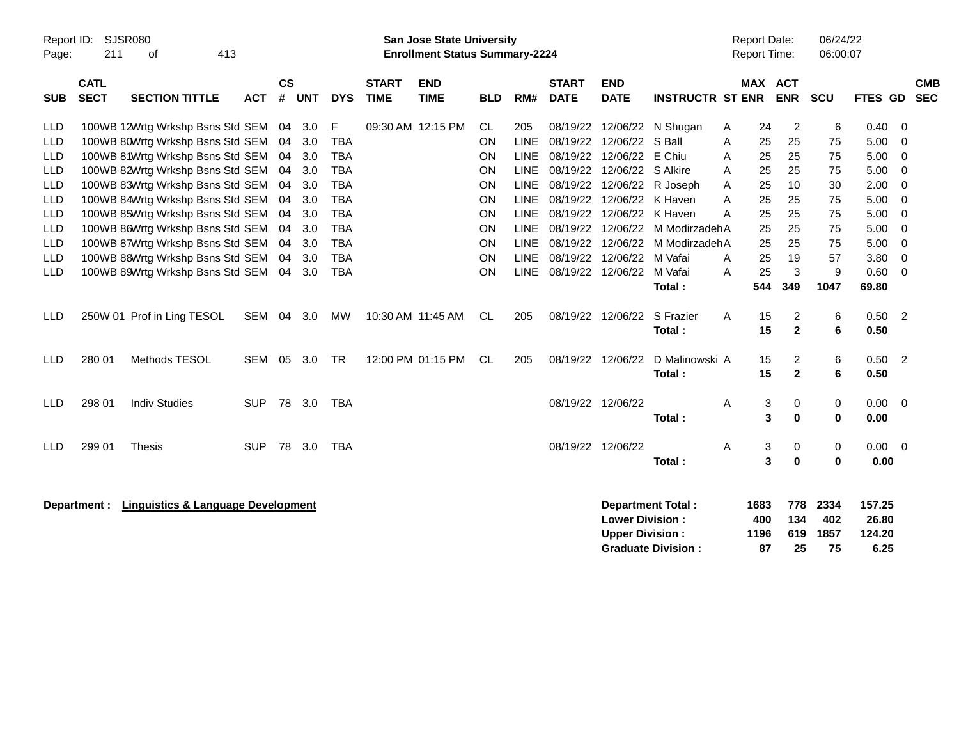| Report ID:<br>Page:                                                                                                                             | 211                        | SJSR080<br>413<br>оf                                                                                                                                                                                                                                                                                                                                                                                           |                          |                                                    |                                                                           |                                                                                                                                               |                             | <b>San Jose State University</b><br><b>Enrollment Status Summary-2224</b> |                                                                                     |                                                                                                                                                           |                             |                                                                                                                                                                                                                                     |                                                                                                               |                                           | <b>Report Date:</b><br><b>Report Time:</b>                     |                                                                           | 06/24/22<br>06:00:07                                         |                                                                                      |                                                                              |                          |
|-------------------------------------------------------------------------------------------------------------------------------------------------|----------------------------|----------------------------------------------------------------------------------------------------------------------------------------------------------------------------------------------------------------------------------------------------------------------------------------------------------------------------------------------------------------------------------------------------------------|--------------------------|----------------------------------------------------|---------------------------------------------------------------------------|-----------------------------------------------------------------------------------------------------------------------------------------------|-----------------------------|---------------------------------------------------------------------------|-------------------------------------------------------------------------------------|-----------------------------------------------------------------------------------------------------------------------------------------------------------|-----------------------------|-------------------------------------------------------------------------------------------------------------------------------------------------------------------------------------------------------------------------------------|---------------------------------------------------------------------------------------------------------------|-------------------------------------------|----------------------------------------------------------------|---------------------------------------------------------------------------|--------------------------------------------------------------|--------------------------------------------------------------------------------------|------------------------------------------------------------------------------|--------------------------|
| <b>SUB</b>                                                                                                                                      | <b>CATL</b><br><b>SECT</b> | <b>SECTION TITTLE</b>                                                                                                                                                                                                                                                                                                                                                                                          | <b>ACT</b>               | $\mathsf{cs}$<br>#                                 | <b>UNT</b>                                                                | <b>DYS</b>                                                                                                                                    | <b>START</b><br><b>TIME</b> | <b>END</b><br><b>TIME</b>                                                 | <b>BLD</b>                                                                          | RM#                                                                                                                                                       | <b>START</b><br><b>DATE</b> | <b>END</b><br><b>DATE</b>                                                                                                                                                                                                           | <b>INSTRUCTR ST ENR</b>                                                                                       |                                           | MAX ACT                                                        | <b>ENR</b>                                                                | SCU                                                          | FTES GD                                                                              |                                                                              | <b>CMB</b><br><b>SEC</b> |
| <b>LLD</b><br><b>LLD</b><br>LLD<br><b>LLD</b><br><b>LLD</b><br><b>LLD</b><br><b>LLD</b><br><b>LLD</b><br><b>LLD</b><br><b>LLD</b><br><b>LLD</b> |                            | 100WB 12Wrtg Wrkshp Bsns Std SEM 04<br>100WB 80Wrtg Wrkshp Bsns Std SEM<br>100WB 81Wrtg Wrkshp Bsns Std SEM<br>100WB 82Wrtg Wrkshp Bsns Std SEM<br>100WB 83Wrtg Wrkshp Bsns Std SEM<br>100WB 84Wrtg Wrkshp Bsns Std SEM<br>100WB 85Wrtg Wrkshp Bsns Std SEM<br>100WB 86Wrtg Wrkshp Bsns Std SEM<br>100WB 87Wrtg Wrkshp Bsns Std SEM<br>100WB 88Wrtg Wrkshp Bsns Std SEM<br>100WB 89Wrtg Wrkshp Bsns Std SEM 04 |                          | 04<br>04<br>04<br>04<br>04<br>04<br>04<br>04<br>04 | 3.0<br>3.0<br>3.0<br>3.0<br>3.0<br>3.0<br>3.0<br>3.0<br>3.0<br>3.0<br>3.0 | F<br><b>TBA</b><br><b>TBA</b><br><b>TBA</b><br><b>TBA</b><br><b>TBA</b><br><b>TBA</b><br><b>TBA</b><br><b>TBA</b><br><b>TBA</b><br><b>TBA</b> | 09:30 AM 12:15 PM           |                                                                           | CL<br><b>ON</b><br>ON<br>ON<br>ON<br>ON<br><b>ON</b><br>ON<br>ON<br><b>ON</b><br>ON | 205<br><b>LINE</b><br><b>LINE</b><br><b>LINE</b><br><b>LINE</b><br><b>LINE</b><br><b>LINE</b><br><b>LINE</b><br><b>LINE</b><br><b>LINE</b><br><b>LINE</b> |                             | 08/19/22 12/06/22<br>08/19/22 12/06/22<br>08/19/22 12/06/22 S Alkire<br>08/19/22 12/06/22 R Joseph<br>08/19/22 12/06/22 K Haven<br>08/19/22 12/06/22 K Haven<br>08/19/22 12/06/22<br>08/19/22 12/06/22 M Vafai<br>08/19/22 12/06/22 | 08/19/22 12/06/22 N Shugan<br>S Ball<br>E Chiu<br>M ModirzadehA<br>08/19/22 12/06/22 M ModirzadehA<br>M Vafai | A<br>Α<br>A<br>A<br>A<br>Α<br>A<br>A<br>A | 24<br>25<br>25<br>25<br>25<br>25<br>25<br>25<br>25<br>25<br>25 | $\overline{2}$<br>25<br>25<br>25<br>10<br>25<br>25<br>25<br>25<br>19<br>3 | 6<br>75<br>75<br>75<br>30<br>75<br>75<br>75<br>75<br>57<br>9 | 0.40<br>5.00<br>5.00<br>5.00<br>2.00<br>5.00<br>5.00<br>5.00<br>5.00<br>3.80<br>0.60 | - 0<br>$\mathbf 0$<br>0<br>0<br>0<br>0<br>0<br>0<br>0<br>$\overline{0}$<br>0 |                          |
| <b>LLD</b>                                                                                                                                      |                            | 250W 01 Prof in Ling TESOL                                                                                                                                                                                                                                                                                                                                                                                     | SEM                      | 04                                                 | 3.0                                                                       | MW                                                                                                                                            | 10:30 AM 11:45 AM           |                                                                           | CL                                                                                  | 205                                                                                                                                                       |                             | 08/19/22 12/06/22                                                                                                                                                                                                                   | Total:<br>S Frazier<br>Total:                                                                                 | A                                         | 544<br>15<br>15                                                | 349<br>$\overline{c}$<br>$\mathbf{2}$                                     | 1047<br>6<br>6                                               | 69.80<br>0.50<br>0.50                                                                | $\overline{\phantom{0}}$                                                     |                          |
| <b>LLD</b><br><b>LLD</b>                                                                                                                        | 280 01<br>298 01           | Methods TESOL<br><b>Indiv Studies</b>                                                                                                                                                                                                                                                                                                                                                                          | <b>SEM</b><br><b>SUP</b> | 05                                                 | 3.0<br>78 3.0                                                             | <b>TR</b><br>TBA                                                                                                                              |                             | 12:00 PM 01:15 PM                                                         | <b>CL</b>                                                                           | 205                                                                                                                                                       |                             | 08/19/22 12/06/22<br>08/19/22 12/06/22                                                                                                                                                                                              | D Malinowski A<br>Total:                                                                                      | Α                                         | 15<br>15<br>3                                                  | $\overline{c}$<br>$\mathbf{2}$<br>0                                       | $\,6$<br>6<br>0                                              | 0.50<br>0.50<br>0.00                                                                 | $\overline{\phantom{0}}^2$<br>$\overline{\mathbf{0}}$                        |                          |
| <b>LLD</b>                                                                                                                                      | 299 01                     | <b>Thesis</b>                                                                                                                                                                                                                                                                                                                                                                                                  | <b>SUP</b>               |                                                    | 78 3.0                                                                    | <b>TBA</b>                                                                                                                                    |                             |                                                                           |                                                                                     |                                                                                                                                                           | 08/19/22 12/06/22           |                                                                                                                                                                                                                                     | Total:<br>Total:                                                                                              | Α                                         | 3<br>3<br>3                                                    | 0<br>0<br>$\bf{0}$                                                        | $\mathbf 0$<br>0<br>$\bf{0}$                                 | 0.00<br>$0.00 \t 0$<br>0.00                                                          |                                                                              |                          |
|                                                                                                                                                 | Department :               | <b>Linguistics &amp; Language Development</b>                                                                                                                                                                                                                                                                                                                                                                  |                          |                                                    |                                                                           |                                                                                                                                               |                             |                                                                           |                                                                                     |                                                                                                                                                           |                             | <b>Lower Division:</b><br><b>Upper Division:</b>                                                                                                                                                                                    | <b>Department Total:</b><br><b>Graduate Division:</b>                                                         |                                           | 1683<br>400<br>1196<br>87                                      | 778<br>134<br>619<br>25                                                   | 2334<br>402<br>1857<br>75                                    | 157.25<br>26.80<br>124.20<br>6.25                                                    |                                                                              |                          |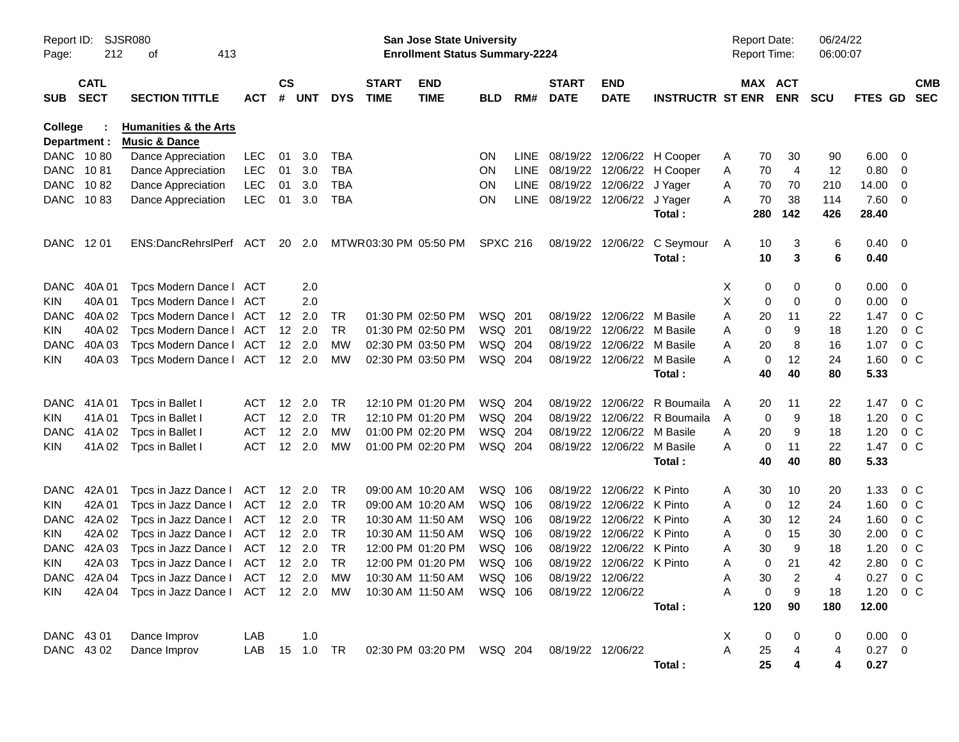| Report ID:<br>Page:     | 212                        | SJSR080<br>413<br>οf                                         |               |           |                |            |                             | <b>San Jose State University</b><br><b>Enrollment Status Summary-2224</b> |                 |       |                             |                           |                         |   | <b>Report Date:</b><br><b>Report Time:</b> |            | 06/24/22<br>06:00:07 |              |                |                          |
|-------------------------|----------------------------|--------------------------------------------------------------|---------------|-----------|----------------|------------|-----------------------------|---------------------------------------------------------------------------|-----------------|-------|-----------------------------|---------------------------|-------------------------|---|--------------------------------------------|------------|----------------------|--------------|----------------|--------------------------|
| <b>SUB</b>              | <b>CATL</b><br><b>SECT</b> | <b>SECTION TITTLE</b>                                        | <b>ACT</b>    | <b>CS</b> | # UNT          | <b>DYS</b> | <b>START</b><br><b>TIME</b> | <b>END</b><br><b>TIME</b>                                                 | <b>BLD</b>      | RM#   | <b>START</b><br><b>DATE</b> | <b>END</b><br><b>DATE</b> | <b>INSTRUCTR ST ENR</b> |   | MAX ACT                                    | <b>ENR</b> | <b>SCU</b>           | FTES GD      |                | <b>CMB</b><br><b>SEC</b> |
| College<br>Department : |                            | <b>Humanities &amp; the Arts</b><br><b>Music &amp; Dance</b> |               |           |                |            |                             |                                                                           |                 |       |                             |                           |                         |   |                                            |            |                      |              |                |                          |
| DANC 1080               |                            | Dance Appreciation                                           | LEC           | 01        | 3.0            | <b>TBA</b> |                             |                                                                           | ON.             | LINE. | 08/19/22                    | 12/06/22                  | H Cooper                | A | 70                                         | 30         | 90                   | 6.00         | -0             |                          |
| DANC 1081               |                            | Dance Appreciation                                           | <b>LEC</b>    | 01        | 3.0            | TBA        |                             |                                                                           | ON.             | LINE  | 08/19/22                    | 12/06/22                  | H Cooper                | Α | 70                                         | 4          | 12                   | 0.80         | 0              |                          |
| <b>DANC</b>             | 1082                       | Dance Appreciation                                           | <b>LEC</b>    | 01        | 3.0            | TBA        |                             |                                                                           | <b>ON</b>       | LINE  | 08/19/22 12/06/22           |                           | J Yager                 | Α | 70                                         | 70         | 210                  | 14.00        | 0              |                          |
| DANC 1083               |                            | Dance Appreciation                                           | <b>LEC</b>    | 01        | 3.0            | <b>TBA</b> |                             |                                                                           | <b>ON</b>       |       | LINE 08/19/22 12/06/22      |                           | J Yager                 | A | 70                                         | 38         | 114                  | 7.60         | - 0            |                          |
|                         |                            |                                                              |               |           |                |            |                             |                                                                           |                 |       |                             |                           | Total:                  |   | 280                                        | 142        | 426                  | 28.40        |                |                          |
| DANC 1201               |                            | ENS:DancRehrslPerf ACT                                       |               |           | 20 2.0         |            |                             | MTWR03:30 PM 05:50 PM                                                     | <b>SPXC 216</b> |       | 08/19/22                    | 12/06/22                  | C Seymour               | A | 10                                         | 3          | 6                    | 0.40         | - 0            |                          |
|                         |                            |                                                              |               |           |                |            |                             |                                                                           |                 |       |                             |                           | Total:                  |   | 10                                         | 3          | 6                    | 0.40         |                |                          |
| <b>DANC</b>             | 40A 01                     | Tpcs Modern Dance I                                          | ACT           |           | 2.0            |            |                             |                                                                           |                 |       |                             |                           |                         | X | 0                                          | 0          | 0                    | 0.00         | 0              |                          |
| <b>KIN</b>              | 40A 01                     | Tpcs Modern Dance I                                          | ACT           |           | 2.0            |            |                             |                                                                           |                 |       |                             |                           |                         | Χ | 0                                          | 0          | 0                    | 0.00         | 0              |                          |
| <b>DANC</b>             | 40A 02                     | Tpcs Modern Dance I                                          | ACT           | 12        | 2.0            | TR         |                             | 01:30 PM 02:50 PM                                                         | WSQ 201         |       | 08/19/22                    | 12/06/22                  | M Basile                | Α | 20                                         | 11         | 22                   | 1.47         | 0 <sup>o</sup> |                          |
| <b>KIN</b>              | 40A 02                     | Tpcs Modern Dance I                                          | ACT           | 12        | 2.0            | TR         |                             | 01:30 PM 02:50 PM                                                         | WSQ 201         |       | 08/19/22                    | 12/06/22                  | M Basile                | Α | 0                                          | 9          | 18                   | 1.20         | 0 <sub>C</sub> |                          |
| <b>DANC</b>             | 40A03                      | Tpcs Modern Dance I                                          | ACT           | 12        | 2.0            | МW         |                             | 02:30 PM 03:50 PM                                                         | WSQ 204         |       | 08/19/22                    | 12/06/22                  | M Basile                | Α | 20                                         | 8          | 16                   | 1.07         | 0 <sub>C</sub> |                          |
| <b>KIN</b>              | 40A 03                     | Tpcs Modern Dance I                                          | ACT           |           | 12 2.0         | <b>MW</b>  |                             | 02:30 PM 03:50 PM                                                         | WSQ 204         |       | 08/19/22                    | 12/06/22                  | M Basile                | Α | 0                                          | 12         | 24                   | 1.60         | 0 <sup>o</sup> |                          |
|                         |                            |                                                              |               |           |                |            |                             |                                                                           |                 |       |                             |                           | Total:                  |   | 40                                         | 40         | 80                   | 5.33         |                |                          |
| <b>DANC</b>             | 41A 01                     | Tpcs in Ballet I                                             | ACT           | 12        | 2.0            | TR         |                             | 12:10 PM 01:20 PM                                                         | WSQ 204         |       | 08/19/22                    | 12/06/22                  | R Boumaila              | A | 20                                         | 11         | 22                   | 1.47         | 0 <sup>o</sup> |                          |
| <b>KIN</b>              | 41A01                      | Tpcs in Ballet I                                             | ACT           | 12        | 2.0            | TR         |                             | 12:10 PM 01:20 PM                                                         | WSQ 204         |       | 08/19/22                    | 12/06/22                  | R Boumaila              | Α | 0                                          | 9          | 18                   | 1.20         | 0 <sup>o</sup> |                          |
| <b>DANC</b>             | 41A 02                     | Tpcs in Ballet I                                             | <b>ACT</b>    | 12        | 2.0            | МW         |                             | 01:00 PM 02:20 PM                                                         | WSQ 204         |       | 08/19/22                    | 12/06/22                  | M Basile                | A | 20                                         | 9          | 18                   | 1.20         | $0\,C$         |                          |
| <b>KIN</b>              | 41A 02                     | Tpcs in Ballet I                                             | <b>ACT</b>    | 12        | 2.0            | MW         |                             | 01:00 PM 02:20 PM                                                         | WSQ 204         |       | 08/19/22                    | 12/06/22                  | M Basile<br>Total:      | A | 0<br>40                                    | 11<br>40   | 22<br>80             | 1.47<br>5.33 | 0 <sub>C</sub> |                          |
|                         |                            |                                                              |               |           |                |            |                             |                                                                           |                 |       |                             |                           |                         |   |                                            |            |                      |              |                |                          |
| <b>DANC</b>             | 42A 01                     | Tpcs in Jazz Dance I                                         | ACT           | 12        | - 2.0          | TR         |                             | 09:00 AM 10:20 AM                                                         | WSQ 106         |       | 08/19/22                    | 12/06/22                  | K Pinto                 | Α | 30                                         | 10         | 20                   | 1.33         | 0 <sup>o</sup> |                          |
| <b>KIN</b>              | 42A 01                     | Tpcs in Jazz Dance I                                         | ACT           | 12        | - 2.0          | TR         |                             | 09:00 AM 10:20 AM                                                         | WSQ 106         |       | 08/19/22                    | 12/06/22                  | K Pinto                 | Α | 0                                          | 12         | 24                   | 1.60         | 0 <sup>o</sup> |                          |
| <b>DANC</b>             | 42A 02                     | Tpcs in Jazz Dance I                                         | ACT           | 12        | - 2.0          | TR         |                             | 10:30 AM 11:50 AM                                                         | WSQ 106         |       | 08/19/22                    | 12/06/22                  | K Pinto                 | Α | 30                                         | 12         | 24                   | 1.60         | 0 <sup>o</sup> |                          |
| <b>KIN</b>              | 42A 02                     | Tpcs in Jazz Dance I                                         | ACT           | 12        | - 2.0          | TR         |                             | 10:30 AM 11:50 AM                                                         | WSQ 106         |       | 08/19/22                    | 12/06/22                  | K Pinto                 | Α | 0                                          | 15         | 30                   | 2.00         | 0 <sub>C</sub> |                          |
| <b>DANC</b>             | 42A 03                     | Tpcs in Jazz Dance I                                         | ACT           | 12        | - 2.0          | TR         |                             | 12:00 PM 01:20 PM                                                         | WSQ 106         |       | 08/19/22                    | 12/06/22                  | K Pinto                 | Α | 30                                         | 9          | 18                   | 1.20         | 0 <sup>o</sup> |                          |
| <b>KIN</b>              | 42A 03                     | Tpcs in Jazz Dance I                                         | ACT           |           | $12 \quad 2.0$ | <b>TR</b>  |                             | 12:00 PM 01:20 PM                                                         | WSQ 106         |       |                             | 08/19/22 12/06/22 K Pinto |                         | Α | 0                                          | 21         | 42                   | 2.80         | 0 <sub>C</sub> |                          |
|                         |                            | DANC 42A 04 Tpcs in Jazz Dance I ACT 12 2.0 MW               |               |           |                |            |                             | 10:30 AM 11:50 AM                                                         | WSQ 106         |       | 08/19/22 12/06/22           |                           |                         | Α | 30                                         | 2          | 4                    | 0.27 0 C     |                |                          |
| KIN                     |                            | 42A 04 Tpcs in Jazz Dance I ACT 12 2.0 MW                    |               |           |                |            |                             | 10:30 AM 11:50 AM                                                         | WSQ 106         |       |                             | 08/19/22 12/06/22         |                         | Α | 0                                          | 9          | 18                   | 1.20         | 0 C            |                          |
|                         |                            |                                                              |               |           |                |            |                             |                                                                           |                 |       |                             |                           | Total:                  |   | 120                                        | 90         | 180                  | 12.00        |                |                          |
| DANC 43 01              |                            | Dance Improv                                                 | LAB           |           | 1.0            |            |                             |                                                                           |                 |       |                             |                           |                         | X | $\boldsymbol{0}$                           | 0          | 0                    | $0.00 \t 0$  |                |                          |
| DANC 4302               |                            | Dance Improv                                                 | LAB 15 1.0 TR |           |                |            |                             | 02:30 PM 03:20 PM WSQ 204                                                 |                 |       | 08/19/22 12/06/22           |                           |                         | A | 25                                         |            | 4                    | $0.27$ 0     |                |                          |
|                         |                            |                                                              |               |           |                |            |                             |                                                                           |                 |       |                             |                           | Total:                  |   | 25                                         |            | 4                    | 0.27         |                |                          |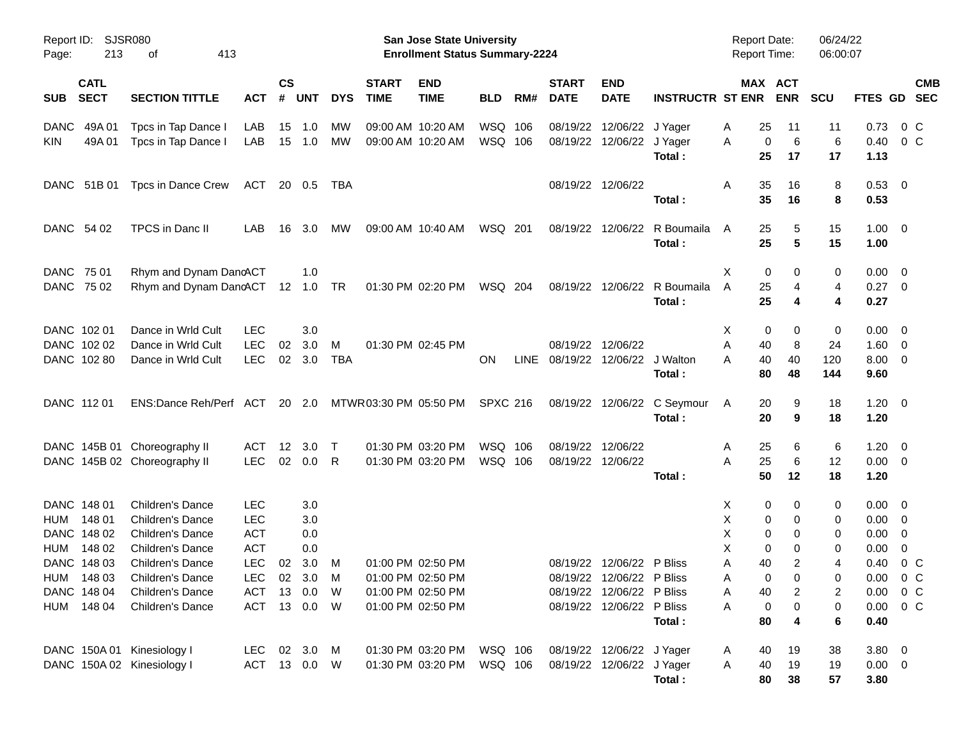| Report ID:<br>Page:        | 213                        | <b>SJSR080</b><br>413<br>оf                             |                          |                |               |                 |                             | <b>San Jose State University</b><br><b>Enrollment Status Summary-2224</b> |                 |     |                                 |                           |                         | <b>Report Date:</b><br><b>Report Time:</b> |                       | 06/24/22<br>06:00:07 |                     |                                                    |
|----------------------------|----------------------------|---------------------------------------------------------|--------------------------|----------------|---------------|-----------------|-----------------------------|---------------------------------------------------------------------------|-----------------|-----|---------------------------------|---------------------------|-------------------------|--------------------------------------------|-----------------------|----------------------|---------------------|----------------------------------------------------|
| <b>SUB</b>                 | <b>CATL</b><br><b>SECT</b> | <b>SECTION TITTLE</b>                                   | АСТ                      | <b>CS</b><br># | <b>UNT</b>    | <b>DYS</b>      | <b>START</b><br><b>TIME</b> | <b>END</b><br><b>TIME</b>                                                 | <b>BLD</b>      | RM# | <b>START</b><br><b>DATE</b>     | <b>END</b><br><b>DATE</b> | <b>INSTRUCTR ST ENR</b> |                                            | MAX ACT<br><b>ENR</b> | <b>SCU</b>           |                     | <b>CMB</b><br>FTES GD SEC                          |
| <b>DANC</b>                | 49A 01                     | Tpcs in Tap Dance I                                     | LAB                      | 15             | 1.0           | МW              |                             | 09:00 AM 10:20 AM                                                         | WSQ 106         |     |                                 | 08/19/22 12/06/22         | J Yager                 | 25<br>A                                    | 11                    | 11                   | 0.73                | $0\,$ C                                            |
| KIN                        | 49A 01                     | Tpcs in Tap Dance I                                     | LAB                      | 15             | 1.0           | <b>MW</b>       |                             | 09:00 AM 10:20 AM                                                         | WSQ 106         |     |                                 | 08/19/22 12/06/22 J Yager | Total:                  | A<br>25                                    | 6<br>0<br>17          | 6<br>17              | 0.40<br>1.13        | 0 <sup>C</sup>                                     |
|                            | DANC 51B 01                | Tpcs in Dance Crew                                      | ACT                      |                | 20 0.5        | TBA             |                             |                                                                           |                 |     |                                 | 08/19/22 12/06/22         |                         | Α<br>35                                    | 16                    | 8                    | $0.53 \ 0$          |                                                    |
|                            |                            |                                                         |                          |                |               |                 |                             |                                                                           |                 |     |                                 |                           | Total:                  | 35                                         | 16                    | 8                    | 0.53                |                                                    |
| DANC 54 02                 |                            | TPCS in Danc II                                         | LAB                      | 16             | 3.0           | MW              |                             | 09:00 AM 10:40 AM                                                         | WSQ 201         |     |                                 | 08/19/22 12/06/22         | R Boumaila<br>Total:    | A<br>25<br>25                              | 5<br>5                | 15<br>15             | $1.00 \t 0$<br>1.00 |                                                    |
| DANC 75 01                 |                            |                                                         |                          |                |               |                 |                             |                                                                           |                 |     |                                 |                           |                         |                                            |                       |                      |                     |                                                    |
| DANC 75 02                 |                            | Rhym and Dynam DancACT<br>Rhym and Dynam DancACT 12 1.0 |                          |                | 1.0           | TR              |                             | 01:30 PM 02:20 PM                                                         | WSQ 204         |     |                                 | 08/19/22 12/06/22         | R Boumaila              | Χ<br>A<br>25                               | 0<br>0<br>4           | 0<br>4               | 0.00<br>0.27        | - 0<br>$\overline{\phantom{0}}$                    |
|                            |                            |                                                         |                          |                |               |                 |                             |                                                                           |                 |     |                                 |                           | Total:                  | 25                                         | 4                     | 4                    | 0.27                |                                                    |
| DANC 102 01                |                            | Dance in Wrld Cult                                      | <b>LEC</b>               |                | 3.0           |                 |                             |                                                                           |                 |     |                                 |                           |                         | X                                          | 0<br>0                | 0                    | 0.00                | - 0                                                |
| DANC 102 02<br>DANC 102 80 |                            | Dance in Wrld Cult<br>Dance in Wrld Cult                | <b>LEC</b><br><b>LEC</b> | 02             | 3.0<br>02 3.0 | M<br><b>TBA</b> |                             | 01:30 PM 02:45 PM                                                         | <b>ON</b>       |     | LINE 08/19/22 12/06/22 J Walton | 08/19/22 12/06/22         |                         | A<br>40<br>40<br>A                         | 8<br>40               | 24<br>120            | 1.60<br>8.00        | $\overline{\mathbf{0}}$<br>$\overline{\mathbf{0}}$ |
|                            |                            |                                                         |                          |                |               |                 |                             |                                                                           |                 |     |                                 |                           | Total:                  | 80                                         | 48                    | 144                  | 9.60                |                                                    |
| DANC 112 01                |                            | ENS:Dance Reh/Perf ACT 20 2.0                           |                          |                |               |                 | MTWR 03:30 PM 05:50 PM      |                                                                           | <b>SPXC 216</b> |     |                                 | 08/19/22 12/06/22         | C Seymour               | A<br>20                                    | 9                     | 18                   | $1.20 \t 0$         |                                                    |
|                            |                            |                                                         |                          |                |               |                 |                             |                                                                           |                 |     |                                 |                           | Total:                  | 20                                         | 9                     | 18                   | 1.20                |                                                    |
|                            |                            | DANC 145B 01 Choreography II                            | ACT                      | 12             | 3.0           | $\top$          |                             | 01:30 PM 03:20 PM                                                         | WSQ 106         |     | 08/19/22 12/06/22               |                           |                         | 25<br>A                                    | 6                     | 6                    | 1.20                | - 0                                                |
|                            |                            | DANC 145B 02 Choreography II                            | <b>LEC</b>               | 02             | 0.0           | R               |                             | 01:30 PM 03:20 PM                                                         | WSQ 106         |     | 08/19/22 12/06/22               |                           |                         | A<br>25                                    | 6                     | 12                   | $0.00 \t 0$         |                                                    |
|                            |                            |                                                         |                          |                |               |                 |                             |                                                                           |                 |     |                                 |                           | Total:                  | 50                                         | 12                    | 18                   | 1.20                |                                                    |
| DANC 148 01                |                            | <b>Children's Dance</b>                                 | <b>LEC</b>               |                | 3.0           |                 |                             |                                                                           |                 |     |                                 |                           |                         | X                                          | 0<br>0                | 0                    | 0.00                | - 0                                                |
| HUM<br>DANC 148 02         | 148 01                     | <b>Children's Dance</b>                                 | <b>LEC</b>               |                | 3.0           |                 |                             |                                                                           |                 |     |                                 |                           |                         | х                                          | 0<br>0                | 0                    | 0.00                | - 0                                                |
| HUM                        | 148 02                     | Children's Dance<br><b>Children's Dance</b>             | <b>ACT</b><br><b>ACT</b> |                | 0.0<br>0.0    |                 |                             |                                                                           |                 |     |                                 |                           |                         | Χ<br>X                                     | 0<br>0<br>0<br>0      | 0<br>0               | 0.00<br>0.00        | 0<br>0                                             |
| DANC 148 03                |                            | <b>Children's Dance</b>                                 | <b>LEC</b>               | 02             | 3.0           | M               |                             | 01:00 PM 02:50 PM                                                         |                 |     |                                 | 08/19/22 12/06/22 P Bliss |                         | 40<br>A                                    | 2                     | 4                    | 0.40                | $0\,$ C                                            |
| HUM 148 03                 |                            | Children's Dance                                        | <b>LEC</b>               |                | 02 3.0        | M               |                             | 01:00 PM 02:50 PM                                                         |                 |     |                                 | 08/19/22 12/06/22 P Bliss |                         | Α                                          | 0<br>0                | 0                    | $0.00 \t 0 C$       |                                                    |
| DANC 148 04                |                            | Children's Dance                                        | ACT                      | 13             | 0.0           | W               |                             | 01:00 PM 02:50 PM                                                         |                 |     |                                 | 08/19/22 12/06/22 P Bliss |                         | Α<br>40                                    | 2                     | 2                    | 0.00                | $0\,$ C                                            |
| HUM 148 04                 |                            | Children's Dance                                        | ACT                      |                | 13  0.0  W    |                 |                             | 01:00 PM 02:50 PM                                                         |                 |     |                                 | 08/19/22 12/06/22 P Bliss |                         | Α                                          | 0<br>0                | 0                    | 0.00                | $0\,C$                                             |
|                            |                            |                                                         |                          |                |               |                 |                             |                                                                           |                 |     |                                 |                           | Total:                  | 80                                         | 4                     | 6                    | 0.40                |                                                    |
|                            |                            | DANC 150A 01 Kinesiology I                              | LEC                      |                | 02 3.0        | M               |                             | 01:30 PM 03:20 PM                                                         | WSQ 106         |     |                                 | 08/19/22 12/06/22 J Yager |                         | 40<br>A                                    | 19                    | 38                   | $3.80\ 0$           |                                                    |
|                            |                            | DANC 150A 02 Kinesiology I                              | ACT 13 0.0 W             |                |               |                 |                             | 01:30 PM 03:20 PM                                                         | WSQ 106         |     |                                 | 08/19/22 12/06/22 J Yager |                         | 40<br>A                                    | 19                    | 19                   | $0.00 \t 0$         |                                                    |
|                            |                            |                                                         |                          |                |               |                 |                             |                                                                           |                 |     |                                 |                           | Total:                  |                                            | 80<br>38              | 57                   | 3.80                |                                                    |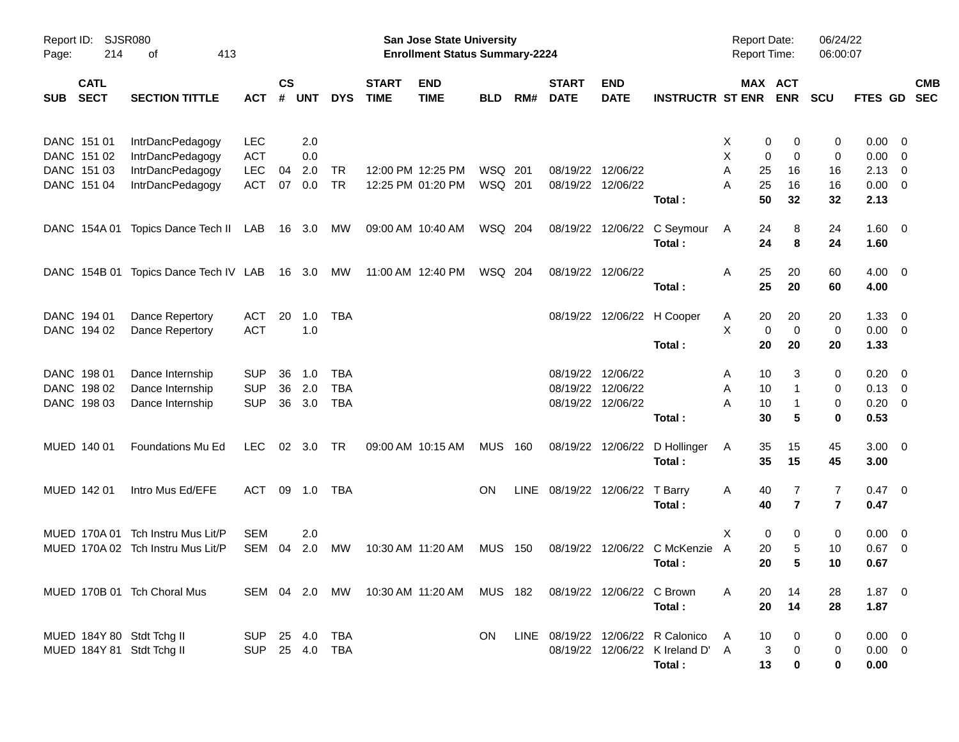| Report ID:<br>Page: | SJSR080<br>214                                                                                       |                                       |                |                |                |            | San Jose State University<br><b>Enrollment Status Summary-2224</b> |                                                                   |                |      |                             |                           | <b>Report Date:</b><br><b>Report Time:</b> |                      | 06/24/22<br>06:00:07  |                |                |                         |            |
|---------------------|------------------------------------------------------------------------------------------------------|---------------------------------------|----------------|----------------|----------------|------------|--------------------------------------------------------------------|-------------------------------------------------------------------|----------------|------|-----------------------------|---------------------------|--------------------------------------------|----------------------|-----------------------|----------------|----------------|-------------------------|------------|
| <b>SUB</b>          | <b>CATL</b><br><b>SECT</b><br><b>SECTION TITTLE</b><br><b>ACT</b><br>DANC 151 01<br>IntrDancPedagogy |                                       |                | <b>CS</b><br># | <b>UNT</b>     | <b>DYS</b> | <b>START</b><br><b>TIME</b>                                        | <b>END</b><br><b>TIME</b>                                         | <b>BLD</b>     | RM#  | <b>START</b><br><b>DATE</b> | <b>END</b><br><b>DATE</b> | <b>INSTRUCTR ST ENR</b>                    |                      | MAX ACT<br><b>ENR</b> | <b>SCU</b>     | FTES GD SEC    |                         | <b>CMB</b> |
|                     |                                                                                                      |                                       | LEC            |                | 2.0            |            |                                                                    |                                                                   |                |      |                             |                           |                                            | X                    | 0<br>0                | 0              | 0.00           | $\overline{0}$          |            |
|                     | DANC 151 02                                                                                          | IntrDancPedagogy                      | <b>ACT</b>     |                | 0.0            |            |                                                                    |                                                                   |                |      |                             |                           |                                            | Χ                    | $\mathbf 0$<br>0      | 0              | 0.00           | $\overline{0}$          |            |
|                     | DANC 151 03                                                                                          | IntrDancPedagogy                      | <b>LEC</b>     | 04             | 2.0            | TR         |                                                                    | 12:00 PM 12:25 PM                                                 | WSQ 201        |      |                             | 08/19/22 12/06/22         |                                            | Α<br>25              | 16                    | 16             | 2.13           | 0                       |            |
|                     | DANC 151 04                                                                                          | IntrDancPedagogy                      | <b>ACT</b>     | 07             | 0.0            | <b>TR</b>  |                                                                    | 12:25 PM 01:20 PM                                                 | WSQ 201        |      |                             | 08/19/22 12/06/22         |                                            | 25<br>Α              | 16                    | 16             | 0.00           | $\overline{0}$          |            |
|                     |                                                                                                      |                                       |                |                |                |            |                                                                    |                                                                   |                |      |                             |                           | Total:                                     | 50                   | 32                    | 32             | 2.13           |                         |            |
|                     | DANC 154A 01                                                                                         | Topics Dance Tech II LAB              |                |                | 16 3.0         | МW         |                                                                    | 09:00 AM 10:40 AM                                                 | WSQ 204        |      |                             | 08/19/22 12/06/22         | C Seymour                                  | 24<br>A              | 8                     | 24             | $1.60 \t 0$    |                         |            |
|                     |                                                                                                      |                                       |                |                |                |            |                                                                    |                                                                   |                |      |                             |                           | Total:                                     | 24                   | 8                     | 24             | 1.60           |                         |            |
|                     |                                                                                                      | DANC 154B 01 Topics Dance Tech IV LAB |                |                | 16 3.0         | МW         |                                                                    | 11:00 AM 12:40 PM                                                 | WSQ 204        |      |                             | 08/19/22 12/06/22         |                                            | Α<br>25              | 20                    | 60             | $4.00 \t 0$    |                         |            |
|                     |                                                                                                      |                                       |                |                |                |            |                                                                    |                                                                   |                |      |                             |                           | Total:                                     | 25                   | 20                    | 60             | 4.00           |                         |            |
|                     | DANC 194 01                                                                                          | Dance Repertory                       | ACT            | 20             | 1.0            | TBA        |                                                                    |                                                                   |                |      |                             |                           | 08/19/22 12/06/22 H Cooper                 | 20<br>A              | 20                    | 20             | 1.33           | $\overline{0}$          |            |
|                     | DANC 194 02                                                                                          | Dance Repertory                       | <b>ACT</b>     |                | 1.0            |            |                                                                    |                                                                   |                |      |                             |                           |                                            | Χ                    | $\mathbf 0$<br>0      | $\mathbf 0$    | $0.00 \t 0$    |                         |            |
|                     |                                                                                                      |                                       |                |                |                |            |                                                                    |                                                                   |                |      |                             |                           | Total:                                     | 20                   | 20                    | 20             | 1.33           |                         |            |
|                     | DANC 198 01                                                                                          | Dance Internship                      | <b>SUP</b>     | 36             | 1.0            | TBA        |                                                                    |                                                                   |                |      |                             | 08/19/22 12/06/22         |                                            | 10<br>A              | 3                     | 0              | 0.20           | $\overline{\mathbf{0}}$ |            |
|                     | DANC 198 02                                                                                          | Dance Internship                      | <b>SUP</b>     | 36             | 2.0            | <b>TBA</b> |                                                                    |                                                                   |                |      | 08/19/22                    | 12/06/22                  |                                            | Α<br>10              | -1                    | 0              | 0.13           | $\overline{\mathbf{0}}$ |            |
|                     | DANC 198 03                                                                                          | Dance Internship                      | <b>SUP</b>     | 36             | 3.0            | <b>TBA</b> |                                                                    |                                                                   |                |      |                             | 08/19/22 12/06/22         |                                            | A<br>10              |                       | 0              | 0.20           | $\overline{\mathbf{0}}$ |            |
|                     |                                                                                                      |                                       |                |                |                |            |                                                                    |                                                                   |                |      |                             |                           | Total:                                     | 30                   | 5                     | $\mathbf 0$    | 0.53           |                         |            |
|                     | MUED 140 01                                                                                          | Foundations Mu Ed                     | <b>LEC</b>     |                | $02 \quad 3.0$ | TR         |                                                                    | 09:00 AM 10:15 AM                                                 | <b>MUS 160</b> |      |                             | 08/19/22 12/06/22         | D Hollinger                                | 35<br>A              | 15                    | 45             | $3.00 \ 0$     |                         |            |
|                     |                                                                                                      |                                       |                |                |                |            |                                                                    |                                                                   |                |      |                             |                           | Total:                                     | 35                   | 15                    | 45             | 3.00           |                         |            |
|                     | MUED 142 01                                                                                          | Intro Mus Ed/EFE                      | ACT            |                | 09 1.0         | TBA        |                                                                    |                                                                   | <b>ON</b>      | LINE | 08/19/22 12/06/22           |                           | T Barry                                    | A<br>40              | 7                     | 7              | $0.47 \quad 0$ |                         |            |
|                     |                                                                                                      |                                       |                |                |                |            |                                                                    |                                                                   |                |      |                             |                           | Total:                                     | 40                   | $\overline{7}$        | $\overline{7}$ | 0.47           |                         |            |
|                     | MUED 170A 01                                                                                         | Tch Instru Mus Lit/P                  | <b>SEM</b>     |                | 2.0            |            |                                                                    |                                                                   |                |      |                             |                           |                                            | X                    | 0<br>0                | 0              | 0.00           | $\overline{\mathbf{0}}$ |            |
|                     |                                                                                                      | MUED 170A 02 Tch Instru Mus Lit/P     | <b>SEM</b>     | 04             | 2.0            | МW         |                                                                    | 10:30 AM 11:20 AM                                                 | MUS            | 150  |                             | 08/19/22 12/06/22         | C McKenzie                                 | $\overline{A}$<br>20 | 5                     | 10             | 0.67           | $\overline{0}$          |            |
|                     |                                                                                                      |                                       |                |                |                |            |                                                                    |                                                                   |                |      |                             |                           | Total:                                     | 20                   | 5                     | 10             | 0.67           |                         |            |
|                     |                                                                                                      | MUED 170B 01 Tch Choral Mus           |                |                |                |            |                                                                    | SEM 04 2.0 MW 10:30 AM 11:20 AM MUS 182 08/19/22 12/06/22 C Brown |                |      |                             |                           |                                            | A<br>20              | 14                    | 28             | $1.87 \t 0$    |                         |            |
|                     |                                                                                                      |                                       |                |                |                |            |                                                                    |                                                                   |                |      |                             |                           | Total:                                     | 20                   | 14                    | 28             | 1.87           |                         |            |
|                     |                                                                                                      | MUED 184Y 80 Stdt Tchg II             | SUP 25 4.0 TBA |                |                |            |                                                                    |                                                                   | ON.            |      |                             |                           | LINE 08/19/22 12/06/22 R Calonico          | 10<br>A              | 0                     | 0              | $0.00 \t 0$    |                         |            |
|                     |                                                                                                      | MUED 184Y 81 Stdt Tchg II             | SUP 25 4.0 TBA |                |                |            |                                                                    |                                                                   |                |      |                             |                           | 08/19/22 12/06/22 K Ireland D' A           |                      | 3<br>0                | 0              | $0.00 \t 0$    |                         |            |
|                     |                                                                                                      |                                       |                |                |                |            |                                                                    |                                                                   |                |      |                             |                           | Total:                                     | 13                   | 0                     | 0              | 0.00           |                         |            |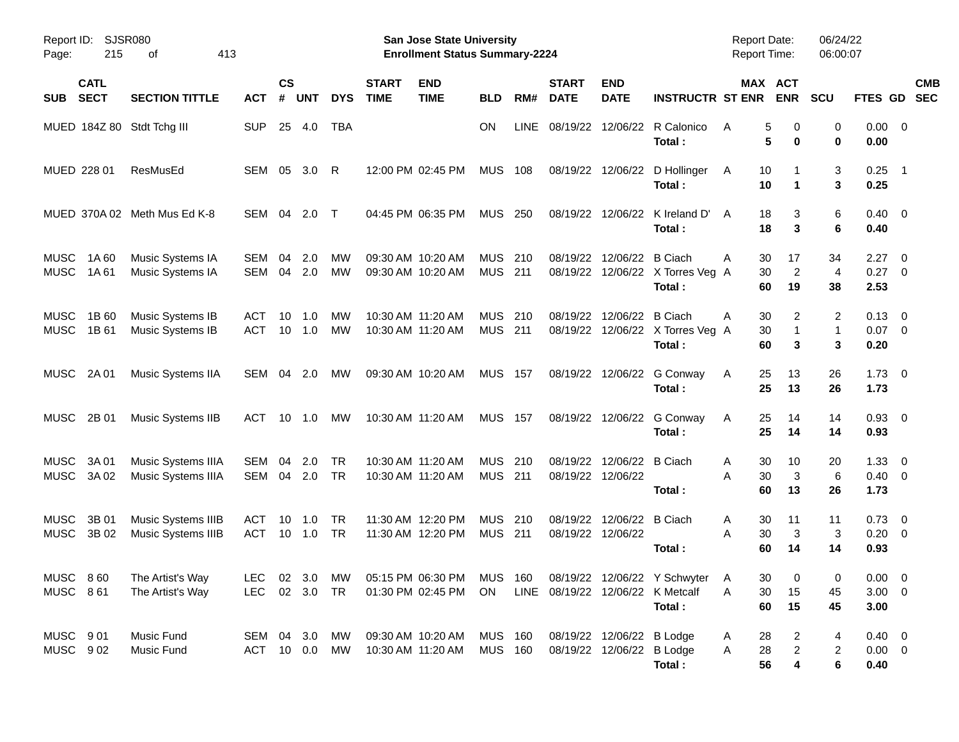| SJSR080<br>Report ID:<br>215<br>413<br>Page:<br>οf |                |                                                 |                          |                    |            |                 |                                        | San Jose State University<br><b>Enrollment Status Summary-2224</b> |                              |            | <b>Report Date:</b><br><b>Report Time:</b>             |                           | 06/24/22<br>06:00:07                                                             |                    |                                        |               |                                      |                          |                          |
|----------------------------------------------------|----------------|-------------------------------------------------|--------------------------|--------------------|------------|-----------------|----------------------------------------|--------------------------------------------------------------------|------------------------------|------------|--------------------------------------------------------|---------------------------|----------------------------------------------------------------------------------|--------------------|----------------------------------------|---------------|--------------------------------------|--------------------------|--------------------------|
| <b>CATL</b><br><b>SECT</b><br><b>SUB</b>           |                | <b>SECTION TITTLE</b>                           | <b>ACT</b>               | $\mathsf{cs}$<br># | <b>UNT</b> | <b>DYS</b>      | <b>START</b><br><b>TIME</b>            | <b>END</b><br><b>TIME</b>                                          | <b>BLD</b>                   | RM#        | <b>START</b><br><b>DATE</b>                            | <b>END</b><br><b>DATE</b> | <b>INSTRUCTR ST ENR</b>                                                          |                    | MAX ACT<br><b>ENR</b>                  | <b>SCU</b>    | FTES GD                              |                          | <b>CMB</b><br><b>SEC</b> |
| MUED 184Z 80 Stdt Tchg III                         |                |                                                 | <b>SUP</b>               | 25                 | 4.0        | <b>TBA</b>      |                                        |                                                                    | <b>ON</b>                    | LINE       | 08/19/22                                               |                           | 12/06/22 R Calonico<br>Total:                                                    | A                  | 5<br>0<br>5<br>0                       | 0<br>0        | $0.00 \t 0$<br>0.00                  |                          |                          |
| MUED 228 01                                        |                | ResMusEd                                        | SEM                      | 05                 | 3.0        | -R              | 12:00 PM 02:45 PM                      |                                                                    | <b>MUS</b>                   | 108        |                                                        |                           | 08/19/22 12/06/22 D Hollinger<br>Total:                                          | A                  | 10<br>10<br>1                          | 3<br>3        | 0.25<br>0.25                         | $\overline{\phantom{0}}$ |                          |
|                                                    |                | MUED 370A 02 Meth Mus Ed K-8                    | SEM                      | 04                 | 2.0        | $\top$          | 04:45 PM 06:35 PM                      |                                                                    | <b>MUS</b>                   | 250        | 08/19/22                                               | 12/06/22                  | K Ireland D'<br>Total:                                                           | A                  | 18<br>3<br>18<br>3                     | 6<br>6        | $0.40 \quad 0$<br>0.40               |                          |                          |
| <b>MUSC</b><br><b>MUSC</b>                         | 1A60<br>1A61   | Music Systems IA<br>Music Systems IA            | SEM<br><b>SEM</b>        | 04<br>04           | 2.0<br>2.0 | МW<br><b>MW</b> | 09:30 AM 10:20 AM<br>09:30 AM 10:20 AM |                                                                    | <b>MUS</b><br><b>MUS 211</b> | 210        | 08/19/22<br>08/19/22                                   | 12/06/22 B Ciach          | 12/06/22 X Torres Veg A<br>Total:                                                | Α<br>60            | 30<br>17<br>$\overline{2}$<br>30<br>19 | 34<br>4<br>38 | 2.27<br>$0.27$ 0<br>2.53             | $\overline{\phantom{0}}$ |                          |
| <b>MUSC</b><br>MUSC                                | 1B 60<br>1B 61 | Music Systems IB<br>Music Systems IB            | <b>ACT</b><br><b>ACT</b> | 10<br>10           | 1.0<br>1.0 | МW<br><b>MW</b> | 10:30 AM 11:20 AM<br>10:30 AM 11:20 AM |                                                                    | <b>MUS</b><br><b>MUS 211</b> | 210        | 08/19/22<br>08/19/22                                   | 12/06/22                  | B Ciach<br>12/06/22 X Torres Veg A<br>Total:                                     | Α<br>60            | 30<br>2<br>30<br>1<br>3                | 2<br>1<br>3   | $0.13 \quad 0$<br>$0.07$ 0<br>0.20   |                          |                          |
| MUSC                                               | 2A 01          | Music Systems IIA                               | SEM                      | 04                 | 2.0        | МW              | 09:30 AM 10:20 AM                      |                                                                    | <b>MUS 157</b>               |            |                                                        |                           | 08/19/22 12/06/22 G Conway<br>Total:                                             | A                  | 25<br>13<br>25<br>13                   | 26<br>26      | $1.73 \t 0$<br>1.73                  |                          |                          |
| MUSC                                               | 2B 01          | Music Systems IIB                               | <b>ACT</b>               | 10                 | 1.0        | МW              | 10:30 AM 11:20 AM                      |                                                                    | <b>MUS 157</b>               |            |                                                        |                           | 08/19/22 12/06/22 G Conway<br>Total:                                             | A                  | 25<br>14<br>25<br>14                   | 14<br>14      | $0.93$ 0<br>0.93                     |                          |                          |
| <b>MUSC</b><br>MUSC                                | 3A 01<br>3A 02 | Music Systems IIIA<br>Music Systems IIIA        | SEM<br><b>SEM</b>        | 04<br>04           | 2.0<br>2.0 | TR<br>TR        | 10:30 AM 11:20 AM<br>10:30 AM 11:20 AM |                                                                    | <b>MUS</b><br><b>MUS 211</b> | 210        | 08/19/22<br>08/19/22 12/06/22                          | 12/06/22 B Ciach          | Total:                                                                           | Α<br>Α<br>60       | 30<br>10<br>30<br>3<br>13              | 20<br>6<br>26 | $1.33 \ 0$<br>$0.40 \quad 0$<br>1.73 |                          |                          |
| <b>MUSC</b><br>MUSC                                | 3B 01<br>3B 02 | Music Systems IIIB<br><b>Music Systems IIIB</b> | <b>ACT</b><br><b>ACT</b> | 10<br>10           | 1.0<br>1.0 | TR<br><b>TR</b> | 11:30 AM 12:20 PM<br>11:30 AM 12:20 PM |                                                                    | <b>MUS</b><br><b>MUS</b>     | 210<br>211 | 08/19/22<br>08/19/22 12/06/22                          | 12/06/22 B Ciach          | Total:                                                                           | A<br>A<br>60       | 30<br>11<br>30<br>3<br>14              | 11<br>3<br>14 | $0.73 \quad 0$<br>$0.20 \ 0$<br>0.93 |                          |                          |
| MUSC 860<br>MUSC 861                               |                | The Artist's Way<br>The Artist's Way            | LEC 02 3.0 TR            |                    |            |                 |                                        | 01:30 PM 02:45 PM ON LINE 08/19/22 12/06/22 K Metcalf              |                              |            |                                                        |                           | LEC 02 3.0 MW 05:15 PM 06:30 PM MUS 160 08/19/22 12/06/22 Y Schwyter A<br>Total: | 30<br>A            | 30<br>$\mathbf 0$<br>15<br>60<br>15    | 0<br>45<br>45 | $0.00 \t 0$<br>$3.00 \ 0$<br>3.00    |                          |                          |
| MUSC 901<br>MUSC 902                               |                | Music Fund<br>Music Fund                        | SEM 04 3.0 MW<br>ACT     |                    |            | 10  0.0  MW     | 10:30 AM 11:20 AM                      | 09:30 AM 10:20 AM                                                  | MUS 160<br><b>MUS 160</b>    |            | 08/19/22 12/06/22 B Lodge<br>08/19/22 12/06/22 B Lodge |                           | Total:                                                                           | 28<br>A<br>28<br>A | 2<br>$\overline{c}$<br>56<br>4         | 4<br>2<br>6   | $0.40 \ 0$<br>$0.00 \t 0$<br>0.40    |                          |                          |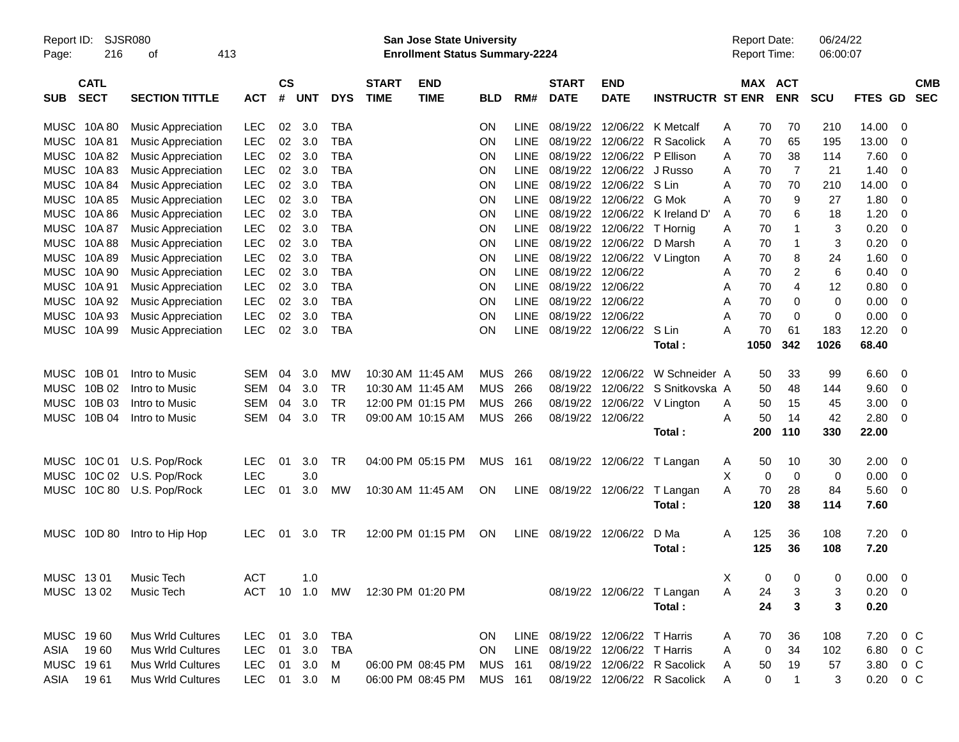| <b>SJSR080</b><br>Report ID:<br>216<br>413<br>Page:<br>οf |                            |                           | <b>San Jose State University</b><br><b>Enrollment Status Summary-2224</b> |                |            |            |                             |                           |                |             |                             |                                 | <b>Report Date:</b><br>Report Time: |   |             | 06/24/22<br>06:00:07 |      |               |                         |            |
|-----------------------------------------------------------|----------------------------|---------------------------|---------------------------------------------------------------------------|----------------|------------|------------|-----------------------------|---------------------------|----------------|-------------|-----------------------------|---------------------------------|-------------------------------------|---|-------------|----------------------|------|---------------|-------------------------|------------|
| <b>SUB</b>                                                | <b>CATL</b><br><b>SECT</b> | <b>SECTION TITTLE</b>     | <b>ACT</b>                                                                | <b>CS</b><br># | <b>UNT</b> | <b>DYS</b> | <b>START</b><br><b>TIME</b> | <b>END</b><br><b>TIME</b> | <b>BLD</b>     | RM#         | <b>START</b><br><b>DATE</b> | <b>END</b><br><b>DATE</b>       | <b>INSTRUCTR ST ENR</b>             |   | MAX ACT     | <b>ENR</b>           | SCU  | FTES GD SEC   |                         | <b>CMB</b> |
|                                                           | MUSC 10A 80                | <b>Music Appreciation</b> | <b>LEC</b>                                                                | 02             | 3.0        | TBA        |                             |                           | <b>ON</b>      | LINE.       | 08/19/22                    |                                 | 12/06/22 K Metcalf                  | A | 70          | 70                   | 210  | 14.00         | 0                       |            |
| <b>MUSC</b>                                               | 10A 81                     | <b>Music Appreciation</b> | <b>LEC</b>                                                                | 02             | 3.0        | <b>TBA</b> |                             |                           | <b>ON</b>      | <b>LINE</b> | 08/19/22                    | 12/06/22                        | R Sacolick                          | A | 70          | 65                   | 195  | 13.00         | 0                       |            |
| <b>MUSC</b>                                               | 10A 82                     | <b>Music Appreciation</b> | <b>LEC</b>                                                                | 02             | 3.0        | TBA        |                             |                           | <b>ON</b>      | LINE        | 08/19/22                    | 12/06/22 P Ellison              |                                     | A | 70          | 38                   | 114  | 7.60          | 0                       |            |
| <b>MUSC</b>                                               | 10A 83                     | <b>Music Appreciation</b> | <b>LEC</b>                                                                | 02             | 3.0        | TBA        |                             |                           | ON             | LINE        | 08/19/22                    | 12/06/22 J Russo                |                                     | A | 70          | 7                    | 21   | 1.40          | 0                       |            |
| <b>MUSC</b>                                               | 10A 84                     | <b>Music Appreciation</b> | <b>LEC</b>                                                                | 02             | 3.0        | TBA        |                             |                           | <b>ON</b>      | <b>LINE</b> | 08/19/22                    | 12/06/22 S Lin                  |                                     | A | 70          | 70                   | 210  | 14.00         | 0                       |            |
| <b>MUSC</b>                                               | 10A 85                     | <b>Music Appreciation</b> | <b>LEC</b>                                                                | 02             | 3.0        | TBA        |                             |                           | <b>ON</b>      | <b>LINE</b> | 08/19/22                    | 12/06/22 G Mok                  |                                     | A | 70          | 9                    | 27   | 1.80          | 0                       |            |
| <b>MUSC</b>                                               | 10A 86                     | <b>Music Appreciation</b> | <b>LEC</b>                                                                | 02             | 3.0        | TBA        |                             |                           | ON             | LINE        | 08/19/22                    |                                 | 12/06/22 K Ireland D'               | A | 70          | 6                    | 18   | 1.20          | 0                       |            |
| <b>MUSC</b>                                               | 10A 87                     | <b>Music Appreciation</b> | <b>LEC</b>                                                                | 02             | 3.0        | TBA        |                             |                           | ON             | <b>LINE</b> | 08/19/22                    | 12/06/22 T Hornig               |                                     | A | 70          | 1                    | 3    | 0.20          | 0                       |            |
| <b>MUSC</b>                                               | 10A 88                     | <b>Music Appreciation</b> | <b>LEC</b>                                                                | 02             | 3.0        | TBA        |                             |                           | ON             | <b>LINE</b> |                             | 08/19/22 12/06/22 D Marsh       |                                     | A | 70          | 1                    | 3    | 0.20          | 0                       |            |
| <b>MUSC</b>                                               | 10A 89                     | <b>Music Appreciation</b> | <b>LEC</b>                                                                | 02             | 3.0        | TBA        |                             |                           | <b>ON</b>      | <b>LINE</b> | 08/19/22                    |                                 | 12/06/22 V Lington                  | A | 70          | 8                    | 24   | 1.60          | 0                       |            |
| <b>MUSC</b>                                               | 10A 90                     | <b>Music Appreciation</b> | <b>LEC</b>                                                                | 02             | 3.0        | TBA        |                             |                           | <b>ON</b>      | <b>LINE</b> |                             | 08/19/22 12/06/22               |                                     | A | 70          | 2                    | 6    | 0.40          | 0                       |            |
| <b>MUSC</b>                                               | 10A 91                     | <b>Music Appreciation</b> | <b>LEC</b>                                                                | 02             | 3.0        | TBA        |                             |                           | <b>ON</b>      | <b>LINE</b> |                             | 08/19/22 12/06/22               |                                     | A | 70          | 4                    | 12   | 0.80          | 0                       |            |
| <b>MUSC</b>                                               | 10A 92                     | <b>Music Appreciation</b> | <b>LEC</b>                                                                | 02             | 3.0        | TBA        |                             |                           | <b>ON</b>      | <b>LINE</b> | 08/19/22                    | 12/06/22                        |                                     | A | 70          | 0                    | 0    | 0.00          | 0                       |            |
|                                                           | MUSC 10A 93                | <b>Music Appreciation</b> | <b>LEC</b>                                                                | 02             | 3.0        | TBA        |                             |                           | <b>ON</b>      | <b>LINE</b> | 08/19/22                    | 12/06/22                        |                                     | A | 70          | 0                    | 0    | 0.00          | 0                       |            |
|                                                           | MUSC 10A 99                | <b>Music Appreciation</b> | <b>LEC</b>                                                                | 02             | 3.0        | <b>TBA</b> |                             |                           | <b>ON</b>      | <b>LINE</b> |                             | 08/19/22 12/06/22 S Lin         |                                     | А | 70          | 61                   | 183  | 12.20         | $\overline{\mathbf{0}}$ |            |
|                                                           |                            |                           |                                                                           |                |            |            |                             |                           |                |             |                             |                                 | Total :                             |   | 1050        | 342                  | 1026 | 68.40         |                         |            |
|                                                           | MUSC 10B 01                | Intro to Music            | SEM                                                                       | 04             | 3.0        | МW         |                             | 10:30 AM 11:45 AM         | <b>MUS</b>     | 266         | 08/19/22                    | 12/06/22                        | W Schneider A                       |   | 50          | 33                   | 99   | 6.60          | $\overline{0}$          |            |
| <b>MUSC</b>                                               | 10B 02                     | Intro to Music            | SEM                                                                       | 04             | 3.0        | TR         |                             | 10:30 AM 11:45 AM         | <b>MUS</b>     | 266         | 08/19/22                    | 12/06/22                        | S Snitkovska A                      |   | 50          | 48                   | 144  | 9.60          | 0                       |            |
| <b>MUSC</b>                                               | 10B 03                     | Intro to Music            | <b>SEM</b>                                                                | 04             | 3.0        | TR.        |                             | 12:00 PM 01:15 PM         | <b>MUS</b>     | 266         | 08/19/22                    |                                 | 12/06/22 V Lington                  | A | 50          | 15                   | 45   | 3.00          | $\mathbf 0$             |            |
| <b>MUSC</b>                                               | 10B 04                     | Intro to Music            | SEM                                                                       | 04             | 3.0        | <b>TR</b>  |                             | 09:00 AM 10:15 AM         | <b>MUS</b>     | 266         |                             | 08/19/22 12/06/22               |                                     | A | 50          | 14                   | 42   | 2.80          | 0                       |            |
|                                                           |                            |                           |                                                                           |                |            |            |                             |                           |                |             |                             |                                 | Total:                              |   | 200         | 110                  | 330  | 22.00         |                         |            |
|                                                           | MUSC 10C 01                | U.S. Pop/Rock             | <b>LEC</b>                                                                | 01             | 3.0        | TR         |                             | 04:00 PM 05:15 PM         | <b>MUS</b>     | 161         |                             | 08/19/22 12/06/22 T Langan      |                                     | A | 50          | 10                   | 30   | 2.00          | $\overline{0}$          |            |
| MUSC                                                      | 10C 02                     | U.S. Pop/Rock             | <b>LEC</b>                                                                |                | 3.0        |            |                             |                           |                |             |                             |                                 |                                     | X | $\mathbf 0$ | 0                    | 0    | 0.00          | $\overline{0}$          |            |
| MUSC                                                      | 10C 80                     | U.S. Pop/Rock             | <b>LEC</b>                                                                | 01             | 3.0        | MW         |                             | 10:30 AM 11:45 AM         | ON             |             | LINE 08/19/22 12/06/22      |                                 | T Langan                            | A | 70          | 28                   | 84   | 5.60          | $\overline{0}$          |            |
|                                                           |                            |                           |                                                                           |                |            |            |                             |                           |                |             |                             |                                 | Total:                              |   | 120         | 38                   | 114  | 7.60          |                         |            |
|                                                           | MUSC 10D 80                | Intro to Hip Hop          | <b>LEC</b>                                                                | 01             | 3.0        | TR         |                             | 12:00 PM 01:15 PM         | ON             |             | LINE 08/19/22 12/06/22      |                                 | D Ma                                | A | 125         | 36                   | 108  | $7.20 \t 0$   |                         |            |
|                                                           |                            |                           |                                                                           |                |            |            |                             |                           |                |             |                             |                                 | Total :                             |   | 125         | 36                   | 108  | 7.20          |                         |            |
| MUSC 1301                                                 |                            | Music Tech                | <b>ACT</b>                                                                |                | 1.0        |            |                             |                           |                |             |                             |                                 |                                     | X | 0           | 0                    | 0    | $0.00 \t 0$   |                         |            |
| MUSC 1302                                                 |                            | Music Tech                | ACT 10 1.0 MW                                                             |                |            |            |                             | 12:30 PM 01:20 PM         |                |             |                             |                                 | 08/19/22 12/06/22 T Langan          | A | 24          | 3                    | 3    | $0.20 \t 0$   |                         |            |
|                                                           |                            |                           |                                                                           |                |            |            |                             |                           |                |             |                             |                                 | Total:                              |   | 24          | 3                    | 3    | 0.20          |                         |            |
| MUSC 1960                                                 |                            | <b>Mus Wrld Cultures</b>  | LEC                                                                       |                | 01 3.0     | TBA        |                             |                           | <b>ON</b>      |             |                             | LINE 08/19/22 12/06/22 T Harris |                                     | A | 70          | 36                   | 108  | 7.20 0 C      |                         |            |
| ASIA                                                      | 1960                       | Mus Wrld Cultures         | LEC                                                                       |                | 01 3.0     | TBA        |                             |                           | <b>ON</b>      |             |                             | LINE 08/19/22 12/06/22 T Harris |                                     | A | 0           | 34                   | 102  | 6.80 0 C      |                         |            |
| MUSC 1961                                                 |                            | Mus Wrld Cultures         | LEC 01 3.0                                                                |                |            | M          |                             | 06:00 PM 08:45 PM         | <b>MUS 161</b> |             |                             |                                 | 08/19/22 12/06/22 R Sacolick        | A | 50          | 19                   | 57   | 3.80 0 C      |                         |            |
| ASIA 1961                                                 |                            | Mus Wrld Cultures         | LEC 01 3.0 M                                                              |                |            |            |                             | 06:00 PM 08:45 PM MUS 161 |                |             |                             |                                 | 08/19/22 12/06/22 R Sacolick        | A | $\mathbf 0$ | $\mathbf{1}$         | 3    | $0.20 \t 0 C$ |                         |            |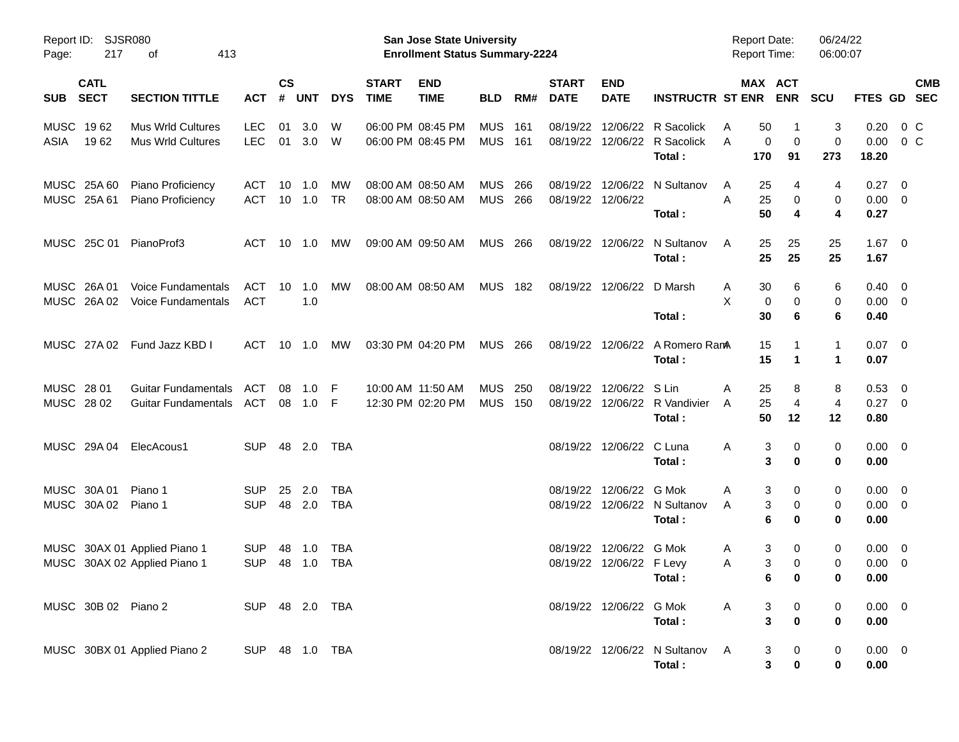| Page:                    | Report ID: SJSR080<br>217          | 413<br>οf                                                    |                          |                    |                          |                          |                             | San Jose State University<br><b>Enrollment Status Summary-2224</b> |                              |     |                               |                                            |                                                      | <b>Report Date:</b><br><b>Report Time:</b> |                                                 | 06/24/22<br>06:00:07             |                                       |                           |  |
|--------------------------|------------------------------------|--------------------------------------------------------------|--------------------------|--------------------|--------------------------|--------------------------|-----------------------------|--------------------------------------------------------------------|------------------------------|-----|-------------------------------|--------------------------------------------|------------------------------------------------------|--------------------------------------------|-------------------------------------------------|----------------------------------|---------------------------------------|---------------------------|--|
| <b>SUB</b>               | <b>CATL</b><br><b>SECT</b>         | <b>SECTION TITTLE</b>                                        | <b>ACT</b>               | $\mathsf{cs}$<br># | <b>UNT</b>               | <b>DYS</b>               | <b>START</b><br><b>TIME</b> | <b>END</b><br><b>TIME</b>                                          | <b>BLD</b>                   | RM# | <b>START</b><br><b>DATE</b>   | <b>END</b><br><b>DATE</b>                  | <b>INSTRUCTR ST ENR ENR</b>                          |                                            | MAX ACT                                         | <b>SCU</b>                       |                                       | <b>CMB</b><br>FTES GD SEC |  |
| MUSC 1962<br>ASIA        | 1962                               | <b>Mus Wrld Cultures</b><br><b>Mus Wrld Cultures</b>         | <b>LEC</b><br><b>LEC</b> | 01                 | 3.0<br>01 3.0            | W<br>- W                 |                             | 06:00 PM 08:45 PM<br>06:00 PM 08:45 PM                             | <b>MUS</b><br><b>MUS 161</b> | 161 | 08/19/22<br>08/19/22          |                                            | 12/06/22 R Sacolick<br>12/06/22 R Sacolick<br>Total: | 50<br>A<br>A<br>170                        | -1<br>0<br>$\mathbf 0$<br>91                    | 3<br>$\mathbf 0$<br>273          | 0.20<br>0.00<br>18.20                 | 0 C<br>$0\,$ C            |  |
|                          | MUSC 25A 60<br>MUSC 25A 61         | Piano Proficiency<br>Piano Proficiency                       | <b>ACT</b><br>ACT        |                    | $10 \quad 1.0$<br>10 1.0 | МW<br><b>TR</b>          |                             | 08:00 AM 08:50 AM<br>08:00 AM 08:50 AM                             | <b>MUS</b><br>MUS 266        | 266 | 08/19/22<br>08/19/22 12/06/22 |                                            | 12/06/22 N Sultanov<br>Total:                        | 25<br>A<br>A<br>25<br>50                   | 4<br>0<br>4                                     | 4<br>0<br>4                      | $0.27 \t 0$<br>$0.00 \t 0$<br>0.27    |                           |  |
|                          |                                    | MUSC 25C 01 PianoProf3                                       | ACT                      |                    | $10 \quad 1.0$           | МW                       |                             | 09:00 AM 09:50 AM                                                  | MUS 266                      |     |                               |                                            | 08/19/22 12/06/22 N Sultanov<br>Total:               | A                                          | 25<br>25<br>25<br>25                            | 25<br>25                         | $1.67$ 0<br>1.67                      |                           |  |
|                          | MUSC 26A 01<br>MUSC 26A02          | <b>Voice Fundamentals</b><br>Voice Fundamentals              | ACT<br><b>ACT</b>        | 10                 | 1.0<br>1.0               | МW                       |                             | 08:00 AM 08:50 AM                                                  | <b>MUS 182</b>               |     |                               | 08/19/22 12/06/22 D Marsh                  | Total:                                               | 30<br>A<br>X<br>30                         | 6<br>0<br>0<br>6                                | 6<br>0<br>6                      | $0.40 \quad 0$<br>$0.00 \t 0$<br>0.40 |                           |  |
|                          | MUSC 27A02                         | Fund Jazz KBD I                                              | ACT                      |                    | 10 1.0                   | МW                       |                             | 03:30 PM 04:20 PM                                                  | <b>MUS 266</b>               |     |                               |                                            | 08/19/22 12/06/22 A Romero RamA<br>Total:            | 15                                         | 15<br>-1<br>1                                   | $\mathbf{1}$<br>1                | $0.07 \quad 0$<br>0.07                |                           |  |
| MUSC 28 01<br>MUSC 28 02 |                                    | <b>Guitar Fundamentals</b><br>Guitar Fundamentals            | ACT<br>ACT               | 08                 | 1.0<br>08 1.0            | -F<br>- F                |                             | 10:00 AM 11:50 AM<br>12:30 PM 02:20 PM                             | <b>MUS</b><br><b>MUS 150</b> | 250 | 08/19/22                      | 12/06/22 S Lin                             | 08/19/22 12/06/22 R Vandivier<br>Total:              | 25<br>Α<br>25<br>A                         | 8<br>4<br>50<br>12                              | 8<br>4<br>12                     | $0.53$ 0<br>0.27 0<br>0.80            |                           |  |
|                          |                                    | MUSC 29A 04 ElecAcous1                                       | <b>SUP</b>               |                    | 48 2.0                   | TBA                      |                             |                                                                    |                              |     |                               | 08/19/22 12/06/22 C Luna                   | Total:                                               | A                                          | 3<br>0<br>3<br>0                                | 0<br>0                           | $0.00 \quad 0$<br>0.00                |                           |  |
|                          | MUSC 30A 01<br>MUSC 30A 02 Piano 1 | Piano 1                                                      | <b>SUP</b><br><b>SUP</b> | 25                 | 2.0<br>48 2.0            | <b>TBA</b><br><b>TBA</b> |                             |                                                                    |                              |     | 08/19/22                      | 12/06/22 G Mok                             | 08/19/22 12/06/22 N Sultanov<br>Total:               | Α<br>A                                     | 3<br>0<br>3<br>0<br>6<br>0                      | 0<br>0<br>0                      | $0.00 \quad 0$<br>$0.00 \t 0$<br>0.00 |                           |  |
|                          |                                    | MUSC 30AX 01 Applied Piano 1<br>MUSC 30AX 02 Applied Piano 1 | <b>SUP</b><br><b>SUP</b> |                    | 48 1.0<br>48 1.0         | TBA<br><b>TBA</b>        |                             |                                                                    |                              |     | 08/19/22                      | 12/06/22 G Mok<br>08/19/22 12/06/22 F Levy | Total:                                               | A<br>A                                     | 3<br>0<br>3<br>$\mathbf 0$<br>6.<br>$\mathbf 0$ | 0<br>$\mathbf 0$<br>$\mathbf{0}$ | $0.00 \quad 0$<br>$0.00 \t 0$<br>0.00 |                           |  |
|                          | MUSC 30B 02 Piano 2                |                                                              | SUP 48 2.0 TBA           |                    |                          |                          |                             |                                                                    |                              |     |                               | 08/19/22 12/06/22 G Mok                    | Total:                                               | A                                          | 3<br>0<br>3<br>0                                | 0<br>0                           | $0.00 \t 0$<br>0.00                   |                           |  |
|                          |                                    | MUSC 30BX 01 Applied Piano 2                                 | SUP 48 1.0 TBA           |                    |                          |                          |                             |                                                                    |                              |     |                               |                                            | 08/19/22 12/06/22 N Sultanov A<br>Total:             |                                            | 0<br>3<br>3<br>$\pmb{0}$                        | 0<br>0                           | $0.00 \t 0$<br>0.00                   |                           |  |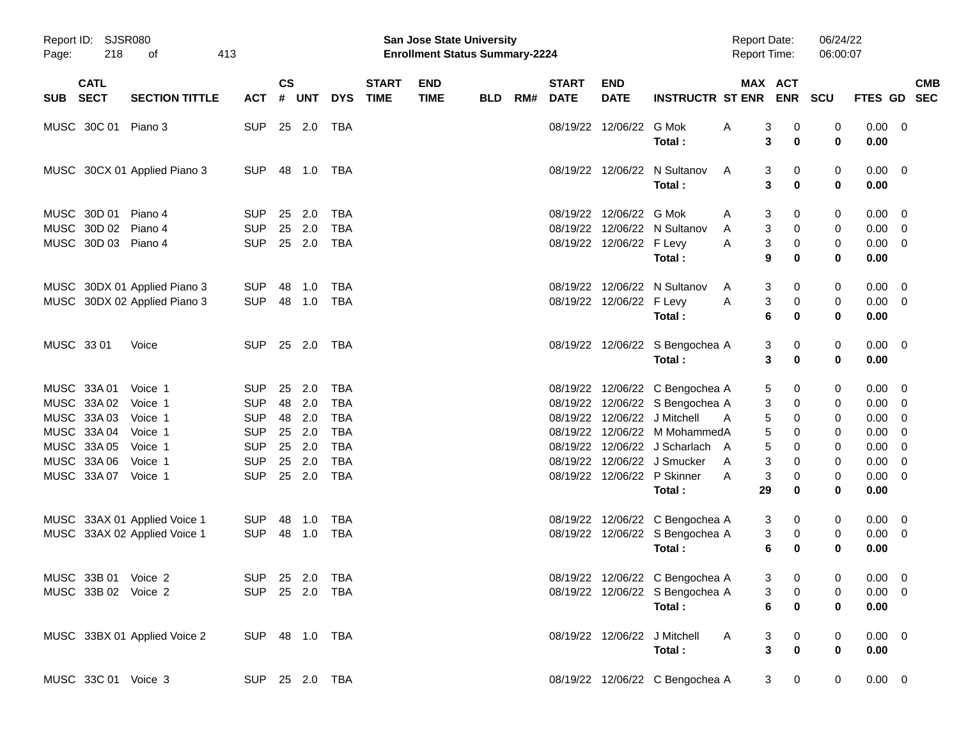| Page:      | Report ID: SJSR080<br>218                         | 413<br>of                                                    |                                        |                    |                      |                                        |                             | <b>San Jose State University</b><br><b>Enrollment Status Summary-2224</b> |            |     |                                  |                                      |                                                                              | <b>Report Date:</b><br><b>Report Time:</b> |                                                                                     | 06/24/22<br>06:00:07 |                                          |                          |
|------------|---------------------------------------------------|--------------------------------------------------------------|----------------------------------------|--------------------|----------------------|----------------------------------------|-----------------------------|---------------------------------------------------------------------------|------------|-----|----------------------------------|--------------------------------------|------------------------------------------------------------------------------|--------------------------------------------|-------------------------------------------------------------------------------------|----------------------|------------------------------------------|--------------------------|
| <b>SUB</b> | <b>CATL</b><br><b>SECT</b>                        | <b>SECTION TITTLE</b>                                        | <b>ACT</b>                             | $\mathsf{cs}$<br># | <b>UNT</b>           | <b>DYS</b>                             | <b>START</b><br><b>TIME</b> | <b>END</b><br><b>TIME</b>                                                 | <b>BLD</b> | RM# | <b>START</b><br><b>DATE</b>      | <b>END</b><br><b>DATE</b>            | <b>INSTRUCTR ST ENR</b>                                                      |                                            | MAX ACT<br><b>ENR</b>                                                               | <b>SCU</b>           | FTES GD                                  | <b>CMB</b><br><b>SEC</b> |
|            | MUSC 30C 01                                       | Piano 3                                                      | <b>SUP</b>                             | 25                 | 2.0                  | TBA                                    |                             |                                                                           |            |     | 08/19/22                         | 12/06/22                             | G Mok<br>Total:                                                              | Α                                          | 3<br>0<br>3<br>0                                                                    | 0<br>0               | 0.00<br>0.00                             | $\overline{\phantom{0}}$ |
|            |                                                   | MUSC 30CX 01 Applied Piano 3                                 | <b>SUP</b>                             | 48                 | 1.0                  | TBA                                    |                             |                                                                           |            |     | 08/19/22                         | 12/06/22                             | N Sultanov<br>Total:                                                         | A                                          | 3<br>0<br>3<br>0                                                                    | 0<br>0               | 0.00<br>0.00                             | $\overline{\phantom{0}}$ |
|            | MUSC 30D 01<br>MUSC 30D 02<br>MUSC 30D 03 Piano 4 | Piano 4<br>Piano 4                                           | <b>SUP</b><br><b>SUP</b><br><b>SUP</b> | 25<br>25           | 2.0<br>2.0<br>25 2.0 | <b>TBA</b><br><b>TBA</b><br><b>TBA</b> |                             |                                                                           |            |     | 08/19/22<br>08/19/22             | 12/06/22<br>08/19/22 12/06/22 F Levy | G Mok<br>12/06/22 N Sultanov<br>Total:                                       | A<br>A<br>A                                | 3<br>0<br>3<br>0<br>3<br>0<br>9<br>0                                                | 0<br>0<br>0<br>0     | 0.00<br>0.00<br>0.00<br>0.00             | - 0<br>- 0<br>- 0        |
|            |                                                   | MUSC 30DX 01 Applied Piano 3<br>MUSC 30DX 02 Applied Piano 3 | <b>SUP</b><br><b>SUP</b>               | 48<br>48           | 1.0<br>1.0           | TBA<br>TBA                             |                             |                                                                           |            |     | 08/19/22                         | 08/19/22 12/06/22 F Levy             | 12/06/22 N Sultanov<br>Total:                                                | A<br>A                                     | 3<br>0<br>3<br>0<br>6<br>0                                                          | 0<br>0<br>0          | 0.00<br>0.00<br>0.00                     | - 0<br>- 0               |
|            | MUSC 33 01                                        | Voice                                                        | <b>SUP</b>                             |                    | 25 2.0               | TBA                                    |                             |                                                                           |            |     |                                  |                                      | 08/19/22 12/06/22 S Bengochea A<br>Total:                                    |                                            | 3<br>0<br>3<br>0                                                                    | 0<br>0               | 0.00<br>0.00                             | $\overline{\phantom{0}}$ |
|            | MUSC 33A 01<br>MUSC 33A 02                        | Voice 1<br>Voice 1                                           | <b>SUP</b><br><b>SUP</b>               | 25<br>48           | 2.0<br>2.0           | <b>TBA</b><br><b>TBA</b>               |                             |                                                                           |            |     | 08/19/22<br>08/19/22             |                                      | 12/06/22 C Bengochea A<br>12/06/22 S Bengochea A                             |                                            | 5<br>0<br>3<br>0                                                                    | 0<br>0               | 0.00<br>0.00                             | - 0<br>- 0               |
|            | MUSC 33A 03<br>MUSC 33A 04<br>MUSC 33A 05         | Voice 1<br>Voice 1<br>Voice 1                                | <b>SUP</b><br><b>SUP</b><br><b>SUP</b> | 48<br>25<br>25     | 2.0<br>2.0<br>2.0    | <b>TBA</b><br><b>TBA</b><br><b>TBA</b> |                             |                                                                           |            |     | 08/19/22<br>08/19/22<br>08/19/22 |                                      | 12/06/22 J Mitchell<br>12/06/22 M MohammedA<br>12/06/22 J Scharlach A        | A                                          | 5<br>0<br>5<br>0<br>5<br>0                                                          | 0<br>0<br>0          | 0.00<br>0.00<br>0.00                     | 0<br>0<br>0              |
|            | MUSC 33A 06<br>MUSC 33A 07                        | Voice 1<br>Voice 1                                           | <b>SUP</b><br><b>SUP</b>               | 25                 | 2.0<br>25 2.0        | <b>TBA</b><br><b>TBA</b>               |                             |                                                                           |            |     | 08/19/22<br>08/19/22             |                                      | 12/06/22 J Smucker<br>12/06/22 P Skinner<br>Total:                           | A<br>A<br>29                               | 3<br>0<br>3<br>0<br>0                                                               | 0<br>0<br>0          | 0.00<br>0.00<br>0.00                     | 0<br>0                   |
|            |                                                   | MUSC 33AX 01 Applied Voice 1<br>MUSC 33AX 02 Applied Voice 1 | <b>SUP</b><br><b>SUP</b>               | 48<br>48           | 1.0<br>1.0           | <b>TBA</b><br>TBA                      |                             |                                                                           |            |     | 08/19/22                         |                                      | 12/06/22 C Bengochea A<br>08/19/22 12/06/22 S Bengochea A<br>Total:          |                                            | 3<br>0<br>3<br>0<br>6<br>0                                                          | 0<br>0<br>0          | 0.00<br>0.00<br>0.00                     | - 0<br>- 0               |
|            | MUSC 33B 01 Voice 2<br>MUSC 33B 02 Voice 2        |                                                              | SUP 25 2.0 TBA<br>SUP 25 2.0 TBA       |                    |                      |                                        |                             |                                                                           |            |     |                                  |                                      | 08/19/22 12/06/22 C Bengochea A<br>08/19/22 12/06/22 S Bengochea A<br>Total: |                                            | 3 <sup>7</sup><br>$\mathbf{0}$<br>$\overline{0}$<br>$3^{\circ}$<br>6<br>$\mathbf 0$ | $\Omega$<br>0<br>0   | $0.00 \quad 0$<br>$0.00 \quad 0$<br>0.00 |                          |
|            |                                                   | MUSC 33BX 01 Applied Voice 2                                 | SUP 48 1.0 TBA                         |                    |                      |                                        |                             |                                                                           |            |     |                                  |                                      | 08/19/22 12/06/22 J Mitchell<br>Total:                                       | <b>A</b>                                   | 3<br>$\mathbf{0}$<br>$\mathbf{3}$<br>$\bf{0}$                                       | 0<br>0               | $0.00 \t 0$<br>0.00                      |                          |
|            | MUSC 33C 01 Voice 3                               |                                                              | SUP 25 2.0 TBA                         |                    |                      |                                        |                             |                                                                           |            |     |                                  |                                      | 08/19/22 12/06/22 C Bengochea A                                              |                                            | $3 \t 0$                                                                            | $\mathbf 0$          | $0.00 \t 0$                              |                          |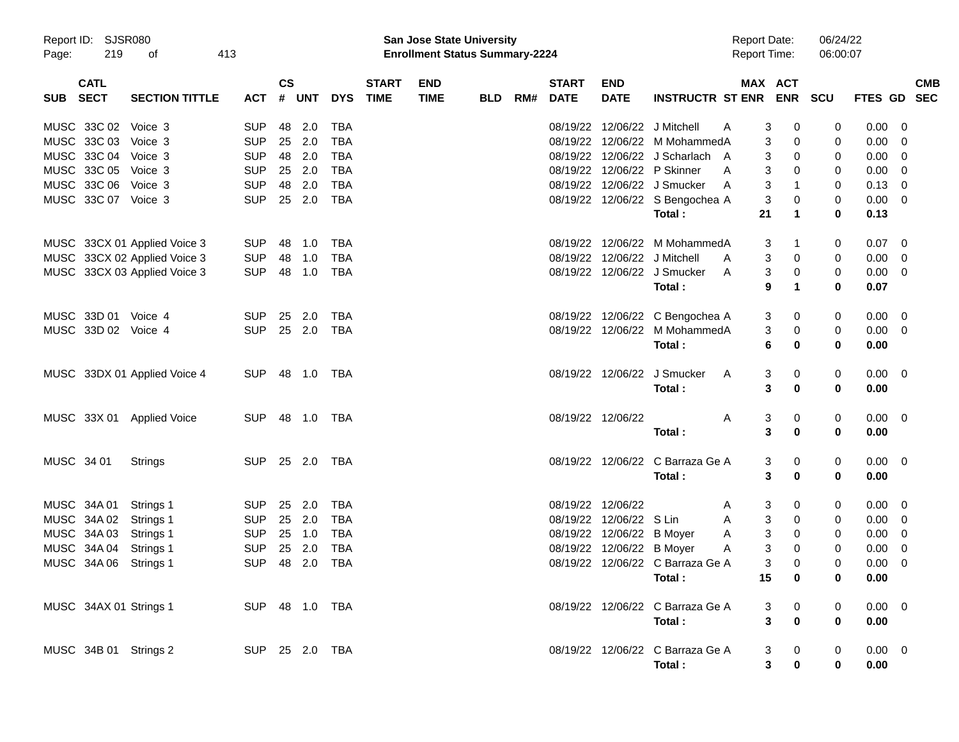| Page:      | Report ID: SJSR080<br>219  | of                           | 413 |            |                    |                |            |                             | <b>San Jose State University</b><br><b>Enrollment Status Summary-2224</b> |     |     |                             |                           |                                  | <b>Report Date:</b><br><b>Report Time:</b> |                         |                                                | 06/24/22<br>06:00:07 |                |                          |
|------------|----------------------------|------------------------------|-----|------------|--------------------|----------------|------------|-----------------------------|---------------------------------------------------------------------------|-----|-----|-----------------------------|---------------------------|----------------------------------|--------------------------------------------|-------------------------|------------------------------------------------|----------------------|----------------|--------------------------|
| SUB        | <b>CATL</b><br><b>SECT</b> | <b>SECTION TITTLE</b>        |     | <b>ACT</b> | $\mathsf{cs}$<br># | UNT            | <b>DYS</b> | <b>START</b><br><b>TIME</b> | <b>END</b><br><b>TIME</b>                                                 | BLD | RM# | <b>START</b><br><b>DATE</b> | <b>END</b><br><b>DATE</b> | <b>INSTRUCTR ST ENR ENR</b>      |                                            | MAX ACT                 |                                                | <b>SCU</b>           | <b>FTES GD</b> | <b>CMB</b><br><b>SEC</b> |
|            | MUSC 33C 02                | Voice 3                      |     | <b>SUP</b> | 48                 | 2.0            | <b>TBA</b> |                             |                                                                           |     |     | 08/19/22                    | 12/06/22                  | J Mitchell                       | A                                          | 3                       | 0                                              | 0                    | 0.00           | 0                        |
|            | MUSC 33C 03                | Voice 3                      |     | <b>SUP</b> | 25                 | 2.0            | <b>TBA</b> |                             |                                                                           |     |     | 08/19/22                    | 12/06/22                  | M MohammedA                      |                                            | 3                       | 0                                              | 0                    | 0.00           | 0                        |
|            | MUSC 33C 04                | Voice 3                      |     | <b>SUP</b> | 48                 | 2.0            | <b>TBA</b> |                             |                                                                           |     |     |                             |                           | 08/19/22 12/06/22 J Scharlach A  |                                            | 3                       | 0                                              | 0                    | 0.00           | 0                        |
|            | MUSC 33C 05                | Voice 3                      |     | <b>SUP</b> | 25                 | 2.0            | <b>TBA</b> |                             |                                                                           |     |     |                             |                           | 08/19/22 12/06/22 P Skinner      | A                                          | 3                       | 0                                              | 0                    | 0.00           | 0                        |
|            | MUSC 33C 06                | Voice 3                      |     | <b>SUP</b> | 48                 | 2.0            | <b>TBA</b> |                             |                                                                           |     |     |                             |                           | 08/19/22 12/06/22 J Smucker      | A                                          | 3                       | 1                                              | 0                    | 0.13           | 0                        |
|            | MUSC 33C 07 Voice 3        |                              |     | <b>SUP</b> | 25                 | 2.0            | <b>TBA</b> |                             |                                                                           |     |     |                             |                           | 08/19/22 12/06/22 S Bengochea A  |                                            | 3                       | 0                                              | 0                    | 0.00           | - 0                      |
|            |                            |                              |     |            |                    |                |            |                             |                                                                           |     |     |                             |                           | Total:                           |                                            | 21                      | 1                                              | 0                    | 0.13           |                          |
|            |                            | MUSC 33CX 01 Applied Voice 3 |     | <b>SUP</b> | 48                 | 1.0            | <b>TBA</b> |                             |                                                                           |     |     |                             | 08/19/22 12/06/22         | M MohammedA                      |                                            | 3                       | 1                                              | 0                    | 0.07           | 0                        |
|            |                            | MUSC 33CX 02 Applied Voice 3 |     | <b>SUP</b> | 48                 | 1.0            | <b>TBA</b> |                             |                                                                           |     |     |                             | 08/19/22 12/06/22         | J Mitchell                       | A                                          | 3                       | 0                                              | 0                    | 0.00           | 0                        |
|            |                            | MUSC 33CX 03 Applied Voice 3 |     | <b>SUP</b> | 48                 | 1.0            | TBA        |                             |                                                                           |     |     |                             |                           | 08/19/22 12/06/22 J Smucker      | A                                          | 3                       | 0                                              | 0                    | 0.00           | 0                        |
|            |                            |                              |     |            |                    |                |            |                             |                                                                           |     |     |                             |                           | Total:                           |                                            | 9                       | 1                                              | 0                    | 0.07           |                          |
|            | MUSC 33D 01 Voice 4        |                              |     | <b>SUP</b> | 25                 | 2.0            | TBA        |                             |                                                                           |     |     |                             |                           | 08/19/22 12/06/22 C Bengochea A  |                                            | 3                       | 0                                              | 0                    | 0.00           | $\overline{\mathbf{0}}$  |
|            | MUSC 33D 02 Voice 4        |                              |     | <b>SUP</b> | 25                 | 2.0            | <b>TBA</b> |                             |                                                                           |     |     |                             | 08/19/22 12/06/22         | M MohammedA                      |                                            | 3                       | 0                                              | $\pmb{0}$            | 0.00           | 0                        |
|            |                            |                              |     |            |                    |                |            |                             |                                                                           |     |     |                             |                           | Total:                           |                                            | 6                       | 0                                              | 0                    | 0.00           |                          |
|            |                            | MUSC 33DX 01 Applied Voice 4 |     | <b>SUP</b> | 48                 | 1.0            | TBA        |                             |                                                                           |     |     |                             | 08/19/22 12/06/22         | J Smucker                        | A                                          | 3                       | 0                                              | 0                    | $0.00 \quad 0$ |                          |
|            |                            |                              |     |            |                    |                |            |                             |                                                                           |     |     |                             |                           | Total:                           |                                            | 3                       | 0                                              | 0                    | 0.00           |                          |
|            |                            | MUSC 33X 01 Applied Voice    |     | <b>SUP</b> | 48                 | 1.0            | TBA        |                             |                                                                           |     |     | 08/19/22 12/06/22           |                           |                                  | Α                                          | 3                       | 0                                              | 0                    | $0.00 \t 0$    |                          |
|            |                            |                              |     |            |                    |                |            |                             |                                                                           |     |     |                             |                           | Total:                           |                                            | $\mathbf{3}$            | 0                                              | 0                    | 0.00           |                          |
| MUSC 34 01 |                            | <b>Strings</b>               |     | <b>SUP</b> |                    | 25 2.0         | TBA        |                             |                                                                           |     |     |                             |                           | 08/19/22 12/06/22 C Barraza Ge A |                                            | 3                       | 0                                              | 0                    | $0.00 \t 0$    |                          |
|            |                            |                              |     |            |                    |                |            |                             |                                                                           |     |     |                             |                           | Total:                           |                                            | 3                       | 0                                              | 0                    | 0.00           |                          |
|            | MUSC 34A 01                | Strings 1                    |     | <b>SUP</b> | 25                 | 2.0            | <b>TBA</b> |                             |                                                                           |     |     | 08/19/22 12/06/22           |                           |                                  | A                                          | 3                       | 0                                              | 0                    | 0.00           | $\overline{0}$           |
|            | MUSC 34A 02                | Strings 1                    |     | <b>SUP</b> | 25                 | 2.0            | <b>TBA</b> |                             |                                                                           |     |     | 08/19/22                    | 12/06/22 S Lin            |                                  | Α                                          | 3                       | 0                                              | 0                    | 0.00           | 0                        |
|            | MUSC 34A 03                | Strings 1                    |     | <b>SUP</b> | 25                 | 1.0            | <b>TBA</b> |                             |                                                                           |     |     |                             | 08/19/22 12/06/22 B Moyer |                                  | A                                          | 3                       | 0                                              | 0                    | 0.00           | 0                        |
|            | MUSC 34A 04                | Strings 1                    |     | <b>SUP</b> | 25                 | 2.0            | TBA        |                             |                                                                           |     |     |                             | 08/19/22 12/06/22 B Moyer |                                  | A                                          | 3                       | 0                                              | 0                    | 0.00           | 0                        |
|            | MUSC 34A 06                | Strings 1                    |     | <b>SUP</b> | 48                 | 2.0            | <b>TBA</b> |                             |                                                                           |     |     |                             |                           | 08/19/22 12/06/22 C Barraza Ge A |                                            | 3                       | 0                                              | 0                    | 0.00           | 0                        |
|            |                            |                              |     |            |                    |                |            |                             |                                                                           |     |     |                             |                           | Total:                           |                                            | 15                      | 0                                              | 0                    | 0.00           |                          |
|            | MUSC 34AX 01 Strings 1     |                              |     |            |                    | SUP 48 1.0 TBA |            |                             |                                                                           |     |     |                             |                           | 08/19/22 12/06/22 C Barraza Ge A |                                            | 3                       |                                                | 0                    | $0.00 \ 0$     |                          |
|            |                            |                              |     |            |                    |                |            |                             |                                                                           |     |     |                             |                           | Total:                           |                                            | $\overline{\mathbf{3}}$ | $\begin{array}{c} 0 \\ \mathbf{0} \end{array}$ | 0                    | 0.00           |                          |
|            | MUSC 34B 01 Strings 2      |                              |     |            |                    | SUP 25 2.0 TBA |            |                             |                                                                           |     |     |                             |                           | 08/19/22 12/06/22 C Barraza Ge A |                                            | 3                       | $\mathbf 0$                                    | 0                    | $0.00 \t 0$    |                          |
|            |                            |                              |     |            |                    |                |            |                             |                                                                           |     |     |                             |                           | Total:                           |                                            | 3                       | 0                                              | 0                    | 0.00           |                          |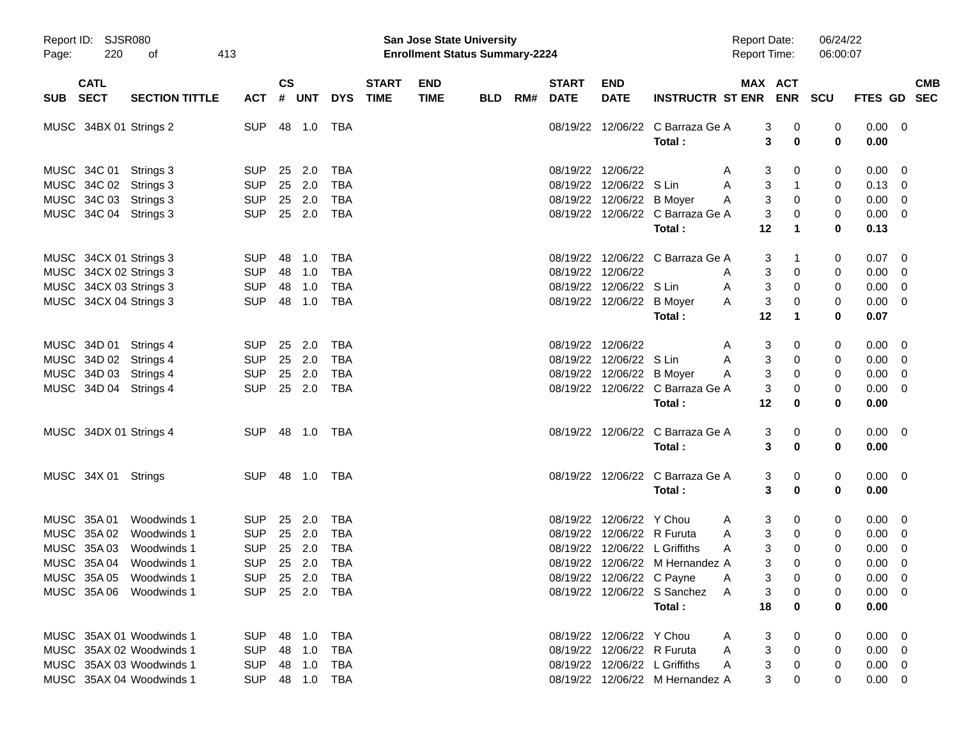| Page:       | Report ID: SJSR080<br>220  | 413<br>οf                                        |                          |                    |            |                          |                             | San Jose State University<br><b>Enrollment Status Summary-2224</b> |            |     |                             |                            |                                 | <b>Report Date:</b><br><b>Report Time:</b> |                       | 06/24/22<br>06:00:07 |                |                          |
|-------------|----------------------------|--------------------------------------------------|--------------------------|--------------------|------------|--------------------------|-----------------------------|--------------------------------------------------------------------|------------|-----|-----------------------------|----------------------------|---------------------------------|--------------------------------------------|-----------------------|----------------------|----------------|--------------------------|
| <b>SUB</b>  | <b>CATL</b><br><b>SECT</b> | <b>SECTION TITTLE</b>                            | <b>ACT</b>               | $\mathsf{cs}$<br># | <b>UNT</b> | <b>DYS</b>               | <b>START</b><br><b>TIME</b> | <b>END</b><br><b>TIME</b>                                          | <b>BLD</b> | RM# | <b>START</b><br><b>DATE</b> | <b>END</b><br><b>DATE</b>  | <b>INSTRUCTR ST ENR</b>         |                                            | MAX ACT<br><b>ENR</b> | <b>SCU</b>           | FTES GD        | <b>CMB</b><br><b>SEC</b> |
|             |                            | MUSC 34BX 01 Strings 2                           | <b>SUP</b>               | 48                 | 1.0        | <b>TBA</b>               |                             |                                                                    |            |     | 08/19/22                    | 12/06/22                   | C Barraza Ge A                  |                                            | 3<br>0                | 0                    | 0.00           | $\overline{0}$           |
|             |                            |                                                  |                          |                    |            |                          |                             |                                                                    |            |     |                             |                            | Total:                          |                                            | 3<br>0                | 0                    | 0.00           |                          |
|             | MUSC 34C 01                | Strings 3                                        | <b>SUP</b>               | 25                 | 2.0        | <b>TBA</b>               |                             |                                                                    |            |     | 08/19/22                    | 12/06/22                   |                                 | A                                          | 3<br>0                | 0                    | 0.00           | 0                        |
|             |                            | MUSC 34C 02 Strings 3                            | <b>SUP</b>               |                    | 25 2.0     | <b>TBA</b>               |                             |                                                                    |            |     | 08/19/22                    | 12/06/22                   | S Lin                           | A                                          | 3<br>$\mathbf 1$      | 0                    | 0.13           | 0                        |
|             |                            | MUSC 34C 03 Strings 3                            | <b>SUP</b>               |                    | 25 2.0     | <b>TBA</b>               |                             |                                                                    |            |     | 08/19/22                    | 12/06/22 B Moyer           |                                 | A                                          | 3<br>0                | 0                    | 0.00           | 0                        |
|             |                            | MUSC 34C 04 Strings 3                            | <b>SUP</b>               |                    | 25 2.0     | <b>TBA</b>               |                             |                                                                    |            |     | 08/19/22                    |                            | 12/06/22 C Barraza Ge A         |                                            | 3<br>0                | 0                    | 0.00           | 0                        |
|             |                            |                                                  |                          |                    |            |                          |                             |                                                                    |            |     |                             |                            | Total:                          | 12                                         | 1                     | 0                    | 0.13           |                          |
|             |                            | MUSC 34CX 01 Strings 3                           | <b>SUP</b>               | 48                 | 1.0        | <b>TBA</b>               |                             |                                                                    |            |     | 08/19/22                    |                            | 12/06/22 C Barraza Ge A         |                                            | 3<br>1                | 0                    | 0.07           | 0                        |
|             |                            | MUSC 34CX 02 Strings 3                           | <b>SUP</b>               | 48                 | 1.0        | <b>TBA</b>               |                             |                                                                    |            |     | 08/19/22                    | 12/06/22                   |                                 | A                                          | 3<br>0                | 0                    | 0.00           | 0                        |
|             |                            | MUSC 34CX 03 Strings 3<br>MUSC 34CX 04 Strings 3 | <b>SUP</b><br><b>SUP</b> | 48<br>48           | 1.0<br>1.0 | <b>TBA</b><br><b>TBA</b> |                             |                                                                    |            |     | 08/19/22<br>08/19/22        | 12/06/22 S Lin             | 12/06/22 B Moyer                | Α<br>A                                     | 3<br>0<br>3           | 0<br>0               | 0.00<br>0.00   | 0                        |
|             |                            |                                                  |                          |                    |            |                          |                             |                                                                    |            |     |                             |                            | Total:                          | 12                                         | 0<br>1                | 0                    | 0.07           | 0                        |
|             |                            |                                                  |                          |                    |            |                          |                             |                                                                    |            |     |                             |                            |                                 |                                            |                       |                      |                |                          |
|             | MUSC 34D 01                | Strings 4                                        | <b>SUP</b>               | 25                 | 2.0        | <b>TBA</b>               |                             |                                                                    |            |     | 08/19/22                    | 12/06/22                   |                                 | A                                          | 3<br>0                | 0                    | 0.00           | 0                        |
|             |                            | MUSC 34D 02 Strings 4                            | <b>SUP</b>               |                    | 25 2.0     | <b>TBA</b>               |                             |                                                                    |            |     | 08/19/22                    | 12/06/22                   | S Lin                           | A                                          | 3<br>0                | 0                    | 0.00           | 0                        |
|             |                            | MUSC 34D 03 Strings 4                            | <b>SUP</b>               |                    | 25 2.0     | <b>TBA</b>               |                             |                                                                    |            |     | 08/19/22                    | 12/06/22 B Moyer           |                                 | A                                          | 3<br>0                | 0                    | 0.00           | 0                        |
|             |                            | MUSC 34D 04 Strings 4                            | <b>SUP</b>               |                    | 25 2.0     | <b>TBA</b>               |                             |                                                                    |            |     | 08/19/22                    |                            | 12/06/22 C Barraza Ge A         |                                            | 3<br>0                | 0                    | 0.00           | 0                        |
|             |                            |                                                  |                          |                    |            |                          |                             |                                                                    |            |     |                             |                            | Total:                          | 12                                         | 0                     | 0                    | 0.00           |                          |
|             |                            | MUSC 34DX 01 Strings 4                           | <b>SUP</b>               |                    | 48 1.0     | TBA                      |                             |                                                                    |            |     |                             | 08/19/22 12/06/22          | C Barraza Ge A                  |                                            | 3<br>0                | 0                    | 0.00           | 0                        |
|             |                            |                                                  |                          |                    |            |                          |                             |                                                                    |            |     |                             |                            | Total:                          |                                            | 3<br>0                | 0                    | 0.00           |                          |
|             | MUSC 34X 01 Strings        |                                                  | <b>SUP</b>               |                    | 48 1.0     | TBA                      |                             |                                                                    |            |     |                             | 08/19/22 12/06/22          | C Barraza Ge A                  |                                            | 3<br>0                | 0                    | 0.00           | 0                        |
|             |                            |                                                  |                          |                    |            |                          |                             |                                                                    |            |     |                             |                            | Total:                          |                                            | 3<br>0                | 0                    | 0.00           |                          |
|             |                            |                                                  |                          |                    |            |                          |                             |                                                                    |            |     |                             |                            |                                 |                                            |                       |                      |                |                          |
|             | MUSC 35A 01                | Woodwinds 1                                      | <b>SUP</b>               | 25                 | 2.0        | <b>TBA</b>               |                             |                                                                    |            |     | 08/19/22                    | 12/06/22 Y Chou            |                                 | A                                          | 3<br>0                | 0                    | $0.00\,$       | 0                        |
|             | MUSC 35A 02                | Woodwinds 1                                      | <b>SUP</b>               | 25                 | 2.0        | <b>TBA</b>               |                             |                                                                    |            |     | 08/19/22                    |                            | 12/06/22 R Furuta               | Α                                          | 3<br>0                | 0                    | 0.00           | 0                        |
| <b>MUSC</b> | 35A 03                     | Woodwinds 1                                      | <b>SUP</b>               | 25                 | 2.0        | <b>TBA</b>               |                             |                                                                    |            |     | 08/19/22                    |                            | 12/06/22 L Griffiths            | A                                          | 3<br>0                | 0                    | 0.00           | 0                        |
|             | MUSC 35A 04                | Woodwinds 1                                      | <b>SUP</b>               |                    | 25 2.0     | <b>TBA</b>               |                             |                                                                    |            |     | 08/19/22                    |                            | 12/06/22 M Hernandez A          |                                            | 3<br>0                | 0                    | 0.00           | 0                        |
|             |                            | MUSC 35A 05 Woodwinds 1                          | SUP 25 2.0 TBA           |                    |            |                          |                             |                                                                    |            |     |                             | 08/19/22 12/06/22 C Payne  | A A                             |                                            | 3<br>0                | 0                    | $0.00 \t 0$    |                          |
|             |                            | MUSC 35A 06 Woodwinds 1                          |                          |                    |            | SUP 25 2.0 TBA           |                             |                                                                    |            |     |                             |                            | 08/19/22 12/06/22 S Sanchez A   |                                            | 3<br>$\overline{0}$   | 0                    | $0.00 \quad 0$ |                          |
|             |                            |                                                  |                          |                    |            |                          |                             |                                                                    |            |     |                             |                            | Total:                          | 18                                         | 0                     | 0                    | 0.00           |                          |
|             |                            | MUSC 35AX 01 Woodwinds 1                         | SUP 48 1.0 TBA           |                    |            |                          |                             |                                                                    |            |     |                             | 08/19/22 12/06/22 Y Chou   |                                 | $\mathsf{A}$                               | 0<br>3                | 0                    | $0.00 \t 0$    |                          |
|             |                            | MUSC 35AX 02 Woodwinds 1                         | SUP 48 1.0               |                    |            | TBA                      |                             |                                                                    |            |     |                             | 08/19/22 12/06/22 R Furuta |                                 | $\mathsf{A}$                               | 3<br>$\mathbf 0$      | 0                    | $0.00 \quad 0$ |                          |
|             |                            | MUSC 35AX 03 Woodwinds 1                         | SUP 48 1.0               |                    |            | TBA                      |                             |                                                                    |            |     |                             |                            | 08/19/22 12/06/22 L Griffiths   | A                                          | 3<br>$\boldsymbol{0}$ | 0                    | $0.00 \quad 0$ |                          |
|             |                            | MUSC 35AX 04 Woodwinds 1                         |                          |                    |            | SUP 48 1.0 TBA           |                             |                                                                    |            |     |                             |                            | 08/19/22 12/06/22 M Hernandez A |                                            | 3<br>0                | 0                    | $0.00 \quad 0$ |                          |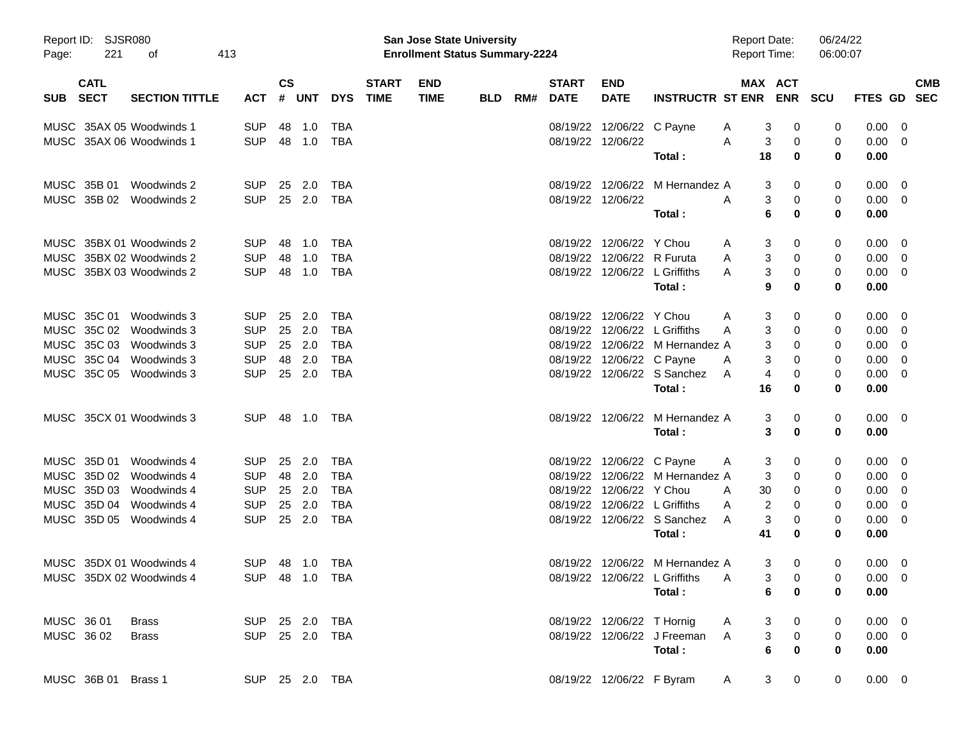| Page:      | Report ID: SJSR080<br>221  | 413<br>οf                              |                          |                |                  |            |                             | <b>San Jose State University</b><br><b>Enrollment Status Summary-2224</b> |     |     |                             |                            |                                 | <b>Report Date:</b><br><b>Report Time:</b> |                       | 06/24/22<br>06:00:07 |                            |                          |            |
|------------|----------------------------|----------------------------------------|--------------------------|----------------|------------------|------------|-----------------------------|---------------------------------------------------------------------------|-----|-----|-----------------------------|----------------------------|---------------------------------|--------------------------------------------|-----------------------|----------------------|----------------------------|--------------------------|------------|
| SUB        | <b>CATL</b><br><b>SECT</b> | <b>SECTION TITTLE</b>                  | <b>ACT</b>               | <b>CS</b><br># | UNT              | <b>DYS</b> | <b>START</b><br><b>TIME</b> | <b>END</b><br><b>TIME</b>                                                 | BLD | RM# | <b>START</b><br><b>DATE</b> | <b>END</b><br><b>DATE</b>  | <b>INSTRUCTR ST ENR</b>         |                                            | MAX ACT               | <b>ENR SCU</b>       | FTES GD SEC                |                          | <b>CMB</b> |
|            |                            | MUSC 35AX 05 Woodwinds 1               | <b>SUP</b>               |                | 48 1.0           | TBA        |                             |                                                                           |     |     |                             | 08/19/22 12/06/22 C Payne  |                                 | A                                          | 3<br>0                | 0                    | 0.00                       | - 0                      |            |
|            |                            | MUSC 35AX 06 Woodwinds 1               | <b>SUP</b>               |                | 48 1.0           | <b>TBA</b> |                             |                                                                           |     |     |                             | 08/19/22 12/06/22          | Total :                         | A<br>18                                    | 3<br>0<br>$\bf{0}$    | 0<br>$\bf{0}$        | 0.00<br>0.00               | $\overline{\phantom{0}}$ |            |
|            |                            |                                        |                          |                |                  |            |                             |                                                                           |     |     |                             |                            |                                 |                                            |                       |                      |                            |                          |            |
|            | MUSC 35B 01                | Woodwinds 2<br>MUSC 35B 02 Woodwinds 2 | <b>SUP</b><br><b>SUP</b> |                | 25 2.0<br>25 2.0 | TBA<br>TBA |                             |                                                                           |     |     |                             | 08/19/22 12/06/22          | 08/19/22 12/06/22 M Hernandez A | A                                          | 3<br>0<br>3<br>0      | 0<br>0               | $0.00 \t 0$<br>$0.00 \t 0$ |                          |            |
|            |                            |                                        |                          |                |                  |            |                             |                                                                           |     |     |                             |                            | Total:                          |                                            | 6<br>$\bf{0}$         | 0                    | 0.00                       |                          |            |
|            |                            | MUSC 35BX 01 Woodwinds 2               | <b>SUP</b>               |                | 48 1.0           | TBA        |                             |                                                                           |     |     |                             | 08/19/22 12/06/22 Y Chou   |                                 | A                                          | 3<br>0                | 0                    | $0.00 \t 0$                |                          |            |
|            |                            | MUSC 35BX 02 Woodwinds 2               | <b>SUP</b>               | 48             | 1.0              | <b>TBA</b> |                             |                                                                           |     |     |                             | 08/19/22 12/06/22 R Furuta |                                 | A                                          | 3<br>0                | 0                    | 0.00                       | - 0                      |            |
|            |                            | MUSC 35BX 03 Woodwinds 2               | <b>SUP</b>               |                | 48 1.0           | TBA        |                             |                                                                           |     |     |                             |                            | 08/19/22 12/06/22 L Griffiths   | A                                          | 3<br>0                | 0                    | $0.00 \t 0$                |                          |            |
|            |                            |                                        |                          |                |                  |            |                             |                                                                           |     |     |                             |                            | Total:                          |                                            | 9<br>0                | 0                    | 0.00                       |                          |            |
|            | MUSC 35C 01                | Woodwinds 3                            | <b>SUP</b>               | 25             | 2.0              | TBA        |                             |                                                                           |     |     |                             | 08/19/22 12/06/22 Y Chou   |                                 | A                                          | 3<br>0                | 0                    | $0.00 \t 0$                |                          |            |
|            |                            | MUSC 35C 02 Woodwinds 3                | <b>SUP</b>               |                | 25 2.0           | <b>TBA</b> |                             |                                                                           |     |     |                             |                            | 08/19/22 12/06/22 L Griffiths   | A                                          | 3<br>0                | 0                    | 0.00                       | - 0                      |            |
|            | MUSC 35C 03                | Woodwinds 3                            | <b>SUP</b>               |                | 25 2.0           | <b>TBA</b> |                             |                                                                           |     |     |                             |                            | 08/19/22 12/06/22 M Hernandez A |                                            | 3<br>0                | 0                    | 0.00                       | - 0                      |            |
|            |                            | MUSC 35C 04 Woodwinds 3                | <b>SUP</b>               |                | 48 2.0           | <b>TBA</b> |                             |                                                                           |     |     |                             | 08/19/22 12/06/22 C Payne  |                                 | A                                          | 3<br>0                | 0                    | 0.00                       | - 0                      |            |
|            |                            | MUSC 35C 05 Woodwinds 3                | <b>SUP</b>               |                | 25 2.0           | TBA        |                             |                                                                           |     |     |                             |                            | 08/19/22 12/06/22 S Sanchez     | A                                          | 4<br>0                | 0                    | 0.00                       | $\overline{\phantom{0}}$ |            |
|            |                            |                                        |                          |                |                  |            |                             |                                                                           |     |     |                             |                            | Total:                          | 16                                         | $\bf{0}$              | 0                    | 0.00                       |                          |            |
|            |                            | MUSC 35CX 01 Woodwinds 3               | SUP 48 1.0 TBA           |                |                  |            |                             |                                                                           |     |     |                             |                            | 08/19/22 12/06/22 M Hernandez A |                                            | 3<br>0                | 0                    | $0.00 \t 0$                |                          |            |
|            |                            |                                        |                          |                |                  |            |                             |                                                                           |     |     |                             |                            | Total:                          |                                            | 3<br>0                | 0                    | 0.00                       |                          |            |
|            | MUSC 35D 01                | Woodwinds 4                            | <b>SUP</b>               |                | 25 2.0           | TBA        |                             |                                                                           |     |     |                             | 08/19/22 12/06/22 C Payne  |                                 | A                                          | 3<br>0                | 0                    | $0.00 \quad 0$             |                          |            |
|            |                            | MUSC 35D 02 Woodwinds 4                | <b>SUP</b>               |                | 48 2.0           | TBA        |                             |                                                                           |     |     |                             |                            | 08/19/22 12/06/22 M Hernandez A |                                            | 3<br>0                | 0                    | 0.00                       | - 0                      |            |
|            |                            | MUSC 35D 03 Woodwinds 4                | <b>SUP</b>               |                | 25 2.0           | TBA        |                             |                                                                           |     |     |                             | 08/19/22 12/06/22 Y Chou   |                                 | 30<br>A                                    | 0                     | 0                    | 0.00                       | - 0                      |            |
|            |                            | MUSC 35D 04 Woodwinds 4                | <b>SUP</b>               |                | 25 2.0           | <b>TBA</b> |                             |                                                                           |     |     |                             |                            | 08/19/22 12/06/22 L Griffiths   | A                                          | 2<br>0                | 0                    | 0.00                       | - 0                      |            |
|            |                            | MUSC 35D 05 Woodwinds 4                | <b>SUP</b>               |                | 25 2.0           | <b>TBA</b> |                             |                                                                           |     |     |                             |                            | 08/19/22 12/06/22 S Sanchez     | A<br>41                                    | 3<br>0<br>0           | 0<br>0               | 0.00                       | - 0                      |            |
|            |                            |                                        |                          |                |                  |            |                             |                                                                           |     |     |                             |                            | Total:                          |                                            |                       |                      | 0.00                       |                          |            |
|            |                            | MUSC 35DX 01 Woodwinds 4               | SUP 48 1.0 TBA           |                |                  |            |                             |                                                                           |     |     |                             |                            | 08/19/22 12/06/22 M Hernandez A |                                            | 3<br>0                | 0                    | $0.00 \quad 0$             |                          |            |
|            |                            | MUSC 35DX 02 Woodwinds 4               |                          |                | SUP 48 1.0 TBA   |            |                             |                                                                           |     |     |                             |                            | 08/19/22 12/06/22 L Griffiths   | A                                          | 3<br>0                | 0                    | $0.00 \quad 0$             |                          |            |
|            |                            |                                        |                          |                |                  |            |                             |                                                                           |     |     |                             |                            | Total:                          |                                            | 6<br>0                | 0                    | 0.00                       |                          |            |
| MUSC 36 01 |                            | <b>Brass</b>                           | SUP 25 2.0 TBA           |                |                  |            |                             |                                                                           |     |     |                             | 08/19/22 12/06/22 T Hornig |                                 | A                                          | 3<br>$\mathbf 0$      | 0                    | $0.00 \t 0$                |                          |            |
| MUSC 36 02 |                            | <b>Brass</b>                           | SUP 25 2.0 TBA           |                |                  |            |                             |                                                                           |     |     |                             |                            | 08/19/22 12/06/22 J Freeman     | A                                          | 3<br>$\boldsymbol{0}$ | 0                    | $0.00 \t 0$                |                          |            |
|            |                            |                                        |                          |                |                  |            |                             |                                                                           |     |     |                             |                            | Total:                          |                                            | 6<br>0                | 0                    | 0.00                       |                          |            |
|            | MUSC 36B 01 Brass 1        |                                        | SUP 25 2.0 TBA           |                |                  |            |                             |                                                                           |     |     |                             | 08/19/22 12/06/22 F Byram  |                                 | A                                          | 3<br>0                | 0                    | $0.00 \t 0$                |                          |            |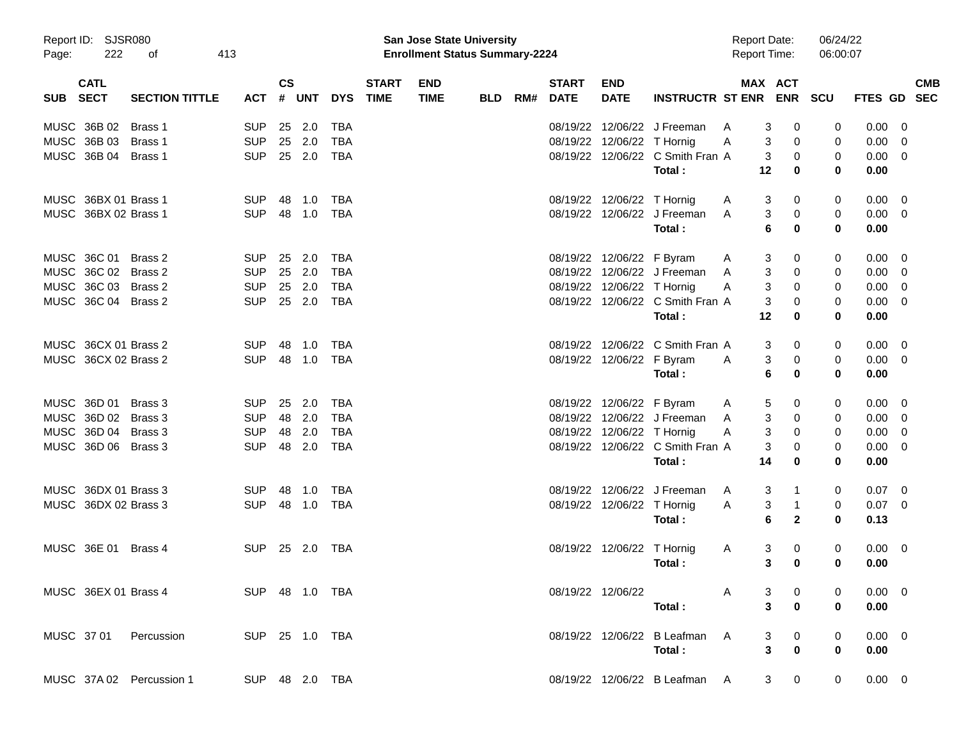| Page:      | Report ID: SJSR080<br>222  | οf                       | 413            |               |            |            |                             | <b>San Jose State University</b><br><b>Enrollment Status Summary-2224</b> |            |     |                             |                            |                                            | <b>Report Date:</b><br><b>Report Time:</b> |                                      | 06/24/22<br>06:00:07 |                     |                |
|------------|----------------------------|--------------------------|----------------|---------------|------------|------------|-----------------------------|---------------------------------------------------------------------------|------------|-----|-----------------------------|----------------------------|--------------------------------------------|--------------------------------------------|--------------------------------------|----------------------|---------------------|----------------|
| <b>SUB</b> | <b>CATL</b><br><b>SECT</b> | <b>SECTION TITTLE</b>    | <b>ACT</b>     | $\mathsf{cs}$ | # UNT      | <b>DYS</b> | <b>START</b><br><b>TIME</b> | <b>END</b><br><b>TIME</b>                                                 | <b>BLD</b> | RM# | <b>START</b><br><b>DATE</b> | <b>END</b><br><b>DATE</b>  | INSTRUCTR ST ENR ENR SCU                   |                                            | MAX ACT                              |                      | FTES GD SEC         | <b>CMB</b>     |
|            | MUSC 36B 02                | Brass 1                  | <b>SUP</b>     | 25            | 2.0        | TBA        |                             |                                                                           |            |     |                             |                            | 08/19/22 12/06/22 J Freeman                | A                                          | 3<br>0                               | 0                    | 0.00                | - 0            |
|            | MUSC 36B 03                | Brass 1                  | <b>SUP</b>     |               | 25 2.0     | <b>TBA</b> |                             |                                                                           |            |     |                             | 08/19/22 12/06/22 T Hornig |                                            | A                                          | 3<br>0                               | 0                    | 0.00                | $\overline{0}$ |
|            | MUSC 36B 04                | Brass 1                  | <b>SUP</b>     |               | 25 2.0     | <b>TBA</b> |                             |                                                                           |            |     |                             |                            | 08/19/22 12/06/22 C Smith Fran A<br>Total: | 12                                         | 3<br>0<br>0                          | 0<br>0               | $0.00 \t 0$<br>0.00 |                |
|            | MUSC 36BX 01 Brass 1       |                          | <b>SUP</b>     | 48            | 1.0        | TBA        |                             |                                                                           |            |     |                             | 08/19/22 12/06/22 T Hornig |                                            | A                                          | 3<br>0                               | 0                    | 0.00                | - 0            |
|            | MUSC 36BX 02 Brass 1       |                          | <b>SUP</b>     |               | 48 1.0     | <b>TBA</b> |                             |                                                                           |            |     |                             |                            | 08/19/22 12/06/22 J Freeman<br>Total:      | A                                          | 3<br>0<br>6<br>0                     | 0<br>0               | $0.00 \t 0$<br>0.00 |                |
|            | MUSC 36C 01                | Brass 2                  | <b>SUP</b>     | 25            | 2.0        | TBA        |                             |                                                                           |            |     |                             | 08/19/22 12/06/22 F Byram  |                                            | A                                          | 3<br>0                               | 0                    | 0.00                | - 0            |
|            | MUSC 36C 02 Brass 2        |                          | <b>SUP</b>     |               | 25 2.0     | <b>TBA</b> |                             |                                                                           |            |     |                             |                            | 08/19/22 12/06/22 J Freeman                | A                                          | 3<br>0                               | 0                    | 0.00                | - 0            |
|            | MUSC 36C 03 Brass 2        |                          | <b>SUP</b>     |               | 25 2.0     | <b>TBA</b> |                             |                                                                           |            |     |                             | 08/19/22 12/06/22 T Hornig |                                            | A                                          | 3<br>0                               | 0                    | 0.00                | 0              |
|            | MUSC 36C 04 Brass 2        |                          | <b>SUP</b>     |               | 25 2.0     | <b>TBA</b> |                             |                                                                           |            |     |                             |                            | 08/19/22 12/06/22 C Smith Fran A           |                                            | 3<br>0                               | 0                    | 0.00                | - 0            |
|            |                            |                          |                |               |            |            |                             |                                                                           |            |     |                             |                            | Total:                                     | 12                                         | 0                                    | 0                    | 0.00                |                |
|            | MUSC 36CX 01 Brass 2       |                          | <b>SUP</b>     | -48           | 1.0        | TBA        |                             |                                                                           |            |     |                             |                            | 08/19/22 12/06/22 C Smith Fran A           |                                            | 3<br>0                               | 0                    | $0.00 \t 0$         |                |
|            | MUSC 36CX 02 Brass 2       |                          | <b>SUP</b>     |               | 48 1.0     | <b>TBA</b> |                             |                                                                           |            |     |                             | 08/19/22 12/06/22 F Byram  |                                            | A                                          | 3<br>0                               | 0                    | $0.00 \t 0$         |                |
|            |                            |                          |                |               |            |            |                             |                                                                           |            |     |                             |                            | Total :                                    |                                            | 6<br>0                               | 0                    | 0.00                |                |
|            | MUSC 36D 01                | Brass 3                  | <b>SUP</b>     | 25            | 2.0        | TBA        |                             |                                                                           |            |     |                             | 08/19/22 12/06/22 F Byram  |                                            | A                                          | 5<br>0                               | 0                    | 0.00                | - 0            |
|            | MUSC 36D 02 Brass 3        |                          | <b>SUP</b>     | 48            | 2.0        | <b>TBA</b> |                             |                                                                           |            |     |                             |                            | 08/19/22 12/06/22 J Freeman                | A                                          | 3<br>0                               | 0                    | 0.00                | - 0            |
|            | MUSC 36D 04 Brass 3        |                          | <b>SUP</b>     | 48            | 2.0        | <b>TBA</b> |                             |                                                                           |            |     |                             | 08/19/22 12/06/22 T Hornig |                                            | A                                          | 3<br>0                               | 0                    | 0.00                | 0              |
|            | MUSC 36D 06 Brass 3        |                          | <b>SUP</b>     |               | 48 2.0     | <b>TBA</b> |                             |                                                                           |            |     |                             |                            | 08/19/22 12/06/22 C Smith Fran A           |                                            | 3<br>0                               | 0                    | 0.00                | 0              |
|            |                            |                          |                |               |            |            |                             |                                                                           |            |     |                             |                            | Total:                                     | 14                                         | 0                                    | 0                    | 0.00                |                |
|            | MUSC 36DX 01 Brass 3       |                          | <b>SUP</b>     | 48            | 1.0        | TBA        |                             |                                                                           |            |     |                             |                            | 08/19/22 12/06/22 J Freeman                | A                                          | 3<br>1                               | 0                    | $0.07 \quad 0$      |                |
|            | MUSC 36DX 02 Brass 3       |                          | <b>SUP</b>     |               | 48 1.0     | <b>TBA</b> |                             |                                                                           |            |     |                             | 08/19/22 12/06/22 T Hornig |                                            | Α                                          | 3<br>1                               | 0                    | $0.07$ 0            |                |
|            |                            |                          |                |               |            |            |                             |                                                                           |            |     |                             |                            | Total:                                     |                                            | 6<br>$\mathbf{2}$                    | 0                    | 0.13                |                |
|            | MUSC 36E 01                | Brass 4                  | <b>SUP</b>     |               | 25 2.0 TBA |            |                             |                                                                           |            |     |                             | 08/19/22 12/06/22 T Hornig |                                            | A                                          | 3<br>0                               | 0                    | $0.00 \t 0$         |                |
|            |                            |                          |                |               |            |            |                             |                                                                           |            |     |                             |                            | Total :                                    |                                            | 3<br>0                               | 0                    | 0.00                |                |
|            |                            | MUSC 36EX 01 Brass 4     | SUP 48 1.0 TBA |               |            |            |                             |                                                                           |            |     |                             | 08/19/22 12/06/22          |                                            | A                                          | 3<br>0                               |                      | $0.00 \t 0$         |                |
|            |                            |                          |                |               |            |            |                             |                                                                           |            |     |                             |                            | Total:                                     |                                            | 3<br>$\bf{0}$                        | 0                    | 0.00                |                |
|            |                            | MUSC 37 01 Percussion    | SUP 25 1.0 TBA |               |            |            |                             |                                                                           |            |     |                             |                            | 08/19/22 12/06/22 B Leafman A              |                                            | 3<br>$\mathbf 0$                     |                      | $0.00 \t 0$         |                |
|            |                            |                          |                |               |            |            |                             |                                                                           |            |     |                             |                            | Total:                                     |                                            | $\overline{\mathbf{3}}$<br>$\pmb{0}$ | 0                    | 0.00                |                |
|            |                            | MUSC 37A 02 Percussion 1 | SUP 48 2.0 TBA |               |            |            |                             |                                                                           |            |     |                             |                            | 08/19/22 12/06/22 B Leafman A              |                                            | 3 <sup>7</sup><br>0                  | 0                    | $0.00 \t 0$         |                |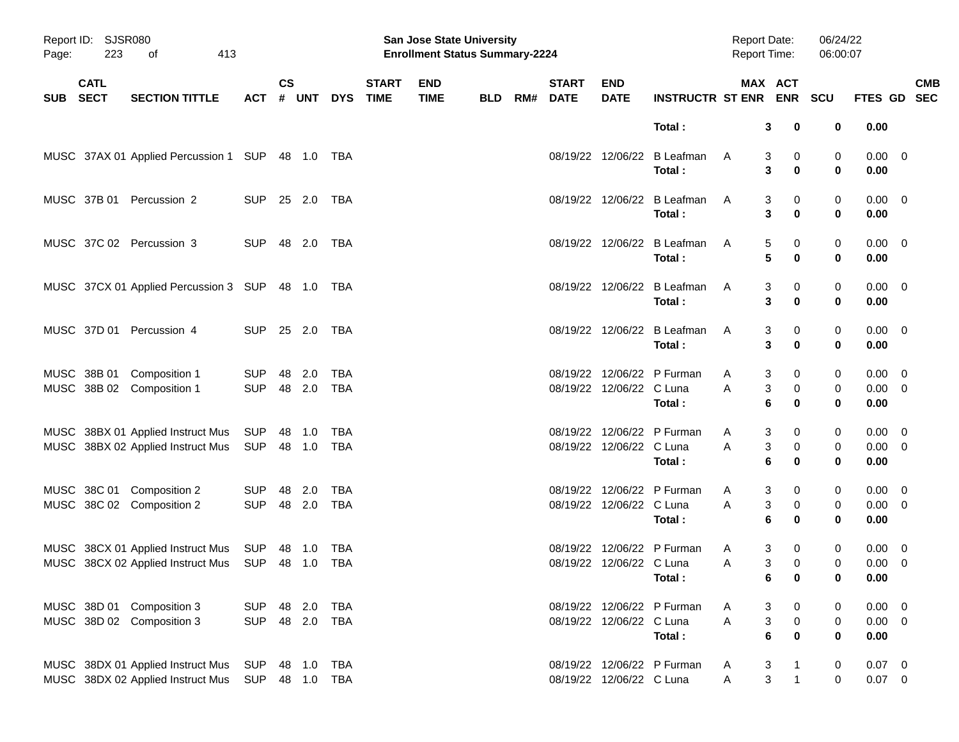| Page: | Report ID: SJSR080<br>223<br>413<br>оf |                                                                                   |                          |                |                  |                   |                             | San Jose State University<br><b>Enrollment Status Summary-2224</b> |            |     |                             |                           |                                       | <b>Report Date:</b><br>Report Time: |                                      | 06/24/22<br>06:00:07  |                                    |                          |            |
|-------|----------------------------------------|-----------------------------------------------------------------------------------|--------------------------|----------------|------------------|-------------------|-----------------------------|--------------------------------------------------------------------|------------|-----|-----------------------------|---------------------------|---------------------------------------|-------------------------------------|--------------------------------------|-----------------------|------------------------------------|--------------------------|------------|
| SUB   | <b>CATL</b><br><b>SECT</b>             | <b>SECTION TITTLE</b>                                                             | <b>ACT</b>               | <b>CS</b><br># | <b>UNT</b>       | <b>DYS</b>        | <b>START</b><br><b>TIME</b> | <b>END</b><br><b>TIME</b>                                          | <b>BLD</b> | RM# | <b>START</b><br><b>DATE</b> | <b>END</b><br><b>DATE</b> | <b>INSTRUCTR ST ENR ENR</b>           | MAX ACT                             |                                      | <b>SCU</b>            | FTES GD SEC                        |                          | <b>CMB</b> |
|       |                                        |                                                                                   |                          |                |                  |                   |                             |                                                                    |            |     |                             |                           | Total:                                | 3                                   | 0                                    | 0                     | 0.00                               |                          |            |
|       |                                        | MUSC 37AX 01 Applied Percussion 1 SUP 48 1.0 TBA                                  |                          |                |                  |                   |                             |                                                                    |            |     |                             |                           | 08/19/22 12/06/22 B Leafman<br>Total: | A<br>3                              | 0<br>3<br>0                          | 0<br>$\bf{0}$         | $0.00 \quad 0$<br>0.00             |                          |            |
|       | MUSC 37B 01                            | Percussion 2                                                                      | <b>SUP</b>               |                | 25 2.0           | TBA               |                             |                                                                    |            |     |                             |                           | 08/19/22 12/06/22 B Leafman<br>Total: | 3<br>A<br>3                         | 0<br>0                               | 0<br>$\bf{0}$         | $0.00 \ 0$<br>0.00                 |                          |            |
|       |                                        | MUSC 37C 02 Percussion 3                                                          | <b>SUP</b>               |                | 48 2.0           | TBA               |                             |                                                                    |            |     |                             |                           | 08/19/22 12/06/22 B Leafman<br>Total: | 5<br>A<br>5                         | 0<br>0                               | 0<br>$\bf{0}$         | $0.00 \t 0$<br>0.00                |                          |            |
|       |                                        | MUSC 37CX 01 Applied Percussion 3 SUP 48 1.0 TBA                                  |                          |                |                  |                   |                             |                                                                    |            |     |                             |                           | 08/19/22 12/06/22 B Leafman<br>Total: | 3<br>A<br>3                         | 0<br>0                               | 0<br>$\bf{0}$         | $0.00 \t 0$<br>0.00                |                          |            |
|       |                                        | MUSC 37D 01 Percussion 4                                                          | <b>SUP</b>               |                | 25 2.0           | TBA               |                             |                                                                    |            |     |                             |                           | 08/19/22 12/06/22 B Leafman<br>Total: | 3<br>A<br>3                         | 0<br>0                               | 0<br>$\bf{0}$         | $0.00 \t 0$<br>0.00                |                          |            |
|       |                                        | MUSC 38B 01 Composition 1<br>MUSC 38B 02 Composition 1                            | <b>SUP</b><br><b>SUP</b> |                | 48 2.0<br>48 2.0 | TBA<br>TBA        |                             |                                                                    |            |     |                             | 08/19/22 12/06/22 C Luna  | 08/19/22 12/06/22 P Furman<br>Total:  | 3<br>A<br>A<br>3<br>6               | 0<br>0<br>0                          | 0<br>0<br>$\mathbf 0$ | 0.00<br>$0.00 \t 0$<br>0.00        | $\overline{\mathbf{0}}$  |            |
|       |                                        | MUSC 38BX 01 Applied Instruct Mus<br>MUSC 38BX 02 Applied Instruct Mus            | SUP<br>SUP               |                | 48 1.0<br>48 1.0 | TBA<br><b>TBA</b> |                             |                                                                    |            |     |                             | 08/19/22 12/06/22 C Luna  | 08/19/22 12/06/22 P Furman<br>Total:  | 3<br>A<br>A<br>3<br>6               | 0<br>0<br>0                          | 0<br>0<br>$\mathbf 0$ | $0.00 \t 0$<br>$0.00 \t 0$<br>0.00 |                          |            |
|       |                                        | MUSC 38C 01 Composition 2<br>MUSC 38C 02 Composition 2                            | <b>SUP</b><br><b>SUP</b> |                | 48 2.0<br>48 2.0 | TBA<br>TBA        |                             |                                                                    |            |     |                             | 08/19/22 12/06/22 C Luna  | 08/19/22 12/06/22 P Furman<br>Total:  | 3<br>A<br>3<br>A<br>6               | 0<br>0<br>0                          | 0<br>0<br>$\mathbf 0$ | $0.00 \t 0$<br>$0.00 \t 0$<br>0.00 |                          |            |
|       |                                        | MUSC 38CX 01 Applied Instruct Mus<br>MUSC 38CX 02 Applied Instruct Mus SUP 48 1.0 | SUP                      |                | 48 1.0           | TBA<br>TBA        |                             |                                                                    |            |     |                             | 08/19/22 12/06/22 C Luna  | 08/19/22 12/06/22 P Furman<br>Total:  | 3<br>A<br>Α                         | 0<br>3<br>$\mathbf 0$<br>$6\qquad 0$ | 0<br>0<br>0           | 0.00<br>$0.00 \t 0$<br>0.00        | $\overline{\phantom{0}}$ |            |
|       |                                        | MUSC 38D 01 Composition 3<br>MUSC 38D 02 Composition 3                            | <b>SUP</b><br><b>SUP</b> |                | 48 2.0<br>48 2.0 | TBA<br><b>TBA</b> |                             |                                                                    |            |     |                             | 08/19/22 12/06/22 C Luna  | 08/19/22 12/06/22 P Furman<br>Total:  | 3<br>A<br>Α<br>6                    | 0<br>3<br>$\pmb{0}$<br>0             | 0<br>0<br>0           | $0.00 \t 0$<br>$0.00 \t 0$<br>0.00 |                          |            |
|       |                                        | MUSC 38DX 01 Applied Instruct Mus<br>MUSC 38DX 02 Applied Instruct Mus            | SUP<br><b>SUP</b>        |                | 48 1.0<br>48 1.0 | TBA<br><b>TBA</b> |                             |                                                                    |            |     |                             | 08/19/22 12/06/22 C Luna  | 08/19/22 12/06/22 P Furman            | 3<br>A<br>3<br>Α                    | $\mathbf{1}$<br>$\mathbf{1}$         | 0<br>0                | $0.07$ 0<br>$0.07$ 0               |                          |            |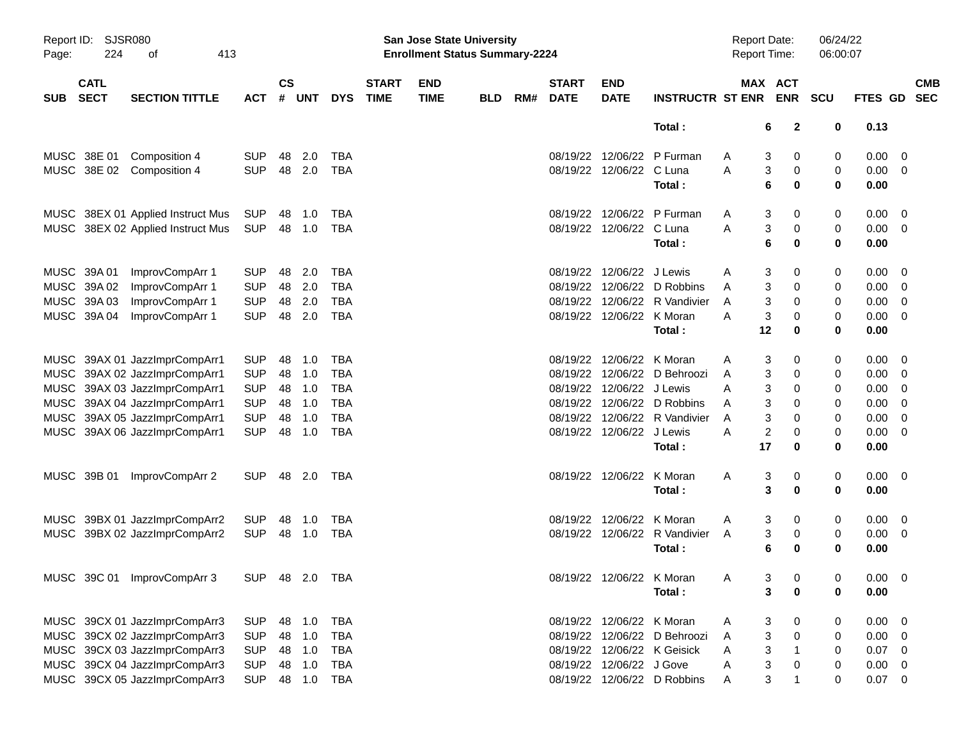| Report ID:<br>Page: | <b>SJSR080</b><br>224      | 413<br>оf                         |                |                    |            |            |                             | San Jose State University<br><b>Enrollment Status Summary-2224</b> |            |     |                             |                           |                               | <b>Report Date:</b><br><b>Report Time:</b> |                               | 06/24/22<br>06:00:07 |             |                          |
|---------------------|----------------------------|-----------------------------------|----------------|--------------------|------------|------------|-----------------------------|--------------------------------------------------------------------|------------|-----|-----------------------------|---------------------------|-------------------------------|--------------------------------------------|-------------------------------|----------------------|-------------|--------------------------|
| <b>SUB</b>          | <b>CATL</b><br><b>SECT</b> | <b>SECTION TITTLE</b>             | <b>ACT</b>     | $\mathsf{cs}$<br># | <b>UNT</b> | <b>DYS</b> | <b>START</b><br><b>TIME</b> | <b>END</b><br><b>TIME</b>                                          | <b>BLD</b> | RM# | <b>START</b><br><b>DATE</b> | <b>END</b><br><b>DATE</b> | <b>INSTRUCTR ST ENR</b>       |                                            | MAX ACT<br><b>ENR</b>         | <b>SCU</b>           | FTES GD     | <b>CMB</b><br><b>SEC</b> |
|                     |                            |                                   |                |                    |            |            |                             |                                                                    |            |     |                             |                           | Total:                        |                                            | $\mathbf{2}$<br>6             | 0                    | 0.13        |                          |
|                     | MUSC 38E 01                | Composition 4                     | <b>SUP</b>     | 48                 | 2.0        | TBA        |                             |                                                                    |            |     |                             | 08/19/22 12/06/22         | P Furman                      | Α                                          | 3<br>0                        | 0                    | 0.00        | - 0                      |
|                     |                            | MUSC 38E 02 Composition 4         | <b>SUP</b>     | 48                 | 2.0        | TBA        |                             |                                                                    |            |     |                             | 08/19/22 12/06/22 C Luna  |                               | A                                          | 3<br>0                        | 0                    | $0.00 \t 0$ |                          |
|                     |                            |                                   |                |                    |            |            |                             |                                                                    |            |     |                             |                           | Total:                        |                                            | 6<br>0                        | $\mathbf 0$          | 0.00        |                          |
|                     |                            | MUSC 38EX 01 Applied Instruct Mus | SUP            | 48                 | 1.0        | TBA        |                             |                                                                    |            |     |                             | 08/19/22 12/06/22         | P Furman                      | Α                                          | 3<br>0                        | 0                    | 0.00        | - 0                      |
|                     |                            | MUSC 38EX 02 Applied Instruct Mus | <b>SUP</b>     |                    | 48 1.0     | TBA        |                             |                                                                    |            |     |                             | 08/19/22 12/06/22 C Luna  |                               | A                                          | 3<br>0                        | 0                    | $0.00 \t 0$ |                          |
|                     |                            |                                   |                |                    |            |            |                             |                                                                    |            |     |                             |                           | Total:                        |                                            | 6<br>0                        | $\mathbf 0$          | 0.00        |                          |
|                     | MUSC 39A 01                | ImprovCompArr 1                   | <b>SUP</b>     | 48                 | 2.0        | TBA        |                             |                                                                    |            |     |                             | 08/19/22 12/06/22 J Lewis |                               | Α                                          | 3<br>0                        | 0                    | 0.00        | - 0                      |
|                     | MUSC 39A 02                | ImprovCompArr 1                   | <b>SUP</b>     | 48                 | 2.0        | <b>TBA</b> |                             |                                                                    |            |     |                             | 08/19/22 12/06/22         | D Robbins                     | A                                          | 0                             | 0                    | 0.00        | $\overline{\phantom{0}}$ |
|                     | MUSC 39A 03                | ImprovCompArr 1                   | <b>SUP</b>     | 48                 | 2.0        | <b>TBA</b> |                             |                                                                    |            |     |                             |                           | 08/19/22 12/06/22 R Vandivier | A                                          | 3<br>0                        | 0                    | 0.00        | $\overline{\phantom{0}}$ |
|                     | MUSC 39A 04                | ImprovCompArr 1                   | <b>SUP</b>     | 48                 | 2.0        | TBA        |                             |                                                                    |            |     |                             | 08/19/22 12/06/22 K Moran |                               | A                                          | 3<br>0                        | 0                    | $0.00 \t 0$ |                          |
|                     |                            |                                   |                |                    |            |            |                             |                                                                    |            |     |                             |                           | Total:                        | 12                                         | 0                             | 0                    | 0.00        |                          |
|                     |                            | MUSC 39AX 01 JazzImprCompArr1     | <b>SUP</b>     | 48                 | 1.0        | TBA        |                             |                                                                    |            |     |                             | 08/19/22 12/06/22         | K Moran                       | Α                                          | 3<br>0                        | 0                    | 0.00        | - 0                      |
|                     |                            | MUSC 39AX 02 JazzImprCompArr1     | <b>SUP</b>     | 48                 | 1.0        | <b>TBA</b> |                             |                                                                    |            |     |                             | 08/19/22 12/06/22         | D Behroozi                    | A                                          | 3<br>0                        | 0                    | 0.00        | $\overline{\phantom{0}}$ |
|                     |                            | MUSC 39AX 03 JazzImprCompArr1     | <b>SUP</b>     | 48                 | 1.0        | <b>TBA</b> |                             |                                                                    |            |     |                             | 08/19/22 12/06/22 J Lewis |                               | A                                          | 3<br>0                        | 0                    | 0.00        | $\overline{\phantom{0}}$ |
|                     |                            | MUSC 39AX 04 JazzImprCompArr1     | <b>SUP</b>     | 48                 | 1.0        | <b>TBA</b> |                             |                                                                    |            |     |                             |                           | 08/19/22 12/06/22 D Robbins   | A                                          | 3<br>0                        | 0                    | 0.00        | $\overline{\mathbf{0}}$  |
|                     |                            | MUSC 39AX 05 JazzImprCompArr1     | <b>SUP</b>     | 48                 | 1.0        | <b>TBA</b> |                             |                                                                    |            |     | 08/19/22                    | 12/06/22                  | R Vandivier                   | A                                          | 3<br>0                        | 0                    | 0.00        | $\overline{\phantom{0}}$ |
|                     |                            | MUSC 39AX 06 JazzImprCompArr1     | <b>SUP</b>     | 48                 | 1.0        | <b>TBA</b> |                             |                                                                    |            |     |                             | 08/19/22 12/06/22 J Lewis |                               | A                                          | 2<br>0                        | 0                    | $0.00 \t 0$ |                          |
|                     |                            |                                   |                |                    |            |            |                             |                                                                    |            |     |                             |                           | Total:                        | 17                                         | 0                             | 0                    | 0.00        |                          |
|                     | MUSC 39B 01                | ImprovCompArr 2                   | <b>SUP</b>     |                    | 48 2.0     | TBA        |                             |                                                                    |            |     |                             | 08/19/22 12/06/22         | K Moran                       | Α                                          | 3<br>0                        | 0                    | $0.00 \ 0$  |                          |
|                     |                            |                                   |                |                    |            |            |                             |                                                                    |            |     |                             |                           | Total:                        |                                            | 3<br>0                        | 0                    | 0.00        |                          |
|                     |                            | MUSC 39BX 01 JazzImprCompArr2     | <b>SUP</b>     | 48                 | 1.0        | TBA        |                             |                                                                    |            |     | 08/19/22                    | 12/06/22                  | K Moran                       | Α                                          | 3<br>0                        | 0                    | 0.00        | $\overline{\phantom{0}}$ |
|                     |                            | MUSC 39BX 02 JazzImprCompArr2     | <b>SUP</b>     | 48                 | 1.0        | TBA        |                             |                                                                    |            |     |                             | 08/19/22 12/06/22         | R Vandivier                   | A                                          | 3<br>0                        | 0                    | $0.00 \t 0$ |                          |
|                     |                            |                                   |                |                    |            |            |                             |                                                                    |            |     |                             |                           | Total:                        |                                            | 6<br>0                        | 0                    | 0.00        |                          |
|                     |                            | MUSC 39C 01 ImprovCompArr 3       | SUP 48 2.0 TBA |                    |            |            |                             |                                                                    |            |     |                             |                           | 08/19/22 12/06/22 K Moran     | A                                          | 3 <sup>7</sup><br>$\mathbf 0$ | 0                    | $0.00 \t 0$ |                          |
|                     |                            |                                   |                |                    |            |            |                             |                                                                    |            |     |                             |                           | Total:                        |                                            | 0<br>3                        | 0                    | 0.00        |                          |
|                     |                            | MUSC 39CX 01 JazzImprCompArr3     | <b>SUP</b>     |                    | 48 1.0     | <b>TBA</b> |                             |                                                                    |            |     |                             | 08/19/22 12/06/22 K Moran |                               | Α                                          | 3<br>0                        | 0                    | $0.00 \t 0$ |                          |
|                     |                            | MUSC 39CX 02 JazzImprCompArr3     | <b>SUP</b>     |                    | 48 1.0     | <b>TBA</b> |                             |                                                                    |            |     |                             |                           | 08/19/22 12/06/22 D Behroozi  | A                                          | 3<br>$\,0\,$                  | 0                    | $0.00 \t 0$ |                          |
|                     |                            | MUSC 39CX 03 JazzImprCompArr3     | <b>SUP</b>     |                    | 48 1.0     | <b>TBA</b> |                             |                                                                    |            |     |                             |                           | 08/19/22 12/06/22 K Geisick   | Α                                          | 3<br>$\mathbf{1}$             | 0                    | $0.07$ 0    |                          |
|                     |                            | MUSC 39CX 04 JazzImprCompArr3     | <b>SUP</b>     |                    | 48 1.0     | <b>TBA</b> |                             |                                                                    |            |     |                             | 08/19/22 12/06/22 J Gove  |                               | Α                                          | 3<br>0                        | 0                    | $0.00 \t 0$ |                          |
|                     |                            | MUSC 39CX 05 JazzImprCompArr3     | <b>SUP</b>     |                    | 48 1.0     | <b>TBA</b> |                             |                                                                    |            |     |                             |                           | 08/19/22 12/06/22 D Robbins   | A                                          | 3<br>$\mathbf 1$              | 0                    | $0.07$ 0    |                          |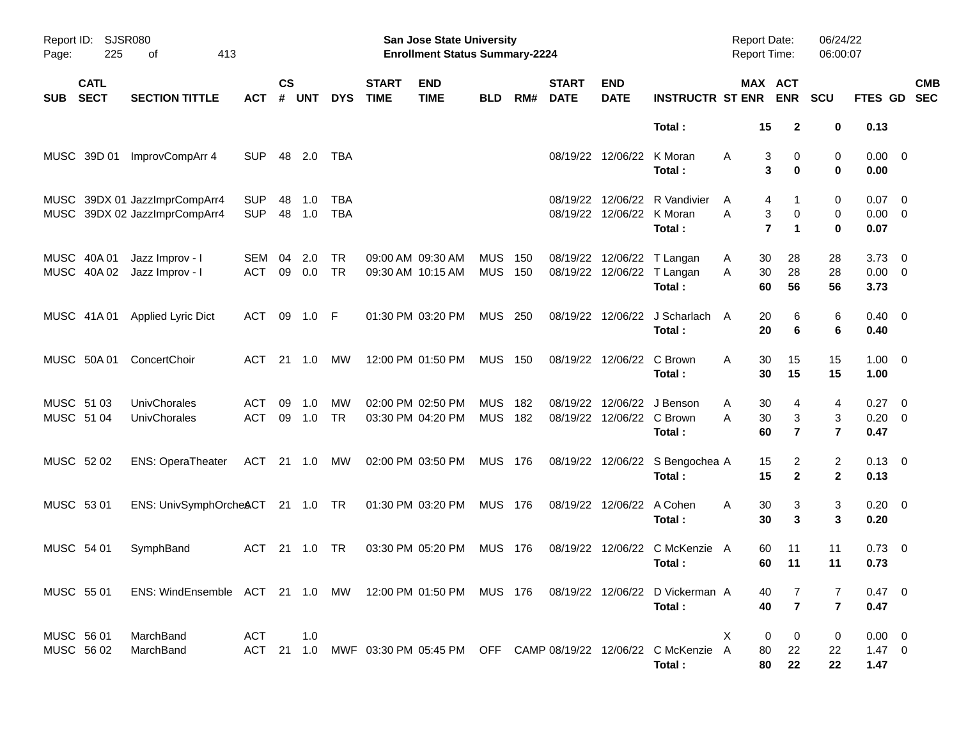| Report ID:<br>Page:      | SJSR080<br>225             | 413<br>оf                                                                                 |                          |                |            |                          |                             | San Jose State University<br><b>Enrollment Status Summary-2224</b> |                          |            |                             |                              |                                                                                    | <b>Report Date:</b><br><b>Report Time:</b> |                                                             | 06/24/22<br>06:00:07     |                                       |                          |
|--------------------------|----------------------------|-------------------------------------------------------------------------------------------|--------------------------|----------------|------------|--------------------------|-----------------------------|--------------------------------------------------------------------|--------------------------|------------|-----------------------------|------------------------------|------------------------------------------------------------------------------------|--------------------------------------------|-------------------------------------------------------------|--------------------------|---------------------------------------|--------------------------|
| <b>SUB</b>               | <b>CATL</b><br><b>SECT</b> | <b>SECTION TITTLE</b>                                                                     | АСТ                      | <b>CS</b><br># | <b>UNT</b> | <b>DYS</b>               | <b>START</b><br><b>TIME</b> | <b>END</b><br><b>TIME</b>                                          | <b>BLD</b>               | RM#        | <b>START</b><br><b>DATE</b> | <b>END</b><br><b>DATE</b>    | <b>INSTRUCTR ST ENR</b>                                                            |                                            | MAX ACT<br><b>ENR</b>                                       | SCU                      | FTES GD                               | <b>CMB</b><br><b>SEC</b> |
|                          |                            |                                                                                           |                          |                |            |                          |                             |                                                                    |                          |            |                             |                              | Total:                                                                             | 15                                         | $\mathbf{2}$                                                | 0                        | 0.13                                  |                          |
|                          | MUSC 39D 01                | ImprovCompArr 4                                                                           | <b>SUP</b>               | 48             | 2.0        | TBA                      |                             |                                                                    |                          |            | 08/19/22                    | 12/06/22                     | K Moran<br>Total:                                                                  | A                                          | 3<br>0<br>3<br>$\bf{0}$                                     | 0<br>$\mathbf 0$         | $0.00 \t 0$<br>0.00                   |                          |
|                          |                            | MUSC 39DX 01 JazzImprCompArr4<br>MUSC 39DX 02 JazzImprCompArr4                            | <b>SUP</b><br><b>SUP</b> | 48<br>48       | 1.0<br>1.0 | <b>TBA</b><br><b>TBA</b> |                             |                                                                    |                          |            | 08/19/22<br>08/19/22        | 12/06/22<br>12/06/22 K Moran | R Vandivier<br>Total:                                                              | A<br>A                                     | 4<br>1<br>3<br>$\mathbf 0$<br>$\overline{7}$<br>$\mathbf 1$ | 0<br>0<br>$\mathbf 0$    | 0.07<br>$0.00 \t 0$<br>0.07           | $\overline{\phantom{0}}$ |
|                          | MUSC 40A 01<br>MUSC 40A 02 | Jazz Improv - I<br>Jazz Improv - I                                                        | SEM<br><b>ACT</b>        | 04<br>09       | 2.0<br>0.0 | <b>TR</b><br><b>TR</b>   |                             | 09:00 AM 09:30 AM<br>09:30 AM 10:15 AM                             | <b>MUS</b><br><b>MUS</b> | 150<br>150 | 08/19/22                    |                              | 12/06/22 T Langan<br>08/19/22 12/06/22 T Langan<br>Total:                          | 30<br>A<br>30<br>A<br>60                   | 28<br>28<br>56                                              | 28<br>28<br>56           | 3.73<br>$0.00 \t 0$<br>3.73           | $\overline{\phantom{0}}$ |
|                          | MUSC 41A 01                | Applied Lyric Dict                                                                        | ACT                      | 09             | 1.0        | -F                       |                             | 01:30 PM 03:20 PM                                                  | <b>MUS 250</b>           |            |                             |                              | 08/19/22 12/06/22 J Scharlach<br>Total:                                            | 20<br>A<br>20                              | 6<br>6                                                      | 6<br>6                   | $0.40 \quad 0$<br>0.40                |                          |
|                          | MUSC 50A 01                | ConcertChoir                                                                              | ACT                      | 21             | 1.0        | МW                       |                             | 12:00 PM 01:50 PM                                                  | <b>MUS 150</b>           |            |                             | 08/19/22 12/06/22 C Brown    | Total:                                                                             | A<br>30<br>30                              | 15<br>15                                                    | 15<br>15                 | $1.00 \t 0$<br>1.00                   |                          |
| MUSC 51 03<br>MUSC 51 04 |                            | UnivChorales<br>UnivChorales                                                              | <b>ACT</b><br><b>ACT</b> | 09<br>09       | 1.0<br>1.0 | <b>MW</b><br><b>TR</b>   |                             | 02:00 PM 02:50 PM<br>03:30 PM 04:20 PM                             | <b>MUS</b><br><b>MUS</b> | 182<br>182 | 08/19/22                    | 08/19/22 12/06/22 C Brown    | 12/06/22 J Benson<br>Total:                                                        | 30<br>A<br>30<br>A<br>60                   | 4<br>3<br>$\overline{\mathbf{r}}$                           | 4<br>3<br>$\overline{7}$ | $0.27 \t 0$<br>$0.20 \ 0$<br>0.47     |                          |
| MUSC 52 02               |                            | <b>ENS: OperaTheater</b>                                                                  | ACT                      |                | 21 1.0     | МW                       |                             | 02:00 PM 03:50 PM                                                  | MUS 176                  |            |                             | 08/19/22 12/06/22            | S Bengochea A<br>Total:                                                            | 15<br>15                                   | 2<br>$\overline{2}$                                         | 2<br>$\mathbf{2}$        | $0.13 \quad 0$<br>0.13                |                          |
| MUSC 53 01               |                            | ENS: UnivSymphOrche&CT 21 1.0 TR                                                          |                          |                |            |                          |                             | 01:30 PM 03:20 PM                                                  | <b>MUS 176</b>           |            | 08/19/22                    | 12/06/22 A Cohen             | Total:                                                                             | 30<br>A<br>30                              | 3<br>3                                                      | 3<br>3                   | $0.20 \ 0$<br>0.20                    |                          |
| MUSC 54 01               |                            | SymphBand                                                                                 | <b>ACT</b>               | 21             | 1.0        | TR                       |                             | 03:30 PM 05:20 PM                                                  | <b>MUS 176</b>           |            | 08/19/22                    | 12/06/22                     | C McKenzie A<br>Total:                                                             | 60<br>60                                   | 11<br>11                                                    | 11<br>11                 | $0.73 \quad 0$<br>0.73                |                          |
| MUSC 55 01               |                            | ENS: WindEnsemble ACT 21 1.0 MW 12:00 PM 01:50 PM MUS 176 08/19/22 12/06/22 D Vickerman A |                          |                |            |                          |                             |                                                                    |                          |            |                             |                              | Total:                                                                             | 40<br>40                                   | $\overline{7}$                                              | 7<br>$\overline{7}$      | $0.47 \quad 0$<br>0.47                |                          |
| MUSC 56 01<br>MUSC 56 02 |                            | MarchBand<br>MarchBand                                                                    | ACT                      |                | 1.0        |                          |                             |                                                                    |                          |            |                             |                              | ACT 21 1.0 MWF 03:30 PM 05:45 PM OFF CAMP 08/19/22 12/06/22 C McKenzie A<br>Total: | X<br>80                                    | 0<br>0<br>22<br>80<br>22                                    | 0<br>22<br>22            | $0.00 \t 0$<br>$1.47 \quad 0$<br>1.47 |                          |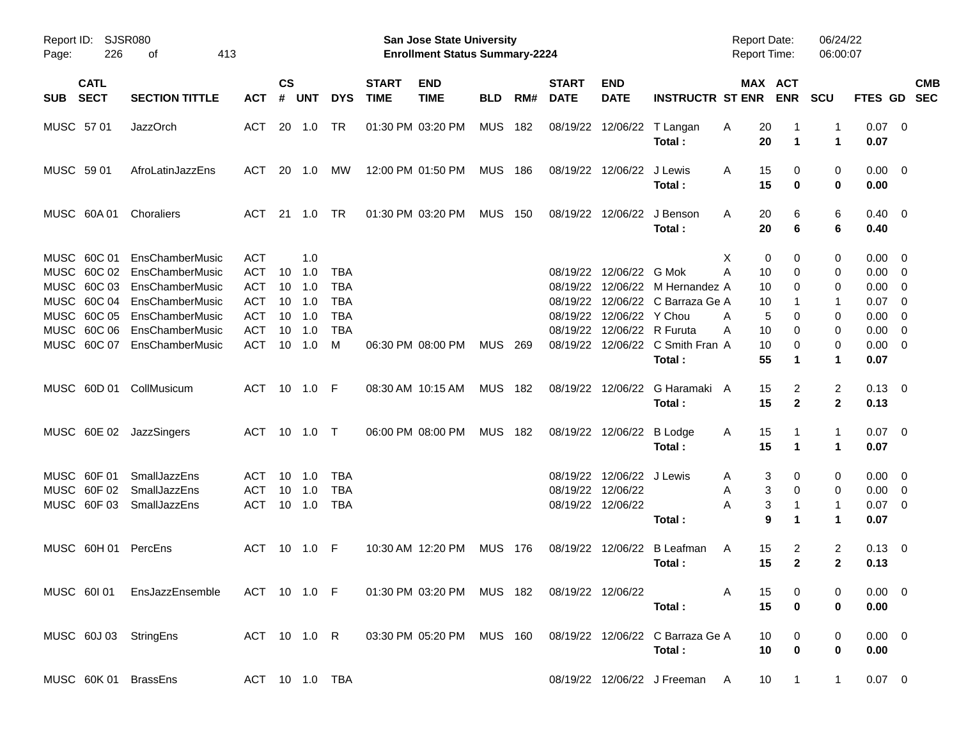| Report ID:<br>Page: | 226                        | <b>SJSR080</b><br>413<br>οf                                                          |                |                    |                |            |                             | San Jose State University<br><b>Enrollment Status Summary-2224</b> |                |       |                             |                           |                                                                         | <b>Report Date:</b><br><b>Report Time:</b> |                       | 06/24/22<br>06:00:07    |                |            |
|---------------------|----------------------------|--------------------------------------------------------------------------------------|----------------|--------------------|----------------|------------|-----------------------------|--------------------------------------------------------------------|----------------|-------|-----------------------------|---------------------------|-------------------------------------------------------------------------|--------------------------------------------|-----------------------|-------------------------|----------------|------------|
| <b>SUB</b>          | <b>CATL</b><br><b>SECT</b> | <b>SECTION TITTLE</b>                                                                | ACT            | $\mathsf{cs}$<br># | <b>UNT</b>     | <b>DYS</b> | <b>START</b><br><b>TIME</b> | <b>END</b><br><b>TIME</b>                                          | <b>BLD</b>     | RM#   | <b>START</b><br><b>DATE</b> | <b>END</b><br><b>DATE</b> | <b>INSTRUCTR ST ENR</b>                                                 |                                            | MAX ACT<br><b>ENR</b> | <b>SCU</b>              | FTES GD SEC    | <b>CMB</b> |
| MUSC 57 01          |                            | <b>JazzOrch</b>                                                                      | ACT            |                    | 20 1.0         | TR         |                             |                                                                    |                |       |                             |                           |                                                                         |                                            |                       | 1                       | $0.07$ 0       |            |
|                     |                            |                                                                                      |                |                    |                |            |                             | 01:30 PM 03:20 PM                                                  | MUS 182        |       |                             |                           | 08/19/22 12/06/22 T Langan<br>Total:                                    | 20<br>A<br>20                              | 1                     | 1                       | 0.07           |            |
| MUSC 59 01          |                            | AfroLatinJazzEns                                                                     | ACT            |                    | 20 1.0         | МW         |                             | 12:00 PM 01:50 PM                                                  | <b>MUS 186</b> |       |                             | 08/19/22 12/06/22 J Lewis |                                                                         | 15<br>A                                    | 0                     | 0                       | $0.00 \quad 0$ |            |
|                     |                            |                                                                                      |                |                    |                |            |                             |                                                                    |                |       |                             |                           | Total:                                                                  | 15                                         | 0                     | 0                       | 0.00           |            |
| MUSC 60A 01         |                            | Choraliers                                                                           | ACT            |                    | 21 1.0         | TR.        |                             | 01:30 PM 03:20 PM                                                  | <b>MUS</b>     | 150   |                             |                           | 08/19/22 12/06/22 J Benson                                              | 20<br>A                                    | 6                     | 6                       | $0.40 \quad 0$ |            |
|                     |                            |                                                                                      |                |                    |                |            |                             |                                                                    |                |       |                             |                           | Total:                                                                  | 20                                         | 6                     | 6                       | 0.40           |            |
| MUSC 60C 01         |                            | EnsChamberMusic                                                                      | <b>ACT</b>     |                    | 1.0            |            |                             |                                                                    |                |       |                             |                           |                                                                         | X<br>0                                     | 0                     | 0                       | $0.00 \quad 0$ |            |
|                     |                            | MUSC 60C 02 EnsChamberMusic                                                          | <b>ACT</b>     | 10                 | 1.0            | TBA        |                             |                                                                    |                |       |                             | 08/19/22 12/06/22 G Mok   |                                                                         | Α<br>10                                    | 0                     | 0                       | $0.00 \t 0$    |            |
|                     |                            | MUSC 60C 03 EnsChamberMusic                                                          | <b>ACT</b>     | 10                 | 1.0            | <b>TBA</b> |                             |                                                                    |                |       |                             |                           | 08/19/22 12/06/22 M Hernandez A                                         | 10                                         | 0                     | 0                       | $0.00 \t 0$    |            |
| MUSC 60C 04         |                            | EnsChamberMusic                                                                      | <b>ACT</b>     | 10                 | 1.0            | <b>TBA</b> |                             |                                                                    |                |       | 08/19/22                    |                           | 12/06/22 C Barraza Ge A                                                 | 10                                         |                       | 1                       | $0.07$ 0       |            |
| MUSC 60C 05         |                            | EnsChamberMusic                                                                      | <b>ACT</b>     | 10                 | 1.0            | <b>TBA</b> |                             |                                                                    |                |       | 08/19/22                    | 12/06/22 Y Chou           |                                                                         | 5<br>A                                     | 0                     | 0                       | $0.00 \t 0$    |            |
| MUSC 60C 06         |                            | EnsChamberMusic                                                                      | <b>ACT</b>     | 10                 | 1.0            | <b>TBA</b> |                             |                                                                    |                |       | 08/19/22                    | 12/06/22 R Furuta         |                                                                         | 10<br>Α                                    | 0                     | 0                       | $0.00 \t 0$    |            |
|                     |                            | MUSC 60C 07 EnsChamberMusic                                                          | <b>ACT</b>     | 10                 | 1.0            | м          |                             | 06:30 PM 08:00 PM                                                  | MUS            | - 269 |                             |                           | 08/19/22 12/06/22 C Smith Fran A                                        | 10                                         | 0                     | 0                       | $0.00 \t 0$    |            |
|                     |                            |                                                                                      |                |                    |                |            |                             |                                                                    |                |       |                             |                           | Total:                                                                  | 55                                         | 1                     | 1                       | 0.07           |            |
|                     |                            | MUSC 60D 01 CollMusicum                                                              | ACT            |                    | 10 1.0 F       |            |                             | 08:30 AM 10:15 AM                                                  | <b>MUS 182</b> |       |                             |                           | 08/19/22 12/06/22 G Haramaki A                                          | 15                                         | 2                     | $\overline{\mathbf{c}}$ | $0.13 \quad 0$ |            |
|                     |                            |                                                                                      |                |                    |                |            |                             |                                                                    |                |       |                             |                           | Total:                                                                  | 15                                         | $\mathbf{2}$          | $\mathbf{2}$            | 0.13           |            |
|                     |                            | MUSC 60E 02 JazzSingers                                                              | ACT 10 1.0 T   |                    |                |            |                             | 06:00 PM 08:00 PM                                                  | <b>MUS 182</b> |       |                             | 08/19/22 12/06/22 B Lodge |                                                                         | 15<br>A                                    |                       | 1                       | $0.07 \quad 0$ |            |
|                     |                            |                                                                                      |                |                    |                |            |                             |                                                                    |                |       |                             |                           | Total:                                                                  | 15                                         | 1                     | 1                       | 0.07           |            |
| MUSC 60F 01         |                            | SmallJazzEns                                                                         | ACT            | 10                 | 1.0            | TBA        |                             |                                                                    |                |       |                             | 08/19/22 12/06/22 J Lewis |                                                                         | 3<br>A                                     | 0                     | 0                       | $0.00 \quad 0$ |            |
| MUSC 60F 02         |                            | SmallJazzEns                                                                         | <b>ACT</b>     | 10                 | 1.0            | <b>TBA</b> |                             |                                                                    |                |       | 08/19/22                    | 12/06/22                  |                                                                         | 3<br>Α                                     | 0                     | 0                       | $0.00 \t 0$    |            |
| MUSC 60F03          |                            | SmallJazzEns                                                                         | <b>ACT</b>     |                    | 10 1.0         | <b>TBA</b> |                             |                                                                    |                |       |                             | 08/19/22 12/06/22         |                                                                         | 3<br>Α                                     | 1                     | 1                       | $0.07$ 0       |            |
|                     |                            |                                                                                      |                |                    |                |            |                             |                                                                    |                |       |                             |                           | Total:                                                                  | 9                                          | 1                     | 1                       | 0.07           |            |
|                     |                            | MUSC 60H 01 PercEns                                                                  | ACT            |                    | $10 \quad 1.0$ | - F        |                             | 10:30 AM 12:20 PM                                                  | <b>MUS 176</b> |       |                             |                           | 08/19/22 12/06/22 B Leafman                                             | 15<br>A                                    | 2                     | 2                       | $0.13 \ 0$     |            |
|                     |                            |                                                                                      |                |                    |                |            |                             |                                                                    |                |       |                             |                           | Total:                                                                  | 15                                         | $\mathbf{2}$          | $\mathbf{2}$            | 0.13           |            |
|                     |                            | MUSC 601 01 EnsJazzEnsemble ACT 10 1.0 F 01:30 PM 03:20 PM MUS 182 08/19/22 12/06/22 |                |                    |                |            |                             |                                                                    |                |       |                             |                           |                                                                         | 15<br>A                                    | 0                     | 0                       | $0.00 \t 0$    |            |
|                     |                            |                                                                                      |                |                    |                |            |                             |                                                                    |                |       |                             |                           | Total:                                                                  | 15                                         | 0                     | 0                       | 0.00           |            |
|                     |                            | MUSC 60J 03 StringEns                                                                |                |                    |                |            |                             |                                                                    |                |       |                             |                           | ACT 10 1.0 R 03:30 PM 05:20 PM MUS 160 08/19/22 12/06/22 C Barraza Ge A | 10                                         | 0                     | 0                       | $0.00 \ 0$     |            |
|                     |                            |                                                                                      |                |                    |                |            |                             |                                                                    |                |       |                             |                           | Total:                                                                  | 10                                         | $\bf{0}$              | 0                       | 0.00           |            |
|                     |                            | MUSC 60K 01 BrassEns                                                                 | ACT 10 1.0 TBA |                    |                |            |                             |                                                                    |                |       |                             |                           | 08/19/22 12/06/22 J Freeman A                                           | 10 <sup>°</sup>                            | $\overline{1}$        | $\mathbf{1}$            | $0.07 \quad 0$ |            |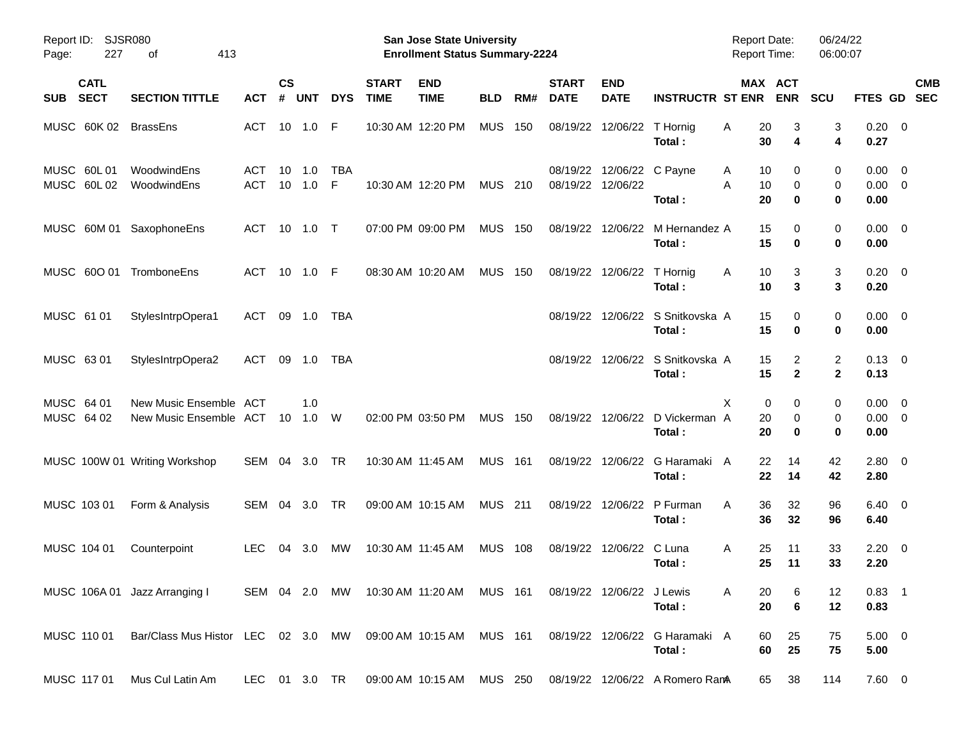| Report ID:<br>Page:                      | <b>SJSR080</b><br>227 | 413<br>οf                                                    |                   |                |            |                 |                             | San Jose State University<br><b>Enrollment Status Summary-2224</b> |                |     |                             |                           |                                           | <b>Report Date:</b><br><b>Report Time:</b> |                                          | 06/24/22<br>06:00:07           |                                    |                         |            |
|------------------------------------------|-----------------------|--------------------------------------------------------------|-------------------|----------------|------------|-----------------|-----------------------------|--------------------------------------------------------------------|----------------|-----|-----------------------------|---------------------------|-------------------------------------------|--------------------------------------------|------------------------------------------|--------------------------------|------------------------------------|-------------------------|------------|
| <b>CATL</b><br><b>SECT</b><br><b>SUB</b> |                       | <b>SECTION TITTLE</b>                                        | АСТ               | <b>CS</b><br># | <b>UNT</b> | <b>DYS</b>      | <b>START</b><br><b>TIME</b> | <b>END</b><br><b>TIME</b>                                          | <b>BLD</b>     | RM# | <b>START</b><br><b>DATE</b> | <b>END</b><br><b>DATE</b> | <b>INSTRUCTR ST ENR</b>                   |                                            | MAX ACT<br><b>ENR</b>                    | <b>SCU</b>                     | FTES GD                            | <b>SEC</b>              | <b>CMB</b> |
| MUSC 60K 02                              |                       | <b>BrassEns</b>                                              | ACT               |                | 10 1.0     | F               |                             | 10:30 AM 12:20 PM                                                  | <b>MUS</b>     | 150 | 08/19/22                    | 12/06/22                  | T Hornig<br>Total:                        | 20<br>Α<br>30                              | 3<br>4                                   | 3<br>4                         | $0.20 \ 0$<br>0.27                 |                         |            |
| MUSC 60L 01<br>MUSC 60L02                |                       | WoodwindEns<br>WoodwindEns                                   | ACT<br><b>ACT</b> | 10<br>10       | 1.0<br>1.0 | <b>TBA</b><br>F |                             | 10:30 AM 12:20 PM                                                  | <b>MUS</b>     | 210 | 08/19/22<br>08/19/22        | 12/06/22                  | 12/06/22 C Payne<br>Total:                | A<br>A<br>20                               | 10<br>0<br>$\mathbf 0$<br>10<br>$\bf{0}$ | 0<br>0<br>0                    | 0.00<br>$0.00 \t 0$<br>0.00        | $\overline{\mathbf{0}}$ |            |
|                                          |                       | MUSC 60M 01 SaxophoneEns                                     | ACT               | 10             | 1.0        | $\top$          |                             | 07:00 PM 09:00 PM                                                  | <b>MUS</b>     | 150 |                             | 08/19/22 12/06/22         | M Hernandez A<br>Total:                   | 15<br>15                                   | 0<br>$\bf{0}$                            | 0<br>0                         | $0.00 \t 0$<br>0.00                |                         |            |
| MUSC 600 01                              |                       | TromboneEns                                                  | <b>ACT</b>        | 10             | 1.0        | - F             |                             | 08:30 AM 10:20 AM                                                  | <b>MUS</b>     | 150 | 08/19/22                    | 12/06/22                  | T Hornig<br>Total:                        | A<br>10                                    | 3<br>10<br>3                             | 3<br>3                         | $0.20 \ 0$<br>0.20                 |                         |            |
| MUSC 61 01                               |                       | StylesIntrpOpera1                                            | ACT               | 09             | 1.0        | <b>TBA</b>      |                             |                                                                    |                |     | 08/19/22                    |                           | 12/06/22 S Snitkovska A<br>Total:         | 15<br>15                                   | 0<br>$\bf{0}$                            | 0<br>0                         | $0.00 \t 0$<br>0.00                |                         |            |
| MUSC 63 01                               |                       | StylesIntrpOpera2                                            | ACT               | 09             | 1.0        | TBA             |                             |                                                                    |                |     | 08/19/22                    |                           | 12/06/22 S Snitkovska A<br>Total:         | 15                                         | 15<br>2<br>$\overline{2}$                | $\overline{c}$<br>$\mathbf{2}$ | $0.13 \quad 0$<br>0.13             |                         |            |
| MUSC 64 01<br>MUSC 64 02                 |                       | New Music Ensemble ACT<br>New Music Ensemble ACT             |                   | 10             | 1.0<br>1.0 | W               |                             | 02:00 PM 03:50 PM                                                  | <b>MUS</b>     | 150 |                             |                           | 08/19/22 12/06/22 D Vickerman A<br>Total: | X<br>20<br>20                              | 0<br>0<br>0<br>$\bf{0}$                  | 0<br>0<br>0                    | $0.00 \t 0$<br>$0.00 \t 0$<br>0.00 |                         |            |
|                                          |                       | MUSC 100W 01 Writing Workshop                                | SEM 04            |                | 3.0        | <b>TR</b>       |                             | 10:30 AM 11:45 AM                                                  | <b>MUS</b>     | 161 |                             | 08/19/22 12/06/22         | G Haramaki A<br>Total:                    | 22<br>22                                   | 14<br>14                                 | 42<br>42                       | 2.80 0<br>2.80                     |                         |            |
| MUSC 103 01                              |                       | Form & Analysis                                              | SEM               | 04             | 3.0        | TR              |                             | 09:00 AM 10:15 AM                                                  | <b>MUS</b> 211 |     | 08/19/22                    | 12/06/22                  | P Furman<br>Total:                        | 36<br>A                                    | 32<br>36<br>32                           | 96<br>96                       | $6.40 \quad 0$<br>6.40             |                         |            |
| MUSC 104 01                              |                       | Counterpoint                                                 | <b>LEC</b>        | 04             | 3.0        | МW              |                             | 10:30 AM 11:45 AM                                                  | <b>MUS</b>     | 108 | 08/19/22                    | 12/06/22                  | C Luna<br>Total:                          | A<br>25<br>25                              | 11<br>11                                 | 33<br>33                       | $2.20 \t 0$<br>2.20                |                         |            |
|                                          |                       | MUSC 106A 01 Jazz Arranging I                                |                   |                |            |                 |                             | SEM 04 2.0 MW 10:30 AM 11:20 AM MUS 161                            |                |     |                             | 08/19/22 12/06/22 J Lewis | Total:                                    | A                                          | 20<br>6<br>20<br>$\bf 6$                 | 12<br>12                       | $0.83$ 1<br>0.83                   |                         |            |
| MUSC 110 01                              |                       | Bar/Class Mus Histor LEC 02 3.0 MW 09:00 AM 10:15 AM MUS 161 |                   |                |            |                 |                             |                                                                    |                |     |                             |                           | 08/19/22 12/06/22 G Haramaki A<br>Total:  | 60                                         | 25<br>60<br>25                           | 75<br>75                       | $5.00 \t 0$<br>5.00                |                         |            |
| MUSC 117 01                              |                       | Mus Cul Latin Am                                             | LEC 01 3.0 TR     |                |            |                 |                             | 09:00 AM 10:15 AM MUS 250                                          |                |     |                             |                           | 08/19/22 12/06/22 A Romero RamA           |                                            | 38<br>65                                 | 114                            | 7.60 0                             |                         |            |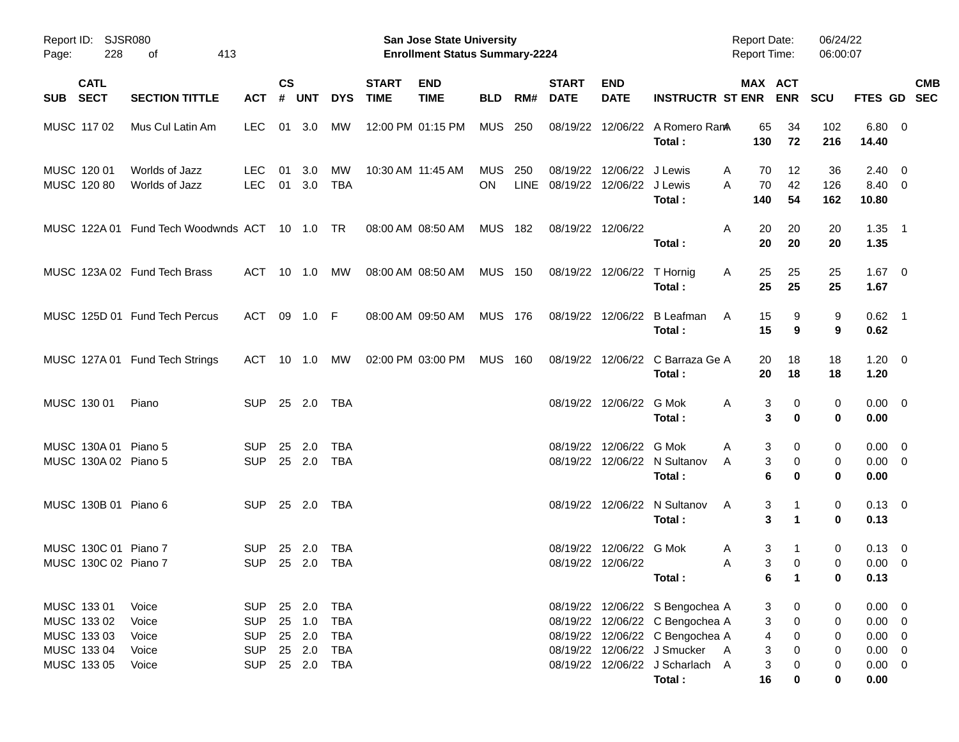| Report ID:<br>228<br>Page:                   | SJSR080<br>413<br>оf<br><b>CATL</b>           |                                        |               |                            |                                        |                             | San Jose State University<br><b>Enrollment Status Summary-2224</b> |                  |     |                                            |                                              |                                                                                                       | <b>Report Date:</b><br><b>Report Time:</b> |                               | 06/24/22<br>06:00:07  |                                       |                                                    |
|----------------------------------------------|-----------------------------------------------|----------------------------------------|---------------|----------------------------|----------------------------------------|-----------------------------|--------------------------------------------------------------------|------------------|-----|--------------------------------------------|----------------------------------------------|-------------------------------------------------------------------------------------------------------|--------------------------------------------|-------------------------------|-----------------------|---------------------------------------|----------------------------------------------------|
| SUB SECT                                     | <b>SECTION TITTLE</b>                         | <b>ACT</b>                             | $\mathsf{cs}$ | # UNT                      | <b>DYS</b>                             | <b>START</b><br><b>TIME</b> | <b>END</b><br><b>TIME</b>                                          | <b>BLD</b>       | RM# | <b>START</b><br><b>DATE</b>                | <b>END</b><br><b>DATE</b>                    | <b>INSTRUCTR ST ENR ENR</b>                                                                           | MAX ACT                                    |                               | <b>SCU</b>            |                                       | <b>CMB</b><br>FTES GD SEC                          |
| MUSC 117 02                                  | Mus Cul Latin Am                              | <b>LEC</b>                             |               | 01 3.0                     | MW                                     |                             | 12:00 PM 01:15 PM                                                  | <b>MUS 250</b>   |     |                                            |                                              | 08/19/22 12/06/22 A Romero RamA<br>Total:                                                             | 65<br>130                                  | 34<br>72                      | 102<br>216            | $6.80\quad 0$<br>14.40                |                                                    |
| MUSC 120 01<br>MUSC 120 80                   | Worlds of Jazz<br>Worlds of Jazz              | <b>LEC</b><br><b>LEC</b>               |               | 01 3.0<br>01 3.0           | МW<br>TBA                              |                             | 10:30 AM 11:45 AM                                                  | MUS<br><b>ON</b> | 250 | 08/19/22<br>LINE 08/19/22 12/06/22 J Lewis | 12/06/22 J Lewis                             | Total:                                                                                                | 70<br>A<br>70<br>A<br>140                  | 12<br>42<br>54                | 36<br>126<br>162      | $2.40 \quad 0$<br>8.40 0<br>10.80     |                                                    |
|                                              | MUSC 122A 01 Fund Tech Woodwnds ACT 10 1.0 TR |                                        |               |                            |                                        |                             | 08:00 AM 08:50 AM                                                  | MUS 182          |     |                                            | 08/19/22 12/06/22                            | Total:                                                                                                | 20<br>A<br>20                              | 20<br>20                      | 20<br>20              | $1.35$ 1<br>1.35                      |                                                    |
|                                              | MUSC 123A 02 Fund Tech Brass                  | ACT 10 1.0                             |               |                            | MW                                     |                             | 08:00 AM 08:50 AM                                                  | MUS 150          |     |                                            | 08/19/22 12/06/22 T Hornig                   | Total:                                                                                                | 25<br>A<br>25                              | 25<br>25                      | 25<br>25              | $1.67 \t 0$<br>1.67                   |                                                    |
|                                              | MUSC 125D 01 Fund Tech Percus                 | ACT 09 1.0 F                           |               |                            |                                        |                             | 08:00 AM 09:50 AM                                                  | MUS 176          |     |                                            |                                              | 08/19/22 12/06/22 B Leafman<br>Total:                                                                 | 15<br>A<br>15                              | 9<br>9                        | 9<br>9                | $0.62$ 1<br>0.62                      |                                                    |
|                                              | MUSC 127A 01 Fund Tech Strings                | ACT 10 1.0 MW                          |               |                            |                                        |                             | 02:00 PM 03:00 PM                                                  | <b>MUS 160</b>   |     |                                            |                                              | 08/19/22 12/06/22 C Barraza Ge A<br>Total:                                                            | 20<br>20                                   | 18<br>18                      | 18<br>18              | $1.20 \t 0$<br>1.20                   |                                                    |
| MUSC 130 01                                  | Piano                                         | <b>SUP</b>                             |               |                            | 25 2.0 TBA                             |                             |                                                                    |                  |     |                                            | 08/19/22 12/06/22 G Mok                      | Total:                                                                                                | A<br>3<br>3                                | 0<br>0                        | 0<br>0                | $0.00 \quad 0$<br>0.00                |                                                    |
| MUSC 130A 01 Piano 5<br>MUSC 130A 02 Piano 5 |                                               | <b>SUP</b><br><b>SUP</b>               |               | 25 2.0<br>25 2.0           | <b>TBA</b><br>TBA                      |                             |                                                                    |                  |     |                                            | 08/19/22 12/06/22 G Mok                      | 08/19/22 12/06/22 N Sultanov<br>Total:                                                                | A<br>3<br>3<br>A<br>6                      | 0<br>0<br>0                   | 0<br>0<br>$\mathbf 0$ | $0.00 \quad 0$<br>$0.00 \t 0$<br>0.00 |                                                    |
| MUSC 130B 01 Piano 6                         |                                               | <b>SUP</b>                             |               |                            | 25 2.0 TBA                             |                             |                                                                    |                  |     |                                            |                                              | 08/19/22 12/06/22 N Sultanov<br>Total:                                                                | A<br>3<br>3                                | 1                             | 0<br>0                | $0.13 \quad 0$<br>0.13                |                                                    |
| MUSC 130C 01 Piano 7<br>MUSC 130C 02 Piano 7 |                                               | <b>SUP</b><br><b>SUP</b>               | 25            | - 2.0<br>25 2.0            | <b>TBA</b><br>TBA                      |                             |                                                                    |                  |     |                                            | 08/19/22 12/06/22 G Mok<br>08/19/22 12/06/22 | Total :                                                                                               | 3<br>A<br>3<br>A<br>6                      | $\mathbf 0$<br>$\blacksquare$ | 0<br>0<br>0           | $0.13 \quad 0$<br>$0.00 \t 0$<br>0.13 |                                                    |
| MUSC 133 01<br>MUSC 133 02<br>MUSC 133 03    | Voice<br>Voice<br>Voice                       | <b>SUP</b><br><b>SUP</b><br><b>SUP</b> |               | 25 2.0<br>25 1.0<br>25 2.0 | <b>TBA</b><br><b>TBA</b><br><b>TBA</b> |                             |                                                                    |                  |     |                                            |                                              | 08/19/22 12/06/22 S Bengochea A<br>08/19/22 12/06/22 C Bengochea A<br>08/19/22 12/06/22 C Bengochea A | 3<br>3<br>4                                | 0<br>0<br>0                   | 0<br>0<br>0           | 0.00<br>0.00<br>$0.00 \t 0$           | $\overline{\mathbf{0}}$<br>$\overline{\mathbf{0}}$ |
| MUSC 133 04<br>MUSC 133 05                   | Voice<br>Voice                                | <b>SUP</b><br><b>SUP</b>               |               | 25 2.0<br>25 2.0           | <b>TBA</b><br><b>TBA</b>               |                             |                                                                    |                  |     |                                            |                                              | 08/19/22 12/06/22 J Smucker<br>08/19/22 12/06/22 J Scharlach A<br>Total:                              | 3<br><b>A</b><br>3<br>16                   | 0<br>0<br>0                   | 0<br>0<br>0           | $0.00 \t 0$<br>$0.00 \t 0$<br>0.00    |                                                    |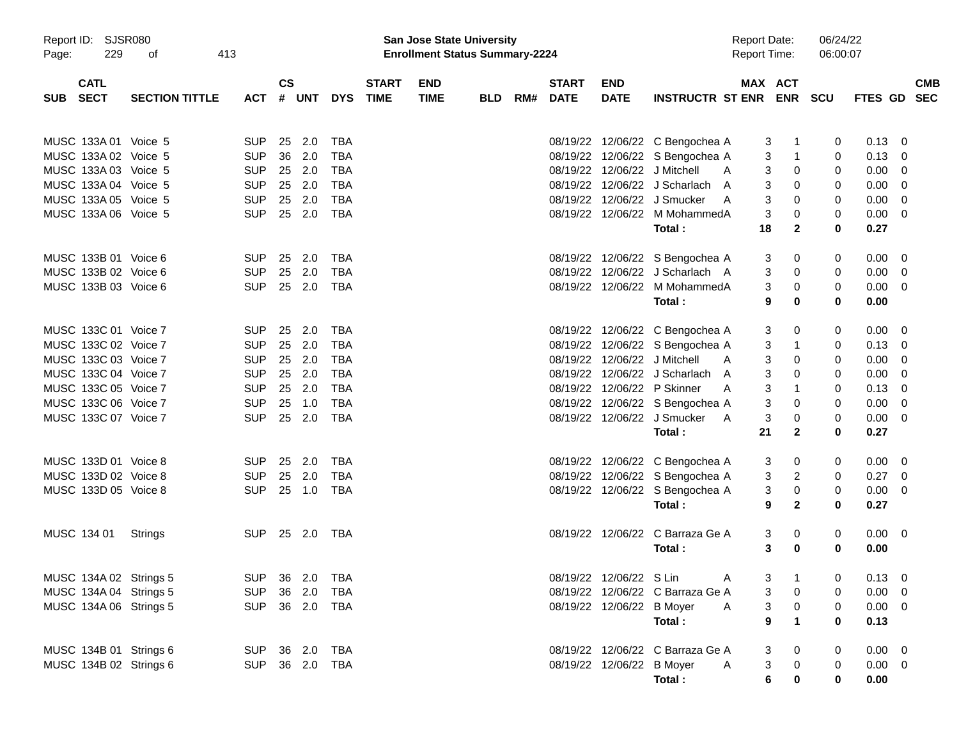| Report ID:<br>229<br>Page:               | <b>SJSR080</b><br>413<br>оf |                |                        |     |              |                             | San Jose State University<br><b>Enrollment Status Summary-2224</b> |            |                          |                           |                                  | <b>Report Date:</b><br><b>Report Time:</b> |                            | 06/24/22<br>06:00:07 |                |                          |            |
|------------------------------------------|-----------------------------|----------------|------------------------|-----|--------------|-----------------------------|--------------------------------------------------------------------|------------|--------------------------|---------------------------|----------------------------------|--------------------------------------------|----------------------------|----------------------|----------------|--------------------------|------------|
| <b>CATL</b><br><b>SECT</b><br><b>SUB</b> | <b>SECTION TITTLE</b>       | <b>ACT</b>     | $\mathsf{cs}$<br># UNT |     | <b>DYS</b>   | <b>START</b><br><b>TIME</b> | <b>END</b><br><b>TIME</b>                                          | <b>BLD</b> | <b>START</b><br>RM# DATE | <b>END</b><br><b>DATE</b> | INSTRUCTR ST ENR ENR SCU         |                                            | MAX ACT                    |                      | FTES GD SEC    |                          | <b>CMB</b> |
| MUSC 133A 01 Voice 5                     |                             | <b>SUP</b>     | 25                     | 2.0 | TBA          |                             |                                                                    |            |                          |                           | 08/19/22 12/06/22 C Bengochea A  | 3                                          | $\mathbf{1}$               | 0                    | 0.13           | $\overline{\phantom{0}}$ |            |
| MUSC 133A 02 Voice 5                     |                             | <b>SUP</b>     | 36                     | 2.0 | <b>TBA</b>   |                             |                                                                    |            |                          |                           | 08/19/22 12/06/22 S Bengochea A  | 3                                          | $\overline{1}$             | 0                    | $0.13 \quad 0$ |                          |            |
| MUSC 133A 03 Voice 5                     |                             | <b>SUP</b>     | 25 2.0                 |     | <b>TBA</b>   |                             |                                                                    |            |                          |                           | 08/19/22 12/06/22 J Mitchell     | A<br>3                                     | 0                          | 0                    | $0.00 \t 0$    |                          |            |
| MUSC 133A 04 Voice 5                     |                             | <b>SUP</b>     | 25 2.0                 |     | <b>TBA</b>   |                             |                                                                    |            |                          |                           | 08/19/22 12/06/22 J Scharlach    | 3<br>A                                     | 0                          | 0                    | $0.00 \t 0$    |                          |            |
| MUSC 133A 05 Voice 5                     |                             | <b>SUP</b>     | 25                     | 2.0 | <b>TBA</b>   |                             |                                                                    |            |                          |                           | 08/19/22 12/06/22 J Smucker      | 3<br>A                                     | 0                          | 0                    | $0.00 \t 0$    |                          |            |
| MUSC 133A 06 Voice 5                     |                             | <b>SUP</b>     | 25 2.0                 |     | <b>TBA</b>   |                             |                                                                    |            |                          |                           | 08/19/22 12/06/22 M MohammedA    | 3                                          | 0                          | 0                    | $0.00 \t 0$    |                          |            |
|                                          |                             |                |                        |     |              |                             |                                                                    |            |                          |                           | Total:                           | 18                                         | $\mathbf{2}$               | 0                    | 0.27           |                          |            |
| MUSC 133B 01 Voice 6                     |                             | <b>SUP</b>     | 25                     | 2.0 | TBA          |                             |                                                                    |            |                          |                           | 08/19/22 12/06/22 S Bengochea A  | 3                                          | 0                          | 0                    | $0.00 \t 0$    |                          |            |
| MUSC 133B 02 Voice 6                     |                             | <b>SUP</b>     | 25 2.0                 |     | <b>TBA</b>   |                             |                                                                    |            |                          |                           | 08/19/22 12/06/22 J Scharlach A  | 3                                          | 0                          | 0                    | $0.00 \t 0$    |                          |            |
| MUSC 133B 03 Voice 6                     |                             | <b>SUP</b>     | 25 2.0                 |     | <b>TBA</b>   |                             |                                                                    |            |                          |                           | 08/19/22 12/06/22 M MohammedA    | 3                                          | 0                          | 0                    | $0.00 \t 0$    |                          |            |
|                                          |                             |                |                        |     |              |                             |                                                                    |            |                          |                           | Total:                           | 9                                          | $\mathbf 0$                | 0                    | 0.00           |                          |            |
| MUSC 133C 01 Voice 7                     |                             | <b>SUP</b>     | 25                     | 2.0 | TBA          |                             |                                                                    |            |                          |                           | 08/19/22 12/06/22 C Bengochea A  | 3                                          | 0                          | 0                    | $0.00 \t 0$    |                          |            |
| MUSC 133C 02 Voice 7                     |                             | <b>SUP</b>     | 25 2.0                 |     | <b>TBA</b>   |                             |                                                                    |            |                          |                           | 08/19/22 12/06/22 S Bengochea A  | 3                                          | $\overline{1}$             | 0                    | $0.13 \quad 0$ |                          |            |
| MUSC 133C 03 Voice 7                     |                             | <b>SUP</b>     | 25 2.0                 |     | <b>TBA</b>   |                             |                                                                    |            |                          |                           | 08/19/22 12/06/22 J Mitchell     | 3<br>A                                     | 0                          | 0                    | $0.00 \t 0$    |                          |            |
| MUSC 133C 04 Voice 7                     |                             | <b>SUP</b>     | 25 2.0                 |     | <b>TBA</b>   |                             |                                                                    |            |                          |                           | 08/19/22 12/06/22 J Scharlach    | 3<br>A                                     | 0                          | 0                    | 0.00           | $\overline{\phantom{0}}$ |            |
| MUSC 133C 05 Voice 7                     |                             | <b>SUP</b>     | 25 2.0                 |     | <b>TBA</b>   |                             |                                                                    |            |                          |                           | 08/19/22 12/06/22 P Skinner      | 3<br>A                                     | $\overline{1}$             | 0                    | 0.13           | $\overline{\phantom{0}}$ |            |
| MUSC 133C 06 Voice 7                     |                             | <b>SUP</b>     | 25                     | 1.0 | <b>TBA</b>   |                             |                                                                    |            |                          |                           | 08/19/22 12/06/22 S Bengochea A  | 3                                          | 0                          | 0                    | $0.00 \t 0$    |                          |            |
| MUSC 133C 07 Voice 7                     |                             | <b>SUP</b>     | 25 2.0                 |     | <b>TBA</b>   |                             |                                                                    |            |                          |                           | 08/19/22 12/06/22 J Smucker      | 3<br>A<br>21                               | 0                          | 0<br>0               | $0.00 \t 0$    |                          |            |
|                                          |                             |                |                        |     |              |                             |                                                                    |            |                          |                           | Total:                           |                                            | $\mathbf{2}$               |                      | 0.27           |                          |            |
| MUSC 133D 01 Voice 8                     |                             | <b>SUP</b>     | 25 2.0                 |     | TBA          |                             |                                                                    |            |                          |                           | 08/19/22 12/06/22 C Bengochea A  | 3                                          | 0                          | 0                    | $0.00 \t 0$    |                          |            |
| MUSC 133D 02 Voice 8                     |                             | <b>SUP</b>     | 25 2.0                 |     | <b>TBA</b>   |                             |                                                                    |            |                          |                           | 08/19/22 12/06/22 S Bengochea A  | 3                                          | 2                          | 0                    | $0.27 \t 0$    |                          |            |
| MUSC 133D 05 Voice 8                     |                             | <b>SUP</b>     | 25 1.0                 |     | <b>TBA</b>   |                             |                                                                    |            |                          |                           | 08/19/22 12/06/22 S Bengochea A  | 3                                          | 0                          | 0                    | $0.00 \t 0$    |                          |            |
|                                          |                             |                |                        |     |              |                             |                                                                    |            |                          |                           | Total:                           | 9                                          | $\mathbf{2}$               | 0                    | 0.27           |                          |            |
| MUSC 134 01                              | Strings                     | SUP 25 2.0 TBA |                        |     |              |                             |                                                                    |            |                          |                           | 08/19/22 12/06/22 C Barraza Ge A | 3                                          | 0                          | 0                    | $0.00 \t 0$    |                          |            |
|                                          |                             |                |                        |     |              |                             |                                                                    |            |                          |                           | Total:                           |                                            | 3<br>0                     | 0                    | 0.00           |                          |            |
| MUSC 134A 02 Strings 5                   |                             | SUP 36 2.0 TBA |                        |     |              |                             |                                                                    |            |                          | 08/19/22 12/06/22 S Lin   |                                  | A                                          | $3 \quad 1$                | $\overline{0}$       | $0.13 \ 0$     |                          |            |
| MUSC 134A 04 Strings 5                   |                             | <b>SUP</b>     |                        |     | 36  2.0  TBA |                             |                                                                    |            |                          |                           | 08/19/22 12/06/22 C Barraza Ge A |                                            | 3<br>0                     | 0                    | $0.00 \t 0$    |                          |            |
| MUSC 134A 06 Strings 5                   |                             | SUP 36 2.0 TBA |                        |     |              |                             |                                                                    |            |                          | 08/19/22 12/06/22 B Moyer |                                  | A                                          | 3<br>$\overline{0}$        | 0                    | $0.00 \t 0$    |                          |            |
|                                          |                             |                |                        |     |              |                             |                                                                    |            |                          |                           | Total:                           |                                            | $\overline{1}$<br>$\bf{9}$ | $\bf{0}$             | 0.13           |                          |            |
|                                          |                             |                |                        |     |              |                             |                                                                    |            |                          |                           |                                  |                                            |                            |                      |                |                          |            |
| MUSC 134B 01 Strings 6                   |                             | SUP 36 2.0 TBA |                        |     |              |                             |                                                                    |            |                          |                           | 08/19/22 12/06/22 C Barraza Ge A | 3                                          | 0                          | 0                    | $0.00 \t 0$    |                          |            |
| MUSC 134B 02 Strings 6                   |                             | SUP 36 2.0 TBA |                        |     |              |                             |                                                                    |            |                          | 08/19/22 12/06/22 B Moyer |                                  | 3<br>A                                     | $\mathbf 0$                | 0                    | $0.00 \t 0$    |                          |            |
|                                          |                             |                |                        |     |              |                             |                                                                    |            |                          |                           | Total:                           | 6                                          | $\mathbf 0$                | 0                    | 0.00           |                          |            |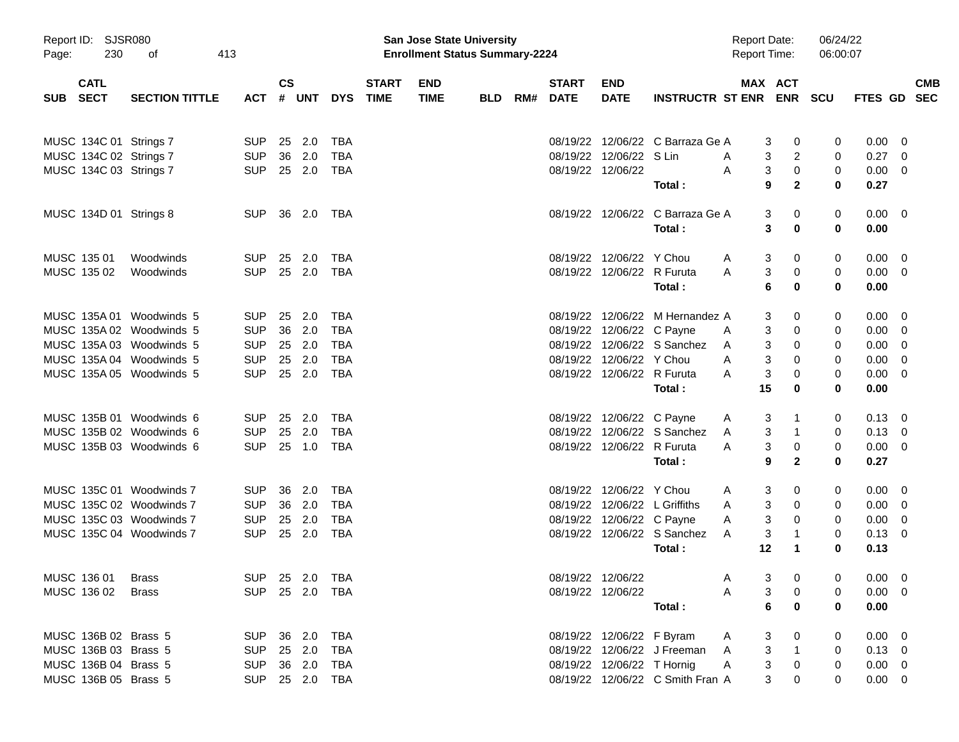| Page:      | Report ID: SJSR080<br>230  | οf                       | 413            |                        |     |              |                             | <b>San Jose State University</b><br><b>Enrollment Status Summary-2224</b> |            |     |                             |                            |                                  | <b>Report Date:</b><br><b>Report Time:</b> |                                           | 06/24/22<br>06:00:07 |                |                         |
|------------|----------------------------|--------------------------|----------------|------------------------|-----|--------------|-----------------------------|---------------------------------------------------------------------------|------------|-----|-----------------------------|----------------------------|----------------------------------|--------------------------------------------|-------------------------------------------|----------------------|----------------|-------------------------|
| <b>SUB</b> | <b>CATL</b><br><b>SECT</b> | <b>SECTION TITTLE</b>    | <b>ACT</b>     | $\mathsf{cs}$<br># UNT |     | <b>DYS</b>   | <b>START</b><br><b>TIME</b> | <b>END</b><br><b>TIME</b>                                                 | <b>BLD</b> | RM# | <b>START</b><br><b>DATE</b> | <b>END</b><br><b>DATE</b>  | <b>INSTRUCTR ST ENR ENR</b>      |                                            | MAX ACT                                   | <b>SCU</b>           | FTES GD SEC    | <b>CMB</b>              |
|            | MUSC 134C 01 Strings 7     |                          | <b>SUP</b>     | 25 2.0                 |     | <b>TBA</b>   |                             |                                                                           |            |     |                             |                            | 08/19/22 12/06/22 C Barraza Ge A |                                            | 0<br>3                                    | 0                    | 0.00           | 0                       |
|            |                            | MUSC 134C 02 Strings 7   | <b>SUP</b>     | 36                     | 2.0 | <b>TBA</b>   |                             |                                                                           |            |     |                             | 08/19/22 12/06/22 S Lin    |                                  | A                                          | 3<br>2                                    | 0                    | 0.27           | $\mathbf 0$             |
|            |                            | MUSC 134C 03 Strings 7   | <b>SUP</b>     | 25 2.0                 |     | TBA          |                             |                                                                           |            |     |                             | 08/19/22 12/06/22          |                                  | A                                          | 3<br>0                                    | 0                    | 0.00           | - 0                     |
|            |                            |                          |                |                        |     |              |                             |                                                                           |            |     |                             |                            | Total:                           |                                            | 9<br>$\mathbf{2}$                         | $\bf{0}$             | 0.27           |                         |
|            |                            | MUSC 134D 01 Strings 8   | <b>SUP</b>     | 36 2.0 TBA             |     |              |                             |                                                                           |            |     |                             |                            | 08/19/22 12/06/22 C Barraza Ge A |                                            | 3<br>0                                    | 0                    | $0.00 \t 0$    |                         |
|            |                            |                          |                |                        |     |              |                             |                                                                           |            |     |                             |                            | Total:                           |                                            | 3<br>0                                    | 0                    | 0.00           |                         |
|            | MUSC 135 01                | Woodwinds                | <b>SUP</b>     | 25                     | 2.0 | TBA          |                             |                                                                           |            |     |                             | 08/19/22 12/06/22 Y Chou   |                                  | A                                          | 3<br>0                                    | 0                    | 0.00           | $\overline{\mathbf{0}}$ |
|            | MUSC 135 02                | Woodwinds                | <b>SUP</b>     | 25 2.0                 |     | TBA          |                             |                                                                           |            |     |                             | 08/19/22 12/06/22 R Furuta |                                  | A                                          | 3<br>0                                    | 0                    | $0.00 \t 0$    |                         |
|            |                            |                          |                |                        |     |              |                             |                                                                           |            |     |                             |                            | Total:                           |                                            | 6<br>0                                    | $\bf{0}$             | 0.00           |                         |
|            |                            | MUSC 135A 01 Woodwinds 5 | <b>SUP</b>     | 25                     | 2.0 | TBA          |                             |                                                                           |            |     |                             |                            | 08/19/22 12/06/22 M Hernandez A  |                                            | 0<br>3                                    | 0                    | 0.00           | $\overline{\mathbf{0}}$ |
|            |                            | MUSC 135A 02 Woodwinds 5 | <b>SUP</b>     | 36                     | 2.0 | <b>TBA</b>   |                             |                                                                           |            |     |                             | 08/19/22 12/06/22 C Payne  |                                  | A                                          | 3<br>0                                    | 0                    | 0.00           | $\mathbf 0$             |
|            |                            | MUSC 135A 03 Woodwinds 5 | <b>SUP</b>     | 25 2.0                 |     | <b>TBA</b>   |                             |                                                                           |            |     |                             |                            | 08/19/22 12/06/22 S Sanchez      | A                                          | 3<br>0                                    | 0                    | 0.00           | $\mathbf 0$             |
|            |                            | MUSC 135A 04 Woodwinds 5 | <b>SUP</b>     | 25                     | 2.0 | <b>TBA</b>   |                             |                                                                           |            |     | 08/19/22                    | 12/06/22 Y Chou            |                                  | A                                          | 3<br>0                                    | 0                    | 0.00           | $\mathbf 0$             |
|            |                            | MUSC 135A 05 Woodwinds 5 | <b>SUP</b>     | 25 2.0                 |     | TBA          |                             |                                                                           |            |     |                             | 08/19/22 12/06/22 R Furuta |                                  | A                                          | 3<br>0                                    | 0                    | 0.00           | $\overline{0}$          |
|            |                            |                          |                |                        |     |              |                             |                                                                           |            |     |                             |                            | Total:                           | 15                                         | 0                                         | $\bf{0}$             | 0.00           |                         |
|            |                            | MUSC 135B 01 Woodwinds 6 | <b>SUP</b>     | 25                     | 2.0 | TBA          |                             |                                                                           |            |     |                             | 08/19/22 12/06/22 C Payne  |                                  | A                                          | 3<br>1                                    | 0                    | $0.13 \quad 0$ |                         |
|            |                            | MUSC 135B 02 Woodwinds 6 | <b>SUP</b>     | 25                     | 2.0 | <b>TBA</b>   |                             |                                                                           |            |     | 08/19/22                    |                            | 12/06/22 S Sanchez               | A                                          | 3<br>1                                    | 0                    | $0.13 \quad 0$ |                         |
|            |                            | MUSC 135B 03 Woodwinds 6 | <b>SUP</b>     | 25 1.0                 |     | TBA          |                             |                                                                           |            |     |                             | 08/19/22 12/06/22 R Furuta |                                  | A                                          | 3<br>0                                    | 0                    | $0.00 \t 0$    |                         |
|            |                            |                          |                |                        |     |              |                             |                                                                           |            |     |                             |                            | Total:                           |                                            | 9<br>$\mathbf{2}$                         | $\bf{0}$             | 0.27           |                         |
|            |                            | MUSC 135C 01 Woodwinds 7 | <b>SUP</b>     | 36                     | 2.0 | TBA          |                             |                                                                           |            |     |                             | 08/19/22 12/06/22 Y Chou   |                                  | A                                          | 3<br>0                                    | 0                    | $0.00 \quad 0$ |                         |
|            |                            | MUSC 135C 02 Woodwinds 7 | <b>SUP</b>     | 36                     | 2.0 | <b>TBA</b>   |                             |                                                                           |            |     | 08/19/22                    |                            | 12/06/22 L Griffiths             | A                                          | 3<br>0                                    | 0                    | 0.00           | - 0                     |
|            |                            | MUSC 135C 03 Woodwinds 7 | <b>SUP</b>     | 25                     | 2.0 | <b>TBA</b>   |                             |                                                                           |            |     | 08/19/22                    | 12/06/22 C Payne           |                                  | A                                          | 3<br>0                                    | 0                    | 0.00           | 0                       |
|            |                            | MUSC 135C 04 Woodwinds 7 | <b>SUP</b>     | 25 2.0                 |     | TBA          |                             |                                                                           |            |     |                             |                            | 08/19/22 12/06/22 S Sanchez      | A                                          | 3<br>1                                    | 0                    | $0.13 \quad 0$ |                         |
|            |                            |                          |                |                        |     |              |                             |                                                                           |            |     |                             |                            | Total:                           |                                            | 12<br>$\mathbf 1$                         | $\bf{0}$             | 0.13           |                         |
|            | MUSC 136 01 Brass          |                          | SUP 25 2.0 TBA |                        |     |              |                             |                                                                           |            |     |                             | 08/19/22 12/06/22          |                                  | $\mathsf{A}$                               | 3 <sup>7</sup><br>$\overline{\mathbf{0}}$ | $\mathbf 0$          | $0.00 \t 0$    |                         |
|            | MUSC 136 02                | <b>Brass</b>             | <b>SUP</b>     | 25  2.0  TBA           |     |              |                             |                                                                           |            |     |                             | 08/19/22 12/06/22          |                                  | A                                          | 3<br>0                                    | 0                    | $0.00 \t 0$    |                         |
|            |                            |                          |                |                        |     |              |                             |                                                                           |            |     |                             |                            | Total :                          |                                            | 6<br>$\bf{0}$                             | 0                    | 0.00           |                         |
|            | MUSC 136B 02 Brass 5       |                          | <b>SUP</b>     |                        |     |              |                             |                                                                           |            |     |                             | 08/19/22 12/06/22 F Byram  |                                  | A                                          | 3<br>0                                    | 0                    | $0.00 \t 0$    |                         |
|            | MUSC 136B 03 Brass 5       |                          | <b>SUP</b>     | 25 2.0                 |     | TBA          |                             |                                                                           |            |     |                             |                            | 08/19/22 12/06/22 J Freeman      | A                                          | 3<br>$\mathbf{1}$                         | 0                    | $0.13 \ 0$     |                         |
|            | MUSC 136B 04 Brass 5       |                          | <b>SUP</b>     | 36 2.0                 |     | TBA          |                             |                                                                           |            |     |                             | 08/19/22 12/06/22 T Hornig |                                  | A                                          | 3<br>0                                    | 0                    | $0.00 \t 0$    |                         |
|            | MUSC 136B 05 Brass 5       |                          | <b>SUP</b>     |                        |     | 25  2.0  TBA |                             |                                                                           |            |     |                             |                            | 08/19/22 12/06/22 C Smith Fran A |                                            | 3<br>0                                    | 0                    | $0.00 \t 0$    |                         |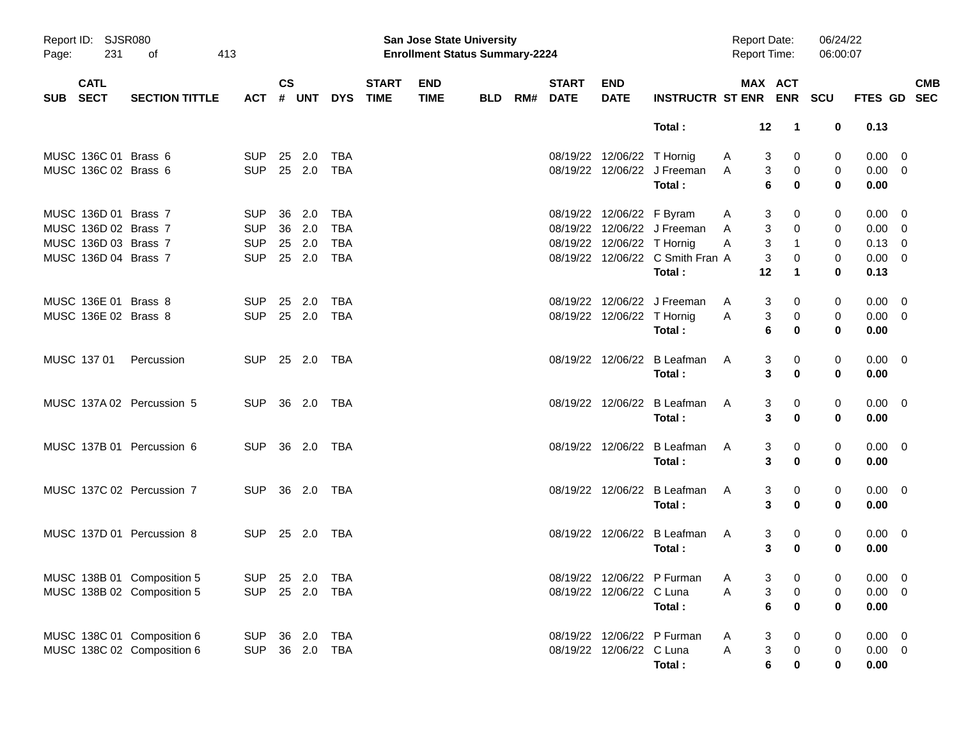| Page:      | Report ID: SJSR080<br>231<br>413<br>οf |                            |                |               |            |            |                             | San Jose State University<br><b>Enrollment Status Summary-2224</b> |            |                          |                            |                                  | <b>Report Date:</b><br>Report Time: |                     | 06/24/22<br>06:00:07 |                |                           |
|------------|----------------------------------------|----------------------------|----------------|---------------|------------|------------|-----------------------------|--------------------------------------------------------------------|------------|--------------------------|----------------------------|----------------------------------|-------------------------------------|---------------------|----------------------|----------------|---------------------------|
| <b>SUB</b> | <b>CATL</b><br><b>SECT</b>             | <b>SECTION TITTLE</b>      | ACT # UNT      | $\mathsf{cs}$ |            | <b>DYS</b> | <b>START</b><br><b>TIME</b> | <b>END</b><br><b>TIME</b>                                          | <b>BLD</b> | <b>START</b><br>RM# DATE | <b>END</b><br><b>DATE</b>  | INSTRUCTR ST ENR ENR SCU         |                                     | MAX ACT             |                      |                | <b>CMB</b><br>FTES GD SEC |
|            |                                        |                            |                |               |            |            |                             |                                                                    |            |                          |                            | Total:                           | 12                                  | $\mathbf{1}$        | 0                    | 0.13           |                           |
|            | MUSC 136C 01 Brass 6                   |                            | <b>SUP</b>     | 25 2.0        |            | TBA        |                             |                                                                    |            |                          | 08/19/22 12/06/22 T Hornig |                                  | A                                   | 3<br>0              | 0                    | 0.00           | $\overline{\phantom{0}}$  |
|            | MUSC 136C 02 Brass 6                   |                            | <b>SUP</b>     |               |            |            |                             |                                                                    |            |                          |                            | 08/19/22 12/06/22 J Freeman      | A                                   | 3<br>0              | 0                    | $0.00 \t 0$    |                           |
|            |                                        |                            |                |               |            |            |                             |                                                                    |            |                          |                            | Total:                           |                                     | 6<br>$\bf{0}$       | $\bf{0}$             | 0.00           |                           |
|            | MUSC 136D 01 Brass 7                   |                            | <b>SUP</b>     | 36            | 2.0        | TBA        |                             |                                                                    |            |                          | 08/19/22 12/06/22 F Byram  |                                  | A                                   | 0<br>3              | 0                    | 0.00           | $\overline{\mathbf{0}}$   |
|            | MUSC 136D 02 Brass 7                   |                            | <b>SUP</b>     | 36 2.0        |            | <b>TBA</b> |                             |                                                                    |            |                          |                            | 08/19/22 12/06/22 J Freeman      | A                                   | 3<br>0              | 0                    | $0.00 \t 0$    |                           |
|            | MUSC 136D 03 Brass 7                   |                            | <b>SUP</b>     | 25 2.0        |            | TBA        |                             |                                                                    |            |                          | 08/19/22 12/06/22 T Hornig |                                  | A                                   | 3<br>$\mathbf{1}$   | 0                    | $0.13 \ 0$     |                           |
|            | MUSC 136D 04 Brass 7                   |                            | <b>SUP</b>     | 25 2.0        |            | TBA        |                             |                                                                    |            |                          |                            | 08/19/22 12/06/22 C Smith Fran A |                                     | 3<br>0              | 0                    | $0.00 \t 0$    |                           |
|            |                                        |                            |                |               |            |            |                             |                                                                    |            |                          |                            | Total:                           | 12                                  | $\mathbf 1$         | $\bf{0}$             | 0.13           |                           |
|            | MUSC 136E 01 Brass 8                   |                            | <b>SUP</b>     | 25            | 2.0        | TBA        |                             |                                                                    |            |                          |                            | 08/19/22 12/06/22 J Freeman      | A                                   | 3<br>0              | 0                    | 0.00           | $\overline{\phantom{0}}$  |
|            | MUSC 136E 02 Brass 8                   |                            | <b>SUP</b>     |               | 25 2.0 TBA |            |                             |                                                                    |            |                          | 08/19/22 12/06/22 T Hornig |                                  | A                                   | 3<br>0              | 0                    | $0.00 \t 0$    |                           |
|            |                                        |                            |                |               |            |            |                             |                                                                    |            |                          |                            | Total:                           |                                     | 6<br>0              | $\bf{0}$             | 0.00           |                           |
|            | MUSC 137 01                            | Percussion                 | SUP.           |               | 25 2.0 TBA |            |                             |                                                                    |            |                          |                            | 08/19/22 12/06/22 B Leafman      | A                                   | 3<br>0              | 0                    | $0.00 \quad 0$ |                           |
|            |                                        |                            |                |               |            |            |                             |                                                                    |            |                          |                            | Total:                           |                                     | 3<br>$\bf{0}$       | $\bf{0}$             | 0.00           |                           |
|            |                                        | MUSC 137A 02 Percussion 5  | <b>SUP</b>     |               |            |            |                             |                                                                    |            |                          |                            | 08/19/22 12/06/22 B Leafman      | A                                   | 3<br>0              | 0                    | $0.00 \quad 0$ |                           |
|            |                                        |                            |                |               |            |            |                             |                                                                    |            |                          |                            | Total:                           |                                     | 3<br>$\bf{0}$       | $\bf{0}$             | 0.00           |                           |
|            |                                        | MUSC 137B 01 Percussion 6  | SUP.           |               |            |            |                             |                                                                    |            |                          |                            | 08/19/22 12/06/22 B Leafman      | A                                   | 3<br>0              | 0                    | $0.00 \quad 0$ |                           |
|            |                                        |                            |                |               |            |            |                             |                                                                    |            |                          |                            | Total:                           |                                     | 3<br>0              | $\bf{0}$             | 0.00           |                           |
|            |                                        | MUSC 137C 02 Percussion 7  | <b>SUP</b>     |               |            |            |                             |                                                                    |            |                          |                            | 08/19/22 12/06/22 B Leafman      | A                                   | 3<br>0              | 0                    | $0.00 \quad 0$ |                           |
|            |                                        |                            |                |               |            |            |                             |                                                                    |            |                          |                            | Total:                           |                                     | 3<br>0              | 0                    | 0.00           |                           |
|            |                                        | MUSC 137D 01 Percussion 8  | <b>SUP</b>     |               | 25 2.0 TBA |            |                             |                                                                    |            |                          |                            | 08/19/22 12/06/22 B Leafman      | A                                   | 3<br>0              | 0                    | $0.00 \quad 0$ |                           |
|            |                                        |                            |                |               |            |            |                             |                                                                    |            |                          |                            | Total:                           |                                     | 3<br>$\bf{0}$       | $\bf{0}$             | 0.00           |                           |
|            |                                        | MUSC 138B 01 Composition 5 | SUP 25 2.0 TBA |               |            |            |                             |                                                                    |            |                          |                            | 08/19/22 12/06/22 P Furman A     |                                     | $3 \qquad 0$        | $\overline{0}$       | $0.00 \quad 0$ |                           |
|            |                                        | MUSC 138B 02 Composition 5 | <b>SUP</b>     |               |            |            |                             |                                                                    |            |                          | 08/19/22 12/06/22 C Luna   |                                  | Α                                   | $\pmb{0}$<br>3      | 0                    | $0.00 \quad 0$ |                           |
|            |                                        |                            |                |               |            |            |                             |                                                                    |            |                          |                            | Total:                           |                                     | 6<br>$\mathbf 0$    | $\bf{0}$             | 0.00           |                           |
|            |                                        | MUSC 138C 01 Composition 6 | <b>SUP</b>     |               | 36 2.0 TBA |            |                             |                                                                    |            |                          |                            | 08/19/22 12/06/22 P Furman       | A                                   | 3<br>0              | 0                    | $0.00 \t 0$    |                           |
|            |                                        | MUSC 138C 02 Composition 6 | <b>SUP</b>     |               | 36 2.0 TBA |            |                             |                                                                    |            |                          | 08/19/22 12/06/22 C Luna   |                                  | A                                   | 3<br>$\mathbf 0$    | 0                    | $0.00 \t 0$    |                           |
|            |                                        |                            |                |               |            |            |                             |                                                                    |            |                          |                            | Total:                           |                                     | $\bf 6$<br>$\bf{0}$ | 0                    | 0.00           |                           |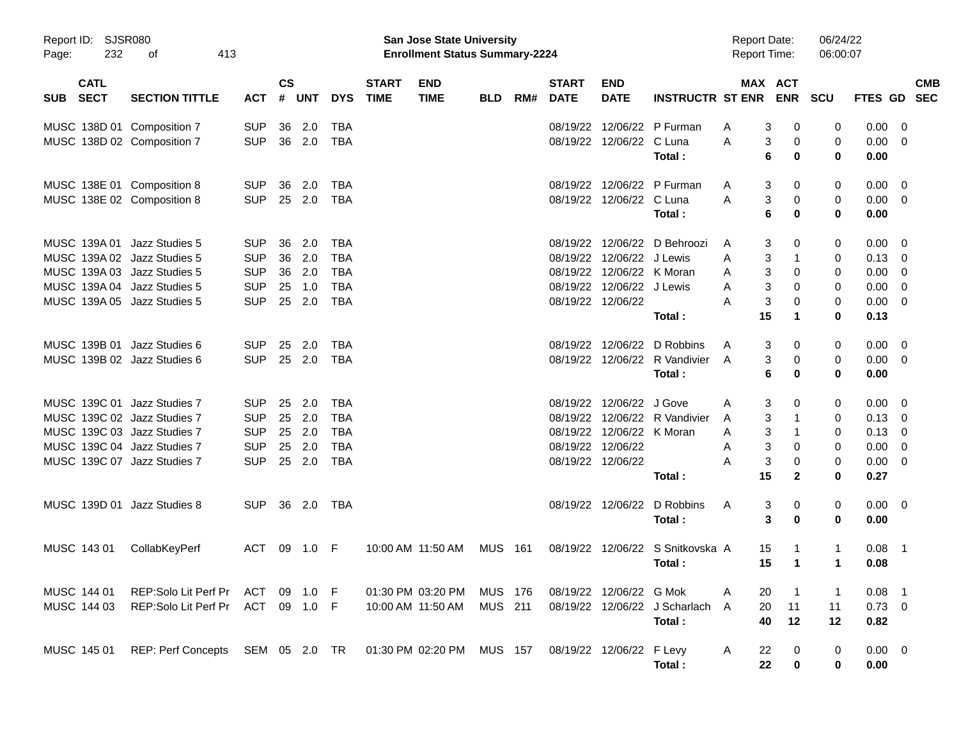| Report ID:<br>232<br>Page:                                                                                                                              | SJSR080<br>413<br>οf                         |                                                                    |                            |                                 |                                                                    |                             | <b>San Jose State University</b><br><b>Enrollment Status Summary-2224</b> |                    |     |                                              |                                                                               |                                             | <b>Report Date:</b><br><b>Report Time:</b> |                                                                | 06/24/22<br>06:00:07       |                                              |                                                    |                          |
|---------------------------------------------------------------------------------------------------------------------------------------------------------|----------------------------------------------|--------------------------------------------------------------------|----------------------------|---------------------------------|--------------------------------------------------------------------|-----------------------------|---------------------------------------------------------------------------|--------------------|-----|----------------------------------------------|-------------------------------------------------------------------------------|---------------------------------------------|--------------------------------------------|----------------------------------------------------------------|----------------------------|----------------------------------------------|----------------------------------------------------|--------------------------|
| <b>CATL</b><br><b>SECT</b><br><b>SUB</b>                                                                                                                | <b>SECTION TITTLE</b>                        | <b>ACT</b>                                                         | <b>CS</b><br>#             | <b>UNT</b>                      | <b>DYS</b>                                                         | <b>START</b><br><b>TIME</b> | <b>END</b><br><b>TIME</b>                                                 | <b>BLD</b>         | RM# | <b>START</b><br><b>DATE</b>                  | <b>END</b><br><b>DATE</b>                                                     | <b>INSTRUCTR ST ENR</b>                     |                                            | MAX ACT<br><b>ENR</b>                                          | <b>SCU</b>                 | FTES GD                                      |                                                    | <b>CMB</b><br><b>SEC</b> |
| MUSC 138D 01 Composition 7<br>MUSC 138D 02 Composition 7                                                                                                |                                              | <b>SUP</b><br><b>SUP</b>                                           | 36<br>36                   | 2.0<br>2.0                      | <b>TBA</b><br><b>TBA</b>                                           |                             |                                                                           |                    |     | 08/19/22<br>08/19/22                         | 12/06/22                                                                      | 12/06/22 P Furman<br>C Luna<br>Total:       | A<br>Α                                     | 3<br>0<br>3<br>0<br>6<br>0                                     | 0<br>0<br>0                | 0.00<br>0.00<br>0.00                         | 0<br>0                                             |                          |
| MUSC 138E 01 Composition 8<br>MUSC 138E 02 Composition 8                                                                                                |                                              | <b>SUP</b><br><b>SUP</b>                                           | 36<br>25                   | 2.0<br>2.0                      | TBA<br><b>TBA</b>                                                  |                             |                                                                           |                    |     | 08/19/22<br>08/19/22                         | 12/06/22                                                                      | 12/06/22 P Furman<br>C Luna<br>Total:       | A<br>A                                     | 3<br>0<br>3<br>0<br>6<br>0                                     | 0<br>0<br>0                | 0.00<br>0.00<br>0.00                         | 0<br>$\overline{\mathbf{0}}$                       |                          |
| MUSC 139A 01 Jazz Studies 5<br>MUSC 139A 02 Jazz Studies 5<br>MUSC 139A 03 Jazz Studies 5<br>MUSC 139A 04 Jazz Studies 5<br>MUSC 139A 05 Jazz Studies 5 |                                              | <b>SUP</b><br><b>SUP</b><br><b>SUP</b><br><b>SUP</b><br><b>SUP</b> | 36<br>36<br>36<br>25<br>25 | 2.0<br>2.0<br>2.0<br>1.0<br>2.0 | <b>TBA</b><br><b>TBA</b><br><b>TBA</b><br><b>TBA</b><br><b>TBA</b> |                             |                                                                           |                    |     | 08/19/22<br>08/19/22<br>08/19/22<br>08/19/22 | 12/06/22 J Lewis<br>12/06/22 K Moran<br>12/06/22 J Lewis<br>08/19/22 12/06/22 | 12/06/22 D Behroozi<br>Total:               | A<br>A<br>A<br>Α<br>A<br>15                | 3<br>0<br>3<br>1<br>3<br>0<br>3<br>0<br>3<br>0<br>1            | 0<br>0<br>0<br>0<br>0<br>0 | 0.00<br>0.13<br>0.00<br>0.00<br>0.00<br>0.13 | - 0<br>0<br>0<br>0<br>0                            |                          |
| MUSC 139B 01 Jazz Studies 6<br>MUSC 139B 02 Jazz Studies 6                                                                                              |                                              | <b>SUP</b><br><b>SUP</b>                                           | 25<br>25                   | 2.0<br>2.0                      | TBA<br><b>TBA</b>                                                  |                             |                                                                           |                    |     | 08/19/22<br>08/19/22                         | 12/06/22                                                                      | 12/06/22 D Robbins<br>R Vandivier<br>Total: | A<br>$\overline{A}$                        | 3<br>0<br>3<br>0<br>6<br>0                                     | 0<br>0<br>0                | 0.00<br>0.00<br>0.00                         | $\overline{\mathbf{0}}$<br>$\overline{\mathbf{0}}$ |                          |
| MUSC 139C 01 Jazz Studies 7<br>MUSC 139C 02 Jazz Studies 7<br>MUSC 139C 03 Jazz Studies 7<br>MUSC 139C 04 Jazz Studies 7<br>MUSC 139C 07 Jazz Studies 7 |                                              | <b>SUP</b><br><b>SUP</b><br><b>SUP</b><br><b>SUP</b><br><b>SUP</b> | 25<br>25<br>25<br>25<br>25 | 2.0<br>2.0<br>2.0<br>2.0<br>2.0 | TBA<br><b>TBA</b><br><b>TBA</b><br><b>TBA</b><br><b>TBA</b>        |                             |                                                                           |                    |     | 08/19/22<br>08/19/22<br>08/19/22<br>08/19/22 | 12/06/22 J Gove<br>12/06/22 K Moran<br>12/06/22<br>08/19/22 12/06/22          | 12/06/22 R Vandivier<br>Total:              | Α<br>A<br>A<br>Α<br>A<br>15                | 3<br>0<br>3<br>1<br>3<br>1<br>3<br>0<br>3<br>0<br>$\mathbf{2}$ | 0<br>0<br>0<br>0<br>0<br>0 | 0.00<br>0.13<br>0.13<br>0.00<br>0.00<br>0.27 | $\overline{0}$<br>0<br>0<br>0<br>0                 |                          |
| MUSC 139D 01 Jazz Studies 8                                                                                                                             |                                              | <b>SUP</b>                                                         | 36                         | 2.0                             | TBA                                                                |                             |                                                                           |                    |     | 08/19/22                                     | 12/06/22                                                                      | D Robbins<br>Total:                         | Α                                          | 3<br>0<br>3<br>0                                               | 0<br>0                     | 0.00<br>0.00                                 | $\overline{\phantom{0}}$                           |                          |
| MUSC 143 01                                                                                                                                             | CollabKeyPerf                                | ACT                                                                | 09                         | 1.0                             | F                                                                  |                             | 10:00 AM 11:50 AM                                                         | <b>MUS</b>         | 161 | 08/19/22                                     | 12/06/22                                                                      | S Snitkovska A<br>Total:                    | 15<br>15                                   | $\mathbf 1$                                                    | $\mathbf 1$<br>1           | 0.08<br>0.08                                 | -1                                                 |                          |
| MUSC 144 01<br>MUSC 144 03                                                                                                                              | REP:Solo Lit Perf Pr<br>REP:Solo Lit Perf Pr | ACT<br>ACT 09 1.0 F                                                | 09                         | 1.0                             | - F                                                                |                             | 01:30 PM 03:20 PM<br>10:00 AM 11:50 AM                                    | MUS 176<br>MUS 211 |     |                                              | 08/19/22 12/06/22 G Mok                                                       | 08/19/22 12/06/22 J Scharlach<br>Total:     | 20<br>Α<br>20<br>A<br>40                   | 11<br>12                                                       | $\overline{1}$<br>11<br>12 | 0.08<br>$0.73 \ 0$<br>0.82                   | - 1                                                |                          |
| MUSC 145 01                                                                                                                                             | REP: Perf Concepts SEM 05 2.0 TR             |                                                                    |                            |                                 |                                                                    |                             | 01:30 PM 02:20 PM                                                         | <b>MUS 157</b>     |     |                                              | 08/19/22 12/06/22 F Levy                                                      | Total:                                      | A<br>22<br>22                              | 0<br>0                                                         | 0<br>0                     | $0.00 \t 0$<br>0.00                          |                                                    |                          |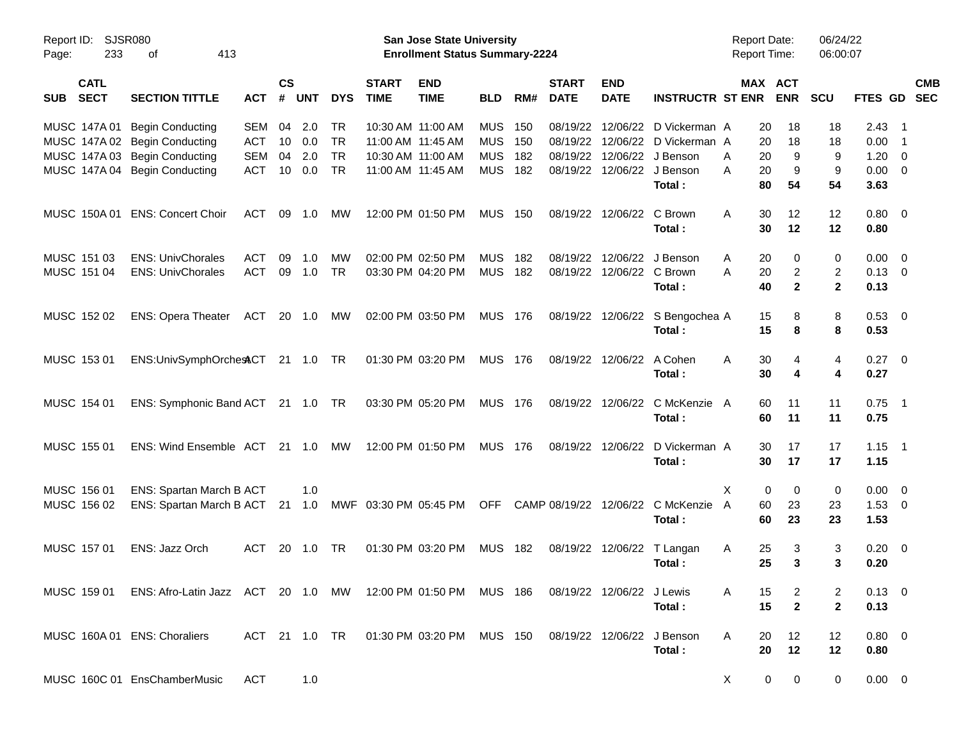| Report ID:<br>233<br>Page:               | <b>SJSR080</b><br>413<br>of                                                                        |            |                    |            |            |                             | <b>San Jose State University</b><br><b>Enrollment Status Summary-2224</b> |            |     |                             |                           |                         | <b>Report Date:</b><br>Report Time: |                       | 06/24/22<br>06:00:07    |                |                          |  |
|------------------------------------------|----------------------------------------------------------------------------------------------------|------------|--------------------|------------|------------|-----------------------------|---------------------------------------------------------------------------|------------|-----|-----------------------------|---------------------------|-------------------------|-------------------------------------|-----------------------|-------------------------|----------------|--------------------------|--|
| <b>CATL</b><br><b>SECT</b><br><b>SUB</b> | <b>SECTION TITTLE</b>                                                                              | <b>ACT</b> | $\mathsf{cs}$<br># | <b>UNT</b> | <b>DYS</b> | <b>START</b><br><b>TIME</b> | <b>END</b><br><b>TIME</b>                                                 | <b>BLD</b> | RM# | <b>START</b><br><b>DATE</b> | <b>END</b><br><b>DATE</b> | <b>INSTRUCTR ST ENR</b> |                                     | MAX ACT<br><b>ENR</b> | <b>SCU</b>              | FTES GD        | <b>CMB</b><br><b>SEC</b> |  |
| MUSC 147A 01                             | <b>Begin Conducting</b>                                                                            | <b>SEM</b> | 04                 | 2.0        | <b>TR</b>  |                             | 10:30 AM 11:00 AM                                                         | <b>MUS</b> | 150 | 08/19/22                    | 12/06/22                  | D Vickerman A           | 20                                  | 18                    | 18                      | $2.43$ 1       |                          |  |
|                                          | MUSC 147A 02 Begin Conducting                                                                      | ACT        | 10                 | 0.0        | <b>TR</b>  |                             | 11:00 AM 11:45 AM                                                         | <b>MUS</b> | 150 | 08/19/22                    | 12/06/22                  | D Vickerman A           | 20                                  | 18                    | 18                      | 0.00           | - 1                      |  |
| MUSC 147A 03                             | <b>Begin Conducting</b>                                                                            | <b>SEM</b> | 04                 | 2.0        | <b>TR</b>  |                             | 10:30 AM 11:00 AM                                                         | <b>MUS</b> | 182 | 08/19/22                    | 12/06/22                  | J Benson                | 20<br>Α                             | 9                     | 9                       | 1.20           | $\overline{\mathbf{0}}$  |  |
|                                          | MUSC 147A 04 Begin Conducting                                                                      | <b>ACT</b> | 10                 | 0.0        | <b>TR</b>  |                             | 11:00 AM 11:45 AM                                                         | <b>MUS</b> | 182 | 08/19/22                    | 12/06/22                  | J Benson                | Α<br>20                             | 9                     | 9                       | 0.00           | $\overline{\phantom{0}}$ |  |
|                                          |                                                                                                    |            |                    |            |            |                             |                                                                           |            |     |                             |                           | Total:                  | 80                                  | 54                    | 54                      | 3.63           |                          |  |
| MUSC 150A 01                             | <b>ENS: Concert Choir</b>                                                                          | ACT        | 09                 | 1.0        | MW         |                             | 12:00 PM 01:50 PM                                                         | <b>MUS</b> | 150 | 08/19/22                    | 12/06/22                  | C Brown                 | Α<br>30                             | 12                    | 12                      | $0.80 \ 0$     |                          |  |
|                                          |                                                                                                    |            |                    |            |            |                             |                                                                           |            |     |                             |                           | Total:                  | 30                                  | 12                    | 12                      | 0.80           |                          |  |
| MUSC 151 03                              | <b>ENS: UnivChorales</b>                                                                           | ACT        | 09                 | 1.0        | <b>MW</b>  |                             | 02:00 PM 02:50 PM                                                         | <b>MUS</b> | 182 | 08/19/22                    | 12/06/22                  | J Benson                | Α<br>20                             | 0                     | 0                       | 0.00           | $\overline{\phantom{0}}$ |  |
| MUSC 151 04                              | <b>ENS: UnivChorales</b>                                                                           | <b>ACT</b> | 09                 | 1.0        | <b>TR</b>  |                             | 03:30 PM 04:20 PM                                                         | <b>MUS</b> | 182 | 08/19/22                    | 12/06/22                  | C Brown                 | Α<br>20                             | $\overline{c}$        | $\overline{\mathbf{c}}$ | $0.13 \ 0$     |                          |  |
|                                          |                                                                                                    |            |                    |            |            |                             |                                                                           |            |     |                             |                           | Total:                  | 40                                  | $\mathbf{2}$          | $\mathbf{2}$            | 0.13           |                          |  |
| MUSC 152 02                              | <b>ENS: Opera Theater</b>                                                                          | ACT        | 20                 | 1.0        | МW         |                             | 02:00 PM 03:50 PM                                                         | <b>MUS</b> | 176 | 08/19/22                    | 12/06/22                  | S Bengochea A           | 15                                  | 8                     | 8                       | 0.53 0         |                          |  |
|                                          |                                                                                                    |            |                    |            |            |                             |                                                                           |            |     |                             |                           | Total:                  | 15                                  | 8                     | 8                       | 0.53           |                          |  |
| MUSC 153 01                              | ENS:UnivSymphOrchestCT 21 1.0                                                                      |            |                    |            | TR         |                             | 01:30 PM 03:20 PM                                                         | <b>MUS</b> | 176 | 08/19/22                    | 12/06/22                  | A Cohen                 | 30<br>Α                             | 4                     | 4                       | $0.27$ 0       |                          |  |
|                                          |                                                                                                    |            |                    |            |            |                             |                                                                           |            |     |                             |                           | Total:                  | 30                                  | 4                     | 4                       | 0.27           |                          |  |
| MUSC 154 01                              | ENS: Symphonic Band ACT 21 1.0                                                                     |            |                    |            | TR.        |                             | 03:30 PM 05:20 PM                                                         | <b>MUS</b> | 176 | 08/19/22                    | 12/06/22                  | C McKenzie              | 60<br>A                             | 11                    | 11                      | $0.75$ 1       |                          |  |
|                                          |                                                                                                    |            |                    |            |            |                             |                                                                           |            |     |                             |                           | Total:                  | 60                                  | 11                    | 11                      | 0.75           |                          |  |
| MUSC 155 01                              | ENS: Wind Ensemble ACT                                                                             |            | 21                 | 1.0        | МW         |                             | 12:00 PM 01:50 PM                                                         | <b>MUS</b> | 176 | 08/19/22                    | 12/06/22                  | D Vickerman A           | 30                                  | 17                    | 17                      | $1.15$ 1       |                          |  |
|                                          |                                                                                                    |            |                    |            |            |                             |                                                                           |            |     |                             |                           | Total:                  | 30                                  | 17                    | 17                      | 1.15           |                          |  |
| MUSC 156 01                              | ENS: Spartan March B ACT                                                                           |            |                    | 1.0        |            |                             |                                                                           |            |     |                             |                           |                         | X                                   | 0<br>0                | 0                       | $0.00 \t 0$    |                          |  |
| MUSC 156 02                              | ENS: Spartan March B ACT                                                                           |            | 21                 | 1.0        |            | MWF 03:30 PM 05:45 PM       |                                                                           | <b>OFF</b> |     | CAMP 08/19/22               | 12/06/22                  | C McKenzie              | 60<br>A                             | 23                    | 23                      | $1.53 \t 0$    |                          |  |
|                                          |                                                                                                    |            |                    |            |            |                             |                                                                           |            |     |                             |                           | Total:                  | 60                                  | 23                    | 23                      | 1.53           |                          |  |
| MUSC 157 01                              | ENS: Jazz Orch                                                                                     | ACT        | 20                 | 1.0        | <b>TR</b>  |                             | 01:30 PM 03:20 PM                                                         | <b>MUS</b> | 182 | 08/19/22                    | 12/06/22                  | T Langan                | 25<br>Α                             | 3                     | 3                       | $0.20 \ 0$     |                          |  |
|                                          |                                                                                                    |            |                    |            |            |                             |                                                                           |            |     |                             |                           | Total:                  | 25                                  | 3                     | 3                       | 0.20           |                          |  |
|                                          | MUSC 159 01 ENS: Afro-Latin Jazz ACT 20 1.0 MW 12:00 PM 01:50 PM MUS 186 08/19/22 12/06/22 J Lewis |            |                    |            |            |                             |                                                                           |            |     |                             |                           |                         | 15<br>A                             | 2                     | 2                       | $0.13 \quad 0$ |                          |  |
|                                          |                                                                                                    |            |                    |            |            |                             |                                                                           |            |     |                             |                           | Total:                  | 15                                  | $\mathbf{2}$          | $\mathbf{2}$            | 0.13           |                          |  |
|                                          | MUSC 160A 01 ENS: Choraliers                                                                       |            |                    |            |            |                             | ACT 21 1.0 TR  01:30 PM  03:20 PM  MUS  150  08/19/22  12/06/22  J Benson |            |     |                             |                           |                         | A<br>20                             | 12                    | 12                      | $0.80 \ 0$     |                          |  |
|                                          |                                                                                                    |            |                    |            |            |                             |                                                                           |            |     |                             |                           | Total:                  | 20                                  | 12                    | 12                      | 0.80           |                          |  |
|                                          | MUSC 160C 01 EnsChamberMusic                                                                       | ACT        |                    | 1.0        |            |                             |                                                                           |            |     |                             |                           |                         | X                                   | 0<br>$\mathbf{0}$     | 0                       | $0.00 \t 0$    |                          |  |
|                                          |                                                                                                    |            |                    |            |            |                             |                                                                           |            |     |                             |                           |                         |                                     |                       |                         |                |                          |  |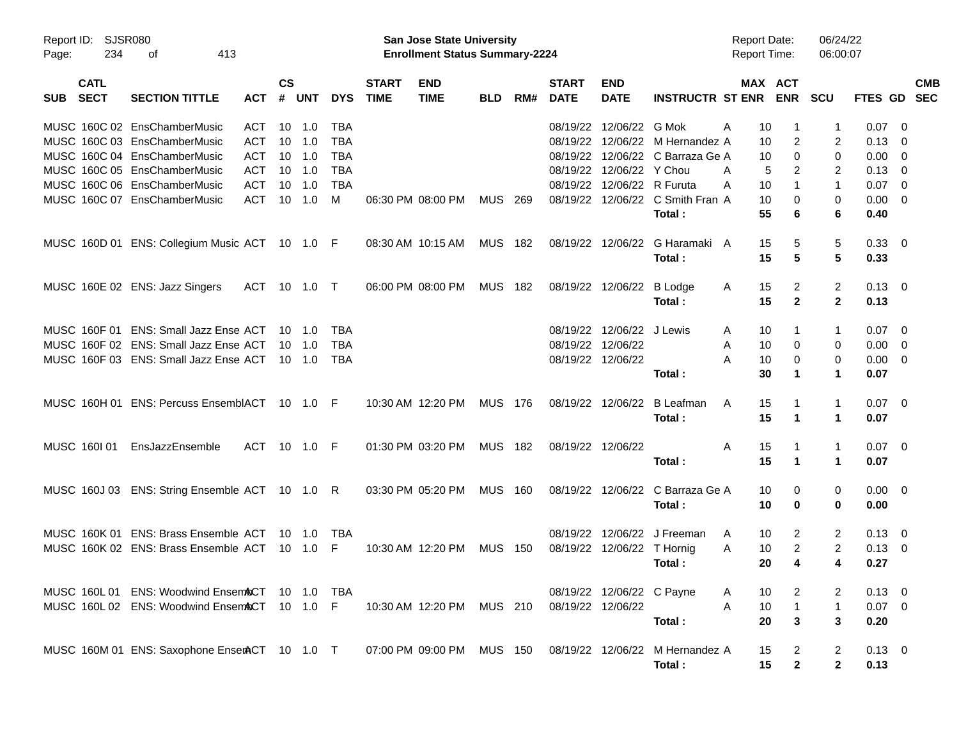| $\mathsf{cs}$<br><b>CATL</b><br><b>START</b><br><b>END</b><br><b>START</b><br><b>END</b><br>MAX ACT<br><b>SECT</b><br><b>ENR</b><br><b>SECTION TITTLE</b><br>#<br><b>UNT</b><br><b>DYS</b><br><b>TIME</b><br><b>TIME</b><br>RM#<br><b>DATE</b><br><b>DATE</b><br><b>INSTRUCTR ST ENR</b><br><b>SCU</b><br><b>SUB</b><br><b>ACT</b><br><b>BLD</b><br>12/06/22 G Mok<br>MUSC 160C 02 EnsChamberMusic<br>ACT<br>10<br>1.0<br><b>TBA</b><br>08/19/22<br>10<br>A<br>1<br>MUSC 160C 03 EnsChamberMusic<br><b>ACT</b><br>10<br>1.0<br><b>TBA</b><br>08/19/22<br>12/06/22 M Hernandez A<br>2<br>10<br>2<br>$\mathbf 0$<br>MUSC 160C 04 EnsChamberMusic<br><b>ACT</b><br>10<br><b>TBA</b><br>08/19/22<br>12/06/22 C Barraza Ge A<br>1.0<br>10<br>0<br>MUSC 160C 05 EnsChamberMusic<br><b>ACT</b><br>10<br><b>TBA</b><br>08/19/22<br>12/06/22 Y Chou<br>1.0<br>2<br>2<br>A<br>5<br>MUSC 160C 06 EnsChamberMusic<br><b>ACT</b><br>10<br><b>TBA</b><br>08/19/22<br>12/06/22 R Furuta<br>$\mathbf{1}$<br>1.0<br>A<br>10<br>$\mathbf{1}$<br>MUSC 160C 07 EnsChamberMusic<br><b>ACT</b><br>10<br>M<br>08/19/22<br>12/06/22 C Smith Fran A<br>10<br>0<br>1.0<br>06:30 PM 08:00 PM<br>MUS<br>- 269<br>0 | <b>CMB</b>                       |
|----------------------------------------------------------------------------------------------------------------------------------------------------------------------------------------------------------------------------------------------------------------------------------------------------------------------------------------------------------------------------------------------------------------------------------------------------------------------------------------------------------------------------------------------------------------------------------------------------------------------------------------------------------------------------------------------------------------------------------------------------------------------------------------------------------------------------------------------------------------------------------------------------------------------------------------------------------------------------------------------------------------------------------------------------------------------------------------------------------------------------------------------------------------------------------------|----------------------------------|
|                                                                                                                                                                                                                                                                                                                                                                                                                                                                                                                                                                                                                                                                                                                                                                                                                                                                                                                                                                                                                                                                                                                                                                                        | FTES GD<br><b>SEC</b>            |
|                                                                                                                                                                                                                                                                                                                                                                                                                                                                                                                                                                                                                                                                                                                                                                                                                                                                                                                                                                                                                                                                                                                                                                                        | 0.07<br>- 0                      |
|                                                                                                                                                                                                                                                                                                                                                                                                                                                                                                                                                                                                                                                                                                                                                                                                                                                                                                                                                                                                                                                                                                                                                                                        | $0.13 \quad 0$                   |
|                                                                                                                                                                                                                                                                                                                                                                                                                                                                                                                                                                                                                                                                                                                                                                                                                                                                                                                                                                                                                                                                                                                                                                                        | 0.00<br>$\overline{\mathbf{0}}$  |
|                                                                                                                                                                                                                                                                                                                                                                                                                                                                                                                                                                                                                                                                                                                                                                                                                                                                                                                                                                                                                                                                                                                                                                                        | 0.13<br>$\overline{\phantom{0}}$ |
|                                                                                                                                                                                                                                                                                                                                                                                                                                                                                                                                                                                                                                                                                                                                                                                                                                                                                                                                                                                                                                                                                                                                                                                        | $0.07$ 0                         |
| 55<br>Total:<br>6<br>6                                                                                                                                                                                                                                                                                                                                                                                                                                                                                                                                                                                                                                                                                                                                                                                                                                                                                                                                                                                                                                                                                                                                                                 | $0.00 \t 0$<br>0.40              |
| 08:30 AM 10:15 AM<br>5<br>5<br>MUSC 160D 01 ENS: Collegium Music ACT 10 1.0 F<br>MUS 182<br>08/19/22<br>12/06/22<br>G Haramaki A<br>15                                                                                                                                                                                                                                                                                                                                                                                                                                                                                                                                                                                                                                                                                                                                                                                                                                                                                                                                                                                                                                                 | 0.33 0                           |
| 5<br>15<br>5<br>Total:                                                                                                                                                                                                                                                                                                                                                                                                                                                                                                                                                                                                                                                                                                                                                                                                                                                                                                                                                                                                                                                                                                                                                                 | 0.33                             |
| <b>MUS</b><br>2<br>MUSC 160E 02 ENS: Jazz Singers<br>ACT 10 1.0 T<br>06:00 PM 08:00 PM<br>182<br>08/19/22<br>12/06/22<br><b>B</b> Lodge<br>15<br>$\overline{2}$<br>A                                                                                                                                                                                                                                                                                                                                                                                                                                                                                                                                                                                                                                                                                                                                                                                                                                                                                                                                                                                                                   | $0.13 \quad 0$                   |
| 15<br>$\mathbf{2}$<br>Total:<br>$\mathbf{2}$                                                                                                                                                                                                                                                                                                                                                                                                                                                                                                                                                                                                                                                                                                                                                                                                                                                                                                                                                                                                                                                                                                                                           | 0.13                             |
| MUSC 160F 01 ENS: Small Jazz Ense ACT<br>12/06/22 J Lewis<br>TBA<br>08/19/22<br>10 1.0<br>10<br>1<br>1<br>A                                                                                                                                                                                                                                                                                                                                                                                                                                                                                                                                                                                                                                                                                                                                                                                                                                                                                                                                                                                                                                                                            | $0.07$ 0                         |
| MUSC 160F 02 ENS: Small Jazz Ense ACT<br><b>TBA</b><br>08/19/22<br>12/06/22<br>10<br>0<br>10<br>1.0<br>Α<br>0                                                                                                                                                                                                                                                                                                                                                                                                                                                                                                                                                                                                                                                                                                                                                                                                                                                                                                                                                                                                                                                                          | $0.00 \t 0$                      |
| MUSC 160F 03 ENS: Small Jazz Ense ACT<br><b>TBA</b><br>08/19/22 12/06/22<br>0<br>10 1.0<br>A<br>10<br>0                                                                                                                                                                                                                                                                                                                                                                                                                                                                                                                                                                                                                                                                                                                                                                                                                                                                                                                                                                                                                                                                                | $0.00 \t 0$                      |
| 30<br>1<br>Total:<br>1                                                                                                                                                                                                                                                                                                                                                                                                                                                                                                                                                                                                                                                                                                                                                                                                                                                                                                                                                                                                                                                                                                                                                                 | 0.07                             |
| MUSC 160H 01 ENS: Percuss EnsemblACT 10 1.0 F<br>10:30 AM 12:20 PM<br><b>MUS 176</b><br>08/19/22<br>12/06/22<br>B Leafman<br>15<br>$\mathbf{1}$<br>A<br>1                                                                                                                                                                                                                                                                                                                                                                                                                                                                                                                                                                                                                                                                                                                                                                                                                                                                                                                                                                                                                              | $0.07$ 0                         |
| 15<br>Total:<br>1<br>1                                                                                                                                                                                                                                                                                                                                                                                                                                                                                                                                                                                                                                                                                                                                                                                                                                                                                                                                                                                                                                                                                                                                                                 | 0.07                             |
| EnsJazzEnsemble<br>ACT 10 1.0 F<br>01:30 PM 03:20 PM<br><b>MUS</b><br>MUSC 160101<br>182<br>08/19/22 12/06/22<br>15<br>$\mathbf{1}$<br>A<br>1                                                                                                                                                                                                                                                                                                                                                                                                                                                                                                                                                                                                                                                                                                                                                                                                                                                                                                                                                                                                                                          | $0.07$ 0                         |
| 15<br>1<br>Total:<br>1                                                                                                                                                                                                                                                                                                                                                                                                                                                                                                                                                                                                                                                                                                                                                                                                                                                                                                                                                                                                                                                                                                                                                                 | 0.07                             |
| 03:30 PM 05:20 PM<br><b>MUS</b><br>C Barraza Ge A<br>MUSC 160J 03 ENS: String Ensemble ACT 10 1.0 R<br>160<br>08/19/22<br>12/06/22<br>10<br>0<br>0                                                                                                                                                                                                                                                                                                                                                                                                                                                                                                                                                                                                                                                                                                                                                                                                                                                                                                                                                                                                                                     | $0.00 \t 0$                      |
| Total:<br>10<br>0<br>0                                                                                                                                                                                                                                                                                                                                                                                                                                                                                                                                                                                                                                                                                                                                                                                                                                                                                                                                                                                                                                                                                                                                                                 | 0.00                             |
| MUSC 160K 01 ENS: Brass Ensemble ACT<br>J Freeman<br>08/19/22<br>12/06/22<br>2<br>2<br>$10 \quad 1.0$<br>TBA<br>10<br>A                                                                                                                                                                                                                                                                                                                                                                                                                                                                                                                                                                                                                                                                                                                                                                                                                                                                                                                                                                                                                                                                | $0.13 \quad 0$                   |
| $\overline{c}$<br>MUSC 160K 02 ENS: Brass Ensemble ACT<br>F<br>08/19/22<br>12/06/22<br>2<br>$10 \quad 1.0$<br>10:30 AM 12:20 PM<br><b>MUS</b><br>150<br>T Hornig<br>Α<br>10                                                                                                                                                                                                                                                                                                                                                                                                                                                                                                                                                                                                                                                                                                                                                                                                                                                                                                                                                                                                            | $0.13 \ 0$                       |
| 4<br>20<br>4<br>Total:                                                                                                                                                                                                                                                                                                                                                                                                                                                                                                                                                                                                                                                                                                                                                                                                                                                                                                                                                                                                                                                                                                                                                                 | 0.27                             |
| MUSC 160L 01 ENS: Woodwind Ensem&CT 10 1.0<br>08/19/22 12/06/22 C Payne<br>TBA<br>10<br>2<br>2<br>A                                                                                                                                                                                                                                                                                                                                                                                                                                                                                                                                                                                                                                                                                                                                                                                                                                                                                                                                                                                                                                                                                    | $0.13 \quad 0$                   |
| $\mathbf{1}$<br>MUSC 160L 02 ENS: Woodwind EnsemACT 10 1.0 F<br>MUS 210<br>08/19/22 12/06/22<br>A<br>10<br>$\mathbf{1}$<br>10:30 AM 12:20 PM                                                                                                                                                                                                                                                                                                                                                                                                                                                                                                                                                                                                                                                                                                                                                                                                                                                                                                                                                                                                                                           | $0.07$ 0                         |
| 20<br>3<br>3<br>Total:                                                                                                                                                                                                                                                                                                                                                                                                                                                                                                                                                                                                                                                                                                                                                                                                                                                                                                                                                                                                                                                                                                                                                                 | 0.20                             |
| MUSC 160M 01 ENS: Saxophone EnserACT 10 1.0 T<br>07:00 PM_09:00 PM<br>MUS 150<br>08/19/22 12/06/22 M Hernandez A<br>15<br>2<br>2                                                                                                                                                                                                                                                                                                                                                                                                                                                                                                                                                                                                                                                                                                                                                                                                                                                                                                                                                                                                                                                       | $0.13 \ 0$                       |
| $\mathbf{2}$<br>15<br>$\overline{2}$<br>Total:                                                                                                                                                                                                                                                                                                                                                                                                                                                                                                                                                                                                                                                                                                                                                                                                                                                                                                                                                                                                                                                                                                                                         | 0.13                             |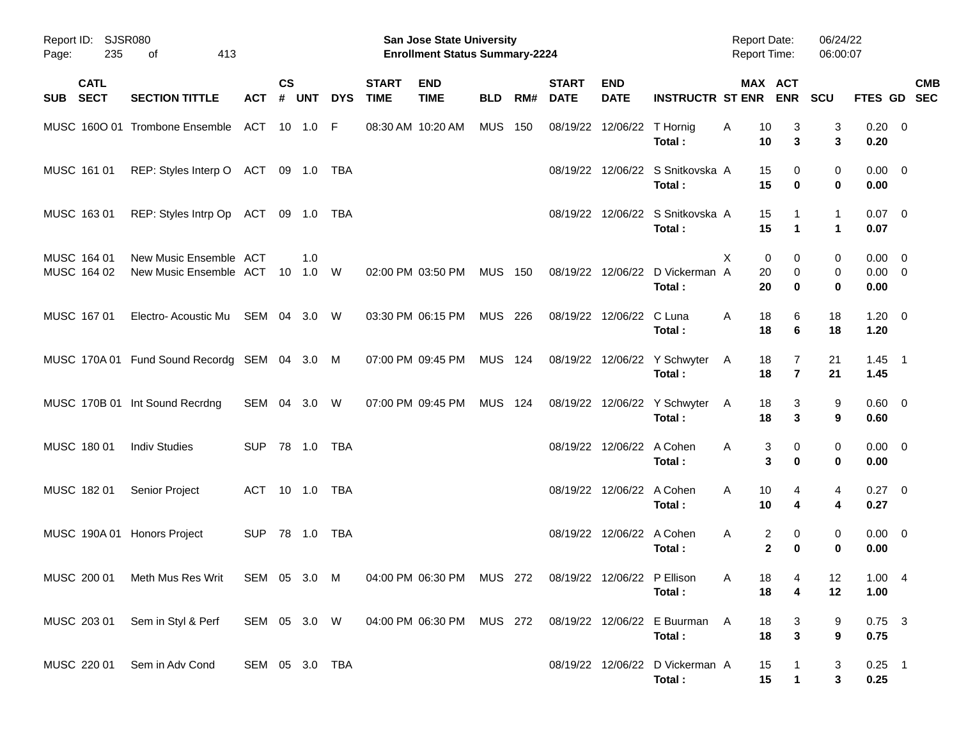| Report ID: SJSR080<br>Page:       | 235<br>413<br>оf                                                                                    |                |                    |                      |            |                             | San Jose State University<br><b>Enrollment Status Summary-2224</b> |                |     |                             |                           |                                            | <b>Report Date:</b><br><b>Report Time:</b> |                                    | 06/24/22<br>06:00:07         |                                    |                           |
|-----------------------------------|-----------------------------------------------------------------------------------------------------|----------------|--------------------|----------------------|------------|-----------------------------|--------------------------------------------------------------------|----------------|-----|-----------------------------|---------------------------|--------------------------------------------|--------------------------------------------|------------------------------------|------------------------------|------------------------------------|---------------------------|
| <b>CATL</b><br><b>SECT</b><br>SUB | <b>SECTION TITTLE</b>                                                                               | <b>ACT</b>     | $\mathsf{cs}$<br># | <b>UNT</b>           | <b>DYS</b> | <b>START</b><br><b>TIME</b> | <b>END</b><br><b>TIME</b>                                          | <b>BLD</b>     | RM# | <b>START</b><br><b>DATE</b> | <b>END</b><br><b>DATE</b> | <b>INSTRUCTR ST ENR</b>                    |                                            | MAX ACT<br><b>ENR</b>              | <b>SCU</b>                   |                                    | <b>CMB</b><br>FTES GD SEC |
|                                   | MUSC 1600 01 Trombone Ensemble                                                                      | ACT 10 1.0 F   |                    |                      |            | 08:30 AM 10:20 AM           |                                                                    | <b>MUS</b>     | 150 | 08/19/22                    | 12/06/22                  | T Hornig<br>Total:                         | 10<br>A<br>10                              | 3<br>3                             | 3<br>3                       | $0.20 \ 0$<br>0.20                 |                           |
| MUSC 161 01                       | REP: Styles Interp O ACT 09 1.0 TBA                                                                 |                |                    |                      |            |                             |                                                                    |                |     | 08/19/22                    |                           | 12/06/22 S Snitkovska A<br>Total:          | 15<br>15                                   | 0<br>0                             | 0<br>0                       | $0.00 \t 0$<br>0.00                |                           |
| MUSC 163 01                       | REP: Styles Intrp Op ACT 09 1.0 TBA                                                                 |                |                    |                      |            |                             |                                                                    |                |     |                             |                           | 08/19/22 12/06/22 S Snitkovska A<br>Total: | 15<br>15                                   | $\mathbf{1}$                       | $\mathbf{1}$<br>$\mathbf{1}$ | $0.07$ 0<br>0.07                   |                           |
| MUSC 164 01<br>MUSC 164 02        | New Music Ensemble ACT<br>New Music Ensemble ACT                                                    |                | - 10               | 1.0<br>$1.0 \quad W$ |            |                             | 02:00 PM 03:50 PM                                                  | <b>MUS</b>     | 150 |                             | 08/19/22 12/06/22         | D Vickerman A<br>Total:                    | X<br>0<br>20<br>20                         | 0<br>0<br>0                        | 0<br>0<br>0                  | $0.00 \t 0$<br>$0.00 \t 0$<br>0.00 |                           |
| MUSC 167 01                       | Electro- Acoustic Mu                                                                                | SEM 04 3.0 W   |                    |                      |            |                             | 03:30 PM 06:15 PM                                                  | MUS 226        |     |                             | 08/19/22 12/06/22 C Luna  | Total:                                     | 18<br>A<br>18                              | 6<br>6                             | 18<br>18                     | $1.20 \t 0$<br>1.20                |                           |
|                                   | MUSC 170A 01 Fund Sound Recordg SEM 04 3.0 M                                                        |                |                    |                      |            | 07:00 PM 09:45 PM           |                                                                    | <b>MUS 124</b> |     |                             |                           | 08/19/22 12/06/22 Y Schwyter<br>Total:     | 18<br>A<br>18                              | 7<br>$\overline{7}$                | 21<br>21                     | $1.45$ 1<br>1.45                   |                           |
|                                   | MUSC 170B 01 Int Sound Recrdng                                                                      | SEM 04 3.0 W   |                    |                      |            |                             | 07:00 PM 09:45 PM                                                  | <b>MUS 124</b> |     |                             |                           | 08/19/22 12/06/22 Y Schwyter<br>Total:     | 18<br>A<br>18                              | 3<br>3                             | 9<br>9                       | $0.60 \quad 0$<br>0.60             |                           |
| MUSC 180 01                       | <b>Indiv Studies</b>                                                                                | <b>SUP</b>     |                    |                      |            |                             |                                                                    |                |     |                             | 08/19/22 12/06/22 A Cohen | Total:                                     | Α<br>3                                     | 0<br>3<br>0                        | 0<br>0                       | $0.00 \t 0$<br>0.00                |                           |
| MUSC 182 01                       | Senior Project                                                                                      | ACT 10 1.0 TBA |                    |                      |            |                             |                                                                    |                |     |                             | 08/19/22 12/06/22 A Cohen | Total:                                     | 10<br>A<br>10                              | 4<br>4                             | 4<br>4                       | $0.27$ 0<br>0.27                   |                           |
|                                   | MUSC 190A 01 Honors Project                                                                         | <b>SUP</b>     |                    |                      |            |                             |                                                                    |                |     |                             | 08/19/22 12/06/22 A Cohen | Total:                                     | Α                                          | 2<br>0<br>$\mathbf{2}$<br>$\bf{0}$ | 0<br>0                       | $0.00 \t 0$<br>0.00                |                           |
|                                   | MUSC 200 01 Meth Mus Res Writ                                                                       | SEM 05 3.0 M   |                    |                      |            |                             | 04:00 PM 06:30 PM MUS 272 08/19/22 12/06/22 P Ellison              |                |     |                             |                           | Total:                                     | A<br>18                                    | 18<br>$\overline{4}$<br>4          | 12<br>12                     | 1.004<br>1.00                      |                           |
|                                   | MUSC 203 01 Sem in Styl & Perf SEM 05 3.0 W 04:00 PM 06:30 PM MUS 272 08/19/22 12/06/22 E Buurman A |                |                    |                      |            |                             |                                                                    |                |     |                             |                           | Total:                                     | 18<br>18                                   | 3<br>$\mathbf{3}$                  | 9<br>9                       | $0.75$ 3<br>0.75                   |                           |
|                                   | MUSC 220 01 Sem in Adv Cond                                                                         | SEM 05 3.0 TBA |                    |                      |            |                             |                                                                    |                |     |                             |                           | 08/19/22 12/06/22 D Vickerman A<br>Total:  | 15<br>15                                   | $\mathbf{1}$                       | 3<br>3                       | $0.25$ 1<br>0.25                   |                           |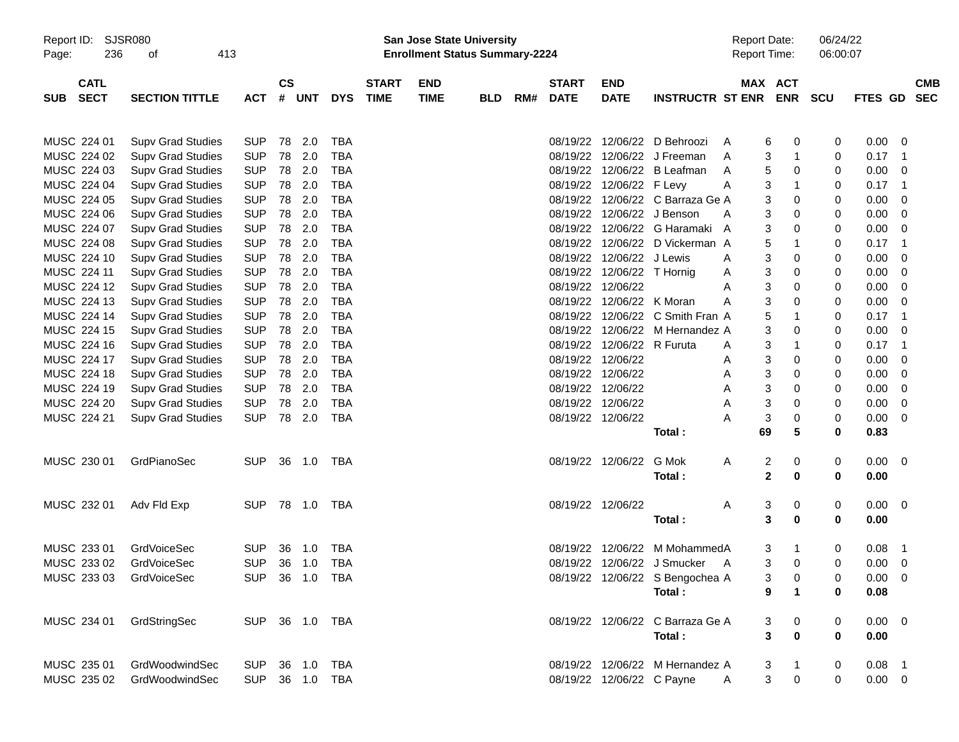| Page:                                    | Report ID: SJSR080<br>236<br>413<br>of |                |               |        |            |                             | San Jose State University<br><b>Enrollment Status Summary-2224</b> |            |     |                             |                            |                                  | <b>Report Date:</b><br><b>Report Time:</b> |                       | 06/24/22<br>06:00:07 |             |                |                          |
|------------------------------------------|----------------------------------------|----------------|---------------|--------|------------|-----------------------------|--------------------------------------------------------------------|------------|-----|-----------------------------|----------------------------|----------------------------------|--------------------------------------------|-----------------------|----------------------|-------------|----------------|--------------------------|
| <b>CATL</b><br><b>SECT</b><br><b>SUB</b> | <b>SECTION TITTLE</b>                  | <b>ACT</b>     | $\mathsf{cs}$ | # UNT  | <b>DYS</b> | <b>START</b><br><b>TIME</b> | <b>END</b><br><b>TIME</b>                                          | <b>BLD</b> | RM# | <b>START</b><br><b>DATE</b> | <b>END</b><br><b>DATE</b>  | <b>INSTRUCTR ST ENR</b>          |                                            | MAX ACT<br><b>ENR</b> | <b>SCU</b>           | FTES GD     |                | <b>CMB</b><br><b>SEC</b> |
| MUSC 224 01                              | <b>Supv Grad Studies</b>               | <b>SUP</b>     |               | 78 2.0 | <b>TBA</b> |                             |                                                                    |            |     |                             |                            | 08/19/22 12/06/22 D Behroozi     | A                                          | 6<br>0                | 0                    | 0.00        | 0              |                          |
| MUSC 224 02                              | <b>Supv Grad Studies</b>               | <b>SUP</b>     | 78            | 2.0    | <b>TBA</b> |                             |                                                                    |            |     |                             |                            | 08/19/22 12/06/22 J Freeman      | A                                          | 3<br>$\mathbf 1$      | 0                    | 0.17        | - 1            |                          |
| MUSC 224 03                              | <b>Supv Grad Studies</b>               | <b>SUP</b>     | 78            | 2.0    | <b>TBA</b> |                             |                                                                    |            |     |                             |                            | 08/19/22 12/06/22 B Leafman      | A                                          | 5<br>0                | 0                    | 0.00        | 0              |                          |
| MUSC 224 04                              | <b>Supv Grad Studies</b>               | <b>SUP</b>     | 78            | 2.0    | <b>TBA</b> |                             |                                                                    |            |     |                             | 08/19/22 12/06/22 F Levy   |                                  | Α                                          | 3<br>$\mathbf 1$      | 0                    | 0.17        | $\overline{1}$ |                          |
| MUSC 224 05                              | <b>Supv Grad Studies</b>               | <b>SUP</b>     | 78            | 2.0    | <b>TBA</b> |                             |                                                                    |            |     |                             |                            | 08/19/22 12/06/22 C Barraza Ge A |                                            | 3<br>0                | 0                    | 0.00        | 0              |                          |
| MUSC 224 06                              | <b>Supv Grad Studies</b>               | <b>SUP</b>     | 78            | 2.0    | <b>TBA</b> |                             |                                                                    |            |     |                             | 08/19/22 12/06/22 J Benson |                                  | A                                          | 3<br>0                | 0                    | 0.00        | 0              |                          |
| MUSC 224 07                              | <b>Supv Grad Studies</b>               | <b>SUP</b>     | 78            | 2.0    | <b>TBA</b> |                             |                                                                    |            |     |                             |                            | 08/19/22 12/06/22 G Haramaki A   |                                            | 3<br>0                | 0                    | 0.00        | 0              |                          |
| MUSC 224 08                              | <b>Supv Grad Studies</b>               | <b>SUP</b>     | 78            | 2.0    | <b>TBA</b> |                             |                                                                    |            |     |                             |                            | 08/19/22 12/06/22 D Vickerman A  |                                            | 5<br>$\mathbf 1$      | 0                    | 0.17        | -1             |                          |
| MUSC 224 10                              | <b>Supv Grad Studies</b>               | <b>SUP</b>     | 78            | 2.0    | <b>TBA</b> |                             |                                                                    |            |     |                             | 08/19/22 12/06/22 J Lewis  |                                  | Α                                          | 3<br>0                | 0                    | 0.00        | 0              |                          |
| MUSC 224 11                              | <b>Supv Grad Studies</b>               | <b>SUP</b>     | 78            | 2.0    | <b>TBA</b> |                             |                                                                    |            |     |                             | 08/19/22 12/06/22 T Hornig |                                  | A                                          | 3<br>0                | 0                    | 0.00        | 0              |                          |
| MUSC 224 12                              | <b>Supv Grad Studies</b>               | <b>SUP</b>     | 78            | 2.0    | <b>TBA</b> |                             |                                                                    |            |     |                             | 08/19/22 12/06/22          |                                  | Α                                          | 3<br>0                | 0                    | 0.00        | 0              |                          |
| MUSC 224 13                              | <b>Supv Grad Studies</b>               | <b>SUP</b>     | 78            | 2.0    | <b>TBA</b> |                             |                                                                    |            |     |                             | 08/19/22 12/06/22 K Moran  |                                  | Α                                          | 3<br>$\mathbf 0$      | 0                    | 0.00        | 0              |                          |
| MUSC 224 14                              | <b>Supv Grad Studies</b>               | <b>SUP</b>     | 78            | 2.0    | <b>TBA</b> |                             |                                                                    |            |     |                             |                            | 08/19/22 12/06/22 C Smith Fran A |                                            | 5<br>$\mathbf 1$      | 0                    | 0.17        | -1             |                          |
| MUSC 224 15                              | <b>Supv Grad Studies</b>               | <b>SUP</b>     | 78            | 2.0    | <b>TBA</b> |                             |                                                                    |            |     |                             |                            | 08/19/22 12/06/22 M Hernandez A  |                                            | 3<br>$\mathbf 0$      | 0                    | 0.00        | 0              |                          |
| MUSC 224 16                              | <b>Supv Grad Studies</b>               | <b>SUP</b>     | 78            | 2.0    | <b>TBA</b> |                             |                                                                    |            |     |                             | 08/19/22 12/06/22 R Furuta |                                  | A                                          | 3<br>$\mathbf 1$      | 0                    | 0.17        | $\overline{1}$ |                          |
| MUSC 224 17                              | <b>Supv Grad Studies</b>               | <b>SUP</b>     | 78            | 2.0    | <b>TBA</b> |                             |                                                                    |            |     |                             | 08/19/22 12/06/22          |                                  | Α                                          | 3<br>0                | 0                    | 0.00        | 0              |                          |
| MUSC 224 18                              | <b>Supv Grad Studies</b>               | <b>SUP</b>     | 78            | 2.0    | <b>TBA</b> |                             |                                                                    |            |     |                             | 08/19/22 12/06/22          |                                  | Α                                          | 3<br>0                | 0                    | 0.00        | 0              |                          |
| MUSC 224 19                              | <b>Supv Grad Studies</b>               | <b>SUP</b>     | 78            | 2.0    | <b>TBA</b> |                             |                                                                    |            |     |                             | 08/19/22 12/06/22          |                                  | Α                                          | 3<br>0                | 0                    | 0.00        | 0              |                          |
| MUSC 224 20                              | <b>Supv Grad Studies</b>               | <b>SUP</b>     | 78            | 2.0    | <b>TBA</b> |                             |                                                                    |            |     |                             | 08/19/22 12/06/22          |                                  | Α                                          | 3<br>0                | 0                    | 0.00        | 0              |                          |
| MUSC 224 21                              | <b>Supv Grad Studies</b>               | <b>SUP</b>     |               | 78 2.0 | TBA        |                             |                                                                    |            |     |                             | 08/19/22 12/06/22          |                                  | Α                                          | 3<br>0                | 0                    | 0.00        | 0              |                          |
|                                          |                                        |                |               |        |            |                             |                                                                    |            |     |                             |                            | Total:                           | 69                                         | 5                     | 0                    | 0.83        |                |                          |
| MUSC 230 01                              | GrdPianoSec                            | <b>SUP</b>     |               | 36 1.0 | TBA        |                             |                                                                    |            |     |                             | 08/19/22 12/06/22          | G Mok                            | Α                                          | 2<br>0                | 0                    | $0.00 \t 0$ |                |                          |
|                                          |                                        |                |               |        |            |                             |                                                                    |            |     |                             |                            | Total:                           |                                            | $\mathbf{2}$<br>0     | 0                    | 0.00        |                |                          |
| MUSC 232 01                              | Adv Fld Exp                            | <b>SUP</b>     |               |        | TBA        |                             |                                                                    |            |     |                             | 08/19/22 12/06/22          |                                  | A                                          | 3<br>0                | 0                    | $0.00 \t 0$ |                |                          |
|                                          |                                        |                |               |        |            |                             |                                                                    |            |     |                             |                            | Total:                           |                                            | 3<br>0                | 0                    | 0.00        |                |                          |
| MUSC 233 01                              | <b>GrdVoiceSec</b>                     | <b>SUP</b>     | 36            | 1.0    | <b>TBA</b> |                             |                                                                    |            |     | 08/19/22                    | 12/06/22                   | M MohammedA                      |                                            | 3<br>-1               | 0                    | 0.08        | $\overline{1}$ |                          |
| MUSC 233 02                              | <b>GrdVoiceSec</b>                     | <b>SUP</b>     | 36            | 1.0    | TBA        |                             |                                                                    |            |     |                             |                            | 08/19/22 12/06/22 J Smucker      | A                                          | 3<br>$\mathbf 0$      | 0                    | 0.00        | 0              |                          |
| MUSC 233 03                              | GrdVoiceSec                            | SUP 36 1.0 TBA |               |        |            |                             |                                                                    |            |     |                             |                            | 08/19/22 12/06/22 S Bengochea A  |                                            | 3<br>0                | 0                    | $0.00 \t 0$ |                |                          |
|                                          |                                        |                |               |        |            |                             |                                                                    |            |     |                             |                            | Total:                           |                                            | 9<br>$\mathbf 1$      | 0                    | 0.08        |                |                          |
| MUSC 234 01                              | GrdStringSec                           | SUP 36 1.0 TBA |               |        |            |                             |                                                                    |            |     |                             |                            | 08/19/22 12/06/22 C Barraza Ge A |                                            | $\boldsymbol{0}$<br>3 | 0                    | $0.00 \t 0$ |                |                          |
|                                          |                                        |                |               |        |            |                             |                                                                    |            |     |                             |                            | Total:                           |                                            | 3<br>$\bf{0}$         | 0                    | 0.00        |                |                          |
|                                          |                                        |                |               |        |            |                             |                                                                    |            |     |                             |                            |                                  |                                            |                       |                      |             |                |                          |
| MUSC 235 01                              | GrdWoodwindSec                         | <b>SUP</b>     |               |        | 36 1.0 TBA |                             |                                                                    |            |     |                             |                            | 08/19/22 12/06/22 M Hernandez A  |                                            | 3<br>$\mathbf{1}$     | 0                    | $0.08$ 1    |                |                          |
| MUSC 235 02                              | GrdWoodwindSec                         | <b>SUP</b>     |               |        | 36 1.0 TBA |                             |                                                                    |            |     |                             | 08/19/22 12/06/22 C Payne  |                                  | A                                          | 3<br>$\pmb{0}$        | 0                    | $0.00 \t 0$ |                |                          |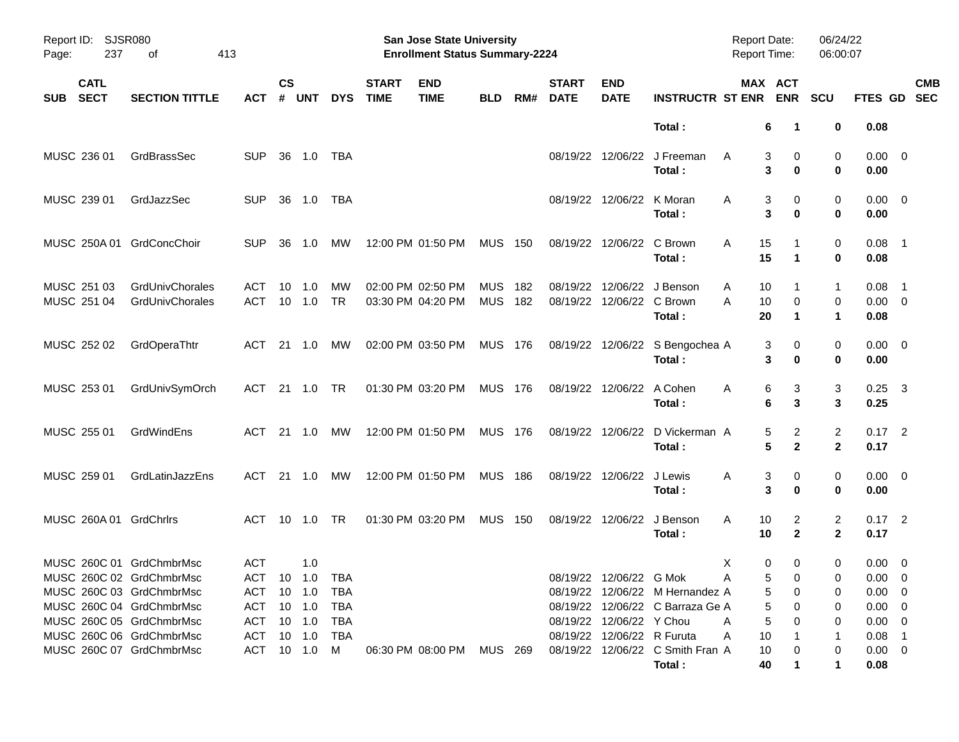| Report ID:<br>237<br>Page:                           | SJSR080<br>413<br>οf               |                              |                    |            |                 |                             | <b>San Jose State University</b><br><b>Enrollment Status Summary-2224</b> |                          |            |                             |                            |                                           | <b>Report Date:</b><br><b>Report Time:</b> |                                         | 06/24/22<br>06:00:07 |                                 |                          |
|------------------------------------------------------|------------------------------------|------------------------------|--------------------|------------|-----------------|-----------------------------|---------------------------------------------------------------------------|--------------------------|------------|-----------------------------|----------------------------|-------------------------------------------|--------------------------------------------|-----------------------------------------|----------------------|---------------------------------|--------------------------|
| <b>CATL</b><br><b>SECT</b><br><b>SUB</b>             | <b>SECTION TITTLE</b>              | АСТ                          | $\mathsf{cs}$<br># | <b>UNT</b> | <b>DYS</b>      | <b>START</b><br><b>TIME</b> | <b>END</b><br><b>TIME</b>                                                 | <b>BLD</b>               | RM#        | <b>START</b><br><b>DATE</b> | <b>END</b><br><b>DATE</b>  | <b>INSTRUCTR ST ENR</b>                   |                                            | MAX ACT<br><b>ENR</b>                   | <b>SCU</b>           | FTES GD                         | <b>CMB</b><br><b>SEC</b> |
|                                                      |                                    |                              |                    |            |                 |                             |                                                                           |                          |            |                             |                            | Total:                                    |                                            | 6<br>-1                                 | 0                    | 0.08                            |                          |
| MUSC 236 01                                          | GrdBrassSec                        | SUP                          | 36                 | 1.0        | TBA             |                             |                                                                           |                          |            |                             |                            | 08/19/22 12/06/22 J Freeman<br>Total:     | A                                          | 3<br>0<br>3<br>$\bf{0}$                 | 0<br>0               | $0.00 \t 0$<br>0.00             |                          |
| MUSC 239 01                                          | GrdJazzSec                         | <b>SUP</b>                   | 36                 | 1.0        | TBA             |                             |                                                                           |                          |            |                             | 08/19/22 12/06/22 K Moran  | Total:                                    | A                                          | 0<br>3<br>3<br>0                        | 0<br>0               | $0.00 \t 0$<br>0.00             |                          |
| MUSC 250A 01 GrdConcChoir                            |                                    | <b>SUP</b>                   | 36                 | 1.0        | MW              |                             | 12:00 PM 01:50 PM                                                         | <b>MUS 150</b>           |            |                             | 08/19/22 12/06/22 C Brown  | Total:                                    | 15<br>A<br>15                              | 1                                       | 0<br>0               | $0.08$ 1<br>0.08                |                          |
| MUSC 251 03<br>MUSC 251 04                           | GrdUnivChorales<br>GrdUnivChorales | <b>ACT</b><br>ACT            | 10<br>10           | 1.0<br>1.0 | MW<br><b>TR</b> |                             | 02:00 PM 02:50 PM<br>03:30 PM 04:20 PM                                    | <b>MUS</b><br><b>MUS</b> | 182<br>182 |                             | 08/19/22 12/06/22 C Brown  | 08/19/22 12/06/22 J Benson<br>Total:      | Α<br>10<br>10<br>A<br>20                   | 0<br>$\mathbf 1$                        | 1<br>0<br>1          | $0.08$ 1<br>$0.00 \t 0$<br>0.08 |                          |
| MUSC 252 02                                          | GrdOperaThtr                       | ACT 21 1.0                   |                    |            | MW              |                             | 02:00 PM 03:50 PM                                                         | MUS 176                  |            |                             |                            | 08/19/22 12/06/22 S Bengochea A<br>Total: | 3                                          | 0<br>3<br>0                             | 0<br>0               | $0.00 \t 0$<br>0.00             |                          |
| MUSC 253 01                                          | GrdUnivSymOrch                     | ACT 21 1.0                   |                    |            | TR              |                             | 01:30 PM 03:20 PM                                                         | <b>MUS 176</b>           |            |                             | 08/19/22 12/06/22 A Cohen  | Total:                                    | A<br>6                                     | 6<br>3<br>3                             | 3<br>3               | $0.25$ 3<br>0.25                |                          |
| MUSC 255 01                                          | GrdWindEns                         | ACT 21 1.0                   |                    |            | MW              |                             | 12:00 PM 01:50 PM                                                         | <b>MUS 176</b>           |            |                             |                            | 08/19/22 12/06/22 D Vickerman A<br>Total: |                                            | 2<br>5<br>5<br>$\mathbf{2}$             | 2<br>$\mathbf{2}$    | $0.17$ 2<br>0.17                |                          |
| MUSC 259 01                                          | GrdLatinJazzEns                    | ACT                          |                    | 21 1.0     | MW              |                             | 12:00 PM 01:50 PM                                                         | <b>MUS 186</b>           |            |                             | 08/19/22 12/06/22 J Lewis  | Total:                                    | A                                          | 3<br>0<br>3<br>0                        | 0<br>0               | $0.00 \t 0$<br>0.00             |                          |
| MUSC 260A 01 GrdChrlrs                               |                                    | ACT 10 1.0                   |                    |            | TR              |                             | 01:30 PM 03:20 PM                                                         | <b>MUS 150</b>           |            |                             |                            | 08/19/22 12/06/22 J Benson<br>Total:      | 10<br>A<br>10                              | 2<br>$\mathbf{2}$                       | 2<br>$\mathbf{2}$    | $0.17$ 2<br>0.17                |                          |
| MUSC 260C 01 GrdChmbrMsc<br>MUSC 260C 02 GrdChmbrMsc |                                    | <b>ACT</b><br>ACT 10 1.0 TBA |                    | 1.0        |                 |                             |                                                                           |                          |            |                             | 08/19/22 12/06/22 G Mok    |                                           | X<br>A                                     | 0<br>$\mathbf 0$<br>5 <sup>1</sup><br>0 | 0                    | $0.00 \t 0$<br>$0.00 \t 0$      |                          |
| MUSC 260C 03 GrdChmbrMsc                             |                                    | ACT 10 1.0                   |                    |            | TBA             |                             |                                                                           |                          |            |                             |                            | 08/19/22 12/06/22 M Hernandez A           |                                            | 5<br>0                                  | 0                    | $0.00 \t 0$                     |                          |
| MUSC 260C 04 GrdChmbrMsc                             |                                    | ACT                          |                    | $10$ $1.0$ | TBA             |                             |                                                                           |                          |            |                             |                            | 08/19/22 12/06/22 C Barraza Ge A          |                                            | 5<br>0                                  | 0                    | $0.00 \t 0$                     |                          |
| MUSC 260C 05 GrdChmbrMsc                             |                                    | ACT 10 1.0                   |                    |            | TBA             |                             |                                                                           |                          |            |                             | 08/19/22 12/06/22 Y Chou   |                                           | A                                          | 5                                       | 0                    | $0.00 \t 0$                     |                          |
| MUSC 260C 06 GrdChmbrMsc                             |                                    | ACT 10 1.0                   |                    |            | TBA             |                             |                                                                           |                          |            |                             | 08/19/22 12/06/22 R Furuta |                                           | 10<br>A                                    |                                         |                      | $0.08$ 1                        |                          |
| MUSC 260C 07 GrdChmbrMsc                             |                                    | ACT 10 1.0                   |                    |            | M               |                             | 06:30 PM 08:00 PM                                                         | MUS 269                  |            |                             |                            | 08/19/22 12/06/22 C Smith Fran A          | 10                                         |                                         | 0                    | $0.00 \t 0$                     |                          |
|                                                      |                                    |                              |                    |            |                 |                             |                                                                           |                          |            |                             |                            | Total:                                    | 40                                         |                                         | 1                    | 0.08                            |                          |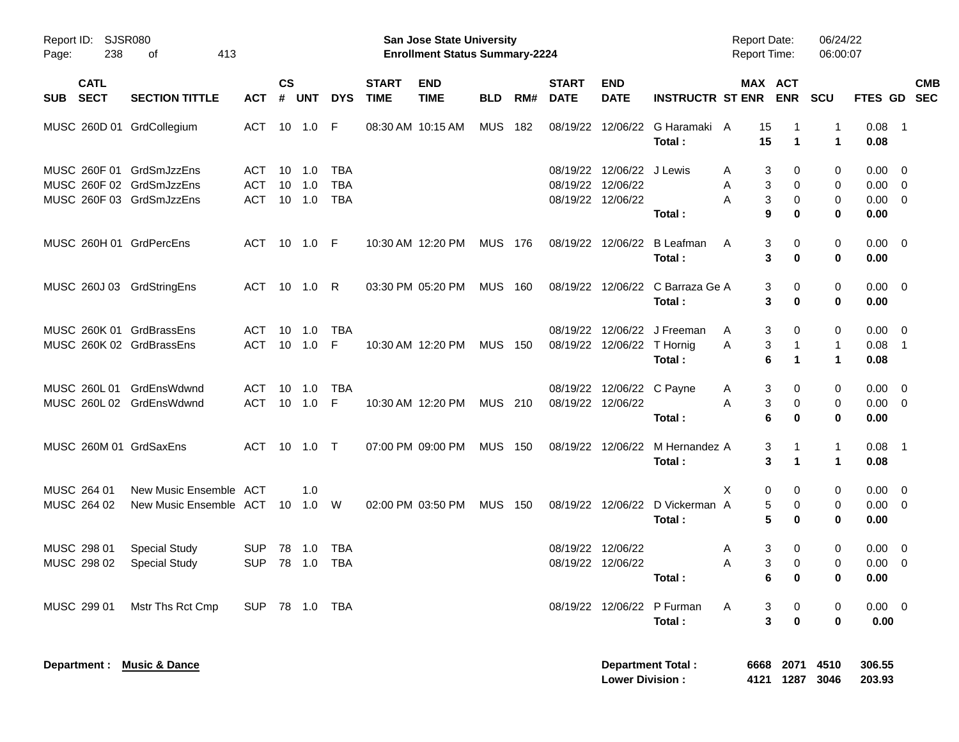| <b>SJSR080</b><br>Report ID:<br>238<br>Page:                                     |                                                  |                                 |                       |                              |                                 | <b>San Jose State University</b><br><b>Enrollment Status Summary-2224</b> |                           |                |     |                             |                                                                     | <b>Report Date:</b><br><b>Report Time:</b> |             | 06/24/22<br>06:00:07                     |                         |                                                      |            |
|----------------------------------------------------------------------------------|--------------------------------------------------|---------------------------------|-----------------------|------------------------------|---------------------------------|---------------------------------------------------------------------------|---------------------------|----------------|-----|-----------------------------|---------------------------------------------------------------------|--------------------------------------------|-------------|------------------------------------------|-------------------------|------------------------------------------------------|------------|
| <b>CATL</b><br><b>SECT</b><br><b>SUB</b>                                         | <b>SECTION TITTLE</b>                            | <b>ACT</b>                      | $\mathsf{cs}$<br>#    | <b>UNT</b>                   | <b>DYS</b>                      | <b>START</b><br><b>TIME</b>                                               | <b>END</b><br><b>TIME</b> | <b>BLD</b>     | RM# | <b>START</b><br><b>DATE</b> | <b>END</b><br><b>DATE</b>                                           | <b>INSTRUCTR ST ENR</b>                    |             | MAX ACT<br><b>ENR</b>                    | <b>SCU</b>              | FTES GD SEC                                          | <b>CMB</b> |
| MUSC 260D 01 GrdCollegium                                                        |                                                  | ACT 10 1.0 F                    |                       |                              |                                 |                                                                           | 08:30 AM 10:15 AM         | <b>MUS 182</b> |     |                             |                                                                     | 08/19/22 12/06/22 G Haramaki A<br>Total:   | 15<br>15    | $\blacktriangleleft$                     | 1<br>1                  | $0.08$ 1<br>0.08                                     |            |
| MUSC 260F 01 GrdSmJzzEns<br>MUSC 260F 02 GrdSmJzzEns<br>MUSC 260F 03 GrdSmJzzEns |                                                  | ACT<br><b>ACT</b><br><b>ACT</b> | 10<br>10 <sup>°</sup> | 1.0<br>1.0<br>$10 \quad 1.0$ | TBA<br><b>TBA</b><br><b>TBA</b> |                                                                           |                           |                |     |                             | 08/19/22 12/06/22 J Lewis<br>08/19/22 12/06/22<br>08/19/22 12/06/22 | Total:                                     | A<br>Α<br>Α | 3<br>0<br>3<br>0<br>3<br>0<br>9<br>0     | 0<br>0<br>0<br>$\bf{0}$ | $0.00 \quad 0$<br>$0.00 \t 0$<br>$0.00 \t 0$<br>0.00 |            |
| MUSC 260H 01 GrdPercEns                                                          |                                                  | ACT 10 1.0 F                    |                       |                              |                                 |                                                                           | 10:30 AM 12:20 PM         | MUS 176        |     |                             |                                                                     | 08/19/22 12/06/22 B Leafman<br>Total:      | A           | 3<br>0<br>3<br>0                         | 0<br>0                  | $0.00 \t 0$<br>0.00                                  |            |
| MUSC 260J 03 GrdStringEns                                                        |                                                  | ACT 10 1.0 R                    |                       |                              |                                 |                                                                           | 03:30 PM 05:20 PM         | <b>MUS 160</b> |     |                             |                                                                     | 08/19/22 12/06/22 C Barraza Ge A<br>Total: |             | 0<br>3<br>3<br>0                         | 0<br>0                  | $0.00 \t 0$<br>0.00                                  |            |
| MUSC 260K 01 GrdBrassEns<br>MUSC 260K 02 GrdBrassEns                             |                                                  | ACT<br>ACT                      | 10                    | 1.0<br>10 1.0                | <b>TBA</b><br>F                 |                                                                           | 10:30 AM 12:20 PM         | <b>MUS 150</b> |     |                             | 08/19/22 12/06/22 T Hornig                                          | 08/19/22 12/06/22 J Freeman<br>Total :     | A<br>A      | 3<br>0<br>3<br>-1<br>6<br>1              | 0<br>$\mathbf 1$<br>1   | $0.00 \quad 0$<br>$0.08$ 1<br>0.08                   |            |
| MUSC 260L 01 GrdEnsWdwnd<br>MUSC 260L 02 GrdEnsWdwnd                             |                                                  | ACT<br>ACT                      | 10                    | 1.0<br>10 1.0                | <b>TBA</b><br>F                 |                                                                           | 10:30 AM 12:20 PM         | MUS 210        |     |                             | 08/19/22 12/06/22 C Payne<br>08/19/22 12/06/22                      | Total:                                     | A<br>Α      | 0<br>3<br>3<br>0<br>6<br>0               | 0<br>0<br>$\bf{0}$      | $0.00 \quad 0$<br>$0.00 \t 0$<br>0.00                |            |
| MUSC 260M 01 GrdSaxEns                                                           |                                                  | ACT 10 1.0 T                    |                       |                              |                                 |                                                                           | 07:00 PM 09:00 PM         | <b>MUS 150</b> |     |                             |                                                                     | 08/19/22 12/06/22 M Hernandez A<br>Total:  |             | 3<br>1<br>3<br>1                         | 1<br>1                  | $0.08$ 1<br>0.08                                     |            |
| MUSC 264 01<br>MUSC 264 02                                                       | New Music Ensemble ACT<br>New Music Ensemble ACT |                                 |                       | 1.0<br>10 1.0 W              |                                 |                                                                           | 02:00 PM 03:50 PM         | <b>MUS 150</b> |     |                             |                                                                     | 08/19/22 12/06/22 D Vickerman A<br>Total:  | X           | 0<br>0<br>5<br>0<br>5<br>0               | 0<br>0<br>$\bf{0}$      | $0.00 \quad 0$<br>$0.00 \t 0$<br>0.00                |            |
| MUSC 298 01<br>MUSC 298 02                                                       | <b>Special Study</b><br><b>Special Study</b>     | <b>SUP</b><br><b>SUP</b>        | 78                    | - 1.0<br>78 1.0              | TBA<br><b>TBA</b>               |                                                                           |                           |                |     |                             | 08/19/22 12/06/22<br>08/19/22 12/06/22                              | Total:                                     | A<br>A      | 3<br>0<br>3<br>$\Omega$<br>6<br>$\bf{0}$ | 0<br>0<br>0             | $0.00 \quad 0$<br>$0.00 \t 0$<br>$0.00\,$            |            |
| MUSC 299 01                                                                      | Mstr Ths Rct Cmp                                 | SUP 78 1.0 TBA                  |                       |                              |                                 |                                                                           |                           |                |     |                             |                                                                     | 08/19/22 12/06/22 P Furman<br>Total:       | A           | 0<br>3<br>3<br>$\mathbf 0$               | 0<br>$\bf{0}$           | $0.00 \t 0$<br>0.00                                  |            |
| Department : Music & Dance                                                       |                                                  |                                 |                       |                              |                                 |                                                                           |                           |                |     |                             | <b>Lower Division:</b>                                              | <b>Department Total:</b>                   |             | 6668 2071 4510<br>4121 1287 3046         |                         | 306.55<br>203.93                                     |            |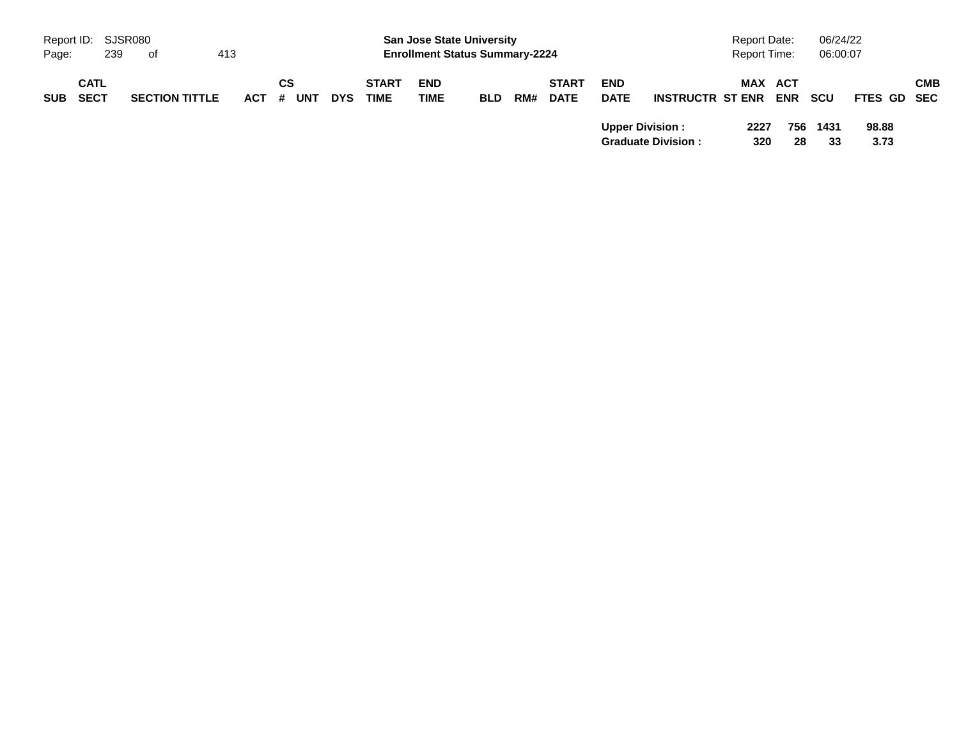| Report ID: SJSR080<br>239<br>Page: | of                    | 413     |     |            |              | <b>San Jose State University</b><br><b>Enrollment Status Summary-2224</b> |            |     |              |                                       |                                                      | <b>Report Date:</b><br><b>Report Time:</b> |                         | 06/24/22<br>06:00:07 |                              |            |
|------------------------------------|-----------------------|---------|-----|------------|--------------|---------------------------------------------------------------------------|------------|-----|--------------|---------------------------------------|------------------------------------------------------|--------------------------------------------|-------------------------|----------------------|------------------------------|------------|
| <b>CATL</b>                        |                       |         | СS  |            | <b>START</b> | <b>END</b>                                                                |            |     | <b>START</b> | <b>END</b>                            |                                                      |                                            | MAX ACT                 |                      |                              | <b>CMB</b> |
| <b>SECT</b><br><b>SUB</b>          | <b>SECTION TITTLE</b> | $ACT$ # | UNT | <b>DYS</b> | <b>TIME</b>  | TIME                                                                      | <b>BLD</b> | RM# | <b>DATE</b>  | <b>DATE</b><br><b>Upper Division:</b> | <b>INSTRUCTR ST ENR</b><br><b>Graduate Division:</b> | 2227<br>320                                | <b>ENR</b><br>756<br>28 | scu<br>1431<br>33    | FTES GD SEC<br>98.88<br>3.73 |            |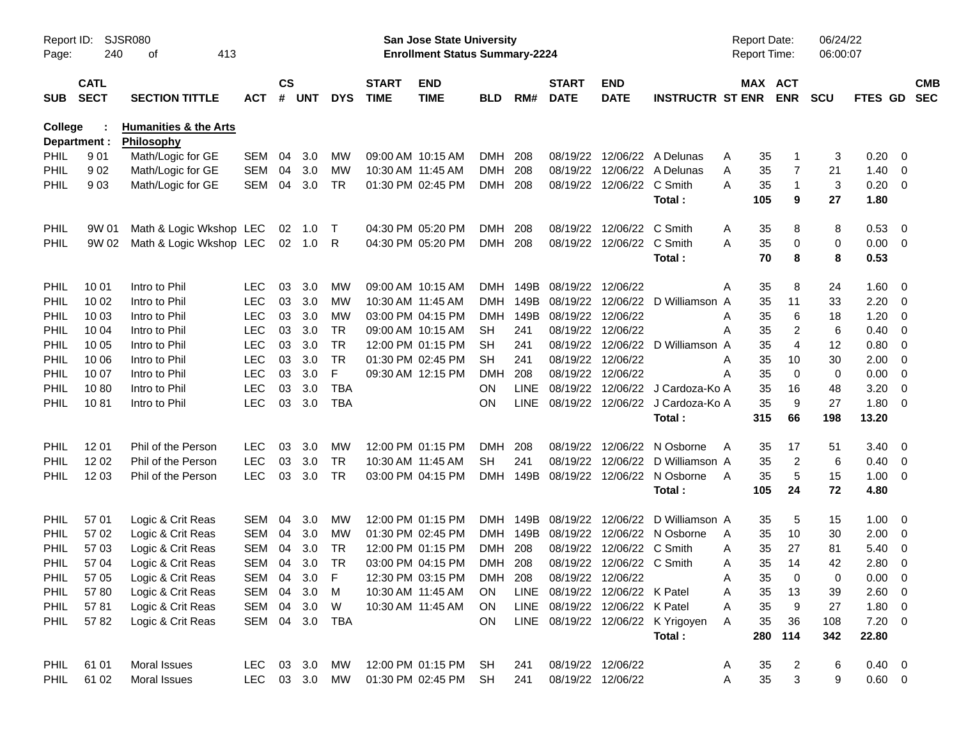| Report ID:<br>Page: | 240                        | SJSR080<br>413<br>оf                           |            |                    |            |              |                             | San Jose State University<br><b>Enrollment Status Summary-2224</b> |            |             |                                |                           |                                   | <b>Report Date:</b><br><b>Report Time:</b> |                       | 06/24/22<br>06:00:07 |                |                         |                          |
|---------------------|----------------------------|------------------------------------------------|------------|--------------------|------------|--------------|-----------------------------|--------------------------------------------------------------------|------------|-------------|--------------------------------|---------------------------|-----------------------------------|--------------------------------------------|-----------------------|----------------------|----------------|-------------------------|--------------------------|
| <b>SUB</b>          | <b>CATL</b><br><b>SECT</b> | <b>SECTION TITTLE</b>                          | <b>ACT</b> | $\mathsf{cs}$<br># | <b>UNT</b> | <b>DYS</b>   | <b>START</b><br><b>TIME</b> | <b>END</b><br><b>TIME</b>                                          | <b>BLD</b> | RM#         | <b>START</b><br><b>DATE</b>    | <b>END</b><br><b>DATE</b> | <b>INSTRUCTR ST ENR</b>           |                                            | MAX ACT<br><b>ENR</b> | <b>SCU</b>           | <b>FTES GD</b> |                         | <b>CMB</b><br><b>SEC</b> |
| <b>College</b>      | Department :               | <b>Humanities &amp; the Arts</b><br>Philosophy |            |                    |            |              |                             |                                                                    |            |             |                                |                           |                                   |                                            |                       |                      |                |                         |                          |
| PHIL                | 901                        | Math/Logic for GE                              | <b>SEM</b> | 04                 | 3.0        | МW           |                             | 09:00 AM 10:15 AM                                                  | <b>DMH</b> | 208         | 08/19/22                       | 12/06/22                  | A Delunas                         | 35<br>A                                    | 1                     | 3                    | 0.20           | $\mathbf{0}$            |                          |
| <b>PHIL</b>         | 902                        | Math/Logic for GE                              | <b>SEM</b> | 04                 | 3.0        | MW           |                             | 10:30 AM 11:45 AM                                                  | <b>DMH</b> | 208         | 08/19/22                       | 12/06/22                  | A Delunas                         | 35<br>Α                                    | 7                     | 21                   | 1.40           | $\mathbf 0$             |                          |
| PHIL                | 903                        | Math/Logic for GE                              | <b>SEM</b> | 04                 | 3.0        | <b>TR</b>    |                             | 01:30 PM 02:45 PM                                                  | DMH 208    |             |                                | 08/19/22 12/06/22         | C Smith                           | A<br>35                                    | $\mathbf{1}$          | 3                    | 0.20           | $\overline{0}$          |                          |
|                     |                            |                                                |            |                    |            |              |                             |                                                                    |            |             |                                |                           | Total:                            | 105                                        | 9                     | 27                   | 1.80           |                         |                          |
| PHIL                | 9W 01                      | Math & Logic Wkshop LEC                        |            | 02                 | 1.0        | $\top$       |                             | 04:30 PM 05:20 PM                                                  | DMH        | 208         | 08/19/22                       | 12/06/22                  | C Smith                           | 35<br>A                                    | 8                     | 8                    | 0.53           | $\overline{0}$          |                          |
| <b>PHIL</b>         | 9W 02                      | Math & Logic Wkshop LEC                        |            |                    | 02 1.0     | R            |                             | 04:30 PM 05:20 PM                                                  | DMH 208    |             |                                | 08/19/22 12/06/22         | C Smith                           | A<br>35                                    | 0                     | 0                    | 0.00           | $\overline{0}$          |                          |
|                     |                            |                                                |            |                    |            |              |                             |                                                                    |            |             |                                |                           | Total:                            | 70                                         | 8                     | 8                    | 0.53           |                         |                          |
| <b>PHIL</b>         | 10 01                      | Intro to Phil                                  | <b>LEC</b> | 03                 | 3.0        | МW           |                             | 09:00 AM 10:15 AM                                                  | DMH        | 149B        | 08/19/22 12/06/22              |                           |                                   | 35<br>Α                                    | 8                     | 24                   | 1.60           | - 0                     |                          |
| PHIL                | 10 02                      | Intro to Phil                                  | <b>LEC</b> | 03                 | 3.0        | МW           |                             | 10:30 AM 11:45 AM                                                  | <b>DMH</b> | 149B        | 08/19/22                       | 12/06/22                  | D Williamson A                    | 35                                         | 11                    | 33                   | 2.20           | 0                       |                          |
| PHIL                | 10 03                      | Intro to Phil                                  | <b>LEC</b> | 03                 | 3.0        | <b>MW</b>    |                             | 03:00 PM 04:15 PM                                                  | <b>DMH</b> | 149B        | 08/19/22                       | 12/06/22                  |                                   | 35<br>Α                                    | 6                     | 18                   | 1.20           | 0                       |                          |
| PHIL                | 10 04                      | Intro to Phil                                  | <b>LEC</b> | 03                 | 3.0        | <b>TR</b>    |                             | 09:00 AM 10:15 AM                                                  | <b>SH</b>  | 241         |                                | 08/19/22 12/06/22         |                                   | 35<br>A                                    | 2                     | 6                    | 0.40           | 0                       |                          |
| PHIL                | 10 05                      | Intro to Phil                                  | <b>LEC</b> | 03                 | 3.0        | <b>TR</b>    |                             | 12:00 PM 01:15 PM                                                  | <b>SH</b>  | 241         | 08/19/22                       | 12/06/22                  | D Williamson A                    | 35                                         | 4                     | 12                   | 0.80           | 0                       |                          |
| PHIL                | 10 06                      | Intro to Phil                                  | <b>LEC</b> | 03                 | 3.0        | <b>TR</b>    |                             | 01:30 PM 02:45 PM                                                  | <b>SH</b>  | 241         | 08/19/22                       | 12/06/22                  |                                   | 35<br>Α                                    | 10                    | 30                   | 2.00           | 0                       |                          |
| PHIL                | 10 07                      | Intro to Phil                                  | <b>LEC</b> | 03                 | 3.0        | F            |                             | 09:30 AM 12:15 PM                                                  | <b>DMH</b> | 208         | 08/19/22 12/06/22              |                           |                                   | 35<br>Α                                    | $\mathbf 0$           | 0                    | 0.00           | 0                       |                          |
| PHIL                | 1080                       | Intro to Phil                                  | <b>LEC</b> | 03                 | 3.0        | <b>TBA</b>   |                             |                                                                    | <b>ON</b>  | <b>LINE</b> | 08/19/22                       | 12/06/22                  | J Cardoza-Ko A                    | 35                                         | 16                    | 48                   | 3.20           | 0                       |                          |
| PHIL                | 1081                       | Intro to Phil                                  | <b>LEC</b> | 03                 | 3.0        | <b>TBA</b>   |                             |                                                                    | ON         | <b>LINE</b> |                                | 08/19/22 12/06/22         | J Cardoza-Ko A                    | 35                                         | 9                     | 27                   | 1.80           | 0                       |                          |
|                     |                            |                                                |            |                    |            |              |                             |                                                                    |            |             |                                |                           | Total:                            | 315                                        | 66                    | 198                  | 13.20          |                         |                          |
| <b>PHIL</b>         | 12 01                      | Phil of the Person                             | <b>LEC</b> | 03                 | 3.0        | MW           |                             | 12:00 PM 01:15 PM                                                  | <b>DMH</b> | 208         | 08/19/22                       | 12/06/22                  | N Osborne                         | 35<br>A                                    | 17                    | 51                   | 3.40           | - 0                     |                          |
| <b>PHIL</b>         | 12 02                      | Phil of the Person                             | <b>LEC</b> | 03                 | 3.0        | <b>TR</b>    |                             | 10:30 AM 11:45 AM                                                  | <b>SH</b>  | 241         | 08/19/22                       | 12/06/22                  | D Williamson A                    | 35                                         | $\overline{2}$        | 6                    | 0.40           | 0                       |                          |
| <b>PHIL</b>         | 12 03                      | Phil of the Person                             | <b>LEC</b> | 03                 | 3.0        | <b>TR</b>    |                             | 03:00 PM 04:15 PM                                                  | <b>DMH</b> | 149B        |                                | 08/19/22 12/06/22         | N Osborne                         | 35<br>A                                    | 5                     | 15                   | 1.00           | $\overline{0}$          |                          |
|                     |                            |                                                |            |                    |            |              |                             |                                                                    |            |             |                                |                           | Total:                            | 105                                        | 24                    | 72                   | 4.80           |                         |                          |
| PHIL                | 57 01                      | Logic & Crit Reas                              | <b>SEM</b> | 04                 | 3.0        | MW           |                             | 12:00 PM 01:15 PM                                                  | <b>DMH</b> | 149B        | 08/19/22                       | 12/06/22                  | D Williamson A                    | 35                                         | 5                     | 15                   | 1.00           | - 0                     |                          |
| PHIL                | 57 02                      | Logic & Crit Reas                              | <b>SEM</b> | 04                 | 3.0        | MW           |                             | 01:30 PM 02:45 PM                                                  | DMH        | 149B        | 08/19/22                       | 12/06/22                  | N Osborne                         | 35<br>A                                    | 10                    | 30                   | 2.00           | $\mathbf 0$             |                          |
| PHIL                | 57 03                      | Logic & Crit Reas                              | <b>SEM</b> | 04                 | 3.0        | TR           |                             | 12:00 PM 01:15 PM                                                  | <b>DMH</b> | 208         | 08/19/22                       | 12/06/22                  | C Smith                           | 35<br>A                                    | 27                    | 81                   | 5.40           | $\mathbf 0$             |                          |
| PHIL                | 57 04                      | Logic & Crit Reas                              | <b>SEM</b> | 04                 | 3.0        | <b>TR</b>    |                             | 03:00 PM 04:15 PM                                                  | DMH 208    |             |                                | 08/19/22 12/06/22 C Smith |                                   | 35<br>A                                    | 14                    | 42                   | 2.80           | 0                       |                          |
| PHIL                | 57 05                      | Logic & Crit Reas                              | SEM 04     |                    | 3.0        | $\mathsf{F}$ |                             | 12:30 PM 03:15 PM                                                  | <b>DMH</b> | 208         | 08/19/22 12/06/22              |                           |                                   | 35<br>Α                                    | 0                     | 0                    | 0.00           | $\overline{\mathbf{0}}$ |                          |
| <b>PHIL</b>         | 5780                       | Logic & Crit Reas                              | SEM        | 04                 | 3.0        | M            |                             | 10:30 AM 11:45 AM                                                  | <b>ON</b>  |             | LINE 08/19/22 12/06/22 K Patel |                           |                                   | Α<br>35                                    | 13                    | 39                   | 2.60           | $\overline{0}$          |                          |
| <b>PHIL</b>         | 5781                       | Logic & Crit Reas                              | SEM        |                    | 04 3.0     | W            |                             | 10:30 AM 11:45 AM                                                  | <b>ON</b>  |             | LINE 08/19/22 12/06/22 K Patel |                           |                                   | 35<br>Α                                    | 9                     | 27                   | 1.80           | $\overline{0}$          |                          |
| PHIL                | 5782                       | Logic & Crit Reas                              | SEM 04 3.0 |                    |            | TBA          |                             |                                                                    | ON         |             |                                |                           | LINE 08/19/22 12/06/22 K Yrigoyen | Α<br>35                                    | 36                    | 108                  | $7.20 \t 0$    |                         |                          |
|                     |                            |                                                |            |                    |            |              |                             |                                                                    |            |             |                                |                           | Total:                            | 280                                        | 114                   | 342                  | 22.80          |                         |                          |
| <b>PHIL</b>         | 61 01                      | Moral Issues                                   | LEC        |                    | 03 3.0     | МW           |                             | 12:00 PM 01:15 PM                                                  | SH         | 241         |                                | 08/19/22 12/06/22         |                                   | 35<br>A                                    | 2                     | 6                    | $0.40 \quad 0$ |                         |                          |
| PHIL                | 61 02                      | Moral Issues                                   | <b>LEC</b> |                    | 03 3.0     | MW           |                             | 01:30 PM 02:45 PM                                                  | <b>SH</b>  | 241         | 08/19/22 12/06/22              |                           |                                   | 35<br>A                                    | 3                     | 9                    | $0.60 \t 0$    |                         |                          |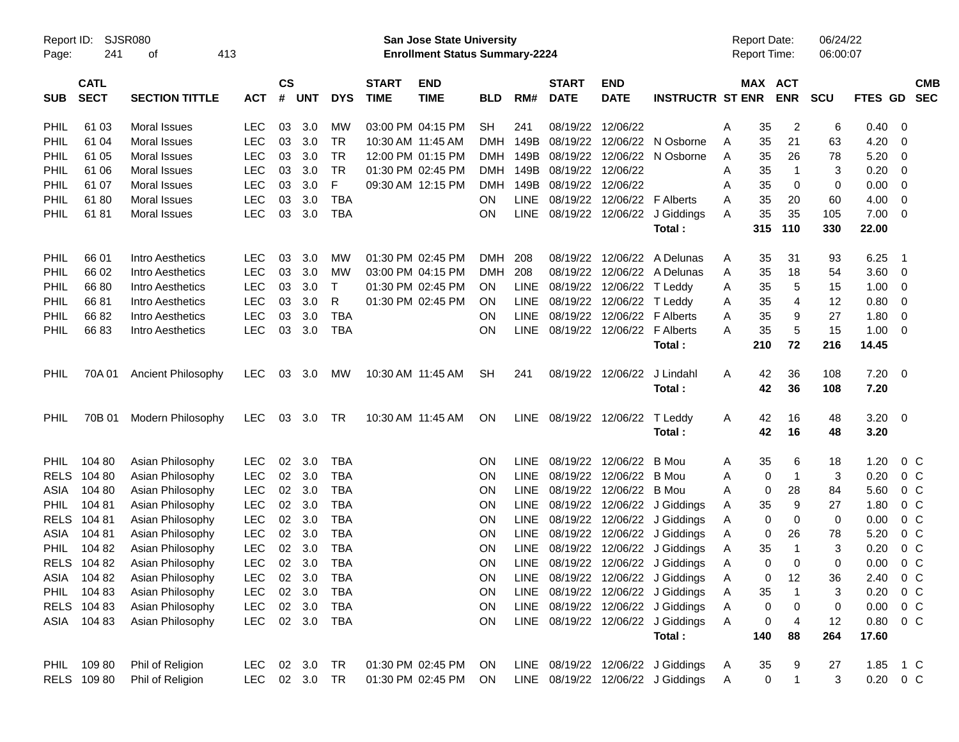|             | <b>SJSR080</b><br>Report ID: |                       |            |               |            |            |              | <b>San Jose State University</b>      |            |             |                        |                   |                                   |   | <b>Report Date:</b> |                | 06/24/22 |                |                         |            |
|-------------|------------------------------|-----------------------|------------|---------------|------------|------------|--------------|---------------------------------------|------------|-------------|------------------------|-------------------|-----------------------------------|---|---------------------|----------------|----------|----------------|-------------------------|------------|
| Page:       | 241                          | 413<br>οf             |            |               |            |            |              | <b>Enrollment Status Summary-2224</b> |            |             |                        |                   |                                   |   | <b>Report Time:</b> |                | 06:00:07 |                |                         |            |
|             | <b>CATL</b>                  |                       |            | $\mathsf{cs}$ |            |            | <b>START</b> | <b>END</b>                            |            |             | <b>START</b>           | <b>END</b>        |                                   |   | MAX ACT             |                |          |                |                         | <b>CMB</b> |
| <b>SUB</b>  | <b>SECT</b>                  | <b>SECTION TITTLE</b> | <b>ACT</b> | #             | <b>UNT</b> | <b>DYS</b> | <b>TIME</b>  | <b>TIME</b>                           | <b>BLD</b> | RM#         | <b>DATE</b>            | <b>DATE</b>       | <b>INSTRUCTR ST ENR</b>           |   |                     | <b>ENR</b>     | SCU      | <b>FTES GD</b> |                         | <b>SEC</b> |
| PHIL        | 61 03                        | Moral Issues          | <b>LEC</b> | 03            | 3.0        | МW         |              | 03:00 PM 04:15 PM                     | <b>SH</b>  | 241         | 08/19/22               | 12/06/22          |                                   | Α | 35                  | $\overline{2}$ | 6        | 0.40           | - 0                     |            |
| PHIL        | 61 04                        | Moral Issues          | <b>LEC</b> | 03            | 3.0        | <b>TR</b>  |              | 10:30 AM 11:45 AM                     | <b>DMH</b> | 149B        | 08/19/22               | 12/06/22          | N Osborne                         | Α | 35                  | 21             | 63       | 4.20           | 0                       |            |
| PHIL        | 61 05                        | Moral Issues          | <b>LEC</b> | 03            | 3.0        | <b>TR</b>  |              | 12:00 PM 01:15 PM                     | DMH        | 149B        | 08/19/22               | 12/06/22          | N Osborne                         | Α | 35                  | 26             | 78       | 5.20           | 0                       |            |
| PHIL        | 61 06                        | Moral Issues          | <b>LEC</b> | 03            | 3.0        | <b>TR</b>  |              | 01:30 PM 02:45 PM                     |            | DMH 149B    | 08/19/22               | 12/06/22          |                                   | A | 35                  | $\mathbf{1}$   | 3        | 0.20           | 0                       |            |
| PHIL        | 61 07                        | Moral Issues          | <b>LEC</b> | 03            | 3.0        | F          |              | 09:30 AM 12:15 PM                     | <b>DMH</b> | 149B        | 08/19/22               | 12/06/22          |                                   | A | 35                  | 0              | 0        | 0.00           | -0                      |            |
| PHIL        | 6180                         | Moral Issues          | <b>LEC</b> | 03            | 3.0        | <b>TBA</b> |              |                                       | ON         | LINE        | 08/19/22               |                   | 12/06/22 F Alberts                | A | 35                  | 20             | 60       | 4.00           | 0                       |            |
| PHIL        | 6181                         | Moral Issues          | <b>LEC</b> | 03            | 3.0        | <b>TBA</b> |              |                                       | ON         | LINE        | 08/19/22               | 12/06/22          | J Giddings                        | A | 35                  | 35             | 105      | 7.00           | $\overline{0}$          |            |
|             |                              |                       |            |               |            |            |              |                                       |            |             |                        |                   | Total:                            |   | 315                 | 110            | 330      | 22.00          |                         |            |
| PHIL        | 66 01                        | Intro Aesthetics      | <b>LEC</b> | 03            | 3.0        | МW         |              | 01:30 PM 02:45 PM                     | <b>DMH</b> | 208         | 08/19/22               | 12/06/22          | A Delunas                         | Α | 35                  | 31             | 93       | 6.25           | - 1                     |            |
| PHIL        | 66 02                        | Intro Aesthetics      | <b>LEC</b> | 03            | 3.0        | МW         |              | 03:00 PM 04:15 PM                     | <b>DMH</b> | 208         | 08/19/22               | 12/06/22          | A Delunas                         | Α | 35                  | 18             | 54       | 3.60           | $\overline{\mathbf{0}}$ |            |
| PHIL        | 6680                         | Intro Aesthetics      | <b>LEC</b> | 03            | 3.0        | T          |              | 01:30 PM 02:45 PM                     | <b>ON</b>  | LINE        | 08/19/22               | 12/06/22          | T Leddy                           | Α | 35                  | 5              | 15       | 1.00           | - 0                     |            |
| PHIL        | 6681                         | Intro Aesthetics      | <b>LEC</b> | 03            | 3.0        | R          |              | 01:30 PM 02:45 PM                     | <b>ON</b>  | <b>LINE</b> | 08/19/22               | 12/06/22          | T Leddy                           | Α | 35                  | 4              | 12       | 0.80           | 0                       |            |
| PHIL        | 6682                         | Intro Aesthetics      | <b>LEC</b> | 03            | 3.0        | <b>TBA</b> |              |                                       | <b>ON</b>  | <b>LINE</b> | 08/19/22               | 12/06/22          | <b>F</b> Alberts                  | A | 35                  | 9              | 27       | 1.80           | 0                       |            |
| PHIL        | 6683                         | Intro Aesthetics      | <b>LEC</b> | 03            | 3.0        | <b>TBA</b> |              |                                       | ON         | LINE        |                        | 08/19/22 12/06/22 | <b>F</b> Alberts                  | Α | 35                  | 5              | 15       | 1.00           | - 0                     |            |
|             |                              |                       |            |               |            |            |              |                                       |            |             |                        |                   | Total:                            |   | 210                 | 72             | 216      | 14.45          |                         |            |
| PHIL        | 70A 01                       | Ancient Philosophy    | <b>LEC</b> | 03            | 3.0        | MW         |              | 10:30 AM 11:45 AM                     | <b>SH</b>  | 241         |                        | 08/19/22 12/06/22 | J Lindahl                         | A | 42                  | 36             | 108      | $7.20 \ 0$     |                         |            |
|             |                              |                       |            |               |            |            |              |                                       |            |             |                        |                   | Total:                            |   | 42                  | 36             | 108      | 7.20           |                         |            |
| PHIL        | 70B 01                       | Modern Philosophy     | <b>LEC</b> | 03            | 3.0        | <b>TR</b>  |              | 10:30 AM 11:45 AM                     | <b>ON</b>  |             | LINE 08/19/22 12/06/22 |                   | T Leddy                           | A | 42                  | 16             | 48       | $3.20 \ 0$     |                         |            |
|             |                              |                       |            |               |            |            |              |                                       |            |             |                        |                   | Total:                            |   | 42                  | 16             | 48       | 3.20           |                         |            |
| <b>PHIL</b> | 104 80                       | Asian Philosophy      | <b>LEC</b> | 02            | 3.0        | <b>TBA</b> |              |                                       | <b>ON</b>  | <b>LINE</b> |                        | 08/19/22 12/06/22 | B Mou                             | Α | 35                  | 6              | 18       | 1.20           | $0\,C$                  |            |
| <b>RELS</b> | 104 80                       | Asian Philosophy      | LEC        | 02            | 3.0        | <b>TBA</b> |              |                                       | <b>ON</b>  | <b>LINE</b> | 08/19/22               | 12/06/22          | B Mou                             | A | 0                   | $\overline{1}$ | 3        | 0.20           | 0 C                     |            |
| ASIA        | 104 80                       | Asian Philosophy      | LEC        | 02            | 3.0        | <b>TBA</b> |              |                                       | ON         | <b>LINE</b> | 08/19/22               | 12/06/22          | B Mou                             | A | 0                   | 28             | 84       | 5.60           | 0 <sup>C</sup>          |            |
| <b>PHIL</b> | 10481                        | Asian Philosophy      | LEC        | 02            | 3.0        | <b>TBA</b> |              |                                       | ON         | <b>LINE</b> | 08/19/22               |                   | 12/06/22 J Giddings               | Α | 35                  | 9              | 27       | 1.80           | 0 <sup>C</sup>          |            |
| <b>RELS</b> | 104 81                       | Asian Philosophy      | LEC        | 02            | 3.0        | <b>TBA</b> |              |                                       | ON         | <b>LINE</b> | 08/19/22               |                   | 12/06/22 J Giddings               | Α | 0                   | 0              | 0        | 0.00           | 0 <sup>C</sup>          |            |
| ASIA        | 104 81                       | Asian Philosophy      | LEC        | 02            | 3.0        | <b>TBA</b> |              |                                       | <b>ON</b>  | LINE        | 08/19/22               |                   | 12/06/22 J Giddings               | Α | 0                   | 26             | 78       | 5.20           | 0 <sup>C</sup>          |            |
| <b>PHIL</b> | 104 82                       | Asian Philosophy      | <b>LEC</b> | 02            | 3.0        | <b>TBA</b> |              |                                       | <b>ON</b>  | <b>LINE</b> | 08/19/22               |                   | 12/06/22 J Giddings               | Α | 35                  | -1             | 3        | 0.20           | 0 <sup>C</sup>          |            |
|             | RELS 104 82                  | Asian Philosophy      | <b>LEC</b> | 02            | 3.0        | <b>TBA</b> |              |                                       | <b>ON</b>  |             |                        |                   | LINE 08/19/22 12/06/22 J Giddings | A | 0                   | 0              | $\Omega$ | 0.00           | 0 <sup>o</sup>          |            |
|             | ASIA 10482                   | Asian Philosophy      | LEC.       |               | 02 3.0     | TBA        |              |                                       | <b>ON</b>  |             |                        |                   | LINE 08/19/22 12/06/22 J Giddings | A | 0                   | 12             | 36       | 2.40           | $0\,$ C                 |            |
|             | PHIL 104 83                  | Asian Philosophy      | <b>LEC</b> |               | 02 3.0     | <b>TBA</b> |              |                                       | <b>ON</b>  |             |                        |                   | LINE 08/19/22 12/06/22 J Giddings | Α | 35                  | -1             | 3        | 0.20           | 0 <sup>o</sup>          |            |
|             | RELS 104 83                  | Asian Philosophy      | <b>LEC</b> |               | 02 3.0     | <b>TBA</b> |              |                                       | ON         |             |                        |                   | LINE 08/19/22 12/06/22 J Giddings | Α | 0                   | 0              | 0        | 0.00           | $0\,$ C                 |            |
|             | ASIA 104 83                  | Asian Philosophy      | <b>LEC</b> |               | 02 3.0     | TBA        |              |                                       | ON         |             |                        |                   | LINE 08/19/22 12/06/22 J Giddings | Α | 0                   | 4              | 12       | 0.80           | $0\,C$                  |            |
|             |                              |                       |            |               |            |            |              |                                       |            |             |                        |                   | Total:                            |   | 140                 | 88             | 264      | 17.60          |                         |            |
|             | PHIL 109 80                  | Phil of Religion      | LEC.       |               | 02 3.0     | TR         |              | 01:30 PM 02:45 PM                     | ON.        |             |                        |                   | LINE 08/19/22 12/06/22 J Giddings | A | 35                  | 9              | 27       | 1.85 1 C       |                         |            |
|             | RELS 109 80                  | Phil of Religion      | LEC.       |               | 02 3.0 TR  |            |              | 01:30 PM 02:45 PM                     | ON.        |             |                        |                   | LINE 08/19/22 12/06/22 J Giddings | Α | $\pmb{0}$           | $\overline{1}$ | 3        | $0.20 \t 0 C$  |                         |            |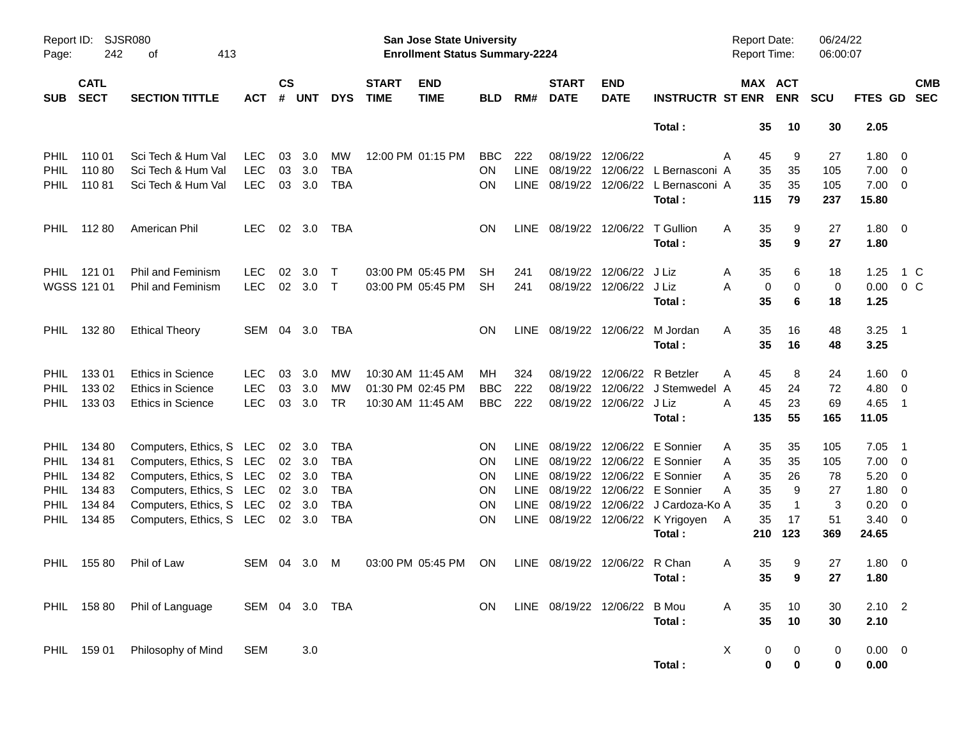| Page:                                                                           | Report ID: SJSR080<br>242<br>413<br>οf                   |                                                                                                                                                                             |                                        |                    |                                                |                                                                    |                             | San Jose State University<br><b>Enrollment Status Summary-2224</b> |                                    |                                                                  |                             |                                                        |                                                                                                                                                                                                             | Report Date:<br><b>Report Time:</b>                              |                                                    | 06/24/22<br>06:00:07                     |                                                              |                                                                                               |            |
|---------------------------------------------------------------------------------|----------------------------------------------------------|-----------------------------------------------------------------------------------------------------------------------------------------------------------------------------|----------------------------------------|--------------------|------------------------------------------------|--------------------------------------------------------------------|-----------------------------|--------------------------------------------------------------------|------------------------------------|------------------------------------------------------------------|-----------------------------|--------------------------------------------------------|-------------------------------------------------------------------------------------------------------------------------------------------------------------------------------------------------------------|------------------------------------------------------------------|----------------------------------------------------|------------------------------------------|--------------------------------------------------------------|-----------------------------------------------------------------------------------------------|------------|
| <b>SUB</b>                                                                      | <b>CATL</b><br><b>SECT</b>                               | <b>SECTION TITTLE</b>                                                                                                                                                       | <b>ACT</b>                             | $\mathsf{cs}$<br># | <b>UNT</b>                                     | <b>DYS</b>                                                         | <b>START</b><br><b>TIME</b> | <b>END</b><br><b>TIME</b>                                          | <b>BLD</b>                         | RM#                                                              | <b>START</b><br><b>DATE</b> | <b>END</b><br><b>DATE</b>                              | <b>INSTRUCTR ST ENR</b>                                                                                                                                                                                     |                                                                  | MAX ACT<br><b>ENR</b>                              | <b>SCU</b>                               | FTES GD SEC                                                  |                                                                                               | <b>CMB</b> |
|                                                                                 |                                                          |                                                                                                                                                                             |                                        |                    |                                                |                                                                    |                             |                                                                    |                                    |                                                                  |                             |                                                        | Total:                                                                                                                                                                                                      | 35                                                               | 10                                                 | 30                                       | 2.05                                                         |                                                                                               |            |
| <b>PHIL</b><br><b>PHIL</b><br><b>PHIL</b>                                       | 110 01<br>110 80<br>11081                                | Sci Tech & Hum Val<br>Sci Tech & Hum Val<br>Sci Tech & Hum Val                                                                                                              | <b>LEC</b><br><b>LEC</b><br><b>LEC</b> | 03<br>03<br>03     | 3.0<br>3.0<br>3.0                              | MW<br><b>TBA</b><br>TBA                                            |                             | 12:00 PM 01:15 PM                                                  | <b>BBC</b><br>ON.<br>ON.           | 222<br>LINE                                                      |                             | 08/19/22 12/06/22                                      | 08/19/22 12/06/22 L Bernasconi A<br>LINE 08/19/22 12/06/22 L Bernasconi A<br>Total:                                                                                                                         | A<br>45<br>35<br>35<br>115                                       | 9<br>35<br>35<br>79                                | 27<br>105<br>105<br>237                  | 1.80<br>$7.00 \t 0$<br>$7.00 \t 0$<br>15.80                  | $\overline{\phantom{0}}$                                                                      |            |
| <b>PHIL</b>                                                                     | 11280                                                    | American Phil                                                                                                                                                               | LEC.                                   |                    | 02 3.0                                         | TBA                                                                |                             |                                                                    | ON.                                |                                                                  |                             | LINE 08/19/22 12/06/22                                 | T Gullion<br>Total:                                                                                                                                                                                         | 35<br>A<br>35                                                    | 9<br>9                                             | 27<br>27                                 | $1.80 \t 0$<br>1.80                                          |                                                                                               |            |
|                                                                                 | PHIL 121 01<br>WGSS 121 01                               | <b>Phil and Feminism</b><br>Phil and Feminism                                                                                                                               | <b>LEC</b><br><b>LEC</b>               | 02                 | 3.0<br>02 3.0                                  | $\top$<br>$\top$                                                   |                             | 03:00 PM 05:45 PM<br>03:00 PM 05:45 PM                             | SH.<br>SH.                         | 241<br>241                                                       |                             | 08/19/22 12/06/22<br>08/19/22 12/06/22 J Liz           | -J Liz<br>Total :                                                                                                                                                                                           | 35<br>A<br>0<br>А<br>35                                          | 6<br>0<br>6                                        | 18<br>$\mathbf 0$<br>18                  | 1.25<br>0.00<br>1.25                                         | 1 C<br>0 <sup>o</sup>                                                                         |            |
| <b>PHIL</b>                                                                     | 132 80                                                   | <b>Ethical Theory</b>                                                                                                                                                       | SEM 04 3.0                             |                    |                                                | TBA                                                                |                             |                                                                    | ON.                                |                                                                  |                             | LINE 08/19/22 12/06/22 M Jordan                        | Total :                                                                                                                                                                                                     | Α<br>35<br>35                                                    | 16<br>16                                           | 48<br>48                                 | 3.25<br>3.25                                                 | - 1                                                                                           |            |
| <b>PHIL</b><br><b>PHIL</b><br><b>PHIL</b>                                       | 133 01<br>13302<br>133 03                                | <b>Ethics in Science</b><br>Ethics in Science<br><b>Ethics in Science</b>                                                                                                   | LEC.<br><b>LEC</b><br><b>LEC</b>       | 03<br>03<br>03     | 3.0<br>3.0<br>3.0                              | МW<br>MW<br><b>TR</b>                                              | 10:30 AM 11:45 AM           | 01:30 PM 02:45 PM<br>10:30 AM 11:45 AM                             | MН<br><b>BBC</b><br><b>BBC</b>     | 324<br>222<br>222                                                |                             | 08/19/22 12/06/22 R Betzler<br>08/19/22 12/06/22 J Liz | 08/19/22 12/06/22 J Stemwedel A<br>Total:                                                                                                                                                                   | A<br>45<br>45<br>Α<br>45<br>135                                  | 8<br>24<br>23<br>55                                | 24<br>72<br>69<br>165                    | $1.60 \t 0$<br>$4.80\quad 0$<br>4.65<br>11.05                | $\overline{\phantom{1}}$                                                                      |            |
| <b>PHIL</b><br><b>PHIL</b><br><b>PHIL</b><br><b>PHIL</b><br>PHIL<br><b>PHIL</b> | 134 80<br>134 81<br>134 82<br>134 83<br>134 84<br>134 85 | Computers, Ethics, S LEC<br>Computers, Ethics, S LEC<br>Computers, Ethics, S LEC<br>Computers, Ethics, S LEC<br>Computers, Ethics, S LEC<br>Computers, Ethics, S LEC 02 3.0 |                                        |                    | 02 3.0<br>02 3.0<br>02 3.0<br>02 3.0<br>02 3.0 | TBA<br>TBA<br><b>TBA</b><br><b>TBA</b><br><b>TBA</b><br><b>TBA</b> |                             |                                                                    | ON.<br>ON<br>ON<br>ON.<br>0N<br>ΟN | <b>LINE</b><br>LINE<br><b>LINE</b><br><b>LINE</b><br><b>LINE</b> |                             |                                                        | 08/19/22 12/06/22 E Sonnier<br>08/19/22 12/06/22 E Sonnier<br>08/19/22 12/06/22 E Sonnier<br>08/19/22 12/06/22 E Sonnier<br>08/19/22 12/06/22 J Cardoza-Ko A<br>LINE 08/19/22 12/06/22 K Yrigoyen<br>Total: | 35<br>A<br>35<br>A<br>35<br>A<br>35<br>A<br>35<br>35<br>A<br>210 | 35<br>35<br>26<br>9<br>$\overline{1}$<br>17<br>123 | 105<br>105<br>78<br>27<br>3<br>51<br>369 | 7.05<br>$7.00 \t 0$<br>5.20<br>1.80<br>0.20<br>3.40<br>24.65 | - 1<br>$\overline{\mathbf{0}}$<br>$\overline{0}$<br>$\overline{0}$<br>$\overline{\mathbf{0}}$ |            |
| <b>PHIL</b>                                                                     | 15580                                                    | Phil of Law                                                                                                                                                                 | SEM 04 3.0                             |                    |                                                | M                                                                  |                             | 03:00 PM 05:45 PM                                                  | <b>ON</b>                          |                                                                  |                             | LINE 08/19/22 12/06/22 R Chan                          | Total :                                                                                                                                                                                                     | 35<br>A<br>35                                                    | 9<br>$\overline{\mathbf{9}}$                       | 27<br>27                                 | $1.80 \ 0$<br>1.80                                           |                                                                                               |            |
|                                                                                 | PHIL 158 80                                              | Phil of Language                                                                                                                                                            | SEM 04 3.0 TBA                         |                    |                                                |                                                                    |                             |                                                                    | ON.                                |                                                                  |                             | LINE 08/19/22 12/06/22                                 | <b>B</b> Mou<br>Total:                                                                                                                                                                                      | 35<br>A<br>35                                                    | 10<br>10                                           | 30<br>30                                 | $2.10$ 2<br>2.10                                             |                                                                                               |            |
|                                                                                 | PHIL 159 01                                              | Philosophy of Mind                                                                                                                                                          | <b>SEM</b>                             |                    | 3.0                                            |                                                                    |                             |                                                                    |                                    |                                                                  |                             |                                                        | Total:                                                                                                                                                                                                      | X<br>0                                                           | 0<br>$\mathbf 0$<br>$\pmb{0}$                      | 0<br>0                                   | $0.00 \t 0$<br>0.00                                          |                                                                                               |            |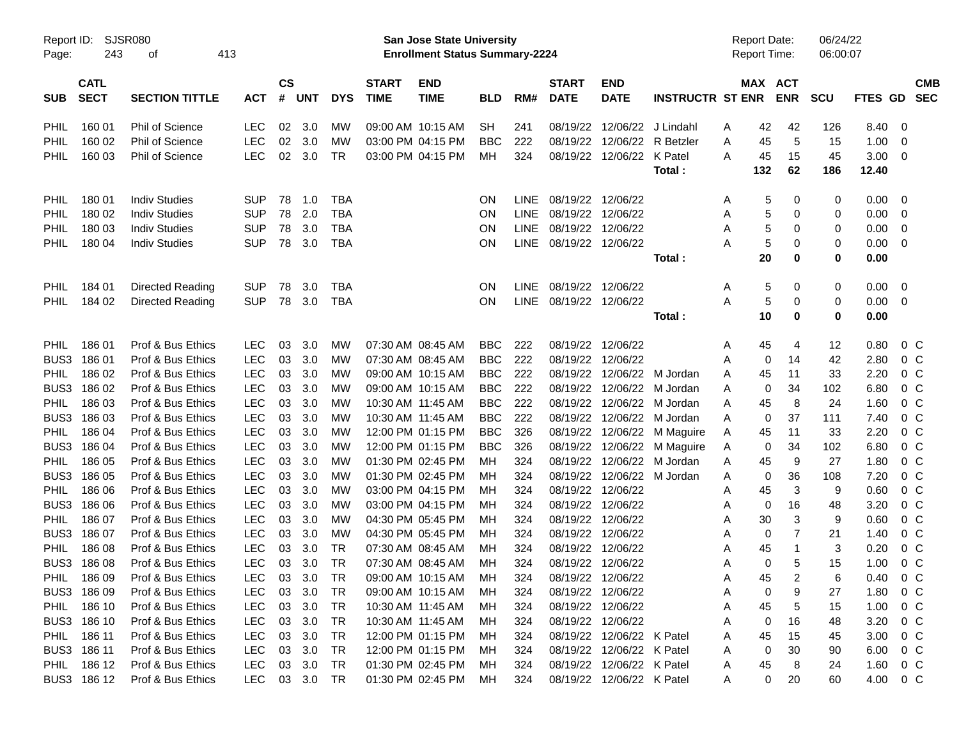| Report ID:  | SJSR080     |                        |            |               |            |            | <b>San Jose State University</b> |                                       |            |             |                   |                           | <b>Report Date:</b>     |                     | 06/24/22            |            |         |                |
|-------------|-------------|------------------------|------------|---------------|------------|------------|----------------------------------|---------------------------------------|------------|-------------|-------------------|---------------------------|-------------------------|---------------------|---------------------|------------|---------|----------------|
| Page:       | 243         | 413<br>οf              |            |               |            |            |                                  | <b>Enrollment Status Summary-2224</b> |            |             |                   |                           |                         | <b>Report Time:</b> |                     | 06:00:07   |         |                |
|             | <b>CATL</b> |                        |            | $\mathsf{cs}$ |            |            | <b>START</b>                     | <b>END</b>                            |            |             | <b>START</b>      | <b>END</b>                |                         |                     | MAX ACT             |            |         | <b>CMB</b>     |
| <b>SUB</b>  | <b>SECT</b> | <b>SECTION TITTLE</b>  | <b>ACT</b> | #             | <b>UNT</b> | <b>DYS</b> | <b>TIME</b>                      | <b>TIME</b>                           | <b>BLD</b> | RM#         | <b>DATE</b>       | <b>DATE</b>               | <b>INSTRUCTR ST ENR</b> |                     | <b>ENR</b>          | <b>SCU</b> | FTES GD | <b>SEC</b>     |
| PHIL        | 160 01      | <b>Phil of Science</b> | <b>LEC</b> | 02            | 3.0        | МW         |                                  | 09:00 AM 10:15 AM                     | <b>SH</b>  | 241         | 08/19/22          | 12/06/22                  | J Lindahl               | Α                   | 42<br>42            | 126        | 8.40    | 0              |
| PHIL        | 160 02      | Phil of Science        | <b>LEC</b> | 02            | 3.0        | МW         |                                  | 03:00 PM 04:15 PM                     | <b>BBC</b> | 222         | 08/19/22          | 12/06/22                  | R Betzler               | Α                   | 5<br>45             | 15         | 1.00    | 0              |
| PHIL        | 160 03      | <b>Phil of Science</b> | LEC        | 02            | 3.0        | <b>TR</b>  |                                  | 03:00 PM 04:15 PM                     | МH         | 324         | 08/19/22          | 12/06/22                  | K Patel                 | Α                   | 15<br>45            | 45         | 3.00    | 0              |
|             |             |                        |            |               |            |            |                                  |                                       |            |             |                   |                           | Total:                  | 132                 | 62                  | 186        | 12.40   |                |
| PHIL        | 180 01      | <b>Indiv Studies</b>   | <b>SUP</b> | 78            | 1.0        | <b>TBA</b> |                                  |                                       | ON         | <b>LINE</b> | 08/19/22          | 12/06/22                  |                         | Α                   | 5<br>0              | 0          | 0.00    | 0              |
| PHIL        | 180 02      | <b>Indiv Studies</b>   | <b>SUP</b> | 78            | 2.0        | <b>TBA</b> |                                  |                                       | ON         | <b>LINE</b> | 08/19/22          | 12/06/22                  |                         | Α                   | 5<br>0              | 0          | 0.00    | 0              |
| PHIL        | 180 03      | <b>Indiv Studies</b>   | <b>SUP</b> | 78            | 3.0        | <b>TBA</b> |                                  |                                       | ON         | <b>LINE</b> | 08/19/22          | 12/06/22                  |                         | Α                   | 5<br>0              | 0          | 0.00    | 0              |
| <b>PHIL</b> | 180 04      | <b>Indiv Studies</b>   | <b>SUP</b> | 78            | 3.0        | <b>TBA</b> |                                  |                                       | ON         | <b>LINE</b> | 08/19/22 12/06/22 |                           |                         | А                   | 5<br>0              | 0          | 0.00    | 0              |
|             |             |                        |            |               |            |            |                                  |                                       |            |             |                   |                           | Total:                  |                     | 20<br>0             | 0          | 0.00    |                |
| <b>PHIL</b> | 184 01      | Directed Reading       | <b>SUP</b> | 78            | 3.0        | <b>TBA</b> |                                  |                                       | ON         | <b>LINE</b> | 08/19/22          | 12/06/22                  |                         | Α                   | 5<br>0              | 0          | 0.00    | 0              |
| PHIL        | 184 02      | Directed Reading       | <b>SUP</b> | 78            | 3.0        | <b>TBA</b> |                                  |                                       | ON         | <b>LINE</b> | 08/19/22 12/06/22 |                           |                         | Α                   | 5<br>0              | 0          | 0.00    | 0              |
|             |             |                        |            |               |            |            |                                  |                                       |            |             |                   |                           | Total:                  |                     | 10<br>0             | 0          | 0.00    |                |
| <b>PHIL</b> | 186 01      | Prof & Bus Ethics      | <b>LEC</b> | 03            | 3.0        | MW         |                                  | 07:30 AM 08:45 AM                     | <b>BBC</b> | 222         | 08/19/22          | 12/06/22                  |                         | Α                   | 45<br>4             | 12         | 0.80    | $0\,$ C        |
| BUS3        | 186 01      | Prof & Bus Ethics      | <b>LEC</b> | 03            | 3.0        | MW         |                                  | 07:30 AM 08:45 AM                     | <b>BBC</b> | 222         | 08/19/22          | 12/06/22                  |                         | Α                   | 0<br>14             | 42         | 2.80    | $0\,C$         |
| PHIL        | 186 02      | Prof & Bus Ethics      | <b>LEC</b> | 03            | 3.0        | <b>MW</b>  |                                  | 09:00 AM 10:15 AM                     | <b>BBC</b> | 222         | 08/19/22          | 12/06/22                  | M Jordan                | A                   | 11<br>45            | 33         | 2.20    | 0 <sup>o</sup> |
| BUS3        | 186 02      | Prof & Bus Ethics      | <b>LEC</b> | 03            | 3.0        | <b>MW</b>  |                                  | 09:00 AM 10:15 AM                     | <b>BBC</b> | 222         | 08/19/22          | 12/06/22                  | M Jordan                | Α                   | 34<br>0             | 102        | 6.80    | 0 <sup>C</sup> |
| PHIL        | 186 03      | Prof & Bus Ethics      | <b>LEC</b> | 03            | 3.0        | <b>MW</b>  | 10:30 AM 11:45 AM                |                                       | <b>BBC</b> | 222         | 08/19/22          | 12/06/22                  | M Jordan                | Α                   | 8<br>45             | 24         | 1.60    | 0 <sup>C</sup> |
| BUS3        | 186 03      | Prof & Bus Ethics      | <b>LEC</b> | 03            | 3.0        | <b>MW</b>  | 10:30 AM 11:45 AM                |                                       | <b>BBC</b> | 222         | 08/19/22          | 12/06/22                  | M Jordan                | Α                   | 37<br>0             | 111        | 7.40    | 0 <sup>C</sup> |
| PHIL        | 186 04      | Prof & Bus Ethics      | <b>LEC</b> | 03            | 3.0        | <b>MW</b>  |                                  | 12:00 PM 01:15 PM                     | <b>BBC</b> | 326         | 08/19/22          | 12/06/22                  | M Maguire               | Α                   | 11<br>45            | 33         | 2.20    | 0 <sup>C</sup> |
| BUS3        | 186 04      | Prof & Bus Ethics      | <b>LEC</b> | 03            | 3.0        | <b>MW</b>  |                                  | 12:00 PM 01:15 PM                     | <b>BBC</b> | 326         | 08/19/22          | 12/06/22                  | M Maguire               | Α                   | 34<br>0             | 102        | 6.80    | 0 <sup>C</sup> |
| PHIL        | 186 05      | Prof & Bus Ethics      | LEC        | 03            | 3.0        | <b>MW</b>  |                                  | 01:30 PM 02:45 PM                     | MН         | 324         | 08/19/22          | 12/06/22                  | M Jordan                | Α                   | 9<br>45             | 27         | 1.80    | 0 <sup>C</sup> |
| BUS3        | 186 05      | Prof & Bus Ethics      | <b>LEC</b> | 03            | 3.0        | <b>MW</b>  |                                  | 01:30 PM 02:45 PM                     | MН         | 324         | 08/19/22          | 12/06/22                  | M Jordan                | Α                   | 36<br>0             | 108        | 7.20    | 0 <sup>C</sup> |
| <b>PHIL</b> | 186 06      | Prof & Bus Ethics      | <b>LEC</b> | 03            | 3.0        | <b>MW</b>  |                                  | 03:00 PM 04:15 PM                     | MН         | 324         | 08/19/22          | 12/06/22                  |                         | Α                   | 3<br>45             | 9          | 0.60    | 0 <sup>C</sup> |
| BUS3        | 186 06      | Prof & Bus Ethics      | <b>LEC</b> | 03            | 3.0        | МW         |                                  | 03:00 PM 04:15 PM                     | MН         | 324         | 08/19/22          | 12/06/22                  |                         | Α                   | 16<br>0             | 48         | 3.20    | 0 <sup>C</sup> |
| PHIL        | 186 07      | Prof & Bus Ethics      | LEC        | 03            | 3.0        | <b>MW</b>  |                                  | 04:30 PM 05:45 PM                     | MН         | 324         | 08/19/22          | 12/06/22                  |                         | Α                   | 3<br>30             | 9          | 0.60    | 0 <sup>C</sup> |
| BUS3        | 186 07      | Prof & Bus Ethics      | LEC        | 03            | 3.0        | <b>MW</b>  |                                  | 04:30 PM 05:45 PM                     | MН         | 324         | 08/19/22          | 12/06/22                  |                         | Α                   | $\overline{7}$<br>0 | 21         | 1.40    | $0\,C$         |
| <b>PHIL</b> | 186 08      | Prof & Bus Ethics      | <b>LEC</b> | 03            | 3.0        | <b>TR</b>  | 07:30 AM 08:45 AM                |                                       | мн         | 324         | 08/19/22          | 12/06/22                  |                         | Α                   | 45<br>$\mathbf{1}$  | 3          | 0.20    | 0 <sup>C</sup> |
| BUS3        | 18608       | Prof & Bus Ethics      | LEC        | 03            | 3.0        | <b>TR</b>  |                                  | 07:30 AM 08:45 AM                     | MН         | 324         | 08/19/22 12/06/22 |                           |                         | Α                   | 5<br>0              | 15         | 1.00    | 0 <sup>o</sup> |
| PHIL        | 186 09      | Prof & Bus Ethics      | LEC        | 03            | 3.0        | <b>TR</b>  |                                  | 09:00 AM 10:15 AM                     | MH         | 324         | 08/19/22 12/06/22 |                           |                         | A                   | 45<br>2             | 6          | 0.40    | $0\,C$         |
|             | BUS3 186 09 | Prof & Bus Ethics      | LEC        | 03            | 3.0        | <b>TR</b>  |                                  | 09:00 AM 10:15 AM                     | MН         | 324         |                   | 08/19/22 12/06/22         |                         | Α                   | 9<br>0              | 27         | 1.80    | $0\,C$         |
| PHIL        | 186 10      | Prof & Bus Ethics      | LEC        | 03            | 3.0        | TR         | 10:30 AM 11:45 AM                |                                       | MН         | 324         |                   | 08/19/22 12/06/22         |                         | Α                   | 5<br>45             | 15         | 1.00    | $0\,C$         |
|             | BUS3 186 10 | Prof & Bus Ethics      | LEC        | 03            | 3.0        | <b>TR</b>  | 10:30 AM 11:45 AM                |                                       | MН         | 324         |                   | 08/19/22 12/06/22         |                         | Α                   | 16<br>0             | 48         | 3.20    | $0\,C$         |
| PHIL        | 186 11      | Prof & Bus Ethics      | LEC        | 03            | 3.0        | <b>TR</b>  |                                  | 12:00 PM 01:15 PM                     | MН         | 324         |                   | 08/19/22 12/06/22 K Patel |                         | Α                   | 15<br>45            | 45         | 3.00    | $0\,C$         |
|             | BUS3 186 11 | Prof & Bus Ethics      | LEC        | 03            | 3.0        | <b>TR</b>  |                                  | 12:00 PM 01:15 PM                     | MН         | 324         |                   | 08/19/22 12/06/22 K Patel |                         | Α                   | 30<br>0             | 90         | 6.00    | $0\,C$         |
| PHIL        | 186 12      | Prof & Bus Ethics      | LEC        | 03            | 3.0        | <b>TR</b>  |                                  | 01:30 PM 02:45 PM                     | MН         | 324         | 08/19/22          | 12/06/22 K Patel          |                         | Α                   | 8<br>45             | 24         | 1.60    | $0\,C$         |
|             | BUS3 186 12 | Prof & Bus Ethics      | <b>LEC</b> | 03            | 3.0        | <b>TR</b>  |                                  | 01:30 PM 02:45 PM                     | MН         | 324         | 08/19/22          | 12/06/22 K Patel          |                         | A                   | 0<br>20             | 60         | 4.00    | $0\,C$         |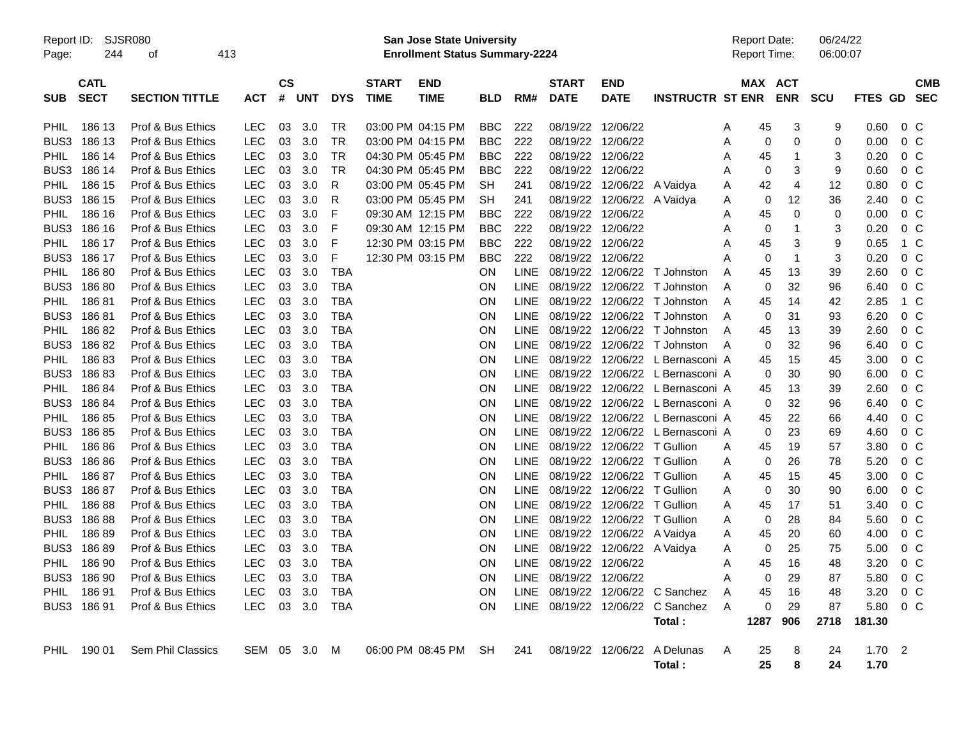| Report ID: |  | SJSR0 |
|------------|--|-------|
|------------|--|-------|

Report ID: SJSR080 **San Jose State University** Report Date: 06/24/22

Page: 244 of 413 **Enrollment Status Summary-2224** Report Time: 06:00:07

|                  | <b>CATL</b> |                       |            | <b>CS</b> |            |            | <b>START</b> | <b>END</b>        |            |             | <b>START</b>      | <b>END</b>                  |                                  |   | <b>MAX ACT</b> |                |            |             | <b>CMB</b>     |  |
|------------------|-------------|-----------------------|------------|-----------|------------|------------|--------------|-------------------|------------|-------------|-------------------|-----------------------------|----------------------------------|---|----------------|----------------|------------|-------------|----------------|--|
| <b>SUB</b>       | <b>SECT</b> | <b>SECTION TITTLE</b> | <b>ACT</b> | #         | <b>UNT</b> | <b>DYS</b> | <b>TIME</b>  | <b>TIME</b>       | BLD        | RM#         | <b>DATE</b>       | <b>DATE</b>                 | <b>INSTRUCTR ST ENR</b>          |   |                | <b>ENR</b>     | <b>SCU</b> | FTES GD SEC |                |  |
|                  |             |                       |            |           |            |            |              |                   |            |             |                   |                             |                                  |   |                |                |            |             |                |  |
| PHIL             | 186 13      | Prof & Bus Ethics     | <b>LEC</b> | 03        | 3.0        | TR         |              | 03:00 PM 04:15 PM | <b>BBC</b> | 222         | 08/19/22 12/06/22 |                             |                                  | A | 45             | 3              | 9          | 0.60        | 0 <sup>o</sup> |  |
| BUS3             | 186 13      | Prof & Bus Ethics     | <b>LEC</b> | 03        | 3.0        | <b>TR</b>  |              | 03:00 PM 04:15 PM | <b>BBC</b> | 222         | 08/19/22 12/06/22 |                             |                                  | A | 0              | 0              | 0          | 0.00        | $0\,C$         |  |
| <b>PHIL</b>      | 186 14      | Prof & Bus Ethics     | <b>LEC</b> | 03        | 3.0        | TR         |              | 04:30 PM 05:45 PM | BBC        | 222         | 08/19/22 12/06/22 |                             |                                  | A | 45             | 1              | 3          | 0.20        | 0 <sup>o</sup> |  |
| BUS3             | 186 14      | Prof & Bus Ethics     | <b>LEC</b> | 03        | 3.0        | <b>TR</b>  |              | 04:30 PM 05:45 PM | <b>BBC</b> | 222         | 08/19/22 12/06/22 |                             |                                  | Α | 0              | 3              | 9          | 0.60        | $0\,C$         |  |
| <b>PHIL</b>      | 186 15      | Prof & Bus Ethics     | <b>LEC</b> | 03        | 3.0        | R          |              | 03:00 PM 05:45 PM | <b>SH</b>  | 241         |                   | 08/19/22 12/06/22 A Vaidya  |                                  | A | 42             | $\overline{4}$ | 12         | 0.80        | $0\,C$         |  |
| BUS <sub>3</sub> | 186 15      | Prof & Bus Ethics     | LEC        | 03        | 3.0        | R          |              | 03:00 PM 05:45 PM | SН         | 241         |                   | 08/19/22 12/06/22 A Vaidya  |                                  | A | $\mathbf 0$    | 12             | 36         | 2.40        | 0 <sup>o</sup> |  |
| PHIL             | 186 16      | Prof & Bus Ethics     | <b>LEC</b> | 03        | 3.0        | F          |              | 09:30 AM 12:15 PM | <b>BBC</b> | 222         | 08/19/22 12/06/22 |                             |                                  | Α | 45             | 0              | 0          | 0.00        | $0\,C$         |  |
| BUS3             | 186 16      | Prof & Bus Ethics     | <b>LEC</b> | 03        | 3.0        | F          |              | 09:30 AM 12:15 PM | <b>BBC</b> | 222         | 08/19/22 12/06/22 |                             |                                  | A | $\mathbf 0$    | $\mathbf 1$    | 3          | 0.20        | $0\,C$         |  |
| <b>PHIL</b>      | 186 17      | Prof & Bus Ethics     | <b>LEC</b> | 03        | 3.0        | F          |              | 12:30 PM 03:15 PM | <b>BBC</b> | 222         | 08/19/22 12/06/22 |                             |                                  | A | 45             | 3              | 9          | 0.65        | 1 C            |  |
| BUS <sub>3</sub> | 186 17      | Prof & Bus Ethics     | <b>LEC</b> | 03        | 3.0        | F          |              | 12:30 PM 03:15 PM | <b>BBC</b> | 222         | 08/19/22 12/06/22 |                             |                                  | Α | 0              | $\overline{1}$ | 3          | 0.20        | 0 <sup>o</sup> |  |
| <b>PHIL</b>      | 18680       | Prof & Bus Ethics     | <b>LEC</b> | 03        | 3.0        | <b>TBA</b> |              |                   | ON         | <b>LINE</b> |                   |                             | 08/19/22 12/06/22 T Johnston     | A | 45             | 13             | 39         | 2.60        | $0\,C$         |  |
| BUS <sub>3</sub> | 18680       | Prof & Bus Ethics     | <b>LEC</b> | 03        | 3.0        | <b>TBA</b> |              |                   | ON         | <b>LINE</b> | 08/19/22          | 12/06/22                    | T Johnston                       | A | 0              | 32             | 96         | 6.40        | $0\,C$         |  |
| <b>PHIL</b>      | 18681       | Prof & Bus Ethics     | <b>LEC</b> | 03        | 3.0        | <b>TBA</b> |              |                   | ON         | LINE        |                   |                             | 08/19/22 12/06/22 T Johnston     | A | 45             | 14             | 42         | 2.85        | 1 C            |  |
| BUS3             | 18681       | Prof & Bus Ethics     | <b>LEC</b> | 03        | 3.0        | <b>TBA</b> |              |                   | ON         | LINE        | 08/19/22          |                             | 12/06/22 T Johnston              | A | 0              | 31             | 93         | 6.20        | $0\,C$         |  |
| <b>PHIL</b>      | 18682       | Prof & Bus Ethics     | <b>LEC</b> | 03        | 3.0        | <b>TBA</b> |              |                   | ON         | <b>LINE</b> |                   | 08/19/22 12/06/22           | T Johnston                       | A | 45             | 13             | 39         | 2.60        | $0\,C$         |  |
| BUS3             | 18682       | Prof & Bus Ethics     | <b>LEC</b> | 03        | 3.0        | <b>TBA</b> |              |                   | ON         | LINE        |                   |                             | 08/19/22 12/06/22 T Johnston     | A | $\mathbf 0$    | 32             | 96         | 6.40        | $0\,C$         |  |
| <b>PHIL</b>      | 18683       | Prof & Bus Ethics     | <b>LEC</b> | 03        | 3.0        | <b>TBA</b> |              |                   | 0N         | <b>LINE</b> | 08/19/22          |                             | 12/06/22 L Bernasconi A          |   | 45             | 15             | 45         | 3.00        | 0 C            |  |
| BUS3             | 18683       | Prof & Bus Ethics     | <b>LEC</b> | 03        | 3.0        | <b>TBA</b> |              |                   | ON         | LINE        |                   |                             | 08/19/22 12/06/22 L Bernasconi A |   | $\Omega$       | 30             | 90         | 6.00        | $0\,C$         |  |
| <b>PHIL</b>      | 18684       | Prof & Bus Ethics     | <b>LEC</b> | 03        | 3.0        | <b>TBA</b> |              |                   | ON         | <b>LINE</b> |                   |                             | 08/19/22 12/06/22 L Bernasconi A |   | 45             | 13             | 39         | 2.60        | $0\,C$         |  |
| BUS3             | 18684       | Prof & Bus Ethics     | <b>LEC</b> | 03        | 3.0        | <b>TBA</b> |              |                   | 0N         | <b>LINE</b> |                   |                             | 08/19/22 12/06/22 L Bernasconi A |   | 0              | 32             | 96         | 6.40        | 0 C            |  |
| PHIL             | 18685       | Prof & Bus Ethics     | <b>LEC</b> | 03        | 3.0        | <b>TBA</b> |              |                   | 0N         | <b>LINE</b> |                   |                             | 08/19/22 12/06/22 L Bernasconi A |   | 45             | 22             | 66         | 4.40        | $0\,C$         |  |
| BUS3             | 18685       | Prof & Bus Ethics     | <b>LEC</b> | 03        | 3.0        | <b>TBA</b> |              |                   | 0N         | LINE        | 08/19/22          |                             | 12/06/22 L Bernasconi A          |   | 0              | 23             | 69         | 4.60        | $0\,C$         |  |
| <b>PHIL</b>      | 18686       | Prof & Bus Ethics     | <b>LEC</b> | 03        | 3.0        | <b>TBA</b> |              |                   | <b>ON</b>  | LINE        |                   | 08/19/22 12/06/22 T Gullion |                                  | A | 45             | 19             | 57         | 3.80        | $0\,C$         |  |
| BUS3             | 18686       | Prof & Bus Ethics     | <b>LEC</b> | 03        | 3.0        | <b>TBA</b> |              |                   | ON         | LINE        |                   | 08/19/22 12/06/22 T Gullion |                                  | A | 0              | 26             | 78         | 5.20        | 0 C            |  |
| <b>PHIL</b>      | 18687       | Prof & Bus Ethics     | <b>LEC</b> | 03        | 3.0        | <b>TBA</b> |              |                   | ON         | <b>LINE</b> |                   | 08/19/22 12/06/22 T Gullion |                                  | Α | 45             | 15             | 45         | 3.00        | $0\,C$         |  |
| BUS3             | 18687       | Prof & Bus Ethics     | <b>LEC</b> | 03        | 3.0        | <b>TBA</b> |              |                   | <b>ON</b>  | LINE        |                   | 08/19/22 12/06/22 T Gullion |                                  | A | 0              | 30             | 90         | 6.00        | $0\,C$         |  |
| <b>PHIL</b>      | 18688       | Prof & Bus Ethics     | <b>LEC</b> | 03        | 3.0        | <b>TBA</b> |              |                   | <b>ON</b>  | <b>LINE</b> |                   | 08/19/22 12/06/22 T Gullion |                                  | A | 45             | 17             | 51         | 3.40        | 0 <sup>o</sup> |  |
| BUS3             | 18688       | Prof & Bus Ethics     | <b>LEC</b> | 03        | 3.0        | <b>TBA</b> |              |                   | <b>ON</b>  | LINE        | 08/19/22          | 12/06/22 T Gullion          |                                  | A | $\mathbf 0$    | 28             | 84         | 5.60        | 0 C            |  |
| <b>PHIL</b>      | 18689       | Prof & Bus Ethics     | <b>LEC</b> | 03        | 3.0        | <b>TBA</b> |              |                   | ON         | <b>LINE</b> |                   | 08/19/22 12/06/22 A Vaidya  |                                  | A | 45             | 20             | 60         | 4.00        | $0\,C$         |  |
| BUS3             | 18689       | Prof & Bus Ethics     | <b>LEC</b> | 03        | 3.0        | <b>TBA</b> |              |                   | <b>ON</b>  | <b>LINE</b> |                   | 08/19/22 12/06/22 A Vaidya  |                                  | A | 0              | 25             | 75         | 5.00        | $0\,C$         |  |
| <b>PHIL</b>      | 186 90      | Prof & Bus Ethics     | <b>LEC</b> | 03        | 3.0        | <b>TBA</b> |              |                   | <b>ON</b>  | <b>LINE</b> | 08/19/22 12/06/22 |                             |                                  | A | 45             | 16             | 48         | 3.20        | $0\,C$         |  |
| BUS3             | 186 90      | Prof & Bus Ethics     | <b>LEC</b> | 03        | 3.0        | <b>TBA</b> |              |                   | <b>ON</b>  | <b>LINE</b> | 08/19/22 12/06/22 |                             |                                  | A | 0              | 29             | 87         | 5.80        | 0 <sup>o</sup> |  |
| PHIL             | 18691       | Prof & Bus Ethics     | <b>LEC</b> | 03        | 3.0        | <b>TBA</b> |              |                   | <b>ON</b>  | LINE        |                   |                             | 08/19/22 12/06/22 C Sanchez      | A | 45             | 16             | 48         | 3.20        | $0\,C$         |  |
| BUS3             | 18691       | Prof & Bus Ethics     | LEC.       | 03        | 3.0        | <b>TBA</b> |              |                   | <b>ON</b>  | <b>LINE</b> |                   | 08/19/22 12/06/22           | C Sanchez                        | A | $\mathbf 0$    | 29             | 87         | 5.80        | $0\,C$         |  |
|                  |             |                       |            |           |            |            |              |                   |            |             |                   |                             | Total:                           |   | 1287           | 906            | 2718       | 181.30      |                |  |
|                  |             |                       |            |           |            |            |              |                   |            |             |                   |                             |                                  |   |                |                |            |             |                |  |
| <b>PHIL</b>      | 190 01      | Sem Phil Classics     | SEM        | 05        | 3.0        | M          |              | 06:00 PM 08:45 PM | <b>SH</b>  | 241         |                   | 08/19/22 12/06/22           | A Delunas                        | A | 25             | 8              | 24         | 1.70        | $\overline{2}$ |  |
|                  |             |                       |            |           |            |            |              |                   |            |             |                   |                             | Total:                           |   | 25             | 8              | 24         | 1.70        |                |  |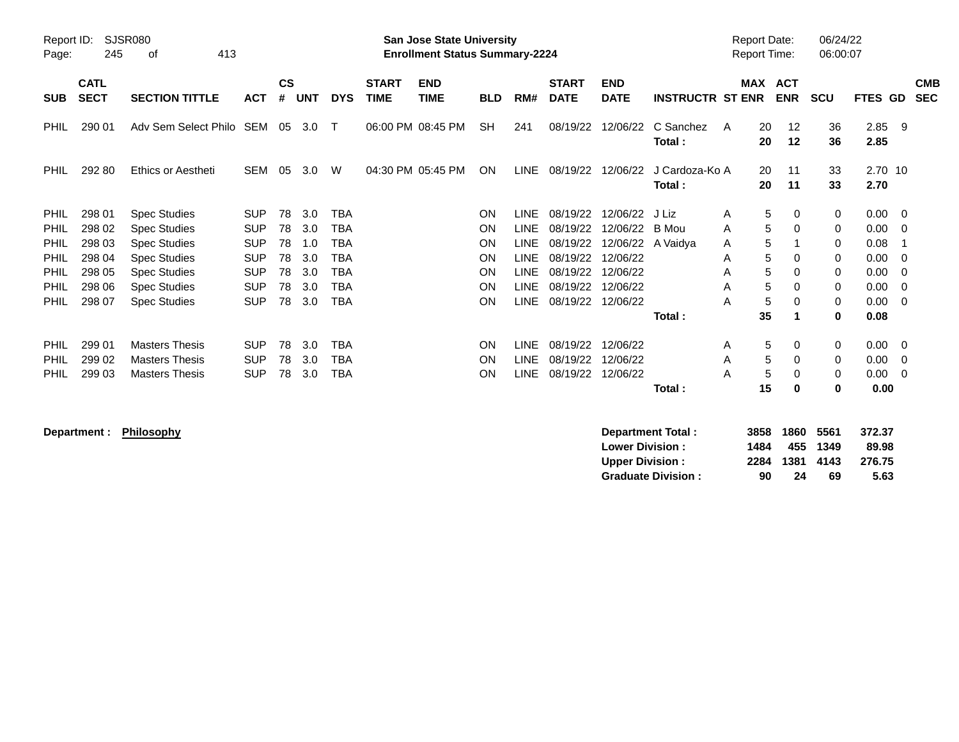| Report ID:<br>Page: | 245                        | <b>SJSR080</b><br>413<br>οf |            |                |            |            |                             | <b>San Jose State University</b><br><b>Enrollment Status Summary-2224</b> |            |             |                             |                           |                          |   | <b>Report Date:</b><br><b>Report Time:</b> |                          | 06/24/22<br>06:00:07 |                 |                          |                          |
|---------------------|----------------------------|-----------------------------|------------|----------------|------------|------------|-----------------------------|---------------------------------------------------------------------------|------------|-------------|-----------------------------|---------------------------|--------------------------|---|--------------------------------------------|--------------------------|----------------------|-----------------|--------------------------|--------------------------|
| <b>SUB</b>          | <b>CATL</b><br><b>SECT</b> | <b>SECTION TITTLE</b>       | <b>ACT</b> | <b>CS</b><br># | <b>UNT</b> | <b>DYS</b> | <b>START</b><br><b>TIME</b> | <b>END</b><br><b>TIME</b>                                                 | <b>BLD</b> | RM#         | <b>START</b><br><b>DATE</b> | <b>END</b><br><b>DATE</b> | <b>INSTRUCTR ST ENR</b>  |   | MAX                                        | <b>ACT</b><br><b>ENR</b> | <b>SCU</b>           | <b>FTES</b>     | GD                       | <b>CMB</b><br><b>SEC</b> |
| PHIL                | 290 01                     | Adv Sem Select Philo SEM 05 |            |                | 3.0        | $\top$     |                             | 06:00 PM 08:45 PM                                                         | <b>SH</b>  | 241         | 08/19/22                    | 12/06/22                  | C Sanchez<br>Total:      | A | 20<br>20                                   | 12<br>12                 | 36<br>36             | 2.85<br>2.85    | - 9                      |                          |
| <b>PHIL</b>         | 292 80                     | Ethics or Aestheti          | <b>SEM</b> | 05             | 3.0        | W          |                             | 04:30 PM 05:45 PM                                                         | <b>ON</b>  | <b>LINE</b> | 08/19/22                    | 12/06/22                  | J Cardoza-Ko A<br>Total: |   | 20<br>20                                   | 11<br>11                 | 33<br>33             | 2.70 10<br>2.70 |                          |                          |
| <b>PHIL</b>         | 298 01                     | <b>Spec Studies</b>         | <b>SUP</b> | 78             | 3.0        | <b>TBA</b> |                             |                                                                           | ON         | <b>LINE</b> | 08/19/22                    | 12/06/22                  | J Liz                    | A | 5                                          | 0                        | 0                    | 0.00            | - 0                      |                          |
| <b>PHIL</b>         | 298 02                     | <b>Spec Studies</b>         | <b>SUP</b> | 78             | 3.0        | TBA        |                             |                                                                           | <b>ON</b>  | <b>LINE</b> | 08/19/22                    | 12/06/22                  | B Mou                    | A | 5                                          | 0                        | 0                    | 0.00            | - 0                      |                          |
| <b>PHIL</b>         | 298 03                     | <b>Spec Studies</b>         | <b>SUP</b> | 78             | 1.0        | TBA        |                             |                                                                           | <b>ON</b>  | LINE        | 08/19/22                    |                           | 12/06/22 A Vaidya        | A | 5                                          |                          | 0                    | 0.08            |                          |                          |
| <b>PHIL</b>         | 298 04                     | <b>Spec Studies</b>         | <b>SUP</b> | 78             | 3.0        | TBA        |                             |                                                                           | ON         | LINE        | 08/19/22                    | 12/06/22                  |                          | A | 5                                          | $\Omega$                 | 0                    | 0.00            | - 0                      |                          |
| <b>PHIL</b>         | 298 05                     | <b>Spec Studies</b>         | <b>SUP</b> | 78             | 3.0        | <b>TBA</b> |                             |                                                                           | <b>ON</b>  | LINE        | 08/19/22                    | 12/06/22                  |                          | A | 5                                          | $\Omega$                 | 0                    | 0.00            | - 0                      |                          |
| <b>PHIL</b>         | 298 06                     | <b>Spec Studies</b>         | <b>SUP</b> | 78             | 3.0        | <b>TBA</b> |                             |                                                                           | <b>ON</b>  | <b>LINE</b> | 08/19/22                    | 12/06/22                  |                          | A | 5                                          | 0                        | 0                    | 0.00            | - 0                      |                          |
| <b>PHIL</b>         | 298 07                     | <b>Spec Studies</b>         | <b>SUP</b> | 78             | 3.0        | <b>TBA</b> |                             |                                                                           | <b>ON</b>  | LINE        | 08/19/22                    | 12/06/22                  |                          | A | 5                                          | $\Omega$                 | 0                    | 0.00            | - 0                      |                          |
|                     |                            |                             |            |                |            |            |                             |                                                                           |            |             |                             |                           | Total:                   |   | 35                                         | 1                        | $\bf{0}$             | 0.08            |                          |                          |
| <b>PHIL</b>         | 299 01                     | <b>Masters Thesis</b>       | <b>SUP</b> | 78             | 3.0        | <b>TBA</b> |                             |                                                                           | ON         | <b>LINE</b> | 08/19/22                    | 12/06/22                  |                          | A | 5                                          | 0                        | 0                    | 0.00            | $\overline{\phantom{0}}$ |                          |
| PHIL                | 299 02                     | <b>Masters Thesis</b>       | <b>SUP</b> | 78             | 3.0        | <b>TBA</b> |                             |                                                                           | ON         | <b>LINE</b> | 08/19/22                    | 12/06/22                  |                          | A | 5                                          | 0                        | 0                    | 0.00            | - 0                      |                          |
| PHIL                | 299 03                     | <b>Masters Thesis</b>       | <b>SUP</b> | 78             | 3.0        | <b>TBA</b> |                             |                                                                           | ON         | <b>LINE</b> | 08/19/22                    | 12/06/22                  |                          | A | 5                                          | $\Omega$                 | $\mathbf 0$          | 0.00            | - 0                      |                          |
|                     |                            |                             |            |                |            |            |                             |                                                                           |            |             |                             |                           | Total:                   |   | 15                                         | 0                        | 0                    | 0.00            |                          |                          |

**Department : Philosophy** 

| Department Total:         |      | 3858 1860 5561 |          | 372.37 |
|---------------------------|------|----------------|----------|--------|
| <b>Lower Division:</b>    | 1484 |                | 455 1349 | 89.98  |
| <b>Upper Division:</b>    |      | 2284 1381 4143 |          | 276.75 |
| <b>Graduate Division:</b> | 90   | 24             | 69       | 5.63   |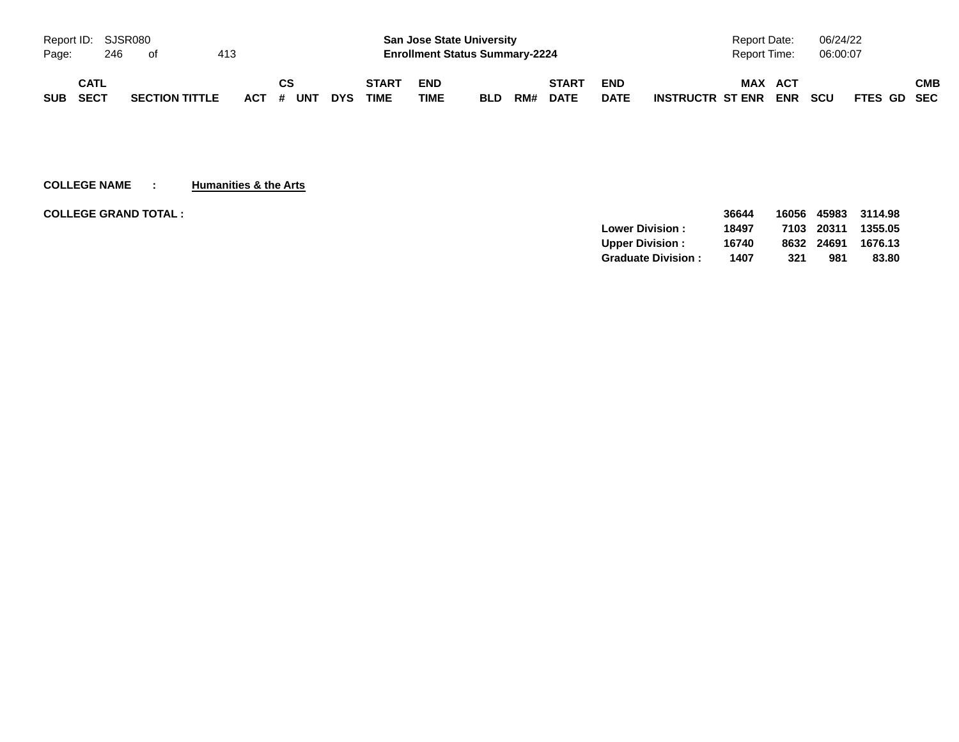| Report ID: SJSR080 |      |     |                       |     |           |            |              |            | <b>San Jose State University</b>      |     |              |             | <b>Report Date:</b>                   | 06/24/22                  |     |
|--------------------|------|-----|-----------------------|-----|-----------|------------|--------------|------------|---------------------------------------|-----|--------------|-------------|---------------------------------------|---------------------------|-----|
| Page:              |      | 246 | of                    | 413 |           |            |              |            | <b>Enrollment Status Summary-2224</b> |     |              |             | Report Time:                          | 06:00:07                  |     |
|                    | CATL |     |                       |     | СS        |            | <b>START</b> | <b>END</b> |                                       |     | <b>START</b> | <b>END</b>  | <b>MAX</b><br><b>ACT</b>              |                           | СМВ |
| <b>SUB</b>         | SECT |     | <b>SECTION TITTLE</b> |     | ACT # UNT | <b>DYS</b> | <b>TIME</b>  | TIME       | <b>BLD</b>                            | RM# | <b>DATE</b>  | <b>DATE</b> | <b>ENR</b><br><b>INSTRUCTR ST ENR</b> | <b>SCU</b><br>FTES GD SEC |     |

**COLLEGE NAME : Humanities & the Arts**

| <b>COLLEGE GRAND TOTAL:</b> |                           | 36644 | 16056 | 45983 | 3114.98 |
|-----------------------------|---------------------------|-------|-------|-------|---------|
|                             | Lower Division:           | 18497 | 7103  | 20311 | 1355.05 |
|                             | <b>Upper Division:</b>    | 16740 | 8632  | 24691 | 1676.13 |
|                             | <b>Graduate Division:</b> | 1407  | 321   | 981   | 83.80   |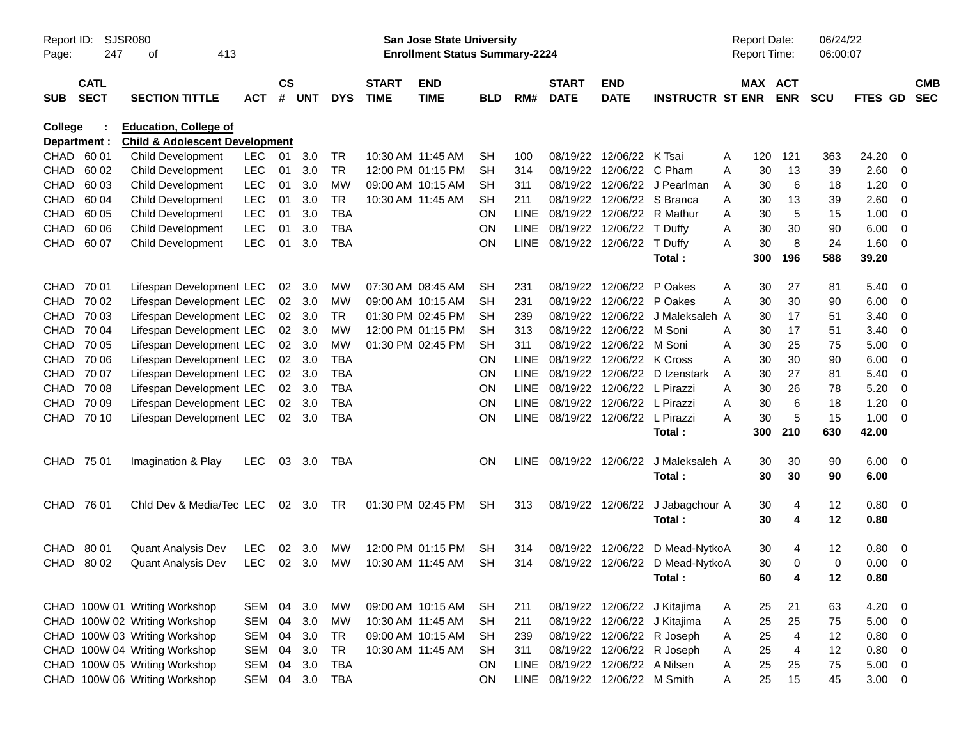| Page:       | Report ID:<br><b>SJSR080</b><br>413<br>247<br>οf |                                                                           |            |                    |            |            |                             | San Jose State University<br><b>Enrollment Status Summary-2224</b> |            |             |                             |                           |                              | Report Date:<br><b>Report Time:</b> |          |                       | 06/24/22<br>06:00:07 |              |                          |                          |
|-------------|--------------------------------------------------|---------------------------------------------------------------------------|------------|--------------------|------------|------------|-----------------------------|--------------------------------------------------------------------|------------|-------------|-----------------------------|---------------------------|------------------------------|-------------------------------------|----------|-----------------------|----------------------|--------------|--------------------------|--------------------------|
| <b>SUB</b>  | <b>CATL</b><br><b>SECT</b>                       | <b>SECTION TITTLE</b>                                                     | <b>ACT</b> | $\mathsf{cs}$<br># | <b>UNT</b> | <b>DYS</b> | <b>START</b><br><b>TIME</b> | <b>END</b><br><b>TIME</b>                                          | <b>BLD</b> | RM#         | <b>START</b><br><b>DATE</b> | <b>END</b><br><b>DATE</b> | <b>INSTRUCTR ST ENR</b>      |                                     |          | MAX ACT<br><b>ENR</b> | <b>SCU</b>           | FTES GD      |                          | <b>CMB</b><br><b>SEC</b> |
| College     | Department :                                     | <b>Education, College of</b><br><b>Child &amp; Adolescent Development</b> |            |                    |            |            |                             |                                                                    |            |             |                             |                           |                              |                                     |          |                       |                      |              |                          |                          |
| CHAD        | 60 01                                            | Child Development                                                         | <b>LEC</b> | 01                 | 3.0        | <b>TR</b>  | 10:30 AM 11:45 AM           |                                                                    | <b>SH</b>  | 100         | 08/19/22                    | 12/06/22                  | K Tsai                       | Α                                   | 120      | 121                   | 363                  | 24.20        | 0                        |                          |
| <b>CHAD</b> | 60 02                                            | Child Development                                                         | LEC        | 01                 | 3.0        | <b>TR</b>  |                             | 12:00 PM 01:15 PM                                                  | <b>SH</b>  | 314         | 08/19/22                    | 12/06/22                  | C Pham                       | A                                   | 30       | 13                    | 39                   | 2.60         | 0                        |                          |
| <b>CHAD</b> | 60 03                                            | <b>Child Development</b>                                                  | LEC        | 01                 | 3.0        | <b>MW</b>  |                             | 09:00 AM 10:15 AM                                                  | <b>SH</b>  | 311         | 08/19/22                    | 12/06/22                  | J Pearlman                   | A                                   | 30       | 6                     | 18                   | 1.20         | -0                       |                          |
| <b>CHAD</b> | 60 04                                            | <b>Child Development</b>                                                  | LEC        | 01                 | 3.0        | <b>TR</b>  |                             | 10:30 AM 11:45 AM                                                  | <b>SH</b>  | 211         | 08/19/22                    | 12/06/22                  | S Branca                     | A                                   | 30       | 13                    | 39                   | 2.60         | -0                       |                          |
| <b>CHAD</b> | 60 05                                            | <b>Child Development</b>                                                  | LEC        | 01                 | 3.0        | <b>TBA</b> |                             |                                                                    | <b>ON</b>  | <b>LINE</b> | 08/19/22                    | 12/06/22                  | R Mathur                     | A                                   | 30       | 5                     | 15                   | 1.00         | 0                        |                          |
| <b>CHAD</b> | 60 06                                            | <b>Child Development</b>                                                  | LEC        | 01                 | 3.0        | <b>TBA</b> |                             |                                                                    | ON         | <b>LINE</b> | 08/19/22                    | 12/06/22                  | T Duffy                      | A                                   | 30       | 30                    | 90                   | 6.00         | 0                        |                          |
| CHAD        | 60 07                                            | <b>Child Development</b>                                                  | <b>LEC</b> | 01                 | 3.0        | <b>TBA</b> |                             |                                                                    | ON         | <b>LINE</b> | 08/19/22                    | 12/06/22                  | T Duffy                      | A                                   | 30       | 8                     | 24                   | 1.60         | -0                       |                          |
|             |                                                  |                                                                           |            |                    |            |            |                             |                                                                    |            |             |                             |                           | Total:                       |                                     | 300      | 196                   | 588                  | 39.20        |                          |                          |
| <b>CHAD</b> | 70 01                                            | Lifespan Development LEC                                                  |            | 02                 | 3.0        | MW         |                             | 07:30 AM 08:45 AM                                                  | <b>SH</b>  | 231         | 08/19/22                    | 12/06/22                  | P Oakes                      | A                                   | 30       | 27                    | 81                   | 5.40         | - 0                      |                          |
| <b>CHAD</b> | 70 02                                            | Lifespan Development LEC                                                  |            | 02                 | 3.0        | <b>MW</b>  |                             | 09:00 AM 10:15 AM                                                  | <b>SH</b>  | 231         | 08/19/22                    | 12/06/22                  | P Oakes                      | A                                   | 30       | 30                    | 90                   | 6.00         | 0                        |                          |
| <b>CHAD</b> | 70 03                                            | Lifespan Development LEC                                                  |            | 02                 | 3.0        | <b>TR</b>  |                             | 01:30 PM 02:45 PM                                                  | <b>SH</b>  | 239         | 08/19/22                    | 12/06/22                  | J Maleksaleh A               |                                     | 30       | 17                    | 51                   | 3.40         | 0                        |                          |
| <b>CHAD</b> | 70 04                                            | Lifespan Development LEC                                                  |            | 02                 | 3.0        | <b>MW</b>  |                             | 12:00 PM 01:15 PM                                                  | <b>SH</b>  | 313         | 08/19/22                    | 12/06/22                  | M Soni                       | A                                   | 30       | 17                    | 51                   | 3.40         | 0                        |                          |
| <b>CHAD</b> | 70 05                                            | Lifespan Development LEC                                                  |            | 02                 | 3.0        | <b>MW</b>  |                             | 01:30 PM 02:45 PM                                                  | <b>SH</b>  | 311         | 08/19/22                    | 12/06/22                  | M Soni                       | A                                   | 30       | 25                    | 75                   | 5.00         | 0                        |                          |
| <b>CHAD</b> | 70 06                                            | Lifespan Development LEC                                                  |            | 02                 | 3.0        | <b>TBA</b> |                             |                                                                    | <b>ON</b>  | <b>LINE</b> | 08/19/22                    | 12/06/22                  | K Cross                      | A                                   | 30       | 30                    | 90                   | 6.00         | 0                        |                          |
| CHAD        | 70 07                                            | Lifespan Development LEC                                                  |            | 02                 | 3.0        | <b>TBA</b> |                             |                                                                    | ON         | <b>LINE</b> | 08/19/22                    | 12/06/22                  | D Izenstark                  | A                                   | 30       | 27                    | 81                   | 5.40         | 0                        |                          |
| CHAD        | 70 08                                            | Lifespan Development LEC                                                  |            | 02                 | 3.0        | <b>TBA</b> |                             |                                                                    | <b>ON</b>  | <b>LINE</b> | 08/19/22                    | 12/06/22                  | L Pirazzi                    | A                                   | 30       | 26                    | 78                   | 5.20         | -0                       |                          |
| CHAD        | 70 09                                            | Lifespan Development LEC                                                  |            | 02                 | 3.0        | <b>TBA</b> |                             |                                                                    | <b>ON</b>  | <b>LINE</b> | 08/19/22                    | 12/06/22                  | L Pirazzi                    | A                                   | 30       | 6                     | 18                   | 1.20         | 0                        |                          |
| CHAD        | 70 10                                            | Lifespan Development LEC                                                  |            | 02                 | 3.0        | <b>TBA</b> |                             |                                                                    | ON         | <b>LINE</b> | 08/19/22                    | 12/06/22                  | L Pirazzi                    | A                                   | 30       | 5                     | 15                   | 1.00         | -0                       |                          |
|             |                                                  |                                                                           |            |                    |            |            |                             |                                                                    |            |             |                             |                           | Total:                       |                                     | 300      | 210                   | 630                  | 42.00        |                          |                          |
| CHAD 75 01  |                                                  | Imagination & Play                                                        | <b>LEC</b> | 03                 | 3.0        | TBA        |                             |                                                                    | ON         | <b>LINE</b> | 08/19/22                    | 12/06/22                  | J Maleksaleh A<br>Total:     |                                     | 30<br>30 | 30<br>30              | 90<br>90             | 6.00<br>6.00 | - 0                      |                          |
| <b>CHAD</b> | 76 01                                            | Chid Dev & Media/Tec LEC                                                  |            | 02                 | 3.0        | TR         |                             | 01:30 PM 02:45 PM                                                  | <b>SH</b>  | 313         | 08/19/22                    | 12/06/22                  | J Jabagchour A<br>Total:     |                                     | 30<br>30 | 4<br>4                | 12<br>12             | 0.80<br>0.80 | $\overline{\mathbf{0}}$  |                          |
| <b>CHAD</b> | 80 01                                            | <b>Quant Analysis Dev</b>                                                 | <b>LEC</b> | 02                 | 3.0        | МW         |                             | 12:00 PM 01:15 PM                                                  | SН         | 314         | 08/19/22                    | 12/06/22                  | D Mead-NytkoA                |                                     | 30       | 4                     | 12                   | 0.80         | - 0                      |                          |
| <b>CHAD</b> | 80 02                                            | <b>Quant Analysis Dev</b>                                                 | <b>LEC</b> | 02                 | 3.0        | <b>MW</b>  |                             | 10:30 AM 11:45 AM                                                  | <b>SH</b>  | 314         | 08/19/22                    | 12/06/22                  | D Mead-NytkoA                |                                     | 30       | 0                     | $\mathbf 0$          | 0.00         | - 0                      |                          |
|             |                                                  |                                                                           |            |                    |            |            |                             |                                                                    |            |             |                             |                           | Total :                      |                                     | 60       | 4                     | 12                   | 0.80         |                          |                          |
|             |                                                  | CHAD 100W 01 Writing Workshop                                             | SEM        | 04                 | 3.0        | МW         |                             | 09:00 AM 10:15 AM                                                  | <b>SH</b>  | 211         |                             |                           | 08/19/22 12/06/22 J Kitajima | A                                   | 25       | 21                    | 63                   | 4.20         | $\overline{\phantom{0}}$ |                          |
|             |                                                  | CHAD 100W 02 Writing Workshop                                             | SEM        | 04                 | 3.0        | MW         | 10:30 AM 11:45 AM           |                                                                    | <b>SH</b>  | 211         | 08/19/22                    |                           | 12/06/22 J Kitajima          | A                                   | 25       | 25                    | 75                   | 5.00         | $\overline{0}$           |                          |
|             |                                                  | CHAD 100W 03 Writing Workshop                                             | SEM        | 04                 | 3.0        | <b>TR</b>  |                             | 09:00 AM 10:15 AM                                                  | <b>SH</b>  | 239         | 08/19/22                    |                           | 12/06/22 R Joseph            | A                                   | 25       | $\overline{4}$        | 12                   | 0.80         | - 0                      |                          |
|             |                                                  | CHAD 100W 04 Writing Workshop                                             | SEM        | 04                 | 3.0        | <b>TR</b>  |                             | 10:30 AM 11:45 AM                                                  | <b>SH</b>  | 311         | 08/19/22                    |                           | 12/06/22 R Joseph            | A                                   | 25       | 4                     | 12                   | 0.80         | $\overline{0}$           |                          |
|             |                                                  | CHAD 100W 05 Writing Workshop                                             | SEM        | 04                 | 3.0        | <b>TBA</b> |                             |                                                                    | ON         | <b>LINE</b> | 08/19/22                    | 12/06/22 A Nilsen         |                              | Α                                   | 25       | 25                    | 75                   | 5.00         | $\overline{0}$           |                          |
|             |                                                  | CHAD 100W 06 Writing Workshop                                             | SEM        | 04                 | 3.0        | <b>TBA</b> |                             |                                                                    | ON         | LINE        | 08/19/22                    | 12/06/22 M Smith          |                              | A                                   | 25       | 15                    | 45                   | $3.00 \ 0$   |                          |                          |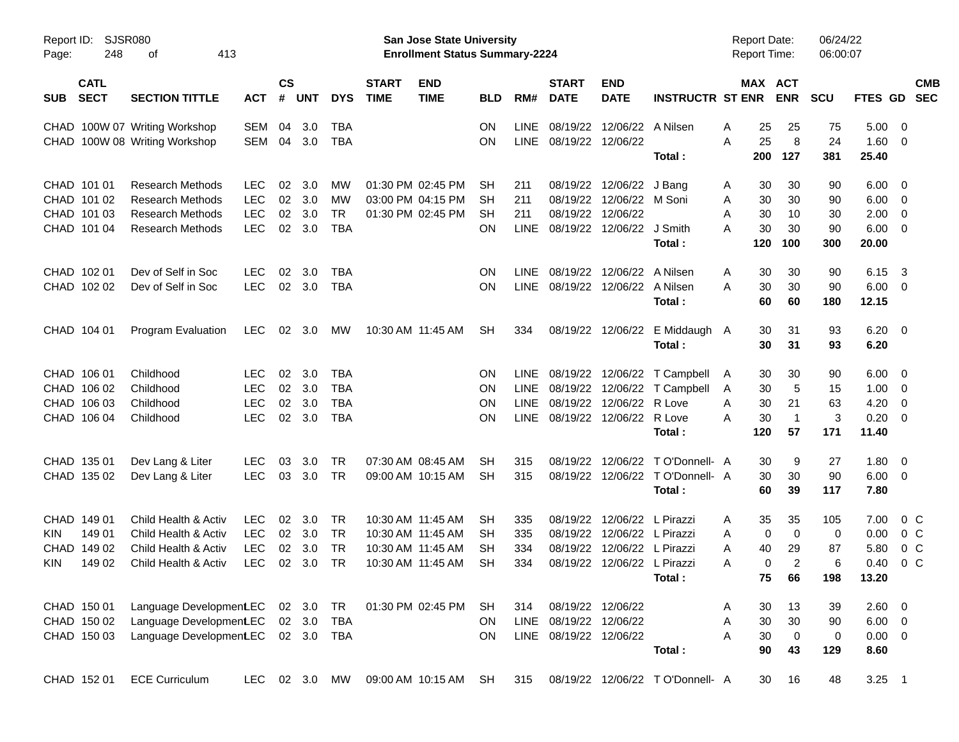| Report ID:<br>Page:                                                 | <b>SJSR080</b><br>248<br>413<br>оf                                                                       |                                                      |                      |                             |                                                      |                             | <b>San Jose State University</b><br><b>Enrollment Status Summary-2224</b>        |                             |                           |                                                  |                                                                                                                          |                                                                                  | <b>Report Date:</b><br><b>Report Time:</b>      |                                                 | 06/24/22<br>06:00:07        |                                              |                                                                                                             |
|---------------------------------------------------------------------|----------------------------------------------------------------------------------------------------------|------------------------------------------------------|----------------------|-----------------------------|------------------------------------------------------|-----------------------------|----------------------------------------------------------------------------------|-----------------------------|---------------------------|--------------------------------------------------|--------------------------------------------------------------------------------------------------------------------------|----------------------------------------------------------------------------------|-------------------------------------------------|-------------------------------------------------|-----------------------------|----------------------------------------------|-------------------------------------------------------------------------------------------------------------|
| <b>CATL</b><br><b>SECT</b><br><b>SUB</b>                            | <b>SECTION TITTLE</b>                                                                                    | <b>ACT</b>                                           | $\mathsf{cs}$<br>#   | UNT                         | <b>DYS</b>                                           | <b>START</b><br><b>TIME</b> | <b>END</b><br><b>TIME</b>                                                        | <b>BLD</b>                  | RM#                       | <b>START</b><br><b>DATE</b>                      | <b>END</b><br><b>DATE</b>                                                                                                | <b>INSTRUCTR ST ENR</b>                                                          |                                                 | MAX ACT<br><b>ENR</b>                           | <b>SCU</b>                  |                                              | <b>CMB</b><br>FTES GD SEC                                                                                   |
|                                                                     | CHAD 100W 07 Writing Workshop<br>CHAD 100W 08 Writing Workshop                                           | SEM<br>SEM                                           | 04<br>04             | 3.0<br>3.0                  | TBA<br><b>TBA</b>                                    |                             |                                                                                  | 0N<br>ΟN                    | <b>LINE</b>               | LINE 08/19/22 12/06/22                           | 08/19/22 12/06/22 A Nilsen                                                                                               | Total:                                                                           | 25<br>A<br>A<br>25<br>200                       | 25<br>8<br>127                                  | 75<br>24<br>381             | 5.00<br>$1.60 \t 0$<br>25.40                 | $\overline{\mathbf{0}}$                                                                                     |
| CHAD 101 01<br>CHAD 101 02<br>CHAD 101 03<br>CHAD 101 04            | <b>Research Methods</b><br><b>Research Methods</b><br><b>Research Methods</b><br><b>Research Methods</b> | <b>LEC</b><br><b>LEC</b><br><b>LEC</b><br><b>LEC</b> | 02<br>02<br>02<br>02 | 3.0<br>3.0<br>3.0<br>3.0    | MW<br><b>MW</b><br><b>TR</b><br><b>TBA</b>           |                             | 01:30 PM 02:45 PM<br>03:00 PM 04:15 PM<br>01:30 PM 02:45 PM                      | SH<br><b>SH</b><br>SН<br>ΟN | 211<br>211<br>211<br>LINE |                                                  | 08/19/22 12/06/22<br>08/19/22 12/06/22 M Soni<br>08/19/22 12/06/22<br>08/19/22 12/06/22 J Smith                          | J Bang<br>Total:                                                                 | 30<br>A<br>30<br>A<br>30<br>A<br>30<br>A<br>120 | 30<br>30<br>10<br>30<br>100                     | 90<br>90<br>30<br>90<br>300 | 6.00<br>6.00<br>2.00<br>6.00<br>20.00        | $\overline{\phantom{0}}$<br>$\overline{\phantom{0}}$<br>$\overline{\phantom{0}}$<br>$\overline{\mathbf{0}}$ |
| CHAD 102 01<br>CHAD 102 02                                          | Dev of Self in Soc<br>Dev of Self in Soc                                                                 | <b>LEC</b><br><b>LEC</b>                             | 02                   | 3.0<br>02 3.0               | <b>TBA</b><br><b>TBA</b>                             |                             |                                                                                  | ON<br>ΟN                    | <b>LINE</b>               |                                                  | 08/19/22 12/06/22 A Nilsen<br>LINE 08/19/22 12/06/22 A Nilsen                                                            | Total:                                                                           | A<br>30<br>30<br>A<br>60                        | 30<br>30<br>60                                  | 90<br>90<br>180             | 6.15<br>6.00<br>12.15                        | $\overline{\mathbf{3}}$<br>- 0                                                                              |
| CHAD 104 01                                                         | Program Evaluation                                                                                       | <b>LEC</b>                                           |                      | 02 3.0                      | МW                                                   |                             | 10:30 AM 11:45 AM                                                                | SH                          | 334                       |                                                  | 08/19/22 12/06/22                                                                                                        | E Middaugh A<br>Total:                                                           | 30<br>30                                        | 31<br>31                                        | 93<br>93                    | $6.20 \ 0$<br>6.20                           |                                                                                                             |
| CHAD 106 01<br>CHAD 106 02<br>CHAD 106 03<br>CHAD 106 04            | Childhood<br>Childhood<br>Childhood<br>Childhood                                                         | <b>LEC</b><br><b>LEC</b><br><b>LEC</b><br><b>LEC</b> | 02<br>02<br>02       | 3.0<br>3.0<br>3.0<br>02 3.0 | <b>TBA</b><br><b>TBA</b><br><b>TBA</b><br><b>TBA</b> |                             |                                                                                  | ΟN<br>ΟN<br>ON<br>ΟN        | <b>LINE</b>               |                                                  | 08/19/22 12/06/22 R Love<br>LINE 08/19/22 12/06/22 R Love                                                                | LINE 08/19/22 12/06/22 T Campbell<br>LINE 08/19/22 12/06/22 T Campbell<br>Total: | 30<br>A<br>30<br>A<br>30<br>Α<br>30<br>A<br>120 | 30<br>5<br>21<br>$\overline{1}$<br>57           | 90<br>15<br>63<br>3<br>171  | 6.00<br>1.00<br>4.20<br>0.20<br>11.40        | - 0<br>$\overline{\mathbf{0}}$<br>$\overline{\mathbf{0}}$<br>$\overline{\phantom{0}}$                       |
| CHAD 135 01<br>CHAD 135 02                                          | Dev Lang & Liter<br>Dev Lang & Liter                                                                     | LEC.<br><b>LEC</b>                                   | 03<br>03             | 3.0<br>3.0                  | TR<br>TR                                             |                             | 07:30 AM 08:45 AM<br>09:00 AM 10:15 AM                                           | SН<br>SH                    | 315<br>315                |                                                  |                                                                                                                          | 08/19/22 12/06/22 TO'Donnell- A<br>08/19/22 12/06/22 TO'Donnell- A<br>Total:     | 30<br>30<br>60                                  | 9<br>30<br>39                                   | 27<br>90<br>117             | 1.80<br>$6.00 \t 0$<br>7.80                  | $\overline{\phantom{0}}$                                                                                    |
| CHAD 149 01<br>149 01<br>KIN<br>CHAD 149 02<br>149 02<br><b>KIN</b> | Child Health & Activ<br>Child Health & Activ<br>Child Health & Activ<br>Child Health & Activ             | <b>LEC</b><br><b>LEC</b><br><b>LEC</b><br><b>LEC</b> | 02<br>02<br>02       | 3.0<br>02 3.0<br>3.0<br>3.0 | TR<br>TR<br><b>TR</b><br><b>TR</b>                   |                             | 10:30 AM 11:45 AM<br>10:30 AM 11:45 AM<br>10:30 AM 11:45 AM<br>10:30 AM 11:45 AM | SН<br>SН<br>SН<br>SН        | 335<br>335<br>334<br>334  |                                                  | 08/19/22 12/06/22 L Pirazzi<br>08/19/22 12/06/22 L Pirazzi<br>08/19/22 12/06/22 L Pirazzi<br>08/19/22 12/06/22 L Pirazzi | Total:                                                                           | 35<br>A<br>A<br>40<br>A<br>A<br>75              | 35<br>0<br>0<br>29<br>$\overline{2}$<br>0<br>66 | 105<br>0<br>87<br>6<br>198  | 7.00<br>0.00<br>5.80<br>0.40<br>13.20        | $0\,C$<br>$0\,C$<br>0 <sup>C</sup><br>0 <sup>C</sup>                                                        |
| CHAD 150 01<br>CHAD 150 02<br>CHAD 150 03                           | Language DevelopmentLEC 02 3.0<br>Language Development.EC<br>Language Development.EC                     |                                                      |                      | 02 3.0                      | TR<br><b>TBA</b><br>02 3.0 TBA                       |                             | 01:30 PM 02:45 PM                                                                | SH<br>ON.<br>ON.            | 314                       | LINE 08/19/22 12/06/22<br>LINE 08/19/22 12/06/22 | 08/19/22 12/06/22                                                                                                        | Total:                                                                           | 30<br>A<br>30<br>Α<br>A<br>30<br>90             | 13<br>30<br>$\mathbf 0$<br>43                   | 39<br>90<br>0<br>129        | 2.60 0<br>$6.00 \t 0$<br>$0.00 \t 0$<br>8.60 |                                                                                                             |
| CHAD 152 01                                                         | <b>ECE Curriculum</b>                                                                                    | LEC.                                                 |                      | 02 3.0                      | MW                                                   |                             | 09:00 AM 10:15 AM                                                                | SH                          | 315                       |                                                  |                                                                                                                          | 08/19/22 12/06/22 TO'Donnell- A                                                  |                                                 | 16<br>30                                        | 48                          | $3.25$ 1                                     |                                                                                                             |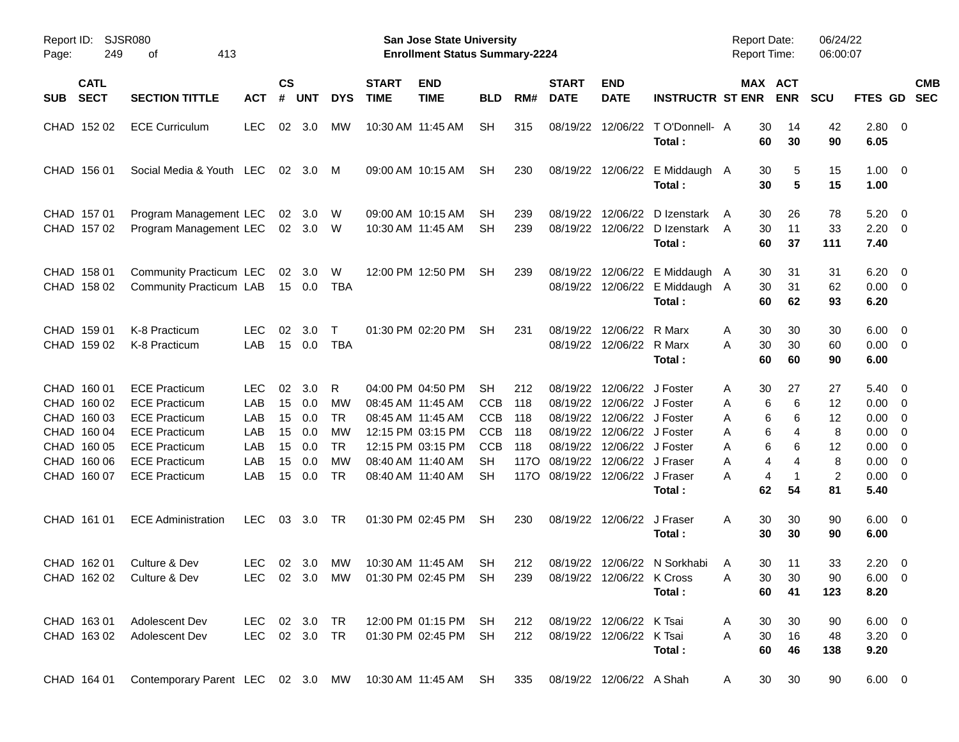| Page:      | <b>SJSR080</b><br>Report ID:<br>249<br>413<br>οf                                                      |                                                                                                                                                                      |                                                      |                                        |                                               |                                                                   |                             | San Jose State University<br><b>Enrollment Status Summary-2224</b>                                                                              |                                                                                      |                                         |                                                                                       |                                                                                                                                                 |                                                                   | <b>Report Date:</b><br><b>Report Time:</b> |                                                                          | 06/24/22<br>06:00:07                             |                                                                                                          |     |                          |
|------------|-------------------------------------------------------------------------------------------------------|----------------------------------------------------------------------------------------------------------------------------------------------------------------------|------------------------------------------------------|----------------------------------------|-----------------------------------------------|-------------------------------------------------------------------|-----------------------------|-------------------------------------------------------------------------------------------------------------------------------------------------|--------------------------------------------------------------------------------------|-----------------------------------------|---------------------------------------------------------------------------------------|-------------------------------------------------------------------------------------------------------------------------------------------------|-------------------------------------------------------------------|--------------------------------------------|--------------------------------------------------------------------------|--------------------------------------------------|----------------------------------------------------------------------------------------------------------|-----|--------------------------|
| <b>SUB</b> | <b>CATL</b><br><b>SECT</b>                                                                            | <b>SECTION TITTLE</b>                                                                                                                                                | <b>ACT</b>                                           | $\mathsf{cs}$<br>#                     | <b>UNT</b>                                    | <b>DYS</b>                                                        | <b>START</b><br><b>TIME</b> | <b>END</b><br><b>TIME</b>                                                                                                                       | <b>BLD</b>                                                                           | RM#                                     | <b>START</b><br><b>DATE</b>                                                           | <b>END</b><br><b>DATE</b>                                                                                                                       | <b>INSTRUCTR ST ENR</b>                                           |                                            | MAX ACT<br><b>ENR</b>                                                    | <b>SCU</b>                                       | <b>FTES GD</b>                                                                                           |     | <b>CMB</b><br><b>SEC</b> |
|            | CHAD 152 02                                                                                           | <b>ECE Curriculum</b>                                                                                                                                                | LEC.                                                 | 02                                     | 3.0                                           | <b>MW</b>                                                         |                             | 10:30 AM 11:45 AM                                                                                                                               | <b>SH</b>                                                                            | 315                                     | 08/19/22                                                                              | 12/06/22                                                                                                                                        | TO'Donnell- A<br>Total:                                           | 30<br>60                                   | 14<br>30                                                                 | 42<br>90                                         | 2.80 0<br>6.05                                                                                           |     |                          |
|            | CHAD 156 01                                                                                           | Social Media & Youth LEC                                                                                                                                             |                                                      | 02                                     | 3.0                                           | M                                                                 |                             | 09:00 AM 10:15 AM                                                                                                                               | <b>SH</b>                                                                            | 230                                     |                                                                                       |                                                                                                                                                 | 08/19/22 12/06/22 E Middaugh A<br>Total:                          | 30<br>30                                   | 5<br>5                                                                   | 15<br>15                                         | $1.00 \t 0$<br>1.00                                                                                      |     |                          |
|            | CHAD 157 01<br>CHAD 157 02                                                                            | Program Management LEC<br>Program Management LEC                                                                                                                     |                                                      | 02                                     | 3.0<br>02 3.0 W                               | W                                                                 |                             | 09:00 AM 10:15 AM<br>10:30 AM 11:45 AM                                                                                                          | SH.<br>SH                                                                            | 239<br>239                              | 08/19/22                                                                              | 12/06/22                                                                                                                                        | D Izenstark<br>08/19/22 12/06/22 D Izenstark<br>Total :           | 30<br>A<br>30<br>A<br>60                   | 26<br>11<br>37                                                           | 78<br>33<br>111                                  | 5.20<br>$2.20 \t 0$<br>7.40                                                                              | - 0 |                          |
|            | CHAD 158 01<br>CHAD 158 02                                                                            | Community Practicum LEC<br>Community Practicum LAB                                                                                                                   |                                                      |                                        | 02 3.0<br>15 0.0                              | W<br>TBA                                                          |                             | 12:00 PM 12:50 PM                                                                                                                               | <b>SH</b>                                                                            | 239                                     | 08/19/22                                                                              |                                                                                                                                                 | 12/06/22 E Middaugh A<br>08/19/22 12/06/22 E Middaugh A<br>Total: | 30<br>30<br>60                             | 31<br>31<br>62                                                           | 31<br>62<br>93                                   | $6.20 \quad 0$<br>$0.00 \t 0$<br>6.20                                                                    |     |                          |
|            | CHAD 159 01<br>CHAD 159 02                                                                            | K-8 Practicum<br>K-8 Practicum                                                                                                                                       | <b>LEC</b><br>LAB                                    | 02<br>15                               | 3.0<br>0.0                                    | $\mathsf{T}$<br><b>TBA</b>                                        |                             | 01:30 PM 02:20 PM                                                                                                                               | <b>SH</b>                                                                            | 231                                     | 08/19/22                                                                              | 12/06/22<br>08/19/22 12/06/22 R Marx                                                                                                            | R Marx<br>Total:                                                  | 30<br>A<br>30<br>А<br>60                   | 30<br>30<br>60                                                           | 30<br>60<br>90                                   | $6.00 \quad 0$<br>$0.00 \t 0$<br>6.00                                                                    |     |                          |
|            | CHAD 160 01<br>CHAD 160 02<br>CHAD 160 03<br>CHAD 160 04<br>CHAD 160 05<br>CHAD 160 06<br>CHAD 160 07 | <b>ECE Practicum</b><br><b>ECE Practicum</b><br><b>ECE Practicum</b><br><b>ECE Practicum</b><br><b>ECE Practicum</b><br><b>ECE Practicum</b><br><b>ECE Practicum</b> | <b>LEC</b><br>LAB<br>LAB<br>LAB<br>LAB<br>LAB<br>LAB | 02<br>15<br>15<br>15<br>15<br>15<br>15 | 3.0<br>0.0<br>0.0<br>0.0<br>0.0<br>0.0<br>0.0 | R<br>МW<br><b>TR</b><br>МW<br><b>TR</b><br><b>MW</b><br><b>TR</b> |                             | 04:00 PM 04:50 PM<br>08:45 AM 11:45 AM<br>08:45 AM 11:45 AM<br>12:15 PM 03:15 PM<br>12:15 PM 03:15 PM<br>08:40 AM 11:40 AM<br>08:40 AM 11:40 AM | <b>SH</b><br><b>CCB</b><br><b>CCB</b><br><b>CCB</b><br><b>CCB</b><br>SН<br><b>SH</b> | 212<br>118<br>118<br>118<br>118<br>117O | 08/19/22<br>08/19/22<br>08/19/22<br>08/19/22<br>08/19/22<br>08/19/22<br>1170 08/19/22 | 12/06/22 J Foster<br>12/06/22 J Foster<br>12/06/22 J Foster<br>12/06/22 J Foster<br>12/06/22 J Foster<br>12/06/22 J Fraser<br>12/06/22 J Fraser |                                                                   | 30<br>A<br>A<br>Α<br>Α<br>Α<br>Α<br>Α      | 27<br>6<br>6<br>6<br>6<br>6<br>4<br>6<br>6<br>4<br>4<br>4<br>$\mathbf 1$ | 27<br>12<br>12<br>8<br>12<br>8<br>$\overline{c}$ | $5.40 \quad 0$<br>$0.00 \t 0$<br>$0.00 \t 0$<br>$0.00 \t 0$<br>$0.00 \t 0$<br>$0.00 \t 0$<br>$0.00 \t 0$ |     |                          |
|            | CHAD 161 01                                                                                           | <b>ECE Administration</b>                                                                                                                                            | <b>LEC</b>                                           | 03                                     | 3.0                                           | TR                                                                |                             | 01:30 PM 02:45 PM                                                                                                                               | <b>SH</b>                                                                            | 230                                     |                                                                                       | 08/19/22 12/06/22 J Fraser                                                                                                                      | Total:<br>Total :                                                 | 62<br>30<br>A<br>30                        | 54<br>30<br>30                                                           | 81<br>90<br>90                                   | 5.40<br>$6.00 \quad 0$<br>6.00                                                                           |     |                          |
|            | CHAD 162 01                                                                                           | Culture & Dev<br>CHAD 162 02 Culture & Dev                                                                                                                           | LEC.                                                 |                                        | 02 3.0                                        | <b>MW</b>                                                         |                             | 10:30 AM 11:45 AM<br>LEC 02 3.0 MW 01:30 PM 02:45 PM SH 239 08/19/22 12/06/22 K Cross                                                           | <b>SH</b>                                                                            | 212                                     |                                                                                       |                                                                                                                                                 | 08/19/22 12/06/22 N Sorkhabi<br>Total:                            | 30<br>A<br>Α<br>60                         | 11<br>30<br>30<br>41                                                     | 33<br>90<br>123                                  | $2.20 \t 0$<br>$6.00 \t 0$<br>8.20                                                                       |     |                          |
|            | CHAD 163 01<br>CHAD 163 02                                                                            | Adolescent Dev<br>Adolescent Dev                                                                                                                                     | LEC 02 3.0 TR<br>LEC 02 3.0 TR                       |                                        |                                               |                                                                   |                             | 12:00 PM 01:15 PM SH<br>01:30 PM 02:45 PM SH                                                                                                    |                                                                                      | 212<br>212                              |                                                                                       | 08/19/22 12/06/22 K Tsai<br>08/19/22 12/06/22 K Tsai                                                                                            | Total:                                                            | 30<br>A<br>A<br>30<br>60                   | 30<br>16<br>46                                                           | 90<br>48<br>138                                  | $6.00 \quad 0$<br>$3.20 \ 0$<br>9.20                                                                     |     |                          |
|            | CHAD 164 01                                                                                           | Contemporary Parent LEC 02 3.0 MW 10:30 AM 11:45 AM SH                                                                                                               |                                                      |                                        |                                               |                                                                   |                             |                                                                                                                                                 |                                                                                      | 335                                     |                                                                                       | 08/19/22 12/06/22 A Shah                                                                                                                        |                                                                   | 30<br>A                                    | 30                                                                       | 90                                               | $6.00 \t 0$                                                                                              |     |                          |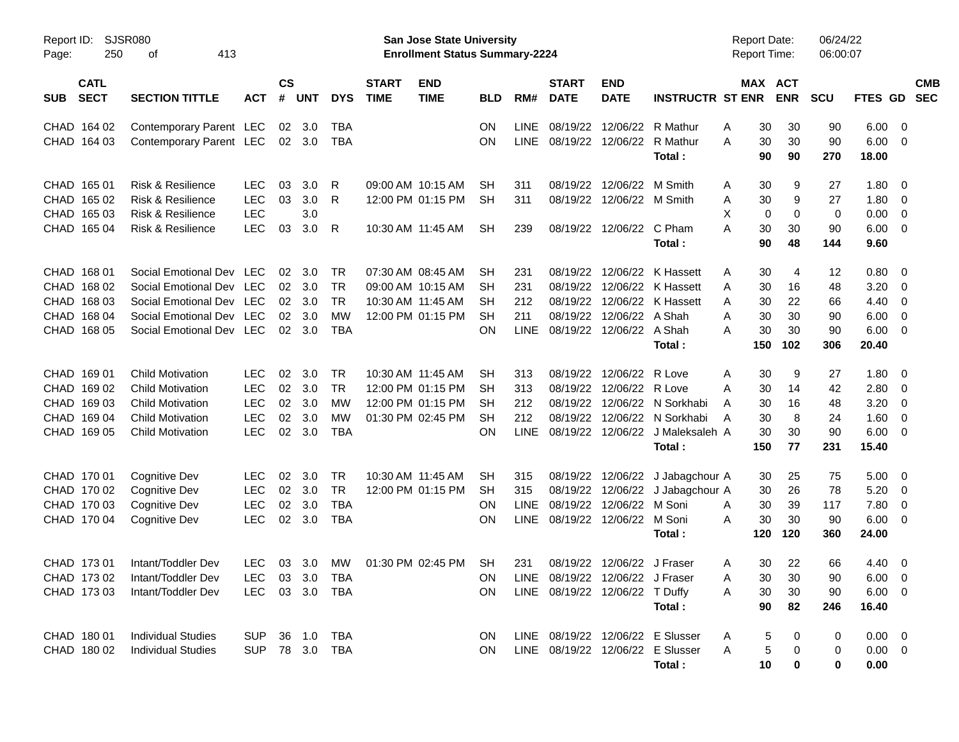| Report ID:<br><b>SJSR080</b><br>250<br>413<br>Page:<br>оf               |                                                                                                                                          |                                                                    |                            |                                 |                                                                |                             | <b>San Jose State University</b><br><b>Enrollment Status Summary-2224</b>        |                                          | 06/24/22<br><b>Report Date:</b><br>Report Time:<br>06:00:07 |                                                                   |                                                                        |                                                                                |                              |                                   |                                          |                                                                             |                                        |                          |
|-------------------------------------------------------------------------|------------------------------------------------------------------------------------------------------------------------------------------|--------------------------------------------------------------------|----------------------------|---------------------------------|----------------------------------------------------------------|-----------------------------|----------------------------------------------------------------------------------|------------------------------------------|-------------------------------------------------------------|-------------------------------------------------------------------|------------------------------------------------------------------------|--------------------------------------------------------------------------------|------------------------------|-----------------------------------|------------------------------------------|-----------------------------------------------------------------------------|----------------------------------------|--------------------------|
| <b>CATL</b><br><b>SECT</b><br><b>SUB</b>                                | <b>SECTION TITTLE</b>                                                                                                                    | <b>ACT</b>                                                         | $\mathsf{cs}$<br>#         | <b>UNT</b>                      | <b>DYS</b>                                                     | <b>START</b><br><b>TIME</b> | <b>END</b><br><b>TIME</b>                                                        | <b>BLD</b>                               | RM#                                                         | <b>START</b><br><b>DATE</b>                                       | <b>END</b><br><b>DATE</b>                                              | <b>INSTRUCTR ST ENR</b>                                                        |                              | <b>MAX ACT</b><br><b>ENR</b>      | <b>SCU</b>                               | FTES GD                                                                     |                                        | <b>CMB</b><br><b>SEC</b> |
| CHAD 164 02<br>CHAD 164 03                                              | Contemporary Parent LEC<br>Contemporary Parent LEC                                                                                       |                                                                    |                            | 02 3.0<br>$02 \quad 3.0$        | <b>TBA</b><br><b>TBA</b>                                       |                             |                                                                                  | ΟN<br>ΟN                                 | <b>LINE</b><br><b>LINE</b>                                  | 08/19/22<br>08/19/22                                              | 12/06/22<br>12/06/22                                                   | R Mathur<br>R Mathur<br>Total:                                                 | Α<br>A                       | 30<br>30<br>90                    | 30<br>30<br>270<br>90                    | 6.00<br>90<br>90<br>6.00<br>18.00                                           | - 0<br>$\overline{0}$                  |                          |
| CHAD 165 01<br>CHAD 165 02<br>CHAD 165 03<br>CHAD 165 04                | <b>Risk &amp; Resilience</b><br><b>Risk &amp; Resilience</b><br><b>Risk &amp; Resilience</b><br>Risk & Resilience                        | <b>LEC</b><br><b>LEC</b><br><b>LEC</b><br><b>LEC</b>               | 03<br>03<br>03             | 3.0<br>3.0<br>3.0<br>3.0        | R<br>R<br>$\mathsf{R}$                                         |                             | 09:00 AM 10:15 AM<br>12:00 PM 01:15 PM<br>10:30 AM 11:45 AM                      | SН<br><b>SH</b><br><b>SH</b>             | 311<br>311<br>239                                           | 08/19/22<br>08/19/22<br>08/19/22                                  | 12/06/22<br>12/06/22 M Smith<br>12/06/22 C Pham                        | M Smith<br>Total :                                                             | Α<br>Α<br>X<br>A             | 30<br>30<br>0<br>30<br>90         | 9<br>9<br>0<br>30<br>48<br>144           | 27<br>1.80<br>27<br>1.80<br>0.00<br>0<br>6.00<br>90<br>9.60                 | 0<br>0<br>0<br>0                       |                          |
| CHAD 168 01<br>CHAD 168 02<br>CHAD 168 03<br>CHAD 168 04<br>CHAD 168 05 | Social Emotional Dev LEC<br>Social Emotional Dev LEC<br>Social Emotional Dev LEC<br>Social Emotional Dev LEC<br>Social Emotional Dev LEC |                                                                    | 02<br>02<br>02<br>02<br>02 | 3.0<br>3.0<br>3.0<br>3.0<br>3.0 | TR<br><b>TR</b><br><b>TR</b><br><b>MW</b><br><b>TBA</b>        |                             | 07:30 AM 08:45 AM<br>09:00 AM 10:15 AM<br>10:30 AM 11:45 AM<br>12:00 PM 01:15 PM | SН<br><b>SH</b><br>SН<br><b>SH</b><br>ON | 231<br>231<br>212<br>211<br><b>LINE</b>                     | 08/19/22<br>08/19/22<br>08/19/22<br>08/19/22<br>08/19/22          | 12/06/22<br>12/06/22<br>12/06/22<br>12/06/22 A Shah<br>12/06/22 A Shah | K Hassett<br>K Hassett<br>K Hassett<br>Total:                                  | Α<br>A<br>A<br>Α<br>А<br>150 | 30<br>30<br>30<br>30<br>30<br>102 | 4<br>16<br>22<br>30<br>30<br>306         | 0.80<br>12<br>3.20<br>48<br>66<br>4.40<br>6.00<br>90<br>90<br>6.00<br>20.40 | 0<br>0<br>0<br>0<br>0                  |                          |
| CHAD 169 01<br>CHAD 169 02<br>CHAD 169 03<br>CHAD 169 04<br>CHAD 169 05 | <b>Child Motivation</b><br><b>Child Motivation</b><br><b>Child Motivation</b><br><b>Child Motivation</b><br><b>Child Motivation</b>      | <b>LEC</b><br><b>LEC</b><br><b>LEC</b><br><b>LEC</b><br><b>LEC</b> | 02<br>02<br>02<br>02<br>02 | 3.0<br>3.0<br>3.0<br>3.0<br>3.0 | <b>TR</b><br><b>TR</b><br><b>MW</b><br><b>MW</b><br><b>TBA</b> |                             | 10:30 AM 11:45 AM<br>12:00 PM 01:15 PM<br>12:00 PM 01:15 PM<br>01:30 PM 02:45 PM | SН<br><b>SH</b><br>SН<br><b>SH</b><br>ON | 313<br>313<br>212<br>212<br><b>LINE</b>                     | 08/19/22<br>08/19/22<br>08/19/22<br>08/19/22<br>08/19/22          | 12/06/22<br>12/06/22<br>12/06/22<br>12/06/22<br>12/06/22               | R Love<br>R Love<br>N Sorkhabi<br>N Sorkhabi<br>J Maleksaleh A<br>Total:       | Α<br>A<br>A<br>A<br>150      | 30<br>30<br>30<br>30<br>30        | 9<br>14<br>16<br>8<br>30<br>77<br>231    | 1.80<br>27<br>2.80<br>42<br>3.20<br>48<br>1.60<br>24<br>90<br>6.00<br>15.40 | 0<br>0<br>0<br>0<br>$\mathbf 0$        |                          |
| CHAD 170 01<br>CHAD 170 02<br>CHAD 170 03<br>CHAD 170 04                | <b>Cognitive Dev</b><br>Cognitive Dev<br><b>Cognitive Dev</b><br><b>Cognitive Dev</b>                                                    | LEC<br><b>LEC</b><br><b>LEC</b><br><b>LEC</b>                      | 02<br>02<br>02<br>02       | 3.0<br>3.0<br>3.0<br>3.0        | <b>TR</b><br><b>TR</b><br><b>TBA</b><br><b>TBA</b>             |                             | 10:30 AM 11:45 AM<br>12:00 PM 01:15 PM                                           | <b>SH</b><br><b>SH</b><br>ΟN<br>ΟN       | 315<br>315<br>LINE<br><b>LINE</b>                           | 08/19/22<br>08/19/22<br>08/19/22<br>08/19/22                      | 12/06/22<br>12/06/22<br>12/06/22<br>12/06/22                           | J Jabagchour A<br>J Jabagchour A<br>M Soni<br>M Soni<br>Total:                 | A<br>A<br>120                | 30<br>30<br>30<br>30<br>120       | 25<br>26<br>39<br>117<br>30<br>90<br>360 | 5.00<br>75<br>78<br>5.20<br>7.80<br>6.00<br>24.00                           | $\overline{\mathbf{0}}$<br>0<br>0<br>0 |                          |
| CHAD 173 01<br>CHAD 173 02<br>CHAD 173 03                               | Intant/Toddler Dev<br>Intant/Toddler Dev<br>Intant/Toddler Dev                                                                           | <b>LEC</b><br><b>LEC</b><br>LEC                                    |                            | 03 3.0<br>03 3.0                | МW<br>TBA<br>03 3.0 TBA                                        |                             | 01:30 PM 02:45 PM                                                                | SН<br><b>ON</b><br><b>ON</b>             | 231                                                         | LINE 08/19/22 12/06/22 J Fraser<br>LINE 08/19/22 12/06/22 T Duffy | 08/19/22 12/06/22 J Fraser                                             | Total:                                                                         | A<br>A<br>Α                  | 30<br>30<br>30<br>90              | 22<br>30<br>30<br>82<br>246              | 66<br>4.40<br>90<br>$6.00 \quad 0$<br>$6.00 \t 0$<br>90<br>16.40            | $\overline{\phantom{0}}$               |                          |
| CHAD 180 01<br>CHAD 180 02                                              | <b>Individual Studies</b><br><b>Individual Studies</b>                                                                                   | <b>SUP</b><br><b>SUP</b>                                           |                            |                                 | 36 1.0 TBA<br>78 3.0 TBA                                       |                             |                                                                                  | ON<br>ON                                 |                                                             |                                                                   |                                                                        | LINE 08/19/22 12/06/22 E Slusser<br>LINE 08/19/22 12/06/22 E Slusser<br>Total: | Α<br>Α                       | 5<br>$\,$ 5 $\,$<br>$10$          | 0<br>0<br>0                              | $0.00 \t 0$<br>0<br>$0.00 \t 0$<br>0<br>0<br>0.00                           |                                        |                          |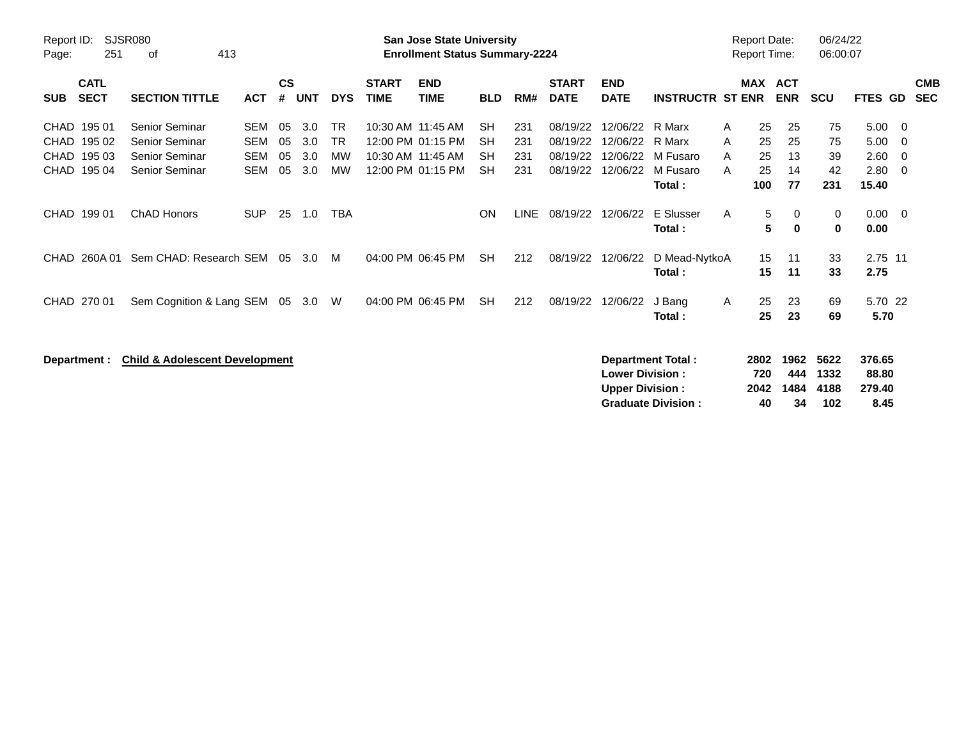| <b>SJSR080</b><br>Report ID:<br>251<br>413<br>οf<br>Page: |                                                     |                                                                                    |                                               |                      | <b>San Jose State University</b><br><b>Enrollment Status Summary-2224</b> |                                           |                             |                                                                                  |                                                  |                          |                                              |                                              |                                                    |                  |                             | <b>Report Date:</b><br><b>Report Time:</b> | 06/24/22<br>06:00:07        |                                       |                          |
|-----------------------------------------------------------|-----------------------------------------------------|------------------------------------------------------------------------------------|-----------------------------------------------|----------------------|---------------------------------------------------------------------------|-------------------------------------------|-----------------------------|----------------------------------------------------------------------------------|--------------------------------------------------|--------------------------|----------------------------------------------|----------------------------------------------|----------------------------------------------------|------------------|-----------------------------|--------------------------------------------|-----------------------------|---------------------------------------|--------------------------|
| <b>SUB</b>                                                | <b>CATL</b><br><b>SECT</b>                          | <b>SECTION TITTLE</b>                                                              | <b>ACT</b>                                    | $\mathsf{cs}$<br>#   | <b>UNT</b>                                                                | <b>DYS</b>                                | <b>START</b><br><b>TIME</b> | <b>END</b><br><b>TIME</b>                                                        | <b>BLD</b>                                       | RM#                      | <b>START</b><br><b>DATE</b>                  | <b>END</b><br><b>DATE</b>                    | <b>INSTRUCTR ST ENR</b>                            |                  | MAX ACT                     | <b>ENR</b>                                 | <b>SCU</b>                  | FTES GD                               | <b>CMB</b><br><b>SEC</b> |
| CHAD                                                      | CHAD 195 01<br>195 02<br>CHAD 195 03<br>CHAD 195 04 | <b>Senior Seminar</b><br>Senior Seminar<br><b>Senior Seminar</b><br>Senior Seminar | SEM<br><b>SEM</b><br><b>SEM</b><br><b>SEM</b> | 05<br>05<br>05<br>05 | 3.0<br>3.0<br>3.0<br>3.0                                                  | <b>TR</b><br><b>TR</b><br>МW<br><b>MW</b> |                             | 10:30 AM 11:45 AM<br>12:00 PM 01:15 PM<br>10:30 AM 11:45 AM<br>12:00 PM 01:15 PM | <b>SH</b><br><b>SH</b><br><b>SH</b><br><b>SH</b> | 231<br>231<br>231<br>231 | 08/19/22<br>08/19/22<br>08/19/22<br>08/19/22 | 12/06/22<br>12/06/22<br>12/06/22<br>12/06/22 | R Marx<br>R Marx<br>M Fusaro<br>M Fusaro<br>Total: | A<br>A<br>A<br>A | 25<br>25<br>25<br>25<br>100 | 25<br>25<br>13<br>14<br>77                 | 75<br>75<br>39<br>42<br>231 | 5.00<br>5.00<br>2.60<br>2.80<br>15.40 | - 0<br>- 0<br>- 0<br>- 0 |
|                                                           | CHAD 199 01                                         | <b>ChAD Honors</b>                                                                 | <b>SUP</b>                                    | 25                   | 1.0                                                                       | TBA                                       |                             |                                                                                  | <b>ON</b>                                        | LINE                     | 08/19/22                                     | 12/06/22                                     | E Slusser<br>Total:                                | A                | 5<br>5                      | 0<br>0                                     | 0<br>0                      | 0.00<br>0.00                          | - 0                      |
| CHAD.                                                     | 260A 01                                             | Sem CHAD: Research SEM                                                             |                                               | 05                   | 3.0                                                                       | M                                         |                             | 04:00 PM 06:45 PM                                                                | <b>SH</b>                                        | 212                      | 08/19/22                                     | 12/06/22                                     | D Mead-NytkoA<br>Total:                            |                  | 15<br>15                    | 11<br>11                                   | 33<br>33                    | 2.75 11<br>2.75                       |                          |
|                                                           | CHAD 270 01                                         | Sem Cognition & Lang SEM                                                           |                                               |                      | 05 3.0                                                                    | W                                         |                             | 04:00 PM 06:45 PM                                                                | <b>SH</b>                                        | 212                      | 08/19/22                                     | 12/06/22                                     | J Bang<br>Total:                                   | A                | 25<br>25                    | 23<br>23                                   | 69<br>69                    | 5.70 22<br>5.70                       |                          |
|                                                           | Department :                                        | <b>Child &amp; Adolescent Development</b>                                          |                                               |                      |                                                                           |                                           |                             |                                                                                  |                                                  |                          |                                              | <b>Lower Division:</b>                       | Department Total:                                  |                  | 2802<br>720                 | 1962<br>444                                | 5622<br>1332                | 376.65<br>88.80                       |                          |

**Upper Division : 2042 1484 4188 279.40**

**Graduate Division :**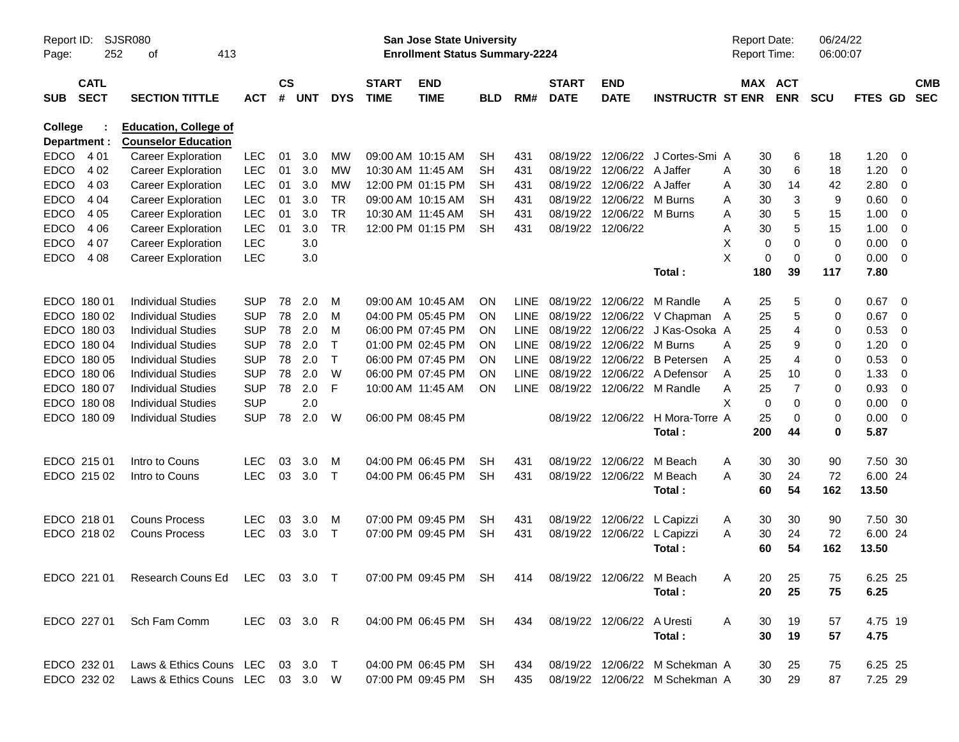| Report ID:<br>Page:     | 252                        | SJSR080<br>413<br>оf                                                                          |              |                    |            |            |                             | San Jose State University<br><b>Enrollment Status Summary-2224</b> |            |             | Report Date:<br>Report Time: |                            | 06/24/22<br>06:00:07             |     |                       |             |                |                |                          |
|-------------------------|----------------------------|-----------------------------------------------------------------------------------------------|--------------|--------------------|------------|------------|-----------------------------|--------------------------------------------------------------------|------------|-------------|------------------------------|----------------------------|----------------------------------|-----|-----------------------|-------------|----------------|----------------|--------------------------|
| <b>SUB</b>              | <b>CATL</b><br><b>SECT</b> | <b>SECTION TITTLE</b>                                                                         | <b>ACT</b>   | $\mathsf{cs}$<br># | <b>UNT</b> | <b>DYS</b> | <b>START</b><br><b>TIME</b> | <b>END</b><br><b>TIME</b>                                          | <b>BLD</b> | RM#         | <b>START</b><br><b>DATE</b>  | <b>END</b><br><b>DATE</b>  | <b>INSTRUCTR ST ENR</b>          |     | MAX ACT<br><b>ENR</b> | <b>SCU</b>  | <b>FTES GD</b> |                | <b>CMB</b><br><b>SEC</b> |
| College<br>Department : |                            | <b>Education, College of</b><br><b>Counselor Education</b>                                    |              |                    |            |            |                             |                                                                    |            |             |                              |                            |                                  |     |                       |             |                |                |                          |
| <b>EDCO</b>             | 4 0 1                      | <b>Career Exploration</b>                                                                     | <b>LEC</b>   | 01                 | 3.0        | MW         |                             | 09:00 AM 10:15 AM                                                  | <b>SH</b>  | 431         |                              | 08/19/22 12/06/22          | J Cortes-Smi A                   |     | 6<br>30               | 18          | 1.20           | - 0            |                          |
| <b>EDCO</b>             | 4 0 2                      | <b>Career Exploration</b>                                                                     | <b>LEC</b>   | 01                 | 3.0        | МW         |                             | 10:30 AM 11:45 AM                                                  | SH         | 431         |                              | 08/19/22 12/06/22          | A Jaffer                         | Α   | 6<br>30               | 18          | 1.20           | 0              |                          |
| <b>EDCO</b>             | 4 0 3                      | <b>Career Exploration</b>                                                                     | <b>LEC</b>   | 01                 | 3.0        | MW         |                             | 12:00 PM 01:15 PM                                                  | SН         | 431         |                              | 08/19/22 12/06/22          | A Jaffer                         | Α   | 30<br>14              | 42          | 2.80           | 0              |                          |
| <b>EDCO</b>             | 4 0 4                      | <b>Career Exploration</b>                                                                     | <b>LEC</b>   | 01                 | 3.0        | <b>TR</b>  |                             | 09:00 AM 10:15 AM                                                  | <b>SH</b>  | 431         |                              | 08/19/22 12/06/22          | M Burns                          | Α   | 3<br>30               | 9           | 0.60           | $\overline{0}$ |                          |
| <b>EDCO</b>             | 4 0 5                      | <b>Career Exploration</b>                                                                     | <b>LEC</b>   | 01                 | 3.0        | <b>TR</b>  | 10:30 AM 11:45 AM           |                                                                    | SН         | 431         |                              | 08/19/22 12/06/22          | M Burns                          | Α   | 5<br>30               | 15          | 1.00           | 0              |                          |
| <b>EDCO</b>             | 4 0 6                      | <b>Career Exploration</b>                                                                     | <b>LEC</b>   | 01                 | 3.0        | <b>TR</b>  |                             | 12:00 PM 01:15 PM                                                  | <b>SH</b>  | 431         | 08/19/22 12/06/22            |                            |                                  | Α   | 5<br>30               | 15          | 1.00           | 0              |                          |
| <b>EDCO</b>             | 4 0 7                      | <b>Career Exploration</b>                                                                     | <b>LEC</b>   |                    | 3.0        |            |                             |                                                                    |            |             |                              |                            |                                  | X   | $\mathbf 0$<br>0      | $\mathbf 0$ | 0.00           | $\overline{0}$ |                          |
| <b>EDCO</b>             | 4 0 8                      | <b>Career Exploration</b>                                                                     | <b>LEC</b>   |                    | 3.0        |            |                             |                                                                    |            |             |                              |                            |                                  | X   | $\mathbf 0$<br>0      | $\mathbf 0$ | 0.00           | $\overline{0}$ |                          |
|                         |                            |                                                                                               |              |                    |            |            |                             |                                                                    |            |             |                              |                            | Total:                           | 180 | 39                    | 117         | 7.80           |                |                          |
|                         | EDCO 180 01                | <b>Individual Studies</b>                                                                     | <b>SUP</b>   | 78                 | 2.0        | м          |                             | 09:00 AM 10:45 AM                                                  | <b>ON</b>  | <b>LINE</b> |                              | 08/19/22 12/06/22          | M Randle                         | A   | 5<br>25               | 0           | 0.67           | - 0            |                          |
|                         | EDCO 180 02                | <b>Individual Studies</b>                                                                     | <b>SUP</b>   | 78                 | 2.0        | M          |                             | 04:00 PM 05:45 PM                                                  | <b>ON</b>  | <b>LINE</b> |                              |                            | 08/19/22 12/06/22 V Chapman      | A   | 5<br>25               | 0           | 0.67           | 0              |                          |
|                         | EDCO 180 03                | <b>Individual Studies</b>                                                                     | <b>SUP</b>   | 78                 | 2.0        | M          |                             | 06:00 PM 07:45 PM                                                  | <b>ON</b>  | <b>LINE</b> |                              | 08/19/22 12/06/22          | J Kas-Osoka A                    |     | 25<br>4               | 0           | 0.53           | 0              |                          |
|                         | EDCO 180 04                | <b>Individual Studies</b>                                                                     | <b>SUP</b>   | 78                 | 2.0        | Τ          |                             | 01:00 PM 02:45 PM                                                  | <b>ON</b>  | <b>LINE</b> |                              | 08/19/22 12/06/22          | M Burns                          | A   | 9<br>25               | 0           | 1.20           | 0              |                          |
|                         | EDCO 180 05                | <b>Individual Studies</b>                                                                     | <b>SUP</b>   | 78                 | 2.0        | Τ          |                             | 06:00 PM 07:45 PM                                                  | <b>ON</b>  | <b>LINE</b> |                              | 08/19/22 12/06/22          | <b>B</b> Petersen                | Α   | 25<br>$\overline{4}$  | 0           | 0.53           | 0              |                          |
|                         | EDCO 180 06                | <b>Individual Studies</b>                                                                     | <b>SUP</b>   | 78                 | 2.0        | W          |                             | 06:00 PM 07:45 PM                                                  | <b>ON</b>  | <b>LINE</b> |                              |                            | 08/19/22 12/06/22 A Defensor     | Α   | 25<br>10              | 0           | 1.33           | 0              |                          |
|                         | EDCO 180 07                | <b>Individual Studies</b>                                                                     | <b>SUP</b>   | 78                 | 2.0        | F          | 10:00 AM 11:45 AM           |                                                                    | <b>ON</b>  | <b>LINE</b> |                              |                            | 08/19/22 12/06/22 M Randle       | Α   | $\overline{7}$<br>25  | 0           | 0.93           | $\overline{0}$ |                          |
|                         | EDCO 180 08                | <b>Individual Studies</b>                                                                     | <b>SUP</b>   |                    | 2.0        |            |                             |                                                                    |            |             |                              |                            |                                  | X   | $\mathbf 0$<br>0      | 0           | 0.00           | 0              |                          |
|                         | EDCO 180 09                | <b>Individual Studies</b>                                                                     | <b>SUP</b>   | 78                 | 2.0        | W          |                             | 06:00 PM 08:45 PM                                                  |            |             |                              |                            | 08/19/22 12/06/22 H Mora-Torre A |     | 25<br>0               | 0           | 0.00           | $\overline{0}$ |                          |
|                         |                            |                                                                                               |              |                    |            |            |                             |                                                                    |            |             |                              |                            | Total:                           | 200 | 44                    | 0           | 5.87           |                |                          |
|                         | EDCO 215 01                | Intro to Couns                                                                                | <b>LEC</b>   | 03                 | 3.0        | M          |                             | 04:00 PM 06:45 PM                                                  | SН         | 431         |                              | 08/19/22 12/06/22          | M Beach                          | A   | 30<br>30              | 90          | 7.50 30        |                |                          |
|                         | EDCO 215 02                | Intro to Couns                                                                                | <b>LEC</b>   | 03                 | 3.0        | $\top$     |                             | 04:00 PM 06:45 PM                                                  | SН         | 431         |                              | 08/19/22 12/06/22          | M Beach                          | A   | 30<br>24              | 72          | 6.00 24        |                |                          |
|                         |                            |                                                                                               |              |                    |            |            |                             |                                                                    |            |             |                              |                            | Total:                           |     | 60<br>54              | 162         | 13.50          |                |                          |
|                         | EDCO 218 01                | <b>Couns Process</b>                                                                          | <b>LEC</b>   | 03                 | 3.0        | M          |                             | 07:00 PM 09:45 PM                                                  | SН         | 431         |                              | 08/19/22 12/06/22          | L Capizzi                        | A   | 30<br>30              | 90          | 7.50 30        |                |                          |
|                         | EDCO 218 02                | <b>Couns Process</b>                                                                          | <b>LEC</b>   | 03                 | 3.0        | $\top$     |                             | 07:00 PM 09:45 PM                                                  | <b>SH</b>  | 431         |                              | 08/19/22 12/06/22          | L Capizzi                        | Α   | 30<br>24              | 72          | 6.00 24        |                |                          |
|                         |                            |                                                                                               |              |                    |            |            |                             |                                                                    |            |             |                              |                            | Total:                           |     | 54<br>60              | 162         | 13.50          |                |                          |
|                         |                            | EDCO 221 01 Research Couns Ed LEC 03 3.0 T 07:00 PM 09:45 PM SH 414 08/19/22 12/06/22 M Beach |              |                    |            |            |                             |                                                                    |            |             |                              |                            |                                  | A   | 20<br>25              | 75          | 6.25 25        |                |                          |
|                         |                            |                                                                                               |              |                    |            |            |                             |                                                                    |            |             |                              |                            | Total:                           |     | 20<br>25              | 75          | 6.25           |                |                          |
|                         | EDCO 227 01                | Sch Fam Comm                                                                                  | LEC 03 3.0 R |                    |            |            |                             | 04:00 PM 06:45 PM SH                                               |            | 434         |                              | 08/19/22 12/06/22 A Uresti |                                  | A   | 19<br>30              | 57          | 4.75 19        |                |                          |
|                         |                            |                                                                                               |              |                    |            |            |                             |                                                                    |            |             |                              |                            | Total:                           |     | 30<br>19              | 57          | 4.75           |                |                          |
|                         | EDCO 232 01                | Laws & Ethics Couns LEC 03 3.0 T                                                              |              |                    |            |            |                             | 04:00 PM 06:45 PM SH                                               |            | 434         |                              |                            | 08/19/22 12/06/22 M Schekman A   |     | 25<br>30              | 75          | 6.25 25        |                |                          |
|                         | EDCO 232 02                | Laws & Ethics Couns LEC 03 3.0 W                                                              |              |                    |            |            |                             | 07:00 PM 09:45 PM SH                                               |            | 435         |                              |                            | 08/19/22 12/06/22 M Schekman A   |     | 30<br>29              | 87          | 7.25 29        |                |                          |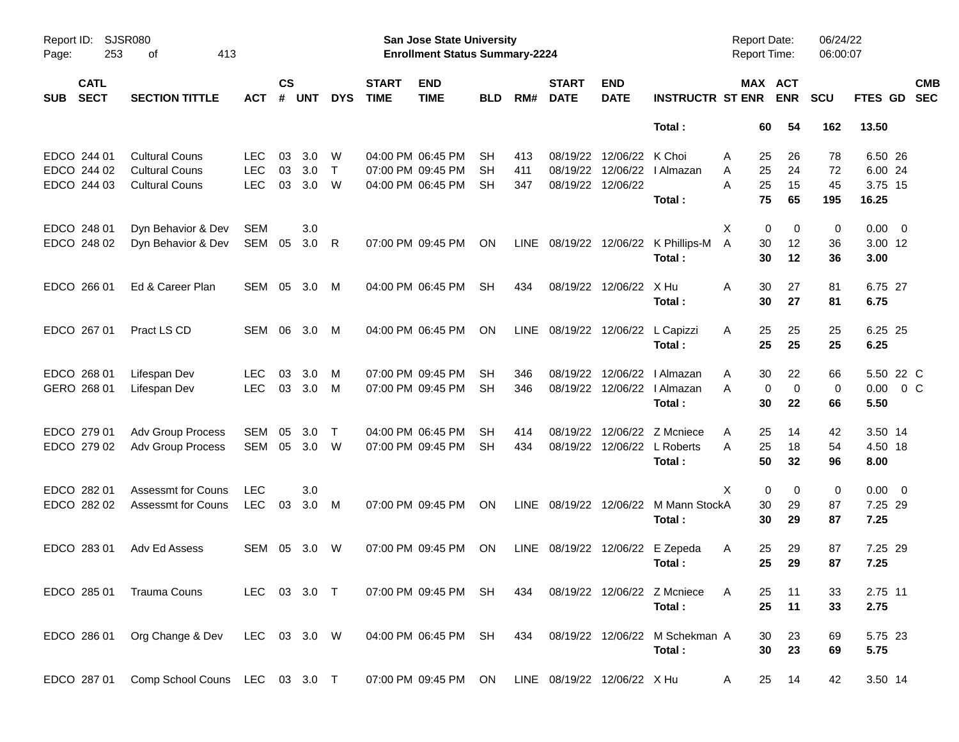| Report ID:<br>Page: | 253                        | <b>SJSR080</b><br>413<br>оf    |              |                |            |              |                             | San Jose State University<br><b>Enrollment Status Summary-2224</b> |            |      |                             |                           |                             | <b>Report Date:</b><br>Report Time: |                            | 06/24/22<br>06:00:07 |                  |                          |                          |
|---------------------|----------------------------|--------------------------------|--------------|----------------|------------|--------------|-----------------------------|--------------------------------------------------------------------|------------|------|-----------------------------|---------------------------|-----------------------------|-------------------------------------|----------------------------|----------------------|------------------|--------------------------|--------------------------|
| <b>SUB</b>          | <b>CATL</b><br><b>SECT</b> | <b>SECTION TITTLE</b>          | <b>ACT</b>   | <b>CS</b><br># | <b>UNT</b> | <b>DYS</b>   | <b>START</b><br><b>TIME</b> | <b>END</b><br><b>TIME</b>                                          | <b>BLD</b> | RM#  | <b>START</b><br><b>DATE</b> | <b>END</b><br><b>DATE</b> | <b>INSTRUCTR ST ENR</b>     |                                     | MAX ACT<br><b>ENR</b>      | <b>SCU</b>           | FTES GD          |                          | <b>CMB</b><br><b>SEC</b> |
|                     |                            |                                |              |                |            |              |                             |                                                                    |            |      |                             |                           | Total:                      | 60                                  | 54                         | 162                  | 13.50            |                          |                          |
|                     | EDCO 244 01                | <b>Cultural Couns</b>          | <b>LEC</b>   | 03             | 3.0        | W            |                             | 04:00 PM 06:45 PM                                                  | SН         | 413  | 08/19/22                    | 12/06/22                  | K Choi                      | 25<br>A                             | 26                         | 78                   | 6.50 26          |                          |                          |
|                     | EDCO 244 02                | <b>Cultural Couns</b>          | <b>LEC</b>   | 03             | 3.0        | $\mathsf{T}$ |                             | 07:00 PM 09:45 PM                                                  | <b>SH</b>  | 411  | 08/19/22                    | 12/06/22                  | I Almazan                   | 25<br>A                             | 24                         | 72                   | 6.00 24          |                          |                          |
|                     | EDCO 244 03                | <b>Cultural Couns</b>          | <b>LEC</b>   | 03             | 3.0        | W            |                             | 04:00 PM 06:45 PM                                                  | <b>SH</b>  | 347  | 08/19/22                    | 12/06/22                  | Total:                      | 25<br>A<br>75                       | 15<br>65                   | 45<br>195            | 3.75 15<br>16.25 |                          |                          |
|                     |                            |                                |              |                |            |              |                             |                                                                    |            |      |                             |                           |                             |                                     |                            |                      |                  |                          |                          |
|                     | EDCO 248 01                | Dyn Behavior & Dev             | <b>SEM</b>   |                | 3.0        |              |                             |                                                                    |            |      |                             |                           |                             | Χ                                   | 0<br>0                     | 0                    | 0.00             | $\overline{\mathbf{0}}$  |                          |
|                     | EDCO 248 02                | Dyn Behavior & Dev             | SEM          | 05             | 3.0        | R            |                             | 07:00 PM 09:45 PM                                                  | ON         | LINE | 08/19/22                    | 12/06/22                  | K Phillips-M                | 30<br>A                             | 12                         | 36                   | 3.00 12          |                          |                          |
|                     |                            |                                |              |                |            |              |                             |                                                                    |            |      |                             |                           | Total:                      | 30                                  | 12                         | 36                   | 3.00             |                          |                          |
|                     | EDCO 266 01                | Ed & Career Plan               | SEM          |                | 05 3.0     | M            |                             | 04:00 PM 06:45 PM                                                  | <b>SH</b>  | 434  | 08/19/22                    | 12/06/22                  | X Hu                        | 30<br>A                             | 27                         | 81                   | 6.75 27          |                          |                          |
|                     |                            |                                |              |                |            |              |                             |                                                                    |            |      |                             |                           | Total:                      | 30                                  | 27                         | 81                   | 6.75             |                          |                          |
|                     | EDCO 267 01                | Pract LS CD                    | SEM          | 06             | 3.0        | M            |                             | 04:00 PM 06:45 PM                                                  | ON         | LINE | 08/19/22                    | 12/06/22                  | L Capizzi                   | 25<br>A                             | 25                         | 25                   | 6.25 25          |                          |                          |
|                     |                            |                                |              |                |            |              |                             |                                                                    |            |      |                             |                           | Total:                      | 25                                  | 25                         | 25                   | 6.25             |                          |                          |
|                     | EDCO 268 01                | Lifespan Dev                   | <b>LEC</b>   | 03             | 3.0        | M            |                             | 07:00 PM 09:45 PM                                                  | <b>SH</b>  | 346  | 08/19/22                    | 12/06/22                  | I Almazan                   | 30<br>A                             | 22                         | 66                   | 5.50 22 C        |                          |                          |
|                     | GERO 268 01                | Lifespan Dev                   | <b>LEC</b>   | 03             | 3.0        | M            |                             | 07:00 PM 09:45 PM                                                  | <b>SH</b>  | 346  | 08/19/22                    | 12/06/22                  | I Almazan                   | A                                   | $\mathbf 0$<br>$\mathbf 0$ | 0                    | 0.00             | $0\,$ C                  |                          |
|                     |                            |                                |              |                |            |              |                             |                                                                    |            |      |                             |                           | Total:                      | 30                                  | 22                         | 66                   | 5.50             |                          |                          |
|                     | EDCO 279 01                | Adv Group Process              | SEM          | 05             | 3.0        | $\top$       |                             | 04:00 PM 06:45 PM                                                  | SН         | 414  | 08/19/22                    | 12/06/22                  | Z Mcniece                   | 25<br>A                             | 14                         | 42                   | 3.50 14          |                          |                          |
|                     | EDCO 279 02                | Adv Group Process              | SEM          | 05             | 3.0        | W            |                             | 07:00 PM 09:45 PM                                                  | <b>SH</b>  | 434  | 08/19/22                    | 12/06/22                  | L Roberts                   | A<br>25                             | 18                         | 54                   | 4.50 18          |                          |                          |
|                     |                            |                                |              |                |            |              |                             |                                                                    |            |      |                             |                           | Total:                      | 50                                  | 32                         | 96                   | 8.00             |                          |                          |
|                     | EDCO 282 01                | Assessmt for Couns             | <b>LEC</b>   |                | 3.0        |              |                             |                                                                    |            |      |                             |                           |                             | X                                   | 0<br>0                     | 0                    | 0.00             | $\overline{\phantom{0}}$ |                          |
|                     | EDCO 282 02                | <b>Assessmt for Couns</b>      | <b>LEC</b>   | 03             | 3.0        | M            |                             | 07:00 PM 09:45 PM                                                  | ON         | LINE | 08/19/22                    | 12/06/22                  | M Mann StockA               | 30                                  | 29                         | 87                   | 7.25 29          |                          |                          |
|                     |                            |                                |              |                |            |              |                             |                                                                    |            |      |                             |                           | Total:                      | 30                                  | 29                         | 87                   | 7.25             |                          |                          |
|                     | EDCO 283 01                | Adv Ed Assess                  | SEM          | 05             | 3.0        | W            |                             | 07:00 PM 09:45 PM                                                  | ON         | LINE | 08/19/22                    | 12/06/22                  | E Zepeda                    | 25<br>A                             | 29                         | 87                   | 7.25 29          |                          |                          |
|                     |                            |                                |              |                |            |              |                             |                                                                    |            |      |                             |                           | Total:                      | 25                                  | 29                         | 87                   | 7.25             |                          |                          |
|                     | EDCO 285 01                | <b>Trauma Couns</b>            | LEC 03 3.0 T |                |            |              |                             | 07:00 PM 09:45 PM SH                                               |            | 434  |                             |                           | 08/19/22 12/06/22 Z Mcniece | A<br>25                             | 11                         | 33                   | 2.75 11          |                          |                          |
|                     |                            |                                |              |                |            |              |                             |                                                                    |            |      |                             |                           | Total:                      | 25                                  | 11                         | 33                   | 2.75             |                          |                          |
|                     | EDCO 286 01                | Org Change & Dev               | LEC 03 3.0 W |                |            |              |                             | 04:00 PM 06:45 PM SH                                               |            | 434  |                             | 08/19/22 12/06/22         | M Schekman A                | 30                                  | 23                         | 69                   | 5.75 23          |                          |                          |
|                     |                            |                                |              |                |            |              |                             |                                                                    |            |      |                             |                           | Total:                      | 30                                  | 23                         | 69                   | 5.75             |                          |                          |
|                     | EDCO 287 01                | Comp School Couns LEC 03 3.0 T |              |                |            |              |                             | 07:00 PM 09:45 PM ON                                               |            |      | LINE 08/19/22 12/06/22 X Hu |                           |                             | 25<br>A                             | 14                         | 42                   | 3.50 14          |                          |                          |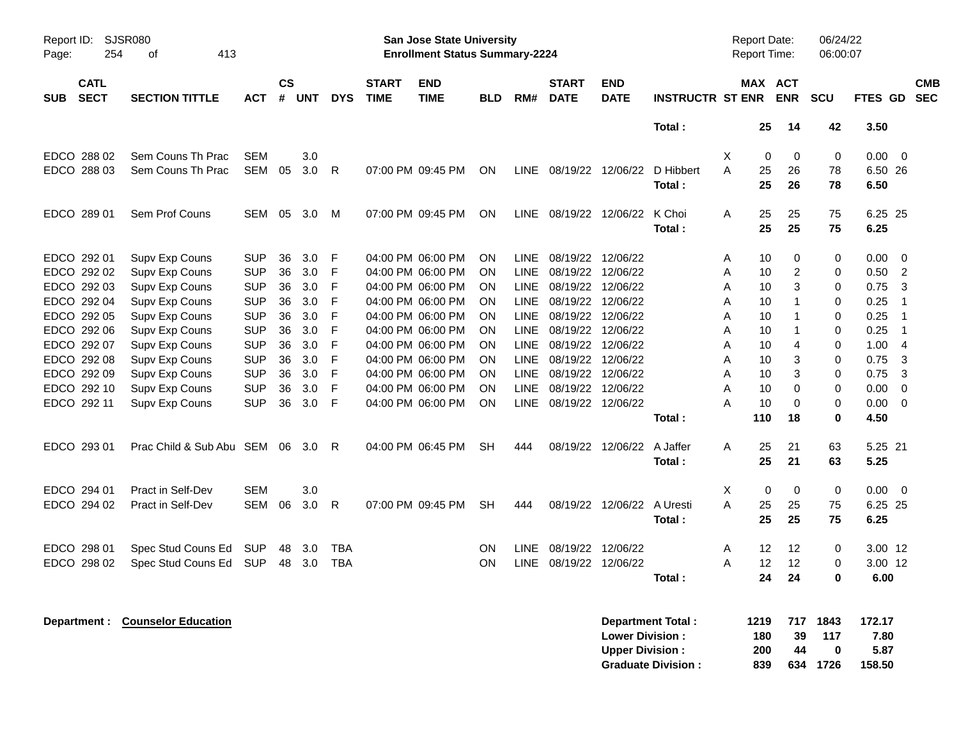| Report ID:<br>Page: | <b>SJSR080</b><br>254      | 413<br>οf             |            |                    |            |              |                             | <b>San Jose State University</b><br><b>Enrollment Status Summary-2224</b> |            |             |                             |                           |                         |   | Report Date:<br><b>Report Time:</b> |                   | 06/24/22<br>06:00:07 |              |                |                          |
|---------------------|----------------------------|-----------------------|------------|--------------------|------------|--------------|-----------------------------|---------------------------------------------------------------------------|------------|-------------|-----------------------------|---------------------------|-------------------------|---|-------------------------------------|-------------------|----------------------|--------------|----------------|--------------------------|
| <b>SUB</b>          | <b>CATL</b><br><b>SECT</b> | <b>SECTION TITTLE</b> | ACT        | $\mathsf{cs}$<br># | <b>UNT</b> | <b>DYS</b>   | <b>START</b><br><b>TIME</b> | <b>END</b><br><b>TIME</b>                                                 | <b>BLD</b> | RM#         | <b>START</b><br><b>DATE</b> | <b>END</b><br><b>DATE</b> | <b>INSTRUCTR ST ENR</b> |   | MAX ACT                             | <b>ENR</b>        | SCU                  | FTES GD      |                | <b>CMB</b><br><b>SEC</b> |
|                     |                            |                       |            |                    |            |              |                             |                                                                           |            |             |                             |                           | Total:                  |   | 25                                  | 14                | 42                   | 3.50         |                |                          |
|                     | EDCO 288 02                | Sem Couns Th Prac     | <b>SEM</b> |                    | 3.0        |              |                             |                                                                           |            |             |                             |                           |                         | X | 0                                   | $\mathbf 0$       | 0                    | 0.00         | $\overline{0}$ |                          |
|                     | EDCO 288 03                | Sem Couns Th Prac     | <b>SEM</b> | 05                 | 3.0        | $\mathsf{R}$ |                             | 07:00 PM 09:45 PM                                                         | <b>ON</b>  | LINE        | 08/19/22 12/06/22           |                           | D Hibbert               | A | 25                                  | 26                | 78                   | 6.50 26      |                |                          |
|                     |                            |                       |            |                    |            |              |                             |                                                                           |            |             |                             |                           | <b>Total:</b>           |   | 25                                  | 26                | 78                   | 6.50         |                |                          |
|                     | EDCO 289 01                | Sem Prof Couns        | <b>SEM</b> | 05                 | 3.0        | M            |                             | 07:00 PM 09:45 PM                                                         | <b>ON</b>  |             | LINE 08/19/22 12/06/22      |                           | K Choi                  | A | 25                                  | 25                | 75                   | 6.25 25      |                |                          |
|                     |                            |                       |            |                    |            |              |                             |                                                                           |            |             |                             |                           | Total:                  |   | 25                                  | 25                | 75                   | 6.25         |                |                          |
|                     | EDCO 292 01                | Supv Exp Couns        | <b>SUP</b> | 36                 | 3.0        | F            |                             | 04:00 PM 06:00 PM                                                         | <b>ON</b>  | <b>LINE</b> | 08/19/22                    | 12/06/22                  |                         | Α | 10                                  | 0                 | 0                    | 0.00         | $\mathbf 0$    |                          |
|                     | EDCO 292 02                | Supv Exp Couns        | <b>SUP</b> | 36                 | 3.0        | $\mathsf{F}$ |                             | 04:00 PM 06:00 PM                                                         | <b>ON</b>  | <b>LINE</b> | 08/19/22                    | 12/06/22                  |                         | A | 10                                  | $\overline{c}$    | 0                    | 0.50         | $\overline{2}$ |                          |
|                     | EDCO 292 03                | Supv Exp Couns        | <b>SUP</b> | 36                 | 3.0        | F            |                             | 04:00 PM 06:00 PM                                                         | <b>ON</b>  | <b>LINE</b> | 08/19/22                    | 12/06/22                  |                         | A | 10                                  | 3                 | 0                    | 0.75         | 3              |                          |
|                     | EDCO 292 04                | Supv Exp Couns        | <b>SUP</b> | 36                 | 3.0        | F            |                             | 04:00 PM 06:00 PM                                                         | <b>ON</b>  | LINE        | 08/19/22                    | 12/06/22                  |                         | A | 10                                  | $\mathbf 1$       | 0                    | 0.25         | $\overline{1}$ |                          |
|                     | EDCO 292 05                | Supv Exp Couns        | <b>SUP</b> | 36                 | 3.0        | F            |                             | 04:00 PM 06:00 PM                                                         | <b>ON</b>  | <b>LINE</b> | 08/19/22 12/06/22           |                           |                         | A | 10                                  | $\mathbf 1$       | 0                    | 0.25         | $\overline{1}$ |                          |
|                     | EDCO 292 06                | Supv Exp Couns        | <b>SUP</b> | 36                 | 3.0        | F            |                             | 04:00 PM 06:00 PM                                                         | <b>ON</b>  | <b>LINE</b> | 08/19/22                    | 12/06/22                  |                         | A | 10                                  | 1                 | 0                    | 0.25         | $\overline{1}$ |                          |
|                     | EDCO 292 07                | Supv Exp Couns        | <b>SUP</b> | 36                 | 3.0        | F            |                             | 04:00 PM 06:00 PM                                                         | ON         | <b>LINE</b> | 08/19/22                    | 12/06/22                  |                         | A | 10                                  | $\overline{4}$    | 0                    | 1.00         | $\overline{4}$ |                          |
|                     | EDCO 292 08                | Supv Exp Couns        | <b>SUP</b> | 36                 | 3.0        | F            |                             | 04:00 PM 06:00 PM                                                         | ON         | LINE        | 08/19/22                    | 12/06/22                  |                         | A | 10                                  | 3                 | 0                    | 0.75         | 3              |                          |
|                     | EDCO 292 09                | Supv Exp Couns        | <b>SUP</b> | 36                 | 3.0        | F            |                             | 04:00 PM 06:00 PM                                                         | ON         | <b>LINE</b> | 08/19/22                    | 12/06/22                  |                         | A | 10                                  | 3                 | 0                    | 0.75         | 3              |                          |
|                     | EDCO 292 10                | Supv Exp Couns        | <b>SUP</b> | 36                 | 3.0        | F            |                             | 04:00 PM 06:00 PM                                                         | <b>ON</b>  | <b>LINE</b> | 08/19/22                    | 12/06/22                  |                         | A | 10                                  | $\mathbf 0$       | 0                    | 0.00         | $\mathbf 0$    |                          |
|                     | EDCO 292 11                | Supv Exp Couns        | <b>SUP</b> | 36                 | 3.0        | F            |                             | 04:00 PM 06:00 PM                                                         | ON         | <b>LINE</b> | 08/19/22 12/06/22           |                           | Total:                  | А | 10<br>110                           | $\mathbf 0$<br>18 | 0<br>0               | 0.00<br>4.50 | $\mathbf 0$    |                          |
|                     | EDCO 293 01                | Prac Child & Sub Abu  | SEM 06     |                    | 3.0        | R            |                             | 04:00 PM 06:45 PM                                                         | <b>SH</b>  | 444         | 08/19/22                    | 12/06/22                  | A Jaffer                | A | 25                                  | 21                | 63                   | 5.25 21      |                |                          |
|                     |                            |                       |            |                    |            |              |                             |                                                                           |            |             |                             |                           | Total:                  |   | 25                                  | 21                | 63                   | 5.25         |                |                          |
|                     | EDCO 294 01                | Pract in Self-Dev     | <b>SEM</b> |                    | 3.0        |              |                             |                                                                           |            |             |                             |                           |                         | X | 0                                   | $\mathbf 0$       | $\mathbf 0$          | 0.00         | $\overline{0}$ |                          |
|                     | EDCO 294 02                | Pract in Self-Dev     | <b>SEM</b> | 06                 | 3.0        | $\mathsf{R}$ |                             | 07:00 PM 09:45 PM                                                         | <b>SH</b>  | 444         | 08/19/22                    | 12/06/22                  | A Uresti                | A | 25                                  | 25                | 75                   | 6.25 25      |                |                          |
|                     |                            |                       |            |                    |            |              |                             |                                                                           |            |             |                             |                           | Total:                  |   | 25                                  | 25                | 75                   | 6.25         |                |                          |
|                     | EDCO 298 01                | Spec Stud Couns Ed    | SUP        | 48                 | 3.0        | TBA          |                             |                                                                           | OΝ         | <b>LINE</b> | 08/19/22 12/06/22           |                           |                         | Α | 12                                  | 12                | 0                    | 3.00 12      |                |                          |
|                     | EDCO 298 02                | Spec Stud Couns Ed    | <b>SUP</b> | 48                 | 3.0        | <b>TBA</b>   |                             |                                                                           | ON         | <b>LINE</b> | 08/19/22                    | 12/06/22                  |                         | A | 12                                  | 12                | 0                    | 3.00 12      |                |                          |
|                     |                            |                       |            |                    |            |              |                             |                                                                           |            |             |                             |                           | Total:                  |   | 24                                  | 24                | 0                    | 6.00         |                |                          |

| Department : | <b>Counselor Education</b> | Department Total:         | 1219 | 717 | 1843 | 172.17 |
|--------------|----------------------------|---------------------------|------|-----|------|--------|
|              |                            | <b>Lower Division:</b>    | 180  | -39 | 117  | 7.80   |
|              |                            | <b>Upper Division:</b>    | 200  | -44 |      | 5.87   |
|              |                            | <b>Graduate Division:</b> | 839  | 634 | 1726 | 158.50 |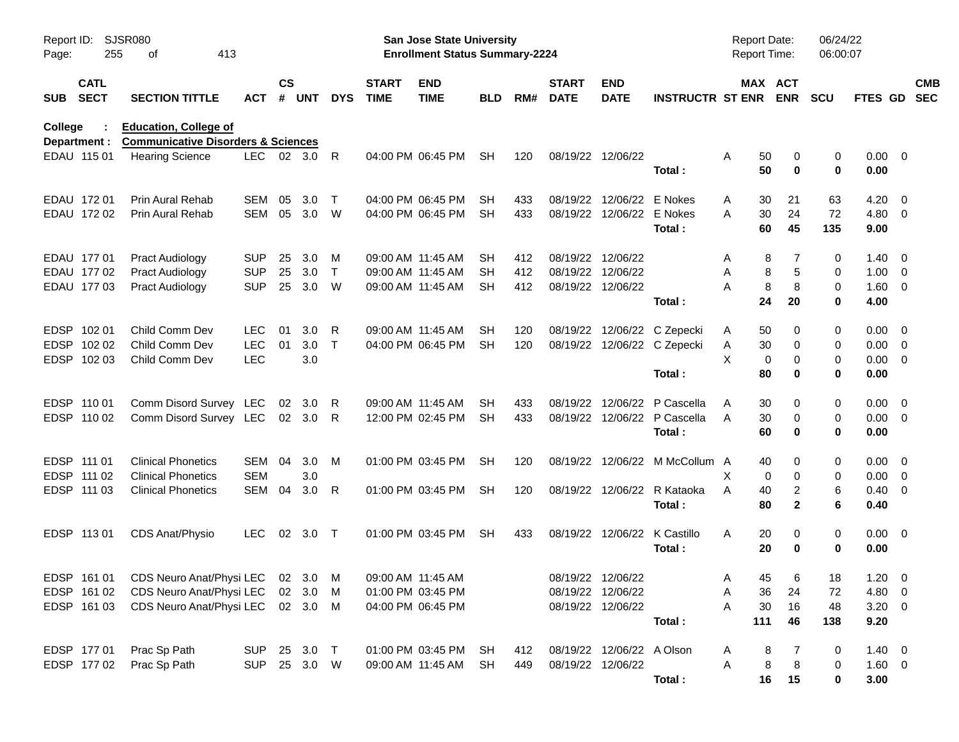| Report ID:<br>Page: | 255                        | SJSR080<br>413<br>οf                                            |            |                    |                |              |                             | <b>San Jose State University</b><br><b>Enrollment Status Summary-2224</b> |            |     |                             |                           |                                | Report Date:<br>Report Time: |                       | 06/24/22<br>06:00:07 |                        |                          |            |
|---------------------|----------------------------|-----------------------------------------------------------------|------------|--------------------|----------------|--------------|-----------------------------|---------------------------------------------------------------------------|------------|-----|-----------------------------|---------------------------|--------------------------------|------------------------------|-----------------------|----------------------|------------------------|--------------------------|------------|
| <b>SUB</b>          | <b>CATL</b><br><b>SECT</b> | <b>SECTION TITTLE</b>                                           | <b>ACT</b> | $\mathsf{cs}$<br># | <b>UNT</b>     | <b>DYS</b>   | <b>START</b><br><b>TIME</b> | <b>END</b><br><b>TIME</b>                                                 | <b>BLD</b> | RM# | <b>START</b><br><b>DATE</b> | <b>END</b><br><b>DATE</b> | <b>INSTRUCTR ST ENR</b>        |                              | MAX ACT<br><b>ENR</b> | <b>SCU</b>           | FTES GD SEC            |                          | <b>CMB</b> |
| College             |                            | <b>Education, College of</b>                                    |            |                    |                |              |                             |                                                                           |            |     |                             |                           |                                |                              |                       |                      |                        |                          |            |
|                     | Department :               | <b>Communicative Disorders &amp; Sciences</b>                   |            |                    |                |              |                             |                                                                           |            |     |                             |                           |                                |                              |                       |                      |                        |                          |            |
|                     | EDAU 115 01                | <b>Hearing Science</b>                                          | LEC 02 3.0 |                    |                | R            |                             | 04:00 PM 06:45 PM                                                         | SH         | 120 |                             | 08/19/22 12/06/22         | Total:                         | A<br>50<br>50                | 0<br>$\mathbf 0$      | 0<br>0               | $0.00 \quad 0$<br>0.00 |                          |            |
|                     | EDAU 172 01                | Prin Aural Rehab                                                | SEM        | 05                 | 3.0            | $\mathsf{T}$ |                             | 04:00 PM 06:45 PM                                                         | SH         | 433 |                             | 08/19/22 12/06/22         | E Nokes                        | 30<br>A                      | 21                    | 63                   | 4.20                   | $\overline{\mathbf{0}}$  |            |
|                     | EDAU 172 02                | <b>Prin Aural Rehab</b>                                         | SEM        | 05                 | 3.0            | W            |                             | 04:00 PM 06:45 PM                                                         | SH         | 433 |                             | 08/19/22 12/06/22 E Nokes |                                | 30<br>A                      | 24                    | 72                   | 4.80                   | - 0                      |            |
|                     |                            |                                                                 |            |                    |                |              |                             |                                                                           |            |     |                             |                           | Total:                         | 60                           | 45                    | 135                  | 9.00                   |                          |            |
|                     | EDAU 177 01                | <b>Pract Audiology</b>                                          | <b>SUP</b> | 25                 | 3.0            | M            |                             | 09:00 AM 11:45 AM                                                         | SH         | 412 | 08/19/22 12/06/22           |                           |                                | Α                            | 7<br>8                | 0                    | 1.40                   | $\overline{\mathbf{0}}$  |            |
|                     | EDAU 177 02                | <b>Pract Audiology</b>                                          | <b>SUP</b> | 25                 | 3.0            | $\top$       |                             | 09:00 AM 11:45 AM                                                         | SH         | 412 | 08/19/22 12/06/22           |                           |                                | Α                            | 5<br>8                | 0                    | 1.00                   | $\overline{\phantom{0}}$ |            |
|                     | EDAU 177 03                | <b>Pract Audiology</b>                                          | <b>SUP</b> | 25                 | 3.0            | W            |                             | 09:00 AM 11:45 AM                                                         | SH         | 412 | 08/19/22 12/06/22           |                           |                                | A                            | 8<br>8                | 0                    | 1.60 0                 |                          |            |
|                     |                            |                                                                 |            |                    |                |              |                             |                                                                           |            |     |                             |                           | Total:                         | 24                           | 20                    | 0                    | 4.00                   |                          |            |
| <b>EDSP</b>         | 102 01                     | Child Comm Dev                                                  | <b>LEC</b> | 01                 | 3.0            | R            |                             | 09:00 AM 11:45 AM                                                         | SH         | 120 |                             |                           | 08/19/22 12/06/22 C Zepecki    | 50<br>A                      | 0                     | 0                    | 0.00                   | $\overline{\phantom{0}}$ |            |
| <b>EDSP</b>         | 102 02                     | Child Comm Dev                                                  | <b>LEC</b> | 01                 | 3.0            | Т            |                             | 04:00 PM 06:45 PM                                                         | SH         | 120 |                             |                           | 08/19/22 12/06/22 C Zepecki    | 30<br>A                      | 0                     | 0                    | 0.00                   | $\overline{\phantom{0}}$ |            |
|                     | EDSP 102 03                | Child Comm Dev                                                  | LEC        |                    | 3.0            |              |                             |                                                                           |            |     |                             |                           |                                | X                            | 0<br>0                | 0                    | $0.00 \t 0$            |                          |            |
|                     |                            |                                                                 |            |                    |                |              |                             |                                                                           |            |     |                             |                           | Total:                         | 80                           | 0                     | 0                    | 0.00                   |                          |            |
|                     | EDSP 110 01                | Comm Disord Survey LEC                                          |            | 02                 | 3.0            | R            |                             | 09:00 AM 11:45 AM                                                         | SН         | 433 |                             | 08/19/22 12/06/22         | P Cascella                     | Α<br>30                      | 0                     | 0                    | 0.00                   | $\overline{\phantom{0}}$ |            |
|                     | EDSP 110 02                | Comm Disord Survey LEC                                          |            |                    | $02 \quad 3.0$ | R            |                             | 12:00 PM 02:45 PM                                                         | SH         | 433 |                             |                           | 08/19/22 12/06/22 P Cascella   | A<br>30                      | 0                     | 0                    | $0.00 \t 0$            |                          |            |
|                     |                            |                                                                 |            |                    |                |              |                             |                                                                           |            |     |                             |                           | Total:                         | 60                           | $\mathbf 0$           | 0                    | 0.00                   |                          |            |
|                     | EDSP 111 01                | <b>Clinical Phonetics</b>                                       | SEM        | 04                 | 3.0            | M            |                             | 01:00 PM 03:45 PM                                                         | SH         | 120 |                             |                           | 08/19/22 12/06/22 M McCollum A | 40                           | 0                     | 0                    | 0.00                   | $\overline{\phantom{0}}$ |            |
|                     | EDSP 111 02                | <b>Clinical Phonetics</b>                                       | <b>SEM</b> |                    | 3.0            |              |                             |                                                                           |            |     |                             |                           |                                | X                            | 0<br>0                | 0                    | 0.00                   | $\overline{\phantom{0}}$ |            |
|                     | EDSP 111 03                | <b>Clinical Phonetics</b>                                       | SEM        | 04                 | 3.0            | R            |                             | 01:00 PM 03:45 PM                                                         | SH         | 120 |                             |                           | 08/19/22 12/06/22 R Kataoka    | A<br>40                      | 2                     | 6                    | 0.40                   | $\overline{\mathbf{0}}$  |            |
|                     |                            |                                                                 |            |                    |                |              |                             |                                                                           |            |     |                             |                           | Total:                         | 80                           | $\mathbf{2}$          | 6                    | 0.40                   |                          |            |
|                     | EDSP 11301                 | CDS Anat/Physio                                                 | <b>LEC</b> |                    | 02 3.0         | $\top$       |                             | 01:00 PM 03:45 PM                                                         | SH         | 433 |                             |                           | 08/19/22 12/06/22 K Castillo   | A<br>20                      | 0                     | 0                    | $0.00 \quad 0$         |                          |            |
|                     |                            |                                                                 |            |                    |                |              |                             |                                                                           |            |     |                             |                           | Total:                         | 20                           | 0                     | 0                    | 0.00                   |                          |            |
|                     |                            | EDSP 161 01 CDS Neuro Anat/Physi LEC 02 3.0 M 09:00 AM 11:45 AM |            |                    |                |              |                             |                                                                           |            |     |                             | 08/19/22 12/06/22         |                                | 45<br>Α                      | 6                     | 18                   | $1.20 \t 0$            |                          |            |
|                     | EDSP 161 02                | CDS Neuro Anat/Physi LEC                                        |            |                    | 02 3.0         | M            |                             | 01:00 PM 03:45 PM                                                         |            |     |                             | 08/19/22 12/06/22         |                                | Α<br>36                      | 24                    | 72                   | 4.80 0                 |                          |            |
|                     | EDSP 161 03                | CDS Neuro Anat/Physi LEC                                        |            |                    | 02 3.0         | M            |                             | 04:00 PM 06:45 PM                                                         |            |     |                             | 08/19/22 12/06/22         |                                | Α<br>30                      | 16                    | 48                   | $3.20 \ 0$             |                          |            |
|                     |                            |                                                                 |            |                    |                |              |                             |                                                                           |            |     |                             |                           | Total:                         | 111                          | 46                    | 138                  | 9.20                   |                          |            |
|                     | EDSP 177 01                | Prac Sp Path                                                    | <b>SUP</b> |                    | 25 3.0         | $\top$       |                             | 01:00 PM 03:45 PM                                                         | SH         | 412 |                             | 08/19/22 12/06/22 A Olson |                                | A                            | 8                     | 0                    | $1.40 \ 0$             |                          |            |
|                     | EDSP 177 02                | Prac Sp Path                                                    | <b>SUP</b> |                    | 25 3.0 W       |              |                             | 09:00 AM 11:45 AM                                                         | <b>SH</b>  | 449 |                             | 08/19/22 12/06/22         |                                | Α                            | 8<br>8                | 0                    | $1.60 \t 0$            |                          |            |
|                     |                            |                                                                 |            |                    |                |              |                             |                                                                           |            |     |                             |                           | Total:                         | 16                           | 15                    | 0                    | 3.00                   |                          |            |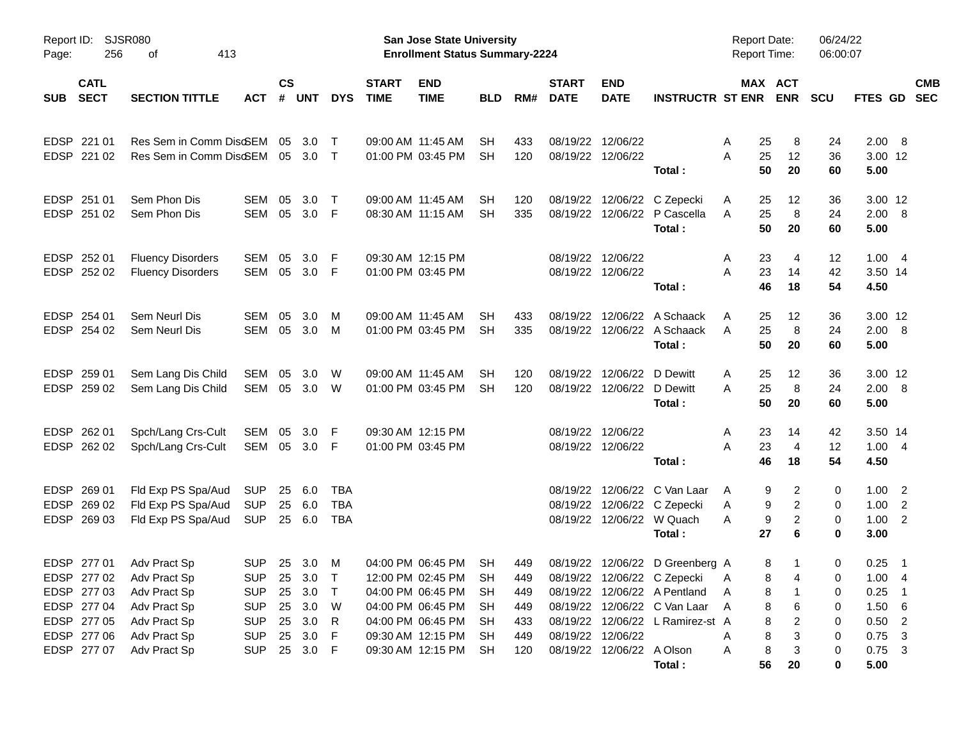| Page:                      | SJSR080<br>Report ID:<br>256<br>413<br>οf<br><b>CATL</b>                                              |                                                                                                              |                                                                                                |                      |                                      |                                        |                             | <b>San Jose State University</b><br><b>Enrollment Status Summary-2224</b>                                                                          |                                         |                                               |                             |                                                |                                                                                                                                                                    | Report Date:<br><b>Report Time:</b> |                                                           | 06/24/22<br>06:00:07            |                                                              |                                                                         |                          |
|----------------------------|-------------------------------------------------------------------------------------------------------|--------------------------------------------------------------------------------------------------------------|------------------------------------------------------------------------------------------------|----------------------|--------------------------------------|----------------------------------------|-----------------------------|----------------------------------------------------------------------------------------------------------------------------------------------------|-----------------------------------------|-----------------------------------------------|-----------------------------|------------------------------------------------|--------------------------------------------------------------------------------------------------------------------------------------------------------------------|-------------------------------------|-----------------------------------------------------------|---------------------------------|--------------------------------------------------------------|-------------------------------------------------------------------------|--------------------------|
| <b>SUB</b>                 | <b>SECT</b>                                                                                           | <b>SECTION TITTLE</b>                                                                                        | <b>ACT</b>                                                                                     | <b>CS</b><br>#       | <b>UNT</b>                           | <b>DYS</b>                             | <b>START</b><br><b>TIME</b> | <b>END</b><br><b>TIME</b>                                                                                                                          | <b>BLD</b>                              | RM#                                           | <b>START</b><br><b>DATE</b> | <b>END</b><br><b>DATE</b>                      | <b>INSTRUCTR ST ENR</b>                                                                                                                                            |                                     | MAX ACT<br><b>ENR</b>                                     | <b>SCU</b>                      | FTES GD                                                      |                                                                         | <b>CMB</b><br><b>SEC</b> |
| <b>EDSP</b>                | 221 01<br>EDSP 221 02                                                                                 | Res Sem in Comm DiscEM<br>Res Sem in Comm DiscEM                                                             |                                                                                                | 05                   | 3.0<br>05 3.0                        | $\top$<br>$\top$                       |                             | 09:00 AM 11:45 AM<br>01:00 PM 03:45 PM                                                                                                             | SН<br>SH.                               | 433<br>120                                    |                             | 08/19/22 12/06/22<br>08/19/22 12/06/22         | Total:                                                                                                                                                             | 25<br>A<br>25<br>A<br>50            | 8<br>12<br>20                                             | 24<br>36<br>60                  | 2.00 8<br>3.00 12<br>5.00                                    |                                                                         |                          |
| <b>EDSP</b>                | 251 01<br>EDSP 251 02                                                                                 | Sem Phon Dis<br>Sem Phon Dis                                                                                 | <b>SEM</b><br><b>SEM</b>                                                                       | 05<br>05             | 3.0<br>3.0                           | $\top$<br>-F                           |                             | 09:00 AM 11:45 AM<br>08:30 AM 11:15 AM                                                                                                             | SH<br><b>SH</b>                         | 120<br>335                                    | 08/19/22                    | 12/06/22                                       | C Zepecki<br>08/19/22 12/06/22 P Cascella<br>Total:                                                                                                                | 25<br>A<br>25<br>A<br>50            | 12<br>8<br>20                                             | 36<br>24<br>60                  | 3.00 12<br>2.00 8<br>5.00                                    |                                                                         |                          |
| <b>EDSP</b>                | 252 01<br>EDSP 252 02                                                                                 | <b>Fluency Disorders</b><br><b>Fluency Disorders</b>                                                         | <b>SEM</b><br><b>SEM</b>                                                                       | 05<br>05             | 3.0<br>3.0                           | -F<br>-F                               |                             | 09:30 AM 12:15 PM<br>01:00 PM 03:45 PM                                                                                                             |                                         |                                               |                             | 08/19/22 12/06/22<br>08/19/22 12/06/22         | Total:                                                                                                                                                             | 23<br>A<br>A<br>23<br>46            | 4<br>14<br>18                                             | 12<br>42<br>54                  | 1.004<br>3.50 14<br>4.50                                     |                                                                         |                          |
| <b>EDSP</b>                | 254 01<br>EDSP 254 02                                                                                 | Sem Neurl Dis<br>Sem Neurl Dis                                                                               | <b>SEM</b><br><b>SEM</b>                                                                       | 05<br>05             | 3.0<br>3.0                           | M<br>M                                 |                             | 09:00 AM 11:45 AM<br>01:00 PM 03:45 PM                                                                                                             | SН<br>SH.                               | 433<br>335                                    | 08/19/22                    | 12/06/22                                       | A Schaack<br>08/19/22 12/06/22 A Schaack<br>Total:                                                                                                                 | 25<br>A<br>25<br>A<br>50            | 12<br>8<br>20                                             | 36<br>24<br>60                  | 3.00 12<br>2.00 8<br>5.00                                    |                                                                         |                          |
| <b>EDSP</b>                | 259 01<br>EDSP 259 02                                                                                 | Sem Lang Dis Child<br>Sem Lang Dis Child                                                                     | SEM<br><b>SEM</b>                                                                              | 05                   | 3.0<br>05 3.0                        | W<br>W                                 |                             | 09:00 AM 11:45 AM<br>01:00 PM 03:45 PM                                                                                                             | SН<br>SH                                | 120<br>120                                    |                             | 08/19/22 12/06/22<br>08/19/22 12/06/22         | D Dewitt<br>D Dewitt<br>Total:                                                                                                                                     | 25<br>A<br>A<br>25<br>50            | 12<br>8<br>20                                             | 36<br>24<br>60                  | 3.00 12<br>2.00 8<br>5.00                                    |                                                                         |                          |
| <b>EDSP</b>                | 262 01<br>EDSP 262 02                                                                                 | Spch/Lang Crs-Cult<br>Spch/Lang Crs-Cult                                                                     | <b>SEM</b><br><b>SEM</b>                                                                       | 05                   | 3.0<br>05 3.0                        | -F<br>- F                              |                             | 09:30 AM 12:15 PM<br>01:00 PM 03:45 PM                                                                                                             |                                         |                                               |                             | 08/19/22 12/06/22<br>08/19/22 12/06/22         | Total:                                                                                                                                                             | 23<br>A<br>A<br>23<br>46            | 14<br>$\overline{4}$<br>18                                | 42<br>12<br>54                  | 3.50 14<br>1.004<br>4.50                                     |                                                                         |                          |
| <b>EDSP</b><br><b>EDSP</b> | 269 01<br>269 02<br>EDSP 269 03                                                                       | Fld Exp PS Spa/Aud<br>Fld Exp PS Spa/Aud<br>Fld Exp PS Spa/Aud                                               | <b>SUP</b><br><b>SUP</b><br><b>SUP</b>                                                         | 25<br>25<br>25       | 6.0<br>6.0<br>6.0                    | TBA<br><b>TBA</b><br><b>TBA</b>        |                             |                                                                                                                                                    |                                         |                                               | 08/19/22<br>08/19/22        |                                                | 12/06/22 C Van Laar<br>12/06/22 C Zepecki<br>08/19/22 12/06/22 W Quach<br>Total:                                                                                   | A<br>A<br>A<br>27                   | 2<br>9<br>$\overline{2}$<br>9<br>$\overline{2}$<br>9<br>6 | 0<br>0<br>0<br>0                | $1.00 \t 2$<br>1.00<br>1.00<br>3.00                          | $\overline{2}$<br>$\overline{\phantom{0}}^2$                            |                          |
|                            | EDSP 277 01<br>EDSP 277 02<br>EDSP 277 03<br>EDSP 277 04<br>EDSP 277 05<br>EDSP 277 06<br>EDSP 277 07 | Adv Pract Sp<br>Adv Pract Sp<br>Adv Pract Sp<br>Adv Pract Sp<br>Adv Pract Sp<br>Adv Pract Sp<br>Adv Pract Sp | SUP 25 3.0<br>SUP 25 3.0<br><b>SUP</b><br><b>SUP</b><br><b>SUP</b><br><b>SUP</b><br><b>SUP</b> | 25<br>25<br>25<br>25 | 3.0<br>3.0<br>3.0<br>3.0<br>25 3.0 F | M<br>$\top$<br>$\top$<br>W<br>R<br>- F |                             | 04:00 PM 06:45 PM<br>12:00 PM 02:45 PM SH<br>04:00 PM 06:45 PM<br>04:00 PM 06:45 PM<br>04:00 PM 06:45 PM<br>09:30 AM 12:15 PM<br>09:30 AM 12:15 PM | <b>SH</b><br>SH<br>SH<br>SH<br>SH<br>SH | 449<br>449<br>449<br>449<br>433<br>449<br>120 |                             | 08/19/22 12/06/22<br>08/19/22 12/06/22 A Olson | 08/19/22 12/06/22 D Greenberg A<br>08/19/22 12/06/22 C Zepecki<br>08/19/22 12/06/22 A Pentland<br>08/19/22 12/06/22 C Van Laar<br>08/19/22 12/06/22 L Ramirez-st A | A<br>Α<br>A<br>Α<br>Α               | 8<br>1<br>8<br>8<br>8<br>6<br>8<br>2<br>8<br>3<br>8<br>3  | 0<br>0<br>0<br>0<br>0<br>0<br>0 | $0.25$ 1<br>1.00<br>0.25<br>1.50<br>0.50<br>0.75<br>$0.75$ 3 | $\overline{4}$<br>- 1<br>6<br>$\overline{2}$<br>$\overline{\mathbf{3}}$ |                          |
|                            |                                                                                                       |                                                                                                              |                                                                                                |                      |                                      |                                        |                             |                                                                                                                                                    |                                         |                                               |                             |                                                | Total:                                                                                                                                                             | 56                                  | 20                                                        | 0                               | 5.00                                                         |                                                                         |                          |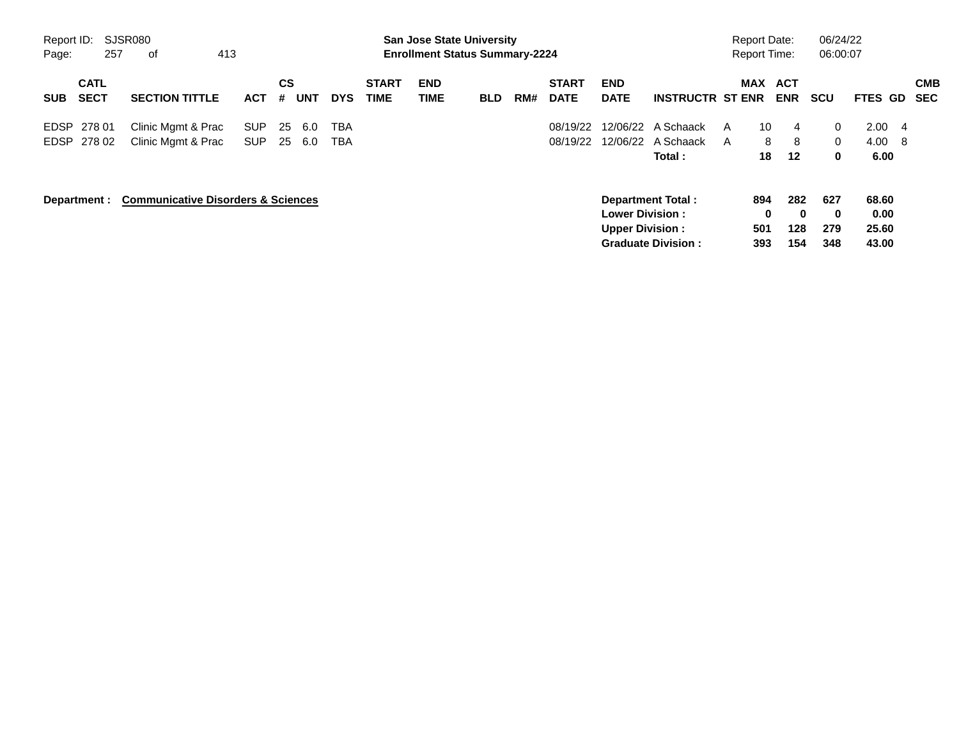| Report ID:<br>Page: | 257                        | SJSR080<br>of                                 | 413 |                          |                |            |            |                             |                    | <b>San Jose State University</b><br><b>Enrollment Status Summary-2224</b> |     |                             |                                                  |                                                       |        | <b>Report Date:</b><br><b>Report Time:</b> |                        | 06/24/22<br>06:00:07          |                                 |    |                          |
|---------------------|----------------------------|-----------------------------------------------|-----|--------------------------|----------------|------------|------------|-----------------------------|--------------------|---------------------------------------------------------------------------|-----|-----------------------------|--------------------------------------------------|-------------------------------------------------------|--------|--------------------------------------------|------------------------|-------------------------------|---------------------------------|----|--------------------------|
| <b>SUB</b>          | <b>CATL</b><br><b>SECT</b> | <b>SECTION TITTLE</b>                         |     | <b>ACT</b>               | <b>CS</b><br># | <b>UNT</b> | <b>DYS</b> | <b>START</b><br><b>TIME</b> | <b>END</b><br>TIME | <b>BLD</b>                                                                | RM# | <b>START</b><br><b>DATE</b> | <b>END</b><br><b>DATE</b>                        | <b>INSTRUCTR ST ENR</b>                               |        | MAX ACT                                    | <b>ENR</b>             | <b>SCU</b>                    | FTES GD                         |    | <b>CMB</b><br><b>SEC</b> |
| <b>EDSP</b>         | 278 01<br>EDSP 278 02      | Clinic Mgmt & Prac<br>Clinic Mgmt & Prac      |     | <b>SUP</b><br><b>SUP</b> | 25<br>-25      | 6.0<br>6.0 | TBA<br>TBA |                             |                    |                                                                           |     | 08/19/22<br>08/19/22        |                                                  | 12/06/22 A Schaack<br>12/06/22 A Schaack<br>Total:    | A<br>A | 10<br>8<br>18                              | 4<br>8<br>12           | $\Omega$<br>$\Omega$<br>0     | 2.00<br>$4.00\quad 8$<br>6.00   | -4 |                          |
|                     | Department :               | <b>Communicative Disorders &amp; Sciences</b> |     |                          |                |            |            |                             |                    |                                                                           |     |                             | <b>Lower Division:</b><br><b>Upper Division:</b> | <b>Department Total:</b><br><b>Graduate Division:</b> |        | 894<br>0<br>501<br>393                     | 282<br>0<br>128<br>154 | 627<br>$\bf{0}$<br>279<br>348 | 68.60<br>0.00<br>25.60<br>43.00 |    |                          |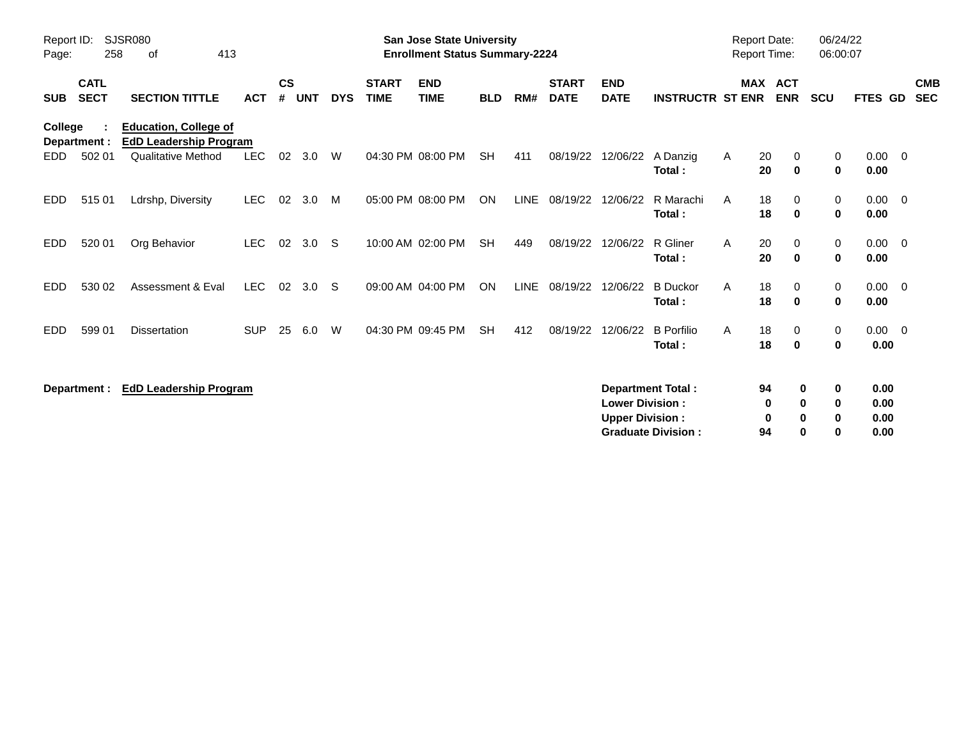| Report ID:<br>Page: | 258                        | <b>SJSR080</b><br>413<br>of                                                                |            |                |            |            |                             | <b>San Jose State University</b><br><b>Enrollment Status Summary-2224</b> |            |             |                             |                                                  |                                                       | <b>Report Date:</b><br>Report Time: |                           |                                             | 06/24/22<br>06:00:07         |                          |
|---------------------|----------------------------|--------------------------------------------------------------------------------------------|------------|----------------|------------|------------|-----------------------------|---------------------------------------------------------------------------|------------|-------------|-----------------------------|--------------------------------------------------|-------------------------------------------------------|-------------------------------------|---------------------------|---------------------------------------------|------------------------------|--------------------------|
| <b>SUB</b>          | <b>CATL</b><br><b>SECT</b> | <b>SECTION TITTLE</b>                                                                      | <b>ACT</b> | <b>CS</b><br># | <b>UNT</b> | <b>DYS</b> | <b>START</b><br><b>TIME</b> | <b>END</b><br><b>TIME</b>                                                 | <b>BLD</b> | RM#         | <b>START</b><br><b>DATE</b> | <b>END</b><br><b>DATE</b>                        | <b>INSTRUCTR ST ENR</b>                               |                                     | MAX ACT<br><b>ENR</b>     | SCU                                         | FTES GD                      | <b>CMB</b><br><b>SEC</b> |
| College<br>EDD.     | Department :<br>502 01     | <b>Education, College of</b><br><b>EdD Leadership Program</b><br><b>Qualitative Method</b> | <b>LEC</b> | 02             | 3.0        | W          |                             | 04:30 PM 08:00 PM                                                         | <b>SH</b>  | 411         | 08/19/22                    | 12/06/22                                         | A Danzig<br>Total:                                    | Α                                   | 20<br>0<br>20<br>$\bf{0}$ | 0<br>$\mathbf 0$                            | $0.00 \t 0$<br>0.00          |                          |
| EDD.                | 515 01                     | Ldrshp, Diversity                                                                          | <b>LEC</b> | 02             | 3.0        | M          |                             | 05:00 PM 08:00 PM                                                         | ON         | LINE        | 08/19/22                    | 12/06/22                                         | R Marachi<br>Total:                                   | A                                   | 18<br>0<br>18<br>$\bf{0}$ | 0<br>0                                      | $0.00 \t 0$<br>0.00          |                          |
| EDD.                | 520 01                     | Org Behavior                                                                               | <b>LEC</b> | 02             | 3.0        | - S        |                             | 10:00 AM 02:00 PM                                                         | <b>SH</b>  | 449         | 08/19/22                    | 12/06/22                                         | R Gliner<br>Total:                                    | A                                   | 20<br>0<br>20<br>$\bf{0}$ | $\mathbf 0$<br>$\mathbf 0$                  | $0.00 \quad 0$<br>0.00       |                          |
| <b>EDD</b>          | 530 02                     | Assessment & Eval                                                                          | <b>LEC</b> | 02             | 3.0        | -S         |                             | 09:00 AM 04:00 PM                                                         | ON         | <b>LINE</b> | 08/19/22                    | 12/06/22                                         | <b>B</b> Duckor<br>Total:                             | A                                   | 18<br>0<br>18<br>0        | 0<br>$\mathbf 0$                            | $0.00 \t 0$<br>0.00          |                          |
| EDD.                | 599 01                     | <b>Dissertation</b>                                                                        | <b>SUP</b> | 25             | 6.0        | W          |                             | 04:30 PM 09:45 PM                                                         | <b>SH</b>  | 412         | 08/19/22                    | 12/06/22                                         | <b>B</b> Porfilio<br>Total:                           | A                                   | 18<br>0<br>18<br>$\bf{0}$ | $\mathbf 0$<br>$\mathbf 0$                  | $0.00 \t 0$<br>0.00          |                          |
|                     | Department :               | <b>EdD Leadership Program</b>                                                              |            |                |            |            |                             |                                                                           |            |             |                             | <b>Lower Division:</b><br><b>Upper Division:</b> | <b>Department Total:</b><br><b>Graduate Division:</b> |                                     | 94<br>0<br>0<br>94        | 0<br>0<br>0<br>0<br>0<br>0<br>$\bf{0}$<br>ŋ | 0.00<br>0.00<br>0.00<br>0.00 |                          |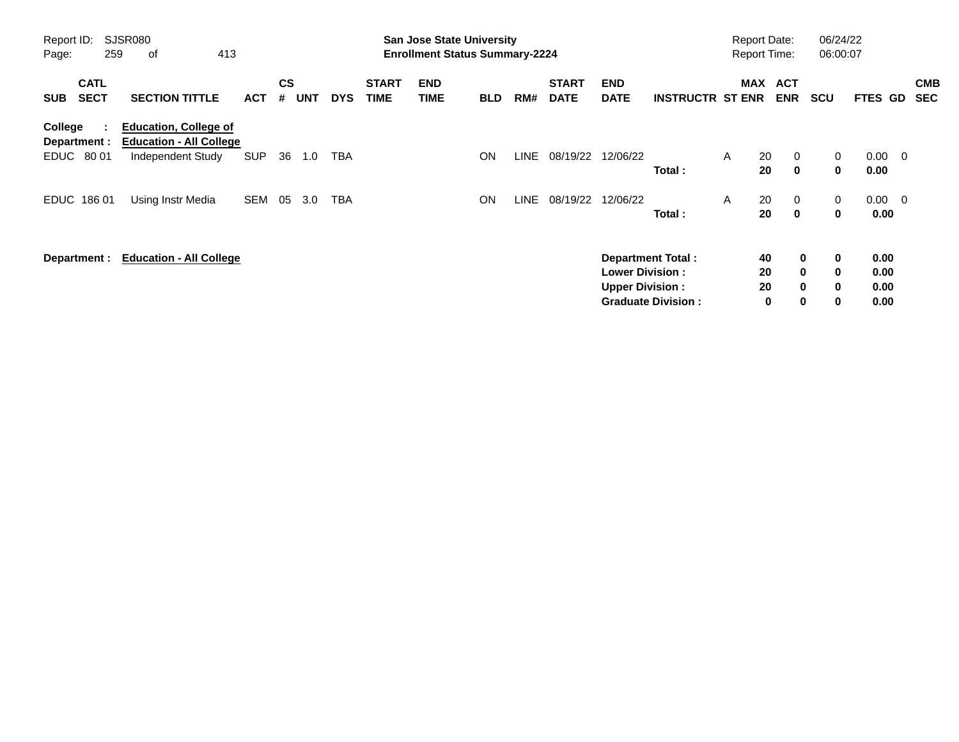| Report ID:<br>Page: | 259                             | <b>SJSR080</b><br>413<br>οf                                                         |            |                             |            |            |                             | <b>San Jose State University</b><br><b>Enrollment Status Summary-2224</b> |            |       |                             |                                                  |                                                       |   | <b>Report Date:</b><br><b>Report Time:</b> |                                                        | 06/24/22<br>06:00:07       |                              |                |                          |
|---------------------|---------------------------------|-------------------------------------------------------------------------------------|------------|-----------------------------|------------|------------|-----------------------------|---------------------------------------------------------------------------|------------|-------|-----------------------------|--------------------------------------------------|-------------------------------------------------------|---|--------------------------------------------|--------------------------------------------------------|----------------------------|------------------------------|----------------|--------------------------|
| <b>SUB</b>          | <b>CATL</b><br><b>SECT</b>      | <b>SECTION TITTLE</b>                                                               | <b>ACT</b> | $\mathbf{c}\mathbf{s}$<br># | <b>UNT</b> | <b>DYS</b> | <b>START</b><br><b>TIME</b> | <b>END</b><br><b>TIME</b>                                                 | <b>BLD</b> | RM#   | <b>START</b><br><b>DATE</b> | <b>END</b><br><b>DATE</b>                        | <b>INSTRUCTR ST ENR</b>                               |   | MAX ACT                                    | <b>ENR</b>                                             | <b>SCU</b>                 | <b>FTES GD</b>               |                | <b>CMB</b><br><b>SEC</b> |
| College             | ÷<br>Department :<br>EDUC 80 01 | <b>Education, College of</b><br><b>Education - All College</b><br>Independent Study | <b>SUP</b> | 36                          | 1.0        | TBA        |                             |                                                                           | ON         | LINE  | 08/19/22                    | 12/06/22                                         | Total:                                                | A | 20<br>20                                   | $\mathbf{0}$<br>$\mathbf 0$                            | $\mathbf{0}$<br>0          | $0.00 \quad 0$<br>0.00       |                |                          |
|                     | EDUC 186 01                     | Using Instr Media                                                                   | SEM        | 05                          | 3.0        | TBA        |                             |                                                                           | <b>ON</b>  | LINE. | 08/19/22                    | 12/06/22                                         | Total:                                                | A | 20<br>20                                   | $\mathbf{0}$<br>$\mathbf 0$                            | $\mathbf{0}$<br>0          | 0.00                         | $0.00 \quad 0$ |                          |
|                     | Department :                    | <b>Education - All College</b>                                                      |            |                             |            |            |                             |                                                                           |            |       |                             | <b>Lower Division:</b><br><b>Upper Division:</b> | <b>Department Total:</b><br><b>Graduate Division:</b> |   | 40<br>20<br>20<br>0                        | $\mathbf 0$<br>$\mathbf{0}$<br>$\mathbf 0$<br>$\bf{0}$ | 0<br>0<br>$\mathbf 0$<br>0 | 0.00<br>0.00<br>0.00<br>0.00 |                |                          |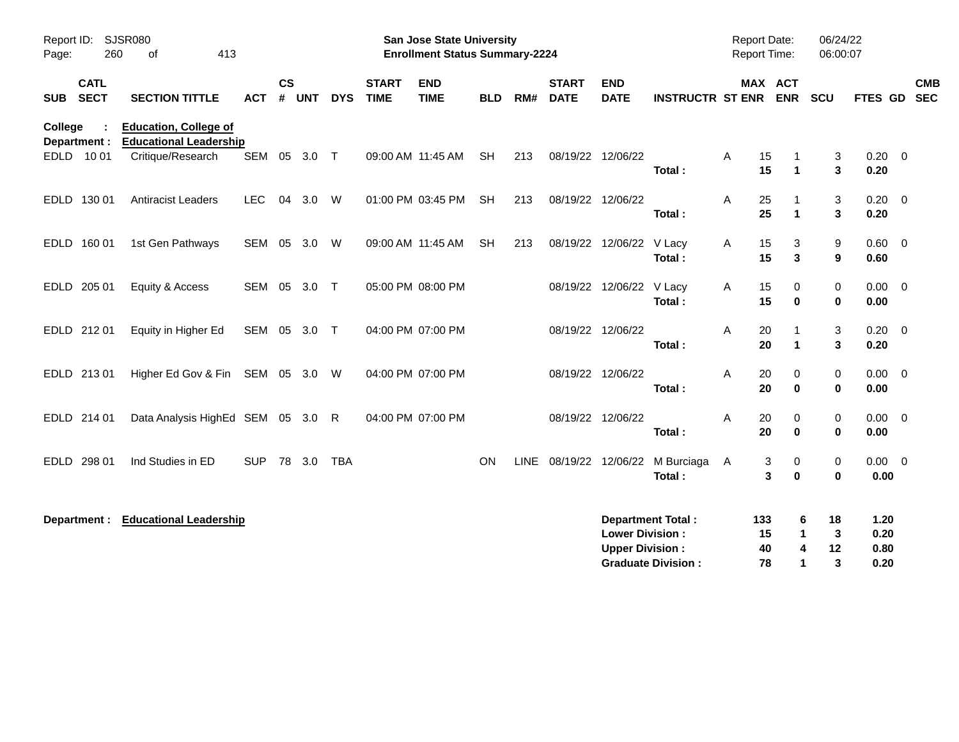| Report ID:<br>Page:       | <b>SJSR080</b><br>260<br>413<br>οf<br><b>CATL</b> |                                                               |              |               |        |            |                             | San Jose State University<br><b>Enrollment Status Summary-2224</b> |            |             |                             |                                                  |                                                       | Report Date:<br><b>Report Time:</b> |                                        |                                                            | 06/24/22<br>06:00:07         |                          |
|---------------------------|---------------------------------------------------|---------------------------------------------------------------|--------------|---------------|--------|------------|-----------------------------|--------------------------------------------------------------------|------------|-------------|-----------------------------|--------------------------------------------------|-------------------------------------------------------|-------------------------------------|----------------------------------------|------------------------------------------------------------|------------------------------|--------------------------|
| <b>SECT</b><br><b>SUB</b> |                                                   | <b>SECTION TITTLE</b>                                         | <b>ACT</b>   | $\mathsf{cs}$ | # UNT  | <b>DYS</b> | <b>START</b><br><b>TIME</b> | <b>END</b><br><b>TIME</b>                                          | <b>BLD</b> | RM#         | <b>START</b><br><b>DATE</b> | <b>END</b><br><b>DATE</b>                        | <b>INSTRUCTR ST ENR</b>                               |                                     | MAX ACT<br><b>ENR</b>                  | SCU                                                        | <b>FTES GD</b>               | <b>CMB</b><br><b>SEC</b> |
| College<br>Department :   |                                                   | <b>Education, College of</b><br><b>Educational Leadership</b> |              |               |        |            |                             |                                                                    |            |             |                             |                                                  |                                                       |                                     |                                        |                                                            |                              |                          |
| EDLD 1001                 |                                                   | Critique/Research                                             | SEM 05 3.0 T |               |        |            |                             | 09:00 AM 11:45 AM                                                  | <b>SH</b>  | 213         | 08/19/22 12/06/22           |                                                  | Total:                                                | Α                                   | 15<br>-1<br>15<br>$\blacktriangleleft$ | 3<br>3                                                     | $0.20 \ 0$<br>0.20           |                          |
| EDLD 130 01               |                                                   | <b>Antiracist Leaders</b>                                     | <b>LEC</b>   | 04            | 3.0    | W          |                             | 01:00 PM 03:45 PM                                                  | <b>SH</b>  | 213         | 08/19/22 12/06/22           |                                                  | Total:                                                | Α                                   | 25<br>-1<br>25<br>$\blacktriangleleft$ | 3<br>3                                                     | $0.20 \ 0$<br>0.20           |                          |
| EDLD 160 01               |                                                   | 1st Gen Pathways                                              | SEM 05       |               | 3.0    | W          |                             | 09:00 AM 11:45 AM                                                  | <b>SH</b>  | 213         |                             | 08/19/22 12/06/22                                | V Lacy<br>Total:                                      | Α                                   | 15<br>3<br>15<br>3                     | 9<br>9                                                     | $0.60 \quad 0$<br>0.60       |                          |
| EDLD 205 01               |                                                   | Equity & Access                                               | SEM 05 3.0 T |               |        |            | 05:00 PM 08:00 PM           |                                                                    |            |             |                             | 08/19/22 12/06/22 V Lacy                         | Total:                                                | Α                                   | 15<br>0<br>15<br>$\bf{0}$              | $\mathbf 0$<br>$\pmb{0}$                                   | $0.00 \quad 0$<br>0.00       |                          |
| EDLD 212 01               |                                                   | Equity in Higher Ed                                           | SEM 05 3.0 T |               |        |            | 04:00 PM 07:00 PM           |                                                                    |            |             | 08/19/22 12/06/22           |                                                  | Total:                                                | Α                                   | 20<br>-1<br>20<br>$\mathbf{1}$         | 3<br>3                                                     | $0.20 \ 0$<br>0.20           |                          |
| EDLD 213 01               |                                                   | Higher Ed Gov & Fin SEM 05 3.0 W                              |              |               |        |            | 04:00 PM 07:00 PM           |                                                                    |            |             | 08/19/22 12/06/22           |                                                  | Total:                                                | Α                                   | 20<br>0<br>20<br>$\bf{0}$              | $\mathbf 0$<br>$\mathbf 0$                                 | $0.00 \t 0$<br>0.00          |                          |
| EDLD 214 01               |                                                   | Data Analysis HighEd SEM 05 3.0                               |              |               |        | R          | 04:00 PM 07:00 PM           |                                                                    |            |             | 08/19/22 12/06/22           |                                                  | Total:                                                | Α                                   | 20<br>0<br>20<br>$\bf{0}$              | $\mathbf 0$<br>$\mathbf 0$                                 | $0.00 \t 0$<br>0.00          |                          |
| <b>EDLD</b><br>298 01     |                                                   | Ind Studies in ED                                             | <b>SUP</b>   |               | 78 3.0 | <b>TBA</b> |                             |                                                                    | <b>ON</b>  | <b>LINE</b> |                             | 08/19/22 12/06/22                                | M Burciaga<br>Total:                                  | A                                   | 3<br>0<br>3<br>$\bf{0}$                | $\mathbf 0$<br>$\bf{0}$                                    | $0.00 \quad 0$<br>0.00       |                          |
| Department :              |                                                   | <b>Educational Leadership</b>                                 |              |               |        |            |                             |                                                                    |            |             |                             | <b>Lower Division:</b><br><b>Upper Division:</b> | <b>Department Total:</b><br><b>Graduate Division:</b> | 133                                 | 15<br>40<br>78                         | 18<br>6<br>$\mathbf 1$<br>3<br>12<br>4<br>3<br>$\mathbf 1$ | 1.20<br>0.20<br>0.80<br>0.20 |                          |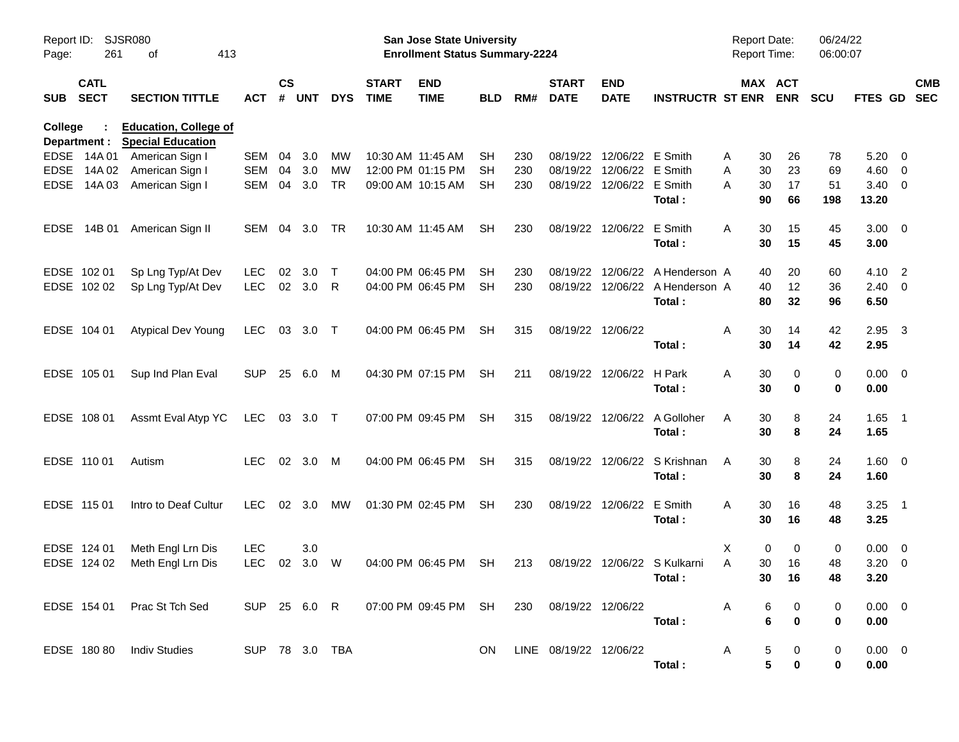| Report ID:<br>Page: | 261                        | SJSR080<br>413<br>оf                                     |                |                    |            |            |                             | San Jose State University<br><b>Enrollment Status Summary-2224</b> |            |     |                             |                           |                                           | Report Date:<br><b>Report Time:</b> |                       | 06/24/22<br>06:00:07 |                    |                          |            |
|---------------------|----------------------------|----------------------------------------------------------|----------------|--------------------|------------|------------|-----------------------------|--------------------------------------------------------------------|------------|-----|-----------------------------|---------------------------|-------------------------------------------|-------------------------------------|-----------------------|----------------------|--------------------|--------------------------|------------|
| <b>SUB</b>          | <b>CATL</b><br><b>SECT</b> | <b>SECTION TITTLE</b>                                    | <b>ACT</b>     | $\mathsf{cs}$<br># | <b>UNT</b> | <b>DYS</b> | <b>START</b><br><b>TIME</b> | <b>END</b><br><b>TIME</b>                                          | <b>BLD</b> | RM# | <b>START</b><br><b>DATE</b> | <b>END</b><br><b>DATE</b> | <b>INSTRUCTR ST ENR</b>                   |                                     | MAX ACT<br><b>ENR</b> | <b>SCU</b>           | FTES GD SEC        |                          | <b>CMB</b> |
| College             | Department :               | <b>Education, College of</b><br><b>Special Education</b> |                |                    |            |            |                             |                                                                    |            |     |                             |                           |                                           |                                     |                       |                      |                    |                          |            |
|                     | EDSE 14A 01                | American Sign I                                          | SEM            | 04                 | 3.0        | MW         | 10:30 AM 11:45 AM           |                                                                    | <b>SH</b>  | 230 |                             | 08/19/22 12/06/22 E Smith |                                           | Α<br>30                             | 26                    | 78                   | 5.20               | $\overline{\mathbf{0}}$  |            |
| <b>EDSE</b>         | 14A 02                     | American Sign I                                          | <b>SEM</b>     | 04                 | 3.0        | MW         |                             | 12:00 PM 01:15 PM                                                  | <b>SH</b>  | 230 |                             | 08/19/22 12/06/22 E Smith |                                           | 30<br>Α                             | 23                    | 69                   | 4.60               | $\overline{\phantom{0}}$ |            |
| <b>EDSE</b>         | 14A 03                     | American Sign I                                          | <b>SEM</b>     | 04                 | 3.0        | <b>TR</b>  |                             | 09:00 AM 10:15 AM                                                  | SH         | 230 |                             | 08/19/22 12/06/22 E Smith | Total:                                    | Α<br>30<br>90                       | 17<br>66              | 51<br>198            | 3.40<br>13.20      | $\overline{\phantom{0}}$ |            |
|                     | EDSE 14B 01                | American Sign II                                         | SEM            | 04                 | 3.0        | TR         |                             | 10:30 AM 11:45 AM                                                  | <b>SH</b>  | 230 |                             | 08/19/22 12/06/22         | E Smith<br>Total:                         | A<br>30<br>30                       | 15<br>15              | 45<br>45             | $3.00 \ 0$<br>3.00 |                          |            |
|                     |                            |                                                          |                |                    |            |            |                             |                                                                    |            |     |                             |                           |                                           |                                     |                       |                      |                    |                          |            |
|                     | EDSE 102 01                | Sp Lng Typ/At Dev                                        | LEC.           | 02                 | 3.0        | $\top$     |                             | 04:00 PM 06:45 PM                                                  | <b>SH</b>  | 230 |                             |                           | 08/19/22 12/06/22 A Henderson A           | 40                                  | 20                    | 60                   | 4.10               | $\overline{\phantom{0}}$ |            |
|                     | EDSE 102 02                | Sp Lng Typ/At Dev                                        | <b>LEC</b>     | 02 3.0             |            | R          |                             | 04:00 PM 06:45 PM                                                  | <b>SH</b>  | 230 |                             |                           | 08/19/22 12/06/22 A Henderson A<br>Total: | 40<br>80                            | 12<br>32              | 36<br>96             | $2.40 \ 0$<br>6.50 |                          |            |
|                     | EDSE 104 01                | <b>Atypical Dev Young</b>                                | LEC.           |                    | 03 3.0 T   |            |                             | 04:00 PM 06:45 PM                                                  | <b>SH</b>  | 315 | 08/19/22 12/06/22           |                           |                                           | 30<br>Α                             | 14                    | 42                   | 2.95               | $\overline{\mathbf{3}}$  |            |
|                     |                            |                                                          |                |                    |            |            |                             |                                                                    |            |     |                             |                           | Total:                                    | 30                                  | 14                    | 42                   | 2.95               |                          |            |
|                     | EDSE 105 01                | Sup Ind Plan Eval                                        | <b>SUP</b>     |                    | 25 6.0     | M          |                             | 04:30 PM 07:15 PM                                                  | <b>SH</b>  | 211 |                             | 08/19/22 12/06/22 H Park  |                                           | A<br>30                             | 0                     | 0                    | $0.00 \t 0$        |                          |            |
|                     |                            |                                                          |                |                    |            |            |                             |                                                                    |            |     |                             |                           | Total:                                    | 30                                  | 0                     | 0                    | 0.00               |                          |            |
|                     | EDSE 108 01                | Assmt Eval Atyp YC                                       | LEC 03 3.0 T   |                    |            |            |                             | 07:00 PM 09:45 PM                                                  | <b>SH</b>  | 315 |                             |                           | 08/19/22 12/06/22 A Golloher              | A<br>30                             | 8                     | 24                   | $1.65$ 1           |                          |            |
|                     |                            |                                                          |                |                    |            |            |                             |                                                                    |            |     |                             |                           | Total:                                    | 30                                  | 8                     | 24                   | 1.65               |                          |            |
|                     | EDSE 110 01                | Autism                                                   | LEC.           |                    | 02 3.0     | M          |                             | 04:00 PM 06:45 PM                                                  | <b>SH</b>  | 315 |                             |                           | 08/19/22 12/06/22 S Krishnan              | 30<br>A                             | 8                     | 24                   | 1.60 0             |                          |            |
|                     |                            |                                                          |                |                    |            |            |                             |                                                                    |            |     |                             |                           | Total:                                    | 30                                  | 8                     | 24                   | 1.60               |                          |            |
|                     | EDSE 115 01                | Intro to Deaf Cultur                                     | LEC.           | 02 <sub>o</sub>    | 3.0        | MW         |                             | 01:30 PM 02:45 PM                                                  | <b>SH</b>  | 230 |                             | 08/19/22 12/06/22         | E Smith                                   | A<br>30                             | 16                    | 48                   | $3.25$ 1           |                          |            |
|                     |                            |                                                          |                |                    |            |            |                             |                                                                    |            |     |                             |                           | Total:                                    | 30                                  | 16                    | 48                   | 3.25               |                          |            |
|                     | EDSE 124 01                | Meth Engl Lrn Dis                                        | <b>LEC</b>     |                    | 3.0        |            |                             |                                                                    |            |     |                             |                           |                                           | Χ                                   | 0<br>0                | 0                    | $0.00 \t 0$        |                          |            |
|                     | EDSE 124 02                | Meth Engl Lrn Dis                                        | <b>LEC</b>     | 02                 | 3.0        | W          |                             | 04:00 PM 06:45 PM                                                  | <b>SH</b>  | 213 |                             |                           | 08/19/22 12/06/22 S Kulkarni              | A<br>30                             | 16                    | 48                   | 3.20               | $\overline{\phantom{0}}$ |            |
|                     |                            |                                                          |                |                    |            |            |                             |                                                                    |            |     |                             |                           | Total :                                   |                                     | 30 16                 | 48                   | 3.20               |                          |            |
|                     |                            | EDSE 154 01 Prac St Tch Sed                              |                |                    |            |            |                             |                                                                    |            |     | 230 08/19/22 12/06/22       |                           |                                           | $\mathsf{A}$                        | 6<br>0                | 0                    | $0.00 \t 0$        |                          |            |
|                     |                            |                                                          |                |                    |            |            |                             |                                                                    |            |     |                             |                           | Total:                                    |                                     | 6<br>$\mathbf 0$      | 0                    | 0.00               |                          |            |
|                     |                            | EDSE 180 80 Indiv Studies                                | SUP 78 3.0 TBA |                    |            |            |                             |                                                                    | ON.        |     | LINE 08/19/22 12/06/22      |                           |                                           | A                                   | 5<br>0                | 0                    | $0.00 \t 0$        |                          |            |
|                     |                            |                                                          |                |                    |            |            |                             |                                                                    |            |     |                             |                           | Total:                                    |                                     | 5<br>$\pmb{0}$        | 0                    | 0.00               |                          |            |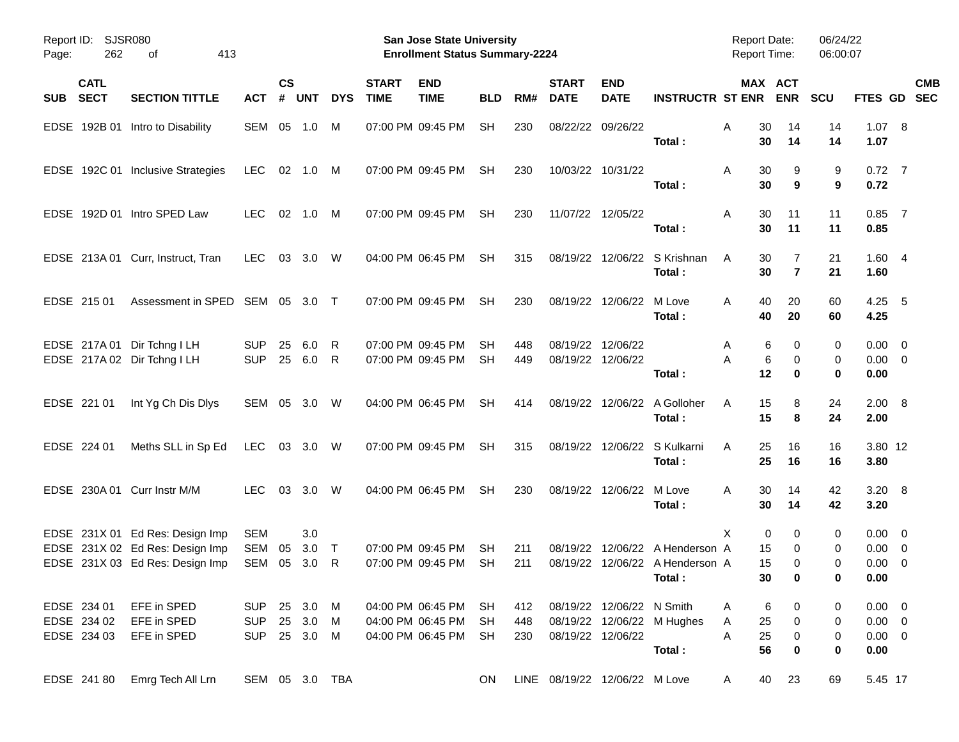| Page:      | SJSR080<br>Report ID:<br>262<br>413<br>оf |                                                                                                       |                                        |                    |                                  |             |                             | <b>San Jose State University</b><br><b>Enrollment Status Summary-2224</b> |                 |                   |                               |                                                |                                                                     | <b>Report Date:</b><br><b>Report Time:</b> |                            | 06/24/22<br>06:00:07     |                                                          |            |
|------------|-------------------------------------------|-------------------------------------------------------------------------------------------------------|----------------------------------------|--------------------|----------------------------------|-------------|-----------------------------|---------------------------------------------------------------------------|-----------------|-------------------|-------------------------------|------------------------------------------------|---------------------------------------------------------------------|--------------------------------------------|----------------------------|--------------------------|----------------------------------------------------------|------------|
| <b>SUB</b> | <b>CATL</b><br><b>SECT</b>                | <b>SECTION TITTLE</b>                                                                                 | <b>ACT</b>                             | $\mathsf{cs}$<br># | <b>UNT</b>                       | <b>DYS</b>  | <b>START</b><br><b>TIME</b> | <b>END</b><br><b>TIME</b>                                                 | <b>BLD</b>      | RM#               | <b>START</b><br><b>DATE</b>   | <b>END</b><br><b>DATE</b>                      | <b>INSTRUCTR ST ENR</b>                                             |                                            | MAX ACT<br><b>ENR</b>      | <b>SCU</b>               | FTES GD SEC                                              | <b>CMB</b> |
|            |                                           | EDSE 192B 01 Intro to Disability                                                                      | SEM 05                                 |                    | 1.0                              | M           |                             | 07:00 PM 09:45 PM                                                         | SH              | 230               |                               | 08/22/22 09/26/22                              | Total:                                                              | Α<br>30<br>30                              | 14<br>14                   | 14<br>14                 | 1.07 8<br>1.07                                           |            |
|            |                                           | EDSE 192C 01 Inclusive Strategies                                                                     | <b>LEC</b>                             |                    | 02 1.0 M                         |             |                             | 07:00 PM 09:45 PM                                                         | <b>SH</b>       | 230               |                               | 10/03/22 10/31/22                              | Total:                                                              | Α<br>30<br>30                              | 9<br>9                     | 9<br>9                   | $0.72$ 7<br>0.72                                         |            |
|            |                                           | EDSE 192D 01 Intro SPED Law                                                                           | <b>LEC</b>                             |                    | 02 1.0 M                         |             |                             | 07:00 PM 09:45 PM                                                         | <b>SH</b>       | 230               |                               | 11/07/22 12/05/22                              | Total:                                                              | Α<br>30<br>30                              | 11<br>11                   | 11<br>11                 | $0.85$ 7<br>0.85                                         |            |
|            |                                           | EDSE 213A 01 Curr, Instruct, Tran                                                                     | LEC                                    |                    | 03 3.0                           | - W         |                             | 04:00 PM 06:45 PM                                                         | <b>SH</b>       | 315               |                               |                                                | 08/19/22 12/06/22 S Krishnan<br>Total:                              | 30<br>A<br>30                              | 7<br>$\overline{7}$        | 21<br>21                 | 1.604<br>1.60                                            |            |
|            | EDSE 215 01                               | Assessment in SPED SEM 05 3.0 T                                                                       |                                        |                    |                                  |             |                             | 07:00 PM 09:45 PM                                                         | SH.             | 230               |                               | 08/19/22 12/06/22 M Love                       | Total:                                                              | 40<br>A<br>40                              | 20<br>20                   | 60<br>60                 | $4.25 - 5$<br>4.25                                       |            |
|            |                                           | EDSE 217A 01 Dir Tchng I LH<br>EDSE 217A 02 Dir Tchng I LH                                            | <b>SUP</b><br><b>SUP</b>               | 25<br>25           | 6.0<br>6.0                       | R<br>R      |                             | 07:00 PM 09:45 PM<br>07:00 PM 09:45 PM                                    | SН<br>SН        | 448<br>449        |                               | 08/19/22 12/06/22<br>08/19/22 12/06/22         | Total:                                                              | 6<br>A<br>6<br>Α<br>12                     | 0<br>0<br>$\bf{0}$         | 0<br>0<br>0              | $0.00 \quad 0$<br>$0.00 \t 0$<br>0.00                    |            |
|            | EDSE 221 01                               | Int Yg Ch Dis Dlys                                                                                    | SEM 05 3.0                             |                    |                                  | W           |                             | 04:00 PM 06:45 PM                                                         | <b>SH</b>       | 414               |                               |                                                | 08/19/22 12/06/22 A Golloher<br>Total:                              | 15<br>A<br>15                              | 8<br>8                     | 24<br>24                 | $2.00 \ 8$<br>2.00                                       |            |
|            | EDSE 224 01                               | Meths SLL in Sp Ed                                                                                    | LEC                                    |                    | 03 3.0 W                         |             |                             | 07:00 PM 09:45 PM                                                         | <b>SH</b>       | 315               |                               |                                                | 08/19/22 12/06/22 S Kulkarni<br>Total:                              | 25<br>A<br>25                              | 16<br>16                   | 16<br>16                 | 3.80 12<br>3.80                                          |            |
|            |                                           | EDSE 230A 01 Curr Instr M/M                                                                           | <b>LEC</b>                             |                    | 03 3.0                           | W           |                             | 04:00 PM 06:45 PM                                                         | <b>SH</b>       | 230               |                               | 08/19/22 12/06/22 M Love                       | Total:                                                              | 30<br>A<br>30                              | 14<br>14                   | 42<br>42                 | 3.20 8<br>3.20                                           |            |
|            |                                           | EDSE 231X 01 Ed Res: Design Imp<br>EDSE 231X 02 Ed Res: Design Imp<br>EDSE 231X 03 Ed Res: Design Imp | SEM<br>SEM<br><b>SEM</b>               | 05<br>05           | 3.0<br>3.0<br>3.0                | $\top$<br>R |                             | 07:00 PM 09:45 PM<br>07:00 PM 09:45 PM                                    | SН<br><b>SH</b> | 211<br>211        | 08/19/22                      |                                                | 12/06/22 A Henderson A<br>08/19/22 12/06/22 A Henderson A<br>Total: | X<br>0<br>15<br>15<br>30                   | 0<br>0<br>0<br>$\mathbf 0$ | 0<br>0<br>0<br>0         | $0.00 \quad 0$<br>$0.00 \t 0$<br>$0.00 \t 0$<br>$0.00\,$ |            |
|            | EDSE 234 01<br>EDSE 234 02<br>EDSE 234 03 | EFE in SPED<br>EFE in SPED<br>EFE in SPED                                                             | <b>SUP</b><br><b>SUP</b><br><b>SUP</b> |                    | 25 3.0 M<br>25 3.0 M<br>25 3.0 M |             |                             | 04:00 PM 06:45 PM<br>04:00 PM 06:45 PM<br>04:00 PM 06:45 PM               | SH<br>SH<br>SH  | 412<br>448<br>230 |                               | 08/19/22 12/06/22 N Smith<br>08/19/22 12/06/22 | 08/19/22 12/06/22 M Hughes<br>Total:                                | 6<br>A<br>25<br>A<br>25<br>A<br>56         | 0<br>$\pmb{0}$<br>0<br>0   | 0<br>0<br>0<br>$\pmb{0}$ | $0.00 \t 0$<br>$0.00 \t 0$<br>$0.00 \t 0$<br>0.00        |            |
|            | EDSE 241 80                               | Emrg Tech All Lrn                                                                                     | SEM 05 3.0 TBA                         |                    |                                  |             |                             |                                                                           | ON.             |                   | LINE 08/19/22 12/06/22 M Love |                                                |                                                                     | 40<br>A                                    | 23                         | 69                       | 5.45 17                                                  |            |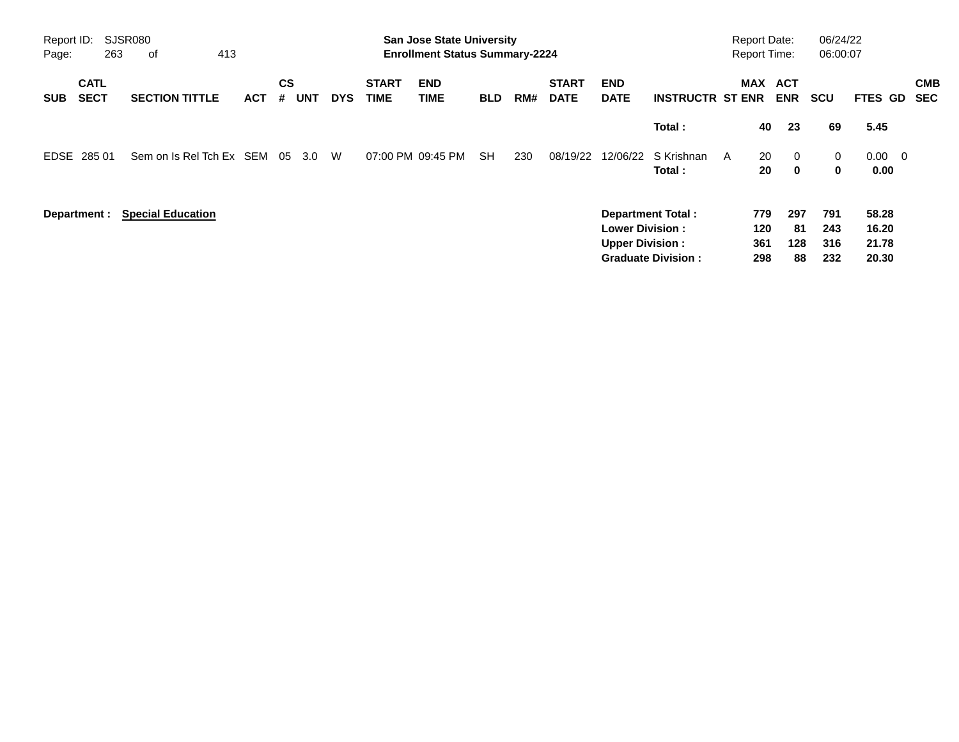| Report ID:<br>Page: | 263                        | SJSR080<br>413<br>оf     |            |                |            |            |                             | <b>San Jose State University</b><br><b>Enrollment Status Summary-2224</b> |            |     |                             |                                                  |                                                       | <b>Report Date:</b> |                          | <b>Report Time:</b>          | 06/24/22<br>06:00:07     |                                  |                          |
|---------------------|----------------------------|--------------------------|------------|----------------|------------|------------|-----------------------------|---------------------------------------------------------------------------|------------|-----|-----------------------------|--------------------------------------------------|-------------------------------------------------------|---------------------|--------------------------|------------------------------|--------------------------|----------------------------------|--------------------------|
| <b>SUB</b>          | <b>CATL</b><br><b>SECT</b> | <b>SECTION TITTLE</b>    | <b>ACT</b> | <b>CS</b><br># | <b>UNT</b> | <b>DYS</b> | <b>START</b><br><b>TIME</b> | <b>END</b><br>TIME                                                        | <b>BLD</b> | RM# | <b>START</b><br><b>DATE</b> | <b>END</b><br><b>DATE</b>                        | <b>INSTRUCTR ST ENR</b>                               |                     |                          | <b>MAX ACT</b><br><b>ENR</b> | <b>SCU</b>               | FTES GD                          | <b>CMB</b><br><b>SEC</b> |
|                     |                            |                          |            |                |            |            |                             |                                                                           |            |     |                             |                                                  | Total:                                                |                     | 40                       | 23                           | 69                       | 5.45                             |                          |
|                     | EDSE 285 01                | Sem on Is Rel Tch Ex SEM |            | 05             | 3.0        | W          |                             | 07:00 PM 09:45 PM                                                         | <b>SH</b>  | 230 | 08/19/22                    | 12/06/22                                         | S Krishnan<br>Total:                                  | A                   | 20<br>20                 | $\Omega$<br>$\mathbf 0$      | 0<br>0                   | $0.00 \t 0$<br>0.00              |                          |
|                     | Department :               | <b>Special Education</b> |            |                |            |            |                             |                                                                           |            |     |                             | <b>Lower Division:</b><br><b>Upper Division:</b> | <b>Department Total:</b><br><b>Graduate Division:</b> |                     | 779<br>120<br>361<br>298 | 297<br>-81<br>128<br>88      | 791<br>243<br>316<br>232 | 58.28<br>16.20<br>21.78<br>20.30 |                          |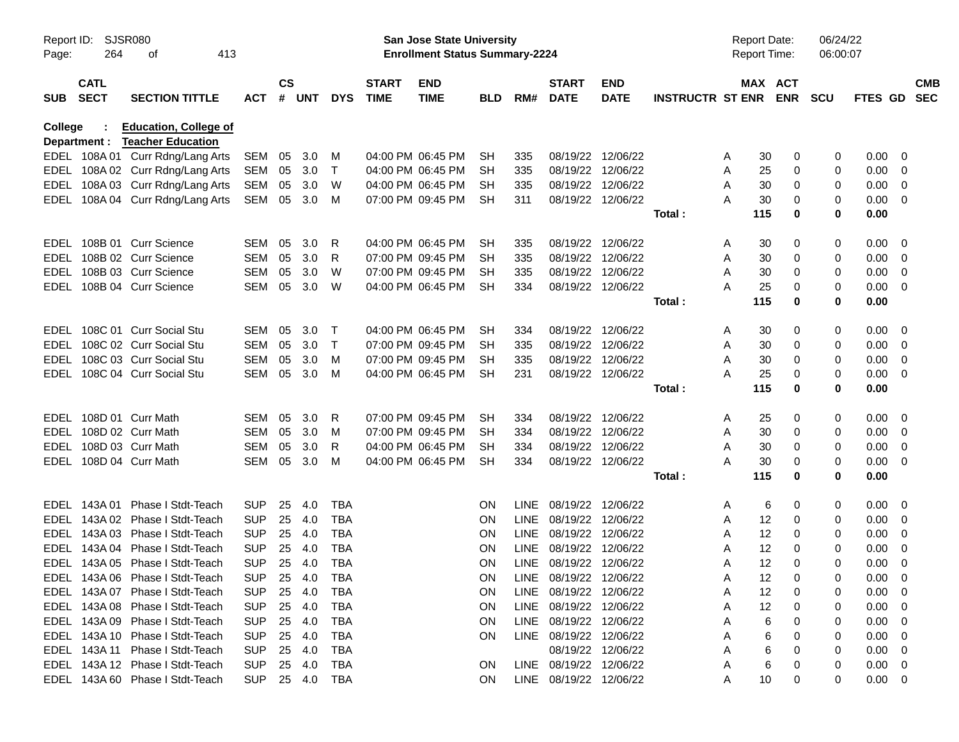| Page:          | SJSR080<br>Report ID:<br>264<br>413<br>оf |                                                                    |                          |                    |            |            |                             | <b>San Jose State University</b><br><b>Enrollment Status Summary-2224</b> |            |             |                             |                           |                         | <b>Report Date:</b><br><b>Report Time:</b> |                       | 06/24/22<br>06:00:07 |                |                         |                          |
|----------------|-------------------------------------------|--------------------------------------------------------------------|--------------------------|--------------------|------------|------------|-----------------------------|---------------------------------------------------------------------------|------------|-------------|-----------------------------|---------------------------|-------------------------|--------------------------------------------|-----------------------|----------------------|----------------|-------------------------|--------------------------|
| <b>SUB</b>     | <b>CATL</b><br><b>SECT</b>                | <b>SECTION TITTLE</b>                                              | <b>ACT</b>               | $\mathsf{cs}$<br># | UNT        | <b>DYS</b> | <b>START</b><br><b>TIME</b> | <b>END</b><br><b>TIME</b>                                                 | <b>BLD</b> | RM#         | <b>START</b><br><b>DATE</b> | <b>END</b><br><b>DATE</b> | <b>INSTRUCTR ST ENR</b> |                                            | MAX ACT<br><b>ENR</b> | <b>SCU</b>           | <b>FTES GD</b> |                         | <b>CMB</b><br><b>SEC</b> |
| <b>College</b> | Department :                              | <b>Education, College of</b><br><b>Teacher Education</b>           |                          |                    |            |            |                             |                                                                           |            |             |                             |                           |                         |                                            |                       |                      |                |                         |                          |
|                |                                           | EDEL 108A 01 Curr Rdng/Lang Arts                                   | SEM                      | 05                 | 3.0        | м          |                             | 04:00 PM 06:45 PM                                                         | SН         | 335         | 08/19/22                    | 12/06/22                  |                         | A                                          | 30<br>0               | 0                    | 0.00           | - 0                     |                          |
|                |                                           | EDEL 108A 02 Curr Rdng/Lang Arts                                   | SEM                      | 05                 | 3.0        | $\top$     |                             | 04:00 PM 06:45 PM                                                         | <b>SH</b>  | 335         | 08/19/22                    | 12/06/22                  |                         | A                                          | 25<br>0               | 0                    | 0.00           | - 0                     |                          |
|                |                                           | EDEL 108A 03 Curr Rdng/Lang Arts                                   | SEM                      | 05                 | 3.0        | W          |                             | 04:00 PM 06:45 PM                                                         | SН         | 335         | 08/19/22                    | 12/06/22                  |                         | A                                          | 30<br>0               | 0                    | 0.00           | - 0                     |                          |
|                |                                           | EDEL 108A 04 Curr Rdng/Lang Arts                                   | SEM                      | 05                 | 3.0        | M          |                             | 07:00 PM 09:45 PM                                                         | <b>SH</b>  | 311         | 08/19/22 12/06/22           |                           |                         | А                                          | 30<br>0               | 0                    | 0.00           | - 0                     |                          |
|                |                                           |                                                                    |                          |                    |            |            |                             |                                                                           |            |             |                             |                           | Total:                  | 115                                        | 0                     | 0                    | 0.00           |                         |                          |
|                | EDEL 108B 01                              | <b>Curr Science</b>                                                | <b>SEM</b>               | 05                 | 3.0        | R          |                             | 04:00 PM 06:45 PM                                                         | SН         | 335         | 08/19/22                    | 12/06/22                  |                         | A                                          | 30<br>0               | 0                    | 0.00           | - 0                     |                          |
|                |                                           | EDEL 108B 02 Curr Science                                          | <b>SEM</b>               | 05                 | 3.0        | R          |                             | 07:00 PM 09:45 PM                                                         | SН         | 335         | 08/19/22                    | 12/06/22                  |                         | A                                          | 30<br>0               | 0                    | 0.00           | - 0                     |                          |
| EDEL           |                                           | 108B 03 Curr Science                                               | <b>SEM</b>               | 05                 | 3.0        | W          |                             | 07:00 PM 09:45 PM                                                         | SН         | 335         | 08/19/22                    | 12/06/22                  |                         | A                                          | 30<br>0               | 0                    | 0.00           | - 0                     |                          |
|                |                                           | EDEL 108B 04 Curr Science                                          | SEM                      | 05                 | 3.0        | W          |                             | 04:00 PM 06:45 PM                                                         | SН         | 334         |                             | 08/19/22 12/06/22         |                         | А                                          | 25<br>0               | 0                    | 0.00           | - 0                     |                          |
|                |                                           |                                                                    |                          |                    |            |            |                             |                                                                           |            |             |                             |                           | Total:                  | 115                                        | 0                     | 0                    | 0.00           |                         |                          |
| EDEL           |                                           | 108C 01 Curr Social Stu                                            | SEM                      | 05                 | 3.0        | т          |                             | 04:00 PM 06:45 PM                                                         | SН         | 334         | 08/19/22                    | 12/06/22                  |                         | A                                          | 30<br>0               | 0                    | 0.00           | - 0                     |                          |
| EDEL           |                                           | 108C 02 Curr Social Stu                                            | <b>SEM</b>               | 05                 | 3.0        | $\top$     |                             | 07:00 PM 09:45 PM                                                         | SН         | 335         | 08/19/22                    | 12/06/22                  |                         | A                                          | 30<br>0               | 0                    | 0.00           | - 0                     |                          |
| EDEL           |                                           | 108C 03 Curr Social Stu                                            | <b>SEM</b>               | 05                 | 3.0        | м          |                             | 07:00 PM 09:45 PM                                                         | SН         | 335         | 08/19/22                    | 12/06/22                  |                         | A                                          | 30<br>0               | 0                    | 0.00           | - 0                     |                          |
|                |                                           | EDEL 108C 04 Curr Social Stu                                       | <b>SEM</b>               | 05                 | 3.0        | M          |                             | 04:00 PM 06:45 PM                                                         | <b>SH</b>  | 231         | 08/19/22 12/06/22           |                           |                         | А                                          | 25<br>0               | 0                    | 0.00           | - 0                     |                          |
|                |                                           |                                                                    |                          |                    |            |            |                             |                                                                           |            |             |                             |                           | Total:                  | 115                                        | 0                     | 0                    | 0.00           |                         |                          |
| EDEL           |                                           | 108D 01 Curr Math                                                  | <b>SEM</b>               | 05                 | 3.0        | R          |                             | 07:00 PM 09:45 PM                                                         | SН         | 334         | 08/19/22                    | 12/06/22                  |                         | A                                          | 25<br>0               | 0                    | 0.00           | - 0                     |                          |
| EDEL           |                                           | 108D 02 Curr Math                                                  | <b>SEM</b>               | 05                 | 3.0        | м          |                             | 07:00 PM 09:45 PM                                                         | SН         | 334         | 08/19/22                    | 12/06/22                  |                         | A                                          | 30<br>0               | 0                    | 0.00           | - 0                     |                          |
| EDEL           |                                           | 108D 03 Curr Math                                                  | <b>SEM</b>               | 05                 | 3.0        | R          |                             | 04:00 PM 06:45 PM                                                         | SH         | 334         | 08/19/22                    | 12/06/22                  |                         | A                                          | 30<br>0               | 0                    | 0.00           | - 0                     |                          |
|                |                                           | EDEL 108D 04 Curr Math                                             | SEM                      | 05                 | 3.0        | м          |                             | 04:00 PM 06:45 PM                                                         | <b>SH</b>  | 334         | 08/19/22 12/06/22           |                           |                         | А                                          | 30<br>0               | 0                    | 0.00           | - 0                     |                          |
|                |                                           |                                                                    |                          |                    |            |            |                             |                                                                           |            |             |                             |                           | Total:                  | 115                                        | 0                     | 0                    | 0.00           |                         |                          |
|                | EDEL 143A 01                              | Phase I Stdt-Teach                                                 | <b>SUP</b>               | 25                 | 4.0        | <b>TBA</b> |                             |                                                                           | <b>ON</b>  |             | LINE 08/19/22               | 12/06/22                  |                         | A                                          | 6<br>0                | 0                    | 0.00           | - 0                     |                          |
|                |                                           | EDEL 143A 02 Phase I Stdt-Teach                                    | <b>SUP</b>               | 25                 | 4.0        | <b>TBA</b> |                             |                                                                           | <b>ON</b>  | LINE        | 08/19/22                    | 12/06/22                  |                         | A                                          | 12<br>0               | 0                    | 0.00           | - 0                     |                          |
|                |                                           | EDEL 143A 03 Phase I Stdt-Teach                                    | <b>SUP</b>               | 25                 | 4.0        | <b>TBA</b> |                             |                                                                           | <b>ON</b>  | LINE        | 08/19/22                    | 12/06/22                  |                         | A                                          | 12<br>0               | 0                    | 0.00           | - 0                     |                          |
|                |                                           | EDEL 143A 04 Phase I Stdt-Teach                                    | <b>SUP</b>               | 25                 | 4.0        | <b>TBA</b> |                             |                                                                           | <b>ON</b>  | <b>LINE</b> | 08/19/22 12/06/22           |                           |                         | A                                          | 12<br>0               | 0                    | 0.00           | - 0                     |                          |
|                |                                           | EDEL 143A 05 Phase I Stdt-Teach                                    | <b>SUP</b>               | 25                 | 4.0        | <b>TBA</b> |                             |                                                                           | <b>ON</b>  |             | LINE 08/19/22 12/06/22      |                           |                         | Α                                          | 12<br>$\Omega$        | 0                    | 0.00           | - 0                     |                          |
|                |                                           | EDEL 143A 06 Phase I Stdt-Teach                                    | <b>SUP</b>               | 25                 | 4.0        | <b>TBA</b> |                             |                                                                           | ON         |             | LINE 08/19/22 12/06/22      |                           |                         | Α                                          | 12<br>0               | 0                    | 0.00           | $\overline{\mathbf{0}}$ |                          |
|                |                                           | EDEL 143A 07 Phase I Stdt-Teach                                    | <b>SUP</b>               | 25                 | 4.0        | TBA        |                             |                                                                           | <b>ON</b>  |             | LINE 08/19/22 12/06/22      |                           |                         | Α                                          | 12<br>0               | 0                    | 0.00           | - 0                     |                          |
|                |                                           | EDEL 143A 08 Phase I Stdt-Teach                                    | <b>SUP</b>               | 25                 | 4.0        | TBA        |                             |                                                                           | <b>ON</b>  |             | LINE 08/19/22 12/06/22      |                           |                         | Α                                          | 12<br>0               | 0                    | 0.00           | - 0                     |                          |
|                |                                           | EDEL 143A 09 Phase I Stdt-Teach                                    | <b>SUP</b>               | 25                 | 4.0        | TBA        |                             |                                                                           | <b>ON</b>  |             | LINE 08/19/22 12/06/22      |                           |                         | Α                                          | 0<br>6                | 0                    | 0.00           | - 0                     |                          |
|                |                                           | EDEL 143A 10 Phase I Stdt-Teach<br>EDEL 143A 11 Phase I Stdt-Teach | <b>SUP</b>               | 25                 | 4.0        | TBA        |                             |                                                                           | <b>ON</b>  |             | LINE 08/19/22 12/06/22      | 08/19/22 12/06/22         |                         | Α<br>А                                     | 6<br>0<br>6<br>0      | 0                    | 0.00           | - 0<br>- 0              |                          |
|                |                                           | EDEL 143A 12 Phase I Stdt-Teach                                    | <b>SUP</b><br><b>SUP</b> | 25<br>25           | 4.0<br>4.0 | TBA<br>TBA |                             |                                                                           | 0N         |             | LINE 08/19/22 12/06/22      |                           |                         | Α                                          | 6<br>0                | 0<br>0               | 0.00<br>0.00   | - 0                     |                          |
|                |                                           | EDEL 143A 60 Phase I Stdt-Teach                                    | <b>SUP</b>               |                    | 25 4.0     | TBA        |                             |                                                                           | ON.        |             | LINE 08/19/22 12/06/22      |                           |                         | Α                                          | 10<br>0               | 0                    | $0.00 \t 0$    |                         |                          |
|                |                                           |                                                                    |                          |                    |            |            |                             |                                                                           |            |             |                             |                           |                         |                                            |                       |                      |                |                         |                          |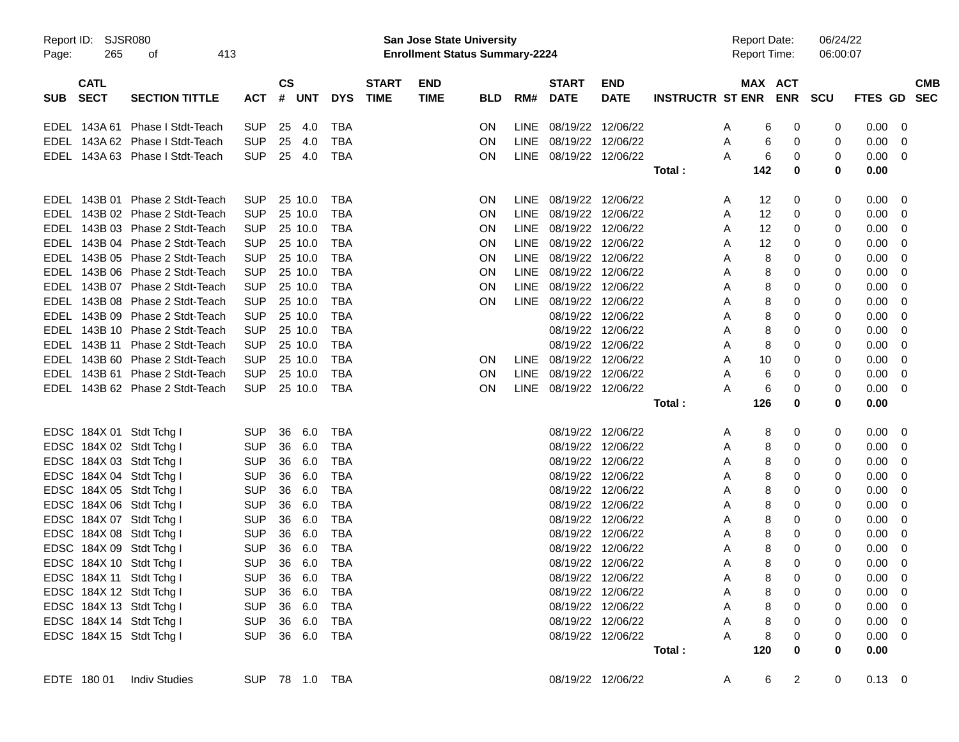| Report ID: | SJSR080<br>413 |                                                      |                          |                        |                          |              | San Jose State University             |            |             |                                        |                   |                         |        | <b>Report Date:</b> | 06/24/22 |                          |            |
|------------|----------------|------------------------------------------------------|--------------------------|------------------------|--------------------------|--------------|---------------------------------------|------------|-------------|----------------------------------------|-------------------|-------------------------|--------|---------------------|----------|--------------------------|------------|
| Page:      | 265            | of                                                   |                          |                        |                          |              | <b>Enrollment Status Summary-2224</b> |            |             |                                        |                   |                         |        | <b>Report Time:</b> | 06:00:07 |                          |            |
|            | <b>CATL</b>    |                                                      |                          | <b>CS</b>              |                          | <b>START</b> | <b>END</b>                            |            |             | <b>START</b>                           | <b>END</b>        |                         |        | MAX ACT             |          |                          | <b>CMB</b> |
| <b>SUB</b> | <b>SECT</b>    | <b>SECTION TITTLE</b>                                | <b>ACT</b>               | # UNT                  | <b>DYS</b>               | <b>TIME</b>  | <b>TIME</b>                           | <b>BLD</b> | RM#         | <b>DATE</b>                            | <b>DATE</b>       | <b>INSTRUCTR ST ENR</b> |        | <b>ENR</b>          | SCU      | FTES GD SEC              |            |
|            |                | EDEL 143A 61 Phase I Stdt-Teach                      | <b>SUP</b>               | 25<br>-4.0             | TBA                      |              |                                       | <b>ON</b>  |             | LINE 08/19/22 12/06/22                 |                   |                         | A      | 0<br>6              | 0        | $0.00 \t 0$              |            |
|            |                | EDEL 143A 62 Phase I Stdt-Teach                      | <b>SUP</b>               | 25<br>4.0              | <b>TBA</b>               |              |                                       | ON         |             | LINE 08/19/22 12/06/22                 |                   |                         | Α      | 0<br>6              | 0        | $0.00 \t 0$              |            |
|            |                | EDEL 143A 63 Phase I Stdt-Teach                      | <b>SUP</b>               | 25 4.0                 | TBA                      |              |                                       | ON         |             | LINE 08/19/22 12/06/22                 |                   |                         | A      | 0<br>6              | 0        | $0.00 \t 0$              |            |
|            |                |                                                      |                          |                        |                          |              |                                       |            |             |                                        |                   | Total:                  | 142    | 0                   | 0        | 0.00                     |            |
|            |                | EDEL 143B 01 Phase 2 Stdt-Teach                      | <b>SUP</b>               | 25 10.0                | TBA                      |              |                                       | <b>ON</b>  |             | LINE 08/19/22 12/06/22                 |                   |                         | A      | 0<br>12             | 0        | $0.00 \t 0$              |            |
|            |                | EDEL 143B 02 Phase 2 Stdt-Teach                      | <b>SUP</b>               | 25 10.0                | <b>TBA</b>               |              |                                       | ON         |             | LINE 08/19/22 12/06/22                 |                   |                         | A      | 12<br>0             | 0        | $0.00 \t 0$              |            |
|            |                | EDEL 143B 03 Phase 2 Stdt-Teach                      | <b>SUP</b>               | 25 10.0                | <b>TBA</b>               |              |                                       | ON         |             | LINE 08/19/22 12/06/22                 |                   |                         | A      | 0<br>12             | 0        | $0.00 \t 0$              |            |
|            |                | EDEL 143B 04 Phase 2 Stdt-Teach                      | <b>SUP</b>               | 25 10.0                | <b>TBA</b>               |              |                                       | ON         |             | LINE 08/19/22 12/06/22                 |                   |                         | A      | 12<br>0             | 0        | $0.00 \ 0$               |            |
|            |                | EDEL 143B 05 Phase 2 Stdt-Teach                      | <b>SUP</b>               | 25 10.0                | <b>TBA</b>               |              |                                       | ON         |             | LINE 08/19/22 12/06/22                 |                   |                         | A      | 8<br>0              | 0        | $0.00 \t 0$              |            |
|            |                | EDEL 143B 06 Phase 2 Stdt-Teach                      | <b>SUP</b>               | 25 10.0                | <b>TBA</b>               |              |                                       | ON         |             | LINE 08/19/22 12/06/22                 |                   |                         | A      | 8<br>0              | 0        | $0.00 \t 0$              |            |
|            |                | EDEL 143B 07 Phase 2 Stdt-Teach                      | <b>SUP</b>               | 25 10.0                | <b>TBA</b>               |              |                                       | ON         |             | LINE 08/19/22 12/06/22                 |                   |                         | A      | 8<br>0              | 0        | $0.00 \t 0$              |            |
|            |                | EDEL 143B 08 Phase 2 Stdt-Teach                      | <b>SUP</b>               | 25 10.0                | <b>TBA</b>               |              |                                       | ON         |             | LINE 08/19/22 12/06/22                 |                   |                         | A      | 8<br>0              | 0        | $0.00 \t 0$              |            |
|            |                | EDEL 143B 09 Phase 2 Stdt-Teach                      | <b>SUP</b>               | 25 10.0                | <b>TBA</b>               |              |                                       |            |             | 08/19/22 12/06/22                      |                   |                         | A      | 8<br>0              | 0        | $0.00 \t 0$              |            |
|            |                | EDEL 143B 10 Phase 2 Stdt-Teach                      | <b>SUP</b>               | 25 10.0                | <b>TBA</b>               |              |                                       |            |             | 08/19/22 12/06/22                      |                   |                         | Α      | 8<br>0              | 0        | $0.00 \t 0$              |            |
|            |                | EDEL 143B 11 Phase 2 Stdt-Teach                      | <b>SUP</b>               | 25 10.0                | <b>TBA</b>               |              |                                       |            |             | 08/19/22 12/06/22                      |                   |                         | Α      | 0<br>8              | 0        | $0.00 \t 0$              |            |
|            |                | EDEL 143B 60 Phase 2 Stdt-Teach                      | <b>SUP</b>               | 25 10.0                | <b>TBA</b>               |              |                                       | <b>ON</b>  | <b>LINE</b> | 08/19/22 12/06/22                      |                   |                         | Α      | 10<br>0             | 0        | $0.00 \t 0$              |            |
|            |                | EDEL 143B 61 Phase 2 Stdt-Teach                      | <b>SUP</b>               | 25 10.0                | <b>TBA</b>               |              |                                       | ON         |             | LINE 08/19/22 12/06/22                 |                   |                         | Α      | 6<br>0              | 0        | $0.00 \ 0$               |            |
|            |                | EDEL 143B 62 Phase 2 Stdt-Teach                      | <b>SUP</b>               | 25 10.0                | <b>TBA</b>               |              |                                       | ON         |             | LINE 08/19/22 12/06/22                 |                   |                         | Α      | 6<br>0              | 0        | $0.00 \t 0$              |            |
|            |                |                                                      |                          |                        |                          |              |                                       |            |             |                                        |                   | Total :                 | 126    | 0                   | 0        | 0.00                     |            |
|            |                |                                                      |                          |                        | TBA                      |              |                                       |            |             |                                        |                   |                         |        |                     |          |                          |            |
|            |                | EDSC 184X 01 Stdt Tchg I                             | <b>SUP</b>               | 36<br>6.0              |                          |              |                                       |            |             | 08/19/22 12/06/22                      |                   |                         | A      | 0<br>8              | 0        | $0.00 \t 0$              |            |
|            |                | EDSC 184X 02 Stdt Tchg I                             | SUP                      | 36<br>6.0              | TBA                      |              |                                       |            |             | 08/19/22 12/06/22                      |                   |                         | A      | 0<br>8              | 0        | $0.00 \t 0$              |            |
|            |                | EDSC 184X 03 Stdt Tchg I                             | SUP                      | 36<br>6.0              | <b>TBA</b><br><b>TBA</b> |              |                                       |            |             | 08/19/22 12/06/22                      |                   |                         | A      | 8<br>0<br>0         | 0        | $0.00 \t 0$              |            |
|            |                | EDSC 184X 04 Stdt Tchg I                             | <b>SUP</b>               | 36<br>6.0              | <b>TBA</b>               |              |                                       |            |             | 08/19/22 12/06/22                      |                   |                         | A      | 8<br>0              | 0        | $0.00 \t 0$              |            |
|            |                | EDSC 184X 05 Stdt Tchg I                             | <b>SUP</b>               | 36<br>6.0              | <b>TBA</b>               |              |                                       |            |             | 08/19/22 12/06/22<br>08/19/22 12/06/22 |                   |                         | A      | 8<br>8<br>0         | 0        | $0.00 \t 0$              |            |
|            |                | EDSC 184X 06 Stdt Tchg I<br>EDSC 184X 07 Stdt Tchg I | <b>SUP</b>               | 36<br>6.0              | <b>TBA</b>               |              |                                       |            |             |                                        |                   |                         | A      | 8<br>0              | 0        | $0.00 \ 0$               |            |
|            |                | EDSC 184X 08 Stdt Tchg I                             | <b>SUP</b><br><b>SUP</b> | 36<br>6.0<br>36<br>6.0 | <b>TBA</b>               |              |                                       |            |             | 08/19/22 12/06/22<br>08/19/22 12/06/22 |                   |                         | A<br>A | 8<br>0              | 0<br>0   | $0.00 \ 0$<br>$0.00 \ 0$ |            |
|            |                | EDSC 184X 09 Stdt Tchg I                             | SUP                      | 36<br>6.0              | <b>TBA</b>               |              |                                       |            |             | 08/19/22 12/06/22                      |                   |                         | A      | 8<br>0              | 0        | $0.00 \ 0$               |            |
|            |                | EDSC 184X 10 Stdt Tchg I                             | <b>SUP</b>               | 36<br>6.0              | <b>TBA</b>               |              |                                       |            |             | 08/19/22 12/06/22                      |                   |                         | A      | 8<br>$\Omega$       | 0        | 0.00                     | - 0        |
|            |                | EDSC 184X 11 Stdt Tchg I                             |                          | SUP 36 6.0 TBA         |                          |              |                                       |            |             | 08/19/22 12/06/22                      |                   |                         | Α      | 8<br>0              | 0        | $0.00 \t 0$              |            |
|            |                | EDSC 184X 12 Stdt Tchg I                             | <b>SUP</b>               | 36 6.0                 | TBA                      |              |                                       |            |             | 08/19/22 12/06/22                      |                   |                         | A      | 8<br>0              | 0        | $0.00 \t 0$              |            |
|            |                | EDSC 184X 13 Stdt Tchg I                             | <b>SUP</b>               | 36 6.0                 | <b>TBA</b>               |              |                                       |            |             |                                        | 08/19/22 12/06/22 |                         | Α      | 8<br>0              |          | $0.00 \t 0$              |            |
|            |                | EDSC 184X 14 Stdt Tchg I                             | <b>SUP</b>               | 36 6.0                 | <b>TBA</b>               |              |                                       |            |             |                                        | 08/19/22 12/06/22 |                         | Α      | 8<br>0              | 0        | $0.00 \t 0$              |            |
|            |                | EDSC 184X 15 Stdt Tchg I                             | <b>SUP</b>               | 36 6.0 TBA             |                          |              |                                       |            |             |                                        | 08/19/22 12/06/22 |                         | A      | 8<br>0              |          | $0.00 \t 0$              |            |
|            |                |                                                      |                          |                        |                          |              |                                       |            |             |                                        |                   | Total:                  |        | 120<br>0            | 0        | 0.00                     |            |
|            |                |                                                      |                          |                        |                          |              |                                       |            |             |                                        |                   |                         |        |                     |          |                          |            |
|            |                | EDTE 180 01 Indiv Studies                            |                          | SUP 78 1.0 TBA         |                          |              |                                       |            |             |                                        | 08/19/22 12/06/22 |                         | A      | 6<br>$\overline{a}$ | 0        | $0.13 \ 0$               |            |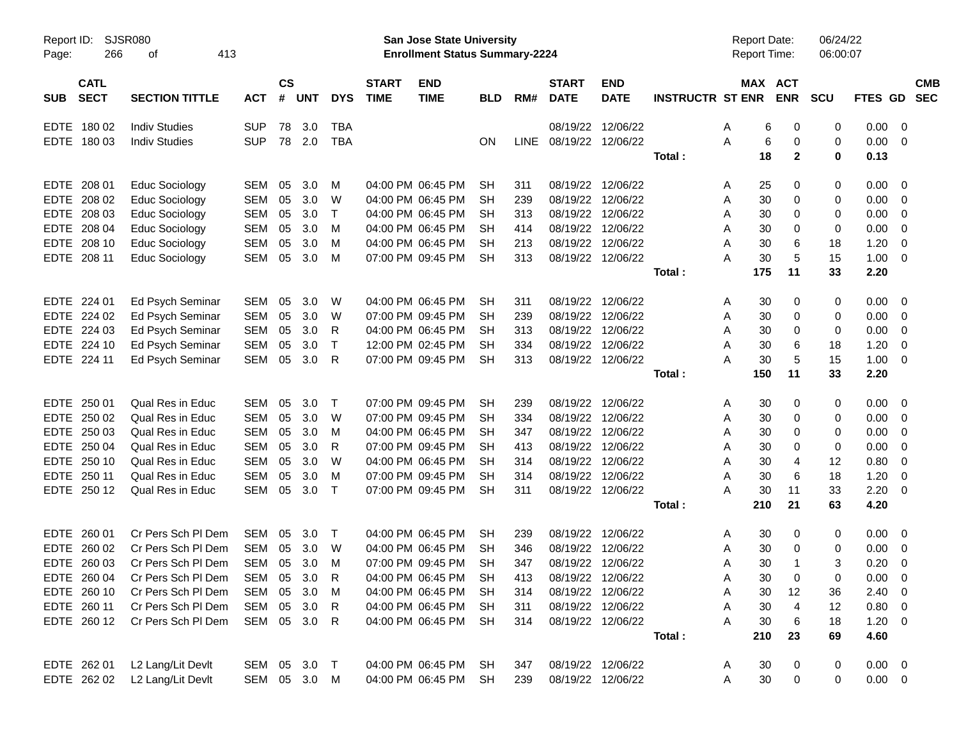| Report ID:<br>Page:                      | <b>SJSR080</b><br>266<br>413<br>οf |              |                |            |              |                             | <b>San Jose State University</b><br><b>Enrollment Status Summary-2224</b> |            |      |                             |                           |                         | <b>Report Date:</b><br>Report Time: |              | 06/24/22<br>06:00:07 |             |                         |            |
|------------------------------------------|------------------------------------|--------------|----------------|------------|--------------|-----------------------------|---------------------------------------------------------------------------|------------|------|-----------------------------|---------------------------|-------------------------|-------------------------------------|--------------|----------------------|-------------|-------------------------|------------|
| <b>CATL</b><br><b>SECT</b><br><b>SUB</b> | <b>SECTION TITTLE</b>              | <b>ACT</b>   | <b>CS</b><br># | <b>UNT</b> | <b>DYS</b>   | <b>START</b><br><b>TIME</b> | <b>END</b><br><b>TIME</b>                                                 | <b>BLD</b> | RM#  | <b>START</b><br><b>DATE</b> | <b>END</b><br><b>DATE</b> | <b>INSTRUCTR ST ENR</b> | MAX ACT                             | <b>ENR</b>   | <b>SCU</b>           | FTES GD SEC |                         | <b>CMB</b> |
| EDTE 180 02                              | <b>Indiv Studies</b>               | <b>SUP</b>   | 78             | 3.0        | <b>TBA</b>   |                             |                                                                           |            |      | 08/19/22                    | 12/06/22                  |                         | 6<br>Α                              | 0            | 0                    | 0.00        | $\overline{\mathbf{0}}$ |            |
| EDTE 180 03                              | <b>Indiv Studies</b>               | <b>SUP</b>   |                | 78 2.0     | <b>TBA</b>   |                             |                                                                           | ON         | LINE | 08/19/22 12/06/22           |                           |                         | $\,6$<br>A                          | 0            | 0                    | 0.00        | - 0                     |            |
|                                          |                                    |              |                |            |              |                             |                                                                           |            |      |                             |                           | Total:                  | 18                                  | $\mathbf{2}$ | $\bf{0}$             | 0.13        |                         |            |
| EDTE 208 01                              | <b>Educ Sociology</b>              | SEM          | 05             | 3.0        | M            |                             | 04:00 PM 06:45 PM                                                         | <b>SH</b>  | 311  | 08/19/22                    | 12/06/22                  |                         | 25<br>A                             | 0            | 0                    | 0.00        | - 0                     |            |
| EDTE 208 02                              | <b>Educ Sociology</b>              | <b>SEM</b>   | 05             | 3.0        | W            |                             | 04:00 PM 06:45 PM                                                         | <b>SH</b>  | 239  | 08/19/22                    | 12/06/22                  |                         | 30<br>Α                             | 0            | 0                    | 0.00        | 0                       |            |
| EDTE 208 03                              | Educ Sociology                     | <b>SEM</b>   | 05             | 3.0        | $\top$       |                             | 04:00 PM 06:45 PM                                                         | <b>SH</b>  | 313  | 08/19/22                    | 12/06/22                  |                         | 30<br>Α                             | 0            | 0                    | 0.00        | 0                       |            |
| EDTE 208 04                              | Educ Sociology                     | <b>SEM</b>   | 05             | 3.0        | м            |                             | 04:00 PM 06:45 PM                                                         | <b>SH</b>  | 414  | 08/19/22                    | 12/06/22                  |                         | 30<br>Α                             | 0            | 0                    | 0.00        | 0                       |            |
| EDTE 208 10                              | Educ Sociology                     | <b>SEM</b>   | 05             | 3.0        | м            |                             | 04:00 PM 06:45 PM                                                         | SН         | 213  | 08/19/22                    | 12/06/22                  |                         | 30<br>Α                             | 6            | 18                   | 1.20        | 0                       |            |
| EDTE 208 11                              | <b>Educ Sociology</b>              | <b>SEM</b>   | 05             | 3.0        | M            |                             | 07:00 PM 09:45 PM                                                         | <b>SH</b>  | 313  | 08/19/22                    | 12/06/22                  |                         | 30<br>A                             | 5            | 15                   | 1.00        | 0                       |            |
|                                          |                                    |              |                |            |              |                             |                                                                           |            |      |                             |                           | Total:                  | 175                                 | 11           | 33                   | 2.20        |                         |            |
| EDTE 224 01                              | Ed Psych Seminar                   | SEM          | 05             | 3.0        | W            |                             | 04:00 PM 06:45 PM                                                         | <b>SH</b>  | 311  | 08/19/22                    | 12/06/22                  |                         | 30<br>Α                             | 0            | 0                    | 0.00        | - 0                     |            |
| EDTE 224 02                              | Ed Psych Seminar                   | <b>SEM</b>   | 05             | 3.0        | W            |                             | 07:00 PM 09:45 PM                                                         | <b>SH</b>  | 239  | 08/19/22                    | 12/06/22                  |                         | 30<br>Α                             | 0            | 0                    | 0.00        | 0                       |            |
| EDTE 224 03                              | Ed Psych Seminar                   | <b>SEM</b>   | 05             | 3.0        | R            |                             | 04:00 PM 06:45 PM                                                         | SН         | 313  | 08/19/22                    | 12/06/22                  |                         | 30<br>Α                             | 0            | 0                    | 0.00        | 0                       |            |
| EDTE 224 10                              | Ed Psych Seminar                   | <b>SEM</b>   | 05             | 3.0        | $\top$       |                             | 12:00 PM 02:45 PM                                                         | <b>SH</b>  | 334  | 08/19/22                    | 12/06/22                  |                         | 30<br>Α                             | 6            | 18                   | 1.20        | 0                       |            |
| EDTE 224 11                              | Ed Psych Seminar                   | <b>SEM</b>   | 05             | 3.0        | $\mathsf{R}$ |                             | 07:00 PM 09:45 PM                                                         | <b>SH</b>  | 313  |                             | 08/19/22 12/06/22         |                         | A<br>30                             | 5            | 15                   | 1.00        | - 0                     |            |
|                                          |                                    |              |                |            |              |                             |                                                                           |            |      |                             |                           | Total:                  | 150                                 | 11           | 33                   | 2.20        |                         |            |
| EDTE 250 01                              | Qual Res in Educ                   | SEM          | 05             | 3.0        | $\top$       |                             | 07:00 PM 09:45 PM                                                         | <b>SH</b>  | 239  | 08/19/22                    | 12/06/22                  |                         | 30<br>Α                             | 0            | 0                    | 0.00        | $\overline{0}$          |            |
| EDTE 250 02                              | <b>Qual Res in Educ</b>            | <b>SEM</b>   | 05             | 3.0        | W            |                             | 07:00 PM 09:45 PM                                                         | <b>SH</b>  | 334  | 08/19/22                    | 12/06/22                  |                         | 30<br>Α                             | 0            | 0                    | 0.00        | 0                       |            |
| EDTE 250 03                              | <b>Qual Res in Educ</b>            | <b>SEM</b>   | 05             | 3.0        | м            |                             | 04:00 PM 06:45 PM                                                         | SН         | 347  | 08/19/22                    | 12/06/22                  |                         | 30<br>Α                             | 0            | 0                    | 0.00        | 0                       |            |
| EDTE 250 04                              | <b>Qual Res in Educ</b>            | <b>SEM</b>   | 05             | 3.0        | R            |                             | 07:00 PM 09:45 PM                                                         | <b>SH</b>  | 413  | 08/19/22                    | 12/06/22                  |                         | 30<br>A                             | 0            | 0                    | 0.00        | 0                       |            |
| EDTE 250 10                              | <b>Qual Res in Educ</b>            | <b>SEM</b>   | 05             | 3.0        | W            |                             | 04:00 PM 06:45 PM                                                         | <b>SH</b>  | 314  | 08/19/22                    | 12/06/22                  |                         | 30<br>Α                             | 4            | 12                   | 0.80        | 0                       |            |
| EDTE 250 11                              | <b>Qual Res in Educ</b>            | <b>SEM</b>   | 05             | 3.0        | м            |                             | 07:00 PM 09:45 PM                                                         | <b>SH</b>  | 314  | 08/19/22                    | 12/06/22                  |                         | 30<br>Α                             | 6            | 18                   | 1.20        | 0                       |            |
| EDTE 250 12                              | <b>Qual Res in Educ</b>            | SEM          | 05             | 3.0        | $\top$       |                             | 07:00 PM 09:45 PM                                                         | <b>SH</b>  | 311  | 08/19/22                    | 12/06/22                  |                         | 30<br>A                             | 11           | 33                   | 2.20        | - 0                     |            |
|                                          |                                    |              |                |            |              |                             |                                                                           |            |      |                             |                           | Total:                  | 210                                 | 21           | 63                   | 4.20        |                         |            |
| EDTE 260 01                              | Cr Pers Sch PI Dem                 | <b>SEM</b>   | 05             | 3.0        | $\top$       |                             | 04:00 PM 06:45 PM                                                         | SН         | 239  | 08/19/22                    | 12/06/22                  |                         | 30<br>A                             | 0            | 0                    | 0.00        | $\overline{0}$          |            |
| EDTE<br>260 02                           | Cr Pers Sch PI Dem                 | <b>SEM</b>   | 05             | 3.0        | W            |                             | 04:00 PM 06:45 PM                                                         | SН         | 346  | 08/19/22                    | 12/06/22                  |                         | 30<br>Α                             | 0            | 0                    | 0.00        | 0                       |            |
| EDTE 260 03                              | Cr Pers Sch PI Dem                 | SEM          | 05             | 3.0        | м            |                             | 07:00 PM 09:45 PM                                                         | <b>SH</b>  | 347  |                             | 08/19/22 12/06/22         |                         | 30<br>A                             | 1            | 3                    | 0.20        | 0                       |            |
| EDTE 260 04                              | Cr Pers Sch PI Dem                 | SEM          | 05             | 3.0        | R            |                             | 04:00 PM 06:45 PM                                                         | <b>SH</b>  | 413  |                             | 08/19/22 12/06/22         |                         | A<br>30                             | 0            | 0                    | 0.00        | $\overline{0}$          |            |
| EDTE 260 10                              | Cr Pers Sch Pl Dem                 | <b>SEM</b>   | 05             | 3.0        | M            |                             | 04:00 PM 06:45 PM                                                         | <b>SH</b>  | 314  |                             | 08/19/22 12/06/22         |                         | 30<br>A                             | 12           | 36                   | 2.40        | $\overline{\mathbf{0}}$ |            |
| EDTE 260 11                              | Cr Pers Sch PI Dem                 | SEM          |                | 05 3.0     | $\mathsf{R}$ |                             | 04:00 PM 06:45 PM                                                         | SH         | 311  |                             | 08/19/22 12/06/22         |                         | 30<br>Α                             | 4            | 12                   | 0.80        | $\overline{\mathbf{0}}$ |            |
| EDTE 260 12                              | Cr Pers Sch Pl Dem                 | SEM 05 3.0 R |                |            |              |                             | 04:00 PM 06:45 PM                                                         | <b>SH</b>  | 314  |                             | 08/19/22 12/06/22         |                         | 30<br>Α                             | 6            | 18                   | $1.20 \t 0$ |                         |            |
|                                          |                                    |              |                |            |              |                             |                                                                           |            |      |                             |                           | Total:                  | 210                                 | 23           | 69                   | 4.60        |                         |            |
| EDTE 262 01                              | L2 Lang/Lit Devlt                  | SEM 05 3.0 T |                |            |              |                             | 04:00 PM 06:45 PM                                                         | SH         | 347  |                             | 08/19/22 12/06/22         |                         | 30<br>A                             | 0            | 0                    | $0.00 \t 0$ |                         |            |
| EDTE 262 02                              | L2 Lang/Lit Devlt                  | SEM 05 3.0 M |                |            |              |                             | 04:00 PM 06:45 PM                                                         | <b>SH</b>  | 239  |                             | 08/19/22 12/06/22         |                         | $30\,$<br>Α                         | 0            | $\pmb{0}$            | $0.00 \t 0$ |                         |            |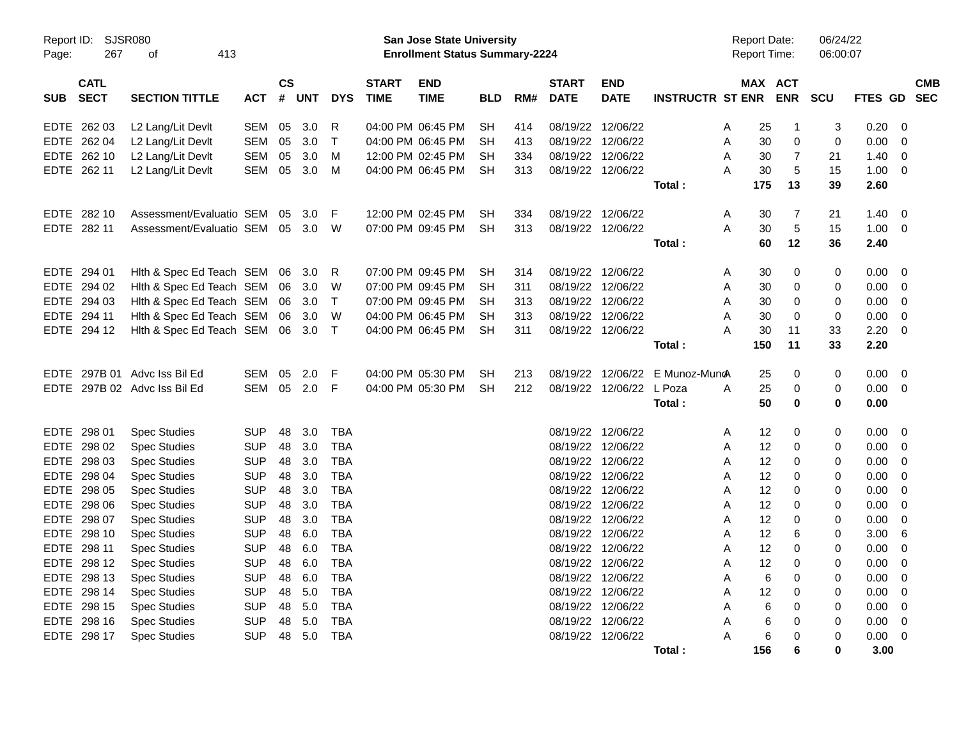| Page:       | <b>SJSR080</b><br>Report ID:<br>267<br>413<br>of<br><b>CATL</b> |                              |            |                |     |              |                             | San Jose State University<br><b>Enrollment Status Summary-2224</b> |            |     |                             |                           |                         |   | <b>Report Date:</b><br><b>Report Time:</b> |                | 06/24/22<br>06:00:07 |                |                         |                          |
|-------------|-----------------------------------------------------------------|------------------------------|------------|----------------|-----|--------------|-----------------------------|--------------------------------------------------------------------|------------|-----|-----------------------------|---------------------------|-------------------------|---|--------------------------------------------|----------------|----------------------|----------------|-------------------------|--------------------------|
| <b>SUB</b>  | <b>SECT</b>                                                     | <b>SECTION TITTLE</b>        | ACT        | <b>CS</b><br># | UNT | <b>DYS</b>   | <b>START</b><br><b>TIME</b> | <b>END</b><br><b>TIME</b>                                          | <b>BLD</b> | RM# | <b>START</b><br><b>DATE</b> | <b>END</b><br><b>DATE</b> | <b>INSTRUCTR ST ENR</b> |   |                                            | MAX ACT<br>ENR | <b>SCU</b>           | <b>FTES GD</b> |                         | <b>CMB</b><br><b>SEC</b> |
| <b>EDTE</b> | 262 03                                                          | L2 Lang/Lit Devlt            | <b>SEM</b> | 05             | 3.0 | R            |                             | 04:00 PM 06:45 PM                                                  | <b>SH</b>  | 414 |                             | 08/19/22 12/06/22         |                         | A | 25                                         | $\overline{1}$ | 3                    | 0.20           | $\overline{0}$          |                          |
|             | EDTE 262 04                                                     | L2 Lang/Lit Devlt            | SEM        | 05             | 3.0 | $\mathsf{T}$ |                             | 04:00 PM 06:45 PM                                                  | SН         | 413 |                             | 08/19/22 12/06/22         |                         | A | 30                                         | 0              | $\mathbf 0$          | 0.00           | $\mathbf 0$             |                          |
| EDTE        | 262 10                                                          | L2 Lang/Lit Devlt            | SEM        | 05             | 3.0 | м            |                             | 12:00 PM 02:45 PM                                                  | SН         | 334 |                             | 08/19/22 12/06/22         |                         | A | 30                                         | $\overline{7}$ | 21                   | 1.40           | 0                       |                          |
|             | EDTE 262 11                                                     | L2 Lang/Lit Devlt            | SEM        | 05             | 3.0 | M            |                             | 04:00 PM 06:45 PM                                                  | <b>SH</b>  | 313 |                             | 08/19/22 12/06/22         |                         | A | 30                                         | $\overline{5}$ | 15                   | 1.00           | $\overline{0}$          |                          |
|             |                                                                 |                              |            |                |     |              |                             |                                                                    |            |     |                             |                           | Total:                  |   | 175                                        | 13             | 39                   | 2.60           |                         |                          |
|             | EDTE 282 10                                                     | Assessment/Evaluatio SEM     |            | 05             | 3.0 | F            |                             | 12:00 PM 02:45 PM                                                  | <b>SH</b>  | 334 |                             | 08/19/22 12/06/22         |                         | A | 30                                         | $\overline{7}$ | 21                   | 1.40           | 0                       |                          |
|             | EDTE 282 11                                                     | Assessment/Evaluatio SEM     |            | 05             | 3.0 | W            |                             | 07:00 PM 09:45 PM                                                  | <b>SH</b>  | 313 |                             | 08/19/22 12/06/22         |                         | A | 30                                         | $\overline{5}$ | 15                   | 1.00           | $\overline{0}$          |                          |
|             |                                                                 |                              |            |                |     |              |                             |                                                                    |            |     |                             |                           | Total:                  |   | 60                                         | 12             | 36                   | 2.40           |                         |                          |
| EDTE        | 294 01                                                          | Hith & Spec Ed Teach SEM     |            | 06             | 3.0 | R            |                             | 07:00 PM 09:45 PM                                                  | SH         | 314 |                             | 08/19/22 12/06/22         |                         | Α | 30                                         | 0              | 0                    | 0.00           | $\overline{0}$          |                          |
| <b>EDTE</b> | 294 02                                                          | Hith & Spec Ed Teach SEM     |            | 06             | 3.0 | W            |                             | 07:00 PM 09:45 PM                                                  | <b>SH</b>  | 311 |                             | 08/19/22 12/06/22         |                         | A | 30                                         | $\Omega$       | $\Omega$             | 0.00           | $\Omega$                |                          |
|             | EDTE 294 03                                                     | Hith & Spec Ed Teach SEM     |            | 06             | 3.0 | $\mathsf{T}$ |                             | 07:00 PM 09:45 PM                                                  | <b>SH</b>  | 313 |                             | 08/19/22 12/06/22         |                         | A | 30                                         | 0              | 0                    | 0.00           | $\mathbf 0$             |                          |
| EDTE        | 294 11                                                          | Hith & Spec Ed Teach SEM     |            | 06             | 3.0 | W            |                             | 04:00 PM 06:45 PM                                                  | SН         | 313 |                             | 08/19/22 12/06/22         |                         | A | 30                                         | 0              | $\mathbf 0$          | 0.00           | $\overline{0}$          |                          |
|             | EDTE 294 12                                                     | Hith & Spec Ed Teach SEM     |            | 06             | 3.0 | $\mathsf{T}$ |                             | 04:00 PM 06:45 PM                                                  | <b>SH</b>  | 311 |                             | 08/19/22 12/06/22         |                         | A | 30                                         | 11             | 33                   | 2.20           | $\overline{0}$          |                          |
|             |                                                                 |                              |            |                |     |              |                             |                                                                    |            |     |                             |                           | Total:                  |   | 150                                        | 11             | 33                   | 2.20           |                         |                          |
| <b>EDTE</b> |                                                                 | 297B 01 Advc Iss Bil Ed      | SEM        | 05             | 2.0 | F            |                             | 04:00 PM 05:30 PM                                                  | <b>SH</b>  | 213 | 08/19/22                    | 12/06/22                  | E Munoz-Muno            |   | 25                                         | 0              | 0                    | 0.00           | - 0                     |                          |
|             |                                                                 | EDTE 297B 02 Advc Iss Bil Ed | <b>SEM</b> | 05             | 2.0 | F            |                             | 04:00 PM 05:30 PM                                                  | <b>SH</b>  | 212 |                             | 08/19/22 12/06/22 L Poza  |                         | A | 25                                         | 0              | 0                    | 0.00           | $\overline{\mathbf{0}}$ |                          |
|             |                                                                 |                              |            |                |     |              |                             |                                                                    |            |     |                             |                           | Total:                  |   | 50                                         | 0              | 0                    | 0.00           |                         |                          |
| <b>EDTE</b> | 298 01                                                          | <b>Spec Studies</b>          | <b>SUP</b> | 48             | 3.0 | <b>TBA</b>   |                             |                                                                    |            |     |                             | 08/19/22 12/06/22         |                         | A | 12                                         | 0              | 0                    | 0.00           | -0                      |                          |
|             | EDTE 298 02                                                     | <b>Spec Studies</b>          | <b>SUP</b> | 48             | 3.0 | <b>TBA</b>   |                             |                                                                    |            |     |                             | 08/19/22 12/06/22         |                         | A | 12                                         | $\Omega$       | $\mathbf 0$          | 0.00           | $\Omega$                |                          |
| <b>EDTE</b> | 298 03                                                          | <b>Spec Studies</b>          | <b>SUP</b> | 48             | 3.0 | <b>TBA</b>   |                             |                                                                    |            |     |                             | 08/19/22 12/06/22         |                         | A | 12                                         | 0              | 0                    | 0.00           | $\mathbf 0$             |                          |
| EDTE        | 298 04                                                          | <b>Spec Studies</b>          | <b>SUP</b> | 48             | 3.0 | <b>TBA</b>   |                             |                                                                    |            |     |                             | 08/19/22 12/06/22         |                         | A | 12                                         | 0              | $\mathbf 0$          | 0.00           | -0                      |                          |
| EDTE        | 298 05                                                          | <b>Spec Studies</b>          | <b>SUP</b> | 48             | 3.0 | <b>TBA</b>   |                             |                                                                    |            |     |                             | 08/19/22 12/06/22         |                         | A | 12                                         | 0              | 0                    | 0.00           | $\overline{0}$          |                          |
| EDTE.       | 298 06                                                          | <b>Spec Studies</b>          | <b>SUP</b> | 48             | 3.0 | <b>TBA</b>   |                             |                                                                    |            |     |                             | 08/19/22 12/06/22         |                         | A | 12                                         | $\Omega$       | $\Omega$             | 0.00           | $\Omega$                |                          |
| EDTE        | 298 07                                                          | <b>Spec Studies</b>          | <b>SUP</b> | 48             | 3.0 | <b>TBA</b>   |                             |                                                                    |            |     |                             | 08/19/22 12/06/22         |                         | A | 12                                         | 0              | $\mathbf 0$          | 0.00           | $\mathbf 0$             |                          |
| EDTE        | 298 10                                                          | <b>Spec Studies</b>          | <b>SUP</b> | 48             | 6.0 | <b>TBA</b>   |                             |                                                                    |            |     |                             | 08/19/22 12/06/22         |                         | A | 12                                         | 6              | $\mathbf 0$          | 3.00           | 6                       |                          |
| EDTE        | 298 11                                                          | <b>Spec Studies</b>          | <b>SUP</b> | 48             | 6.0 | <b>TBA</b>   |                             |                                                                    |            |     |                             | 08/19/22 12/06/22         |                         | A | 12                                         | 0              | 0                    | 0.00           | $\mathbf 0$             |                          |
| <b>EDTE</b> | 298 12                                                          | <b>Spec Studies</b>          | <b>SUP</b> | 48             | 6.0 | <b>TBA</b>   |                             |                                                                    |            |     |                             | 08/19/22 12/06/22         |                         | A | 12                                         | $\Omega$       | 0                    | 0.00           | $\mathbf 0$             |                          |
|             | EDTE 298 13                                                     | <b>Spec Studies</b>          | <b>SUP</b> | 48             | 6.0 | <b>TBA</b>   |                             |                                                                    |            |     |                             | 08/19/22 12/06/22         |                         | A | 6                                          | 0              | 0                    | 0.00           | 0                       |                          |
| EDTE        | 298 14                                                          | <b>Spec Studies</b>          | <b>SUP</b> | 48             | 5.0 | <b>TBA</b>   |                             |                                                                    |            |     |                             | 08/19/22 12/06/22         |                         | A | 12                                         | 0              | 0                    | 0.00           | -0                      |                          |
|             | EDTE 298 15                                                     | <b>Spec Studies</b>          | <b>SUP</b> | 48             | 5.0 | <b>TBA</b>   |                             |                                                                    |            |     |                             | 08/19/22 12/06/22         |                         | A | 6                                          | 0              | 0                    | 0.00           | $\mathbf 0$             |                          |
| EDTE.       | 298 16                                                          | <b>Spec Studies</b>          | <b>SUP</b> | 48             | 5.0 | <b>TBA</b>   |                             |                                                                    |            |     |                             | 08/19/22 12/06/22         |                         | A | 6                                          | $\Omega$       | 0                    | 0.00           | 0                       |                          |
|             | EDTE 298 17                                                     | <b>Spec Studies</b>          | <b>SUP</b> | 48             | 5.0 | <b>TBA</b>   |                             |                                                                    |            |     |                             | 08/19/22 12/06/22         |                         | A | 6                                          | $\Omega$       | $\mathbf 0$          | 0.00           | $\mathbf 0$             |                          |
|             |                                                                 |                              |            |                |     |              |                             |                                                                    |            |     |                             |                           | Total :                 |   | 156                                        | 6              | $\bf{0}$             | 3.00           |                         |                          |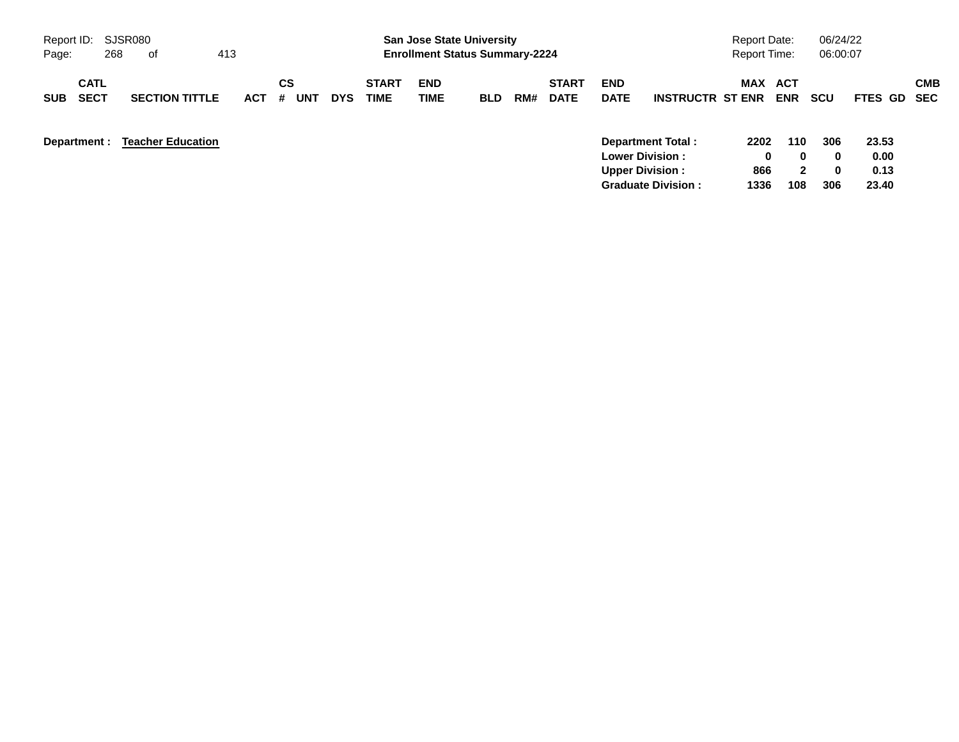| Report ID: SJSR080                       |     |                          |            |         |     |            |                             | <b>San Jose State University</b>      |            |     |                             |                           |                          | <b>Report Date:</b> |                   | 06/24/22           |                |                          |
|------------------------------------------|-----|--------------------------|------------|---------|-----|------------|-----------------------------|---------------------------------------|------------|-----|-----------------------------|---------------------------|--------------------------|---------------------|-------------------|--------------------|----------------|--------------------------|
| Page:                                    | 268 | 0f                       | 413        |         |     |            |                             | <b>Enrollment Status Summary-2224</b> |            |     |                             |                           |                          | <b>Report Time:</b> |                   | 06:00:07           |                |                          |
| <b>CATL</b><br><b>SECT</b><br><b>SUB</b> |     | <b>SECTION TITTLE</b>    | <b>ACT</b> | CS<br># | UN' | <b>DYS</b> | <b>START</b><br><b>TIME</b> | <b>END</b><br>TIME                    | <b>BLD</b> | RM# | <b>START</b><br><b>DATE</b> | <b>END</b><br><b>DATE</b> | <b>INSTRUCTR ST ENR</b>  | <b>MAX</b>          | ACT<br><b>ENR</b> | <b>SCU</b>         | <b>FTES GD</b> | <b>CMB</b><br><b>SEC</b> |
| Department :                             |     | <b>Teacher Education</b> |            |         |     |            |                             |                                       |            |     |                             | <b>Lower Division:</b>    | <b>Department Total:</b> | 2202<br>0           | 110<br>0          | 306<br>$\mathbf 0$ | 23.53<br>0.00  |                          |
|                                          |     |                          |            |         |     |            |                             |                                       |            |     |                             | <b>Upper Division:</b>    |                          | 866                 | 2                 | 0                  | 0.13           |                          |

**Graduate Division : 1336 108 306 23.40**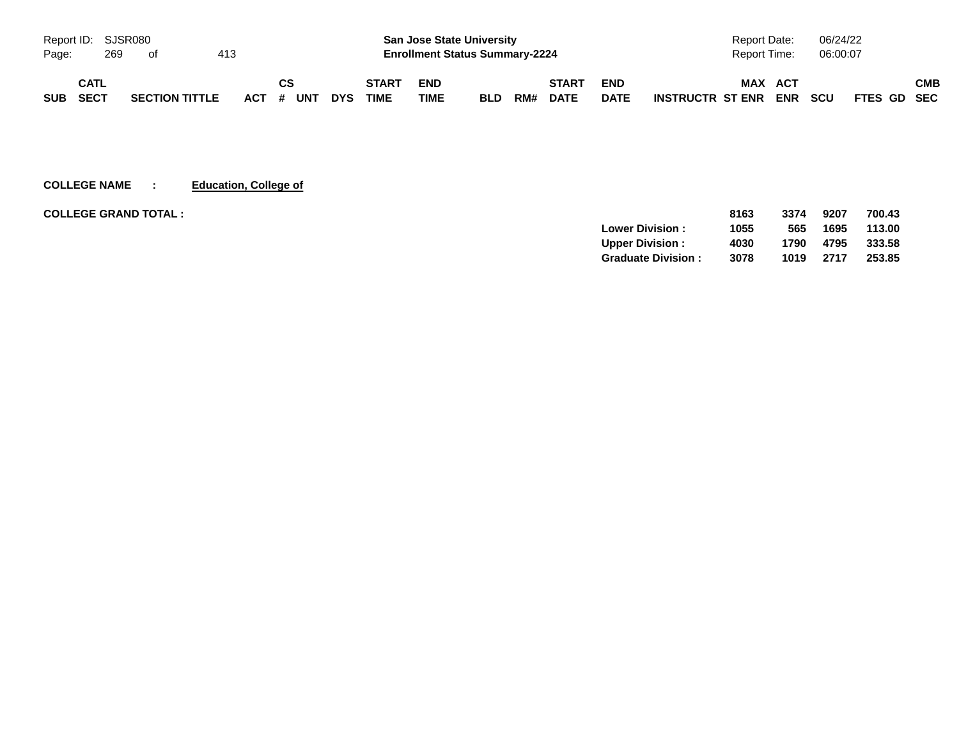|            |      | Report ID: SJSR080 |                       |     |           |            |              |            | <b>San Jose State University</b>      |     |              |             | <b>Report Date:</b>                   | 06/24/22                  |     |
|------------|------|--------------------|-----------------------|-----|-----------|------------|--------------|------------|---------------------------------------|-----|--------------|-------------|---------------------------------------|---------------------------|-----|
| Page:      |      | 269                | ot                    | 413 |           |            |              |            | <b>Enrollment Status Summary-2224</b> |     |              |             | Report Time:                          | 06:00:07                  |     |
|            | CATL |                    |                       |     | СS        |            | <b>START</b> | <b>END</b> |                                       |     | <b>START</b> | <b>END</b>  | <b>MAX</b><br><b>ACT</b>              |                           | СМВ |
| <b>SUB</b> | SECT |                    | <b>SECTION TITTLE</b> |     | ACT # UNT | <b>DYS</b> | <b>TIME</b>  | TIME       | <b>BLD</b>                            | RM# | <b>DATE</b>  | <b>DATE</b> | <b>ENR</b><br><b>INSTRUCTR ST ENR</b> | <b>SCU</b><br>FTES GD SEC |     |

**COLLEGE NAME : Education, College of**

| <b>COLLEGE GRAND TOTAL:</b> |                           | 8163 | 3374 | 9207 | 700.43 |
|-----------------------------|---------------------------|------|------|------|--------|
|                             | <b>Lower Division:</b>    | 1055 | 565  | 1695 | 113.00 |
|                             | <b>Upper Division:</b>    | 4030 | 1790 | 4795 | 333.58 |
|                             | <b>Graduate Division:</b> | 3078 | 1019 | 2717 | 253.85 |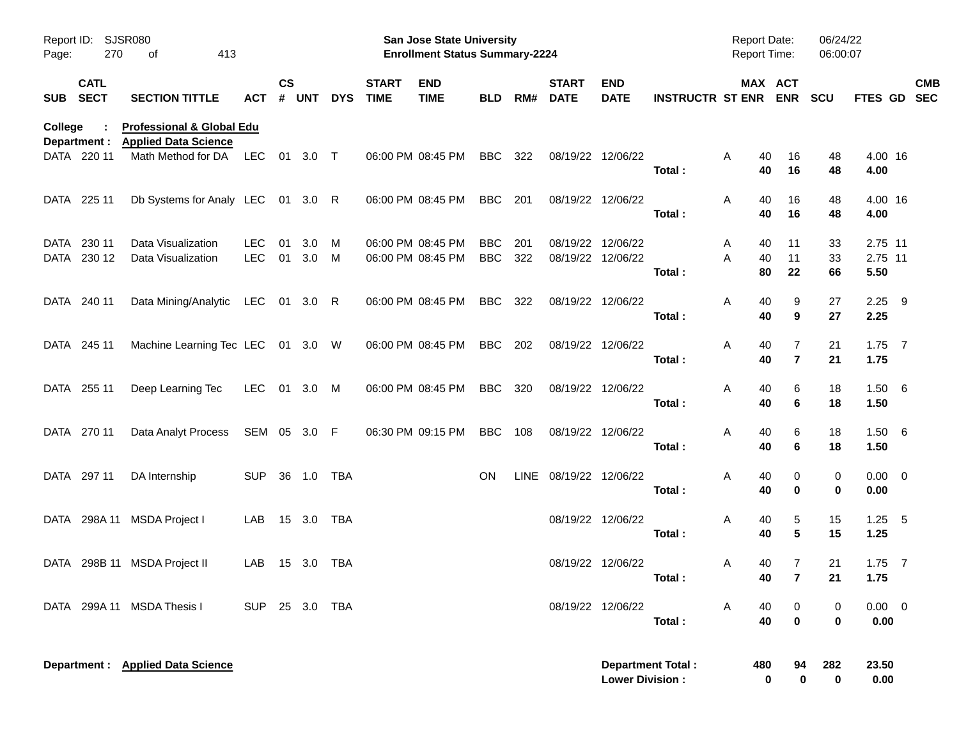| Page:   | <b>SJSR080</b><br>Report ID:<br>270<br>413<br>οf |                                                                     |                          |                    |              |            |                             | <b>San Jose State University</b><br><b>Enrollment Status Summary-2224</b> |                          |            |                                        |                           |                             | <b>Report Date:</b><br><b>Report Time:</b> |                     | 06/24/22<br>06:00:07 |                            |            |
|---------|--------------------------------------------------|---------------------------------------------------------------------|--------------------------|--------------------|--------------|------------|-----------------------------|---------------------------------------------------------------------------|--------------------------|------------|----------------------------------------|---------------------------|-----------------------------|--------------------------------------------|---------------------|----------------------|----------------------------|------------|
|         | <b>CATL</b><br>SUB SECT                          | <b>SECTION TITTLE</b>                                               | <b>ACT</b>               | $\mathsf{cs}$<br># | <b>UNT</b>   | <b>DYS</b> | <b>START</b><br><b>TIME</b> | <b>END</b><br><b>TIME</b>                                                 | <b>BLD</b>               | RM#        | <b>START</b><br><b>DATE</b>            | <b>END</b><br><b>DATE</b> | <b>INSTRUCTR ST ENR ENR</b> |                                            | MAX ACT             | <b>SCU</b>           | FTES GD SEC                | <b>CMB</b> |
| College | Department :                                     | <b>Professional &amp; Global Edu</b><br><b>Applied Data Science</b> |                          |                    |              |            |                             |                                                                           |                          |            |                                        |                           |                             |                                            |                     |                      |                            |            |
|         | DATA 220 11                                      | Math Method for DA                                                  | LEC                      |                    | 01 3.0 T     |            |                             | 06:00 PM 08:45 PM                                                         | BBC                      | 322        |                                        | 08/19/22 12/06/22         | Total:                      | A<br>40<br>40                              | 16<br>16            | 48<br>48             | 4.00 16<br>4.00            |            |
|         | DATA 225 11                                      | Db Systems for Analy LEC 01 3.0 R                                   |                          |                    |              |            |                             | 06:00 PM 08:45 PM                                                         | BBC                      | 201        | 08/19/22 12/06/22                      |                           | Total:                      | A<br>40<br>40                              | 16<br>16            | 48<br>48             | 4.00 16<br>4.00            |            |
| DATA    | 230 11<br>DATA 230 12                            | Data Visualization<br>Data Visualization                            | <b>LEC</b><br><b>LEC</b> | 01<br>01           | 3.0<br>3.0   | M<br>M     |                             | 06:00 PM 08:45 PM<br>06:00 PM 08:45 PM                                    | <b>BBC</b><br><b>BBC</b> | 201<br>322 | 08/19/22 12/06/22<br>08/19/22 12/06/22 |                           | Total:                      | A<br>40<br>Α<br>40<br>80                   | 11<br>11<br>22      | 33<br>33<br>66       | 2.75 11<br>2.75 11<br>5.50 |            |
|         | DATA 240 11                                      | Data Mining/Analytic LEC 01 3.0 R                                   |                          |                    |              |            |                             | 06:00 PM 08:45 PM                                                         | BBC                      | 322        | 08/19/22 12/06/22                      |                           | Total:                      | Α<br>40<br>40                              | 9<br>9              | 27<br>27             | $2.25$ 9<br>2.25           |            |
|         | DATA 245 11                                      | Machine Learning Tec LEC 01 3.0 W                                   |                          |                    |              |            |                             | 06:00 PM 08:45 PM                                                         | BBC                      | 202        | 08/19/22 12/06/22                      |                           | Total:                      | Α<br>40<br>40                              | $\overline{7}$      | 21<br>21             | $1.75$ 7<br>1.75           |            |
|         | DATA 255 11                                      | Deep Learning Tec                                                   | LEC                      |                    | 01 3.0 M     |            |                             | 06:00 PM 08:45 PM                                                         | BBC                      | 320        | 08/19/22 12/06/22                      |                           | Total:                      | Α<br>40<br>40                              | 6<br>6              | 18<br>18             | 1.50 6<br>1.50             |            |
|         | DATA 270 11                                      | Data Analyt Process                                                 | SEM 05 3.0 F             |                    |              |            |                             | 06:30 PM 09:15 PM                                                         | BBC                      | 108        | 08/19/22 12/06/22                      |                           | Total:                      | Α<br>40<br>40                              | 6<br>6              | 18<br>18             | $1.50\ 6$<br>1.50          |            |
|         | DATA 297 11                                      | DA Internship                                                       | <b>SUP</b>               |                    | 36  1.0  TBA |            |                             |                                                                           | <b>ON</b>                |            | LINE 08/19/22 12/06/22                 |                           | Total:                      | Α<br>40<br>40                              | 0<br>0              | 0<br>0               | $0.00 \t 0$<br>0.00        |            |
|         | DATA 298A 11                                     | MSDA Project I                                                      | LAB                      |                    | 15 3.0       | TBA        |                             |                                                                           |                          |            | 08/19/22 12/06/22                      |                           | Total:                      | Α<br>40<br>40                              | 5<br>5              | 15<br>15             | $1.25 - 5$<br>1.25         |            |
|         |                                                  | DATA 298B 11 MSDA Project II                                        | LAB                      |                    | 15 3.0       | TBA        |                             |                                                                           |                          |            | 08/19/22 12/06/22                      |                           | Total:                      | 40<br>A<br>40                              | 7<br>$\overline{7}$ | 21<br>21             | $1.75$ 7<br>1.75           |            |
|         |                                                  | DATA 299A 11 MSDA Thesis I                                          | SUP 25 3.0 TBA           |                    |              |            |                             |                                                                           |                          |            | 08/19/22 12/06/22                      |                           | Total:                      | A<br>40<br>40                              | 0<br>$\mathbf 0$    | 0<br>$\bf{0}$        | $0.00 \t 0$<br>0.00        |            |
|         |                                                  | Department : Applied Data Science                                   |                          |                    |              |            |                             |                                                                           |                          |            |                                        | <b>Lower Division:</b>    | <b>Department Total:</b>    | 480<br>0                                   | 94<br>0             | 282<br>$\bf{0}$      | 23.50<br>0.00              |            |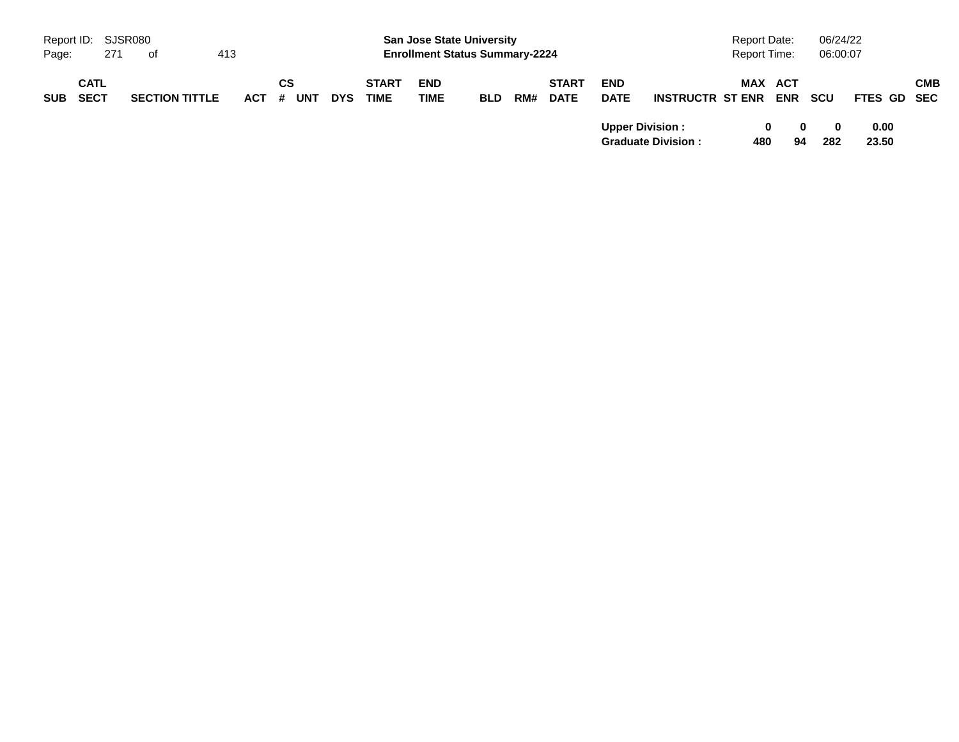|            |             | Report ID: SJSR080 |                       |         |    |     |            |              | <b>San Jose State University</b>      |            |     |              |                        |                           | <b>Report Date:</b> |            |                   | 06/24/22 |      |             |
|------------|-------------|--------------------|-----------------------|---------|----|-----|------------|--------------|---------------------------------------|------------|-----|--------------|------------------------|---------------------------|---------------------|------------|-------------------|----------|------|-------------|
| Page:      |             | 271<br>- of        | 413                   |         |    |     |            |              | <b>Enrollment Status Summary-2224</b> |            |     |              |                        |                           | <b>Report Time:</b> |            |                   | 06:00:07 |      |             |
|            | <b>CATL</b> |                    |                       |         | СS |     |            | <b>START</b> | <b>END</b>                            |            |     | <b>START</b> | <b>END</b>             |                           | MAX ACT             |            |                   |          |      | <b>CMB</b>  |
| <b>SUB</b> | <b>SECT</b> |                    | <b>SECTION TITTLE</b> | $ACT$ # |    | UNT | <b>DYS</b> | <b>TIME</b>  | TIME                                  | <b>BLD</b> | RM# | <b>DATE</b>  | <b>DATE</b>            | <b>INSTRUCTR ST ENR</b>   |                     | <b>ENR</b> | <b>SCU</b>        |          |      | FTES GD SEC |
|            |             |                    |                       |         |    |     |            |              |                                       |            |     |              | <b>Upper Division:</b> |                           | 0                   |            | $\mathbf{0}$<br>0 |          | 0.00 |             |
|            |             |                    |                       |         |    |     |            |              |                                       |            |     |              |                        | <b>Graduate Division:</b> | 480                 | 94         | 282               | 23.50    |      |             |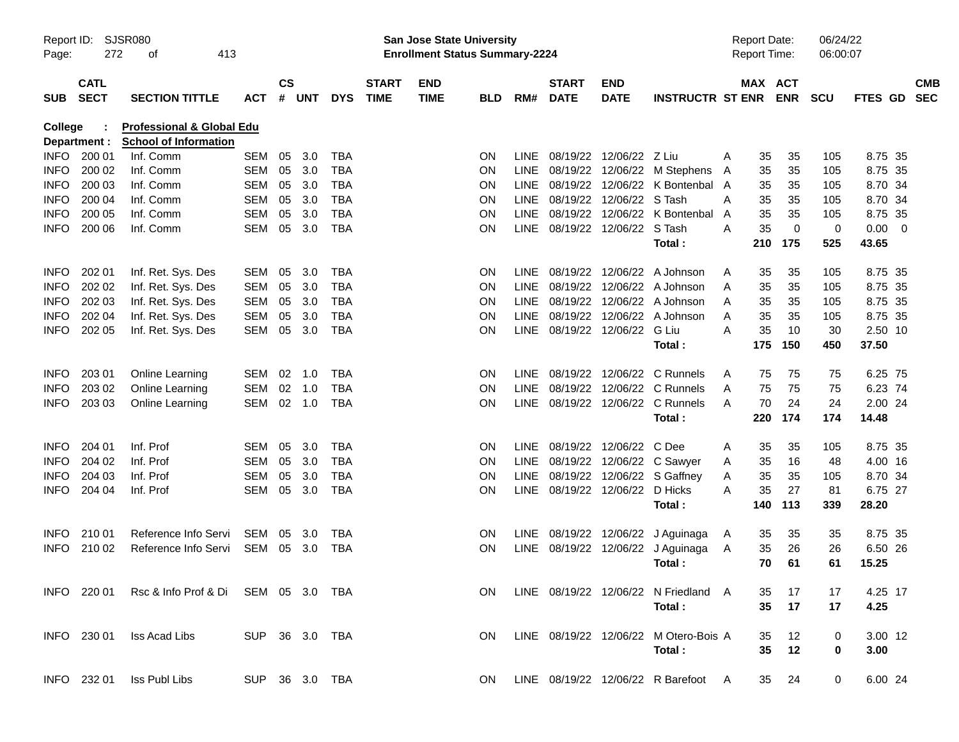| Page:       | <b>SJSR080</b><br>Report ID:<br>272<br>413<br>0f<br><b>CATL</b> |                                                                      |                |                |          |            |                             | San Jose State University<br><b>Enrollment Status Summary-2224</b> |            |             |                                |                           |                                       | <b>Report Date:</b><br><b>Report Time:</b> |         |             | 06/24/22<br>06:00:07 |                |                |                          |
|-------------|-----------------------------------------------------------------|----------------------------------------------------------------------|----------------|----------------|----------|------------|-----------------------------|--------------------------------------------------------------------|------------|-------------|--------------------------------|---------------------------|---------------------------------------|--------------------------------------------|---------|-------------|----------------------|----------------|----------------|--------------------------|
| <b>SUB</b>  | <b>SECT</b>                                                     | <b>SECTION TITTLE</b>                                                | <b>ACT</b>     | <b>CS</b><br># | UNT      | <b>DYS</b> | <b>START</b><br><b>TIME</b> | <b>END</b><br><b>TIME</b>                                          | <b>BLD</b> | RM#         | <b>START</b><br><b>DATE</b>    | <b>END</b><br><b>DATE</b> | <b>INSTRUCTR ST ENR</b>               |                                            | MAX ACT | <b>ENR</b>  | SCU                  | <b>FTES GD</b> |                | <b>CMB</b><br><b>SEC</b> |
| College     | Department :                                                    | <b>Professional &amp; Global Edu</b><br><b>School of Information</b> |                |                |          |            |                             |                                                                    |            |             |                                |                           |                                       |                                            |         |             |                      |                |                |                          |
| <b>INFO</b> | 200 01                                                          | Inf. Comm                                                            | SEM            | 05             | 3.0      | TBA        |                             |                                                                    | <b>ON</b>  | <b>LINE</b> | 08/19/22                       | 12/06/22 Z Liu            |                                       | A                                          | 35      | 35          | 105                  | 8.75 35        |                |                          |
| <b>INFO</b> | 200 02                                                          | Inf. Comm                                                            | SEM            | 05             | 3.0      | <b>TBA</b> |                             |                                                                    | <b>ON</b>  | LINE        | 08/19/22                       | 12/06/22                  | M Stephens                            | A                                          | 35      | 35          | 105                  | 8.75 35        |                |                          |
| <b>INFO</b> | 200 03                                                          | Inf. Comm                                                            | SEM            | 05             | 3.0      | <b>TBA</b> |                             |                                                                    | <b>ON</b>  | LINE        | 08/19/22                       |                           | 12/06/22 K Bontenbal A                |                                            | 35      | 35          | 105                  | 8.70 34        |                |                          |
| <b>INFO</b> | 200 04                                                          | Inf. Comm                                                            | SEM            | 05             | 3.0      | <b>TBA</b> |                             |                                                                    | <b>ON</b>  | LINE        | 08/19/22                       | 12/06/22 S Tash           |                                       | A                                          | 35      | 35          | 105                  | 8.70 34        |                |                          |
| <b>INFO</b> | 200 05                                                          | Inf. Comm                                                            | SEM            | 05             | 3.0      | <b>TBA</b> |                             |                                                                    | <b>ON</b>  | LINE        | 08/19/22                       | 12/06/22                  | K Bontenbal                           | A                                          | 35      | 35          | 105                  | 8.75 35        |                |                          |
| <b>INFO</b> | 200 06                                                          | Inf. Comm                                                            | SEM            | 05             | 3.0      | <b>TBA</b> |                             |                                                                    | <b>ON</b>  | <b>LINE</b> | 08/19/22                       | 12/06/22 S Tash           |                                       | A                                          | 35      | $\mathbf 0$ | 0                    | 0.00           | $\overline{0}$ |                          |
|             |                                                                 |                                                                      |                |                |          |            |                             |                                                                    |            |             |                                |                           | Total:                                |                                            | 210     | 175         | 525                  | 43.65          |                |                          |
| <b>INFO</b> | 202 01                                                          | Inf. Ret. Sys. Des                                                   | SEM            | 05             | 3.0      | TBA        |                             |                                                                    | <b>ON</b>  | LINE.       | 08/19/22                       |                           | 12/06/22 A Johnson                    | A                                          | 35      | 35          | 105                  | 8.75 35        |                |                          |
| <b>INFO</b> | 202 02                                                          | Inf. Ret. Sys. Des                                                   | SEM            | 05             | 3.0      | <b>TBA</b> |                             |                                                                    | <b>ON</b>  | LINE        | 08/19/22                       |                           | 12/06/22 A Johnson                    | Α                                          | 35      | 35          | 105                  | 8.75 35        |                |                          |
| <b>INFO</b> | 202 03                                                          | Inf. Ret. Sys. Des                                                   | SEM            | 05             | 3.0      | TBA        |                             |                                                                    | <b>ON</b>  | LINE        | 08/19/22                       |                           | 12/06/22 A Johnson                    | A                                          | 35      | 35          | 105                  | 8.75 35        |                |                          |
| <b>INFO</b> | 202 04                                                          | Inf. Ret. Sys. Des                                                   | SEM            | 05             | 3.0      | <b>TBA</b> |                             |                                                                    | <b>ON</b>  | LINE        | 08/19/22                       | 12/06/22                  | A Johnson                             | Α                                          | 35      | 35          | 105                  | 8.75 35        |                |                          |
| <b>INFO</b> | 202 05                                                          | Inf. Ret. Sys. Des                                                   | SEM            | 05             | 3.0      | <b>TBA</b> |                             |                                                                    | <b>ON</b>  |             | LINE 08/19/22 12/06/22         |                           | G Liu                                 | A                                          | 35      | 10          | 30                   | 2.50 10        |                |                          |
|             |                                                                 |                                                                      |                |                |          |            |                             |                                                                    |            |             |                                |                           | Total:                                |                                            | 175     | 150         | 450                  | 37.50          |                |                          |
| <b>INFO</b> | 203 01                                                          | Online Learning                                                      | SEM            | 02             | 1.0      | TBA        |                             |                                                                    | <b>ON</b>  | LINE.       | 08/19/22                       |                           | 12/06/22 C Runnels                    | A                                          | 75      | 75          | 75                   | 6.25 75        |                |                          |
| <b>INFO</b> | 203 02                                                          | Online Learning                                                      | SEM            | 02             | 1.0      | <b>TBA</b> |                             |                                                                    | <b>ON</b>  | <b>LINE</b> | 08/19/22                       |                           | 12/06/22 C Runnels                    | A                                          | 75      | 75          | 75                   | 6.23 74        |                |                          |
| <b>INFO</b> | 203 03                                                          | Online Learning                                                      | SEM            |                | $02$ 1.0 | TBA        |                             |                                                                    | <b>ON</b>  |             |                                |                           | LINE 08/19/22 12/06/22 C Runnels      | A                                          | 70      | 24          | 24                   | 2.00 24        |                |                          |
|             |                                                                 |                                                                      |                |                |          |            |                             |                                                                    |            |             |                                |                           | Total:                                |                                            | 220     | 174         | 174                  | 14.48          |                |                          |
| <b>INFO</b> | 204 01                                                          | Inf. Prof                                                            | SEM            | 05             | 3.0      | TBA        |                             |                                                                    | <b>ON</b>  | LINE.       | 08/19/22 12/06/22              |                           | C Dee                                 | A                                          | 35      | 35          | 105                  | 8.75 35        |                |                          |
| <b>INFO</b> | 204 02                                                          | Inf. Prof                                                            | SEM            | 05             | 3.0      | TBA        |                             |                                                                    | <b>ON</b>  | LINE        | 08/19/22                       |                           | 12/06/22 C Sawyer                     | A                                          | 35      | 16          | 48                   | 4.00 16        |                |                          |
| <b>INFO</b> | 204 03                                                          | Inf. Prof                                                            | SEM            | 05             | 3.0      | TBA        |                             |                                                                    | <b>ON</b>  | LINE        | 08/19/22                       | 12/06/22                  | S Gaffney                             | Α                                          | 35      | 35          | 105                  | 8.70 34        |                |                          |
| <b>INFO</b> | 204 04                                                          | Inf. Prof                                                            | SEM            | 05             | 3.0      | <b>TBA</b> |                             |                                                                    | <b>ON</b>  |             | LINE 08/19/22 12/06/22 D Hicks |                           |                                       | А                                          | 35      | 27          | 81                   | 6.75 27        |                |                          |
|             |                                                                 |                                                                      |                |                |          |            |                             |                                                                    |            |             |                                |                           | Total:                                |                                            | 140     | 113         | 339                  | 28.20          |                |                          |
| <b>INFO</b> | 210 01                                                          | Reference Info Servi                                                 | SEM            | 05             | 3.0      | TBA        |                             |                                                                    | <b>ON</b>  | <b>LINE</b> | 08/19/22                       |                           | 12/06/22 J Aguinaga                   | A                                          | 35      | 35          | 35                   | 8.75 35        |                |                          |
| <b>INFO</b> | 210 02                                                          | Reference Info Servi                                                 | SEM            | 05             | 3.0      | TBA        |                             |                                                                    | <b>ON</b>  |             |                                |                           | LINE 08/19/22 12/06/22 J Aguinaga     | A                                          | 35      | 26          | 26                   | 6.50 26        |                |                          |
|             |                                                                 |                                                                      |                |                |          |            |                             |                                                                    |            |             |                                |                           | Total:                                |                                            | 70      | 61          | 61                   | 15.25          |                |                          |
|             |                                                                 | INFO 220 01 Rsc & Info Prof & Di SEM 05 3.0 TBA                      |                |                |          |            |                             |                                                                    | ON.        |             |                                |                           | LINE 08/19/22 12/06/22 N Friedland A  |                                            | 35      | 17          | 17                   | 4.25 17        |                |                          |
|             |                                                                 |                                                                      |                |                |          |            |                             |                                                                    |            |             |                                |                           | Total:                                |                                            | 35      | 17          | 17                   | 4.25           |                |                          |
|             |                                                                 | INFO 230 01 Iss Acad Libs                                            | SUP 36 3.0 TBA |                |          |            |                             |                                                                    | ON.        |             |                                |                           | LINE 08/19/22 12/06/22 M Otero-Bois A |                                            | 35      | 12          | 0                    | 3.00 12        |                |                          |
|             |                                                                 |                                                                      |                |                |          |            |                             |                                                                    |            |             |                                |                           | Total:                                |                                            | 35      | 12          | 0                    | 3.00           |                |                          |
|             | INFO 232 01                                                     | Iss Publ Libs                                                        | SUP 36 3.0 TBA |                |          |            |                             |                                                                    | ON.        |             |                                |                           | LINE 08/19/22 12/06/22 R Barefoot A   |                                            | 35 24   |             | 0                    | 6.00 24        |                |                          |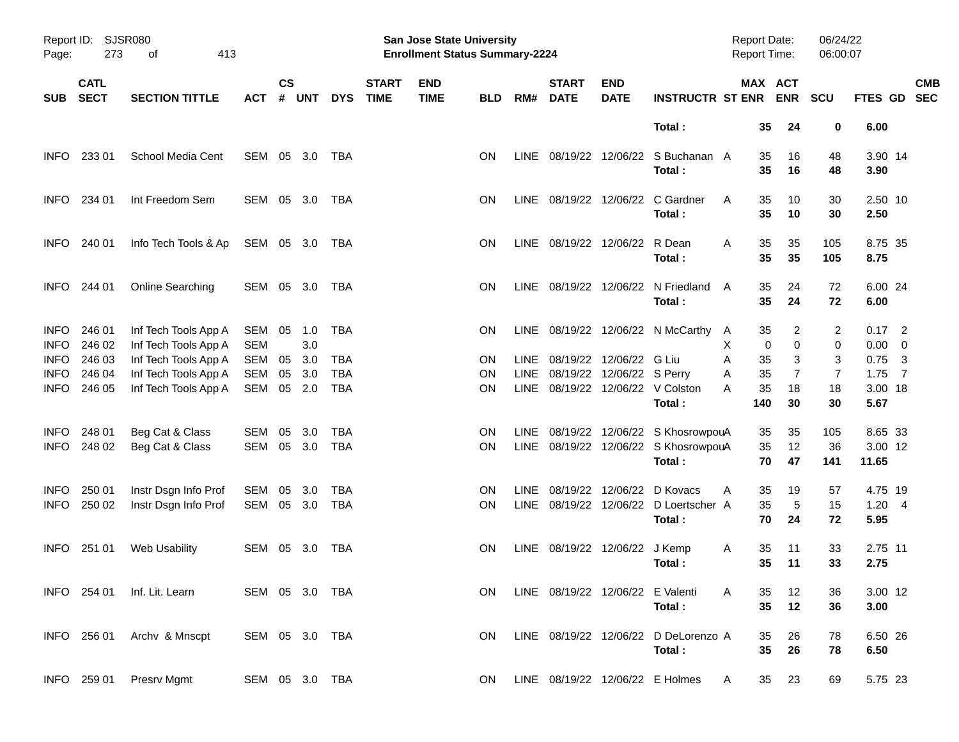| Report ID:<br>Page:        | SJSR080<br>273<br>413<br>οf |                                              |                      |                    |            |            |                             | San Jose State University<br><b>Enrollment Status Summary-2224</b> |            |     |                             |                                  |                                               | <b>Report Date:</b><br><b>Report Time:</b> |                   |                       | 06/24/22<br>06:00:07 |                  |                |                          |
|----------------------------|-----------------------------|----------------------------------------------|----------------------|--------------------|------------|------------|-----------------------------|--------------------------------------------------------------------|------------|-----|-----------------------------|----------------------------------|-----------------------------------------------|--------------------------------------------|-------------------|-----------------------|----------------------|------------------|----------------|--------------------------|
| <b>SUB</b>                 | <b>CATL</b><br><b>SECT</b>  | <b>SECTION TITTLE</b>                        | <b>ACT</b>           | <b>CS</b><br># UNT |            | <b>DYS</b> | <b>START</b><br><b>TIME</b> | <b>END</b><br><b>TIME</b>                                          | <b>BLD</b> | RM# | <b>START</b><br><b>DATE</b> | <b>END</b><br><b>DATE</b>        | <b>INSTRUCTR ST ENR</b>                       |                                            |                   | MAX ACT<br><b>ENR</b> | <b>SCU</b>           | <b>FTES GD</b>   |                | <b>CMB</b><br><b>SEC</b> |
|                            |                             |                                              |                      |                    |            |            |                             |                                                                    |            |     |                             |                                  | Total:                                        |                                            | 35                | 24                    | 0                    | 6.00             |                |                          |
| INFO.                      | 233 01                      | School Media Cent                            | SEM 05 3.0           |                    |            | TBA        |                             |                                                                    | <b>ON</b>  |     |                             |                                  | LINE 08/19/22 12/06/22 S Buchanan A<br>Total: |                                            | 35<br>35          | 16<br>16              | 48<br>48             | 3.90 14<br>3.90  |                |                          |
| <b>INFO</b>                | 234 01                      | Int Freedom Sem                              | SEM 05 3.0           |                    |            | TBA        |                             |                                                                    | ON         |     |                             |                                  | LINE 08/19/22 12/06/22 C Gardner<br>Total:    | A                                          | 35<br>35          | 10<br>10              | 30<br>30             | 2.50 10<br>2.50  |                |                          |
| <b>INFO</b>                | 240 01                      | Info Tech Tools & Ap                         | SEM 05 3.0           |                    |            | TBA        |                             |                                                                    | <b>ON</b>  |     | LINE 08/19/22 12/06/22      |                                  | R Dean<br>Total:                              | Α                                          | 35<br>35          | 35<br>35              | 105<br>105           | 8.75 35<br>8.75  |                |                          |
| <b>INFO</b>                | 244 01                      | <b>Online Searching</b>                      | SEM 05 3.0           |                    |            | TBA        |                             |                                                                    | <b>ON</b>  |     |                             |                                  | LINE 08/19/22 12/06/22 N Friedland<br>Total:  | A                                          | 35<br>35          | 24<br>24              | 72<br>72             | 6.00 24<br>6.00  |                |                          |
| <b>INFO</b><br><b>INFO</b> | 246 01<br>246 02            | Inf Tech Tools App A<br>Inf Tech Tools App A | SEM 05<br><b>SEM</b> |                    | 1.0<br>3.0 | <b>TBA</b> |                             |                                                                    | <b>ON</b>  |     |                             |                                  | LINE 08/19/22 12/06/22 N McCarthy             | A<br>X                                     | 35<br>$\mathbf 0$ | 2<br>$\pmb{0}$        | 2<br>0               | $0.17$ 2<br>0.00 | - 0            |                          |
| <b>INFO</b>                | 246 03                      | Inf Tech Tools App A                         | SEM                  | 05                 | 3.0        | <b>TBA</b> |                             |                                                                    | <b>ON</b>  |     |                             | LINE 08/19/22 12/06/22 G Liu     |                                               | Α                                          | 35                | 3                     | 3                    | 0.75             | - 3            |                          |
| <b>INFO</b>                | 246 04                      | Inf Tech Tools App A                         | SEM                  | 05                 | 3.0        | <b>TBA</b> |                             |                                                                    | <b>ON</b>  |     |                             | LINE 08/19/22 12/06/22 S Perry   |                                               | Α                                          | 35                | 7                     | 7                    | 1.75             | $\overline{7}$ |                          |
| <b>INFO</b>                | 246 05                      | Inf Tech Tools App A                         | SEM                  | 05                 | 2.0        | <b>TBA</b> |                             |                                                                    | <b>ON</b>  |     |                             |                                  | LINE 08/19/22 12/06/22 V Colston<br>Total:    | A                                          | 35<br>140         | 18<br>30              | 18<br>30             | 3.00 18<br>5.67  |                |                          |
| <b>INFO</b>                | 248 01                      | Beg Cat & Class                              | SEM                  | 05                 | 3.0        | <b>TBA</b> |                             |                                                                    | <b>ON</b>  |     |                             |                                  | LINE 08/19/22 12/06/22 S KhosrowpouA          |                                            | 35                | 35                    | 105                  | 8.65 33          |                |                          |
| <b>INFO</b>                | 248 02                      | Beg Cat & Class                              | SEM 05               |                    | 3.0        | <b>TBA</b> |                             |                                                                    | ON         |     |                             |                                  | LINE 08/19/22 12/06/22 S KhosrowpouA          |                                            | 35                | 12                    | 36                   | 3.00 12          |                |                          |
|                            |                             |                                              |                      |                    |            |            |                             |                                                                    |            |     |                             |                                  | Total:                                        |                                            | 70                | 47                    | 141                  | 11.65            |                |                          |
| <b>INFO</b>                | 250 01                      | Instr Dsgn Info Prof                         | SEM                  | 05                 | 3.0        | <b>TBA</b> |                             |                                                                    | <b>ON</b>  |     | LINE 08/19/22 12/06/22      |                                  | D Kovacs                                      | A                                          | 35                | 19                    | 57                   | 4.75 19          |                |                          |
| <b>INFO</b>                | 250 02                      | Instr Dsgn Info Prof                         | SEM 05 3.0           |                    |            | <b>TBA</b> |                             |                                                                    | ON         |     |                             |                                  | LINE 08/19/22 12/06/22 D Loertscher A         |                                            | 35                | 5                     | 15                   | 1.20 4           |                |                          |
|                            |                             |                                              |                      |                    |            |            |                             |                                                                    |            |     |                             |                                  | Total:                                        |                                            | 70                | 24                    | 72                   | 5.95             |                |                          |
| INFO.                      | 251 01                      | Web Usability                                | SEM 05 3.0           |                    |            | TBA        |                             |                                                                    | <b>ON</b>  |     | LINE 08/19/22 12/06/22      |                                  | J Kemp                                        | A                                          | 35                | 11                    | 33                   | 2.75 11          |                |                          |
|                            |                             |                                              |                      |                    |            |            |                             |                                                                    |            |     |                             |                                  | Total:                                        |                                            | 35                | 11                    | 33                   | 2.75             |                |                          |
|                            |                             | INFO 254 01 Inf. Lit. Learn                  | SEM 05 3.0 TBA       |                    |            |            |                             |                                                                    | ON.        |     |                             | LINE 08/19/22 12/06/22 E Valenti |                                               | A                                          | 35                | 12                    | 36                   | 3.00 12          |                |                          |
|                            |                             |                                              |                      |                    |            |            |                             |                                                                    |            |     |                             |                                  | Total:                                        |                                            | 35                | 12                    | 36                   | 3.00             |                |                          |
|                            |                             | INFO 256 01 Archy & Mnscpt                   | SEM 05 3.0 TBA       |                    |            |            |                             |                                                                    | ON.        |     |                             |                                  | LINE 08/19/22 12/06/22 D DeLorenzo A          |                                            | 35                | 26                    | 78                   | 6.50 26          |                |                          |
|                            |                             |                                              |                      |                    |            |            |                             |                                                                    |            |     |                             |                                  | Total:                                        |                                            | 35                | 26                    | 78                   | 6.50             |                |                          |
|                            | INFO 259 01                 | Presrv Mgmt                                  | SEM 05 3.0 TBA       |                    |            |            |                             |                                                                    | ON.        |     |                             |                                  | LINE 08/19/22 12/06/22 E Holmes               | A                                          | 35                | 23                    | 69                   | 5.75 23          |                |                          |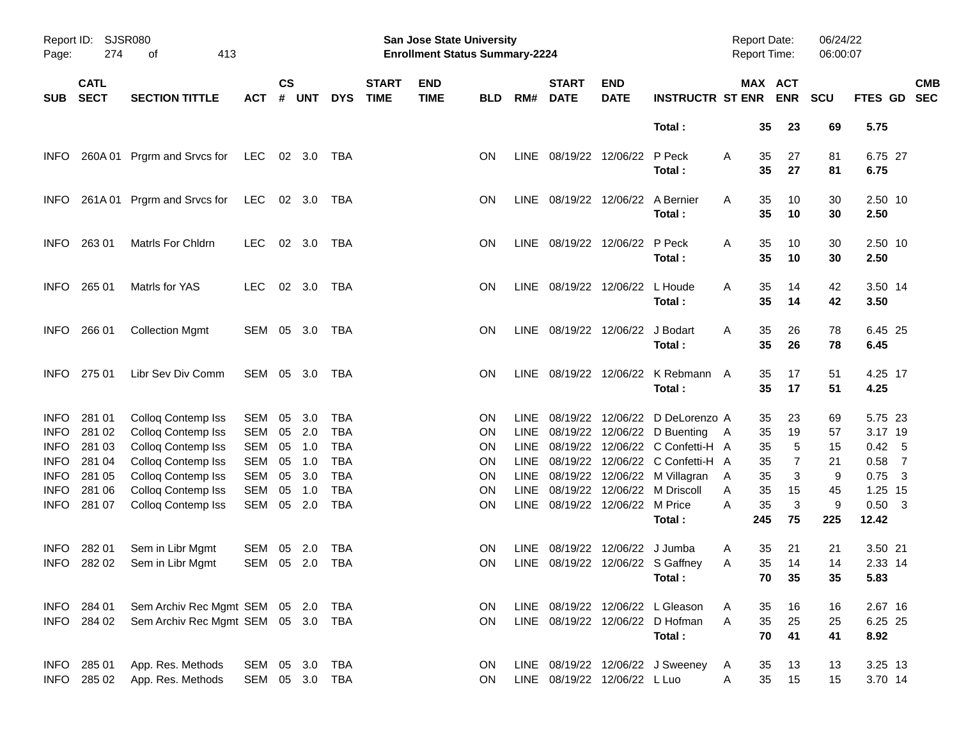| Report ID:<br>Page: | <b>SJSR080</b><br>274<br>413<br>οf |                                    |                |                    |            |            |                             | San Jose State University<br><b>Enrollment Status Summary-2224</b> |            |       |                                  |                           |                                            | <b>Report Date:</b><br><b>Report Time:</b> |                       | 06/24/22<br>06:00:07 |                   |                          |
|---------------------|------------------------------------|------------------------------------|----------------|--------------------|------------|------------|-----------------------------|--------------------------------------------------------------------|------------|-------|----------------------------------|---------------------------|--------------------------------------------|--------------------------------------------|-----------------------|----------------------|-------------------|--------------------------|
| <b>SUB</b>          | <b>CATL</b><br><b>SECT</b>         | <b>SECTION TITTLE</b>              | <b>ACT</b>     | $\mathsf{cs}$<br># | <b>UNT</b> | <b>DYS</b> | <b>START</b><br><b>TIME</b> | <b>END</b><br><b>TIME</b>                                          | <b>BLD</b> | RM#   | <b>START</b><br><b>DATE</b>      | <b>END</b><br><b>DATE</b> | <b>INSTRUCTR ST ENR</b>                    |                                            | MAX ACT<br><b>ENR</b> | <b>SCU</b>           | <b>FTES GD</b>    | <b>CMB</b><br><b>SEC</b> |
|                     |                                    |                                    |                |                    |            |            |                             |                                                                    |            |       |                                  |                           | Total:                                     |                                            | 35<br>23              | 69                   | 5.75              |                          |
| <b>INFO</b>         |                                    | 260A 01 Prgrm and Srvcs for        | LEC 02 3.0 TBA |                    |            |            |                             |                                                                    | <b>ON</b>  |       | LINE 08/19/22 12/06/22 P Peck    |                           | Total:                                     | A                                          | 27<br>35<br>35<br>27  | 81<br>81             | 6.75 27<br>6.75   |                          |
| <b>INFO</b>         |                                    | 261A 01 Prgrm and Srvcs for        | LEC 02 3.0     |                    |            | TBA        |                             |                                                                    | ON         |       | LINE 08/19/22 12/06/22 A Bernier |                           | Total:                                     | Α                                          | 35<br>10<br>35<br>10  | 30<br>30             | 2.50 10<br>2.50   |                          |
| <b>INFO</b>         | 263 01                             | <b>Matris For Chidrn</b>           | LEC.           |                    | 02 3.0     | TBA        |                             |                                                                    | ON         |       | LINE 08/19/22 12/06/22 P Peck    |                           | Total:                                     | Α                                          | 10<br>35<br>10<br>35  | 30<br>30             | 2.50 10<br>2.50   |                          |
| <b>INFO</b>         | 265 01                             | Matrls for YAS                     | LEC.           |                    | 02 3.0     | TBA        |                             |                                                                    | ON         |       | LINE 08/19/22 12/06/22 L Houde   |                           | Total:                                     | Α                                          | 35<br>14<br>35<br>14  | 42<br>42             | 3.50 14<br>3.50   |                          |
| <b>INFO</b>         | 266 01                             | <b>Collection Mgmt</b>             | SEM 05 3.0     |                    |            | TBA        |                             |                                                                    | ON         |       | LINE 08/19/22 12/06/22 J Bodart  |                           | Total:                                     | A                                          | 35<br>26<br>35<br>26  | 78<br>78             | 6.45 25<br>6.45   |                          |
| <b>INFO</b>         | 275 01                             | Libr Sev Div Comm                  | SEM 05 3.0     |                    |            | TBA        |                             |                                                                    | ON         |       |                                  |                           | LINE 08/19/22 12/06/22 K Rebmann<br>Total: | A                                          | 17<br>35<br>17<br>35  | 51<br>51             | 4.25 17<br>4.25   |                          |
| <b>INFO</b>         | 281 01                             | Colloq Contemp Iss                 | SEM            | 05                 | 3.0        | TBA        |                             |                                                                    | <b>ON</b>  |       |                                  |                           | LINE 08/19/22 12/06/22 D DeLorenzo A       |                                            | 35<br>23              | 69                   | 5.75 23           |                          |
| <b>INFO</b>         | 281 02                             | Colloq Contemp Iss                 | SEM            | 05                 | 2.0        | <b>TBA</b> |                             |                                                                    | <b>ON</b>  |       |                                  |                           | LINE 08/19/22 12/06/22 D Buenting          | A                                          | 19<br>35              | 57                   | 3.17 19           |                          |
| <b>INFO</b>         | 281 03                             | Colloq Contemp Iss                 | SEM            | 05                 | 1.0        | <b>TBA</b> |                             |                                                                    | <b>ON</b>  |       |                                  |                           | LINE 08/19/22 12/06/22 C Confetti-H A      |                                            | 5<br>35               | 15                   | 0.42              | $-5$                     |
| <b>INFO</b>         | 281 04                             | Colloq Contemp Iss                 | <b>SEM</b>     | 05                 | 1.0        | <b>TBA</b> |                             |                                                                    | <b>ON</b>  |       |                                  |                           | LINE 08/19/22 12/06/22 C Confetti-H A      |                                            | 35<br>7               | 21                   | 0.58              | $\overline{7}$           |
| <b>INFO</b>         | 281 05                             | Colloq Contemp Iss                 | <b>SEM</b>     | 05                 | 3.0        | <b>TBA</b> |                             |                                                                    | 0N         |       |                                  |                           | LINE 08/19/22 12/06/22 M Villagran         | A                                          | 3<br>35               | 9                    | 0.75              | $\overline{\mathbf{3}}$  |
| <b>INFO</b>         | 281 06                             | Colloq Contemp Iss                 | <b>SEM</b>     | 05                 | 1.0        | <b>TBA</b> |                             |                                                                    | 0N         |       | LINE 08/19/22 12/06/22 M Price   |                           | LINE 08/19/22 12/06/22 M Driscoll          | Α<br>A                                     | 35<br>15<br>3         | 45                   | 1.25 15           |                          |
| <b>INFO</b>         | 281 07                             | Colloq Contemp Iss                 | SEM            | 05                 | 2.0        | <b>TBA</b> |                             |                                                                    | <b>ON</b>  |       |                                  |                           | Total:                                     | 245                                        | 35<br>75              | 9<br>225             | $0.50$ 3<br>12.42 |                          |
| <b>INFO</b>         | 282 01                             | Sem in Libr Mgmt                   | SEM            | 05                 | 2.0        | <b>TBA</b> |                             |                                                                    | <b>ON</b>  | LINE. | 08/19/22                         | 12/06/22 J Jumba          |                                            | A                                          | 21<br>35              | 21                   | 3.50 21           |                          |
| <b>INFO</b>         | 282 02                             | Sem in Libr Mgmt                   | SEM 05 2.0     |                    |            | TBA        |                             |                                                                    | ON.        |       |                                  |                           | LINE 08/19/22 12/06/22 S Gaffney           | Α                                          | 35<br>14              | 14                   | 2.33 14           |                          |
|                     |                                    |                                    |                |                    |            |            |                             |                                                                    |            |       |                                  |                           | Total:                                     |                                            | 70<br>35              | 35                   | 5.83              |                          |
|                     | INFO 284 01                        | Sem Archiv Rec Mgmt SEM 05 2.0     |                |                    |            | TBA        |                             |                                                                    | 0N         |       |                                  |                           | LINE 08/19/22 12/06/22 L Gleason           | A                                          | 16<br>35              | 16                   | 2.67 16           |                          |
|                     | INFO 284 02                        | Sem Archiv Rec Mgmt SEM 05 3.0 TBA |                |                    |            |            |                             |                                                                    | <b>ON</b>  |       |                                  |                           | LINE 08/19/22 12/06/22 D Hofman            | Α                                          | 35<br>25              | 25                   | 6.25 25           |                          |
|                     |                                    |                                    |                |                    |            |            |                             |                                                                    |            |       |                                  |                           | Total:                                     |                                            | 41<br>70              | 41                   | 8.92              |                          |
|                     | INFO 285 01                        | App. Res. Methods                  | SEM 05 3.0     |                    |            | TBA        |                             |                                                                    | ON         |       |                                  |                           | LINE 08/19/22 12/06/22 J Sweeney           | A                                          | 13<br>35              | 13                   | 3.25 13           |                          |
|                     | INFO 285 02                        | App. Res. Methods                  | SEM 05 3.0 TBA |                    |            |            |                             |                                                                    | <b>ON</b>  |       | LINE 08/19/22 12/06/22 L Luo     |                           |                                            | A                                          | 35<br>15              | 15                   | 3.70 14           |                          |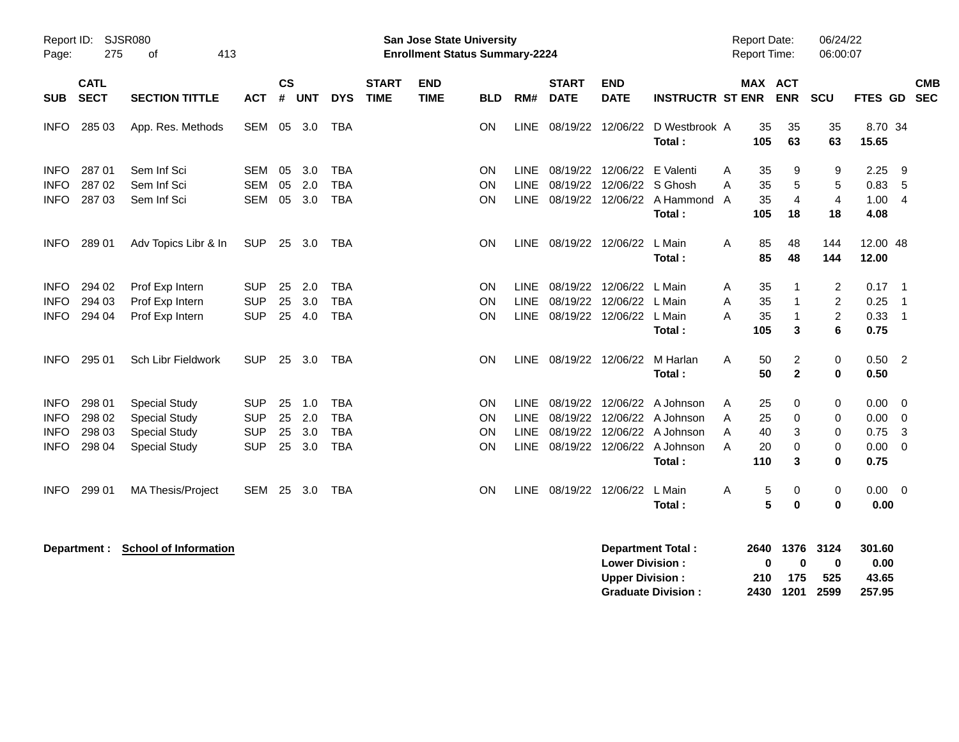| Report ID:<br>Page:                                      | 275                                  | SJSR080<br>413<br>οf                                                                         |                                                      |                      |                          |                                                      |                             | <b>San Jose State University</b><br><b>Enrollment Status Summary-2224</b> |                       |                                                          |                                  |                                                    |                                                                                                         |                  | <b>Report Date:</b><br><b>Report Time:</b> |                                              | 06/24/22<br>06:00:07                  |                                      |                                                    |
|----------------------------------------------------------|--------------------------------------|----------------------------------------------------------------------------------------------|------------------------------------------------------|----------------------|--------------------------|------------------------------------------------------|-----------------------------|---------------------------------------------------------------------------|-----------------------|----------------------------------------------------------|----------------------------------|----------------------------------------------------|---------------------------------------------------------------------------------------------------------|------------------|--------------------------------------------|----------------------------------------------|---------------------------------------|--------------------------------------|----------------------------------------------------|
| <b>SUB</b>                                               | <b>CATL</b><br><b>SECT</b>           | <b>SECTION TITTLE</b>                                                                        | <b>ACT</b>                                           | $\mathsf{cs}$<br>#   | <b>UNT</b>               | <b>DYS</b>                                           | <b>START</b><br><b>TIME</b> | <b>END</b><br><b>TIME</b>                                                 | <b>BLD</b>            | RM#                                                      | <b>START</b><br><b>DATE</b>      | <b>END</b><br><b>DATE</b>                          | <b>INSTRUCTR ST ENR</b>                                                                                 |                  | <b>MAX ACT</b>                             | <b>ENR</b>                                   | <b>SCU</b>                            | FTES GD                              | <b>CMB</b><br><b>SEC</b>                           |
| <b>INFO</b>                                              | 285 03                               | App. Res. Methods                                                                            | SEM 05                                               |                      | 3.0                      | TBA                                                  |                             |                                                                           | OΝ                    | <b>LINE</b>                                              | 08/19/22                         | 12/06/22                                           | D Westbrook A<br>Total:                                                                                 |                  | 35<br>105                                  | 35<br>63                                     | 35<br>63                              | 8.70 34<br>15.65                     |                                                    |
| <b>INFO</b><br><b>INFO</b><br>INFO                       | 287 01<br>287 02<br>287 03           | Sem Inf Sci<br>Sem Inf Sci<br>Sem Inf Sci                                                    | SEM<br><b>SEM</b><br>SEM                             | 05<br>05<br>05       | 3.0<br>2.0<br>3.0        | <b>TBA</b><br><b>TBA</b><br><b>TBA</b>               |                             |                                                                           | ON<br>ON<br>ON        | <b>LINE</b><br><b>LINE</b><br><b>LINE</b>                | 08/19/22<br>08/19/22<br>08/19/22 | 12/06/22 E Valenti<br>12/06/22 S Ghosh<br>12/06/22 | A Hammond A<br>Total:                                                                                   | A<br>A           | 35<br>35<br>35<br>105                      | 9<br>5<br>$\overline{\mathbf{4}}$<br>18      | 9<br>5<br>$\overline{4}$<br>18        | 2.25<br>0.83<br>1.00<br>4.08         | 9<br>5<br>$\overline{4}$                           |
| <b>INFO</b>                                              | 289 01                               | Adv Topics Libr & In                                                                         | <b>SUP</b>                                           | 25                   | 3.0                      | TBA                                                  |                             |                                                                           | ON.                   |                                                          | LINE 08/19/22 12/06/22           |                                                    | L Main<br>Total:                                                                                        | A                | 85<br>85                                   | 48<br>48                                     | 144<br>144                            | 12.00 48<br>12.00                    |                                                    |
| <b>INFO</b><br><b>INFO</b><br><b>INFO</b>                | 294 02<br>294 03<br>294 04           | Prof Exp Intern<br>Prof Exp Intern<br>Prof Exp Intern                                        | <b>SUP</b><br><b>SUP</b><br><b>SUP</b>               | 25<br>25<br>25       | 2.0<br>3.0<br>4.0        | <b>TBA</b><br><b>TBA</b><br><b>TBA</b>               |                             |                                                                           | <b>ON</b><br>OΝ<br>ON | <b>LINE</b><br><b>LINE</b><br><b>LINE</b>                | 08/19/22<br>08/19/22<br>08/19/22 | 12/06/22<br>12/06/22<br>12/06/22 L Main            | L Main<br>L Main                                                                                        | Α<br>A<br>A      | 35<br>35<br>35                             | 1<br>1<br>1                                  | 2<br>$\overline{c}$<br>$\overline{c}$ | 0.17<br>0.25<br>0.33                 | $\overline{1}$<br>$\overline{1}$<br>$\overline{1}$ |
| <b>INFO</b>                                              | 295 01                               | Sch Libr Fieldwork                                                                           | <b>SUP</b>                                           | 25                   | 3.0                      | <b>TBA</b>                                           |                             |                                                                           | ON                    | <b>LINE</b>                                              | 08/19/22 12/06/22                |                                                    | Total:<br>M Harlan<br>Total:                                                                            | A                | 105<br>50<br>50                            | 3<br>$\overline{\mathbf{c}}$<br>$\mathbf{2}$ | 6<br>0<br>0                           | 0.75<br>$0.50$ 2<br>0.50             |                                                    |
| <b>INFO</b><br><b>INFO</b><br><b>INFO</b><br><b>INFO</b> | 298 01<br>298 02<br>298 03<br>298 04 | <b>Special Study</b><br><b>Special Study</b><br><b>Special Study</b><br><b>Special Study</b> | <b>SUP</b><br><b>SUP</b><br><b>SUP</b><br><b>SUP</b> | 25<br>25<br>25<br>25 | 1.0<br>2.0<br>3.0<br>3.0 | <b>TBA</b><br><b>TBA</b><br><b>TBA</b><br><b>TBA</b> |                             |                                                                           | ON<br>OΝ<br>ON<br>ON  | <b>LINE</b><br><b>LINE</b><br><b>LINE</b><br><b>LINE</b> | 08/19/22<br>08/19/22             | 12/06/22                                           | 12/06/22 A Johnson<br>08/19/22 12/06/22 A Johnson<br>08/19/22 12/06/22 A Johnson<br>A Johnson<br>Total: | Α<br>A<br>A<br>A | 25<br>25<br>40<br>20<br>110                | 0<br>0<br>3<br>$\Omega$<br>3                 | 0<br>0<br>0<br>0<br>0                 | 0.00<br>0.00<br>0.75<br>0.00<br>0.75 | 0<br>0<br>3<br>0                                   |
| <b>INFO</b>                                              | 299 01                               | MA Thesis/Project                                                                            | <b>SEM 25</b>                                        |                      | 3.0                      | <b>TBA</b>                                           |                             |                                                                           | ON                    | <b>LINE</b>                                              | 08/19/22 12/06/22                |                                                    | L Main<br>Total :                                                                                       | A                | 5<br>5                                     | 0<br>$\mathbf 0$                             | 0<br>0                                | $0.00 \ 0$<br>0.00                   |                                                    |
|                                                          | Department :                         | <b>School of Information</b>                                                                 |                                                      |                      |                          |                                                      |                             |                                                                           |                       |                                                          |                                  | <b>Lower Division:</b><br><b>Upper Division:</b>   | <b>Department Total:</b>                                                                                |                  | 2640<br>0<br>210                           | 1376<br>0<br>175                             | 3124<br>$\bf{0}$<br>525               | 301.60<br>0.00<br>43.65              |                                                    |

**Upper Division : 210 175 525 43.65**

**Graduate Division : 2430 1201 2599 257.95**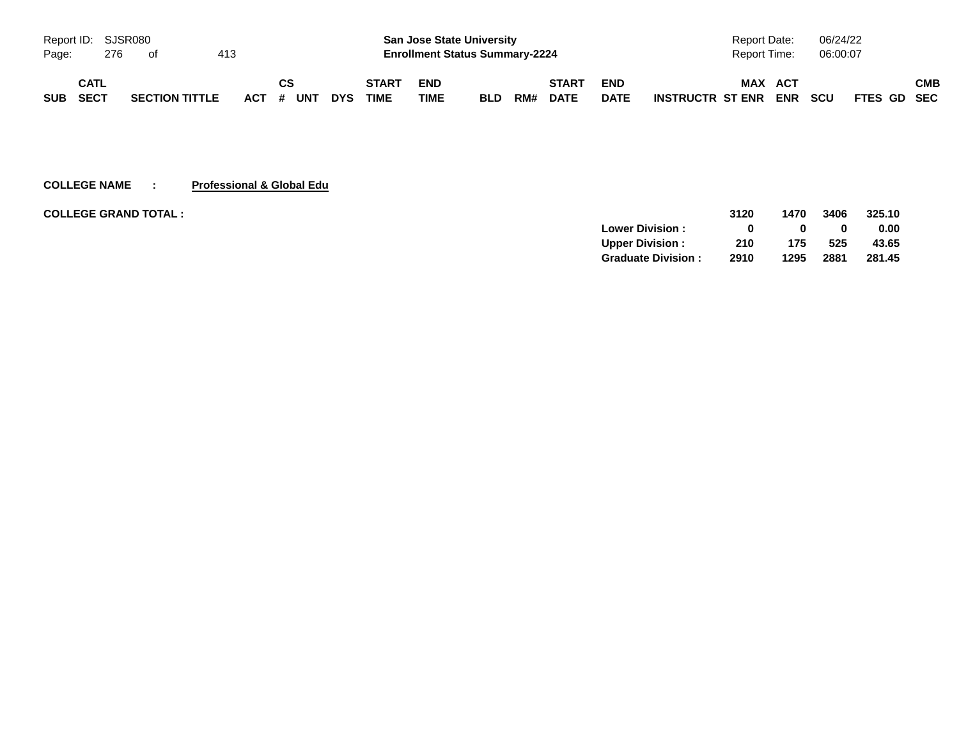| Report ID: SJSR080 |             |     |                       |     |            |    |     |            |              |             | <b>San Jose State University</b>      |     |             |             | Report Date:            |            | 06/24/22   |             |     |
|--------------------|-------------|-----|-----------------------|-----|------------|----|-----|------------|--------------|-------------|---------------------------------------|-----|-------------|-------------|-------------------------|------------|------------|-------------|-----|
| Page:              |             | 276 | ot                    | 413 |            |    |     |            |              |             | <b>Enrollment Status Summary-2224</b> |     |             |             | <b>Report Time:</b>     |            | 06:00:07   |             |     |
|                    | CATL        |     |                       |     |            | СS |     |            | <b>START</b> | <b>END</b>  |                                       |     | START       | <b>END</b>  | <b>MAX</b>              | ACT        |            |             | СМВ |
| <b>SUB</b>         | <b>SECT</b> |     | <b>SECTION TITTLE</b> |     | <b>ACT</b> | #  | UNT | <b>DYS</b> | <b>TIME</b>  | <b>TIME</b> | <b>BLD</b>                            | RM# | <b>DATE</b> | <b>DATE</b> | <b>INSTRUCTR ST ENR</b> | <b>ENR</b> | <b>SCU</b> | FTES GD SEC |     |

## **COLLEGE NAME : Professional & Global Edu**

| <b>COLLEGE GRAND TOTAL:</b> |                           | 3120 | 1470 | 3406 | 325.10 |
|-----------------------------|---------------------------|------|------|------|--------|
|                             | <b>Lower Division:</b>    |      |      | 0    | 0.00   |
|                             | <b>Upper Division:</b>    | 210  | 175  | 525  | 43.65  |
|                             | <b>Graduate Division:</b> | 2910 | 1295 | 2881 | 281.45 |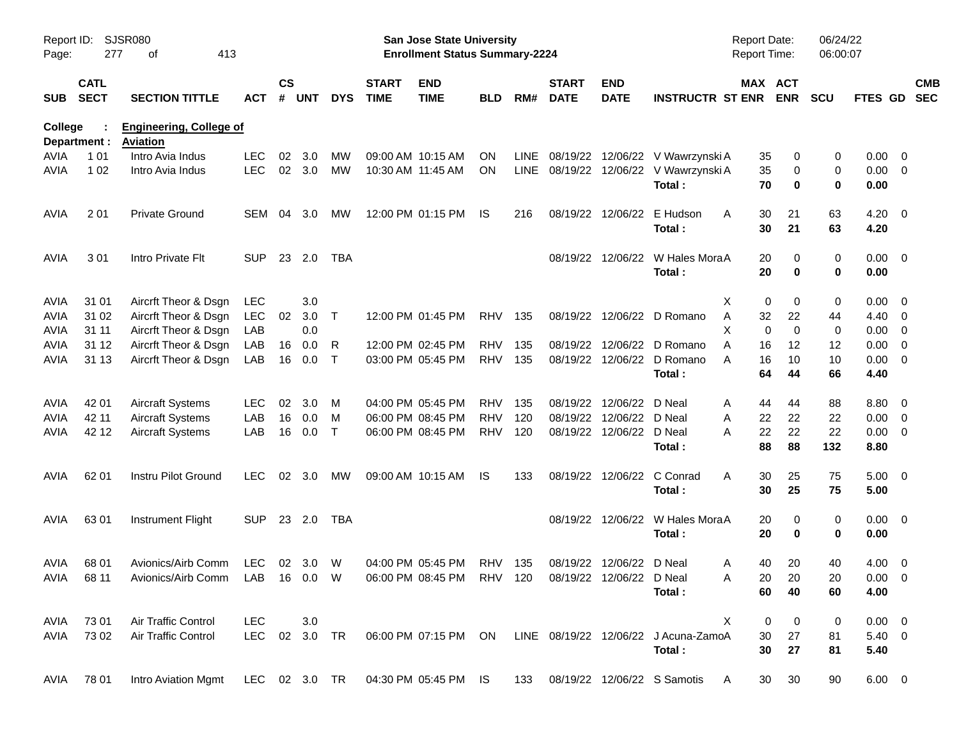| Report ID:<br>Page: | 277                        | SJSR080<br>413<br>оf                                                               |               |                    |                |              |                             | San Jose State University<br><b>Enrollment Status Summary-2224</b> |            |      |                             |                           |                                                           | Report Date:<br><b>Report Time:</b> |            | 06/24/22<br>06:00:07 |                |                          |                          |
|---------------------|----------------------------|------------------------------------------------------------------------------------|---------------|--------------------|----------------|--------------|-----------------------------|--------------------------------------------------------------------|------------|------|-----------------------------|---------------------------|-----------------------------------------------------------|-------------------------------------|------------|----------------------|----------------|--------------------------|--------------------------|
| <b>SUB</b>          | <b>CATL</b><br><b>SECT</b> | <b>SECTION TITTLE</b>                                                              | ACT           | $\mathsf{cs}$<br># | <b>UNT</b>     | <b>DYS</b>   | <b>START</b><br><b>TIME</b> | <b>END</b><br><b>TIME</b>                                          | BLD        | RM#  | <b>START</b><br><b>DATE</b> | <b>END</b><br><b>DATE</b> | <b>INSTRUCTR ST ENR</b>                                   | MAX ACT                             | <b>ENR</b> | <b>SCU</b>           | <b>FTES GD</b> |                          | <b>CMB</b><br><b>SEC</b> |
| College             |                            | <b>Engineering, College of</b><br><b>Aviation</b>                                  |               |                    |                |              |                             |                                                                    |            |      |                             |                           |                                                           |                                     |            |                      |                |                          |                          |
| AVIA                | Department :<br>1 0 1      | Intro Avia Indus                                                                   | LEC.          | 02                 | 3.0            | MW           |                             | 09:00 AM 10:15 AM                                                  | ON         | LINE |                             |                           | 08/19/22 12/06/22 V Wawrzynski A                          | 35                                  | 0          | 0                    | $0.00 \t 0$    |                          |                          |
| <b>AVIA</b>         | 1 0 2                      | Intro Avia Indus                                                                   | <b>LEC</b>    |                    | 02 3.0         | <b>MW</b>    | 10:30 AM 11:45 AM           |                                                                    | <b>ON</b>  |      |                             |                           | LINE 08/19/22 12/06/22 V Wawrzynski A                     | 35                                  | 0          | 0                    | $0.00 \t 0$    |                          |                          |
|                     |                            |                                                                                    |               |                    |                |              |                             |                                                                    |            |      |                             |                           | Total:                                                    | 70                                  | 0          | 0                    | 0.00           |                          |                          |
| AVIA                | 201                        | <b>Private Ground</b>                                                              | <b>SEM</b>    | 04                 | 3.0            | MW           |                             | 12:00 PM 01:15 PM                                                  | IS.        | 216  |                             | 08/19/22 12/06/22         | E Hudson                                                  | 30<br>A                             | 21         | 63                   | $4.20 \ 0$     |                          |                          |
|                     |                            |                                                                                    |               |                    |                |              |                             |                                                                    |            |      |                             |                           | Total:                                                    | 30                                  | 21         | 63                   | 4.20           |                          |                          |
| AVIA                | 301                        | Intro Private Flt                                                                  | <b>SUP</b>    |                    | 23 2.0         | <b>TBA</b>   |                             |                                                                    |            |      |                             |                           | 08/19/22 12/06/22 W Hales MoraA                           | 20                                  | 0          | 0                    | $0.00 \t 0$    |                          |                          |
|                     |                            |                                                                                    |               |                    |                |              |                             |                                                                    |            |      |                             |                           | Total:                                                    | 20                                  | 0          | 0                    | 0.00           |                          |                          |
| AVIA                | 31 01                      | Aircrft Theor & Dsgn                                                               | LEC           |                    | 3.0            |              |                             |                                                                    |            |      |                             |                           |                                                           | X<br>0                              | 0          | 0                    | $0.00 \t 0$    |                          |                          |
| <b>AVIA</b>         | 31 02                      | Aircrft Theor & Dsgn                                                               | <b>LEC</b>    | 02                 | 3.0            | $\mathsf{T}$ |                             | 12:00 PM 01:45 PM                                                  | <b>RHV</b> | 135  |                             |                           | 08/19/22 12/06/22 D Romano                                | Α<br>32                             | 22         | 44                   | 4.40 0         |                          |                          |
| <b>AVIA</b>         | 31 11                      | Aircrft Theor & Dsgn                                                               | LAB           |                    | 0.0            |              |                             |                                                                    |            |      |                             |                           |                                                           | $\mathbf 0$<br>X                    | $\Omega$   | 0                    | 0.00           | $\overline{\phantom{0}}$ |                          |
| <b>AVIA</b>         | 31 12                      | Aircrft Theor & Dsgn                                                               | LAB           | 16                 | 0.0            | R            |                             | 12:00 PM 02:45 PM                                                  | <b>RHV</b> | 135  |                             |                           | 08/19/22 12/06/22 D Romano                                | A<br>16                             | 12         | 12                   | 0.00           | $\overline{\phantom{0}}$ |                          |
| AVIA                | 31 13                      | Aircrft Theor & Dsgn                                                               | LAB           | 16                 | 0.0            | $\mathsf{T}$ |                             | 03:00 PM 05:45 PM                                                  | RHV        | 135  |                             |                           | 08/19/22 12/06/22 D Romano                                | A<br>16                             | 10         | 10                   | 0.00           | $\overline{\phantom{0}}$ |                          |
|                     |                            |                                                                                    |               |                    |                |              |                             |                                                                    |            |      |                             |                           | Total:                                                    | 64                                  | 44         | 66                   | 4.40           |                          |                          |
| AVIA                | 42 01                      | <b>Aircraft Systems</b>                                                            | <b>LEC</b>    | 02                 | 3.0            | M            |                             | 04:00 PM 05:45 PM                                                  | <b>RHV</b> | 135  |                             | 08/19/22 12/06/22 D Neal  |                                                           | 44<br>A                             | 44         | 88                   | 8.80 0         |                          |                          |
| AVIA                | 42 11                      | <b>Aircraft Systems</b>                                                            | LAB           | 16                 | 0.0            | M            |                             | 06:00 PM 08:45 PM                                                  | <b>RHV</b> | 120  |                             | 08/19/22 12/06/22         | D Neal                                                    | A<br>22                             | 22         | 22                   | 0.00           | $\overline{\phantom{0}}$ |                          |
| AVIA                | 42 12                      | <b>Aircraft Systems</b>                                                            | LAB           | 16                 | 0.0            | $\top$       |                             | 06:00 PM 08:45 PM                                                  | <b>RHV</b> | 120  |                             | 08/19/22 12/06/22 D Neal  |                                                           | 22<br>A                             | 22         | 22                   | 0.00           | $\overline{\phantom{0}}$ |                          |
|                     |                            |                                                                                    |               |                    |                |              |                             |                                                                    |            |      |                             |                           | Total:                                                    | 88                                  | 88         | 132                  | 8.80           |                          |                          |
| AVIA                | 62 01                      | Instru Pilot Ground                                                                | <b>LEC</b>    |                    | $02 \quad 3.0$ | МW           |                             | 09:00 AM 10:15 AM                                                  | IS.        | 133  |                             | 08/19/22 12/06/22         | C Conrad                                                  | A<br>30                             | 25         | 75                   | $5.00 \t 0$    |                          |                          |
|                     |                            |                                                                                    |               |                    |                |              |                             |                                                                    |            |      |                             |                           | Total:                                                    | 30                                  | 25         | 75                   | 5.00           |                          |                          |
| AVIA                | 6301                       | <b>Instrument Flight</b>                                                           | <b>SUP</b>    |                    | 23 2.0         | TBA          |                             |                                                                    |            |      |                             |                           | 08/19/22 12/06/22 W Hales MoraA                           | 20                                  | 0          | 0                    | $0.00 \t 0$    |                          |                          |
|                     |                            |                                                                                    |               |                    |                |              |                             |                                                                    |            |      |                             |                           | Total:                                                    | 20                                  | 0          | 0                    | 0.00           |                          |                          |
| AVIA                | 68 01                      | Avionics/Airb Comm                                                                 | LEC           |                    | 02 3.0         | W            |                             | 04:00 PM 05:45 PM                                                  | RHV 135    |      |                             | 08/19/22 12/06/22 D Neal  |                                                           | 40<br>A                             | 20         | 40                   | $4.00 \ 0$     |                          |                          |
|                     | AVIA 68 11                 | Avionics/Airb Comm LAB 16 0.0 W 06:00 PM 08:45 PM RHV 120 08/19/22 12/06/22 D Neal |               |                    |                |              |                             |                                                                    |            |      |                             |                           |                                                           | Α                                   | 20 20      | 20                   | $0.00 \t 0$    |                          |                          |
|                     |                            |                                                                                    |               |                    |                |              |                             |                                                                    |            |      |                             |                           | Total:                                                    | 60                                  | 40         | 60                   | 4.00           |                          |                          |
| AVIA                | 73 01                      | Air Traffic Control                                                                | <b>LEC</b>    |                    | 3.0            |              |                             |                                                                    |            |      |                             |                           |                                                           | X<br>0                              | 0          | 0                    | $0.00 \t 0$    |                          |                          |
| AVIA                | 73 02                      | Air Traffic Control                                                                | LEC 02 3.0 TR |                    |                |              |                             |                                                                    |            |      |                             |                           | 06:00 PM 07:15 PM ON LINE 08/19/22 12/06/22 J Acuna-ZamoA | 30                                  | 27         | 81                   | $5.40 \ 0$     |                          |                          |
|                     |                            |                                                                                    |               |                    |                |              |                             |                                                                    |            |      |                             |                           | Total:                                                    | 30                                  | 27         | 81                   | 5.40           |                          |                          |
| AVIA                | 78 01                      | Intro Aviation Mgmt                                                                | LEC 02 3.0 TR |                    |                |              |                             | 04:30 PM 05:45 PM IS                                               |            | 133  |                             |                           | 08/19/22 12/06/22 S Samotis                               | 30<br>A                             | 30         | 90                   | $6.00 \t 0$    |                          |                          |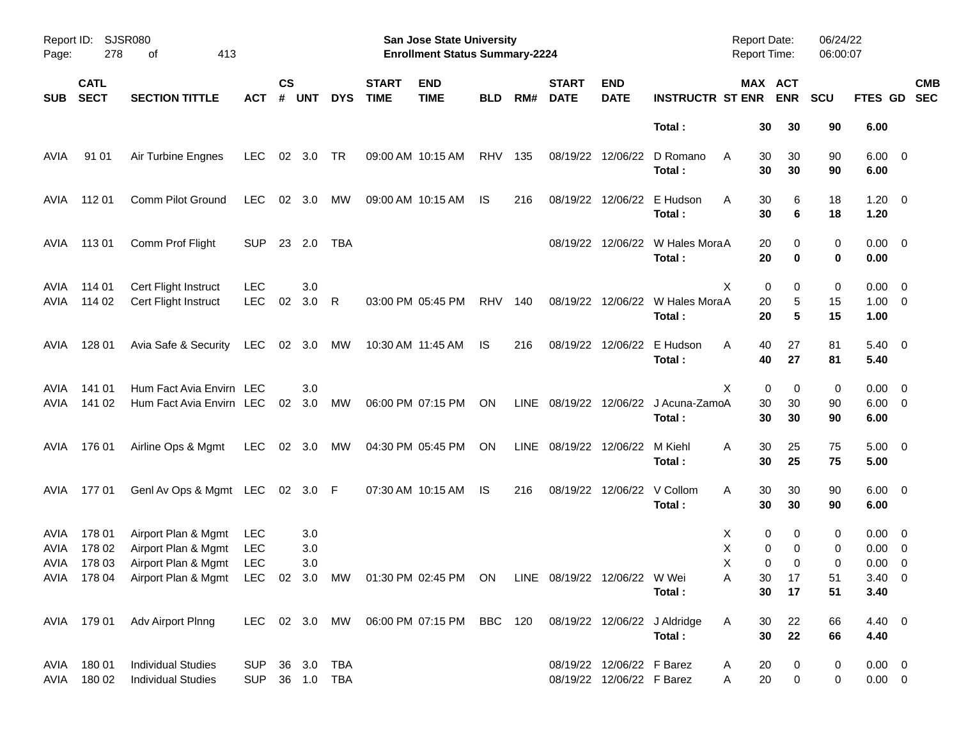| Page:        | Report ID: SJSR080<br>278  | 413<br>οf                                                                                                              |                              |                    |            |            |                             | San Jose State University<br><b>Enrollment Status Summary-2224</b>   |            |      |                             |                                                        |                                                | Report Date:<br><b>Report Time:</b> |                                | 06/24/22<br>06:00:07 |                                    |                          |
|--------------|----------------------------|------------------------------------------------------------------------------------------------------------------------|------------------------------|--------------------|------------|------------|-----------------------------|----------------------------------------------------------------------|------------|------|-----------------------------|--------------------------------------------------------|------------------------------------------------|-------------------------------------|--------------------------------|----------------------|------------------------------------|--------------------------|
| <b>SUB</b>   | <b>CATL</b><br><b>SECT</b> | <b>SECTION TITTLE</b>                                                                                                  | ACT                          | $\mathsf{cs}$<br># | <b>UNT</b> | <b>DYS</b> | <b>START</b><br><b>TIME</b> | <b>END</b><br><b>TIME</b>                                            | <b>BLD</b> | RM#  | <b>START</b><br><b>DATE</b> | <b>END</b><br><b>DATE</b>                              | <b>INSTRUCTR ST ENR</b>                        |                                     | MAX ACT<br><b>ENR</b>          | <b>SCU</b>           | <b>FTES GD</b>                     | <b>CMB</b><br><b>SEC</b> |
|              |                            |                                                                                                                        |                              |                    |            |            |                             |                                                                      |            |      |                             |                                                        | Total:                                         |                                     | 30<br>30                       | 90                   | 6.00                               |                          |
| AVIA         | 91 01                      | Air Turbine Engnes                                                                                                     | <b>LEC</b>                   |                    | 02 3.0     | TR         |                             | 09:00 AM 10:15 AM                                                    | RHV        | 135  |                             | 08/19/22 12/06/22                                      | D Romano<br>Total:                             | A                                   | 30<br>30<br>30<br>30           | 90<br>90             | $6.00 \quad 0$<br>6.00             |                          |
| AVIA         | 112 01                     | Comm Pilot Ground                                                                                                      | <b>LEC</b>                   | 02                 | 3.0        | MW         |                             | 09:00 AM 10:15 AM                                                    | IS         | 216  |                             | 08/19/22 12/06/22                                      | E Hudson<br>Total:                             | A                                   | 30<br>6<br>30<br>6             | 18<br>18             | $1.20 \t 0$<br>1.20                |                          |
| AVIA         | 11301                      | Comm Prof Flight                                                                                                       | <b>SUP</b>                   |                    | 23 2.0     | TBA        |                             |                                                                      |            |      |                             |                                                        | 08/19/22 12/06/22 W Hales MoraA<br>Total:      |                                     | 20<br>0<br>20<br>0             | 0<br>0               | $0.00 \t 0$<br>0.00                |                          |
| AVIA<br>AVIA | 114 01<br>114 02           | Cert Flight Instruct<br>Cert Flight Instruct                                                                           | <b>LEC</b><br><b>LEC</b>     | 02                 | 3.0<br>3.0 | R          |                             | 03:00 PM 05:45 PM                                                    | <b>RHV</b> | 140  |                             |                                                        | 08/19/22 12/06/22 W Hales MoraA<br>Total:      | Χ                                   | 0<br>0<br>20<br>5<br>20<br>5   | 0<br>15<br>15        | $0.00 \t 0$<br>$1.00 \t 0$<br>1.00 |                          |
| AVIA         | 128 01                     | Avia Safe & Security                                                                                                   | LEC                          |                    | 02 3.0     | MW         |                             | 10:30 AM 11:45 AM                                                    | IS         | 216  |                             |                                                        | 08/19/22 12/06/22 E Hudson<br>Total:           | A                                   | 40<br>27<br>40<br>27           | 81<br>81             | $5.40 \quad 0$<br>5.40             |                          |
| AVIA<br>AVIA | 141 01<br>141 02           | Hum Fact Avia Envirn LEC<br>Hum Fact Avia Envirn LEC                                                                   |                              | 02                 | 3.0<br>3.0 | МW         |                             | 06:00 PM 07:15 PM                                                    | ON         |      |                             |                                                        | LINE 08/19/22 12/06/22 J Acuna-ZamoA<br>Total: | X                                   | 0<br>0<br>30<br>30<br>30<br>30 | 0<br>90<br>90        | $0.00 \t 0$<br>$6.00 \t 0$<br>6.00 |                          |
| AVIA         | 176 01                     | Airline Ops & Mgmt                                                                                                     | LEC                          |                    | 02 3.0     | MW         |                             | 04:30 PM 05:45 PM                                                    | ON         | LINE | 08/19/22 12/06/22           |                                                        | M Kiehl<br>Total:                              | Α                                   | 30<br>25<br>30<br>25           | 75<br>75             | $5.00 \t 0$<br>5.00                |                          |
| AVIA         | 17701                      | GenI Av Ops & Mgmt LEC 02 3.0 F                                                                                        |                              |                    |            |            |                             | 07:30 AM 10:15 AM                                                    | IS         | 216  |                             | 08/19/22 12/06/22 V Collom                             | Total:                                         | Α                                   | 30<br>30<br>30<br>30           | 90<br>90             | $6.00 \quad 0$<br>6.00             |                          |
| AVIA<br>AVIA | 178 01<br>178 02           | Airport Plan & Mgmt<br>Airport Plan & Mgmt                                                                             | LEC<br><b>LEC</b>            |                    | 3.0<br>3.0 |            |                             |                                                                      |            |      |                             |                                                        |                                                | X<br>х                              | 0<br>0<br>0<br>0               | 0<br>0               | $0.00 \quad 0$<br>$0.00 \t 0$      |                          |
| AVIA         | 178 03                     | Airport Plan & Mgmt<br>AVIA 178 04 Airport Plan & Mgmt LEC 02 3.0 MW 01:30 PM 02:45 PM ON LINE 08/19/22 12/06/22 W Wei | LEC                          |                    | 3.0        |            |                             |                                                                      |            |      |                             |                                                        | Total :                                        | Χ<br>A                              | 0<br>0<br>30<br>17<br>30<br>17 | 0<br>51<br>51        | $0.00 \t 0$<br>$3.40 \ 0$<br>3.40  |                          |
|              |                            | AVIA 179 01 Adv Airport Plnng                                                                                          |                              |                    |            |            |                             | LEC 02 3.0 MW 06:00 PM 07:15 PM BBC 120 08/19/22 12/06/22 J Aldridge |            |      |                             |                                                        | Total:                                         | A                                   | 22<br>30<br>22<br>30           | 66<br>66             | 4.40 0<br>4.40                     |                          |
| AVIA         | AVIA 180 01<br>180 02      | <b>Individual Studies</b><br><b>Individual Studies</b>                                                                 | SUP 36 3.0 TBA<br><b>SUP</b> |                    |            | 36 1.0 TBA |                             |                                                                      |            |      |                             | 08/19/22 12/06/22 F Barez<br>08/19/22 12/06/22 F Barez |                                                | A<br>A                              | 20<br>0<br>20<br>$\mathbf 0$   | 0<br>0               | $0.00 \t 0$<br>$0.00 \t 0$         |                          |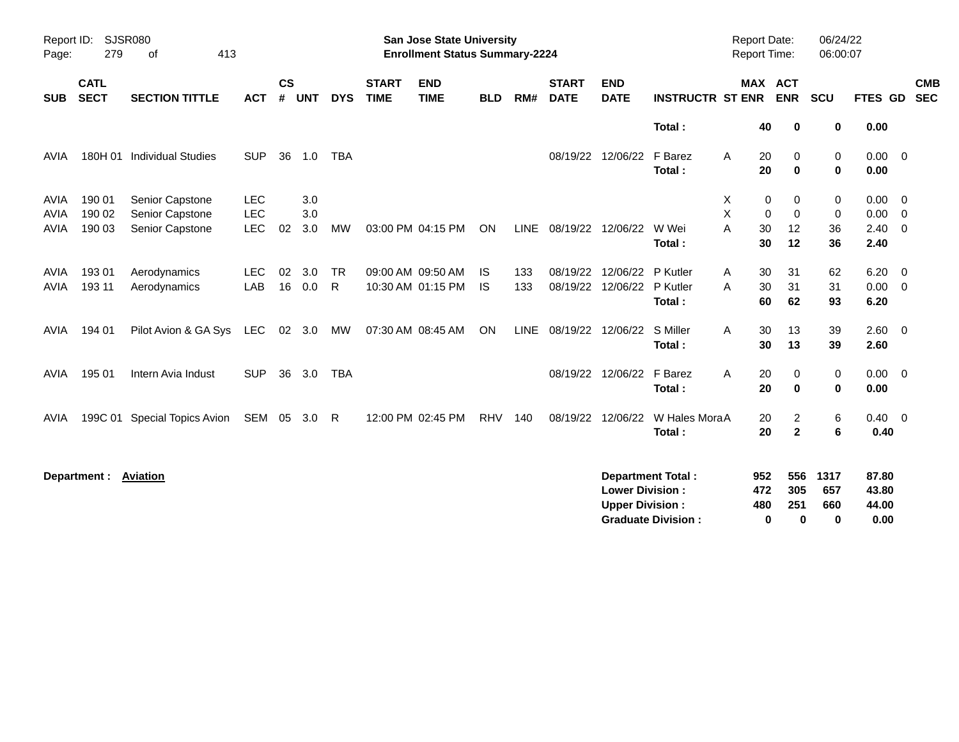| Report ID:<br>Page:        | 279                        | <b>SJSR080</b><br>413<br>οf        |                          |                |            |                           |                             | <b>San Jose State University</b><br><b>Enrollment Status Summary-2224</b> |            |             |                             |                                                  |                                                       | <b>Report Date:</b><br>Report Time: |                                             | 06/24/22<br>06:00:07       |                                 |                                  |  |
|----------------------------|----------------------------|------------------------------------|--------------------------|----------------|------------|---------------------------|-----------------------------|---------------------------------------------------------------------------|------------|-------------|-----------------------------|--------------------------------------------------|-------------------------------------------------------|-------------------------------------|---------------------------------------------|----------------------------|---------------------------------|----------------------------------|--|
| <b>SUB</b>                 | <b>CATL</b><br><b>SECT</b> | <b>SECTION TITTLE</b>              | <b>ACT</b>               | <b>CS</b><br># | <b>UNT</b> | <b>DYS</b>                | <b>START</b><br><b>TIME</b> | <b>END</b><br><b>TIME</b>                                                 | <b>BLD</b> | RM#         | <b>START</b><br><b>DATE</b> | <b>END</b><br><b>DATE</b>                        | <b>INSTRUCTR ST ENR</b>                               |                                     | <b>MAX ACT</b><br><b>ENR</b>                | SCU                        | FTES GD                         | <b>CMB</b><br><b>SEC</b>         |  |
|                            |                            |                                    |                          |                |            |                           |                             |                                                                           |            |             |                             |                                                  | Total:                                                | 40                                  | 0                                           | 0                          | 0.00                            |                                  |  |
| <b>AVIA</b>                | 180H 01                    | <b>Individual Studies</b>          | <b>SUP</b>               | 36             | 1.0        | <b>TBA</b>                |                             |                                                                           |            |             | 08/19/22                    | 12/06/22                                         | F Barez<br>Total:                                     | A<br>20<br>20                       | 0<br>$\mathbf 0$                            | $\mathbf 0$<br>$\mathbf 0$ | 0.00<br>0.00                    | $\overline{\mathbf{0}}$          |  |
| <b>AVIA</b><br><b>AVIA</b> | 190 01<br>190 02           | Senior Capstone<br>Senior Capstone | <b>LEC</b><br><b>LEC</b> |                | 3.0<br>3.0 |                           |                             |                                                                           |            |             |                             |                                                  |                                                       | х<br>X                              | 0<br>$\Omega$<br>$\mathbf 0$<br>$\mathbf 0$ | 0<br>$\mathbf 0$           | 0.00<br>0.00                    | $\overline{0}$<br>$\overline{0}$ |  |
| <b>AVIA</b>                | 190 03                     | Senior Capstone                    | LEC                      | 02             | 3.0        | <b>MW</b>                 |                             | 03:00 PM 04:15 PM                                                         | ON         | <b>LINE</b> | 08/19/22                    | 12/06/22                                         | W Wei<br>Total:                                       | A<br>30<br>30                       | 12<br>12                                    | 36<br>36                   | 2.40<br>2.40                    | $\overline{0}$                   |  |
| <b>AVIA</b><br><b>AVIA</b> | 193 01<br>193 11           | Aerodynamics<br>Aerodynamics       | <b>LEC</b><br>LAB        | 02<br>16       | 3.0<br>0.0 | <b>TR</b><br>$\mathsf{R}$ |                             | 09:00 AM 09:50 AM<br>10:30 AM 01:15 PM                                    | IS.<br>IS  | 133<br>133  | 08/19/22<br>08/19/22        | 12/06/22<br>12/06/22                             | P Kutler<br>P Kutler<br>Total:                        | 30<br>A<br>30<br>A                  | 31<br>31<br>60<br>62                        | 62<br>31<br>93             | 6.20<br>0.00<br>6.20            | $\overline{0}$<br>$\overline{0}$ |  |
| AVIA                       | 194 01                     | Pilot Avion & GA Sys               | LEC                      |                | 02 3.0     | MW                        |                             | 07:30 AM 08:45 AM                                                         | ON         | <b>LINE</b> |                             | 08/19/22 12/06/22                                | S Miller<br>Total:                                    | 30<br>A<br>30                       | 13<br>13                                    | 39<br>39                   | 2.60<br>2.60                    | $\overline{0}$                   |  |
| <b>AVIA</b>                | 195 01                     | Intern Avia Indust                 | <b>SUP</b>               | 36             | 3.0        | <b>TBA</b>                |                             |                                                                           |            |             |                             | 08/19/22 12/06/22                                | F Barez<br>Total:                                     | Α<br>20<br>20                       | 0<br>$\mathbf 0$                            | 0<br>$\bf{0}$              | $0.00 \t 0$<br>0.00             |                                  |  |
| AVIA                       |                            | 199C 01 Special Topics Avion       | SEM 05                   |                | 3.0 R      |                           |                             | 12:00 PM 02:45 PM                                                         | <b>RHV</b> | 140         | 08/19/22                    | 12/06/22                                         | W Hales MoraA<br>Total:                               | 20<br>20                            | $\overline{2}$<br>$\mathbf{2}$              | 6<br>$6\phantom{1}6$       | 0.40<br>0.40                    | $\overline{\mathbf{0}}$          |  |
|                            | Department : Aviation      |                                    |                          |                |            |                           |                             |                                                                           |            |             |                             | <b>Lower Division:</b><br><b>Upper Division:</b> | <b>Department Total:</b><br><b>Graduate Division:</b> | 952<br>472<br>480                   | 556<br>305<br>251<br>0<br>0                 | 1317<br>657<br>660<br>0    | 87.80<br>43.80<br>44.00<br>0.00 |                                  |  |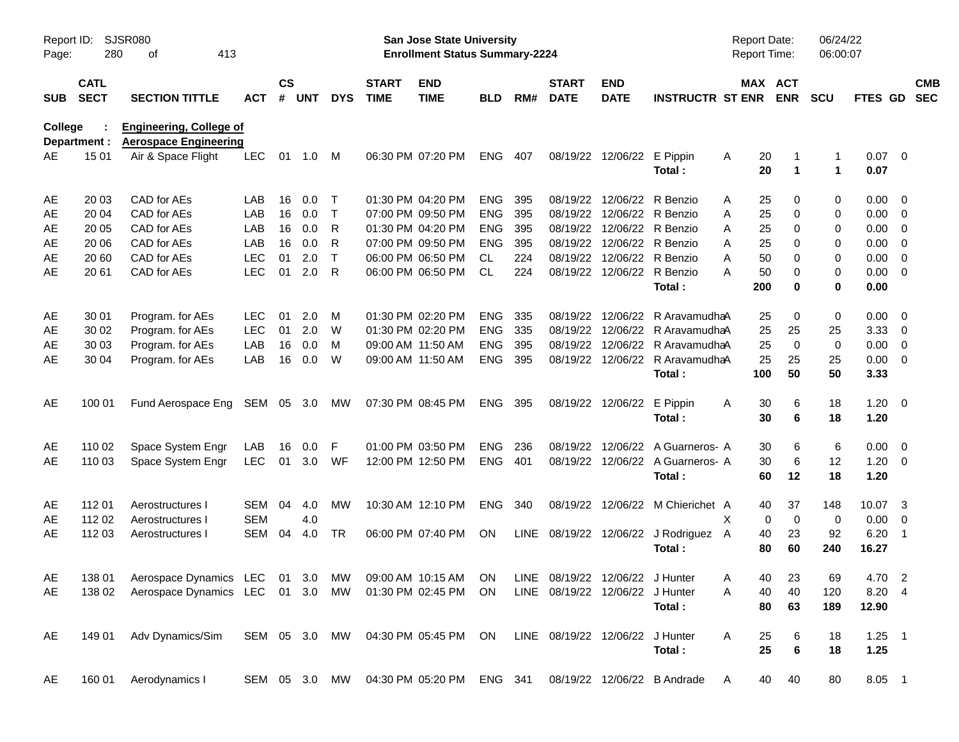| Page:          | <b>SJSR080</b><br>Report ID:<br>413<br>280<br>оf<br><b>CATL</b> |                                                                                              |            |                    |            |               |                             | San Jose State University<br><b>Enrollment Status Summary-2224</b> |            |     |                                 |                           |                                      | <b>Report Date:</b><br><b>Report Time:</b> |                       | 06/24/22<br>06:00:07 |              |                          |                          |
|----------------|-----------------------------------------------------------------|----------------------------------------------------------------------------------------------|------------|--------------------|------------|---------------|-----------------------------|--------------------------------------------------------------------|------------|-----|---------------------------------|---------------------------|--------------------------------------|--------------------------------------------|-----------------------|----------------------|--------------|--------------------------|--------------------------|
| <b>SUB</b>     | <b>SECT</b>                                                     | <b>SECTION TITTLE</b>                                                                        | <b>ACT</b> | $\mathsf{cs}$<br># | <b>UNT</b> | <b>DYS</b>    | <b>START</b><br><b>TIME</b> | <b>END</b><br><b>TIME</b>                                          | <b>BLD</b> | RM# | <b>START</b><br><b>DATE</b>     | <b>END</b><br><b>DATE</b> | <b>INSTRUCTR ST ENR</b>              |                                            | MAX ACT<br><b>ENR</b> | <b>SCU</b>           | FTES GD      |                          | <b>CMB</b><br><b>SEC</b> |
| <b>College</b> | Department :                                                    | <b>Engineering, College of</b><br><b>Aerospace Engineering</b>                               |            |                    |            |               |                             |                                                                    |            |     |                                 |                           |                                      |                                            |                       |                      |              |                          |                          |
| AE             | 15 01                                                           | Air & Space Flight                                                                           | <b>LEC</b> | 01                 | 1.0        | M             |                             | 06:30 PM 07:20 PM                                                  | <b>ENG</b> | 407 | 08/19/22                        | 12/06/22                  | E Pippin<br>Total:                   | 20<br>A<br>20                              | $\mathbf 1$           | 1<br>1               | 0.07<br>0.07 | $\overline{\phantom{0}}$ |                          |
| AE             | 20 03                                                           | CAD for AEs                                                                                  | LAB        | 16                 | 0.0        | $\top$        |                             | 01:30 PM 04:20 PM                                                  | <b>ENG</b> | 395 | 08/19/22                        | 12/06/22                  | R Benzio                             | 25<br>Α                                    | 0                     | 0                    | 0.00         | $\overline{\phantom{0}}$ |                          |
| AE             | 20 04                                                           | CAD for AEs                                                                                  | LAB        | 16                 | 0.0        | $\top$        |                             | 07:00 PM 09:50 PM                                                  | <b>ENG</b> | 395 | 08/19/22                        |                           | 12/06/22 R Benzio                    | 25<br>Α                                    | 0                     | 0                    | 0.00         | $\overline{\phantom{0}}$ |                          |
| AE             | 20 05                                                           | CAD for AEs                                                                                  | LAB        | 16                 | 0.0        | R             |                             | 01:30 PM 04:20 PM                                                  | <b>ENG</b> | 395 | 08/19/22                        |                           | 12/06/22 R Benzio                    | Α<br>25                                    | 0                     | 0                    | 0.00         | $\overline{\mathbf{0}}$  |                          |
| AE             | 20 06                                                           | CAD for AEs                                                                                  | LAB        | 16                 | 0.0        | R             |                             | 07:00 PM 09:50 PM                                                  | <b>ENG</b> | 395 | 08/19/22                        |                           | 12/06/22 R Benzio                    | A<br>25                                    | 0                     | 0                    | 0.00         | $\overline{\mathbf{0}}$  |                          |
| AE             | 20 60                                                           | CAD for AEs                                                                                  | <b>LEC</b> | 01                 | 2.0        | $\top$        |                             | 06:00 PM 06:50 PM                                                  | CL         | 224 | 08/19/22                        |                           | 12/06/22 R Benzio                    | A<br>50                                    | 0                     | 0                    | 0.00         | $\overline{0}$           |                          |
| AE             | 20 61                                                           | CAD for AEs                                                                                  | <b>LEC</b> | 01                 | 2.0        | $\mathsf{R}$  |                             | 06:00 PM 06:50 PM                                                  | <b>CL</b>  | 224 | 08/19/22                        |                           | 12/06/22 R Benzio                    | Α<br>50                                    | 0                     | 0                    | 0.00         | $\overline{0}$           |                          |
|                |                                                                 |                                                                                              |            |                    |            |               |                             |                                                                    |            |     |                                 |                           | Total:                               | 200                                        | $\bf{0}$              | 0                    | 0.00         |                          |                          |
| AE             | 30 01                                                           | Program. for AEs                                                                             | <b>LEC</b> | 01                 | 2.0        | M             |                             | 01:30 PM 02:20 PM                                                  | <b>ENG</b> | 335 | 08/19/22                        | 12/06/22                  | R AravamudhaA                        | 25                                         | 0                     | 0                    | 0.00         | $\overline{\phantom{0}}$ |                          |
| AE             | 30 02                                                           | Program. for AEs                                                                             | <b>LEC</b> | 01                 | 2.0        | W             |                             | 01:30 PM 02:20 PM                                                  | <b>ENG</b> | 335 | 08/19/22                        | 12/06/22                  | R AravamudhaA                        | 25                                         | 25                    | 25                   | 3.33         | $\overline{\phantom{0}}$ |                          |
| AE             | 30 03                                                           | Program. for AEs                                                                             | LAB        | 16                 | 0.0        | M             |                             | 09:00 AM 11:50 AM                                                  | <b>ENG</b> | 395 | 08/19/22                        | 12/06/22                  | R AravamudhaA                        | 25                                         | $\mathbf 0$           | 0                    | 0.00         | $\overline{0}$           |                          |
| AE             | 30 04                                                           | Program. for AEs                                                                             | LAB        | 16                 | 0.0        | W             |                             | 09:00 AM 11:50 AM                                                  | <b>ENG</b> | 395 | 08/19/22                        | 12/06/22                  | R AravamudhaA                        | 25                                         | 25                    | 25                   | 0.00         | $\overline{\phantom{0}}$ |                          |
|                |                                                                 |                                                                                              |            |                    |            |               |                             |                                                                    |            |     |                                 |                           | Total:                               | 100                                        | 50                    | 50                   | 3.33         |                          |                          |
| AE             | 100 01                                                          | Fund Aerospace Eng                                                                           | SEM        |                    | 05 3.0     | МW            |                             | 07:30 PM 08:45 PM                                                  | <b>ENG</b> | 395 | 08/19/22                        | 12/06/22                  | E Pippin                             | Α<br>30                                    | 6                     | 18                   | $1.20 \t 0$  |                          |                          |
|                |                                                                 |                                                                                              |            |                    |            |               |                             |                                                                    |            |     |                                 |                           | Total:                               | 30                                         | 6                     | 18                   | 1.20         |                          |                          |
| AE             | 110 02                                                          | Space System Engr                                                                            | LAB        | 16                 | 0.0        | F             |                             | 01:00 PM 03:50 PM                                                  | <b>ENG</b> | 236 | 08/19/22                        | 12/06/22                  | A Guarneros- A                       | 30                                         | 6                     | 6                    | $0.00 \t 0$  |                          |                          |
| AE             | 110 03                                                          | Space System Engr                                                                            | <b>LEC</b> | 01                 | 3.0        | WF            |                             | 12:00 PM 12:50 PM                                                  | <b>ENG</b> | 401 | 08/19/22                        |                           | 12/06/22 A Guarneros- A              | 30                                         | 6                     | 12                   | 1.20         | $\overline{\phantom{0}}$ |                          |
|                |                                                                 |                                                                                              |            |                    |            |               |                             |                                                                    |            |     |                                 |                           | Total:                               | 60                                         | 12                    | 18                   | 1.20         |                          |                          |
| AE             | 112 01                                                          | Aerostructures I                                                                             | <b>SEM</b> | 04                 | 4.0        | MW            |                             | 10:30 AM 12:10 PM                                                  | <b>ENG</b> | 340 | 08/19/22                        |                           | 12/06/22 M Chierichet A              | 40                                         | 37                    | 148                  | 10.07        | $\overline{\mathbf{3}}$  |                          |
| AЕ             | 112 02                                                          | Aerostructures I                                                                             | <b>SEM</b> |                    | 4.0        |               |                             |                                                                    |            |     |                                 |                           |                                      | X                                          | $\mathbf 0$<br>0      | 0                    | 0.00         | 0                        |                          |
| AE             | 112 03                                                          | Aerostructures I                                                                             | <b>SEM</b> | 04                 | 4.0        | TR            |                             | 06:00 PM 07:40 PM                                                  | ON         |     |                                 |                           | LINE 08/19/22 12/06/22 J Rodriguez A | 40                                         | 23                    | 92                   | 6.20         | - 1                      |                          |
|                |                                                                 |                                                                                              |            |                    |            |               |                             |                                                                    |            |     |                                 |                           | Total:                               | 80                                         | 60                    | 240                  | 16.27        |                          |                          |
| AE             |                                                                 | 138 01 Aerospace Dynamics LEC 01 3.0 MW 09:00 AM 10:15 AM ON LINE 08/19/22 12/06/22 J Hunter |            |                    |            |               |                             |                                                                    |            |     |                                 |                           |                                      | Α                                          | 40 23                 | 69                   | 4.70 2       |                          |                          |
| AE             | 138 02                                                          | Aerospace Dynamics LEC 01 3.0 MW 01:30 PM 02:45 PM ON                                        |            |                    |            |               |                             |                                                                    |            |     | LINE 08/19/22 12/06/22 J Hunter |                           |                                      | A<br>40                                    | 40                    | 120                  | 8.20 4       |                          |                          |
|                |                                                                 |                                                                                              |            |                    |            |               |                             |                                                                    |            |     |                                 |                           | Total:                               | 80                                         | 63                    | 189                  | 12.90        |                          |                          |
| AE             | 149 01                                                          | Adv Dynamics/Sim                                                                             |            |                    |            |               |                             | SEM 05 3.0 MW 04:30 PM 05:45 PM ON                                 |            |     | LINE 08/19/22 12/06/22 J Hunter |                           |                                      | Α<br>25                                    | 6                     | 18                   | $1.25$ 1     |                          |                          |
|                |                                                                 |                                                                                              |            |                    |            |               |                             |                                                                    |            |     |                                 |                           | Total:                               | 25                                         | $\bf 6$               | 18                   | 1.25         |                          |                          |
| AE             | 160 01                                                          | Aerodynamics I                                                                               |            |                    |            | SEM 05 3.0 MW |                             | 04:30 PM 05:20 PM                                                  | ENG 341    |     |                                 |                           | 08/19/22 12/06/22 B Andrade          | 40<br>A                                    | 40                    | 80                   | 8.05 1       |                          |                          |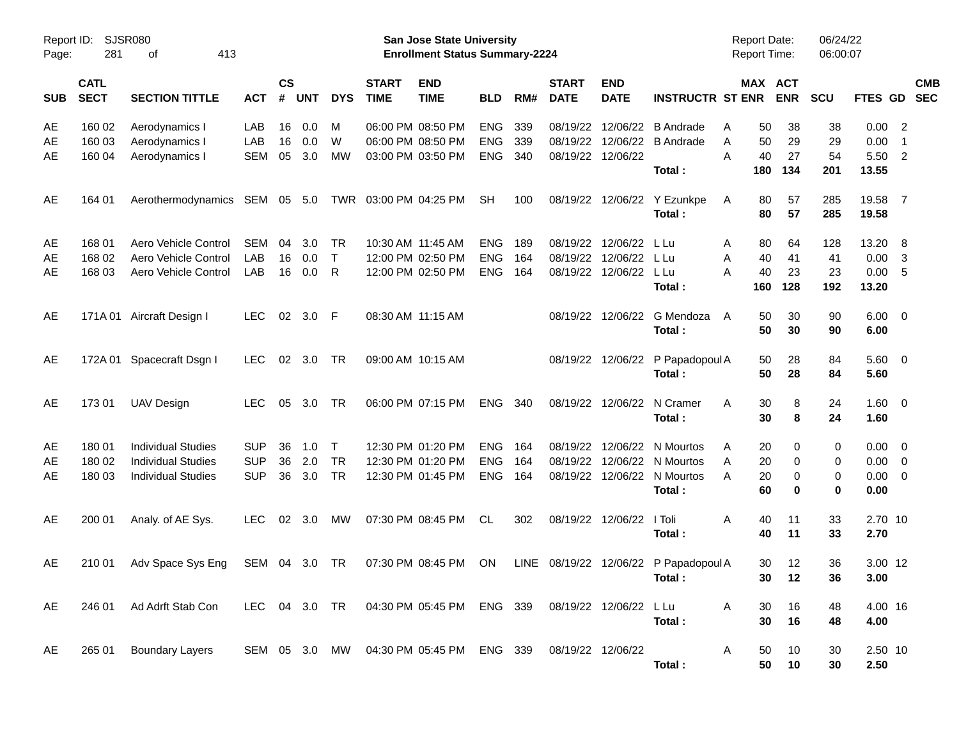| Page:      | Report ID: SJSR080<br>281<br>413<br>οf |                               |               |                |                |            |                             | <b>San Jose State University</b><br><b>Enrollment Status Summary-2224</b>         |            |     |                             |                           |                                            | <b>Report Date:</b><br><b>Report Time:</b> |                       | 06/24/22<br>06:00:07 |                     |                            |                          |
|------------|----------------------------------------|-------------------------------|---------------|----------------|----------------|------------|-----------------------------|-----------------------------------------------------------------------------------|------------|-----|-----------------------------|---------------------------|--------------------------------------------|--------------------------------------------|-----------------------|----------------------|---------------------|----------------------------|--------------------------|
| <b>SUB</b> | <b>CATL</b><br><b>SECT</b>             | <b>SECTION TITTLE</b>         | <b>ACT</b>    | <b>CS</b><br># | <b>UNT</b>     | <b>DYS</b> | <b>START</b><br><b>TIME</b> | <b>END</b><br><b>TIME</b>                                                         | <b>BLD</b> | RM# | <b>START</b><br><b>DATE</b> | <b>END</b><br><b>DATE</b> | <b>INSTRUCTR ST ENR</b>                    |                                            | MAX ACT<br><b>ENR</b> | <b>SCU</b>           | <b>FTES GD</b>      |                            | <b>CMB</b><br><b>SEC</b> |
| AE         | 160 02                                 | Aerodynamics I                | LAB           | 16             | 0.0            | M          |                             | 06:00 PM 08:50 PM                                                                 | <b>ENG</b> | 339 | 08/19/22                    |                           | 12/06/22 B Andrade                         | 50<br>A                                    | 38                    | 38                   | $0.00$ 2            |                            |                          |
| AE         | 160 03                                 | Aerodynamics I                | LAB           | 16             | 0.0            | W          |                             | 06:00 PM 08:50 PM                                                                 | ENG        | 339 | 08/19/22                    |                           | 12/06/22 B Andrade                         | 50<br>Α                                    | 29                    | 29                   | 0.00                | $\overline{\phantom{0}}$ 1 |                          |
| AE         | 160 04                                 | Aerodynamics I                | <b>SEM</b>    | 05             | 3.0            | MW         |                             | 03:00 PM 03:50 PM                                                                 | <b>ENG</b> | 340 | 08/19/22 12/06/22           |                           | Total:                                     | 40<br>A<br>180                             | 27<br>134             | 54<br>201            | 5.50 2<br>13.55     |                            |                          |
| AE         | 164 01                                 | Aerothermodynamics SEM 05 5.0 |               |                |                |            | TWR 03:00 PM 04:25 PM       |                                                                                   | <b>SH</b>  | 100 |                             |                           | 08/19/22 12/06/22 Y Ezunkpe                | 80<br>A                                    | 57                    | 285                  | 19.58 7             |                            |                          |
|            |                                        |                               |               |                |                |            |                             |                                                                                   |            |     |                             |                           | Total:                                     | 80                                         | 57                    | 285                  | 19.58               |                            |                          |
| AE         | 168 01                                 | Aero Vehicle Control          | SEM           | 04             | 3.0            | TR         |                             | 10:30 AM 11:45 AM                                                                 | <b>ENG</b> | 189 | 08/19/22                    | 12/06/22                  | L Lu                                       | 80<br>A                                    | 64                    | 128                  | 13.20 8             |                            |                          |
| AE         | 168 02                                 | Aero Vehicle Control          | LAB           | 16             | 0.0            | $\top$     |                             | 12:00 PM 02:50 PM                                                                 | <b>ENG</b> | 164 | 08/19/22                    | 12/06/22 L Lu             |                                            | 40<br>Α                                    | 41                    | 41                   | $0.00 \quad 3$      |                            |                          |
| AE         | 168 03                                 | Aero Vehicle Control          | LAB           | 16             | 0.0            | R          |                             | 12:00 PM 02:50 PM                                                                 | <b>ENG</b> | 164 |                             | 08/19/22 12/06/22 L Lu    | Total:                                     | 40<br>A<br>160                             | 23<br>128             | 23<br>192            | 0.00 5<br>13.20     |                            |                          |
| AE         |                                        | 171A 01 Aircraft Design I     | <b>LEC</b>    |                | 02 3.0 F       |            | 08:30 AM 11:15 AM           |                                                                                   |            |     |                             |                           | 08/19/22 12/06/22 G Mendoza                | 50<br>A                                    | 30                    | 90                   | $6.00 \quad 0$      |                            |                          |
|            |                                        |                               |               |                |                |            |                             |                                                                                   |            |     |                             |                           | Total:                                     | 50                                         | 30                    | 90                   | 6.00                |                            |                          |
| AE         |                                        | 172A 01 Spacecraft Dsgn I     | <b>LEC</b>    |                | 02 3.0         | - TR       |                             | 09:00 AM 10:15 AM                                                                 |            |     |                             |                           | 08/19/22 12/06/22 P Papadopoul A<br>Total: | 50<br>50                                   | 28<br>28              | 84<br>84             | $5.60$ 0<br>5.60    |                            |                          |
| AE         | 173 01                                 | <b>UAV Design</b>             | <b>LEC</b>    | 05             | 3.0            | TR         |                             | 06:00 PM 07:15 PM                                                                 | ENG        | 340 |                             | 08/19/22 12/06/22         | N Cramer                                   | A<br>30                                    | 8                     | 24                   | $1.60 \t 0$         |                            |                          |
|            |                                        |                               |               |                |                |            |                             |                                                                                   |            |     |                             |                           | Total:                                     | 30                                         | 8                     | 24                   | 1.60                |                            |                          |
| AE         | 180 01                                 | <b>Individual Studies</b>     | <b>SUP</b>    | 36             | 1.0            | $\top$     |                             | 12:30 PM 01:20 PM                                                                 | ENG        | 164 | 08/19/22                    | 12/06/22                  | N Mourtos                                  | 20<br>A                                    | 0                     | 0                    | $0.00 \t 0$         |                            |                          |
| AE         | 180 02                                 | <b>Individual Studies</b>     | <b>SUP</b>    | 36             | 2.0            | <b>TR</b>  |                             | 12:30 PM 01:20 PM                                                                 | <b>ENG</b> | 164 |                             |                           | 08/19/22 12/06/22 N Mourtos                | 20<br>A                                    | 0                     | 0                    | $0.00 \t 0$         |                            |                          |
| AE         | 180 03                                 | <b>Individual Studies</b>     | <b>SUP</b>    | 36             | 3.0            | <b>TR</b>  |                             | 12:30 PM 01:45 PM                                                                 | <b>ENG</b> | 164 |                             |                           | 08/19/22 12/06/22 N Mourtos<br>Total:      | A<br>20<br>60                              | 0<br>0                | 0<br>0               | $0.00 \t 0$<br>0.00 |                            |                          |
| AE         | 200 01                                 | Analy. of AE Sys.             | <b>LEC</b>    |                | $02 \quad 3.0$ | MW         |                             | 07:30 PM 08:45 PM                                                                 | CL         | 302 |                             | 08/19/22 12/06/22         | l Toli                                     | 40<br>Α                                    | 11                    | 33                   | 2.70 10             |                            |                          |
|            |                                        |                               |               |                |                |            |                             |                                                                                   |            |     |                             |                           | Total:                                     | 40                                         | 11                    | 33                   | 2.70                |                            |                          |
| AE         | 210 01                                 | Adv Space Sys Eng             | SEM 04 3.0 TR |                |                |            |                             | 07:30 PM 08:45 PM                                                                 | ON         |     |                             |                           | LINE 08/19/22 12/06/22 P Papadopoul A      | 30                                         | 12                    | 36                   | 3.00 12             |                            |                          |
|            |                                        |                               |               |                |                |            |                             |                                                                                   |            |     |                             |                           | Total:                                     |                                            | 30 12                 | 36                   | 3.00                |                            |                          |
| AE.        |                                        | 246 01 Ad Adrft Stab Con      |               |                |                |            |                             | LEC 04 3.0 TR  04:30 PM  05:45 PM  ENG  339  08/19/22  12/06/22  L             Lu |            |     |                             |                           |                                            | 30<br>A                                    | 16                    | 48                   | 4.00 16             |                            |                          |
|            |                                        |                               |               |                |                |            |                             |                                                                                   |            |     |                             |                           | Total:                                     | 30                                         | 16                    | 48                   | 4.00                |                            |                          |
| AE.        |                                        | 265 01 Boundary Layers        |               |                |                |            |                             | SEM 05 3.0 MW 04:30 PM 05:45 PM ENG 339 08/19/22 12/06/22                         |            |     |                             |                           |                                            | 50<br>A                                    | 10                    | 30                   | 2.50 10             |                            |                          |
|            |                                        |                               |               |                |                |            |                             |                                                                                   |            |     |                             |                           | Total:                                     | 50                                         | 10                    | 30                   | 2.50                |                            |                          |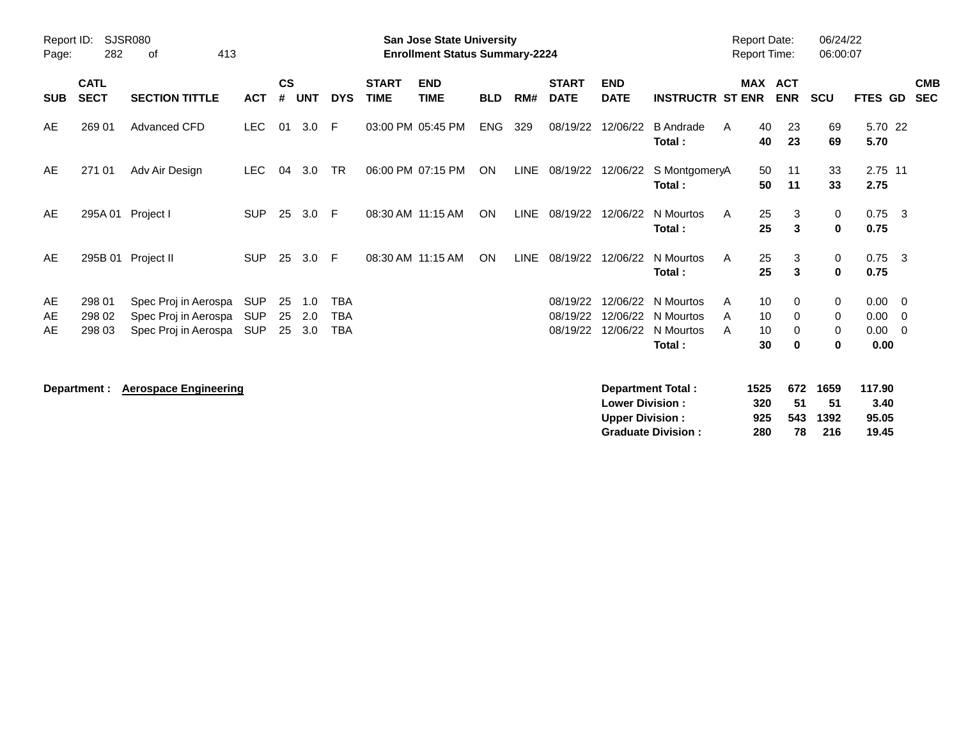| Report ID:<br>Page: | 282                        | <b>SJSR080</b><br>413<br>οf                                          |                                        |                    |                   |                                        |                             | <b>San Jose State University</b><br><b>Enrollment Status Summary-2224</b> |            |      |                                  |                                                  |                                                | <b>Report Date:</b><br><b>Report Time:</b> |                           |                                | 06/24/22<br>06:00:07                 |                                  |                                                           |
|---------------------|----------------------------|----------------------------------------------------------------------|----------------------------------------|--------------------|-------------------|----------------------------------------|-----------------------------|---------------------------------------------------------------------------|------------|------|----------------------------------|--------------------------------------------------|------------------------------------------------|--------------------------------------------|---------------------------|--------------------------------|--------------------------------------|----------------------------------|-----------------------------------------------------------|
| <b>SUB</b>          | <b>CATL</b><br><b>SECT</b> | <b>SECTION TITTLE</b>                                                | <b>ACT</b>                             | $\mathsf{cs}$<br># | <b>UNT</b>        | <b>DYS</b>                             | <b>START</b><br><b>TIME</b> | <b>END</b><br><b>TIME</b>                                                 | <b>BLD</b> | RM#  | <b>START</b><br><b>DATE</b>      | <b>END</b><br><b>DATE</b>                        | <b>INSTRUCTR ST ENR</b>                        |                                            | <b>MAX ACT</b>            | <b>ENR</b>                     | <b>SCU</b>                           | <b>FTES GD</b>                   | <b>CMB</b><br><b>SEC</b>                                  |
| AE                  | 269 01                     | Advanced CFD                                                         | <b>LEC</b>                             | 01                 | 3.0               | - F                                    |                             | 03:00 PM 05:45 PM                                                         | <b>ENG</b> | 329  | 08/19/22                         | 12/06/22                                         | <b>B</b> Andrade<br>Total:                     | A                                          | 40<br>40                  | 23<br>23                       | 69<br>69                             | 5.70 22<br>5.70                  |                                                           |
| AE                  | 271 01                     | Adv Air Design                                                       | <b>LEC</b>                             | 04                 | 3.0               | <b>TR</b>                              |                             | 06:00 PM 07:15 PM                                                         | ON         | LINE | 08/19/22                         | 12/06/22                                         | S MontgomeryA<br>Total:                        |                                            | 50<br>50                  | 11<br>11                       | 33<br>33                             | 2.75 11<br>2.75                  |                                                           |
| AE                  |                            | 295A 01 Project I                                                    | <b>SUP</b>                             | 25                 | 3.0               | - F                                    |                             | 08:30 AM 11:15 AM                                                         | ON         | LINE | 08/19/22                         | 12/06/22                                         | N Mourtos<br>Total:                            | A                                          | 25<br>25                  | 3<br>3                         | 0<br>$\mathbf 0$                     | $0.75$ 3<br>0.75                 |                                                           |
| AE                  |                            | 295B 01 Project II                                                   | <b>SUP</b>                             | 25                 | 3.0               | - F                                    |                             | 08:30 AM 11:15 AM                                                         | ON         | LINE | 08/19/22                         | 12/06/22                                         | N Mourtos<br>Total:                            | A                                          | 25<br>25                  | 3<br>3                         | 0<br>$\mathbf 0$                     | $0.75$ 3<br>0.75                 |                                                           |
| AE<br>AE<br>AE      | 298 01<br>298 02<br>298 03 | Spec Proj in Aerospa<br>Spec Proj in Aerospa<br>Spec Proj in Aerospa | <b>SUP</b><br><b>SUP</b><br><b>SUP</b> | 25<br>25<br>25     | 1.0<br>2.0<br>3.0 | <b>TBA</b><br><b>TBA</b><br><b>TBA</b> |                             |                                                                           |            |      | 08/19/22<br>08/19/22<br>08/19/22 | 12/06/22<br>12/06/22<br>12/06/22                 | N Mourtos<br>N Mourtos<br>N Mourtos<br>Total:  | A<br>A<br>A                                | 10<br>10<br>10<br>30      | 0<br>0<br>$\Omega$<br>$\bf{0}$ | $\mathbf 0$<br>0<br>0<br>$\mathbf 0$ | 0.00<br>0.00<br>0.00<br>0.00     | $\overline{\mathbf{0}}$<br>- 0<br>$\overline{\mathbf{0}}$ |
|                     | Department :               | <b>Aerospace Engineering</b>                                         |                                        |                    |                   |                                        |                             |                                                                           |            |      |                                  | <b>Lower Division:</b><br><b>Upper Division:</b> | Department Total:<br><b>Graduate Division:</b> |                                            | 1525<br>320<br>925<br>280 | 672<br>51<br>543<br>78         | 1659<br>51<br>1392<br>216            | 117.90<br>3.40<br>95.05<br>19.45 |                                                           |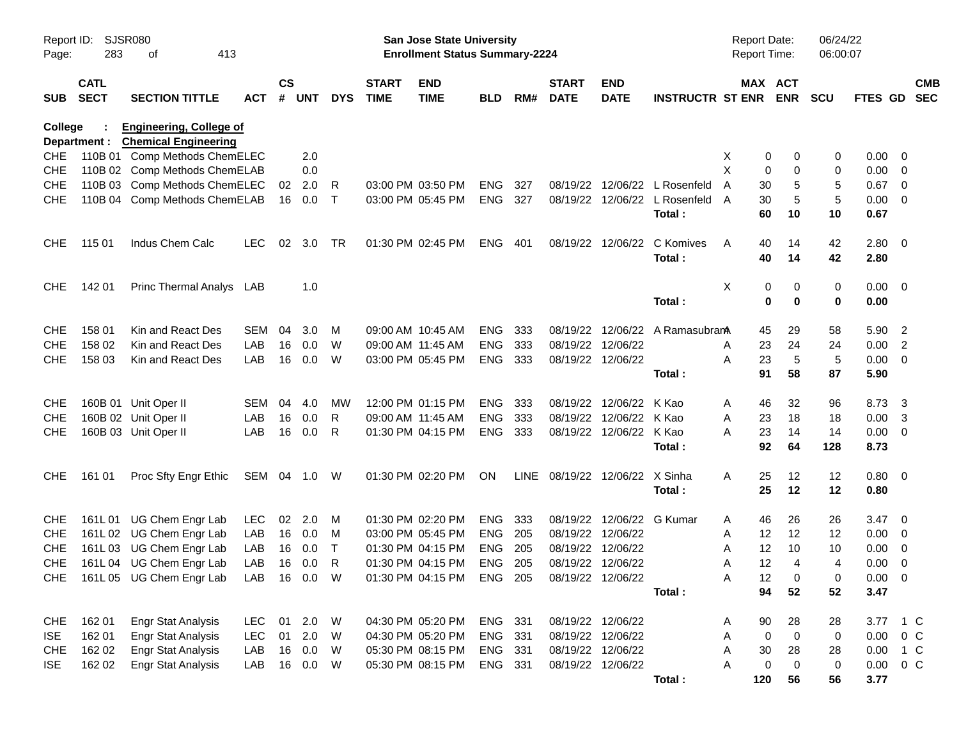| Report ID:<br>Page: | 283                        | SJSR080<br>413<br>οf                                          |              |                    |            |            |                             | San Jose State University<br><b>Enrollment Status Summary-2224</b> |            |       |                                |                           |                                 | <b>Report Date:</b><br><b>Report Time:</b> |                       | 06/24/22<br>06:00:07 |                    |                         |            |
|---------------------|----------------------------|---------------------------------------------------------------|--------------|--------------------|------------|------------|-----------------------------|--------------------------------------------------------------------|------------|-------|--------------------------------|---------------------------|---------------------------------|--------------------------------------------|-----------------------|----------------------|--------------------|-------------------------|------------|
| SUB                 | <b>CATL</b><br><b>SECT</b> | <b>SECTION TITTLE</b>                                         | ACT          | $\mathsf{cs}$<br># | <b>UNT</b> | <b>DYS</b> | <b>START</b><br><b>TIME</b> | <b>END</b><br><b>TIME</b>                                          | <b>BLD</b> | RM#   | <b>START</b><br><b>DATE</b>    | <b>END</b><br><b>DATE</b> | <b>INSTRUCTR ST ENR</b>         |                                            | MAX ACT<br><b>ENR</b> | <b>SCU</b>           | FTES GD SEC        |                         | <b>CMB</b> |
| <b>College</b>      | Department :               | <b>Engineering, College of</b><br><b>Chemical Engineering</b> |              |                    |            |            |                             |                                                                    |            |       |                                |                           |                                 |                                            |                       |                      |                    |                         |            |
| <b>CHE</b>          |                            | 110B 01 Comp Methods ChemELEC                                 |              |                    | 2.0        |            |                             |                                                                    |            |       |                                |                           |                                 | 0<br>X                                     | 0                     | 0                    | $0.00 \t 0$        |                         |            |
| <b>CHE</b>          |                            | 110B 02 Comp Methods ChemELAB                                 |              |                    | 0.0        |            |                             |                                                                    |            |       |                                |                           |                                 | X<br>0                                     | 0                     | 0                    | $0.00 \t 0$        |                         |            |
| <b>CHE</b>          |                            | 110B 03 Comp Methods ChemELEC                                 |              | 02                 | 2.0        | R          |                             | 03:00 PM 03:50 PM                                                  | <b>ENG</b> | 327   |                                |                           | 08/19/22 12/06/22 L Rosenfeld   | A<br>30                                    | 5                     | 5                    | $0.67$ 0           |                         |            |
| <b>CHE</b>          |                            | 110B 04 Comp Methods ChemELAB                                 |              |                    | 16 0.0     | Т          |                             | 03:00 PM 05:45 PM                                                  | <b>ENG</b> | 327   |                                |                           | 08/19/22 12/06/22 L Rosenfeld   | 30<br>A                                    | 5                     | 5                    | $0.00 \t 0$        |                         |            |
|                     |                            |                                                               |              |                    |            |            |                             |                                                                    |            |       |                                |                           | Total:                          | 60                                         | 10                    | 10                   | 0.67               |                         |            |
| CHE.                | 115 01                     | Indus Chem Calc                                               | <b>LEC</b>   | 02                 | 3.0        | TR.        |                             | 01:30 PM 02:45 PM                                                  | ENG        | - 401 |                                | 08/19/22 12/06/22         | C Komives<br>Total:             | A<br>40<br>40                              | 14<br>14              | 42<br>42             | $2.80 \ 0$<br>2.80 |                         |            |
| <b>CHE</b>          | 142 01                     | Princ Thermal Analys LAB                                      |              |                    | 1.0        |            |                             |                                                                    |            |       |                                |                           |                                 | X<br>0                                     | 0                     | 0                    | $0.00 \quad 0$     |                         |            |
|                     |                            |                                                               |              |                    |            |            |                             |                                                                    |            |       |                                |                           | Total:                          | 0                                          | $\bf{0}$              | 0                    | 0.00               |                         |            |
| <b>CHE</b>          | 158 01                     | Kin and React Des                                             | SEM          | 04                 | 3.0        | M          |                             | 09:00 AM 10:45 AM                                                  | <b>ENG</b> | 333   |                                |                           | 08/19/22 12/06/22 A Ramasubrana | 45                                         | 29                    | 58                   | 5.90 2             |                         |            |
| <b>CHE</b>          | 158 02                     | Kin and React Des                                             | LAB          | 16                 | 0.0        | W          |                             | 09:00 AM 11:45 AM                                                  | <b>ENG</b> | 333   | 08/19/22 12/06/22              |                           |                                 | 23<br>Α                                    | 24                    | 24                   | $0.00$ 2           |                         |            |
| <b>CHE</b>          | 158 03                     | Kin and React Des                                             | LAB          | 16                 | 0.0        | W          |                             | 03:00 PM 05:45 PM                                                  | ENG 333    |       |                                | 08/19/22 12/06/22         |                                 | 23<br>A                                    | 5                     | 5                    | $0.00 \t 0$        |                         |            |
|                     |                            |                                                               |              |                    |            |            |                             |                                                                    |            |       |                                |                           | Total :                         | 91                                         | 58                    | 87                   | 5.90               |                         |            |
| <b>CHE</b>          |                            | 160B 01 Unit Oper II                                          | SEM          | 04                 | 4.0        | <b>MW</b>  |                             | 12:00 PM 01:15 PM                                                  | <b>ENG</b> | 333   |                                | 08/19/22 12/06/22 K Kao   |                                 | 46<br>Α                                    | 32                    | 96                   | 8.73               | $\overline{\mathbf{3}}$ |            |
| <b>CHE</b>          |                            | 160B 02 Unit Oper II                                          | LAB          | 16                 | 0.0        | R          |                             | 09:00 AM 11:45 AM                                                  | <b>ENG</b> | 333   |                                | 08/19/22 12/06/22 K Kao   |                                 | 23<br>Α                                    | 18                    | 18                   | $0.00 \quad 3$     |                         |            |
| <b>CHE</b>          |                            | 160B 03 Unit Oper II                                          | LAB          | 16                 | 0.0        | R          |                             | 01:30 PM 04:15 PM                                                  | ENG 333    |       |                                | 08/19/22 12/06/22 K Kao   |                                 | 23<br>Α                                    | 14                    | 14                   | $0.00 \t 0$        |                         |            |
|                     |                            |                                                               |              |                    |            |            |                             |                                                                    |            |       |                                |                           | Total:                          | 92                                         | 64                    | 128                  | 8.73               |                         |            |
| <b>CHE</b>          | 161 01                     | Proc Sfty Engr Ethic                                          | SEM 04 1.0 W |                    |            |            |                             | 01:30 PM 02:20 PM                                                  | ON         |       | LINE 08/19/22 12/06/22 X Sinha |                           |                                 | Α<br>25                                    | 12                    | 12                   | $0.80 \quad 0$     |                         |            |
|                     |                            |                                                               |              |                    |            |            |                             |                                                                    |            |       |                                |                           | Total:                          | 25                                         | 12                    | 12                   | 0.80               |                         |            |
| <b>CHE</b>          |                            | 161L 01 UG Chem Engr Lab                                      | <b>LEC</b>   | 02                 | 2.0        | M          |                             | 01:30 PM 02:20 PM                                                  | <b>ENG</b> | 333   |                                | 08/19/22 12/06/22 G Kumar |                                 | 46<br>Α                                    | 26                    | 26                   | $3.47 \quad 0$     |                         |            |
| <b>CHE</b>          |                            | 161L 02 UG Chem Engr Lab                                      | LAB          |                    | 16  0.0    | M          |                             | 03:00 PM 05:45 PM                                                  | ENG        | 205   | 08/19/22 12/06/22              |                           |                                 | 12<br>Α                                    | 12                    | 12                   | $0.00 \t 0$        |                         |            |
| <b>CHE</b>          |                            | 161L 03 UG Chem Engr Lab                                      | LAB          | 16                 | 0.0        | $\top$     |                             | 01:30 PM 04:15 PM                                                  | ENG        | 205   | 08/19/22 12/06/22              |                           |                                 | 12<br>Α                                    | 10                    | 10                   | $0.00 \t 0$        |                         |            |
| <b>CHE</b>          |                            | 161L 04 UG Chem Engr Lab                                      | LAB          |                    | 16 0.0     | R          |                             | 01:30 PM 04:15 PM                                                  | <b>ENG</b> | 205   |                                | 08/19/22 12/06/22         |                                 | 12<br>Α                                    | 4                     | 4                    | $0.00 \t 0$        |                         |            |
|                     |                            | CHE 161L05 UG Chem Engr Lab                                   | LAB 16 0.0 W |                    |            |            |                             | 01:30 PM 04:15 PM ENG 205                                          |            |       | 08/19/22 12/06/22              |                           |                                 | 12<br>Α                                    | 0                     | 0                    | $0.00 \t 0$        |                         |            |
|                     |                            |                                                               |              |                    |            |            |                             |                                                                    |            |       |                                |                           | Total:                          | 94                                         | 52                    | 52                   | 3.47               |                         |            |
| <b>CHE</b>          | 162 01                     | <b>Engr Stat Analysis</b>                                     | LEC.         | 01                 | 2.0        | W          |                             | 04:30 PM 05:20 PM                                                  | ENG 331    |       |                                | 08/19/22 12/06/22         |                                 | 90<br>A                                    | 28                    | 28                   | 3.77               | $1\,C$                  |            |
| <b>ISE</b>          | 162 01                     | <b>Engr Stat Analysis</b>                                     | <b>LEC</b>   | 01                 | 2.0        | W          |                             | 04:30 PM 05:20 PM                                                  | ENG 331    |       |                                | 08/19/22 12/06/22         |                                 | $\mathbf 0$<br>Α                           | $\mathsf 0$           | $\,0\,$              | 0.00               | $0\,C$                  |            |
| <b>CHE</b>          | 162 02                     | <b>Engr Stat Analysis</b>                                     | LAB          | 16                 | 0.0        | W          |                             | 05:30 PM 08:15 PM                                                  | ENG 331    |       |                                | 08/19/22 12/06/22         |                                 | Α<br>30                                    | 28                    | 28                   | 0.00 1 C           |                         |            |
| ISE                 | 162 02                     | <b>Engr Stat Analysis</b>                                     | LAB          |                    | 16 0.0     | W          |                             | 05:30 PM 08:15 PM                                                  | ENG 331    |       |                                | 08/19/22 12/06/22         |                                 | A<br>0                                     | $\mathbf 0$           | 0                    | $0.00 \t 0 C$      |                         |            |
|                     |                            |                                                               |              |                    |            |            |                             |                                                                    |            |       |                                |                           | Total:                          | 120                                        | 56                    | 56                   | 3.77               |                         |            |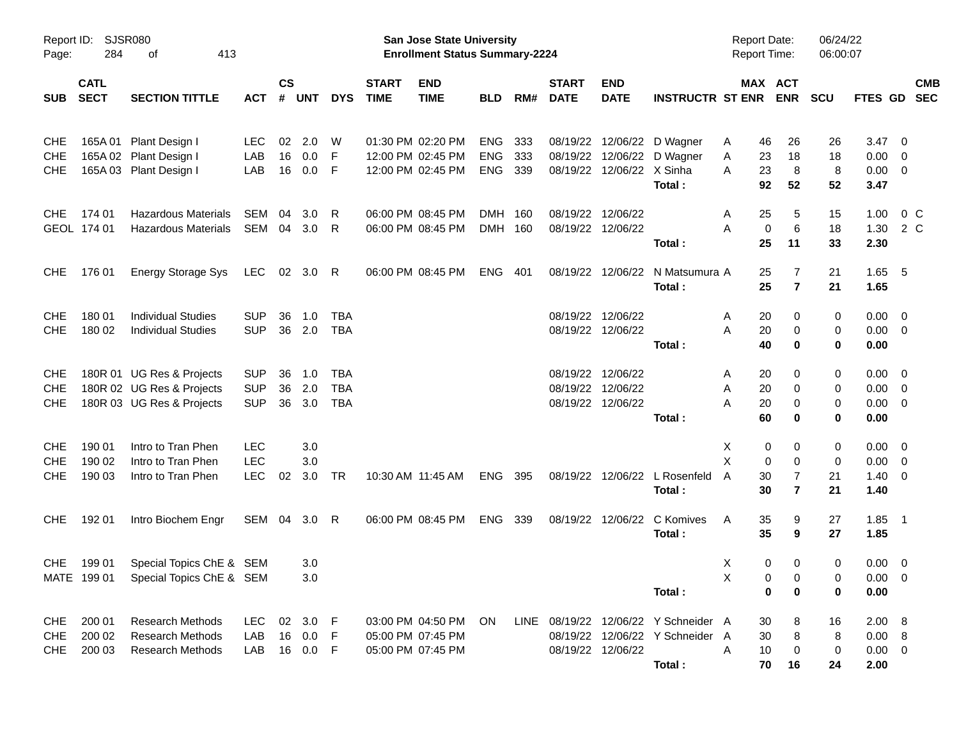| Report ID:<br>Page:                    | 284                        | <b>SJSR080</b><br>413<br>οf                                                         |                                        |                |                               |                                 |                             | <b>San Jose State University</b><br><b>Enrollment Status Summary-2224</b> |                                        |                   |                                  |                                  |                                                                                   | <b>Report Date:</b><br>Report Time:     |                                         | 06/24/22<br>06:00:07 |                                         |                                                                               |  |
|----------------------------------------|----------------------------|-------------------------------------------------------------------------------------|----------------------------------------|----------------|-------------------------------|---------------------------------|-----------------------------|---------------------------------------------------------------------------|----------------------------------------|-------------------|----------------------------------|----------------------------------|-----------------------------------------------------------------------------------|-----------------------------------------|-----------------------------------------|----------------------|-----------------------------------------|-------------------------------------------------------------------------------|--|
| <b>SUB</b>                             | <b>CATL</b><br><b>SECT</b> | <b>SECTION TITTLE</b>                                                               | <b>ACT</b>                             | <b>CS</b><br># | <b>UNT</b>                    | <b>DYS</b>                      | <b>START</b><br><b>TIME</b> | <b>END</b><br><b>TIME</b>                                                 | <b>BLD</b>                             | RM#               | <b>START</b><br><b>DATE</b>      | <b>END</b><br><b>DATE</b>        | <b>INSTRUCTR ST ENR ENR</b>                                                       |                                         | MAX ACT                                 | <b>SCU</b>           | <b>FTES GD</b>                          | <b>CMB</b><br><b>SEC</b>                                                      |  |
| <b>CHE</b><br><b>CHE</b><br><b>CHE</b> |                            | 165A 01 Plant Design I<br>165A 02 Plant Design I<br>165A 03 Plant Design I          | LEC<br>LAB<br>LAB                      | 02<br>16<br>16 | 2.0<br>0.0<br>0.0             | W<br>F<br>- F                   |                             | 01:30 PM 02:20 PM<br>12:00 PM 02:45 PM<br>12:00 PM 02:45 PM               | <b>ENG</b><br><b>ENG</b><br><b>ENG</b> | 333<br>333<br>339 | 08/19/22<br>08/19/22<br>08/19/22 | 12/06/22 X Sinha                 | 12/06/22 D Wagner<br>12/06/22 D Wagner<br>Total:                                  | 46<br>A<br>Α<br>23<br>23<br>A<br>92     | 26<br>18<br>8<br>52                     | 26<br>18<br>8<br>52  | $3.47 \quad 0$<br>0.00<br>0.00<br>3.47  | $\overline{\mathbf{0}}$<br>$\overline{\mathbf{0}}$                            |  |
| <b>CHE</b>                             | 174 01<br>GEOL 174 01      | <b>Hazardous Materials</b><br>Hazardous Materials                                   | SEM<br>SEM 04                          | 04             | 3.0<br>3.0                    | R<br>R                          |                             | 06:00 PM 08:45 PM<br>06:00 PM 08:45 PM                                    | DMH 160<br>DMH 160                     |                   | 08/19/22<br>08/19/22             | 12/06/22<br>12/06/22             | Total:                                                                            | 25<br>A<br>A<br>25                      | 5<br>6<br>0<br>11                       | 15<br>18<br>33       | 1.00<br>1.30<br>2.30                    | $0\,$ C<br>2 C                                                                |  |
| <b>CHE</b>                             | 176 01                     | Energy Storage Sys                                                                  | LEC 02 3.0 R                           |                |                               |                                 |                             | 06:00 PM 08:45 PM                                                         | <b>ENG</b>                             | - 401             |                                  |                                  | 08/19/22 12/06/22 N Matsumura A<br>Total:                                         | 25<br>25                                | 7<br>$\overline{7}$                     | 21<br>21             | $1.65$ 5<br>1.65                        |                                                                               |  |
| <b>CHE</b><br><b>CHE</b>               | 180 01<br>180 02           | <b>Individual Studies</b><br><b>Individual Studies</b>                              | <b>SUP</b><br><b>SUP</b>               | 36             | 1.0<br>36 2.0                 | <b>TBA</b><br>TBA               |                             |                                                                           |                                        |                   | 08/19/22                         | 12/06/22<br>08/19/22 12/06/22    | Total:                                                                            | 20<br>A<br>A<br>20<br>40                | 0<br>0<br>0                             | 0<br>0<br>0          | 0.00<br>0.00<br>0.00                    | $\overline{\phantom{0}}$<br>$\overline{\mathbf{0}}$                           |  |
| <b>CHE</b><br><b>CHE</b><br><b>CHE</b> |                            | 180R 01 UG Res & Projects<br>180R 02 UG Res & Projects<br>180R 03 UG Res & Projects | <b>SUP</b><br><b>SUP</b><br><b>SUP</b> | 36<br>36<br>36 | 1.0<br>2.0<br>3.0             | <b>TBA</b><br><b>TBA</b><br>TBA |                             |                                                                           |                                        |                   | 08/19/22<br>08/19/22<br>08/19/22 | 12/06/22<br>12/06/22<br>12/06/22 | Total:                                                                            | 20<br>A<br>20<br>A<br>$20\,$<br>A<br>60 | 0<br>0<br>0<br>0                        | 0<br>0<br>0<br>0     | 0.00<br>0.00<br>0.00<br>0.00            | $\overline{\mathbf{0}}$<br>$\overline{\mathbf{0}}$<br>$\overline{\mathbf{0}}$ |  |
| <b>CHE</b><br><b>CHE</b><br><b>CHE</b> | 190 01<br>190 02<br>190 03 | Intro to Tran Phen<br>Intro to Tran Phen<br>Intro to Tran Phen                      | <b>LEC</b><br><b>LEC</b><br><b>LEC</b> | 02             | 3.0<br>3.0<br>3.0             | TR                              |                             | 10:30 AM 11:45 AM                                                         | ENG 395                                |                   |                                  | 08/19/22 12/06/22                | L Rosenfeld<br>Total:                                                             | X<br>X<br>30<br>$\overline{A}$<br>30    | 0<br>0<br>0<br>0<br>7<br>$\overline{7}$ | 0<br>0<br>21<br>21   | 0.00<br>0.00<br>1.40<br>1.40            | - 0<br>$\overline{\mathbf{0}}$<br>$\overline{\mathbf{0}}$                     |  |
| <b>CHE</b>                             | 192 01                     | Intro Biochem Engr                                                                  | SEM 04 3.0 R                           |                |                               |                                 |                             | 06:00 PM 08:45 PM                                                         | ENG 339                                |                   | 08/19/22                         | 12/06/22                         | C Komives<br>Total:                                                               | 35<br>A<br>35                           | 9<br>9                                  | 27<br>27             | $1.85$ 1<br>1.85                        |                                                                               |  |
| <b>CHE</b>                             | 199 01                     | Special Topics ChE & SEM<br>MATE 199 01 Special Topics ChE & SEM                    |                                        |                | 3.0<br>3.0                    |                                 |                             |                                                                           |                                        |                   |                                  |                                  | Total:                                                                            | X<br>$\mathsf{X}$                       | 0<br>0<br>0<br>0<br>0<br>0              | 0<br>0<br>0          | $0.00 \t 0$<br>$0.00 \t 0$<br>0.00      |                                                                               |  |
| <b>CHE</b><br><b>CHE</b><br>CHE        | 200 01<br>200 02<br>200 03 | <b>Research Methods</b><br><b>Research Methods</b><br><b>Research Methods</b>       | <b>LEC</b><br>LAB<br>LAB               | 16             | 02 3.0 F<br>0.0<br>16  0.0  F | - F                             |                             | 03:00 PM 04:50 PM<br>05:00 PM 07:45 PM<br>05:00 PM 07:45 PM               | <b>ON</b>                              |                   |                                  | 08/19/22 12/06/22                | LINE 08/19/22 12/06/22 Y Schneider A<br>08/19/22 12/06/22 Y Schneider A<br>Total: | 30<br>30<br>Α<br>10<br>70               | 8<br>8<br>0<br>16                       | 16<br>8<br>0<br>24   | 2.00 8<br>0.00 8<br>$0.00 \t 0$<br>2.00 |                                                                               |  |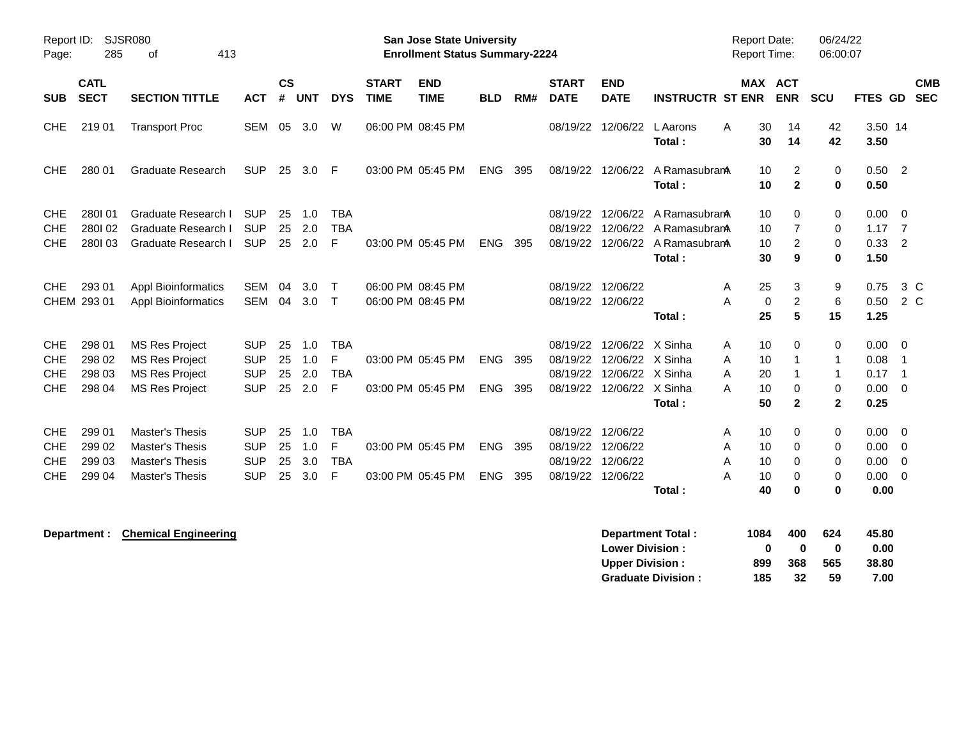| Report ID:<br>Page:                                  | 285                                  | <b>SJSR080</b><br>413<br>of                                                                      |                                                      |                      |                          |                                    |                             | <b>San Jose State University</b><br><b>Enrollment Status Summary-2224</b> |                          |            |                                              |                                                                      |                                                          | <b>Report Date:</b><br>Report Time:            |                                                                    | 06/24/22<br>06:00:07                        |                                      |                                                |
|------------------------------------------------------|--------------------------------------|--------------------------------------------------------------------------------------------------|------------------------------------------------------|----------------------|--------------------------|------------------------------------|-----------------------------|---------------------------------------------------------------------------|--------------------------|------------|----------------------------------------------|----------------------------------------------------------------------|----------------------------------------------------------|------------------------------------------------|--------------------------------------------------------------------|---------------------------------------------|--------------------------------------|------------------------------------------------|
| <b>SUB</b>                                           | <b>CATL</b><br><b>SECT</b>           | <b>SECTION TITTLE</b>                                                                            | <b>ACT</b>                                           | $\mathsf{cs}$<br>#   | <b>UNT</b>               | <b>DYS</b>                         | <b>START</b><br><b>TIME</b> | <b>END</b><br><b>TIME</b>                                                 | <b>BLD</b>               | RM#        | <b>START</b><br><b>DATE</b>                  | <b>END</b><br><b>DATE</b>                                            | <b>INSTRUCTR ST ENR</b>                                  |                                                | <b>MAX ACT</b><br><b>ENR</b>                                       | <b>SCU</b>                                  | FTES GD                              | <b>CMB</b><br><b>SEC</b>                       |
| CHE                                                  | 21901                                | <b>Transport Proc</b>                                                                            | SEM                                                  | 05                   | 3.0                      | W                                  |                             | 06:00 PM 08:45 PM                                                         |                          |            | 08/19/22                                     | 12/06/22                                                             | <b>L</b> Aarons<br>Total:                                | 30<br>A<br>30                                  | 14<br>14                                                           | 42<br>42                                    | 3.50 14<br>3.50                      |                                                |
| <b>CHE</b>                                           | 280 01                               | <b>Graduate Research</b>                                                                         | <b>SUP</b>                                           | 25                   | 3.0                      | -F                                 |                             | 03:00 PM 05:45 PM                                                         | <b>ENG</b>               | 395        | 08/19/22                                     | 12/06/22                                                             | A Ramasubran<br>Total:                                   | 10<br>10                                       | 2<br>$\mathbf{2}$                                                  | 0<br>0                                      | 0.50<br>0.50                         | $\overline{\phantom{0}}^2$                     |
| <b>CHE</b><br><b>CHE</b><br><b>CHE</b>               | 280101<br>280102<br>280103           | Graduate Research I<br>Graduate Research I<br>Graduate Research I                                | <b>SUP</b><br><b>SUP</b><br><b>SUP</b>               | 25<br>25<br>25       | 1.0<br>2.0<br>2.0        | <b>TBA</b><br><b>TBA</b><br>F      |                             | 03:00 PM 05:45 PM                                                         | ENG                      | 395        | 08/19/22<br>08/19/22<br>08/19/22             | 12/06/22<br>12/06/22<br>12/06/22                                     | A RamasubranA<br>A Ramasubran<br>A RamasubranA<br>Total: | 10<br>10<br>10<br>30                           | 0<br>$\overline{7}$<br>2<br>9                                      | 0<br>0<br>0<br>0                            | 0.00<br>1.17<br>0.33<br>1.50         | - 0<br>$\overline{7}$<br>$\overline{2}$        |
| CHE                                                  | 293 01<br>CHEM 293 01                | <b>Appl Bioinformatics</b><br><b>Appl Bioinformatics</b>                                         | <b>SEM</b><br><b>SEM</b>                             | 04<br>04             | 3.0<br>3.0               | Т<br>$\mathsf{T}$                  |                             | 06:00 PM 08:45 PM<br>06:00 PM 08:45 PM                                    |                          |            | 08/19/22<br>08/19/22                         | 12/06/22<br>12/06/22                                                 | Total:                                                   | 25<br>A<br>A<br>25                             | 3<br>$\overline{c}$<br>$\mathbf 0$<br>$5\phantom{a}$               | 9<br>$6\phantom{1}6$<br>15                  | 0.75<br>0.50<br>1.25                 | $3\,C$<br>2 C                                  |
| <b>CHE</b><br><b>CHE</b><br><b>CHE</b><br><b>CHE</b> | 298 01<br>298 02<br>298 03<br>298 04 | <b>MS Res Project</b><br><b>MS Res Project</b><br><b>MS Res Project</b><br><b>MS Res Project</b> | <b>SUP</b><br><b>SUP</b><br><b>SUP</b><br><b>SUP</b> | 25<br>25<br>25<br>25 | 1.0<br>1.0<br>2.0<br>2.0 | <b>TBA</b><br>F<br><b>TBA</b><br>F |                             | 03:00 PM 05:45 PM<br>03:00 PM 05:45 PM                                    | <b>ENG</b><br><b>ENG</b> | 395<br>395 | 08/19/22<br>08/19/22<br>08/19/22<br>08/19/22 | 12/06/22<br>12/06/22 X Sinha<br>12/06/22 X Sinha<br>12/06/22 X Sinha | X Sinha<br>Total:                                        | 10<br>A<br>A<br>10<br>A<br>20<br>10<br>A<br>50 | 0<br>$\overline{1}$<br>$\mathbf{1}$<br>$\mathbf 0$<br>$\mathbf{2}$ | 0<br>1<br>$\mathbf{1}$<br>0<br>$\mathbf{2}$ | 0.00<br>0.08<br>0.17<br>0.00<br>0.25 | - 0<br>- 1<br>$\overline{1}$<br>$\overline{0}$ |
| <b>CHE</b><br><b>CHE</b><br><b>CHE</b><br><b>CHE</b> | 299 01<br>299 02<br>299 03<br>299 04 | <b>Master's Thesis</b><br>Master's Thesis<br><b>Master's Thesis</b><br><b>Master's Thesis</b>    | <b>SUP</b><br><b>SUP</b><br><b>SUP</b><br><b>SUP</b> | 25<br>25<br>25<br>25 | 1.0<br>1.0<br>3.0<br>3.0 | <b>TBA</b><br>F<br><b>TBA</b><br>F |                             | 03:00 PM 05:45 PM<br>03:00 PM 05:45 PM                                    | <b>ENG</b><br><b>ENG</b> | 395<br>395 | 08/19/22<br>08/19/22<br>08/19/22<br>08/19/22 | 12/06/22<br>12/06/22<br>12/06/22<br>12/06/22                         | Total:                                                   | 10<br>A<br>10<br>A<br>A<br>10<br>10<br>A<br>40 | 0<br>0<br>0<br>0<br>$\bf{0}$                                       | 0<br>0<br>0<br>0<br>0                       | 0.00<br>0.00<br>0.00<br>0.00<br>0.00 | - 0<br>0<br>0<br>- 0                           |
|                                                      |                                      |                                                                                                  |                                                      |                      |                          |                                    |                             |                                                                           |                          |            |                                              |                                                                      |                                                          |                                                |                                                                    |                                             |                                      |                                                |

**Department : Chemical Engineering <b>Contained Engineering Contained Separtment Total : 1084 400 624 45.80 Lower Division : 0 0 0 0.00 Upper Division : 899 368 565 38.80 Graduate Division : 185 32 59 7.00**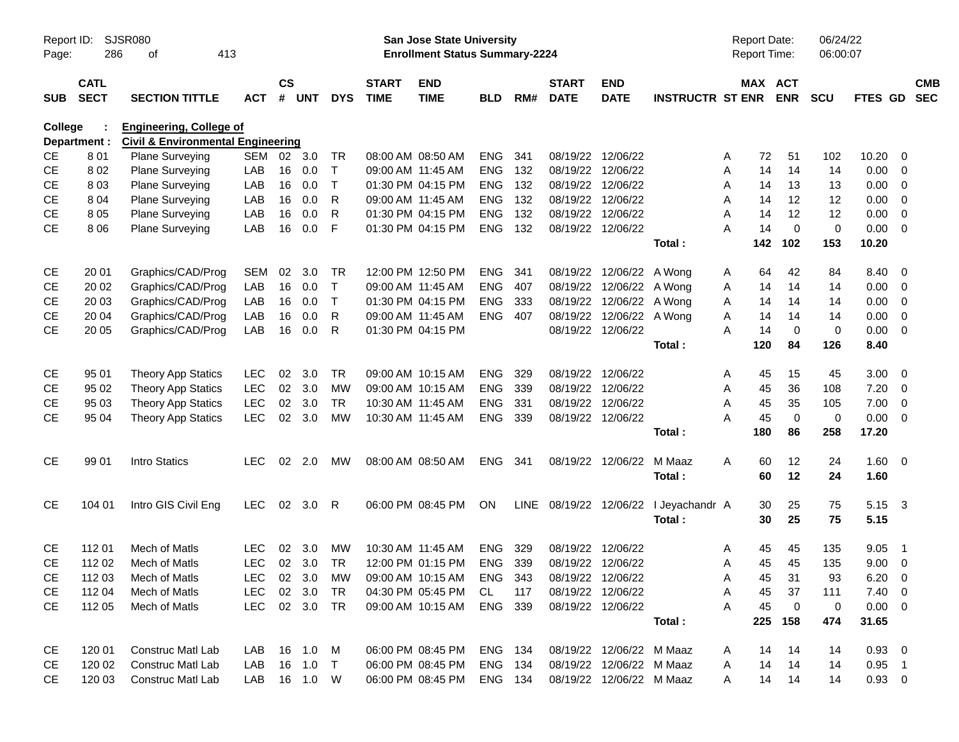| Report ID:<br>Page: | 286                        | SJSR080<br>413<br>οf                                                           | San Jose State University<br><b>Enrollment Status Summary-2224</b> |                    |                |              |                             |                           |                |     |                             |                           | Report Date:<br><b>Report Time:</b> |         | 06/24/22<br>06:00:07  |             |                |                         |                          |
|---------------------|----------------------------|--------------------------------------------------------------------------------|--------------------------------------------------------------------|--------------------|----------------|--------------|-----------------------------|---------------------------|----------------|-----|-----------------------------|---------------------------|-------------------------------------|---------|-----------------------|-------------|----------------|-------------------------|--------------------------|
| <b>SUB</b>          | <b>CATL</b><br><b>SECT</b> | <b>SECTION TITTLE</b>                                                          | <b>ACT</b>                                                         | $\mathsf{cs}$<br># | <b>UNT</b>     | <b>DYS</b>   | <b>START</b><br><b>TIME</b> | <b>END</b><br><b>TIME</b> | <b>BLD</b>     | RM# | <b>START</b><br><b>DATE</b> | <b>END</b><br><b>DATE</b> | <b>INSTRUCTR ST ENR</b>             |         | MAX ACT<br><b>ENR</b> | <b>SCU</b>  | FTES GD        |                         | <b>CMB</b><br><b>SEC</b> |
| College             | Department :               | <b>Engineering, College of</b><br><b>Civil &amp; Environmental Engineering</b> |                                                                    |                    |                |              |                             |                           |                |     |                             |                           |                                     |         |                       |             |                |                         |                          |
| CE                  | 801                        | Plane Surveying                                                                | SEM                                                                | 02                 | 3.0            | TR           |                             | 08:00 AM 08:50 AM         | <b>ENG</b>     | 341 |                             | 08/19/22 12/06/22         |                                     | 72<br>A | 51                    | 102         | 10.20          | - 0                     |                          |
| <b>CE</b>           | 802                        | Plane Surveying                                                                | LAB                                                                | 16                 | 0.0            | T            |                             | 09:00 AM 11:45 AM         | <b>ENG</b>     | 132 |                             | 08/19/22 12/06/22         |                                     | 14<br>A | 14                    | 14          | 0.00           | $\overline{0}$          |                          |
| <b>CE</b>           | 803                        | Plane Surveying                                                                | LAB                                                                | 16                 | 0.0            | $\mathsf{T}$ |                             | 01:30 PM 04:15 PM         | <b>ENG</b>     | 132 |                             | 08/19/22 12/06/22         |                                     | 14<br>A | 13                    | 13          | 0.00           | $\overline{0}$          |                          |
| <b>CE</b>           | 8 0 4                      | Plane Surveying                                                                | LAB                                                                | 16                 | 0.0            | R            |                             | 09:00 AM 11:45 AM         | <b>ENG</b>     | 132 |                             | 08/19/22 12/06/22         |                                     | 14<br>A | 12                    | 12          | 0.00           | $\overline{0}$          |                          |
| <b>CE</b>           | 805                        | <b>Plane Surveying</b>                                                         | LAB                                                                | 16                 | 0.0            | R            |                             | 01:30 PM 04:15 PM         | <b>ENG</b>     | 132 |                             | 08/19/22 12/06/22         |                                     | 14<br>A | 12                    | 12          | 0.00           | $\overline{0}$          |                          |
| <b>CE</b>           | 8 0 6                      | <b>Plane Surveying</b>                                                         | LAB                                                                | 16                 | 0.0            | F            |                             | 01:30 PM 04:15 PM         | <b>ENG</b>     | 132 |                             | 08/19/22 12/06/22         |                                     | 14<br>A | $\Omega$              | $\mathbf 0$ | 0.00           | $\overline{0}$          |                          |
|                     |                            |                                                                                |                                                                    |                    |                |              |                             |                           |                |     |                             |                           | Total:                              | 142     | 102                   | 153         | 10.20          |                         |                          |
| <b>CE</b>           | 20 01                      | Graphics/CAD/Prog                                                              | <b>SEM</b>                                                         | 02                 | 3.0            | TR           |                             | 12:00 PM 12:50 PM         | <b>ENG</b>     | 341 |                             | 08/19/22 12/06/22         | A Wong                              | 64<br>A | 42                    | 84          | 8.40           | - 0                     |                          |
| <b>CE</b>           | 20 02                      | Graphics/CAD/Prog                                                              | LAB                                                                | 16                 | 0.0            | $\mathsf{T}$ |                             | 09:00 AM 11:45 AM         | <b>ENG</b>     | 407 |                             | 08/19/22 12/06/22         | A Wong                              | 14<br>A | 14                    | 14          | 0.00           | $\overline{0}$          |                          |
| <b>CE</b>           | 20 03                      | Graphics/CAD/Prog                                                              | LAB                                                                | 16                 | 0.0            | $\mathsf{T}$ |                             | 01:30 PM 04:15 PM         | <b>ENG</b>     | 333 |                             | 08/19/22 12/06/22         | A Wong                              | 14<br>A | 14                    | 14          | 0.00           | $\overline{0}$          |                          |
| <b>CE</b>           | 20 04                      | Graphics/CAD/Prog                                                              | LAB                                                                | 16                 | 0.0            | R            |                             | 09:00 AM 11:45 AM         | <b>ENG</b>     | 407 |                             | 08/19/22 12/06/22 A Wong  |                                     | 14<br>A | 14                    | 14          | 0.00           | $\overline{0}$          |                          |
| <b>CE</b>           | 20 05                      | Graphics/CAD/Prog                                                              | LAB                                                                | 16                 | 0.0            | R            |                             | 01:30 PM 04:15 PM         |                |     |                             | 08/19/22 12/06/22         |                                     | 14<br>А | $\mathbf 0$           | $\mathbf 0$ | 0.00           | $\overline{0}$          |                          |
|                     |                            |                                                                                |                                                                    |                    |                |              |                             |                           |                |     |                             |                           | Total:                              | 120     | 84                    | 126         | 8.40           |                         |                          |
| <b>CE</b>           | 95 01                      | <b>Theory App Statics</b>                                                      | <b>LEC</b>                                                         | 02                 | 3.0            | <b>TR</b>    |                             | 09:00 AM 10:15 AM         | <b>ENG</b>     | 329 |                             | 08/19/22 12/06/22         |                                     | 45<br>A | 15                    | 45          | 3.00           | $\overline{0}$          |                          |
| <b>CE</b>           | 95 02                      | <b>Theory App Statics</b>                                                      | <b>LEC</b>                                                         | $02\,$             | 3.0            | <b>MW</b>    |                             | 09:00 AM 10:15 AM         | <b>ENG</b>     | 339 |                             | 08/19/22 12/06/22         |                                     | 45<br>A | 36                    | 108         | 7.20           | $\overline{0}$          |                          |
| <b>CE</b>           | 95 03                      | <b>Theory App Statics</b>                                                      | <b>LEC</b>                                                         | 02                 | 3.0            | <b>TR</b>    |                             | 10:30 AM 11:45 AM         | <b>ENG</b>     | 331 |                             | 08/19/22 12/06/22         |                                     | A<br>45 | 35                    | 105         | 7.00           | $\overline{0}$          |                          |
| <b>CE</b>           | 95 04                      | <b>Theory App Statics</b>                                                      | <b>LEC</b>                                                         | 02                 | 3.0            | <b>MW</b>    |                             | 10:30 AM 11:45 AM         | <b>ENG</b>     | 339 |                             | 08/19/22 12/06/22         |                                     | 45<br>A | $\mathbf 0$           | $\mathbf 0$ | 0.00           | $\overline{\mathbf{0}}$ |                          |
|                     |                            |                                                                                |                                                                    |                    |                |              |                             |                           |                |     |                             |                           | Total:                              | 180     | 86                    | 258         | 17.20          |                         |                          |
| <b>CE</b>           | 99 01                      | Intro Statics                                                                  | <b>LEC</b>                                                         |                    | $02 \quad 2.0$ | МW           |                             | 08:00 AM 08:50 AM         | ENG            | 341 |                             | 08/19/22 12/06/22         | M Maaz                              | 60<br>A | 12                    | 24          | $1.60 \t 0$    |                         |                          |
|                     |                            |                                                                                |                                                                    |                    |                |              |                             |                           |                |     |                             |                           | Total:                              | 60      | 12                    | 24          | 1.60           |                         |                          |
| <b>CE</b>           | 104 01                     | Intro GIS Civil Eng                                                            | <b>LEC</b>                                                         |                    | 02 3.0         | R            |                             | 06:00 PM 08:45 PM         | <b>ON</b>      |     | LINE 08/19/22 12/06/22      |                           | I Jeyachandr A                      | 30      | 25                    | 75          | 5.15 3         |                         |                          |
|                     |                            |                                                                                |                                                                    |                    |                |              |                             |                           |                |     |                             |                           | Total:                              | 30      | 25                    | 75          | 5.15           |                         |                          |
| <b>CE</b>           | 112 01                     | Mech of Matls                                                                  | <b>LEC</b>                                                         | 02                 | 3.0            | MW           |                             | 10:30 AM 11:45 AM         | <b>ENG</b>     | 329 |                             | 08/19/22 12/06/22         |                                     | 45<br>A | 45                    | 135         | 9.05           | $\overline{1}$          |                          |
| <b>CE</b>           | 112 02                     | Mech of Matls                                                                  | <b>LEC</b>                                                         |                    | 02 3.0         | <b>TR</b>    |                             | 12:00 PM 01:15 PM         | <b>ENG</b>     | 339 |                             | 08/19/22 12/06/22         |                                     | 45<br>A | 45                    | 135         | 9.00           | $\overline{0}$          |                          |
| CE                  | 112 03                     | Mech of Matls                                                                  | <b>LEC</b>                                                         |                    | 02 3.0         | <b>MW</b>    |                             | 09:00 AM 10:15 AM         | ENG            | 343 |                             | 08/19/22 12/06/22         |                                     | Α       | 45<br>31              | 93          | $6.20 \ 0$     |                         |                          |
| CE                  | 112 04                     | Mech of Matls                                                                  | LEC-                                                               |                    | 02 3.0         | TR.          |                             | 04:30 PM 05:45 PM         | CL.            | 117 |                             | 08/19/22 12/06/22         |                                     | 45<br>Α | 37                    | 111         | $7.40 \quad 0$ |                         |                          |
| <b>CE</b>           | 112 05                     | Mech of Matls                                                                  | LEC                                                                |                    | 02 3.0 TR      |              |                             | 09:00 AM 10:15 AM         | ENG 339        |     |                             | 08/19/22 12/06/22         |                                     | A<br>45 | $\mathbf 0$           | $\pmb{0}$   | $0.00 \t 0$    |                         |                          |
|                     |                            |                                                                                |                                                                    |                    |                |              |                             |                           |                |     |                             |                           | Total:                              |         | 225 158               | 474         | 31.65          |                         |                          |
| CE                  | 120 01                     | Construc Matl Lab                                                              | LAB                                                                |                    | 16  1.0  M     |              |                             | 06:00 PM 08:45 PM         | ENG 134        |     |                             | 08/19/22 12/06/22 M Maaz  |                                     | 14<br>A | 14                    | 14          | $0.93 \quad 0$ |                         |                          |
| CE                  | 120 02                     | <b>Construc Matl Lab</b>                                                       | LAB                                                                |                    | 16 1.0         | $\top$       |                             | 06:00 PM 08:45 PM         | ENG 134        |     |                             | 08/19/22 12/06/22 M Maaz  |                                     | 14<br>A | 14                    | 14          | $0.95$ 1       |                         |                          |
| CE                  | 120 03                     | Construc Matl Lab                                                              | LAB                                                                |                    | 16  1.0  W     |              |                             | 06:00 PM 08:45 PM         | <b>ENG 134</b> |     |                             | 08/19/22 12/06/22 M Maaz  |                                     | A       | 14 14                 | 14          | $0.93 \quad 0$ |                         |                          |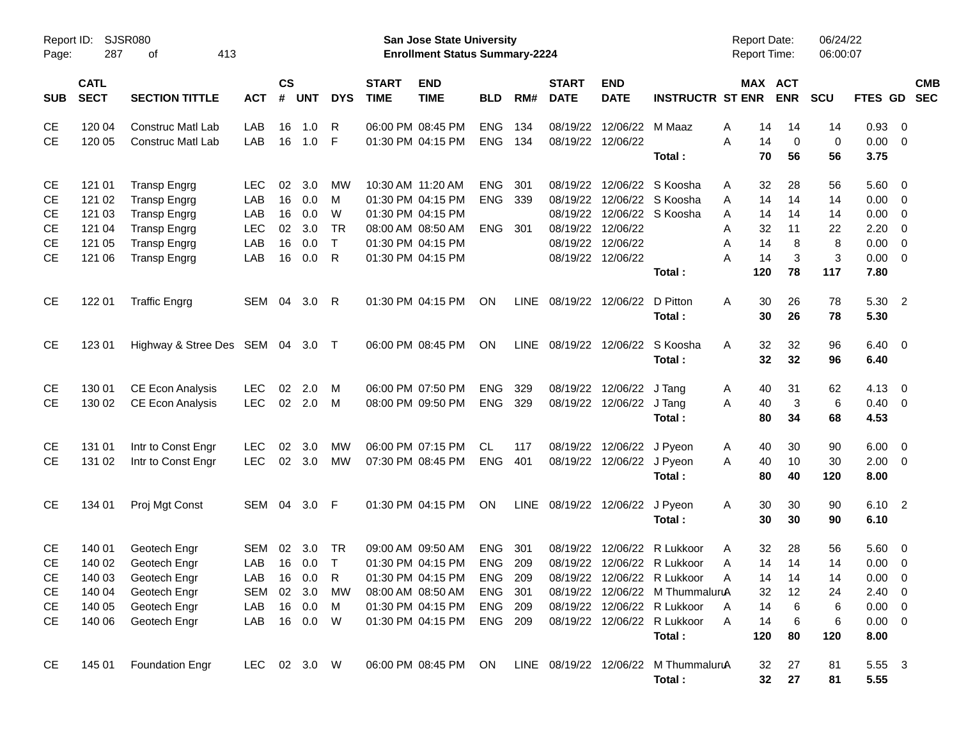| SJSR080<br>Report ID:<br>287<br>413<br>Page:<br>οf |                            |                            |              |                    |            |              |                             | San Jose State University<br><b>Enrollment Status Summary-2224</b> |            |             | <b>Report Date:</b><br><b>Report Time:</b> |                           | 06/24/22<br>06:00:07                                      |               |                       |            |                    |                         |                          |
|----------------------------------------------------|----------------------------|----------------------------|--------------|--------------------|------------|--------------|-----------------------------|--------------------------------------------------------------------|------------|-------------|--------------------------------------------|---------------------------|-----------------------------------------------------------|---------------|-----------------------|------------|--------------------|-------------------------|--------------------------|
| <b>SUB</b>                                         | <b>CATL</b><br><b>SECT</b> | <b>SECTION TITTLE</b>      | <b>ACT</b>   | $\mathsf{cs}$<br># | <b>UNT</b> | <b>DYS</b>   | <b>START</b><br><b>TIME</b> | <b>END</b><br><b>TIME</b>                                          | <b>BLD</b> | RM#         | <b>START</b><br><b>DATE</b>                | <b>END</b><br><b>DATE</b> | <b>INSTRUCTR ST ENR</b>                                   |               | MAX ACT<br><b>ENR</b> | <b>SCU</b> | FTES GD            |                         | <b>CMB</b><br><b>SEC</b> |
| <b>CE</b>                                          | 120 04                     | <b>Construc Matl Lab</b>   | LAB          | 16                 | 1.0        | R            |                             | 06:00 PM 08:45 PM                                                  | <b>ENG</b> | 134         | 08/19/22                                   | 12/06/22                  | M Maaz                                                    | Α<br>14       | 14                    | 14         | 0.93               | $\overline{\mathbf{0}}$ |                          |
| <b>CE</b>                                          | 120 05                     | <b>Construc Matl Lab</b>   | LAB          | 16                 | 1.0        | - F          |                             | 01:30 PM 04:15 PM                                                  | <b>ENG</b> | 134         |                                            | 08/19/22 12/06/22         | Total:                                                    | A<br>14<br>70 | 0<br>56               | 0<br>56    | 0.00<br>3.75       | $\overline{0}$          |                          |
| <b>CE</b>                                          | 121 01                     | <b>Transp Engrg</b>        | <b>LEC</b>   | 02                 | 3.0        | МW           |                             | 10:30 AM 11:20 AM                                                  | <b>ENG</b> | 301         | 08/19/22                                   |                           | 12/06/22 S Koosha                                         | 32<br>A       | 28                    | 56         | 5.60               | $\overline{\mathbf{0}}$ |                          |
| <b>CE</b>                                          | 121 02                     | <b>Transp Engrg</b>        | LAB          | 16                 | 0.0        | М            |                             | 01:30 PM 04:15 PM                                                  | <b>ENG</b> | 339         | 08/19/22                                   |                           | 12/06/22 S Koosha                                         | Α<br>14       | 14                    | 14         | 0.00               | 0                       |                          |
| <b>CE</b>                                          | 121 03                     | <b>Transp Engrg</b>        | LAB          | 16                 | 0.0        | W            |                             | 01:30 PM 04:15 PM                                                  |            |             |                                            |                           | 08/19/22 12/06/22 S Koosha                                | Α<br>14       | 14                    | 14         | 0.00               | 0                       |                          |
| <b>CE</b>                                          | 121 04                     | <b>Transp Engrg</b>        | LEC          | 02                 | 3.0        | <b>TR</b>    |                             | 08:00 AM 08:50 AM                                                  | <b>ENG</b> | 301         |                                            | 08/19/22 12/06/22         |                                                           | Α<br>32       | 11                    | 22         | 2.20               | 0                       |                          |
| <b>CE</b>                                          | 121 05                     | <b>Transp Engrg</b>        | LAB          | 16                 | 0.0        | $\top$       |                             | 01:30 PM 04:15 PM                                                  |            |             | 08/19/22                                   | 12/06/22                  |                                                           | Α<br>14       | 8                     | 8          | 0.00               | 0                       |                          |
| <b>CE</b>                                          | 121 06                     | <b>Transp Engrg</b>        | LAB          | 16                 | 0.0        | $\mathsf{R}$ |                             | 01:30 PM 04:15 PM                                                  |            |             |                                            | 08/19/22 12/06/22         |                                                           | A<br>14       | 3                     | 3          | 0.00               | $\overline{0}$          |                          |
|                                                    |                            |                            |              |                    |            |              |                             |                                                                    |            |             |                                            |                           | Total:                                                    | 120           | 78                    | 117        | 7.80               |                         |                          |
| <b>CE</b>                                          | 122 01                     | <b>Traffic Engrg</b>       | SEM          | 04                 | 3.0        | -R           |                             | 01:30 PM 04:15 PM                                                  | ON         | <b>LINE</b> | 08/19/22                                   | 12/06/22                  | D Pitton<br>Total:                                        | Α<br>30<br>30 | 26<br>26              | 78<br>78   | 5.30 2<br>5.30     |                         |                          |
| <b>CE</b>                                          | 123 01                     | Highway & Stree Des SEM 04 |              |                    | 3.0 T      |              |                             | 06:00 PM 08:45 PM                                                  | ON         | <b>LINE</b> |                                            | 08/19/22 12/06/22         | S Koosha                                                  | 32<br>Α       | 32                    | 96         | $6.40 \quad 0$     |                         |                          |
|                                                    |                            |                            |              |                    |            |              |                             |                                                                    |            |             |                                            |                           | Total:                                                    | 32            | 32                    | 96         | 6.40               |                         |                          |
| <b>CE</b>                                          | 130 01                     | <b>CE Econ Analysis</b>    | <b>LEC</b>   | 02                 | 2.0        | M            |                             | 06:00 PM 07:50 PM                                                  | <b>ENG</b> | 329         | 08/19/22                                   | 12/06/22                  | J Tang                                                    | 40<br>A       | 31                    | 62         | 4.13               | $\overline{0}$          |                          |
| <b>CE</b>                                          | 130 02                     | <b>CE Econ Analysis</b>    | <b>LEC</b>   | 02 <sub>o</sub>    | 2.0        | M            |                             | 08:00 PM 09:50 PM                                                  | <b>ENG</b> | 329         |                                            | 08/19/22 12/06/22         | J Tang<br>Total:                                          | 40<br>Α<br>80 | 3<br>34               | 6<br>68    | $0.40 \ 0$<br>4.53 |                         |                          |
| <b>CE</b>                                          | 131 01                     | Intr to Const Engr         | <b>LEC</b>   | 02                 | 3.0        | МW           |                             | 06:00 PM 07:15 PM                                                  | <b>CL</b>  | 117         | 08/19/22                                   | 12/06/22                  | J Pyeon                                                   | 40<br>A       | 30                    | 90         | 6.00               | $\overline{\mathbf{0}}$ |                          |
| <b>CE</b>                                          | 131 02                     | Intr to Const Engr         | <b>LEC</b>   |                    | 02 3.0     | MW           |                             | 07:30 PM 08:45 PM                                                  | <b>ENG</b> | 401         |                                            | 08/19/22 12/06/22 J Pyeon |                                                           | 40<br>Α       | 10                    | 30         | 2.00               | 0                       |                          |
|                                                    |                            |                            |              |                    |            |              |                             |                                                                    |            |             |                                            |                           | Total:                                                    | 80            | 40                    | 120        | 8.00               |                         |                          |
| <b>CE</b>                                          | 134 01                     | Proj Mgt Const             | SEM          | 04                 | $3.0$ F    |              |                             | 01:30 PM 04:15 PM                                                  | ON         | <b>LINE</b> |                                            | 08/19/22 12/06/22         | J Pyeon<br>Total:                                         | 30<br>Α<br>30 | 30<br>30              | 90<br>90   | 6.10 2<br>6.10     |                         |                          |
|                                                    |                            |                            |              |                    |            |              |                             |                                                                    |            |             |                                            |                           |                                                           |               |                       |            |                    |                         |                          |
| <b>CE</b>                                          | 140 01                     | Geotech Engr               | SEM          | 02                 | 3.0        | TR           |                             | 09:00 AM 09:50 AM                                                  | <b>ENG</b> | 301         | 08/19/22                                   | 12/06/22                  | R Lukkoor                                                 | Α<br>32       | 28                    | 56         | 5.60               | $\overline{\mathbf{0}}$ |                          |
| <b>CE</b>                                          | 140 02                     | Geotech Engr               | LAB          | 16                 | 0.0        | $\top$       |                             | 01:30 PM 04:15 PM                                                  | <b>ENG</b> | 209         |                                            |                           | 08/19/22 12/06/22 R Lukkoor                               | 14<br>Α       | 14                    | 14         | 0.00               | 0                       |                          |
| CE                                                 | 140 03                     | Geotech Engr               | LAB          |                    | 16  0.0    | R            |                             | 01:30 PM 04:15 PM                                                  | ENG 209    |             |                                            |                           | 08/19/22 12/06/22 R Lukkoor                               | 14<br>A       | 14                    | 14         | $0.00 \t 0$        |                         |                          |
| CЕ                                                 | 140 04                     | Geotech Engr               | SEM 02 3.0   |                    |            | MW           |                             | 08:00 AM 08:50 AM                                                  | ENG 301    |             |                                            |                           | 08/19/22 12/06/22 M ThummaluruA                           | 32            | 12                    | 24         | $2.40 \ 0$         |                         |                          |
| CE                                                 | 140 05                     | Geotech Engr               | LAB          |                    | 16 0.0     | <b>M</b>     |                             | 01:30 PM 04:15 PM                                                  | ENG 209    |             |                                            |                           | 08/19/22 12/06/22 R Lukkoor                               | 14<br>A       | 6                     | 6          | $0.00 \t 0$        |                         |                          |
| <b>CE</b>                                          | 140 06                     | Geotech Engr               | LAB          |                    | 16  0.0  W |              |                             | 01:30 PM 04:15 PM                                                  | ENG 209    |             |                                            |                           | 08/19/22 12/06/22 R Lukkoor                               | A<br>14       | 6                     | 6          | $0.00 \t 0$        |                         |                          |
|                                                    |                            |                            |              |                    |            |              |                             |                                                                    |            |             |                                            |                           | Total:                                                    | 120           | 80                    | 120        | 8.00               |                         |                          |
| CE                                                 | 145 01                     | <b>Foundation Engr</b>     | LEC 02 3.0 W |                    |            |              |                             |                                                                    |            |             |                                            |                           | 06:00 PM 08:45 PM ON LINE 08/19/22 12/06/22 M ThummaluruA | 32            | 27                    | 81         | 5.55 3             |                         |                          |
|                                                    |                            |                            |              |                    |            |              |                             |                                                                    |            |             |                                            |                           | Total:                                                    | 32            | 27                    | 81         | 5.55               |                         |                          |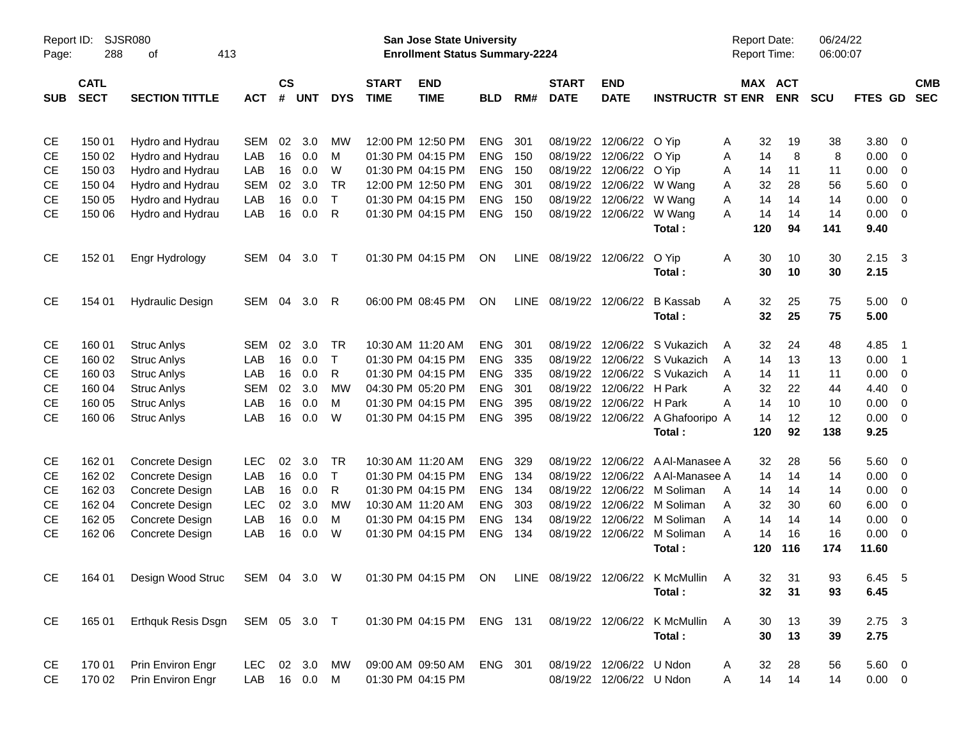| <b>SJSR080</b><br>Report ID:<br>288<br>413<br>Page:<br>οf |                            |                                                                                                   |               |                |            |              |                             | San Jose State University<br><b>Enrollment Status Summary-2224</b> |            |     | Report Date:                | <b>Report Time:</b>       | 06/24/22<br>06:00:07                  |        |           |                       |            |                |                         |                          |
|-----------------------------------------------------------|----------------------------|---------------------------------------------------------------------------------------------------|---------------|----------------|------------|--------------|-----------------------------|--------------------------------------------------------------------|------------|-----|-----------------------------|---------------------------|---------------------------------------|--------|-----------|-----------------------|------------|----------------|-------------------------|--------------------------|
| <b>SUB</b>                                                | <b>CATL</b><br><b>SECT</b> | <b>SECTION TITTLE</b>                                                                             | <b>ACT</b>    | <b>CS</b><br># | <b>UNT</b> | <b>DYS</b>   | <b>START</b><br><b>TIME</b> | <b>END</b><br><b>TIME</b>                                          | <b>BLD</b> | RM# | <b>START</b><br><b>DATE</b> | <b>END</b><br><b>DATE</b> | <b>INSTRUCTR ST ENR</b>               |        |           | MAX ACT<br><b>ENR</b> | <b>SCU</b> | <b>FTES GD</b> |                         | <b>CMB</b><br><b>SEC</b> |
| <b>CE</b>                                                 |                            |                                                                                                   | <b>SEM</b>    | 02             | 3.0        | МW           |                             | 12:00 PM 12:50 PM                                                  | <b>ENG</b> | 301 |                             | 08/19/22 12/06/22         | O Yip                                 |        | 32        |                       |            | 3.80           | - 0                     |                          |
| <b>CE</b>                                                 | 150 01<br>150 02           | Hydro and Hydrau<br>Hydro and Hydrau                                                              | LAB           | 16             | 0.0        | M            |                             | 01:30 PM 04:15 PM                                                  | <b>ENG</b> | 150 |                             | 08/19/22 12/06/22         | O Yip                                 | A<br>A | 14        | 19<br>8               | 38<br>8    | 0.00           | $\overline{0}$          |                          |
| <b>CE</b>                                                 | 150 03                     | Hydro and Hydrau                                                                                  | LAB           | 16             | 0.0        | W            |                             | 01:30 PM 04:15 PM                                                  | <b>ENG</b> | 150 |                             | 08/19/22 12/06/22         | O Yip                                 | Α      | 14        | 11                    | 11         | 0.00           | 0                       |                          |
| <b>CE</b>                                                 | 150 04                     | Hydro and Hydrau                                                                                  | <b>SEM</b>    | 02             | 3.0        | <b>TR</b>    |                             | 12:00 PM 12:50 PM                                                  | <b>ENG</b> | 301 |                             | 08/19/22 12/06/22         | W Wang                                | Α      | 32        | 28                    | 56         | 5.60           | 0                       |                          |
| <b>CE</b>                                                 | 150 05                     | Hydro and Hydrau                                                                                  | LAB           | 16             | 0.0        | $\mathsf{T}$ |                             | 01:30 PM 04:15 PM                                                  | <b>ENG</b> | 150 |                             | 08/19/22 12/06/22         | W Wang                                | A      | 14        | 14                    | 14         | 0.00           | $\overline{0}$          |                          |
| <b>CE</b>                                                 | 150 06                     | Hydro and Hydrau                                                                                  | LAB           | 16             | 0.0        | R            |                             | 01:30 PM 04:15 PM                                                  | <b>ENG</b> | 150 |                             | 08/19/22 12/06/22         | W Wang                                | A      | 14        | 14                    | 14         | 0.00           | 0                       |                          |
|                                                           |                            |                                                                                                   |               |                |            |              |                             |                                                                    |            |     |                             |                           | Total:                                |        | 120       | 94                    | 141        | 9.40           |                         |                          |
| CE                                                        | 152 01                     | Engr Hydrology                                                                                    | SEM           | 04             | 3.0        | $\top$       |                             | 01:30 PM 04:15 PM                                                  | ON         |     | LINE 08/19/22 12/06/22      |                           | O Yip<br>Total:                       | A      | 30<br>30  | 10<br>10              | 30<br>30   | 2.15<br>2.15   | $\overline{\mathbf{3}}$ |                          |
| CE                                                        | 154 01                     | <b>Hydraulic Design</b>                                                                           | SEM           | 04             | 3.0        | R            |                             | 06:00 PM 08:45 PM                                                  | ON         |     | LINE 08/19/22 12/06/22      |                           | <b>B</b> Kassab                       | A      | 32        | 25                    | 75         | 5.00           | $\overline{\mathbf{0}}$ |                          |
|                                                           |                            |                                                                                                   |               |                |            |              |                             |                                                                    |            |     |                             |                           | Total:                                |        | 32        | 25                    | 75         | 5.00           |                         |                          |
| <b>CE</b>                                                 | 160 01                     | <b>Struc Anlys</b>                                                                                | SEM           | 02             | 3.0        | <b>TR</b>    |                             | 10:30 AM 11:20 AM                                                  | <b>ENG</b> | 301 |                             |                           | 08/19/22 12/06/22 S Vukazich          | A      | 32        | 24                    | 48         | 4.85           | - 1                     |                          |
| <b>CE</b>                                                 | 160 02                     | <b>Struc Anlys</b>                                                                                | LAB           | 16             | 0.0        | $\mathsf{T}$ |                             | 01:30 PM 04:15 PM                                                  | ENG        | 335 |                             |                           | 08/19/22 12/06/22 S Vukazich          | A      | 14        | 13                    | 13         | 0.00           | $\overline{1}$          |                          |
| <b>CE</b>                                                 | 160 03                     | <b>Struc Anlys</b>                                                                                | LAB           | 16             | 0.0        | R            |                             | 01:30 PM 04:15 PM                                                  | <b>ENG</b> | 335 |                             |                           | 08/19/22 12/06/22 S Vukazich          | A      | 14        | 11                    | 11         | 0.00           | 0                       |                          |
| <b>CE</b>                                                 | 160 04                     | <b>Struc Anlys</b>                                                                                | <b>SEM</b>    | 02             | 3.0        | <b>MW</b>    |                             | 04:30 PM 05:20 PM                                                  | <b>ENG</b> | 301 |                             | 08/19/22 12/06/22 H Park  |                                       | A      | 32        | 22                    | 44         | 4.40           | $\overline{0}$          |                          |
| <b>CE</b>                                                 | 160 05                     | <b>Struc Anlys</b>                                                                                | LAB           | 16             | 0.0        | M            |                             | 01:30 PM 04:15 PM                                                  | <b>ENG</b> | 395 |                             | 08/19/22 12/06/22 H Park  |                                       | А      | 14        | 10                    | 10         | 0.00           | $\overline{0}$          |                          |
| <b>CE</b>                                                 | 160 06                     | <b>Struc Anlys</b>                                                                                | LAB           | 16             | 0.0        | W            |                             | 01:30 PM 04:15 PM                                                  | ENG        | 395 |                             |                           | 08/19/22 12/06/22 A Ghafooripo A      |        | 14        | 12                    | 12         | 0.00           | 0                       |                          |
|                                                           |                            |                                                                                                   |               |                |            |              |                             |                                                                    |            |     |                             |                           | Total:                                |        | 120       | 92                    | 138        | 9.25           |                         |                          |
| <b>CE</b>                                                 | 162 01                     | Concrete Design                                                                                   | <b>LEC</b>    | 02             | 3.0        | <b>TR</b>    |                             | 10:30 AM 11:20 AM                                                  | <b>ENG</b> | 329 |                             |                           | 08/19/22 12/06/22 A Al-Manasee A      |        | 32        | 28                    | 56         | 5.60           | 0                       |                          |
| <b>CE</b>                                                 | 162 02                     | Concrete Design                                                                                   | LAB           | 16             | 0.0        | $\top$       |                             | 01:30 PM 04:15 PM                                                  | <b>ENG</b> | 134 |                             |                           | 08/19/22 12/06/22 A Al-Manasee A      |        | 14        | 14                    | 14         | 0.00           | 0                       |                          |
| <b>CE</b>                                                 | 162 03                     | Concrete Design                                                                                   | LAB           | 16             | 0.0        | R            |                             | 01:30 PM 04:15 PM                                                  | <b>ENG</b> | 134 |                             | 08/19/22 12/06/22         | M Soliman                             | A      | 14        | 14                    | 14         | 0.00           | 0                       |                          |
| <b>CE</b>                                                 | 162 04                     | Concrete Design                                                                                   | <b>LEC</b>    | 02             | 3.0        | <b>MW</b>    |                             | 10:30 AM 11:20 AM                                                  | <b>ENG</b> | 303 |                             |                           | 08/19/22 12/06/22 M Soliman           | A      | 32        | 30                    | 60         | 6.00           | 0                       |                          |
| <b>CE</b>                                                 | 162 05                     | Concrete Design                                                                                   | LAB           | 16             | 0.0        | M            |                             | 01:30 PM 04:15 PM                                                  | <b>ENG</b> | 134 |                             |                           | 08/19/22 12/06/22 M Soliman           | A      | 14        | 14                    | 14         | 0.00           | 0                       |                          |
| <b>CE</b>                                                 | 162 06                     | Concrete Design                                                                                   | LAB           | 16             | 0.0        | W            |                             | 01:30 PM 04:15 PM                                                  | <b>ENG</b> | 134 |                             |                           | 08/19/22 12/06/22 M Soliman<br>Total: | A      | 14<br>120 | 16<br>116             | 16<br>174  | 0.00<br>11.60  | $\overline{\mathbf{0}}$ |                          |
|                                                           |                            | CE 164 01 Design Wood Struc SEM 04 3.0 W 01:30 PM 04:15 PM ON LINE 08/19/22 12/06/22 K McMullin A |               |                |            |              |                             |                                                                    |            |     |                             |                           |                                       |        | 32        | 31                    | 93         | 6.45 5         |                         |                          |
|                                                           |                            |                                                                                                   |               |                |            |              |                             |                                                                    |            |     |                             |                           | Total:                                |        | 32        | 31                    | 93         | 6.45           |                         |                          |
| CE                                                        | 165 01                     | Erthquk Resis Dsgn SEM 05 3.0 T                                                                   |               |                |            |              |                             | 01:30 PM 04:15 PM ENG 131                                          |            |     |                             |                           | 08/19/22 12/06/22 K McMullin          | A      | 30        | 13                    | 39         | $2.75$ 3       |                         |                          |
|                                                           |                            |                                                                                                   |               |                |            |              |                             |                                                                    |            |     |                             |                           | Total:                                |        | 30        | 13                    | 39         | 2.75           |                         |                          |
| CE                                                        | 170 01                     | Prin Environ Engr                                                                                 | LEC 02 3.0 MW |                |            |              |                             | 09:00 AM 09:50 AM                                                  | ENG 301    |     |                             | 08/19/22 12/06/22 U Ndon  |                                       | A      | 32        | 28                    | 56         | $5.60 \t 0$    |                         |                          |
| <b>CE</b>                                                 | 170 02                     | Prin Environ Engr                                                                                 | LAB 16 0.0 M  |                |            |              |                             | 01:30 PM 04:15 PM                                                  |            |     |                             | 08/19/22 12/06/22 U Ndon  |                                       | Α      |           | 14 14                 | 14         | $0.00 \t 0$    |                         |                          |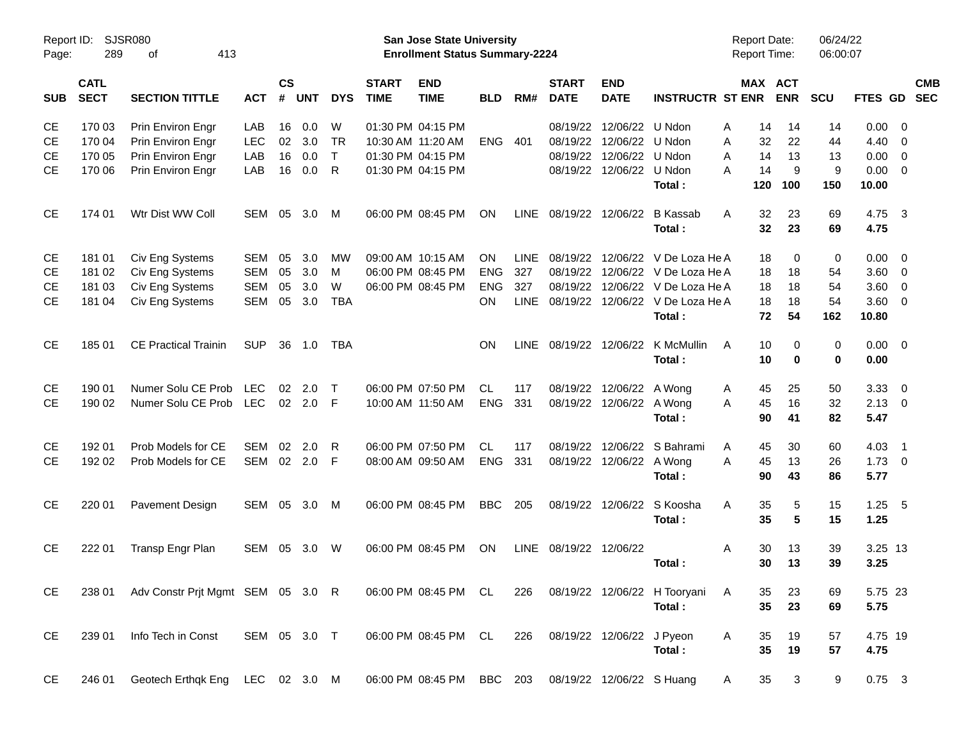| Page:      | SJSR080<br>Report ID:<br>289<br>413<br>οf |                                          |              |                    |            |              |                             | <b>San Jose State University</b><br><b>Enrollment Status Summary-2224</b> |            |             |                             |                           |                                                         | <b>Report Date:</b><br><b>Report Time:</b> |                              | 06/24/22<br>06:00:07 |                |                          |                          |
|------------|-------------------------------------------|------------------------------------------|--------------|--------------------|------------|--------------|-----------------------------|---------------------------------------------------------------------------|------------|-------------|-----------------------------|---------------------------|---------------------------------------------------------|--------------------------------------------|------------------------------|----------------------|----------------|--------------------------|--------------------------|
| <b>SUB</b> | <b>CATL</b><br><b>SECT</b>                | <b>SECTION TITTLE</b>                    | <b>ACT</b>   | $\mathsf{cs}$<br># | <b>UNT</b> | <b>DYS</b>   | <b>START</b><br><b>TIME</b> | <b>END</b><br><b>TIME</b>                                                 | <b>BLD</b> | RM#         | <b>START</b><br><b>DATE</b> | <b>END</b><br><b>DATE</b> | <b>INSTRUCTR ST ENR</b>                                 |                                            | <b>MAX ACT</b><br><b>ENR</b> | <b>SCU</b>           | <b>FTES GD</b> |                          | <b>CMB</b><br><b>SEC</b> |
| СE         | 170 03                                    | Prin Environ Engr                        | LAB          | 16                 | 0.0        | W            |                             | 01:30 PM 04:15 PM                                                         |            |             | 08/19/22                    | 12/06/22 U Ndon           |                                                         | 14<br>Α                                    | 14                           | 14                   | $0.00 \t 0$    |                          |                          |
| СE         | 170 04                                    | Prin Environ Engr                        | <b>LEC</b>   | 02                 | 3.0        | <b>TR</b>    |                             | 10:30 AM 11:20 AM                                                         | <b>ENG</b> | 401         | 08/19/22                    | 12/06/22 U Ndon           |                                                         | 32<br>Α                                    | 22                           | 44                   | $4.40 \ 0$     |                          |                          |
| CЕ         | 170 05                                    | Prin Environ Engr                        | LAB          | 16                 | 0.0        | T            |                             | 01:30 PM 04:15 PM                                                         |            |             | 08/19/22                    | 12/06/22 U Ndon           |                                                         | 14<br>Α                                    | 13                           | 13                   | $0.00 \t 0$    |                          |                          |
| CЕ         | 170 06                                    | Prin Environ Engr                        | LAB          | 16                 | 0.0        | $\mathsf{R}$ |                             | 01:30 PM 04:15 PM                                                         |            |             |                             | 08/19/22 12/06/22 U Ndon  |                                                         | 14<br>A                                    | 9                            | 9                    | $0.00 \t 0$    |                          |                          |
|            |                                           |                                          |              |                    |            |              |                             |                                                                           |            |             |                             |                           | Total:                                                  | 120                                        | 100                          | 150                  | 10.00          |                          |                          |
| <b>CE</b>  | 174 01                                    | Wtr Dist WW Coll                         | SEM          | 05                 | 3.0        | M            |                             | 06:00 PM 08:45 PM                                                         | ΟN         | <b>LINE</b> | 08/19/22                    | 12/06/22                  | <b>B</b> Kassab                                         | 32<br>A                                    | 23                           | 69                   | 4.75           | $\overline{\mathbf{3}}$  |                          |
|            |                                           |                                          |              |                    |            |              |                             |                                                                           |            |             |                             |                           | Total:                                                  | 32                                         | 23                           | 69                   | 4.75           |                          |                          |
| <b>CE</b>  | 181 01                                    | Civ Eng Systems                          | SEM          | 05                 | 3.0        | МW           |                             | 09:00 AM 10:15 AM                                                         | <b>ON</b>  | LINE        | 08/19/22                    |                           | 12/06/22 V De Loza He A                                 | 18                                         | 0                            | 0                    | $0.00 \t 0$    |                          |                          |
| СE         | 181 02                                    | Civ Eng Systems                          | SEM          | 05                 | 3.0        | M            |                             | 06:00 PM 08:45 PM                                                         | <b>ENG</b> | 327         | 08/19/22                    |                           | 12/06/22 V De Loza He A                                 | 18                                         | 18                           | 54                   | 3.60 0         |                          |                          |
| CЕ         | 181 03                                    | Civ Eng Systems                          | <b>SEM</b>   | 05                 | 3.0        | W            |                             | 06:00 PM 08:45 PM                                                         | <b>ENG</b> | 327         | 08/19/22                    |                           | 12/06/22 V De Loza He A                                 | 18                                         | 18                           | 54                   | 3.60 0         |                          |                          |
| CЕ         | 181 04                                    | Civ Eng Systems                          | SEM          | 05                 | 3.0        | <b>TBA</b>   |                             |                                                                           | ON         | <b>LINE</b> |                             |                           | 08/19/22 12/06/22 V De Loza He A                        | 18                                         | 18                           | 54                   | 3.60 0         |                          |                          |
|            |                                           |                                          |              |                    |            |              |                             |                                                                           |            |             |                             |                           | Total:                                                  | 72                                         | 54                           | 162                  | 10.80          |                          |                          |
| <b>CE</b>  | 185 01                                    | <b>CE Practical Trainin</b>              | <b>SUP</b>   | 36                 | 1.0        | TBA          |                             |                                                                           | <b>ON</b>  | LINE        |                             |                           | 08/19/22 12/06/22 K McMullin                            | 10<br>A                                    | 0                            | $\mathbf 0$          | $0.00 \t 0$    |                          |                          |
|            |                                           |                                          |              |                    |            |              |                             |                                                                           |            |             |                             |                           | Total:                                                  | 10                                         | $\bf{0}$                     | 0                    | 0.00           |                          |                          |
| <b>CE</b>  | 190 01                                    | Numer Solu CE Prob                       | <b>LEC</b>   | 02                 | 2.0        | $\top$       |                             | 06:00 PM 07:50 PM                                                         | CL.        | 117         |                             | 08/19/22 12/06/22 A Wong  |                                                         | 45<br>A                                    | 25                           | 50                   | 3.33           | $\overline{\phantom{0}}$ |                          |
| <b>CE</b>  | 190 02                                    | Numer Solu CE Prob                       | LEC          |                    | 02 2.0     | -F           |                             | 10:00 AM 11:50 AM                                                         | <b>ENG</b> | 331         |                             | 08/19/22 12/06/22 A Wong  |                                                         | 45<br>A                                    | 16                           | 32                   | $2.13 \quad 0$ |                          |                          |
|            |                                           |                                          |              |                    |            |              |                             |                                                                           |            |             |                             |                           | Total:                                                  | 90                                         | 41                           | 82                   | 5.47           |                          |                          |
| <b>CE</b>  | 192 01                                    | Prob Models for CE                       | <b>SEM</b>   | 02                 | 2.0        | R            |                             | 06:00 PM 07:50 PM                                                         | CL.        | 117         | 08/19/22                    |                           | 12/06/22 S Bahrami                                      | 45<br>A                                    | 30                           | 60                   | $4.03$ 1       |                          |                          |
| CЕ         | 192 02                                    | Prob Models for CE                       | SEM          |                    | 02 2.0     | F            |                             | 08:00 AM 09:50 AM                                                         | <b>ENG</b> | 331         |                             | 08/19/22 12/06/22 A Wong  |                                                         | A<br>45                                    | 13                           | 26                   | $1.73 \t 0$    |                          |                          |
|            |                                           |                                          |              |                    |            |              |                             |                                                                           |            |             |                             |                           | Total:                                                  | 90                                         | 43                           | 86                   | 5.77           |                          |                          |
| <b>CE</b>  | 220 01                                    | Pavement Design                          | SEM          | 05                 | 3.0        | M            |                             | 06:00 PM 08:45 PM                                                         | <b>BBC</b> | 205         |                             | 08/19/22 12/06/22         | S Koosha                                                | 35<br>A                                    | 5                            | 15                   | 1.25           | $-5$                     |                          |
|            |                                           |                                          |              |                    |            |              |                             |                                                                           |            |             |                             |                           | Total:                                                  | 35                                         | 5                            | 15                   | 1.25           |                          |                          |
| <b>CE</b>  | 222 01                                    | Transp Engr Plan                         | SEM          | 05                 | -3.0       | W            |                             | 06:00 PM 08:45 PM                                                         | <b>ON</b>  |             | LINE 08/19/22 12/06/22      |                           |                                                         | Α<br>30                                    | 13                           | 39                   | 3.25 13        |                          |                          |
|            |                                           |                                          |              |                    |            |              |                             |                                                                           |            |             |                             |                           | Total:                                                  | 30                                         | 13                           | 39                   | 3.25           |                          |                          |
| CE         |                                           | 238 01 Adv Constr Prit Mgmt SEM 05 3.0 R |              |                    |            |              |                             |                                                                           |            |             |                             |                           | 06:00 PM 08:45 PM CL 226 08/19/22 12/06/22 H Tooryani A | 35                                         | 23                           | 69                   | 5.75 23        |                          |                          |
|            |                                           |                                          |              |                    |            |              |                             |                                                                           |            |             |                             |                           | Total:                                                  | 35                                         | 23                           | 69                   | 5.75           |                          |                          |
| CE         | 239 01                                    | Info Tech in Const                       | SEM 05 3.0 T |                    |            |              |                             | 06:00 PM 08:45 PM CL 226 08/19/22 12/06/22 J Pyeon                        |            |             |                             |                           |                                                         | 35<br>A                                    | 19                           | 57                   | 4.75 19        |                          |                          |
|            |                                           |                                          |              |                    |            |              |                             |                                                                           |            |             |                             |                           | Total:                                                  | 35                                         | 19                           | 57                   | 4.75           |                          |                          |
| <b>CE</b>  | 246 01                                    | Geotech Erthqk Eng LEC 02 3.0 M          |              |                    |            |              |                             | 06:00 PM 08:45 PM BBC 203 08/19/22 12/06/22 S Huang                       |            |             |                             |                           |                                                         | 35<br>A                                    | 3                            | 9                    | $0.75$ 3       |                          |                          |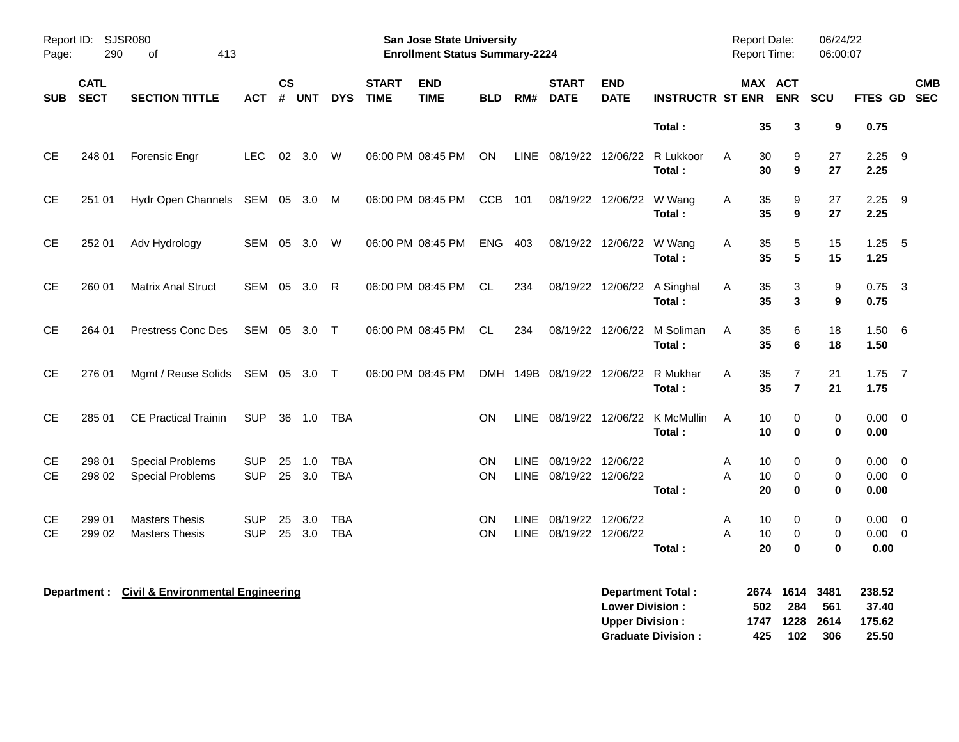| Page:      | <b>SJSR080</b><br>Report ID:<br>290<br>413<br>0f |                                  |              |                |            |            |                             | <b>San Jose State University</b><br><b>Enrollment Status Summary-2224</b> |            |             |                             |                           |                                        |   | <b>Report Date:</b><br>Report Time:          | 06/24/22<br>06:00:07  |                     |                           |
|------------|--------------------------------------------------|----------------------------------|--------------|----------------|------------|------------|-----------------------------|---------------------------------------------------------------------------|------------|-------------|-----------------------------|---------------------------|----------------------------------------|---|----------------------------------------------|-----------------------|---------------------|---------------------------|
| <b>SUB</b> | <b>CATL</b><br><b>SECT</b>                       | <b>SECTION TITTLE</b>            | <b>ACT</b>   | <b>CS</b><br># | <b>UNT</b> | <b>DYS</b> | <b>START</b><br><b>TIME</b> | <b>END</b><br><b>TIME</b>                                                 | <b>BLD</b> | RM#         | <b>START</b><br><b>DATE</b> | <b>END</b><br><b>DATE</b> | <b>INSTRUCTR ST ENR</b>                |   | <b>MAX ACT</b><br><b>ENR</b>                 | SCU                   |                     | <b>CMB</b><br>FTES GD SEC |
|            |                                                  |                                  |              |                |            |            |                             |                                                                           |            |             |                             |                           | Total:                                 |   | 35<br>3                                      | 9                     | 0.75                |                           |
| <b>CE</b>  | 248 01                                           | Forensic Engr                    | <b>LEC</b>   |                | 02 3.0     | <b>W</b>   |                             | 06:00 PM 08:45 PM                                                         | <b>ON</b>  | <b>LINE</b> |                             | 08/19/22 12/06/22         | R Lukkoor<br>Total:                    | A | 30<br>9<br>30<br>9                           | 27<br>27              | $2.25$ 9<br>2.25    |                           |
| <b>CE</b>  | 251 01                                           | Hydr Open Channels SEM 05 3.0 M  |              |                |            |            |                             | 06:00 PM 08:45 PM                                                         | <b>CCB</b> | 101         |                             | 08/19/22 12/06/22         | W Wang<br>Total:                       | A | 35<br>9<br>35<br>9                           | 27<br>27              | $2.25$ 9<br>2.25    |                           |
| <b>CE</b>  | 252 01                                           | Adv Hydrology                    | SEM 05 3.0 W |                |            |            |                             | 06:00 PM 08:45 PM                                                         | <b>ENG</b> | 403         |                             | 08/19/22 12/06/22 W Wang  | Total:                                 | Α | 35<br>5<br>35<br>5                           | 15<br>15              | $1.25 - 5$<br>1.25  |                           |
| <b>CE</b>  | 260 01                                           | <b>Matrix Anal Struct</b>        | SEM 05 3.0 R |                |            |            |                             | 06:00 PM 08:45 PM                                                         | CL         | 234         |                             | 08/19/22 12/06/22         | A Singhal<br>Total:                    | A | 3<br>35<br>35<br>$\mathbf{3}$                | 9<br>9                | $0.75$ 3<br>0.75    |                           |
| <b>CE</b>  | 264 01                                           | <b>Prestress Conc Des</b>        | SEM 05 3.0 T |                |            |            |                             | 06:00 PM 08:45 PM                                                         | CL         | 234         | 08/19/22                    | 12/06/22                  | M Soliman<br>Total:                    | A | 35<br>6<br>35<br>$6\phantom{1}6$             | 18<br>18              | 1.50<br>1.50        | 6                         |
| <b>CE</b>  | 276 01                                           | Mgmt / Reuse Solids SEM 05 3.0 T |              |                |            |            |                             | 06:00 PM 08:45 PM                                                         |            |             | DMH 149B 08/19/22 12/06/22  |                           | R Mukhar<br>Total:                     | A | $\overline{7}$<br>35<br>$\overline{7}$<br>35 | 21<br>21              | $1.75$ 7<br>1.75    |                           |
| <b>CE</b>  | 285 01                                           | <b>CE Practical Trainin</b>      | <b>SUP</b>   |                | 36 1.0     | TBA        |                             |                                                                           | ON         | LINE        |                             |                           | 08/19/22 12/06/22 K McMullin<br>Total: | A | 10<br>0<br>10<br>$\bf{0}$                    | $\pmb{0}$<br>$\bf{0}$ | $0.00 \t 0$<br>0.00 |                           |
| <b>CE</b>  | 298 01                                           | <b>Special Problems</b>          | <b>SUP</b>   | 25             | 1.0        | <b>TBA</b> |                             |                                                                           | <b>ON</b>  | <b>LINE</b> | 08/19/22 12/06/22           |                           |                                        | A | 0<br>10                                      | 0                     | 0.00                | $\overline{\phantom{0}}$  |
| CE         | 298 02                                           | <b>Special Problems</b>          | <b>SUP</b>   | 25             | 3.0        | <b>TBA</b> |                             |                                                                           | ON         | <b>LINE</b> | 08/19/22                    | 12/06/22                  | Total:                                 | A | 10<br>$\mathbf 0$<br>20<br>0                 | 0<br>$\pmb{0}$        | $0.00 \t 0$<br>0.00 |                           |
| СE         | 299 01                                           | <b>Masters Thesis</b>            | <b>SUP</b>   | 25             | 3.0        | <b>TBA</b> |                             |                                                                           | ON         | LINE        | 08/19/22 12/06/22           |                           |                                        | Α | 10<br>0                                      | 0                     | $0.00 \t 0$         |                           |
| <b>CE</b>  | 299 02                                           | <b>Masters Thesis</b>            | <b>SUP</b>   | 25             | 3.0        | <b>TBA</b> |                             |                                                                           | ON         | <b>LINE</b> | 08/19/22 12/06/22           |                           |                                        | A | 10<br>$\mathbf 0$                            | 0                     | $0.00 \t 0$         |                           |
|            |                                                  |                                  |              |                |            |            |                             |                                                                           |            |             |                             |                           | Total:                                 |   | 20<br>$\bf{0}$                               | 0                     | 0.00                |                           |
|            |                                                  |                                  |              |                |            |            |                             |                                                                           |            |             |                             |                           |                                        |   |                                              |                       |                     |                           |

| Department Total:         |      | 2674 1614 3481 |       | 238.52 |
|---------------------------|------|----------------|-------|--------|
| <b>Lower Division:</b>    | 502  | - 284          | 561   | 37.40  |
| <b>Upper Division:</b>    |      | 1747 1228 2614 |       | 175.62 |
| <b>Graduate Division:</b> | 425. | 102            | - 306 | 25.50  |

**Department : Civil & Environmental Engineering**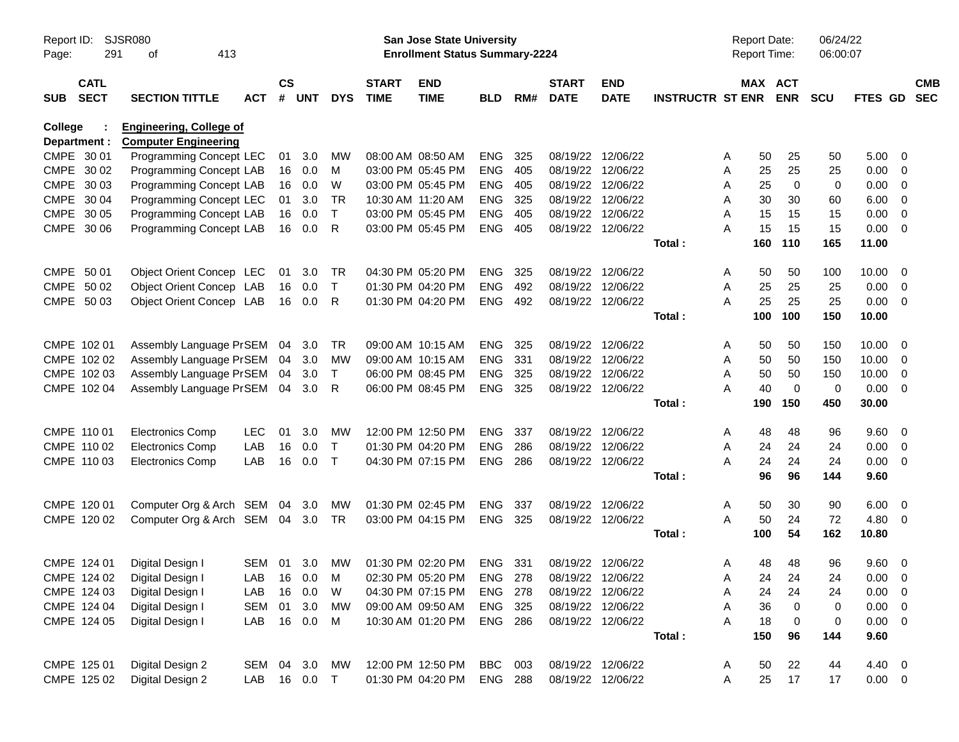| Page:      | SJSR080<br>Report ID:<br>291<br>413<br>οf<br><b>CATL</b> |                                                               |            |                    |            |              |                             | San Jose State University<br><b>Enrollment Status Summary-2224</b> |            |     |                             |                           |                         | <b>Report Date:</b><br><b>Report Time:</b> |             | 06/24/22<br>06:00:07 |                |                          |
|------------|----------------------------------------------------------|---------------------------------------------------------------|------------|--------------------|------------|--------------|-----------------------------|--------------------------------------------------------------------|------------|-----|-----------------------------|---------------------------|-------------------------|--------------------------------------------|-------------|----------------------|----------------|--------------------------|
| <b>SUB</b> | <b>SECT</b>                                              | <b>SECTION TITTLE</b>                                         | <b>ACT</b> | $\mathsf{cs}$<br># | <b>UNT</b> | <b>DYS</b>   | <b>START</b><br><b>TIME</b> | <b>END</b><br><b>TIME</b>                                          | <b>BLD</b> | RM# | <b>START</b><br><b>DATE</b> | <b>END</b><br><b>DATE</b> | <b>INSTRUCTR ST ENR</b> | MAX ACT                                    | <b>ENR</b>  | <b>SCU</b>           | <b>FTES GD</b> | <b>CMB</b><br><b>SEC</b> |
| College    | Department :                                             | <b>Engineering, College of</b><br><b>Computer Engineering</b> |            |                    |            |              |                             |                                                                    |            |     |                             |                           |                         |                                            |             |                      |                |                          |
|            | CMPE 30 01                                               | Programming Concept LEC                                       |            | 01                 | 3.0        | MW           |                             | 08:00 AM 08:50 AM                                                  | <b>ENG</b> | 325 | 08/19/22 12/06/22           |                           |                         | 50<br>A                                    | 25          | 50                   | 5.00           | - 0                      |
|            | CMPE 30 02                                               | Programming Concept LAB                                       |            |                    | 16 0.0     | м            |                             | 03:00 PM 05:45 PM                                                  | <b>ENG</b> | 405 | 08/19/22 12/06/22           |                           |                         | 25<br>A                                    | 25          | 25                   | 0.00           | - 0                      |
|            | CMPE 30 03                                               | Programming Concept LAB                                       |            |                    | 16 0.0     | W            |                             | 03:00 PM 05:45 PM                                                  | <b>ENG</b> | 405 | 08/19/22 12/06/22           |                           |                         | 25<br>A                                    | $\mathbf 0$ | 0                    | 0.00           | - 0                      |
|            | CMPE 30 04                                               | Programming Concept LEC                                       |            | 01                 | 3.0        | TR           | 10:30 AM 11:20 AM           |                                                                    | <b>ENG</b> | 325 | 08/19/22                    | 12/06/22                  |                         | 30<br>A                                    | 30          | 60                   | 6.00           | - 0                      |
|            | CMPE 30 05                                               | Programming Concept LAB                                       |            | 16                 | 0.0        | $\mathsf{T}$ |                             | 03:00 PM 05:45 PM                                                  | <b>ENG</b> | 405 | 08/19/22 12/06/22           |                           |                         | A<br>15                                    | 15          | 15                   | 0.00           | - 0                      |
|            | CMPE 30 06                                               | Programming Concept LAB                                       |            |                    | 16 0.0     | R            |                             | 03:00 PM 05:45 PM                                                  | ENG        | 405 | 08/19/22 12/06/22           |                           |                         | А<br>15                                    | 15          | 15                   | 0.00           | $\overline{\mathbf{0}}$  |
|            |                                                          |                                                               |            |                    |            |              |                             |                                                                    |            |     |                             |                           | Total:                  | 160                                        | 110         | 165                  | 11.00          |                          |
|            | CMPE 50 01                                               | Object Orient Concep LEC                                      |            | 01                 | 3.0        | TR.          |                             | 04:30 PM 05:20 PM                                                  | <b>ENG</b> | 325 | 08/19/22 12/06/22           |                           |                         | 50<br>A                                    | 50          | 100                  | 10.00          | - 0                      |
|            | CMPE 50 02                                               | Object Orient Concep LAB                                      |            | 16                 | 0.0        | $\mathsf{T}$ |                             | 01:30 PM 04:20 PM                                                  | <b>ENG</b> | 492 | 08/19/22                    | 12/06/22                  |                         | 25<br>A                                    | 25          | 25                   | 0.00           | $\overline{0}$           |
|            | CMPE 50 03                                               | Object Orient Concep LAB                                      |            |                    | 16 0.0     | R            |                             | 01:30 PM 04:20 PM                                                  | ENG        | 492 | 08/19/22 12/06/22           |                           |                         | 25<br>А                                    | 25          | 25                   | 0.00           | $\overline{\phantom{0}}$ |
|            |                                                          |                                                               |            |                    |            |              |                             |                                                                    |            |     |                             |                           | Total:                  | 100                                        | 100         | 150                  | 10.00          |                          |
|            | CMPE 102 01                                              | Assembly Language PrSEM 04                                    |            |                    | 3.0        | TR.          |                             | 09:00 AM 10:15 AM                                                  | <b>ENG</b> | 325 | 08/19/22                    | 12/06/22                  |                         | 50<br>A                                    | 50          | 150                  | 10.00          | - 0                      |
|            | CMPE 102 02                                              | Assembly Language PrSEM                                       |            | 04                 | 3.0        | MW           |                             | 09:00 AM 10:15 AM                                                  | <b>ENG</b> | 331 | 08/19/22                    | 12/06/22                  |                         | 50<br>Α                                    | 50          | 150                  | 10.00          | - 0                      |
|            | CMPE 102 03                                              | Assembly Language PrSEM                                       |            | 04                 | 3.0        | $\mathsf{T}$ |                             | 06:00 PM 08:45 PM                                                  | <b>ENG</b> | 325 | 08/19/22 12/06/22           |                           |                         | A<br>50                                    | 50          | 150                  | 10.00          | $\overline{0}$           |
|            | CMPE 102 04                                              | Assembly Language PrSEM 04                                    |            |                    | 3.0        | R            |                             | 06:00 PM 08:45 PM                                                  | ENG        | 325 | 08/19/22 12/06/22           |                           |                         | 40<br>А                                    | $\mathbf 0$ | 0                    | 0.00           | $\overline{\mathbf{0}}$  |
|            |                                                          |                                                               |            |                    |            |              |                             |                                                                    |            |     |                             |                           | Total:                  | 190                                        | 150         | 450                  | 30.00          |                          |
|            | CMPE 110 01                                              | <b>Electronics Comp</b>                                       | <b>LEC</b> | 01                 | 3.0        | MW           |                             | 12:00 PM 12:50 PM                                                  | <b>ENG</b> | 337 | 08/19/22 12/06/22           |                           |                         | 48<br>A                                    | 48          | 96                   | 9.60           | - 0                      |
|            | CMPE 110 02                                              | <b>Electronics Comp</b>                                       | LAB        | 16                 | 0.0        | $\mathsf{T}$ |                             | 01:30 PM 04:20 PM                                                  | <b>ENG</b> | 286 | 08/19/22                    | 12/06/22                  |                         | Α<br>24                                    | 24          | 24                   | 0.00           | $\overline{0}$           |
|            | CMPE 110 03                                              | <b>Electronics Comp</b>                                       | LAB        | 16                 | 0.0        | $\top$       |                             | 04:30 PM 07:15 PM                                                  | ENG        | 286 | 08/19/22 12/06/22           |                           |                         | 24<br>А                                    | 24          | 24                   | 0.00           | $\overline{\phantom{0}}$ |
|            |                                                          |                                                               |            |                    |            |              |                             |                                                                    |            |     |                             |                           | Total:                  | 96                                         | 96          | 144                  | 9.60           |                          |
|            | CMPE 120 01                                              | Computer Org & Arch SEM 04 3.0                                |            |                    |            | MW           |                             | 01:30 PM 02:45 PM                                                  | <b>ENG</b> | 337 | 08/19/22                    | 12/06/22                  |                         | Α<br>50                                    | 30          | 90                   | 6.00           | $\overline{\mathbf{0}}$  |
|            | CMPE 120 02                                              | Computer Org & Arch SEM 04 3.0                                |            |                    |            | TR           |                             | 03:00 PM 04:15 PM                                                  | ENG        | 325 | 08/19/22 12/06/22           |                           |                         | A<br>50                                    | 24          | 72                   | 4.80           | - 0                      |
|            |                                                          |                                                               |            |                    |            |              |                             |                                                                    |            |     |                             |                           | Total:                  | 100                                        | 54          | 162                  | 10.80          |                          |
|            | CMPE 124 01                                              | Digital Design I                                              | SEM 01     |                    | 3.0        | МW           |                             | 01:30 PM 02:20 PM                                                  | ENG 331    |     | 08/19/22 12/06/22           |                           |                         | 48<br>A                                    | 48          | 96                   | 9.60           | $\overline{\mathbf{0}}$  |
|            |                                                          | CMPE 124 02 Digital Design I                                  | LAB        |                    | 16  0.0  M |              |                             | 02:30 PM 05:20 PM                                                  | ENG 278    |     | 08/19/22 12/06/22           |                           |                         | Α                                          | 24<br>24    | 24                   | $0.00 \t 0$    |                          |
|            | CMPE 124 03                                              | Digital Design I                                              | LAB        |                    | 16 0.0     | W            |                             | 04:30 PM 07:15 PM                                                  | ENG        | 278 | 08/19/22 12/06/22           |                           |                         | 24<br>Α                                    | 24          | 24                   | 0.00           | $\overline{\mathbf{0}}$  |
|            | CMPE 124 04                                              | Digital Design I                                              | <b>SEM</b> | 01                 | 3.0        | МW           |                             | 09:00 AM 09:50 AM                                                  | ENG 325    |     | 08/19/22 12/06/22           |                           |                         | 36<br>Α                                    | $\pmb{0}$   | 0                    | 0.00           | $\overline{\mathbf{0}}$  |
|            | CMPE 124 05                                              | Digital Design I                                              | LAB        |                    | 16 0.0     | M            |                             | 10:30 AM 01:20 PM                                                  | ENG 286    |     | 08/19/22 12/06/22           |                           |                         | A<br>18                                    | $\mathbf 0$ | 0                    | $0.00 \t 0$    |                          |
|            |                                                          |                                                               |            |                    |            |              |                             |                                                                    |            |     |                             |                           | Total:                  | 150                                        | 96          | 144                  | 9.60           |                          |
|            | CMPE 125 01                                              | Digital Design 2                                              | SEM 04 3.0 |                    |            | MW           |                             | 12:00 PM 12:50 PM                                                  | BBC        | 003 | 08/19/22 12/06/22           |                           |                         | 50<br>A                                    | 22          | 44                   | 4.40 0         |                          |
|            | CMPE 125 02                                              | Digital Design 2                                              | LAB        |                    | 16  0.0  T |              |                             | 01:30 PM 04:20 PM                                                  | ENG 288    |     | 08/19/22 12/06/22           |                           |                         | Α<br>25                                    | 17          | 17                   | $0.00 \t 0$    |                          |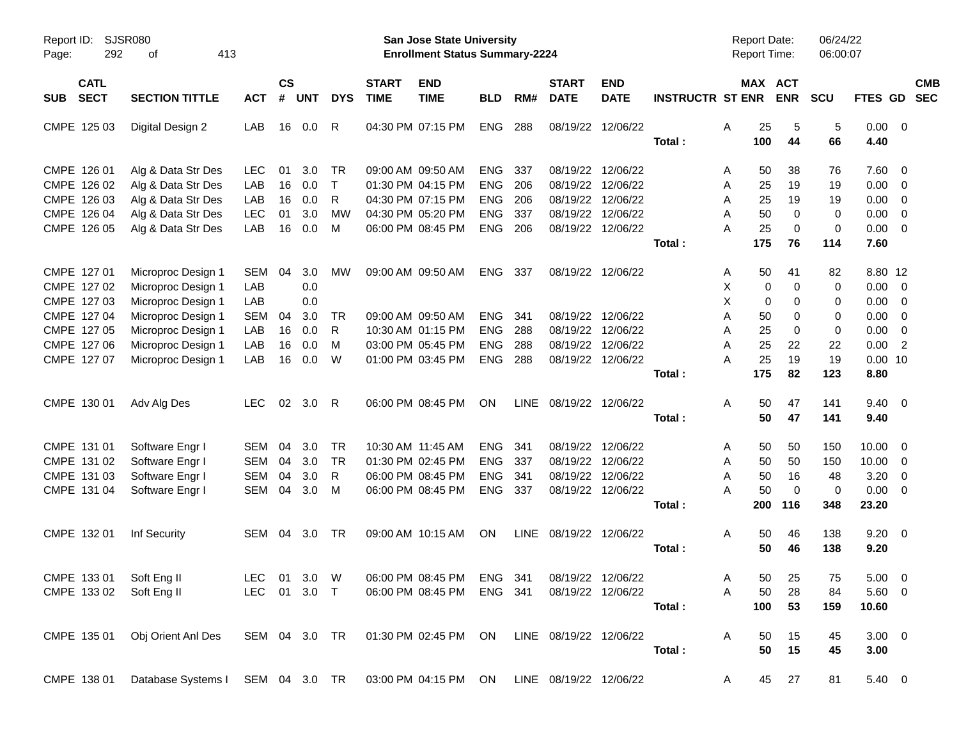| Report ID:<br>292<br>Page:               | <b>SJSR080</b><br>413<br>оf                           |              |                |            |               |                             | <b>San Jose State University</b><br><b>Enrollment Status Summary-2224</b> |            |     |                             |                           |                         | Report Date:<br>Report Time: |             | 06/24/22<br>06:00:07 |                |                         |            |
|------------------------------------------|-------------------------------------------------------|--------------|----------------|------------|---------------|-----------------------------|---------------------------------------------------------------------------|------------|-----|-----------------------------|---------------------------|-------------------------|------------------------------|-------------|----------------------|----------------|-------------------------|------------|
| <b>CATL</b><br><b>SECT</b><br><b>SUB</b> | <b>SECTION TITTLE</b>                                 | <b>ACT</b>   | <b>CS</b><br># | <b>UNT</b> | <b>DYS</b>    | <b>START</b><br><b>TIME</b> | <b>END</b><br><b>TIME</b>                                                 | <b>BLD</b> | RM# | <b>START</b><br><b>DATE</b> | <b>END</b><br><b>DATE</b> | <b>INSTRUCTR ST ENR</b> | MAX ACT                      | <b>ENR</b>  | SCU                  | FTES GD SEC    |                         | <b>CMB</b> |
| CMPE 125 03                              |                                                       | LAB          | 16             | 0.0        | R             |                             | 04:30 PM 07:15 PM                                                         | <b>ENG</b> | 288 | 08/19/22                    | 12/06/22                  |                         | 25<br>A                      | 5           | 5                    | $0.00 \t 0$    |                         |            |
|                                          | Digital Design 2                                      |              |                |            |               |                             |                                                                           |            |     |                             |                           | Total:                  | 100                          | 44          | 66                   | 4.40           |                         |            |
| CMPE 126 01                              | Alg & Data Str Des                                    | <b>LEC</b>   | 01             | 3.0        | TR            |                             | 09:00 AM 09:50 AM                                                         | <b>ENG</b> | 337 |                             | 08/19/22 12/06/22         |                         | 50<br>A                      | 38          | 76                   | 7.60           | $\overline{0}$          |            |
| CMPE 126 02                              | Alg & Data Str Des                                    | LAB          | 16             | 0.0        | $\top$        |                             | 01:30 PM 04:15 PM                                                         | <b>ENG</b> | 206 | 08/19/22                    | 12/06/22                  |                         | 25<br>Α                      | 19          | 19                   | 0.00           | $\overline{\mathbf{0}}$ |            |
| CMPE 126 03                              | Alg & Data Str Des                                    | LAB          | 16             | 0.0        | R             |                             | 04:30 PM 07:15 PM                                                         | <b>ENG</b> | 206 | 08/19/22                    | 12/06/22                  |                         | 25<br>Α                      | 19          | 19                   | 0.00           | $\overline{\mathbf{0}}$ |            |
| CMPE 126 04                              | Alg & Data Str Des                                    | <b>LEC</b>   | 01             | 3.0        | <b>MW</b>     |                             | 04:30 PM 05:20 PM                                                         | <b>ENG</b> | 337 | 08/19/22                    | 12/06/22                  |                         | 50<br>Α                      | 0           | 0                    | 0.00           | $\overline{\mathbf{0}}$ |            |
| CMPE 126 05                              | Alg & Data Str Des                                    | LAB          | 16             | 0.0        | M             |                             | 06:00 PM 08:45 PM                                                         | <b>ENG</b> | 206 |                             | 08/19/22 12/06/22         |                         | 25<br>A                      | 0           | $\mathbf 0$          | $0.00 \t 0$    |                         |            |
|                                          |                                                       |              |                |            |               |                             |                                                                           |            |     |                             |                           | Total:                  | 175                          | 76          | 114                  | 7.60           |                         |            |
| CMPE 127 01                              | Microproc Design 1                                    | SEM          | 04             | 3.0        | <b>MW</b>     |                             | 09:00 AM 09:50 AM                                                         | <b>ENG</b> | 337 |                             | 08/19/22 12/06/22         |                         | 50<br>A                      | 41          | 82                   | 8.80 12        |                         |            |
| CMPE 127 02                              | Microproc Design 1                                    | LAB          |                | 0.0        |               |                             |                                                                           |            |     |                             |                           |                         | х<br>0                       | $\mathbf 0$ | 0                    | $0.00 \t 0$    |                         |            |
| CMPE 127 03                              | Microproc Design 1                                    | LAB          |                | 0.0        |               |                             |                                                                           |            |     |                             |                           |                         | X<br>0                       | 0           | 0                    | $0.00 \quad 0$ |                         |            |
| CMPE 127 04                              | Microproc Design 1                                    | <b>SEM</b>   | 04             | 3.0        | TR            |                             | 09:00 AM 09:50 AM                                                         | <b>ENG</b> | 341 |                             | 08/19/22 12/06/22         |                         | Α<br>50                      | 0           | 0                    | 0.00           | $\overline{\mathbf{0}}$ |            |
| CMPE 127 05                              | Microproc Design 1                                    | LAB          | 16             | 0.0        | R             |                             | 10:30 AM 01:15 PM                                                         | <b>ENG</b> | 288 | 08/19/22                    | 12/06/22                  |                         | 25<br>Α                      | 0           | 0                    | 0.00           | $\overline{\mathbf{0}}$ |            |
| CMPE 127 06                              | Microproc Design 1                                    | LAB          | 16             | 0.0        | м             |                             | 03:00 PM 05:45 PM                                                         | <b>ENG</b> | 288 | 08/19/22                    | 12/06/22                  |                         | 25<br>A                      | 22          | 22                   | 0.00           | $\overline{2}$          |            |
| CMPE 127 07                              | Microproc Design 1                                    | LAB          | 16             | 0.0        | W             |                             | 01:00 PM 03:45 PM                                                         | <b>ENG</b> | 288 |                             | 08/19/22 12/06/22         |                         | 25<br>A                      | 19          | 19                   | $0.00$ 10      |                         |            |
|                                          |                                                       |              |                |            |               |                             |                                                                           |            |     |                             |                           | Total:                  | 175                          | 82          | 123                  | 8.80           |                         |            |
| CMPE 130 01                              | Adv Alg Des                                           | <b>LEC</b>   |                | 02 3.0     | R             |                             | 06:00 PM 08:45 PM                                                         | ON         |     | LINE 08/19/22 12/06/22      |                           |                         | 50<br>A                      | 47          | 141                  | $9.40 \quad 0$ |                         |            |
|                                          |                                                       |              |                |            |               |                             |                                                                           |            |     |                             |                           | Total:                  | 50                           | 47          | 141                  | 9.40           |                         |            |
| CMPE 131 01                              | Software Engr I                                       | SEM          | 04             | 3.0        | <b>TR</b>     |                             | 10:30 AM 11:45 AM                                                         | <b>ENG</b> | 341 | 08/19/22                    | 12/06/22                  |                         | 50<br>A                      | 50          | 150                  | 10.00          | $\overline{\mathbf{0}}$ |            |
| CMPE 131 02                              | Software Engr I                                       | SEM          | 04             | 3.0        | <b>TR</b>     |                             | 01:30 PM 02:45 PM                                                         | <b>ENG</b> | 337 | 08/19/22                    | 12/06/22                  |                         | 50<br>Α                      | 50          | 150                  | $10.00 \t 0$   |                         |            |
| CMPE 131 03                              | Software Engr I                                       | <b>SEM</b>   | 04             | 3.0        | R             |                             | 06:00 PM 08:45 PM                                                         | <b>ENG</b> | 341 | 08/19/22                    | 12/06/22                  |                         | Α<br>50                      | 16          | 48                   | 3.20           | $\overline{0}$          |            |
| CMPE 131 04                              | Software Engr I                                       | SEM          | 04             | 3.0        | М             |                             | 06:00 PM 08:45 PM                                                         | <b>ENG</b> | 337 |                             | 08/19/22 12/06/22         |                         | 50<br>A                      | $\mathbf 0$ | $\mathbf 0$          | $0.00 \t 0$    |                         |            |
|                                          |                                                       |              |                |            |               |                             |                                                                           |            |     |                             |                           | Total:                  | 200                          | 116         | 348                  | 23.20          |                         |            |
| CMPE 132 01                              | Inf Security                                          | SEM 04       |                | 3.0        | TR            |                             | 09:00 AM 10:15 AM                                                         | <b>ON</b>  |     | LINE 08/19/22 12/06/22      |                           |                         | 50<br>A                      | 46          | 138                  | $9.20 \ 0$     |                         |            |
|                                          |                                                       |              |                |            |               |                             |                                                                           |            |     |                             |                           | Total:                  | 50                           | 46          | 138                  | 9.20           |                         |            |
| CMPE 133 01 Soft Eng II                  |                                                       |              |                |            |               |                             | LEC 01 3.0 W 06:00 PM 08:45 PM ENG 341                                    |            |     | 08/19/22 12/06/22           |                           |                         | 50<br>Α                      | 25          | 75                   | $5.00 \t 0$    |                         |            |
| CMPE 133 02 Soft Eng II                  |                                                       | LEC 01 3.0 T |                |            |               |                             | 06:00 PM 08:45 PM                                                         | ENG 341    |     |                             | 08/19/22 12/06/22         |                         | 50<br>A                      | 28          | 84                   | $5.60 \quad 0$ |                         |            |
|                                          |                                                       |              |                |            |               |                             |                                                                           |            |     |                             |                           | Total:                  | 100                          | 53          | 159                  | 10.60          |                         |            |
|                                          | CMPE 135 01 Obj Orient Anl Des                        |              |                |            | SEM 04 3.0 TR |                             | 01:30 PM 02:45 PM ON LINE 08/19/22 12/06/22                               |            |     |                             |                           |                         | A<br>50                      | 15          | 45                   | $3.00 \ 0$     |                         |            |
|                                          |                                                       |              |                |            |               |                             |                                                                           |            |     |                             |                           | Total:                  | 50                           | 15          | 45                   | 3.00           |                         |            |
| CMPE 138 01                              | Database Systems I SEM 04 3.0 TR 03:00 PM 04:15 PM ON |              |                |            |               |                             |                                                                           |            |     | LINE 08/19/22 12/06/22      |                           |                         | 45<br>A                      | 27          | 81                   | $5.40\ 0$      |                         |            |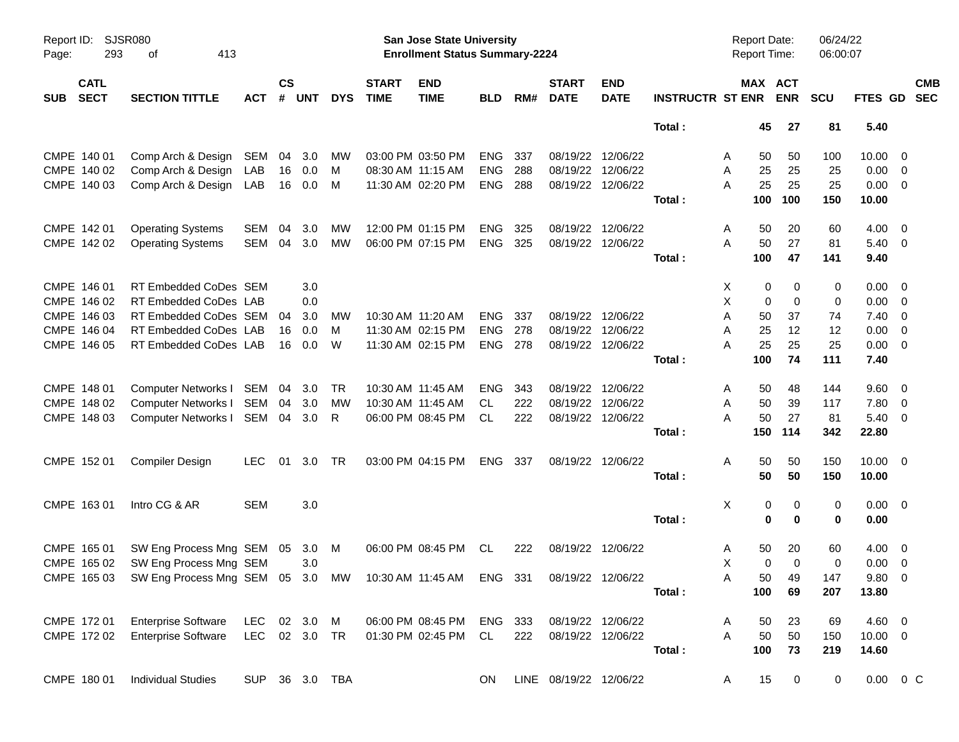| Page:      | <b>SJSR080</b><br>Report ID:<br>293<br>413<br>οf |                                                                                          |               |                    |            |            |                             | <b>San Jose State University</b><br><b>Enrollment Status Summary-2224</b> |            |     |                             |                           |                         | Report Date:<br><b>Report Time:</b> |             | 06/24/22<br>06:00:07 |                |                         |                          |
|------------|--------------------------------------------------|------------------------------------------------------------------------------------------|---------------|--------------------|------------|------------|-----------------------------|---------------------------------------------------------------------------|------------|-----|-----------------------------|---------------------------|-------------------------|-------------------------------------|-------------|----------------------|----------------|-------------------------|--------------------------|
| <b>SUB</b> | <b>CATL</b><br><b>SECT</b>                       | <b>SECTION TITTLE</b>                                                                    | <b>ACT</b>    | $\mathsf{cs}$<br># | <b>UNT</b> | <b>DYS</b> | <b>START</b><br><b>TIME</b> | <b>END</b><br><b>TIME</b>                                                 | <b>BLD</b> | RM# | <b>START</b><br><b>DATE</b> | <b>END</b><br><b>DATE</b> | <b>INSTRUCTR ST ENR</b> | MAX ACT                             | <b>ENR</b>  | <b>SCU</b>           | FTES GD        |                         | <b>CMB</b><br><b>SEC</b> |
|            |                                                  |                                                                                          |               |                    |            |            |                             |                                                                           |            |     |                             |                           | Total:                  | 45                                  | 27          | 81                   | 5.40           |                         |                          |
|            | CMPE 140 01                                      | Comp Arch & Design                                                                       | SEM           | 04                 | 3.0        | MW         |                             | 03:00 PM 03:50 PM                                                         | <b>ENG</b> | 337 | 08/19/22                    | 12/06/22                  |                         | 50<br>A                             | 50          | 100                  | 10.00          | - 0                     |                          |
|            | CMPE 140 02                                      | Comp Arch & Design                                                                       | LAB           | 16                 | 0.0        | M          |                             | 08:30 AM 11:15 AM                                                         | <b>ENG</b> | 288 | 08/19/22                    | 12/06/22                  |                         | Α<br>25                             | 25          | 25                   | 0.00           | - 0                     |                          |
|            | CMPE 140 03                                      | Comp Arch & Design                                                                       | LAB           | 16                 | 0.0        | M          |                             | 11:30 AM 02:20 PM                                                         | <b>ENG</b> | 288 | 08/19/22                    | 12/06/22                  |                         | 25<br>A                             | 25          | 25                   | $0.00 \t 0$    |                         |                          |
|            |                                                  |                                                                                          |               |                    |            |            |                             |                                                                           |            |     |                             |                           | Total:                  | 100                                 | 100         | 150                  | 10.00          |                         |                          |
|            | CMPE 142 01                                      | <b>Operating Systems</b>                                                                 | SEM           | 04                 | 3.0        | MW         |                             | 12:00 PM 01:15 PM                                                         | <b>ENG</b> | 325 | 08/19/22                    | 12/06/22                  |                         | 50<br>A                             | 20          | 60                   | 4.00           | - 0                     |                          |
|            | CMPE 142 02                                      | <b>Operating Systems</b>                                                                 | <b>SEM</b>    | 04                 | 3.0        | <b>MW</b>  |                             | 06:00 PM 07:15 PM                                                         | <b>ENG</b> | 325 |                             | 08/19/22 12/06/22         |                         | A<br>50                             | 27          | 81                   | $5.40 \ 0$     |                         |                          |
|            |                                                  |                                                                                          |               |                    |            |            |                             |                                                                           |            |     |                             |                           | Total:                  | 100                                 | 47          | 141                  | 9.40           |                         |                          |
|            | CMPE 146 01                                      | RT Embedded CoDes SEM                                                                    |               |                    | 3.0        |            |                             |                                                                           |            |     |                             |                           |                         | 0<br>X                              | 0           | 0                    | 0.00           | - 0                     |                          |
|            | CMPE 146 02                                      | RT Embedded CoDes LAB                                                                    |               |                    | 0.0        |            |                             |                                                                           |            |     |                             |                           |                         | X<br>0                              | $\mathbf 0$ | 0                    | 0.00           | - 0                     |                          |
|            | CMPE 146 03                                      | RT Embedded CoDes SEM                                                                    |               | 04                 | 3.0        | МW         |                             | 10:30 AM 11:20 AM                                                         | <b>ENG</b> | 337 |                             | 08/19/22 12/06/22         |                         | Α<br>50                             | 37          | 74                   | 7.40           | $\overline{0}$          |                          |
|            | CMPE 146 04                                      | RT Embedded CoDes LAB                                                                    |               | 16                 | 0.0        | м          |                             | 11:30 AM 02:15 PM                                                         | <b>ENG</b> | 278 | 08/19/22                    | 12/06/22                  |                         | 25<br>A                             | 12          | 12                   | 0.00           | $\overline{0}$          |                          |
|            | CMPE 146 05                                      | RT Embedded CoDes LAB                                                                    |               | 16                 | 0.0        | W          |                             | 11:30 AM 02:15 PM                                                         | <b>ENG</b> | 278 |                             | 08/19/22 12/06/22         |                         | 25<br>А                             | 25          | 25                   | 0.00           | $\overline{0}$          |                          |
|            |                                                  |                                                                                          |               |                    |            |            |                             |                                                                           |            |     |                             |                           | Total:                  | 100                                 | 74          | 111                  | 7.40           |                         |                          |
|            | CMPE 148 01                                      | Computer Networks I SEM                                                                  |               | 04                 | 3.0        | TR         |                             | 10:30 AM 11:45 AM                                                         | <b>ENG</b> | 343 | 08/19/22                    | 12/06/22                  |                         | 50<br>A                             | 48          | 144                  | 9.60           | $\overline{\mathbf{0}}$ |                          |
|            | CMPE 148 02                                      | Computer Networks I                                                                      | SEM           | 04                 | 3.0        | <b>MW</b>  |                             | 10:30 AM 11:45 AM                                                         | CL.        | 222 | 08/19/22                    | 12/06/22                  |                         | 50<br>A                             | 39          | 117                  | 7.80           | $\overline{0}$          |                          |
|            | CMPE 148 03                                      | <b>Computer Networks I</b>                                                               | SEM           |                    | 04 3.0     | R.         |                             | 06:00 PM 08:45 PM                                                         | CL         | 222 |                             | 08/19/22 12/06/22         |                         | 50<br>A                             | 27          | 81                   | $5.40 \ 0$     |                         |                          |
|            |                                                  |                                                                                          |               |                    |            |            |                             |                                                                           |            |     |                             |                           | Total:                  | 150                                 | 114         | 342                  | 22.80          |                         |                          |
|            | CMPE 152 01                                      | <b>Compiler Design</b>                                                                   | <b>LEC</b>    | 01                 | 3.0        | TR         |                             | 03:00 PM 04:15 PM                                                         | ENG        | 337 |                             | 08/19/22 12/06/22         |                         | A<br>50                             | 50          | 150                  | $10.00 \t 0$   |                         |                          |
|            |                                                  |                                                                                          |               |                    |            |            |                             |                                                                           |            |     |                             |                           | Total:                  | 50                                  | 50          | 150                  | 10.00          |                         |                          |
|            | CMPE 163 01                                      | Intro CG & AR                                                                            | <b>SEM</b>    |                    | 3.0        |            |                             |                                                                           |            |     |                             |                           |                         | Χ<br>0                              | 0           | 0                    | $0.00 \t 0$    |                         |                          |
|            |                                                  |                                                                                          |               |                    |            |            |                             |                                                                           |            |     |                             |                           | Total:                  | 0                                   | $\bf{0}$    | 0                    | 0.00           |                         |                          |
|            | CMPE 165 01                                      | SW Eng Process Mng SEM 05                                                                |               |                    | 3.0        | M          |                             | 06:00 PM 08:45 PM                                                         | CL         | 222 |                             | 08/19/22 12/06/22         |                         | 50<br>A                             | 20          | 60                   | $4.00 \quad 0$ |                         |                          |
|            | CMPE 165 02                                      | SW Eng Process Mng SEM                                                                   |               |                    | 3.0        |            |                             |                                                                           |            |     |                             |                           |                         | Χ<br>$\mathbf 0$                    | $\Omega$    | 0                    | 0.00           | $\overline{\mathbf{0}}$ |                          |
|            |                                                  | CMPE 165 03 SW Eng Process Mng SEM 05 3.0 MW 10:30 AM 11:45 AM ENG 331 08/19/22 12/06/22 |               |                    |            |            |                             |                                                                           |            |     |                             |                           |                         | A<br>50                             | 49          | 147                  | 9.80 0         |                         |                          |
|            |                                                  |                                                                                          |               |                    |            |            |                             |                                                                           |            |     |                             |                           | Total:                  | 100                                 | 69          | 207                  | 13.80          |                         |                          |
|            | CMPE 172 01                                      | <b>Enterprise Software</b>                                                               | LEC           |                    | 02 3.0 M   |            |                             | 06:00 PM 08:45 PM                                                         | ENG 333    |     |                             | 08/19/22 12/06/22         |                         | 50<br>A                             | 23          | 69                   | 4.60 0         |                         |                          |
|            | CMPE 172 02                                      | <b>Enterprise Software</b>                                                               | LEC 02 3.0 TR |                    |            |            |                             | 01:30 PM 02:45 PM                                                         | CL         | 222 |                             | 08/19/22 12/06/22         |                         | A<br>50                             | 50          | 150                  | $10.00 \t 0$   |                         |                          |
|            |                                                  |                                                                                          |               |                    |            |            |                             |                                                                           |            |     |                             |                           | Total:                  | 100                                 | 73          | 219                  | 14.60          |                         |                          |
|            | CMPE 180 01                                      | <b>Individual Studies</b>                                                                | SUP           |                    |            | 36 3.0 TBA |                             |                                                                           | ON         |     | LINE 08/19/22 12/06/22      |                           |                         | 15<br>A                             | $\mathbf 0$ | 0                    | $0.00 \t 0 C$  |                         |                          |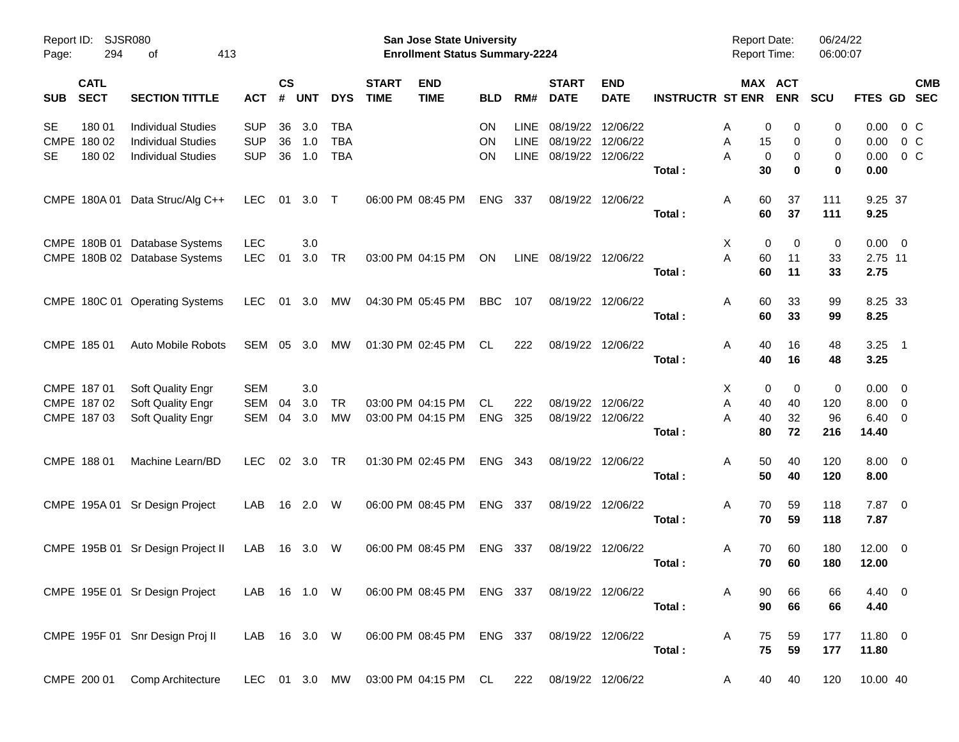| Page:      | Report ID: SJSR080<br>294  | 413<br>оf                              |              |                    |            |            |                             | <b>San Jose State University</b><br><b>Enrollment Status Summary-2224</b> |            |             |                             |                           |                         | <b>Report Date:</b><br><b>Report Time:</b> |                       | 06/24/22<br>06:00:07 |                |         |            |
|------------|----------------------------|----------------------------------------|--------------|--------------------|------------|------------|-----------------------------|---------------------------------------------------------------------------|------------|-------------|-----------------------------|---------------------------|-------------------------|--------------------------------------------|-----------------------|----------------------|----------------|---------|------------|
| <b>SUB</b> | <b>CATL</b><br><b>SECT</b> | <b>SECTION TITTLE</b>                  | <b>ACT</b>   | $\mathsf{cs}$<br># | <b>UNT</b> | <b>DYS</b> | <b>START</b><br><b>TIME</b> | <b>END</b><br><b>TIME</b>                                                 | <b>BLD</b> | RM#         | <b>START</b><br><b>DATE</b> | <b>END</b><br><b>DATE</b> | <b>INSTRUCTR ST ENR</b> |                                            | MAX ACT<br><b>ENR</b> | SCU                  | FTES GD SEC    |         | <b>CMB</b> |
|            |                            |                                        |              |                    |            |            |                             |                                                                           |            |             |                             |                           |                         |                                            |                       |                      |                |         |            |
| <b>SE</b>  | 180 01                     | <b>Individual Studies</b>              | <b>SUP</b>   | 36                 | 3.0        | <b>TBA</b> |                             |                                                                           | <b>ON</b>  | <b>LINE</b> | 08/19/22                    | 12/06/22                  |                         | A                                          | 0<br>0                | 0                    | 0.00           | 0 C     |            |
|            | CMPE 180 02                | <b>Individual Studies</b>              | <b>SUP</b>   | 36                 | 1.0        | <b>TBA</b> |                             |                                                                           | ON         | <b>LINE</b> | 08/19/22                    | 12/06/22                  |                         | 15<br>Α                                    | 0                     | 0                    | 0.00           | $0\,C$  |            |
| <b>SE</b>  | 180 02                     | <b>Individual Studies</b>              | <b>SUP</b>   | 36                 | 1.0        | <b>TBA</b> |                             |                                                                           | <b>ON</b>  | LINE        |                             | 08/19/22 12/06/22         |                         | Α<br>0                                     | 0                     | 0                    | 0.00           | $0\,$ C |            |
|            |                            |                                        |              |                    |            |            |                             |                                                                           |            |             |                             |                           | Total:                  | 30                                         | 0                     | 0                    | 0.00           |         |            |
|            |                            | CMPE 180A 01 Data Struc/Alg C++        | LEC.         |                    | 01 3.0 T   |            |                             | 06:00 PM 08:45 PM                                                         | <b>ENG</b> | 337         |                             | 08/19/22 12/06/22         |                         | 60<br>A                                    | 37                    | 111                  | 9.25 37        |         |            |
|            |                            |                                        |              |                    |            |            |                             |                                                                           |            |             |                             |                           | Total:                  | 60                                         | 37                    | 111                  | 9.25           |         |            |
|            |                            | CMPE 180B 01 Database Systems          | <b>LEC</b>   |                    | 3.0        |            |                             |                                                                           |            |             |                             |                           |                         | X                                          | 0<br>$\Omega$         | 0                    | $0.00 \t 0$    |         |            |
|            |                            | CMPE 180B 02 Database Systems          | <b>LEC</b>   | 01                 | 3.0        | <b>TR</b>  |                             | 03:00 PM 04:15 PM                                                         | ON         | LINE        | 08/19/22 12/06/22           |                           |                         | Α<br>60                                    | 11                    | 33                   | 2.75 11        |         |            |
|            |                            |                                        |              |                    |            |            |                             |                                                                           |            |             |                             |                           | Total:                  | 60                                         | 11                    | 33                   | 2.75           |         |            |
|            |                            |                                        |              |                    |            |            |                             |                                                                           |            |             |                             |                           |                         |                                            |                       |                      |                |         |            |
|            |                            | CMPE 180C 01 Operating Systems         | LEC.         |                    |            | 01 3.0 MW  |                             | 04:30 PM 05:45 PM                                                         | <b>BBC</b> | 107         |                             | 08/19/22 12/06/22         |                         | 60<br>A                                    | 33                    | 99                   | 8.25 33        |         |            |
|            |                            |                                        |              |                    |            |            |                             |                                                                           |            |             |                             |                           | Total:                  | 60                                         | 33                    | 99                   | 8.25           |         |            |
|            | CMPE 185 01                | Auto Mobile Robots                     | SEM          | 05                 | 3.0        | MW         |                             | 01:30 PM 02:45 PM                                                         | CL.        | 222         |                             | 08/19/22 12/06/22         |                         | 40<br>A                                    | 16                    | 48                   | $3.25$ 1       |         |            |
|            |                            |                                        |              |                    |            |            |                             |                                                                           |            |             |                             |                           | Total:                  | 40                                         | 16                    | 48                   | 3.25           |         |            |
|            | CMPE 187 01                |                                        | <b>SEM</b>   |                    | 3.0        |            |                             |                                                                           |            |             |                             |                           |                         | X                                          | 0<br>0                | 0                    | $0.00 \t 0$    |         |            |
|            | CMPE 187 02                | Soft Quality Engr<br>Soft Quality Engr | SEM          | 04                 | 3.0        | <b>TR</b>  |                             | 03:00 PM 04:15 PM                                                         | CL         | 222         |                             | 08/19/22 12/06/22         |                         | 40<br>Α                                    | 40                    | 120                  | $8.00 \t 0$    |         |            |
|            | CMPE 187 03                | Soft Quality Engr                      | SEM          | 04                 | 3.0        | <b>MW</b>  |                             | 03:00 PM 04:15 PM                                                         | <b>ENG</b> | 325         |                             | 08/19/22 12/06/22         |                         | 40<br>А                                    | 32                    | 96                   | $6.40 \quad 0$ |         |            |
|            |                            |                                        |              |                    |            |            |                             |                                                                           |            |             |                             |                           | Total:                  | 80                                         | 72                    | 216                  | 14.40          |         |            |
|            |                            |                                        |              |                    |            |            |                             |                                                                           |            |             |                             |                           |                         |                                            |                       |                      |                |         |            |
|            | CMPE 188 01                | Machine Learn/BD                       | LEC.         |                    | 02 3.0 TR  |            |                             | 01:30 PM 02:45 PM                                                         | <b>ENG</b> | - 343       |                             | 08/19/22 12/06/22         |                         | 50<br>A                                    | 40                    | 120                  | $8.00 \t 0$    |         |            |
|            |                            |                                        |              |                    |            |            |                             |                                                                           |            |             |                             |                           | Total:                  | 50                                         | 40                    | 120                  | 8.00           |         |            |
|            |                            | CMPE 195A 01 Sr Design Project         | LAB          |                    | 16  2.0  W |            |                             | 06:00 PM 08:45 PM                                                         | <b>ENG</b> | - 337       |                             | 08/19/22 12/06/22         |                         | 70<br>A                                    | 59                    | 118                  | $7.87$ 0       |         |            |
|            |                            |                                        |              |                    |            |            |                             |                                                                           |            |             |                             |                           | Total:                  | 70                                         | 59                    | 118                  | 7.87           |         |            |
|            |                            | CMPE 195B 01 Sr Design Project II      | LAB          |                    | 16 3.0 W   |            |                             | 06:00 PM 08:45 PM                                                         | <b>ENG</b> | - 337       |                             | 08/19/22 12/06/22         |                         | 70<br>A                                    | 60                    | 180                  | $12.00 \t 0$   |         |            |
|            |                            |                                        |              |                    |            |            |                             |                                                                           |            |             |                             |                           | Total:                  | 70                                         | 60                    | 180                  | 12.00          |         |            |
|            |                            |                                        |              |                    |            |            |                             |                                                                           |            |             |                             |                           |                         |                                            |                       |                      |                |         |            |
|            |                            | CMPE 195E 01 Sr Design Project         | LAB 16 1.0 W |                    |            |            |                             | 06:00 PM 08:45 PM ENG 337                                                 |            |             |                             | 08/19/22 12/06/22         |                         | 90<br>A                                    | 66                    | 66                   | 4.40 0         |         |            |
|            |                            |                                        |              |                    |            |            |                             |                                                                           |            |             |                             |                           | Total:                  | 90                                         | 66                    | 66                   | 4.40           |         |            |
|            |                            | CMPE 195F 01 Snr Design Proj II        | LAB 16 3.0 W |                    |            |            |                             | 06:00 PM 08:45 PM ENG 337                                                 |            |             |                             | 08/19/22 12/06/22         |                         | Α<br>75                                    | 59                    | 177                  | $11.80 \t 0$   |         |            |
|            |                            |                                        |              |                    |            |            |                             |                                                                           |            |             |                             |                           | Total:                  | 75                                         | 59                    | 177                  | 11.80          |         |            |
|            |                            |                                        |              |                    |            |            |                             |                                                                           |            |             |                             |                           |                         |                                            |                       |                      |                |         |            |
|            |                            | CMPE 200 01 Comp Architecture          |              |                    |            |            |                             | LEC 01 3.0 MW 03:00 PM 04:15 PM CL                                        |            | 222         |                             | 08/19/22 12/06/22         |                         | 40<br>A                                    | 40                    | 120                  | 10.00 40       |         |            |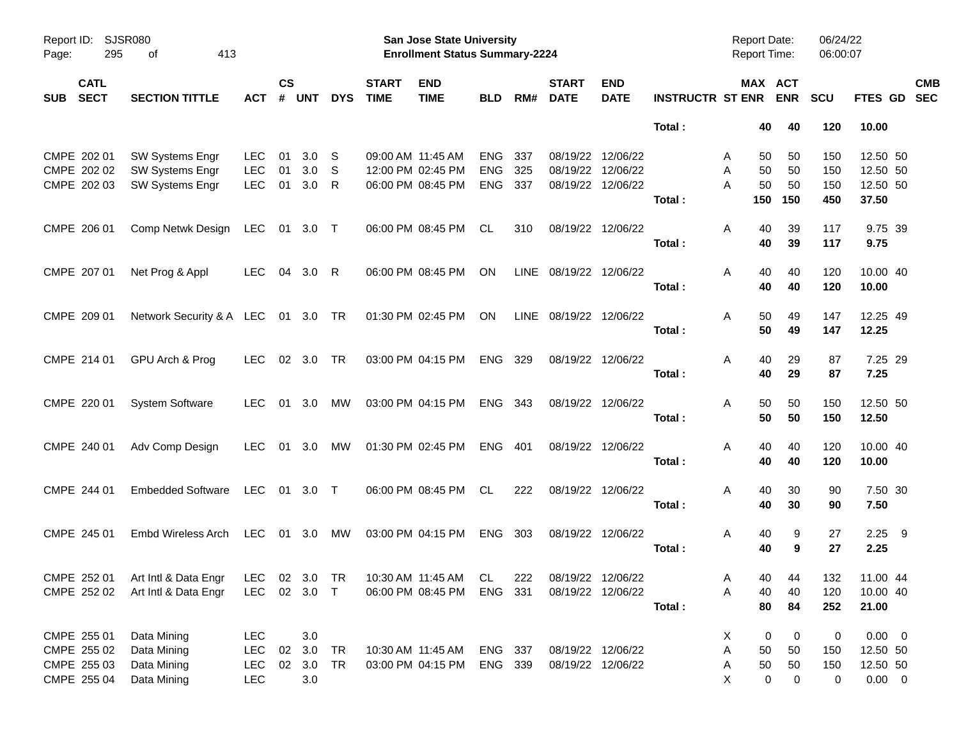| Report ID:<br>Page:                      | <b>SJSR080</b><br>295<br>413<br>оf                                  |              |                |            |              |                             | <b>San Jose State University</b><br><b>Enrollment Status Summary-2224</b> |            |     |                             |                           |                             | <b>Report Date:</b><br><b>Report Time:</b> |         | 06/24/22<br>06:00:07 |             |            |
|------------------------------------------|---------------------------------------------------------------------|--------------|----------------|------------|--------------|-----------------------------|---------------------------------------------------------------------------|------------|-----|-----------------------------|---------------------------|-----------------------------|--------------------------------------------|---------|----------------------|-------------|------------|
| <b>CATL</b><br><b>SECT</b><br><b>SUB</b> | <b>SECTION TITTLE</b>                                               | АСТ          | <b>CS</b><br># | <b>UNT</b> | <b>DYS</b>   | <b>START</b><br><b>TIME</b> | <b>END</b><br><b>TIME</b>                                                 | <b>BLD</b> | RM# | <b>START</b><br><b>DATE</b> | <b>END</b><br><b>DATE</b> | <b>INSTRUCTR ST ENR ENR</b> |                                            | MAX ACT | <b>SCU</b>           | FTES GD SEC | <b>CMB</b> |
|                                          |                                                                     |              |                |            |              |                             |                                                                           |            |     |                             |                           | Total:                      | 40                                         | 40      | 120                  | 10.00       |            |
| CMPE 202 01                              | SW Systems Engr                                                     | <b>LEC</b>   | 01             | 3.0        | -S           |                             | 09:00 AM 11:45 AM                                                         | <b>ENG</b> | 337 |                             | 08/19/22 12/06/22         |                             | 50<br>A                                    | 50      | 150                  | 12.50 50    |            |
| CMPE 202 02                              | SW Systems Engr                                                     | LEC          | 01             | 3.0        | <sub>S</sub> |                             | 12:00 PM 02:45 PM                                                         | <b>ENG</b> | 325 |                             | 08/19/22 12/06/22         |                             | 50<br>A                                    | 50      | 150                  | 12.50 50    |            |
| CMPE 202 03                              | SW Systems Engr                                                     | LEC          | 01             | 3.0        | -R           |                             | 06:00 PM 08:45 PM                                                         | <b>ENG</b> | 337 |                             | 08/19/22 12/06/22         |                             | 50<br>A                                    | 50      | 150                  | 12.50 50    |            |
|                                          |                                                                     |              |                |            |              |                             |                                                                           |            |     |                             |                           | Total:                      | 150                                        | 150     | 450                  | 37.50       |            |
| CMPE 206 01                              | Comp Netwk Design LEC 01 3.0 T                                      |              |                |            |              |                             | 06:00 PM 08:45 PM                                                         | CL         | 310 |                             | 08/19/22 12/06/22         |                             | 40<br>A                                    | 39      | 117                  | 9.75 39     |            |
|                                          |                                                                     |              |                |            |              |                             |                                                                           |            |     |                             |                           | Total:                      | 40                                         | 39      | 117                  | 9.75        |            |
| CMPE 207 01                              | Net Prog & Appl                                                     | LEC.         |                | 04 3.0 R   |              |                             | 06:00 PM 08:45 PM                                                         | ON         |     | LINE 08/19/22 12/06/22      |                           |                             | 40<br>A                                    | 40      | 120                  | 10.00 40    |            |
|                                          |                                                                     |              |                |            |              |                             |                                                                           |            |     |                             |                           | Total:                      | 40                                         | 40      | 120                  | 10.00       |            |
| CMPE 209 01                              | Network Security & A LEC 01 3.0 TR                                  |              |                |            |              |                             | 01:30 PM 02:45 PM                                                         | ON         |     | LINE 08/19/22 12/06/22      |                           |                             | 50<br>A                                    | 49      | 147                  | 12.25 49    |            |
|                                          |                                                                     |              |                |            |              |                             |                                                                           |            |     |                             |                           | Total:                      | 50                                         | 49      | 147                  | 12.25       |            |
| CMPE 214 01                              | GPU Arch & Prog                                                     | LEC.         |                | 02 3.0     | <b>TR</b>    |                             | 03:00 PM 04:15 PM                                                         | ENG 329    |     |                             | 08/19/22 12/06/22         |                             | 40<br>A                                    | 29      | 87                   | 7.25 29     |            |
|                                          |                                                                     |              |                |            |              |                             |                                                                           |            |     |                             |                           | Total:                      | 40                                         | 29      | 87                   | 7.25        |            |
| CMPE 220 01                              | <b>System Software</b>                                              | LEC.         |                | 01 3.0     | MW           |                             | 03:00 PM 04:15 PM                                                         | ENG 343    |     |                             | 08/19/22 12/06/22         |                             | 50<br>A                                    | 50      | 150                  | 12.50 50    |            |
|                                          |                                                                     |              |                |            |              |                             |                                                                           |            |     |                             |                           | Total:                      | 50                                         | 50      | 150                  | 12.50       |            |
| CMPE 240 01                              | Adv Comp Design                                                     | LEC.         |                | 01 3.0     | MW           |                             | 01:30 PM 02:45 PM                                                         | ENG 401    |     |                             | 08/19/22 12/06/22         |                             | 40<br>A                                    | 40      | 120                  | 10.00 40    |            |
|                                          |                                                                     |              |                |            |              |                             |                                                                           |            |     |                             |                           | Total:                      | 40                                         | 40      | 120                  | 10.00       |            |
| CMPE 244 01                              | <b>Embedded Software</b>                                            | LEC 01 3.0 T |                |            |              |                             | 06:00 PM 08:45 PM                                                         | CL.        | 222 |                             | 08/19/22 12/06/22         |                             | A<br>40                                    | 30      | 90                   | 7.50 30     |            |
|                                          |                                                                     |              |                |            |              |                             |                                                                           |            |     |                             |                           | Total:                      | 40                                         | 30      | 90                   | 7.50        |            |
| CMPE 245 01                              | Embd Wireless Arch                                                  | LEC 01 3.0   |                |            | MW           |                             | 03:00 PM 04:15 PM                                                         | ENG 303    |     |                             | 08/19/22 12/06/22         |                             | A<br>40                                    | 9       | 27                   | $2.25$ 9    |            |
|                                          |                                                                     |              |                |            |              |                             |                                                                           |            |     |                             |                           | Total:                      | 40                                         | 9       | 27                   | 2.25        |            |
|                                          | CMPE 252 01 Art Intl & Data Engr LEC 02 3.0 TR 10:30 AM 11:45 AM CL |              |                |            |              |                             |                                                                           |            | 222 | 08/19/22 12/06/22           |                           |                             | Α                                          | 40 44   | 132                  | 11.00 44    |            |
| CMPE 252 02                              | Art Intl & Data Engr                                                | LEC 02 3.0 T |                |            |              |                             | 06:00 PM 08:45 PM                                                         | ENG 331    |     |                             | 08/19/22 12/06/22         |                             | 40<br>Α                                    | 40      | 120                  | 10.00 40    |            |
|                                          |                                                                     |              |                |            |              |                             |                                                                           |            |     |                             |                           | Total:                      | 80                                         | 84      | 252                  | 21.00       |            |
| CMPE 255 01                              | Data Mining                                                         | <b>LEC</b>   |                | 3.0        |              |                             |                                                                           |            |     |                             |                           |                             | X.<br>0                                    | 0       | 0                    | $0.00 \t 0$ |            |
| CMPE 255 02                              | Data Mining                                                         | <b>LEC</b>   |                | 02 3.0     | TR           |                             | 10:30 AM 11:45 AM                                                         | ENG 337    |     |                             | 08/19/22 12/06/22         |                             | Α<br>50                                    | 50      | 150                  | 12.50 50    |            |
| CMPE 255 03                              | Data Mining                                                         | <b>LEC</b>   |                | 02 3.0     | TR           |                             | 03:00 PM 04:15 PM                                                         | ENG 339    |     | 08/19/22 12/06/22           |                           |                             | 50<br>A                                    | 50      | 150                  | 12.50 50    |            |
| CMPE 255 04                              | Data Mining                                                         | <b>LEC</b>   |                | 3.0        |              |                             |                                                                           |            |     |                             |                           |                             | X<br>0                                     | 0       | 0                    | $0.00 \t 0$ |            |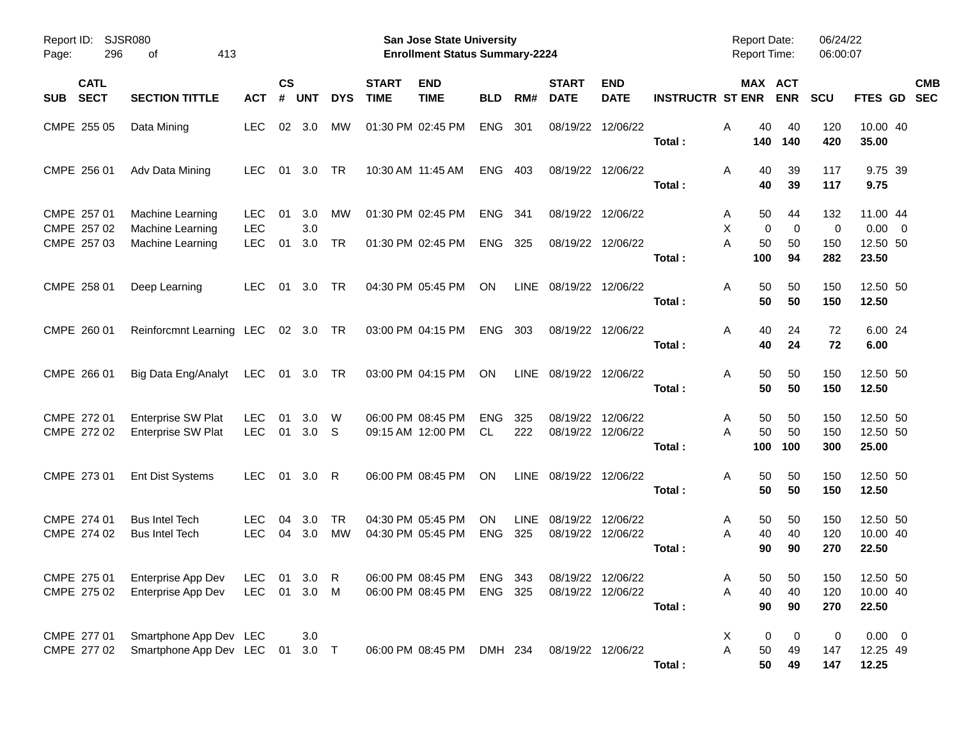| Report ID:<br>296<br>Page:               | <b>SJSR080</b><br>413<br>οf                           |                          |                    |                         |            |                             | <b>San Jose State University</b><br><b>Enrollment Status Summary-2224</b> |                         |                    |                             |                               |                         | <b>Report Date:</b><br><b>Report Time:</b> |                   | 06/24/22<br>06:00:07 |                               |            |
|------------------------------------------|-------------------------------------------------------|--------------------------|--------------------|-------------------------|------------|-----------------------------|---------------------------------------------------------------------------|-------------------------|--------------------|-----------------------------|-------------------------------|-------------------------|--------------------------------------------|-------------------|----------------------|-------------------------------|------------|
| <b>CATL</b><br><b>SECT</b><br><b>SUB</b> | <b>SECTION TITTLE</b>                                 | <b>ACT</b>               | $\mathsf{cs}$<br># | <b>UNT</b>              | <b>DYS</b> | <b>START</b><br><b>TIME</b> | <b>END</b><br><b>TIME</b>                                                 | <b>BLD</b>              | RM#                | <b>START</b><br><b>DATE</b> | <b>END</b><br><b>DATE</b>     | <b>INSTRUCTR ST ENR</b> | MAX ACT                                    | <b>ENR</b>        | <b>SCU</b>           | FTES GD SEC                   | <b>CMB</b> |
| CMPE 255 05                              | Data Mining                                           | <b>LEC</b>               |                    | 02 3.0                  | MW         |                             | 01:30 PM 02:45 PM                                                         | <b>ENG</b>              | 301                |                             | 08/19/22 12/06/22             | Total:                  | 40<br>A<br>140                             | 40<br>140         | 120<br>420           | 10.00 40<br>35.00             |            |
| CMPE 256 01                              | Adv Data Mining                                       | <b>LEC</b>               |                    | 01 3.0                  | TR         |                             | 10:30 AM 11:45 AM                                                         | ENG 403                 |                    |                             | 08/19/22 12/06/22             | Total:                  | 40<br>A<br>40                              | 39<br>39          | 117<br>117           | 9.75 39<br>9.75               |            |
| CMPE 257 01<br>CMPE 257 02               | Machine Learning<br>Machine Learning                  | <b>LEC</b><br><b>LEC</b> | 01                 | 3.0<br>3.0              | MW         |                             | 01:30 PM 02:45 PM                                                         | ENG 341                 |                    |                             | 08/19/22 12/06/22             |                         | 50<br>A<br>X<br>0                          | 44<br>$\mathbf 0$ | 132<br>$\mathbf 0$   | 11.00 44<br>$0.00 \t 0$       |            |
| CMPE 257 03                              | Machine Learning                                      | <b>LEC</b>               | 01                 | 3.0                     | <b>TR</b>  |                             | 01:30 PM 02:45 PM                                                         | ENG 325                 |                    |                             | 08/19/22 12/06/22             | Total:                  | A<br>50<br>100                             | 50<br>94          | 150<br>282           | 12.50 50<br>23.50             |            |
| CMPE 258 01                              | Deep Learning                                         | <b>LEC</b>               |                    | 01 3.0                  | TR         |                             | 04:30 PM 05:45 PM                                                         | ON                      |                    | LINE 08/19/22 12/06/22      |                               | Total:                  | 50<br>Α<br>50                              | 50<br>50          | 150<br>150           | 12.50 50<br>12.50             |            |
| CMPE 260 01                              | Reinforcmnt Learning LEC                              |                          |                    | 02 3.0 TR               |            |                             | 03:00 PM 04:15 PM                                                         | ENG 303                 |                    |                             | 08/19/22 12/06/22             | Total:                  | 40<br>A<br>40                              | 24<br>24          | 72<br>72             | 6.00 24<br>6.00               |            |
| CMPE 266 01                              | Big Data Eng/Analyt                                   | LEC                      |                    | 01 3.0 TR               |            |                             | 03:00 PM 04:15 PM                                                         | ON                      |                    | LINE 08/19/22 12/06/22      |                               | Total:                  | 50<br>A<br>50                              | 50<br>50          | 150<br>150           | 12.50 50<br>12.50             |            |
| CMPE 272 01<br>CMPE 272 02               | <b>Enterprise SW Plat</b><br>Enterprise SW Plat       | <b>LEC</b><br><b>LEC</b> | 01<br>01           | 3.0 <sub>2</sub><br>3.0 | W<br>-S    |                             | 06:00 PM 08:45 PM<br>09:15 AM 12:00 PM                                    | <b>ENG</b><br>CL        | 325<br>222         | 08/19/22 12/06/22           | 08/19/22 12/06/22             |                         | 50<br>A<br>A<br>50                         | 50<br>50          | 150<br>150           | 12.50 50<br>12.50 50          |            |
| CMPE 273 01                              | Ent Dist Systems                                      | <b>LEC</b>               |                    | 01 3.0                  | R          |                             | 06:00 PM 08:45 PM                                                         | <b>ON</b>               |                    | LINE 08/19/22 12/06/22      |                               | Total:                  | 100<br>50<br>Α                             | 100<br>50         | 300<br>150           | 25.00<br>12.50 50             |            |
|                                          |                                                       |                          |                    |                         |            |                             |                                                                           |                         |                    |                             |                               | Total:                  | 50                                         | 50                | 150                  | 12.50                         |            |
| CMPE 274 01<br>CMPE 274 02               | <b>Bus Intel Tech</b><br><b>Bus Intel Tech</b>        | <b>LEC</b><br><b>LEC</b> | 04<br>04           | 3.0<br>3.0              | TR<br>MW   |                             | 04:30 PM 05:45 PM<br>04:30 PM 05:45 PM                                    | <b>ON</b><br><b>ENG</b> | <b>LINE</b><br>325 | 08/19/22                    | 12/06/22<br>08/19/22 12/06/22 | Total:                  | 50<br>A<br>A<br>40<br>90                   | 50<br>40<br>90    | 150<br>120<br>270    | 12.50 50<br>10.00 40<br>22.50 |            |
| CMPE 275 01<br>CMPE 275 02               | Enterprise App Dev LEC 01 3.0 R<br>Enterprise App Dev | LEC                      |                    | 01 3.0                  | - M        |                             | 06:00 PM 08:45 PM ENG 343 08/19/22 12/06/22<br>06:00 PM 08:45 PM          | ENG 325                 |                    |                             | 08/19/22 12/06/22             |                         | Α<br>40<br>Α                               | 50<br>50<br>40    | 150<br>120           | 12.50 50<br>10.00 40          |            |
| CMPE 277 01                              | Smartphone App Dev LEC                                |                          |                    | 3.0                     |            |                             |                                                                           |                         |                    |                             |                               | Total:                  | 90<br>X<br>0                               | 90<br>0           | 270<br>0             | 22.50<br>$0.00 \t 0$          |            |
| CMPE 277 02                              | Smartphone App Dev LEC 01 3.0 T                       |                          |                    |                         |            |                             | 06:00 PM 08:45 PM                                                         | DMH 234                 |                    | 08/19/22 12/06/22           |                               | Total:                  | A<br>50<br>50                              | 49<br>49          | 147<br>147           | 12.25 49<br>12.25             |            |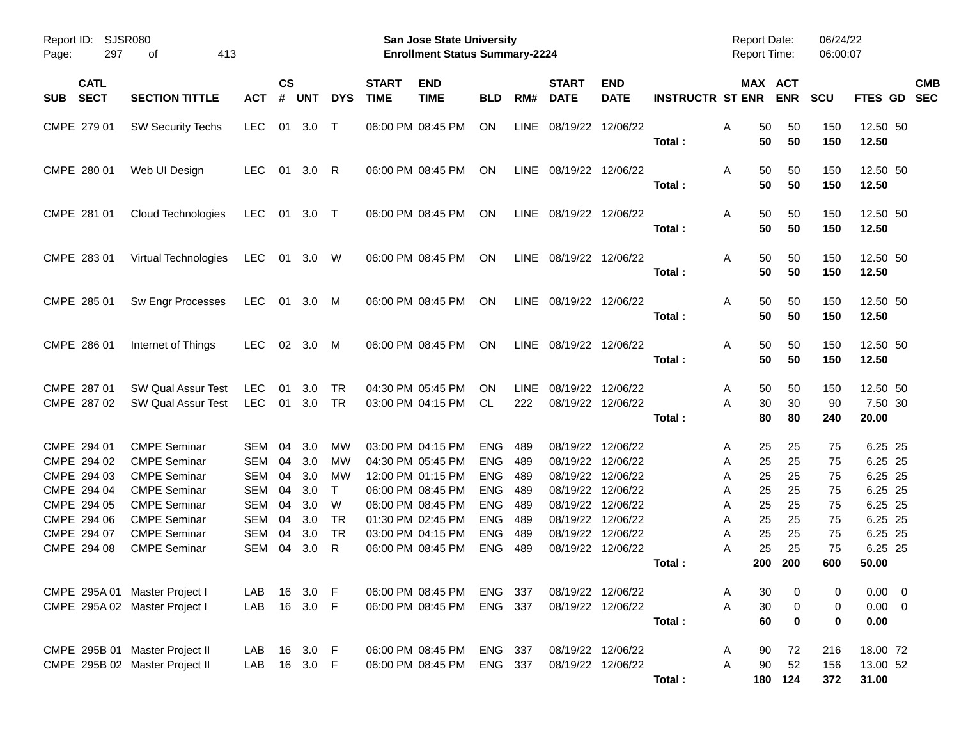| <b>SJSR080</b><br>Report ID:<br>297<br>413<br>Page:<br>οf               |                                                                                                                 |                                               |                            |                                 |                                     |                             | <b>San Jose State University</b><br><b>Enrollment Status Summary-2224</b>                             |                                                                    |                                 |                                                          |                                                          |                         | <b>Report Date:</b><br>Report Time:                 |                            | 06/24/22<br>06:00:07       |                                                     |            |
|-------------------------------------------------------------------------|-----------------------------------------------------------------------------------------------------------------|-----------------------------------------------|----------------------------|---------------------------------|-------------------------------------|-----------------------------|-------------------------------------------------------------------------------------------------------|--------------------------------------------------------------------|---------------------------------|----------------------------------------------------------|----------------------------------------------------------|-------------------------|-----------------------------------------------------|----------------------------|----------------------------|-----------------------------------------------------|------------|
| <b>CATL</b><br><b>SECT</b><br><b>SUB</b>                                | <b>SECTION TITTLE</b>                                                                                           | <b>ACT</b>                                    | $\mathsf{cs}$<br>#         | <b>UNT</b>                      | <b>DYS</b>                          | <b>START</b><br><b>TIME</b> | <b>END</b><br><b>TIME</b>                                                                             | <b>BLD</b>                                                         | RM#                             | <b>START</b><br><b>DATE</b>                              | <b>END</b><br><b>DATE</b>                                | <b>INSTRUCTR ST ENR</b> | MAX ACT                                             | <b>ENR</b>                 | <b>SCU</b>                 | FTES GD SEC                                         | <b>CMB</b> |
| CMPE 279 01                                                             | <b>SW Security Techs</b>                                                                                        | <b>LEC</b>                                    |                            | 01 3.0                          | $\top$                              |                             | 06:00 PM 08:45 PM                                                                                     | ON                                                                 | <b>LINE</b>                     | 08/19/22 12/06/22                                        |                                                          | Total:                  | 50<br>Α<br>50                                       | 50<br>50                   | 150<br>150                 | 12.50 50<br>12.50                                   |            |
| CMPE 280 01                                                             | Web UI Design                                                                                                   | <b>LEC</b>                                    | 01                         | 3.0                             | R                                   |                             | 06:00 PM 08:45 PM                                                                                     | ON                                                                 |                                 | LINE 08/19/22 12/06/22                                   |                                                          | Total:                  | 50<br>Α<br>50                                       | 50<br>50                   | 150<br>150                 | 12.50 50<br>12.50                                   |            |
| CMPE 281 01                                                             | <b>Cloud Technologies</b>                                                                                       | LEC                                           |                            | 01 3.0 T                        |                                     |                             | 06:00 PM 08:45 PM                                                                                     | ON                                                                 |                                 | LINE 08/19/22 12/06/22                                   |                                                          | Total:                  | 50<br>Α<br>50                                       | 50<br>50                   | 150<br>150                 | 12.50 50<br>12.50                                   |            |
| CMPE 283 01                                                             | Virtual Technologies                                                                                            | LEC                                           |                            | 01 3.0 W                        |                                     |                             | 06:00 PM 08:45 PM                                                                                     | ON                                                                 |                                 | LINE 08/19/22 12/06/22                                   |                                                          | Total:                  | 50<br>Α<br>50                                       | 50<br>50                   | 150<br>150                 | 12.50 50<br>12.50                                   |            |
| CMPE 285 01                                                             | Sw Engr Processes                                                                                               | LEC                                           |                            | 01 3.0                          | M                                   |                             | 06:00 PM 08:45 PM                                                                                     | ON                                                                 |                                 | LINE 08/19/22 12/06/22                                   |                                                          | Total:                  | 50<br>Α<br>50                                       | 50<br>50                   | 150<br>150                 | 12.50 50<br>12.50                                   |            |
| CMPE 286 01                                                             | Internet of Things                                                                                              | <b>LEC</b>                                    |                            | 02 3.0                          | M                                   |                             | 06:00 PM 08:45 PM                                                                                     | ON                                                                 |                                 | LINE 08/19/22 12/06/22                                   |                                                          | Total:                  | 50<br>Α<br>50                                       | 50<br>50                   | 150<br>150                 | 12.50 50<br>12.50                                   |            |
| CMPE 287 01<br>CMPE 287 02                                              | <b>SW Qual Assur Test</b><br><b>SW Qual Assur Test</b>                                                          | <b>LEC</b><br><b>LEC</b>                      | 01                         | 3.0<br>01 3.0                   | <b>TR</b><br><b>TR</b>              |                             | 04:30 PM 05:45 PM<br>03:00 PM 04:15 PM                                                                | <b>ON</b><br>CL.                                                   | <b>LINE</b><br>222              | 08/19/22                                                 | 12/06/22<br>08/19/22 12/06/22                            | Total:                  | 50<br>A<br>A<br>30<br>80                            | 50<br>30<br>80             | 150<br>90<br>240           | 12.50 50<br>7.50 30<br>20.00                        |            |
| CMPE 294 01<br>CMPE 294 02<br>CMPE 294 03<br>CMPE 294 04<br>CMPE 294 05 | <b>CMPE Seminar</b><br><b>CMPE Seminar</b><br><b>CMPE Seminar</b><br><b>CMPE Seminar</b><br><b>CMPE Seminar</b> | SEM<br>SEM<br>SEM<br><b>SEM</b><br><b>SEM</b> | 04<br>04<br>04<br>04<br>04 | 3.0<br>3.0<br>3.0<br>3.0<br>3.0 | МW<br>МW<br>МW<br>$\mathsf{T}$<br>W |                             | 03:00 PM 04:15 PM<br>04:30 PM 05:45 PM<br>12:00 PM 01:15 PM<br>06:00 PM 08:45 PM<br>06:00 PM 08:45 PM | <b>ENG</b><br><b>ENG</b><br><b>ENG</b><br><b>ENG</b><br><b>ENG</b> | 489<br>489<br>489<br>489<br>489 | 08/19/22<br>08/19/22<br>08/19/22<br>08/19/22<br>08/19/22 | 12/06/22<br>12/06/22<br>12/06/22<br>12/06/22<br>12/06/22 |                         | 25<br>A<br>25<br>Α<br>25<br>Α<br>25<br>Α<br>25<br>Α | 25<br>25<br>25<br>25<br>25 | 75<br>75<br>75<br>75<br>75 | 6.25 25<br>6.25 25<br>6.25 25<br>6.25 25<br>6.25 25 |            |
| CMPE 294 06<br>CMPE 294 07<br>CMPE 294 08                               | <b>CMPE Seminar</b><br><b>CMPE Seminar</b><br><b>CMPE Seminar</b>                                               | SEM<br>SEM<br>SEM                             | 04<br>04<br>04             | 3.0<br>3.0<br>3.0               | TR<br><b>TR</b><br>R                |                             | 01:30 PM 02:45 PM<br>03:00 PM 04:15 PM<br>06:00 PM 08:45 PM                                           | <b>ENG</b><br><b>ENG</b><br><b>ENG</b>                             | 489<br>489<br>489               | 08/19/22<br>08/19/22                                     | 12/06/22<br>12/06/22<br>08/19/22 12/06/22                | Total :                 | 25<br>Α<br>25<br>Α<br>25<br>A<br>200                | 25<br>25<br>25<br>200      | 75<br>75<br>75<br>600      | 6.25 25<br>6.25 25<br>6.25 25<br>50.00              |            |
| CMPE 295A 01 Master Project I<br>CMPE 295A 02 Master Project I          |                                                                                                                 | LAB<br>LAB                                    | 16<br>16                   | 3.0<br>3.0                      | - F<br>- F                          |                             | 06:00 PM 08:45 PM<br>06:00 PM 08:45 PM                                                                | ENG 337<br>ENG 337                                                 |                                 |                                                          | 08/19/22 12/06/22<br>08/19/22 12/06/22                   | Total:                  | 30<br>A<br>Α<br>$30\,$<br>60                        | 0<br>0<br>$\mathbf 0$      | 0<br>0<br>0                | $0.00 \t 0$<br>$0.00 \t 0$<br>0.00                  |            |
|                                                                         | CMPE 295B 01 Master Project II<br>CMPE 295B 02 Master Project II                                                | LAB<br>LAB                                    | 16                         | 3.0 F<br>16 3.0 F               |                                     |                             | 06:00 PM 08:45 PM<br>06:00 PM 08:45 PM                                                                | ENG 337<br>ENG 337                                                 |                                 |                                                          | 08/19/22 12/06/22<br>08/19/22 12/06/22                   | Total:                  | 90<br>A<br>Α<br>90                                  | 72<br>52<br>180 124        | 216<br>156<br>372          | 18.00 72<br>13.00 52<br>31.00                       |            |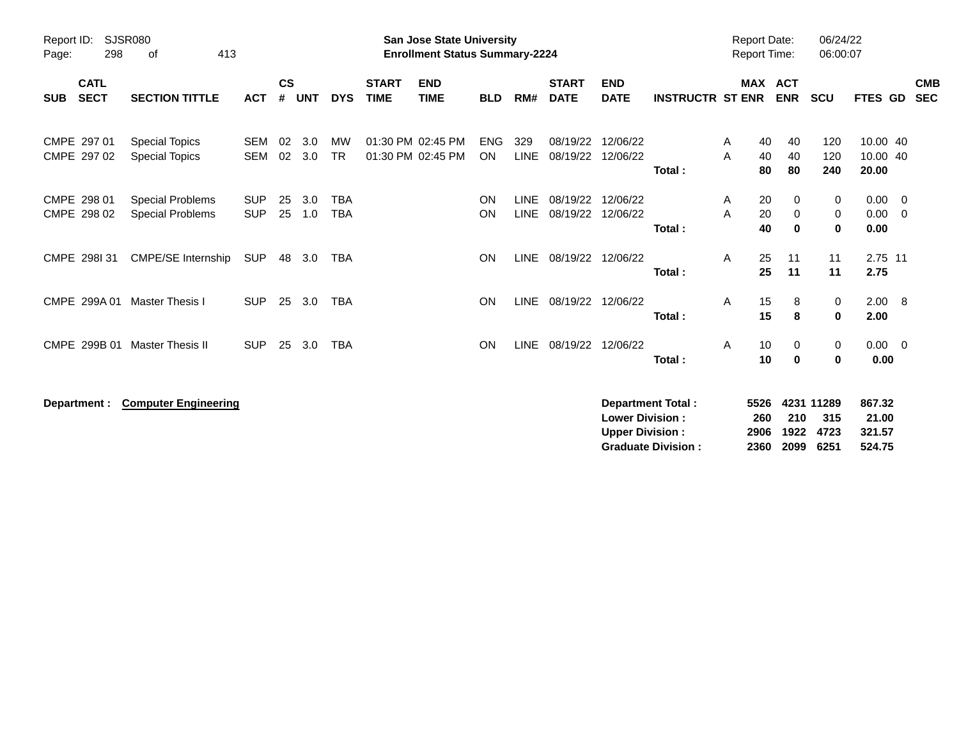| Report ID:<br>298<br>Page:               | <b>SJSR080</b><br>413<br>of                    |                          |                    |            |                          |                             | <b>San Jose State University</b><br><b>Enrollment Status Summary-2224</b> |                         |                            |                             |                           |                         | <b>Report Date:</b><br><b>Report Time:</b> |                |                              | 06/24/22<br>06:00:07 |                               |     |                          |
|------------------------------------------|------------------------------------------------|--------------------------|--------------------|------------|--------------------------|-----------------------------|---------------------------------------------------------------------------|-------------------------|----------------------------|-----------------------------|---------------------------|-------------------------|--------------------------------------------|----------------|------------------------------|----------------------|-------------------------------|-----|--------------------------|
| <b>CATL</b><br><b>SECT</b><br><b>SUB</b> | <b>SECTION TITTLE</b>                          | <b>ACT</b>               | $\mathsf{cs}$<br># | <b>UNT</b> | <b>DYS</b>               | <b>START</b><br><b>TIME</b> | <b>END</b><br><b>TIME</b>                                                 | <b>BLD</b>              | RM#                        | <b>START</b><br><b>DATE</b> | <b>END</b><br><b>DATE</b> | <b>INSTRUCTR ST ENR</b> |                                            |                | MAX ACT<br><b>ENR</b>        | <b>SCU</b>           | FTES GD                       |     | <b>CMB</b><br><b>SEC</b> |
| CMPE 297 01<br>CMPE 297 02               | <b>Special Topics</b><br><b>Special Topics</b> | <b>SEM</b><br><b>SEM</b> | 02<br>02           | 3.0<br>3.0 | MW<br><b>TR</b>          |                             | 01:30 PM 02:45 PM<br>01:30 PM 02:45 PM                                    | <b>ENG</b><br><b>ON</b> | 329<br><b>LINE</b>         | 08/19/22<br>08/19/22        | 12/06/22<br>12/06/22      | Total:                  | A<br>A                                     | 40<br>40<br>80 | 40<br>40<br>80               | 120<br>120<br>240    | 10.00 40<br>10.00 40<br>20.00 |     |                          |
| CMPE 298 01<br>CMPE 298 02               | Special Problems<br>Special Problems           | <b>SUP</b><br><b>SUP</b> | 25<br>25           | 3.0<br>1.0 | <b>TBA</b><br><b>TBA</b> |                             |                                                                           | <b>ON</b><br><b>ON</b>  | <b>LINE</b><br><b>LINE</b> | 08/19/22<br>08/19/22        | 12/06/22<br>12/06/22      | Total:                  | A<br>A                                     | 20<br>20<br>40 | 0<br>$\mathbf 0$<br>$\bf{0}$ | 0<br>0<br>0          | $0.00 \t 0$<br>0.00<br>0.00   | - 0 |                          |
| CMPE 298I 31                             | CMPE/SE Internship                             | <b>SUP</b>               | 48                 | 3.0        | TBA                      |                             |                                                                           | <b>ON</b>               | <b>LINE</b>                | 08/19/22                    | 12/06/22                  | Total:                  | A                                          | 25<br>25       | 11<br>11                     | 11<br>11             | 2.75 11<br>2.75               |     |                          |
| CMPE 299A 01                             | <b>Master Thesis I</b>                         | <b>SUP</b>               | 25                 | 3.0        | <b>TBA</b>               |                             |                                                                           | <b>ON</b>               | LINE                       | 08/19/22                    | 12/06/22                  | Total:                  | A                                          | 15<br>15       | 8<br>8                       | 0<br>0               | 2.00 8<br>2.00                |     |                          |
| CMPE 299B 01                             | <b>Master Thesis II</b>                        | <b>SUP</b>               | 25                 | 3.0        | <b>TBA</b>               |                             |                                                                           | <b>ON</b>               | LINE                       | 08/19/22                    | 12/06/22                  | Total:                  | A                                          | 10<br>10       | 0<br>$\bf{0}$                | 0<br>0               | $0.00 \t 0$<br>0.00           |     |                          |
| Department :                             | <b>Computer Engineering</b>                    |                          |                    |            |                          |                             |                                                                           |                         |                            |                             |                           | Department Total:       |                                            | 5526           |                              | 4231 11289           | 867.32                        |     |                          |

**Lower Division : 260 210 315 21.00 Upper Division : 2906 1922 4723 321.57 Graduate Division : 2360 2099 6251 524.75**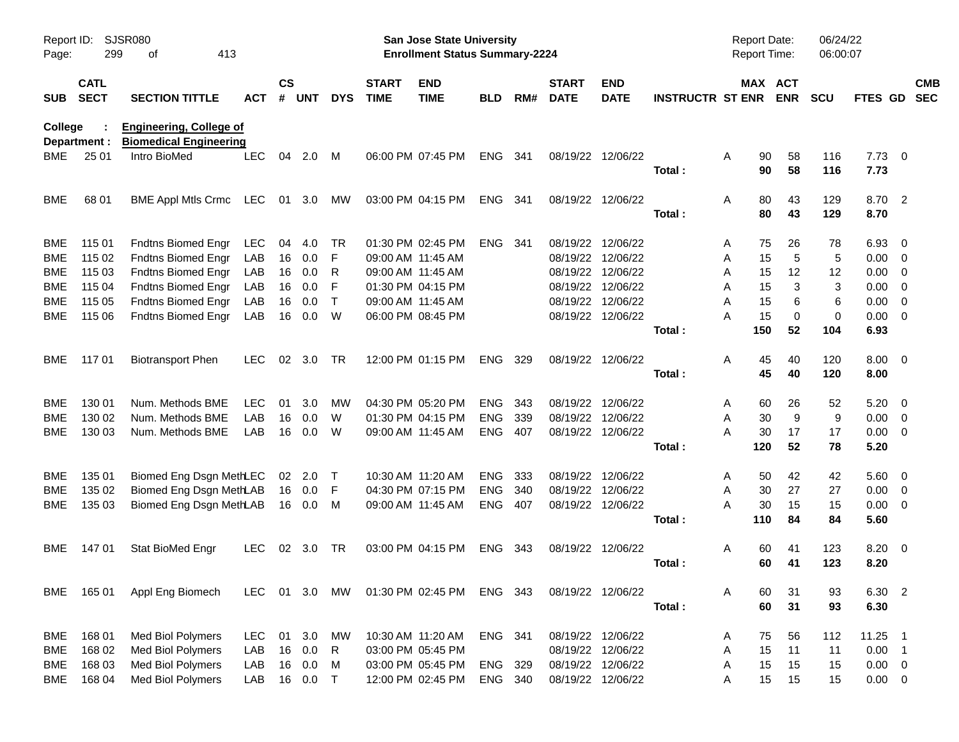| Page:      | SJSR080<br>Report ID:<br>299<br>413<br>οf<br><b>CATL</b> |                                               |            |                    |            |              |                             | <b>San Jose State University</b><br><b>Enrollment Status Summary-2224</b> |            |       |                             |                           |                         | Report Date:<br><b>Report Time:</b> |                       | 06/24/22<br>06:00:07 |                |                          |                          |
|------------|----------------------------------------------------------|-----------------------------------------------|------------|--------------------|------------|--------------|-----------------------------|---------------------------------------------------------------------------|------------|-------|-----------------------------|---------------------------|-------------------------|-------------------------------------|-----------------------|----------------------|----------------|--------------------------|--------------------------|
| <b>SUB</b> | <b>SECT</b>                                              | <b>SECTION TITTLE</b>                         | <b>ACT</b> | $\mathsf{cs}$<br># | <b>UNT</b> | <b>DYS</b>   | <b>START</b><br><b>TIME</b> | <b>END</b><br><b>TIME</b>                                                 | <b>BLD</b> | RM#   | <b>START</b><br><b>DATE</b> | <b>END</b><br><b>DATE</b> | <b>INSTRUCTR ST ENR</b> |                                     | MAX ACT<br><b>ENR</b> | <b>SCU</b>           | <b>FTES GD</b> |                          | <b>CMB</b><br><b>SEC</b> |
| College    |                                                          | <b>Engineering, College of</b>                |            |                    |            |              |                             |                                                                           |            |       |                             |                           |                         |                                     |                       |                      |                |                          |                          |
| BME        | Department :<br>25 01                                    | <b>Biomedical Engineering</b><br>Intro BioMed | <b>LEC</b> | 04                 | 2.0        | M            |                             | 06:00 PM 07:45 PM                                                         | ENG        | - 341 |                             | 08/19/22 12/06/22         |                         | A                                   | 90<br>58              | 116                  | $7.73$ 0       |                          |                          |
|            |                                                          |                                               |            |                    |            |              |                             |                                                                           |            |       |                             |                           | Total:                  |                                     | 90<br>58              | 116                  | 7.73           |                          |                          |
| <b>BME</b> | 68 01                                                    | BME Appl Mtls Crmc LEC                        |            |                    | 01 3.0     | МW           |                             | 03:00 PM 04:15 PM                                                         | ENG 341    |       |                             | 08/19/22 12/06/22         |                         | Α                                   | 80<br>43              | 129                  | 8.70 2         |                          |                          |
|            |                                                          |                                               |            |                    |            |              |                             |                                                                           |            |       |                             |                           | Total:                  |                                     | 80<br>43              | 129                  | 8.70           |                          |                          |
| <b>BME</b> | 115 01                                                   | Fndtns Biomed Engr                            | LEC        | 04                 | 4.0        | TR           |                             | 01:30 PM 02:45 PM                                                         | ENG 341    |       |                             | 08/19/22 12/06/22         |                         | A                                   | 75<br>26              | 78                   | 6.93           | $\overline{\mathbf{0}}$  |                          |
| <b>BME</b> | 115 02                                                   | Fndtns Biomed Engr                            | LAB        | 16                 | 0.0        | F            | 09:00 AM 11:45 AM           |                                                                           |            |       |                             | 08/19/22 12/06/22         |                         | Α                                   | 5<br>15               | 5                    | $0.00 \t 0$    |                          |                          |
| <b>BME</b> | 115 03                                                   | <b>Fndtns Biomed Engr</b>                     | LAB        | 16                 | 0.0        | R            |                             | 09:00 AM 11:45 AM                                                         |            |       |                             | 08/19/22 12/06/22         |                         | Α                                   | 15<br>12              | 12                   | 0.00           | $\overline{\mathbf{0}}$  |                          |
| <b>BME</b> | 115 04                                                   | Fndtns Biomed Engr                            | LAB        | 16                 | 0.0        | F            |                             | 01:30 PM 04:15 PM                                                         |            |       |                             | 08/19/22 12/06/22         |                         | Α                                   | 3<br>15               | 3                    | 0.00           | $\overline{\phantom{0}}$ |                          |
| <b>BME</b> | 115 05                                                   | Fndtns Biomed Engr                            | LAB        | 16                 | 0.0        | $\mathsf{T}$ |                             | 09:00 AM 11:45 AM                                                         |            |       |                             | 08/19/22 12/06/22         |                         | A                                   | 6<br>15               | 6                    | 0.00           | $\overline{\mathbf{0}}$  |                          |
| BME.       | 115 06                                                   | Fndtns Biomed Engr                            | LAB        | 16                 | 0.0        | W            |                             | 06:00 PM 08:45 PM                                                         |            |       |                             | 08/19/22 12/06/22         |                         | Α                                   | $\mathbf 0$<br>15     | 0                    | $0.00 \t 0$    |                          |                          |
|            |                                                          |                                               |            |                    |            |              |                             |                                                                           |            |       |                             |                           | Total:                  | 150                                 | 52                    | 104                  | 6.93           |                          |                          |
| BME.       | 11701                                                    | <b>Biotransport Phen</b>                      | <b>LEC</b> |                    | 02 3.0     | TR           |                             | 12:00 PM 01:15 PM                                                         | ENG 329    |       |                             | 08/19/22 12/06/22         |                         | Α                                   | 45<br>40              | 120                  | $8.00 \t 0$    |                          |                          |
|            |                                                          |                                               |            |                    |            |              |                             |                                                                           |            |       |                             |                           | Total:                  |                                     | 45<br>40              | 120                  | 8.00           |                          |                          |
| <b>BME</b> | 130 01                                                   | Num. Methods BME                              | <b>LEC</b> | 01                 | 3.0        | МW           |                             | 04:30 PM 05:20 PM                                                         | <b>ENG</b> | 343   |                             | 08/19/22 12/06/22         |                         | A                                   | 26<br>60              | 52                   | $5.20 \ 0$     |                          |                          |
| <b>BME</b> | 130 02                                                   | Num. Methods BME                              | LAB        | 16                 | 0.0        | W            |                             | 01:30 PM 04:15 PM                                                         | <b>ENG</b> | 339   |                             | 08/19/22 12/06/22         |                         | Α                                   | 9<br>30               | 9                    | $0.00 \t 0$    |                          |                          |
| <b>BME</b> | 130 03                                                   | Num. Methods BME                              | LAB        | 16                 | 0.0        | W            |                             | 09:00 AM 11:45 AM                                                         | <b>ENG</b> | 407   |                             | 08/19/22 12/06/22         |                         | A                                   | 17<br>30              | 17                   | $0.00 \t 0$    |                          |                          |
|            |                                                          |                                               |            |                    |            |              |                             |                                                                           |            |       |                             |                           | Total:                  | 120                                 | 52                    | 78                   | 5.20           |                          |                          |
| <b>BME</b> | 135 01                                                   | Biomed Eng Dsgn MethLEC                       |            |                    | 02 2.0     | $\top$       |                             | 10:30 AM 11:20 AM                                                         | <b>ENG</b> | 333   |                             | 08/19/22 12/06/22         |                         | A                                   | 42<br>50              | 42                   | $5.60 \t 0$    |                          |                          |
| <b>BME</b> | 135 02                                                   | Biomed Eng Dsgn MethLAB                       |            |                    | 16 0.0     | F            |                             | 04:30 PM 07:15 PM                                                         | <b>ENG</b> | 340   |                             | 08/19/22 12/06/22         |                         | Α                                   | 30<br>27              | 27                   | $0.00 \t 0$    |                          |                          |
| <b>BME</b> | 135 03                                                   | Biomed Eng Dsgn MethLAB                       |            |                    | 16  0.0    | M            |                             | 09:00 AM 11:45 AM                                                         | ENG        | 407   |                             | 08/19/22 12/06/22         |                         | A                                   | 30<br>15              | 15                   | $0.00 \t 0$    |                          |                          |
|            |                                                          |                                               |            |                    |            |              |                             |                                                                           |            |       |                             |                           | Total:                  | 110                                 | 84                    | 84                   | 5.60           |                          |                          |
| BME.       | 14701                                                    | Stat BioMed Engr                              | <b>LEC</b> |                    | 02 3.0     | TR           |                             | 03:00 PM 04:15 PM                                                         | ENG 343    |       |                             | 08/19/22 12/06/22         |                         | A                                   | 60<br>41              | 123                  | 8.20 0         |                          |                          |
|            |                                                          |                                               |            |                    |            |              |                             |                                                                           |            |       |                             |                           | Total:                  |                                     | 41<br>60              | 123                  | 8.20           |                          |                          |
|            | BME 165 01                                               | Appl Eng Biomech                              |            |                    |            |              |                             | LEC 01 3.0 MW 01:30 PM 02:45 PM ENG 343                                   |            |       |                             | 08/19/22 12/06/22         |                         | A                                   | 31<br>60              | 93                   | 6.30 2         |                          |                          |
|            |                                                          |                                               |            |                    |            |              |                             |                                                                           |            |       |                             |                           | Total:                  |                                     | 60<br>31              | 93                   | 6.30           |                          |                          |
| BME        | 16801                                                    | Med Biol Polymers                             | <b>LEC</b> |                    | 01 3.0     | MW           | 10:30 AM 11:20 AM           |                                                                           | ENG 341    |       |                             | 08/19/22 12/06/22         |                         | A                                   | 56<br>75              | 112                  | $11.25$ 1      |                          |                          |
| <b>BME</b> | 168 02                                                   | Med Biol Polymers                             | LAB        |                    | 16 0.0     | $\mathsf{R}$ |                             | 03:00 PM 05:45 PM                                                         |            |       |                             | 08/19/22 12/06/22         |                         | Α                                   | 11<br>15              | 11                   | $0.00$ 1       |                          |                          |
| <b>BME</b> | 168 03                                                   | Med Biol Polymers                             | LAB        |                    | 16 0.0     | M            |                             | 03:00 PM 05:45 PM                                                         | ENG 329    |       |                             | 08/19/22 12/06/22         |                         | A                                   | 15<br>15              | 15                   | $0.00 \t 0$    |                          |                          |
| BME        | 168 04                                                   | Med Biol Polymers                             | LAB        |                    | 16 0.0     | $\top$       |                             | 12:00 PM 02:45 PM                                                         | ENG 340    |       |                             | 08/19/22 12/06/22         |                         | Α                                   | 15<br>15              | 15                   | $0.00 \t 0$    |                          |                          |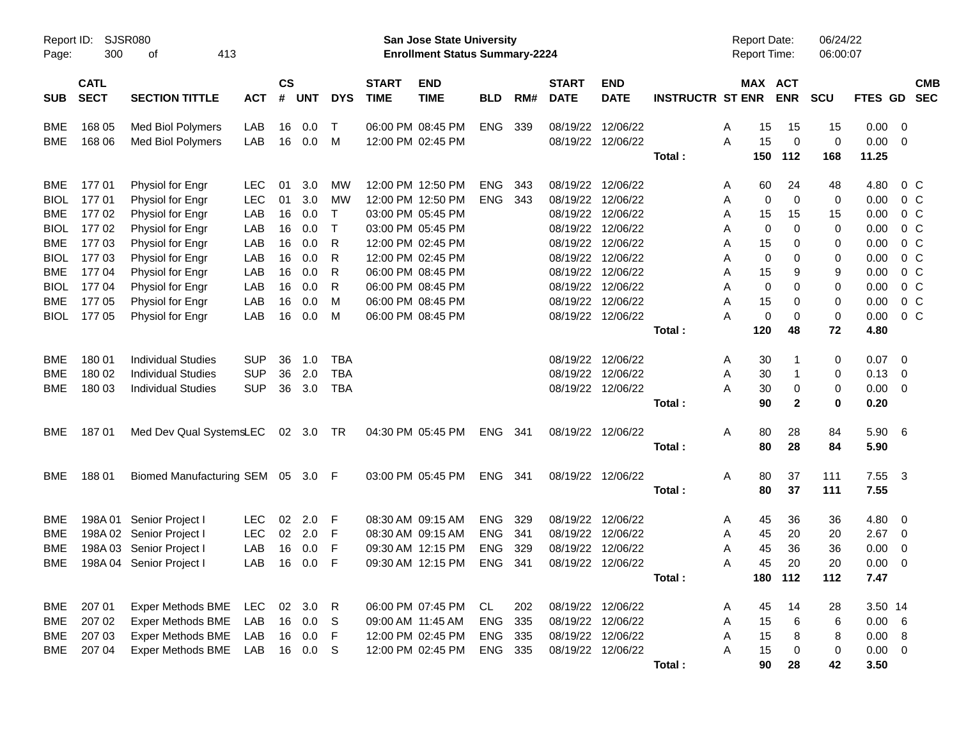| Report ID:<br>Page: | 300                        | <b>SJSR080</b><br>413<br>οf            |            |                |            |              |                             | <b>San Jose State University</b><br><b>Enrollment Status Summary-2224</b> |            |     |                             |                                        |                         | <b>Report Date:</b><br><b>Report Time:</b> |             |                   | 06/24/22<br>06:00:07 |                |                         |                          |
|---------------------|----------------------------|----------------------------------------|------------|----------------|------------|--------------|-----------------------------|---------------------------------------------------------------------------|------------|-----|-----------------------------|----------------------------------------|-------------------------|--------------------------------------------|-------------|-------------------|----------------------|----------------|-------------------------|--------------------------|
| <b>SUB</b>          | <b>CATL</b><br><b>SECT</b> | <b>SECTION TITTLE</b>                  | <b>ACT</b> | <b>CS</b><br># | UNT        | <b>DYS</b>   | <b>START</b><br><b>TIME</b> | <b>END</b><br><b>TIME</b>                                                 | <b>BLD</b> | RM# | <b>START</b><br><b>DATE</b> | <b>END</b><br><b>DATE</b>              | <b>INSTRUCTR ST ENR</b> | MAX ACT                                    |             | <b>ENR</b>        | <b>SCU</b>           | <b>FTES GD</b> |                         | <b>CMB</b><br><b>SEC</b> |
| BME<br><b>BME</b>   | 168 05<br>168 06           | Med Biol Polymers<br>Med Biol Polymers | LAB<br>LAB | 16<br>16       | 0.0<br>0.0 | $\top$<br>M  |                             | 06:00 PM 08:45 PM<br>12:00 PM 02:45 PM                                    | <b>ENG</b> | 339 |                             | 08/19/22 12/06/22<br>08/19/22 12/06/22 |                         | A<br>A                                     | 15<br>15    | 15<br>$\mathbf 0$ | 15<br>$\mathbf 0$    | 0.00<br>0.00   | 0<br>$\overline{0}$     |                          |
|                     |                            |                                        |            |                |            |              |                             |                                                                           |            |     |                             |                                        | Total:                  | 150                                        |             | 112               | 168                  | 11.25          |                         |                          |
| <b>BME</b>          | 17701                      | Physiol for Engr                       | <b>LEC</b> | 01             | 3.0        | МW           |                             | 12:00 PM 12:50 PM                                                         | <b>ENG</b> | 343 |                             | 08/19/22 12/06/22                      |                         | A                                          | 60          | 24                | 48                   | 4.80           | $0\,$ C                 |                          |
| <b>BIOL</b>         | 17701                      | Physiol for Engr                       | <b>LEC</b> | 01             | 3.0        | MW           |                             | 12:00 PM 12:50 PM                                                         | <b>ENG</b> | 343 |                             | 08/19/22 12/06/22                      |                         | Α                                          | 0           | $\mathbf 0$       | 0                    | 0.00           | 0 <sup>o</sup>          |                          |
| BME                 | 17702                      | Physiol for Engr                       | LAB        | 16             | 0.0        | $\top$       |                             | 03:00 PM 05:45 PM                                                         |            |     |                             | 08/19/22 12/06/22                      |                         | Α                                          | 15          | 15                | 15                   | 0.00           | 0 <sup>o</sup>          |                          |
| <b>BIOL</b>         | 17702                      | Physiol for Engr                       | LAB        | 16             | 0.0        | $\mathsf{T}$ |                             | 03:00 PM 05:45 PM                                                         |            |     |                             | 08/19/22 12/06/22                      |                         | Α                                          | 0           | $\Omega$          | 0                    | 0.00           | 0 <sup>o</sup>          |                          |
| <b>BME</b>          | 177 03                     | Physiol for Engr                       | LAB        | 16             | 0.0        | R            |                             | 12:00 PM 02:45 PM                                                         |            |     |                             | 08/19/22 12/06/22                      |                         | Α                                          | 15          | 0                 | 0                    | 0.00           | 0 <sup>o</sup>          |                          |
| <b>BIOL</b>         | 17703                      | Physiol for Engr                       | LAB        | 16             | 0.0        | R            |                             | 12:00 PM 02:45 PM                                                         |            |     |                             | 08/19/22 12/06/22                      |                         | Α                                          | 0           | 0                 | 0                    | 0.00           | 0 <sub>C</sub>          |                          |
| <b>BME</b>          | 177 04                     | Physiol for Engr                       | LAB        | 16             | 0.0        | R            |                             | 06:00 PM 08:45 PM                                                         |            |     |                             | 08/19/22 12/06/22                      |                         | Α                                          | 15          | 9                 | 9                    | 0.00           | 0 <sub>C</sub>          |                          |
| <b>BIOL</b>         | 17704                      | Physiol for Engr                       | LAB        | 16             | 0.0        | R            |                             | 06:00 PM 08:45 PM                                                         |            |     |                             | 08/19/22 12/06/22                      |                         | Α                                          | $\mathbf 0$ | $\Omega$          | 0                    | 0.00           | 0 <sub>C</sub>          |                          |
| <b>BME</b>          | 177 05                     | Physiol for Engr                       | LAB        | 16             | 0.0        | м<br>м       |                             | 06:00 PM 08:45 PM<br>06:00 PM 08:45 PM                                    |            |     |                             | 08/19/22 12/06/22                      |                         | A<br>А                                     | 15          | 0<br>$\Omega$     | 0                    | 0.00           | 0 <sub>C</sub>          |                          |
| <b>BIOL</b>         | 17705                      | Physiol for Engr                       | LAB        | 16             | 0.0        |              |                             |                                                                           |            |     |                             | 08/19/22 12/06/22                      |                         | 120                                        | 0           | 48                | 0<br>72              | 0.00<br>4.80   | 0 <sub>C</sub>          |                          |
|                     |                            |                                        |            |                |            |              |                             |                                                                           |            |     |                             |                                        | Total:                  |                                            |             |                   |                      |                |                         |                          |
| <b>BME</b>          | 180 01                     | <b>Individual Studies</b>              | <b>SUP</b> | 36             | 1.0        | <b>TBA</b>   |                             |                                                                           |            |     |                             | 08/19/22 12/06/22                      |                         | A                                          | 30          |                   | 0                    | 0.07           | $\overline{\mathbf{0}}$ |                          |
| BME                 | 180 02                     | <b>Individual Studies</b>              | <b>SUP</b> | 36             | 2.0        | <b>TBA</b>   |                             |                                                                           |            |     |                             | 08/19/22 12/06/22                      |                         | Α                                          | 30          | 1                 | 0                    | 0.13           | 0                       |                          |
| <b>BME</b>          | 180 03                     | <b>Individual Studies</b>              | <b>SUP</b> | 36             | 3.0        | <b>TBA</b>   |                             |                                                                           |            |     |                             | 08/19/22 12/06/22                      |                         | Α                                          | 30          | 0                 | 0                    | 0.00           | 0                       |                          |
|                     |                            |                                        |            |                |            |              |                             |                                                                           |            |     |                             |                                        | Total:                  |                                            | 90          | $\mathbf{2}$      | 0                    | 0.20           |                         |                          |
| BME                 | 18701                      | Med Dev Qual SystemsLEC                |            |                | 02 3.0 TR  |              |                             | 04:30 PM 05:45 PM                                                         | <b>ENG</b> | 341 |                             | 08/19/22 12/06/22                      |                         | Α                                          | 80          | 28                | 84                   | 5.90 6         |                         |                          |
|                     |                            |                                        |            |                |            |              |                             |                                                                           |            |     |                             |                                        | Total:                  |                                            | 80          | 28                | 84                   | 5.90           |                         |                          |
| <b>BME</b>          | 18801                      | Biomed Manufacturing SEM 05 3.0 F      |            |                |            |              |                             | 03:00 PM 05:45 PM                                                         | <b>ENG</b> | 341 |                             | 08/19/22 12/06/22                      |                         | Α                                          | 80          | 37                | 111                  | 7.55 3         |                         |                          |
|                     |                            |                                        |            |                |            |              |                             |                                                                           |            |     |                             |                                        | Total:                  |                                            | 80          | 37                | 111                  | 7.55           |                         |                          |
|                     |                            |                                        |            |                |            |              |                             |                                                                           |            |     |                             |                                        |                         |                                            |             |                   |                      |                |                         |                          |
| <b>BME</b>          |                            | 198A 01 Senior Project I               | <b>LEC</b> | 02             | 2.0        | F            |                             | 08:30 AM 09:15 AM                                                         | <b>ENG</b> | 329 |                             | 08/19/22 12/06/22                      |                         | A                                          | 45          | 36                | 36                   | 4.80           | 0                       |                          |
| <b>BME</b>          |                            | 198A 02 Senior Project I               | <b>LEC</b> | 02             | 2.0        | F            |                             | 08:30 AM 09:15 AM                                                         | <b>ENG</b> | 341 | 08/19/22                    | 12/06/22                               |                         | A                                          | 45          | 20                | 20                   | 2.67           | 0                       |                          |
| <b>BME</b>          |                            | 198A 03 Senior Project I               | LAB        | 16             | 0.0        | F            |                             | 09:30 AM 12:15 PM                                                         | <b>ENG</b> | 329 | 08/19/22                    | 12/06/22                               |                         | Α                                          | 45          | 36                | 36                   | 0.00           | 0                       |                          |
| <b>BME</b>          |                            | 198A 04 Senior Project I               | LAB        | 16             | 0.0        | F            |                             | 09:30 AM 12:15 PM                                                         | <b>ENG</b> | 341 | 08/19/22 12/06/22           |                                        |                         | Α                                          | 45          | 20                | 20                   | 0.00           | 0                       |                          |
|                     |                            |                                        |            |                |            |              |                             |                                                                           |            |     |                             |                                        | Total :                 |                                            | 180 112     |                   | 112                  | 7.47           |                         |                          |
| BME                 | 207 01                     | Exper Methods BME                      | <b>LEC</b> |                | 02 3.0     | R            |                             | 06:00 PM 07:45 PM                                                         | CL         | 202 |                             | 08/19/22 12/06/22                      |                         | A                                          | 45          | 14                | 28                   | 3.50 14        |                         |                          |
| <b>BME</b>          | 207 02                     | Exper Methods BME                      | LAB        | 16             | 0.0        | - S          |                             | 09:00 AM 11:45 AM                                                         | <b>ENG</b> | 335 |                             | 08/19/22 12/06/22                      |                         | Α                                          | 15          | 6                 | 6                    | $0.00\quad 6$  |                         |                          |
| <b>BME</b>          | 207 03                     | Exper Methods BME                      | LAB        | 16             | 0.0        | - F          |                             | 12:00 PM 02:45 PM                                                         | <b>ENG</b> | 335 |                             | 08/19/22 12/06/22                      |                         | A                                          | 15          | 8                 | 8                    | 0.00 8         |                         |                          |
| <b>BME</b>          | 207 04                     | Exper Methods BME                      | LAB        |                | 16  0.0  S |              |                             | 12:00 PM 02:45 PM                                                         | ENG        | 335 |                             | 08/19/22 12/06/22                      |                         | A                                          | 15          | $\mathbf 0$       | 0                    | $0.00 \t 0$    |                         |                          |
|                     |                            |                                        |            |                |            |              |                             |                                                                           |            |     |                             |                                        | Total:                  |                                            | 90          | 28                | 42                   | 3.50           |                         |                          |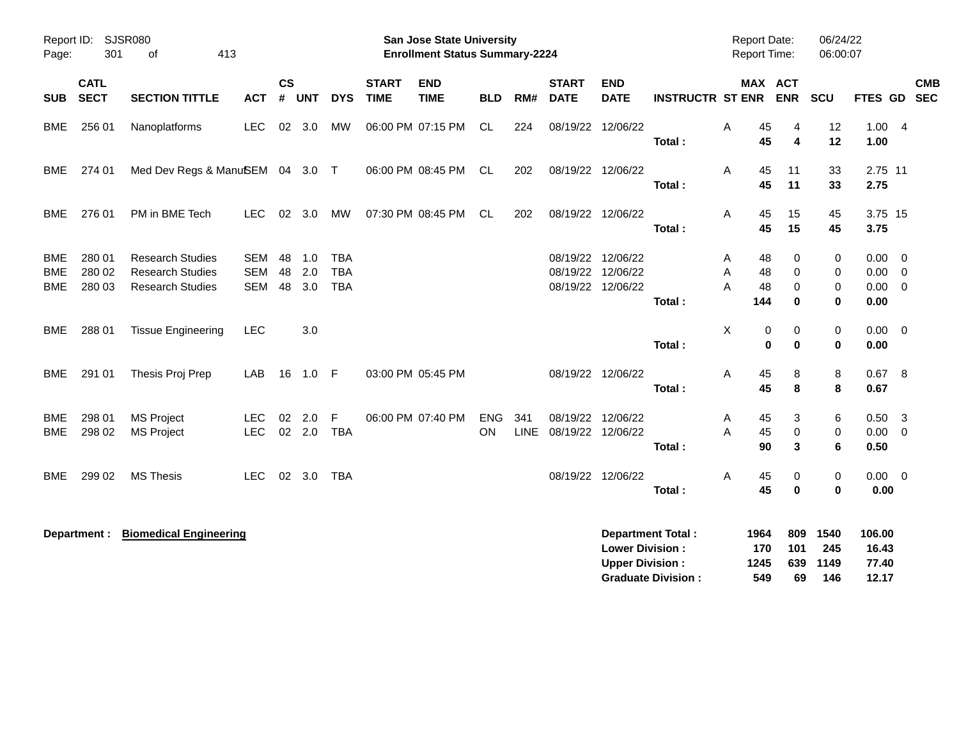| Report ID:<br>Page:             | 301                        | <b>SJSR080</b><br>413<br>οf                                                   |                                        |                    |                   |                                        |                             | <b>San Jose State University</b><br><b>Enrollment Status Summary-2224</b> |                         |             |                                                             |                                                  |                                                       |             | <b>Report Date:</b><br>Report Time: |                         | 06/24/22<br>06:00:07              |                                   |                                                             |                          |
|---------------------------------|----------------------------|-------------------------------------------------------------------------------|----------------------------------------|--------------------|-------------------|----------------------------------------|-----------------------------|---------------------------------------------------------------------------|-------------------------|-------------|-------------------------------------------------------------|--------------------------------------------------|-------------------------------------------------------|-------------|-------------------------------------|-------------------------|-----------------------------------|-----------------------------------|-------------------------------------------------------------|--------------------------|
| <b>SUB</b>                      | <b>CATL</b><br><b>SECT</b> | <b>SECTION TITTLE</b>                                                         | <b>ACT</b>                             | $\mathsf{cs}$<br># | <b>UNT</b>        | <b>DYS</b>                             | <b>START</b><br><b>TIME</b> | <b>END</b><br><b>TIME</b>                                                 | <b>BLD</b>              | RM#         | <b>START</b><br><b>DATE</b>                                 | <b>END</b><br><b>DATE</b>                        | <b>INSTRUCTR ST ENR</b>                               |             | MAX ACT                             | <b>ENR</b>              | SCU                               | <b>FTES GD</b>                    |                                                             | <b>CMB</b><br><b>SEC</b> |
| <b>BME</b>                      | 256 01                     | Nanoplatforms                                                                 | <b>LEC</b>                             |                    | 02 3.0            | МW                                     |                             | 06:00 PM 07:15 PM                                                         | CL                      | 224         | 08/19/22 12/06/22                                           |                                                  | Total:                                                | A           | 45<br>45                            | 4<br>4                  | 12<br>12                          | 1.00<br>1.00                      | $\overline{4}$                                              |                          |
| <b>BME</b>                      | 274 01                     | Med Dev Regs & ManuSEM 04 3.0 T                                               |                                        |                    |                   |                                        |                             | 06:00 PM 08:45 PM                                                         | CL.                     | 202         | 08/19/22 12/06/22                                           |                                                  | Total:                                                | A           | 45<br>45                            | 11<br>11                | 33<br>33                          | 2.75 11<br>2.75                   |                                                             |                          |
| <b>BME</b>                      | 276 01                     | PM in BME Tech                                                                | <b>LEC</b>                             | 02                 | 3.0               | <b>MW</b>                              |                             | 07:30 PM 08:45 PM                                                         | <b>CL</b>               | 202         | 08/19/22 12/06/22                                           |                                                  | Total:                                                | A           | 45<br>45                            | 15<br>15                | 45<br>45                          | 3.75 15<br>3.75                   |                                                             |                          |
| <b>BME</b><br>BME<br><b>BME</b> | 280 01<br>280 02<br>280 03 | <b>Research Studies</b><br><b>Research Studies</b><br><b>Research Studies</b> | <b>SEM</b><br><b>SEM</b><br><b>SEM</b> | 48<br>48<br>48     | 1.0<br>2.0<br>3.0 | <b>TBA</b><br><b>TBA</b><br><b>TBA</b> |                             |                                                                           |                         |             | 08/19/22 12/06/22<br>08/19/22 12/06/22<br>08/19/22 12/06/22 |                                                  | Total:                                                | Α<br>A<br>A | 48<br>48<br>48<br>144               | 0<br>0<br>0<br>0        | 0<br>0<br>$\mathbf 0$<br>$\bf{0}$ | 0.00<br>0.00<br>0.00<br>0.00      | $\overline{0}$<br>$\overline{\mathbf{0}}$<br>$\overline{0}$ |                          |
| <b>BME</b>                      | 288 01                     | <b>Tissue Engineering</b>                                                     | <b>LEC</b>                             |                    | 3.0               |                                        |                             |                                                                           |                         |             |                                                             |                                                  | Total:                                                | X           | 0<br>0                              | 0<br>$\bf{0}$           | $\pmb{0}$<br>0                    | $0.00 \t 0$<br>0.00               |                                                             |                          |
| <b>BME</b>                      | 291 01                     | Thesis Proj Prep                                                              | LAB                                    | 16                 | $1.0$ F           |                                        |                             | 03:00 PM 05:45 PM                                                         |                         |             | 08/19/22 12/06/22                                           |                                                  | Total:                                                | Α           | 45<br>45                            | 8<br>8                  | 8<br>8                            | 0.67 8<br>0.67                    |                                                             |                          |
| <b>BME</b><br><b>BME</b>        | 298 01<br>298 02           | <b>MS Project</b><br><b>MS Project</b>                                        | <b>LEC</b><br><b>LEC</b>               | 02                 | 2.0<br>$02$ 2.0   | F<br><b>TBA</b>                        |                             | 06:00 PM 07:40 PM                                                         | <b>ENG</b><br><b>ON</b> | 341<br>LINE | 08/19/22<br>08/19/22 12/06/22                               | 12/06/22                                         | Total:                                                | Α<br>A      | 45<br>45<br>90                      | 3<br>$\mathbf 0$<br>3   | 6<br>0<br>6                       | 0.50<br>0.00<br>0.50              | $\overline{\mathbf{3}}$<br>$\overline{0}$                   |                          |
| BME                             | 299 02                     | <b>MS Thesis</b>                                                              | <b>LEC</b>                             | 02                 | 3.0               | <b>TBA</b>                             |                             |                                                                           |                         |             | 08/19/22 12/06/22                                           |                                                  | Total:                                                | Α           | 45<br>45                            | 0<br>0                  | 0<br>0                            | $0.00 \t 0$<br>0.00               |                                                             |                          |
|                                 | Department :               | <b>Biomedical Engineering</b>                                                 |                                        |                    |                   |                                        |                             |                                                                           |                         |             |                                                             | <b>Lower Division:</b><br><b>Upper Division:</b> | <b>Department Total:</b><br><b>Graduate Division:</b> |             | 1964<br>170<br>1245<br>549          | 809<br>101<br>639<br>69 | 1540<br>245<br>1149<br>146        | 106.00<br>16.43<br>77.40<br>12.17 |                                                             |                          |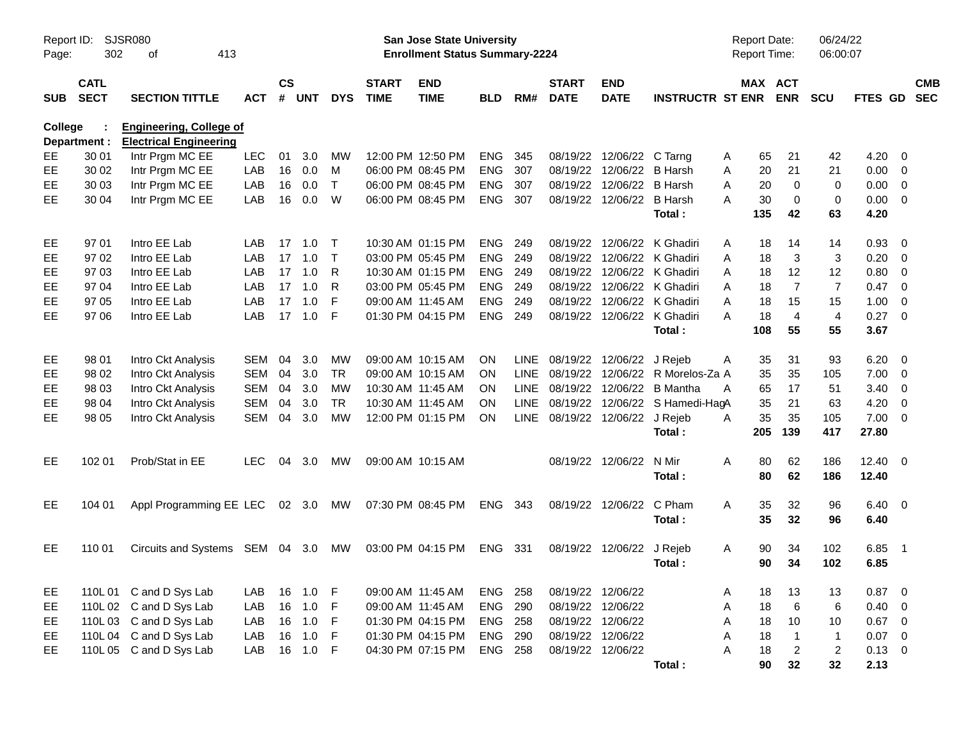| Page:      | <b>SJSR080</b><br>Report ID:<br>302<br>413<br>оf<br><b>CATL</b> |                                                                 |            |                    |            |            |                             | <b>San Jose State University</b><br><b>Enrollment Status Summary-2224</b> |            |      |                             |                             |                                  |   | <b>Report Date:</b><br><b>Report Time:</b> |                | 06/24/22<br>06:00:07 |              |                          |                          |
|------------|-----------------------------------------------------------------|-----------------------------------------------------------------|------------|--------------------|------------|------------|-----------------------------|---------------------------------------------------------------------------|------------|------|-----------------------------|-----------------------------|----------------------------------|---|--------------------------------------------|----------------|----------------------|--------------|--------------------------|--------------------------|
| <b>SUB</b> | <b>SECT</b>                                                     | <b>SECTION TITTLE</b>                                           | <b>ACT</b> | $\mathsf{cs}$<br># | <b>UNT</b> | <b>DYS</b> | <b>START</b><br><b>TIME</b> | <b>END</b><br><b>TIME</b>                                                 | <b>BLD</b> | RM#  | <b>START</b><br><b>DATE</b> | <b>END</b><br><b>DATE</b>   | <b>INSTRUCTR ST ENR</b>          |   | MAX ACT                                    | <b>ENR</b>     | <b>SCU</b>           | FTES GD      |                          | <b>CMB</b><br><b>SEC</b> |
| College    | Department :                                                    | <b>Engineering, College of</b><br><b>Electrical Engineering</b> |            |                    |            |            |                             |                                                                           |            |      |                             |                             |                                  |   |                                            |                |                      |              |                          |                          |
| EE.        | 30 01                                                           | Intr Prgm MC EE                                                 | <b>LEC</b> | 01                 | 3.0        | MW         |                             | 12:00 PM 12:50 PM                                                         | ENG        | 345  |                             | 08/19/22 12/06/22           | C Tarng                          | A | 65                                         | 21             | 42                   | 4.20         | - 0                      |                          |
| <b>EE</b>  | 30 02                                                           | Intr Prgm MC EE                                                 | LAB        | 16                 | 0.0        | M          |                             | 06:00 PM 08:45 PM                                                         | <b>ENG</b> | 307  |                             | 08/19/22 12/06/22           | <b>B</b> Harsh                   | Α | 20                                         | 21             | 21                   | 0.00         | $\overline{\mathbf{0}}$  |                          |
| EE.        | 30 03                                                           | Intr Prgm MC EE                                                 | LAB        | 16                 | 0.0        | $\top$     |                             | 06:00 PM 08:45 PM                                                         | <b>ENG</b> | 307  |                             | 08/19/22 12/06/22           | <b>B</b> Harsh                   | A | 20                                         | $\mathbf 0$    | 0                    | 0.00         | $\overline{\mathbf{0}}$  |                          |
| EE         | 30 04                                                           | Intr Prgm MC EE                                                 | LAB        | 16                 | 0.0        | W          |                             | 06:00 PM 08:45 PM                                                         | ENG 307    |      |                             | 08/19/22 12/06/22 B Harsh   |                                  | A | 30                                         | 0              | 0                    | 0.00         | $\overline{\mathbf{0}}$  |                          |
|            |                                                                 |                                                                 |            |                    |            |            |                             |                                                                           |            |      |                             |                             | Total:                           |   | 135                                        | 42             | 63                   | 4.20         |                          |                          |
| EE         | 97 01                                                           | Intro EE Lab                                                    | LAB        | 17                 | 1.0        | $\top$     |                             | 10:30 AM 01:15 PM                                                         | <b>ENG</b> | -249 |                             |                             | 08/19/22 12/06/22 K Ghadiri      | A | 18                                         | 14             | 14                   | 0.93         | - 0                      |                          |
| EE         | 97 02                                                           | Intro EE Lab                                                    | LAB        | 17                 | 1.0        | $\top$     |                             | 03:00 PM 05:45 PM                                                         | <b>ENG</b> | 249  |                             |                             | 08/19/22 12/06/22 K Ghadiri      | Α | 18                                         | 3              | 3                    | 0.20         | 0                        |                          |
| EE         | 97 03                                                           | Intro EE Lab                                                    | LAB        | 17                 | 1.0        | R          |                             | 10:30 AM 01:15 PM                                                         | <b>ENG</b> | 249  |                             |                             | 08/19/22 12/06/22 K Ghadiri      | A | 18                                         | 12             | 12                   | 0.80         | 0                        |                          |
| EE         | 97 04                                                           | Intro EE Lab                                                    | LAB        | 17                 | 1.0        | R          |                             | 03:00 PM 05:45 PM                                                         | <b>ENG</b> | 249  |                             |                             | 08/19/22 12/06/22 K Ghadiri      | A | 18                                         | $\overline{7}$ | $\overline{7}$       | 0.47         | 0                        |                          |
| EE         | 97 05                                                           | Intro EE Lab                                                    | LAB        | 17                 | 1.0        | F          | 09:00 AM 11:45 AM           |                                                                           | <b>ENG</b> | 249  |                             |                             | 08/19/22 12/06/22 K Ghadiri      | A | 18                                         | 15             | 15                   | 1.00         | 0                        |                          |
| EE         | 97 06                                                           | Intro EE Lab                                                    | LAB        | 17                 | 1.0        | -F         |                             | 01:30 PM 04:15 PM                                                         | <b>ENG</b> | 249  |                             | 08/19/22 12/06/22 K Ghadiri |                                  | A | 18                                         | $\overline{4}$ | $\overline{4}$       | 0.27         | $\overline{\mathbf{0}}$  |                          |
|            |                                                                 |                                                                 |            |                    |            |            |                             |                                                                           |            |      |                             |                             | Total:                           |   | 108                                        | 55             | 55                   | 3.67         |                          |                          |
| EE         | 98 01                                                           | Intro Ckt Analysis                                              | <b>SEM</b> | 04                 | 3.0        | MW         |                             | 09:00 AM 10:15 AM                                                         | <b>ON</b>  | LINE |                             | 08/19/22 12/06/22           | J Rejeb                          | A | 35                                         | 31             | 93                   | 6.20         | $\overline{\mathbf{0}}$  |                          |
| EE         | 98 02                                                           | Intro Ckt Analysis                                              | <b>SEM</b> | 04                 | 3.0        | <b>TR</b>  |                             | 09:00 AM 10:15 AM                                                         | <b>ON</b>  | LINE |                             |                             | 08/19/22 12/06/22 R Morelos-Za A |   | 35                                         | 35             | 105                  | 7.00         | $\overline{\mathbf{0}}$  |                          |
| EE         | 98 03                                                           | Intro Ckt Analysis                                              | <b>SEM</b> | 04                 | 3.0        | MW         | 10:30 AM 11:45 AM           |                                                                           | <b>ON</b>  | LINE |                             | 08/19/22 12/06/22           | <b>B</b> Mantha                  | A | 65                                         | 17             | 51                   | 3.40         | 0                        |                          |
| EE         | 98 04                                                           | Intro Ckt Analysis                                              | <b>SEM</b> | 04                 | 3.0        | <b>TR</b>  |                             | 10:30 AM 11:45 AM                                                         | <b>ON</b>  | LINE |                             |                             | 08/19/22 12/06/22 S Hamedi-HagA  |   | 35                                         | 21             | 63                   | 4.20         | $\overline{\mathbf{0}}$  |                          |
| EE         | 98 05                                                           | Intro Ckt Analysis                                              | <b>SEM</b> | 04                 | 3.0        | <b>MW</b>  |                             | 12:00 PM 01:15 PM                                                         | ON         | LINE |                             | 08/19/22 12/06/22           | J Rejeb                          | A | 35                                         | 35             | 105                  | 7.00         | $\overline{\mathbf{0}}$  |                          |
|            |                                                                 |                                                                 |            |                    |            |            |                             |                                                                           |            |      |                             |                             | Total:                           |   | 205                                        | 139            | 417                  | 27.80        |                          |                          |
| <b>EE</b>  | 102 01                                                          | Prob/Stat in EE                                                 | <b>LEC</b> | 04                 | 3.0        | МW         |                             | 09:00 AM 10:15 AM                                                         |            |      |                             | 08/19/22 12/06/22           | N Mir                            | Α | 80                                         | 62             | 186                  | $12.40 \t 0$ |                          |                          |
|            |                                                                 |                                                                 |            |                    |            |            |                             |                                                                           |            |      |                             |                             | Total:                           |   | 80                                         | 62             | 186                  | 12.40        |                          |                          |
| EE         | 104 01                                                          | Appl Programming EE LEC 02 3.0                                  |            |                    |            | МW         |                             | 07:30 PM 08:45 PM                                                         | ENG 343    |      |                             | 08/19/22 12/06/22           | C Pham                           | A | 35                                         | 32             | 96                   | $6.40\ 0$    |                          |                          |
|            |                                                                 |                                                                 |            |                    |            |            |                             |                                                                           |            |      |                             |                             | Total:                           |   | 35                                         | 32             | 96                   | 6.40         |                          |                          |
| EE         | 110 01                                                          | Circuits and Systems SEM 04 3.0                                 |            |                    |            | МW         |                             | 03:00 PM 04:15 PM                                                         | ENG 331    |      |                             | 08/19/22 12/06/22           | J Rejeb                          | A | 90                                         | 34             | 102                  | 6.85         | $\overline{\phantom{1}}$ |                          |
|            |                                                                 |                                                                 |            |                    |            |            |                             |                                                                           |            |      |                             |                             | Total:                           |   | 90                                         | 34             | 102                  | 6.85         |                          |                          |
| EE         |                                                                 | 110L 01 C and D Sys Lab                                         | LAB        | 16                 | $1.0$ F    |            |                             | 09:00 AM 11:45 AM                                                         | ENG 258    |      | 08/19/22 12/06/22           |                             |                                  | A | 18                                         | 13             | 13                   | 0.87         | $\overline{\phantom{0}}$ |                          |
| EE         |                                                                 | 110L 02 C and D Sys Lab                                         | LAB        | 16                 | 1.0        | - F        |                             | 09:00 AM 11:45 AM                                                         | ENG 290    |      | 08/19/22 12/06/22           |                             |                                  | Α | 18                                         | $\,6\,$        | $\,6$                | 0.40         | $\overline{0}$           |                          |
| EE         |                                                                 | 110L 03 C and D Sys Lab                                         | LAB        | 16                 | 1.0        | - F        |                             | 01:30 PM 04:15 PM                                                         | ENG 258    |      | 08/19/22 12/06/22           |                             |                                  | Α | 18                                         | $10$           | 10                   | 0.67         | $\overline{\mathbf{0}}$  |                          |
| EE         |                                                                 | 110L 04 C and D Sys Lab                                         | LAB        | 16                 | 1.0        | F          |                             | 01:30 PM 04:15 PM                                                         | ENG 290    |      | 08/19/22 12/06/22           |                             |                                  | Α | 18                                         | $\mathbf{1}$   | $\mathbf{1}$         | 0.07         | $\overline{\mathbf{0}}$  |                          |
| EE         |                                                                 | 110L 05 C and D Sys Lab                                         | LAB        | 16                 | $1.0$ F    |            |                             | 04:30 PM 07:15 PM                                                         | ENG 258    |      |                             | 08/19/22 12/06/22           |                                  | A | 18                                         | $\overline{2}$ | $\overline{c}$       | $0.13 \ 0$   |                          |                          |
|            |                                                                 |                                                                 |            |                    |            |            |                             |                                                                           |            |      |                             |                             | Total:                           |   | 90                                         | 32             | 32                   | 2.13         |                          |                          |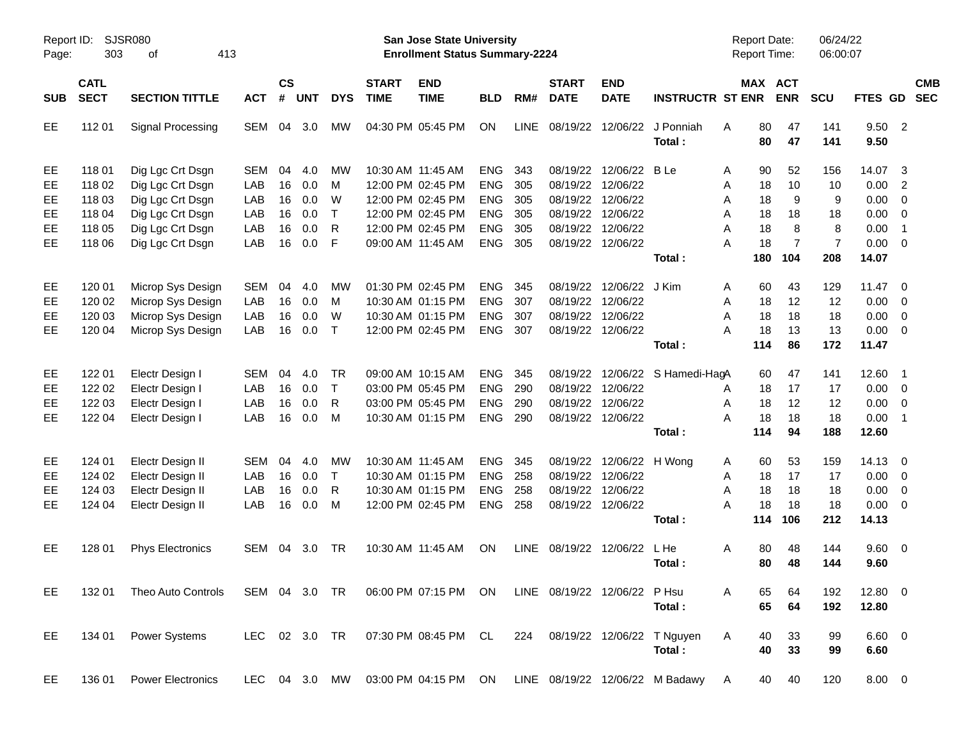| Report ID:<br>Page: | 303                        | <b>SJSR080</b><br>413<br>οf                                                               |            |                    |            |              |                             | <b>San Jose State University</b><br><b>Enrollment Status Summary-2224</b> |            |             |                             |                           |                                                                      | <b>Report Date:</b><br><b>Report Time:</b> |                | 06/24/22<br>06:00:07 |                |                            |                          |
|---------------------|----------------------------|-------------------------------------------------------------------------------------------|------------|--------------------|------------|--------------|-----------------------------|---------------------------------------------------------------------------|------------|-------------|-----------------------------|---------------------------|----------------------------------------------------------------------|--------------------------------------------|----------------|----------------------|----------------|----------------------------|--------------------------|
| <b>SUB</b>          | <b>CATL</b><br><b>SECT</b> | <b>SECTION TITTLE</b>                                                                     | <b>ACT</b> | $\mathsf{cs}$<br># | <b>UNT</b> | <b>DYS</b>   | <b>START</b><br><b>TIME</b> | <b>END</b><br><b>TIME</b>                                                 | <b>BLD</b> | RM#         | <b>START</b><br><b>DATE</b> | <b>END</b><br><b>DATE</b> | <b>INSTRUCTR ST ENR</b>                                              | MAX ACT                                    | <b>ENR</b>     | SCU                  | <b>FTES GD</b> |                            | <b>CMB</b><br><b>SEC</b> |
| EE                  | 112 01                     | Signal Processing                                                                         | SEM        | 04                 | 3.0        | мw           |                             | 04:30 PM 05:45 PM                                                         | ON         | <b>LINE</b> | 08/19/22                    | 12/06/22                  | J Ponniah<br>Total:                                                  | 80<br>A<br>80                              | 47<br>47       | 141<br>141           | 9.50<br>9.50   | $\overline{\phantom{0}}$ 2 |                          |
| EE                  | 118 01                     | Dig Lgc Crt Dsgn                                                                          | <b>SEM</b> | 04                 | 4.0        | МW           |                             | 10:30 AM 11:45 AM                                                         | <b>ENG</b> | 343         | 08/19/22                    | 12/06/22 B Le             |                                                                      | 90<br>A                                    | 52             | 156                  | 14.07          | $\overline{\mathbf{3}}$    |                          |
| EE                  | 118 02                     | Dig Lgc Crt Dsgn                                                                          | LAB        | 16                 | 0.0        | M            |                             | 12:00 PM 02:45 PM                                                         | <b>ENG</b> | 305         | 08/19/22                    | 12/06/22                  |                                                                      | 18<br>Α                                    | 10             | 10                   | 0.00           | $\overline{2}$             |                          |
| EE                  | 118 03                     | Dig Lgc Crt Dsgn                                                                          | LAB        | 16                 | 0.0        | W            |                             | 12:00 PM 02:45 PM                                                         | <b>ENG</b> | 305         |                             | 08/19/22 12/06/22         |                                                                      | 18<br>Α                                    | 9              | 9                    | 0.00           | $\overline{\phantom{0}}$   |                          |
| EE                  | 118 04                     | Dig Lgc Crt Dsgn                                                                          | LAB        | 16                 | 0.0        | $\top$       |                             | 12:00 PM 02:45 PM                                                         | <b>ENG</b> | 305         | 08/19/22                    | 12/06/22                  |                                                                      | 18<br>Α                                    | 18             | 18                   | 0.00           | $\overline{\phantom{0}}$   |                          |
| EE                  | 118 05                     | Dig Lgc Crt Dsgn                                                                          | LAB        | 16                 | 0.0        | $\mathsf{R}$ |                             | 12:00 PM 02:45 PM                                                         | <b>ENG</b> | 305         | 08/19/22                    | 12/06/22                  |                                                                      | 18<br>Α                                    | 8              | 8                    | 0.00           | $\overline{1}$             |                          |
| EE                  | 118 06                     | Dig Lgc Crt Dsgn                                                                          | LAB        | 16                 | 0.0        | F            |                             | 09:00 AM 11:45 AM                                                         | <b>ENG</b> | 305         |                             | 08/19/22 12/06/22         |                                                                      | 18<br>Α                                    | $\overline{7}$ | $\overline{7}$       | 0.00           | $\overline{\mathbf{0}}$    |                          |
|                     |                            |                                                                                           |            |                    |            |              |                             |                                                                           |            |             |                             |                           | Total:                                                               | 180                                        | 104            | 208                  | 14.07          |                            |                          |
| EE                  | 120 01                     | Microp Sys Design                                                                         | <b>SEM</b> | 04                 | 4.0        | МW           |                             | 01:30 PM 02:45 PM                                                         | <b>ENG</b> | 345         | 08/19/22                    | 12/06/22 J Kim            |                                                                      | 60<br>A                                    | 43             | 129                  | 11.47          | $\overline{0}$             |                          |
| EE                  | 120 02                     | Microp Sys Design                                                                         | LAB        | 16                 | 0.0        | M            |                             | 10:30 AM 01:15 PM                                                         | <b>ENG</b> | 307         | 08/19/22                    | 12/06/22                  |                                                                      | 18<br>Α                                    | 12             | 12                   | 0.00           | $\overline{\mathbf{0}}$    |                          |
| EE                  | 120 03                     | Microp Sys Design                                                                         | LAB        | 16                 | 0.0        | W            |                             | 10:30 AM 01:15 PM                                                         | <b>ENG</b> | 307         | 08/19/22                    | 12/06/22                  |                                                                      | 18<br>Α                                    | 18             | 18                   | 0.00           | $\overline{\mathbf{0}}$    |                          |
| EЕ                  | 120 04                     | Microp Sys Design                                                                         | LAB        | 16                 | 0.0        | $\top$       |                             | 12:00 PM 02:45 PM                                                         | <b>ENG</b> | 307         |                             | 08/19/22 12/06/22         |                                                                      | 18<br>Α                                    | 13             | 13                   | 0.00           | $\overline{\mathbf{0}}$    |                          |
|                     |                            |                                                                                           |            |                    |            |              |                             |                                                                           |            |             |                             |                           | Total:                                                               | 114                                        | 86             | 172                  | 11.47          |                            |                          |
| EE                  | 122 01                     | Electr Design I                                                                           | <b>SEM</b> | 04                 | 4.0        | <b>TR</b>    |                             | 09:00 AM 10:15 AM                                                         | <b>ENG</b> | 345         |                             |                           | 08/19/22 12/06/22 S Hamedi-HagA                                      | 60                                         | 47             | 141                  | 12.60          | $\overline{\phantom{0}}$ 1 |                          |
| EE                  | 122 02                     | Electr Design I                                                                           | LAB        | 16                 | 0.0        | $\top$       |                             | 03:00 PM 05:45 PM                                                         | <b>ENG</b> | 290         | 08/19/22                    | 12/06/22                  |                                                                      | 18<br>A                                    | 17             | 17                   | $0.00 \t 0$    |                            |                          |
| EE                  | 122 03                     | Electr Design I                                                                           | LAB        | 16                 | 0.0        | $\mathsf{R}$ |                             | 03:00 PM 05:45 PM                                                         | <b>ENG</b> | 290         |                             | 08/19/22 12/06/22         |                                                                      | 18<br>Α                                    | 12             | 12                   | 0.00           | $\overline{\mathbf{0}}$    |                          |
| EЕ                  | 122 04                     | Electr Design I                                                                           | LAB        | 16                 | 0.0        | M            |                             | 10:30 AM 01:15 PM                                                         | <b>ENG</b> | 290         |                             | 08/19/22 12/06/22         |                                                                      | 18<br>A                                    | 18             | 18                   | 0.00           | $\overline{\phantom{1}}$   |                          |
|                     |                            |                                                                                           |            |                    |            |              |                             |                                                                           |            |             |                             |                           | Total:                                                               | 114                                        | 94             | 188                  | 12.60          |                            |                          |
| EE                  | 124 01                     | Electr Design II                                                                          | <b>SEM</b> | 04                 | 4.0        | МW           |                             | 10:30 AM 11:45 AM                                                         | <b>ENG</b> | 345         |                             | 08/19/22 12/06/22 H Wong  |                                                                      | 60<br>A                                    | 53             | 159                  | 14.13          | $\overline{0}$             |                          |
| EE                  | 124 02                     | Electr Design II                                                                          | LAB        | 16                 | 0.0        | $\top$       |                             | 10:30 AM 01:15 PM                                                         | <b>ENG</b> | 258         | 08/19/22                    | 12/06/22                  |                                                                      | 18<br>A                                    | 17             | 17                   | 0.00           | $\overline{\mathbf{0}}$    |                          |
| EЕ                  | 124 03                     | Electr Design II                                                                          | LAB        | 16                 | 0.0        | $\mathsf{R}$ |                             | 10:30 AM 01:15 PM                                                         | <b>ENG</b> | 258         | 08/19/22                    | 12/06/22                  |                                                                      | 18<br>A                                    | 18             | 18                   | 0.00           | $\overline{\phantom{0}}$   |                          |
| EЕ                  | 124 04                     | Electr Design II                                                                          | LAB        | 16                 | 0.0        | M            |                             | 12:00 PM 02:45 PM                                                         | <b>ENG</b> | 258         |                             | 08/19/22 12/06/22         |                                                                      | 18<br>Α                                    | 18             | 18                   | 0.00           | $\overline{\mathbf{0}}$    |                          |
|                     |                            |                                                                                           |            |                    |            |              |                             |                                                                           |            |             |                             |                           | Total:                                                               | 114                                        | 106            | 212                  | 14.13          |                            |                          |
| EE                  | 128 01                     | <b>Phys Electronics</b>                                                                   | SEM        | 04                 | 3.0        | TR           |                             | 10:30 AM 11:45 AM                                                         | <b>ON</b>  |             | LINE 08/19/22 12/06/22      |                           | L He                                                                 | 80<br>A                                    | 48             | 144                  | $9.60 \quad 0$ |                            |                          |
|                     |                            |                                                                                           |            |                    |            |              |                             |                                                                           |            |             |                             |                           | Total:                                                               | 80                                         | 48             | 144                  | 9.60           |                            |                          |
| EE.                 |                            | 132 01 Theo Auto Controls SEM 04 3.0 TR 06:00 PM 07:15 PM ON LINE 08/19/22 12/06/22 P Hsu |            |                    |            |              |                             |                                                                           |            |             |                             |                           |                                                                      | 65<br>A                                    | 64             | 192                  | 12.80 0        |                            |                          |
|                     |                            |                                                                                           |            |                    |            |              |                             |                                                                           |            |             |                             |                           | Total:                                                               | 65                                         | 64             | 192                  | 12.80          |                            |                          |
| EE                  | 134 01                     | Power Systems                                                                             |            |                    |            |              |                             | LEC 02 3.0 TR  07:30 PM  08:45 PM  CL  224  08/19/22  12/06/22  T  Nguyen |            |             |                             |                           |                                                                      | A<br>40                                    | 33             | 99                   | $6.60$ 0       |                            |                          |
|                     |                            |                                                                                           |            |                    |            |              |                             |                                                                           |            |             |                             |                           | Total:                                                               | 40                                         | 33             | 99                   | 6.60           |                            |                          |
| EE                  |                            | 136 01 Power Electronics                                                                  |            |                    |            |              |                             |                                                                           |            |             |                             |                           | LEC 04 3.0 MW 03:00 PM 04:15 PM ON LINE 08/19/22 12/06/22 M Badawy A |                                            | 40 40          | 120                  | 8.00 0         |                            |                          |
|                     |                            |                                                                                           |            |                    |            |              |                             |                                                                           |            |             |                             |                           |                                                                      |                                            |                |                      |                |                            |                          |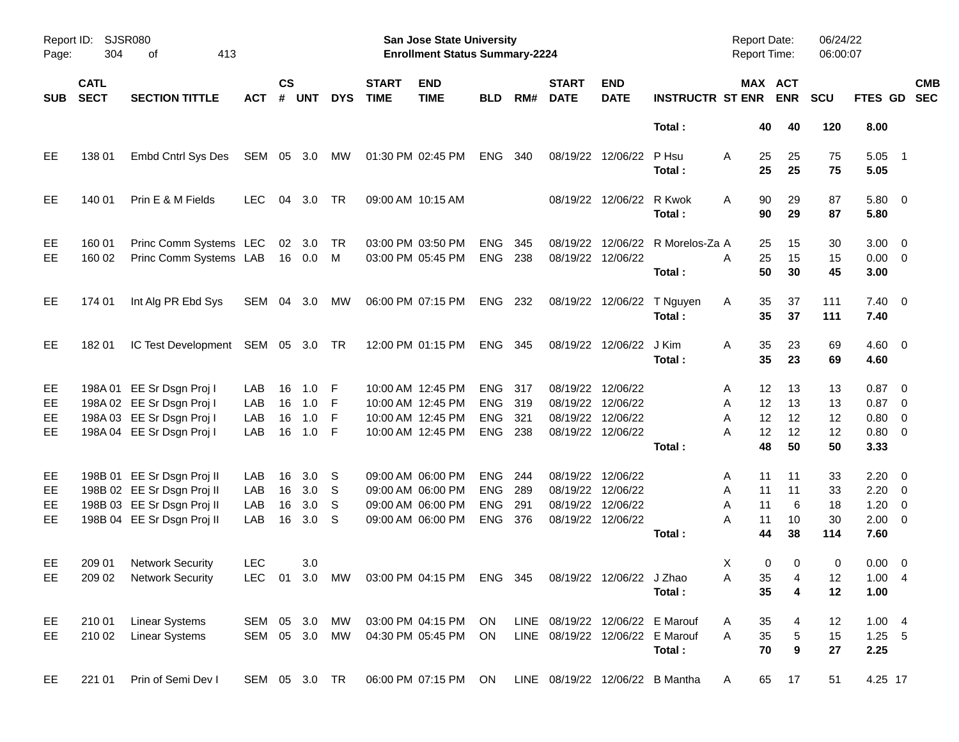| Report ID:<br>Page: | 304                        | <b>SJSR080</b><br>413<br>οf                      |               |                    |                           |            |                             | San Jose State University<br><b>Enrollment Status Summary-2224</b> |                          |            |                                 |                           |                                 | <b>Report Date:</b><br>Report Time: |                         | 06/24/22<br>06:00:07 |                                   |                          |
|---------------------|----------------------------|--------------------------------------------------|---------------|--------------------|---------------------------|------------|-----------------------------|--------------------------------------------------------------------|--------------------------|------------|---------------------------------|---------------------------|---------------------------------|-------------------------------------|-------------------------|----------------------|-----------------------------------|--------------------------|
| <b>SUB</b>          | <b>CATL</b><br><b>SECT</b> | <b>SECTION TITTLE</b>                            | ACT           | $\mathsf{cs}$<br># | <b>UNT</b>                | <b>DYS</b> | <b>START</b><br><b>TIME</b> | <b>END</b><br><b>TIME</b>                                          | <b>BLD</b>               | RM#        | <b>START</b><br><b>DATE</b>     | <b>END</b><br><b>DATE</b> | <b>INSTRUCTR ST ENR</b>         |                                     | MAX ACT<br><b>ENR</b>   | <b>SCU</b>           | <b>FTES GD</b>                    | <b>CMB</b><br><b>SEC</b> |
|                     |                            |                                                  |               |                    |                           |            |                             |                                                                    |                          |            |                                 |                           | Total:                          | 40                                  | 40                      | 120                  | 8.00                              |                          |
| EE                  | 138 01                     | Embd Cntrl Sys Des                               | SEM           |                    | 05 3.0                    | MW         |                             | 01:30 PM 02:45 PM                                                  | ENG                      | 340        |                                 | 08/19/22 12/06/22         | P Hsu<br>Total:                 | A<br>25<br>25                       | 25<br>25                | 75<br>75             | 5.05<br>5.05                      | $\overline{\phantom{1}}$ |
| EE                  | 140 01                     | Prin E & M Fields                                | <b>LEC</b>    | 04                 | 3.0                       | TR         |                             | 09:00 AM 10:15 AM                                                  |                          |            |                                 | 08/19/22 12/06/22         | R Kwok<br>Total:                | 90<br>A<br>90                       | 29<br>29                | 87<br>87             | 5.80 0<br>5.80                    |                          |
| EE<br><b>EE</b>     | 160 01<br>160 02           | Princ Comm Systems LEC<br>Princ Comm Systems LAB |               |                    | $02 \quad 3.0$<br>16  0.0 | TR<br>M    |                             | 03:00 PM 03:50 PM<br>03:00 PM 05:45 PM                             | <b>ENG</b><br><b>ENG</b> | 345<br>238 | 08/19/22<br>08/19/22            | 12/06/22<br>12/06/22      | R Morelos-Za A<br>Total:        | 25<br>25<br>A<br>50                 | 15<br>15<br>30          | 30<br>15<br>45       | $3.00 \ 0$<br>$0.00 \t 0$<br>3.00 |                          |
| EE                  | 174 01                     | Int Alg PR Ebd Sys                               | SEM           |                    | 04 3.0                    | МW         |                             | 06:00 PM 07:15 PM                                                  | ENG 232                  |            |                                 | 08/19/22 12/06/22         | T Nguyen<br>Total:              | 35<br>Α<br>35                       | 37<br>37                | 111<br>111           | $7.40 \ 0$<br>7.40                |                          |
| EE                  | 182 01                     | IC Test Development                              | SEM 05 3.0    |                    |                           | TR         |                             | 12:00 PM 01:15 PM                                                  | ENG 345                  |            |                                 | 08/19/22 12/06/22         | J Kim<br>Total:                 | 35<br>Α<br>35                       | 23<br>23                | 69<br>69             | $4.60$ 0<br>4.60                  |                          |
| EE                  |                            | 198A 01 EE Sr Dsgn Proj I                        | LAB           | 16                 | 1.0                       | -F         |                             | 10:00 AM 12:45 PM                                                  | <b>ENG</b>               | 317        | 08/19/22                        | 12/06/22                  |                                 | 12<br>A                             | 13                      | 13                   | $0.87$ 0                          |                          |
| EE                  |                            | 198A 02 EE Sr Dsgn Proj I                        | LAB           | 16                 | 1.0                       | -F         |                             | 10:00 AM 12:45 PM                                                  | ENG                      | 319        | 08/19/22                        | 12/06/22                  |                                 | 12<br>Α                             | 13                      | 13                   | $0.87$ 0                          |                          |
| EE                  |                            | 198A 03 EE Sr Dsgn Proj I                        | LAB           | 16                 | 1.0                       | F          |                             | 10:00 AM 12:45 PM                                                  | <b>ENG</b>               | 321        | 08/19/22                        | 12/06/22                  |                                 | A<br>12                             | 12                      | 12                   | 0.80                              | $\overline{\mathbf{0}}$  |
| EE                  |                            | 198A 04 EE Sr Dsgn Proj I                        | LAB           | 16                 | 1.0                       | -F         |                             | 10:00 AM 12:45 PM                                                  | <b>ENG</b>               | 238        |                                 | 08/19/22 12/06/22         |                                 | A<br>12                             | 12                      | 12                   | $0.80 \ 0$                        |                          |
|                     |                            |                                                  |               |                    |                           |            |                             |                                                                    |                          |            |                                 |                           | Total:                          | 48                                  | 50                      | 50                   | 3.33                              |                          |
| EE                  |                            | 198B 01 EE Sr Dsgn Proj II                       | LAB           | 16                 | 3.0 <sub>2</sub>          | S          |                             | 09:00 AM 06:00 PM                                                  | <b>ENG</b>               | 244        | 08/19/22                        | 12/06/22                  |                                 | 11<br>A                             | 11                      | 33                   | $2.20 \t 0$                       |                          |
| EE                  |                            | 198B 02 EE Sr Dsgn Proj II                       | LAB           | 16                 | 3.0                       | S          |                             | 09:00 AM 06:00 PM                                                  | ENG                      | 289        | 08/19/22                        | 12/06/22                  |                                 | Α<br>11                             | 11                      | 33                   | 2.20                              | $\overline{\phantom{0}}$ |
| EE                  |                            | 198B 03 EE Sr Dsgn Proj II                       | LAB           | 16                 | 3.0                       | S          |                             | 09:00 AM 06:00 PM                                                  | <b>ENG</b>               | 291        | 08/19/22                        | 12/06/22                  |                                 | 11<br>Α                             | 6                       | 18                   | 1.20                              | $\overline{\phantom{0}}$ |
| EE                  |                            | 198B 04 EE Sr Dsgn Proj II                       | LAB           | 16                 | 3.0                       | S          |                             | 09:00 AM 06:00 PM                                                  | <b>ENG</b>               | 376        | 08/19/22 12/06/22               |                           |                                 | A<br>11                             | 10                      | 30                   | $2.00 \t 0$                       |                          |
|                     |                            |                                                  |               |                    |                           |            |                             |                                                                    |                          |            |                                 |                           | Total:                          | 44                                  | 38                      | 114                  | 7.60                              |                          |
| EE                  | 209 01                     | <b>Network Security</b>                          | <b>LEC</b>    |                    | 3.0                       |            |                             |                                                                    |                          |            |                                 |                           |                                 | X                                   | 0<br>$\mathbf 0$        | 0                    | $0.00 \ 0$                        |                          |
| EE                  |                            | 209 02 Network Security                          |               |                    |                           |            |                             | LEC 01 3.0 MW 03:00 PM 04:15 PM ENG 345 08/19/22 12/06/22 J Zhao   |                          |            |                                 |                           |                                 | A                                   | 35<br>$\overline{4}$    | 12                   | 1.004                             |                          |
|                     |                            |                                                  |               |                    |                           |            |                             |                                                                    |                          |            |                                 |                           | Total:                          | 35                                  | $\overline{\mathbf{4}}$ | 12                   | 1.00                              |                          |
| EE                  | 210 01                     | <b>Linear Systems</b>                            | SEM           |                    | 05 3.0                    | МW         |                             | 03:00 PM 04:15 PM                                                  | ON                       |            | LINE 08/19/22 12/06/22 E Marouf |                           |                                 | 35<br>A                             | 4                       | 12                   | 1.004                             |                          |
| EE                  | 210 02                     | <b>Linear Systems</b>                            | SEM           |                    | 05 3.0 MW                 |            |                             | 04:30 PM 05:45 PM                                                  | ON                       |            | LINE 08/19/22 12/06/22 E Marouf |                           |                                 | A<br>35                             | $\mathbf 5$             | 15                   | $1.25 - 5$                        |                          |
|                     |                            |                                                  |               |                    |                           |            |                             |                                                                    |                          |            |                                 |                           | Total:                          | 70                                  | $\boldsymbol{9}$        | 27                   | 2.25                              |                          |
| EE.                 | 221 01                     | Prin of Semi Dev I                               | SEM 05 3.0 TR |                    |                           |            |                             | 06:00 PM 07:15 PM                                                  | ON                       |            |                                 |                           | LINE 08/19/22 12/06/22 B Mantha | 65<br>A                             | 17                      | 51                   | 4.25 17                           |                          |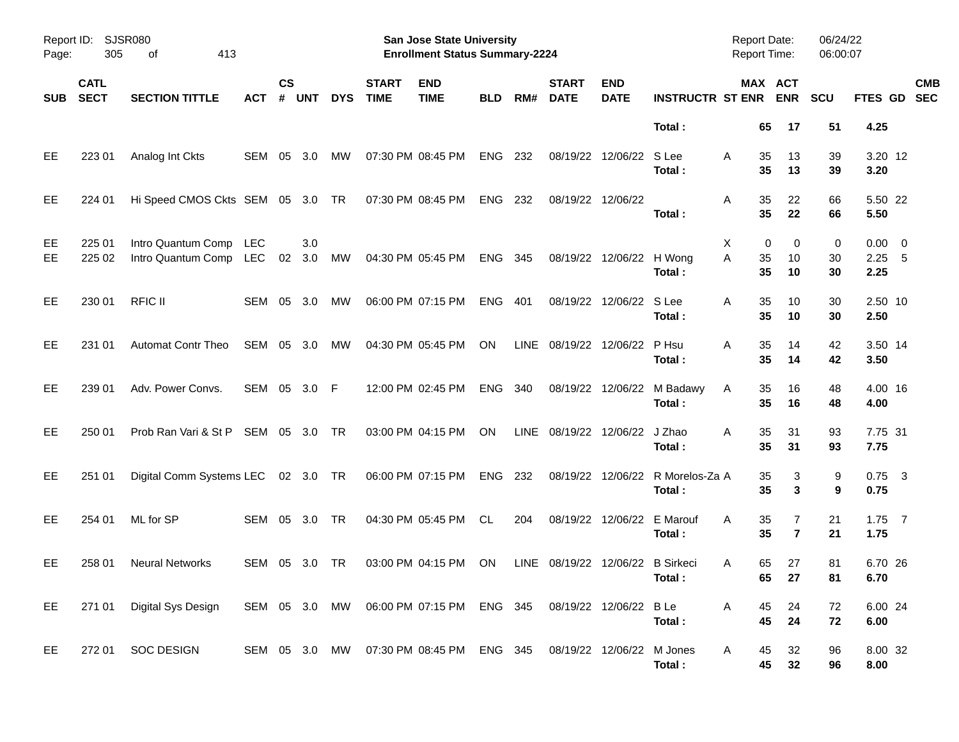| Report ID:<br>Page: | <b>SJSR080</b><br>305      |                                                                                          |              |                |               |            | San Jose State University<br><b>Enrollment Status Summary-2224</b> |                                                                   |            |     |                                  |                            | <b>Report Date:</b><br><b>Report Time:</b> |                    | 06/24/22<br>06:00:07  |               |                                 |            |
|---------------------|----------------------------|------------------------------------------------------------------------------------------|--------------|----------------|---------------|------------|--------------------------------------------------------------------|-------------------------------------------------------------------|------------|-----|----------------------------------|----------------------------|--------------------------------------------|--------------------|-----------------------|---------------|---------------------------------|------------|
| <b>SUB</b>          | <b>CATL</b><br><b>SECT</b> | <b>SECTION TITTLE</b>                                                                    | АСТ          | <b>CS</b><br># | <b>UNT</b>    | <b>DYS</b> | <b>START</b><br><b>TIME</b>                                        | <b>END</b><br><b>TIME</b>                                         | <b>BLD</b> | RM# | <b>START</b><br><b>DATE</b>      | <b>END</b><br><b>DATE</b>  | <b>INSTRUCTR ST ENR</b>                    |                    | MAX ACT<br><b>ENR</b> | SCU           | FTES GD SEC                     | <b>CMB</b> |
|                     |                            |                                                                                          |              |                |               |            |                                                                    |                                                                   |            |     |                                  |                            | Total:                                     | 65                 | 17                    | 51            | 4.25                            |            |
| EE                  | 22301                      | Analog Int Ckts                                                                          | SEM 05       |                | 3.0           | МW         | 07:30 PM 08:45 PM                                                  |                                                                   | <b>ENG</b> | 232 |                                  | 08/19/22 12/06/22          | S Lee<br>Total:                            | 35<br>A<br>35      | 13<br>13              | 39<br>39      | 3.20 12<br>3.20                 |            |
| EE                  | 224 01                     | Hi Speed CMOS Ckts SEM 05 3.0 TR                                                         |              |                |               |            |                                                                    | 07:30 PM 08:45 PM                                                 | ENG        | 232 | 08/19/22 12/06/22                |                            | Total:                                     | 35<br>Α<br>35      | 22<br>22              | 66<br>66      | 5.50 22<br>5.50                 |            |
| EE<br>EE            | 225 01<br>225 02           | Intro Quantum Comp LEC<br>Intro Quantum Comp LEC                                         |              |                | 3.0<br>02 3.0 | MW         |                                                                    | 04:30 PM 05:45 PM                                                 | ENG 345    |     |                                  | 08/19/22 12/06/22 H Wong   | Total:                                     | Χ<br>A<br>35<br>35 | 0<br>0<br>10<br>10    | 0<br>30<br>30 | $0.00 \t 0$<br>$2.25$ 5<br>2.25 |            |
| EE                  | 230 01                     | <b>RFIC II</b>                                                                           | SEM 05       |                | 3.0           | МW         |                                                                    | 06:00 PM 07:15 PM                                                 | ENG        | 401 |                                  | 08/19/22 12/06/22 S Lee    | Total:                                     | 35<br>A<br>35      | 10<br>10              | 30<br>30      | 2.50 10<br>2.50                 |            |
| EE                  | 231 01                     | <b>Automat Contr Theo</b>                                                                | SEM 05 3.0   |                |               | MW         |                                                                    | 04:30 PM 05:45 PM                                                 | <b>ON</b>  |     | LINE 08/19/22 12/06/22 P Hsu     |                            | Total:                                     | 35<br>A<br>35      | 14<br>14              | 42<br>42      | 3.50 14<br>3.50                 |            |
| EE                  | 239 01                     | Adv. Power Convs.                                                                        | SEM 05 3.0 F |                |               |            |                                                                    | 12:00 PM 02:45 PM                                                 | ENG        | 340 |                                  |                            | 08/19/22 12/06/22 M Badawy<br>Total:       | 35<br>A<br>35      | 16<br>16              | 48<br>48      | 4.00 16<br>4.00                 |            |
| EE                  | 250 01                     | Prob Ran Vari & St P SEM 05 3.0 TR                                                       |              |                |               |            |                                                                    | 03:00 PM 04:15 PM                                                 | ON         |     | LINE 08/19/22 12/06/22 J Zhao    |                            | Total:                                     | 35<br>A<br>35      | 31<br>31              | 93<br>93      | 7.75 31<br>7.75                 |            |
| EE                  | 251 01                     | Digital Comm Systems LEC 02 3.0 TR                                                       |              |                |               |            |                                                                    | 06:00 PM 07:15 PM                                                 | ENG 232    |     |                                  |                            | 08/19/22 12/06/22 R Morelos-Za A<br>Total: | 35<br>35           | 3<br>3                | 9<br>9        | $0.75$ 3<br>0.75                |            |
| <b>EE</b>           | 254 01                     | ML for SP                                                                                | SEM 05 3.0   |                |               | <b>TR</b>  |                                                                    | 04:30 PM 05:45 PM                                                 | CL         | 204 |                                  | 08/19/22 12/06/22 E Marouf | Total:                                     | 35<br>A<br>35      | 7<br>$\overline{7}$   | 21<br>21      | $1.75$ 7<br>1.75                |            |
| EE                  | 258 01                     | <b>Neural Networks</b>                                                                   | SEM 05 3.0   |                |               | TR         |                                                                    | 03:00 PM 04:15 PM                                                 | ON.        |     | LINE 08/19/22 12/06/22 B Sirkeci |                            | Total:                                     | 65<br>A            | 27<br>65<br>27        | 81<br>81      | 6.70 26<br>6.70                 |            |
| EE.                 |                            | 271 01 Digital Sys Design SEM 05 3.0 MW 06:00 PM 07:15 PM ENG 345 08/19/22 12/06/22 B Le |              |                |               |            |                                                                    |                                                                   |            |     |                                  |                            | Total :                                    | A<br>45            | 24<br>45<br>24        | 72<br>72      | 6.00 24<br>6.00                 |            |
| EE                  |                            | 272 01 SOC DESIGN                                                                        |              |                |               |            |                                                                    | SEM 05 3.0 MW 07:30 PM 08:45 PM ENG 345 08/19/22 12/06/22 M Jones |            |     |                                  |                            | Total:                                     | A<br>45            | 32<br>45<br>32        | 96<br>96      | 8.00 32<br>8.00                 |            |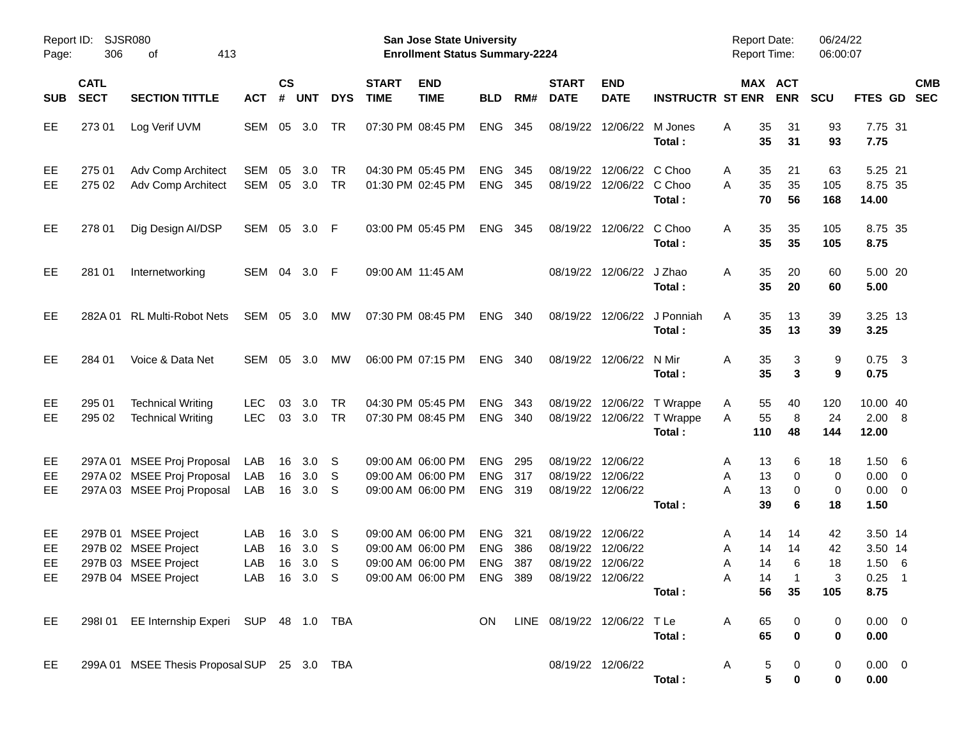| Report ID:<br>Page:   | 306                        | <b>SJSR080</b><br>413<br>οf                                                                  |                          |                    |                   |                        |                             | <b>San Jose State University</b><br><b>Enrollment Status Summary-2224</b>                                                    |                                        |                   |                             |                                                             |                                                                    | Report Date:<br><b>Report Time:</b>     |                                       | 06/24/22<br>06:00:07       |                                                     |            |
|-----------------------|----------------------------|----------------------------------------------------------------------------------------------|--------------------------|--------------------|-------------------|------------------------|-----------------------------|------------------------------------------------------------------------------------------------------------------------------|----------------------------------------|-------------------|-----------------------------|-------------------------------------------------------------|--------------------------------------------------------------------|-----------------------------------------|---------------------------------------|----------------------------|-----------------------------------------------------|------------|
| <b>SUB</b>            | <b>CATL</b><br><b>SECT</b> | <b>SECTION TITTLE</b>                                                                        | <b>ACT</b>               | $\mathsf{cs}$<br># | <b>UNT</b>        | <b>DYS</b>             | <b>START</b><br><b>TIME</b> | <b>END</b><br><b>TIME</b>                                                                                                    | <b>BLD</b>                             | RM#               | <b>START</b><br><b>DATE</b> | <b>END</b><br><b>DATE</b>                                   | <b>INSTRUCTR ST ENR</b>                                            |                                         | MAX ACT<br><b>ENR</b>                 | SCU                        | FTES GD SEC                                         | <b>CMB</b> |
| EE                    | 27301                      | Log Verif UVM                                                                                | SEM                      |                    | 05 3.0            | TR                     |                             | 07:30 PM 08:45 PM                                                                                                            | <b>ENG</b>                             | 345               |                             | 08/19/22 12/06/22 M Jones                                   | Total:                                                             | 35<br>A<br>35                           | 31<br>31                              | 93<br>93                   | 7.75 31<br>7.75                                     |            |
| EE<br>EE              | 275 01<br>275 02           | Adv Comp Architect<br>Adv Comp Architect                                                     | SEM<br>SEM               | 05<br>05           | 3.0<br>3.0        | <b>TR</b><br><b>TR</b> |                             | 04:30 PM 05:45 PM<br>01:30 PM 02:45 PM                                                                                       | <b>ENG</b><br>ENG 345                  | 345               | 08/19/22                    | 12/06/22 C Choo<br>08/19/22 12/06/22 C Choo                 | Total:                                                             | 35<br>A<br>35<br>A<br>70                | 21<br>35<br>56                        | 63<br>105<br>168           | 5.25 21<br>8.75 35<br>14.00                         |            |
| EE                    | 278 01                     | Dig Design AI/DSP                                                                            | SEM 05                   |                    | 3.0 F             |                        |                             | 03:00 PM 05:45 PM                                                                                                            | <b>ENG</b>                             | - 345             |                             | 08/19/22 12/06/22 C Choo                                    | Total:                                                             | 35<br>A<br>35                           | 35<br>35                              | 105<br>105                 | 8.75 35<br>8.75                                     |            |
| EE                    | 281 01                     | Internetworking                                                                              | SEM 04 3.0 F             |                    |                   |                        | 09:00 AM 11:45 AM           |                                                                                                                              |                                        |                   |                             | 08/19/22 12/06/22 J Zhao                                    | Total:                                                             | 35<br>A<br>35                           | 20<br>20                              | 60<br>60                   | 5.00 20<br>5.00                                     |            |
| EE                    |                            | 282A 01 RL Multi-Robot Nets                                                                  | SEM                      |                    | 05 3.0            | МW                     |                             | 07:30 PM 08:45 PM                                                                                                            | ENG 340                                |                   |                             |                                                             | 08/19/22 12/06/22 J Ponniah<br>Total:                              | 35<br>A<br>35                           | 13<br>13                              | 39<br>39                   | 3.25 13<br>3.25                                     |            |
| EE                    | 284 01                     | Voice & Data Net                                                                             | SEM                      |                    | 05 3.0            | МW                     |                             | 06:00 PM 07:15 PM                                                                                                            | ENG 340                                |                   |                             | 08/19/22 12/06/22 N Mir                                     | Total:                                                             | 35<br>Α<br>35                           | 3<br>3                                | 9<br>9                     | $0.75$ 3<br>0.75                                    |            |
| EE<br>EE              | 295 01<br>295 02           | <b>Technical Writing</b><br><b>Technical Writing</b>                                         | <b>LEC</b><br><b>LEC</b> | 03                 | 3.0<br>03 3.0     | <b>TR</b><br><b>TR</b> |                             | 04:30 PM 05:45 PM<br>07:30 PM 08:45 PM                                                                                       | <b>ENG</b><br>ENG 340                  | 343               |                             |                                                             | 08/19/22 12/06/22 T Wrappe<br>08/19/22 12/06/22 T Wrappe<br>Total: | 55<br>A<br>55<br>A<br>110               | 40<br>8<br>48                         | 120<br>24<br>144           | 10.00 40<br>2.00 8<br>12.00                         |            |
| EE<br>EE<br>EE        |                            | 297A 01 MSEE Proj Proposal<br>297A 02 MSEE Proj Proposal<br>297A 03 MSEE Proj Proposal       | LAB<br>LAB<br>LAB        | 16<br>16<br>16     | 3.0<br>3.0<br>3.0 | -S<br>-S<br>-S         |                             | 09:00 AM 06:00 PM<br>09:00 AM 06:00 PM<br>09:00 AM 06:00 PM                                                                  | <b>ENG</b><br><b>ENG</b><br>ENG 319    | 295<br>317        |                             | 08/19/22 12/06/22<br>08/19/22 12/06/22<br>08/19/22 12/06/22 | Total:                                                             | A<br>13<br>Α<br>A<br>13<br>39           | 6<br>13<br>0<br>0<br>6                | 18<br>0<br>0<br>18         | $1.50\quad 6$<br>$0.00 \t 0$<br>$0.00 \t 0$<br>1.50 |            |
| EE,<br>EE<br>EE<br>EE |                            | 297B 01 MSEE Project<br>297B 02 MSEE Project<br>297B 03 MSEE Project<br>297B 04 MSEE Project | LAB<br>LAB<br>LAB        | 16<br>16<br>16     | 3.0<br>3.0<br>3.0 | -S<br>-S<br>-S         |                             | 09:00 AM 06:00 PM<br>09:00 AM 06:00 PM<br>09:00 AM 06:00 PM<br>LAB 16 3.0 S  09:00 AM 06:00 PM  ENG  389  08/19/22  12/06/22 | <b>ENG</b><br><b>ENG</b><br><b>ENG</b> | 321<br>386<br>387 | 08/19/22<br>08/19/22        | 12/06/22<br>12/06/22<br>08/19/22 12/06/22                   | Total :                                                            | A<br>14<br>Α<br>14<br>Α<br>$\mathsf{A}$ | 14<br>14<br>14<br>6<br>14<br>56<br>35 | 42<br>42<br>18<br>3<br>105 | 3.50 14<br>3.50 14<br>1.506<br>$0.25$ 1<br>8.75     |            |
| EE                    |                            | 298I 01 EE Internship Experi SUP 48 1.0 TBA                                                  |                          |                    |                   |                        |                             |                                                                                                                              | ON.                                    |                   |                             | LINE 08/19/22 12/06/22 TLe                                  | Total:                                                             | 65<br>A<br>65                           | 0<br>$\bf{0}$                         | 0<br>0                     | $0.00 \t 0$<br>0.00                                 |            |
| EE.                   |                            | 299A 01 MSEE Thesis Proposal SUP 25 3.0 TBA                                                  |                          |                    |                   |                        |                             |                                                                                                                              |                                        |                   |                             | 08/19/22 12/06/22                                           | Total:                                                             | A                                       | 5<br>0<br>5<br>$\mathbf 0$            | 0<br>0                     | $0.00 \t 0$<br>0.00                                 |            |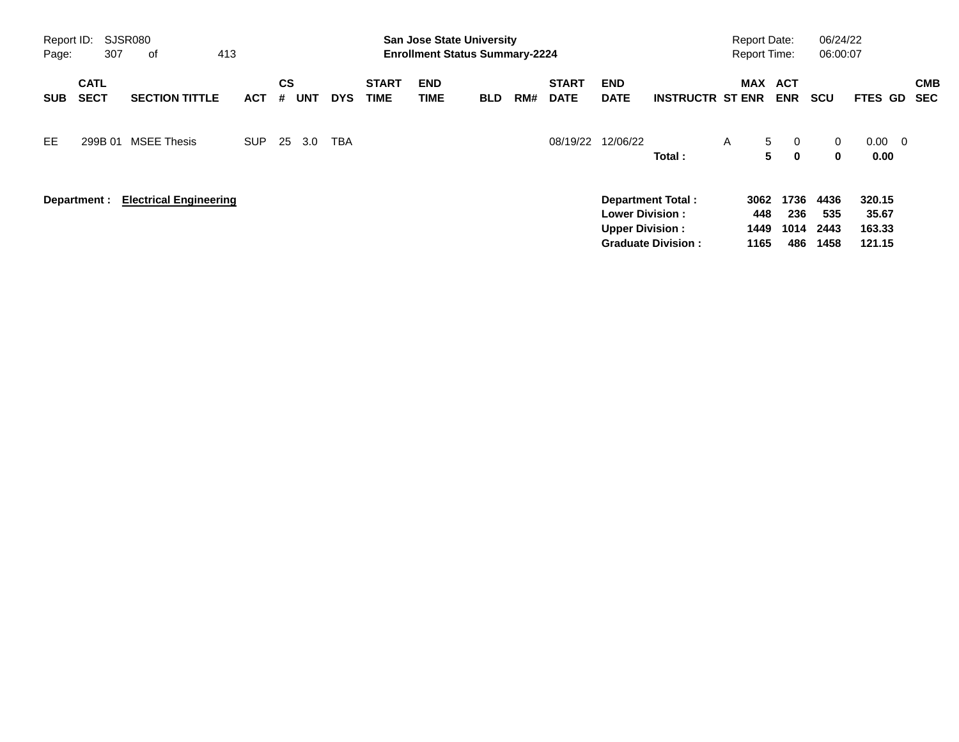| Report ID:<br>Page: | 307                        | SJSR080<br>413<br>0f          |            |                |            |            |                             | <b>San Jose State University</b><br><b>Enrollment Status Summary-2224</b> |            |     |                             |                                                  |                                                       |   | <b>Report Date:</b><br><b>Report Time:</b> |                             | 06/24/22<br>06:00:07        |                                     |                          |
|---------------------|----------------------------|-------------------------------|------------|----------------|------------|------------|-----------------------------|---------------------------------------------------------------------------|------------|-----|-----------------------------|--------------------------------------------------|-------------------------------------------------------|---|--------------------------------------------|-----------------------------|-----------------------------|-------------------------------------|--------------------------|
| <b>SUB</b>          | <b>CATL</b><br><b>SECT</b> | <b>SECTION TITTLE</b>         | <b>ACT</b> | <b>CS</b><br># | <b>UNT</b> | <b>DYS</b> | <b>START</b><br><b>TIME</b> | <b>END</b><br>TIME                                                        | <b>BLD</b> | RM# | <b>START</b><br><b>DATE</b> | <b>END</b><br><b>DATE</b>                        | <b>INSTRUCTR ST ENR</b>                               |   | <b>MAX</b>                                 | ACT<br><b>ENR</b>           | <b>SCU</b>                  | FTES GD                             | <b>CMB</b><br><b>SEC</b> |
| EE                  | 299B 01                    | <b>MSEE Thesis</b>            | SUP.       | 25             | 3.0        | <b>TBA</b> |                             |                                                                           |            |     | 08/19/22                    | 12/06/22                                         | Total:                                                | A | $5^{\circ}$<br>5                           | $\mathbf{0}$<br>$\mathbf 0$ | $\mathbf{0}$<br>$\mathbf 0$ | $0.00 \quad 0$<br>0.00              |                          |
|                     | Department :               | <b>Electrical Engineering</b> |            |                |            |            |                             |                                                                           |            |     |                             | <b>Lower Division:</b><br><b>Upper Division:</b> | <b>Department Total:</b><br><b>Graduate Division:</b> |   | 3062<br>448<br>1449<br>1165                | 1736<br>236<br>1014<br>486  | 4436<br>535<br>2443<br>1458 | 320.15<br>35.67<br>163.33<br>121.15 |                          |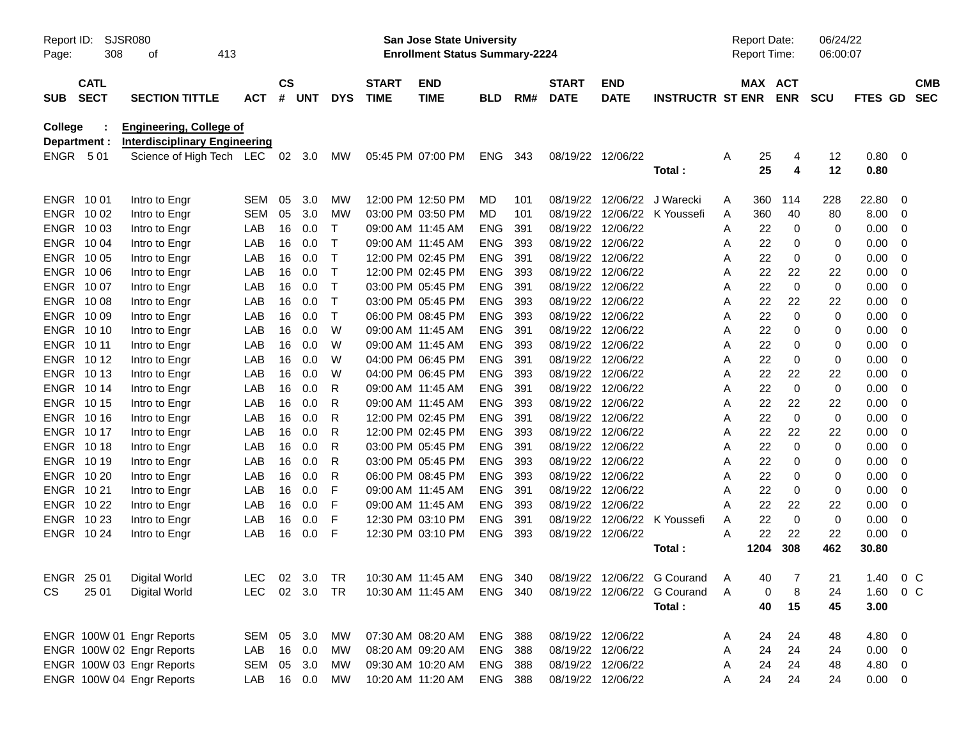| Report ID:   | SJSR080     |                                      |            |               |        |              |                   | <b>San Jose State University</b>      |                |     |                   |                   |                                                                            |   | <b>Report Date:</b> |                | 06/24/22    |             |                         |            |
|--------------|-------------|--------------------------------------|------------|---------------|--------|--------------|-------------------|---------------------------------------|----------------|-----|-------------------|-------------------|----------------------------------------------------------------------------|---|---------------------|----------------|-------------|-------------|-------------------------|------------|
| Page:        | 308         | 413<br>оf                            |            |               |        |              |                   | <b>Enrollment Status Summary-2224</b> |                |     |                   |                   |                                                                            |   | <b>Report Time:</b> |                | 06:00:07    |             |                         |            |
|              | <b>CATL</b> |                                      |            | $\mathsf{cs}$ |        |              | <b>START</b>      | <b>END</b>                            |                |     | <b>START</b>      | <b>END</b>        |                                                                            |   | <b>MAX</b>          | <b>ACT</b>     |             |             |                         | <b>CMB</b> |
| <b>SUB</b>   | <b>SECT</b> | <b>SECTION TITTLE</b>                | <b>ACT</b> |               | # UNT  | <b>DYS</b>   | <b>TIME</b>       | <b>TIME</b>                           | <b>BLD</b>     | RM# | <b>DATE</b>       | <b>DATE</b>       | <b>INSTRUCTR ST ENR</b>                                                    |   |                     | <b>ENR</b>     | <b>SCU</b>  | FTES GD SEC |                         |            |
| College      |             | <b>Engineering, College of</b>       |            |               |        |              |                   |                                       |                |     |                   |                   |                                                                            |   |                     |                |             |             |                         |            |
| Department : |             | <b>Interdisciplinary Engineering</b> |            |               |        |              |                   |                                       |                |     |                   |                   |                                                                            |   |                     |                |             |             |                         |            |
| ENGR 501     |             | Science of High Tech LEC 02 3.0      |            |               |        | MW           |                   | 05:45 PM 07:00 PM                     | ENG            | 343 | 08/19/22 12/06/22 |                   |                                                                            | Α | 25                  | 4              | 12          | 0.80        | $\overline{0}$          |            |
|              |             |                                      |            |               |        |              |                   |                                       |                |     |                   |                   | Total:                                                                     |   | 25                  | 4              | 12          | 0.80        |                         |            |
| ENGR 1001    |             | Intro to Engr                        | SEM        | 05            | 3.0    | МW           |                   | 12:00 PM 12:50 PM                     | MD             | 101 | 08/19/22          |                   | 12/06/22 J Warecki                                                         | A | 360                 | 114            | 228         | 22.80       | 0                       |            |
| ENGR 1002    |             | Intro to Engr                        | <b>SEM</b> | 05            | 3.0    | MW           |                   | 03:00 PM 03:50 PM                     | MD             | 101 | 08/19/22          |                   | 12/06/22 K Youssefi                                                        | A | 360                 | 40             | 80          | 8.00        | 0                       |            |
| ENGR 1003    |             | Intro to Engr                        | LAB        | 16            | 0.0    | $\mathsf{T}$ | 09:00 AM 11:45 AM |                                       | <b>ENG</b>     | 391 | 08/19/22 12/06/22 |                   |                                                                            | A | 22                  | 0              | 0           | 0.00        | $\overline{0}$          |            |
| ENGR 1004    |             | Intro to Engr                        | LAB        | 16            | 0.0    | $\top$       |                   | 09:00 AM 11:45 AM                     | ENG            | 393 | 08/19/22 12/06/22 |                   |                                                                            | A | 22                  | 0              | 0           | 0.00        | 0                       |            |
| ENGR 1005    |             | Intro to Engr                        | LAB        | 16            | 0.0    | $\top$       |                   | 12:00 PM 02:45 PM                     | ENG            | 391 | 08/19/22 12/06/22 |                   |                                                                            | A | 22                  | 0              | 0           | 0.00        | 0                       |            |
| ENGR 1006    |             | Intro to Engr                        | LAB        | 16            | 0.0    | $\top$       |                   | 12:00 PM 02:45 PM                     | ENG            | 393 | 08/19/22 12/06/22 |                   |                                                                            | A | 22                  | 22             | 22          | 0.00        | 0                       |            |
| ENGR 1007    |             | Intro to Engr                        | LAB        | 16            | 0.0    | $\top$       | 03:00 PM 05:45 PM |                                       | ENG            | 391 | 08/19/22 12/06/22 |                   |                                                                            | A | 22                  | $\mathbf 0$    | 0           | 0.00        | $\overline{0}$          |            |
| ENGR 1008    |             | Intro to Engr                        | LAB        | 16            | 0.0    | $\top$       | 03:00 PM 05:45 PM |                                       | ENG            | 393 | 08/19/22 12/06/22 |                   |                                                                            | A | 22                  | 22             | 22          | 0.00        | 0                       |            |
| ENGR 1009    |             | Intro to Engr                        | LAB        | 16            | 0.0    | $\top$       | 06:00 PM 08:45 PM |                                       | ENG            | 393 | 08/19/22 12/06/22 |                   |                                                                            | Α | 22                  | $\mathbf 0$    | 0           | 0.00        | 0                       |            |
| ENGR 1010    |             | Intro to Engr                        | LAB        | 16            | 0.0    | W            | 09:00 AM 11:45 AM |                                       | <b>ENG</b>     | 391 | 08/19/22 12/06/22 |                   |                                                                            | A | 22                  | $\mathbf 0$    | 0           | 0.00        | 0                       |            |
| ENGR 1011    |             | Intro to Engr                        | LAB        | 16            | 0.0    | W            |                   | 09:00 AM 11:45 AM                     | <b>ENG</b>     | 393 | 08/19/22 12/06/22 |                   |                                                                            | A | 22                  | 0              | 0           | 0.00        | 0                       |            |
| ENGR 1012    |             | Intro to Engr                        | LAB        | 16            | 0.0    | W            | 04:00 PM 06:45 PM |                                       | <b>ENG</b>     | 391 | 08/19/22 12/06/22 |                   |                                                                            | A | 22                  | $\mathbf 0$    | 0           | 0.00        | 0                       |            |
| ENGR 1013    |             | Intro to Engr                        | LAB        | 16            | 0.0    | W            | 04:00 PM 06:45 PM |                                       | <b>ENG</b>     | 393 | 08/19/22 12/06/22 |                   |                                                                            | Α | 22                  | 22             | 22          | 0.00        | 0                       |            |
| ENGR 1014    |             | Intro to Engr                        | LAB        | 16            | 0.0    | R            | 09:00 AM 11:45 AM |                                       | <b>ENG</b>     | 391 | 08/19/22 12/06/22 |                   |                                                                            | Α | 22                  | $\mathbf 0$    | 0           | 0.00        | 0                       |            |
| ENGR 1015    |             | Intro to Engr                        | LAB        | 16            | 0.0    | R            |                   | 09:00 AM 11:45 AM                     | <b>ENG</b>     | 393 | 08/19/22 12/06/22 |                   |                                                                            | A | 22                  | 22             | 22          | 0.00        | 0                       |            |
| ENGR 1016    |             | Intro to Engr                        | LAB        | 16            | 0.0    | R            |                   | 12:00 PM 02:45 PM                     | <b>ENG</b>     | 391 | 08/19/22 12/06/22 |                   |                                                                            | A | 22                  | $\mathbf 0$    | 0           | 0.00        | 0                       |            |
| ENGR 1017    |             | Intro to Engr                        | LAB        | 16            | 0.0    | R            |                   | 12:00 PM 02:45 PM                     | <b>ENG</b>     | 393 | 08/19/22          | 12/06/22          |                                                                            | Α | 22                  | 22             | 22          | 0.00        | 0                       |            |
| ENGR 1018    |             | Intro to Engr                        | LAB        | 16            | 0.0    | R            | 03:00 PM 05:45 PM |                                       | <b>ENG</b>     | 391 | 08/19/22          | 12/06/22          |                                                                            | A | 22                  | $\mathbf 0$    | $\mathbf 0$ | 0.00        | 0                       |            |
| ENGR 1019    |             | Intro to Engr                        | LAB        | 16            | 0.0    | R            | 03:00 PM 05:45 PM |                                       | <b>ENG</b>     | 393 | 08/19/22 12/06/22 |                   |                                                                            | A | 22                  | 0              | 0           | 0.00        | 0                       |            |
| ENGR 10 20   |             | Intro to Engr                        | LAB        | 16            | 0.0    | R            | 06:00 PM 08:45 PM |                                       | ENG            | 393 | 08/19/22 12/06/22 |                   |                                                                            | A | 22                  | 0              | 0           | 0.00        | 0                       |            |
| ENGR 10 21   |             | Intro to Engr                        | LAB        | 16            | 0.0    | F            | 09:00 AM 11:45 AM |                                       | <b>ENG</b>     | 391 | 08/19/22          | 12/06/22          |                                                                            | A | 22                  | 0              | 0           | 0.00        | 0                       |            |
| ENGR 10 22   |             | Intro to Engr                        | LAB        | 16            | 0.0    | F            | 09:00 AM 11:45 AM |                                       | <b>ENG</b>     | 393 | 08/19/22 12/06/22 |                   |                                                                            | A | 22                  | 22             | 22          | 0.00        | $\overline{0}$          |            |
| ENGR 1023    |             | Intro to Engr                        | LAB        | 16            | 0.0    | F            |                   | 12:30 PM 03:10 PM                     | <b>ENG</b>     | 391 |                   |                   | 08/19/22 12/06/22 K Youssefi                                               | A | 22                  | $\mathbf 0$    | $\mathbf 0$ | 0.00        | 0                       |            |
| ENGR 1024    |             | Intro to Engr                        | LAB        | 16            | 0.0    | F            |                   | 12:30 PM 03:10 PM                     | ENG            | 393 | 08/19/22 12/06/22 |                   |                                                                            | Α | 22                  | 22             | 22          | 0.00        | 0                       |            |
|              |             |                                      |            |               |        |              |                   |                                       |                |     |                   |                   | Total:                                                                     |   | 1204                | 308            | 462         | 30.80       |                         |            |
|              | ENGR 2501   | <b>Digital World</b>                 | LEC        |               |        |              |                   |                                       |                |     |                   |                   | 02 3.0 TR  10:30 AM  11:45 AM  ENG  340  08/19/22  12/06/22  G  Courand  A |   | 40                  | $\overline{7}$ | 21          | 1.40 0 C    |                         |            |
| <b>CS</b>    | 25 01       | <b>Digital World</b>                 | LEC.       |               | 02 3.0 | TR.          |                   | 10:30 AM 11:45 AM                     | ENG 340        |     |                   |                   | 08/19/22 12/06/22 G Courand                                                | A | 0                   | 8              | 24          | 1.60        | $0\,C$                  |            |
|              |             |                                      |            |               |        |              |                   |                                       |                |     |                   |                   | Total:                                                                     |   | 40                  | 15             | 45          | 3.00        |                         |            |
|              |             | ENGR 100W 01 Engr Reports            | SEM 05 3.0 |               |        | MW           |                   | 07:30 AM 08:20 AM                     | <b>ENG 388</b> |     | 08/19/22 12/06/22 |                   |                                                                            | A | 24                  | 24             | 48          | 4.80        | $\overline{0}$          |            |
|              |             | ENGR 100W 02 Engr Reports            | LAB        |               | 16 0.0 | MW           | 08:20 AM 09:20 AM |                                       | <b>ENG 388</b> |     | 08/19/22 12/06/22 |                   |                                                                            | Α | 24                  | 24             | 24          | 0.00        | $\overline{\mathbf{0}}$ |            |
|              |             | ENGR 100W 03 Engr Reports            | SEM        |               | 05 3.0 | МW           | 09:30 AM 10:20 AM |                                       | ENG 388        |     |                   | 08/19/22 12/06/22 |                                                                            | A | 24                  | 24             | 48          | 4.80        | $\overline{0}$          |            |
|              |             | ENGR 100W 04 Engr Reports            | LAB        |               | 16 0.0 | MW           | 10:20 AM 11:20 AM |                                       | ENG 388        |     | 08/19/22 12/06/22 |                   |                                                                            | Α | 24                  | 24             | 24          | $0.00 \t 0$ |                         |            |
|              |             |                                      |            |               |        |              |                   |                                       |                |     |                   |                   |                                                                            |   |                     |                |             |             |                         |            |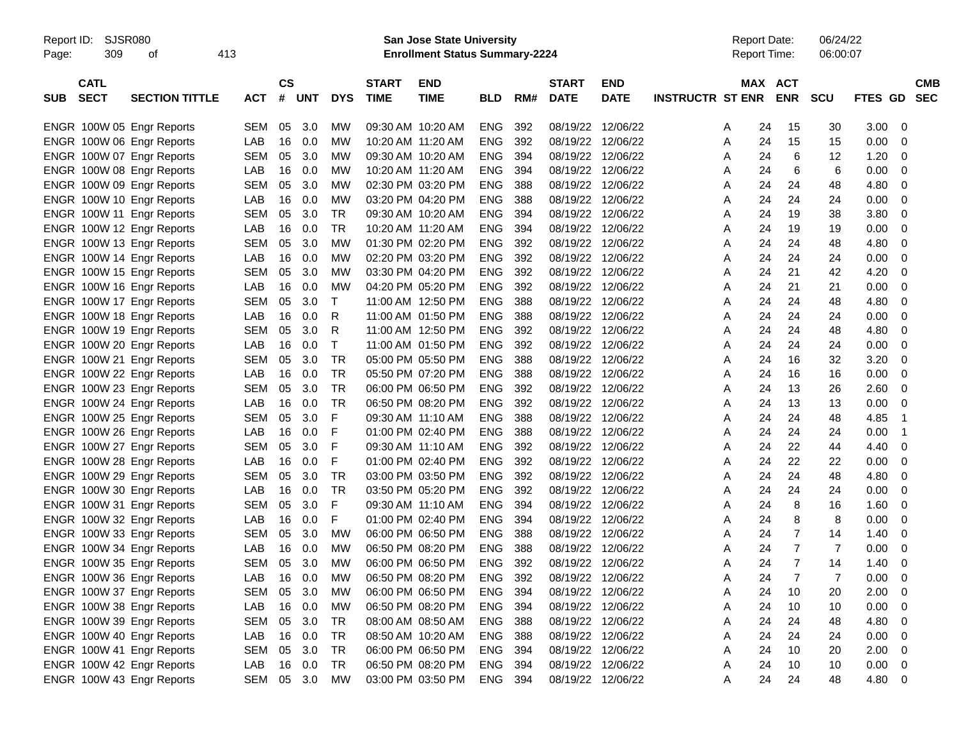Report ID: SJSR080 **San Jose State University** Report Date: 06/24/22

Page: 309 of 413 **Enrollment Status Summary-2224** Report Time: 06:00:07

|            | <b>CATL</b> |                           |            | $\mathsf{cs}$ |       |              | <b>START</b>      | <b>END</b>        |            |     | <b>START</b>      | <b>END</b>  |                         | MAX ACT |                |                |         | <b>CMB</b>     |
|------------|-------------|---------------------------|------------|---------------|-------|--------------|-------------------|-------------------|------------|-----|-------------------|-------------|-------------------------|---------|----------------|----------------|---------|----------------|
| <b>SUB</b> | <b>SECT</b> | <b>SECTION TITTLE</b>     | <b>ACT</b> |               | # UNT | <b>DYS</b>   | <b>TIME</b>       | <b>TIME</b>       | <b>BLD</b> | RM# | <b>DATE</b>       | <b>DATE</b> | <b>INSTRUCTR ST ENR</b> |         | <b>ENR</b>     | <b>SCU</b>     | FTES GD | <b>SEC</b>     |
|            |             |                           |            |               |       |              |                   |                   |            |     |                   |             |                         |         |                |                |         |                |
|            |             | ENGR 100W 05 Engr Reports | SEM        | 05            | 3.0   | MW           |                   | 09:30 AM 10:20 AM | <b>ENG</b> | 392 | 08/19/22          | 12/06/22    | A                       | 24      | 15             | 30             | 3.00    | $\mathbf 0$    |
|            |             | ENGR 100W 06 Engr Reports | LAB        | 16            | 0.0   | MW           |                   | 10:20 AM 11:20 AM | <b>ENG</b> | 392 | 08/19/22 12/06/22 |             | Α                       | 24      | 15             | 15             | 0.00    | $\mathbf 0$    |
|            |             | ENGR 100W 07 Engr Reports | SEM        | 05            | 3.0   | МW           | 09:30 AM 10:20 AM |                   | <b>ENG</b> | 394 | 08/19/22 12/06/22 |             | Α                       | 24      | 6              | 12             | 1.20    | 0              |
|            |             | ENGR 100W 08 Engr Reports | LAB        | 16            | 0.0   | <b>MW</b>    |                   | 10:20 AM 11:20 AM | <b>ENG</b> | 394 | 08/19/22 12/06/22 |             | Α                       | 24      | 6              | 6              | 0.00    | $\Omega$       |
|            |             | ENGR 100W 09 Engr Reports | <b>SEM</b> | 05            | 3.0   | <b>MW</b>    |                   | 02:30 PM 03:20 PM | <b>ENG</b> | 388 | 08/19/22          | 12/06/22    | A                       | 24      | 24             | 48             | 4.80    | $\mathbf 0$    |
|            |             | ENGR 100W 10 Engr Reports | LAB        | 16            | 0.0   | MW           |                   | 03:20 PM 04:20 PM | <b>ENG</b> | 388 | 08/19/22 12/06/22 |             | A                       | 24      | 24             | 24             | 0.00    | $\mathbf 0$    |
|            |             | ENGR 100W 11 Engr Reports | SEM        | 05            | 3.0   | <b>TR</b>    |                   | 09:30 AM 10:20 AM | <b>ENG</b> | 394 | 08/19/22 12/06/22 |             | A                       | 24      | 19             | 38             | 3.80    | $\mathbf 0$    |
|            |             | ENGR 100W 12 Engr Reports | LAB        | 16            | 0.0   | <b>TR</b>    |                   | 10:20 AM 11:20 AM | <b>ENG</b> | 394 | 08/19/22 12/06/22 |             | A                       | 24      | 19             | 19             | 0.00    | $\mathbf 0$    |
|            |             | ENGR 100W 13 Engr Reports | <b>SEM</b> | 05            | 3.0   | <b>MW</b>    |                   | 01:30 PM 02:20 PM | <b>ENG</b> | 392 | 08/19/22          | 12/06/22    | Α                       | 24      | 24             | 48             | 4.80    | $\mathbf 0$    |
|            |             | ENGR 100W 14 Engr Reports | LAB        | 16            | 0.0   | <b>MW</b>    |                   | 02:20 PM 03:20 PM | <b>ENG</b> | 392 | 08/19/22 12/06/22 |             | A                       | 24      | 24             | 24             | 0.00    | $\mathbf 0$    |
|            |             | ENGR 100W 15 Engr Reports | <b>SEM</b> | 05            | 3.0   | MW           |                   | 03:30 PM 04:20 PM | <b>ENG</b> | 392 | 08/19/22 12/06/22 |             | A                       | 24      | 21             | 42             | 4.20    | $\mathbf 0$    |
|            |             | ENGR 100W 16 Engr Reports | LAB        | 16            | 0.0   | MW           |                   | 04:20 PM 05:20 PM | <b>ENG</b> | 392 | 08/19/22          | 12/06/22    | A                       | 24      | 21             | 21             | 0.00    | $\mathbf 0$    |
|            |             | ENGR 100W 17 Engr Reports | <b>SEM</b> | 05            | 3.0   | $\mathsf{T}$ |                   | 11:00 AM 12:50 PM | <b>ENG</b> | 388 | 08/19/22          | 12/06/22    | Α                       | 24      | 24             | 48             | 4.80    | $\mathbf 0$    |
|            |             | ENGR 100W 18 Engr Reports | LAB        | 16            | 0.0   | R            |                   | 11:00 AM 01:50 PM | <b>ENG</b> | 388 | 08/19/22          | 12/06/22    | A                       | 24      | 24             | 24             | 0.00    | $\mathbf 0$    |
|            |             | ENGR 100W 19 Engr Reports | <b>SEM</b> | 05            | 3.0   | R            |                   | 11:00 AM 12:50 PM | <b>ENG</b> | 392 | 08/19/22 12/06/22 |             | A                       | 24      | 24             | 48             | 4.80    | $\mathbf 0$    |
|            |             | ENGR 100W 20 Engr Reports | LAB        | 16            | 0.0   | $\mathsf{T}$ |                   | 11:00 AM 01:50 PM | <b>ENG</b> | 392 | 08/19/22          | 12/06/22    | A                       | 24      | 24             | 24             | 0.00    | $\mathbf 0$    |
|            |             | ENGR 100W 21 Engr Reports | SEM        | 05            | 3.0   | TR           |                   | 05:00 PM 05:50 PM | <b>ENG</b> | 388 | 08/19/22          | 12/06/22    | Α                       | 24      | 16             | 32             | 3.20    | $\mathbf 0$    |
|            |             | ENGR 100W 22 Engr Reports | LAB        | 16            | 0.0   | <b>TR</b>    |                   | 05:50 PM 07:20 PM | <b>ENG</b> | 388 | 08/19/22          | 12/06/22    | Α                       | 24      | 16             | 16             | 0.00    | $\mathbf 0$    |
|            |             | ENGR 100W 23 Engr Reports | <b>SEM</b> | 05            | 3.0   | <b>TR</b>    |                   | 06:00 PM 06:50 PM | <b>ENG</b> | 392 | 08/19/22 12/06/22 |             | A                       | 24      | 13             | 26             | 2.60    | $\mathbf 0$    |
|            |             | ENGR 100W 24 Engr Reports | LAB        | 16            | 0.0   | <b>TR</b>    |                   | 06:50 PM 08:20 PM | <b>ENG</b> | 392 | 08/19/22          | 12/06/22    | A                       | 24      | 13             | 13             | 0.00    | $\mathbf 0$    |
|            |             | ENGR 100W 25 Engr Reports | SEM        | 05            | 3.0   | F            |                   | 09:30 AM 11:10 AM | <b>ENG</b> | 388 | 08/19/22          | 12/06/22    | Α                       | 24      | 24             | 48             | 4.85    | $\overline{1}$ |
|            |             | ENGR 100W 26 Engr Reports | LAB        | 16            | 0.0   | F            |                   | 01:00 PM 02:40 PM | <b>ENG</b> | 388 | 08/19/22          | 12/06/22    | Α                       | 24      | 24             | 24             | 0.00    | $\overline{1}$ |
|            |             | ENGR 100W 27 Engr Reports | <b>SEM</b> | 05            | 3.0   | F            | 09:30 AM 11:10 AM |                   | <b>ENG</b> | 392 | 08/19/22 12/06/22 |             | Α                       | 24      | 22             | 44             | 4.40    | $\mathbf 0$    |
|            |             | ENGR 100W 28 Engr Reports | LAB        | 16            | 0.0   | F            |                   | 01:00 PM 02:40 PM | <b>ENG</b> | 392 | 08/19/22 12/06/22 |             | A                       | 24      | 22             | 22             | 0.00    | $\mathbf 0$    |
|            |             | ENGR 100W 29 Engr Reports | <b>SEM</b> | 05            | 3.0   | TR           |                   | 03:00 PM 03:50 PM | <b>ENG</b> | 392 | 08/19/22          | 12/06/22    | A                       | 24      | 24             | 48             | 4.80    | $\mathbf 0$    |
|            |             | ENGR 100W 30 Engr Reports | LAB        | 16            | 0.0   | <b>TR</b>    |                   | 03:50 PM 05:20 PM | <b>ENG</b> | 392 | 08/19/22 12/06/22 |             | A                       | 24      | 24             | 24             | 0.00    | $\mathbf 0$    |
|            |             | ENGR 100W 31 Engr Reports | <b>SEM</b> | 05            | 3.0   | F            | 09:30 AM 11:10 AM |                   | <b>ENG</b> | 394 | 08/19/22 12/06/22 |             | A                       | 24      | 8              | 16             | 1.60    | $\mathbf 0$    |
|            |             | ENGR 100W 32 Engr Reports | LAB        | 16            | 0.0   | F            |                   | 01:00 PM 02:40 PM | <b>ENG</b> | 394 | 08/19/22          | 12/06/22    | A                       | 24      | 8              | 8              | 0.00    | $\Omega$       |
|            |             | ENGR 100W 33 Engr Reports | <b>SEM</b> | 05            | 3.0   | MW           |                   | 06:00 PM 06:50 PM | <b>ENG</b> | 388 | 08/19/22          | 12/06/22    | A                       | 24      | $\overline{7}$ | 14             | 1.40    | $\mathbf 0$    |
|            |             | ENGR 100W 34 Engr Reports | LAB        | 16            | 0.0   | MW           |                   | 06:50 PM 08:20 PM | <b>ENG</b> | 388 | 08/19/22          | 12/06/22    | A                       | 24      | $\overline{7}$ | $\overline{7}$ | 0.00    | $\mathbf 0$    |
|            |             | ENGR 100W 35 Engr Reports | SEM        | 05            | 3.0   | MW           |                   | 06:00 PM 06:50 PM | <b>ENG</b> | 392 | 08/19/22 12/06/22 |             | Α                       | 24      | $\overline{7}$ | 14             | 1.40    | 0              |
|            |             | ENGR 100W 36 Engr Reports | LAB        | 16            | 0.0   | <b>MW</b>    |                   | 06:50 PM 08:20 PM | <b>ENG</b> | 392 | 08/19/22 12/06/22 |             | Α                       | 24      | $\overline{7}$ | $\overline{7}$ | 0.00    | $\Omega$       |
|            |             | ENGR 100W 37 Engr Reports | <b>SEM</b> | 05            | 3.0   | <b>MW</b>    |                   | 06:00 PM 06:50 PM | <b>ENG</b> | 394 | 08/19/22          | 12/06/22    | A                       | 24      | 10             | 20             | 2.00    | $\mathbf 0$    |
|            |             | ENGR 100W 38 Engr Reports | LAB        | 16            | 0.0   | <b>MW</b>    |                   | 06:50 PM 08:20 PM | <b>ENG</b> | 394 | 08/19/22 12/06/22 |             | A                       | 24      | 10             | 10             | 0.00    | $\mathbf 0$    |
|            |             | ENGR 100W 39 Engr Reports | SEM        | 05            | 3.0   | <b>TR</b>    |                   | 08:00 AM 08:50 AM | <b>ENG</b> | 388 | 08/19/22          | 12/06/22    | A                       | 24      | 24             | 48             | 4.80    | 0              |
|            |             | ENGR 100W 40 Engr Reports | LAB        | 16            | 0.0   | <b>TR</b>    |                   | 08:50 AM 10:20 AM | <b>ENG</b> | 388 | 08/19/22 12/06/22 |             | Α                       | 24      | 24             | 24             | 0.00    | $\mathbf 0$    |
|            |             | ENGR 100W 41 Engr Reports | <b>SEM</b> | 05            | 3.0   | <b>TR</b>    |                   | 06:00 PM 06:50 PM | <b>ENG</b> | 394 | 08/19/22          | 12/06/22    | Α                       | 24      | 10             | 20             | 2.00    | $\mathbf 0$    |
|            |             | ENGR 100W 42 Engr Reports | LAB        | 16            | 0.0   | <b>TR</b>    |                   | 06:50 PM 08:20 PM | <b>ENG</b> | 394 | 08/19/22          | 12/06/22    | A                       | 24      | 10             | 10             | 0.00    | $\mathbf 0$    |
|            |             | ENGR 100W 43 Engr Reports | <b>SEM</b> | 05            | 3.0   | <b>MW</b>    |                   | 03:00 PM 03:50 PM | <b>ENG</b> | 394 | 08/19/22 12/06/22 |             | A                       | 24      | 24             | 48             | 4.80    | $\mathbf 0$    |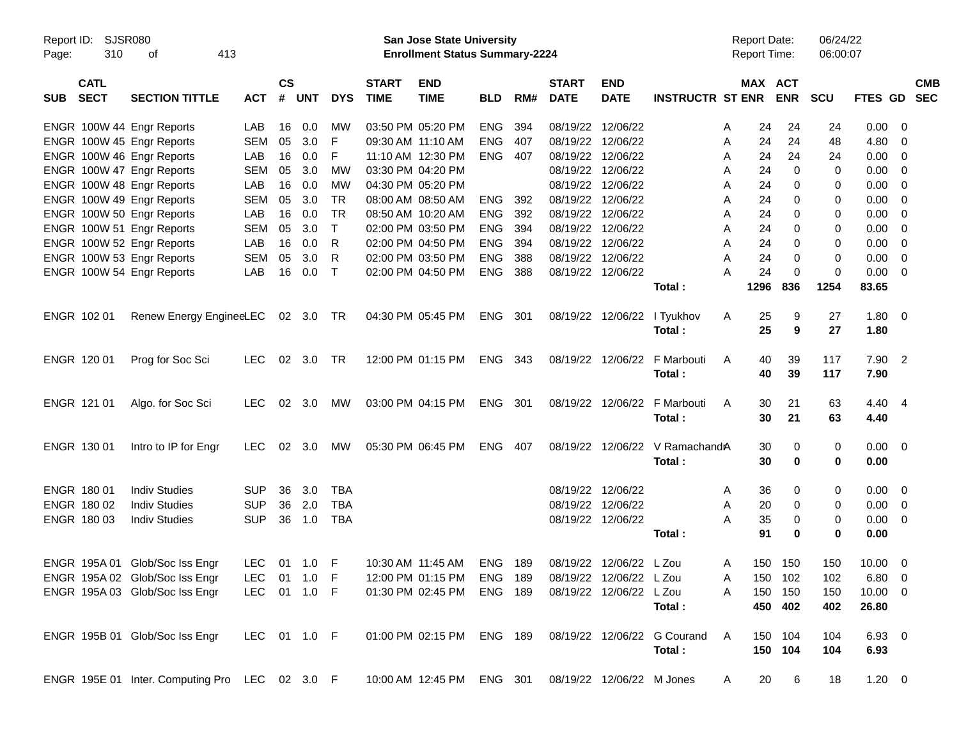| Report ID:<br>Page: | <b>SJSR080</b><br>310      | 413<br>οf                                      |              |                    |                |              |                             | San Jose State University<br><b>Enrollment Status Summary-2224</b> |            |       |                             |                           |                             | <b>Report Date:</b><br>Report Time: |             | 06/24/22<br>06:00:07 |                |                          |            |
|---------------------|----------------------------|------------------------------------------------|--------------|--------------------|----------------|--------------|-----------------------------|--------------------------------------------------------------------|------------|-------|-----------------------------|---------------------------|-----------------------------|-------------------------------------|-------------|----------------------|----------------|--------------------------|------------|
| SUB                 | <b>CATL</b><br><b>SECT</b> | <b>SECTION TITTLE</b>                          | <b>ACT</b>   | $\mathsf{cs}$<br># | <b>UNT</b>     | <b>DYS</b>   | <b>START</b><br><b>TIME</b> | <b>END</b><br><b>TIME</b>                                          | <b>BLD</b> | RM#   | <b>START</b><br><b>DATE</b> | <b>END</b><br><b>DATE</b> | <b>INSTRUCTR ST ENR</b>     | MAX ACT                             | <b>ENR</b>  | SCU                  | FTES GD SEC    |                          | <b>CMB</b> |
|                     |                            | ENGR 100W 44 Engr Reports                      | LAB          | 16                 | 0.0            | МW           |                             | 03:50 PM 05:20 PM                                                  | <b>ENG</b> | 394   | 08/19/22                    | 12/06/22                  |                             | 24<br>A                             | 24          | 24                   | $0.00 \t 0$    |                          |            |
|                     |                            | ENGR 100W 45 Engr Reports                      | <b>SEM</b>   | 05                 | 3.0            | F            |                             | 09:30 AM 11:10 AM                                                  | <b>ENG</b> | 407   | 08/19/22                    | 12/06/22                  |                             | 24<br>Α                             | 24          | 48                   | 4.80           | $\overline{\phantom{0}}$ |            |
|                     |                            | ENGR 100W 46 Engr Reports                      | LAB          | 16                 | 0.0            | F            |                             | 11:10 AM 12:30 PM                                                  | <b>ENG</b> | 407   | 08/19/22                    | 12/06/22                  |                             | 24<br>A                             | 24          | 24                   | $0.00 \t 0$    |                          |            |
|                     |                            | ENGR 100W 47 Engr Reports                      | <b>SEM</b>   | 05                 | 3.0            | <b>MW</b>    |                             | 03:30 PM 04:20 PM                                                  |            |       | 08/19/22                    | 12/06/22                  |                             | 24<br>A                             | $\mathbf 0$ | 0                    | $0.00 \t 0$    |                          |            |
|                     |                            | ENGR 100W 48 Engr Reports                      | LAB          | 16                 | 0.0            | <b>MW</b>    |                             | 04:30 PM 05:20 PM                                                  |            |       | 08/19/22                    | 12/06/22                  |                             | 24<br>A                             | 0           | 0                    | $0.00 \quad 0$ |                          |            |
|                     |                            | ENGR 100W 49 Engr Reports                      | <b>SEM</b>   | 05                 | 3.0            | <b>TR</b>    |                             | 08:00 AM 08:50 AM                                                  | <b>ENG</b> | 392   | 08/19/22                    | 12/06/22                  |                             | 24<br>A                             | 0           | 0                    | $0.00 \quad 0$ |                          |            |
|                     |                            | ENGR 100W 50 Engr Reports                      | LAB          | 16                 | 0.0            | <b>TR</b>    |                             | 08:50 AM 10:20 AM                                                  | <b>ENG</b> | 392   | 08/19/22                    | 12/06/22                  |                             | Α<br>24                             | 0           | 0                    | 0.00           | $\overline{\phantom{0}}$ |            |
|                     |                            | ENGR 100W 51 Engr Reports                      | <b>SEM</b>   | 05                 | 3.0            | $\top$       |                             | 02:00 PM 03:50 PM                                                  | <b>ENG</b> | 394   | 08/19/22                    | 12/06/22                  |                             | 24<br>A                             | 0           | 0                    | $0.00 \quad 0$ |                          |            |
|                     |                            | ENGR 100W 52 Engr Reports                      | LAB          | 16                 | 0.0            | R            |                             | 02:00 PM 04:50 PM                                                  | <b>ENG</b> | 394   | 08/19/22                    | 12/06/22                  |                             | Α<br>24                             | 0           | 0                    | $0.00 \quad 0$ |                          |            |
|                     |                            | ENGR 100W 53 Engr Reports                      | <b>SEM</b>   | 05                 | 3.0            | R            |                             | 02:00 PM 03:50 PM                                                  | <b>ENG</b> | 388   | 08/19/22                    | 12/06/22                  |                             | 24<br>A                             | 0           | 0                    | 0.00           | $\overline{\phantom{0}}$ |            |
|                     |                            | ENGR 100W 54 Engr Reports                      | LAB          | 16                 | 0.0            | $\mathsf{T}$ |                             | 02:00 PM 04:50 PM                                                  | <b>ENG</b> | 388   |                             | 08/19/22 12/06/22         |                             | 24<br>А                             | $\Omega$    | 0                    | $0.00 \t 0$    |                          |            |
|                     |                            |                                                |              |                    |                |              |                             |                                                                    |            |       |                             |                           | Total:                      | 1296                                | 836         | 1254                 | 83.65          |                          |            |
|                     | ENGR 102 01                | Renew Energy EngineeLEC                        |              |                    | 02 3.0 TR      |              |                             | 04:30 PM 05:45 PM                                                  | ENG 301    |       |                             | 08/19/22 12/06/22         | I Tyukhov                   | Α<br>25                             | 9           | 27                   | $1.80 \ 0$     |                          |            |
|                     |                            |                                                |              |                    |                |              |                             |                                                                    |            |       |                             |                           | Total:                      | 25                                  | 9           | 27                   | 1.80           |                          |            |
|                     |                            |                                                |              |                    |                |              |                             |                                                                    |            |       |                             |                           |                             |                                     |             |                      |                |                          |            |
|                     | ENGR 120 01                | Prog for Soc Sci                               | LEC.         |                    | 02 3.0 TR      |              |                             | 12:00 PM 01:15 PM                                                  | ENG 343    |       |                             | 08/19/22 12/06/22         | F Marbouti                  | 40<br>A                             | 39          | 117                  | $7.90$ 2       |                          |            |
|                     |                            |                                                |              |                    |                |              |                             |                                                                    |            |       |                             |                           | Total:                      | 40                                  | 39          | 117                  | 7.90           |                          |            |
|                     | ENGR 121 01                | Algo. for Soc Sci                              | LEC.         |                    | 02 3.0         | МW           |                             | 03:00 PM 04:15 PM                                                  | ENG 301    |       |                             | 08/19/22 12/06/22         | F Marbouti                  | 30<br>A                             | 21          | 63                   | 4.40 4         |                          |            |
|                     |                            |                                                |              |                    |                |              |                             |                                                                    |            |       |                             |                           | Total:                      | 30                                  | 21          | 63                   | 4.40           |                          |            |
|                     | ENGR 130 01                | Intro to IP for Engr                           | LEC.         |                    | $02 \quad 3.0$ | МW           |                             | 05:30 PM 06:45 PM                                                  | <b>ENG</b> | - 407 |                             | 08/19/22 12/06/22         | V RamachandA                | 30                                  | 0           | 0                    | $0.00 \t 0$    |                          |            |
|                     |                            |                                                |              |                    |                |              |                             |                                                                    |            |       |                             |                           | Total:                      | 30                                  | 0           | 0                    | 0.00           |                          |            |
|                     | ENGR 180 01                | <b>Indiv Studies</b>                           | <b>SUP</b>   | 36                 | 3.0            | <b>TBA</b>   |                             |                                                                    |            |       |                             | 08/19/22 12/06/22         |                             | 36<br>A                             | 0           | 0                    | $0.00 \t 0$    |                          |            |
|                     | ENGR 180 02                | <b>Indiv Studies</b>                           | <b>SUP</b>   | 36                 | 2.0            | <b>TBA</b>   |                             |                                                                    |            |       | 08/19/22                    | 12/06/22                  |                             | Α<br>20                             | 0           | 0                    | $0.00 \t 0$    |                          |            |
|                     | ENGR 180 03                | <b>Indiv Studies</b>                           | <b>SUP</b>   | 36                 | 1.0            | <b>TBA</b>   |                             |                                                                    |            |       |                             | 08/19/22 12/06/22         |                             | Α<br>35                             | 0           | 0                    | $0.00 \t 0$    |                          |            |
|                     |                            |                                                |              |                    |                |              |                             |                                                                    |            |       |                             |                           | Total:                      | 91                                  | 0           | 0                    | 0.00           |                          |            |
|                     |                            | ENGR 195A 01 Glob/Soc Iss Engr                 | LEC.         |                    | 01 1.0 F       |              |                             | 10:30 AM 11:45 AM                                                  | <b>ENG</b> | 189   |                             | 08/19/22 12/06/22 L Zou   |                             | A                                   | 150 150     | 150                  | $10.00 \t 0$   |                          |            |
|                     |                            | ENGR 195A 02 Glob/Soc Iss Engr                 | LEC 01 1.0 F |                    |                |              |                             | 12:00 PM 01:15 PM                                                  | ENG 189    |       |                             | 08/19/22 12/06/22 L Zou   |                             | A                                   | 150 102     | 102                  | $6.80\quad 0$  |                          |            |
|                     |                            | ENGR 195A 03 Glob/Soc Iss Engr                 | LEC 01 1.0 F |                    |                |              |                             | 01:30 PM 02:45 PM                                                  | ENG 189    |       |                             | 08/19/22 12/06/22 L Zou   |                             | A                                   | 150 150     | 150                  | $10.00 \t 0$   |                          |            |
|                     |                            |                                                |              |                    |                |              |                             |                                                                    |            |       |                             |                           | Total:                      |                                     | 450 402     | 402                  | 26.80          |                          |            |
|                     |                            | ENGR 195B 01 Glob/Soc Iss Engr                 | LEC 01 1.0 F |                    |                |              |                             | 01:00 PM 02:15 PM                                                  | ENG 189    |       |                             |                           | 08/19/22 12/06/22 G Courand | A                                   | 150 104     | 104                  | 6.93 0         |                          |            |
|                     |                            |                                                |              |                    |                |              |                             |                                                                    |            |       |                             |                           | Total:                      |                                     | 150 104     | 104                  | 6.93           |                          |            |
|                     |                            | ENGR 195E 01 Inter. Computing Pro LEC 02 3.0 F |              |                    |                |              |                             | 10:00 AM 12:45 PM                                                  | ENG 301    |       |                             | 08/19/22 12/06/22 M Jones |                             | 20<br>A                             | 6           | 18                   | $1.20 \t 0$    |                          |            |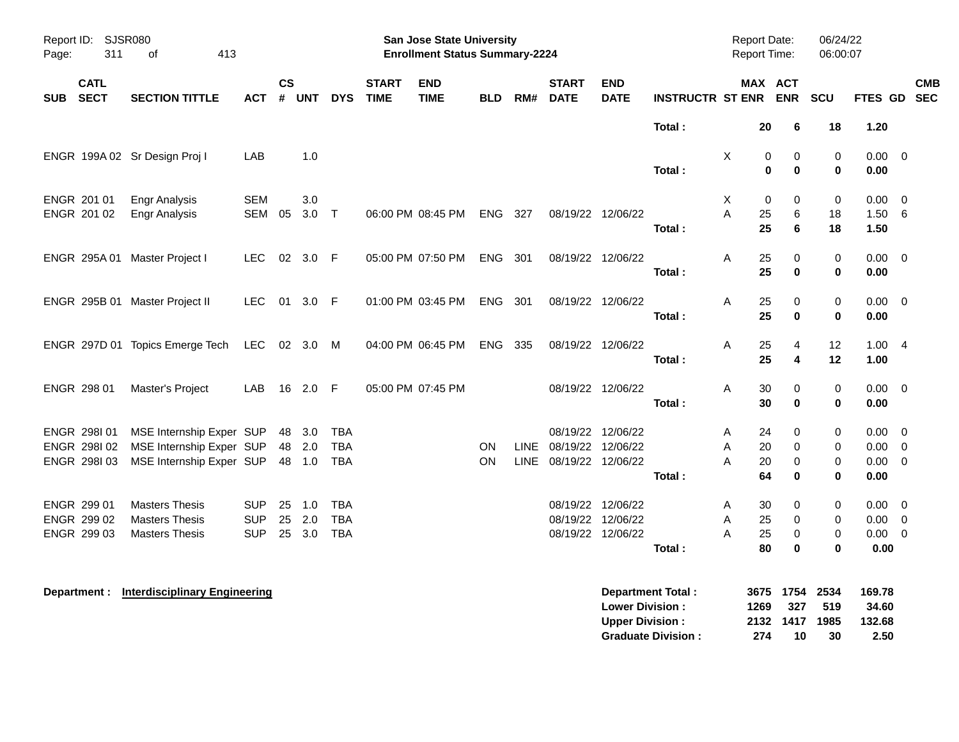| Report ID: SJSR080<br>311<br>Page:        | 413<br>0f                                                                        |                          |                |                            |                                 |                             | <b>San Jose State University</b><br><b>Enrollment Status Summary-2224</b> |                        |             |                                             |                           |                             | <b>Report Date:</b><br>Report Time: |                                   | 06/24/22<br>06:00:07       |                                           |            |
|-------------------------------------------|----------------------------------------------------------------------------------|--------------------------|----------------|----------------------------|---------------------------------|-----------------------------|---------------------------------------------------------------------------|------------------------|-------------|---------------------------------------------|---------------------------|-----------------------------|-------------------------------------|-----------------------------------|----------------------------|-------------------------------------------|------------|
| <b>CATL</b><br><b>SECT</b><br><b>SUB</b>  | <b>SECTION TITTLE</b>                                                            | <b>ACT</b>               | <b>CS</b><br># | <b>UNT</b>                 | <b>DYS</b>                      | <b>START</b><br><b>TIME</b> | <b>END</b><br><b>TIME</b>                                                 | <b>BLD</b>             | RM#         | <b>START</b><br><b>DATE</b>                 | <b>END</b><br><b>DATE</b> | <b>INSTRUCTR ST ENR ENR</b> |                                     | MAX ACT                           | SCU                        | FTES GD SEC                               | <b>CMB</b> |
|                                           |                                                                                  |                          |                |                            |                                 |                             |                                                                           |                        |             |                                             |                           | Total:                      | 20                                  | 6                                 | 18                         | 1.20                                      |            |
|                                           | ENGR 199A 02 Sr Design Proj I                                                    | LAB                      |                | 1.0                        |                                 |                             |                                                                           |                        |             |                                             |                           | Total:                      | X                                   | 0<br>0<br>$\mathbf 0$<br>$\bf{0}$ | $\,0\,$<br>$\bf{0}$        | $0.00 \t 0$<br>0.00                       |            |
| ENGR 201 01<br>ENGR 201 02                | <b>Engr Analysis</b><br><b>Engr Analysis</b>                                     | <b>SEM</b><br><b>SEM</b> | 05             | 3.0<br>$3.0$ T             |                                 |                             | 06:00 PM 08:45 PM                                                         | ENG 327                |             |                                             | 08/19/22 12/06/22         |                             | X<br>Α<br>25                        | 0<br>0<br>6                       | 0<br>18                    | $0.00 \t 0$<br>1.50 6                     |            |
|                                           | ENGR 295A 01 Master Project I                                                    | <b>LEC</b>               |                | 02 3.0 F                   |                                 |                             | 05:00 PM 07:50 PM                                                         | ENG 301                |             |                                             | 08/19/22 12/06/22         | Total:<br>Total:            | 25<br>25<br>Α<br>25                 | 6<br>0<br>$\mathbf 0$             | 18<br>0<br>0               | 1.50<br>$0.00 \t 0$<br>0.00               |            |
|                                           | ENGR 295B 01 Master Project II                                                   | LEC.                     |                | 01 3.0 F                   |                                 |                             | 01:00 PM 03:45 PM                                                         | ENG 301                |             |                                             | 08/19/22 12/06/22         | Total:                      | A<br>25<br>25                       | 0<br>0                            | $\pmb{0}$<br>$\mathbf 0$   | $0.00 \t 0$<br>0.00                       |            |
|                                           | ENGR 297D 01 Topics Emerge Tech                                                  | LEC 02 3.0 M             |                |                            |                                 |                             | 04:00 PM 06:45 PM                                                         | ENG 335                |             |                                             | 08/19/22 12/06/22         | Total:                      | 25<br>Α<br>25                       | 4<br>4                            | 12<br>12                   | 1.004<br>1.00                             |            |
| ENGR 298 01                               | Master's Project                                                                 | LAB                      |                | 16 2.0 F                   |                                 |                             | 05:00 PM 07:45 PM                                                         |                        |             | 08/19/22 12/06/22                           |                           | Total:                      | A<br>30<br>30                       | 0<br>$\bf{0}$                     | 0<br>$\bf{0}$              | $0.00 \t 0$<br>0.00                       |            |
| ENGR 298101<br>ENGR 298102<br>ENGR 298103 | MSE Internship Exper SUP<br>MSE Internship Exper SUP<br>MSE Internship Exper SUP |                          |                | 48 3.0<br>48 2.0<br>48 1.0 | TBA<br><b>TBA</b><br><b>TBA</b> |                             |                                                                           | <b>ON</b><br><b>ON</b> | <b>LINE</b> | LINE 08/19/22 12/06/22<br>08/19/22 12/06/22 | 08/19/22 12/06/22         |                             | Α<br>24<br>A<br>20<br>A<br>20       | 0<br>$\mathbf 0$<br>0             | 0<br>0<br>$\,0\,$          | $0.00 \t 0$<br>$0.00 \t 0$<br>$0.00 \t 0$ |            |
| ENGR 299 01                               | <b>Masters Thesis</b>                                                            | <b>SUP</b>               | 25             | 1.0                        | <b>TBA</b>                      |                             |                                                                           |                        |             |                                             | 08/19/22 12/06/22         | Total:                      | 64<br>A<br>30                       | $\bf{0}$<br>0                     | $\mathbf 0$<br>0           | 0.00<br>$0.00 \t 0$                       |            |
| ENGR 299 02<br>ENGR 299 03                | <b>Masters Thesis</b><br><b>Masters Thesis</b>                                   | <b>SUP</b><br><b>SUP</b> | 25             | 2.0<br>25 3.0              | <b>TBA</b><br><b>TBA</b>        |                             |                                                                           |                        |             | 08/19/22 12/06/22                           | 08/19/22 12/06/22         | Total:                      | A<br>25<br>25<br>A<br>80            | 0<br>$\mathbf 0$<br>$\bf{0}$      | 0<br>$\pmb{0}$<br>$\bf{0}$ | $0.00 \t 0$<br>$0.00 \t 0$<br>0.00        |            |
| Department :                              | <b>Interdisciplinary Engineering</b>                                             |                          |                |                            |                                 |                             |                                                                           |                        |             |                                             | <b>Lower Division:</b>    | <b>Department Total:</b>    | 3675<br>1269                        | 1754<br>327                       | 2534<br>519                | 169.78<br>34.60                           |            |

**Upper Division : 2132 1417 1985 132.68 Graduate Division : 274 10 30 2.50**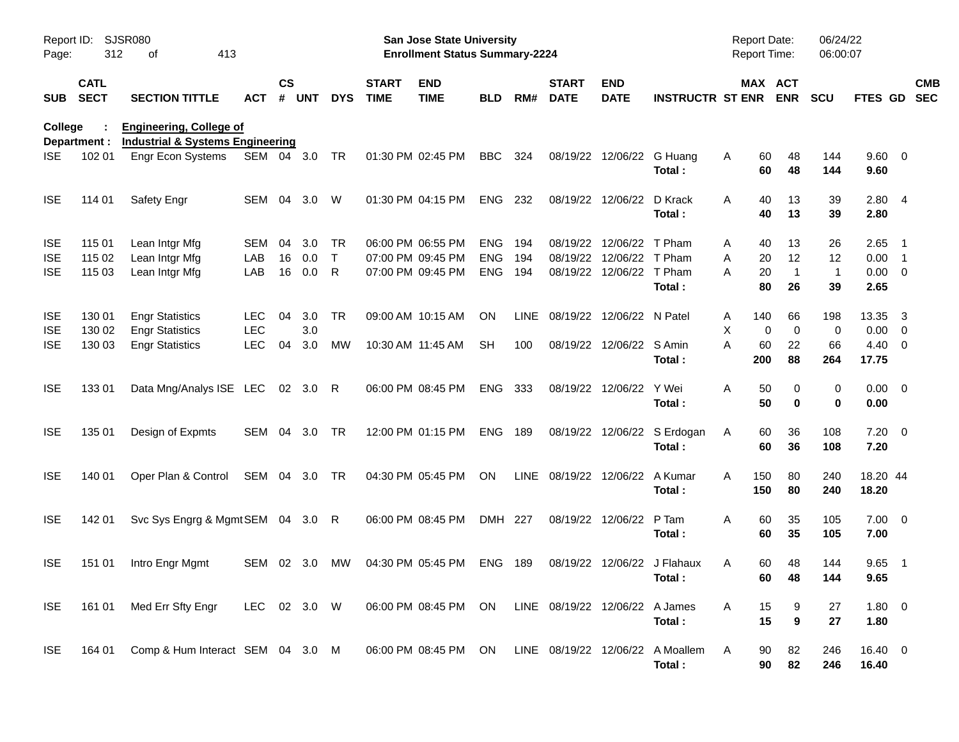| Report ID:<br>Page:                    | 312                        | SJSR080<br>413<br>of                                                          |                                        |                    |                   |                         |                             | <b>San Jose State University</b><br><b>Enrollment Status Summary-2224</b> |                                        |                    |                                  |                                         |                                            | Report Date:<br>Report Time: |                                 |                                  | 06/24/22<br>06:00:07           |                                |                                                                                  |                          |
|----------------------------------------|----------------------------|-------------------------------------------------------------------------------|----------------------------------------|--------------------|-------------------|-------------------------|-----------------------------|---------------------------------------------------------------------------|----------------------------------------|--------------------|----------------------------------|-----------------------------------------|--------------------------------------------|------------------------------|---------------------------------|----------------------------------|--------------------------------|--------------------------------|----------------------------------------------------------------------------------|--------------------------|
| <b>SUB</b>                             | <b>CATL</b><br><b>SECT</b> | <b>SECTION TITTLE</b>                                                         | <b>ACT</b>                             | $\mathsf{cs}$<br># | <b>UNT</b>        | <b>DYS</b>              | <b>START</b><br><b>TIME</b> | <b>END</b><br><b>TIME</b>                                                 | <b>BLD</b>                             | RM#                | <b>START</b><br><b>DATE</b>      | <b>END</b><br><b>DATE</b>               | <b>INSTRUCTR ST ENR</b>                    |                              |                                 | MAX ACT<br><b>ENR</b>            | <b>SCU</b>                     | FTES GD                        |                                                                                  | <b>CMB</b><br><b>SEC</b> |
| <b>College</b>                         | Department :               | <b>Engineering, College of</b><br><b>Industrial &amp; Systems Engineering</b> |                                        |                    |                   |                         |                             |                                                                           |                                        |                    |                                  |                                         |                                            |                              |                                 |                                  |                                |                                |                                                                                  |                          |
| ISE.                                   | 102 01                     | Engr Econ Systems                                                             | SEM 04 3.0                             |                    |                   | TR                      |                             | 01:30 PM 02:45 PM                                                         | <b>BBC</b>                             | 324                | 08/19/22                         | 12/06/22                                | G Huang<br>Total:                          | Α                            | 60<br>60                        | 48<br>48                         | 144<br>144                     | 9.60 0<br>9.60                 |                                                                                  |                          |
| <b>ISE</b>                             | 114 01                     | Safety Engr                                                                   | SEM                                    | 04                 | 3.0               | W                       |                             | 01:30 PM 04:15 PM                                                         | <b>ENG</b>                             | 232                | 08/19/22                         | 12/06/22                                | D Krack<br>Total:                          | Α                            | 40<br>40                        | 13<br>13                         | 39<br>39                       | 2.804<br>2.80                  |                                                                                  |                          |
| <b>ISE</b><br><b>ISE</b><br><b>ISE</b> | 115 01<br>115 02<br>115 03 | Lean Intgr Mfg<br>Lean Intgr Mfg<br>Lean Intgr Mfg                            | <b>SEM</b><br>LAB<br>LAB               | 04<br>16<br>16     | 3.0<br>0.0<br>0.0 | TR<br>$\mathsf{T}$<br>R |                             | 06:00 PM 06:55 PM<br>07:00 PM 09:45 PM<br>07:00 PM 09:45 PM               | <b>ENG</b><br><b>ENG</b><br><b>ENG</b> | 194<br>194<br>194  | 08/19/22<br>08/19/22<br>08/19/22 | 12/06/22<br>12/06/22<br>12/06/22 T Pham | T Pham<br>T Pham<br>Total:                 | Α<br>Α<br>A                  | 40<br>20<br>20<br>80            | 13<br>12<br>$\overline{1}$<br>26 | 26<br>12<br>$\mathbf{1}$<br>39 | 2.65<br>0.00<br>0.00<br>2.65   | $\overline{\phantom{1}}$<br>$\overline{\phantom{1}}$<br>$\overline{\phantom{0}}$ |                          |
| <b>ISE</b><br><b>ISE</b><br><b>ISE</b> | 130 01<br>130 02<br>130 03 | <b>Engr Statistics</b><br><b>Engr Statistics</b><br><b>Engr Statistics</b>    | <b>LEC</b><br><b>LEC</b><br><b>LEC</b> | 04<br>04           | 3.0<br>3.0<br>3.0 | TR<br><b>MW</b>         |                             | 09:00 AM 10:15 AM<br>10:30 AM 11:45 AM                                    | ON<br><b>SH</b>                        | <b>LINE</b><br>100 | 08/19/22<br>08/19/22             | 12/06/22 N Patel<br>12/06/22 S Amin     | Total:                                     | Α<br>х<br>A                  | 140<br>$\mathbf 0$<br>60<br>200 | 66<br>$\mathbf 0$<br>22<br>88    | 198<br>0<br>66<br>264          | 13.35<br>0.00<br>4.40<br>17.75 | -3<br>$\overline{0}$<br>$\overline{\phantom{0}}$                                 |                          |
| <b>ISE</b>                             | 133 01                     | Data Mng/Analys ISE LEC                                                       |                                        |                    | 02 3.0            | R                       |                             | 06:00 PM 08:45 PM                                                         | <b>ENG</b>                             | 333                | 08/19/22                         | 12/06/22                                | Y Wei<br>Total:                            | Α                            | 50<br>50                        | 0<br>$\mathbf 0$                 | 0<br>0                         | $0.00 \t 0$<br>0.00            |                                                                                  |                          |
| <b>ISE</b>                             | 135 01                     | Design of Expmts                                                              | <b>SEM</b>                             | 04                 | 3.0               | <b>TR</b>               |                             | 12:00 PM 01:15 PM                                                         | <b>ENG</b>                             | 189                | 08/19/22                         |                                         | 12/06/22 S Erdogan<br>Total:               | Α                            | 60<br>60                        | 36<br>36                         | 108<br>108                     | $7.20 \t 0$<br>7.20            |                                                                                  |                          |
| <b>ISE</b>                             | 140 01                     | Oper Plan & Control                                                           | SEM                                    |                    | 04 3.0            | TR                      |                             | 04:30 PM 05:45 PM                                                         | <b>ON</b>                              | <b>LINE</b>        | 08/19/22                         | 12/06/22                                | A Kumar<br>Total:                          | A                            | 150<br>150                      | 80<br>80                         | 240<br>240                     | 18.20 44<br>18.20              |                                                                                  |                          |
| <b>ISE</b>                             | 142 01                     | Svc Sys Engrg & Mgmt SEM 04 3.0                                               |                                        |                    |                   | R                       |                             | 06:00 PM 08:45 PM                                                         | DMH 227                                |                    | 08/19/22                         | 12/06/22                                | P Tam<br>Total:                            | A                            | 60<br>60                        | 35<br>35                         | 105<br>105                     | $7.00 \t 0$<br>7.00            |                                                                                  |                          |
| <b>ISE</b>                             | 151 01                     | Intro Engr Mgmt                                                               | SEM                                    |                    | 02 3.0            | МW                      |                             | 04:30 PM 05:45 PM                                                         | <b>ENG</b>                             | 189                | 08/19/22                         |                                         | 12/06/22 J Flahaux<br>Total:               | A                            | 60<br>60                        | 48<br>48                         | 144<br>144                     | 9.65<br>9.65                   | $\overline{\phantom{0}}$                                                         |                          |
| <b>ISE</b>                             | 161 01                     | Med Err Sfty Engr                                                             | LEC 02 3.0 W                           |                    |                   |                         |                             | 06:00 PM 08:45 PM                                                         | ON                                     |                    | LINE 08/19/22 12/06/22 A James   |                                         | Total:                                     | A                            | 15<br>15                        | 9<br>$\boldsymbol{9}$            | 27<br>27                       | 1.80 0<br>1.80                 |                                                                                  |                          |
| <b>ISE</b>                             | 164 01                     | Comp & Hum Interact SEM 04 3.0 M                                              |                                        |                    |                   |                         |                             | 06:00 PM 08:45 PM                                                         | ON.                                    |                    |                                  |                                         | LINE 08/19/22 12/06/22 A Moallem<br>Total: | A                            | 90<br>90                        | 82<br>82                         | 246<br>246                     | 16.40 0<br>16.40               |                                                                                  |                          |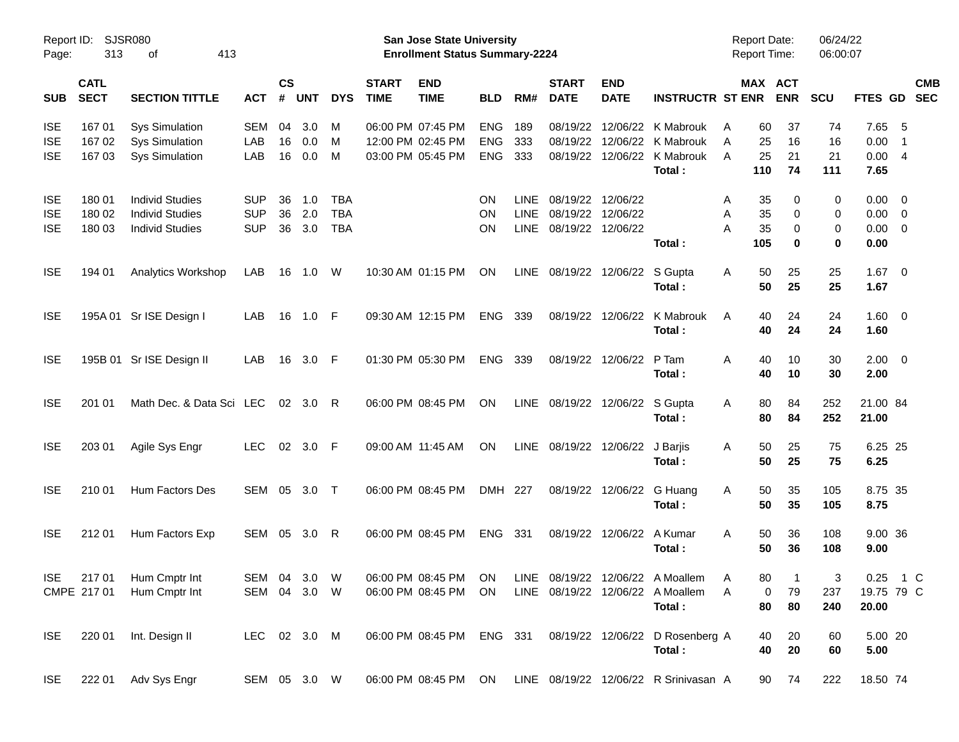| Page:                    | Report ID: SJSR080<br>313  | 413<br>οf                                        |                          |                |            |                          |                             | San Jose State University<br><b>Enrollment Status Summary-2224</b> |                          |                            |                             |                                        |                                                                     | <b>Report Date:</b><br><b>Report Time:</b> |                       | 06/24/22<br>06:00:07 |                     |                                                     |            |
|--------------------------|----------------------------|--------------------------------------------------|--------------------------|----------------|------------|--------------------------|-----------------------------|--------------------------------------------------------------------|--------------------------|----------------------------|-----------------------------|----------------------------------------|---------------------------------------------------------------------|--------------------------------------------|-----------------------|----------------------|---------------------|-----------------------------------------------------|------------|
| <b>SUB</b>               | <b>CATL</b><br><b>SECT</b> | <b>SECTION TITTLE</b>                            | <b>ACT</b>               | <b>CS</b><br># | <b>UNT</b> | <b>DYS</b>               | <b>START</b><br><b>TIME</b> | <b>END</b><br><b>TIME</b>                                          | <b>BLD</b>               | RM#                        | <b>START</b><br><b>DATE</b> | <b>END</b><br><b>DATE</b>              | <b>INSTRUCTR ST ENR</b>                                             |                                            | MAX ACT<br><b>ENR</b> | <b>SCU</b>           | FTES GD SEC         |                                                     | <b>CMB</b> |
| <b>ISE</b>               | 167 01                     | <b>Sys Simulation</b>                            | <b>SEM</b>               | 04             | 3.0        | M                        |                             | 06:00 PM 07:45 PM                                                  | <b>ENG</b>               | 189                        |                             |                                        | 08/19/22 12/06/22 K Mabrouk                                         | A                                          | 37<br>60              | 74                   | 7.65                | - 5                                                 |            |
| <b>ISE</b><br><b>ISE</b> | 167 02<br>167 03           | <b>Sys Simulation</b><br><b>Sys Simulation</b>   | LAB<br>LAB               | 16<br>16       | 0.0<br>0.0 | M<br>M                   |                             | 12:00 PM 02:45 PM<br>03:00 PM 05:45 PM                             | <b>ENG</b><br><b>ENG</b> | 333<br>333                 |                             | 08/19/22 12/06/22                      | K Mabrouk<br>08/19/22 12/06/22 K Mabrouk                            | 25<br>A<br>25<br>A                         | 16<br>21              | 16<br>21             | 0.00<br>0.00        | $\overline{1}$<br>$\overline{4}$                    |            |
|                          |                            |                                                  |                          |                |            |                          |                             |                                                                    |                          |                            |                             |                                        | Total:                                                              | 110                                        | 74                    | 111                  | 7.65                |                                                     |            |
| <b>ISE</b>               | 180 01                     | <b>Individ Studies</b>                           | <b>SUP</b>               | 36             | 1.0        | <b>TBA</b>               |                             |                                                                    | <b>ON</b>                | <b>LINE</b>                |                             | 08/19/22 12/06/22                      |                                                                     | 35<br>A                                    | 0                     | 0                    | 0.00                | $\overline{\phantom{0}}$                            |            |
| <b>ISE</b><br><b>ISE</b> | 180 02<br>180 03           | <b>Individ Studies</b><br><b>Individ Studies</b> | <b>SUP</b><br><b>SUP</b> | 36<br>36       | 2.0<br>3.0 | <b>TBA</b><br><b>TBA</b> |                             |                                                                    | <b>ON</b><br><b>ON</b>   | <b>LINE</b><br><b>LINE</b> |                             | 08/19/22 12/06/22<br>08/19/22 12/06/22 |                                                                     | 35<br>A<br>35<br>A                         | 0<br>0                | 0<br>0               | 0.00<br>0.00        | $\overline{\mathbf{0}}$<br>$\overline{\phantom{0}}$ |            |
|                          |                            |                                                  |                          |                |            |                          |                             |                                                                    |                          |                            |                             |                                        | Total:                                                              | 105                                        | 0                     | 0                    | 0.00                |                                                     |            |
| <b>ISE</b>               | 194 01                     | <b>Analytics Workshop</b>                        | LAB                      | 16             | 1.0        | W                        |                             | 10:30 AM 01:15 PM                                                  | ON                       |                            |                             | LINE 08/19/22 12/06/22 S Gupta         | Total:                                                              | Α                                          | 50<br>25<br>25<br>50  | 25<br>25             | 1.67<br>1.67        | $\overline{\phantom{0}}$                            |            |
| <b>ISE</b>               |                            | 195A 01 Sr ISE Design I                          | LAB                      | 16             | 1.0 F      |                          |                             | 09:30 AM 12:15 PM                                                  | <b>ENG</b>               | 339                        |                             | 08/19/22 12/06/22                      | K Mabrouk                                                           | A                                          | 40<br>24              | 24                   | 1.60 0              |                                                     |            |
|                          |                            |                                                  |                          |                |            |                          |                             |                                                                    |                          |                            |                             |                                        | Total:                                                              |                                            | 40<br>24              | 24                   | 1.60                |                                                     |            |
| <b>ISE</b>               |                            | 195B 01 Sr ISE Design II                         | LAB                      | 16             | 3.0 F      |                          |                             | 01:30 PM 05:30 PM                                                  | <b>ENG</b>               | 339                        |                             | 08/19/22 12/06/22                      | P Tam                                                               | A                                          | 40<br>10              | 30                   | $2.00 \t 0$         |                                                     |            |
|                          |                            |                                                  |                          |                |            |                          |                             |                                                                    |                          |                            |                             |                                        | Total:                                                              |                                            | 40<br>10              | 30                   | 2.00                |                                                     |            |
| <b>ISE</b>               | 201 01                     | Math Dec. & Data Sci LEC                         |                          |                | 02 3.0 R   |                          |                             | 06:00 PM 08:45 PM                                                  | ON                       |                            |                             | LINE 08/19/22 12/06/22 S Gupta         |                                                                     | A                                          | 80<br>84              | 252                  | 21.00 84            |                                                     |            |
|                          |                            |                                                  |                          |                |            |                          |                             |                                                                    |                          |                            |                             |                                        | Total:                                                              |                                            | 80<br>84              | 252                  | 21.00               |                                                     |            |
| <b>ISE</b>               | 203 01                     | Agile Sys Engr                                   | <b>LEC</b>               |                | 02 3.0 F   |                          |                             | 09:00 AM 11:45 AM                                                  | <b>ON</b>                |                            |                             | LINE 08/19/22 12/06/22                 | J Barjis                                                            | A                                          | 50<br>25              | 75                   | 6.25 25             |                                                     |            |
|                          |                            |                                                  |                          |                |            |                          |                             |                                                                    |                          |                            |                             |                                        | Total:                                                              |                                            | 50<br>25              | 75                   | 6.25                |                                                     |            |
| <b>ISE</b>               | 210 01                     | Hum Factors Des                                  | SEM 05                   |                | 3.0 T      |                          |                             | 06:00 PM 08:45 PM                                                  | DMH 227                  |                            |                             | 08/19/22 12/06/22 G Huang              |                                                                     | A                                          | 35<br>50              | 105                  | 8.75 35             |                                                     |            |
|                          |                            |                                                  |                          |                |            |                          |                             |                                                                    |                          |                            |                             |                                        | Total:                                                              |                                            | 50<br>35              | 105                  | 8.75                |                                                     |            |
| <b>ISE</b>               | 212 01                     | Hum Factors Exp                                  | SEM 05 3.0 R             |                |            |                          |                             | 06:00 PM 08:45 PM                                                  | ENG 331                  |                            |                             | 08/19/22 12/06/22 A Kumar              |                                                                     | A                                          | 50<br>36              | 108                  | 9.00 36             |                                                     |            |
|                          |                            |                                                  |                          |                |            |                          |                             |                                                                    |                          |                            |                             |                                        | Total:                                                              |                                            | 50<br>36              | 108                  | 9.00                |                                                     |            |
|                          |                            | ISE 217 01 Hum Cmptr Int                         | SEM 04 3.0 W             |                |            |                          |                             |                                                                    |                          |                            |                             |                                        | 06:00 PM 08:45 PM ON LINE 08/19/22 12/06/22 A Moallem A             |                                            | 80<br>$\overline{1}$  | 3                    | 0.25 1 C            |                                                     |            |
|                          |                            | CMPE 217 01 Hum Cmptr Int                        | SEM 04 3.0 W             |                |            |                          |                             | 06:00 PM 08:45 PM ON                                               |                          |                            |                             |                                        | LINE 08/19/22 12/06/22 A Moallem<br>Total:                          | A                                          | 79<br>0<br>80<br>80   | 237<br>240           | 19.75 79 C<br>20.00 |                                                     |            |
|                          |                            |                                                  |                          |                |            |                          |                             |                                                                    |                          |                            |                             |                                        |                                                                     |                                            |                       |                      |                     |                                                     |            |
| <b>ISE</b>               |                            | 220 01 Int. Design II                            | LEC 02 3.0 M             |                |            |                          |                             |                                                                    |                          |                            |                             |                                        | 06:00 PM 08:45 PM ENG 331 08/19/22 12/06/22 D Rosenberg A<br>Total: |                                            | 20<br>40<br>40<br>20  | 60<br>60             | 5.00 20<br>5.00     |                                                     |            |
|                          |                            |                                                  |                          |                |            |                          |                             |                                                                    |                          |                            |                             |                                        |                                                                     |                                            |                       |                      |                     |                                                     |            |
| <b>ISE</b>               |                            | 222 01 Adv Sys Engr                              | SEM 05 3.0 W             |                |            |                          |                             | 06:00 PM 08:45 PM ON                                               |                          |                            |                             |                                        | LINE 08/19/22 12/06/22 R Srinivasan A                               |                                            | 90 74                 | 222                  | 18.50 74            |                                                     |            |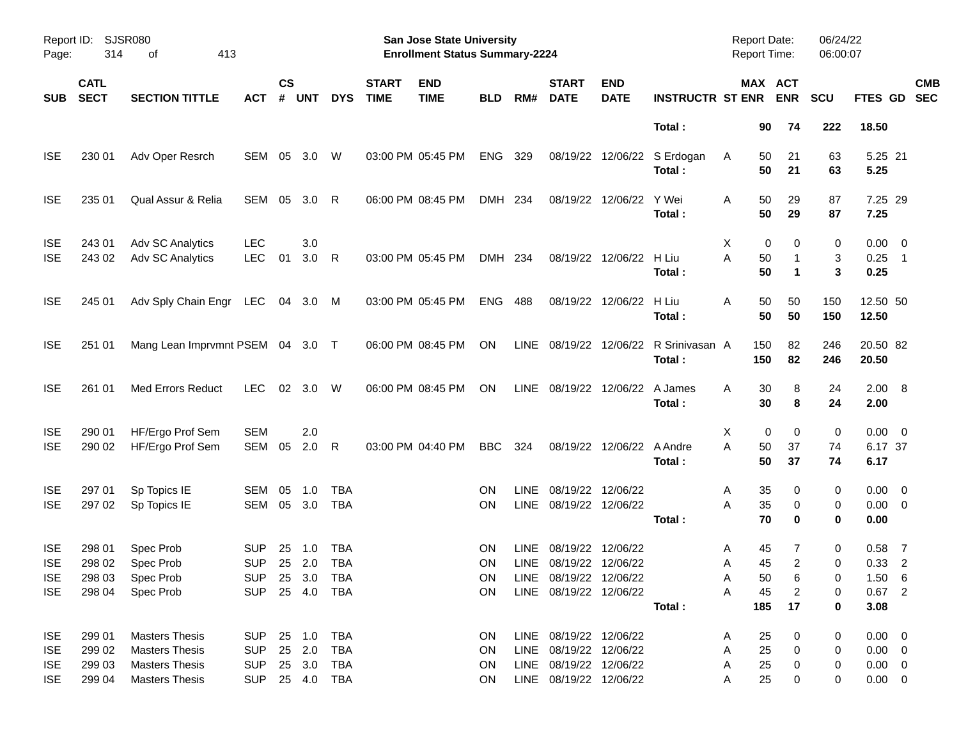| Page:                                                | Report ID: SJSR080<br>314            | 413<br>οf                                                                                        |                                                              |                    |                  |                          |                             | San Jose State University<br><b>Enrollment Status Summary-2224</b> |                                           |             |                                                                                                      |                           |                                                 | <b>Report Date:</b><br><b>Report Time:</b> |                                                                          | 06/24/22<br>06:00:07  |                                                          |                          |  |
|------------------------------------------------------|--------------------------------------|--------------------------------------------------------------------------------------------------|--------------------------------------------------------------|--------------------|------------------|--------------------------|-----------------------------|--------------------------------------------------------------------|-------------------------------------------|-------------|------------------------------------------------------------------------------------------------------|---------------------------|-------------------------------------------------|--------------------------------------------|--------------------------------------------------------------------------|-----------------------|----------------------------------------------------------|--------------------------|--|
| <b>SUB</b>                                           | <b>CATL</b><br><b>SECT</b>           | <b>SECTION TITTLE</b>                                                                            | <b>ACT</b>                                                   | $\mathsf{cs}$<br># | <b>UNT</b>       | <b>DYS</b>               | <b>START</b><br><b>TIME</b> | <b>END</b><br><b>TIME</b>                                          | <b>BLD</b>                                | RM#         | <b>START</b><br><b>DATE</b>                                                                          | <b>END</b><br><b>DATE</b> | <b>INSTRUCTR ST ENR</b>                         |                                            | MAX ACT<br><b>ENR</b>                                                    | <b>SCU</b>            | FTES GD                                                  | <b>CMB</b><br><b>SEC</b> |  |
|                                                      |                                      |                                                                                                  |                                                              |                    |                  |                          |                             |                                                                    |                                           |             |                                                                                                      |                           | Total:                                          |                                            | 90<br>74                                                                 | 222                   | 18.50                                                    |                          |  |
| <b>ISE</b>                                           | 230 01                               | Adv Oper Resrch                                                                                  | SEM                                                          | 05                 | 3.0              | W                        |                             | 03:00 PM 05:45 PM                                                  | <b>ENG</b>                                | 329         |                                                                                                      |                           | 08/19/22 12/06/22 S Erdogan<br>Total:           | A                                          | 50<br>21<br>50<br>21                                                     | 63<br>63              | 5.25 21<br>5.25                                          |                          |  |
| <b>ISE</b>                                           | 235 01                               | Qual Assur & Relia                                                                               | SEM                                                          | 05                 | 3.0              | R                        |                             | 06:00 PM 08:45 PM                                                  | DMH 234                                   |             | 08/19/22                                                                                             | 12/06/22                  | Y Wei<br>Total:                                 | Α                                          | 50<br>29<br>50<br>29                                                     | 87<br>87              | 7.25 29<br>7.25                                          |                          |  |
| <b>ISE</b><br><b>ISE</b>                             | 243 01<br>243 02                     | Adv SC Analytics<br>Adv SC Analytics                                                             | <b>LEC</b><br><b>LEC</b>                                     | 01                 | 3.0<br>3.0       | R                        |                             | 03:00 PM 05:45 PM                                                  | DMH 234                                   |             |                                                                                                      | 08/19/22 12/06/22         | H Liu<br>Total:                                 | X<br>A                                     | 0<br>0<br>50<br>1<br>50<br>$\mathbf 1$                                   | 0<br>3<br>3           | $0.00 \t 0$<br>$0.25$ 1<br>0.25                          |                          |  |
| <b>ISE</b>                                           | 245 01                               | Adv Sply Chain Engr LEC 04 3.0 M                                                                 |                                                              |                    |                  |                          |                             | 03:00 PM 05:45 PM                                                  | <b>ENG</b>                                | 488         |                                                                                                      | 08/19/22 12/06/22         | H Liu<br>Total:                                 | Α                                          | 50<br>50<br>50<br>50                                                     | 150<br>150            | 12.50 50<br>12.50                                        |                          |  |
| <b>ISE</b>                                           | 251 01                               | Mang Lean Imprvmnt PSEM 04 3.0 T                                                                 |                                                              |                    |                  |                          |                             | 06:00 PM 08:45 PM                                                  | ON                                        |             |                                                                                                      |                           | LINE 08/19/22 12/06/22 R Srinivasan A<br>Total: | 150<br>150                                 | 82<br>82                                                                 | 246<br>246            | 20.50 82<br>20.50                                        |                          |  |
| <b>ISE</b>                                           | 261 01                               | <b>Med Errors Reduct</b>                                                                         | <b>LEC</b>                                                   |                    | 02 3.0           | W                        |                             | 06:00 PM 08:45 PM                                                  | ON                                        |             | LINE 08/19/22 12/06/22 A James                                                                       |                           | Total:                                          | A                                          | 30<br>8<br>30<br>8                                                       | 24<br>24              | 2.00 8<br>2.00                                           |                          |  |
| <b>ISE</b><br><b>ISE</b>                             | 290 01<br>290 02                     | HF/Ergo Prof Sem<br>HF/Ergo Prof Sem                                                             | <b>SEM</b><br>SEM                                            | 05                 | 2.0<br>2.0       | R                        |                             | 03:00 PM 04:40 PM                                                  | <b>BBC</b>                                | 324         |                                                                                                      | 08/19/22 12/06/22 A Andre | Total:                                          | X<br>A                                     | 0<br>0<br>50<br>37<br>50<br>37                                           | 0<br>74<br>74         | $0.00 \t 0$<br>6.17 37<br>6.17                           |                          |  |
| <b>ISE</b><br><b>ISE</b>                             | 297 01<br>297 02                     | Sp Topics IE<br>Sp Topics IE                                                                     | <b>SEM</b><br><b>SEM</b>                                     | 05<br>05           | 1.0<br>3.0       | TBA<br><b>TBA</b>        |                             |                                                                    | <b>ON</b><br><b>ON</b>                    | <b>LINE</b> | 08/19/22<br>LINE 08/19/22 12/06/22                                                                   | 12/06/22                  | Total:                                          | A<br>A                                     | 35<br>0<br>35<br>0<br>70<br>0                                            | 0<br>0<br>0           | $0.00 \t 0$<br>$0.00 \t 0$<br>0.00                       |                          |  |
| <b>ISE</b><br><b>ISE</b><br><b>ISE</b><br><b>ISE</b> | 298 01<br>298 02<br>298 03<br>298 04 | Spec Prob<br>Spec Prob<br>Spec Prob<br>Spec Prob                                                 | <b>SUP</b><br><b>SUP</b><br>SUP 25 3.0 TBA<br>SUP 25 4.0 TBA | 25<br>25           | 1.0<br>2.0       | <b>TBA</b><br><b>TBA</b> |                             |                                                                    | <b>ON</b><br><b>ON</b><br>ON<br><b>ON</b> | <b>LINE</b> | 08/19/22<br>LINE 08/19/22 12/06/22<br>LINE 08/19/22 12/06/22<br>LINE 08/19/22 12/06/22               | 12/06/22                  | Total:                                          | A<br>Α<br>A<br>Α<br>185                    | 45<br>7<br>45<br>$\overline{2}$<br>50<br>6<br>45<br>$\overline{c}$<br>17 | 0<br>0<br>0<br>0<br>0 | $0.58$ 7<br>$0.33$ 2<br>1.50 6<br>$0.67$ 2<br>3.08       |                          |  |
| <b>ISE</b><br><b>ISE</b><br><b>ISE</b><br><b>ISE</b> | 299 01<br>299 02<br>299 03<br>299 04 | <b>Masters Thesis</b><br><b>Masters Thesis</b><br><b>Masters Thesis</b><br><b>Masters Thesis</b> | SUP 25 1.0 TBA<br><b>SUP</b><br><b>SUP</b><br>SUP 25 4.0 TBA |                    | 25 2.0<br>25 3.0 | <b>TBA</b><br><b>TBA</b> |                             |                                                                    | ON<br>ON<br>ON<br><b>ON</b>               |             | LINE 08/19/22 12/06/22<br>LINE 08/19/22 12/06/22<br>LINE 08/19/22 12/06/22<br>LINE 08/19/22 12/06/22 |                           |                                                 | A<br>Α<br>A<br>Α                           | 25<br>0<br>25<br>0<br>25<br>0<br>25<br>0                                 | 0<br>0<br>0<br>0      | $0.00 \t 0$<br>$0.00 \t 0$<br>$0.00 \t 0$<br>$0.00 \t 0$ |                          |  |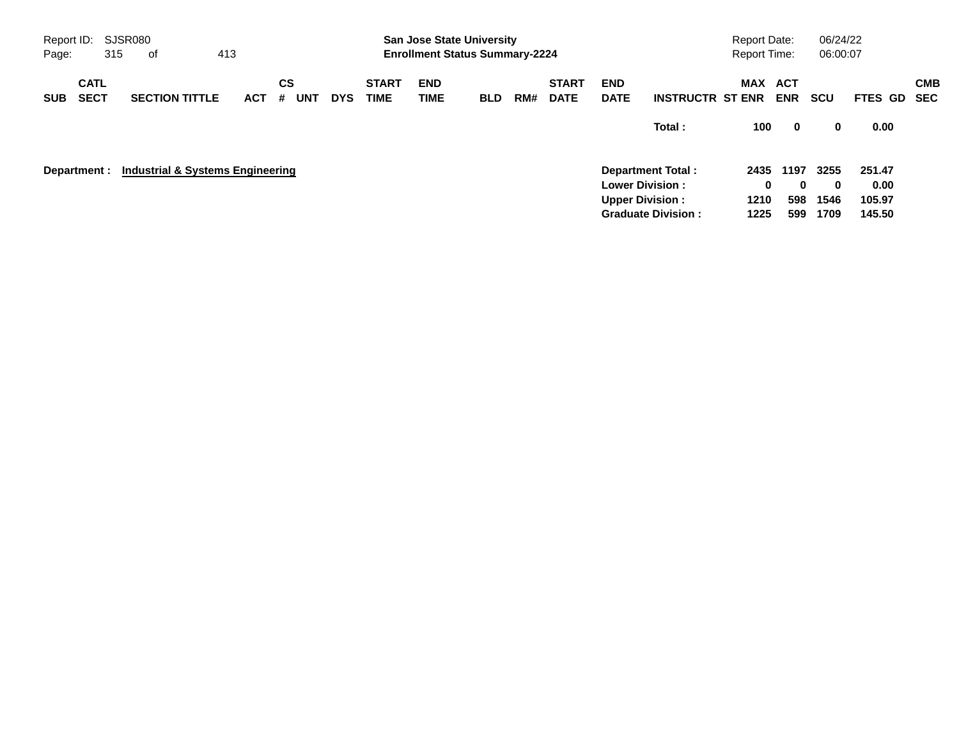| Report ID:<br>Page: | SJSR080<br>413<br>315<br>оf<br><b>CATL</b> |  |                                  |  |            |                       |            | <b>San Jose State University</b><br><b>Enrollment Status Summary-2224</b> |                    |            |     |                             |                           | <b>Report Date:</b><br>Report Time:                 |              | 06/24/22<br>06:00:07 |              |                  |                   |
|---------------------|--------------------------------------------|--|----------------------------------|--|------------|-----------------------|------------|---------------------------------------------------------------------------|--------------------|------------|-----|-----------------------------|---------------------------|-----------------------------------------------------|--------------|----------------------|--------------|------------------|-------------------|
| <b>SUB</b>          | <b>SECT</b>                                |  | <b>SECTION TITTLE</b>            |  | <b>ACT</b> | CS<br><b>UNT</b><br># | <b>DYS</b> | <b>START</b><br><b>TIME</b>                                               | <b>END</b><br>TIME | <b>BLD</b> | RM# | <b>START</b><br><b>DATE</b> | <b>END</b><br><b>DATE</b> | <b>INSTRUCTR ST ENR</b>                             | MAX ACT      | <b>ENR</b>           | <b>SCU</b>   | <b>FTES GD</b>   | <b>CMB</b><br>SEC |
|                     |                                            |  |                                  |  |            |                       |            |                                                                           |                    |            |     |                             |                           | Total:                                              | 100          | $\mathbf 0$          | 0            | 0.00             |                   |
| Department :        |                                            |  | Industrial & Systems Engineering |  |            |                       |            |                                                                           |                    |            |     |                             |                           | Department Total:<br><b>Lower Division:</b>         | 2435<br>0    | 1197<br>0            | 3255<br>0    | 251.47<br>0.00   |                   |
|                     |                                            |  |                                  |  |            |                       |            |                                                                           |                    |            |     |                             |                           | <b>Upper Division:</b><br><b>Graduate Division:</b> | 1210<br>1225 | 598<br>599           | 1546<br>1709 | 105.97<br>145.50 |                   |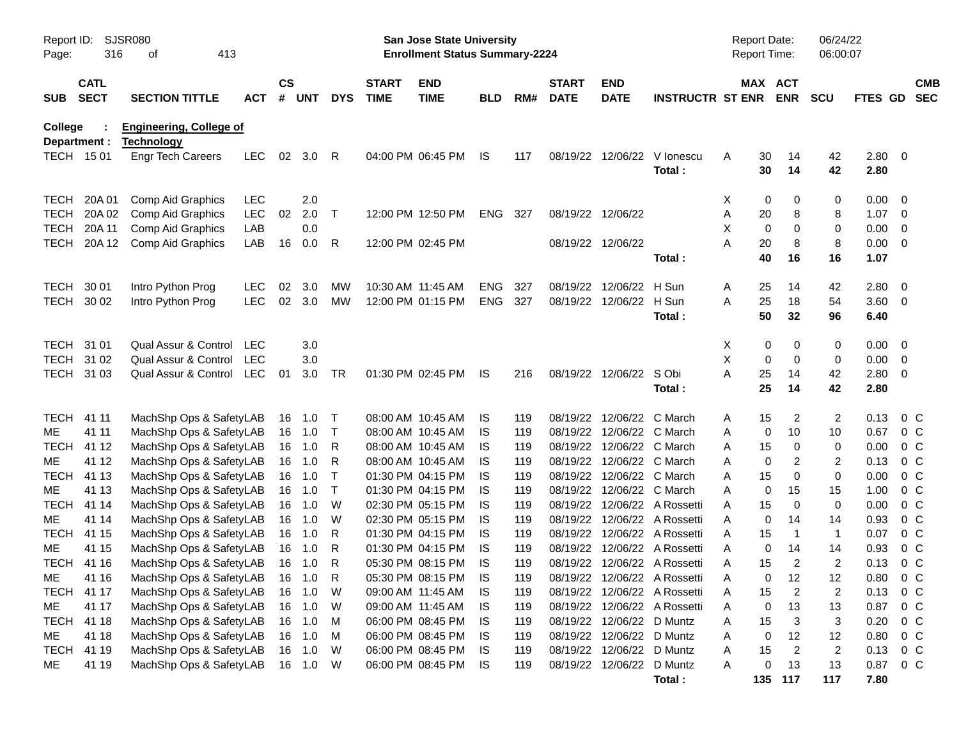| Report ID:<br>Page:            | 316                        | SJSR080<br>413<br>οf                                |            |                    |            |              |                             | San Jose State University<br><b>Enrollment Status Summary-2224</b> |            |     |                             |                           |                              | <b>Report Date:</b><br><b>Report Time:</b> |                       | 06/24/22<br>06:00:07 |                |                          |  |
|--------------------------------|----------------------------|-----------------------------------------------------|------------|--------------------|------------|--------------|-----------------------------|--------------------------------------------------------------------|------------|-----|-----------------------------|---------------------------|------------------------------|--------------------------------------------|-----------------------|----------------------|----------------|--------------------------|--|
| <b>SUB</b>                     | <b>CATL</b><br><b>SECT</b> | <b>SECTION TITTLE</b>                               | <b>ACT</b> | $\mathsf{cs}$<br># | <b>UNT</b> | <b>DYS</b>   | <b>START</b><br><b>TIME</b> | <b>END</b><br><b>TIME</b>                                          | <b>BLD</b> | RM# | <b>START</b><br><b>DATE</b> | <b>END</b><br><b>DATE</b> | <b>INSTRUCTR ST ENR</b>      |                                            | MAX ACT<br><b>ENR</b> | <b>SCU</b>           | <b>FTES GD</b> | <b>CMB</b><br><b>SEC</b> |  |
| <b>College</b><br>Department : |                            | <b>Engineering, College of</b><br><b>Technology</b> |            |                    |            |              |                             |                                                                    |            |     |                             |                           |                              |                                            |                       |                      |                |                          |  |
| TECH 15 01                     |                            | <b>Engr Tech Careers</b>                            | <b>LEC</b> | 02                 | 3.0        | R            |                             | 04:00 PM 06:45 PM                                                  | IS         | 117 |                             | 08/19/22 12/06/22         | V lonescu<br>Total:          | Α                                          | 30<br>14<br>30<br>14  | 42<br>42             | 2.80 0<br>2.80 |                          |  |
| <b>TECH</b>                    | 20A 01                     | Comp Aid Graphics                                   | <b>LEC</b> |                    | 2.0        |              |                             |                                                                    |            |     |                             |                           |                              | X                                          | 0<br>0                | 0                    | 0.00           | $\overline{\mathbf{0}}$  |  |
| <b>TECH</b>                    | 20A 02                     | Comp Aid Graphics                                   | LEC        | 02                 | 2.0        | Τ            |                             | 12:00 PM 12:50 PM                                                  | ENG        | 327 | 08/19/22 12/06/22           |                           |                              | Α                                          | 20<br>8               | 8                    | 1.07           | - 0                      |  |
| <b>TECH</b>                    | 20A 11                     | Comp Aid Graphics                                   | LAB        |                    | 0.0        |              |                             |                                                                    |            |     |                             |                           |                              | X                                          | 0<br>0                | 0                    | 0.00           | $\overline{0}$           |  |
| <b>TECH</b>                    | 20A 12                     | Comp Aid Graphics                                   | LAB        | 16                 | 0.0        | R            |                             | 12:00 PM 02:45 PM                                                  |            |     | 08/19/22 12/06/22           |                           |                              | A                                          | 20<br>8               | 8                    | 0.00           | $\overline{0}$           |  |
|                                |                            |                                                     |            |                    |            |              |                             |                                                                    |            |     |                             |                           | Total:                       |                                            | 40<br>16              | 16                   | 1.07           |                          |  |
| <b>TECH</b>                    | 30 01                      | Intro Python Prog                                   | <b>LEC</b> | 02                 | 3.0        | MW           | 10:30 AM 11:45 AM           |                                                                    | ENG        | 327 | 08/19/22                    | 12/06/22                  | H Sun                        | A                                          | 25<br>14              | 42                   | 2.80           | $\overline{\mathbf{0}}$  |  |
| TECH 30 02                     |                            | Intro Python Prog                                   | <b>LEC</b> | 02                 | 3.0        | <b>MW</b>    |                             | 12:00 PM 01:15 PM                                                  | ENG        | 327 | 08/19/22 12/06/22           |                           | H Sun                        | A                                          | 25<br>18              | 54                   | $3.60 \ 0$     |                          |  |
|                                |                            |                                                     |            |                    |            |              |                             |                                                                    |            |     |                             |                           | Total:                       |                                            | 50<br>32              | 96                   | 6.40           |                          |  |
| TECH 31 01                     |                            | Qual Assur & Control                                | LEC        |                    | 3.0        |              |                             |                                                                    |            |     |                             |                           |                              | Х                                          | 0<br>0                | 0                    | 0.00           | $\overline{\phantom{0}}$ |  |
|                                | TECH 31 02                 | Qual Assur & Control                                | <b>LEC</b> |                    | 3.0        |              |                             |                                                                    |            |     |                             |                           |                              | X                                          | 0<br>0                | 0                    | 0.00           | - 0                      |  |
| TECH 31 03                     |                            | Qual Assur & Control                                | LEC        | 01                 | 3.0        | TR           |                             | 01:30 PM 02:45 PM                                                  | IS.        | 216 | 08/19/22 12/06/22           |                           | S Obi                        | A<br>25                                    | 14                    | 42                   | 2.80           | $\overline{0}$           |  |
|                                |                            |                                                     |            |                    |            |              |                             |                                                                    |            |     |                             |                           | Total:                       | 25                                         | 14                    | 42                   | 2.80           |                          |  |
| <b>TECH</b>                    | 41 11                      | MachShp Ops & SafetyLAB                             |            |                    | 16 1.0     | $\top$       |                             | 08:00 AM 10:45 AM                                                  | IS.        | 119 |                             | 08/19/22 12/06/22         | C March                      | A                                          | 15<br>2               | 2                    | 0.13           | $0\,C$                   |  |
| ME                             | 41 11                      | MachShp Ops & SafetyLAB                             |            |                    | 16 1.0     | $\mathsf T$  |                             | 08:00 AM 10:45 AM                                                  | IS         | 119 |                             | 08/19/22 12/06/22         | C March                      | Α                                          | 10<br>0               | 10                   | 0.67           | $0\,C$                   |  |
| <b>TECH</b>                    | 41 12                      | MachShp Ops & SafetyLAB                             |            | 16                 | 1.0        | R            |                             | 08:00 AM 10:45 AM                                                  | IS         | 119 |                             | 08/19/22 12/06/22 C March |                              | 15<br>Α                                    | 0                     | 0                    | 0.00           | 0 <sup>C</sup>           |  |
| МE                             | 41 12                      | MachShp Ops & SafetyLAB                             |            | 16                 | 1.0        | R            |                             | 08:00 AM 10:45 AM                                                  | IS         | 119 |                             | 08/19/22 12/06/22 C March |                              | Α                                          | 0<br>2                | 2                    | 0.13           | 0 <sup>C</sup>           |  |
| <b>TECH</b>                    | 41 13                      | MachShp Ops & SafetyLAB                             |            | 16                 | 1.0        | Т            |                             | 01:30 PM 04:15 PM                                                  | IS         | 119 |                             | 08/19/22 12/06/22         | C March                      | Α                                          | $\mathbf 0$<br>15     | $\mathbf 0$          | 0.00           | 0 <sup>C</sup>           |  |
| ME                             | 41 13                      | MachShp Ops & SafetyLAB                             |            | 16                 | 1.0        | Т            |                             | 01:30 PM 04:15 PM                                                  | IS         | 119 |                             | 08/19/22 12/06/22         | C March                      | Α                                          | 0<br>15               | 15                   | 1.00           | 0 <sup>C</sup>           |  |
| <b>TECH</b>                    | 41 14                      | MachShp Ops & SafetyLAB                             |            |                    | 16 1.0     | W            |                             | 02:30 PM 05:15 PM                                                  | IS         | 119 |                             |                           | 08/19/22 12/06/22 A Rossetti | A                                          | 15<br>0               | 0                    | 0.00           | 0 <sup>C</sup>           |  |
| ME                             | 41 14                      | MachShp Ops & SafetyLAB                             |            |                    | 16 1.0     | W            |                             | 02:30 PM 05:15 PM                                                  | IS         | 119 |                             |                           | 08/19/22 12/06/22 A Rossetti | Α                                          | 0<br>14               | 14                   | 0.93           | $0\,C$                   |  |
| <b>TECH</b>                    | 41 15                      | MachShp Ops & SafetyLAB                             |            | 16                 | 1.0        | R            | 01:30 PM 04:15 PM           |                                                                    | IS         | 119 |                             |                           | 08/19/22 12/06/22 A Rossetti | Α                                          | 15<br>$\overline{1}$  | $\mathbf{1}$         | 0.07           | $0\,C$                   |  |
| ME                             | 41 15                      | MachShp Ops & SafetyLAB                             |            | 16                 | 1.0        | R            |                             | 01:30 PM 04:15 PM                                                  | IS         | 119 |                             |                           | 08/19/22 12/06/22 A Rossetti | A                                          | 0<br>14               | 14                   | 0.93           | 0 <sup>C</sup>           |  |
| <b>TECH</b>                    | 41 16                      | MachShp Ops & SafetyLAB                             |            |                    | 16 1.0     | R            |                             | 05:30 PM 08:15 PM                                                  | IS         | 119 |                             |                           | 08/19/22 12/06/22 A Rossetti | Α                                          | $\overline{2}$<br>15  | $\overline{c}$       | 0.13           | $0\,C$                   |  |
| ME                             | 41 16                      | MachShp Ops & SafetyLAB                             |            | 16 1.0             |            | $\mathsf{R}$ |                             | 05:30 PM 08:15 PM                                                  | <b>IS</b>  | 119 |                             |                           | 08/19/22 12/06/22 A Rossetti | A                                          | 12<br>$\mathbf 0$     | 12                   | 0.80           | $0\,C$                   |  |
| TECH 41 17                     |                            | MachShp Ops & SafetyLAB                             |            | 16                 | 1.0        | W            | 09:00 AM 11:45 AM           |                                                                    | IS         | 119 |                             |                           | 08/19/22 12/06/22 A Rossetti | Α                                          | $\overline{2}$<br>15  | $\overline{c}$       | 0.13           | $0\,C$                   |  |
| ME                             | 41 17                      | MachShp Ops & SafetyLAB                             |            |                    | 16 1.0     | W            |                             | 09:00 AM 11:45 AM                                                  | IS         | 119 |                             |                           | 08/19/22 12/06/22 A Rossetti | Α                                          | 13<br>0               | 13                   | 0.87           | $0\,C$                   |  |
| <b>TECH</b>                    | 41 18                      | MachShp Ops & SafetyLAB                             |            |                    | 16 1.0     | M            |                             | 06:00 PM 08:45 PM                                                  | IS         | 119 |                             | 08/19/22 12/06/22 D Muntz |                              | Α                                          | 15<br>3               | 3                    | 0.20           | $0\,C$                   |  |
| ME                             | 41 18                      | MachShp Ops & SafetyLAB                             |            |                    | 16 1.0     | M            |                             | 06:00 PM 08:45 PM                                                  | IS         | 119 |                             | 08/19/22 12/06/22 D Muntz |                              | Α                                          | 12<br>0               | 12                   | 0.80           | $0\,C$                   |  |
| <b>TECH</b>                    | 41 19                      | MachShp Ops & SafetyLAB                             |            |                    | 16 1.0     | W            |                             | 06:00 PM 08:45 PM                                                  | IS         | 119 |                             | 08/19/22 12/06/22 D Muntz |                              | Α<br>15                                    | $\overline{2}$        | $\overline{c}$       | 0.13           | $0\,C$                   |  |
| ME                             | 41 19                      | MachShp Ops & SafetyLAB                             |            |                    | 16 1.0     | W            |                             | 06:00 PM 08:45 PM                                                  | IS         | 119 |                             | 08/19/22 12/06/22 D Muntz |                              | Α                                          | 13<br>0               | 13                   | 0.87           | $0\,C$                   |  |
|                                |                            |                                                     |            |                    |            |              |                             |                                                                    |            |     |                             |                           | Total:                       |                                            | 135 117               | 117                  | 7.80           |                          |  |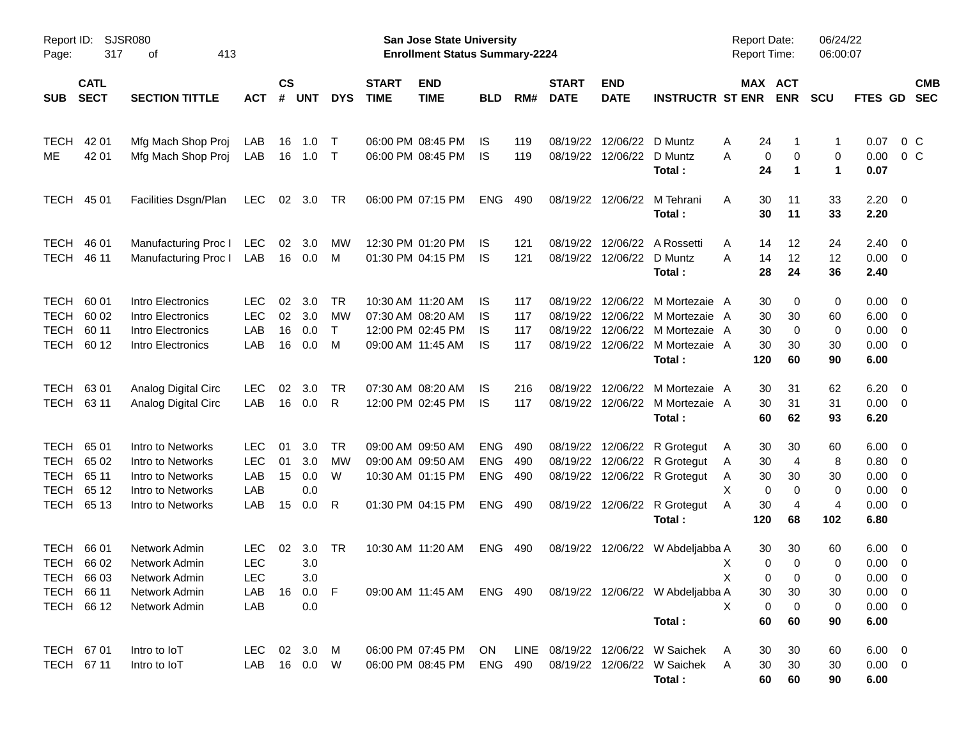| Report ID:<br>Page: | 317                        | SJSR080<br>413<br>оf  |              |                |            |              |                             | <b>San Jose State University</b><br><b>Enrollment Status Summary-2224</b> |            |     |                             |                           |                                                            | <b>Report Date:</b><br><b>Report Time:</b> |              |             | 06/24/22<br>06:00:07 |                     |                          |                          |
|---------------------|----------------------------|-----------------------|--------------|----------------|------------|--------------|-----------------------------|---------------------------------------------------------------------------|------------|-----|-----------------------------|---------------------------|------------------------------------------------------------|--------------------------------------------|--------------|-------------|----------------------|---------------------|--------------------------|--------------------------|
| <b>SUB</b>          | <b>CATL</b><br><b>SECT</b> | <b>SECTION TITTLE</b> | <b>ACT</b>   | <b>CS</b><br># | <b>UNT</b> | <b>DYS</b>   | <b>START</b><br><b>TIME</b> | <b>END</b><br><b>TIME</b>                                                 | <b>BLD</b> | RM# | <b>START</b><br><b>DATE</b> | <b>END</b><br><b>DATE</b> | <b>INSTRUCTR ST ENR</b>                                    |                                            | MAX ACT      | <b>ENR</b>  | <b>SCU</b>           | <b>FTES GD</b>      |                          | <b>CMB</b><br><b>SEC</b> |
| <b>TECH</b>         | 42 01                      | Mfg Mach Shop Proj    | LAB          | 16             | 1.0        | $\top$       |                             | 06:00 PM 08:45 PM                                                         | IS         | 119 | 08/19/22                    | 12/06/22 D Muntz          |                                                            | Α                                          | 24           | 1           | 1                    | 0.07                | 0 <sup>o</sup>           |                          |
| ME                  | 42 01                      | Mfg Mach Shop Proj    | LAB          | 16             | 1.0        | $\top$       |                             | 06:00 PM 08:45 PM                                                         | IS         | 119 |                             | 08/19/22 12/06/22 D Muntz | Total:                                                     | Α                                          | 0<br>24      | 0<br>1      | 0<br>1               | 0.00<br>0.07        | 0 <sup>o</sup>           |                          |
| <b>TECH</b>         | 45 01                      | Facilities Dsgn/Plan  | <b>LEC</b>   | 02             | 3.0        | TR           |                             | 06:00 PM 07:15 PM                                                         | <b>ENG</b> | 490 |                             | 08/19/22 12/06/22         | M Tehrani<br>Total:                                        | A                                          | 30<br>30     | 11<br>11    | 33<br>33             | 2.20<br>2.20        | $\overline{\phantom{0}}$ |                          |
| <b>TECH</b>         | 46 01                      | Manufacturing Proc I  | LEC          | 02             | 3.0        | МW           |                             | 12:30 PM 01:20 PM                                                         | IS         | 121 | 08/19/22                    | 12/06/22                  | A Rossetti                                                 | A                                          | 14           | 12          | 24                   | 2.40                | $\overline{\phantom{0}}$ |                          |
| <b>TECH</b>         | 46 11                      | Manufacturing Proc I  | LAB          | 16             | 0.0        | M            |                             | 01:30 PM 04:15 PM                                                         | IS         | 121 |                             | 08/19/22 12/06/22 D Muntz | Total:                                                     | Α                                          | 14<br>28     | 12<br>24    | 12<br>36             | $0.00 \t 0$<br>2.40 |                          |                          |
| TECH                | 60 01                      | Intro Electronics     | <b>LEC</b>   | 02             | 3.0        | <b>TR</b>    |                             | 10:30 AM 11:20 AM                                                         | IS         | 117 | 08/19/22                    |                           | 12/06/22 M Mortezaie A                                     |                                            | 30           | 0           | 0                    | $0.00 \t 0$         |                          |                          |
| <b>TECH</b>         | 60 02                      | Intro Electronics     | <b>LEC</b>   | 02             | 3.0        | МW           |                             | 07:30 AM 08:20 AM                                                         | IS         | 117 | 08/19/22                    |                           | 12/06/22 M Mortezaie A                                     |                                            | 30           | 30          | 60                   | $6.00 \quad 0$      |                          |                          |
| <b>TECH</b>         | 60 11                      | Intro Electronics     | LAB          | 16             | 0.0        | $\mathsf{T}$ |                             | 12:00 PM 02:45 PM                                                         | IS         | 117 | 08/19/22                    | 12/06/22                  | M Mortezaie                                                | A                                          | 30           | 0           | 0                    | 0.00                | $\overline{\phantom{0}}$ |                          |
| <b>TECH</b>         | 60 12                      | Intro Electronics     | LAB          | 16             | 0.0        | M            |                             | 09:00 AM 11:45 AM                                                         | IS         | 117 |                             |                           | 08/19/22 12/06/22 M Mortezaie                              | A                                          | 30           | 30          | 30                   | 0.00                | $\overline{\phantom{0}}$ |                          |
|                     |                            |                       |              |                |            |              |                             |                                                                           |            |     |                             |                           | Total:                                                     |                                            | 120          | 60          | 90                   | 6.00                |                          |                          |
| <b>TECH</b>         | 63 01                      | Analog Digital Circ   | <b>LEC</b>   | 02             | 3.0        | TR           |                             | 07:30 AM 08:20 AM                                                         | IS         | 216 | 08/19/22                    | 12/06/22                  | M Mortezaie                                                | A                                          | 30           | 31          | 62                   | 6.20                | $\overline{\phantom{0}}$ |                          |
| <b>TECH</b>         | 63 11                      | Analog Digital Circ   | LAB          | 16             | 0.0        | R            |                             | 12:00 PM 02:45 PM                                                         | IS         | 117 |                             |                           | 08/19/22 12/06/22 M Mortezaie A                            |                                            | 30           | 31          | 31                   | $0.00 \t 0$         |                          |                          |
|                     |                            |                       |              |                |            |              |                             |                                                                           |            |     |                             |                           | Total:                                                     |                                            | 60           | 62          | 93                   | 6.20                |                          |                          |
| TECH                | 65 01                      | Intro to Networks     | <b>LEC</b>   | 01             | 3.0        | <b>TR</b>    |                             | 09:00 AM 09:50 AM                                                         | <b>ENG</b> | 490 |                             |                           | 08/19/22 12/06/22 R Grotegut                               | A                                          | 30           | 30          | 60                   | $6.00 \quad 0$      |                          |                          |
| <b>TECH</b>         | 65 02                      | Intro to Networks     | <b>LEC</b>   | 01             | 3.0        | МW           |                             | 09:00 AM 09:50 AM                                                         | <b>ENG</b> | 490 | 08/19/22                    |                           | 12/06/22 R Grotegut                                        | Α                                          | 30           | 4           | 8                    | $0.80 \ 0$          |                          |                          |
| <b>TECH</b>         | 65 11                      | Intro to Networks     | LAB          | 15             | 0.0        | W            |                             | 10:30 AM 01:15 PM                                                         | <b>ENG</b> | 490 |                             |                           | 08/19/22 12/06/22 R Grotegut                               | A                                          | 30           | 30          | 30                   | $0.00 \t 0$         |                          |                          |
| <b>TECH</b>         | 65 12                      | Intro to Networks     | LAB          |                | 0.0        |              |                             |                                                                           |            |     |                             |                           |                                                            | X                                          | 0            | 0           | 0                    | 0.00                | $\overline{\phantom{0}}$ |                          |
| <b>TECH</b>         | 65 13                      | Intro to Networks     | LAB          | 15             | 0.0        | R            |                             | 01:30 PM 04:15 PM                                                         | <b>ENG</b> | 490 |                             |                           | 08/19/22 12/06/22 R Grotegut                               | Α                                          | 30           | 4           | 4                    | $0.00 \t 0$         |                          |                          |
|                     |                            |                       |              |                |            |              |                             |                                                                           |            |     |                             |                           | Total:                                                     |                                            | 120          | 68          | 102                  | 6.80                |                          |                          |
| <b>TECH</b>         | 66 01                      | Network Admin         | <b>LEC</b>   | 02             | 3.0        | TR           |                             | 10:30 AM 11:20 AM                                                         | <b>ENG</b> | 490 |                             |                           | 08/19/22 12/06/22 W Abdeljabba A                           |                                            | 30           | 30          | 60                   | $6.00 \quad 0$      |                          |                          |
|                     | TECH 66 02                 | Network Admin         | <b>LEC</b>   |                | 3.0        |              |                             |                                                                           |            |     |                             |                           |                                                            | Х                                          | 0            | 0           | 0                    | $0.00 \ 0$          |                          |                          |
|                     | TECH 66 03                 | Network Admin         | <b>LEC</b>   |                | 3.0        |              |                             |                                                                           |            |     |                             |                           |                                                            | X                                          | $\mathbf{0}$ | $\mathbf 0$ | 0                    | $0.00 \t 0$         |                          |                          |
| TECH 66 11          |                            | Network Admin         | LAB          |                | 16  0.0  F |              |                             |                                                                           |            |     |                             |                           | 09:00 AM 11:45 AM ENG 490 08/19/22 12/06/22 W Abdeljabba A |                                            | 30           | 30          | 30                   | $0.00 \t 0$         |                          |                          |
|                     | TECH 66 12                 | Network Admin         | LAB          |                | 0.0        |              |                             |                                                                           |            |     |                             |                           |                                                            | X                                          | 0            | 0           | 0                    | $0.00 \t 0$         |                          |                          |
|                     |                            |                       |              |                |            |              |                             |                                                                           |            |     |                             |                           | Total:                                                     |                                            | 60           | 60          | 90                   | 6.00                |                          |                          |
| TECH 67 01          |                            | Intro to IoT          | LEC 02 3.0 M |                |            |              |                             | 06:00 PM 07:45 PM ON                                                      |            |     |                             |                           | LINE 08/19/22 12/06/22 W Saichek                           | A                                          | 30           | 30          | 60                   | $6.00 \quad 0$      |                          |                          |
| TECH 67 11          |                            | Intro to IoT          | LAB          |                | 16  0.0  W |              |                             |                                                                           |            |     |                             |                           | 06:00 PM 08:45 PM ENG 490 08/19/22 12/06/22 W Saichek A    |                                            | 30           | 30          | 30                   | $0.00 \t 0$         |                          |                          |
|                     |                            |                       |              |                |            |              |                             |                                                                           |            |     |                             |                           | Total:                                                     |                                            | 60           | 60          | 90                   | 6.00                |                          |                          |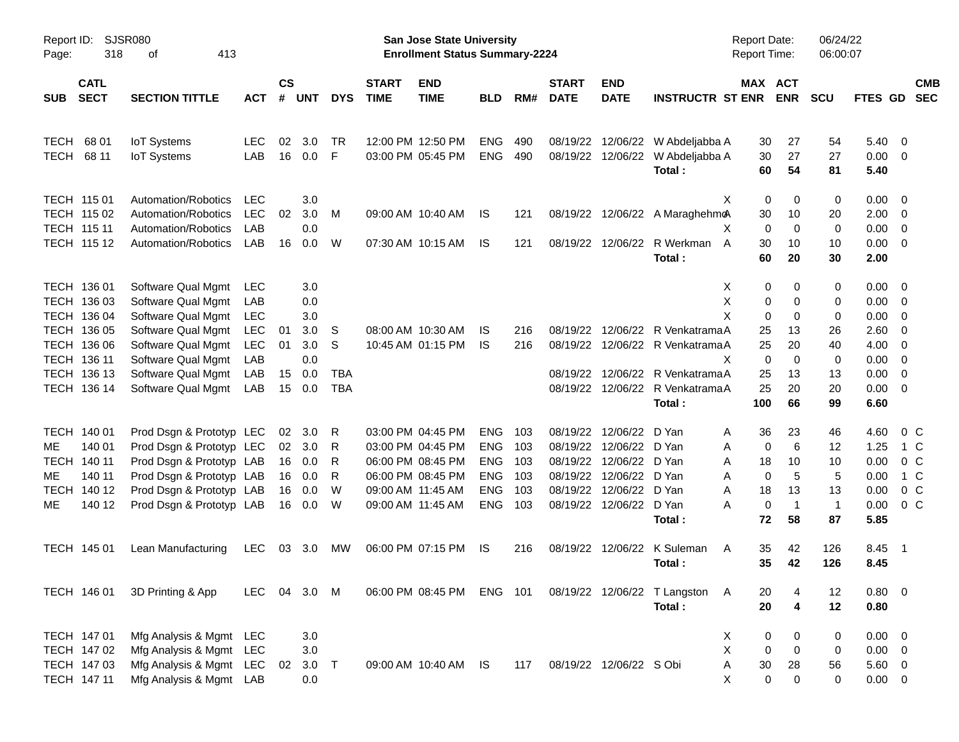| Report ID:<br>Page: | 318                        | <b>SJSR080</b><br>413<br>οf                |                   |                    |            |            |                             | San Jose State University<br><b>Enrollment Status Summary-2224</b> |            |     |                             |                           |                                            | <b>Report Date:</b><br>Report Time: |                              | 06/24/22<br>06:00:07 |                |                          |
|---------------------|----------------------------|--------------------------------------------|-------------------|--------------------|------------|------------|-----------------------------|--------------------------------------------------------------------|------------|-----|-----------------------------|---------------------------|--------------------------------------------|-------------------------------------|------------------------------|----------------------|----------------|--------------------------|
| <b>SUB</b>          | <b>CATL</b><br><b>SECT</b> | <b>SECTION TITTLE</b>                      | <b>ACT</b>        | $\mathsf{cs}$<br># | <b>UNT</b> | <b>DYS</b> | <b>START</b><br><b>TIME</b> | <b>END</b><br><b>TIME</b>                                          | <b>BLD</b> | RM# | <b>START</b><br><b>DATE</b> | <b>END</b><br><b>DATE</b> | <b>INSTRUCTR ST ENR</b>                    | MAX ACT                             | <b>ENR</b>                   | <b>SCU</b>           | <b>FTES GD</b> | <b>CMB</b><br><b>SEC</b> |
| <b>TECH</b>         | 68 01                      | <b>IoT</b> Systems                         | <b>LEC</b>        | 02                 | 3.0        | <b>TR</b>  |                             | 12:00 PM 12:50 PM                                                  | <b>ENG</b> | 490 |                             | 08/19/22 12/06/22         | W Abdeljabba A                             | 30                                  | 27                           | 54                   | $5.40 \ 0$     |                          |
| TECH                | 68 11                      | <b>IoT Systems</b>                         | LAB               | 16                 | 0.0        | F          |                             | 03:00 PM 05:45 PM                                                  | <b>ENG</b> | 490 |                             | 08/19/22 12/06/22         | W Abdeljabba A<br>Total:                   | 30<br>60                            | 27<br>54                     | 27<br>81             | 0.00<br>5.40   | - 0                      |
|                     | TECH 115 01                | Automation/Robotics                        | <b>LEC</b>        |                    | 3.0        |            |                             |                                                                    |            |     |                             |                           | X                                          | 0                                   | $\mathbf 0$                  | 0                    | 0.00           | $\overline{\phantom{0}}$ |
|                     | TECH 115 02<br>TECH 115 11 | Automation/Robotics<br>Automation/Robotics | <b>LEC</b><br>LAB | 02                 | 3.0<br>0.0 | M          |                             | 09:00 AM 10:40 AM                                                  | IS         | 121 |                             |                           | 08/19/22 12/06/22 A MaraghehmoA<br>X       | 30<br>$\mathbf 0$                   | 10<br>$\Omega$               | 20<br>0              | 2.00<br>0.00   | - 0<br>$\overline{0}$    |
|                     | TECH 115 12                | Automation/Robotics                        | LAB               | 16                 | 0.0        | W          |                             | 07:30 AM 10:15 AM                                                  | IS         | 121 |                             |                           | 08/19/22 12/06/22 R Werkman<br>A<br>Total: | 30<br>60                            | 10<br>20                     | 10<br>30             | 0.00<br>2.00   | - 0                      |
|                     | TECH 136 01                | Software Qual Mgmt                         | LEC               |                    | 3.0        |            |                             |                                                                    |            |     |                             |                           | Х                                          | 0                                   | 0                            | 0                    | 0.00 0         |                          |
|                     | TECH 136 03<br>TECH 136 04 | Software Qual Mgmt<br>Software Qual Mgmt   | LAB<br>LEC        |                    | 0.0<br>3.0 |            |                             |                                                                    |            |     |                             |                           | Χ<br>X                                     | 0<br>0                              | 0<br>$\Omega$                | 0<br>0               | 0.00<br>0.00   | - 0<br>0                 |
|                     | TECH 136 05                | Software Qual Mgmt                         | <b>LEC</b>        | 01                 | 3.0        | S          |                             | 08:00 AM 10:30 AM                                                  | IS         | 216 |                             |                           | 08/19/22 12/06/22 R VenkatramaA            | 25                                  | 13                           | 26                   | 2.60           | 0                        |
|                     | TECH 136 06                | Software Qual Mgmt                         | <b>LEC</b>        | 01                 | 3.0        | S          |                             | 10:45 AM 01:15 PM                                                  | IS         | 216 |                             |                           | 08/19/22 12/06/22 R VenkatramaA            | 25                                  | 20                           | 40                   | 4.00           | 0                        |
|                     | TECH 136 11                | Software Qual Mgmt                         | LAB               |                    | 0.0        |            |                             |                                                                    |            |     |                             |                           | X                                          | $\mathbf 0$                         | $\Omega$                     | 0                    | 0.00           | $\overline{0}$           |
|                     | TECH 136 13                | Software Qual Mgmt                         | LAB               | 15                 | 0.0        | <b>TBA</b> |                             |                                                                    |            |     |                             |                           | 08/19/22 12/06/22 R VenkatramaA            | 25                                  | 13                           | 13                   | 0.00           | $\overline{0}$           |
|                     | TECH 136 14                | Software Qual Mgmt                         | LAB               | 15                 | 0.0        | <b>TBA</b> |                             |                                                                    |            |     |                             |                           | 08/19/22 12/06/22 R VenkatramaA            | 25                                  | 20                           | 20                   | 0.00           | - 0                      |
|                     |                            |                                            |                   |                    |            |            |                             |                                                                    |            |     |                             |                           | Total:                                     | 100                                 | 66                           | 99                   | 6.60           |                          |
|                     | TECH 140 01                | Prod Dsgn & Prototyp LEC                   |                   | 02                 | 3.0        | R          |                             | 03:00 PM 04:45 PM                                                  | <b>ENG</b> | 103 |                             | 08/19/22 12/06/22         | D Yan<br>A                                 | 36                                  | 23                           | 46                   | 4.60           | $0\,C$                   |
| ME.                 | 140 01                     | Prod Dsgn & Prototyp LEC                   |                   | 02                 | 3.0        | R          |                             | 03:00 PM 04:45 PM                                                  | <b>ENG</b> | 103 | 08/19/22                    | 12/06/22                  | D Yan<br>Α                                 | 0                                   | 6                            | 12                   | 1.25           | 1 C                      |
|                     | TECH 140 11                | Prod Dsgn & Prototyp LAB                   |                   | 16                 | 0.0        | R          |                             | 06:00 PM 08:45 PM                                                  | <b>ENG</b> | 103 |                             | 08/19/22 12/06/22         | D Yan<br>A                                 | 18                                  | 10                           | 10                   | 0.00           | 0 <sup>C</sup>           |
| ME.                 | 140 11                     | Prod Dsgn & Prototyp LAB                   |                   | 16                 | 0.0        | R          |                             | 06:00 PM 08:45 PM                                                  | <b>ENG</b> | 103 |                             | 08/19/22 12/06/22         | D Yan<br>A                                 | $\mathbf 0$                         | 5                            | 5                    | 0.00           | 1 C                      |
|                     | TECH 140 12                | Prod Dsgn & Prototyp LAB                   |                   | 16                 | 0.0        | W          |                             | 09:00 AM 11:45 AM                                                  | <b>ENG</b> | 103 |                             | 08/19/22 12/06/22         | D Yan<br>A                                 | 18                                  | 13                           | 13                   | 0.00           | 0 <sup>C</sup>           |
| ME.                 | 140 12                     | Prod Dsgn & Prototyp LAB                   |                   | 16                 | 0.0        | W          |                             | 09:00 AM 11:45 AM                                                  | <b>ENG</b> | 103 |                             | 08/19/22 12/06/22         | A<br>D Yan                                 | $\mathbf 0$                         | $\overline{1}$               | $\mathbf{1}$         | 0.00           | $0\,C$                   |
|                     |                            |                                            |                   |                    |            |            |                             |                                                                    |            |     |                             |                           | Total:                                     | 72                                  | 58                           | 87                   | 5.85           |                          |
|                     | TECH 145 01                | Lean Manufacturing                         | LEC               | 03                 | 3.0        | МW         |                             | 06:00 PM 07:15 PM                                                  | IS         | 216 |                             | 08/19/22 12/06/22         | K Suleman<br>A<br>Total:                   | 35<br>35                            | 42<br>42                     | 126<br>126           | 8.45 1<br>8.45 |                          |
|                     |                            |                                            |                   |                    |            |            |                             |                                                                    |            |     |                             |                           |                                            |                                     |                              |                      |                |                          |
|                     | TECH 146 01                | 3D Printing & App                          | LEC 04 3.0 M      |                    |            |            |                             | 06:00 PM 08:45 PM ENG 101                                          |            |     |                             |                           | 08/19/22 12/06/22 T Langston A<br>Total:   | 20<br>20                            | 4<br>$\overline{\mathbf{4}}$ | 12<br>12             | 0.80 0<br>0.80 |                          |
|                     | TECH 147 01                | Mfg Analysis & Mgmt LEC                    |                   |                    | 3.0        |            |                             |                                                                    |            |     |                             |                           | Х                                          | 0                                   | 0                            | 0                    | $0.00 \t 0$    |                          |
|                     | TECH 147 02                | Mfg Analysis & Mgmt LEC                    |                   |                    | $3.0\,$    |            |                             |                                                                    |            |     |                             |                           | $\mathsf X$                                | $\pmb{0}$                           | $\mathbf 0$                  | 0                    | $0.00 \t 0$    |                          |
|                     | TECH 147 03                | Mfg Analysis & Mgmt LEC                    |                   | 02                 | $3.0$ T    |            |                             | 09:00 AM 10:40 AM IS                                               |            | 117 |                             | 08/19/22 12/06/22 S Obi   | Α                                          | $30\,$                              | 28                           | 56                   | 5.60 0         |                          |
|                     | TECH 147 11                | Mfg Analysis & Mgmt LAB                    |                   |                    | 0.0        |            |                             |                                                                    |            |     |                             |                           | X                                          | $\mathbf 0$                         | 0                            | 0                    | $0.00 \t 0$    |                          |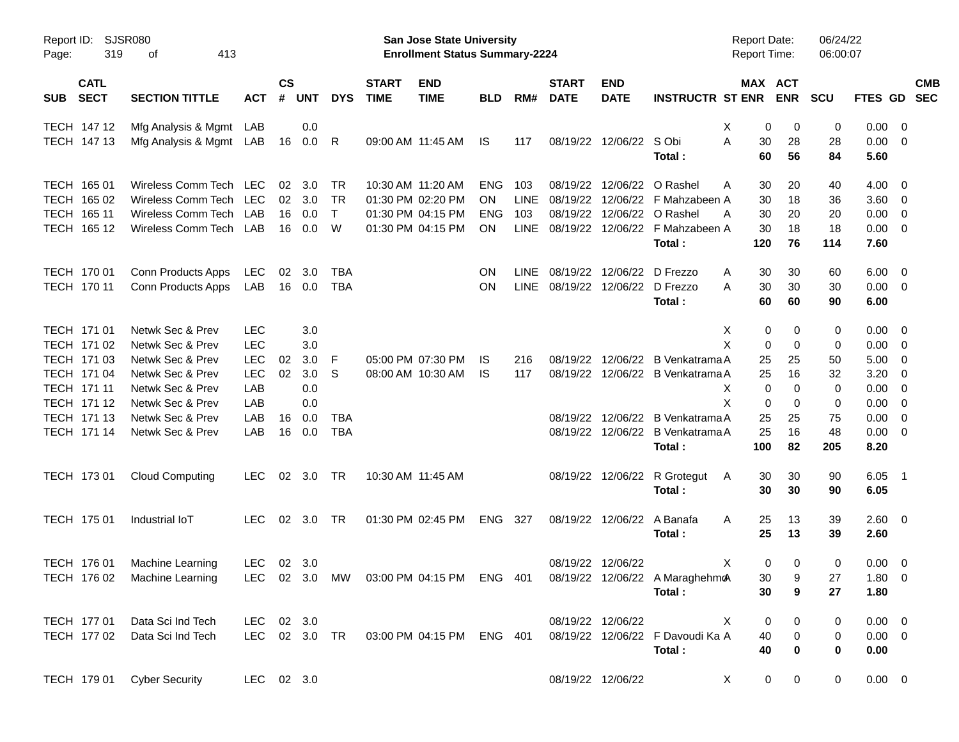| Report ID:<br>Page:                      | <b>SJSR080</b><br>319<br>413<br>οf   |            |                    |                |                   |                             | San Jose State University<br><b>Enrollment Status Summary-2224</b> |            |             |                             |                            |                                                                         | <b>Report Date:</b><br><b>Report Time:</b> |                       | 06/24/22<br>06:00:07 |                     |                          |            |
|------------------------------------------|--------------------------------------|------------|--------------------|----------------|-------------------|-----------------------------|--------------------------------------------------------------------|------------|-------------|-----------------------------|----------------------------|-------------------------------------------------------------------------|--------------------------------------------|-----------------------|----------------------|---------------------|--------------------------|------------|
| <b>CATL</b><br><b>SECT</b><br><b>SUB</b> | <b>SECTION TITTLE</b>                | <b>ACT</b> | $\mathsf{cs}$<br># | <b>UNT</b>     | <b>DYS</b>        | <b>START</b><br><b>TIME</b> | <b>END</b><br><b>TIME</b>                                          | <b>BLD</b> | RM#         | <b>START</b><br><b>DATE</b> | <b>END</b><br><b>DATE</b>  | <b>INSTRUCTR ST ENR</b>                                                 |                                            | MAX ACT<br><b>ENR</b> | <b>SCU</b>           | FTES GD SEC         |                          | <b>CMB</b> |
| TECH 147 12                              | Mfg Analysis & Mgmt LAB              |            |                    | 0.0            |                   |                             |                                                                    |            |             |                             |                            |                                                                         | Х                                          | 0<br>0                | 0                    | $0.00 \t 0$         |                          |            |
| TECH 147 13                              | Mfg Analysis & Mgmt LAB              |            | 16                 | 0.0            | R                 |                             | 09:00 AM 11:45 AM                                                  | IS.        | 117         |                             | 08/19/22 12/06/22 S Obi    | Total:                                                                  | A<br>30<br>60                              | 28<br>56              | 28<br>84             | $0.00 \t 0$<br>5.60 |                          |            |
| TECH 165 01                              | Wireless Comm Tech                   | <b>LEC</b> | 02                 | 3.0            | TR                |                             | 10:30 AM 11:20 AM                                                  | <b>ENG</b> | 103         | 08/19/22                    |                            | 12/06/22 O Rashel                                                       | 30<br>A                                    | 20                    | 40                   | $4.00 \t 0$         |                          |            |
| TECH 165 02                              | Wireless Comm Tech                   | LEC        |                    | $02 \quad 3.0$ | TR                |                             | 01:30 PM 02:20 PM                                                  | ON.        | LINE        | 08/19/22                    |                            | 12/06/22 F Mahzabeen A                                                  | 30                                         | 18                    | 36                   | 3.60 0              |                          |            |
| TECH 165 11                              | Wireless Comm Tech                   | LAB        | 16                 | 0.0            | $\mathsf{T}$      |                             | 01:30 PM 04:15 PM                                                  | <b>ENG</b> | 103         | 08/19/22                    |                            | 12/06/22 O Rashel                                                       | 30<br>A                                    | 20                    | 20                   | 0.00                | $\overline{\mathbf{0}}$  |            |
| TECH 165 12                              | Wireless Comm Tech LAB               |            | 16                 | 0.0            | W                 |                             | 01:30 PM 04:15 PM                                                  | <b>ON</b>  | <b>LINE</b> |                             |                            | 08/19/22 12/06/22 F Mahzabeen A                                         | 30                                         | 18                    | 18                   | $0.00 \t 0$         |                          |            |
|                                          |                                      |            |                    |                |                   |                             |                                                                    |            |             |                             |                            | Total:                                                                  | 120                                        | 76                    | 114                  | 7.60                |                          |            |
| TECH 170 01                              | Conn Products Apps                   | LEC        | 02                 | 3.0            | TBA               |                             |                                                                    | <b>ON</b>  | <b>LINE</b> |                             | 08/19/22 12/06/22 D Frezzo |                                                                         | 30<br>A                                    | 30                    | 60                   | $6.00 \t 0$         |                          |            |
| TECH 170 11                              | Conn Products Apps                   | LAB        | 16                 | 0.0            | <b>TBA</b>        |                             |                                                                    | ON         | <b>LINE</b> |                             | 08/19/22 12/06/22 D Frezzo |                                                                         | 30<br>A                                    | 30                    | 30                   | $0.00 \t 0$         |                          |            |
|                                          |                                      |            |                    |                |                   |                             |                                                                    |            |             |                             |                            | Total:                                                                  | 60                                         | 60                    | 90                   | 6.00                |                          |            |
| TECH 171 01                              | Netwk Sec & Prev                     | <b>LEC</b> |                    | 3.0            |                   |                             |                                                                    |            |             |                             |                            |                                                                         | X                                          | 0<br>0                | 0                    | $0.00 \t 0$         |                          |            |
| TECH 171 02                              | Netwk Sec & Prev                     | <b>LEC</b> |                    | 3.0            |                   |                             |                                                                    |            |             |                             |                            |                                                                         | X                                          | 0<br>0                | 0                    | $0.00 \t 0$         |                          |            |
| TECH 171 03                              | Netwk Sec & Prev                     | LEC        | 02                 | 3.0            | F                 |                             | 05:00 PM 07:30 PM                                                  | IS.        | 216         |                             |                            | 08/19/22 12/06/22 B Venkatrama A                                        | 25                                         | 25                    | 50                   | 5.00                | $\overline{\mathbf{0}}$  |            |
| TECH 171 04                              | Netwk Sec & Prev                     | LEC        | 02                 | 3.0            | S                 |                             | 08:00 AM 10:30 AM                                                  | IS.        | 117         |                             |                            | 08/19/22 12/06/22 B Venkatrama A                                        | 25                                         | 16                    | 32                   | 3.20                | $\overline{\mathbf{0}}$  |            |
| TECH 171 11                              | Netwk Sec & Prev                     | LAB        |                    | 0.0            |                   |                             |                                                                    |            |             |                             |                            |                                                                         | X<br>X                                     | 0<br>0                | 0                    | 0.00                | $\overline{\mathbf{0}}$  |            |
| TECH 171 12                              | Netwk Sec & Prev                     | LAB        |                    | 0.0            |                   |                             |                                                                    |            |             |                             |                            |                                                                         |                                            | 0<br>0                | 0                    | 0.00                | $\overline{\phantom{0}}$ |            |
| TECH 171 13<br>TECH 171 14               | Netwk Sec & Prev<br>Netwk Sec & Prev | LAB<br>LAB | 16<br>16           | 0.0<br>0.0     | TBA<br><b>TBA</b> |                             |                                                                    |            |             |                             |                            | 08/19/22 12/06/22 B Venkatrama A<br>08/19/22 12/06/22 B Venkatrama A    | 25<br>25                                   | 25<br>16              | 75<br>48             | 0.00<br>$0.00 \t 0$ | $\overline{\mathbf{0}}$  |            |
|                                          |                                      |            |                    |                |                   |                             |                                                                    |            |             |                             |                            | Total:                                                                  | 100                                        | 82                    | 205                  | 8.20                |                          |            |
| TECH 173 01                              | <b>Cloud Computing</b>               | LEC.       |                    | 02 3.0         | TR                |                             | 10:30 AM 11:45 AM                                                  |            |             |                             |                            | 08/19/22 12/06/22 R Grotegut                                            | 30<br>A                                    | 30                    | 90                   | 6.05                | $\overline{\phantom{1}}$ |            |
|                                          |                                      |            |                    |                |                   |                             |                                                                    |            |             |                             |                            | Total:                                                                  | 30                                         | 30                    | 90                   | 6.05                |                          |            |
| TECH 175 01                              | Industrial IoT                       | <b>LEC</b> |                    | 02 3.0         | TR                |                             | 01:30 PM 02:45 PM                                                  | ENG 327    |             |                             | 08/19/22 12/06/22 A Banafa |                                                                         | 25<br>A                                    | 13                    | 39                   | 2.60 0              |                          |            |
|                                          |                                      |            |                    |                |                   |                             |                                                                    |            |             |                             |                            | Total:                                                                  | 25                                         | 13                    | 39                   | 2.60                |                          |            |
| TECH 176 01                              | Machine Learning                     | LEC        |                    | $02 \quad 3.0$ |                   |                             |                                                                    |            |             |                             | 08/19/22 12/06/22          |                                                                         | X                                          | 0<br>0                | 0                    | $0.00 \t 0$         |                          |            |
|                                          | TECH 176 02 Machine Learning         |            |                    |                |                   |                             |                                                                    |            |             |                             |                            | LEC 02 3.0 MW 03:00 PM 04:15 PM ENG 401 08/19/22 12/06/22 A MaraghehmoA |                                            | 30<br>9               | 27                   | 1.80 0              |                          |            |
|                                          |                                      |            |                    |                |                   |                             |                                                                    |            |             |                             |                            | Total:                                                                  | 30                                         | 9                     | 27                   | 1.80                |                          |            |
| TECH 177 01                              | Data Sci Ind Tech                    | LEC 02 3.0 |                    |                |                   |                             |                                                                    |            |             |                             | 08/19/22 12/06/22          |                                                                         | X                                          | 0<br>0                | 0                    | $0.00 \t 0$         |                          |            |
| TECH 177 02                              | Data Sci Ind Tech                    |            |                    |                |                   |                             | LEC 02 3.0 TR 03:00 PM 04:15 PM ENG 401                            |            |             |                             |                            | 08/19/22 12/06/22 F Davoudi Ka A                                        | 40                                         | 0                     | 0                    | $0.00 \t 0$         |                          |            |
|                                          |                                      |            |                    |                |                   |                             |                                                                    |            |             |                             |                            | Total:                                                                  | 40                                         | 0                     | $\bf{0}$             | 0.00                |                          |            |
| TECH 179 01                              | <b>Cyber Security</b>                | LEC 02 3.0 |                    |                |                   |                             |                                                                    |            |             |                             | 08/19/22 12/06/22          |                                                                         | X                                          | 0<br>$\mathbf 0$      | 0                    | $0.00 \t 0$         |                          |            |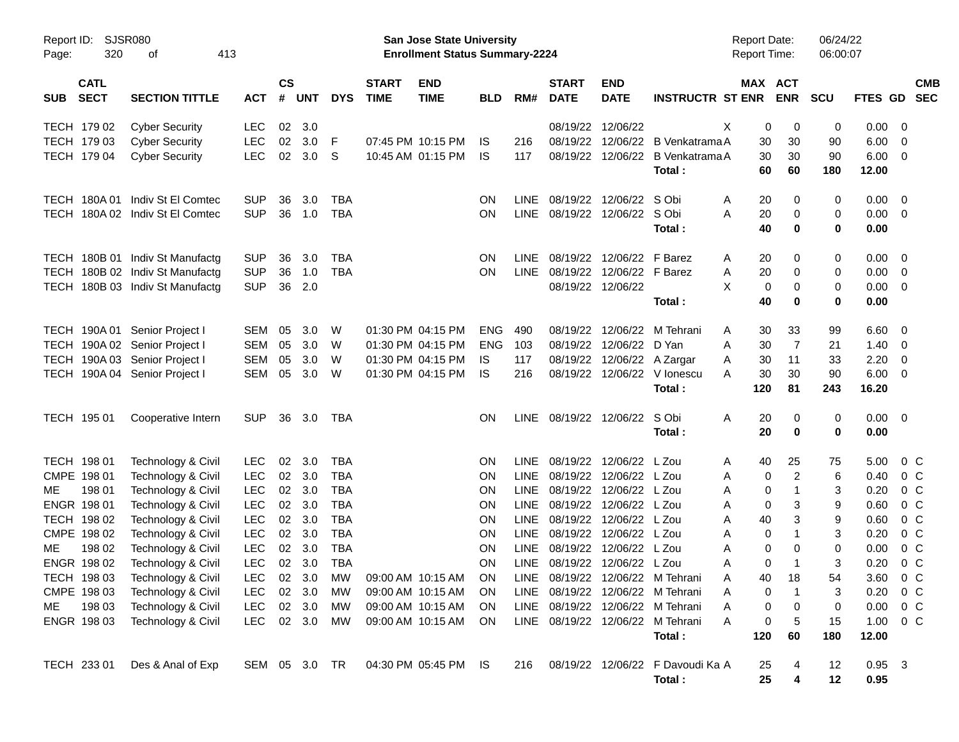| Report ID:<br>Page: | 320                        | <b>SJSR080</b><br>413<br>οf              |                          |                    |            |                          |                             | San Jose State University<br><b>Enrollment Status Summary-2224</b> |            |                     |                             |                              |                                            | <b>Report Date:</b><br><b>Report Time:</b> |                       | 06:00:07                    | 06/24/22         |                                  |                          |
|---------------------|----------------------------|------------------------------------------|--------------------------|--------------------|------------|--------------------------|-----------------------------|--------------------------------------------------------------------|------------|---------------------|-----------------------------|------------------------------|--------------------------------------------|--------------------------------------------|-----------------------|-----------------------------|------------------|----------------------------------|--------------------------|
| <b>SUB</b>          | <b>CATL</b><br><b>SECT</b> | <b>SECTION TITTLE</b>                    | <b>ACT</b>               | $\mathsf{cs}$<br># | <b>UNT</b> | <b>DYS</b>               | <b>START</b><br><b>TIME</b> | <b>END</b><br><b>TIME</b>                                          | <b>BLD</b> | RM#                 | <b>START</b><br><b>DATE</b> | <b>END</b><br><b>DATE</b>    | <b>INSTRUCTR ST ENR</b>                    |                                            | MAX ACT<br><b>ENR</b> | <b>SCU</b>                  | <b>FTES GD</b>   |                                  | <b>CMB</b><br><b>SEC</b> |
|                     | TECH 179 02                | <b>Cyber Security</b>                    | LEC                      | 02                 | 3.0        |                          |                             |                                                                    |            |                     | 08/19/22                    | 12/06/22                     |                                            | Χ                                          | 0                     | 0<br>0                      | 0.00             | 0                                |                          |
|                     | TECH 179 03                | <b>Cyber Security</b>                    | <b>LEC</b>               | 02                 | 3.0        | F                        |                             | 07:45 PM 10:15 PM                                                  | IS.        | 216                 | 08/19/22                    | 12/06/22                     | B Venkatrama A                             |                                            | 30<br>30              | 90                          | 6.00             | $\mathbf 0$                      |                          |
|                     | TECH 179 04                | <b>Cyber Security</b>                    | <b>LEC</b>               |                    | 02 3.0     | S                        |                             | 10:45 AM 01:15 PM                                                  | IS.        | 117                 | 08/19/22                    | 12/06/22                     | B Venkatrama A<br>Total:                   |                                            | 30<br>30<br>60<br>60  | 90<br>180                   | 6.00<br>12.00    | $\overline{0}$                   |                          |
|                     | TECH 180A01                | Indiv St El Comtec                       | <b>SUP</b>               | 36                 | 3.0        | TBA                      |                             |                                                                    | <b>ON</b>  | <b>LINE</b>         | 08/19/22                    | 12/06/22                     | S Obi                                      | A                                          | 20                    | 0<br>0                      | 0.00             | 0                                |                          |
|                     |                            | TECH 180A 02 Indiv St El Comtec          | <b>SUP</b>               | 36                 | 1.0        | <b>TBA</b>               |                             |                                                                    | ON         |                     |                             | LINE 08/19/22 12/06/22 S Obi |                                            | A                                          | 20                    | 0<br>0                      | 0.00             | 0                                |                          |
|                     |                            |                                          |                          |                    |            |                          |                             |                                                                    |            |                     |                             |                              | Total:                                     |                                            | 40                    | 0<br>0                      | 0.00             |                                  |                          |
|                     |                            | TECH 180B 01 Indiv St Manufactg          | <b>SUP</b>               | 36                 | 3.0        | <b>TBA</b>               |                             |                                                                    | <b>ON</b>  | LINE.               | 08/19/22                    | 12/06/22                     | F Barez                                    | A                                          | 20                    | 0<br>0                      | 0.00             | 0                                |                          |
|                     |                            | TECH 180B 02 Indiv St Manufactg          | <b>SUP</b>               | 36                 | 1.0        | <b>TBA</b>               |                             |                                                                    | ON         |                     | LINE 08/19/22               | 12/06/22 F Barez             |                                            | Α                                          | 20                    | 0<br>0                      | 0.00             | $\mathbf 0$                      |                          |
|                     |                            | TECH 180B 03 Indiv St Manufactg          | <b>SUP</b>               | 36                 | 2.0        |                          |                             |                                                                    |            |                     |                             | 08/19/22 12/06/22            |                                            | X                                          | 0                     | 0<br>0                      | 0.00             | $\overline{0}$                   |                          |
|                     |                            |                                          |                          |                    |            |                          |                             |                                                                    |            |                     |                             |                              | Total:                                     |                                            | 40                    | 0<br>0                      | 0.00             |                                  |                          |
|                     |                            | TECH 190A 01 Senior Project I            | <b>SEM</b>               | 05                 | 3.0        | W                        |                             | 01:30 PM 04:15 PM                                                  | <b>ENG</b> | 490                 | 08/19/22                    | 12/06/22                     | M Tehrani                                  | A                                          | 33<br>30              | 99                          | 6.60             | 0                                |                          |
|                     |                            | TECH 190A 02 Senior Project I            | <b>SEM</b>               | 05                 | 3.0        | W                        |                             | 01:30 PM 04:15 PM                                                  | <b>ENG</b> | 103                 | 08/19/22                    | 12/06/22                     | D Yan                                      | A                                          | 30                    | 7<br>21                     | 1.40             | 0                                |                          |
|                     |                            | TECH 190A 03 Senior Project I            | <b>SEM</b>               | 05                 | 3.0        | W                        |                             | 01:30 PM 04:15 PM                                                  | IS.        | 117                 | 08/19/22                    | 12/06/22 A Zargar            |                                            | A                                          | 30<br>11              | 33                          | 2.20             | 0                                |                          |
|                     |                            | TECH 190A 04 Senior Project I            | <b>SEM</b>               | 05                 | 3.0        | W                        |                             | 01:30 PM 04:15 PM                                                  | IS         | 216                 | 08/19/22                    |                              | 12/06/22 V lonescu<br>Total:               | A<br>120                                   | 30<br>30<br>81        | 90<br>243                   | 6.00<br>16.20    | 0                                |                          |
|                     |                            |                                          |                          |                    |            |                          |                             |                                                                    |            |                     |                             |                              |                                            |                                            |                       |                             |                  |                                  |                          |
|                     | TECH 195 01                | Cooperative Intern                       | <b>SUP</b>               | 36                 | 3.0        | TBA                      |                             |                                                                    | <b>ON</b>  |                     | LINE 08/19/22 12/06/22      |                              | S Obi                                      | Α                                          | 20                    | 0<br>0                      | 0.00             | $\overline{0}$                   |                          |
|                     |                            |                                          |                          |                    |            |                          |                             |                                                                    |            |                     |                             |                              | Total:                                     |                                            | 20                    | 0<br>0                      | 0.00             |                                  |                          |
|                     | TECH 198 01                | Technology & Civil                       | <b>LEC</b>               | 02                 | 3.0        | <b>TBA</b>               |                             |                                                                    | <b>ON</b>  |                     | LINE 08/19/22               | 12/06/22                     | L Zou                                      | A                                          | 40<br>25              | 75                          | 5.00             | $0\,$ C                          |                          |
|                     | CMPE 198 01                | Technology & Civil                       | <b>LEC</b>               | 02                 | 3.0        | <b>TBA</b>               |                             |                                                                    | <b>ON</b>  | LINE                | 08/19/22                    | 12/06/22 L Zou               |                                            | A                                          | 0                     | $\overline{c}$<br>6         | 0.40             | 0 <sup>C</sup>                   |                          |
| ME.                 | 198 01                     | Technology & Civil                       | <b>LEC</b>               | 02                 | 3.0        | <b>TBA</b>               |                             |                                                                    | <b>ON</b>  | <b>LINE</b>         | 08/19/22                    | 12/06/22                     | L Zou                                      | Α                                          | 0                     | 3<br>$\mathbf 1$            | 0.20             | 0 <sup>C</sup>                   |                          |
|                     | ENGR 198 01                | Technology & Civil                       | <b>LEC</b>               | 02                 | 3.0        | <b>TBA</b>               |                             |                                                                    | <b>ON</b>  | <b>LINE</b>         | 08/19/22                    | 12/06/22<br>12/06/22         | L Zou<br>L Zou                             | Α                                          | 0                     | 9<br>3                      | 0.60             | 0 <sup>C</sup>                   |                          |
|                     | TECH 198 02<br>CMPE 198 02 | Technology & Civil<br>Technology & Civil | <b>LEC</b><br><b>LEC</b> | 02<br>02           | 3.0<br>3.0 | <b>TBA</b><br><b>TBA</b> |                             |                                                                    | ON<br>ON   | <b>LINE</b><br>LINE | 08/19/22<br>08/19/22        | 12/06/22                     | L Zou                                      | Α<br>A                                     | 40<br>0               | 3<br>9<br>$\mathbf{1}$<br>3 | 0.60<br>0.20     | 0 <sup>C</sup><br>0 <sup>C</sup> |                          |
| ME.                 | 198 02                     | Technology & Civil                       | <b>LEC</b>               | 02                 | 3.0        | <b>TBA</b>               |                             |                                                                    | ON         | <b>LINE</b>         | 08/19/22                    | 12/06/22                     | L Zou                                      | A                                          | 0                     | 0<br>0                      | 0.00             | 0 <sup>C</sup>                   |                          |
|                     | ENGR 198 02                | Technology & Civil                       | <b>LEC</b>               | 02                 | 3.0        | <b>TBA</b>               |                             |                                                                    | ON         |                     |                             | LINE 08/19/22 12/06/22 L Zou |                                            | Α                                          | 0                     | 3<br>$\mathbf 1$            | 0.20             | 0 <sup>o</sup>                   |                          |
|                     | TECH 198 03                | Technology & Civil                       | LEC                      |                    | 02 3.0     | <b>MW</b>                |                             | 09:00 AM 10:15 AM                                                  | ON         |                     |                             |                              | LINE 08/19/22 12/06/22 M Tehrani           |                                            | 18<br>40              | 54                          | 3.60             | $0\,C$                           |                          |
|                     | CMPE 198 03                | Technology & Civil                       | <b>LEC</b>               |                    | 02 3.0     | МW                       |                             | 09:00 AM 10:15 AM                                                  | <b>ON</b>  |                     |                             |                              | LINE 08/19/22 12/06/22 M Tehrani           | Α                                          | -1<br>0               | 3                           | 0.20             | $0\,C$                           |                          |
| ME                  | 198 03                     | Technology & Civil                       | <b>LEC</b>               |                    | 02 3.0     | МW                       |                             | 09:00 AM 10:15 AM                                                  | <b>ON</b>  |                     |                             |                              | LINE 08/19/22 12/06/22 M Tehrani           | Α                                          | 0                     | $\boldsymbol{0}$<br>0       | 0.00             | $0\,C$                           |                          |
|                     | ENGR 198 03                | Technology & Civil                       | <b>LEC</b>               |                    | 02 3.0     | МW                       |                             | 09:00 AM 10:15 AM                                                  | <b>ON</b>  |                     |                             |                              | LINE 08/19/22 12/06/22 M Tehrani           | Α                                          | 0                     | 5<br>15                     | 1.00             | $0\,C$                           |                          |
|                     |                            |                                          |                          |                    |            |                          |                             |                                                                    |            |                     |                             |                              | Total:                                     | 120                                        | 60                    | 180                         | 12.00            |                                  |                          |
|                     | TECH 233 01                | Des & Anal of Exp                        | SEM 05 3.0 TR            |                    |            |                          |                             | 04:30 PM 05:45 PM IS                                               |            | 216                 |                             |                              | 08/19/22 12/06/22 F Davoudi Ka A<br>Total: |                                            | 25<br>25              | 12<br>4<br>4<br>12          | $0.95$ 3<br>0.95 |                                  |                          |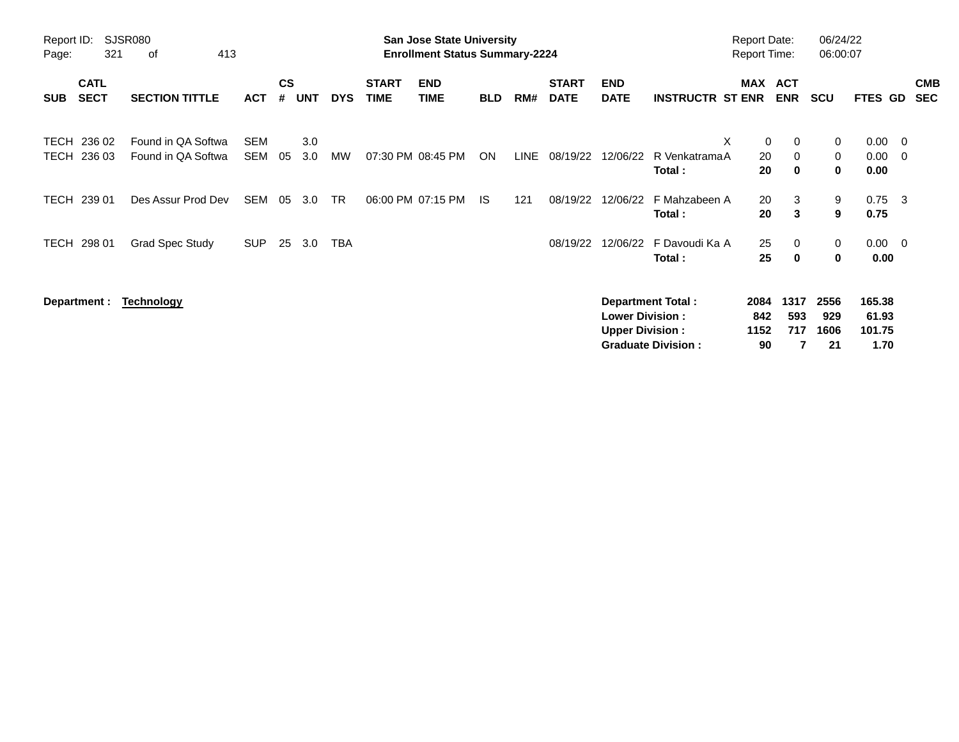| Page:               | Report ID:<br>SJSR080<br>321<br>413<br>οf<br><b>CATL</b> |                                          |                   |                    |            |            |                             | <b>San Jose State University</b><br><b>Enrollment Status Summary-2224</b> |            |      |                             |                                                  |                                                       | <b>Report Date:</b><br><b>Report Time:</b> |                              | 06/24/22<br>06:00:07                      |                                   |                          |  |
|---------------------|----------------------------------------------------------|------------------------------------------|-------------------|--------------------|------------|------------|-----------------------------|---------------------------------------------------------------------------|------------|------|-----------------------------|--------------------------------------------------|-------------------------------------------------------|--------------------------------------------|------------------------------|-------------------------------------------|-----------------------------------|--------------------------|--|
| <b>SUB</b>          | <b>SECT</b>                                              | <b>SECTION TITTLE</b>                    | <b>ACT</b>        | $\mathsf{cs}$<br># | UNT        | <b>DYS</b> | <b>START</b><br><b>TIME</b> | <b>END</b><br><b>TIME</b>                                                 | <b>BLD</b> | RM#  | <b>START</b><br><b>DATE</b> | <b>END</b><br><b>DATE</b>                        | <b>INSTRUCTR ST ENR</b>                               | MAX ACT                                    | <b>ENR</b>                   | <b>SCU</b>                                | FTES GD                           | <b>CMB</b><br><b>SEC</b> |  |
| <b>TECH</b><br>TECH | 236 02<br>236 03                                         | Found in QA Softwa<br>Found in QA Softwa | <b>SEM</b><br>SEM | 05                 | 3.0<br>3.0 | MW         |                             | 07:30 PM 08:45 PM                                                         | ON         | LINE | 08/19/22                    | 12/06/22                                         | X<br>R VenkatramaA<br>Total:                          | 0<br>20<br>20                              | 0<br>$\Omega$<br>$\mathbf 0$ | $\mathbf 0$<br>$\mathbf 0$<br>$\mathbf 0$ | 0.00<br>0.00<br>0.00              | - 0<br>$\overline{0}$    |  |
| TECH                | 239 01                                                   | Des Assur Prod Dev                       | SEM               | 05                 | 3.0        | TR         |                             | 06:00 PM 07:15 PM                                                         | IS.        | 121  | 08/19/22                    | 12/06/22                                         | F Mahzabeen A<br>Total:                               | 20<br>20                                   | 3<br>3                       | 9<br>9                                    | $0.75 \quad 3$<br>0.75            |                          |  |
|                     | TECH 298 01                                              | <b>Grad Spec Study</b>                   | <b>SUP</b>        | 25                 | 3.0        | TBA        |                             |                                                                           |            |      | 08/19/22                    | 12/06/22                                         | F Davoudi Ka A<br>Total:                              | 25<br>25                                   | 0<br>$\bf{0}$                | 0<br>$\mathbf 0$                          | $0.00 \quad 0$<br>0.00            |                          |  |
|                     | Department :                                             | <b>Technology</b>                        |                   |                    |            |            |                             |                                                                           |            |      |                             | <b>Lower Division:</b><br><b>Upper Division:</b> | <b>Department Total:</b><br><b>Graduate Division:</b> | 2084<br>842<br>1152<br>90                  | 1317<br>593<br>717           | 2556<br>929<br>1606<br>21                 | 165.38<br>61.93<br>101.75<br>1.70 |                          |  |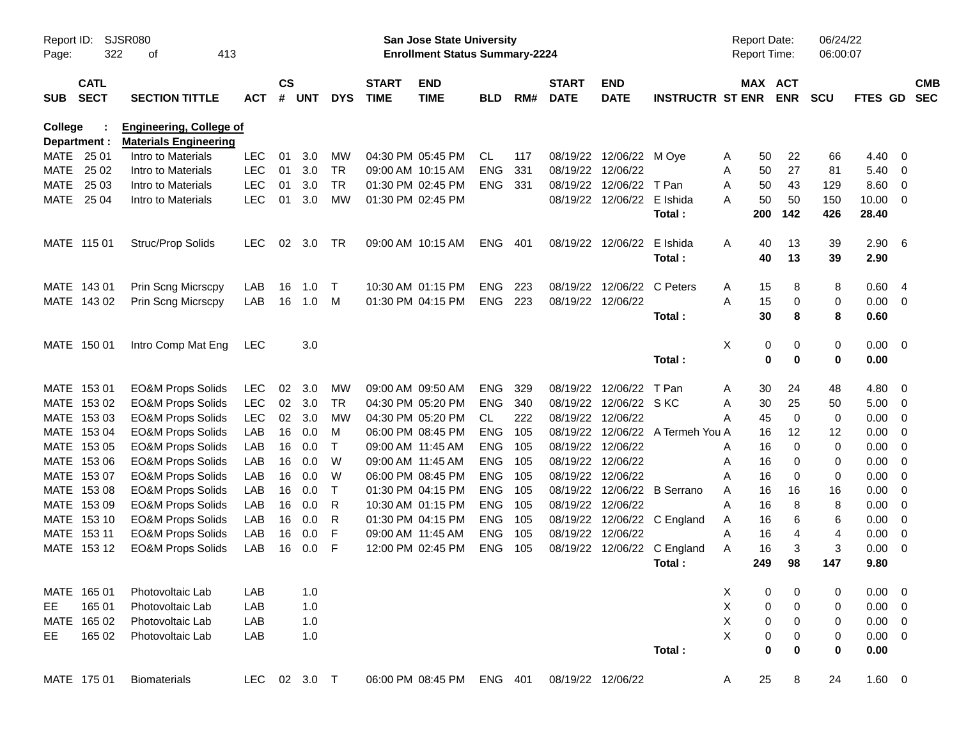| Report ID:<br>Page: | 322                        | <b>SJSR080</b><br>413<br>оf                                    |              |                    |            |            |                             | San Jose State University<br><b>Enrollment Status Summary-2224</b> |            |     |                             |                           |                         | <b>Report Date:</b><br><b>Report Time:</b> |                        | 06/24/22<br>06:00:07 |             |                          |                          |
|---------------------|----------------------------|----------------------------------------------------------------|--------------|--------------------|------------|------------|-----------------------------|--------------------------------------------------------------------|------------|-----|-----------------------------|---------------------------|-------------------------|--------------------------------------------|------------------------|----------------------|-------------|--------------------------|--------------------------|
| <b>SUB</b>          | <b>CATL</b><br><b>SECT</b> | <b>SECTION TITTLE</b>                                          | <b>ACT</b>   | $\mathsf{cs}$<br># | <b>UNT</b> | <b>DYS</b> | <b>START</b><br><b>TIME</b> | <b>END</b><br><b>TIME</b>                                          | <b>BLD</b> | RM# | <b>START</b><br><b>DATE</b> | <b>END</b><br><b>DATE</b> | <b>INSTRUCTR ST ENR</b> |                                            | MAX ACT<br><b>ENR</b>  | <b>SCU</b>           | FTES GD     |                          | <b>CMB</b><br><b>SEC</b> |
| <b>College</b>      | Department :               | <b>Engineering, College of</b><br><b>Materials Engineering</b> |              |                    |            |            |                             |                                                                    |            |     |                             |                           |                         |                                            |                        |                      |             |                          |                          |
|                     | MATE 25 01                 | Intro to Materials                                             | <b>LEC</b>   | 01                 | 3.0        | <b>MW</b>  |                             | 04:30 PM 05:45 PM                                                  | CL         | 117 | 08/19/22                    | 12/06/22 M Oye            |                         | A                                          | 50<br>22               | 66                   | 4.40        | - 0                      |                          |
| MATE                | 25 02                      | Intro to Materials                                             | <b>LEC</b>   | 01                 | 3.0        | <b>TR</b>  |                             | 09:00 AM 10:15 AM                                                  | <b>ENG</b> | 331 | 08/19/22                    | 12/06/22                  |                         | A                                          | 27<br>50               | 81                   | 5.40        | - 0                      |                          |
| MATE                | 25 03                      | Intro to Materials                                             | <b>LEC</b>   | 01                 | 3.0        | <b>TR</b>  |                             | 01:30 PM 02:45 PM                                                  | <b>ENG</b> | 331 | 08/19/22                    | 12/06/22                  | T Pan                   | A                                          | 43<br>50               | 129                  | 8.60        | - 0                      |                          |
| MATE                | 25 04                      | Intro to Materials                                             | <b>LEC</b>   | 01                 | 3.0        | <b>MW</b>  |                             | 01:30 PM 02:45 PM                                                  |            |     |                             | 08/19/22 12/06/22         | E Ishida                | A                                          | 50<br>50               | 150                  | 10.00       | - 0                      |                          |
|                     |                            |                                                                |              |                    |            |            |                             |                                                                    |            |     |                             |                           | Total:                  | 200                                        | 142                    | 426                  | 28.40       |                          |                          |
|                     | MATE 115 01                | Struc/Prop Solids                                              | <b>LEC</b>   | 02                 | 3.0        | TR         |                             | 09:00 AM 10:15 AM                                                  | <b>ENG</b> | 401 |                             | 08/19/22 12/06/22         | E Ishida                | A                                          | 13<br>40               | 39                   | 2.90        | - 6                      |                          |
|                     |                            |                                                                |              |                    |            |            |                             |                                                                    |            |     |                             |                           | Total:                  |                                            | 13<br>40               | 39                   | 2.90        |                          |                          |
|                     | MATE 143 01                | Prin Scng Micrscpy                                             | LAB          | 16                 | 1.0        | $\top$     |                             | 10:30 AM 01:15 PM                                                  | <b>ENG</b> | 223 | 08/19/22                    | 12/06/22                  | C Peters                | Α                                          | 8<br>15                | 8                    | 0.60        | $\overline{4}$           |                          |
|                     | MATE 143 02                | Prin Scng Micrscpy                                             | LAB          | 16                 | 1.0        | M          |                             | 01:30 PM 04:15 PM                                                  | <b>ENG</b> | 223 | 08/19/22 12/06/22           |                           |                         | A                                          | 0<br>15                | 0                    | 0.00        | - 0                      |                          |
|                     |                            |                                                                |              |                    |            |            |                             |                                                                    |            |     |                             |                           | Total:                  |                                            | 8<br>30                | 8                    | 0.60        |                          |                          |
|                     | MATE 150 01                | Intro Comp Mat Eng                                             | <b>LEC</b>   |                    | 3.0        |            |                             |                                                                    |            |     |                             |                           |                         | X                                          | 0<br>0                 | 0                    | 0.00        | $\overline{\mathbf{0}}$  |                          |
|                     |                            |                                                                |              |                    |            |            |                             |                                                                    |            |     |                             |                           | Total:                  |                                            | 0<br>$\mathbf 0$       | 0                    | 0.00        |                          |                          |
|                     | MATE 153 01                | <b>EO&amp;M Props Solids</b>                                   | <b>LEC</b>   | 02                 | 3.0        | <b>MW</b>  |                             | 09:00 AM 09:50 AM                                                  | <b>ENG</b> | 329 | 08/19/22                    | 12/06/22                  | T Pan                   | A                                          | 30<br>24               | 48                   | 4.80        | - 0                      |                          |
|                     | MATE 153 02                | <b>EO&amp;M Props Solids</b>                                   | <b>LEC</b>   | 02                 | 3.0        | <b>TR</b>  |                             | 04:30 PM 05:20 PM                                                  | <b>ENG</b> | 340 | 08/19/22                    | 12/06/22 SKC              |                         | Α                                          | 30<br>25               | 50                   | 5.00        | - 0                      |                          |
| MATE                | 153 03                     | <b>EO&amp;M Props Solids</b>                                   | <b>LEC</b>   | 02                 | 3.0        | <b>MW</b>  |                             | 04:30 PM 05:20 PM                                                  | CL.        | 222 | 08/19/22                    | 12/06/22                  |                         | A                                          | $\mathbf 0$<br>45      | 0                    | 0.00        | 0                        |                          |
| MATE                | 153 04                     | <b>EO&amp;M Props Solids</b>                                   | LAB          | 16                 | 0.0        | M          |                             | 06:00 PM 08:45 PM                                                  | <b>ENG</b> | 105 | 08/19/22                    |                           | 12/06/22 A Termeh You A |                                            | 12<br>16               | 12                   | 0.00        | 0                        |                          |
| MATE                | 153 05                     | <b>EO&amp;M Props Solids</b>                                   | LAB          | 16                 | 0.0        | Т          |                             | 09:00 AM 11:45 AM                                                  | <b>ENG</b> | 105 | 08/19/22                    | 12/06/22                  |                         | A                                          | $\mathbf 0$<br>16      | 0                    | 0.00        | - 0                      |                          |
| MATE                | 153 06                     | <b>EO&amp;M Props Solids</b>                                   | LAB          | 16                 | 0.0        | W          |                             | 09:00 AM 11:45 AM                                                  | <b>ENG</b> | 105 | 08/19/22                    | 12/06/22                  |                         | A                                          | 16<br>0                | 0                    | 0.00        | 0                        |                          |
| MATE                | 153 07                     | <b>EO&amp;M Props Solids</b>                                   | LAB          | 16                 | 0.0        | W          |                             | 06:00 PM 08:45 PM                                                  | <b>ENG</b> | 105 | 08/19/22                    | 12/06/22                  |                         | Α                                          | 16<br>$\mathbf 0$      | 0                    | 0.00        | 0                        |                          |
| MATE                | 153 08                     | <b>EO&amp;M Props Solids</b>                                   | LAB          | 16                 | 0.0        | Τ          |                             | 01:30 PM 04:15 PM                                                  | <b>ENG</b> | 105 | 08/19/22                    | 12/06/22                  | <b>B</b> Serrano        | A                                          | 16<br>16               | 16                   | 0.00        | 0                        |                          |
| MATE                | 153 09                     | <b>EO&amp;M Props Solids</b>                                   | LAB          | 16                 | 0.0        | R          |                             | 10:30 AM 01:15 PM                                                  | <b>ENG</b> | 105 | 08/19/22                    | 12/06/22                  |                         | A                                          | 8<br>16                | 8                    | 0.00        | 0                        |                          |
| MATE                | 153 10                     | <b>EO&amp;M Props Solids</b>                                   | LAB          | 16                 | 0.0        | R          |                             | 01:30 PM 04:15 PM                                                  | <b>ENG</b> | 105 | 08/19/22                    |                           | 12/06/22 C England      | A                                          | 16<br>6                | 6                    | 0.00        | 0                        |                          |
| MATE                | 153 11                     | <b>EO&amp;M Props Solids</b>                                   | LAB          | 16                 | 0.0        | F          |                             | 09:00 AM 11:45 AM                                                  | <b>ENG</b> | 105 | 08/19/22                    | 12/06/22                  |                         | A                                          | 16<br>4                | 4                    | 0.00        | 0                        |                          |
|                     | MATE 153 12                | <b>EO&amp;M Props Solids</b>                                   | LAB          | 16                 | 0.0        | F          |                             | 12:00 PM 02:45 PM                                                  | <b>ENG</b> | 105 |                             | 08/19/22 12/06/22         | C England               | A                                          | 3<br>16                | 3                    | 0.00        | - 0                      |                          |
|                     |                            |                                                                |              |                    |            |            |                             |                                                                    |            |     |                             |                           | Total:                  | 249                                        | 98                     | 147                  | 9.80        |                          |                          |
|                     | MATE 165 01                | Photovoltaic Lab                                               | LAB          |                    | 1.0        |            |                             |                                                                    |            |     |                             |                           |                         | Х                                          | 0<br>0                 | 0                    | 0.00        | - 0                      |                          |
| EE                  | 165 01                     | Photovoltaic Lab                                               | LAB          |                    | 1.0        |            |                             |                                                                    |            |     |                             |                           |                         | X                                          | 0<br>$\pmb{0}$         | 0                    | 0.00        | $\overline{\phantom{0}}$ |                          |
|                     | MATE 165 02                | Photovoltaic Lab                                               | LAB          |                    | 1.0        |            |                             |                                                                    |            |     |                             |                           |                         | X                                          | $\pmb{0}$<br>$\pmb{0}$ | 0                    | $0.00 \t 0$ |                          |                          |
| EE.                 | 165 02                     | Photovoltaic Lab                                               | LAB          |                    | 1.0        |            |                             |                                                                    |            |     |                             |                           |                         | X                                          | 0<br>$\pmb{0}$         | 0                    | $0.00 \t 0$ |                          |                          |
|                     |                            |                                                                |              |                    |            |            |                             |                                                                    |            |     |                             |                           | Total:                  |                                            | 0<br>0                 | 0                    | 0.00        |                          |                          |
|                     | MATE 175 01                | <b>Biomaterials</b>                                            | LEC 02 3.0 T |                    |            |            |                             | 06:00 PM 08:45 PM                                                  | ENG 401    |     | 08/19/22 12/06/22           |                           |                         | A                                          | 25<br>8                | 24                   | 1.60 0      |                          |                          |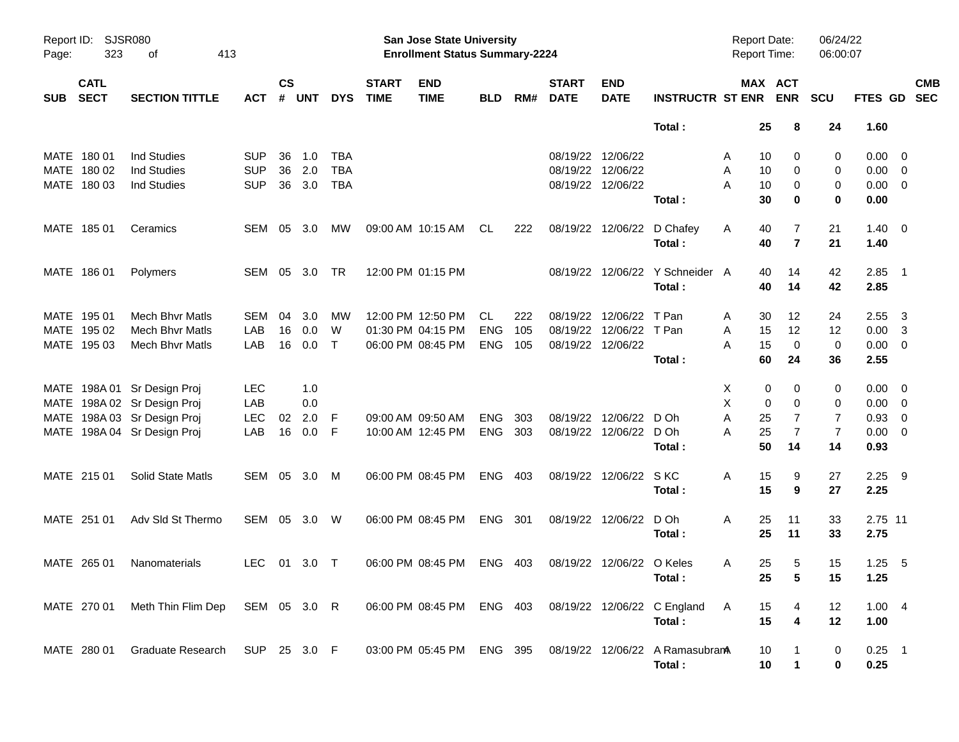| Page:      | SJSR080<br>Report ID:<br>323<br>413<br>оf |                                                                                                                     |                                        |                |                          |                                 |                             | San Jose State University<br><b>Enrollment Status Summary-2224</b> |                                |                   |                                           |                                         |                                           | Report Date:<br><b>Report Time:</b> |                                                         | 06/24/22<br>06:00:07                |                                            |                                                                                        |                          |
|------------|-------------------------------------------|---------------------------------------------------------------------------------------------------------------------|----------------------------------------|----------------|--------------------------|---------------------------------|-----------------------------|--------------------------------------------------------------------|--------------------------------|-------------------|-------------------------------------------|-----------------------------------------|-------------------------------------------|-------------------------------------|---------------------------------------------------------|-------------------------------------|--------------------------------------------|----------------------------------------------------------------------------------------|--------------------------|
| <b>SUB</b> | <b>CATL</b><br><b>SECT</b>                | <b>SECTION TITTLE</b>                                                                                               | <b>ACT</b>                             | <b>CS</b><br># | <b>UNT</b>               | <b>DYS</b>                      | <b>START</b><br><b>TIME</b> | <b>END</b><br><b>TIME</b>                                          | <b>BLD</b>                     | RM#               | <b>START</b><br><b>DATE</b>               | <b>END</b><br><b>DATE</b>               | <b>INSTRUCTR ST ENR</b>                   |                                     | MAX ACT<br><b>ENR</b>                                   | <b>SCU</b>                          | <b>FTES GD</b>                             |                                                                                        | <b>CMB</b><br><b>SEC</b> |
|            |                                           |                                                                                                                     |                                        |                |                          |                                 |                             |                                                                    |                                |                   |                                           |                                         | Total:                                    | 25                                  | 8                                                       | 24                                  | 1.60                                       |                                                                                        |                          |
|            | MATE 180 01<br>MATE 180 02<br>MATE 180 03 | <b>Ind Studies</b><br><b>Ind Studies</b><br><b>Ind Studies</b>                                                      | <b>SUP</b><br><b>SUP</b><br><b>SUP</b> | 36<br>36<br>36 | 1.0<br>2.0<br>3.0        | TBA<br><b>TBA</b><br><b>TBA</b> |                             |                                                                    |                                |                   | 08/19/22 12/06/22<br>08/19/22 12/06/22    | 08/19/22 12/06/22                       | Total:                                    | 10<br>A<br>Α<br>10<br>Α<br>10<br>30 | 0<br>0<br>0<br>$\mathbf 0$                              | 0<br>0<br>0<br>$\bf{0}$             | 0.00<br>$0.00 \t 0$<br>$0.00 \t 0$<br>0.00 | $\overline{\mathbf{0}}$                                                                |                          |
|            | MATE 185 01                               | Ceramics                                                                                                            | SEM                                    | 05             | 3.0                      | МW                              |                             | 09:00 AM 10:15 AM                                                  | CL                             | 222               |                                           | 08/19/22 12/06/22                       | D Chafey<br>Total:                        | 40<br>A<br>40                       | 7<br>$\overline{7}$                                     | 21<br>21                            | $1.40 \ 0$<br>1.40                         |                                                                                        |                          |
|            | MATE 186 01                               | Polymers                                                                                                            | SEM                                    |                | 05 3.0                   | TR                              |                             | 12:00 PM 01:15 PM                                                  |                                |                   |                                           |                                         | 08/19/22 12/06/22 Y Schneider A<br>Total: | 40<br>40                            | 14<br>14                                                | 42<br>42                            | $2.85$ 1<br>2.85                           |                                                                                        |                          |
|            | MATE 195 01<br>MATE 195 02<br>MATE 195 03 | Mech Bhyr Matls<br><b>Mech Bhyr Matls</b><br><b>Mech Bhyr Matls</b>                                                 | <b>SEM</b><br>LAB<br>LAB               | 04<br>16<br>16 | 3.0<br>0.0<br>0.0        | МW<br>W<br>$\mathsf{T}$         |                             | 12:00 PM 12:50 PM<br>01:30 PM 04:15 PM<br>06:00 PM 08:45 PM        | CL<br><b>ENG</b><br><b>ENG</b> | 222<br>105<br>105 | 08/19/22<br>08/19/22<br>08/19/22 12/06/22 | 12/06/22<br>12/06/22                    | T Pan<br>T Pan<br>Total:                  | 30<br>A<br>Α<br>15<br>15<br>A<br>60 | 12<br>12<br>$\mathbf 0$<br>24                           | 24<br>12<br>$\mathbf 0$<br>36       | 2.55<br>0.00<br>0.00<br>2.55               | $\overline{\mathbf{3}}$<br>$\overline{\mathbf{3}}$<br>$\overline{\phantom{0}}$         |                          |
| MATE       |                                           | MATE 198A 01 Sr Design Proj<br>MATE 198A 02 Sr Design Proj<br>198A 03 Sr Design Proj<br>MATE 198A 04 Sr Design Proj | <b>LEC</b><br>LAB<br><b>LEC</b><br>LAB | 02<br>16       | 1.0<br>0.0<br>2.0<br>0.0 | -F<br>-F                        |                             | 09:00 AM 09:50 AM<br>10:00 AM 12:45 PM                             | <b>ENG</b><br><b>ENG</b>       | 303<br>303        | 08/19/22                                  | 12/06/22 D Oh<br>08/19/22 12/06/22 D Oh | Total:                                    | X<br>X<br>Α<br>25<br>A<br>25<br>50  | 0<br>0<br>$\mathbf 0$<br>0<br>7<br>$\overline{7}$<br>14 | 0<br>0<br>7<br>$\overline{7}$<br>14 | 0.00<br>0.00<br>0.93<br>0.00<br>0.93       | $\overline{\mathbf{0}}$<br>$\overline{\mathbf{0}}$<br>$\overline{0}$<br>$\overline{0}$ |                          |
|            | MATE 215 01                               | Solid State Matls                                                                                                   | SEM 05 3.0                             |                |                          | M                               |                             | 06:00 PM 08:45 PM                                                  | <b>ENG</b>                     | 403               |                                           | 08/19/22 12/06/22                       | S KC<br>Total:                            | Α<br>15<br>15                       | 9<br>9                                                  | 27<br>27                            | 2.25<br>2.25                               | - 9                                                                                    |                          |
|            | MATE 251 01                               | Adv SId St Thermo                                                                                                   | SEM                                    |                | 05 3.0                   | W                               |                             | 06:00 PM 08:45 PM                                                  | ENG                            | - 301             |                                           | 08/19/22 12/06/22                       | D Oh<br>Total:                            | Α<br>25<br>25                       | 11<br>11                                                | 33<br>33                            | 2.75 11<br>2.75                            |                                                                                        |                          |
|            | MATE 265 01                               | Nanomaterials                                                                                                       | LEC.                                   | 01             | $3.0$ T                  |                                 |                             | 06:00 PM 08:45 PM                                                  | ENG 403                        |                   |                                           | 08/19/22 12/06/22 O Keles               | Total:                                    | 25<br>A<br>25                       | 5<br>$\overline{\mathbf{5}}$                            | 15<br>15                            | $1.25$ 5<br>1.25                           |                                                                                        |                          |
|            | MATE 270 01                               | Meth Thin Flim Dep                                                                                                  | SEM 05 3.0 R                           |                |                          |                                 |                             | 06:00 PM 08:45 PM ENG 403                                          |                                |                   |                                           |                                         | 08/19/22 12/06/22 C England<br>Total:     | A<br>15<br>15                       | 4<br>$\boldsymbol{4}$                                   | 12<br>12                            | 1.004<br>1.00                              |                                                                                        |                          |
|            | MATE 280 01                               | Graduate Research                                                                                                   | SUP 25 3.0 F                           |                |                          |                                 |                             | 03:00 PM 05:45 PM ENG 395                                          |                                |                   |                                           |                                         | 08/19/22 12/06/22 A Ramasubran<br>Total:  | 10<br>10                            | $\mathbf{1}$                                            | 0<br>0                              | $0.25$ 1<br>0.25                           |                                                                                        |                          |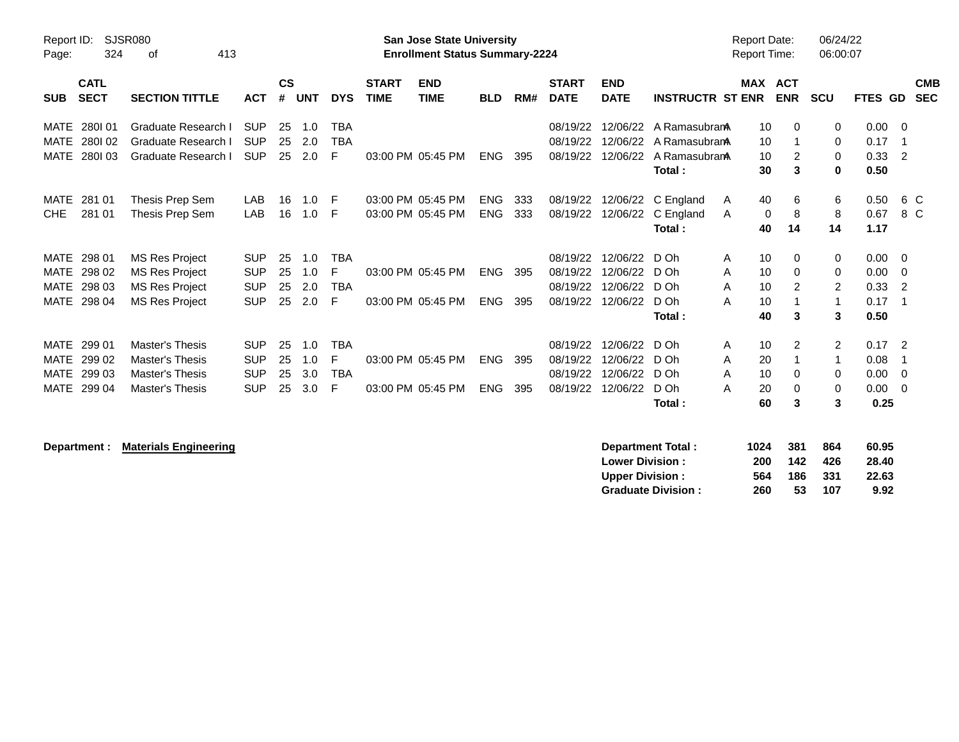| <b>SJSR080</b><br>Report ID:<br>324<br>413<br>οf<br>Page:                                                                                                                                                |                                                      |                                                  |                                     |                             | San Jose State University<br><b>Enrollment Status Summary-2224</b> |                          |            |                                              |                                              |                                                          | <b>Report Date:</b><br><b>Report Time:</b>     |                                | 06/24/22<br>06:00:07                          |                                      |                                                 |
|----------------------------------------------------------------------------------------------------------------------------------------------------------------------------------------------------------|------------------------------------------------------|--------------------------------------------------|-------------------------------------|-----------------------------|--------------------------------------------------------------------|--------------------------|------------|----------------------------------------------|----------------------------------------------|----------------------------------------------------------|------------------------------------------------|--------------------------------|-----------------------------------------------|--------------------------------------|-------------------------------------------------|
| <b>CATL</b><br><b>SECT</b><br><b>SECTION TITTLE</b><br><b>SUB</b>                                                                                                                                        | <b>ACT</b>                                           | $\mathsf{cs}$<br>#<br><b>UNT</b>                 | <b>DYS</b>                          | <b>START</b><br><b>TIME</b> | <b>END</b><br><b>TIME</b>                                          | <b>BLD</b>               | RM#        | <b>START</b><br><b>DATE</b>                  | <b>END</b><br><b>DATE</b>                    | <b>INSTRUCTR ST ENR</b>                                  |                                                | <b>MAX ACT</b><br><b>ENR</b>   | <b>SCU</b>                                    | <b>FTES</b>                          | <b>CMB</b><br><b>SEC</b><br><b>GD</b>           |
| 280101<br>Graduate Research I<br>MATE<br><b>MATE</b><br>Graduate Research I<br>280102<br><b>MATE</b><br>280103<br>Graduate Research I                                                                    | <b>SUP</b><br><b>SUP</b><br><b>SUP</b>               | 25<br>1.0<br>25<br>2.0<br>2.0<br>25              | <b>TBA</b><br><b>TBA</b><br>E       |                             | 03:00 PM 05:45 PM                                                  | <b>ENG</b>               | 395        | 08/19/22<br>08/19/22<br>08/19/22             | 12/06/22<br>12/06/22<br>12/06/22             | A Ramasubran<br>A RamasubranA<br>A RamasubranA<br>Total: | 10<br>10<br>10<br>30                           | $\Omega$<br>-1<br>2<br>3       | 0<br>0<br>0<br>$\bf{0}$                       | $0.00 \t 0$<br>0.17<br>0.33<br>0.50  | - 1<br>$\overline{2}$                           |
| <b>MATE</b><br>281 01<br>Thesis Prep Sem<br><b>CHE</b><br>281 01<br>Thesis Prep Sem                                                                                                                      | LAB<br>LAB                                           | 16<br>16                                         | 1.0<br>- F<br>1.0<br>-F             |                             | 03:00 PM 05:45 PM<br>03:00 PM 05:45 PM                             | <b>ENG</b><br><b>ENG</b> | 333<br>333 | 08/19/22<br>08/19/22                         | 12/06/22                                     | 12/06/22 C England<br>C England<br>Total:                | 40<br>A<br>A<br>40                             | 6<br>8<br>0<br>14              | 6<br>8<br>14                                  | 0.50<br>0.67<br>1.17                 | 6 C<br>8 C                                      |
| MATE 298 01<br><b>MS Res Project</b><br>298 02<br><b>MS Res Project</b><br><b>MATE</b><br><b>MATE</b><br>298 03<br><b>MS Res Project</b><br><b>MATE</b><br>298 04<br><b>MS Res Project</b>               | <b>SUP</b><br><b>SUP</b><br><b>SUP</b><br><b>SUP</b> | 25<br>1.0<br>25<br>1.0<br>25<br>2.0<br>25<br>2.0 | <b>TBA</b><br>F<br><b>TBA</b><br>-F |                             | 03:00 PM 05:45 PM<br>03:00 PM 05:45 PM                             | <b>ENG</b><br><b>ENG</b> | 395<br>395 | 08/19/22<br>08/19/22<br>08/19/22<br>08/19/22 | 12/06/22<br>12/06/22<br>12/06/22<br>12/06/22 | D Oh<br>D Oh<br>$D$ Oh<br>D Oh<br>Total:                 | 10<br>A<br>A<br>10<br>A<br>10<br>10<br>A<br>40 | $\Omega$<br>$\Omega$<br>2<br>3 | 0<br>0<br>$\overline{2}$<br>$\mathbf{1}$<br>3 | 0.00<br>0.00<br>0.33<br>0.17<br>0.50 | $\overline{0}$<br>- 0<br>-2<br>- 1              |
| <b>MATE</b><br>299 01<br><b>Master's Thesis</b><br><b>MATE</b><br>299 02<br><b>Master's Thesis</b><br>299 03<br><b>MATE</b><br><b>Master's Thesis</b><br>299 04<br><b>MATE</b><br><b>Master's Thesis</b> | <b>SUP</b><br><b>SUP</b><br><b>SUP</b><br><b>SUP</b> | 25<br>1.0<br>25<br>1.0<br>25<br>3.0<br>25<br>3.0 | <b>TBA</b><br>F<br><b>TBA</b><br>E  |                             | 03:00 PM 05:45 PM<br>03:00 PM 05:45 PM                             | <b>ENG</b><br><b>ENG</b> | 395<br>395 | 08/19/22<br>08/19/22<br>08/19/22<br>08/19/22 | 12/06/22<br>12/06/22<br>12/06/22<br>12/06/22 | D Oh<br>D Oh<br>$D$ Oh<br>D Oh<br>Total:                 | 10<br>A<br>20<br>A<br>10<br>A<br>20<br>A<br>60 | 2<br>-1<br>0<br>0<br>3         | $\overline{2}$<br>1<br>0<br>0<br>3            | 0.17<br>0.08<br>0.00<br>0.00<br>0.25 | $\overline{\phantom{0}}^2$<br>- 1<br>- 0<br>- 0 |

**Department : Materials Engineering** 

| <b>Department Total:</b>  | 1024 | 381 | 864  | 60.95 |
|---------------------------|------|-----|------|-------|
| <b>Lower Division:</b>    | 200  | 142 | 426  | 28.40 |
| <b>Upper Division:</b>    | 564  | 186 | -331 | 22.63 |
| <b>Graduate Division:</b> | 260  | 53  | 107  | 9.92  |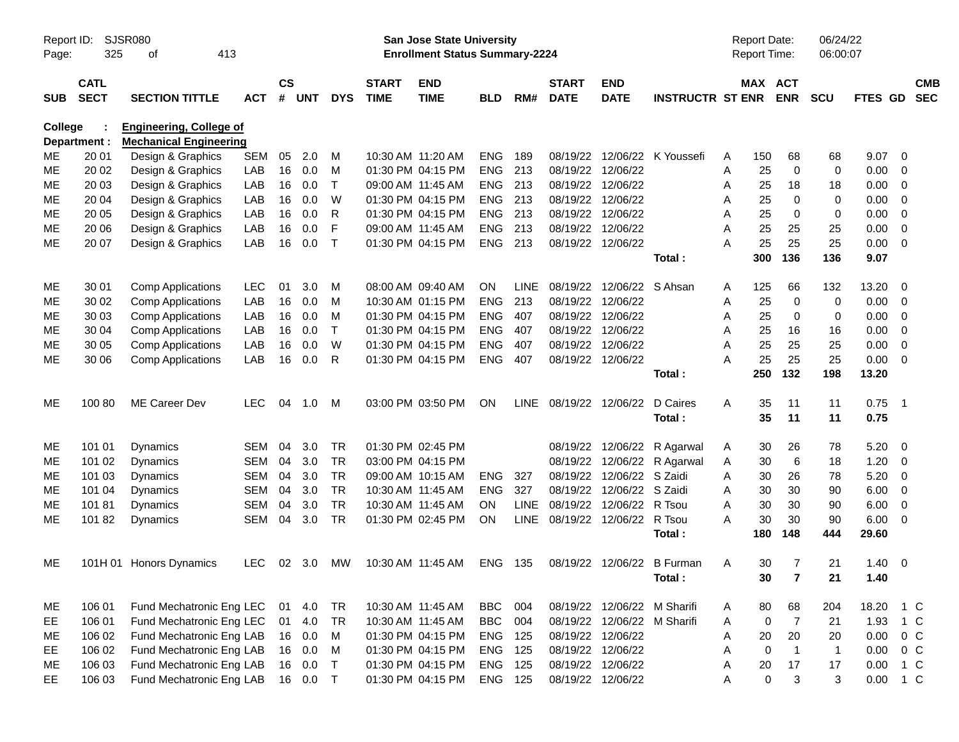| Page:      | SJSR080<br>Report ID:<br>325<br>413<br>оf<br><b>CATL</b> |                                                                 |            |                    |            |              |                             | <b>San Jose State University</b><br><b>Enrollment Status Summary-2224</b> |            |             |                             |                                        |                         | <b>Report Date:</b><br>Report Time: |                                    | 06/24/22<br>06:00:07 |                |                            |                          |
|------------|----------------------------------------------------------|-----------------------------------------------------------------|------------|--------------------|------------|--------------|-----------------------------|---------------------------------------------------------------------------|------------|-------------|-----------------------------|----------------------------------------|-------------------------|-------------------------------------|------------------------------------|----------------------|----------------|----------------------------|--------------------------|
| <b>SUB</b> | <b>SECT</b>                                              | <b>SECTION TITTLE</b>                                           | АСТ        | $\mathsf{cs}$<br># | <b>UNT</b> | <b>DYS</b>   | <b>START</b><br><b>TIME</b> | <b>END</b><br><b>TIME</b>                                                 | <b>BLD</b> | RM#         | <b>START</b><br><b>DATE</b> | <b>END</b><br><b>DATE</b>              | <b>INSTRUCTR ST ENR</b> |                                     | MAX ACT<br><b>ENR</b>              | <b>SCU</b>           | <b>FTES GD</b> |                            | <b>CMB</b><br><b>SEC</b> |
| College    | Department :                                             | <b>Engineering, College of</b><br><b>Mechanical Engineering</b> |            |                    |            |              |                             |                                                                           |            |             |                             |                                        |                         |                                     |                                    |                      |                |                            |                          |
| MЕ         | 20 01                                                    | Design & Graphics                                               | <b>SEM</b> | 05                 | 2.0        | M            | 10:30 AM 11:20 AM           |                                                                           | <b>ENG</b> | 189         | 08/19/22                    |                                        | 12/06/22 K Youssefi     | 150<br>A                            | 68                                 | 68                   | 9.07           | $\overline{0}$             |                          |
| <b>ME</b>  | 20 02                                                    | Design & Graphics                                               | LAB        | 16                 | 0.0        | м            |                             | 01:30 PM 04:15 PM                                                         | <b>ENG</b> | 213         | 08/19/22 12/06/22           |                                        |                         | Α<br>25                             | $\mathbf 0$                        | 0                    | 0.00           | 0                          |                          |
| МE         | 20 03                                                    | Design & Graphics                                               | LAB        | 16                 | 0.0        | Τ            |                             | 09:00 AM 11:45 AM                                                         | <b>ENG</b> | 213         | 08/19/22 12/06/22           |                                        |                         | 25<br>A                             | 18                                 | 18                   | 0.00           | 0                          |                          |
| ME         | 20 04                                                    | Design & Graphics                                               | LAB        | 16                 | 0.0        | W            |                             | 01:30 PM 04:15 PM                                                         | <b>ENG</b> | 213         | 08/19/22 12/06/22           |                                        |                         | 25<br>Α                             | $\mathbf 0$                        | 0                    | 0.00           | $\mathbf 0$                |                          |
| МE         | 20 05                                                    | Design & Graphics                                               | LAB        | 16                 | 0.0        | R            |                             | 01:30 PM 04:15 PM                                                         | <b>ENG</b> | 213         | 08/19/22 12/06/22           |                                        |                         | Α<br>25                             | 0                                  | 0                    | 0.00           | $\mathbf 0$                |                          |
| МE         | 20 06                                                    | Design & Graphics                                               | LAB        | 16                 | 0.0        | F            | 09:00 AM 11:45 AM           |                                                                           | <b>ENG</b> | 213         | 08/19/22 12/06/22           |                                        |                         | 25<br>Α                             | 25                                 | 25                   | 0.00           | $\mathbf 0$                |                          |
| ME         | 20 07                                                    | Design & Graphics                                               | LAB        | 16                 | 0.0        | $\mathsf{T}$ |                             | 01:30 PM 04:15 PM                                                         | <b>ENG</b> | 213         | 08/19/22 12/06/22           |                                        |                         | 25<br>A                             | 25                                 | 25                   | 0.00           | $\overline{0}$             |                          |
|            |                                                          |                                                                 |            |                    |            |              |                             |                                                                           |            |             |                             |                                        | Total:                  | 300                                 | 136                                | 136                  | 9.07           |                            |                          |
| ME         |                                                          |                                                                 |            | 01                 | 3.0        |              |                             | 08:00 AM 09:40 AM                                                         | ON         | <b>LINE</b> | 08/19/22                    | 12/06/22 S Ahsan                       |                         |                                     |                                    |                      | 13.20          |                            |                          |
| ME         | 30 01<br>30 02                                           | <b>Comp Applications</b>                                        | LEC<br>LAB | 16                 | 0.0        | M<br>M       |                             | 10:30 AM 01:15 PM                                                         | <b>ENG</b> | 213         | 08/19/22 12/06/22           |                                        |                         | 125<br>A<br>25                      | 66<br>$\mathbf 0$                  | 132<br>$\mathbf 0$   | 0.00           | 0<br>0                     |                          |
| ME         | 30 03                                                    | <b>Comp Applications</b><br><b>Comp Applications</b>            | LAB        | 16                 | 0.0        | M            |                             | 01:30 PM 04:15 PM                                                         | <b>ENG</b> | 407         | 08/19/22 12/06/22           |                                        |                         | A<br>25<br>A                        | 0                                  | 0                    | 0.00           | 0                          |                          |
| ME         | 30 04                                                    | <b>Comp Applications</b>                                        | LAB        | 16                 | 0.0        | Τ            |                             | 01:30 PM 04:15 PM                                                         | <b>ENG</b> | 407         | 08/19/22 12/06/22           |                                        |                         | 25<br>Α                             | 16                                 | 16                   | 0.00           | 0                          |                          |
| ME         | 30 05                                                    | <b>Comp Applications</b>                                        | LAB        | 16                 | 0.0        | W            |                             | 01:30 PM 04:15 PM                                                         | <b>ENG</b> | 407         | 08/19/22                    | 12/06/22                               |                         | A<br>25                             | 25                                 | 25                   | 0.00           | $\mathbf 0$                |                          |
| ME         | 30 06                                                    | <b>Comp Applications</b>                                        | LAB        | 16                 | 0.0        | R            |                             | 01:30 PM 04:15 PM                                                         | <b>ENG</b> | 407         | 08/19/22 12/06/22           |                                        |                         | A<br>25                             | 25                                 | 25                   | 0.00           | $\overline{0}$             |                          |
|            |                                                          |                                                                 |            |                    |            |              |                             |                                                                           |            |             |                             |                                        | Total:                  | 250                                 | 132                                | 198                  | 13.20          |                            |                          |
|            |                                                          |                                                                 |            |                    |            |              |                             |                                                                           |            |             |                             |                                        |                         |                                     |                                    |                      |                |                            |                          |
| ME         | 100 80                                                   | ME Career Dev                                                   | <b>LEC</b> | 04                 | 1.0        | M            |                             | 03:00 PM 03:50 PM                                                         | ON         |             | LINE 08/19/22 12/06/22      |                                        | D Caires                | Α<br>35                             | 11                                 | 11                   | 0.75           | $\overline{\phantom{0}}$ 1 |                          |
|            |                                                          |                                                                 |            |                    |            |              |                             |                                                                           |            |             |                             |                                        | Total:                  | 35                                  | 11                                 | 11                   | 0.75           |                            |                          |
| ME         |                                                          | Dynamics                                                        | <b>SEM</b> | 04                 | 3.0        | <b>TR</b>    |                             | 01:30 PM 02:45 PM                                                         |            |             |                             |                                        |                         |                                     |                                    | 78                   | 5.20           | - 0                        |                          |
| ME         | 101 01<br>101 02                                         | Dynamics                                                        | <b>SEM</b> | 04                 | 3.0        | <b>TR</b>    |                             | 03:00 PM 04:15 PM                                                         |            |             |                             | 08/19/22 12/06/22<br>08/19/22 12/06/22 | R Agarwal<br>R Agarwal  | 30<br>A<br>30                       | 26<br>6                            | 18                   | 1.20           | 0                          |                          |
| MЕ         | 101 03                                                   | Dynamics                                                        | <b>SEM</b> | 04                 | 3.0        | <b>TR</b>    |                             | 09:00 AM 10:15 AM                                                         | <b>ENG</b> | 327         |                             | 08/19/22 12/06/22                      | S Zaidi                 | A<br>30<br>Α                        | 26                                 | 78                   | 5.20           | 0                          |                          |
| ME         | 101 04                                                   | Dynamics                                                        | <b>SEM</b> | 04                 | 3.0        | <b>TR</b>    | 10:30 AM 11:45 AM           |                                                                           | <b>ENG</b> | 327         |                             | 08/19/22 12/06/22                      | S Zaidi                 | 30<br>Α                             | 30                                 | 90                   | 6.00           | 0                          |                          |
| ME         | 10181                                                    | <b>Dynamics</b>                                                 | <b>SEM</b> | 04                 | 3.0        | <b>TR</b>    | 10:30 AM 11:45 AM           |                                                                           | <b>ON</b>  | <b>LINE</b> | 08/19/22 12/06/22           |                                        | R Tsou                  | 30<br>A                             | 30                                 | 90                   | 6.00           | 0                          |                          |
| ME         | 10182                                                    | Dynamics                                                        | <b>SEM</b> | 04                 | 3.0        | <b>TR</b>    |                             | 01:30 PM 02:45 PM                                                         | ON         | <b>LINE</b> |                             | 08/19/22 12/06/22                      | R Tsou                  | A<br>30                             | 30                                 | 90                   | 6.00           | 0                          |                          |
|            |                                                          |                                                                 |            |                    |            |              |                             |                                                                           |            |             |                             |                                        | Total:                  | 180                                 | 148                                | 444                  | 29.60          |                            |                          |
|            |                                                          |                                                                 |            |                    |            |              |                             |                                                                           |            |             |                             |                                        |                         |                                     |                                    |                      |                |                            |                          |
| ME         |                                                          | 101H 01 Honors Dynamics                                         | LEC.       | 02                 | 3.0        | МW           |                             | 10:30 AM 11:45 AM                                                         | ENG        | 135         |                             | 08/19/22 12/06/22                      | <b>B</b> Furman         | 30<br>A                             | 7                                  | 21                   | 1.40           | $\overline{0}$             |                          |
|            |                                                          |                                                                 |            |                    |            |              |                             |                                                                           |            |             |                             |                                        | Total:                  | 30 <sub>o</sub>                     | $\overline{7}$                     | 21                   | 1.40           |                            |                          |
|            |                                                          |                                                                 |            |                    |            |              |                             |                                                                           |            |             |                             |                                        |                         |                                     |                                    |                      |                |                            |                          |
| ME         | 106 01                                                   | Fund Mechatronic Eng LEC                                        |            | 01                 | 4.0        | TR           |                             | 10:30 AM 11:45 AM                                                         | BBC        | 004         |                             | 08/19/22 12/06/22 M Sharifi            |                         | 80<br>A                             | 68                                 | 204                  | 18.20 1 C      |                            |                          |
| EE         | 106 01                                                   | Fund Mechatronic Eng LEC                                        |            | 01                 | 4.0        | <b>TR</b>    |                             | 10:30 AM 11:45 AM                                                         | <b>BBC</b> | 004         |                             | 08/19/22 12/06/22 M Sharifi            |                         | A                                   | $\overline{7}$<br>$\boldsymbol{0}$ | 21                   | 1.93           | $1\,C$                     |                          |
| ME         | 106 02                                                   | Fund Mechatronic Eng LAB                                        |            |                    | 16 0.0     | M            |                             | 01:30 PM 04:15 PM                                                         | ENG 125    |             | 08/19/22 12/06/22           |                                        |                         | A<br>20                             | $20\,$                             | 20                   | 0.00           | $0\,C$                     |                          |
| EE         | 106 02                                                   | Fund Mechatronic Eng LAB                                        |            |                    | 16 0.0     | M            |                             | 01:30 PM 04:15 PM                                                         | ENG 125    |             | 08/19/22 12/06/22           |                                        |                         | Α<br>$\mathbf 0$                    | $\overline{1}$                     | $\mathbf{1}$         | 0.00           | $0\,C$                     |                          |
| ME         | 106 03                                                   | Fund Mechatronic Eng LAB                                        |            |                    | 16 0.0     | $\top$       |                             | 01:30 PM 04:15 PM                                                         | ENG 125    |             | 08/19/22 12/06/22           |                                        |                         | A<br>$20\,$                         | $17$                               | 17                   | 0.00           | $1\,C$                     |                          |
| EE.        | 106 03                                                   | Fund Mechatronic Eng LAB                                        |            |                    | 16 0.0     | $\top$       |                             | 01:30 PM 04:15 PM                                                         | ENG 125    |             | 08/19/22 12/06/22           |                                        |                         | Α                                   | $\mathbf 0$<br>$\mathbf{3}$        | 3                    | 0.00 1 C       |                            |                          |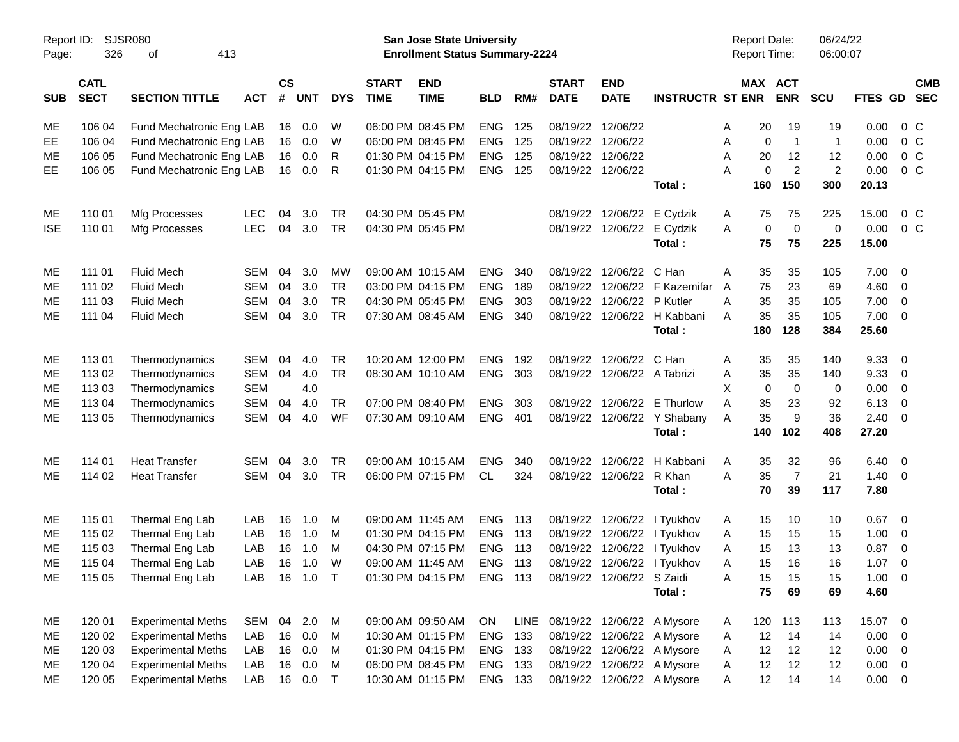| Page:      | Report ID:<br>SJSR080<br>326<br>413<br>of |                           |            |                    |            |            |                             | San Jose State University<br><b>Enrollment Status Summary-2224</b> |            |      |                             |                           |                             | Report Date:<br>Report Time: |                               | 06/24/22<br>06:00:07 |                |                          |
|------------|-------------------------------------------|---------------------------|------------|--------------------|------------|------------|-----------------------------|--------------------------------------------------------------------|------------|------|-----------------------------|---------------------------|-----------------------------|------------------------------|-------------------------------|----------------------|----------------|--------------------------|
| <b>SUB</b> | <b>CATL</b><br><b>SECT</b>                | <b>SECTION TITTLE</b>     | <b>ACT</b> | $\mathsf{cs}$<br># | UNT        | <b>DYS</b> | <b>START</b><br><b>TIME</b> | <b>END</b><br><b>TIME</b>                                          | <b>BLD</b> | RM#  | <b>START</b><br><b>DATE</b> | <b>END</b><br><b>DATE</b> | <b>INSTRUCTR ST ENR</b>     |                              | MAX ACT<br><b>ENR</b>         | <b>SCU</b>           | <b>FTES GD</b> | <b>CMB</b><br><b>SEC</b> |
| ME         | 106 04                                    | Fund Mechatronic Eng LAB  |            |                    | 16 0.0     | W          |                             | 06:00 PM 08:45 PM                                                  | <b>ENG</b> | 125  | 08/19/22                    | 12/06/22                  |                             | 20                           | 19                            | 19                   | 0.00           | $0\,C$                   |
| EE         | 106 04                                    | Fund Mechatronic Eng LAB  |            | 16                 | 0.0        | W          |                             | 06:00 PM 08:45 PM                                                  | <b>ENG</b> | 125  | 08/19/22                    | 12/06/22                  |                             | Α<br>Α                       | $\mathbf 0$<br>$\overline{1}$ | $\mathbf{1}$         | 0.00           | $0\,C$                   |
| ME         | 106 05                                    | Fund Mechatronic Eng LAB  |            | 16                 | 0.0        | R          |                             | 01:30 PM 04:15 PM                                                  | <b>ENG</b> | 125  | 08/19/22                    | 12/06/22                  |                             | A<br>20                      | 12                            | 12                   | 0.00           | 0 <sup>o</sup>           |
| EE         | 106 05                                    | Fund Mechatronic Eng LAB  |            |                    | 16 0.0     | R          |                             | 01:30 PM 04:15 PM                                                  | <b>ENG</b> | 125  | 08/19/22                    | 12/06/22                  |                             | A                            | $\overline{c}$<br>0           | $\overline{2}$       | 0.00           | $0\,C$                   |
|            |                                           |                           |            |                    |            |            |                             |                                                                    |            |      |                             |                           | Total:                      | 160                          | 150                           | 300                  | 20.13          |                          |
| ME         | 110 01                                    | Mfg Processes             | <b>LEC</b> | 04                 | 3.0        | <b>TR</b>  |                             | 04:30 PM 05:45 PM                                                  |            |      | 08/19/22                    | 12/06/22                  | E Cydzik                    | 75<br>A                      | 75                            | 225                  | 15.00          | 0 <sup>o</sup>           |
| <b>ISE</b> | 110 01                                    | Mfg Processes             | <b>LEC</b> | 04                 | 3.0        | <b>TR</b>  |                             | 04:30 PM 05:45 PM                                                  |            |      |                             | 08/19/22 12/06/22         | E Cydzik                    | A                            | $\mathbf 0$<br>0              | $\mathbf 0$          | 0.00           | 0 <sup>o</sup>           |
|            |                                           |                           |            |                    |            |            |                             |                                                                    |            |      |                             |                           | Total:                      | 75                           | 75                            | 225                  | 15.00          |                          |
| ME         | 111 01                                    | <b>Fluid Mech</b>         | <b>SEM</b> | 04                 | 3.0        | <b>MW</b>  |                             | 09:00 AM 10:15 AM                                                  | <b>ENG</b> | 340  | 08/19/22                    | 12/06/22                  | C Han                       | 35<br>A                      | 35                            | 105                  | 7.00           | - 0                      |
| ME         | 111 02                                    | <b>Fluid Mech</b>         | <b>SEM</b> | 04                 | 3.0        | <b>TR</b>  |                             | 03:00 PM 04:15 PM                                                  | <b>ENG</b> | 189  | 08/19/22                    | 12/06/22                  | F Kazemifar                 | 75<br>A                      | 23                            | 69                   | 4.60           | - 0                      |
| ME         | 111 03                                    | <b>Fluid Mech</b>         | <b>SEM</b> | 04                 | 3.0        | <b>TR</b>  |                             | 04:30 PM 05:45 PM                                                  | <b>ENG</b> | 303  | 08/19/22                    | 12/06/22                  | P Kutler                    | 35<br>A                      | 35                            | 105                  | 7.00           | 0                        |
| ME         | 111 04                                    | <b>Fluid Mech</b>         | <b>SEM</b> | 04                 | 3.0        | <b>TR</b>  |                             | 07:30 AM 08:45 AM                                                  | ENG 340    |      | 08/19/22                    |                           | 12/06/22 H Kabbani          | 35<br>A                      | 35                            | 105                  | 7.00           | $\overline{0}$           |
|            |                                           |                           |            |                    |            |            |                             |                                                                    |            |      |                             |                           | Total:                      | 180                          | 128                           | 384                  | 25.60          |                          |
| ME         | 11301                                     | Thermodynamics            | <b>SEM</b> | 04                 | 4.0        | <b>TR</b>  |                             | 10:20 AM 12:00 PM                                                  | <b>ENG</b> | 192  | 08/19/22                    | 12/06/22                  | C Han                       | 35<br>A                      | 35                            | 140                  | 9.33           | - 0                      |
| ME         | 113 02                                    | Thermodynamics            | <b>SEM</b> | 04                 | 4.0        | <b>TR</b>  |                             | 08:30 AM 10:10 AM                                                  | <b>ENG</b> | 303  | 08/19/22                    | 12/06/22 A Tabrizi        |                             | 35<br>Α                      | 35                            | 140                  | 9.33           | 0                        |
| ME         | 113 03                                    | Thermodynamics            | <b>SEM</b> |                    | 4.0        |            |                             |                                                                    |            |      |                             |                           |                             | X                            | $\overline{0}$<br>0           | 0                    | 0.00           | $\overline{0}$           |
| ME         | 113 04                                    | Thermodynamics            | <b>SEM</b> | 04                 | 4.0        | <b>TR</b>  |                             | 07:00 PM 08:40 PM                                                  | <b>ENG</b> | 303  | 08/19/22                    |                           | 12/06/22 E Thurlow          | A<br>35                      | 23                            | 92                   | 6.13           | $\overline{0}$           |
| ME         | 113 05                                    | Thermodynamics            | <b>SEM</b> | 04                 | 4.0        | WF         |                             | 07:30 AM 09:10 AM                                                  | ENG        | 401  |                             |                           | 08/19/22 12/06/22 Y Shabany | 35<br>A                      | 9                             | 36                   | 2.40           | $\overline{0}$           |
|            |                                           |                           |            |                    |            |            |                             |                                                                    |            |      |                             |                           | Total:                      | 140                          | 102                           | 408                  | 27.20          |                          |
| ME         | 114 01                                    | <b>Heat Transfer</b>      | <b>SEM</b> | 04                 | 3.0        | <b>TR</b>  |                             | 09:00 AM 10:15 AM                                                  | <b>ENG</b> | 340  | 08/19/22                    | 12/06/22                  | H Kabbani                   | 35<br>A                      | 32                            | 96                   | 6.40           | $\overline{\mathbf{0}}$  |
| ME         | 114 02                                    | <b>Heat Transfer</b>      | <b>SEM</b> | 04                 | 3.0        | <b>TR</b>  |                             | 06:00 PM 07:15 PM                                                  | <b>CL</b>  | 324  | 08/19/22                    | 12/06/22                  | R Khan                      | 35<br>A                      | $\overline{7}$                | 21                   | 1.40           | $\overline{\mathbf{0}}$  |
|            |                                           |                           |            |                    |            |            |                             |                                                                    |            |      |                             |                           | Total:                      | 70                           | 39                            | 117                  | 7.80           |                          |
| ME         | 115 01                                    | Thermal Eng Lab           | LAB        | 16                 | 1.0        | M          |                             | 09:00 AM 11:45 AM                                                  | <b>ENG</b> | 113  | 08/19/22                    | 12/06/22                  | I Tyukhov                   | 15<br>A                      | 10                            | 10                   | $0.67$ 0       |                          |
| ME         | 115 02                                    | Thermal Eng Lab           | LAB        | 16                 | 1.0        | M          |                             | 01:30 PM 04:15 PM                                                  | <b>ENG</b> | 113  | 08/19/22                    | 12/06/22                  | I Tyukhov                   | 15<br>Α                      | 15                            | 15                   | 1.00           | $\overline{\mathbf{0}}$  |
| ME         | 115 03                                    | Thermal Eng Lab           | LAB        | 16                 | 1.0        | м          |                             | 04:30 PM 07:15 PM                                                  | <b>ENG</b> | 113  | 08/19/22                    | 12/06/22                  | I Tyukhov                   | 15<br>Α                      | 13                            | 13                   | 0.87           | $\overline{\phantom{0}}$ |
| ME         | 115 04                                    | Thermal Eng Lab           | LAB        | 16                 | 1.0        | W          |                             | 09:00 AM 11:45 AM                                                  | ENG        | 113  |                             |                           | 08/19/22 12/06/22 l Tyukhov | 15<br>Α                      | 16                            | 16                   | 1.07           | - 0                      |
| ME         | 115 05                                    | Thermal Eng Lab           | LAB        |                    | 16  1.0  T |            |                             | 01:30 PM 04:15 PM ENG 113 08/19/22 12/06/22 S Zaidi                |            |      |                             |                           |                             | 15<br>Α                      | 15                            | 15                   | 1.00           | $\overline{\mathbf{0}}$  |
|            |                                           |                           |            |                    |            |            |                             |                                                                    |            |      |                             |                           | Total:                      | 75                           | 69                            | 69                   | 4.60           |                          |
| ME         | 120 01                                    | <b>Experimental Meths</b> | SEM        | 04                 | 2.0        | M          |                             | 09:00 AM 09:50 AM                                                  | ON         | LINE |                             |                           | 08/19/22 12/06/22 A Mysore  | 120<br>A                     | 113                           | 113                  | 15.07 0        |                          |
| ME         | 120 02                                    | <b>Experimental Meths</b> | LAB        |                    | 16 0.0     | M          |                             | 10:30 AM 01:15 PM                                                  | ENG        | 133  |                             |                           | 08/19/22 12/06/22 A Mysore  | 12<br>Α                      | 14                            | 14                   | 0.00           | $\overline{\mathbf{0}}$  |
| ME         | 120 03                                    | <b>Experimental Meths</b> | LAB        |                    | 16 0.0     | M          |                             | 01:30 PM 04:15 PM                                                  | ENG 133    |      | 08/19/22                    |                           | 12/06/22 A Mysore           | 12<br>Α                      | 12                            | 12                   | 0.00           | $\overline{\mathbf{0}}$  |
| ME         | 120 04                                    | <b>Experimental Meths</b> | LAB        | 16                 | 0.0        | M          |                             | 06:00 PM 08:45 PM                                                  | ENG 133    |      | 08/19/22                    |                           | 12/06/22 A Mysore           | 12<br>Α                      | 12                            | 12                   | 0.00           | $\overline{\phantom{0}}$ |
| ME         | 120 05                                    | <b>Experimental Meths</b> | LAB        |                    | 16 0.0     | $\top$     |                             | 10:30 AM 01:15 PM                                                  | ENG 133    |      |                             |                           | 08/19/22 12/06/22 A Mysore  | 12<br>Α                      | 14                            | 14                   | $0.00 \t 0$    |                          |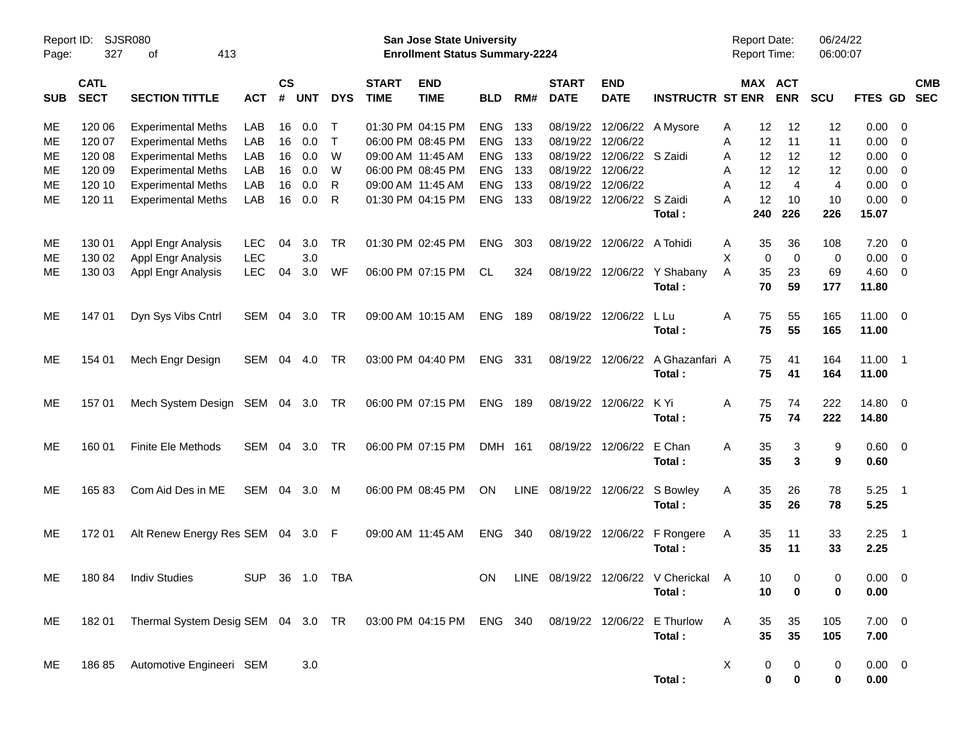| Page:      | Report ID: SJSR080<br>327  | 413<br>оf                                                                                       |                |                    |            |            |                             | San Jose State University<br><b>Enrollment Status Summary-2224</b> |                |     |                             |                            |                                         | Report Date:<br><b>Report Time:</b> |                       | 06/24/22<br>06:00:07 |                |                            |
|------------|----------------------------|-------------------------------------------------------------------------------------------------|----------------|--------------------|------------|------------|-----------------------------|--------------------------------------------------------------------|----------------|-----|-----------------------------|----------------------------|-----------------------------------------|-------------------------------------|-----------------------|----------------------|----------------|----------------------------|
| <b>SUB</b> | <b>CATL</b><br><b>SECT</b> | <b>SECTION TITTLE</b>                                                                           | <b>ACT</b>     | $\mathsf{cs}$<br># | <b>UNT</b> | <b>DYS</b> | <b>START</b><br><b>TIME</b> | <b>END</b><br><b>TIME</b>                                          | <b>BLD</b>     | RM# | <b>START</b><br><b>DATE</b> | <b>END</b><br><b>DATE</b>  | <b>INSTRUCTR ST ENR</b>                 |                                     | MAX ACT<br><b>ENR</b> | <b>SCU</b>           |                | <b>CMB</b><br>FTES GD SEC  |
| ME         | 120 06                     | <b>Experimental Meths</b>                                                                       | LAB            | 16                 | 0.0        | $\top$     |                             | 01:30 PM 04:15 PM                                                  | <b>ENG</b>     | 133 |                             | 08/19/22 12/06/22 A Mysore |                                         | 12<br>Α                             | 12                    | 12                   | 0.00           | - 0                        |
| МE         | 120 07                     | <b>Experimental Meths</b>                                                                       | LAB            | 16                 | 0.0        | $\top$     |                             | 06:00 PM 08:45 PM                                                  | <b>ENG</b>     | 133 |                             | 08/19/22 12/06/22          |                                         | 12<br>Α                             | 11                    | 11                   | 0.00           | $\overline{0}$             |
| МE         | 120 08                     | <b>Experimental Meths</b>                                                                       | LAB            | 16                 | 0.0        | W          |                             | 09:00 AM 11:45 AM                                                  | <b>ENG</b>     | 133 |                             | 08/19/22 12/06/22 S Zaidi  |                                         | 12<br>Α                             | 12                    | 12                   | 0.00           | $\overline{0}$             |
| МE         | 120 09                     | <b>Experimental Meths</b>                                                                       | LAB            | 16                 | 0.0        | W          |                             | 06:00 PM 08:45 PM                                                  | <b>ENG</b>     | 133 | 08/19/22 12/06/22           |                            |                                         | 12<br>Α                             | 12                    | 12                   | 0.00           | $\overline{0}$             |
| МE         | 120 10                     | <b>Experimental Meths</b>                                                                       | LAB            | 16                 | 0.0        | R          |                             | 09:00 AM 11:45 AM                                                  | <b>ENG</b>     | 133 |                             | 08/19/22 12/06/22          |                                         | 12<br>A                             | $\overline{4}$        | $\overline{4}$       | 0.00           | $\overline{0}$             |
| ME         | 120 11                     | <b>Experimental Meths</b>                                                                       | LAB            | 16                 | 0.0        | R          |                             | 01:30 PM 04:15 PM                                                  | <b>ENG</b>     | 133 |                             | 08/19/22 12/06/22 S Zaidi  |                                         | 12<br>Α                             | 10                    | 10                   | 0.00           | $\overline{0}$             |
|            |                            |                                                                                                 |                |                    |            |            |                             |                                                                    |                |     |                             |                            | Total:                                  | 240                                 | 226                   | 226                  | 15.07          |                            |
| ME         | 130 01                     | <b>Appl Engr Analysis</b>                                                                       | LEC.           | 04                 | 3.0        | TR         |                             | 01:30 PM 02:45 PM                                                  | <b>ENG</b>     | 303 |                             | 08/19/22 12/06/22 A Tohidi |                                         | 35<br>A                             | 36                    | 108                  | 7.20           | - 0                        |
| MЕ         | 130 02                     | Appl Engr Analysis                                                                              | <b>LEC</b>     |                    | 3.0        |            |                             |                                                                    |                |     |                             |                            |                                         | X<br>$\mathbf 0$                    | $\overline{0}$        | 0                    | 0.00           | $\overline{\mathbf{0}}$    |
| MЕ         | 130 03                     | Appl Engr Analysis                                                                              | <b>LEC</b>     | 04                 | 3.0        | WF         |                             | 06:00 PM 07:15 PM                                                  | CL             | 324 |                             |                            | 08/19/22 12/06/22 Y Shabany             | 35<br>A                             | 23                    | 69                   | 4.60           | $\overline{\mathbf{0}}$    |
|            |                            |                                                                                                 |                |                    |            |            |                             |                                                                    |                |     |                             |                            | Total:                                  | 70                                  | 59                    | 177                  | 11.80          |                            |
| ME         | 147 01                     | Dyn Sys Vibs Cntrl                                                                              | SEM            | 04                 | 3.0        | TR         |                             | 09:00 AM 10:15 AM                                                  | <b>ENG 189</b> |     |                             | 08/19/22 12/06/22          | L Lu                                    | 75<br>A                             | 55                    | 165                  | $11.00 \t 0$   |                            |
|            |                            |                                                                                                 |                |                    |            |            |                             |                                                                    |                |     |                             |                            | Total:                                  | 75                                  | 55                    | 165                  | 11.00          |                            |
| ME         | 154 01                     | Mech Engr Design                                                                                | SEM            | 04                 | 4.0        | <b>TR</b>  |                             | 03:00 PM 04:40 PM                                                  | ENG 331        |     |                             | 08/19/22 12/06/22          | A Ghazanfari A                          | 75                                  | 41                    | 164                  | 11.00 1        |                            |
|            |                            |                                                                                                 |                |                    |            |            |                             |                                                                    |                |     |                             |                            | Total:                                  | 75                                  | 41                    | 164                  | 11.00          |                            |
|            |                            |                                                                                                 |                |                    |            |            |                             |                                                                    |                |     |                             |                            |                                         |                                     |                       |                      |                |                            |
| ME         | 157 01                     | Mech System Design SEM 04 3.0 TR                                                                |                |                    |            |            |                             | 06:00 PM 07:15 PM                                                  | <b>ENG 189</b> |     |                             | 08/19/22 12/06/22          | K Yi                                    | 75<br>A                             | 74                    | 222                  | 14.80 0        |                            |
|            |                            |                                                                                                 |                |                    |            |            |                             |                                                                    |                |     |                             |                            | Total:                                  | 75                                  | 74                    | 222                  | 14.80          |                            |
| ME         | 160 01                     | <b>Finite Ele Methods</b>                                                                       | SEM            | 04                 | 3.0        | TR         |                             | 06:00 PM 07:15 PM                                                  | DMH 161        |     |                             | 08/19/22 12/06/22          | E Chan                                  | 35<br>Α                             | 3                     | 9                    | $0.60 \quad 0$ |                            |
|            |                            |                                                                                                 |                |                    |            |            |                             |                                                                    |                |     |                             |                            | Total:                                  | 35                                  | 3                     | 9                    | 0.60           |                            |
| ME         | 16583                      | Com Aid Des in ME                                                                               | SEM            | 04                 | 3.0        | M          |                             | 06:00 PM 08:45 PM                                                  | <b>ON</b>      |     |                             | LINE 08/19/22 12/06/22     | S Bowley                                | 35<br>A                             | 26                    | 78                   | 5.25           | $\overline{\phantom{0}}$ 1 |
|            |                            |                                                                                                 |                |                    |            |            |                             |                                                                    |                |     |                             |                            | Total:                                  | 35                                  | 26                    | 78                   | 5.25           |                            |
| ME         | 172 01                     | Alt Renew Energy Res SEM 04 3.0 F                                                               |                |                    |            |            |                             | 09:00 AM 11:45 AM                                                  | ENG 340        |     |                             | 08/19/22 12/06/22          | F Rongere                               | 35<br>A                             | 11                    | 33                   | 2.25           | $\overline{\phantom{0}}$ 1 |
|            |                            |                                                                                                 |                |                    |            |            |                             |                                                                    |                |     |                             |                            | Total:                                  | 35                                  | 11                    | 33                   | 2.25           |                            |
| ME         |                            | 180 84 Indiv Studies                                                                            | SUP 36 1.0 TBA |                    |            |            |                             |                                                                    |                |     |                             |                            | ON LINE 08/19/22 12/06/22 V Cherickal A | 10 <sup>1</sup>                     | $\overline{0}$        | 0                    | $0.00 \t 0$    |                            |
|            |                            |                                                                                                 |                |                    |            |            |                             |                                                                    |                |     |                             |                            | Total:                                  | 10                                  | 0                     | 0                    | 0.00           |                            |
|            |                            |                                                                                                 |                |                    |            |            |                             |                                                                    |                |     |                             |                            |                                         |                                     |                       |                      |                |                            |
| ME         |                            | 182 01 Thermal System Desig SEM 04 3.0 TR 03:00 PM 04:15 PM ENG 340 08/19/22 12/06/22 E Thurlow |                |                    |            |            |                             |                                                                    |                |     |                             |                            |                                         | A<br>35                             | 35                    | 105                  | $7.00 \t 0$    |                            |
|            |                            |                                                                                                 |                |                    |            |            |                             |                                                                    |                |     |                             |                            | Total:                                  | 35                                  | 35                    | 105                  | 7.00           |                            |
| ME.        |                            | 186 85 Automotive Engineeri SEM                                                                 |                |                    | 3.0        |            |                             |                                                                    |                |     |                             |                            |                                         | X<br>0                              | 0                     | 0                    | $0.00 \t 0$    |                            |
|            |                            |                                                                                                 |                |                    |            |            |                             |                                                                    |                |     |                             |                            | Total:                                  | $\bf{0}$                            | $\bf{0}$              | 0                    | 0.00           |                            |
|            |                            |                                                                                                 |                |                    |            |            |                             |                                                                    |                |     |                             |                            |                                         |                                     |                       |                      |                |                            |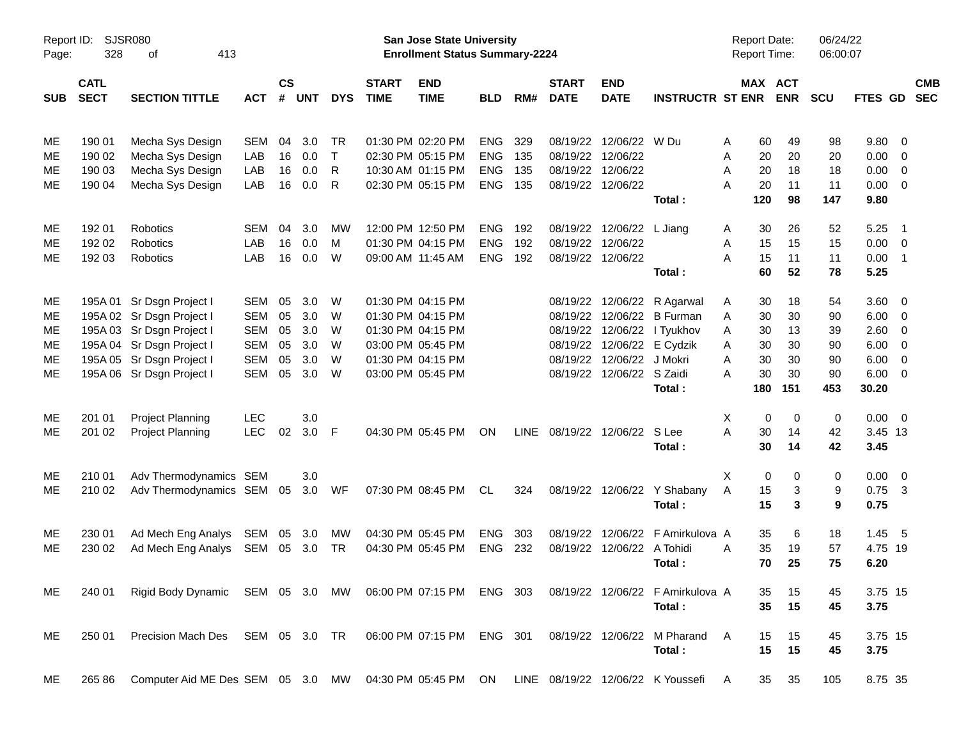| Page:      | SJSR080<br>Report ID:<br>328<br>413<br>оf |                                                            |            |                    |            |              |                             | <b>San Jose State University</b><br><b>Enrollment Status Summary-2224</b> |            |      |                             |                           |                                   | <b>Report Date:</b><br>Report Time: |     |                       | 06/24/22<br>06:00:07 |             |                            |            |
|------------|-------------------------------------------|------------------------------------------------------------|------------|--------------------|------------|--------------|-----------------------------|---------------------------------------------------------------------------|------------|------|-----------------------------|---------------------------|-----------------------------------|-------------------------------------|-----|-----------------------|----------------------|-------------|----------------------------|------------|
| <b>SUB</b> | <b>CATL</b><br><b>SECT</b>                | <b>SECTION TITTLE</b>                                      | <b>ACT</b> | $\mathsf{cs}$<br># | <b>UNT</b> | <b>DYS</b>   | <b>START</b><br><b>TIME</b> | <b>END</b><br><b>TIME</b>                                                 | <b>BLD</b> | RM#  | <b>START</b><br><b>DATE</b> | <b>END</b><br><b>DATE</b> | <b>INSTRUCTR ST ENR</b>           |                                     |     | MAX ACT<br><b>ENR</b> | <b>SCU</b>           | FTES GD SEC |                            | <b>CMB</b> |
| ME         | 190 01                                    | Mecha Sys Design                                           | <b>SEM</b> | 04                 | 3.0        | <b>TR</b>    |                             | 01:30 PM 02:20 PM                                                         | <b>ENG</b> | 329  | 08/19/22                    | 12/06/22 W Du             |                                   | A                                   | 60  | 49                    | 98                   | 9.80        | 0                          |            |
| ME         | 190 02                                    | Mecha Sys Design                                           | LAB        | 16                 | 0.0        | $\mathsf{T}$ |                             | 02:30 PM 05:15 PM                                                         | <b>ENG</b> | 135  | 08/19/22                    | 12/06/22                  |                                   | Α                                   | 20  | 20                    | 20                   | 0.00        | $\overline{0}$             |            |
| МE         | 190 03                                    | Mecha Sys Design                                           | LAB        | 16                 | 0.0        | R            |                             | 10:30 AM 01:15 PM                                                         | <b>ENG</b> | 135  | 08/19/22                    | 12/06/22                  |                                   | A                                   | 20  | 18                    | 18                   | 0.00        | 0                          |            |
| ME         | 190 04                                    | Mecha Sys Design                                           | LAB        | 16                 | 0.0        | R            |                             | 02:30 PM 05:15 PM                                                         | ENG        | 135  | 08/19/22                    | 12/06/22                  |                                   | A                                   | 20  | 11                    | 11                   | 0.00        | 0                          |            |
|            |                                           |                                                            |            |                    |            |              |                             |                                                                           |            |      |                             |                           | Total:                            |                                     | 120 | 98                    | 147                  | 9.80        |                            |            |
| ME         | 192 01                                    | <b>Robotics</b>                                            | <b>SEM</b> | 04                 | 3.0        | <b>MW</b>    |                             | 12:00 PM 12:50 PM                                                         | <b>ENG</b> | 192  | 08/19/22                    | 12/06/22                  | L Jiang                           | A                                   | 30  | 26                    | 52                   | 5.25        | $\overline{\phantom{0}}$ 1 |            |
| МE         | 192 02                                    | Robotics                                                   | LAB        | 16                 | 0.0        | M            |                             | 01:30 PM 04:15 PM                                                         | <b>ENG</b> | 192  | 08/19/22                    | 12/06/22                  |                                   | Α                                   | 15  | 15                    | 15                   | 0.00        | $\overline{0}$             |            |
| МE         | 192 03                                    | Robotics                                                   | LAB        | 16                 | 0.0        | W            |                             | 09:00 AM 11:45 AM                                                         | <b>ENG</b> | 192  |                             | 08/19/22 12/06/22         |                                   | A                                   | 15  | 11                    | 11                   | 0.00        | $\overline{\phantom{0}}$ 1 |            |
|            |                                           |                                                            |            |                    |            |              |                             |                                                                           |            |      |                             |                           | Total:                            |                                     | 60  | 52                    | 78                   | 5.25        |                            |            |
| ME         |                                           | 195A 01 Sr Dsgn Project I                                  | SEM        | 05                 | 3.0        | W            |                             | 01:30 PM 04:15 PM                                                         |            |      | 08/19/22                    | 12/06/22                  | R Agarwal                         | A                                   | 30  | 18                    | 54                   | 3.60        | $\overline{0}$             |            |
| ME         |                                           | 195A 02 Sr Dsgn Project I                                  | <b>SEM</b> | 05                 | 3.0        | W            |                             | 01:30 PM 04:15 PM                                                         |            |      | 08/19/22                    | 12/06/22                  | <b>B</b> Furman                   | Α                                   | 30  | 30                    | 90                   | 6.00        | 0                          |            |
| ME         |                                           | 195A 03 Sr Dsgn Project I                                  | <b>SEM</b> | 05                 | 3.0        | W            |                             | 01:30 PM 04:15 PM                                                         |            |      | 08/19/22                    | 12/06/22                  | I Tyukhov                         | A                                   | 30  | 13                    | 39                   | 2.60        | 0                          |            |
| ME         |                                           | 195A 04 Sr Dsgn Project I                                  | <b>SEM</b> | 05                 | 3.0        | W            |                             | 03:00 PM 05:45 PM                                                         |            |      | 08/19/22                    | 12/06/22                  | E Cydzik                          | A                                   | 30  | 30                    | 90                   | 6.00        | 0                          |            |
| ME         |                                           | 195A 05 Sr Dsgn Project I                                  | <b>SEM</b> | 05                 | 3.0        | W            |                             | 01:30 PM 04:15 PM                                                         |            |      | 08/19/22                    | 12/06/22                  | J Mokri                           | A                                   | 30  | 30                    | 90                   | 6.00        | 0                          |            |
| ME         |                                           | 195A 06 Sr Dsgn Project I                                  | <b>SEM</b> | 05                 | 3.0        | W            |                             | 03:00 PM 05:45 PM                                                         |            |      | 08/19/22                    | 12/06/22 S Zaidi          |                                   | A                                   | 30  | 30                    | 90                   | 6.00        | 0                          |            |
|            |                                           |                                                            |            |                    |            |              |                             |                                                                           |            |      |                             |                           | Total:                            |                                     | 180 | 151                   | 453                  | 30.20       |                            |            |
| ME         | 201 01                                    | <b>Project Planning</b>                                    | <b>LEC</b> |                    | 3.0        |              |                             |                                                                           |            |      |                             |                           |                                   | X                                   | 0   | $\mathbf 0$           | 0                    | 0.00        | - 0                        |            |
| ME         | 201 02                                    | Project Planning                                           | <b>LEC</b> | 02                 | 3.0        | -F           |                             | 04:30 PM 05:45 PM                                                         | ON         | LINE | 08/19/22                    | 12/06/22 S Lee            |                                   | A                                   | 30  | 14                    | 42                   | 3.45 13     |                            |            |
|            |                                           |                                                            |            |                    |            |              |                             |                                                                           |            |      |                             |                           | Total:                            |                                     | 30  | 14                    | 42                   | 3.45        |                            |            |
| ME         | 210 01                                    | Adv Thermodynamics SEM                                     |            |                    | 3.0        |              |                             |                                                                           |            |      |                             |                           |                                   | Χ                                   | 0   | 0                     | 0                    | 0.00        | - 0                        |            |
| ME         | 210 02                                    | Adv Thermodynamics SEM                                     |            | 05                 | 3.0        | WF           |                             | 07:30 PM 08:45 PM                                                         | CL         | 324  |                             |                           | 08/19/22 12/06/22 Y Shabany       | A                                   | 15  | 3                     | 9                    | 0.75        | - 3                        |            |
|            |                                           |                                                            |            |                    |            |              |                             |                                                                           |            |      |                             |                           | Total:                            |                                     | 15  | 3                     | 9                    | 0.75        |                            |            |
| ME         | 230 01                                    | Ad Mech Eng Analys                                         | SEM        | 05                 | 3.0        | MW           |                             | 04:30 PM 05:45 PM                                                         | <b>ENG</b> | 303  | 08/19/22                    | 12/06/22                  | F Amirkulova A                    |                                     | 35  | 6                     | 18                   | 1.45        | $-5$                       |            |
| ME         | 230 02                                    | Ad Mech Eng Analys                                         | <b>SEM</b> | 05                 | 3.0        | <b>TR</b>    |                             | 04:30 PM 05:45 PM                                                         | <b>ENG</b> | 232  | 08/19/22                    | 12/06/22                  | A Tohidi                          | A                                   | 35  | 19                    | 57                   | 4.75 19     |                            |            |
|            |                                           |                                                            |            |                    |            |              |                             |                                                                           |            |      |                             |                           | Total:                            |                                     | 70  | 25                    | 75                   | 6.20        |                            |            |
| ME         | 240 01                                    | Rigid Body Dynamic SEM 05 3.0 MW 06:00 PM 07:15 PM ENG 303 |            |                    |            |              |                             |                                                                           |            |      |                             |                           | 08/19/22 12/06/22 F Amirkulova A  |                                     | 35  | 15                    | 45                   | 3.75 15     |                            |            |
|            |                                           |                                                            |            |                    |            |              |                             |                                                                           |            |      |                             |                           | Total:                            |                                     | 35  | 15                    | 45                   | 3.75        |                            |            |
| ME         | 250 01                                    | Precision Mach Des SEM 05 3.0 TR                           |            |                    |            |              |                             | 06:00 PM 07:15 PM                                                         | ENG 301    |      |                             |                           | 08/19/22 12/06/22 M Pharand       | A                                   | 15  | 15                    | 45                   | 3.75 15     |                            |            |
|            |                                           |                                                            |            |                    |            |              |                             |                                                                           |            |      |                             |                           | Total:                            |                                     | 15  | 15                    | 45                   | 3.75        |                            |            |
| ME         | 265 86                                    | Computer Aid ME Des SEM 05 3.0 MW                          |            |                    |            |              |                             | 04:30 PM 05:45 PM                                                         | ON         |      |                             |                           | LINE 08/19/22 12/06/22 K Youssefi | A                                   | 35  | 35                    | 105                  | 8.75 35     |                            |            |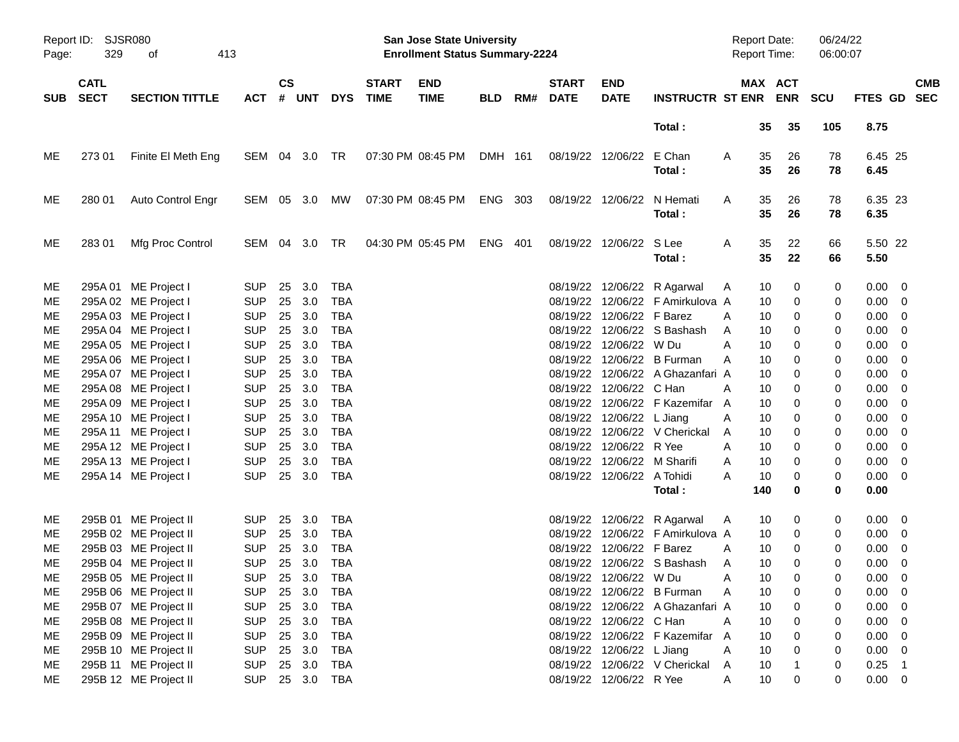| Page:      | Report ID: SJSR080<br>329<br>413<br>оf |                                              |                          |               |            |                          |                             | San Jose State University<br><b>Enrollment Status Summary-2224</b> |            |     |                             |                             |                                      | Report Date:<br>Report Time: |             | 06/24/22<br>06:00:07 |                            |                           |
|------------|----------------------------------------|----------------------------------------------|--------------------------|---------------|------------|--------------------------|-----------------------------|--------------------------------------------------------------------|------------|-----|-----------------------------|-----------------------------|--------------------------------------|------------------------------|-------------|----------------------|----------------------------|---------------------------|
| <b>SUB</b> | <b>CATL</b><br><b>SECT</b>             | <b>SECTION TITTLE</b>                        | <b>ACT</b>               | $\mathsf{cs}$ | # UNT      | <b>DYS</b>               | <b>START</b><br><b>TIME</b> | <b>END</b><br><b>TIME</b>                                          | <b>BLD</b> | RM# | <b>START</b><br><b>DATE</b> | <b>END</b><br><b>DATE</b>   | <b>INSTRUCTR ST ENR ENR</b>          |                              | MAX ACT     | <b>SCU</b>           |                            | <b>CMB</b><br>FTES GD SEC |
|            |                                        |                                              |                          |               |            |                          |                             |                                                                    |            |     |                             |                             | Total:                               | 35                           | 35          | 105                  | 8.75                       |                           |
| MЕ         | 273 01                                 | Finite El Meth Eng                           | SEM 04 3.0 TR            |               |            |                          |                             | 07:30 PM 08:45 PM                                                  | DMH 161    |     |                             | 08/19/22 12/06/22 E Chan    | Total:                               | 35<br>A<br>35                | 26<br>26    | 78<br>78             | 6.45 25<br>6.45            |                           |
| ME         | 280 01                                 | Auto Control Engr                            | SEM 05 3.0 MW            |               |            |                          |                             | 07:30 PM 08:45 PM                                                  | ENG 303    |     |                             |                             | 08/19/22 12/06/22 N Hemati<br>Total: | 35<br>A<br>35                | 26<br>26    | 78<br>78             | 6.35 23<br>6.35            |                           |
| ME         | 28301                                  | Mfg Proc Control                             | SEM 04 3.0 TR            |               |            |                          |                             | 04:30 PM 05:45 PM                                                  | ENG 401    |     |                             | 08/19/22 12/06/22 S Lee     | Total:                               | 35<br>A<br>35                | 22<br>22    | 66<br>66             | 5.50 22<br>5.50            |                           |
| ME         |                                        | 295A 01 ME Project I                         | <b>SUP</b>               | 25            | 3.0        | TBA                      |                             |                                                                    |            |     |                             |                             | 08/19/22 12/06/22 R Agarwal          | 10<br>A                      | 0           | 0                    | $0.00 \quad 0$             |                           |
| ME         |                                        | 295A 02 ME Project I                         | <b>SUP</b>               | 25            | 3.0        | <b>TBA</b>               |                             |                                                                    |            |     |                             |                             | 08/19/22 12/06/22 F Amirkulova A     | 10                           | 0           | 0                    | $0.00 \t 0$                |                           |
| МE         |                                        | 295A 03 ME Project I                         | <b>SUP</b>               | 25            | 3.0        | <b>TBA</b>               |                             |                                                                    |            |     |                             | 08/19/22 12/06/22 F Barez   |                                      | 10<br>A                      | 0           | 0                    | $0.00 \t 0$                |                           |
| МE         |                                        | 295A 04 ME Project I                         | <b>SUP</b>               | 25            | 3.0        | <b>TBA</b>               |                             |                                                                    |            |     |                             |                             | 08/19/22 12/06/22 S Bashash          | A<br>10                      | 0           | 0                    | $0.00 \t 0$                |                           |
| МE         |                                        | 295A 05 ME Project I                         | <b>SUP</b>               | 25            | 3.0        | <b>TBA</b>               |                             |                                                                    |            |     |                             | 08/19/22 12/06/22 W Du      |                                      | A<br>10                      | 0           | 0                    | $0.00 \t 0$                |                           |
| МE         |                                        | 295A 06 ME Project I                         | <b>SUP</b>               | 25            | 3.0        | <b>TBA</b>               |                             |                                                                    |            |     |                             |                             | 08/19/22 12/06/22 B Furman           | 10<br>A                      | 0           | 0                    | $0.00 \t 0$                |                           |
| МE         |                                        | 295A 07 ME Project I                         | <b>SUP</b>               | 25            | 3.0        | <b>TBA</b>               |                             |                                                                    |            |     |                             |                             | 08/19/22 12/06/22 A Ghazanfari A     | 10                           | 0           | 0                    | $0.00 \t 0$                |                           |
| МE         |                                        | 295A 08 ME Project I                         | <b>SUP</b>               | 25            | 3.0        | <b>TBA</b>               |                             |                                                                    |            |     |                             | 08/19/22 12/06/22 C Han     |                                      | A<br>10                      | 0           | 0                    | $0.00 \t 0$                |                           |
| МE         |                                        | 295A 09 ME Project I                         | <b>SUP</b>               | 25            | 3.0        | <b>TBA</b>               |                             |                                                                    |            |     |                             |                             | 08/19/22 12/06/22 F Kazemifar        | A<br>10                      | 0           | 0                    | $0.00 \t 0$                |                           |
| МE         |                                        | 295A 10 ME Project I                         | <b>SUP</b>               | 25            | 3.0        | <b>TBA</b>               |                             |                                                                    |            |     |                             | 08/19/22 12/06/22 L Jiang   |                                      | 10<br>A                      | 0           | 0                    | $0.00 \t 0$                |                           |
| МE<br>МE   |                                        | 295A 11 ME Project I<br>295A 12 ME Project I | <b>SUP</b><br><b>SUP</b> | 25<br>25      | 3.0<br>3.0 | <b>TBA</b><br><b>TBA</b> |                             |                                                                    |            |     |                             | 08/19/22 12/06/22 R Yee     | 08/19/22 12/06/22 V Cherickal        | 10<br>A                      | 0<br>0      | 0                    | $0.00 \t 0$<br>$0.00 \t 0$ |                           |
| МE         |                                        | 295A 13 ME Project I                         | <b>SUP</b>               | 25            | 3.0        | <b>TBA</b>               |                             |                                                                    |            |     |                             | 08/19/22 12/06/22 M Sharifi |                                      | A<br>10<br>10<br>A           | 0           | 0<br>0               | $0.00 \t 0$                |                           |
| МE         |                                        | 295A 14 ME Project I                         | <b>SUP</b>               |               | 25 3.0     | <b>TBA</b>               |                             |                                                                    |            |     |                             | 08/19/22 12/06/22 A Tohidi  |                                      | Α<br>10                      | 0           | 0                    | $0.00 \t 0$                |                           |
|            |                                        |                                              |                          |               |            |                          |                             |                                                                    |            |     |                             |                             | Total :                              | 140                          | 0           | 0                    | 0.00                       |                           |
| ME         |                                        | 295B 01 ME Project II                        | <b>SUP</b>               | -25           | 3.0        | TBA                      |                             |                                                                    |            |     |                             |                             | 08/19/22 12/06/22 R Agarwal          | 10<br>A                      | 0           | 0                    | $0.00 \quad 0$             |                           |
| ME         |                                        | 295B 02 ME Project II                        | <b>SUP</b>               | 25            | 3.0        | <b>TBA</b>               |                             |                                                                    |            |     |                             |                             | 08/19/22 12/06/22 F Amirkulova A     | 10                           | 0           | 0                    | $0.00 \quad 0$             |                           |
| ME         |                                        | 295B 03 ME Project II                        | <b>SUP</b>               | 25            | 3.0        | <b>TBA</b>               |                             |                                                                    |            |     |                             | 08/19/22 12/06/22 F Barez   |                                      | 10<br>A                      | 0           | 0                    | $0.00 \quad 0$             |                           |
| ME         |                                        | 295B 04 ME Project II                        | <b>SUP</b>               |               | 25 3.0     | <b>TBA</b>               |                             |                                                                    |            |     |                             |                             | 08/19/22 12/06/22 S Bashash          | 10<br>A                      | $\Omega$    | 0                    | $0.00 \t 0$                |                           |
| ME         |                                        | 295B 05 ME Project II                        | SUP 25 3.0 TBA           |               |            |                          |                             |                                                                    |            |     |                             | 08/19/22 12/06/22 W Du      |                                      | 10 <sup>°</sup><br>Α         |             | 0                    | $0.00 \t 0$                |                           |
| ME         |                                        | 295B 06 ME Project II                        | <b>SUP</b>               |               | 25 3.0     | TBA                      |                             |                                                                    |            |     |                             |                             | 08/19/22 12/06/22 B Furman           | Α<br>10                      | 0           | 0                    | $0.00 \t 0$                |                           |
| МE         |                                        | 295B 07 ME Project II                        | <b>SUP</b>               | 25            | 3.0        | TBA                      |                             |                                                                    |            |     |                             |                             | 08/19/22 12/06/22 A Ghazanfari A     | 10                           | 0           | 0                    | $0.00 \t 0$                |                           |
| МE         |                                        | 295B 08 ME Project II                        | <b>SUP</b>               | 25            | 3.0        | <b>TBA</b>               |                             |                                                                    |            |     |                             | 08/19/22 12/06/22 C Han     |                                      | 10<br>A                      | 0           | 0                    | $0.00 \t 0$                |                           |
| МE         |                                        | 295B 09 ME Project II                        | <b>SUP</b>               | 25            | 3.0        | <b>TBA</b>               |                             |                                                                    |            |     |                             |                             | 08/19/22 12/06/22 F Kazemifar A      | 10                           | $\mathbf 0$ | 0                    | $0.00 \t 0$                |                           |
| ME         |                                        | 295B 10 ME Project II                        | <b>SUP</b>               | 25            | 3.0        | TBA                      |                             |                                                                    |            |     |                             | 08/19/22 12/06/22 L Jiang   |                                      | 10<br>A                      | $\mathbf 0$ | 0                    | $0.00 \t 0$                |                           |
| МE         |                                        | 295B 11 ME Project II                        | <b>SUP</b>               | 25            | 3.0        | TBA                      |                             |                                                                    |            |     |                             |                             | 08/19/22 12/06/22 V Cherickal        | 10<br>A                      |             | 0                    | $0.25$ 1                   |                           |
| МE         |                                        | 295B 12 ME Project II                        | <b>SUP</b>               |               |            | 25 3.0 TBA               |                             |                                                                    |            |     |                             | 08/19/22 12/06/22 R Yee     |                                      | 10<br>Α                      | 0           | 0                    | $0.00 \t 0$                |                           |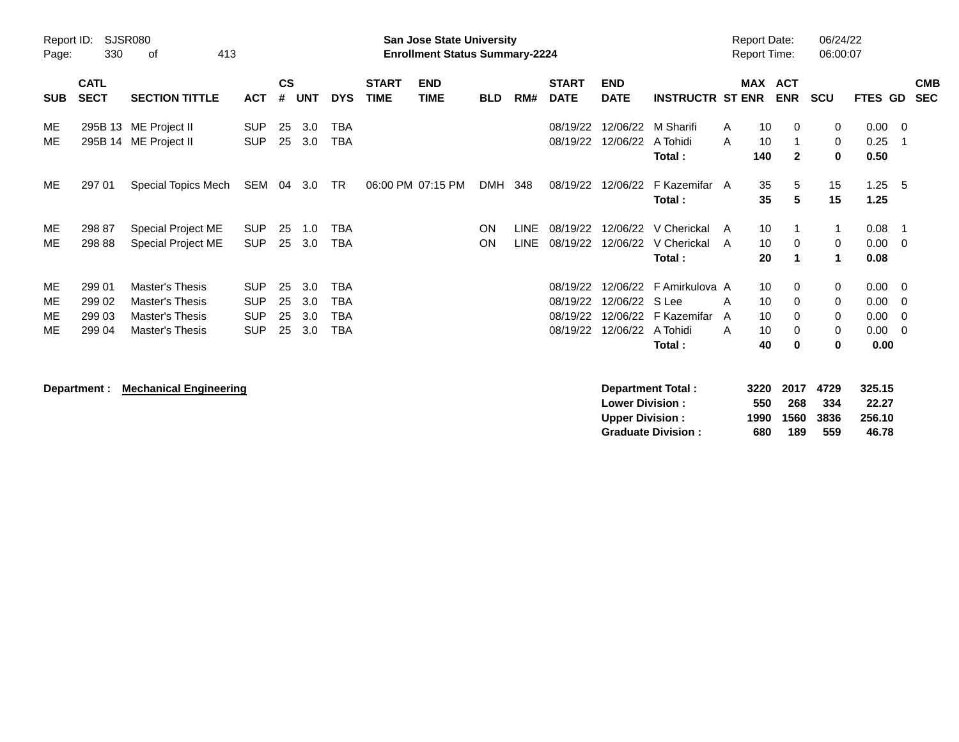| Report ID:<br>Page: | 330                        | SJSR080<br>413<br>of                           |                          |                |            |                          |                             | <b>San Jose State University</b><br><b>Enrollment Status Summary-2224</b> |            |             |                             |                           |                                 | <b>Report Date:</b><br><b>Report Time:</b> |                 |                              | 06/24/22<br>06:00:07 |                             |                          |
|---------------------|----------------------------|------------------------------------------------|--------------------------|----------------|------------|--------------------------|-----------------------------|---------------------------------------------------------------------------|------------|-------------|-----------------------------|---------------------------|---------------------------------|--------------------------------------------|-----------------|------------------------------|----------------------|-----------------------------|--------------------------|
| <b>SUB</b>          | <b>CATL</b><br><b>SECT</b> | <b>SECTION TITTLE</b>                          | <b>ACT</b>               | <b>CS</b><br># | <b>UNT</b> | <b>DYS</b>               | <b>START</b><br><b>TIME</b> | <b>END</b><br><b>TIME</b>                                                 | <b>BLD</b> | RM#         | <b>START</b><br><b>DATE</b> | <b>END</b><br><b>DATE</b> | <b>INSTRUCTR ST ENR</b>         |                                            |                 | MAX ACT<br><b>ENR</b>        | <b>SCU</b>           | FTES GD                     | <b>CMB</b><br><b>SEC</b> |
| ME<br>ME            |                            | 295B 13 ME Project II<br>295B 14 ME Project II | <b>SUP</b><br><b>SUP</b> | 25<br>25       | 3.0<br>3.0 | <b>TBA</b><br><b>TBA</b> |                             |                                                                           |            |             | 08/19/22<br>08/19/22        | 12/06/22<br>12/06/22      | M Sharifi<br>A Tohidi<br>Total: | A<br>A                                     | 10<br>10<br>140 | $\mathbf{0}$<br>$\mathbf{2}$ | 0<br>0<br>$\bf{0}$   | $0.00 \t 0$<br>0.25<br>0.50 | $\overline{\phantom{1}}$ |
| ME                  | 297 01                     | Special Topics Mech                            | SEM 04                   |                | 3.0        | TR                       |                             | 06:00 PM 07:15 PM                                                         | DMH 348    |             | 08/19/22                    | 12/06/22                  | F Kazemifar A<br>Total:         |                                            | 35<br>35        | 5<br>5                       | 15<br>15             | 1.25<br>1.25                | - 5                      |
| ME                  | 298 87                     | Special Project ME                             | <b>SUP</b>               | 25             | 1.0        | <b>TBA</b>               |                             |                                                                           | <b>ON</b>  | <b>LINE</b> | 08/19/22                    | 12/06/22                  | V Cherickal                     | A                                          | 10              |                              | $\mathbf{1}$         | 0.08                        | $\overline{\phantom{1}}$ |
| ME                  | 298 88                     | Special Project ME                             | <b>SUP</b>               | 25             | 3.0        | <b>TBA</b>               |                             |                                                                           | <b>ON</b>  | <b>LINE</b> | 08/19/22                    | 12/06/22                  | V Cherickal                     | A                                          | 10              | $\Omega$                     | 0                    | $0.00 \t 0$                 |                          |
|                     |                            |                                                |                          |                |            |                          |                             |                                                                           |            |             |                             |                           | Total:                          |                                            | 20              | -1                           | 1                    | 0.08                        |                          |
| ME                  | 299 01                     | Master's Thesis                                | <b>SUP</b>               | 25             | 3.0        | <b>TBA</b>               |                             |                                                                           |            |             | 08/19/22                    |                           | 12/06/22 F Amirkulova A         |                                            | 10              | $\mathbf 0$                  | 0                    | $0.00 \t 0$                 |                          |
| ME                  | 299 02                     | Master's Thesis                                | <b>SUP</b>               | 25             | 3.0        | <b>TBA</b>               |                             |                                                                           |            |             | 08/19/22                    | 12/06/22                  | S Lee                           | A                                          | 10              | 0                            | 0                    | 0.00                        | - 0                      |
| МE                  | 299 03                     | Master's Thesis                                | <b>SUP</b>               | 25             | 3.0        | <b>TBA</b>               |                             |                                                                           |            |             | 08/19/22                    | 12/06/22                  | F Kazemifar                     | A                                          | 10              | 0                            | 0                    | 0.00                        | - 0                      |
| ME                  | 299 04                     | Master's Thesis                                | <b>SUP</b>               | 25             | 3.0        | <b>TBA</b>               |                             |                                                                           |            |             | 08/19/22                    | 12/06/22                  | A Tohidi                        | A                                          | 10              | 0                            | 0                    | $0.00 \t 0$                 |                          |
|                     |                            |                                                |                          |                |            |                          |                             |                                                                           |            |             |                             |                           | Total:                          |                                            | 40              | $\bf{0}$                     | 0                    | 0.00                        |                          |
|                     |                            |                                                |                          |                |            |                          |                             |                                                                           |            |             |                             |                           |                                 |                                            |                 |                              |                      |                             |                          |

**Department : Mechanical Engineering Department Total : 3220 2017 4729 325.15 Lower Division : 550 268 334 22.27 Upper Division : 1990 1560 3836 256.10 Graduate Division : 680 189 559 46.78**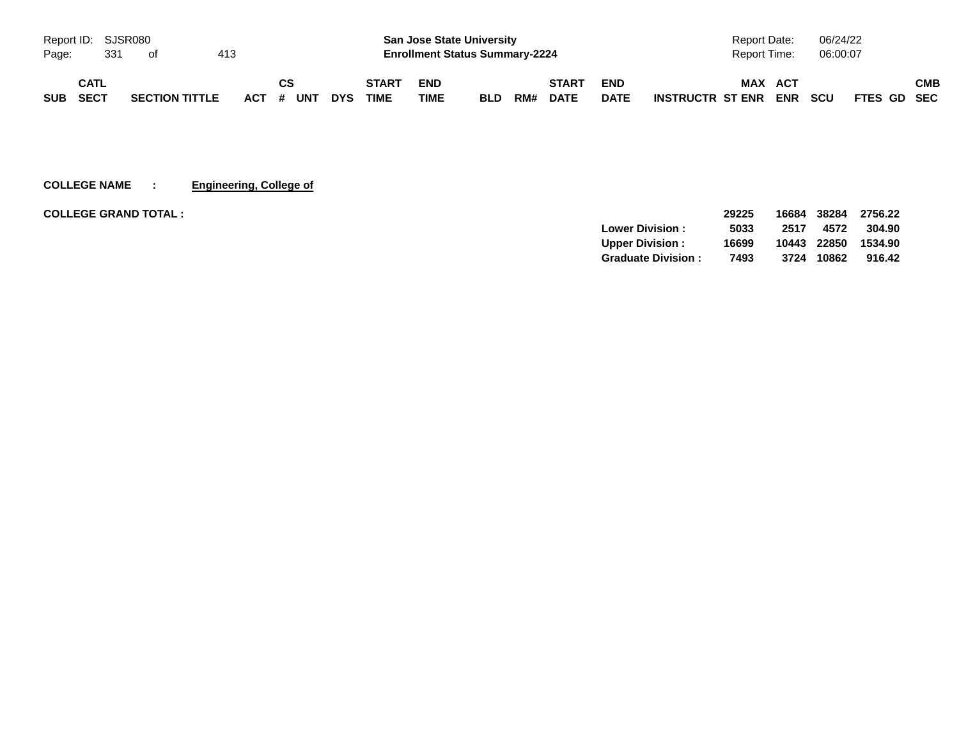| Report ID: SJSR080 |      |     |                       |     |           |            |              |            | <b>San Jose State University</b>      |     |              |             | <b>Report Date:</b>                   | 06/24/22                  |     |
|--------------------|------|-----|-----------------------|-----|-----------|------------|--------------|------------|---------------------------------------|-----|--------------|-------------|---------------------------------------|---------------------------|-----|
| Page:              |      | 331 | ot.                   | 413 |           |            |              |            | <b>Enrollment Status Summary-2224</b> |     |              |             | Report Time:                          | 06:00:07                  |     |
|                    | CATL |     |                       |     | СS        |            | <b>START</b> | <b>END</b> |                                       |     | <b>START</b> | <b>END</b>  | <b>MAX</b><br><b>ACT</b>              |                           | СМВ |
| <b>SUB</b>         | SECT |     | <b>SECTION TITTLE</b> |     | ACT # UNT | <b>DYS</b> | <b>TIME</b>  | TIME       | <b>BLD</b>                            | RM# | <b>DATE</b>  | <b>DATE</b> | <b>ENR</b><br><b>INSTRUCTR ST ENR</b> | <b>SCU</b><br>FTES GD SEC |     |

**COLLEGE NAME : Engineering, College of**

| <b>COLLEGE GRAND TOTAL :</b> |                           | 29225 | 16684 | 38284 | 2756.22 |
|------------------------------|---------------------------|-------|-------|-------|---------|
|                              | <b>Lower Division:</b>    | 5033  | 2517  | 4572  | 304.90  |
|                              | <b>Upper Division:</b>    | 16699 | 10443 | 22850 | 1534.90 |
|                              | <b>Graduate Division:</b> | 7493  | 3724  | 10862 | 916.42  |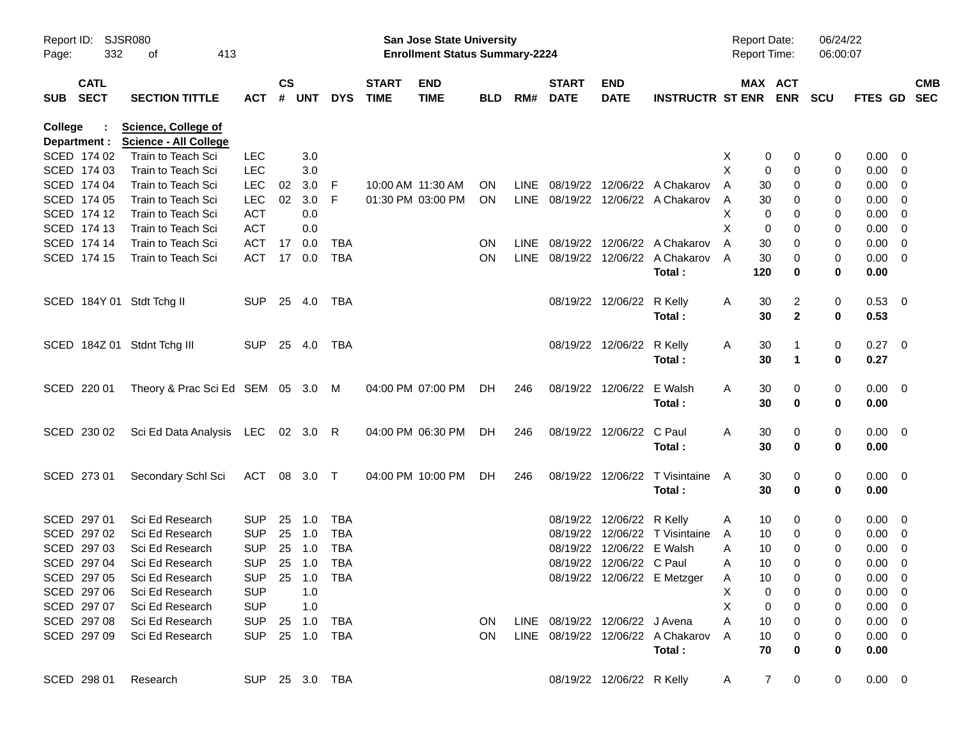| Page:      | Report ID: SJSR080<br>332  | 413<br>0f                                                  |                |                    |            |            |                             | San Jose State University<br><b>Enrollment Status Summary-2224</b> |            |             |                             |                                |                                             | <b>Report Date:</b><br><b>Report Time:</b> |                     | 06/24/22<br>06:00:07 |                     |            |
|------------|----------------------------|------------------------------------------------------------|----------------|--------------------|------------|------------|-----------------------------|--------------------------------------------------------------------|------------|-------------|-----------------------------|--------------------------------|---------------------------------------------|--------------------------------------------|---------------------|----------------------|---------------------|------------|
| <b>SUB</b> | <b>CATL</b><br><b>SECT</b> | <b>SECTION TITTLE</b>                                      | <b>ACT</b>     | $\mathsf{cs}$<br># | <b>UNT</b> | <b>DYS</b> | <b>START</b><br><b>TIME</b> | <b>END</b><br><b>TIME</b>                                          | <b>BLD</b> | RM#         | <b>START</b><br><b>DATE</b> | <b>END</b><br><b>DATE</b>      | <b>INSTRUCTR ST ENR ENR</b>                 |                                            | MAX ACT             | <b>SCU</b>           | FTES GD SEC         | <b>CMB</b> |
| College    | Department :               | <b>Science, College of</b><br><b>Science - All College</b> |                |                    |            |            |                             |                                                                    |            |             |                             |                                |                                             |                                            |                     |                      |                     |            |
|            | SCED 174 02                | Train to Teach Sci                                         | <b>LEC</b>     |                    | 3.0        |            |                             |                                                                    |            |             |                             |                                |                                             | X                                          | 0<br>0              | 0                    | $0.00 \quad 0$      |            |
|            | SCED 174 03                | Train to Teach Sci                                         | <b>LEC</b>     |                    | 3.0        |            |                             |                                                                    |            |             |                             |                                |                                             | X                                          | 0<br>0              | 0                    | $0.00 \t 0$         |            |
|            | SCED 174 04                | Train to Teach Sci                                         | <b>LEC</b>     | 02                 | 3.0        | -F         | 10:00 AM 11:30 AM           |                                                                    | <b>ON</b>  | <b>LINE</b> |                             |                                | 08/19/22 12/06/22 A Chakarov                | 30<br>A                                    | 0                   | 0                    | $0.00 \t 0$         |            |
|            | SCED 174 05                | Train to Teach Sci                                         | <b>LEC</b>     | 02                 | 3.0        | F          |                             | 01:30 PM 03:00 PM                                                  | <b>ON</b>  |             |                             |                                | LINE 08/19/22 12/06/22 A Chakarov           | 30<br>A                                    | 0                   | 0                    | $0.00 \t 0$         |            |
|            | SCED 174 12                | Train to Teach Sci                                         | <b>ACT</b>     |                    | 0.0        |            |                             |                                                                    |            |             |                             |                                |                                             | х                                          | 0<br>0              | 0                    | $0.00 \t 0$         |            |
|            | SCED 174 13                | Train to Teach Sci                                         | <b>ACT</b>     |                    | 0.0        |            |                             |                                                                    |            |             |                             |                                |                                             | X                                          | 0<br>0              | 0                    | $0.00 \t 0$         |            |
|            | SCED 174 14                | Train to Teach Sci                                         | <b>ACT</b>     | 17                 | 0.0        | TBA        |                             |                                                                    | <b>ON</b>  | <b>LINE</b> |                             |                                | 08/19/22 12/06/22 A Chakarov                | 30<br>A                                    | 0                   | 0                    | $0.00 \t 0$         |            |
|            | SCED 174 15                | Train to Teach Sci                                         | ACT            | 17                 | 0.0        | <b>TBA</b> |                             |                                                                    | ON         |             |                             |                                | LINE 08/19/22 12/06/22 A Chakarov<br>Total: | 30<br>A<br>120                             | 0<br>0              | 0<br>0               | $0.00 \t 0$<br>0.00 |            |
|            |                            | SCED 184Y 01 Stdt Tchg II                                  | <b>SUP</b>     | 25 4.0             |            | TBA        |                             |                                                                    |            |             |                             | 08/19/22 12/06/22 R Kelly      | Total:                                      | 30<br>A<br>30                              | 2<br>$\mathbf{2}$   | 0<br>0               | 0.53 0<br>0.53      |            |
|            |                            | SCED 184Z 01 Stdnt Tchg III                                | <b>SUP</b>     | 25 4.0             |            | TBA        |                             |                                                                    |            |             |                             | 08/19/22 12/06/22 R Kelly      | Total:                                      | 30<br>A<br>30                              | $\mathbf 1$         | 0<br>0               | $0.27 \ 0$<br>0.27  |            |
|            | SCED 220 01                | Theory & Prac Sci Ed SEM 05 3.0 M                          |                |                    |            |            |                             | 04:00 PM 07:00 PM                                                  | DH.        | 246         |                             | 08/19/22 12/06/22 E Walsh      | Total:                                      | 30<br>A<br>30                              | 0<br>0              | 0<br>0               | $0.00 \t 0$<br>0.00 |            |
|            | SCED 230 02                | Sci Ed Data Analysis LEC 02 3.0 R                          |                |                    |            |            |                             | 04:00 PM 06:30 PM                                                  | DH.        | 246         |                             | 08/19/22 12/06/22 C Paul       | Total:                                      | 30<br>A<br>30                              | 0<br>0              | 0<br>0               | $0.00 \t 0$<br>0.00 |            |
|            | SCED 273 01                | Secondary Schl Sci                                         | ACT 08 3.0 T   |                    |            |            |                             | 04:00 PM 10:00 PM                                                  | DH.        | 246         |                             |                                | 08/19/22 12/06/22 T Visintaine<br>Total:    | 30<br>A<br>30                              | 0<br>0              | 0<br>0               | $0.00 \t 0$<br>0.00 |            |
|            | SCED 297 01                | Sci Ed Research                                            | <b>SUP</b>     | 25                 | 1.0        | TBA        |                             |                                                                    |            |             |                             | 08/19/22 12/06/22 R Kelly      |                                             | 10<br>A                                    | 0                   | 0                    | $0.00 \quad 0$      |            |
|            | SCED 297 02                | Sci Ed Research                                            | <b>SUP</b>     | 25                 | 1.0        | <b>TBA</b> |                             |                                                                    |            |             |                             |                                | 08/19/22 12/06/22 T Visintaine              | 10<br>A                                    | 0                   | 0                    | $0.00 \t 0$         |            |
|            | SCED 297 03                | Sci Ed Research                                            | <b>SUP</b>     | 25                 | 1.0        | <b>TBA</b> |                             |                                                                    |            |             |                             | 08/19/22 12/06/22 E Walsh      |                                             | 10<br>Α                                    | 0                   | 0                    | $0.00 \t 0$         |            |
|            | SCED 297 04                | Sci Ed Research                                            | <b>SUP</b>     |                    | 25 1.0     | <b>TBA</b> |                             |                                                                    |            |             |                             | 08/19/22 12/06/22 C Paul       |                                             | 10<br>Α                                    | 0                   | 0                    | $0.00 \t 0$         |            |
|            | SCED 297 05                | Sci Ed Research                                            | SUP 25 1.0 TBA |                    |            |            |                             |                                                                    |            |             |                             |                                | 08/19/22 12/06/22 E Metzger                 | 10<br>A                                    |                     | 0                    | $0.00 \t 0$         |            |
|            | SCED 297 06                | Sci Ed Research                                            | <b>SUP</b>     |                    | 1.0        |            |                             |                                                                    |            |             |                             |                                |                                             | X                                          | 0<br>0              | 0                    | $0.00 \t 0$         |            |
|            | SCED 297 07                | Sci Ed Research                                            | <b>SUP</b>     |                    | 1.0        |            |                             |                                                                    |            |             |                             |                                |                                             | X                                          | 0<br>0              | 0                    | $0.00 \t 0$         |            |
|            | SCED 297 08                | Sci Ed Research                                            | SUP 25 1.0     |                    |            | TBA        |                             |                                                                    | ON.        |             |                             | LINE 08/19/22 12/06/22 J Avena |                                             | 10<br>A                                    | 0                   | 0                    | $0.00 \t 0$         |            |
|            | SCED 297 09                | Sci Ed Research                                            | SUP 25 1.0 TBA |                    |            |            |                             |                                                                    | <b>ON</b>  |             |                             |                                | LINE 08/19/22 12/06/22 A Chakarov           | 10<br>A                                    | 0                   | 0                    | $0.00 \t 0$         |            |
|            |                            |                                                            |                |                    |            |            |                             |                                                                    |            |             |                             |                                | Total:                                      | 70                                         | 0                   | 0                    | 0.00                |            |
|            | SCED 298 01                | Research                                                   | SUP 25 3.0 TBA |                    |            |            |                             |                                                                    |            |             |                             | 08/19/22 12/06/22 R Kelly      |                                             | A                                          | $\overline{7}$<br>0 | $\overline{0}$       | $0.00 \t 0$         |            |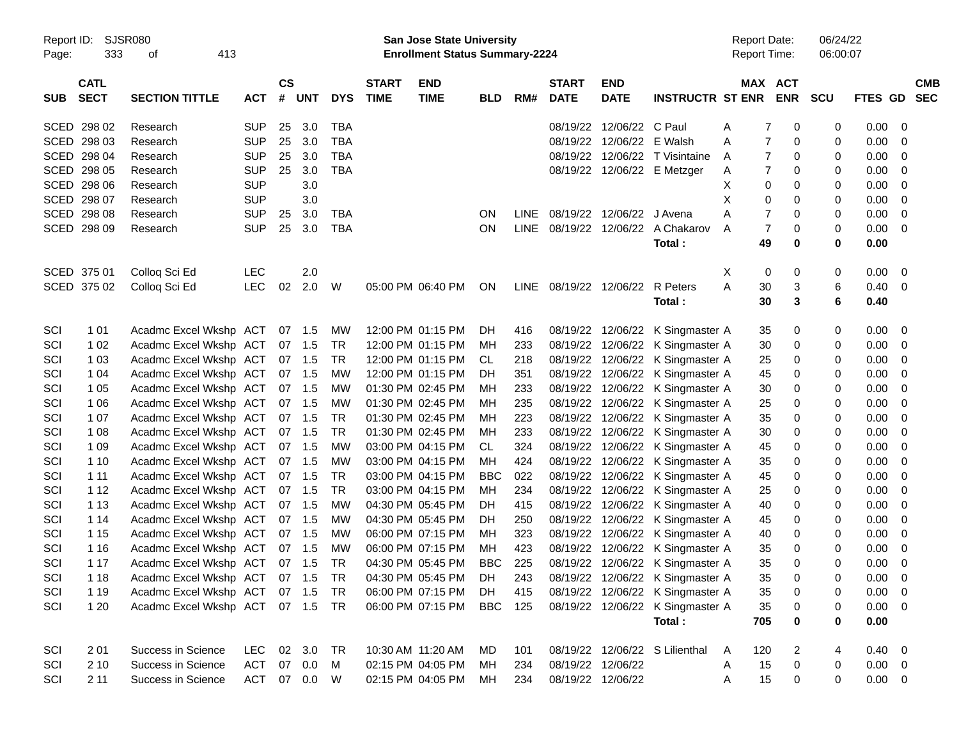| Report ID:<br>Page: | SJSR080<br>333 | 413                           |              |           |            |            | San Jose State University<br><b>Enrollment Status Summary-2224</b> |                   |            |             |                        |                   | <b>Report Date:</b><br>Report Time: |          | 06/24/22<br>06:00:07 |            |                |                |
|---------------------|----------------|-------------------------------|--------------|-----------|------------|------------|--------------------------------------------------------------------|-------------------|------------|-------------|------------------------|-------------------|-------------------------------------|----------|----------------------|------------|----------------|----------------|
|                     | <b>CATL</b>    |                               |              | <b>CS</b> |            |            | <b>START</b>                                                       | <b>END</b>        |            |             | <b>START</b>           | <b>END</b>        |                                     |          | MAX ACT              |            |                | <b>CMB</b>     |
| <b>SUB</b>          | <b>SECT</b>    | <b>SECTION TITTLE</b>         | <b>ACT</b>   | #         | <b>UNT</b> | <b>DYS</b> | <b>TIME</b>                                                        | <b>TIME</b>       | <b>BLD</b> | RM#         | <b>DATE</b>            | <b>DATE</b>       | <b>INSTRUCTR ST ENR</b>             |          | <b>ENR</b>           | <b>SCU</b> | <b>FTES GD</b> | <b>SEC</b>     |
|                     | SCED 298 02    | Research                      | <b>SUP</b>   | 25        | 3.0        | TBA        |                                                                    |                   |            |             | 08/19/22               | 12/06/22 C Paul   |                                     | A        | 0<br>7               | 0          | 0.00           | $\mathbf 0$    |
|                     | SCED 298 03    | Research                      | <b>SUP</b>   | 25        | 3.0        | <b>TBA</b> |                                                                    |                   |            |             | 08/19/22               | 12/06/22          | E Walsh                             | A        | $\overline{7}$<br>0  | 0          | 0.00           | 0              |
|                     | SCED 298 04    | Research                      | <b>SUP</b>   | 25        | 3.0        | <b>TBA</b> |                                                                    |                   |            |             | 08/19/22               | 12/06/22          | T Visintaine                        | A        | $\overline{7}$<br>0  | 0          | 0.00           | 0              |
|                     | SCED 298 05    | Research                      | <b>SUP</b>   | 25        | 3.0        | <b>TBA</b> |                                                                    |                   |            |             |                        |                   | 08/19/22 12/06/22 E Metzger         | A        | $\overline{7}$<br>0  | 0          | 0.00           | 0              |
|                     | SCED 298 06    | Research                      | <b>SUP</b>   |           | 3.0        |            |                                                                    |                   |            |             |                        |                   |                                     | X        | 0<br>0               | 0          | 0.00           | 0              |
|                     | SCED 298 07    | Research                      | <b>SUP</b>   |           | 3.0        |            |                                                                    |                   |            |             |                        |                   |                                     | Х        | 0<br>0               | 0          | 0.00           | 0              |
|                     | SCED 298 08    | Research                      | <b>SUP</b>   | 25        | 3.0        | TBA        |                                                                    |                   | ON         | LINE        |                        | 08/19/22 12/06/22 | J Avena                             | A        | $\overline{7}$<br>0  | 0          | 0.00           | 0              |
|                     | SCED 298 09    | Research                      | <b>SUP</b>   | 25        | 3.0        | <b>TBA</b> |                                                                    |                   | ON         | <b>LINE</b> |                        | 08/19/22 12/06/22 | A Chakarov                          | A        | $\overline{7}$<br>0  | 0          | 0.00           | 0              |
|                     |                |                               |              |           |            |            |                                                                    |                   |            |             |                        |                   | Total:                              | 49       | 0                    | 0          | 0.00           |                |
|                     | SCED 375 01    | Colloq Sci Ed                 | <b>LEC</b>   |           | 2.0        |            |                                                                    |                   |            |             |                        |                   |                                     | Χ        | 0<br>0               | 0          | 0.00           | 0              |
|                     | SCED 375 02    | Colloq Sci Ed                 | <b>LEC</b>   | 02        | 2.0        | W          |                                                                    | 05:00 PM 06:40 PM | ON         |             | LINE 08/19/22 12/06/22 |                   | R Peters                            | A<br>30  | 3                    | 6          | 0.40           | 0              |
|                     |                |                               |              |           |            |            |                                                                    |                   |            |             |                        |                   | Total:                              | 30       | 3                    | 6          | 0.40           |                |
| SCI                 | 1 0 1          | Acadmc Excel Wkshp ACT        |              |           | 07 1.5     | MW         |                                                                    | 12:00 PM 01:15 PM | DH         | 416         |                        | 08/19/22 12/06/22 | K Singmaster A                      | 35       | 0                    | 0          | 0.00           | 0              |
| SCI                 | 1 0 2          | Acadmc Excel Wkshp ACT        |              |           | 07 1.5     | <b>TR</b>  |                                                                    | 12:00 PM 01:15 PM | МH         | 233         | 08/19/22               | 12/06/22          | K Singmaster A                      | 30       | 0                    | 0          | 0.00           | 0              |
| SCI                 | 1 0 3          | Acadmc Excel Wkshp ACT        |              |           | 07 1.5     | TR         |                                                                    | 12:00 PM 01:15 PM | CL         | 218         | 08/19/22               | 12/06/22          | K Singmaster A                      | 25       | 0                    | 0          | 0.00           | 0              |
| SCI                 | 1 0 4          | Acadmc Excel Wkshp ACT        |              |           | 07 1.5     | <b>MW</b>  |                                                                    | 12:00 PM 01:15 PM | DH         | 351         | 08/19/22               | 12/06/22          | K Singmaster A                      | 45       | 0                    | 0          | 0.00           | 0              |
| SCI                 | 1 0 5          | Acadmc Excel Wkshp ACT        |              |           | 07 1.5     | <b>MW</b>  |                                                                    | 01:30 PM 02:45 PM | МH         | 233         | 08/19/22               | 12/06/22          | K Singmaster A                      | 30       | 0                    | 0          | 0.00           | 0              |
| SCI                 | 1 0 6          | Acadmc Excel Wkshp ACT        |              |           | 07 1.5     | <b>MW</b>  |                                                                    | 01:30 PM 02:45 PM | МH         | 235         | 08/19/22               | 12/06/22          | K Singmaster A                      | 25       | 0                    | 0          | 0.00           | 0              |
| SCI                 | 1 0 7          | Acadmc Excel Wkshp ACT        |              |           | 07 1.5     | <b>TR</b>  |                                                                    | 01:30 PM 02:45 PM | МH         | 223         | 08/19/22               | 12/06/22          | K Singmaster A                      | 35       | 0                    | 0          | 0.00           | 0              |
| SCI                 | 1 0 8          | Acadmc Excel Wkshp ACT        |              |           | 07 1.5     | <b>TR</b>  |                                                                    | 01:30 PM 02:45 PM | МH         | 233         | 08/19/22               | 12/06/22          | K Singmaster A                      | 30       | 0                    | 0          | 0.00           | 0              |
| SCI                 | 1 0 9          | Acadmc Excel Wkshp ACT        |              |           | 07 1.5     | <b>MW</b>  |                                                                    | 03:00 PM 04:15 PM | CL.        | 324         | 08/19/22               | 12/06/22          | K Singmaster A                      | 45       | 0                    | 0          | 0.00           | 0              |
| SCI                 | 1 10           | Acadmc Excel Wkshp ACT        |              |           | 07 1.5     | <b>MW</b>  |                                                                    | 03:00 PM 04:15 PM | МH         | 424         | 08/19/22               | 12/06/22          | K Singmaster A                      | 35       | 0                    | 0          | 0.00           | 0              |
| SCI                 | 1 1 1          | Acadmc Excel Wkshp ACT        |              |           | 07 1.5     | <b>TR</b>  |                                                                    | 03:00 PM 04:15 PM | <b>BBC</b> | 022         | 08/19/22               | 12/06/22          | K Singmaster A                      | 45       | 0                    | 0          | 0.00           | 0              |
| SCI                 | 1 1 2          | Acadmc Excel Wkshp ACT        |              |           | 07 1.5     | <b>TR</b>  |                                                                    | 03:00 PM 04:15 PM | МH         | 234         | 08/19/22               | 12/06/22          | K Singmaster A                      | 25       | 0                    | 0          | 0.00           | 0              |
| SCI                 | 1 1 3          | Acadmc Excel Wkshp ACT        |              |           | 07 1.5     | <b>MW</b>  |                                                                    | 04:30 PM 05:45 PM | DH         | 415         | 08/19/22               | 12/06/22          | K Singmaster A                      | 40       | 0                    | 0          | 0.00           | 0              |
| SCI                 | 1 14           | Acadmc Excel Wkshp ACT        |              |           | 07 1.5     | <b>MW</b>  |                                                                    | 04:30 PM 05:45 PM | DH         | 250         | 08/19/22               | 12/06/22          | K Singmaster A                      | 45       | 0                    | 0          | 0.00           | 0              |
| SCI                 | 1 1 5          | Acadmc Excel Wkshp ACT        |              |           | 07 1.5     | <b>MW</b>  |                                                                    | 06:00 PM 07:15 PM | МH         | 323         | 08/19/22               | 12/06/22          | K Singmaster A                      | 40       | 0                    | 0          | 0.00           | 0              |
| SCI                 | 1 1 6          | Acadmc Excel Wkshp ACT        |              |           | 07 1.5     | <b>MW</b>  |                                                                    | 06:00 PM 07:15 PM | МH         | 423         | 08/19/22               | 12/06/22          | K Singmaster A                      | 35       | 0                    | 0          | 0.00           | 0              |
| SCI                 | 1 1 7          | Acadmc Excel Wkshp ACT 07 1.5 |              |           |            | TR         |                                                                    | 04:30 PM 05:45 PM | <b>BBC</b> | 225         |                        |                   | 08/19/22 12/06/22 K Singmaster A    | 35       | 0                    | $\Omega$   | 0.00           | 0              |
| SCI                 | 1 1 8          | Acadmc Excel Wkshp ACT 07 1.5 |              |           |            | <b>TR</b>  |                                                                    | 04:30 PM 05:45 PM | DH         | 243         |                        |                   | 08/19/22 12/06/22 K Singmaster A    | 35       | 0                    | 0          | 0.00           | - 0            |
| SCI                 | 1 1 9          | Acadmc Excel Wkshp ACT 07 1.5 |              |           |            | TR         |                                                                    | 06:00 PM 07:15 PM | DH         | 415         |                        |                   | 08/19/22 12/06/22 K Singmaster A    | 35       | 0                    | 0          | 0.00           | $\Omega$       |
| SCI                 | 1 2 0          | Acadmc Excel Wkshp ACT 07 1.5 |              |           |            | <b>TR</b>  |                                                                    | 06:00 PM 07:15 PM | <b>BBC</b> | 125         |                        |                   | 08/19/22 12/06/22 K Singmaster A    | 35       | 0                    | 0          | 0.00           | $\mathbf 0$    |
|                     |                |                               |              |           |            |            |                                                                    |                   |            |             |                        |                   | Total:                              | 705      | 0                    | 0          | 0.00           |                |
| SCI                 | 2 0 1          | Success in Science            | LEC.         |           | 02 3.0     | TR         |                                                                    | 10:30 AM 11:20 AM | MD         | 101         |                        |                   | 08/19/22 12/06/22 S Lilienthal      | 120<br>A | 2                    | 4          | 0.40           | $\overline{0}$ |
| SCI                 | 2 10           | Success in Science            | ACT          |           | 07 0.0     | M          |                                                                    | 02:15 PM 04:05 PM | MH         | 234         |                        | 08/19/22 12/06/22 |                                     | 15<br>A  | 0                    | 0          | 0.00           | $\overline{0}$ |
| SCI                 | 211            | Success in Science            | ACT 07 0.0 W |           |            |            |                                                                    | 02:15 PM 04:05 PM | МH         | 234         |                        | 08/19/22 12/06/22 |                                     | 15<br>A  | 0                    | 0          | $0.00 \t 0$    |                |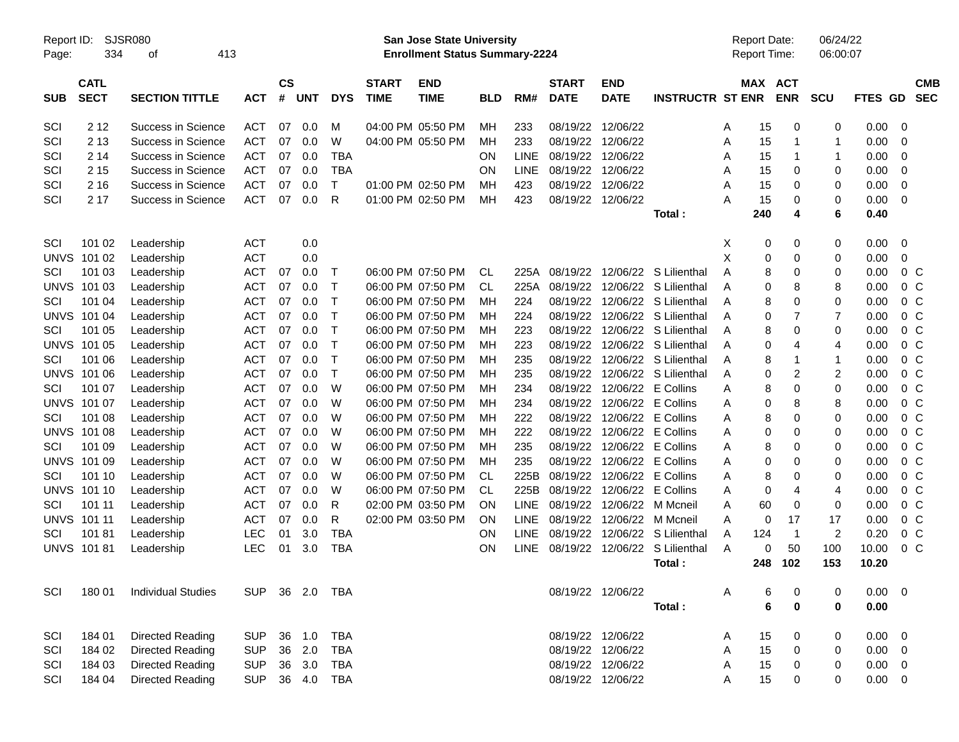| Report ID:<br>Page: | <b>SJSR080</b><br>334      | 413                       |                          |                    |            |              | <b>San Jose State University</b><br><b>Enrollment Status Summary-2224</b> |                                        |                        |              |                             |                                          |                         | <b>Report Date:</b><br><b>Report Time:</b> |         | 06/24/22<br>06:00:07 |                |              |                                  |
|---------------------|----------------------------|---------------------------|--------------------------|--------------------|------------|--------------|---------------------------------------------------------------------------|----------------------------------------|------------------------|--------------|-----------------------------|------------------------------------------|-------------------------|--------------------------------------------|---------|----------------------|----------------|--------------|----------------------------------|
| <b>SUB</b>          | <b>CATL</b><br><b>SECT</b> | <b>SECTION TITTLE</b>     | <b>ACT</b>               | $\mathsf{cs}$<br># | <b>UNT</b> | <b>DYS</b>   | <b>START</b><br><b>TIME</b>                                               | <b>END</b><br><b>TIME</b>              | <b>BLD</b>             | RM#          | <b>START</b><br><b>DATE</b> | <b>END</b><br><b>DATE</b>                | <b>INSTRUCTR ST ENR</b> |                                            | MAX ACT | <b>ENR</b>           | SCU            | FTES GD      | <b>CMB</b><br><b>SEC</b>         |
| SCI                 | 2 1 2                      | Success in Science        | <b>ACT</b>               | 07                 | 0.0        | м            |                                                                           | 04:00 PM 05:50 PM                      | MН                     | 233          | 08/19/22                    | 12/06/22                                 |                         | A                                          | 15      | 0                    | 0              | 0.00         | 0                                |
| SCI                 | 2 1 3                      | Success in Science        | <b>ACT</b>               | 07                 | 0.0        | W            |                                                                           | 04:00 PM 05:50 PM                      | MH                     | 233          | 08/19/22                    | 12/06/22                                 |                         | Α                                          | 15      | 1                    |                | 0.00         | 0                                |
| SCI                 | 2 14                       | Success in Science        | <b>ACT</b>               | 07                 | 0.0        | <b>TBA</b>   |                                                                           |                                        | ON                     | LINE         | 08/19/22                    | 12/06/22                                 |                         | A                                          | 15      | 1                    |                | 0.00         | 0                                |
| SCI                 | 2 1 5                      | Success in Science        | <b>ACT</b>               | 07                 | 0.0        | <b>TBA</b>   |                                                                           |                                        | ON                     | LINE         | 08/19/22                    | 12/06/22                                 |                         | A                                          | 15      | 0                    | 0              | 0.00         | 0                                |
| SCI                 | 2 1 6                      | Success in Science        | <b>ACT</b>               | 07                 | 0.0        | T            |                                                                           | 01:00 PM 02:50 PM                      | мн                     | 423          | 08/19/22                    | 12/06/22                                 |                         | Α                                          | 15      | 0                    | 0              | 0.00         | 0                                |
| SCI                 | 2 17                       | Success in Science        | <b>ACT</b>               | 07                 | 0.0        | R            |                                                                           | 01:00 PM 02:50 PM                      | MH                     | 423          | 08/19/22                    | 12/06/22                                 |                         | A                                          | 15      | 0                    | 0              | 0.00         | 0                                |
|                     |                            |                           |                          |                    |            |              |                                                                           |                                        |                        |              |                             |                                          | Total:                  |                                            | 240     | 4                    | 6              | 0.40         |                                  |
| SCI                 | 101 02                     | Leadership                | <b>ACT</b>               |                    | 0.0        |              |                                                                           |                                        |                        |              |                             |                                          |                         | X                                          | 0       | 0                    | 0              | 0.00         | 0                                |
| <b>UNVS</b>         | 101 02                     | Leadership                | <b>ACT</b>               |                    | 0.0        |              |                                                                           |                                        |                        |              |                             |                                          |                         | X                                          | 0       | 0                    | 0              | 0.00         | 0                                |
| SCI                 | 101 03                     | Leadership                | <b>ACT</b>               | 07                 | 0.0        | Τ            |                                                                           | 06:00 PM 07:50 PM                      | <b>CL</b>              | 225A         | 08/19/22                    |                                          | 12/06/22 S Lilienthal   | A                                          | 8       | 0                    | 0              | 0.00         | 0 <sup>o</sup>                   |
| <b>UNVS</b>         | 101 03                     | Leadership                | <b>ACT</b>               | 07                 | 0.0        | T            |                                                                           | 06:00 PM 07:50 PM                      | <b>CL</b>              | 225A         | 08/19/22                    |                                          | 12/06/22 S Lilienthal   | A                                          | 0       | 8                    | 8              | 0.00         | $0\,C$                           |
| SCI                 | 101 04                     | Leadership                | <b>ACT</b>               | 07                 | 0.0        | $\mathsf{T}$ |                                                                           | 06:00 PM 07:50 PM                      | MH                     | 224          | 08/19/22                    |                                          | 12/06/22 S Lilienthal   | Α                                          | 8       | 0                    | 0              | 0.00         | 0 <sup>o</sup>                   |
| <b>UNVS</b>         | 101 04                     | Leadership                | <b>ACT</b>               | 07                 | 0.0        | Τ            |                                                                           | 06:00 PM 07:50 PM                      | мн                     | 224          | 08/19/22                    |                                          | 12/06/22 S Lilienthal   | A                                          | 0       | 7                    | 7              | 0.00         | 0 <sup>o</sup>                   |
| SCI                 | 101 05                     | Leadership                | <b>ACT</b>               | 07                 | 0.0        | Τ            |                                                                           | 06:00 PM 07:50 PM                      | мн                     | 223          | 08/19/22                    |                                          | 12/06/22 S Lilienthal   | A                                          | 8       | 0                    | 0              | 0.00         | 0 <sup>o</sup>                   |
| <b>UNVS</b>         | 101 05                     | Leadership                | <b>ACT</b>               | 07                 | 0.0        | Τ            |                                                                           | 06:00 PM 07:50 PM                      | мн                     | 223          | 08/19/22                    |                                          | 12/06/22 S Lilienthal   | A                                          | 0       | 4                    | 4              | 0.00         | 0 <sup>o</sup>                   |
| SCI                 | 101 06                     | Leadership                | <b>ACT</b>               | 07                 | 0.0        | Τ            |                                                                           | 06:00 PM 07:50 PM                      | мн                     | 235          | 08/19/22                    |                                          | 12/06/22 S Lilienthal   | Α                                          | 8       |                      | -1             | 0.00         | 0 <sup>o</sup>                   |
| <b>UNVS</b>         | 101 06                     | Leadership                | <b>ACT</b>               | 07                 | 0.0        | Τ            |                                                                           | 06:00 PM 07:50 PM                      | мн                     | 235          | 08/19/22                    |                                          | 12/06/22 S Lilienthal   | A                                          | 0       | $\overline{2}$       | 2              | 0.00         | 0 <sup>o</sup>                   |
| SCI                 | 101 07                     | Leadership                | <b>ACT</b>               | 07                 | 0.0        | W            |                                                                           | 06:00 PM 07:50 PM                      | мн                     | 234          | 08/19/22                    | 12/06/22 E Collins                       |                         | Α                                          | 8       | 0                    | 0              | 0.00         | 0 <sup>o</sup>                   |
| <b>UNVS</b>         | 101 07                     | Leadership                | <b>ACT</b>               | 07                 | 0.0        | W            |                                                                           | 06:00 PM 07:50 PM                      | мн                     | 234          | 08/19/22                    | 12/06/22 E Collins                       |                         | A                                          | 0       | 8                    | 8              | 0.00         | 0 <sup>o</sup>                   |
| SCI                 | 101 08                     | Leadership                | <b>ACT</b>               | 07                 | 0.0        | W            |                                                                           | 06:00 PM 07:50 PM                      | мн                     | 222          | 08/19/22                    | 12/06/22 E Collins                       |                         | Α                                          | 8       | 0                    | 0              | 0.00         | 0 <sup>o</sup>                   |
| <b>UNVS</b>         | 101 08                     | Leadership                | <b>ACT</b>               | 07                 | 0.0        | W            |                                                                           | 06:00 PM 07:50 PM                      | мн                     | 222          | 08/19/22<br>08/19/22        | 12/06/22 E Collins                       |                         | Α                                          | 0<br>8  | 0                    | 0              | 0.00         | 0 <sup>o</sup><br>0 <sup>o</sup> |
| SCI                 | 101 09                     | Leadership                | <b>ACT</b>               | 07                 | 0.0        | W<br>W       |                                                                           | 06:00 PM 07:50 PM                      | мн                     | 235          | 08/19/22                    | 12/06/22 E Collins                       |                         | Α                                          | 0       | 0                    | 0              | 0.00         | 0 <sup>o</sup>                   |
| <b>UNVS</b>         | 101 09                     | Leadership                | <b>ACT</b>               | 07                 | 0.0        | W            |                                                                           | 06:00 PM 07:50 PM                      | мн                     | 235          | 08/19/22                    | 12/06/22 E Collins                       |                         | Α                                          |         | 0                    | 0              | 0.00         | 0 <sup>o</sup>                   |
| SCI<br><b>UNVS</b>  | 101 10<br>101 10           | Leadership                | <b>ACT</b><br><b>ACT</b> | 07<br>07           | 0.0<br>0.0 | W            |                                                                           | 06:00 PM 07:50 PM<br>06:00 PM 07:50 PM | <b>CL</b><br><b>CL</b> | 225B<br>225B | 08/19/22                    | 12/06/22 E Collins<br>12/06/22 E Collins |                         | Α                                          | 8<br>0  | 0                    | 0              | 0.00<br>0.00 | 0 <sup>o</sup>                   |
| SCI                 | 101 11                     | Leadership                | <b>ACT</b>               | 07                 | 0.0        | R            |                                                                           | 02:00 PM 03:50 PM                      | ON                     | LINE         | 08/19/22                    | 12/06/22 M Mcneil                        |                         | Α<br>Α                                     | 60      | 4<br>0               | 4<br>0         | 0.00         | 0 <sup>o</sup>                   |
| <b>UNVS</b>         | 101 11                     | Leadership<br>Leadership  | ACT                      | 07                 | 0.0        | R            |                                                                           | 02:00 PM 03:50 PM                      | ON                     | LINE         | 08/19/22                    | 12/06/22 M Mcneil                        |                         | Α                                          | 0       | 17                   | 17             | 0.00         | 0 <sup>o</sup>                   |
| SCI                 | 10181                      | Leadership                | <b>LEC</b>               | 01                 | 3.0        | <b>TBA</b>   |                                                                           |                                        | ON                     | LINE         | 08/19/22                    |                                          | 12/06/22 S Lilienthal   | A                                          | 124     | $\mathbf{1}$         | $\overline{c}$ | 0.20         | 0 <sup>o</sup>                   |
|                     | <b>UNVS 101 81</b>         | Leadership                | LEC                      | 01                 | 3.0        | <b>TBA</b>   |                                                                           |                                        | ON                     | <b>LINE</b>  | 08/19/22                    |                                          | 12/06/22 S Lilienthal   | A                                          | 0       | 50                   | 100            | 10.00        | 0 <sup>o</sup>                   |
|                     |                            |                           |                          |                    |            |              |                                                                           |                                        |                        |              |                             |                                          | Total :                 |                                            | 248     | 102                  | 153            | 10.20        |                                  |
| SCI                 | 180 01                     | <b>Individual Studies</b> | <b>SUP</b>               |                    |            |              |                                                                           |                                        |                        |              | 08/19/22 12/06/22           |                                          |                         | Α                                          | 6       | 0                    | 0              | $0.00 \t 0$  |                                  |
|                     |                            |                           |                          |                    |            |              |                                                                           |                                        |                        |              |                             |                                          | Total:                  |                                            | 6       | $\bf{0}$             | 0              | 0.00         |                                  |
| SCI                 | 184 01                     | Directed Reading          | <b>SUP</b>               |                    | 36 1.0     | <b>TBA</b>   |                                                                           |                                        |                        |              | 08/19/22 12/06/22           |                                          |                         | A                                          | 15      | 0                    | 0              | $0.00 \t 0$  |                                  |
| SCI                 | 184 02                     | <b>Directed Reading</b>   | <b>SUP</b>               |                    | 36 2.0     | <b>TBA</b>   |                                                                           |                                        |                        |              | 08/19/22 12/06/22           |                                          |                         | Α                                          | 15      | 0                    | 0              | 0.00         | 0                                |
| SCI                 | 184 03                     | <b>Directed Reading</b>   | <b>SUP</b>               |                    | 36 3.0     | <b>TBA</b>   |                                                                           |                                        |                        |              | 08/19/22 12/06/22           |                                          |                         | Α                                          | 15      | 0                    | 0              | 0.00         | 0                                |
| SCI                 | 184 04                     | <b>Directed Reading</b>   | <b>SUP</b>               |                    | 36 4.0     | <b>TBA</b>   |                                                                           |                                        |                        |              | 08/19/22 12/06/22           |                                          |                         | Α                                          | 15      | 0                    | 0              | $0.00 \t 0$  |                                  |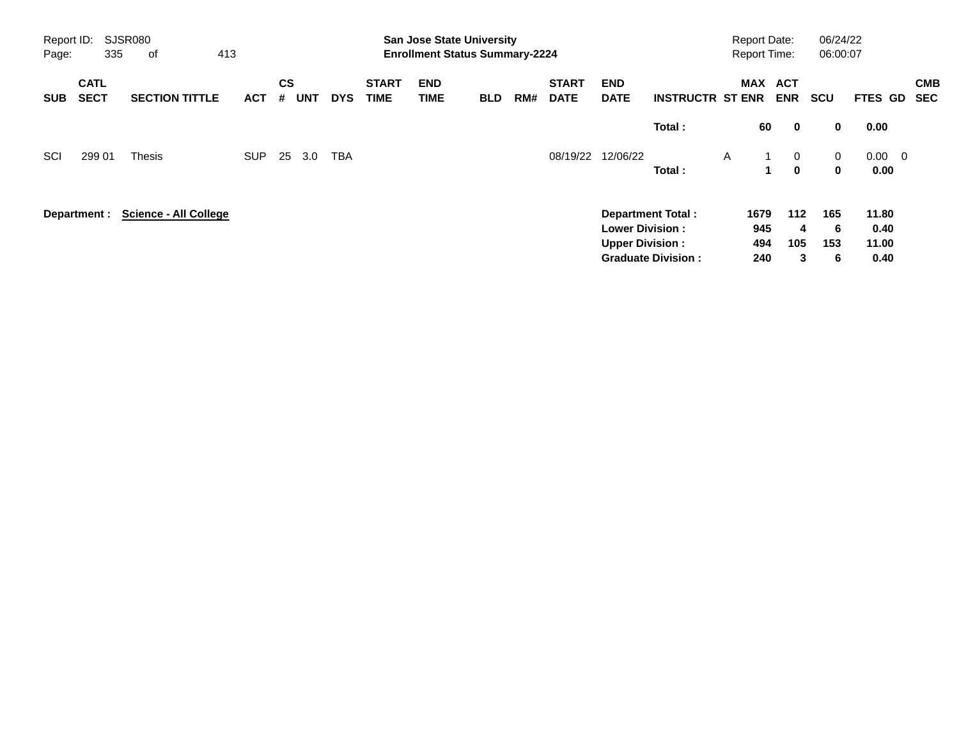| Report ID:<br>Page: | 335                        | <b>SJSR080</b><br>413<br>of  |            |                |            |            |                             |                           | <b>San Jose State University</b><br><b>Enrollment Status Summary-2224</b> |     |                             |                           |                           |   |             | <b>Report Date:</b><br><b>Report Time:</b> | 06/24/22<br>06:00:07 |                |                          |
|---------------------|----------------------------|------------------------------|------------|----------------|------------|------------|-----------------------------|---------------------------|---------------------------------------------------------------------------|-----|-----------------------------|---------------------------|---------------------------|---|-------------|--------------------------------------------|----------------------|----------------|--------------------------|
| <b>SUB</b>          | <b>CATL</b><br><b>SECT</b> | <b>SECTION TITTLE</b>        | <b>ACT</b> | <b>CS</b><br># | <b>UNT</b> | <b>DYS</b> | <b>START</b><br><b>TIME</b> | <b>END</b><br><b>TIME</b> | <b>BLD</b>                                                                | RM# | <b>START</b><br><b>DATE</b> | <b>END</b><br><b>DATE</b> | <b>INSTRUCTR ST ENR</b>   |   | <b>MAX</b>  | <b>ACT</b><br><b>ENR</b>                   | <b>SCU</b>           | FTES GD        | <b>CMB</b><br><b>SEC</b> |
|                     |                            |                              |            |                |            |            |                             |                           |                                                                           |     |                             |                           | Total:                    |   | 60          | $\mathbf 0$                                | 0                    | 0.00           |                          |
| SCI                 | 299 01                     | <b>Thesis</b>                | <b>SUP</b> | 25             | 3.0        | <b>TBA</b> |                             |                           |                                                                           |     | 08/19/22                    | 12/06/22                  |                           | A | 1           | $\overline{0}$                             | $\mathbf{0}$         | $0.00 \quad 0$ |                          |
|                     |                            |                              |            |                |            |            |                             |                           |                                                                           |     |                             |                           | Total:                    |   | $\mathbf 1$ | $\mathbf{0}$                               | $\bf{0}$             | 0.00           |                          |
|                     | Department :               | <b>Science - All College</b> |            |                |            |            |                             |                           |                                                                           |     |                             |                           | <b>Department Total:</b>  |   | 1679        | $112$                                      | 165                  | 11.80          |                          |
|                     |                            |                              |            |                |            |            |                             |                           |                                                                           |     |                             | <b>Lower Division:</b>    |                           |   | 945         | 4                                          | 6                    | 0.40           |                          |
|                     |                            |                              |            |                |            |            |                             |                           |                                                                           |     |                             | <b>Upper Division:</b>    |                           |   | 494         | 105                                        | 153                  | 11.00          |                          |
|                     |                            |                              |            |                |            |            |                             |                           |                                                                           |     |                             |                           | <b>Graduate Division:</b> |   | 240         | 3                                          | 6                    | 0.40           |                          |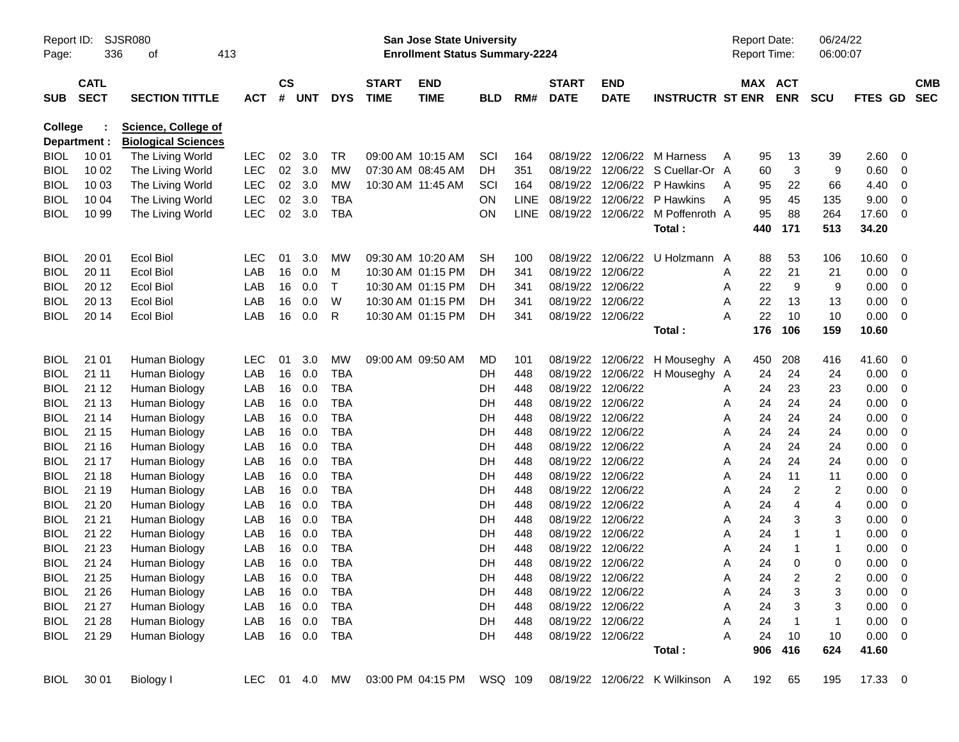| Report ID:<br>Page:        | 336                        | SJSR080<br>413<br>οf                           |            |               |                   |                   |                             | San Jose State University<br><b>Enrollment Status Summary-2224</b> |            |             |                                        |                                        |                                       | <b>Report Date:</b><br><b>Report Time:</b> |          |                         | 06/24/22<br>06:00:07    |              |                                                    |                          |
|----------------------------|----------------------------|------------------------------------------------|------------|---------------|-------------------|-------------------|-----------------------------|--------------------------------------------------------------------|------------|-------------|----------------------------------------|----------------------------------------|---------------------------------------|--------------------------------------------|----------|-------------------------|-------------------------|--------------|----------------------------------------------------|--------------------------|
|                            |                            |                                                |            |               |                   |                   |                             |                                                                    |            |             |                                        |                                        |                                       |                                            |          |                         |                         |              |                                                    |                          |
| <b>SUB</b>                 | <b>CATL</b><br><b>SECT</b> | <b>SECTION TITTLE</b>                          | <b>ACT</b> | $\mathsf{cs}$ | # UNT             | <b>DYS</b>        | <b>START</b><br><b>TIME</b> | <b>END</b><br><b>TIME</b>                                          | <b>BLD</b> | RM#         | <b>START</b><br><b>DATE</b>            | <b>END</b><br><b>DATE</b>              | <b>INSTRUCTR ST ENR</b>               |                                            | MAX ACT  | <b>ENR</b>              | <b>SCU</b>              | FTES GD      |                                                    | <b>CMB</b><br><b>SEC</b> |
| College                    |                            | <b>Science, College of</b>                     |            |               |                   |                   |                             |                                                                    |            |             |                                        |                                        |                                       |                                            |          |                         |                         |              |                                                    |                          |
|                            | Department :<br>10 01      | <b>Biological Sciences</b><br>The Living World | LEC        | 02            | 3.0               | TR                |                             | 09:00 AM 10:15 AM                                                  | SCI        | 164         | 08/19/22                               |                                        | 12/06/22 M Harness                    |                                            |          |                         |                         |              | 0                                                  |                          |
| <b>BIOL</b><br><b>BIOL</b> | 10 02                      | The Living World                               | <b>LEC</b> | 02            | 3.0               | MW                | 07:30 AM 08:45 AM           |                                                                    | DН         | 351         | 08/19/22                               |                                        | 12/06/22 S Cuellar-Or A               | A                                          | 95<br>60 | 13<br>3                 | 39<br>9                 | 2.60<br>0.60 | 0                                                  |                          |
| <b>BIOL</b>                | 10 03                      | The Living World                               | <b>LEC</b> | 02            | 3.0               | <b>MW</b>         |                             | 10:30 AM 11:45 AM                                                  | SCI        | 164         | 08/19/22                               |                                        | 12/06/22 P Hawkins                    | A                                          | 95       | 22                      | 66                      | 4.40         | 0                                                  |                          |
| <b>BIOL</b>                | 10 04                      | The Living World                               | <b>LEC</b> | 02            | 3.0               | <b>TBA</b>        |                             |                                                                    | ON.        | <b>LINE</b> | 08/19/22                               |                                        | 12/06/22 P Hawkins                    | A                                          | 95       | 45                      | 135                     | 9.00         | 0                                                  |                          |
| <b>BIOL</b>                | 10 99                      | The Living World                               | <b>LEC</b> | 02            | 3.0               | <b>TBA</b>        |                             |                                                                    | <b>ON</b>  |             |                                        |                                        | LINE 08/19/22 12/06/22 M Poffenroth A |                                            | 95       | 88                      | 264                     | 17.60        | 0                                                  |                          |
|                            |                            |                                                |            |               |                   |                   |                             |                                                                    |            |             |                                        |                                        | Total:                                |                                            | 440      | 171                     | 513                     | 34.20        |                                                    |                          |
| <b>BIOL</b>                | 20 01                      | <b>Ecol Biol</b>                               | <b>LEC</b> | 01            | 3.0               | MW                |                             | 09:30 AM 10:20 AM                                                  | <b>SH</b>  | 100         | 08/19/22                               |                                        | 12/06/22 U Holzmann A                 |                                            | 88       | 53                      | 106                     | 10.60        | 0                                                  |                          |
| <b>BIOL</b>                | 20 11                      | <b>Ecol Biol</b>                               | LAB        | 16            | 0.0               | M                 |                             | 10:30 AM 01:15 PM                                                  | DH         | 341         | 08/19/22                               | 12/06/22                               |                                       | A                                          | 22       | 21                      | 21                      | 0.00         | 0                                                  |                          |
| <b>BIOL</b>                | 20 12                      | <b>Ecol Biol</b>                               | LAB        | 16            | 0.0               | $\top$            |                             | 10:30 AM 01:15 PM                                                  | DН         | 341         | 08/19/22                               | 12/06/22                               |                                       | A                                          | 22       | 9                       | 9                       | 0.00         | 0                                                  |                          |
| <b>BIOL</b>                | 20 13                      | <b>Ecol Biol</b>                               | LAB        | 16            | 0.0               | W                 |                             | 10:30 AM 01:15 PM                                                  | DН         | 341         | 08/19/22                               | 12/06/22                               |                                       | Α                                          | 22       | 13                      | 13                      | 0.00         | 0                                                  |                          |
| <b>BIOL</b>                | 20 14                      | <b>Ecol Biol</b>                               | LAB        | 16            | 0.0               | R                 |                             | 10:30 AM 01:15 PM                                                  | DН         | 341         | 08/19/22 12/06/22                      |                                        |                                       | Α                                          | 22       | 10                      | 10                      | 0.00         | 0                                                  |                          |
|                            |                            |                                                |            |               |                   |                   |                             |                                                                    |            |             |                                        |                                        | Total:                                |                                            | 176      | 106                     | 159                     | 10.60        |                                                    |                          |
| <b>BIOL</b>                | 21 01                      | Human Biology                                  | <b>LEC</b> | 01            | 3.0               | MW                |                             | 09:00 AM 09:50 AM                                                  | MD.        | 101         | 08/19/22                               |                                        | 12/06/22 H Mouseghy A                 |                                            | 450      | 208                     | 416                     | 41.60        | 0                                                  |                          |
| <b>BIOL</b>                | 21 11                      | Human Biology                                  | LAB        | 16            | 0.0               | <b>TBA</b>        |                             |                                                                    | DH         | 448         | 08/19/22                               |                                        | 12/06/22 H Mouseghy A                 |                                            | 24       | 24                      | 24                      | 0.00         | 0                                                  |                          |
| <b>BIOL</b>                | 21 12                      | Human Biology                                  | LAB        | 16            | 0.0               | <b>TBA</b>        |                             |                                                                    | DH         | 448         |                                        | 08/19/22 12/06/22                      |                                       | A                                          | 24       | 23                      | 23                      | 0.00         | 0                                                  |                          |
| <b>BIOL</b>                | 21 13                      | Human Biology                                  | LAB        | 16            | 0.0               | <b>TBA</b>        |                             |                                                                    | DH         | 448         | 08/19/22                               | 12/06/22                               |                                       | A                                          | 24       | 24                      | 24                      | 0.00         | 0                                                  |                          |
| <b>BIOL</b>                | 21 14                      | Human Biology                                  | LAB        | 16            | 0.0               | <b>TBA</b>        |                             |                                                                    | DH         | 448         | 08/19/22                               | 12/06/22                               |                                       | A                                          | 24       | 24                      | 24                      | 0.00         | 0                                                  |                          |
| <b>BIOL</b>                | 21 15                      | Human Biology                                  | LAB        | 16            | 0.0               | <b>TBA</b>        |                             |                                                                    | DH         | 448         | 08/19/22                               | 12/06/22                               |                                       | A                                          | 24       | 24                      | 24                      | 0.00         | 0                                                  |                          |
| <b>BIOL</b>                | 21 16                      | Human Biology                                  | LAB        | 16            | 0.0               | <b>TBA</b>        |                             |                                                                    | DH         | 448         |                                        | 08/19/22 12/06/22                      |                                       | A                                          | 24       | 24                      | 24                      | 0.00         | 0                                                  |                          |
| <b>BIOL</b>                | 21 17                      | Human Biology                                  | LAB        | 16            | 0.0               | <b>TBA</b>        |                             |                                                                    | DH         | 448         | 08/19/22                               | 12/06/22                               |                                       | A                                          | 24       | 24                      | 24                      | 0.00         | 0                                                  |                          |
| <b>BIOL</b>                | 21 18                      | Human Biology                                  | LAB        | 16            | 0.0               | <b>TBA</b>        |                             |                                                                    | DH         | 448         | 08/19/22                               | 12/06/22                               |                                       | A                                          | 24       | 11                      | 11                      | 0.00         | 0                                                  |                          |
| <b>BIOL</b>                | 21 19                      | Human Biology                                  | LAB        | 16            | 0.0               | <b>TBA</b>        |                             |                                                                    | DH         | 448         | 08/19/22                               | 12/06/22                               |                                       | A                                          | 24       | $\overline{c}$          | 2                       | 0.00         | 0                                                  |                          |
| <b>BIOL</b>                | 21 20                      | Human Biology                                  | LAB        | 16            | 0.0               | <b>TBA</b>        |                             |                                                                    | DH         | 448         | 08/19/22                               | 12/06/22                               |                                       | A                                          | 24       | 4                       | 4                       | 0.00         | 0                                                  |                          |
| <b>BIOL</b>                | 21 21                      | Human Biology                                  | LAB        | 16            | 0.0               | <b>TBA</b>        |                             |                                                                    | DH         | 448         | 08/19/22                               | 12/06/22                               |                                       | A                                          | 24       | 3                       | 3                       | 0.00         | 0                                                  |                          |
| <b>BIOL</b>                | 21 22                      | Human Biology                                  | LAB        | 16            | 0.0               | <b>TBA</b>        |                             |                                                                    | DH         | 448         | 08/19/22                               | 12/06/22                               |                                       | A                                          | 24       | 1                       | 1                       | 0.00         | 0                                                  |                          |
| <b>BIOL</b>                | 21 23                      | Human Biology                                  | LAB        | 16            | 0.0               | <b>TBA</b>        |                             |                                                                    | DН         | 448         | 08/19/22                               | 12/06/22                               |                                       | Α                                          | 24       | 1                       | 1                       | 0.00         | 0                                                  |                          |
| <b>BIOL</b>                | 21 24                      | Human Biology                                  | LAB        | 16            | 0.0               | <b>TBA</b>        |                             |                                                                    | DН         | 448         | 08/19/22 12/06/22<br>08/19/22 12/06/22 |                                        |                                       | A                                          | 24       | 0                       | 0                       | 0.00         | $\mathbf 0$                                        |                          |
| <b>BIOL</b>                | 21 25                      | Human Biology                                  | LAB        |               | 16  0.0           | <b>TBA</b>        |                             |                                                                    | DH         | 448         |                                        |                                        |                                       | Α                                          | 24       | $\overline{\mathbf{c}}$ | $\overline{\mathbf{c}}$ | 0.00         | $\overline{0}$                                     |                          |
| BIOL                       | 21 26<br>21 27             | Human Biology                                  | LAB<br>LAB |               | 16  0.0<br>16 0.0 | TBA<br><b>TBA</b> |                             |                                                                    | DH         | 448<br>448  |                                        | 08/19/22 12/06/22<br>08/19/22 12/06/22 |                                       | A                                          | 24<br>24 | 3                       | 3<br>3                  | 0.00         | $\overline{\mathbf{0}}$<br>$\overline{\mathbf{0}}$ |                          |
| <b>BIOL</b>                | 21 28                      | Human Biology                                  | LAB        |               | 16  0.0           | <b>TBA</b>        |                             |                                                                    | DH         |             |                                        | 08/19/22 12/06/22                      |                                       | A<br>Α                                     | 24       | 3<br>$\mathbf{1}$       | 1                       | 0.00<br>0.00 |                                                    |                          |
| BIOL                       | 21 29                      | Human Biology                                  | LAB        |               |                   |                   |                             |                                                                    | DH         | 448<br>448  |                                        | 08/19/22 12/06/22                      |                                       | A                                          | 24       | 10                      | 10                      | $0.00 \t 0$  | $\overline{\phantom{0}}$                           |                          |
| <b>BIOL</b>                |                            | Human Biology                                  |            |               |                   | 16  0.0  TBA      |                             |                                                                    | DH         |             |                                        |                                        | Total:                                |                                            | 906      | 416                     | 624                     | 41.60        |                                                    |                          |
| BIOL                       | 30 01                      | Biology I                                      |            |               |                   | LEC 01 4.0 MW     |                             | 03:00 PM 04:15 PM WSQ 109                                          |            |             |                                        |                                        | 08/19/22 12/06/22 K Wilkinson A       |                                            | 192      | 65                      | 195                     | 17.33 0      |                                                    |                          |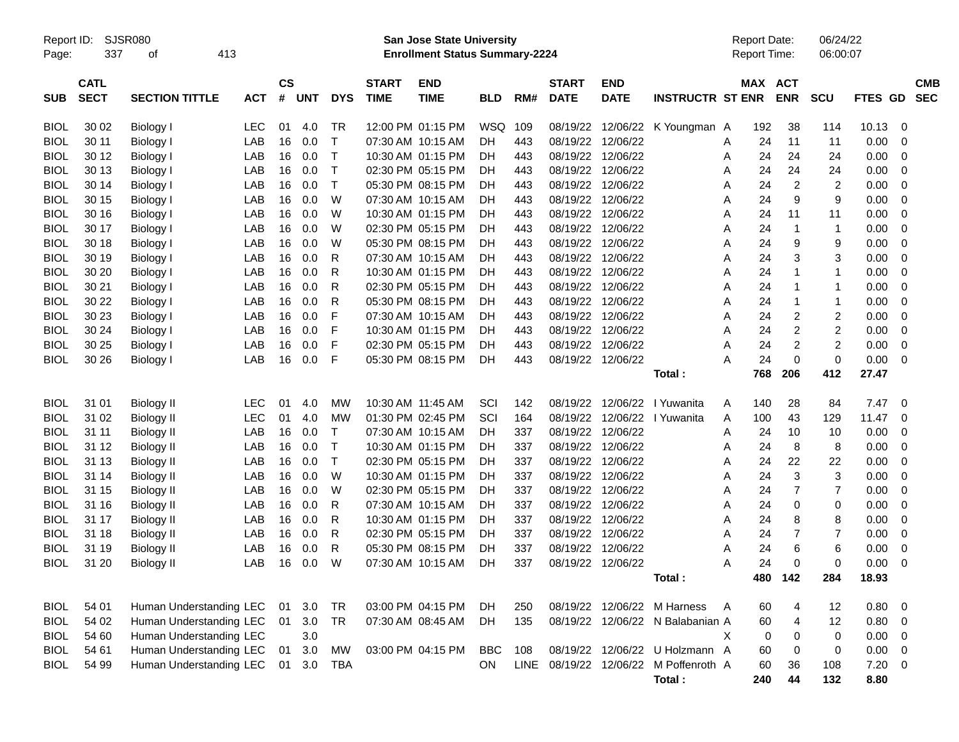| Report ID:<br>Page: | 337                        | SJSR080<br>413<br>οf    |            |                    |            |            |                             | <b>San Jose State University</b><br><b>Enrollment Status Summary-2224</b> |            |     |                             |                           |                                       |   | <b>Report Date:</b><br>Report Time: |                | 06/24/22<br>06:00:07 |             |                         |                          |
|---------------------|----------------------------|-------------------------|------------|--------------------|------------|------------|-----------------------------|---------------------------------------------------------------------------|------------|-----|-----------------------------|---------------------------|---------------------------------------|---|-------------------------------------|----------------|----------------------|-------------|-------------------------|--------------------------|
| <b>SUB</b>          | <b>CATL</b><br><b>SECT</b> | <b>SECTION TITTLE</b>   | <b>ACT</b> | $\mathsf{cs}$<br># | <b>UNT</b> | <b>DYS</b> | <b>START</b><br><b>TIME</b> | <b>END</b><br><b>TIME</b>                                                 | <b>BLD</b> | RM# | <b>START</b><br><b>DATE</b> | <b>END</b><br><b>DATE</b> | <b>INSTRUCTR ST ENR</b>               |   | MAX ACT                             | <b>ENR</b>     | <b>SCU</b>           | FTES GD     |                         | <b>CMB</b><br><b>SEC</b> |
| <b>BIOL</b>         | 30 02                      | Biology I               | <b>LEC</b> | 01                 | 4.0        | TR         |                             | 12:00 PM 01:15 PM                                                         | WSQ        | 109 | 08/19/22                    |                           | 12/06/22 K Youngman A                 |   | 192                                 | 38             | 114                  | 10.13       | 0                       |                          |
| <b>BIOL</b>         | 30 11                      | Biology I               | LAB        | 16                 | 0.0        | Т          | 07:30 AM 10:15 AM           |                                                                           | DH         | 443 | 08/19/22                    | 12/06/22                  |                                       | Α | 24                                  | 11             | 11                   | 0.00        | 0                       |                          |
| <b>BIOL</b>         | 30 12                      | Biology I               | LAB        | 16                 | 0.0        | Т          |                             | 10:30 AM 01:15 PM                                                         | DН         | 443 | 08/19/22                    | 12/06/22                  |                                       | Α | 24                                  | 24             | 24                   | 0.00        | 0                       |                          |
| <b>BIOL</b>         | 30 13                      | Biology I               | LAB        | 16                 | 0.0        | Т          |                             | 02:30 PM 05:15 PM                                                         | DН         | 443 | 08/19/22                    | 12/06/22                  |                                       | A | 24                                  | 24             | 24                   | 0.00        | 0                       |                          |
| <b>BIOL</b>         | 30 14                      | Biology I               | LAB        | 16                 | 0.0        | Т          |                             | 05:30 PM 08:15 PM                                                         | DН         | 443 | 08/19/22                    | 12/06/22                  |                                       | A | 24                                  | $\overline{2}$ | 2                    | 0.00        | 0                       |                          |
| <b>BIOL</b>         | 30 15                      | Biology I               | LAB        | 16                 | 0.0        | W          |                             | 07:30 AM 10:15 AM                                                         | DН         | 443 | 08/19/22                    | 12/06/22                  |                                       | Α | 24                                  | 9              | 9                    | 0.00        | 0                       |                          |
| <b>BIOL</b>         | 30 16                      | Biology I               | LAB        | 16                 | 0.0        | W          |                             | 10:30 AM 01:15 PM                                                         | DН         | 443 | 08/19/22                    | 12/06/22                  |                                       | A | 24                                  | 11             | 11                   | 0.00        | 0                       |                          |
| <b>BIOL</b>         | 30 17                      | Biology I               | LAB        | 16                 | 0.0        | W          |                             | 02:30 PM 05:15 PM                                                         | DH         | 443 | 08/19/22                    | 12/06/22                  |                                       | A | 24                                  | $\mathbf 1$    | $\mathbf{1}$         | 0.00        | 0                       |                          |
| <b>BIOL</b>         | 30 18                      | <b>Biology I</b>        | LAB        | 16                 | 0.0        | W          |                             | 05:30 PM 08:15 PM                                                         | DН         | 443 | 08/19/22                    | 12/06/22                  |                                       | Α | 24                                  | 9              | 9                    | 0.00        | 0                       |                          |
| <b>BIOL</b>         | 30 19                      | Biology I               | LAB        | 16                 | 0.0        | R          |                             | 07:30 AM 10:15 AM                                                         | DH         | 443 | 08/19/22                    | 12/06/22                  |                                       | A | 24                                  | 3              | 3                    | 0.00        | 0                       |                          |
| <b>BIOL</b>         | 30 20                      | Biology I               | LAB        | 16                 | 0.0        | R          |                             | 10:30 AM 01:15 PM                                                         | DН         | 443 | 08/19/22                    | 12/06/22                  |                                       | A | 24                                  | -1             | $\mathbf{1}$         | 0.00        | 0                       |                          |
| <b>BIOL</b>         | 30 21                      | <b>Biology I</b>        | LAB        | 16                 | 0.0        | R          |                             | 02:30 PM 05:15 PM                                                         | DН         | 443 | 08/19/22                    | 12/06/22                  |                                       | A | 24                                  | -1             | $\mathbf{1}$         | 0.00        | 0                       |                          |
| <b>BIOL</b>         | 30 22                      | <b>Biology I</b>        | LAB        | 16                 | 0.0        | R          |                             | 05:30 PM 08:15 PM                                                         | DН         | 443 | 08/19/22                    | 12/06/22                  |                                       | Α | 24                                  | -1             | $\mathbf{1}$         | 0.00        | 0                       |                          |
| <b>BIOL</b>         | 30 23                      | Biology I               | LAB        | 16                 | 0.0        | F          |                             | 07:30 AM 10:15 AM                                                         | DН         | 443 | 08/19/22                    | 12/06/22                  |                                       | A | 24                                  | 2              | 2                    | 0.00        | 0                       |                          |
| <b>BIOL</b>         | 30 24                      | Biology I               | LAB        | 16                 | 0.0        | F          |                             | 10:30 AM 01:15 PM                                                         | DН         | 443 | 08/19/22                    | 12/06/22                  |                                       | A | 24                                  | 2              | 2                    | 0.00        | 0                       |                          |
| <b>BIOL</b>         | 30 25                      | <b>Biology I</b>        | LAB        | 16                 | 0.0        | F          |                             | 02:30 PM 05:15 PM                                                         | DН         | 443 | 08/19/22                    | 12/06/22                  |                                       | A | 24                                  | 2              | $\overline{c}$       | 0.00        | 0                       |                          |
| <b>BIOL</b>         | 30 26                      | <b>Biology</b> I        | LAB        | 16                 | 0.0        | F          |                             | 05:30 PM 08:15 PM                                                         | DН         | 443 | 08/19/22 12/06/22           |                           |                                       | А | 24                                  | 0              | $\mathbf 0$          | 0.00        | 0                       |                          |
|                     |                            |                         |            |                    |            |            |                             |                                                                           |            |     |                             |                           | Total:                                |   | 768                                 | 206            | 412                  | 27.47       |                         |                          |
| <b>BIOL</b>         | 31 01                      | <b>Biology II</b>       | <b>LEC</b> | 01                 | 4.0        | MW         |                             | 10:30 AM 11:45 AM                                                         | SCI        | 142 | 08/19/22                    | 12/06/22                  | I Yuwanita                            | A | 140                                 | 28             | 84                   | 7.47        | - 0                     |                          |
| <b>BIOL</b>         | 31 02                      | <b>Biology II</b>       | <b>LEC</b> | 01                 | 4.0        | MW         |                             | 01:30 PM 02:45 PM                                                         | SCI        | 164 | 08/19/22                    | 12/06/22                  | I Yuwanita                            | Α | 100                                 | 43             | 129                  | 11.47       | 0                       |                          |
| <b>BIOL</b>         | 31 11                      | <b>Biology II</b>       | LAB        | 16                 | 0.0        | Т          |                             | 07:30 AM 10:15 AM                                                         | DН         | 337 | 08/19/22                    | 12/06/22                  |                                       | Α | 24                                  | 10             | 10                   | 0.00        | 0                       |                          |
| <b>BIOL</b>         | 31 12                      | <b>Biology II</b>       | LAB        | 16                 | 0.0        | Т          |                             | 10:30 AM 01:15 PM                                                         | DН         | 337 | 08/19/22                    | 12/06/22                  |                                       | Α | 24                                  | 8              | 8                    | 0.00        | 0                       |                          |
| <b>BIOL</b>         | 31 13                      | <b>Biology II</b>       | LAB        | 16                 | 0.0        | Т          |                             | 02:30 PM 05:15 PM                                                         | DH         | 337 | 08/19/22                    | 12/06/22                  |                                       | A | 24                                  | 22             | 22                   | 0.00        | 0                       |                          |
| <b>BIOL</b>         | 31 14                      | <b>Biology II</b>       | LAB        | 16                 | 0.0        | W          |                             | 10:30 AM 01:15 PM                                                         | DH         | 337 | 08/19/22                    | 12/06/22                  |                                       | Α | 24                                  | 3              | 3                    | 0.00        | 0                       |                          |
| <b>BIOL</b>         | 31 15                      | <b>Biology II</b>       | LAB        | 16                 | 0.0        | W          |                             | 02:30 PM 05:15 PM                                                         | DН         | 337 | 08/19/22                    | 12/06/22                  |                                       | Α | 24                                  | 7              | $\overline{7}$       | 0.00        | 0                       |                          |
| <b>BIOL</b>         | 31 16                      | <b>Biology II</b>       | LAB        | 16                 | 0.0        | R          |                             | 07:30 AM 10:15 AM                                                         | DH         | 337 | 08/19/22                    | 12/06/22                  |                                       | A | 24                                  | 0              | 0                    | 0.00        | 0                       |                          |
| <b>BIOL</b>         | 31 17                      | <b>Biology II</b>       | LAB        | 16                 | 0.0        | R          |                             | 10:30 AM 01:15 PM                                                         | DН         | 337 | 08/19/22                    | 12/06/22                  |                                       | A | 24                                  | 8              | 8                    | 0.00        | 0                       |                          |
| <b>BIOL</b>         | 31 18                      | <b>Biology II</b>       | LAB        | 16                 | 0.0        | R          |                             | 02:30 PM 05:15 PM                                                         | DH         | 337 | 08/19/22                    | 12/06/22                  |                                       | Α | 24                                  | $\overline{7}$ | $\overline{7}$       | 0.00        | 0                       |                          |
| <b>BIOL</b>         | 31 19                      | <b>Biology II</b>       | LAB        | 16                 | 0.0        | R          |                             | 05:30 PM 08:15 PM                                                         | DН         | 337 | 08/19/22                    | 12/06/22                  |                                       | A | 24                                  | 6              | 6                    | 0.00        | 0                       |                          |
| <b>BIOL</b>         | 31 20                      | <b>Biology II</b>       | LAB        | 16                 | 0.0        | W          |                             | 07:30 AM 10:15 AM                                                         | DН         | 337 | 08/19/22 12/06/22           |                           |                                       | A | 24                                  | 0              | 0                    | 0.00        | 0                       |                          |
|                     |                            |                         |            |                    |            |            |                             |                                                                           |            |     |                             |                           | Total:                                |   |                                     | 480 142        | 284                  | 18.93       |                         |                          |
| <b>BIOL</b>         | 54 01                      | Human Understanding LEC |            | 01                 | 3.0        | TR         |                             | 03:00 PM 04:15 PM                                                         | DH         | 250 |                             |                           | 08/19/22 12/06/22 M Harness           | A | 60                                  | 4              | 12                   | $0.80 \t 0$ |                         |                          |
| <b>BIOL</b>         | 54 02                      | Human Understanding LEC |            | 01                 | 3.0        | <b>TR</b>  |                             | 07:30 AM 08:45 AM                                                         | <b>DH</b>  | 135 |                             |                           | 08/19/22 12/06/22 N Balabanian A      |   | 60                                  | 4              | 12                   | 0.80        | $\overline{0}$          |                          |
| <b>BIOL</b>         | 54 60                      | Human Understanding LEC |            |                    | 3.0        |            |                             |                                                                           |            |     |                             |                           |                                       | X | 0                                   | 0              | 0                    | 0.00        | $\overline{0}$          |                          |
| <b>BIOL</b>         | 54 61                      | Human Understanding LEC |            | 01                 | $3.0\,$    | MW         |                             | 03:00 PM 04:15 PM                                                         | <b>BBC</b> | 108 |                             |                           | 08/19/22 12/06/22 U Holzmann A        |   | 60                                  | 0              | 0                    | 0.00        | $\overline{0}$          |                          |
| <b>BIOL</b>         | 54 99                      | Human Understanding LEC |            | 01                 | 3.0        | <b>TBA</b> |                             |                                                                           | ON         |     |                             |                           | LINE 08/19/22 12/06/22 M Poffenroth A |   | 60                                  | 36             | 108                  | 7.20        | $\overline{\mathbf{0}}$ |                          |
|                     |                            |                         |            |                    |            |            |                             |                                                                           |            |     |                             |                           | Total:                                |   | 240                                 | 44             | 132                  | 8.80        |                         |                          |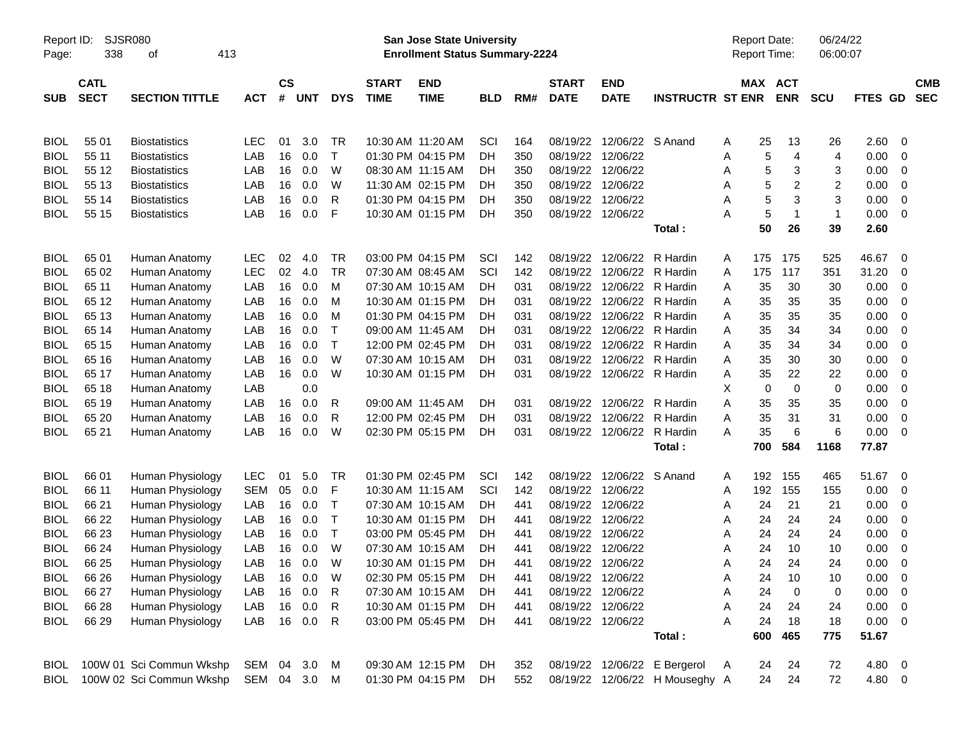| Report ID:<br>Page: | 338                        | <b>SJSR080</b><br>413<br>οf |              |                    |            |              |                             | San Jose State University<br><b>Enrollment Status Summary-2224</b> |            |     |                             |                            |                                | Report Date:<br><b>Report Time:</b> |                       | 06/24/22<br>06:00:07 |             |                         |                          |
|---------------------|----------------------------|-----------------------------|--------------|--------------------|------------|--------------|-----------------------------|--------------------------------------------------------------------|------------|-----|-----------------------------|----------------------------|--------------------------------|-------------------------------------|-----------------------|----------------------|-------------|-------------------------|--------------------------|
| SUB                 | <b>CATL</b><br><b>SECT</b> | <b>SECTION TITTLE</b>       | <b>ACT</b>   | $\mathsf{cs}$<br># | <b>UNT</b> | <b>DYS</b>   | <b>START</b><br><b>TIME</b> | <b>END</b><br><b>TIME</b>                                          | <b>BLD</b> | RM# | <b>START</b><br><b>DATE</b> | <b>END</b><br><b>DATE</b>  | <b>INSTRUCTR ST ENR</b>        |                                     | MAX ACT<br><b>ENR</b> | <b>SCU</b>           | FTES GD     |                         | <b>CMB</b><br><b>SEC</b> |
|                     |                            |                             |              |                    |            |              |                             |                                                                    |            |     |                             |                            |                                |                                     |                       |                      |             |                         |                          |
| <b>BIOL</b>         | 55 01                      | <b>Biostatistics</b>        | <b>LEC</b>   | 01                 | 3.0        | TR           | 10:30 AM 11:20 AM           |                                                                    | SCI        | 164 | 08/19/22                    | 12/06/22 S Anand           |                                | A                                   | 25<br>13              | 26                   | 2.60        | 0                       |                          |
| <b>BIOL</b>         | 55 11                      | <b>Biostatistics</b>        | LAB          | 16                 | 0.0        | $\mathsf{T}$ |                             | 01:30 PM 04:15 PM                                                  | DH         | 350 | 08/19/22                    | 12/06/22                   |                                | Α                                   | 4<br>5                | 4                    | 0.00        | 0                       |                          |
| <b>BIOL</b>         | 55 12                      | <b>Biostatistics</b>        | LAB          | 16                 | 0.0        | W            |                             | 08:30 AM 11:15 AM                                                  | DH         | 350 |                             | 08/19/22 12/06/22          |                                | Α                                   | 5<br>3                | 3                    | 0.00        | $\overline{0}$          |                          |
| <b>BIOL</b>         | 55 13                      | <b>Biostatistics</b>        | LAB          | 16                 | 0.0        | W            |                             | 11:30 AM 02:15 PM                                                  | DH         | 350 |                             | 08/19/22 12/06/22          |                                | Α                                   | 5<br>2                | $\overline{c}$       | 0.00        | 0                       |                          |
| <b>BIOL</b>         | 55 14                      | <b>Biostatistics</b>        | LAB          | 16                 | 0.0        | R            |                             | 01:30 PM 04:15 PM                                                  | DH         | 350 | 08/19/22                    | 12/06/22                   |                                | A                                   | 3<br>5                | 3                    | 0.00        | $\mathbf 0$             |                          |
| <b>BIOL</b>         | 55 15                      | <b>Biostatistics</b>        | LAB          | 16                 | 0.0        | F            |                             | 10:30 AM 01:15 PM                                                  | DH         | 350 |                             | 08/19/22 12/06/22          |                                | А                                   | 5<br>$\mathbf 1$      | $\mathbf{1}$         | 0.00        | - 0                     |                          |
|                     |                            |                             |              |                    |            |              |                             |                                                                    |            |     |                             |                            | Total:                         | 50                                  | 26                    | 39                   | 2.60        |                         |                          |
| <b>BIOL</b>         | 65 01                      | Human Anatomy               | <b>LEC</b>   | 02                 | 4.0        | TR           |                             | 03:00 PM 04:15 PM                                                  | SCI        | 142 | 08/19/22                    | 12/06/22                   | R Hardin                       | 175<br>A                            | 175                   | 525                  | 46.67       | - 0                     |                          |
| <b>BIOL</b>         | 65 02                      | Human Anatomy               | LEC          | 02                 | 4.0        | <b>TR</b>    |                             | 07:30 AM 08:45 AM                                                  | SCI        | 142 | 08/19/22                    | 12/06/22                   | R Hardin                       | 175<br>Α                            | 117                   | 351                  | 31.20       | 0                       |                          |
| <b>BIOL</b>         | 65 11                      | Human Anatomy               | LAB          | 16                 | 0.0        | м            |                             | 07:30 AM 10:15 AM                                                  | DH         | 031 |                             | 08/19/22 12/06/22          | R Hardin                       | 35<br>Α                             | 30                    | 30                   | 0.00        | 0                       |                          |
| <b>BIOL</b>         | 65 12                      | Human Anatomy               | LAB          | 16                 | 0.0        | м            |                             | 10:30 AM 01:15 PM                                                  | DH         | 031 | 08/19/22                    | 12/06/22                   | R Hardin                       | 35<br>Α                             | 35                    | 35                   | 0.00        | 0                       |                          |
| <b>BIOL</b>         | 65 13                      | Human Anatomy               | LAB          | 16                 | 0.0        | M            |                             | 01:30 PM 04:15 PM                                                  | DH         | 031 | 08/19/22                    | 12/06/22                   | R Hardin                       | 35<br>Α                             | 35                    | 35                   | 0.00        | 0                       |                          |
| <b>BIOL</b>         | 65 14                      | Human Anatomy               | LAB          | 16                 | 0.0        | $\top$       |                             | 09:00 AM 11:45 AM                                                  | DH         | 031 | 08/19/22                    | 12/06/22                   | R Hardin                       | 35<br>A                             | 34                    | 34                   | 0.00        | 0                       |                          |
| <b>BIOL</b>         | 65 15                      | Human Anatomy               | LAB          | 16                 | 0.0        | $\mathsf{T}$ |                             | 12:00 PM 02:45 PM                                                  | DH         | 031 | 08/19/22                    | 12/06/22                   | R Hardin                       | 35<br>A                             | 34                    | 34                   | 0.00        | 0                       |                          |
| <b>BIOL</b>         | 65 16                      | Human Anatomy               | LAB          | 16                 | 0.0        | W            |                             | 07:30 AM 10:15 AM                                                  | DH         | 031 | 08/19/22                    | 12/06/22                   | R Hardin                       | 35<br>Α                             | 30                    | 30                   | 0.00        | 0                       |                          |
| <b>BIOL</b>         | 65 17                      | Human Anatomy               | LAB          | 16                 | 0.0        | W            |                             | 10:30 AM 01:15 PM                                                  | DH         | 031 |                             | 08/19/22 12/06/22 R Hardin |                                | 35<br>Α                             | 22                    | 22                   | 0.00        | 0                       |                          |
| <b>BIOL</b>         | 65 18                      | Human Anatomy               | LAB          |                    | 0.0        |              |                             |                                                                    |            |     |                             |                            |                                | Χ                                   | $\mathbf 0$<br>0      | 0                    | 0.00        | 0                       |                          |
| <b>BIOL</b>         | 65 19                      | Human Anatomy               | LAB          | 16                 | 0.0        | R            |                             | 09:00 AM 11:45 AM                                                  | DH         | 031 |                             | 08/19/22 12/06/22          | R Hardin                       | Α<br>35                             | 35                    | 35                   | 0.00        | 0                       |                          |
| <b>BIOL</b>         | 65 20                      | Human Anatomy               | LAB          | 16                 | 0.0        | R            |                             | 12:00 PM 02:45 PM                                                  | DH         | 031 | 08/19/22                    | 12/06/22                   | R Hardin                       | Α<br>35                             | 31                    | 31                   | 0.00        | 0                       |                          |
| <b>BIOL</b>         | 65 21                      | Human Anatomy               | LAB          | 16                 | 0.0        | W            |                             | 02:30 PM 05:15 PM                                                  | DH         | 031 |                             | 08/19/22 12/06/22          | R Hardin                       | A<br>35                             | 6                     | 6                    | 0.00        | 0                       |                          |
|                     |                            |                             |              |                    |            |              |                             |                                                                    |            |     |                             |                            | Total:                         | 700                                 | 584                   | 1168                 | 77.87       |                         |                          |
| <b>BIOL</b>         | 66 01                      | Human Physiology            | <b>LEC</b>   | 01                 | 5.0        | TR           |                             | 01:30 PM 02:45 PM                                                  | SCI        | 142 | 08/19/22                    | 12/06/22 S Anand           |                                | 192<br>A                            | 155                   | 465                  | 51.67       | $\overline{\mathbf{0}}$ |                          |
| <b>BIOL</b>         | 66 11                      | Human Physiology            | <b>SEM</b>   | 05                 | 0.0        | F            |                             | 10:30 AM 11:15 AM                                                  | SCI        | 142 |                             | 08/19/22 12/06/22          |                                | 192<br>Α                            | 155                   | 155                  | 0.00        | 0                       |                          |
| <b>BIOL</b>         | 66 21                      | Human Physiology            | LAB          | 16                 | 0.0        | Т            |                             | 07:30 AM 10:15 AM                                                  | DH.        | 441 |                             | 08/19/22 12/06/22          |                                | 24<br>Α                             | 21                    | 21                   | 0.00        | 0                       |                          |
| <b>BIOL</b>         | 66 22                      | Human Physiology            | LAB          | 16                 | 0.0        | Т            |                             | 10:30 AM 01:15 PM                                                  | <b>DH</b>  | 441 | 08/19/22                    | 12/06/22                   |                                | 24<br>Α                             | 24                    | 24                   | 0.00        | 0                       |                          |
| <b>BIOL</b>         | 66 23                      | Human Physiology            | LAB          | 16                 | 0.0        | $\mathsf T$  |                             | 03:00 PM 05:45 PM                                                  | <b>DH</b>  | 441 | 08/19/22                    | 12/06/22                   |                                | 24<br>Α                             | 24                    | 24                   | 0.00        | 0                       |                          |
| <b>BIOL</b>         | 66 24                      | Human Physiology            | LAB          | 16                 | 0.0        | W            |                             | 07:30 AM 10:15 AM                                                  | <b>DH</b>  | 441 |                             | 08/19/22 12/06/22          |                                | 24<br>Α                             | 10                    | 10                   | 0.00        | 0                       |                          |
| <b>BIOL</b>         | 66 25                      | Human Physiology            | LAB          | 16                 | 0.0        | W            |                             | 10:30 AM 01:15 PM                                                  | DH         | 441 | 08/19/22 12/06/22           |                            |                                | A                                   | 24<br>24              | 24                   | 0.00        | 0                       |                          |
| <b>BIOL</b>         | 66 26                      | Human Physiology            | LAB          | $16\,$             | 0.0        | W            |                             | 02:30 PM 05:15 PM                                                  | DH         | 441 |                             | 08/19/22 12/06/22          |                                | 24<br>Α                             | 10                    | 10                   | 0.00        | $\overline{0}$          |                          |
| <b>BIOL</b>         | 66 27                      | Human Physiology            | LAB          | 16                 | 0.0        | R            |                             | 07:30 AM 10:15 AM                                                  | DH         | 441 |                             | 08/19/22 12/06/22          |                                | Α<br>24                             | 0                     | 0                    | 0.00        | $\overline{0}$          |                          |
| <b>BIOL</b>         | 66 28                      | Human Physiology            | LAB          | 16                 | 0.0        | R            |                             | 10:30 AM 01:15 PM                                                  | DH.        | 441 |                             | 08/19/22 12/06/22          |                                | 24<br>Α                             | 24                    | 24                   | 0.00        | $\overline{\mathbf{0}}$ |                          |
| <b>BIOL</b>         | 66 29                      | Human Physiology            | LAB          |                    | 16 0.0     | R            |                             | 03:00 PM 05:45 PM                                                  | DH         | 441 |                             | 08/19/22 12/06/22          |                                | A<br>24                             | 18                    | 18                   | $0.00 \t 0$ |                         |                          |
|                     |                            |                             |              |                    |            |              |                             |                                                                    |            |     |                             |                            | Total:                         | 600                                 | 465                   | 775                  | 51.67       |                         |                          |
| <b>BIOL</b>         |                            | 100W 01 Sci Commun Wkshp    | SEM          |                    | 04 3.0     | M            |                             | 09:30 AM 12:15 PM                                                  | DH.        | 352 |                             | 08/19/22 12/06/22          | E Bergerol                     | A                                   | 24<br>24              | 72                   | 4.80 0      |                         |                          |
| <b>BIOL</b>         |                            | 100W 02 Sci Commun Wkshp    | SEM 04 3.0 M |                    |            |              |                             | 01:30 PM 04:15 PM                                                  | DH         | 552 |                             |                            | 08/19/22 12/06/22 H Mouseghy A |                                     | 24<br>24              | 72                   | 4.80 0      |                         |                          |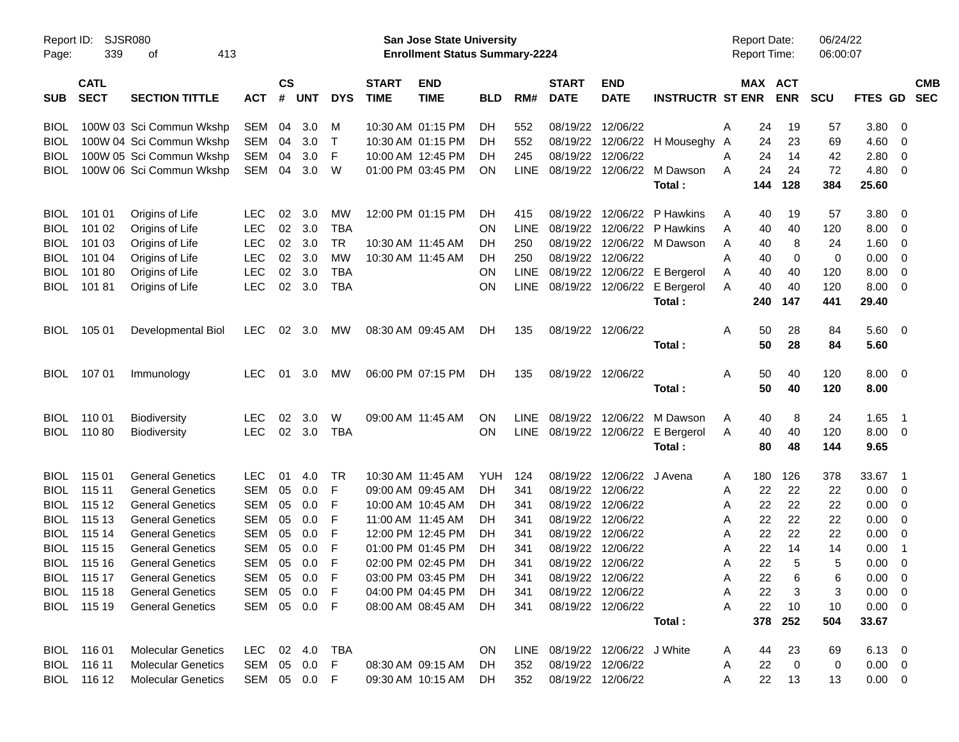| Report ID:<br>Page: | SJSR080<br>339             | 413<br>οf                 |              |                    |            |              |                             | San Jose State University<br><b>Enrollment Status Summary-2224</b> |            |             |                             |                                |                                   | <b>Report Date:</b><br><b>Report Time:</b> |     |                | 06/24/22<br>06:00:07 |                |                          |            |
|---------------------|----------------------------|---------------------------|--------------|--------------------|------------|--------------|-----------------------------|--------------------------------------------------------------------|------------|-------------|-----------------------------|--------------------------------|-----------------------------------|--------------------------------------------|-----|----------------|----------------------|----------------|--------------------------|------------|
| <b>SUB</b>          | <b>CATL</b><br><b>SECT</b> | <b>SECTION TITTLE</b>     | <b>ACT</b>   | $\mathsf{cs}$<br># | <b>UNT</b> | <b>DYS</b>   | <b>START</b><br><b>TIME</b> | <b>END</b><br><b>TIME</b>                                          | <b>BLD</b> | RM#         | <b>START</b><br><b>DATE</b> | <b>END</b><br><b>DATE</b>      | <b>INSTRUCTR ST ENR</b>           | MAX ACT                                    |     | <b>ENR</b>     | <b>SCU</b>           | FTES GD SEC    |                          | <b>CMB</b> |
| <b>BIOL</b>         |                            | 100W 03 Sci Commun Wkshp  | SEM          | 04                 | 3.0        | M            |                             | 10:30 AM 01:15 PM                                                  | DH         | 552         | 08/19/22 12/06/22           |                                |                                   | A                                          | 24  | 19             | 57                   | 3.80           | - 0                      |            |
| <b>BIOL</b>         |                            | 100W 04 Sci Commun Wkshp  | SEM          | 04                 | 3.0        | $\top$       |                             | 10:30 AM 01:15 PM                                                  | DH         | 552         |                             |                                | 08/19/22 12/06/22 H Mouseghy A    |                                            | 24  | 23             | 69                   | 4.60           | - 0                      |            |
| <b>BIOL</b>         |                            | 100W 05 Sci Commun Wkshp  | <b>SEM</b>   | 04                 | 3.0        | F            |                             | 10:00 AM 12:45 PM                                                  | DH         | 245         | 08/19/22 12/06/22           |                                |                                   | A                                          | 24  | 14             | 42                   | 2.80           | $\overline{\mathbf{0}}$  |            |
| BIOL                |                            | 100W 06 Sci Commun Wkshp  | SEM          | 04                 | 3.0        | W            |                             | 01:00 PM 03:45 PM                                                  | <b>ON</b>  | <b>LINE</b> |                             |                                | 08/19/22 12/06/22 M Dawson        | A                                          | 24  | 24             | 72                   | 4.80           | $\overline{\mathbf{0}}$  |            |
|                     |                            |                           |              |                    |            |              |                             |                                                                    |            |             |                             |                                | Total:                            |                                            | 144 | 128            | 384                  | 25.60          |                          |            |
| <b>BIOL</b>         | 101 01                     | Origins of Life           | LEC.         | 02                 | 3.0        | <b>MW</b>    |                             | 12:00 PM 01:15 PM                                                  | <b>DH</b>  | 415         | 08/19/22                    | 12/06/22                       | P Hawkins                         | A                                          | 40  | 19             | 57                   | 3.80           | - 0                      |            |
| <b>BIOL</b>         | 101 02                     | Origins of Life           | <b>LEC</b>   | 02                 | 3.0        | <b>TBA</b>   |                             |                                                                    | <b>ON</b>  | <b>LINE</b> |                             |                                | 08/19/22 12/06/22 P Hawkins       | A                                          | 40  | 40             | 120                  | 8.00           | - 0                      |            |
| <b>BIOL</b>         | 101 03                     | Origins of Life           | <b>LEC</b>   | 02                 | 3.0        | TR           | 10:30 AM 11:45 AM           |                                                                    | DH         | 250         |                             |                                | 08/19/22 12/06/22 M Dawson        | A                                          | 40  | 8              | 24                   | 1.60           | - 0                      |            |
| <b>BIOL</b>         | 101 04                     | Origins of Life           | <b>LEC</b>   | 02                 | 3.0        | MW           | 10:30 AM 11:45 AM           |                                                                    | <b>DH</b>  | 250         | 08/19/22 12/06/22           |                                |                                   | A                                          | 40  | 0              | 0                    | 0.00           | $\overline{\mathbf{0}}$  |            |
| <b>BIOL</b>         | 10180                      | Origins of Life           | <b>LEC</b>   | 02                 | 3.0        | <b>TBA</b>   |                             |                                                                    | <b>ON</b>  | <b>LINE</b> |                             |                                | 08/19/22 12/06/22 E Bergerol      | A                                          | 40  | 40             | 120                  | 8.00           | $\overline{\mathbf{0}}$  |            |
| <b>BIOL</b>         | 10181                      | Origins of Life           | <b>LEC</b>   | 02                 | 3.0        | <b>TBA</b>   |                             |                                                                    | <b>ON</b>  | <b>LINE</b> |                             |                                | 08/19/22 12/06/22 E Bergerol      | A                                          | 40  | 40             | 120                  | 8.00           | $\overline{\phantom{0}}$ |            |
|                     |                            |                           |              |                    |            |              |                             |                                                                    |            |             |                             |                                | Total:                            |                                            | 240 | 147            | 441                  | 29.40          |                          |            |
| <b>BIOL</b>         | 105 01                     | Developmental Biol        | <b>LEC</b>   | 02                 | 3.0        | <b>MW</b>    |                             | 08:30 AM 09:45 AM                                                  | DH         | 135         | 08/19/22 12/06/22           |                                |                                   | A                                          | 50  | 28             | 84                   | $5.60 \quad 0$ |                          |            |
|                     |                            |                           |              |                    |            |              |                             |                                                                    |            |             |                             |                                | Total:                            |                                            | 50  | 28             | 84                   | 5.60           |                          |            |
| <b>BIOL</b>         | 107 01                     | Immunology                | <b>LEC</b>   | 01                 | 3.0        | <b>MW</b>    |                             | 06:00 PM 07:15 PM                                                  | DH.        | 135         | 08/19/22 12/06/22           |                                |                                   | A                                          | 50  | 40             | 120                  | $8.00 \t 0$    |                          |            |
|                     |                            |                           |              |                    |            |              |                             |                                                                    |            |             |                             |                                | Total:                            |                                            | 50  | 40             | 120                  | 8.00           |                          |            |
| <b>BIOL</b>         | 110 01                     | <b>Biodiversity</b>       | <b>LEC</b>   | 02                 | 3.0        | W            | 09:00 AM 11:45 AM           |                                                                    | <b>ON</b>  | LINE.       |                             | 08/19/22 12/06/22              | M Dawson                          | A                                          | 40  | 8              | 24                   | 1.65           | - 1                      |            |
| <b>BIOL</b>         | 11080                      | <b>Biodiversity</b>       | <b>LEC</b>   | 02                 | 3.0        | <b>TBA</b>   |                             |                                                                    | ON.        |             |                             |                                | LINE 08/19/22 12/06/22 E Bergerol | A                                          | 40  | 40             | 120                  | $8.00 \t 0$    |                          |            |
|                     |                            |                           |              |                    |            |              |                             |                                                                    |            |             |                             |                                | Total:                            |                                            | 80  | 48             | 144                  | 9.65           |                          |            |
| <b>BIOL</b>         | 115 01                     | <b>General Genetics</b>   | <b>LEC</b>   | 01                 | 4.0        | TR           | 10:30 AM 11:45 AM           |                                                                    | YUH        | 124         |                             | 08/19/22 12/06/22 J Avena      |                                   | A                                          | 180 | 126            | 378                  | 33.67          | $\overline{\phantom{1}}$ |            |
| <b>BIOL</b>         | 115 11                     | <b>General Genetics</b>   | <b>SEM</b>   | 05                 | 0.0        | F            |                             | 09:00 AM 09:45 AM                                                  | DH         | 341         | 08/19/22 12/06/22           |                                |                                   | A                                          | 22  | 22             | 22                   | 0.00           | - 0                      |            |
| <b>BIOL</b>         | 115 12                     | <b>General Genetics</b>   | <b>SEM</b>   | 05                 | 0.0        | F            |                             | 10:00 AM 10:45 AM                                                  | DH         | 341         | 08/19/22 12/06/22           |                                |                                   | A                                          | 22  | 22             | 22                   | 0.00           | - 0                      |            |
| <b>BIOL</b>         | 115 13                     | <b>General Genetics</b>   | <b>SEM</b>   | 05                 | 0.0        | F            | 11:00 AM 11:45 AM           |                                                                    | <b>DH</b>  | 341         | 08/19/22 12/06/22           |                                |                                   | A                                          | 22  | 22             | 22                   | 0.00           | - 0                      |            |
| <b>BIOL</b>         | 115 14                     | <b>General Genetics</b>   | <b>SEM</b>   | 05                 | 0.0        | F            |                             | 12:00 PM 12:45 PM                                                  | DH         | 341         | 08/19/22 12/06/22           |                                |                                   | A                                          | 22  | 22             | 22                   | 0.00           | - 0                      |            |
| <b>BIOL</b>         | 115 15                     | <b>General Genetics</b>   | <b>SEM</b>   | 05                 | 0.0        | F            |                             | 01:00 PM 01:45 PM                                                  | DH         | 341         | 08/19/22 12/06/22           |                                |                                   | A                                          | 22  | 14             | 14                   | 0.00           | $\overline{\phantom{1}}$ |            |
| <b>BIOL</b>         | 115 16                     | <b>General Genetics</b>   | SEM          | 05                 | 0.0        | F            |                             | 02:00 PM 02:45 PM                                                  | DH         | 341         | 08/19/22 12/06/22           |                                |                                   | A                                          | 22  | 5              | 5                    | 0.00           | 0                        |            |
|                     | BIOL 115 17                | <b>General Genetics</b>   | SEM 05 0.0   |                    |            | $\mathsf{F}$ |                             | 03:00 PM 03:45 PM                                                  | DH         | 341         | 08/19/22 12/06/22           |                                |                                   | Α                                          | 22  | 6              | 6                    | $0.00 \t 0$    |                          |            |
|                     | BIOL 115 18                | <b>General Genetics</b>   | SEM          |                    | 05 0.0     | F            |                             | 04:00 PM 04:45 PM                                                  | <b>DH</b>  | 341         |                             | 08/19/22 12/06/22              |                                   | A                                          | 22  | 3              | 3                    | $0.00 \t 0$    |                          |            |
|                     | BIOL 115 19                | <b>General Genetics</b>   | SEM 05 0.0   |                    |            | -F           |                             | 08:00 AM 08:45 AM                                                  | DH.        | 341         | 08/19/22 12/06/22           |                                |                                   | Α                                          | 22  | 10             | 10                   | $0.00 \t 0$    |                          |            |
|                     |                            |                           |              |                    |            |              |                             |                                                                    |            |             |                             |                                | Total:                            |                                            | 378 | 252            | 504                  | 33.67          |                          |            |
|                     | BIOL 116 01                | <b>Molecular Genetics</b> | LEC 02 4.0   |                    |            | TBA          |                             |                                                                    | ON.        |             |                             | LINE 08/19/22 12/06/22 J White |                                   | A                                          | 44  | 23             | 69                   | $6.13 \quad 0$ |                          |            |
|                     | BIOL 116 11                | <b>Molecular Genetics</b> | SEM          |                    | 05 0.0     | F.           |                             | 08:30 AM 09:15 AM                                                  | DH.        | 352         | 08/19/22 12/06/22           |                                |                                   | A                                          | 22  | $\overline{0}$ | 0                    | $0.00 \t 0$    |                          |            |
|                     | BIOL 116 12                | <b>Molecular Genetics</b> | SEM 05 0.0 F |                    |            |              |                             | 09:30 AM 10:15 AM                                                  | DH.        | 352         | 08/19/22 12/06/22           |                                |                                   | A                                          | 22  | 13             | 13                   | $0.00 \t 0$    |                          |            |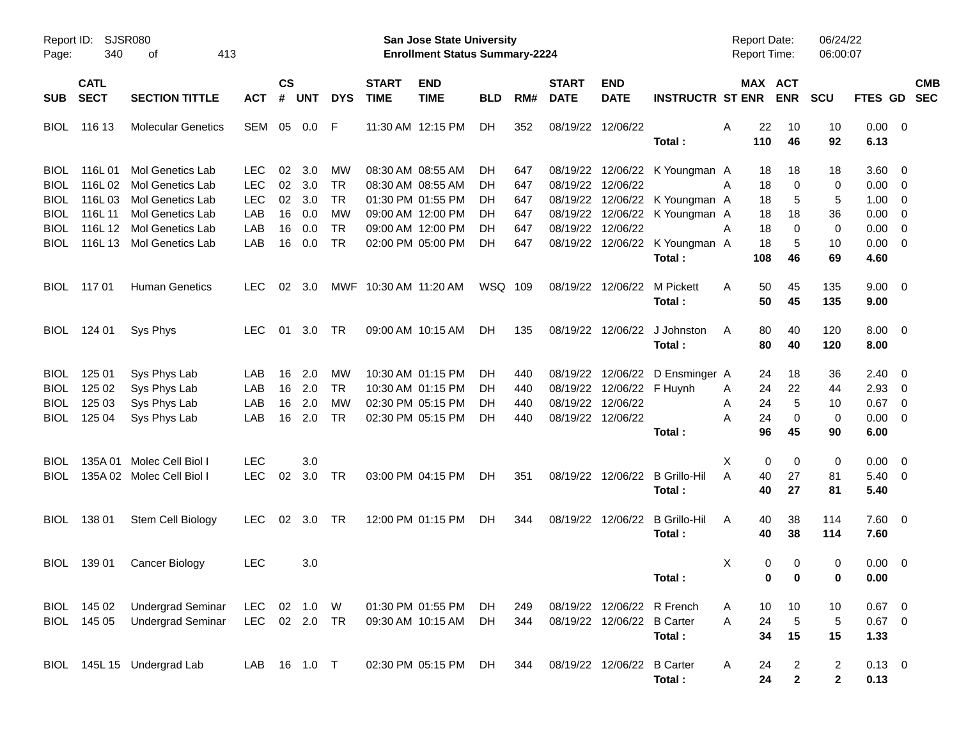| Report ID:<br>Page:                       | 340                        | SJSR080<br>413<br>οf                                                            |                                        |                |                         |                              |                             | <b>San Jose State University</b><br><b>Enrollment Status Summary-2224</b> |                |                   |                             |                                                          |                                                         | Report Date:<br><b>Report Time:</b> |                              | 06/24/22<br>06:00:07           |                              |                                                                               |            |
|-------------------------------------------|----------------------------|---------------------------------------------------------------------------------|----------------------------------------|----------------|-------------------------|------------------------------|-----------------------------|---------------------------------------------------------------------------|----------------|-------------------|-----------------------------|----------------------------------------------------------|---------------------------------------------------------|-------------------------------------|------------------------------|--------------------------------|------------------------------|-------------------------------------------------------------------------------|------------|
| <b>SUB</b>                                | <b>CATL</b><br><b>SECT</b> | <b>SECTION TITTLE</b>                                                           | <b>ACT</b>                             | <b>CS</b><br># | <b>UNT</b>              | <b>DYS</b>                   | <b>START</b><br><b>TIME</b> | <b>END</b><br><b>TIME</b>                                                 | <b>BLD</b>     | RM#               | <b>START</b><br><b>DATE</b> | <b>END</b><br><b>DATE</b>                                | <b>INSTRUCTR ST ENR ENR</b>                             |                                     | MAX ACT                      | <b>SCU</b>                     | FTES GD SEC                  |                                                                               | <b>CMB</b> |
| <b>BIOL</b>                               | 116 13                     | <b>Molecular Genetics</b>                                                       | SEM                                    | 05             | $0.0\,$                 | -F                           |                             | 11:30 AM 12:15 PM                                                         | DH.            | 352               |                             | 08/19/22 12/06/22                                        | Total:                                                  | Α<br>22<br>110                      | 10<br>46                     | 10<br>92                       | 0.00<br>6.13                 | $\overline{\phantom{0}}$                                                      |            |
| <b>BIOL</b><br><b>BIOL</b><br><b>BIOL</b> | 116L01                     | <b>Mol Genetics Lab</b><br>116L 02 Mol Genetics Lab<br>116L 03 Mol Genetics Lab | <b>LEC</b><br><b>LEC</b><br><b>LEC</b> | 02<br>02<br>02 | 3.0<br>3.0<br>3.0       | МW<br><b>TR</b><br><b>TR</b> |                             | 08:30 AM 08:55 AM<br>08:30 AM 08:55 AM<br>01:30 PM 01:55 PM               | DH<br>DH<br>DH | 647<br>647<br>647 | 08/19/22<br>08/19/22        | 12/06/22                                                 | 08/19/22 12/06/22 K Youngman A<br>12/06/22 K Youngman A | 18<br>18<br>A<br>18                 | 18<br>0<br>5                 | 18<br>0<br>5                   | 3.60<br>0.00<br>1.00         | $\overline{\mathbf{0}}$<br>$\overline{\mathbf{0}}$<br>$\overline{0}$          |            |
| <b>BIOL</b><br>BIOL<br><b>BIOL</b>        | 116L 11                    | Mol Genetics Lab<br>116L 12 Mol Genetics Lab<br>116L 13 Mol Genetics Lab        | LAB<br>LAB<br>LAB                      | 16<br>16<br>16 | 0.0<br>0.0<br>0.0       | MW<br><b>TR</b><br><b>TR</b> |                             | 09:00 AM 12:00 PM<br>09:00 AM 12:00 PM<br>02:00 PM 05:00 PM               | DН<br>DН<br>DН | 647<br>647<br>647 | 08/19/22<br>08/19/22        | 12/06/22                                                 | 12/06/22 K Youngman A<br>08/19/22 12/06/22 K Youngman A | 18<br>Α<br>18<br>18                 | 18<br>$\Omega$<br>5          | 36<br>0<br>10                  | 0.00<br>0.00<br>0.00         | $\overline{\mathbf{0}}$<br>$\overline{\mathbf{0}}$<br>$\overline{\mathbf{0}}$ |            |
| <b>BIOL</b>                               | 117 01                     | <b>Human Genetics</b>                                                           | <b>LEC</b>                             | 02             | -3.0                    |                              | MWF 10:30 AM 11:20 AM       |                                                                           | WSQ 109        |                   |                             | 08/19/22 12/06/22                                        | Total:<br>M Pickett                                     | 108<br>50<br>A                      | 46<br>45                     | 69<br>135                      | 4.60<br>$9.00 \quad 0$       |                                                                               |            |
| <b>BIOL</b>                               | 124 01                     | Sys Phys                                                                        | <b>LEC</b>                             |                | 01 3.0                  | <b>TR</b>                    |                             | 09:00 AM 10:15 AM                                                         | DH.            | 135               |                             |                                                          | Total:<br>08/19/22 12/06/22 J Johnston                  | 50<br>80<br>A                       | 45<br>40                     | 135<br>120                     | 9.00<br>$8.00 \quad 0$       |                                                                               |            |
|                                           |                            |                                                                                 |                                        |                |                         |                              |                             | 10:30 AM 01:15 PM                                                         |                |                   |                             |                                                          | Total:                                                  | 80                                  | 40                           | 120                            | 8.00                         |                                                                               |            |
| <b>BIOL</b><br><b>BIOL</b><br><b>BIOL</b> | 125 01<br>125 02<br>125 03 | Sys Phys Lab<br>Sys Phys Lab<br>Sys Phys Lab                                    | LAB<br>LAB<br>LAB                      | 16<br>16<br>16 | 2.0<br>2.0<br>2.0       | МW<br><b>TR</b><br>MW        |                             | 10:30 AM 01:15 PM<br>02:30 PM 05:15 PM                                    | DH<br>DH<br>DH | 440<br>440<br>440 |                             | 08/19/22 12/06/22 F Huynh<br>08/19/22 12/06/22           | 08/19/22 12/06/22 D Ensminger A                         | 24<br>24<br>Α<br>24<br>Α            | 18<br>22<br>5                | 36<br>44<br>10                 | 2.40<br>2.93<br>0.67         | $\overline{\mathbf{0}}$<br>$\overline{\mathbf{0}}$<br>$\overline{\mathbf{0}}$ |            |
| <b>BIOL</b>                               | 125 04                     | Sys Phys Lab                                                                    | LAB                                    | 16             | 2.0                     | <b>TR</b>                    |                             | 02:30 PM 05:15 PM                                                         | DH             | 440               |                             | 08/19/22 12/06/22                                        | Total:                                                  | 24<br>А<br>96                       | 0<br>45                      | 0<br>90                        | 0.00<br>6.00                 | $\overline{\phantom{0}}$                                                      |            |
| <b>BIOL</b><br><b>BIOL</b>                |                            | 135A 01 Molec Cell Biol I<br>135A 02 Molec Cell Biol I                          | <b>LEC</b><br><b>LEC</b>               | 02             | 3.0<br>3.0              | TR                           |                             | 03:00 PM 04:15 PM                                                         | DH.            | 351               |                             |                                                          | 08/19/22 12/06/22 B Grillo-Hil<br>Total:                | Χ<br>40<br>Α<br>40                  | 0<br>0<br>27<br>27           | 0<br>81<br>81                  | 0.00<br>$5.40 \ 0$<br>5.40   | $\overline{\mathbf{0}}$                                                       |            |
| <b>BIOL</b>                               | 138 01                     | Stem Cell Biology                                                               | <b>LEC</b>                             | 02             | 3.0                     | TR                           |                             | 12:00 PM 01:15 PM                                                         | DH.            | 344               |                             | 08/19/22 12/06/22                                        | B Grillo-Hil<br>Total:                                  | 40<br>A<br>40                       | 38<br>38                     | 114<br>114                     | $7.60 \quad 0$<br>7.60       |                                                                               |            |
| <b>BIOL</b>                               | 139 01                     | Cancer Biology                                                                  | <b>LEC</b>                             |                | 3.0                     |                              |                             |                                                                           |                |                   |                             |                                                          | Total:                                                  | Χ                                   | 0<br>$\Omega$<br>$0\qquad 0$ | 0<br>0                         | 0.00<br>0.00                 | $\overline{\phantom{0}}$                                                      |            |
|                                           | BIOL 145 02<br>BIOL 145 05 | <b>Undergrad Seminar</b><br><b>Undergrad Seminar</b>                            | LEC<br><b>LEC</b>                      |                | 02 1.0 W<br>02  2.0  TR |                              |                             | 01:30 PM 01:55 PM<br>09:30 AM 10:15 AM                                    | DH.<br>DH.     | 249<br>344        |                             | 08/19/22 12/06/22 R French<br>08/19/22 12/06/22 B Carter | Total:                                                  | 10<br>A<br>24<br>Α<br>34            | 10<br>$\overline{5}$<br>15   | 10<br>$\sqrt{5}$<br>15         | $0.67$ 0<br>$0.67$ 0<br>1.33 |                                                                               |            |
| <b>BIOL</b>                               |                            | 145L 15 Undergrad Lab                                                           | LAB                                    |                | 16  1.0  T              |                              |                             | 02:30 PM 05:15 PM                                                         | DH             | 344               |                             | 08/19/22 12/06/22                                        | <b>B</b> Carter<br>Total:                               | A<br>24<br>24                       | 2<br>$\mathbf{2}$            | $\overline{c}$<br>$\mathbf{2}$ | $0.13 \ 0$<br>0.13           |                                                                               |            |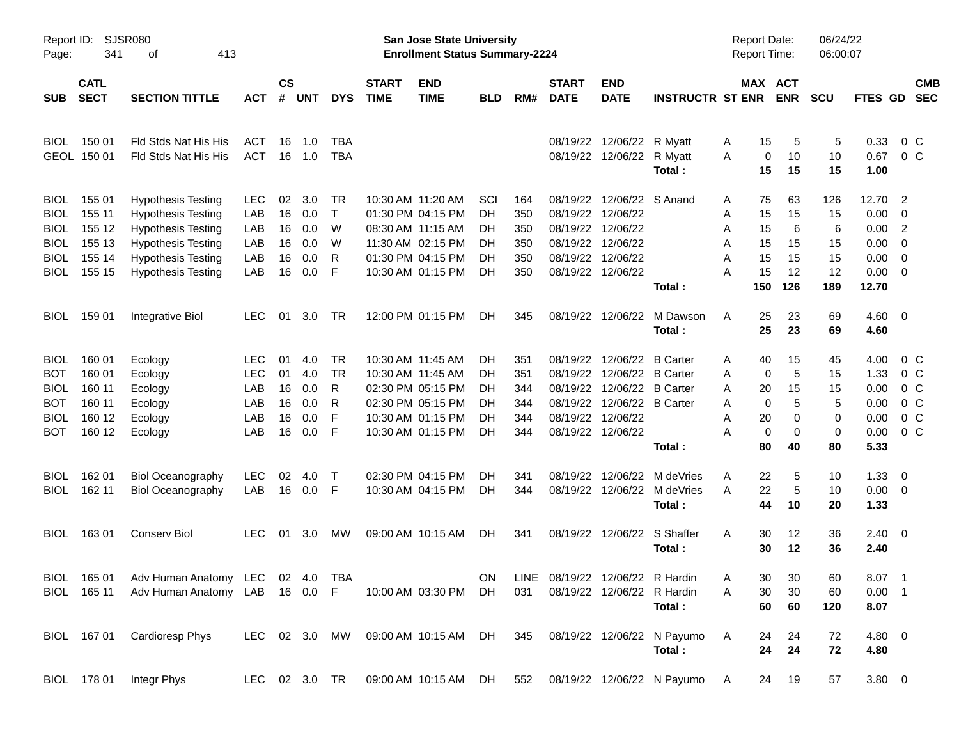| Report ID:<br>Page: | 341                        | <b>SJSR080</b><br>413<br>οf                                     |            |                    |            |            |                             | <b>San Jose State University</b><br><b>Enrollment Status Summary-2224</b> |            |     |                             |                                 |                                                                              | <b>Report Date:</b><br><b>Report Time:</b> |                              | 06/24/22<br>06:00:07 |                      |                            |  |
|---------------------|----------------------------|-----------------------------------------------------------------|------------|--------------------|------------|------------|-----------------------------|---------------------------------------------------------------------------|------------|-----|-----------------------------|---------------------------------|------------------------------------------------------------------------------|--------------------------------------------|------------------------------|----------------------|----------------------|----------------------------|--|
| <b>SUB</b>          | <b>CATL</b><br><b>SECT</b> | <b>SECTION TITTLE</b>                                           | <b>ACT</b> | $\mathsf{cs}$<br># | <b>UNT</b> | <b>DYS</b> | <b>START</b><br><b>TIME</b> | <b>END</b><br><b>TIME</b>                                                 | <b>BLD</b> | RM# | <b>START</b><br><b>DATE</b> | <b>END</b><br><b>DATE</b>       | <b>INSTRUCTR ST ENR</b>                                                      |                                            | <b>MAX ACT</b><br><b>ENR</b> | <b>SCU</b>           | <b>FTES GD</b>       | <b>CMB</b><br><b>SEC</b>   |  |
| <b>BIOL</b>         | 150 01                     | Fld Stds Nat His His                                            | <b>ACT</b> | 16                 | 1.0        | <b>TBA</b> |                             |                                                                           |            |     |                             | 08/19/22 12/06/22 R Myatt       |                                                                              | 15<br>A                                    | 5                            | 5                    | 0.33                 | $0\,C$                     |  |
|                     | GEOL 150 01                | Fld Stds Nat His His                                            | <b>ACT</b> | 16                 | 1.0        | <b>TBA</b> |                             |                                                                           |            |     |                             | 08/19/22 12/06/22 R Myatt       | Total:                                                                       | 0<br>A<br>15                               | 10<br>15                     | 10<br>15             | 0.67<br>1.00         | $0\,C$                     |  |
| <b>BIOL</b>         | 155 01                     | <b>Hypothesis Testing</b>                                       | <b>LEC</b> | 02                 | 3.0        | <b>TR</b>  |                             | 10:30 AM 11:20 AM                                                         | SCI        | 164 |                             | 08/19/22 12/06/22 S Anand       |                                                                              | 75<br>A                                    | 63                           | 126                  | 12.70                | $\overline{\phantom{0}}^2$ |  |
| <b>BIOL</b>         | 155 11                     | <b>Hypothesis Testing</b>                                       | LAB        | 16                 | 0.0        | $\top$     |                             | 01:30 PM 04:15 PM                                                         | DH.        | 350 | 08/19/22                    | 12/06/22                        |                                                                              | 15<br>Α                                    | 15                           | 15                   | $0.00 \t 0$          |                            |  |
| <b>BIOL</b>         | 155 12                     | <b>Hypothesis Testing</b>                                       | LAB        | 16                 | 0.0        | W          |                             | 08:30 AM 11:15 AM                                                         | DH.        | 350 | 08/19/22                    | 12/06/22                        |                                                                              | 15<br>Α                                    | 6                            | 6                    | 0.00                 | $\overline{\phantom{0}}$   |  |
| <b>BIOL</b>         | 155 13                     | <b>Hypothesis Testing</b>                                       | LAB        | 16                 | 0.0        | W          |                             | 11:30 AM 02:15 PM                                                         | DH.        | 350 |                             | 08/19/22 12/06/22               |                                                                              | Α<br>15                                    | 15                           | 15                   | $0.00 \t 0$          |                            |  |
| <b>BIOL</b>         | 155 14                     | <b>Hypothesis Testing</b>                                       | LAB        | 16                 | 0.0        | R          |                             | 01:30 PM 04:15 PM                                                         | DH.        | 350 | 08/19/22                    | 12/06/22                        |                                                                              | A<br>15                                    | 15                           | 15                   | $0.00 \t 0$          |                            |  |
| <b>BIOL</b>         | 155 15                     | <b>Hypothesis Testing</b>                                       | LAB        | 16                 | 0.0        | F          |                             | 10:30 AM 01:15 PM                                                         | DН         | 350 |                             | 08/19/22 12/06/22               | Total:                                                                       | 15<br>A<br>150                             | 12<br>126                    | 12<br>189            | $0.00 \t 0$<br>12.70 |                            |  |
| <b>BIOL</b>         | 159 01                     | Integrative Biol                                                | <b>LEC</b> | 01                 | 3.0        | TR         |                             | 12:00 PM 01:15 PM                                                         | DH.        | 345 | 08/19/22                    | 12/06/22                        | M Dawson                                                                     | 25<br>A                                    | 23                           | 69                   | $4.60$ 0             |                            |  |
|                     |                            |                                                                 |            |                    |            |            |                             |                                                                           |            |     |                             |                                 | Total:                                                                       | 25                                         | 23                           | 69                   | 4.60                 |                            |  |
| <b>BIOL</b>         | 160 01                     | Ecology                                                         | <b>LEC</b> | 01                 | 4.0        | <b>TR</b>  |                             | 10:30 AM 11:45 AM                                                         | DH.        | 351 | 08/19/22                    | 12/06/22 B Carter               |                                                                              | 40<br>Α                                    | 15                           | 45                   | 4.00                 | $0\,$ C                    |  |
| <b>BOT</b>          | 160 01                     | Ecology                                                         | <b>LEC</b> | 01                 | 4.0        | <b>TR</b>  |                             | 10:30 AM 11:45 AM                                                         | DH.        | 351 | 08/19/22                    | 12/06/22 B Carter               |                                                                              | Α                                          | 5<br>0                       | 15                   | 1.33                 | $0\,$ C                    |  |
| <b>BIOL</b>         | 160 11                     | Ecology                                                         | LAB        | 16                 | 0.0        | R          |                             | 02:30 PM 05:15 PM                                                         | DH         | 344 |                             | 08/19/22 12/06/22 B Carter      |                                                                              | Α<br>20                                    | 15                           | 15                   | 0.00                 | $0\,$ C                    |  |
| <b>BOT</b>          | 160 11                     | Ecology                                                         | LAB        | 16                 | 0.0        | R          |                             | 02:30 PM 05:15 PM                                                         | DH.        | 344 |                             | 08/19/22 12/06/22 B Carter      |                                                                              | A                                          | 5<br>0                       | 5                    | 0.00                 | $0\,C$                     |  |
| <b>BIOL</b>         | 160 12                     | Ecology                                                         | LAB        | 16                 | 0.0        | F          |                             | 10:30 AM 01:15 PM                                                         | DН         | 344 | 08/19/22                    | 12/06/22                        |                                                                              | 20<br>Α                                    | 0                            | 0                    | 0.00                 | $0\,C$                     |  |
| <b>BOT</b>          | 160 12                     | Ecology                                                         | LAB        | 16                 | 0.0        | F          |                             | 10:30 AM 01:15 PM                                                         | DH         | 344 |                             | 08/19/22 12/06/22               |                                                                              | Α                                          | 0<br>0                       | 0                    | 0.00                 | 0 <sup>o</sup>             |  |
|                     |                            |                                                                 |            |                    |            |            |                             |                                                                           |            |     |                             |                                 | Total:                                                                       | 80                                         | 40                           | 80                   | 5.33                 |                            |  |
| <b>BIOL</b>         | 162 01                     | <b>Biol Oceanography</b>                                        | <b>LEC</b> | 02                 | 4.0        | $\top$     |                             | 02:30 PM 04:15 PM                                                         | DH         | 341 | 08/19/22                    |                                 | 12/06/22 M deVries                                                           | 22<br>Α                                    | 5                            | 10                   | 1.33                 | $\overline{\phantom{0}}$   |  |
| <b>BIOL</b>         | 162 11                     | <b>Biol Oceanography</b>                                        | LAB        | 16                 | 0.0        | -F         |                             | 10:30 AM 04:15 PM                                                         | DH         | 344 |                             |                                 | 08/19/22 12/06/22 M deVries<br>Total:                                        | 22<br>A<br>44                              | 5<br>10                      | 10<br>20             | $0.00 \t 0$<br>1.33  |                            |  |
| <b>BIOL</b>         | 16301                      | <b>Conserv Biol</b>                                             | <b>LEC</b> | 01                 | 3.0        | <b>MW</b>  |                             | 09:00 AM 10:15 AM                                                         | DH.        | 341 |                             | 08/19/22 12/06/22 S Shaffer     |                                                                              | A<br>30                                    | 12                           | 36                   | $2.40 \ 0$           |                            |  |
|                     |                            |                                                                 |            |                    |            |            |                             |                                                                           |            |     |                             |                                 | Total:                                                                       | 30                                         | 12                           | 36                   | 2.40                 |                            |  |
|                     |                            | BIOL 165 01 Adv Human Anatomy LEC 02 4.0 TBA                    |            |                    |            |            |                             |                                                                           | ON         |     |                             | LINE 08/19/22 12/06/22 R Hardin |                                                                              | Α                                          | 30<br>30                     | 60                   | 8.07 1               |                            |  |
|                     |                            | BIOL 165 11 Adv Human Anatomy LAB 16 0.0 F 10:00 AM 03:30 PM DH |            |                    |            |            |                             |                                                                           |            | 031 |                             | 08/19/22 12/06/22 R Hardin      |                                                                              | 30<br>A                                    | 30                           | 60                   | $0.00$ 1             |                            |  |
|                     |                            |                                                                 |            |                    |            |            |                             |                                                                           |            |     |                             |                                 | Total:                                                                       | 60                                         | 60                           | 120                  | 8.07                 |                            |  |
|                     |                            | BIOL 167 01 Cardioresp Phys                                     |            |                    |            |            |                             |                                                                           |            |     |                             |                                 | LEC 02 3.0 MW 09:00 AM 10:15 AM DH 345 08/19/22 12/06/22 N Payumo            | 24<br>A                                    | 24                           | 72                   | 4.80 0               |                            |  |
|                     |                            |                                                                 |            |                    |            |            |                             |                                                                           |            |     |                             |                                 | Total:                                                                       | 24                                         | 24                           | 72                   | 4.80                 |                            |  |
|                     |                            | BIOL 178 01 Integr Phys                                         |            |                    |            |            |                             |                                                                           |            |     |                             |                                 | LEC 02 3.0 TR  09:00 AM  10:15 AM  DH  552  08/19/22  12/06/22  N  Payumo  A |                                            | 24 19                        | 57                   | $3.80\ 0$            |                            |  |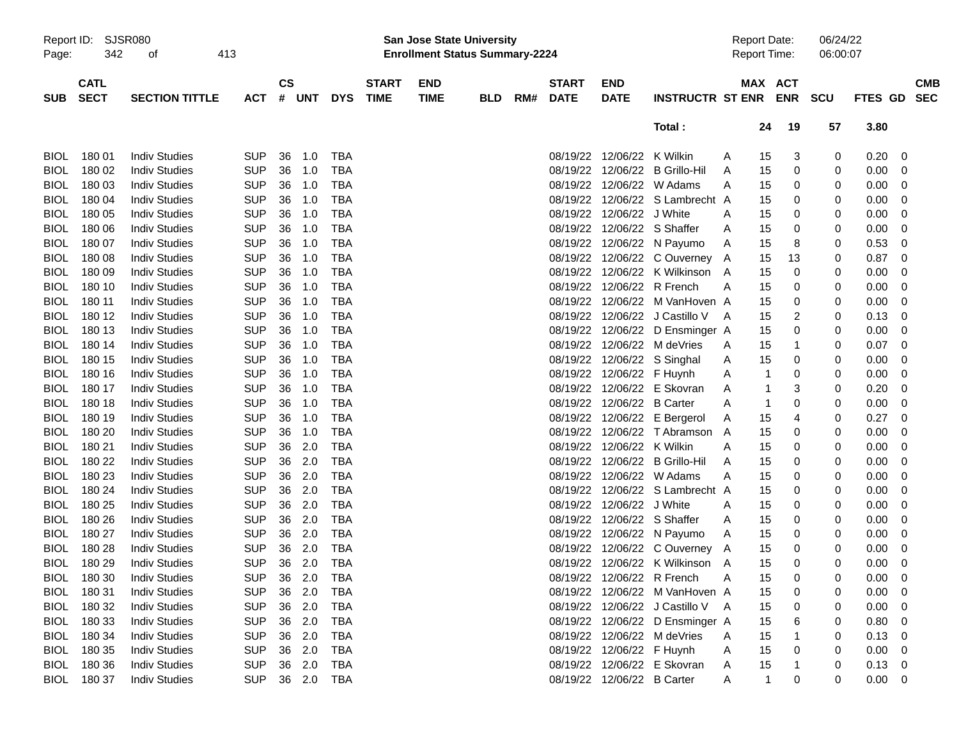| Report ID:  |             | <b>SJSR080</b>        |            |           |            |            |              | <b>San Jose State University</b>      |            |     |              |                            |                                 | <b>Report Date:</b> |              |            | 06/24/22 |             |                |
|-------------|-------------|-----------------------|------------|-----------|------------|------------|--------------|---------------------------------------|------------|-----|--------------|----------------------------|---------------------------------|---------------------|--------------|------------|----------|-------------|----------------|
| Page:       | 342         | 413<br>οf             |            |           |            |            |              | <b>Enrollment Status Summary-2224</b> |            |     |              |                            |                                 | <b>Report Time:</b> |              |            | 06:00:07 |             |                |
|             | <b>CATL</b> |                       |            | <b>CS</b> |            |            | <b>START</b> | <b>END</b>                            |            |     | <b>START</b> | <b>END</b>                 |                                 |                     |              | MAX ACT    |          |             | <b>CMB</b>     |
| <b>SUB</b>  | <b>SECT</b> | <b>SECTION TITTLE</b> | <b>ACT</b> | #         | <b>UNT</b> | <b>DYS</b> | <b>TIME</b>  | <b>TIME</b>                           | <b>BLD</b> | RM# | <b>DATE</b>  | <b>DATE</b>                | <b>INSTRUCTR ST ENR</b>         |                     |              | <b>ENR</b> | scu      | FTES GD SEC |                |
|             |             |                       |            |           |            |            |              |                                       |            |     |              |                            | Total:                          |                     | 24           | 19         | 57       | 3.80        |                |
|             |             |                       |            |           |            |            |              |                                       |            |     |              |                            |                                 |                     |              |            |          |             |                |
| <b>BIOL</b> | 180 01      | <b>Indiv Studies</b>  | <b>SUP</b> | 36        | 1.0        | <b>TBA</b> |              |                                       |            |     |              | 08/19/22 12/06/22 K Wilkin |                                 | A                   | 15           | 3          | 0        | 0.20        | 0              |
| <b>BIOL</b> | 180 02      | <b>Indiv Studies</b>  | <b>SUP</b> | 36        | 1.0        | <b>TBA</b> |              |                                       |            |     |              |                            | 08/19/22 12/06/22 B Grillo-Hil  | A                   | 15           | 0          | 0        | 0.00        | 0              |
| <b>BIOL</b> | 180 03      | <b>Indiv Studies</b>  | <b>SUP</b> | 36        | 1.0        | <b>TBA</b> |              |                                       |            |     | 08/19/22     |                            | 12/06/22 W Adams                | A                   | 15           | 0          | 0        | 0.00        | 0              |
| <b>BIOL</b> | 18004       | <b>Indiv Studies</b>  | <b>SUP</b> | 36        | 1.0        | <b>TBA</b> |              |                                       |            |     |              |                            | 08/19/22 12/06/22 S Lambrecht A |                     | 15           | 0          | 0        | 0.00        | 0              |
| <b>BIOL</b> | 180 05      | <b>Indiv Studies</b>  | <b>SUP</b> | 36        | 1.0        | <b>TBA</b> |              |                                       |            |     |              | 08/19/22 12/06/22 J White  |                                 | A                   | 15           | 0          | 0        | 0.00        | 0              |
| <b>BIOL</b> | 180 06      | <b>Indiv Studies</b>  | <b>SUP</b> | 36        | 1.0        | <b>TBA</b> |              |                                       |            |     |              |                            | 08/19/22 12/06/22 S Shaffer     | A                   | 15           | 0          | 0        | 0.00        | 0              |
| <b>BIOL</b> | 180 07      | <b>Indiv Studies</b>  | <b>SUP</b> | 36        | 1.0        | <b>TBA</b> |              |                                       |            |     |              |                            | 08/19/22 12/06/22 N Payumo      | A                   | 15           | 8          | 0        | 0.53        | 0              |
| <b>BIOL</b> | 180 08      | <b>Indiv Studies</b>  | <b>SUP</b> | 36        | 1.0        | <b>TBA</b> |              |                                       |            |     |              |                            | 08/19/22 12/06/22 COuverney A   |                     | 15           | 13         | 0        | 0.87        | 0              |
| <b>BIOL</b> | 180 09      | <b>Indiv Studies</b>  | <b>SUP</b> | 36        | 1.0        | <b>TBA</b> |              |                                       |            |     |              |                            | 08/19/22 12/06/22 K Wilkinson   | A                   | 15           | 0          | 0        | 0.00        | 0              |
| <b>BIOL</b> | 180 10      | <b>Indiv Studies</b>  | <b>SUP</b> | 36        | 1.0        | <b>TBA</b> |              |                                       |            |     |              | 08/19/22 12/06/22 R French |                                 | A                   | 15           | 0          | 0        | 0.00        | 0              |
| <b>BIOL</b> | 180 11      | <b>Indiv Studies</b>  | <b>SUP</b> | 36        | 1.0        | <b>TBA</b> |              |                                       |            |     |              |                            | 08/19/22 12/06/22 M VanHoven A  |                     | 15           | 0          | 0        | 0.00        | 0              |
| <b>BIOL</b> | 180 12      | <b>Indiv Studies</b>  | <b>SUP</b> | 36        | 1.0        | <b>TBA</b> |              |                                       |            |     |              |                            | 08/19/22 12/06/22 J Castillo V  | A                   | 15           | 2          | 0        | 0.13        | 0              |
| <b>BIOL</b> | 180 13      | <b>Indiv Studies</b>  | <b>SUP</b> | 36        | 1.0        | <b>TBA</b> |              |                                       |            |     |              |                            | 08/19/22 12/06/22 D Ensminger A |                     | 15           | 0          | 0        | 0.00        | 0              |
| <b>BIOL</b> | 180 14      | <b>Indiv Studies</b>  | <b>SUP</b> | 36        | 1.0        | <b>TBA</b> |              |                                       |            |     |              |                            | 08/19/22 12/06/22 M deVries     | A                   | 15           | 1          | 0        | 0.07        | 0              |
| <b>BIOL</b> | 180 15      | <b>Indiv Studies</b>  | <b>SUP</b> | 36        | 1.0        | <b>TBA</b> |              |                                       |            |     |              |                            | 08/19/22 12/06/22 S Singhal     | A                   | 15           | 0          | 0        | 0.00        | 0              |
| <b>BIOL</b> | 180 16      | <b>Indiv Studies</b>  | <b>SUP</b> | 36        | 1.0        | <b>TBA</b> |              |                                       |            |     |              | 08/19/22 12/06/22 F Huynh  |                                 | A                   | 1            | 0          | 0        | 0.00        | 0              |
| <b>BIOL</b> | 180 17      | <b>Indiv Studies</b>  | <b>SUP</b> | 36        | 1.0        | <b>TBA</b> |              |                                       |            |     |              |                            | 08/19/22 12/06/22 E Skovran     | A                   | 1            | 3          | 0        | 0.20        | 0              |
| <b>BIOL</b> | 180 18      | <b>Indiv Studies</b>  | <b>SUP</b> | 36        | 1.0        | <b>TBA</b> |              |                                       |            |     |              | 08/19/22 12/06/22 B Carter |                                 | A                   | $\mathbf 1$  | 0          | 0        | 0.00        | 0              |
| <b>BIOL</b> | 180 19      | <b>Indiv Studies</b>  | <b>SUP</b> | 36        | 1.0        | <b>TBA</b> |              |                                       |            |     |              |                            | 08/19/22 12/06/22 E Bergerol    | A                   | 15           | 4          | 0        | 0.27        | 0              |
| <b>BIOL</b> | 180 20      | <b>Indiv Studies</b>  | <b>SUP</b> | 36        | 1.0        | <b>TBA</b> |              |                                       |            |     |              |                            | 08/19/22 12/06/22 T Abramson A  |                     | 15           | 0          | 0        | 0.00        | 0              |
| <b>BIOL</b> | 180 21      | <b>Indiv Studies</b>  | <b>SUP</b> | 36        | 2.0        | <b>TBA</b> |              |                                       |            |     |              | 08/19/22 12/06/22 K Wilkin |                                 | A                   | 15           | 0          | 0        | 0.00        | 0              |
| <b>BIOL</b> | 180 22      | <b>Indiv Studies</b>  | <b>SUP</b> | 36        | 2.0        | <b>TBA</b> |              |                                       |            |     | 08/19/22     |                            | 12/06/22 B Grillo-Hil           | A                   | 15           | 0          | 0        | 0.00        | 0              |
| <b>BIOL</b> | 180 23      | <b>Indiv Studies</b>  | <b>SUP</b> | 36        | 2.0        | <b>TBA</b> |              |                                       |            |     | 08/19/22     |                            | 12/06/22 W Adams                | A                   | 15           | 0          | 0        | 0.00        | 0              |
| <b>BIOL</b> | 180 24      | <b>Indiv Studies</b>  | <b>SUP</b> | 36        | 2.0        | <b>TBA</b> |              |                                       |            |     | 08/19/22     |                            | 12/06/22 S Lambrecht A          |                     | 15           | 0          | 0        | 0.00        | 0              |
| <b>BIOL</b> | 180 25      | <b>Indiv Studies</b>  | <b>SUP</b> | 36        | 2.0        | <b>TBA</b> |              |                                       |            |     | 08/19/22     | 12/06/22 J White           |                                 | A                   | 15           | 0          | 0        | 0.00        | 0              |
| <b>BIOL</b> | 180 26      | <b>Indiv Studies</b>  | <b>SUP</b> | 36        | 2.0        | <b>TBA</b> |              |                                       |            |     |              |                            | 08/19/22 12/06/22 S Shaffer     | A                   | 15           | 0          | 0        | 0.00        | 0              |
| <b>BIOL</b> | 180 27      | <b>Indiv Studies</b>  | <b>SUP</b> | 36        | 2.0        | <b>TBA</b> |              |                                       |            |     |              |                            | 08/19/22 12/06/22 N Payumo      | A                   | 15           | 0          | 0        | 0.00        | 0              |
| <b>BIOL</b> | 180 28      | <b>Indiv Studies</b>  | <b>SUP</b> | 36        | 2.0        | <b>TBA</b> |              |                                       |            |     |              |                            | 08/19/22 12/06/22 C Ouverney A  |                     | 15           | 0          | 0        | 0.00        | 0              |
| <b>BIOL</b> | 180 29      | <b>Indiv Studies</b>  | <b>SUP</b> | 36        | 2.0        | <b>TBA</b> |              |                                       |            |     |              |                            | 08/19/22 12/06/22 K Wilkinson A |                     | 15           | 0          | 0        | 0.00        | 0              |
| <b>BIOL</b> | 180 30      | <b>Indiv Studies</b>  | SUP 36 2.0 |           |            | <b>TBA</b> |              |                                       |            |     |              |                            | 08/19/22 12/06/22 R French      |                     | 15           | 0          |          | 0.00        | $\overline{0}$ |
|             | BIOL 180 31 | <b>Indiv Studies</b>  | <b>SUP</b> | 36        | 2.0        | <b>TBA</b> |              |                                       |            |     |              |                            | 08/19/22 12/06/22 M VanHoven A  |                     | 15           | 0          |          | 0.00        | -0             |
| BIOL        | 180 32      | <b>Indiv Studies</b>  | <b>SUP</b> |           | 36 2.0     | <b>TBA</b> |              |                                       |            |     |              |                            | 08/19/22 12/06/22 J Castillo V  | - A                 | 15           | 0          |          | 0.00        | 0              |
| BIOL        | 180 33      | <b>Indiv Studies</b>  | <b>SUP</b> |           | 36 2.0     | <b>TBA</b> |              |                                       |            |     |              |                            | 08/19/22 12/06/22 D Ensminger A |                     | 15           | 6          |          | 0.80        | 0              |
| BIOL        | 180 34      | <b>Indiv Studies</b>  | <b>SUP</b> |           | 36 2.0     | <b>TBA</b> |              |                                       |            |     |              |                            | 08/19/22 12/06/22 M deVries     | A                   | 15           |            |          | 0.13        | 0              |
| BIOL        | 180 35      | <b>Indiv Studies</b>  | <b>SUP</b> | 36        | 2.0        | <b>TBA</b> |              |                                       |            |     |              | 08/19/22 12/06/22 F Huynh  |                                 | Α                   | 15           | 0          | 0        | 0.00        | 0              |
| <b>BIOL</b> | 180 36      | <b>Indiv Studies</b>  | <b>SUP</b> | 36        | 2.0        | TBA        |              |                                       |            |     |              |                            | 08/19/22 12/06/22 E Skovran     | A                   | 15           |            | 0        | 0.13        | 0              |
| BIOL        | 180 37      | <b>Indiv Studies</b>  | <b>SUP</b> |           | 36 2.0     | TBA        |              |                                       |            |     |              | 08/19/22 12/06/22 B Carter |                                 | Α                   | $\mathbf{1}$ | 0          | 0        | $0.00 \t 0$ |                |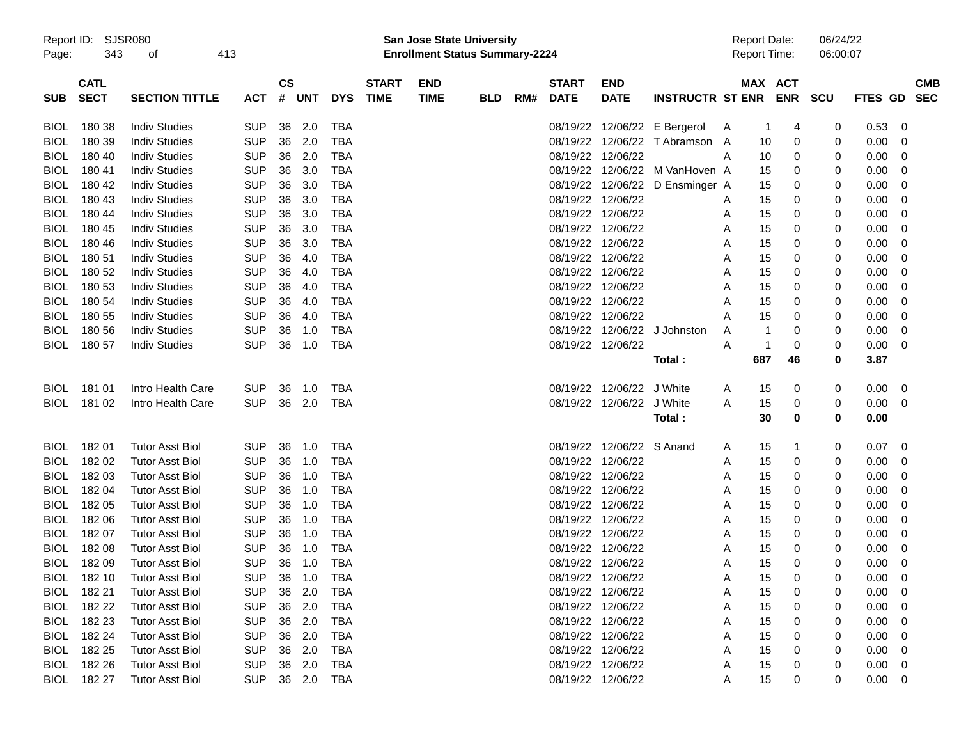| Page:       | Report ID: SJSR080<br>343 | οf                     | 413        |                          |        |            |              | <b>San Jose State University</b><br><b>Enrollment Status Summary-2224</b> |            |     |                   |                           |                                |              | <b>Report Date:</b><br>Report Time: |            | 06/24/22<br>06:00:07 |                |            |  |
|-------------|---------------------------|------------------------|------------|--------------------------|--------|------------|--------------|---------------------------------------------------------------------------|------------|-----|-------------------|---------------------------|--------------------------------|--------------|-------------------------------------|------------|----------------------|----------------|------------|--|
|             | <b>CATL</b>               |                        |            | $\mathsf{CS}\phantom{0}$ |        |            | <b>START</b> | <b>END</b>                                                                |            |     | <b>START</b>      | <b>END</b>                |                                |              | MAX ACT                             |            |                      |                | <b>CMB</b> |  |
| <b>SUB</b>  | <b>SECT</b>               | <b>SECTION TITTLE</b>  | <b>ACT</b> | #                        | UNT    | <b>DYS</b> | <b>TIME</b>  | <b>TIME</b>                                                               | <b>BLD</b> | RM# | <b>DATE</b>       | <b>DATE</b>               | <b>INSTRUCTR ST ENR</b>        |              |                                     | <b>ENR</b> | <b>SCU</b>           | <b>FTES GD</b> | <b>SEC</b> |  |
| <b>BIOL</b> | 180 38                    | <b>Indiv Studies</b>   | <b>SUP</b> | 36                       | 2.0    | TBA        |              |                                                                           |            |     |                   | 08/19/22 12/06/22         | E Bergerol                     | $\mathsf{A}$ |                                     | 4          | 0                    | 0.53           | 0          |  |
| <b>BIOL</b> | 180 39                    | <b>Indiv Studies</b>   | <b>SUP</b> | 36                       | 2.0    | <b>TBA</b> |              |                                                                           |            |     |                   | 08/19/22 12/06/22         | T Abramson                     | A            | 10                                  | 0          | 0                    | 0.00           | 0          |  |
| <b>BIOL</b> | 180 40                    | <b>Indiv Studies</b>   | <b>SUP</b> | 36                       | 2.0    | <b>TBA</b> |              |                                                                           |            |     | 08/19/22 12/06/22 |                           |                                | Α            | 10                                  | 0          | 0                    | 0.00           | 0          |  |
| <b>BIOL</b> | 180 41                    | <b>Indiv Studies</b>   | <b>SUP</b> | 36                       | 3.0    | <b>TBA</b> |              |                                                                           |            |     |                   |                           | 08/19/22 12/06/22 M VanHoven A |              | 15                                  | 0          | 0                    | 0.00           | 0          |  |
| <b>BIOL</b> | 180 42                    | <b>Indiv Studies</b>   | <b>SUP</b> | 36                       | 3.0    | <b>TBA</b> |              |                                                                           |            |     |                   | 08/19/22 12/06/22         | D Ensminger A                  |              | 15                                  | 0          | 0                    | 0.00           | 0          |  |
| <b>BIOL</b> | 180 43                    | <b>Indiv Studies</b>   | <b>SUP</b> | 36                       | 3.0    | <b>TBA</b> |              |                                                                           |            |     | 08/19/22 12/06/22 |                           |                                | Α            | 15                                  | 0          | 0                    | 0.00           | 0          |  |
| <b>BIOL</b> | 180 44                    | <b>Indiv Studies</b>   | <b>SUP</b> | 36                       | 3.0    | <b>TBA</b> |              |                                                                           |            |     |                   | 08/19/22 12/06/22         |                                | Α            | 15                                  | 0          | 0                    | 0.00           | 0          |  |
| <b>BIOL</b> | 180 45                    | <b>Indiv Studies</b>   | <b>SUP</b> | 36                       | 3.0    | <b>TBA</b> |              |                                                                           |            |     |                   | 08/19/22 12/06/22         |                                | Α            | 15                                  | 0          | 0                    | 0.00           | 0          |  |
| <b>BIOL</b> | 180 46                    | <b>Indiv Studies</b>   | <b>SUP</b> | 36                       | 3.0    | <b>TBA</b> |              |                                                                           |            |     |                   | 08/19/22 12/06/22         |                                | Α            | 15                                  | 0          | 0                    | 0.00           | 0          |  |
| <b>BIOL</b> | 180 51                    | <b>Indiv Studies</b>   | <b>SUP</b> | 36                       | 4.0    | <b>TBA</b> |              |                                                                           |            |     |                   | 08/19/22 12/06/22         |                                | Α            | 15                                  | 0          | 0                    | 0.00           | 0          |  |
| <b>BIOL</b> | 180 52                    | <b>Indiv Studies</b>   | <b>SUP</b> | 36                       | 4.0    | <b>TBA</b> |              |                                                                           |            |     |                   | 08/19/22 12/06/22         |                                | Α            | 15                                  | 0          | 0                    | 0.00           | 0          |  |
| <b>BIOL</b> | 180 53                    | <b>Indiv Studies</b>   | <b>SUP</b> | 36                       | 4.0    | <b>TBA</b> |              |                                                                           |            |     |                   | 08/19/22 12/06/22         |                                | Α            | 15                                  | 0          | 0                    | 0.00           | 0          |  |
| <b>BIOL</b> | 180 54                    | <b>Indiv Studies</b>   | <b>SUP</b> | 36                       | 4.0    | <b>TBA</b> |              |                                                                           |            |     |                   | 08/19/22 12/06/22         |                                | Α            | 15                                  | 0          | 0                    | 0.00           | 0          |  |
| <b>BIOL</b> | 180 55                    | <b>Indiv Studies</b>   | <b>SUP</b> | 36                       | 4.0    | <b>TBA</b> |              |                                                                           |            |     | 08/19/22 12/06/22 |                           |                                | Α            | 15                                  | 0          | 0                    | 0.00           | 0          |  |
| <b>BIOL</b> | 180 56                    | <b>Indiv Studies</b>   | <b>SUP</b> | 36                       | 1.0    | <b>TBA</b> |              |                                                                           |            |     |                   | 08/19/22 12/06/22         | J Johnston                     | Α            | 1                                   | 0          | 0                    | 0.00           | 0          |  |
| BIOL        | 180 57                    | <b>Indiv Studies</b>   | <b>SUP</b> | 36                       | 1.0    | <b>TBA</b> |              |                                                                           |            |     |                   | 08/19/22 12/06/22         |                                | Α            | -1                                  | 0          | 0                    | 0.00           | 0          |  |
|             |                           |                        |            |                          |        |            |              |                                                                           |            |     |                   |                           | Total:                         |              | 687                                 | 46         | 0                    | 3.87           |            |  |
| <b>BIOL</b> | 181 01                    | Intro Health Care      | <b>SUP</b> | 36                       | 1.0    | TBA        |              |                                                                           |            |     |                   | 08/19/22 12/06/22         | J White                        | A            | 15                                  | 0          | 0                    | 0.00           | 0          |  |
|             | BIOL 181 02               | Intro Health Care      | <b>SUP</b> | 36                       | 2.0    | TBA        |              |                                                                           |            |     |                   | 08/19/22 12/06/22         | J White                        | Α            | 15                                  | 0          | 0                    | 0.00           | 0          |  |
|             |                           |                        |            |                          |        |            |              |                                                                           |            |     |                   |                           | Total:                         |              | 30                                  | 0          | 0                    | 0.00           |            |  |
| <b>BIOL</b> | 18201                     | <b>Tutor Asst Biol</b> | <b>SUP</b> | 36                       | 1.0    | TBA        |              |                                                                           |            |     |                   | 08/19/22 12/06/22 S Anand |                                | A            | 15                                  | 1          | 0                    | 0.07           | 0          |  |
| <b>BIOL</b> | 182 02                    | <b>Tutor Asst Biol</b> | <b>SUP</b> | 36                       | 1.0    | TBA        |              |                                                                           |            |     |                   | 08/19/22 12/06/22         |                                | Α            | 15                                  | 0          | 0                    | 0.00           | 0          |  |
| <b>BIOL</b> | 182 03                    | <b>Tutor Asst Biol</b> | <b>SUP</b> | 36                       | 1.0    | <b>TBA</b> |              |                                                                           |            |     |                   | 08/19/22 12/06/22         |                                | Α            | 15                                  | 0          | 0                    | 0.00           | 0          |  |
| <b>BIOL</b> | 182 04                    | <b>Tutor Asst Biol</b> | <b>SUP</b> | 36                       | 1.0    | <b>TBA</b> |              |                                                                           |            |     | 08/19/22          | 12/06/22                  |                                | Α            | 15                                  | 0          | 0                    | 0.00           | 0          |  |
| <b>BIOL</b> | 182 05                    | <b>Tutor Asst Biol</b> | <b>SUP</b> | 36                       | 1.0    | <b>TBA</b> |              |                                                                           |            |     |                   | 08/19/22 12/06/22         |                                | Α            | 15                                  | 0          | 0                    | 0.00           | 0          |  |
| <b>BIOL</b> | 182 06                    | <b>Tutor Asst Biol</b> | <b>SUP</b> | 36                       | 1.0    | <b>TBA</b> |              |                                                                           |            |     |                   | 08/19/22 12/06/22         |                                | Α            | 15                                  | 0          | 0                    | 0.00           | 0          |  |
| <b>BIOL</b> | 182 07                    | <b>Tutor Asst Biol</b> | <b>SUP</b> | 36                       | 1.0    | <b>TBA</b> |              |                                                                           |            |     | 08/19/22          | 12/06/22                  |                                | Α            | 15                                  | 0          | 0                    | 0.00           | 0          |  |
| <b>BIOL</b> | 182 08                    | <b>Tutor Asst Biol</b> | <b>SUP</b> | 36                       | 1.0    | <b>TBA</b> |              |                                                                           |            |     | 08/19/22 12/06/22 |                           |                                | Α            | 15                                  | 0          | 0                    | 0.00           | 0          |  |
|             | BIOL 182 09               | <b>Tutor Asst Biol</b> | <b>SUP</b> | 36                       | 1.0    | <b>TBA</b> |              |                                                                           |            |     | 08/19/22 12/06/22 |                           |                                | Α            | 15                                  | 0          | 0                    | 0.00           | 0          |  |
|             | BIOL 182 10               | <b>Tutor Asst Biol</b> | <b>SUP</b> |                          |        | 36 1.0 TBA |              |                                                                           |            |     |                   | 08/19/22 12/06/22         |                                | Α            | 15                                  | 0          | 0                    | $0.00 \t 0$    |            |  |
|             | BIOL 182 21               | <b>Tutor Asst Biol</b> | <b>SUP</b> | 36                       | 2.0    | TBA        |              |                                                                           |            |     |                   | 08/19/22 12/06/22         |                                | Α            | 15                                  | 0          | 0                    | $0.00\,$       | 0          |  |
| <b>BIOL</b> | 182 22                    | <b>Tutor Asst Biol</b> | <b>SUP</b> | 36                       | 2.0    | <b>TBA</b> |              |                                                                           |            |     |                   | 08/19/22 12/06/22         |                                | Α            | 15                                  | 0          | 0                    | 0.00           | 0          |  |
| BIOL        | 182 23                    | <b>Tutor Asst Biol</b> | <b>SUP</b> | 36                       | 2.0    | <b>TBA</b> |              |                                                                           |            |     |                   | 08/19/22 12/06/22         |                                | Α            | 15                                  | 0          | 0                    | 0.00           | 0          |  |
| BIOL        | 182 24                    | <b>Tutor Asst Biol</b> | <b>SUP</b> | 36                       | 2.0    | TBA        |              |                                                                           |            |     |                   | 08/19/22 12/06/22         |                                | Α            | 15                                  |            |                      | 0.00           | 0          |  |
|             | BIOL 182 25               | <b>Tutor Asst Biol</b> | <b>SUP</b> | 36                       | 2.0    | TBA        |              |                                                                           |            |     |                   | 08/19/22 12/06/22         |                                | Α            | 15                                  | 0          | 0                    | 0.00           | 0          |  |
|             | BIOL 182 26               | <b>Tutor Asst Biol</b> | <b>SUP</b> |                          | 36 2.0 | TBA        |              |                                                                           |            |     |                   | 08/19/22 12/06/22         |                                | Α            | 15                                  | 0          | 0                    | 0.00           | 0          |  |
|             | BIOL 182 27               | <b>Tutor Asst Biol</b> | SUP        |                          | 36 2.0 | <b>TBA</b> |              |                                                                           |            |     |                   | 08/19/22 12/06/22         |                                | Α            | 15                                  | 0          | 0                    | $0.00 \t 0$    |            |  |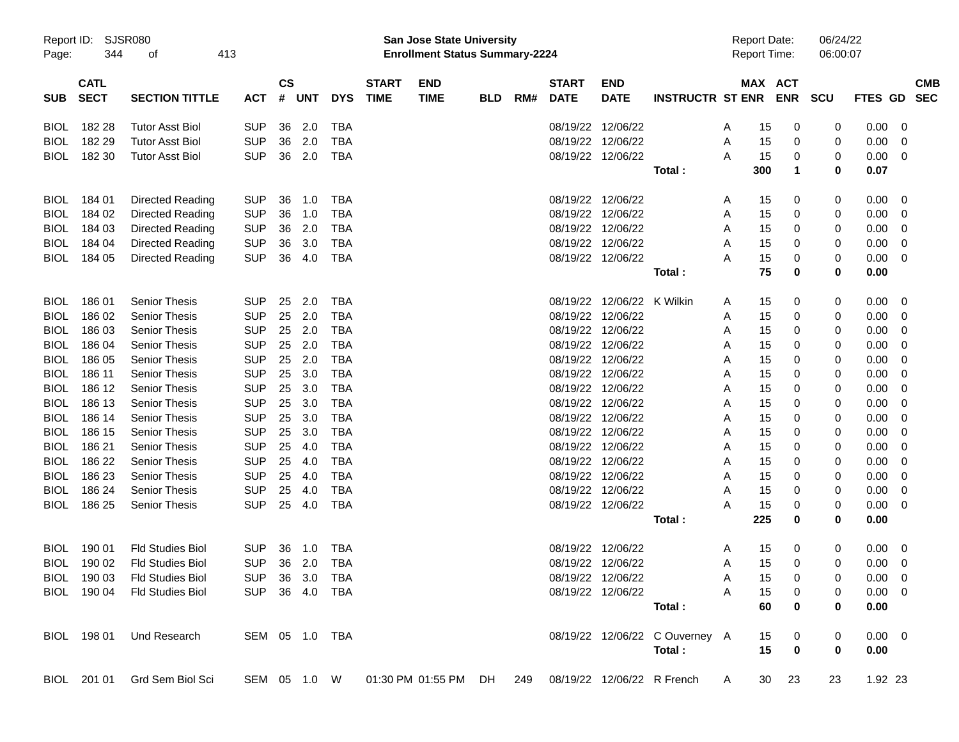| Report ID:<br>Page: | 344                        | <b>SJSR080</b><br>οf    | 413 |            |                |                |            |                             | <b>San Jose State University</b><br><b>Enrollment Status Summary-2224</b> |            |     |                             |                            |                                |              | <b>Report Date:</b><br><b>Report Time:</b> |            | 06/24/22<br>06:00:07 |                |                          |
|---------------------|----------------------------|-------------------------|-----|------------|----------------|----------------|------------|-----------------------------|---------------------------------------------------------------------------|------------|-----|-----------------------------|----------------------------|--------------------------------|--------------|--------------------------------------------|------------|----------------------|----------------|--------------------------|
| <b>SUB</b>          | <b>CATL</b><br><b>SECT</b> | <b>SECTION TITTLE</b>   |     | <b>ACT</b> | <b>CS</b><br># | <b>UNT</b>     | <b>DYS</b> | <b>START</b><br><b>TIME</b> | <b>END</b><br><b>TIME</b>                                                 | <b>BLD</b> | RM# | <b>START</b><br><b>DATE</b> | <b>END</b><br><b>DATE</b>  | <b>INSTRUCTR ST ENR</b>        |              | MAX ACT                                    | <b>ENR</b> | <b>SCU</b>           | FTES GD        | <b>CMB</b><br><b>SEC</b> |
| <b>BIOL</b>         | 182 28                     | <b>Tutor Asst Biol</b>  |     | <b>SUP</b> | 36             | 2.0            | TBA        |                             |                                                                           |            |     | 08/19/22 12/06/22           |                            |                                | A            | 15                                         | 0          | 0                    | 0.00           | 0                        |
| <b>BIOL</b>         | 182 29                     | <b>Tutor Asst Biol</b>  |     | <b>SUP</b> | 36             | 2.0            | TBA        |                             |                                                                           |            |     | 08/19/22 12/06/22           |                            |                                | Α            | 15                                         | 0          | 0                    | 0.00           | 0                        |
| <b>BIOL</b>         | 182 30                     | <b>Tutor Asst Biol</b>  |     | <b>SUP</b> | 36             | 2.0            | TBA        |                             |                                                                           |            |     | 08/19/22 12/06/22           |                            |                                | A            | 15                                         | 0          | 0                    | 0.00           | 0                        |
|                     |                            |                         |     |            |                |                |            |                             |                                                                           |            |     |                             |                            | Total:                         |              | 300                                        | 1          | 0                    | 0.07           |                          |
| <b>BIOL</b>         | 184 01                     | Directed Reading        |     | <b>SUP</b> | 36             | 1.0            | TBA        |                             |                                                                           |            |     | 08/19/22 12/06/22           |                            |                                | A            | 15                                         | 0          | 0                    | 0.00           | 0                        |
| <b>BIOL</b>         | 184 02                     | Directed Reading        |     | <b>SUP</b> | 36             | 1.0            | TBA        |                             |                                                                           |            |     | 08/19/22 12/06/22           |                            |                                | Α            | 15                                         | 0          | 0                    | 0.00           | 0                        |
| <b>BIOL</b>         | 184 03                     | Directed Reading        |     | <b>SUP</b> | 36             | 2.0            | TBA        |                             |                                                                           |            |     | 08/19/22 12/06/22           |                            |                                | Α            | 15                                         | 0          | 0                    | 0.00           | 0                        |
| <b>BIOL</b>         | 184 04                     | Directed Reading        |     | <b>SUP</b> | 36             | 3.0            | TBA        |                             |                                                                           |            |     | 08/19/22 12/06/22           |                            |                                | A            | 15                                         | 0          | 0                    | 0.00           | 0                        |
| BIOL                | 184 05                     | Directed Reading        |     | <b>SUP</b> | 36             | 4.0            | TBA        |                             |                                                                           |            |     | 08/19/22 12/06/22           |                            |                                | Α            | 15                                         | 0          | 0                    | 0.00           | 0                        |
|                     |                            |                         |     |            |                |                |            |                             |                                                                           |            |     |                             |                            | Total:                         |              | 75                                         | 0          | 0                    | 0.00           |                          |
| <b>BIOL</b>         | 18601                      | <b>Senior Thesis</b>    |     | <b>SUP</b> | 25             | 2.0            | TBA        |                             |                                                                           |            |     |                             | 08/19/22 12/06/22          | K Wilkin                       | A            | 15                                         | 0          | 0                    | 0.00           | 0                        |
| <b>BIOL</b>         | 186 02                     | <b>Senior Thesis</b>    |     | <b>SUP</b> | 25             | 2.0            | TBA        |                             |                                                                           |            |     | 08/19/22 12/06/22           |                            |                                | Α            | 15                                         | 0          | 0                    | 0.00           | 0                        |
| <b>BIOL</b>         | 186 03                     | <b>Senior Thesis</b>    |     | <b>SUP</b> | 25             | 2.0            | TBA        |                             |                                                                           |            |     | 08/19/22 12/06/22           |                            |                                | Α            | 15                                         | 0          | 0                    | 0.00           | 0                        |
| <b>BIOL</b>         | 186 04                     | <b>Senior Thesis</b>    |     | <b>SUP</b> | 25             | 2.0            | TBA        |                             |                                                                           |            |     | 08/19/22 12/06/22           |                            |                                | Α            | 15                                         | 0          | 0                    | 0.00           | 0                        |
| <b>BIOL</b>         | 186 05                     | <b>Senior Thesis</b>    |     | <b>SUP</b> | 25             | 2.0            | TBA        |                             |                                                                           |            |     | 08/19/22 12/06/22           |                            |                                | Α            | 15                                         | 0          | 0                    | 0.00           | 0                        |
| <b>BIOL</b>         | 186 11                     | <b>Senior Thesis</b>    |     | <b>SUP</b> | 25             | 3.0            | TBA        |                             |                                                                           |            |     | 08/19/22 12/06/22           |                            |                                | Α            | 15                                         | 0          | 0                    | 0.00           | 0                        |
| <b>BIOL</b>         | 186 12                     | <b>Senior Thesis</b>    |     | <b>SUP</b> | 25             | 3.0            | TBA        |                             |                                                                           |            |     | 08/19/22 12/06/22           |                            |                                | Α            | 15                                         | 0          | 0                    | 0.00           | 0                        |
| <b>BIOL</b>         | 186 13                     | <b>Senior Thesis</b>    |     | <b>SUP</b> | 25             | 3.0            | TBA        |                             |                                                                           |            |     | 08/19/22 12/06/22           |                            |                                | Α            | 15                                         | 0          | 0                    | 0.00           | 0                        |
| <b>BIOL</b>         | 186 14                     | <b>Senior Thesis</b>    |     | <b>SUP</b> | 25             | 3.0            | TBA        |                             |                                                                           |            |     | 08/19/22 12/06/22           |                            |                                | Α            | 15                                         | 0          | 0                    | 0.00           | 0                        |
| <b>BIOL</b>         | 186 15                     | <b>Senior Thesis</b>    |     | <b>SUP</b> | 25             | 3.0            | TBA        |                             |                                                                           |            |     | 08/19/22 12/06/22           |                            |                                | Α            | 15                                         | 0          | 0                    | 0.00           | 0                        |
| <b>BIOL</b>         | 186 21                     | <b>Senior Thesis</b>    |     | <b>SUP</b> | 25             | 4.0            | TBA        |                             |                                                                           |            |     | 08/19/22 12/06/22           |                            |                                | Α            | 15                                         | 0          | 0                    | 0.00           | 0                        |
| <b>BIOL</b>         | 186 22                     | <b>Senior Thesis</b>    |     | <b>SUP</b> | 25             | 4.0            | TBA        |                             |                                                                           |            |     | 08/19/22 12/06/22           |                            |                                | Α            | 15                                         | 0          | 0                    | 0.00           | 0                        |
| <b>BIOL</b>         | 186 23                     | <b>Senior Thesis</b>    |     | <b>SUP</b> | 25             | 4.0            | TBA        |                             |                                                                           |            |     | 08/19/22 12/06/22           |                            |                                | Α            | 15                                         | 0          | 0                    | 0.00           | 0                        |
| <b>BIOL</b>         | 186 24                     | <b>Senior Thesis</b>    |     | <b>SUP</b> | 25             | 4.0            | TBA        |                             |                                                                           |            |     | 08/19/22 12/06/22           |                            |                                | A            | 15                                         | 0          | 0                    | 0.00           | 0                        |
| BIOL                | 186 25                     | <b>Senior Thesis</b>    |     | <b>SUP</b> | 25             | 4.0            | TBA        |                             |                                                                           |            |     | 08/19/22 12/06/22           |                            |                                | Α            | 15                                         | 0          | 0                    | 0.00           | 0                        |
|                     |                            |                         |     |            |                |                |            |                             |                                                                           |            |     |                             |                            | Total:                         |              | 225                                        | 0          | 0                    | 0.00           |                          |
| <b>BIOL</b>         | 190 01                     | <b>Fld Studies Biol</b> |     | <b>SUP</b> | 36             | 1.0            | TBA        |                             |                                                                           |            |     | 08/19/22 12/06/22           |                            |                                | A            | 15                                         | 0          | 0                    | 0.00           | 0                        |
| <b>BIOL</b>         | 190 02                     | <b>Fld Studies Biol</b> |     | <b>SUP</b> | 36             | 2.0            | TBA        |                             |                                                                           |            |     | 08/19/22 12/06/22           |                            |                                | Α            | 15                                         | 0          | 0                    | 0.00           | 0                        |
|                     | BIOL 190 03                | <b>Fld Studies Biol</b> |     |            |                | SUP 36 3.0 TBA |            |                             |                                                                           |            |     | 08/19/22 12/06/22           |                            |                                | A            | 15                                         | 0          | 0                    | $0.00 \quad 0$ |                          |
|                     | BIOL 190 04                | <b>Fld Studies Biol</b> |     |            |                | SUP 36 4.0 TBA |            |                             |                                                                           |            |     |                             | 08/19/22 12/06/22          |                                | A            | 15                                         | 0          | 0                    | $0.00 \t 0$    |                          |
|                     |                            |                         |     |            |                |                |            |                             |                                                                           |            |     |                             |                            | Total:                         |              | 60                                         | 0          | 0                    | 0.00           |                          |
|                     | BIOL 198 01                | Und Research            |     |            |                | SEM 05 1.0 TBA |            |                             |                                                                           |            |     |                             |                            | 08/19/22 12/06/22 C Ouverney A |              | 15                                         | 0          | 0                    | $0.00 \t 0$    |                          |
|                     |                            |                         |     |            |                |                |            |                             |                                                                           |            |     |                             |                            | Total:                         |              | 15                                         | 0          | 0                    | 0.00           |                          |
|                     | BIOL 201 01                | Grd Sem Biol Sci        |     |            |                | SEM 05 1.0 W   |            |                             | 01:30 PM 01:55 PM DH 249                                                  |            |     |                             | 08/19/22 12/06/22 R French |                                | $\mathsf{A}$ | 30                                         | 23         | 23                   | 1.92 23        |                          |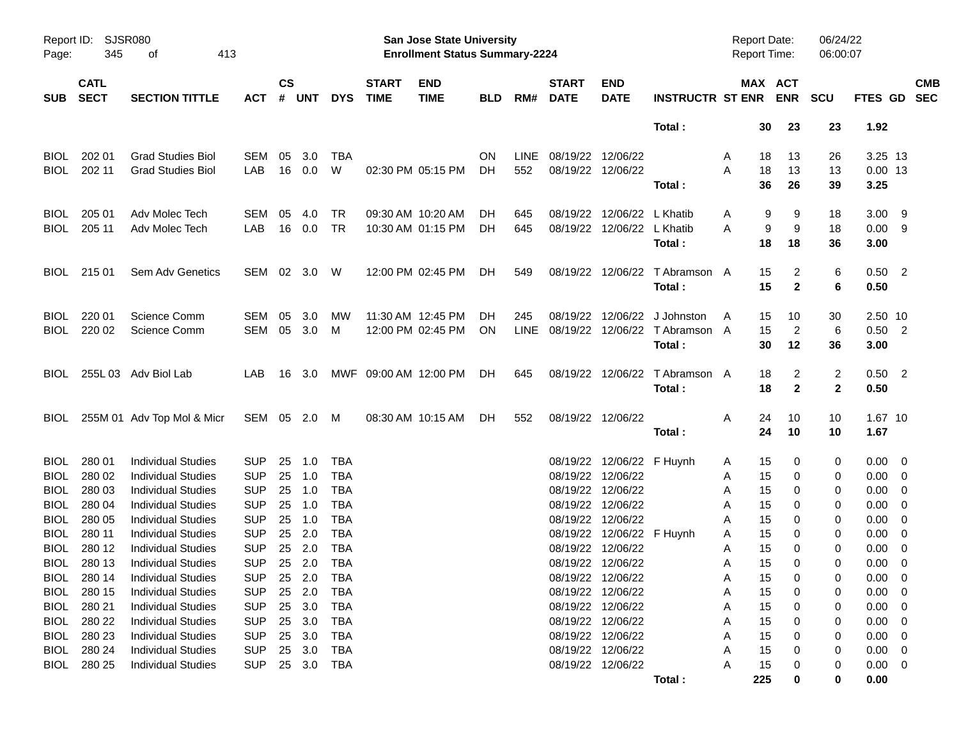| Report ID:<br>Page: | 345                        | SJSR080<br>413<br>οf       |            |                    |        |            |                             | <b>San Jose State University</b><br><b>Enrollment Status Summary-2224</b> |            |             |                             |                            |                                | <b>Report Date:</b><br>Report Time: |                       | 06/24/22<br>06:00:07 |                |                         |            |
|---------------------|----------------------------|----------------------------|------------|--------------------|--------|------------|-----------------------------|---------------------------------------------------------------------------|------------|-------------|-----------------------------|----------------------------|--------------------------------|-------------------------------------|-----------------------|----------------------|----------------|-------------------------|------------|
| <b>SUB</b>          | <b>CATL</b><br><b>SECT</b> | <b>SECTION TITTLE</b>      | ACT        | $\mathsf{cs}$<br># | UNT    | <b>DYS</b> | <b>START</b><br><b>TIME</b> | <b>END</b><br><b>TIME</b>                                                 | <b>BLD</b> | RM#         | <b>START</b><br><b>DATE</b> | <b>END</b><br><b>DATE</b>  | <b>INSTRUCTR ST ENR</b>        |                                     | MAX ACT<br><b>ENR</b> | <b>SCU</b>           | FTES GD SEC    |                         | <b>CMB</b> |
|                     |                            |                            |            |                    |        |            |                             |                                                                           |            |             |                             |                            | Total:                         | 30                                  | 23                    | 23                   | 1.92           |                         |            |
| <b>BIOL</b>         | 202 01                     | <b>Grad Studies Biol</b>   | <b>SEM</b> | 05                 | 3.0    | TBA        |                             |                                                                           | <b>ON</b>  | <b>LINE</b> | 08/19/22 12/06/22           |                            |                                | 18<br>A                             | 13                    | 26                   | 3.25 13        |                         |            |
| <b>BIOL</b>         | 202 11                     | <b>Grad Studies Biol</b>   | LAB        | 16                 | 0.0    | W          |                             | 02:30 PM 05:15 PM                                                         | DH.        | 552         |                             | 08/19/22 12/06/22          |                                | Α<br>18                             | 13                    | 13                   | $0.00$ 13      |                         |            |
|                     |                            |                            |            |                    |        |            |                             |                                                                           |            |             |                             |                            | Total:                         | 36                                  | 26                    | 39                   | 3.25           |                         |            |
| <b>BIOL</b>         | 205 01                     | Adv Molec Tech             | SEM        | 05                 | 4.0    | TR         |                             | 09:30 AM 10:20 AM                                                         | DН         | 645         | 08/19/22                    | 12/06/22 L Khatib          |                                | A                                   | 9<br>9                | 18                   | $3.00$ 9       |                         |            |
| <b>BIOL</b>         | 205 11                     | Adv Molec Tech             | LAB        | 16                 | 0.0    | <b>TR</b>  |                             | 10:30 AM 01:15 PM                                                         | DH.        | 645         |                             | 08/19/22 12/06/22 L Khatib |                                | Α                                   | 9<br>9                | 18                   | 0.009          |                         |            |
|                     |                            |                            |            |                    |        |            |                             |                                                                           |            |             |                             |                            | Total:                         | 18                                  | 18                    | 36                   | 3.00           |                         |            |
| <b>BIOL</b>         | 215 01                     | Sem Adv Genetics           | SEM 02 3.0 |                    |        | - W        |                             | 12:00 PM 02:45 PM                                                         | DH.        | 549         |                             |                            | 08/19/22 12/06/22 T Abramson A | 15                                  | 2                     | 6                    | $0.50$ 2       |                         |            |
|                     |                            |                            |            |                    |        |            |                             |                                                                           |            |             |                             |                            | Total:                         | 15                                  | $\mathbf{2}$          | 6                    | 0.50           |                         |            |
| <b>BIOL</b>         | 220 01                     | <b>Science Comm</b>        | SEM        | 05                 | 3.0    | <b>MW</b>  |                             | 11:30 AM 12:45 PM                                                         | DН         | 245         | 08/19/22                    | 12/06/22                   | J Johnston                     | 15<br>A                             | 10                    | 30                   | 2.50 10        |                         |            |
| <b>BIOL</b>         | 220 02                     | <b>Science Comm</b>        | SEM 05 3.0 |                    |        | М          |                             | 12:00 PM 02:45 PM                                                         | <b>ON</b>  | LINE        |                             |                            | 08/19/22 12/06/22 TAbramson A  | 15                                  | 2                     | 6                    | $0.50$ 2       |                         |            |
|                     |                            |                            |            |                    |        |            |                             |                                                                           |            |             |                             |                            | Total:                         | 30                                  | 12                    | 36                   | 3.00           |                         |            |
| <b>BIOL</b>         |                            | 255L 03 Adv Biol Lab       | LAB.       |                    | 16 3.0 |            | MWF 09:00 AM 12:00 PM       |                                                                           | DH.        | 645         |                             | 08/19/22 12/06/22          | T Abramson A                   | 18                                  | 2                     | 2                    | $0.50$ 2       |                         |            |
|                     |                            |                            |            |                    |        |            |                             |                                                                           |            |             |                             |                            | Total:                         | 18                                  | $\mathbf{2}$          | $\mathbf{2}$         | 0.50           |                         |            |
| <b>BIOL</b>         |                            | 255M 01 Adv Top Mol & Micr | SEM 05 2.0 |                    |        | M          |                             | 08:30 AM 10:15 AM                                                         | DH.        | 552         |                             | 08/19/22 12/06/22          |                                | 24<br>Α                             | 10                    | 10                   | 1.67 10        |                         |            |
|                     |                            |                            |            |                    |        |            |                             |                                                                           |            |             |                             |                            | Total:                         | 24                                  | 10                    | 10                   | 1.67           |                         |            |
| <b>BIOL</b>         | 280 01                     | <b>Individual Studies</b>  | <b>SUP</b> | 25                 | 1.0    | TBA        |                             |                                                                           |            |             |                             | 08/19/22 12/06/22 F Huynh  |                                | 15<br>A                             | 0                     | 0                    | $0.00 \quad 0$ |                         |            |
| <b>BIOL</b>         | 280 02                     | <b>Individual Studies</b>  | <b>SUP</b> | 25                 | 1.0    | TBA        |                             |                                                                           |            |             | 08/19/22                    | 12/06/22                   |                                | 15<br>Α                             | 0                     | 0                    | $0.00 \quad 0$ |                         |            |
| <b>BIOL</b>         | 280 03                     | <b>Individual Studies</b>  | <b>SUP</b> | 25                 | 1.0    | <b>TBA</b> |                             |                                                                           |            |             | 08/19/22                    | 12/06/22                   |                                | 15<br>A                             | 0                     | 0                    | 0.00           | $\overline{\mathbf{0}}$ |            |
| <b>BIOL</b>         | 280 04                     | <b>Individual Studies</b>  | <b>SUP</b> | 25                 | 1.0    | <b>TBA</b> |                             |                                                                           |            |             | 08/19/22                    | 12/06/22                   |                                | 15<br>A                             | 0                     | 0                    | 0.00           | $\overline{\mathbf{0}}$ |            |
| <b>BIOL</b>         | 280 05                     | <b>Individual Studies</b>  | <b>SUP</b> | 25                 | 1.0    | <b>TBA</b> |                             |                                                                           |            |             | 08/19/22                    | 12/06/22                   |                                | 15<br>Α                             | 0                     | 0                    | 0.00           | - 0                     |            |
| <b>BIOL</b>         | 280 11                     | <b>Individual Studies</b>  | <b>SUP</b> | 25                 | 2.0    | <b>TBA</b> |                             |                                                                           |            |             | 08/19/22                    | 12/06/22 F Huynh           |                                | 15<br>A                             | 0                     | 0                    | 0.00           | $\overline{\mathbf{0}}$ |            |
| <b>BIOL</b>         | 280 12                     | <b>Individual Studies</b>  | <b>SUP</b> | 25                 | 2.0    | <b>TBA</b> |                             |                                                                           |            |             |                             | 08/19/22 12/06/22          |                                | 15<br>Α                             | 0                     | 0                    | 0.00           | $\overline{\mathbf{0}}$ |            |
| <b>BIOL</b>         | 280 13                     | <b>Individual Studies</b>  | <b>SUP</b> | 25                 | 2.0    | <b>TBA</b> |                             |                                                                           |            |             |                             | 08/19/22 12/06/22          |                                | 15<br>A                             | 0                     | 0                    | 0.00           | $\overline{\mathbf{0}}$ |            |
|                     | BIOL 280 14                | <b>Individual Studies</b>  | SUP 25 2.0 |                    |        | <b>TBA</b> |                             |                                                                           |            |             |                             | 08/19/22 12/06/22          |                                | 15<br>Α                             | 0                     | 0                    | $0.00 \t 0$    |                         |            |
| <b>BIOL</b>         | 280 15                     | <b>Individual Studies</b>  | <b>SUP</b> | 25                 | 2.0    | TBA        |                             |                                                                           |            |             |                             | 08/19/22 12/06/22          |                                | Α<br>15                             | O                     | 0                    | 0.00           | $\overline{\mathbf{0}}$ |            |
| <b>BIOL</b>         | 280 21                     | <b>Individual Studies</b>  | <b>SUP</b> | 25                 | 3.0    | <b>TBA</b> |                             |                                                                           |            |             |                             | 08/19/22 12/06/22          |                                | 15<br>Α                             |                       | 0                    | 0.00           | $\overline{\mathbf{0}}$ |            |
| <b>BIOL</b>         | 280 22                     | <b>Individual Studies</b>  | <b>SUP</b> | 25                 | 3.0    | TBA        |                             |                                                                           |            |             |                             | 08/19/22 12/06/22          |                                | 15<br>Α                             |                       | 0                    | 0.00           | $\overline{\mathbf{0}}$ |            |
| <b>BIOL</b>         | 280 23                     | <b>Individual Studies</b>  | <b>SUP</b> | 25                 | 3.0    | TBA        |                             |                                                                           |            |             |                             | 08/19/22 12/06/22          |                                | 15<br>Α                             |                       | 0                    | 0.00           | $\overline{\mathbf{0}}$ |            |
| <b>BIOL</b>         | 280 24                     | <b>Individual Studies</b>  | <b>SUP</b> | 25                 | 3.0    | TBA        |                             |                                                                           |            |             |                             | 08/19/22 12/06/22          |                                | 15<br>Α                             |                       | 0                    | 0.00           | $\overline{0}$          |            |
| <b>BIOL</b>         | 280 25                     | <b>Individual Studies</b>  | <b>SUP</b> | 25                 | 3.0    | TBA        |                             |                                                                           |            |             |                             | 08/19/22 12/06/22          |                                | Α<br>15                             |                       | 0                    | $0.00 \quad 0$ |                         |            |
|                     |                            |                            |            |                    |        |            |                             |                                                                           |            |             |                             |                            | Total:                         | 225                                 | 0                     | 0                    | 0.00           |                         |            |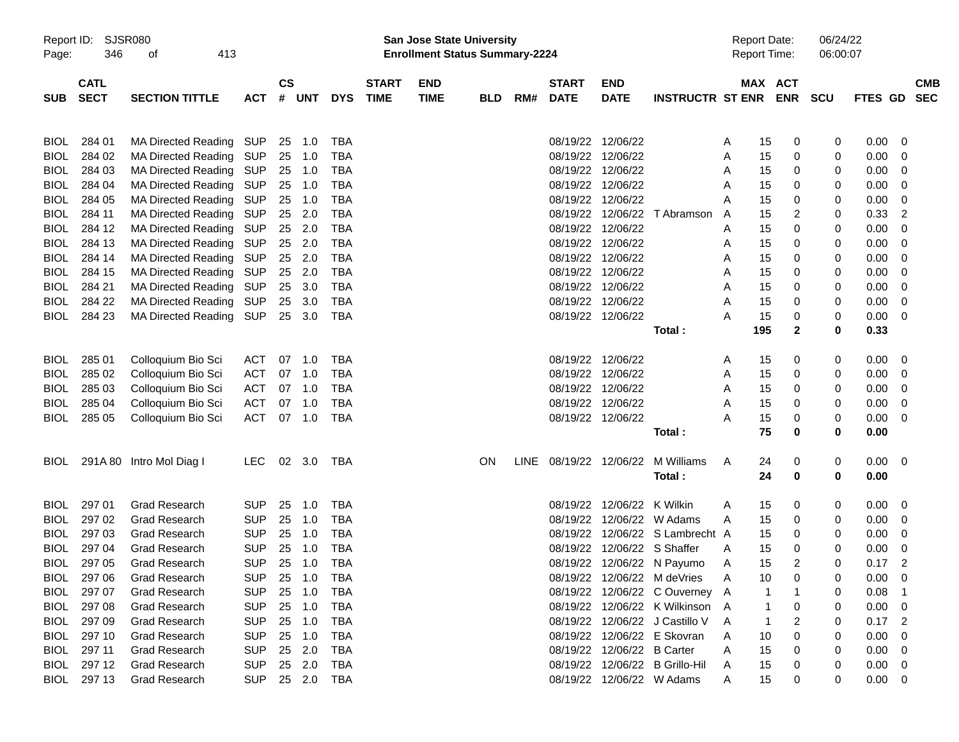| Report ID:<br>Page:        | 346                        | <b>SJSR080</b><br>413<br>оf                              |                          |                    |            |                          |                             | San Jose State University<br><b>Enrollment Status Summary-2224</b> |            |     |                             |                           |                            |        | <b>Report Date:</b><br>Report Time: |                          | 06/24/22<br>06:00:07 |                |                          |  |
|----------------------------|----------------------------|----------------------------------------------------------|--------------------------|--------------------|------------|--------------------------|-----------------------------|--------------------------------------------------------------------|------------|-----|-----------------------------|---------------------------|----------------------------|--------|-------------------------------------|--------------------------|----------------------|----------------|--------------------------|--|
| <b>SUB</b>                 | <b>CATL</b><br><b>SECT</b> | <b>SECTION TITTLE</b>                                    | <b>ACT</b>               | $\mathsf{cs}$<br># | UNT        | <b>DYS</b>               | <b>START</b><br><b>TIME</b> | <b>END</b><br><b>TIME</b>                                          | <b>BLD</b> | RM# | <b>START</b><br><b>DATE</b> | <b>END</b><br><b>DATE</b> | <b>INSTRUCTR ST ENR</b>    |        | MAX                                 | <b>ACT</b><br><b>ENR</b> | <b>SCU</b>           | <b>FTES GD</b> | <b>CMB</b><br><b>SEC</b> |  |
|                            |                            |                                                          |                          |                    |            |                          |                             |                                                                    |            |     |                             |                           |                            |        |                                     |                          |                      |                |                          |  |
| <b>BIOL</b>                | 284 01                     | <b>MA Directed Reading</b>                               | SUP                      | 25                 | 1.0        | <b>TBA</b>               |                             |                                                                    |            |     | 08/19/22                    | 12/06/22                  |                            | A      | 15                                  | 0                        | 0                    | 0.00           | 0                        |  |
| <b>BIOL</b>                | 284 02                     | <b>MA Directed Reading</b>                               | <b>SUP</b>               | 25                 | 1.0        | <b>TBA</b>               |                             |                                                                    |            |     | 08/19/22                    | 12/06/22                  |                            | A      | 15                                  | 0                        | 0                    | 0.00           | 0                        |  |
| <b>BIOL</b>                | 284 03                     | <b>MA Directed Reading</b>                               | <b>SUP</b>               | 25                 | 1.0        | <b>TBA</b>               |                             |                                                                    |            |     | 08/19/22                    | 12/06/22                  |                            | A      | 15                                  | 0                        | 0                    | 0.00           | 0                        |  |
| <b>BIOL</b>                | 284 04                     | <b>MA Directed Reading</b>                               | <b>SUP</b>               | 25                 | 1.0        | <b>TBA</b>               |                             |                                                                    |            |     | 08/19/22                    | 12/06/22                  |                            | A      | 15                                  | 0                        | 0                    | 0.00           | 0                        |  |
| <b>BIOL</b>                | 284 05                     | <b>MA Directed Reading</b>                               | <b>SUP</b>               | 25                 | 1.0        | <b>TBA</b>               |                             |                                                                    |            |     | 08/19/22                    | 12/06/22                  |                            | A      | 15                                  | 0                        | 0                    | 0.00           | 0                        |  |
| <b>BIOL</b><br><b>BIOL</b> | 284 11<br>284 12           | <b>MA Directed Reading</b><br><b>MA Directed Reading</b> | <b>SUP</b><br><b>SUP</b> | 25<br>25           | 2.0<br>2.0 | <b>TBA</b><br><b>TBA</b> |                             |                                                                    |            |     | 08/19/22<br>08/19/22        | 12/06/22<br>12/06/22      | T Abramson                 | A      | 15<br>15                            | 2<br>0                   | 0<br>0               | 0.33<br>0.00   | 2<br>0                   |  |
| <b>BIOL</b>                | 284 13                     | <b>MA Directed Reading</b>                               | SUP                      | 25                 | 2.0        | <b>TBA</b>               |                             |                                                                    |            |     | 08/19/22                    | 12/06/22                  |                            | A<br>A | 15                                  | 0                        | 0                    | 0.00           | 0                        |  |
| <b>BIOL</b>                | 284 14                     | <b>MA Directed Reading</b>                               | <b>SUP</b>               | 25                 | 2.0        | <b>TBA</b>               |                             |                                                                    |            |     | 08/19/22                    | 12/06/22                  |                            | A      | 15                                  | 0                        | 0                    | 0.00           | 0                        |  |
| <b>BIOL</b>                | 284 15                     | <b>MA Directed Reading</b>                               | <b>SUP</b>               | 25                 | 2.0        | <b>TBA</b>               |                             |                                                                    |            |     | 08/19/22                    | 12/06/22                  |                            | A      | 15                                  | 0                        | 0                    | 0.00           | 0                        |  |
| <b>BIOL</b>                | 284 21                     | <b>MA Directed Reading</b>                               | <b>SUP</b>               | 25                 | 3.0        | <b>TBA</b>               |                             |                                                                    |            |     | 08/19/22                    | 12/06/22                  |                            | A      | 15                                  | 0                        | 0                    | 0.00           | 0                        |  |
| <b>BIOL</b>                | 284 22                     | <b>MA Directed Reading</b>                               | SUP                      | 25                 | 3.0        | <b>TBA</b>               |                             |                                                                    |            |     | 08/19/22                    | 12/06/22                  |                            | A      | 15                                  | 0                        | 0                    | 0.00           | 0                        |  |
| <b>BIOL</b>                | 284 23                     | <b>MA Directed Reading</b>                               | <b>SUP</b>               |                    | 25 3.0     | <b>TBA</b>               |                             |                                                                    |            |     | 08/19/22                    | 12/06/22                  |                            | А      | 15                                  | 0                        | 0                    | 0.00           | 0                        |  |
|                            |                            |                                                          |                          |                    |            |                          |                             |                                                                    |            |     |                             |                           | Total:                     |        | 195                                 | $\mathbf{2}$             | 0                    | 0.33           |                          |  |
| BIOL                       | 285 01                     | Colloquium Bio Sci                                       | ACT                      | 07                 | 1.0        | <b>TBA</b>               |                             |                                                                    |            |     | 08/19/22                    | 12/06/22                  |                            | A      | 15                                  | 0                        | 0                    | 0.00           | 0                        |  |
| <b>BIOL</b>                | 285 02                     | Colloquium Bio Sci                                       | ACT                      | 07                 | 1.0        | <b>TBA</b>               |                             |                                                                    |            |     | 08/19/22                    | 12/06/22                  |                            | A      | 15                                  | 0                        | 0                    | 0.00           | 0                        |  |
| <b>BIOL</b>                | 285 03                     | Colloquium Bio Sci                                       | <b>ACT</b>               | 07                 | 1.0        | <b>TBA</b>               |                             |                                                                    |            |     | 08/19/22                    | 12/06/22                  |                            | A      | 15                                  | 0                        | 0                    | 0.00           | 0                        |  |
| <b>BIOL</b>                | 285 04                     | Colloquium Bio Sci                                       | <b>ACT</b>               | 07                 | 1.0        | <b>TBA</b>               |                             |                                                                    |            |     | 08/19/22                    | 12/06/22                  |                            | A      | 15                                  | 0                        | 0                    | 0.00           | 0                        |  |
| <b>BIOL</b>                | 285 05                     | Colloquium Bio Sci                                       | <b>ACT</b>               |                    | 07 1.0     | <b>TBA</b>               |                             |                                                                    |            |     | 08/19/22                    | 12/06/22                  |                            | Α      | 15                                  | 0                        | 0                    | 0.00           | 0                        |  |
|                            |                            |                                                          |                          |                    |            |                          |                             |                                                                    |            |     |                             |                           | Total:                     |        | 75                                  | 0                        | 0                    | 0.00           |                          |  |
| BIOL                       |                            | 291A 80 Intro Mol Diag I                                 | <b>LEC</b>               |                    | 02 3.0     | TBA                      |                             |                                                                    | <b>ON</b>  |     | LINE 08/19/22               | 12/06/22                  | M Williams                 | A      | 24                                  | 0                        | 0                    | 0.00           | $\overline{\mathbf{0}}$  |  |
|                            |                            |                                                          |                          |                    |            |                          |                             |                                                                    |            |     |                             |                           | Total:                     |        | 24                                  | 0                        | 0                    | 0.00           |                          |  |
| BIOL                       | 297 01                     | <b>Grad Research</b>                                     | <b>SUP</b>               | 25                 | 1.0        | <b>TBA</b>               |                             |                                                                    |            |     | 08/19/22                    | 12/06/22                  | K Wilkin                   | A      | 15                                  | 0                        | 0                    | 0.00           | 0                        |  |
| <b>BIOL</b>                | 297 02                     | <b>Grad Research</b>                                     | <b>SUP</b>               | 25                 | 1.0        | <b>TBA</b>               |                             |                                                                    |            |     | 08/19/22                    | 12/06/22                  | W Adams                    | A      | 15                                  | 0                        | 0                    | 0.00           | 0                        |  |
| <b>BIOL</b>                | 297 03                     | <b>Grad Research</b>                                     | <b>SUP</b>               | 25                 | 1.0        | <b>TBA</b>               |                             |                                                                    |            |     | 08/19/22                    |                           | 12/06/22 S Lambrecht A     |        | 15                                  | 0                        | 0                    | 0.00           | 0                        |  |
| <b>BIOL</b>                | 297 04                     | <b>Grad Research</b>                                     | <b>SUP</b>               | 25                 | 1.0        | <b>TBA</b>               |                             |                                                                    |            |     | 08/19/22                    |                           | 12/06/22 S Shaffer         | A      | 15                                  | 0                        | 0                    | 0.00           | 0                        |  |
| <b>BIOL</b>                | 297 05                     | <b>Grad Research</b>                                     | <b>SUP</b>               | 25                 | 1.0        | <b>TBA</b>               |                             |                                                                    |            |     |                             |                           | 08/19/22 12/06/22 N Payumo | A      | 15                                  | 2                        | 0                    | 0.17           | 2                        |  |
| <b>BIOL</b>                | 297 06                     | Grad Research                                            | <b>SUP</b>               | 25                 | 1.0        | <b>TBA</b>               |                             |                                                                    |            |     | 08/19/22                    |                           | 12/06/22 M deVries         |        | 10                                  | 0                        | 0                    | 0.00           | $\mathbf 0$              |  |
| <b>BIOL</b>                | 297 07                     | <b>Grad Research</b>                                     | <b>SUP</b>               | 25                 | 1.0        | <b>TBA</b>               |                             |                                                                    |            |     | 08/19/22                    |                           | 12/06/22 C Ouverney A      |        |                                     |                          | 0                    | 0.08           |                          |  |
| <b>BIOL</b>                | 297 08                     | Grad Research                                            | <b>SUP</b>               | 25                 | 1.0        | <b>TBA</b>               |                             |                                                                    |            |     | 08/19/22                    |                           | 12/06/22 K Wilkinson A     |        |                                     | 0                        | 0                    | 0.00           | 0                        |  |
| <b>BIOL</b>                | 297 09                     | Grad Research                                            | <b>SUP</b>               | 25                 | 1.0        | <b>TBA</b>               |                             |                                                                    |            |     | 08/19/22                    |                           | 12/06/22 J Castillo V      | A      |                                     | 2                        | 0                    | 0.17           | 2                        |  |
| <b>BIOL</b>                | 297 10                     | Grad Research                                            | <b>SUP</b>               | 25                 | 1.0        | <b>TBA</b>               |                             |                                                                    |            |     | 08/19/22                    |                           | 12/06/22 E Skovran         | Α      | 10                                  | 0                        | 0                    | 0.00           | 0                        |  |
| <b>BIOL</b>                | 297 11                     | Grad Research                                            | <b>SUP</b>               | 25                 | 2.0        | <b>TBA</b>               |                             |                                                                    |            |     | 08/19/22                    | 12/06/22 B Carter         |                            | Α      | 15                                  | 0                        | 0                    | 0.00           | 0                        |  |
| <b>BIOL</b>                | 297 12                     | Grad Research                                            | <b>SUP</b>               | 25                 | 2.0        | <b>TBA</b>               |                             |                                                                    |            |     | 08/19/22                    |                           | 12/06/22 B Grillo-Hil      | Α      | 15                                  | 0                        | 0                    | 0.00           | 0                        |  |
| <b>BIOL</b>                | 297 13                     | Grad Research                                            | <b>SUP</b>               |                    | 25 2.0     | TBA                      |                             |                                                                    |            |     | 08/19/22                    |                           | 12/06/22 W Adams           | Α      | 15                                  | 0                        | 0                    | 0.00           | $\overline{0}$           |  |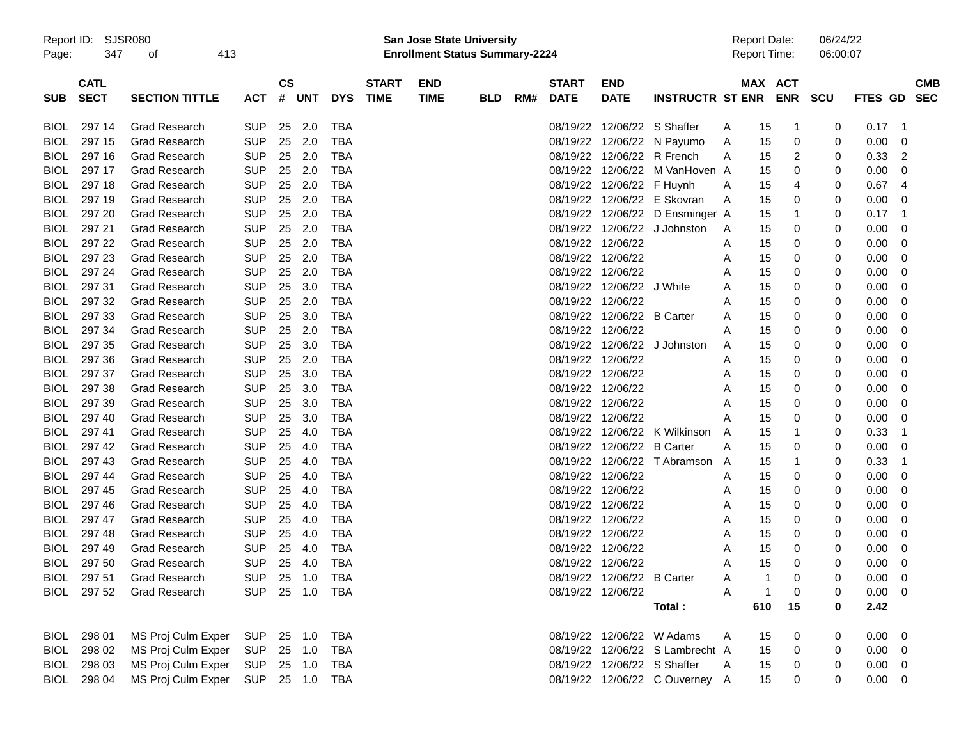| Report ID: | SJSR08 |
|------------|--------|
|------------|--------|

Report ID: SJSR080 **San Jose State University** Report Date: 06/24/22 Page: 347 of 413 **Enrollment Status Summary-2224** Report Time: 06:00:07

|             | <b>CATL</b> |                       |            | $\mathsf{cs}$ |            |            | <b>START</b> | <b>END</b>  |            |     | <b>START</b>      | <b>END</b>                  |                                |   |     | MAX ACT        |            |             | <b>CMB</b>     |
|-------------|-------------|-----------------------|------------|---------------|------------|------------|--------------|-------------|------------|-----|-------------------|-----------------------------|--------------------------------|---|-----|----------------|------------|-------------|----------------|
| <b>SUB</b>  | <b>SECT</b> | <b>SECTION TITTLE</b> | <b>ACT</b> | #             | <b>UNT</b> | <b>DYS</b> | <b>TIME</b>  | <b>TIME</b> | <b>BLD</b> | RM# | <b>DATE</b>       | <b>DATE</b>                 | <b>INSTRUCTR ST ENR</b>        |   |     | <b>ENR</b>     | <b>SCU</b> | FTES GD SEC |                |
|             |             |                       |            |               |            |            |              |             |            |     |                   |                             |                                |   |     |                |            |             |                |
| <b>BIOL</b> | 297 14      | <b>Grad Research</b>  | <b>SUP</b> | 25            | 2.0        | <b>TBA</b> |              |             |            |     |                   | 08/19/22 12/06/22 S Shaffer |                                | A | 15  | 1              | 0          | 0.17        | - 1            |
| <b>BIOL</b> | 297 15      | Grad Research         | <b>SUP</b> | 25            | 2.0        | <b>TBA</b> |              |             |            |     | 08/19/22          |                             | 12/06/22 N Payumo              | A | 15  | 0              | 0          | 0.00        | 0              |
| <b>BIOL</b> | 297 16      | Grad Research         | <b>SUP</b> | 25            | 2.0        | <b>TBA</b> |              |             |            |     | 08/19/22          |                             | 12/06/22 R French              | A | 15  | $\overline{c}$ | 0          | 0.33        | $\overline{2}$ |
| <b>BIOL</b> | 297 17      | <b>Grad Research</b>  | <b>SUP</b> | 25            | 2.0        | <b>TBA</b> |              |             |            |     | 08/19/22          | 12/06/22                    | M VanHoven A                   |   | 15  | 0              | 0          | 0.00        | 0              |
| <b>BIOL</b> | 297 18      | <b>Grad Research</b>  | <b>SUP</b> | 25            | 2.0        | <b>TBA</b> |              |             |            |     | 08/19/22          | 12/06/22 F Huynh            |                                | A | 15  | 4              | 0          | 0.67        | $\overline{4}$ |
| <b>BIOL</b> | 297 19      | <b>Grad Research</b>  | <b>SUP</b> | 25            | 2.0        | <b>TBA</b> |              |             |            |     | 08/19/22          |                             | 12/06/22 E Skovran             | A | 15  | 0              | 0          | 0.00        | $\mathbf 0$    |
| <b>BIOL</b> | 297 20      | <b>Grad Research</b>  | <b>SUP</b> | 25            | 2.0        | <b>TBA</b> |              |             |            |     | 08/19/22          |                             | 12/06/22 D Ensminger A         |   | 15  | -1             | 0          | 0.17        | $\overline{1}$ |
| <b>BIOL</b> | 297 21      | <b>Grad Research</b>  | <b>SUP</b> | 25            | 2.0        | <b>TBA</b> |              |             |            |     | 08/19/22          | 12/06/22                    | J Johnston                     | A | 15  | 0              | 0          | 0.00        | $\mathbf 0$    |
| <b>BIOL</b> | 297 22      | <b>Grad Research</b>  | <b>SUP</b> | 25            | 2.0        | <b>TBA</b> |              |             |            |     |                   | 08/19/22 12/06/22           |                                | Α | 15  | 0              | 0          | 0.00        | 0              |
| <b>BIOL</b> | 297 23      | <b>Grad Research</b>  | <b>SUP</b> | 25            | 2.0        | <b>TBA</b> |              |             |            |     |                   | 08/19/22 12/06/22           |                                | A | 15  | 0              | 0          | 0.00        | $\mathbf 0$    |
| <b>BIOL</b> | 297 24      | <b>Grad Research</b>  | <b>SUP</b> | 25            | 2.0        | <b>TBA</b> |              |             |            |     | 08/19/22          | 12/06/22                    |                                | A | 15  | 0              | 0          | 0.00        | $\Omega$       |
| <b>BIOL</b> | 297 31      | <b>Grad Research</b>  | <b>SUP</b> | 25            | 3.0        | <b>TBA</b> |              |             |            |     | 08/19/22          | 12/06/22 J White            |                                | A | 15  | $\mathbf 0$    | 0          | 0.00        | $\mathbf 0$    |
| <b>BIOL</b> | 297 32      | <b>Grad Research</b>  | <b>SUP</b> | 25            | 2.0        | <b>TBA</b> |              |             |            |     | 08/19/22          | 12/06/22                    |                                | A | 15  | 0              | 0          | 0.00        | $\mathbf 0$    |
| <b>BIOL</b> | 297 33      | <b>Grad Research</b>  | <b>SUP</b> | 25            | 3.0        | <b>TBA</b> |              |             |            |     | 08/19/22          | 12/06/22 B Carter           |                                | A | 15  | 0              | 0          | 0.00        | $\mathbf 0$    |
| <b>BIOL</b> | 297 34      | <b>Grad Research</b>  | <b>SUP</b> | 25            | 2.0        | <b>TBA</b> |              |             |            |     | 08/19/22          | 12/06/22                    |                                | A | 15  | 0              | 0          | 0.00        | $\mathbf 0$    |
| <b>BIOL</b> | 297 35      | <b>Grad Research</b>  | <b>SUP</b> | 25            | 3.0        | <b>TBA</b> |              |             |            |     | 08/19/22          | 12/06/22                    | J Johnston                     | A | 15  | 0              | 0          | 0.00        | $\mathbf 0$    |
| <b>BIOL</b> | 297 36      | <b>Grad Research</b>  | <b>SUP</b> | 25            | 2.0        | <b>TBA</b> |              |             |            |     | 08/19/22          | 12/06/22                    |                                | A | 15  | 0              | 0          | 0.00        | 0              |
| <b>BIOL</b> | 297 37      | <b>Grad Research</b>  | <b>SUP</b> | 25            | 3.0        | <b>TBA</b> |              |             |            |     | 08/19/22 12/06/22 |                             |                                | A | 15  | 0              | 0          | 0.00        | $\Omega$       |
| <b>BIOL</b> | 297 38      | <b>Grad Research</b>  | <b>SUP</b> | 25            | 3.0        | <b>TBA</b> |              |             |            |     | 08/19/22          | 12/06/22                    |                                | A | 15  | 0              | 0          | 0.00        | $\mathbf 0$    |
| <b>BIOL</b> | 297 39      | <b>Grad Research</b>  | <b>SUP</b> | 25            | 3.0        | <b>TBA</b> |              |             |            |     | 08/19/22          | 12/06/22                    |                                | A | 15  | $\mathbf 0$    | 0          | 0.00        | $\mathbf 0$    |
| <b>BIOL</b> | 297 40      | <b>Grad Research</b>  | <b>SUP</b> | 25            | 3.0        | <b>TBA</b> |              |             |            |     | 08/19/22          | 12/06/22                    |                                | Α | 15  | 0              | 0          | 0.00        | 0              |
| <b>BIOL</b> | 297 41      | <b>Grad Research</b>  | <b>SUP</b> | 25            | 4.0        | <b>TBA</b> |              |             |            |     | 08/19/22          |                             | 12/06/22 K Wilkinson           | A | 15  | 1              | 0          | 0.33        | -1             |
| <b>BIOL</b> | 297 42      | <b>Grad Research</b>  | <b>SUP</b> | 25            | 4.0        | <b>TBA</b> |              |             |            |     | 08/19/22          | 12/06/22 B Carter           |                                | A | 15  | $\mathbf 0$    | 0          | 0.00        | 0              |
| <b>BIOL</b> | 297 43      | <b>Grad Research</b>  | <b>SUP</b> | 25            | 4.0        | <b>TBA</b> |              |             |            |     | 08/19/22          |                             | 12/06/22 T Abramson            | Α | 15  | 1              | 0          | 0.33        | $\overline{1}$ |
| <b>BIOL</b> | 297 44      | <b>Grad Research</b>  | <b>SUP</b> | 25            | 4.0        | <b>TBA</b> |              |             |            |     | 08/19/22          | 12/06/22                    |                                | A | 15  | 0              | 0          | 0.00        | $\mathbf 0$    |
| <b>BIOL</b> | 297 45      | <b>Grad Research</b>  | <b>SUP</b> | 25            | 4.0        | <b>TBA</b> |              |             |            |     | 08/19/22 12/06/22 |                             |                                | A | 15  | 0              | 0          | 0.00        | $\mathbf 0$    |
| <b>BIOL</b> | 297 46      | <b>Grad Research</b>  | <b>SUP</b> | 25            | 4.0        | <b>TBA</b> |              |             |            |     | 08/19/22          | 12/06/22                    |                                | A | 15  | 0              | 0          | 0.00        | 0              |
| <b>BIOL</b> | 297 47      | <b>Grad Research</b>  | <b>SUP</b> | 25            | 4.0        | <b>TBA</b> |              |             |            |     | 08/19/22          | 12/06/22                    |                                | A | 15  | 0              | 0          | 0.00        | $\mathbf 0$    |
| <b>BIOL</b> | 297 48      | <b>Grad Research</b>  | <b>SUP</b> | 25            | 4.0        | <b>TBA</b> |              |             |            |     | 08/19/22          | 12/06/22                    |                                | Α | 15  | 0              | 0          | 0.00        | 0              |
| <b>BIOL</b> | 297 49      | <b>Grad Research</b>  | <b>SUP</b> | 25            | 4.0        | <b>TBA</b> |              |             |            |     |                   | 08/19/22 12/06/22           |                                | Α | 15  | 0              | 0          | 0.00        | 0              |
| <b>BIOL</b> | 297 50      | <b>Grad Research</b>  | <b>SUP</b> | 25            | 4.0        | <b>TBA</b> |              |             |            |     | 08/19/22          | 12/06/22                    |                                | A | 15  | 0              | 0          | 0.00        | $\mathbf 0$    |
| <b>BIOL</b> | 297 51      | <b>Grad Research</b>  | <b>SUP</b> | 25            | 1.0        | <b>TBA</b> |              |             |            |     | 08/19/22          | 12/06/22                    | <b>B</b> Carter                | A | -1  | $\mathbf 0$    | 0          | 0.00        | $\mathbf 0$    |
| <b>BIOL</b> | 297 52      | <b>Grad Research</b>  | <b>SUP</b> | 25            | 1.0        | <b>TBA</b> |              |             |            |     |                   | 08/19/22 12/06/22           |                                | A | -1  | 0              | 0          | 0.00        | $\mathbf 0$    |
|             |             |                       |            |               |            |            |              |             |            |     |                   |                             | Total:                         |   | 610 | 15             | 0          | 2.42        |                |
|             |             |                       |            |               |            |            |              |             |            |     |                   |                             |                                |   |     |                |            |             |                |
| <b>BIOL</b> | 298 01      | MS Proj Culm Exper    | <b>SUP</b> | 25            | 1.0        | TBA        |              |             |            |     | 08/19/22          |                             | 12/06/22 W Adams               | A | 15  | 0              | 0          | 0.00        | 0              |
| <b>BIOL</b> | 298 02      | MS Proj Culm Exper    | <b>SUP</b> | 25            | 1.0        | <b>TBA</b> |              |             |            |     | 08/19/22          |                             | 12/06/22 S Lambrecht A         |   | 15  | 0              | 0          | 0.00        | 0              |
| <b>BIOL</b> | 298 03      | MS Proj Culm Exper    | <b>SUP</b> | 25            | 1.0        | <b>TBA</b> |              |             |            |     | 08/19/22          |                             | 12/06/22 S Shaffer             | A | 15  | 0              | 0          | 0.00        | 0              |
| BIOL        | 298 04      | MS Proj Culm Exper    | <b>SUP</b> | 25            | 1.0        | <b>TBA</b> |              |             |            |     |                   |                             | 08/19/22 12/06/22 C Ouverney A |   | 15  | $\Omega$       | 0          | 0.00        | $\mathbf 0$    |
|             |             |                       |            |               |            |            |              |             |            |     |                   |                             |                                |   |     |                |            |             |                |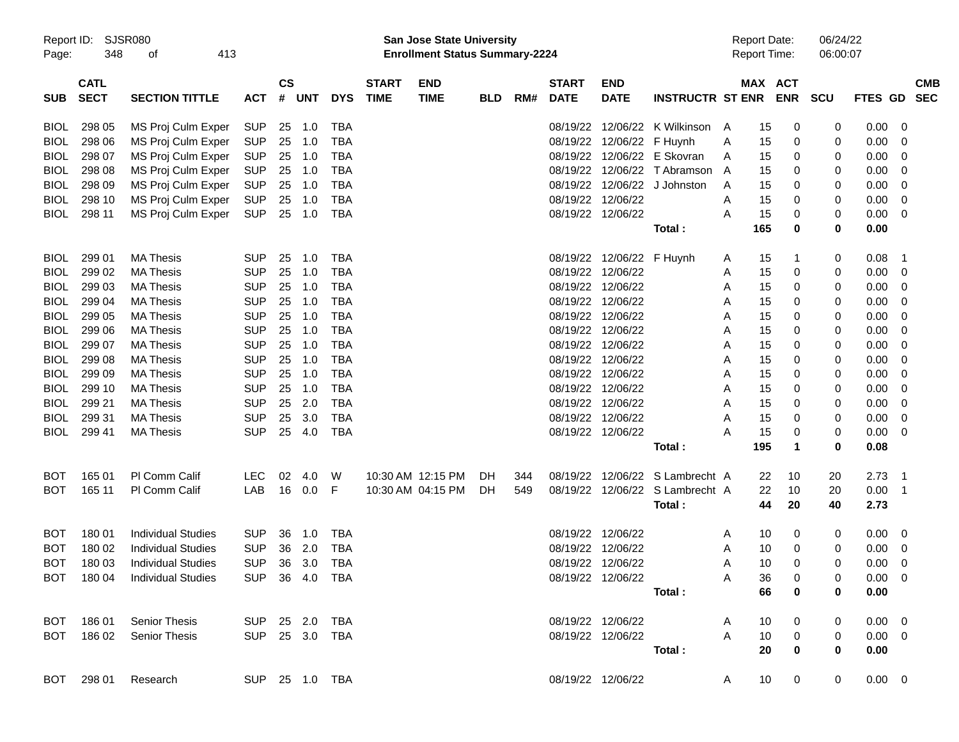| Page:       | SJSR080<br>Report ID:<br>348<br>413<br>οf<br><b>CATL</b> |                               |                |               |        |                |                             | <b>San Jose State University</b><br><b>Enrollment Status Summary-2224</b> |            |     |                             |                           |                              |   | <b>Report Date:</b><br>Report Time: |                       | 06/24/22<br>06:00:07 |                |                          |
|-------------|----------------------------------------------------------|-------------------------------|----------------|---------------|--------|----------------|-----------------------------|---------------------------------------------------------------------------|------------|-----|-----------------------------|---------------------------|------------------------------|---|-------------------------------------|-----------------------|----------------------|----------------|--------------------------|
| <b>SUB</b>  | <b>SECT</b>                                              | <b>SECTION TITTLE</b>         | <b>ACT</b>     | $\mathsf{cs}$ | # UNT  | <b>DYS</b>     | <b>START</b><br><b>TIME</b> | <b>END</b><br><b>TIME</b>                                                 | <b>BLD</b> | RM# | <b>START</b><br><b>DATE</b> | <b>END</b><br><b>DATE</b> | <b>INSTRUCTR ST ENR</b>      |   |                                     | MAX ACT<br><b>ENR</b> | SCU                  | <b>FTES GD</b> | <b>CMB</b><br><b>SEC</b> |
| <b>BIOL</b> | 298 05                                                   | MS Proj Culm Exper            | SUP            |               | 25 1.0 | TBA            |                             |                                                                           |            |     |                             | 08/19/22 12/06/22         | K Wilkinson                  | A | 15                                  | 0                     | 0                    | 0.00           | 0                        |
| <b>BIOL</b> | 298 06                                                   | MS Proj Culm Exper            | <b>SUP</b>     | 25            | 1.0    | <b>TBA</b>     |                             |                                                                           |            |     |                             | 08/19/22 12/06/22 F Huynh |                              | A | 15                                  | 0                     | 0                    | 0.00           | 0                        |
| <b>BIOL</b> | 298 07                                                   | MS Proj Culm Exper            | <b>SUP</b>     | 25            | 1.0    | TBA            |                             |                                                                           |            |     |                             |                           | 08/19/22 12/06/22 E Skovran  | A | 15                                  | 0                     | 0                    | 0.00           | 0                        |
| <b>BIOL</b> | 298 08                                                   | MS Proj Culm Exper            | <b>SUP</b>     | 25            | 1.0    | TBA            |                             |                                                                           |            |     |                             |                           | 08/19/22 12/06/22 T Abramson | A | 15                                  | 0                     | 0                    | 0.00           | 0                        |
| <b>BIOL</b> | 298 09                                                   | MS Proj Culm Exper            | <b>SUP</b>     | 25            | 1.0    | TBA            |                             |                                                                           |            |     |                             | 08/19/22 12/06/22         | J Johnston                   | A | 15                                  | 0                     | 0                    | 0.00           | 0                        |
| <b>BIOL</b> | 298 10                                                   | MS Proj Culm Exper            | <b>SUP</b>     | 25            | 1.0    | TBA            |                             |                                                                           |            |     |                             | 08/19/22 12/06/22         |                              | A | 15                                  | 0                     | 0                    | 0.00           | 0                        |
| BIOL        | 298 11                                                   | MS Proj Culm Exper            | <b>SUP</b>     | 25            | 1.0    | TBA            |                             |                                                                           |            |     |                             | 08/19/22 12/06/22         |                              | Α | 15                                  | 0                     | 0                    | 0.00           | 0                        |
|             |                                                          |                               |                |               |        |                |                             |                                                                           |            |     |                             |                           | Total:                       |   | 165                                 | 0                     | 0                    | 0.00           |                          |
| <b>BIOL</b> | 299 01                                                   | <b>MA Thesis</b>              | <b>SUP</b>     | 25            | 1.0    | TBA            |                             |                                                                           |            |     |                             | 08/19/22 12/06/22 F Huynh |                              | A | 15                                  | 1                     | 0                    | 0.08           | $\overline{\mathbf{1}}$  |
| <b>BIOL</b> | 299 02                                                   | <b>MA Thesis</b>              | <b>SUP</b>     | 25            | 1.0    | TBA            |                             |                                                                           |            |     |                             | 08/19/22 12/06/22         |                              | A | 15                                  | 0                     | 0                    | 0.00           | 0                        |
| <b>BIOL</b> | 299 03                                                   | <b>MA Thesis</b>              | <b>SUP</b>     | 25            | 1.0    | TBA            |                             |                                                                           |            |     |                             | 08/19/22 12/06/22         |                              | A | 15                                  | 0                     | 0                    | 0.00           | 0                        |
| <b>BIOL</b> | 299 04                                                   | <b>MA Thesis</b>              | <b>SUP</b>     | 25            | 1.0    | <b>TBA</b>     |                             |                                                                           |            |     |                             | 08/19/22 12/06/22         |                              | A | 15                                  | 0                     | 0                    | 0.00           | 0                        |
| <b>BIOL</b> | 299 05                                                   | <b>MA Thesis</b>              | <b>SUP</b>     | 25            | 1.0    | <b>TBA</b>     |                             |                                                                           |            |     |                             | 08/19/22 12/06/22         |                              | A | 15                                  | 0                     | 0                    | 0.00           | 0                        |
| <b>BIOL</b> | 299 06                                                   | <b>MA Thesis</b>              | <b>SUP</b>     | 25            | 1.0    | <b>TBA</b>     |                             |                                                                           |            |     |                             | 08/19/22 12/06/22         |                              | A | 15                                  | 0                     | 0                    | 0.00           | 0                        |
| <b>BIOL</b> | 299 07                                                   | <b>MA Thesis</b>              | <b>SUP</b>     | 25            | 1.0    | <b>TBA</b>     |                             |                                                                           |            |     |                             | 08/19/22 12/06/22         |                              | Α | 15                                  | 0                     | 0                    | 0.00           | 0                        |
| <b>BIOL</b> | 299 08                                                   | <b>MA Thesis</b>              | <b>SUP</b>     | 25            | 1.0    | <b>TBA</b>     |                             |                                                                           |            |     |                             | 08/19/22 12/06/22         |                              | A | 15                                  | 0                     | 0                    | 0.00           | 0                        |
| <b>BIOL</b> | 299 09                                                   | <b>MA Thesis</b>              | <b>SUP</b>     |               | 25 1.0 | <b>TBA</b>     |                             |                                                                           |            |     |                             | 08/19/22 12/06/22         |                              | A | 15                                  | 0                     | 0                    | 0.00           | 0                        |
| <b>BIOL</b> | 299 10                                                   | <b>MA Thesis</b>              | <b>SUP</b>     | 25            | 1.0    | <b>TBA</b>     |                             |                                                                           |            |     |                             | 08/19/22 12/06/22         |                              | A | 15                                  | 0                     | 0                    | 0.00           | 0                        |
| <b>BIOL</b> | 299 21                                                   | <b>MA Thesis</b>              | <b>SUP</b>     | 25            | 2.0    | <b>TBA</b>     |                             |                                                                           |            |     |                             | 08/19/22 12/06/22         |                              | A | 15                                  | 0                     | 0                    | 0.00           | 0                        |
| <b>BIOL</b> | 299 31                                                   | <b>MA Thesis</b>              | <b>SUP</b>     | 25            | 3.0    | <b>TBA</b>     |                             |                                                                           |            |     |                             | 08/19/22 12/06/22         |                              | A | 15                                  | 0                     | 0                    | 0.00           | 0                        |
| <b>BIOL</b> | 299 41                                                   | <b>MA Thesis</b>              | <b>SUP</b>     | 25            | 4.0    | TBA            |                             |                                                                           |            |     |                             | 08/19/22 12/06/22         |                              | Α | 15                                  | 0                     | 0                    | 0.00           | 0                        |
|             |                                                          |                               |                |               |        |                |                             |                                                                           |            |     |                             |                           | Total:                       |   | 195                                 | 1                     | $\bf{0}$             | 0.08           |                          |
| BOT         | 165 01                                                   | PI Comm Calif                 | <b>LEC</b>     | 02            | 4.0    | W              |                             | 10:30 AM 12:15 PM                                                         | DH.        | 344 |                             | 08/19/22 12/06/22         | S Lambrecht A                |   | 22                                  | 10                    | 20                   | 2.73           | $\overline{\phantom{1}}$ |
| вот         | 165 11                                                   | PI Comm Calif                 | LAB            | 16            | 0.0    | F              |                             | 10:30 AM 04:15 PM                                                         | DH         | 549 |                             | 08/19/22 12/06/22         | S Lambrecht A                |   | 22                                  | 10                    | 20                   | 0.00           | $\overline{\mathbf{1}}$  |
|             |                                                          |                               |                |               |        |                |                             |                                                                           |            |     |                             |                           | Total:                       |   | 44                                  | 20                    | 40                   | 2.73           |                          |
| <b>BOT</b>  | 180 01                                                   | <b>Individual Studies</b>     | <b>SUP</b>     | 36            | 1.0    | <b>TBA</b>     |                             |                                                                           |            |     |                             | 08/19/22 12/06/22         |                              | A | 10                                  | 0                     | 0                    | 0.00           | 0                        |
| BOT         | 180 02                                                   | <b>Individual Studies</b>     | <b>SUP</b>     | 36            | 2.0    | <b>TBA</b>     |                             |                                                                           |            |     |                             | 08/19/22 12/06/22         |                              | A | 10                                  | 0                     | 0                    | 0.00           | 0                        |
| BOT         | 180 03                                                   | <b>Individual Studies</b>     | <b>SUP</b>     | 36            | 3.0    | TBA            |                             |                                                                           |            |     |                             | 08/19/22 12/06/22         |                              | A | 10                                  | 0                     | 0                    | 0.00           | 0                        |
|             |                                                          | BOT 180 04 Individual Studies |                |               |        | SUP 36 4.0 TBA |                             |                                                                           |            |     |                             | 08/19/22 12/06/22         |                              | A | 36                                  | 0                     | 0                    | $0.00 \quad 0$ |                          |
|             |                                                          |                               |                |               |        |                |                             |                                                                           |            |     |                             |                           | Total :                      |   | 66                                  | 0                     | 0                    | 0.00           |                          |
|             | BOT 18601                                                | Senior Thesis                 | SUP 25 2.0 TBA |               |        |                |                             |                                                                           |            |     |                             | 08/19/22 12/06/22         |                              | A | 10                                  | 0                     | 0                    | $0.00 \t 0$    |                          |
|             | BOT 18602                                                | <b>Senior Thesis</b>          |                |               |        | SUP 25 3.0 TBA |                             |                                                                           |            |     |                             | 08/19/22 12/06/22         |                              | A | 10                                  | 0                     | 0                    | $0.00 \quad 0$ |                          |
|             |                                                          |                               |                |               |        |                |                             |                                                                           |            |     |                             |                           | Total:                       |   | 20                                  | 0                     | $\mathbf 0$          | 0.00           |                          |
| BOT         | 298 01                                                   | Research                      |                |               |        | SUP 25 1.0 TBA |                             |                                                                           |            |     |                             | 08/19/22 12/06/22         |                              | A | 10                                  | 0                     | $\mathbf 0$          | $0.00 \t 0$    |                          |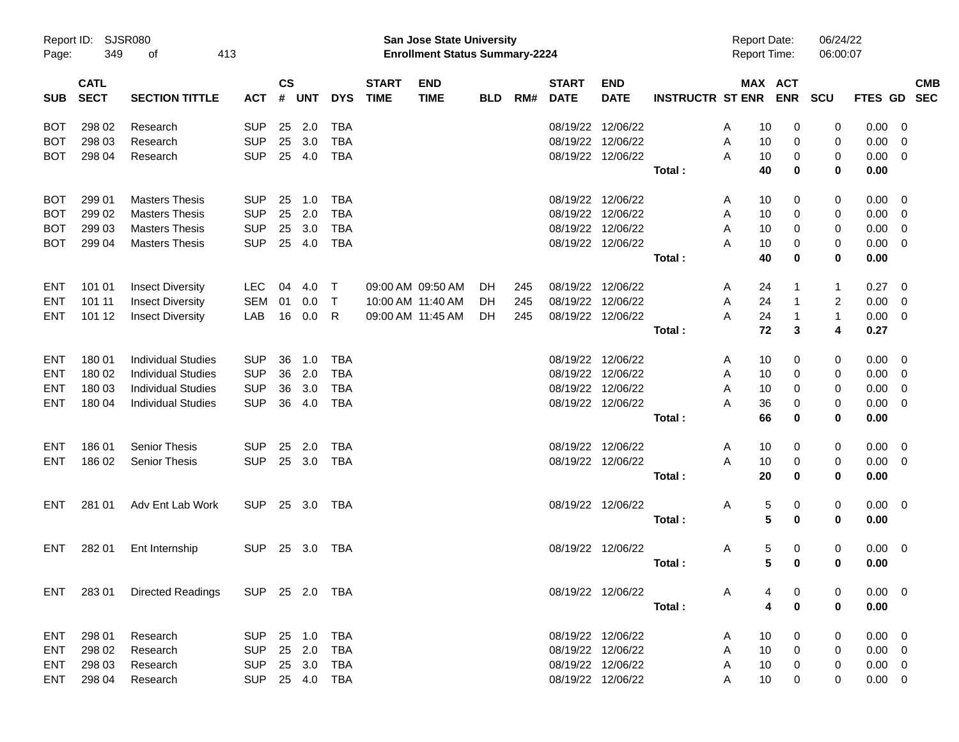| Report ID:<br>Page: | 349                        | <b>SJSR080</b><br>413<br>οf  |                |                |            |            |                             | <b>San Jose State University</b><br><b>Enrollment Status Summary-2224</b> |            |     |                             |                           |                         | <b>Report Date:</b><br><b>Report Time:</b> |                       |                | 06/24/22<br>06:00:07   |                          |            |
|---------------------|----------------------------|------------------------------|----------------|----------------|------------|------------|-----------------------------|---------------------------------------------------------------------------|------------|-----|-----------------------------|---------------------------|-------------------------|--------------------------------------------|-----------------------|----------------|------------------------|--------------------------|------------|
| <b>SUB</b>          | <b>CATL</b><br><b>SECT</b> | <b>SECTION TITTLE</b>        | <b>ACT</b>     | <b>CS</b><br># | <b>UNT</b> | <b>DYS</b> | <b>START</b><br><b>TIME</b> | <b>END</b><br><b>TIME</b>                                                 | <b>BLD</b> | RM# | <b>START</b><br><b>DATE</b> | <b>END</b><br><b>DATE</b> | <b>INSTRUCTR ST ENR</b> |                                            | MAX ACT<br><b>ENR</b> | <b>SCU</b>     | FTES GD SEC            |                          | <b>CMB</b> |
| BOT                 | 298 02                     | Research                     | <b>SUP</b>     | 25             | 2.0        | <b>TBA</b> |                             |                                                                           |            |     | 08/19/22 12/06/22           |                           |                         | A                                          | 10                    | 0              | 0.00<br>0              | - 0                      |            |
| <b>BOT</b>          | 298 03                     | Research                     | <b>SUP</b>     | 25             | 3.0        | <b>TBA</b> |                             |                                                                           |            |     | 08/19/22 12/06/22           |                           |                         | A                                          | 10                    | 0              | 0<br>0.00              | - 0                      |            |
| <b>BOT</b>          | 298 04                     | Research                     | <b>SUP</b>     | 25             | 4.0        | <b>TBA</b> |                             |                                                                           |            |     | 08/19/22 12/06/22           |                           |                         | А                                          | 10                    | 0              | 0<br>0.00              | $\overline{\mathbf{0}}$  |            |
|                     |                            |                              |                |                |            |            |                             |                                                                           |            |     |                             |                           | Total:                  |                                            | 40                    | 0              | 0<br>0.00              |                          |            |
| BOT                 | 299 01                     | <b>Masters Thesis</b>        | <b>SUP</b>     | 25             | 1.0        | <b>TBA</b> |                             |                                                                           |            |     | 08/19/22 12/06/22           |                           |                         | A                                          | 10                    | 0              | 0<br>0.00              | $\overline{\phantom{0}}$ |            |
| BOT                 | 299 02                     | <b>Masters Thesis</b>        | <b>SUP</b>     | 25             | 2.0        | <b>TBA</b> |                             |                                                                           |            |     | 08/19/22 12/06/22           |                           |                         | A                                          | 10                    | 0              | 0<br>0.00              | $\overline{\mathbf{0}}$  |            |
| BOT                 | 299 03                     | <b>Masters Thesis</b>        | <b>SUP</b>     | 25             | 3.0        | <b>TBA</b> |                             |                                                                           |            |     | 08/19/22 12/06/22           |                           |                         | A                                          | 10                    | 0              | 0<br>0.00              | - 0                      |            |
| <b>BOT</b>          | 299 04                     | <b>Masters Thesis</b>        | <b>SUP</b>     | 25             | 4.0        | <b>TBA</b> |                             |                                                                           |            |     | 08/19/22 12/06/22           |                           |                         | А                                          | 10                    | 0              | 0<br>0.00              | $\overline{\phantom{0}}$ |            |
|                     |                            |                              |                |                |            |            |                             |                                                                           |            |     |                             |                           | Total:                  |                                            | 40                    | 0              | 0<br>0.00              |                          |            |
| ENT                 | 101 01                     | <b>Insect Diversity</b>      | LEC            | 04             | 4.0        | $\top$     |                             | 09:00 AM 09:50 AM                                                         | DH.        | 245 | 08/19/22 12/06/22           |                           |                         | A                                          | 24<br>-1              |                | 0.27<br>1              | $\overline{\phantom{0}}$ |            |
| ENT                 | 101 11                     | <b>Insect Diversity</b>      | SEM            | 01             | 0.0        | $\top$     |                             | 10:00 AM 11:40 AM                                                         | DH.        | 245 | 08/19/22 12/06/22           |                           |                         | A                                          | 24<br>$\mathbf{1}$    |                | $\overline{c}$<br>0.00 | $\overline{\mathbf{0}}$  |            |
| ENT                 | 101 12                     | <b>Insect Diversity</b>      | LAB            | 16             | 0.0        | R          |                             | 09:00 AM 11:45 AM                                                         | DH.        | 245 | 08/19/22 12/06/22           |                           |                         | A                                          | 24<br>$\mathbf 1$     |                | $\mathbf{1}$           | $0.00 \t 0$              |            |
|                     |                            |                              |                |                |            |            |                             |                                                                           |            |     |                             |                           | Total:                  |                                            | 72                    | 3              | 4<br>0.27              |                          |            |
| ENT                 | 180 01                     | <b>Individual Studies</b>    | <b>SUP</b>     | 36             | 1.0        | TBA        |                             |                                                                           |            |     | 08/19/22 12/06/22           |                           |                         | A                                          | 10                    | 0              | 0<br>0.00              | $\overline{\phantom{0}}$ |            |
| ENT                 | 180 02                     | <b>Individual Studies</b>    | <b>SUP</b>     | 36             | 2.0        | <b>TBA</b> |                             |                                                                           |            |     | 08/19/22 12/06/22           |                           |                         | A                                          | 10                    | 0              | 0<br>0.00              | - 0                      |            |
| ENT                 | 180 03                     | <b>Individual Studies</b>    | <b>SUP</b>     | 36             | 3.0        | <b>TBA</b> |                             |                                                                           |            |     | 08/19/22 12/06/22           |                           |                         | A                                          | 10                    | 0              | 0<br>0.00              | - 0                      |            |
| <b>ENT</b>          | 180 04                     | <b>Individual Studies</b>    | <b>SUP</b>     | 36             | 4.0        | <b>TBA</b> |                             |                                                                           |            |     | 08/19/22 12/06/22           |                           |                         | А                                          | 36                    | 0              | 0<br>0.00              | $\overline{\phantom{0}}$ |            |
|                     |                            |                              |                |                |            |            |                             |                                                                           |            |     |                             |                           | Total:                  |                                            | 66                    | 0              | 0<br>0.00              |                          |            |
| ENT                 | 186 01                     | <b>Senior Thesis</b>         | <b>SUP</b>     | 25             | 2.0        | TBA        |                             |                                                                           |            |     | 08/19/22 12/06/22           |                           |                         | A                                          | 10                    | 0              | 0                      | $0.00 \t 0$              |            |
| <b>ENT</b>          | 186 02                     | Senior Thesis                | <b>SUP</b>     |                | 25 3.0     | <b>TBA</b> |                             |                                                                           |            |     |                             | 08/19/22 12/06/22         |                         | A                                          | 10                    | 0              | 0                      | $0.00 \t 0$              |            |
|                     |                            |                              |                |                |            |            |                             |                                                                           |            |     |                             |                           | Total:                  |                                            | 20                    | 0              | 0<br>0.00              |                          |            |
| ENT                 | 281 01                     | Adv Ent Lab Work             | <b>SUP</b>     |                | 25 3.0     | TBA        |                             |                                                                           |            |     | 08/19/22 12/06/22           |                           |                         | A                                          | 5                     | 0              | 0                      | $0.00 \quad 0$           |            |
|                     |                            |                              |                |                |            |            |                             |                                                                           |            |     |                             |                           | Total:                  |                                            | 5                     | 0              | 0<br>0.00              |                          |            |
| ENT                 | 282 01                     | Ent Internship               | <b>SUP</b>     | 25             | 3.0        | TBA        |                             |                                                                           |            |     | 08/19/22 12/06/22           |                           |                         | A                                          | 5                     | 0              | 0                      | $0.00 \t 0$              |            |
|                     |                            |                              |                |                |            |            |                             |                                                                           |            |     |                             |                           | Total:                  |                                            | 5                     | 0              | 0.00<br>0              |                          |            |
|                     |                            | ENT 283 01 Directed Readings | SUP 25 2.0 TBA |                |            |            |                             |                                                                           |            |     |                             | 08/19/22 12/06/22         |                         | A                                          | 4                     | 0              | 0                      | $0.00 \t 0$              |            |
|                     |                            |                              |                |                |            |            |                             |                                                                           |            |     |                             |                           | Total:                  |                                            | 4                     | $\mathbf 0$    | 0.00<br>$\bf{0}$       |                          |            |
| ENT                 | 298 01                     | Research                     | SUP            |                |            | 25 1.0 TBA |                             |                                                                           |            |     |                             | 08/19/22 12/06/22         |                         | A                                          | 10                    | 0              | 0                      | $0.00 \t 0$              |            |
| ENT                 | 298 02                     | Research                     | <b>SUP</b>     |                | 25 2.0     | TBA        |                             |                                                                           |            |     |                             | 08/19/22 12/06/22         |                         | A                                          | 10                    | $\overline{0}$ | 0                      | $0.00 \t 0$              |            |
| ENT                 | 298 03                     | Research                     | SUP            |                | 25 3.0     | TBA        |                             |                                                                           |            |     |                             | 08/19/22 12/06/22         |                         | Α                                          | 10                    | $\overline{0}$ | 0                      | $0.00 \t 0$              |            |
| ENT                 | 298 04                     | Research                     | SUP 25 4.0 TBA |                |            |            |                             |                                                                           |            |     |                             | 08/19/22 12/06/22         |                         | A                                          | 10                    | 0              | 0                      | $0.00 \t 0$              |            |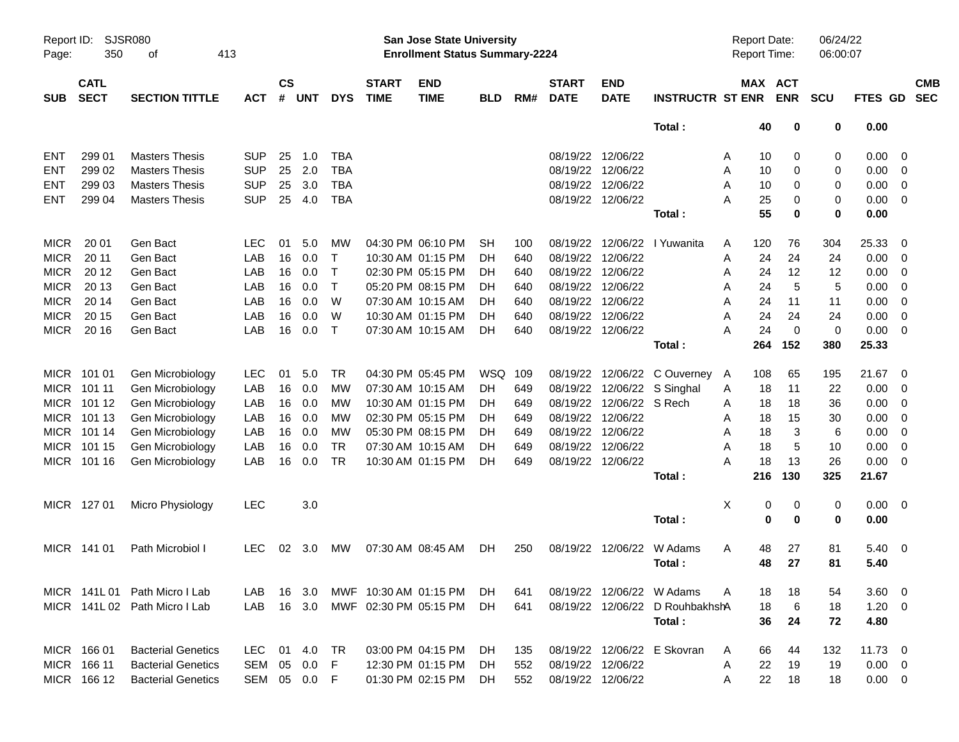| Report ID:<br>Page: | 350                        | SJSR080<br>οf                 | 413          |                    |            |              |                             | San Jose State University<br><b>Enrollment Status Summary-2224</b> |            |     |                             |                           |                                 | <b>Report Date:</b><br>Report Time: |                       | 06/24/22<br>06:00:07 |              |                         |            |
|---------------------|----------------------------|-------------------------------|--------------|--------------------|------------|--------------|-----------------------------|--------------------------------------------------------------------|------------|-----|-----------------------------|---------------------------|---------------------------------|-------------------------------------|-----------------------|----------------------|--------------|-------------------------|------------|
| <b>SUB</b>          | <b>CATL</b><br><b>SECT</b> | <b>SECTION TITTLE</b>         | <b>ACT</b>   | $\mathsf{cs}$<br># | <b>UNT</b> | <b>DYS</b>   | <b>START</b><br><b>TIME</b> | <b>END</b><br><b>TIME</b>                                          | <b>BLD</b> | RM# | <b>START</b><br><b>DATE</b> | <b>END</b><br><b>DATE</b> | <b>INSTRUCTR ST ENR</b>         |                                     | MAX ACT<br><b>ENR</b> | <b>SCU</b>           | FTES GD SEC  |                         | <b>CMB</b> |
|                     |                            |                               |              |                    |            |              |                             |                                                                    |            |     |                             |                           | Total:                          | 40                                  | 0                     | 0                    | 0.00         |                         |            |
| <b>ENT</b>          | 299 01                     | <b>Masters Thesis</b>         | <b>SUP</b>   | 25                 | 1.0        | <b>TBA</b>   |                             |                                                                    |            |     |                             | 08/19/22 12/06/22         |                                 | 10<br>Α                             | 0                     | 0                    | 0.00         | $\overline{0}$          |            |
| <b>ENT</b>          | 299 02                     | <b>Masters Thesis</b>         | <b>SUP</b>   | 25                 | 2.0        | <b>TBA</b>   |                             |                                                                    |            |     |                             | 08/19/22 12/06/22         |                                 | A<br>10                             | 0                     | 0                    | 0.00         | $\mathbf 0$             |            |
| <b>ENT</b>          | 299 03                     | <b>Masters Thesis</b>         | <b>SUP</b>   | 25                 | 3.0        | <b>TBA</b>   |                             |                                                                    |            |     |                             | 08/19/22 12/06/22         |                                 | A<br>10                             | 0                     | 0                    | 0.00         | 0                       |            |
| <b>ENT</b>          | 299 04                     | <b>Masters Thesis</b>         | <b>SUP</b>   | 25                 | 4.0        | <b>TBA</b>   |                             |                                                                    |            |     |                             | 08/19/22 12/06/22         |                                 | А<br>25                             | 0                     | 0                    | 0.00         | $\overline{0}$          |            |
|                     |                            |                               |              |                    |            |              |                             |                                                                    |            |     |                             |                           | Total:                          | 55                                  | 0                     | $\mathbf 0$          | 0.00         |                         |            |
| <b>MICR</b>         | 20 01                      | Gen Bact                      | <b>LEC</b>   | 01                 | 5.0        | MW           |                             | 04:30 PM 06:10 PM                                                  | <b>SH</b>  | 100 |                             |                           | 08/19/22 12/06/22 l Yuwanita    | 120<br>A                            | 76                    | 304                  | 25.33        | 0                       |            |
| <b>MICR</b>         | 20 11                      | Gen Bact                      | LAB          | 16                 | 0.0        | $\mathsf{T}$ |                             | 10:30 AM 01:15 PM                                                  | DН         | 640 |                             | 08/19/22 12/06/22         |                                 | 24<br>Α                             | 24                    | 24                   | 0.00         | $\overline{0}$          |            |
| <b>MICR</b>         | 20 12                      | Gen Bact                      | LAB          | 16                 | 0.0        | $\mathsf T$  |                             | 02:30 PM 05:15 PM                                                  | DН         | 640 |                             | 08/19/22 12/06/22         |                                 | 24<br>Α                             | 12                    | 12                   | 0.00         | 0                       |            |
| <b>MICR</b>         | 20 13                      | Gen Bact                      | LAB          | 16                 | 0.0        | $\mathsf{T}$ |                             | 05:20 PM 08:15 PM                                                  | DH         | 640 |                             | 08/19/22 12/06/22         |                                 | 24<br>A                             | 5                     | 5                    | 0.00         | 0                       |            |
| <b>MICR</b>         | 20 14                      | Gen Bact                      | LAB          | 16                 | 0.0        | W            |                             | 07:30 AM 10:15 AM                                                  | DН         | 640 |                             | 08/19/22 12/06/22         |                                 | 24<br>A                             | 11                    | 11                   | 0.00         | 0                       |            |
| <b>MICR</b>         | 20 15                      | Gen Bact                      | LAB          | 16                 | 0.0        | W            |                             | 10:30 AM 01:15 PM                                                  | DН         | 640 |                             | 08/19/22 12/06/22         |                                 | 24<br>A                             | 24                    | 24                   | 0.00         | 0                       |            |
| <b>MICR</b>         | 20 16                      | Gen Bact                      | LAB          | 16                 | 0.0        | $\mathsf{T}$ |                             | 07:30 AM 10:15 AM                                                  | DН         | 640 |                             | 08/19/22 12/06/22         |                                 | 24<br>А                             | $\mathbf 0$           | 0                    | 0.00         | $\overline{0}$          |            |
|                     |                            |                               |              |                    |            |              |                             |                                                                    |            |     |                             |                           | Total:                          | 264                                 | 152                   | 380                  | 25.33        |                         |            |
| <b>MICR</b>         | 101 01                     | Gen Microbiology              | <b>LEC</b>   | 01                 | 5.0        | TR           |                             | 04:30 PM 05:45 PM                                                  | WSQ        | 109 |                             |                           | 08/19/22 12/06/22 C Ouverney    | 108<br>A                            | 65                    | 195                  | 21.67        | 0                       |            |
| <b>MICR</b>         | 101 11                     | Gen Microbiology              | LAB          | 16                 | 0.0        | MW           |                             | 07:30 AM 10:15 AM                                                  | DH         | 649 |                             |                           | 08/19/22 12/06/22 S Singhal     | 18<br>Α                             | 11                    | 22                   | 0.00         | $\overline{0}$          |            |
| <b>MICR</b>         | 101 12                     | Gen Microbiology              | LAB          | 16                 | 0.0        | MW           |                             | 10:30 AM 01:15 PM                                                  | DН         | 649 |                             | 08/19/22 12/06/22 S Rech  |                                 | 18<br>Α                             | 18                    | 36                   | 0.00         | 0                       |            |
| <b>MICR</b>         | 101 13                     | Gen Microbiology              | LAB          | 16                 | 0.0        | MW           |                             | 02:30 PM 05:15 PM                                                  | DH         | 649 |                             | 08/19/22 12/06/22         |                                 | 18<br>Α                             | 15                    | 30                   | 0.00         | 0                       |            |
| <b>MICR</b>         | 101 14                     | Gen Microbiology              | LAB          | 16                 | 0.0        | MW           |                             | 05:30 PM 08:15 PM                                                  | DН         | 649 |                             | 08/19/22 12/06/22         |                                 | 18<br>A                             | 3                     | 6                    | 0.00         | 0                       |            |
| <b>MICR</b>         | 101 15                     | Gen Microbiology              | LAB          | 16                 | 0.0        | <b>TR</b>    |                             | 07:30 AM 10:15 AM                                                  | DН         | 649 |                             | 08/19/22 12/06/22         |                                 | 18<br>A                             | 5                     | 10                   | 0.00         | 0                       |            |
| <b>MICR</b>         | 101 16                     | Gen Microbiology              | LAB          | 16                 | 0.0        | <b>TR</b>    |                             | 10:30 AM 01:15 PM                                                  | DH         | 649 |                             | 08/19/22 12/06/22         |                                 | 18<br>А                             | 13                    | 26                   | 0.00         | $\overline{0}$          |            |
|                     |                            |                               |              |                    |            |              |                             |                                                                    |            |     |                             |                           | Total:                          | 216                                 | 130                   | 325                  | 21.67        |                         |            |
|                     | MICR 127 01                | Micro Physiology              | <b>LEC</b>   |                    | 3.0        |              |                             |                                                                    |            |     |                             |                           |                                 | X<br>0                              | 0                     | 0                    | 0.00         | $\overline{\mathbf{0}}$ |            |
|                     |                            |                               |              |                    |            |              |                             |                                                                    |            |     |                             |                           | Total:                          | $\bf{0}$                            | $\mathbf 0$           | $\mathbf 0$          | 0.00         |                         |            |
|                     | MICR 141 01                | Path Microbiol I              | LEC.         | 02                 | 3.0        | <b>MW</b>    |                             | 07:30 AM 08:45 AM                                                  | DH.        | 250 |                             | 08/19/22 12/06/22         | W Adams                         | 48<br>A                             | 27                    | 81                   | 5.40         | $\overline{\mathbf{0}}$ |            |
|                     |                            |                               |              |                    |            |              |                             |                                                                    |            |     |                             |                           | Total:                          | 48                                  | 27                    | 81                   | 5.40         |                         |            |
|                     |                            | MICR 141L 01 Path Micro I Lab | LAB.         |                    | 16 3.0     |              | MWF 10:30 AM 01:15 PM       |                                                                    | DH.        | 641 |                             |                           | 08/19/22 12/06/22 W Adams       | Α<br>18                             | 18                    | 54                   | $3.60 \ 0$   |                         |            |
|                     |                            | MICR 141L 02 Path Micro I Lab | <b>LAB</b>   |                    | 16 3.0     |              | MWF 02:30 PM 05:15 PM       |                                                                    | DH.        | 641 |                             |                           | 08/19/22 12/06/22 D RouhbakhshA | 18                                  | 6                     | 18                   | $1.20 \t 0$  |                         |            |
|                     |                            |                               |              |                    |            |              |                             |                                                                    |            |     |                             |                           | Total:                          | 36                                  | 24                    | 72                   | 4.80         |                         |            |
|                     | MICR 166 01                | <b>Bacterial Genetics</b>     | LEC.         |                    | 01 4.0     | TR           |                             | 03:00 PM 04:15 PM                                                  | DH.        | 135 |                             |                           | 08/19/22 12/06/22 E Skovran     | 66<br>A                             | 44                    | 132                  | $11.73 \t 0$ |                         |            |
|                     | MICR 166 11                | <b>Bacterial Genetics</b>     | SEM          | 05                 | 0.0        | F            |                             | 12:30 PM 01:15 PM                                                  | DH.        | 552 |                             | 08/19/22 12/06/22         |                                 | 22<br>A                             | 19                    | 19                   | $0.00 \t 0$  |                         |            |
|                     | MICR 166 12                | <b>Bacterial Genetics</b>     | SEM 05 0.0 F |                    |            |              |                             | 01:30 PM 02:15 PM                                                  | DH         | 552 |                             | 08/19/22 12/06/22         |                                 | 22<br>A                             | 18                    | 18                   | $0.00 \t 0$  |                         |            |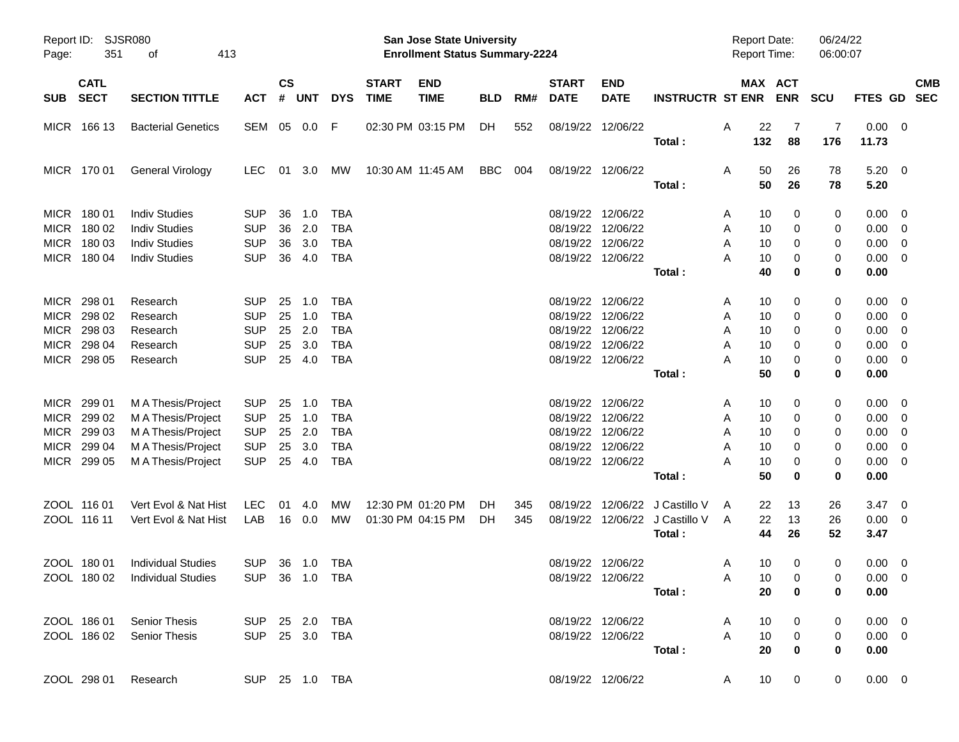| Report ID:<br>Page:                | 351                                                      | SJSR080<br>413<br>οf                                                                         |                                                                    |                            |                                 |                                                                    |                             | <b>San Jose State University</b><br><b>Enrollment Status Summary-2224</b> |            |            |                             |                                                                                                       |                                        | <b>Report Date:</b><br><b>Report Time:</b>          |                                | 06/24/22<br>06:00:07            |                                       |                                                                                      |            |
|------------------------------------|----------------------------------------------------------|----------------------------------------------------------------------------------------------|--------------------------------------------------------------------|----------------------------|---------------------------------|--------------------------------------------------------------------|-----------------------------|---------------------------------------------------------------------------|------------|------------|-----------------------------|-------------------------------------------------------------------------------------------------------|----------------------------------------|-----------------------------------------------------|--------------------------------|---------------------------------|---------------------------------------|--------------------------------------------------------------------------------------|------------|
| <b>SUB</b>                         | <b>CATL</b><br><b>SECT</b>                               | <b>SECTION TITTLE</b>                                                                        | <b>ACT</b>                                                         | $\mathsf{cs}$<br>#         | <b>UNT</b>                      | <b>DYS</b>                                                         | <b>START</b><br><b>TIME</b> | <b>END</b><br><b>TIME</b>                                                 | <b>BLD</b> | RM#        | <b>START</b><br><b>DATE</b> | <b>END</b><br><b>DATE</b>                                                                             | <b>INSTRUCTR ST ENR</b>                |                                                     | MAX ACT<br><b>ENR</b>          | SCU                             | FTES GD SEC                           |                                                                                      | <b>CMB</b> |
|                                    | MICR 166 13                                              | <b>Bacterial Genetics</b>                                                                    | SEM                                                                |                            | 05  0.0  F                      |                                                                    |                             | 02:30 PM 03:15 PM                                                         | DH         | 552        |                             | 08/19/22 12/06/22                                                                                     | Total:                                 | A<br>22<br>132                                      | -7<br>88                       | 7<br>176                        | 0.00<br>11.73                         | $\overline{\mathbf{0}}$                                                              |            |
|                                    | MICR 170 01                                              | General Virology                                                                             | <b>LEC</b>                                                         |                            | 01 3.0                          | MW                                                                 | 10:30 AM 11:45 AM           |                                                                           | BBC        | 004        |                             | 08/19/22 12/06/22                                                                                     | Total:                                 | 50<br>A<br>50                                       | 26<br>26                       | 78<br>78                        | $5.20 \ 0$<br>5.20                    |                                                                                      |            |
|                                    | MICR 180 01<br>MICR 180 02<br>MICR 180 03<br>MICR 180 04 | <b>Indiv Studies</b><br><b>Indiv Studies</b><br><b>Indiv Studies</b><br><b>Indiv Studies</b> | <b>SUP</b><br><b>SUP</b><br><b>SUP</b><br><b>SUP</b>               | 36<br>36<br>36<br>36       | 1.0<br>2.0<br>3.0<br>4.0        | TBA<br>TBA<br><b>TBA</b><br><b>TBA</b>                             |                             |                                                                           |            |            |                             | 08/19/22 12/06/22<br>08/19/22 12/06/22<br>08/19/22 12/06/22<br>08/19/22 12/06/22                      | Total:                                 | 10<br>A<br>A<br>10<br>10<br>A<br>A<br>10<br>40      | 0<br>0<br>0<br>0<br>0          | 0<br>0<br>0<br>0<br>$\mathbf 0$ | 0.00<br>0.00<br>0.00<br>0.00<br>0.00  | - 0<br>- 0<br>$\overline{0}$<br>- 0                                                  |            |
| MICR<br><b>MICR</b><br><b>MICR</b> | 298 01<br>MICR 298 02<br>298 03<br>298 04<br>MICR 298 05 | Research<br>Research<br>Research<br>Research<br>Research                                     | <b>SUP</b><br><b>SUP</b><br><b>SUP</b><br><b>SUP</b><br><b>SUP</b> | 25<br>25<br>25<br>25<br>25 | 1.0<br>1.0<br>2.0<br>3.0<br>4.0 | <b>TBA</b><br><b>TBA</b><br><b>TBA</b><br><b>TBA</b><br><b>TBA</b> |                             |                                                                           |            |            |                             | 08/19/22 12/06/22<br>08/19/22 12/06/22<br>08/19/22 12/06/22<br>08/19/22 12/06/22<br>08/19/22 12/06/22 |                                        | 10<br>A<br>Α<br>10<br>10<br>A<br>10<br>Α<br>A<br>10 | 0<br>0<br>0<br>0<br>0          | 0<br>0<br>0<br>0<br>0           | 0.00<br>0.00<br>0.00<br>0.00<br>0.00  | - 0<br>$\overline{0}$<br>$\overline{0}$<br>$\overline{0}$<br>$\overline{\mathbf{0}}$ |            |
|                                    | MICR 299 01                                              | M A Thesis/Project                                                                           | <b>SUP</b>                                                         | 25                         | 1.0                             | <b>TBA</b>                                                         |                             |                                                                           |            |            |                             | 08/19/22 12/06/22                                                                                     | Total:                                 | 50<br>10<br>A                                       | 0<br>0                         | $\mathbf 0$<br>0                | 0.00<br>0.00                          | - 0                                                                                  |            |
| <b>MICR</b>                        | MICR 299 02<br>MICR 299 03<br>299 04                     | M A Thesis/Project<br>M A Thesis/Project<br>M A Thesis/Project                               | <b>SUP</b><br><b>SUP</b><br><b>SUP</b>                             | 25<br>25<br>25             | 1.0<br>2.0<br>3.0               | <b>TBA</b><br><b>TBA</b><br><b>TBA</b>                             |                             |                                                                           |            |            |                             | 08/19/22 12/06/22<br>08/19/22 12/06/22<br>08/19/22 12/06/22                                           |                                        | A<br>10<br>10<br>A<br>10<br>Α                       | 0<br>0<br>0                    | 0<br>0<br>0                     | 0.00<br>0.00<br>0.00                  | $\overline{0}$<br>- 0<br>$\overline{\mathbf{0}}$                                     |            |
|                                    | MICR 299 05                                              | M A Thesis/Project                                                                           | <b>SUP</b>                                                         | 25                         | 4.0                             | <b>TBA</b>                                                         |                             |                                                                           |            |            |                             | 08/19/22 12/06/22                                                                                     | Total:                                 | A<br>10<br>50                                       | 0<br>0                         | 0<br>$\mathbf 0$                | 0.00<br>0.00                          | $\overline{0}$                                                                       |            |
|                                    | ZOOL 116 01<br>ZOOL 116 11                               | Vert Evol & Nat Hist<br>Vert Evol & Nat Hist                                                 | <b>LEC</b><br>LAB                                                  | 01                         | 4.0<br>16  0.0                  | МW<br>МW                                                           |                             | 12:30 PM 01:20 PM<br>01:30 PM 04:15 PM                                    | DH.<br>DH. | 345<br>345 |                             | 08/19/22 12/06/22<br>08/19/22 12/06/22                                                                | J Castillo V<br>J Castillo V<br>Total: | A<br>22<br>A<br>22<br>44                            | 13<br>13<br>26                 | 26<br>26<br>52                  | 3.47<br>0.00<br>3.47                  | $\overline{\mathbf{0}}$<br>$\overline{0}$                                            |            |
|                                    | ZOOL 180 01                                              | <b>Individual Studies</b><br>ZOOL 180 02 Individual Studies                                  | <b>SUP</b><br>SUP 36 1.0 TBA                                       |                            | 36 1.0                          | TBA                                                                |                             |                                                                           |            |            |                             | 08/19/22 12/06/22<br>08/19/22 12/06/22                                                                | Total:                                 | 10<br>A<br>A<br>20                                  | 0<br>10<br>$\overline{0}$<br>0 | 0<br>0<br>0                     | 0.00<br>$0.00 \t 0$<br>0.00           | $\overline{\phantom{0}}$                                                             |            |
|                                    | ZOOL 186 01<br>ZOOL 186 02                               | <b>Senior Thesis</b><br>Senior Thesis                                                        | SUP 25 2.0 TBA<br>SUP 25 3.0 TBA                                   |                            |                                 |                                                                    |                             |                                                                           |            |            |                             | 08/19/22 12/06/22<br>08/19/22 12/06/22                                                                | Total:                                 | 10<br>A<br>$\mathsf{A}$<br>10<br>20                 | 0<br>$\mathbf 0$<br>0          | 0<br>0<br>0                     | $0.00 \quad 0$<br>$0.00 \t 0$<br>0.00 |                                                                                      |            |
|                                    | ZOOL 298 01                                              | Research                                                                                     |                                                                    |                            |                                 | SUP 25 1.0 TBA                                                     |                             |                                                                           |            |            |                             | 08/19/22 12/06/22                                                                                     |                                        | 10<br>A                                             | 0                              | $\mathbf 0$                     | $0.00 \t 0$                           |                                                                                      |            |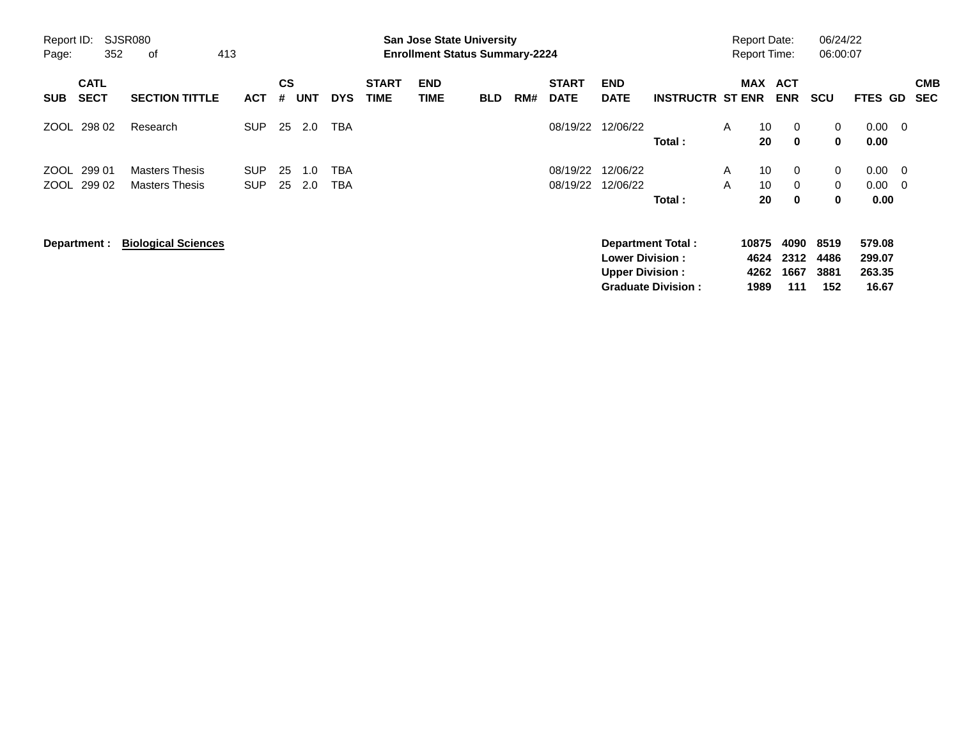| Report ID:<br>Page: | 352                        | <b>SJSR080</b><br>413<br>οf                    |                          |                |            |                          |                             | <b>San Jose State University</b><br><b>Enrollment Status Summary-2224</b> |            |     |                             |                                                  |                                                       |        | <b>Report Date:</b><br><b>Report Time:</b> |                                 | 06/24/22<br>06:00:07        |                                     |                                |                          |
|---------------------|----------------------------|------------------------------------------------|--------------------------|----------------|------------|--------------------------|-----------------------------|---------------------------------------------------------------------------|------------|-----|-----------------------------|--------------------------------------------------|-------------------------------------------------------|--------|--------------------------------------------|---------------------------------|-----------------------------|-------------------------------------|--------------------------------|--------------------------|
| <b>SUB</b>          | <b>CATL</b><br><b>SECT</b> | <b>SECTION TITTLE</b>                          | <b>ACT</b>               | <b>CS</b><br># | <b>UNT</b> | <b>DYS</b>               | <b>START</b><br><b>TIME</b> | <b>END</b><br><b>TIME</b>                                                 | <b>BLD</b> | RM# | <b>START</b><br><b>DATE</b> | <b>END</b><br><b>DATE</b>                        | <b>INSTRUCTR ST ENR</b>                               |        | MAX ACT                                    | <b>ENR</b>                      | <b>SCU</b>                  | FTES GD                             |                                | <b>CMB</b><br><b>SEC</b> |
|                     | ZOOL 298 02                | Research                                       | <b>SUP</b>               | 25             | 2.0        | <b>TBA</b>               |                             |                                                                           |            |     | 08/19/22                    | 12/06/22                                         | Total:                                                | A      | 10 <sup>°</sup><br>20                      | $\mathbf 0$<br>$\mathbf 0$      | 0<br>0                      | 0.00<br>0.00                        | - 0                            |                          |
| ZOOL                | 299 01<br>ZOOL 299 02      | <b>Masters Thesis</b><br><b>Masters Thesis</b> | <b>SUP</b><br><b>SUP</b> | 25<br>25       | 1.0<br>2.0 | <b>TBA</b><br><b>TBA</b> |                             |                                                                           |            |     | 08/19/22<br>08/19/22        | 12/06/22<br>12/06/22                             | Total:                                                | A<br>A | 10<br>10<br>20                             | $\mathbf 0$<br>$\mathbf 0$<br>0 | 0<br>$\mathbf{0}$<br>0      | 0.00<br>0.00<br>0.00                | $\overline{\mathbf{0}}$<br>- 0 |                          |
|                     | Department :               | <b>Biological Sciences</b>                     |                          |                |            |                          |                             |                                                                           |            |     |                             | <b>Lower Division:</b><br><b>Upper Division:</b> | <b>Department Total:</b><br><b>Graduate Division:</b> |        | 10875<br>4624<br>4262<br>1989              | 4090<br>2312<br>1667<br>111     | 8519<br>4486<br>3881<br>152 | 579.08<br>299.07<br>263.35<br>16.67 |                                |                          |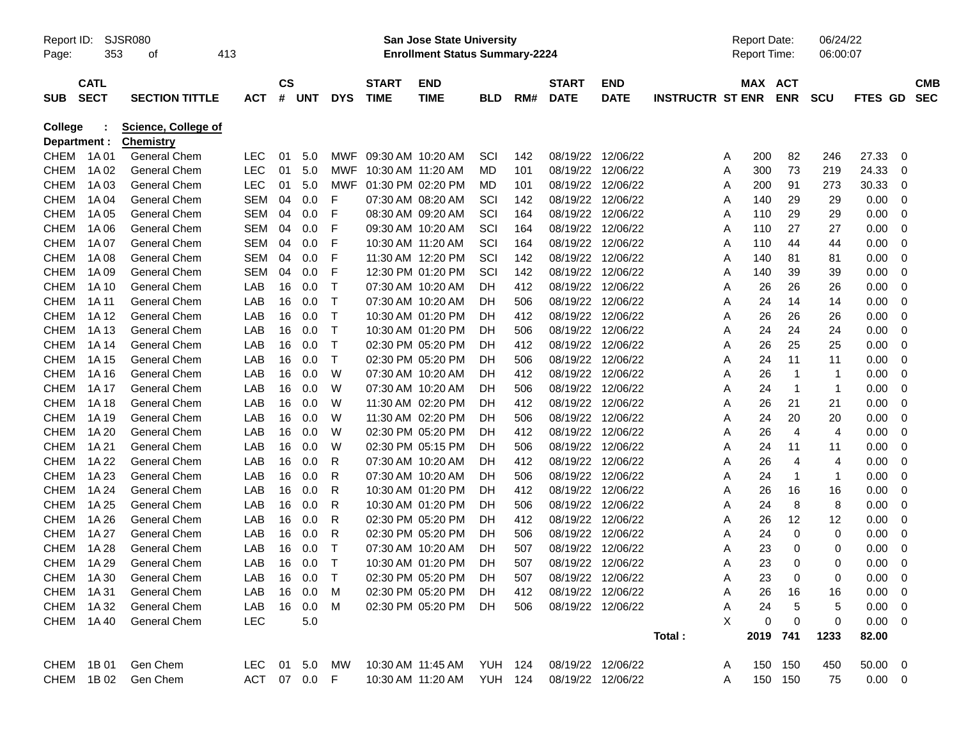| Report ID:<br>Page: | 353                        | <b>SJSR080</b><br>413<br>οf             |               |           |         |              |                             | <b>San Jose State University</b><br><b>Enrollment Status Summary-2224</b> |                |     |                             |                           |                         | <b>Report Date:</b><br>Report Time: |             | 06/24/22<br>06:00:07 |                 |                          |
|---------------------|----------------------------|-----------------------------------------|---------------|-----------|---------|--------------|-----------------------------|---------------------------------------------------------------------------|----------------|-----|-----------------------------|---------------------------|-------------------------|-------------------------------------|-------------|----------------------|-----------------|--------------------------|
| <b>SUB</b>          | <b>CATL</b><br><b>SECT</b> | <b>SECTION TITTLE</b>                   | <b>ACT</b>    | <b>CS</b> | # UNT   | <b>DYS</b>   | <b>START</b><br><b>TIME</b> | <b>END</b><br><b>TIME</b>                                                 | <b>BLD</b>     | RM# | <b>START</b><br><b>DATE</b> | <b>END</b><br><b>DATE</b> | <b>INSTRUCTR ST ENR</b> | MAX ACT                             | <b>ENR</b>  | <b>SCU</b>           | FTES GD         | <b>CMB</b><br><b>SEC</b> |
| College             |                            | Science, College of<br><b>Chemistry</b> |               |           |         |              |                             |                                                                           |                |     |                             |                           |                         |                                     |             |                      |                 |                          |
| CHEM                | Department :<br>1A 01      | <b>General Chem</b>                     | <b>LEC</b>    | 01        | 5.0     | MWF          |                             | 09:30 AM 10:20 AM                                                         | SCI            | 142 | 08/19/22 12/06/22           |                           |                         | 200<br>A                            | 82          | 246                  | 27.33           | 0                        |
| <b>CHEM</b>         | 1A 02                      | General Chem                            | <b>LEC</b>    | 01        | 5.0     | MWF          | 10:30 AM 11:20 AM           |                                                                           | MD             | 101 |                             | 08/19/22 12/06/22         |                         | 300<br>A                            | 73          | 219                  | 24.33           | 0                        |
| <b>CHEM</b>         | 1A03                       | General Chem                            | <b>LEC</b>    | 01        | 5.0     | MWF          |                             | 01:30 PM 02:20 PM                                                         | MD             | 101 |                             | 08/19/22 12/06/22         |                         | 200<br>A                            | 91          | 273                  | 30.33           | 0                        |
| <b>CHEM</b>         | 1A 04                      | General Chem                            | <b>SEM</b>    | 04        | 0.0     | F            |                             | 07:30 AM 08:20 AM                                                         | SCI            | 142 |                             | 08/19/22 12/06/22         |                         | 140<br>Α                            | 29          | 29                   | 0.00            | 0                        |
| <b>CHEM</b>         | 1A 05                      | General Chem                            | SEM           | 04        | 0.0     | F            |                             | 08:30 AM 09:20 AM                                                         | SCI            | 164 |                             | 08/19/22 12/06/22         |                         | 110<br>Α                            | 29          | 29                   | 0.00            | 0                        |
| <b>CHEM</b>         | 1A 06                      | General Chem                            | SEM           | 04        | 0.0     | F            |                             | 09:30 AM 10:20 AM                                                         | SCI            | 164 |                             | 08/19/22 12/06/22         |                         | 110<br>Α                            | 27          | 27                   | 0.00            | 0                        |
| <b>CHEM</b>         | 1A 07                      | General Chem                            | SEM           | 04        | 0.0     | F            |                             | 10:30 AM 11:20 AM                                                         | SCI            | 164 |                             | 08/19/22 12/06/22         |                         | 110<br>Α                            | 44          | 44                   | 0.00            | 0                        |
| <b>CHEM</b>         | 1A 08                      | General Chem                            | SEM           | 04        | 0.0     | F            |                             | 11:30 AM 12:20 PM                                                         | SCI            | 142 |                             | 08/19/22 12/06/22         |                         | 140<br>Α                            | 81          | 81                   | 0.00            | 0                        |
| <b>CHEM</b>         | 1A 09                      | General Chem                            | <b>SEM</b>    | 04        | 0.0     | F            |                             | 12:30 PM 01:20 PM                                                         | SCI            | 142 |                             | 08/19/22 12/06/22         |                         | 140<br>Α                            | 39          | 39                   | 0.00            | 0                        |
| <b>CHEM</b>         | 1A 10                      | General Chem                            | LAB           | 16        | 0.0     | $\top$       |                             | 07:30 AM 10:20 AM                                                         | DH             | 412 |                             | 08/19/22 12/06/22         |                         | 26<br>A                             | 26          | 26                   | 0.00            | 0                        |
| <b>CHEM</b>         | 1A 11                      | General Chem                            | LAB           | 16        | 0.0     | $\top$       |                             | 07:30 AM 10:20 AM                                                         | DH             | 506 |                             | 08/19/22 12/06/22         |                         | 24<br>A                             | 14          | 14                   | 0.00            | 0                        |
| <b>CHEM</b>         | 1A 12                      | General Chem                            | LAB           | 16        | 0.0     | $\mathsf{T}$ |                             | 10:30 AM 01:20 PM                                                         | DH             | 412 |                             | 08/19/22 12/06/22         |                         | 26<br>A                             | 26          | 26                   | 0.00            | 0                        |
| <b>CHEM</b>         | 1A 13                      | General Chem                            | LAB           | 16        | 0.0     | $\top$       |                             | 10:30 AM 01:20 PM                                                         | DH             | 506 |                             | 08/19/22 12/06/22         |                         | 24<br>A                             | 24          | 24                   | 0.00            | 0                        |
| <b>CHEM</b>         | 1A 14                      | General Chem                            | LAB           | 16        | 0.0     | $\top$       |                             | 02:30 PM 05:20 PM                                                         | DH             | 412 |                             | 08/19/22 12/06/22         |                         | 26<br>A                             | 25          | 25                   | 0.00            | 0                        |
| <b>CHEM</b>         | 1A 15                      | General Chem                            | LAB           | 16        | 0.0     | $\mathsf{T}$ |                             | 02:30 PM 05:20 PM                                                         | DH             | 506 |                             | 08/19/22 12/06/22         |                         | 24<br>A                             | 11          | 11                   | 0.00            | 0                        |
| <b>CHEM</b>         | 1A 16                      | General Chem                            | LAB           | 16        | 0.0     | W            |                             | 07:30 AM 10:20 AM                                                         | DH             | 412 |                             | 08/19/22 12/06/22         |                         | 26<br>A                             | $\mathbf 1$ |                      | 0.00            | 0                        |
| <b>CHEM</b>         | 1A 17                      | General Chem                            | LAB           | 16        | 0.0     | W            |                             | 07:30 AM 10:20 AM                                                         | DH             | 506 |                             | 08/19/22 12/06/22         |                         | 24<br>A                             | $\mathbf 1$ | -1                   | 0.00            | 0                        |
| <b>CHEM</b>         | 1A 18                      | General Chem                            | LAB           | 16        | 0.0     | W            |                             | 11:30 AM 02:20 PM                                                         | DH             | 412 |                             | 08/19/22 12/06/22         |                         | 26<br>A                             | 21          | 21                   | 0.00            | 0                        |
| <b>CHEM</b>         | 1A 19                      | General Chem                            | LAB           | 16        | 0.0     | W            |                             | 11:30 AM 02:20 PM                                                         | DH             | 506 |                             | 08/19/22 12/06/22         |                         | 24<br>A                             | 20          | 20                   | 0.00            | 0                        |
| <b>CHEM</b>         | 1A 20                      | General Chem                            | LAB           | 16        | 0.0     | W            |                             | 02:30 PM 05:20 PM                                                         | DH             | 412 |                             | 08/19/22 12/06/22         |                         | 26<br>A                             | 4           | 4                    | 0.00            | 0                        |
| <b>CHEM</b>         | 1A 21                      | General Chem                            | LAB           | 16        | 0.0     | W            |                             | 02:30 PM 05:15 PM                                                         | DH             | 506 |                             | 08/19/22 12/06/22         |                         | 24<br>A                             | 11          | 11                   | 0.00            | 0                        |
| <b>CHEM</b>         | 1A 22                      | General Chem                            | LAB           | 16        | 0.0     | R            |                             | 07:30 AM 10:20 AM                                                         | DH             | 412 |                             | 08/19/22 12/06/22         |                         | 26<br>A                             | 4           | 4                    | 0.00            | 0                        |
| <b>CHEM</b>         | 1A 23                      | General Chem                            | LAB           | 16        | 0.0     | R            |                             | 07:30 AM 10:20 AM                                                         | DH             | 506 |                             | 08/19/22 12/06/22         |                         | 24<br>A                             | -1          |                      | 0.00            | 0                        |
| <b>CHEM</b>         | 1A 24                      | General Chem                            | LAB           | 16        | 0.0     | R            |                             | 10:30 AM 01:20 PM                                                         | DH             | 412 |                             | 08/19/22 12/06/22         |                         | 26<br>A                             | 16          | 16                   | 0.00            | 0                        |
| <b>CHEM</b>         | 1A 25                      | General Chem                            | LAB           | 16        | 0.0     | R            |                             | 10:30 AM 01:20 PM                                                         | DH             | 506 |                             | 08/19/22 12/06/22         |                         | 24<br>A                             | 8           | 8                    | 0.00            | 0                        |
| <b>CHEM</b>         | 1A 26                      | General Chem                            | LAB           | 16        | 0.0     | R            |                             | 02:30 PM 05:20 PM                                                         | DH             | 412 |                             | 08/19/22 12/06/22         |                         | 26<br>A                             | 12          | 12                   | 0.00            | 0                        |
| <b>CHEM</b>         | 1A 27                      | General Chem                            | LAB           | 16        | 0.0     | R            |                             | 02:30 PM 05:20 PM                                                         | DH             | 506 |                             | 08/19/22 12/06/22         |                         | 24<br>A                             | 0           | 0                    | 0.00            | 0                        |
| <b>CHEM</b>         | 1A 28                      | <b>General Chem</b>                     | LAB           | 16        | 0.0     | $\mathsf{T}$ |                             | 07:30 AM 10:20 AM                                                         | DH             | 507 |                             | 08/19/22 12/06/22         |                         | 23<br>A                             | 0           | 0                    | 0.00            | 0                        |
| <b>CHEM</b>         | 1A 29                      | <b>General Chem</b>                     | LAB           | 16        | 0.0     | $\mathsf T$  |                             | 10:30 AM 01:20 PM                                                         | DH             | 507 | 08/19/22 12/06/22           |                           |                         | 23<br>A                             | 0           | 0                    | 0.00            | 0                        |
|                     | CHEM 1A30                  | General Chem                            | LAB           |           | 16  0.0 | $\top$       |                             | 02:30 PM 05:20 PM                                                         | DH             | 507 | 08/19/22 12/06/22           |                           |                         | 23<br>A                             | 0           | 0                    | $0.00 \quad 0$  |                          |
|                     | CHEM 1A31                  | General Chem                            | LAB           |           | 16 0.0  | M            |                             | 02:30 PM 05:20 PM                                                         | DH             | 412 |                             | 08/19/22 12/06/22         |                         | 26<br>A                             | 16          | 16                   | 0.00            | 0                        |
|                     | CHEM 1A32                  | <b>General Chem</b>                     | LAB           |           | 16 0.0  | M            |                             | 02:30 PM 05:20 PM                                                         | DH             | 506 | 08/19/22 12/06/22           |                           |                         | 24<br>Α                             | 5           | 5                    | 0.00            | 0                        |
|                     | CHEM 1A40                  | General Chem                            | LEC           |           | $5.0\,$ |              |                             |                                                                           |                |     |                             |                           |                         | X<br>0                              | 0           | 0                    | 0.00            | 0                        |
|                     |                            |                                         |               |           |         |              |                             |                                                                           |                |     |                             |                           | Total:                  |                                     | 2019 741    | 1233                 | 82.00           |                          |
|                     | CHEM 1B01                  | Gen Chem                                | LEC 01 5.0 MW |           |         |              |                             | 10:30 AM 11:45 AM                                                         | <b>YUH 124</b> |     | 08/19/22 12/06/22           |                           |                         | A                                   | 150 150     | 450                  | $50.00 \quad 0$ |                          |
|                     | CHEM 1B02                  | Gen Chem                                | ACT 07 0.0 F  |           |         |              |                             | 10:30 AM 11:20 AM                                                         | <b>YUH 124</b> |     | 08/19/22 12/06/22           |                           |                         | A                                   | 150 150     | 75                   | $0.00 \t 0$     |                          |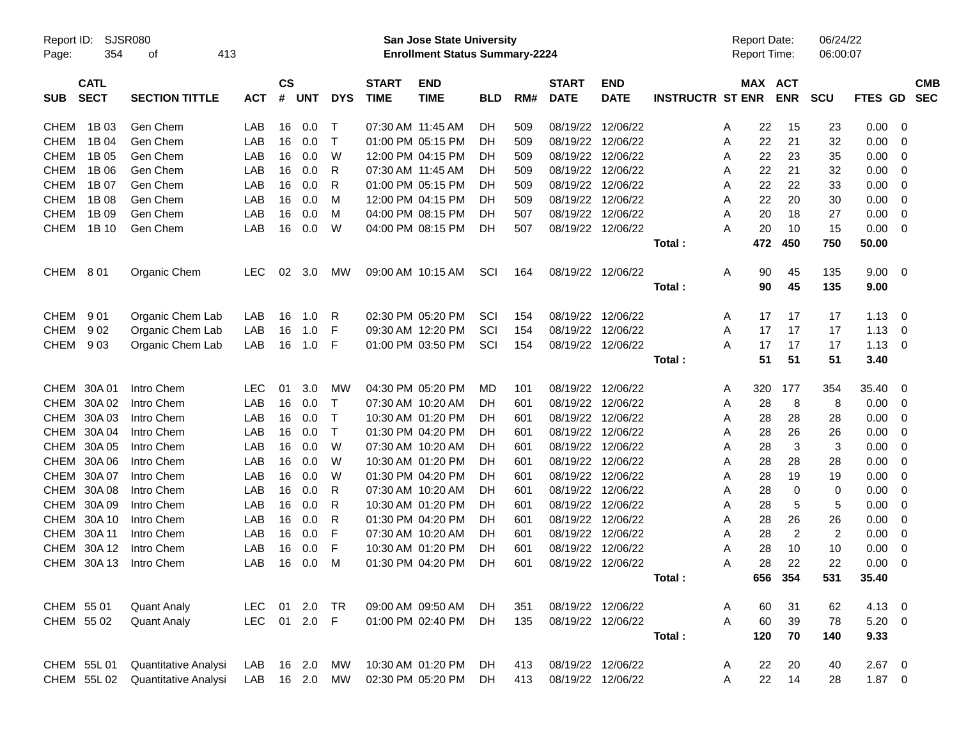| Report ID:<br>Page: | 354                        | SJSR080<br>413<br>оf  |            |                |             |            |                             | San Jose State University<br><b>Enrollment Status Summary-2224</b> |            |     |                             |                           |                         |   | <b>Report Date:</b><br>Report Time: |                | 06/24/22<br>06:00:07 |             |                          |            |
|---------------------|----------------------------|-----------------------|------------|----------------|-------------|------------|-----------------------------|--------------------------------------------------------------------|------------|-----|-----------------------------|---------------------------|-------------------------|---|-------------------------------------|----------------|----------------------|-------------|--------------------------|------------|
| <b>SUB</b>          | <b>CATL</b><br><b>SECT</b> | <b>SECTION TITTLE</b> | <b>ACT</b> | <b>CS</b><br># | <b>UNT</b>  | <b>DYS</b> | <b>START</b><br><b>TIME</b> | <b>END</b><br><b>TIME</b>                                          | <b>BLD</b> | RM# | <b>START</b><br><b>DATE</b> | <b>END</b><br><b>DATE</b> | <b>INSTRUCTR ST ENR</b> |   | MAX ACT                             | <b>ENR</b>     | <b>SCU</b>           | FTES GD SEC |                          | <b>CMB</b> |
| <b>CHEM</b>         | 1B 03                      | Gen Chem              | LAB        | 16             | 0.0         | Т          | 07:30 AM 11:45 AM           |                                                                    | DH         | 509 |                             | 08/19/22 12/06/22         |                         | A | 22                                  | 15             | 23                   | 0.00        | - 0                      |            |
| <b>CHEM</b>         | 1B 04                      | Gen Chem              | LAB        | 16             | 0.0         | $\top$     |                             | 01:00 PM 05:15 PM                                                  | DH         | 509 |                             | 08/19/22 12/06/22         |                         | Α | 22                                  | 21             | 32                   | 0.00        | 0                        |            |
| <b>CHEM</b>         | 1B 05                      | Gen Chem              | LAB        | 16             | 0.0         | W          |                             | 12:00 PM 04:15 PM                                                  | DH         | 509 |                             | 08/19/22 12/06/22         |                         | Α | 22                                  | 23             | 35                   | 0.00        | 0                        |            |
| <b>CHEM</b>         | 1B 06                      | Gen Chem              | LAB        | 16             | 0.0         | R          |                             | 07:30 AM 11:45 AM                                                  | DH         | 509 |                             | 08/19/22 12/06/22         |                         | A | 22                                  | 21             | 32                   | 0.00        | 0                        |            |
| <b>CHEM</b>         | 1B 07                      | Gen Chem              | LAB        | 16             | 0.0         | R          |                             | 01:00 PM 05:15 PM                                                  | DH         | 509 |                             | 08/19/22 12/06/22         |                         | A | 22                                  | 22             | 33                   | 0.00        | 0                        |            |
| <b>CHEM</b>         | 1B 08                      | Gen Chem              | LAB        | 16             | 0.0         | м          |                             | 12:00 PM 04:15 PM                                                  | DH         | 509 |                             | 08/19/22 12/06/22         |                         | A | 22                                  | 20             | 30                   | 0.00        | 0                        |            |
| <b>CHEM</b>         | 1B 09                      | Gen Chem              | LAB        | 16             | 0.0         | м          |                             | 04:00 PM 08:15 PM                                                  | DH         | 507 |                             | 08/19/22 12/06/22         |                         | A | 20                                  | 18             | 27                   | 0.00        | 0                        |            |
| CHEM                | 1B 10                      | Gen Chem              | LAB        | 16             | 0.0         | W          |                             | 04:00 PM 08:15 PM                                                  | DH         | 507 |                             | 08/19/22 12/06/22         |                         | А | 20                                  | 10             | 15                   | 0.00        | - 0                      |            |
|                     |                            |                       |            |                |             |            |                             |                                                                    |            |     |                             |                           | Total:                  |   | 472                                 | 450            | 750                  | 50.00       |                          |            |
| CHEM 801            |                            | Organic Chem          | <b>LEC</b> | 02             | 3.0         | MW         |                             | 09:00 AM 10:15 AM                                                  | SCI        | 164 |                             | 08/19/22 12/06/22         |                         | Α | 90                                  | 45             | 135                  | 9.00 0      |                          |            |
|                     |                            |                       |            |                |             |            |                             |                                                                    |            |     |                             |                           | Total:                  |   | 90                                  | 45             | 135                  | 9.00        |                          |            |
| CHEM                | 901                        | Organic Chem Lab      | LAB        | 16             | 1.0         | R          |                             | 02:30 PM 05:20 PM                                                  | SCI        | 154 |                             | 08/19/22 12/06/22         |                         | A | 17                                  | 17             | 17                   | 1.13        | $\overline{\phantom{0}}$ |            |
| <b>CHEM</b>         | 902                        | Organic Chem Lab      | LAB        | 16             | 1.0         | F          |                             | 09:30 AM 12:20 PM                                                  | SCI        | 154 |                             | 08/19/22 12/06/22         |                         | A | 17                                  | 17             | 17                   | 1.13        | $\overline{\mathbf{0}}$  |            |
| CHEM                | 903                        | Organic Chem Lab      | LAB        | 16             | 1.0         | F          |                             | 01:00 PM 03:50 PM                                                  | SCI        | 154 |                             | 08/19/22 12/06/22         |                         | А | 17                                  | 17             | 17                   | 1.13        | $\overline{\mathbf{0}}$  |            |
|                     |                            |                       |            |                |             |            |                             |                                                                    |            |     |                             |                           | Total:                  |   | 51                                  | 51             | 51                   | 3.40        |                          |            |
|                     | CHEM 30A 01                | Intro Chem            | <b>LEC</b> | 01             | 3.0         | MW         |                             | 04:30 PM 05:20 PM                                                  | MD         | 101 |                             | 08/19/22 12/06/22         |                         | A | 320                                 | 177            | 354                  | 35.40       | - 0                      |            |
|                     | CHEM 30A 02                | Intro Chem            | LAB        | 16             | 0.0         | т          |                             | 07:30 AM 10:20 AM                                                  | DН         | 601 |                             | 08/19/22 12/06/22         |                         | A | 28                                  | 8              | 8                    | 0.00        | 0                        |            |
|                     | CHEM 30A 03                | Intro Chem            | LAB        | 16             | 0.0         | т          |                             | 10:30 AM 01:20 PM                                                  | DH         | 601 |                             | 08/19/22 12/06/22         |                         | Α | 28                                  | 28             | 28                   | 0.00        | 0                        |            |
|                     | CHEM 30A 04                | Intro Chem            | LAB        | 16             | 0.0         | $\top$     |                             | 01:30 PM 04:20 PM                                                  | DН         | 601 |                             | 08/19/22 12/06/22         |                         | Α | 28                                  | 26             | 26                   | 0.00        | 0                        |            |
|                     | CHEM 30A 05                | Intro Chem            | LAB        | 16             | 0.0         | W          |                             | 07:30 AM 10:20 AM                                                  | DH         | 601 |                             | 08/19/22 12/06/22         |                         | Α | 28                                  | 3              | 3                    | 0.00        | 0                        |            |
|                     | CHEM 30A 06                | Intro Chem            | LAB        | 16             | 0.0         | W          |                             | 10:30 AM 01:20 PM                                                  | DH         | 601 |                             | 08/19/22 12/06/22         |                         | Α | 28                                  | 28             | 28                   | 0.00        | 0                        |            |
|                     | CHEM 30A 07                | Intro Chem            | LAB        | 16             | 0.0         | W          |                             | 01:30 PM 04:20 PM                                                  | DН         | 601 |                             | 08/19/22 12/06/22         |                         | Α | 28                                  | 19             | 19                   | 0.00        | 0                        |            |
|                     | CHEM 30A 08                | Intro Chem            | LAB        | 16             | 0.0         | R          |                             | 07:30 AM 10:20 AM                                                  | DH         | 601 |                             | 08/19/22 12/06/22         |                         | Α | 28                                  | 0              | 0                    | 0.00        | 0                        |            |
|                     | CHEM 30A 09                | Intro Chem            | LAB        | 16             | 0.0         | R          |                             | 10:30 AM 01:20 PM                                                  | DH         | 601 |                             | 08/19/22 12/06/22         |                         | Α | 28                                  | 5              | 5                    | 0.00        | 0                        |            |
|                     | CHEM 30A 10                | Intro Chem            | LAB        | 16             | 0.0         | R          |                             | 01:30 PM 04:20 PM                                                  | DH         | 601 |                             | 08/19/22 12/06/22         |                         | Α | 28                                  | 26             | 26                   | 0.00        | 0                        |            |
|                     | CHEM 30A 11                | Intro Chem            | LAB        | 16             | 0.0         | F          |                             | 07:30 AM 10:20 AM                                                  | DH         | 601 |                             | 08/19/22 12/06/22         |                         | Α | 28                                  | $\overline{c}$ | $\overline{2}$       | 0.00        | 0                        |            |
| CHEM                | 30A 12                     | Intro Chem            | LAB        | 16             | 0.0         | F          |                             | 10:30 AM 01:20 PM                                                  | DH         | 601 |                             | 08/19/22 12/06/22         |                         | A | 28                                  | 10             | 10                   | 0.00        | 0                        |            |
|                     | CHEM 30A 13                | Intro Chem            | LAB        | 16             | 0.0         | M          |                             | 01:30 PM 04:20 PM                                                  | DH         | 601 |                             | 08/19/22 12/06/22         |                         | A | 28                                  | 22             | 22                   | 0.00        | 0                        |            |
|                     |                            |                       |            |                |             |            |                             |                                                                    |            |     |                             |                           | Total:                  |   |                                     | 656 354        | 531                  | 35.40       |                          |            |
| CHEM 55 01          |                            | <b>Quant Analy</b>    | LEC.       |                | 01 2.0      | TR         |                             | 09:00 AM 09:50 AM                                                  | DH         | 351 |                             | 08/19/22 12/06/22         |                         | A | 60                                  | 31             | 62                   | 4.13 0      |                          |            |
| CHEM 55 02          |                            | <b>Quant Analy</b>    | <b>LEC</b> |                | 01 2.0      | F.         |                             | 01:00 PM 02:40 PM                                                  | <b>DH</b>  | 135 |                             | 08/19/22 12/06/22         |                         | A | 60                                  | 39             | 78                   | $5.20 \ 0$  |                          |            |
|                     |                            |                       |            |                |             |            |                             |                                                                    |            |     |                             |                           | Total:                  |   | 120                                 | 70             | 140                  | 9.33        |                          |            |
|                     | CHEM 55L 01                | Quantitative Analysi  | LAB        |                | 16 2.0      | МW         |                             | 10:30 AM 01:20 PM                                                  | DH         | 413 |                             | 08/19/22 12/06/22         |                         | A | 22                                  | 20             | 40                   | $2.67$ 0    |                          |            |
|                     | CHEM 55L02                 | Quantitative Analysi  | LAB        |                | 16  2.0  MW |            |                             | 02:30 PM 05:20 PM                                                  | DH         | 413 |                             | 08/19/22 12/06/22         |                         | Α | 22                                  | 14             | 28                   | $1.87 \t 0$ |                          |            |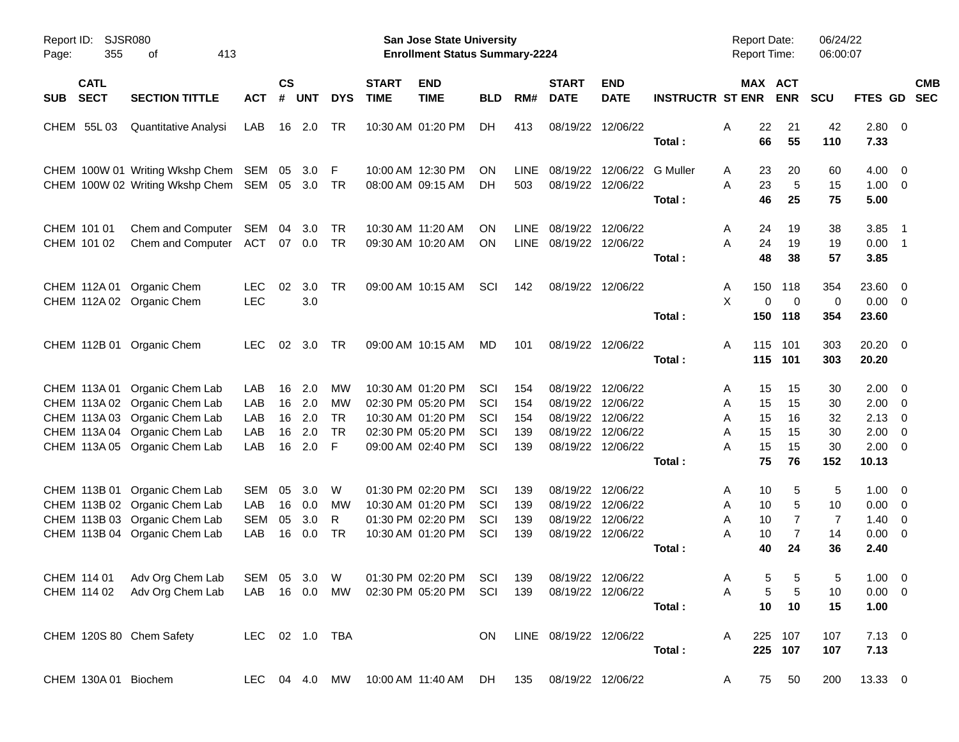| Page: | Report ID:<br>355          | SJSR080<br>413<br>οf                                                                                                                                              |                                        |                            |                                 |                                                 |                             | San Jose State University<br><b>Enrollment Status Summary-2224</b>                                    |                                 |                                 |                                             |                                                                                                       |                         | <b>Report Date:</b><br><b>Report Time:</b>                |                                                  | 06/24/22<br>06:00:07              |                                               |                                                                                                                                     |
|-------|----------------------------|-------------------------------------------------------------------------------------------------------------------------------------------------------------------|----------------------------------------|----------------------------|---------------------------------|-------------------------------------------------|-----------------------------|-------------------------------------------------------------------------------------------------------|---------------------------------|---------------------------------|---------------------------------------------|-------------------------------------------------------------------------------------------------------|-------------------------|-----------------------------------------------------------|--------------------------------------------------|-----------------------------------|-----------------------------------------------|-------------------------------------------------------------------------------------------------------------------------------------|
| SUB   | <b>CATL</b><br><b>SECT</b> | <b>SECTION TITTLE</b>                                                                                                                                             | <b>ACT</b>                             | <b>CS</b><br>#             | <b>UNT</b>                      | <b>DYS</b>                                      | <b>START</b><br><b>TIME</b> | <b>END</b><br><b>TIME</b>                                                                             | <b>BLD</b>                      | RM#                             | <b>START</b><br><b>DATE</b>                 | <b>END</b><br><b>DATE</b>                                                                             | <b>INSTRUCTR ST ENR</b> | MAX ACT                                                   | <b>ENR</b>                                       | <b>SCU</b>                        | FTES GD SEC                                   | <b>CMB</b>                                                                                                                          |
|       | CHEM 55L03                 | Quantitative Analysi                                                                                                                                              | LAB                                    |                            | 16 2.0                          | TR                                              |                             | 10:30 AM 01:20 PM                                                                                     | DH.                             | 413                             |                                             | 08/19/22 12/06/22                                                                                     | Total:                  | 22<br>Α<br>66                                             | 21<br>55                                         | 42<br>110                         | 2.80 0<br>7.33                                |                                                                                                                                     |
|       |                            | CHEM 100W 01 Writing Wkshp Chem SEM<br>CHEM 100W 02 Writing Wkshp Chem SEM 05 3.0                                                                                 |                                        | 05                         | 3.0                             | F<br>TR                                         |                             | 10:00 AM 12:30 PM<br>08:00 AM 09:15 AM                                                                | ON<br>DH                        | <b>LINE</b><br>503              | 08/19/22                                    | 12/06/22 G Muller<br>08/19/22 12/06/22                                                                | Total:                  | 23<br>A<br>23<br>Α<br>46                                  | 20<br>5<br>25                                    | 60<br>15<br>75                    | 4.00<br>$1.00 \t 0$<br>5.00                   | $\overline{\mathbf{0}}$                                                                                                             |
|       | CHEM 101 01<br>CHEM 101 02 | Chem and Computer<br>Chem and Computer                                                                                                                            | SEM<br>ACT 07 0.0                      | 04                         | 3.0                             | TR<br><b>TR</b>                                 |                             | 10:30 AM 11:20 AM<br>09:30 AM 10:20 AM                                                                | <b>ON</b><br><b>ON</b>          | <b>LINE</b>                     | 08/19/22 12/06/22<br>LINE 08/19/22 12/06/22 |                                                                                                       | Total :                 | 24<br>A<br>24<br>Α<br>48                                  | 19<br>19<br>38                                   | 38<br>19<br>57                    | 3.85<br>$0.00$ 1<br>3.85                      | $\overline{\phantom{1}}$                                                                                                            |
|       | CHEM 112A 01               | <b>Organic Chem</b><br>CHEM 112A 02 Organic Chem                                                                                                                  | <b>LEC</b><br><b>LEC</b>               | 02                         | 3.0<br>3.0                      | <b>TR</b>                                       |                             | 09:00 AM 10:15 AM                                                                                     | SCI                             | 142                             |                                             | 08/19/22 12/06/22                                                                                     | Total:                  | 150<br>A<br>X<br>0<br>150                                 | 118<br>$\mathbf 0$<br>118                        | 354<br>0<br>354                   | 23.60<br>$0.00 \t 0$<br>23.60                 | $\overline{\mathbf{0}}$                                                                                                             |
|       |                            | CHEM 112B 01 Organic Chem                                                                                                                                         | LEC.                                   |                            | 02 3.0                          | TR                                              |                             | 09:00 AM 10:15 AM                                                                                     | MD                              | 101                             |                                             | 08/19/22 12/06/22                                                                                     | Total:                  | 115<br>A                                                  | 101<br>115 101                                   | 303<br>303                        | $20.20 \t 0$<br>20.20                         |                                                                                                                                     |
|       |                            | CHEM 113A 01 Organic Chem Lab<br>CHEM 113A 02 Organic Chem Lab<br>CHEM 113A 03 Organic Chem Lab<br>CHEM 113A 04 Organic Chem Lab<br>CHEM 113A 05 Organic Chem Lab | LAB<br>LAB<br>LAB<br>LAB<br>LAB        | 16<br>16<br>16<br>16<br>16 | 2.0<br>2.0<br>2.0<br>2.0<br>2.0 | МW<br><b>MW</b><br><b>TR</b><br><b>TR</b><br>-F |                             | 10:30 AM 01:20 PM<br>02:30 PM 05:20 PM<br>10:30 AM 01:20 PM<br>02:30 PM 05:20 PM<br>09:00 AM 02:40 PM | SCI<br>SCI<br>SCI<br>SCI<br>SCI | 154<br>154<br>154<br>139<br>139 |                                             | 08/19/22 12/06/22<br>08/19/22 12/06/22<br>08/19/22 12/06/22<br>08/19/22 12/06/22<br>08/19/22 12/06/22 | Total:                  | 15<br>A<br>15<br>A<br>15<br>A<br>Α<br>15<br>15<br>Α<br>75 | 15<br>15<br>16<br>15<br>15<br>76                 | 30<br>30<br>32<br>30<br>30<br>152 | 2.00<br>2.00<br>2.13<br>2.00<br>2.00<br>10.13 | $\overline{\mathbf{0}}$<br>$\overline{\mathbf{0}}$<br>$\overline{\mathbf{0}}$<br>$\overline{\mathbf{0}}$<br>$\overline{\mathbf{0}}$ |
|       |                            | CHEM 113B 01 Organic Chem Lab<br>CHEM 113B 02 Organic Chem Lab<br>CHEM 113B 03 Organic Chem Lab<br>CHEM 113B 04 Organic Chem Lab                                  | <b>SEM</b><br>LAB<br><b>SEM</b><br>LAB | 05<br>16<br>05<br>16       | 3.0<br>0.0<br>3.0<br>0.0        | W<br>MW<br>R<br><b>TR</b>                       |                             | 01:30 PM 02:20 PM<br>10:30 AM 01:20 PM<br>01:30 PM 02:20 PM<br>10:30 AM 01:20 PM                      | SCI<br>SCI<br>SCI<br>SCI        | 139<br>139<br>139<br>139        | 08/19/22 12/06/22                           | 08/19/22 12/06/22<br>08/19/22 12/06/22<br>08/19/22 12/06/22                                           | Total:                  | 10<br>A<br>10<br>A<br>A<br>10<br>Α<br>10<br>40            | 5<br>5<br>$\overline{7}$<br>$\overline{7}$<br>24 | 5<br>10<br>7<br>14<br>36          | 1.00<br>0.00<br>1.40<br>0.00<br>2.40          | $\overline{\mathbf{0}}$<br>$\overline{\mathbf{0}}$<br>$\overline{\mathbf{0}}$<br>$\overline{\mathbf{0}}$                            |
|       |                            | CHEM 114 01 Adv Org Chem Lab SEM 05 3.0 W 01:30 PM 02:20 PM SCI 139<br>CHEM 114 02 Adv Org Chem Lab LAB 16 0.0 MW 02:30 PM 05:20 PM SCI 139                       |                                        |                            |                                 |                                                 |                             |                                                                                                       |                                 |                                 | 08/19/22 12/06/22                           | 08/19/22 12/06/22                                                                                     | Total:                  | Α<br>5<br>Α<br>10                                         | 5 <sub>5</sub><br>5<br>$\sqrt{5}$<br>10          | 5<br>10<br>15                     | $1.00 \t 0$<br>$0.00 \t 0$<br>1.00            |                                                                                                                                     |
|       |                            | CHEM 120S 80 Chem Safety                                                                                                                                          | LEC 02 1.0 TBA                         |                            |                                 |                                                 |                             |                                                                                                       | ON.                             |                                 | LINE 08/19/22 12/06/22                      |                                                                                                       | Total:                  | A                                                         | 225 107<br>225 107                               | 107<br>107                        | $7.13 \quad 0$<br>7.13                        |                                                                                                                                     |
|       | CHEM 130A 01 Biochem       |                                                                                                                                                                   |                                        |                            |                                 |                                                 |                             | LEC 04 4.0 MW 10:00 AM 11:40 AM DH 135 08/19/22 12/06/22                                              |                                 |                                 |                                             |                                                                                                       |                         | 75<br>A                                                   | 50                                               | 200                               | 13.33 0                                       |                                                                                                                                     |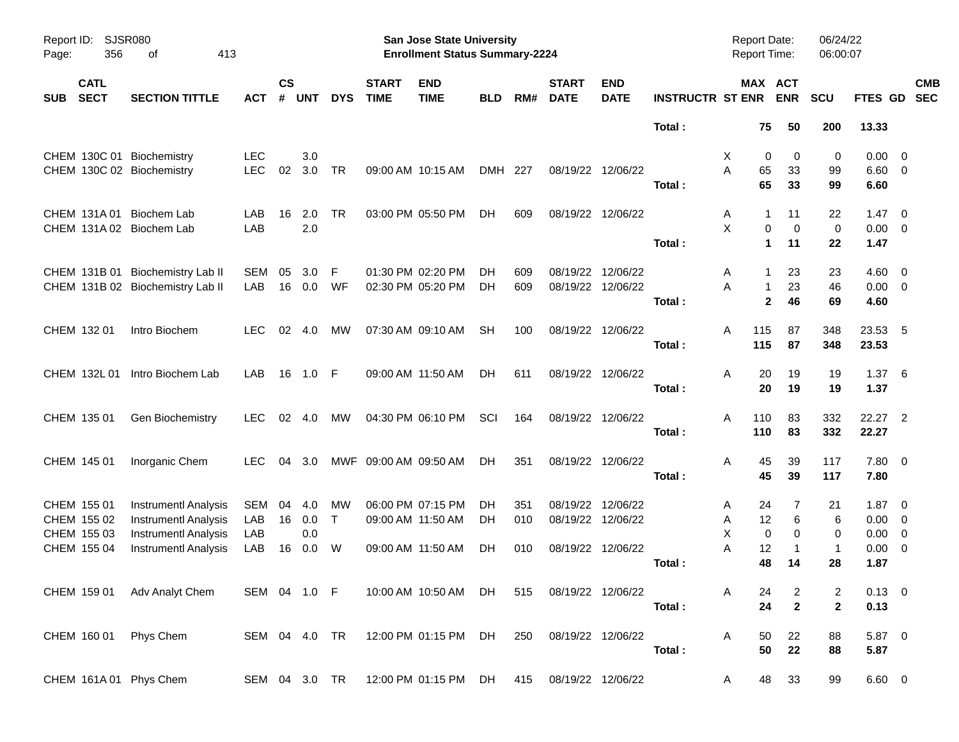| Report ID:<br>Page:                      | SJSR080<br>356 | 413<br>οf                        |               |                |            |              |                             | <b>San Jose State University</b><br><b>Enrollment Status Summary-2224</b> |            |     |                             |                           |                         | <b>Report Date:</b><br><b>Report Time:</b> |                | 06/24/22<br>06:00:07 |                     |            |  |
|------------------------------------------|----------------|----------------------------------|---------------|----------------|------------|--------------|-----------------------------|---------------------------------------------------------------------------|------------|-----|-----------------------------|---------------------------|-------------------------|--------------------------------------------|----------------|----------------------|---------------------|------------|--|
| <b>CATL</b><br><b>SECT</b><br><b>SUB</b> |                | <b>SECTION TITTLE</b>            | <b>ACT</b>    | <b>CS</b><br># | <b>UNT</b> | <b>DYS</b>   | <b>START</b><br><b>TIME</b> | <b>END</b><br><b>TIME</b>                                                 | <b>BLD</b> | RM# | <b>START</b><br><b>DATE</b> | <b>END</b><br><b>DATE</b> | <b>INSTRUCTR ST ENR</b> | MAX ACT                                    | <b>ENR</b>     | <b>SCU</b>           | FTES GD SEC         | <b>CMB</b> |  |
|                                          |                |                                  |               |                |            |              |                             |                                                                           |            |     |                             |                           | Total:                  | 75                                         | 50             | 200                  | 13.33               |            |  |
|                                          |                | CHEM 130C 01 Biochemistry        | <b>LEC</b>    |                | 3.0        |              |                             |                                                                           |            |     |                             |                           |                         | 0<br>Х                                     | 0              | 0                    | $0.00 \t 0$         |            |  |
|                                          |                | CHEM 130C 02 Biochemistry        | <b>LEC</b>    | 02             | 3.0        | TR           |                             | 09:00 AM 10:15 AM                                                         | DMH 227    |     | 08/19/22 12/06/22           |                           |                         | 65<br>A                                    | 33             | 99                   | $6.60$ 0            |            |  |
|                                          |                |                                  |               |                |            |              |                             |                                                                           |            |     |                             |                           | Total:                  | 65                                         | 33             | 99                   | 6.60                |            |  |
| CHEM 131A 01                             |                | Biochem Lab                      | LAB           | 16             | 2.0        | TR           |                             | 03:00 PM 05:50 PM                                                         | DH.        | 609 | 08/19/22 12/06/22           |                           |                         | Α<br>1                                     | 11             | 22                   | $1.47 \quad 0$      |            |  |
|                                          |                | CHEM 131A 02 Biochem Lab         | LAB           |                | 2.0        |              |                             |                                                                           |            |     |                             |                           |                         | X<br>0                                     | $\mathbf 0$    | 0                    | $0.00 \t 0$         |            |  |
|                                          |                |                                  |               |                |            |              |                             |                                                                           |            |     |                             |                           | Total:                  | $\blacktriangleleft$                       | 11             | 22                   | 1.47                |            |  |
|                                          |                | CHEM 131B 01 Biochemistry Lab II | SEM           | 05             | 3.0        | F            |                             | 01:30 PM 02:20 PM                                                         | DН         | 609 | 08/19/22 12/06/22           |                           |                         | A<br>-1                                    | 23             | 23                   | $4.60 \quad 0$      |            |  |
|                                          |                | CHEM 131B 02 Biochemistry Lab II | LAB           | 16             | 0.0        | WF           |                             | 02:30 PM 05:20 PM                                                         | DН         | 609 | 08/19/22 12/06/22           |                           |                         | A<br>$\mathbf{1}$                          | 23             | 46                   | $0.00 \t 0$         |            |  |
|                                          |                |                                  |               |                |            |              |                             |                                                                           |            |     |                             |                           | Total:                  | $\mathbf{2}$                               | 46             | 69                   | 4.60                |            |  |
| CHEM 132 01                              |                | Intro Biochem                    | LEC.          |                | 02 4.0     | МW           |                             | 07:30 AM 09:10 AM                                                         | <b>SH</b>  | 100 | 08/19/22 12/06/22           |                           |                         | 115<br>Α                                   | 87             | 348                  | 23.53 5             |            |  |
|                                          |                |                                  |               |                |            |              |                             |                                                                           |            |     |                             |                           | Total:                  | 115                                        | 87             | 348                  | 23.53               |            |  |
| CHEM 132L 01                             |                | Intro Biochem Lab                | LAB           | 16             | 1.0 F      |              |                             | 09:00 AM 11:50 AM                                                         | DH         | 611 | 08/19/22 12/06/22           |                           |                         | 20<br>Α                                    | 19             | 19                   | $1.37\ 6$           |            |  |
|                                          |                |                                  |               |                |            |              |                             |                                                                           |            |     |                             |                           | Total:                  | 20                                         | 19             | 19                   | 1.37                |            |  |
|                                          |                |                                  |               |                |            |              |                             |                                                                           |            |     |                             |                           |                         |                                            |                |                      |                     |            |  |
| CHEM 135 01                              |                | Gen Biochemistry                 | LEC.          |                | 02 4.0     | МW           |                             | 04:30 PM 06:10 PM                                                         | SCI        | 164 | 08/19/22 12/06/22           |                           | Total:                  | 110<br>Α<br>110                            | 83<br>83       | 332<br>332           | 22.27 2<br>22.27    |            |  |
|                                          |                |                                  |               |                |            |              |                             |                                                                           |            |     |                             |                           |                         |                                            |                |                      |                     |            |  |
| CHEM 145 01                              |                | Inorganic Chem                   | LEC.          | 04             | -3.0       |              | MWF 09:00 AM 09:50 AM       |                                                                           | DН         | 351 | 08/19/22 12/06/22           |                           |                         | 45<br>Α                                    | 39             | 117                  | 7.80 0              |            |  |
|                                          |                |                                  |               |                |            |              |                             |                                                                           |            |     |                             |                           | Total:                  | 45                                         | 39             | 117                  | 7.80                |            |  |
| CHEM 155 01                              |                | <b>Instrumentl Analysis</b>      | SEM           | 04             | 4.0        | МW           |                             | 06:00 PM 07:15 PM                                                         | DН         | 351 | 08/19/22                    | 12/06/22                  |                         | 24<br>A                                    | 7              | 21                   | $1.87 \t 0$         |            |  |
| CHEM 155 02                              |                | <b>Instrumentl Analysis</b>      | LAB           | 16             | 0.0        | $\mathsf{T}$ |                             | 09:00 AM 11:50 AM                                                         | DH         | 010 | 08/19/22 12/06/22           |                           |                         | 12<br>Α                                    | 6              | 6                    | $0.00 \t 0$         |            |  |
| CHEM 155 03                              |                | <b>Instrumentl Analysis</b>      | LAB           |                | 0.0        |              |                             |                                                                           |            |     |                             |                           |                         | X<br>0                                     | 0              | 0                    | $0.00 \t 0$         |            |  |
| CHEM 155 04                              |                | <b>Instrumentl Analysis</b>      | LAB           | 16             | 0.0        | W            |                             | 09:00 AM 11:50 AM                                                         | DН         | 010 | 08/19/22 12/06/22           |                           | Total:                  | 12<br>Α<br>48                              | 1<br>14        | $\mathbf 1$<br>28    | $0.00 \t 0$<br>1.87 |            |  |
|                                          |                |                                  |               |                |            |              |                             |                                                                           |            |     |                             |                           |                         |                                            |                |                      |                     |            |  |
|                                          |                | CHEM 159 01 Adv Analyt Chem      | SEM 04 1.0 F  |                |            |              |                             | 10:00 AM 10:50 AM DH                                                      |            | 515 | 08/19/22 12/06/22           |                           |                         | A<br>24                                    | $\overline{2}$ | 2                    | $0.13 \ 0$          |            |  |
|                                          |                |                                  |               |                |            |              |                             |                                                                           |            |     |                             |                           | Total:                  | 24                                         | $\mathbf{2}$   | $\mathbf{2}$         | 0.13                |            |  |
|                                          |                | CHEM 160 01 Phys Chem            | SEM 04 4.0 TR |                |            |              |                             | 12:00 PM 01:15 PM DH                                                      |            | 250 | 08/19/22 12/06/22           |                           |                         | Α<br>50                                    | 22             | 88                   | 5.87 0              |            |  |
|                                          |                |                                  |               |                |            |              |                             |                                                                           |            |     |                             |                           | Total:                  | 50                                         | ${\bf 22}$     | 88                   | 5.87                |            |  |
|                                          |                | CHEM 161A 01 Phys Chem           | SEM 04 3.0 TR |                |            |              |                             | 12:00 PM 01:15 PM DH                                                      |            | 415 | 08/19/22 12/06/22           |                           |                         | 48                                         | 33             | 99                   | $6.60 \t 0$         |            |  |
|                                          |                |                                  |               |                |            |              |                             |                                                                           |            |     |                             |                           |                         | A                                          |                |                      |                     |            |  |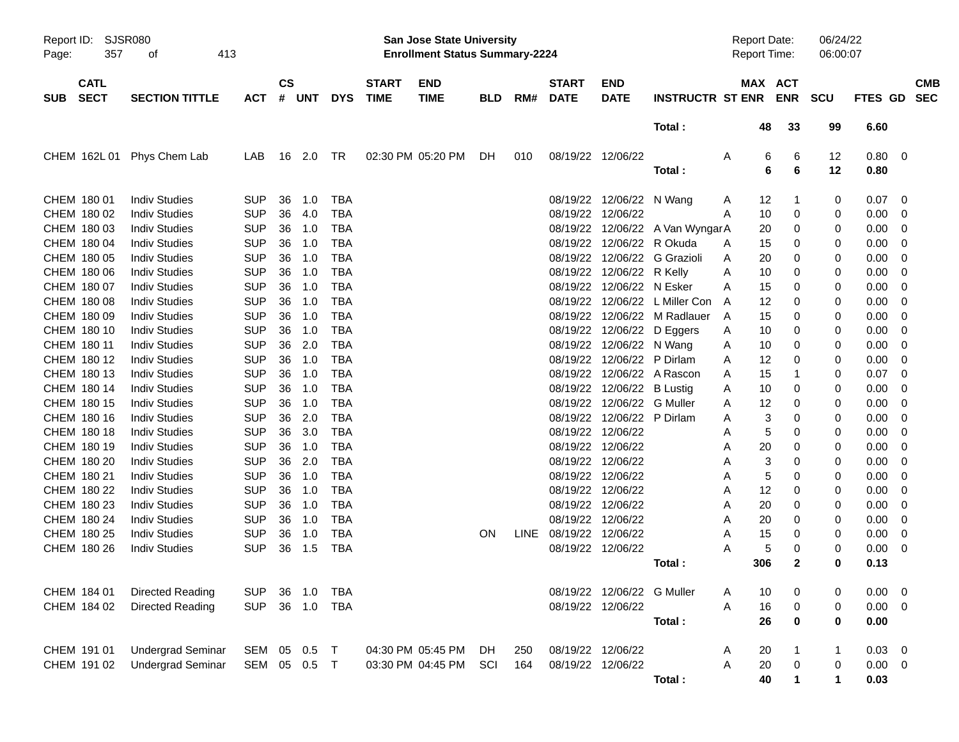| Report ID:<br>357<br>Page:               | SJSR080<br>413<br>οf     |            |                    |            |            |                             | San Jose State University<br><b>Enrollment Status Summary-2224</b> |            |     |                             |                            |                                 | <b>Report Date:</b><br><b>Report Time:</b> |        |                       | 06/24/22<br>06:00:07 |                    |                          |            |
|------------------------------------------|--------------------------|------------|--------------------|------------|------------|-----------------------------|--------------------------------------------------------------------|------------|-----|-----------------------------|----------------------------|---------------------------------|--------------------------------------------|--------|-----------------------|----------------------|--------------------|--------------------------|------------|
| <b>CATL</b><br><b>SECT</b><br><b>SUB</b> | <b>SECTION TITTLE</b>    | <b>ACT</b> | $\mathsf{cs}$<br># | <b>UNT</b> | <b>DYS</b> | <b>START</b><br><b>TIME</b> | <b>END</b><br><b>TIME</b>                                          | <b>BLD</b> | RM# | <b>START</b><br><b>DATE</b> | <b>END</b><br><b>DATE</b>  | <b>INSTRUCTR ST ENR</b>         |                                            |        | MAX ACT<br><b>ENR</b> | <b>SCU</b>           | FTES GD SEC        |                          | <b>CMB</b> |
|                                          |                          |            |                    |            |            |                             |                                                                    |            |     |                             |                            | Total:                          |                                            | 48     | 33                    | 99                   | 6.60               |                          |            |
| CHEM 162L 01                             | Phys Chem Lab            | LAB        |                    | 16 2.0     | TR         | 02:30 PM 05:20 PM           |                                                                    | DH.        | 010 |                             | 08/19/22 12/06/22          | Total:                          | A                                          | 6<br>6 | 6<br>6                | 12<br>12             | $0.80 \ 0$<br>0.80 |                          |            |
| CHEM 180 01                              | <b>Indiv Studies</b>     | <b>SUP</b> | 36                 | 1.0        | <b>TBA</b> |                             |                                                                    |            |     |                             | 08/19/22 12/06/22 N Wang   |                                 | A                                          | 12     | -1                    | 0                    | 0.07               | $\overline{\mathbf{0}}$  |            |
| CHEM 180 02                              | <b>Indiv Studies</b>     | <b>SUP</b> | 36                 | 4.0        | <b>TBA</b> |                             |                                                                    |            |     |                             | 08/19/22 12/06/22          |                                 | A                                          | 10     | 0                     | 0                    | 0.00               | - 0                      |            |
| CHEM 180 03                              | <b>Indiv Studies</b>     | <b>SUP</b> | 36                 | 1.0        | <b>TBA</b> |                             |                                                                    |            |     |                             |                            | 08/19/22 12/06/22 A Van WyngarA |                                            | 20     | 0                     | 0                    | 0.00               | - 0                      |            |
| CHEM 180 04                              | <b>Indiv Studies</b>     | <b>SUP</b> | 36                 | 1.0        | <b>TBA</b> |                             |                                                                    |            |     |                             | 08/19/22 12/06/22 R Okuda  |                                 | A                                          | 15     | 0                     | 0                    | 0.00               | - 0                      |            |
| CHEM 180 05                              | <b>Indiv Studies</b>     | <b>SUP</b> | 36                 | 1.0        | <b>TBA</b> |                             |                                                                    |            |     |                             |                            | 08/19/22 12/06/22 G Grazioli    | A                                          | 20     | 0                     | 0                    | 0.00               | 0                        |            |
| CHEM 180 06                              | <b>Indiv Studies</b>     | <b>SUP</b> | 36                 | 1.0        | <b>TBA</b> |                             |                                                                    |            |     |                             | 08/19/22 12/06/22 R Kelly  |                                 | A                                          | 10     | 0                     | 0                    | 0.00               | - 0                      |            |
| CHEM 180 07                              | <b>Indiv Studies</b>     | <b>SUP</b> | 36                 | 1.0        | <b>TBA</b> |                             |                                                                    |            |     |                             | 08/19/22 12/06/22 N Esker  |                                 | A                                          | 15     | 0                     | 0                    | 0.00               | - 0                      |            |
| CHEM 180 08                              | <b>Indiv Studies</b>     | <b>SUP</b> | 36                 | 1.0        | <b>TBA</b> |                             |                                                                    |            |     |                             |                            | 08/19/22 12/06/22 L Miller Con  | Α                                          | 12     | 0                     | 0                    | 0.00               | - 0                      |            |
| CHEM 180 09                              | <b>Indiv Studies</b>     | <b>SUP</b> | 36                 | 1.0        | <b>TBA</b> |                             |                                                                    |            |     |                             |                            | 08/19/22 12/06/22 M Radlauer    | A                                          | 15     | 0                     | 0                    | 0.00               | 0                        |            |
| CHEM 180 10                              | <b>Indiv Studies</b>     | <b>SUP</b> | 36                 | 1.0        | <b>TBA</b> |                             |                                                                    |            |     |                             |                            | 08/19/22 12/06/22 D Eggers      | A                                          | 10     | 0                     | 0                    | 0.00               | - 0                      |            |
| CHEM 180 11                              | <b>Indiv Studies</b>     | <b>SUP</b> | 36                 | 2.0        | <b>TBA</b> |                             |                                                                    |            |     |                             | 08/19/22 12/06/22 N Wang   |                                 | A                                          | 10     | 0                     | 0                    | 0.00               | - 0                      |            |
| CHEM 180 12                              | <b>Indiv Studies</b>     | <b>SUP</b> | 36                 | 1.0        | <b>TBA</b> |                             |                                                                    |            |     |                             | 08/19/22 12/06/22 P Dirlam |                                 | A                                          | 12     | 0                     | 0                    | 0.00               | 0                        |            |
| CHEM 180 13                              | <b>Indiv Studies</b>     | <b>SUP</b> | 36                 | 1.0        | <b>TBA</b> |                             |                                                                    |            |     |                             |                            | 08/19/22 12/06/22 A Rascon      | A                                          | 15     | 1                     | 0                    | 0.07               | - 0                      |            |
| CHEM 180 14                              | <b>Indiv Studies</b>     | <b>SUP</b> | 36                 | 1.0        | <b>TBA</b> |                             |                                                                    |            |     |                             | 08/19/22 12/06/22 B Lustig |                                 | A                                          | 10     | 0                     | 0                    | 0.00               | - 0                      |            |
| CHEM 180 15                              | <b>Indiv Studies</b>     | <b>SUP</b> | 36                 | 1.0        | <b>TBA</b> |                             |                                                                    |            |     |                             | 08/19/22 12/06/22 G Muller |                                 | A                                          | 12     | 0                     | 0                    | 0.00               | 0                        |            |
| CHEM 180 16                              | <b>Indiv Studies</b>     | <b>SUP</b> | 36                 | 2.0        | <b>TBA</b> |                             |                                                                    |            |     |                             | 08/19/22 12/06/22 P Dirlam |                                 | A                                          | 3      | 0                     | 0                    | 0.00               | - 0                      |            |
| CHEM 180 18                              | <b>Indiv Studies</b>     | <b>SUP</b> | 36                 | 3.0        | <b>TBA</b> |                             |                                                                    |            |     |                             | 08/19/22 12/06/22          |                                 | A                                          | 5      | 0                     | 0                    | 0.00               | - 0                      |            |
| CHEM 180 19                              | <b>Indiv Studies</b>     | <b>SUP</b> | 36                 | 1.0        | <b>TBA</b> |                             |                                                                    |            |     |                             | 08/19/22 12/06/22          |                                 | A                                          | 20     | 0                     | 0                    | 0.00               | 0                        |            |
| CHEM 180 20                              | <b>Indiv Studies</b>     | <b>SUP</b> | 36                 | 2.0        | <b>TBA</b> |                             |                                                                    |            |     |                             | 08/19/22 12/06/22          |                                 | Α                                          | 3      | 0                     | 0                    | 0.00               | 0                        |            |
| CHEM 180 21                              | <b>Indiv Studies</b>     | <b>SUP</b> | 36                 | 1.0        | <b>TBA</b> |                             |                                                                    |            |     |                             | 08/19/22 12/06/22          |                                 | A                                          | 5      | 0                     | 0                    | 0.00               | - 0                      |            |
| CHEM 180 22                              | <b>Indiv Studies</b>     | <b>SUP</b> | 36                 | 1.0        | <b>TBA</b> |                             |                                                                    |            |     |                             | 08/19/22 12/06/22          |                                 | A                                          | 12     | 0                     | 0                    | 0.00               | - 0                      |            |
| CHEM 180 23                              | <b>Indiv Studies</b>     | <b>SUP</b> | 36                 | 1.0        | <b>TBA</b> |                             |                                                                    |            |     |                             | 08/19/22 12/06/22          |                                 | A                                          | 20     | 0                     | 0                    | 0.00               | 0                        |            |
| CHEM 180 24                              | <b>Indiv Studies</b>     | <b>SUP</b> | 36                 | 1.0        | <b>TBA</b> |                             |                                                                    |            |     |                             | 08/19/22 12/06/22          |                                 | A                                          | 20     | 0                     | 0                    | 0.00               | - 0                      |            |
| CHEM 180 25                              | <b>Indiv Studies</b>     | <b>SUP</b> | 36                 | 1.0        | <b>TBA</b> |                             |                                                                    | <b>ON</b>  |     | LINE 08/19/22 12/06/22      |                            |                                 | A                                          | 15     | 0                     | 0                    | 0.00               | $\overline{0}$           |            |
| CHEM 180 26                              | <b>Indiv Studies</b>     | <b>SUP</b> | 36                 | 1.5        | <b>TBA</b> |                             |                                                                    |            |     |                             | 08/19/22 12/06/22          |                                 | A                                          | 5      | 0                     | 0                    | 0.00               | - 0                      |            |
|                                          |                          |            |                    |            |            |                             |                                                                    |            |     |                             |                            | Total:                          |                                            | 306    | $\mathbf 2$           | 0                    | 0.13               |                          |            |
| CHEM 184 01                              | <b>Directed Reading</b>  | <b>SUP</b> |                    | 36 1.0     | TBA        |                             |                                                                    |            |     |                             | 08/19/22 12/06/22 G Muller |                                 | Α                                          | 10     | 0                     | 0                    | 0.00               | $\overline{\phantom{0}}$ |            |
| CHEM 184 02                              | Directed Reading         | <b>SUP</b> |                    | 36 1.0     | <b>TBA</b> |                             |                                                                    |            |     |                             | 08/19/22 12/06/22          |                                 | A                                          | 16     | $\,0\,$               | 0                    | 0.00               | $\overline{\phantom{0}}$ |            |
|                                          |                          |            |                    |            |            |                             |                                                                    |            |     |                             |                            | Total:                          |                                            | 26     | 0                     | $\pmb{0}$            | 0.00               |                          |            |
| CHEM 191 01                              | <b>Undergrad Seminar</b> | SEM 05 0.5 |                    |            | $\top$     | 04:30 PM 05:45 PM           |                                                                    | DH         | 250 | 08/19/22 12/06/22           |                            |                                 | Α                                          | 20     |                       | 1                    | $0.03 \ 0$         |                          |            |
| CHEM 191 02                              | <b>Undergrad Seminar</b> | SEM 05 0.5 |                    |            | $\top$     | 03:30 PM 04:45 PM           |                                                                    | SCI        | 164 |                             | 08/19/22 12/06/22          |                                 | Α                                          | $20\,$ | $\pmb{0}$             | 0                    | $0.00 \t 0$        |                          |            |
|                                          |                          |            |                    |            |            |                             |                                                                    |            |     |                             |                            | Total:                          |                                            | 40     | 1                     | 1                    | 0.03               |                          |            |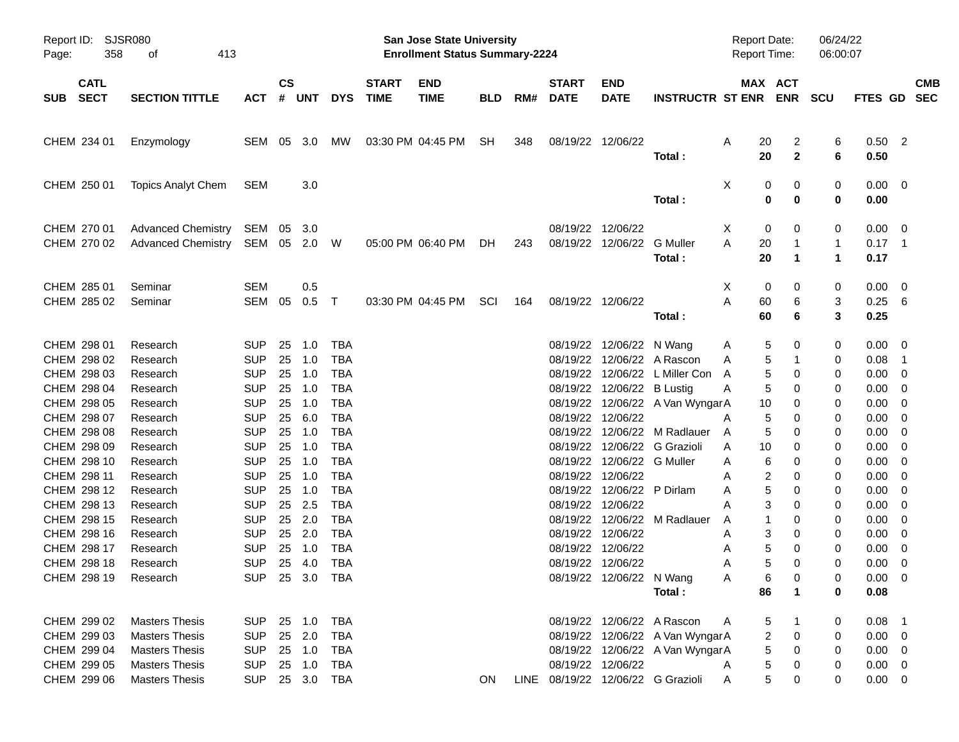| Report ID:<br>Page:                       | SJSR080<br>358<br>413<br>оf                                             |                                        |                    |                            |                                        |                             | <b>San Jose State University</b><br><b>Enrollment Status Summary-2224</b> |            |     |                             |                                                                    |                                                                    | <b>Report Date:</b><br><b>Report Time:</b> |                                                    | 06/24/22<br>06:00:07  |                                        |                           |
|-------------------------------------------|-------------------------------------------------------------------------|----------------------------------------|--------------------|----------------------------|----------------------------------------|-----------------------------|---------------------------------------------------------------------------|------------|-----|-----------------------------|--------------------------------------------------------------------|--------------------------------------------------------------------|--------------------------------------------|----------------------------------------------------|-----------------------|----------------------------------------|---------------------------|
| <b>CATL</b><br><b>SECT</b><br><b>SUB</b>  | <b>SECTION TITTLE</b>                                                   | <b>ACT</b>                             | $\mathsf{cs}$<br># | <b>UNT</b>                 | <b>DYS</b>                             | <b>START</b><br><b>TIME</b> | <b>END</b><br><b>TIME</b>                                                 | <b>BLD</b> | RM# | <b>START</b><br><b>DATE</b> | <b>END</b><br><b>DATE</b>                                          | <b>INSTRUCTR ST ENR</b>                                            |                                            | MAX ACT<br><b>ENR</b>                              | <b>SCU</b>            |                                        | <b>CMB</b><br>FTES GD SEC |
| CHEM 234 01                               | Enzymology                                                              | SEM 05 3.0                             |                    |                            | <b>MW</b>                              |                             | 03:30 PM 04:45 PM                                                         | SH         | 348 |                             | 08/19/22 12/06/22                                                  | Total:                                                             | 20<br>A<br>20                              | 2<br>$\mathbf{2}$                                  | 6<br>6                | $0.50$ 2<br>0.50                       |                           |
| CHEM 250 01                               | <b>Topics Analyt Chem</b>                                               | <b>SEM</b>                             |                    | 3.0                        |                                        |                             |                                                                           |            |     |                             |                                                                    | Total:                                                             | Χ                                          | 0<br>0<br>$\bf{0}$<br>0                            | 0<br>0                | $0.00 \ 0$<br>0.00                     |                           |
| CHEM 270 01<br>CHEM 270 02                | <b>Advanced Chemistry</b><br><b>Advanced Chemistry</b>                  | SEM<br>SEM 05 2.0 W                    | 05                 | 3.0                        |                                        |                             | 05:00 PM 06:40 PM                                                         | DH.        | 243 |                             | 08/19/22 12/06/22<br>08/19/22 12/06/22                             | <b>G</b> Muller<br>Total:                                          | X<br>А<br>20<br>20                         | 0<br>0<br>$\mathbf 1$<br>$\blacktriangleleft$      | 0<br>1<br>$\mathbf 1$ | $0.00 \t 0$<br>$0.17$ 1<br>0.17        |                           |
| CHEM 285 01<br>CHEM 285 02                | Seminar<br>Seminar                                                      | <b>SEM</b><br>SEM                      | 05                 | 0.5<br>0.5                 | $\top$                                 |                             | 03:30 PM 04:45 PM                                                         | SCI        | 164 |                             | 08/19/22 12/06/22                                                  | Total:                                                             | X<br>А<br>60<br>60                         | 0<br>0<br>6<br>6                                   | 0<br>3<br>3           | $0.00 \t 0$<br>$0.25\ 6$<br>0.25       |                           |
| CHEM 298 01<br>CHEM 298 02                | Research<br>Research                                                    | <b>SUP</b><br><b>SUP</b>               | 25<br>25           | 1.0<br>1.0                 | <b>TBA</b><br><b>TBA</b>               |                             |                                                                           |            |     |                             | 08/19/22 12/06/22 N Wang                                           | 08/19/22 12/06/22 A Rascon                                         | A<br>A                                     | 5<br>0<br>5<br>1                                   | 0<br>0                | $0.00 \t 0$<br>0.08                    | $\overline{\phantom{1}}$  |
| CHEM 298 03<br>CHEM 298 04<br>CHEM 298 05 | Research<br>Research<br>Research                                        | <b>SUP</b><br><b>SUP</b><br><b>SUP</b> | 25<br>25<br>25     | 1.0<br>1.0<br>1.0          | <b>TBA</b><br><b>TBA</b><br><b>TBA</b> |                             |                                                                           |            |     |                             | 08/19/22 12/06/22 B Lustig                                         | 08/19/22 12/06/22 L Miller Con<br>08/19/22 12/06/22 A Van WyngarA  | A<br>Α<br>10                               | 5<br>0<br>5<br>0<br>0                              | 0<br>0<br>0           | 0.00<br>0.00<br>0.00                   | - 0<br>- 0<br>- 0         |
| CHEM 298 07<br>CHEM 298 08<br>CHEM 298 09 | Research<br>Research<br>Research                                        | <b>SUP</b><br><b>SUP</b><br><b>SUP</b> | 25<br>25<br>25     | 6.0<br>1.0<br>1.0          | <b>TBA</b><br><b>TBA</b><br><b>TBA</b> |                             |                                                                           |            |     | 08/19/22                    | 08/19/22 12/06/22<br>12/06/22                                      | 08/19/22 12/06/22 M Radlauer<br>G Grazioli                         | A<br>A<br>10<br>Α                          | 5<br>0<br>5<br>0<br>0                              | 0<br>0<br>0           | 0.00<br>0.00<br>0.00                   | - 0<br>- 0<br>- 0         |
| CHEM 298 10<br>CHEM 298 11<br>CHEM 298 12 | Research<br>Research<br>Research                                        | <b>SUP</b><br><b>SUP</b><br><b>SUP</b> | 25<br>25<br>25     | 1.0<br>1.0<br>1.0          | <b>TBA</b><br><b>TBA</b><br><b>TBA</b> |                             |                                                                           |            |     | 08/19/22<br>08/19/22        | 12/06/22 G Muller<br>08/19/22 12/06/22<br>12/06/22 P Dirlam        |                                                                    | Α<br>A<br>A                                | 6<br>0<br>2<br>0<br>5<br>0                         | 0<br>0<br>0           | 0.00<br>0.00<br>0.00                   | - 0<br>- 0<br>- 0         |
| CHEM 298 13<br>CHEM 298 15<br>CHEM 298 16 | Research<br>Research<br>Research                                        | <b>SUP</b><br><b>SUP</b><br><b>SUP</b> | 25<br>25<br>25     | 2.5<br>2.0<br>2.0          | <b>TBA</b><br><b>TBA</b><br><b>TBA</b> |                             |                                                                           |            |     | 08/19/22                    | 12/06/22<br>08/19/22 12/06/22                                      | 08/19/22 12/06/22 M Radlauer                                       | A<br>A<br>A                                | 3<br>0<br>0<br>3<br>0                              | 0<br>0<br>0           | 0.00<br>0.00<br>0.00                   | - 0<br>- 0<br>- 0         |
| CHEM 298 17<br>CHEM 298 18<br>CHEM 298 19 | Research<br>Research<br>Research                                        | <b>SUP</b><br><b>SUP</b><br><b>SUP</b> | 25                 | 1.0<br>25 4.0              | <b>TBA</b><br><b>TBA</b><br>25 3.0 TBA |                             |                                                                           |            |     |                             | 08/19/22 12/06/22<br>08/19/22 12/06/22<br>08/19/22 12/06/22 N Wang |                                                                    | Α<br>A<br>Α                                | 5<br>0<br>5<br>0<br>$\,6\,$<br>0                   | 0<br>0<br>0           | 0.00<br>0.00<br>$0.00 \t 0$            | - 0<br>- 0                |
|                                           |                                                                         |                                        |                    |                            |                                        |                             |                                                                           |            |     |                             |                                                                    | Total:<br>08/19/22 12/06/22 A Rascon                               | 86                                         | $\mathbf{1}$                                       | 0                     | 0.08                                   |                           |
| CHEM 299 02<br>CHEM 299 03<br>CHEM 299 04 | <b>Masters Thesis</b><br><b>Masters Thesis</b><br><b>Masters Thesis</b> | <b>SUP</b><br><b>SUP</b><br><b>SUP</b> |                    | 25 1.0<br>25 2.0<br>25 1.0 | <b>TBA</b><br><b>TBA</b><br><b>TBA</b> |                             |                                                                           |            |     |                             |                                                                    | 08/19/22 12/06/22 A Van WyngarA<br>08/19/22 12/06/22 A Van WyngarA | A                                          | 5<br>$\mathbf{1}$<br>$\overline{c}$<br>0<br>5<br>0 | 0<br>0<br>0           | $0.08$ 1<br>$0.00 \t 0$<br>$0.00 \t 0$ |                           |
| CHEM 299 05<br>CHEM 299 06                | <b>Masters Thesis</b><br><b>Masters Thesis</b>                          | <b>SUP</b><br><b>SUP</b>               |                    | 25 1.0<br>25 3.0           | <b>TBA</b><br>TBA                      |                             |                                                                           | ON         |     |                             | 08/19/22 12/06/22                                                  | LINE 08/19/22 12/06/22 G Grazioli                                  | A<br>Α                                     | 5<br>0<br>$\mathbf 5$<br>0                         | 0<br>0                | $0.00 \t 0$<br>$0.00 \t 0$             |                           |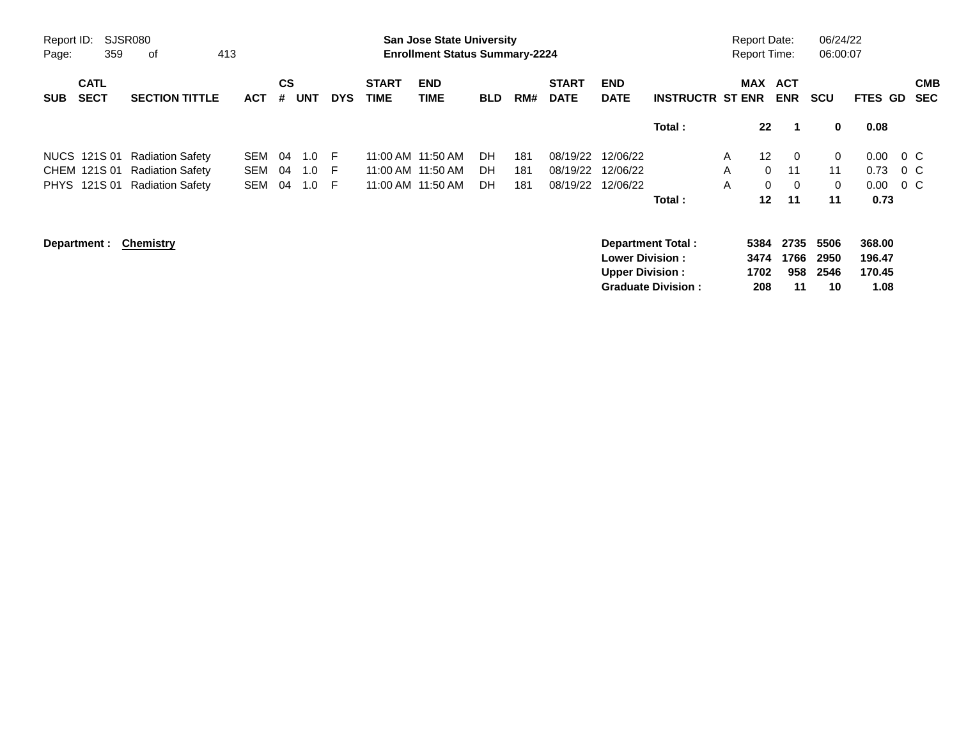| <b>SJSR080</b><br>Report ID:<br>359<br>0f<br>413<br>Page: |                            |                         |            |                |            |            |                             | <b>San Jose State University</b><br><b>Enrollment Status Summary-2224</b> |            | 06/24/22<br><b>Report Date:</b><br>06:00:07<br><b>Report Time:</b> |                             |                                                  |                                                       |   |                             |                           |                            |                                    |                          |
|-----------------------------------------------------------|----------------------------|-------------------------|------------|----------------|------------|------------|-----------------------------|---------------------------------------------------------------------------|------------|--------------------------------------------------------------------|-----------------------------|--------------------------------------------------|-------------------------------------------------------|---|-----------------------------|---------------------------|----------------------------|------------------------------------|--------------------------|
| <b>SUB</b>                                                | <b>CATL</b><br><b>SECT</b> | <b>SECTION TITTLE</b>   | <b>ACT</b> | <b>CS</b><br># | <b>UNT</b> | <b>DYS</b> | <b>START</b><br><b>TIME</b> | <b>END</b><br><b>TIME</b>                                                 | <b>BLD</b> | RM#                                                                | <b>START</b><br><b>DATE</b> | <b>END</b><br><b>DATE</b>                        | <b>INSTRUCTR ST ENR</b>                               |   |                             | MAX ACT<br><b>ENR</b>     | <b>SCU</b>                 | <b>FTES GD</b>                     | <b>CMB</b><br><b>SEC</b> |
|                                                           |                            |                         |            |                |            |            |                             |                                                                           |            |                                                                    |                             |                                                  | Total:                                                |   | $22 \,$                     | -1                        | 0                          | 0.08                               |                          |
|                                                           | NUCS 121S 01               | <b>Radiation Safety</b> | SEM        | 04             | 1.0        | -F         |                             | 11:00 AM 11:50 AM                                                         | DH         | 181                                                                | 08/19/22                    | 12/06/22                                         |                                                       | A | 12 <sup>2</sup>             | $\overline{0}$            | 0                          | 0.00                               | $0\,$ C                  |
|                                                           | CHEM 121S 01               | <b>Radiation Safety</b> | <b>SEM</b> | 04             | 1.0        | E          |                             | 11:00 AM 11:50 AM                                                         | DH         | 181                                                                | 08/19/22                    | 12/06/22                                         |                                                       | A | $\Omega$                    | 11                        | 11                         | 0.73                               | $0\,$ C                  |
|                                                           | PHYS 121S 01               | <b>Radiation Safety</b> | <b>SEM</b> | 04             | 1.0        | -F         |                             | 11:00 AM 11:50 AM                                                         | DH         | 181                                                                | 08/19/22                    | 12/06/22                                         |                                                       | A | $\mathbf{0}$                | $\overline{0}$            | 0                          | 0.00                               | $0\,$ C                  |
|                                                           |                            |                         |            |                |            |            |                             |                                                                           |            |                                                                    |                             |                                                  | Total:                                                |   | $12 \,$                     | 11                        | 11                         | 0.73                               |                          |
|                                                           | Department :               | <b>Chemistry</b>        |            |                |            |            |                             |                                                                           |            |                                                                    |                             | <b>Lower Division:</b><br><b>Upper Division:</b> | <b>Department Total:</b><br><b>Graduate Division:</b> |   | 5384<br>3474<br>1702<br>208 | 2735<br>1766<br>958<br>11 | 5506<br>2950<br>2546<br>10 | 368.00<br>196.47<br>170.45<br>1.08 |                          |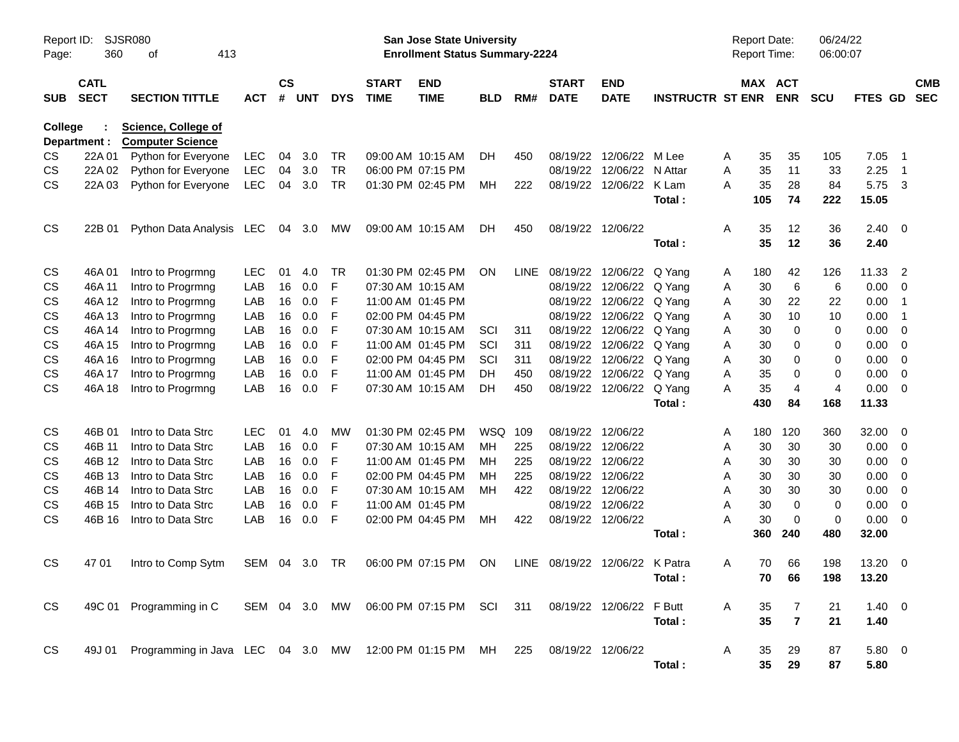| SJSR080<br>Report ID:<br>360<br>413<br>Page:<br>οf |                                                                                  |                                                                   |            |                    |            |            |                             |                                                                  | <b>Report Date:</b><br>Report Time: |      | 06/24/22<br>06:00:07           |                           |                         |   |         |                |                |            |                            |                          |
|----------------------------------------------------|----------------------------------------------------------------------------------|-------------------------------------------------------------------|------------|--------------------|------------|------------|-----------------------------|------------------------------------------------------------------|-------------------------------------|------|--------------------------------|---------------------------|-------------------------|---|---------|----------------|----------------|------------|----------------------------|--------------------------|
| <b>SUB</b>                                         | <b>CATL</b><br><b>SECT</b>                                                       | <b>SECTION TITTLE</b>                                             | <b>ACT</b> | $\mathsf{cs}$<br># | <b>UNT</b> | <b>DYS</b> | <b>START</b><br><b>TIME</b> | <b>END</b><br><b>TIME</b>                                        | <b>BLD</b>                          | RM#  | <b>START</b><br><b>DATE</b>    | <b>END</b><br><b>DATE</b> | <b>INSTRUCTR ST ENR</b> |   | MAX ACT | <b>ENR</b>     | <b>SCU</b>     | FTES GD    |                            | <b>CMB</b><br><b>SEC</b> |
|                                                    | <b>Science, College of</b><br>College<br><b>Computer Science</b><br>Department : |                                                                   |            |                    |            |            |                             |                                                                  |                                     |      |                                |                           |                         |   |         |                |                |            |                            |                          |
| CS                                                 | 22A 01                                                                           | Python for Everyone                                               | <b>LEC</b> | 04                 | 3.0        | <b>TR</b>  |                             | 09:00 AM 10:15 AM                                                | DH.                                 | 450  |                                | 08/19/22 12/06/22         | M Lee                   | A | 35      | 35             | 105            | 7.05       | $\overline{\phantom{0}}$   |                          |
| CS                                                 | 22A 02                                                                           | Python for Everyone                                               | <b>LEC</b> | 04                 | 3.0        | <b>TR</b>  |                             | 06:00 PM 07:15 PM                                                |                                     |      |                                | 08/19/22 12/06/22         | N Attar                 | A | 35      | 11             | 33             | 2.25       | $\overline{\phantom{0}}$ 1 |                          |
| CS                                                 | 22A 03                                                                           | Python for Everyone                                               | <b>LEC</b> | 04                 | 3.0        | <b>TR</b>  |                             | 01:30 PM 02:45 PM                                                | MН                                  | 222  |                                | 08/19/22 12/06/22         | K Lam                   | А | 35      | 28             | 84             | 5.75 3     |                            |                          |
|                                                    |                                                                                  |                                                                   |            |                    |            |            |                             |                                                                  |                                     |      |                                |                           | Total:                  |   | 105     | 74             | 222            | 15.05      |                            |                          |
| <b>CS</b>                                          | 22B 01                                                                           | Python Data Analysis LEC                                          |            |                    | 04 3.0     | МW         |                             | 09:00 AM 10:15 AM                                                | DH                                  | 450  |                                | 08/19/22 12/06/22         |                         | A | 35      | 12             | 36             | $2.40 \ 0$ |                            |                          |
|                                                    |                                                                                  |                                                                   |            |                    |            |            |                             |                                                                  |                                     |      |                                |                           | Total:                  |   | 35      | 12             | 36             | 2.40       |                            |                          |
| CS                                                 | 46A 01                                                                           | Intro to Progrmng                                                 | <b>LEC</b> | 01                 | 4.0        | <b>TR</b>  |                             | 01:30 PM 02:45 PM                                                | <b>ON</b>                           | LINE |                                | 08/19/22 12/06/22         | Q Yang                  | A | 180     | 42             | 126            | 11.33      | -2                         |                          |
| CS                                                 | 46A 11                                                                           | Intro to Progrmng                                                 | LAB        | 16                 | 0.0        | F          |                             | 07:30 AM 10:15 AM                                                |                                     |      | 08/19/22                       | 12/06/22                  | Q Yang                  | A | 30      | 6              | 6              | 0.00       | - 0                        |                          |
| CS                                                 | 46A 12                                                                           | Intro to Progrmng                                                 | LAB        | 16                 | 0.0        | F          |                             | 11:00 AM 01:45 PM                                                |                                     |      |                                | 08/19/22 12/06/22         | Q Yang                  | A | 30      | 22             | 22             | 0.00       | $\overline{\phantom{0}}$ 1 |                          |
| CS                                                 | 46A 13                                                                           | Intro to Progrmng                                                 | LAB        | 16                 | 0.0        | F          |                             | 02:00 PM 04:45 PM                                                |                                     |      |                                | 08/19/22 12/06/22         | Q Yang                  | A | 30      | 10             | 10             | 0.00       | $\overline{\phantom{0}}$ 1 |                          |
| CS                                                 | 46A 14                                                                           | Intro to Progrmng                                                 | LAB        | 16                 | 0.0        | F          |                             | 07:30 AM 10:15 AM                                                | SCI                                 | 311  |                                | 08/19/22 12/06/22         | Q Yang                  | A | 30      | 0              | 0              | 0.00       | 0                          |                          |
| CS                                                 | 46A 15                                                                           | Intro to Progrmng                                                 | LAB        | 16                 | 0.0        | F          |                             | 11:00 AM 01:45 PM                                                | SCI                                 | 311  |                                | 08/19/22 12/06/22         | Q Yang                  | A | 30      | 0              | 0              | 0.00       | $\overline{0}$             |                          |
| CS                                                 | 46A 16                                                                           | Intro to Progrmng                                                 | LAB        | 16                 | 0.0        | F          |                             | 02:00 PM 04:45 PM                                                | SCI                                 | 311  |                                | 08/19/22 12/06/22         | Q Yang                  | A | 30      | 0              | 0              | 0.00       | - 0                        |                          |
| CS                                                 | 46A 17                                                                           | Intro to Progrmng                                                 | LAB        | 16                 | 0.0        | F          |                             | 11:00 AM 01:45 PM                                                | DH                                  | 450  |                                | 08/19/22 12/06/22         | Q Yang                  | A | 35      | 0              | 0              | 0.00       | 0                          |                          |
| CS                                                 | 46A 18                                                                           | Intro to Progrmng                                                 | LAB        | 16                 | 0.0        | F          |                             | 07:30 AM 10:15 AM                                                | DH                                  | 450  |                                | 08/19/22 12/06/22         | Q Yang                  | Α | 35      | $\overline{4}$ | $\overline{4}$ | 0.00       | $\overline{0}$             |                          |
|                                                    |                                                                                  |                                                                   |            |                    |            |            |                             |                                                                  |                                     |      |                                |                           | Total:                  |   | 430     | 84             | 168            | 11.33      |                            |                          |
| CS                                                 | 46B 01                                                                           | Intro to Data Strc                                                | <b>LEC</b> | 01                 | 4.0        | MW         |                             | 01:30 PM 02:45 PM                                                | WSQ 109                             |      |                                | 08/19/22 12/06/22         |                         | A | 180     | 120            | 360            | 32.00      | $\overline{\mathbf{0}}$    |                          |
| CS                                                 | 46B 11                                                                           | Intro to Data Strc                                                | LAB        | 16                 | 0.0        | F          |                             | 07:30 AM 10:15 AM                                                | MH                                  | 225  | 08/19/22                       | 12/06/22                  |                         | A | 30      | 30             | 30             | 0.00       | $\overline{\mathbf{0}}$    |                          |
| CS                                                 | 46B 12                                                                           | Intro to Data Strc                                                | LAB        | 16                 | 0.0        | F          |                             | 11:00 AM 01:45 PM                                                | MН                                  | 225  |                                | 08/19/22 12/06/22         |                         | A | 30      | 30             | 30             | 0.00       | - 0                        |                          |
| CS                                                 | 46B 13                                                                           | Intro to Data Strc                                                | LAB        | 16                 | 0.0        | F          |                             | 02:00 PM 04:45 PM                                                | MН                                  | 225  |                                | 08/19/22 12/06/22         |                         | A | 30      | 30             | 30             | 0.00       | 0                          |                          |
| CS                                                 | 46B 14                                                                           | Intro to Data Strc                                                | LAB        | 16                 | 0.0        | F          |                             | 07:30 AM 10:15 AM                                                | MН                                  | 422  |                                | 08/19/22 12/06/22         |                         | A | 30      | 30             | 30             | 0.00       | - 0                        |                          |
| CS                                                 | 46B 15                                                                           | Intro to Data Strc                                                | LAB        | 16                 | 0.0        | F          |                             | 11:00 AM 01:45 PM                                                |                                     |      |                                | 08/19/22 12/06/22         |                         | A | 30      | $\mathbf 0$    | 0              | 0.00       | - 0                        |                          |
| CS                                                 | 46B 16                                                                           | Intro to Data Strc                                                | LAB        | 16                 | 0.0        | F          |                             | 02:00 PM 04:45 PM                                                | MH                                  | 422  |                                | 08/19/22 12/06/22         |                         | A | 30      | 0              | $\mathbf 0$    | 0.00       | $\overline{\mathbf{0}}$    |                          |
|                                                    |                                                                                  |                                                                   |            |                    |            |            |                             |                                                                  |                                     |      |                                |                           | Total :                 |   | 360     | 240            | 480            | 32.00      |                            |                          |
| <b>CS</b>                                          | 47 01                                                                            | Intro to Comp Sytm                                                | SEM 04 3.0 |                    |            | TR         |                             | 06:00 PM 07:15 PM                                                | ON                                  |      | LINE 08/19/22 12/06/22 K Patra |                           |                         | A | 70      | 66             | 198            | 13.20 0    |                            |                          |
|                                                    |                                                                                  |                                                                   |            |                    |            |            |                             |                                                                  |                                     |      |                                |                           | Total :                 |   |         | 70 66          | 198            | 13.20      |                            |                          |
| <b>CS</b>                                          |                                                                                  | 49C 01 Programming in C                                           |            |                    |            |            |                             | SEM 04 3.0 MW 06:00 PM 07:15 PM SCI 311 08/19/22 12/06/22 F Butt |                                     |      |                                |                           |                         | A | 35      | 7              | 21             | $1.40 \ 0$ |                            |                          |
|                                                    |                                                                                  |                                                                   |            |                    |            |            |                             |                                                                  |                                     |      |                                |                           | Total:                  |   | 35      | $\overline{7}$ | 21             | 1.40       |                            |                          |
|                                                    |                                                                                  |                                                                   |            |                    |            |            |                             |                                                                  |                                     |      |                                |                           |                         |   |         |                |                |            |                            |                          |
| <b>CS</b>                                          |                                                                                  | 49J 01 Programming in Java LEC 04 3.0 MW 12:00 PM 01:15 PM MH 225 |            |                    |            |            |                             |                                                                  |                                     |      | 08/19/22 12/06/22              |                           |                         | A | 35      | 29             | 87             | 5.80 0     |                            |                          |
|                                                    |                                                                                  |                                                                   |            |                    |            |            |                             |                                                                  |                                     |      |                                |                           | Total:                  |   | 35      | 29             | 87             | 5.80       |                            |                          |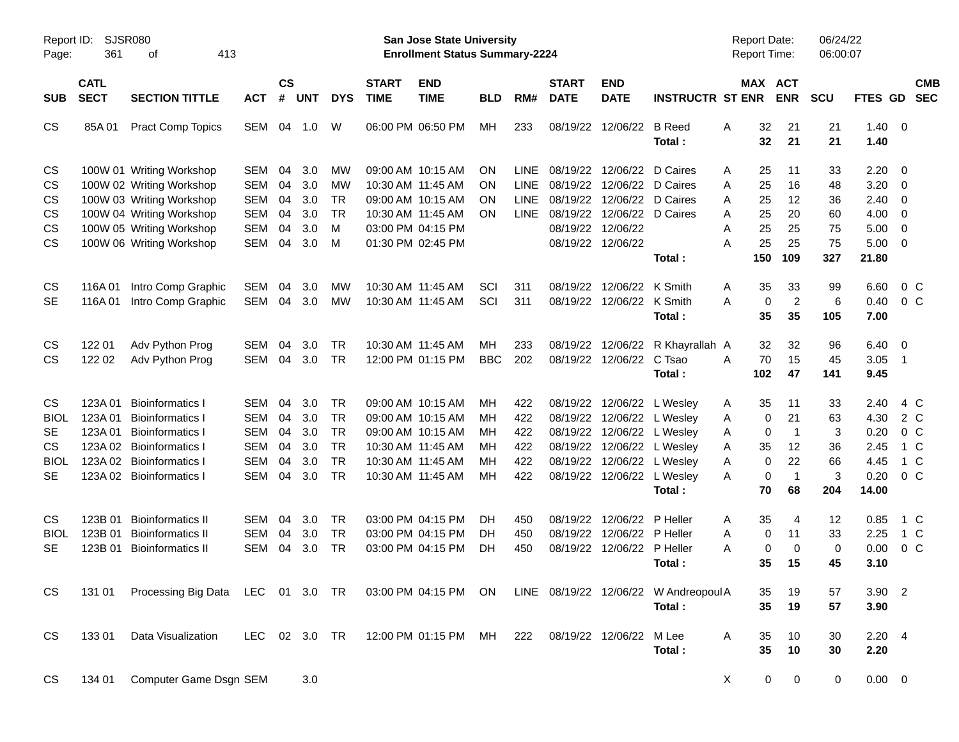| Report ID:<br>Page:                                                            | 361                                               | SJSR080<br>413<br>οf                                                                                                                                                 |                                                                                  |                                  |                                        |                                                                            |                                        | <b>San Jose State University</b><br><b>Enrollment Status Summary-2224</b>                                                  |                                  |                                                   |                                                          |                                                    |                                                                                                                                      | <b>Report Date:</b><br><b>Report Time:</b>                       |                                                                | 06/24/22<br>06:00:07                  |                                                       |                                                      |                          |
|--------------------------------------------------------------------------------|---------------------------------------------------|----------------------------------------------------------------------------------------------------------------------------------------------------------------------|----------------------------------------------------------------------------------|----------------------------------|----------------------------------------|----------------------------------------------------------------------------|----------------------------------------|----------------------------------------------------------------------------------------------------------------------------|----------------------------------|---------------------------------------------------|----------------------------------------------------------|----------------------------------------------------|--------------------------------------------------------------------------------------------------------------------------------------|------------------------------------------------------------------|----------------------------------------------------------------|---------------------------------------|-------------------------------------------------------|------------------------------------------------------|--------------------------|
| <b>SUB</b>                                                                     | <b>CATL</b><br><b>SECT</b>                        | <b>SECTION TITTLE</b>                                                                                                                                                | <b>ACT</b>                                                                       | $\mathsf{cs}$<br>#               | <b>UNT</b>                             | <b>DYS</b>                                                                 | <b>START</b><br><b>TIME</b>            | <b>END</b><br><b>TIME</b>                                                                                                  | <b>BLD</b>                       | RM#                                               | <b>START</b><br><b>DATE</b>                              | <b>END</b><br><b>DATE</b>                          | <b>INSTRUCTR ST ENR</b>                                                                                                              |                                                                  | MAX ACT<br><b>ENR</b>                                          | <b>SCU</b>                            | <b>FTES GD</b>                                        |                                                      | <b>CMB</b><br><b>SEC</b> |
| CS                                                                             | 85A01                                             | <b>Pract Comp Topics</b>                                                                                                                                             | SEM                                                                              | 04                               | 1.0                                    | W                                                                          |                                        | 06:00 PM 06:50 PM                                                                                                          | МH                               | 233                                               | 08/19/22                                                 | 12/06/22                                           | <b>B</b> Reed<br>Total:                                                                                                              | 32<br>A<br>32                                                    | 21<br>21                                                       | 21<br>21                              | 1.40<br>1.40                                          | $\overline{0}$                                       |                          |
| CS<br>CS<br>CS<br>CS<br>CS<br><b>CS</b>                                        |                                                   | 100W 01 Writing Workshop<br>100W 02 Writing Workshop<br>100W 03 Writing Workshop<br>100W 04 Writing Workshop<br>100W 05 Writing Workshop<br>100W 06 Writing Workshop | <b>SEM</b><br><b>SEM</b><br><b>SEM</b><br><b>SEM</b><br><b>SEM</b><br><b>SEM</b> | 04<br>04<br>04<br>04<br>04<br>04 | 3.0<br>3.0<br>3.0<br>3.0<br>3.0<br>3.0 | MW<br>MW<br><b>TR</b><br><b>TR</b><br>м<br>M                               |                                        | 09:00 AM 10:15 AM<br>10:30 AM 11:45 AM<br>09:00 AM 10:15 AM<br>10:30 AM 11:45 AM<br>03:00 PM 04:15 PM<br>01:30 PM 02:45 PM | ΟN<br>ΟN<br>ΟN<br>ON             | <b>LINE</b><br><b>LINE</b><br>LINE<br><b>LINE</b> | 08/19/22<br>08/19/22<br>08/19/22<br>08/19/22<br>08/19/22 | 12/06/22<br>12/06/22<br>08/19/22 12/06/22          | D Caires<br>12/06/22 D Caires<br>12/06/22 D Caires<br>12/06/22 D Caires                                                              | A<br>25<br>Α<br>25<br>A<br>25<br>A<br>25<br>25<br>A<br>25<br>Α   | 11<br>16<br>12<br>20<br>25<br>25                               | 33<br>48<br>36<br>60<br>75<br>75      | 2.20<br>3.20<br>2.40<br>4.00<br>5.00<br>5.00          | 0<br>0<br>0<br>0<br>0<br>$\overline{0}$              |                          |
| CS<br><b>SE</b>                                                                | 116A01<br>116A01                                  | Intro Comp Graphic<br>Intro Comp Graphic                                                                                                                             | <b>SEM</b><br><b>SEM</b>                                                         | 04<br>04                         | 3.0<br>3.0                             | MW<br><b>MW</b>                                                            |                                        | 10:30 AM 11:45 AM<br>10:30 AM 11:45 AM                                                                                     | SCI<br>SCI                       | 311<br>311                                        | 08/19/22<br>08/19/22                                     | 12/06/22<br>12/06/22 K Smith                       | Total:<br>K Smith<br>Total:                                                                                                          | 150<br>35<br>A<br>A<br>0<br>35                                   | 109<br>33<br>$\overline{2}$<br>35                              | 327<br>99<br>6<br>105                 | 21.80<br>6.60<br>0.40<br>7.00                         | 0 <sup>C</sup><br>0 <sup>C</sup>                     |                          |
| CS<br><b>CS</b>                                                                | 122 01<br>122 02                                  | Adv Python Prog<br>Adv Python Prog                                                                                                                                   | <b>SEM</b><br><b>SEM</b>                                                         | 04<br>04                         | 3.0<br>3.0                             | TR<br><b>TR</b>                                                            |                                        | 10:30 AM 11:45 AM<br>12:00 PM 01:15 PM                                                                                     | MН<br><b>BBC</b>                 | 233<br>202                                        | 08/19/22                                                 | 12/06/22<br>08/19/22 12/06/22                      | R Khayrallah A<br>C Tsao<br>Total:                                                                                                   | 32<br>70<br>A<br>102                                             | 32<br>15<br>47                                                 | 96<br>45<br>141                       | 6.40<br>3.05<br>9.45                                  | - 0<br>$\overline{1}$                                |                          |
| <b>CS</b><br><b>BIOL</b><br><b>SE</b><br><b>CS</b><br><b>BIOL</b><br><b>SE</b> | 123A 01<br>123A01<br>123A01<br>123A 02<br>123A 02 | <b>Bioinformatics I</b><br><b>Bioinformatics I</b><br><b>Bioinformatics I</b><br><b>Bioinformatics I</b><br><b>Bioinformatics I</b><br>123A 02 Bioinformatics I      | <b>SEM</b><br><b>SEM</b><br><b>SEM</b><br><b>SEM</b><br><b>SEM</b><br><b>SEM</b> | 04<br>04<br>04<br>04<br>04<br>04 | 3.0<br>3.0<br>3.0<br>3.0<br>3.0<br>3.0 | <b>TR</b><br><b>TR</b><br><b>TR</b><br><b>TR</b><br><b>TR</b><br><b>TR</b> | 10:30 AM 11:45 AM<br>10:30 AM 11:45 AM | 09:00 AM 10:15 AM<br>09:00 AM 10:15 AM<br>09:00 AM 10:15 AM<br>10:30 AM 11:45 AM                                           | MН<br>MН<br>MН<br>MН<br>мн<br>МH | 422<br>422<br>422<br>422<br>422<br>422            | 08/19/22<br>08/19/22<br>08/19/22<br>08/19/22<br>08/19/22 | 12/06/22                                           | 12/06/22 L Wesley<br>12/06/22 L Wesley<br>L Wesley<br>12/06/22 L Wesley<br>12/06/22 L Wesley<br>08/19/22 12/06/22 L Wesley<br>Total: | 35<br>A<br>0<br>A<br>0<br>A<br>Α<br>35<br>Α<br>0<br>A<br>0<br>70 | 11<br>21<br>$\overline{1}$<br>12<br>22<br>$\overline{1}$<br>68 | 33<br>63<br>3<br>36<br>66<br>3<br>204 | 2.40<br>4.30<br>0.20<br>2.45<br>4.45<br>0.20<br>14.00 | 4 C<br>2 C<br>$0\,C$<br>1 C<br>1 C<br>0 <sup>o</sup> |                          |
| <b>CS</b><br><b>BIOL</b><br>SE                                                 | 123B 01<br>123B 01<br>123B 01                     | <b>Bioinformatics II</b><br><b>Bioinformatics II</b><br><b>Bioinformatics II</b>                                                                                     | <b>SEM</b><br><b>SEM</b><br><b>SEM</b>                                           | 04<br>04<br>04                   | 3.0<br>3.0<br>3.0                      | TR<br><b>TR</b><br><b>TR</b>                                               |                                        | 03:00 PM 04:15 PM<br>03:00 PM 04:15 PM<br>03:00 PM 04:15 PM                                                                | DH<br>DH<br>DH                   | 450<br>450<br>450                                 | 08/19/22<br>08/19/22                                     | 12/06/22<br>12/06/22<br>08/19/22 12/06/22 P Heller | P Heller<br>P Heller<br>Total:                                                                                                       | 35<br>A<br>Α<br>0<br>Α<br>0<br>35                                | 4<br>11<br>$\mathbf 0$<br>15                                   | 12<br>33<br>0<br>45                   | 0.85<br>2.25<br>0.00<br>3.10                          | 1 C<br>1 C<br>0 <sup>o</sup>                         |                          |
| CS                                                                             |                                                   | 131 01 Processing Big Data LEC 01 3.0 TR 03:00 PM 04:15 PM ON LINE 08/19/22 12/06/22 W Andreopoul A                                                                  |                                                                                  |                                  |                                        |                                                                            |                                        |                                                                                                                            |                                  |                                                   |                                                          |                                                    | Total:                                                                                                                               | 35<br>35                                                         | 19<br>19                                                       | 57<br>57                              | 3.90 2<br>3.90                                        |                                                      |                          |
| CS<br>CS                                                                       | 13301<br>134 01                                   | Data Visualization<br>Computer Game Dsgn SEM                                                                                                                         | LEC 02 3.0 TR                                                                    |                                  | 3.0                                    |                                                                            |                                        | 12:00 PM 01:15 PM MH 222                                                                                                   |                                  |                                                   | 08/19/22 12/06/22 M Lee                                  |                                                    | Total:                                                                                                                               | A<br>35<br>35<br>X                                               | 10<br>10<br>0<br>0                                             | 30<br>30<br>0                         | $2.20$ 4<br>2.20<br>$0.00 \t 0$                       |                                                      |                          |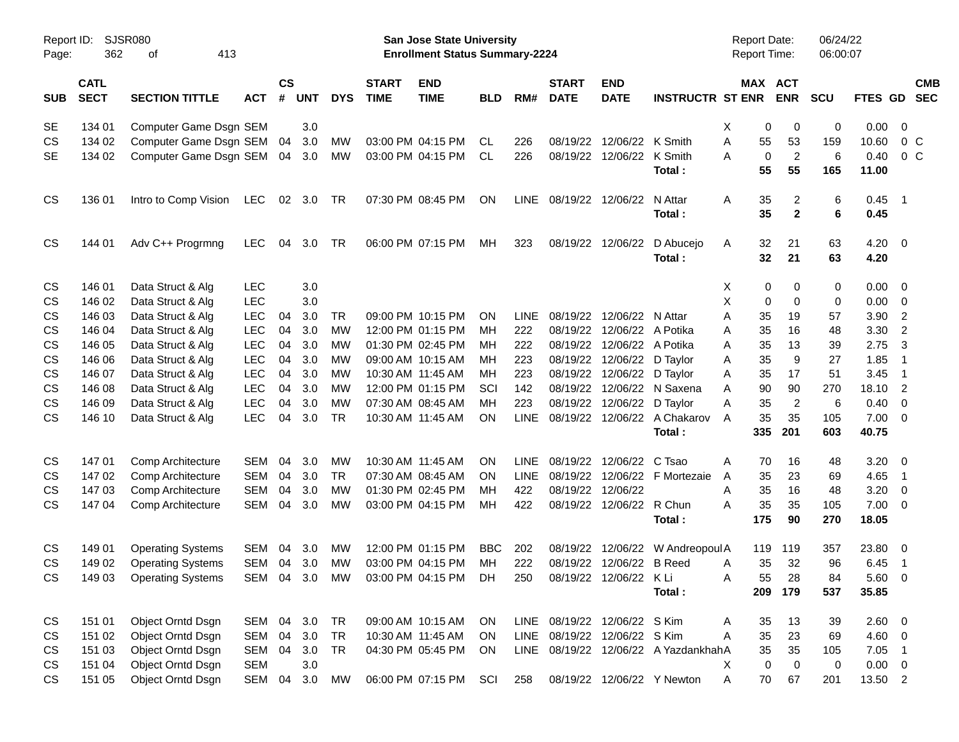| Report ID:<br>Page: | SJSR080<br>362             | 413<br>оf                |            |                |            |            |                             | San Jose State University<br><b>Enrollment Status Summary-2224</b> |            |             |                             |                              |                                      | <b>Report Date:</b><br><b>Report Time:</b> |                | 06/24/22<br>06:00:07 |                    |                          |
|---------------------|----------------------------|--------------------------|------------|----------------|------------|------------|-----------------------------|--------------------------------------------------------------------|------------|-------------|-----------------------------|------------------------------|--------------------------------------|--------------------------------------------|----------------|----------------------|--------------------|--------------------------|
| <b>SUB</b>          | <b>CATL</b><br><b>SECT</b> | <b>SECTION TITTLE</b>    | <b>ACT</b> | <b>CS</b><br># | <b>UNT</b> | <b>DYS</b> | <b>START</b><br><b>TIME</b> | <b>END</b><br><b>TIME</b>                                          | <b>BLD</b> | RM#         | <b>START</b><br><b>DATE</b> | <b>END</b><br><b>DATE</b>    | <b>INSTRUCTR ST ENR</b>              | MAX ACT                                    | <b>ENR</b>     | <b>SCU</b>           | FTES GD            | <b>CMB</b><br><b>SEC</b> |
| SE                  | 134 01                     | Computer Game Dsgn SEM   |            |                | 3.0        |            |                             |                                                                    |            |             |                             |                              |                                      | Χ<br>0                                     | 0              | 0                    | 0.00               | $\overline{\mathbf{0}}$  |
| CS                  | 134 02                     | Computer Game Dsgn SEM   |            | 04             | 3.0        | МW         |                             | 03:00 PM 04:15 PM                                                  | CL         | 226         | 08/19/22                    | 12/06/22 K Smith             |                                      | 55<br>Α                                    | 53             | 159                  | 10.60              | $0\,$ C                  |
| <b>SE</b>           | 134 02                     | Computer Game Dsgn SEM   |            | 04             | 3.0        | MW         |                             | 03:00 PM 04:15 PM                                                  | CL.        | 226         |                             | 08/19/22 12/06/22 K Smith    |                                      | $\mathbf 0$<br>Α                           | $\overline{2}$ | 6                    | 0.40               | 0 <sup>o</sup>           |
|                     |                            |                          |            |                |            |            |                             |                                                                    |            |             |                             |                              | Total:                               | 55                                         | 55             | 165                  | 11.00              |                          |
| <b>CS</b>           | 136 01                     | Intro to Comp Vision     | <b>LEC</b> | 02             | 3.0        | TR         |                             | 07:30 PM 08:45 PM                                                  | ON         | LINE        | 08/19/22                    | 12/06/22                     | N Attar                              | 35<br>Α                                    | 2              | 6                    | 0.45               | $\overline{\phantom{1}}$ |
|                     |                            |                          |            |                |            |            |                             |                                                                    |            |             |                             |                              | Total:                               | 35                                         | $\overline{2}$ | 6                    | 0.45               |                          |
| <b>CS</b>           | 144 01                     | Adv C++ Progrmng         | LEC.       | 04             | 3.0        | TR         |                             | 06:00 PM 07:15 PM                                                  | МH         | 323         | 08/19/22                    | 12/06/22                     | D Abucejo<br>Total:                  | 32<br>Α<br>32                              | 21<br>21       | 63<br>63             | $4.20 \ 0$<br>4.20 |                          |
| CS                  | 146 01                     | Data Struct & Alg        | <b>LEC</b> |                | 3.0        |            |                             |                                                                    |            |             |                             |                              |                                      | 0<br>X                                     | 0              | 0                    | $0.00 \ 0$         |                          |
| <b>CS</b>           | 146 02                     | Data Struct & Alg        | <b>LEC</b> |                | 3.0        |            |                             |                                                                    |            |             |                             |                              |                                      | X<br>0                                     | $\mathbf 0$    | 0                    | $0.00 \t 0$        |                          |
| CS                  | 146 03                     | Data Struct & Alg        | <b>LEC</b> | 04             | 3.0        | TR         |                             | 09:00 PM 10:15 PM                                                  | <b>ON</b>  | LINE        |                             | 08/19/22 12/06/22 N Attar    |                                      | Α<br>35                                    | 19             | 57                   | 3.90               | $\overline{2}$           |
| CS                  | 146 04                     | Data Struct & Alg        | <b>LEC</b> | 04             | 3.0        | <b>MW</b>  |                             | 12:00 PM 01:15 PM                                                  | мн         | 222         |                             | 08/19/22 12/06/22 A Potika   |                                      | 35<br>Α                                    | 16             | 48                   | 3.30               | $\overline{2}$           |
| CS                  | 146 05                     | Data Struct & Alg        | <b>LEC</b> | 04             | 3.0        | <b>MW</b>  |                             | 01:30 PM 02:45 PM                                                  | мн         | 222         | 08/19/22                    | 12/06/22 A Potika            |                                      | 35<br>Α                                    | 13             | 39                   | 2.75               | 3                        |
| CS                  | 146 06                     | Data Struct & Alg        | <b>LEC</b> | 04             | 3.0        | <b>MW</b>  |                             | 09:00 AM 10:15 AM                                                  | мн         | 223         |                             | 08/19/22 12/06/22 D Taylor   |                                      | 35<br>Α                                    | 9              | 27                   | 1.85               | - 1                      |
| CS                  | 146 07                     | Data Struct & Alg        | <b>LEC</b> | 04             | 3.0        | <b>MW</b>  |                             | 10:30 AM 11:45 AM                                                  | мн         | 223         | 08/19/22                    | 12/06/22 D Taylor            |                                      | 35<br>Α                                    | 17             | 51                   | 3.45               | - 1                      |
| CS                  | 146 08                     | Data Struct & Alg        | <b>LEC</b> | 04             | 3.0        | <b>MW</b>  |                             | 12:00 PM 01:15 PM                                                  | SCI        | 142         | 08/19/22                    |                              | 12/06/22 N Saxena                    | 90<br>Α                                    | 90             | 270                  | 18.10              | $\overline{\phantom{0}}$ |
| CS                  | 146 09                     | Data Struct & Alg        | <b>LEC</b> | 04             | 3.0        | <b>MW</b>  | 07:30 AM 08:45 AM           |                                                                    | мн         | 223         | 08/19/22                    | 12/06/22 D Taylor            |                                      | 35<br>Α                                    | $\overline{2}$ | 6                    | $0.40 \ 0$         |                          |
| CS                  | 146 10                     | Data Struct & Alg        | <b>LEC</b> | 04             | 3.0        | <b>TR</b>  |                             | 10:30 AM 11:45 AM                                                  | ON         | LINE        |                             |                              | 08/19/22 12/06/22 A Chakarov         | 35<br>Α                                    | 35             | 105                  | $7.00 \t 0$        |                          |
|                     |                            |                          |            |                |            |            |                             |                                                                    |            |             |                             |                              | Total:                               | 335                                        | 201            | 603                  | 40.75              |                          |
| CS                  | 14701                      | Comp Architecture        | <b>SEM</b> | 04             | 3.0        | MW         | 10:30 AM 11:45 AM           |                                                                    | ΟN         | LINE        | 08/19/22                    | 12/06/22                     | C Tsao                               | 70<br>Α                                    | 16             | 48                   | 3.20               | $\overline{\phantom{0}}$ |
| CS                  | 147 02                     | Comp Architecture        | <b>SEM</b> | 04             | 3.0        | <b>TR</b>  | 07:30 AM 08:45 AM           |                                                                    | <b>ON</b>  | <b>LINE</b> | 08/19/22                    |                              | 12/06/22 F Mortezaie                 | 35<br>A                                    | 23             | 69                   | 4.65               | $\overline{\phantom{1}}$ |
| CS                  | 14703                      | Comp Architecture        | <b>SEM</b> | 04             | 3.0        | <b>MW</b>  | 01:30 PM 02:45 PM           |                                                                    | мн         | 422         | 08/19/22                    | 12/06/22                     |                                      | 35<br>Α                                    | 16             | 48                   | 3.20               | $\overline{\phantom{0}}$ |
| CS                  | 147 04                     | Comp Architecture        | <b>SEM</b> | 04             | 3.0        | MW         |                             | 03:00 PM 04:15 PM                                                  | мн         | 422         |                             | 08/19/22 12/06/22 R Chun     |                                      | 35<br>Α                                    | 35             | 105                  | $7.00 \t 0$        |                          |
|                     |                            |                          |            |                |            |            |                             |                                                                    |            |             |                             |                              | Total:                               | 175                                        | 90             | 270                  | 18.05              |                          |
| <b>CS</b>           | 149 01                     | <b>Operating Systems</b> | <b>SEM</b> | 04             | 3.0        | MW         |                             | 12:00 PM 01:15 PM                                                  | <b>BBC</b> | 202         | 08/19/22                    | 12/06/22                     | W Andreopoul A                       | 119                                        | 119            | 357                  | 23.80 0            |                          |
| CS                  | 149 02                     | <b>Operating Systems</b> | <b>SEM</b> | 04             | 3.0        | MW         |                             | 03:00 PM 04:15 PM                                                  | МH         | 222         |                             | 08/19/22 12/06/22 B Reed     |                                      | 35<br>Α                                    | 32             | 96                   | 6.45               | $\overline{\phantom{1}}$ |
| CS                  | 149 03                     | <b>Operating Systems</b> |            |                |            |            |                             | SEM 04 3.0 MW 03:00 PM 04:15 PM DH                                 |            | 250         |                             | 08/19/22 12/06/22 KLi        |                                      | Α                                          | 55<br>28       | 84                   | 5.60 0             |                          |
|                     |                            |                          |            |                |            |            |                             |                                                                    |            |             |                             |                              | Total:                               |                                            | 209 179        | 537                  | 35.85              |                          |
| CS                  | 151 01                     | Object Orntd Dsgn        | SEM        |                | 04 3.0 TR  |            |                             | 09:00 AM 10:15 AM                                                  | ON.        |             |                             | LINE 08/19/22 12/06/22 S Kim |                                      | 35<br>A                                    | 13             | 39                   | 2.60 0             |                          |
| CS                  | 151 02                     | Object Orntd Dsgn        | SEM        | 04             | 3.0        | TR         |                             | 10:30 AM 11:45 AM                                                  | ON         |             |                             | LINE 08/19/22 12/06/22 S Kim |                                      | Α<br>35                                    | 23             | 69                   | 4.60 0             |                          |
| CS                  | 151 03                     | <b>Object Orntd Dsgn</b> | SEM        |                | 04 3.0     | TR         |                             | 04:30 PM 05:45 PM                                                  | ON         |             |                             |                              | LINE 08/19/22 12/06/22 A YazdankhahA | 35                                         | 35             | 105                  | $7.05$ 1           |                          |
| CS                  | 151 04                     | <b>Object Orntd Dsgn</b> | <b>SEM</b> |                | 3.0        |            |                             |                                                                    |            |             |                             |                              |                                      | X<br>$\mathbf 0$                           | $\mathbf 0$    | $\pmb{0}$            | $0.00 \t 0$        |                          |
| CS                  | 151 05                     | Object Orntd Dsgn        | SEM        | 04             | 3.0        | MW         |                             | 06:00 PM 07:15 PM                                                  | SCI        | 258         |                             |                              | 08/19/22 12/06/22 Y Newton           | Α<br>70                                    | 67             | 201                  | 13.50 2            |                          |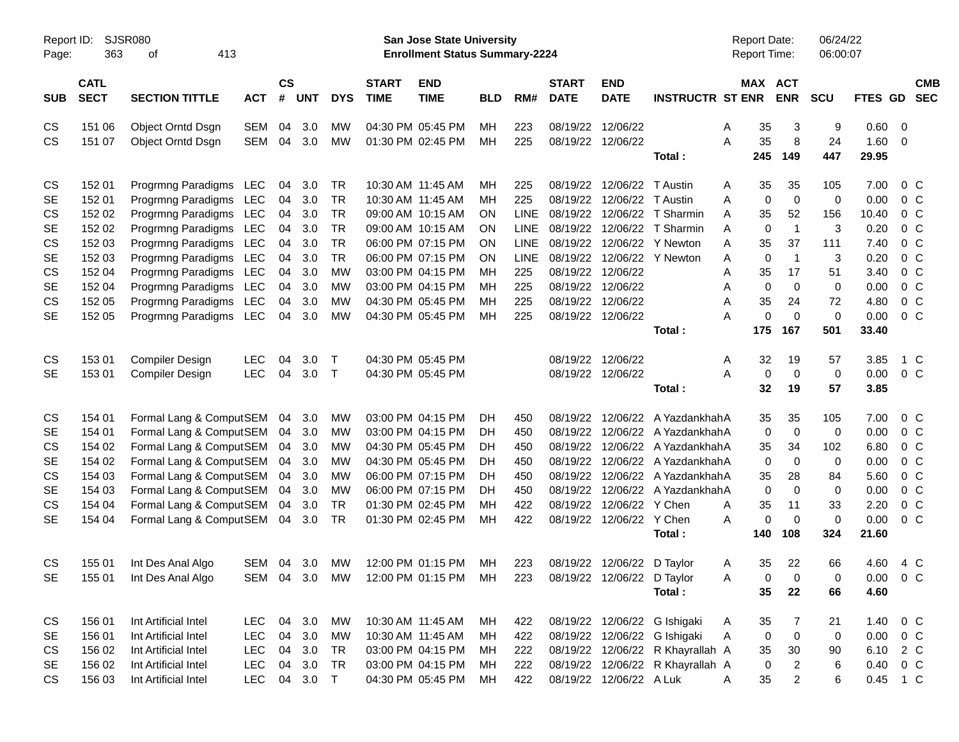| Report ID:<br>Page: | 363                        | <b>SJSR080</b><br>413<br>οf                        |            |                |            |                        |                             | <b>San Jose State University</b><br><b>Enrollment Status Summary-2224</b> |            |             |                             |                            |                                  | <b>Report Date:</b><br>Report Time: |                | 06/24/22<br>06:00:07 |                |                                  |            |
|---------------------|----------------------------|----------------------------------------------------|------------|----------------|------------|------------------------|-----------------------------|---------------------------------------------------------------------------|------------|-------------|-----------------------------|----------------------------|----------------------------------|-------------------------------------|----------------|----------------------|----------------|----------------------------------|------------|
| <b>SUB</b>          | <b>CATL</b><br><b>SECT</b> | <b>SECTION TITTLE</b>                              | <b>ACT</b> | <b>CS</b><br># | <b>UNT</b> | <b>DYS</b>             | <b>START</b><br><b>TIME</b> | <b>END</b><br><b>TIME</b>                                                 | <b>BLD</b> | RM#         | <b>START</b><br><b>DATE</b> | <b>END</b><br><b>DATE</b>  | <b>INSTRUCTR ST ENR</b>          | MAX ACT                             | <b>ENR</b>     | <b>SCU</b>           | FTES GD SEC    |                                  | <b>CMB</b> |
| CS                  | 151 06                     | Object Orntd Dsgn                                  | <b>SEM</b> | 04             | 3.0        | MW                     |                             | 04:30 PM 05:45 PM                                                         | <b>MH</b>  | 223         |                             | 08/19/22 12/06/22          |                                  | 35<br>Α                             | 3              | 9                    | $0.60 \quad 0$ |                                  |            |
| CS                  | 151 07                     | Object Orntd Dsgn                                  | SEM        | 04             | 3.0        | <b>MW</b>              |                             | 01:30 PM 02:45 PM                                                         | MH         | 225         |                             | 08/19/22 12/06/22          |                                  | 35<br>A                             | 8              | 24                   | 1.60           | $\overline{0}$                   |            |
|                     |                            |                                                    |            |                |            |                        |                             |                                                                           |            |             |                             |                            | Total:                           | 245                                 | 149            | 447                  | 29.95          |                                  |            |
| CS                  | 152 01                     | Progrmng Paradigms LEC                             |            | 04             | 3.0        | TR                     |                             | 10:30 AM 11:45 AM                                                         | MН         | 225         | 08/19/22                    | 12/06/22 T Austin          |                                  | 35<br>A                             | 35             | 105                  | 7.00           | $0\,C$                           |            |
| <b>SE</b>           | 152 01                     | Progrmng Paradigms LEC                             |            | 04             | 3.0        | TR                     |                             | 10:30 AM 11:45 AM                                                         | <b>MH</b>  | 225         | 08/19/22                    | 12/06/22 T Austin          |                                  | $\mathbf 0$<br>Α                    | $\mathbf 0$    | $\mathbf 0$          | 0.00           | 0 <sup>o</sup>                   |            |
| CS                  | 152 02                     | Progrmng Paradigms LEC                             |            | 04             | 3.0        | TR                     |                             | 09:00 AM 10:15 AM                                                         | OΝ         | <b>LINE</b> | 08/19/22                    |                            | 12/06/22 T Sharmin               | 35<br>A                             | 52             | 156                  | 10.40          | 0 <sup>o</sup>                   |            |
| <b>SE</b>           | 152 02                     | Progrmng Paradigms LEC                             |            | 04             | 3.0        | TR                     |                             | 09:00 AM 10:15 AM                                                         | OΝ         | <b>LINE</b> | 08/19/22                    |                            | 12/06/22 T Sharmin               | $\mathbf 0$<br>A                    | $\overline{1}$ | 3                    | 0.20           | $0\,C$                           |            |
| CS                  | 152 03                     | Progrmng Paradigms LEC                             |            | 04             | 3.0        | TR                     |                             | 06:00 PM 07:15 PM                                                         | OΝ         | <b>LINE</b> | 08/19/22                    |                            | 12/06/22 Y Newton                | A<br>35                             | 37             | 111                  | 7.40           | 0 <sup>o</sup>                   |            |
| <b>SE</b>           | 152 03                     | Progrmng Paradigms LEC                             |            | 04             | 3.0        | <b>TR</b>              |                             | 06:00 PM 07:15 PM                                                         | OΝ         | <b>LINE</b> | 08/19/22                    |                            | 12/06/22 Y Newton                | $\mathbf 0$<br>Α                    | $\overline{1}$ | 3                    | 0.20           | 0 <sup>o</sup>                   |            |
| CS                  | 152 04                     | Progrmng Paradigms LEC                             |            | 04             | 3.0        | <b>MW</b>              |                             | 03:00 PM 04:15 PM                                                         | MH         | 225         | 08/19/22                    | 12/06/22                   |                                  | Α<br>35                             | 17             | 51                   | 3.40           | 0 <sup>o</sup>                   |            |
| <b>SE</b>           | 152 04                     | Progrmng Paradigms LEC                             |            | 04             | 3.0        | <b>MW</b>              |                             | 03:00 PM 04:15 PM                                                         | <b>MH</b>  | 225         | 08/19/22                    | 12/06/22                   |                                  | $\mathbf 0$<br>Α                    | $\Omega$       | $\mathbf 0$          | 0.00           | $0\,C$                           |            |
| CS                  | 152 05                     | Progrmng Paradigms LEC                             |            | 04             | 3.0        | <b>MW</b>              |                             | 04:30 PM 05:45 PM                                                         | MH         | 225         | 08/19/22                    | 12/06/22                   |                                  | 35<br>Α                             | 24             | 72                   | 4.80           | 0 <sup>o</sup>                   |            |
| <b>SE</b>           | 152 05                     | Progrmng Paradigms LEC                             |            | 04             | 3.0        | <b>MW</b>              |                             | 04:30 PM 05:45 PM                                                         | MH         | 225         |                             | 08/19/22 12/06/22          |                                  | $\mathbf 0$<br>A                    | $\Omega$       | $\mathbf 0$          | 0.00           | 0 <sup>o</sup>                   |            |
|                     |                            |                                                    |            |                |            |                        |                             |                                                                           |            |             |                             |                            | Total:                           | 175                                 | 167            | 501                  | 33.40          |                                  |            |
| CS                  | 153 01                     | Compiler Design                                    | LEC        | 04             | 3.0        | Т                      |                             | 04:30 PM 05:45 PM                                                         |            |             |                             | 08/19/22 12/06/22          |                                  | 32<br>A                             | 19             | 57                   | 3.85           | 1 C                              |            |
| <b>SE</b>           | 153 01                     | Compiler Design                                    | LEC        | 04             | 3.0        | $\top$                 |                             | 04:30 PM 05:45 PM                                                         |            |             |                             | 08/19/22 12/06/22          |                                  | A<br>0                              | $\mathbf 0$    | $\mathbf 0$          | 0.00           | 0 C                              |            |
|                     |                            |                                                    |            |                |            |                        |                             |                                                                           |            |             |                             |                            | Total:                           | 32                                  | 19             | 57                   | 3.85           |                                  |            |
|                     |                            |                                                    |            |                |            |                        |                             |                                                                           |            |             |                             |                            |                                  |                                     |                |                      |                |                                  |            |
| CS                  | 154 01                     | Formal Lang & ComputSEM                            |            | 04             | 3.0        | <b>MW</b>              |                             | 03:00 PM 04:15 PM                                                         | DН         | 450         | 08/19/22                    |                            | 12/06/22 A YazdankhahA           | 35                                  | 35             | 105                  | 7.00           | 0 <sup>o</sup>                   |            |
| <b>SE</b>           | 154 01                     | Formal Lang & ComputSEM                            |            | 04             | 3.0        | <b>MW</b>              |                             | 03:00 PM 04:15 PM                                                         | DН         | 450         | 08/19/22                    |                            | 12/06/22 A YazdankhahA           | 0                                   | $\mathbf 0$    | 0                    | 0.00           | 0 <sup>o</sup>                   |            |
| CS                  | 154 02                     | Formal Lang & ComputSEM                            |            | 04             | 3.0        | <b>MW</b>              |                             | 04:30 PM 05:45 PM                                                         | DН         | 450         | 08/19/22                    |                            | 12/06/22 A YazdankhahA           | 35                                  | 34             | 102                  | 6.80           | 0 <sup>o</sup>                   |            |
| <b>SE</b>           | 154 02                     | Formal Lang & ComputSEM                            |            | 04             | 3.0        | <b>MW</b>              |                             | 04:30 PM 05:45 PM                                                         | DH         | 450         | 08/19/22                    |                            | 12/06/22 A YazdankhahA           | 0                                   | 0              | 0                    | 0.00           | 0 <sup>C</sup>                   |            |
| CS                  | 154 03                     | Formal Lang & ComputSEM                            |            | 04             | 3.0        | <b>MW</b>              |                             | 06:00 PM 07:15 PM                                                         | DН         | 450         | 08/19/22                    |                            | 12/06/22 A YazdankhahA           | 35<br>$\mathbf 0$                   | 28<br>$\Omega$ | 84<br>$\Omega$       | 5.60           | 0 <sup>C</sup>                   |            |
| <b>SE</b><br>CS     | 154 03<br>154 04           | Formal Lang & ComputSEM                            |            | 04<br>04       | 3.0<br>3.0 | <b>MW</b><br><b>TR</b> |                             | 06:00 PM 07:15 PM<br>01:30 PM 02:45 PM                                    | DH<br>МH   | 450<br>422  | 08/19/22<br>08/19/22        | 12/06/22 Y Chen            | 12/06/22 A YazdankhahA           | 35                                  | 11             | 33                   | 0.00<br>2.20   | 0 <sup>C</sup><br>0 <sup>C</sup> |            |
| <b>SE</b>           | 154 04                     | Formal Lang & ComputSEM<br>Formal Lang & ComputSEM |            | 04             | 3.0        | TR                     |                             | 01:30 PM 02:45 PM                                                         | MH         | 422         | 08/19/22                    | 12/06/22 Y Chen            |                                  | A<br>0<br>Α                         | $\Omega$       | $\mathbf 0$          | 0.00           | 0 <sup>o</sup>                   |            |
|                     |                            |                                                    |            |                |            |                        |                             |                                                                           |            |             |                             |                            | Total:                           | 140                                 | 108            | 324                  | 21.60          |                                  |            |
|                     |                            |                                                    |            |                |            |                        |                             |                                                                           |            |             |                             |                            |                                  |                                     |                |                      |                |                                  |            |
| CS                  | 155 01                     | Int Des Anal Algo                                  | SEM        | 04             | 3.0        | MW                     |                             | 12:00 PM 01:15 PM                                                         | МH         | 223         |                             | 08/19/22 12/06/22 D Taylor |                                  | 35<br>Α                             | 22             | 66                   | 4.60           | 4 C                              |            |
| <b>SE</b>           |                            | 155 01 Int Des Anal Algo                           |            |                |            |                        |                             | SEM 04 3.0 MW 12:00 PM 01:15 PM MH                                        |            | 223         |                             | 08/19/22 12/06/22 D Taylor |                                  | Α<br>0                              | 0              | 0                    | $0.00 \t 0 C$  |                                  |            |
|                     |                            |                                                    |            |                |            |                        |                             |                                                                           |            |             |                             |                            | Total:                           | 35                                  | 22             | 66                   | 4.60           |                                  |            |
| CS                  | 156 01                     | Int Artificial Intel                               | LEC        |                | 04 3.0     | МW                     |                             | 10:30 AM 11:45 AM                                                         | MН         | 422         |                             |                            | 08/19/22 12/06/22 G Ishigaki     | 35<br>A                             | 7              | 21                   | 1.40           | 0 <sup>o</sup>                   |            |
| SE                  | 156 01                     | Int Artificial Intel                               | LEC        | 04             | 3.0        | МW                     |                             | 10:30 AM 11:45 AM                                                         | МH         | 422         |                             |                            | 08/19/22 12/06/22 G Ishigaki     | Α<br>0                              | $\mathbf 0$    | 0                    | 0.00           | $0\,C$                           |            |
| CS                  | 156 02                     | Int Artificial Intel                               | LEC        | 04             | 3.0        | TR                     |                             | 03:00 PM 04:15 PM                                                         | МH         | 222         |                             |                            | 08/19/22 12/06/22 R Khayrallah A | 35                                  | 30             | 90                   | 6.10           | 2 C                              |            |
| SE                  | 156 02                     | Int Artificial Intel                               | LEC        | 04             | 3.0        | TR                     |                             | 03:00 PM 04:15 PM                                                         | МH         | 222         |                             |                            | 08/19/22 12/06/22 R Khayrallah A | 0                                   | $\overline{c}$ | 6                    | 0.40           | 0 <sup>o</sup>                   |            |
| CS                  | 156 03                     | Int Artificial Intel                               | LEC        |                | 04 3.0 T   |                        |                             | 04:30 PM 05:45 PM                                                         | МH         | 422         |                             | 08/19/22 12/06/22 A Luk    |                                  | 35<br>A                             | $\overline{2}$ | 6                    | 0.45 1 C       |                                  |            |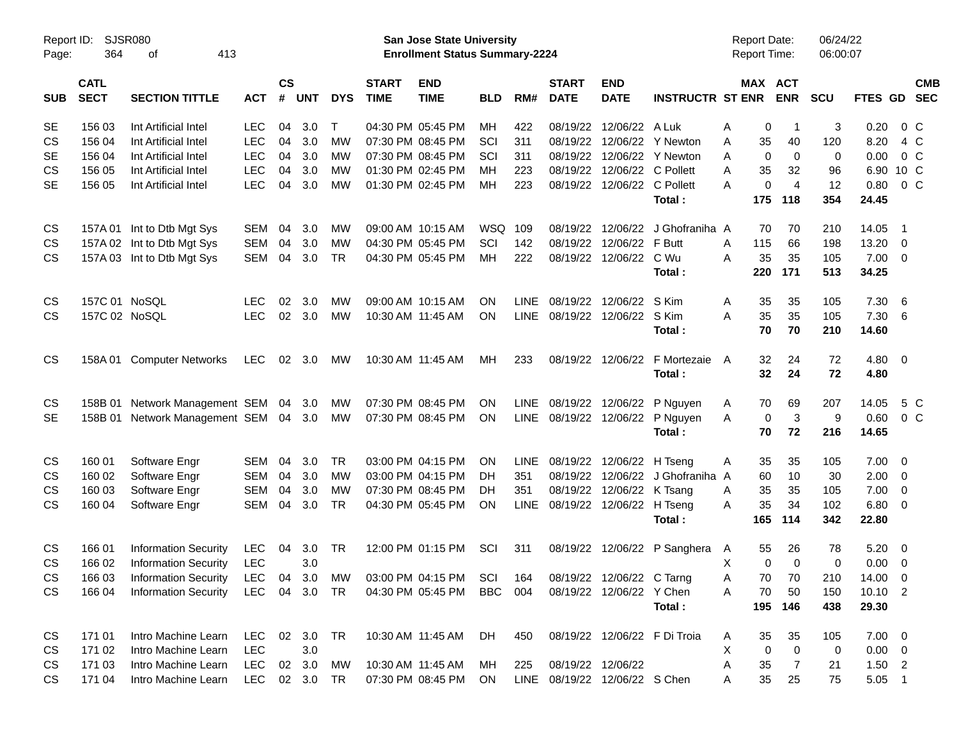| Report ID:<br>Page: | 364                        | <b>SJSR080</b><br>413<br>οf                                                                  |               |                    |            |              |                             | San Jose State University<br><b>Enrollment Status Summary-2224</b> |            |             |                               |                           |                              | <b>Report Date:</b><br>Report Time: |                | 06/24/22<br>06:00:07 |                 |                          |                          |
|---------------------|----------------------------|----------------------------------------------------------------------------------------------|---------------|--------------------|------------|--------------|-----------------------------|--------------------------------------------------------------------|------------|-------------|-------------------------------|---------------------------|------------------------------|-------------------------------------|----------------|----------------------|-----------------|--------------------------|--------------------------|
| <b>SUB</b>          | <b>CATL</b><br><b>SECT</b> | <b>SECTION TITTLE</b>                                                                        | <b>ACT</b>    | $\mathsf{cs}$<br># | <b>UNT</b> | <b>DYS</b>   | <b>START</b><br><b>TIME</b> | <b>END</b><br><b>TIME</b>                                          | <b>BLD</b> | RM#         | <b>START</b><br><b>DATE</b>   | <b>END</b><br><b>DATE</b> | <b>INSTRUCTR ST ENR</b>      | MAX ACT                             | <b>ENR</b>     | <b>SCU</b>           | FTES GD         |                          | <b>CMB</b><br><b>SEC</b> |
| SE                  | 156 03                     | Int Artificial Intel                                                                         | <b>LEC</b>    | 04                 | 3.0        | $\mathsf{T}$ |                             | 04:30 PM 05:45 PM                                                  | МH         | 422         | 08/19/22                      | 12/06/22                  | A Luk                        | Α<br>0                              | -1             | 3                    | 0.20            | $0\,C$                   |                          |
| CS                  | 156 04                     | Int Artificial Intel                                                                         | <b>LEC</b>    | 04                 | 3.0        | <b>MW</b>    |                             | 07:30 PM 08:45 PM                                                  | SCI        | 311         | 08/19/22                      | 12/06/22                  | Y Newton                     | 35<br>Α                             | 40             | 120                  | 8.20            | 4 C                      |                          |
| <b>SE</b>           | 156 04                     | Int Artificial Intel                                                                         | <b>LEC</b>    | 04                 | 3.0        | MW           |                             | 07:30 PM 08:45 PM                                                  | SCI        | 311         | 08/19/22                      | 12/06/22                  | <b>Y</b> Newton              | 0<br>A                              | 0              | 0                    | 0.00            | 0 <sup>o</sup>           |                          |
| CS                  | 156 05                     | Int Artificial Intel                                                                         | <b>LEC</b>    | 04                 | 3.0        | MW           |                             | 01:30 PM 02:45 PM                                                  | MН         | 223         | 08/19/22                      | 12/06/22                  | C Pollett                    | 35<br>A                             | 32             | 96                   | 6.90            | 10 C                     |                          |
| <b>SE</b>           | 156 05                     | Int Artificial Intel                                                                         | <b>LEC</b>    | 04                 | 3.0        | <b>MW</b>    |                             | 01:30 PM 02:45 PM                                                  | MН         | 223         | 08/19/22                      | 12/06/22 C Pollett        |                              | 0<br>Α                              | $\overline{4}$ | 12                   | 0.80            | 0 <sup>o</sup>           |                          |
|                     |                            |                                                                                              |               |                    |            |              |                             |                                                                    |            |             |                               |                           | Total:                       | 175                                 | 118            | 354                  | 24.45           |                          |                          |
| CS                  |                            | 157A 01 Int to Dtb Mgt Sys                                                                   | <b>SEM</b>    | 04                 | 3.0        | <b>MW</b>    |                             | 09:00 AM 10:15 AM                                                  | <b>WSQ</b> | 109         | 08/19/22                      | 12/06/22                  | J Ghofraniha A               | 70                                  | 70             | 210                  | 14.05           | - 1                      |                          |
| <b>CS</b>           |                            | 157A 02 Int to Dtb Mgt Sys                                                                   | <b>SEM</b>    | 04                 | 3.0        | MW           |                             | 04:30 PM 05:45 PM                                                  | SCI        | 142         | 08/19/22                      | 12/06/22                  | F Butt                       | Α<br>115                            | 66             | 198                  | 13.20           | $\overline{\mathbf{0}}$  |                          |
| CS                  |                            | 157A 03 Int to Dtb Mgt Sys                                                                   | <b>SEM</b>    | 04                 | 3.0        | <b>TR</b>    |                             | 04:30 PM 05:45 PM                                                  | МH         | 222         | 08/19/22                      | 12/06/22                  | C Wu                         | 35<br>A                             | 35             | 105                  | 7.00            | $\overline{\phantom{0}}$ |                          |
|                     |                            |                                                                                              |               |                    |            |              |                             |                                                                    |            |             |                               |                           | Total:                       | 220                                 | 171            | 513                  | 34.25           |                          |                          |
| <b>CS</b>           | 157C 01 NoSQL              |                                                                                              | <b>LEC</b>    | 02                 | 3.0        | <b>MW</b>    |                             | 09:00 AM 10:15 AM                                                  | ΟN         | <b>LINE</b> | 08/19/22                      | 12/06/22                  | S Kim                        | Α<br>35                             | 35             | 105                  | 7.30            | $6\overline{6}$          |                          |
| <b>CS</b>           | 157C 02 NoSQL              |                                                                                              | <b>LEC</b>    |                    | 02 3.0     | <b>MW</b>    |                             | 10:30 AM 11:45 AM                                                  | <b>ON</b>  | LINE        | 08/19/22                      | 12/06/22                  | S Kim                        | 35<br>A                             | 35             | 105                  | 7.30            | -6                       |                          |
|                     |                            |                                                                                              |               |                    |            |              |                             |                                                                    |            |             |                               |                           | Total:                       | 70                                  | 70             | 210                  | 14.60           |                          |                          |
| <b>CS</b>           |                            | 158A 01 Computer Networks                                                                    | <b>LEC</b>    |                    | 02 3.0     | МW           |                             | 10:30 AM 11:45 AM                                                  | MН         | 233         |                               | 08/19/22 12/06/22         | F Mortezaie                  | 32<br>A                             | 24             | 72                   | $4.80$ 0        |                          |                          |
|                     |                            |                                                                                              |               |                    |            |              |                             |                                                                    |            |             |                               |                           | Total:                       | 32                                  | 24             | 72                   | 4.80            |                          |                          |
| <b>CS</b>           | 158B 01                    | Network Management SEM                                                                       |               |                    | 04 3.0     | МW           |                             | 07:30 PM 08:45 PM                                                  | ΟN         | <b>LINE</b> | 08/19/22                      | 12/06/22                  | P Nguyen                     | 70<br>A                             | 69             | 207                  | 14.05           | 5 C                      |                          |
| <b>SE</b>           |                            | 158B 01 Network Management SEM 04 3.0                                                        |               |                    |            | МW           |                             | 07:30 PM 08:45 PM                                                  | <b>ON</b>  | LINE        | 08/19/22                      | 12/06/22                  | P Nguyen                     | $\mathbf 0$<br>A                    | 3              | 9                    | 0.60            | 0 <sup>o</sup>           |                          |
|                     |                            |                                                                                              |               |                    |            |              |                             |                                                                    |            |             |                               |                           | Total:                       | 70                                  | 72             | 216                  | 14.65           |                          |                          |
| CS                  | 160 01                     | Software Engr                                                                                | <b>SEM</b>    | 04                 | 3.0        | <b>TR</b>    |                             | 03:00 PM 04:15 PM                                                  | ΟN         | <b>LINE</b> | 08/19/22                      | 12/06/22                  | H Tseng                      | 35<br>Α                             | 35             | 105                  | 7.00            | $\overline{\phantom{0}}$ |                          |
| CS                  | 160 02                     | Software Engr                                                                                | <b>SEM</b>    | 04                 | 3.0        | <b>MW</b>    |                             | 03:00 PM 04:15 PM                                                  | DH         | 351         | 08/19/22                      | 12/06/22                  | J Ghofraniha A               | 60                                  | 10             | 30                   | 2.00            | $\overline{\mathbf{0}}$  |                          |
| CS                  | 160 03                     | Software Engr                                                                                | <b>SEM</b>    | 04                 | 3.0        | <b>MW</b>    |                             | 07:30 PM 08:45 PM                                                  | DH         | 351         | 08/19/22                      | 12/06/22                  | K Tsang                      | 35<br>Α                             | 35             | 105                  | 7.00            | $\overline{\mathbf{0}}$  |                          |
| CS                  | 160 04                     | Software Engr                                                                                | <b>SEM</b>    | 04                 | 3.0        | TR           |                             | 04:30 PM 05:45 PM                                                  | ΟN         | <b>LINE</b> | 08/19/22                      | 12/06/22                  | H Tseng                      | 35<br>A                             | 34             | 102                  | 6.80            | $\overline{\phantom{0}}$ |                          |
|                     |                            |                                                                                              |               |                    |            |              |                             |                                                                    |            |             |                               |                           | Total:                       | 165                                 | 114            | 342                  | 22.80           |                          |                          |
| <b>CS</b>           | 166 01                     | <b>Information Security</b>                                                                  | <b>LEC</b>    | 04                 | 3.0        | TR           |                             | 12:00 PM 01:15 PM                                                  | SCI        | 311         | 08/19/22                      |                           | 12/06/22 P Sanghera          | 55<br>A                             | 26             | 78                   | 5.20            | $\overline{\phantom{0}}$ |                          |
| CS                  | 166 02                     | <b>Information Security</b>                                                                  | <b>LEC</b>    |                    | 3.0        |              |                             |                                                                    |            |             |                               |                           |                              | х<br>0                              | $\Omega$       | 0                    | 0.00            | $\overline{\mathbf{0}}$  |                          |
| CS                  | 166 03                     | <b>Information Security</b>                                                                  |               |                    |            |              |                             | LEC 04 3.0 MW 03:00 PM 04:15 PM SCI 164                            |            |             |                               | 08/19/22 12/06/22 C Tarng |                              | A<br>70                             | 70             | 210                  | 14.00 0         |                          |                          |
| CS.                 |                            | 166 04 Information Security LEC 04 3.0 TR 04:30 PM 05:45 PM BBC 004 08/19/22 12/06/22 Y Chen |               |                    |            |              |                             |                                                                    |            |             |                               |                           |                              | 70<br>A                             | 50             | 150                  | $10.10 \quad 2$ |                          |                          |
|                     |                            |                                                                                              |               |                    |            |              |                             |                                                                    |            |             |                               |                           | Total:                       |                                     | 195 146        | 438                  | 29.30           |                          |                          |
| CS                  | 171 01                     | Intro Machine Learn                                                                          | LEC 02 3.0 TR |                    |            |              |                             | 10:30 AM_11:45 AM  DH                                              |            | 450         |                               |                           | 08/19/22 12/06/22 F Di Troia | 35<br>A                             | 35             | 105                  | $7.00 \t 0$     |                          |                          |
| CS                  | 171 02                     | Intro Machine Learn                                                                          | <b>LEC</b>    |                    | 3.0        |              |                             |                                                                    |            |             |                               |                           |                              | Χ<br>$\mathbf 0$                    | $\mathbf 0$    | 0                    | $0.00 \t 0$     |                          |                          |
| CS                  | 171 03                     | Intro Machine Learn                                                                          | LEC           |                    | 02 3.0     | МW           |                             | 10:30 AM 11:45 AM MH                                               |            | 225         | 08/19/22 12/06/22             |                           |                              | A<br>35                             | 7              | 21                   | $1.50$ 2        |                          |                          |
| CS                  | 171 04                     | Intro Machine Learn                                                                          | LEC 02 3.0 TR |                    |            |              |                             | 07:30 PM 08:45 PM ON                                               |            |             | LINE 08/19/22 12/06/22 S Chen |                           |                              | 35<br>A                             | 25             | 75                   | $5.05$ 1        |                          |                          |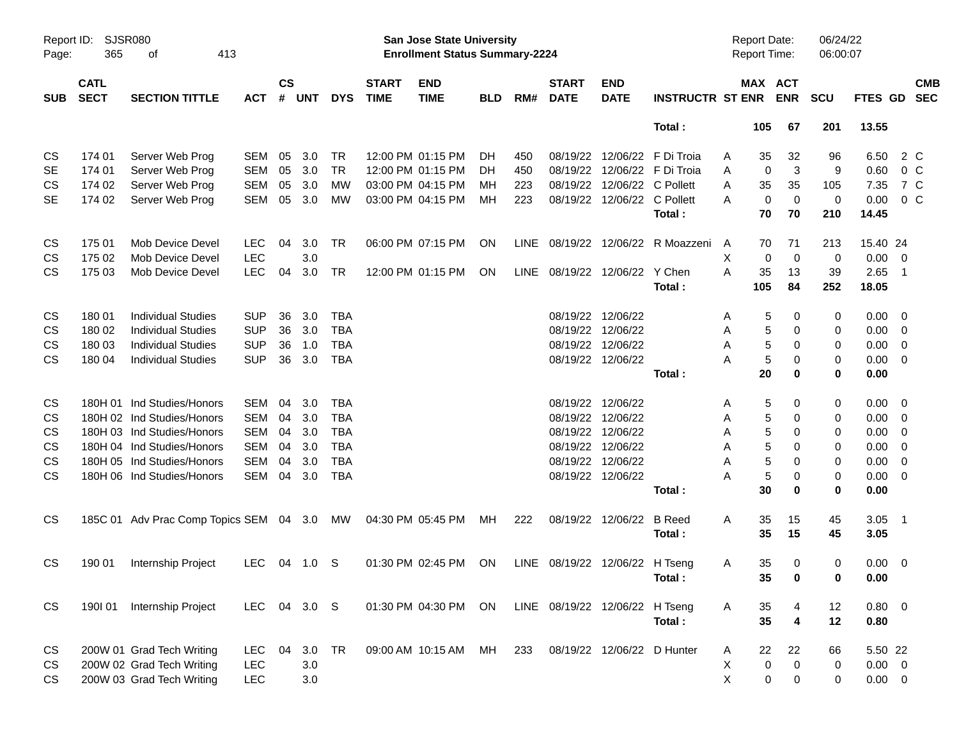| Page:      | SJSR080<br>Report ID:<br>365<br>413<br>οf<br><b>CATL</b> |                                         |              |                    |            |            |                             | <b>San Jose State University</b><br><b>Enrollment Status Summary-2224</b> |            |      |                                |                             |                              | Report Date:<br>Report Time: |             |                | 06/24/22<br>06:00:07 |             |                          |            |
|------------|----------------------------------------------------------|-----------------------------------------|--------------|--------------------|------------|------------|-----------------------------|---------------------------------------------------------------------------|------------|------|--------------------------------|-----------------------------|------------------------------|------------------------------|-------------|----------------|----------------------|-------------|--------------------------|------------|
| <b>SUB</b> | <b>SECT</b>                                              | <b>SECTION TITTLE</b>                   | <b>ACT</b>   | $\mathsf{cs}$<br># | <b>UNT</b> | <b>DYS</b> | <b>START</b><br><b>TIME</b> | <b>END</b><br><b>TIME</b>                                                 | <b>BLD</b> | RM#  | <b>START</b><br><b>DATE</b>    | <b>END</b><br><b>DATE</b>   | <b>INSTRUCTR ST ENR</b>      | MAX ACT                      |             | <b>ENR</b>     | <b>SCU</b>           | FTES GD SEC |                          | <b>CMB</b> |
|            |                                                          |                                         |              |                    |            |            |                             |                                                                           |            |      |                                |                             | Total:                       |                              | 105         | 67             | 201                  | 13.55       |                          |            |
| CS         | 174 01                                                   | Server Web Prog                         | <b>SEM</b>   | 05                 | 3.0        | TR         |                             | 12:00 PM 01:15 PM                                                         | DH.        | 450  |                                |                             | 08/19/22 12/06/22 F Di Troia | A                            | 35          | 32             | 96                   | 6.50        | 2 C                      |            |
| <b>SE</b>  | 174 01                                                   | Server Web Prog                         | <b>SEM</b>   | 05                 | 3.0        | <b>TR</b>  |                             | 12:00 PM 01:15 PM                                                         | DH.        | 450  |                                |                             | 08/19/22 12/06/22 F Di Troia | Α                            | 0           | 3              | 9                    | 0.60        | 0 <sup>o</sup>           |            |
| CS         | 174 02                                                   | Server Web Prog                         | <b>SEM</b>   | 05                 | 3.0        | MW         |                             | 03:00 PM 04:15 PM                                                         | мн         | 223  |                                | 08/19/22 12/06/22 C Pollett |                              | Α                            | 35          | 35             | 105                  | 7.35        | 7 C                      |            |
| <b>SE</b>  | 174 02                                                   | Server Web Prog                         | <b>SEM</b>   | 05                 | 3.0        | <b>MW</b>  |                             | 03:00 PM 04:15 PM                                                         | МH         | 223  |                                | 08/19/22 12/06/22 C Pollett |                              | A                            | $\mathbf 0$ | $\overline{0}$ | $\mathbf 0$          | 0.00        | 0 <sup>C</sup>           |            |
|            |                                                          |                                         |              |                    |            |            |                             |                                                                           |            |      |                                |                             | Total:                       |                              | 70          | 70             | 210                  | 14.45       |                          |            |
| CS         | 175 01                                                   | Mob Device Devel                        | <b>LEC</b>   | 04                 | 3.0        | TR         |                             | 06:00 PM 07:15 PM                                                         | ON         | LINE |                                |                             | 08/19/22 12/06/22 R Moazzeni | A                            | 70          | 71             | 213                  | 15.40 24    |                          |            |
| <b>CS</b>  | 175 02                                                   | Mob Device Devel                        | <b>LEC</b>   |                    | 3.0        |            |                             |                                                                           |            |      |                                |                             |                              | X                            | 0           | $\overline{0}$ | 0                    | 0.00        | $\overline{\mathbf{0}}$  |            |
| <b>CS</b>  | 175 03                                                   | Mob Device Devel                        | <b>LEC</b>   | 04                 | 3.0        | TR         |                             | 12:00 PM 01:15 PM                                                         | ON         |      | LINE 08/19/22 12/06/22 Y Chen  |                             |                              | A                            | 35          | 13             | 39                   | 2.65        | $\overline{\phantom{1}}$ |            |
|            |                                                          |                                         |              |                    |            |            |                             |                                                                           |            |      |                                |                             | Total:                       |                              | 105         | 84             | 252                  | 18.05       |                          |            |
| CS         | 18001                                                    | <b>Individual Studies</b>               | <b>SUP</b>   | 36                 | 3.0        | <b>TBA</b> |                             |                                                                           |            |      | 08/19/22 12/06/22              |                             |                              | A                            | 5           | 0              | 0                    | 0.00        | - 0                      |            |
| CS         | 180 02                                                   | <b>Individual Studies</b>               | <b>SUP</b>   | 36                 | 3.0        | <b>TBA</b> |                             |                                                                           |            |      | 08/19/22 12/06/22              |                             |                              | Α                            | 5           | 0              | 0                    | 0.00        | $\overline{0}$           |            |
| <b>CS</b>  | 180 03                                                   | <b>Individual Studies</b>               | <b>SUP</b>   | 36                 | 1.0        | <b>TBA</b> |                             |                                                                           |            |      | 08/19/22 12/06/22              |                             |                              | Α                            | 5           | $\mathbf 0$    | 0                    | 0.00        | $\overline{0}$           |            |
| <b>CS</b>  | 180 04                                                   | <b>Individual Studies</b>               | <b>SUP</b>   | 36                 | 3.0        | <b>TBA</b> |                             |                                                                           |            |      |                                | 08/19/22 12/06/22           |                              | A                            | 5           | 0              | 0                    | 0.00        | $\overline{0}$           |            |
|            |                                                          |                                         |              |                    |            |            |                             |                                                                           |            |      |                                |                             | Total:                       |                              | 20          | 0              | $\bf{0}$             | 0.00        |                          |            |
| CS         |                                                          | 180H 01 Ind Studies/Honors              | <b>SEM</b>   | 04                 | 3.0        | <b>TBA</b> |                             |                                                                           |            |      | 08/19/22 12/06/22              |                             |                              | Α                            | 5           | 0              | 0                    | 0.00        | - 0                      |            |
| CS         |                                                          | 180H 02 Ind Studies/Honors              | <b>SEM</b>   | 04                 | 3.0        | <b>TBA</b> |                             |                                                                           |            |      | 08/19/22 12/06/22              |                             |                              | Α                            | 5           | 0              | 0                    | 0.00        | $\mathbf 0$              |            |
| CS         |                                                          | 180H 03 Ind Studies/Honors              | <b>SEM</b>   | 04                 | 3.0        | <b>TBA</b> |                             |                                                                           |            |      | 08/19/22 12/06/22              |                             |                              | Α                            | 5           | 0              | 0                    | 0.00        | 0                        |            |
| CS         |                                                          | 180H 04 Ind Studies/Honors              | <b>SEM</b>   | 04                 | 3.0        | <b>TBA</b> |                             |                                                                           |            |      | 08/19/22 12/06/22              |                             |                              | Α                            | 5           | 0              | 0                    | 0.00        | 0                        |            |
| CS         |                                                          | 180H 05 Ind Studies/Honors              | <b>SEM</b>   | 04                 | 3.0        | <b>TBA</b> |                             |                                                                           |            |      | 08/19/22 12/06/22              |                             |                              | Α                            | 5           | 0              | 0                    | 0.00        | 0                        |            |
| <b>CS</b>  |                                                          | 180H 06 Ind Studies/Honors              | <b>SEM</b>   |                    | 04 3.0     | <b>TBA</b> |                             |                                                                           |            |      |                                | 08/19/22 12/06/22           |                              | A                            | 5           | 0              | 0                    | 0.00        | $\overline{0}$           |            |
|            |                                                          |                                         |              |                    |            |            |                             |                                                                           |            |      |                                |                             | Total:                       |                              | 30          | 0              | $\bf{0}$             | 0.00        |                          |            |
| CS         |                                                          | 185C 01 Adv Prac Comp Topics SEM 04 3.0 |              |                    |            | MW         |                             | 04:30 PM 05:45 PM                                                         | МH         | 222  |                                | 08/19/22 12/06/22           | <b>B</b> Reed                | A                            | 35          | 15             | 45                   | $3.05$ 1    |                          |            |
|            |                                                          |                                         |              |                    |            |            |                             |                                                                           |            |      |                                |                             | Total:                       |                              | 35          | 15             | 45                   | 3.05        |                          |            |
| <b>CS</b>  | 190 01                                                   | Internship Project                      | LEC          |                    | 04 1.0 S   |            |                             | 01:30 PM 02:45 PM                                                         | ON         |      | LINE 08/19/22 12/06/22 H Tseng |                             |                              | A                            | 35          | 0              | 0                    | 0.00        | $\overline{\mathbf{0}}$  |            |
|            |                                                          |                                         |              |                    |            |            |                             |                                                                           |            |      |                                |                             | Total:                       |                              | 35          | $\mathbf 0$    | 0                    | 0.00        |                          |            |
| CS         | 190101                                                   | Internship Project                      | LEC 04 3.0 S |                    |            |            |                             | 01:30 PM 04:30 PM                                                         | ON         |      | LINE 08/19/22 12/06/22 H Tseng |                             |                              | A                            | 35          | 4              | 12                   | $0.80 \t 0$ |                          |            |
|            |                                                          |                                         |              |                    |            |            |                             |                                                                           |            |      |                                |                             | Total:                       |                              | 35          | 4              | 12                   | 0.80        |                          |            |
| CS         |                                                          | 200W 01 Grad Tech Writing               | <b>LEC</b>   | 04                 | 3.0        | TR         |                             | 09:00 AM 10:15 AM                                                         | MH         | 233  |                                | 08/19/22 12/06/22 D Hunter  |                              | A                            | 22          | 22             | 66                   | 5.50 22     |                          |            |
| CS         |                                                          | 200W 02 Grad Tech Writing               | <b>LEC</b>   |                    | 3.0        |            |                             |                                                                           |            |      |                                |                             |                              | X                            | $\pmb{0}$   | $\mathbf 0$    | 0                    | $0.00 \t 0$ |                          |            |
| CS         |                                                          | 200W 03 Grad Tech Writing               | <b>LEC</b>   |                    | 3.0        |            |                             |                                                                           |            |      |                                |                             |                              | X                            | $\pmb{0}$   | 0              | 0                    | $0.00 \t 0$ |                          |            |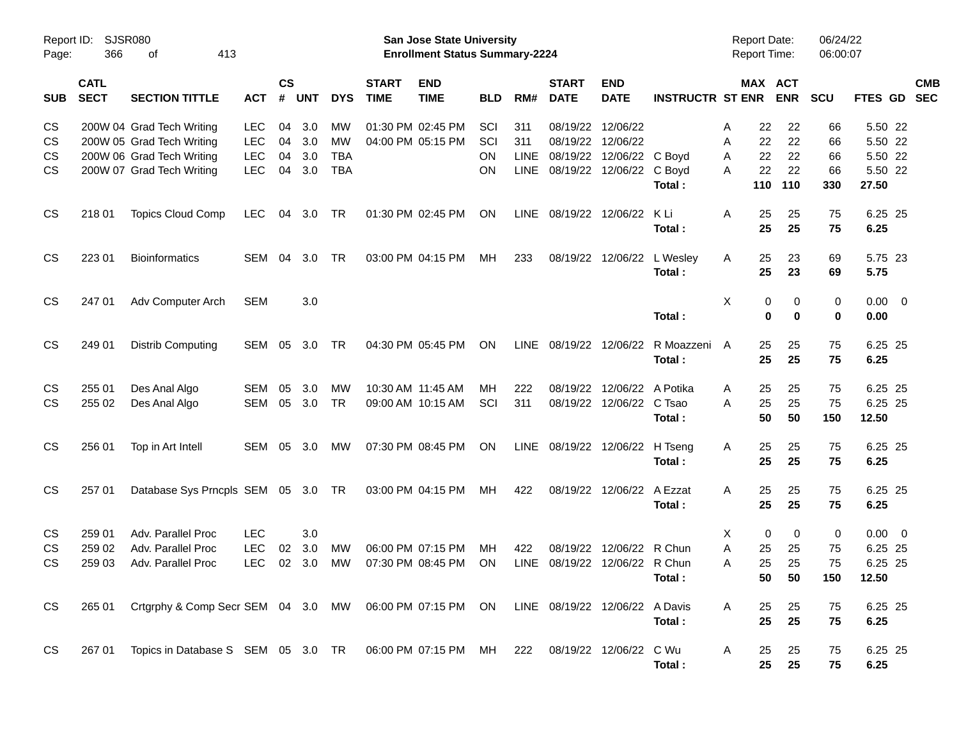| Page:                  | Report ID: SJSR080<br>366  | 413<br>оf                                                                                     |                                        |                    |                   |                          |                             | San Jose State University<br><b>Enrollment Status Summary-2224</b> |                 |                    |                             |                                             |                         | <b>Report Date:</b><br><b>Report Time:</b> |                       | 06/24/22<br>06:00:07 |                                            |            |
|------------------------|----------------------------|-----------------------------------------------------------------------------------------------|----------------------------------------|--------------------|-------------------|--------------------------|-----------------------------|--------------------------------------------------------------------|-----------------|--------------------|-----------------------------|---------------------------------------------|-------------------------|--------------------------------------------|-----------------------|----------------------|--------------------------------------------|------------|
| <b>SUB</b>             | <b>CATL</b><br><b>SECT</b> | <b>SECTION TITTLE</b>                                                                         | <b>ACT</b>                             | $\mathsf{cs}$<br># | <b>UNT</b>        | <b>DYS</b>               | <b>START</b><br><b>TIME</b> | <b>END</b><br><b>TIME</b>                                          | <b>BLD</b>      | RM#                | <b>START</b><br><b>DATE</b> | <b>END</b><br><b>DATE</b>                   | <b>INSTRUCTR ST ENR</b> |                                            | MAX ACT<br><b>ENR</b> | <b>SCU</b>           | FTES GD SEC                                | <b>CMB</b> |
| CS<br>CS               |                            | 200W 04 Grad Tech Writing<br>200W 05 Grad Tech Writing                                        | <b>LEC</b><br><b>LEC</b>               | 04<br>04           | 3.0<br>3.0        | MW.<br>MW                |                             | 01:30 PM 02:45 PM<br>04:00 PM 05:15 PM                             | SCI<br>SCI      | 311<br>311         | 08/19/22<br>08/19/22        | 12/06/22<br>12/06/22                        |                         | 22<br>Α<br>22<br>Α                         | 22<br>22              | 66<br>66             | 5.50 22<br>5.50 22                         |            |
| <b>CS</b><br><b>CS</b> |                            | 200W 06 Grad Tech Writing<br>200W 07 Grad Tech Writing                                        | <b>LEC</b><br><b>LEC</b>               | 04<br>04           | 3.0<br>3.0        | <b>TBA</b><br><b>TBA</b> |                             |                                                                    | ON<br>OΝ        | LINE<br>LINE       | 08/19/22                    | 12/06/22 C Boyd<br>08/19/22 12/06/22 C Boyd | Total:                  | 22<br>Α<br>22<br>A<br>110                  | 22<br>22<br>110       | 66<br>66<br>330      | 5.50 22<br>5.50 22<br>27.50                |            |
| <b>CS</b>              | 218 01                     | <b>Topics Cloud Comp</b>                                                                      | <b>LEC</b>                             | 04                 | 3.0               | TR                       |                             | 01:30 PM 02:45 PM                                                  | ON              | LINE               | 08/19/22 12/06/22           |                                             | K Li<br>Total:          | 25<br>A<br>25                              | 25<br>25              | 75<br>75             | 6.25 25<br>6.25                            |            |
| <b>CS</b>              | 223 01                     | <b>Bioinformatics</b>                                                                         | SEM                                    | 04                 | 3.0               | TR                       |                             | 03:00 PM 04:15 PM                                                  | МH              | 233                |                             | 08/19/22 12/06/22 L Wesley                  | Total:                  | 25<br>A<br>25                              | 23<br>23              | 69<br>69             | 5.75 23<br>5.75                            |            |
| <b>CS</b>              | 247 01                     | Adv Computer Arch                                                                             | <b>SEM</b>                             |                    | 3.0               |                          |                             |                                                                    |                 |                    |                             |                                             | Total:                  | X<br>0<br>0                                | 0<br>$\bf{0}$         | 0<br>0               | $0.00 \t 0$<br>0.00                        |            |
| <b>CS</b>              | 249 01                     | <b>Distrib Computing</b>                                                                      | SEM                                    | 05                 | 3.0               | TR                       |                             | 04:30 PM 05:45 PM                                                  | ON              | LINE               | 08/19/22 12/06/22           |                                             | R Moazzeni<br>Total:    | 25<br>A<br>25                              | 25<br>25              | 75<br>75             | 6.25 25<br>6.25                            |            |
| CS<br><b>CS</b>        | 255 01<br>255 02           | Des Anal Algo<br>Des Anal Algo                                                                | <b>SEM</b><br><b>SEM</b>               | 05<br>05           | 3.0<br>3.0        | МW<br><b>TR</b>          |                             | 10:30 AM 11:45 AM<br>09:00 AM 10:15 AM                             | MН<br>SCI       | 222<br>311         | 08/19/22<br>08/19/22        | 12/06/22 A Potika<br>12/06/22 C Tsao        | Total:                  | 25<br>Α<br>25<br>A<br>50                   | 25<br>25<br>50        | 75<br>75<br>150      | 6.25 25<br>6.25 25<br>12.50                |            |
| <b>CS</b>              | 256 01                     | Top in Art Intell                                                                             | <b>SEM</b>                             | 05                 | 3.0               | МW                       |                             | 07:30 PM 08:45 PM                                                  | <b>ON</b>       | LINE               | 08/19/22 12/06/22           |                                             | H Tseng<br>Total:       | 25<br>A<br>25                              | 25<br>25              | 75<br>75             | 6.25 25<br>6.25                            |            |
| <b>CS</b>              | 257 01                     | Database Sys Prncpls SEM 05 3.0 TR                                                            |                                        |                    |                   |                          |                             | 03:00 PM 04:15 PM                                                  | МH              | 422                |                             | 08/19/22 12/06/22                           | A Ezzat<br>Total:       | 25<br>A<br>25                              | 25<br>25              | 75<br>75             | 6.25 25<br>6.25                            |            |
| <b>CS</b><br>CS<br>CS  | 259 01<br>259 02<br>259 03 | Adv. Parallel Proc<br>Adv. Parallel Proc<br>Adv. Parallel Proc                                | <b>LEC</b><br><b>LEC</b><br><b>LEC</b> | 02<br>02           | 3.0<br>3.0<br>3.0 | MW<br>МW                 |                             | 06:00 PM 07:15 PM<br>07:30 PM 08:45 PM                             | MН<br><b>ON</b> | 422<br><b>LINE</b> | 08/19/22                    | 12/06/22 R Chun<br>08/19/22 12/06/22 R Chun | Total:                  | 0<br>X<br>25<br>Α<br>25<br>A<br>50         | 0<br>25<br>25<br>50   | 0<br>75<br>75<br>150 | $0.00 \t 0$<br>6.25 25<br>6.25 25<br>12.50 |            |
| <b>CS</b>              |                            | 265 01 Crtgrphy & Comp Secr SEM 04 3.0 MW 06:00 PM 07:15 PM ON LINE 08/19/22 12/06/22 A Davis |                                        |                    |                   |                          |                             |                                                                    |                 |                    |                             |                                             | Total:                  | 25<br>A<br>25                              | 25<br>25              | 75<br>75             | 6.25 25<br>6.25                            |            |
| CS                     |                            | 267 01 Topics in Database S SEM 05 3.0 TR 06:00 PM 07:15 PM MH 222 08/19/22 12/06/22 C Wu     |                                        |                    |                   |                          |                             |                                                                    |                 |                    |                             |                                             | Total :                 | A<br>25<br>25                              | 25<br>25              | 75<br>75             | 6.25 25<br>6.25                            |            |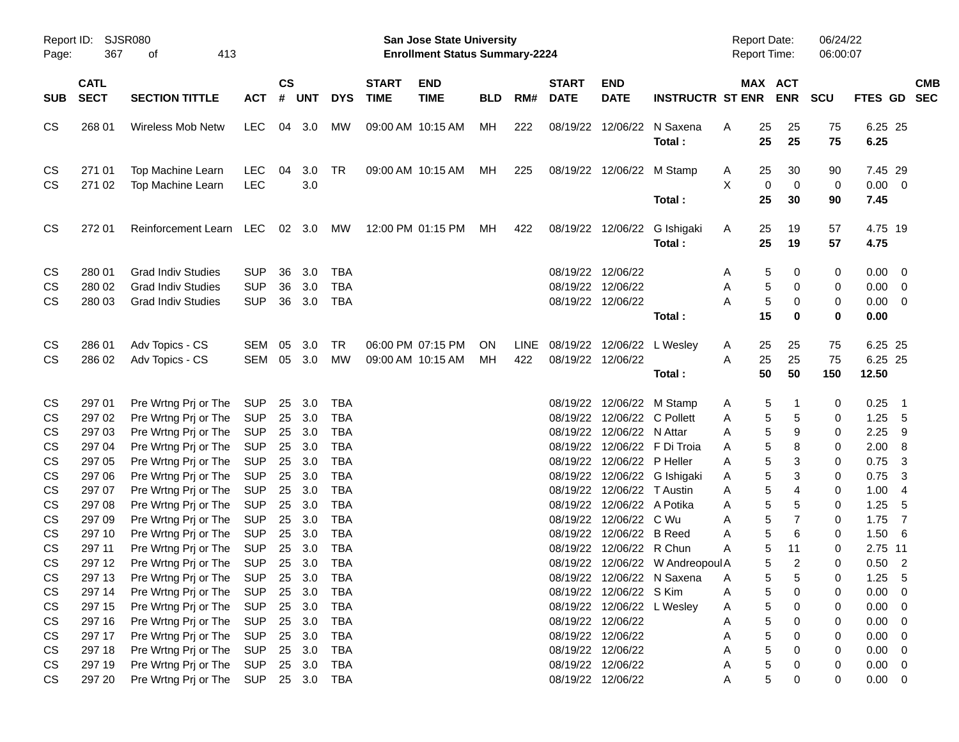| Report ID:<br>Page:   | SJSR080<br>367                                                                            | 413                                                                                          |                                                      |                      |                             |                                                      | San Jose State University<br><b>Enrollment Status Summary-2224</b> |                                        |                 |             |                             |                                                                                                              | <b>Report Date:</b><br>Report Time:                            |                          | 06/24/22<br>06:00:07                                                   |                  |                                                                                                             |            |
|-----------------------|-------------------------------------------------------------------------------------------|----------------------------------------------------------------------------------------------|------------------------------------------------------|----------------------|-----------------------------|------------------------------------------------------|--------------------------------------------------------------------|----------------------------------------|-----------------|-------------|-----------------------------|--------------------------------------------------------------------------------------------------------------|----------------------------------------------------------------|--------------------------|------------------------------------------------------------------------|------------------|-------------------------------------------------------------------------------------------------------------|------------|
| <b>SUB</b>            | <b>CATL</b><br><b>SECT</b><br><b>SECTION TITTLE</b><br>268 01<br><b>Wireless Mob Netw</b> |                                                                                              | <b>ACT</b>                                           | <b>CS</b><br>#       | UNT                         | <b>DYS</b>                                           | <b>START</b><br><b>TIME</b>                                        | <b>END</b><br><b>TIME</b>              | <b>BLD</b>      | RM#         | <b>START</b><br><b>DATE</b> | <b>END</b><br><b>DATE</b>                                                                                    | <b>INSTRUCTR ST ENR</b>                                        |                          | MAX ACT<br><b>ENR</b>                                                  | <b>SCU</b>       | FTES GD SEC                                                                                                 | <b>CMB</b> |
| CS                    |                                                                                           |                                                                                              | <b>LEC</b>                                           |                      | 04 3.0                      | <b>MW</b>                                            |                                                                    | 09:00 AM 10:15 AM                      | МH              | 222         |                             | 08/19/22 12/06/22                                                                                            | N Saxena<br>Total:                                             | 25<br>A<br>25            | 25<br>25                                                               | 75<br>75         | 6.25 25<br>6.25                                                                                             |            |
| CS<br><b>CS</b>       | 271 01<br>271 02                                                                          | Top Machine Learn<br>Top Machine Learn                                                       | <b>LEC</b><br><b>LEC</b>                             | 04                   | 3.0<br>3.0                  | TR                                                   |                                                                    | 09:00 AM 10:15 AM                      | МH              | 225         |                             | 08/19/22 12/06/22 M Stamp                                                                                    | Total:                                                         | A<br>25<br>X<br>25       | 30<br>0<br>$\mathbf 0$<br>30                                           | 90<br>0<br>90    | 7.45 29<br>$0.00 \t 0$<br>7.45                                                                              |            |
| CS                    | 272 01                                                                                    | Reinforcement Learn LEC 02 3.0                                                               |                                                      |                      |                             | МW                                                   |                                                                    | 12:00 PM 01:15 PM                      | MН              | 422         |                             | 08/19/22 12/06/22                                                                                            | G Ishigaki<br>Total:                                           | 25<br>A<br>25            | 19<br>19                                                               | 57<br>57         | 4.75 19<br>4.75                                                                                             |            |
| CS<br>CS<br><b>CS</b> | 280 01<br>280 02<br>280 03                                                                | <b>Grad Indiv Studies</b><br><b>Grad Indiv Studies</b><br><b>Grad Indiv Studies</b>          | <b>SUP</b><br><b>SUP</b><br><b>SUP</b>               | 36<br>36<br>36       | 3.0<br>3.0<br>3.0           | TBA<br><b>TBA</b><br><b>TBA</b>                      |                                                                    |                                        |                 |             | 08/19/22 12/06/22           | 08/19/22 12/06/22<br>08/19/22 12/06/22                                                                       | Total:                                                         | A<br>Α<br>Α<br>15        | 5<br>0<br>5<br>0<br>5<br>0<br>0                                        | 0<br>0<br>0<br>0 | $0.00 \quad 0$<br>$0.00 \t 0$<br>$0.00 \t 0$<br>0.00                                                        |            |
| CS<br><b>CS</b>       | 286 01<br>286 02                                                                          | Adv Topics - CS<br>Adv Topics - CS                                                           | <b>SEM</b><br>SEM                                    | 05                   | 3.0<br>05 3.0               | TR<br>MW                                             |                                                                    | 06:00 PM 07:15 PM<br>09:00 AM 10:15 AM | <b>ON</b><br>MН | LINE<br>422 | 08/19/22 12/06/22           | 08/19/22 12/06/22 L Wesley                                                                                   | Total:                                                         | 25<br>A<br>25<br>A<br>50 | 25<br>25<br>50                                                         | 75<br>75<br>150  | 6.25 25<br>6.25 25<br>12.50                                                                                 |            |
| CS<br>CS<br>CS        | 297 01<br>297 02<br>297 03                                                                | Pre Wrtng Prj or The<br>Pre Wrtng Prj or The<br>Pre Wrtng Prj or The                         | <b>SUP</b><br><b>SUP</b><br><b>SUP</b>               | 25<br>25<br>25       | 3.0<br>3.0<br>3.0           | TBA<br><b>TBA</b><br><b>TBA</b>                      |                                                                    |                                        |                 |             |                             | 08/19/22 12/06/22 M Stamp<br>08/19/22 12/06/22 C Pollett<br>08/19/22 12/06/22 N Attar                        |                                                                | A<br>A<br>Α              | 5<br>1<br>5<br>5<br>5<br>9                                             | 0<br>0<br>0      | 0.25<br>- 1<br>1.25<br>- 5<br>2.25<br>- 9                                                                   |            |
| CS<br>CS<br>CS<br>CS  | 297 04<br>297 05<br>297 06<br>297 07                                                      | Pre Wrtng Prj or The<br>Pre Wrtng Prj or The<br>Pre Wrtng Prj or The<br>Pre Wrtng Prj or The | <b>SUP</b><br><b>SUP</b><br><b>SUP</b><br><b>SUP</b> | 25<br>25<br>25<br>25 | 3.0<br>3.0<br>3.0<br>3.0    | <b>TBA</b><br><b>TBA</b><br><b>TBA</b><br><b>TBA</b> |                                                                    |                                        |                 |             |                             | 08/19/22 12/06/22 P Heller<br>08/19/22 12/06/22 T Austin                                                     | 08/19/22 12/06/22 F Di Troia<br>08/19/22 12/06/22 G Ishigaki   | Α<br>Α<br>A<br>Α         | 5<br>8<br>5<br>3<br>5<br>3<br>$\,$ 5 $\,$<br>4                         | 0<br>0<br>0<br>0 | 2.00<br>- 8<br>0.75<br>$\overline{\mathbf{3}}$<br>0.75<br>$\overline{\mathbf{3}}$<br>1.00<br>$\overline{4}$ |            |
| CS<br>CS<br>CS<br>CS  | 297 08<br>297 09<br>297 10<br>297 11                                                      | Pre Wrtng Prj or The<br>Pre Wrtng Prj or The<br>Pre Wrtng Prj or The<br>Pre Wrtng Prj or The | <b>SUP</b><br><b>SUP</b><br><b>SUP</b><br><b>SUP</b> | 25<br>25<br>25<br>25 | 3.0<br>3.0<br>3.0<br>3.0    | <b>TBA</b><br><b>TBA</b><br><b>TBA</b><br><b>TBA</b> |                                                                    |                                        |                 |             |                             | 08/19/22 12/06/22 A Potika<br>08/19/22 12/06/22 C Wu<br>08/19/22 12/06/22 B Reed<br>08/19/22 12/06/22 R Chun |                                                                | Α<br>Α<br>Α<br>Α         | $\,$ 5 $\,$<br>5<br>$\,$ 5 $\,$<br>$\overline{7}$<br>5<br>6<br>5<br>11 | 0<br>0<br>0<br>0 | 1.25<br>- 5<br>1.75<br>$\overline{7}$<br>1.50<br>$-6$<br>2.75 11                                            |            |
| CS<br>CS<br>CS        | 297 12<br>297 13<br>297 14                                                                | Pre Wrtng Prj or The<br>Pre Wrtng Prj or The<br>Pre Wrtng Prj or The                         | <b>SUP</b><br>SUP 25 3.0<br><b>SUP</b>               | 25                   | 25 3.0<br>3.0               | <b>TBA</b><br><b>TBA</b><br><b>TBA</b>               |                                                                    |                                        |                 |             |                             | 08/19/22 12/06/22 S Kim                                                                                      | 08/19/22 12/06/22 W Andreopoul A<br>08/19/22 12/06/22 N Saxena | Α<br>A                   | 5<br>$\overline{2}$<br>5<br>5<br>5<br>0                                | 0<br>0<br>0      | 0.50<br>$\overline{\phantom{0}}^2$<br>$1.25 - 5$<br>0.00<br>$\overline{\mathbf{0}}$                         |            |
| CS<br>CS<br>CS<br>CS  | 297 15<br>297 16<br>297 17<br>297 18                                                      | Pre Wrtng Prj or The<br>Pre Wrtng Prj or The<br>Pre Wrtng Prj or The<br>Pre Wrtng Prj or The | <b>SUP</b><br><b>SUP</b><br><b>SUP</b><br><b>SUP</b> | 25<br>25<br>25       | 3.0<br>3.0<br>3.0<br>25 3.0 | <b>TBA</b><br><b>TBA</b><br><b>TBA</b><br><b>TBA</b> |                                                                    |                                        |                 |             |                             | 08/19/22 12/06/22<br>08/19/22 12/06/22<br>08/19/22 12/06/22                                                  | 08/19/22 12/06/22 L Wesley                                     | A<br>A<br>Α<br>Α         | 5<br>0<br>5<br>0<br>5<br>0<br>5<br>0                                   | 0<br>0<br>0<br>0 | $0.00 \t 0$<br>0.00<br>$\overline{\phantom{0}}$<br>0.00<br>$\overline{\phantom{0}}$<br>$0.00 \t 0$          |            |
| CS<br>CS              | 297 19<br>297 20                                                                          | Pre Wrtng Prj or The<br>Pre Wrtng Prj or The                                                 | <b>SUP</b><br><b>SUP</b>                             |                      | 25 3.0<br>25 3.0            | <b>TBA</b><br>TBA                                    |                                                                    |                                        |                 |             |                             | 08/19/22 12/06/22<br>08/19/22 12/06/22                                                                       |                                                                | Α<br>Α                   | 5<br>0<br>5<br>0                                                       | 0<br>0           | $0.00 \t 0$<br>$0.00 \t 0$                                                                                  |            |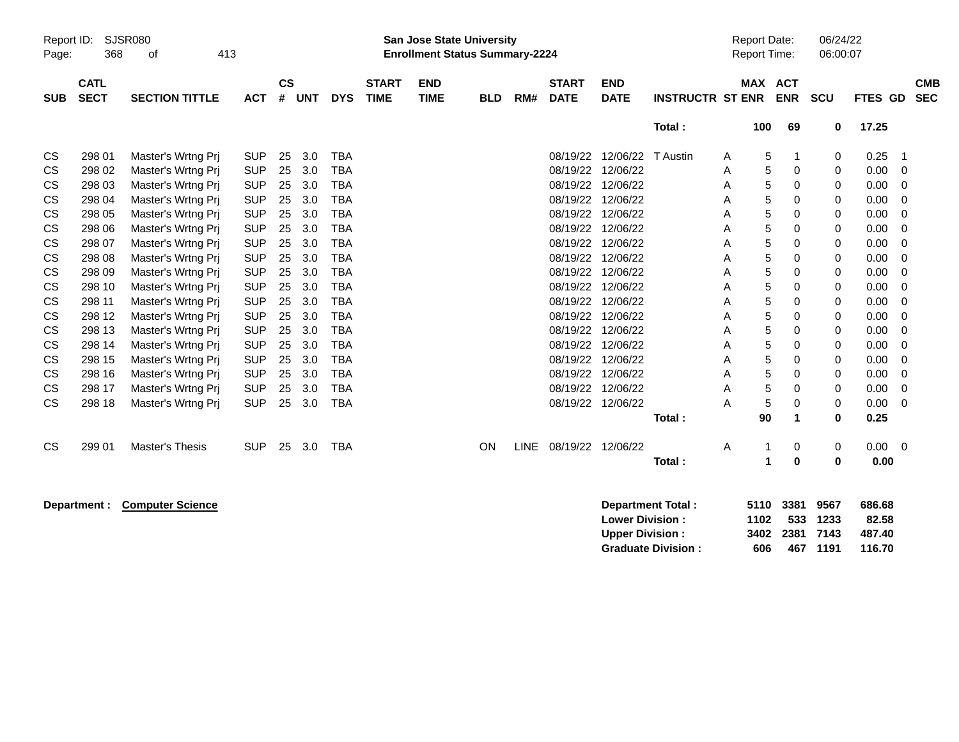| Report ID:<br>Page: | 368                        | <b>SJSR080</b><br>413<br>οf   |            |                |            |            |                             | <b>San Jose State University</b><br><b>Enrollment Status Summary-2224</b> |            |             |                             |                           |                         | <b>Report Date:</b><br><b>Report Time:</b> |     |                       | 06/24/22<br>06:00:07 |             |                          |
|---------------------|----------------------------|-------------------------------|------------|----------------|------------|------------|-----------------------------|---------------------------------------------------------------------------|------------|-------------|-----------------------------|---------------------------|-------------------------|--------------------------------------------|-----|-----------------------|----------------------|-------------|--------------------------|
| <b>SUB</b>          | <b>CATL</b><br><b>SECT</b> | <b>SECTION TITTLE</b>         | <b>ACT</b> | <b>CS</b><br># | <b>UNT</b> | <b>DYS</b> | <b>START</b><br><b>TIME</b> | <b>END</b><br><b>TIME</b>                                                 | <b>BLD</b> | RM#         | <b>START</b><br><b>DATE</b> | <b>END</b><br><b>DATE</b> | <b>INSTRUCTR ST ENR</b> |                                            |     | MAX ACT<br><b>ENR</b> | SCU                  | FTES GD     | <b>CMB</b><br><b>SEC</b> |
|                     |                            |                               |            |                |            |            |                             |                                                                           |            |             |                             |                           | Total:                  |                                            | 100 | 69                    | 0                    | 17.25       |                          |
| CS                  | 298 01                     | Master's Wrtng Prj            | <b>SUP</b> | 25             | 3.0        | <b>TBA</b> |                             |                                                                           |            |             | 08/19/22                    | 12/06/22                  | T Austin                | Α                                          | 5   | 1                     | 0                    | 0.25        | -1                       |
| CS                  | 298 02                     | Master's Wrtng Prj            | <b>SUP</b> | 25             | 3.0        | <b>TBA</b> |                             |                                                                           |            |             | 08/19/22                    | 12/06/22                  |                         | Α                                          | 5   | 0                     | 0                    | 0.00        | 0                        |
| CS                  | 298 03                     | Master's Wrtng Prj            | <b>SUP</b> | 25             | 3.0        | <b>TBA</b> |                             |                                                                           |            |             | 08/19/22                    | 12/06/22                  |                         | Α                                          | 5   | 0                     | 0                    | 0.00        | 0                        |
| CS                  | 298 04                     | Master's Wrtng Prj            | <b>SUP</b> | 25             | 3.0        | <b>TBA</b> |                             |                                                                           |            |             | 08/19/22                    | 12/06/22                  |                         | Α                                          | 5   | 0                     | 0                    | 0.00        | 0                        |
| CS                  | 298 05                     | Master's Wrtng Prj            | <b>SUP</b> | 25             | 3.0        | <b>TBA</b> |                             |                                                                           |            |             | 08/19/22                    | 12/06/22                  |                         | Α                                          | 5   | 0                     | 0                    | 0.00        | 0                        |
| CS                  | 298 06                     | Master's Wrtng Prj            | <b>SUP</b> | 25             | 3.0        | <b>TBA</b> |                             |                                                                           |            |             | 08/19/22                    | 12/06/22                  |                         | Α                                          | 5   | 0                     | 0                    | 0.00        | 0                        |
| CS                  | 298 07                     | Master's Wrtng Prj            | <b>SUP</b> | 25             | 3.0        | <b>TBA</b> |                             |                                                                           |            |             | 08/19/22                    | 12/06/22                  |                         | Α                                          | 5   | 0                     | 0                    | 0.00        | 0                        |
| СS                  | 298 08                     | Master's Wrtng Prj            | <b>SUP</b> | 25             | 3.0        | <b>TBA</b> |                             |                                                                           |            |             | 08/19/22                    | 12/06/22                  |                         | Α                                          | 5   | 0                     | 0                    | 0.00        | 0                        |
| CS                  | 298 09                     | Master's Wrtng Prj            | <b>SUP</b> | 25             | 3.0        | <b>TBA</b> |                             |                                                                           |            |             | 08/19/22                    | 12/06/22                  |                         | Α                                          | 5   | 0                     | 0                    | 0.00        | 0                        |
| CS                  | 298 10                     | Master's Wrtng Prj            | <b>SUP</b> | 25             | 3.0        | <b>TBA</b> |                             |                                                                           |            |             | 08/19/22                    | 12/06/22                  |                         | Α                                          | 5   | 0                     | 0                    | 0.00        | 0                        |
| <b>CS</b>           | 298 11                     | Master's Wrtng Prj            | <b>SUP</b> | 25             | 3.0        | <b>TBA</b> |                             |                                                                           |            |             | 08/19/22                    | 12/06/22                  |                         | Α                                          | 5   | 0                     | 0                    | 0.00        | 0                        |
| CS                  | 298 12                     | Master's Wrtng Prj            | <b>SUP</b> | 25             | 3.0        | <b>TBA</b> |                             |                                                                           |            |             | 08/19/22                    | 12/06/22                  |                         | Α                                          | 5   | 0                     | 0                    | 0.00        | 0                        |
| CS                  | 298 13                     | Master's Wrtng Prj            | <b>SUP</b> | 25             | 3.0        | <b>TBA</b> |                             |                                                                           |            |             | 08/19/22                    | 12/06/22                  |                         | Α                                          | 5   | 0                     | 0                    | 0.00        | 0                        |
| CS                  | 298 14                     | Master's Wrtng Prj            | <b>SUP</b> | 25             | 3.0        | <b>TBA</b> |                             |                                                                           |            |             | 08/19/22                    | 12/06/22                  |                         | Α                                          | 5   | 0                     | 0                    | 0.00        | 0                        |
| CS                  | 298 15                     | Master's Wrtng Prj            | <b>SUP</b> | 25             | 3.0        | <b>TBA</b> |                             |                                                                           |            |             | 08/19/22                    | 12/06/22                  |                         | Α                                          | 5   | 0                     | 0                    | 0.00        | 0                        |
| CS                  | 298 16                     | Master's Wrtng Prj            | <b>SUP</b> | 25             | 3.0        | <b>TBA</b> |                             |                                                                           |            |             | 08/19/22                    | 12/06/22                  |                         | Α                                          | 5   | 0                     | 0                    | 0.00        | 0                        |
| CS                  | 298 17                     | Master's Wrtng Prj            | <b>SUP</b> | 25             | 3.0        | <b>TBA</b> |                             |                                                                           |            |             | 08/19/22                    | 12/06/22                  |                         | Α                                          | 5   | 0                     | 0                    | 0.00        | 0                        |
| CS                  | 298 18                     | Master's Wrtng Prj            | <b>SUP</b> | 25             | 3.0        | <b>TBA</b> |                             |                                                                           |            |             | 08/19/22 12/06/22           |                           |                         | A                                          | 5   | 0                     | 0                    | 0.00        | $\Omega$                 |
|                     |                            |                               |            |                |            |            |                             |                                                                           |            |             |                             |                           | Total:                  |                                            | 90  | $\mathbf{1}$          | $\bf{0}$             | 0.25        |                          |
| CS                  | 299 01                     | Master's Thesis               | <b>SUP</b> | 25             | 3.0        | <b>TBA</b> |                             |                                                                           | ON         | <b>LINE</b> | 08/19/22 12/06/22           |                           |                         | Α                                          | 1   | 0                     | 0                    | $0.00 \t 0$ |                          |
|                     |                            |                               |            |                |            |            |                             |                                                                           |            |             |                             |                           | Total:                  |                                            | 1   | 0                     | $\bf{0}$             | 0.00        |                          |
|                     |                            | Department : Camputer Calenge |            |                |            |            |                             |                                                                           |            |             |                             |                           | Department Tatal.       |                                            |     |                       | EAAN 990A NECT       | coc co      |                          |

**Department : Computer Science Department Total : 5110 3381 9567 686.68 Lower Division : 1102 533 1233 Upper Division : 3402 2381 7143 487.40 Graduate Division : 606 467 1191 116.70**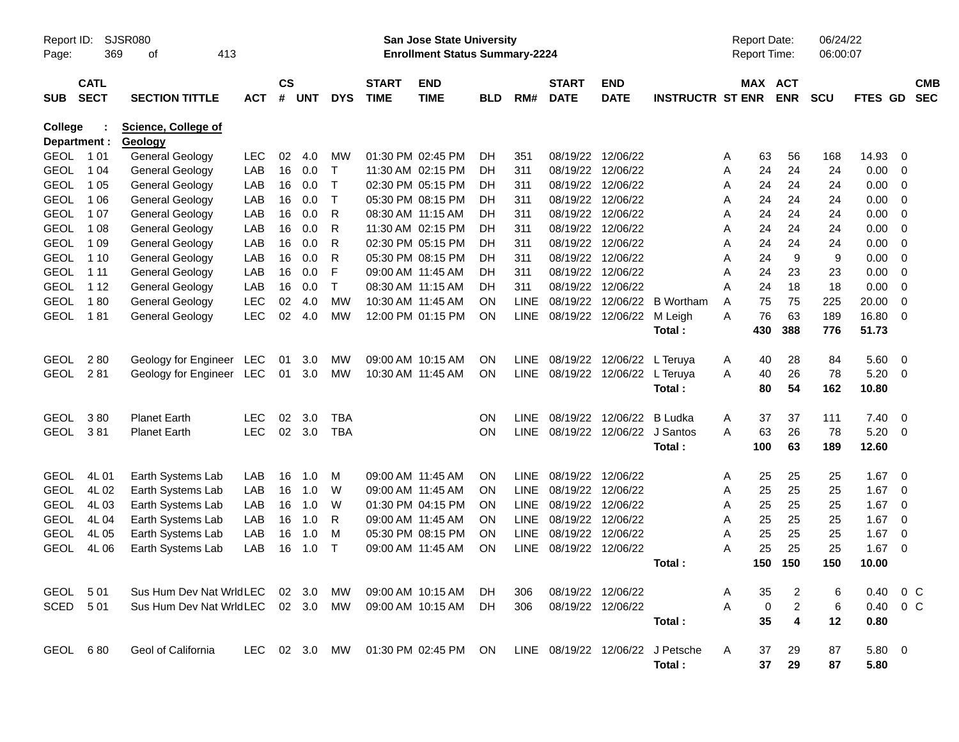| Report ID:              |             | <b>SJSR080</b>                        |               |           |            |              |                   | <b>San Jose State University</b>      |     |             |              |                   |                                  |   | <b>Report Date:</b> |                         | 06/24/22   |                        |                         |            |
|-------------------------|-------------|---------------------------------------|---------------|-----------|------------|--------------|-------------------|---------------------------------------|-----|-------------|--------------|-------------------|----------------------------------|---|---------------------|-------------------------|------------|------------------------|-------------------------|------------|
| Page:                   | 369         | 413<br>οf                             |               |           |            |              |                   | <b>Enrollment Status Summary-2224</b> |     |             |              |                   |                                  |   | Report Time:        |                         | 06:00:07   |                        |                         |            |
|                         | <b>CATL</b> |                                       |               | <b>CS</b> |            |              | <b>START</b>      | <b>END</b>                            |     |             | <b>START</b> | <b>END</b>        |                                  |   | <b>MAX ACT</b>      |                         |            |                        |                         | <b>CMB</b> |
| <b>SUB</b>              | <b>SECT</b> | <b>SECTION TITTLE</b>                 | <b>ACT</b>    | #         | <b>UNT</b> | <b>DYS</b>   | <b>TIME</b>       | <b>TIME</b>                           | BLD | RM#         | <b>DATE</b>  | <b>DATE</b>       | <b>INSTRUCTR ST ENR</b>          |   |                     | <b>ENR</b>              | <b>SCU</b> | <b>FTES GD</b>         |                         | <b>SEC</b> |
| College<br>Department : |             | <b>Science, College of</b><br>Geology |               |           |            |              |                   |                                       |     |             |              |                   |                                  |   |                     |                         |            |                        |                         |            |
| <b>GEOL</b>             | 1 0 1       | <b>General Geology</b>                | <b>LEC</b>    | 02        | 4.0        | <b>MW</b>    |                   | 01:30 PM 02:45 PM                     | DH  | 351         | 08/19/22     | 12/06/22          |                                  | A | 63                  | 56                      | 168        | 14.93                  | 0                       |            |
| <b>GEOL</b>             | 1 0 4       | <b>General Geology</b>                | LAB           | 16        | 0.0        | $\top$       |                   | 11:30 AM 02:15 PM                     | DH  | 311         | 08/19/22     | 12/06/22          |                                  | Α | 24                  | 24                      | 24         | 0.00                   | - 0                     |            |
| <b>GEOL</b>             | 1 0 5       | <b>General Geology</b>                | LAB           | 16        | 0.0        | $\top$       |                   | 02:30 PM 05:15 PM                     | DH  | 311         | 08/19/22     | 12/06/22          |                                  | A | 24                  | 24                      | 24         | 0.00                   | 0                       |            |
| <b>GEOL</b>             | 1 0 6       | <b>General Geology</b>                | LAB           | 16        | 0.0        | $\mathsf{T}$ |                   | 05:30 PM 08:15 PM                     | DH  | 311         | 08/19/22     | 12/06/22          |                                  | A | 24                  | 24                      | 24         | 0.00                   | 0                       |            |
| <b>GEOL</b>             | 1 0 7       | <b>General Geology</b>                | LAB           | 16        | 0.0        | R            |                   | 08:30 AM 11:15 AM                     | DH  | 311         | 08/19/22     | 12/06/22          |                                  | Α | 24                  | 24                      | 24         | 0.00                   | $\mathbf 0$             |            |
| <b>GEOL</b>             | 1 0 8       | <b>General Geology</b>                | LAB           | 16        | 0.0        | R            |                   | 11:30 AM 02:15 PM                     | DH  | 311         | 08/19/22     | 12/06/22          |                                  | Α | 24                  | 24                      | 24         | 0.00                   | $\overline{0}$          |            |
| <b>GEOL</b>             | 1 0 9       | <b>General Geology</b>                | LAB           | 16        | 0.0        | R            |                   | 02:30 PM 05:15 PM                     | DH  | 311         | 08/19/22     | 12/06/22          |                                  | Α | 24                  | 24                      | 24         | 0.00                   | - 0                     |            |
| <b>GEOL</b>             | 1 1 0       | <b>General Geology</b>                | LAB           | 16        | 0.0        | R            |                   | 05:30 PM 08:15 PM                     | DH  | 311         | 08/19/22     | 12/06/22          |                                  | Α | 24                  | 9                       | 9          | 0.00                   | $\mathbf 0$             |            |
| <b>GEOL</b>             | 1 1 1       | <b>General Geology</b>                | LAB           | 16        | 0.0        | F            |                   | 09:00 AM 11:45 AM                     | DH  | 311         | 08/19/22     | 12/06/22          |                                  | Α | 24                  | 23                      | 23         | 0.00                   | $\overline{0}$          |            |
| <b>GEOL</b>             | 1 1 2       | <b>General Geology</b>                | LAB           | 16        | 0.0        | $\mathsf{T}$ |                   | 08:30 AM 11:15 AM                     | DH  | 311         | 08/19/22     | 12/06/22          |                                  | A | 24                  | 18                      | 18         | 0.00                   | $\overline{0}$          |            |
| <b>GEOL</b>             | 180         | <b>General Geology</b>                | <b>LEC</b>    | 02        | 4.0        | <b>MW</b>    | 10:30 AM 11:45 AM |                                       | ON  | <b>LINE</b> | 08/19/22     | 12/06/22          | <b>B</b> Wortham                 | A | 75                  | 75                      | 225        | 20.00                  | 0                       |            |
| <b>GEOL</b>             | 181         | <b>General Geology</b>                | <b>LEC</b>    | 02        | 4.0        | <b>MW</b>    |                   | 12:00 PM 01:15 PM                     | ON  | <b>LINE</b> | 08/19/22     | 12/06/22          | M Leigh                          | A | 76                  | 63                      | 189        | 16.80                  | 0                       |            |
|                         |             |                                       |               |           |            |              |                   |                                       |     |             |              |                   | Total:                           |   | 430                 | 388                     | 776        | 51.73                  |                         |            |
|                         |             |                                       |               |           |            |              |                   |                                       |     |             |              |                   |                                  |   |                     |                         |            |                        |                         |            |
| <b>GEOL</b>             | 280         | Geology for Engineer LEC              |               | 01        | 3.0        | MW           |                   | 09:00 AM 10:15 AM                     | ΟN  | <b>LINE</b> |              | 08/19/22 12/06/22 | L Teruya                         | A | 40                  | 28                      | 84         | 5.60                   | $\overline{\mathbf{0}}$ |            |
| <b>GEOL</b>             | 281         | Geology for Engineer LEC              |               | 01        | 3.0        | <b>MW</b>    |                   | 10:30 AM 11:45 AM                     | ON  | LINE        | 08/19/22     | 12/06/22          | L Teruya                         | A | 40                  | 26                      | 78         | 5.20                   | - 0                     |            |
|                         |             |                                       |               |           |            |              |                   |                                       |     |             |              |                   | Total:                           |   | 80                  | 54                      | 162        | 10.80                  |                         |            |
|                         |             |                                       |               |           |            |              |                   |                                       |     |             |              |                   |                                  |   |                     |                         |            |                        |                         |            |
| <b>GEOL</b>             | 380         | <b>Planet Earth</b>                   | <b>LEC</b>    | 02        | 3.0        | <b>TBA</b>   |                   |                                       | ΟN  | <b>LINE</b> | 08/19/22     | 12/06/22          | <b>B</b> Ludka                   | Α | 37                  | 37                      | 111        | 7.40                   | $\overline{\mathbf{0}}$ |            |
| <b>GEOL</b>             | 381         | <b>Planet Earth</b>                   | <b>LEC</b>    | 02        | 3.0        | <b>TBA</b>   |                   |                                       | ON  | <b>LINE</b> | 08/19/22     | 12/06/22          | J Santos                         | A | 63                  | 26                      | 78         | 5.20                   | - 0                     |            |
|                         |             |                                       |               |           |            |              |                   |                                       |     |             |              |                   | Total:                           |   | 100                 | 63                      | 189        | 12.60                  |                         |            |
|                         |             |                                       |               |           |            |              |                   |                                       |     |             |              |                   |                                  |   |                     |                         |            |                        |                         |            |
| <b>GEOL</b>             | 4L 01       | Earth Systems Lab                     | LAB           | 16        | 1.0        | M            |                   | 09:00 AM 11:45 AM                     | ΟN  | <b>LINE</b> | 08/19/22     | 12/06/22          |                                  | A | 25                  | 25                      | 25         | 1.67                   | 0                       |            |
| <b>GEOL</b>             | 4L02        | Earth Systems Lab                     | LAB           | 16        | 1.0        | W            | 09:00 AM 11:45 AM |                                       | ΟN  | <b>LINE</b> | 08/19/22     | 12/06/22          |                                  | A | 25                  | 25                      | 25         | 1.67                   | 0                       |            |
| <b>GEOL</b>             | 4L03        | Earth Systems Lab                     | LAB           | 16        | 1.0        | W            |                   | 01:30 PM 04:15 PM                     | ΟN  | LINE        | 08/19/22     | 12/06/22          |                                  | A | 25                  | 25                      | 25         | 1.67                   | 0                       |            |
| <b>GEOL</b>             | 4L04        | Earth Systems Lab                     | LAB           | 16        | 1.0        | R            |                   | 09:00 AM 11:45 AM                     | ON  | <b>LINE</b> | 08/19/22     | 12/06/22          |                                  | A | 25                  | 25                      | 25         | 1.67                   | 0                       |            |
| <b>GEOL</b>             | 4L05        | Earth Systems Lab                     | LAB           | 16        | 1.0        | м            |                   | 05:30 PM 08:15 PM                     | ΟN  | <b>LINE</b> | 08/19/22     | 12/06/22          |                                  | A | 25                  | 25                      | 25         | 1.67                   | 0                       |            |
| <b>GEOL</b>             | 4L06        | Earth Systems Lab                     | LAB           | 16        | 1.0        | $\top$       | 09:00 AM 11:45 AM |                                       | ON  | <b>LINE</b> | 08/19/22     | 12/06/22          |                                  | A | 25                  | 25                      | 25         | 1.67                   | $\overline{0}$          |            |
|                         |             |                                       |               |           |            |              |                   |                                       |     |             |              |                   | Total :                          |   | 150                 | 150                     | 150        | 10.00                  |                         |            |
| GEOL 501                |             | Sus Hum Dev Nat WridLEC 02 3.0        |               |           |            | MW.          |                   | 09:00 AM 10:15 AM                     | DH. | 306         |              | 08/19/22 12/06/22 |                                  | Α | 35                  | 2                       | 6          | $0.40 \quad 0 \quad C$ |                         |            |
| SCED 501                |             | Sus Hum Dev Nat WrldLEC 02 3.0 MW     |               |           |            |              |                   | 09:00 AM 10:15 AM                     | DH. | 306         |              | 08/19/22 12/06/22 |                                  | A | 0                   | $\overline{\mathbf{c}}$ | 6          | 0.40 0 C               |                         |            |
|                         |             |                                       |               |           |            |              |                   |                                       |     |             |              |                   | Total:                           |   | 35                  | 4                       | 12         | 0.80                   |                         |            |
|                         |             |                                       |               |           |            |              |                   |                                       |     |             |              |                   |                                  |   |                     |                         |            |                        |                         |            |
| GEOL 680                |             | Geol of California                    | LEC 02 3.0 MW |           |            |              |                   | 01:30 PM 02:45 PM ON                  |     |             |              |                   | LINE 08/19/22 12/06/22 J Petsche | A | 37                  | 29                      | 87         | 5.80 0                 |                         |            |
|                         |             |                                       |               |           |            |              |                   |                                       |     |             |              |                   | Total:                           |   | 37                  | 29                      | 87         | 5.80                   |                         |            |
|                         |             |                                       |               |           |            |              |                   |                                       |     |             |              |                   |                                  |   |                     |                         |            |                        |                         |            |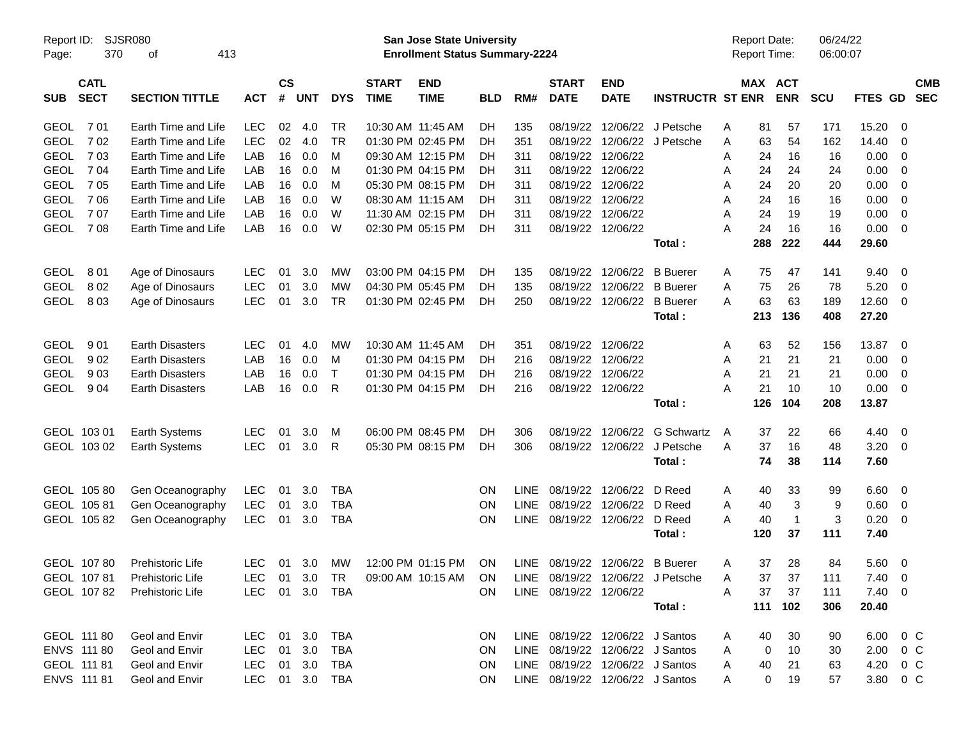| Report ID:<br>370<br>Page:               | <b>SJSR080</b><br>413<br>οf |            |                         |            |              |                             | <b>San Jose State University</b><br><b>Enrollment Status Summary-2224</b> |            |             |                                 |                           |                                  | Report Date:<br>Report Time: |                       | 06/24/22<br>06:00:07 |            |                          |                          |
|------------------------------------------|-----------------------------|------------|-------------------------|------------|--------------|-----------------------------|---------------------------------------------------------------------------|------------|-------------|---------------------------------|---------------------------|----------------------------------|------------------------------|-----------------------|----------------------|------------|--------------------------|--------------------------|
| <b>CATL</b><br><b>SECT</b><br><b>SUB</b> | <b>SECTION TITTLE</b>       | <b>ACT</b> | <b>CS</b><br>$\pmb{\#}$ | <b>UNT</b> | <b>DYS</b>   | <b>START</b><br><b>TIME</b> | <b>END</b><br><b>TIME</b>                                                 | <b>BLD</b> | RM#         | <b>START</b><br><b>DATE</b>     | <b>END</b><br><b>DATE</b> | <b>INSTRUCTR ST ENR</b>          |                              | MAX ACT<br><b>ENR</b> | <b>SCU</b>           | FTES GD    |                          | <b>CMB</b><br><b>SEC</b> |
| 701<br><b>GEOL</b>                       | Earth Time and Life         | <b>LEC</b> | 02                      | 4.0        | <b>TR</b>    |                             | 10:30 AM 11:45 AM                                                         | DH         | 135         | 08/19/22                        |                           | 12/06/22 J Petsche               | 81<br>Α                      | 57                    | 171                  | 15.20      | 0                        |                          |
| 702<br><b>GEOL</b>                       | Earth Time and Life         | <b>LEC</b> | 02                      | 4.0        | <b>TR</b>    |                             | 01:30 PM 02:45 PM                                                         | DH         | 351         | 08/19/22                        |                           | 12/06/22 J Petsche               | 63<br>Α                      | 54                    | 162                  | 14.40      | 0                        |                          |
| <b>GEOL</b><br>703                       | Earth Time and Life         | LAB        | 16                      | 0.0        | M            |                             | 09:30 AM 12:15 PM                                                         | DH         | 311         | 08/19/22                        | 12/06/22                  |                                  | 24<br>Α                      | 16                    | 16                   | 0.00       | 0                        |                          |
| <b>GEOL</b><br>7 04                      | Earth Time and Life         | LAB        | 16                      | 0.0        | M            |                             | 01:30 PM 04:15 PM                                                         | DH         | 311         | 08/19/22                        | 12/06/22                  |                                  | 24<br>Α                      | 24                    | 24                   | 0.00       | 0                        |                          |
| <b>GEOL</b><br>7 0 5                     | Earth Time and Life         | LAB        | 16                      | 0.0        | M            |                             | 05:30 PM 08:15 PM                                                         | DH         | 311         | 08/19/22                        | 12/06/22                  |                                  | 24<br>Α                      | 20                    | 20                   | 0.00       | 0                        |                          |
| <b>GEOL</b><br>706                       | Earth Time and Life         | LAB        | 16                      | 0.0        | W            |                             | 08:30 AM 11:15 AM                                                         | DH         | 311         | 08/19/22                        | 12/06/22                  |                                  | 24<br>Α                      | 16                    | 16                   | 0.00       | 0                        |                          |
| <b>GEOL</b><br>707                       | Earth Time and Life         | LAB        | 16                      | 0.0        | W            |                             | 11:30 AM 02:15 PM                                                         | DH         | 311         | 08/19/22                        | 12/06/22                  |                                  | 24<br>Α                      | 19                    | 19                   | 0.00       | 0                        |                          |
| <b>GEOL</b><br>708                       | Earth Time and Life         | LAB        | 16                      | 0.0        | W            |                             | 02:30 PM 05:15 PM                                                         | DH         | 311         |                                 | 08/19/22 12/06/22         |                                  | 24<br>А                      | 16                    | 16                   | 0.00       | $\overline{\mathbf{0}}$  |                          |
|                                          |                             |            |                         |            |              |                             |                                                                           |            |             |                                 |                           | Total :                          | 288                          | 222                   | 444                  | 29.60      |                          |                          |
| 801<br><b>GEOL</b>                       | Age of Dinosaurs            | <b>LEC</b> | 01                      | 3.0        | МW           |                             | 03:00 PM 04:15 PM                                                         | DH         | 135         | 08/19/22                        | 12/06/22                  | <b>B</b> Buerer                  | A                            | 75<br>47              | 141                  | 9.40       | $\overline{\mathbf{0}}$  |                          |
| <b>GEOL</b><br>802                       | Age of Dinosaurs            | <b>LEC</b> | 01                      | 3.0        | <b>MW</b>    |                             | 04:30 PM 05:45 PM                                                         | DН         | 135         | 08/19/22                        | 12/06/22                  | <b>B</b> Buerer                  | Α                            | 75<br>26              | 78                   | 5.20       | 0                        |                          |
| <b>GEOL</b><br>803                       | Age of Dinosaurs            | <b>LEC</b> | 01                      | 3.0        | <b>TR</b>    |                             | 01:30 PM 02:45 PM                                                         | DH         | 250         | 08/19/22                        | 12/06/22                  | <b>B</b> Buerer                  | 63<br>Α                      | 63                    | 189                  | 12.60      | 0                        |                          |
|                                          |                             |            |                         |            |              |                             |                                                                           |            |             |                                 |                           | Total:                           | 213                          | 136                   | 408                  | 27.20      |                          |                          |
| 901<br><b>GEOL</b>                       | <b>Earth Disasters</b>      | LEC        | 01                      | 4.0        | <b>MW</b>    |                             | 10:30 AM 11:45 AM                                                         | DH         | 351         | 08/19/22                        | 12/06/22                  |                                  | 63<br>Α                      | 52                    | 156                  | 13.87      | $\overline{\mathbf{0}}$  |                          |
| <b>GEOL</b><br>902                       | <b>Earth Disasters</b>      | LAB        | 16                      | 0.0        | м            |                             | 01:30 PM 04:15 PM                                                         | DH         | 216         | 08/19/22                        | 12/06/22                  |                                  | 21<br>Α                      | 21                    | 21                   | 0.00       | 0                        |                          |
| <b>GEOL</b><br>903                       | <b>Earth Disasters</b>      | LAB        | 16                      | 0.0        | $\mathsf{T}$ |                             | 01:30 PM 04:15 PM                                                         | DH         | 216         | 08/19/22                        | 12/06/22                  |                                  | 21<br>A                      | 21                    | 21                   | 0.00       | 0                        |                          |
| <b>GEOL</b><br>904                       | <b>Earth Disasters</b>      | LAB        | 16                      | 0.0        | R            |                             | 01:30 PM 04:15 PM                                                         | DH         | 216         | 08/19/22                        | 12/06/22                  |                                  | 21<br>А                      | 10                    | 10                   | 0.00       | 0                        |                          |
|                                          |                             |            |                         |            |              |                             |                                                                           |            |             |                                 |                           | Total:                           | 126                          | 104                   | 208                  | 13.87      |                          |                          |
| GEOL 103 01                              | Earth Systems               | <b>LEC</b> | 01                      | 3.0        | M            |                             | 06:00 PM 08:45 PM                                                         | DН         | 306         | 08/19/22                        | 12/06/22                  | G Schwartz                       | 37<br>A                      | 22                    | 66                   | 4.40       | $\overline{\mathbf{0}}$  |                          |
| GEOL 103 02                              | Earth Systems               | <b>LEC</b> | 01                      | 3.0        | R            |                             | 05:30 PM 08:15 PM                                                         | DH         | 306         | 08/19/22                        | 12/06/22                  | J Petsche                        | 37<br>Α                      | 16                    | 48                   | 3.20       | $\overline{\mathbf{0}}$  |                          |
|                                          |                             |            |                         |            |              |                             |                                                                           |            |             |                                 |                           | Total:                           |                              | 74<br>38              | 114                  | 7.60       |                          |                          |
| GEOL 105 80                              | Gen Oceanography            | LEC        | 01                      | 3.0        | <b>TBA</b>   |                             |                                                                           | ON         | LINE.       | 08/19/22                        | 12/06/22 D Reed           |                                  | A                            | 40<br>33              | 99                   | 6.60       | $\overline{\phantom{0}}$ |                          |
| GEOL 105 81                              | Gen Oceanography            | <b>LEC</b> | 01                      | 3.0        | <b>TBA</b>   |                             |                                                                           | ON         | <b>LINE</b> | 08/19/22                        | 12/06/22 D Reed           |                                  | Α                            | 3<br>40               | 9                    | 0.60       | $\overline{\mathbf{0}}$  |                          |
| GEOL 10582                               | Gen Oceanography            | <b>LEC</b> | 01                      | 3.0        | <b>TBA</b>   |                             |                                                                           | ON         | <b>LINE</b> | 08/19/22                        | 12/06/22 D Reed           |                                  | А<br>40                      | $\mathbf{1}$          | 3                    | 0.20       | 0                        |                          |
|                                          |                             |            |                         |            |              |                             |                                                                           |            |             |                                 |                           | Total:                           | 120                          | 37                    | 111                  | 7.40       |                          |                          |
| GEOL 10780                               | <b>Prehistoric Life</b>     | LEC.       | 01                      | 3.0        | МW           |                             | 12:00 PM 01:15 PM                                                         | <b>ON</b>  |             | LINE 08/19/22 12/06/22 B Buerer |                           |                                  | 37<br>Α                      | 28                    | 84                   | 5.60       | $\overline{\phantom{0}}$ |                          |
| GEOL 10781                               | Prehistoric Life            | LEC.       |                         | 01 3.0 TR  |              |                             | 09:00 AM 10:15 AM                                                         | ON         |             |                                 |                           | LINE 08/19/22 12/06/22 J Petsche | A                            | 37<br>37              | 111                  | 7.40 0     |                          |                          |
| GEOL 10782                               | Prehistoric Life            | LEC.       |                         |            | 01 3.0 TBA   |                             |                                                                           | <b>ON</b>  |             | LINE 08/19/22 12/06/22          |                           |                                  | 37<br>Α                      | 37                    | 111                  | $7.40 \ 0$ |                          |                          |
|                                          |                             |            |                         |            |              |                             |                                                                           |            |             |                                 |                           | Total:                           |                              | 111 102               | 306                  | 20.40      |                          |                          |
| GEOL 111 80                              | Geol and Envir              | LEC.       |                         | 01 3.0     | TBA          |                             |                                                                           | ON         |             | LINE 08/19/22 12/06/22 J Santos |                           |                                  | A                            | 30<br>40              | 90                   |            | 6.00 0 C                 |                          |
| ENVS 111 80                              | Geol and Envir              | LEC        | 01                      | 3.0        | <b>TBA</b>   |                             |                                                                           | <b>ON</b>  |             | LINE 08/19/22 12/06/22 J Santos |                           |                                  | A                            | 10<br>0               | 30                   |            | $2.00 \t 0 \t C$         |                          |
| GEOL 111 81                              | Geol and Envir              | LEC        | 01                      | 3.0        | TBA          |                             |                                                                           | <b>ON</b>  |             | LINE 08/19/22 12/06/22 J Santos |                           |                                  | A                            | 40<br>21              | 63                   |            | 4.20 0 C                 |                          |
| ENVS 111 81                              | Geol and Envir              | <b>LEC</b> |                         |            | 01 3.0 TBA   |                             |                                                                           | <b>ON</b>  |             | LINE 08/19/22 12/06/22 J Santos |                           |                                  | A                            | 0<br>19               | 57                   |            | 3.80 0 C                 |                          |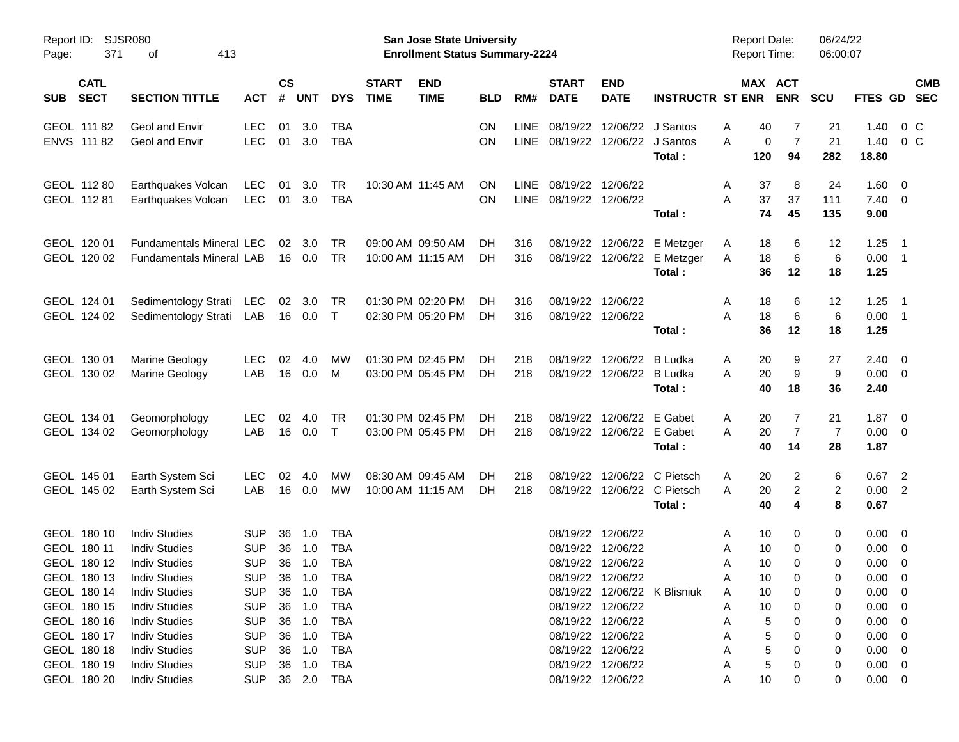| Report ID:<br>371<br>Page:                               | <b>SJSR080</b><br>413<br>οf                                                                  |                                                      |                    |                                   |                                 |                             | <b>San Jose State University</b><br><b>Enrollment Status Summary-2224</b> |                 |                     |                             |                                                                                  |                                                                      | Report Date:<br>Report Time:            |                           | 06/24/22<br>06:00:07       |                                                                   |                                                                      |
|----------------------------------------------------------|----------------------------------------------------------------------------------------------|------------------------------------------------------|--------------------|-----------------------------------|---------------------------------|-----------------------------|---------------------------------------------------------------------------|-----------------|---------------------|-----------------------------|----------------------------------------------------------------------------------|----------------------------------------------------------------------|-----------------------------------------|---------------------------|----------------------------|-------------------------------------------------------------------|----------------------------------------------------------------------|
| <b>CATL</b><br><b>SECT</b><br><b>SUB</b>                 | <b>SECTION TITTLE</b>                                                                        | <b>ACT</b>                                           | $\mathsf{cs}$<br># | <b>UNT</b>                        | <b>DYS</b>                      | <b>START</b><br><b>TIME</b> | <b>END</b><br><b>TIME</b>                                                 | <b>BLD</b>      | RM#                 | <b>START</b><br><b>DATE</b> | <b>END</b><br><b>DATE</b>                                                        | <b>INSTRUCTR ST ENR</b>                                              | MAX ACT                                 | <b>ENR</b>                | <b>SCU</b>                 | FTES GD                                                           | <b>CMB</b><br><b>SEC</b>                                             |
| GEOL 111 82<br>ENVS 111 82                               | Geol and Envir<br>Geol and Envir                                                             | <b>LEC</b><br><b>LEC</b>                             | 01                 | 3.0<br>01 3.0                     | TBA<br><b>TBA</b>               |                             |                                                                           | ON<br><b>ON</b> | LINE<br><b>LINE</b> | 08/19/22                    | 12/06/22<br>08/19/22 12/06/22                                                    | J Santos<br>J Santos<br>Total:                                       | 40<br>A<br>A<br>0<br>120                | 7<br>$\overline{7}$<br>94 | 21<br>21<br>282            | 1.40<br>1.40<br>18.80                                             | $0\,$ C<br>$0\,C$                                                    |
| GEOL 112 80<br>GEOL 112 81                               | Earthquakes Volcan<br>Earthquakes Volcan                                                     | <b>LEC</b><br>LEC                                    | 01                 | 3.0<br>01 3.0                     | <b>TR</b><br><b>TBA</b>         |                             | 10:30 AM 11:45 AM                                                         | ΟN<br><b>ON</b> | LINE<br><b>LINE</b> | 08/19/22 12/06/22           | 08/19/22 12/06/22                                                                | Total:                                                               | 37<br>Α<br>37<br>Α<br>74                | 8<br>37<br>45             | 24<br>111<br>135           | 1.60<br>$7.40 \quad 0$<br>9.00                                    | - 0                                                                  |
| GEOL 120 01<br>GEOL 120 02                               | <b>Fundamentals Mineral LEC</b><br><b>Fundamentals Mineral LAB</b>                           |                                                      | 02                 | 3.0<br>16  0.0                    | <b>TR</b><br><b>TR</b>          |                             | 09:00 AM 09:50 AM<br>10:00 AM 11:15 AM                                    | DH.<br>DH.      | 316<br>316          |                             |                                                                                  | 08/19/22 12/06/22 E Metzger<br>08/19/22 12/06/22 E Metzger<br>Total: | 18<br>Α<br>18<br>A<br>36                | 6<br>6<br>12              | 12<br>6<br>18              | 1.25<br>0.00<br>1.25                                              | $\overline{1}$<br>$\overline{\phantom{1}}$                           |
| GEOL 124 01<br>GEOL 124 02                               | Sedimentology Strati<br>Sedimentology Strati                                                 | <b>LEC</b><br>LAB                                    | 02                 | 3.0<br>16  0.0                    | TR<br>$\top$                    |                             | 01:30 PM 02:20 PM<br>02:30 PM 05:20 PM                                    | DH.<br>DH.      | 316<br>316          |                             | 08/19/22 12/06/22<br>08/19/22 12/06/22                                           | Total:                                                               | A<br>18<br>18<br>Α<br>36                | 6<br>6<br>12              | 12<br>6<br>18              | 1.25<br>0.00<br>1.25                                              | $\overline{1}$<br>$\overline{\phantom{1}}$                           |
| GEOL 130 01<br>GEOL 130 02                               | Marine Geology<br>Marine Geology                                                             | <b>LEC</b><br>LAB                                    | 02<br>16           | 4.0<br>0.0                        | МW<br>M                         |                             | 01:30 PM 02:45 PM<br>03:00 PM 05:45 PM                                    | DH.<br>DH.      | 218<br>218          |                             | 08/19/22 12/06/22<br>08/19/22 12/06/22                                           | B Ludka<br>B Ludka<br>Total:                                         | Α<br>20<br>20<br>Α<br>40                | 9<br>9<br>18              | 27<br>9<br>36              | 2.40<br>0.00<br>2.40                                              | $\overline{\mathbf{0}}$<br>$\overline{\phantom{0}}$                  |
| GEOL 134 01<br>GEOL 134 02                               | Geomorphology<br>Geomorphology                                                               | <b>LEC</b><br>LAB                                    | 02<br>16           | 4.0<br>$0.0\,$                    | <b>TR</b><br>$\top$             |                             | 01:30 PM 02:45 PM<br>03:00 PM 05:45 PM                                    | DH.<br>DH.      | 218<br>218          |                             | 08/19/22 12/06/22<br>08/19/22 12/06/22                                           | E Gabet<br>E Gabet<br>Total:                                         | Α<br>20<br>20<br>Α<br>40                | 7<br>$\overline{7}$<br>14 | 21<br>$\overline{7}$<br>28 | 1.87<br>$0.00 \quad 0$<br>1.87                                    | $\overline{\mathbf{0}}$                                              |
| GEOL 145 01<br>GEOL 145 02                               | Earth System Sci<br>Earth System Sci                                                         | <b>LEC</b><br>LAB                                    | 02<br>16           | 4.0<br>0.0                        | МW<br>МW                        |                             | 08:30 AM 09:45 AM<br>10:00 AM 11:15 AM                                    | DH.<br>DH.      | 218<br>218          |                             | 08/19/22 12/06/22                                                                | C Pietsch<br>08/19/22 12/06/22 C Pietsch<br>Total:                   | Α<br>20<br>Α<br>20<br>40                | 2<br>$\overline{c}$<br>4  | 6<br>2<br>8                | $0.67$ 2<br>0.00 2<br>0.67                                        |                                                                      |
| GEOL 180 10<br>GEOL 180 11<br>GEOL 180 12                | <b>Indiv Studies</b><br><b>Indiv Studies</b><br><b>Indiv Studies</b>                         | <b>SUP</b><br><b>SUP</b><br><b>SUP</b>               | 36<br>36<br>36     | 1.0<br>1.0<br>1.0                 | TBA<br>TBA<br><b>TBA</b>        |                             |                                                                           |                 |                     | 08/19/22                    | 08/19/22 12/06/22<br>12/06/22<br>08/19/22 12/06/22                               |                                                                      | A<br>10<br>10<br>Α<br>10<br>A           | 0<br>0<br>$\Omega$        | 0<br>0<br>0                | 0.00<br>0.00<br>0.00                                              | $\overline{\mathbf{0}}$<br>$\overline{\mathbf{0}}$<br>$\overline{0}$ |
| GEOL 180 13<br>GEOL 180 14<br>GEOL 180 15<br>GEOL 180 16 | <b>Indiv Studies</b><br><b>Indiv Studies</b><br><b>Indiv Studies</b><br><b>Indiv Studies</b> | <b>SUP</b><br><b>SUP</b><br><b>SUP</b><br><b>SUP</b> | 36                 | 36 1.0<br>36 1.0<br>1.0<br>36 1.0 | <b>TBA</b><br>TBA<br>TBA<br>TBA |                             |                                                                           |                 |                     |                             | 08/19/22 12/06/22<br>08/19/22 12/06/22<br>08/19/22 12/06/22                      | 08/19/22 12/06/22 K Blisniuk                                         | Α<br>10<br>10<br>Α<br>10<br>A<br>5<br>А | 0                         | 0<br>0<br>0<br>0           | $0.00 \t 0$<br>$0.00 \quad 0$<br>$0.00 \quad 0$<br>$0.00 \quad 0$ |                                                                      |
| GEOL 180 17<br>GEOL 180 18<br>GEOL 180 19<br>GEOL 180 20 | <b>Indiv Studies</b><br><b>Indiv Studies</b><br><b>Indiv Studies</b><br><b>Indiv Studies</b> | <b>SUP</b><br><b>SUP</b><br><b>SUP</b><br><b>SUP</b> | 36<br>36<br>36     | 1.0<br>1.0<br>1.0                 | TBA<br>TBA<br>TBA<br>36 2.0 TBA |                             |                                                                           |                 |                     |                             | 08/19/22 12/06/22<br>08/19/22 12/06/22<br>08/19/22 12/06/22<br>08/19/22 12/06/22 |                                                                      | 5<br>5<br>5<br>А<br>Α<br>10             | 0                         | 0<br>0<br>0<br>0           | $0.00 \t 0$<br>$0.00 \quad 0$<br>$0.00 \quad 0$<br>$0.00 \t 0$    |                                                                      |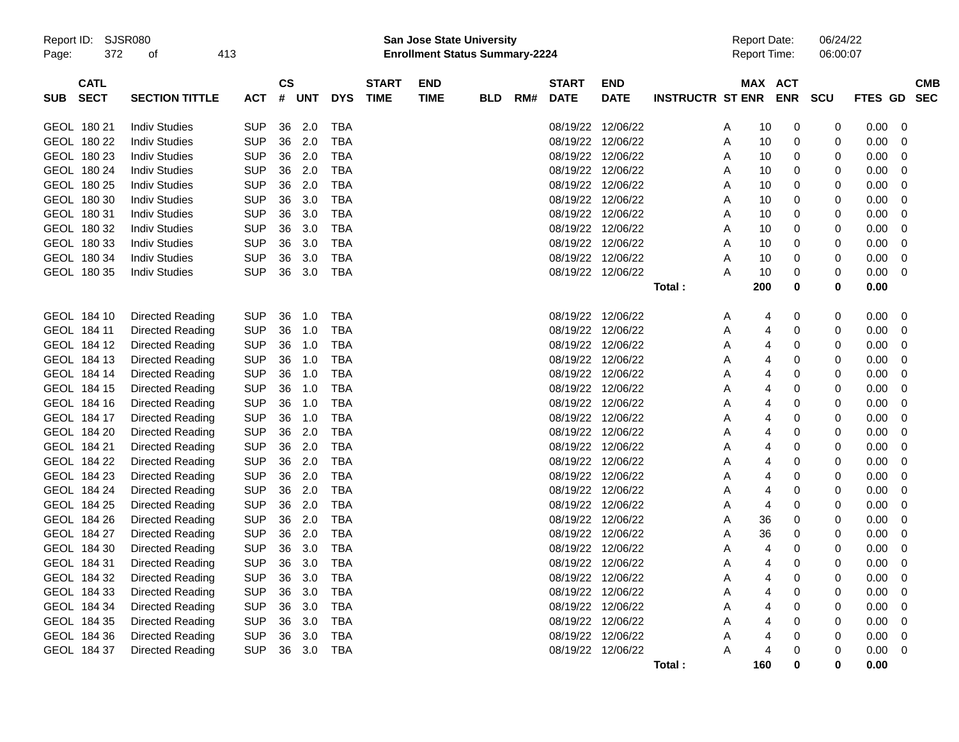| Report ID: |                  | SJSR080                 |  |            |               |            |            |              |             | San Jose State University             |     |                   |                   |                         |   | <b>Report Date:</b> |                     | 06/24/22 |                |             |
|------------|------------------|-------------------------|--|------------|---------------|------------|------------|--------------|-------------|---------------------------------------|-----|-------------------|-------------------|-------------------------|---|---------------------|---------------------|----------|----------------|-------------|
| Page:      | 372<br>413<br>οf |                         |  |            |               |            |            |              |             | <b>Enrollment Status Summary-2224</b> |     |                   |                   |                         |   |                     | <b>Report Time:</b> | 06:00:07 |                |             |
|            | <b>CATL</b>      |                         |  |            | $\mathsf{cs}$ |            |            | <b>START</b> | <b>END</b>  |                                       |     | <b>START</b>      | <b>END</b>        |                         |   |                     | MAX ACT             |          |                | <b>CMB</b>  |
| SUB        | <b>SECT</b>      | <b>SECTION TITTLE</b>   |  | <b>ACT</b> | #             | <b>UNT</b> | <b>DYS</b> | <b>TIME</b>  | <b>TIME</b> | <b>BLD</b>                            | RM# | <b>DATE</b>       | <b>DATE</b>       | <b>INSTRUCTR ST ENR</b> |   |                     | <b>ENR</b>          | scu      | <b>FTES GD</b> | <b>SEC</b>  |
|            | GEOL 180 21      | <b>Indiv Studies</b>    |  | <b>SUP</b> | 36            | 2.0        | TBA        |              |             |                                       |     |                   | 08/19/22 12/06/22 |                         | A | 10                  | 0                   | 0        | 0.00           | 0           |
|            | GEOL 180 22      | <b>Indiv Studies</b>    |  | <b>SUP</b> | 36            | 2.0        | <b>TBA</b> |              |             |                                       |     |                   | 08/19/22 12/06/22 |                         | A | 10                  | 0                   | 0        | 0.00           | 0           |
|            | GEOL 180 23      | <b>Indiv Studies</b>    |  | <b>SUP</b> | 36            | 2.0        | <b>TBA</b> |              |             |                                       |     |                   | 08/19/22 12/06/22 |                         | A | 10                  | 0                   | 0        | 0.00           | 0           |
|            | GEOL 180 24      | <b>Indiv Studies</b>    |  | <b>SUP</b> | 36            | 2.0        | <b>TBA</b> |              |             |                                       |     | 08/19/22          | 12/06/22          |                         | A | 10                  | 0                   | 0        | 0.00           | 0           |
|            | GEOL 180 25      | <b>Indiv Studies</b>    |  | <b>SUP</b> | 36            | 2.0        | <b>TBA</b> |              |             |                                       |     | 08/19/22          | 12/06/22          |                         | A | 10                  | 0                   | 0        | 0.00           | 0           |
|            | GEOL 180 30      | <b>Indiv Studies</b>    |  | <b>SUP</b> | 36            | 3.0        | <b>TBA</b> |              |             |                                       |     |                   | 08/19/22 12/06/22 |                         | A | 10                  | 0                   | 0        | 0.00           | 0           |
|            | GEOL 180 31      | <b>Indiv Studies</b>    |  | <b>SUP</b> | 36            | 3.0        | <b>TBA</b> |              |             |                                       |     | 08/19/22 12/06/22 |                   |                         | A | 10                  | 0                   | 0        | 0.00           | 0           |
|            | GEOL 180 32      | <b>Indiv Studies</b>    |  | <b>SUP</b> | 36            | 3.0        | <b>TBA</b> |              |             |                                       |     | 08/19/22          | 12/06/22          |                         | A | 10                  | 0                   | 0        | 0.00           | 0           |
|            | GEOL 180 33      | <b>Indiv Studies</b>    |  | <b>SUP</b> | 36            | 3.0        | <b>TBA</b> |              |             |                                       |     | 08/19/22          | 12/06/22          |                         | A | 10                  | 0                   | 0        | 0.00           | 0           |
|            | GEOL 180 34      | <b>Indiv Studies</b>    |  | <b>SUP</b> | 36            | 3.0        | <b>TBA</b> |              |             |                                       |     |                   | 08/19/22 12/06/22 |                         | A | 10                  | 0                   | 0        | 0.00           | 0           |
|            | GEOL 180 35      | <b>Indiv Studies</b>    |  | <b>SUP</b> | 36            | 3.0        | TBA        |              |             |                                       |     |                   | 08/19/22 12/06/22 |                         | Α | 10                  | 0                   | 0        | 0.00           | 0           |
|            |                  |                         |  |            |               |            |            |              |             |                                       |     |                   |                   | Total:                  |   | 200                 | 0                   | 0        | 0.00           |             |
|            | GEOL 184 10      | Directed Reading        |  | <b>SUP</b> | 36            | 1.0        | TBA        |              |             |                                       |     |                   | 08/19/22 12/06/22 |                         | A | 4                   | 0                   | 0        | 0.00           | 0           |
|            | GEOL 184 11      | <b>Directed Reading</b> |  | <b>SUP</b> | 36            | 1.0        | TBA        |              |             |                                       |     | 08/19/22          | 12/06/22          |                         | A | 4                   | 0                   | 0        | 0.00           | 0           |
|            | GEOL 184 12      | Directed Reading        |  | <b>SUP</b> | 36            | 1.0        | <b>TBA</b> |              |             |                                       |     | 08/19/22          | 12/06/22          |                         | A | 4                   | 0                   | 0        | 0.00           | 0           |
|            | GEOL 184 13      | Directed Reading        |  | <b>SUP</b> | 36            | 1.0        | <b>TBA</b> |              |             |                                       |     |                   | 08/19/22 12/06/22 |                         | Α | 4                   | 0                   | 0        | 0.00           | 0           |
|            | GEOL 184 14      | Directed Reading        |  | <b>SUP</b> | 36            | 1.0        | <b>TBA</b> |              |             |                                       |     |                   | 08/19/22 12/06/22 |                         | A | 4                   | 0                   | 0        | 0.00           | 0           |
|            | GEOL 184 15      | Directed Reading        |  | <b>SUP</b> | 36            | 1.0        | <b>TBA</b> |              |             |                                       |     |                   | 08/19/22 12/06/22 |                         | Α | 4                   | 0                   | 0        | 0.00           | 0           |
|            | GEOL 184 16      | Directed Reading        |  | <b>SUP</b> | 36            | 1.0        | <b>TBA</b> |              |             |                                       |     | 08/19/22          | 12/06/22          |                         | Α | 4                   | 0                   | 0        | 0.00           | 0           |
|            | GEOL 184 17      | Directed Reading        |  | <b>SUP</b> | 36            | 1.0        | <b>TBA</b> |              |             |                                       |     | 08/19/22          | 12/06/22          |                         | Α | 4                   | 0                   | 0        | 0.00           | 0           |
|            | GEOL 184 20      | Directed Reading        |  | <b>SUP</b> | 36            | 2.0        | <b>TBA</b> |              |             |                                       |     |                   | 08/19/22 12/06/22 |                         | Α | 4                   | 0                   | 0        | 0.00           | 0           |
|            | GEOL 184 21      | Directed Reading        |  | <b>SUP</b> | 36            | 2.0        | <b>TBA</b> |              |             |                                       |     | 08/19/22          | 12/06/22          |                         | Α | 4                   | 0                   | 0        | 0.00           | 0           |
|            | GEOL 184 22      | Directed Reading        |  | <b>SUP</b> | 36            | 2.0        | <b>TBA</b> |              |             |                                       |     | 08/19/22          | 12/06/22          |                         | Α | 4                   | 0                   | 0        | 0.00           | 0           |
|            | GEOL 184 23      | Directed Reading        |  | <b>SUP</b> | 36            | 2.0        | <b>TBA</b> |              |             |                                       |     | 08/19/22          | 12/06/22          |                         | Α | 4                   | 0                   | 0        | 0.00           | 0           |
|            | GEOL 184 24      | Directed Reading        |  | <b>SUP</b> | 36            | 2.0        | <b>TBA</b> |              |             |                                       |     |                   | 08/19/22 12/06/22 |                         | A | 4                   | 0                   | 0        | 0.00           | 0           |
|            | GEOL 184 25      | Directed Reading        |  | <b>SUP</b> | 36            | 2.0        | <b>TBA</b> |              |             |                                       |     | 08/19/22          | 12/06/22          |                         | A | 4                   | 0                   | 0        | 0.00           | 0           |
|            | GEOL 184 26      | Directed Reading        |  | <b>SUP</b> | 36            | 2.0        | <b>TBA</b> |              |             |                                       |     | 08/19/22          | 12/06/22          |                         | A | 36                  | 0                   | 0        | 0.00           | 0           |
|            | GEOL 184 27      | Directed Reading        |  | <b>SUP</b> | 36            | 2.0        | <b>TBA</b> |              |             |                                       |     | 08/19/22          | 12/06/22          |                         | A | 36                  | 0                   | 0        | 0.00           | 0           |
|            | GEOL 184 30      | <b>Directed Reading</b> |  | <b>SUP</b> | 36            | 3.0        | <b>TBA</b> |              |             |                                       |     | 08/19/22 12/06/22 |                   |                         | A | 4                   | 0                   | 0        | 0.00           | 0           |
|            | GEOL 184 31      | <b>Directed Reading</b> |  | <b>SUP</b> | 36            | 3.0        | <b>TBA</b> |              |             |                                       |     | 08/19/22 12/06/22 |                   |                         | A | 4                   | 0                   | 0        | 0.00           | 0           |
|            | GEOL 184 32      | <b>Directed Reading</b> |  | <b>SUP</b> | 36            | 3.0        | <b>TBA</b> |              |             |                                       |     |                   | 08/19/22 12/06/22 |                         | A | 4                   | 0                   | 0        | 0.00           | $\mathbf 0$ |
|            | GEOL 184 33      | <b>Directed Reading</b> |  | <b>SUP</b> | 36            | 3.0        | TBA        |              |             |                                       |     |                   | 08/19/22 12/06/22 |                         | A | 4                   | 0                   | 0        | 0.00           | 0           |
|            | GEOL 184 34      | <b>Directed Reading</b> |  | <b>SUP</b> | 36            | 3.0        | <b>TBA</b> |              |             |                                       |     |                   | 08/19/22 12/06/22 |                         | Α | 4                   | 0                   | 0        | 0.00           | 0           |
|            | GEOL 184 35      | Directed Reading        |  | <b>SUP</b> | 36            | 3.0        | <b>TBA</b> |              |             |                                       |     |                   | 08/19/22 12/06/22 |                         | Α | 4                   | 0                   | 0        | 0.00           | 0           |
|            | GEOL 184 36      | Directed Reading        |  | <b>SUP</b> | 36            | 3.0        | <b>TBA</b> |              |             |                                       |     |                   | 08/19/22 12/06/22 |                         | Α | 4                   | 0                   | 0        | 0.00           | 0           |
|            | GEOL 184 37      | Directed Reading        |  | <b>SUP</b> | 36            | 3.0        | <b>TBA</b> |              |             |                                       |     |                   | 08/19/22 12/06/22 |                         | Α | 4                   | 0                   | 0        | 0.00           | 0           |
|            |                  |                         |  |            |               |            |            |              |             |                                       |     |                   |                   | Total:                  |   | 160                 | 0                   | 0        | 0.00           |             |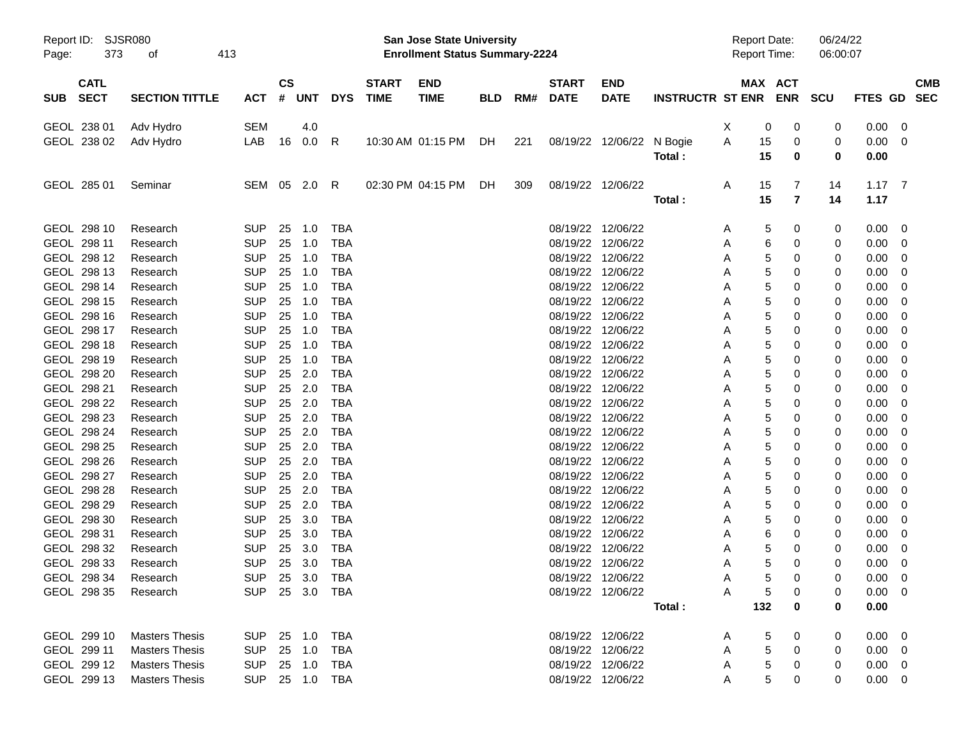| Page:                      | Report ID: SJSR080<br>373<br>413<br>οf |                          |               |                  |                          |              | <b>San Jose State University</b><br><b>Enrollment Status Summary-2224</b> |            |     |                   |                                        |                      | <b>Report Date:</b><br><b>Report Time:</b> |             |                | 06/24/22<br>06:00:07 |                |                  |
|----------------------------|----------------------------------------|--------------------------|---------------|------------------|--------------------------|--------------|---------------------------------------------------------------------------|------------|-----|-------------------|----------------------------------------|----------------------|--------------------------------------------|-------------|----------------|----------------------|----------------|------------------|
| <b>CATL</b>                |                                        |                          | $\mathsf{cs}$ |                  |                          | <b>START</b> | <b>END</b>                                                                |            |     | <b>START</b>      | <b>END</b>                             |                      |                                            |             | MAX ACT        |                      |                | <b>CMB</b>       |
| <b>SECT</b><br><b>SUB</b>  | <b>SECTION TITTLE</b>                  | ACT                      |               | # UNT            | <b>DYS</b>               | <b>TIME</b>  | <b>TIME</b>                                                               | <b>BLD</b> | RM# | DATE              | <b>DATE</b>                            | INSTRUCTR ST ENR ENR |                                            |             |                | SCU                  |                | FTES GD SEC      |
| GEOL 238 01                | Adv Hydro                              | SEM                      |               | 4.0              |                          |              |                                                                           |            |     |                   |                                        |                      | X                                          | 0           | 0              | 0                    | 0.00           | $\overline{0}$   |
| GEOL 238 02                | Adv Hydro                              | LAB                      | 16            | 0.0              | R                        |              | 10:30 AM 01:15 PM DH                                                      |            | 221 |                   | 08/19/22 12/06/22 N Bogie              |                      | A                                          | 15          | 0              | 0                    | 0.00           | $\mathbf 0$      |
|                            |                                        |                          |               |                  |                          |              |                                                                           |            |     |                   |                                        | Total:               |                                            | 15          | 0              | 0                    | 0.00           |                  |
| GEOL 285 01                | Seminar                                | SEM 05 2.0               |               |                  | - R                      |              | 02:30 PM 04:15 PM                                                         | DH.        | 309 |                   | 08/19/22 12/06/22                      |                      | Α                                          | 15          | 7              | 14                   | $1.17 \quad 7$ |                  |
|                            |                                        |                          |               |                  |                          |              |                                                                           |            |     |                   |                                        | Total:               |                                            | 15          | $\overline{7}$ | 14                   | 1.17           |                  |
| GEOL 298 10                | Research                               | <b>SUP</b>               |               | 25 1.0           | <b>TBA</b>               |              |                                                                           |            |     |                   | 08/19/22 12/06/22                      |                      | Α                                          | 5           | 0              | 0                    | 0.00           | $\mathbf 0$      |
| GEOL 298 11                | Research                               | <b>SUP</b>               |               | 25 1.0           | <b>TBA</b>               |              |                                                                           |            |     |                   | 08/19/22 12/06/22                      |                      | Α                                          | 6           | 0              | 0                    | 0.00           | 0                |
| GEOL 298 12                | Research                               | <b>SUP</b>               |               | 25 1.0           | <b>TBA</b>               |              |                                                                           |            |     |                   | 08/19/22 12/06/22                      |                      | Α                                          | 5           | 0              | 0                    | 0.00           | $\mathbf 0$      |
| GEOL 298 13                | Research                               | <b>SUP</b>               | 25            | 1.0              | <b>TBA</b>               |              |                                                                           |            |     |                   | 08/19/22 12/06/22                      |                      | Α                                          | 5           | 0              | 0                    | 0.00           | $\mathbf 0$      |
| GEOL 298 14                | Research                               | <b>SUP</b>               | 25            | 1.0              | <b>TBA</b>               |              |                                                                           |            |     |                   | 08/19/22 12/06/22                      |                      | Α                                          | 5           | 0              | 0                    | 0.00           | $\mathbf 0$      |
| GEOL 298 15                | Research                               | <b>SUP</b>               |               | 25 1.0           | <b>TBA</b>               |              |                                                                           |            |     |                   | 08/19/22 12/06/22                      |                      | Α                                          | 5           | 0              | 0                    | 0.00           | 0                |
| GEOL 298 16                | Research                               | <b>SUP</b>               | 25            | 1.0              | <b>TBA</b>               |              |                                                                           |            |     |                   | 08/19/22 12/06/22                      |                      | Α                                          | 5           | 0              | 0                    | 0.00           | 0                |
| GEOL 298 17                | Research                               | <b>SUP</b>               | 25            | 1.0              | <b>TBA</b>               |              |                                                                           |            |     |                   | 08/19/22 12/06/22                      |                      | Α                                          | 5           | 0              | 0                    | 0.00           | 0                |
| GEOL 298 18                | Research                               | <b>SUP</b>               | 25            | 1.0              | <b>TBA</b>               |              |                                                                           |            |     |                   | 08/19/22 12/06/22                      |                      | Α                                          | 5           | 0              | 0                    | 0.00           | $\mathbf 0$      |
| GEOL 298 19                | Research                               | <b>SUP</b>               |               | 25 1.0           | <b>TBA</b>               |              |                                                                           |            |     |                   | 08/19/22 12/06/22                      |                      | Α                                          | 5           | 0              | 0                    | 0.00           | $\mathbf 0$      |
| GEOL 298 20                | Research                               | <b>SUP</b>               |               | 25 2.0           | <b>TBA</b>               |              |                                                                           |            |     |                   | 08/19/22 12/06/22                      |                      | Α                                          | 5           | 0              | 0                    | 0.00           | 0                |
| GEOL 298 21                | Research                               | <b>SUP</b>               |               | 25 2.0<br>25 2.0 | <b>TBA</b>               |              |                                                                           |            |     |                   | 08/19/22 12/06/22                      |                      | Α                                          | 5           | 0              | 0                    | 0.00           | 0                |
| GEOL 298 22<br>GEOL 298 23 | Research                               | <b>SUP</b><br><b>SUP</b> |               | 25 2.0           | <b>TBA</b><br><b>TBA</b> |              |                                                                           |            |     |                   | 08/19/22 12/06/22<br>08/19/22 12/06/22 |                      | Α                                          | 5           | 0<br>0         | 0                    | 0.00           | 0<br>$\mathbf 0$ |
| GEOL 298 24                | Research<br>Research                   | <b>SUP</b>               |               | 25 2.0           | <b>TBA</b>               |              |                                                                           |            |     |                   | 08/19/22 12/06/22                      |                      | Α<br>Α                                     | 5<br>5      | 0              | 0<br>0               | 0.00<br>0.00   | $\mathbf 0$      |
| GEOL 298 25                | Research                               | <b>SUP</b>               |               | 25 2.0           | <b>TBA</b>               |              |                                                                           |            |     |                   | 08/19/22 12/06/22                      |                      | Α                                          | 5           | 0              | 0                    | 0.00           | 0                |
| GEOL 298 26                | Research                               | <b>SUP</b>               |               | 25 2.0           | <b>TBA</b>               |              |                                                                           |            |     |                   | 08/19/22 12/06/22                      |                      | Α                                          | 5           | 0              | 0                    | 0.00           | 0                |
| GEOL 298 27                | Research                               | <b>SUP</b>               |               | 25 2.0           | <b>TBA</b>               |              |                                                                           |            |     |                   | 08/19/22 12/06/22                      |                      | Α                                          | 5           | 0              | 0                    | 0.00           | 0                |
| GEOL 298 28                | Research                               | <b>SUP</b>               |               | 25 2.0           | <b>TBA</b>               |              |                                                                           |            |     |                   | 08/19/22 12/06/22                      |                      | Α                                          | 5           | 0              | 0                    | 0.00           | $\mathbf 0$      |
| GEOL 298 29                | Research                               | <b>SUP</b>               |               | 25 2.0           | <b>TBA</b>               |              |                                                                           |            |     |                   | 08/19/22 12/06/22                      |                      | Α                                          | 5           | 0              | 0                    | 0.00           | $\mathbf 0$      |
| GEOL 298 30                | Research                               | <b>SUP</b>               | 25            | 3.0              | <b>TBA</b>               |              |                                                                           |            |     |                   | 08/19/22 12/06/22                      |                      | Α                                          | 5           | 0              | 0                    | 0.00           | 0                |
| GEOL 298 31                | Research                               | <b>SUP</b>               | 25            | 3.0              | <b>TBA</b>               |              |                                                                           |            |     |                   | 08/19/22 12/06/22                      |                      | Α                                          | 6           | 0              | 0                    | 0.00           | 0                |
| GEOL 298 32                | Research                               | <b>SUP</b>               | 25            | 3.0              | <b>TBA</b>               |              |                                                                           |            |     |                   | 08/19/22 12/06/22                      |                      | Α                                          | 5           | 0              | 0                    | 0.00           | $\mathbf 0$      |
| GEOL 298 33                | Research                               | <b>SUP</b>               |               | 25 3.0           | <b>TBA</b>               |              |                                                                           |            |     | 08/19/22 12/06/22 |                                        |                      | A                                          | 5           | 0              | 0                    | 0.00           | $\overline{0}$   |
| GEOL 298 34                | Research                               | SUP 25 3.0 TBA           |               |                  |                          |              |                                                                           |            |     |                   | 08/19/22 12/06/22                      |                      | A                                          | $\sqrt{5}$  | 0              | 0                    | $0.00 \t 0$    |                  |
| GEOL 298 35                | Research                               | SUP 25 3.0 TBA           |               |                  |                          |              |                                                                           |            |     |                   | 08/19/22 12/06/22                      |                      | Α                                          | 5           | 0              | 0                    | $0.00 \quad 0$ |                  |
|                            |                                        |                          |               |                  |                          |              |                                                                           |            |     |                   |                                        | Total:               |                                            | 132         | 0              | 0                    | 0.00           |                  |
| GEOL 299 10                | <b>Masters Thesis</b>                  | SUP 25 1.0 TBA           |               |                  |                          |              |                                                                           |            |     |                   | 08/19/22 12/06/22                      |                      | A                                          | 5           | 0              | 0                    | $0.00 \t 0$    |                  |
| GEOL 299 11                | <b>Masters Thesis</b>                  | SUP                      |               | 25 1.0           | TBA                      |              |                                                                           |            |     |                   | 08/19/22 12/06/22                      |                      | A                                          | 5           | 0              | 0                    | $0.00 \quad 0$ |                  |
| GEOL 299 12                | <b>Masters Thesis</b>                  | <b>SUP</b>               |               | 25 1.0           | TBA                      |              |                                                                           |            |     |                   | 08/19/22 12/06/22                      |                      | A                                          | $\mathbf 5$ | 0              | 0                    | $0.00 \quad 0$ |                  |
| GEOL 299 13                | <b>Masters Thesis</b>                  | SUP 25 1.0 TBA           |               |                  |                          |              |                                                                           |            |     |                   | 08/19/22 12/06/22                      |                      | Α                                          | 5           | 0              | 0                    | $0.00 \t 0$    |                  |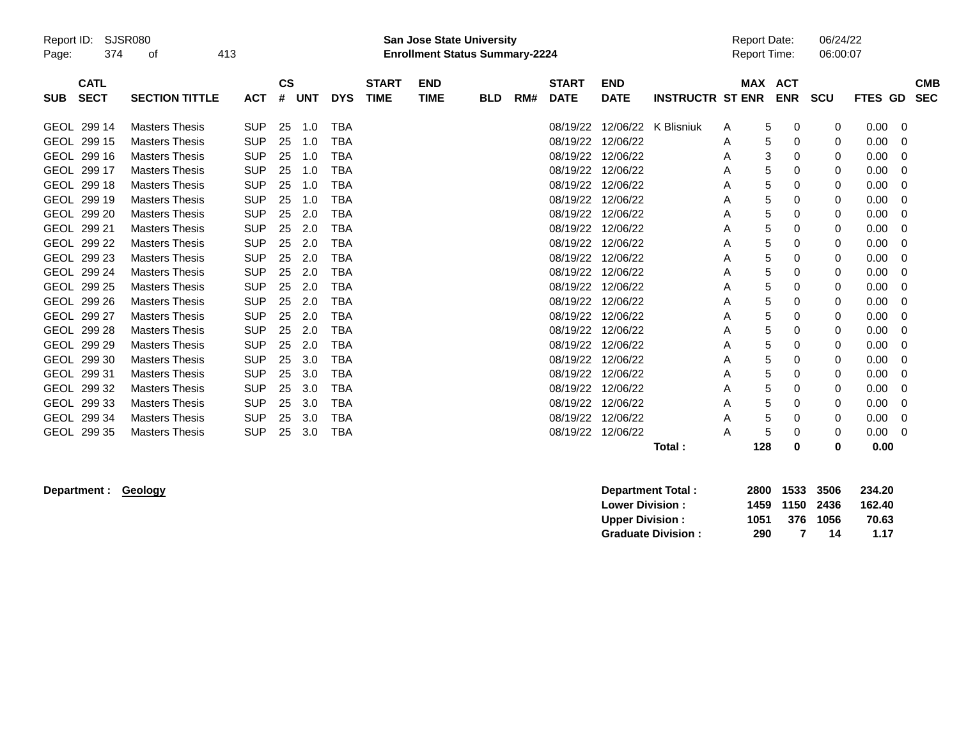| Page:       | <b>SJSR080</b><br>Report ID:<br>374<br>οf |                       | 413        |                    |            |            |                             | <b>San Jose State University</b><br><b>Enrollment Status Summary-2224</b> |            |     |                             |                           |                         | <b>Report Date:</b><br>Report Time: |                          | 06/24/22<br>06:00:07 |         |          |                          |
|-------------|-------------------------------------------|-----------------------|------------|--------------------|------------|------------|-----------------------------|---------------------------------------------------------------------------|------------|-----|-----------------------------|---------------------------|-------------------------|-------------------------------------|--------------------------|----------------------|---------|----------|--------------------------|
| <b>SUB</b>  | <b>CATL</b><br><b>SECT</b>                | <b>SECTION TITTLE</b> | <b>ACT</b> | $\mathsf{cs}$<br># | <b>UNT</b> | <b>DYS</b> | <b>START</b><br><b>TIME</b> | <b>END</b><br><b>TIME</b>                                                 | <b>BLD</b> | RM# | <b>START</b><br><b>DATE</b> | <b>END</b><br><b>DATE</b> | <b>INSTRUCTR ST ENR</b> | <b>MAX</b>                          | <b>ACT</b><br><b>ENR</b> | <b>SCU</b>           | FTES GD |          | <b>CMB</b><br><b>SEC</b> |
|             | GEOL 299 14                               | <b>Masters Thesis</b> | <b>SUP</b> | 25                 | 1.0        | TBA        |                             |                                                                           |            |     | 08/19/22                    | 12/06/22                  | K Blisniuk              | A                                   | 5<br>0                   | 0                    | 0.00    | 0        |                          |
| <b>GEOL</b> | 299 15                                    | <b>Masters Thesis</b> | <b>SUP</b> | 25                 | 1.0        | TBA        |                             |                                                                           |            |     | 08/19/22                    | 12/06/22                  |                         | A                                   | 5<br>0                   | 0                    | 0.00    | 0        |                          |
| <b>GEOL</b> | 299 16                                    | <b>Masters Thesis</b> | <b>SUP</b> | 25                 | 1.0        | <b>TBA</b> |                             |                                                                           |            |     | 08/19/22                    | 12/06/22                  |                         | A                                   | 3<br>0                   | 0                    | 0.00    | 0        |                          |
| GEOL 299 17 |                                           | <b>Masters Thesis</b> | <b>SUP</b> | 25                 | 1.0        | <b>TBA</b> |                             |                                                                           |            |     | 08/19/22                    | 12/06/22                  |                         | A                                   | 5<br>0                   | 0                    | 0.00    | $\Omega$ |                          |
| <b>GEOL</b> | 299 18                                    | <b>Masters Thesis</b> | <b>SUP</b> | 25                 | 1.0        | <b>TBA</b> |                             |                                                                           |            |     | 08/19/22                    | 12/06/22                  |                         | A                                   | 5<br>0                   | 0                    | 0.00    | 0        |                          |
|             | GEOL 299 19                               | <b>Masters Thesis</b> | <b>SUP</b> | 25                 | 1.0        | <b>TBA</b> |                             |                                                                           |            |     | 08/19/22                    | 12/06/22                  |                         | Α                                   | 5<br>0                   | 0                    | 0.00    | 0        |                          |
| <b>GEOL</b> | 299 20                                    | <b>Masters Thesis</b> | <b>SUP</b> | 25                 | 2.0        | <b>TBA</b> |                             |                                                                           |            |     | 08/19/22                    | 12/06/22                  |                         | A                                   | 5<br>0                   | 0                    | 0.00    | $\Omega$ |                          |
| GEOL 299 21 |                                           | <b>Masters Thesis</b> | <b>SUP</b> | 25                 | 2.0        | <b>TBA</b> |                             |                                                                           |            |     | 08/19/22                    | 12/06/22                  |                         | A                                   | 5<br>0                   | 0                    | 0.00    | 0        |                          |
| <b>GEOL</b> | 299 22                                    | <b>Masters Thesis</b> | <b>SUP</b> | 25                 | 2.0        | <b>TBA</b> |                             |                                                                           |            |     | 08/19/22                    | 12/06/22                  |                         | Α                                   | 5<br>0                   | 0                    | 0.00    | 0        |                          |
| <b>GEOL</b> | 299 23                                    | <b>Masters Thesis</b> | <b>SUP</b> | 25                 | 2.0        | <b>TBA</b> |                             |                                                                           |            |     | 08/19/22                    | 12/06/22                  |                         | A                                   | 5<br>0                   | 0                    | 0.00    | 0        |                          |
| <b>GEOL</b> | 299 24                                    | <b>Masters Thesis</b> | <b>SUP</b> | 25                 | 2.0        | <b>TBA</b> |                             |                                                                           |            |     | 08/19/22                    | 12/06/22                  |                         | A                                   | 5<br>0                   | 0                    | 0.00    | 0        |                          |
| GEOL        | 299 25                                    | <b>Masters Thesis</b> | <b>SUP</b> | 25                 | 2.0        | TBA        |                             |                                                                           |            |     | 08/19/22                    | 12/06/22                  |                         | Α                                   | 5<br>0                   | 0                    | 0.00    | 0        |                          |
| <b>GEOL</b> | 299 26                                    | <b>Masters Thesis</b> | <b>SUP</b> | 25                 | 2.0        | <b>TBA</b> |                             |                                                                           |            |     | 08/19/22                    | 12/06/22                  |                         | A                                   | 5<br>0                   | 0                    | 0.00    | 0        |                          |
| <b>GEOL</b> | 299 27                                    | <b>Masters Thesis</b> | <b>SUP</b> | 25                 | 2.0        | TBA        |                             |                                                                           |            |     | 08/19/22                    | 12/06/22                  |                         | A                                   | 5<br>0                   | 0                    | 0.00    | 0        |                          |
|             | GEOL 299 28                               | <b>Masters Thesis</b> | <b>SUP</b> | 25                 | 2.0        | <b>TBA</b> |                             |                                                                           |            |     | 08/19/22                    | 12/06/22                  |                         | A                                   | 5<br>0                   | 0                    | 0.00    | $\Omega$ |                          |
| <b>GEOL</b> | 299 29                                    | <b>Masters Thesis</b> | <b>SUP</b> | 25                 | 2.0        | <b>TBA</b> |                             |                                                                           |            |     | 08/19/22                    | 12/06/22                  |                         | A                                   | 5<br>0                   | 0                    | 0.00    | 0        |                          |
|             | GEOL 299 30                               | <b>Masters Thesis</b> | <b>SUP</b> | 25                 | 3.0        | <b>TBA</b> |                             |                                                                           |            |     | 08/19/22                    | 12/06/22                  |                         | A                                   | 5<br>0                   | 0                    | 0.00    | 0        |                          |
| <b>GEOL</b> | 299 31                                    | <b>Masters Thesis</b> | <b>SUP</b> | 25                 | 3.0        | TBA        |                             |                                                                           |            |     | 08/19/22                    | 12/06/22                  |                         | A                                   | 5<br>0                   | 0                    | 0.00    | 0        |                          |
|             | GEOL 299 32                               | <b>Masters Thesis</b> | <b>SUP</b> | 25                 | 3.0        | <b>TBA</b> |                             |                                                                           |            |     | 08/19/22                    | 12/06/22                  |                         | A                                   | 5<br>0                   | 0                    | 0.00    | 0        |                          |
| <b>GEOL</b> | 299 33                                    | <b>Masters Thesis</b> | <b>SUP</b> | 25                 | 3.0        | <b>TBA</b> |                             |                                                                           |            |     | 08/19/22                    | 12/06/22                  |                         | A                                   | 5<br>0                   | 0                    | 0.00    | 0        |                          |
|             | GEOL 299 34                               | <b>Masters Thesis</b> | <b>SUP</b> | 25                 | 3.0        | <b>TBA</b> |                             |                                                                           |            |     | 08/19/22                    | 12/06/22                  |                         | A                                   | 5<br>0                   | 0                    | 0.00    | 0        |                          |
| <b>GEOL</b> | 299 35                                    | <b>Masters Thesis</b> | <b>SUP</b> | 25                 | 3.0        | <b>TBA</b> |                             |                                                                           |            |     | 08/19/22                    | 12/06/22                  |                         | A                                   | 5<br>0                   | 0                    | 0.00    | 0        |                          |
|             |                                           |                       |            |                    |            |            |                             |                                                                           |            |     |                             |                           | Total:                  | 128                                 | 0                        | 0                    | 0.00    |          |                          |

 $Department : Geology$ 

| Department Total:         |      | 2800 1533 3506 |          | 234.20 |
|---------------------------|------|----------------|----------|--------|
| <b>Lower Division:</b>    |      | 1459 1150 2436 |          | 162.40 |
| <b>Upper Division:</b>    | 1051 |                | 376 1056 | 70.63  |
| <b>Graduate Division:</b> | 290  |                | 14       | 1.17   |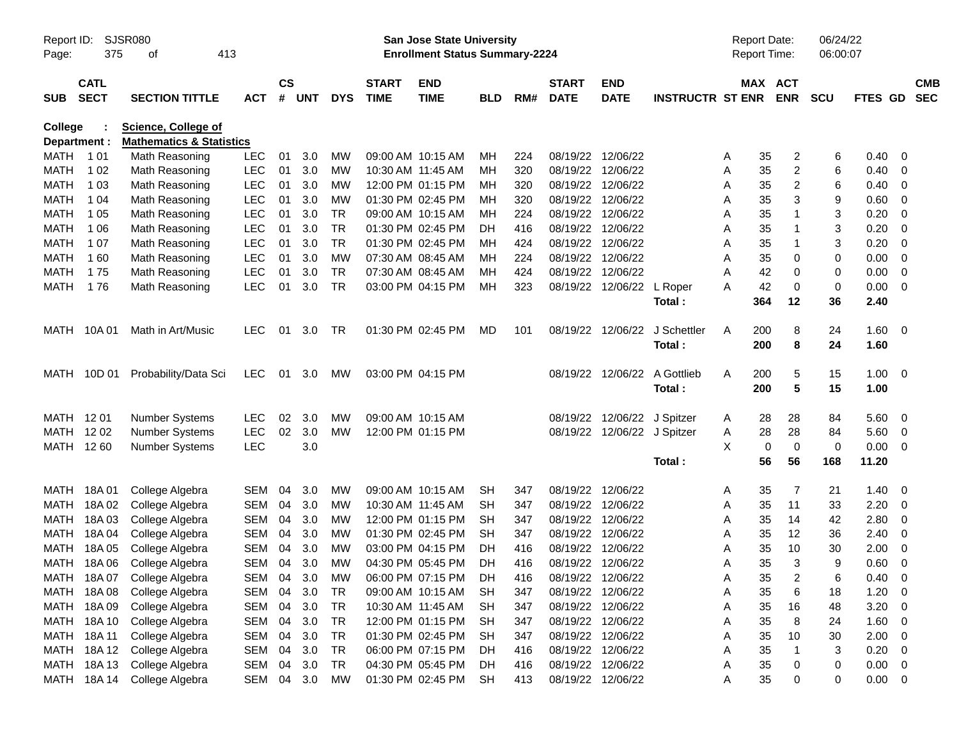| Report ID:<br>Page: | 375                        | SJSR080<br>413<br>οf                                              |            |                    |            |            |                             | San Jose State University<br><b>Enrollment Status Summary-2224</b> |            |     |                             |                             |                         | <b>Report Date:</b><br>Report Time: |                       | 06/24/22<br>06:00:07 |             |                          |                          |
|---------------------|----------------------------|-------------------------------------------------------------------|------------|--------------------|------------|------------|-----------------------------|--------------------------------------------------------------------|------------|-----|-----------------------------|-----------------------------|-------------------------|-------------------------------------|-----------------------|----------------------|-------------|--------------------------|--------------------------|
| <b>SUB</b>          | <b>CATL</b><br><b>SECT</b> | <b>SECTION TITTLE</b>                                             | <b>ACT</b> | $\mathsf{cs}$<br># | <b>UNT</b> | <b>DYS</b> | <b>START</b><br><b>TIME</b> | <b>END</b><br><b>TIME</b>                                          | <b>BLD</b> | RM# | <b>START</b><br><b>DATE</b> | <b>END</b><br><b>DATE</b>   | <b>INSTRUCTR ST ENR</b> |                                     | MAX ACT<br><b>ENR</b> | <b>SCU</b>           | FTES GD     |                          | <b>CMB</b><br><b>SEC</b> |
| <b>College</b>      | Department :               | <b>Science, College of</b><br><b>Mathematics &amp; Statistics</b> |            |                    |            |            |                             |                                                                    |            |     |                             |                             |                         |                                     |                       |                      |             |                          |                          |
| MATH                | 1 01                       | Math Reasoning                                                    | <b>LEC</b> | 01                 | 3.0        | <b>MW</b>  |                             | 09:00 AM 10:15 AM                                                  | MН         | 224 |                             | 08/19/22 12/06/22           |                         | A                                   | 35<br>2               | 6                    | 0.40        | - 0                      |                          |
| MATH                | 1 0 2                      | Math Reasoning                                                    | <b>LEC</b> | 01                 | 3.0        | <b>MW</b>  |                             | 10:30 AM 11:45 AM                                                  | MН         | 320 | 08/19/22                    | 12/06/22                    |                         | Α                                   | $\overline{c}$<br>35  | 6                    | 0.40        | - 0                      |                          |
| MATH                | 1 0 3                      | Math Reasoning                                                    | <b>LEC</b> | 01                 | 3.0        | <b>MW</b>  |                             | 12:00 PM 01:15 PM                                                  | MН         | 320 | 08/19/22                    | 12/06/22                    |                         | A                                   | 2<br>35               | 6                    | 0.40        | - 0                      |                          |
| MATH                | 1 04                       | Math Reasoning                                                    | <b>LEC</b> | 01                 | 3.0        | MW         |                             | 01:30 PM 02:45 PM                                                  | MН         | 320 |                             | 08/19/22 12/06/22           |                         | A                                   | 3<br>35               | 9                    | 0.60        | - 0                      |                          |
| MATH                | 1 0 5                      | Math Reasoning                                                    | <b>LEC</b> | 01                 | 3.0        | <b>TR</b>  |                             | 09:00 AM 10:15 AM                                                  | MН         | 224 | 08/19/22                    | 12/06/22                    |                         | Α                                   | 35<br>$\mathbf 1$     | 3                    | 0.20        | 0                        |                          |
| MATH                | 1 0 6                      | Math Reasoning                                                    | <b>LEC</b> | 01                 | 3.0        | <b>TR</b>  |                             | 01:30 PM 02:45 PM                                                  | DН         | 416 | 08/19/22                    | 12/06/22                    |                         | Α                                   | 35<br>$\mathbf 1$     | 3                    | 0.20        | - 0                      |                          |
| MATH                | 1 0 7                      | Math Reasoning                                                    | <b>LEC</b> | 01                 | 3.0        | <b>TR</b>  |                             | 01:30 PM 02:45 PM                                                  | MН         | 424 |                             | 08/19/22 12/06/22           |                         | Α                                   | $\mathbf 1$<br>35     | 3                    | 0.20        | - 0                      |                          |
| MATH                | 160                        | Math Reasoning                                                    | <b>LEC</b> | 01                 | 3.0        | <b>MW</b>  |                             | 07:30 AM 08:45 AM                                                  | MН         | 224 |                             | 08/19/22 12/06/22           |                         | Α                                   | 35<br>0               | 0                    | 0.00        | 0                        |                          |
| MATH                | 175                        | Math Reasoning                                                    | <b>LEC</b> | 01                 | 3.0        | <b>TR</b>  |                             | 07:30 AM 08:45 AM                                                  | MН         | 424 | 08/19/22                    | 12/06/22                    |                         | Α                                   | 42<br>$\mathbf 0$     | 0                    | 0.00        | 0                        |                          |
| <b>MATH</b>         | 176                        | Math Reasoning                                                    | <b>LEC</b> | 01                 | 3.0        | <b>TR</b>  |                             | 03:00 PM 04:15 PM                                                  | MН         | 323 |                             | 08/19/22 12/06/22           | L Roper                 | A                                   | 42<br>0               | 0                    | 0.00        | - 0                      |                          |
|                     |                            |                                                                   |            |                    |            |            |                             |                                                                    |            |     |                             |                             | Total:                  | 364                                 | 12                    | 36                   | 2.40        |                          |                          |
| MATH                | 10A 01                     | Math in Art/Music                                                 | <b>LEC</b> | 01                 | 3.0        | TR         |                             | 01:30 PM 02:45 PM                                                  | MD         | 101 | 08/19/22                    | 12/06/22                    | J Schettler             | 200<br>A                            | 8                     | 24                   | 1.60        | $\overline{\mathbf{0}}$  |                          |
|                     |                            |                                                                   |            |                    |            |            |                             |                                                                    |            |     |                             |                             | Total:                  | 200                                 | 8                     | 24                   | 1.60        |                          |                          |
| MATH                | 10D 01                     | Probability/Data Sci                                              | <b>LEC</b> | 01                 | 3.0        | МW         |                             | 03:00 PM 04:15 PM                                                  |            |     |                             | 08/19/22 12/06/22           | A Gottlieb              | 200<br>A                            | 5                     | 15                   | 1.00        | $\overline{\phantom{0}}$ |                          |
|                     |                            |                                                                   |            |                    |            |            |                             |                                                                    |            |     |                             |                             | Total:                  | 200                                 | 5                     | 15                   | 1.00        |                          |                          |
| MATH 1201           |                            | <b>Number Systems</b>                                             | <b>LEC</b> | 02                 | 3.0        | MW         |                             | 09:00 AM 10:15 AM                                                  |            |     | 08/19/22                    | 12/06/22 J Spitzer          |                         | A                                   | 28<br>28              | 84                   | 5.60        | - 0                      |                          |
| MATH                | 12 02                      | <b>Number Systems</b>                                             | <b>LEC</b> | 02                 | 3.0        | <b>MW</b>  |                             | 12:00 PM 01:15 PM                                                  |            |     |                             | 08/19/22 12/06/22 J Spitzer |                         | A                                   | 28<br>28              | 84                   | 5.60        | - 0                      |                          |
|                     | MATH 1260                  | <b>Number Systems</b>                                             | <b>LEC</b> |                    | 3.0        |            |                             |                                                                    |            |     |                             |                             |                         | X                                   | $\mathbf 0$<br>0      | 0                    | 0.00        | $\overline{\mathbf{0}}$  |                          |
|                     |                            |                                                                   |            |                    |            |            |                             |                                                                    |            |     |                             |                             | Total:                  |                                     | 56<br>56              | 168                  | 11.20       |                          |                          |
| MATH                | 18A 01                     | College Algebra                                                   | <b>SEM</b> | 04                 | 3.0        | <b>MW</b>  |                             | 09:00 AM 10:15 AM                                                  | <b>SH</b>  | 347 |                             | 08/19/22 12/06/22           |                         | A                                   | 35<br>7               | 21                   | 1.40        | - 0                      |                          |
| MATH                | 18A02                      | College Algebra                                                   | <b>SEM</b> | 04                 | 3.0        | <b>MW</b>  |                             | 10:30 AM 11:45 AM                                                  | <b>SH</b>  | 347 |                             | 08/19/22 12/06/22           |                         | Α                                   | 11<br>35              | 33                   | 2.20        | - 0                      |                          |
| MATH                | 18A03                      | College Algebra                                                   | <b>SEM</b> | 04                 | 3.0        | <b>MW</b>  |                             | 12:00 PM 01:15 PM                                                  | <b>SH</b>  | 347 | 08/19/22                    | 12/06/22                    |                         | A                                   | 35<br>14              | 42                   | 2.80        | 0                        |                          |
| MATH                | 18A 04                     | College Algebra                                                   | <b>SEM</b> | 04                 | 3.0        | <b>MW</b>  |                             | 01:30 PM 02:45 PM                                                  | <b>SH</b>  | 347 | 08/19/22                    | 12/06/22                    |                         | A                                   | 12<br>35              | 36                   | 2.40        | 0                        |                          |
| MATH                | 18A 05                     | College Algebra                                                   | <b>SEM</b> | 04                 | 3.0        | MW         |                             | 03:00 PM 04:15 PM                                                  | DН         | 416 | 08/19/22                    | 12/06/22                    |                         | A                                   | 10<br>35              | 30                   | 2.00        | 0                        |                          |
|                     | MATH 18A 06                | College Algebra                                                   | <b>SEM</b> | 04                 | 3.0        | MW         |                             | 04:30 PM 05:45 PM                                                  | DН         | 416 |                             | 08/19/22 12/06/22           |                         | A                                   | 3<br>35               | 9                    | 0.60        | 0                        |                          |
|                     |                            | MATH 18A 07 College Algebra                                       | <b>SEM</b> |                    | 04 3.0     | MW         |                             | 06:00 PM 07:15 PM                                                  | DH         | 416 |                             | 08/19/22 12/06/22           |                         | Α                                   | 35<br>2               | 6                    | 0.40        | $\overline{\mathbf{0}}$  |                          |
|                     | MATH 18A08                 | College Algebra                                                   | SEM 04     |                    | 3.0        | TR         |                             | 09:00 AM 10:15 AM                                                  | SH         | 347 |                             | 08/19/22 12/06/22           |                         | A                                   | 6<br>35               | 18                   | 1.20        | - 0                      |                          |
|                     | MATH 18A 09                | College Algebra                                                   | SEM        | 04                 | 3.0        | TR         |                             | 10:30 AM 11:45 AM                                                  | SH         | 347 |                             | 08/19/22 12/06/22           |                         | A                                   | 35<br>16              | 48                   | 3.20        | 0                        |                          |
|                     | MATH 18A 10                | College Algebra                                                   | SEM        | 04                 | 3.0        | TR         |                             | 12:00 PM 01:15 PM                                                  | SH         | 347 |                             | 08/19/22 12/06/22           |                         | Α                                   | 8<br>35               | 24                   | 1.60        | $\overline{0}$           |                          |
|                     | MATH 18A 11                | College Algebra                                                   | SEM        | 04                 | 3.0        | TR         |                             | 01:30 PM 02:45 PM                                                  | SH         | 347 |                             | 08/19/22 12/06/22           |                         | Α                                   | 35<br>10              | 30                   | 2.00        | $\overline{\mathbf{0}}$  |                          |
|                     | MATH 18A12                 | College Algebra                                                   | SEM        | 04                 | 3.0        | TR         |                             | 06:00 PM 07:15 PM                                                  | -DH        | 416 |                             | 08/19/22 12/06/22           |                         | Α                                   | 35<br>$\overline{1}$  | 3                    | 0.20        | $\overline{\mathbf{0}}$  |                          |
|                     | MATH 18A13                 | College Algebra                                                   | SEM        | 04                 | 3.0        | TR         |                             | 04:30 PM 05:45 PM                                                  | -DH        | 416 |                             | 08/19/22 12/06/22           |                         | A                                   | 35<br>0               | 0                    | 0.00        | $\overline{\mathbf{0}}$  |                          |
|                     | MATH 18A 14                | College Algebra                                                   | SEM 04 3.0 |                    |            | MW         |                             | 01:30 PM 02:45 PM SH                                               |            | 413 |                             | 08/19/22 12/06/22           |                         | Α                                   | 35<br>0               | 0                    | $0.00 \t 0$ |                          |                          |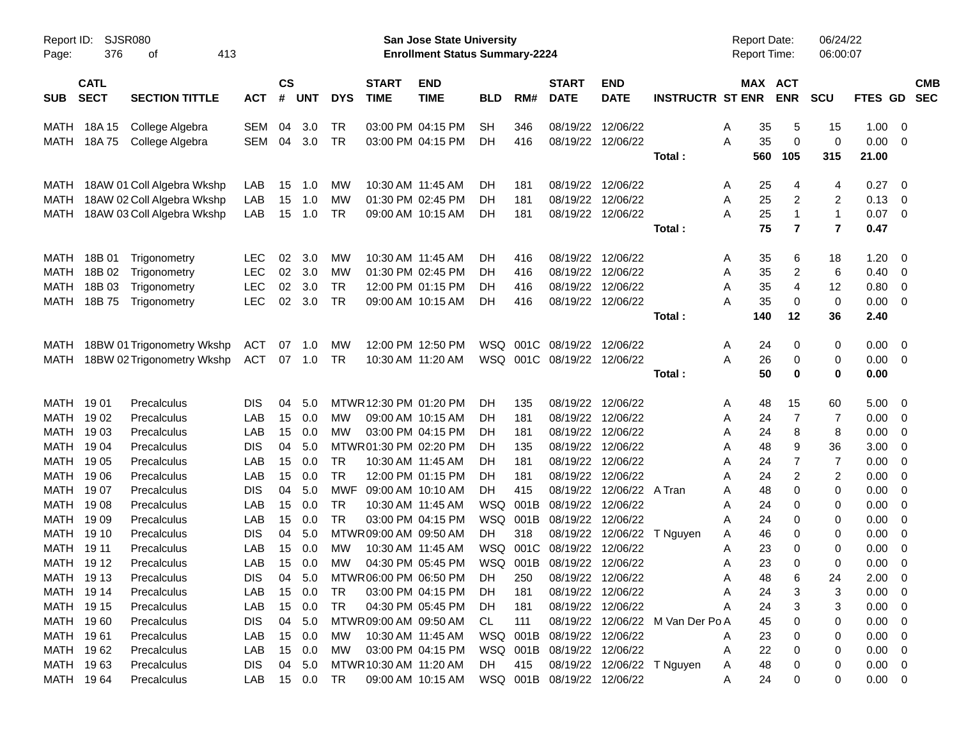| Page:                  | SJSR080<br>Report ID:<br>376<br>413<br>οf<br><b>CATL</b> |                            |                   |           |            |            |                        | San Jose State University<br><b>Enrollment Status Summary-2224</b> |            |            |                            |                   |                                  | <b>Report Date:</b><br><b>Report Time:</b> |                | 06/24/22<br>06:00:07    |                |                                                      |            |
|------------------------|----------------------------------------------------------|----------------------------|-------------------|-----------|------------|------------|------------------------|--------------------------------------------------------------------|------------|------------|----------------------------|-------------------|----------------------------------|--------------------------------------------|----------------|-------------------------|----------------|------------------------------------------------------|------------|
|                        |                                                          |                            |                   | <b>CS</b> |            |            | <b>START</b>           | <b>END</b>                                                         |            |            | <b>START</b>               | <b>END</b>        |                                  | MAX ACT                                    |                |                         |                |                                                      | <b>CMB</b> |
| <b>SUB</b>             | <b>SECT</b>                                              | <b>SECTION TITTLE</b>      | <b>ACT</b>        | #         | <b>UNT</b> | <b>DYS</b> | <b>TIME</b>            | <b>TIME</b>                                                        | <b>BLD</b> | RM#        | <b>DATE</b>                | <b>DATE</b>       | <b>INSTRUCTR ST ENR</b>          |                                            | <b>ENR</b>     | <b>SCU</b>              | FTES GD        |                                                      | <b>SEC</b> |
| MATH                   | 18A 15                                                   | College Algebra            | <b>SEM</b>        | 04        | 3.0        | TR         |                        | 03:00 PM 04:15 PM                                                  | SН         | 346        | 08/19/22                   | 12/06/22          |                                  | 35<br>Α                                    | 5              | 15                      | 1.00           | - 0                                                  |            |
| MATH                   | 18A 75                                                   | College Algebra            | SEM               | 04        | 3.0        | <b>TR</b>  |                        | 03:00 PM 04:15 PM                                                  | DН         | 416        | 08/19/22                   | 12/06/22          |                                  | 35<br>A                                    | 0              | 0                       | 0.00           | - 0                                                  |            |
|                        |                                                          |                            |                   |           |            |            |                        |                                                                    |            |            |                            |                   | Total:                           | 560                                        | 105            | 315                     | 21.00          |                                                      |            |
| MATH                   |                                                          | 18AW 01 Coll Algebra Wkshp | LAB               | 15        | 1.0        | МW         |                        | 10:30 AM 11:45 AM                                                  | DН         | 181        | 08/19/22                   | 12/06/22          |                                  | 25<br>Α                                    | 4              | 4                       | 0.27           | - 0                                                  |            |
| MATH                   |                                                          | 18AW 02 Coll Algebra Wkshp | LAB               | 15        | 1.0        | MW         |                        | 01:30 PM 02:45 PM                                                  | DН         | 181        | 08/19/22                   | 12/06/22          |                                  | 25<br>Α                                    | 2              | 2                       | 0.13           | $\overline{\mathbf{0}}$                              |            |
| MATH                   |                                                          | 18AW 03 Coll Algebra Wkshp | LAB               | 15        | 1.0        | <b>TR</b>  |                        | 09:00 AM 10:15 AM                                                  | DН         | 181        |                            | 08/19/22 12/06/22 |                                  | 25<br>Α                                    | $\mathbf{1}$   | $\mathbf{1}$            | 0.07           | $\overline{\phantom{0}}$                             |            |
|                        |                                                          |                            |                   |           |            |            |                        |                                                                    |            |            |                            |                   | Total:                           | 75                                         | $\overline{7}$ | $\overline{\mathbf{r}}$ | 0.47           |                                                      |            |
| <b>MATH</b>            | 18B 01                                                   | Trigonometry               | <b>LEC</b>        | 02        | 3.0        | МW         |                        | 10:30 AM 11:45 AM                                                  | DН         | 416        | 08/19/22                   | 12/06/22          |                                  | Α<br>35                                    | 6              | 18                      | 1.20           | - 0                                                  |            |
| MATH                   | 18B 02                                                   | Trigonometry               | <b>LEC</b>        | 02        | 3.0        | MW         |                        | 01:30 PM 02:45 PM                                                  | DН         | 416        | 08/19/22                   | 12/06/22          |                                  | 35<br>Α                                    | 2              | 6                       | 0.40           | 0                                                    |            |
| MATH                   | 18B 03                                                   | Trigonometry               | <b>LEC</b>        | 02        | 3.0        | <b>TR</b>  |                        | 12:00 PM 01:15 PM                                                  | DН         | 416        | 08/19/22                   | 12/06/22          |                                  | 35<br>A                                    | 4              | 12                      | 0.80           | $\overline{\mathbf{0}}$                              |            |
| MATH                   | 18B 75                                                   | Trigonometry               | <b>LEC</b>        | 02        | 3.0        | <b>TR</b>  |                        | 09:00 AM 10:15 AM                                                  | DH         | 416        |                            | 08/19/22 12/06/22 |                                  | 35<br>Α                                    | 0              | 0                       | 0.00           | - 0                                                  |            |
|                        |                                                          |                            |                   |           |            |            |                        |                                                                    |            |            |                            |                   | Total:                           | 140                                        | 12             | 36                      | 2.40           |                                                      |            |
| MATH                   |                                                          | 18BW 01 Trigonometry Wkshp | <b>ACT</b>        | 07        | 1.0        | <b>MW</b>  |                        | 12:00 PM 12:50 PM                                                  | WSQ        | 001C       | 08/19/22                   | 12/06/22          |                                  | Α<br>24                                    | 0              | 0                       | 0.00           | - 0                                                  |            |
| MATH                   |                                                          | 18BW 02 Trigonometry Wkshp | <b>ACT</b>        |           | 07 1.0     | TR         |                        | 10:30 AM 11:20 AM                                                  | WSQ        |            | 001C 08/19/22              | 12/06/22          |                                  | 26<br>Α                                    | 0              | 0                       | 0.00           | $\overline{\mathbf{0}}$                              |            |
|                        |                                                          |                            |                   |           |            |            |                        |                                                                    |            |            |                            |                   | Total:                           | 50                                         | 0              | 0                       | 0.00           |                                                      |            |
| MATH 1901              |                                                          | Precalculus                | <b>DIS</b>        | 04        | 5.0        |            | MTWR 12:30 PM 01:20 PM |                                                                    | DН         | 135        | 08/19/22                   | 12/06/22          |                                  | 48<br>Α                                    | 15             | 60                      | 5.00           | $\overline{\mathbf{0}}$                              |            |
| MATH                   | 19 02                                                    | Precalculus                | LAB               | 15        | 0.0        | <b>MW</b>  |                        | 09:00 AM 10:15 AM                                                  | DН         | 181        | 08/19/22                   | 12/06/22          |                                  | 24<br>Α                                    | 7              | 7                       | 0.00           | $\overline{0}$                                       |            |
| MATH                   | 1903                                                     | Precalculus                | LAB               | 15        | 0.0        | MW         |                        | 03:00 PM 04:15 PM                                                  | DН         | 181        | 08/19/22                   | 12/06/22          |                                  | 24<br>Α                                    | 8              | 8                       | 0.00           | 0                                                    |            |
| MATH                   | 19 04                                                    | Precalculus                | <b>DIS</b>        | 04        | 5.0        |            | MTWR01:30 PM 02:20 PM  |                                                                    | DН         | 135        | 08/19/22                   | 12/06/22          |                                  | 48<br>Α                                    | 9              | 36                      | 3.00           | 0                                                    |            |
| MATH                   | 19 05                                                    | Precalculus                | LAB               | 15        | 0.0        | <b>TR</b>  |                        | 10:30 AM 11:45 AM                                                  | DН         | 181        | 08/19/22                   | 12/06/22          |                                  | 24<br>Α                                    | 7              | 7                       | 0.00           | 0                                                    |            |
| MATH                   | 19 06                                                    | Precalculus                | LAB               | 15        | 0.0        | <b>TR</b>  |                        | 12:00 PM 01:15 PM                                                  | DH         | 181        | 08/19/22                   | 12/06/22          |                                  | 24<br>Α                                    | 2              | $\overline{2}$          | 0.00           | 0                                                    |            |
| MATH                   | 19 07                                                    | Precalculus                | <b>DIS</b>        | 04        | 5.0        | MWF        | 09:00 AM 10:10 AM      |                                                                    | DН         | 415        | 08/19/22                   | 12/06/22          | A Tran                           | 48<br>Α                                    | 0              | 0                       | 0.00           | 0                                                    |            |
| MATH                   | 1908                                                     | Precalculus                | LAB               | 15        | 0.0        | <b>TR</b>  |                        | 10:30 AM 11:45 AM                                                  | <b>WSQ</b> | 001B       | 08/19/22                   | 12/06/22          |                                  | 24<br>Α                                    | 0              | 0                       | 0.00           | 0                                                    |            |
| MATH                   | 19 09                                                    | Precalculus                | LAB               | 15        | 0.0        | <b>TR</b>  |                        | 03:00 PM 04:15 PM                                                  | WSQ        | 001B       | 08/19/22                   | 12/06/22          |                                  | 24<br>Α                                    | 0              | 0                       | 0.00           | 0                                                    |            |
| MATH                   | 19 10                                                    | Precalculus                | <b>DIS</b>        | 04        | 5.0        |            | MTWR 09:00 AM 09:50 AM |                                                                    | DH         | 318        | 08/19/22                   | 12/06/22          | T Nguyen                         | 46<br>Α                                    | 0              | 0                       | 0.00           | 0                                                    |            |
| MATH                   | 19 11                                                    | Precalculus                | LAB               | 15        | 0.0        | <b>MW</b>  |                        | 10:30 AM 11:45 AM                                                  | WSQ        | 001C       | 08/19/22                   | 12/06/22          |                                  | 23<br>Α                                    | 0              | 0                       | 0.00           | 0                                                    |            |
| MATH 1912              |                                                          | Precalculus                | LAB               | 15        | 0.0        | MW         |                        | 04:30 PM 05:45 PM                                                  | <b>WSQ</b> | 001B       | 08/19/22                   | 12/06/22          |                                  | 23<br>A                                    | 0              | 0                       | 0.00           | 0                                                    |            |
| MATH 1913              |                                                          | Precalculus                | <b>DIS</b>        |           | 04 5.0     |            | MTWR06:00 PM 06:50 PM  |                                                                    | DH         | 250        |                            | 08/19/22 12/06/22 |                                  | 48<br>Α                                    |                | 24                      | 2.00           | $\overline{\mathbf{0}}$                              |            |
| MATH 1914              |                                                          | Precalculus                | LAB               | 15        | 0.0        | TR         |                        | 03:00 PM 04:15 PM                                                  | <b>DH</b>  | 181        |                            | 08/19/22 12/06/22 |                                  | 24<br>Α                                    | 3              | 3                       | $0.00 \t 0$    |                                                      |            |
| MATH 1915              |                                                          | Precalculus                | LAB<br><b>DIS</b> | 15<br>04  | 0.0<br>5.0 | <b>TR</b>  | MTWR 09:00 AM 09:50 AM | 04:30 PM 05:45 PM                                                  | DH.<br>CL. | 181<br>111 |                            | 08/19/22 12/06/22 | 08/19/22 12/06/22 M Van Der Po A | 24<br>Α                                    | 3              | 3                       | 0.00           | $\overline{\phantom{0}}$                             |            |
| MATH 1960<br>MATH 1961 |                                                          | Precalculus<br>Precalculus | LAB               | 15        | 0.0        | <b>MW</b>  |                        | 10:30 AM 11:45 AM                                                  |            |            | WSQ 001B 08/19/22 12/06/22 |                   |                                  | 45<br>23<br>Α                              |                | 0<br>0                  | 0.00<br>0.00   | $\overline{\phantom{0}}$<br>$\overline{\phantom{0}}$ |            |
| MATH 1962              |                                                          | Precalculus                | LAB               | 15        | 0.0        | МW         |                        | 03:00 PM 04:15 PM                                                  |            |            | WSQ 001B 08/19/22 12/06/22 |                   |                                  | 22<br>Α                                    | 0              | 0                       | $0.00 \t 0$    |                                                      |            |
| MATH 1963              |                                                          | Precalculus                | <b>DIS</b>        | 04        | 5.0        |            | MTWR 10:30 AM 11:20 AM |                                                                    | DH         | 415        |                            |                   | 08/19/22 12/06/22 T Nguyen       | 48<br>Α                                    |                | 0                       | $0.00 \quad 0$ |                                                      |            |
| MATH 1964              |                                                          | Precalculus                | LAB               |           | 15 0.0     | TR         |                        | 09:00 AM 10:15 AM                                                  |            |            | WSQ 001B 08/19/22 12/06/22 |                   |                                  | 24<br>Α                                    | 0              | 0                       | $0.00 \t 0$    |                                                      |            |
|                        |                                                          |                            |                   |           |            |            |                        |                                                                    |            |            |                            |                   |                                  |                                            |                |                         |                |                                                      |            |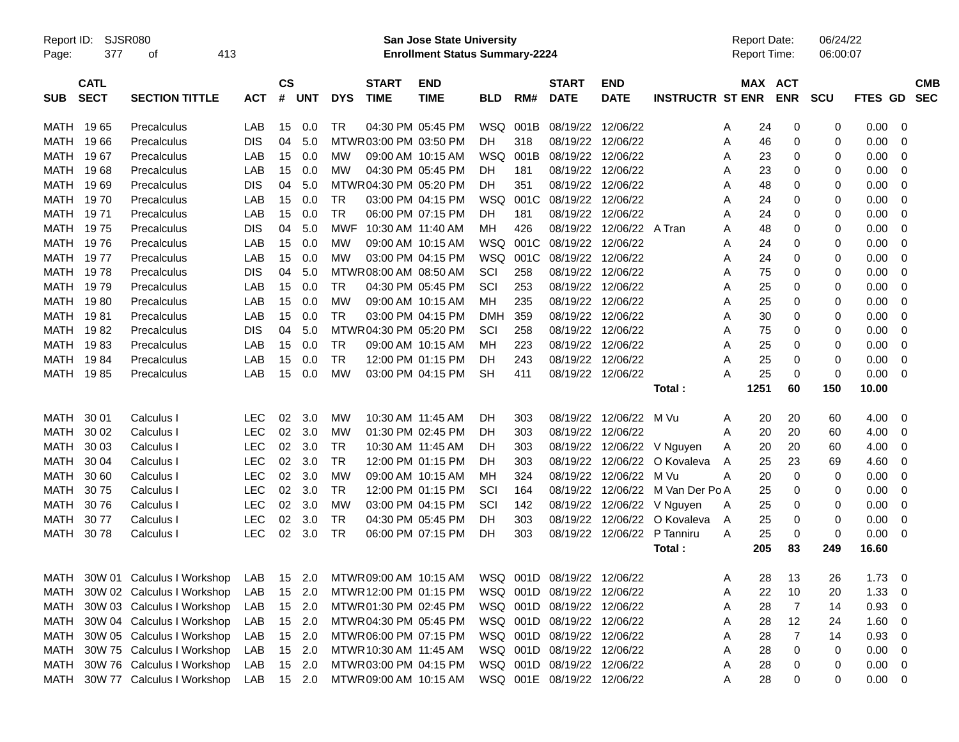| Report ID:<br>Page: | 377                        | <b>SJSR080</b><br>οf            | 413        |                |            |            |                             | <b>San Jose State University</b><br><b>Enrollment Status Summary-2224</b> |            |      |                             |                           |                         |   | <b>Report Date:</b><br>Report Time: |            | 06/24/22<br>06:00:07 |             |                |                          |
|---------------------|----------------------------|---------------------------------|------------|----------------|------------|------------|-----------------------------|---------------------------------------------------------------------------|------------|------|-----------------------------|---------------------------|-------------------------|---|-------------------------------------|------------|----------------------|-------------|----------------|--------------------------|
| <b>SUB</b>          | <b>CATL</b><br><b>SECT</b> | <b>SECTION TITTLE</b>           | <b>ACT</b> | <b>CS</b><br># | <b>UNT</b> | <b>DYS</b> | <b>START</b><br><b>TIME</b> | <b>END</b><br><b>TIME</b>                                                 | <b>BLD</b> | RM#  | <b>START</b><br><b>DATE</b> | <b>END</b><br><b>DATE</b> | <b>INSTRUCTR ST ENR</b> |   | MAX ACT                             | <b>ENR</b> | <b>SCU</b>           | FTES GD     |                | <b>CMB</b><br><b>SEC</b> |
| MATH                | 1965                       | Precalculus                     | LAB        | 15             | 0.0        | TR.        |                             | 04:30 PM 05:45 PM                                                         | WSQ 001B   |      | 08/19/22                    | 12/06/22                  |                         | A | 24                                  | 0          | 0                    | 0.00        | 0              |                          |
| MATH                | 1966                       | Precalculus                     | <b>DIS</b> | 04             | 5.0        |            | MTWR03:00 PM 03:50 PM       |                                                                           | DН         | 318  | 08/19/22                    | 12/06/22                  |                         | A | 46                                  | 0          | 0                    | 0.00        | 0              |                          |
| MATH                | 1967                       | Precalculus                     | LAB        | 15             | 0.0        | <b>MW</b>  |                             | 09:00 AM 10:15 AM                                                         | WSQ        | 001B | 08/19/22                    | 12/06/22                  |                         | A | 23                                  | 0          | 0                    | 0.00        | 0              |                          |
| MATH                | 1968                       | Precalculus                     | LAB        | 15             | 0.0        | <b>MW</b>  |                             | 04:30 PM 05:45 PM                                                         | DH         | 181  | 08/19/22                    | 12/06/22                  |                         | Α | 23                                  | 0          | 0                    | 0.00        | 0              |                          |
| MATH                | 1969                       | Precalculus                     | <b>DIS</b> | 04             | 5.0        |            | MTWR04:30 PM 05:20 PM       |                                                                           | DH         | 351  | 08/19/22                    | 12/06/22                  |                         | Α | 48                                  | 0          | 0                    | 0.00        | 0              |                          |
| MATH                | 1970                       | Precalculus                     | LAB        | 15             | 0.0        | TR         |                             | 03:00 PM 04:15 PM                                                         | WSQ        | 001C | 08/19/22                    | 12/06/22                  |                         | Α | 24                                  | 0          | 0                    | 0.00        | 0              |                          |
| MATH                | 1971                       | Precalculus                     | LAB        | 15             | 0.0        | <b>TR</b>  |                             | 06:00 PM 07:15 PM                                                         | DH         | 181  | 08/19/22                    | 12/06/22                  |                         | A | 24                                  | 0          | 0                    | 0.00        | 0              |                          |
| MATH                | 1975                       | Precalculus                     | <b>DIS</b> | 04             | 5.0        | MWF        | 10:30 AM 11:40 AM           |                                                                           | ΜН         | 426  | 08/19/22                    | 12/06/22 A Tran           |                         | A | 48                                  | 0          | 0                    | 0.00        | 0              |                          |
| MATH                | 1976                       | Precalculus                     | LAB        | 15             | 0.0        | MW         |                             | 09:00 AM 10:15 AM                                                         | WSQ        | 001C | 08/19/22                    | 12/06/22                  |                         | A | 24                                  | 0          | 0                    | 0.00        | 0              |                          |
| MATH                | 1977                       | Precalculus                     | LAB        | 15             | 0.0        | MW         |                             | 03:00 PM 04:15 PM                                                         | WSQ        | 001C | 08/19/22                    | 12/06/22                  |                         | A | 24                                  | 0          | 0                    | 0.00        | 0              |                          |
| MATH                | 1978                       | Precalculus                     | <b>DIS</b> | 04             | 5.0        |            | MTWR 08:00 AM 08:50 AM      |                                                                           | SCI        | 258  | 08/19/22                    | 12/06/22                  |                         | Α | 75                                  | 0          | 0                    | 0.00        | 0              |                          |
| MATH                | 1979                       | Precalculus                     | LAB        | 15             | 0.0        | TR         |                             | 04:30 PM 05:45 PM                                                         | SCI        | 253  | 08/19/22                    | 12/06/22                  |                         | Α | 25                                  | 0          | 0                    | 0.00        | 0              |                          |
| MATH                | 1980                       | Precalculus                     | LAB        | 15             | 0.0        | МW         |                             | 09:00 AM 10:15 AM                                                         | мн         | 235  | 08/19/22                    | 12/06/22                  |                         | Α | 25                                  | 0          | 0                    | 0.00        | 0              |                          |
| MATH                | 1981                       | Precalculus                     | LAB        | 15             | 0.0        | <b>TR</b>  |                             | 03:00 PM 04:15 PM                                                         | DMH        | 359  | 08/19/22                    | 12/06/22                  |                         | A | 30                                  | 0          | 0                    | 0.00        | 0              |                          |
| MATH                | 1982                       | Precalculus                     | <b>DIS</b> | 04             | 5.0        |            | MTWR04:30 PM 05:20 PM       |                                                                           | SCI        | 258  | 08/19/22                    | 12/06/22                  |                         | Α | 75                                  | 0          | 0                    | 0.00        | 0              |                          |
| MATH                | 1983                       | Precalculus                     | LAB        | 15             | 0.0        | TR         |                             | 09:00 AM 10:15 AM                                                         | MН         | 223  | 08/19/22                    | 12/06/22                  |                         | A | 25                                  | 0          | 0                    | 0.00        | 0              |                          |
| MATH                | 1984                       | Precalculus                     | LAB        | 15             | 0.0        | <b>TR</b>  |                             | 12:00 PM 01:15 PM                                                         | DH         | 243  | 08/19/22                    | 12/06/22                  |                         | A | 25                                  | 0          | 0                    | 0.00        | 0              |                          |
| MATH                | 1985                       | Precalculus                     | LAB        | 15             | 0.0        | МW         |                             | 03:00 PM 04:15 PM                                                         | <b>SH</b>  | 411  |                             | 08/19/22 12/06/22         |                         | Α | 25                                  | 0          | 0                    | 0.00        | 0              |                          |
|                     |                            |                                 |            |                |            |            |                             |                                                                           |            |      |                             |                           | Total:                  |   | 1251                                | 60         | 150                  | 10.00       |                |                          |
| MATH                | 30 01                      | Calculus I                      | <b>LEC</b> | 02             | 3.0        | МW         | 10:30 AM 11:45 AM           |                                                                           | DH         | 303  | 08/19/22                    | 12/06/22                  | M Vu                    | A | 20                                  | 20         | 60                   | 4.00        | 0              |                          |
| <b>MATH</b>         | 30 02                      | Calculus I                      | LEC        | 02             | 3.0        | МW         |                             | 01:30 PM 02:45 PM                                                         | DН         | 303  | 08/19/22                    | 12/06/22                  |                         | A | 20                                  | 20         | 60                   | 4.00        | 0              |                          |
| MATH                | 30 03                      | Calculus I                      | LEC        | 02             | 3.0        | TR         | 10:30 AM 11:45 AM           |                                                                           | DH         | 303  | 08/19/22                    | 12/06/22                  | V Nguyen                | Α | 20                                  | 20         | 60                   | 4.00        | 0              |                          |
| <b>MATH</b>         | 30 04                      | Calculus I                      | <b>LEC</b> | 02             | 3.0        | <b>TR</b>  |                             | 12:00 PM 01:15 PM                                                         | DН         | 303  | 08/19/22                    | 12/06/22                  | O Kovaleva              | A | 25                                  | 23         | 69                   | 4.60        | 0              |                          |
| <b>MATH</b>         | 30 60                      | Calculus I                      | LEC        | 02             | 3.0        | МW         |                             | 09:00 AM 10:15 AM                                                         | MН         | 324  | 08/19/22                    | 12/06/22                  | M Vu                    | Α | 20                                  | 0          | 0                    | 0.00        | 0              |                          |
| MATH                | 3075                       | Calculus I                      | <b>LEC</b> | 02             | 3.0        | TR         |                             | 12:00 PM 01:15 PM                                                         | SCI        | 164  | 08/19/22                    | 12/06/22                  | M Van Der Po A          |   | 25                                  | 0          | 0                    | 0.00        | 0              |                          |
| MATH                | 3076                       | Calculus I                      | <b>LEC</b> | 02             | 3.0        | МW         |                             | 03:00 PM 04:15 PM                                                         | SCI        | 142  | 08/19/22                    | 12/06/22                  | V Nguyen                | Α | 25                                  | 0          | 0                    | 0.00        | 0              |                          |
| MATH                | 3077                       | Calculus I                      | <b>LEC</b> | 02             | 3.0        | <b>TR</b>  |                             | 04:30 PM 05:45 PM                                                         | DH         | 303  | 08/19/22                    | 12/06/22                  | O Kovaleva              | A | 25                                  | 0          | 0                    | 0.00        | 0              |                          |
| MATH                | 3078                       | Calculus I                      | <b>LEC</b> | 02             | 3.0        | <b>TR</b>  |                             | 06:00 PM 07:15 PM                                                         | DH         | 303  | 08/19/22                    | 12/06/22                  | P Tanniru               | A | 25                                  | 0          | 0                    | 0.00        | 0              |                          |
|                     |                            |                                 |            |                |            |            |                             |                                                                           |            |      |                             |                           | Total:                  |   | 205                                 | 83         | 249                  | 16.60       |                |                          |
|                     |                            | MATH 30W 01 Calculus I Workshop | LAB        |                | 15 2.0     |            |                             | MTWR 09:00 AM 10:15 AM                                                    |            |      | WSQ 001D 08/19/22 12/06/22  |                           |                         | Α | 28                                  | 13         | 26                   | 1.73        | 0              |                          |
| MATH                |                            | 30W 02 Calculus I Workshop      | LAB        |                | 15 2.0     |            | MTWR 12:00 PM 01:15 PM      |                                                                           |            |      | WSQ 001D 08/19/22 12/06/22  |                           |                         | Α | 22                                  | 10         | 20                   | 1.33        | 0              |                          |
| MATH                |                            | 30W 03 Calculus I Workshop      | LAB        |                | 15 2.0     |            | MTWR01:30 PM 02:45 PM       |                                                                           |            |      | WSQ 001D 08/19/22 12/06/22  |                           |                         | Α | 28                                  | 7          | 14                   | 0.93        | $\overline{0}$ |                          |
| MATH                |                            | 30W 04 Calculus I Workshop      | LAB        |                | 15 2.0     |            | MTWR 04:30 PM 05:45 PM      |                                                                           |            |      | WSQ 001D 08/19/22 12/06/22  |                           |                         | Α | 28                                  | 12         | 24                   | 1.60        | 0              |                          |
| MATH                |                            | 30W 05 Calculus I Workshop      | LAB        |                | 15 2.0     |            | MTWR06:00 PM 07:15 PM       |                                                                           |            |      | WSQ 001D 08/19/22 12/06/22  |                           |                         | Α | 28                                  | 7          | 14                   | 0.93        | 0              |                          |
| MATH                |                            | 30W 75 Calculus I Workshop      | LAB        |                | 15 2.0     |            | MTWR 10:30 AM 11:45 AM      |                                                                           |            |      | WSQ 001D 08/19/22 12/06/22  |                           |                         | Α | 28                                  | 0          | 0                    | 0.00        | 0              |                          |
| MATH                |                            | 30W 76 Calculus I Workshop      | LAB        |                | 15 2.0     |            | MTWR03:00 PM 04:15 PM       |                                                                           |            |      | WSQ 001D 08/19/22 12/06/22  |                           |                         | Α | 28                                  | 0          | 0                    | 0.00        | $\overline{0}$ |                          |
|                     |                            | MATH 30W 77 Calculus I Workshop | LAB        |                | 15 2.0     |            | MTWR 09:00 AM 10:15 AM      |                                                                           |            |      | WSQ 001E 08/19/22 12/06/22  |                           |                         | Α | 28                                  | 0          | 0                    | $0.00 \t 0$ |                |                          |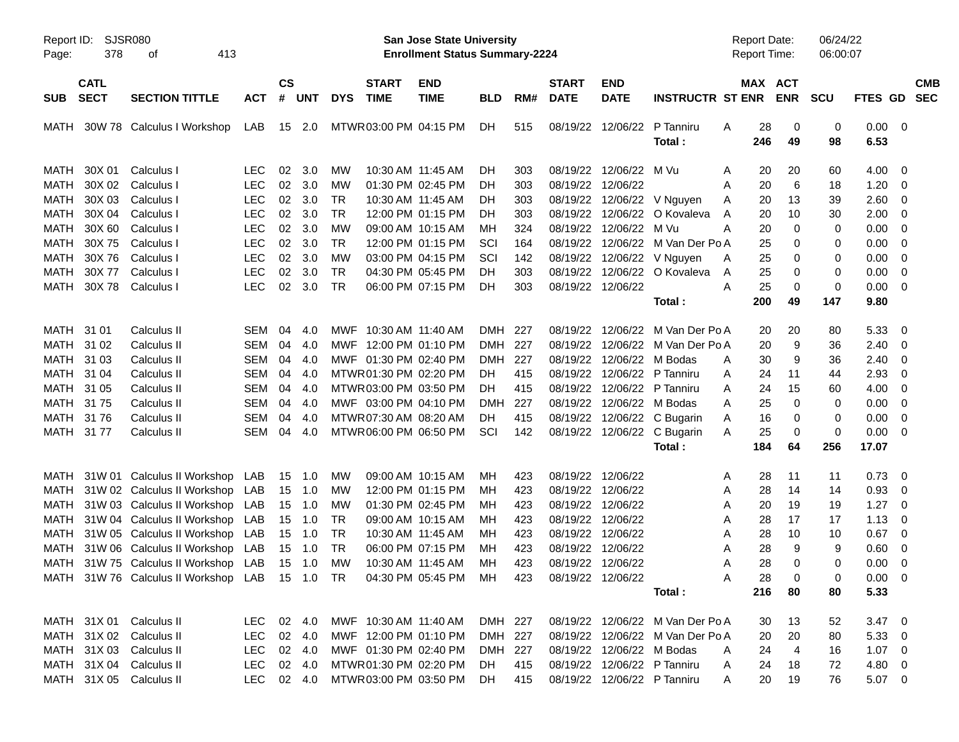| Page:       | Report ID: SJSR080<br>378<br>413<br>οf<br><b>CATL</b> |                                                                                           |            |                 |            |            |                        | San Jose State University<br><b>Enrollment Status Summary-2224</b> |            |       |                   |                           |                                  | Report Date:<br><b>Report Time:</b> |                | 06/24/22<br>06:00:07 |                |                          |            |
|-------------|-------------------------------------------------------|-------------------------------------------------------------------------------------------|------------|-----------------|------------|------------|------------------------|--------------------------------------------------------------------|------------|-------|-------------------|---------------------------|----------------------------------|-------------------------------------|----------------|----------------------|----------------|--------------------------|------------|
|             |                                                       |                                                                                           |            | $\mathsf{cs}$   |            |            | <b>START</b>           | <b>END</b>                                                         |            |       | <b>START</b>      | <b>END</b>                |                                  |                                     | MAX ACT        |                      |                |                          | <b>CMB</b> |
| <b>SUB</b>  | <b>SECT</b>                                           | <b>SECTION TITTLE</b>                                                                     | <b>ACT</b> | #               | <b>UNT</b> | <b>DYS</b> | <b>TIME</b>            | <b>TIME</b>                                                        | <b>BLD</b> | RM#   | <b>DATE</b>       | <b>DATE</b>               | <b>INSTRUCTR ST ENR</b>          |                                     | <b>ENR</b>     | <b>SCU</b>           | FTES GD SEC    |                          |            |
| MATH        |                                                       | 30W 78 Calculus I Workshop                                                                | LAB        |                 | 15 2.0     |            | MTWR03:00 PM 04:15 PM  |                                                                    | DH.        | 515   |                   | 08/19/22 12/06/22         | P Tanniru<br>Total:              | 28<br>A<br>246                      | 0<br>49        | 0<br>98              | 0.00<br>6.53   | $\overline{\phantom{0}}$ |            |
| MATH        | 30X 01                                                | Calculus I                                                                                | LEC.       | 02              | 3.0        | MW         |                        | 10:30 AM 11:45 AM                                                  | DH.        | 303   |                   | 08/19/22 12/06/22 M Vu    |                                  | A                                   | 20<br>20       | 60                   | 4.00           | - 0                      |            |
| <b>MATH</b> | 30X 02                                                | Calculus I                                                                                | <b>LEC</b> |                 | 02 3.0     | МW         |                        | 01:30 PM 02:45 PM                                                  | DH.        | 303   | 08/19/22 12/06/22 |                           |                                  | 20<br>A                             | 6              | 18                   | 1.20           | - 0                      |            |
| MATH        | 30X 03                                                | Calculus I                                                                                | <b>LEC</b> | 02              | 3.0        | <b>TR</b>  |                        | 10:30 AM 11:45 AM                                                  | DH.        | 303   |                   |                           | 08/19/22 12/06/22 V Nguyen       | 20<br>Α                             | 13             | 39                   | 2.60           | $\overline{\mathbf{0}}$  |            |
| MATH        | 30X 04                                                | Calculus I                                                                                | <b>LEC</b> | 02              | 3.0        | <b>TR</b>  |                        | 12:00 PM 01:15 PM                                                  | DH.        | 303   |                   |                           | 08/19/22 12/06/22 O Kovaleva     | 20<br>A                             | 10             | 30                   | 2.00           | $\overline{\mathbf{0}}$  |            |
| <b>MATH</b> | 30X 60                                                | Calculus I                                                                                | <b>LEC</b> | 02              | 3.0        | MW         |                        | 09:00 AM 10:15 AM                                                  | мн         | 324   |                   | 08/19/22 12/06/22 M Vu    |                                  | A<br>20                             | 0              | 0                    | 0.00           | $\overline{\mathbf{0}}$  |            |
| <b>MATH</b> | 30X 75                                                | Calculus I                                                                                | <b>LEC</b> | 02              | 3.0        | <b>TR</b>  |                        | 12:00 PM 01:15 PM                                                  | SCI        | 164   |                   |                           | 08/19/22 12/06/22 M Van Der Po A | 25                                  | 0              | 0                    | 0.00           | $\overline{\mathbf{0}}$  |            |
| <b>MATH</b> | 30X76                                                 | Calculus I                                                                                | <b>LEC</b> | 02              | 3.0        | <b>MW</b>  |                        | 03:00 PM 04:15 PM                                                  | SCI        | 142   |                   |                           | 08/19/22 12/06/22 V Nguyen       | 25<br>Α                             | 0              | 0                    | 0.00           | $\overline{\mathbf{0}}$  |            |
| <b>MATH</b> | 30X 77                                                | Calculus I                                                                                | <b>LEC</b> | 02              | 3.0        | <b>TR</b>  |                        | 04:30 PM 05:45 PM                                                  | DH.        | 303   |                   |                           | 08/19/22 12/06/22 O Kovaleva     | 25<br>A                             | 0              | 0                    | 0.00           | $\overline{\mathbf{0}}$  |            |
| <b>MATH</b> |                                                       | 30X 78 Calculus I                                                                         | <b>LEC</b> | 02              | 3.0        | <b>TR</b>  |                        | 06:00 PM 07:15 PM                                                  | DH.        | 303   |                   | 08/19/22 12/06/22         |                                  | 25<br>Α                             | 0              | 0                    | 0.00           | $\overline{\phantom{0}}$ |            |
|             |                                                       |                                                                                           |            |                 |            |            |                        |                                                                    |            |       |                   |                           | Total :                          | 200                                 | 49             | 147                  | 9.80           |                          |            |
| MATH        | 31 01                                                 | Calculus II                                                                               | <b>SEM</b> | 04              | 4.0        |            | MWF 10:30 AM 11:40 AM  |                                                                    | DMH 227    |       |                   |                           | 08/19/22 12/06/22 M Van Der Po A |                                     | 20<br>20       | 80                   | 5.33           | - 0                      |            |
| MATH        | 31 02                                                 | Calculus II                                                                               | <b>SEM</b> | 04              | 4.0        |            | MWF 12:00 PM 01:10 PM  |                                                                    | DMH        | - 227 |                   |                           | 08/19/22 12/06/22 M Van Der Po A |                                     | 9<br>20        | 36                   | 2.40           | - 0                      |            |
| MATH        | 31 03                                                 | Calculus II                                                                               | <b>SEM</b> | 04              | 4.0        |            | MWF 01:30 PM 02:40 PM  |                                                                    | DMH        | - 227 |                   | 08/19/22 12/06/22 M Bodas |                                  | Α                                   | 9<br>30        | 36                   | 2.40           | $\overline{\mathbf{0}}$  |            |
| MATH        | 31 04                                                 | Calculus II                                                                               | <b>SEM</b> | 04              | 4.0        |            | MTWR 01:30 PM 02:20 PM |                                                                    | DH.        | 415   |                   |                           | 08/19/22 12/06/22 P Tanniru      | 24<br>Α                             | 11             | 44                   | 2.93           | 0                        |            |
| MATH        | 31 05                                                 | Calculus II                                                                               | <b>SEM</b> | 04              | 4.0        |            | MTWR 03:00 PM 03:50 PM |                                                                    | DH.        | 415   |                   |                           | 08/19/22 12/06/22 P Tanniru      | 24<br>Α                             | 15             | 60                   | 4.00           | $\overline{\mathbf{0}}$  |            |
| MATH        | 3175                                                  | Calculus II                                                                               | <b>SEM</b> | 04              | 4.0        |            | MWF 03:00 PM 04:10 PM  |                                                                    | <b>DMH</b> | 227   |                   | 08/19/22 12/06/22 M Bodas |                                  | 25<br>Α                             | 0              | 0                    | 0.00           | $\overline{\phantom{0}}$ |            |
| MATH        | 3176                                                  | Calculus II                                                                               | <b>SEM</b> | 04              | 4.0        |            | MTWR 07:30 AM 08:20 AM |                                                                    | DH.        | 415   |                   |                           | 08/19/22 12/06/22 C Bugarin      | 16<br>A                             | 0              | 0                    | 0.00           | $\overline{\phantom{0}}$ |            |
| MATH 3177   |                                                       | Calculus II                                                                               | <b>SEM</b> | 04              | 4.0        |            | MTWR06:00 PM 06:50 PM  |                                                                    | SCI        | 142   |                   |                           | 08/19/22 12/06/22 C Bugarin      | 25<br>Α                             | 0              | 0                    | 0.00           | $\overline{\mathbf{0}}$  |            |
|             |                                                       |                                                                                           |            |                 |            |            |                        |                                                                    |            |       |                   |                           | Total:                           | 184                                 | 64             | 256                  | 17.07          |                          |            |
| MATH        |                                                       | 31W 01 Calculus II Workshop LAB                                                           |            |                 | 15 1.0     | <b>MW</b>  |                        | 09:00 AM 10:15 AM                                                  | MН         | 423   | 08/19/22 12/06/22 |                           |                                  | 28<br>A                             | 11             | 11                   | 0.73           | $\overline{\phantom{0}}$ |            |
| MATH        |                                                       | 31W 02 Calculus II Workshop LAB                                                           |            |                 | 15 1.0     | <b>MW</b>  |                        | 12:00 PM 01:15 PM                                                  | мн         | 423   | 08/19/22 12/06/22 |                           |                                  | 28<br>Α                             | 14             | 14                   | 0.93           | $\overline{\mathbf{0}}$  |            |
| <b>MATH</b> |                                                       | 31W 03 Calculus II Workshop LAB                                                           |            |                 | 15 1.0     | MW         |                        | 01:30 PM 02:45 PM                                                  | мн         | 423   | 08/19/22 12/06/22 |                           |                                  | 20<br>A                             | 19             | 19                   | $1.27 \t 0$    |                          |            |
| <b>MATH</b> |                                                       | 31W 04 Calculus II Workshop LAB                                                           |            | 15 <sub>1</sub> | 1.0        | <b>TR</b>  |                        | 09:00 AM 10:15 AM                                                  | мн         | 423   | 08/19/22 12/06/22 |                           |                                  | 28<br>A                             | 17             | 17                   | 1.13           | $\overline{\mathbf{0}}$  |            |
| MATH        |                                                       | 31W 05 Calculus II Workshop LAB                                                           |            |                 | 15 1.0     | <b>TR</b>  | 10:30 AM 11:45 AM      |                                                                    | МH         | 423   | 08/19/22 12/06/22 |                           |                                  | 28<br>A                             | 10             | 10                   | 0.67           | $\overline{\phantom{0}}$ |            |
| MATH        |                                                       | 31W 06 Calculus II Workshop LAB                                                           |            | 15 <sub>1</sub> | 1.0        | <b>TR</b>  |                        | 06:00 PM 07:15 PM                                                  | мн         | 423   | 08/19/22 12/06/22 |                           |                                  | 28<br>A                             | 9              | 9                    | 0.60           | $\overline{\phantom{0}}$ |            |
|             |                                                       | MATH 31W 75 Calculus II Workshop LAB                                                      |            |                 | 15 1.0     | МW         |                        | 10:30 AM 11:45 AM                                                  | мн         | 423   | 08/19/22 12/06/22 |                           |                                  | A                                   | 28<br>$\Omega$ | 0                    | 0.00           | $\overline{\mathbf{0}}$  |            |
|             |                                                       | MATH 31W 76 Calculus II Workshop LAB 15 1.0 TR 04:30 PM 05:45 PM MH 423 08/19/22 12/06/22 |            |                 |            |            |                        |                                                                    |            |       |                   |                           |                                  | 28<br>Α                             | 0              | 0                    | $0.00 \t 0$    |                          |            |
|             |                                                       |                                                                                           |            |                 |            |            |                        |                                                                    |            |       |                   |                           | Total :                          | 216                                 | 80             | 80                   | 5.33           |                          |            |
|             |                                                       | MATH 31X 01 Calculus II                                                                   | LEC 02 4.0 |                 |            |            |                        | MWF 10:30 AM 11:40 AM                                              | DMH 227    |       |                   |                           | 08/19/22 12/06/22 M Van Der Po A |                                     | 13<br>30       | 52                   | $3.47 \quad 0$ |                          |            |
|             |                                                       | MATH 31X 02 Calculus II                                                                   | LEC        |                 | 02 4.0     |            |                        | MWF 12:00 PM 01:10 PM                                              | DMH 227    |       |                   |                           | 08/19/22 12/06/22 M Van Der Po A |                                     | 20<br>20       | 80                   | 5.33 0         |                          |            |
|             |                                                       | MATH 31X 03 Calculus II                                                                   | LEC        |                 | 02 4.0     |            | MWF 01:30 PM 02:40 PM  |                                                                    | DMH 227    |       |                   | 08/19/22 12/06/22 M Bodas |                                  | 24<br>A                             | 4              | 16                   | $1.07 \t 0$    |                          |            |
|             |                                                       | MATH 31X 04 Calculus II                                                                   | LEC        |                 | 02 4.0     |            |                        | MTWR01:30 PM 02:20 PM                                              | DH.        | 415   |                   |                           | 08/19/22 12/06/22 P Tanniru      | 24<br>A                             | 18             | 72                   | 4.80 0         |                          |            |
|             |                                                       | MATH 31X 05 Calculus II                                                                   | LEC        |                 | 02 4.0     |            |                        | MTWR 03:00 PM 03:50 PM                                             | DH.        | 415   |                   |                           | 08/19/22 12/06/22 P Tanniru      | 20<br>A                             | 19             | 76                   | 5.07 0         |                          |            |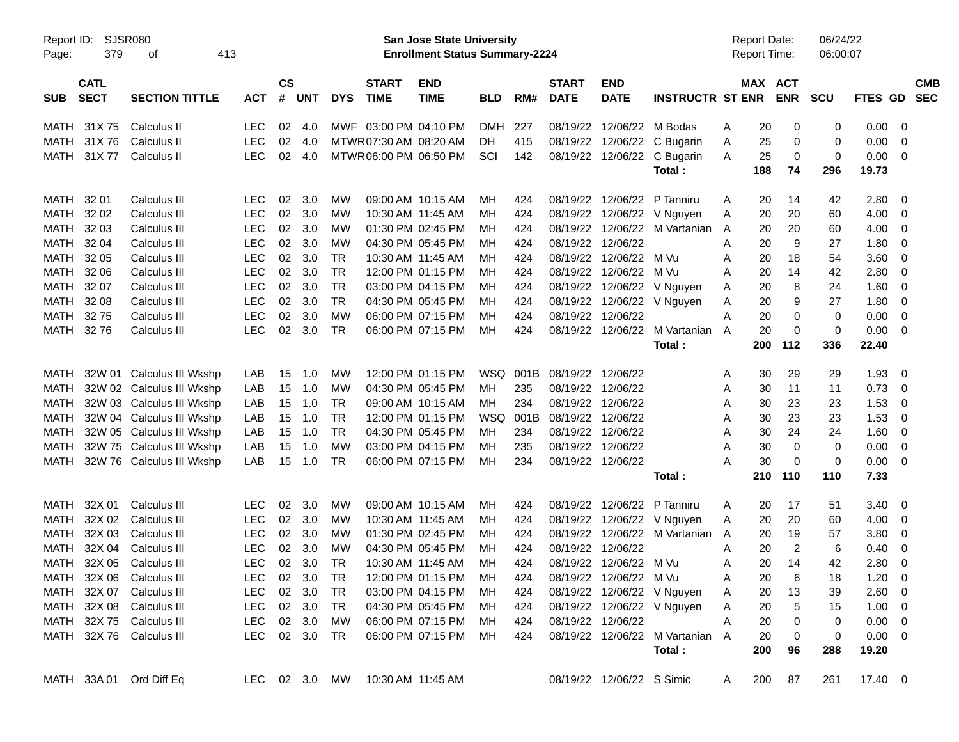| Report ID:<br>Page: | 379                        | <b>SJSR080</b><br>413<br>οf |               |                    |                |            |                             | <b>San Jose State University</b><br><b>Enrollment Status Summary-2224</b> |            |      |                             |                             |                               |   | <b>Report Date:</b><br>Report Time: |                | 06/24/22<br>06:00:07 |             |                          |            |
|---------------------|----------------------------|-----------------------------|---------------|--------------------|----------------|------------|-----------------------------|---------------------------------------------------------------------------|------------|------|-----------------------------|-----------------------------|-------------------------------|---|-------------------------------------|----------------|----------------------|-------------|--------------------------|------------|
| <b>SUB</b>          | <b>CATL</b><br><b>SECT</b> | <b>SECTION TITTLE</b>       | <b>ACT</b>    | $\mathsf{cs}$<br># | <b>UNT</b>     | <b>DYS</b> | <b>START</b><br><b>TIME</b> | <b>END</b><br><b>TIME</b>                                                 | <b>BLD</b> | RM#  | <b>START</b><br><b>DATE</b> | <b>END</b><br><b>DATE</b>   | <b>INSTRUCTR ST ENR</b>       |   | MAX ACT                             | <b>ENR</b>     | <b>SCU</b>           | FTES GD SEC |                          | <b>CMB</b> |
| MATH                | 31X 75                     | Calculus II                 | LEC.          | 02                 | 4.0            |            | MWF 03:00 PM 04:10 PM       |                                                                           | <b>DMH</b> | 227  |                             | 08/19/22 12/06/22 M Bodas   |                               | A | 20                                  | 0              | 0                    | 0.00        | - 0                      |            |
| MATH                | 31X76                      | Calculus II                 | <b>LEC</b>    | 02                 | 4.0            |            | MTWR 07:30 AM 08:20 AM      |                                                                           | DH         | 415  |                             |                             | 08/19/22 12/06/22 C Bugarin   | A | 25                                  | 0              | 0                    | 0.00        | - 0                      |            |
|                     | MATH 31X 77                | Calculus II                 | <b>LEC</b>    | 02                 | 4.0            |            | MTWR06:00 PM 06:50 PM       |                                                                           | SCI        | 142  |                             | 08/19/22 12/06/22           | C Bugarin                     | A | 25                                  | 0              | 0                    | 0.00        | $\overline{\mathbf{0}}$  |            |
|                     |                            |                             |               |                    |                |            |                             |                                                                           |            |      |                             |                             | Total:                        |   | 188                                 | 74             | 296                  | 19.73       |                          |            |
| MATH                | 32 01                      | Calculus III                | LEC.          | 02                 | 3.0            | MW         |                             | 09:00 AM 10:15 AM                                                         | MН         | 424  |                             | 08/19/22 12/06/22 P Tanniru |                               | A | 20                                  | 14             | 42                   | 2.80        | $\overline{\mathbf{0}}$  |            |
| MATH                | 32 02                      | Calculus III                | <b>LEC</b>    | 02                 | 3.0            | MW         | 10:30 AM 11:45 AM           |                                                                           | MН         | 424  |                             |                             | 08/19/22 12/06/22 V Nguyen    | A | 20                                  | 20             | 60                   | 4.00        | - 0                      |            |
| MATH                | 32 03                      | Calculus III                | <b>LEC</b>    | 02                 | 3.0            | MW         |                             | 01:30 PM 02:45 PM                                                         | ΜН         | 424  |                             |                             | 08/19/22 12/06/22 M Vartanian | A | 20                                  | 20             | 60                   | 4.00        | 0                        |            |
| MATH                | 32 04                      | Calculus III                | <b>LEC</b>    | 02                 | 3.0            | MW         |                             | 04:30 PM 05:45 PM                                                         | ΜН         | 424  |                             | 08/19/22 12/06/22           |                               | A | 20                                  | 9              | 27                   | 1.80        | - 0                      |            |
| MATH                | 32 05                      | Calculus III                | <b>LEC</b>    | 02                 | 3.0            | <b>TR</b>  |                             | 10:30 AM 11:45 AM                                                         | ΜН         | 424  |                             | 08/19/22 12/06/22 M Vu      |                               | A | 20                                  | 18             | 54                   | 3.60        | - 0                      |            |
| MATH                | 32 06                      | Calculus III                | <b>LEC</b>    | 02                 | 3.0            | <b>TR</b>  |                             | 12:00 PM 01:15 PM                                                         | мн         | 424  |                             | 08/19/22 12/06/22 M Vu      |                               | A | 20                                  | 14             | 42                   | 2.80        | 0                        |            |
| MATH                | 32 07                      | Calculus III                | <b>LEC</b>    | 02                 | 3.0            | <b>TR</b>  |                             | 03:00 PM 04:15 PM                                                         | ΜН         | 424  |                             |                             | 08/19/22 12/06/22 V Nguyen    | A | 20                                  | 8              | 24                   | 1.60        | 0                        |            |
| MATH                | 32 08                      | Calculus III                | <b>LEC</b>    | 02                 | 3.0            | <b>TR</b>  |                             | 04:30 PM 05:45 PM                                                         | ΜН         | 424  |                             |                             | 08/19/22 12/06/22 V Nguyen    | A | 20                                  | 9              | 27                   | 1.80        | - 0                      |            |
| MATH                | 3275                       | Calculus III                | <b>LEC</b>    | 02                 | 3.0            | <b>MW</b>  |                             | 06:00 PM 07:15 PM                                                         | мн         | 424  |                             | 08/19/22 12/06/22           |                               | A | 20                                  | 0              | 0                    | 0.00        | - 0                      |            |
| MATH 32 76          |                            | Calculus III                | <b>LEC</b>    | 02                 | 3.0            | <b>TR</b>  |                             | 06:00 PM 07:15 PM                                                         | MН         | 424  |                             |                             | 08/19/22 12/06/22 M Vartanian | A | 20                                  | 0              | $\mathbf 0$          | 0.00        | $\overline{\mathbf{0}}$  |            |
|                     |                            |                             |               |                    |                |            |                             |                                                                           |            |      |                             |                             | Total:                        |   | 200                                 | 112            | 336                  | 22.40       |                          |            |
| MATH                |                            | 32W 01 Calculus III Wkshp   | LAB           | 15                 | 1.0            | MW         |                             | 12:00 PM 01:15 PM                                                         | WSQ        | 001B | 08/19/22 12/06/22           |                             |                               | A | 30                                  | 29             | 29                   | 1.93        | - 0                      |            |
| <b>MATH</b>         |                            | 32W 02 Calculus III Wkshp   | LAB           | 15                 | 1.0            | MW         |                             | 04:30 PM 05:45 PM                                                         | мн         | 235  |                             | 08/19/22 12/06/22           |                               | A | 30                                  | 11             | 11                   | 0.73        | - 0                      |            |
| MATH                |                            | 32W 03 Calculus III Wkshp   | LAB           | 15                 | 1.0            | <b>TR</b>  |                             | 09:00 AM 10:15 AM                                                         | MН         | 234  |                             | 08/19/22 12/06/22           |                               | A | 30                                  | 23             | 23                   | 1.53        | - 0                      |            |
| MATH                |                            | 32W 04 Calculus III Wkshp   | LAB           | 15                 | 1.0            | <b>TR</b>  |                             | 12:00 PM 01:15 PM                                                         | <b>WSQ</b> | 001B | 08/19/22 12/06/22           |                             |                               | A | 30                                  | 23             | 23                   | 1.53        | 0                        |            |
| <b>MATH</b>         |                            | 32W 05 Calculus III Wkshp   | LAB           | 15                 | 1.0            | <b>TR</b>  |                             | 04:30 PM 05:45 PM                                                         | мн         | 234  |                             | 08/19/22 12/06/22           |                               | A | 30                                  | 24             | 24                   | 1.60        | - 0                      |            |
| <b>MATH</b>         |                            | 32W 75 Calculus III Wkshp   | LAB           | 15                 | 1.0            | MW         |                             | 03:00 PM 04:15 PM                                                         | ΜН         | 235  |                             | 08/19/22 12/06/22           |                               | A | 30                                  | 0              | 0                    | 0.00        | - 0                      |            |
| <b>MATH</b>         |                            | 32W 76 Calculus III Wkshp   | LAB           | 15                 | 1.0            | <b>TR</b>  |                             | 06:00 PM 07:15 PM                                                         | МH         | 234  |                             | 08/19/22 12/06/22           |                               | A | 30                                  | 0              | 0                    | 0.00        | $\overline{\phantom{0}}$ |            |
|                     |                            |                             |               |                    |                |            |                             |                                                                           |            |      |                             |                             | Total:                        |   | 210                                 | 110            | 110                  | 7.33        |                          |            |
| MATH                | 32X 01                     | Calculus III                | <b>LEC</b>    | 02                 | 3.0            | MW         |                             | 09:00 AM 10:15 AM                                                         | MН         | 424  |                             | 08/19/22 12/06/22           | P Tanniru                     | A | 20                                  | 17             | 51                   | 3.40        | - 0                      |            |
| MATH                | 32X 02                     | Calculus III                | <b>LEC</b>    | 02                 | 3.0            | MW         | 10:30 AM 11:45 AM           |                                                                           | MН         | 424  |                             |                             | 08/19/22 12/06/22 V Nguyen    | A | 20                                  | 20             | 60                   | 4.00        | $\overline{0}$           |            |
| MATH                | 32X 03                     | Calculus III                | <b>LEC</b>    | 02                 | 3.0            | МW         |                             | 01:30 PM 02:45 PM                                                         | мн         | 424  | 08/19/22                    |                             | 12/06/22 M Vartanian          | A | 20                                  | 19             | 57                   | 3.80        | 0                        |            |
| MATH                | 32X 04                     | Calculus III                | <b>LEC</b>    | 02                 | 3.0            | MW         |                             | 04:30 PM 05:45 PM                                                         | ΜН         | 424  |                             | 08/19/22 12/06/22           |                               | A | 20                                  | $\overline{2}$ | 6                    | 0.40        | - 0                      |            |
| MATH                | 32X 05                     | Calculus III                | <b>LEC</b>    | 02                 | 3.0            | TR         |                             | 10:30 AM 11:45 AM                                                         | мн         | 424  |                             | 08/19/22 12/06/22 M Vu      |                               | A | 20                                  | 14             | 42                   | 2.80        | $\overline{\mathbf{0}}$  |            |
|                     |                            | MATH 32X 06 Calculus III    | <b>LEC</b>    |                    | 02 3.0 TR      |            |                             | 12:00 PM 01:15 PM                                                         | MН         | 424  |                             | 08/19/22 12/06/22 M Vu      |                               | Α | 20                                  | 6              | 18                   | $1.20 \ 0$  |                          |            |
|                     |                            | MATH 32X 07 Calculus III    | LEC.          |                    | $02 \quad 3.0$ | TR         |                             | 03:00 PM 04:15 PM                                                         | MН         | 424  |                             |                             | 08/19/22 12/06/22 V Nguyen    | A | 20                                  | 13             | 39                   | 2.60 0      |                          |            |
|                     |                            | MATH 32X 08 Calculus III    | LEC           |                    | 02 3.0         | TR         |                             | 04:30 PM 05:45 PM                                                         | MН         | 424  |                             |                             | 08/19/22 12/06/22 V Nguyen    | A | 20                                  | 5              | 15                   | $1.00 \t 0$ |                          |            |
|                     |                            | MATH 32X 75 Calculus III    | <b>LEC</b>    |                    | 02 3.0         | MW         |                             | 06:00 PM 07:15 PM                                                         | MН         | 424  |                             | 08/19/22 12/06/22           |                               | A | 20                                  | 0              | 0                    | $0.00 \t 0$ |                          |            |
|                     |                            | MATH 32X 76 Calculus III    | LEC 02 3.0 TR |                    |                |            |                             | 06:00 PM 07:15 PM                                                         | MН         | 424  |                             |                             | 08/19/22 12/06/22 M Vartanian | A | 20                                  | 0              | 0                    | $0.00 \ 0$  |                          |            |
|                     |                            |                             |               |                    |                |            |                             |                                                                           |            |      |                             |                             | Total:                        |   | 200                                 | 96             | 288                  | 19.20       |                          |            |
|                     |                            | MATH 33A 01 Ord Diff Eq     | LEC 02 3.0 MW |                    |                |            | 10:30 AM 11:45 AM           |                                                                           |            |      |                             | 08/19/22 12/06/22 S Simic   |                               | A | 200                                 | 87             | 261                  | 17.40 0     |                          |            |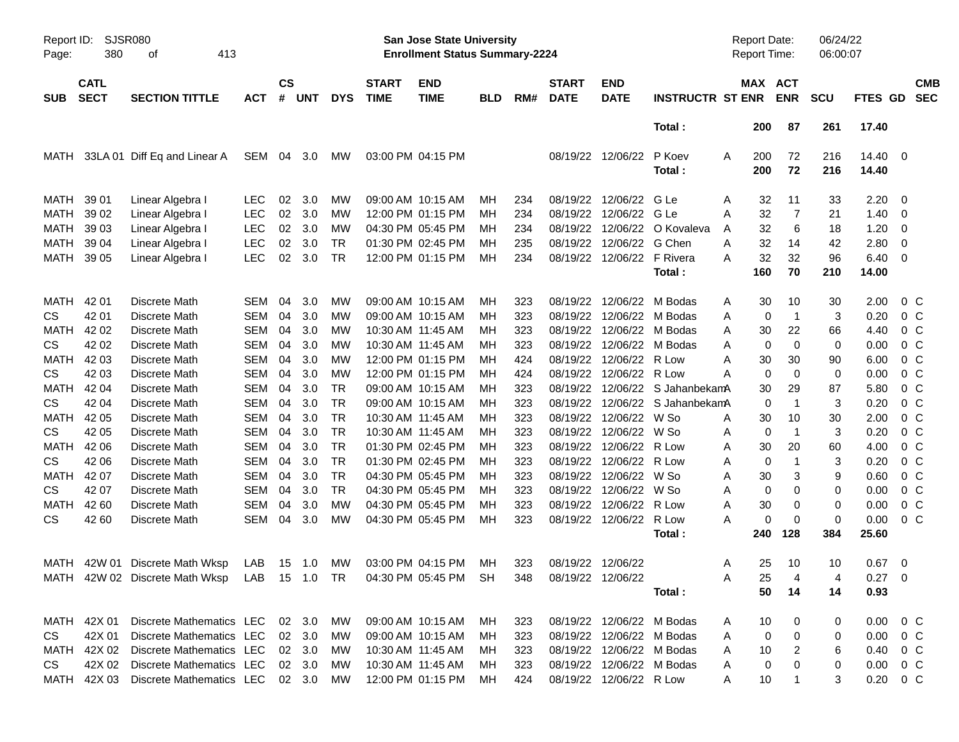| Page:       | <b>SJSR080</b><br>Report ID:<br>380<br>413<br>οf<br><b>CATL</b> |                                                                   |            |                    |            |            |                             | San Jose State University<br><b>Enrollment Status Summary-2224</b> |            |     |                             |                           |                         | Report Date:<br><b>Report Time:</b> |            |                | 06/24/22<br>06:00:07 |                        |                          |  |
|-------------|-----------------------------------------------------------------|-------------------------------------------------------------------|------------|--------------------|------------|------------|-----------------------------|--------------------------------------------------------------------|------------|-----|-----------------------------|---------------------------|-------------------------|-------------------------------------|------------|----------------|----------------------|------------------------|--------------------------|--|
| <b>SUB</b>  | <b>SECT</b>                                                     | <b>SECTION TITTLE</b>                                             | <b>ACT</b> | $\mathsf{cs}$<br># | <b>UNT</b> | <b>DYS</b> | <b>START</b><br><b>TIME</b> | <b>END</b><br><b>TIME</b>                                          | <b>BLD</b> | RM# | <b>START</b><br><b>DATE</b> | <b>END</b><br><b>DATE</b> | <b>INSTRUCTR ST ENR</b> |                                     | MAX ACT    | <b>ENR</b>     | <b>SCU</b>           | FTES GD                | <b>CMB</b><br><b>SEC</b> |  |
|             |                                                                 |                                                                   |            |                    |            |            |                             |                                                                    |            |     |                             |                           | Total:                  |                                     | 200        | 87             | 261                  | 17.40                  |                          |  |
| MATH        |                                                                 | 33LA 01 Diff Eq and Linear A                                      | SEM        | 04                 | 3.0        | МW         |                             | 03:00 PM 04:15 PM                                                  |            |     |                             | 08/19/22 12/06/22         | P Koev<br>Total:        | A                                   | 200<br>200 | 72<br>72       | 216<br>216           | 14.40<br>14.40         | $\overline{\phantom{0}}$ |  |
| MATH        | 39 01                                                           | Linear Algebra I                                                  | <b>LEC</b> | 02                 | 3.0        | МW         |                             | 09:00 AM 10:15 AM                                                  | MН         | 234 | 08/19/22                    | 12/06/22                  | G Le                    | A                                   | 32         | 11             | 33                   | 2.20                   | - 0                      |  |
| <b>MATH</b> | 39 02                                                           | Linear Algebra I                                                  | <b>LEC</b> | 02                 | 3.0        | MW         |                             | 12:00 PM 01:15 PM                                                  | MН         | 234 | 08/19/22                    | 12/06/22                  | G Le                    | A                                   | 32         | $\overline{7}$ | 21                   | 1.40                   | - 0                      |  |
| <b>MATH</b> | 39 03                                                           | Linear Algebra I                                                  | <b>LEC</b> | 02                 | 3.0        | MW         |                             | 04:30 PM 05:45 PM                                                  | MН         | 234 | 08/19/22                    | 12/06/22                  | O Kovaleva              | A                                   | 32         | 6              | 18                   | 1.20                   | $\overline{0}$           |  |
| MATH        | 39 04                                                           | Linear Algebra I                                                  | <b>LEC</b> | 02                 | 3.0        | TR.        |                             | 01:30 PM 02:45 PM                                                  | MН         | 235 | 08/19/22                    | 12/06/22                  | G Chen                  | A                                   | 32         | 14             | 42                   | 2.80                   | 0                        |  |
| MATH        | 39 05                                                           | Linear Algebra I                                                  | <b>LEC</b> | 02                 | 3.0        | TR         |                             | 12:00 PM 01:15 PM                                                  | MН         | 234 |                             | 08/19/22 12/06/22         | F Rivera                | А                                   | 32         | 32             | 96                   | 6.40                   | - 0                      |  |
|             |                                                                 |                                                                   |            |                    |            |            |                             |                                                                    |            |     |                             |                           | Total:                  |                                     | 160        | 70             | 210                  | 14.00                  |                          |  |
| MATH        | 42 01                                                           | Discrete Math                                                     | <b>SEM</b> | 04                 | 3.0        | МW         |                             | 09:00 AM 10:15 AM                                                  | MН         | 323 | 08/19/22                    | 12/06/22                  | M Bodas                 | A                                   | 30         | 10             | 30                   | 2.00                   | $0\,C$                   |  |
| <b>CS</b>   | 42 01                                                           | Discrete Math                                                     | <b>SEM</b> | 04                 | 3.0        | MW         |                             | 09:00 AM 10:15 AM                                                  | MН         | 323 | 08/19/22                    | 12/06/22                  | M Bodas                 | A                                   | 0          | -1             | 3                    | 0.20                   | 0 <sup>C</sup>           |  |
| MATH        | 42 02                                                           | Discrete Math                                                     | <b>SEM</b> | 04                 | 3.0        | MW         |                             | 10:30 AM 11:45 AM                                                  | MН         | 323 | 08/19/22                    | 12/06/22                  | M Bodas                 | A                                   | 30         | 22             | 66                   | 4.40                   | 0 <sup>C</sup>           |  |
| <b>CS</b>   | 42 02                                                           | Discrete Math                                                     | <b>SEM</b> | 04                 | 3.0        | МW         |                             | 10:30 AM 11:45 AM                                                  | MН         | 323 | 08/19/22                    | 12/06/22                  | M Bodas                 | A                                   | 0          | $\mathbf 0$    | $\mathbf 0$          | 0.00                   | 0 <sup>C</sup>           |  |
| <b>MATH</b> | 42 03                                                           | Discrete Math                                                     | <b>SEM</b> | 04                 | 3.0        | MW         |                             | 12:00 PM 01:15 PM                                                  | MН         | 424 | 08/19/22                    | 12/06/22                  | R Low                   | A                                   | 30         | 30             | 90                   | 6.00                   | 0 <sup>C</sup>           |  |
| <b>CS</b>   | 42 03                                                           | Discrete Math                                                     | <b>SEM</b> | 04                 | 3.0        | MW         |                             | 12:00 PM 01:15 PM                                                  | MН         | 424 | 08/19/22                    | 12/06/22                  | R Low                   | A                                   | 0          | $\mathbf 0$    | $\mathbf 0$          | 0.00                   | 0 <sup>C</sup>           |  |
| <b>MATH</b> | 42 04                                                           | Discrete Math                                                     | <b>SEM</b> | 04                 | 3.0        | <b>TR</b>  |                             | 09:00 AM 10:15 AM                                                  | MН         | 323 | 08/19/22                    | 12/06/22                  | S JahanbekamA           |                                     | 30         | 29             | 87                   | 5.80                   | 0 <sup>C</sup>           |  |
| <b>CS</b>   | 42 04                                                           | Discrete Math                                                     | <b>SEM</b> | 04                 | 3.0        | <b>TR</b>  |                             | 09:00 AM 10:15 AM                                                  | MН         | 323 | 08/19/22                    |                           | 12/06/22 S JahanbekamA  |                                     | 0          | -1             | 3                    | 0.20                   | 0 <sup>C</sup>           |  |
| <b>MATH</b> | 42 05                                                           | Discrete Math                                                     | <b>SEM</b> | 04                 | 3.0        | <b>TR</b>  |                             | 10:30 AM 11:45 AM                                                  | MН         | 323 | 08/19/22                    | 12/06/22                  | W So                    | Α                                   | 30         | 10             | 30                   | 2.00                   | 0 <sup>C</sup>           |  |
| <b>CS</b>   | 42 05                                                           | Discrete Math                                                     | <b>SEM</b> | 04                 | 3.0        | <b>TR</b>  |                             | 10:30 AM 11:45 AM                                                  | MН         | 323 | 08/19/22                    | 12/06/22                  | W So                    | Α                                   | 0          | -1             | 3                    | 0.20                   | 0 <sup>C</sup>           |  |
| <b>MATH</b> | 42 06                                                           | Discrete Math                                                     | <b>SEM</b> | 04                 | 3.0        | <b>TR</b>  |                             | 01:30 PM 02:45 PM                                                  | MН         | 323 | 08/19/22                    | 12/06/22                  | R Low                   | Α                                   | 30         | 20             | 60                   | 4.00                   | 0 <sup>C</sup>           |  |
| <b>CS</b>   | 42 06                                                           | Discrete Math                                                     | <b>SEM</b> | 04                 | 3.0        | <b>TR</b>  |                             | 01:30 PM 02:45 PM                                                  | MН         | 323 | 08/19/22                    | 12/06/22                  | R Low                   | Α                                   | 0          | $\overline{1}$ | 3                    | 0.20                   | 0 <sup>C</sup>           |  |
| <b>MATH</b> | 42 07                                                           | Discrete Math                                                     | <b>SEM</b> | 04                 | 3.0        | <b>TR</b>  |                             | 04:30 PM 05:45 PM                                                  | MН         | 323 | 08/19/22                    | 12/06/22                  | W So                    | A                                   | 30         | 3              | 9                    | 0.60                   | $0\,C$                   |  |
| <b>CS</b>   | 42 07                                                           | Discrete Math                                                     | <b>SEM</b> | 04                 | 3.0        | <b>TR</b>  |                             | 04:30 PM 05:45 PM                                                  | MН         | 323 | 08/19/22                    | 12/06/22                  | W So                    | A                                   | 0          | 0              | 0                    | 0.00                   | 0 <sup>C</sup>           |  |
| MATH        | 42 60                                                           | Discrete Math                                                     | <b>SEM</b> | 04                 | 3.0        | МW         |                             | 04:30 PM 05:45 PM                                                  | MН         | 323 | 08/19/22                    | 12/06/22                  | R Low                   | A                                   | 30         | 0              | $\mathbf 0$          | 0.00                   | 0 <sup>C</sup>           |  |
| <b>CS</b>   | 42 60                                                           | Discrete Math                                                     | <b>SEM</b> | 04                 | 3.0        | MW         |                             | 04:30 PM 05:45 PM                                                  | MН         | 323 | 08/19/22                    | 12/06/22                  | R Low                   | А                                   | 0          | 0              | $\mathbf 0$          | 0.00                   | 0 <sup>C</sup>           |  |
|             |                                                                 |                                                                   |            |                    |            |            |                             |                                                                    |            |     |                             |                           | Total:                  |                                     | 240        | 128            | 384                  | 25.60                  |                          |  |
|             |                                                                 | MATH 42W 01 Discrete Math Wksp                                    | LAB        |                    | 15 1.0     | MW         |                             | 03:00 PM 04:15 PM                                                  | MН         | 323 | 08/19/22 12/06/22           |                           |                         | A                                   | 25         | 10             | 10                   | 0.67                   | $\overline{0}$           |  |
|             |                                                                 | MATH 42W 02 Discrete Math Wksp LAB 15 1.0 TR 04:30 PM 05:45 PM SH |            |                    |            |            |                             |                                                                    |            |     | 348 08/19/22 12/06/22       |                           |                         | Α                                   | 25         |                | 4                    | $0.27 \t 0$            |                          |  |
|             |                                                                 |                                                                   |            |                    |            |            |                             |                                                                    |            |     |                             |                           | Total:                  |                                     | 50         | 14             | 14                   | 0.93                   |                          |  |
|             | MATH 42X 01                                                     | Discrete Mathematics LEC 02 3.0                                   |            |                    |            | MW         |                             | 09:00 AM 10:15 AM                                                  | MН         | 323 |                             | 08/19/22 12/06/22 M Bodas |                         | A                                   | 10         | 0              | 0                    | $0.00 \t 0 C$          |                          |  |
| CS.         | 42X 01                                                          | Discrete Mathematics LEC                                          |            |                    | 02 3.0     | MW         |                             | 09:00 AM 10:15 AM                                                  | MН         | 323 |                             | 08/19/22 12/06/22 M Bodas |                         | A                                   | 0          | 0              | 0                    | $0.00 \t 0 C$          |                          |  |
|             |                                                                 | MATH 42X 02 Discrete Mathematics LEC                              |            |                    | 02 3.0     | MW         |                             | 10:30 AM 11:45 AM                                                  | MН         | 323 |                             | 08/19/22 12/06/22 M Bodas |                         | A                                   | 10         | $\overline{2}$ | 6                    | $0.40 \quad 0 \quad C$ |                          |  |
| CS          |                                                                 | 42X 02 Discrete Mathematics LEC                                   |            |                    | 02 3.0     | MW.        |                             | 10:30 AM 11:45 AM                                                  | MН         | 323 |                             | 08/19/22 12/06/22 M Bodas |                         | A                                   | 0          | 0              | 0                    | $0.00 \t 0 C$          |                          |  |
| MATH        |                                                                 | 42X 03 Discrete Mathematics LEC 02 3.0                            |            |                    |            | MW         |                             | 12:00 PM 01:15 PM                                                  | MН         | 424 |                             | 08/19/22 12/06/22 R Low   |                         | A                                   | 10         | $\overline{1}$ | 3                    | $0.20 \t 0 C$          |                          |  |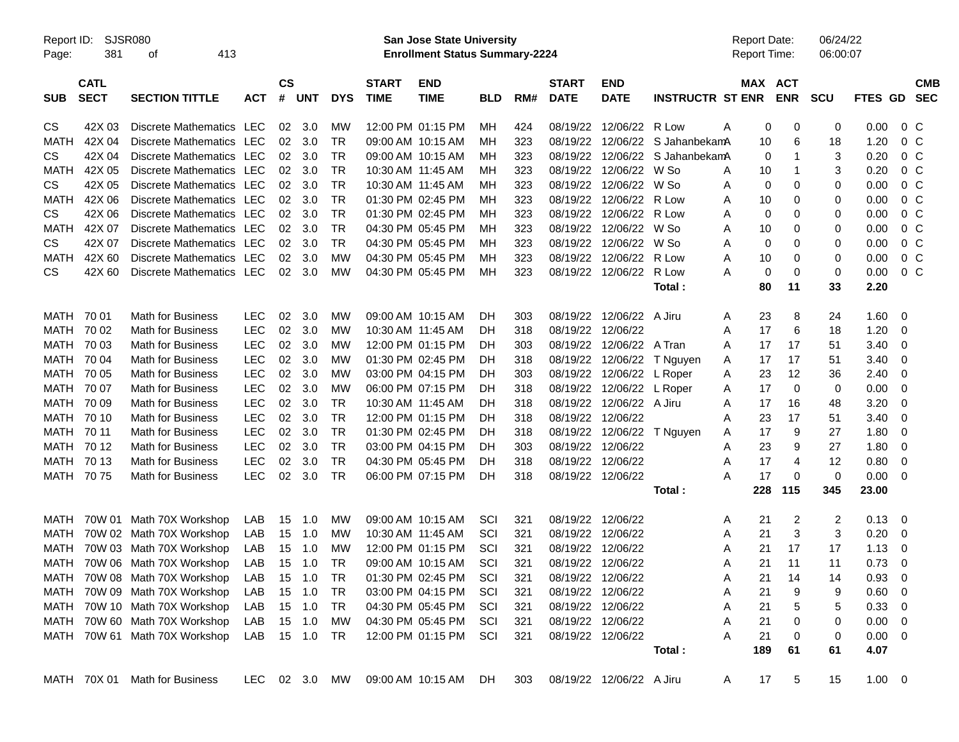| Report ID:<br>Page: | SJSR080<br>381             |                               |               |                    |            |            | San Jose State University<br><b>Enrollment Status Summary-2224</b> |                           |            |     |                             |                           | <b>Report Date:</b><br>Report Time: |         | 06/24/22<br>06:00:07  |            |                |                |                          |
|---------------------|----------------------------|-------------------------------|---------------|--------------------|------------|------------|--------------------------------------------------------------------|---------------------------|------------|-----|-----------------------------|---------------------------|-------------------------------------|---------|-----------------------|------------|----------------|----------------|--------------------------|
| <b>SUB</b>          | <b>CATL</b><br><b>SECT</b> | <b>SECTION TITTLE</b>         | <b>ACT</b>    | $\mathsf{cs}$<br># | <b>UNT</b> | <b>DYS</b> | <b>START</b><br><b>TIME</b>                                        | <b>END</b><br><b>TIME</b> | <b>BLD</b> | RM# | <b>START</b><br><b>DATE</b> | <b>END</b><br><b>DATE</b> | <b>INSTRUCTR ST ENR</b>             |         | MAX ACT<br><b>ENR</b> | <b>SCU</b> | FTES GD        |                | <b>CMB</b><br><b>SEC</b> |
| CS                  | 42X 03                     | Discrete Mathematics LEC      |               | 02                 | 3.0        | МW         |                                                                    | 12:00 PM 01:15 PM         | ΜН         | 424 |                             | 08/19/22 12/06/22 R Low   |                                     | Α<br>0  | 0                     | 0          | 0.00           | $0\,$ C        |                          |
| <b>MATH</b>         | 42X 04                     | <b>Discrete Mathematics</b>   | LEC           | 02                 | 3.0        | TR         |                                                                    | 09:00 AM 10:15 AM         | ΜН         | 323 | 08/19/22                    | 12/06/22                  | S JahanbekamA                       | 10      | 6                     | 18         | 1.20           | 0 <sup>o</sup> |                          |
| <b>CS</b>           | 42X 04                     | Discrete Mathematics          | LEC           | 02                 | 3.0        | <b>TR</b>  |                                                                    | 09:00 AM 10:15 AM         | мн         | 323 | 08/19/22                    | 12/06/22                  | S JahanbekamA                       | 0       | -1                    | 3          | 0.20           | 0 <sup>o</sup> |                          |
| <b>MATH</b>         | 42X 05                     | Discrete Mathematics LEC      |               | 02                 | 3.0        | <b>TR</b>  |                                                                    | 10:30 AM 11:45 AM         | мн         | 323 |                             | 08/19/22 12/06/22         | W So                                | Α<br>10 | -1                    | 3          | 0.20           | 0 <sup>o</sup> |                          |
| <b>CS</b>           | 42X 05                     | Discrete Mathematics          | LEC           | 02                 | 3.0        | <b>TR</b>  |                                                                    | 10:30 AM 11:45 AM         | мн         | 323 | 08/19/22                    | 12/06/22                  | W So                                | 0<br>Α  | 0                     | 0          | 0.00           | 0 <sup>o</sup> |                          |
| <b>MATH</b>         | 42X 06                     | Discrete Mathematics          | LEC           | 02                 | 3.0        | <b>TR</b>  |                                                                    | 01:30 PM 02:45 PM         | ΜН         | 323 | 08/19/22                    | 12/06/22                  | R Low                               | Α<br>10 | 0                     | 0          | 0.00           | 0 <sup>o</sup> |                          |
| <b>CS</b>           | 42X 06                     | Discrete Mathematics          | LEC           | 02                 | 3.0        | <b>TR</b>  |                                                                    | 01:30 PM 02:45 PM         | мн         | 323 |                             | 08/19/22 12/06/22         | R Low                               | 0<br>Α  | 0                     | 0          | 0.00           | 0 <sup>o</sup> |                          |
| <b>MATH</b>         | 42X 07                     | Discrete Mathematics          | LEC           | 02                 | 3.0        | <b>TR</b>  |                                                                    | 04:30 PM 05:45 PM         | мн         | 323 | 08/19/22                    | 12/06/22                  | W So                                | Α<br>10 | 0                     | 0          | 0.00           | 0 <sup>o</sup> |                          |
| <b>CS</b>           | 42X 07                     | Discrete Mathematics          | LEC           | 02                 | 3.0        | <b>TR</b>  |                                                                    | 04:30 PM 05:45 PM         | ΜН         | 323 |                             | 08/19/22 12/06/22         | W So                                | 0<br>Α  | 0                     | 0          | 0.00           | 0 <sup>o</sup> |                          |
| MATH                | 42X 60                     | Discrete Mathematics          | LEC           | 02                 | 3.0        | МW         |                                                                    | 04:30 PM 05:45 PM         | мн         | 323 |                             | 08/19/22 12/06/22         | R Low                               | Α<br>10 | 0                     | 0          | 0.00           | 0 <sup>o</sup> |                          |
| CS                  | 42X 60                     | Discrete Mathematics          | LEC           | 02                 | 3.0        | МW         |                                                                    | 04:30 PM 05:45 PM         | МH         | 323 |                             | 08/19/22 12/06/22         | R Low                               | 0<br>Α  | 0                     | 0          | 0.00           | $0\,$ C        |                          |
|                     |                            |                               |               |                    |            |            |                                                                    |                           |            |     |                             |                           | Total:                              | 80      | 11                    | 33         | 2.20           |                |                          |
| MATH                | 70 01                      | <b>Math for Business</b>      | <b>LEC</b>    | 02                 | 3.0        | МW         |                                                                    | 09:00 AM 10:15 AM         | DH         | 303 |                             | 08/19/22 12/06/22         | A Jiru                              | A<br>23 | 8                     | 24         | 1.60           | 0              |                          |
| MATH                | 70 02                      | <b>Math for Business</b>      | <b>LEC</b>    | 02                 | 3.0        | МW         |                                                                    | 10:30 AM 11:45 AM         | DH         | 318 |                             | 08/19/22 12/06/22         |                                     | 17<br>Α | 6                     | 18         | 1.20           | 0              |                          |
| MATH                | 70 03                      | <b>Math for Business</b>      | LEC           | 02                 | 3.0        | МW         |                                                                    | 12:00 PM 01:15 PM         | DH         | 303 |                             | 08/19/22 12/06/22 A Tran  |                                     | 17<br>Α | 17                    | 51         | 3.40           | 0              |                          |
| MATH                | 70 04                      | Math for Business             | LEC           | 02                 | 3.0        | МW         |                                                                    | 01:30 PM 02:45 PM         | DH         | 318 |                             | 08/19/22 12/06/22         | T Nguyen                            | 17<br>Α | 17                    | 51         | 3.40           | 0              |                          |
| MATH                | 70 05                      | Math for Business             | LEC           | 02                 | 3.0        | MW         |                                                                    | 03:00 PM 04:15 PM         | DH         | 303 |                             | 08/19/22 12/06/22         | L Roper                             | 23<br>Α | 12                    | 36         | 2.40           | 0              |                          |
| MATH                | 70 07                      | <b>Math for Business</b>      | LEC           | 02                 | 3.0        | MW         |                                                                    | 06:00 PM 07:15 PM         | DH         | 318 |                             | 08/19/22 12/06/22         | L Roper                             | 17<br>Α | 0                     | 0          | 0.00           | 0              |                          |
| MATH                | 70 09                      | <b>Math for Business</b>      | LEC           | 02                 | 3.0        | TR         |                                                                    | 10:30 AM 11:45 AM         | DH         | 318 |                             | 08/19/22 12/06/22 A Jiru  |                                     | 17<br>Α | 16                    | 48         | 3.20           | 0              |                          |
| MATH                | 70 10                      | <b>Math for Business</b>      | LEC           | 02                 | 3.0        | <b>TR</b>  |                                                                    | 12:00 PM 01:15 PM         | DH         | 318 | 08/19/22 12/06/22           |                           |                                     | Α<br>23 | 17                    | 51         | 3.40           | 0              |                          |
| MATH                | 70 11                      | <b>Math for Business</b>      | LEC           | 02                 | 3.0        | <b>TR</b>  |                                                                    | 01:30 PM 02:45 PM         | DH         | 318 |                             | 08/19/22 12/06/22         | T Nguyen                            | 17<br>Α | 9                     | 27         | 1.80           | 0              |                          |
| MATH                | 70 12                      | <b>Math for Business</b>      | LEC           | 02                 | 3.0        | TR         |                                                                    | 03:00 PM 04:15 PM         | DH         | 303 | 08/19/22 12/06/22           |                           |                                     | 23<br>Α | 9                     | 27         | 1.80           | 0              |                          |
| MATH                | 70 13                      | <b>Math for Business</b>      | LEC           | 02                 | 3.0        | <b>TR</b>  |                                                                    | 04:30 PM 05:45 PM         | DH         | 318 | 08/19/22 12/06/22           |                           |                                     | 17<br>Α | 4                     | 12         | 0.80           | 0              |                          |
| MATH                | 7075                       | <b>Math for Business</b>      | <b>LEC</b>    | 02                 | 3.0        | TR         |                                                                    | 06:00 PM 07:15 PM         | DH         | 318 | 08/19/22 12/06/22           |                           |                                     | 17<br>Α | 0                     | 0          | 0.00           | 0              |                          |
|                     |                            |                               |               |                    |            |            |                                                                    |                           |            |     |                             |                           | Total:                              | 228     | 115                   | 345        | 23.00          |                |                          |
| MATH                | 70W 01                     | Math 70X Workshop             | LAB           | 15                 | 1.0        | мw         |                                                                    | 09:00 AM 10:15 AM         | SCI        | 321 | 08/19/22 12/06/22           |                           |                                     | A<br>21 | 2                     | 2          | 0.13           | 0              |                          |
| MATH                | 70W 02                     | Math 70X Workshop             | LAB           | 15                 | 1.0        | МW         |                                                                    | 10:30 AM 11:45 AM         | SCI        | 321 | 08/19/22 12/06/22           |                           |                                     | 21<br>A | 3                     | 3          | 0.20           | 0              |                          |
| MATH                | 70W 03                     | Math 70X Workshop             | LAB           | 15                 | 1.0        | МW         |                                                                    | 12:00 PM 01:15 PM         | SCI        | 321 |                             | 08/19/22 12/06/22         |                                     | 21<br>Α | 17                    | 17         | 1.13           | 0              |                          |
| <b>MATH</b>         |                            | 70W 06 Math 70X Workshop      | LAB           | 15                 | 1.0        | TR         |                                                                    | 09:00 AM 10:15 AM         | SCI        | 321 |                             | 08/19/22 12/06/22         |                                     | 21<br>Α | 11                    | 11         | 0.73           | 0              |                          |
|                     |                            | MATH 70W 08 Math 70X Workshop | LAB           |                    | 15 1.0     | TR         |                                                                    | 01:30 PM 02:45 PM         | SCI        | 321 | 08/19/22 12/06/22           |                           |                                     | A<br>21 | 14                    | 14         | $0.93 \quad 0$ |                |                          |
|                     |                            | MATH 70W 09 Math 70X Workshop | LAB           |                    | 15 1.0     | TR         |                                                                    | 03:00 PM 04:15 PM         | SCI        | 321 | 08/19/22 12/06/22           |                           |                                     | 21<br>Α | 9                     | 9          | $0.60 \quad 0$ |                |                          |
|                     |                            | MATH 70W 10 Math 70X Workshop | LAB           |                    | 15 1.0     | TR         |                                                                    | 04:30 PM 05:45 PM         | SCI        | 321 |                             | 08/19/22 12/06/22         |                                     | 21<br>Α | 5                     | 5          | $0.33 \ 0$     |                |                          |
|                     |                            | MATH 70W 60 Math 70X Workshop | LAB           |                    | 15 1.0     | MW         |                                                                    | 04:30 PM 05:45 PM         | SCI        | 321 | 08/19/22 12/06/22           |                           |                                     | 21<br>Α | 0                     | 0          | $0.00 \quad 0$ |                |                          |
|                     |                            | MATH 70W 61 Math 70X Workshop | LAB           |                    | 15 1.0     | TR         |                                                                    | 12:00 PM 01:15 PM         | SCI        | 321 |                             | 08/19/22 12/06/22         |                                     | Α<br>21 | 0                     | 0          | $0.00 \t 0$    |                |                          |
|                     |                            |                               |               |                    |            |            |                                                                    |                           |            |     |                             |                           | Total:                              | 189     | 61                    | 61         | 4.07           |                |                          |
|                     |                            | MATH 70X 01 Math for Business | LEC 02 3.0 MW |                    |            |            |                                                                    | 09:00 AM 10:15 AM         | DH         | 303 |                             | 08/19/22 12/06/22 A Jiru  |                                     | 17<br>A | 5                     | 15         | $1.00 \t 0$    |                |                          |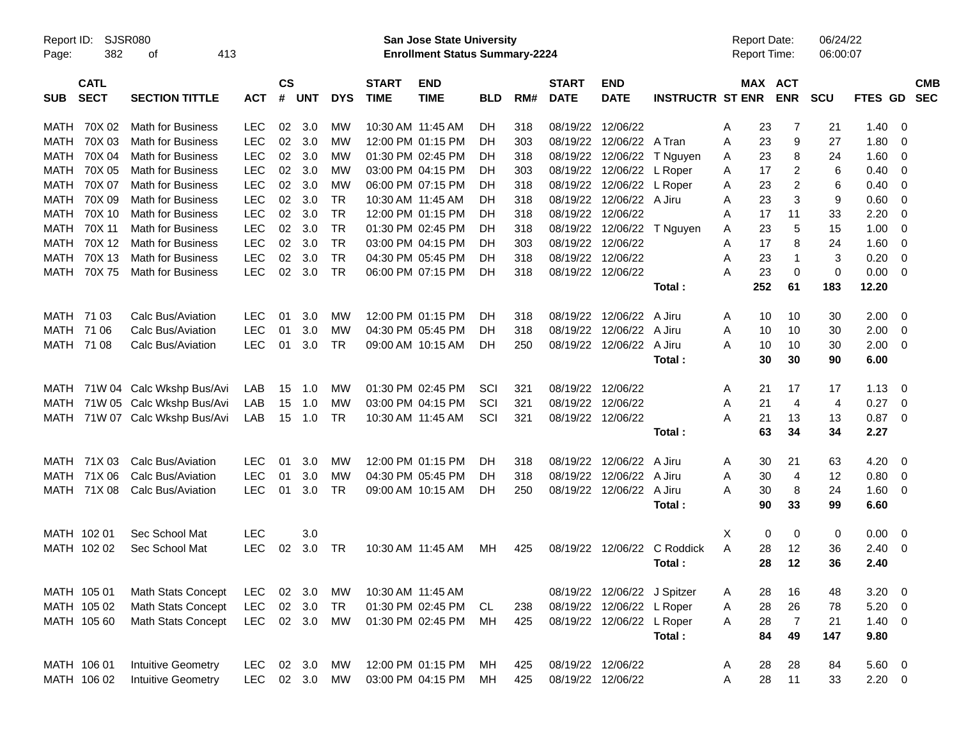| Page:       | SJSR080<br>Report ID:<br>382<br>413<br>οf<br><b>CATL</b> |                           |            |                |            |            |                             | San Jose State University<br><b>Enrollment Status Summary-2224</b> |            |     |                             |                             |                         | <b>Report Date:</b><br>Report Time: |     |                       | 06/24/22<br>06:00:07 |             |                         |                          |
|-------------|----------------------------------------------------------|---------------------------|------------|----------------|------------|------------|-----------------------------|--------------------------------------------------------------------|------------|-----|-----------------------------|-----------------------------|-------------------------|-------------------------------------|-----|-----------------------|----------------------|-------------|-------------------------|--------------------------|
| <b>SUB</b>  | <b>SECT</b>                                              | <b>SECTION TITTLE</b>     | <b>ACT</b> | <b>CS</b><br># | <b>UNT</b> | <b>DYS</b> | <b>START</b><br><b>TIME</b> | <b>END</b><br><b>TIME</b>                                          | <b>BLD</b> | RM# | <b>START</b><br><b>DATE</b> | <b>END</b><br><b>DATE</b>   | <b>INSTRUCTR ST ENR</b> |                                     |     | MAX ACT<br><b>ENR</b> | <b>SCU</b>           | FTES GD     |                         | <b>CMB</b><br><b>SEC</b> |
| MATH        | 70X 02                                                   | <b>Math for Business</b>  | <b>LEC</b> | 02             | 3.0        | МW         |                             | 10:30 AM 11:45 AM                                                  | DH         | 318 |                             | 08/19/22 12/06/22           |                         | Α                                   | 23  | 7                     | 21                   | 1.40        | $\overline{0}$          |                          |
| MATH        | 70X 03                                                   | <b>Math for Business</b>  | <b>LEC</b> | 02             | 3.0        | МW         |                             | 12:00 PM 01:15 PM                                                  | DH         | 303 |                             | 08/19/22 12/06/22 A Tran    |                         | Α                                   | 23  | 9                     | 27                   | 1.80        | 0                       |                          |
| MATH        | 70X 04                                                   | <b>Math for Business</b>  | <b>LEC</b> | 02             | 3.0        | МW         |                             | 01:30 PM 02:45 PM                                                  | DH         | 318 |                             | 08/19/22 12/06/22           | T Nguyen                | Α                                   | 23  | 8                     | 24                   | 1.60        | 0                       |                          |
| MATH        | 70X 05                                                   | <b>Math for Business</b>  | <b>LEC</b> | 02             | 3.0        | МW         |                             | 03:00 PM 04:15 PM                                                  | DH         | 303 |                             | 08/19/22 12/06/22 L Roper   |                         | A                                   | 17  | 2                     | 6                    | 0.40        | 0                       |                          |
| MATH        | 70X 07                                                   | <b>Math for Business</b>  | <b>LEC</b> | 02             | 3.0        | МW         |                             | 06:00 PM 07:15 PM                                                  | DH         | 318 |                             | 08/19/22 12/06/22           | L Roper                 | Α                                   | 23  | 2                     | 6                    | 0.40        | 0                       |                          |
| MATH        | 70X 09                                                   | <b>Math for Business</b>  | <b>LEC</b> | 02             | 3.0        | TR         |                             | 10:30 AM 11:45 AM                                                  | DH         | 318 |                             | 08/19/22 12/06/22 A Jiru    |                         | Α                                   | 23  | 3                     | 9                    | 0.60        | 0                       |                          |
| MATH        | 70X 10                                                   | <b>Math for Business</b>  | <b>LEC</b> | 02             | 3.0        | <b>TR</b>  |                             | 12:00 PM 01:15 PM                                                  | DH         | 318 |                             | 08/19/22 12/06/22           |                         | A                                   | 17  | 11                    | 33                   | 2.20        | 0                       |                          |
| MATH        | 70X 11                                                   | <b>Math for Business</b>  | <b>LEC</b> | 02             | 3.0        | <b>TR</b>  |                             | 01:30 PM 02:45 PM                                                  | DH         | 318 |                             | 08/19/22 12/06/22 T Nguyen  |                         | Α                                   | 23  | 5                     | 15                   | 1.00        | 0                       |                          |
| MATH        | 70X 12                                                   | <b>Math for Business</b>  | <b>LEC</b> | 02             | 3.0        | <b>TR</b>  |                             | 03:00 PM 04:15 PM                                                  | DH         | 303 |                             | 08/19/22 12/06/22           |                         | Α                                   | 17  | 8                     | 24                   | 1.60        | 0                       |                          |
| MATH        | 70X 13                                                   | <b>Math for Business</b>  | <b>LEC</b> | 02             | 3.0        | <b>TR</b>  |                             | 04:30 PM 05:45 PM                                                  | DH         | 318 |                             | 08/19/22 12/06/22           |                         | Α                                   | 23  | $\mathbf 1$           | 3                    | 0.20        | $\overline{0}$          |                          |
| <b>MATH</b> | 70X75                                                    | <b>Math for Business</b>  | <b>LEC</b> | 02             | 3.0        | <b>TR</b>  |                             | 06:00 PM 07:15 PM                                                  | DH.        | 318 |                             | 08/19/22 12/06/22           |                         | А                                   | 23  | $\mathbf 0$           | $\mathbf 0$          | 0.00        | - 0                     |                          |
|             |                                                          |                           |            |                |            |            |                             |                                                                    |            |     |                             |                             | Total:                  |                                     | 252 | 61                    | 183                  | 12.20       |                         |                          |
| MATH        | 71 03                                                    | Calc Bus/Aviation         | LEC        | 01             | 3.0        | MW         |                             | 12:00 PM 01:15 PM                                                  | DH.        | 318 |                             | 08/19/22 12/06/22 A Jiru    |                         | A                                   | 10  | 10                    | 30                   | 2.00        | - 0                     |                          |
| MATH        | 71 06                                                    | Calc Bus/Aviation         | <b>LEC</b> | 01             | 3.0        | MW         |                             | 04:30 PM 05:45 PM                                                  | DH         | 318 |                             | 08/19/22 12/06/22           | A Jiru                  | Α                                   | 10  | 10                    | 30                   | 2.00        | 0                       |                          |
| MATH        | 71 08                                                    | Calc Bus/Aviation         | <b>LEC</b> | 01             | 3.0        | TR         |                             | 09:00 AM 10:15 AM                                                  | DH         | 250 |                             | 08/19/22 12/06/22           | A Jiru                  | Α                                   | 10  | 10                    | 30                   | 2.00        | $\overline{\mathbf{0}}$ |                          |
|             |                                                          |                           |            |                |            |            |                             |                                                                    |            |     |                             |                             | Total:                  |                                     | 30  | 30                    | 90                   | 6.00        |                         |                          |
| MATH        |                                                          | 71W 04 Calc Wkshp Bus/Avi | LAB        | 15             | 1.0        | MW         |                             | 01:30 PM 02:45 PM                                                  | SCI        | 321 |                             | 08/19/22 12/06/22           |                         | A                                   | 21  | 17                    | 17                   | 1.13        | $\overline{\mathbf{0}}$ |                          |
| MATH        |                                                          | 71W 05 Calc Wkshp Bus/Avi | LAB        | 15             | 1.0        | МW         |                             | 03:00 PM 04:15 PM                                                  | SCI        | 321 |                             | 08/19/22 12/06/22           |                         | Α                                   | 21  | 4                     | 4                    | 0.27        | - 0                     |                          |
| MATH        |                                                          | 71W 07 Calc Wkshp Bus/Avi | LAB        | 15             | 1.0        | <b>TR</b>  |                             | 10:30 AM 11:45 AM                                                  | SCI        | 321 |                             | 08/19/22 12/06/22           |                         | Α                                   | 21  | 13                    | 13                   | 0.87        | $\overline{\mathbf{0}}$ |                          |
|             |                                                          |                           |            |                |            |            |                             |                                                                    |            |     |                             |                             | Total:                  |                                     | 63  | 34                    | 34                   | 2.27        |                         |                          |
| MATH        | 71X 03                                                   | Calc Bus/Aviation         | LEC        | 01             | 3.0        | МW         |                             | 12:00 PM 01:15 PM                                                  | DH.        | 318 |                             | 08/19/22 12/06/22           | A Jiru                  | A                                   | 30  | 21                    | 63                   | 4.20        | $\overline{\mathbf{0}}$ |                          |
| MATH        | 71X 06                                                   | Calc Bus/Aviation         | <b>LEC</b> | 01             | 3.0        | MW         |                             | 04:30 PM 05:45 PM                                                  | DH         | 318 |                             | 08/19/22 12/06/22           | A Jiru                  | Α                                   | 30  | 4                     | 12                   | 0.80        | 0                       |                          |
| MATH        | 71X 08                                                   | Calc Bus/Aviation         | <b>LEC</b> | 01             | 3.0        | TR         |                             | 09:00 AM 10:15 AM                                                  | DH         | 250 |                             | 08/19/22 12/06/22           | A Jiru                  | Α                                   | 30  | 8                     | 24                   | 1.60        | $\overline{\mathbf{0}}$ |                          |
|             |                                                          |                           |            |                |            |            |                             |                                                                    |            |     |                             |                             | Total:                  |                                     | 90  | 33                    | 99                   | 6.60        |                         |                          |
|             | MATH 102 01                                              | Sec School Mat            | <b>LEC</b> |                | 3.0        |            |                             |                                                                    |            |     |                             |                             |                         | Χ                                   | 0   | 0                     | 0                    | 0.00        | $\overline{\mathbf{0}}$ |                          |
|             | MATH 102 02                                              | Sec School Mat            | <b>LEC</b> | 02             | 3.0        | TR         |                             | 10:30 AM 11:45 AM                                                  | МH         | 425 |                             | 08/19/22 12/06/22           | C Roddick               | Α                                   | 28  | 12                    | 36                   | 2.40        | $\overline{\mathbf{0}}$ |                          |
|             |                                                          |                           |            |                |            |            |                             |                                                                    |            |     |                             |                             | Total :                 |                                     | 28  | 12                    | 36                   | 2.40        |                         |                          |
|             | MATH 105 01                                              | <b>Math Stats Concept</b> | <b>LEC</b> |                | 02 3.0     | МW         |                             | 10:30 AM 11:45 AM                                                  |            |     |                             | 08/19/22 12/06/22 J Spitzer |                         | A                                   | 28  | 16                    | 48                   | $3.20 \ 0$  |                         |                          |
|             | MATH 105 02                                              | <b>Math Stats Concept</b> | <b>LEC</b> |                | 02 3.0     | TR         |                             | 01:30 PM 02:45 PM                                                  | CL         | 238 |                             | 08/19/22 12/06/22 L Roper   |                         | A                                   | 28  | 26                    | 78                   | $5.20 \ 0$  |                         |                          |
|             | MATH 105 60                                              | Math Stats Concept        | <b>LEC</b> |                | 02 3.0     | MW         |                             | 01:30 PM 02:45 PM                                                  | МH         | 425 |                             | 08/19/22 12/06/22 L Roper   |                         | Α                                   | 28  | $\overline{7}$        | 21                   | $1.40 \ 0$  |                         |                          |
|             |                                                          |                           |            |                |            |            |                             |                                                                    |            |     |                             |                             | Total:                  |                                     | 84  | 49                    | 147                  | 9.80        |                         |                          |
|             | MATH 106 01                                              | <b>Intuitive Geometry</b> | <b>LEC</b> |                | 02 3.0     | МW         |                             | 12:00 PM 01:15 PM                                                  | МH         | 425 |                             | 08/19/22 12/06/22           |                         | A                                   | 28  | 28                    | 84                   | 5.60 0      |                         |                          |
|             | MATH 106 02                                              | <b>Intuitive Geometry</b> | <b>LEC</b> |                | 02 3.0 MW  |            |                             | 03:00 PM 04:15 PM                                                  | МH         | 425 |                             | 08/19/22 12/06/22           |                         | Α                                   | 28  | 11                    | 33                   | $2.20 \t 0$ |                         |                          |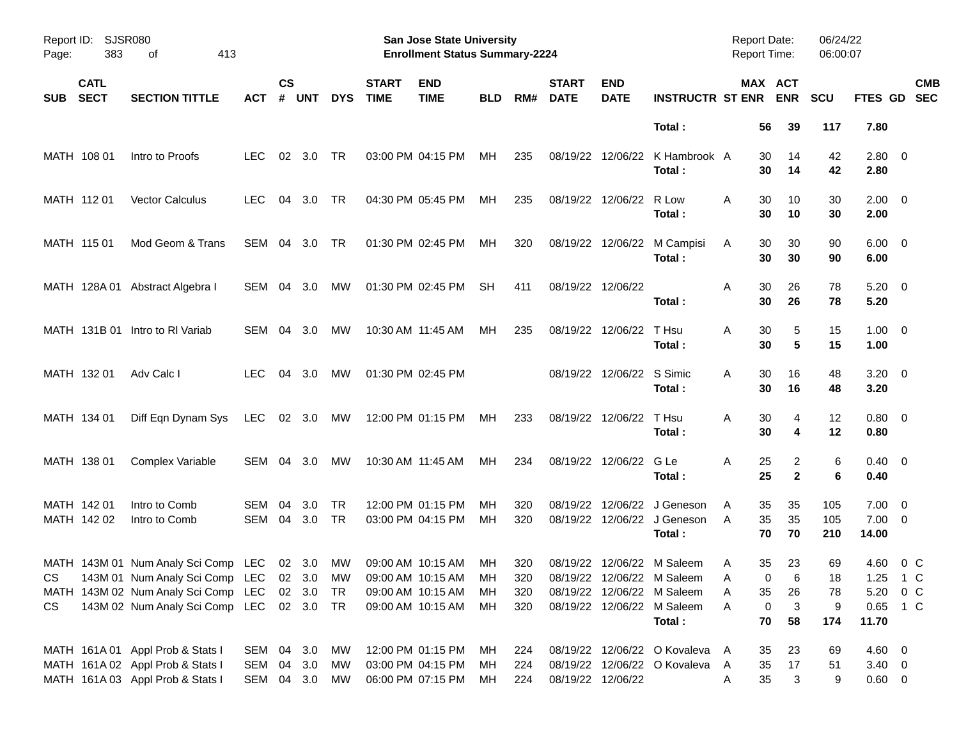| Page:      | <b>SJSR080</b><br>Report ID:<br>383<br>413<br>οf<br><b>CATL</b> |                                               |               |                    |                |            |                             | <b>San Jose State University</b><br><b>Enrollment Status Summary-2224</b> |            |            |                             |                           |                                                             | Report Date:<br><b>Report Time:</b> |                       | 06/24/22<br>06:00:07 |                              |                          |
|------------|-----------------------------------------------------------------|-----------------------------------------------|---------------|--------------------|----------------|------------|-----------------------------|---------------------------------------------------------------------------|------------|------------|-----------------------------|---------------------------|-------------------------------------------------------------|-------------------------------------|-----------------------|----------------------|------------------------------|--------------------------|
| <b>SUB</b> | <b>SECT</b>                                                     | <b>SECTION TITTLE</b>                         | ACT           | $\mathsf{cs}$<br># | <b>UNT</b>     | <b>DYS</b> | <b>START</b><br><b>TIME</b> | <b>END</b><br><b>TIME</b>                                                 | <b>BLD</b> | RM#        | <b>START</b><br><b>DATE</b> | <b>END</b><br><b>DATE</b> | <b>INSTRUCTR ST ENR</b>                                     |                                     | MAX ACT<br><b>ENR</b> | <b>SCU</b>           | FTES GD                      | <b>CMB</b><br><b>SEC</b> |
|            |                                                                 |                                               |               |                    |                |            |                             |                                                                           |            |            |                             |                           | Total:                                                      | 56                                  | 39                    | 117                  | 7.80                         |                          |
|            | MATH 108 01                                                     | Intro to Proofs                               | LEC.          |                    | $02 \quad 3.0$ | TR         |                             | 03:00 PM 04:15 PM                                                         | МH         | 235        |                             |                           | 08/19/22 12/06/22 K Hambrook A<br>Total:                    | 30<br>30                            | 14<br>14              | 42<br>42             | $2.80 \ 0$<br>2.80           |                          |
|            | MATH 112 01                                                     | <b>Vector Calculus</b>                        | <b>LEC</b>    | 04                 | 3.0            | TR         |                             | 04:30 PM 05:45 PM                                                         | МH         | 235        |                             | 08/19/22 12/06/22 R Low   | Total:                                                      | 30<br>A<br>30                       | 10<br>10              | 30<br>30             | $2.00 \t 0$<br>2.00          |                          |
|            | MATH 115 01                                                     | Mod Geom & Trans                              | SEM 04 3.0    |                    |                | TR         |                             | 01:30 PM 02:45 PM                                                         | МH         | 320        |                             |                           | 08/19/22 12/06/22 M Campisi<br>Total:                       | 30<br>A<br>30                       | 30<br>30              | 90<br>90             | $6.00 \quad 0$<br>6.00       |                          |
|            |                                                                 | MATH 128A 01 Abstract Algebra I               | SEM 04 3.0    |                    |                | MW         |                             | 01:30 PM 02:45 PM                                                         | <b>SH</b>  | 411        |                             | 08/19/22 12/06/22         | Total:                                                      | Α<br>30<br>30                       | 26<br>26              | 78<br>78             | $5.20 \ 0$<br>5.20           |                          |
|            |                                                                 | MATH 131B 01 Intro to RI Variab               | SEM 04 3.0    |                    |                | МW         |                             | 10:30 AM 11:45 AM                                                         | MН         | 235        |                             | 08/19/22 12/06/22         | T Hsu<br>Total:                                             | A<br>30<br>30                       | 5<br>5                | 15<br>15             | $1.00 \t 0$<br>1.00          |                          |
|            | MATH 132 01                                                     | Adv Calc I                                    | LEC.          |                    | 04 3.0         | MW         |                             | 01:30 PM 02:45 PM                                                         |            |            |                             | 08/19/22 12/06/22 S Simic | Total:                                                      | A<br>30<br>30                       | 16<br>16              | 48<br>48             | $3.20 \ 0$<br>3.20           |                          |
|            | MATH 134 01                                                     | Diff Eqn Dynam Sys                            | LEC 02 3.0 MW |                    |                |            |                             | 12:00 PM 01:15 PM                                                         | MН         | 233        |                             | 08/19/22 12/06/22         | T Hsu<br>Total:                                             | A<br>30<br>30                       | 4<br>4                | 12<br>12             | $0.80 \ 0$<br>0.80           |                          |
|            | MATH 138 01                                                     | Complex Variable                              | SEM 04 3.0    |                    |                | МW         |                             | 10:30 AM 11:45 AM                                                         | MН         | 234        |                             | 08/19/22 12/06/22 G Le    | Total:                                                      | Α<br>25<br>25                       | 2<br>$\overline{2}$   | 6<br>6               | $0.40 \quad 0$<br>0.40       |                          |
|            | MATH 142 01<br>MATH 142 02                                      | Intro to Comb<br>Intro to Comb                | SEM<br>SEM    | 04                 | 3.0<br>04 3.0  | TR<br>TR   |                             | 12:00 PM 01:15 PM<br>03:00 PM 04:15 PM                                    | MН<br>мн   | 320<br>320 | 08/19/22                    |                           | 12/06/22 J Geneson<br>08/19/22 12/06/22 J Geneson<br>Total: | A<br>35<br>35<br>A<br>70            | 35<br>35<br>70        | 105<br>105<br>210    | 7.00<br>$7.00 \t 0$<br>14.00 | $\overline{\mathbf{0}}$  |
|            |                                                                 | MATH 143M 01 Num Analy Sci Comp LEC 02 3.0 MW |               |                    |                |            |                             | 09:00 AM 10:15 AM                                                         | МH         | 320        |                             |                           | 08/19/22 12/06/22 M Saleem                                  | 35<br>A                             | 23                    | 69                   | 4.60                         | 0 C                      |
| CS         |                                                                 | 143M 01 Num Analy Sci Comp LEC 02 3.0 MW      |               |                    |                |            |                             | 09:00 AM 10:15 AM                                                         | МH         | 320        |                             |                           | 08/19/22 12/06/22 M Saleem                                  |                                     | $\mathbf 0$<br>6      | 18                   | 1.25 1 C                     |                          |
|            |                                                                 | MATH 143M 02 Num Analy Sci Comp LEC 02 3.0 TR |               |                    |                |            |                             | 09:00 AM 10:15 AM                                                         | MН         | 320        |                             |                           | 08/19/22 12/06/22 M Saleem                                  | Α<br>35                             | 26                    | 78                   | 5.20 0 C                     |                          |
| CS         |                                                                 | 143M 02 Num Analy Sci Comp LEC 02 3.0 TR      |               |                    |                |            |                             | 09:00 AM 10:15 AM                                                         | MН         | 320        |                             |                           | 08/19/22 12/06/22 M Saleem                                  | Α                                   | 3<br>0                | 9                    | 0.65 1 C                     |                          |
|            |                                                                 |                                               |               |                    |                |            |                             |                                                                           |            |            |                             |                           | Total:                                                      | 70                                  | 58                    | 174                  | 11.70                        |                          |
|            |                                                                 | MATH 161A 01 Appl Prob & Stats I              | SEM 04 3.0    |                    |                | МW         |                             | 12:00 PM 01:15 PM                                                         | MН         | 224        |                             |                           | 08/19/22 12/06/22 O Kovaleva                                | 35<br>A                             | 23                    | 69                   | $4.60 \quad 0$               |                          |
|            |                                                                 | MATH 161A 02 Appl Prob & Stats I              | SEM           |                    | 04 3.0         | МW         |                             | 03:00 PM 04:15 PM                                                         | MН         | 224        |                             |                           | 08/19/22 12/06/22 O Kovaleva                                | 35<br>A                             | 17                    | 51                   | $3.40 \ 0$                   |                          |
|            |                                                                 | MATH 161A 03 Appl Prob & Stats I              | SEM 04 3.0    |                    |                | MW         |                             | 06:00 PM 07:15 PM                                                         | MН         | 224        |                             | 08/19/22 12/06/22         |                                                             | 35<br>Α                             | 3                     | 9                    | $0.60 \t 0$                  |                          |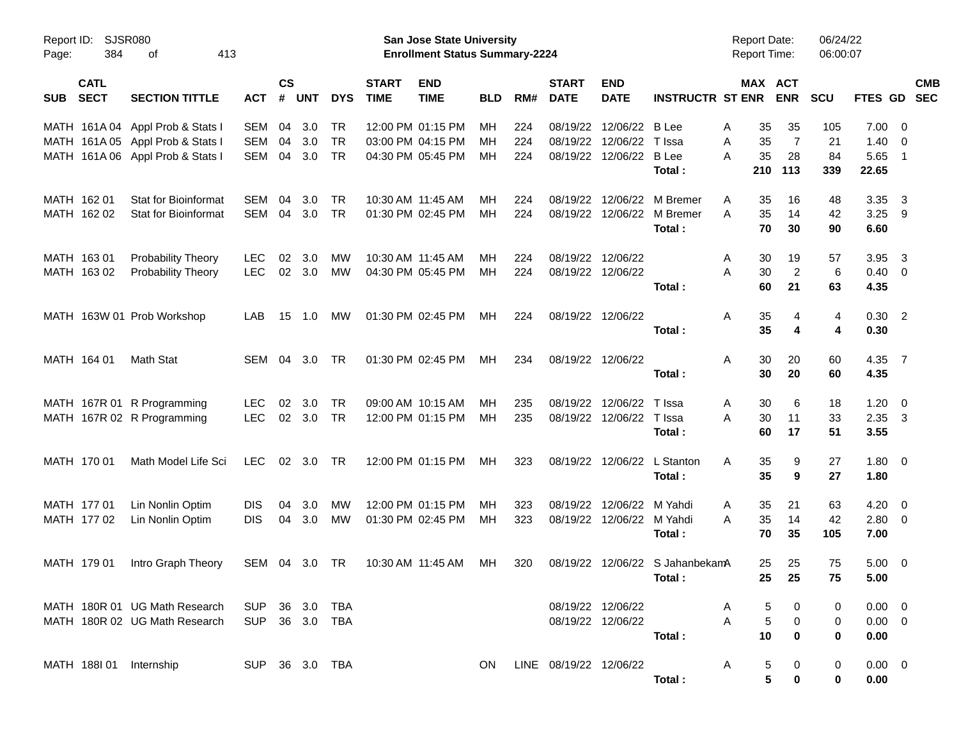| Page:      | Report ID:<br>SJSR080<br>384<br>413<br>οf |                                  |                |                    |                |            |                             | San Jose State University<br><b>Enrollment Status Summary-2224</b> |            |     |                             |                           |                         | <b>Report Date:</b><br><b>Report Time:</b> |                | 06/24/22<br>06:00:07 |                |                            |                          |
|------------|-------------------------------------------|----------------------------------|----------------|--------------------|----------------|------------|-----------------------------|--------------------------------------------------------------------|------------|-----|-----------------------------|---------------------------|-------------------------|--------------------------------------------|----------------|----------------------|----------------|----------------------------|--------------------------|
| <b>SUB</b> | <b>CATL</b><br><b>SECT</b>                | <b>SECTION TITTLE</b>            | <b>ACT</b>     | $\mathsf{cs}$<br># | <b>UNT</b>     | <b>DYS</b> | <b>START</b><br><b>TIME</b> | <b>END</b><br><b>TIME</b>                                          | <b>BLD</b> | RM# | <b>START</b><br><b>DATE</b> | <b>END</b><br><b>DATE</b> | <b>INSTRUCTR ST ENR</b> | MAX ACT                                    | <b>ENR</b>     | <b>SCU</b>           | <b>FTES GD</b> |                            | <b>CMB</b><br><b>SEC</b> |
|            |                                           | MATH 161A 04 Appl Prob & Stats I | <b>SEM</b>     | 04                 | 3.0            | TR         |                             | 12:00 PM 01:15 PM                                                  | МH         | 224 | 08/19/22                    | 12/06/22                  | B Lee                   | 35<br>Α                                    | 35             | 105                  | 7.00           | $\overline{\mathbf{0}}$    |                          |
|            |                                           | MATH 161A 05 Appl Prob & Stats I | <b>SEM</b>     | 04                 | 3.0            | <b>TR</b>  |                             | 03:00 PM 04:15 PM                                                  | MН         | 224 | 08/19/22                    | 12/06/22                  | T Issa                  | 35<br>A                                    | 7              | 21                   | 1.40           | 0                          |                          |
|            |                                           | MATH 161A 06 Appl Prob & Stats I | <b>SEM</b>     | 04                 | 3.0            | <b>TR</b>  |                             | 04:30 PM 05:45 PM                                                  | MН         | 224 | 08/19/22                    | 12/06/22                  | <b>B</b> Lee<br>Total:  | 35<br>A<br>210                             | 28<br>113      | 84<br>339            | 5.65<br>22.65  | $\overline{\phantom{0}}$ 1 |                          |
|            | MATH 162 01                               | Stat for Bioinformat             | <b>SEM</b>     | 04                 | 3.0            | <b>TR</b>  |                             | 10:30 AM 11:45 AM                                                  | MН         | 224 | 08/19/22                    | 12/06/22                  | M Bremer                | A<br>35                                    | 16             | 48                   | 3.35           | $\overline{\mathbf{3}}$    |                          |
|            | MATH 162 02                               | <b>Stat for Bioinformat</b>      | SEM            |                    | 04 3.0         | <b>TR</b>  |                             | 01:30 PM 02:45 PM                                                  | MН         | 224 | 08/19/22                    | 12/06/22                  | M Bremer                | 35<br>A                                    | 14             | 42                   | $3.25$ 9       |                            |                          |
|            |                                           |                                  |                |                    |                |            |                             |                                                                    |            |     |                             |                           | Total:                  | 70                                         | 30             | 90                   | 6.60           |                            |                          |
|            | MATH 163 01                               | Probability Theory               | <b>LEC</b>     | 02                 | 3.0            | MW         |                             | 10:30 AM 11:45 AM                                                  | MН         | 224 | 08/19/22                    | 12/06/22                  |                         | 30<br>A                                    | 19             | 57                   | 3.95           | $\overline{3}$             |                          |
|            | MATH 163 02                               | <b>Probability Theory</b>        | <b>LEC</b>     |                    | 02 3.0         | MW         |                             | 04:30 PM 05:45 PM                                                  | MН         | 224 | 08/19/22                    | 12/06/22                  |                         | 30<br>A                                    | $\overline{2}$ | 6                    | 0.40           | 0                          |                          |
|            |                                           |                                  |                |                    |                |            |                             |                                                                    |            |     |                             |                           | Total:                  | 60                                         | 21             | 63                   | 4.35           |                            |                          |
|            |                                           | MATH 163W 01 Prob Workshop       | LAB            | 15                 | 1.0            | МW         |                             | 01:30 PM 02:45 PM                                                  | МH         | 224 | 08/19/22 12/06/22           |                           |                         | 35<br>Α                                    | 4              | 4                    | $0.30$ 2       |                            |                          |
|            |                                           |                                  |                |                    |                |            |                             |                                                                    |            |     |                             |                           | Total:                  | 35                                         | 4              | 4                    | 0.30           |                            |                          |
|            | MATH 164 01                               | Math Stat                        | SEM            |                    | 04 3.0         | TR         |                             | 01:30 PM 02:45 PM                                                  | МH         | 234 |                             | 08/19/22 12/06/22         |                         | 30<br>Α                                    | 20             | 60                   | 4.35 7         |                            |                          |
|            |                                           |                                  |                |                    |                |            |                             |                                                                    |            |     |                             |                           | Total:                  | 30                                         | 20             | 60                   | 4.35           |                            |                          |
|            |                                           | MATH 167R 01 R Programming       | <b>LEC</b>     | 02                 | 3.0            | <b>TR</b>  |                             | 09:00 AM 10:15 AM                                                  | MН         | 235 | 08/19/22                    | 12/06/22                  | T Issa                  | 30<br>A                                    | 6              | 18                   | 1.20           | $\overline{0}$             |                          |
|            |                                           | MATH 167R 02 R Programming       | <b>LEC</b>     |                    | 02 3.0         | <b>TR</b>  |                             | 12:00 PM 01:15 PM                                                  | МH         | 235 | 08/19/22                    | 12/06/22                  | T Issa                  | 30<br>A                                    | 11             | 33                   | $2.35 \quad 3$ |                            |                          |
|            |                                           |                                  |                |                    |                |            |                             |                                                                    |            |     |                             |                           | Total:                  | 60                                         | 17             | 51                   | 3.55           |                            |                          |
|            | MATH 170 01                               | Math Model Life Sci              | <b>LEC</b>     |                    | $02 \quad 3.0$ | TR         |                             | 12:00 PM 01:15 PM                                                  | МH         | 323 | 08/19/22                    | 12/06/22                  | L Stanton               | 35<br>Α                                    | 9              | 27                   | $1.80 \t 0$    |                            |                          |
|            |                                           |                                  |                |                    |                |            |                             |                                                                    |            |     |                             |                           | Total:                  | 35                                         | 9              | 27                   | 1.80           |                            |                          |
|            | MATH 177 01                               | Lin Nonlin Optim                 | <b>DIS</b>     | 04                 | 3.0            | MW         |                             | 12:00 PM 01:15 PM                                                  | MН         | 323 | 08/19/22                    | 12/06/22                  | M Yahdi                 | 35<br>A                                    | 21             | 63                   | 4.20           | $\overline{\mathbf{0}}$    |                          |
|            | MATH 177 02                               | Lin Nonlin Optim                 | <b>DIS</b>     | 04                 | 3.0            | <b>MW</b>  |                             | 01:30 PM 02:45 PM                                                  | МH         | 323 | 08/19/22                    | 12/06/22                  | M Yahdi                 | 35<br>A                                    | 14             | 42                   | 2.80           | $\overline{0}$             |                          |
|            |                                           |                                  |                |                    |                |            |                             |                                                                    |            |     |                             |                           | Total:                  | 70                                         | 35             | 105                  | 7.00           |                            |                          |
|            | MATH 179 01                               | Intro Graph Theory               | SEM 04 3.0     |                    |                | TR         |                             | 10:30 AM 11:45 AM                                                  | МH         | 320 | 08/19/22                    |                           | 12/06/22 S JahanbekamA  | 25                                         | 25             | 75                   | 5.00           | $\overline{\mathbf{0}}$    |                          |
|            |                                           |                                  |                |                    |                |            |                             |                                                                    |            |     |                             |                           | Total:                  | 25 <sub>2</sub>                            | 25             | 75                   | 5.00           |                            |                          |
|            |                                           | MATH 180R 01 UG Math Research    | SUP 36 3.0     |                    |                | TBA        |                             |                                                                    |            |     |                             | 08/19/22 12/06/22         |                         | A<br>5                                     |                | 0                    | $0.00 \quad 0$ |                            |                          |
|            |                                           | MATH 180R 02 UG Math Research    | SUP 36 3.0     |                    |                | TBA        |                             |                                                                    |            |     |                             | 08/19/22 12/06/22         |                         | 5<br>A                                     | 0              | 0                    | $0.00 \t 0$    |                            |                          |
|            |                                           |                                  |                |                    |                |            |                             |                                                                    |            |     |                             |                           | Total:                  | 10                                         | 0              | 0                    | 0.00           |                            |                          |
|            |                                           |                                  |                |                    |                |            |                             |                                                                    |            |     |                             |                           |                         |                                            |                |                      |                |                            |                          |
|            |                                           | MATH 188101 Internship           | SUP 36 3.0 TBA |                    |                |            |                             |                                                                    | ON.        |     | LINE 08/19/22 12/06/22      |                           |                         | A<br>5<br>5                                | 0              | 0                    | $0.00 \t 0$    |                            |                          |
|            |                                           |                                  |                |                    |                |            |                             |                                                                    |            |     |                             |                           | Total:                  |                                            | 0              | 0                    | 0.00           |                            |                          |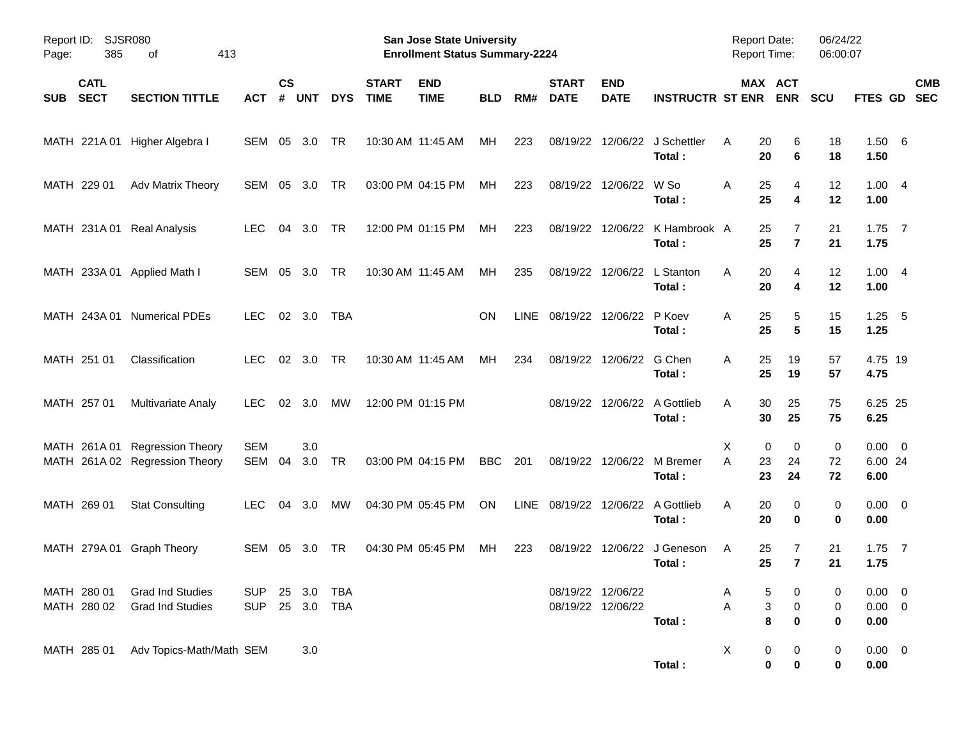| Page:      | Report ID:<br><b>SJSR080</b><br>385<br>413<br>οf |                                                                  |                          |                |            |                          |                             | San Jose State University<br><b>Enrollment Status Summary-2224</b> |            |      |                             |                                        |                                             | <b>Report Date:</b><br><b>Report Time:</b> |                                      | 06/24/22<br>06:00:07       |                                    |                          |
|------------|--------------------------------------------------|------------------------------------------------------------------|--------------------------|----------------|------------|--------------------------|-----------------------------|--------------------------------------------------------------------|------------|------|-----------------------------|----------------------------------------|---------------------------------------------|--------------------------------------------|--------------------------------------|----------------------------|------------------------------------|--------------------------|
| <b>SUB</b> | <b>CATL</b><br><b>SECT</b>                       | <b>SECTION TITTLE</b>                                            | <b>ACT</b>               | <b>CS</b><br># | <b>UNT</b> | <b>DYS</b>               | <b>START</b><br><b>TIME</b> | <b>END</b><br><b>TIME</b>                                          | <b>BLD</b> | RM#  | <b>START</b><br><b>DATE</b> | <b>END</b><br><b>DATE</b>              | <b>INSTRUCTR ST ENR</b>                     |                                            | MAX ACT<br><b>ENR</b>                | <b>SCU</b>                 | <b>FTES GD</b>                     | <b>CMB</b><br><b>SEC</b> |
|            |                                                  | MATH 221A 01 Higher Algebra I                                    | SEM 05                   |                | 3.0        | TR                       |                             | 10:30 AM 11:45 AM                                                  | МH         | 223  | 08/19/22                    |                                        | 12/06/22 J Schettler<br>Total:              | Α<br>20<br>20                              | 6<br>6                               | 18<br>18                   | 1.50 6<br>1.50                     |                          |
|            | MATH 229 01                                      | Adv Matrix Theory                                                | SEM                      | 05             | 3.0        | TR                       |                             | 03:00 PM 04:15 PM                                                  | МH         | 223  |                             | 08/19/22 12/06/22 W So                 | Total:                                      | 25<br>Α<br>25                              | $\overline{4}$<br>4                  | 12<br>12                   | 1.004<br>1.00                      |                          |
|            |                                                  | MATH 231A 01 Real Analysis                                       | <b>LEC</b>               | 04             | 3.0        | <b>TR</b>                |                             | 12:00 PM 01:15 PM                                                  | МH         | 223  |                             |                                        | 08/19/22 12/06/22 K Hambrook A<br>Total:    | 25<br>25                                   | 7<br>$\overline{7}$                  | 21<br>21                   | 1.75<br>1.75                       | $\overline{7}$           |
|            |                                                  | MATH 233A 01 Applied Math I                                      | SEM 05                   |                | 3.0        | <b>TR</b>                |                             | 10:30 AM 11:45 AM                                                  | МH         | 235  |                             | 08/19/22 12/06/22 L Stanton            | Total:                                      | 20<br>A<br>20                              | $\overline{4}$<br>4                  | 12<br>12                   | 1.004<br>1.00                      |                          |
|            |                                                  | MATH 243A 01 Numerical PDEs                                      | <b>LEC</b>               |                | 02 3.0     | TBA                      |                             |                                                                    | <b>ON</b>  | LINE | 08/19/22 12/06/22 P Koev    |                                        | Total:                                      | 25<br>A<br>25                              | 5<br>5                               | 15<br>15                   | 1.25<br>1.25                       | $-5$                     |
|            | MATH 251 01                                      | Classification                                                   | <b>LEC</b>               |                | 02 3.0     | <b>TR</b>                |                             | 10:30 AM 11:45 AM                                                  | МH         | 234  |                             | 08/19/22 12/06/22 G Chen               | Total:                                      | 25<br>A<br>25                              | 19<br>19                             | 57<br>57                   | 4.75 19<br>4.75                    |                          |
|            | MATH 257 01                                      | <b>Multivariate Analy</b>                                        | <b>LEC</b>               | 02             | 3.0        | МW                       |                             | 12:00 PM 01:15 PM                                                  |            |      |                             |                                        | 08/19/22 12/06/22 A Gottlieb<br>Total:      | 30<br>A<br>30                              | 25<br>25                             | 75<br>75                   | 6.25 25<br>6.25                    |                          |
|            |                                                  | MATH 261A 01 Regression Theory<br>MATH 261A 02 Regression Theory | <b>SEM</b><br>SEM        | 04             | 3.0<br>3.0 | TR                       |                             | 03:00 PM 04:15 PM                                                  | BBC        | 201  |                             |                                        | 08/19/22 12/06/22 M Bremer<br>Total:        | Χ<br>A<br>23<br>23                         | 0<br>0<br>24<br>24                   | 0<br>72<br>72              | $0.00 \t 0$<br>6.00 24<br>6.00     |                          |
|            | MATH 269 01                                      | <b>Stat Consulting</b>                                           | <b>LEC</b>               | 04             | 3.0        | МW                       |                             | 04:30 PM 05:45 PM                                                  | ON         |      |                             |                                        | LINE 08/19/22 12/06/22 A Gottlieb<br>Total: | 20<br>A<br>20                              | 0<br>0                               | 0<br>0                     | $0.00 \t 0$<br>0.00                |                          |
|            |                                                  | MATH 279A 01 Graph Theory                                        | SEM 05                   |                | - 3.0      | TR                       |                             | 04:30 PM 05:45 PM                                                  | МH         | 223  |                             |                                        | 08/19/22 12/06/22 J Geneson<br>Total:       | A<br>25<br>25                              | 7<br>$\overline{7}$                  | 21<br>21                   | 1.75<br>1.75                       | $\overline{7}$           |
|            | MATH 280 01<br>MATH 280 02                       | <b>Grad Ind Studies</b><br><b>Grad Ind Studies</b>               | <b>SUP</b><br><b>SUP</b> |                | 25 3.0     | 25 3.0 TBA<br><b>TBA</b> |                             |                                                                    |            |      |                             | 08/19/22 12/06/22<br>08/19/22 12/06/22 | Total:                                      | A<br>A                                     | 5<br>0<br>3<br>$\mathbf 0$<br>8<br>0 | 0<br>$\boldsymbol{0}$<br>0 | $0.00 \t 0$<br>$0.00 \t 0$<br>0.00 |                          |
|            | MATH 285 01                                      | Adv Topics-Math/Math SEM                                         |                          |                | 3.0        |                          |                             |                                                                    |            |      |                             |                                        | Total:                                      | X                                          | 0<br>0<br>0<br>$\pmb{0}$             | $\mathbf 0$<br>0           | $0.00 \t 0$<br>0.00                |                          |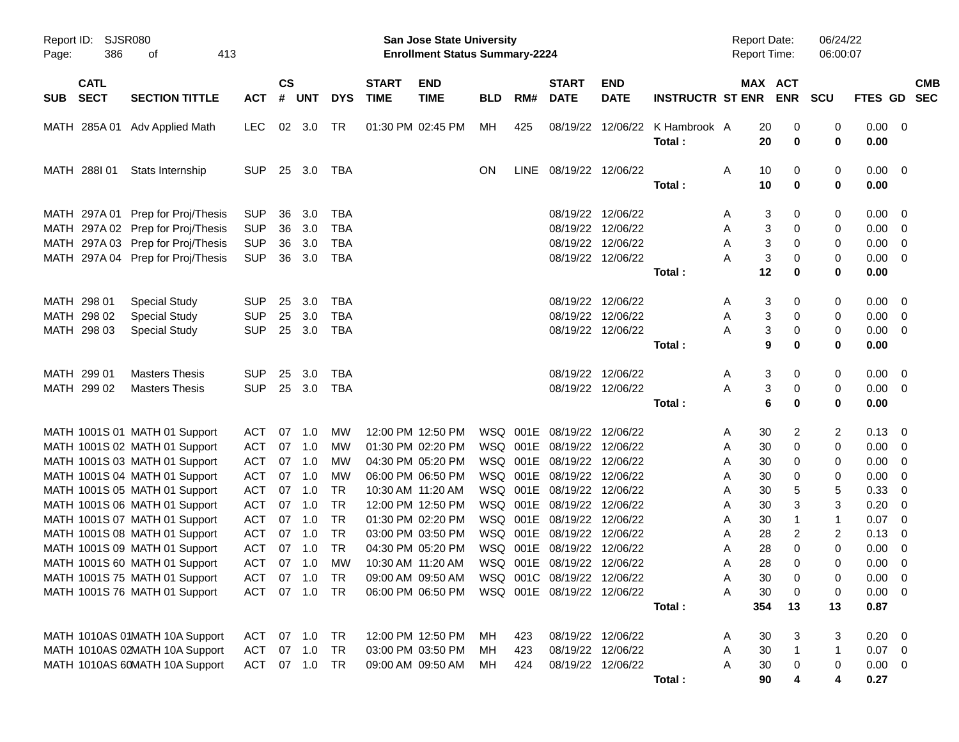| SJSR080<br>Report ID:<br>386<br>413<br>Page:<br>оf |                                                                                                                                                  |                                                      |                      |                                      |                                               |                             | <b>San Jose State University</b><br><b>Enrollment Status Summary-2224</b>        |                |                   |                                                                                                                      |                                                                                  |                                          | <b>Report Date:</b><br>Report Time:       |                                           | 06/24/22<br>06:00:07          |                                                                 |                           |
|----------------------------------------------------|--------------------------------------------------------------------------------------------------------------------------------------------------|------------------------------------------------------|----------------------|--------------------------------------|-----------------------------------------------|-----------------------------|----------------------------------------------------------------------------------|----------------|-------------------|----------------------------------------------------------------------------------------------------------------------|----------------------------------------------------------------------------------|------------------------------------------|-------------------------------------------|-------------------------------------------|-------------------------------|-----------------------------------------------------------------|---------------------------|
| <b>CATL</b><br><b>SECT</b><br><b>SUB</b>           | <b>SECTION TITTLE</b>                                                                                                                            | ACT                                                  | $\mathsf{cs}$        | # UNT                                | <b>DYS</b>                                    | <b>START</b><br><b>TIME</b> | <b>END</b><br><b>TIME</b>                                                        | <b>BLD</b>     | RM#               | <b>START</b><br><b>DATE</b>                                                                                          | <b>END</b><br><b>DATE</b>                                                        | <b>INSTRUCTR ST ENR</b>                  |                                           | MAX ACT<br><b>ENR</b>                     | <b>SCU</b>                    |                                                                 | <b>CMB</b><br>FTES GD SEC |
|                                                    | MATH 285A 01 Adv Applied Math                                                                                                                    | LEC.                                                 |                      | 02 3.0                               | TR                                            |                             | 01:30 PM 02:45 PM                                                                | MН             | 425               |                                                                                                                      |                                                                                  | 08/19/22 12/06/22 K Hambrook A<br>Total: | 20<br>20                                  | 0<br>0                                    | 0<br>0                        | $0.00 \t 0$<br>0.00                                             |                           |
| MATH 288I 01                                       | Stats Internship                                                                                                                                 | <b>SUP</b>                                           |                      |                                      | 25 3.0 TBA                                    |                             |                                                                                  | ON             |                   | LINE 08/19/22 12/06/22                                                                                               |                                                                                  | Total :                                  | 10<br>A<br>10                             | 0<br>0                                    | 0<br>0                        | $0.00 \quad 0$<br>0.00                                          |                           |
|                                                    | MATH 297A 01 Prep for Proj/Thesis<br>MATH 297A 02 Prep for Proj/Thesis<br>MATH 297A 03 Prep for Proj/Thesis<br>MATH 297A 04 Prep for Proj/Thesis | <b>SUP</b><br><b>SUP</b><br><b>SUP</b><br><b>SUP</b> | 36<br>36<br>36<br>36 | 3.0<br>3.0<br>3.0<br>3.0             | TBA<br><b>TBA</b><br><b>TBA</b><br><b>TBA</b> |                             |                                                                                  |                |                   |                                                                                                                      | 08/19/22 12/06/22<br>08/19/22 12/06/22<br>08/19/22 12/06/22<br>08/19/22 12/06/22 | Total:                                   | A<br>A<br>A<br>Α<br>12                    | 3<br>0<br>3<br>0<br>3<br>0<br>3<br>0<br>0 | 0<br>0<br>0<br>0<br>0         | $0.00 \ 0$<br>$0.00 \t 0$<br>$0.00 \t 0$<br>$0.00 \t 0$<br>0.00 |                           |
| MATH 298 01<br>MATH 298 02<br>MATH 298 03          | <b>Special Study</b><br><b>Special Study</b><br><b>Special Study</b>                                                                             | <b>SUP</b><br><b>SUP</b><br><b>SUP</b>               | 25<br>25             | 3.0<br>3.0<br>25 3.0                 | TBA<br><b>TBA</b><br><b>TBA</b>               |                             |                                                                                  |                |                   |                                                                                                                      | 08/19/22 12/06/22<br>08/19/22 12/06/22<br>08/19/22 12/06/22                      | Total:                                   | A<br>A<br>A                               | 3<br>0<br>3<br>0<br>3<br>0<br>9<br>0      | 0<br>0<br>0<br>0              | $0.00 \t 0$<br>$0.00 \t 0$<br>$0.00 \t 0$<br>0.00               |                           |
| MATH 299 01<br>MATH 299 02                         | <b>Masters Thesis</b><br><b>Masters Thesis</b>                                                                                                   | <b>SUP</b><br><b>SUP</b>                             | 25                   | 3.0<br>25 3.0                        | <b>TBA</b><br><b>TBA</b>                      |                             |                                                                                  |                |                   |                                                                                                                      | 08/19/22 12/06/22<br>08/19/22 12/06/22                                           | Total:                                   | A<br>A                                    | 3<br>0<br>3<br>0<br>6<br>0                | 0<br>0<br>0                   | $0.00 \quad 0$<br>$0.00 \t 0$<br>0.00                           |                           |
|                                                    | MATH 1001S 01 MATH 01 Support<br>MATH 1001S 02 MATH 01 Support<br>MATH 1001S 03 MATH 01 Support<br>MATH 1001S 04 MATH 01 Support                 | ACT<br>ACT<br><b>ACT</b><br><b>ACT</b>               |                      | 07 1.0<br>07 1.0<br>07 1.0<br>07 1.0 | МW<br>МW<br>MW<br>МW                          |                             | 12:00 PM 12:50 PM<br>01:30 PM 02:20 PM<br>04:30 PM 05:20 PM<br>06:00 PM 06:50 PM |                |                   | WSQ 001E 08/19/22 12/06/22<br>WSQ 001E 08/19/22 12/06/22<br>WSQ 001E 08/19/22 12/06/22<br>WSQ 001E 08/19/22 12/06/22 |                                                                                  |                                          | 30<br>A<br>30<br>A<br>30<br>A<br>A<br>30  | 2<br>0<br>0<br>0                          | 2<br>0<br>0<br>0              | $0.13 \quad 0$<br>$0.00 \t 0$<br>$0.00 \t 0$<br>$0.00 \t 0$     |                           |
|                                                    | MATH 1001S 05 MATH 01 Support<br>MATH 1001S 06 MATH 01 Support<br>MATH 1001S 07 MATH 01 Support<br>MATH 1001S 08 MATH 01 Support                 | <b>ACT</b><br><b>ACT</b><br><b>ACT</b><br><b>ACT</b> |                      | 07 1.0<br>07 1.0<br>07 1.0<br>07 1.0 | TR<br><b>TR</b><br>TR<br>TR                   | 10:30 AM 11:20 AM           | 12:00 PM 12:50 PM<br>01:30 PM 02:20 PM<br>03:00 PM 03:50 PM                      |                |                   | WSQ 001E 08/19/22 12/06/22<br>WSQ 001E 08/19/22 12/06/22<br>WSQ 001E 08/19/22 12/06/22<br>WSQ 001E 08/19/22 12/06/22 |                                                                                  |                                          | 30<br>A<br>30<br>A<br>30<br>A<br>28<br>A  | 5<br>3<br>-1<br>$\overline{c}$            | 5<br>3<br>1<br>$\overline{2}$ | 0.33<br>$0.20 \ 0$<br>$0.07$ 0<br>$0.13 \ 0$                    | $\overline{\phantom{0}}$  |
|                                                    | MATH 1001S 09 MATH 01 Support<br>MATH 1001S 60 MATH 01 Support<br>MATH 1001S 75 MATH 01 Support<br>MATH 1001S 76 MATH 01 Support                 | <b>ACT</b><br><b>ACT</b><br>ACT<br>ACT 07 1.0 TR     | 07                   | 1.0<br>07 1.0<br>07 1.0              | TR<br>MW<br>TR                                |                             | 04:30 PM 05:20 PM<br>10:30 AM 11:20 AM<br>09:00 AM 09:50 AM<br>06:00 PM 06:50 PM |                |                   | WSQ 001E 08/19/22 12/06/22<br>WSQ 001E 08/19/22 12/06/22<br>WSQ 001C 08/19/22 12/06/22<br>WSQ 001E 08/19/22 12/06/22 |                                                                                  | Total:                                   | 28<br>A<br>28<br>A<br>A<br>A<br>30<br>354 | 0<br>0<br>30<br>0<br>0<br>13              | 0<br>0<br>0<br>0<br>13        | $0.00 \t 0$<br>0.00<br>$0.00 \t 0$<br>$0.00 \t 0$<br>0.87       | $\overline{\phantom{0}}$  |
|                                                    | MATH 1010AS 01MATH 10A Support<br>MATH 1010AS 02MATH 10A Support<br>MATH 1010AS 60MATH 10A Support                                               | ACT<br><b>ACT</b><br>ACT                             |                      | 07 1.0<br>07 1.0 TR                  | TR                                            |                             | 12:00 PM 12:50 PM<br>03:00 PM 03:50 PM<br>09:00 AM 09:50 AM                      | MН<br>MН<br>MН | 423<br>423<br>424 |                                                                                                                      | 08/19/22 12/06/22<br>08/19/22 12/06/22<br>08/19/22 12/06/22                      | Total:                                   | 30<br>A<br>30<br>Α<br>Α<br>30<br>90       | 3<br>-1<br>0                              | 3<br>1<br>0<br>4              | $0.20 \ 0$<br>$0.07$ 0<br>$0.00 \t 0$<br>0.27                   |                           |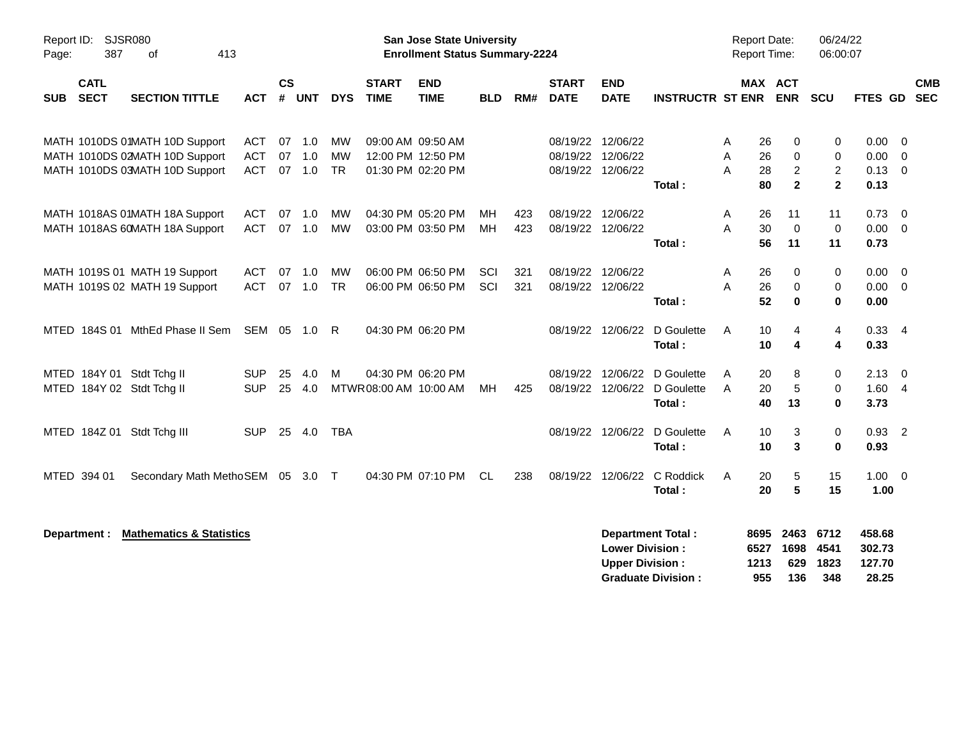| <b>SJSR080</b><br>Report ID:<br>387<br>413<br>Page:<br>οf<br><b>CATL</b> |              |                                                                                                    |                                        |                |                      |                              | <b>San Jose State University</b><br><b>Enrollment Status Summary-2224</b> |                                                             |            |            |                             |                                                             |                                                       | <b>Report Date:</b><br>Report Time: |                             | 06/24/22<br>06:00:07                       |                                              |                                     |                                                    |                          |
|--------------------------------------------------------------------------|--------------|----------------------------------------------------------------------------------------------------|----------------------------------------|----------------|----------------------|------------------------------|---------------------------------------------------------------------------|-------------------------------------------------------------|------------|------------|-----------------------------|-------------------------------------------------------------|-------------------------------------------------------|-------------------------------------|-----------------------------|--------------------------------------------|----------------------------------------------|-------------------------------------|----------------------------------------------------|--------------------------|
| <b>SUB</b>                                                               | <b>SECT</b>  | <b>SECTION TITTLE</b>                                                                              | <b>ACT</b>                             | <b>CS</b><br># | <b>UNT</b>           | <b>DYS</b>                   | <b>START</b><br><b>TIME</b>                                               | <b>END</b><br><b>TIME</b>                                   | BLD.       | RM#        | <b>START</b><br><b>DATE</b> | <b>END</b><br><b>DATE</b>                                   | <b>INSTRUCTR ST ENR</b>                               |                                     | MAX ACT                     | <b>ENR</b>                                 | <b>SCU</b>                                   | <b>FTES GD</b>                      |                                                    | <b>CMB</b><br><b>SEC</b> |
|                                                                          |              | MATH 1010DS 01MATH 10D Support<br>MATH 1010DS 02MATH 10D Support<br>MATH 1010DS 03MATH 10D Support | <b>ACT</b><br><b>ACT</b><br><b>ACT</b> | 07<br>07       | 1.0<br>1.0<br>07 1.0 | <b>MW</b><br>MW<br><b>TR</b> |                                                                           | 09:00 AM 09:50 AM<br>12:00 PM 12:50 PM<br>01:30 PM 02:20 PM |            |            |                             | 08/19/22 12/06/22<br>08/19/22 12/06/22<br>08/19/22 12/06/22 | Total:                                                | A<br>A<br>A                         | 26<br>26<br>28<br>80        | 0<br>0<br>$\boldsymbol{2}$<br>$\mathbf{2}$ | 0<br>0<br>$\boldsymbol{2}$<br>$\overline{2}$ | 0.00<br>0.00<br>0.13<br>0.13        | - 0<br>$\overline{0}$<br>$\overline{0}$            |                          |
|                                                                          |              | MATH 1018AS 01MATH 18A Support<br>MATH 1018AS 60MATH 18A Support                                   | ACT<br>ACT                             | 07             | 1.0<br>07 1.0        | MW<br>MW                     |                                                                           | 04:30 PM 05:20 PM<br>03:00 PM 03:50 PM                      | MН<br>MН   | 423<br>423 |                             | 08/19/22 12/06/22<br>08/19/22 12/06/22                      | Total:                                                | A<br>A                              | 26<br>30<br>56              | 11<br>$\mathbf 0$<br>11                    | 11<br>$\pmb{0}$<br>11                        | 0.73<br>0.00<br>0.73                | $\overline{\mathbf{0}}$<br>$\overline{\mathbf{0}}$ |                          |
|                                                                          |              | MATH 1019S 01 MATH 19 Support<br>MATH 1019S 02 MATH 19 Support                                     | <b>ACT</b><br><b>ACT</b>               | 07             | 1.0<br>07 1.0        | MW<br><b>TR</b>              |                                                                           | 06:00 PM 06:50 PM<br>06:00 PM 06:50 PM                      | SCI<br>SCI | 321<br>321 |                             | 08/19/22 12/06/22<br>08/19/22 12/06/22                      | Total:                                                | A<br>A                              | 26<br>26<br>52              | 0<br>0<br>$\mathbf 0$                      | 0<br>0<br>$\mathbf{0}$                       | 0.00<br>0.00<br>0.00                | $\overline{0}$<br>$\overline{\mathbf{0}}$          |                          |
|                                                                          |              | MTED 184S 01 MthEd Phase II Sem                                                                    | SEM 05 1.0                             |                |                      | -R                           |                                                                           | 04:30 PM 06:20 PM                                           |            |            |                             | 08/19/22 12/06/22                                           | D Goulette<br>Total:                                  | A                                   | 10<br>10                    | 4<br>4                                     | 4<br>4                                       | $0.33$ 4<br>0.33                    |                                                    |                          |
|                                                                          |              | MTED 184Y 01 Stdt Tchg II<br>MTED 184Y 02 Stdt Tchg II                                             | <b>SUP</b><br><b>SUP</b>               | 25             | 4.0<br>25 4.0        | M                            | MTWR 08:00 AM 10:00 AM                                                    | 04:30 PM 06:20 PM                                           | MН         | 425        |                             | 08/19/22 12/06/22<br>08/19/22 12/06/22                      | D Goulette<br>D Goulette<br>Total :                   | A<br>A                              | 20<br>20<br>40              | 8<br>$\sqrt{5}$<br>13                      | 0<br>0<br>0                                  | 2.13<br>1.60<br>3.73                | - 0<br>$\overline{4}$                              |                          |
|                                                                          |              | MTED 184Z 01 Stdt Tchg III                                                                         | <b>SUP</b>                             |                | 25 4.0               | <b>TBA</b>                   |                                                                           |                                                             |            |            |                             | 08/19/22 12/06/22                                           | D Goulette<br>Total:                                  | A                                   | 10<br>10                    | 3<br>3                                     | 0<br>$\mathbf 0$                             | $0.93$ 2<br>0.93                    |                                                    |                          |
|                                                                          | MTED 394 01  | Secondary Math MethoSEM 05 3.0 T                                                                   |                                        |                |                      |                              |                                                                           | 04:30 PM 07:10 PM                                           | CL         | 238        |                             | 08/19/22 12/06/22                                           | C Roddick<br>Total:                                   | A                                   | 20<br>20                    | 5<br>5                                     | 15<br>15                                     | $1.00 \t 0$<br>1.00                 |                                                    |                          |
|                                                                          | Department : | <b>Mathematics &amp; Statistics</b>                                                                |                                        |                |                      |                              |                                                                           |                                                             |            |            |                             | <b>Lower Division:</b><br><b>Upper Division:</b>            | <b>Department Total:</b><br><b>Graduate Division:</b> |                                     | 8695<br>6527<br>1213<br>955 | 2463<br>1698<br>629<br>136                 | 6712<br>4541<br>1823<br>348                  | 458.68<br>302.73<br>127.70<br>28.25 |                                                    |                          |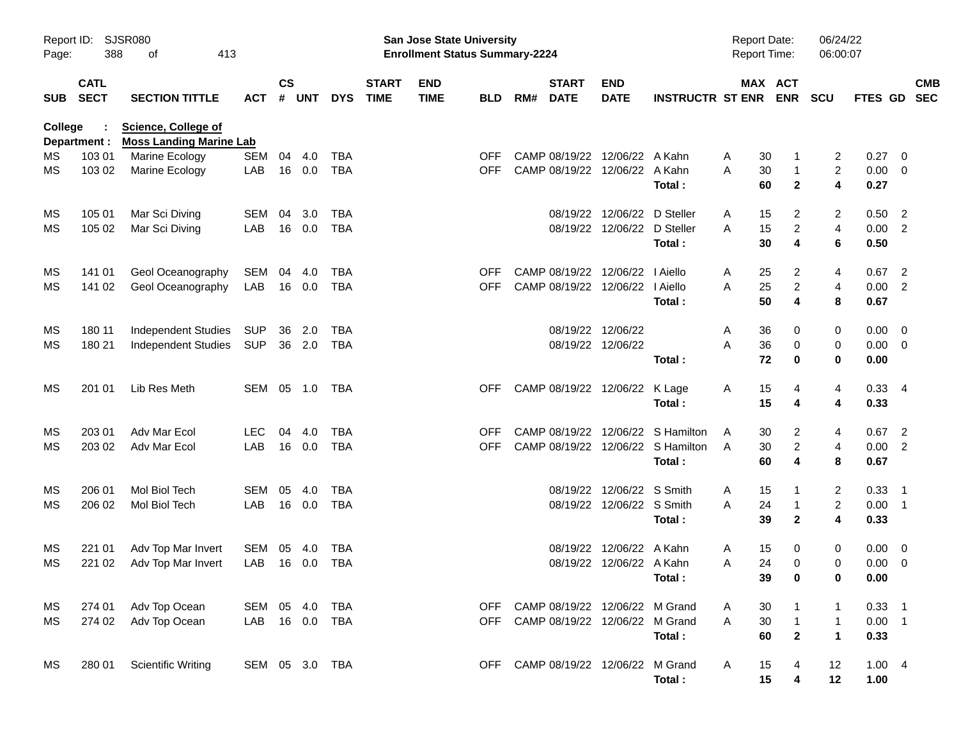| Page:      | SJSR080<br>Report ID:<br>388<br>413<br>οf |                                                              |                |                    |            |            |                             | San Jose State University<br><b>Enrollment Status Summary-2224</b> |            |     |                             |                                    |                                   | <b>Report Date:</b><br>Report Time: |                                          | 06/24/22<br>06:00:07    |              |                            |  |
|------------|-------------------------------------------|--------------------------------------------------------------|----------------|--------------------|------------|------------|-----------------------------|--------------------------------------------------------------------|------------|-----|-----------------------------|------------------------------------|-----------------------------------|-------------------------------------|------------------------------------------|-------------------------|--------------|----------------------------|--|
| <b>SUB</b> | <b>CATL</b><br><b>SECT</b>                | <b>SECTION TITTLE</b>                                        | <b>ACT</b>     | $\mathsf{cs}$<br># | <b>UNT</b> | <b>DYS</b> | <b>START</b><br><b>TIME</b> | <b>END</b><br><b>TIME</b>                                          | <b>BLD</b> | RM# | <b>START</b><br><b>DATE</b> | <b>END</b><br><b>DATE</b>          | <b>INSTRUCTR ST ENR</b>           |                                     | MAX ACT<br><b>ENR</b>                    | <b>SCU</b>              | FTES GD SEC  | <b>CMB</b>                 |  |
| College    | Department :                              | <b>Science, College of</b><br><b>Moss Landing Marine Lab</b> |                |                    |            |            |                             |                                                                    |            |     |                             |                                    |                                   |                                     |                                          |                         |              |                            |  |
| MS.        | 103 01                                    | Marine Ecology                                               | <b>SEM</b>     | 04                 | 4.0        | <b>TBA</b> |                             |                                                                    | <b>OFF</b> |     |                             | CAMP 08/19/22 12/06/22 A Kahn      |                                   | A                                   | 30<br>1                                  | 2                       | 0.27         | $\overline{\mathbf{0}}$    |  |
| MS         | 103 02                                    | Marine Ecology                                               | LAB            |                    | 16 0.0     | <b>TBA</b> |                             |                                                                    | <b>OFF</b> |     |                             | CAMP 08/19/22 12/06/22 A Kahn      | Total:                            | A                                   | 30<br>$\mathbf{1}$<br>60<br>$\mathbf{2}$ | $\overline{2}$<br>4     | 0.00<br>0.27 | $\overline{\mathbf{0}}$    |  |
| MS         | 105 01                                    | Mar Sci Diving                                               | <b>SEM</b>     | 04                 | 3.0        | TBA        |                             |                                                                    |            |     |                             | 08/19/22 12/06/22                  | D Steller                         | A                                   | 15<br>2                                  | 2                       | 0.50         | $\overline{\phantom{0}}$   |  |
| MS         | 105 02                                    | Mar Sci Diving                                               | LAB            |                    | 16 0.0     | <b>TBA</b> |                             |                                                                    |            |     |                             | 08/19/22 12/06/22                  | D Steller                         | A                                   | 15<br>$\overline{\mathbf{c}}$            | $\overline{\mathbf{4}}$ | 0.00         | $\overline{2}$             |  |
|            |                                           |                                                              |                |                    |            |            |                             |                                                                    |            |     |                             |                                    | Total:                            |                                     | 30<br>4                                  | 6                       | 0.50         |                            |  |
| MS         | 141 01                                    | Geol Oceanography                                            | SEM            | 04                 | 4.0        | <b>TBA</b> |                             |                                                                    | <b>OFF</b> |     |                             | CAMP 08/19/22 12/06/22             | I Aiello                          | A                                   | 25<br>2                                  | 4                       | 0.67         | $\overline{2}$             |  |
| MS         | 141 02                                    | Geol Oceanography                                            | LAB            |                    | 16 0.0     | <b>TBA</b> |                             |                                                                    | <b>OFF</b> |     |                             | CAMP 08/19/22 12/06/22   Aiello    |                                   | A                                   | 25<br>$\overline{c}$                     | $\overline{4}$          | 0.00         | $\overline{2}$             |  |
|            |                                           |                                                              |                |                    |            |            |                             |                                                                    |            |     |                             |                                    | Total:                            |                                     | 50<br>4                                  | 8                       | 0.67         |                            |  |
| MS         | 180 11                                    | <b>Independent Studies</b>                                   | SUP            | 36                 | 2.0        | TBA        |                             |                                                                    |            |     |                             | 08/19/22 12/06/22                  |                                   | A                                   | 36<br>0                                  | 0                       | 0.00         | $\overline{\mathbf{0}}$    |  |
| MS         | 180 21                                    | <b>Independent Studies</b>                                   | SUP            |                    | 36 2.0     | TBA        |                             |                                                                    |            |     |                             | 08/19/22 12/06/22                  |                                   | A                                   | 36<br>0                                  | 0                       | 0.00         | $\overline{\mathbf{0}}$    |  |
|            |                                           |                                                              |                |                    |            |            |                             |                                                                    |            |     |                             |                                    | Total:                            |                                     | 72<br>0                                  | 0                       | 0.00         |                            |  |
| MS         | 201 01                                    | Lib Res Meth                                                 | SEM 05 1.0     |                    |            | TBA        |                             |                                                                    | <b>OFF</b> |     |                             | CAMP 08/19/22 12/06/22 K Lage      |                                   | A                                   | 15<br>4                                  | 4                       | $0.33$ 4     |                            |  |
|            |                                           |                                                              |                |                    |            |            |                             |                                                                    |            |     |                             |                                    | Total:                            |                                     | 15<br>4                                  | 4                       | 0.33         |                            |  |
| MS         | 203 01                                    | Adv Mar Ecol                                                 | <b>LEC</b>     | 04                 | 4.0        | <b>TBA</b> |                             |                                                                    | <b>OFF</b> |     |                             | CAMP 08/19/22 12/06/22             | S Hamilton                        | A                                   | 2<br>30                                  | 4                       | 0.67         | $\overline{2}$             |  |
| MS         | 203 02                                    | Adv Mar Ecol                                                 | LAB            |                    | 16 0.0     | <b>TBA</b> |                             |                                                                    | <b>OFF</b> |     |                             |                                    | CAMP 08/19/22 12/06/22 S Hamilton | A                                   | $\overline{\mathbf{c}}$<br>30            | $\overline{\mathbf{r}}$ | 0.00         | $\overline{2}$             |  |
|            |                                           |                                                              |                |                    |            |            |                             |                                                                    |            |     |                             |                                    | Total:                            | 60                                  | 4                                        | 8                       | 0.67         |                            |  |
| MS         | 206 01                                    | Mol Biol Tech                                                | SEM            | 05                 | 4.0        | TBA        |                             |                                                                    |            |     |                             | 08/19/22 12/06/22 S Smith          |                                   | A                                   | 15                                       | $\overline{c}$          | 0.33         | $\overline{\phantom{0}}$ 1 |  |
| MS         | 206 02                                    | Mol Biol Tech                                                | LAB            |                    | 16 0.0     | <b>TBA</b> |                             |                                                                    |            |     |                             | 08/19/22 12/06/22 S Smith          |                                   | A                                   | 24<br>$\mathbf{1}$                       | $\overline{c}$          | 0.00         | $\overline{\phantom{0}}$ 1 |  |
|            |                                           |                                                              |                |                    |            |            |                             |                                                                    |            |     |                             |                                    | Total:                            | 39                                  | $\mathbf{2}$                             | 4                       | 0.33         |                            |  |
| MS         | 221 01                                    | Adv Top Mar Invert                                           | <b>SEM</b>     | 05                 | -4.0       | TBA        |                             |                                                                    |            |     |                             | 08/19/22 12/06/22 A Kahn           |                                   | A                                   | 15<br>0                                  | 0                       | 0.00         | $\overline{\phantom{0}}$   |  |
| MS         | 221 02                                    | Adv Top Mar Invert                                           | LAB            |                    | 16 0.0     | <b>TBA</b> |                             |                                                                    |            |     |                             | 08/19/22 12/06/22 A Kahn           |                                   | A                                   | 24<br>0                                  | 0                       | 0.00         | $\overline{\mathbf{0}}$    |  |
|            |                                           |                                                              |                |                    |            |            |                             |                                                                    |            |     |                             |                                    | Total:                            |                                     | 39<br>0                                  | 0                       | 0.00         |                            |  |
| ΜS         | 274 01                                    | Adv Top Ocean                                                | SEM 05 4.0     |                    |            | TBA        |                             |                                                                    |            |     |                             | OFF CAMP 08/19/22 12/06/22 M Grand |                                   | A                                   | 30<br>$\mathbf{1}$                       | 1                       | $0.33$ 1     |                            |  |
| MS         | 274 02                                    | Adv Top Ocean                                                | LAB            |                    | 16  0.0    | TBA        |                             |                                                                    | OFF.       |     |                             | CAMP 08/19/22 12/06/22 M Grand     |                                   | A                                   | 30<br>$\mathbf{1}$                       | $\mathbf{1}$            | $0.00$ 1     |                            |  |
|            |                                           |                                                              |                |                    |            |            |                             |                                                                    |            |     |                             |                                    | Total:                            |                                     | 60<br>$\mathbf{2}$                       | $\mathbf{1}$            | 0.33         |                            |  |
| ΜS         | 280 01                                    | <b>Scientific Writing</b>                                    | SEM 05 3.0 TBA |                    |            |            |                             |                                                                    |            |     |                             | OFF CAMP 08/19/22 12/06/22         | M Grand                           | A                                   | 15<br>4                                  | 12                      | 1.004        |                            |  |
|            |                                           |                                                              |                |                    |            |            |                             |                                                                    |            |     |                             |                                    | Total:                            |                                     | 15<br>4                                  | 12                      | 1.00         |                            |  |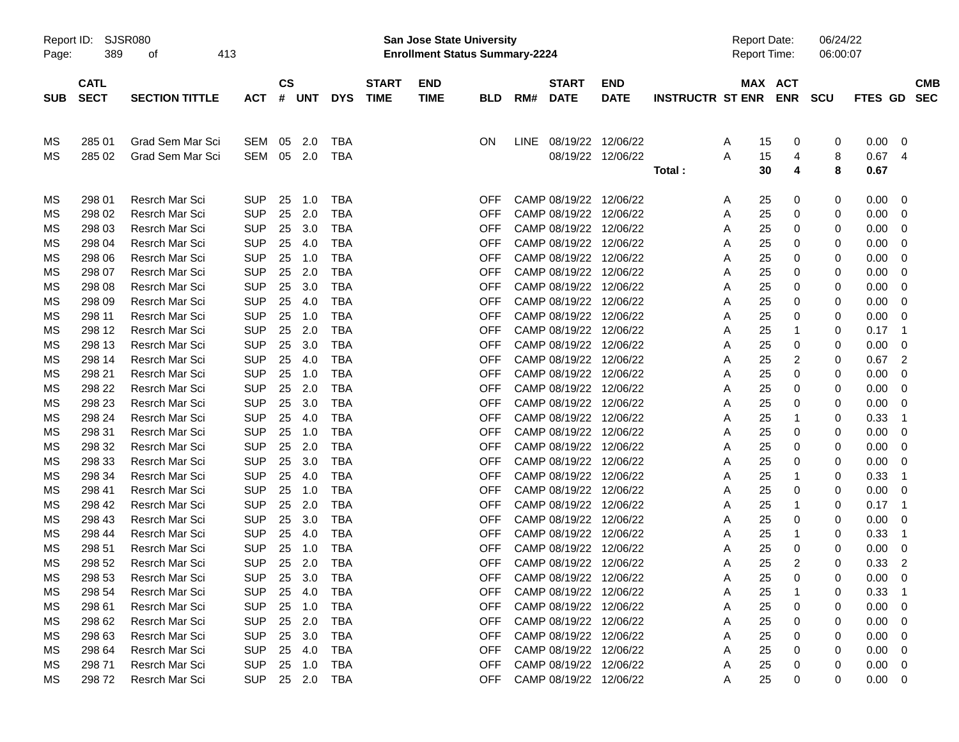| Report ID:<br>Page: | <b>SJSR080</b><br>389      | 413                   |            |               |        |            | <b>San Jose State University</b><br><b>Enrollment Status Summary-2224</b> |                           |            |             |                             |                           |                         | <b>Report Date:</b><br>Report Time: |          | 06/24/22<br>06:00:07 |        |              |     |                          |
|---------------------|----------------------------|-----------------------|------------|---------------|--------|------------|---------------------------------------------------------------------------|---------------------------|------------|-------------|-----------------------------|---------------------------|-------------------------|-------------------------------------|----------|----------------------|--------|--------------|-----|--------------------------|
| <b>SUB</b>          | <b>CATL</b><br><b>SECT</b> | <b>SECTION TITTLE</b> | <b>ACT</b> | $\mathsf{cs}$ | # UNT  | <b>DYS</b> | <b>START</b><br><b>TIME</b>                                               | <b>END</b><br><b>TIME</b> | <b>BLD</b> | RM#         | <b>START</b><br><b>DATE</b> | <b>END</b><br><b>DATE</b> | <b>INSTRUCTR ST ENR</b> |                                     |          | MAX ACT<br>ENR SCU   |        | FTES GD      |     | <b>CMB</b><br><b>SEC</b> |
| ΜS                  | 285 01                     | Grad Sem Mar Sci      | SEM        | 05            | 2.0    | <b>TBA</b> |                                                                           |                           | ON         | <b>LINE</b> | 08/19/22 12/06/22           |                           |                         | A                                   | 15       | 0                    | 0      | 0.00         | 0   |                          |
| MS                  | 285 02                     | Grad Sem Mar Sci      | SEM        | 05            | 2.0    | TBA        |                                                                           |                           |            |             |                             | 08/19/22 12/06/22         | Total:                  | A                                   | 15<br>30 | 4<br>4               | 8<br>8 | 0.67<br>0.67 | 4   |                          |
| MS                  | 298 01                     | Resrch Mar Sci        | <b>SUP</b> | 25            | 1.0    | <b>TBA</b> |                                                                           |                           | OFF        |             | CAMP 08/19/22 12/06/22      |                           |                         | A                                   | 25       | 0                    | 0      | 0.00         | 0   |                          |
| МS                  | 298 02                     | <b>Resrch Mar Sci</b> | <b>SUP</b> | 25            | 2.0    | <b>TBA</b> |                                                                           |                           | OFF        |             | CAMP 08/19/22 12/06/22      |                           |                         | A                                   | 25       | 0                    | 0      | 0.00         | 0   |                          |
| МS                  | 298 03                     | Resrch Mar Sci        | <b>SUP</b> | 25            | 3.0    | <b>TBA</b> |                                                                           |                           | <b>OFF</b> |             | CAMP 08/19/22 12/06/22      |                           |                         | Α                                   | 25       | 0                    | 0      | 0.00         | 0   |                          |
| МS                  | 298 04                     | Resrch Mar Sci        | <b>SUP</b> | 25            | 4.0    | <b>TBA</b> |                                                                           |                           | <b>OFF</b> |             | CAMP 08/19/22 12/06/22      |                           |                         | Α                                   | 25       | 0                    | 0      | 0.00         | 0   |                          |
| МS                  | 298 06                     | <b>Resrch Mar Sci</b> | <b>SUP</b> | 25            | 1.0    | <b>TBA</b> |                                                                           |                           | <b>OFF</b> |             | CAMP 08/19/22 12/06/22      |                           |                         | Α                                   | 25       | 0                    | 0      | 0.00         | 0   |                          |
| МS                  | 298 07                     | <b>Resrch Mar Sci</b> | <b>SUP</b> | 25            | 2.0    | TBA        |                                                                           |                           | <b>OFF</b> |             | CAMP 08/19/22 12/06/22      |                           |                         | Α                                   | 25       | 0                    | 0      | 0.00         | 0   |                          |
| МS                  | 298 08                     | Resrch Mar Sci        | <b>SUP</b> | 25            | 3.0    | TBA        |                                                                           |                           | <b>OFF</b> |             | CAMP 08/19/22 12/06/22      |                           |                         | Α                                   | 25       | 0                    | 0      | 0.00         | 0   |                          |
| МS                  | 298 09                     | <b>Resrch Mar Sci</b> | <b>SUP</b> | 25            | 4.0    | <b>TBA</b> |                                                                           |                           | <b>OFF</b> |             | CAMP 08/19/22 12/06/22      |                           |                         | Α                                   | 25       | 0                    | 0      | 0.00         | 0   |                          |
| МS                  | 298 11                     | Resrch Mar Sci        | <b>SUP</b> | 25            | 1.0    | <b>TBA</b> |                                                                           |                           | <b>OFF</b> |             | CAMP 08/19/22 12/06/22      |                           |                         | Α                                   | 25       | 0                    | 0      | 0.00         | 0   |                          |
| МS                  | 298 12                     | <b>Resrch Mar Sci</b> | <b>SUP</b> | 25            | 2.0    | <b>TBA</b> |                                                                           |                           | <b>OFF</b> |             | CAMP 08/19/22 12/06/22      |                           |                         | Α                                   | 25       | 1                    | 0      | 0.17         | -1  |                          |
| МS                  | 298 13                     | <b>Resrch Mar Sci</b> | <b>SUP</b> | 25            | 3.0    | TBA        |                                                                           |                           | <b>OFF</b> |             | CAMP 08/19/22 12/06/22      |                           |                         | Α                                   | 25       | 0                    | 0      | 0.00         | 0   |                          |
| МS                  | 298 14                     | <b>Resrch Mar Sci</b> | <b>SUP</b> | 25            | 4.0    | TBA        |                                                                           |                           | <b>OFF</b> |             | CAMP 08/19/22 12/06/22      |                           |                         | Α                                   | 25       | 2                    | 0      | 0.67         | 2   |                          |
| МS                  | 298 21                     | Resrch Mar Sci        | <b>SUP</b> | 25            | 1.0    | <b>TBA</b> |                                                                           |                           | <b>OFF</b> |             | CAMP 08/19/22 12/06/22      |                           |                         | Α                                   | 25       | 0                    | 0      | 0.00         | 0   |                          |
| МS                  | 298 22                     | Resrch Mar Sci        | <b>SUP</b> | 25            | 2.0    | <b>TBA</b> |                                                                           |                           | <b>OFF</b> |             | CAMP 08/19/22 12/06/22      |                           |                         | Α                                   | 25       | 0                    | 0      | 0.00         | 0   |                          |
| MS                  | 298 23                     | Resrch Mar Sci        | <b>SUP</b> | 25            | 3.0    | <b>TBA</b> |                                                                           |                           | <b>OFF</b> |             | CAMP 08/19/22 12/06/22      |                           |                         | Α                                   | 25       | 0                    | 0      | 0.00         | 0   |                          |
| МS                  | 298 24                     | Resrch Mar Sci        | <b>SUP</b> | 25            | 4.0    | <b>TBA</b> |                                                                           |                           | <b>OFF</b> |             | CAMP 08/19/22 12/06/22      |                           |                         | Α                                   | 25       | 1                    | 0      | 0.33         | -1  |                          |
| МS                  | 298 31                     | <b>Resrch Mar Sci</b> | <b>SUP</b> | 25            | 1.0    | <b>TBA</b> |                                                                           |                           | <b>OFF</b> |             | CAMP 08/19/22 12/06/22      |                           |                         | Α                                   | 25       | 0                    | 0      | 0.00         | 0   |                          |
| МS                  | 298 32                     | Resrch Mar Sci        | <b>SUP</b> | 25            | 2.0    | TBA        |                                                                           |                           | <b>OFF</b> |             | CAMP 08/19/22 12/06/22      |                           |                         | Α                                   | 25       | 0                    | 0      | 0.00         | 0   |                          |
| МS                  | 298 33                     | Resrch Mar Sci        | <b>SUP</b> | 25            | 3.0    | TBA        |                                                                           |                           | <b>OFF</b> |             | CAMP 08/19/22 12/06/22      |                           |                         | Α                                   | 25       | 0                    | 0      | 0.00         | 0   |                          |
| МS                  | 298 34                     | Resrch Mar Sci        | <b>SUP</b> | 25            | 4.0    | <b>TBA</b> |                                                                           |                           | <b>OFF</b> |             | CAMP 08/19/22 12/06/22      |                           |                         | Α                                   | 25       | 1                    | 0      | 0.33         | 1   |                          |
| МS                  | 298 41                     | Resrch Mar Sci        | <b>SUP</b> | 25            | 1.0    | <b>TBA</b> |                                                                           |                           | <b>OFF</b> |             | CAMP 08/19/22 12/06/22      |                           |                         | Α                                   | 25       | 0                    | 0      | 0.00         | 0   |                          |
| МS                  | 298 42                     | Resrch Mar Sci        | <b>SUP</b> | 25            | 2.0    | <b>TBA</b> |                                                                           |                           | <b>OFF</b> |             | CAMP 08/19/22 12/06/22      |                           |                         | Α                                   | 25       | 1                    | 0      | 0.17         | -1  |                          |
| МS                  | 298 43                     | Resrch Mar Sci        | <b>SUP</b> | 25            | 3.0    | TBA        |                                                                           |                           | <b>OFF</b> |             | CAMP 08/19/22 12/06/22      |                           |                         | Α                                   | 25       | 0                    | 0      | 0.00         | 0   |                          |
| МS                  | 298 44                     | <b>Resrch Mar Sci</b> | <b>SUP</b> | 25            | 4.0    | <b>TBA</b> |                                                                           |                           | <b>OFF</b> |             | CAMP 08/19/22 12/06/22      |                           |                         | Α                                   | 25       | 1                    | 0      | 0.33         | -1  |                          |
| МS                  | 298 51                     | Resrch Mar Sci        | <b>SUP</b> | 25            | 1.0    | TBA        |                                                                           |                           | <b>OFF</b> |             | CAMP 08/19/22 12/06/22      |                           |                         | Α                                   | 25       | 0                    | 0      | 0.00         | 0   |                          |
| MS                  | 298 52                     | <b>Resrch Mar Sci</b> | SUP        | 25            | 2.0    | <b>TBA</b> |                                                                           |                           | OFF        |             | CAMP 08/19/22 12/06/22      |                           |                         | A                                   | 25       | 2                    | 0      | 0.33         | 2   |                          |
| МS                  | 298 53                     | Resrch Mar Sci        | <b>SUP</b> | 25            | 3.0    | TBA        |                                                                           |                           | OFF        |             | CAMP 08/19/22 12/06/22      |                           |                         | A                                   | 25       | 0                    | 0      | $0.00\,$     | - 0 |                          |
| МS                  | 298 54                     | Resrch Mar Sci        | <b>SUP</b> | 25            | 4.0    | <b>TBA</b> |                                                                           |                           | <b>OFF</b> |             | CAMP 08/19/22 12/06/22      |                           |                         | A                                   | 25       |                      | 0      | 0.33         |     |                          |
| МS                  | 298 61                     | Resrch Mar Sci        | <b>SUP</b> | 25            | 1.0    | TBA        |                                                                           |                           | <b>OFF</b> |             | CAMP 08/19/22 12/06/22      |                           |                         | A                                   | 25       | 0                    | 0      | 0.00         | 0   |                          |
| МS                  | 298 62                     | Resrch Mar Sci        | <b>SUP</b> | 25            | 2.0    | TBA        |                                                                           |                           | <b>OFF</b> |             | CAMP 08/19/22 12/06/22      |                           |                         | Α                                   | 25       | 0                    | 0      | 0.00         | 0   |                          |
| МS                  | 298 63                     | Resrch Mar Sci        | <b>SUP</b> | 25            | 3.0    | TBA        |                                                                           |                           | <b>OFF</b> |             | CAMP 08/19/22 12/06/22      |                           |                         | Α                                   | 25       | 0                    | 0      | 0.00         | 0   |                          |
| МS                  | 298 64                     | Resrch Mar Sci        | <b>SUP</b> | 25            | 4.0    | TBA        |                                                                           |                           | <b>OFF</b> |             | CAMP 08/19/22 12/06/22      |                           |                         | Α                                   | 25       | 0                    | 0      | 0.00         | 0   |                          |
| МS                  | 298 71                     | Resrch Mar Sci        | <b>SUP</b> | 25            | 1.0    | TBA        |                                                                           |                           | <b>OFF</b> |             | CAMP 08/19/22 12/06/22      |                           |                         | A                                   | 25       | 0                    | 0      | 0.00         | 0   |                          |
| МS                  | 29872                      | Resrch Mar Sci        | <b>SUP</b> |               | 25 2.0 | TBA        |                                                                           |                           | OFF        |             | CAMP 08/19/22 12/06/22      |                           |                         | Α                                   | 25       | 0                    | 0      | $0.00 \t 0$  |     |                          |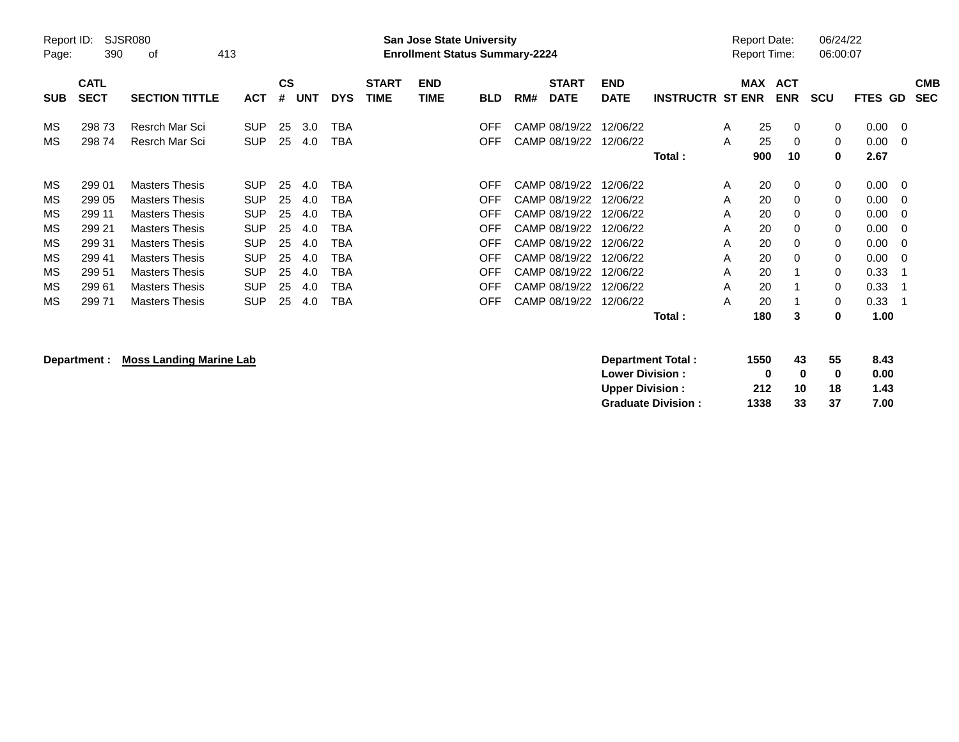| Page:      | Report ID:<br><b>SJSR080</b><br>390<br>413<br>οf |                                                |                          |          |            |            |                             | <b>San Jose State University</b><br><b>Enrollment Status Summary-2224</b> |            |     |                                |                           |                         |        | Report Date:<br><b>Report Time:</b> |                          | 06/24/22<br>06:00:07 |              |                          |
|------------|--------------------------------------------------|------------------------------------------------|--------------------------|----------|------------|------------|-----------------------------|---------------------------------------------------------------------------|------------|-----|--------------------------------|---------------------------|-------------------------|--------|-------------------------------------|--------------------------|----------------------|--------------|--------------------------|
| <b>SUB</b> | <b>CATL</b><br><b>SECT</b>                       | <b>SECTION TITTLE</b>                          | <b>ACT</b>               | CS<br>#  | <b>UNT</b> | <b>DYS</b> | <b>START</b><br><b>TIME</b> | <b>END</b><br><b>TIME</b>                                                 | <b>BLD</b> | RM# | <b>START</b><br><b>DATE</b>    | <b>END</b><br><b>DATE</b> | <b>INSTRUCTR ST ENR</b> |        | <b>MAX</b>                          | <b>ACT</b><br><b>ENR</b> | <b>SCU</b>           | FTES GD      | <b>CMB</b><br><b>SEC</b> |
| MS         | 29873                                            | Resrch Mar Sci                                 | <b>SUP</b>               | 25       | 3.0        | ТВА        |                             |                                                                           | OFF        |     | CAMP 08/19/22                  | 12/06/22                  |                         | A      | 25                                  | 0                        | 0                    | 0.00         | 0                        |
| МS         | 29874                                            | Resrch Mar Sci                                 | <b>SUP</b>               | 25       | 4.0        | ТВА        |                             |                                                                           | OFF        |     | CAMP 08/19/22                  | 12/06/22                  | Total:                  | A      | 25<br>900                           | 0<br>10                  | $\mathbf 0$<br>0     | 0.00<br>2.67 | - 0                      |
| MS         | 299 01                                           | <b>Masters Thesis</b>                          | <b>SUP</b>               | 25       | 4.0        | TBA        |                             |                                                                           | OFF        |     | CAMP 08/19/22                  | 12/06/22                  |                         | Α      | 20                                  | 0                        | 0                    | 0.00         | - 0                      |
| МS<br>MS   | 299 05<br>299 11                                 | <b>Masters Thesis</b><br><b>Masters Thesis</b> | <b>SUP</b><br><b>SUP</b> | 25<br>25 | 4.0<br>4.0 | TBA<br>ТВА |                             |                                                                           | OFF<br>OFF |     | CAMP 08/19/22<br>CAMP 08/19/22 | 12/06/22<br>12/06/22      |                         | A<br>A | 20<br>20                            | 0<br>0                   | 0<br>$\mathbf 0$     | 0.00<br>0.00 | 0<br>-0                  |
| МS<br>MS   | 299 21<br>299 31                                 | <b>Masters Thesis</b><br><b>Masters Thesis</b> | <b>SUP</b><br><b>SUP</b> | 25<br>25 | 4.0<br>4.0 | TBA<br>ТВА |                             |                                                                           | OFF<br>OFF |     | CAMP 08/19/22<br>CAMP 08/19/22 | 12/06/22<br>12/06/22      |                         | A<br>A | 20<br>20                            | $\Omega$<br>0            | $\Omega$<br>$\Omega$ | 0.00<br>0.00 | - 0<br>- 0               |
| МS         | 299 41                                           | <b>Masters Thesis</b>                          | <b>SUP</b>               | 25       | 4.0        | TBA        |                             |                                                                           | OFF        |     | CAMP 08/19/22                  | 12/06/22                  |                         | A      | 20                                  | 0                        | $\mathbf 0$          | 0.00         | - 0                      |
| МS<br>МS   | 299 51<br>29961                                  | <b>Masters Thesis</b><br><b>Masters Thesis</b> | <b>SUP</b><br><b>SUP</b> | 25<br>25 | 4.0<br>4.0 | ТВА<br>TBA |                             |                                                                           | OFF<br>OFF |     | CAMP 08/19/22<br>CAMP 08/19/22 | 12/06/22<br>12/06/22      |                         | A<br>A | 20<br>20                            |                          | $\Omega$<br>$\Omega$ | 0.33<br>0.33 |                          |
| МS         | 29971                                            | <b>Masters Thesis</b>                          | <b>SUP</b>               | 25       | 4.0        | TBA        |                             |                                                                           | OFF.       |     | CAMP 08/19/22                  | 12/06/22                  | <b>Total</b> :          | A      | 20<br>180                           | 3                        | $\mathbf 0$<br>0     | 0.33<br>1.00 |                          |

**Department : Moss Landing Marine Lab** 

| Department Total:         | 1550 | 43 | 55 | 8.43 |
|---------------------------|------|----|----|------|
| <b>Lower Division:</b>    | o    | o  | o  | 0.00 |
| <b>Upper Division:</b>    | 212  | 10 | 18 | 1.43 |
| <b>Graduate Division:</b> | 1338 | 33 | 37 | 7.00 |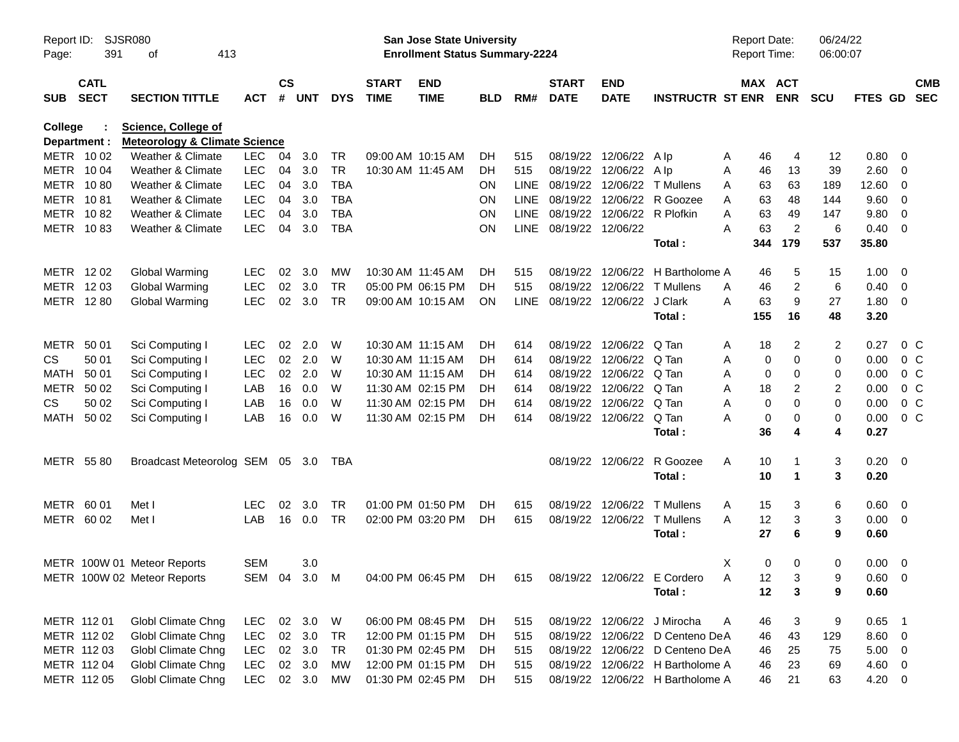| Page:                   | <b>SJSR080</b><br>Report ID:<br>391<br>413<br>οf<br><b>CATL</b> |                                                                        |            |                    |            |            |                             | San Jose State University<br><b>Enrollment Status Summary-2224</b> |            |             |                             |                             |                                  | <b>Report Date:</b><br><b>Report Time:</b> |                         | 06/24/22<br>06:00:07 |                |                          |
|-------------------------|-----------------------------------------------------------------|------------------------------------------------------------------------|------------|--------------------|------------|------------|-----------------------------|--------------------------------------------------------------------|------------|-------------|-----------------------------|-----------------------------|----------------------------------|--------------------------------------------|-------------------------|----------------------|----------------|--------------------------|
| <b>SUB</b>              | <b>SECT</b>                                                     | <b>SECTION TITTLE</b>                                                  | <b>ACT</b> | $\mathsf{cs}$<br># | <b>UNT</b> | <b>DYS</b> | <b>START</b><br><b>TIME</b> | <b>END</b><br><b>TIME</b>                                          | <b>BLD</b> | RM#         | <b>START</b><br><b>DATE</b> | <b>END</b><br><b>DATE</b>   | <b>INSTRUCTR ST ENR</b>          | MAX ACT                                    | <b>ENR</b>              | <b>SCU</b>           | <b>FTES GD</b> | <b>CMB</b><br><b>SEC</b> |
| College<br>Department : |                                                                 | <b>Science, College of</b><br><b>Meteorology &amp; Climate Science</b> |            |                    |            |            |                             |                                                                    |            |             |                             |                             |                                  |                                            |                         |                      |                |                          |
| METR 1002               |                                                                 | Weather & Climate                                                      | <b>LEC</b> | 04                 | 3.0        | TR         |                             | 09:00 AM 10:15 AM                                                  | DH.        | 515         |                             | 08/19/22 12/06/22           | A Ip                             | 46<br>A                                    | 4                       | 12                   | 0.80           | $\overline{\mathbf{0}}$  |
| METR 1004               |                                                                 | Weather & Climate                                                      | <b>LEC</b> | 04                 | 3.0        | <b>TR</b>  | 10:30 AM 11:45 AM           |                                                                    | DH.        | 515         |                             | 08/19/22 12/06/22 Alp       |                                  | Α<br>46                                    | 13                      | 39                   | 2.60           | $\overline{\mathbf{0}}$  |
| METR 1080               |                                                                 | Weather & Climate                                                      | <b>LEC</b> | 04                 | 3.0        | <b>TBA</b> |                             |                                                                    | <b>ON</b>  | <b>LINE</b> |                             | 08/19/22 12/06/22           | T Mullens                        | 63<br>A                                    | 63                      | 189                  | 12.60          | $\overline{\mathbf{0}}$  |
| METR                    | 1081                                                            | Weather & Climate                                                      | <b>LEC</b> | 04                 | 3.0        | <b>TBA</b> |                             |                                                                    | <b>ON</b>  | <b>LINE</b> |                             | 08/19/22 12/06/22           | R Goozee                         | 63<br>A                                    | 48                      | 144                  | 9.60           | $\overline{0}$           |
| <b>METR</b>             | 1082                                                            | Weather & Climate                                                      | <b>LEC</b> | 04                 | 3.0        | <b>TBA</b> |                             |                                                                    | ON         | <b>LINE</b> |                             | 08/19/22 12/06/22 R Plofkin |                                  | 63<br>A                                    | 49                      | 147                  | 9.80           | $\overline{0}$           |
| METR 1083               |                                                                 | Weather & Climate                                                      | <b>LEC</b> | 04                 | 3.0        | <b>TBA</b> |                             |                                                                    | ON         | LINE        | 08/19/22 12/06/22           |                             |                                  | 63<br>А                                    | $\overline{c}$          | 6                    | 0.40           | $\overline{\phantom{0}}$ |
|                         |                                                                 |                                                                        |            |                    |            |            |                             |                                                                    |            |             |                             |                             | Total:                           | 344                                        | 179                     | 537                  | 35.80          |                          |
| METR 1202               |                                                                 | Global Warming                                                         | <b>LEC</b> | 02                 | 3.0        | MW         | 10:30 AM 11:45 AM           |                                                                    | DH.        | 515         |                             |                             | 08/19/22 12/06/22 H Bartholome A | 46                                         | 5                       | 15                   | 1.00           | $\overline{\mathbf{0}}$  |
| METR 1203               |                                                                 | Global Warming                                                         | <b>LEC</b> | 02                 | 3.0        | <b>TR</b>  |                             | 05:00 PM 06:15 PM                                                  | DH         | 515         |                             | 08/19/22 12/06/22           | T Mullens                        | 46<br>A                                    | 2                       | 6                    | 0.40           | - 0                      |
| METR 1280               |                                                                 | <b>Global Warming</b>                                                  | <b>LEC</b> | 02                 | 3.0        | <b>TR</b>  |                             | 09:00 AM 10:15 AM                                                  | <b>ON</b>  | <b>LINE</b> |                             | 08/19/22 12/06/22           | J Clark                          | 63<br>A                                    | 9                       | 27                   | 1.80           | $\overline{\mathbf{0}}$  |
|                         |                                                                 |                                                                        |            |                    |            |            |                             |                                                                    |            |             |                             |                             | Total:                           | 155                                        | 16                      | 48                   | 3.20           |                          |
| METR                    | 50 01                                                           | Sci Computing I                                                        | <b>LEC</b> | 02                 | 2.0        | W          | 10:30 AM 11:15 AM           |                                                                    | DH.        | 614         |                             | 08/19/22 12/06/22           | Q Tan                            | 18<br>A                                    | 2                       | $\overline{c}$       | 0.27           | 0 <sup>C</sup>           |
| <b>CS</b>               | 50 01                                                           | Sci Computing I                                                        | <b>LEC</b> | 02                 | 2.0        | W          | 10:30 AM 11:15 AM           |                                                                    | DH         | 614         |                             | 08/19/22 12/06/22           | Q Tan                            | 0<br>A                                     | 0                       | 0                    | 0.00           | 0 <sup>C</sup>           |
| <b>MATH</b>             | 50 01                                                           | Sci Computing I                                                        | <b>LEC</b> | 02                 | 2.0        | W          | 10:30 AM 11:15 AM           |                                                                    | DH         | 614         |                             | 08/19/22 12/06/22           | Q Tan                            | 0<br>A                                     | 0                       | 0                    | 0.00           | 0 <sup>C</sup>           |
| <b>METR</b>             | 50 02                                                           | Sci Computing I                                                        | LAB        | 16                 | 0.0        | W          | 11:30 AM 02:15 PM           |                                                                    | DH         | 614         |                             | 08/19/22 12/06/22           | Q Tan                            | 18<br>Α                                    | 2                       | 2                    | 0.00           | 0 <sup>C</sup>           |
| CS.                     | 50 02                                                           | Sci Computing I                                                        | LAB        | 16                 | 0.0        | W          | 11:30 AM 02:15 PM           |                                                                    | DH         | 614         |                             | 08/19/22 12/06/22           | Q Tan                            | 0<br>Α                                     | 0                       | $\mathbf 0$          | 0.00           | 0 <sup>C</sup>           |
| <b>MATH</b>             | 50 02                                                           | Sci Computing I                                                        | LAB        | 16                 | 0.0        | W          |                             | 11:30 AM 02:15 PM                                                  | DH         | 614         |                             | 08/19/22 12/06/22           | Q Tan                            | 0<br>А                                     | 0                       | 0                    | 0.00           | 0 <sup>C</sup>           |
|                         |                                                                 |                                                                        |            |                    |            |            |                             |                                                                    |            |             |                             |                             | Total:                           | 36                                         | 4                       | 4                    | 0.27           |                          |
| METR 5580               |                                                                 | Broadcast Meteorolog SEM 05 3.0                                        |            |                    |            | TBA        |                             |                                                                    |            |             |                             | 08/19/22 12/06/22           | R Goozee                         | A<br>10                                    | -1                      | 3                    | $0.20 \ 0$     |                          |
|                         |                                                                 |                                                                        |            |                    |            |            |                             |                                                                    |            |             |                             |                             | Total:                           | 10                                         | $\overline{\mathbf{1}}$ | 3                    | 0.20           |                          |
| METR 60 01              |                                                                 | Met I                                                                  | <b>LEC</b> | 02                 | 3.0        | <b>TR</b>  |                             | 01:00 PM 01:50 PM                                                  | DH.        | 615         |                             | 08/19/22 12/06/22           | <b>T</b> Mullens                 | 15<br>A                                    | 3                       | 6                    | 0.60           | $\overline{\mathbf{0}}$  |
| METR 60 02              |                                                                 | Met I                                                                  | LAB        | 16                 | 0.0        | <b>TR</b>  |                             | 02:00 PM 03:20 PM                                                  | DH         | 615         |                             | 08/19/22 12/06/22           | <b>T</b> Mullens                 | 12<br>A                                    | 3                       | 3                    | $0.00 \t 0$    |                          |
|                         |                                                                 |                                                                        |            |                    |            |            |                             |                                                                    |            |             |                             |                             | Total:                           | 27                                         | 6                       | 9                    | 0.60           |                          |
|                         |                                                                 | METR 100W 01 Meteor Reports                                            | <b>SEM</b> |                    | 3.0        |            |                             |                                                                    |            |             |                             |                             |                                  | X<br>0                                     | 0                       | 0                    | 0.00           | $\overline{\mathbf{0}}$  |
|                         |                                                                 | METR 100W 02 Meteor Reports                                            |            |                    |            |            |                             | SEM 04 3.0 M 04:00 PM 06:45 PM DH                                  |            | 615         |                             |                             | 08/19/22 12/06/22 E Cordero      | 12<br>A                                    | 3                       | 9                    | $0.60 \t 0$    |                          |
|                         |                                                                 |                                                                        |            |                    |            |            |                             |                                                                    |            |             |                             |                             | Total :                          | 12                                         | 3                       | 9                    | 0.60           |                          |
| METR 112 01             |                                                                 | Globl Climate Chng                                                     | LEC.       |                    | 02 3.0     | W          |                             | 06:00 PM 08:45 PM                                                  | DH         | 515         |                             |                             | 08/19/22 12/06/22 J Mirocha      | 46<br>A                                    | 3                       | 9                    | $0.65$ 1       |                          |
|                         | METR 112 02                                                     | <b>Globl Climate Chng</b>                                              | <b>LEC</b> |                    | 02 3.0     | TR         |                             | 12:00 PM 01:15 PM                                                  | DH         | 515         |                             |                             | 08/19/22 12/06/22 D Centeno DeA  | 46                                         | 43                      | 129                  | $8.60 \t 0$    |                          |
|                         | METR 112 03                                                     | <b>Globl Climate Chng</b>                                              | <b>LEC</b> |                    | 02 3.0     | <b>TR</b>  |                             | 01:30 PM 02:45 PM                                                  | DH         | 515         |                             |                             | 08/19/22 12/06/22 D Centeno DeA  | 46                                         | 25                      | 75                   | $5.00 \t 0$    |                          |
|                         | METR 112 04                                                     | <b>Globl Climate Chng</b>                                              | <b>LEC</b> |                    | 02 3.0     | МW         |                             | 12:00 PM 01:15 PM                                                  | DH         | 515         |                             |                             | 08/19/22 12/06/22 H Bartholome A | 46                                         | 23                      | 69                   | 4.60 0         |                          |
|                         | METR 112 05                                                     | <b>Globl Climate Chng</b>                                              | <b>LEC</b> |                    | 02 3.0     | МW         |                             | 01:30 PM 02:45 PM                                                  | DH         | 515         |                             |                             | 08/19/22 12/06/22 H Bartholome A | 46                                         | 21                      | 63                   | 4.20 0         |                          |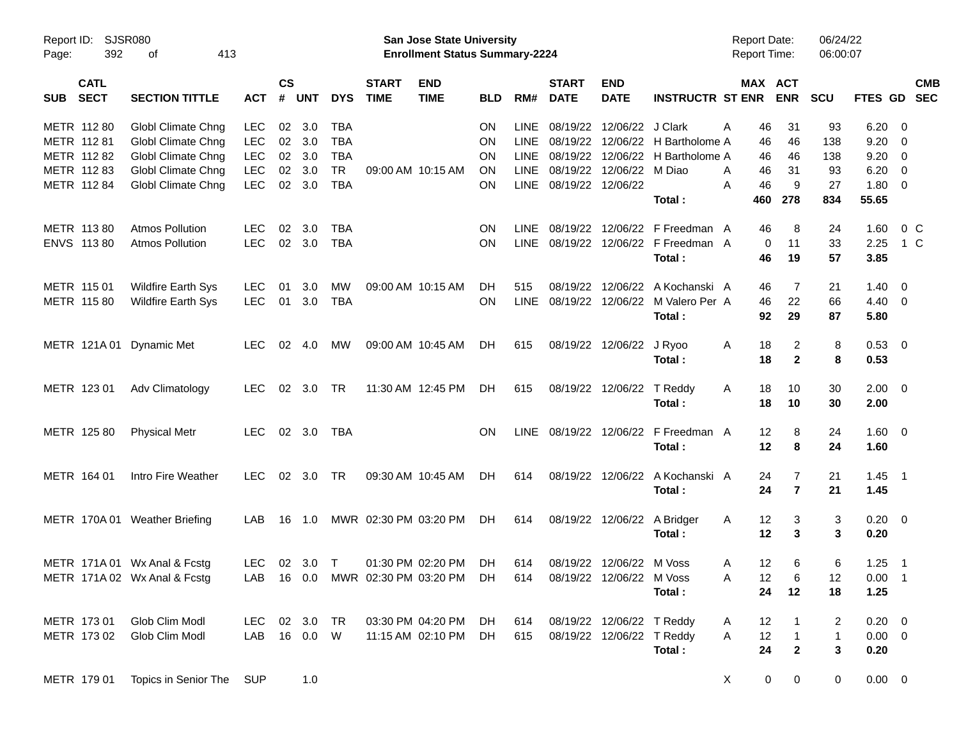| Report ID:<br>Page: | SJSR080<br>392<br>413<br>οf |                               |            |                    |                |            |                             | San Jose State University<br><b>Enrollment Status Summary-2224</b> |            |             |                             |                           |                                          | <b>Report Date:</b><br>Report Time: |                         | 06/24/22<br>06:00:07 |                |                |                          |
|---------------------|-----------------------------|-------------------------------|------------|--------------------|----------------|------------|-----------------------------|--------------------------------------------------------------------|------------|-------------|-----------------------------|---------------------------|------------------------------------------|-------------------------------------|-------------------------|----------------------|----------------|----------------|--------------------------|
| SUB                 | <b>CATL</b><br><b>SECT</b>  | <b>SECTION TITTLE</b>         | <b>ACT</b> | $\mathsf{cs}$<br># | <b>UNT</b>     | <b>DYS</b> | <b>START</b><br><b>TIME</b> | <b>END</b><br><b>TIME</b>                                          | <b>BLD</b> | RM#         | <b>START</b><br><b>DATE</b> | <b>END</b><br><b>DATE</b> | <b>INSTRUCTR ST ENR</b>                  | MAX ACT                             | <b>ENR</b>              | <b>SCU</b>           | <b>FTES GD</b> |                | <b>CMB</b><br><b>SEC</b> |
| METR 112 80         |                             | Globl Climate Chng            | <b>LEC</b> | 02 <sub>o</sub>    | 3.0            | <b>TBA</b> |                             |                                                                    | <b>ON</b>  | LINE        | 08/19/22                    | 12/06/22 J Clark          |                                          | 46<br>A                             | 31                      | 93                   | 6.20           | - 0            |                          |
| METR 112 81         |                             | Globl Climate Chng            | <b>LEC</b> | 02                 | 3.0            | <b>TBA</b> |                             |                                                                    | <b>ON</b>  | LINE        | 08/19/22                    |                           | 12/06/22 H Bartholome A                  | 46                                  | 46                      | 138                  | 9.20           | 0              |                          |
|                     | METR 112 82                 | Globl Climate Chng            | <b>LEC</b> | $02\,$             | 3.0            | <b>TBA</b> |                             |                                                                    | <b>ON</b>  | LINE        | 08/19/22                    | 12/06/22                  | H Bartholome A                           | 46                                  | 46                      | 138                  | 9.20           | 0              |                          |
|                     | METR 112 83                 | Globl Climate Chng            | <b>LEC</b> | 02                 | 3.0            | <b>TR</b>  | 09:00 AM 10:15 AM           |                                                                    | ON         | LINE        | 08/19/22                    | 12/06/22                  | M Diao                                   | 46<br>A                             | 31                      | 93                   | 6.20           | 0              |                          |
| METR 112 84         |                             | Globl Climate Chng            | <b>LEC</b> | 02 <sub>o</sub>    | 3.0            | <b>TBA</b> |                             |                                                                    | <b>ON</b>  |             | LINE 08/19/22 12/06/22      |                           | Total:                                   | 46<br>A<br>460                      | 9<br>278                | 27<br>834            | 1.80<br>55.65  | $\overline{0}$ |                          |
| METR 113 80         |                             | <b>Atmos Pollution</b>        | <b>LEC</b> | 02                 | 3.0            | <b>TBA</b> |                             |                                                                    | <b>ON</b>  | <b>LINE</b> | 08/19/22                    | 12/06/22                  | F Freedman A                             | 46                                  | 8                       | 24                   | 1.60           | $0\,C$         |                          |
|                     | ENVS 113 80                 | <b>Atmos Pollution</b>        | <b>LEC</b> |                    | 02 3.0         | <b>TBA</b> |                             |                                                                    | <b>ON</b>  | <b>LINE</b> |                             |                           | 08/19/22 12/06/22 F Freedman A<br>Total: | 0<br>46                             | 11<br>19                | 33<br>57             | 2.25<br>3.85   | 1 C            |                          |
| METR 115 01         |                             | <b>Wildfire Earth Sys</b>     | LEC        | 01                 | 3.0            | MW         | 09:00 AM 10:15 AM           |                                                                    | DH         | 515         | 08/19/22                    | 12/06/22                  | A Kochanski A                            | 46                                  | 7                       | 21                   | 1.40           | $\overline{0}$ |                          |
| METR 115 80         |                             | <b>Wildfire Earth Sys</b>     | <b>LEC</b> | 01                 | 3.0            | <b>TBA</b> |                             |                                                                    | <b>ON</b>  | LINE        |                             | 08/19/22 12/06/22         | M Valero Per A                           | 46                                  | 22                      | 66                   | $4.40 \ 0$     |                |                          |
|                     |                             |                               |            |                    |                |            |                             |                                                                    |            |             |                             |                           | Total:                                   | 92                                  | 29                      | 87                   | 5.80           |                |                          |
|                     | METR 121A01                 | <b>Dynamic Met</b>            | <b>LEC</b> |                    | 02 4.0         | МW         | 09:00 AM 10:45 AM           |                                                                    | DH.        | 615         |                             | 08/19/22 12/06/22         | J Ryoo                                   | A<br>18                             | 2                       | 8                    | 0.53 0         |                |                          |
|                     |                             |                               |            |                    |                |            |                             |                                                                    |            |             |                             |                           | Total:                                   | 18                                  | $\overline{2}$          | 8                    | 0.53           |                |                          |
| METR 123 01         |                             | Adv Climatology               | <b>LEC</b> |                    | 02 3.0         | <b>TR</b>  | 11:30 AM 12:45 PM           |                                                                    | DH.        | 615         |                             | 08/19/22 12/06/22         | T Reddy                                  | Α<br>18                             | 10                      | 30                   | $2.00 \t 0$    |                |                          |
|                     |                             |                               |            |                    |                |            |                             |                                                                    |            |             |                             |                           | Total:                                   | 18                                  | 10                      | 30                   | 2.00           |                |                          |
|                     | METR 125 80                 | <b>Physical Metr</b>          | LEC.       |                    | 02 3.0         | <b>TBA</b> |                             |                                                                    | ON.        | LINE        |                             | 08/19/22 12/06/22         | F Freedman A                             | 12                                  | 8                       | 24                   | $1.60 \t 0$    |                |                          |
|                     |                             |                               |            |                    |                |            |                             |                                                                    |            |             |                             |                           | Total:                                   | 12                                  | 8                       | 24                   | 1.60           |                |                          |
| METR 164 01         |                             | Intro Fire Weather            | <b>LEC</b> |                    | $02 \quad 3.0$ | <b>TR</b>  | 09:30 AM 10:45 AM           |                                                                    | DH.        | 614         |                             | 08/19/22 12/06/22         | A Kochanski A                            | 24                                  | $\overline{7}$          | 21                   | $1.45$ 1       |                |                          |
|                     |                             |                               |            |                    |                |            |                             |                                                                    |            |             |                             |                           | Total:                                   | 24                                  | $\overline{7}$          | 21                   | 1.45           |                |                          |
|                     |                             | METR 170A 01 Weather Briefing | LAB        | 16                 | 1.0            |            | MWR 02:30 PM 03:20 PM       |                                                                    | DH.        | 614         |                             | 08/19/22 12/06/22         | A Bridger                                | 12<br>A                             | 3                       | 3                    | $0.20 \ 0$     |                |                          |
|                     |                             |                               |            |                    |                |            |                             |                                                                    |            |             |                             |                           | Total:                                   | 12                                  | 3                       | 3                    | 0.20           |                |                          |
|                     |                             | METR 171A 01 Wx Anal & Fcstg  | LEC.       |                    | 02 3.0         | $\top$     | 01:30 PM 02:20 PM           |                                                                    | DH         | 614         |                             | 08/19/22 12/06/22 M Voss  |                                          | 12<br>A                             | 6                       | 6                    | $1.25$ 1       |                |                          |
|                     |                             | METR 171A 02 Wx Anal & Fcstg  |            |                    |                |            |                             | LAB 16 0.0 MWR 02:30 PM 03:20 PM DH                                |            | 614         |                             | 08/19/22 12/06/22         | M Voss                                   | 12<br>Α                             | 6                       | 12                   | $0.00$ 1       |                |                          |
|                     |                             |                               |            |                    |                |            |                             |                                                                    |            |             |                             |                           | Total:                                   | 24                                  | 12                      | 18                   | 1.25           |                |                          |
| METR 173 01         |                             | Glob Clim Modl                | LEC        |                    | 02 3.0         | TR         | 03:30 PM 04:20 PM           |                                                                    | DH         | 614         |                             | 08/19/22 12/06/22 T Reddy |                                          | 12<br>A                             |                         | 2                    | $0.20 \ 0$     |                |                          |
|                     | METR 173 02                 | Glob Clim Modl                | LAB        |                    | 16  0.0  W     |            | 11:15 AM 02:10 PM           |                                                                    | DH         | 615         |                             | 08/19/22 12/06/22 T Reddy |                                          | 12<br>A                             | $\mathbf{1}$            | $\mathbf{1}$         | $0.00 \t 0$    |                |                          |
|                     |                             |                               |            |                    |                |            |                             |                                                                    |            |             |                             |                           | Total:                                   | 24                                  | $\overline{\mathbf{2}}$ | 3                    | 0.20           |                |                          |
|                     | METR 179 01                 | Topics in Senior The          | <b>SUP</b> |                    | 1.0            |            |                             |                                                                    |            |             |                             |                           |                                          | X<br>0                              | $\overline{0}$          | $\mathbf 0$          | $0.00 \t 0$    |                |                          |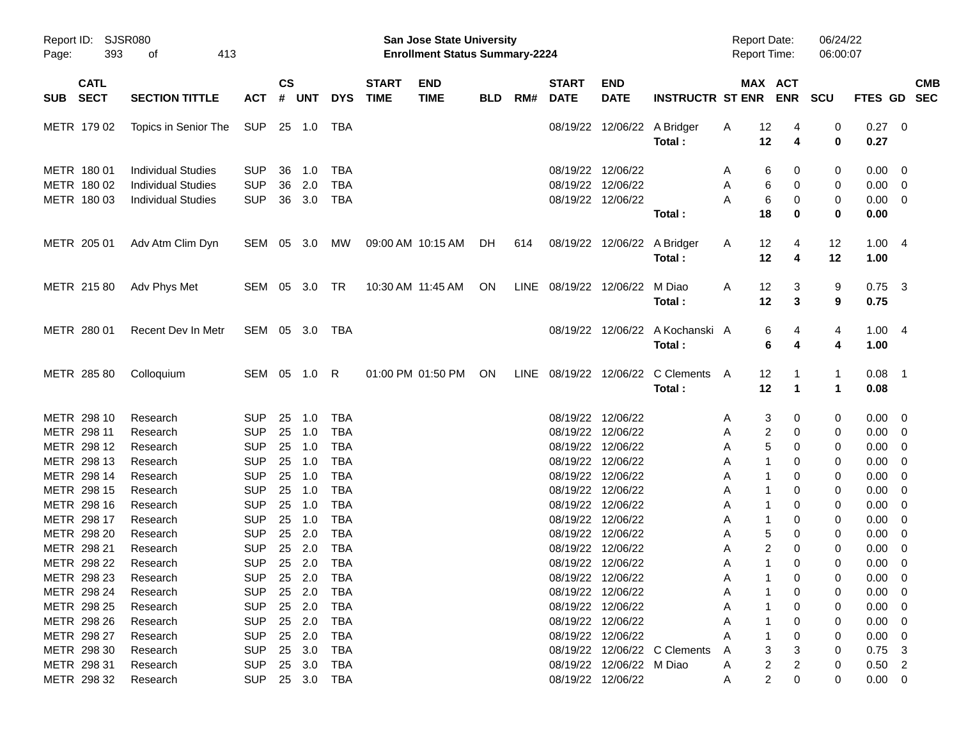| Page:                                     | Report ID: SJSR080<br>393<br>413<br>оf                                              |                                        |                    |                   |                                 |                             | San Jose State University<br><b>Enrollment Status Summary-2224</b> |            |     |                             |                                                             |                                             | <b>Report Date:</b><br><b>Report Time:</b> |                   |                       | 06/24/22<br>06:00:07        |                                                   |                                                     |            |
|-------------------------------------------|-------------------------------------------------------------------------------------|----------------------------------------|--------------------|-------------------|---------------------------------|-----------------------------|--------------------------------------------------------------------|------------|-----|-----------------------------|-------------------------------------------------------------|---------------------------------------------|--------------------------------------------|-------------------|-----------------------|-----------------------------|---------------------------------------------------|-----------------------------------------------------|------------|
| <b>CATL</b><br><b>SECT</b><br><b>SUB</b>  | <b>SECTION TITTLE</b>                                                               | <b>ACT</b>                             | $\mathsf{cs}$<br># | <b>UNT</b>        | <b>DYS</b>                      | <b>START</b><br><b>TIME</b> | <b>END</b><br><b>TIME</b>                                          | <b>BLD</b> | RM# | <b>START</b><br><b>DATE</b> | <b>END</b><br><b>DATE</b>                                   | <b>INSTRUCTR ST ENR</b>                     |                                            |                   | MAX ACT<br><b>ENR</b> | <b>SCU</b>                  | FTES GD SEC                                       |                                                     | <b>CMB</b> |
| METR 179 02                               | Topics in Senior The                                                                | SUP                                    |                    | 25 1.0            | TBA                             |                             |                                                                    |            |     |                             |                                                             | 08/19/22 12/06/22 A Bridger<br>Total:       | A                                          | 12<br>12          | 4<br>4                | 0<br>0                      | $0.27$ 0<br>0.27                                  |                                                     |            |
| METR 180 01<br>METR 180 02<br>METR 180 03 | <b>Individual Studies</b><br><b>Individual Studies</b><br><b>Individual Studies</b> | <b>SUP</b><br><b>SUP</b><br><b>SUP</b> | 36<br>36<br>36     | 1.0<br>2.0<br>3.0 | TBA<br><b>TBA</b><br><b>TBA</b> |                             |                                                                    |            |     |                             | 08/19/22 12/06/22<br>08/19/22 12/06/22<br>08/19/22 12/06/22 | Total:                                      | A<br>A<br>A                                | 6<br>6<br>6<br>18 | 0<br>0<br>0<br>0      | 0<br>0<br>0<br>0            | $0.00 \t 0$<br>$0.00 \t 0$<br>$0.00 \t 0$<br>0.00 |                                                     |            |
| METR 205 01                               | Adv Atm Clim Dyn                                                                    | SEM 05 3.0                             |                    |                   | MW                              |                             | 09:00 AM 10:15 AM                                                  | DH.        | 614 |                             |                                                             | 08/19/22 12/06/22 A Bridger<br>Total:       | A                                          | $12 \,$<br>12     | 4<br>4                | 12<br>12                    | 1.004<br>1.00                                     |                                                     |            |
| METR 215 80                               | Adv Phys Met                                                                        | SEM 05 3.0 TR                          |                    |                   |                                 |                             | 10:30 AM 11:45 AM                                                  | ON         |     | LINE 08/19/22 12/06/22      |                                                             | M Diao<br>Total:                            | A                                          | 12<br>12          | 3<br>3                | 9<br>9                      | $0.75$ 3<br>0.75                                  |                                                     |            |
| METR 280 01                               | Recent Dev In Metr                                                                  | SEM 05 3.0 TBA                         |                    |                   |                                 |                             |                                                                    |            |     |                             |                                                             | 08/19/22 12/06/22 A Kochanski A<br>Total:   |                                            | 6<br>6            | 4<br>4                | 4<br>4                      | 1.004<br>1.00                                     |                                                     |            |
| METR 285 80                               | Colloquium                                                                          | SEM 05 1.0 R                           |                    |                   |                                 |                             | 01:00 PM 01:50 PM                                                  | ON         |     |                             |                                                             | LINE 08/19/22 12/06/22 C Clements<br>Total: | A                                          | 12<br>12          | -1<br>$\mathbf 1$     | $\mathbf{1}$<br>$\mathbf 1$ | $0.08$ 1<br>0.08                                  |                                                     |            |
| METR 298 10<br>METR 298 11                | Research<br>Research                                                                | <b>SUP</b><br><b>SUP</b>               | 25<br>25           | 1.0<br>1.0        | <b>TBA</b><br><b>TBA</b>        |                             |                                                                    |            |     |                             | 08/19/22 12/06/22<br>08/19/22 12/06/22                      |                                             | A<br>A                                     | 3<br>2            | 0<br>0                | 0<br>0                      | $0.00 \t 0$<br>$0.00 \t 0$                        |                                                     |            |
| METR 298 12                               | Research                                                                            | <b>SUP</b>                             | 25                 | 1.0               | <b>TBA</b>                      |                             |                                                                    |            |     |                             | 08/19/22 12/06/22                                           |                                             | A                                          | 5                 | 0                     | 0                           | $0.00 \t 0$                                       |                                                     |            |
| METR 298 13                               | Research                                                                            | <b>SUP</b>                             | 25                 | 1.0               | <b>TBA</b>                      |                             |                                                                    |            |     |                             | 08/19/22 12/06/22                                           |                                             | A                                          | 1                 | 0                     | 0                           | 0.00                                              | $\overline{\phantom{0}}$                            |            |
| METR 298 14                               | Research                                                                            | <b>SUP</b>                             | 25                 | 1.0               | <b>TBA</b>                      |                             |                                                                    |            |     |                             | 08/19/22 12/06/22                                           |                                             | Α                                          | 1                 | 0                     | 0                           | 0.00                                              | $\overline{\phantom{0}}$                            |            |
| METR 298 15<br>METR 298 16                | Research<br>Research                                                                | <b>SUP</b><br><b>SUP</b>               | 25<br>25           | 1.0<br>1.0        | <b>TBA</b><br><b>TBA</b>        |                             |                                                                    |            |     |                             | 08/19/22 12/06/22<br>08/19/22 12/06/22                      |                                             | A<br>A                                     | 1<br>1            | 0<br>0                | 0<br>0                      | 0.00<br>0.00                                      | $\overline{\phantom{0}}$<br>$\overline{\mathbf{0}}$ |            |
| METR 298 17                               | Research                                                                            | <b>SUP</b>                             | 25                 | 1.0               | <b>TBA</b>                      |                             |                                                                    |            |     |                             | 08/19/22 12/06/22                                           |                                             | Α                                          | $\mathbf{1}$      | 0                     | 0                           | 0.00                                              | $\overline{\mathbf{0}}$                             |            |
| METR 298 20                               | Research                                                                            | <b>SUP</b>                             | 25                 | 2.0               | <b>TBA</b>                      |                             |                                                                    |            |     |                             | 08/19/22 12/06/22                                           |                                             | A                                          | 5                 | 0                     | 0                           | 0.00                                              | $\overline{\phantom{0}}$                            |            |
| METR 298 21                               | Research                                                                            | <b>SUP</b>                             | 25                 | 2.0               | <b>TBA</b>                      |                             |                                                                    |            |     |                             | 08/19/22 12/06/22                                           |                                             | A                                          | 2                 | 0                     | 0                           | 0.00                                              | $\overline{\phantom{0}}$                            |            |
| METR 298 22                               | Research                                                                            | <b>SUP</b>                             |                    | 25 2.0            | <b>TBA</b>                      |                             |                                                                    |            |     |                             | 08/19/22 12/06/22                                           |                                             | A                                          | 1                 | 0                     | 0                           | 0.00                                              | $\overline{\mathbf{0}}$                             |            |
| METR 298 23                               | Research                                                                            |                                        |                    |                   | SUP 25 2.0 TBA                  |                             |                                                                    |            |     |                             | 08/19/22 12/06/22                                           |                                             | A                                          | $\mathbf{1}$      | $\Omega$              | $\Omega$                    | $0.00 \t 0$                                       |                                                     |            |
| METR 298 24                               | Research                                                                            | SUP                                    |                    |                   | 25  2.0  TBA                    |                             |                                                                    |            |     |                             | 08/19/22 12/06/22                                           |                                             | Α                                          |                   | 0                     | 0                           | $0.00 \t 0$                                       |                                                     |            |
| METR 298 25                               | Research                                                                            | <b>SUP</b>                             |                    | 25 2.0            | TBA                             |                             |                                                                    |            |     |                             | 08/19/22 12/06/22                                           |                                             | Α                                          |                   | 0                     | 0                           | $0.00 \t 0$                                       |                                                     |            |
| METR 298 26                               | Research                                                                            | <b>SUP</b>                             |                    | 25 2.0            | TBA                             |                             |                                                                    |            |     |                             | 08/19/22 12/06/22                                           |                                             | Α                                          |                   | 0                     | 0                           | $0.00 \t 0$                                       |                                                     |            |
| METR 298 27                               | Research                                                                            | <b>SUP</b>                             |                    | 25 2.0            | TBA                             |                             |                                                                    |            |     |                             | 08/19/22 12/06/22                                           |                                             |                                            |                   | 0                     | 0                           | $0.00 \t 0$                                       |                                                     |            |
| METR 298 30                               | Research                                                                            | <b>SUP</b>                             |                    | 25 3.0            | TBA                             |                             |                                                                    |            |     |                             |                                                             | 08/19/22 12/06/22 C Clements                | A                                          | 3                 | 3                     | 0                           | $0.75$ 3                                          |                                                     |            |
| METR 298 31                               | Research                                                                            | <b>SUP</b>                             |                    | 25 3.0            | TBA                             |                             |                                                                    |            |     |                             | 08/19/22 12/06/22 M Diao                                    |                                             | A                                          | 2                 | 2                     | 0                           | $0.50$ 2                                          |                                                     |            |
| METR 298 32                               | Research                                                                            |                                        |                    |                   | SUP 25 3.0 TBA                  |                             |                                                                    |            |     |                             | 08/19/22 12/06/22                                           |                                             | A                                          | 2                 | 0                     | 0                           | $0.00 \t 0$                                       |                                                     |            |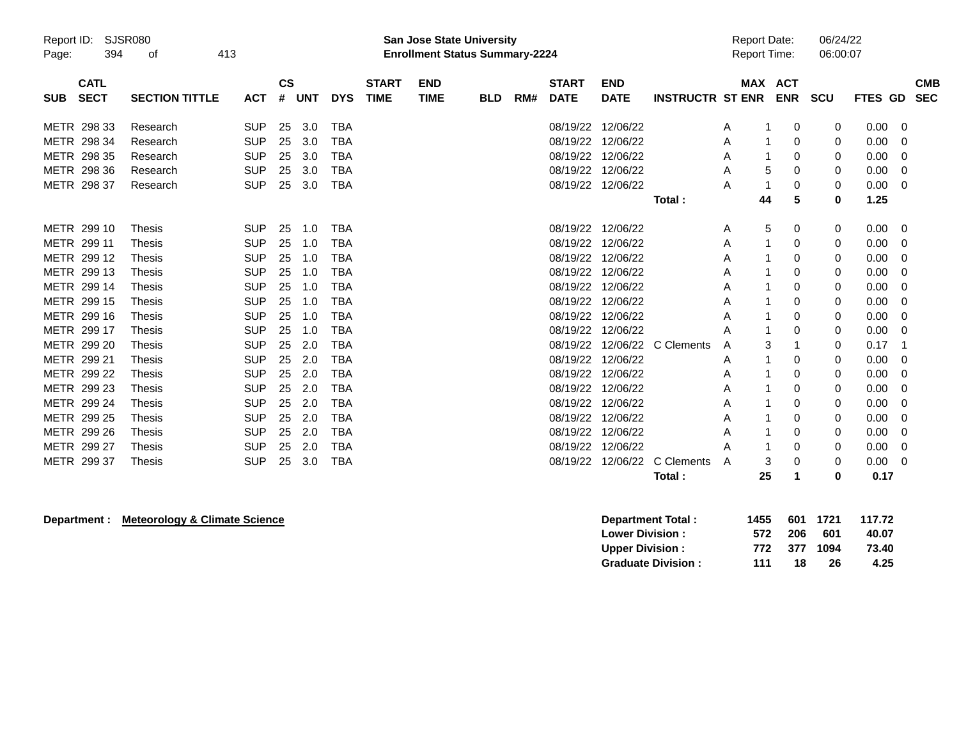| Report ID:<br>Page: | SJSR080<br>394             | 413<br>оf             |            |                    |     |            |                             | <b>San Jose State University</b><br><b>Enrollment Status Summary-2224</b> |            |     |                             |                           |                         | <b>Report Date:</b><br><b>Report Time:</b> |            | 06/24/22<br>06:00:07 |                |                          |
|---------------------|----------------------------|-----------------------|------------|--------------------|-----|------------|-----------------------------|---------------------------------------------------------------------------|------------|-----|-----------------------------|---------------------------|-------------------------|--------------------------------------------|------------|----------------------|----------------|--------------------------|
| <b>SUB</b>          | <b>CATL</b><br><b>SECT</b> | <b>SECTION TITTLE</b> | <b>ACT</b> | $\mathsf{cs}$<br># | UNT | <b>DYS</b> | <b>START</b><br><b>TIME</b> | <b>END</b><br><b>TIME</b>                                                 | <b>BLD</b> | RM# | <b>START</b><br><b>DATE</b> | <b>END</b><br><b>DATE</b> | <b>INSTRUCTR ST ENR</b> | <b>MAX ACT</b>                             | <b>ENR</b> | SCU                  | <b>FTES GD</b> | <b>CMB</b><br><b>SEC</b> |
|                     | METR 298 33                | Research              | <b>SUP</b> | 25                 | 3.0 | <b>TBA</b> |                             |                                                                           |            |     | 08/19/22 12/06/22           |                           |                         | A                                          | 0          | 0                    | $0.00 \t 0$    |                          |
|                     | METR 298 34                | Research              | <b>SUP</b> | 25                 | 3.0 | TBA        |                             |                                                                           |            |     | 08/19/22 12/06/22           |                           |                         | A                                          | 0          | 0                    | 0.00           | 0                        |
|                     | METR 298 35                | Research              | <b>SUP</b> | 25                 | 3.0 | <b>TBA</b> |                             |                                                                           |            |     | 08/19/22 12/06/22           |                           |                         | Α                                          | 0          | 0                    | 0.00           | 0                        |
|                     | METR 298 36                | Research              | <b>SUP</b> | 25                 | 3.0 | <b>TBA</b> |                             |                                                                           |            |     | 08/19/22 12/06/22           |                           |                         | 5<br>Α                                     | 0          | 0                    | 0.00           | 0                        |
|                     | METR 298 37                | Research              | <b>SUP</b> | 25                 | 3.0 | <b>TBA</b> |                             |                                                                           |            |     | 08/19/22                    | 12/06/22                  |                         | Α                                          | 0          | 0                    | 0.00           | 0                        |
|                     |                            |                       |            |                    |     |            |                             |                                                                           |            |     |                             |                           | Total:                  | 44                                         | 5          | 0                    | 1.25           |                          |
|                     | METR 299 10                | <b>Thesis</b>         | <b>SUP</b> | 25                 | 1.0 | <b>TBA</b> |                             |                                                                           |            |     | 08/19/22 12/06/22           |                           |                         | 5<br>A                                     | 0          | 0                    | $0.00 \quad 0$ |                          |
|                     | METR 299 11                | Thesis                | <b>SUP</b> | 25                 | 1.0 | <b>TBA</b> |                             |                                                                           |            |     | 08/19/22                    | 12/06/22                  |                         | Α                                          | 0          | 0                    | 0.00           | 0                        |
|                     | METR 299 12                | Thesis                | <b>SUP</b> | 25                 | 1.0 | <b>TBA</b> |                             |                                                                           |            |     | 08/19/22                    | 12/06/22                  |                         | A                                          | 0          | 0                    | 0.00           | 0                        |
|                     | METR 299 13                | <b>Thesis</b>         | <b>SUP</b> | 25                 | 1.0 | <b>TBA</b> |                             |                                                                           |            |     | 08/19/22 12/06/22           |                           |                         | Α                                          | 0          | 0                    | 0.00           | 0                        |
|                     | METR 299 14                | Thesis                | <b>SUP</b> | 25                 | 1.0 | <b>TBA</b> |                             |                                                                           |            |     | 08/19/22 12/06/22           |                           |                         | A                                          | 0          | 0                    | 0.00           | 0                        |
|                     | METR 299 15                | <b>Thesis</b>         | <b>SUP</b> | 25                 | 1.0 | <b>TBA</b> |                             |                                                                           |            |     | 08/19/22 12/06/22           |                           |                         | Α                                          | 0          | 0                    | 0.00           | $\Omega$                 |
|                     | METR 299 16                | Thesis                | <b>SUP</b> | 25                 | 1.0 | <b>TBA</b> |                             |                                                                           |            |     | 08/19/22                    | 12/06/22                  |                         | Α                                          | 0          | 0                    | 0.00           | 0                        |
|                     | METR 299 17                | Thesis                | <b>SUP</b> | 25                 | 1.0 | <b>TBA</b> |                             |                                                                           |            |     | 08/19/22                    | 12/06/22                  |                         | A                                          | 0          | 0                    | 0.00           | 0                        |
|                     | METR 299 20                | Thesis                | <b>SUP</b> | 25                 | 2.0 | <b>TBA</b> |                             |                                                                           |            |     | 08/19/22                    |                           | 12/06/22 C Clements     | 3<br>A                                     |            | 0                    | 0.17           | -1                       |
|                     | METR 299 21                | Thesis                | <b>SUP</b> | 25                 | 2.0 | <b>TBA</b> |                             |                                                                           |            |     | 08/19/22                    | 12/06/22                  |                         | Α                                          | 0          | 0                    | 0.00           | -0                       |
|                     | METR 299 22                | Thesis                | <b>SUP</b> | 25                 | 2.0 | <b>TBA</b> |                             |                                                                           |            |     | 08/19/22 12/06/22           |                           |                         | A                                          | 0          | 0                    | 0.00           | $\Omega$                 |
|                     | METR 299 23                | Thesis                | <b>SUP</b> | 25                 | 2.0 | TBA        |                             |                                                                           |            |     | 08/19/22                    | 12/06/22                  |                         | Α                                          | 0          | 0                    | 0.00           | 0                        |
|                     | METR 299 24                | Thesis                | <b>SUP</b> | 25                 | 2.0 | <b>TBA</b> |                             |                                                                           |            |     | 08/19/22                    | 12/06/22                  |                         | Α                                          | 0          | 0                    | 0.00           | 0                        |
|                     | METR 299 25                | Thesis                | <b>SUP</b> | 25                 | 2.0 | <b>TBA</b> |                             |                                                                           |            |     | 08/19/22                    | 12/06/22                  |                         | A                                          | 0          | 0                    | 0.00           | 0                        |
|                     | METR 299 26                | Thesis                | <b>SUP</b> | 25                 | 2.0 | TBA        |                             |                                                                           |            |     | 08/19/22 12/06/22           |                           |                         | Α                                          | 0          | 0                    | 0.00           | 0                        |
|                     | METR 299 27                | Thesis                | <b>SUP</b> | 25                 | 2.0 | <b>TBA</b> |                             |                                                                           |            |     | 08/19/22                    | 12/06/22                  |                         | A                                          | 0          | 0                    | 0.00           | 0                        |
|                     | METR 299 37                | <b>Thesis</b>         | <b>SUP</b> | 25                 | 3.0 | <b>TBA</b> |                             |                                                                           |            |     | 08/19/22                    | 12/06/22                  | C Clements              | 3<br>A                                     | 0          | 0                    | 0.00           | 0                        |
|                     |                            |                       |            |                    |     |            |                             |                                                                           |            |     |                             |                           | Total:                  | 25                                         |            | ŋ                    | 0.17           |                          |

## **Department : Meteorology & Climate Science**

| Department Total:         | 1455 |      | 601 1721 | 117.72 |
|---------------------------|------|------|----------|--------|
| <b>Lower Division:</b>    | 572  | -206 | 601      | 40.07  |
| <b>Upper Division:</b>    | 772  |      | 377 1094 | 73.40  |
| <b>Graduate Division:</b> | 111  | 18   | 26       | 4.25   |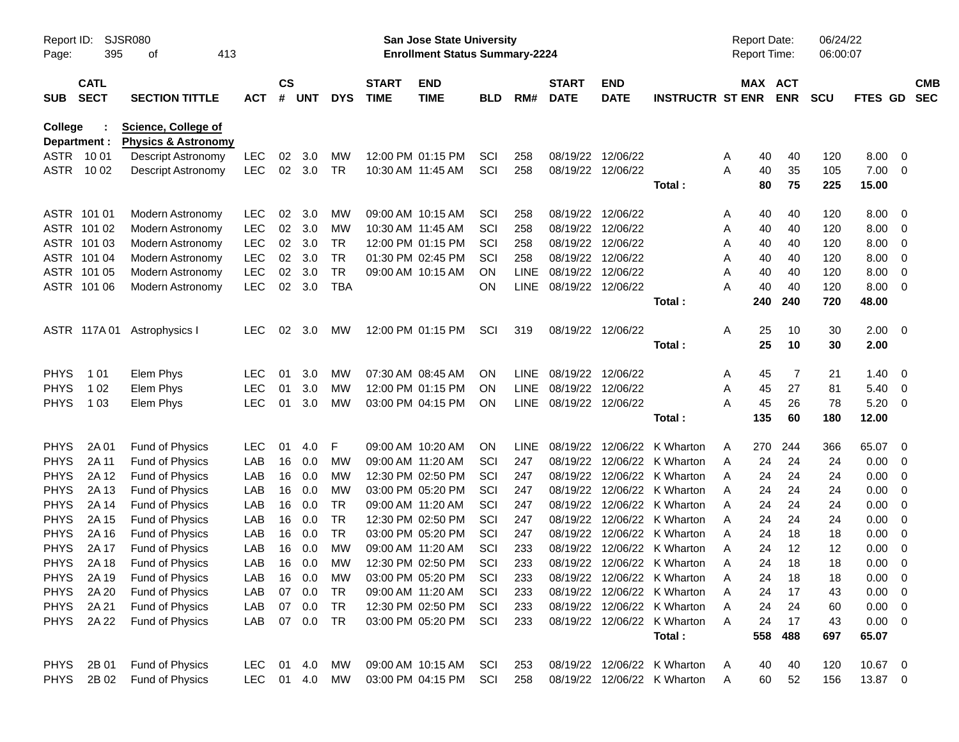| SJSR080<br>Report ID:<br>395<br>413<br>оf<br>Page: |                            |                                                              |            | San Jose State University<br><b>Enrollment Status Summary-2224</b> |            |            |                             |                                        |            |             |                             |                           | <b>Report Date:</b><br><b>Report Time:</b>                 |                    | 06/24/22<br>06:00:07 |            |              |                          |            |
|----------------------------------------------------|----------------------------|--------------------------------------------------------------|------------|--------------------------------------------------------------------|------------|------------|-----------------------------|----------------------------------------|------------|-------------|-----------------------------|---------------------------|------------------------------------------------------------|--------------------|----------------------|------------|--------------|--------------------------|------------|
| <b>SUB</b>                                         | <b>CATL</b><br><b>SECT</b> | <b>SECTION TITTLE</b>                                        | <b>ACT</b> | $\mathsf{cs}$<br>#                                                 | <b>UNT</b> | <b>DYS</b> | <b>START</b><br><b>TIME</b> | <b>END</b><br><b>TIME</b>              | <b>BLD</b> | RM#         | <b>START</b><br><b>DATE</b> | <b>END</b><br><b>DATE</b> | <b>INSTRUCTR ST ENR</b>                                    | MAX ACT            | <b>ENR</b>           | <b>SCU</b> | FTES GD SEC  |                          | <b>CMB</b> |
| College                                            | Department :               | <b>Science, College of</b><br><b>Physics &amp; Astronomy</b> |            |                                                                    |            |            |                             |                                        |            |             |                             |                           |                                                            |                    |                      |            |              |                          |            |
|                                                    | ASTR 1001                  | Descript Astronomy                                           | LEC        | 02                                                                 | 3.0        | MW         |                             | 12:00 PM 01:15 PM                      | SCI        | 258         |                             | 08/19/22 12/06/22         |                                                            | 40<br>A            | 40                   | 120        | 8.00         | $\overline{0}$           |            |
| ASTR                                               | 10 02                      | Descript Astronomy                                           | <b>LEC</b> |                                                                    | 02 3.0     | <b>TR</b>  |                             | 10:30 AM 11:45 AM                      | SCI        | 258         | 08/19/22 12/06/22           |                           |                                                            | 40<br>A            | 35                   | 105        | 7.00         | $\overline{\mathbf{0}}$  |            |
|                                                    |                            |                                                              |            |                                                                    |            |            |                             |                                        |            |             |                             |                           | Total:                                                     | 80                 | 75                   | 225        | 15.00        |                          |            |
|                                                    | ASTR 101 01                | Modern Astronomy                                             | <b>LEC</b> | 02                                                                 | 3.0        | MW         |                             | 09:00 AM 10:15 AM                      | SCI        | 258         |                             | 08/19/22 12/06/22         |                                                            | 40<br>A            | 40                   | 120        | 8.00         | - 0                      |            |
|                                                    | ASTR 101 02                | Modern Astronomy                                             | <b>LEC</b> | 02                                                                 | 3.0        | MW         |                             | 10:30 AM 11:45 AM                      | SCI        | 258         | 08/19/22 12/06/22           |                           |                                                            | 40<br>Α            | 40                   | 120        | 8.00         | $\overline{0}$           |            |
|                                                    | ASTR 101 03                | Modern Astronomy                                             | <b>LEC</b> | 02                                                                 | 3.0        | <b>TR</b>  |                             | 12:00 PM 01:15 PM                      | SCI        | 258         | 08/19/22 12/06/22           |                           |                                                            | 40<br>Α            | 40                   | 120        | 8.00         | $\overline{0}$           |            |
|                                                    | ASTR 101 04                | Modern Astronomy                                             | <b>LEC</b> | 02                                                                 | 3.0        | <b>TR</b>  |                             | 01:30 PM 02:45 PM                      | SCI        | 258         | 08/19/22 12/06/22           |                           |                                                            | 40<br>A            | 40                   | 120        | 8.00         | $\overline{\mathbf{0}}$  |            |
|                                                    | ASTR 101 05                | Modern Astronomy                                             | <b>LEC</b> | 02                                                                 | 3.0        | <b>TR</b>  |                             | 09:00 AM 10:15 AM                      | <b>ON</b>  | <b>LINE</b> | 08/19/22 12/06/22           |                           |                                                            | 40<br>A            | 40                   | 120        | 8.00         | $\overline{\mathbf{0}}$  |            |
|                                                    | ASTR 101 06                | Modern Astronomy                                             | <b>LEC</b> | 02                                                                 | 3.0        | <b>TBA</b> |                             |                                        | <b>ON</b>  |             | LINE 08/19/22 12/06/22      |                           |                                                            | 40<br>А            | 40                   | 120        | 8.00         | $\overline{\mathbf{0}}$  |            |
|                                                    |                            |                                                              |            |                                                                    |            |            |                             |                                        |            |             |                             |                           | Total :                                                    | 240                | 240                  | 720        | 48.00        |                          |            |
|                                                    | ASTR 117A01                | Astrophysics I                                               | <b>LEC</b> | 02                                                                 | 3.0        | MW         |                             | 12:00 PM 01:15 PM                      | SCI        | 319         | 08/19/22 12/06/22           |                           |                                                            | Α<br>25            | 10                   | 30         | 2.00         | $\overline{\phantom{0}}$ |            |
|                                                    |                            |                                                              |            |                                                                    |            |            |                             |                                        |            |             |                             |                           | Total:                                                     | 25                 | 10                   | 30         | 2.00         |                          |            |
| <b>PHYS</b>                                        | 1 0 1                      | Elem Phys                                                    | <b>LEC</b> | 01                                                                 | 3.0        | MW         |                             | 07:30 AM 08:45 AM                      | <b>ON</b>  | <b>LINE</b> | 08/19/22 12/06/22           |                           |                                                            | 45<br>A            | 7                    | 21         | 1.40         | $\overline{\mathbf{0}}$  |            |
| <b>PHYS</b>                                        | 1 0 2                      | Elem Phys                                                    | <b>LEC</b> | 01                                                                 | 3.0        | MW         |                             | 12:00 PM 01:15 PM                      | <b>ON</b>  | <b>LINE</b> | 08/19/22 12/06/22           |                           |                                                            | 45<br>A            | 27                   | 81         | 5.40         | $\overline{\mathbf{0}}$  |            |
| <b>PHYS</b>                                        | 1 0 3                      | Elem Phys                                                    | <b>LEC</b> | 01                                                                 | 3.0        | MW         |                             | 03:00 PM 04:15 PM                      | <b>ON</b>  |             | LINE 08/19/22 12/06/22      |                           |                                                            | 45<br>Α            | 26                   | 78         | 5.20         | $\overline{\mathbf{0}}$  |            |
|                                                    |                            |                                                              |            |                                                                    |            |            |                             |                                        |            |             |                             |                           | Total:                                                     | 135                | 60                   | 180        | 12.00        |                          |            |
| <b>PHYS</b>                                        | 2A 01                      | Fund of Physics                                              | <b>LEC</b> | 01                                                                 | 4.0        | F          |                             | 09:00 AM 10:20 AM                      | <b>ON</b>  | <b>LINE</b> |                             |                           | 08/19/22 12/06/22 K Wharton                                | 270<br>A           | 244                  | 366        | 65.07        | - 0                      |            |
| <b>PHYS</b>                                        | 2A 11                      | Fund of Physics                                              | LAB        | 16                                                                 | 0.0        | MW         |                             | 09:00 AM 11:20 AM                      | SCI        | 247         |                             |                           | 08/19/22 12/06/22 K Wharton                                | 24<br>A            | 24                   | 24         | 0.00         | $\overline{0}$           |            |
| <b>PHYS</b>                                        | 2A 12                      | Fund of Physics                                              | LAB        | 16                                                                 | 0.0        | MW         |                             | 12:30 PM 02:50 PM                      | SCI        | 247         |                             |                           | 08/19/22 12/06/22 K Wharton                                | 24<br>A            | 24                   | 24         | 0.00         | $\overline{0}$           |            |
| <b>PHYS</b>                                        | 2A 13                      | Fund of Physics                                              | LAB        | 16                                                                 | 0.0        | MW         |                             | 03:00 PM 05:20 PM                      | SCI        | 247         |                             |                           | 08/19/22 12/06/22 K Wharton                                | 24<br>A            | 24                   | 24         | 0.00         | $\overline{0}$           |            |
| <b>PHYS</b>                                        | 2A 14                      | Fund of Physics                                              | LAB        | 16                                                                 | 0.0        | <b>TR</b>  |                             | 09:00 AM 11:20 AM                      | SCI        | 247         |                             |                           | 08/19/22 12/06/22 K Wharton                                | 24<br>A            | 24                   | 24         | 0.00         | $\overline{0}$           |            |
| <b>PHYS</b>                                        | 2A 15                      | Fund of Physics                                              | LAB        | 16                                                                 | 0.0        | <b>TR</b>  |                             | 12:30 PM 02:50 PM                      | SCI        | 247         |                             |                           | 08/19/22 12/06/22 K Wharton                                | 24<br>A            | 24                   | 24         | 0.00         | $\overline{\mathbf{0}}$  |            |
| <b>PHYS</b>                                        | 2A 16                      | Fund of Physics                                              | LAB        | 16                                                                 | 0.0        | <b>TR</b>  |                             | 03:00 PM 05:20 PM<br>09:00 AM 11:20 AM | SCI        | 247         |                             |                           | 08/19/22 12/06/22 K Wharton                                | 24<br>A            | 18                   | 18         | 0.00         | $\overline{0}$           |            |
| <b>PHYS</b><br><b>PHYS</b>                         | 2A 17<br>2A 18             | Fund of Physics<br>Fund of Physics                           | LAB<br>LAB | 16<br>16                                                           | 0.0<br>0.0 | МW<br>MW   |                             | 12:30 PM 02:50 PM                      | SCI<br>SCI | 233<br>233  |                             |                           | 08/19/22 12/06/22 K Wharton<br>08/19/22 12/06/22 K Wharton | 24<br>A<br>24<br>A | 12<br>18             | 12<br>18   | 0.00<br>0.00 | $\overline{0}$<br>0      |            |
| <b>PHYS</b>                                        | 2A 19                      | Fund of Physics                                              | LAB        |                                                                    | 16 0.0     | MW         |                             | 03:00 PM 05:20 PM                      | SCI        | 233         |                             |                           | 08/19/22 12/06/22 K Wharton                                | 24<br>Α            | 18                   | 18         | 0.00         | $\overline{0}$           |            |
| <b>PHYS</b>                                        | 2A 20                      | Fund of Physics                                              | LAB        |                                                                    | 07 0.0     | TR         |                             | 09:00 AM 11:20 AM                      | SCI        | 233         |                             |                           | 08/19/22 12/06/22 K Wharton                                | A<br>24            | 17                   | 43         | 0.00         | $\overline{\mathbf{0}}$  |            |
| <b>PHYS</b>                                        | 2A 21                      | Fund of Physics                                              | LAB        |                                                                    | 07 0.0     | TR         |                             | 12:30 PM 02:50 PM                      | SCI        | 233         |                             |                           | 08/19/22 12/06/22 K Wharton                                | 24<br>Α            | 24                   | 60         | $0.00 \t 0$  |                          |            |
| <b>PHYS</b>                                        | 2A 22                      | Fund of Physics                                              | LAB        |                                                                    | 07 0.0     | TR         |                             | 03:00 PM 05:20 PM                      | SCI        | 233         |                             |                           | 08/19/22 12/06/22 K Wharton                                | 24<br>A            | 17                   | 43         | $0.00 \t 0$  |                          |            |
|                                                    |                            |                                                              |            |                                                                    |            |            |                             |                                        |            |             |                             |                           | Total:                                                     | 558                | 488                  | 697        | 65.07        |                          |            |
| <b>PHYS</b>                                        | 2B 01                      | Fund of Physics                                              | LEC        |                                                                    | 01 4.0     | МW         |                             | 09:00 AM 10:15 AM                      | SCI        | 253         |                             |                           | 08/19/22 12/06/22 K Wharton                                | 40<br>A            | 40                   | 120        | 10.67 0      |                          |            |
| <b>PHYS</b>                                        | 2B 02                      | Fund of Physics                                              | LEC 01 4.0 |                                                                    |            | MW         |                             | 03:00 PM 04:15 PM                      | SCI        | 258         |                             |                           | 08/19/22 12/06/22 K Wharton                                | 60<br>Α            | 52                   | 156        | 13.87 0      |                          |            |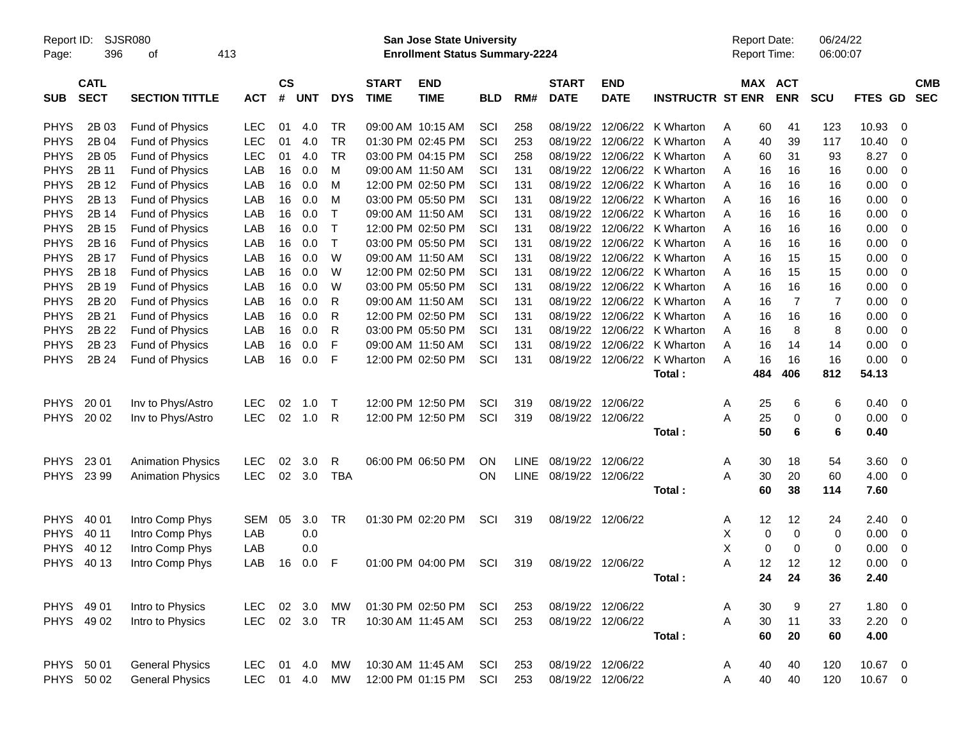| Report ID:<br>SJSR080<br>413<br>396<br>Page:<br>οf |                            |                          |            | <b>San Jose State University</b><br><b>Enrollment Status Summary-2224</b> |               |            |                             |                           |            |             |                             |                           |                             | <b>Report Date:</b><br>Report Time: |             |                | 06/24/22<br>06:00:07 |             |                          |                          |
|----------------------------------------------------|----------------------------|--------------------------|------------|---------------------------------------------------------------------------|---------------|------------|-----------------------------|---------------------------|------------|-------------|-----------------------------|---------------------------|-----------------------------|-------------------------------------|-------------|----------------|----------------------|-------------|--------------------------|--------------------------|
| <b>SUB</b>                                         | <b>CATL</b><br><b>SECT</b> | <b>SECTION TITTLE</b>    | <b>ACT</b> | $\mathsf{cs}$<br>#                                                        | <b>UNT</b>    | <b>DYS</b> | <b>START</b><br><b>TIME</b> | <b>END</b><br><b>TIME</b> | <b>BLD</b> | RM#         | <b>START</b><br><b>DATE</b> | <b>END</b><br><b>DATE</b> | <b>INSTRUCTR ST ENR</b>     |                                     | MAX ACT     | <b>ENR</b>     | <b>SCU</b>           | FTES GD     |                          | <b>CMB</b><br><b>SEC</b> |
| <b>PHYS</b>                                        | 2B 03                      | <b>Fund of Physics</b>   | <b>LEC</b> | 01                                                                        | 4.0           | TR         |                             | 09:00 AM 10:15 AM         | SCI        | 258         |                             |                           | 08/19/22 12/06/22 K Wharton | Α                                   | 60          | 41             | 123                  | 10.93       | 0                        |                          |
| <b>PHYS</b>                                        | 2B 04                      | <b>Fund of Physics</b>   | <b>LEC</b> | 01                                                                        | 4.0           | <b>TR</b>  |                             | 01:30 PM 02:45 PM         | SCI        | 253         |                             | 08/19/22 12/06/22         | K Wharton                   | Α                                   | 40          | 39             | 117                  | 10.40       | 0                        |                          |
| <b>PHYS</b>                                        | 2B 05                      | <b>Fund of Physics</b>   | <b>LEC</b> | 01                                                                        | 4.0           | <b>TR</b>  |                             | 03:00 PM 04:15 PM         | SCI        | 258         |                             |                           | 08/19/22 12/06/22 K Wharton | A                                   | 60          | 31             | 93                   | 8.27        | - 0                      |                          |
| <b>PHYS</b>                                        | 2B 11                      | <b>Fund of Physics</b>   | LAB        | 16                                                                        | 0.0           | м          |                             | 09:00 AM 11:50 AM         | SCI        | 131         |                             | 08/19/22 12/06/22         | K Wharton                   | A                                   | 16          | 16             | 16                   | 0.00        | 0                        |                          |
| <b>PHYS</b>                                        | 2B 12                      | <b>Fund of Physics</b>   | LAB        | 16                                                                        | 0.0           | м          |                             | 12:00 PM 02:50 PM         | SCI        | 131         |                             |                           | 08/19/22 12/06/22 K Wharton | A                                   | 16          | 16             | 16                   | 0.00        | 0                        |                          |
| <b>PHYS</b>                                        | 2B 13                      | <b>Fund of Physics</b>   | LAB        | 16                                                                        | 0.0           | м          |                             | 03:00 PM 05:50 PM         | SCI        | 131         |                             |                           | 08/19/22 12/06/22 K Wharton | A                                   | 16          | 16             | 16                   | 0.00        | 0                        |                          |
| <b>PHYS</b>                                        | 2B 14                      | <b>Fund of Physics</b>   | LAB        | 16                                                                        | 0.0           | $\top$     |                             | 09:00 AM 11:50 AM         | SCI        | 131         |                             |                           | 08/19/22 12/06/22 K Wharton | A                                   | 16          | 16             | 16                   | 0.00        | 0                        |                          |
| <b>PHYS</b>                                        | 2B 15                      | Fund of Physics          | LAB        | 16                                                                        | 0.0           | $\top$     |                             | 12:00 PM 02:50 PM         | SCI        | 131         |                             |                           | 08/19/22 12/06/22 K Wharton | A                                   | 16          | 16             | 16                   | 0.00        | 0                        |                          |
| <b>PHYS</b>                                        | 2B 16                      | Fund of Physics          | LAB        | 16                                                                        | 0.0           | $\top$     |                             | 03:00 PM 05:50 PM         | SCI        | 131         |                             |                           | 08/19/22 12/06/22 K Wharton | A                                   | 16          | 16             | 16                   | 0.00        | 0                        |                          |
| <b>PHYS</b>                                        | 2B 17                      | Fund of Physics          | LAB        | 16                                                                        | 0.0           | W          |                             | 09:00 AM 11:50 AM         | SCI        | 131         |                             | 08/19/22 12/06/22         | K Wharton                   | A                                   | 16          | 15             | 15                   | 0.00        | 0                        |                          |
| <b>PHYS</b>                                        | 2B 18                      | Fund of Physics          | LAB        | 16                                                                        | 0.0           | W          |                             | 12:00 PM 02:50 PM         | SCI        | 131         |                             |                           | 08/19/22 12/06/22 K Wharton | A                                   | 16          | 15             | 15                   | 0.00        | 0                        |                          |
| <b>PHYS</b>                                        | 2B 19                      | Fund of Physics          | LAB        | 16                                                                        | 0.0           | W          |                             | 03:00 PM 05:50 PM         | SCI        | 131         |                             |                           | 08/19/22 12/06/22 K Wharton | A                                   | 16          | 16             | 16                   | 0.00        | 0                        |                          |
| <b>PHYS</b>                                        | 2B 20                      | Fund of Physics          | LAB        | 16                                                                        | 0.0           | R          |                             | 09:00 AM 11:50 AM         | SCI        | 131         |                             | 08/19/22 12/06/22         | K Wharton                   | A                                   | 16          | $\overline{7}$ | 7                    | 0.00        | 0                        |                          |
| <b>PHYS</b>                                        | 2B 21                      | Fund of Physics          | LAB        | 16                                                                        | 0.0           | R          |                             | 12:00 PM 02:50 PM         | SCI        | 131         |                             | 08/19/22 12/06/22         | K Wharton                   | A                                   | 16          | 16             | 16                   | 0.00        | 0                        |                          |
| <b>PHYS</b>                                        | 2B 22                      | Fund of Physics          | LAB        | 16                                                                        | 0.0           | R          |                             | 03:00 PM 05:50 PM         | SCI        | 131         |                             | 08/19/22 12/06/22         | K Wharton                   | A                                   | 16          | 8              | 8                    | 0.00        | 0                        |                          |
| <b>PHYS</b>                                        | 2B 23                      | Fund of Physics          | LAB        | 16                                                                        | 0.0           | F          |                             | 09:00 AM 11:50 AM         | SCI        | 131         |                             | 08/19/22 12/06/22         | K Wharton                   | A                                   | 16          | 14             | 14                   | 0.00        | 0                        |                          |
| <b>PHYS</b>                                        | 2B 24                      | Fund of Physics          | LAB        | 16                                                                        | 0.0           | F          |                             | 12:00 PM 02:50 PM         | SCI        | 131         |                             | 08/19/22 12/06/22         | K Wharton                   | A                                   | 16          | 16             | 16                   | 0.00        | - 0                      |                          |
|                                                    |                            |                          |            |                                                                           |               |            |                             |                           |            |             |                             |                           | Total:                      |                                     | 484         | 406            | 812                  | 54.13       |                          |                          |
| <b>PHYS</b>                                        | 20 01                      | Inv to Phys/Astro        | <b>LEC</b> | 02                                                                        | 1.0           | T          |                             | 12:00 PM 12:50 PM         | SCI        | 319         |                             | 08/19/22 12/06/22         |                             | A                                   | 25          | 6              | 6                    | 0.40        | $\overline{\phantom{0}}$ |                          |
| <b>PHYS</b>                                        | 20 02                      | Inv to Phys/Astro        | <b>LEC</b> | 02                                                                        | 1.0           | R          |                             | 12:00 PM 12:50 PM         | SCI        | 319         |                             | 08/19/22 12/06/22         |                             | A                                   | 25          | 0              | 0                    | 0.00        | $\overline{\mathbf{0}}$  |                          |
|                                                    |                            |                          |            |                                                                           |               |            |                             |                           |            |             |                             |                           | Total:                      |                                     | 50          | 6              | 6                    | 0.40        |                          |                          |
| <b>PHYS</b>                                        | 23 01                      | <b>Animation Physics</b> | <b>LEC</b> | 02                                                                        | 3.0           | R          |                             | 06:00 PM 06:50 PM         | ON         | <b>LINE</b> | 08/19/22 12/06/22           |                           |                             | A                                   | 30          | 18             | 54                   | 3.60        | $\overline{\mathbf{0}}$  |                          |
|                                                    | PHYS 23 99                 | <b>Animation Physics</b> | <b>LEC</b> | 02                                                                        | 3.0           | <b>TBA</b> |                             |                           | ON         | <b>LINE</b> | 08/19/22 12/06/22           |                           |                             | A                                   | 30          | 20             | 60                   | 4.00        | $\overline{\mathbf{0}}$  |                          |
|                                                    |                            |                          |            |                                                                           |               |            |                             |                           |            |             |                             |                           | Total:                      |                                     | 60          | 38             | 114                  | 7.60        |                          |                          |
| <b>PHYS</b>                                        | 40 01                      | Intro Comp Phys          | SEM        | 05                                                                        | 3.0           | TR         |                             | 01:30 PM 02:20 PM         | SCI        | 319         |                             | 08/19/22 12/06/22         |                             | A                                   | 12          | 12             | 24                   | 2.40        | - 0                      |                          |
| <b>PHYS</b>                                        | 40 11                      | Intro Comp Phys          | LAB        |                                                                           | 0.0           |            |                             |                           |            |             |                             |                           |                             | Χ                                   | 0           | 0              | 0                    | 0.00        | $\overline{\mathbf{0}}$  |                          |
| <b>PHYS</b>                                        | 40 12                      | Intro Comp Phys          | LAB        |                                                                           | 0.0           |            |                             |                           |            |             |                             |                           |                             | X                                   | $\mathbf 0$ | $\mathbf 0$    | 0                    | 0.00        | 0                        |                          |
| <b>PHYS</b>                                        | 40 13                      | Intro Comp Phys          | LAB        | 16                                                                        | 0.0           | F          |                             | 01:00 PM 04:00 PM         | SCI        | 319         | 08/19/22 12/06/22           |                           |                             | Α                                   | 12          | 12             | 12                   | 0.00        | $\overline{\mathbf{0}}$  |                          |
|                                                    |                            |                          |            |                                                                           |               |            |                             |                           |            |             |                             |                           | Total:                      |                                     | 24          | 24             | 36                   | 2.40        |                          |                          |
|                                                    | PHYS 49 01                 | Intro to Physics         | LEC        |                                                                           | 02 3.0        | MW         |                             | 01:30 PM 02:50 PM         | SCI        | 253         |                             | 08/19/22 12/06/22         |                             | A                                   | 30          | 9              | 27                   | 1.80 0      |                          |                          |
|                                                    | PHYS 49 02                 | Intro to Physics         | LEC        |                                                                           | 02 3.0 TR     |            |                             | 10:30 AM 11:45 AM         | SCI        | 253         |                             | 08/19/22 12/06/22         |                             | A                                   | 30          | 11             | 33                   | $2.20 \t 0$ |                          |                          |
|                                                    |                            |                          |            |                                                                           |               |            |                             |                           |            |             |                             |                           | Total:                      |                                     | 60          | 20             | 60                   | 4.00        |                          |                          |
|                                                    | PHYS 50 01                 | <b>General Physics</b>   |            |                                                                           | LEC 01 4.0 MW |            |                             | 10:30 AM 11:45 AM         | SCI        | 253         |                             | 08/19/22 12/06/22         |                             | A                                   | 40          | 40             | 120                  | 10.67 0     |                          |                          |
|                                                    | PHYS 50 02                 | <b>General Physics</b>   |            |                                                                           | LEC 01 4.0 MW |            |                             | 12:00 PM 01:15 PM         | SCI        | 253         | 08/19/22 12/06/22           |                           |                             | Α                                   | 40          | 40             | 120                  | 10.67 0     |                          |                          |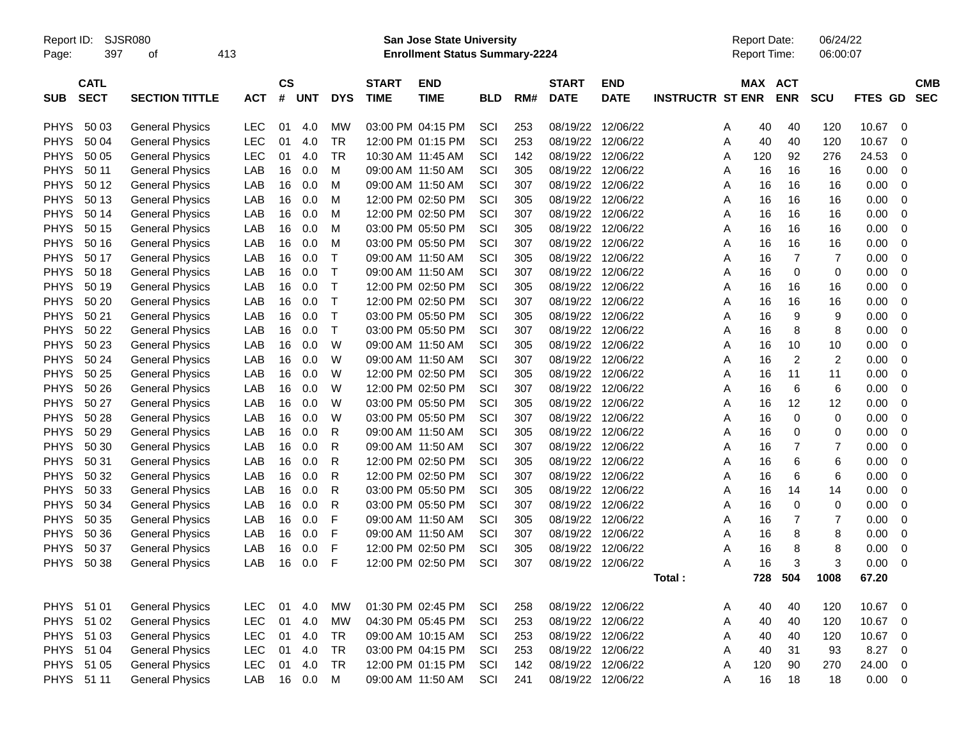Report ID: SJSR080 **San Jose State University** Report Date: 06/24/22

Page: 397 of 413 **Enrollment Status Summary-2224** Report Time: 06:00:07

|             | <b>CATL</b> |                        |            | <b>CS</b> |            |              | <b>START</b>      | <b>END</b>        |            |     | <b>START</b>      | <b>END</b>  |                         | MAX | ACT            |                |         | <b>CMB</b>  |
|-------------|-------------|------------------------|------------|-----------|------------|--------------|-------------------|-------------------|------------|-----|-------------------|-------------|-------------------------|-----|----------------|----------------|---------|-------------|
| <b>SUB</b>  | <b>SECT</b> | <b>SECTION TITTLE</b>  | <b>ACT</b> | #         | <b>UNT</b> | <b>DYS</b>   | <b>TIME</b>       | <b>TIME</b>       | <b>BLD</b> | RM# | <b>DATE</b>       | <b>DATE</b> | <b>INSTRUCTR ST ENR</b> |     | <b>ENR</b>     | <b>SCU</b>     | FTES GD | <b>SEC</b>  |
|             |             |                        |            |           |            |              |                   |                   |            |     |                   |             |                         |     |                |                |         |             |
| <b>PHYS</b> | 50 03       | <b>General Physics</b> | LEC        | 01        | 4.0        | <b>MW</b>    |                   | 03:00 PM 04:15 PM | SCI        | 253 | 08/19/22          | 12/06/22    | A                       | 40  | 40             | 120            | 10.67   | $\mathbf 0$ |
| <b>PHYS</b> | 50 04       | <b>General Physics</b> | <b>LEC</b> | 01        | 4.0        | TR           |                   | 12:00 PM 01:15 PM | SCI        | 253 | 08/19/22 12/06/22 |             | A                       | 40  | 40             | 120            | 10.67   | $\mathbf 0$ |
| <b>PHYS</b> | 50 05       | <b>General Physics</b> | LEC        | 01        | 4.0        | TR           | 10:30 AM 11:45 AM |                   | SCI        | 142 | 08/19/22          | 12/06/22    | A                       | 120 | 92             | 276            | 24.53   | 0           |
| <b>PHYS</b> | 50 11       | <b>General Physics</b> | LAB        | 16        | 0.0        | М            |                   | 09:00 AM 11:50 AM | SCI        | 305 | 08/19/22          | 12/06/22    | Α                       | 16  | 16             | 16             | 0.00    | 0           |
| <b>PHYS</b> | 50 12       | <b>General Physics</b> | LAB        | 16        | 0.0        | M            |                   | 09:00 AM 11:50 AM | SCI        | 307 | 08/19/22          | 12/06/22    | Α                       | 16  | 16             | 16             | 0.00    | $\mathbf 0$ |
| <b>PHYS</b> | 50 13       | <b>General Physics</b> | LAB        | 16        | 0.0        | м            |                   | 12:00 PM 02:50 PM | SCI        | 305 | 08/19/22 12/06/22 |             | Α                       | 16  | 16             | 16             | 0.00    | $\mathbf 0$ |
| <b>PHYS</b> | 50 14       | <b>General Physics</b> | LAB        | 16        | 0.0        | М            |                   | 12:00 PM 02:50 PM | SCI        | 307 | 08/19/22          | 12/06/22    | Α                       | 16  | 16             | 16             | 0.00    | $\mathbf 0$ |
| <b>PHYS</b> | 50 15       | <b>General Physics</b> | LAB        | 16        | 0.0        | M            |                   | 03:00 PM 05:50 PM | SCI        | 305 | 08/19/22          | 12/06/22    | Α                       | 16  | 16             | 16             | 0.00    | $\mathbf 0$ |
| <b>PHYS</b> | 50 16       | <b>General Physics</b> | LAB        | 16        | 0.0        | M            |                   | 03:00 PM 05:50 PM | SCI        | 307 | 08/19/22          | 12/06/22    | Α                       | 16  | 16             | 16             | 0.00    | $\mathbf 0$ |
| <b>PHYS</b> | 50 17       | <b>General Physics</b> | LAB        | 16        | 0.0        | $\top$       | 09:00 AM 11:50 AM |                   | SCI        | 305 | 08/19/22 12/06/22 |             | Α                       | 16  | 7              | $\overline{7}$ | 0.00    | $\mathbf 0$ |
| <b>PHYS</b> | 50 18       | <b>General Physics</b> | LAB        | 16        | 0.0        | $\top$       |                   | 09:00 AM 11:50 AM | SCI        | 307 | 08/19/22          | 12/06/22    | Α                       | 16  | 0              | 0              | 0.00    | $\mathbf 0$ |
| <b>PHYS</b> | 50 19       | <b>General Physics</b> | LAB        | 16        | 0.0        | $\top$       |                   | 12:00 PM 02:50 PM | SCI        | 305 | 08/19/22          | 12/06/22    | Α                       | 16  | 16             | 16             | 0.00    | $\mathbf 0$ |
| <b>PHYS</b> | 50 20       | <b>General Physics</b> | LAB        | 16        | 0.0        | $\mathsf{T}$ |                   | 12:00 PM 02:50 PM | SCI        | 307 | 08/19/22          | 12/06/22    | Α                       | 16  | 16             | 16             | 0.00    | 0           |
| <b>PHYS</b> | 50 21       | <b>General Physics</b> | LAB        | 16        | 0.0        | $\top$       |                   | 03:00 PM 05:50 PM | SCI        | 305 | 08/19/22 12/06/22 |             | A                       | 16  | 9              | 9              | 0.00    | $\mathbf 0$ |
| <b>PHYS</b> | 50 22       | <b>General Physics</b> | LAB        | 16        | 0.0        | $\mathsf{T}$ |                   | 03:00 PM 05:50 PM | SCI        | 307 | 08/19/22          | 12/06/22    | Α                       | 16  | 8              | 8              | 0.00    | $\mathbf 0$ |
| <b>PHYS</b> | 50 23       | <b>General Physics</b> | LAB        | 16        | 0.0        | W            | 09:00 AM 11:50 AM |                   | SCI        | 305 | 08/19/22          | 12/06/22    | A                       | 16  | 10             | 10             | 0.00    | 0           |
| <b>PHYS</b> | 50 24       | <b>General Physics</b> | LAB        | 16        | 0.0        | W            |                   | 09:00 AM 11:50 AM | SCI        | 307 | 08/19/22          | 12/06/22    | Α                       | 16  | $\overline{2}$ | $\overline{2}$ | 0.00    | 0           |
| <b>PHYS</b> | 50 25       | <b>General Physics</b> | LAB        | 16        | 0.0        | W            |                   | 12:00 PM 02:50 PM | SCI        | 305 | 08/19/22 12/06/22 |             | Α                       | 16  | 11             | 11             | 0.00    | $\mathbf 0$ |
| <b>PHYS</b> | 50 26       | <b>General Physics</b> | LAB        | 16        | 0.0        | W            |                   | 12:00 PM 02:50 PM | SCI        | 307 | 08/19/22 12/06/22 |             | Α                       | 16  | 6              | 6              | 0.00    | $\mathbf 0$ |
| <b>PHYS</b> | 50 27       | <b>General Physics</b> | LAB        | 16        | 0.0        | W            |                   | 03:00 PM 05:50 PM | SCI        | 305 | 08/19/22          | 12/06/22    | Α                       | 16  | 12             | 12             | 0.00    | $\mathbf 0$ |
| <b>PHYS</b> | 50 28       | <b>General Physics</b> | LAB        | 16        | 0.0        | W            |                   | 03:00 PM 05:50 PM | SCI        | 307 | 08/19/22          | 12/06/22    | Α                       | 16  | 0              | 0              | 0.00    | $\mathbf 0$ |
| <b>PHYS</b> | 50 29       | <b>General Physics</b> | LAB        | 16        | 0.0        | $\mathsf{R}$ | 09:00 AM 11:50 AM |                   | SCI        | 305 | 08/19/22 12/06/22 |             | Α                       | 16  | 0              | 0              | 0.00    | 0           |
| <b>PHYS</b> | 50 30       | <b>General Physics</b> | LAB        | 16        | 0.0        | R            |                   | 09:00 AM 11:50 AM | SCI        | 307 | 08/19/22 12/06/22 |             | Α                       | 16  | 7              | $\overline{7}$ | 0.00    | $\mathbf 0$ |
| <b>PHYS</b> | 50 31       | <b>General Physics</b> | LAB        | 16        | 0.0        | R            |                   | 12:00 PM 02:50 PM | SCI        | 305 | 08/19/22          | 12/06/22    | A                       | 16  | 6              | 6              | 0.00    | 0           |
| <b>PHYS</b> | 50 32       | <b>General Physics</b> | LAB        | 16        | 0.0        | R            |                   | 12:00 PM 02:50 PM | SCI        | 307 | 08/19/22          | 12/06/22    | Α                       | 16  | 6              | 6              | 0.00    | $\mathbf 0$ |
| <b>PHYS</b> | 50 33       | <b>General Physics</b> | LAB        | 16        | 0.0        | R            |                   | 03:00 PM 05:50 PM | SCI        | 305 | 08/19/22          | 12/06/22    | Α                       | 16  | 14             | 14             | 0.00    | $\mathbf 0$ |
| <b>PHYS</b> | 50 34       | <b>General Physics</b> | LAB        | 16        | 0.0        | R            |                   | 03:00 PM 05:50 PM | SCI        | 307 | 08/19/22 12/06/22 |             | A                       | 16  | $\mathbf 0$    | $\mathbf 0$    | 0.00    | $\mathbf 0$ |
| <b>PHYS</b> | 50 35       | <b>General Physics</b> | LAB        | 16        | 0.0        | F            | 09:00 AM 11:50 AM |                   | SCI        | 305 | 08/19/22          | 12/06/22    | Α                       | 16  | 7              | $\overline{7}$ | 0.00    | $\mathbf 0$ |
| <b>PHYS</b> | 50 36       | <b>General Physics</b> | <b>LAB</b> | 16        | 0.0        | F            |                   | 09:00 AM 11:50 AM | SCI        | 307 | 08/19/22          | 12/06/22    | A                       | 16  | 8              | 8              | 0.00    | $\mathbf 0$ |
| <b>PHYS</b> | 50 37       | <b>General Physics</b> | LAB        | 16        | 0.0        | F            |                   | 12:00 PM 02:50 PM | SCI        | 305 | 08/19/22          | 12/06/22    | Α                       | 16  | 8              | 8              | 0.00    | 0           |
| <b>PHYS</b> | 50 38       | <b>General Physics</b> | LAB        | 16        | 0.0        | F            |                   | 12:00 PM 02:50 PM | SCI        | 307 | 08/19/22 12/06/22 |             | Α                       | 16  | 3              | 3              | 0.00    | 0           |
|             |             |                        |            |           |            |              |                   |                   |            |     |                   |             | Total :                 | 728 | 504            | 1008           | 67.20   |             |
|             |             |                        |            |           |            |              |                   |                   |            |     |                   |             |                         |     |                |                |         |             |
| <b>PHYS</b> | 51 01       | <b>General Physics</b> | LEC        | 01        | 4.0        | <b>MW</b>    | 01:30 PM 02:45 PM |                   | SCI        | 258 | 08/19/22          | 12/06/22    | Α                       | 40  | 40             | 120            | 10.67   | $\mathbf 0$ |
| <b>PHYS</b> | 51 02       | <b>General Physics</b> | <b>LEC</b> | 01        | 4.0        | <b>MW</b>    |                   | 04:30 PM 05:45 PM | SCI        | 253 | 08/19/22 12/06/22 |             | Α                       | 40  | 40             | 120            | 10.67   | $\mathbf 0$ |
| <b>PHYS</b> | 51 03       | <b>General Physics</b> | LEC        | 01        | 4.0        | TR           |                   | 09:00 AM 10:15 AM | SCI        | 253 | 08/19/22          | 12/06/22    | A                       | 40  | 40             | 120            | 10.67   | 0           |
| <b>PHYS</b> | 51 04       | <b>General Physics</b> | LEC        | 01        | 4.0        | TR           |                   | 03:00 PM 04:15 PM | SCI        | 253 | 08/19/22          | 12/06/22    | A                       | 40  | 31             | 93             | 8.27    | $\mathbf 0$ |
| <b>PHYS</b> | 51 05       | <b>General Physics</b> | <b>LEC</b> | 01        | 4.0        | <b>TR</b>    |                   | 12:00 PM 01:15 PM | SCI        | 142 | 08/19/22          | 12/06/22    | Α                       | 120 | 90             | 270            | 24.00   | $\mathbf 0$ |
| <b>PHYS</b> | 51 11       | <b>General Physics</b> | LAB        | 16        | 0.0        | м            |                   | 09:00 AM 11:50 AM | SCI        | 241 | 08/19/22 12/06/22 |             | A                       | 16  | 18             | 18             | 0.00    | 0           |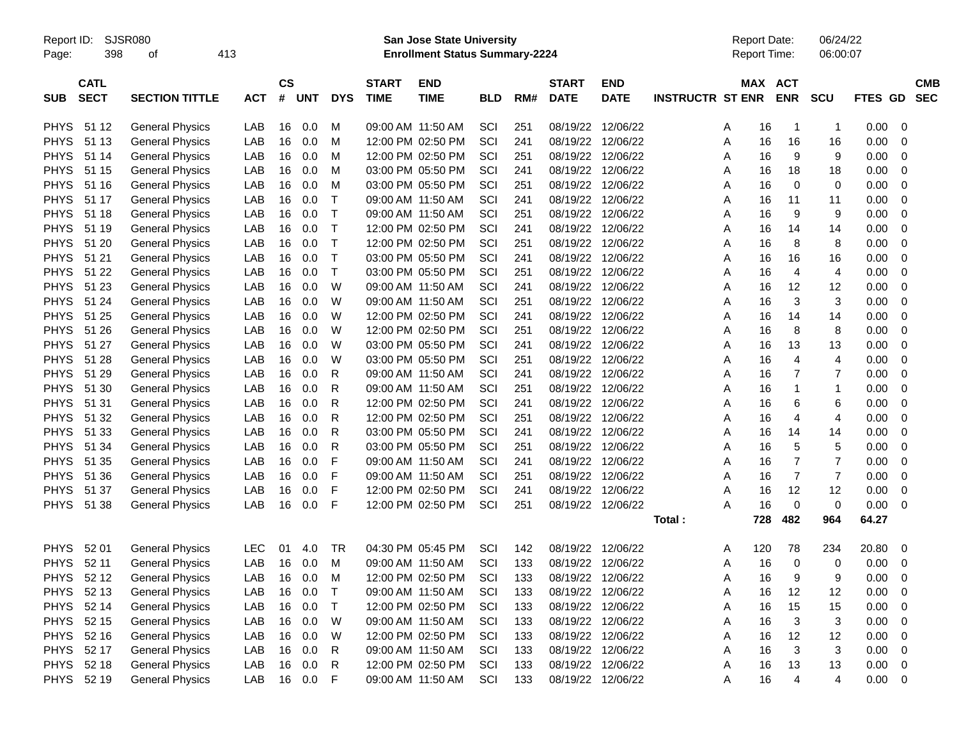Report ID: SJSR080 **San Jose State University** Report Date: 06/24/22

Page: 398 of 413 **Enrollment Status Summary-2224** Report Time: 06:00:07

|             | <b>CATL</b> |                        |            | <b>CS</b> |            |              | <b>START</b> | <b>END</b>        |            |     | <b>START</b>      | <b>END</b>  |                         | MAX | <b>ACT</b>     |                  |         | <b>CMB</b>  |
|-------------|-------------|------------------------|------------|-----------|------------|--------------|--------------|-------------------|------------|-----|-------------------|-------------|-------------------------|-----|----------------|------------------|---------|-------------|
| <b>SUB</b>  | <b>SECT</b> | <b>SECTION TITTLE</b>  | АСТ        | #         | <b>UNT</b> | <b>DYS</b>   | <b>TIME</b>  | <b>TIME</b>       | <b>BLD</b> | RM# | <b>DATE</b>       | <b>DATE</b> | <b>INSTRUCTR ST ENR</b> |     | <b>ENR</b>     | <b>SCU</b>       | FTES GD | <b>SEC</b>  |
|             |             |                        |            |           |            |              |              |                   |            |     |                   |             |                         |     |                |                  |         |             |
| <b>PHYS</b> | 51 12       | <b>General Physics</b> | LAB        | 16        | 0.0        | M            |              | 09:00 AM 11:50 AM | SCI        | 251 | 08/19/22 12/06/22 |             | A                       | 16  | $\mathbf 1$    | -1               | 0.00    | 0           |
| <b>PHYS</b> | 51 13       | <b>General Physics</b> | LAB        | 16        | 0.0        | M            |              | 12:00 PM 02:50 PM | SCI        | 241 | 08/19/22 12/06/22 |             | Α                       | 16  | 16             | 16               | 0.00    | $\mathbf 0$ |
| <b>PHYS</b> | 51 14       | <b>General Physics</b> | LAB        | 16        | 0.0        | M            |              | 12:00 PM 02:50 PM | SCI        | 251 | 08/19/22 12/06/22 |             | A                       | 16  | 9              | 9                | 0.00    | 0           |
| <b>PHYS</b> | 51 15       | <b>General Physics</b> | LAB        | 16        | 0.0        | M            |              | 03:00 PM 05:50 PM | SCI        | 241 | 08/19/22          | 12/06/22    | Α                       | 16  | 18             | 18               | 0.00    | $\mathbf 0$ |
| <b>PHYS</b> | 51 16       | <b>General Physics</b> | LAB        | 16        | 0.0        | M            |              | 03:00 PM 05:50 PM | SCI        | 251 | 08/19/22 12/06/22 |             | Α                       | 16  | $\mathbf 0$    | 0                | 0.00    | 0           |
| <b>PHYS</b> | 51 17       | <b>General Physics</b> | LAB        | 16        | 0.0        | $\top$       |              | 09:00 AM 11:50 AM | SCI        | 241 | 08/19/22 12/06/22 |             | A                       | 16  | 11             | 11               | 0.00    | $\mathbf 0$ |
| <b>PHYS</b> | 51 18       | <b>General Physics</b> | LAB        | 16        | 0.0        | $\top$       |              | 09:00 AM 11:50 AM | SCI        | 251 | 08/19/22 12/06/22 |             | Α                       | 16  | 9              | 9                | 0.00    | 0           |
| <b>PHYS</b> | 51 19       | <b>General Physics</b> | LAB        | 16        | 0.0        | $\top$       |              | 12:00 PM 02:50 PM | SCI        | 241 | 08/19/22          | 12/06/22    | Α                       | 16  | 14             | 14               | 0.00    | $\mathbf 0$ |
| <b>PHYS</b> | 51 20       | <b>General Physics</b> | LAB        | 16        | 0.0        | $\top$       |              | 12:00 PM 02:50 PM | SCI        | 251 | 08/19/22          | 12/06/22    | Α                       | 16  | 8              | 8                | 0.00    | 0           |
| <b>PHYS</b> | 51 21       | <b>General Physics</b> | LAB        | 16        | 0.0        | $\mathsf T$  |              | 03:00 PM 05:50 PM | SCI        | 241 | 08/19/22 12/06/22 |             | Α                       | 16  | 16             | 16               | 0.00    | 0           |
| <b>PHYS</b> | 51 22       | <b>General Physics</b> | LAB        | 16        | 0.0        | $\top$       |              | 03:00 PM 05:50 PM | SCI        | 251 | 08/19/22 12/06/22 |             | Α                       | 16  | $\overline{4}$ | $\overline{4}$   | 0.00    | $\mathbf 0$ |
| <b>PHYS</b> | 51 23       | <b>General Physics</b> | LAB        | 16        | 0.0        | W            |              | 09:00 AM 11:50 AM | SCI        | 241 | 08/19/22          | 12/06/22    | Α                       | 16  | 12             | 12               | 0.00    | 0           |
| <b>PHYS</b> | 51 24       | <b>General Physics</b> | <b>LAB</b> | 16        | 0.0        | W            |              | 09:00 AM 11:50 AM | SCI        | 251 | 08/19/22          | 12/06/22    | Α                       | 16  | 3              | 3                | 0.00    | $\mathbf 0$ |
| <b>PHYS</b> | 51 25       | <b>General Physics</b> | LAB        | 16        | 0.0        | W            |              | 12:00 PM 02:50 PM | SCI        | 241 | 08/19/22 12/06/22 |             | A                       | 16  | 14             | 14               | 0.00    | 0           |
| <b>PHYS</b> | 51 26       | <b>General Physics</b> | LAB        | 16        | 0.0        | W            |              | 12:00 PM 02:50 PM | SCI        | 251 | 08/19/22 12/06/22 |             | A                       | 16  | 8              | 8                | 0.00    | $\mathbf 0$ |
| <b>PHYS</b> | 51 27       | <b>General Physics</b> | LAB        | 16        | 0.0        | W            |              | 03:00 PM 05:50 PM | SCI        | 241 | 08/19/22          | 12/06/22    | Α                       | 16  | 13             | 13               | 0.00    | 0           |
| <b>PHYS</b> | 51 28       | <b>General Physics</b> | LAB        | 16        | 0.0        | W            |              | 03:00 PM 05:50 PM | SCI        | 251 | 08/19/22          | 12/06/22    | Α                       | 16  | $\overline{4}$ | 4                | 0.00    | $\mathbf 0$ |
| <b>PHYS</b> | 51 29       | <b>General Physics</b> | LAB        | 16        | 0.0        | $\mathsf{R}$ |              | 09:00 AM 11:50 AM | SCI        | 241 | 08/19/22          | 12/06/22    | Α                       | 16  | $\overline{7}$ | $\overline{7}$   | 0.00    | 0           |
| <b>PHYS</b> | 51 30       | <b>General Physics</b> | LAB        | 16        | 0.0        | R            |              | 09:00 AM 11:50 AM | SCI        | 251 | 08/19/22 12/06/22 |             | Α                       | 16  | 1              | 1                | 0.00    | 0           |
| <b>PHYS</b> | 51 31       | <b>General Physics</b> | LAB        | 16        | 0.0        | R            |              | 12:00 PM 02:50 PM | SCI        | 241 | 08/19/22          | 12/06/22    | Α                       | 16  | 6              | $\,6$            | 0.00    | $\mathbf 0$ |
| <b>PHYS</b> | 51 32       | <b>General Physics</b> | LAB        | 16        | 0.0        | R            |              | 12:00 PM 02:50 PM | SCI        | 251 | 08/19/22          | 12/06/22    | Α                       | 16  | 4              | 4                | 0.00    | 0           |
| <b>PHYS</b> | 51 33       | <b>General Physics</b> | <b>LAB</b> | 16        | 0.0        | R            |              | 03:00 PM 05:50 PM | SCI        | 241 | 08/19/22          | 12/06/22    | Α                       | 16  | 14             | 14               | 0.00    | $\mathbf 0$ |
| <b>PHYS</b> | 51 34       | <b>General Physics</b> | LAB        | 16        | 0.0        | R            |              | 03:00 PM 05:50 PM | SCI        | 251 | 08/19/22 12/06/22 |             | A                       | 16  | 5              | 5                | 0.00    | 0           |
| <b>PHYS</b> | 51 35       | <b>General Physics</b> | LAB        | 16        | 0.0        | F            |              | 09:00 AM 11:50 AM | SCI        | 241 | 08/19/22 12/06/22 |             | A                       | 16  | 7              | $\boldsymbol{7}$ | 0.00    | $\mathbf 0$ |
| <b>PHYS</b> | 51 36       | <b>General Physics</b> | LAB        | 16        | 0.0        | F            |              | 09:00 AM 11:50 AM | SCI        | 251 | 08/19/22          | 12/06/22    | A                       | 16  | $\overline{7}$ | $\overline{7}$   | 0.00    | 0           |
| <b>PHYS</b> | 51 37       | <b>General Physics</b> | LAB        | 16        | 0.0        | F            |              | 12:00 PM 02:50 PM | SCI        | 241 | 08/19/22 12/06/22 |             | A                       | 16  | 12             | 12               | 0.00    | $\mathbf 0$ |
| <b>PHYS</b> | 51 38       | <b>General Physics</b> | LAB        | 16        | 0.0        | F            |              | 12:00 PM 02:50 PM | SCI        | 251 | 08/19/22 12/06/22 |             | Α                       | 16  | $\mathbf 0$    | $\mathbf 0$      | 0.00    | 0           |
|             |             |                        |            |           |            |              |              |                   |            |     |                   |             | Total :                 | 728 | 482            | 964              | 64.27   |             |
|             |             |                        |            |           |            |              |              |                   |            |     |                   |             |                         |     |                |                  |         |             |
| <b>PHYS</b> | 52 01       | <b>General Physics</b> | <b>LEC</b> | 01        | 4.0        | TR           |              | 04:30 PM 05:45 PM | SCI        | 142 | 08/19/22 12/06/22 |             | A                       | 120 | 78             | 234              | 20.80   | 0           |
| <b>PHYS</b> | 52 11       | <b>General Physics</b> | <b>LAB</b> | 16        | 0.0        | м            |              | 09:00 AM 11:50 AM | SCI        | 133 | 08/19/22          | 12/06/22    | A                       | 16  | $\mathbf 0$    | 0                | 0.00    | $\mathbf 0$ |
| <b>PHYS</b> | 52 12       | <b>General Physics</b> | LAB        | 16        | 0.0        | M            |              | 12:00 PM 02:50 PM | SCI        | 133 | 08/19/22 12/06/22 |             | Α                       | 16  | 9              | 9                | 0.00    | 0           |
| <b>PHYS</b> | 52 13       | <b>General Physics</b> | LAB        | 16        | 0.0        | $\top$       |              | 09:00 AM 11:50 AM | SCI        | 133 | 08/19/22 12/06/22 |             | A                       | 16  | 12             | 12               | 0.00    | $\mathbf 0$ |
| <b>PHYS</b> | 52 14       | <b>General Physics</b> | LAB        | 16        | 0.0        | $\mathsf{T}$ |              | 12:00 PM 02:50 PM | SCI        | 133 | 08/19/22 12/06/22 |             | Α                       | 16  | 15             | 15               | 0.00    | 0           |
| <b>PHYS</b> | 52 15       | <b>General Physics</b> | LAB        | 16        | 0.0        | W            |              | 09:00 AM 11:50 AM | SCI        | 133 | 08/19/22 12/06/22 |             | Α                       | 16  | 3              | 3                | 0.00    | $\mathbf 0$ |
| <b>PHYS</b> | 52 16       | <b>General Physics</b> | LAB        | 16        | 0.0        | W            |              | 12:00 PM 02:50 PM | SCI        | 133 | 08/19/22          | 12/06/22    | Α                       | 16  | 12             | 12               | 0.00    | 0           |
| <b>PHYS</b> | 52 17       | <b>General Physics</b> | LAB        | 16        | 0.0        | R            |              | 09:00 AM 11:50 AM | SCI        | 133 | 08/19/22 12/06/22 |             | A                       | 16  | 3              | 3                | 0.00    | 0           |
| <b>PHYS</b> | 52 18       | <b>General Physics</b> | LAB        | 16        | 0.0        | R            |              | 12:00 PM 02:50 PM | SCI        | 133 | 08/19/22          | 12/06/22    | A                       | 16  | 13             | 13               | 0.00    | $\mathbf 0$ |
| <b>PHYS</b> | 52 19       | <b>General Physics</b> | LAB        | 16        | 0.0        | F            |              | 09:00 AM 11:50 AM | SCI        | 133 | 08/19/22 12/06/22 |             | Α                       | 16  | 4              | 4                | 0.00    | $\Omega$    |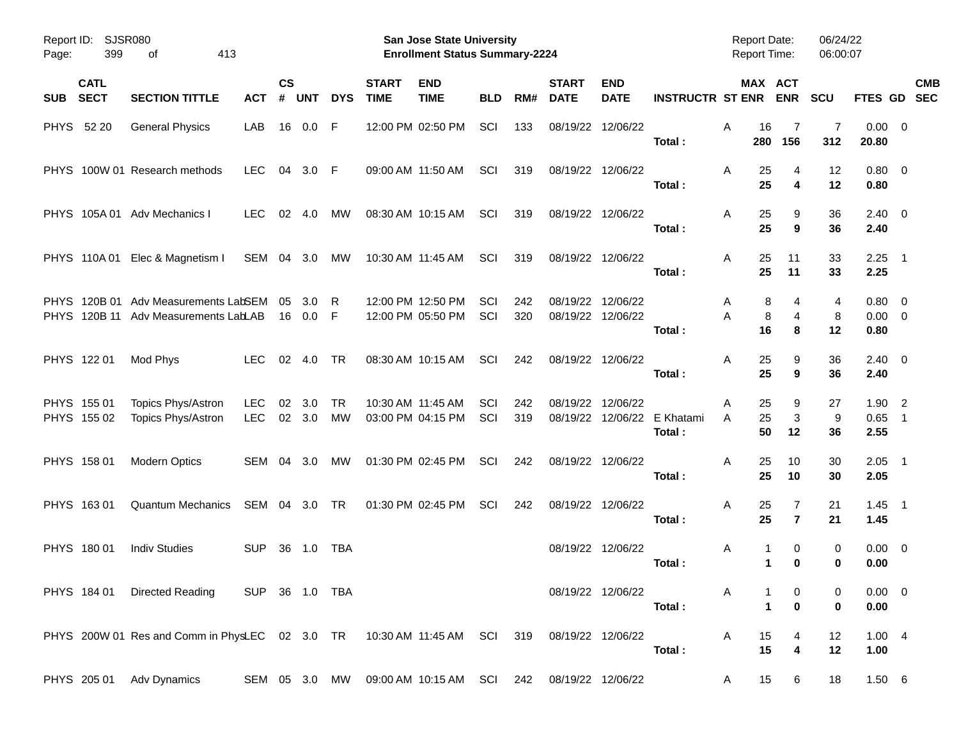| Report ID:<br>Page: | 399                        | <b>SJSR080</b><br>413<br>οf                                                                |                          |                |               |                 |                             | <b>San Jose State University</b><br><b>Enrollment Status Summary-2224</b> |            |            |                             |                               |                                       | <b>Report Date:</b><br>Report Time: |                              | 06/24/22<br>06:00:07 |                                       |                          |            |
|---------------------|----------------------------|--------------------------------------------------------------------------------------------|--------------------------|----------------|---------------|-----------------|-----------------------------|---------------------------------------------------------------------------|------------|------------|-----------------------------|-------------------------------|---------------------------------------|-------------------------------------|------------------------------|----------------------|---------------------------------------|--------------------------|------------|
| <b>SUB</b>          | <b>CATL</b><br><b>SECT</b> | <b>SECTION TITTLE</b>                                                                      | ACT                      | <b>CS</b><br># | <b>UNT</b>    | <b>DYS</b>      | <b>START</b><br><b>TIME</b> | <b>END</b><br><b>TIME</b>                                                 | <b>BLD</b> | RM#        | <b>START</b><br><b>DATE</b> | <b>END</b><br><b>DATE</b>     | <b>INSTRUCTR ST ENR</b>               |                                     | MAX ACT<br><b>ENR</b>        | <b>SCU</b>           | FTES GD SEC                           |                          | <b>CMB</b> |
|                     | PHYS 52 20                 | <b>General Physics</b>                                                                     | LAB                      | 16             | 0.0           | F               |                             | 12:00 PM 02:50 PM                                                         | SCI        | 133        |                             | 08/19/22 12/06/22             | Total:                                | Α<br>16<br>280                      | 7<br>156                     | 7<br>312             | $0.00 \t 0$<br>20.80                  |                          |            |
|                     |                            | PHYS 100W 01 Research methods                                                              | <b>LEC</b>               | 04             | 3.0 F         |                 |                             | 09:00 AM 11:50 AM                                                         | SCI        | 319        |                             | 08/19/22 12/06/22             | Total:                                | Α<br>25<br>25                       | 4<br>4                       | 12<br>12             | $0.80 \ 0$<br>0.80                    |                          |            |
|                     |                            | PHYS 105A 01 Adv Mechanics I                                                               | <b>LEC</b>               | 02             | -4.0          | MW              |                             | 08:30 AM 10:15 AM                                                         | SCI        | 319        |                             | 08/19/22 12/06/22             | Total:                                | A<br>25<br>25                       | 9<br>9                       | 36<br>36             | $2.40 \quad 0$<br>2.40                |                          |            |
|                     |                            | PHYS 110A 01 Elec & Magnetism I                                                            | SEM 04 3.0               |                |               | МW              |                             | 10:30 AM 11:45 AM                                                         | SCI        | 319        |                             | 08/19/22 12/06/22             | Total:                                | A<br>25<br>25                       | 11<br>11                     | 33<br>33             | $2.25$ 1<br>2.25                      |                          |            |
|                     |                            | PHYS 120B 01 Adv Measurements LabSEM<br>PHYS 120B 11 Adv Measurements LabLAB               |                          | 05<br>16       | 3.0<br>0.0    | R<br>-F         |                             | 12:00 PM 12:50 PM<br>12:00 PM 05:50 PM                                    | SCI<br>SCI | 242<br>320 | 08/19/22                    | 12/06/22<br>08/19/22 12/06/22 | Total:                                | 8<br>A<br>A<br>8<br>16              | 4<br>4<br>8                  | 4<br>8<br>12         | $0.80 \quad 0$<br>$0.00 \t 0$<br>0.80 |                          |            |
|                     | PHYS 122 01                | Mod Phys                                                                                   | <b>LEC</b>               |                | 02 4.0        | TR              |                             | 08:30 AM 10:15 AM                                                         | SCI        | 242        |                             | 08/19/22 12/06/22             | Total:                                | A<br>25<br>25                       | 9<br>9                       | 36<br>36             | $2.40 \quad 0$<br>2.40                |                          |            |
|                     | PHYS 155 01<br>PHYS 155 02 | Topics Phys/Astron<br>Topics Phys/Astron                                                   | <b>LEC</b><br><b>LEC</b> | 02             | 3.0<br>02 3.0 | <b>TR</b><br>MW |                             | 10:30 AM 11:45 AM<br>03:00 PM 04:15 PM                                    | SCI<br>SCI | 242<br>319 | 08/19/22                    | 12/06/22                      | 08/19/22 12/06/22 E Khatami<br>Total: | 25<br>A<br>25<br>A<br>50            | 9<br>3<br>12                 | 27<br>9<br>36        | $1.90$ 2<br>0.65<br>2.55              | $\overline{\phantom{0}}$ |            |
|                     | PHYS 158 01                | <b>Modern Optics</b>                                                                       | SEM 04 3.0               |                |               | MW              |                             | 01:30 PM 02:45 PM                                                         | SCI        | 242        |                             | 08/19/22 12/06/22             | Total:                                | A<br>25<br>25                       | 10<br>10                     | 30<br>30             | $2.05$ 1<br>2.05                      |                          |            |
|                     | PHYS 16301                 | <b>Quantum Mechanics</b>                                                                   | SEM 04 3.0               |                |               | TR              |                             | 01:30 PM 02:45 PM                                                         | SCI        | 242        |                             | 08/19/22 12/06/22             | Total:                                | Α<br>25<br>25                       | 7<br>$\overline{\mathbf{r}}$ | 21<br>21             | $1.45$ 1<br>1.45                      |                          |            |
|                     | PHYS 180 01                | <b>Indiv Studies</b>                                                                       | <b>SUP</b>               | 36             | 1.0           | TBA             |                             |                                                                           |            |            |                             | 08/19/22 12/06/22             | Total:                                | Α<br>1<br>1                         | 0<br>$\bf{0}$                | 0<br>0               | $0.00 \t 0$<br>0.00                   |                          |            |
|                     |                            | PHYS 184 01 Directed Reading                                                               | SUP 36 1.0 TBA           |                |               |                 |                             |                                                                           |            |            |                             | 08/19/22 12/06/22             | Total:                                | A<br>$\mathbf{1}$                   | 0<br>$\mathbf 0$             | 0<br>0               | $0.00 \t 0$<br>0.00                   |                          |            |
|                     |                            | PHYS 200W 01 Res and Comm in PhysLEC 02 3.0 TR 10:30 AM 11:45 AM SCI 319 08/19/22 12/06/22 |                          |                |               |                 |                             |                                                                           |            |            |                             |                               | Total:                                | 15<br>A<br>15                       | 4<br>$\overline{\mathbf{4}}$ | 12<br>12             | 1.004<br>1.00                         |                          |            |
|                     |                            | PHYS 205 01 Adv Dynamics                                                                   |                          |                |               |                 |                             | SEM 05 3.0 MW 09:00 AM 10:15 AM SCI 242                                   |            |            | 08/19/22 12/06/22           |                               |                                       | 15<br>A                             | 6                            | 18                   | 1.50 6                                |                          |            |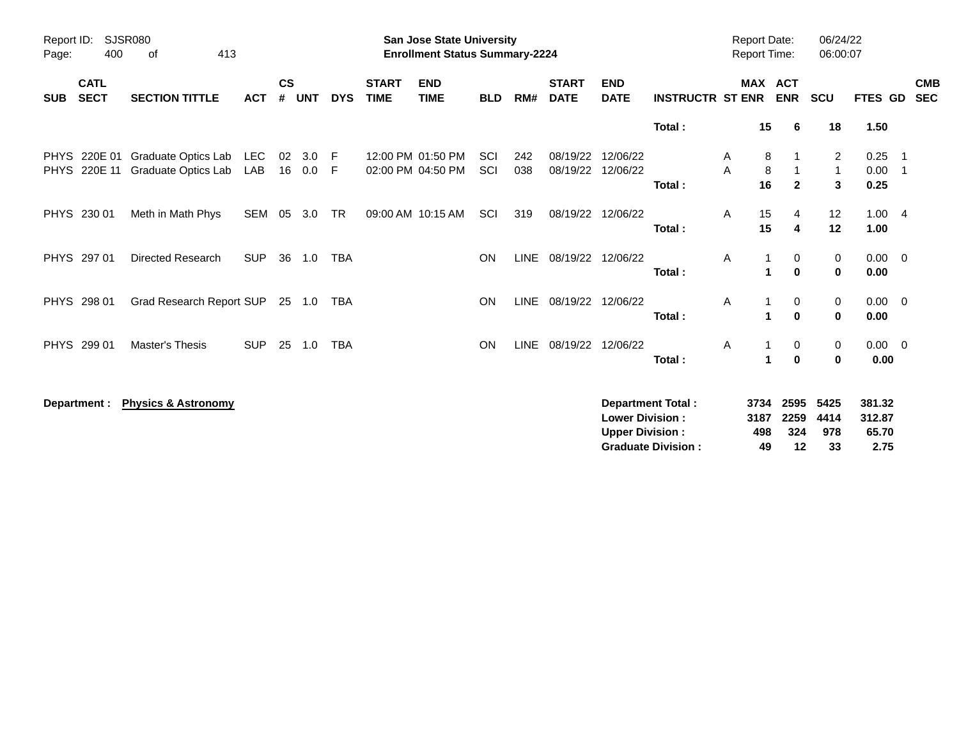| Report ID:<br>Page:        | 400                        | <b>SJSR080</b><br>413<br>0f                |            |                    |               |            |                             | <b>San Jose State University</b><br><b>Enrollment Status Summary-2224</b> |                   |             |                             |                           |                                    | <b>Report Date:</b><br><b>Report Time:</b> |           |                              | 06/24/22<br>06:00:07 |                     |                                 |
|----------------------------|----------------------------|--------------------------------------------|------------|--------------------|---------------|------------|-----------------------------|---------------------------------------------------------------------------|-------------------|-------------|-----------------------------|---------------------------|------------------------------------|--------------------------------------------|-----------|------------------------------|----------------------|---------------------|---------------------------------|
| <b>SUB</b>                 | <b>CATL</b><br><b>SECT</b> | <b>SECTION TITTLE</b>                      | <b>ACT</b> | $\mathsf{cs}$<br># | <b>UNT</b>    | <b>DYS</b> | <b>START</b><br><b>TIME</b> | <b>END</b><br><b>TIME</b>                                                 | <b>BLD</b>        | RM#         | <b>START</b><br><b>DATE</b> | <b>END</b><br><b>DATE</b> | <b>INSTRUCTR ST ENR</b>            |                                            |           | <b>MAX ACT</b><br><b>ENR</b> | <b>SCU</b>           | FTES GD             | <b>CMB</b><br><b>SEC</b>        |
|                            |                            |                                            |            |                    |               |            |                             |                                                                           |                   |             |                             |                           | Total:                             |                                            | 15        | 6                            | 18                   | 1.50                |                                 |
| <b>PHYS</b><br><b>PHYS</b> | 220E 01<br>220E 11         | Graduate Optics Lab<br>Graduate Optics Lab | LEC<br>LAB | 02                 | 3.0<br>16 0.0 | -F<br>F    |                             | 12:00 PM 01:50 PM<br>02:00 PM 04:50 PM                                    | <b>SCI</b><br>SCI | 242<br>038  | 08/19/22<br>08/19/22        | 12/06/22<br>12/06/22      |                                    | A<br>A                                     | 8<br>8    |                              | 2<br>$\mathbf{1}$    | 0.25<br>0.00        | $\overline{\phantom{1}}$<br>- 1 |
| <b>PHYS</b>                | 230 01                     | Meth in Math Phys                          | <b>SEM</b> | 05                 | 3.0           | <b>TR</b>  |                             | 09:00 AM 10:15 AM                                                         | SCI               | 319         | 08/19/22                    | 12/06/22                  | Total:                             | Α                                          | 16<br>15  | $\overline{2}$<br>4          | $\mathbf{3}$<br>12   | 0.25<br>1.004       |                                 |
|                            | PHYS 297 01                | <b>Directed Research</b>                   | <b>SUP</b> | 36                 | 1.0           | <b>TBA</b> |                             |                                                                           | <b>ON</b>         | <b>LINE</b> | 08/19/22                    | 12/06/22                  | Total:                             | A                                          | 15        | 4<br>0                       | 12<br>0              | 1.00<br>$0.00 \t 0$ |                                 |
|                            | PHYS 298 01                | Grad Research Report SUP                   |            |                    | 25 1.0        | <b>TBA</b> |                             |                                                                           | <b>ON</b>         |             | LINE 08/19/22               | 12/06/22                  | Total:                             | Α                                          | 1         | $\bf{0}$<br>0                | 0<br>0               | 0.00<br>$0.00 \t 0$ |                                 |
|                            | PHYS 299 01                | Master's Thesis                            | <b>SUP</b> | 25                 | 1.0           | <b>TBA</b> |                             |                                                                           | <b>ON</b>         | <b>LINE</b> | 08/19/22                    | 12/06/22                  | Total:                             | A                                          | 1         | $\mathbf 0$<br>0             | $\bf{0}$<br>0        | 0.00<br>$0.00 \ 0$  |                                 |
|                            | Department :               | <b>Physics &amp; Astronomy</b>             |            |                    |               |            |                             |                                                                           |                   |             |                             |                           | Total:<br><b>Department Total:</b> |                                            | 1<br>3734 | $\mathbf 0$<br>2595          | 0<br>5425            | 0.00<br>381.32      |                                 |
|                            |                            |                                            |            |                    |               |            |                             |                                                                           |                   |             |                             | <b>Lower Division:</b>    |                                    |                                            | 3187      | 2259                         | 4414                 | 312.87              |                                 |

**Upper Division : 498 324 978 65.70 Graduate Division : 49 12 33 2.75**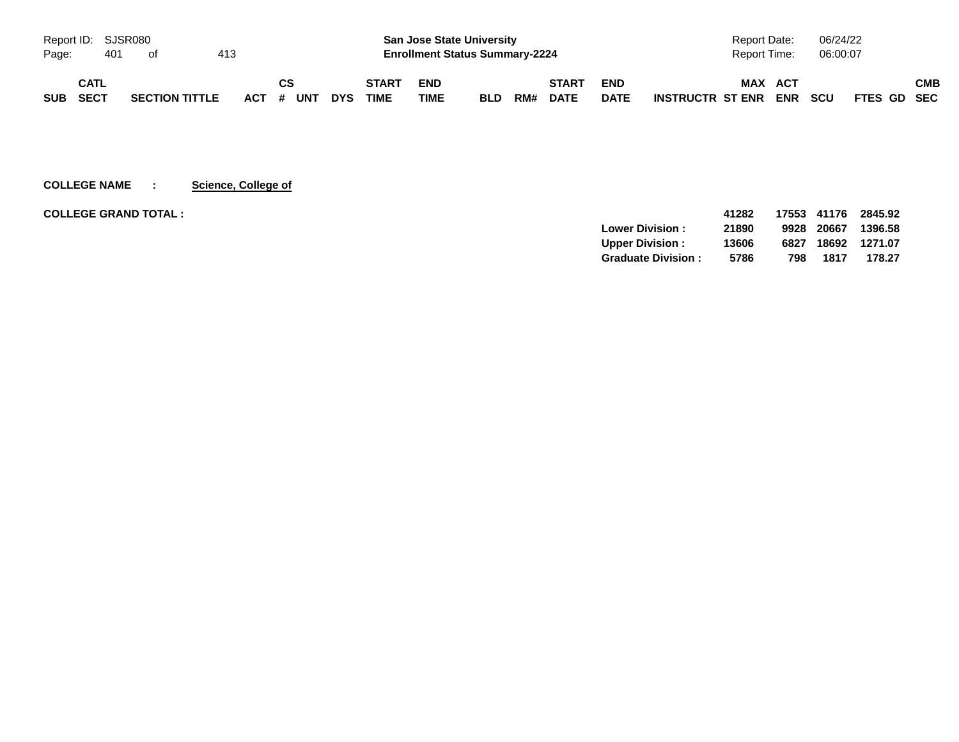| Report ID: SJSR080 |      |     |                       |     |           |            |              |            | <b>San Jose State University</b>      |     |              |             | <b>Report Date:</b>                   | 06/24/22                  |     |
|--------------------|------|-----|-----------------------|-----|-----------|------------|--------------|------------|---------------------------------------|-----|--------------|-------------|---------------------------------------|---------------------------|-----|
| Page:              |      | 401 | ot                    | 413 |           |            |              |            | <b>Enrollment Status Summary-2224</b> |     |              |             | Report Time:                          | 06:00:07                  |     |
|                    | CATL |     |                       |     | СS        |            | <b>START</b> | <b>END</b> |                                       |     | <b>START</b> | <b>END</b>  | <b>MAX</b><br><b>ACT</b>              |                           | СМВ |
| <b>SUB</b>         | SECT |     | <b>SECTION TITTLE</b> |     | ACT # UNT | <b>DYS</b> | <b>TIME</b>  | TIME       | <b>BLD</b>                            | RM# | <b>DATE</b>  | <b>DATE</b> | <b>ENR</b><br><b>INSTRUCTR ST ENR</b> | <b>SCU</b><br>FTES GD SEC |     |

**COLLEGE NAME : Science, College of**

| <b>COLLEGE GRAND TOTAL:</b> |                           | 41282 | 17553 | 41176 | 2845.92 |
|-----------------------------|---------------------------|-------|-------|-------|---------|
|                             | <b>Lower Division:</b>    | 21890 | 9928  | 20667 | 1396.58 |
|                             | <b>Upper Division:</b>    | 13606 | 6827  | 18692 | 1271.07 |
|                             | <b>Graduate Division:</b> | 5786  | 798   | 1817  | 178.27  |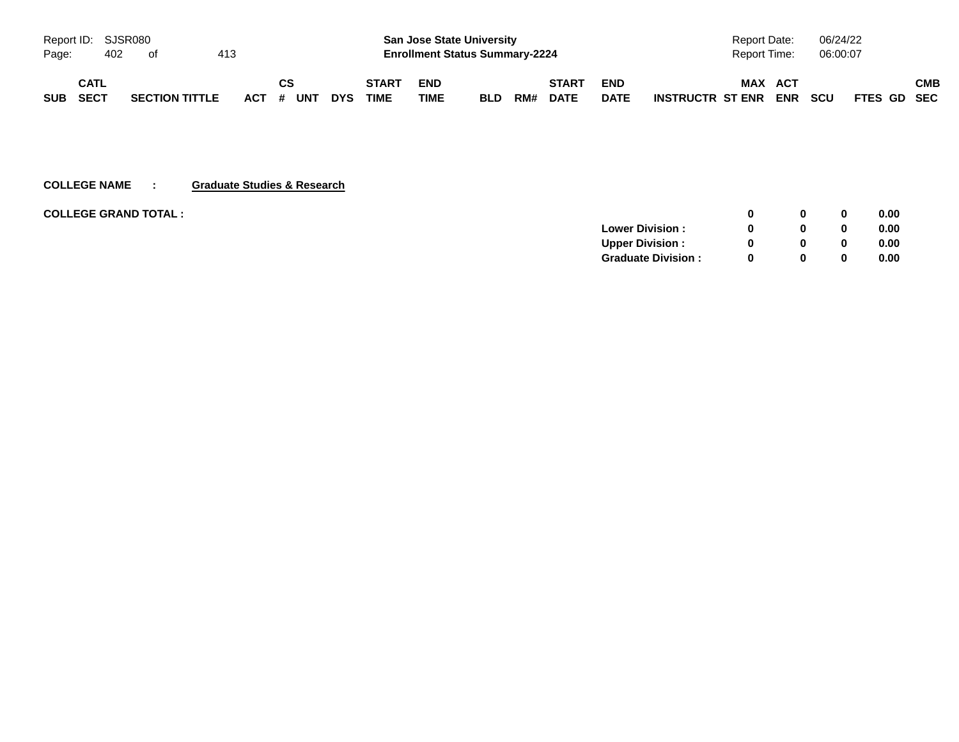|          |             | Report ID: SJSR080 |                       |     |    |           |            |              | <b>San Jose State University</b>      |            |     |              |             | Report Date:         |     | 06/24/22   |             |     |
|----------|-------------|--------------------|-----------------------|-----|----|-----------|------------|--------------|---------------------------------------|------------|-----|--------------|-------------|----------------------|-----|------------|-------------|-----|
| Page:    |             | 402                | of                    | 413 |    |           |            |              | <b>Enrollment Status Summary-2224</b> |            |     |              |             | Report Time:         |     | 06:00:07   |             |     |
|          | <b>CATL</b> |                    |                       |     | CS |           |            | <b>START</b> | <b>END</b>                            |            |     | <b>START</b> | <b>END</b>  | <b>MAX</b>           | ACT |            |             | СМВ |
| SUB SECT |             |                    | <b>SECTION TITTLE</b> |     |    | ACT # UNT | <b>DYS</b> | <b>TIME</b>  | <b>TIME</b>                           | <b>BLD</b> | RM# | <b>DATE</b>  | <b>DATE</b> | INSTRUCTR ST ENR ENR |     | <b>SCU</b> | FTES GD SEC |     |

### **COLLEGE NAME : Graduate Studies & Research**

| <b>COLLEGE GRAND TOTAL :</b> |                           |   | <sup>0</sup> | 0.00 |
|------------------------------|---------------------------|---|--------------|------|
|                              | <b>Lower Division:</b>    | 0 |              | 0.00 |
|                              | <b>Upper Division:</b>    | 0 | <sup>0</sup> | 0.00 |
|                              | <b>Graduate Division:</b> | 0 | <sup>0</sup> | 0.00 |
|                              |                           |   |              |      |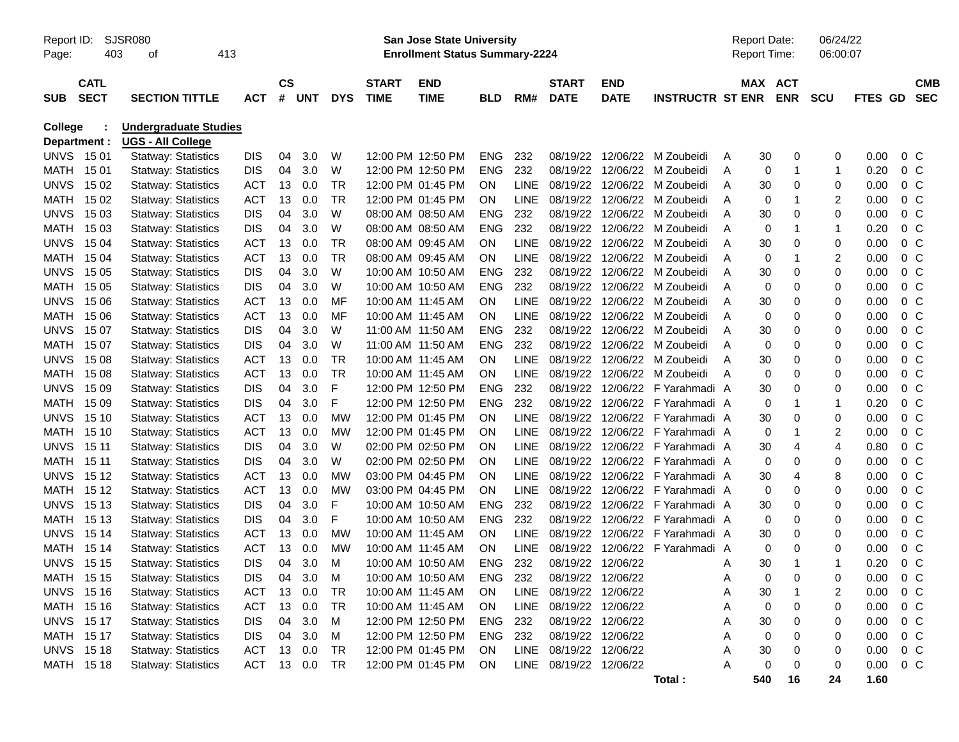| Page:       | <b>SJSR080</b><br>Report ID:<br>403<br>413<br>οf |                                                   |            |                |            |            |                             | <b>San Jose State University</b><br><b>Enrollment Status Summary-2224</b> |            |             |                             |                           |                         |   | <b>Report Date:</b><br><b>Report Time:</b> |                | 06/24/22<br>06:00:07 |         |                |                          |
|-------------|--------------------------------------------------|---------------------------------------------------|------------|----------------|------------|------------|-----------------------------|---------------------------------------------------------------------------|------------|-------------|-----------------------------|---------------------------|-------------------------|---|--------------------------------------------|----------------|----------------------|---------|----------------|--------------------------|
| <b>SUB</b>  | <b>CATL</b><br><b>SECT</b>                       | <b>SECTION TITTLE</b>                             | <b>ACT</b> | <b>CS</b><br># | <b>UNT</b> | <b>DYS</b> | <b>START</b><br><b>TIME</b> | <b>END</b><br><b>TIME</b>                                                 | <b>BLD</b> | RM#         | <b>START</b><br><b>DATE</b> | <b>END</b><br><b>DATE</b> | <b>INSTRUCTR ST ENR</b> |   | MAX ACT                                    | <b>ENR</b>     | <b>SCU</b>           | FTES GD |                | <b>CMB</b><br><b>SEC</b> |
| College     | Department :                                     | <b>Undergraduate Studies</b><br>UGS - All College |            |                |            |            |                             |                                                                           |            |             |                             |                           |                         |   |                                            |                |                      |         |                |                          |
|             | <b>UNVS 1501</b>                                 | <b>Statway: Statistics</b>                        | DIS        | 04             | 3.0        | W          |                             | 12:00 PM 12:50 PM                                                         | <b>ENG</b> | 232         | 08/19/22                    | 12/06/22                  | M Zoubeidi              | A | 30                                         | 0              | 0                    | 0.00    | $0\,C$         |                          |
| MATH        | 15 01                                            | <b>Statway: Statistics</b>                        | <b>DIS</b> | 04             | 3.0        | W          |                             | 12:00 PM 12:50 PM                                                         | <b>ENG</b> | 232         | 08/19/22                    | 12/06/22                  | M Zoubeidi              | Α | 0                                          | $\mathbf{1}$   | 1                    | 0.20    | $0\,C$         |                          |
| <b>UNVS</b> | 15 02                                            | <b>Statway: Statistics</b>                        | <b>ACT</b> | 13             | 0.0        | <b>TR</b>  |                             | 12:00 PM 01:45 PM                                                         | ON         | <b>LINE</b> | 08/19/22                    | 12/06/22                  | M Zoubeidi              | A | 30                                         | $\mathbf 0$    | 0                    | 0.00    | 0 <sup>C</sup> |                          |
| MATH        | 15 02                                            | <b>Statway: Statistics</b>                        | <b>ACT</b> | 13             | 0.0        | <b>TR</b>  |                             | 12:00 PM 01:45 PM                                                         | ON         | <b>LINE</b> | 08/19/22                    | 12/06/22                  | M Zoubeidi              | Α | 0                                          | 1              | $\overline{c}$       | 0.00    | 0 <sup>o</sup> |                          |
| <b>UNVS</b> | 15 03                                            | <b>Statway: Statistics</b>                        | <b>DIS</b> | 04             | 3.0        | W          |                             | 08:00 AM 08:50 AM                                                         | <b>ENG</b> | 232         | 08/19/22                    | 12/06/22                  | M Zoubeidi              | Α | 30                                         | $\mathbf 0$    | 0                    | 0.00    | 0 <sup>o</sup> |                          |
| MATH        | 15 03                                            | <b>Statway: Statistics</b>                        | <b>DIS</b> | 04             | 3.0        | W          |                             | 08:00 AM 08:50 AM                                                         | <b>ENG</b> | 232         | 08/19/22                    | 12/06/22                  | M Zoubeidi              | Α | 0                                          | -1             | 1                    | 0.20    | 0 <sup>o</sup> |                          |
| <b>UNVS</b> | 15 04                                            | <b>Statway: Statistics</b>                        | <b>ACT</b> | 13             | 0.0        | <b>TR</b>  |                             | 08:00 AM 09:45 AM                                                         | ON         | <b>LINE</b> | 08/19/22                    | 12/06/22                  | M Zoubeidi              | Α | 30                                         | $\mathbf 0$    | 0                    | 0.00    | 0 <sup>o</sup> |                          |
| MATH        | 15 04                                            | <b>Statway: Statistics</b>                        | <b>ACT</b> | 13             | 0.0        | <b>TR</b>  |                             | 08:00 AM 09:45 AM                                                         | <b>ON</b>  | <b>LINE</b> | 08/19/22                    | 12/06/22                  | M Zoubeidi              | Α | 0                                          | 1              | $\overline{c}$       | 0.00    | 0 <sup>o</sup> |                          |
| <b>UNVS</b> | 15 05                                            | <b>Statway: Statistics</b>                        | <b>DIS</b> | 04             | 3.0        | W          |                             | 10:00 AM 10:50 AM                                                         | <b>ENG</b> | 232         | 08/19/22                    | 12/06/22                  | M Zoubeidi              | Α | 30                                         | $\mathbf 0$    | 0                    | 0.00    | 0 <sup>o</sup> |                          |
| MATH        | 15 05                                            | <b>Statway: Statistics</b>                        | <b>DIS</b> | 04             | 3.0        | W          |                             | 10:00 AM 10:50 AM                                                         | <b>ENG</b> | 232         | 08/19/22                    | 12/06/22                  | M Zoubeidi              | Α | 0                                          | $\mathbf 0$    | 0                    | 0.00    | 0 <sup>o</sup> |                          |
| <b>UNVS</b> | 15 06                                            | <b>Statway: Statistics</b>                        | <b>ACT</b> | 13             | 0.0        | MF         | 10:00 AM 11:45 AM           |                                                                           | ON         | <b>LINE</b> | 08/19/22                    | 12/06/22                  | M Zoubeidi              | А | 30                                         | $\mathbf 0$    | 0                    | 0.00    | 0 <sup>o</sup> |                          |
| MATH        | 15 06                                            | <b>Statway: Statistics</b>                        | <b>ACT</b> | 13             | 0.0        | MF         | 10:00 AM 11:45 AM           |                                                                           | ON         | <b>LINE</b> | 08/19/22                    | 12/06/22                  | M Zoubeidi              | Α | 0                                          | $\mathbf 0$    | 0                    | 0.00    | 0 <sup>o</sup> |                          |
| <b>UNVS</b> | 15 07                                            | <b>Statway: Statistics</b>                        | <b>DIS</b> | 04             | 3.0        | W          | 11:00 AM 11:50 AM           |                                                                           | <b>ENG</b> | 232         | 08/19/22                    | 12/06/22                  | M Zoubeidi              | А | 30                                         | $\mathbf 0$    | 0                    | 0.00    | 0 <sup>o</sup> |                          |
| MATH        | 15 07                                            | <b>Statway: Statistics</b>                        | <b>DIS</b> | 04             | 3.0        | W          | 11:00 AM 11:50 AM           |                                                                           | <b>ENG</b> | 232         | 08/19/22                    | 12/06/22                  | M Zoubeidi              |   | 0                                          | $\mathbf 0$    | 0                    | 0.00    | 0 <sup>o</sup> |                          |
| <b>UNVS</b> | 15 08                                            | <b>Statway: Statistics</b>                        | <b>ACT</b> | 13             | 0.0        | <b>TR</b>  | 10:00 AM 11:45 AM           |                                                                           | ON         | <b>LINE</b> | 08/19/22                    | 12/06/22                  | M Zoubeidi              |   | 30                                         | $\mathbf 0$    | 0                    | 0.00    | 0 <sup>o</sup> |                          |
| MATH        | 15 08                                            | <b>Statway: Statistics</b>                        | <b>ACT</b> | 13             | 0.0        | <b>TR</b>  | 10:00 AM 11:45 AM           |                                                                           | ON         | <b>LINE</b> | 08/19/22                    | 12/06/22                  | M Zoubeidi              | A | 0                                          | $\mathbf 0$    | 0                    | 0.00    | 0 <sup>o</sup> |                          |
| <b>UNVS</b> | 15 09                                            | <b>Statway: Statistics</b>                        | <b>DIS</b> | 04             | 3.0        | F          |                             | 12:00 PM 12:50 PM                                                         | <b>ENG</b> | 232         | 08/19/22                    | 12/06/22                  | F Yarahmadi A           |   | 30                                         | $\mathbf 0$    | 0                    | 0.00    | 0 <sup>o</sup> |                          |
| MATH        | 15 09                                            | <b>Statway: Statistics</b>                        | <b>DIS</b> | 04             | 3.0        | F          |                             | 12:00 PM 12:50 PM                                                         | <b>ENG</b> | 232         | 08/19/22                    | 12/06/22                  | F Yarahmadi A           |   | 0                                          | 1              | 1                    | 0.20    | 0 <sup>o</sup> |                          |
| <b>UNVS</b> | 15 10                                            | <b>Statway: Statistics</b>                        | <b>ACT</b> | 13             | 0.0        | <b>MW</b>  |                             | 12:00 PM 01:45 PM                                                         | ON         | <b>LINE</b> | 08/19/22                    | 12/06/22                  | F Yarahmadi A           |   | 30                                         | $\mathbf 0$    | 0                    | 0.00    | 0 <sup>o</sup> |                          |
| MATH        | 15 10                                            | <b>Statway: Statistics</b>                        | <b>ACT</b> | 13             | 0.0        | <b>MW</b>  |                             | 12:00 PM 01:45 PM                                                         | ΟN         | <b>LINE</b> | 08/19/22                    | 12/06/22                  | F Yarahmadi A           |   | 0                                          | 1              | $\overline{c}$       | 0.00    | 0 <sup>o</sup> |                          |
| <b>UNVS</b> | 15 11                                            | <b>Statway: Statistics</b>                        | <b>DIS</b> | 04             | 3.0        | W          |                             | 02:00 PM 02:50 PM                                                         | ΟN         | <b>LINE</b> | 08/19/22                    | 12/06/22                  | F Yarahmadi A           |   | 30                                         | $\overline{4}$ | $\overline{4}$       | 0.80    | 0 <sup>o</sup> |                          |
| MATH        | 15 11                                            | <b>Statway: Statistics</b>                        | <b>DIS</b> | 04             | 3.0        | W          |                             | 02:00 PM 02:50 PM                                                         | ΟN         | <b>LINE</b> | 08/19/22                    | 12/06/22                  | F Yarahmadi A           |   | 0                                          | $\mathbf 0$    | 0                    | 0.00    | 0 <sup>o</sup> |                          |
| <b>UNVS</b> | 15 12                                            | <b>Statway: Statistics</b>                        | <b>ACT</b> | 13             | 0.0        | <b>MW</b>  |                             | 03:00 PM 04:45 PM                                                         | ON         | <b>LINE</b> | 08/19/22                    | 12/06/22                  | F Yarahmadi A           |   | 30                                         | $\overline{4}$ | 8                    | 0.00    | 0 <sup>o</sup> |                          |
| MATH        | 15 12                                            | <b>Statway: Statistics</b>                        | <b>ACT</b> | 13             | 0.0        | <b>MW</b>  |                             | 03:00 PM 04:45 PM                                                         | ON         | <b>LINE</b> | 08/19/22                    | 12/06/22                  | F Yarahmadi A           |   | 0                                          | $\mathbf 0$    | 0                    | 0.00    | 0 <sup>o</sup> |                          |
| <b>UNVS</b> | 15 13                                            | <b>Statway: Statistics</b>                        | <b>DIS</b> | 04             | 3.0        | F          |                             | 10:00 AM 10:50 AM                                                         | <b>ENG</b> | 232         | 08/19/22                    | 12/06/22                  | F Yarahmadi A           |   | 30                                         | $\mathbf 0$    | 0                    | 0.00    | 0 <sup>o</sup> |                          |
| MATH        | 15 13                                            | <b>Statway: Statistics</b>                        | <b>DIS</b> | 04             | 3.0        | F          |                             | 10:00 AM 10:50 AM                                                         | <b>ENG</b> | 232         | 08/19/22                    | 12/06/22                  | F Yarahmadi A           |   | 0                                          | $\mathbf 0$    | 0                    | 0.00    | 0 <sup>o</sup> |                          |
| <b>UNVS</b> | 15 14                                            | <b>Statway: Statistics</b>                        | <b>ACT</b> | 13             | 0.0        | МW         | 10:00 AM 11:45 AM           |                                                                           | <b>ON</b>  | LINE        | 08/19/22                    | 12/06/22                  | F Yarahmadi A           |   | 30                                         | 0              | 0                    | 0.00    | 0 <sup>o</sup> |                          |
| MATH        | 15 14                                            | <b>Statway: Statistics</b>                        | <b>ACT</b> | 13             | 0.0        | МW         | 10:00 AM 11:45 AM           |                                                                           | ON         | <b>LINE</b> | 08/19/22                    | 12/06/22                  | F Yarahmadi A           |   | 0                                          | $\mathbf 0$    | 0                    | 0.00    | 0 <sup>o</sup> |                          |
| <b>UNVS</b> | 15 15                                            | <b>Statway: Statistics</b>                        | <b>DIS</b> | 04             | 3.0        | м          |                             | 10:00 AM 10:50 AM                                                         | <b>ENG</b> | 232         | 08/19/22                    | 12/06/22                  |                         | A | 30                                         | -1             | 1                    | 0.20    | 0 <sup>o</sup> |                          |
|             | MATH 1515                                        | <b>Statway: Statistics</b>                        | <b>DIS</b> | 04             | 3.0        | M          |                             | 10:00 AM 10:50 AM                                                         | <b>ENG</b> | 232         | 08/19/22 12/06/22           |                           |                         | A | 0                                          | 0              | 0                    | 0.00    | $0\,C$         |                          |
|             | <b>UNVS 1516</b>                                 | <b>Statway: Statistics</b>                        | <b>ACT</b> | 13             | 0.0        | TR         |                             | 10:00 AM 11:45 AM                                                         | <b>ON</b>  | <b>LINE</b> | 08/19/22 12/06/22           |                           |                         | Α | 30                                         | 1              | 2                    | 0.00    | 0 <sup>o</sup> |                          |
|             | MATH 15 16                                       | <b>Statway: Statistics</b>                        | <b>ACT</b> | 13             | 0.0        | <b>TR</b>  |                             | 10:00 AM 11:45 AM                                                         | ON         | <b>LINE</b> | 08/19/22 12/06/22           |                           |                         | Α | 0                                          | 0              | 0                    | 0.00    | 0 <sup>o</sup> |                          |
|             | <b>UNVS 1517</b>                                 | <b>Statway: Statistics</b>                        | <b>DIS</b> | 04             | 3.0        | M          |                             | 12:00 PM 12:50 PM                                                         | <b>ENG</b> | 232         |                             | 08/19/22 12/06/22         |                         | Α | 30                                         | 0              | 0                    | 0.00    | $0\,C$         |                          |
|             | MATH 15 17                                       | <b>Statway: Statistics</b>                        | <b>DIS</b> | 04             | 3.0        | M          |                             | 12:00 PM 12:50 PM                                                         | <b>ENG</b> | 232         | 08/19/22                    | 12/06/22                  |                         | Α | 0                                          | 0              | 0                    | 0.00    | $0\,C$         |                          |
|             | <b>UNVS</b> 15 18                                | <b>Statway: Statistics</b>                        | <b>ACT</b> | 13             | 0.0        | <b>TR</b>  |                             | 12:00 PM 01:45 PM                                                         | ON         | LINE        | 08/19/22 12/06/22           |                           |                         | Α | 30                                         | 0              | 0                    | 0.00    | $0\,C$         |                          |
|             | MATH 15 18                                       | <b>Statway: Statistics</b>                        | <b>ACT</b> |                | 13 0.0     | <b>TR</b>  |                             | 12:00 PM 01:45 PM                                                         | ON         |             | LINE 08/19/22 12/06/22      |                           |                         | A | 0                                          | 0              | 0                    | 0.00    | $0\,C$         |                          |
|             |                                                  |                                                   |            |                |            |            |                             |                                                                           |            |             |                             |                           | Total:                  |   | 540                                        | 16             | 24                   | 1.60    |                |                          |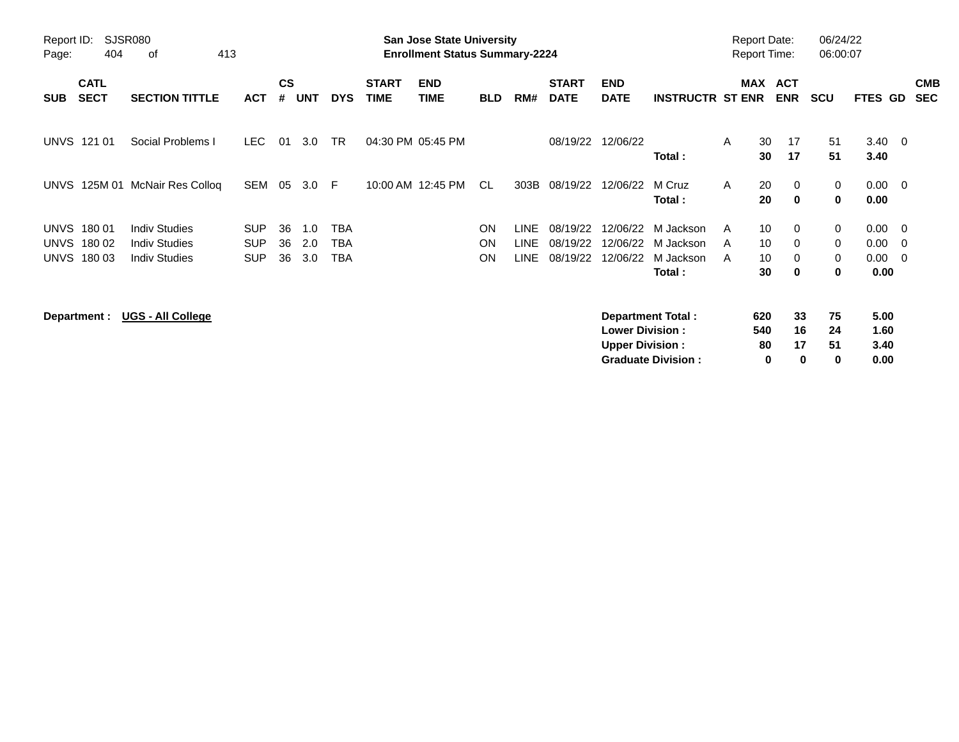| Report ID:<br>Page: | 404                        | <b>SJSR080</b><br>413<br>οf |            |                    |            |            |                             | <b>San Jose State University</b><br><b>Enrollment Status Summary-2224</b> |            |             |                             |                           |                           | <b>Report Date:</b> |          | <b>Report Time:</b>         | 06/24/22<br>06:00:07 |                        |                          |                          |
|---------------------|----------------------------|-----------------------------|------------|--------------------|------------|------------|-----------------------------|---------------------------------------------------------------------------|------------|-------------|-----------------------------|---------------------------|---------------------------|---------------------|----------|-----------------------------|----------------------|------------------------|--------------------------|--------------------------|
| <b>SUB</b>          | <b>CATL</b><br><b>SECT</b> | <b>SECTION TITTLE</b>       | <b>ACT</b> | $\mathsf{cs}$<br># | <b>UNT</b> | <b>DYS</b> | <b>START</b><br><b>TIME</b> | <b>END</b><br><b>TIME</b>                                                 | <b>BLD</b> | RM#         | <b>START</b><br><b>DATE</b> | <b>END</b><br><b>DATE</b> | <b>INSTRUCTR ST ENR</b>   |                     | MAX      | <b>ACT</b><br><b>ENR</b>    | <b>SCU</b>           | <b>FTES GD</b>         |                          | <b>CMB</b><br><b>SEC</b> |
|                     | <b>UNVS 121 01</b>         | Social Problems I           | <b>LEC</b> | 01                 | 3.0        | <b>TR</b>  |                             | 04:30 PM 05:45 PM                                                         |            |             | 08/19/22                    | 12/06/22                  | Total:                    | A                   | 30<br>30 | 17<br>17                    | 51<br>51             | $3.40 \quad 0$<br>3.40 |                          |                          |
| <b>UNVS</b>         |                            | 125M 01 McNair Res Colloq   | SEM        | 05                 | 3.0        | -F         |                             | 10:00 AM 12:45 PM                                                         | <b>CL</b>  | 303B        | 08/19/22                    | 12/06/22                  | M Cruz<br>Total:          | $\mathsf{A}$        | 20<br>20 | $\mathbf{0}$<br>$\mathbf 0$ | 0<br>0               | 0.00<br>0.00           | $\overline{\phantom{0}}$ |                          |
| <b>UNVS</b>         | 180 01                     | <b>Indiv Studies</b>        | <b>SUP</b> | 36                 | 1.0        | <b>TBA</b> |                             |                                                                           | ON         | <b>LINE</b> | 08/19/22                    | 12/06/22                  | M Jackson                 | A                   | 10       | $\mathbf{0}$                | 0                    | 0.00                   | $\overline{\mathbf{0}}$  |                          |
| <b>UNVS</b>         | 180 02                     | <b>Indiv Studies</b>        | <b>SUP</b> | 36                 | 2.0        | <b>TBA</b> |                             |                                                                           | <b>ON</b>  | <b>LINE</b> | 08/19/22                    | 12/06/22                  | M Jackson                 | A                   | 10       | 0                           | 0                    | 0.00                   | $\overline{\mathbf{0}}$  |                          |
| UNVS                | 18003                      | <b>Indiv Studies</b>        | <b>SUP</b> | 36                 | 3.0        | TBA        |                             |                                                                           | ON         | <b>LINE</b> | 08/19/22                    | 12/06/22                  | M Jackson                 | A                   | 10       | $\Omega$                    | 0                    | 0.00                   | - 0                      |                          |
|                     |                            |                             |            |                    |            |            |                             |                                                                           |            |             |                             |                           | Total:                    |                     | 30       | $\bf{0}$                    | $\mathbf 0$          | 0.00                   |                          |                          |
|                     | Department :               | <b>UGS - All College</b>    |            |                    |            |            |                             |                                                                           |            |             |                             |                           | <b>Department Total:</b>  |                     | 620      | 33                          | 75                   | 5.00                   |                          |                          |
|                     |                            |                             |            |                    |            |            |                             |                                                                           |            |             |                             | <b>Lower Division:</b>    |                           |                     | 540      | 16                          | 24                   | 1.60                   |                          |                          |
|                     |                            |                             |            |                    |            |            |                             |                                                                           |            |             |                             | <b>Upper Division:</b>    |                           |                     | 80       | 17                          | 51                   | 3.40                   |                          |                          |
|                     |                            |                             |            |                    |            |            |                             |                                                                           |            |             |                             |                           | <b>Graduate Division:</b> |                     | 0        | 0                           | 0                    | 0.00                   |                          |                          |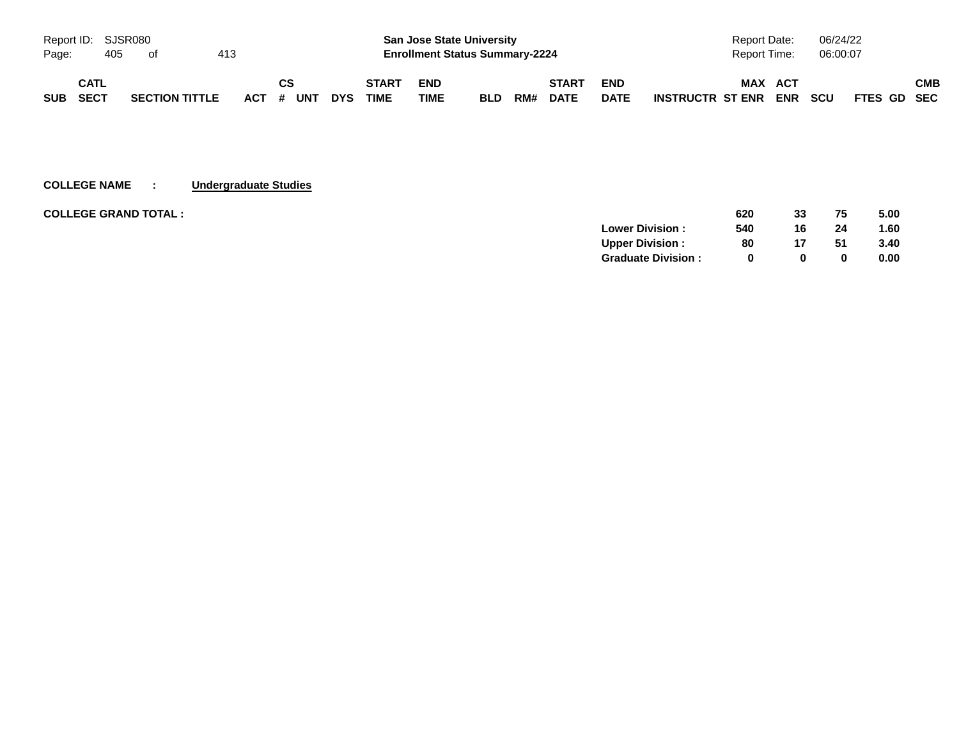|            |             | Report ID: SJSR080 |                       |     |           |            |              |             | <b>San Jose State University</b>      |     |              |             | Report Date:                   | 06/24/22                  |     |
|------------|-------------|--------------------|-----------------------|-----|-----------|------------|--------------|-------------|---------------------------------------|-----|--------------|-------------|--------------------------------|---------------------------|-----|
| Page:      |             | 405                | of                    | 413 |           |            |              |             | <b>Enrollment Status Summary-2224</b> |     |              |             | <b>Report Time:</b>            | 06:00:07                  |     |
|            | <b>CATL</b> |                    |                       |     | CS        |            | <b>START</b> | <b>END</b>  |                                       |     | <b>START</b> | <b>END</b>  | <b>MAX</b><br>ACT              |                           | СМВ |
| <b>SUB</b> | SECT        |                    | <b>SECTION TITTLE</b> |     | ACT # UNT | <b>DYS</b> | <b>TIME</b>  | <b>TIME</b> | <b>BLD</b>                            | RM# | <b>DATE</b>  | <b>DATE</b> | <b>ENR</b><br>INSTRUCTR ST ENR | <b>SCU</b><br>FTES GD SEC |     |

### **COLLEGE NAME : Undergraduate Studies**

| <b>COLLEGE GRAND TOTAL :</b> | 620                            | 33           | 75 | 5.00 |
|------------------------------|--------------------------------|--------------|----|------|
|                              | <b>Lower Division:</b><br>540  | 16           | 24 | 1.60 |
|                              | <b>Upper Division:</b><br>80   | 17           | 51 | 3.40 |
|                              | <b>Graduate Division:</b><br>0 | <sup>0</sup> | 0  | 0.00 |
|                              |                                |              |    |      |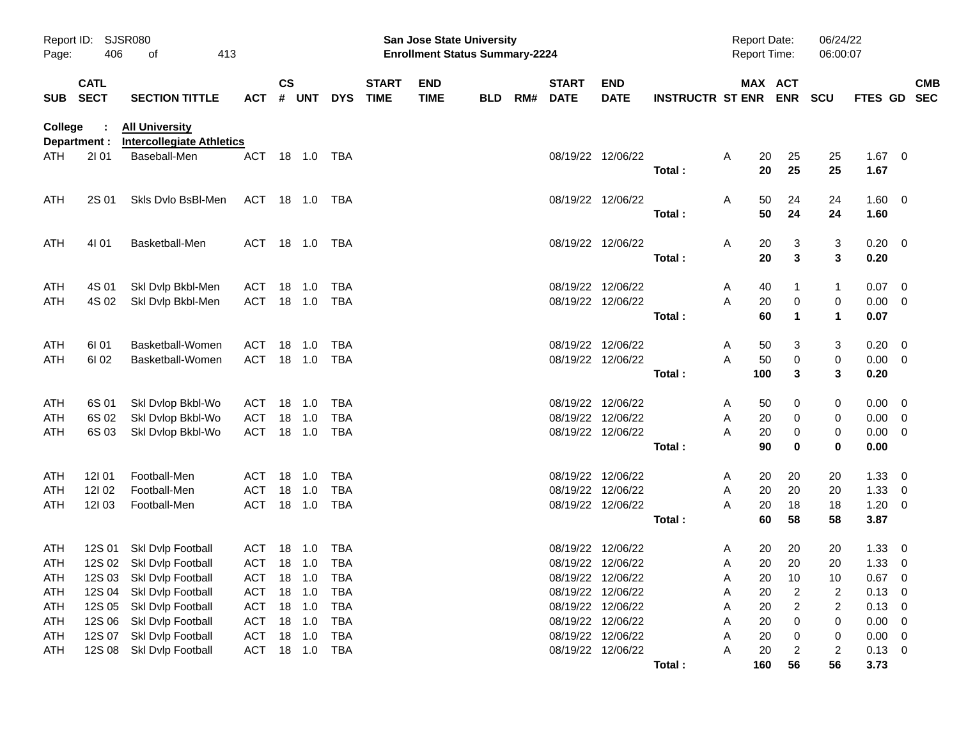| Report ID:<br>Page: | 406                        | SJSR080<br>413<br>οf                                      |                   |           |                  |                          |                             | <b>San Jose State University</b><br><b>Enrollment Status Summary-2224</b> |            |                          |                               |                         |        | <b>Report Date:</b><br><b>Report Time:</b> |                       | 06/24/22<br>06:00:07         |                  |                          |                          |
|---------------------|----------------------------|-----------------------------------------------------------|-------------------|-----------|------------------|--------------------------|-----------------------------|---------------------------------------------------------------------------|------------|--------------------------|-------------------------------|-------------------------|--------|--------------------------------------------|-----------------------|------------------------------|------------------|--------------------------|--------------------------|
| <b>SUB</b>          | <b>CATL</b><br><b>SECT</b> | <b>SECTION TITTLE</b>                                     | <b>ACT</b>        | <b>CS</b> | # UNT            | <b>DYS</b>               | <b>START</b><br><b>TIME</b> | <b>END</b><br><b>TIME</b>                                                 | <b>BLD</b> | <b>START</b><br>RM# DATE | <b>END</b><br><b>DATE</b>     | <b>INSTRUCTR ST ENR</b> |        |                                            | MAX ACT<br><b>ENR</b> | <b>SCU</b>                   | <b>FTES GD</b>   |                          | <b>CMB</b><br><b>SEC</b> |
| <b>College</b>      | Department :               | <b>All University</b><br><b>Intercollegiate Athletics</b> |                   |           |                  |                          |                             |                                                                           |            |                          |                               |                         |        |                                            |                       |                              |                  |                          |                          |
| ATH                 | 2101                       | Baseball-Men                                              | ACT               |           | 18  1.0  TBA     |                          |                             |                                                                           |            |                          | 08/19/22 12/06/22             | Total:                  | A      | 20<br>20                                   | 25<br>25              | 25<br>25                     | $1.67$ 0<br>1.67 |                          |                          |
| ATH                 | 2S 01                      | Skis Dvio BsBI-Men                                        | ACT 18 1.0 TBA    |           |                  |                          |                             |                                                                           |            |                          | 08/19/22 12/06/22             | Total:                  | A      | 50<br>50                                   | 24<br>24              | 24<br>24                     | 1.60 0<br>1.60   |                          |                          |
| ATH                 | 4101                       | Basketball-Men                                            | ACT 18 1.0 TBA    |           |                  |                          |                             |                                                                           |            |                          | 08/19/22 12/06/22             |                         | A      | 20                                         | 3                     | 3                            | $0.20 \ 0$       |                          |                          |
|                     |                            |                                                           |                   |           |                  |                          |                             |                                                                           |            |                          |                               | Total:                  |        | 20                                         | 3                     | 3                            | 0.20             |                          |                          |
| ATH                 | 4S 01                      | Skl Dvlp Bkbl-Men                                         | ACT               | 18        | $-1.0$           | TBA                      |                             |                                                                           |            |                          | 08/19/22 12/06/22             |                         | A      | 40                                         | 1                     | 1                            | $0.07 \ 0$       |                          |                          |
| ATH                 | 4S 02                      | Skl Dvlp Bkbl-Men                                         | ACT               |           | 18 1.0           | TBA                      |                             |                                                                           |            |                          | 08/19/22 12/06/22             | Total:                  | A      | 20<br>60                                   | 0<br>$\mathbf{1}$     | 0<br>$\mathbf 1$             | 0.00<br>0.07     | - 0                      |                          |
| ATH                 | 61 01                      | Basketball-Women                                          | ACT               | 18        | 1.0              | TBA                      |                             |                                                                           |            |                          | 08/19/22 12/06/22             |                         | A      | 50                                         | 3                     | 3                            | 0.20             | - 0                      |                          |
| ATH                 | 61 02                      | Basketball-Women                                          | ACT               |           | 18 1.0           | TBA                      |                             |                                                                           |            |                          | 08/19/22 12/06/22             | Total:                  | A      | 50<br>100                                  | $\mathbf 0$<br>3      | 0<br>3                       | 0.00<br>0.20     | $\overline{\phantom{0}}$ |                          |
| ATH                 | 6S 01                      | Skl Dvlop Bkbl-Wo                                         | ACT               |           | 18 1.0           | TBA                      |                             |                                                                           |            |                          | 08/19/22 12/06/22             |                         | A      | 50                                         | 0                     | 0                            | $0.00 \t 0$      |                          |                          |
| ATH                 | 6S 02                      | Skl Dvlop Bkbl-Wo                                         | <b>ACT</b>        | 18        | 1.0              | <b>TBA</b>               |                             |                                                                           |            | 08/19/22                 | 12/06/22                      |                         | A      | 20                                         | 0                     | 0                            | 0.00             | - 0                      |                          |
| ATH                 | 6S 03                      | Skl Dvlop Bkbl-Wo                                         | ACT               |           | 18 1.0           | TBA                      |                             |                                                                           |            |                          | 08/19/22 12/06/22             |                         | Α      | 20                                         | 0                     | 0                            | 0.00             | - 0                      |                          |
|                     |                            |                                                           |                   |           |                  |                          |                             |                                                                           |            |                          |                               | Total:                  |        | 90                                         | 0                     | 0                            | 0.00             |                          |                          |
| ATH                 | 12101                      | Football-Men                                              | ACT               |           | 18 1.0           | TBA                      |                             |                                                                           |            | 08/19/22                 | 12/06/22                      |                         | A      | 20                                         | 20                    | 20                           | 1.33             | $\overline{\mathbf{0}}$  |                          |
| ATH<br>ATH          | 121 02<br>12103            | Football-Men                                              | ACT<br><b>ACT</b> | 18        | 1.0<br>18 1.0    | <b>TBA</b><br>TBA        |                             |                                                                           |            | 08/19/22                 | 12/06/22<br>08/19/22 12/06/22 |                         | Α      | 20<br>20                                   | 20<br>18              | 20                           | 1.33             | $\overline{0}$           |                          |
|                     |                            | Football-Men                                              |                   |           |                  |                          |                             |                                                                           |            |                          |                               | Total:                  | Α      | 60                                         | 58                    | 18<br>58                     | 1.20<br>3.87     | $\overline{\mathbf{0}}$  |                          |
| ATH                 |                            | 12S 01 Skl Dvlp Football                                  | ACT 18 1.0        |           |                  | TBA                      |                             |                                                                           |            |                          | 08/19/22 12/06/22             |                         | A      | 20                                         | 20                    | 20                           | 1.33             | $\overline{\mathbf{0}}$  |                          |
| ATH                 |                            | 12S 02 Skl Dvlp Football                                  | ACT 18 1.0        |           |                  | TBA                      |                             |                                                                           |            |                          | 08/19/22 12/06/22             |                         | A      | 20                                         | 20                    | 20                           | 1.33             | - 0                      |                          |
| <b>ATH</b>          |                            | 12S 03 Skl Dvlp Football                                  | ACT               | 18        | 1.0              | <b>TBA</b>               |                             |                                                                           |            |                          | 08/19/22 12/06/22             |                         | Α      | 20                                         | 10                    | 10                           | 0.67             | $\overline{0}$           |                          |
| ATH                 | 12S 04                     | Skl Dvlp Football                                         | ACT               |           | 18 1.0           | <b>TBA</b>               |                             |                                                                           |            |                          | 08/19/22 12/06/22             |                         | A      | 20                                         | $\overline{c}$        | 2                            | 0.13             | 0                        |                          |
| ATH                 | 12S 05                     | Skl Dvlp Football                                         | ACT               |           | 18 1.0           | <b>TBA</b>               |                             |                                                                           |            | 08/19/22                 | 12/06/22                      |                         | Α      | 20                                         | $\overline{c}$        | $\overline{\mathbf{c}}$      | 0.13             | 0                        |                          |
| ATH                 | 12S 06                     | Skl Dvlp Football                                         | ACT               |           | 18 1.0           | <b>TBA</b>               |                             |                                                                           |            | 08/19/22                 | 12/06/22                      |                         | Α      | 20                                         | 0                     | 0                            | 0.00             | 0                        |                          |
| ATH                 | 12S 07<br>12S 08           | Skl Dvlp Football<br>Skl Dvlp Football                    | <b>ACT</b><br>ACT |           | 18 1.0<br>18 1.0 | <b>TBA</b><br><b>TBA</b> |                             |                                                                           |            | 08/19/22                 | 12/06/22<br>08/19/22 12/06/22 |                         | Α<br>Α | 20<br>20                                   | 0                     | 0<br>$\overline{\mathbf{c}}$ | 0.00<br>0.13     | - 0                      |                          |
| ATH                 |                            |                                                           |                   |           |                  |                          |                             |                                                                           |            |                          |                               | Total:                  |        | 160                                        | 2<br>56               | 56                           | 3.73             | $\overline{\mathbf{0}}$  |                          |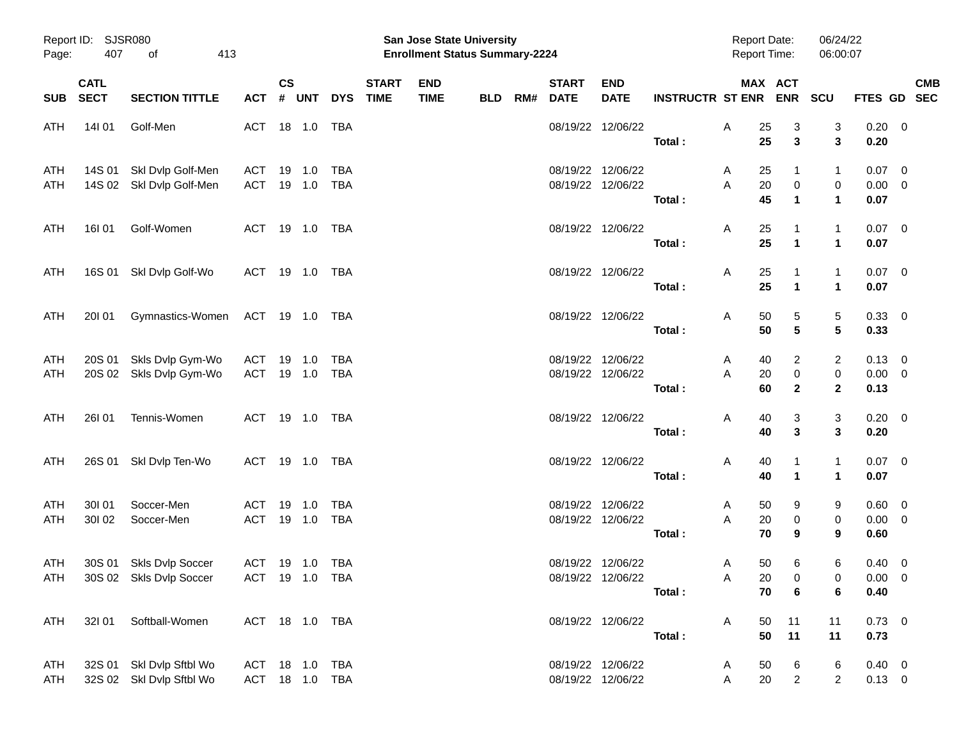| Page:             | Report ID: SJSR080<br>407<br>413<br>of |                                                      |                                  |                  |       |                   |                             | San Jose State University<br><b>Enrollment Status Summary-2224</b> |            |     |                             |                                        |                         | <b>Report Date:</b><br><b>Report Time:</b> |                                                   | 06/24/22<br>06:00:07           |                                    |                           |
|-------------------|----------------------------------------|------------------------------------------------------|----------------------------------|------------------|-------|-------------------|-----------------------------|--------------------------------------------------------------------|------------|-----|-----------------------------|----------------------------------------|-------------------------|--------------------------------------------|---------------------------------------------------|--------------------------------|------------------------------------|---------------------------|
|                   | <b>CATL</b><br>SUB SECT                | <b>SECTION TITTLE</b>                                | ACT                              | $\mathsf{cs}$    | # UNT | <b>DYS</b>        | <b>START</b><br><b>TIME</b> | <b>END</b><br><b>TIME</b>                                          | <b>BLD</b> | RM# | <b>START</b><br><b>DATE</b> | <b>END</b><br><b>DATE</b>              | <b>INSTRUCTR ST ENR</b> |                                            | MAX ACT<br><b>ENR</b>                             | <b>SCU</b>                     |                                    | <b>CMB</b><br>FTES GD SEC |
| ATH               | 14101                                  | Golf-Men                                             | ACT 18 1.0                       |                  |       | TBA               |                             |                                                                    |            |     |                             | 08/19/22 12/06/22                      | Total:                  | Α<br>25<br>25                              | 3<br>$\mathbf{3}$                                 | 3<br>3                         | $0.20 \ 0$<br>0.20                 |                           |
| ATH<br>ATH        |                                        | 14S 01 Skl Dvlp Golf-Men<br>14S 02 Skl Dvlp Golf-Men | ACT 19 1.0<br>ACT 19 1.0         |                  |       | TBA<br>TBA        |                             |                                                                    |            |     |                             | 08/19/22 12/06/22<br>08/19/22 12/06/22 | Total:                  | 25<br>A<br>A<br>20<br>45                   | $\mathbf{1}$<br>$\pmb{0}$<br>$\blacktriangleleft$ | 1<br>0<br>$\mathbf 1$          | $0.07 \ 0$<br>$0.00 \t 0$<br>0.07  |                           |
| ATH               | 16I 01                                 | Golf-Women                                           | ACT 19 1.0 TBA                   |                  |       |                   |                             |                                                                    |            |     |                             | 08/19/22 12/06/22                      | Total:                  | A<br>25<br>25                              | $\overline{1}$<br>$\mathbf{1}$                    | $\mathbf{1}$<br>$\mathbf 1$    | $0.07 \ 0$<br>0.07                 |                           |
| ATH               |                                        | 16S 01 SkI Dvlp Golf-Wo                              | ACT 19 1.0 TBA                   |                  |       |                   |                             |                                                                    |            |     |                             | 08/19/22 12/06/22                      | Total:                  | Α<br>25<br>25                              | $\overline{1}$<br>$\mathbf{1}$                    | 1<br>$\mathbf 1$               | $0.07 \ 0$<br>0.07                 |                           |
| ATH               | 20101                                  | Gymnastics-Women                                     | ACT 19 1.0 TBA                   |                  |       |                   |                             |                                                                    |            |     |                             | 08/19/22 12/06/22                      | Total:                  | Α<br>50<br>50                              | 5<br>5                                            | 5<br>5                         | $0.33 \ 0$<br>0.33                 |                           |
| <b>ATH</b><br>ATH |                                        | 20S 01 Skls Dvlp Gym-Wo<br>20S 02 Skls Dvlp Gym-Wo   | ACT<br>ACT 19 1.0                | 19 1.0           |       | TBA<br>TBA        |                             |                                                                    |            |     |                             | 08/19/22 12/06/22<br>08/19/22 12/06/22 | Total:                  | A<br>40<br>A<br>20<br>60                   | 2<br>$\pmb{0}$<br>$\mathbf{2}$                    | 2<br>$\pmb{0}$<br>$\mathbf{2}$ | $0.13 \ 0$<br>$0.00 \t 0$<br>0.13  |                           |
| ATH               | 26101                                  | Tennis-Women                                         | ACT 19 1.0 TBA                   |                  |       |                   |                             |                                                                    |            |     |                             | 08/19/22 12/06/22                      | Total:                  | Α<br>40<br>40                              | 3<br>$\mathbf{3}$                                 | 3<br>3                         | $0.20 \ 0$<br>0.20                 |                           |
| ATH               |                                        | 26S 01 Skl Dvlp Ten-Wo                               | ACT 19 1.0 TBA                   |                  |       |                   |                             |                                                                    |            |     |                             | 08/19/22 12/06/22                      | Total:                  | Α<br>40<br>40                              | $\mathbf{1}$<br>$\blacktriangleleft$              | $\mathbf{1}$<br>$\mathbf 1$    | $0.07 \quad 0$<br>0.07             |                           |
| <b>ATH</b><br>ATH | 30101<br>30102                         | Soccer-Men<br>Soccer-Men                             | ACT<br>ACT                       | 19 1.0<br>19 1.0 |       | TBA<br><b>TBA</b> |                             |                                                                    |            |     |                             | 08/19/22 12/06/22<br>08/19/22 12/06/22 | Total:                  | A<br>50<br>A<br>20<br>70                   | 9<br>$\pmb{0}$<br>9                               | 9<br>$\pmb{0}$<br>9            | $0.60 \t 0$<br>$0.00 \t 0$<br>0.60 |                           |
| ATH<br>ATH        |                                        | 30S 01 Skls Dvlp Soccer<br>30S 02 Skls Dvlp Soccer   | ACT 19 1.0<br>ACT 19 1.0 TBA     |                  |       | TBA               |                             |                                                                    |            |     |                             | 08/19/22 12/06/22<br>08/19/22 12/06/22 | Total:                  | 50<br>A<br>Α<br>70                         | 6<br>20<br>$\mathbf 0$<br>6                       | 6<br>$\mathbf{0}$<br>6         | $0.40 \ 0$<br>$0.00 \t 0$<br>0.40  |                           |
| ATH               |                                        | 32I 01 Softball-Women                                | ACT 18 1.0 TBA                   |                  |       |                   |                             |                                                                    |            |     |                             | 08/19/22 12/06/22                      | Total:                  | A<br>50<br>50                              | 11<br>11                                          | 11<br>11                       | $0.73 \ 0$<br>0.73                 |                           |
| ATH<br>ATH        |                                        | 32S 01 SkI Dvlp Sftbl Wo<br>32S 02 Skl Dvlp Sftbl Wo | ACT 18 1.0 TBA<br>ACT 18 1.0 TBA |                  |       |                   |                             |                                                                    |            |     |                             | 08/19/22 12/06/22<br>08/19/22 12/06/22 |                         | 50<br>A<br>Α<br>20                         | 6<br>$\overline{2}$                               | 6<br>$\overline{2}$            | $0.40 \ 0$<br>$0.13 \ 0$           |                           |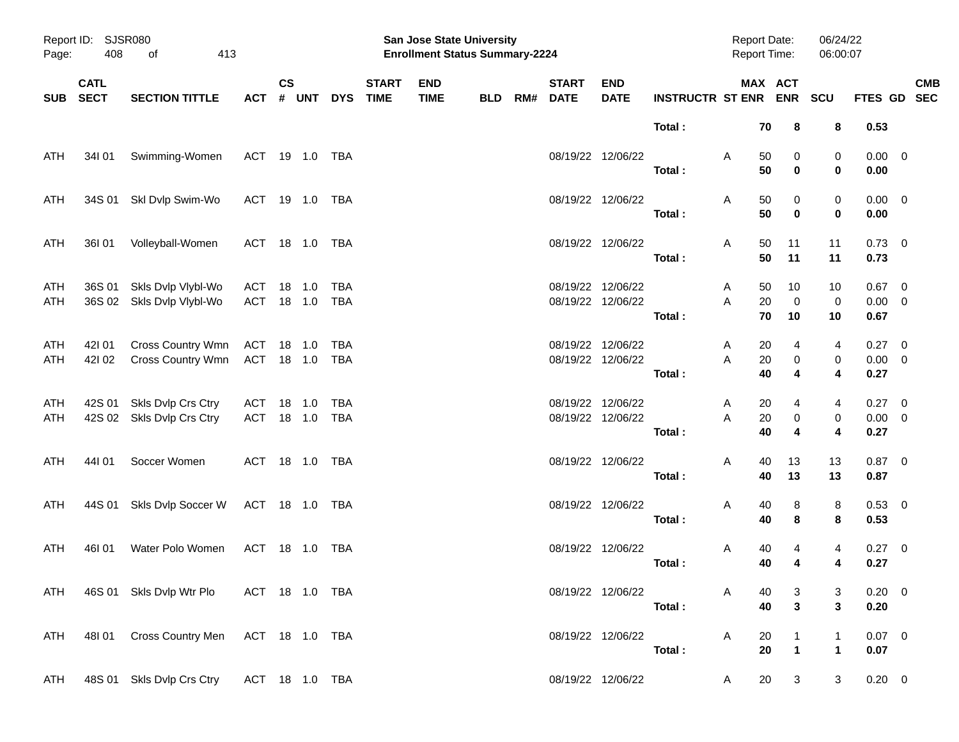| Page:      | Report ID: SJSR080<br>408  | 413<br>οf                                       |                              |                    |            |            |                             | San Jose State University<br><b>Enrollment Status Summary-2224</b> |            |     |                             |                                        |                             | <b>Report Date:</b><br><b>Report Time:</b> |                                         | 06/24/22<br>06:00:07                      |                                 |                           |
|------------|----------------------------|-------------------------------------------------|------------------------------|--------------------|------------|------------|-----------------------------|--------------------------------------------------------------------|------------|-----|-----------------------------|----------------------------------------|-----------------------------|--------------------------------------------|-----------------------------------------|-------------------------------------------|---------------------------------|---------------------------|
| <b>SUB</b> | <b>CATL</b><br><b>SECT</b> | <b>SECTION TITTLE</b>                           | <b>ACT</b>                   | $\mathsf{cs}$<br># | <b>UNT</b> | <b>DYS</b> | <b>START</b><br><b>TIME</b> | <b>END</b><br><b>TIME</b>                                          | <b>BLD</b> | RM# | <b>START</b><br><b>DATE</b> | <b>END</b><br><b>DATE</b>              | <b>INSTRUCTR ST ENR ENR</b> |                                            | MAX ACT                                 | SCU                                       |                                 | <b>CMB</b><br>FTES GD SEC |
|            |                            |                                                 |                              |                    |            |            |                             |                                                                    |            |     |                             |                                        | Total:                      | 70                                         | 8                                       | 8                                         | 0.53                            |                           |
| ATH        | 34101                      | Swimming-Women                                  | ACT 19 1.0 TBA               |                    |            |            |                             |                                                                    |            |     |                             | 08/19/22 12/06/22                      | Total:                      | Α<br>50<br>50                              | 0<br>$\bf{0}$                           | 0<br>0                                    | $0.00 \t 0$<br>0.00             |                           |
| ATH        |                            | 34S 01 SkI Dvlp Swim-Wo                         | ACT 19 1.0 TBA               |                    |            |            |                             |                                                                    |            |     |                             | 08/19/22 12/06/22                      | Total:                      | Α<br>50<br>50                              | 0<br>$\mathbf 0$                        | 0<br>0                                    | $0.00 \t 0$<br>0.00             |                           |
| ATH        | 36I 01                     | Volleyball-Women                                | ACT 18 1.0 TBA               |                    |            |            |                             |                                                                    |            |     |                             | 08/19/22 12/06/22                      | Total:                      | Α<br>50<br>50                              | 11<br>11                                | 11<br>11                                  | $0.73 \quad 0$<br>0.73          |                           |
| ATH<br>ATH | 36S 01                     | Skls Dvlp Vlybl-Wo<br>36S 02 Skls Dvlp Vlybl-Wo | ACT<br>ACT 18 1.0 TBA        | 18 1.0             |            | TBA        |                             |                                                                    |            |     |                             | 08/19/22 12/06/22<br>08/19/22 12/06/22 | Total:                      | A<br>50<br>20<br>A<br>70                   | 10<br>$\mathbf 0$<br>10                 | 10<br>0<br>10                             | $0.67$ 0<br>$0.00 \t 0$<br>0.67 |                           |
| ATH<br>ATH | 421 01<br>42102            | Cross Country Wmn<br>Cross Country Wmn          | ACT 18 1.0<br>ACT 18 1.0 TBA |                    |            | TBA        |                             |                                                                    |            |     |                             | 08/19/22 12/06/22<br>08/19/22 12/06/22 | Total:                      | 20<br>A<br>$20\,$<br>A<br>40               | 4<br>0<br>4                             | 4<br>$\pmb{0}$<br>$\overline{\mathbf{4}}$ | 0.27 0<br>$0.00 \t 0$<br>0.27   |                           |
| ATH<br>ATH | 42S 01                     | Skls Dvlp Crs Ctry<br>42S 02 Skls Dvlp Crs Ctry | ACT<br>ACT 18 1.0 TBA        | 18 1.0             |            | TBA        |                             |                                                                    |            |     |                             | 08/19/22 12/06/22<br>08/19/22 12/06/22 | Total:                      | 20<br>A<br>A<br>20<br>40                   | 4<br>0<br>4                             | 4<br>$\pmb{0}$<br>4                       | $0.27$ 0<br>$0.00 \t 0$<br>0.27 |                           |
| ATH        | 44101                      | Soccer Women                                    | ACT 18 1.0 TBA               |                    |            |            |                             |                                                                    |            |     |                             | 08/19/22 12/06/22                      | Total:                      | 40<br>Α<br>40                              | 13<br>13                                | 13<br>13                                  | $0.87$ 0<br>0.87                |                           |
| ATH        | 44S 01                     | Skls Dvlp Soccer W                              | ACT 18 1.0 TBA               |                    |            |            |                             |                                                                    |            |     |                             | 08/19/22 12/06/22                      | Total:                      | Α<br>40<br>40                              | 8<br>8                                  | 8<br>8                                    | 0.53 0<br>0.53                  |                           |
| ATH        | 46I 01                     | Water Polo Women                                | ACT 18 1.0 TBA               |                    |            |            |                             |                                                                    |            |     |                             | 08/19/22 12/06/22                      | Total:                      | 40<br>A<br>40                              | 4<br>$\overline{\mathbf{4}}$            | 4<br>4                                    | 0.27 0<br>0.27                  |                           |
|            |                            | ATH 46S 01 Skls Dvlp Wtr Plo                    | ACT 18 1.0 TBA               |                    |            |            |                             |                                                                    |            |     |                             | 08/19/22 12/06/22                      | Total:                      | A<br>40<br>40                              | 3<br>$\mathbf{3}$                       | 3<br>$\mathbf{3}$                         | $0.20 \ 0$<br>0.20              |                           |
| ATH        |                            | 48101 Cross Country Men ACT 18 1.0 TBA          |                              |                    |            |            |                             |                                                                    |            |     |                             | 08/19/22 12/06/22                      | Total:                      | 20<br>A<br>20                              | $\mathbf{1}$<br>$\overline{\mathbf{1}}$ | $\mathbf{1}$<br>$\mathbf{1}$              | $0.07$ 0<br>0.07                |                           |
| ATH        |                            | 48S 01 Skls Dvlp Crs Ctry                       | ACT 18 1.0 TBA               |                    |            |            |                             |                                                                    |            |     |                             | 08/19/22 12/06/22                      |                             | 20<br>A                                    | $\mathbf{3}$                            | 3                                         | $0.20 \ 0$                      |                           |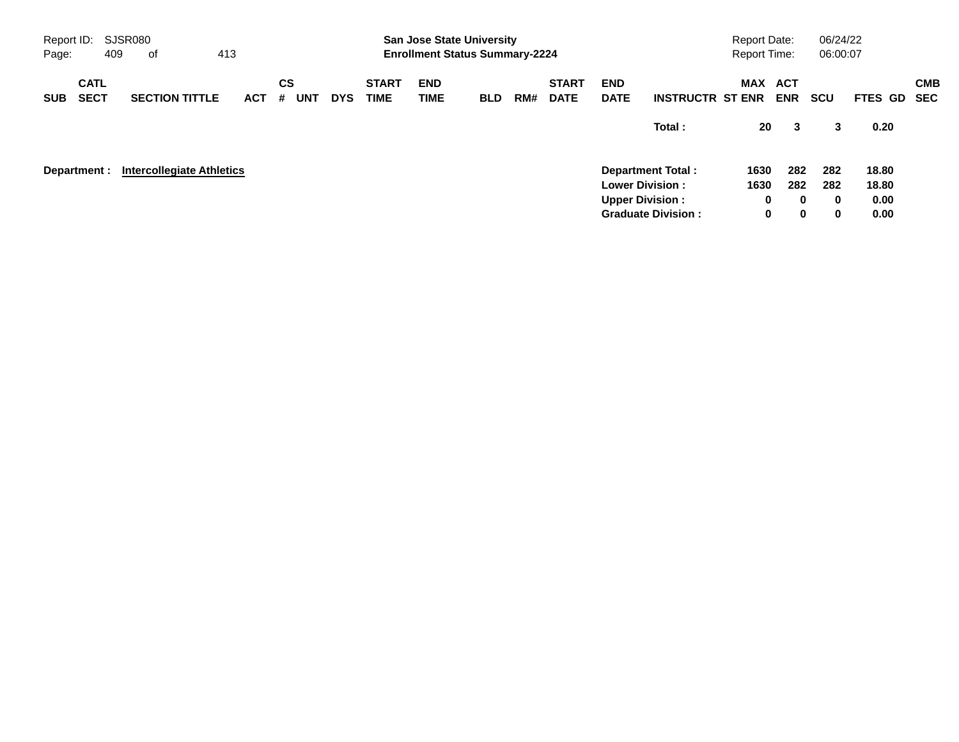| Report ID:<br>Page: |                            | SJSR080<br>409 | оf                               | 413        |                       |            |                             | <b>San Jose State University</b><br><b>Enrollment Status Summary-2224</b> |            |     |                             |                           |                                                     | <b>Report Date:</b><br>Report Time: |                         | 06/24/22<br>06:00:07 |                |                          |
|---------------------|----------------------------|----------------|----------------------------------|------------|-----------------------|------------|-----------------------------|---------------------------------------------------------------------------|------------|-----|-----------------------------|---------------------------|-----------------------------------------------------|-------------------------------------|-------------------------|----------------------|----------------|--------------------------|
| <b>SUB</b>          | <b>CATL</b><br><b>SECT</b> |                | <b>SECTION TITTLE</b>            | <b>ACT</b> | CS<br><b>UNT</b><br># | <b>DYS</b> | <b>START</b><br><b>TIME</b> | <b>END</b><br>TIME                                                        | <b>BLD</b> | RM# | <b>START</b><br><b>DATE</b> | <b>END</b><br><b>DATE</b> | <b>INSTRUCTR ST ENR</b>                             | MAX ACT                             | <b>ENR</b>              | <b>SCU</b>           | FTES GD        | <b>CMB</b><br><b>SEC</b> |
|                     |                            |                |                                  |            |                       |            |                             |                                                                           |            |     |                             |                           | Total:                                              | 20                                  | 3                       | 3                    | 0.20           |                          |
|                     | Department :               |                | <b>Intercollegiate Athletics</b> |            |                       |            |                             |                                                                           |            |     |                             |                           | <b>Department Total:</b><br><b>Lower Division:</b>  | 1630<br>1630                        | 282<br>282              | 282<br>282           | 18.80<br>18.80 |                          |
|                     |                            |                |                                  |            |                       |            |                             |                                                                           |            |     |                             |                           | <b>Upper Division:</b><br><b>Graduate Division:</b> | 0<br>0                              | $\bf{0}$<br>$\mathbf 0$ | $\bf{0}$<br>0        | 0.00<br>0.00   |                          |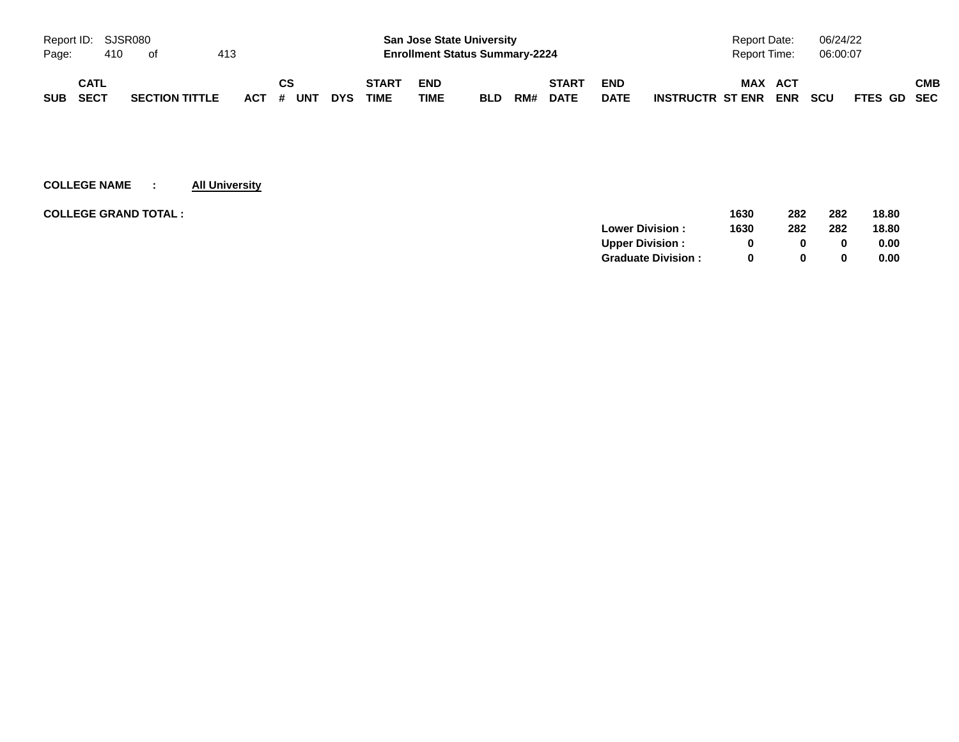| Report ID: SJSR080 |      |     |                       |     |           |            |              | <b>San Jose State University</b>      |            |     |              |             | <b>Report Date:</b>                   | 06/24/22                  |            |
|--------------------|------|-----|-----------------------|-----|-----------|------------|--------------|---------------------------------------|------------|-----|--------------|-------------|---------------------------------------|---------------------------|------------|
| Page:              |      | 410 | ot                    | 413 |           |            |              | <b>Enrollment Status Summary-2224</b> |            |     |              |             | Report Time:                          | 06:00:07                  |            |
|                    | CATL |     |                       |     | <b>CS</b> |            | <b>START</b> | <b>END</b>                            |            |     | <b>START</b> | <b>END</b>  | <b>MAX</b><br><b>ACT</b>              |                           | <b>CMB</b> |
| <b>SUB</b>         | SECT |     | <b>SECTION TITTLE</b> |     | ACT # UNT | <b>DYS</b> | <b>TIME</b>  | TIME                                  | <b>BLD</b> | RM# | <b>DATE</b>  | <b>DATE</b> | <b>ENR</b><br><b>INSTRUCTR ST ENR</b> | <b>SCU</b><br>FTES GD SEC |            |

# **COLLEGE NAME : All University**

| <b>COLLEGE GRAND TOTAL :</b> | 1630 | 282 | 282 | 18.80 |
|------------------------------|------|-----|-----|-------|
| <b>Lower Division:</b>       | 1630 | 282 | 282 | 18.80 |
| <b>Upper Division:</b>       |      |     | 0   | 0.00  |
| <b>Graduate Division:</b>    |      |     | 0   | 0.00  |
|                              |      |     |     |       |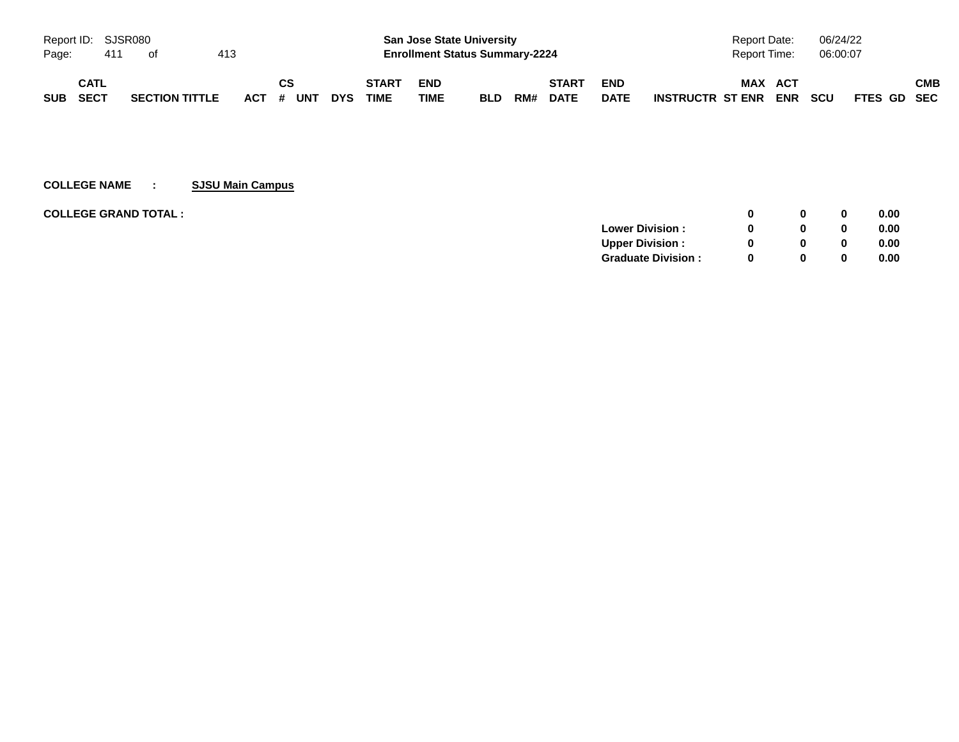| Report ID: SJSR080 |             |     |                       |     |           |            |              |            | <b>San Jose State University</b>      |     |              |             | Report Date:                          | 06/24/22                  |     |
|--------------------|-------------|-----|-----------------------|-----|-----------|------------|--------------|------------|---------------------------------------|-----|--------------|-------------|---------------------------------------|---------------------------|-----|
| Page:              |             | 411 | ot                    | 413 |           |            |              |            | <b>Enrollment Status Summary-2224</b> |     |              |             | <b>Report Time:</b>                   | 06:00:07                  |     |
|                    | <b>CATL</b> |     |                       |     | CS        |            | <b>START</b> | <b>END</b> |                                       |     | <b>START</b> | <b>END</b>  | <b>MAX</b><br>ACT                     |                           | СМВ |
| <b>SUB</b>         | SECT        |     | <b>SECTION TITTLE</b> |     | ACT # UNT | <b>DYS</b> | <b>TIME</b>  | TIME       | <b>BLD</b>                            | RM# | <b>DATE</b>  | <b>DATE</b> | <b>ENR</b><br><b>INSTRUCTR ST ENR</b> | <b>SCU</b><br>FTES GD SEC |     |

# **COLLEGE NAME : SJSU Main Campus**

| <b>COLLEGE GRAND TOTAL :</b> |                           | n        | 0        | 0.00 |
|------------------------------|---------------------------|----------|----------|------|
|                              | <b>Lower Division:</b>    |          | $\bf{0}$ | 0.00 |
|                              | Upper Division:           |          | 0        | 0.00 |
|                              | <b>Graduate Division:</b> | $\Omega$ | 0        | 0.00 |
|                              |                           |          |          |      |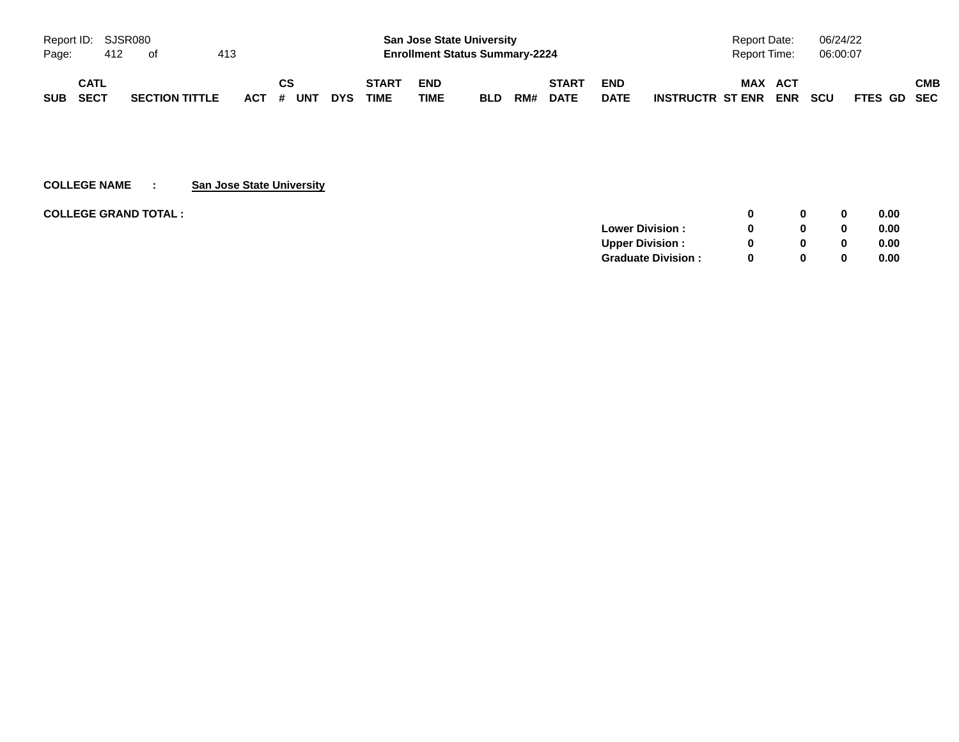| Report ID: SJSR080 |      |     |                       |     |           |            |              | <b>San Jose State University</b>      |            |     |              |             | <b>Report Date:</b>                   | 06/24/22                  |     |
|--------------------|------|-----|-----------------------|-----|-----------|------------|--------------|---------------------------------------|------------|-----|--------------|-------------|---------------------------------------|---------------------------|-----|
| Page:              |      | 412 | of                    | 413 |           |            |              | <b>Enrollment Status Summary-2224</b> |            |     |              |             | Report Time:                          | 06:00:07                  |     |
|                    | CATL |     |                       |     | CS        |            | <b>START</b> | <b>END</b>                            |            |     | <b>START</b> | <b>END</b>  | <b>MAX</b><br><b>ACT</b>              |                           | СМВ |
| <b>SUB</b>         | SECT |     | <b>SECTION TITTLE</b> |     | ACT # UNT | <b>DYS</b> | <b>TIME</b>  | TIME                                  | <b>BLD</b> | RM# | <b>DATE</b>  | <b>DATE</b> | <b>ENR</b><br><b>INSTRUCTR ST ENR</b> | <b>SCU</b><br>FTES GD SEC |     |

# **COLLEGE NAME : San Jose State University**

| <b>COLLEGE GRAND TOTAL :</b> |                           | <sup>0</sup> | $\bf{0}$ | 0.00 |
|------------------------------|---------------------------|--------------|----------|------|
|                              | <b>Lower Division:</b>    | $\Omega$     | $\bf{0}$ | 0.00 |
|                              | <b>Upper Division:</b>    | <sup>0</sup> | $\bf{0}$ | 0.00 |
|                              | <b>Graduate Division:</b> | <sup>0</sup> | $\bf{0}$ | 0.00 |
|                              |                           |              |          |      |